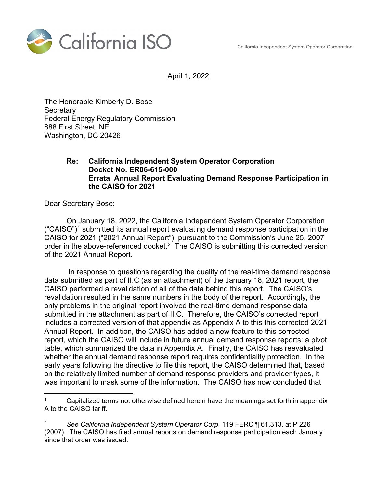California Independent System Operator Corporation



April 1, 2022

The Honorable Kimberly D. Bose **Secretary** Federal Energy Regulatory Commission 888 First Street, NE Washington, DC 20426

## **Re: California Independent System Operator Corporation Docket No. ER06-615-000 Errata Annual Report Evaluating Demand Response Participation in the CAISO for 2021**

Dear Secretary Bose:

On January 18, 2022, the California Independent System Operator Corporation  $("CAISO")<sup>1</sup>$  submitted its annual report evaluating demand response participation in the CAISO for 2021 ("2021 Annual Report"), pursuant to the Commission's June 25, 2007 order in the above-referenced docket. $2$  The CAISO is submitting this corrected version of the 2021 Annual Report.

 In response to questions regarding the quality of the real-time demand response data submitted as part of II.C (as an attachment) of the January 18, 2021 report, the CAISO performed a revalidation of all of the data behind this report. The CAISO's revalidation resulted in the same numbers in the body of the report. Accordingly, the only problems in the original report involved the real-time demand response data submitted in the attachment as part of II.C. Therefore, the CAISO's corrected report includes a corrected version of that appendix as Appendix A to this this corrected 2021 Annual Report. In addition, the CAISO has added a new feature to this corrected report, which the CAISO will include in future annual demand response reports: a pivot table, which summarized the data in Appendix A. Finally, the CAISO has reevaluated whether the annual demand response report requires confidentiality protection. In the early years following the directive to file this report, the CAISO determined that, based on the relatively limited number of demand response providers and provider types, it was important to mask some of the information. The CAISO has now concluded that

 $\overline{a}$ Capitalized terms not otherwise defined herein have the meanings set forth in appendix A to the CAISO tariff.

<sup>2</sup> *See California Independent System Operator Corp*. 119 FERC ¶ 61,313, at P 226 (2007). The CAISO has filed annual reports on demand response participation each January since that order was issued.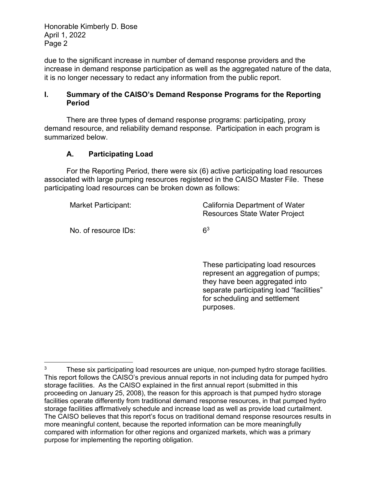Honorable Kimberly D. Bose April 1, 2022 Page 2

due to the significant increase in number of demand response providers and the increase in demand response participation as well as the aggregated nature of the data, it is no longer necessary to redact any information from the public report.

#### **I. Summary of the CAISO's Demand Response Programs for the Reporting Period**

There are three types of demand response programs: participating, proxy demand resource, and reliability demand response. Participation in each program is summarized below.

# **A. Participating Load**

For the Reporting Period, there were six (6) active participating load resources associated with large pumping resources registered in the CAISO Master File. These participating load resources can be broken down as follows:

Market Participant: California Department of Water

No. of resource  $\mathsf{IDs}$ : 6<sup>3</sup>

 $\overline{a}$ 

Resources State Water Project

 These participating load resources represent an aggregation of pumps; they have been aggregated into separate participating load "facilities" for scheduling and settlement purposes.

<sup>&</sup>lt;sup>3</sup> These six participating load resources are unique, non-pumped hydro storage facilities. This report follows the CAISO's previous annual reports in not including data for pumped hydro storage facilities. As the CAISO explained in the first annual report (submitted in this proceeding on January 25, 2008), the reason for this approach is that pumped hydro storage facilities operate differently from traditional demand response resources, in that pumped hydro storage facilities affirmatively schedule and increase load as well as provide load curtailment. The CAISO believes that this report's focus on traditional demand response resources results in more meaningful content, because the reported information can be more meaningfully compared with information for other regions and organized markets, which was a primary purpose for implementing the reporting obligation.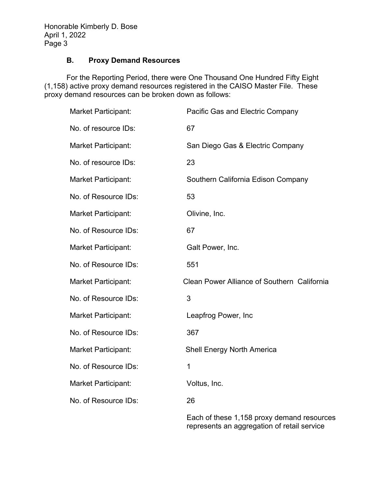## **B. Proxy Demand Resources**

For the Reporting Period, there were One Thousand One Hundred Fifty Eight (1,158) active proxy demand resources registered in the CAISO Master File. These proxy demand resources can be broken down as follows:

| <b>Market Participant:</b> | Pacific Gas and Electric Company                        |
|----------------------------|---------------------------------------------------------|
| No. of resource IDs:       | 67                                                      |
| <b>Market Participant:</b> | San Diego Gas & Electric Company                        |
| No. of resource IDs:       | 23                                                      |
| <b>Market Participant:</b> | Southern California Edison Company                      |
| No. of Resource IDs:       | 53                                                      |
| <b>Market Participant:</b> | Olivine, Inc.                                           |
| No. of Resource IDs:       | 67                                                      |
| <b>Market Participant:</b> | Galt Power, Inc.                                        |
| No. of Resource IDs:       | 551                                                     |
| <b>Market Participant:</b> | Clean Power Alliance of Southern California             |
| No. of Resource IDs:       | 3                                                       |
| <b>Market Participant:</b> | Leapfrog Power, Inc                                     |
| No. of Resource IDs:       | 367                                                     |
| <b>Market Participant:</b> | <b>Shell Energy North America</b>                       |
| No. of Resource IDs:       | $\mathbf 1$                                             |
| <b>Market Participant:</b> | Voltus, Inc.                                            |
| No. of Resource IDs:       | 26                                                      |
|                            | $\Gamma$ ach of these $\Lambda$ AEO providences dressel |

Each of these 1,158 proxy demand resources represents an aggregation of retail service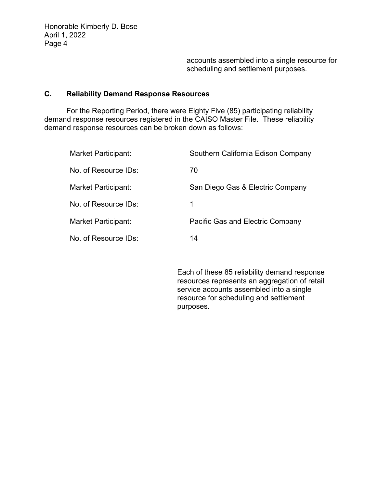accounts assembled into a single resource for scheduling and settlement purposes.

#### **C. Reliability Demand Response Resources**

For the Reporting Period, there were Eighty Five (85) participating reliability demand response resources registered in the CAISO Master File. These reliability demand response resources can be broken down as follows:

| <b>Market Participant:</b> | Southern California Edison Company |
|----------------------------|------------------------------------|
| No. of Resource IDs:       | 70                                 |
| Market Participant:        | San Diego Gas & Electric Company   |
| No. of Resource IDs:       | 1                                  |
| Market Participant:        | Pacific Gas and Electric Company   |
| No. of Resource IDs:       | 14                                 |

Each of these 85 reliability demand response resources represents an aggregation of retail service accounts assembled into a single resource for scheduling and settlement purposes.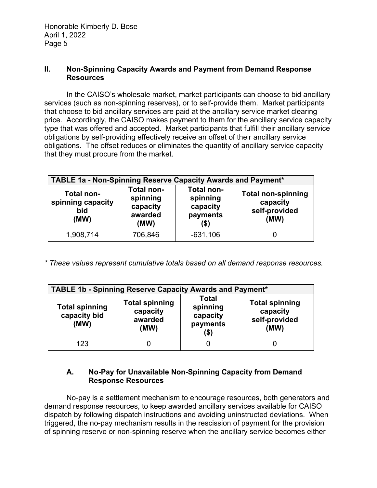#### **II. Non-Spinning Capacity Awards and Payment from Demand Response Resources**

In the CAISO's wholesale market, market participants can choose to bid ancillary services (such as non-spinning reserves), or to self-provide them. Market participants that choose to bid ancillary services are paid at the ancillary service market clearing price. Accordingly, the CAISO makes payment to them for the ancillary service capacity type that was offered and accepted. Market participants that fulfill their ancillary service obligations by self-providing effectively receive an offset of their ancillary service obligations. The offset reduces or eliminates the quantity of ancillary service capacity that they must procure from the market.

| <b>TABLE 1a - Non-Spinning Reserve Capacity Awards and Payment*</b> |                                                              |                                                        |                                                                |
|---------------------------------------------------------------------|--------------------------------------------------------------|--------------------------------------------------------|----------------------------------------------------------------|
| Total non-<br>spinning capacity<br>bid<br>(MW)                      | <b>Total non-</b><br>spinning<br>capacity<br>awarded<br>(MW) | Total non-<br>spinning<br>capacity<br>payments<br>(\$) | <b>Total non-spinning</b><br>capacity<br>self-provided<br>(MW) |
| 1,908,714                                                           | 706,846                                                      | $-631,106$                                             |                                                                |

*\* These values represent cumulative totals based on all demand response resources.* 

| <b>TABLE 1b - Spinning Reserve Capacity Awards and Payment*</b> |                                                      |                                                          |                                                            |
|-----------------------------------------------------------------|------------------------------------------------------|----------------------------------------------------------|------------------------------------------------------------|
| <b>Total spinning</b><br>capacity bid<br>(MW)                   | <b>Total spinning</b><br>capacity<br>awarded<br>(MW) | <b>Total</b><br>spinning<br>capacity<br>payments<br>(\$) | <b>Total spinning</b><br>capacity<br>self-provided<br>(MW) |
| 123                                                             |                                                      |                                                          |                                                            |

# **A. No-Pay for Unavailable Non-Spinning Capacity from Demand Response Resources**

No-pay is a settlement mechanism to encourage resources, both generators and demand response resources, to keep awarded ancillary services available for CAISO dispatch by following dispatch instructions and avoiding uninstructed deviations. When triggered, the no-pay mechanism results in the rescission of payment for the provision of spinning reserve or non-spinning reserve when the ancillary service becomes either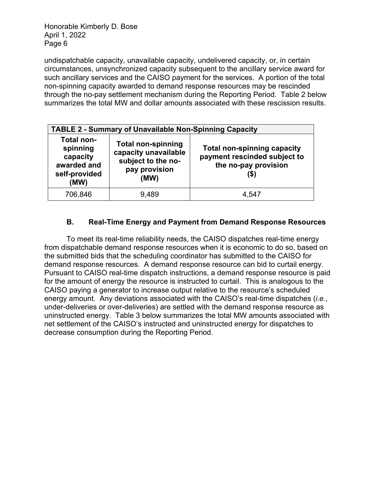Honorable Kimberly D. Bose April 1, 2022 Page 6

undispatchable capacity, unavailable capacity, undelivered capacity, or, in certain circumstances, unsynchronized capacity subsequent to the ancillary service award for such ancillary services and the CAISO payment for the services. A portion of the total non-spinning capacity awarded to demand response resources may be rescinded through the no-pay settlement mechanism during the Reporting Period. Table 2 below summarizes the total MW and dollar amounts associated with these rescission results.

|                                                                                   | <b>TABLE 2 - Summary of Unavailable Non-Spinning Capacity</b>                                    |                                                                                            |
|-----------------------------------------------------------------------------------|--------------------------------------------------------------------------------------------------|--------------------------------------------------------------------------------------------|
| <b>Total non-</b><br>spinning<br>capacity<br>awarded and<br>self-provided<br>(MW) | <b>Total non-spinning</b><br>capacity unavailable<br>subject to the no-<br>pay provision<br>(MW) | <b>Total non-spinning capacity</b><br>payment rescinded subject to<br>the no-pay provision |
| 706,846                                                                           | 9,489                                                                                            | 4,547                                                                                      |

# **B. Real-Time Energy and Payment from Demand Response Resources**

To meet its real-time reliability needs, the CAISO dispatches real-time energy from dispatchable demand response resources when it is economic to do so, based on the submitted bids that the scheduling coordinator has submitted to the CAISO for demand response resources. A demand response resource can bid to curtail energy. Pursuant to CAISO real-time dispatch instructions, a demand response resource is paid for the amount of energy the resource is instructed to curtail. This is analogous to the CAISO paying a generator to increase output relative to the resource's scheduled energy amount. Any deviations associated with the CAISO's real-time dispatches (*i.e.*, under-deliveries or over-deliveries) are settled with the demand response resource as uninstructed energy. Table 3 below summarizes the total MW amounts associated with net settlement of the CAISO's instructed and uninstructed energy for dispatches to decrease consumption during the Reporting Period.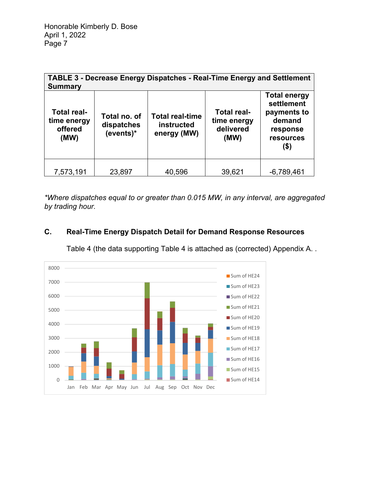| <b>Summary</b>                                       |                                         | <b>TABLE 3 - Decrease Energy Dispatches - Real-Time Energy and Settlement</b> |                                                        |                                                                                             |
|------------------------------------------------------|-----------------------------------------|-------------------------------------------------------------------------------|--------------------------------------------------------|---------------------------------------------------------------------------------------------|
| <b>Total real-</b><br>time energy<br>offered<br>(MW) | Total no. of<br>dispatches<br>(events)* | <b>Total real-time</b><br>instructed<br>energy (MW)                           | <b>Total real-</b><br>time energy<br>delivered<br>(MW) | <b>Total energy</b><br>settlement<br>payments to<br>demand<br>response<br>resources<br>(\$) |
| 7,573,191                                            | 23,897                                  | 40,596                                                                        | 39,621                                                 | $-6,789,461$                                                                                |

*\*Where dispatches equal to or greater than 0.015 MW, in any interval, are aggregated by trading hour.* 

# **C. Real-Time Energy Dispatch Detail for Demand Response Resources**

Table 4 (the data supporting Table 4 is attached as (corrected) Appendix A. .

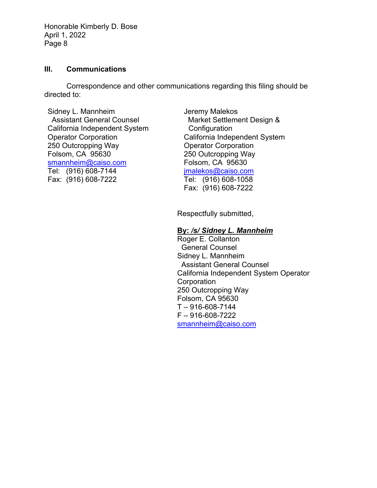Honorable Kimberly D. Bose April 1, 2022 Page 8

#### **III. Communications**

Correspondence and other communications regarding this filing should be directed to:

Sidney L. Mannheim Assistant General Counsel California Independent System Operator Corporation 250 Outcropping Way Folsom, CA 95630 smannheim@caiso.com Tel: (916) 608-7144 Fax: (916) 608-7222

Jeremy Malekos Market Settlement Design & **Configuration** California Independent System Operator Corporation 250 Outcropping Way Folsom, CA 95630 jmalekos@caiso.com Tel: (916) 608-1058 Fax: (916) 608-7222

Respectfully submitted,

#### **By:** */s/ Sidney L. Mannheim*

Roger E. Collanton General Counsel Sidney L. Mannheim Assistant General Counsel California Independent System Operator **Corporation** 250 Outcropping Way Folsom, CA 95630  $T - 916 - 608 - 7144$ F – 916-608-7222 smannheim@caiso.com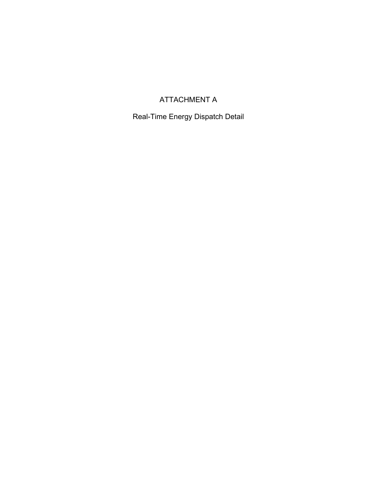# ATTACHMENT A

Real-Time Energy Dispatch Detail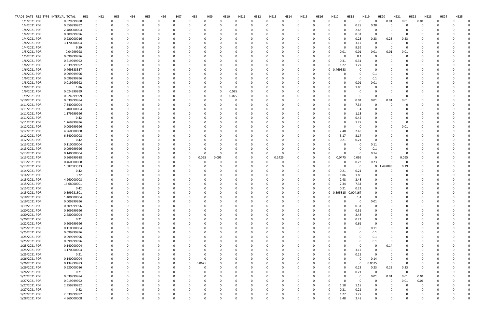| TRADE_DATE RES_TYPE INTERVAL_TOTAL | HE1         | HE <sub>2</sub> | HE3      | HE4          | HE5      | HE <sub>6</sub> | HE7          | HE8         | HE9      | <b>HE10</b> | <b>HE11</b> | <b>HE12</b> | <b>HE13</b> | <b>HE14</b> | <b>HE15</b>  | <b>HE16</b> | <b>HE17</b><br><b>HE18</b>    |                | <b>HE19</b>      | <b>HE20</b>             | HE21        | <b>HE23</b><br><b>HE22</b> | <b>HE24</b> | <b>HE25</b> |  |
|------------------------------------|-------------|-----------------|----------|--------------|----------|-----------------|--------------|-------------|----------|-------------|-------------|-------------|-------------|-------------|--------------|-------------|-------------------------------|----------------|------------------|-------------------------|-------------|----------------------------|-------------|-------------|--|
| 1/1/2021 PDR                       | 0.029999988 | 0               | $\Omega$ | 0            | 0        |                 | $\Omega$     | $\Omega$    | $\Omega$ | $\Omega$    | 0           | 0           |             | O           | $\Omega$     | 0           | $\Omega$<br>$\Omega$          | 0              | $\mathbf 0$      | 0.01                    | 0.01        | 0.01                       | 0           |             |  |
| 1/4/2021 PDR                       | 0.559999992 | 0               |          |              | n        |                 |              |             |          |             |             |             |             |             |              |             |                               | 0.28           | 0.28             |                         | $\Omega$    |                            |             |             |  |
| 1/4/2021 PDR                       | 2.480000004 | 0               |          |              |          |                 |              |             |          |             |             |             |             |             |              |             |                               | 2.48           | - 0              |                         | -0          |                            |             |             |  |
| 1/4/2021 PDR                       | 0.309999996 |                 |          |              |          |                 |              |             |          |             |             |             |             |             |              |             |                               | 0.31           |                  |                         | -0          |                            |             |             |  |
| 1/4/2021 PDR                       | 0.920000016 |                 |          |              |          |                 |              |             |          |             |             |             |             |             |              |             | 0                             | 0.23           | 0.23             | 0.23                    | 0.23        |                            |             |             |  |
| 1/4/2021 PDR                       | 3.170000004 |                 |          |              |          |                 |              |             |          |             |             |             |             |             |              |             |                               | 3.17           | $\Omega$         | -C                      | 0           |                            |             |             |  |
| 1/4/2021 PDR                       | 9.39        | 0               |          |              |          |                 |              |             |          |             |             |             |             |             |              | 0           | $\Omega$<br>- 0               | 9.39           | - 0              | -C                      | 0           |                            |             |             |  |
| 1/5/2021 PDR                       | 0.04999998  | 0               |          |              |          |                 |              |             |          |             |             |             |             |             |              |             | 0.01<br>0                     | 0.01           | 0.01             | 0.01                    | 0.01        |                            |             |             |  |
| 1/5/2021 PDR                       | 0.099999996 |                 |          |              |          |                 |              |             |          |             |             |             |             |             |              |             | 0<br>- 0                      | 0.1            | $\Omega$         |                         | $\Omega$    |                            |             |             |  |
| 1/6/2021 PDR                       | 0.619999992 |                 |          |              |          |                 |              |             |          |             |             |             |             |             |              | 0           | 0.31<br>$\Omega$              | 0.31           |                  |                         |             |                            |             |             |  |
| 1/6/2021 PDR                       | 2.539999992 |                 |          |              |          |                 |              |             |          |             |             |             |             |             |              | O           | 1.27<br>$\Omega$              | 1.27           |                  |                         |             |                            |             |             |  |
| 1/6/2021 PDR                       | 0.469583337 |                 |          |              |          |                 |              |             |          |             |             |             |             |             |              | 0           | 1.469583<br>$\mathbf{0}$      | - 0            |                  |                         |             |                            |             |             |  |
| 1/6/2021 PDR                       | 0.099999996 | 0               |          |              |          |                 |              |             |          |             |             |             |             |             |              | 0           |                               | - 0            | 0.1              |                         | 0           |                            |             |             |  |
| 1/6/2021 PDR                       | 0.099999996 | 0               |          |              |          |                 | $\Omega$     |             |          |             |             |             |             |             |              |             |                               | - 0            | 0.1              |                         | 0           |                            |             |             |  |
| 1/8/2021 PDR                       | 0.019999992 |                 |          |              |          |                 |              |             |          |             |             |             |             |             |              |             |                               |                |                  |                         | 0           |                            |             |             |  |
| 1/8/2021 PDR                       | 1.86        | 0               |          |              |          |                 |              |             |          |             |             |             |             |             |              |             |                               | 0.01<br>1.86   | 0.01<br>$\Omega$ |                         |             |                            |             |             |  |
|                                    |             |                 |          |              |          |                 |              |             |          |             |             |             |             |             |              |             |                               |                |                  |                         |             |                            |             |             |  |
| 1/9/2021 PDR                       | 0.024999999 |                 |          |              |          |                 |              |             |          | 0.025<br>0  |             |             |             |             |              |             |                               |                |                  |                         |             |                            |             |             |  |
| 1/9/2021 PDR                       | 0.024999999 |                 |          |              |          |                 |              |             |          | 0.025<br>0  |             |             |             |             |              |             |                               | - 0            |                  |                         | 0           |                            |             |             |  |
| 1/10/2021 PDR                      | 0.039999984 |                 |          |              |          |                 |              |             |          |             |             |             |             |             |              |             |                               | 0.01           | 0.01             | 0.01                    | 0.01        |                            |             |             |  |
| 1/11/2021 PDR                      | 7.340000004 |                 |          |              |          |                 |              |             |          |             |             |             |             |             |              |             |                               | 7.34           | 0                |                         | 0           |                            |             |             |  |
| 1/11/2021 PDR                      | 1.400000004 | 0               |          |              |          |                 |              |             |          |             |             |             |             |             |              | 0           | 0                             | 1.4            | 0                |                         | $\Omega$    |                            |             |             |  |
| 1/11/2021 PDR                      | 1.179999996 | 0               |          |              |          |                 |              |             |          |             |             |             |             |             |              | 0           | 0                             | 1.18           | 0                |                         | 0           |                            |             |             |  |
| 1/11/2021 PDR                      | 0.42        |                 |          |              |          |                 |              |             |          |             |             |             |             |             |              |             |                               | 0.42           |                  |                         |             |                            |             |             |  |
| 1/11/2021 PDR                      | 1.269999996 |                 |          |              |          |                 |              |             |          |             |             |             |             |             |              |             |                               | 1.27           |                  |                         | 0           |                            |             |             |  |
| 1/12/2021 PDR                      | 0.009999996 |                 |          |              |          |                 |              |             |          |             |             |             |             |             |              |             |                               | - 0            |                  |                         | 0.01        |                            |             |             |  |
| 1/12/2021 PDR                      | 4.960000008 | 0               |          |              |          |                 | $\Omega$     |             |          |             |             |             |             |             |              | 0           | 2.48<br>0                     | 2.48           |                  |                         | 0           |                            |             |             |  |
| 1/12/2021 PDR                      | 6.340000008 | 0               |          |              |          |                 |              |             |          |             |             |             |             |             |              | 0           | 3.17<br>0                     | 3.17           |                  |                         | 0           |                            |             |             |  |
| 1/12/2021 PDR                      | 0.42        | 0               |          |              |          |                 | <sup>0</sup> |             |          |             |             |             |             |             |              | 0           | 0.21<br>0                     | 0.21           | 0                |                         | 0           |                            |             |             |  |
| 1/13/2021 PDR                      | 0.110000004 |                 |          |              |          |                 |              |             |          |             |             |             |             |             |              | 0           |                               | - 0            | 0.11             |                         | -0          |                            |             |             |  |
| 1/13/2021 PDR                      | 0.099999996 |                 |          |              |          |                 |              |             |          |             |             |             |             |             |              |             |                               |                | 0.1              |                         |             |                            |             |             |  |
| 1/13/2021 PDR                      | 0.140000004 |                 |          |              |          |                 |              |             |          |             |             |             |             |             |              |             |                               | - 0            | 0.14             |                         | 0           |                            |             |             |  |
| 1/13/2021 PDR                      | 0.569999988 |                 |          |              |          |                 |              | 0.095       | 0.095    |             |             |             | 0.1425      |             |              |             | 0.0475<br>0                   | 0.095          | 0                | C                       | 0.095       |                            |             |             |  |
| 1/13/2021 PDR                      | 0.460000008 |                 |          |              |          |                 |              |             |          |             |             |             |             |             |              | 0           | $\Omega$                      | 0.23           | 0.23             |                         | 0           |                            |             |             |  |
| 1/13/2021 PDR                      | 1.687083333 | 0               |          |              |          |                 |              |             |          |             |             |             |             |             |              | 0           | - 0<br>$\Omega$               | 0              |                  | 0 1.497083              | 0.19        |                            |             |             |  |
| 1/14/2021 PDR                      | 0.42        |                 |          |              |          |                 |              |             |          |             |             |             |             |             |              | 0           | 0.21<br>$\Omega$              | 0.21           | $\Omega$         |                         | $\Omega$    |                            |             |             |  |
| 1/14/2021 PDR                      | 3.72        |                 |          |              |          |                 |              |             |          |             |             |             |             |             |              |             | 1.86<br>0                     | 1.86           |                  |                         | 0           |                            |             |             |  |
| 1/15/2021 PDR                      | 4.960000008 |                 |          |              |          |                 |              |             |          |             |             |             |             |             |              |             | 2.48<br>0                     | 2.48           |                  |                         |             |                            |             |             |  |
| 1/15/2021 PDR                      | 14.68000001 |                 |          |              |          |                 |              |             |          |             |             |             |             |             |              |             | 7.34<br>0                     | 7.34           |                  |                         |             |                            |             |             |  |
| 1/15/2021 PDR                      | 0.42        |                 |          |              |          |                 |              |             |          |             |             |             |             |             |              | 0           | 0.21<br>0                     | 0.21           |                  |                         |             |                            |             |             |  |
| 1/15/2021 PDR                      | 0.399981801 | $\Omega$        | $\Omega$ | $\Omega$     | ŋ        |                 | $\Omega$     |             | $\Omega$ |             |             |             |             | $\Omega$    | <sup>n</sup> | $\Omega$    | 0.395815 0.004167<br>$\Omega$ |                |                  | $\Omega$                | $\Omega$    |                            |             |             |  |
| 1/18/2021 PDR                      | 1.400000004 | 0               |          | <sup>0</sup> | $\Omega$ |                 | 0            | $\Omega$    | - 0      | n           | n           | 0           |             |             | 0            | 0           | $\mathbf 0$                   | 1.4            | - 0              | <sup>0</sup>            | $\Omega$    |                            |             |             |  |
| 1/19/2021 PDR                      | 0.009999996 | 0               |          |              | $\Omega$ |                 | $\Omega$     |             | $\Omega$ |             |             | $\Omega$    |             |             |              | $\Omega$    | $\Omega$                      | $\overline{0}$ | $0.01\,$         |                         |             |                            |             |             |  |
| 1/19/2021 PDR                      | 0.309999996 | 0               |          |              | 0        |                 |              |             |          |             |             |             |             |             |              | $\Omega$    |                               | 0.31           | $\Omega$         |                         |             |                            |             |             |  |
| 1/20/2021 PDR                      | 0.309999996 | 0               |          |              | ი        |                 |              |             |          |             |             |             |             |             |              | 0           | $\Omega$                      | 0.31           | 0                |                         | $\Omega$    |                            |             |             |  |
| 1/20/2021 PDR                      | 2.480000004 | 0               |          |              | $\Omega$ |                 | $\Omega$     |             |          |             |             |             |             |             |              | 0           | $\Omega$<br>$\Omega$          | 2.48           | 0                |                         | $\Omega$    |                            |             |             |  |
| 1/20/2021 PDR                      | 0.21        | 0               |          |              | 0        |                 | <sup>0</sup> |             |          |             |             | 0           |             |             |              | 0           |                               | 0.21           |                  |                         | 0           |                            |             |             |  |
| 1/22/2021 PDR                      | 0.609999996 | 0               |          |              | 0        |                 |              |             |          |             |             |             |             |             |              | 0           |                               | 0.61           | 0                |                         | $\Omega$    |                            |             |             |  |
| 1/25/2021 PDR                      | 0.110000004 | 0               |          |              | 0        |                 |              |             |          |             |             |             |             |             |              | 0           |                               | - 0            | 0.11             |                         |             |                            |             |             |  |
| 1/25/2021 PDR                      | 0.099999996 | 0               |          |              | 0        |                 |              |             |          |             |             |             |             |             |              | 0           |                               | 0              | 0.1              |                         |             |                            |             |             |  |
| 1/25/2021 PDR                      | 0.099999996 | 0               |          |              | 0        |                 | 0            |             |          |             |             | 0           |             |             |              | 0           |                               | 0              | 0.1              | 0                       |             |                            |             |             |  |
| 1/25/2021 PDR                      | 0.099999996 | 0               |          |              | 0        |                 |              |             |          |             |             |             |             |             |              | $\Omega$    |                               | $\Omega$       | 0.1              | 0                       |             |                            |             |             |  |
| 1/25/2021 PDR                      | 0.140000004 | 0               |          |              | 0        |                 | 0            |             |          |             |             | 0           |             |             |              | 0           |                               | $\Omega$       | $\overline{0}$   | 0.14                    | 0           |                            |             |             |  |
| 1/25/2021 PDR                      | 3.170000004 | $\Omega$        |          |              | 0        |                 | 0            |             |          |             |             | 0           |             |             |              | 0           |                               | 3.17           | $\Omega$         |                         | 0           |                            |             |             |  |
| 1/25/2021 PDR                      | 0.21        | 0               |          |              |          |                 |              |             |          |             |             |             |             |             |              |             |                               | 0.21           |                  |                         | $\Omega$    |                            |             |             |  |
| 1/26/2021 PDR                      | 0.140000004 | 0               |          |              | 0        |                 | 0            | - 0         | $\Omega$ |             |             |             |             |             |              | 0           |                               | - 0            | 0.14             |                         | 0           |                            |             |             |  |
| 1/26/2021 PDR                      | 0.134999983 |                 |          |              | 0        |                 | 0            | 0.0675<br>0 |          |             |             |             |             |             |              | 0           |                               | 0              | 0.0675           | $\Omega$                | 0           |                            |             |             |  |
| 1/26/2021 PDR                      | 0.920000016 | 0               |          |              | $\Omega$ |                 | $\Omega$     | $\Omega$    | 0        | O           |             | 0           |             |             |              | $\Omega$    | $\Omega$                      | 0.23           | 0.23             | 0.23                    | 0.23        |                            |             |             |  |
| 1/26/2021 PDR                      | 0.21        | 0               |          |              | 0        |                 | 0            |             |          | 0           | O           | 0           |             |             |              | 0           | $\Omega$<br>- 0               | 0.21           | $\overline{0}$   | $\overline{\mathbf{0}}$ | $\mathbf 0$ | 0                          |             |             |  |
| 1/27/2021 PDR                      | 0.039999984 | 0               |          |              | 0        |                 | $\Omega$     |             |          |             |             |             |             |             |              | 0           |                               | 0              | 0.01             | 0.01                    | 0.01        | 0.01                       |             |             |  |
| 1/27/2021 PDR                      | 0.019999992 | 0               |          |              |          |                 |              |             |          |             |             |             |             |             |              | 0           | $\Omega$                      | - 0            | 0                | $\Omega$                | 0.01        | 0.01                       |             |             |  |
| 1/27/2021 PDR                      | 2.359999992 | 0               |          |              | 0        |                 |              |             |          |             |             |             |             |             |              | 0           | 1.18<br>$\Omega$              | 1.18           | 0                |                         | $\Omega$    |                            |             |             |  |
| 1/27/2021 PDR                      | 0.42        | 0               |          |              | 0        |                 | 0            |             |          |             |             |             |             |             |              | 0           | 0.21<br>0                     | 0.21           | 0                |                         | 0           |                            |             |             |  |
| 1/27/2021 PDR                      | 2.539999992 | 0               |          |              | 0        |                 | 0            |             |          | 0           |             |             |             |             |              | 0           | 1.27<br>0                     | 1.27           | 0                | C                       | 0           |                            |             |             |  |
| 1/28/2021 PDR                      | 4.960000008 | $\mathbf 0$     | $\Omega$ | $\Omega$     | 0        | $\Omega$        | $\mathbf 0$  | $\Omega$    | $\Omega$ | $\mathbf 0$ | $\mathbf 0$ | 0           |             | $\mathbf 0$ | 0            | $\mathbf 0$ | 2.48<br>$\mathsf{o}$          | 2.48           | $\mathbf 0$      | $\mathbf 0$             | 0           |                            | 0           | 0           |  |
|                                    |             |                 |          |              |          |                 |              |             |          |             |             |             |             |             |              |             |                               |                |                  |                         |             |                            |             |             |  |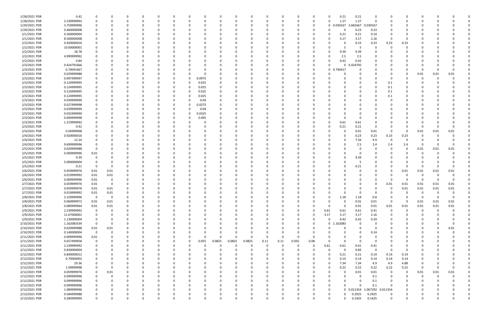| 1/28/2021 PDR | 0.42        | 0              |      |          |          | 0              |          |             | 0        |        |              |             | 0           |          |             | 0        |                | 0.21        | 0.21           | 0                 |             |             | <sup>0</sup> |          |          |  |
|---------------|-------------|----------------|------|----------|----------|----------------|----------|-------------|----------|--------|--------------|-------------|-------------|----------|-------------|----------|----------------|-------------|----------------|-------------------|-------------|-------------|--------------|----------|----------|--|
| 1/28/2021 PDR | 2.539999992 | 0              |      |          |          | $\Omega$       |          |             |          |        |              |             | $\Omega$    |          | 0           | 0        |                | 1.27        | 1.27           | $\mathbf 0$       |             |             |              |          |          |  |
| 1/29/2021 PDR | 3.759999996 |                |      |          |          | $\Omega$       |          |             |          |        |              |             | $\Omega$    |          |             | 0        | $\mathbf 0$    | 0.039167    | 3.681667       | 0.039167          |             |             |              |          |          |  |
| 1/29/2021 PDR | 0.460000008 |                |      |          |          |                |          |             |          |        |              |             | 0           |          |             |          |                | 0           | 0.23           | 0.23              |             |             |              |          |          |  |
| 2/1/2021 PDR  | 0.560000004 |                |      |          |          | 0              |          |             |          |        |              |             | 0           |          |             |          |                | 0.21        | 0.21           | 0.14              |             |             |              |          |          |  |
| 2/1/2021 PDR  | 8.500000008 |                |      |          |          | $\Omega$       |          |             |          |        |              |             | 0           |          |             |          |                | 3.17        | 3.17           | 2.16              | $\Omega$    | $\Omega$    |              |          |          |  |
| 2/2/2021 PDR  | 0.920000016 |                |      |          |          | 0              |          |             |          |        |              |             | 0           |          |             |          |                |             | 0.23           | 0.23              | 0.23        | 0.23        |              |          |          |  |
| 2/2/2021 PDR  | 10.00000001 |                |      |          |          |                |          |             |          |        |              |             |             |          |             |          |                |             | -5             | 0                 |             |             |              |          |          |  |
| 2/2/2021 PDR  | 18.78       |                |      |          |          |                |          |             |          |        |              |             |             |          |             |          |                | 9.39        | 9.39           | $\Omega$          |             |             |              |          |          |  |
| 2/2/2021 PDR  | 4.999999992 |                |      |          |          | 0              |          |             |          |        |              |             | 0           |          |             |          |                | 2.5         | 2.5            | 0                 |             |             |              |          |          |  |
| 2/2/2021 PDR  | 0.84        |                |      |          |          | $\Omega$       |          |             |          |        |              |             | 0           |          |             | 0        |                | 0.42        | 0.42           | 0                 |             |             |              |          |          |  |
| 2/3/2021 PDR  | 0.424791666 |                |      |          |          | - 0            |          |             |          |        |              |             | 0           |          |             | 0        |                | 0           | 0.424792       |                   |             |             |              |          |          |  |
| 2/3/2021 PDR  | 0.74041667  |                |      |          |          | - 0            |          |             |          |        |              |             | -0          |          |             | 0        | $\mathbf 0$    | 0.740417    |                |                   |             |             | -C           |          |          |  |
| 2/3/2021 PDR  | 0.029999988 |                |      |          |          |                |          |             |          |        |              |             |             |          |             |          |                |             |                |                   |             |             | 0.01         | 0.01     | 0.01     |  |
| 2/3/2021 PDR  | 0.097499997 |                |      |          |          | 0              |          | 0           | 0.0975   |        |              |             | 0           |          |             |          |                |             |                | 0                 |             |             | 0            |          |          |  |
| 2/3/2021 PDR  | 0.124999995 |                |      |          |          | 0              |          | 0           | 0.025    |        |              |             | 0           |          |             |          |                |             |                | 0                 | 0.1         |             |              |          |          |  |
| 2/3/2021 PDR  | 0.124999995 |                |      |          |          | $\Omega$       |          |             | 0.025    |        |              |             | 0           |          |             |          |                |             |                | $\Omega$          | 0.1         |             |              |          |          |  |
| 2/3/2021 PDR  | 0.124999995 |                |      |          |          | - 0            |          |             | 0.025    |        |              |             | 0           |          |             |          |                |             |                | 0                 | 0.1         |             |              |          |          |  |
| 2/3/2021 PDR  | 0.124999995 |                |      |          |          | - 0            |          |             | 0.025    |        |              |             | 0           |          |             |          |                |             |                | 0                 |             |             |              |          |          |  |
| 2/3/2021 PDR  | 0.039999999 |                |      |          |          |                |          |             | 0.04     |        |              |             |             |          |             |          |                |             |                |                   | 0.1         |             |              |          |          |  |
|               |             |                |      |          |          |                |          |             |          |        |              |             |             |          |             |          |                |             |                |                   |             |             |              |          |          |  |
| 2/3/2021 PDR  | 0.027499998 |                |      |          |          | -0<br>$\Omega$ |          | 0           | 0.0275   |        |              |             | 0           |          |             |          |                |             |                | 0                 |             |             |              |          |          |  |
| 2/3/2021 PDR  | 0.039999999 |                |      |          |          |                |          | 0           | 0.04     |        |              |             | -0          |          |             |          |                |             |                | 0                 |             |             |              |          |          |  |
| 2/3/2021 PDR  | 0.032499999 |                |      |          |          |                |          | O           | 0.0325   |        |              |             | 0           |          |             |          |                |             |                | 0                 |             |             |              |          |          |  |
| 2/3/2021 PDR  | 0.094999998 |                |      |          |          | 0              |          |             | 0.095    |        |              |             | 0           |          |             |          |                |             | 0              | $\Omega$          |             |             |              |          |          |  |
| 2/3/2021 PDR  | 1.219999992 |                |      |          |          | - 0            |          |             |          |        |              |             | 0           |          |             |          |                | 0.61        | 0.61           | $\Omega$          |             |             |              |          |          |  |
| 2/3/2021 PDR  | 0.42        |                |      |          |          |                |          |             |          |        |              |             | 0           |          |             |          |                | 0.21        | 0.21           | 0                 |             |             | -0           |          |          |  |
| 2/4/2021 PDR  | 0.04999998  |                |      |          |          |                |          |             |          |        |              |             | -0          |          |             |          |                |             | 0.01           | 0.01              | 0           | 0           | 0.01         | 0.01     | 0.01     |  |
| 2/4/2021 PDR  | 0.920000016 |                |      |          |          |                |          |             |          |        |              |             | $\Omega$    |          |             |          |                |             | 0.23           | 0.23              | 0.23        | 0.23        | C            |          |          |  |
| 2/4/2021 PDR  | 12.24       |                |      |          |          | 0              |          |             |          |        |              |             | 0           |          |             |          |                | O           | 7.34           | 4.9               | $\Omega$    | $\Omega$    | 0            |          |          |  |
| 2/4/2021 PDR  | 9.699999996 | 0              |      |          |          | 0              |          |             |          |        |              |             | 0           |          |             |          |                |             | 2.5            | 2.4               | 2.4         | 2.4         | -0           |          | O        |  |
| 2/5/2021 PDR  | 0.029999988 | 0              |      |          |          |                |          |             |          |        |              |             | $\Omega$    |          |             |          |                |             |                |                   |             |             | 0.01         | 0.01     | 0.01     |  |
| 2/5/2021 PDR  | 0.009999996 | 0.01           |      |          |          | - 0            |          |             |          |        |              |             | 0           |          |             |          |                |             | 0              | 0                 |             |             |              |          |          |  |
| 2/5/2021 PDR  | 9.39        | 0              |      |          |          |                |          |             |          |        |              |             |             |          |             |          |                |             | 9.39           |                   |             |             |              |          |          |  |
| 2/5/2021 PDR  | 5.000000004 |                |      |          |          |                |          |             |          |        |              |             |             |          |             |          |                |             | 5              |                   |             |             |              |          |          |  |
| 2/5/2021 PDR  | 0.21        | - 0            |      |          |          | - 0            |          |             |          |        |              |             | 0           |          |             |          |                |             | 0.21           | 0                 |             | $\Omega$    | -0           |          |          |  |
| 2/6/2021 PDR  | 0.059999976 | 0.01           | 0.01 |          |          | -0             |          |             |          |        |              |             | 0           |          |             |          |                |             |                | 0                 |             | 0.01        | 0.01         | 0.01     | 0.01     |  |
| 2/6/2021 PDR  | 0.019999992 | 0.01           | 0.01 |          |          |                |          |             |          |        |              |             |             |          |             |          |                |             |                | -0                |             |             | 0            |          |          |  |
| 2/6/2021 PDR  | 0.009999996 | 0.01           |      |          |          | - 0            |          |             |          |        |              |             | -0          |          |             |          |                |             |                | 0                 |             |             | -0           |          |          |  |
| 2/7/2021 PDR  | 0.059999976 | 0.01           |      |          |          |                |          |             |          |        |              |             |             |          |             |          |                |             |                | 0                 | 0.01        | 0.01        | 0.01         | 0.01     | 0.01     |  |
| 2/7/2021 PDR  | 0.059999976 | 0.01           | 0.01 |          |          | $\Omega$       |          |             |          |        |              |             | $\Omega$    |          |             |          |                |             |                | $\Omega$          | $\Omega$    | 0.01        | 0.01         | 0.01     | $0.01\,$ |  |
| 2/7/2021 PDR  | 0.019999992 | 0.01           | 0.01 | $\Omega$ | $\Omega$ | $\Omega$       | $\Omega$ |             | $\Omega$ |        | $\Omega$     |             | $\Omega$    | $\Omega$ |             | $\Omega$ |                | $\Omega$    | $\Omega$       | $\Omega$          | $\Omega$    | $\Omega$    | $\cap$       | $\Omega$ | $\Omega$ |  |
| 2/8/2021 PDR  | 3.159999996 | - 0            | - 0  | 0        | 0        | 0              | $\Omega$ |             | 0        |        |              | 0           | 0           | $\Omega$ |             | 0        |                | 1.18        | 1.18           | 0.8               | $\Omega$    |             | $\Omega$     |          | $\Omega$ |  |
| 2/8/2021 PDR  | 0.069999972 | 0.01           | 0.01 |          |          | $\Omega$       |          |             | 0        |        |              |             | $\Omega$    |          | O           | 0        |                | $\Omega$    | 0.01           | 0.01              | $\Omega$    | $\Omega$    | 0.01         | 0.01     | 0.01     |  |
| 2/8/2021 PDR  | 0.089999964 | 0.01           | 0.01 |          |          | $\Omega$       |          |             | 0        |        |              |             | $\Omega$    |          | 0           | 0        |                | $\mathbf 0$ | 0.01           | 0.01              | 0.01        | 0.01        | 0.01         | 0.01     | 0.01     |  |
| 2/9/2021 PDR  | 2.239999992 | $\mathbf 0$    |      |          |          | 0              |          |             |          |        |              |             | 0           |          |             | 0        | 0.61           | 0.61        | 0.61           | 0.41              | $\Omega$    | $\Omega$    | $\Omega$     |          |          |  |
| 2/9/2021 PDR  | 11.67000001 | 0              |      |          |          | $\Omega$       |          |             |          |        |              |             | $\Omega$    |          |             | 0        | 3.17           | 3.17        | 3.17           | 2.16              | $\Omega$    |             | 0            |          |          |  |
| 2/9/2021 PDR  | 1.130000004 | 0              |      |          |          | $\Omega$       |          | $\Omega$    | 0        |        |              |             | 0           |          | $\Omega$    | 0        | $\Omega$       | 0.42        | 0.42           | 0.29              | $\Omega$    | $\Omega$    | 0            |          |          |  |
| 2/10/2021 PDR | 1.162083334 | $\mathbf 0$    |      |          |          | 0              |          |             | 0        |        |              |             | 0           |          |             | 0        | 0 <sub>1</sub> | 162083      | $\mathbf 0$    | 0                 |             |             | 0            |          | $\Omega$ |  |
| 2/10/2021 PDR | 0.029999988 | 0.01           | 0.01 |          |          | $\Omega$       |          |             |          |        |              |             | $\Omega$    |          |             | 0        |                |             | $\Omega$       | $\Omega$          |             | $\Omega$    | 0            |          | 0.01     |  |
| 2/10/2021 PDR | 0.140000004 | $\overline{0}$ |      |          |          | $\Omega$       |          |             | n        |        |              |             | $\Omega$    |          |             | 0        |                |             | 0              | 0.14              |             | 0           | $\Omega$     |          |          |  |
| 2/11/2021 PDR | 0.009999996 | 0.01           |      |          |          | 0              |          | 0           | $\Omega$ |        | <sup>0</sup> | 0           | $\Omega$    | $\Omega$ | $\Omega$    | $\Omega$ |                |             | $\Omega$       | 0                 |             |             |              |          |          |  |
| 2/11/2021 PDR | 0.657499958 | $\mathbf 0$    |      |          |          | $\Omega$       | $\Omega$ | 0           | 0.055    | 0.0825 | 0.0825       | 0.0825      | 0.11        | 0.11     | 0.055       | 0.08     |                | $\Omega$    | 0              | $\mathbf 0$       |             | 0           |              |          |          |  |
| 2/11/2021 PDR | 2.239999992 | 0              |      |          |          | $\Omega$       |          | $\Omega$    | 0        |        | $\Omega$     | $\mathbf 0$ | $\mathbf 0$ | $\Omega$ | $\Omega$    | 0        | 0.61           | 0.61        | 0.61           | 0.41              |             | 0           |              |          |          |  |
| 2/12/2021 PDR | 0.830000004 | 0              |      |          |          | 0              |          |             | 0        |        |              |             | 0           |          |             | 0        | $\Omega$       | $\Omega$    | 0.83           | $\mathbf 0$       | $\Omega$    | $\Omega$    | 0            |          |          |  |
| 2/12/2021 PDR | 0.840000012 | 0              |      |          |          | $\Omega$       |          |             | 0        |        |              |             | 0           |          | 0           | 0        |                | 0.21        | 0.21           | 0.14              | 0.14        | 0.14        | 0            |          |          |  |
| 2/12/2021 PDR | 0.70000002  | $\Omega$       |      |          |          | $\Omega$       |          |             | n        |        |              |             | $\Omega$    |          |             | n        |                | 0.14        | 0.14           | 0.14              | 0.14        | 0.14        |              |          |          |  |
| 2/12/2021 PDR | 29.36       | 0              |      |          |          | $\Omega$       |          |             |          |        |              |             | 0           |          |             |          |                | 7.34        | 7.34           | 4.9               | 4.9         | 4.88        | 0            |          |          |  |
| 2/12/2021 PDR | 1.09999998  | 0              |      |          |          | $\Omega$       |          | 0           | 0        |        |              |             | 0           |          | 0           | 0        |                | 0.22        | 0.22           | 0.22              | 0.22        | 0.22        | 0            |          |          |  |
| 2/12/2021 PDR | 0.059999976 | 0              | 0.01 |          |          | $\Omega$       |          |             | 0        |        |              |             | $\Omega$    |          | $\Omega$    | 0        |                | $\Omega$    | 0.01           | 0.01              | $\mathbf 0$ | 0           | 0.01         | 0.01     | 0.01     |  |
| 2/12/2021 PDR | 0.099999996 | 0              |      |          |          | $\Omega$       |          |             | 0        |        |              |             | $\Omega$    |          |             |          |                |             | 0              | 0.1               | $\Omega$    | $\Omega$    | 0            |          |          |  |
| 2/12/2021 PDR | 0.099999996 | 0              |      |          |          | $\Omega$       |          | 0           | 0        |        |              |             | 0           |          | 0           | 0        |                | 0           | $\Omega$       | 0.1               | $\Omega$    | 0           | 0            |          |          |  |
| 2/12/2021 PDR | 0.099999996 | 0              |      |          |          | $\Omega$       |          |             |          |        |              |             | 0           |          |             | 0        |                | $\Omega$    | $\Omega$       | 0.1               | $\Omega$    | $\Omega$    |              |          |          |  |
| 2/12/2021 PDR | 1.089999996 | 0              |      |          |          | $\Omega$       |          |             | n        |        |              |             | $\Omega$    |          |             | n        |                |             | $0$ $0.011354$ | 1.067292 0.011354 |             |             |              |          |          |  |
| 2/13/2021 PDR | 0.584999988 | 0              |      |          |          | 0              |          |             |          |        |              |             | 0           |          |             |          |                | 0           | 0.2925         | 0.2925            | $\Omega$    |             |              |          |          |  |
| 2/13/2021 PDR | 0.284999994 | $\mathbf 0$    |      | $\Omega$ | $\Omega$ | $\Omega$       | $\Omega$ | $\mathbf 0$ | 0        |        | $\Omega$     | $\Omega$    | $\Omega$    | $\Omega$ | $\mathbf 0$ | 0        |                | 0           | 0.1425         | 0.1425            | $\Omega$    | $\mathbf 0$ | $\Omega$     |          | $\Omega$ |  |
|               |             |                |      |          |          |                |          |             |          |        |              |             |             |          |             |          |                |             |                |                   |             |             |              |          |          |  |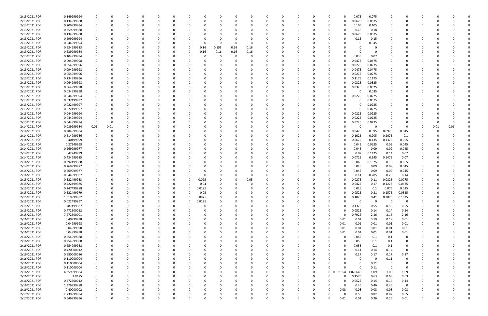| 2/13/2021 PDR | 0.149999994                |          |          |          |          |             |          |                |              |      |          |          |          |          |          |                  | 0.075                      | 0.075       |          |                |          |      |          |  |
|---------------|----------------------------|----------|----------|----------|----------|-------------|----------|----------------|--------------|------|----------|----------|----------|----------|----------|------------------|----------------------------|-------------|----------|----------------|----------|------|----------|--|
| 2/13/2021 PDR | 0.134999988                |          |          | $\Omega$ |          |             | 0        | 0              |              |      | 0        | $\Omega$ |          | O        | -0       |                  | 0.0675<br>0                | 0.0675      | $\Omega$ | 0              | 0        |      |          |  |
| 2/13/2021 PDR | 0.209999994                |          |          |          |          |             |          |                |              |      |          |          |          |          |          |                  | 0.105                      | 0.105       |          |                |          |      |          |  |
| 2/13/2021 PDR | 0.359999988                |          |          |          |          |             |          |                |              |      |          |          |          |          |          |                  | 0.18                       | 0.18        |          |                |          |      |          |  |
| 2/13/2021 PDR | 0.134999988                |          |          |          |          |             |          |                |              |      |          |          |          |          |          |                  | .0675<br>0                 | 0.0675      |          |                |          |      |          |  |
| 2/13/2021 PDR | 0.299999994                |          |          |          |          |             |          |                |              |      |          |          |          |          |          |                  | 0.15                       | 0.15        |          |                |          |      |          |  |
| 2/13/2021 PDR | 0.044999994                |          |          |          |          |             |          |                |              |      | 0        |          |          |          |          |                  | O                          | 0.045       |          |                |          |      |          |  |
| 2/13/2021 PDR | 0.634999983                |          |          |          |          |             | 0        | 0.16           | 0.155        | 0.16 | 0.16     |          |          |          |          |                  |                            | - 0         |          |                |          |      |          |  |
| 2/13/2021 PDR | 0.639999984                |          |          |          |          |             | 0        | 0.16           | 0.16         | 0.16 | 0.16     |          |          |          |          |                  | 0                          | 0           |          |                |          |      |          |  |
| 2/13/2021 PDR | 0.104999994                |          |          |          |          |             |          | -C             |              |      | 0        |          |          |          |          |                  | 0.035                      | 0.07        |          |                |          |      |          |  |
| 2/13/2021 PDR | 0.094999998                |          |          |          |          |             |          |                |              |      | 0        |          |          |          |          |                  | 0.0475<br>0                | 0.0475      |          |                |          |      |          |  |
| 2/13/2021 PDR | 0.054999996                |          |          |          |          |             |          |                |              |      |          |          |          |          |          |                  | 0.0275                     | 0.0275      |          |                |          |      |          |  |
| 2/13/2021 PDR | 0.094999998                |          |          |          |          |             |          |                |              |      |          |          |          |          |          |                  | 0.0475                     | 0.0475      |          |                |          |      |          |  |
| 2/13/2021 PDR | 0.054999996                |          |          |          |          |             |          |                |              |      |          |          |          |          |          |                  | 0.0275                     | 0.0275      |          |                |          |      |          |  |
| 2/13/2021 PDR | 0.234999996                |          |          |          |          |             |          |                |              |      |          |          |          |          |          |                  | 0.1175                     | 0.1175      |          |                |          |      |          |  |
| 2/13/2021 PDR | 0.064999998                |          |          |          |          |             |          |                |              |      |          |          |          |          |          |                  | 0.0325                     | 0.0325      |          |                |          |      |          |  |
| 2/13/2021 PDR | 0.064999998                |          |          |          |          |             |          |                |              |      |          |          |          |          |          |                  | 0.0325                     | 0.0325      |          |                |          |      |          |  |
| 2/13/2021 PDR | 0.034999998                |          |          |          |          |             |          |                |              |      |          |          |          |          |          |                  | 0<br>0                     | 0.035       |          |                |          |      |          |  |
| 2/13/2021 PDR | 0.044999994                |          |          |          |          |             |          |                |              |      |          |          |          |          |          |                  | 0.0225                     | 0.0225      |          |                |          |      |          |  |
| 2/13/2021 PDR | 0.037499997                |          |          |          |          |             |          |                |              |      |          |          |          |          |          |                  | O                          | 0.0375      |          |                |          |      |          |  |
| 2/13/2021 PDR | 0.022499997                |          |          |          |          |             |          |                |              |      |          |          |          |          |          |                  | 0                          | 0.0225      |          |                |          |      |          |  |
| 2/13/2021 PDR | 0.022499997                |          |          |          |          |             |          |                |              |      |          |          |          |          |          |                  | 0                          | 0.0225      |          |                |          |      |          |  |
| 2/13/2021 PDR | 0.044999994                |          |          |          |          |             |          |                |              |      |          |          |          |          |          |                  | 0.0225                     | 0.0225      |          |                |          |      |          |  |
| 2/13/2021 PDR | 0.044999994                |          |          |          |          |             |          |                |              |      |          |          |          |          |          |                  | 0.0225<br>O                | 0.0225      |          |                |          |      |          |  |
| 2/13/2021 PDR | 0.044999994                |          |          |          |          |             |          |                |              |      |          |          |          |          |          |                  | 0.0225                     | 0.0225      |          |                |          |      |          |  |
| 2/14/2021 PDR | 0.039999984                | 0.01     | 0.01     |          |          |             |          |                |              |      |          |          |          |          |          |                  | O                          | $\Omega$    |          | 0              |          | 0.01 | 0.01     |  |
| 2/14/2021 PDR | 0.284999984                |          |          |          |          |             |          |                |              |      |          |          |          |          |          |                  | 0.0475<br>O                | 0.095       | 0.0975   | 0.045          |          |      |          |  |
| 2/14/2021 PDR | 0.614999986                |          |          |          |          |             |          |                |              |      |          |          |          |          |          |                  | 0.1025                     | 0.205       | 0.2075   | 0.1            |          |      |          |  |
| 2/14/2021 PDR | 0.40499999                 |          |          |          |          |             |          |                |              |      |          |          |          |          |          |                  | 0.0675                     | 0.135       | 0.1375   | 0.065          |          |      |          |  |
| 2/14/2021 PDR | 0.27249998                 |          |          |          |          |             |          |                |              |      |          |          |          |          |          |                  | 0.045<br>0                 | 0.0925      | 0.09     | 0.045          |          |      |          |  |
| 2/14/2021 PDR | 0.269999977                |          |          |          |          |             |          |                |              |      |          |          |          |          |          |                  | 0<br>0.045                 | 0.09        | 0.09     | 0.045          |          |      |          |  |
| 2/14/2021 PDR | 0.42249999                 |          |          |          |          |             |          |                |              |      |          |          |          |          |          |                  | 0.07<br>o                  | 0.1425      | 0.14     | 0.07           |          |      |          |  |
| 2/14/2021 PDR | 0.434999985                |          |          |          |          |             |          |                |              |      |          |          |          |          |          |                  | 0.0725                     | 0.145       | 0.1475   | 0.07           |          |      |          |  |
| 2/14/2021 PDR | 0.392499988                |          |          |          |          |             |          |                |              |      |          |          |          |          |          |                  | 0.065                      | 0.1325      | 0.13     | 0.065          |          |      |          |  |
| 2/14/2021 PDR | 0.269999977                |          |          |          |          |             |          |                |              |      |          |          |          |          |          |                  | 0.045                      | 0.09        | 0.09     | 0.045          |          |      |          |  |
| 2/14/2021 PDR | 0.269999977                |          |          |          |          |             |          |                |              |      |          |          |          |          |          |                  | 0.045                      | 0.09        | 0.09     | 0.045          |          |      |          |  |
| 2/14/2021 PDR | 0.844999987                |          |          |          |          |             |          |                |              |      | 0        |          |          |          |          |                  | 0.14<br>0                  | 0.285       | 0.28     | 0.14           |          |      |          |  |
| 2/15/2021 PDR | 0.322499983                |          |          |          |          |             | 0        | 0.025          |              |      | 0.05     |          |          |          |          |                  | 0.0275                     | 0.11        | 0.0825   | 0.0275         |          |      |          |  |
| 2/15/2021 PDR | 0.422499985                |          |          |          |          |             |          | 0.04           |              |      |          |          |          |          |          |                  | 0.0425                     | 0.17        | 0.1275   | 0.0425         |          |      |          |  |
| 2/15/2021 PDR | 0.247499988                |          |          |          |          | 0           | 0        | 0.0225         |              |      |          |          |          |          |          |                  | 0.025<br>0                 | 0.1         | 0.075    | 0.025          | 0        |      |          |  |
| 2/15/2021 PDR | 0.522499979                |          |          |          |          |             |          |                |              |      |          |          |          |          |          |                  | 0.0525                     | 0.21        | 0.1575   | 0.0525         |          |      |          |  |
| 2/15/2021 PDR | 1.019999982                | 0        | 0        | $\Omega$ | $\Omega$ | $\mathbf 0$ | $\Omega$ | 0.05<br>0.0975 | υ<br>0       |      | $\Omega$ | $\Omega$ | $\Omega$ | $\Omega$ | $\Omega$ | $\Omega$         | $\Omega$<br>0.1025         | 0.41        | 0.3075   | 0.1025         | $\Omega$ |      |          |  |
| 2/15/2021 PDR | 0.022499997                |          | 0        | 0        |          | $\Omega$    | $\Omega$ | 0.0225         | 0            |      | 0        |          | ŋ        | $\Omega$ | 0        |                  | $\mathbf 0$<br>$\Omega$    | $\mathbf 0$ | $\Omega$ | $\overline{0}$ | 0        |      |          |  |
| 2/15/2021 PDR | 1.787499987                |          |          |          |          | 0           | 0        | 0              |              |      |          |          |          |          | 0        |                  | 0.1375<br>0                | 0.55        | 0.55     | 0.55           | 0        |      |          |  |
| 2/15/2021 PDR | 0.472500012                |          |          |          |          | 0           | 0        | 0              |              |      |          | $\Omega$ |          | $\Omega$ |          | $\Omega$         | 0.0525<br>ŋ                | 0.14        | 0.14     | 0.14           |          |      |          |  |
| 2/15/2021 PDR | 7.272500001                |          |          |          |          |             | 0        |                |              |      |          |          |          |          |          | 0                | 0.7925<br>0                | 2.16        | 2.16     | 2.16           |          |      |          |  |
| 2/16/2021 PDR | 0.40999998                 |          |          |          |          |             | 0        |                |              |      |          |          |          |          | 0        | 0.01<br>$\Omega$ | 0.01                       | 0.19        | 0.19     | $0.01\,$       |          |      |          |  |
|               |                            |          |          |          |          |             |          |                |              |      |          |          |          |          |          |                  |                            |             |          |                |          |      |          |  |
| 2/16/2021 PDR | 0.04999998                 |          |          |          |          |             |          |                |              |      |          |          |          |          |          | 0.01             | 0.01                       | 0.01        | 0.01     | 0.01           |          |      |          |  |
| 2/16/2021 PDR | 0.04999998                 | 0        |          |          |          |             | 0        | 0              |              |      |          |          |          |          | 0        | 0.01             | 0.01                       | 0.01        | 0.01     | 0.01           |          |      |          |  |
| 2/16/2021 PDR | 0.04999998                 |          |          |          |          |             | 0        |                |              |      |          |          |          |          | 0        | 0.01             | 0.01<br>$\Omega$           | 0.01        | $0.01\,$ | 0.01           |          |      |          |  |
| 2/16/2021 PDR | 0.254999988<br>0.254999988 |          |          |          |          |             |          |                |              |      |          |          |          |          |          |                  | 0.055<br>0.055<br>$\Omega$ | 0.1         | 0.1      | 0              |          |      |          |  |
| 2/16/2021 PDR |                            |          |          |          |          |             |          |                |              |      |          |          |          |          |          |                  |                            | 0.1         | 0.1      | 0              |          |      |          |  |
| 2/16/2021 PDR | 0.254999988                |          |          |          |          |             |          |                |              |      |          |          |          |          |          |                  | 0.055<br>0                 | 0.1         | 0.1      | 0              |          |      |          |  |
| 2/16/2021 PDR | 0.420000012                |          |          |          |          |             |          |                |              |      |          |          |          |          |          |                  | 0.14<br>$\Omega$           | 0.14        | 0.14     | 0              |          |      |          |  |
| 2/16/2021 PDR | 0.680000016                |          |          |          |          |             | 0        |                |              |      |          |          |          |          |          |                  | 0.17<br>0                  | 0.17        | 0.17     | 0.17           |          |      |          |  |
| 2/16/2021 PDR | 0.110000004                |          |          |          |          |             | 0        |                |              |      |          |          |          |          |          |                  | 0<br>0                     | 0           | 0.11     | $\mathbf 0$    |          |      |          |  |
| 2/16/2021 PDR | 0.110000004                |          |          |          |          |             | 0        |                |              |      |          |          |          |          | 0        |                  | $\Omega$<br>$\Omega$       | 0.11        | $\Omega$ | 0              |          |      |          |  |
| 2/16/2021 PDR | 0.110000004                |          |          |          |          |             |          |                |              |      |          |          |          |          | 0        |                  | $\Omega$                   | 0.11        | $\Omega$ | 0              |          |      |          |  |
| 2/16/2021 PDR | 4.359999984                |          |          |          |          |             |          |                |              |      |          |          |          |          | $\Omega$ | 0 0.011354       | 1.078646                   | 1.09        | 1.09     | 1.09           |          |      |          |  |
| 2/16/2021 PDR | 2.0475                     |          |          |          |          |             | 0        |                |              |      |          |          |          |          | 0        |                  | 0.1575<br>$\Omega$         | 0.63        | 0.63     | 0.63           |          |      |          |  |
| 2/16/2021 PDR | 0.472500012                |          |          |          |          |             |          |                |              |      |          |          |          |          |          |                  | 0.0525<br>$\Omega$         | 0.14        | 0.14     | 0.14           |          |      |          |  |
| 2/16/2021 PDR | 1.379999988                |          |          |          |          |             |          |                |              |      |          |          |          |          |          |                  | 0.46<br>0                  | 0.46        | 0.46     | 0              |          |      |          |  |
| 2/16/2021 PDR | 0.40000002                 |          |          |          |          |             | 0        | - 0            |              |      |          |          |          |          | 0        | 0.08             | 0.08                       | 0.08        | 0.08     | 0.08           |          |      |          |  |
| 2/17/2021 PDR | 2.739999984                |          |          |          |          |             |          |                |              |      |          |          |          |          |          |                  | 0.55<br>$\Omega$           | 0.82        | 0.82     | 0.55           |          |      |          |  |
| 2/17/2021 PDR | 0.549999996                | $\Omega$ | $\Omega$ | $\Omega$ | $\Omega$ | $\Omega$    | $\Omega$ |                | <sup>0</sup> |      | $\Omega$ |          | $\Omega$ | $\Omega$ | $\Omega$ | 0.01             | 0.01                       | 0.26        | 0.26     | 0.01           | $\Omega$ |      | $\Omega$ |  |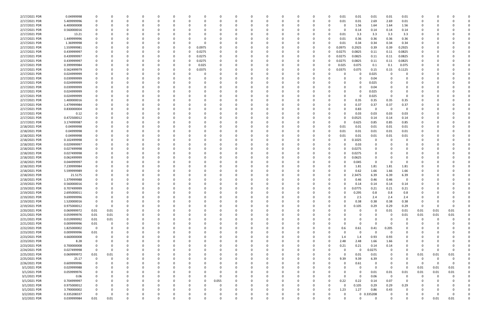| 2/17/2021 PDR | 0.04999998  |                         |          | -0       |          | 0 | 0        |       | 0        |          |          |          |          |          | 0.01     | 0.01         | 0.01        | 0.01           | 0.01                    | 0           |          |          |  |
|---------------|-------------|-------------------------|----------|----------|----------|---|----------|-------|----------|----------|----------|----------|----------|----------|----------|--------------|-------------|----------------|-------------------------|-------------|----------|----------|--|
| 2/17/2021 PDR | 5.409999996 |                         |          | $\Omega$ |          |   | $\Omega$ |       | n        | $\Omega$ |          | $\Omega$ | $\Omega$ |          | 0.01     | 0.01         | 2.69        | 2.69           | 0.01                    | $\Omega$    |          |          |  |
| 2/17/2021 PDR | 6.400000008 |                         |          |          |          |   |          |       |          |          |          |          |          |          | 0        | 1.56         | 1.64        | 1.64           | 1.56                    | C.          |          |          |  |
| 2/17/2021 PDR | 0.560000016 |                         |          |          |          |   |          |       |          |          |          |          |          |          | O        | 0.14         | 0.14        | 0.14           | 0.14                    |             |          |          |  |
|               |             |                         |          |          |          |   |          |       |          |          |          |          |          |          |          |              |             |                |                         |             |          |          |  |
| 2/17/2021 PDR | 13.21       |                         |          |          |          |   |          |       |          |          |          |          |          |          | 0.01     | 3.3          | 3.3         | 3.3            | 3.3                     |             |          |          |  |
| 2/17/2021 PDR | 1.449999996 |                         |          |          |          |   |          |       |          |          |          |          |          |          | 0.01     | 0.36         | 0.36        | 0.36           | 0.36                    |             |          |          |  |
| 2/17/2021 PDR | 1.36999998  |                         |          |          |          |   |          |       |          |          |          |          |          |          | 0.01     | 0.34         | 0.34        | 0.34           | 0.34                    |             |          |          |  |
| 2/17/2021 PDR | 1.559999981 |                         |          |          |          | O | 0.0975   |       |          |          |          |          |          |          | 0.0975   | 0.2925       | 0.39        | 0.39           | 0.2925                  |             |          |          |  |
| 2/17/2021 PDR | 0.439999997 |                         |          |          |          | 0 | 0.0275   |       |          |          |          |          |          |          | 0.0275   | 0.0825       | 0.11        | 0.11           | 0.0825                  |             |          |          |  |
| 2/17/2021 PDR | 0.439999997 |                         |          |          | 0        | 0 | 0.0275   |       |          |          |          |          |          |          | 0.0275   | 0.0825       | 0.11        | 0.11           | 0.0825                  |             |          |          |  |
| 2/17/2021 PDR | 0.439999997 |                         |          |          |          | 0 | 0.0275   |       |          |          |          |          |          |          | 0.0275   | 0.0825       | 0.11        | 0.11           | 0.0825                  |             |          |          |  |
| 2/17/2021 PDR | 0.399999984 |                         |          |          |          | 0 | 0.025    |       |          |          |          |          |          |          | 0.025    | 0.075        | 0.1         | 0.1            | 0.075                   |             |          |          |  |
| 2/17/2021 PDR | 0.562499979 |                         |          |          |          | 0 | 0.0375   |       |          |          |          |          |          |          | 0.0375   | 0.075        | 0.15        | 0.15           | 0.1125                  |             |          |          |  |
| 2/17/2021 PDR | 0.024999999 |                         |          |          |          |   |          |       |          |          |          |          |          |          |          | 0            |             | - 0            | O                       |             |          |          |  |
|               |             |                         |          |          |          |   |          |       |          |          |          |          |          |          |          |              | 0.025       |                |                         |             |          |          |  |
| 2/17/2021 PDR | 0.039999999 |                         |          |          |          |   |          |       |          |          |          |          |          |          |          | 0            | 0.04        |                |                         |             |          |          |  |
| 2/17/2021 PDR | 0.024999999 |                         |          |          |          |   |          |       |          |          |          |          |          |          |          | 0            | 0.025       |                |                         |             |          |          |  |
| 2/17/2021 PDR | 0.039999999 |                         |          |          |          |   |          |       |          |          |          |          |          |          |          | 0            | 0.04        |                |                         |             |          |          |  |
| 2/17/2021 PDR | 0.024999999 |                         |          |          |          |   |          |       |          |          |          |          |          |          | O        | 0            | 0.025       |                |                         |             |          |          |  |
| 2/17/2021 PDR | 0.024999999 |                         |          |          |          |   |          |       |          |          |          |          |          |          |          | O            | 0.025       | $\Omega$       | 0                       |             |          |          |  |
| 2/17/2021 PDR | 1.400000016 |                         |          |          |          |   |          |       |          | - 0      |          |          |          |          |          | 0.35         | 0.35        | 0.35           | 0.35                    |             |          |          |  |
| 2/17/2021 PDR | 1.479999984 |                         |          |          |          |   |          |       |          |          |          |          |          |          | 0        | 0.37         | 0.37        | 0.37           | 0.37                    |             |          |          |  |
| 2/17/2021 PDR | 0.830000004 |                         |          |          |          |   |          |       |          |          |          |          |          |          |          | 0.83         | 0           | 0              | 0                       |             |          |          |  |
| 2/17/2021 PDR | 0.12        |                         |          |          |          |   |          |       |          |          |          |          |          |          |          | 0.03         | 0.03        | 0.03           | 0.03                    |             |          |          |  |
| 2/17/2021 PDR |             |                         |          |          |          |   |          |       |          |          |          |          |          |          |          |              |             |                |                         |             |          |          |  |
|               | 0.472500012 |                         |          |          |          |   |          |       |          |          |          |          |          |          |          | 0.0525       | 0.14        | 0.14           | 0.14                    |             |          |          |  |
| 2/17/2021 PDR | 3.174999987 |                         |          |          |          |   |          |       |          |          |          |          |          |          |          | 0.625        | 0.85        | 0.85           | 0.85                    |             |          |          |  |
| 2/18/2021 PDR | 0.04999998  |                         |          |          |          |   |          |       |          |          |          |          |          |          | 0.01     | 0.01         | 0.01        | 0.01           | 0.01                    |             |          |          |  |
| 2/18/2021 PDR | 0.04999998  |                         |          |          |          |   |          |       |          |          |          |          |          |          | 0.01     | 0.01         | 0.01        | 0.01           | 0.01                    |             |          |          |  |
| 2/18/2021 PDR | 0.04999998  |                         |          |          |          |   |          |       |          |          |          |          |          |          | 0.01     | 0.01         | 0.01        | 0.01           | 0.01                    |             |          |          |  |
| 2/18/2021 PDR | 0.102499998 |                         |          |          |          |   |          |       |          |          |          |          |          |          |          | .1025        | 0           | - 0            | 0                       |             |          |          |  |
| 2/18/2021 PDR | 0.029999997 |                         |          |          |          |   |          |       |          |          |          |          |          |          |          | 0.03         | 0           |                |                         |             |          |          |  |
| 2/18/2021 PDR | 0.027499998 |                         |          |          |          |   |          |       |          |          |          |          |          |          |          | 0.0275       | 0           |                |                         |             |          |          |  |
| 2/18/2021 PDR | 0.027499998 |                         |          |          |          |   |          |       |          |          |          |          |          |          |          | 0.0275       | 0           |                |                         |             |          |          |  |
| 2/18/2021 PDR | 0.062499999 |                         |          |          |          |   |          |       |          |          |          |          |          |          |          | 0.0625       | 0           |                |                         |             |          |          |  |
|               |             |                         |          |          |          |   |          |       |          |          |          |          |          |          |          |              | $\Omega$    |                |                         |             |          |          |  |
| 2/18/2021 PDR | 0.044999997 |                         |          |          |          |   |          |       |          |          |          |          |          |          |          | 0.045        |             |                |                         |             |          |          |  |
| 2/18/2021 PDR | 7.239999984 |                         |          |          |          |   |          |       |          |          |          |          |          |          |          | 1.81         | 1.81        | 1.81           | 1.81                    |             |          |          |  |
| 2/18/2021 PDR | 5.599999989 |                         |          |          |          |   |          |       |          |          |          |          |          |          |          | 0.62         | 1.66        | 1.66           | 1.66                    |             |          |          |  |
| 2/18/2021 PDR | 21.5175     |                         |          |          |          |   |          |       |          |          |          |          |          |          |          | 2.3475       | 6.39        | 6.39           | 6.39                    |             |          |          |  |
| 2/18/2021 PDR | 1.379999988 |                         |          |          |          |   |          |       |          |          |          |          |          |          |          | 0.46         | 0.46        | 0.46           | 0                       |             |          |          |  |
| 2/19/2021 PDR | 0.560000016 |                         |          |          |          |   |          |       |          |          |          |          |          |          |          | 0.14         | 0.14        | 0.14           | 0.14                    |             |          |          |  |
| 2/19/2021 PDR | 0.707499999 |                         |          |          |          |   |          |       |          |          |          |          |          |          | 0        | 0.0775       | 0.21        | 0.21           | 0.21                    | C.          |          |          |  |
| 2/19/2021 PDR | 2.695000011 |                         | O        |          |          |   |          |       | 0        |          |          |          |          |          | O        | 0.295        | 0.8         | 0.8            | 0.8                     |             |          |          |  |
| 2/19/2021 PDR | 9.699999996 | 0                       |          | $\Omega$ | $\Omega$ | 0 | 0        |       | 0        | $\Omega$ | $\Omega$ |          | 0        |          | $\Omega$ | 2.5          | 2.4         | 2.4            | 2.4                     | 0           |          |          |  |
| 2/19/2021 PDR | 1.520000016 | 0                       |          |          |          |   | 0        |       |          |          |          |          | 0        |          | $\Omega$ | 0.38         | 0.38        | 0.38           | 0.38                    | 0           |          |          |  |
|               |             |                         |          |          |          |   |          |       |          |          |          |          |          |          |          |              |             |                |                         |             |          |          |  |
| 2/19/2021 PDR | 0.975000012 | $\overline{\mathbf{0}}$ | $\Omega$ |          |          |   | 0        |       |          | $\Omega$ |          |          | 0        |          | $\Omega$ | 0.105        | 0.29        | 0.29           | 0.29                    | $\mathbf 0$ | - 0      | $\Omega$ |  |
| 2/20/2021 PDR | 0.069999972 | 0.01                    | $0.01\,$ |          |          |   |          |       |          | - 0      |          |          |          |          |          | 0            | $\Omega$    | 0.01           | 0.01                    | 0.01        | 0.01     | 0.01     |  |
| 2/21/2021 PDR | 0.059999976 | 0.01                    | $0.01\,$ |          |          |   | 0        |       |          |          |          |          |          |          |          |              | $\Omega$    | $\Omega$       | 0.01                    | 0.01        | 0.01     | 0.01     |  |
| 2/21/2021 PDR | 0.019999992 | 0.01                    | 0.01     |          |          | 0 | 0        |       |          | 0        |          |          |          |          |          |              | 0           |                | 0                       | - 0         | -0       |          |  |
| 2/21/2021 PDR | 0.009999996 | $0.01\,$                | 0        |          |          |   | 0        |       |          |          |          |          |          |          |          | 0            | $\Omega$    |                | 0                       | 0           |          |          |  |
| 2/22/2021 PDR | 1.825000002 | $\overline{\mathbf{0}}$ | $\Omega$ | 0        |          | O | 0        |       |          | $\Omega$ |          | $\Omega$ | 0        |          | 0.6      | 0.61         | 0.41        | 0.205          | 0                       | 0           |          |          |  |
| 2/23/2021 PDR | 0.009999996 | 0.01                    | O        |          |          | 0 | 0        |       |          | 0        |          | $\Omega$ | 0        |          | $\Omega$ | $\mathbf 0$  | $\mathbf 0$ | $\Omega$       | 0                       | 0           |          |          |  |
| 2/23/2021 PDR | 4.660000008 | 0                       |          |          |          | 0 | 0        |       |          | 0        |          |          | 0        |          | 1.4      | 1.4          | 0.93        | 0.93           | 0                       | O           |          |          |  |
| 2/23/2021 PDR | 8.28        | 0                       |          |          |          |   | 0        |       |          | $\Omega$ |          |          | 0        | $\Omega$ | 2.48     | 2.48         | 1.66        | 1.66           | 0                       |             |          |          |  |
|               |             |                         |          |          |          |   |          |       |          |          |          |          |          |          |          |              |             |                |                         |             |          |          |  |
| 2/23/2021 PDR | 0.700000008 |                         |          |          |          |   | 0        |       |          | 0        |          |          | 0        |          | 0.21     | 0.21         | 0.14        | 0.14           | 0                       | O           |          |          |  |
| 2/24/2021 PDR | 0.027499998 | $\overline{0}$          | O        |          |          |   | 0        |       |          |          |          |          |          |          | $\Omega$ | $\mathbf 0$  | 0.0275      | 0              | 0                       | 0           |          |          |  |
| 2/25/2021 PDR | 0.069999972 | $0.01\,$                | 0.01     |          |          |   |          |       |          | 0        |          |          |          |          | $\Omega$ | 0.01         | 0.01        | 0              | 0                       | 0.01        | 0.01     | 0.01     |  |
| 2/25/2021 PDR | 25.17       | $\mathbf 0$             | 0        |          |          |   | 0        |       |          | 0        |          |          | 0        |          | 9.39     | 9.39         | 6.39        | $\Omega$       | $\Omega$                | 0           | $\Omega$ |          |  |
| 2/26/2021 PDR | 0.609999996 |                         |          |          |          | 0 | 0        |       |          | $\Omega$ |          |          |          |          | 0        | 0.61         | 0           |                | 0                       | 0           |          |          |  |
| 3/1/2021 PDR  | 0.029999988 |                         |          |          |          | 0 | 0        |       |          | $\Omega$ |          | $\Omega$ | -0       |          | $\Omega$ | $\Omega$     | $\mathbf 0$ | $\Omega$       | $\overline{\mathbf{0}}$ | 0.01        | 0.01     | 0.01     |  |
| 3/1/2021 PDR  | 0.059999976 |                         |          |          |          | 0 | -0       |       |          | 0        |          |          |          |          |          | 0            | 0.01        | 0.01           | 0.01                    | 0.01        | 0.01     | 0.01     |  |
| 3/1/2021 PDR  | 0.06        |                         |          |          |          | 0 | 0        |       |          |          |          |          |          |          | $\Omega$ | $\mathbf 0$  | 0.06        | $\overline{0}$ | $\mathbf 0$             | $\mathbf 0$ | $\Omega$ |          |  |
| 3/1/2021 PDR  | 0.704999997 |                         |          |          |          | 0 | 0        | 0.055 |          | $\Omega$ |          |          |          |          | 0.22     | 0.22         | 0.14        | 0.07           | 0                       | 0           |          |          |  |
|               |             |                         |          |          |          |   |          |       |          |          |          |          |          |          |          |              |             |                |                         |             |          |          |  |
| 3/1/2021 PDR  | 0.975000012 |                         |          |          |          | 0 | 0        |       |          | $\Omega$ |          | 0        | 0        |          | 0        | 0.105        | 0.29        | 0.29           | 0.29                    |             |          |          |  |
| 3/1/2021 PDR  | 3.790000002 |                         |          | 0        | O        | 0 | $\Omega$ |       | $\Omega$ | $\Omega$ |          | 0        | 0        |          | 1.23     | 1.27         | 0.86        | 0.43           | 0                       |             |          |          |  |
| 3/2/2021 PDR  | 0.335208337 | $\mathbf 0$             | O        |          |          | 0 |          |       |          | 0        |          |          |          |          | $\Omega$ | $\mathbf{0}$ | 0.335208    | $\Omega$       | 0                       | O           |          | $\Omega$ |  |
| 3/2/2021 PDR  | 0.039999984 | 0.01                    | 0.01     | $\Omega$ | $\Omega$ |   |          |       | $\Omega$ |          |          |          |          |          | $\Omega$ | $\Omega$     | $\Omega$    | $\Omega$       | $\Omega$                | $\Omega$    | 0.01     | 0.01     |  |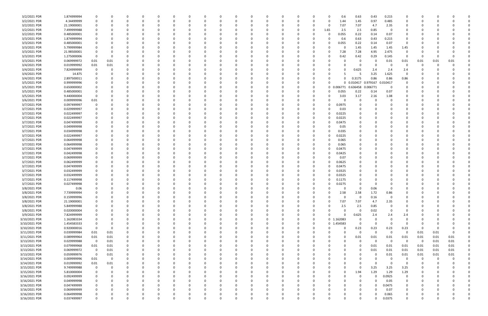| 3/2/2021 PDR  | 1.874999994 | 0                       | C           |          |   |          |          |          |          |   |          |          |          |             |              | 0.6        | 0.63        | 0.43                | 0.215       | 0                       |                         |      |          |  |
|---------------|-------------|-------------------------|-------------|----------|---|----------|----------|----------|----------|---|----------|----------|----------|-------------|--------------|------------|-------------|---------------------|-------------|-------------------------|-------------------------|------|----------|--|
| 3/2/2021 PDR  | 4.34499999  | 0                       | 0           |          |   | $\Omega$ |          | n        | n        | o | 0        |          |          |             | 0            | 1.44       | 1.45        | 0.97                | 0.485       | 0                       | O                       |      |          |  |
| 3/2/2021 PDR  | 21.19000001 | 0                       |             |          |   |          |          |          |          |   |          |          |          |             | 0            | 7.07       | 7.07        | 4.7                 | 2.35        | 0                       |                         |      |          |  |
| 3/2/2021 PDR  | 7.499999988 | 0                       |             |          |   |          |          |          |          |   |          |          |          |             | 1.65         | 2.5        | 2.5         | 0.85                | $\Omega$    | 0                       |                         |      |          |  |
| 3/2/2021 PDR  | 0.485000001 | 0                       |             |          |   |          |          |          |          |   |          |          |          |             | 0            | 0.055      | 0.22        | 0.14                | 0.07        | 0                       |                         |      |          |  |
| 3/3/2021 PDR  | 1.874999994 |                         |             |          |   |          |          |          |          |   |          |          |          |             | -0           | 0.6        | 0.63        | 0.43                | 0.215       | 0                       |                         |      |          |  |
| 3/3/2021 PDR  | 0.485000001 |                         |             |          |   |          |          |          |          |   |          |          |          |             |              |            |             |                     |             | 0                       |                         |      |          |  |
|               |             | 0                       | C           |          |   |          |          |          |          |   |          |          |          |             | -0           | 0.055      | 0.22        | 0.14                | 0.07        |                         |                         |      |          |  |
| 3/3/2021 PDR  | 5.799999984 | 0                       |             |          |   |          |          |          |          |   |          |          |          |             | -0           |            | 1.45        | 1.45                | 1.45        | 1.45                    |                         |      |          |  |
| 3/3/2021 PDR  | 21.98500001 | 0                       |             |          |   |          |          |          |          |   |          |          |          |             | 0            | 7.28       | 7.28        | 4.95                | 2.475       | 0                       |                         |      |          |  |
| 3/3/2021 PDR  | 1.275000006 | 0                       | C           |          |   |          |          |          |          |   |          |          |          |             | -0           | 0.42       | 0.42        | 0.29                | 0.145       | 0                       | -0                      |      |          |  |
| 3/3/2021 PDR  | 0.069999972 | 0.01                    | 0.01        |          |   |          |          |          |          |   |          |          |          |             |              |            | 0           | 0                   | 0.01        | 0.01                    | 0.01                    | 0.01 | 0.01     |  |
| 3/4/2021 PDR  | 0.019999992 | 0.01                    | 0.01        |          |   |          |          |          |          |   |          |          |          |             |              |            |             | 0                   | -0          | 0                       | 0                       |      |          |  |
| 3/4/2021 PDR  | 7.824999999 | $\mathbf 0$             | C           |          |   |          |          |          |          |   |          |          |          |             |              |            | 0.625       | 2.4                 | 2.4         | 2.4                     |                         |      |          |  |
| 3/4/2021 PDR  | 14.875      |                         |             |          |   |          |          |          |          |   |          |          |          |             |              |            |             | 3.25                | 1.625       | $\Omega$                |                         |      |          |  |
| 3/4/2021 PDR  | 2.897500011 | 0                       |             |          |   |          |          |          |          |   |          |          |          |             | 0            |            | 0.3175      | 0.86                | 0.86        | 0.86                    |                         |      |          |  |
| 3/5/2021 PDR  | 0.999999996 | 0                       |             |          |   |          |          |          |          |   |          |          |          |             | 0            |            |             | 0 0.010417 0.979167 | 0.010417    | 0                       |                         |      |          |  |
| 3/5/2021 PDR  | 0.650000002 | 0                       |             |          |   |          |          |          |          |   |          |          |          |             | $\mathbf{0}$ | 0.006771   | 0.636458    | 0.006771            | 0           |                         |                         |      |          |  |
| 3/5/2021 PDR  | 0.485000001 | 0                       |             |          |   |          |          |          |          |   |          |          |          |             | -0           | 0.055      | 0.22        | 0.14                | 0.07        | 0                       |                         |      |          |  |
| 3/5/2021 PDR  | 9.440000004 | 0                       |             |          |   |          |          |          |          |   |          |          |          |             | -0           | 3.03       | 3.17        | 2.16                | 1.08        | 0                       |                         |      |          |  |
| 3/6/2021 PDR  | 0.009999996 | 0.01                    |             |          |   |          |          |          |          |   |          |          |          |             |              |            |             |                     |             |                         |                         |      |          |  |
| 3/7/2021 PDR  |             | 0                       |             |          |   |          |          |          |          |   |          |          |          |             | 0            | 0.0975     |             |                     |             |                         |                         |      |          |  |
|               | 0.097499997 |                         |             |          |   |          |          |          |          |   |          |          |          |             |              |            |             |                     |             |                         |                         |      |          |  |
| 3/7/2021 PDR  | 0.029999997 | 0                       |             |          |   |          |          |          |          |   |          |          |          |             |              | 0.03       |             |                     |             |                         |                         |      |          |  |
| 3/7/2021 PDR  | 0.022499997 |                         |             |          |   |          |          |          |          |   |          |          |          |             | - 0          | 0.0225     |             |                     |             |                         |                         |      |          |  |
| 3/7/2021 PDR  | 0.022499997 | 0                       |             |          |   |          |          |          |          |   | 0        |          |          |             | - 0          | 0.0225     |             |                     |             |                         |                         |      |          |  |
| 3/7/2021 PDR  | 0.047499999 | 0                       |             |          |   |          |          |          |          |   |          |          |          |             | 0            | 0.0475     |             |                     |             |                         |                         |      |          |  |
| 3/7/2021 PDR  | 0.049999998 | 0                       |             |          |   |          |          |          |          |   |          |          |          |             |              | 0.05       |             |                     |             |                         |                         |      |          |  |
| 3/7/2021 PDR  | 0.034999998 | 0                       |             |          |   |          |          |          |          |   |          |          |          |             |              | 0.035      |             |                     |             |                         |                         |      |          |  |
| 3/7/2021 PDR  | 0.022499997 | 0                       |             |          |   |          |          |          |          |   |          |          |          |             | -0           | 0.0225     |             |                     |             |                         |                         |      |          |  |
| 3/7/2021 PDR  | 0.064999998 | 0                       |             |          |   |          |          |          |          |   |          |          |          |             |              | 0.065      |             |                     |             |                         |                         |      |          |  |
| 3/7/2021 PDR  | 0.064999998 |                         |             |          |   |          |          |          |          |   |          |          |          |             | -0           | 0.065      |             |                     |             |                         |                         |      |          |  |
| 3/7/2021 PDR  | 0.047499999 | 0                       |             |          |   |          |          |          |          |   |          |          |          |             | - 0          | 0.0475     |             |                     |             |                         |                         |      |          |  |
| 3/7/2021 PDR  | 0.042499998 | 0                       |             |          |   |          |          |          |          |   | 0        |          |          |             | -0           | 0.0425     |             |                     |             |                         |                         |      |          |  |
| 3/7/2021 PDR  | 0.069999999 | 0                       |             |          |   |          |          |          |          |   |          |          |          |             |              | 0.07       |             |                     |             |                         |                         |      |          |  |
| 3/7/2021 PDR  | 0.062499999 | 0                       |             |          |   |          |          |          |          |   |          |          |          |             | -0           | 0.0625     |             |                     |             |                         |                         |      |          |  |
| 3/7/2021 PDR  | 0.047499999 | 0                       |             |          |   |          |          |          |          |   |          |          |          |             | -0           | 0.0475     |             |                     |             |                         |                         |      |          |  |
|               |             |                         |             |          |   |          |          |          |          |   |          |          |          |             |              |            |             |                     |             |                         |                         |      |          |  |
| 3/7/2021 PDR  | 0.032499999 | 0                       |             |          |   |          |          |          |          |   |          |          |          |             | 0            | 0.0325     |             | <sup>0</sup>        |             |                         |                         |      |          |  |
| 3/7/2021 PDR  | 0.032499999 | 0                       |             |          |   |          |          |          |          |   |          |          |          |             | -0           | 0.0325     |             |                     |             |                         |                         |      |          |  |
| 3/7/2021 PDR  | 0.117499998 |                         |             |          |   |          |          |          |          |   |          |          |          |             | 0            | 0.1175     |             |                     |             |                         |                         |      |          |  |
| 3/7/2021 PDR  | 0.027499998 |                         |             |          |   |          |          |          |          |   |          |          |          |             |              | 0.0275     |             |                     |             |                         |                         |      |          |  |
| 3/8/2021 PDR  | 0.06        | 0                       |             |          |   |          |          |          |          |   |          |          |          |             |              | $\Omega$   |             | 0.06                |             |                         |                         |      |          |  |
| 3/8/2021 PDR  | 7.739999994 | 0                       | U           |          |   | -O       |          |          |          |   | υ        |          |          |             | - U          | 2.58       | 2.58        | 1.72                | U.86        | υ                       |                         |      |          |  |
| 3/8/2021 PDR  | 0.159999996 | $\mathbf 0$             | 0           | 0        | 0 | $\Omega$ | $\Omega$ | 0        | $\Omega$ | 0 | 0        | $\Omega$ | $\Omega$ | 0           | 0            | $\Omega$   | 0           | 0.16                | $\mathbf 0$ | 0                       | $\Omega$                |      |          |  |
| 3/8/2021 PDR  | 21.19000001 | $\mathbf 0$             | 0           |          |   | $\Omega$ |          | 0        | $\Omega$ | 0 | 0        |          |          | 0           | $\Omega$     | 7.07       | 7.07        | 4.7                 | 2.35        | $\mathbf 0$             | 0                       |      |          |  |
| 3/8/2021 PDR  | 5.849999988 | $\mathbf 0$             | 0           |          |   |          |          | 0        |          | 0 | 0        |          | 0        | 0           | 0            | 2.5        | 2.5         | 0.85                | $\Omega$    | 0                       | O                       |      |          |  |
| 3/8/2021 PDR  | 0.020000004 | $\mathbf 0$             | 0           |          |   |          |          | $\Omega$ |          |   | 0        |          | $\Omega$ | $\Omega$    | 0            | $\Omega$   | 0           | 0.02                | $\Omega$    | $\overline{0}$          | 0                       |      |          |  |
| 3/9/2021 PDR  | 7.824999999 | $\mathbf 0$             | C           |          |   |          |          |          |          |   | 0        |          |          | 0           | $\Omega$     | $\Omega$   | 0.625       | 2.4                 | 2.4         | 2.4                     |                         |      |          |  |
| 3/10/2021 PDR | 1.162083334 | $\mathbf 0$             |             |          |   |          |          |          |          |   | 0        |          |          | 0           |              | 0 1.162083 | 0           | 0                   |             | 0                       |                         |      |          |  |
| 3/10/2021 PDR | 1.454583333 | $\mathbf 0$             | C           |          |   |          |          |          |          |   | $\Omega$ |          |          | $\mathbf 0$ |              | 0 1.454583 | $\mathbf 0$ | $\Omega$            | $\Omega$    | $\Omega$                | O                       |      |          |  |
| 3/10/2021 PDR | 0.920000016 | $\mathbf 0$             | $\mathbf 0$ |          |   |          | $\Omega$ | 0        |          | 0 | 0        |          | $\Omega$ | 0           | $\Omega$     | $\Omega$   | 0.23        | 0.23                | 0.23        | 0.23                    | 0                       |      |          |  |
| 3/11/2021 PDR | 0.039999984 | 0.01                    | 0.01        |          |   |          | $\Omega$ |          | n        |   | 0        |          | 0        | 0           | 0            |            | $\mathbf 0$ | 0                   | $\mathbf 0$ | $\overline{\mathbf{0}}$ | 0.01                    | 0.01 | $\Omega$ |  |
| 3/11/2021 PDR | 0.089999964 | 0.01                    | 0.01        |          |   |          |          |          |          |   | 0        |          |          |             | 0            | $\Omega$   | 0.01        | 0.01                | 0.01        | 0.01                    | 0.01                    | 0.01 |          |  |
|               |             |                         |             |          |   |          |          |          |          |   |          |          |          |             |              |            |             |                     |             |                         |                         |      | 0.01     |  |
| 3/13/2021 PDR | 0.029999988 | $\overline{0}$          | 0.01        |          |   |          |          |          |          |   | 0        |          |          |             | -0           |            | 0           | $\Omega$            | $\mathbf 0$ | $\overline{\mathbf{0}}$ | $\overline{\mathbf{0}}$ | 0.01 | 0.01     |  |
| 3/13/2021 PDR | 0.079999968 | 0.01                    | 0.01        |          |   |          |          |          |          |   | 0        |          |          |             |              |            | 0           | 0.01                | 0.01        | 0.01                    | 0.01                    | 0.01 | 0.01     |  |
| 3/13/2021 PDR | 0.069999972 | $\mathbf 0$             | 0.01        |          |   |          |          |          |          |   | $\Omega$ |          |          |             |              |            |             | 0.01                | 0.01        | 0.01                    | 0.01                    | 0.01 | 0.01     |  |
| 3/13/2021 PDR | 0.059999976 | $\overline{\mathbf{0}}$ | 0.01        |          |   |          |          | 0        |          |   | 0        |          |          |             |              |            |             | 0                   | 0.01        | 0.01                    | 0.01                    | 0.01 | 0.01     |  |
| 3/14/2021 PDR | 0.009999996 | 0.01                    | $\mathbf 0$ |          |   |          |          | 0        |          | 0 | 0        |          |          |             |              |            |             | 0                   | $\Omega$    | 0                       | 0                       | 0    |          |  |
| 3/14/2021 PDR | 0.019999992 | $0.01\,$                | 0.01        |          |   |          |          | 0        |          | 0 | 0        |          |          |             | -0           |            |             | $\Omega$            | $\Omega$    | $\Omega$                | C                       |      |          |  |
| 3/15/2021 PDR | 9.749999988 | $\mathbf 0$             | 0           |          |   |          |          | $\Omega$ |          | 0 | 0        |          |          | O           | 0            | 0          | 0           | 3.25                | 3.25        | 3.25                    | 0                       |      |          |  |
| 3/15/2021 PDR | 5.810000004 | 0                       | 0           |          |   |          |          |          |          | 0 | 0        |          |          |             | 0            | $\Omega$   | 1.94        | 1.29                | 1.29        | 1.29                    | O                       |      |          |  |
| 3/16/2021 PDR | 0.092499999 | $\mathbf 0$             | C           |          |   |          |          | 0        |          | 0 | 0        |          |          |             | 0            |            | 0           | $\Omega$            | 0.0925      | 0                       | 0                       |      |          |  |
| 3/16/2021 PDR | 0.049999998 | 0                       | 0           |          |   |          | $\Omega$ | 0        | 0        |   | 0        |          |          | 0           | 0            |            | 0           | $\Omega$            | 0.05        | $\mathbf 0$             | 0                       |      |          |  |
| 3/16/2021 PDR | 0.047499999 | 0                       | 0           |          |   |          | $\Omega$ | 0        | n        |   | 0        |          | $\Omega$ |             | -0           |            |             | $\Omega$            | 0.0475      | $\mathbf 0$             | 0                       |      |          |  |
| 3/16/2021 PDR | 0.069999999 | 0                       | C           |          |   |          |          | O        |          |   | $\Omega$ |          |          |             |              |            |             | $\Omega$            | 0.07        | $\mathbf 0$             | O                       |      |          |  |
| 3/16/2021 PDR | 0.064999998 | 0                       |             |          |   |          |          |          |          |   |          |          |          |             |              |            |             | $\Omega$            | 0.065       | 0                       |                         |      |          |  |
|               | 0.037499997 | $\mathbf 0$             | 0           | $\Omega$ |   | $\Omega$ | $\Omega$ | $\Omega$ | 0        | 0 | $\Omega$ | $\Omega$ | $\Omega$ | 0           | 0            | 0          | 0           | 0                   | 0.0375      | $\mathbf 0$             | $\Omega$                |      | 0        |  |
| 3/16/2021 PDR |             |                         |             |          |   |          |          |          |          |   |          |          |          |             |              |            |             |                     |             |                         |                         |      |          |  |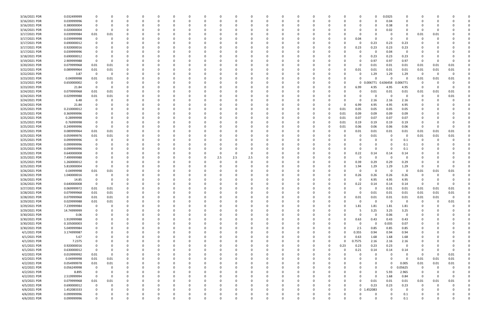| 3/16/2021 PDR | 0.032499999 | 0           |              |              |          |          |          |    |     |          | $\Omega$     | -0       |          |          |          |          |              |        | 0           | 0.0325   | 0                       |                |          |          |  |
|---------------|-------------|-------------|--------------|--------------|----------|----------|----------|----|-----|----------|--------------|----------|----------|----------|----------|----------|--------------|--------|-------------|----------|-------------------------|----------------|----------|----------|--|
| 3/16/2021 PDR | 0.039999996 | $\Omega$    |              |              |          |          |          | -0 |     |          | n            | $\Omega$ |          |          | $\Omega$ |          |              | n      | $\Omega$    | 0.04     | $\Omega$                | O              |          |          |  |
| 3/16/2021 PDR | 0.380000004 |             |              |              |          |          |          |    |     |          |              | -0       |          |          |          |          |              |        | 0           | 0.38     | 0                       |                |          |          |  |
| 3/16/2021 PDR | 0.020000004 | 0           |              |              |          |          |          |    |     |          |              |          |          |          |          |          |              |        | 0           | 0.02     | 0                       | -0             |          |          |  |
| 3/17/2021 PDR | 0.039999984 | 0.01        | 0.01         |              |          |          |          |    |     |          |              |          |          |          |          |          |              |        | $\Omega$    |          | 0                       | 0.01           | 0.01     |          |  |
| 3/17/2021 PDR | 0.039999998 | 0           | $\Omega$     |              |          |          |          |    |     |          |              | -0       |          |          |          |          |              | 0.04   | 0           | - 0      | $\Omega$                | -0             |          |          |  |
| 3/17/2021 PDR | 0.690000012 |             |              |              |          |          |          |    |     |          |              |          |          |          |          |          |              | 0      |             |          |                         |                |          |          |  |
|               |             | 0           |              |              |          |          |          |    |     |          |              | -0       |          |          |          |          |              |        | 0.23        | 0.23     | 0.23                    |                |          |          |  |
| 3/17/2021 PDR | 0.920000016 |             |              |              |          |          |          |    |     |          |              |          |          |          |          |          |              | 0.23   | 0.23        | 0.23     | 0.23                    |                |          |          |  |
| 3/17/2021 PDR | 0.039999996 |             |              |              |          |          |          |    |     |          |              |          |          |          |          |          |              | n      | 0           | 0.04     | $\Omega$                |                |          |          |  |
| 3/18/2021 PDR | 0.690000012 |             |              |              |          |          |          |    |     |          |              |          |          |          |          |          |              | O      | 0.23        | 0.23     | 0.23                    |                |          |          |  |
| 3/19/2021 PDR | 2.909999988 | 0           |              |              |          |          |          |    |     |          |              |          |          |          |          |          |              |        | 0.97        | 0.97     | 0.97                    | $\Omega$       |          |          |  |
| 3/20/2021 PDR | 0.079999968 | 0.01        | 0.01         |              |          |          |          |    |     |          |              | -0       |          |          |          |          |              | 0      | 0.01        | 0.01     | 0.01                    | 0.01           | 0.01     | 0.01     |  |
| 3/22/2021 PDR | 0.089999964 | 0.01        | 0.01         |              |          |          |          |    |     |          |              |          |          |          |          |          |              | 0.01   | 0.01        | 0.01     | 0.01                    | 0.01           | 0.01     | 0.01     |  |
| 3/22/2021 PDR | 3.87        | 0           | $\Omega$     |              |          |          |          |    |     |          |              |          |          |          |          |          |              | 0      | 1.29        | 1.29     | 1.29                    | - 0            | -0       |          |  |
| 3/23/2021 PDR | 0.04999998  | 0.01        | 0.01         |              |          |          |          |    |     |          |              | -0       |          |          |          |          |              |        | $\Omega$    | $\Omega$ | $\Omega$                | 0.01           | 0.01     | 0.01     |  |
| 3/23/2021 PDR | 0.650000002 | - 0         |              |              |          |          |          |    |     |          |              |          |          |          |          |          |              |        | 0 0.006771  | 0.636458 | 0.006771                | 0              |          |          |  |
| 3/23/2021 PDR | 21.84       | 0           | <sup>0</sup> |              |          |          |          |    |     |          |              |          |          |          |          |          |              | 6.99   | 4.95        | 4.95     | 4.95                    | 0              |          |          |  |
| 3/24/2021 PDR | 0.079999968 | 0.01        | 0.01         |              |          |          |          |    |     |          |              | - 0      |          |          |          |          |              | 0      | 0.01        | 0.01     | 0.01                    | 0.01           | 0.01     | 0.01     |  |
| 3/24/2021 PDR | 0.029999988 | 0.01        | 0.01         |              |          |          |          |    |     |          |              | -0       |          |          |          |          |              |        | 0           | $\Omega$ | 0                       | 0              | -0       | 0.01     |  |
|               |             |             |              |              |          |          |          |    |     |          |              |          |          |          |          |          |              |        |             |          |                         |                |          |          |  |
| 3/24/2021 PDR | 6.48        | 0           |              |              |          |          |          |    |     |          |              | - 0      |          |          |          |          |              | 0      | 2.16        | 2.16     | 2.16                    |                |          |          |  |
| 3/24/2021 PDR | 21.84       |             |              |              |          |          |          |    |     |          |              | -0       |          |          |          |          | 0            | 6.99   | 4.95        | 4.95     | 4.95                    |                |          |          |  |
| 3/25/2021 PDR | 0.210000012 |             |              |              |          |          |          |    |     |          |              |          |          |          |          |          | 0.01         | 0.05   | 0.05        | 0.05     | 0.05                    |                |          |          |  |
| 3/25/2021 PDR | 0.369999996 |             |              |              |          |          |          |    |     |          |              |          |          |          |          |          | 0.01         | 0.09   | 0.09        | 0.09     | 0.09                    |                |          |          |  |
| 3/25/2021 PDR | 0.28999998  |             |              |              |          |          |          |    |     |          |              | - 0      |          |          | 0        |          | 0.01         | 0.07   | 0.07        | 0.07     | 0.07                    |                |          |          |  |
| 3/25/2021 PDR | 0.76999998  | -0          |              |              |          |          |          |    |     |          |              |          |          |          | 0        |          | 0.01         | 0.19   | 0.19        | 0.19     | 0.19                    | C              |          |          |  |
| 3/25/2021 PDR | 0.249999996 | - 0         |              |              |          |          |          |    |     |          |              | - 0      |          |          |          |          | 0.01         | 0.06   | 0.06        | 0.06     | 0.06                    | 0              |          |          |  |
| 3/25/2021 PDR | 0.089999964 | 0.01        | 0.01         |              |          |          |          |    |     |          |              |          |          |          |          |          |              | 0.01   | 0.01        | 0.01     | 0.01                    | 0.01           | 0.01     | 0.01     |  |
| 3/25/2021 PDR | 0.059999976 | 0.01        | 0.01         |              |          |          |          |    |     |          |              |          |          |          |          |          |              | 0      | 0.01        | - 0      | 0                       | 0.01           | 0.01     | 0.01     |  |
| 3/25/2021 PDR | 0.099999996 | - 0         |              |              |          |          |          |    |     |          |              |          |          |          |          |          |              |        | 0           |          | 0.1                     | 0              | -0       |          |  |
| 3/25/2021 PDR | 0.099999996 | 0           |              |              |          |          |          |    |     |          |              | - 0      |          |          |          |          |              |        | 0           |          | 0.1                     |                |          |          |  |
| 3/25/2021 PDR | 0.099999996 |             |              |              |          |          |          |    |     |          |              |          |          |          |          |          |              |        | $\Omega$    |          | 0.1                     |                |          |          |  |
|               |             |             |              |              |          |          |          |    |     |          |              |          |          |          |          |          |              |        |             |          |                         |                |          |          |  |
| 3/25/2021 PDR | 0.640000008 |             |              |              |          |          |          |    |     |          | $\Omega$     |          |          |          |          |          |              | 0.22   | 0.14        | 0.14     | 0.14                    |                |          |          |  |
| 3/25/2021 PDR | 7.499999988 |             |              |              |          |          |          |    | 2.5 | 2.5      | 2.5          |          |          |          |          |          |              | 0      | $\Omega$    | - 0      | $\Omega$                |                |          |          |  |
| 3/25/2021 PDR | 1.260000012 |             |              |              |          |          |          |    |     |          |              |          |          |          |          |          |              | 0.39   | 0.29        | 0.29     | 0.29                    |                |          |          |  |
| 3/25/2021 PDR | 5.810000004 | - 0         |              |              |          |          |          |    |     |          |              |          |          |          |          |          |              | 1.94   | 1.29        | 1.29     | 1.29                    | -0             |          |          |  |
| 3/26/2021 PDR | 0.04999998  | 0.01        | 0.01         |              |          |          |          |    |     |          |              |          |          |          |          |          |              | 0      | $\Omega$    | - 0      | 0                       | 0.01           | 0.01     | 0.01     |  |
| 3/26/2021 PDR | 1.040000016 | $\Omega$    |              |              |          |          |          |    |     |          |              |          |          |          |          |          |              | 0.26   | 0.26        | 0.26     | 0.26                    | 0              |          |          |  |
| 3/26/2021 PDR | 14.85       | 0           |              |              |          |          |          |    |     |          |              |          |          |          |          |          |              | 0      | 4.95        | 4.95     | 4.95                    | O              |          |          |  |
| 3/26/2021 PDR | 0.640000008 | -0          |              |              |          |          |          |    |     |          |              |          |          |          |          |          |              | 0.22   | 0.14        | 0.14     | 0.14                    | -0             |          |          |  |
| 3/27/2021 PDR | 0.069999972 | 0.01        | 0.01         |              |          |          |          |    |     |          |              |          |          |          |          |          |              | 0      | 0           | 0.01     | 0.01                    | 0.01           | 0.01     | 0.01     |  |
| 3/28/2021 PDR | 0.079999968 | 0.01        | 0.01         | 0            |          |          |          |    |     |          | $\mathbf{r}$ |          |          |          |          |          |              | O      | 0.01        | 0.01     | 0.01                    | 0.01           | 0.01     | 0.01     |  |
| 3/28/2021 PDR | 0.079999968 | 0.01        | $0.01\,$     | $\Omega$     |          | $\Omega$ |          | 0  |     |          | 0            | $\Omega$ | $\Omega$ |          | 0        |          | 0            | 0.01   | 0.01        | $0.01\,$ | 0.01                    | 0.01           | 0.01     | $\Omega$ |  |
| 3/29/2021 PDR | 0.029999988 | 0.01        | $0.01\,$     |              |          |          |          |    |     |          |              | $\Omega$ |          |          | 0        |          | <sup>0</sup> | 0      | $\mathbf 0$ | $\Omega$ | $\overline{0}$          | $\mathbf 0$    | $\Omega$ | $0.01\,$ |  |
| 3/29/2021 PDR | 7.239999984 |             | $\Omega$     |              |          |          |          | 0  |     |          |              | 0        |          |          | 0        |          | 0            | 1.81   | 1.81        | 1.81     |                         | 0              | - 0      |          |  |
|               |             | $\mathbf 0$ |              |              |          |          |          |    |     |          |              |          |          |          |          |          |              |        |             |          | 1.81                    |                |          |          |  |
| 3/29/2021 PDR | 14.74999999 | 0           |              |              |          |          |          |    |     |          |              | 0        |          |          |          |          |              | 5      | 3.25        | 3.25     | 3.25                    |                |          |          |  |
| 3/30/2021 PDR | 0.06        | 0           |              |              |          |          |          |    |     |          |              | $\Omega$ |          |          |          |          |              | 0      | $\mathbf 0$ | 0.06     | $\overline{\mathbf{0}}$ |                |          |          |  |
| 3/30/2021 PDR | 1.919999988 | 0           |              |              |          |          |          |    |     |          |              | 0        |          |          |          |          | 0            | 0.63   | 0.43        | 0.43     | 0.43                    | 0              |          |          |  |
| 3/30/2021 PDR | 0.105000003 | 0           |              |              |          |          |          |    |     |          |              | $\Omega$ |          |          |          |          |              | 0      | $\mathbf 0$ | 0.035    | 0.07                    | 0              |          |          |  |
| 3/30/2021 PDR | 5.049999984 | 0           |              |              |          |          | O        |    |     | 0        |              | $\Omega$ |          | $\Omega$ | 0        |          | $\Omega$     | 2.5    | 0.85        | 0.85     | 0.85                    | 0              |          |          |  |
| 4/1/2021 PDR  | 3.174999987 | 0           |              |              |          |          |          | 0  |     | 0        |              | 0        |          | 0        | 0        |          | $\Omega$     | 0.355  | 0.94        | 0.94     | 0.94                    | 0              |          |          |  |
| 4/1/2021 PDR  | 5.67        | 0           |              |              |          |          |          | -0 |     |          |              | $\Omega$ |          |          |          |          |              | 0.63   | 1.68        | 1.68     | 1.68                    | 0              |          |          |  |
| 4/1/2021 PDR  | 7.2375      | $\Omega$    |              |              |          |          |          | 0  |     |          |              | $\Omega$ |          |          | 0        | $\Omega$ | $\Omega$     | 0.7575 | 2.16        | 2.16     | 2.16                    |                |          |          |  |
| 4/1/2021 PDR  | 0.920000016 | 0           |              |              |          |          |          | -0 |     |          |              | 0        |          |          | 0        | 0        | 0.23         | 0.23   | 0.23        | 0.23     | $\overline{\mathbf{0}}$ | O              |          |          |  |
| 4/1/2021 PDR  | 0.630000012 | $\mathbf 0$ |              |              |          |          |          |    |     |          |              | $\Omega$ |          |          |          |          |              | 0.21   | 0.14        | 0.14     | 0.14                    | 0              |          |          |  |
| 4/2/2021 PDR  | 0.019999992 | 0.01        | $\Omega$     |              |          |          |          |    |     |          |              | $\Omega$ |          |          | 0        |          |              | 0      | $\Omega$    | $\Omega$ | 0                       | 0              | $\Omega$ | 0.01     |  |
| 4/2/2021 PDR  | 0.04999998  | 0.01        |              |              |          |          |          |    |     |          |              |          |          |          |          |          |              |        |             | $\Omega$ | $\Omega$                |                | 0.01     |          |  |
|               |             |             | 0.01         |              |          |          |          | 0  |     | 0        | 0            | 0        |          |          | 0        |          |              |        | 0           | $\Omega$ |                         | 0.01           |          | 0.01     |  |
| 4/2/2021 PDR  | 0.054999978 | 0.01        | 0.01         |              |          |          |          | -0 |     |          | 0            | 0        |          |          | 0        |          |              |        | 0           |          | 0.005                   | 0.01           | 0.01     | 0.01     |  |
| 4/2/2021 PDR  | 0.056249998 | $\mathbf 0$ | 0            |              | $\Omega$ |          |          | -0 |     |          |              | $\Omega$ |          | $\Omega$ | 0        |          |              |        | $\Omega$    | $\Omega$ | 0.05625                 | $\overline{0}$ | $\Omega$ |          |  |
| 4/2/2021 PDR  | 8.895       | 0           | 0            |              |          |          |          |    |     |          |              | 0        |          | 0        |          |          |              |        | 0           | 5.93     | 2.965                   | - 0            |          |          |  |
| 4/2/2021 PDR  | 2.519999994 | $\mathbf 0$ | $\Omega$     |              |          |          |          |    |     |          |              | $\Omega$ |          |          |          |          |              | 0      | $\mathbf 0$ | 1.68     | 0.84                    | $\overline{0}$ | 0        |          |  |
| 4/3/2021 PDR  | 0.079999968 | 0.01        | 0.01         |              |          |          |          |    |     |          |              | $\Omega$ |          | $\Omega$ |          |          | 0            | 0      | 0.01        | 0.01     | 0.01                    | 0.01           | 0.01     | 0.01     |  |
| 4/5/2021 PDR  | 0.690000012 | $\mathbf 0$ | 0            |              |          |          |          |    |     | O        |              | 0        |          | 0        | 0        |          | 0            | 0      | 0.23        | 0.23     | 0.23                    | 0              | $\Omega$ |          |  |
| 4/6/2021 PDR  | 1.452083333 | 0           | 0            | <sup>0</sup> |          |          |          | 0  |     |          |              | $\Omega$ |          |          | 0        |          | 0            |        | 0 1.452083  | $\Omega$ | 0                       | 0              |          |          |  |
| 4/6/2021 PDR  | 0.099999996 | 0           |              |              |          |          |          |    |     |          |              | -0       |          |          |          |          | 0            |        | 0           |          | 0.1                     |                |          |          |  |
| 4/6/2021 PDR  | 0.099999996 | $\Omega$    | U            | $\Omega$     |          | $\Omega$ | $\Omega$ |    |     | $\Omega$ | $\Omega$     | $\Omega$ | $\Omega$ | $\Omega$ |          |          | $\Omega$     |        | $\Omega$    | $\Omega$ | 0.1                     | $\Omega$       |          | $\Omega$ |  |
|               |             |             |              |              |          |          |          |    |     |          |              |          |          |          |          |          |              |        |             |          |                         |                |          |          |  |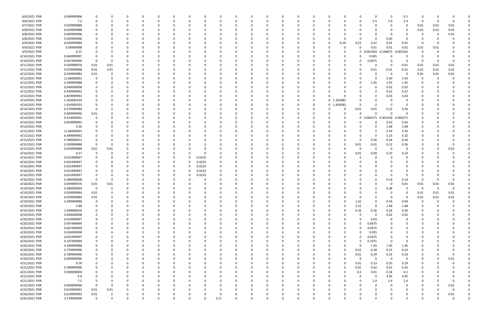| 4/6/2021 PDR  | 0.099999996 | 0                | 0        |          |          | 0        |          | 0        | -C   |          |   | 0             |          | 0        | 0        |                          |                  | 0                       | - 0            | 0.1                     | 0        |          |          |  |
|---------------|-------------|------------------|----------|----------|----------|----------|----------|----------|------|----------|---|---------------|----------|----------|----------|--------------------------|------------------|-------------------------|----------------|-------------------------|----------|----------|----------|--|
| 4/6/2021 PDR  | 7.2         | $\Omega$         | 0        |          |          | 0        | $\Omega$ | 0        |      |          |   | 0             |          | 0        | 0        |                          |                  | 2.4                     | 2.4            | 2.4                     | $\Omega$ |          |          |  |
| 4/7/2021 PDR  | 0.029999988 | 0                |          |          |          |          |          |          |      |          |   |               |          |          |          |                          |                  | -0                      |                | 0                       | 0.01     | 0.01     | 0.01     |  |
| 4/8/2021 PDR  | 0.029999988 |                  |          |          |          |          |          |          |      |          |   |               |          |          |          |                          |                  | -0                      |                | 0                       | 0.01     | 0.01     | 0.01     |  |
| 4/8/2021 PDR  | 0.009999996 |                  |          |          |          |          |          |          |      |          |   |               |          |          |          |                          |                  | -0                      | $\Omega$       |                         | 0        |          | 0.01     |  |
| 4/8/2021 PDR  | 0.429999996 | 0                |          |          |          |          |          |          |      |          |   |               |          |          |          |                          |                  | $\Omega$                | 0.43           | $\Omega$                | 0        |          |          |  |
| 4/9/2021 PDR  | 0.639999984 |                  | -0       |          |          | 0        |          |          |      |          |   | 0             |          |          | C        | 0.19                     | 0.22             | 0.21                    | 0.01           | 0.01                    | -0       |          |          |  |
| 4/9/2021 PDR  | 0.04999998  |                  |          |          |          |          |          |          |      |          |   |               |          |          |          |                          |                  | 0.01<br>O               | 0.01           | 0.01                    | 0.01     | 0.01     |          |  |
| 4/9/2021 PDR  | 0.15        |                  |          |          |          |          |          |          |      |          |   |               |          |          |          |                          |                  | 0.001563<br>0           | 0.146875       | 0.001563                |          |          |          |  |
| 4/10/2021 PDR | 0.044999997 |                  |          |          |          |          |          |          |      |          |   |               |          |          |          |                          |                  | 0.045<br>n              | $\Omega$       | 0                       | -0       |          |          |  |
| 4/10/2021 PDR | 0.047499999 | - 0              |          |          |          |          |          |          |      |          |   |               |          |          |          |                          |                  | 0.0475                  | - 0            | $\Omega$                | 0        |          |          |  |
| 4/11/2021 PDR | 0.059999976 | 0.01             | 0.01     |          |          |          |          |          |      |          |   |               |          |          |          |                          |                  | 0                       | $\Omega$       | 0.01                    | 0.01     | 0.01     | 0.01     |  |
| 4/11/2021 PDR | 0.079999968 | 0.01             | 0.01     |          |          | 0        |          |          |      |          |   | 0             |          |          |          |                          |                  | 0.01                    | 0.01           | 0.01                    | 0.01     | 0.01     | 0.01     |  |
| 4/12/2021 PDR | 0.039999984 | 0.01             | 0        |          |          |          |          |          |      |          |   |               |          |          |          |                          |                  | 0                       | - 0            | 0                       | 0.01     | 0.01     | 0.01     |  |
| 4/12/2021 PDR | 11.86000001 | - 0              |          |          |          |          |          |          |      |          |   |               |          |          |          |                          |                  | 0                       | 5.93           | 5.93                    | -0       |          |          |  |
| 4/12/2021 PDR | 4.349999988 |                  |          |          |          |          |          |          |      |          |   |               |          |          |          |                          |                  | 1.45                    | 1.45           | 1.45                    |          |          |          |  |
| 4/12/2021 PDR | 0.040000008 | 0                |          |          |          |          |          |          |      |          |   |               |          |          |          |                          |                  | 0                       | 0.02           | 0.02                    |          |          |          |  |
| 4/12/2021 PDR | 0.439999992 |                  |          |          |          |          |          |          |      |          |   |               |          |          |          |                          |                  | 0                       | 0.22           | 0.22                    |          |          |          |  |
| 4/13/2021 PDR | 0.859999992 |                  |          |          |          |          |          |          |      |          |   |               |          |          | 0        |                          |                  | 0                       | 0.43           | 0.43                    |          |          |          |  |
| 4/14/2021 PDR | 1.162083334 |                  |          |          |          |          |          |          |      |          |   |               |          |          | 0        | 0 1.162083               |                  | $\Omega$                |                |                         |          |          |          |  |
|               | 1.454583333 |                  |          |          |          |          |          |          |      |          |   |               |          |          | C        |                          |                  | $\Omega$                |                |                         |          |          |          |  |
| 4/14/2021 PDR |             | 0                |          |          |          |          |          |          |      |          |   |               |          |          |          | 1.454583<br>$\mathbf{0}$ |                  |                         | 0.22           |                         |          |          |          |  |
| 4/14/2021 PDR | 0.579999984 |                  |          |          |          |          |          |          |      |          |   |               |          |          | C        |                          | 0.01             | 0.01                    |                | 0.34                    |          |          |          |  |
| 4/14/2021 PDR | 0.009999996 | 0.01             |          |          |          |          |          |          |      |          |   |               |          |          |          |                          |                  | 0<br>$\Omega$           | $\Omega$       | O                       |          |          |          |  |
| 4/14/2021 PDR | 0.410000002 | $\mathbf 0$      |          |          |          |          |          |          |      |          |   |               |          |          |          |                          |                  | 0 0.004271              | 0.401458       | 0.004271                |          |          |          |  |
| 4/14/2021 PDR | 0.859999992 |                  |          |          |          |          |          |          |      |          |   |               |          |          |          |                          |                  | 0                       | 0.43           | 0.43                    | O        |          |          |  |
| 4/14/2021 PDR | 3.36        |                  | - 0      |          |          |          |          |          |      |          |   |               |          |          |          |                          |                  | 0                       | 1.68           | 1.68                    | O        |          |          |  |
| 4/15/2021 PDR | 11.86000001 |                  |          |          |          |          |          |          |      |          |   |               |          |          |          |                          |                  | $\Omega$                | 5.93           | 5.93                    |          |          |          |  |
| 4/15/2021 PDR | 6.499999992 |                  |          |          |          |          |          |          |      |          |   |               |          |          |          |                          |                  | 0                       | 3.25           | 3.25                    |          |          |          |  |
| 4/15/2021 PDR | 0.780000012 | 0                |          |          |          |          |          |          |      |          |   |               |          |          |          |                          |                  | 0.26<br>0               | 0.26           | 0.26                    |          |          |          |  |
| 4/15/2021 PDR | 0.599999988 | 0                | -0       |          |          |          |          |          |      |          |   |               |          |          |          |                          | 0.01             | 0.01                    | 0.22           | 0.36                    |          |          |          |  |
| 4/15/2021 PDR | 0.029999988 | 0.01             | 0.01     |          |          | -C       |          |          |      |          |   |               |          |          |          |                          |                  | 0<br>0                  | $\Omega$       | $\Omega$                | 0        |          | 0.01     |  |
| 4/16/2021 PDR | 0.57        | 0                | 0        |          |          | 0        |          |          |      |          |   | 0             |          |          |          |                          | 0.01             | 0.09                    | 0.33           | 0.14                    |          |          |          |  |
| 4/16/2021 PDR | 0.022499997 |                  |          |          |          |          | $\Omega$ | 0.0225   |      |          |   |               |          |          |          |                          |                  |                         |                |                         |          |          |          |  |
| 4/16/2021 PDR | 0.022499997 |                  |          |          |          |          | O        | 0.0225   |      |          |   |               |          |          |          |                          |                  | -0                      |                |                         |          |          |          |  |
| 4/16/2021 PDR | 0.022499997 |                  |          |          |          | 0        | 0        | 0.0225   |      |          |   |               |          |          |          |                          |                  |                         |                |                         |          |          |          |  |
| 4/16/2021 PDR | 0.022499997 |                  |          |          |          |          |          | 0.0225   |      |          |   |               |          |          |          |                          |                  |                         |                |                         |          |          |          |  |
| 4/16/2021 PDR | 0.022499997 | 0                |          |          |          |          | $\Omega$ | 0.0225   |      |          |   |               |          |          |          |                          |                  | 0                       |                |                         |          |          |          |  |
| 4/16/2021 PDR | 0.280000008 | 0                | $\Omega$ |          |          | -0       |          |          |      |          |   |               |          |          |          |                          |                  | 0                       | 0.14           | 0.14                    | 0        |          |          |  |
| 4/18/2021 PDR | 0.059999976 | 0.01             | 0.01     |          |          |          |          |          |      |          |   |               |          |          |          |                          |                  | $\Omega$                | - 0            | 0.01                    | 0.01     | 0.01     | 0.01     |  |
| 4/19/2021 PDR | 0.380000004 | 0                | $\Omega$ |          |          |          |          |          |      |          |   |               |          |          |          |                          |                  | $\Omega$                | 0.38           | 0                       | 0        | $\Omega$ |          |  |
| 4/19/2021 PDR | 0.039999984 | 0.01             | <b>U</b> |          |          |          |          |          |      |          |   |               |          | O        |          |                          |                  | 0                       | 0              | 0                       | 0.01     | 0.01     | 0.01     |  |
| 4/19/2021 PDR | 0.039999984 | 0.01             | 0        | 0        |          | 0        | $\Omega$ | 0        |      | 0        |   | $\Omega$      |          | $\Omega$ | 0        |                          | <sup>0</sup>     | 0<br>$\Omega$           | $\Omega$       | $\overline{\mathbf{0}}$ | 0.01     | 0.01     | 0.01     |  |
| 4/19/2021 PDR | 3.299999988 | 0                | 0        |          |          | 0        | O        | 0        |      |          |   | 0             |          | 0        | 0        |                          | 1.42<br>O        | $\mathbf 0$             | 0.94           | 0.94                    | 0        |          |          |  |
| 4/19/2021 PDR | 5.88        | 0                | 0        |          |          | 0        | 0        | 0        |      |          |   | 0             |          | 0        | 0        | - 0                      | 2.52<br>$\Omega$ | $\mathbf 0$             | 1.68           | 1.68                    | -0       |          |          |  |
| 4/19/2021 PDR | 1.040000016 | 0                | 0        |          |          | 0        |          | 0        |      |          |   | 0             |          | 0        | C        |                          | 0.26             | 0.26                    | 0.26           | 0.26                    | 0        |          |          |  |
| 4/19/2021 PDR | 0.040000008 | $\mathbf 0$      |          |          |          | 0        |          | 0        |      |          |   | 0             |          | 0        | C        |                          |                  | 0<br>0                  | 0.02           | 0.02                    | 0        |          |          |  |
| 4/20/2021 PDR | 0.029999997 | 0                |          |          |          | 0        | 0        | 0        |      |          |   | 0             |          | 0        | 0        |                          |                  | 0.03<br>0               | $\Omega$       | 0                       |          |          |          |  |
| 4/20/2021 PDR | 0.047499999 | 0                | 0        |          |          | 0        |          | 0        |      |          |   | 0             |          | 0        | C        |                          |                  | 0.0475<br>0             | $\Omega$       | 0                       | C        |          |          |  |
| 4/20/2021 PDR | 0.047499999 | 0                | 0        |          |          | 0        | O        | 0        |      |          |   | 0             |          | 0        | 0        |                          |                  | 0.0475<br>$\Omega$      | $\Omega$       | 0                       | 0        |          |          |  |
| 4/20/2021 PDR | 0.034999998 | 0                | - 0      |          |          | 0        |          | 0        |      |          |   | 0             |          | $\Omega$ | 0        |                          | 0                | 0.035<br>0              |                | 0                       | 0        |          |          |  |
| 4/20/2021 PDR | 0.022499997 | 0                | 0        |          |          | 0        | 0        | 0        |      |          |   | 0             |          | 0        | 0        |                          | 0                | 0.0225                  |                | 0                       |          |          |          |  |
| 4/20/2021 PDR | 0.107499999 | 0                |          |          |          | 0        |          | 0        |      |          |   | 0             |          |          | C        |                          | O                | 0.1075<br>$\Omega$      | $\Omega$       | 0                       |          |          |          |  |
| 4/20/2021 PDR | 4.349999988 | 0                |          |          |          | 0        |          | 0        |      |          |   | 0             |          | 0        | 0        |                          | $\Omega$         | 1.45<br>0               | 1.45           | 1.45                    | 0        |          |          |  |
| 4/20/2021 PDR | 0.729999996 | 0                |          |          |          | 0        |          | 0        |      |          |   | 0             |          | 0        | C        |                          | $\Omega$<br>0.01 | 0.28                    | 0.21           | 0.23                    | 0        |          |          |  |
| 4/20/2021 PDR | 0.789999996 | 0                |          |          |          | 0        |          | 0        |      |          |   | 0             |          | 0        | C        |                          | 0.01<br>$\Omega$ | 0.29                    | 0.25           | 0.24                    | 0        |          |          |  |
| 4/20/2021 PDR | 0.009999996 | 0                | $\Omega$ | 0        |          | 0        | $\Omega$ | 0        |      | $\Omega$ |   | 0             |          | 0        | 0        | - 0                      | $\Omega$         | 0<br>$\mathbf 0$        | $\overline{0}$ | $\overline{0}$          | 0        |          | 0.01     |  |
| 4/21/2021 PDR | 0.78        | 0                | 0        |          |          | 0        | 0        | 0        |      |          |   | 0             |          | 0        | 0        | $\Omega$                 | 0.01             | 0.23                    | 0.25           | 0.29                    | 0        |          |          |  |
| 4/21/2021 PDR | 0.789999996 |                  | 0        |          |          | 0        |          |          |      |          |   | 0             |          | 0        | C        |                          | 0.01             | 0.42                    | 0.01           | 0.35                    | 0        |          |          |  |
|               | 0.590000004 |                  |          |          |          |          |          |          |      |          |   |               |          |          |          |                          |                  | 0.01                    | 0.18           |                         |          |          |          |  |
| 4/21/2021 PDR |             |                  |          |          |          |          |          |          |      |          |   |               |          | 0        | C        |                          |                  | 0.2                     |                | 0.2                     | 0        |          |          |  |
| 4/21/2021 PDR | 9.9<br>7.2  | 0<br>$\mathbf 0$ |          |          |          | 0<br>0   |          | 0        |      |          |   | 0<br>$\Omega$ |          | 0        | 0        |                          |                  | 0<br>0                  | 4.95           | 4.95                    | 0        |          |          |  |
| 4/21/2021 PDR |             | 0                | -0       |          |          |          |          |          |      |          |   |               |          |          |          |                          |                  | 2.4                     | 2.4            | 2.4                     |          |          |          |  |
| 4/23/2021 PDR | 0.009999996 |                  | $\Omega$ |          |          | 0        |          |          |      |          |   | 0             |          | O        | 0        |                          |                  | 0                       |                | 0                       | 0        |          | 0.01     |  |
| 4/25/2021 PDR | 0.019999992 | 0.01             | 0.01     | 0        |          | 0        | 0        | 0        |      |          |   | 0             |          | 0        | 0        |                          |                  | 0                       |                | 0                       | 0        |          | 0        |  |
| 4/26/2021 PDR | 0.019999992 | 0.01             | 0        |          |          | 0        | 0        |          |      |          |   | 0             | $\Omega$ | 0        |          |                          |                  | 0                       |                | 0                       | 0        |          | $0.01\,$ |  |
| 4/26/2021 PDR | 3.170000004 | 0                | $\Omega$ | $\Omega$ | $\Omega$ | $\Omega$ | $\Omega$ | $\Omega$ | 3.17 | $\Omega$ | 0 | $\Omega$      |          | $\Omega$ | $\Omega$ | $\Omega$                 | 0                | $\Omega$<br>$\mathbf 0$ | $\Omega$       | $\Omega$                | $\Omega$ |          | $\Omega$ |  |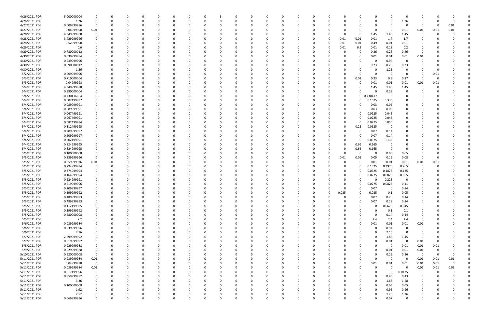| 4/26/2021 PDR | 5.000000004 |                |              |          |          |          |          |          |          |   |          |          |          |          |          |          |             |            |          | $\Omega$                |                         |          |          |  |
|---------------|-------------|----------------|--------------|----------|----------|----------|----------|----------|----------|---|----------|----------|----------|----------|----------|----------|-------------|------------|----------|-------------------------|-------------------------|----------|----------|--|
| 4/26/2021 PDR | 1.26        | 0              | <sup>0</sup> | 0        |          |          |          | 0        |          |   | 0        | $\Omega$ |          |          | 0        | 0        | 0           | 0          | $\Omega$ | 1.26                    | 0                       |          | -0       |  |
|               |             | 0              |              |          |          |          |          |          |          |   |          |          |          |          |          |          |             |            |          | 0                       | 0                       |          | 0.01     |  |
| 4/27/2021 PDR | 0.009999996 |                |              |          |          |          |          |          |          |   |          |          |          |          |          |          |             | -0         |          |                         |                         |          |          |  |
| 4/27/2021 PDR | 0.04999998  | 0.01           |              |          |          |          |          |          |          |   |          |          |          |          |          |          | 0           | $\Omega$   | - 0      | 0.01                    | 0.01                    | 0.01     | 0.01     |  |
| 4/28/2021 PDR | 4.349999988 | 0              |              |          |          |          |          |          |          |   |          |          |          |          |          | $\Omega$ | 0           | 1.45       | 1.45     | 1.45                    | 0                       |          |          |  |
| 4/28/2021 PDR | 3.429999996 |                |              |          |          |          |          |          |          |   |          |          |          |          |          | 0.01     | 0.01        | 0.01       | 1.7      | 1.7                     |                         |          |          |  |
| 4/28/2021 PDR | 0.52999998  |                |              |          |          |          |          |          |          |   |          |          |          |          |          | 0.01     | 0.01        | 0.49       | 0.01     | 0.01                    |                         |          |          |  |
|               |             |                |              |          |          |          |          |          |          |   |          |          |          |          |          |          |             |            |          |                         |                         |          |          |  |
| 4/29/2021 PDR | 0.6         |                |              |          |          |          |          |          |          |   |          |          |          |          |          | 0.01     | 0.2         | 0.01       | 0.18     | 0.2                     |                         |          |          |  |
| 4/29/2021 PDR | 0.780000012 |                |              |          |          |          |          |          |          |   |          |          |          |          |          |          | 0           | 0.26       | 0.26     | 0.26                    | 0                       |          |          |  |
| 4/30/2021 PDR | 0.039999984 |                |              |          |          |          |          |          |          |   |          |          |          |          |          |          | 0           | 0.01       | $0.01\,$ | 0.01                    | 0.01                    |          |          |  |
| 4/30/2021 PDR | 0.939999996 |                |              |          |          |          |          |          |          |   |          |          |          |          |          |          | 0           | $\Omega$   | 0.94     | $\Omega$                | 0                       |          |          |  |
|               |             |                |              |          |          |          |          |          |          |   |          |          |          |          |          |          |             |            |          |                         |                         |          |          |  |
| 4/30/2021 PDR | 0.690000012 |                |              |          |          |          |          |          |          |   |          |          |          |          |          |          | 0           | 0.23       | 0.23     | 0.23                    |                         |          |          |  |
| 4/30/2021 PDR | 1.26        | -C             |              |          |          |          |          |          |          |   |          |          |          |          |          |          | 0           | 0          | 1.26     | 0                       |                         |          |          |  |
| 5/2/2021 PDR  | 0.009999996 |                |              |          |          |          |          |          |          |   |          |          |          |          |          |          | 0           | 0          | - 0      | $\Omega$                | 0                       | 0.01     |          |  |
| 5/3/2021 PDR  | 0.710000004 |                |              |          |          |          |          |          |          |   |          |          |          |          |          | 0        | 0.01        | 0.23       | 0.3      | 0.17                    | -0                      |          |          |  |
|               |             |                |              |          |          |          |          |          |          |   |          |          |          |          |          |          |             |            |          |                         |                         |          |          |  |
| 5/3/2021 PDR  | 0.04999998  |                |              |          |          |          |          |          |          |   |          |          |          |          |          |          | 0           | 0.01       | 0.01     | 0.01                    | 0.01                    | 0.01     |          |  |
| 5/4/2021 PDR  | 4.349999988 |                |              |          |          |          |          |          |          |   |          |          |          |          |          |          | 0           | 1.45       | 1.45     | 1.45                    | 0                       |          |          |  |
| 5/4/2021 PDR  | 0.380000004 |                |              |          |          |          |          |          |          |   |          |          |          |          |          | 0        | 0           | -0         | 0.38     | 0                       |                         |          |          |  |
| 5/4/2021 PDR  | 0.730416664 |                |              |          |          |          |          |          |          |   |          |          |          |          |          | 0        |             | 0 0.730417 | 0        | 0                       |                         |          |          |  |
| 5/4/2021 PDR  | 0.502499997 |                |              |          |          |          |          |          |          |   |          |          |          |          |          | 0        | 0           | 0.1675     | 0.335    |                         |                         |          |          |  |
|               |             |                |              |          |          |          |          |          |          |   |          |          |          |          |          |          |             |            |          |                         |                         |          |          |  |
| 5/4/2021 PDR  | 0.089999991 |                |              |          |          |          |          |          |          |   |          |          |          |          |          | 0        | 0           | 0.03       | 0.06     |                         |                         |          |          |  |
| 5/4/2021 PDR  | 0.089999991 |                |              |          |          |          |          |          |          |   |          |          |          |          |          | 0        | 0           | 0.03       | 0.06     | 0                       |                         |          |          |  |
| 5/4/2021 PDR  | 0.067499991 |                |              |          |          |          |          |          |          |   |          |          |          |          |          | 0        | 0           | 0.0225     | 0.045    |                         |                         |          |          |  |
| 5/4/2021 PDR  | 0.067499991 |                |              |          |          |          |          |          |          |   |          |          |          |          |          | 0        | 0           | 0.0225     | 0.045    |                         |                         |          |          |  |
|               |             |                |              |          |          |          |          |          |          |   |          |          |          |          |          |          |             |            |          |                         |                         |          |          |  |
| 5/4/2021 PDR  | 0.082499994 |                |              |          |          |          |          |          |          |   |          |          |          |          |          | 0        | 0           | 0.0275     | 0.055    |                         |                         |          |          |  |
| 5/4/2021 PDR  | 0.312499995 |                |              |          |          |          |          |          |          |   |          |          |          |          |          | 0        | 0.25        | 0.0625     | - 0      |                         |                         |          |          |  |
| 5/4/2021 PDR  | 0.209999997 |                |              |          |          |          |          |          |          |   |          |          |          |          |          |          | 0           | 0.07       | 0.14     |                         |                         |          |          |  |
| 5/4/2021 PDR  |             |                |              |          |          |          |          |          |          |   |          |          |          |          |          |          | 0           |            | 0.14     |                         |                         |          |          |  |
|               | 0.209999997 |                |              |          |          |          |          |          |          |   |          |          |          |          |          |          |             | 0.07       |          |                         |                         |          |          |  |
| 5/4/2021 PDR  | 0.202499991 |                |              |          |          |          |          |          |          |   |          |          |          |          |          |          | 0           | 0.0675     | 0.135    |                         |                         |          |          |  |
| 5/4/2021 PDR  | 0.824999995 |                |              |          |          |          |          |          |          |   |          |          |          |          |          | 0        | 0.66        | 0.165      | $\Omega$ |                         |                         |          |          |  |
| 5/4/2021 PDR  | 0.824999995 |                |              |          |          |          |          |          |          |   |          |          |          |          |          | 0        | 0.66        | 0.165      | 0        | - 0                     |                         |          |          |  |
| 5/5/2021 PDR  | 0.100000008 | -0             |              |          |          |          |          |          |          |   |          |          |          |          |          | O        | 0           | -0         | 0.05     | 0.05                    | C                       |          |          |  |
|               |             |                |              |          |          |          |          |          |          |   |          |          |          |          |          |          |             |            |          |                         |                         |          |          |  |
| 5/5/2021 PDR  | 0.339999996 | - 0            |              |          |          |          |          |          |          |   |          |          |          |          |          | 0.01     | 0.01        | 0.05       | 0.19     | 0.08                    | $\Omega$                |          |          |  |
| 5/5/2021 PDR  | 0.059999976 | 0.01           |              |          |          |          |          |          |          |   |          |          |          |          |          |          | 0           | 0.01       | 0.01     | 0.01                    | 0.01                    | 0.01     |          |  |
| 5/5/2021 PDR  | 0.794999994 | 0              |              |          |          |          |          |          |          |   |          |          |          |          |          | 0        | 0           | 0.1325     | 0.3975   | 0.265                   |                         |          |          |  |
| 5/5/2021 PDR  | 0.374999994 |                |              |          |          |          |          |          |          |   |          |          |          |          |          | 0        | 0           | 0.0625     | 0.1875   | 0.125                   | 0                       |          |          |  |
|               |             |                |              |          |          |          |          |          |          |   |          |          |          |          |          |          |             |            |          |                         |                         |          |          |  |
| 5/5/2021 PDR  | 0.164999994 |                |              |          |          |          |          |          |          |   |          |          |          |          |          | 0        | 0           | 0.0275     | 0.0825   | 0.055                   |                         |          |          |  |
| 5/5/2021 PDR  | 0.224999991 |                |              |          |          |          |          |          |          |   |          |          |          |          |          | 0        |             |            | 0.225    | 0                       |                         |          |          |  |
| 5/5/2021 PDR  | 0.219999996 |                |              |          |          |          |          |          |          |   |          |          |          |          |          |          | n           | 0.0275     | 0.0825   | 0.11                    |                         |          |          |  |
| 5/5/2021 PDR  | 0.209999997 | - 0            |              |          |          |          |          |          |          |   |          |          |          |          |          | 0        | 0           | 0.07       | - 0      | 0.14                    | n                       |          |          |  |
|               |             |                |              |          |          |          |          |          |          |   |          |          |          |          |          |          |             |            |          |                         |                         |          |          |  |
| 5/5/2021 PDR  | 0.199999992 |                |              |          |          |          |          |          |          |   | 0        |          |          |          |          | 0.025    | 0           | 0.025      | 0.1      | 0.05                    |                         |          |          |  |
| 5/5/2021 PDR  | 0.489999993 | 0              | 0            | $\Omega$ | $\Omega$ | $\Omega$ | $\Omega$ | $\Omega$ |          |   | $\Omega$ | $\Omega$ | $\Omega$ | $\Omega$ | $\Omega$ | 0        | $\mathbf 0$ | 0.07       | 0.28     | 0.14                    | $\Omega$                |          |          |  |
| 5/5/2021 PDR  | 0.489999993 | 0              | 0            | 0        |          |          |          | 0        |          |   | 0        | $\Omega$ |          |          | 0        | 0        | 0           | 0.07       | 0.28     | 0.14                    | 0                       |          |          |  |
| 5/5/2021 PDR  | 0.112499985 | 0              |              |          |          |          |          | 0        |          |   |          |          |          |          | 0        | 0        | 0           | $\Omega$   | 0.0675   | 0.045                   | 0                       |          |          |  |
| 5/5/2021 PDR  |             |                |              |          |          |          |          |          |          |   |          |          |          |          |          |          |             | $\Omega$   |          |                         |                         |          |          |  |
|               | 0.199999992 | $\Omega$       |              |          |          |          |          | 0        |          |   |          | $\Omega$ |          |          |          | 0        | 0           |            | 0.1      | 0.1                     |                         |          |          |  |
| 5/5/2021 PDR  | 0.280000008 |                |              |          |          |          |          |          |          |   |          |          |          |          |          | O        | 0           | $\Omega$   | 0.14     | 0.14                    |                         |          |          |  |
| 5/5/2021 PDR  | 7.2         | $\Omega$       |              |          |          |          |          | 0        |          |   |          |          |          |          |          |          | 0           | 2.4        | 2.4      | 2.4                     | 0                       |          |          |  |
| 5/6/2021 PDR  | 0.039999984 |                |              |          |          |          |          |          |          |   |          |          |          |          |          |          | 0           | 0.01       | 0.01     | 0.01                    | 0.01                    |          |          |  |
|               | 0.939999996 | $\Omega$       |              |          |          |          |          |          |          |   |          | $\Omega$ |          |          |          |          |             | 0          | 0.94     |                         |                         |          |          |  |
| 5/6/2021 PDR  |             |                |              |          |          |          |          | 0        |          |   |          |          |          |          |          | 0        | 0           |            |          | $\overline{\mathbf{0}}$ | 0                       |          |          |  |
| 5/6/2021 PDR  | 2.16        | 0              |              |          |          |          |          | 0        |          |   |          | -0       |          |          |          |          |             | 0          | 2.16     | - 0                     | -0                      |          |          |  |
| 5/7/2021 PDR  | 2.899999992 |                |              |          |          |          |          | 0        |          |   |          | 0        |          |          |          |          |             | $\Omega$   | 1.45     | 1.45                    | -0                      |          |          |  |
| 5/7/2021 PDR  | 0.019999992 |                |              |          |          |          |          | 0        |          |   |          |          |          |          |          |          |             | 0          | 0.01     | $\overline{\mathbf{0}}$ | 0.01                    |          |          |  |
|               |             |                |              |          |          |          |          |          |          |   |          |          |          |          |          |          |             | 0          | $\Omega$ |                         | 0.01                    |          |          |  |
| 5/8/2021 PDR  | 0.029999988 |                |              |          |          |          |          | -0       |          |   |          |          |          |          |          |          |             |            |          | 0.01                    |                         | 0.01     |          |  |
| 5/9/2021 PDR  | 0.029999988 | 0              |              |          |          |          |          | -0       |          |   |          | 0        |          |          |          |          |             | $\Omega$   | 0.01     | 0.01                    | 0.01                    | 0        |          |  |
| 5/10/2021 PDR | 0.520000008 | $\mathbf 0$    |              |          |          |          |          | 0        |          |   |          | $\Omega$ |          |          |          | 0        | 0           | $\Omega$   | 0.26     | 0.26                    | $\overline{\mathbf{0}}$ | $\Omega$ | 0        |  |
| 5/11/2021 PDR | 0.039999984 | 0.01           |              |          |          |          |          | 0        |          |   |          | 0        |          |          | 0        | 0        | 0           | $\Omega$   | $\Omega$ | $\Omega$                | 0.01                    | 0.01     | 0.01     |  |
| 5/11/2021 PDR | 0.04999998  | $\overline{0}$ |              |          |          |          |          | 0        |          |   |          | 0        |          |          |          | 0        | 0           | 0.01       | 0.01     | 0.01                    | 0.01                    | 0.01     | 0        |  |
|               |             |                |              |          |          |          |          |          |          |   |          |          |          |          |          |          |             |            |          |                         |                         |          |          |  |
| 5/11/2021 PDR | 0.039999984 | 0.01           |              |          |          |          |          |          |          |   |          |          |          |          |          |          |             | $\Omega$   | $\Omega$ | - 0                     | 0.01                    | 0.01     | 0.01     |  |
| 5/11/2021 PDR | 0.017499996 | $\mathbf 0$    |              |          |          |          |          | 0        |          |   |          |          |          |          |          |          |             | 0          | - 0      | 0.0175                  | 0                       |          |          |  |
| 5/11/2021 PDR | 0.859999992 | $\mathbf 0$    |              |          |          |          |          | 0        |          |   |          |          |          |          |          |          |             | $\Omega$   | 0.43     | 0.43                    | 0                       |          |          |  |
| 5/11/2021 PDR | 3.36        | 0              |              |          |          |          |          |          |          |   |          |          |          |          |          |          |             | $\Omega$   | 1.68     | 1.68                    | 0                       |          |          |  |
|               |             |                |              |          |          |          |          |          |          |   |          |          |          |          |          |          |             |            |          |                         |                         |          |          |  |
| 5/11/2021 PDR | 0.100000008 | 0              |              |          |          |          |          | 0        |          |   |          |          |          |          |          |          |             | 0          | 0.05     | 0.05                    | 0                       |          |          |  |
| 5/11/2021 PDR | 1.92        | 0              |              |          |          |          |          | 0        |          |   |          | 0        |          |          | -0       |          |             | $\Omega$   | 0.96     | 0.96                    | 0                       |          |          |  |
| 5/11/2021 PDR | 2.52        |                |              |          |          |          |          |          |          |   |          |          |          |          |          |          |             | $\Omega$   | 1.26     | 1.26                    |                         |          |          |  |
| 5/12/2021 PDR | 0.069999996 | $\Omega$       | $\Omega$     | $\Omega$ |          | $\Omega$ | $\Omega$ | $\Omega$ | $\Omega$ | 0 | $\Omega$ | $\Omega$ | $\Omega$ | $\Omega$ | $\Omega$ | 0        | $\Omega$    | $\Omega$   | 0.07     | $\mathbf 0$             | $\Omega$                |          | $\Omega$ |  |
|               |             |                |              |          |          |          |          |          |          |   |          |          |          |          |          |          |             |            |          |                         |                         |          |          |  |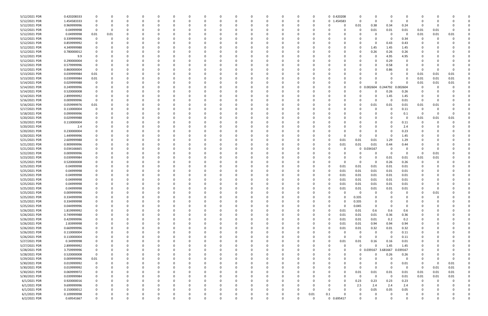| 5/12/2021 PDR | 0.420208333        |             |          | -0       |          |          | -0       |   | 0        |          |          | 0        | 0        | 0 0.420208 | 0           | 0             |          | 0                       |                         |      |          |  |
|---------------|--------------------|-------------|----------|----------|----------|----------|----------|---|----------|----------|----------|----------|----------|------------|-------------|---------------|----------|-------------------------|-------------------------|------|----------|--|
| 5/12/2021 PDR | 1.454583333        |             |          | $\Omega$ |          |          | $\Omega$ |   | n        | $\Omega$ |          | $\Omega$ | $\Omega$ | 0 1.454583 | $\Omega$    | $\mathbf 0$   | $\Omega$ | $\Omega$                | $\Omega$                |      |          |  |
| 5/12/2021 PDR | 0.969999996        |             |          |          |          |          |          |   |          |          |          |          | -0       |            | 0.01        | 0.38          | 0.34     | 0.24                    | - 0                     |      |          |  |
| 5/12/2021 PDR | 0.04999998         |             |          |          |          |          |          |   |          |          |          |          |          |            | 0           | 0.01          | 0.01     | 0.01                    | 0.01                    | 0.01 |          |  |
| 5/12/2021 PDR | 0.04999998         | 0.01        | 0.01     |          |          |          |          |   |          |          |          |          |          |            |             | 0             | $\Omega$ | 0                       | 0.01                    | 0.01 | 0.01     |  |
| 5/12/2021 PDR | 0.339999996        | 0           | $\Omega$ |          |          |          |          |   |          |          |          |          |          |            |             | 0             | $\Omega$ | 0.34                    | 0                       | -0   |          |  |
| 5/12/2021 PDR | 0.859999992        |             |          |          |          |          |          |   |          |          |          |          |          |            |             | 0             | 0.43     | 0.43                    |                         |      |          |  |
| 5/12/2021 PDR | 4.349999988        |             |          |          |          |          |          |   |          |          |          |          |          |            | O           | 1.45          | 1.45     | 1.45                    |                         |      |          |  |
| 5/12/2021 PDR | 0.780000012        |             |          |          |          |          |          |   |          |          |          |          |          |            |             | 0.26          | 0.26     | 0.26                    |                         |      |          |  |
| 5/12/2021 PDR | 9.9                |             |          |          |          |          |          |   |          |          |          |          |          |            |             | 0             | 4.95     | 4.95                    |                         |      |          |  |
| 5/12/2021 PDR | 0.290000004        |             |          |          |          |          |          |   |          |          |          |          |          |            |             | $\Omega$      | 0.29     | $\Omega$                |                         |      |          |  |
| 5/12/2021 PDR | 0.579999996        |             |          |          |          |          |          |   |          |          |          |          |          |            |             | $\Omega$      | 0.58     | O                       |                         |      |          |  |
| 5/12/2021 PDR | 0.860000004        | -0          |          |          |          |          |          |   |          |          |          |          |          |            |             | $\Omega$      | 0.86     |                         | -0                      |      |          |  |
| 5/13/2021 PDR | 0.039999984        | 0.01        |          |          |          |          |          |   |          |          |          |          |          |            |             | $\Omega$      |          | $\Omega$                | 0.01                    | 0.01 | 0.01     |  |
| 5/13/2021 PDR | 0.039999984        | 0.01        |          |          |          |          |          |   |          |          |          |          |          |            |             | 0             |          | - 0                     | 0.01                    | 0.01 | 0.01     |  |
| 5/14/2021 PDR | 0.029999988        |             |          |          |          |          |          |   |          |          |          |          |          |            |             | $\Omega$      |          |                         | 0.01                    | 0.01 | 0.01     |  |
| 5/14/2021 PDR | 0.249999996        |             |          |          |          |          |          |   |          |          |          |          |          |            |             | 0 0.002604    | 0.244792 | 0.002604                | 0                       |      |          |  |
| 5/14/2021 PDR | 0.520000008        |             |          |          |          |          |          |   |          |          |          |          |          |            |             | $\Omega$      | 0.26     | 0.26                    | 0                       |      |          |  |
| 5/14/2021 PDR | 2.899999992        |             |          |          |          |          |          |   |          |          |          |          |          |            |             | 0             | 1.45     | 1.45                    | 0                       |      |          |  |
| 5/16/2021 PDR | 0.009999996        | 0           |          |          |          |          |          |   |          | - 0      |          |          |          |            |             | $\Omega$      | $\Omega$ | 0.01                    | 0                       |      |          |  |
| 5/16/2021 PDR | 0.059999976        | 0.01        |          |          |          |          |          |   |          |          |          |          |          |            | 0           | 0.01          | 0.01     | 0.01                    | 0.01                    | 0.01 |          |  |
| 5/17/2021 PDR | 0.110000004        |             |          |          |          |          |          |   |          |          |          |          |          |            |             | -0            |          | 0.11                    | $\Omega$                |      |          |  |
| 5/18/2021 PDR | 0.099999996        |             |          |          |          |          |          |   |          |          |          |          |          |            |             | 0             |          | 0.1                     | 0                       |      |          |  |
| 5/20/2021 PDR | 0.029999988        |             |          |          |          |          |          |   |          |          |          |          |          |            |             | $\Omega$      |          | 0                       | 0.01                    | 0.01 | 0.01     |  |
| 5/20/2021 PDR |                    |             |          |          |          |          |          |   |          |          |          |          |          |            |             |               |          |                         | 0                       | - 0  |          |  |
|               | 0.110000004        |             |          |          |          |          |          |   |          |          |          |          |          |            |             | 0<br>$\Omega$ |          | 0.11                    |                         |      |          |  |
| 5/20/2021 PDR | 2.4<br>0.230000004 |             |          |          |          |          |          |   |          |          |          |          |          |            |             | $\Omega$      |          | 2.4                     |                         |      |          |  |
| 5/20/2021 PDR |                    |             |          |          |          |          |          |   |          |          |          |          |          |            |             |               |          | 0.23                    |                         |      |          |  |
| 5/20/2021 PDR | 1.449999996        |             |          |          |          |          |          |   |          |          |          |          |          |            |             | 0             |          | 1.45                    |                         |      |          |  |
| 5/21/2021 PDR | 2.609999988        |             |          |          |          |          |          |   |          |          |          |          |          | 0.01       | 0.01        | 0.01          | 1.29     | 1.29                    |                         |      |          |  |
| 5/21/2021 PDR | 0.909999996        |             |          |          |          |          |          |   |          |          |          |          |          | 0.01       | 0.01        | 0.01          | 0.44     | 0.44                    |                         |      |          |  |
| 5/21/2021 PDR | 0.034166665        |             |          |          |          |          |          |   |          |          |          |          |          |            |             | 0 0.034167    | - 0      |                         |                         |      |          |  |
| 5/22/2021 PDR | 0.009999996        |             |          |          |          |          |          |   |          |          |          |          |          |            |             | 0             | $\Omega$ | $\Omega$                | 0                       | 0.01 |          |  |
| 5/23/2021 PDR | 0.039999984        |             |          |          |          |          |          |   |          |          |          |          |          |            |             | $\Omega$      | 0.01     | 0.01                    | 0.01                    | 0.01 |          |  |
| 5/25/2021 PDR | 0.520000008        |             |          |          |          |          |          |   |          |          |          |          |          |            | 0           | 0             | 0.26     | 0.26                    | -0                      |      |          |  |
| 5/25/2021 PDR | 0.04999998         |             |          |          |          |          |          |   |          |          |          |          |          | 0.01       | 0.01        | 0.01          | 0.01     | 0.01                    | 0                       |      |          |  |
| 5/25/2021 PDR | 0.04999998         |             |          |          |          |          |          |   |          |          |          |          |          | 0.01       | 0.01        | 0.01          | 0.01     | 0.01                    |                         |      |          |  |
| 5/25/2021 PDR | 0.04999998         |             |          |          |          |          |          |   |          |          |          |          |          | 0.01       | 0.01        | 0.01          | 0.01     | 0.01                    |                         |      |          |  |
| 5/25/2021 PDR | 0.04999998         |             |          |          |          |          |          |   |          |          |          |          |          | 0.01       | 0.01        | 0.01          | 0.01     | 0.01                    |                         |      |          |  |
| 5/25/2021 PDR | 0.04999998         |             |          |          |          |          |          |   |          |          |          |          |          | 0.01       | 0.01        | 0.01          | 0.01     | 0.01                    |                         |      |          |  |
| 5/25/2021 PDR | 0.04999998         |             |          |          |          |          |          |   |          |          |          |          |          | 0.01       | 0.01        | 0.01          | 0.01     | 0.01                    | <sup>0</sup>            |      |          |  |
| 5/25/2021 PDR | 0.009999996        |             |          |          |          |          |          |   | 0        |          |          |          |          |            | 0           | $\Omega$      |          |                         | C                       | 0.01 |          |  |
| 5/25/2021 PDR | 0.334999998        | 0           |          | $\Omega$ | $\Omega$ |          | 0        |   | 0        | $\Omega$ | $\Omega$ |          | 0        | $\Omega$   | 0.335       | $\mathbf 0$   | $\Omega$ | $\Omega$                | $\Omega$                | - 0  |          |  |
| 5/25/2021 PDR | 0.334999998        | 0           |          |          |          |          | 0        |   |          |          |          |          | 0        | O          | 0.335       | 0             |          | O                       |                         |      |          |  |
| 5/25/2021 PDR | 0.044999996        | 0           |          |          |          |          | 0        |   |          | $\Omega$ |          |          | 0        | $\Omega$   | 0.045       | 0             | $\Omega$ | 0                       | 0                       |      |          |  |
| 5/26/2021 PDR | 1.819999992        |             |          |          |          |          |          |   |          | - 0      |          |          |          | 0.01       | 0.01        | 0.6           | 0.6      | 0.6                     |                         |      |          |  |
| 5/26/2021 PDR | 0.749999988        |             |          |          |          |          | $\Omega$ |   |          |          |          |          |          | 0.01       | 0.01        | 0.01          | 0.36     | 0.36                    |                         |      |          |  |
| 5/26/2021 PDR | 0.429999996        |             |          |          |          |          | 0        |   |          |          |          |          |          | 0.01       | 0.01        | 0.01          | 0.2      | 0.2                     | 0                       |      |          |  |
| 5/26/2021 PDR | 2.83999998         | 0           |          |          |          |          | 0        |   |          |          |          |          |          | 0.01       | 0.01        | 0.94          | 0.94     | 0.94                    | 0                       |      |          |  |
| 5/26/2021 PDR | 0.669999996        | 0           |          |          |          | O        | 0        |   |          | $\Omega$ |          | $\Omega$ | 0        | 0.01       | 0.01        | 0.32          | 0.01     | 0.32                    | 0                       |      |          |  |
| 5/26/2021 PDR | 0.110000004        |             |          |          |          | 0        | 0        |   |          | 0        |          |          | 0        | $\Omega$   | 0           | 0             | $\Omega$ | 0.11                    | 0                       |      |          |  |
| 5/26/2021 PDR | 0.110000004        |             |          |          |          | 0        | 0        |   |          | 0        |          |          |          | $\Omega$   | $\mathbf 0$ | $\Omega$      | $\Omega$ | 0.11                    | 0                       |      |          |  |
| 5/27/2021 PDR | 0.34999998         | 0           |          |          |          |          | 0        |   |          | $\Omega$ |          |          | 0        | 0.01       | 0.01        | 0.16          | 0.16     | 0.01                    | 0                       |      |          |  |
| 5/27/2021 PDR | 2.899999992        |             |          |          |          |          | 0        |   |          | 0        |          |          | 0        | $\Omega$   | $\mathbf 0$ | $\Omega$      | 1.45     | 1.45                    | 0                       |      |          |  |
| 5/28/2021 PDR | 3.759999996        | $\mathbf 0$ |          |          |          |          | 0        |   |          |          |          |          |          | $\Omega$   |             | 0 0.039167    | 3.681667 | 0.039167                | $\Omega$                |      |          |  |
| 5/28/2021 PDR | 0.520000008        | $\mathbf 0$ |          |          |          |          |          |   |          | 0        |          |          |          | $\Omega$   | $\Omega$    | 0             | 0.26     | 0.26                    | 0                       |      |          |  |
| 5/29/2021 PDR | 0.009999996        | 0.01        |          |          |          |          | 0        |   |          | 0        |          |          | 0        | 0          | 0           | 0             | $\Omega$ | 0                       | 0                       |      | $\Omega$ |  |
| 5/30/2021 PDR | 0.019999992        | 0           |          |          |          | 0        | 0        |   |          | $\Omega$ |          |          |          |            | 0           | 0             | $\Omega$ | 0.01                    | 0                       | -0   | 0.01     |  |
| 5/30/2021 PDR | 0.019999992        | 0           |          |          |          | 0        | $\Omega$ |   |          | $\Omega$ |          | $\Omega$ | -0       | $\Omega$   | 0           | $\mathbf 0$   | $\Omega$ | $\overline{\mathbf{0}}$ | $\overline{\mathbf{0}}$ | 0.01 | 0.01     |  |
| 5/30/2021 PDR | 0.069999972        | 0           |          |          |          | 0        | 0        |   |          | 0        |          |          |          | $\Omega$   | 0.01        | 0.01          | 0.01     | 0.01                    | 0.01                    | 0.01 | 0.01     |  |
| 5/30/2021 PDR | 0.039999984        |             |          |          |          |          | 0        |   |          |          |          |          |          | O          | $\mathbf 0$ | $\mathbf 0$   | $\Omega$ | 0.01                    | 0.01                    | 0.01 | $0.01\,$ |  |
| 6/1/2021 PDR  | 0.920000016        | 0           |          |          |          |          |          |   |          | $\Omega$ |          |          |          | 0          | 0.23        | 0.23          | 0.23     | 0.23                    | $\overline{0}$          | 0    |          |  |
| 6/1/2021 PDR  | 9.699999996        | 0           |          |          |          |          | 0        |   |          |          |          |          | 0        | 0          | 2.5         | 2.4           | 2.4      | 2.4                     | 0                       |      |          |  |
| 6/1/2021 PDR  | 0.150000012        | 0           |          |          |          | O        | 0        |   |          | $\Omega$ |          |          | 0        |            | $\Omega$    | 0.05          | 0.05     | 0.05                    | 0                       |      |          |  |
| 6/1/2021 PDR  | 0.109999998        |             |          |          |          |          |          |   |          |          |          | 0        | 0.01     | 0.1        |             | 0             |          | $\mathbf 0$             |                         |      |          |  |
| 6/2/2021 PDR  | 0.69541667         | $\Omega$    | $\Omega$ | $\Omega$ | $\Omega$ | $\Omega$ |          | U | $\Omega$ | $\Omega$ | $\Omega$ | $\Omega$ | $\Omega$ | 0 0.695417 | $\Omega$    | $\Omega$      | $\Omega$ | $\Omega$                | $\Omega$                |      | $\Omega$ |  |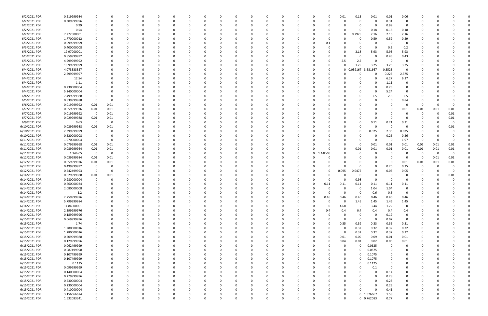| 6/2/2021 PDR  | 0.219999984 |                         |          |          |          |          |          |          |          |          |             |              |          |          |              | 0.01     | 0.13        | 0.01        | 0.01        | 0.06        |          |      |          |  |
|---------------|-------------|-------------------------|----------|----------|----------|----------|----------|----------|----------|----------|-------------|--------------|----------|----------|--------------|----------|-------------|-------------|-------------|-------------|----------|------|----------|--|
| 6/2/2021 PDR  | 0.309999996 | $\Omega$                | 0        | o        | 0        |          |          |          | $\Omega$ |          |             | 0            | $\Omega$ | 0        | 0            |          | 0           | 0           | 0.31        | 0           | C.       |      |          |  |
| 6/2/2021 PDR  | 0.99        |                         |          |          |          |          |          |          |          |          |             |              |          |          |              |          |             | 0           | 0.99        | 0           |          |      |          |  |
| 6/2/2021 PDR  | 0.54        |                         |          |          |          |          |          |          |          |          |             |              |          |          |              |          |             | 0.18        | 0.18        | 0.18        |          |      |          |  |
|               |             |                         |          |          |          |          |          |          |          |          |             |              |          |          |              |          |             |             |             |             |          |      |          |  |
| 6/2/2021 PDR  | 7.272500001 |                         |          |          |          |          |          |          |          |          |             |              |          |          |              |          | 0.7925      | 2.16        | 2.16        | 2.16        |          |      |          |  |
| 6/2/2021 PDR  | 1.770000012 |                         |          |          |          |          |          |          |          |          |             |              |          |          | -0           |          |             | 0.59        | 0.59        | 0.59        |          |      |          |  |
| 6/3/2021 PDR  | 0.099999999 |                         |          |          |          |          |          |          |          |          |             |              |          | C        | 0.1          |          |             | 0           | - 0         | - 0         |          |      |          |  |
| 6/3/2021 PDR  | 0.400000008 |                         |          |          |          |          |          |          |          |          |             |              |          |          | $\Omega$     |          |             | $\Omega$    | 0.2         | 0.2         |          |      |          |  |
| 6/3/2021 PDR  | 19.97000001 |                         |          |          |          |          |          |          |          |          |             |              |          |          |              |          | 2.18        | 5.93        | 5.93        | 5.93        |          |      |          |  |
| 6/3/2021 PDR  | 0.859999992 |                         |          |          |          |          |          |          |          |          |             |              |          |          |              |          |             | 0           | 0.43        | 0.43        |          |      |          |  |
| 6/3/2021 PDR  | 4.999999992 |                         |          |          | 0        |          |          |          |          |          |             | 0            |          |          | $\Omega$     |          |             | $\Omega$    | - 0         | $\Omega$    |          |      |          |  |
|               |             | 0                       |          |          |          |          |          |          |          |          |             |              |          |          |              | 2.5      | 2.5         |             |             |             |          |      |          |  |
| 6/3/2021 PDR  | 10.99999999 |                         |          |          | 0        |          |          |          |          |          |             | <sup>0</sup> |          |          | 0            |          | 1.25        | 3.25        | 3.25        | 3.25        |          |      |          |  |
| 6/4/2021 PDR  | 4.073333327 |                         |          |          |          |          |          |          |          |          |             |              |          |          | 0            | 0        | 0.039167    | 3.681667    | 0.3525      | $\Omega$    |          |      |          |  |
| 6/4/2021 PDR  | 2.599999997 |                         |          |          |          |          |          |          |          |          |             |              |          |          |              |          |             | $\Omega$    | 0.225       | 2.375       |          |      |          |  |
| 6/4/2021 PDR  | 12.54       |                         |          |          |          |          |          |          |          |          |             |              |          |          |              |          |             | 0           | 6.27        | 6.27        |          |      |          |  |
| 6/4/2021 PDR  | 1.11        |                         |          |          |          |          |          |          |          |          |             |              |          |          |              |          |             | 0           | 1.11        | 0           |          |      |          |  |
| 6/4/2021 PDR  | 0.230000004 |                         |          |          |          |          |          |          |          |          |             |              |          |          |              |          |             | $\Omega$    | 0.23        | 0           |          |      |          |  |
|               |             |                         |          |          |          |          |          |          |          |          |             |              |          |          |              |          |             |             |             |             |          |      |          |  |
| 6/4/2021 PDR  | 5.240000004 |                         |          |          |          |          |          |          |          |          |             |              |          |          |              |          |             | 0           | 5.24        | 0           |          |      |          |  |
| 6/4/2021 PDR  | 7.499999988 | - 0                     |          |          | O        |          |          |          |          |          |             |              |          |          |              |          |             | 2.5         | 2.5         | 2.5         |          |      |          |  |
| 6/5/2021 PDR  | 0.839999988 | $\overline{\mathbf{0}}$ | $\Omega$ |          |          |          |          |          |          |          |             |              |          |          |              |          |             | 0           |             | 0.84        |          |      |          |  |
| 6/6/2021 PDR  | 0.019999992 | 0.01                    | 0.01     |          |          |          |          |          |          |          |             |              |          |          |              |          |             | 0           |             | 0           | 0        |      |          |  |
| 6/7/2021 PDR  | 0.059999976 | 0.01                    | 0.01     |          |          |          |          |          |          |          |             |              |          |          |              |          |             |             |             | 0.01        | 0.01     | 0.01 | 0.01     |  |
| 6/7/2021 PDR  | 0.019999992 | $\overline{\mathbf{0}}$ | 0.01     |          |          |          |          |          |          |          |             |              |          |          |              |          |             |             |             |             | C        |      | 0.01     |  |
| 6/7/2021 PDR  | 0.029999988 | 0.01                    | 0.01     |          |          |          |          |          |          |          |             |              |          |          |              |          |             | 0           |             | $\Omega$    |          |      | 0.01     |  |
|               |             |                         |          |          | O        |          |          |          |          |          |             | 0            |          |          |              |          |             |             |             |             | 0        |      |          |  |
| 6/9/2021 PDR  | 0.63        | $\overline{\mathbf{0}}$ | 0        |          | 0        |          |          |          |          |          |             | 0            |          |          |              |          |             | 0.11        | 0.21        | 0.31        |          |      | $\Omega$ |  |
| 6/10/2021 PDR | 0.029999988 | 0.01                    | 0.01     |          |          |          |          |          |          |          |             |              |          |          |              |          |             | $\Omega$    | $\Omega$    | $\Omega$    | 0        |      | 0.01     |  |
| 6/10/2021 PDR | 2.399999999 | - 0                     | -0       |          |          |          |          |          |          |          |             |              |          |          |              |          | 0           | 0.025       | 2.35        | 0.025       | 0        |      |          |  |
| 6/10/2021 PDR | 0.520000008 | - 0                     |          |          |          |          |          |          |          |          |             |              |          |          |              |          |             | 0           | 0.26        | 0.26        | O        |      |          |  |
| 6/11/2021 PDR | 1.970000004 | 0                       |          |          |          |          |          |          |          |          |             |              |          |          |              |          |             | $\Omega$    | $\Omega$    | 1.97        | 0        |      |          |  |
| 6/11/2021 PDR | 0.079999968 | 0.01                    | 0.01     |          |          |          |          |          |          |          |             |              |          |          |              |          | 0           | 0.01        | 0.01        | 0.01        | 0.01     | 0.01 | 0.01     |  |
| 6/11/2021 PDR | 0.089999964 |                         |          |          |          |          |          |          |          |          |             |              | $\Omega$ |          | -0           |          |             |             |             |             |          |      |          |  |
|               |             | 0.01                    | 0.01     |          | O        |          |          |          |          |          |             |              |          |          |              |          | 0.01        | 0.01        | 0.01        | 0.01        | 0.01     | 0.01 | 0.01     |  |
| 6/11/2021 PDR | 1.14E-05    | $\overline{\mathbf{0}}$ | 0        |          |          |          |          |          |          |          |             |              | $\Omega$ |          | $0 1.14E-05$ |          |             | 0           |             | 0           | -0       | -0   |          |  |
| 6/12/2021 PDR | 0.039999984 | 0.01                    | 0.01     |          | O        |          |          |          |          |          |             | C            |          |          | -0           |          |             | 0           |             | - 0         | - 0      | 0.01 | 0.01     |  |
| 6/12/2021 PDR | 0.059999976 | 0.01                    | 0.01     |          |          |          |          |          |          |          |             |              |          |          |              |          |             | 0           | 0           | 0.01        | 0.01     | 0.01 | 0.01     |  |
| 6/12/2021 PDR | 0.499999992 | 0                       | -0       |          |          |          |          |          |          |          |             |              |          |          |              |          |             | 0           | 0.25        | 0.25        | 0        |      |          |  |
| 6/12/2021 PDR | 0.242499993 | $\overline{\mathbf{0}}$ | $\Omega$ |          | O        |          |          |          |          |          |             | 0            |          |          | $\Omega$     | 0.095    | 0.0475      | $\Omega$    | 0.05        | 0.05        | 0        |      |          |  |
| 6/14/2021 PDR | 0.029999988 | 0.01                    | 0.01     |          | 0        |          |          |          |          |          |             |              |          | C        |              |          | 0           | 0           |             | 0           | 0        |      | 0.01     |  |
|               |             |                         |          |          |          |          |          |          |          |          |             |              |          |          |              |          |             |             |             |             |          |      |          |  |
| 6/14/2021 PDR | 0.980000004 | 0                       |          |          |          |          |          |          |          |          |             |              |          |          |              |          | 0.98        | $\Omega$    |             | 0           |          |      |          |  |
| 6/14/2021 PDR | 0.660000024 |                         |          |          |          |          |          |          |          |          |             |              |          |          | 0.11         | 0.11     | 0.11        | 0.11        | 0.11        | 0.11        |          |      |          |  |
| 6/14/2021 PDR | 2.080000008 | 0                       |          |          |          |          |          |          |          |          |             |              |          | 0        | $\Omega$     | 0        | 0           | 1.04        | 1.04        | $\Omega$    |          |      |          |  |
| 6/14/2021 PDR | 1.2         | $\mathbf 0$             |          |          | 0        |          |          |          |          |          |             |              |          |          |              |          | $\mathbf 0$ | 0.6         | 0.6         | 0           |          |      |          |  |
| 6/14/2021 PDR | 2.759999976 | $\mathbf 0$             | $\Omega$ | $\Omega$ | $\Omega$ | $\Omega$ | $\Omega$ | $\Omega$ | $\Omega$ | 0        |             | $\Omega$     | $\Omega$ | 0        | 0.46         | 0.46     | 0.46        | 0.46        | 0.46        | 0.46        | $\Omega$ |      |          |  |
| 6/14/2021 PDR | 5.799999984 | $\mathbf 0$             | $\Omega$ | 0        | 0        |          |          | 0        | $\Omega$ |          |             | 0            | $\Omega$ | 0        | $\Omega$     | $\Omega$ | 1.45        | 1.45        | 1.45        | 1.45        | 0        |      |          |  |
| 6/14/2021 PDR | 14.84000001 |                         |          |          | 0        |          | 0        |          | 0        |          |             | 0            | 0        | 0        | 0            | 4.68     | -5          | 3.44        | 1.72        | 0           | 0        |      |          |  |
|               |             | 0                       |          |          |          |          |          |          |          |          |             |              |          |          |              |          |             |             |             |             |          |      |          |  |
| 6/14/2021 PDR | 2.399999976 | $\overline{0}$          |          |          | 0        |          |          |          |          |          |             | 0            |          | 0        | 0.4          | 0.4      | 0.4         | 0.4         | 0.4         | 0.4         | 0        |      |          |  |
| 6/14/2021 PDR | 0.189999996 |                         |          |          | 0        |          |          |          |          |          |             |              |          | C        |              |          |             | 0           | 0.19        | 0           |          |      |          |  |
| 6/15/2021 PDR | 0.069999996 | $\mathbf 0$             |          |          | 0        |          |          |          |          |          |             | 0            |          | C        |              | $\Omega$ | 0           | $\mathbf 0$ | 0.07        | $\mathbf 0$ |          |      |          |  |
| 6/15/2021 PDR | 1.74        | $\mathbf 0$             |          |          | 0        |          |          |          |          |          |             |              |          | C        | 0            | 0.35     | 0.39        | 0.33        | 0.36        | 0.31        |          |      |          |  |
| 6/15/2021 PDR | 1.280000016 | $\mathbf 0$             | 0        |          | 0        |          |          |          | 0        |          |             | 0            | $\Omega$ | 0        | $\Omega$     | $\Omega$ | 0.32        | 0.32        | 0.32        | 0.32        | 0        |      |          |  |
| 6/15/2021 PDR | 1.280000016 | 0                       | 0        |          | 0        |          | 0        |          | 0        |          |             | 0            | 0        | 0        | $\Omega$     | $\Omega$ | 0.32        | 0.32        | 0.32        | 0.32        | 0        |      |          |  |
|               | 0.209999988 |                         |          |          |          |          |          |          |          |          |             | 0            |          | C        | $\Omega$     | 0.01     | 0.09        | 0.09        | 0.01        | 0.01        |          |      |          |  |
| 6/15/2021 PDR |             |                         |          |          | 0        |          |          |          |          |          |             |              |          |          |              |          |             |             |             |             |          |      |          |  |
| 6/15/2021 PDR | 0.129999996 |                         |          |          | 0        |          |          |          |          |          |             |              |          | 0        | 0            | 0.04     | 0.01        | 0.02        | 0.05        | 0.01        |          |      |          |  |
| 6/15/2021 PDR | 0.062499999 | $\overline{0}$          |          |          | 0        |          |          |          |          |          |             | 0            |          | C        |              |          | 0           | 0.0625      | 0           | 0           |          |      |          |  |
| 6/15/2021 PDR | 0.087499998 | $\mathbf 0$             |          |          | 0        |          |          |          |          |          |             | 0            |          | C        |              | $\Omega$ | 0           | 0.0875      | $\mathbf 0$ | $\mathbf 0$ | 0        |      |          |  |
| 6/15/2021 PDR | 0.107499999 | $\mathbf 0$             |          |          | 0        |          |          |          | 0        |          |             | 0            | 0        | C        |              |          | 0           | 0.1075      | $\Omega$    | 0           | 0        |      |          |  |
| 6/15/2021 PDR | 0.107499999 | 0                       |          |          | 0        |          |          |          | 0        |          |             | 0            | 0        | 0        |              | $\Omega$ | 0           | 0.1075      | $\Omega$    | 0           | 0        |      |          |  |
| 6/15/2021 PDR | 0.1125      | 0                       |          | O        | 0        |          |          |          | 0        |          |             | 0            | 0        | C        |              | 0        | 0           | 0.1125      |             | 0           | C        |      |          |  |
|               |             |                         |          |          |          |          |          |          |          |          |             |              |          |          |              |          |             |             |             |             |          |      |          |  |
| 6/15/2021 PDR | 0.099999999 | $\overline{0}$          |          |          | 0        |          |          |          | 0        |          |             | 0            | 0        | C        |              | 0        |             | 0.1         | $\Omega$    | 0           | 0        |      |          |  |
| 6/15/2021 PDR | 0.140000004 |                         |          | 0        | 0        |          |          |          |          |          |             | 0            |          | C        |              |          |             | 0           | 0.14        | 0           |          |      |          |  |
| 6/15/2021 PDR | 0.279999996 | $\mathbf 0$             |          |          | 0        |          |          |          |          |          |             | 0            |          | C        |              |          |             | $\mathbf 0$ | 0.28        | 0           |          |      |          |  |
| 6/15/2021 PDR | 0.230000004 | $\mathbf 0$             | 0        |          | 0        |          |          |          | 0        |          |             | 0            | $\Omega$ | C        |              |          |             | $\mathbf 0$ | 0.23        | $\mathbf 0$ | 0        |      |          |  |
| 6/15/2021 PDR | 0.230000004 | $\mathbf 0$             | 0        |          | 0        |          | $\Omega$ |          | 0        |          |             | 0            | 0        | 0        |              |          |             | 0           | 0.23        | 0           | 0        |      |          |  |
| 6/15/2021 PDR | 0.410000004 | $\overline{0}$          |          |          | 0        |          |          |          | 0        |          |             | 0            | $\Omega$ | C        |              | 0        |             | $\Omega$    | 0.41        | $\mathbf 0$ |          |      |          |  |
| 6/15/2021 PDR | 3.156666674 |                         |          |          |          |          |          |          |          |          |             |              |          |          |              | 0        |             | 0 1.576667  | 1.58        | 0           |          |      |          |  |
|               |             |                         |          |          |          | $\Omega$ |          |          |          | $\Omega$ |             |              |          |          |              |          |             |             |             |             |          |      |          |  |
| 6/15/2021 PDR | 1.532083341 | $\mathbf 0$             | 0        | 0        | 0        |          | $\Omega$ | $\Omega$ | 0        |          | $\mathbf 0$ | $\mathbf 0$  | $\Omega$ | $\Omega$ | 0            | 0        |             | 0 0.762083  | 0.77        | $\mathbf 0$ | 0        |      | 0        |  |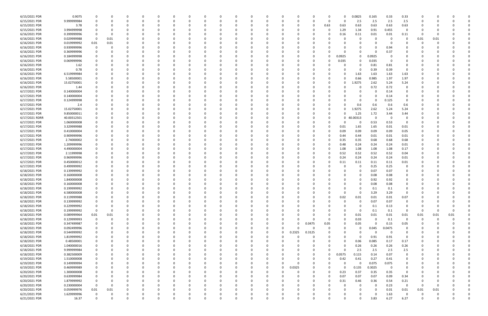| 6/15/2021 PDR  | 0.9075      |             |      |          |          |          |          | <sup>0</sup> |          |          |          |          |          |          |          | 0            | 0.0825      | 0.165        | 0.33        | 0.33        |          |          |      |  |
|----------------|-------------|-------------|------|----------|----------|----------|----------|--------------|----------|----------|----------|----------|----------|----------|----------|--------------|-------------|--------------|-------------|-------------|----------|----------|------|--|
| 6/15/2021 PDR  | 9.999999984 |             |      |          |          |          |          |              |          |          |          |          |          | n        | 0        | $\Omega$     | 2.5         | 2.5          | 2.5         | 2.5         |          |          |      |  |
| 6/15/2021 PDR  | 3.78        |             |      |          |          |          |          |              |          |          |          |          |          | 0        | 0.63     | 0.63         | 0.63        | 0.63         | 0.63        | 0.63        |          |          |      |  |
| 6/15/2021 PDR  | 3.994999998 |             |      |          |          |          |          |              |          |          |          |          |          |          | 0        | 1.29         | 1.34        | 0.91         | 0.455       | $\Omega$    |          |          |      |  |
| 6/16/2021 PDR  | 0.399999996 |             |      |          |          |          |          |              |          |          |          |          |          |          |          | 0.16         | 0.11        | 0.01         | 0.01        | 0.11        |          |          |      |  |
| 6/16/2021 PDR  | 0.029999988 | $\Omega$    | 0.01 |          |          |          |          |              |          |          |          |          |          |          |          |              | $\Omega$    | 0            | -0          | 0           | 0.01     | 0.01     |      |  |
| 6/16/2021 PDR  | 0.019999992 | 0.01        | 0.01 |          |          |          |          |              |          |          |          |          |          |          |          |              |             | <sup>0</sup> | - 0         |             |          |          |      |  |
| 6/16/2021 PDR  | 0.939999996 |             |      |          |          |          |          |              |          |          |          |          |          |          |          |              |             | 0            | 0.94        |             |          |          |      |  |
| 6/16/2021 PDR  | 0.369999996 |             |      |          |          |          |          |              |          |          |          |          |          |          |          |              |             | $\Omega$     | 0.37        |             |          |          |      |  |
| 6/16/2021 PDR  | 0.184999998 |             |      |          |          |          |          |              |          |          |          |          |          |          |          | 0.0925       | 0           | 0.0925       |             |             |          |          |      |  |
| 6/16/2021 PDR  | 0.069999996 |             |      |          |          |          |          |              |          |          |          |          |          | 0        |          | 0.035        | 0           | 0.035        | 0           |             |          |          |      |  |
| 6/16/2021 PDR  | 1.62        |             |      |          |          |          |          |              |          |          |          |          |          |          |          |              |             | 0.81         | 0.81        | 0           |          |          |      |  |
| 6/16/2021 PDR  | 0.78        |             |      |          |          |          |          |              |          |          |          |          |          |          |          |              |             | 0.39         | 0.39        | $\Omega$    |          |          |      |  |
| 6/16/2021 PDR  | 6.519999984 |             |      |          |          |          |          |              |          |          |          |          |          |          |          |              | 1.63        | 1.63         | 1.63        | 1.63        |          |          |      |  |
| 6/16/2021 PDR  | 5.58500001  |             |      |          |          |          |          |              |          |          |          |          |          |          |          |              | 0.66        | 0.985        | 1.97        | 1.97        |          |          |      |  |
| 6/16/2021 PDR  | 15.02750001 |             |      |          |          |          |          |              |          |          |          |          |          |          |          |              | 1.9275      | 2.62         | 5.24        | 5.24        |          |          |      |  |
| 6/16/2021 PDR  | 1.44        |             |      |          |          |          |          |              |          |          |          |          |          |          |          |              | 0           | 0.72         | 0.72        | 0           |          |          |      |  |
| 6/17/2021 PDR  | 0.140000004 |             |      |          |          |          |          | -0           |          |          |          |          |          |          |          |              |             | 0            | 0.14        | 0           |          |          |      |  |
| 6/17/2021 PDR  | 0.140000004 |             |      |          |          |          |          |              |          |          |          |          |          |          |          |              |             | $\Omega$     | 0.14        | $\Omega$    |          |          |      |  |
| 6/17/2021 PDR  | 0.124999998 |             |      |          |          |          |          |              |          |          |          |          |          |          |          |              |             | 0            | 0.125       | 0           |          |          |      |  |
| 6/17/2021 PDR  | 2.4         |             |      |          |          |          |          |              |          |          |          |          |          |          |          |              | 0.6         | 0.6          | 0.6         | 0.6         |          |          |      |  |
| 6/17/2021 PDR  | 15.02750001 |             |      |          |          |          |          |              |          |          |          |          |          |          |          |              | 1.9275      | 2.62         | 5.24        | 5.24        |          |          |      |  |
| 6/17/2021 PDR  | 9.850000011 |             |      |          |          |          |          |              |          |          |          |          |          |          |          |              | 1.25        | 1.72         | 3.44        | 3.44        |          |          |      |  |
| 6/17/2021 RDRR | 40.00312501 |             |      |          |          |          |          |              |          |          |          |          |          |          |          | 0            | 40.00313    | 0            | - 0         | - 0         |          |          |      |  |
|                |             |             |      |          |          |          |          |              |          |          |          |          |          |          |          |              |             |              |             |             |          |          |      |  |
| 6/17/2021 PDR  | 1.060000008 |             |      |          |          |          |          |              |          |          |          |          |          |          |          |              |             | 0.53         | 0.53        | 0           |          |          |      |  |
| 6/17/2021 PDR  | 3.329999988 |             |      |          |          |          |          |              |          |          |          |          |          |          |          | 0.01         | 1.65        | 1.65         | 0.01        | 0.01        |          |          |      |  |
| 6/17/2021 PDR  | 0.410000004 |             |      |          |          |          |          |              |          |          |          |          |          |          |          | 0.09         | 0.09        | 0.09         | 0.09        | 0.05        |          |          |      |  |
| 6/17/2021 PDR  | 0.909999996 |             |      |          |          |          |          |              |          |          |          |          |          |          |          | 0.44         | 0.44        | 0.01         | 0.01        | 0.01        |          |          |      |  |
| 6/17/2021 PDR  | 2.74000002  |             |      |          |          |          |          |              |          |          |          |          |          |          |          | 0.35         | 0.35        | 0.68         | 0.68        | 0.68        |          |          |      |  |
| 6/17/2021 PDR  | 1.209999996 |             |      |          |          |          |          |              |          |          |          |          |          |          |          | 0.48         | 0.24        | 0.24         | 0.24        | 0.01        |          |          |      |  |
| 6/17/2021 PDR  | 4.490000004 |             |      |          |          |          |          |              |          |          |          |          |          |          |          | 1.08         | 1.08        | 1.08         | 1.08        | 0.17        |          |          |      |  |
| 6/17/2021 PDR  | 2.11999998  |             |      |          |          |          |          |              |          |          |          |          |          |          |          | 0.52         | 0.52        | 0.52         | 0.52        | 0.04        |          |          |      |  |
| 6/17/2021 PDR  | 0.969999996 |             |      |          |          |          |          |              |          |          |          |          |          |          |          | 0.24         | 0.24        | 0.24         | 0.24        | 0.01        |          |          |      |  |
| 6/17/2021 PDR  | 0.450000012 |             |      |          |          |          |          |              |          |          |          |          |          |          |          | 0.11         | 0.11        | 0.11         | 0.11        | 0.01        |          |          |      |  |
| 6/17/2021 PDR  | 0.499999992 |             |      |          |          |          |          |              |          |          |          |          |          |          |          |              |             | 0.25         | 0.25        | $\Omega$    |          |          |      |  |
| 6/18/2021 PDR  | 0.139999992 |             |      |          |          |          |          |              |          |          |          |          |          |          |          |              | 0           | 0.07         | 0.07        |             |          |          |      |  |
| 6/18/2021 PDR  | 0.160000008 |             |      |          |          |          |          |              |          |          |          |          |          |          |          |              |             | 0.08         | 0.08        |             |          |          |      |  |
| 6/18/2021 PDR  | 1.840000008 |             |      |          |          |          |          |              |          |          |          |          |          |          |          |              |             | 0.92         | 0.92        |             |          |          |      |  |
| 6/18/2021 PDR  | 0.160000008 |             |      |          |          |          |          |              |          |          |          |          |          |          |          |              |             | 0.08         | 0.08        |             |          |          |      |  |
| 6/18/2021 PDR  | 0.199999992 | 0           |      |          |          |          |          |              |          |          |          |          |          |          |          |              |             | 0.1          | 0.1         |             |          |          |      |  |
| 6/18/2021 PDR  | 6.580000008 | $\Omega$    |      |          |          |          |          |              |          |          |          |          |          |          |          |              |             | 3.29         | 3.29        | $\mathbf 0$ |          |          |      |  |
| 6/18/2021 PDR  | 0.119999988 | 0           | 0    | $\Omega$ | $\Omega$ | $\Omega$ | $\Omega$ | -0           | 0        | 0        | $\Omega$ | $\Omega$ | $\Omega$ | $\Omega$ | $\Omega$ | 0.02         | 0.01        | 0.01         | 0.01        | 0.07        | 0        | $\Omega$ |      |  |
| 6/18/2021 PDR  | 0.139999992 | 0           |      | 0        |          | $\Omega$ |          | <sup>0</sup> |          | 0        |          |          |          | 0        |          | $\Omega$     | $\mathbf 0$ | 0.07         | 0.07        | $\mathbf 0$ |          |          |      |  |
| 6/18/2021 PDR  | 0.229999992 | 0           |      |          |          |          |          | <sup>0</sup> |          |          | - 0      |          |          | n        |          |              | 0           | 0.1          | 0.13        | $\Omega$    |          |          |      |  |
| 6/18/2021 PDR  | 0.199999992 | 0           |      |          |          |          |          |              |          |          |          |          |          |          |          |              | 0           | 0.1          | 0.1         | $\Omega$    | - 0      | -C       |      |  |
| 6/18/2021 PDR  | 0.089999964 | $0.01\,$    | 0.01 |          |          |          |          |              |          |          |          |          |          |          |          | O            | 0.01        | 0.01         | 0.01        | $0.01\,$    | 0.01     | 0.01     | 0.01 |  |
| 6/18/2021 PDR  | 0.129999993 | 0           | 0    |          |          |          |          | 0            |          |          |          |          | 0        | 0        |          |              | 0.03        | 0            | 0.1         | 0           | - 0      | 0        |      |  |
| 6/18/2021 PDR  | 0.347499987 | $\mathbf 0$ |      | 0        |          |          |          | 0            |          |          |          |          | $\Omega$ | 0.0475   | 0.05     |              | 0.05        | $\Omega$     | 0.15        | 0.05        |          |          |      |  |
| 6/18/2021 PDR  | 0.092499996 | 0           |      | 0        |          | $\Omega$ |          | $\Omega$     |          |          | $\Omega$ | $\Omega$ | $\Omega$ | $\Omega$ | $\Omega$ | $\Omega$     | 0           | 0.045        | 0.0475      | $\Omega$    |          |          |      |  |
| 6/18/2021 PDR  | 0.544999992 | 0           |      | 0        |          |          |          | 0            |          |          | $\Omega$ | $\Omega$ | 0.2325   | 0.3125   |          |              |             | 0            | - 0         | 0           |          |          |      |  |
| 6/18/2021 PDR  | 1.819999992 |             |      |          |          |          |          |              |          |          | $\Omega$ |          |          | $\Omega$ |          |              | $\Omega$    | 0.91         | 0.91        | $\mathbf 0$ |          |          |      |  |
| 6/18/2021 PDR  | 0.48500001  | $\Omega$    |      |          |          |          |          |              |          |          | 0        |          |          | 0        |          | $\Omega$     | 0.06        | 0.085        | 0.17        | 0.17        |          |          |      |  |
| 6/18/2021 PDR  | 1.040000016 | 0           |      |          |          |          |          |              |          |          |          |          |          | 0        |          | O            | 0.26        | 0.26         | 0.26        | 0.26        |          |          |      |  |
| 6/18/2021 PDR  | 9.999999984 | $\Omega$    |      | $\Omega$ |          |          |          |              |          |          |          |          |          | 0        |          | <sup>0</sup> | 2.5         | 2.5          | 2.5         | 2.5         |          |          |      |  |
| 6/18/2021 PDR  | 0.382500009 | 0           |      | 0        |          | $\Omega$ |          | 0            |          |          |          |          | 0        | 0        | $\Omega$ | 0.0575       | 0.115       | 0.14         | 0.07        | $\Omega$    |          |          |      |  |
| 6/19/2021 PDR  | 1.510000008 |             |      |          |          |          |          | 0            |          |          |          |          |          | 0        |          | 0.42         | 0.41        | 0.27         | 0.41        | 0           |          |          |      |  |
| 6/19/2021 PDR  | 0.149999994 |             |      |          |          |          |          |              |          |          | - 0      |          | $\Omega$ | 0        |          | U            | $\Omega$    | 0.075        | 0.075       | $\Omega$    |          |          |      |  |
| 6/19/2021 PDR  | 0.469999989 |             |      |          |          |          |          |              |          |          | $\Omega$ | $\Omega$ | 0.0325   |          |          | $\Omega$     | 0.135       | 0.3025       | $\mathbf 0$ |             |          |          |      |  |
| 6/20/2021 PDR  | 1.300000008 |             |      |          |          |          |          |              |          |          |          |          | 0        |          |          | 0.23         | 0.37        | 0.35         | 0.35        | 0           |          |          |      |  |
| 6/20/2021 PDR  | 0.639999984 | $\Omega$    |      |          |          |          |          |              |          |          | $\Omega$ |          |          |          | $\Omega$ | 0.07         | 0.07        | 0.07         | 0.09        | 0.34        |          |          |      |  |
| 6/20/2021 PDR  | 1.879999992 | $\mathbf 0$ |      |          |          |          |          |              |          |          |          |          |          |          |          | 0.31         | 0.46        | 0.36         | 0.54        | 0.21        |          |          |      |  |
| 6/20/2021 PDR  | 0.230000004 | $\Omega$    |      | $\Omega$ |          |          |          |              |          |          |          |          |          |          |          |              |             | 0            | 0.23        | $\Omega$    | 0        | -C       |      |  |
| 6/20/2021 PDR  | 0.059999976 | 0.01        | 0.01 | 0        |          | $\Omega$ |          | <sup>0</sup> |          |          | $\Omega$ |          |          |          |          |              |             | $\Omega$     | 0.01        | 0.01        | 0.01     | 0.01     |      |  |
| 6/21/2021 PDR  | 1.629999996 | 0           |      |          |          |          |          |              |          |          |          |          |          |          |          |              |             | 0            | 1.63        | $\Omega$    |          |          |      |  |
| 6/21/2021 PDR  | 16.37       | $\mathbf 0$ | 0    | $\Omega$ | $\Omega$ | $\Omega$ | $\Omega$ | $\Omega$     | $\Omega$ | $\Omega$ |          | $\Omega$ | $\Omega$ | $\Omega$ |          | <sup>0</sup> |             | 3.83         | 6.27        | 6.27        | $\Omega$ | 0        |      |  |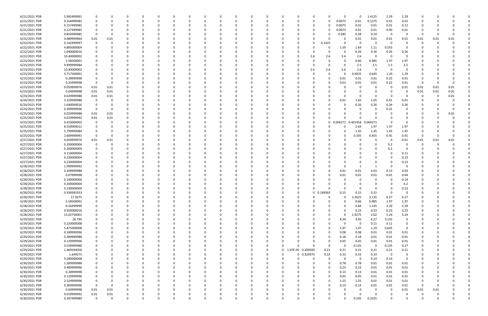| 6/21/2021 PDR | 5.992499991 |                         |          |   |   |          |          |          |   |          |          | 0           |          |                   |            |             |          | 0        | 1.4125       | 2.29        | 2.29        |          |          |      |          |
|---------------|-------------|-------------------------|----------|---|---|----------|----------|----------|---|----------|----------|-------------|----------|-------------------|------------|-------------|----------|----------|--------------|-------------|-------------|----------|----------|------|----------|
| 6/21/2021 PDR | 0.164999982 | 0                       |          |   |   |          |          |          |   |          |          | $\Omega$    |          | 0                 | 0          | - 0         | 0.0075   | 0.01     | 0.1275       | 0.01        | $0.01\,$    |          |          |      |          |
| 6/21/2021 PDR | 0.157499985 |                         |          |   |   |          |          |          |   |          |          |             |          |                   |            |             | 0.0075   | 0.01     | 0.01         | 0.01        | 0.12        |          |          |      |          |
| 6/21/2021 PDR | 0.127499985 |                         |          |   |   |          |          |          |   |          |          |             |          |                   |            |             | 0.0075   | 0.01     | 0.01         | 0.09        | 0.01        |          |          |      |          |
|               |             |                         |          |   |   |          |          |          |   |          |          |             |          |                   |            |             |          |          |              |             |             |          |          |      |          |
| 6/21/2021 PDR | 0.854999985 | - 0                     |          |   |   |          |          |          |   |          |          |             |          |                   |            |             | 0.285    | 0.38     | 0.19         | - 0         |             |          |          |      |          |
| 6/22/2021 PDR | 0.089999964 | 0.01                    | 0.01     |   |   |          |          |          |   |          |          | -0          |          | 0                 |            |             |          | 0.01     | 0.01         | 0.01        | 0.01        | 0.01     | 0.01     | 0.01 |          |
| 6/22/2021 PDR | 0.142499997 | 0                       |          |   |   |          |          |          |   |          |          |             |          |                   | 0          | 1425<br>0.1 |          | -0       | 0            | $\Omega$    | - 0         |          |          |      |          |
| 6/22/2021 PDR | 4.895000004 |                         |          |   |   |          |          |          |   |          |          |             |          |                   |            | 0           | 1.59     | 1.64     | 1.11         | 0.555       | - 0         |          |          |      |          |
| 6/22/2021 PDR | 1.040000016 |                         |          |   |   |          |          |          |   |          |          |             |          |                   | -C         |             | $\Omega$ | 0.26     | 0.26         | 0.26        | 0.26        |          |          |      |          |
| 6/22/2021 PDR | 10.40000002 |                         |          |   |   |          |          |          |   |          |          |             |          |                   | 2.6        | 2.6         | 2.6      | 2.6      | 0            | $\Omega$    | $\Omega$    |          |          |      |          |
| 6/23/2021 PDR | 5.58500001  | 0                       |          |   |   |          |          |          |   |          |          | 0           |          |                   | $\Omega$   | $\Omega$    | $\Omega$ | 0.66     | 0.985        | 1.97        | 1.97        |          |          |      |          |
| 6/23/2021 PDR | 9.999999984 |                         |          |   |   |          |          |          |   |          |          |             |          |                   |            |             |          |          |              |             |             |          |          |      |          |
|               |             | 0                       |          |   |   |          |          |          |   |          |          | 0           |          |                   | C          |             |          | 2.5      | 2.5          | 2.5         | 2.5         |          |          |      |          |
| 6/23/2021 PDR | 10.40000002 |                         |          |   |   |          |          |          |   |          |          |             |          |                   | 2.6        | 2.6         | 2.6      | 2.6      | $\Omega$     | $\Omega$    | $\Omega$    |          |          |      |          |
| 6/23/2021 PDR | 3.717500001 |                         |          |   |   |          |          |          |   |          |          |             |          |                   |            | $\Omega$    |          | 0.4925   | 0.645        | 1.29        | 1.29        |          |          |      |          |
| 6/23/2021 PDR | 0.28999998  |                         |          |   |   |          |          |          |   |          |          |             |          |                   |            | 0           | 0.01     | 0.01     | 0.01         | 0.25        | 0.01        |          |          |      |          |
| 6/23/2021 PDR | 0.25999998  | - 0                     |          |   |   |          |          |          |   |          |          |             |          |                   |            |             | 0.01     | 0.01     | 0.01         | 0.22        | 0.01        | - 0      |          |      |          |
| 6/23/2021 PDR | 0.059999976 | 0.01                    | 0.01     |   |   |          |          |          |   |          |          | - 0         |          |                   |            |             |          |          | 0            | - 0         | 0.01        | 0.01     | 0.01     | 0.01 |          |
| 6/23/2021 PDR | 0.04999998  | 0.01                    | 0.01     |   |   |          |          |          |   |          |          |             |          |                   |            |             |          |          | 0            |             | 0           | 0.01     | 0.01     | 0.01 |          |
| 6/23/2021 PDR | 0.029999988 | 0.01                    | 0.01     |   |   |          |          |          |   |          |          |             |          |                   |            |             |          |          | $\Omega$     |             |             |          |          | 0.01 |          |
|               |             |                         |          |   |   |          |          |          |   |          |          |             |          |                   |            |             |          |          |              |             |             |          |          |      |          |
| 6/24/2021 PDR | 3.329999988 | - 0                     |          |   |   |          |          |          |   |          |          | 0           |          |                   |            |             | 0.01     | 1.65     | 1.65         | 0.01        | 0.01        |          |          |      |          |
| 6/24/2021 PDR | 1.040000016 | 0                       |          |   |   |          |          |          |   |          |          |             |          |                   |            |             |          | 0.26     | 0.26         | 0.26        | 0.26        |          |          |      |          |
| 6/24/2021 PDR | 0.309999996 | 0                       |          |   |   |          |          |          |   |          |          |             |          |                   |            |             |          |          |              | 0.31        |             |          |          |      |          |
| 6/25/2021 PDR | 0.029999988 | 0.01                    | 0.01     |   |   |          |          |          |   |          |          |             |          |                   |            |             |          |          | 0            |             |             |          |          | 0.01 |          |
| 6/25/2021 PDR | 0.019999992 | 0.01                    | 0.01     |   |   |          |          |          |   |          |          |             |          |                   |            |             |          |          |              |             |             |          |          |      |          |
| 6/25/2021 PDR | 0.410000002 | 0                       |          |   |   |          |          |          |   |          |          |             |          |                   | -C         | 0           | 0.004271 | 0.401458 | 0.004271     |             |             |          |          |      |          |
| 6/25/2021 PDR | 8.550000012 | 0                       |          |   |   |          |          |          |   |          |          |             |          |                   |            |             |          |          | 1.97         | 1.97        | 1.97        |          |          |      |          |
|               |             |                         |          |   |   |          |          |          |   |          |          |             |          |                   |            |             |          | 2.64     |              |             |             |          |          |      |          |
| 6/25/2021 PDR | 5.799999984 |                         |          |   |   |          |          |          |   |          |          |             |          |                   |            |             |          | 1.45     | 1.45         | 1.45        | 1.45        |          |          |      |          |
| 6/25/2021 PDR | 2.609999991 | $\Omega$                |          |   |   |          |          |          |   |          |          |             |          |                   |            |             |          | 0.335    | 0.455        | 0.91        | 0.91        | - 0      |          |      |          |
| 6/27/2021 PDR | 0.059999976 | 0.01                    | 0.01     |   |   |          |          |          |   |          |          |             |          |                   |            |             |          |          | 0            | -0          | 0.01        | 0.01     | 0.01     | 0.01 |          |
| 6/27/2021 PDR | 0.200000004 | 0                       |          |   |   |          |          |          |   |          |          | -0          |          |                   |            |             |          |          | 0            | 0.2         |             |          |          |      |          |
| 6/27/2021 PDR | 0.200000004 | 0                       |          |   |   |          |          |          |   |          |          | - 0         |          |                   |            |             |          |          | <sup>0</sup> | 0.2         |             |          |          |      |          |
| 6/27/2021 PDR | 0.110000004 |                         |          |   |   |          |          |          |   |          |          |             |          |                   |            |             |          |          | 0            |             | 0.11        |          |          |      |          |
| 6/27/2021 PDR | 0.230000004 |                         |          |   |   |          |          |          |   |          |          |             |          |                   |            |             |          |          |              |             | 0.23        |          |          |      |          |
| 6/27/2021 PDR | 0.230000004 |                         |          |   |   |          |          |          |   |          |          |             |          |                   |            |             |          |          |              |             | 0.23        |          |          |      |          |
|               |             |                         |          |   |   |          |          |          |   |          |          |             |          |                   |            |             |          |          |              |             |             |          |          |      |          |
| 6/28/2021 PDR | 1.999999992 |                         |          |   |   |          |          |          |   |          |          |             |          |                   |            |             |          |          |              |             |             |          |          |      |          |
| 6/28/2021 PDR | 0.209999988 |                         |          |   |   |          |          |          |   |          |          |             |          |                   |            |             | 0.01     | 0.01     | 0.03         | 0.13        | 0.03        |          |          |      |          |
| 6/28/2021 PDR | 0.07999998  |                         |          |   |   |          |          |          |   |          |          |             |          |                   |            |             | 0.01     | 0.01     | 0.01         | 0.01        | 0.04        |          |          |      |          |
| 6/28/2021 PDR | 0.140000004 |                         |          |   |   |          |          |          |   |          |          |             |          |                   |            |             |          |          |              |             | 0.14        |          |          |      |          |
| 6/28/2021 PDR | 0.200000004 |                         |          |   |   |          |          |          |   |          |          |             |          |                   |            |             |          |          |              |             | 0.2         |          |          |      |          |
| 6/28/2021 PDR | 0.230000004 | $\Omega$                |          |   |   |          |          |          |   |          |          |             |          |                   |            |             |          |          | <sup>0</sup> |             | 0.23        |          |          |      |          |
| 6/28/2021 PDR | 0.599583333 | $\Omega$                |          |   |   |          |          |          |   |          |          |             |          |                   | $\Omega$   | 0.149583    |          | 0.15     | 0.15         |             |             |          |          |      |          |
|               |             |                         | 0        |   |   | - 0      | $\Omega$ |          |   |          |          |             | $\Omega$ | $\Omega$          |            | $\Omega$    | n        |          |              | 6.27        |             | 0        |          |      |          |
| 6/28/2021 PDR | 17.9375     | 0                       |          |   | 0 |          |          |          | 0 |          | 0        | 0           |          |                   | 0          |             |          | 2.2625   | 3.135        |             | 6.27        |          |          |      |          |
| 6/28/2021 PDR | 5.58500001  | $\mathbf 0$             |          |   | 0 |          |          |          | 0 | $\Omega$ |          | 0           |          | $\Omega$          | 0          |             | $\Omega$ | 0.66     | 0.985        | 1.97        | 1.97        |          |          |      |          |
| 6/28/2021 PDR | 6.56499999  | 0                       |          |   |   | 0        |          |          |   |          |          | 0           |          | 0                 |            |             | $\Omega$ | 0.84     | 1.145        | 2.29        | 2.29        |          |          |      |          |
| 6/28/2021 PDR | 0.920000016 | $\Omega$                |          |   |   |          |          |          |   |          |          | $\Omega$    |          | O                 |            |             |          | 0.23     | 0.23         | 0.23        | 0.23        |          |          |      |          |
| 6/28/2021 PDR | 15.02750001 | 0                       |          |   |   |          |          |          |   |          |          | 0           |          | 0                 |            | 0           | $\Omega$ | 1.9275   | 2.62         | 5.24        | 5.24        |          |          |      |          |
| 6/29/2021 PDR | 26.795      | 0                       |          |   |   |          |          |          |   |          |          | $\Omega$    |          | 0                 | 0          | 0           | 8.34     | 9.05     | 6.27         | 3.135       | $\mathbf 0$ |          |          |      |          |
| 6/29/2021 PDR | 0.220000008 | 0                       |          |   |   |          |          |          |   |          |          | 0           |          | 0                 | 0          |             | n        | - 0      | 0.11         | 0.11        | 0           |          |          |      |          |
| 6/29/2021 PDR | 5.875000008 | 0                       |          |   |   | 0        |          |          | 0 | 0        |          | 0           |          | 0                 | 0          | $\Omega$    | 1.97     | 1.97     | 1.29         | 0.645       | $\mathbf 0$ | 0        |          |      |          |
|               |             |                         |          |   |   |          |          |          |   |          |          |             |          |                   |            |             |          |          |              |             |             |          |          |      |          |
| 6/29/2021 PDR | 0.189999996 | 0                       |          |   |   | 0        |          |          |   |          |          | 0           |          | 0                 | 0          | $\Omega$    | 0.08     | 0.08     | 0.01         | 0.01        | 0.01        |          |          |      |          |
| 6/29/2021 PDR | 0.389999988 | 0                       |          |   |   |          |          |          | 0 |          |          | 0           |          | 0                 | 0          | $\Omega$    | 0.18     | 0.18     | 0.01         | 0.01        | 0.01        |          |          |      |          |
| 6/29/2021 PDR | 0.129999996 | 0                       |          |   |   |          |          |          | 0 |          |          | 0           |          | 0                 | 0          | $\Omega$    | 0.05     | 0.05     | 0.01         | 0.01        | 0.01        |          |          |      |          |
| 6/29/2021 PDR | 0.539999988 | 0                       |          |   |   |          |          |          |   |          |          | 0           |          | $\Omega$          | C          | $\Omega$    | $\Omega$ | 0.135    | 0            | 0.135       | 0.27        | 0        |          |      |          |
| 6/29/2021 PDR | 1.469594056 | 0                       |          |   |   | $\Omega$ |          | $\Omega$ | 0 | 0        |          | $\mathbf 0$ | $\Omega$ | 1.07E-05 0.209583 |            | 0.21        | 0.21     | 0.21     | 0.21         | 0.21        | 0.21        |          |          |      |          |
| 6/29/2021 PDR | 1.649375    | 0                       |          |   |   | 0        |          |          | 0 |          |          | 0           | $\Omega$ |                   | 0 0.329375 | 0.33        | 0.33     | 0.33     | 0.33         | $\mathbf 0$ | 0           |          |          |      |          |
| 6/29/2021 PDR | 0.280000008 | 0                       |          |   |   |          |          |          | 0 |          |          | 0           |          | $\Omega$          | 0          | $\Omega$    | $\Omega$ | - 0      | 0.14         | 0.14        | 0           |          |          |      |          |
| 6/30/2021 PDR | 1.589999988 | 0                       |          |   |   |          |          |          | n |          |          | 0           |          |                   | 0          | $\Omega$    | 0.78     | 0.78     | 0.01         | 0.01        | 0.01        |          |          |      |          |
|               |             |                         |          |   |   |          |          |          |   |          |          |             |          |                   |            |             |          |          |              |             |             |          |          |      |          |
| 6/30/2021 PDR | 0.489999996 | 0                       |          |   |   |          |          |          |   |          |          | 0           |          | 0                 | 0          | $\Omega$    | 0.23     | 0.23     | 0.01         | 0.01        | 0.01        |          |          |      |          |
| 6/30/2021 PDR | 0.28999998  | 0                       |          |   |   |          |          |          |   |          |          | 0           |          | 0                 | 0          | 0           | 0.13     | 0.13     | 0.01         | 0.01        | 0.01        |          |          |      |          |
| 6/30/2021 PDR | 0.129999996 | 0                       |          |   |   |          |          |          |   |          |          | $\Omega$    |          | $\Omega$          | 0          | $\Omega$    | 0.05     | 0.05     | 0.01         | 0.01        | 0.01        | 0        |          |      |          |
| 6/30/2021 PDR | 2.529999996 | $\mathbf 0$             |          |   |   |          |          |          | 0 |          |          | 0           |          | 0                 | 0          | $\Omega$    | 1.25     | 1.25     | 0.01         | 0.01        | 0.01        | 0        | -0       |      |          |
| 6/30/2021 PDR | 0.309999996 | $\overline{\mathbf{0}}$ | $\Omega$ |   |   |          |          |          |   |          |          | 0           |          | 0                 | 0          | $\Omega$    | 0.14     | 0.14     | 0.01         | 0.01        | 0.01        | 0        | 0        |      |          |
| 6/30/2021 PDR | 0.04999998  | 0.01                    | 0.01     |   |   | $\Omega$ |          |          | 0 |          |          | $\Omega$    |          | 0                 | 0          | $\Omega$    | 0        | 0        | 0            | $\mathbf 0$ | 0.01        | 0.01     | 0.01     |      |          |
| 6/30/2021 PDR | 0.019999992 | 0.01                    | 0.01     |   |   |          |          |          |   |          |          | 0           |          | 0                 |            |             |          |          | 0            |             |             | 0        | -0       |      | 0        |
| 6/30/2021 PDR | 0.207499989 | $\mathbf 0$             | $\Omega$ | 0 | 0 |          | $\Omega$ | $\Omega$ |   | $\Omega$ | $\Omega$ | $\Omega$    | $\Omega$ | $\Omega$          | $\Omega$   |             |          | 0.105    | 0.1025       |             | $\Omega$    | $\Omega$ | $\Omega$ | 0    | $\Omega$ |
|               |             |                         |          |   |   |          |          |          |   |          |          |             |          |                   |            |             |          |          |              |             |             |          |          |      |          |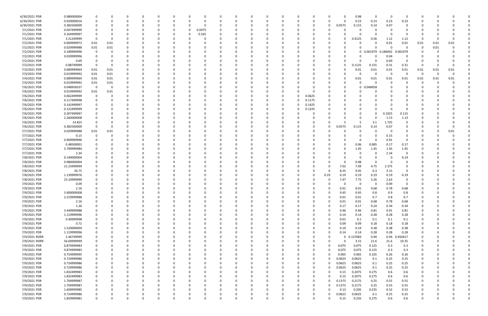| 6/30/2021 PDR | 0.980000004 |                         | -0       |          | 0        |          |          |          |          |   | 0        |          |          |          |          |          | 0.98     | 0          | 0                  | $\Omega$ |          |          |          |  |
|---------------|-------------|-------------------------|----------|----------|----------|----------|----------|----------|----------|---|----------|----------|----------|----------|----------|----------|----------|------------|--------------------|----------|----------|----------|----------|--|
| 6/30/2021 PDR | 0.920000016 | 0                       | 0        |          | 0        |          |          | 0        |          |   | 0        |          |          | 0        | 0        | $\Omega$ | 0.23     | 0.23       | 0.23               | 0.23     |          |          |          |  |
| 6/30/2021 PDR | 0.382500009 |                         |          |          |          |          |          |          |          |   |          |          |          |          |          |          |          |            | 0.07               |          |          |          |          |  |
|               |             |                         |          |          |          |          |          |          |          |   |          |          |          |          | 0        | 0.0575   | 0.115    | 0.14       |                    |          |          |          |          |  |
| 7/1/2021 PDR  | 0.047499999 | 0                       |          |          | C.       |          |          | 0.0475   |          |   |          |          |          |          |          |          | 0        | 0          |                    |          |          |          |          |  |
| 7/1/2021 PDR  | 0.164999997 | 0                       |          |          |          |          |          | 0.165    |          |   |          |          |          |          |          |          |          | 0          | - 0                | $\Omega$ |          |          |          |  |
| 7/1/2021 PDR  | 3.21249999  | - 0                     | -0       |          |          |          |          |          |          |   |          |          |          |          |          |          | 0.4125   | 0.56       | 1.12               | 1.12     | $\Omega$ |          |          |  |
| 7/2/2021 PDR  | 0.069999972 | 0.01                    | 0.01     |          |          |          |          |          |          |   |          |          |          |          |          |          |          | 0          | 0.01               | 0.01     | 0.01     | 0.01     | 0.01     |  |
| 7/2/2021 PDR  | 0.029999988 | 0.01                    | 0.01     |          |          |          |          |          |          |   |          |          |          |          |          |          |          | $\Omega$   | - 0                | $\Omega$ | - 0      | 0.01     |          |  |
| 7/2/2021 PDR  | 0.189999996 | - 0                     | 0        |          |          |          |          |          |          |   |          |          |          |          |          |          |          | 0 0.001979 | 186042<br>$\Omega$ | 0.001979 |          |          |          |  |
| 7/2/2021 PDR  | 0.039999996 | $\Omega$                |          |          |          |          |          |          |          |   |          |          |          |          |          |          |          | 0          | 0.04               | $\Omega$ |          |          |          |  |
| 7/2/2021 PDR  | 0.69        | 0                       | 0        |          | 0        |          |          |          |          |   | 0        |          |          |          | -0       |          |          | 0          | 0.69               | 0        | -0       |          |          |  |
| 7/2/2021 PDR  | 0.88749999  | - 0                     | 0        |          | O        |          |          |          |          |   | C        |          |          |          | -0       |          | 0.1125   | 0.155      | 0.31               | 0.31     | - 0      | -0       |          |  |
| 7/3/2021 PDR  |             |                         | 0.01     |          |          |          |          |          |          |   |          |          |          |          | - 0      |          |          |            | 0.01               |          |          |          |          |  |
|               | 0.089999964 | 0.01                    |          |          |          |          |          |          |          |   |          |          |          |          |          |          | 0.01     | 0.01       |                    | 0.01     | 0.01     | 0.01     | 0.01     |  |
| 7/3/2021 PDR  | 0.019999992 | 0.01                    | 0.01     |          |          |          |          |          |          |   |          |          |          |          |          |          | 0        | 0          | - 0                | $\Omega$ | - 0      | 0        | $\Omega$ |  |
| 7/4/2021 PDR  | 0.089999964 | 0.01                    | 0.01     |          |          |          |          |          |          |   |          |          |          |          |          |          | 0.01     | 0.01       | 0.01               | 0.01     | 0.01     | 0.01     | 0.01     |  |
| 7/4/2021 PDR  | 0.019999992 | 0.01                    | 0.01     |          |          |          |          |          |          |   |          |          |          |          |          |          |          | 0          |                    |          |          | $\Omega$ |          |  |
| 7/6/2021 PDR  | 0.048958337 | $\overline{\mathbf{0}}$ | 0        |          |          |          |          |          |          |   |          |          |          |          | - 0      |          |          | 0 0.048958 |                    |          |          |          |          |  |
| 7/6/2021 PDR  | 0.019999992 | 0.01                    | 0.01     |          | 0        |          |          |          |          |   | 0        |          | ŋ        |          |          |          |          | 0          |                    |          |          |          |          |  |
| 7/6/2021 PDR  | 0.062499999 | 0                       |          |          |          |          |          |          |          |   |          |          |          | 0.0625   |          |          |          |            |                    |          |          |          |          |  |
| 7/6/2021 PDR  | 0.117499998 |                         |          |          |          |          |          |          |          |   | 0        |          | O        | 0.1175   |          |          |          |            |                    |          |          |          |          |  |
| 7/6/2021 PDR  | 0.142499997 |                         |          |          |          |          |          |          |          |   | 0        |          | 0        | 0.1425   |          |          |          |            |                    |          |          |          |          |  |
| 7/6/2021 PDR  | 0.122499999 |                         |          |          |          |          |          |          |          |   |          |          |          | 0.1225   |          |          |          | $\Omega$   |                    |          |          |          |          |  |
|               |             |                         |          |          |          |          |          |          |          |   |          |          |          |          |          |          |          |            |                    |          |          |          |          |  |
| 7/6/2021 PDR  | 0.307499997 |                         |          |          |          |          |          |          |          |   | C        |          |          |          |          |          |          | 0          | 0.1925             | 0.115    |          |          |          |  |
| 7/6/2021 PDR  | 2.260000008 |                         |          |          | 0        |          |          |          |          |   | 0        |          |          |          |          |          |          | 0          | 1.13               | 1.13     |          |          |          |  |
| 7/6/2021 PDR  | 14.825      |                         |          |          |          |          |          |          |          |   |          |          |          |          |          |          | 5        | 3.1        | 1.725              | 0        |          |          |          |  |
| 7/6/2021 PDR  | 0.382500009 | - 0                     | -0       |          |          |          |          |          |          |   |          |          |          |          | 0        | 0.0575   | 0.115    | 0.14       | 0.07               |          |          |          |          |  |
| 7/7/2021 PDR  | 0.029999988 | 0.01                    | 0.01     |          |          |          |          |          |          |   |          |          |          |          |          |          |          | 0          | - 0                | 0        |          | 0        | 0.01     |  |
| 7/7/2021 PDR  | 0.15        | 0                       |          |          |          |          |          |          |          |   |          |          |          |          |          |          |          | 0          | 0.15               | $\Omega$ |          |          |          |  |
| 7/7/2021 PDR  | 0.909999996 |                         |          |          | O        |          |          |          |          |   | C        |          |          |          |          |          | 0        | 0          | 0.91               | $\Omega$ |          |          |          |  |
| 7/7/2021 PDR  | 0.48500001  |                         |          |          |          |          |          |          |          |   | C        |          |          |          |          |          | 0.06     | 0.085      | 0.17               | 0.17     |          |          |          |  |
| 7/7/2021 PDR  | 5.799999984 |                         |          |          |          |          |          |          |          |   |          |          |          |          |          |          | 1.45     | 1.45       | 1.45               | 1.45     |          |          |          |  |
| 7/7/2021 PDR  | 2.34        |                         |          |          |          |          |          |          |          |   |          |          |          |          |          |          |          | 0          | 2.34               | - 0      |          |          |          |  |
|               |             |                         |          |          |          |          |          |          |          |   |          |          |          |          |          |          |          |            |                    |          |          |          |          |  |
| 7/8/2021 PDR  | 0.140000004 |                         |          |          |          |          |          |          |          |   |          |          |          |          |          |          | 0        | 0          |                    | 0.14     |          |          |          |  |
| 7/8/2021 PDR  | 0.980000004 |                         |          |          |          |          |          |          |          |   |          |          |          |          | -0       |          | 0.98     | 0          |                    |          |          |          |          |  |
| 7/8/2021 PDR  | 21.23499999 |                         |          |          |          |          |          |          |          |   |          |          |          |          | -0       | 7.02     | 7.09     | 4.75       | 2.375              | 0        |          |          |          |  |
| 7/8/2021 PDR  | 26.75       |                         |          |          | O        |          |          |          |          |   | 0        |          |          |          | 0        | 8.25     | 9.05     | 6.3        | 3.15               | 0        |          |          |          |  |
| 7/8/2021 PDR  | 1.139999976 |                         |          |          | O        |          |          |          |          |   |          |          |          | O        | 0.19     | 0.19     | 0.19     | 0.19       | 0.19               | 0.19     |          |          |          |  |
| 7/8/2021 PDR  | 23.10999999 |                         |          |          |          |          |          |          |          |   |          |          |          |          | -0       | 7.47     | 7.75     | 5.26       | 2.63               | $\Omega$ |          |          |          |  |
| 7/9/2021 PDR  | 0.09        |                         |          |          |          |          |          |          |          |   |          |          |          |          |          |          | -0       | 0          | 0.09               | $\Omega$ |          |          |          |  |
| 7/9/2021 PDR  | 2.16        |                         |          |          |          |          |          |          |          |   |          |          |          |          | -0       | 0.01     | 0.01     | 0.68       | 0.78               | 0.68     |          |          |          |  |
| 7/9/2021 PDR  | 3.400000008 | $\Omega$                |          |          |          |          |          |          |          |   |          |          |          |          |          | 0.45     | 0.45     | 0.8        | 0.9                | 0.8      |          |          |          |  |
| 7/9/2021 PDR  | 2.219999988 | $\mathbf 0$             | 0        | 0        | 0        | $\Omega$ | $\Omega$ | $\Omega$ | 0        | 0 | 0        | $\Omega$ | $\Omega$ | $\Omega$ | $\Omega$ | 0.01     | 0.01     | 0.7        | 0.8                | 0.7      | 0        | $\Omega$ | U        |  |
|               |             |                         |          |          |          |          |          |          |          |   |          |          |          |          |          |          |          |            |                    |          |          |          |          |  |
| 7/9/2021 PDR  | 2.16        | 0                       | 0        | 0        | 0        | $\Omega$ | $\Omega$ | 0        | 0        | 0 | 0        |          | 0        | 0        | $\Omega$ | 0.01     | 0.01     | 0.68       | 0.78               | 0.68     | 0        | - 0      |          |  |
| 7/9/2021 PDR  | 1.26        |                         | 0        |          | $\Omega$ |          |          |          |          |   | $\Omega$ |          | $\Omega$ |          | $\Omega$ | 0.17     | 0.17     | 0.24       | 0.34               | 0.34     |          |          |          |  |
| 7/9/2021 PDR  | 3.449999988 | 0                       | 0        | 0        | 0        |          |          |          | 0        | 0 | 0        |          |          |          | $\Omega$ | 0.46     | 0.46     | 0.81       | 0.91               | 0.81     | 0        | -0       |          |  |
| 7/9/2021 PDR  | 1.119999996 | $\mathbf 0$             |          |          | 0        |          |          |          |          |   | 0        |          |          |          | 0        | 0.14     | 0.14     | 0.28       | 0.28               | 0.28     | 0        |          |          |  |
| 7/9/2021 PDR  | 0.40999998  | $\mathbf 0$             |          |          | $\Omega$ |          |          |          |          |   | $\Omega$ |          |          |          | 0        | 0.01     | 0.1      | 0.1        | 0.1                | 0.1      | 0        |          |          |  |
| 7/9/2021 PDR  | 0.72        | 0                       | $\Omega$ | 0        | 0        |          |          |          | -0       |   | 0        |          |          |          | $\Omega$ | 0.09     | 0.09     | 0.18       | 0.18               | 0.18     | 0        |          |          |  |
| 7/9/2021 PDR  | 1.520000004 | 0                       | 0        |          | 0        |          | 0        |          | 0        |   | 0        |          | 0        |          | $\Omega$ | 0.19     | 0.19     | 0.38       | 0.38               | 0.38     | 0        | 0        |          |  |
| 7/9/2021 PDR  | 1.119999996 |                         | 0        |          | 0        |          |          |          |          |   | 0        |          |          |          | 0        | 0.14     | 0.14     | 0.28       | 0.28               | 0.28     |          |          |          |  |
| 7/9/2021 RDRR | 2.46749999  | $\overline{0}$          |          |          | 0        |          |          |          | 0        |   | 0        |          |          |          | $\Omega$ | $\Omega$ | 0.137083 | 0.94       | 0.94               | 0.450417 |          |          |          |  |
| 7/9/2021 RDRR | 56.69999999 | $\mathbf 0$             |          |          | 0        |          |          |          |          |   | 0        |          |          |          | 0        | $\Omega$ | 3.15     | 21.6       | 21.6               | 10.35    | 0        |          |          |  |
|               |             |                         |          |          |          |          |          |          |          |   |          |          |          |          |          |          |          |            |                    |          |          |          |          |  |
| 7/9/2021 PDR  | 0.874999983 | $\mathbf 0$             |          |          | 0        |          |          |          |          |   | 0        |          |          |          | $\Omega$ | 0.075    | 0.075    | 0.125      | 0.3                | 0.3      | 0        |          |          |  |
| 7/9/2021 PDR  | 0.874999983 | 0                       | 0        | 0        | 0        |          | $\Omega$ | 0        | 0        | 0 | 0        |          |          | 0        | $\Omega$ | 0.075    | 0.075    | 0.125      | 0.3                | 0.3      | 0        | $\Omega$ |          |  |
| 7/9/2021 PDR  | 0.754999995 | 0                       | 0        | 0        | 0        |          | 0        |          | 0        |   | 0        |          | 0        |          | $\Omega$ | 0.065    | 0.065    | 0.105      | 0.26               | 0.26     | 0        | 0        |          |  |
| 7/9/2021 PDR  | 0.724999986 | $\mathbf 0$             |          |          | $\Omega$ |          |          |          |          |   | 0        |          |          |          | $\Omega$ | 0.0625   | 0.0625   | 0.1        | 0.25               | 0.25     | 0        |          |          |  |
| 7/9/2021 PDR  | 0.724999986 | $\mathbf 0$             |          |          | 0        |          |          |          |          |   | 0        |          |          | $\Omega$ | $\Omega$ | 0.0625   | 0.0625   | 0.1        | 0.25               | 0.25     | 0        |          |          |  |
| 7/9/2021 PDR  | 0.724999986 | 0                       |          | 0        | 0        |          |          |          |          |   | 0        |          |          | 0        | 0        | 0.0625   | 0.0625   | 0.1        | 0.25               | 0.25     | 0        |          |          |  |
| 7/9/2021 PDR  | 1.832499983 | 0                       |          |          | 0        |          |          |          | -0       | 0 | 0        |          |          | 0        | $\Omega$ | 0.15     | 0.2075   | 0.275      | 0.6                | 0.6      | 0        |          |          |  |
| 7/9/2021 PDR  | 1.832499983 | $\overline{0}$          |          |          | $\Omega$ |          |          |          |          |   | $\Omega$ |          |          |          | $\Omega$ | 0.15     | 0.2075   | 0.275      | 0.6                | 0.6      | 0        | $\Omega$ |          |  |
| 7/9/2021 PDR  | 1.704999987 | 0                       | 0        |          | 0        |          | $\Omega$ |          | $\Omega$ |   | 0        |          | 0        |          | $\Omega$ | 0.1375   | 0.2175   | 0.25       | 0.55               | 0.55     | 0        | - 0      |          |  |
|               |             |                         |          |          |          |          |          |          |          |   |          |          |          |          |          |          |          |            |                    |          |          |          |          |  |
| 7/9/2021 PDR  | 1.704999987 | 0                       | 0        |          | 0        |          |          |          | 0        |   | 0        |          |          | 0        | $\Omega$ | 0.1375   | 0.2175   | 0.25       | 0.55               | 0.55     | 0        | - 0      |          |  |
| 7/9/2021 PDR  | 1.609999985 | $\mathbf 0$             |          |          | 0        |          |          |          |          |   | 0        |          |          | $\Omega$ | $\Omega$ | 0.13     | 0.205    | 0.235      | 0.52               | 0.52     |          |          |          |  |
| 7/9/2021 PDR  | 0.724999986 | $\mathbf 0$             |          | 0        | 0        |          |          |          |          |   | 0        |          |          | 0        | 0        | 0.0625   | 0.0625   | 0.1        | 0.25               | 0.25     | 0        |          |          |  |
| 7/9/2021 PDR  | 1.859999981 | $\mathbf 0$             | 0        | $\Omega$ | $\Omega$ | $\Omega$ | $\Omega$ | $\Omega$ | 0        | 0 | $\Omega$ | $\Omega$ | $\Omega$ | 0        | 0        | 0.15     | 0.235    | 0.275      | 0.6                | 0.6      | 0        | $\Omega$ | 0        |  |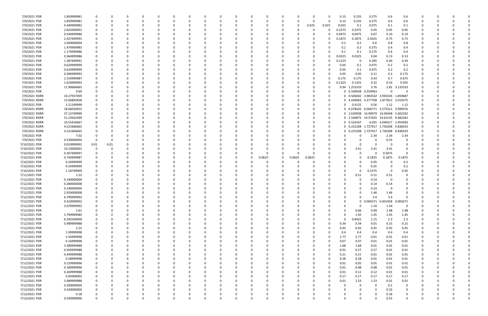| 7/9/2021 PDR                   | 1.859999981         | - 0         | 0             |          |          |          |                | 0        |          |        |          |          |             | 0            | 0.15   | 0.235                           | 0.275         | 0.6                                   | 0.6              |          |          |  |
|--------------------------------|---------------------|-------------|---------------|----------|----------|----------|----------------|----------|----------|--------|----------|----------|-------------|--------------|--------|---------------------------------|---------------|---------------------------------------|------------------|----------|----------|--|
| 7/9/2021 PDR                   | 1.859999981         | $\Omega$    |               |          |          |          |                | C        |          |        | $\Omega$ | $\Omega$ | - 0         | -0           | 0.15   | 0.235                           | 0.275         | 0.6                                   | 0.6              |          |          |  |
| 7/9/2021 PDR                   | 0.449999982         |             |               |          |          |          |                |          |          |        |          | $\Omega$ | 0.025       | 0.025        | 0.025  | 0.1                             | 0.075         | 0.1                                   | 0.1              |          |          |  |
| 7/9/2021 PDR                   | 2.825000001         |             |               |          |          |          |                |          |          |        |          |          | - 0         | 0            | 0.2375 | 0.2375                          | 0.45          | 0.95                                  | 0.95             |          |          |  |
| 7/9/2021 PDR                   | 0.544999986         |             |               |          |          |          |                |          |          |        |          |          |             | 0            | 0.0475 | 0.0475                          | 0.07          | 0.19                                  | 0.19             |          |          |  |
| 7/9/2021 PDR                   | 2.437499991         |             |               |          |          |          |                |          |          |        |          |          |             | 0            | 0.1875 | 0.1875                          | 0.5625        | 0.75                                  | 0.75             |          |          |  |
|                                | 2.600000004         |             |               |          |          |          |                |          |          |        |          |          |             |              |        |                                 |               |                                       |                  |          |          |  |
| 7/9/2021 PDR                   |                     |             |               |          |          |          |                |          |          |        |          |          |             | 0            | 0.2    | 0.2                             | 0.6           | 0.8                                   | 0.8              |          |          |  |
| 7/9/2021 PDR                   | 1.474999983         |             |               |          |          |          |                |          |          |        |          |          |             |              | 0.1    | 0.2                             | 0.375         | 0.4                                   | 0.4              |          |          |  |
| 7/9/2021 PDR                   | 1.174999986         |             |               |          |          |          |                |          |          |        |          |          |             | 0            | 0.1    | 0.1                             | 0.175         | 0.4                                   | 0.4              |          |          |  |
| 7/9/2021 PDR                   | 0.364999986         |             |               |          |          |          |                |          |          |        |          |          |             | 0            | 0.0325 | 0.0325                          | 0.04          | 0.13                                  | 0.13             |          |          |  |
| 7/9/2021 PDR                   | 1.387499991         |             |               |          |          |          |                |          |          |        |          |          |             | 0            | 0.1225 | $\mathbf 0$                     | 0.285         | 0.49                                  | 0.49             |          |          |  |
| 7/9/2021 PDR                   | 0.624999999         |             |               |          |          |          |                |          |          |        |          |          |             |              | 0.05   | 0.1                             | 0.075         | 0.2                                   | 0.2              |          |          |  |
| 7/9/2021 PDR                   | 0.624999999         | 0           |               |          |          |          |                |          |          |        |          |          |             | 0            | 0.05   | 0.1                             | 0.075         | 0.2                                   | 0.2              |          |          |  |
| 7/9/2021 PDR                   | 0.584999993         |             |               |          |          |          |                |          |          |        |          |          |             | 0            | 0.05   | 0.05                            | 0.11          | 0.2                                   | 0.175            |          |          |  |
| 7/9/2021 PDR                   | 2.154999987         |             |               |          |          |          |                |          |          |        |          |          |             | 0            | 0.175  | 0.175                           | 0.43          | 0.7                                   | 0.675            |          |          |  |
| 7/9/2021 PDR                   | 1.619999993         |             |               |          |          |          |                |          |          |        |          |          |             | 0            | 0.1325 | 0.1325                          | 0.32          | 0.53                                  | 0.505            |          |          |  |
| 7/9/2021 PDR                   | 11.90666665         |             |               |          |          |          |                |          |          |        |          |          |             | 0            | 0.94   | 1.253333                        | 3.76          | 2.82                                  | 3.133333         |          |          |  |
| 7/9/2021 PDR                   | 0.69                |             |               |          |          |          |                |          |          |        |          |          |             | 0            |        | 0 0.330938 0.359063             |               | $\Omega$                              |                  |          |          |  |
| 7/9/2021 RDRR                  | 10.27937499         |             |               |          |          |          |                |          |          |        |          |          |             | 0            |        | 0 0.506042 3.983542 3.930104    |               |                                       | 1.859687         |          |          |  |
|                                | 13.60895858         |             |               |          |          |          |                |          |          |        |          |          |             |              |        |                                 |               | 0 4.434063 4.377708 1.877812 2.919375 |                  |          |          |  |
| 7/9/2021 RDRR                  |                     |             |               |          |          |          |                |          |          |        |          |          |             | 0            |        |                                 |               |                                       |                  |          |          |  |
| 7/9/2021 PDR                   | 3.21249999          |             |               |          |          |          |                |          |          |        |          |          |             | 0            |        | 0.4125                          | 0.56          | 1.12                                  | 1.12             |          |          |  |
| 7/9/2021 RDRR                  | 18.66020955         |             |               |          |          |          |                |          |          |        |          |          |             | 0            |        |                                 |               | 0 6.078542 6.006771 2.575521 3.999376 |                  |          |          |  |
| 7/9/2021 RDRR                  | 37.13749999         |             |               |          |          |          |                |          |          |        |          |          |             | -0           |        |                                 |               | 0 2.620938 14.90979 14.00448 5.602292 |                  |          |          |  |
| 7/9/2021 RDRR                  | 51.23562499         |             |               |          |          |          |                |          |          |        |          |          |             | 0            |        |                                 |               | 0 2.546875 19.57635 19.63135 9.481042 |                  |          |          |  |
| 7/9/2021 RDRR                  | 10.55416667         |             |               |          |          |          |                |          |          |        |          |          |             | 0            |        | 0 0.524167                      |               | 4.035 4.040417 1.954583               |                  |          |          |  |
| 7/9/2021 RDRR                  | 4.521666665         |             |               |          |          |          |                |          |          |        |          |          |             | 0            |        | 0 0.225208 1.727917 1.730208    |               |                                       | 0.838333         |          |          |  |
| 7/9/2021 RDRR                  | 4.521666665         |             |               |          |          |          |                |          |          |        |          |          |             | 0            |        | 0  0.225208  1.727917  1.730208 |               |                                       | 0.838333         |          |          |  |
| 7/9/2021 PDR                   | 7.02                |             |               |          |          |          |                |          |          |        |          |          |             |              |        |                                 | 2.34          | 2.34                                  | 2.34             |          |          |  |
| 7/9/2021 PDR                   | 0.530000004         | - 0         |               |          |          |          |                |          |          |        |          |          |             |              |        |                                 | 0             | 0.53                                  | -0               |          |          |  |
| 7/10/2021 PDR                  | 0.019999992         | 0.01        | 0.01          |          |          |          |                |          |          |        |          |          |             |              |        |                                 | $\Omega$      | 0                                     |                  |          |          |  |
| 7/10/2021 PDR                  | 10.23000001         | 0           |               |          |          |          |                |          |          |        |          |          |             |              |        | 3.41                            | 3.41          | 3.41                                  | $\Omega$         |          |          |  |
| 7/10/2021 PDR                  | 0.307499997         |             |               |          |          |          |                | O        |          |        | $\Omega$ |          |             | <sup>0</sup> |        | 0                               | 0             | 0.3075                                | - 0              |          |          |  |
|                                |                     |             |               |          |          |          |                |          |          |        | $\Omega$ |          |             |              |        | O                               |               |                                       |                  |          |          |  |
| 7/10/2021 PDR                  | 0.744999987         |             |               |          |          |          |                |          |          | 0.0625 |          | 0.0625   | 0.0625      |              |        |                                 | 0.1825        | 0.1875                                | 0.1875           |          |          |  |
| 7/10/2021 PDR                  | 0.24999999          |             |               |          |          |          |                |          |          |        |          |          |             |              |        |                                 | 0.05          | 0                                     | 0.2              |          |          |  |
| 7/10/2021 PDR                  | 0.24999999          |             |               |          |          |          |                |          |          |        |          |          |             |              |        |                                 | 0.05          | 0                                     | 0.2              |          |          |  |
| 7/10/2021 PDR                  | 1.18749999          |             |               |          |          |          |                |          |          |        |          |          |             |              |        | 0                               | 0.2375        | $\Omega$                              | 0.95             |          |          |  |
| 7/11/2021 PDR                  | 1.53                |             |               |          |          |          |                |          |          |        |          |          |             |              |        | 0.51                            | 0.51          | 0.51                                  |                  |          |          |  |
| 7/12/2021 PDR                  | 0.140000004         |             |               |          |          |          |                |          |          |        |          |          |             |              |        | 0                               | 0.14          | $\mathbf 0$                           |                  |          |          |  |
| 7/12/2021 PDR                  |                     |             |               |          |          |          |                |          |          |        |          |          |             |              |        |                                 | 0.14          | 0.14                                  |                  |          |          |  |
|                                | 0.280000008         |             |               |          |          |          |                |          |          |        |          |          |             |              |        |                                 |               |                                       |                  |          |          |  |
| 7/12/2021 PDR                  | 0.140000004         | $\Omega$    |               |          |          |          |                |          |          |        |          |          |             |              |        | 0                               | 0.14          | $\Omega$                              |                  |          |          |  |
|                                |                     | $\mathbf 0$ | U             |          |          |          | O              |          |          |        | 0        |          |             | -0           |        | υ                               | 1.46          |                                       |                  |          |          |  |
| 7/12/2021 PDR                  | 2.920000008         |             | 0             |          | $\Omega$ |          | $\overline{0}$ | 0        |          |        | $\Omega$ | $\Omega$ | $\mathbf 0$ | 0            |        | $\Omega$                        |               | 1.46                                  | $\Omega$         | $\Omega$ |          |  |
| 7/12/2021 PDR                  | 6.799999992         | $\mathbf 0$ |               |          |          |          |                |          |          |        |          |          |             |              |        |                                 | 3.4           | 3.4                                   |                  |          |          |  |
| 7/12/2021 PDR                  | 0.410000002         | $\mathbf 0$ | 0             |          |          |          | 0              | C        |          |        | $\Omega$ |          | 0           | 0            |        |                                 | 0 0.004271    | 0.401458 0.004271                     |                  |          |          |  |
| 7/12/2021 PDR                  | 3.079999992         | 0           | 0             |          |          |          | 0              | 0        |          |        |          |          | 0           | 0            |        | 0                               | 1.54          | 1.54                                  | 0                |          |          |  |
| 7/12/2021 PDR                  | 5.61                | $\mathbf 0$ | 0             |          |          |          | $\Omega$       |          |          |        |          |          |             | 0            |        | 0.66                            | 0.99          | 1.98                                  | 1.98             |          |          |  |
| 7/12/2021 PDR                  | 5.799999984         | $\mathbf 0$ |               |          |          |          | 0              |          |          |        |          |          |             | 0            |        | 1.45                            | 1.45          | 1.45                                  | 1.45             |          |          |  |
| 7/12/2021 PDR                  | 6.592500009         | $\mathbf 0$ | 0             |          |          |          | 0              | 0        |          |        |          |          |             | 0            |        | 0.8425                          | 1.15          | 2.3                                   | 2.3              |          |          |  |
| 7/12/2021 PDR                  | 0.989999988         | 0           | 0             |          |          |          | 0              | 0        |          |        |          |          | 0           | 0            | 0.34   | 0.34                            | 0.01          | 0.15                                  | 0.15             | 0        |          |  |
| 7/12/2021 PDR                  | 2.25                | $\mathbf 0$ | 0             |          |          |          | 0              | $\Omega$ |          |        |          |          | $\Omega$    | $\Omega$     | 0.45   | 0.45                            | 0.45          | 0.45                                  | 0.45             |          |          |  |
| 7/12/2021 PDR                  | 1.99999998          | 0           | $\Omega$      |          |          |          | 0              | 0        |          |        |          |          |             | $\Omega$     | 0.4    | 0.4                             | 0.4           | 0.4                                   | 0.4              |          |          |  |
| 7/12/2021 PDR                  | 5.56999998          | 0           | 0             |          |          |          | 0              | 0        |          |        |          |          | 0           | 0            | 2.77   | 2.77                            | 0.01          | 0.01                                  | 0.01             |          |          |  |
| 7/12/2021 PDR                  | 0.16999998          | $\mathbf 0$ |               |          |          |          | 0              | 0        |          |        |          |          | 0           | $\Omega$     | 0.07   | 0.07                            | 0.01          | 0.01                                  | 0.01             |          |          |  |
| 7/12/2021 PDR                  | 3.389999988         | $\mathbf 0$ |               |          |          |          | 0              | 0        |          |        |          |          | 0           | 0            | 1.68   | 1.68                            | 0.01          | 0.01                                  | $0.01\,$         |          |          |  |
|                                | 0.569999988         | $\mathbf 0$ | 0             |          |          |          | 0              | 0        |          |        |          |          | 0           | 0            | 0.01   |                                 |               | 0.01                                  |                  |          |          |  |
| 7/12/2021 PDR                  |                     |             | 0             |          |          |          |                | 0        |          |        |          |          |             | $\Omega$     |        | 0.27                            | 0.27          |                                       | $0.01\,$         |          |          |  |
| 7/12/2021 PDR                  | 0.449999988         | $\mathbf 0$ |               | 0        |          |          | 0              |          |          |        |          |          |             | $\Omega$     | 0.21   | 0.21                            | 0.01          | 0.01                                  | $0.01\,$         |          | $\Omega$ |  |
| 7/12/2021 PDR                  | 0.58999998          | 0           | $\Omega$      |          |          |          | $\mathbf 0$    | $\Omega$ |          |        |          |          | 0           |              | 0.28   | 0.28                            | 0.01          | 0.01                                  | 0.01             | 0        |          |  |
| 7/12/2021 PDR                  | 0.129999996         | 0           | 0             |          |          |          | 0              | 0        |          |        |          |          | 0           | 0            | 0.01   | 0.05                            | 0.05          | 0.01                                  | 0.01             | 0        |          |  |
| 7/12/2021 PDR                  | 0.189999996         | $\mathbf 0$ | 0             |          |          |          | $\Omega$       | 0        |          |        |          |          |             | $\Omega$     | 0.01   | 0.08                            | 0.08          | 0.01                                  | 0.01             |          |          |  |
| 7/12/2021 PDR                  | 0.269999988         | $\mathbf 0$ |               |          |          |          | $\Omega$       |          |          |        |          |          | n           | 0            | 0.01   | 0.12                            | 0.12          | 0.01                                  | $0.01\,$         |          |          |  |
| 7/12/2021 PDR                  | 0.85000002          | 0           |               |          |          |          | 0              | 0        |          |        |          |          | 0           | 0            | 0.17   | 0.17                            | 0.17          | 0.17                                  | 0.17             |          |          |  |
| 7/12/2021 PDR                  | 3.089999988         | $\mathbf 0$ |               |          |          |          | 0              |          |          |        |          |          |             | $\Omega$     | 0.01   | 1.53                            | 1.53          | 0.01                                  | 0.01             |          |          |  |
| 7/12/2021 PDR                  | 0.200000004         | $\mathbf 0$ | 0             |          |          |          | $\Omega$       | 0        |          |        |          |          | 0           |              |        | $\mathbf 0$                     | 0             | 0.2                                   | $\Omega$         |          |          |  |
| 7/13/2021 PDR                  | 0.320000004         | 0           | $\Omega$      |          |          |          | 0              | 0        |          |        |          |          | 0           | 0            |        | $\Omega$                        | $\Omega$      | 0.32                                  | 0                |          |          |  |
| 7/13/2021 PDR<br>7/13/2021 PDR | 0.18<br>0.549999996 | $\mathbf 0$ | 0<br>$\Omega$ | $\Omega$ | $\Omega$ | $\Omega$ | 0<br>$\Omega$  |          | $\Omega$ |        | $\Omega$ | $\Omega$ | $\Omega$    |              |        | 0                               | 0<br>$\Omega$ | 0.18<br>0.55                          | 0<br>$\mathbf 0$ | $\Omega$ |          |  |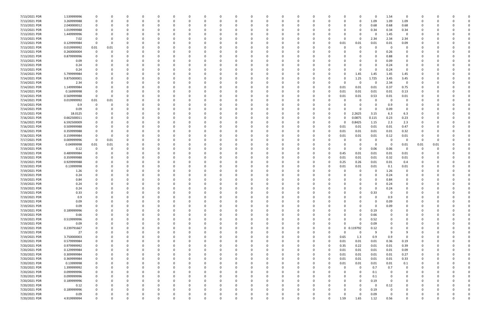| 7/13/2021 PDR | 1.539999996 | 0           |          |          |          | - 0      |          | 0            |   |          | 0        |          |          |          | 0        |          | 0           | 0           | 1.54     | - 0            |      |          |              |
|---------------|-------------|-------------|----------|----------|----------|----------|----------|--------------|---|----------|----------|----------|----------|----------|----------|----------|-------------|-------------|----------|----------------|------|----------|--------------|
| 7/13/2021 PDR | 3.269999988 | 0           |          | $\Omega$ |          | $\Omega$ |          | $\Omega$     |   |          | $\Omega$ |          |          |          | $\Omega$ | O        | 0           | 1.09        | 1.09     | 1.09           | O    |          |              |
| 7/13/2021 PDR | 2.040000012 |             |          |          |          |          |          |              |   |          |          |          |          |          |          |          | 0           | 0.68        | 0.68     | 0.68           |      |          |              |
| 7/13/2021 PDR | 1.019999988 |             |          |          |          |          |          |              |   |          |          |          |          |          |          |          | 0           | 0.34        | 0.34     | 0.34           |      |          |              |
| 7/13/2021 PDR | 1.449999996 |             |          |          |          |          |          |              |   |          |          |          |          |          |          |          |             | 0           | 1.45     | $\Omega$       |      |          |              |
| 7/13/2021 PDR | 7.02        |             |          | n        |          |          |          |              |   |          |          |          |          |          |          | $\Omega$ | 0           | 2.34        | 2.34     | 2.34           |      |          |              |
| 7/13/2021 PDR | 0.129999984 |             |          | n        |          |          |          |              |   |          |          |          |          |          |          | 0.01     | 0.01        | 0.01        | 0.01     | 0.09           |      |          |              |
| 7/13/2021 PDR |             |             |          |          |          |          |          |              |   |          |          |          |          |          |          |          | $\Omega$    | 0           | $\Omega$ | $\Omega$       |      |          |              |
|               | 0.019999992 | 0.01        | 0.01     |          |          |          |          |              |   |          |          |          |          |          |          |          |             |             |          |                |      |          |              |
| 7/13/2021 PDR | 0.260000004 |             |          |          |          |          |          |              |   |          |          |          |          |          |          |          |             | $\Omega$    | 0.26     | 0              |      |          |              |
| 7/13/2021 PDR | 0.879999996 |             |          |          |          |          |          |              |   |          |          |          |          |          |          |          |             | 0           | 0.88     | 0              |      |          |              |
| 7/13/2021 PDR | 0.09        |             |          | $\Omega$ |          |          |          |              |   |          |          |          |          |          |          |          |             | $\Omega$    | 0.09     | $\Omega$       |      |          |              |
| 7/13/2021 PDR | 0.24        |             |          |          |          |          |          |              |   |          |          |          |          |          |          |          | O           | 0           | 0.24     | 0              |      |          |              |
| 7/13/2021 PDR | 0.24        |             |          |          |          |          |          |              |   |          |          |          |          |          |          |          | 0           | $\Omega$    | 0.24     | 0              |      |          |              |
| 7/14/2021 PDR | 5.799999984 |             |          |          |          |          |          |              |   |          |          |          |          |          |          | $\Omega$ | 1.45        | 1.45        | 1.45     | 1.45           |      |          |              |
| 7/14/2021 PDR | 9.875000001 |             |          |          |          |          |          |              |   |          |          |          |          |          |          | $\Omega$ | 1.25        | 1.725       | 3.45     | 3.45           |      |          |              |
| 7/14/2021 PDR | 2.34        |             |          |          |          |          |          |              |   |          |          |          |          |          |          | O        | 0           | 0           | 2.34     | 0              |      |          |              |
| 7/14/2021 PDR | 1.149999984 |             |          |          |          |          |          |              |   |          |          |          |          |          |          | 0.01     | 0.01        | 0.01        | 0.37     | 0.75           |      |          |              |
| 7/14/2021 PDR | 0.16999998  |             |          |          |          |          |          |              |   |          |          |          |          |          |          | 0.01     | 0.01        | 0.01        | 0.01     | 0.13           |      |          |              |
| 7/14/2021 PDR | 0.569999988 | $\Omega$    |          |          |          |          |          |              |   |          |          |          |          |          |          | 0.01     | 0.01        | 0.53        | 0.01     | 0.01           |      |          |              |
| 7/14/2021 PDR | 0.019999992 | 0.01        | 0.01     |          |          |          |          |              |   |          |          |          |          |          |          |          | $\Omega$    | $\Omega$    | - 0      | 0              |      |          |              |
| 7/14/2021 PDR | 0.9         |             |          |          |          |          |          |              |   |          |          |          |          |          |          |          |             | $\Omega$    | 0.9      | - 0            |      |          |              |
| 7/14/2021 PDR | 0.09        |             |          |          |          |          |          |              |   |          |          |          |          |          |          |          |             | 0           | 0.09     | 0              |      |          |              |
| 7/15/2021 PDR | 18.0125     |             |          |          |          |          |          |              |   |          |          |          |          |          |          |          | 2.2625      | 3.15        | 6.3      | 6.3            |      |          |              |
| 7/16/2021 PDR | 0.662500011 |             |          |          |          |          |          |              |   |          |          |          |          |          |          | ი        | 0.0875      | 0.115       | 0.23     | 0.23           |      |          |              |
| 7/16/2021 PDR | 6.592500009 |             |          | n        |          |          |          |              |   |          |          |          |          |          |          | O        | 0.8425      | 1.15        | 2.3      | 2.3            |      |          |              |
| 7/16/2021 PDR | 0.509999988 |             |          |          |          |          |          |              |   |          |          |          |          |          |          | 0.01     | 0.01        | 0.01        | 0.01     | 0.47           |      |          |              |
| 7/16/2021 PDR | 0.359999988 |             |          |          |          |          |          |              |   |          |          |          |          |          | 0        | 0.01     | 0.01        | 0.01        | 0.01     | 0.32           |      |          |              |
| 7/16/2021 PDR | 0.159999984 |             |          |          |          |          |          |              |   |          |          |          |          |          |          | 0.01     | 0.01        | 0.01        | 0.12     | 0.01           |      |          |              |
| 7/17/2021 PDR | 0.009999996 | $\mathbf 0$ | 0.01     |          |          |          |          |              |   |          |          |          |          |          |          |          | 0           | 0           | $\Omega$ | $\overline{0}$ | -0   |          |              |
|               |             |             |          |          |          |          |          |              |   |          |          |          |          |          |          |          |             |             |          |                |      |          |              |
| 7/18/2021 PDR | 0.04999998  | 0.01        | 0.01     |          |          |          |          |              |   |          |          |          |          |          |          |          | 0           | 0           | $\Omega$ | 0.01           | 0.01 | 0.01     |              |
| 7/19/2021 PDR | 0.12        | 0           |          |          |          |          |          |              |   |          |          |          |          |          |          | $\Omega$ | 0           | 0.06        | 0.06     | 0              |      |          |              |
| 7/19/2021 PDR | 0.489999984 |             |          |          |          |          |          |              |   |          |          |          |          |          |          | 0.45     | 0.01        | 0.01        | 0.01     | 0.01           |      |          |              |
| 7/19/2021 PDR | 0.359999988 |             |          |          |          |          |          |              |   |          |          |          |          |          |          | 0.01     | 0.01        | 0.01        | 0.32     | 0.01           |      |          |              |
| 7/19/2021 PDR | 0.929999988 |             |          |          |          |          |          |              |   |          |          |          |          |          |          | 0.25     | 0.26        | 0.01        | 0.01     | 0.4            |      |          |              |
| 7/19/2021 PDR | 0.13999998  |             |          |          |          |          |          |              |   |          |          |          |          |          |          | 0.01     | 0.01        | 0.01        | 0.1      | 0.01           |      |          |              |
| 7/19/2021 PDR | 1.26        |             |          |          |          |          |          |              |   |          |          |          |          |          |          |          | 0           | 0           | 1.26     | 0              |      |          |              |
| 7/19/2021 PDR | 0.24        |             |          |          |          |          |          |              |   |          |          |          |          |          |          |          |             | $\Omega$    | 0.24     | 0              |      |          |              |
| 7/19/2021 PDR | 0.84        |             |          |          |          |          |          |              |   |          |          |          |          |          |          |          |             | $\Omega$    | 0.84     |                |      |          |              |
| 7/19/2021 PDR | 0.24        |             |          |          |          |          |          |              |   |          |          |          |          |          |          |          |             | - 0         | 0.24     |                |      |          |              |
| 7/19/2021 PDR | 0.24        |             |          |          |          |          |          |              |   |          |          |          |          |          |          |          | 0           | $\Omega$    | 0.24     | $\Omega$       |      |          |              |
| 7/19/2021 PDR | 0.33        |             |          |          |          |          |          |              |   |          | 0        |          | O        |          |          | O        |             | 0.33        | . O      | 0              |      |          |              |
| 7/19/2021 PDR | 0.9         | $\Omega$    |          | $\Omega$ |          | $\Omega$ |          |              |   |          | $\Omega$ |          | $\Omega$ |          | 0        | $\Omega$ |             | 0           | 0.9      | $\Omega$       | 0    |          |              |
| 7/19/2021 PDR | 0.09        | 0           |          | 0        |          |          |          | $\Omega$     |   |          | 0        |          |          |          | 0        | ი        |             | $\mathbf 0$ | 0.09     | $\Omega$       |      |          |              |
| 7/19/2021 PDR | 0.09        | 0           |          | $\Omega$ |          | $\Omega$ |          | $\Omega$     |   |          | 0        |          |          |          | 0        | 0        |             | $\mathbf 0$ | 0.09     | 0              |      |          |              |
| 7/19/2021 PDR | 0.189999996 |             |          | $\Omega$ |          | $\Omega$ |          |              |   |          |          |          |          |          |          |          | $\Omega$    | 0.19        | $\Omega$ | $\Omega$       |      |          |              |
| 7/19/2021 PDR | 0.66        |             |          | $\Omega$ |          |          |          | <sup>0</sup> |   |          |          |          |          |          |          | 0        | $\Omega$    | 0.66        |          | $\Omega$       |      |          |              |
| 7/19/2021 PDR | 0.519999996 |             |          | $\Omega$ |          |          |          |              |   |          |          |          |          |          |          | 0        | $\Omega$    | 0.52        |          | 0              |      |          |              |
| 7/19/2021 PDR | 0.09        |             |          |          |          |          |          |              |   |          |          |          |          |          |          | O        | $\Omega$    | 0.09        |          | 0              |      |          |              |
| 7/19/2021 PDR | 0.239791667 | $\Omega$    |          | $\Omega$ |          | $\Omega$ |          | 0            |   |          | $\Omega$ |          |          | $\Omega$ | 0        |          | 0 0.119792  | 0.12        |          | $\Omega$       | 0    | 0        | $\Omega$     |
| 7/19/2021 PDR | 27          | $\Omega$    |          | 0        |          | $\Omega$ |          | $\Omega$     |   |          | 0        |          |          |          | 0        | $\Omega$ | $\mathbf 0$ | 9           | 9        | 9              | 0    | $\Omega$ |              |
| 7/19/2021 PDR | 3.750000003 |             |          | $\Omega$ |          | $\Omega$ |          | $\Omega$     |   |          |          |          |          |          | 0        | 0.65     | 1.3         | 0.9         | 0.9      | $\Omega$       |      | റ        |              |
| 7/20/2021 PDR | 0.579999984 |             |          | 0        |          |          |          |              |   |          |          |          |          |          | 0        | 0.01     | 0.01        | 0.01        | 0.36     | 0.19           |      |          |              |
| 7/20/2021 PDR | 0.979999992 |             |          |          |          |          |          |              |   |          |          |          |          |          | 0        | 0.35     | 0.22        | 0.01        | 0.01     | 0.39           |      |          |              |
| 7/20/2021 PDR | 0.129999984 | $\Omega$    |          | $\Omega$ |          | $\Omega$ |          | 0            |   |          | 0        |          |          |          | 0        | 0.01     | 0.01        | 0.01        | 0.01     | 0.09           | 0    | 0        |              |
| 7/20/2021 PDR | 0.309999984 | 0           |          | $\Omega$ |          | $\Omega$ |          | 0            |   |          | 0        |          |          |          | 0        | 0.01     | 0.01        | 0.01        | 0.01     | 0.27           | 0    | 0        |              |
| 7/20/2021 PDR | 0.369999984 | 0           |          | $\Omega$ |          | $\Omega$ |          | <sup>0</sup> |   |          | $\Omega$ |          |          |          | 0        | 0.01     | 0.01        | 0.01        | 0.01     | 0.33           | 0    | $\Omega$ |              |
|               |             |             |          |          |          |          |          |              |   |          |          |          |          |          |          |          |             |             |          |                |      |          |              |
| 7/20/2021 PDR | 0.13999998  | 0           |          | 0        |          | $\Omega$ |          | <sup>0</sup> |   |          | $\Omega$ |          |          |          | 0        | 0.01     | 0.01        | 0.01        | 0.01     | 0.1            | 0    | $\Omega$ |              |
| 7/20/2021 PDR | 1.399999992 |             |          | $\Omega$ |          |          |          |              |   |          |          |          |          |          |          | $\Omega$ | $\mathbf 0$ | 0.7         | 0.7      | $\Omega$       |      |          |              |
| 7/20/2021 PDR | 0.099999996 |             |          |          |          |          |          |              |   |          |          |          |          |          |          |          | $\Omega$    | 0.1         |          | $\Omega$       |      |          |              |
| 7/20/2021 PDR | 0.099999996 | 0           |          | 0        |          |          |          |              |   |          |          |          |          |          |          |          | 0           | 0.1         | - 0      | 0              | 0    |          |              |
| 7/20/2021 PDR | 0.189999996 |             |          | $\Omega$ |          |          |          |              |   |          |          |          |          |          |          |          | $\Omega$    | 0.19        | $\Omega$ | $\Omega$       |      |          |              |
| 7/20/2021 PDR | 0.12        | O           |          | 0        |          | $\Omega$ |          |              |   |          |          |          |          |          | -0       | O        | $\Omega$    | $\mathbf 0$ | 0.12     | $\Omega$       |      |          | <sup>0</sup> |
| 7/20/2021 PDR | 0.189999996 |             |          | 0        |          | $\Omega$ |          | <sup>0</sup> |   |          | 0        |          |          |          | 0        | 0        | $\Omega$    | 0.19        | - 0      | 0              |      |          |              |
| 7/20/2021 PDR | 0.09        |             |          |          |          |          |          |              |   |          |          |          |          |          |          | $\Omega$ | 0           | 0.09        | - 0      | 0              |      |          |              |
| 7/20/2021 PDR | 4.919999994 | $\Omega$    | $\Omega$ | $\Omega$ | $\Omega$ | $\Omega$ | $\Omega$ | $\Omega$     | 0 | $\Omega$ | $\Omega$ | $\Omega$ | $\Omega$ | $\Omega$ | 0        | 1.59     | 1.65        | 1.12        | 0.56     | $\mathbf 0$    | 0    | $\Omega$ |              |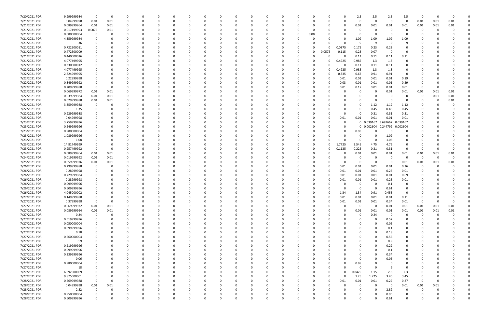| 7/20/2021 PDR                  | 9.999999984                | 0           | 0    | -0          |             |  |   |          | - 0      |          |              | C |      |              |          | 2.5          | 2.5      | 2.5               | 2.5         | 0        |      |      |  |
|--------------------------------|----------------------------|-------------|------|-------------|-------------|--|---|----------|----------|----------|--------------|---|------|--------------|----------|--------------|----------|-------------------|-------------|----------|------|------|--|
| 7/21/2021 PDR                  | 0.04999998                 | 0.01        | 0.01 | 0           | $\Omega$    |  |   |          | $\Omega$ |          |              | O |      | 0            |          | 0            | - 0      | $\Omega$          | $\Omega$    | 0.01     | 0.01 | 0.01 |  |
| 7/21/2021 PDR                  | 0.089999964                | 0.01        | 0.01 | $\Omega$    |             |  |   |          |          |          |              |   |      |              |          | 0.01         | 0.01     | 0.01              | 0.01        | 0.01     | 0.01 | 0.01 |  |
| 7/21/2021 PDR                  | 0.017499993                | 0.0075      | 0.01 |             |             |  |   |          |          |          |              |   |      |              |          | 0            |          |                   |             |          |      |      |  |
|                                |                            |             |      |             |             |  |   |          |          |          |              |   |      |              |          |              |          |                   |             |          |      |      |  |
| 7/21/2021 PDR                  | 0.080000004                |             |      |             |             |  |   |          |          |          |              | O | 0.08 |              |          | 0            |          |                   |             |          |      |      |  |
| 7/21/2021 PDR                  | 4.359999984                |             |      |             |             |  |   |          |          |          |              |   |      |              |          | 1.09         | 1.09     | 1.09              | 1.09        |          |      |      |  |
| 7/21/2021 PDR                  | 36                         |             |      |             |             |  |   |          |          |          |              |   |      |              |          | 9            |          | ۵                 | a           |          |      |      |  |
| 7/21/2021 PDR                  | 0.722500011                |             |      |             |             |  |   |          |          |          |              |   |      | <sup>n</sup> | 0.0875   | 0.175        | 0.23     | 0.23              |             |          |      |      |  |
| 7/21/2021 PDR                  | 0.472500009                |             |      |             |             |  |   |          |          |          |              | 0 |      | 0.0575       | 0.115    | 0.23         | 0.07     | - 0               | 0           |          |      |      |  |
| 7/21/2021 PDR                  | 0.440000016                |             |      |             |             |  |   |          |          |          |              |   |      |              |          | 0.11         | 0.11     | 0.11              | 0.11        |          |      |      |  |
| 7/21/2021 PDR                  | 4.077499995                |             |      |             |             |  |   |          |          |          |              |   |      | 0            |          |              |          | 1.3               | 0           |          |      |      |  |
|                                |                            |             |      |             |             |  |   |          |          |          |              |   |      |              | 0.4925   | 0.985        | 1.3      |                   |             |          |      |      |  |
| 7/22/2021 PDR                  | 0.330000012                |             |      |             |             |  |   |          |          |          |              |   |      |              |          | 0.11         | 0.11     | 0.11              | 0           |          |      |      |  |
| 7/22/2021 PDR                  | 4.077499995                |             |      |             |             |  |   |          |          |          |              |   |      | 0            | 0.4925   | 0.985        | 1.3      | 1.3               | 0           |          |      |      |  |
| 7/22/2021 PDR                  | 2.824999995                |             |      |             |             |  |   |          |          |          |              |   |      | 0            | 0.335    | 0.67         | 0.91     | 0.91              | 0           |          |      |      |  |
| 7/22/2021 PDR                  | 0.22999998                 |             |      |             |             |  |   |          |          |          |              |   |      |              | 0.01     | 0.01         | 0.01     | 0.01              | 0.19        |          |      |      |  |
| 7/22/2021 PDR                  | 0.349999992                |             |      |             |             |  |   |          |          |          |              |   |      |              | 0.03     | 0.01         | 0.01     | 0.01              | 0.29        |          |      |      |  |
| 7/22/2021 PDR                  | 0.209999988                | $\Omega$    |      |             |             |  |   |          |          |          |              |   |      |              | 0.01     | 0.17         | 0.01     | 0.01              | 0.01        | 0        |      |      |  |
|                                |                            |             |      |             |             |  |   |          |          |          |              |   |      |              |          |              |          |                   |             |          |      |      |  |
| 7/22/2021 PDR                  | 0.069999972                | 0.01        | 0.01 |             |             |  |   |          |          |          |              |   |      |              |          | 0            |          | 0.01              | 0.01        | 0.01     | 0.01 | 0.01 |  |
| 7/22/2021 PDR                  | 0.039999984                | 0.01        | 0.01 |             |             |  |   |          |          |          |              |   |      |              |          |              |          |                   |             | 0        | 0.01 | 0.01 |  |
| 7/22/2021 PDR                  | 0.029999988                | 0.01        | 0.01 |             |             |  |   |          |          |          |              |   |      |              |          |              |          |                   |             |          |      | 0.01 |  |
| 7/22/2021 PDR                  | 3.359999988                |             |      |             |             |  |   |          |          |          |              |   |      |              |          |              | 1.12     | 1.12              | 1.12        |          |      |      |  |
| 7/22/2021 PDR                  | 1.35                       |             |      |             |             |  |   |          |          |          |              |   |      |              |          |              | 0.45     | 0.45              | 0.45        |          |      |      |  |
| 7/22/2021 PDR                  | 0.929999988                |             |      |             |             |  |   |          |          |          |              |   |      |              |          | 0            | 0.31     | 0.31              | 0.31        |          |      |      |  |
| 7/23/2021 PDR                  | 0.04999998                 |             |      |             |             |  |   |          |          |          |              |   |      | <sup>0</sup> |          |              | 0.01     | 0.01              |             |          |      |      |  |
|                                |                            |             |      |             |             |  |   |          |          |          |              |   |      |              | 0.01     | 0.01         |          |                   | 0.01        |          |      |      |  |
| 7/23/2021 PDR                  | 3.759999996                |             |      |             |             |  |   |          |          |          |              |   |      |              |          | $\mathbf 0$  |          | 0.039167 3.681667 | 0.039167    |          |      |      |  |
| 7/23/2021 PDR                  | 0.249999996                |             |      |             |             |  |   |          |          |          |              |   |      |              |          | $\mathbf{0}$ |          | 0.002604 0.244792 | 0.002604    |          |      |      |  |
| 7/23/2021 PDR                  | 0.980000004                |             |      |             |             |  |   |          |          |          |              |   |      |              |          | 0.98         |          | - 0               | 0           |          |      |      |  |
| 7/23/2021 PDR                  | 1.089999996                |             |      |             |             |  |   |          |          |          |              |   |      |              |          | 0            |          | 1.09              |             |          |      |      |  |
| 7/23/2021 PDR                  | 1.08                       |             |      | -0          |             |  |   |          |          |          |              |   |      |              |          | $\Omega$     | $\Omega$ | 1.08              | $\Omega$    |          |      |      |  |
| 7/23/2021 PDR                  | 14.81749999                |             |      |             |             |  |   |          |          |          |              |   |      | $\Omega$     | 1.7725   | 3.545        | 4.75     | 4.75              | 0           |          |      |      |  |
|                                |                            |             |      |             |             |  |   |          |          |          |              |   |      |              |          |              |          |                   |             |          |      |      |  |
| 7/23/2021 PDR                  | 0.957499992                |             |      |             |             |  |   |          |          |          |              |   |      | 0            | 0.1125   | 0.225        | 0.31     | 0.31              | $\Omega$    | C        |      |      |  |
| 7/24/2021 PDR                  | 0.089999964                | 0.01        | 0.01 |             |             |  |   |          |          |          |              |   |      |              |          | 0.01         | 0.01     | 0.01              | 0.01        | 0.01     | 0.01 | 0.01 |  |
| 7/24/2021 PDR                  | 0.019999992                | 0.01        | 0.01 |             |             |  |   |          |          |          |              |   |      |              |          | 0            |          | - ೧               | 0           | - 0      |      | -0   |  |
| 7/25/2021 PDR                  | 0.059999976                | $0.01\,$    | 0.01 |             |             |  |   |          |          |          |              |   |      |              |          | 0            |          | - 0               | 0.01        | 0.01     | 0.01 | 0.01 |  |
| 7/26/2021 PDR                  | 0.299999988                |             |      |             |             |  |   |          |          |          |              |   |      |              | 0.01     | 0.01         | 0.01     | 0.01              | 0.26        |          |      |      |  |
| 7/26/2021 PDR                  | 0.28999998                 |             |      |             |             |  |   |          |          |          |              |   |      |              | 0.01     | 0.01         | 0.01     | 0.25              | 0.01        |          |      |      |  |
|                                |                            |             |      |             |             |  |   |          |          |          |              |   |      |              |          |              |          |                   |             |          |      |      |  |
| 7/26/2021 PDR                  | 0.729999984                |             |      |             |             |  |   |          |          |          |              |   |      |              | 0.01     | 0.01         | 0.01     | 0.01              | 0.69        |          |      |      |  |
| 7/26/2021 PDR                  | 0.28999998                 |             |      |             |             |  |   |          |          |          |              |   |      |              | 0.01     | 0.01         | 0.01     | 0.25              | 0.01        |          |      |      |  |
| 7/26/2021 PDR                  | 0.099999996                |             |      |             |             |  |   |          |          |          |              |   |      |              |          | 0            |          | 0.1               |             |          |      |      |  |
| 7/26/2021 PDR                  | 0.609999996                |             |      | $\Omega$    |             |  |   |          |          |          |              |   |      |              |          | $\Omega$     | $\Omega$ | 0.61              | 0           |          |      |      |  |
| 7/26/2021 PDR                  | 4.045000002                | $\Omega$    |      | $\Omega$    |             |  |   |          |          |          |              |   |      |              | 1.34     | 1.34         | 0.91     | 0.455             | $\Omega$    | $\cap$   |      |      |  |
| 7/27/2021 PDR                  | 0.149999988                | $\Omega$    |      | 0           | $\Omega$    |  | ი |          | $\Omega$ |          | <sup>0</sup> | O |      | $\Omega$     | 0.01     | 0.01         | 0.01     | 0.01              | 0.11        | 0        |      |      |  |
|                                |                            |             |      |             |             |  |   |          |          |          |              |   |      | $\Omega$     |          |              |          |                   |             |          |      |      |  |
| 7/27/2021 PDR                  | 0.37999998                 | $\mathbf 0$ | 0    | $\Omega$    | $\Omega$    |  |   |          | $\Omega$ |          |              | 0 |      |              | 0.01     | 0.01         | 0.01     | 0.34              | 0.01        | 0        |      | 0    |  |
| 7/27/2021 PDR                  | 0.069999972                | 0.01        | 0.01 | 0           |             |  |   |          |          |          |              | C |      |              |          | $\mathbf 0$  | $\Omega$ | 0.01              | 0.01        | 0.01     | 0.01 | 0.01 |  |
| 7/27/2021 PDR                  | 0.089999964                | 0.01        | 0.01 |             |             |  |   |          | 0        |          |              | 0 |      |              |          | 0.01         | 0.01     | 0.01              | 0.01        | 0.01     | 0.01 | 0.01 |  |
| 7/27/2021 PDR                  | 0.24                       | $\mathbf 0$ |      | 0           | 0           |  |   |          |          |          |              |   |      |              |          | 0            | 0.24     | - 0               | 0           | 0        |      |      |  |
| 7/27/2021 PDR                  | 0.519999996                | $\Omega$    |      | $\Omega$    |             |  |   |          |          |          |              |   |      |              |          |              | $\Omega$ | 0.52              | $\mathbf 0$ |          |      |      |  |
| 7/27/2021 PDR                  | 0.050000004                |             |      | 0           | ŋ           |  |   |          |          |          |              |   |      |              |          |              | $\Omega$ | 0.05              | $\Omega$    |          |      |      |  |
| 7/27/2021 PDR                  | 0.099999996                |             |      | 0           | $\Omega$    |  |   |          | 0        |          |              | 0 |      |              |          |              |          | 0.1               | 0           |          |      |      |  |
|                                |                            |             |      |             |             |  |   |          |          |          |              |   |      |              |          |              |          |                   |             |          |      |      |  |
| 7/27/2021 PDR                  | 0.18                       |             |      |             | $\Omega$    |  |   |          | $\Omega$ |          |              | 0 |      |              |          |              |          | 0.18              | 0           |          |      |      |  |
| 7/27/2021 PDR                  | 0.560000004                |             |      |             | 0           |  |   |          | 0        |          |              |   |      |              |          |              | $\Omega$ | 0.56              | 0           |          |      |      |  |
| 7/27/2021 PDR                  | 0.9                        |             |      |             |             |  |   |          |          |          |              |   |      |              |          |              |          | 0.9               |             |          |      |      |  |
| 7/27/2021 PDR                  | 0.219999996                |             |      |             |             |  |   |          |          |          |              |   |      |              |          |              |          | 0.22              |             |          |      |      |  |
| 7/27/2021 PDR                  | 0.099999996                | 0           |      | 0           | $\Omega$    |  |   |          | $\Omega$ |          |              | 0 |      |              |          | 0            | $\Omega$ | 0.1               | 0           | 0        |      |      |  |
| 7/27/2021 PDR                  | 0.339999996                | 0           |      | 0           | $\Omega$    |  |   |          | 0        |          |              | 0 |      |              |          | 0            | $\Omega$ | 0.34              | 0           |          |      |      |  |
|                                |                            |             |      |             |             |  |   |          |          |          |              |   |      |              |          |              |          |                   |             |          |      |      |  |
| 7/27/2021 PDR                  | 0.06                       | 0           |      | 0           | $\Omega$    |  |   |          | $\Omega$ |          |              | 0 |      |              |          | 0            | $\Omega$ | 0.06              | $\Omega$    | -0       |      |      |  |
| 7/27/2021 PDR                  | 0.980000004                |             |      | 0           | 0           |  |   |          | 0        |          |              | 0 |      |              |          | 0.98         |          |                   | 0           |          |      |      |  |
| 7/27/2021 PDR                  | 18                         |             |      |             |             |  |   |          |          |          |              |   |      |              |          | 0            | q        | - 9               |             |          |      |      |  |
| 7/27/2021 PDR                  | 6.592500009                |             |      |             |             |  |   |          |          |          |              |   |      | 0            |          | 0.8425       | 1.15     | 2.3               | 2.3         |          |      |      |  |
| 7/27/2021 PDR                  | 9.875000001                |             |      |             |             |  |   |          |          |          |              |   |      | 0            | $\Omega$ | 1.25         | 1.725    | 3.45              | 3.45        |          |      |      |  |
| 7/28/2021 PDR                  | 0.569999988                | $\Omega$    |      | $\Omega$    | $\Omega$    |  |   |          |          |          |              | O |      | $\Omega$     | 0.01     | 0.01         | 0.01     | 0.27              | 0.27        | $\Omega$ |      |      |  |
|                                |                            |             |      |             |             |  |   |          |          |          |              |   |      |              |          |              | $\Omega$ |                   |             |          |      |      |  |
| 7/28/2021 PDR                  | 0.04999998                 | 0.01        | 0.01 | 0           | 0           |  |   |          | $\Omega$ |          |              | 0 |      |              |          | 0            |          | 0                 | 0.01        | 0.01     | 0.01 |      |  |
|                                |                            |             |      |             |             |  |   |          |          |          |              |   |      |              |          |              |          |                   |             |          |      |      |  |
| 7/28/2021 PDR                  | 2.82                       | 0           |      |             |             |  |   |          |          |          |              |   |      |              |          |              | $\Omega$ | 2.82              | $\Omega$    |          |      |      |  |
| 7/28/2021 PDR<br>7/28/2021 PDR | 0.950000004<br>0.609999996 | 0           |      | $\mathbf 0$ | $\mathbf 0$ |  |   | $\Omega$ |          | $\Omega$ | $\mathbf 0$  |   |      |              |          |              |          | 0.95<br>0.61      | $\mathbf 0$ |          |      |      |  |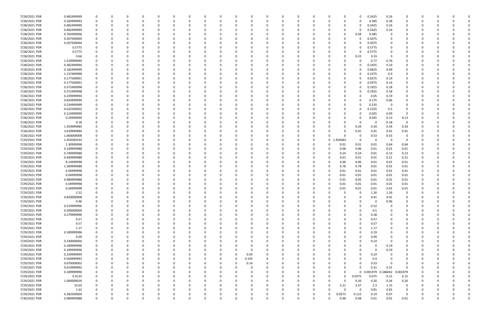| 7/28/2021 PDR                  | 0.482499999               | 0             |   | 0             |          | $\Omega$ |          | 0            | 0        | 0                |          |                      |          | 0        |             |                      | 0                   | 0.2425        | 0.24             | 0              |          |          |          |             |
|--------------------------------|---------------------------|---------------|---|---------------|----------|----------|----------|--------------|----------|------------------|----------|----------------------|----------|----------|-------------|----------------------|---------------------|---------------|------------------|----------------|----------|----------|----------|-------------|
| 7/28/2021 PDR                  | 0.564999993               | 0             |   | $\Omega$      | $\Omega$ | $\Omega$ |          | <sup>0</sup> |          | $\Omega$         | $\Omega$ |                      | O        | $\Omega$ |             | $\Omega$             | $\Omega$            | 0.285         | 0.28             | $\Omega$       |          |          |          |             |
| 7/28/2021 PDR                  | 0.482499999               |               |   |               |          |          |          |              |          |                  |          |                      |          |          |             | O                    | 0                   | 0.2425        | 0.24             | O              |          |          |          |             |
| 7/28/2021 PDR                  | 0.482499999               |               |   |               |          |          |          |              |          |                  |          |                      |          |          |             | 0                    | 0                   | 0.2425        | 0.24             | 0              |          |          |          |             |
| 7/28/2021 PDR                  | 0.765000006               |               |   |               |          |          |          |              |          |                  |          |                      |          |          |             | 0                    | 0.38                | 0.385         | - 0              |                |          |          |          |             |
| 7/28/2021 PDR                  | 0.507500004               |               |   |               |          |          |          |              |          |                  |          |                      |          |          |             | O                    | 0                   | 0.5075        |                  | n              |          |          |          |             |
| 7/28/2021 PDR                  | 0.507500004               |               |   |               |          |          |          |              |          |                  |          |                      |          |          |             | 0                    |                     | 0.5075        |                  |                |          |          |          |             |
| 7/28/2021 PDR                  | 0.5775                    |               |   |               |          |          |          |              |          |                  |          |                      |          |          |             |                      |                     | 0.5775        |                  |                |          |          |          |             |
| 7/28/2021 PDR                  | 0.5775                    |               |   |               |          |          |          |              |          |                  |          |                      |          |          |             | O                    | O                   | 0.5775        |                  |                |          |          |          |             |
| 7/28/2021 PDR                  | 0.66                      |               |   |               |          |          |          |              |          |                  |          |                      |          |          |             | 0                    | 0.33                | 0.33          | - 0              |                |          |          |          |             |
| 7/28/2021 PDR                  | 1.529999994               |               |   |               |          |          |          |              |          |                  |          |                      |          |          |             |                      | 0                   | 0.77          | 0.76             |                |          |          |          |             |
| 7/28/2021 PDR                  | 0.382499994               |               |   |               |          |          |          |              |          |                  |          |                      |          |          |             | 0                    | 0                   | 0.1925        | 0.19             |                |          |          |          |             |
| 7/28/2021 PDR                  | 0.182499999               |               |   |               |          |          |          |              |          |                  |          |                      |          |          |             | 0                    | 0                   | 0.0925        | 0.09             |                |          |          |          |             |
| 7/28/2021 PDR                  | 1.137499998               |               |   |               |          |          |          |              |          |                  |          |                      |          |          |             | O                    |                     | 0.2375        | 0.9              | O              |          |          |          |             |
| 7/28/2021 PDR                  | 0.177500001               |               |   |               |          |          |          |              |          |                  |          |                      |          |          |             | $\Omega$             | 0                   | 0.0375        | 0.14             | 0              |          |          |          |             |
| 7/28/2021 PDR                  | 0.177500001               |               |   |               |          |          |          |              |          |                  |          |                      |          |          |             | 0                    | 0                   | 0.0375        | 0.14             |                |          |          |          |             |
| 7/28/2021 PDR                  | 0.372499998               |               |   |               |          |          |          |              |          |                  |          |                      |          |          |             | O                    | 0                   | 0.1925        | 0.18             | 0              |          |          |          |             |
| 7/28/2021 PDR                  | 0.372499998               |               |   | $\Omega$      |          |          |          |              |          |                  |          |                      |          |          |             | $\Omega$             | 0                   | 0.1925        | 0.18             | $\Omega$       |          |          |          |             |
| 7/28/2021 PDR                  | 0.239999994               |               |   |               |          |          |          |              |          |                  |          |                      |          |          |             | 0                    |                     | 0.05          | 0.19             | 0              |          |          |          |             |
| 7/28/2021 PDR                  | 0.834999999               |               |   |               |          |          |          |              |          |                  |          |                      |          |          |             | O                    | 0                   | 0.175         | 0.66             | 0              |          |          |          |             |
| 7/28/2021 PDR                  | 0.234999999               |               |   |               |          |          |          |              |          |                  |          |                      |          |          |             | 0                    | 0                   | 0.235         | 0                | 0              |          |          |          |             |
| 7/28/2021 PDR                  | 0.632500002               |               |   |               |          |          |          |              |          |                  |          |                      |          |          |             | 0                    | 0                   | 0.1325        | 0.5              | 0              |          |          |          |             |
| 7/28/2021 PDR                  | 0.114999999               |               |   |               |          |          |          |              |          |                  |          |                      |          |          |             |                      | 0                   | 0.025         | 0.09             | - 0            |          |          |          |             |
| 7/28/2021 PDR                  | 0.29499999                |               |   |               |          |          |          |              |          |                  |          |                      |          |          |             |                      | O                   | 0.035         | 0.13             | 0.13           |          |          |          |             |
| 7/28/2021 PDR                  | 0.18                      |               |   |               |          |          |          |              |          |                  |          |                      |          |          |             | Ω                    | 0                   | 0             | 0.18             | $\Omega$       |          |          |          |             |
| 7/28/2021 PDR                  | 1.359999984               |               |   |               |          |          |          |              |          |                  |          |                      |          |          |             | 0                    | 0.34                | 0.34          | 0.34             | 0.34           |          |          |          |             |
| 7/28/2021 PDR                  | 3.639999984               |               |   |               |          |          |          |              |          |                  |          |                      |          |          |             |                      | 0.91                | 0.91          | 0.91             | 0.91           |          |          |          |             |
| 7/28/2021 PDR                  | 1.060000008               |               |   |               |          |          |          |              |          |                  |          |                      |          |          |             |                      | -0                  | 0.53          | 0.53             | $\Omega$       |          |          |          |             |
| 7/29/2021 PDR                  | 1.454583333               |               |   |               |          |          |          |              |          |                  |          |                      |          | -0       | $\mathbf 0$ | 454583.              | 0                   | 0             | - 0              | - 0            |          |          |          |             |
| 7/29/2021 PDR                  | 1.30999998                |               |   |               |          |          |          |              |          |                  |          |                      |          |          |             | 0.01                 | 0.01                | 0.01          | 0.64             | 0.64           |          |          |          |             |
| 7/29/2021 PDR                  | 0.149999988               |               |   | n             |          |          |          |              |          |                  |          |                      |          | 0        |             | 0.06                 | 0.06                | 0.01          | 0.01             | 0.01           |          |          |          |             |
| 7/29/2021 PDR                  | 0.749999988               |               |   | n             |          |          |          |              |          |                  |          |                      |          |          |             | 0.24                 | 0.24                | 0.01          | 0.13             | 0.13           |          |          |          |             |
| 7/29/2021 PDR                  | 0.449999988               |               |   |               |          |          |          |              |          |                  |          |                      |          |          |             | 0.01                 | 0.01                | 0.01          | 0.21             | 0.21           |          |          |          |             |
| 7/29/2021 PDR                  |                           |               |   |               |          |          |          |              |          |                  |          |                      |          |          |             |                      |                     |               |                  |                |          |          |          |             |
| 7/29/2021 PDR                  | 8.14999998                |               |   |               |          |          |          |              |          |                  |          |                      |          |          |             | 4.06                 | 4.06                | 0.01          | 0.01             | 0.01           |          |          |          |             |
| 7/29/2021 PDR                  | 1.589999988<br>0.04999998 |               |   |               |          |          |          |              |          |                  |          |                      |          |          |             | 0.78<br>0.01         | 0.78<br>0.01        | 0.01<br>0.01  | 0.01<br>0.01     | 0.01<br>0.01   |          |          |          |             |
| 7/29/2021 PDR                  | 0.04999998                |               |   |               |          |          |          |              |          |                  |          |                      |          |          |             |                      |                     |               |                  |                |          |          |          |             |
| 7/29/2021 PDR                  | 0.089999988               |               |   |               |          |          |          |              |          |                  |          |                      |          |          |             | 0.01<br>0.01         | 0.01                | 0.01          | 0.01             | 0.01           |          |          |          |             |
| 7/29/2021 PDR                  | 0.04999998                |               |   |               |          |          |          |              |          |                  |          |                      |          |          |             | 0.01                 | 0.05                | 0.01          | 0.01             | 0.01           |          |          |          |             |
|                                | 0.04999998                |               |   | n             |          |          |          |              |          |                  |          |                      |          |          |             |                      | 0.01                | 0.01          | 0.01<br>0.01     | 0.01<br>0.01   |          |          |          |             |
| 7/29/2021 PDR                  |                           |               |   |               |          |          |          |              |          |                  |          |                      |          |          |             | 0.01                 | 0.01<br>$\Omega$    | 0.01<br>1.26  |                  |                |          |          |          |             |
| 7/29/2021 PDR<br>7/29/2021 PDR | 2.52<br>0.820000008       | 0             | 0 | 0             | 0        | $\Omega$ | $\Omega$ | 0            | O        | 0<br>$\Omega$    | - 0      | $\Omega$<br>$\Omega$ | 0        | 0        |             | O<br>$\Omega$        | 0                   | 0.41          | 1.26<br>0.41     | 0<br>0         | 0        | - 0      |          |             |
| 7/29/2021 PDR                  |                           |               |   | $\Omega$      |          |          |          | $\Omega$     |          |                  |          |                      |          |          |             | $\Omega$             |                     |               |                  |                |          |          |          |             |
|                                | 0.96<br>0.519999996       | $\Omega$      |   |               |          |          |          | <sup>0</sup> |          | 0                |          |                      |          |          |             | $\Omega$             | 0<br>0              | 0<br>0.52     | 0.96<br>$\Omega$ | 0<br>$\Omega$  |          |          |          |             |
| 7/29/2021 PDR<br>7/29/2021 PDR | 0.500000004               |               |   | 0             |          |          |          |              |          |                  |          |                      |          | 0<br>0   |             | 0                    | 0                   | 0.5           |                  | 0              | 0        | -0       |          |             |
| 7/29/2021 PDR                  | 0.279999996               |               |   |               |          |          |          |              |          |                  |          |                      |          |          |             | 0                    | $\Omega$            | 0.28          |                  |                |          |          |          |             |
| 7/29/2021 PDR                  | 0.57                      | $\Omega$      |   |               |          |          |          |              |          |                  |          |                      |          | -0       |             | 0                    | $\Omega$            | 0.57          |                  | 0              |          |          |          |             |
| 7/29/2021 PDR                  | 0.57                      | 0             |   | 0             |          |          |          |              |          |                  |          |                      |          |          |             | 0                    | 0                   | 0.57          |                  | 0              |          |          |          |             |
| 7/29/2021 PDR                  | 1.17                      |               |   | $\Omega$      |          |          |          |              |          |                  |          |                      |          |          |             | ი                    | $\Omega$            | 1.17          |                  |                |          |          |          |             |
| 7/29/2021 PDR                  | 0.189999996               | O             |   | 0             |          |          |          |              |          |                  |          |                      |          | 0        |             | 0                    | 0                   | 0.19          |                  | O              |          |          |          |             |
| 7/29/2021 PDR                  | 0.09                      |               |   | 0             |          |          |          | 0            |          | 0                |          |                      |          | 0        |             | 0                    | 0                   | 0.09          |                  | 0              |          |          |          |             |
| 7/29/2021 PDR                  | 0.140000004               |               |   | n             |          |          |          |              |          |                  |          |                      |          |          |             | 0                    | 0                   | 0.14          | $\Omega$         | 0              |          |          |          |             |
| 7/29/2021 PDR                  | 0.189999996               |               |   |               |          |          |          |              |          | 0                |          |                      |          | -0       |             | 0                    | 0                   | 0             | 0.19             | 0              |          |          |          |             |
| 7/29/2021 PDR                  | 0.189999996               | 0             |   |               |          |          |          |              |          | 0                |          |                      |          |          |             |                      | 0                   | $\mathbf 0$   | 0.19             | 0              |          |          |          |             |
| 7/29/2021 PDR                  | 0.239999994               |               |   |               |          |          |          |              |          | 0.05             |          |                      |          |          |             |                      |                     | 0.19          |                  | $\Omega$       |          |          |          |             |
|                                |                           |               |   |               |          |          |          |              |          |                  |          |                      |          |          |             |                      |                     |               |                  |                |          |          |          |             |
| 7/29/2021 PDR                  | 0.504999993               | 0             |   |               |          |          |          |              |          | 0.105            |          |                      |          | 0        |             | 0                    |                     | 0.4           |                  | 0              | 0        |          |          |             |
| 7/29/2021 PDR                  | 0.670000002               | 0             |   | 0<br>$\Omega$ |          | $\Omega$ |          | 0            |          | 0.14<br>$\Omega$ |          |                      |          |          |             | 0<br>0               | 0<br>$\Omega$       | 0.53<br>0.31  | $\Omega$         | 0<br>$\Omega$  |          |          |          |             |
| 7/29/2021 PDR                  | 0.619999992               |               |   |               |          |          |          | $\Omega$     |          |                  |          |                      |          |          |             |                      |                     |               | 0.31             |                |          |          |          |             |
| 7/29/2021 PDR                  | 0.189999996               |               |   |               |          |          |          | 0            |          | 0                |          |                      |          |          |             | 0                    |                     | 0 0.001979    | 0.186042         | 0.001979       |          |          |          |             |
| 7/29/2021 PDR<br>7/29/2021 PDR | 0.4125<br>1.040000016     | 0<br>$\Omega$ |   | 0             |          |          |          |              |          |                  |          |                      |          |          |             | $\Omega$<br>$\Omega$ | 0.0375<br>0.26      | 0.075<br>0.26 | 0.15             | 0.15<br>0.26   | 0        |          |          |             |
| 7/29/2021 PDR                  |                           |               |   | 0             |          |          |          |              |          |                  |          |                      |          |          |             | 3.21                 |                     |               | 0.26<br>1.15     | $\overline{0}$ |          |          |          |             |
| 7/29/2021 PDR                  | 10.03<br>1.62             | 0             |   | 0             |          | $\Omega$ |          | <sup>0</sup> |          | 0                |          |                      |          | 0        |             | $\Omega$             | 3.37<br>$\mathbf 0$ | 2.3<br>0.81   | 0.81             | $\overline{0}$ |          |          |          |             |
| 7/29/2021 PDR                  | 0.382500009               |               |   | 0             |          | 0        |          | 0            |          | 0                |          |                      |          |          |             | 0.0575               | 0.115               | 0.14          | 0.07             | $\mathbf 0$    |          |          |          |             |
| 7/30/2021 PDR                  | 0.989999988               | $\Omega$      |   | $\Omega$      |          | $\Omega$ | $\Omega$ | $\Omega$     | $\Omega$ | $\Omega$         |          | $\Omega$             | $\Omega$ | -0       |             | 0.48                 | 0.48                | 0.01          | 0.01             | 0.01           | $\Omega$ | $\Omega$ | $\Omega$ | $\mathbf 0$ |
|                                |                           |               |   |               |          |          |          |              |          |                  |          |                      |          |          |             |                      |                     |               |                  |                |          |          |          |             |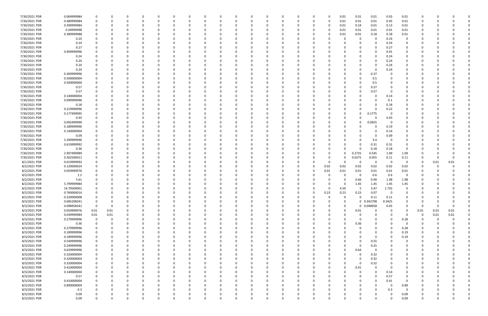| 7/30/2021 PDR | 0.069999984 |             |          |              |          | $\Omega$ |          | <sup>0</sup> |          | $\Omega$ |          |          |          |          |      | 0.01        | 0.01         | 0.01        | 0.03        | 0.01         | 0            |          |          |  |
|---------------|-------------|-------------|----------|--------------|----------|----------|----------|--------------|----------|----------|----------|----------|----------|----------|------|-------------|--------------|-------------|-------------|--------------|--------------|----------|----------|--|
| 7/30/2021 PDR | 0.489999984 |             | O        | <sup>0</sup> | 0        | $\Omega$ |          | 0            |          | $\Omega$ |          |          | 0        | $\Omega$ | 0    | 0.01        | 0.01         | 0.01        | 0.45        | 0.01         | 0            |          |          |  |
| 7/30/2021 PDR | 0.399999984 |             |          |              |          |          |          |              |          |          |          |          |          | -0       | 0    | 0.01        | 0.24         | 0.01        | 0.13        | 0.01         | 0            |          |          |  |
| 7/30/2021 PDR |             |             |          |              |          |          |          |              |          |          |          |          |          |          |      | 0.01        |              |             | 0.01        |              |              |          |          |  |
|               | 0.04999998  |             |          |              |          |          |          |              |          |          |          |          |          |          |      |             | 0.01         | 0.01        |             | 0.01         |              |          |          |  |
| 7/30/2021 PDR | 0.389999988 |             |          |              |          |          |          |              |          |          |          |          |          |          |      | 0.01        | 0.01         | 0.18        | 0.18        | 0.01         |              |          |          |  |
| 7/30/2021 PDR | 0.24        |             |          |              |          |          |          |              |          |          |          |          |          |          |      |             | 0            | 0           | 0.24        | 0            |              |          |          |  |
| 7/30/2021 PDR | 0.24        |             |          |              |          |          |          |              |          |          |          |          |          |          |      |             | <sup>0</sup> | $\Omega$    | 0.24        | 0            |              |          |          |  |
| 7/30/2021 PDR | 0.27        |             |          |              |          |          |          |              |          |          |          |          |          |          |      |             |              | $\Omega$    | 0.27        | 0            |              |          |          |  |
| 7/30/2021 PDR | 0.909999996 |             |          |              |          |          |          |              |          |          |          |          |          |          |      |             | $\Omega$     | 0           | 0.91        |              |              |          |          |  |
| 7/30/2021 PDR | 0.24        |             |          |              |          |          |          |              |          |          |          |          |          |          |      |             |              | $\Omega$    | 0.24        | 0            |              |          |          |  |
| 7/30/2021 PDR |             |             |          |              |          |          |          |              |          |          |          |          |          |          |      |             |              | $\Omega$    | 0.24        |              |              |          |          |  |
|               | 0.24        |             |          |              |          |          |          |              |          |          |          |          |          |          |      |             |              |             |             |              |              |          |          |  |
| 7/30/2021 PDR | 0.24        |             |          |              |          |          |          |              |          |          |          |          |          |          |      |             |              | 0           | 0.24        |              |              |          |          |  |
| 7/30/2021 PDR | 0.24        |             |          |              |          |          |          |              |          |          |          |          |          |          |      |             | 0            | $\Omega$    | 0.24        | 0            |              |          |          |  |
| 7/30/2021 PDR | 0.369999996 |             |          |              |          |          |          |              |          |          |          |          |          |          |      |             | 0            | 0.37        |             |              |              |          |          |  |
| 7/30/2021 PDR | 0.500000004 |             |          |              |          |          |          |              |          |          |          |          |          |          |      |             | 0            | 0.5         |             |              |              |          |          |  |
| 7/30/2021 PDR | 0.500000004 |             |          |              |          |          |          |              |          |          |          |          |          |          |      |             | 0            | 0.5         |             |              |              |          |          |  |
| 7/30/2021 PDR | 0.57        |             |          |              |          |          |          |              |          |          |          |          |          |          |      |             |              | 0.57        |             |              |              |          |          |  |
| 7/30/2021 PDR | 0.57        |             |          |              |          |          |          |              |          |          |          |          |          |          |      |             |              | 0.57        |             |              |              |          |          |  |
|               |             |             |          |              |          |          |          |              |          |          |          |          |          |          |      |             |              |             |             |              |              |          |          |  |
| 7/30/2021 PDR | 0.140000004 |             |          |              |          |          |          |              |          |          |          |          |          |          |      |             | 0            | 0           | 0.14        | 0            |              |          |          |  |
| 7/30/2021 PDR | 0.099999996 |             |          |              |          |          |          |              |          |          |          |          |          |          |      |             |              | $\Omega$    | 0.1         |              |              |          |          |  |
| 7/30/2021 PDR | 0.18        |             |          |              |          |          |          |              |          |          |          |          |          |          |      |             |              | $\Omega$    | 0.18        | 0            |              |          |          |  |
| 7/30/2021 PDR | 0.219999996 |             |          |              |          |          |          |              |          |          |          |          |          |          |      |             | 0            | $\Omega$    | 0.22        |              |              |          |          |  |
| 7/30/2021 PDR | 0.177499995 |             |          |              |          |          |          |              |          |          |          |          |          |          |      |             | 0            | 0.1775      | $\Omega$    |              |              |          |          |  |
| 7/30/2021 PDR | 0.93        |             |          |              |          |          |          |              |          |          |          |          |          |          |      | 0           | 0            | 0           | 0.93        | 0            |              |          |          |  |
| 7/30/2021 PDR |             |             |          |              |          |          |          |              |          |          |          |          |          |          |      | 0           | 0            |             | 0           | 0            |              |          |          |  |
|               | 0.092499999 |             |          |              |          |          |          |              |          |          |          |          |          |          |      |             |              | 0.0925      |             |              |              |          |          |  |
| 7/30/2021 PDR | 0.189999996 |             |          |              |          |          |          |              |          |          |          |          |          |          |      |             |              | 0           | 0.19        |              |              |          |          |  |
| 7/30/2021 PDR | 0.140000004 |             |          |              |          |          |          |              |          |          |          |          |          |          |      |             |              | 0           | 0.14        |              |              |          |          |  |
| 7/30/2021 PDR | 0.09        |             |          |              |          |          |          |              |          |          |          |          |          |          |      |             |              | 0           | 0.09        |              |              |          |          |  |
| 7/30/2021 PDR | 3.399999996 |             |          |              |          |          |          |              |          |          |          |          |          |          |      |             | 0            | 3.4         | 0           | 0            |              |          |          |  |
| 7/30/2021 PDR | 0.619999992 |             |          |              |          |          |          |              |          |          |          |          |          |          |      | 0           | 0            | 0.31        | 0.31        | 0            |              |          |          |  |
| 7/30/2021 PDR | 0.36        |             |          |              |          |          |          |              |          |          |          |          |          |          |      | 0           | $\Omega$     | 0.18        | 0.18        | $\mathbf 0$  |              |          |          |  |
| 7/30/2021 PDR | 2.997499989 |             |          |              |          |          |          |              |          |          |          |          |          |          |      | O           | 0.2725       | 0.545       | 1.09        | 1.09         |              |          |          |  |
| 7/30/2021 PDR | 0.302500011 |             |          |              |          |          |          |              |          |          |          |          |          |          |      | 0           | 0.0275       | 0.055       | 0.11        | 0.11         |              |          |          |  |
|               |             |             |          |              |          |          |          |              |          |          |          |          |          |          |      |             |              |             |             |              |              |          |          |  |
| 8/1/2021 PDR  | 0.019999992 |             |          |              |          |          |          |              |          |          |          |          |          |          |      | $\Omega$    | 0            | 0           | 0           | 0            | 0            | 0.01     | 0.01     |  |
| 8/2/2021 PDR  | 0.120000024 |             |          |              |          |          |          |              |          |          |          |          |          | 0        | 0.02 | 0.02        | 0.02         | 0.02        | 0.02        | 0.02         | O            |          |          |  |
| 8/2/2021 PDR  | 0.059999976 |             |          |              |          |          |          |              |          |          |          |          |          | 0        | 0.01 | 0.01        | 0.01         | 0.01        | 0.01        | 0.01         |              |          |          |  |
| 8/2/2021 PDR  | 1.2         |             |          |              |          |          |          |              |          |          |          |          |          | -0       |      | 0           | 0            | 0.6         | 0.6         | 0            |              |          |          |  |
| 8/2/2021 PDR  | 5.61        |             |          |              |          |          |          |              |          |          |          |          |          |          |      | $\Omega$    | 0.66         | 0.99        | 1.98        | 1.98         |              |          |          |  |
| 8/2/2021 PDR  | 5.799999984 |             |          |              |          |          |          |              |          |          |          |          |          |          |      |             | 1.45         | 1.45        | 1.45        | 1.45         |              |          |          |  |
| 8/2/2021 PDR  | 14.79500001 |             |          | <sup>0</sup> |          |          |          |              |          |          |          |          |          | 0        |      | 4.59        | -5           | 3.47        | 1.735       | 0            | <sup>0</sup> |          |          |  |
|               |             |             |          |              |          |          |          |              |          |          |          |          |          |          |      |             |              |             |             |              |              |          |          |  |
| 8/2/2021 PDR  | 0.760000014 | 0           |          |              |          |          |          |              |          | <b>U</b> |          |          |          |          | 0.23 | 0.23        | 0.23         | 0.07        | $\mathbf 0$ |              |              |          |          |  |
| 8/2/2021 PDR  | 0.220000008 | 0           | $\Omega$ | $\Omega$     | $\Omega$ | $\Omega$ | $\Omega$ | $\Omega$     | 0        | $\Omega$ | $\Omega$ | $\Omega$ | $\Omega$ | $\Omega$ |      | $\mathbf 0$ | 0            | 0.11        | 0.11        | $\Omega$     | $\Omega$     |          |          |  |
| 8/3/2021 PDR  | 0.685208341 | $\mathbf 0$ | 0        | 0            | $\Omega$ | $\Omega$ | $\Omega$ | 0            |          | 0        |          | O        | O        | 0        |      | $\mathbf 0$ |              | 0 0.342708  | 0.3425      | $\Omega$     | 0            |          |          |  |
| 8/3/2021 PDR  | 0.098958341 | $\mathbf 0$ | 0        | 0            |          |          |          | 0            |          | 0        |          |          |          | 0        |      | $\Omega$    |              | 0 0.048958  | 0.05        | $\Omega$     | $\Omega$     |          |          |  |
| 8/3/2021 PDR  | 0.059999976 | 0.01        | 0.01     | 0            | $\Omega$ | 0        |          | 0            |          | $\Omega$ |          |          | 0        | 0        |      | $\Omega$    | 0.01         | 0           | $\Omega$    | 0            | 0.01         | 0.01     | 0.01     |  |
| 8/3/2021 PDR  | 0.039999984 | 0.01        | $0.01\,$ |              |          |          |          |              |          |          |          |          |          |          |      | 0           | 0            | $\Omega$    | - 0         | 0            | 0            | 0.01     | 0.01     |  |
| 8/3/2021 PDR  | 0.279999996 | $\mathbf 0$ | 0        | 0            |          |          |          | 0            |          |          |          |          |          | 0        |      | 0           | 0            | 0           | $\Omega$    | 0.28         | 0            | $\Omega$ |          |  |
| 8/3/2021 PDR  | 0.36        | $\Omega$    |          | $\Omega$     |          | $\Omega$ |          | 0            |          |          |          |          |          |          |      | $\Omega$    | 0.36         | $\Omega$    | $\Omega$    | 0            | 0            |          |          |  |
| 8/3/2021 PDR  | 0.279999996 |             |          |              |          |          |          |              |          |          |          |          |          | -0       |      |             | 0            | $\Omega$    |             | 0.28         |              |          |          |  |
|               |             |             |          |              |          |          |          |              |          |          |          |          |          |          |      |             |              |             |             |              | 0            |          |          |  |
| 8/3/2021 PDR  | 0.189999996 |             |          | <sup>0</sup> |          |          |          |              |          |          |          |          |          | 0        |      |             |              | 0           |             | 0.19         | 0            |          |          |  |
| 8/3/2021 PDR  | 0.189999996 |             |          |              |          |          |          |              |          |          |          |          |          | 0        |      |             | 0            | 0           | - 0         | 0.19         |              |          |          |  |
| 8/3/2021 PDR  | 0.549999996 |             |          |              |          |          |          |              |          |          |          |          |          | -0       |      |             | 0            | 0.55        |             | <sup>0</sup> |              |          |          |  |
| 8/3/2021 PDR  | 0.249999996 |             |          |              |          |          |          |              |          |          |          |          |          | -0       |      |             | 0            | 0.25        |             | 0            |              |          |          |  |
| 8/3/2021 PDR  | 0.639999996 |             |          |              |          |          |          |              |          |          |          |          |          | -0       |      | $\Omega$    | 0.64         | 0           |             |              |              |          |          |  |
| 8/3/2021 PDR  | 0.320000004 |             |          |              |          |          |          |              |          |          |          |          |          | 0        |      | O           | 0            | 0.32        |             |              | 0            |          |          |  |
| 8/3/2021 PDR  | 0.320000004 | 0           |          | 0            | $\Omega$ | $\Omega$ |          | 0            |          | 0        |          |          |          | 0        |      | 0           | 0            | 0.32        | $\Omega$    | 0            | 0            |          |          |  |
| 8/3/2021 PDR  | 0.320000004 |             |          |              |          | $\Omega$ |          |              |          |          |          |          |          |          |      | O           | 0            | 0.32        |             |              |              |          |          |  |
|               |             | 0           |          | C            | 0        |          |          | 0            |          | 0        |          |          | 0        | 0        |      |             |              |             |             | 0            | 0            |          |          |  |
| 8/3/2021 PDR  | 0.410000004 |             |          |              |          | $\Omega$ |          | 0            |          |          |          |          |          | 0        |      | 0           | 0.41         | $\Omega$    |             | 0            | 0            |          |          |  |
| 8/3/2021 PDR  | 0.140000004 |             |          |              |          |          |          | 0            |          |          |          |          |          | 0        |      | 0           | 0            | 0           | 0.14        | 0            | 0            |          |          |  |
| 8/3/2021 PDR  | 0.57        | $\Omega$    |          |              |          |          |          |              |          |          |          |          |          | 0        |      |             | 0            | $\Omega$    | 0.57        | $\mathbf 0$  | 0            |          |          |  |
| 8/3/2021 PDR  | 0.410000004 |             |          | 0            | $\Omega$ | $\Omega$ |          | 0            |          | 0        |          |          |          | 0        |      |             | 0            | $\mathbf 0$ | 0.41        | 0            | 0            |          |          |  |
| 8/3/2021 PDR  | 0.890000004 |             |          | 0            |          | $\Omega$ |          | $\Omega$     |          |          |          |          |          | 0        |      | 0           | 0            | 0           | $\Omega$    | 0.89         | 0            |          |          |  |
| 8/3/2021 PDR  | 0.3         |             |          | C.           | $\Omega$ | $\Omega$ |          | <sup>0</sup> |          | $\Omega$ |          |          |          | 0        |      |             | <sup>0</sup> | $\Omega$    | 0.3         | $\Omega$     | 0            |          |          |  |
| 8/3/2021 PDR  | 0.09        |             |          |              | 0        |          |          | 0            |          |          |          |          |          |          |      |             |              | 0           | $\Omega$    | 0.09         |              |          |          |  |
| 8/3/2021 PDR  | 0.09        | $\Omega$    | 0        | $\Omega$     | $\Omega$ | $\Omega$ | $\Omega$ | $\Omega$     | $\Omega$ | $\Omega$ |          | $\Omega$ | $\Omega$ | 0        |      | $\Omega$    | $\Omega$     | $\Omega$    | $\Omega$    | 0.09         | $\Omega$     |          | $\Omega$ |  |
|               |             |             |          |              |          |          |          |              |          |          |          |          |          |          |      |             |              |             |             |              |              |          |          |  |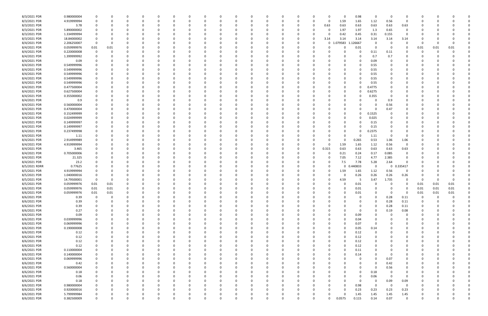| 8/3/2021 PDR  | 0.980000004 | 0           |          |          |   |              |          |          |          |          |   |   |          |          |          | -0           |          | 0.98        | 0           | 0           |             |      |          |      |  |
|---------------|-------------|-------------|----------|----------|---|--------------|----------|----------|----------|----------|---|---|----------|----------|----------|--------------|----------|-------------|-------------|-------------|-------------|------|----------|------|--|
| 8/3/2021 PDR  | 4.919999994 | 0           | 0        |          | 0 |              |          | - 0      | 0        | -0       |   |   |          |          | 0        | -0           | 1.59     | 1.65        | 1.12        | 0.56        | $\Omega$    |      |          |      |  |
| 8/3/2021 PDR  | 3.78        | $\Omega$    |          |          |   |              |          |          |          |          |   |   |          |          | 0        | 0.63         | 0.63     | 0.63        | 0.63        | 0.63        | 0.63        |      |          |      |  |
| 8/3/2021 PDR  | 5.890000002 |             |          |          |   |              |          |          |          |          |   |   |          |          |          | 0            | 1.97     | 1.97        | 1.3         | 0.65        | 0           |      |          |      |  |
| 8/3/2021 PDR  | 1.334999994 |             |          |          |   |              |          |          |          |          |   |   |          |          |          | 0            | 0.42     | 0.45        | 0.31        | 0.155       | - 0         |      |          |      |  |
| 8/3/2021 PDR  | 18.84000002 | - 0         |          |          |   |              |          |          |          |          |   |   |          |          | 0        | 3.14         | 3.14     | 3.14        | 3.14        | 3.14        | 3.14        |      |          |      |  |
| 8/4/2021 PDR  | 2.206250007 | 0           | $\Omega$ |          |   |              |          |          |          |          |   |   |          |          |          | 0            | 1.079583 | 1.126667    | 0           | 0           | - 0         | - 0  | 0        |      |  |
|               |             |             |          |          |   |              |          |          |          |          |   |   |          |          |          |              |          |             | 0           |             |             |      |          |      |  |
| 8/4/2021 PDR  | 0.059999976 | $0.01\,$    | 0.01     |          |   |              |          |          |          |          |   |   |          |          |          |              |          | 0.01        |             | 0           |             | 0.01 | 0.01     | 0.01 |  |
| 8/4/2021 PDR  | 0.220000008 | 0           |          |          |   |              |          |          |          |          |   |   |          |          |          |              |          | 0           | 0.11        | 0.11        |             |      | -0       |      |  |
| 8/4/2021 PDR  | 1.399999992 |             |          |          |   |              |          |          |          |          |   |   |          |          |          |              |          | 0           | 0.7         | 0.7         |             |      |          |      |  |
| 8/4/2021 PDR  | 0.09        |             |          |          |   |              |          |          |          |          |   |   |          |          |          |              |          | 0           | 0.09        | 0           |             |      |          |      |  |
| 8/4/2021 PDR  | 0.549999996 | 0           |          |          |   |              |          |          |          |          |   |   |          |          |          |              |          | 0           | 0.55        |             |             |      |          |      |  |
| 8/4/2021 PDR  | 0.549999996 |             |          |          |   |              |          |          |          |          |   |   |          |          |          |              |          | 0           | 0.55        |             |             |      |          |      |  |
| 8/4/2021 PDR  | 0.549999996 |             |          |          |   |              |          |          |          |          |   |   |          |          |          |              |          | 0           | 0.55        |             |             |      |          |      |  |
| 8/4/2021 PDR  | 0.549999996 | 0           |          |          |   |              |          |          |          |          |   |   |          |          |          |              |          | 0           | 0.55        |             |             |      |          |      |  |
| 8/4/2021 PDR  | 0.549999996 | 0           |          |          |   |              |          |          |          |          |   |   |          |          |          |              |          | 0           | 0.55        |             |             |      |          |      |  |
| 8/4/2021 PDR  | 0.477500004 |             |          |          |   |              |          |          |          |          |   |   |          |          |          |              |          | 0           | 0.4775      |             |             |      |          |      |  |
| 8/4/2021 PDR  | 0.627500004 |             |          |          |   |              |          |          |          |          |   |   |          |          |          |              |          | 0           | 0.6275      |             |             |      |          |      |  |
| 8/4/2021 PDR  | 0.355000002 |             |          |          |   |              |          |          |          |          |   |   |          |          |          |              |          | O           | 0.355       | -0          |             |      |          |      |  |
| 8/4/2021 PDR  | 0.9         |             |          |          |   |              |          |          |          |          |   |   |          |          |          |              |          |             | O           | 0.9         |             |      |          |      |  |
|               |             |             |          |          |   |              |          |          |          |          |   |   |          |          |          |              |          |             |             |             |             |      |          |      |  |
| 8/4/2021 PDR  | 0.560000004 |             |          |          |   |              |          |          |          |          |   |   |          |          |          |              |          |             | 0           | 0.56        |             |      |          |      |  |
| 8/4/2021 PDR  | 0.470000004 |             |          |          |   |              |          |          |          |          |   |   |          |          |          |              |          |             | 0           | 0.47        |             |      |          |      |  |
| 8/4/2021 PDR  | 0.152499999 |             |          |          |   |              |          |          |          |          |   |   |          |          |          |              |          | 0           | 0.1525      | 0           |             |      |          |      |  |
| 8/4/2021 PDR  | 0.024999999 | 0           |          |          |   |              |          |          |          |          |   |   |          |          |          |              |          | 0           | 0.025       | 0           |             |      |          |      |  |
| 8/4/2021 PDR  | 0.149999997 | - 0         |          |          |   |              |          |          |          |          |   |   |          |          |          |              |          | O           | 0.15        | -0          |             |      |          |      |  |
| 8/4/2021 PDR  | 0.149999997 |             |          |          |   |              |          |          |          |          |   |   |          |          |          |              |          | 0           | 0.15        |             |             |      |          |      |  |
| 8/4/2021 PDR  | 0.237499998 | $\Omega$    |          |          |   |              |          |          |          |          |   |   |          |          |          |              |          | 0           | 0.2375      | 0           |             |      |          |      |  |
| 8/4/2021 PDR  | 1.11        |             |          |          |   |              |          |          |          |          |   |   |          |          |          |              |          | 0           | 1.11        | 0           |             |      |          |      |  |
| 8/4/2021 PDR  | 2.914999989 |             |          |          |   |              |          |          |          |          |   |   |          |          |          | C            |          | 0.265       | 0.53        | 1.06        | 1.06        |      |          |      |  |
| 8/4/2021 PDR  | 4.919999994 |             |          |          |   |              |          |          |          |          |   |   |          |          |          | <sup>0</sup> | 1.59     | 1.65        | 1.12        | 0.56        | 0           |      |          |      |  |
| 8/4/2021 PDR  | 3.465       | $\Omega$    |          |          |   |              |          |          |          |          |   |   |          |          | 0        | 0.315        | 0.63     | 0.63        | 0.63        | 0.63        | 0.63        |      |          |      |  |
|               |             |             |          |          |   |              |          |          |          |          |   |   |          |          |          |              |          |             |             |             |             |      |          |      |  |
| 8/4/2021 PDR  | 0.705000006 |             |          |          |   |              |          |          |          |          |   |   |          |          |          | 0            | 0.21     | 0.24        | 0.17        | 0.085       | 0           |      |          |      |  |
| 8/4/2021 PDR  | 21.325      |             |          |          |   |              |          |          |          |          |   |   |          |          |          | 0            | 7.05     | 7.12        | 4.77        | 2.385       |             |      |          |      |  |
| 8/4/2021 PDR  | 23.2        |             |          |          |   |              |          |          |          |          |   |   |          |          |          | 0            | 7.5      | 7.78        | 5.28        | 2.64        | ŋ           |      |          |      |  |
| 8/5/2021 RDRR | 0.77625     |             |          |          |   |              |          |          |          |          |   |   |          |          |          | 0            |          | 0.440833    | 0           | 0           | 0.335417    |      |          |      |  |
| 8/5/2021 PDR  | 4.919999994 |             |          |          |   |              |          |          |          |          |   |   |          |          |          | 0            | 1.59     | 1.65        | 1.12        | 0.56        | $\Omega$    |      |          |      |  |
| 8/5/2021 PDR  | 1.040000016 | 0           |          |          |   |              |          |          |          |          |   |   |          |          |          | 0            |          | 0.26        | 0.26        | 0.26        | 0.26        |      |          |      |  |
| 8/5/2021 PDR  | 14.79500001 | $\mathbf 0$ |          |          |   |              |          |          |          |          |   |   |          |          |          |              | 4.59     | -5          | 3.47        | 1.735       |             |      | -0       |      |  |
| 8/5/2021 PDR  | 0.059999976 | 0.01        | 0.01     |          |   |              |          |          |          |          |   |   |          |          |          |              |          | 0.01        |             |             |             | 0.01 | 0.01     | 0.01 |  |
| 8/6/2021 PDR  | 0.059999976 | $0.01\,$    | 0.01     | -0       |   |              |          |          |          |          |   |   |          |          |          | 0            |          | 0.01        | 0           | 0           | -0          | 0.01 | 0.01     | 0.01 |  |
| 8/6/2021 PDR  | 0.059999976 | 0.01        | 0.01     | $\Omega$ |   |              |          |          |          |          |   |   |          |          |          |              |          | 0.01        | $\Omega$    | $\mathbf 0$ | $\mathbf 0$ | 0.01 | 0.01     | 0.01 |  |
| 8/6/2021 PDR  | 0.39        | 0           | 0        | $\Omega$ | 0 | 0            |          | $\Omega$ | 0        | $\Omega$ | O |   | $\Omega$ |          | $\Omega$ | $\Omega$     |          | 0           | 0           | 0.28        | 0.11        | 0    | $\Omega$ |      |  |
| 8/6/2021 PDR  | 0.39        | $\mathbf 0$ | $\Omega$ | $\Omega$ | 0 | <sup>0</sup> |          | 0        | 0        | 0        | O |   | $\Omega$ |          | 0        | $\Omega$     |          | 0           | $\mathbf 0$ | 0.28        | 0.11        | 0    |          |      |  |
|               |             |             |          |          |   |              |          |          |          |          |   |   |          |          |          |              |          |             |             |             |             |      |          |      |  |
| 8/6/2021 PDR  | 0.39        | $\Omega$    | 0        |          | 0 |              | - 0      | 0        | 0        |          |   |   |          |          |          | 0            |          | 0           | $\mathbf 0$ | 0.28        | 0.11        |      | -0       |      |  |
| 8/6/2021 PDR  | 0.27        | $\Omega$    | 0        |          | 0 |              |          |          |          |          |   |   |          |          |          |              |          | 0           | 0           | 0.19        | 0.08        |      |          |      |  |
| 8/6/2021 PDR  | 0.09        | 0           |          |          | 0 |              |          |          |          | $\Omega$ |   |   |          |          |          | 0            |          | 0.09        | 0           | 0           | 0           |      |          |      |  |
| 8/6/2021 PDR  | 0.039999996 | $\mathbf 0$ | 0        |          | 0 |              |          | 0        | 0        | -0       |   |   |          |          | 0        | 0            |          | 0.04        | 0           | 0           | $\Omega$    | 0    | 0        |      |  |
| 8/6/2021 PDR  | 0.069999996 | $\mathbf 0$ | 0        |          | 0 |              |          |          | 0        | 0        |   |   |          |          | 0        | 0            |          | 0.07        | 0           | 0           | 0           | 0    | 0        |      |  |
| 8/6/2021 PDR  | 0.190000008 | $\mathbf 0$ | 0        |          | 0 | <sup>0</sup> |          | $\Omega$ | $\Omega$ | 0        | 0 |   | $\Omega$ |          | 0        | $\Omega$     |          | 0.05        | 0.14        | 0           | $\Omega$    |      | $\Omega$ |      |  |
| 8/6/2021 PDR  | 0.12        | $\mathbf 0$ | 0        |          | 0 |              |          | 0        | 0        | - 0      |   |   |          |          | 0        | 0            |          | 0.12        | 0           | -0          | 0           |      | - 0      |      |  |
| 8/6/2021 PDR  | 0.12        | $\mathbf 0$ | 0        |          | 0 |              |          | 0        | 0        | - 0      |   |   |          |          |          | 0            |          | 0.12        | 0           |             |             |      | -0       |      |  |
| 8/6/2021 PDR  | 0.12        | 0           | 0        |          | 0 |              |          | 0        | 0        | 0        |   |   |          |          | 0        | 0            |          | 0.12        | 0           |             |             |      |          |      |  |
| 8/6/2021 PDR  | 0.12        | 0           | 0        |          | 0 |              |          | 0        | 0        | 0        |   |   |          |          | 0        | 0            |          | 0.12        | 0           | 0           |             | 0    | 0        |      |  |
| 8/6/2021 PDR  | 0.110000004 | $\mathbf 0$ | $\Omega$ |          | 0 |              |          |          | 0        | 0        |   |   |          |          | 0        | 0            |          | 0.11        | 0           | 0           |             |      | - 0      |      |  |
|               | 0.140000004 | 0           | $\Omega$ |          |   |              |          | 0        | 0        |          |   |   |          |          |          | 0            |          |             | 0           |             | $\Omega$    |      | -0       | 0    |  |
| 8/6/2021 PDR  |             |             |          |          | 0 |              |          |          |          | 0        |   |   |          |          | 0        |              |          | 0.14        |             | 0           |             |      |          |      |  |
| 8/6/2021 PDR  | 0.069999996 | 0           | 0        |          | 0 |              | - 0      | 0        | 0        | $\Omega$ |   |   |          |          | 0        | 0            |          | 0           | $\Omega$    | 0.07        | 0           | 0    | - 0      |      |  |
| 8/6/2021 PDR  | 0.42        | 0           | 0        |          | 0 |              |          |          | 0        | -0       |   |   |          |          | 0        | 0            |          | 0           | 0           | 0.42        | 0           |      |          |      |  |
| 8/6/2021 PDR  | 0.560000004 | 0           | 0        |          | 0 |              |          |          | 0        | - 0      |   |   |          |          |          |              |          | 0           | $\mathbf 0$ | 0.56        | $\Omega$    |      |          |      |  |
| 8/6/2021 PDR  | 0.18        | 0           | 0        |          | 0 |              |          | 0        | 0        | 0        |   |   |          |          | 0        |              |          | 0           | 0.18        | 0           | $\Omega$    |      |          |      |  |
| 8/6/2021 PDR  | 0.06        | 0           | 0        |          | 0 |              |          |          | 0        | 0        |   |   |          |          | 0        |              |          | 0           | 0.06        | 0           | $\Omega$    |      |          |      |  |
| 8/6/2021 PDR  | 0.18        | $\mathbf 0$ | $\Omega$ |          | 0 |              |          | 0        | 0        | $\Omega$ |   |   |          |          | 0        | <sup>0</sup> |          | $\mathbf 0$ | 0           | 0.09        | 0.09        |      | - 0      |      |  |
| 8/6/2021 PDR  | 0.980000004 | 0           | 0        |          | 0 |              |          | 0        | 0        | $\Omega$ |   |   |          |          | 0        | 0            |          | 0.98        | $\mathbf 0$ | $\mathbf 0$ | 0           |      | - 0      |      |  |
| 8/6/2021 PDR  | 0.920000016 | $\mathbf 0$ | $\Omega$ |          | 0 |              |          |          |          |          |   |   |          |          |          | 0            |          | 0.23        | 0.23        | 0.23        | 0.23        |      |          |      |  |
| 8/6/2021 PDR  | 5.799999984 | $\mathbf 0$ |          |          |   |              |          |          |          |          |   |   |          |          |          | 0            |          | 1.45        | 1.45        | 1.45        | 1.45        |      |          |      |  |
| 8/6/2021 PDR  | 0.382500009 | $\mathbf 0$ | $\Omega$ | 0        | 0 | $\Omega$     | $\Omega$ | $\Omega$ | $\Omega$ | $\Omega$ | 0 | 0 | $\Omega$ | $\Omega$ | 0        | 0            | 0.0575   | 0.115       | 0.14        | 0.07        | $\mathbf 0$ | 0    | $\Omega$ | 0    |  |
|               |             |             |          |          |   |              |          |          |          |          |   |   |          |          |          |              |          |             |             |             |             |      |          |      |  |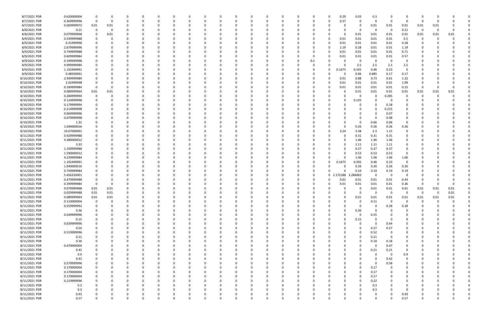| 8/7/2021 PDR  | 0.620000004 | -0                      | 0        |   | 0        |          |          |          |          |          |          | 0            |          |          |          | 0            | 0.29     | 0.03        | 0.3         |             |             |                         |          |      |  |
|---------------|-------------|-------------------------|----------|---|----------|----------|----------|----------|----------|----------|----------|--------------|----------|----------|----------|--------------|----------|-------------|-------------|-------------|-------------|-------------------------|----------|------|--|
| 8/7/2021 PDR  | 0.369999996 | $\overline{\mathbf{0}}$ | 0        |   | $\Omega$ |          |          |          |          |          |          | $\Omega$     |          |          |          | 0            | 0.37     | 0           | 0           | $\Omega$    | $\Omega$    | $\Omega$                | -0       |      |  |
| 8/7/2021 PDR  | 0.069999972 | 0.01                    | 0.01     |   |          |          |          |          |          |          |          |              |          |          |          |              |          | 0           | 0.01        | 0.01        | 0.01        | 0.01                    | 0.01     |      |  |
| 8/8/2021 PDR  | 0.21        | 0                       | 0        |   |          |          |          |          |          |          |          |              |          |          |          |              |          | 0           | -0          | $\Omega$    | 0.21        | $\overline{\mathbf{0}}$ | 0        |      |  |
| 8/8/2021 PDR  | 0.079999968 | 0                       | 0.01     |   |          |          |          |          |          |          |          |              |          |          |          |              |          | 0.01        | 0.01        | 0.01        | 0.01        | 0.01                    | 0.01     | 0.01 |  |
| 8/9/2021 PDR  | 0.539999988 | 0                       | 0        |   | C.       |          |          |          |          |          |          | C            |          |          |          | - 0          | 0.01     | 0.01        | 0.01        | 0.01        | 0.5         | 0                       | $\Omega$ |      |  |
| 8/9/2021 PDR  | 0.31999998  |                         |          |   |          |          |          |          |          |          |          |              |          |          |          | 0            | 0.01     | 0.01        | 0.01        | 0.01        | 0.28        |                         |          |      |  |
| 8/9/2021 PDR  | 2.679999996 |                         |          |   |          |          |          |          |          |          |          |              |          |          |          | 0            | 1.19     | 0.28        | 0.01        | 0.01        | 1.19        |                         |          |      |  |
| 8/9/2021 PDR  | 0.749999988 |                         |          |   |          |          |          |          |          |          |          |              |          |          |          | 0            | 0.01     | 0.01        | 0.01        | 0.01        | 0.71        |                         |          |      |  |
| 8/9/2021 PDR  | 0.609999984 |                         |          |   |          |          |          |          |          |          |          |              |          |          |          |              | 0.01     | 0.01        | 0.01        | 0.01        | 0.57        |                         |          |      |  |
| 8/9/2021 PDR  | 0.199999998 |                         |          |   |          |          |          |          |          |          |          |              |          |          |          |              |          | 0           |             | $\Omega$    | $\Omega$    |                         |          |      |  |
|               |             |                         |          |   |          |          |          |          |          |          |          |              |          |          | 0.2      |              |          |             | 0           |             |             |                         |          |      |  |
| 8/9/2021 PDR  | 9.999999984 |                         |          |   | C.       |          |          |          |          |          |          | C            |          |          |          |              |          | 2.5         | 2.5         | 2.5         | 2.5         |                         |          |      |  |
| 8/9/2021 PDR  | 1.192499991 |                         |          |   |          |          |          |          |          |          |          |              |          |          |          | 0            | 0.1675   | 0.335       | 0.46        | 0.23        | $\Omega$    |                         |          |      |  |
| 8/9/2021 PDR  | 0.48500001  |                         |          |   |          |          |          |          |          |          |          |              |          |          |          |              |          | 0.06        | 0.085       | 0.17        | 0.17        |                         |          |      |  |
| 8/10/2021 PDR | 2.949999984 | 0                       |          |   |          |          |          |          |          |          |          |              |          |          |          | 0            | 0.01     | 0.88        | 0.73        | 0.01        | 1.32        |                         |          |      |  |
| 8/10/2021 PDR | 2.02999998  | 0                       |          |   |          |          |          |          |          |          |          |              |          |          |          | 0            | 0.01     | 0.01        | 0.01        | 0.01        | 1.99        | -0                      |          |      |  |
| 8/10/2021 PDR | 0.189999984 | $\overline{\mathbf{0}}$ |          |   |          |          |          |          |          |          |          |              |          |          |          | - 0          | 0.01     | 0.01        | 0.01        | 0.01        | 0.15        | - 0                     |          |      |  |
| 8/10/2021 PDR | 0.089999964 | 0.01                    | 0.01     |   |          |          |          |          |          |          |          |              |          |          |          |              |          | 0.01        | 0.01        | 0.01        | 0.01        | 0.01                    | 0.01     | 0.01 |  |
| 8/10/2021 PDR | 0.284999994 | - 0                     |          |   |          |          |          |          |          |          |          |              |          |          |          |              |          | 0           | 0           | 0.285       | 0           |                         | -0       |      |  |
| 8/10/2021 PDR | 0.124999998 |                         |          |   |          |          |          |          |          |          |          |              |          |          |          |              |          | 0.125       |             | $\sqrt{ }$  |             |                         |          |      |  |
| 8/10/2021 PDR | 0.179999994 |                         |          |   |          |          |          |          |          |          |          |              |          |          |          |              |          |             | 0           | 0.18        |             |                         |          |      |  |
| 8/10/2021 PDR | 0.214999998 | 0                       |          |   |          |          |          |          |          |          |          |              |          |          |          |              |          |             | $\Omega$    | 0.215       |             |                         |          |      |  |
| 8/10/2021 PDR | 0.069999996 |                         |          |   |          |          |          |          |          |          |          |              |          |          |          |              |          |             | 0           | 0.07        |             |                         |          |      |  |
| 8/10/2021 PDR | 0.079999998 |                         |          |   |          |          |          |          |          |          |          |              |          |          |          |              |          |             | 0           | 0.08        | $\Omega$    |                         |          |      |  |
| 8/10/2021 PDR | 1.32        |                         |          |   |          |          |          |          |          |          |          |              |          |          |          |              |          |             |             | 0.66        | $\Omega$    |                         |          |      |  |
|               |             |                         |          |   | O        |          |          |          |          |          |          | C            |          |          |          |              |          | 0           | 0.66        |             |             |                         |          |      |  |
| 8/10/2021 PDR | 1.040000016 |                         |          |   |          |          |          |          |          |          |          |              |          |          |          | - 0          |          | 0.26        | 0.26        | 0.26        | 0.26        |                         |          |      |  |
| 8/10/2021 PDR | 10.07000001 |                         |          |   |          |          |          |          |          |          |          |              |          |          |          | 0            | 3.24     | 3.38        | 2.3         | 1.15        | 0           |                         |          |      |  |
| 8/11/2021 PDR | 0.929999988 |                         |          |   |          |          |          |          |          |          |          |              |          |          |          | -0           |          | 0.31        | 0.31        | 0.31        | 0           |                         |          |      |  |
| 8/11/2021 PDR | 4.380000012 |                         |          |   |          |          |          |          |          |          |          |              |          |          |          |              |          | 1.46        | 1.46        | 1.46        | 0           |                         |          |      |  |
| 8/11/2021 PDR | 3.33        |                         |          |   |          |          |          |          |          |          |          |              |          |          |          |              |          | 1.11        | 1.11        | 1.11        | 0           |                         |          |      |  |
| 8/11/2021 PDR | 1.109999988 |                         |          |   | C.       |          |          |          |          |          |          | C            |          |          |          | -0           |          | 0.37        | 0.37        | 0.37        | 0           |                         |          |      |  |
| 8/11/2021 PDR | 1.590000012 |                         |          |   |          |          |          |          |          |          |          |              |          |          |          |              |          | 0.53        | 0.53        | 0.53        | 0           |                         |          |      |  |
| 8/11/2021 PDR | 4.239999984 |                         |          |   |          |          |          |          |          |          |          |              |          |          |          | - 0          |          | 1.06        | 1.06        | 1.06        | 1.06        |                         |          |      |  |
| 8/11/2021 PDR | 1.192499991 |                         |          |   |          |          |          |          |          |          |          |              |          |          |          | -0           | 0.1675   | 0.335       | 0.46        | 0.23        | $\Omega$    |                         |          |      |  |
| 8/11/2021 PDR | 1.040000016 |                         |          |   |          |          |          |          |          |          |          |              |          |          |          |              |          | 0.26        | 0.26        | 0.26        | 0.26        |                         |          |      |  |
| 8/11/2021 PDR | 0.759999984 |                         |          |   |          |          |          |          |          |          |          |              |          |          |          | - 0          |          | 0.19        | 0.19        | 0.19        | 0.19        |                         |          |      |  |
| 8/11/2021 PDR | 5.456250001 | 0                       |          |   |          |          |          |          |          |          |          |              |          |          |          | $\mathbf{0}$ | 172188   | 3.284063    | 0           | - 0         | - 0         |                         |          |      |  |
| 8/11/2021 PDR | 0.479999988 |                         |          |   |          |          |          |          |          |          |          |              |          |          |          |              | 0.01     | 0.01        | 0.01        | 0.01        | 0.44        |                         |          |      |  |
| 8/11/2021 PDR | 0.399999984 |                         |          |   |          |          |          |          |          |          |          |              |          |          |          |              | 0.01     | 0.01        | 0.01        | 0.01        | 0.36        |                         |          |      |  |
| 8/11/2021 PDR | 0.079999968 | 0.01                    | 0.01     |   | $\Omega$ |          |          |          |          |          |          | <sup>0</sup> |          |          |          |              | $\Omega$ | 0           | 0.01        | 0.01        | 0.01        | 0.01                    | 0.01     | 0.01 |  |
| 8/11/2021 PDR | 0.029999988 | 0.01                    | 0.01     |   |          |          |          |          |          |          |          |              |          |          | $\Omega$ |              |          | $\Omega$    | $\Omega$    | $\mathbf 0$ | $\mathbf 0$ | $\Omega$                |          | 0.01 |  |
|               | 0.089999964 | 0.01                    | 0.01     | 0 | 0        | $\Omega$ |          | $\Omega$ | $\Omega$ |          | 0        | 0            |          |          | 0        | $\Omega$     | $\Omega$ | 0.01        | 0.01        | 0.01        | 0.01        | 0.01                    | 0.01     | 0.01 |  |
| 8/11/2021 PDR |             |                         |          |   |          |          |          |          |          |          |          |              |          |          |          |              |          |             |             |             |             |                         |          |      |  |
| 8/11/2021 PDR | 0.110000004 | 0                       | 0        |   | 0        |          |          |          |          |          |          | 0            |          |          | 0        | 0            | 0        | 0           | 0.11        | $\mathbf 0$ | 0           | $\mathbf 0$             | $\Omega$ | U    |  |
| 8/11/2021 PDR | 0.559999992 |                         | 0        |   | 0        |          |          |          |          |          |          | 0            |          |          |          | 0            | U        | $\mathbf 0$ | 0           | 0.28        | 0.28        |                         |          |      |  |
| 8/11/2021 PDR | 0.36        |                         |          |   | 0        |          |          |          |          |          |          |              |          |          |          |              | 0        | 0.36        | 0           |             | $\Omega$    |                         |          |      |  |
| 8/11/2021 PDR | 0.549999996 |                         |          |   | $\Omega$ |          |          |          |          |          |          | $\Omega$     |          |          |          |              | 0        | 0           | 0.55        |             | 0           |                         |          |      |  |
| 8/11/2021 PDR | 0.15        | $\mathbf 0$             |          |   | $\Omega$ |          |          |          |          |          |          | $\Omega$     |          |          |          | 0            | $\Omega$ | 0.15        | $\Omega$    |             | $\Omega$    | 0                       |          |      |  |
| 8/11/2021 PDR | 0.639999996 |                         |          |   | 0        |          |          |          |          |          |          | 0            |          |          |          | 0            |          | 0           | 0           | 0.64        | $\mathbf 0$ |                         |          |      |  |
| 8/11/2021 PDR | 0.54        | $\mathbf 0$             | 0        |   | 0        |          | $\Omega$ |          |          |          |          | 0            |          | $\Omega$ |          | $\Omega$     | 0        | $\Omega$    | 0.27        | 0.27        | $\mathbf 0$ |                         |          |      |  |
| 8/11/2021 PDR | 0.519999996 |                         |          |   | $\Omega$ |          |          |          |          |          |          | $\Omega$     |          |          |          | - 0          |          | $\Omega$    | 0.52        | $\Omega$    | $\Omega$    |                         |          |      |  |
| 8/11/2021 PDR | 0.21        |                         |          |   | 0        |          |          |          |          |          |          | 0            |          |          |          |              |          | $\Omega$    | 0.21        | $\Omega$    | 0           |                         |          |      |  |
| 8/11/2021 PDR | 0.36        |                         |          | 0 | 0        |          |          |          |          |          |          | 0            |          |          |          |              | 0        | 0           | 0.18        | 0.18        | 0           |                         |          |      |  |
| 8/11/2021 PDR | 0.470000004 |                         |          |   | 0        |          |          |          |          |          |          | 0            |          |          |          | 0            |          | 0           | $\Omega$    | 0.47        | 0           |                         |          |      |  |
| 8/11/2021 PDR | 0.42        |                         |          |   | $\Omega$ |          |          |          |          |          |          | 0            |          |          |          |              |          |             | 0.21        | 0.21        | $\mathbf 0$ |                         |          |      |  |
| 8/11/2021 PDR | 0.9         |                         |          |   | 0        |          |          |          |          |          |          | 0            |          |          |          |              |          |             | 0           | $\mathbf 0$ | 0.9         | 0                       |          |      |  |
| 8/11/2021 PDR | 0.42        | 0                       |          | 0 | 0        |          |          |          |          |          |          | 0            |          | $\Omega$ | 0        |              |          |             | $\Omega$    | 0.42        | $\mathbf 0$ | 0                       |          |      |  |
| 8/11/2021 PDR | 0.579999996 |                         |          |   | 0        |          |          |          |          |          |          | 0            |          |          |          |              |          |             | 0           | 0.58        | 0           |                         |          |      |  |
| 8/11/2021 PDR | 0.170000004 |                         |          |   | $\Omega$ |          |          |          |          |          |          | 0            |          |          |          |              |          | 0           | 0.17        |             | $\Omega$    |                         |          |      |  |
|               |             |                         |          |   |          |          |          |          |          |          |          |              |          |          |          |              |          |             |             |             |             |                         |          |      |  |
| 8/11/2021 PDR | 0.170000004 | $\mathbf 0$             |          |   | $\Omega$ |          |          |          |          |          |          | $\Omega$     |          |          |          |              |          | 0           | 0.17        |             | 0           |                         |          |      |  |
| 8/11/2021 PDR | 0.170000004 | $\mathbf 0$             |          |   | $\Omega$ |          |          |          |          |          |          | $\Omega$     |          |          |          |              |          | $\mathbf 0$ | 0.17        |             | $\Omega$    |                         |          |      |  |
| 8/11/2021 PDR | 0.219999996 | 0                       | $\Omega$ |   | 0        |          |          |          |          |          |          | 0            |          | $\Omega$ |          |              | 0        | $\Omega$    | 0.22        |             | $\Omega$    |                         |          |      |  |
| 8/11/2021 PDR | 0.3         |                         | 0        |   | $\Omega$ |          |          |          |          |          |          | 0            |          |          |          |              |          | O           | 0.3         |             | 0           |                         |          |      |  |
| 8/11/2021 PDR | 0.3         |                         |          |   | 0        |          |          |          |          |          |          | 0            |          |          |          |              |          |             | 0.3         |             | $\Omega$    |                         |          |      |  |
| 8/11/2021 PDR | 0.93        |                         |          |   |          |          |          |          |          |          |          |              |          |          |          |              |          |             | C           |             | 0.93        |                         |          |      |  |
| 8/11/2021 PDR | 0.57        | $\mathbf 0$             | 0        | 0 | 0        | $\Omega$ | $\Omega$ | $\Omega$ | $\Omega$ | $\Omega$ | $\Omega$ | 0            | $\Omega$ | $\Omega$ | 0        | $\Omega$     | $\Omega$ | 0           | $\mathbf 0$ | $\Omega$    | 0.57        | $\mathbf 0$             | $\Omega$ | 0    |  |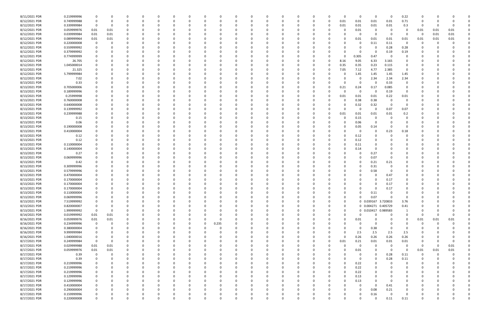| 8/11/2021 PDR | 0.219999996 |             |          |             |          |          |             | 0            |          |   | 0           |             |          |          |   | 0           | 0              | $\Omega$            | - 0      | 0.22           | 0        |          |          |  |
|---------------|-------------|-------------|----------|-------------|----------|----------|-------------|--------------|----------|---|-------------|-------------|----------|----------|---|-------------|----------------|---------------------|----------|----------------|----------|----------|----------|--|
| 8/12/2021 PDR | 0.749999988 |             | 0        | $\Omega$    |          |          |             | -0           |          |   | $\Omega$    | $\Omega$    |          | 0        | 0 | 0.01        | 0.01           | 0.01                | 0.01     | 0.71           | $\Omega$ |          |          |  |
| 8/12/2021 PDR | 0.339999984 | 0           | 0        |             |          |          |             |              |          |   |             |             |          |          |   | 0.01        | 0.01           | 0.01                | 0.01     | 0.3            | 0        |          |          |  |
| 8/12/2021 PDR | 0.059999976 | 0.01        | 0.01     |             |          |          |             |              |          |   |             |             |          |          |   |             | 0.01           | 0                   |          | 0              | 0.01     | 0.01     | 0.01     |  |
| 8/12/2021 PDR | 0.039999984 | 0.01        | 0.01     |             |          |          |             |              |          |   |             |             |          |          |   |             | 0              | 0                   | - 0      | $\Omega$       | - 0      | 0.01     | 0.01     |  |
| 8/12/2021 PDR | 0.089999964 | 0.01        | 0.01     |             |          |          |             |              |          |   |             |             |          |          |   |             | 0.01           | 0.01                | 0.01     | 0.01           | 0.01     | 0.01     | 0.01     |  |
| 8/12/2021 PDR | 0.220000008 |             |          |             |          |          |             |              |          |   |             |             |          |          |   |             | 0              | 0.11                | 0.11     | - 0            | 0        |          |          |  |
| 8/12/2021 PDR | 0.559999992 |             |          |             |          |          |             |              |          |   |             |             |          |          |   |             | 0              | 0                   | 0.28     | 0.28           |          |          |          |  |
| 8/12/2021 PDR | 0.379999992 |             |          |             |          |          |             |              |          |   |             |             |          |          |   |             | 0              | 0                   | 0.19     | 0.19           |          |          |          |  |
|               |             |             |          |             |          |          |             |              |          |   |             |             |          |          |   |             |                |                     |          | $\Omega$       |          |          |          |  |
| 8/12/2021 PDR | 0.774999999 |             |          |             |          |          |             |              |          |   |             |             |          |          |   |             | 0.305          | 0.47                | 0        |                |          |          |          |  |
| 8/12/2021 PDR | 26.705      |             |          |             |          |          |             |              |          |   |             |             |          |          |   | 8.16        | 9.05           | 6.33                | 3.165    | 0              |          |          |          |  |
| 8/12/2021 PDR | 1.045000014 |             |          |             |          |          |             |              |          |   |             |             |          |          |   | 0.35        | 0.35           | 0.23                | 0.115    | 0              |          |          |          |  |
| 8/12/2021 PDR | 21.325      |             |          |             |          |          |             |              |          |   |             |             |          |          |   | 7.05        | 7.12           | 4.77                | 2.385    | 0              |          |          |          |  |
| 8/12/2021 PDR | 5.799999984 |             |          |             |          |          |             |              |          |   |             |             |          |          |   | 0           | 1.45           | 1.45                | 1.45     | 1.45           |          |          |          |  |
| 8/12/2021 PDR | 7.02        |             |          |             |          |          |             |              |          |   |             |             |          |          |   |             | 0              | 2.34                | 2.34     | 2.34           |          |          |          |  |
| 8/13/2021 PDR | 0.33        |             |          |             |          |          |             |              |          |   |             |             |          |          |   |             | 0              | $\Omega$            | 0.33     | 0              |          |          |          |  |
| 8/13/2021 PDR | 0.705000006 |             |          |             |          |          |             |              |          |   |             |             |          |          |   | 0.21        | 0.24           | 0.17                | 0.085    | 0              |          |          |          |  |
| 8/13/2021 PDR | 0.189999996 |             |          |             |          |          |             |              |          |   |             |             |          |          |   |             | 0              | 0                   | 0.19     | 0              |          |          |          |  |
| 8/13/2021 PDR | 0.25999998  |             |          |             |          |          |             |              |          |   |             |             |          |          |   | 0.01        | 0.01           | 0.01                | 0.22     | 0.01           |          |          |          |  |
| 8/13/2021 PDR | 0.760000008 |             |          |             |          |          |             |              |          |   |             |             |          |          |   | O           | 0.38           | 0.38                | - വ      | 0              |          |          |          |  |
| 8/13/2021 PDR | 0.640000008 |             |          |             |          |          |             |              |          |   |             |             |          |          |   | 0           | 0.32           | 0.32                | $\Omega$ | 0              |          |          |          |  |
| 8/13/2021 PDR | 0.139999992 |             |          |             |          |          |             |              |          |   |             |             |          |          |   |             | 0              | $\Omega$            | 0.07     | 0.07           |          |          |          |  |
| 8/13/2021 PDR | 0.239999988 |             |          |             |          |          |             |              |          |   |             |             |          |          |   | 0.01        |                | 0.01                | $0.01\,$ |                |          |          |          |  |
|               |             |             |          |             |          |          |             |              |          |   |             |             |          |          |   |             | 0.01           |                     |          | 0.2            |          |          |          |  |
| 8/13/2021 PDR | 0.15        |             |          |             |          |          |             |              |          |   |             |             |          |          |   | 0           | 0.15           | 0                   |          | 0              |          |          |          |  |
| 8/13/2021 PDR | 0.06        |             |          |             |          |          |             |              |          |   |             |             |          |          |   | $\Omega$    | 0.06           | 0                   |          | 0              |          |          |          |  |
| 8/13/2021 PDR | 0.190000008 |             |          |             |          |          |             |              |          |   |             |             |          |          |   |             | 0.05           | 0.14                |          | $\Omega$       |          |          |          |  |
| 8/13/2021 PDR | 0.410000004 |             |          |             |          |          |             |              |          |   |             |             |          |          |   |             | 0              | 0                   | 0.23     | 0.18           |          |          |          |  |
| 8/13/2021 PDR | 0.12        |             |          |             |          |          |             |              |          |   |             |             |          |          |   |             | 0.12           | 0                   |          | 0              |          |          |          |  |
| 8/13/2021 PDR | 0.12        |             |          |             |          |          |             |              |          |   |             |             |          |          |   | 0           | 0.12           | $\Omega$            |          |                |          |          |          |  |
| 8/13/2021 PDR | 0.110000004 |             |          |             |          |          |             |              |          |   |             |             |          |          |   | 0           | 0.11           | 0                   |          |                |          |          |          |  |
| 8/13/2021 PDR | 0.140000004 |             |          |             |          |          |             |              |          |   |             |             |          |          |   |             | 0.14           | 0                   |          |                |          |          |          |  |
| 8/13/2021 PDR | 0.27        |             |          |             |          |          |             |              |          |   |             |             |          |          |   |             | 0              | 0.27                |          |                |          |          |          |  |
| 8/13/2021 PDR | 0.069999996 |             |          |             |          |          |             |              |          |   |             |             |          |          |   |             | 0              | 0.07                |          |                |          |          |          |  |
| 8/13/2021 PDR | 0.42        |             |          |             |          |          |             |              |          |   |             |             |          |          |   |             | 0              | 0.21                | 0.21     |                |          |          |          |  |
| 8/13/2021 PDR | 0.309999996 |             |          |             |          |          |             |              |          |   |             |             |          |          |   |             | 0              | 0.31                |          |                |          |          |          |  |
| 8/13/2021 PDR | 0.579999996 |             |          |             |          |          |             |              |          |   |             |             |          |          |   |             | C.             | 0.58                |          |                |          |          |          |  |
| 8/13/2021 PDR | 0.470000004 |             |          |             |          |          |             |              |          |   |             |             |          |          |   |             |                | 0                   | 0.47     |                |          |          |          |  |
| 8/13/2021 PDR | 0.170000004 |             |          |             |          |          |             |              |          |   |             |             |          |          |   |             |                | $\Omega$            | 0.17     |                |          |          |          |  |
| 8/13/2021 PDR |             |             |          |             |          |          |             |              |          |   |             |             |          |          |   |             |                | -0                  |          |                |          |          |          |  |
|               | 0.170000004 |             |          |             |          |          |             |              |          |   |             |             |          |          |   |             |                |                     | 0.17     |                |          |          |          |  |
| 8/13/2021 PDR | 0.170000004 | 0           |          | $\Omega$    |          |          |             |              |          |   |             |             |          |          |   |             | 0              | $\Omega$            | 0.17     | 0<br>$\Omega$  | n        |          |          |  |
| 8/13/2021 PDR | 0.110000004 | $\Omega$    |          | $\Omega$    |          |          |             |              |          |   |             |             |          |          |   |             | $\Omega$       | 0.11                |          |                | $\Omega$ |          |          |  |
| 8/13/2021 PDR | 0.069999996 | 0           | 0        | $\Omega$    | $\Omega$ |          |             | <sup>0</sup> |          |   | $\Omega$    | ŋ           |          | 0        |   | 0           | $\Omega$       | 0.07                | $\Omega$ | $\Omega$       | 0        |          |          |  |
| 8/13/2021 PDR | 7.519999992 | 0           |          | 0           | 0        | $\Omega$ |             | $\Omega$     |          |   | $\Omega$    |             |          | 0        |   | 0           |                | 0 0.039167 3.720833 |          | 3.76           | $\Omega$ |          |          |  |
| 8/13/2021 PDR | 0.820000007 | 0           |          |             |          |          |             |              |          |   |             |             |          |          |   | $\mathbf 0$ |                | 0 0.004271 0.405729 |          | 0.41           |          |          |          |  |
| 8/13/2021 PDR | 1.999999992 | $\mathbf 0$ | 0        |             |          |          |             |              |          |   |             |             |          | -0       |   | $\mathbf 0$ |                | 0 0.010417 0.989583 |          | $\mathbf{1}$   | C.       |          |          |  |
| 8/14/2021 PDR | 0.019999992 | $0.01\,$    | 0.01     |             |          |          |             |              |          |   |             |             |          |          |   | 0           | 0              | 0                   | $\Omega$ | 0              | 0        | -0       |          |  |
| 8/16/2021 PDR | 0.059999976 | $0.01\,$    | $0.01\,$ |             |          |          |             |              |          |   |             |             |          |          |   | $\Omega$    | 0.01           | 0                   | $\Omega$ | $\overline{0}$ | 0.01     | 0.01     | 0.01     |  |
| 8/16/2021 PDR | 0.234999996 | $\mathbf 0$ | 0        |             |          |          |             |              | 0.235    |   |             |             |          |          |   |             | 0              | 0                   |          | $\Omega$       | 0        | $\Omega$ |          |  |
| 8/16/2021 PDR | 0.380000004 | 0           |          | 0           |          |          |             | <sup>0</sup> | $\Omega$ |   |             |             |          | 0        |   |             | 0              | 0.38                | $\Omega$ | 0              | 0        |          |          |  |
| 8/16/2021 PDR | 9.999999984 |             |          |             |          |          |             |              |          |   |             |             |          | $\Omega$ |   | $\Omega$    | 2.5            | 2.5                 | 2.5      | 2.5            |          |          |          |  |
| 8/16/2021 PDR | 1.040000016 | $\Omega$    |          |             |          |          |             |              |          |   |             |             |          | 0        | 0 | $\Omega$    | 0.26           | 0.26                | 0.26     | 0.26           |          |          |          |  |
| 8/17/2021 PDR | 0.249999984 | $\Omega$    | 0        |             |          |          |             |              |          |   |             |             |          | -0       | 0 | 0.01        | 0.21           | 0.01                | $0.01\,$ | 0.01           | 0        |          |          |  |
| 8/17/2021 PDR | 0.029999988 | $0.01\,$    | 0.01     |             |          |          |             |              |          |   |             |             |          | 0        |   | $\Omega$    | 0              | $\Omega$            | $\Omega$ | 0              | 0        | -0       | $0.01\,$ |  |
| 8/17/2021 PDR | 0.059999976 | $0.01\,$    | $0.01\,$ | 0           |          |          |             | 0            |          |   | 0           |             |          | 0        |   | 0           | 0.01           | 0                   | $\Omega$ | 0              | 0.01     | 0.01     | 0.01     |  |
| 8/17/2021 PDR |             | $\mathbf 0$ | 0        | 0           |          | $\Omega$ |             | 0            |          |   |             |             |          | 0        |   | 0           | 0              | 0                   | 0.28     |                | 0        | $\Omega$ |          |  |
|               | 0.39        |             |          |             |          |          |             |              |          |   |             |             |          |          |   | $\Omega$    |                |                     |          | 0.11           |          |          |          |  |
| 8/17/2021 PDR | 0.39        | 0           | O        | 0           | $\Omega$ | $\Omega$ |             | 0            |          |   | $\Omega$    |             | 0        | $\Omega$ |   |             | $\mathbf 0$    | $\Omega$            | 0.28     | 0.11           | 0        |          |          |  |
| 8/17/2021 PDR | 0.219999996 |             |          |             |          |          |             | 0            |          |   |             |             |          |          |   | $\Omega$    | 0.22           | $\Omega$            | $\Omega$ | 0              |          |          |          |  |
| 8/17/2021 PDR | 0.219999996 |             |          |             |          |          |             |              |          |   |             |             |          |          |   | $\Omega$    | 0.22           | 0                   |          | $\Omega$       |          |          |          |  |
| 8/17/2021 PDR | 0.219999996 |             |          |             |          |          |             |              |          |   |             |             |          |          |   | $\Omega$    | 0.22           | $\Omega$            |          | 0              | O        |          |          |  |
| 8/17/2021 PDR | 0.129999996 |             |          |             |          |          |             |              |          |   |             |             |          |          |   | $\Omega$    | 0.13           | $\Omega$            |          | 0              |          |          |          |  |
| 8/17/2021 PDR | 0.129999996 | $\Omega$    |          | $\Omega$    |          |          |             | <sup>0</sup> |          |   |             |             |          |          |   | $\Omega$    | 0.13           | $\Omega$            | $\Omega$ | $\Omega$       | 0        |          |          |  |
| 8/17/2021 PDR | 0.410000004 | $\Omega$    |          | 0           |          |          |             |              |          |   |             |             |          | 0        |   |             | 0              | $\Omega$            | 0.41     | 0              | O        |          |          |  |
| 8/17/2021 PDR | 0.290000004 |             |          |             |          |          |             |              |          |   |             |             |          |          |   |             | 0              | 0.08                | 0.21     | $\Omega$       |          |          |          |  |
| 8/17/2021 PDR | 0.159999996 |             |          |             |          |          |             |              |          |   |             |             |          |          |   |             | 0              | 0.16                | $\Omega$ | $\Omega$       |          |          |          |  |
| 8/17/2021 PDR | 0.220000008 | $\mathbf 0$ | 0        | $\mathbf 0$ | $\Omega$ | $\Omega$ | $\mathbf 0$ | 0            | 0        | O | $\mathbf 0$ | $\mathbf 0$ | $\Omega$ | 0        |   | 0           | $\overline{0}$ | $\Omega$            | 0.11     | 0.11           | 0        |          | 0        |  |
|               |             |             |          |             |          |          |             |              |          |   |             |             |          |          |   |             |                |                     |          |                |          |          |          |  |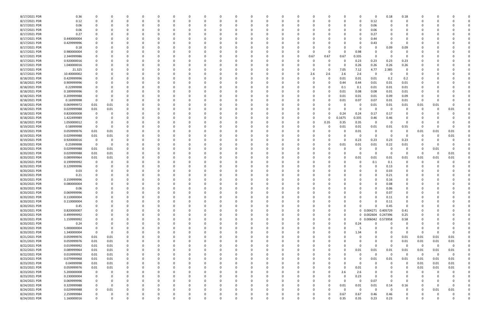| 8/17/2021 PDR | 0.36        | 0              |          |          |          |   |          |   |   | 0            |          |          |          |          |      |             | 0            | $\Omega$            | 0.18     | 0.18           |             |             |             |  |
|---------------|-------------|----------------|----------|----------|----------|---|----------|---|---|--------------|----------|----------|----------|----------|------|-------------|--------------|---------------------|----------|----------------|-------------|-------------|-------------|--|
| 8/17/2021 PDR | 0.12        | $\Omega$       |          |          |          |   | $\Omega$ |   |   |              | $\Omega$ |          |          | -0       |      | 0           | 0            | 0.12                | - 0      | $\Omega$       |             |             |             |  |
| 8/17/2021 PDR | 0.06        |                |          |          |          |   |          |   |   |              |          |          |          |          |      |             | 0            |                     |          |                |             |             |             |  |
|               |             |                |          |          |          |   |          |   |   |              |          |          |          |          |      |             |              | 0.06                |          |                |             |             |             |  |
| 8/17/2021 PDR | 0.06        |                |          |          |          |   |          |   |   |              |          |          |          |          |      |             | 0            | 0.06                |          |                |             |             |             |  |
| 8/17/2021 PDR | 0.27        |                |          |          |          |   |          |   |   |              |          |          |          |          |      |             |              | 0.27                |          |                |             |             |             |  |
| 8/17/2021 PDR | 0.440000004 |                |          |          |          |   |          |   |   |              |          |          |          |          |      |             | 0            | 0.44                |          |                |             |             |             |  |
| 8/17/2021 PDR | 0.429999996 |                |          |          |          |   |          |   |   |              |          |          |          |          |      |             | 0            | 0.43                | -0       | 0              |             |             |             |  |
|               |             |                |          |          |          |   |          |   |   |              |          |          |          |          |      |             |              |                     |          |                |             |             |             |  |
| 8/17/2021 PDR | 0.18        |                |          |          |          |   |          |   |   |              |          |          |          |          |      |             | 0            | 0                   | 0.09     | 0.09           |             |             |             |  |
| 8/17/2021 PDR | 0.980000004 |                |          |          |          |   |          |   |   |              |          |          |          |          |      | 0           | 0.98         | - 0                 |          |                |             |             |             |  |
| 8/17/2021 PDR | 2.344999986 |                |          |          |          |   |          |   |   |              |          |          |          | 0.67     | 0.67 | 0.67        | 0.335        | 0                   |          |                |             |             |             |  |
| 8/17/2021 PDR | 0.920000016 |                |          |          |          |   |          |   |   |              |          |          |          |          |      |             | 0.23         | 0.23                | 0.23     | 0.23           |             |             |             |  |
|               |             |                |          |          |          |   |          |   |   |              |          |          |          |          |      |             |              |                     |          |                |             |             |             |  |
| 8/17/2021 PDR | 1.040000016 |                |          |          |          |   |          |   |   |              |          |          |          |          |      | -0          | 0.26         | 0.26                | 0.26     | 0.26           |             |             |             |  |
| 8/17/2021 PDR | 21.325      |                |          |          |          |   |          |   |   |              |          |          |          | 0        |      | 7.05        | 7.12         | 4.77                | 2.385    | 0              |             |             |             |  |
| 8/17/2021 PDR | 10.40000002 |                |          |          |          |   |          |   |   |              |          |          |          | 2.6      | 2.6  | 2.6         | 2.6          | -0                  | - 0      | 0              |             |             |             |  |
| 8/18/2021 PDR | 0.429999996 |                |          |          |          |   |          |   |   |              |          |          |          | 0        | - 0  | 0.01        | 0.01         | 0.01                | 0.2      | 0.2            |             |             |             |  |
| 8/18/2021 PDR | 0.909999996 |                |          |          |          |   |          |   |   |              |          |          |          |          |      | 0.44        | 0.44         | 0.01                | 0.01     | 0.01           |             |             |             |  |
|               |             |                |          |          |          |   |          |   |   |              |          |          |          |          |      |             |              |                     |          |                |             |             |             |  |
| 8/18/2021 PDR | 0.22999998  |                |          |          |          |   |          |   |   |              |          |          |          |          |      | 0.1         | 0.1          | 0.01                | 0.01     | 0.01           |             |             |             |  |
| 8/18/2021 PDR | 0.189999996 | 0              |          |          |          |   |          |   |   |              |          |          |          |          |      | 0.01        | 0.08         | 0.08                | 0.01     | 0.01           |             |             |             |  |
| 8/18/2021 PDR | 0.209999988 | 0              |          |          |          |   |          |   |   |              |          |          |          |          |      | 0.01        | 0.01         | 0.01                | 0.09     | 0.09           |             |             |             |  |
| 8/18/2021 PDR | 0.16999998  | 0              | $\Omega$ |          |          |   |          |   |   |              |          |          |          |          |      | 0.01        | 0.07         | 0.07                | 0.01     | 0.01           | 0           |             |             |  |
|               |             |                |          |          |          |   |          |   |   |              |          |          |          |          |      |             |              |                     |          |                |             |             |             |  |
| 8/18/2021 PDR | 0.069999972 | 0.01           | 0.01     |          |          |   |          |   |   |              |          |          |          |          |      |             | 0            | 0.01                | 0.01     | 0.01           | 0.01        | 0.01        |             |  |
| 8/18/2021 PDR | 0.029999988 | 0.01           | $0.01\,$ |          |          |   |          |   |   |              |          |          |          |          |      |             | 0            | 0                   | - 0      |                |             |             | 0.01        |  |
| 8/18/2021 PDR | 0.820000008 | 0              |          |          |          |   |          |   |   |              |          |          |          |          |      | 0.24        | 0.24         | 0.17                | 0.17     |                |             |             |             |  |
| 8/18/2021 PDR | 1.422499989 | 0              |          |          |          |   |          |   |   |              |          |          |          |          |      | 0.1675      | 0.335        | 0.46                | 0.46     | 0              |             |             |             |  |
|               |             |                |          |          |          |   |          |   |   |              |          |          |          |          |      |             |              |                     |          | $\Omega$       |             |             |             |  |
| 8/18/2021 PDR | 1.050000012 | 0              |          |          |          |   |          |   |   |              |          |          |          | -0       | 0.35 | 0.35        | 0.35         | 0                   | - 0      |                |             |             |             |  |
| 8/19/2021 PDR | 0.58999998  | 0              | $\Omega$ |          |          |   |          |   |   |              |          |          |          | -0       |      | 0.01        | 0.01         | 0.01                | 0.01     | 0.55           | $\Omega$    |             |             |  |
| 8/19/2021 PDR | 0.059999976 | 0.01           | 0.01     |          |          |   |          |   |   |              |          |          |          |          |      |             | 0.01         | $\Omega$            |          | 0              | 0.01        | 0.01        | 0.01        |  |
| 8/19/2021 PDR | 0.029999988 | 0.01           | 0.01     |          |          |   |          |   |   |              |          |          |          |          |      |             | 0            | 0                   | - 0      |                | 0           |             | 0.01        |  |
| 8/19/2021 PDR | 0.920000016 | 0              | 0        |          |          |   |          |   |   |              |          |          |          |          |      | 0           | 0.23         | 0.23                | 0.23     | 0.23           |             |             |             |  |
|               |             |                |          |          |          |   |          |   |   |              |          |          |          |          |      |             |              |                     |          |                |             |             |             |  |
| 8/20/2021 PDR | 0.25999998  | $\overline{0}$ | $\Omega$ |          |          |   |          |   |   |              |          |          |          |          |      | 0.01        | 0.01         | 0.01                | 0.22     | 0.01           |             |             |             |  |
| 8/20/2021 PDR | 0.029999988 | 0.01           | 0.01     |          |          |   |          |   |   |              |          |          |          |          |      |             | 0            | -0                  | - 0      |                |             | 0.01        |             |  |
| 8/20/2021 PDR | 0.029999988 | 0.01           | 0.01     |          |          |   |          |   |   |              |          |          |          |          |      |             | 0            | - 0                 | - 0      | $\Omega$       | 0           |             | 0.01        |  |
| 8/20/2021 PDR | 0.089999964 | 0.01           | 0.01     |          |          |   |          |   |   |              |          |          |          |          |      |             | 0.01         | 0.01                | 0.01     | 0.01           | 0.01        | 0.01        | 0.01        |  |
|               |             |                |          |          |          |   |          |   |   |              |          |          |          |          |      |             |              |                     |          |                |             |             |             |  |
| 8/20/2021 PDR | 0.199999992 | 0              |          |          |          |   |          |   |   |              |          |          |          |          |      |             | 0            | 0.1                 | 0.1      |                |             |             |             |  |
| 8/20/2021 PDR | 0.129999996 |                |          |          |          |   |          |   |   |              |          |          |          |          |      |             |              | $\Omega$            | 0.13     |                |             |             |             |  |
| 8/20/2021 PDR | 0.03        |                |          |          |          |   |          |   |   |              |          |          |          |          |      |             |              | - 0                 | 0.03     |                |             |             |             |  |
| 8/20/2021 PDR | 0.21        |                |          |          |          |   |          |   |   |              |          |          |          |          |      |             |              | $\Omega$            | 0.21     |                |             |             |             |  |
|               | 0.159999996 |                |          |          |          |   |          |   |   |              |          |          |          |          |      |             |              | - 0                 |          |                |             |             |             |  |
| 8/20/2021 PDR |             |                |          |          |          |   |          |   |   |              |          |          |          |          |      |             |              |                     | 0.16     |                |             |             |             |  |
| 8/20/2021 PDR | 0.080000004 |                |          |          |          |   |          |   |   |              |          |          |          |          |      |             |              |                     | 0.08     |                |             |             |             |  |
| 8/20/2021 PDR | 0.06        | -0             |          |          |          |   |          |   |   |              |          |          |          |          |      |             | n            | $\Omega$            | 0.06     |                |             |             |             |  |
| 8/20/2021 PDR | 0.069999996 |                |          |          |          |   |          |   |   | 0            |          |          |          |          |      |             | $\mathbf{r}$ |                     | 0.07     |                |             |             |             |  |
| 8/20/2021 PDR | 0.110000004 | $\Omega$       |          | $\Omega$ | $\Omega$ |   | 0        |   |   | 0            | 0        | $\Omega$ |          | 0        |      | 0           |              | $\Omega$            | $0.11\,$ | 0              | 0           |             |             |  |
|               |             |                |          |          |          |   |          |   |   |              |          |          |          |          |      |             |              |                     |          |                |             |             |             |  |
| 8/20/2021 PDR | 0.110000004 | $\Omega$       |          |          |          |   | 0        |   |   |              |          |          |          |          |      | 0           |              | $\Omega$            | $0.11\,$ | 0              |             |             |             |  |
| 8/20/2021 PDR | 0.45        | 0              |          |          |          |   | 0        |   |   |              | 0        |          |          | 0        |      | 0           | $\Omega$     | $\Omega$            | 0.45     | 0              | 0           |             |             |  |
| 8/20/2021 PDR | 0.820000007 | 0              |          |          |          |   | -0       |   |   |              | - 0      |          |          |          |      | $\mathbf 0$ |              | 0 0.004271 0.405729 |          | 0.41           |             |             |             |  |
| 8/20/2021 PDR | 0.499999992 | $\Omega$       |          |          |          |   | 0        |   |   |              |          |          |          |          |      | $\mathbf 0$ |              | 0 0.002604 0.247396 |          | 0.25           |             |             |             |  |
|               |             |                |          |          |          |   |          |   |   |              |          |          |          |          |      |             |              |                     |          |                |             |             |             |  |
| 8/20/2021 PDR | 1.159999992 | 0              |          |          |          |   | 0        |   |   |              |          |          |          |          |      | 0           |              | 0 0.006042          | 0.573958 | 0.58           |             |             |             |  |
| 8/20/2021 PDR | 0.24        | 0              |          |          |          |   | 0        |   |   |              |          |          |          |          |      | 0           | 0.24         | $\Omega$            | 0        | $\mathbf 0$    |             |             |             |  |
| 8/20/2021 PDR | 5.000000004 | 0              |          |          |          | 0 | 0        |   |   | 0            | $\Omega$ |          | $\Omega$ | 0        |      | 0           | -5           | $\Omega$            | $\Omega$ | $\Omega$       | 0           |             |             |  |
| 8/20/2021 PDR | 1.340000004 | 0              | $\Omega$ |          |          | 0 | 0        |   |   | 0            | 0        |          |          | 0        |      | $\Omega$    | 1.34         | 0                   | $\Omega$ | $\overline{0}$ | 0           |             | $\Omega$    |  |
|               |             |                |          |          |          |   |          |   |   |              |          |          |          |          |      |             |              |                     | $\Omega$ |                |             |             |             |  |
| 8/21/2021 PDR | 0.059999976 | 0.01           | 0.01     |          |          | O | 0        |   |   |              | 0        |          |          | -0       |      |             | 0            | $\Omega$            |          | 0.01           | 0.01        | 0.01        | 0.01        |  |
| 8/21/2021 PDR | 0.059999976 | 0.01           | 0.01     |          |          |   | 0        |   |   |              | $\Omega$ |          |          | 0        |      |             | 0            | $\Omega$            | $\Omega$ | 0.01           | 0.01        | 0.01        | 0.01        |  |
| 8/22/2021 PDR | 0.019999992 | 0.01           | 0.01     |          |          |   | -0       |   |   |              | 0        |          |          | -0       |      | 0           | 0            | 0                   | - 0      | - 0            | - 0         | $\mathbf 0$ | $\mathbf 0$ |  |
| 8/22/2021 PDR | 0.089999964 | 0.01           | 0.01     |          |          |   | 0        |   |   |              |          |          |          |          |      | $\Omega$    | 0.01         | 0.01                | $0.01\,$ | 0.01           | 0.01        | 0.01        | $0.01\,$    |  |
| 8/22/2021 PDR | 0.019999992 | 0.01           | 0.01     |          |          |   |          |   |   |              |          |          |          |          |      | 0           | 0            | $\Omega$            | $\Omega$ | $\Omega$       | $\mathbf 0$ | $\Omega$    | $\mathbf 0$ |  |
|               |             |                |          |          |          |   |          |   |   |              |          |          |          |          |      |             |              |                     |          |                |             |             |             |  |
| 8/23/2021 PDR | 0.079999968 | 0.01           | 0.01     |          |          |   | 0        |   |   | 0            | 0        |          |          | 0        |      | 0           | 0            | 0.01                | 0.01     | 0.01           | 0.01        | 0.01        | 0.01        |  |
| 8/23/2021 PDR | 0.04999998  | 0.01           | 0.01     |          |          | 0 | 0        |   |   | 0            | $\Omega$ |          |          | -0       |      | 0           | 0            | 0                   | $\Omega$ | 0              | 0.01        | 0.01        | 0.01        |  |
| 8/23/2021 PDR | 0.059999976 | $0.01\,$       | 0.01     |          |          |   | 0        |   |   |              | $\Omega$ |          | $\Omega$ | 0        |      | $\Omega$    | 0.01         | $\Omega$            | $\Omega$ | $\Omega$       | 0.01        | 0.01        | 0.01        |  |
| 8/23/2021 PDR | 5.200000008 | 0              | 0        |          |          |   | 0        |   |   |              | 0        |          |          |          |      | 2.6         | 2.6          | 0                   |          | 0              | 0           | 0           |             |  |
|               |             |                |          |          |          |   |          |   |   |              |          |          |          |          |      |             |              |                     |          |                |             |             |             |  |
| 8/23/2021 PDR | 0.230000004 | 0              |          |          |          |   | 0        |   |   |              |          |          |          |          |      | $\mathbf 0$ | 0.23         | $\mathbf 0$         | $\Omega$ |                | 0           |             |             |  |
| 8/24/2021 PDR | 0.069999996 | 0              |          |          |          |   |          |   |   |              | $\Omega$ |          |          |          |      | $\Omega$    | $\mathbf 0$  | 0.07                | 0        | $\overline{0}$ | 0           |             |             |  |
| 8/24/2021 PDR | 0.329999988 | 0              | 0        |          |          |   | 0        |   |   |              | 0        |          |          | -0       |      | 0.01        | 0.01         | 0.01                | 0.14     | 0.16           | 0           |             | $\Omega$    |  |
| 8/24/2021 PDR | 0.029999988 | 0              | 0.01     |          |          | 0 | 0        |   |   | <sup>0</sup> |          |          |          | 0        |      | $\Omega$    | $\mathbf 0$  | 0                   | $\Omega$ | 0              | 0           | 0.01        | 0.01        |  |
| 8/24/2021 PDR | 2.259999984 |                |          |          |          |   |          |   |   |              |          |          |          |          |      | 0.67        | 0.67         | 0.46                | 0.46     | $\mathbf 0$    |             |             | 0           |  |
|               |             | 0              | 0        |          |          |   |          |   |   |              |          |          |          |          |      |             |              |                     |          |                |             |             |             |  |
| 8/24/2021 PDR | 1.160000016 | $\Omega$       | $\Omega$ | $\Omega$ | $\Omega$ | 0 | $\Omega$ | U | 0 | $\Omega$     | $\Omega$ | $\Omega$ | $\Omega$ | $\Omega$ |      | 0.35        | 0.35         | 0.23                | 0.23     | $\mathbf 0$    | 0           |             | 0           |  |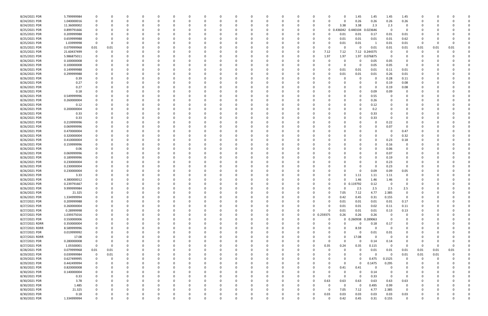| 8/24/2021 PDR  | 5.799999984  |             |          |          |          |          |              |          |   |          |   |          |          |          |          |          |             |          | 1.45        | 1.45          | 1.45     | 1.45           |          |          |          |  |
|----------------|--------------|-------------|----------|----------|----------|----------|--------------|----------|---|----------|---|----------|----------|----------|----------|----------|-------------|----------|-------------|---------------|----------|----------------|----------|----------|----------|--|
| 8/24/2021 PDR  | 1.040000016  |             |          |          |          |          |              |          |   |          |   |          |          |          |          |          |             | O        | 0.26        | 0.26          | 0.26     | 0.26           |          |          |          |  |
| 8/24/2021 PDR  | 11.36000002  |             |          |          |          |          |              |          |   |          |   |          |          |          |          |          |             | 3.38     | 3.38        | 2.3           | 2.3      | 0              |          |          |          |  |
| 8/25/2021 PDR  | 0.899791666  |             |          |          |          |          |              |          |   |          |   |          |          |          |          |          | $\mathbf 0$ | 0.436042 | 0.440104    | 023646        | $\Omega$ | 0              |          |          |          |  |
| 8/25/2021 PDR  | 0.209999988  |             |          |          |          |          |              |          |   |          |   |          |          |          |          |          |             | 0.01     | 0.01        | 0.17          | 0.01     | 0.01           |          |          |          |  |
| 8/25/2021 PDR  | 0.659999988  |             |          |          |          |          |              |          |   |          |   |          |          |          |          |          |             | 0.01     | 0.01        | 0.01          | 0.01     | 0.62           |          |          |          |  |
| 8/25/2021 PDR  | 1.03999998   |             |          |          |          |          |              |          |   |          |   |          |          |          |          |          |             | 0.01     | 0.01        |               | 0.01     | 0.01           | 0        |          |          |  |
| 8/25/2021 PDR  | 0.079999968  | 0.01        | 0.01     |          |          |          |              |          |   |          |   |          |          |          |          |          |             | 0        | 0           | 0.01          | 0.01     | 0.01           | 0.01     | 0.01     | 0.01     |  |
| 8/25/2021 PDR  | 21.60437499  |             |          |          |          |          |              |          |   |          |   |          |          |          |          |          | 7.12        | 7.12     |             | 7.12 0.244375 | $\Omega$ |                | O        |          |          |  |
| 8/25/2021 PDR  | 5.986875011  |             |          |          |          |          |              |          |   |          |   |          |          |          |          | 0        | 1.97        | 1.97     |             | 1.97 0.076875 | $\Omega$ |                |          |          |          |  |
| 8/26/2021 PDR  | 0.100000008  |             |          |          |          |          |              |          |   |          |   |          |          |          |          |          |             | O        | 0           | 0.05          | 0.05     | O              |          |          |          |  |
| 8/26/2021 PDR  | 0.100000008  |             |          |          |          |          |              |          |   |          |   |          |          |          |          |          |             | 0        | 0           | 0.05          | 0.05     | 0              |          |          |          |  |
| 8/26/2021 PDR  | 0.149999988  |             |          |          |          |          |              |          |   |          |   |          |          |          |          |          |             | 0.01     | 0.01        | 0.01          | 0.11     | 0.01           |          |          |          |  |
| 8/26/2021 PDR  | 0.299999988  |             |          |          |          |          |              |          |   |          |   |          |          |          |          |          |             | 0.01     | 0.01        | 0.01          | 0.26     | 0.01           |          |          |          |  |
| 8/26/2021 PDR  | 0.39         |             |          |          |          |          |              |          |   |          |   |          |          |          |          |          |             |          | 0           | 0             | 0.28     | 0.11           |          |          |          |  |
| 8/26/2021 PDR  | 0.27         |             |          |          |          |          |              |          |   |          |   |          |          |          |          |          |             |          |             | 0             | 0.19     | 0.08           |          |          |          |  |
| 8/26/2021 PDR  | 0.27         |             |          |          |          |          |              |          |   |          |   |          |          |          |          |          |             |          |             | $\Omega$      | 0.19     | 0.08           |          |          |          |  |
| 8/26/2021 PDR  | 0.18         |             |          |          |          |          |              |          |   |          |   |          |          |          |          |          |             |          |             | 0.09          | 0.09     | 0              |          |          |          |  |
| 8/26/2021 PDR  | 0.549999996  |             |          |          |          |          |              |          |   |          |   |          |          |          |          |          |             |          | 0           | 0.55          |          |                |          |          |          |  |
| 8/26/2021 PDR  | 0.260000004  |             |          |          |          |          |              |          |   |          |   |          |          |          |          |          |             |          |             | 0.26          |          |                |          |          |          |  |
| 8/26/2021 PDR  | 0.12         |             |          |          |          |          |              |          |   |          |   |          |          |          |          |          |             |          |             | 0.12          |          |                |          |          |          |  |
| 8/26/2021 PDR  | 0.200000004  |             |          |          |          |          |              |          |   |          |   |          |          |          |          |          |             |          |             | 0.2           |          |                |          |          |          |  |
|                |              |             |          |          |          |          |              |          |   |          |   |          |          |          |          |          |             |          |             |               |          |                |          |          |          |  |
| 8/26/2021 PDR  | 0.33<br>0.33 |             |          |          |          |          |              |          |   |          |   |          |          |          |          |          |             |          |             | 0.33<br>0.33  |          |                |          |          |          |  |
| 8/26/2021 PDR  |              |             |          |          |          |          |              |          |   |          |   |          |          |          |          |          |             |          | 0           |               |          |                |          |          |          |  |
| 8/26/2021 PDR  | 0.219999996  |             |          |          |          |          |              |          |   |          |   |          |          |          |          |          |             |          |             | 0             | 0.22     | 0              |          |          |          |  |
| 8/26/2021 PDR  | 0.069999996  |             |          |          |          |          |              |          |   |          |   |          |          |          |          |          |             |          |             | 0             | 0.07     | $\Omega$       |          |          |          |  |
| 8/26/2021 PDR  | 0.470000004  |             |          |          |          |          |              |          |   |          |   |          |          |          |          |          |             |          |             | 0             | - 0      | 0.47           |          |          |          |  |
| 8/26/2021 PDR  | 0.320000004  |             |          |          |          |          |              |          |   |          |   |          |          |          |          |          |             |          |             | 0             | - 0      | 0.32           |          |          |          |  |
| 8/26/2021 PDR  | 0.410000004  |             |          |          |          |          |              |          |   |          |   |          |          |          |          |          |             |          |             | $\Omega$      | 0.23     | 0.18           |          |          |          |  |
| 8/26/2021 PDR  | 0.159999996  |             |          |          |          |          |              |          |   |          |   |          |          |          |          |          |             |          |             | $\Omega$      | 0.16     | 0              |          |          |          |  |
| 8/26/2021 PDR  | 0.06         |             |          |          |          |          |              |          |   |          |   |          |          |          |          |          |             |          |             | $\Omega$      | 0.06     | 0              |          |          |          |  |
| 8/26/2021 PDR  | 0.069999996  |             |          |          |          |          |              |          |   |          |   |          |          |          |          |          |             |          |             | 0             | 0.07     |                |          |          |          |  |
| 8/26/2021 PDR  | 0.189999996  |             |          |          |          |          |              |          |   |          |   |          |          |          |          |          |             |          |             | $\Omega$      | 0.19     |                |          |          |          |  |
| 8/26/2021 PDR  | 0.230000004  |             |          |          |          |          |              |          |   |          |   |          |          |          |          |          |             |          |             | 0             | 0.23     | 0              |          |          |          |  |
| 8/26/2021 PDR  | 0.230000004  |             |          |          |          |          |              |          |   |          |   |          |          |          |          |          |             |          |             | $\Omega$      | 0.23     | $\Omega$       |          |          |          |  |
| 8/26/2021 PDR  | 0.230000004  |             |          |          |          |          |              |          |   |          |   |          |          |          |          |          |             |          | 0           | 0.09          | 0.09     | 0.05           |          |          |          |  |
| 8/26/2021 PDR  | 3.33         |             |          |          |          |          |              |          |   |          |   |          |          |          |          |          |             | 0        | 1.11        | 1.11          | 1.11     | 0              |          |          |          |  |
| 8/26/2021 PDR  | 4.380000012  |             |          |          |          |          |              |          |   |          |   |          |          |          |          |          |             |          | 1.46        | 1.46          | 1.46     | O              |          |          |          |  |
| 8/26/2021 PDR  | 0.239791667  |             |          |          |          |          |              |          |   |          |   |          |          |          |          |          |             |          | 0 0.119792  | 0.12          | - 0      | 0              |          |          |          |  |
| 8/26/2021 PDR  | 9.999999984  |             |          |          |          |          |              |          |   |          |   |          |          |          |          |          |             | 0        | 2.5         | 2.5           | 2.5      | 2.5            |          |          |          |  |
| 8/26/2021 PDR  | 21.325       |             |          |          |          |          |              |          |   |          |   |          |          |          |          |          |             | 7.05     | 7.12        | 4.77          | 2.385    |                |          |          |          |  |
| 8/26/2021 PDR  | 1.334999994  | 0           | 0        | 0        | 0        | $\Omega$ | 0            | 0        | 0 | $\Omega$ | ŋ | 0        | $\Omega$ | $\Omega$ | $\Omega$ | $\Omega$ | $\Omega$    | 0.42     | 0.45        | 0.31          | 0.155    | $\mathbf 0$    | 0        |          |          |  |
| 8/27/2021 PDR  | 0.209999988  |             | 0        |          | 0        | $\Omega$ | 0            | 0        | 0 | 0        |   | 0        |          | $\Omega$ | $\Omega$ | 0        |             | 0.01     | 0.01        | 0.01          | 0.01     | 0.17           | 0        |          |          |  |
| 8/27/2021 PDR  | 0.260000004  |             |          |          | $\Omega$ |          | <sup>0</sup> | 0        |   |          |   | $\Omega$ | $\Omega$ |          | 0        | $\Omega$ |             | 0.01     | 0.01        | 0.02          | 0.11     | 0.11           | 0        |          |          |  |
| 8/27/2021 PDR  | 0.28999998   |             |          |          | 0        |          |              | 0        |   |          |   |          |          |          | 0        | $\Omega$ |             | 0.01     | 0.01        | 0.01          | 0.13     | 0.13           | O        |          |          |  |
| 8/27/2021 PDR  | 1.039375016  |             |          |          | 0        |          |              | 0        |   |          |   |          |          |          | 0        |          | 0 0.259375  | 0.26     | 0.26        | 0.26          | 0        | 0              |          |          |          |  |
| 8/27/2021 PDR  | 0.550000006  |             |          | 0        | $\Omega$ |          | 0            | 0        |   |          |   | 0        | $\Omega$ | 0        | 0        | 0        | $\Omega$    | $\Omega$ | 0.260938    | .289063       | $\Omega$ | 0              | 0        |          |          |  |
| 8/27/2021 RDRR | 0.350000004  |             | 0        |          | $\Omega$ | $\Omega$ | 0            | 0        | 0 |          |   |          | $\Omega$ |          | 0        |          |             | $\Omega$ | 0           | 0.18          | 0.17     | 0              | 0        |          |          |  |
| 8/27/2021 RDRR | 8.589999996  |             |          |          | 0        | $\Omega$ | <sup>0</sup> | 0        | 0 |          |   |          |          |          |          | 0        |             | $\Omega$ | 8.59        | $\mathbf 0$   | $\Omega$ | $\Omega$       | 0        |          |          |  |
| 8/27/2021 PDR  | 0.019999992  |             |          |          | $\Omega$ |          | 0            | 0        | 0 |          |   |          |          |          |          | 0        |             | $\Omega$ | 0           | 0.01          | 0.01     | 0              | 0        |          |          |  |
| 8/27/2021 RDRR | 17.08        |             |          |          | 0        |          |              | 0        |   |          |   |          |          |          |          | 0        |             | $\Omega$ | 17.08       | $\Omega$      | $\Omega$ | 0              |          |          |          |  |
| 8/27/2021 PDR  | 0.280000008  |             |          |          | 0        |          | <sup>0</sup> | 0        |   |          |   |          |          |          |          | 0        | $\Omega$    | $\Omega$ | $\mathbf 0$ | 0.14          | 0.14     | 0              | 0        |          |          |  |
| 8/27/2021 PDR  | 1.05500001   | $\mathbf 0$ | 0        |          | 0        |          | 0            | 0        |   |          |   |          |          |          |          | 0        | 0.35        | 0.24     | 0.35        | 0.115         | $\Omega$ | $\mathbf 0$    | - 0      | $\Omega$ | $\Omega$ |  |
| 8/28/2021 PDR  | 0.079999968  | 0.01        | 0.01     |          |          |          |              |          |   |          |   |          |          |          |          | 0        |             | $\Omega$ | 0           | 0.01          | $0.01\,$ | 0.01           | 0.01     | 0.01     | 0.01     |  |
| 8/29/2021 PDR  | 0.039999984  | $\mathbf 0$ | $0.01\,$ |          | 0        |          | 0            | 0        | 0 |          |   |          |          |          |          | 0        |             | 0        | 0           | $\Omega$      | $\Omega$ | 0.01           | 0.01     | 0.01     |          |  |
| 8/29/2021 PDR  | 0.627499995  | 0           | 0        | 0        | 0        | $\Omega$ | 0            | 0        | 0 |          |   | 0        | $\Omega$ | $\Omega$ | 0        | 0        |             | 0        | 0           | 0.475         | 0.1525   | 0              | 0        | $\Omega$ |          |  |
| 8/29/2021 PDR  | 0.442499994  |             | 0        |          | $\Omega$ | $\Omega$ |              | 0        |   |          |   |          | $\Omega$ |          | 0        | 0        |             | $\Omega$ | $\mathbf 0$ | 0.1475        | 0.295    | 0              | O        |          |          |  |
| 8/30/2021 PDR  | 0.820000008  |             | 0        |          | 0        |          |              | 0        |   |          |   |          |          |          |          | 0        | $\Omega$    | 0.41     | 0.41        | $\Omega$      |          | 0              | 0        |          |          |  |
| 8/30/2021 PDR  | 0.140000004  |             | 0        |          | 0        |          |              | 0        |   |          |   |          |          |          |          | 0        |             | 0        | 0           | 0.14          | $\Omega$ | 0              | 0        |          |          |  |
| 8/30/2021 PDR  | 0.33         |             |          |          | $\Omega$ |          | 0            | 0        |   |          |   |          |          |          |          | 0        |             | $\Omega$ | $\mathbf 0$ | 0.33          | $\Omega$ | $\mathbf 0$    | O        |          |          |  |
| 8/30/2021 PDR  | 3.78         |             | 0        |          | $\Omega$ |          | <sup>0</sup> | 0        | 0 |          |   | 0        | $\Omega$ |          | $\Omega$ | 0        | 0.63        | 0.63     | 0.63        | 0.63          | 0.63     | 0.63           | 0        |          |          |  |
| 8/30/2021 PDR  | 1.485        |             |          |          | 0        |          |              | 0        | 0 |          |   |          |          |          | 0        | 0        | - 0         | $\Omega$ | $\mathbf 0$ | 0.495         | 0.99     | $\mathbf 0$    |          |          |          |  |
| 8/30/2021 PDR  | 21.325       |             |          |          | - 0      |          |              | C        |   |          |   |          |          |          |          | 0        | $\Omega$    | 7.05     | 7.12        | 4.77          | 2.385    | $\overline{0}$ |          |          |          |  |
| 8/30/2021 PDR  | 0.18         |             |          |          | 0        |          |              |          |   |          |   |          |          |          |          | 0        | 0.03        | 0.03     | 0.03        | 0.03          | 0.03     | 0.03           |          |          |          |  |
| 8/30/2021 PDR  | 1.334999994  | $\Omega$    | $\Omega$ | $\Omega$ | $\Omega$ | $\Omega$ | $\Omega$     | $\Omega$ |   | O        |   | $\Omega$ |          | $\Omega$ | $\Omega$ | 0        | $\Omega$    | 0.42     | 0.45        | 0.31          | 0.155    | $\mathbf 0$    | $\Omega$ |          | 0        |  |
|                |              |             |          |          |          |          |              |          |   |          |   |          |          |          |          |          |             |          |             |               |          |                |          |          |          |  |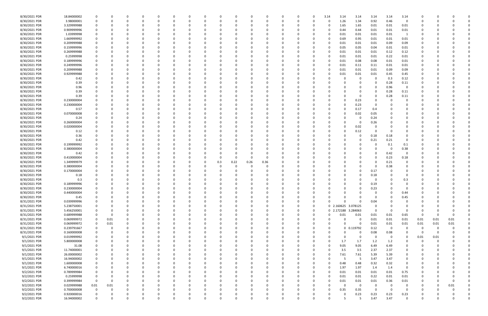| 8/30/2021 PDR | 18.84000002 |             |              |   |          |          |          |          |    |     |          |          | $\Omega$ |          | 0        | 0        | 3.14 | 3.14                | 3.14           | 3.14        | 3.14        | 3.14           |                |          |          |  |
|---------------|-------------|-------------|--------------|---|----------|----------|----------|----------|----|-----|----------|----------|----------|----------|----------|----------|------|---------------------|----------------|-------------|-------------|----------------|----------------|----------|----------|--|
| 8/30/2021 PDR | 3.98000001  | 0           |              |   |          |          |          |          |    |     |          |          | 0        |          |          | n        |      | 1.26                | 1.34           | 0.92        | 0.46        | $\overline{0}$ |                |          |          |  |
| 8/30/2021 PDR | 3.329999988 |             |              |   |          |          |          |          |    |     |          |          |          |          |          |          |      | 1.65                | 1.65           | 0.01        | 0.01        | $0.01\,$       |                |          |          |  |
| 8/30/2021 PDR | 0.909999996 |             |              |   |          |          |          |          |    |     |          |          | - 0      |          |          |          |      | 0.44                | 0.44           | 0.01        | 0.01        | 0.01           |                |          |          |  |
|               |             |             |              |   |          |          |          |          |    |     |          |          |          |          |          |          |      |                     |                |             |             |                |                |          |          |  |
| 8/30/2021 PDR | 1.03999998  | 0           |              |   |          |          |          |          |    |     |          |          |          |          |          |          |      | 0.01                | 0.01           | 0.01        | 0.01        |                |                |          |          |  |
| 8/30/2021 PDR | 1.669999992 |             |              |   |          |          |          |          |    |     |          |          | - 0      |          |          |          |      | 0.69                | 0.95           | 0.01        | 0.01        | 0.01           |                |          |          |  |
| 8/30/2021 PDR | 0.209999988 |             |              |   |          |          |          |          |    |     |          |          | - 0      |          |          |          |      | 0.01                | 0.01           | 0.01        | 0.09        | 0.09           |                |          |          |  |
| 8/30/2021 PDR | 0.159999996 |             |              |   |          |          |          |          |    |     |          |          |          |          |          |          |      | 0.05                | 0.05           | 0.04        | 0.01        | 0.01           |                |          |          |  |
| 8/30/2021 PDR | 0.269999988 |             |              |   |          |          |          |          |    |     |          |          |          |          |          |          |      | 0.01                | 0.01           | 0.01        | 0.12        | 0.12           |                |          |          |  |
| 8/30/2021 PDR | 0.25999998  |             |              |   |          |          |          |          |    |     |          |          |          |          |          |          |      | 0.01                | 0.01           | 0.01        | 0.22        | 0.01           |                |          |          |  |
| 8/30/2021 PDR | 0.189999996 | -0          |              |   |          |          |          |          |    |     |          |          |          |          |          |          |      | 0.01                | 0.08           | 0.08        | 0.01        | 0.01           |                |          |          |  |
| 8/30/2021 PDR | 0.249999996 |             |              |   |          |          |          |          |    |     |          |          |          |          |          |          |      | 0.01                | 0.11           | 0.11        | 0.01        | 0.01           |                |          |          |  |
| 8/30/2021 PDR | 0.209999988 |             |              |   |          |          |          |          |    |     |          |          | - 0      |          |          |          |      | 0.01                |                |             | 0.09        |                |                |          |          |  |
|               |             |             |              |   |          |          |          |          |    |     |          |          |          |          |          |          |      |                     | 0.01           | 0.01        |             | 0.09           |                |          |          |  |
| 8/30/2021 PDR | 0.929999988 |             |              |   |          |          |          |          |    |     |          |          |          |          |          |          |      | 0.01                | 0.01           | 0.01        | 0.45        | 0.45           |                |          |          |  |
| 8/30/2021 PDR | 0.42        |             |              |   |          |          |          |          |    |     |          |          |          |          |          |          |      |                     | 0              | 0           | 0.3         | 0.12           |                |          |          |  |
| 8/30/2021 PDR | 0.39        |             |              |   |          |          |          |          |    |     |          |          |          |          |          |          |      |                     |                | 0           | 0.28        | 0.11           |                |          |          |  |
| 8/30/2021 PDR | 0.96        |             |              |   |          |          |          |          |    |     |          |          |          |          |          |          |      |                     |                | 0           | 0.96        | 0              |                |          |          |  |
| 8/30/2021 PDR | 0.39        |             |              |   |          |          |          |          |    |     |          |          |          |          |          |          |      |                     |                | 0           | 0.28        | 0.11           |                |          |          |  |
| 8/30/2021 PDR | 0.39        |             |              |   |          |          |          |          |    |     |          |          | - 0      |          |          |          |      |                     | 0              | 0           | 0.28        | 0.11           |                |          |          |  |
| 8/30/2021 PDR | 0.230000004 |             |              |   |          |          |          |          |    |     |          |          |          |          |          |          |      |                     | 0.23           | 0           |             |                |                |          |          |  |
| 8/30/2021 PDR | 0.230000004 |             |              |   |          |          |          |          |    |     |          |          |          |          |          |          |      |                     | 0.23           | 0           |             |                |                |          |          |  |
| 8/30/2021 PDR | 0.57        |             |              |   |          |          |          |          |    |     |          |          |          |          |          |          |      |                     | 0.17           |             |             |                |                |          |          |  |
|               |             |             |              |   |          |          |          |          |    |     |          |          |          |          |          |          |      |                     |                | 0.4         |             |                |                |          |          |  |
| 8/30/2021 PDR | 0.070000008 |             |              |   |          |          |          |          |    |     |          |          |          |          |          |          |      |                     | 0.02           | 0.05        |             |                |                |          |          |  |
| 8/30/2021 PDR | 0.24        |             |              |   |          |          |          |          |    |     |          |          | 0        |          |          |          |      |                     | 0              | 0.24        |             |                |                |          |          |  |
| 8/30/2021 PDR | 0.260000004 |             |              |   |          |          |          |          |    |     |          |          | 0        |          |          |          |      |                     | 0              | 0.26        |             |                |                |          |          |  |
| 8/30/2021 PDR | 0.020000004 |             |              |   |          |          |          |          |    |     |          |          | - 0      |          |          |          |      |                     | 0.02           | $\Omega$    |             |                |                |          |          |  |
| 8/30/2021 PDR | 0.12        |             |              |   |          |          |          |          |    |     |          |          |          |          |          |          |      |                     | 0.12           | 0           |             |                |                |          |          |  |
| 8/30/2021 PDR | 0.36        |             |              |   |          |          |          |          |    |     |          |          |          |          |          |          |      |                     | 0              | 0.18        | 0.18        | 0              |                |          |          |  |
| 8/30/2021 PDR | 0.42        |             |              |   |          |          |          |          |    |     |          |          |          |          |          |          |      |                     |                | 0.21        | 0.21        | $\Omega$       |                |          |          |  |
| 8/30/2021 PDR | 0.199999992 |             |              |   |          |          |          |          |    |     |          |          |          |          |          |          |      |                     |                | 0           | 0.1         | 0.1            |                |          |          |  |
| 8/30/2021 PDR | 0.380000004 |             |              |   |          |          |          |          |    |     |          |          |          |          |          |          |      |                     |                | 0           | - 0         | 0.38           |                |          |          |  |
|               |             |             |              |   |          |          |          |          |    |     |          |          |          |          |          |          |      |                     |                | $\Omega$    |             | $\Omega$       |                |          |          |  |
| 8/30/2021 PDR | 0.42        |             |              |   |          |          |          |          |    |     |          |          |          |          |          |          |      |                     |                |             | 0.42        |                |                |          |          |  |
| 8/30/2021 PDR | 0.410000004 |             |              |   |          |          |          |          |    |     | 0        | 0        | 0        |          |          |          |      |                     |                | 0           | 0.23        | 0.18           |                |          |          |  |
| 8/30/2021 PDR | 1.349999979 |             |              |   |          |          |          |          |    | 0.3 | 0.22     | 0.26     | 0.36     |          |          |          |      |                     |                | 0           | 0.21        | 0              |                |          |          |  |
| 8/30/2021 PDR | 0.380000004 |             |              |   |          |          |          |          |    |     |          |          | - 0      |          |          |          |      |                     |                | $\Omega$    | 0.38        | 0              |                |          |          |  |
| 8/30/2021 PDR | 0.170000004 |             |              |   |          |          |          |          |    |     |          |          | 0        |          |          |          |      |                     |                | 0.17        |             | 0              |                |          |          |  |
| 8/30/2021 PDR | 0.18        |             |              |   |          |          |          |          |    |     |          |          | 0        |          |          |          |      |                     |                | 0.18        |             | 0              |                |          |          |  |
| 8/30/2021 PDR | 0.3         |             |              |   |          |          |          |          |    |     |          |          | - 0      |          |          |          |      |                     |                | 0           |             | 0.3            |                |          |          |  |
| 8/30/2021 PDR | 0.189999996 |             |              |   |          |          |          |          |    |     |          |          |          |          |          |          |      |                     |                | 0.19        |             | 0              |                |          |          |  |
| 8/30/2021 PDR | 0.230000004 |             |              |   |          |          |          |          |    |     |          |          |          |          |          |          |      |                     |                | 0.23        |             |                |                |          |          |  |
| 8/30/2021 PDR | 0.440000004 |             |              |   |          |          |          |          |    |     |          |          |          |          |          |          |      |                     |                |             |             | 0.44           |                |          |          |  |
|               |             |             |              |   |          |          |          |          |    |     |          |          |          |          |          |          |      |                     |                |             |             |                |                |          |          |  |
| 8/30/2021 PDR | 0.45        | 0           | 0            | ŋ | 0        | $\Omega$ | $\Omega$ | $\Omega$ | 0  |     | $\Omega$ | 0        | 0        | $\Omega$ | $\Omega$ | 0        |      | 0                   | 0              | $\mathbf 0$ | $\Omega$    | 0.45           | 0              | $\Omega$ |          |  |
| 8/31/2021 PDR | 0.039999996 | 0           | 0            |   | 0        |          |          |          | 0  |     |          | 0        | 0        |          |          | 0        |      | $\Omega$            | $\Omega$       | 0.04        |             | 0              | 0              |          |          |  |
| 8/31/2021 PDR | 5.238750001 | $\Omega$    |              |   |          |          |          |          | -0 |     |          |          | $\Omega$ |          | 0        | 0        |      | 0 2.160625 3.078125 |                | 0           |             | 0              | C.             |          |          |  |
| 8/31/2021 PDR | 5.456250001 | 0           |              |   |          |          |          |          |    |     |          |          | $\Omega$ |          |          | $\Omega$ |      | 0 2.172188 3.284063 |                | $\mathbf 0$ | $\Omega$    | - 0            | 0              |          |          |  |
| 8/31/2021 PDR | 0.689999988 | 0           | 0            |   |          |          |          |          |    |     |          |          | 0        |          |          | 0        |      | 0.01                | 0.01           | 0.01        | 0.01        | 0.65           | - 0            |          |          |  |
| 8/31/2021 PDR | 0.069999972 | 0           | 0.01         |   |          |          |          |          | -0 |     | ŋ        | 0        | $\Omega$ |          | 0        | 0        |      | $\Omega$            | 0              | 0.01        | 0.01        | 0.01           | 0.01           | 0.01     | 0.01     |  |
| 8/31/2021 PDR | 0.069999972 | $\mathbf 0$ | 0.01         |   |          |          |          |          |    |     |          |          | 0        |          | 0        | 0        |      | $\Omega$            | $\mathbf 0$    | 0.01        | 0.01        | 0.01           | 0.01           | 0.01     | 0.01     |  |
| 8/31/2021 PDR | 0.239791667 | $\mathbf 0$ | $\Omega$     |   |          |          |          |          | 0  |     |          |          | 0        |          |          | 0        |      |                     | $0$ $0.119792$ | 0.12        | $\mathbf 0$ | 0              | $\overline{0}$ | $\Omega$ |          |  |
| 8/31/2021 PDR | 0.160000008 | 0           |              |   |          |          |          |          | 0  |     |          |          | 0        |          |          | 0        |      |                     | 0              | 0.08        | 0.08        | 0              | 0              | $\Omega$ |          |  |
| 9/1/2021 PDR  | 0.019999992 |             |              |   |          |          |          |          |    |     |          |          | 0        |          |          |          |      | 0                   | 0              | 0           | 0           | 0              | 0.01           | 0.01     |          |  |
|               |             |             |              |   |          |          |          |          |    |     |          |          |          |          |          |          |      |                     |                |             |             |                |                |          |          |  |
| 9/1/2021 PDR  | 5.800000008 |             |              |   |          |          |          |          | -0 |     |          |          | 0        |          |          |          |      | 1.7                 | 1.7            | 1.2         | 1.2         | 0              | 0              | 0        |          |  |
| 9/1/2021 PDR  | 31.08       | 0           |              |   |          |          |          |          |    |     |          |          | 0        |          |          | 0        |      | 9.05                | 9.05           | 6.49        | 6.49        | 0              | 0              |          |          |  |
| 9/1/2021 PDR  | 11.74000001 | 0           |              |   |          |          |          |          |    |     |          |          | $\Omega$ |          |          | 0        |      | 3.5                 | 3.5            | 2.37        | 2.37        | $\mathbf 0$    |                |          |          |  |
| 9/1/2021 PDR  | 26.00000002 | 0           |              |   |          |          |          |          | 0  |     | 0        |          | 0        |          |          | 0        |      | 7.61                | 7.61           | 5.39        | 5.39        | 0              | 0              |          |          |  |
| 9/1/2021 PDR  | 16.94000002 | 0           |              |   | 0        |          |          |          | 0  |     |          | 0        | 0        |          | 0        | 0        |      | -5                  | 5              | 3.47        | 3.47        | 0              | 0              |          |          |  |
| 9/1/2021 PDR  | 1.600000008 | 0           |              |   |          |          |          |          |    |     |          |          | 0        |          |          | 0        |      | 0.48                | 0.48           | 0.32        | 0.32        | $\mathbf 0$    |                |          |          |  |
| 9/1/2021 PDR  | 6.740000016 | $\Omega$    |              |   |          |          |          |          | -0 |     |          |          | $\Omega$ |          |          | n        |      | 1.97                | 1.97           | 1.4         | 1.4         | $\mathbf 0$    | C.             |          |          |  |
| 9/2/2021 PDR  | 0.789999984 | 0           |              |   |          |          |          |          |    |     |          |          | 0        |          |          |          | 0    | 0.01                | 0.01           | 0.01        | 0.01        | 0.75           | 0              |          |          |  |
| 9/2/2021 PDR  | 0.25999998  | 0           |              |   |          |          |          |          |    |     |          |          | 0        |          |          |          |      | 0.01                | 0.01           | 0.22        | 0.01        | 0.01           | 0              |          |          |  |
| 9/2/2021 PDR  | 0.399999984 | $\mathbf 0$ | $\Omega$     |   |          |          |          |          |    |     |          |          | $\Omega$ |          | $\Omega$ |          |      | 0.01                | 0.01           | 0.01        | 0.36        | 0.01           |                |          |          |  |
|               |             |             |              |   |          |          |          |          | 0  |     | 0        |          |          |          |          | 0        |      |                     |                |             |             |                | 0              |          |          |  |
| 9/2/2021 PDR  | 0.029999988 | 0.01        | 0.01         |   |          |          |          |          | 0  |     |          |          | 0        |          |          |          |      | $\Omega$            | $\mathbf 0$    | 0           | - 0         | $\mathbf 0$    | 0              | $\Omega$ | 0.01     |  |
| 9/2/2021 PDR  | 0.700000008 | $\mathbf 0$ | <sup>0</sup> |   |          |          |          |          |    |     |          |          | 0        |          |          |          |      | 0.35                | 0.35           | $\Omega$    | $\Omega$    | $\Omega$       |                |          |          |  |
| 9/2/2021 PDR  | 0.920000016 | 0           |              |   |          |          |          |          |    |     |          |          |          |          |          |          |      |                     | 0.23           | 0.23        | 0.23        | 0.23           |                |          |          |  |
| 9/2/2021 PDR  | 16.94000002 | $\mathbf 0$ | O            |   | $\Omega$ |          | $\Omega$ | $\Omega$ | 0  |     | $\Omega$ | $\Omega$ | $\Omega$ | $\Omega$ | $\Omega$ | 0        |      | 5                   | 5              | 3.47        | 3.47        | $\mathbf 0$    | 0              |          | $\Omega$ |  |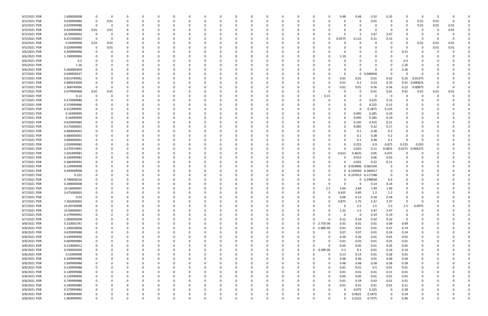| 9/2/2021 PDR                 | 1.600000008                | - 0           | 0        |   |          |              |     |          |          |          |   |          |             |               | -0                | 0.48<br>0.48                        | 0.32             | 0.32          |              | -0       |      |          |  |
|------------------------------|----------------------------|---------------|----------|---|----------|--------------|-----|----------|----------|----------|---|----------|-------------|---------------|-------------------|-------------------------------------|------------------|---------------|--------------|----------|------|----------|--|
| 9/3/2021 PDR                 | 0.039999984                | 0             | 0.01     |   | 0        |              |     |          |          |          |   |          |             |               |                   | 0                                   | 0.01             | $\Omega$      | 0            | 0.01     | 0.01 | $\Omega$ |  |
| 9/3/2021 PDR                 | 0.029999988                | $\Omega$      | $\Omega$ |   |          |              |     |          |          |          |   |          |             |               |                   |                                     | C                |               | <sup>0</sup> | 0.01     | 0.01 | 0.01     |  |
| 9/3/2021 PDR                 | 0.029999988                | 0.01          | 0.01     |   |          |              |     |          |          |          |   |          |             |               |                   |                                     | 0                | - 0           |              | C        |      | 0.01     |  |
|                              |                            |               |          |   |          |              |     |          |          |          |   |          |             |               |                   |                                     |                  |               |              |          |      |          |  |
| 9/3/2021 PDR                 | 16.94000002                | 0             |          |   |          |              |     |          |          |          |   |          |             |               |                   |                                     | 3.47             | 3.47          |              |          |      |          |  |
| 9/3/2021 PDR                 | 0.472500003                | $\Omega$      | $\Omega$ |   |          |              |     |          |          |          |   |          |             |               | 0.0575<br>0       | 0.115                               | 0.15             | 0.15          |              | -0       |      |          |  |
| 9/4/2021 PDR                 | 0.04999998                 | 0.01          | 0.01     |   |          |              |     |          |          |          |   |          |             |               |                   | 0                                   | C                |               |              | 0.01     | 0.01 | 0.01     |  |
| 9/5/2021 PDR                 | 0.029999988                | 0             | 0.01     |   |          |              |     |          |          |          |   |          |             |               |                   |                                     |                  |               |              | -C       | 0.01 | 0.01     |  |
| 9/6/2021 PDR                 | 0.309999996                | 0             | 0        |   |          |              |     |          |          |          |   |          |             |               |                   |                                     |                  |               | 0.31         |          |      |          |  |
| 9/6/2021 PDR                 | 1.190000004                |               |          |   |          |              |     |          |          |          |   |          |             |               |                   |                                     |                  |               |              |          |      |          |  |
|                              |                            |               |          |   |          |              |     |          |          |          |   |          |             |               |                   | 1.19                                |                  |               |              |          |      |          |  |
| 9/6/2021 PDR                 | 0.3                        |               |          |   |          |              |     |          |          |          |   |          |             |               |                   |                                     | 0                |               | 0.3          |          |      |          |  |
| 9/6/2021 PDR                 | 1.26                       |               |          |   |          |              |     |          |          |          |   |          |             |               |                   |                                     | 0                |               | 1.26         |          |      |          |  |
| 9/6/2021 PDR                 | 0.260000004                |               |          |   |          |              |     |          |          |          |   |          |             |               |                   |                                     | 0                |               | 0.26         |          |      |          |  |
| 9/7/2021 PDR                 | 0.048958337                |               |          |   |          |              |     |          |          |          |   |          |             |               |                   | - 0                                 | 0 0.048958       | 0             |              |          |      |          |  |
| 9/7/2021 PDR                 | 0.813749992                |               |          |   |          |              |     |          |          |          |   |          |             |               | -0                | 0.01<br>0.01                        | 0.01             | 0.42          | 0.35         | 0.01375  |      |          |  |
| 9/7/2021 PDR                 | 0.680625004                | 0             |          |   |          |              |     |          |          |          |   |          |             |               | 0                 | 0.01<br>0.2                         | 0.23             | 0.23          | 0.01         | 0.000625 |      |          |  |
|                              |                            |               |          |   |          |              |     |          |          |          |   |          |             |               |                   |                                     |                  |               |              |          |      |          |  |
| 9/7/2021 PDR                 | 1.368749996                | $\Omega$      | O        |   |          |              |     |          |          |          |   |          |             |               | 0                 | 0.01<br>0.01                        | 0.56             | 0.56          | 0.22         | 0.00875  |      |          |  |
| 9/7/2021 PDR                 | 0.079999968                | 0.01          | 0.01     |   |          |              |     |          |          |          |   |          |             |               | -0                | 0                                   | 0.01             | 0.01          | 0.01         | 0.01     | 0.01 | 0.01     |  |
| 9/7/2021 PDR                 | 0.15                       | $\Omega$      | O        |   |          |              |     |          |          |          |   |          |             |               | 0.15              |                                     | C                | - 0           |              |          |      |          |  |
| 9/7/2021 PDR                 | 0.374999986                |               |          |   |          |              |     |          |          |          |   |          |             |               | -0                | 0                                   | 0.225            | 0.15          | $\Omega$     |          |      |          |  |
| 9/7/2021 PDR                 | 0.374999986                |               |          |   |          |              |     |          |          |          |   |          |             |               |                   | 0                                   | 0.225            | 0.15          |              |          |      |          |  |
| 9/7/2021 PDR                 | 0.312499995                |               |          |   |          |              |     |          |          |          |   |          |             |               |                   | 0                                   | 0.1875           | 0.125         |              |          |      |          |  |
|                              |                            |               |          |   |          |              |     |          |          |          |   |          |             |               |                   |                                     |                  |               |              |          |      |          |  |
| 9/7/2021 PDR                 | 0.56999999                 |               |          |   |          |              |     |          |          |          |   |          |             |               |                   | 0.095                               | 0.285            | 0.19          |              |          |      |          |  |
| 9/7/2021 PDR                 | 0.56999999                 |               |          |   |          |              |     |          |          |          |   |          |             |               | -0                | 0.095                               | 0.285            | 0.19          | 0            |          |      |          |  |
| 9/7/2021 PDR                 | 0.629999984                |               |          |   |          |              |     |          |          |          |   |          |             |               | -0                | 0.105                               | 0.315            | 0.21          | 0            |          |      |          |  |
| 9/7/2021 PDR                 | 0.575000001                |               |          |   |          |              |     |          |          |          |   |          |             |               | -0                | 0.085                               | 0.32             | 0.17          |              |          |      |          |  |
| 9/7/2021 PDR                 | 0.680000001                |               |          |   |          |              |     |          |          |          |   |          |             |               |                   | 0.1                                 | 0.38             | 0.2           | 0            |          |      |          |  |
| 9/7/2021 PDR                 | 0.680000001                |               |          |   |          |              |     |          |          |          |   |          |             |               |                   | 0.1                                 | 0.38             | 0.2           | 0            |          |      |          |  |
|                              |                            |               |          |   |          |              |     |          |          |          |   |          |             |               |                   |                                     |                  |               | $\Omega$     |          |      |          |  |
| 9/7/2021 PDR                 | 0.680000001                |               |          |   |          |              |     |          |          |          |   |          |             |               |                   | 0.1                                 | 0.38             | 0.2           |              |          |      |          |  |
| 9/7/2021 PDR                 | 2.059999985                |               |          |   |          |              |     |          |          |          |   |          |             |               |                   | 0.225                               | 0.9              | 0.675         | 0.225        | 0.035    |      |          |  |
| 9/7/2021 PDR                 | 0.279374992                |               |          |   |          |              |     |          |          |          |   |          |             |               |                   | 0.055                               | 0.11             | 0.0825        | 0.0275       | 0.004375 |      |          |  |
| 9/7/2021 PDR                 | 2.502499983                |               |          |   |          |              |     |          |          |          |   |          |             |               | 0.615             | 0.4625                              | 0.95             | 0.475         |              |          |      |          |  |
| 9/7/2021 PDR                 | 0.104999982                |               |          |   |          |              |     |          |          |          |   |          |             |               |                   | 0.015                               | 0.06             | 0.03          |              |          |      |          |  |
| 9/7/2021 PDR                 | 0.384999993                |               |          |   |          |              |     |          |          |          |   |          |             |               | 0                 | 0.055                               | 0.22             | 0.11          |              |          |      |          |  |
|                              |                            |               |          |   |          |              |     |          |          |          |   |          |             |               |                   |                                     |                  |               |              |          |      |          |  |
| 9/7/2021 PDR                 | 0.124999998                |               |          |   |          |              |     |          |          |          |   |          |             |               | 0                 | 0 0.059896 0.065104                 |                  | 0             |              |          |      |          |  |
| 9/7/2021 PDR                 | 0.499999998                |               |          |   |          |              |     |          |          |          |   |          |             |               | 0                 | 0 0.239583 0.260417                 |                  | 0             |              |          |      |          |  |
| 9/7/2021 PDR                 | 0.225                      |               |          |   |          |              |     |          |          |          |   |          |             |               | 0                 | 0 0.107813 0.117188                 |                  | 0             |              |          |      |          |  |
| 9/7/2021 PDR                 | 0.798958326                |               |          |   |          |              |     |          |          |          |   |          |             |               |                   |                                     | 0 0.398958       | 0.4           |              |          |      |          |  |
| 9/7/2021 PDR                 | 0.280000008                |               |          |   |          |              |     |          |          |          |   |          |             |               |                   |                                     | 0.14             | 0.14          |              |          |      |          |  |
| 9/7/2021 PDR                 | 10.56000001                | $\Omega$      |          |   |          |              |     |          |          |          |   |          |             | 0             | 2.3               | 2.64<br>2.64                        | 1.49             | 1.49          | 0            |          |      |          |  |
|                              |                            | $\Omega$      |          |   |          |              |     |          |          |          |   |          |             |               | $\sqrt{ }$        |                                     |                  |               |              |          |      |          |  |
| 9/7/2021 PDR                 | 3.675000003                |               |          |   |          |              |     |          |          |          |   |          |             |               | 0.425             | 0.85                                | 1.2              | 1.2           |              |          |      |          |  |
| 9/7/2021 PDR                 | 0.54                       | $\mathbf 0$   | 0        | n | 0        | 0            |     | $\Omega$ | 0        | - 0      | O | $\Omega$ |             | $\Omega$      | -0                | 0.06<br>0.12                        | 0.18             | 0.18          | $\Omega$     | 0        |      |          |  |
| 9/7/2021 PDR                 | 7.365000003                | 0             | 0        | n | 0        | <sup>0</sup> |     | 0        |          | 0        |   | 0        |             |               | 0.875<br>$\Omega$ | 1.75                                | 2.37             | 2.37          | $\Omega$     | 0        |      |          |  |
| 9/7/2021 PDR                 | 10.09749998                | $\Omega$      | 0        |   | 0        |              | -0  | 0        |          |          |   |          |             |               |                   | 2.5<br>$\Omega$                     | 2.5              | 2.5           | 2.5          | 0.0975   |      |          |  |
| 9/7/2021 PDR                 | 10.69000001                | $\mathbf 0$   | 0        |   | 0        |              |     |          |          |          |   |          |             |               | 0                 | 1.25<br>2.5                         | 3.47             | 3.47          | $\Omega$     | C        |      |          |  |
| 9/7/2021 PDR                 | 0.379999992                | $\mathbf 0$   | 0        |   | 0        |              |     |          |          |          |   |          |             |               |                   | $\overline{\mathbf{0}}$<br>$\Omega$ | 0.19             | 0.19          | 0            | 0        |      |          |  |
|                              |                            |               |          |   |          |              |     |          |          |          |   |          |             |               |                   |                                     |                  |               |              |          |      |          |  |
| 9/7/2021 PDR                 | 1.000000008                | $\mathbf 0$   | 0        |   | $\Omega$ |              |     | 0        | 0        | -0       |   |          | 0           | $\Omega$      | 0                 | 0.12<br>0.24                        | 0.32             | 0.32          | 0            | C        |      |          |  |
| 9/8/2021 PDR                 | 0.210002741                | $\mathbf 0$   | 0        |   | 0        |              |     |          | 0        | 0        |   | 0        | $\mathbf 0$ | 0 2.75E-06    |                   | 0.01<br>0.01                        | 0.01             | 0.09          | 0.09         | 0        |      |          |  |
| 9/8/2021 PDR                 | 1.240028906                | $\mathbf 0$   | 0        |   | 0        |              |     |          | 0        |          |   | 0        | $\Omega$    | 0 2.89E-05    |                   | 0.01<br>0.01                        | 0.01             | 0.47          | 0.74         | 0        |      |          |  |
| 9/8/2021 PDR                 |                            |               | $\Omega$ |   | 0        |              |     | 0        | 0        | -0       |   |          | $\Omega$    |               | 0                 | 0.07<br>0.07                        | 0.01             | 0.24          | 0.24         | 0        |      |          |  |
| 9/8/2021 PDR                 | 0.629999988                | 0             |          |   |          |              |     |          |          |          |   |          |             |               | 0                 | 0.26<br>0.26                        | 0.01             | 0.01          | 0.01         | O        |      |          |  |
|                              |                            | 0             | 0        |   | 0        |              |     |          |          |          |   |          |             |               |                   |                                     |                  |               |              |          |      |          |  |
|                              | 0.549999996                |               |          |   |          |              |     |          |          |          |   |          |             |               |                   |                                     |                  |               |              |          |      |          |  |
| 9/8/2021 PDR                 | 0.069999984                | $\mathbf 0$   | 0        |   | 0        |              |     |          |          |          |   |          |             |               | 0                 | 0.01<br>0.03                        | 0.01             | 0.01          | 0.01         | O        |      |          |  |
| 9/8/2021 PDR                 | 0.210000012                | $\mathbf 0$   | 0        |   | 0        |              |     |          | 0        | -0       |   |          |             |               | 0                 | 0.05<br>0.05                        | 0.01             | 0.05          | 0.05         | 0        |      |          |  |
| 9/8/2021 PDR                 | 0.530004569                | $\mathbf 0$   | 0        | C | 0        |              |     |          | 0        | 0        |   | 0        | $\Omega$    | 4.59E-06<br>0 |                   | 0.1<br>0.1                          | 0.01             | 0.16          | 0.16         | 0        |      |          |  |
| 9/8/2021 PDR                 | 0.55999998                 | 0             | 0        |   | 0        |              |     |          | 0        |          |   | 0        | $\Omega$    | 0             | 0                 | 0.13<br>0.13                        | 0.01             | 0.28          | 0.01         | 0        |      |          |  |
| 9/8/2021 PDR                 | 0.209999988                | $\mathbf 0$   | $\Omega$ |   | 0        |              | - 0 | 0        | 0        | -0       |   | $\Omega$ | $\Omega$    |               | 0                 | 0.06<br>0.06                        | 0.01             | 0.04          | 0.04         | 0        |      |          |  |
|                              |                            | 0             | 0        |   | 0        |              |     |          |          |          |   |          |             |               | 0                 | 0.48<br>0.48                        |                  | 0.58          |              | O        |      |          |  |
| 9/8/2021 PDR                 | 2.699999988                |               |          |   |          |              |     |          |          |          |   |          |             |               |                   |                                     | 0.58             |               | 0.58         |          |      |          |  |
| 9/8/2021 PDR                 | 0.539999988                | $\mathbf 0$   | 0        |   | 0        |              |     |          |          |          |   |          |             |               | 0                 | 0.01<br>0.01                        | 0.5              | 0.01          | 0.01         | 0        |      |          |  |
| 9/8/2021 PDR                 | 0.149999988                | 0             | 0        |   | 0        |              |     |          |          | -0       |   |          |             |               | 0                 | 0.01<br>0.01                        | 0.01             | 0.11          | 0.01         | 0        |      |          |  |
| 9/8/2021 PDR                 | 0.129999996                | $\mathbf 0$   | 0        |   | $\Omega$ |              |     |          |          |          |   |          |             |               | 0                 | 0.05<br>0.05                        | 0.01             | 0.01          | 0.01         | 0        |      |          |  |
| 9/8/2021 PDR                 | 0.749999988                | 0             | 0        |   | 0        |              |     |          | 0        |          |   |          |             |               | $\Omega$          | 0.29<br>0.01                        | 0.43             | 0.01          | 0.01         | 0        |      |          |  |
| 9/8/2021 PDR                 | 0.249999984                | 0             | 0        |   | 0        |              |     | 0        | 0        | -0       |   |          |             |               | 0                 | 0.01<br>0.01                        | 0.01             | 0.01          | 0.21         | 0        |      |          |  |
|                              | 0.579999984                | 0             | 0        |   | 0        |              |     |          |          | -0       |   |          |             |               | 0                 | 0.075                               |                  | $\mathbf 0$   |              | 0        |      |          |  |
| 9/8/2021 PDR                 |                            |               |          |   |          |              |     |          |          |          |   |          |             |               |                   |                                     | 0.225            |               | 0.28         |          |      |          |  |
| 9/8/2021 PDR<br>9/8/2021 PDR | 0.489999996<br>1.969999992 | 0<br>$\Omega$ | 0        | 0 | O<br>0   | $\Omega$     |     | $\Omega$ | $\Omega$ | $\Omega$ | 0 | $\Omega$ | $\Omega$    |               | 0<br>0            | 0.0625<br>0.2525                    | 0.1875<br>0.7575 | 0<br>$\Omega$ | 0.24<br>0.96 | O<br>0   |      |          |  |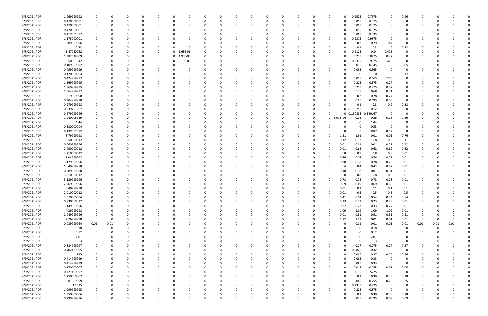| 9/8/2021 PDR | 1.969999992 | $\Omega$    |          |          |          |          |          |          |          |          |          |          |          |          |          | 0           |          | 0.2525       | 0.7575 | 0            | 0.96     |                |      |      |              |
|--------------|-------------|-------------|----------|----------|----------|----------|----------|----------|----------|----------|----------|----------|----------|----------|----------|-------------|----------|--------------|--------|--------------|----------|----------------|------|------|--------------|
| 9/8/2021 PDR | 0.470000001 |             |          |          |          |          |          | $\Omega$ |          |          |          | 0        |          |          |          | 0           |          | 0.095        | 0.375  | 0            |          |                |      |      |              |
| 9/8/2021 PDR | 0.470000001 |             |          |          |          |          |          |          |          |          |          |          |          |          |          |             |          | 0.095        | 0.375  |              |          |                |      |      |              |
| 9/8/2021 PDR | 0.470000001 |             |          |          |          |          |          |          |          |          |          |          |          |          |          |             | -0       | 0.095        | 0.375  |              |          |                |      |      |              |
| 9/8/2021 PDR | 0.419999997 |             |          |          |          |          |          |          |          |          |          |          |          |          |          | 0           |          | 0.085        | 0.335  | 0            |          |                |      |      |              |
| 9/8/2021 PDR | 1.175000001 |             |          |          |          |          |          |          |          |          |          |          |          |          |          | 0           |          | 0.2375       | 0.9375 | 0            |          |                |      |      |              |
| 9/8/2021 PDR | 1.389999996 |             |          |          |          |          |          |          |          |          |          |          |          |          |          |             |          | 0.2          | 0.79   | 0.4          |          |                |      |      |              |
| 9/8/2021 PDR |             |             |          |          |          |          |          |          |          |          |          |          |          |          |          |             |          |              |        |              | 0.38     |                |      |      |              |
|              | 0.78        |             |          |          |          |          |          |          |          |          |          |          |          |          |          |             |          | 0.1          | 0.3    | 0            |          |                |      |      |              |
| 9/8/2021 PDR | 1.47750262  |             |          |          |          |          | 0        | 2.63E-06 |          |          |          |          |          |          |          | 0           |          | 0.2125       | 0.84   | 0.425        |          |                |      |      |              |
| 9/8/2021 PDR | 1.382549009 |             |          |          |          |          | 0        | 4.90E-05 |          |          |          |          |          |          |          |             |          | 0.225        | 0.8875 | 0.27         |          |                |      |      |              |
| 9/8/2021 PDR | 1.650051642 |             |          |          |          |          | 0        | 5.16E-05 |          |          |          |          |          |          |          | 0           |          | 0.2375       | 0.9375 | 0.475        | $\Omega$ |                |      |      |              |
| 9/8/2021 PDR | 0.109999992 |             |          |          |          |          |          |          |          |          |          |          |          |          |          | 0           |          | 0.015        | 0.045  | 0            | 0.05     |                |      |      |              |
| 9/8/2021 PDR | 0.459999999 |             |          |          |          |          |          |          |          |          |          |          |          |          |          |             |          | 0.095        | 0.365  | 0            |          |                |      |      |              |
| 9/8/2021 PDR | 0.170000004 |             |          |          |          |          |          |          |          |          |          |          |          |          |          |             |          |              |        | $\Omega$     | 0.17     |                |      |      |              |
| 9/8/2021 PDR | 0.424999997 |             |          |          |          |          |          |          |          |          |          |          |          |          |          | 0           |          | 0.055        | 0.165  | 0.205        |          |                |      |      |              |
| 9/8/2021 PDR | 1.369999995 |             |          |          |          |          |          |          |          |          |          |          |          |          |          |             |          | 0.225        | 0.875  | 0.27         |          |                |      |      |              |
| 9/8/2021 PDR | 1.369999995 |             |          |          |          |          |          |          |          |          |          |          |          |          |          |             |          | 0.225        | 0.875  | 0.27         |          |                |      |      |              |
| 9/8/2021 PDR | 1.064999997 |             |          |          |          |          |          |          |          |          |          |          |          |          |          |             |          | 0.175        | 0.68   | 0.21         |          |                |      |      |              |
| 9/8/2021 PDR | 1.219999998 |             |          |          |          |          |          |          |          |          |          |          |          |          |          |             |          | 0.2          | 0.78   | 0.24         |          |                |      |      |              |
| 9/8/2021 PDR | 0.304999998 |             |          |          |          |          |          |          |          |          |          |          |          |          |          |             |          | 0.05         | 0.195  | 0.06         |          |                |      |      |              |
| 9/8/2021 PDR | 0.979999998 |             |          |          |          |          |          |          |          |          |          |          |          |          |          |             |          | 0.1          | 0.3    | 0.2          | 0.38     |                |      |      |              |
| 9/8/2021 PDR | 0.239791667 |             |          |          |          |          |          |          |          |          |          |          |          |          |          | 0           |          | 0 0.119792   | 0.12   | 0            |          |                |      |      |              |
|              |             |             |          |          |          |          |          |          |          |          |          |          |          |          |          |             |          |              |        |              |          |                |      |      |              |
| 9/8/2021 PDR | 0.279999996 |             |          |          |          |          |          |          |          |          |          |          |          |          |          | O           | 0        | 0.130833     | 149167 | $\Omega$     |          |                |      |      |              |
| 9/8/2021 PDR | 1.040006989 |             |          |          |          |          |          |          |          |          |          |          |          |          |          | $\mathbf 0$ | 6.97E-06 | 0.26         | 0.26   | 0.26         | 0.26     |                |      |      |              |
| 9/8/2021 PDR | 1.44        |             |          |          |          |          |          |          |          |          |          |          |          |          |          |             |          | <sup>0</sup> | 1.44   | 0            |          |                |      |      |              |
| 9/8/2021 PDR | 0.530000004 |             |          |          |          |          |          |          |          |          |          |          |          |          |          |             |          |              | 0.53   | 0            |          |                |      |      |              |
| 9/8/2021 PDR | 0.139999992 |             |          |          |          |          |          |          |          |          |          |          |          |          |          |             | -0       | 0            | 0.07   | 0.07         |          |                |      |      |              |
| 9/9/2021 PDR | 3.79999998  |             |          |          |          |          |          |          |          |          |          |          |          |          |          | 0           | 1.51     | 1.51         | 0.01   | 0.01         | 0.76     |                |      |      |              |
| 9/9/2021 PDR | 1.950000012 |             |          |          |          |          |          |          |          |          |          |          |          |          |          | 0           | 0.12     | 0.12         | 0.8    | 0.8          | 0.11     |                |      |      |              |
| 9/9/2021 PDR | 0.669999996 |             |          |          |          |          |          |          |          |          |          |          |          |          |          | 0           | 0.01     | 0.01         | 0.01   | 0.32         | 0.32     |                |      |      |              |
| 9/9/2021 PDR | 2.490000012 |             |          |          |          |          |          |          |          |          |          |          |          |          |          | 0           | 0.01     | 0.62         | 0.62   | 0.62         | 0.62     |                |      |      |              |
| 9/9/2021 PDR | 3.210000012 |             |          |          |          |          |          |          |          |          |          |          |          |          |          |             | 0.8      | 0.8          | 0.8    | 0.8          | 0.01     |                |      |      |              |
| 9/9/2021 PDR | 3.04999998  |             |          |          |          |          |          |          |          |          |          |          |          |          |          |             | 0.76     | 0.76         | 0.76   | 0.76         | 0.01     |                |      |      |              |
| 9/9/2021 PDR | 3.129999996 |             |          |          |          |          |          |          |          |          |          |          |          |          |          |             | 0.78     | 0.78         | 0.78   | 0.78         | 0.01     |                |      |      |              |
| 9/9/2021 PDR | 1.649999988 |             |          |          |          |          |          |          |          |          |          |          |          |          |          |             | 0.4      | 0.4          | 0.42   | 0.42         | 0.01     |                |      |      |              |
| 9/9/2021 PDR | 0.389999988 |             |          |          |          |          |          |          |          |          |          |          |          |          |          |             | 0.18     | 0.18         | 0.01   | 0.01         | 0.01     |                |      |      |              |
| 9/9/2021 PDR | 3.210000012 |             |          |          |          |          |          |          |          |          |          |          |          |          |          |             | 0.8      | 0.8          | 0.8    | 0.8          | 0.01     |                |      |      |              |
| 9/9/2021 PDR | 3.129999996 |             |          |          |          |          |          |          |          |          |          |          |          |          |          |             | 0.78     | 0.78         | 0.78   | 0.78         | 0.01     |                |      |      |              |
|              |             |             |          |          |          |          |          |          |          |          |          |          |          |          |          |             |          |              |        |              |          |                |      |      |              |
| 9/9/2021 PDR | 2.769999996 |             |          |          |          |          |          |          |          |          |          |          |          |          |          |             | 0.69     | 0.69         | 0.69   | 0.69         | 0.01     |                |      |      |              |
| 9/9/2021 PDR | 0.40999998  | 0           |          |          |          |          |          |          |          |          |          |          |          |          |          |             | 0.01     | 0.1          | 0.1    | 0.1          | 0.1      |                |      |      |              |
| 9/9/2021 PDR | 2.010000012 | $\mathbf 0$ |          |          |          |          |          |          |          |          |          |          |          |          |          |             | 0.01     | 0.5          | 0.5    | 0.5          | 0.5      |                |      |      |              |
| 9/9/2021 PDR | 2.570000004 | $\mathbf 0$ | $\Omega$ | $\Omega$ | $\Omega$ | $\Omega$ | $\Omega$ | 0        | $\Omega$ | 0        | $\Omega$ | 0        | 0        | $\Omega$ | 0        | $\Omega$    | 0.41     | 0.54         | 0.54   | 0.54         | 0.54     | 0              | 0    |      | <sup>0</sup> |
| 9/9/2021 PDR | 0.930000012 | 0           | $\Omega$ |          | 0        | 0        |          | 0        | $\Omega$ | 0        | 0        | 0        | 0        | -0       | 0        | $\Omega$    | 0.23     | 0.23         | 0.23   | 0.23         | $0.01\,$ | 0              | -C   |      |              |
| 9/9/2021 PDR | 1.149999996 | 0           | $\Omega$ |          | - 0      |          |          | $\Omega$ | $\Omega$ | 0        |          | $\Omega$ |          | - 0      | $\Omega$ | 0           | 0.27     | 0.27         | 0.33   | 0.27         | $0.01\,$ | 0              |      |      |              |
| 9/9/2021 PDR | 4.36999998  | 0           | 0        |          | 0        |          |          | 0        | $\Omega$ | 0        |          | 0        |          | $\Omega$ | 0        | $\Omega$    | 1.09     | 1.09         | 1.09   | 1.09         | 0.01     | 0              |      |      |              |
| 9/9/2021 PDR | 2.049999996 | 0           |          |          |          |          |          | 0        |          | 0        |          | 0        |          |          | 0        | 0           | 0.01     | 0.51         | 0.51   | 0.51         | 0.51     | 0              |      |      |              |
| 9/9/2021 PDR | 2.26999998  | $\mathbf 0$ | $\Omega$ |          | 0        |          |          | 0        |          | 0        |          | $\Omega$ |          |          | 0        | 0           | 1.12     | 1.12         | 0.01   | 0.01         | $0.01\,$ | $\overline{0}$ | 0    |      |              |
| 9/9/2021 PDR | 0.089999964 | $0.01\,$    | 0.01     |          | 0        |          |          | $\Omega$ |          | 0        |          | 0        |          |          |          | 0           | $\Omega$ | 0.01         | 0.01   | 0.01         | 0.01     | 0.01           | 0.01 | 0.01 |              |
| 9/9/2021 PDR | 0.18        | $\mathbf 0$ | $\Omega$ |          | 0        | 0        |          | 0        |          | 0        |          | 0        |          |          | 0        | 0           | 0        | - 0          | 0.18   | 0            | $\Omega$ | 0              | 0    |      |              |
| 9/9/2021 PDR | 0.12        |             | 0        |          | 0        |          |          | 0        |          | 0        |          | 0        |          |          | 0        | 0           |          | 0            | 0.12   | 0            | 0        | 0              |      |      |              |
| 9/9/2021 PDR | 2.01        |             | 0        |          | 0        |          |          | 0        |          | 0        |          | 0        |          |          |          | 0           | $\Omega$ | $\Omega$     | 2.01   | $\Omega$     | 0        |                |      |      |              |
| 9/9/2021 PDR | 0.3         | 0           |          |          | 0        |          |          | 0        |          | 0        |          | 0        |          |          |          | 0           | -0       | $\Omega$     | 0.3    | 0            | $\Omega$ |                |      |      |              |
| 9/9/2021 PDR | 0.884999997 |             |          |          | 0        |          |          | 0        |          | 0        |          | 0        |          |          | 0        | 0           | $\Omega$ | 0.07         | 0.275  | 0.27         | 0.27     |                |      |      |              |
| 9/9/2021 PDR | 0.402499995 | $\mathbf 0$ |          |          | 0        |          |          | $\Omega$ |          | 0        |          | 0        |          |          |          | 0           | $\Omega$ | 0.0825       | 0.32   | $\mathbf 0$  | $\Omega$ |                |      |      |              |
| 9/9/2021 PDR | 1.185       | 0           | $\Omega$ |          | 0        | 0        |          | 0        |          | 0        |          | 0        |          |          | 0        | 0           | -C       | 0.095        | 0.37   | 0.36         | 0.36     | 0              |      |      |              |
|              |             |             |          |          |          |          |          |          |          |          |          |          |          |          |          |             |          |              |        |              |          |                |      |      |              |
| 9/9/2021 PDR | 0.414999999 | 0           | 0        |          | 0        |          |          | 0        | $\Omega$ | 0        |          | 0        |          |          | 0        | 0           |          | 0.085        | 0.33   | $\mathbf{0}$ | $\Omega$ |                |      |      |              |
| 9/9/2021 PDR | 0.414999999 | 0           |          |          | 0        |          |          | 0        |          |          |          | 0        |          |          |          | 0           |          | 0.085        | 0.33   | 0            | $\Omega$ |                |      |      |              |
| 9/9/2021 PDR | 0.170000007 | 0           |          |          | 0        |          |          | $\Omega$ |          | 0        |          | 0        |          |          | 0        | 0           | $\Omega$ | 0.015        | 0.055  | 0.05         | 0.05     | n              |      |      |              |
| 9/9/2021 PDR | 0.727499997 | 0           |          |          | 0        |          |          | 0        |          | 0        |          | 0        |          |          |          | 0           | -0       | 0.15         | 0.5775 | 0            | 0        |                |      |      |              |
| 9/9/2021 PDR | 1.250000007 | 0           |          |          | 0        |          |          | $\Omega$ |          |          |          | 0        |          |          |          | 0           | 0        | 0.1          | 0.39   | 0.38         | 0.38     | 0              |      |      |              |
| 9/9/2021 PDR | 0.81999999  | 0           | $\Omega$ |          | 0        |          |          | 0        |          | 0        |          | 0        |          | $\Omega$ |          | 0           | $\Omega$ | 0.065        | 0.255  | 0.25         | 0.25     | 0              |      |      |              |
| 9/9/2021 PDR | 1.1625      | 0           | $\Omega$ |          | 0        |          |          | 0        |          | 0        |          | 0        |          |          | 0        | 0           |          | 0.2375       | 0.925  | $\mathbf{0}$ | 0        |                |      |      |              |
| 9/9/2021 PDR | 1.099999995 | 0           |          |          |          |          |          | 0        |          |          |          | 0        |          |          |          | 0           | -0       | 0.225        | 0.875  | $\mathbf 0$  | $\Omega$ |                |      |      |              |
| 9/9/2021 PDR | 1.350000006 | 0           |          |          |          |          |          | -0       |          |          |          |          |          |          |          |             |          | 0.2          | 0.39   | 0.38         | 0.38     |                |      |      |              |
| 9/9/2021 PDR | 0.299999996 | $\Omega$    | 0        | $\Omega$ | $\Omega$ | $\Omega$ |          | $\Omega$ | $\Omega$ | $\Omega$ | $\Omega$ | 0        | $\Omega$ |          | $\Omega$ | $\Omega$    | $\Omega$ | 0.025        | 0.095  | 0.09         | 0.09     | 0              | 0    |      |              |
|              |             |             |          |          |          |          |          |          |          |          |          |          |          |          |          |             |          |              |        |              |          |                |      |      |              |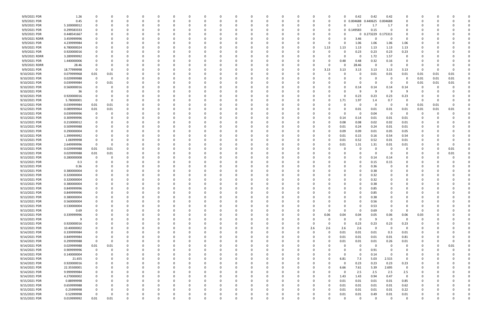| 9/9/2021 PDR  | 1.26        |                         | -0   |   |   | 0        |          |          |          |          |   |   | 0        |          |     | 0        |          | 0.42              | 0.42     | 0.42        |              |          |          |          |  |
|---------------|-------------|-------------------------|------|---|---|----------|----------|----------|----------|----------|---|---|----------|----------|-----|----------|----------|-------------------|----------|-------------|--------------|----------|----------|----------|--|
| 9/9/2021 PDR  | 0.45        | 0                       | -0   |   |   | 0        |          |          |          |          |   |   | 0        |          | 0   | 0        | 0        | 0.004688 0.440625 |          | 0.004688    | 0            |          |          |          |  |
|               |             |                         |      |   |   |          |          |          |          |          |   |   |          |          |     |          | U        |                   |          |             |              |          |          |          |  |
| 9/9/2021 PDR  | 5.100000012 |                         |      |   |   |          |          |          |          |          |   |   |          |          |     | 0        |          | 1.7               | 1.7      | 1.7         |              |          |          |          |  |
| 9/9/2021 PDR  | 0.299583333 |                         |      |   |   |          |          |          |          |          |   |   |          |          |     | 0        |          | $0$ $0.149583$    | 0.15     |             | <sup>0</sup> |          |          |          |  |
| 9/9/2021 PDR  | 0.448541667 |                         |      |   |   |          |          |          |          |          |   |   |          |          |     | -0       |          | 0                 | 0.273229 | 0.175313    |              |          |          |          |  |
| 9/9/2021 RDRR | 3.459999996 |                         |      |   |   |          |          |          |          |          |   |   |          |          |     | - 0      |          | 3.46              | C        | -0          | 0            |          |          |          |  |
|               |             |                         |      |   |   |          |          |          |          |          |   |   |          |          |     |          |          |                   |          |             |              |          |          |          |  |
| 9/9/2021 PDR  | 4.239999984 |                         |      |   |   |          |          |          |          |          |   |   |          |          |     | 0        |          | 1.06              | 1.06     | 1.06        | 1.06         |          |          |          |  |
| 9/9/2021 PDR  | 6.780000024 |                         |      |   |   |          |          |          |          |          |   |   |          |          | O   | 1.13     | 1.13     | 1.13              | 1.13     | 1.13        | 1.13         |          |          |          |  |
|               |             |                         |      |   |   |          |          |          |          |          |   |   |          |          |     |          |          |                   | 0.23     |             |              |          |          |          |  |
| 9/9/2021 PDR  | 0.920000016 |                         |      |   |   |          |          |          |          |          |   |   |          |          |     | 0        |          | 0.23              |          | 0.23        | 0.23         |          |          |          |  |
| 9/9/2021 RDRR | 3.289999992 |                         |      |   |   |          |          |          |          |          |   |   |          |          |     |          |          | 0                 | 1.72     | 1.57        | 0            |          |          |          |  |
| 9/9/2021 PDR  | 1.440000006 |                         |      |   |   |          |          |          |          |          |   |   |          |          |     | - 0      | 0.48     | 0.48              | 0.32     | 0.16        |              |          |          |          |  |
| 9/9/2021 RDRR |             |                         |      |   |   |          |          |          |          |          |   |   |          |          |     | 0        |          |                   | 0        | $\Omega$    | - 0          |          |          |          |  |
|               | 28.46       | -0                      |      |   |   |          |          |          |          |          |   |   |          |          |     |          |          | 28.46             |          |             |              |          |          |          |  |
| 9/9/2021 PDR  | 18.77999998 | 0                       |      |   |   |          |          |          |          |          |   |   |          |          | 0   | 3.13     | 3.13     | 3.13              | 3.13     | 3.13        | 3.13         | - 0      | -0       |          |  |
| 9/10/2021 PDR | 0.079999968 | 0.01                    | 0.01 |   |   |          |          |          |          |          |   |   |          |          |     | -0       |          |                   | 0.01     | 0.01        | 0.01         | 0.01     | 0.01     | 0.01     |  |
| 9/10/2021 PDR | 0.029999988 | $\mathbf 0$             | 0    |   |   |          |          |          |          |          |   |   |          |          |     |          |          |                   | 0        | -0          | 0            | 0.01     | 0.01     | 0.01     |  |
|               |             |                         |      |   |   |          |          |          |          |          |   |   |          |          |     |          |          |                   |          |             |              |          |          |          |  |
| 9/10/2021 PDR | 0.039999984 | 0                       | 0.01 |   |   |          |          |          |          |          |   |   |          |          |     |          |          |                   | 0        | $\Omega$    | - 0          | 0.01     | 0.01     | 0.01     |  |
| 9/10/2021 PDR | 0.560000016 |                         | 0    |   |   |          |          |          |          |          |   |   |          |          |     |          |          | 0.14              | 0.14     | 0.14        | 0.14         |          |          |          |  |
| 9/10/2021 PDR | 36          |                         |      |   |   |          |          |          |          |          |   |   |          |          |     |          |          |                   | 9        | -9          | $\Omega$     |          |          |          |  |
|               |             |                         |      |   |   |          |          |          |          |          |   |   |          |          |     |          |          |                   |          |             |              |          |          |          |  |
| 9/10/2021 PDR | 0.920000016 |                         |      |   |   |          |          |          |          |          |   |   |          |          |     | -0       |          | 0.23              | 0.23     | 0.23        | 0.23         |          |          |          |  |
| 9/10/2021 PDR | 5.78000001  | - 0                     | -0   |   |   |          |          |          |          |          |   |   |          |          |     | 0        | 1.71     | 1.97              | 1.4      | 0.7         | $\Omega$     | -0       |          |          |  |
| 9/12/2021 PDR | 0.039999984 | 0.01                    | 0.01 |   |   |          |          |          |          |          |   |   |          |          |     |          |          | 0                 | 0        | -0          | 0            | 0.01     | 0.01     |          |  |
|               |             |                         |      |   |   |          |          |          |          |          |   |   |          |          |     |          |          |                   |          |             |              |          |          |          |  |
| 9/12/2021 PDR | 0.089999964 | 0.01                    | 0.01 |   |   |          |          |          |          |          |   |   |          |          |     |          |          | 0.01              | 0.01     | 0.01        | 0.01         | 0.01     | 0.01     | 0.01     |  |
| 9/13/2021 PDR | 0.039999996 | 0                       | 0    |   |   |          |          |          |          |          |   |   |          |          |     |          |          | 0                 | 0.04     | $\mathbf 0$ | - 0          | 0        | -0       |          |  |
| 9/13/2021 PDR | 0.309999996 | 0                       |      |   |   |          |          |          |          |          |   |   |          |          |     | - 0      | 0.14     | 0.14              | 0.01     | 0.01        | 0.01         |          |          |          |  |
|               |             |                         |      |   |   |          |          |          |          |          |   |   |          |          |     |          |          |                   |          |             |              |          |          |          |  |
| 9/13/2021 PDR | 0.210000012 | 0                       |      |   |   |          |          |          |          |          |   |   |          |          |     | 0        | 0.08     | 0.08              | 0.02     | 0.02        | 0.01         |          |          |          |  |
| 9/13/2021 PDR | 0.509999988 |                         |      |   |   |          |          |          |          |          |   |   |          |          |     | 0        | 0.01     | 0.24              | 0.24     | 0.01        | 0.01         |          |          |          |  |
| 9/13/2021 PDR | 0.290000004 |                         |      |   |   |          |          |          |          |          |   |   |          |          |     | 0        | 0.09     | 0.09              | 0.01     | 0.05        | 0.05         |          |          |          |  |
|               |             |                         |      |   |   |          |          |          |          |          |   |   |          |          |     |          |          |                   |          |             |              |          |          |          |  |
| 9/13/2021 PDR | 1.399999992 | -0                      |      |   |   |          |          |          |          |          |   |   |          |          |     | 0        | 0.01     | 0.15              | 0.16     | 0.54        | 0.54         |          |          |          |  |
| 9/13/2021 PDR | 1.06999998  | 0                       |      |   |   |          |          |          |          |          |   |   |          |          |     | 0        | 0.01     | 0.52              | 0.52     | 0.01        | 0.01         |          |          |          |  |
| 9/13/2021 PDR | 2.649999996 | 0                       | -0   |   |   |          |          |          |          |          |   |   |          |          |     | -0       | 0.01     | 1.31              | 1.31     | 0.01        | 0.01         |          |          |          |  |
|               |             |                         |      |   |   |          |          |          |          |          |   |   |          |          |     |          |          |                   |          |             |              |          |          |          |  |
| 9/13/2021 PDR | 0.029999988 | 0.01                    | 0.01 |   |   |          |          |          |          |          |   |   |          |          |     |          |          |                   | C        |             | 0            |          |          | 0.01     |  |
| 9/13/2021 PDR | 0.029999988 | 0.01                    | 0.01 |   |   |          |          |          |          |          |   |   |          |          |     |          |          |                   | 0        |             |              |          |          | 0.01     |  |
| 9/13/2021 PDR | 0.280000008 | - 0                     | -0   |   |   |          |          |          |          |          |   |   |          |          |     |          |          |                   | 0.14     | 0.14        |              |          |          |          |  |
|               |             |                         |      |   |   |          |          |          |          |          |   |   |          |          |     |          |          |                   |          |             |              |          |          |          |  |
| 9/13/2021 PDR | 0.3         |                         |      |   |   |          |          |          |          |          |   |   |          |          |     |          |          |                   | 0.15     | 0.15        |              |          |          |          |  |
| 9/13/2021 PDR | 0.36        |                         |      |   |   |          |          |          |          |          |   |   |          |          |     |          |          |                   | 0.36     |             |              |          |          |          |  |
| 9/13/2021 PDR | 0.380000004 |                         |      |   |   |          |          |          |          |          |   |   |          |          |     |          |          |                   | 0.38     |             |              |          |          |          |  |
|               |             |                         |      |   |   |          |          |          |          |          |   |   |          |          |     |          |          |                   |          |             |              |          |          |          |  |
| 9/13/2021 PDR | 0.320000004 |                         |      |   |   |          |          |          |          |          |   |   |          |          |     |          |          |                   | 0.32     |             |              |          |          |          |  |
| 9/13/2021 PDR | 0.320000004 |                         |      |   |   |          |          |          |          |          |   |   |          |          |     |          |          |                   | 0.32     |             |              |          |          |          |  |
| 9/13/2021 PDR | 0.380000004 |                         |      |   |   |          |          |          |          |          |   |   |          |          |     |          |          |                   | 0.38     |             |              |          |          |          |  |
|               |             |                         |      |   |   |          |          |          |          |          |   |   |          |          |     |          |          |                   |          |             |              |          |          |          |  |
| 9/13/2021 PDR | 0.849999996 | 0                       |      |   |   |          |          |          |          |          |   |   |          |          |     |          |          |                   | 0.85     |             |              |          |          |          |  |
| 9/13/2021 PDR | 0.849999996 | $\mathbf 0$             |      |   |   |          |          |          |          |          |   |   |          |          |     |          |          |                   | 0.85     |             |              |          |          |          |  |
| 9/13/2021 PDR | 0.380000004 | 0                       | 0    |   |   | 0        |          |          | 0        | $\Omega$ |   |   | 0        |          | 0   | - 0      | 0        |                   | 0.38     | $\Omega$    | <sup>0</sup> | 0        |          |          |  |
|               |             |                         |      |   |   |          |          |          |          |          |   |   |          |          |     |          |          |                   |          |             |              |          |          |          |  |
| 9/13/2021 PDR | 0.560000004 | 0                       | 0    |   |   | 0        |          |          | 0        | - 0      |   |   | 0        |          | 0   | - 0      | 0        |                   | 0.56     |             | $\Omega$     | 0        |          |          |  |
| 9/13/2021 PDR | 0.530000004 | 0                       | 0    |   |   | 0        |          |          |          |          |   |   | 0        |          |     |          |          | $\Omega$          | 0.53     |             |              | -0       |          |          |  |
| 9/13/2021 PDR | 0.69        | 0                       |      |   |   |          |          |          |          |          |   |   |          |          | 0   | 0        | $\Omega$ | $\Omega$          | 0.69     | - 0         | $\Omega$     | 0        |          |          |  |
|               |             |                         |      |   |   | 0        |          |          |          |          |   |   | 0        |          | 0   |          | 0.04     |                   |          | 0.06        | 0.06         |          |          |          |  |
| 9/13/2021 PDR | 0.339999996 |                         |      |   |   |          |          |          |          |          |   |   |          |          |     | 0.06     |          | 0.04              | 0.05     |             |              | 0.03     |          |          |  |
| 9/13/2021 PDR | 9           | $\mathbf 0$             |      |   |   | 0        |          |          | 0        | -0       |   |   | 0        |          | 0   | 0        | $\Omega$ | $\mathbf 0$       | 9        | $\mathbf 0$ | $\Omega$     | 0        |          |          |  |
| 9/13/2021 PDR | 0.920000016 | 0                       | 0    |   |   | 0        |          |          |          | 0        |   |   | 0        |          | 0   | 0        | $\Omega$ | 0.23              | 0.23     | 0.23        | 0.23         | 0        |          |          |  |
| 9/13/2021 PDR | 10.40000002 | 0                       | 0    |   |   | 0        |          | $\Omega$ |          | 0        |   |   | 0        | $\Omega$ | 2.6 | 2.6      | 2.6      | 2.6               | 0        | $\mathbf 0$ | 0            | $\Omega$ |          |          |  |
|               |             |                         |      |   |   |          |          |          |          |          |   |   |          |          |     |          |          |                   |          |             |              |          |          |          |  |
| 9/14/2021 PDR | 0.339999984 | 0                       | 0    |   |   | 0        |          | $\Omega$ | 0        | 0        |   |   | 0        | 0        | 0   | $\Omega$ | 0.01     | 0.01              | 0.01     | 0.3         | 0.01         | 0        |          |          |  |
| 9/14/2021 PDR | 0.849999984 | $\mathbf 0$             | -0   |   |   | 0        |          |          |          |          |   |   | 0        |          | 0   | 0        | 0.01     | 0.01              | 0.01     | 0.01        | 0.81         |          |          |          |  |
| 9/14/2021 PDR | 0.299999988 | $\overline{\mathbf{0}}$ | 0    |   |   | 0        |          |          |          |          |   |   | 0        |          | 0   | 0        | 0.01     | 0.01              | 0.01     | 0.26        | 0.01         | 0        |          | $\Omega$ |  |
|               |             |                         |      |   |   |          |          |          |          |          |   |   |          |          |     |          |          |                   |          |             |              |          |          |          |  |
| 9/14/2021 PDR | 0.029999988 | 0.01                    | 0.01 |   |   | 0        |          |          | 0        | 0        |   |   | 0        |          | 0   | 0        | $\Omega$ | 0                 | 0        | 0           | 0            | 0        | 0        | 0.01     |  |
| 9/14/2021 PDR | 0.909999996 | $\overline{\mathbf{0}}$ | 0    |   |   | 0        |          |          |          | 0        |   |   | 0        |          | 0   | $\Omega$ |          | 0                 | 0.91     | $\Omega$    | 0            | 0        | $\Omega$ |          |  |
| 9/14/2021 PDR | 0.140000004 | $\mathbf 0$             | 0    |   |   | 0        |          |          |          | 0        |   |   | 0        |          | 0   |          | $\Omega$ | $\mathbf 0$       | 0.14     | $\Omega$    | $\Omega$     | 0        |          |          |  |
|               |             |                         |      |   |   |          |          |          |          |          |   |   |          |          |     |          |          |                   |          |             |              |          |          |          |  |
| 9/14/2021 PDR | 21.655      | 0                       | 0    |   |   | 0        |          | 0        | 0        | 0        |   |   | 0        | 0        | 0   | $\Omega$ | 6.81     | 7.3               | 5.03     | 2.515       | 0            | 0        |          |          |  |
| 9/14/2021 PDR | 0.920000016 | 0                       | 0    |   |   | 0        |          |          |          |          |   |   | 0        |          |     | 0        | $\Omega$ | 0.23              | 0.23     | 0.23        | 0.23         |          |          |          |  |
| 9/14/2021 PDR | 22.35500001 | $\mathbf 0$             |      |   |   | 0        |          |          |          |          |   |   | 0        |          | 0   | 0        | 6.66     | 7.61              | 5.39     | 2.695       | $\mathbf 0$  |          |          |          |  |
|               |             |                         |      |   |   |          |          |          |          |          |   |   |          |          |     |          |          |                   |          |             |              |          |          |          |  |
| 9/14/2021 PDR | 9.999999984 | 0                       |      |   |   | 0        |          |          | 0        |          |   |   | 0        |          | 0   | $\Omega$ | $\Omega$ | 2.5               | 2.5      | 2.5         | 2.5          | 0        |          |          |  |
| 9/14/2021 PDR | 4.270000002 | 0                       |      |   |   | 0        |          |          |          |          |   |   | 0        |          | 0   | 0        | 1.43     | 1.43              | 0.94     | 0.47        | $\mathsf 0$  |          |          |          |  |
| 9/15/2021 PDR | 0.88999998  | 0                       | 0    |   |   | 0        |          |          |          | - 0      |   |   | 0        |          | 0   | $\Omega$ | 0.01     | 0.01              | 0.01     | 0.01        | 0.85         | 0        |          |          |  |
|               |             |                         |      |   |   |          |          |          |          |          |   |   |          |          |     |          |          |                   |          |             |              |          |          |          |  |
| 9/15/2021 PDR | 0.659999988 | 0                       | 0    |   |   | 0        |          | 0        |          | 0        |   |   | 0        | 0        | 0   | $\Omega$ | 0.01     | 0.01              | 0.01     | 0.01        | 0.62         | 0        |          |          |  |
| 9/15/2021 PDR | 0.25999998  | $\mathbf 0$             |      |   |   |          |          |          |          |          |   |   |          |          |     | $\Omega$ | 0.01     | 0.01              | 0.01     | 0.01        | 0.22         |          |          |          |  |
| 9/15/2021 PDR | 0.52999998  | 0                       |      |   |   |          |          |          |          |          |   |   |          |          |     | -0       | 0.01     | 0.01              | 0.49     | 0.01        | 0.01         |          |          |          |  |
|               |             |                         |      |   |   |          |          |          |          |          |   |   |          |          |     |          |          |                   |          |             |              |          |          |          |  |
| 9/15/2021 PDR | 0.019999992 | 0.01                    | 0.01 | 0 | 0 | $\Omega$ | $\Omega$ | $\Omega$ | $\Omega$ | $\Omega$ | 0 | 0 | $\Omega$ | $\Omega$ | 0   | $\Omega$ | $\Omega$ | $\mathbf 0$       | 0        | $\Omega$    | $\mathbf 0$  | 0        | $\Omega$ | 0        |  |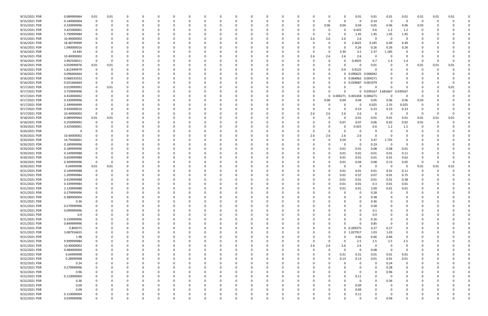| 9/15/2021 PDR | 0.089999964 | 0.01     | 0.01 |          |          |          |          | C            |          |          |          |     |          |          |          |          |          | 0.01                | 0.01                | 0.01     | 0.01           | 0.01 | 0.01 | 0.01 |  |
|---------------|-------------|----------|------|----------|----------|----------|----------|--------------|----------|----------|----------|-----|----------|----------|----------|----------|----------|---------------------|---------------------|----------|----------------|------|------|------|--|
| 9/15/2021 PDR | 0.140000004 |          | 0    |          | -0       |          |          |              |          |          |          |     |          |          | -0       | $\Omega$ | $\Omega$ | 0                   | 0.14                | 0        |                | -0   |      |      |  |
| 9/15/2021 PDR | 0.339999996 |          |      |          |          |          |          |              |          |          |          |     |          |          | 0        | 0.06     | 0.04     | 0.04                | 0.05                | 0.06     | 0.06           | 0.03 |      |      |  |
| 9/15/2021 PDR | 3.425000001 |          |      |          |          |          |          |              |          |          |          |     |          |          |          |          |          | 0.425               | 0.6                 | 1.2      | 1.2            |      |      |      |  |
|               |             |          |      |          |          |          |          |              |          |          |          |     |          |          |          |          |          |                     |                     |          |                |      |      |      |  |
| 9/15/2021 PDR | 5.799999984 |          |      |          |          |          |          |              |          |          |          |     |          |          | -0       |          | 0        | 1.45                | 1.45                | 1.45     | 1.45           |      |      |      |  |
| 9/15/2021 PDR | 10.40000002 |          |      |          |          |          |          |              |          |          |          |     |          |          | 2.6      | 2.6      | 2.6      | 2.6                 | -C                  | $\Omega$ | $\Omega$       |      |      |      |  |
| 9/16/2021 PDR | 18.48749999 |          |      |          |          |          |          |              |          |          |          |     |          |          |          |          |          | 2.2625              | 3.245               | 6.49     | 6.49           |      |      |      |  |
| 9/16/2021 PDR | 1.040000016 |          |      |          |          |          |          |              |          |          |          |     |          |          |          |          |          | 0.26                | 0.26                | 0.26     | 0.26           |      |      |      |  |
| 9/16/2021 PDR | 10.445      |          |      |          |          |          |          |              |          |          |          |     |          |          |          |          | 3.39     | 3.5                 | 2.37                | 1.185    |                |      |      |      |  |
| 9/16/2021 PDR | 10.40000002 |          |      |          |          |          |          |              |          |          |          |     |          |          | 2.6      | 2.6      | 2.6      | 2.6                 | 0                   | $\Omega$ |                |      |      |      |  |
| 9/16/2021 PDR | 3.992500011 |          |      |          |          |          |          |              |          |          |          |     |          |          | $\Omega$ |          |          | .4925               | 0.7                 | 1.4      | 1.4            |      |      |      |  |
|               |             |          |      |          |          |          |          |              |          |          |          |     |          |          |          |          |          |                     |                     |          |                |      |      |      |  |
| 9/16/2021 PDR | 0.059999976 | 0.01     | 0.01 |          |          |          |          |              |          |          |          |     |          |          |          |          |          | C                   | 0.01                |          | $\Omega$       | 0.01 | 0.01 | 0.01 |  |
| 9/16/2021 PDR | 1.812499979 |          |      |          |          |          |          |              |          |          |          |     |          |          | - 0      | 0        | 0.9      | 0.9125              | 0                   |          |                | 0    |      |      |  |
| 9/16/2021 PDR | 0.096666664 |          |      |          |          |          |          |              |          |          |          |     |          |          |          |          |          | 0 0.090625 0.006042 |                     |          |                |      |      |      |  |
| 9/16/2021 PDR | 0.068333332 |          |      |          |          |          |          |              |          |          |          |     |          |          |          | 0        |          | 0 0.064062 0.004271 |                     |          |                |      |      |      |  |
| 9/16/2021 PDR | 0.031666664 |          |      |          |          |          |          |              |          |          |          |     |          |          |          |          |          |                     | 0 0.029687 0.001979 |          |                |      |      |      |  |
| 9/17/2021 PDR | 0.019999992 |          | 0.01 |          |          |          |          |              |          |          |          |     |          |          |          |          |          | 0                   | റ                   |          |                |      |      | 0.01 |  |
|               |             |          |      |          |          |          |          |              |          |          |          |     |          |          |          |          |          |                     |                     |          |                |      |      |      |  |
| 9/17/2021 PDR | 3.759999996 |          |      |          |          |          |          |              |          |          |          |     |          |          | - 0      |          |          | $\mathbf{0}$        | 0.039167            | 3.681667 | 0.039167       |      |      |      |  |
| 9/17/2021 PDR | 0.410000002 |          |      |          |          |          |          |              |          |          |          |     |          |          | - 0      | $\Omega$ | 0.004271 | 0.401458            | 0.004271            | 0        | 0              | -C   |      |      |  |
| 9/17/2021 PDR | 0.339999996 |          |      |          |          |          |          |              |          |          |          |     |          |          | 0        | 0.06     | 0.04     | 0.04                | 0.05                | 0.06     | 0.06           | 0.03 |      |      |  |
| 9/17/2021 PDR | 2.399999999 |          |      |          |          |          |          |              |          |          |          |     |          |          | - 0      |          |          | 0                   | 0.025               | 2.35     | 0.025          |      |      |      |  |
| 9/17/2021 PDR | 0.920000016 |          |      |          |          |          |          |              |          |          |          |     |          |          | - 0      |          |          | 0.23                | 0.23                | 0.23     | 0.23           |      |      |      |  |
| 9/17/2021 PDR | 10.40000002 | $\Omega$ |      |          |          |          |          |              |          |          |          |     |          |          | 2.6      | 2.6      | 2.6      | 2.6                 | $\Omega$            | $\Omega$ | 0              | 0    |      |      |  |
|               |             |          |      |          |          |          |          |              |          |          |          |     |          |          |          |          |          |                     |                     |          |                |      |      |      |  |
| 9/18/2021 PDR | 0.089999964 | 0.01     | 0.01 |          |          |          |          |              |          |          |          |     |          |          | -0       |          | 0        | 0.01                | 0.01                | 0.01     | 0.01           | 0.01 | 0.01 | 0.01 |  |
| 9/18/2021 PDR | 0.259999992 |          | 0    |          | -0       |          |          |              |          |          |          |     |          |          | -0       |          | 0.07     | 0.07                | 0.06                | 0.03     | 0.02           | 0.01 |      |      |  |
| 9/20/2021 PDR | 3.425000001 |          |      |          |          |          |          |              |          |          |          |     |          |          |          |          |          | 0.425               | 0.6                 | 1.2      | 1.2            |      |      |      |  |
| 9/20/2021 PDR | -9          |          |      |          |          |          |          |              |          |          |          |     |          |          | 0        |          |          | 0                   | -9                  | - 0      |                |      |      |      |  |
| 9/20/2021 PDR | 10.40000002 |          |      |          |          |          |          |              |          |          |          |     |          |          | 2.6      | 2.6      | 2.6      | 2.6                 |                     |          |                |      |      |      |  |
| 9/20/2021 PDR | 14.79500001 |          |      |          |          |          |          |              |          |          |          |     |          |          | -0       |          | 4.59     | 5                   | 3.47                | 1.735    | $\Omega$       |      |      |      |  |
| 9/20/2021 PDR | 0.189999996 |          |      |          |          |          |          |              |          |          |          |     |          |          | - 0      |          | n        | 0                   | 0.19                | - 0      | 0              |      |      |      |  |
|               |             |          |      |          |          |          |          |              |          |          |          |     |          |          |          |          |          |                     |                     |          |                |      |      |      |  |
| 9/20/2021 PDR | 0.189999996 |          |      |          |          |          |          |              |          |          |          |     |          |          |          |          | 0.01     | 0.01                | 0.08                | 0.08     | 0.01           |      |      |      |  |
| 9/20/2021 PDR | 0.149999988 |          |      |          |          |          |          |              |          |          |          |     |          |          |          |          | 0.01     | 0.01                | 0.01                | 0.01     | 0.11           |      |      |      |  |
| 9/20/2021 PDR | 0.659999988 |          |      |          |          |          |          |              |          |          |          |     |          |          | - 0      |          | 0.01     | 0.01                | 0.01                | 0.01     | 0.62           |      |      |      |  |
| 9/20/2021 PDR | 0.309999996 | 0        |      |          |          |          |          |              |          |          |          |     |          |          |          |          | 0.01     | 0.04                | 0.08                | 0.13     | 0.05           | 0    |      |      |  |
| 9/20/2021 PDR | 0.04999998  | 0.01     | 0.01 |          |          |          |          |              |          |          |          |     |          |          |          |          |          | 0                   | -C                  | $\Omega$ | $\mathbf 0$    | 0.01 | 0.01 | 0.01 |  |
| 9/21/2021 PDR | 0.149999988 |          |      |          | -0       |          |          |              |          |          |          |     |          |          | - 0      |          | 0.01     | 0.01                | 0.01                | 0.01     | 0.11           |      |      |      |  |
|               |             |          |      |          |          |          |          |              |          |          |          |     |          |          |          |          |          |                     |                     |          |                |      |      |      |  |
| 9/21/2021 PDR | 1.209999984 |          |      |          | -0       |          |          |              |          |          |          |     |          |          |          |          | 0.01     | 0.37                | 0.07                | 0.01     | 0.75           |      |      |      |  |
| 9/21/2021 PDR | 0.419999988 |          |      |          |          |          |          |              |          |          |          |     |          |          |          |          | 0.01     | 0.01                | 0.01                | 0.01     | 0.38           |      |      |      |  |
| 9/21/2021 PDR | 0.339999984 |          |      |          |          |          |          |              |          |          |          |     |          |          |          |          | 0.01     | 0.01                | 0.3                 | 0.01     | 0.01           |      |      |      |  |
| 9/21/2021 PDR | 2.129999988 |          |      |          |          |          |          |              |          |          |          |     |          |          |          |          | 0.01     | 0.01                | 2.09                | $0.01\,$ | 0.01           |      |      |      |  |
| 9/21/2021 PDR | 0.279999996 |          |      |          |          |          |          |              |          |          |          |     |          |          |          |          |          | $\mathbf 0$         | 0.28                | $\Omega$ |                |      |      |      |  |
| 9/21/2021 PDR | 0.380000004 | $\Omega$ | 0    | 0        | 0        | $\Omega$ | $\Omega$ | 0            | $\Omega$ | 0        | 0        | - 0 | $\Omega$ | 0        | 0        |          | $\Omega$ | 0                   | 0.38                | 0        | $\Omega$       | 0    |      | 0    |  |
|               |             |          |      |          |          |          |          |              |          |          |          |     |          |          |          |          |          |                     |                     |          |                |      |      |      |  |
| 9/21/2021 PDR | 0.36        |          | 0    |          | 0        | $\Omega$ |          | 0            |          |          | 0        |     |          |          | 0        |          |          | 0                   | 0.36                | 0        |                | 0    |      |      |  |
| 9/21/2021 PDR | 0.579999996 |          |      |          | $\Omega$ |          |          | 0            |          |          |          |     |          | 0        | $\Omega$ |          |          | $\Omega$            | 0.58                | 0        |                | 0    |      |      |  |
| 9/21/2021 PDR | 0.099999996 |          |      |          | 0        |          |          | 0            |          |          |          |     |          |          | 0        |          |          | 0                   | 0.1                 |          |                |      |      |      |  |
| 9/21/2021 PDR | 0.9         |          |      |          | 0        |          |          |              |          |          |          |     |          |          | 0        |          |          | 0                   | 0.9                 |          |                |      |      |      |  |
| 9/21/2021 PDR | 0.159999996 |          | 0    | 0        | 0        |          | 0        | 0            |          |          |          |     | 0        | 0        | 0        |          | 0        | -0                  | 0.16                | 0        | 0              | 0    |      |      |  |
| 9/21/2021 PDR | 0.849999996 |          |      |          | $\Omega$ | $\Omega$ |          | 0            |          |          |          |     |          |          | 0        |          | $\Omega$ | $\Omega$            | 0.85                | 0        | 0              |      |      |      |  |
| 9/21/2021 PDR | 0.809375    |          |      |          | $\Omega$ | $\Omega$ |          | <sup>0</sup> |          |          |          |     |          |          | 0        | $\Omega$ |          | 0 0.269375          | 0.27                | 0.27     | $\Omega$       |      |      |      |  |
|               |             |          |      |          |          |          |          |              |          |          |          |     |          |          |          |          |          |                     |                     |          |                |      |      |      |  |
| 9/21/2021 PDR | 3.087916655 |          |      | 0        | 0        | $\Omega$ |          | 0            |          |          |          |     |          | 0        | $\Omega$ | $\Omega$ |          | 0 1.027917          | 1.03                | 1.03     | 0              |      |      |      |  |
| 9/21/2021 PDR | 1.98        |          |      |          |          |          |          |              |          |          |          |     |          |          | 0        | 0        | 0        | 0.66                | 0.66                | 0.66     | 0              |      |      |      |  |
| 9/21/2021 PDR | 9.999999984 |          |      |          | 0        |          |          |              |          |          |          |     |          | 0        | $\Omega$ | $\Omega$ | $\Omega$ | 2.5                 | 2.5                 | 2.5      | 2.5            |      |      |      |  |
| 9/21/2021 PDR | 10.40000002 |          |      |          |          |          |          |              |          |          |          |     |          | 0        | 2.6      | 2.6      | 2.6      | 2.6                 | 0                   | - 0      | 0              |      |      |      |  |
| 9/22/2021 PDR | 0.080000004 |          |      |          |          |          |          |              |          |          |          |     |          |          | 0        | $\Omega$ | $\Omega$ | $\mathbf 0$         | 0.08                | 0        | $\overline{0}$ |      |      |      |  |
| 9/22/2021 PDR | 0.64999998  |          |      |          | 0        |          |          | 0            |          |          |          |     |          |          | 0        | $\Omega$ | 0.31     | 0.31                | 0.01                | 0.01     | 0.01           | 0    |      |      |  |
|               |             |          |      |          |          |          |          |              |          |          |          |     |          |          |          |          |          |                     |                     |          |                |      |      |      |  |
| 9/22/2021 PDR | 0.28999998  |          | 0    | 0        | 0        | $\Omega$ | 0        | 0            |          |          | $\Omega$ |     |          | 0        | $\Omega$ | $\Omega$ | 0.13     | 0.13                | 0.01                | 0.01     | 0.01           | 0    |      |      |  |
| 9/22/2021 PDR | 0.24        |          |      |          | 0        | 0        |          | 0            |          |          |          |     |          | 0        | 0        |          |          | 0                   | $\Omega$            | 0.24     | 0              |      |      |      |  |
| 9/22/2021 PDR | 0.279999996 |          |      |          | 0        |          |          | 0            |          |          |          |     |          |          | $\Omega$ |          |          | 0                   | $\Omega$            | 0.28     | $\mathbf 0$    |      |      |      |  |
| 9/22/2021 PDR | 0.96        |          |      |          |          |          |          | 0            |          |          |          |     |          |          | 0        |          |          | 0                   | $\Omega$            | 0.96     | 0              |      |      |      |  |
| 9/22/2021 PDR | 0.110000004 |          |      |          |          |          |          |              |          |          |          |     |          |          | 0        |          |          | 0.11                | $\Omega$            | 0        | 0              |      |      |      |  |
| 9/22/2021 PDR | 0.36        |          | 0    | 0        | 0        |          |          | 0            |          |          |          |     |          | 0        | 0        |          | 0        | 0                   | $\Omega$            | 0.36     | 0              | 0    |      |      |  |
| 9/22/2021 PDR |             |          |      |          |          |          |          |              |          |          |          |     |          |          |          |          |          |                     |                     |          |                |      |      |      |  |
|               | 0.09        |          |      |          | 0        |          |          | 0            |          |          |          |     |          |          | 0        |          |          | 0.09                | 0                   | $\Omega$ | 0              |      |      |      |  |
| 9/22/2021 PDR | 0.09        |          |      |          |          |          |          |              |          |          |          |     |          |          | - 0      |          |          | 0.09                |                     |          |                |      |      |      |  |
| 9/22/2021 PDR | 0.110000004 |          |      |          |          |          |          |              |          |          |          |     |          |          |          |          |          | 0.11                |                     |          |                |      |      |      |  |
| 9/22/2021 PDR | 0.039999996 | $\Omega$ | 0    | $\Omega$ | $\Omega$ | $\Omega$ | $\Omega$ | $\Omega$     |          | $\Omega$ | $\Omega$ |     | $\Omega$ | $\Omega$ | $\Omega$ | U        |          | $\overline{0}$      | $\Omega$            | 0.04     | $\Omega$       | 0    |      | 0    |  |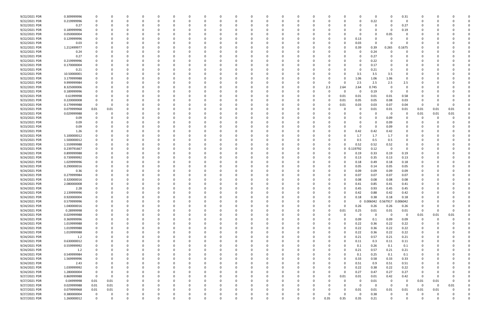| 9/22/2021 PDR | 0.309999996 |                |      |          | 0        |          | -0       |  |   | 0        |          |              | 0        |          |          | 0              | $\Omega$          | - 0      | 0.31           |          |      |             |  |
|---------------|-------------|----------------|------|----------|----------|----------|----------|--|---|----------|----------|--------------|----------|----------|----------|----------------|-------------------|----------|----------------|----------|------|-------------|--|
| 9/22/2021 PDR | 0.219999996 |                |      | $\Omega$ | $\Omega$ |          | $\Omega$ |  |   | $\Omega$ |          |              | O        |          |          | 0              | 0.22              |          | $\Omega$       |          |      |             |  |
| 9/22/2021 PDR | 0.27        |                |      |          |          |          |          |  |   |          |          |              |          |          |          | 0              |                   |          | 0.27           |          |      |             |  |
| 9/22/2021 PDR | 0.189999996 |                |      |          |          |          |          |  |   |          |          |              |          |          |          |                |                   |          | 0.19           |          |      |             |  |
| 9/22/2021 PDR |             |                |      |          |          |          |          |  |   |          |          |              |          |          |          |                |                   |          |                |          |      |             |  |
|               | 0.050000004 |                |      |          |          |          |          |  |   |          |          |              |          |          |          |                |                   | 0.05     |                |          |      |             |  |
| 9/22/2021 PDR | 0.129999996 |                |      |          |          |          |          |  |   |          |          |              |          |          |          | 0.13           |                   |          |                |          |      |             |  |
| 9/22/2021 PDR | 0.03        |                |      |          |          |          |          |  |   |          |          |              |          |          |          | 0.03           |                   |          |                |          |      |             |  |
| 9/22/2021 PDR | 1.212499977 |                |      |          |          |          |          |  |   |          |          |              |          |          |          | 0.39           | 0.39              | 0.265    | 0.1675         |          |      |             |  |
| 9/22/2021 PDR | 0.24        |                |      |          |          |          |          |  |   | -0       |          |              |          |          |          | -0             | 0.24              |          |                |          |      |             |  |
| 9/22/2021 PDR | 0.27        |                |      |          |          |          |          |  |   |          |          |              |          |          |          | 0              | 0.27              |          |                |          |      |             |  |
| 9/22/2021 PDR | 0.219999996 |                |      |          |          |          |          |  |   |          |          |              |          |          |          | 0              | 0.22              |          |                |          |      |             |  |
| 9/22/2021 PDR | 0.170000004 |                |      |          |          |          |          |  |   | -0       |          |              |          |          |          | 0              | 0.17              |          |                |          |      |             |  |
| 9/22/2021 PDR | 0.21        |                |      |          |          |          |          |  |   |          |          |              |          |          |          | 0              | 0.21              | - 0      |                |          |      |             |  |
| 9/22/2021 PDR | 10.50000001 |                |      |          |          |          |          |  |   |          |          |              |          |          |          | 3.5            | 3.5               | 3.5      |                |          |      |             |  |
| 9/22/2021 PDR | 3.179999988 |                |      |          |          |          |          |  |   |          |          |              |          |          |          | 1.06           | 1.06              | 1.06     |                |          |      |             |  |
| 9/22/2021 PDR | 9.999999984 |                |      |          |          |          |          |  |   |          |          |              |          |          |          | 2.5            | 2.5               | 2.5      | 2.5            |          |      |             |  |
|               |             |                |      |          |          |          |          |  |   |          |          |              |          |          |          |                |                   |          |                |          |      |             |  |
| 9/22/2021 PDR | 8.325000006 |                |      |          |          |          |          |  |   |          |          |              |          | 2.3      | 2.64     | 2.64           | 0.745             | - 0      |                |          |      |             |  |
| 9/22/2021 PDR | 0.189999996 |                |      |          |          |          |          |  |   |          |          |              |          |          |          | -0             | 0.19              | - 0      | $\Omega$       |          |      |             |  |
| 9/23/2021 PDR | 0.61999998  |                |      |          |          |          |          |  |   |          |          |              |          |          | 0.01     | 0.01           | 0.01              | 0.01     | 0.58           |          |      |             |  |
| 9/23/2021 PDR | 0.220000008 |                |      |          |          |          |          |  |   |          |          |              |          |          | 0.01     | 0.05           | 0.05              | 0.08     | 0.03           |          |      |             |  |
| 9/23/2021 PDR | 0.179999988 |                |      |          |          |          |          |  |   |          |          |              |          |          | 0.01     | 0.03           | 0.03              | 0.07     | 0.04           | $\Omega$ |      |             |  |
| 9/23/2021 PDR | 0.079999968 | 0.01           | 0.01 |          |          |          |          |  |   |          |          |              |          |          |          | 0              | 0.01              | 0.01     | 0.01           | 0.01     | 0.01 | 0.01        |  |
| 9/23/2021 PDR | 0.029999988 |                |      |          |          |          |          |  |   |          |          |              |          |          |          |                |                   | - 0      | 0              | 0.01     | 0.01 | 0.01        |  |
| 9/23/2021 PDR | 0.09        |                |      |          |          |          |          |  |   |          |          |              |          |          |          |                |                   | 0.09     |                | 0        |      |             |  |
| 9/23/2021 PDR | 0.09        |                |      |          |          |          |          |  |   |          |          |              |          |          |          | 0              |                   | 0.09     |                |          |      |             |  |
| 9/23/2021 PDR | 0.09        |                |      |          |          |          |          |  |   |          |          |              |          |          |          | 0              |                   | 0.09     |                |          |      |             |  |
| 9/23/2021 PDR | 1.26        |                |      |          |          |          |          |  |   |          |          |              |          |          |          | 0.42           | 0.42              | 0.42     |                |          |      |             |  |
| 9/23/2021 PDR |             |                |      |          |          |          |          |  |   |          |          |              |          |          |          |                |                   |          |                |          |      |             |  |
|               | 5.100000012 |                |      |          |          |          |          |  |   |          |          |              |          |          |          | 1.7            | 1.7               | 1.7      |                |          |      |             |  |
| 9/23/2021 PDR | 1.500000012 |                |      |          |          |          |          |  |   |          |          |              |          |          |          | 0.5            | 0.5               | 0.5      |                |          |      |             |  |
| 9/23/2021 PDR | 1.559999988 |                |      |          |          |          |          |  |   |          |          |              |          |          |          | 0.52           | 0.52              | 0.52     | $\Omega$       |          |      |             |  |
| 9/23/2021 PDR | 0.239791667 |                |      |          |          |          |          |  |   |          |          |              |          |          |          | 0 0.119792     | 0.12              | - 0      | $\Omega$       |          |      |             |  |
| 9/24/2021 PDR | 0.899999988 |                |      |          |          |          |          |  |   |          |          |              |          |          |          | 0.19           | 0.33              | 0.19     | 0.19           |          |      |             |  |
| 9/24/2021 PDR | 0.739999992 |                |      |          |          |          |          |  |   |          |          |              |          |          |          | 0.13           | 0.35              | 0.13     | 0.13           |          |      |             |  |
| 9/24/2021 PDR | 1.029999996 |                |      |          |          |          |          |  |   |          |          |              |          |          |          | 0.18           | 0.49              | 0.18     | 0.18           |          |      |             |  |
| 9/24/2021 PDR | 0.290000016 |                |      |          |          |          |          |  |   |          |          |              |          |          |          | 0.05           | 0.14              | 0.05     | 0.05           |          |      |             |  |
| 9/24/2021 PDR | 0.36        |                |      |          |          |          |          |  |   |          |          |              |          |          |          | 0.09           | 0.09              | 0.09     | 0.09           |          |      |             |  |
| 9/24/2021 PDR | 0.279999984 |                |      |          |          |          |          |  |   |          |          |              |          |          |          | 0.07           | 0.07              | 0.07     | 0.07           |          |      |             |  |
| 9/24/2021 PDR | 0.320000016 |                |      |          |          |          |          |  |   |          |          |              |          |          |          | 0.08           | 0.08              | 0.08     | 0.08           |          |      |             |  |
| 9/24/2021 PDR | 2.080000008 |                |      |          |          |          |          |  |   |          |          |              |          |          |          | 0.41           | 0.85              | 0.41     | 0.41           |          |      |             |  |
| 9/24/2021 PDR | 2.28        |                |      |          |          |          |          |  |   | $\Omega$ |          |              |          |          |          | 0.45           | 0.93              | 0.45     | 0.45           |          |      |             |  |
|               | 2.139999996 | 0              |      |          |          |          |          |  |   |          |          |              |          |          |          |                |                   |          |                |          |      |             |  |
| 9/24/2021 PDR |             |                |      |          | O        |          |          |  |   |          |          |              |          | O        |          | 0.42           | 0.88              | 0.42     | 0.42           |          |      |             |  |
| 9/24/2021 PDR | 0.920000004 | 0              |      | $\Omega$ | $\Omega$ | $\Omega$ |          |  |   | $\Omega$ | $\Omega$ | $\Omega$     | C        | 0        |          | 0.18           | 0.38              | 0.18     | 0.18           | 0        |      |             |  |
| 9/24/2021 PDR | 0.579999996 | 0              |      | $\Omega$ |          |          |          |  |   | $\Omega$ |          |              | C        |          |          | $\mathbf 0$    | 0.006042 0.567917 |          | 0.006042       |          |      |             |  |
| 9/24/2021 PDR | 1.040000016 | 0              |      | 0        | $\Omega$ |          | 0        |  |   | 0        |          |              | 0        | 0        | 0        | 0.26           | 0.26              | 0.26     | 0.26           | 0        |      |             |  |
| 9/24/2021 PDR | 0.28999998  |                |      | $\Omega$ | $\Omega$ |          |          |  |   | $\Omega$ |          |              | 0        | $\Omega$ | 0.01     | 0.25           | 0.01              | 0.01     | 0.01           | $\Omega$ |      |             |  |
| 9/24/2021 PDR | 0.029999988 |                |      |          | 0        |          |          |  |   | 0        |          |              | 0        | 0        |          | 0              | $\Omega$          | - 0      | 0              | 0.01     | 0.01 | 0.01        |  |
| 9/24/2021 PDR | 0.369999996 |                |      |          |          |          |          |  |   |          |          |              | 0        |          |          | 0.09           | 0.1               | 0.09     | 0.09           | $\Omega$ |      |             |  |
| 9/24/2021 PDR | 1.019999988 | 0              |      |          |          |          |          |  |   | 0        |          |              | 0        |          |          | 0.22           | 0.36              | 0.22     | 0.22           | 0        |      |             |  |
| 9/24/2021 PDR | 1.019999988 | $\mathbf 0$    |      | 0        | $\Omega$ |          | 0        |  |   | $\Omega$ |          | <sup>0</sup> | 0        | 0        | $\Omega$ | 0.22           | 0.36              | 0.22     | 0.22           | 0        |      |             |  |
| 9/24/2021 PDR | 1.019999988 | 0              |      | 0        | $\Omega$ |          | $\Omega$ |  |   | 0        |          |              | 0        | 0        |          | 0.22           | 0.36              | 0.22     | 0.22           | 0        |      |             |  |
| 9/24/2021 PDR | 1.2         | 0              |      | $\Omega$ | $\Omega$ |          |          |  |   | $\Omega$ |          |              | 0        | 0        |          | 0.21           | 0.57              | 0.21     | 0.21           |          |      |             |  |
| 9/24/2021 PDR | 0.630000012 |                |      |          | 0        |          |          |  |   | 0        |          |              | C        | 0        |          | 0.11           | 0.3               | 0.11     | 0.11           |          |      |             |  |
| 9/24/2021 PDR | 0.559999992 |                |      |          |          |          |          |  |   |          |          |              |          | 0        |          |                | 0.26              | 0.1      |                |          |      |             |  |
|               |             |                |      |          |          |          |          |  |   | 0        |          |              |          |          |          | 0.1            |                   |          | 0.1            |          |      |             |  |
| 9/24/2021 PDR | 1.2         | 0              |      | 0        | 0        |          |          |  |   | 0        |          | 0            | 0        | 0        |          | 0.21           | 0.57              | 0.21     | 0.21           | 0        |      |             |  |
| 9/24/2021 PDR | 0.549999984 |                |      | 0        | $\Omega$ |          |          |  |   | $\Omega$ |          |              | 0        | 0        |          | 0.1            | 0.25              | 0.1      | 0.1            |          |      |             |  |
| 9/24/2021 PDR | 1.569999996 |                |      | 0        | $\Omega$ |          |          |  |   | 0        |          |              | O        | 0        |          | 0.33           | 0.58              | 0.33     | 0.33           | 0        |      |             |  |
| 9/24/2021 PDR | 2.43        |                |      | 0        | 0        |          |          |  |   | $\Omega$ |          |              | 0        | 0        |          | 0.51           | 0.9               | 0.51     | 0.51           |          |      |             |  |
| 9/24/2021 PDR | 1.039999992 |                |      |          |          |          |          |  |   |          |          |              | 0        |          |          | 0.22           | 0.38              | 0.22     | 0.22           |          |      |             |  |
| 9/24/2021 PDR | 1.280000004 |                |      |          |          |          |          |  |   | 0        |          |              | C        | 0        |          | 0.27           | 0.47              | 0.27     | 0.27           | -C       |      |             |  |
| 9/27/2021 PDR | 0.869999988 | $\overline{0}$ |      | 0        |          |          |          |  |   |          |          |              | 0        | 0        | 0.01     | 0.01           | 0.01              | 0.42     | 0.42           | 0        |      |             |  |
| 9/27/2021 PDR | 0.04999998  | $0.01\,$       | 0.01 |          |          |          |          |  |   |          |          |              |          |          |          | $\overline{0}$ | 0.01              | 0        | $\overline{0}$ | 0.01     | 0.01 |             |  |
| 9/27/2021 PDR | 0.029999988 | 0.01           | 0.01 | 0        | $\Omega$ |          |          |  |   | 0        |          |              | 0        |          |          | $\mathbf 0$    | $\Omega$          | $\Omega$ | $\Omega$       | 0        | - 0  | 0.01        |  |
| 9/27/2021 PDR | 0.079999968 | $0.01\,$       | 0.01 | 0        | 0        |          |          |  |   | $\Omega$ |          |              | 0        |          |          | 0.01           | 0.01              | 0.01     | 0.01           | 0.01     | 0.01 |             |  |
| 9/27/2021 PDR | 0.380000004 | $\mathbf 0$    |      | 0        | 0        |          |          |  |   | 0        |          |              |          |          |          | $\Omega$       | 0.38              | 0        |                | 0        |      |             |  |
| 9/27/2021 PDR | 1.260000012 | $\mathbf 0$    |      | $\Omega$ | $\Omega$ |          | $\Omega$ |  | O | $\Omega$ | $\Omega$ |              | $\Omega$ | 0.35     | 0.35     | 0.35           | 0.21              | $\Omega$ | $\Omega$       | $\Omega$ |      | $\mathbf 0$ |  |
|               |             |                |      |          |          |          |          |  |   |          |          |              |          |          |          |                |                   |          |                |          |      |             |  |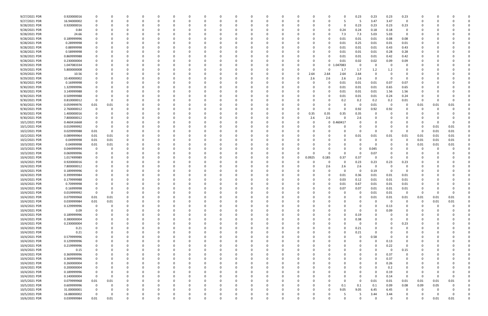| 9/27/2021 PDR                  | 0.920000016                |          |                     |               |                      |          |              |          |          |               |          |          |          |          |             |                 | 0.23             | 0.23             | 0.23             | 0.23             |               |      |      |  |
|--------------------------------|----------------------------|----------|---------------------|---------------|----------------------|----------|--------------|----------|----------|---------------|----------|----------|----------|----------|-------------|-----------------|------------------|------------------|------------------|------------------|---------------|------|------|--|
| 9/27/2021 PDR                  | 16.94000002                |          | 0                   | O             | 0                    |          |              | 0        |          | $\Omega$      |          | $\Omega$ | 0        | 0        |             | 5               | -5               | 3.47             | 3.47             | 0                | 0             |      |      |  |
| 9/28/2021 PDR                  | 0.920000016                |          |                     |               |                      |          |              |          |          |               |          |          |          |          |             | 0               | 0.23             | 0.23             | 0.23             | 0.23             |               |      |      |  |
| 9/28/2021 PDR                  | 0.84                       |          |                     |               |                      |          |              |          |          |               |          |          |          |          |             | 0.24            | 0.24             | 0.18             | 0.18             | 0                |               |      |      |  |
| 9/28/2021 PDR                  | 24.66                      |          |                     |               |                      |          |              |          |          |               |          |          |          |          |             | 7.3             | 7.3              | 5.03             | 5.03             | $\mathbf 0$      |               |      |      |  |
| 9/28/2021 PDR                  | 0.189999996                |          |                     |               |                      |          |              |          |          |               |          |          |          |          |             | 0.01            | 0.01             | 0.01             | 0.08             | 0.08             |               |      |      |  |
| 9/28/2021 PDR                  | 0.28999998                 |          |                     |               |                      |          |              |          |          |               |          |          |          |          |             | 0.01            | 0.25             | 0.01             | 0.01             | 0.01             |               |      |      |  |
| 9/28/2021 PDR                  | 0.88999998                 |          |                     |               | - 0                  |          |              |          |          |               |          |          |          | - 0      |             | 0.01            | 0.01             | 0.01             | 0.43             | 0.43             |               |      |      |  |
| 9/28/2021 PDR                  | 0.58999998                 |          |                     |               |                      |          |              |          |          |               |          |          |          |          |             | 0.01            | 0.01             | 0.01             | 0.28             | 0.28             |               |      |      |  |
| 9/28/2021 PDR                  | 0.869999988                |          |                     |               |                      |          |              |          |          |               |          |          |          |          |             | 0.01            | 0.01             | 0.01             | 0.42             | 0.42             |               |      |      |  |
| 9/28/2021 PDR                  | 0.230000004                |          |                     |               |                      |          |              |          |          |               |          |          |          | 0        |             | 0.01            | 0.02             | 0.02             | 0.09             | 0.09             |               |      |      |  |
| 9/29/2021 PDR                  | 1.047083334                |          |                     |               |                      |          |              |          |          |               |          |          |          | -0       | $\mathbf 0$ | 047083          | 0                | 0                | - 0              |                  |               |      |      |  |
| 9/29/2021 PDR                  | 5.800000008                |          |                     |               | - 0                  |          |              |          |          |               |          |          |          | 0        |             | 1.7             | 1.7              | 1.2              | 1.2              |                  |               |      |      |  |
| 9/29/2021 PDR                  | 10.56                      |          |                     |               |                      |          |              |          |          |               |          |          | 0        | 2.64     | 2.64        | 2.64            | 2.64             | 0                |                  |                  |               |      |      |  |
| 9/29/2021 PDR                  | 10.40000002                |          |                     |               |                      |          |              |          |          |               |          |          |          | 2.6      | 2.6         | 2.6             | 2.6              | 0                |                  |                  |               |      |      |  |
| 9/30/2021 PDR                  | 0.16999998                 |          |                     |               |                      |          |              |          |          |               |          |          |          | -0       |             | 0.01            | 0.01             | 0.01             | 0.07             | 0.07             |               |      |      |  |
| 9/30/2021 PDR                  | 1.329999996                |          |                     |               |                      |          |              |          |          |               |          |          |          |          | $\Omega$    | 0.01            | 0.01             | 0.01             | 0.65             | 0.65             |               |      |      |  |
| 9/30/2021 PDR                  | 3.149999988                |          |                     |               |                      |          |              |          |          |               |          |          |          | - 0      |             | 0.01            | 0.01             | 0.01             | 1.56             | 1.56             |               |      |      |  |
| 9/30/2021 PDR                  | 0.509999988                |          |                     |               |                      |          |              |          |          |               |          |          |          |          |             | 0.01            | 0.01             | 0.01             | 0.24             | 0.24             |               |      |      |  |
| 9/30/2021 PDR                  | 0.810000012                |          |                     |               |                      |          |              |          |          |               |          |          |          |          |             | 0.2             | 0.2              | 0.2              | 0.2              | 0.01             | $\Omega$      |      |      |  |
| 9/30/2021 PDR                  | 0.059999976                | 0.01     | 0.01                |               |                      |          |              |          |          |               |          |          |          | - 0      |             |                 | - 0              | 0.01             | - 0              | 0                | 0.01          | 0.01 | 0.01 |  |
| 9/30/2021 PDR                  | 2.760000012                |          |                     |               |                      |          |              |          |          |               |          |          |          | -0       |             | 0               | 0.92             | 0.92             | 0.92             |                  | C             |      |      |  |
| 9/30/2021 PDR                  | 1.400000016                |          |                     |               |                      |          |              |          |          |               |          |          | 0        | 0.35     | 0.35        | 0.35            | 0.35             |                  |                  |                  |               |      |      |  |
| 9/30/2021 PDR                  | 7.800000012                |          |                     |               |                      |          |              |          |          |               |          |          |          | 2.6      | 2.6         |                 | 2.6              |                  |                  |                  |               |      |      |  |
| 10/1/2021 PDR                  | 0.460416668                |          |                     |               |                      |          |              |          |          |               |          |          |          | 0        | $\mathbf 0$ | 0.460417        | 0                |                  |                  |                  |               |      |      |  |
| 10/1/2021 PDR                  | 0.019999992                | 0        |                     |               |                      |          |              |          |          |               |          |          |          | - 0      |             |                 | n                |                  |                  |                  | 0             | 0.01 | 0.01 |  |
| 10/2/2021 PDR                  | 0.029999988                | 0.01     | 0                   |               |                      |          |              |          |          |               |          |          |          |          |             |                 | 0                | - 0              |                  | $\Omega$         | -0            | 0.01 | 0.01 |  |
| 10/2/2021 PDR                  | 0.089999964                | 0.01     | 0.01                |               |                      |          |              |          |          |               |          |          |          |          |             |                 | 0.01             | 0.01             | 0.01             | 0.01             | 0.01          | 0.01 | 0.01 |  |
| 10/2/2021 PDR                  | 0.04999998                 | 0.01     | 0.01                |               |                      |          |              |          |          |               |          |          |          |          |             |                 | 0                |                  |                  | 0                | 0.01          | 0.01 | 0.01 |  |
| 10/3/2021 PDR                  | 0.04999998                 | 0.01     | 0.01                |               |                      |          |              |          |          |               |          |          |          |          |             |                 |                  |                  |                  |                  | 0.01          | 0.01 | 0.01 |  |
| 10/3/2021 PDR                  | 0.044999994                | 0        | 0                   |               |                      |          |              |          |          |               |          |          |          |          |             |                 | 0                | 0.045            |                  |                  | 0             |      |      |  |
| 10/3/2021 PDR                  | 0.069999996                |          |                     |               | -0                   |          |              |          |          |               |          |          | 0        | -0       |             | $\Omega$        | 0                | 0.07             |                  |                  |               |      |      |  |
| 10/4/2021 PDR                  |                            |          |                     |               |                      |          |              |          |          |               |          |          | 0        | 0.0925   |             | 0.37            |                  | - 0              |                  |                  |               |      |      |  |
|                                | 1.017499989                |          |                     |               |                      |          |              |          |          |               |          |          |          |          | 0.185       |                 | 0.37             |                  |                  |                  |               |      |      |  |
| 10/4/2021 PDR                  | 0.920000016                |          |                     |               |                      |          |              |          |          |               |          |          |          |          | $\Omega$    |                 | 0.23             | 0.23             | 0.23             | 0.23             |               |      |      |  |
| 10/4/2021 PDR<br>10/4/2021 PDR | 7.800000012<br>0.189999996 |          |                     |               |                      |          |              |          |          |               |          |          |          | -0<br>-0 | 2.6         | 2.6<br>$\Omega$ | 2.6<br>0         | -C               | - 0<br>- 0       | $\Omega$         |               |      |      |  |
|                                |                            |          |                     |               |                      |          |              |          |          |               |          |          |          |          |             |                 |                  | 0.19             |                  |                  |               |      |      |  |
| 10/4/2021 PDR                  | 0.399999984                |          |                     |               |                      |          |              |          |          |               |          |          |          |          |             | 0.01            | 0.36             | 0.01             | 0.01             | 0.01             |               |      |      |  |
| 10/4/2021 PDR                  | 0.179999988                |          |                     |               |                      |          |              |          |          |               |          |          |          |          |             | 0.03            | 0.12             | 0.01             | 0.01             | 0.01             |               |      |      |  |
| 10/4/2021 PDR                  | 0.70999998                 |          |                     |               |                      |          |              |          |          |               |          |          |          |          |             | 0.01            | 0.67             | 0.01             | 0.01             | 0.01             |               |      |      |  |
| 10/4/2021 PDR                  | 0.16999998                 |          | 0                   |               |                      |          |              |          |          |               |          |          |          |          |             | 0.07            | 0.07             | 0.01             | 0.01             | 0.01             | 0             |      |      |  |
| 10/4/2021 PDR<br>10/4/2021 PDR | 0.019999992<br>0.079999968 | 0.01     | U<br>0.01           | $\Omega$      | $\Omega$             | $\Omega$ | $\Omega$     | $\Omega$ | 0        | $\Omega$      | $\Omega$ | $\Omega$ | 0        | $\Omega$ |             | ŋ               | 0<br>$\mathbf 0$ | 0.01             | $0.01\,$<br>0.01 | 0<br>$0.01\,$    | 0.01          | 0.01 | 0.01 |  |
| 10/4/2021 PDR                  |                            |          |                     | $\Omega$      |                      | $\Omega$ | <sup>0</sup> |          |          |               |          | O        |          |          |             |                 |                  | 0.01<br>$\Omega$ | $\Omega$         | 0                | $\Omega$      |      |      |  |
|                                | 0.039999984                | 0.01     | 0.01<br>$\mathbf 0$ |               | 0                    |          |              | 0        |          | 0             |          |          | 0        | 0        |             |                 | 0                | $\Omega$         |                  |                  |               | 0.01 | 0.01 |  |
| 10/4/2021 PDR<br>10/4/2021 PDR | 0.129999996                | 0        | 0                   | 0<br>$\Omega$ | $\Omega$<br>$\Omega$ | $\Omega$ |              | 0<br>0   |          | 0<br>$\Omega$ |          |          | 0<br>0   | 0        |             |                 | 0<br>0           | $\Omega$         | 0.13<br>0.09     | 0<br>0           | 0<br>$\Omega$ |      |      |  |
|                                | 0.09                       |          |                     |               |                      |          |              |          |          |               |          |          |          | 0        |             |                 |                  |                  |                  |                  |               |      |      |  |
| 10/4/2021 PDR                  | 0.189999996                |          |                     |               | 0                    |          |              | 0        |          |               |          |          |          | -0       |             | 0               | 0.19             | 0                | $\Omega$         | 0<br>$\mathbf 0$ |               |      |      |  |
| 10/4/2021 PDR                  | 0.380000004                |          |                     |               | $\Omega$             |          |              | 0        |          |               |          |          | 0        | 0        |             |                 | 0.38             |                  |                  |                  |               |      |      |  |
| 10/4/2021 PDR                  | 0.230000004                |          |                     |               |                      |          |              |          |          |               |          |          |          | 0        |             |                 | 0                |                  | $\Omega$         | 0.23             |               |      |      |  |
| 10/4/2021 PDR                  | 0.21                       |          |                     | 0             | 0                    |          |              | 0        |          |               |          |          |          | 0        |             | $\Omega$        | 0.21             | $\Omega$         |                  | 0                |               |      |      |  |
| 10/4/2021 PDR                  | 0.21                       |          |                     |               | 0                    |          |              | 0        |          |               |          |          |          | 0        |             |                 | 0.21             | 0                |                  |                  |               |      |      |  |
| 10/4/2021 PDR                  | 0.579999996                |          |                     |               | $\Omega$             |          |              |          |          |               |          |          |          | 0        |             |                 | 0                | 0.58             | - 0              |                  |               |      |      |  |
| 10/4/2021 PDR                  | 0.129999996                |          |                     |               | 0                    |          |              |          |          |               |          |          |          | - 0      |             |                 | 0                | $\Omega$         | 0.13             |                  |               |      |      |  |
| 10/4/2021 PDR                  | 0.219999996                |          |                     |               |                      |          |              |          |          |               |          |          |          | 0        |             |                 |                  | 0                | 0.22             | 0                |               |      |      |  |
| 10/4/2021 PDR                  | 0.15                       |          | 0                   |               | $\Omega$             |          |              | 0        |          |               |          |          |          | 0        |             |                 | 0                | $\Omega$         | $\Omega$         | 0.15             |               |      |      |  |
| 10/4/2021 PDR                  | 0.369999996                |          |                     |               | 0                    | $\Omega$ |              | 0        |          | 0             |          |          |          | 0        |             |                 | 0                | $\Omega$         | 0.37             | 0                | 0             |      |      |  |
| 10/4/2021 PDR                  | 0.369999996                |          |                     |               | 0                    | $\Omega$ |              | 0        |          | 0             |          |          |          | 0        |             |                 | 0                | $\Omega$         | 0.37             | 0                | 0             |      |      |  |
| 10/4/2021 PDR                  | 0.260000004                |          |                     |               | 0                    |          |              | 0        |          |               |          |          | 0        | - 0      |             |                 | 0                | $\Omega$         | 0.26             | 0                |               |      |      |  |
| 10/4/2021 PDR                  | 0.200000004                |          |                     |               | 0                    |          |              |          |          |               |          |          |          | 0        |             |                 |                  | $\Omega$         | 0.2              | 0                |               |      |      |  |
| 10/4/2021 PDR                  | 0.189999996                |          |                     |               |                      |          |              |          |          |               |          |          |          | -0       |             |                 |                  | 0                | 0.19             |                  |               |      |      |  |
| 10/4/2021 PDR                  | 0.140000004                | $\Omega$ | $\Omega$            |               |                      |          |              |          |          |               |          |          |          | 0        |             |                 | 0                | $\Omega$         | 0.14             | $\overline{0}$   | 0             |      |      |  |
| 10/5/2021 PDR                  | 0.079999968                | 0.01     | 0.01                |               |                      |          |              |          |          |               |          |          |          |          |             |                 | 0                | 0.01             | $0.01\,$         | 0.01             | 0.01          | 0.01 | 0.01 |  |
| 10/5/2021 PDR                  | 0.609999996                | 0        | 0                   |               | 0                    |          |              |          |          |               |          |          |          | 0        |             | 0.1             | 0.1              | 0.1              | 0.09             | 0.08             | 0.09          | 0.05 |      |  |
| 10/5/2021 PDR                  | 31.00000001                |          | 0                   | 0             | 0                    |          |              | 0        |          |               |          |          | 0        | 0        | $\Omega$    | 9.05            | 9.05             | 6.45             | 6.45             | 0                | 0             |      |      |  |
| 10/5/2021 PDR                  | 16.88000002                | $\Omega$ | 0                   |               |                      |          |              |          |          |               |          |          |          |          |             |                 | 5                | 3.44             | 3.44             |                  |               |      | 0    |  |
| 10/6/2021 PDR                  | 0.039999984                | 0.01     | 0.01                | $\Omega$      | $\Omega$             | $\Omega$ | $\Omega$     | $\Omega$ | $\Omega$ | $\Omega$      |          | $\Omega$ | $\Omega$ | $\Omega$ |             | $\Omega$        | $\Omega$         | $\Omega$         | $\Omega$         | $\Omega$         | $\Omega$      | 0.01 | 0.01 |  |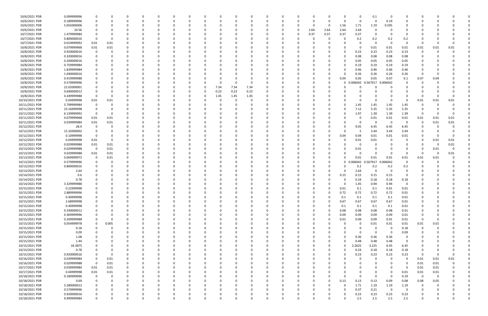| 10/6/2021 PDR  | 0.099999996 |             |          |          |          |             |          |          |      |             |          |          |          |          |      |              |          | 0        | 0.1      | - 0      |          |                         |      |          |  |
|----------------|-------------|-------------|----------|----------|----------|-------------|----------|----------|------|-------------|----------|----------|----------|----------|------|--------------|----------|----------|----------|----------|----------|-------------------------|------|----------|--|
| 10/6/2021 PDR  | 0.189999996 |             | n        |          |          |             | C        |          |      | $\Omega$    |          |          |          | 0        |      | $\Omega$     |          | 0        | $\Omega$ | 0.19     | 0        | n                       |      |          |  |
| 10/6/2021 PDR  | 5.055000006 |             |          |          |          |             |          |          |      |             |          |          |          |          |      | 0            | 1.56     | 1.71     | 1.19     | 0.595    |          |                         |      |          |  |
| 10/6/2021 PDR  | 10.56       |             |          |          |          |             |          |          |      |             |          |          |          | n        | 2.64 | 2.64         | 2.64     | 2.64     |          |          |          |                         |      |          |  |
| 10/7/2021 PDR  | 1.479999984 |             |          |          |          |             |          |          |      |             |          |          |          | n        | 0.37 | 0.37         | 0.37     | 0.37     |          |          |          |                         |      |          |  |
| 10/7/2021 PDR  | 0.800000016 |             |          |          |          |             |          |          |      |             |          |          |          |          |      | <sup>0</sup> |          | 0.2      | 0.2      | 0.2      | 0.2      |                         |      |          |  |
| 10/7/2021 PDR  | 0.019999992 | 0.01        | 0.01     |          |          |             |          |          |      |             |          |          |          |          |      |              |          | $\Omega$ | $\Omega$ | - 0      | $\Omega$ | C                       |      |          |  |
| 10/8/2021 PDR  | 0.079999968 | 0.01        | 0.01     |          |          |             |          |          |      |             |          |          |          |          |      |              |          | 0        | 0.01     | 0.01     | 0.01     | 0.01                    | 0.01 | 0.01     |  |
| 10/8/2021 PDR  | 0.920000016 | 0           | 0        |          |          |             |          |          |      |             |          |          |          |          |      |              |          | 0.23     | 0.23     | 0.23     | 0.23     | 0                       |      |          |  |
|                |             |             |          |          |          |             |          |          |      |             |          |          |          |          |      |              |          |          |          |          |          |                         |      |          |  |
| 10/8/2021 PDR  | 0.320000016 |             |          |          |          |             |          |          |      |             |          |          |          |          |      |              |          | 0.08     | 0.08     | 0.08     | 0.08     |                         |      |          |  |
| 10/8/2021 PDR  | 0.200000016 |             |          |          |          |             |          |          |      |             |          |          |          |          |      |              |          | 0.05     | 0.05     | 0.05     | 0.05     | 0                       |      |          |  |
| 10/8/2021 PDR  | 0.759999984 |             |          |          |          |             |          |          |      |             |          |          |          |          |      |              |          | 0.19     | 0.19     | 0.19     | 0.19     |                         |      |          |  |
| 10/8/2021 PDR  | 1.839999984 |             |          |          |          |             |          |          |      |             |          |          |          |          |      |              |          | 0.46     | 0.46     | 0.46     | 0.46     |                         |      |          |  |
| 10/8/2021 PDR  | 1.040000016 |             |          |          |          |             |          |          |      |             |          |          |          |          |      |              |          | 0.26     | 0.26     | 0.26     | 0.26     | -0                      |      |          |  |
| 10/8/2021 PDR  | 0.419999988 |             |          |          |          |             |          |          |      |             |          |          |          |          |      | <sup>0</sup> | 0.04     | 0.05     | 0.05     | 0.07     | 0.1      | 0.07                    | 0.04 |          |  |
| 10/8/2021 PDR  | 0.579999996 |             |          |          |          |             |          |          |      |             |          |          |          |          |      |              | 0        | 0.006042 | 0.567917 | 0.006042 |          |                         |      |          |  |
| 10/8/2021 PDR  | 22.02000001 |             |          |          |          |             |          |          | 7.34 | 7.34        | 7.34     |          |          |          |      |              |          | 0        |          |          |          |                         |      |          |  |
| 10/8/2021 PDR  | 0.690000012 |             |          |          |          |             |          |          | 0.23 | 0.23        | 0.23     |          |          |          |      |              |          |          |          |          |          |                         |      |          |  |
| 10/8/2021 PDR  | 4.349999988 |             |          |          |          |             |          |          | 1.45 | 1.45        | 1.45     |          |          |          |      |              |          |          |          |          |          | n                       |      |          |  |
| 10/10/2021 PDR | 0.04999998  | 0.01        | 0.01     |          |          |             |          |          |      |             |          |          |          |          |      |              |          |          |          |          |          | 0.01                    | 0.01 | 0.01     |  |
| 10/11/2021 PDR | 5.799999984 |             |          |          |          |             |          |          |      |             |          |          |          |          |      |              |          | 1.45     | 1.45     | 1.45     | 1.45     |                         |      |          |  |
| 10/11/2021 PDR | 23.16999998 |             |          |          |          |             |          |          |      |             |          |          |          |          |      |              |          | 7.12     | 5.35     | 5.35     | 5.35     | 0                       |      |          |  |
| 10/11/2021 PDR | 6.139999992 | 0           | 0        |          |          |             |          |          |      |             |          |          |          |          |      |              |          | 1.97     | 1.39     | 1.39     | 1.39     | -0                      |      |          |  |
|                |             |             |          |          |          |             |          |          |      |             |          |          |          |          |      |              |          |          |          |          |          |                         |      |          |  |
| 10/11/2021 PDR | 0.079999968 | 0.01        | 0.01     |          |          |             |          |          |      |             |          |          |          |          |      |              |          | -0       | 0.01     | 0.01     | 0.01     | 0.01                    | 0.01 | 0.01     |  |
| 10/11/2021 PDR | 0.039999984 | 0.01        | 0.01     |          |          |             |          |          |      |             |          |          |          |          |      |              |          | 0        | -C       | - 0      | -0       | 0                       | 0.01 | 0.01     |  |
| 10/12/2021 PDR | 28.4        |             |          |          |          |             |          |          |      |             |          |          |          |          |      |              |          | 9.05     | 6.45     | 6.45     | 6.45     | 0                       |      |          |  |
| 10/12/2021 PDR | 15.32000002 |             |          |          |          |             |          |          |      |             |          |          |          |          |      |              |          | -5       | 3.44     | 3.44     | 3.44     |                         |      |          |  |
| 10/12/2021 PDR | 0.10999998  | 0           |          |          |          |             |          |          |      |             |          |          |          |          |      |              | 0.04     | 0.04     | 0.01     | 0.01     | 0.01     |                         |      |          |  |
| 10/12/2021 PDR | 0.04999998  | 0.01        | 0        |          |          |             |          |          |      |             |          |          |          |          |      |              |          | 0.01     | 0.01     |          | 0        | 0                       | 0.01 | 0.01     |  |
| 10/12/2021 PDR | 0.029999988 | 0.01        | 0.01     |          |          |             |          |          |      |             |          |          |          |          |      |              |          | -0       |          |          | 0        | 0                       | -0   | 0.01     |  |
| 10/13/2021 PDR | 0.029999988 | 0           | 0.01     |          |          |             |          |          |      |             |          |          |          |          |      |              |          | 0.01     |          |          |          | 0                       | 0.01 |          |  |
| 10/13/2021 PDR | 0.029999988 | 0.01        | 0.01     |          |          |             |          |          |      |             |          |          |          |          |      |              |          | $\Omega$ | $\Omega$ |          | $\Omega$ | $\Omega$                |      | 0.01     |  |
| 10/13/2021 PDR | 0.069999972 | 0           | 0.01     |          |          |             |          |          |      |             |          |          |          |          |      |              |          | 0.01     | 0.01     | 0.01     | 0.01     | 0.01                    | 0.01 |          |  |
| 10/13/2021 PDR | 0.579999996 |             | -C       |          |          |             |          |          |      |             |          |          |          |          |      |              | 0        | 0.006042 | 0.567917 | 0.006042 | $\Omega$ |                         |      |          |  |
| 10/13/2021 PDR | 0.800000016 |             |          |          |          |             |          |          |      |             |          |          |          |          |      |              |          | 0.2      | 0.2      | 0.2      | 0.2      |                         |      |          |  |
| 10/13/2021 PDR | 2.64        |             |          |          |          |             |          |          |      |             |          |          |          |          |      |              |          | 2.64     | -0       | - 0      | $\Omega$ |                         |      |          |  |
| 10/14/2021 PDR | 0.6         |             |          |          |          |             |          |          |      |             |          |          |          |          |      |              | 0.15     | 0.15     | 0.15     | 0.15     | $\Omega$ |                         |      |          |  |
| 10/14/2021 PDR | 0.78        |             |          |          |          |             |          |          |      |             |          |          |          |          |      |              |          | 0.24     | 0.18     | 0.18     | 0.18     |                         |      |          |  |
| 10/14/2021 PDR |             |             |          |          |          |             |          |          |      |             |          |          |          |          |      |              |          |          |          | 0.94     |          |                         |      |          |  |
|                | 3.329999988 |             |          |          |          |             |          |          |      |             |          |          |          |          |      |              |          | 1.45     | 0.94     |          |          |                         |      |          |  |
| 10/15/2021 PDR | 0.22999998  |             | n        |          |          |             |          |          |      |             |          |          |          |          |      |              | 0.01     | 0.1      | 0.1      | 0.01     | 0.01     |                         |      |          |  |
| 10/15/2021 PDR | 2.889999996 | $\Omega$    | $\Omega$ |          |          |             |          |          |      |             |          |          |          |          |      |              | 0.72     | 0.72     | 0.72     | 0.72     | 0.01     | $\Omega$                |      |          |  |
| 10/15/2021 PDR | 0.40999998  | 0           | 0        |          | $\Omega$ | $\Omega$    | $\Omega$ | $\Omega$ |      | 0           |          |          | $\Omega$ | 0        |      | $\Omega$     | 0.1      | 0.1      | 0.1      | 0.1      | 0.01     | 0                       |      |          |  |
| 10/15/2021 PDR | 2.68999998  | 0           | $\Omega$ |          | $\Omega$ | $\Omega$    | $\Omega$ | 0        |      | 0           |          | $\Omega$ |          | 0        |      | $\Omega$     | 0.67     | 0.67     | 0.67     | 0.67     | 0.01     | 0                       |      |          |  |
| 10/15/2021 PDR | 0.40999998  |             |          |          |          |             |          |          |      |             |          |          |          | 0        |      |              | 0.1      | 0.1      | 0.1      | 0.1      | 0.01     |                         |      |          |  |
| 10/15/2021 PDR | 0.330000012 |             |          |          |          |             |          |          |      |             |          |          |          |          |      | $\Omega$     | 0.08     | 0.08     | 0.08     | 0.08     | 0.01     | 0                       |      |          |  |
| 10/15/2021 PDR | 0.369999996 |             |          |          |          |             |          |          |      |             |          |          |          |          |      | 0            | 0.09     | 0.09     | 0.09     | 0.09     | 0.01     | 0                       |      |          |  |
| 10/15/2021 PDR | 0.209999988 |             | $\Omega$ |          |          |             |          |          |      |             |          |          |          |          |      | 0            | 0.01     | 0.09     | 0.09     | 0.01     | 0.01     | $\mathbf 0$             |      |          |  |
| 10/15/2021 PDR | 0.054999978 | 0           | 0.005    |          |          | $\Omega$    |          |          |      | 0           |          |          |          | 0        |      |              |          | 0        | 0.01     | 0.01     | 0.01     | 0.01                    | 0.01 |          |  |
| 10/15/2021 PDR | 0.18        | 0           | 0        |          |          | 0           |          |          |      | 0           |          |          |          | 0        |      |              |          | 0        | -0       | $\Omega$ | 0.18     | 0                       | 0    |          |  |
| 10/15/2021 PDR | 0.09        |             |          |          |          | 0           |          |          |      |             |          |          |          | 0        |      |              |          | 0        | $\Omega$ | - 0      | 0.09     |                         |      |          |  |
| 10/15/2021 PDR | 1.08        |             |          |          |          | 0           |          |          |      |             |          |          |          |          |      |              | $\Omega$ | 0.36     | 0.36     | 0.36     | 0        |                         |      |          |  |
| 10/15/2021 PDR | 1.44        |             |          |          |          |             |          |          |      |             |          |          |          |          |      | 0            |          | 0.48     | 0.48     | 0.48     | 0        |                         |      |          |  |
| 10/15/2021 PDR | 18.3875     |             |          |          |          |             |          |          |      |             |          |          |          |          |      | 0            |          | 2.2625   | 3.225    | 6.45     | 6.45     |                         |      |          |  |
| 10/15/2021 PDR | 0.78        |             | 0        |          |          | 0           | 0        |          |      | 0           |          |          |          | 0        |      | 0            | $\Omega$ | 0.24     | 0.18     | 0.18     | 0.18     | 0                       |      |          |  |
|                |             |             |          |          |          |             |          |          |      |             |          |          |          |          |      |              |          |          |          |          |          |                         |      |          |  |
| 10/15/2021 PDR | 0.920000016 |             | 0        |          |          | 0           |          | 0        |      | 0           |          | $\Omega$ |          | 0        |      | 0            |          | 0.23     | 0.23     | 0.23     | 0.23     | 0                       | 0    | $\Omega$ |  |
| 10/16/2021 PDR | 0.039999984 | $\mathbf 0$ | 0.01     | $\Omega$ | $\Omega$ | 0           |          | 0        |      | 0           |          | $\Omega$ |          | 0        |      |              |          | 0        | $\Omega$ | $\Omega$ | 0        | 0.01                    | 0.01 | 0.01     |  |
| 10/16/2021 PDR | 0.029999988 | 0           | 0.01     |          |          | 0           |          |          |      |             |          |          |          | 0        |      |              |          |          | 0        |          | 0        | 0.01                    | 0.01 |          |  |
| 10/17/2021 PDR | 0.039999984 | 0.01        | 0.01     |          |          |             |          |          |      |             |          |          |          |          |      |              |          |          |          |          | 0        | 0.01                    | 0.01 |          |  |
| 10/17/2021 PDR | 0.04999998  | $0.01\,$    | 0.01     |          |          |             |          |          |      |             |          |          |          |          |      |              |          |          |          | $\Omega$ | 0.01     | 0.01                    | 0.01 |          |  |
| 10/18/2021 PDR | 0.189999996 | 0           | 0        |          |          | 0           |          |          |      |             |          |          |          |          |      |              | $\Omega$ | $\Omega$ | $\Omega$ | $\Omega$ | 0.19     | $\overline{\mathbf{0}}$ | 0    |          |  |
| 10/18/2021 PDR | 0.69        | 0           | 0        |          |          |             |          |          |      | 0           |          |          |          | $\Omega$ |      | $\Omega$     | 0.13     | 0.13     | 0.13     | 0.09     | 0.08     | 0.08                    | 0.05 |          |  |
| 10/18/2021 PDR | 5.280000012 | 0           |          |          |          | 0           |          |          |      | 0           |          |          |          | 0        |      | O            |          | 1.71     | 1.19     | 1.19     | 1.19     | -0                      |      |          |  |
| 10/18/2021 PDR | 0.579999996 |             |          |          |          |             |          |          |      |             |          |          |          |          |      |              |          | 0.37     | 0.21     | $\Omega$ | 0        |                         |      |          |  |
| 10/18/2021 PDR | 0.920000016 |             |          |          |          |             |          |          |      |             |          |          |          |          |      |              |          | 0.23     | 0.23     | 0.23     | 0.23     |                         |      |          |  |
| 10/18/2021 PDR | 9.999999984 | $\mathbf 0$ | 0        |          | $\Omega$ | $\mathbf 0$ | 0        | 0        | 0    | $\mathbf 0$ | $\Omega$ | $\Omega$ | $\Omega$ | 0        |      | 0            |          | 2.5      | 2.5      | 2.5      | 2.5      | 0                       |      | 0        |  |
|                |             |             |          |          |          |             |          |          |      |             |          |          |          |          |      |              |          |          |          |          |          |                         |      |          |  |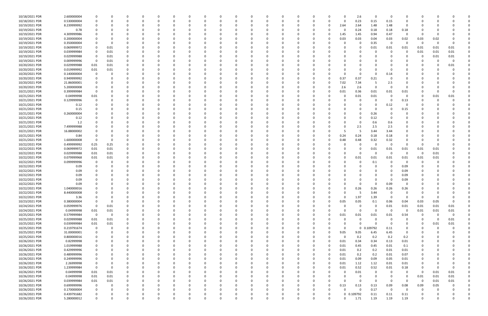| 10/18/2021 PDR | 2.600000004 |             |          |          | O        | 0        |          |   | 0        | - 0      |          |              |          |              |          | 0        | 2.6         | $\Omega$         | - 0         | 0           |          |          |          |  |
|----------------|-------------|-------------|----------|----------|----------|----------|----------|---|----------|----------|----------|--------------|----------|--------------|----------|----------|-------------|------------------|-------------|-------------|----------|----------|----------|--|
| 10/18/2021 PDR | 0.530000004 | $\Omega$    |          | $\Omega$ | $\Omega$ | $\Omega$ | O        | O |          | $\Omega$ | $\Omega$ | $\Omega$     | $\Omega$ | $\Omega$     | $\Omega$ | $\Omega$ | 0.23        | 0.15             | 0.15        | $\Omega$    | $\Omega$ |          |          |  |
| 10/19/2021 PDR | 8.239999992 |             |          |          |          |          |          |   |          |          |          |              |          |              | 0        | 2.64     | 2.64        | 1.48             | 1.48        | 0           |          |          |          |  |
| 10/19/2021 PDR | 0.78        |             |          |          |          |          |          |   |          |          |          |              |          |              |          | 0        | 0.24        | 0.18             | 0.18        | 0.18        |          |          |          |  |
| 10/19/2021 PDR | 4.309999986 |             |          |          |          |          |          |   |          |          |          |              |          |              |          | 1.45     | 1.45        | 0.94             | 0.47        | $\mathbf 0$ | $\Omega$ |          |          |  |
| 10/19/2021 PDR | 0.200000004 |             |          |          |          |          |          |   |          |          |          |              |          |              |          | 0.03     | 0.03        | 0.04             | 0.03        | 0.02        | 0.03     | 0.02     |          |  |
|                |             |             |          |          |          |          |          |   |          |          |          |              |          |              |          |          |             |                  |             | $\Omega$    |          |          |          |  |
| 10/19/2021 PDR | 0.350000004 |             |          |          |          |          |          |   |          |          |          |              |          |              |          | O        | 0           | 0.35             | - 0         |             | - 0      |          |          |  |
| 10/19/2021 PDR | 0.069999972 | $\Omega$    | 0.01     |          |          |          |          |   |          |          |          |              |          |              |          |          | $\Omega$    | 0.01             | 0.01        | 0.01        | 0.01     | 0.01     | 0.01     |  |
| 10/19/2021 PDR | 0.039999984 | $\Omega$    | 0.01     |          |          |          |          |   |          |          |          |              |          |              |          |          | 0           |                  | - 0         | 0           | 0.01     | 0.01     | 0.01     |  |
| 10/19/2021 PDR | 0.029999988 | 0           | $0.01\,$ |          |          |          |          |   |          |          |          |              |          |              |          |          |             |                  |             |             | 0        | 0.01     | 0.01     |  |
| 10/19/2021 PDR | 0.009999996 | $\mathbf 0$ | 0.01     |          |          |          |          |   |          |          |          |              |          |              |          |          |             |                  |             |             |          |          |          |  |
| 10/20/2021 PDR | 0.029999988 | 0.01        | 0.01     |          |          |          |          |   |          |          |          |              |          |              |          |          | 0           |                  |             |             |          |          | 0.01     |  |
| 10/20/2021 PDR | 0.019999992 | 0.01        | 0.01     |          |          |          |          |   |          |          |          |              |          |              |          |          | $\Omega$    |                  | - 0         |             | 0        |          |          |  |
| 10/20/2021 PDR | 0.140000004 | 0           |          |          |          |          |          |   |          |          |          |              |          |              |          | $\Omega$ | 0           | $\Omega$         | 0.14        |             |          |          |          |  |
| 10/20/2021 PDR | 0.949999992 | 0           |          |          |          |          |          |   |          |          |          |              |          |              | 0        | 0.37     | 0.37        | 0.21             | - 0         |             |          |          |          |  |
| 10/20/2021 PDR | 21.86000001 |             |          |          |          |          |          |   |          |          |          |              |          |              | 0        | 7.02     | 7.34        | -5               | 2.5         |             |          |          |          |  |
| 10/20/2021 PDR | 5.200000008 |             |          |          |          |          |          |   |          |          |          |              |          |              |          | 2.6      | 2.6         | - 0              | - 0         |             |          |          |          |  |
| 10/21/2021 PDR | 0.399999984 | $\Omega$    |          |          |          |          |          |   |          |          |          |              |          |              |          | 0.01     | 0.36        | 0.01             | 0.01        | 0.01        |          |          |          |  |
| 10/21/2021 PDR | 0.04999998  |             |          |          |          |          |          |   |          |          |          |              |          |              |          | 0        |             |                  | 0           | 0           | 0        |          |          |  |
|                |             | 0.01        |          |          |          |          |          |   |          |          |          |              |          |              |          |          | 0.01        | 0.01<br>$\Omega$ |             |             |          | 0.01     | 0.01     |  |
| 10/21/2021 PDR | 0.129999996 | $\Omega$    |          |          |          |          |          |   |          |          |          |              |          |              |          |          | $\Omega$    |                  | - 0         | 0.13        |          |          |          |  |
| 10/21/2021 PDR | 0.12        |             |          |          |          |          |          |   |          |          |          |              |          |              |          |          | $\Omega$    |                  | 0.12        | 0           |          |          |          |  |
| 10/21/2021 PDR | 0.15        |             |          |          |          |          |          |   |          |          |          |              |          |              |          |          | 0           |                  | - 0         | 0.15        |          |          |          |  |
| 10/21/2021 PDR | 0.260000004 |             |          |          |          |          |          |   |          |          |          |              |          |              |          |          | $\Omega$    | 0.26             | - 0         |             |          |          |          |  |
| 10/21/2021 PDR | 0.12        |             |          |          |          |          |          |   |          |          |          |              |          |              |          |          | 0           | 0.12             | - 0         |             |          |          |          |  |
| 10/21/2021 PDR | 1.2         |             |          |          |          |          |          |   |          |          |          |              |          |              |          |          | 0           | 0.6              | 0.6         |             |          |          |          |  |
| 10/21/2021 PDR | 7.499999988 |             |          |          |          |          |          |   |          |          |          |              |          |              |          | $\Omega$ | 2.5         | 2.5              | 2.5         |             |          |          |          |  |
| 10/21/2021 PDR | 16.88000002 |             |          |          |          |          |          |   |          |          |          |              |          |              |          |          | -5          | 3.44             | 3.44        |             |          |          |          |  |
| 10/21/2021 PDR | 0.84        |             |          |          |          |          |          |   |          |          |          |              |          |              | 0        | 0.24     | 0.24        | 0.18             | 0.18        |             |          |          |          |  |
| 10/21/2021 PDR | 1.600000008 |             |          |          |          |          |          |   |          |          |          |              |          |              |          | 0.48     | 0.48        | 0.32             | 0.32        |             |          |          |          |  |
| 10/22/2021 PDR | 0.499999992 | 0.25        | 0.25     |          |          |          |          |   |          |          |          |              |          |              |          |          | 0           |                  | $\Omega$    | $\Omega$    |          |          |          |  |
|                |             |             |          |          |          |          |          |   |          |          |          |              |          |              |          |          |             |                  |             |             |          |          |          |  |
| 10/22/2021 PDR | 0.069999972 | 0.01        | 0.01     |          |          |          |          |   |          |          |          |              |          |              |          | 0        | 0           | 0.01             | 0.01        | 0.01        | 0.01     | 0.01     |          |  |
| 10/22/2021 PDR | 0.029999988 | 0.01        | 0.01     |          |          |          |          |   |          |          |          |              |          |              |          | $\Omega$ | 0           |                  | $\mathbf 0$ | $\Omega$    | - 0      | 0.01     |          |  |
| 10/22/2021 PDR | 0.079999968 | 0.01        | 0.01     |          |          |          |          |   |          |          |          |              |          |              |          | $\Omega$ | 0.01        | 0.01             | 0.01        | 0.01        | 0.01     | 0.01     |          |  |
| 10/22/2021 PDR | 0.099999996 | $\Omega$    |          |          |          |          |          |   |          |          |          |              |          |              |          |          | 0           | 0.1              | - 0         | 0           | 0        |          |          |  |
| 10/22/2021 PDR | 0.09        |             |          |          |          |          |          |   |          |          |          |              |          |              |          |          |             |                  | - 0         | 0.09        |          |          |          |  |
| 10/22/2021 PDR | 0.09        |             |          |          |          |          |          |   |          |          |          |              |          |              |          |          |             |                  | - 0         | 0.09        |          |          |          |  |
| 10/22/2021 PDR | 0.09        |             |          |          |          |          |          |   |          |          |          |              |          |              |          |          | 0           |                  | - 0         | 0.09        |          |          |          |  |
| 10/22/2021 PDR | 0.09        |             |          |          |          |          |          |   |          |          |          |              |          |              |          |          | $\Omega$    |                  | - 0         | 0.09        |          |          |          |  |
| 10/22/2021 PDR | 0.09        |             |          |          |          |          |          |   |          |          |          |              |          |              |          |          | $\Omega$    |                  | 0.09        |             |          |          |          |  |
| 10/22/2021 PDR | 1.040000016 |             |          |          |          |          |          |   |          |          |          |              |          |              |          |          | 0.26        | 0.26             | 0.26        | 0.26        |          |          |          |  |
| 10/22/2021 PDR | 8.440000008 | $\Omega$    | 0        |          |          |          |          |   | 0        | O        |          |              |          |              |          | 0        | 5           | 3.44             | 0           |             |          |          |          |  |
| 10/22/2021 PDR | 3.36        | 0           | 0        |          | 0        | 0        | 0        |   | $\Omega$ | $\Omega$ | $\Omega$ | 0            |          | 0            | 0        | $\Omega$ | 1.97        | 1.39             | $\mathbf 0$ | - 0         | 0        |          |          |  |
|                |             |             |          |          |          |          |          |   |          |          |          |              |          |              |          |          |             |                  |             |             |          |          |          |  |
| 10/23/2021 PDR | 0.380000004 | $\Omega$    | $\Omega$ |          | 0        | റ        |          |   | $\Omega$ | $\Omega$ | $\Omega$ | $\Omega$     |          |              | 0        | 0.05     | 0.05        | 0.1              | 0.06        | 0.04        | 0.03     | 0.05     | $\Omega$ |  |
| 10/24/2021 PDR | 0.059999976 | 0           | 0.01     | 0        | 0        | - 0      |          |   |          | 0        | 0        | <sup>0</sup> |          | 0            |          | 0        | $\mathbf 0$ | $\Omega$         | 0.01        | 0.01        | 0.01     | 0.01     | 0.01     |  |
| 10/24/2021 PDR | 0.04999998  | 0.01        | 0.01     |          |          |          |          |   |          | $\Omega$ | $\Omega$ |              |          | 0            |          | $\Omega$ | $\mathbf 0$ | $\Omega$         | $\mathbf 0$ | - 0         | 0.01     | 0.01     | 0.01     |  |
| 10/25/2021 PDR | 0.579999984 | $\mathbf 0$ | 0        | 0        |          |          |          |   |          |          | 0        |              |          |              | 0        | 0.01     | 0.01        | 0.01             | 0.01        | 0.54        | - 0      | $\Omega$ | $\Omega$ |  |
| 10/25/2021 PDR | 0.029999988 | 0.01        | $0.01\,$ | 0        |          |          |          |   |          |          |          |              |          |              |          | $\Omega$ | 0           | - 0              | 0           | 0           | 0        | 0        | 0.01     |  |
| 10/25/2021 PDR | 0.039999984 | 0.01        | $0.01\,$ | 0        |          |          |          |   |          |          |          |              |          |              |          | 0        | $\Omega$    | $\Omega$         | $\Omega$    | 0           | $\Omega$ | 0.01     | 0.01     |  |
| 10/25/2021 PDR | 0.219791674 | $\mathbf 0$ | 0        | $\Omega$ | 0        | 0        |          |   |          |          | $\Omega$ |              |          |              |          | $\Omega$ | $\mathbf 0$ | 0.109792         | 0.11        | 0           | 0        |          |          |  |
| 10/25/2021 PDR | 31.00000001 | 0           | $\Omega$ |          | 0        |          |          |   |          |          |          |              |          | 0            | 0        | 9.05     | 9.05        | 6.45             | 6.45        | 0           | 0        |          |          |  |
| 10/25/2021 PDR | 0.800000016 | 0           |          | 0        | O        | - 0      |          |   |          | 0        | 0        |              |          |              |          | $\Omega$ | 0.2         | 0.2              | 0.2         | 0.2         | 0        |          |          |  |
| 10/26/2021 PDR | 0.82999998  |             |          |          |          |          |          |   |          |          |          |              |          |              | 0        | 0.01     | 0.34        | 0.34             | 0.13        | 0.01        |          |          |          |  |
| 10/26/2021 PDR | 1.019999988 |             |          |          | O        |          |          |   |          |          |          |              |          |              | 0        | 0.01     | 0.45        | 0.45             | 0.01        | 0.1         |          |          |          |  |
| 10/26/2021 PDR | 0.429999996 | 0           |          |          | C        |          |          |   |          |          |          |              |          |              | 0        | 0.01     | 0.2         | 0.2              | 0.01        | 0.01        |          |          |          |  |
|                |             |             |          |          |          |          |          |   |          |          |          |              |          |              |          |          |             |                  |             |             |          |          |          |  |
| 10/26/2021 PDR | 0.489999996 | 0           |          |          | O        |          |          |   |          |          |          |              |          |              | $\Omega$ | 0.01     | 0.2         | 0.2              | 0.01        | 0.07        |          |          |          |  |
| 10/26/2021 PDR | 0.249999996 | 0           | $\Omega$ | 0        | 0        | 0        | 0        |   |          | 0        | 0        | <sup>0</sup> |          | 0            | 0        | 0.01     | 0.09        | 0.09             | 0.05        | 0.01        | 0        |          | O        |  |
| 10/26/2021 PDR | 2.26999998  | 0           | 0        | 0        | O        | 0        | 0        |   |          | 0        | 0        |              |          | 0            | 0        | 0.01     | 1.12        | 1.12             | 0.01        | 0.01        | 0        |          |          |  |
| 10/26/2021 PDR | 1.239999984 | $\mathbf 0$ | $\Omega$ | $\Omega$ | O        | - 0      |          |   |          | $\Omega$ | $\Omega$ |              |          | 0            | $\Omega$ | 0.01     | 0.52        | 0.52             | 0.01        | 0.18        | $\Omega$ | $\Omega$ | $\Omega$ |  |
| 10/26/2021 PDR | 0.04999998  | 0.01        | 0.01     | 0        |          |          | O        |   |          |          | 0        |              |          | 0            | 0        | 0        | 0.01        |                  | 0           | 0           | 0        | 0.01     | 0.01     |  |
| 10/26/2021 PDR | 0.04999998  | 0.01        | $0.01\,$ | 0        | 0        |          |          |   |          |          |          |              |          |              |          | 0        | $\mathbf 0$ |                  | 0           | 0           | 0.01     | 0.01     | 0.01     |  |
| 10/26/2021 PDR | 0.039999984 | 0.01        | 0.01     | 0        | 0        | 0        |          |   |          |          | 0        |              |          |              |          | $\Omega$ | $\mathbf 0$ | $\Omega$         | 0           | $\Omega$    | 0        | 0.01     | 0.01     |  |
| 10/26/2021 PDR | 0.699999996 | $\mathbf 0$ | 0        | $\Omega$ | C        | 0        |          |   |          |          | 0        |              |          | 0            | 0        | 0.13     | 0.13        | 0.13             | 0.09        | 0.08        | 0.09     | 0.05     |          |  |
| 10/26/2021 PDR | 0.170000004 | 0           | $\Omega$ | $\Omega$ | 0        | $\Omega$ |          |   | $\Omega$ | $\Omega$ | $\Omega$ | 0            |          | 0            | $\Omega$ | $\Omega$ | $\Omega$    | 0.17             | $\mathbf 0$ | $\mathbf 0$ | 0        |          | 0        |  |
| 10/26/2021 PDR | 0.439791682 | 0           | 0        | 0        | C        | 0        |          |   | 0        | 0        | 0        | 0            |          | 0            | 0        |          | 0 0.109792  | 0.11             | 0.11        | 0.11        | 0        |          |          |  |
| 10/26/2021 PDR | 5.280000012 | $\Omega$    | $\Omega$ | $\Omega$ | $\Omega$ | $\Omega$ | $\Omega$ |   | $\Omega$ | $\Omega$ | $\Omega$ | $\Omega$     |          | <sup>0</sup> | $\Omega$ | $\Omega$ | 1.71        | 1.19             | 1.19        | 1.19        | $\Omega$ |          | $\Omega$ |  |
|                |             |             |          |          |          |          |          |   |          |          |          |              |          |              |          |          |             |                  |             |             |          |          |          |  |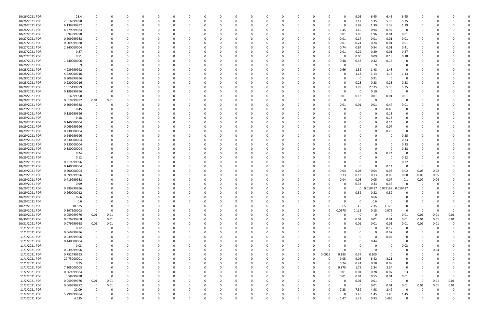| 10/26/2021 PDR | 28.4        | $\Omega$    |          |              |          | 0        |          |          |          |          |          | $\Omega$ |              |          |          |          |             | 9.05        | 6.45     | 6.45                            | 6.45                |          |          |          |  |
|----------------|-------------|-------------|----------|--------------|----------|----------|----------|----------|----------|----------|----------|----------|--------------|----------|----------|----------|-------------|-------------|----------|---------------------------------|---------------------|----------|----------|----------|--|
| 10/26/2021 PDR | 23.16999998 |             |          |              | C.       |          |          |          |          |          |          |          |              |          |          |          | $\Omega$    | 7.12        | 5.35     | 5.35                            | 5.35                |          |          |          |  |
| 10/26/2021 PDR | 6.139999992 |             |          |              |          |          |          |          |          |          |          |          |              |          |          |          | 0           | 1.97        | 1.39     | 1.39                            | 1.39                |          |          |          |  |
| 10/26/2021 PDR | 4.779999984 |             |          |              |          |          |          |          |          |          |          |          |              |          |          | 0        | 1.45        | 1.45        | 0.94     | 0.94                            | $\mathbf 0$         |          |          |          |  |
| 10/27/2021 PDR | 3.94999998  |             |          |              |          |          |          |          |          |          |          |          |              |          |          |          | 0.01        | 1.96        | 1.96     | 0.01                            | 0.01                |          |          |          |  |
| 10/27/2021 PDR | 0.209999988 |             |          |              |          |          |          |          |          |          |          |          |              |          |          |          | 0.01        | 0.17        | 0.01     | 0.01                            | 0.01                |          |          |          |  |
| 10/27/2021 PDR | 0.509999988 |             |          |              |          |          |          |          |          |          |          |          |              |          |          |          | 0.01        | 0.24        | 0.24     | 0.01                            | 0.01                |          |          |          |  |
| 10/27/2021 PDR | 2.840000004 |             |          |              |          |          |          |          |          |          |          |          |              |          |          | 0        | 0.74        | 0.84        | 0.84     | 0.01                            | 0.41                |          |          |          |  |
|                |             |             |          |              |          |          |          |          |          |          |          |          |              |          |          |          |             |             |          |                                 |                     |          |          |          |  |
| 10/27/2021 PDR | 0.87        |             |          |              |          |          |          |          |          |          |          |          |              |          |          |          | 0.01        | 0.29        | 0.29     | 0.01                            | 0.27                |          |          |          |  |
| 10/27/2021 PDR | 0.51        |             |          |              |          |          |          |          |          |          |          |          |              |          |          |          | 0           | 0.06        | 0.09     | 0.18                            | 0.18                |          |          |          |  |
| 10/27/2021 PDR | 1.440000006 |             |          |              |          |          |          |          |          |          |          |          |              |          |          | 0        | 0.48        | 0.48        | 0.32     | 0.16                            | 0                   |          |          |          |  |
| 10/28/2021 PDR | 9           |             |          |              |          |          |          |          |          |          |          |          |              |          |          |          | 0           | 0           | -9       | - 0                             | 0                   |          |          |          |  |
| 10/28/2021 PDR | 4.939999992 |             |          |              |          |          |          |          |          |          |          |          |              |          |          |          | 0.66        | 1.32        | 1.48     | 1.48                            | 0                   |          |          |          |  |
| 10/28/2021 PDR | 4.520000016 |             |          |              |          |          |          |          |          |          |          |          |              |          |          |          | O           | 1.13        | 1.13     | 1.13                            | 1.13                |          |          |          |  |
| 10/28/2021 PDR | 0.909999996 |             |          |              |          |          |          |          |          |          |          |          |              |          |          |          |             | 0           | 0.91     | 0                               | 0                   |          |          |          |  |
| 10/28/2021 PDR | 0.920000016 |             |          |              |          |          |          |          |          |          |          |          |              |          |          |          | 0           | 0.23        | 0.23     | 0.23                            | 0.23                |          |          |          |  |
| 10/28/2021 PDR | 15.15499999 |             |          |              |          |          |          |          |          |          |          |          |              |          |          |          | 0           | 1.78        | 2.675    | 5.35                            | 5.35                |          |          |          |  |
| 10/28/2021 PDR | 0.189999996 |             |          |              |          |          |          |          |          |          |          |          |              |          |          |          | C.          | 0           | 0.19     | 0                               | 0                   |          |          |          |  |
| 10/28/2021 PDR | 0.16999998  | $\Omega$    |          |              |          |          |          |          |          |          |          |          |              |          |          |          | 0.01        | 0.13        | 0.01     | 0.01                            | 0.01                |          |          |          |  |
| 10/28/2021 PDR | 0.019999992 | 0.01        | 0.01     |              |          |          |          |          |          |          |          |          |              |          |          |          | O           | $\mathbf 0$ |          | - 0                             | $\Omega$            |          |          |          |  |
| 10/29/2021 PDR | 0.509999988 |             |          |              |          |          |          |          |          |          |          |          |              |          |          |          | 0.01        | 0.01        | 0.01     | 0.47                            | 0.01                |          |          |          |  |
| 10/29/2021 PDR | 0.45        |             |          |              |          |          |          |          |          |          |          |          |              |          |          |          |             | $\Omega$    |          | 0.45                            | 0                   |          |          |          |  |
| 10/29/2021 PDR | 0.129999996 |             |          |              |          |          |          |          |          |          |          |          |              |          |          |          |             |             |          | 0.13                            |                     |          |          |          |  |
|                |             |             |          |              |          |          |          |          |          |          |          |          |              |          |          |          |             |             |          |                                 |                     |          |          |          |  |
| 10/29/2021 PDR | 0.18        |             |          |              |          |          |          |          |          |          |          |          |              |          |          |          |             | 0           |          | 0.18                            |                     |          |          |          |  |
| 10/29/2021 PDR | 0.140000004 |             |          |              |          |          |          |          |          |          |          |          |              |          |          |          |             | 0           |          | 0.14                            | 0                   |          |          |          |  |
| 10/29/2021 PDR | 0.069999996 |             |          |              |          |          |          |          |          |          |          |          |              |          |          |          |             | $\Omega$    |          | 0.07                            | $\Omega$            |          |          |          |  |
| 10/29/2021 PDR | 0.230000004 |             |          |              |          |          |          |          |          |          |          |          |              |          |          |          |             | 0           |          | 0.23                            |                     |          |          |          |  |
| 10/29/2021 PDR | 0.249999996 |             |          |              |          |          |          |          |          |          |          |          |              |          |          |          |             |             |          | - 0                             | 0.25                |          |          |          |  |
| 10/29/2021 PDR | 0.230000004 |             |          |              |          |          |          |          |          |          |          |          |              |          |          |          |             |             |          | - 0                             | 0.23                |          |          |          |  |
| 10/29/2021 PDR | 0.230000004 |             |          |              |          |          |          |          |          |          |          |          |              |          |          |          |             |             |          | - 0                             | 0.23                |          |          |          |  |
| 10/29/2021 PDR | 0.380000004 |             |          |              |          |          |          |          |          |          |          |          |              |          |          |          |             | $\Omega$    |          | - 0                             | 0.38                |          |          |          |  |
| 10/29/2021 PDR | 0.24        |             |          |              |          |          |          |          |          |          |          |          |              |          |          |          |             | $\Omega$    | $\Omega$ | 0.24                            | 0                   |          |          |          |  |
| 10/29/2021 PDR | 0.12        |             |          |              |          |          |          |          |          |          |          |          |              |          |          |          |             | $\Omega$    |          | - 0                             | 0.12                |          |          |          |  |
| 10/29/2021 PDR | 0.219999996 |             |          |              |          |          |          |          |          |          |          |          |              |          |          |          |             | 0           |          | - 0                             | 0.22                |          |          |          |  |
| 10/29/2021 PDR | 0.140000004 |             |          |              |          |          |          |          |          |          |          |          |              |          |          |          |             | 0           |          | 0.14                            | $\mathbf 0$         |          |          |          |  |
| 10/29/2021 PDR | 0.200000004 |             |          |              |          |          |          |          |          |          |          |          |              |          |          |          | 0.03        | 0.03        | 0.04     | 0.03                            | 0.02                | 0.03     | 0.02     |          |  |
| 10/29/2021 PDR | 0.699999996 |             |          |              |          |          |          |          |          |          |          |          |              |          |          |          | 0.13        | 0.13        | 0.13     | 0.09                            | 0.08                | 0.09     | 0.05     |          |  |
| 10/29/2021 PDR | 0.419999988 |             |          |              |          |          |          |          |          |          |          |          |              |          |          |          | 0.04        | 0.05        | 0.05     | 0.07                            | 0.1                 | 0.07     | 0.04     |          |  |
| 10/29/2021 PDR | 0.99        |             |          |              |          |          |          |          |          |          |          |          |              |          |          |          |             | 0.33        | 0.33     | 0.33                            |                     |          |          |          |  |
| 10/29/2021 PDR | 0.999999996 |             |          |              |          |          |          |          |          |          |          |          |              |          |          |          | 0           |             |          | 0 0.010417 0.979167 0.010417    |                     | 0        |          |          |  |
| 10/29/2021 PDR | 0.960000012 |             | $\Omega$ |              |          |          |          |          |          |          |          |          |              |          |          |          | $\mathbf 0$ | 0.32        | 0.32     | 0.32                            | $\overline{0}$      | $\sim$   |          |          |  |
|                |             |             |          | $\Omega$     |          |          |          | $\Omega$ |          | $\Omega$ |          |          |              |          |          |          |             |             |          |                                 |                     |          |          |          |  |
| 10/29/2021 PDR | 0.66        | $\Omega$    | 0        |              | 0        | $\Omega$ | 0        |          | 0        |          | $\Omega$ | $\Omega$ | $\Omega$     | $\Omega$ | $\Omega$ | 0        | 0           | $\mathbf 0$ | 0.66     | $\mathbf 0$                     | 0                   | 0        |          |          |  |
| 10/29/2021 PDR | 0.6         | 0           | $\Omega$ |              | 0        |          | 0        |          |          |          | 0        |          | <sup>0</sup> |          | 0        |          | $\Omega$    | $\mathbf 0$ | 0.6      | 0                               | $\Omega$            | 0        |          |          |  |
| 10/29/2021 PDR | 10.525      | $\Omega$    | $\Omega$ | <sup>0</sup> | 0        | - 0      |          |          |          |          | $\Omega$ | 0        |              |          | 0        | $\Omega$ | 3.5         | 3.5         | 2.35     | 1.175                           | $\Omega$            | 0        |          |          |  |
| 10/29/2021 PDR | 0.397500003 | $\Omega$    | - 0      |              |          |          |          |          |          |          |          |          |              |          | 0        | 0        | 0.0575      | 0.115       | 0.15     | 0.075                           | 0                   | 0        |          |          |  |
| 10/30/2021 PDR | 0.059999976 | 0.01        | 0.01     |              |          |          |          |          |          |          |          |          |              |          |          | ŋ        | $\Omega$    | $\mathbf 0$ | $\Omega$ | $\overline{\mathbf{0}}$         | 0.01                | 0.01     | 0.01     | 0.01     |  |
| 10/30/2021 PDR | 0.079999968 | $\mathbf 0$ | $0.01\,$ | 0            | C        |          |          |          |          |          |          | 0        |              |          |          | O        | 0           | 0.01        | 0.01     | 0.01                            | 0.01                | 0.01     | 0.01     | 0.01     |  |
| 10/31/2021 PDR | 0.079999968 | 0.01        | $0.01\,$ | 0            |          |          |          |          |          |          |          |          |              |          |          |          | $\Omega$    | 0.01        | 0.01     | 0.01                            | 0.01                | 0.01     | 0.01     |          |  |
| 11/1/2021 PDR  | 0.12        | $\mathbf 0$ | 0        | $\Omega$     | 0        | $\Omega$ |          | 0        |          |          | $\Omega$ | $\Omega$ | <sup>0</sup> |          | $\Omega$ |          | $\Omega$    | $\mathbf 0$ | $\Omega$ | 0.12                            | 0                   | 0        | $\Omega$ | O        |  |
| 11/1/2021 PDR  | 0.069999996 | 0           | 0        | 0            | 0        | $\Omega$ |          |          |          |          | 0        | 0        |              |          |          |          | 0           | $\Omega$    |          | 0.07                            | 0                   | 0        |          |          |  |
| 11/1/2021 PDR  | 0.039999996 | 0           |          |              |          | 0        |          |          |          |          |          | $\Omega$ |              |          |          |          |             | $\Omega$    | $\Omega$ | 0.04                            | 0                   |          |          |          |  |
| 11/1/2021 PDR  | 0.440000004 |             |          |              | O        |          |          |          |          |          |          |          |              |          |          |          |             | 0           | 0.44     | 0                               | 0                   |          |          |          |  |
| 11/1/2021 PDR  | 0.03        |             |          |              | C        |          |          |          |          |          |          |          |              |          |          |          | O           | 0           |          | 0                               | 0.03                |          |          |          |  |
| 11/1/2021 PDR  | 0.039999996 | 0           | $\Omega$ | $\Omega$     | 0        | 0        |          |          |          |          | 0        | 0        | 0            |          | $\Omega$ | 0        | $\Omega$    | 0           | $\Omega$ | 0                               | 0                   | 0        | 0.04     |          |  |
| 11/1/2021 PDR  | 0.752499993 | 0           |          | 0            | C        | 0        | 0        |          | 0        |          |          | 0        |              | 0        | 0        | 0.0925   | 0.185       | 0.37        | 0.105    | - 0                             | 0                   | 0        |          |          |  |
| 11/1/2021 PDR  | 27.73000001 | 0           | $\Omega$ | 0            | 0        | $\Omega$ | 0        | O        |          |          | $\Omega$ | $\Omega$ | <sup>0</sup> | $\Omega$ | $\Omega$ | $\Omega$ | 9.05        | 9.05        | 6.42     | 3.21                            | 0                   | 0        |          |          |  |
| 11/1/2021 PDR  | 0.75        | 0           |          | $\Omega$     |          | 0        |          |          |          |          | 0        | 0        |              | 0        | 0        | $\Omega$ | 0.24        | 0.24        | 0.18     | 0.09                            | 0                   |          |          |          |  |
| 11/1/2021 PDR  | 7.305000003 | $\mathbf 0$ |          |              |          |          |          |          |          |          |          |          |              |          | 0        | 0        | 0.875       | 1.75        | 2.34     | 2.34                            | $\mathbf 0$         |          |          |          |  |
| 11/2/2021 PDR  | 0.669999984 | 0           |          |              |          |          |          |          |          |          |          |          |              |          |          | 0        | 0.01        | 0.01        | 0.28     | 0.07                            | 0.3                 |          |          |          |  |
| 11/2/2021 PDR  | 0.58999998  | $\mathbf 0$ | - 0      |              |          |          |          |          |          |          |          |          |              |          |          |          |             | 0.01        |          |                                 |                     | 0        |          |          |  |
|                |             |             |          | $\Omega$     | C        |          |          |          |          |          |          | $\Omega$ |              |          |          |          | 0.01        |             | 0.55     | 0.01<br>$\overline{\mathbf{0}}$ | 0.01<br>$\mathbf 0$ | $\Omega$ |          |          |  |
| 11/2/2021 PDR  | 0.059999976 | 0.01        | 0.01     |              | 0        | - 0      |          |          |          |          |          |          |              |          |          | 0        | 0           | 0.01        | 0.01     |                                 |                     |          | 0.01     | 0.01     |  |
| 11/2/2021 PDR  | 0.069999972 | $\mathbf 0$ | 0.01     | 0            | 0        | 0        |          |          |          |          | 0        | 0        |              |          |          |          | $\Omega$    | $\mathbf 0$ | 0.01     | 0.01                            | 0.01                | 0.01     | 0.01     | 0.01     |  |
| 11/2/2021 PDR  | 22.09       | $\Omega$    | - 0      |              |          | - 0      |          |          |          |          |          | $\Omega$ |              |          | O        | $\Omega$ | 7.23        | 7.39        | 4.98     | 2.49                            | 0                   | 0        |          |          |  |
| 11/2/2021 PDR  | 5.799999984 |             |          | 0            |          |          |          |          |          |          |          |          |              |          |          | 0        | $\Omega$    | 1.45        | 1.45     | 1.45                            | 1.45                |          |          |          |  |
| 11/2/2021 PDR  | 4.335       | $\mathbf 0$ | $\Omega$ | $\Omega$     | $\Omega$ | $\Omega$ | $\Omega$ |          | $\Omega$ |          | $\Omega$ | $\Omega$ | $\Omega$     |          | O        | $\Omega$ | 1.47        | 1.47        | 0.93     | 0.465                           | $\mathbf 0$         | $\Omega$ |          | $\Omega$ |  |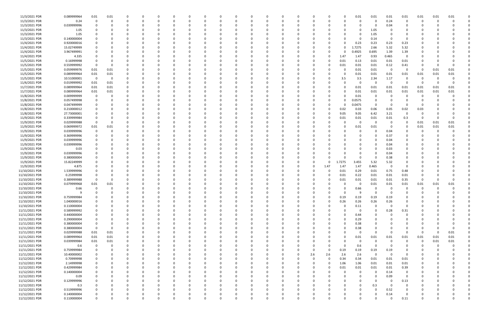| 11/3/2021 PDR  | 0.089999964        | 0.01                    | 0.01        |             |          | <sup>0</sup> |              |          |          |          |          |          |          |          | C        |          |          |          | 0.01         | 0.01        | 0.01                    | 0.01           | 0.01         | 0.01     | 0.01     |  |
|----------------|--------------------|-------------------------|-------------|-------------|----------|--------------|--------------|----------|----------|----------|----------|----------|----------|----------|----------|----------|----------|----------|--------------|-------------|-------------------------|----------------|--------------|----------|----------|--|
| 11/3/2021 PDR  | 0.24               | $\mathbf 0$             | 0           | 0           |          | $\Omega$     |              | - 0      |          |          | $\Omega$ | - 0      | $\Omega$ |          | 0        |          |          |          | 0            | 0           | 0.24                    | 0              | $\Omega$     | -0       |          |  |
| 11/3/2021 PDR  | 0.039999996        |                         |             |             |          | 0            |              |          |          |          |          |          |          |          |          |          |          |          |              | 0           | 0.04                    |                |              |          |          |  |
| 11/3/2021 PDR  | 1.05               |                         |             |             |          |              |              |          |          |          |          |          |          |          |          |          |          |          | <sup>0</sup> | 1.05        |                         |                |              |          |          |  |
| 11/3/2021 PDR  | 1.05               |                         |             |             |          |              |              |          |          |          |          |          |          |          |          |          |          |          |              | 1.05        |                         |                |              |          |          |  |
| 11/3/2021 PDR  | 0.140000004        |                         |             |             |          |              |              |          |          |          |          |          |          |          |          |          |          |          | 0            | 0.14        | $\Omega$                | -0             |              |          |          |  |
| 11/4/2021 PDR  | 0.920000016        |                         |             |             |          |              |              |          |          |          |          |          |          |          |          |          |          |          | 0.23         | 0.23        | 0.23                    | 0.23           |              |          |          |  |
| 11/4/2021 PDR  | 15.02749999        |                         |             |             |          |              |              |          |          |          |          |          |          |          |          |          |          |          | 1.7275       | 2.66        | 5.32                    | 5.32           |              |          |          |  |
| 11/4/2021 PDR  | 3.967499991        |                         |             |             |          |              |              |          |          |          |          |          |          |          |          |          |          |          | 0.4925       | 0.695       | 1.39                    | 1.39           |              |          |          |  |
|                |                    |                         |             |             |          |              |              |          |          |          |          |          |          |          |          |          |          |          |              |             |                         |                |              |          |          |  |
| 11/4/2021 PDR  | 4.335              |                         |             |             |          |              |              |          |          |          |          |          |          |          |          |          |          | 1.47     | 1.47         | 0.93        | 0.465                   | $\mathbf 0$    |              |          |          |  |
| 11/5/2021 PDR  | 0.16999998         |                         |             |             |          |              |              |          |          |          |          |          |          |          |          |          | - 0      | 0.01     | 0.13         | 0.01        | 0.01                    | 0.01           |              |          |          |  |
| 11/5/2021 PDR  | 0.559999992        | - 0                     | 0           |             |          |              |              |          |          |          |          |          |          |          |          |          |          | 0.01     | 0.01         | 0.01        | 0.12                    | 0.41           |              |          |          |  |
| 11/5/2021 PDR  | 0.059999976        | 0.01                    | 0.01        | $\Omega$    |          |              |              |          |          |          |          |          |          |          |          |          |          |          | 0.01         | 0.01        | $\overline{\mathbf{0}}$ | $\mathbf 0$    | $\Omega$     | 0.01     | 0.01     |  |
| 11/5/2021 PDR  | 0.089999964        | 0.01                    | 0.01        |             |          |              |              |          |          |          |          |          |          |          |          |          |          |          | 0.01         | 0.01        | 0.01                    | 0.01           | 0.01         | 0.01     | 0.01     |  |
| 11/5/2021 PDR  | 10.51000001        | $\overline{\mathbf{0}}$ | 0           |             |          |              |              |          |          |          |          |          |          |          |          |          |          | 3.5      | 3.5          | 2.34        | 1.17                    | $\Omega$       | -0           |          |          |  |
| 11/6/2021 PDR  | 0.019999992        | 0.01                    | 0.01        |             |          |              |              |          |          |          |          |          |          |          |          |          |          |          | -0           | $\Omega$    | - 0                     | $\Omega$       | -0           |          |          |  |
| 11/7/2021 PDR  | 0.089999964        | 0.01                    | 0.01        | $\Omega$    |          |              |              |          |          |          |          |          |          |          |          |          |          |          | 0.01         | 0.01        | 0.01                    | 0.01           | 0.01         | 0.01     | 0.01     |  |
| 11/7/2021 PDR  | 0.089999964        | 0.01                    | 0.01        |             |          |              |              |          |          |          |          |          |          |          |          |          |          |          | 0.01         | 0.01        | 0.01                    | 0.01           | 0.01         | 0.01     | 0.01     |  |
| 11/8/2021 PDR  | 0.009999999        | 0                       |             |             |          |              |              |          |          |          |          |          |          |          |          |          |          |          | 0.01         | 0           |                         |                | <sup>0</sup> |          |          |  |
| 11/8/2021 PDR  | 0.057499998        |                         |             |             |          |              |              |          |          |          |          |          |          |          |          |          |          |          | 0.0575       |             |                         |                |              |          |          |  |
| 11/8/2021 PDR  | 0.047499999        |                         |             |             |          |              |              |          |          |          |          |          |          |          |          |          |          |          | 0.0475       |             |                         |                |              |          |          |  |
| 11/8/2021 PDR  | 0.210000012        |                         |             |             |          |              |              |          |          |          |          |          |          |          |          |          |          | 0.02     | 0.03         | 0.06        | 0.05                    | 0.02           | 0.03         |          |          |  |
| 11/8/2021 PDR  | 27.73000001        |                         |             |             |          |              |              |          |          |          |          |          |          |          |          |          |          | 9.05     | 9.05         | 6.42        | 3.21                    | $\Omega$       | 0            |          |          |  |
| 11/9/2021 PDR  | 0.339999984        |                         |             |             |          |              |              |          |          |          |          |          |          |          |          |          | $\Omega$ | 0.01     | 0.01         | 0.01        | 0.01                    | 0.3            | -0           |          |          |  |
| 11/9/2021 PDR  | 0.029999988        | 0                       | 0           |             |          |              |              |          |          |          |          |          |          |          |          |          |          |          | -0           | -C          | - 0                     | 0              | 0.01         | 0.01     | 0.01     |  |
|                |                    |                         |             |             |          |              |              |          |          |          |          |          |          |          |          |          |          |          |              | 0.01        | - 0                     | 0              |              |          | 0.01     |  |
| 11/9/2021 PDR  | 0.069999972        | 0.01                    | 0.01        |             |          |              |              |          |          |          |          |          |          |          |          |          |          |          | 0.01         |             |                         |                | 0.01         | 0.01     |          |  |
| 11/9/2021 PDR  | 0.039999996        | 0                       |             |             |          |              |              |          |          |          |          |          |          |          |          |          |          |          | 0            | 0           | 0.04                    |                | -0           |          |          |  |
| 11/9/2021 PDR  | 0.369999996        |                         |             |             |          |              |              |          |          |          |          |          |          |          |          |          |          |          |              |             | 0.37                    |                |              |          |          |  |
| 11/9/2021 PDR  | 0.039999996        | 0                       |             |             |          |              |              |          |          |          |          |          |          |          |          |          |          |          |              | $\Omega$    | 0.04                    | $\Omega$       |              |          |          |  |
| 11/9/2021 PDR  | 0.039999996        |                         |             |             |          |              |              |          |          |          |          |          |          |          |          |          |          |          |              |             | 0.04                    | 0              |              |          |          |  |
| 11/9/2021 PDR  | 0.03               |                         |             |             |          |              |              |          |          |          |          |          |          |          |          |          |          |          |              |             | 0.03                    |                |              |          |          |  |
| 11/9/2021 PDR  | 0.039999996        |                         |             |             |          |              |              |          |          |          |          |          |          |          |          |          |          |          |              |             | 0.04                    |                |              |          |          |  |
| 11/9/2021 PDR  | 0.380000004        |                         |             |             |          |              |              |          |          |          |          |          |          |          |          |          |          |          | 0            |             | 0.38                    |                |              |          |          |  |
| 11/9/2021 PDR  | 15.82249999        |                         |             |             |          |              |              |          |          |          |          |          |          |          |          |          | 0        | l.7275   | 3.455        | 5.32        | 5.32                    |                |              |          |          |  |
| 11/9/2021 PDR  | 4.875              |                         |             |             |          |              |              |          |          |          |          |          |          |          |          |          | 1.47     | 1.47     | 1.47         | 0.465       | 0                       | $\Omega$       |              |          |          |  |
| 11/10/2021 PDR | 1.539999996        |                         |             |             |          |              |              |          |          |          |          |          |          |          |          |          |          | 0.01     | 0.29         | 0.01        | 0.75                    | 0.48           |              |          |          |  |
| 11/10/2021 PDR | 0.25999998         |                         |             |             |          |              |              |          |          |          |          |          |          |          |          |          |          | 0.01     | 0.22         | 0.01        | 0.01                    | 0.01           |              |          |          |  |
| 11/10/2021 PDR | 0.389999988        | 0                       | C           |             |          |              |              |          |          |          |          |          |          |          |          |          |          | 0.01     | 0.01         | 0.01        | 0.01                    | 0.35           | C            |          |          |  |
| 11/10/2021 PDR | 0.079999968        | 0.01                    | 0.01        |             |          |              |              |          |          |          |          |          |          |          |          |          |          |          | 0            | 0.01        | 0.01                    | 0.01           | 0.01         | 0.01     | 0.01     |  |
| 11/10/2021 PDR | 0.66               | $\mathbf 0$             | $\Omega$    | $\Omega$    |          |              |              |          |          |          |          |          |          |          |          |          |          |          | 0.66         | $\Omega$    | 0                       | 0              | $\Omega$     |          | 0        |  |
| 11/10/2021 PDR |                    | $\sqrt{ }$              | $\Omega$    | $\Omega$    | $\Omega$ |              |              |          |          |          |          |          |          |          |          |          |          |          | 9            | $\Omega$    | $\mathbf 0$             | $\sqrt{ }$     | $\Omega$     |          | $\Omega$ |  |
| 11/10/2021 PDR | 0.759999984        | $\mathbf 0$             | $\Omega$    | $\Omega$    | $\Omega$ | $\Omega$     | <sup>0</sup> |          | $\Omega$ |          | $\Omega$ | $\Omega$ | $\Omega$ | n        | 0        |          | $\Omega$ | 0.19     | 0.19         | 0.19        | 0.19                    |                | 0            |          |          |  |
| 11/10/2021 PDR |                    |                         |             | $\Omega$    | $\Omega$ | $\Omega$     |              |          | $\Omega$ |          | $\Omega$ |          | $\Omega$ |          | $\Omega$ |          | $\Omega$ | 0.26     |              | 0.26        |                         |                |              |          |          |  |
|                | 1.040000016        | 0                       |             |             |          |              |              |          |          |          |          |          |          |          |          |          |          |          | 0.26         |             | 0.26<br>$\Omega$        | 0              | 0            |          |          |  |
| 11/10/2021 PDR | 0.110000004        |                         |             | $\Omega$    |          |              |              |          |          |          |          |          |          |          |          |          | 0        |          | 0.11         | $\Omega$    |                         | $\overline{0}$ |              |          |          |  |
| 11/11/2021 PDR | 0.589999992        | 0                       |             |             |          | 0            |              |          |          |          |          |          |          |          |          |          |          |          | 0            | $\Omega$    | 0.28                    | 0.31           |              |          |          |  |
| 11/11/2021 PDR | 0.440000004        |                         |             |             |          | 0            |              |          |          |          |          |          |          |          |          |          |          |          | 0.44         | $\Omega$    | $\Omega$                | 0              |              |          |          |  |
| 11/11/2021 PDR | 0.290000004        | $\mathbf 0$             |             |             |          |              |              |          |          |          |          |          |          |          |          |          |          |          | 0.29         |             |                         |                |              |          |          |  |
| 11/11/2021 PDR | 0.380000004        | $\mathbf 0$             |             |             |          | $\Omega$     |              |          |          |          |          |          |          |          |          |          |          |          | 0.38         |             |                         |                |              |          |          |  |
| 11/11/2021 PDR | 0.380000004        | 0                       | $\mathbf 0$ | 0           |          | $\Omega$     |              |          |          |          | 0        |          |          |          | 0        |          | 0        |          | 0.38         |             |                         |                | 0            |          |          |  |
| 11/11/2021 PDR | 0.029999988        | 0.01                    | $0.01\,$    | 0           |          | 0            |              |          |          |          |          |          |          |          |          |          |          |          | 0            | $\Omega$    | $\Omega$                | $\Omega$       | $\Omega$     |          | 0.01     |  |
| 11/11/2021 PDR | 0.089999964        | 0.01                    | $0.01\,$    | $\Omega$    |          | 0            |              |          |          |          |          |          |          |          |          |          |          |          | 0.01         | 0.01        | 0.01                    | 0.01           | 0.01         | 0.01     | 0.01     |  |
| 11/11/2021 PDR | 0.039999984        | 0.01                    | $0.01\,$    | 0           |          |              |              |          |          |          |          |          |          |          |          |          |          |          | 0            | 0           | $\Omega$                | $\overline{0}$ | $\Omega$     | 0.01     | $0.01\,$ |  |
| 11/11/2021 PDR | 0.6                | $\mathbf 0$             | 0           | $\Omega$    |          | 0            |              |          |          |          |          |          |          |          |          |          |          |          | 0.6          | $\Omega$    | $\Omega$                |                | 0            | $\Omega$ |          |  |
| 11/11/2021 PDR | 0.759999984        | 0                       | $\Omega$    | $\Omega$    |          | 0            |              |          |          |          |          |          |          |          | 0        | 0        | $\Omega$ | 0.19     | 0.19         | 0.19        | 0.19                    | 0              | 0            |          |          |  |
| 11/11/2021 PDR | 10.40000002        | 0                       |             | 0           |          | 0            |              |          |          |          |          |          | $\Omega$ |          | 0        | 2.6      | 2.6      | 2.6      | 2.6          | $\mathbf 0$ | $\Omega$                | $\overline{0}$ | 0            |          |          |  |
| 11/12/2021 PDR | 0.70999998         | 0                       |             | $\Omega$    | $\Omega$ | $\Omega$     |              |          | 0        |          | 0        | $\Omega$ | $\Omega$ |          | 0        | $\Omega$ | $\Omega$ | 0.34     | 0.34         | 0.01        | 0.01                    | 0.01           | 0            |          |          |  |
| 11/12/2021 PDR | 2.14999998         | $\mathbf 0$             |             | 0           |          | 0            |              |          |          |          |          |          |          |          | 0        |          | $\Omega$ | 1.06     | 1.06         | 0.01        | 0.01                    | 0.01           |              |          |          |  |
| 11/12/2021 PDR | 0.429999984        |                         |             |             |          |              |              |          |          |          |          |          |          |          |          |          | $\Omega$ | 0.01     | 0.01         | 0.01        | 0.01                    | 0.39           |              |          |          |  |
| 11/12/2021 PDR | 0.140000004        | $\Omega$                |             |             |          | 0            |              |          |          |          |          |          |          |          |          |          |          |          | 0            | $\mathbf 0$ | 0.14                    | 0              |              |          |          |  |
| 11/12/2021 PDR | 0.09               | 0                       |             |             |          | 0            |              |          |          |          |          |          |          |          |          |          |          |          | 0            | $\mathbf 0$ | 0.09                    | $\overline{0}$ |              |          |          |  |
| 11/12/2021 PDR | 0.129999996        | 0                       |             |             |          | $\Omega$     |              |          |          |          |          |          |          |          | $\Omega$ |          |          |          | 0            | $\Omega$    | - 0                     | 0.13           |              |          |          |  |
| 11/12/2021 PDR |                    | 0                       |             | 0           |          | 0            |              |          |          |          |          |          |          |          | 0        |          |          |          | <sup>0</sup> | 0.3         | - 0                     | 0              |              |          |          |  |
| 11/12/2021 PDR | 0.3<br>0.519999996 |                         |             |             |          |              |              |          |          |          |          |          |          |          |          |          |          |          |              | $\Omega$    |                         | 0              |              |          |          |  |
|                |                    |                         |             |             |          |              |              |          |          |          |          |          |          |          |          |          |          |          |              |             | 0.52                    |                |              |          |          |  |
| 11/12/2021 PDR | 0.140000004        |                         |             |             |          |              |              |          |          |          |          |          |          |          |          |          |          |          |              |             | 0.14                    | $\Omega$       |              |          |          |  |
| 11/12/2021 PDR | 0.110000004        | $\mathbf 0$             | $\mathbf 0$ | $\mathbf 0$ | $\Omega$ | $\mathbf 0$  | 0            | $\Omega$ | $\Omega$ | $\Omega$ | 0        | $\Omega$ | $\Omega$ | $\Omega$ | 0        |          | 0        | $\Omega$ | $\mathbf 0$  | $\Omega$    | $\Omega$                | 0.11           | 0            |          | 0        |  |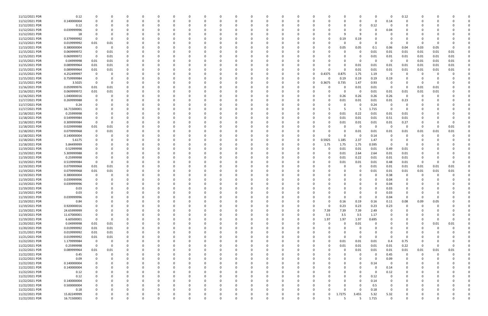| 11/12/2021 PDR | 0.12        | 0              |                | 0            | 0        |              |          | 0           |          |          | 0            | 0            |          |          |             |          | $\Omega$ | - 0                     | 0.12        |          |          |          |  |
|----------------|-------------|----------------|----------------|--------------|----------|--------------|----------|-------------|----------|----------|--------------|--------------|----------|----------|-------------|----------|----------|-------------------------|-------------|----------|----------|----------|--|
| 11/12/2021 PDR | 0.140000004 | $\Omega$       |                |              |          |              |          | $\Omega$    |          |          | $\Omega$     |              |          |          | $\Omega$    |          | $\Omega$ | 0.14                    | $\Omega$    |          |          |          |  |
|                |             |                |                |              |          |              |          |             |          |          |              |              |          |          |             |          |          |                         |             |          |          |          |  |
| 11/12/2021 PDR | 0.12        |                |                |              |          |              |          | -0          |          |          |              |              |          |          | $\Omega$    | - 0      | 0.12     |                         |             |          |          |          |  |
| 11/12/2021 PDR | 0.039999996 |                |                |              |          |              |          |             |          |          |              |              |          |          | 0           |          | 0        | 0.04                    |             |          |          |          |  |
| 11/12/2021 PDR | 18          |                |                |              |          |              |          |             |          |          |              |              |          |          | 9           |          |          |                         |             |          |          |          |  |
| 11/12/2021 PDR | 0.379999992 |                | - 0            | n            |          |              |          | 0           |          |          |              |              | 0        |          | 0.19        | 0.19     |          |                         | 0           |          |          |          |  |
| 11/13/2021 PDR |             |                |                | 0            |          |              |          | 0           |          |          | 0            |              |          |          | 0           | $\Omega$ |          | - 0                     | 0           | -C       |          |          |  |
|                | 0.019999992 | 0.01           | 0.01           |              |          |              |          |             |          |          |              |              |          |          |             |          |          |                         |             |          |          |          |  |
| 11/13/2021 PDR | 0.380000004 | $\Omega$       | - 0            |              |          |              |          | -0          |          |          |              |              |          |          | 0.05        | 0.05     | 0.1      | 0.06                    | 0.04        | 0.03     | 0.05     |          |  |
| 11/15/2021 PDR | 0.069999972 | -0             | 0.01           |              |          |              |          | 0           |          |          |              |              |          |          | $\Omega$    | -0       | 0.01     | 0.01                    | 0.01        | 0.01     | 0.01     | 0.01     |  |
| 11/15/2021 PDR | 0.069999972 | - 0            | 0.01           |              |          |              |          |             |          |          |              |              |          |          |             | -0       | 0.01     | 0.01                    | 0.01        | 0.01     | 0.01     | $0.01\,$ |  |
| 11/15/2021 PDR | 0.04999998  | 0.01           | 0.01           |              |          |              |          |             |          |          |              |              |          |          | $\Omega$    | $\Omega$ | $\Omega$ | - 0                     | 0           | 0.01     | 0.01     | 0.01     |  |
|                |             |                |                |              |          |              |          |             |          |          |              |              |          |          |             |          |          |                         |             |          |          |          |  |
| 11/15/2021 PDR | 0.089999964 | 0.01           | 0.01           |              |          |              |          | 0           |          |          |              |              |          |          | 0           | 0.01     | 0.01     | 0.01                    | 0.01        | 0.01     | 0.01     | 0.01     |  |
| 11/15/2021 PDR | 0.089999964 | 0.01           | 0.01           | <sup>0</sup> |          |              |          | 0           |          |          | 0            |              |          |          | $\Omega$    | 0.01     | 0.01     | 0.01                    | 0.01        | 0.01     | 0.01     | 0.01     |  |
| 11/15/2021 PDR | 4.252499997 | - 0            |                | 0            |          |              |          | 0           |          |          |              |              | 0        | .4375    | 0.875       | 1.75     | 1.19     | $\overline{\mathbf{0}}$ | -0          | 0        |          |          |  |
| 11/15/2021 PDR | 0.759999984 | - 0            |                |              |          |              |          | $\Omega$    |          |          |              |              | O        | n        | 0.19        | 0.19     | 0.19     | 0.19                    | 0           | -C       |          |          |  |
| 11/15/2021 PDR | 3.5025      | -0             |                |              |          |              |          | -0          |          |          |              |              | 0        | 0.3675   | 0.735       | 1.47     | 0.93     | - 0                     |             | -0       |          |          |  |
|                |             |                |                |              |          |              |          |             |          |          |              |              |          |          |             |          |          |                         |             |          |          |          |  |
| 11/16/2021 PDR | 0.059999976 | $0.01\,$       | 0.01           |              |          |              |          |             |          |          |              |              | O        |          | 0           | 0.01     | 0.01     | - 0                     | -0          | 0.01     | 0.01     |          |  |
| 11/16/2021 PDR | 0.069999972 | 0.01           | 0.01           |              |          |              |          |             |          |          |              |              |          |          | $\Omega$    | - 0      | 0.01     | 0.01                    | 0.01        | 0.01     | 0.01     |          |  |
| 11/16/2021 PDR | 1.040000016 | - 0            |                | n            |          |              |          | 0           |          |          |              |              |          |          | 0.26        | 0.26     | 0.26     | 0.26                    | 0           | -0       |          |          |  |
| 11/17/2021 PDR | 0.269999988 | -0             |                |              |          |              |          | $\Omega$    |          |          |              |              | O        |          | 0.01        | 0.01     | 0.01     | 0.01                    | 0.23        |          |          |          |  |
| 11/17/2021 PDR | 0.24        |                |                |              |          |              |          | $\Omega$    |          |          |              |              |          |          | 0           | $\Omega$ | 0.24     | - 0                     | 0           |          |          |          |  |
|                |             |                |                |              |          |              |          |             |          |          |              |              |          |          |             |          |          |                         |             |          |          |          |  |
| 11/17/2021 PDR | 16.71500001 |                |                |              |          |              |          | -0          |          |          |              |              |          |          | -5          | 5        | 1.715    | - 0                     | 0           |          |          |          |  |
| 11/18/2021 PDR | 0.25999998  |                |                |              |          |              |          |             |          |          |              |              |          |          | 0.01        | 0.22     | 0.01     | 0.01                    | 0.01        |          |          |          |  |
| 11/18/2021 PDR | 0.549999984 |                |                |              |          |              |          |             |          |          |              |              |          |          | 0.01        | 0.01     | 0.01     | 0.51                    | 0.01        |          |          |          |  |
| 11/18/2021 PDR | 0.309999984 | $\Omega$       | - 0            |              |          |              |          | -0          |          |          |              |              |          |          | 0.01        | 0.01     | 0.01     | 0.01                    | 0.27        |          |          | - 0      |  |
| 11/18/2021 PDR | 0.029999988 | 0.01           | 0.01           |              |          |              |          | 0           |          |          |              |              |          |          | 0           | - 0      | - 0      | 0                       | 0           | 0        |          | 0.01     |  |
|                |             |                |                |              |          |              |          |             |          |          |              |              |          |          |             |          |          |                         |             |          |          |          |  |
| 11/18/2021 PDR | 0.079999968 | - 0            | 0.01           |              |          |              |          | -0          |          |          |              |              |          |          | 0           | 0.01     | 0.01     | 0.01                    | 0.01        | 0.01     | 0.01     | 0.01     |  |
| 11/18/2021 PDR | 0.140000004 |                |                |              |          |              |          | 0           |          |          |              |              | 0        |          | 0           | - 0      | 0.14     | -0                      | 0           |          |          |          |  |
| 11/18/2021 PDR | 5.6175      |                |                |              |          |              |          |             |          |          |              |              | 0        | 0.5925   | 1.185       | 2.37     | 1.47     | - 0                     | 0           |          |          |          |  |
| 11/18/2021 PDR | 5.84499999  |                |                |              |          |              |          |             |          |          |              |              | 0        | 1.75     | 1.75        | 1.75     | 0.595    | - 0                     | 0           |          |          |          |  |
| 11/19/2021 PDR | 0.52999998  |                |                |              |          |              |          | -0          |          |          |              |              | 0        |          | 0.01        | 0.01     | 0.01     | 0.49                    | 0.01        |          |          |          |  |
|                |             |                |                |              |          |              |          |             |          |          |              |              |          |          |             |          |          |                         |             |          |          |          |  |
| 11/19/2021 PDR | 5.309999988 |                |                |              |          |              |          |             |          |          |              |              |          |          | 0.01        | 2.64     | 2.64     | 0.01                    | 0.01        |          |          |          |  |
| 11/19/2021 PDR | 0.25999998  |                |                |              |          |              |          |             |          |          |              |              |          |          | 0.01        | 0.22     | 0.01     | 0.01                    | 0.01        |          |          |          |  |
| 11/19/2021 PDR | 0.519999984 | - 0            |                |              |          |              |          |             |          |          |              |              |          |          | 0.01        | 0.01     | 0.01     | 0.48                    | 0.01        | $\Omega$ |          |          |  |
| 11/19/2021 PDR | 0.079999968 | 0.01           | 0.01           |              |          |              |          |             |          |          |              |              |          |          |             | -0       | 0.01     | 0.01                    | 0.01        | 0.01     | 0.01     | 0.01     |  |
| 11/19/2021 PDR | 0.079999968 | 0.01           | 0.01           |              |          |              |          |             |          |          |              |              |          |          |             |          | 0.01     | 0.01                    | 0.01        | 0.01     | 0.01     | 0.01     |  |
| 11/19/2021 PDR | 0.380000004 | - 0            |                |              |          |              |          | 0           |          |          |              |              |          |          | 0           |          |          | 0.38                    | 0           | $\Omega$ |          |          |  |
|                |             |                |                |              |          |              |          |             |          |          |              |              |          |          |             |          |          |                         |             |          |          |          |  |
| 11/19/2021 PDR | 0.039999996 |                |                |              |          |              |          |             |          |          |              |              |          |          |             |          |          | 0.04                    |             |          |          |          |  |
| 11/19/2021 PDR | 0.039999996 |                |                |              |          |              |          |             |          |          |              |              |          |          |             |          |          | 0.04                    |             |          |          |          |  |
| 11/19/2021 PDR | 0.03        | $\Omega$       |                |              |          |              |          | $\Omega$    |          |          |              |              |          |          | $\Omega$    |          |          | 0.03                    | n           |          |          |          |  |
| 11/19/2021 PDR | 0.03        | O              |                |              |          |              | 0        | 0           |          |          |              |              |          |          | 0           |          |          | 0.03                    | 0           |          |          |          |  |
| 11/19/2021 PDR | 0.039999996 | $\Omega$       | $\Omega$       | 0            | 0        | <sup>0</sup> | 0        | 0           | $\Omega$ | 0        | 0            | <sup>0</sup> | $\Omega$ | O        | $\mathbf 0$ | $\Omega$ | $\Omega$ | 0.04                    | 0           | $\Omega$ | $\Omega$ |          |  |
|                |             |                |                |              |          |              |          |             |          |          |              |              |          |          |             |          |          |                         |             |          |          |          |  |
| 11/19/2021 PDR | 0.84        | 0              |                |              |          |              |          | 0           |          |          | $\Omega$     |              | 0        | 0        | 0.16        | 0.19     | 0.16     | 0.11                    | 0.08        | 0.09     | 0.05     |          |  |
| 11/19/2021 PDR | 0.920000016 | $\mathbf 0$    |                | n            |          |              |          | 0           |          |          | $\Omega$     |              | 0        | $\Omega$ | 0.23        | 0.23     | 0.23     | 0.23                    | 0           | $\Omega$ | $\Omega$ |          |  |
| 11/19/2021 PDR | 24.65999999 | 0              |                |              |          |              |          | 0           |          |          |              |              | 0        | 7.39     | 7.39        | 7.39     | 2.49     | - 0                     | 0           |          |          |          |  |
| 11/19/2021 PDR | 11.67000001 | $\Omega$       |                |              |          |              |          | 0           |          |          |              |              | $\Omega$ | 3.5      | 3.5         | 3.5      | 1.17     |                         |             |          |          |          |  |
|                |             | 0              |                |              |          |              |          |             |          |          |              |              |          |          |             |          |          |                         |             |          |          |          |  |
| 11/19/2021 PDR | 6.60500001  |                |                |              |          |              |          | 0           |          |          |              |              | 0        | 1.97     | 1.97        | 1.97     | 0.695    |                         |             |          |          |          |  |
| 11/20/2021 PDR | 0.04999998  | 0.01           | 0.01           |              |          |              |          | 0           |          |          |              |              | 0        | 0        | 0           | $0.01\,$ | 0        |                         | 0           | 0        | 0.01     | 0.01     |  |
| 11/20/2021 PDR | 0.019999992 | 0.01           | 0.01           | 0            |          |              |          | $\Omega$    |          |          | 0            |              | 0        |          | $\Omega$    | $\Omega$ | $\Omega$ |                         | 0           | 0        | $\Omega$ |          |  |
| 11/21/2021 PDR | 0.019999992 | 0.01           | 0.01           | 0            |          |              |          | 0           |          |          | 0            |              | 0        |          | 0           |          |          |                         | 0           |          |          |          |  |
| 11/21/2021 PDR | 0.019999992 | 0.01           | 0.01           | $\Omega$     |          |              |          | 0           |          |          | <sup>0</sup> |              | 0        |          | $\Omega$    | $\Omega$ | - 0      | - 0                     | 0           |          |          |          |  |
|                |             |                |                |              |          |              |          |             |          |          |              |              |          |          |             |          |          |                         |             |          |          |          |  |
| 11/22/2021 PDR | 1.179999984 | 0              |                |              |          |              |          | 0           |          |          |              |              |          | 0        | 0.01        | 0.01     | 0.01     | 0.4                     | 0.75        |          |          |          |  |
| 11/22/2021 PDR | 0.25999998  | $\overline{0}$ |                |              |          |              |          | 0           |          |          |              |              | 0        | 0        | 0.01        | 0.01     | $0.01\,$ | 0.01                    | 0.22        | - 0      |          | O        |  |
| 11/22/2021 PDR | 0.089999964 | $0.01\,$       | 0.01           |              |          |              |          | 0           |          |          |              |              | 0        |          | 0           | 0.01     | 0.01     | 0.01                    | 0.01        | 0.01     | 0.01     | 0.01     |  |
| 11/22/2021 PDR | 0.45        | $\mathbf 0$    | $\overline{0}$ |              |          |              |          | 0           |          |          |              |              | 0        |          | 0           | 0        | $\Omega$ | 0.45                    | 0           | $\Omega$ | $\Omega$ |          |  |
| 11/22/2021 PDR | 0.09        | 0              | 0              | 0            |          | 0            |          | 0           |          | 0        | 0            |              | 0        |          | 0           | $\Omega$ | - 0      | 0.09                    | 0           | $\Omega$ |          |          |  |
|                |             |                |                |              |          |              |          |             |          |          |              |              |          |          |             |          |          |                         |             |          |          |          |  |
| 11/22/2021 PDR | 0.140000004 | 0              |                | 0            |          |              |          | 0           | 0        |          | 0            |              | 0        |          | 0           | 0        | 0.14     | - 0                     | 0           | 0        |          |          |  |
| 11/22/2021 PDR | 0.140000004 | $\Omega$       |                | n            |          |              |          | $\Omega$    | $\Omega$ |          | <sup>0</sup> |              | 0        |          | $\Omega$    |          | - 0      | 0.14                    | $\Omega$    |          |          |          |  |
| 11/22/2021 PDR | 0.12        | 0              |                | 0            |          |              |          | 0           |          |          | 0            |              | 0        |          | 0           | $\Omega$ | $\Omega$ | 0.12                    | 0           |          |          |          |  |
| 11/22/2021 PDR | 0.12        | $\Omega$       |                |              |          |              |          | 0           |          |          |              |              |          |          |             | 0        | 0.12     | $\Omega$                | 0           |          |          |          |  |
| 11/22/2021 PDR | 0.140000004 | 0              |                |              |          |              |          | 0           |          |          |              |              |          |          | 0           | 0        | 0.14     | -0                      | 0           |          |          |          |  |
| 11/22/2021 PDR | 0.500000004 | 0              |                |              |          |              |          | 0           |          |          |              |              | 0        |          | 0           |          | 0.5      | - 0                     | 0           |          |          |          |  |
|                |             |                |                |              |          |              |          |             |          |          |              |              |          |          |             |          |          |                         |             |          |          |          |  |
| 11/22/2021 PDR | 0.18        | 0              |                | n            |          |              |          | 0           | $\Omega$ |          | $\Omega$     |              | 0        |          | $\Omega$    | $\Omega$ | 0.18     | 0                       | 0           |          |          |          |  |
| 11/22/2021 PDR | 15.82249999 | 0              |                | 0            |          |              |          | 0           | 0        |          | 0            |              | 0        | 0        | 1.7275      | 3.455    | 5.32     | 5.32                    | 0           |          |          |          |  |
| 11/22/2021 PDR | 16.71500001 | $\mathbf 0$    | $\Omega$       | $\Omega$     | $\Omega$ | 0            | $\Omega$ | $\mathbf 0$ | $\Omega$ | $\Omega$ | $\Omega$     | $\Omega$     | 0        | 5        | -5          | -5       | 1.715    | $\overline{0}$          | $\mathbf 0$ | $\Omega$ | U        | 0        |  |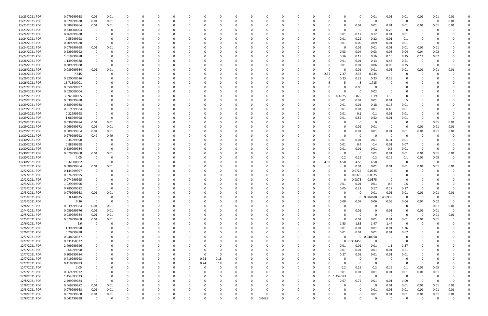| 11/23/2021 PDR | 0.079999968 | 0.01        | 0.01        |              |          | 0            |          |          |          |          |          |          |          |              |          |              |             |          | 0            | 0.01              | 0.01                    | 0.01           | 0.01        | 0.01     | 0.01           |  |
|----------------|-------------|-------------|-------------|--------------|----------|--------------|----------|----------|----------|----------|----------|----------|----------|--------------|----------|--------------|-------------|----------|--------------|-------------------|-------------------------|----------------|-------------|----------|----------------|--|
| 11/23/2021 PDR | 0.029999988 | 0.01        | 0.01        |              |          |              |          |          |          |          |          |          |          |              |          |              |             | $\Omega$ | 0            | - 0               | 0                       | 0              | 0           | $\Omega$ | $0.01\,$       |  |
| 11/23/2021 PDR | 0.089999964 | 0.01        | 0.01        |              |          |              |          |          |          |          |          |          |          |              |          |              |             | 0        | 0.01         | 0.01              | 0.01                    | 0.01           | 0.01        | 0.01     | 0.01           |  |
| 11/23/2021 PDR | 0.230000004 | 0           | -0          |              |          |              |          |          |          |          |          |          |          |              |          |              |             | O        | 0            | - 0               | 0.23                    | 0              |             |          |                |  |
| 11/24/2021 PDR | 0.269999988 | 0           |             |              |          |              |          |          |          |          |          |          |          |              |          |              | 0           | 0.01     | 0.12         | 0.12              | 0.01                    | 0.01           |             |          |                |  |
| 11/24/2021 PDR | 0.55999998  | 0           |             |              |          |              |          |          |          |          |          |          |          |              |          |              |             | 0.01     | 0.22         | 0.22              | 0.01                    | 0.1            | -0          |          |                |  |
| 11/24/2021 PDR | 0.209999988 | 0           | - 0         |              |          |              |          |          |          |          |          |          |          |              |          |              |             | 0.01     | 0.09         | 0.09              | 0.01                    | 0.01           | - 0         |          |                |  |
| 11/24/2021 PDR | 0.079999968 | 0.01        | 0.01        |              |          |              |          |          |          |          |          |          |          |              |          |              |             | C.       | 0.01         | 0.01              | 0.01                    | 0.01           | 0.01        | 0.01     |                |  |
| 11/24/2021 PDR | 0.229999992 | 0           |             |              |          |              |          |          |          |          |          |          |          |              |          |              |             | 0.03     | 0.04         | 0.03              | 0.03                    | 0.04           | 0.04        | 0.02     |                |  |
| 11/24/2021 PDR | 1.019999988 |             |             |              |          |              |          |          |          |          |          |          |          |              |          |              |             | 0.16     | 0.19         | 0.16              | 0.15                    | 0.15           | 0.14        | 0.07     |                |  |
| 11/26/2021 PDR | 1.139999988 | 0           |             |              |          |              |          |          |          |          |          |          |          |              |          |              | o           | 0.01     | 0.01         | 0.13              | 0.48                    | 0.51           | -0          |          |                |  |
| 11/26/2021 PDR | 0.389999988 | 0           | -0          |              |          |              |          |          |          |          |          |          |          |              |          |              |             | 0.01     | 0.01         | 0.06              | 0.06                    | 0.25           | - 0         |          | $\Omega$       |  |
| 11/26/2021 PDR | 0.089999964 | 0.01        | 0.01        |              |          |              |          |          |          |          |          |          |          |              |          |              |             | 0        | 0.01         | 0.01              | 0.01                    | 0.01           | 0.01        | 0.01     | 0.01           |  |
| 11/26/2021 PDR | 7.845       | 0           |             |              |          |              |          |          |          |          |          |          |          |              |          |              | 2.37        | 2.37     | 2.37         | 0.735             | - 0                     |                |             |          |                |  |
| 11/26/2021 PDR | 0.920000016 |             |             |              |          |              |          |          |          |          |          |          |          |              |          |              | 0           | 0.23     | 0.23         | 0.23              | 0.23                    |                |             |          |                |  |
| 11/26/2021 PDR | 16.71500001 |             |             |              |          |              |          |          |          |          |          |          |          |              |          |              |             |          | -5           | 1.715             | 0                       |                |             |          |                |  |
| 11/27/2021 PDR | 0.059999997 | 0           |             |              |          |              |          |          |          |          |          |          |          |              |          |              |             | O        | 0.06         |                   | - 0                     |                |             |          |                |  |
| 11/29/2021 PDR | 0.020000004 |             |             |              |          |              |          |          |          |          |          |          |          |              |          |              |             | $\Omega$ | 0            | 0.02              | - 0                     | 0              |             |          |                |  |
| 11/29/2021 PDR | 3.692500005 |             |             |              |          |              |          |          |          |          |          |          |          |              |          |              | 0           | 0.4375   | 0.875        | 1.19              | 1.19                    | 0              |             |          |                |  |
| 11/29/2021 PDR | 0.539999988 |             |             |              |          |              |          |          |          |          |          |          |          |              |          |              | 0           | 0.01     | 0.01         | 0.01              | 0.01                    | 0.5            |             |          |                |  |
| 11/29/2021 PDR | 0.389999988 |             |             |              |          |              |          |          |          |          |          |          |          |              |          |              | 0           | 0.01     | 0.01         | 0.18              | 0.18                    | 0.01           |             |          |                |  |
| 11/29/2021 PDR | 0.519999984 |             |             |              |          |              |          |          |          |          |          |          |          |              |          |              |             | 0.01     | 0.01         | 0.01              | 0.48                    | 0.01           |             |          |                |  |
| 11/29/2021 PDR | 0.22999998  | 0           |             |              |          |              |          |          |          |          |          |          |          |              |          |              |             | 0.01     | 0.1          | 0.1               | 0.01                    | 0.01           |             |          |                |  |
| 11/29/2021 PDR | 1.06999998  | 0           | $\Omega$    |              |          |              |          |          |          |          |          |          |          |              |          |              |             | 0.01     | 0.52         | 0.52              | 0.01                    | 0.01           |             |          |                |  |
| 11/29/2021 PDR | 0.039999984 | 0.01        | 0.01        |              |          |              |          |          |          |          |          |          |          |              |          |              |             | C.       | 0            |                   | - 0                     | 0              | - 0         | 0.01     | 0.01           |  |
| 11/29/2021 PDR | 0.069999972 | 0.01        | 0.01        |              |          |              |          |          |          |          |          |          |          |              |          |              |             |          | 0.01         | 0.01              | - 0                     | 0              | 0.01        | 0.01     | 0.01           |  |
| 11/29/2021 PDR | 0.089999964 | 0.01        | 0.01        |              |          |              |          |          |          |          |          |          |          |              |          |              |             | C.       | 0.01         | 0.01              | 0.01                    | 0.01           | 0.01        | 0.01     | 0.01           |  |
| 11/30/2021 PDR | 0.979999992 | 0.49        | 0.49        |              |          |              |          |          |          |          |          |          |          |              |          |              |             | O        | 0            | $\Omega$          | - 0                     | 0              | -0          |          |                |  |
| 11/30/2021 PDR | 0.34999998  | 0           |             |              |          |              |          |          |          |          |          |          |          |              |          |              |             | 0.01     | 0.01         | 0.01              | 0.31                    | 0.01           |             |          |                |  |
| 11/30/2021 PDR | 0.88999998  | 0           |             |              |          |              |          |          |          |          |          |          |          |              |          |              |             | 0.01     | 0.4          | 0.4               | 0.01                    | 0.07           |             |          |                |  |
| 11/30/2021 PDR | 0.639999984 | $\Omega$    |             |              |          |              |          |          |          |          |          |          |          |              |          |              |             |          |              |                   |                         |                | 0           |          |                |  |
|                |             |             |             |              |          |              |          |          |          |          |          |          |          |              |          |              |             | 0.01     | 0.01         | 0.01              | 0.6                     | 0.01           |             |          |                |  |
| 11/30/2021 PDR | 0.079999968 | 0.01        | 0.01        |              |          |              |          |          |          |          |          |          |          |              |          |              |             |          | 0            | 0.01              | 0.01                    | 0.01           | 0.01        | 0.01     | 0.01           |  |
| 11/30/2021 PDR | 1.05        | 0           | -0          |              |          |              |          |          |          |          |          |          |          |              |          |              | 0           | 0.2      | 0.25         | 0.2               | 0.16                    | 0.1            | 0.09        | 0.05     |                |  |
| 11/30/2021 PDR | 18.32000002 | 0           | -0          |              |          |              |          |          |          |          |          |          |          |              |          |              | 4.58        | 4.58     | 4.58         | 4.58              | - 0                     | 0              | - 0         | 0        | 0              |  |
| 12/2/2021 PDR  | 0.089999964 | 0.01        | 0.01        |              |          |              |          |          |          |          |          |          |          |              |          |              |             | 0        | 0.01         | 0.01              | 0.01                    | 0.01           | 0.01        | 0.01     | 0.01           |  |
| 12/2/2021 PDR  | 0.144999997 | 0           | - 0         |              |          |              |          |          |          |          |          |          |          |              |          |              | 0           | 0        | 0.0725       | 0.0725            | - 0                     |                | -0          |          |                |  |
| 12/2/2021 PDR  | 0.074999995 | 0           |             |              |          |              |          |          |          |          |          |          |          |              |          |              |             | O        | 0.0375       | 0.0375            | - 0                     |                |             |          |                |  |
| 12/2/2021 PDR  | 0.074999995 |             |             |              |          |              |          |          |          |          |          |          |          |              |          |              |             |          | 0.0375       | 0.0375            | - റ                     |                |             |          |                |  |
| 12/3/2021 PDR  | 1.029999996 |             |             |              |          |              |          |          |          |          |          |          |          |              |          |              |             | 0.01     | 0.01         | 0.01              | 0.5                     | 0.5            |             |          |                |  |
| 12/3/2021 PDR  | 0.780000012 | 0           |             |              |          |              |          |          |          |          |          |          |          |              |          |              | 0           | 0.05     | 0.22         | 0.17              | 0.17                    | 0.17           | - 0         |          |                |  |
| 12/3/2021 PDR  | 0.079999968 | 0.01        | 0.01        |              |          |              |          |          |          |          |          |          |          |              |          |              |             |          | $\Omega$     | 0.01              | 0.01                    | 0.01           | 0.01        | 0.01     | 0.01           |  |
| 12/3/2021 PDR  | 0.440625    | 0           | 0           | $\Omega$     | $\Omega$ | 0            | $\Omega$ | $\Omega$ | $\Omega$ | 0        | $\Omega$ | $\Omega$ | $\Omega$ | $\Omega$     | $\Omega$ | 0            | 0           | $\Omega$ | $\mathbf{0}$ | 0.004688 0.435938 |                         | $\overline{0}$ | 0           | $\Omega$ | 0              |  |
| 12/3/2021 PDR  | 0.36        | $\mathbf 0$ | $\mathbf 0$ | $\Omega$     | 0        | $\Omega$     |          | O        |          |          | 0        | $\Omega$ | $\Omega$ | <sup>0</sup> | 0        | 0            | 0           | 0.08     | 0.07         | 0.06              | 0.05                    | 0.04           | 0.04        | 0.02     | $\mathbf 0$    |  |
| 12/4/2021 PDR  | 0.039999984 | 0.01        | 0.01        | $\Omega$     |          | <sup>0</sup> |          |          |          |          | $\Omega$ | $\Omega$ | - 0      |              | - 0      |              | o           | $\Omega$ | $\mathbf 0$  | $\Omega$          | $\overline{0}$          | $\mathbf 0$    | $\Omega$    | 0.01     | 0.01           |  |
| 12/4/2021 PDR  | 0.059999976 | 0.01        | 0.01        |              |          |              |          |          |          |          |          |          |          |              |          |              |             | $\Omega$ | 0.01         | $\Omega$          | 0.01                    | 0              | 0.01        | 0.01     | $\overline{0}$ |  |
| 12/5/2021 PDR  | 0.039999984 | 0.01        | 0.01        | $\Omega$     |          |              |          |          |          |          |          |          | 0        |              |          |              |             | $\Omega$ | $\mathbf 0$  | $\Omega$          | - 0                     | 0              | $\mathbf 0$ | 0.01     | $0.01\,$       |  |
| 12/5/2021 PDR  | 0.079999968 | 0.01        | 0.01        | 0            | 0        | 0            |          |          |          |          | 0        |          | 0        |              | 0        |              | 0           | $\Omega$ | 0.01         | 0.01              | 0.01                    | 0.01           | 0.01        | 0.01     | $\Omega$       |  |
| 12/6/2021 PDR  | 6.6         | 0           | 0           | $\Omega$     |          | 0            |          |          |          |          | $\Omega$ |          | 0        |              |          |              | 0           | 1.83     | 1.83         | 1.47              | 1.47                    | $\overline{0}$ | $\Omega$    |          |                |  |
| 12/6/2021 PDR  | 1.39999998  | 0           | $\Omega$    | $\Omega$     |          | $\Omega$     |          | O        |          |          | $\Omega$ | $\Omega$ | $\Omega$ | <sup>0</sup> | $\Omega$ | <sup>0</sup> | $\Omega$    | 0.01     | 0.01         | 0.01              | 0.01                    | 1.36           | 0           |          | $\Omega$       |  |
| 12/6/2021 PDR  | 0.70999998  | 0           |             | $\Omega$     | 0        | 0            |          |          |          |          | $\Omega$ | 0        | 0        | O            | $\Omega$ | 0            | $\Omega$    | 0.01     | 0.01         | 0.01              | 0.01                    | 0.67           |             |          |                |  |
| 12/7/2021 PDR  | 0.048958337 | 0           |             |              |          | $\Omega$     |          |          |          |          | $\Omega$ |          | 0        |              |          |              | 0           | $\Omega$ | $\mathbf 0$  | 0.048958          | $\overline{0}$          | 0              |             |          |                |  |
| 12/7/2021 PDR  | 0.331458337 | 0           |             |              |          | 0            |          |          |          |          | 0        |          | 0        |              |          |              | 0           |          | 0 0.331458   | $\Omega$          | $\overline{0}$          | 0              |             |          |                |  |
| 12/7/2021 PDR  | 2.499999996 | 0           |             |              |          | 0            |          |          |          |          |          |          | 0        |              |          |              | 0           | 0.01     | 0.01         | 0.01              | 1.1                     | 1.37           |             |          |                |  |
| 12/7/2021 PDR  | 0.64999998  | 0           |             |              |          | 0            |          |          |          |          | $\Omega$ |          | $\Omega$ |              |          |              | $\Omega$    | 0.01     | 0.01         | 0.01              | 0.01                    | 0.61           |             |          |                |  |
| 12/7/2021 PDR  | 0.309999984 | 0           |             |              | 0        | 0            |          |          | $\Omega$ | 0        | $\Omega$ |          | 0        |              | - 0      |              | 0           | 0.27     | 0.01         | 0.01              | 0.01                    | 0.01           | 0           |          |                |  |
| 12/7/2021 PDR  | 0.419999993 | 0           |             |              |          | 0            |          | $\Omega$ | 0.24     | 0.18     | $\Omega$ |          | 0        |              | - 0      |              |             | 0        | $\mathbf 0$  | $\Omega$          | 0                       | 0              | $\Omega$    |          |                |  |
| 12/7/2021 PDR  | 0.419999993 | $\Omega$    |             |              |          |              |          | $\Omega$ | 0.24     | 0.18     | $\Omega$ |          |          |              |          |              |             | $\Omega$ | $\mathbf 0$  | $\Omega$          | $\overline{0}$          | $\mathbf 0$    | $\Omega$    |          |                |  |
| 12/7/2021 PDR  | 1.05        | 0           |             |              |          |              |          | 0        | 0        | 0        | $\Omega$ |          | 0        |              | 0        |              | 0           | 0.2      | 0.25         | 0.2               | 0.16                    | 0.1            | 0.09        | 0.05     |                |  |
| 12/7/2021 PDR  | 0.069999972 | 0           |             |              |          |              |          |          |          |          | 0        |          | 0        |              |          |              | 0           | 0.01     | 0.01         | 0.01              | 0.01                    | 0.01           | 0.01        | 0.01     |                |  |
| 12/8/2021 PDR  | 1.454583333 | $\mathbf 0$ | $\Omega$    |              |          |              |          |          |          |          | $\Omega$ |          | $\Omega$ |              |          | $\Omega$     | $\mathbf 0$ | 454583   | $\mathbf 0$  | $\Omega$          | $\overline{\mathbf{0}}$ | $\overline{0}$ | $\mathbf 0$ | $\Omega$ |                |  |
| 12/8/2021 PDR  | 2.499999984 | $\mathbf 0$ | $\Omega$    |              |          |              |          |          |          |          | $\Omega$ |          | 0        |              |          |              | 0           | 0.67     | 0.72         | 0.01              | 0.01                    | 1.09           | 0           |          | $\Omega$       |  |
| 12/8/2021 PDR  | 0.069999972 | 0.01        | 0.01        | $\Omega$     |          | <sup>0</sup> |          |          |          |          | 0        |          | 0        |              |          |              |             | O        | $\mathbf 0$  | $\Omega$          | 0.01                    | 0.01           | 0.01        | 0.01     | 0.01           |  |
| 12/8/2021 PDR  | 0.079999968 | 0.01        | 0.01        | $\Omega$     |          | 0            |          |          |          |          | $\Omega$ |          | - 0      |              |          |              |             | 0        | $\Omega$     | 0.01              | 0.01                    | 0.01           | 0.01        | 0.01     | 0.01           |  |
| 12/8/2021 PDR  | 0.079999968 | 0.01        | 0.01        | 0            |          | 0            |          |          |          |          | 0        | $\Omega$ | 0        |              |          |              |             |          | 0            | 0.01              | 0.01                    | 0.01           | 0.01        | 0.01     | 0.01           |  |
| 12/8/2021 PDR  | 0.042499998 | $\mathbf 0$ | $\Omega$    | $\mathbf{0}$ | $\Omega$ | $\Omega$     |          | $\Omega$ |          | $\Omega$ | $\Omega$ | $\Omega$ | 0.0425   | $\Omega$     | $\Omega$ | U            | 0           | $\Omega$ | $\Omega$     | $\Omega$          | $\overline{\mathbf{0}}$ | $\Omega$       | $\mathbf 0$ | $\Omega$ | 0              |  |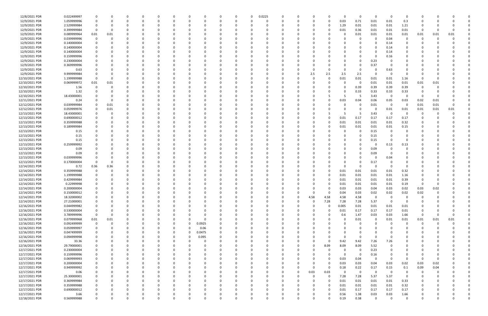| 12/8/2021 PDR  | 0.022499997 |              | - 0         |          |             | 0        |          |          |             | 0           | $\Omega$ | 0.0225   |   |          |          | O           |          | 0           | - 0      | - 0         | $\Omega$       |          |          |          |  |
|----------------|-------------|--------------|-------------|----------|-------------|----------|----------|----------|-------------|-------------|----------|----------|---|----------|----------|-------------|----------|-------------|----------|-------------|----------------|----------|----------|----------|--|
| 12/9/2021 PDR  | 1.059999996 | 0            | $\Omega$    |          | $\Omega$    | 0        | $\Omega$ |          | $\Omega$    | $\Omega$    | $\Omega$ | $\Omega$ |   | 0        |          | 0           | 0.03     | 0.71        | 0.01     | 0.01        | 0.3            | 0        |          |          |  |
| 12/9/2021 PDR  | 2.529999984 | 0            |             |          |             |          |          |          |             |             |          |          |   |          |          | 0           | 1.29     | 0.01        | 0.01     | 0.01        | 1.21           | 0        |          |          |  |
| 12/9/2021 PDR  | 0.399999984 | $\Omega$     | $\Omega$    |          |             |          |          |          |             |             |          |          |   |          |          |             | 0.01     | 0.36        | 0.01     | 0.01        | 0.01           | -0       |          |          |  |
| 12/9/2021 PDR  | 0.089999964 | 0.01         | 0.01        |          |             |          |          |          |             |             |          |          |   |          |          |             |          | 0.01        | 0.01     | 0.01        | 0.01           | 0.01     | 0.01     | 0.01     |  |
| 12/9/2021 PDR  | 0.039999996 | 0            | റ           |          |             |          |          |          |             |             |          |          |   |          |          |             |          | 0           |          |             | 0              | C        |          |          |  |
|                |             |              |             |          |             |          |          |          |             |             |          |          |   |          |          |             |          |             |          | 0.04        |                |          |          |          |  |
| 12/9/2021 PDR  | 0.140000004 |              |             |          |             |          |          |          |             |             |          |          |   |          |          |             |          |             |          | 0.14        |                |          |          |          |  |
| 12/9/2021 PDR  | 0.140000004 |              |             |          |             |          |          |          |             |             |          |          |   |          |          |             |          |             |          | 0.14        |                |          |          |          |  |
| 12/9/2021 PDR  | 0.140000004 |              |             |          |             |          |          |          |             |             |          |          |   |          |          |             |          |             |          | 0.14        |                |          |          |          |  |
| 12/9/2021 PDR  | 0.159999996 |              |             |          |             |          |          |          |             |             |          |          |   |          |          |             |          |             |          | 0.16        |                |          |          |          |  |
| 12/9/2021 PDR  | 0.230000004 |              |             |          |             |          |          |          |             |             |          |          |   |          |          |             |          | 0           | 0.23     |             |                |          |          |          |  |
| 12/9/2021 PDR  | 0.369999996 |              |             |          |             |          |          |          |             |             |          |          |   |          |          |             |          | 0           | 0.37     |             |                |          |          |          |  |
| 12/9/2021 PDR  | 0.63        |              |             |          |             |          |          |          |             |             |          |          |   |          |          |             |          | $\Omega$    |          | 0.63        |                |          |          |          |  |
| 12/9/2021 PDR  | 9.999999984 |              |             |          |             |          |          |          |             |             |          |          |   |          | 2.5      | 2.5         | 2.5      | 2.5         |          | - ೧         |                |          |          |          |  |
| 12/10/2021 PDR | 1.199999988 | $\Omega$     | $\Omega$    |          |             |          |          |          |             |             |          |          |   |          |          | 0           | 0.01     | 0.01        | 0.01     | 0.01        | 1.16           | 0        |          |          |  |
| 12/10/2021 PDR | 0.069999972 | 0.01         | 0.01        |          |             |          |          |          |             |             |          |          |   |          |          |             |          | 0           | 0.01     | 0.01        | 0.01           | 0.01     | 0.01     |          |  |
|                | 1.56        | 0            | $\Omega$    |          |             |          |          |          |             |             |          |          |   |          |          |             |          |             |          | 0.39        |                |          |          |          |  |
| 12/10/2021 PDR |             |              |             |          |             |          |          |          |             |             |          |          |   |          |          |             |          | 0.39        | 0.39     |             | 0.39           | 0        |          |          |  |
| 12/10/2021 PDR | 1.32        |              |             |          |             |          |          |          |             |             |          |          |   |          |          |             |          | 0.33        | 0.33     | 0.33        | 0.33           |          |          |          |  |
| 12/10/2021 PDR | 18.43000001 |              |             |          |             |          |          |          |             |             |          |          |   |          |          |             | -5       | -5          | 3.43     | - 0         | $\Omega$       | -0       |          |          |  |
| 12/11/2021 PDR | 0.24        |              | $\Omega$    |          |             |          |          |          |             |             |          |          |   |          |          |             | 0.03     | 0.04        | 0.06     | 0.05        | 0.03           | 0.02     | 0.01     |          |  |
| 12/12/2021 PDR | 0.039999984 |              | 0.01        |          |             |          |          |          |             |             |          |          |   |          |          |             |          | 0           | 0.01     | - 0         | $\Omega$       | 0.01     | 0.01     | $\Omega$ |  |
| 12/12/2021 PDR | 0.059999976 | 0            | 0.01        |          |             |          |          |          |             |             |          |          |   |          |          |             |          | 0           |          | 0.01        | 0.01           | 0.01     | 0.01     | 0.01     |  |
| 12/13/2021 PDR | 18.43000001 |              | 0           |          |             |          |          |          |             |             |          |          |   |          |          |             |          | 5           | 3.43     | - 0         |                | 0        |          |          |  |
| 12/13/2021 PDR | 0.690000012 | 0            | 0           |          |             |          |          |          |             |             |          |          |   |          |          |             | 0.01     | 0.17        | 0.17     | 0.17        | 0.17           |          |          |          |  |
| 12/13/2021 PDR | 0.359999988 |              |             |          |             |          |          |          |             |             |          |          |   |          |          |             | 0.01     | 0.01        | 0.01     | 0.01        | 0.32           |          |          |          |  |
| 12/13/2021 PDR | 0.189999984 |              |             |          |             |          |          |          |             |             |          |          |   |          |          |             | 0.01     | 0.01        | 0.01     | 0.01        | 0.15           |          |          |          |  |
| 12/13/2021 PDR | 0.15        |              |             |          |             |          |          |          |             |             |          |          |   |          |          |             |          | 0           | 0.15     | - 0         |                |          |          |          |  |
|                |             |              |             |          |             |          |          |          |             |             |          |          |   |          |          |             |          |             |          |             |                |          |          |          |  |
| 12/13/2021 PDR | 0.15        |              |             |          |             |          |          |          |             |             |          |          |   |          |          |             |          | 0           | 0.15     |             |                |          |          |          |  |
| 12/13/2021 PDR | 0.15        |              |             |          |             |          |          |          |             |             |          |          |   |          |          |             |          | 0           | 0.15     | - 0         | $\Omega$       |          |          |          |  |
| 12/13/2021 PDR | 0.259999992 |              |             |          |             |          |          |          |             |             |          |          |   |          |          |             |          | 0           |          | 0.13        | 0.13           |          |          |          |  |
| 12/13/2021 PDR | 0.09        |              |             |          |             |          |          |          |             |             |          |          |   |          |          |             |          |             | 0.09     |             |                |          |          |          |  |
| 12/13/2021 PDR | 0.09        |              |             |          |             |          |          |          |             |             |          |          |   |          |          |             |          | $\Omega$    | 0.09     |             |                |          |          |          |  |
| 12/13/2021 PDR | 0.039999996 |              |             |          |             |          |          |          |             |             |          |          |   |          |          |             |          |             |          | 0.04        |                |          |          |          |  |
| 12/13/2021 PDR | 0.170000004 |              |             |          |             |          |          |          |             |             |          |          |   |          |          |             |          |             | 0.17     |             |                |          |          |          |  |
| 12/14/2021 PDR | 0.72        | 0.36         | 0.36        |          |             |          |          |          |             |             |          |          |   |          |          |             |          | $\Omega$    | $\Omega$ | - 0         |                |          |          |          |  |
| 12/14/2021 PDR | 0.359999988 | 0            | $\Omega$    |          |             |          |          |          |             |             |          |          |   |          |          |             | 0.01     | 0.01        | 0.01     | 0.01        | 0.32           |          |          |          |  |
| 12/14/2021 PDR | 1.199999988 |              |             |          |             |          |          |          |             |             |          |          |   |          |          |             | 0.01     | 0.01        | 0.01     | 0.01        | 1.16           |          |          |          |  |
| 12/14/2021 PDR | 0.429999984 |              |             |          |             |          |          |          |             |             |          |          |   |          |          |             | 0.01     | 0.01        | 0.01     | 0.01        | 0.39           |          |          |          |  |
|                |             |              |             |          |             |          |          |          |             |             |          |          |   |          |          |             |          |             |          |             |                |          |          |          |  |
| 12/14/2021 PDR | 0.22999998  |              |             |          |             |          |          |          |             |             |          |          |   |          |          |             | 0.01     | 0.01        | 0.01     | 0.01        | 0.19           |          |          |          |  |
| 12/14/2021 PDR | 0.200000004 | $\Omega$     | $\Omega$    |          |             |          |          |          |             |             |          |          |   |          |          | 0           | 0.03     | 0.03        | 0.04     | 0.03        | 0.02           | 0.03     | 0.02     |          |  |
| 12/14/2021 PDR | 0.150000012 | $\mathbf{0}$ | $\Omega$    |          |             |          |          |          |             |             |          |          |   |          |          |             | 0.04     | 0.03        | 0.02     | 0.02        | 0.02           | 0.02     |          |          |  |
| 12/14/2021 PDR | 18.32000002 | 0            | 0           |          | $\Omega$    | 0        | $\Omega$ |          | 0           | 0           | $\Omega$ | $\Omega$ | O | $\Omega$ | 4.58     | 4.58        | 4.58     | 4.58        | - 0      | $\Omega$    | $\Omega$       | 0        |          |          |  |
| 12/14/2021 PDR | 27.21000001 | 0            | $\Omega$    |          | 0           | 0        |          |          | 0           | 0           |          | $\Omega$ |   | 0        | $\Omega$ | 7.28        | 7.28     | 7.28        | 5.37     | $\Omega$    | $\overline{0}$ | 0        |          |          |  |
| 12/16/2021 PDR | 0.044999982 | 0            |             |          | 0           |          |          |          | $\Omega$    | 0           |          | 0        |   | 0        |          | $\Omega$    | 0.005    | 0.01        | 0.01     | 0.01        | 0.01           |          |          |          |  |
| 12/16/2021 PDR | 0.530000004 | $\mathbf 0$  | 0           |          | O           |          |          |          | 0           |             |          |          |   |          |          | 0           | 0.01     | 0.17        | 0.17     | 0.17        | 0.01           | 0        |          |          |  |
| 12/16/2021 PDR | 3.789999996 | $\mathbf 0$  | 0           |          |             |          |          |          | 0           |             |          |          |   |          |          | 0           | 0.6      | 1.47        | 0.03     | 0.03        | 1.66           | 0        |          |          |  |
| 12/16/2021 PDR | 0.079999968 | $0.01\,$     | 0.01        |          | 0           |          |          |          | $\Omega$    |             |          |          |   |          |          |             |          | 0.01        | $\Omega$ | $0.01\,$    | 0.01           | 0.01     | 0.01     | 0.01     |  |
| 12/16/2021 PDR | 0.092499999 | 0            | 0           |          | 0           |          |          | $\Omega$ | 0.0925      | 0           |          | $\Omega$ |   |          |          |             |          | 0           |          | $\Omega$    | $\Omega$       | $\Omega$ | $\Omega$ |          |  |
| 12/16/2021 PDR | 0.059999997 | 0            | 0           |          | 0           | 0        | 0        | $\Omega$ | 0.06        | 0           |          | $\Omega$ |   |          |          |             |          | 0           |          |             | $\Omega$       | -0       |          |          |  |
|                |             |              |             |          |             |          | $\Omega$ | $\Omega$ |             |             |          |          |   |          |          |             |          |             |          |             |                |          |          |          |  |
| 12/16/2021 PDR | 0.047499999 |              | $\Omega$    |          | 0           | 0        |          |          | 0.0475      | 0           |          |          |   |          |          |             |          |             |          |             |                |          |          |          |  |
| 12/16/2021 PDR | 0.094999998 |              |             |          | 0           | 0        | $\Omega$ | $\Omega$ | 0.095       | 0           |          | 0        |   |          |          |             | $\Omega$ | 0           | $\Omega$ |             |                |          |          |          |  |
| 12/16/2021 PDR | 33.36       |              |             |          | 0           |          |          |          | 0           |             |          |          |   |          |          | $\Omega$    | 9.42     | 9.42        | 7.26     | 7.26        |                |          |          |          |  |
| 12/16/2021 PDR | 29.79000001 | 0            |             |          | 0           |          |          |          | $\Omega$    |             |          |          |   |          |          | 8.09        | 8.09     | 8.09        | 5.52     | $\mathbf 0$ |                |          |          |          |  |
| 12/17/2021 PDR | 0.230000004 | 0            | $\Omega$    |          | 0           | 0        |          |          | 0           | 0           |          | $\Omega$ |   |          |          | $\mathbf 0$ |          | 0           | 0.23     | 0           | $\Omega$       | 0        |          |          |  |
| 12/17/2021 PDR | 0.159999996 | 0            | 0           |          | 0           | 0        |          |          | 0           | 0           |          | $\Omega$ |   |          |          |             |          | 0           | 0.16     | 0           | 0              | 0        |          |          |  |
| 12/17/2021 PDR | 0.069999993 | 0            | $\Omega$    |          | 0           | 0        |          |          | $\Omega$    | $\Omega$    |          | $\Omega$ |   | $\Omega$ |          | $\Omega$    | 0.03     | 0.04        | $\Omega$ | $\Omega$    | $\Omega$       | $\Omega$ |          |          |  |
| 12/17/2021 PDR | 0.200000004 | $\Omega$     |             |          |             | 0        |          |          | 0           | 0           |          | 0        |   |          |          | 0           | 0.03     | 0.03        | 0.04     | 0.03        | 0.02           | 0.03     | 0.02     |          |  |
| 12/17/2021 PDR | 0.949999992 |              |             |          | 0           |          |          |          | 0           |             |          |          |   | 0        |          | $\Omega$    | 0.18     | 0.22        | 0.17     | 0.15        | 0.1            | 0.09     | 0.04     |          |  |
| 12/17/2021 PDR | 0.06        | 0            |             |          | 0           |          |          |          |             |             |          |          |   | 0        | 0.03     | 0.03        | $\Omega$ | $\mathbf 0$ | $\Omega$ | $\Omega$    | 0              | -0       |          |          |  |
| 12/17/2021 PDR | 25.30000001 | 0            |             |          |             |          |          |          | $\Omega$    | 0           |          | $\Omega$ |   |          |          | $\mathbf 0$ | 7.28     |             |          | 5.37        | $\overline{0}$ | 0        |          |          |  |
|                |             |              |             |          |             |          |          |          |             |             |          |          |   |          |          |             |          | 7.28        | 5.37     |             |                |          |          |          |  |
| 12/17/2021 PDR | 0.369999984 | 0            |             |          | 0           |          |          |          | $\Omega$    | 0           |          | $\Omega$ |   |          |          | $\Omega$    | 0.01     | 0.01        | 0.01     | 0.01        | 0.33           | 0        |          |          |  |
| 12/17/2021 PDR | 0.359999988 | 0            | $\Omega$    |          | 0           | 0        |          |          | 0           | 0           |          | 0        |   |          |          | O           | 0.01     | 0.01        | 0.01     | 0.01        | 0.32           |          |          |          |  |
| 12/17/2021 PDR | 0.690000012 |              |             |          |             |          |          |          |             |             |          | $\Omega$ |   |          |          | $\Omega$    | 0.01     | 0.17        | 0.17     | 0.17        | 0.17           |          |          |          |  |
| 12/17/2021 PDR | 3.66        | $\Omega$     | 0           |          |             |          |          |          |             |             |          |          |   |          |          |             | 0.56     | 1.38        | 0.03     | 0.03        | 1.66           |          |          |          |  |
| 12/18/2021 PDR | 0.569999988 | 0            | $\mathbf 0$ | $\Omega$ | $\mathbf 0$ | $\Omega$ | $\Omega$ |          | $\mathbf 0$ | $\mathbf 0$ |          | $\Omega$ |   | 0        |          | 0           | 0.19     | 0.38        | $\Omega$ | $\mathbf 0$ | $\mathbf 0$    | 0        |          |          |  |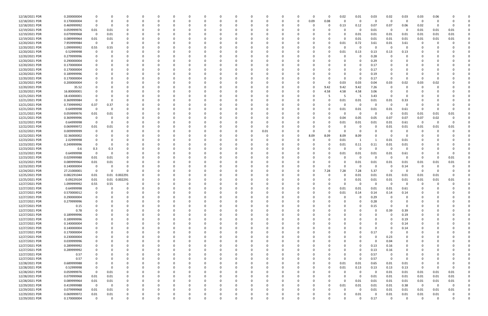| 12/18/2021 PDR | 0.200000004 |             |             |               |          |          |   |   |          |          |          |          |              |          | $\Omega$ | 0        | 0.02     | 0.01        | 0.03     | 0.02        | 0.03        | 0.03           | 0.06     |          |   |
|----------------|-------------|-------------|-------------|---------------|----------|----------|---|---|----------|----------|----------|----------|--------------|----------|----------|----------|----------|-------------|----------|-------------|-------------|----------------|----------|----------|---|
| 12/18/2021 PDR | 0.170000004 |             |             |               | C.       |          |   |   |          |          |          |          |              | - 0      | 0.09     | 0.08     | $\Omega$ | 0           | - 0      | 0           | $\Omega$    | - 0            |          |          |   |
| 12/18/2021 PDR | 0.469999992 | $\Omega$    | - 0         |               |          |          |   |   |          |          |          |          |              |          |          | 0        | 0.13     | 0.12        | 0.07     | 0.07        | 0.06        | 0.02           |          |          |   |
|                | 0.059999976 |             |             |               |          |          |   |   |          |          |          |          |              |          |          |          |          | 0           |          | 0           | - 0         |                |          |          |   |
| 12/19/2021 PDR |             | 0.01        | 0.01        |               |          |          |   |   |          |          |          |          |              |          |          |          |          |             | 0.01     |             |             | 0.01           | 0.01     | 0.01     |   |
| 12/19/2021 PDR | 0.079999968 | $\mathbf 0$ | 0.01        |               |          |          |   |   |          |          |          |          |              |          |          |          | O        | 0.01        | 0.01     | 0.01        | 0.01        | 0.01           | 0.01     | 0.01     |   |
| 12/19/2021 PDR | 0.089999964 | 0.01        | 0.01        |               |          |          |   |   |          |          |          |          |              |          |          |          | 0        | 0.01        | 0.01     | 0.01        | 0.01        | 0.01           | 0.01     | 0.01     |   |
| 12/20/2021 PDR | 7.959999984 | 0           | - 0         |               |          |          |   |   |          |          |          |          |              |          |          |          | 0.01     | 0.72        | 3.61     | 0.01        | 3.61        | 0              |          |          |   |
| 12/20/2021 PDR | 1.099999992 | 0.55        | 0.55        |               |          |          |   |   |          |          |          |          |              |          |          |          | O        | 0           |          | $\Omega$    | O           |                |          |          |   |
| 12/20/2021 PDR | 0.52999998  | 0           |             |               |          |          |   |   |          |          |          |          |              |          |          |          | 0.01     | 0.13        | 0.13     | 0.13        | 0.13        |                |          |          |   |
|                |             |             |             |               |          |          |   |   |          |          |          |          |              |          |          |          |          |             |          |             |             |                |          |          |   |
| 12/20/2021 PDR | 0.279999996 |             |             |               |          |          |   |   |          |          |          |          |              |          |          |          |          | 0           | 0.28     | - 0         |             |                |          |          |   |
| 12/20/2021 PDR | 0.290000004 |             |             |               |          |          |   |   |          |          |          |          |              |          |          |          | C.       | $\Omega$    | 0.29     | - 0         |             |                |          |          |   |
| 12/20/2021 PDR | 0.170000004 |             |             |               |          |          |   |   |          |          |          |          |              |          |          |          |          | 0           | 0.17     |             |             |                |          |          |   |
| 12/20/2021 PDR | 0.170000004 |             |             |               |          |          |   |   |          |          |          |          |              |          |          |          |          | $\Omega$    | 0.17     |             |             |                |          |          |   |
| 12/20/2021 PDR | 0.189999996 |             |             |               |          |          |   |   |          |          |          |          |              |          |          |          |          | 0           | 0.19     |             |             |                |          |          |   |
| 12/20/2021 PDR | 0.170000004 |             |             |               |          |          |   |   |          |          |          |          |              |          |          |          | O        | 0           | 0.17     | - 0         |             |                |          |          |   |
|                |             |             |             |               |          |          |   |   |          |          |          |          |              |          |          |          |          |             |          |             |             |                |          |          |   |
| 12/20/2021 PDR | 0.200000004 |             |             |               |          |          |   |   |          |          |          |          |              |          |          |          | 0.03     | 0.03        | 0.04     | 0.03        | 0.02        | 0.03           | 0.02     |          |   |
| 12/20/2021 PDR | 35.52       |             |             |               |          |          |   |   |          |          |          |          |              |          |          | 9.42     | 9.42     | 9.42        | 7.26     | - 0         | 0           |                |          |          |   |
| 12/20/2021 PDR | 16.80000001 |             |             |               |          |          |   |   |          |          |          |          |              |          |          | 4.58     | 4.58     | 4.58        | 3.06     |             |             |                |          |          |   |
| 12/21/2021 PDR | 18.43000001 |             |             |               |          |          |   |   |          |          |          |          |              |          |          |          |          | - 5         | 3.43     | - 0         |             |                |          |          |   |
| 12/21/2021 PDR | 0.369999984 |             |             |               |          |          |   |   |          |          |          |          |              |          |          |          | 0.01     | 0.01        | 0.01     | 0.01        | 0.33        |                |          |          |   |
|                |             |             |             |               |          |          |   |   |          |          |          |          |              |          |          |          |          |             |          |             |             |                |          |          |   |
| 12/21/2021 PDR | 0.739999992 | 0.37        | 0.37        |               |          |          |   |   |          |          |          |          |              |          |          |          | O        | 0           | - 0      | - 0         |             |                |          |          |   |
| 12/21/2021 PDR | 0.64999998  | - 0         | - 0         |               |          |          |   |   |          |          |          |          |              |          |          |          | 0.01     | 0.01        | 0.01     | 0.01        | 0.61        | -0             |          |          |   |
| 12/21/2021 PDR | 0.059999976 | 0.01        | 0.01        |               |          |          |   |   |          |          |          |          |              |          |          |          | O        | 0           | - 0      | - 0         | 0.01        | 0.01           | 0.01     | 0.01     |   |
| 12/21/2021 PDR | 0.369999996 | 0           | - 0         |               |          |          |   |   |          |          |          |          |              |          |          |          | 0.04     | 0.05        | 0.05     | 0.07        | 0.07        | 0.07           | 0.02     |          |   |
| 12/22/2021 PDR | 0.64999998  | 0           | - 0         |               |          |          |   |   |          |          |          |          |              |          |          |          | 0.01     | 0.01        | 0.01     | 0.01        | 0.61        | - 0            |          |          |   |
|                |             |             |             |               |          |          |   |   |          |          |          |          |              |          |          |          |          |             |          |             |             |                |          |          |   |
| 12/22/2021 PDR | 0.069999972 | 0.01        | 0.01        |               |          |          |   |   |          |          |          | $\Omega$ |              |          |          |          |          | 0           |          | 0.01        | 0.01        | 0.01           | 0.01     | 0.01     |   |
| 12/22/2021 PDR | 0.009999999 |             |             |               |          |          |   |   |          |          |          | 0.01     |              |          |          |          | C.       | 0           |          | - 0         |             |                |          |          |   |
| 12/22/2021 PDR | 32.36000002 |             |             |               |          |          |   |   |          |          |          |          |              |          | 8.09     | 8.09     | 8.09     | 8.09        |          | - 0         |             |                |          |          |   |
| 12/23/2021 PDR | 2.02999998  |             |             |               |          |          |   |   |          |          |          |          |              |          |          |          | 0.01     | 1           |          | 0.01        | 0.01        |                |          |          |   |
| 12/23/2021 PDR | 0.249999996 |             |             |               |          |          |   |   |          |          |          |          |              |          |          |          | 0.01     | 0.11        | 0.11     | 0.01        | 0.01        |                |          |          |   |
| 12/23/2021 PDR | 0.6         | 0.3         | 0.3         |               |          |          |   |   |          |          |          |          |              |          |          |          | 0        | $\mathbf 0$ | $\Omega$ | - 0         | $\Omega$    |                |          |          |   |
|                |             |             |             |               |          |          |   |   |          |          |          |          |              |          |          |          |          |             |          |             |             |                |          |          |   |
| 12/23/2021 PDR | 0.64999998  | 0           | - 0         |               |          |          |   |   |          |          |          |          |              |          |          |          | 0.01     | 0.01        | 0.01     | 0.01        | 0.61        |                |          |          |   |
| 12/23/2021 PDR | 0.029999988 | 0.01        | 0.01        |               |          |          |   |   |          |          |          |          |              |          |          |          |          | 0           |          | - 0         | 0           | -0             |          | 0.01     |   |
| 12/23/2021 PDR | 0.089999964 | 0.01        | 0.01        |               |          |          |   |   |          |          |          |          |              |          |          |          | 0        | 0.01        | 0.01     | 0.01        | 0.01        | 0.01           | 0.01     | 0.01     |   |
| 12/23/2021 PDR | 0.140000004 | 0           | $\Omega$    |               |          |          |   |   |          |          |          |          |              |          |          |          | O        | $\Omega$    |          | - 0         | 0.14        | 0              |          |          |   |
| 12/24/2021 PDR | 27.21000001 | 0           | $\Omega$    | $\Omega$      |          |          |   |   |          |          |          |          |              |          |          | 7.28     | 7.28     | 7.28        | 5.37     | 0           | 0           | - 0            |          |          |   |
|                |             |             |             |               |          |          |   |   |          |          |          |          |              |          |          |          |          |             |          |             |             |                |          |          |   |
| 12/25/2021 PDR | 0.082291044 | 0.01        | 0.01        | 0.002291      |          |          |   |   |          |          |          |          |              |          |          |          | 0        | 0.01        | 0.01     | 0.01        | 0.01        | 0.01           | 0.01     |          |   |
| 12/25/2021 PDR | 0.09229104  | 0.01        |             | 0.01 0.002291 |          |          |   |   |          |          |          |          |              |          |          |          |          | 0.01        | 0.01     | 0.01        | 0.01        | 0.01           | 0.01     | 0.01     |   |
| 12/27/2021 PDR | 1.099999992 | 0.55        | 0.55        | n             |          |          |   |   |          |          |          |          |              |          |          |          |          | 0           |          | - 0         |             |                |          |          |   |
| 12/27/2021 PDR | 0.64999998  | $\mathbf 0$ | - 0         | <sup>0</sup>  | $\Omega$ |          |   |   |          |          |          |          |              |          |          |          | 0.01     | 0.01        | 0.01     | 0.01        | 0.61        | 0              |          |          |   |
| 12/27/2021 PDR | 0.570000012 | $\mathbf 0$ | $\mathbf 0$ |               | $\Omega$ |          |   |   |          |          |          |          |              |          |          |          | 0.01     | 0.14        | 0.14     | 0.14        | 0.14        | $\Omega$       |          |          |   |
| 12/27/2021 PDR | 0.290000004 | 0           | 0           | $\Omega$      | 0        | $\Omega$ | 0 | O | $\Omega$ | $\Omega$ | $\Omega$ | $\Omega$ | $\Omega$     | $\Omega$ | $\Omega$ | 0        | 0        |             | 0.29     | 0           | 0           | $\Omega$       |          |          |   |
|                |             |             |             |               |          |          |   |   |          |          |          |          |              |          |          |          |          | $\mathbf 0$ |          |             |             |                |          |          |   |
| 12/27/2021 PDR | 0.279999996 |             | $\Omega$    |               | 0        |          |   |   |          |          | $\Omega$ |          |              |          | 0        |          | 0        | 0           | 0.28     | 0           | 0           |                |          |          |   |
| 12/27/2021 PDR | 0.15        | $\Omega$    |             | <sup>0</sup>  | 0        | - 0      |   |   |          |          | $\Omega$ |          |              |          |          |          | 0        | $\Omega$    | 0.15     | - 0         | 0           | 0              |          |          |   |
| 12/27/2021 PDR | 0.78        | $\Omega$    |             |               |          |          |   |   |          |          |          |          |              |          |          |          |          | $\Omega$    | - 0      | 0.39        | 0.39        |                |          |          |   |
| 12/27/2021 PDR | 0.189999996 |             |             |               |          |          |   |   |          |          |          |          |              |          |          |          |          |             |          | - 0         | 0.19        |                |          |          |   |
| 12/27/2021 PDR | 0.189999996 | 0           |             |               | C        |          |   |   |          |          |          |          |              |          |          |          |          |             |          | 0           | 0.19        | -0             |          |          |   |
|                |             |             |             |               |          |          |   |   |          |          |          |          |              |          |          |          |          |             |          |             |             |                |          |          |   |
| 12/27/2021 PDR | 0.140000004 | 0           |             |               |          |          |   |   |          |          |          |          |              |          |          |          |          |             |          | - 0         | 0.14        |                |          |          |   |
| 12/27/2021 PDR | 0.140000004 | 0           | $\Omega$    | 0             | 0        | - 0      |   |   |          |          | $\Omega$ | $\Omega$ | <sup>0</sup> |          | $\Omega$ |          | 0        | $\Omega$    | $\Omega$ | - 0         | 0.14        | 0              |          |          |   |
| 12/27/2021 PDR | 0.170000004 | 0           |             | 0             | O        | 0        |   |   |          |          | 0        | 0        |              |          |          |          | 0        | 0           | 0.17     | 0           | 0           |                |          |          |   |
| 12/27/2021 PDR | 0.230000004 | 0           |             |               |          |          |   |   |          |          |          | $\Omega$ |              |          |          |          |          | $\Omega$    | $\Omega$ | 0.23        | $\Omega$    |                |          |          |   |
| 12/27/2021 PDR | 0.039999996 | 0           |             |               | O        |          |   |   |          |          |          |          |              |          |          |          |          | 0           | $\Omega$ | 0.04        |             |                |          |          |   |
| 12/27/2021 PDR | 0.289999992 | 0           |             |               |          |          |   |   |          |          |          |          |              |          |          |          |          | 0           | 0.13     | 0.16        | 0           |                |          |          |   |
|                |             |             |             |               |          |          |   |   |          |          |          |          |              |          |          |          |          |             |          |             |             |                |          |          |   |
| 12/27/2021 PDR | 0.289999992 | 0           | $\Omega$    | 0             | O        | 0        |   |   |          |          |          | 0        |              |          |          |          | 0        | 0           | 0.13     | 0.16        | 0           |                |          |          |   |
| 12/27/2021 PDR | 0.57        | 0           |             | 0             | C        | 0        | 0 |   |          |          |          | 0        |              |          |          |          | 0        | 0           | 0.57     | 0           | 0           | 0              |          |          |   |
| 12/27/2021 PDR | 0.57        | $\Omega$    | $\Omega$    | 0             | 0        | $\Omega$ |   | O |          |          | 0        | $\Omega$ |              |          |          |          | $\Omega$ | $\mathbf 0$ | 0.57     | $\Omega$    | $\mathbf 0$ | 0              |          |          |   |
| 12/28/2021 PDR | 0.689999988 | 0           |             |               |          | 0        |   |   |          |          |          | 0        |              |          |          | $\Omega$ | 0.01     | 0.01        | 0.65     | 0.01        | 0.01        | 0              |          |          |   |
| 12/28/2021 PDR | 0.52999998  | $\Omega$    | - 0         |               |          |          |   |   |          |          |          |          |              |          |          | 0        | 0.01     | 0.13        | 0.13     | 0.13        | 0.13        | $\Omega$       |          |          |   |
|                |             |             |             |               |          |          |   |   |          |          |          |          |              |          |          |          |          |             |          |             |             |                |          |          |   |
| 12/28/2021 PDR | 0.059999976 | $\mathbf 0$ | 0.01        |               |          |          |   |   |          |          |          |          |              |          |          |          | 0        | $\mathbf 0$ | $\Omega$ | 0.01        | 0.01        | 0.01           | 0.01     | 0.01     |   |
| 12/28/2021 PDR | 0.079999968 | 0.01        | $0.01\,$    |               |          |          |   |   |          |          |          |          |              |          |          |          | $\Omega$ | $\mathbf 0$ | 0.01     | 0.01        | 0.01        | 0.01           | 0.01     | 0.01     |   |
| 12/28/2021 PDR | 0.089999964 | 0.01        | 0.01        | $\Omega$      | O        |          |   |   |          |          |          | 0        |              |          |          |          | $\Omega$ | 0.01        | 0.01     | 0.01        | 0.01        | 0.01           | 0.01     | 0.01     |   |
| 12/29/2021 PDR | 0.419999988 | $\mathbf 0$ | 0           | 0             | 0        | 0        |   |   |          |          |          | 0        |              |          |          | 0        | 0.01     | 0.01        | 0.01     | 0.01        | 0.38        | $\overline{0}$ | $\Omega$ | 0        | 0 |
| 12/29/2021 PDR | 0.079999968 | 0.01        | $0.01\,$    | $\Omega$      |          |          |   |   |          |          |          |          |              |          |          |          | 0        | $\mathbf 0$ | 0.01     | 0.01        | 0.01        | 0.01           | 0.01     | $0.01\,$ |   |
| 12/29/2021 PDR |             | 0.01        |             |               |          |          |   |   |          |          |          |          |              |          |          |          | 0        |             |          |             |             |                |          |          |   |
|                | 0.069999972 |             | 0.01        | 0             |          |          |   |   |          |          |          |          |              |          |          |          |          | 0.01        |          | 0.01        | 0.01        | 0.01           | 0.01     |          |   |
| 12/29/2021 PDR | 0.170000004 | $\mathbf 0$ | $\Omega$    | $\mathbf 0$   | $\Omega$ | $\Omega$ | 0 |   | $\Omega$ |          | $\Omega$ | $\Omega$ | $\Omega$     |          | 0        | 0        | $\Omega$ | $\Omega$    | 0.17     | $\mathbf 0$ | $\Omega$    | $\Omega$       | $\Omega$ | 0        |   |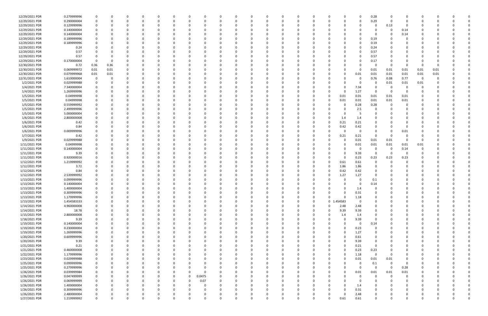| 12/29/2021 PDR | 0.279999996 | 0           |          | <sup>0</sup> |          | 0            |          | <sup>0</sup> |             | n            | 0            |          | 0           |          | 0        |            |          | 0           | 0.28        | $\Omega$ | n        | <sup>0</sup>            |          |   |  |
|----------------|-------------|-------------|----------|--------------|----------|--------------|----------|--------------|-------------|--------------|--------------|----------|-------------|----------|----------|------------|----------|-------------|-------------|----------|----------|-------------------------|----------|---|--|
| 12/29/2021 PDR | 0.290000004 | $\mathbf 0$ |          |              |          | $\Omega$     |          |              | $\Omega$    |              | $\Omega$     |          | $\Omega$    |          | $\Omega$ |            |          | $\Omega$    | 0.29        | $\Omega$ | $\Omega$ | $\Omega$                |          |   |  |
|                |             |             |          |              |          |              |          |              |             |              |              |          |             |          |          |            |          |             |             |          |          |                         |          |   |  |
| 12/29/2021 PDR | 0.129999996 |             |          |              |          |              |          |              |             |              | - 0          |          |             |          |          |            |          |             | $\Omega$    | 0.13     |          |                         |          |   |  |
| 12/29/2021 PDR | 0.140000004 |             |          |              |          |              |          |              |             |              |              |          |             |          |          |            |          |             | -0          | - 0      | 0.14     |                         |          |   |  |
| 12/29/2021 PDR | 0.140000004 |             |          |              |          |              |          |              |             |              |              |          |             |          |          |            |          |             | -0          |          | 0.14     |                         |          |   |  |
| 12/29/2021 PDR | 0.189999996 | 0           |          |              |          | <sup>0</sup> |          |              |             |              | - 0          |          |             |          |          |            |          | 0           | 0.19        |          | $\Omega$ |                         |          |   |  |
|                |             |             |          |              |          |              |          |              |             |              |              |          |             |          |          |            |          |             |             |          |          |                         |          |   |  |
| 12/29/2021 PDR | 0.189999996 | 0           |          |              |          | <sup>0</sup> |          |              |             |              |              |          |             |          |          |            |          | 0           | 0.19        |          |          |                         |          |   |  |
| 12/29/2021 PDR | 0.24        |             |          |              |          |              |          |              |             |              |              |          |             |          |          |            |          | $\Omega$    | 0.24        |          |          |                         |          |   |  |
| 12/29/2021 PDR | 0.57        |             |          |              |          |              |          |              |             |              |              |          |             |          |          |            |          | 0           | 0.57        |          |          |                         |          |   |  |
| 12/29/2021 PDR | 0.57        |             |          |              |          |              |          |              |             |              |              |          |             |          |          |            |          | 0           | 0.57        |          |          |                         |          |   |  |
|                |             |             |          |              |          |              |          |              |             |              |              |          |             |          |          |            |          |             |             |          |          |                         |          |   |  |
| 12/29/2021 PDR | 0.170000004 | $\Omega$    |          |              |          |              |          |              |             |              |              |          |             |          |          |            |          |             | 0.17        |          |          |                         |          |   |  |
| 12/30/2021 PDR | 0.72        | 0.36        | 0.36     |              |          | 0            |          |              |             |              | 0            |          |             |          |          |            |          | 0           | $\Omega$    | - 0      | - 0      | 0                       | 0        |   |  |
| 12/30/2021 PDR | 0.069999972 | 0.01        | $0.01\,$ |              |          |              |          |              |             |              |              |          |             |          |          |            |          | 0           | 0.01        | 0.01     | 0.01     | 0.01                    | 0.01     |   |  |
| 12/30/2021 PDR | 0.079999968 | 0.01        | 0.01     |              |          |              |          |              |             |              |              |          |             |          |          |            |          | 0.01        | 0.01        | 0.01     | 0.01     | 0.01                    | 0.01     |   |  |
|                |             |             |          |              |          |              |          |              |             |              |              |          |             |          |          |            |          |             |             |          |          |                         |          |   |  |
| 12/31/2021 PDR | 1.610000004 | 0           |          |              |          |              |          |              |             |              |              |          |             |          |          |            |          | 0           | 0.76        | 0.08     | 0.77     | $\overline{\mathbf{0}}$ |          |   |  |
| 1/2/2021 PDR   | 0.029999988 | 0           |          |              |          |              |          |              |             |              |              |          |             |          |          |            |          | 0           | 0           | 0.01     | 0.01     | 0.01                    |          |   |  |
| 1/4/2021 PDR   | 7.340000004 |             |          |              |          |              |          |              |             |              |              |          |             |          |          |            |          | 7.34        | -0          | - 0      | 0        | 0                       |          |   |  |
| 1/4/2021 PDR   | 1.269999996 | 0           |          |              |          |              |          |              |             |              |              |          |             |          |          |            |          | 1.27        | 0           | - 0      | $\Omega$ |                         |          |   |  |
|                |             |             |          |              |          |              |          |              |             |              |              |          |             |          |          |            |          |             |             |          |          |                         |          |   |  |
| 1/5/2021 PDR   | 0.04999998  | 0           |          |              |          |              |          |              |             |              |              |          |             |          |          | O          | 0.01     | 0.01        | 0.01        | 0.01     | 0.01     |                         |          |   |  |
| 1/5/2021 PDR   | 0.04999998  | 0           |          |              |          |              |          |              |             |              |              |          |             |          |          |            | 0.01     | 0.01        | 0.01        | 0.01     | 0.01     |                         |          |   |  |
| 1/5/2021 PDR   | 0.559999992 |             |          |              |          |              |          |              |             |              |              |          |             |          |          |            |          | 0.28        | 0.28        |          |          |                         |          |   |  |
| 1/5/2021 PDR   | 2.499999996 |             |          |              |          |              |          |              |             |              |              |          |             |          |          |            |          | 2.5         | 0           |          |          |                         |          |   |  |
|                |             |             |          |              |          |              |          |              |             |              |              |          |             |          |          |            |          |             |             |          |          |                         |          |   |  |
| 1/5/2021 PDR   | 5.000000004 |             |          |              |          |              |          |              |             |              |              |          |             |          |          |            |          | -5          |             |          |          |                         |          |   |  |
| 1/6/2021 PDR   | 2.800000008 | 0           |          |              |          |              |          |              |             |              |              |          |             |          |          |            | 1.4      | 1.4         |             |          |          |                         |          |   |  |
| 1/6/2021 PDR   | 0.42        | 0           |          |              |          |              |          |              |             |              | 0            |          |             |          |          |            | 0.21     | 0.21        |             |          |          |                         |          |   |  |
| 1/6/2021 PDR   | 0.84        |             |          |              |          |              |          |              |             |              |              |          |             |          |          | O          | 0.42     | 0.42        |             |          | 0        |                         |          |   |  |
|                |             |             |          |              |          |              |          |              |             |              |              |          |             |          |          |            |          |             |             |          |          |                         |          |   |  |
| 1/6/2021 PDR   | 0.009999996 |             |          |              |          |              |          |              |             |              |              |          |             |          |          |            |          | 0           | $\Omega$    |          | 0.01     |                         |          |   |  |
| 1/7/2021 PDR   | 0.42        |             |          |              |          |              |          |              |             |              | -0           |          |             |          |          |            | 0.21     | 0.21        | $\Omega$    |          |          |                         |          |   |  |
| 1/9/2021 PDR   | 0.029999988 |             |          |              |          |              |          |              |             |              | $\Omega$     |          |             |          |          |            |          | 0.01        | 0.01        | 0.01     | $\Omega$ | 0                       |          |   |  |
| 1/11/2021 PDR  | 0.04999998  |             |          |              |          |              |          |              |             |              |              |          |             |          |          |            |          | 0.01        | 0.01        | 0.01     | 0.01     | 0.01                    |          |   |  |
|                |             |             |          |              |          |              |          |              |             |              |              |          |             |          |          |            |          |             |             |          |          |                         |          |   |  |
| 1/11/2021 PDR  | 0.140000004 | 0           |          |              |          |              |          |              |             |              | - 0          |          |             |          |          |            |          | 0           | $\Omega$    | - 0      | 0.14     | 0                       |          |   |  |
| 1/11/2021 PDR  | 9.39        | 0           |          |              |          |              |          |              |             |              |              |          |             |          |          |            |          | 9.39        | 0           | - 0      | 0        |                         |          |   |  |
| 1/11/2021 PDR  | 0.920000016 |             |          |              |          |              |          |              |             |              |              |          |             |          |          |            |          | 0.23        | 0.23        | 0.23     | 0.23     |                         |          |   |  |
| 1/12/2021 PDR  | 1.219999992 |             |          |              |          |              |          |              |             |              |              |          |             |          |          |            |          |             |             |          |          |                         |          |   |  |
|                |             |             |          |              |          |              |          |              |             |              |              |          |             |          |          |            | 0.61     | 0.61        |             |          |          |                         |          |   |  |
| 1/12/2021 PDR  | 3.72        |             |          |              |          |              |          |              |             |              |              |          |             |          |          | 0          | 1.86     | 1.86        |             |          |          |                         |          |   |  |
| 1/12/2021 PDR  | 0.84        |             |          |              |          |              |          |              |             |              |              |          |             |          |          | O          | 0.42     | 0.42        |             |          |          |                         |          |   |  |
| 1/12/2021 PDR  | 2.539999992 |             |          |              |          |              |          |              |             |              |              |          |             |          |          | 0          | 1.27     | 1.27        | $\Omega$    |          |          |                         |          |   |  |
| 1/13/2021 PDR  | 0.099999996 |             |          |              |          |              |          |              |             |              |              |          |             |          |          |            |          | 0           |             |          |          |                         |          |   |  |
|                |             |             |          |              |          |              |          |              |             |              |              |          |             |          |          |            |          |             | 0.1         |          |          |                         |          |   |  |
| 1/13/2021 PDR  | 0.140000004 |             |          |              |          |              |          |              |             |              |              |          |             |          |          |            |          | 0           | 0.14        |          |          |                         |          |   |  |
| 1/13/2021 PDR  | 1.400000004 | $\Omega$    |          |              |          |              |          |              |             |              | $\Omega$     |          |             |          |          |            |          | 1.4         | $\Omega$    |          |          |                         |          |   |  |
| 1/13/2021 PDR  | 0.309999996 | 0           |          |              |          |              |          |              |             | 0            |              |          | $\Omega$    |          |          | O          |          | 0.31        |             |          |          | O                       |          |   |  |
| 1/13/2021 PDR  | 1.179999996 | 0           | $\Omega$ | $\Omega$     | $\Omega$ | 0            |          | $\Omega$     | $\Omega$    | <sup>0</sup> | $\Omega$     | $\Omega$ | 0           | $\Omega$ | 0        | 0          | $\Omega$ | 1.18        | $\mathbf 0$ | $\Omega$ | $\Omega$ | 0                       |          |   |  |
|                |             |             |          |              |          |              |          |              |             |              |              |          |             |          |          |            |          |             |             |          |          |                         |          |   |  |
| 1/13/2021 PDR  | 1.454583333 | 0           |          |              |          | 0            |          |              |             |              | $\Omega$     |          | $\Omega$    |          |          | 0 1.454583 |          | 0           | $\Omega$    |          |          |                         |          |   |  |
| 1/14/2021 PDR  | 4.960000008 | 0           |          |              |          | $\Omega$     |          |              |             |              | 0            |          | $\Omega$    |          | $\Omega$ | 0          | 2.48     | 2.48        | $\Omega$    |          |          | 0                       |          |   |  |
| 1/14/2021 PDR  | 18.78       | 0           |          |              |          |              |          |              |             |              | $\Omega$     |          | 0           |          | 0        | O          | 9.39     | 9.39        |             |          |          | 0                       |          |   |  |
| 1/15/2021 PDR  | 2.800000008 | $\Omega$    |          |              |          |              |          |              |             |              | 0            |          |             |          |          | 0          |          |             |             |          |          |                         |          |   |  |
|                |             |             |          |              |          |              |          |              |             |              |              |          |             |          |          |            | 1.4      | 1.4         |             |          |          |                         |          |   |  |
| 1/18/2021 PDR  | 9.39        | 0           |          |              |          |              |          |              |             |              | 0            |          | 0           |          |          | 0          |          | 9.39        | 0           |          |          | <sup>0</sup>            |          |   |  |
| 1/19/2021 PDR  | 0.140000004 | 0           |          |              |          | 0            |          |              |             |              | 0            |          | 0           |          | 0        | 0          |          | 0           | 0.14        |          |          | 0                       |          |   |  |
| 1/19/2021 PDR  | 0.230000004 | $\mathbf 0$ |          | $\Omega$     |          | 0            |          |              | 0           |              | $\Omega$     |          | $\Omega$    |          |          | 0          | O        | 0.23        | 0           |          | $\Omega$ | 0                       |          |   |  |
| 1/19/2021 PDR  | 1.269999996 |             |          | $\Omega$     |          | 0            |          |              |             |              |              |          | 0           |          |          | 0          | 0        | 1.27        | $\Omega$    |          | 0        |                         |          |   |  |
|                |             | 0           |          |              | 0        |              |          |              | 0           |              | 0            |          |             |          | 0        |            |          |             |             |          |          | 0                       |          |   |  |
| 1/20/2021 PDR  | 0.609999996 | 0           |          |              |          | <sup>0</sup> |          |              |             |              | 0            |          | 0           |          |          | 0          |          | 0.61        |             |          |          | 0                       |          |   |  |
| 1/20/2021 PDR  | 9.39        | $\Omega$    |          |              |          |              |          |              |             |              | 0            |          | 0           |          |          | 0          |          | 9.39        | $\Omega$    |          |          |                         |          |   |  |
| 1/21/2021 PDR  | 0.21        | 0           |          |              |          |              |          |              | O           |              | 0            |          | 0           |          |          | 0          |          | 0.21        | $\Omega$    |          |          |                         |          |   |  |
|                |             |             |          |              |          |              |          |              |             |              |              |          |             |          |          |            |          |             |             |          |          |                         |          |   |  |
| 1/21/2021 PDR  | 0.460000008 | 0           |          |              |          | 0            |          |              | 0           |              | 0            |          | 0           |          | 0        | 0          |          | 0.23        | 0.23        | 0        |          | 0                       |          |   |  |
| 1/22/2021 PDR  | 1.179999996 | 0           |          |              |          | 0            |          |              |             |              | $\Omega$     |          | 0           |          |          | 0          |          | 1.18        | $\mathbf 0$ | 0        | $\Omega$ | 0                       |          |   |  |
| 1/23/2021 PDR  | 0.029999988 | 0           |          |              |          | $\Omega$     |          |              | 0           |              | $\Omega$     |          | $\Omega$    |          |          |            |          | 0.01        | $0.01\,$    | 0.01     | $\Omega$ | 0                       |          |   |  |
| 1/25/2021 PDR  | 0.099999996 | 0           |          |              |          | <sup>0</sup> |          |              | 0           |              | 0            |          | 0           |          |          |            |          | 0           | 0.1         | $\Omega$ | 0        | 0                       |          |   |  |
|                |             |             |          |              |          |              |          |              |             |              |              |          |             |          |          |            |          |             |             |          |          |                         |          |   |  |
| 1/25/2021 PDR  | 0.279999996 | 0           |          |              |          |              |          |              |             |              | $\Omega$     |          |             |          |          |            |          | $\mathbf 0$ | $\Omega$    | $\Omega$ | 0.28     |                         |          |   |  |
| 1/26/2021 PDR  | 0.039999984 | 0           |          |              |          |              |          |              | 0           |              | 0            |          |             |          |          |            |          | 0.01        | 0.01        | 0.01     | 0.01     |                         |          |   |  |
| 1/26/2021 PDR  | 0.047499999 | 0           |          |              |          |              |          | 0            | 0.0475      |              | 0            |          | 0           |          |          |            |          | 0           | 0           | $\Omega$ | 0        |                         |          |   |  |
| 1/26/2021 PDR  | 0.069999999 | 0           |          |              |          |              |          | 0            | 0.07        |              | 0            |          |             |          |          |            |          | $\Omega$    |             |          |          |                         |          |   |  |
|                |             |             |          |              |          |              |          |              |             |              |              |          |             |          |          |            |          |             |             |          |          |                         |          |   |  |
| 1/26/2021 PDR  | 1.400000004 | 0           |          |              |          | 0            |          |              | 0           |              | $\Omega$     |          | 0           |          |          |            |          | 1.4         | $\Omega$    |          | $\Omega$ | 0                       |          |   |  |
| 1/26/2021 PDR  | 0.309999996 | 0           |          |              |          |              |          |              |             |              | 0            |          | 0           |          |          |            |          | 0.31        |             |          |          |                         |          |   |  |
| 1/26/2021 PDR  | 2.480000004 | 0           |          |              |          |              |          |              |             |              | 0            |          | 0           |          |          |            |          | 2.48        |             |          |          |                         |          |   |  |
| 1/27/2021 PDR  | 1.219999992 | $\mathbf 0$ | $\Omega$ | $\mathbf{0}$ | $\Omega$ | 0            | $\Omega$ | $\Omega$     | $\mathbf 0$ | $\Omega$     | $\mathsf{O}$ | $\Omega$ | $\mathbf 0$ | $\Omega$ | $\Omega$ | 0          | 0.61     | 0.61        | $\Omega$    | $\Omega$ | $\Omega$ | 0                       | $\Omega$ | 0 |  |
|                |             |             |          |              |          |              |          |              |             |              |              |          |             |          |          |            |          |             |             |          |          |                         |          |   |  |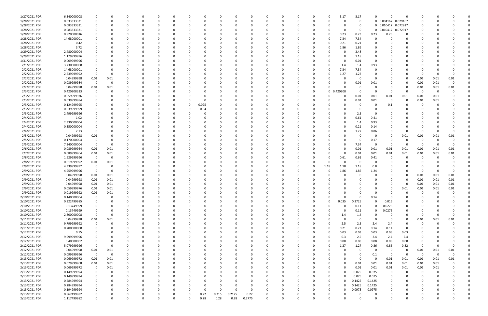| 1/27/2021 PDR | 6.340000008 |                         |              |              |          |          |          |       |       |          |              | 0           |              |          |          |             | 3.17     | 3.17        | $\Omega$    |                     | $\Omega$       |                         |      |              |  |
|---------------|-------------|-------------------------|--------------|--------------|----------|----------|----------|-------|-------|----------|--------------|-------------|--------------|----------|----------|-------------|----------|-------------|-------------|---------------------|----------------|-------------------------|------|--------------|--|
| 1/28/2021 PDR | 0.033333331 | $\Omega$                | <sup>0</sup> | <sup>0</sup> | $\Omega$ |          |          | 0     |       | O        | <sup>0</sup> | 0           |              | 0        | 0        |             |          | 0           |             | 0 0.004167 0.029167 |                | 0                       |      |              |  |
| 1/28/2021 PDR | 0.083333331 |                         |              |              |          |          |          |       |       |          |              |             |              |          |          |             |          | 0           |             | 0 0.010417 0.072917 |                |                         |      |              |  |
| 1/28/2021 PDR | 0.083333331 |                         |              |              |          |          |          |       |       |          |              |             |              |          |          |             |          | $\mathbf 0$ |             | 0 0.010417 0.072917 |                |                         |      |              |  |
|               |             |                         |              |              |          |          |          |       |       |          |              |             |              |          |          |             |          |             |             |                     |                |                         |      |              |  |
| 1/28/2021 PDR | 0.920000016 |                         |              |              |          |          |          |       |       |          |              | - 0         |              |          |          |             | 0.23     | 0.23        | 0.23        | 0.23                | 0              |                         |      |              |  |
| 1/28/2021 PDR | 14.68000001 |                         |              |              |          |          |          |       |       |          |              |             |              |          |          |             | 7.34     | 7.34        | 0           |                     |                |                         |      |              |  |
| 1/28/2021 PDR | 0.42        |                         |              |              |          |          |          |       |       |          |              |             |              |          |          |             | 0.21     | 0.21        | 0           |                     |                |                         |      |              |  |
| 1/28/2021 PDR | 3.72        |                         |              |              |          |          |          |       |       |          |              | 0           |              |          | 0        |             | 1.86     | 1.86        | $\Omega$    |                     |                |                         |      |              |  |
| 1/29/2021 PDR | 2.480000004 |                         |              |              |          |          |          |       |       |          |              |             |              |          |          |             |          | 2.48        | 0           |                     |                |                         |      |              |  |
| 1/29/2021 PDR | 1.179999996 |                         |              |              |          |          |          |       |       |          |              |             |              |          |          |             |          | 1.18        | 0           |                     |                |                         |      |              |  |
|               |             |                         |              |              |          |          |          |       |       |          |              |             |              |          |          |             |          |             |             |                     |                |                         |      |              |  |
| 1/31/2021 PDR | 0.009999996 |                         |              |              |          |          |          |       |       |          |              | 0           |              |          |          |             | 0        | 0.01        | 0           |                     |                |                         |      |              |  |
| 2/1/2021 PDR  | 3.730000008 |                         |              |              |          |          |          |       |       |          |              |             |              |          |          |             | 1.4      | 1.4         | 0.93        |                     |                |                         |      |              |  |
| 2/2/2021 PDR  | 14.68000001 | 0                       |              |              |          |          |          |       |       |          |              | - 0         |              |          |          |             | 7.34     | 7.34        | 0           |                     |                |                         |      |              |  |
| 2/2/2021 PDR  | 2.539999992 | 0                       |              |              |          |          |          |       |       |          |              |             |              |          |          |             | 1.27     | 1.27        | 0           |                     |                | -0                      | -0   |              |  |
| 2/2/2021 PDR  | 0.04999998  | 0.01                    | 0.01         |              |          |          |          |       |       |          |              |             |              |          |          |             |          | 0           | -0          |                     | 0              | 0.01                    | 0.01 | 0.01         |  |
| 2/2/2021 PDR  | 0.039999984 | $\mathbf 0$             | $\Omega$     |              |          |          |          |       |       |          |              |             |              |          |          |             |          | 0.01        | 0.01        |                     | 0              | 0.01                    | 0.01 | $\Omega$     |  |
| 2/2/2021 PDR  | 0.04999998  | 0.01                    | 0.01         |              |          |          |          |       |       |          |              | - 0         |              |          |          |             |          | 0           | 0           |                     | - 0            | 0.01                    | 0.01 | 0.01         |  |
|               |             |                         |              |              |          |          |          |       |       |          |              |             |              |          |          |             |          |             |             |                     |                |                         |      |              |  |
| 2/3/2021 PDR  | 0.420208333 | - 0                     |              |              |          |          |          |       |       |          |              | 0           |              |          | C        | $\mathbf 0$ | 0.420208 |             | 0           | - 0                 | - 0            | - 0                     | 0    |              |  |
| 2/3/2021 PDR  | 0.059999976 |                         |              |              |          |          |          |       |       |          |              | - 0         |              |          |          |             |          | 0.01        | 0.01        | 0.01                | 0.01           | 0.01                    | 0.01 |              |  |
| 2/3/2021 PDR  | 0.039999984 |                         |              |              |          |          |          |       |       |          |              |             |              |          |          |             |          | 0.01        | 0.01        | $\Omega$            | - 0            | 0.01                    | 0.01 |              |  |
| 2/3/2021 PDR  | 0.124999995 |                         |              |              |          |          | 0        | 0.025 |       |          |              |             |              |          |          |             |          |             | 0           | 0.1                 |                |                         |      |              |  |
| 2/3/2021 PDR  | 0.039999999 |                         |              |              |          |          |          | 0.04  |       |          |              |             |              |          |          |             |          |             | 0           |                     |                |                         |      |              |  |
| 2/3/2021 PDR  | 2.499999996 |                         |              |              |          |          |          |       |       |          |              |             |              |          |          |             |          | 2.5         | 0           |                     |                |                         |      |              |  |
|               |             |                         |              |              |          |          |          |       |       |          |              |             |              |          |          |             |          |             |             |                     |                |                         |      |              |  |
| 2/4/2021 PDR  | 1.02        |                         |              |              |          |          |          |       |       |          |              |             |              |          |          |             |          | 0.61        | 0.41        |                     |                |                         |      |              |  |
| 2/4/2021 PDR  | 2.330000004 |                         |              |              |          |          |          |       |       |          |              |             |              |          |          |             |          | 1.4         | 0.93        |                     |                |                         |      |              |  |
| 2/4/2021 PDR  | 0.350000004 |                         |              |              |          |          |          |       |       |          |              |             |              |          |          |             |          | 0.21        | 0.14        |                     |                |                         |      |              |  |
| 2/4/2021 PDR  | 2.13        | -0                      |              |              |          |          |          |       |       |          |              |             |              |          |          |             |          | 1.27        | 0.86        |                     | - 0            | -0                      |      |              |  |
| 2/5/2021 PDR  | 0.04999998  | 0.01                    |              |              |          |          |          |       |       |          |              |             |              |          |          |             |          | 0           | 0           |                     | 0.01           | 0.01                    | 0.01 | 0.01         |  |
| 2/5/2021 PDR  | 0.170000004 | 0                       |              |              |          |          |          |       |       |          |              |             |              |          |          |             |          | 0           | 0.17        |                     | O              | O                       |      |              |  |
| 2/5/2021 PDR  | 7.340000004 | - 0                     |              |              |          |          |          |       |       |          |              |             |              |          |          |             |          | 7.34        | 0           | - 0                 | റ              | 0                       |      |              |  |
|               |             |                         |              |              |          |          |          |       |       |          |              |             |              |          |          |             |          |             |             |                     |                |                         |      |              |  |
| 2/6/2021 PDR  | 0.089999964 | 0.01                    | 0.01         |              |          |          |          |       |       |          |              | 0           |              |          |          |             |          | 0.01        | 0.01        | 0.01                | 0.01           | 0.01                    | 0.01 | 0.01         |  |
| 2/7/2021 PDR  | 0.089999964 | 0.01                    | 0.01         |              |          |          |          |       |       |          |              | - 0         |              |          |          |             |          | 0.01        | 0.01        | 0.01                | 0.01           | 0.01                    | 0.01 | 0.01         |  |
| 2/8/2021 PDR  | 1.629999996 | $\overline{0}$          | $\Omega$     |              |          |          |          |       |       |          |              | - 0         |              |          |          |             | 0.61     | 0.61        | 0.41        |                     |                |                         |      |              |  |
| 2/8/2021 PDR  | 0.019999992 | 0.01                    | 0.01         |              |          |          |          |       |       |          |              |             |              |          |          |             |          | 0           | 0           |                     |                |                         |      |              |  |
| 2/9/2021 PDR  | 4.339999992 | - 0                     |              |              |          |          |          |       |       |          |              |             |              |          | C        | 1.18        | 1.18     | 1.18        | 0.8         |                     |                |                         |      |              |  |
| 2/9/2021 PDR  | 4.959999996 | 0                       | $\Omega$     |              |          |          |          |       |       |          |              | - 0         |              |          | 0        |             | 1.86     | 1.86        | 1.24        |                     |                | -0                      |      |              |  |
|               |             |                         |              |              |          |          |          |       |       |          |              |             |              |          |          |             |          |             |             |                     |                |                         |      |              |  |
| 2/9/2021 PDR  | 0.04999998  | 0.01                    | 0.01         |              |          |          |          |       |       |          |              |             |              |          |          |             |          |             | 0           |                     | 0              | 0.01                    | 0.01 | 0.01         |  |
| 2/9/2021 PDR  | 0.04999998  | 0.01                    | 0.01         |              |          |          |          |       |       |          |              |             |              |          |          |             |          |             | $\Omega$    |                     | O              | 0.01                    | 0.01 | 0.01         |  |
| 2/9/2021 PDR  | 0.04999998  | 0.01                    | 0.01         |              |          |          |          |       |       |          |              |             |              |          |          |             |          |             |             |                     |                | 0.01                    | 0.01 | 0.01         |  |
| 2/9/2021 PDR  | 0.059999976 | 0.01                    | 0.01         |              |          |          |          |       |       |          |              | - 0         |              |          |          |             |          |             | 0           |                     | 0.01           | 0.01                    | 0.01 | 0.01         |  |
| 2/9/2021 PDR  | 0.019999992 | $0.01\,$                | 0.01         |              |          |          |          |       |       |          |              |             |              |          |          |             |          |             |             |                     |                |                         |      |              |  |
| 2/10/2021 PDR | 0.140000004 | $\mathbf 0$             | $\Omega$     | $\Omega$     | $\Omega$ | $\Omega$ | $\Omega$ | 0     |       | $\Omega$ | $\Omega$     | $\Omega$    | $\Omega$     | $\Omega$ | $\Omega$ |             | $\Omega$ | $\mathbf 0$ | 0.14        | $\Omega$            | $\Omega$       | $\Omega$                |      |              |  |
| 2/10/2021 PDR | 0.322499985 | 0                       | <sup>0</sup> | 0            |          |          | $\Omega$ | 0     |       | 0        | 0            | $\Omega$    | <sup>0</sup> | $\Omega$ | 0        | $\Omega$    | 0.035    | 0.2725      | $\mathbf 0$ | 0.015               | $\Omega$       | 0                       |      |              |  |
|               |             |                         |              |              |          |          |          |       |       |          |              |             |              |          |          |             |          |             |             |                     |                |                         |      |              |  |
| 2/10/2021 PDR | 0.13749999  | 0                       |              |              |          |          |          | 0     |       |          | 0            | 0           |              |          | 0        |             | 0        | 0.11        | 0           | 0.0275              | 0              | O                       |      |              |  |
| 2/10/2021 PDR | 0.13749999  | 0                       |              |              | $\Omega$ |          |          | 0     |       |          |              | $\Omega$    |              | 0        | 0        |             | $\Omega$ | 0.11        | $\Omega$    | 0.0275              | 0              | 0                       |      |              |  |
| 2/10/2021 PDR | 2.800000008 | $\mathbf 0$             | 0            |              |          |          |          |       |       |          |              | 0           |              |          |          |             | 1.4      | 1.4         | 0           | - 0                 | 0              | 0                       | 0    |              |  |
| 2/11/2021 PDR | 0.04999998  | 0.01                    | 0.01         |              |          |          |          |       |       |          |              | $\Omega$    |              |          |          |             | $\Omega$ | 0           | $\mathbf 0$ | $\Omega$            | $\mathbf 0$    | 0.01                    | 0.01 | 0.01         |  |
| 2/11/2021 PDR | 9.799999992 | $\mathbf 0$             | $\Omega$     |              |          |          |          |       |       |          |              | 0           |              |          |          |             | 2.5      | 2.5         | 2.4         | 2.4                 | $\overline{0}$ | 0                       | 0    |              |  |
| 2/11/2021 PDR | 0.700000008 | 0                       |              |              |          |          |          | 0     |       | 0        | 0            | 0           |              |          | 0        | $\Omega$    | 0.21     | 0.21        | 0.14        | 0.14                | $\mathbf 0$    | 0                       |      |              |  |
| 2/12/2021 PDR |             | 0                       |              |              |          |          |          |       |       |          |              | 0           |              |          |          |             |          |             |             | 0.03                |                |                         |      |              |  |
|               | 0.15        |                         |              |              |          |          |          | -0    |       |          |              |             |              |          | 0        |             | 0.03     | 0.03        | 0.03        |                     | 0.03           | 0                       |      |              |  |
| 2/12/2021 PDR | 9.999999996 | $\Omega$                |              |              |          |          |          |       |       |          |              | 0           |              |          |          |             | 0.3      | 2.5         | 2.4         | 2.4                 | 2.4            |                         |      |              |  |
| 2/12/2021 PDR | 0.40000002  | 0                       |              |              |          |          |          |       |       |          |              | $\Omega$    |              |          |          |             | 0.08     | 0.08        | 0.08        | 0.08                | 0.08           | 0                       |      |              |  |
| 2/12/2021 PDR | 5.079999996 | $\mathbf 0$             |              |              |          |          |          |       |       |          |              | 0           |              |          |          |             | 1.27     | 1.27        | 0.86        | 0.86                | 0.82           | $\overline{0}$          |      | <sup>0</sup> |  |
| 2/12/2021 PDR | 0.04999998  | 0.01                    | 0.01         |              |          |          |          |       |       |          |              | 0           |              |          | 0        |             |          | $\mathbf 0$ | $\mathbf 0$ | $\mathbf 0$         | 0              | 0.01                    | 0.01 | 0.01         |  |
| 2/12/2021 PDR | 0.099999996 | $\overline{\mathbf{0}}$ | 0            |              |          |          |          | 0     |       |          |              | 0           |              | 0        | 0        |             |          | 0           | 0.1         | 0                   | - 0            | $\overline{\mathbf{0}}$ | 0    | $\Omega$     |  |
| 2/13/2021 PDR | 0.069999972 | 0.01                    | 0.01         |              |          |          |          | 0     |       |          |              | 0           |              |          | 0        |             |          | 0           | $\mathbf 0$ | 0.01                | 0.01           | 0.01                    | 0.01 | 0.01         |  |
|               |             |                         |              |              |          |          |          |       |       |          |              |             |              |          |          |             |          |             |             |                     |                |                         |      |              |  |
| 2/13/2021 PDR | 0.079999968 | 0.01                    | 0.01         |              |          |          |          | 0     |       |          |              | $\Omega$    |              | 0        |          |             | $\Omega$ | 0.01        | 0.01        | 0.01                | 0.01           | 0.01                    | 0.01 |              |  |
| 2/13/2021 PDR | 0.069999972 | $\mathbf 0$             | 0.01         |              |          |          |          |       |       |          |              | $\Omega$    |              |          |          |             | ი        | 0.01        | 0.01        | 0.01                | 0.01           | 0.01                    | 0.01 |              |  |
| 2/13/2021 PDR | 0.149999994 | 0                       | 0            |              |          |          |          |       |       |          |              | -0          |              |          |          |             |          | 0.075       | 0.075       | 0                   | 0              | $\Omega$                | 0    |              |  |
| 2/13/2021 PDR | 0.149999994 | 0                       |              |              |          |          |          |       |       |          |              | $\Omega$    |              |          |          |             | 0        | 0.075       | 0.075       | $\Omega$            | 0              | 0                       |      |              |  |
| 2/13/2021 PDR | 0.284999994 | 0                       |              |              |          |          |          |       |       |          |              | 0           |              |          |          |             |          | 0.1425      | 0.1425      | $\Omega$            | 0              |                         |      |              |  |
| 2/13/2021 PDR | 0.284999994 | 0                       |              |              |          |          |          |       |       |          | 0            | 0           |              |          |          |             |          | 0.1425      | 0.1425      |                     | 0              | 0                       |      |              |  |
| 2/13/2021 PDR | 0.194999994 | 0                       |              |              |          |          |          | 0     |       |          | 0            | $\Omega$    |              |          |          |             | 0        |             | 0.0975      |                     | 0              | 0                       |      |              |  |
|               |             |                         |              |              |          |          |          |       |       |          |              |             |              |          |          |             |          | 0.0975      |             |                     |                |                         |      |              |  |
| 2/13/2021 PDR | 0.867499982 | 0                       |              |              |          |          | 0        | 0.22  | 0.215 | 0.2125   | 0.22         | 0           |              |          |          |             |          |             | 0           |                     | 0              |                         |      |              |  |
| 2/13/2021 PDR | 1.117499982 | $\mathbf 0$             | $\Omega$     | $\Omega$     |          | $\Omega$ | $\Omega$ | 0.28  | 0.28  | 0.28     | 0.2775       | $\mathbf 0$ | $\Omega$     | $\Omega$ | $\Omega$ |             | $\Omega$ |             | $\mathbf 0$ | $\Omega$            | $\Omega$       | $\Omega$                |      | $\Omega$     |  |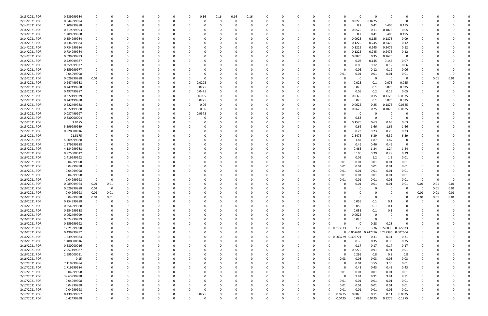| 2/13/2021 PDR                  | 0.639999984 |          |          |          |          |          |   | 0            | 0.16       | 0.16     | 0.16 | 0.16     |          |   |          |                  | O                      | $\Omega$ |               |            |          |          |      |  |
|--------------------------------|-------------|----------|----------|----------|----------|----------|---|--------------|------------|----------|------|----------|----------|---|----------|------------------|------------------------|----------|---------------|------------|----------|----------|------|--|
| 2/13/2021 PDR                  | 0.044999994 |          |          | $\Omega$ | $\Omega$ | $\Omega$ |   | 0            | $\sqrt{ }$ | 0        |      | 0        | - 0      | 0 | 0        |                  | 0.0225<br>0            | 0.0225   | $\Omega$      | $\Omega$   | 0        |          |      |  |
| 2/14/2021 PDR                  | 1.209999988 |          |          |          |          |          |   |              |            |          |      |          |          |   |          |                  | 0.2<br>n               | 0.41     | 0.405         | 0.195      |          |          |      |  |
| 2/14/2021 PDR                  | 0.319999993 |          |          |          |          |          |   |              |            |          |      |          |          |   |          |                  | 0.0525                 | 0.11     | 0.1075        | 0.05       |          |          |      |  |
| 2/14/2021 PDR                  | 1.209999988 |          |          |          |          |          |   |              |            |          |      |          |          |   |          |                  | 0.2<br>o               | 0.41     | 0.405         | 0.195      |          |          |      |  |
| 2/14/2021 PDR                  | 0.554999984 |          |          |          |          |          |   |              |            |          |      |          |          |   |          |                  | 0.0925                 | 0.185    | 0.1875        | 0.09       |          |          |      |  |
|                                |             |          |          |          |          |          |   |              |            |          |      |          |          |   |          |                  |                        |          |               |            |          |          |      |  |
| 2/14/2021 PDR                  | 0.734999984 |          |          |          |          |          |   |              |            |          |      |          |          |   |          |                  | 0.1225                 | 0.245    | 0.2475        | 0.12       |          |          |      |  |
| 2/14/2021 PDR                  | 0.734999984 |          |          |          |          |          |   |              |            |          |      |          |          |   |          |                  | 0.1225                 | 0.245    | 0.2475        | 0.12       |          |          |      |  |
| 2/14/2021 PDR                  | 0.734999984 |          |          |          |          |          |   |              |            |          |      |          |          |   |          |                  | 0.1225                 | 0.245    | 0.2475        | 0.12       |          |          |      |  |
| 2/14/2021 PDR                  | 0.699999993 |          |          |          |          |          |   |              |            |          |      |          |          |   |          |                  | 0.0875                 | 0.35     | 0.2625        | 0          |          |          |      |  |
| 2/14/2021 PDR                  | 0.429999987 |          |          |          |          |          |   |              |            |          |      |          |          |   |          |                  | 0.07<br>0              | 0.145    | 0.145         | 0.07       |          |          |      |  |
| 2/14/2021 PDR                  | 0.359999977 |          |          |          |          |          |   |              |            |          |      |          |          |   |          |                  | 0.06                   | 0.12     | 0.12          | 0.06       |          |          |      |  |
| 2/14/2021 PDR                  | 0.359999977 |          |          |          |          |          |   |              |            |          |      |          |          |   |          |                  | 0.06                   | 0.12     | 0.12          | 0.06       |          |          |      |  |
| 2/15/2021 PDR                  | 0.04999998  |          |          |          |          |          |   |              |            |          |      |          |          |   |          |                  | 0.01<br>0.01           | 0.01     | 0.01          | 0.01       |          |          |      |  |
| 2/15/2021 PDR                  | 0.029999988 | $0.01\,$ |          |          |          |          |   |              |            |          |      |          |          |   |          |                  | 0                      | 0        | - 0           | 0          | 0        | 0.01     | 0.01 |  |
|                                |             |          |          |          |          |          |   |              |            |          |      |          |          |   |          |                  |                        |          |               |            |          |          |      |  |
| 2/15/2021 PDR                  | 0.247499988 |          |          |          |          |          |   | 0            | 0.0225     |          |      |          |          |   |          |                  | 0.025                  | 0.1      | 0.075         | 0.025      | O        |          |      |  |
| 2/15/2021 PDR                  | 0.247499988 |          |          |          |          |          |   | 0            | 0.0225     |          |      |          |          |   |          |                  | 0.025<br>O             | 0.1      | 0.075         | 0.025      |          |          |      |  |
| 2/15/2021 PDR                  | 0.497499987 |          |          |          |          |          |   | -0           | 0.0475     |          |      |          |          |   |          |                  | 0.05                   | 0.2      | 0.15          | 0.05       |          |          |      |  |
| 2/15/2021 PDR                  | 0.372499979 |          |          |          |          |          |   |              | 0.035      |          |      |          |          |   |          |                  | 0.0375                 | 0.15     | 0.1125        | 0.0375     |          |          |      |  |
| 2/15/2021 PDR                  | 0.247499988 |          |          |          |          |          |   | -0           | 0.0225     |          |      |          |          |   |          |                  | 0.025                  | 0.1      | 0.075         | 0.025      |          |          |      |  |
| 2/15/2021 PDR                  | 0.622499988 |          |          |          |          |          |   |              | 0.06       |          |      |          |          |   |          |                  | 0.0625                 | 0.25     | 0.1875        | 0.0625     |          |          |      |  |
| 2/15/2021 PDR                  | 0.622499988 |          |          |          |          |          |   |              | 0.06       |          |      |          |          |   |          |                  | 0.0625                 | 0.25     | 0.1875        | 0.0625     |          |          |      |  |
| 2/15/2021 PDR                  | 0.037499997 |          |          |          |          |          |   | 0            | 0.0375     |          |      |          |          |   |          |                  | 0                      | $\Omega$ |               | 0          |          |          |      |  |
| 2/15/2021 PDR                  | 0.830000004 |          |          |          |          |          |   |              |            |          |      |          |          |   |          |                  | 0.83                   | 0        | $\Omega$      | 0          |          |          |      |  |
| 2/15/2021 PDR                  |             |          |          |          |          |          |   |              |            |          |      |          |          |   |          |                  | .1575<br>O             |          |               |            |          |          |      |  |
|                                | 2.0475      |          |          |          |          |          |   |              |            |          |      |          |          |   |          |                  |                        | 0.63     | 0.63          | 0.63       |          |          |      |  |
| 2/15/2021 PDR                  | 5.599999989 |          |          |          |          |          |   |              |            |          |      |          |          |   |          |                  | 0.62                   | 1.66     | 1.66          | 1.66       |          |          |      |  |
| 2/15/2021 PDR                  | 0.920000016 |          |          |          |          |          |   |              |            |          |      |          |          |   |          |                  | 0.23                   | 0.23     | 0.23          | 0.23       |          |          |      |  |
| 2/15/2021 PDR                  | 21.5175     |          |          |          |          |          |   |              |            |          |      |          |          |   |          |                  | 2.3475                 | 6.39     | 6.39          | 6.39       |          |          |      |  |
| 2/15/2021 PDR                  | 5.609999988 |          |          |          |          |          |   |              |            |          |      |          |          |   |          |                  | 1.87<br>o              | 1.87     | 1.87          | 0          |          |          |      |  |
| 2/15/2021 PDR                  | 1.379999988 |          |          |          |          |          |   |              |            |          |      |          |          |   |          |                  | 0.46<br>0              | 0.46     | 0.46          | 0          |          |          |      |  |
| 2/15/2021 PDR                  | 4.184999988 |          |          |          |          |          |   |              |            |          |      |          |          |   |          |                  | 0.465                  | 1.24     | 1.24          | 1.24       |          |          |      |  |
| 2/15/2021 PDR                  | 0.975000012 |          |          |          |          |          |   |              |            |          |      |          |          |   |          |                  | 0.105                  | 0.29     | 0.29          | 0.29       |          |          |      |  |
| 2/16/2021 PDR                  | 2.419999992 |          |          |          |          |          |   |              |            |          |      |          |          |   |          |                  | 0.01<br>0              | 1.2      | 1.2           | 0.01       |          |          |      |  |
| 2/16/2021 PDR                  | 0.04999998  |          |          |          |          |          |   |              |            |          |      |          |          |   |          | 0.01             | 0.01                   | 0.01     | 0.01          | 0.01       |          |          |      |  |
| 2/16/2021 PDR                  | 0.04999998  |          |          |          |          |          |   |              |            |          |      |          |          |   |          | 0.01             | 0.01                   | 0.01     | 0.01          | 0.01       |          |          |      |  |
|                                |             |          |          |          |          |          |   |              |            |          |      |          |          |   |          |                  |                        |          |               |            |          |          |      |  |
| 2/16/2021 PDR                  | 0.04999998  |          |          |          |          |          |   |              |            |          |      |          |          |   |          | 0.01             | 0.01                   | 0.01     | 0.01          | 0.01       |          |          |      |  |
| 2/16/2021 PDR                  | 0.04999998  |          |          |          |          |          |   |              |            |          |      |          |          |   |          | 0.01             | 0.01                   | 0.01     | 0.01          | 0.01       |          |          |      |  |
| 2/16/2021 PDR                  | 0.04999998  |          |          |          |          |          |   |              |            |          |      |          |          |   |          | 0.01             | 0.01                   | 0.01     | 0.01          | 0.01       | $\Omega$ |          |      |  |
| 2/16/2021 PDR                  | 0.089999964 | 0.01     | 0.01     |          |          |          |   |              |            |          |      |          |          |   |          |                  | 0.01                   | 0.01     | 0.01          | 0.01       | 0.01     | 0.01     | 0.01 |  |
| 2/16/2021 PDR                  | 0.029999988 | 0.01     | $\Omega$ | $\Omega$ |          |          |   |              |            |          |      |          |          |   |          |                  | 0<br>0                 | $\Omega$ | $\Omega$      | 0          | 0        | 0.01     | 0.01 |  |
| 2/16/2021 PDR                  | 0.04999998  | 0.01     | 0.01     | $\Omega$ |          |          |   |              |            |          |      |          |          |   |          |                  | $\Omega$               | $\Omega$ | $\Omega$      | $\sqrt{ }$ | 0.01     | 0.01     | 0.01 |  |
| 2/16/2021 PDR                  | 0.04999998  | $0.01\,$ | 0.01     | 0        | $\Omega$ |          |   | <sup>0</sup> |            |          |      | $\Omega$ | ŋ        |   | $\Omega$ |                  | 0<br>ŋ                 | $\Omega$ | $\Omega$      | $\Omega$   | 0.01     | 0.01     | 0.01 |  |
| 2/16/2021 PDR                  | 0.254999988 | 0        | 0        | 0        |          |          |   | $\Omega$     |            |          |      | $\Omega$ | O        |   | 0        |                  | 0.055<br>$\Omega$      | 0.1      | 0.1           |            | 0        | $\Omega$ |      |  |
| 2/16/2021 PDR                  | 0.254999988 | 0        |          | 0        |          |          |   |              |            |          |      |          |          |   |          |                  |                        |          |               |            |          |          |      |  |
|                                |             |          |          |          |          |          |   |              |            |          |      |          |          |   |          |                  | 0.055                  | 0.1      | 0.1           |            |          |          |      |  |
| 2/16/2021 PDR                  | 0.254999988 | $\Omega$ |          |          |          |          |   |              |            |          |      |          |          |   |          |                  | 0.055<br>0             | 0.1      | 0.1           | 0          |          |          |      |  |
| 2/16/2021 PDR                  | 0.062499999 |          |          |          |          |          |   |              |            |          |      |          |          |   |          |                  | 0.0625<br>0            | 0        |               |            |          |          |      |  |
| 2/16/2021 PDR                  | 0.024999999 | $\Omega$ |          |          |          |          |   |              |            |          |      |          |          |   |          |                  | 0.025<br>0             | $\Omega$ | $\Omega$      |            |          |          |      |  |
| 2/16/2021 PDR                  | 0.559999992 | $\Omega$ |          |          |          |          |   |              |            |          |      |          |          |   | 0        | <sup>n</sup>     | $\Omega$<br>0          | 0.28     | 0.28          | $\Omega$   | 0        |          |      |  |
| 2/16/2021 PDR                  | 12.21999998 | $\Omega$ |          | 0        |          |          |   | <sup>0</sup> |            |          |      |          |          |   | 0        | 0 0.313333       | 3.76                   |          | 3.76 3.720833 | 0.665833   | 0        |          |      |  |
| 2/16/2021 PDR                  | 0.499999992 |          |          |          |          |          |   |              |            |          |      |          |          |   | $\Omega$ | $\Omega$         | $0$ $0.002604$         | .247396  | 0.247396      | 0.002604   |          |          |      |  |
| 2/16/2021 PDR                  | 1.239999984 |          |          |          |          |          |   |              |            |          |      |          |          |   | $\Omega$ |                  | 0 0.003229 0.306771    | 0.31     | 0.31          | 0.31       | 0        |          |      |  |
| 2/16/2021 PDR                  | 1.400000016 |          |          |          |          |          |   |              |            |          |      |          |          |   | 0        | $\Omega$         | 0.35<br>0              | 0.35     | 0.35          | 0.35       | 0        |          |      |  |
|                                | 0.680000016 |          |          |          |          |          |   |              |            |          |      |          |          |   |          |                  | 0.17<br>$\Omega$       | 0.17     | 0.17          | 0.17       |          |          |      |  |
| 2/16/2021 PDR                  |             |          |          |          |          |          |   |              |            |          |      |          |          |   | 0        |                  |                        |          |               |            | 0        |          |      |  |
| 2/16/2021 PDR                  | 2.957499987 | $\Omega$ |          | 0        |          |          |   | 0            |            |          |      | 0        |          |   | 0        |                  | 0.2275<br>$\Omega$     | 0.91     | 0.91          | 0.91       | 0        |          |      |  |
| 2/16/2021 PDR                  | 2.695000011 | 0        |          | 0        |          | $\Omega$ |   | 0            |            |          |      |          |          |   | 0        |                  | 0.295<br>0             | 0.8      | 0.8           | 0.8        | 0        |          |      |  |
| 2/16/2021 PDR                  | 0.15        | $\Omega$ |          | $\Omega$ |          | $\Omega$ |   | $\Omega$     |            |          |      |          |          |   | $\Omega$ | 0.03<br>$\Omega$ | 0.03                   | 0.03     | 0.03          | 0.03       | 0        |          |      |  |
| 2/17/2021 PDR                  | 7.119999984 |          |          |          |          |          |   | 0            |            |          |      |          |          |   |          |                  | $\Omega$<br>0.01       | 3.55     | 3.55          | 0.01       |          |          |      |  |
| 2/17/2021 PDR                  | 1.719999984 |          |          |          |          |          |   |              |            |          |      |          |          |   |          |                  | 0.43<br>$\Omega$       | 0.43     | 0.43          | 0.43       |          |          |      |  |
| 2/17/2021 PDR                  | 0.04999998  |          |          |          |          |          |   |              |            |          |      |          |          |   |          | 0.01             | 0.01                   | 0.01     | 0.01          | 0.01       | 0        |          |      |  |
| 2/17/2021 PDR                  | 39.63999998 |          |          |          |          |          |   |              |            |          |      |          |          |   |          |                  | $\overline{0}$<br>9.91 | 9.91     | 9.91          | 9.91       | 0        |          |      |  |
| 2/17/2021 PDR                  | 0.04999998  |          |          | $\Omega$ |          |          |   |              |            |          |      |          |          |   |          | 0.01             | 0.01                   | 0.01     | 0.01          | 0.01       | 0        |          |      |  |
| 2/17/2021 PDR                  | 0.04999998  |          |          | 0        |          |          |   |              |            |          |      |          |          |   |          | 0.01             | 0.01                   | 0.01     | 0.01          | 0.01       | 0        |          |      |  |
|                                |             |          |          |          |          |          |   |              |            |          |      |          |          |   |          |                  |                        |          |               |            |          |          |      |  |
| 2/17/2021 PDR                  | 0.04999998  |          |          |          |          |          |   | $\Omega$     |            |          |      |          |          |   |          | 0.01             | 0.01                   | 0.01     | 0.01          | 0.01       |          |          |      |  |
| 2/17/2021 PDR<br>2/17/2021 PDR | 0.439999997 |          |          |          |          |          |   | 0            | 0.0275     |          |      |          |          |   |          | 0.0275           | 0.0825                 | 0.11     | 0.11          | 0.0825     | O        |          |      |  |
|                                | 0.42499998  | $\Omega$ | $\Omega$ | $\Omega$ | $\Omega$ | $\Omega$ | 0 | 0            |            | $\Omega$ |      | $\Omega$ | $\Omega$ | 0 | 0        | 0.0425           | 0.085                  | 0.0425   | 0.1275        | 0.1275     | 0        |          |      |  |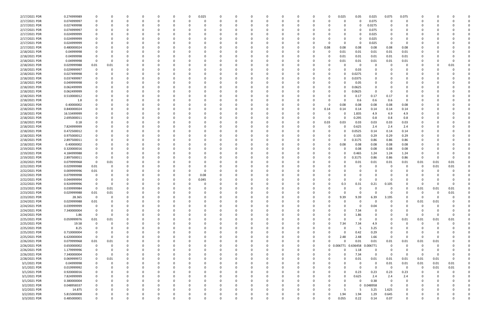| 2/17/2021 PDR                  | 0.274999989 |             |          |          |          | 0        | 0.025    |   |          |          |          |          |          |    |          | 0.025      | 0.05         | 0.025                | 0.075                   | 0.075           |                  |      |          |  |
|--------------------------------|-------------|-------------|----------|----------|----------|----------|----------|---|----------|----------|----------|----------|----------|----|----------|------------|--------------|----------------------|-------------------------|-----------------|------------------|------|----------|--|
| 2/17/2021 PDR                  | 0.074999997 | 0           | 0        | 0        | $\Omega$ | 0        | $\Omega$ |   |          | $\Omega$ | $\Omega$ |          |          | 0  |          | 0          | $\Omega$     | 0.075                | - 0                     | 0               |                  |      |          |  |
| 2/17/2021 PDR                  | 0.027499998 |             |          |          |          |          |          |   |          |          |          |          |          |    |          |            | 0            | 0.0275               | 0                       |                 |                  |      |          |  |
| 2/17/2021 PDR                  | 0.074999997 |             |          |          |          |          |          |   |          |          |          |          |          |    |          |            | 0            | 0.075                |                         |                 |                  |      |          |  |
| 2/17/2021 PDR                  | 0.024999999 |             |          |          |          |          |          |   |          |          |          |          |          |    |          | 0          | O            | 0.025                |                         |                 |                  |      |          |  |
| 2/17/2021 PDR                  | 0.024999999 |             |          |          |          |          |          |   |          |          |          |          |          |    |          | O          | 0            | 0.025                |                         |                 |                  |      |          |  |
| 2/17/2021 PDR                  | 0.024999999 |             |          |          |          |          |          |   |          |          |          |          |          |    |          | $\Omega$   | 0            | 0.025                | - 0                     | $\Omega$        |                  |      |          |  |
| 2/17/2021 PDR                  | 0.480000024 |             |          |          |          |          |          |   |          |          |          |          |          | -0 | 0.08     | 0.08       | 0.08         | 0.08                 | 0.08                    | 0.08            |                  |      |          |  |
| 2/18/2021 PDR                  | 0.04999998  |             |          |          |          |          |          |   |          |          |          |          |          |    |          | 0.01       | 0.01         | 0.01                 | 0.01                    | 0.01            |                  |      |          |  |
| 2/18/2021 PDR                  | 0.04999998  |             |          |          |          |          |          |   |          |          |          |          |          |    |          | 0.01       | 0.01         | 0.01                 | 0.01                    | 0.01            |                  |      |          |  |
| 2/18/2021 PDR                  | 0.04999998  | 0           |          |          |          |          |          |   |          |          |          |          |          |    |          | 0.01       | 0.01         | 0.01                 | 0.01                    | 0.01            |                  |      | $\Omega$ |  |
| 2/18/2021 PDR                  | 0.029999988 | 0.01        | 0.01     |          |          |          |          |   |          |          |          |          |          |    |          |            | 0            | 0                    |                         | 0               |                  |      | 0.01     |  |
| 2/18/2021 PDR                  | 0.029999997 | 0           |          |          |          |          |          |   |          |          |          |          |          |    |          |            | 0.03         | - 0                  |                         |                 |                  |      |          |  |
| 2/18/2021 PDR                  | 0.027499998 |             |          |          |          |          |          |   |          |          |          |          |          |    |          |            | 0.0275       |                      |                         |                 |                  |      |          |  |
| 2/18/2021 PDR                  | 0.037499997 |             |          |          |          |          |          |   |          |          |          |          |          |    |          |            | 0.0375       |                      |                         |                 |                  |      |          |  |
| 2/18/2021 PDR                  | 0.049999998 |             |          |          |          |          |          |   |          |          |          |          |          |    |          |            | 0.05         |                      |                         |                 |                  |      |          |  |
| 2/18/2021 PDR                  | 0.062499999 |             |          |          |          |          |          |   |          |          |          |          |          |    |          | o          | 0.0625       | $\Omega$             |                         |                 |                  |      |          |  |
| 2/18/2021 PDR                  | 0.062499999 |             |          |          |          |          |          |   |          |          |          |          |          |    |          |            | 0.0625       | 0                    |                         |                 |                  |      |          |  |
| 2/18/2021 PDR                  | 0.510000012 |             |          |          |          |          |          |   |          |          |          |          |          |    |          |            | 0.17         | 0.17                 | 0.17                    |                 |                  |      |          |  |
| 2/18/2021 PDR                  | 1.8         |             |          |          |          |          |          |   |          |          |          |          |          |    |          | 0          | 0.6          | 0.6                  | 0.6                     | -0              |                  |      |          |  |
| 2/18/2021 PDR                  | 0.40000002  |             |          |          |          |          |          |   |          |          |          |          |          |    |          | 0.08       | 0.08         | 0.08                 | 0.08                    | 0.08            |                  |      |          |  |
| 2/18/2021 PDR                  | 0.840000024 |             |          |          |          |          |          |   |          |          |          |          |          |    | 0.14     | 0.14       | 0.14         | 0.14                 | 0.14                    | 0.14            |                  |      |          |  |
| 2/18/2021 PDR                  | 16.53499999 |             |          |          |          |          |          |   |          |          |          |          |          |    |          | 0          | 1.835        | 4.9                  | 4.9                     | 4.9             |                  |      |          |  |
| 2/18/2021 PDR                  | 2.695000011 |             |          |          |          |          |          |   |          |          |          |          |          |    |          | 0          | 0.295        | 0.8                  | 0.8                     | 0.8             |                  |      |          |  |
| 2/18/2021 PDR                  | 0.18        |             |          |          |          |          |          |   |          |          |          |          |          |    | 0.03     | 0.03       | 0.03         | 0.03                 | 0.03                    | 0.03            |                  |      |          |  |
| 2/18/2021 PDR                  | 7.824999999 |             |          |          |          |          |          |   |          |          |          |          |          |    |          |            | 0.625        | 2.4                  | 2.4                     | 2.4             |                  |      |          |  |
| 2/18/2021 PDR                  | 0.472500012 |             |          |          |          |          |          |   |          |          |          |          |          |    |          |            | 0.0525       | 0.14                 | 0.14                    | 0.14            |                  |      |          |  |
| 2/18/2021 PDR                  | 0.975000012 |             |          |          |          |          |          |   |          |          |          |          |          |    |          |            | 0.105        | 0.29                 | 0.29                    | 0.29            |                  |      |          |  |
| 2/18/2021 PDR                  | 2.897500011 |             |          |          |          |          |          |   |          |          |          |          |          |    |          | O          | 0.3175       | 0.86                 | 0.86                    | 0.86            |                  |      |          |  |
| 2/18/2021 PDR                  | 0.40000002  |             |          |          |          |          |          |   |          |          |          |          |          |    |          | 0.08       | 0.08         | 0.08                 | 0.08                    | 0.08            |                  |      |          |  |
| 2/19/2021 PDR                  | 0.320000016 |             |          |          |          |          |          |   |          |          |          |          |          |    |          |            | 0.08         | 0.08                 | 0.08                    | 0.08            |                  |      |          |  |
| 2/19/2021 PDR                  | 4.184999988 |             |          |          |          |          |          |   |          |          |          |          |          |    |          |            | 0.465        | 1.24                 | 1.24                    | 1.24            |                  |      |          |  |
| 2/19/2021 PDR                  | 2.897500011 |             |          |          |          |          |          |   |          |          |          |          |          |    |          |            | .3175        | 0.86                 | 0.86                    | 0.86            | - 0              |      |          |  |
|                                |             | 0           |          |          |          |          |          |   |          |          |          |          |          |    |          | U          |              |                      |                         |                 |                  |      |          |  |
| 2/20/2021 PDR                  | 0.079999968 |             | 0.01     |          |          |          |          |   |          |          |          |          |          |    |          |            | 0.01         | 0.01<br>- 0          | $0.01\,$                | 0.01            | 0.01<br>0        | 0.01 | 0.01     |  |
| 2/22/2021 PDR<br>2/22/2021 PDR | 0.029999988 | 0.01        |          |          |          |          |          |   |          |          |          |          |          |    |          |            |              |                      |                         |                 |                  | 0.01 | 0.01     |  |
|                                | 0.009999996 | 0.01        |          |          |          |          |          |   |          |          |          |          |          |    |          |            |              |                      |                         |                 |                  |      |          |  |
| 2/22/2021 PDR                  | 0.079999998 | 0           |          |          |          |          | 0.08     |   |          |          |          |          |          |    |          |            |              | റ                    |                         |                 |                  |      |          |  |
| 2/22/2021 PDR                  | 0.044999994 |             |          |          |          |          | 0.045    |   |          |          |          |          |          |    |          |            | 0            |                      |                         |                 |                  |      |          |  |
| 2/22/2021 PDR                  | 0.924999996 |             |          |          |          |          |          |   |          |          |          |          |          |    |          | 0.3        | 0.31         | 0.21                 | 0.105                   |                 |                  |      |          |  |
| 2/23/2021 PDR                  | 0.039999984 | 0           | 0.01     | $\Omega$ |          |          |          |   |          |          |          |          |          |    |          | 0          | 0            | $\Omega$<br>$\Omega$ | $\Omega$                | 0<br>$\sqrt{ }$ | 0.01<br>$\Omega$ | 0.01 | 0.01     |  |
| 2/23/2021 PDR                  | 0.029999988 | 0.01        | 0.01     |          |          |          |          |   |          |          |          |          |          |    |          |            | $\mathbf{0}$ |                      | $\mathbf 0$             |                 |                  |      |          |  |
| 2/23/2021 PDR                  | 28.365      | $\mathbf 0$ | $\Omega$ | $\Omega$ |          |          | $\Omega$ |   |          | 0        | - 0      | $\Omega$ |          | 0  |          | 9.39       | 9.39         | 6.39                 | 3.195                   |                 | $\Omega$         |      |          |  |
| 2/24/2021 PDR                  | 0.029999988 | $0.01\,$    | O        | 0        |          |          | 0        |   |          | 0        |          |          |          | 0  |          | 0          | $\mathbf 0$  | 0                    | $\Omega$                | $\Omega$        | 0.01             | 0.01 |          |  |
| 2/24/2021 PDR                  | 0.039999999 | 0           |          |          |          |          | -0       |   |          |          | 0        |          |          |    |          | O          | 0            | 0.04                 | $\Omega$                |                 | -0               |      |          |  |
| 2/24/2021 PDR                  | 7.340000004 | $\Omega$    |          |          |          |          | $\Omega$ |   |          |          |          |          |          |    |          | 0          | 7.34         | 0                    |                         |                 | <sup>0</sup>     |      |          |  |
| 2/24/2021 PDR                  | 1.86        | $\mathbf 0$ | 0        |          |          |          |          |   |          |          |          |          |          |    |          | 0          | 1.86         | 0                    | $\Omega$                | 0               | -0               |      |          |  |
| 2/25/2021 PDR                  | 0.059999976 | 0.01        | 0.01     |          |          |          | -0       |   |          |          |          |          |          |    |          | $\Omega$   | 0            | $\mathbf 0$          | - 0                     | 0.01            | 0.01             | 0.01 | 0.01     |  |
| 2/25/2021 PDR                  | 19.58       | $\mathbf 0$ | $\Omega$ |          |          |          | 0        |   |          |          |          |          |          |    |          | 7.34       | 7.34         | 4.9                  | $\Omega$                | $\Omega$        | 0                |      |          |  |
| 2/25/2021 PDR                  | 8.25        | 0           | $\Omega$ |          |          | 0        | 0        |   |          |          | 0        |          |          |    |          | $\Omega$   | 5            | 3.25                 | $\Omega$                | 0               | 0                |      |          |  |
| 2/25/2021 PDR                  | 0.710000004 | 0           |          |          |          | O        | 0        |   |          |          | $\Omega$ |          |          |    |          | $\Omega$   | 0.42         | 0.29                 |                         | 0               |                  |      |          |  |
| 2/25/2021 PDR                  | 6.620000004 | 0           | $\Omega$ |          |          |          | 0        |   |          |          |          |          |          | 0  | $\Omega$ | 2.48       | 2.48         | 1.66                 | - 0                     | $\Omega$        | $\Omega$         |      |          |  |
| 2/26/2021 PDR                  | 0.079999968 | 0.01        | 0.01     |          |          |          | 0        |   |          |          | 0        |          |          | 0  | $\Omega$ | $\Omega$   | 0.01         | 0.01                 | 0.01                    | 0.01            | 0.01             | 0.01 |          |  |
| 2/26/2021 PDR                  | 0.650000002 | 0           | 0        |          |          |          | -0       |   |          |          |          |          |          | 0  |          | 0 0.006771 | 0.636458     | .006771<br>-0        | 0                       | $\mathbf 0$     | 0                |      |          |  |
| 2/26/2021 PDR                  | 1.179999996 | 0           | 0        |          |          |          | 0        |   |          |          | $\Omega$ |          | $\Omega$ | 0  | $\Omega$ | $\Omega$   | 1.18         | $\mathbf 0$          | 0                       | $\Omega$        | -0               |      |          |  |
| 2/26/2021 PDR                  | 7.340000004 | 0           | $\Omega$ |          |          |          | 0        |   |          |          | 0        |          |          | 0  |          | 0          | 7.34         | $\mathbf 0$          | $\Omega$                | $\overline{0}$  | - 0              |      |          |  |
| 2/28/2021 PDR                  | 0.069999972 | 0           | 0.01     |          |          | 0        | 0        |   |          |          |          |          |          | 0  |          | O          | 0.01         | 0.01                 | 0.01                    | 0.01            | 0.01             | 0.01 |          |  |
| 3/1/2021 PDR                   | 0.04999998  | 0           | 0        |          |          |          | $\Omega$ |   |          |          |          |          |          |    |          | $\Omega$   | 0            | $\Omega$             | 0.01                    | 0.01            | 0.01             | 0.01 | 0.01     |  |
| 3/1/2021 PDR                   | 0.019999992 | $\mathbf 0$ |          |          |          |          | 0        |   |          |          | 0        |          |          |    |          | $\Omega$   | 0            | $\mathbf 0$          | $\overline{\mathbf{0}}$ | - 0             | -0               | 0.01 | 0.01     |  |
| 3/1/2021 PDR                   | 0.920000016 | 0           |          |          |          |          | 0        |   |          |          |          |          |          |    |          | 0          | 0.23         | 0.23                 | 0.23                    | 0.23            | -0               |      |          |  |
| 3/1/2021 PDR                   | 7.824999999 | 0           |          |          |          |          |          |   |          |          | $\Omega$ |          |          |    |          | $\Omega$   | 0.625        | 2.4                  | 2.4                     | 2.4             | 0                |      |          |  |
| 3/1/2021 PDR                   | 0.380000004 | 0           |          |          |          |          | 0        |   |          |          | 0        |          |          |    |          | 0          | 0            | 0.38                 | 0                       | 0               | 0                |      |          |  |
| 3/2/2021 PDR                   | 0.048958337 | 0           |          |          |          |          | 0        |   |          |          |          |          |          |    |          | $\Omega$   | $\mathbf{0}$ | .048958              | 0                       | 0               |                  |      |          |  |
| 3/2/2021 PDR                   | 14.875      | $\Omega$    |          |          |          |          | $\Omega$ |   |          |          | $\Omega$ |          |          |    |          | -5         | -5           | 3.25                 | 1.625                   | $\Omega$        |                  |      |          |  |
| 3/2/2021 PDR                   | 5.815000008 |             |          |          |          |          |          |   |          |          |          |          |          |    |          | 1.94       | 1.94         | 1.29                 | 0.645                   | 0               |                  |      |          |  |
| 3/3/2021 PDR                   | 0.485000001 | $\Omega$    | 0        | $\Omega$ | $\Omega$ | $\Omega$ |          | U | $\Omega$ | $\Omega$ |          | $\Omega$ | $\Omega$ |    |          | 0.055      | 0.22         | 0.14                 | 0.07                    | $\mathbf 0$     | 0                |      | 0        |  |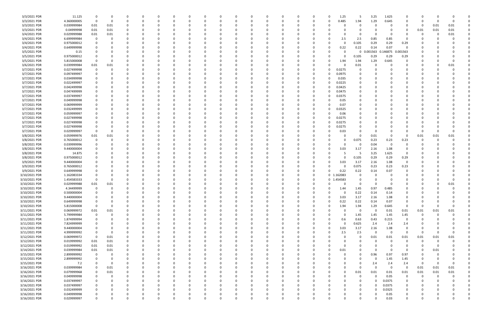| 3/3/2021 PDR  | 11.125      | 0                       | 0        |          |             |          |          |   |    |   | C        |          |          |          | $\Omega$     | 1.25     | 5     | 3.25         | 1.625              | O                       |             |          |              |  |
|---------------|-------------|-------------------------|----------|----------|-------------|----------|----------|---|----|---|----------|----------|----------|----------|--------------|----------|-------|--------------|--------------------|-------------------------|-------------|----------|--------------|--|
| 3/3/2021 PDR  | 4.360000005 | $\overline{0}$          | 0        |          | 0           |          |          |   |    |   | 0        |          |          | 0        | $\Omega$     | 0.485    | 1.94  | 1.29         | 0.645              | 0                       | 0           |          | 0            |  |
| 3/3/2021 PDR  | 0.039999984 | 0.01                    | 0.01     |          |             |          |          |   |    |   |          |          |          |          |              |          |       |              |                    | 0                       | 0           | 0.01     | 0.01         |  |
|               |             |                         |          |          |             |          |          |   |    |   |          |          |          |          |              |          |       |              |                    |                         |             |          |              |  |
| 3/3/2021 PDR  | 0.04999998  | 0.01                    | 0.01     |          |             |          |          |   |    |   |          |          |          |          |              |          |       | <sup>0</sup> |                    | $\Omega$                | 0.01        | 0.01     | 0.01         |  |
| 3/4/2021 PDR  | 0.029999988 | 0.01                    | 0.01     |          |             |          |          |   |    |   |          |          |          |          |              |          |       | 0            | - 0                |                         | C           |          | 0.01         |  |
| 3/4/2021 PDR  | 6.699999984 | - 0                     |          |          |             |          |          |   |    |   |          |          |          |          |              | 2.5      | 2.5   | 0.85         | 0.85               | 0                       |             |          |              |  |
| 3/4/2021 PDR  | 0.975000012 |                         |          |          |             |          |          |   |    |   |          |          |          |          | -0           |          | 0.105 | 0.29         | 0.29               | 0.29                    |             |          |              |  |
| 3/4/2021 PDR  | 0.649999998 |                         |          |          |             |          |          |   |    |   |          |          |          |          | -0           | 0.22     | 0.22  | 0.14         | 0.07               | $\Omega$                |             |          |              |  |
| 3/5/2021 PDR  | 0.15        | 0                       |          |          |             |          |          |   |    |   |          |          |          |          | -0           |          | 0     | 0.001563     | 146875<br><b>O</b> | 0.001563                |             |          |              |  |
| 3/5/2021 PDR  | 0.975000012 | 0                       |          |          |             |          |          |   |    |   |          |          |          |          |              |          | 0.105 | 0.29         | 0.29               | 0.29                    |             |          |              |  |
| 3/5/2021 PDR  | 5.815000008 | - 0                     | 0        |          |             |          |          |   |    |   | C        |          |          |          | -0           | 1.94     | 1.94  | 1.29         | 0.645              | 0                       |             |          | <sup>0</sup> |  |
| 3/6/2021 PDR  | 0.039999984 | 0.01                    | 0.01     |          |             |          |          |   |    |   |          |          |          |          | -0           |          | 0.01  | 0            |                    | 0                       | O           |          | 0.01         |  |
|               |             | - 0                     | 0        |          |             |          |          |   |    |   |          |          |          |          | $\Omega$     |          |       |              |                    |                         |             |          |              |  |
| 3/7/2021 PDR  | 0.027499998 |                         |          |          |             |          |          |   |    |   |          |          |          |          |              | 0.0275   |       |              |                    |                         |             |          |              |  |
| 3/7/2021 PDR  | 0.097499997 |                         |          |          |             |          |          |   |    |   |          |          |          |          | 0            | 0.0975   |       |              |                    |                         |             |          |              |  |
| 3/7/2021 PDR  | 0.034999998 | 0                       |          |          |             |          |          |   |    |   |          |          |          |          | -0           | 0.035    |       |              |                    |                         |             |          |              |  |
| 3/7/2021 PDR  | 0.022499997 |                         |          |          |             |          |          |   |    |   |          |          |          |          | -0           | 0.0225   |       |              |                    |                         |             |          |              |  |
| 3/7/2021 PDR  | 0.042499998 | 0                       | n        |          |             |          |          |   |    |   |          |          |          |          | - 0          | 0.0425   |       |              |                    |                         |             |          |              |  |
| 3/7/2021 PDR  | 0.047499999 | 0                       |          |          |             |          |          |   |    |   | C        |          |          |          | 0            | 0.0475   |       | 0            |                    |                         |             |          |              |  |
| 3/7/2021 PDR  | 0.037499997 |                         |          |          |             |          |          |   |    |   |          |          |          |          | -0           | 0.0375   |       |              |                    |                         |             |          |              |  |
| 3/7/2021 PDR  | 0.049999998 |                         |          |          |             |          |          |   |    |   |          |          |          |          |              | 0.05     |       |              |                    |                         |             |          |              |  |
| 3/7/2021 PDR  | 0.069999999 | 0                       |          |          |             |          |          |   |    |   |          |          |          |          |              | 0.07     |       |              |                    |                         |             |          |              |  |
| 3/7/2021 PDR  | 0.032499999 |                         |          |          |             |          |          |   |    |   |          |          |          |          | -0           | 0.0325   |       |              |                    |                         |             |          |              |  |
|               |             |                         |          |          |             |          |          |   |    |   |          |          |          |          |              |          |       |              |                    |                         |             |          |              |  |
| 3/7/2021 PDR  | 0.059999997 |                         |          |          |             |          |          |   |    |   |          |          |          |          | -C           | 0.06     |       |              |                    |                         |             |          |              |  |
| 3/7/2021 PDR  | 0.027499998 | 0                       |          |          |             |          |          |   |    |   | C        |          |          |          | 0            | 0.0275   |       | 0            |                    |                         |             |          |              |  |
| 3/7/2021 PDR  | 0.027499998 |                         |          |          |             |          |          |   |    |   |          |          |          |          | 0            | 0.0275   |       |              |                    |                         |             |          |              |  |
| 3/7/2021 PDR  | 0.027499998 | - 0                     |          |          |             |          |          |   |    |   |          |          |          |          | 0            | 0.0275   |       |              |                    |                         |             |          |              |  |
| 3/7/2021 PDR  | 0.029999997 | - 0                     | C        |          |             |          |          |   |    |   |          |          |          |          |              | 0.03     |       | 0            |                    |                         | 0           |          |              |  |
| 3/8/2021 PDR  | 0.059999976 | 0.01                    | 0.01     |          |             |          |          |   |    |   |          |          |          |          |              |          |       | 0.01         | - 0                | $\Omega$                | 0.01        | 0.01     | 0.01         |  |
| 3/8/2021 PDR  | 0.765000012 | $\overline{0}$          | 0        |          |             |          |          |   |    |   |          |          |          |          | -0           |          | 0.075 | 0.23         | 0.23               | 0.23                    | O           |          |              |  |
| 3/8/2021 PDR  | 0.039999996 |                         | n        |          |             |          |          |   |    |   |          |          |          |          |              |          | 0     | 0.04         | $\mathbf 0$        | 0                       |             |          |              |  |
| 3/8/2021 PDR  | 9.440000004 |                         |          |          |             |          |          |   |    |   |          |          |          |          | -0           | 3.03     | 3.17  | 2.16         | 1.08               | 0                       |             |          |              |  |
|               |             |                         |          |          |             |          |          |   |    |   |          |          |          |          |              |          |       |              |                    |                         |             |          |              |  |
| 3/8/2021 PDR  | 14.875      |                         |          |          |             |          |          |   |    |   |          |          |          |          |              |          | -5    | 3.25         | 1.625              | - 0                     |             |          |              |  |
| 3/8/2021 PDR  | 0.975000012 |                         |          |          |             |          |          |   |    |   |          |          |          |          |              |          | 0.105 | 0.29         | 0.29               | 0.29                    |             |          |              |  |
| 3/9/2021 PDR  | 9.440000004 | 0                       |          |          |             |          |          |   |    |   |          |          |          |          | 0            | 3.03     | 3.17  | 2.16         | 1.08               | 0                       |             |          |              |  |
| 3/9/2021 PDR  | 0.765000012 |                         |          |          |             |          |          |   |    |   |          |          |          |          | -C           |          | 0.075 | 0.23         | 0.23               | 0.23                    |             |          |              |  |
| 3/9/2021 PDR  | 0.649999998 | 0                       |          |          |             |          |          |   |    |   | C        |          |          | 0        | - 0          | 0.22     | 0.22  | 0.14         | 0.07               | 0                       |             |          |              |  |
| 3/10/2021 PDR | 1.162083334 | - 0                     |          |          |             |          |          |   |    |   |          |          |          |          | $\mathbf{0}$ | 162083   |       |              |                    |                         |             |          |              |  |
| 3/10/2021 PDR | 1.454583333 | - 0                     | C        |          |             |          |          |   |    |   |          |          |          |          | 0            | .454583  |       |              |                    |                         |             |          |              |  |
| 3/10/2021 PDR | 0.029999988 | 0.01                    | 0.01     |          |             |          |          |   |    |   |          |          |          |          |              |          |       |              |                    |                         |             |          | 0.01         |  |
| 3/10/2021 PDR | 4.34499999  | $\overline{\mathbf{0}}$ | 0        |          |             |          |          |   |    |   |          |          |          |          | 0            | 1.44     | 1.45  | 0.97         | 0.485              | 0                       |             |          |              |  |
| 3/10/2021 PDR | 0.500000004 | $\overline{0}$          | $\Omega$ |          |             |          |          |   |    |   |          |          |          | $\Omega$ |              | $\Omega$ | 0.22  | 0.14         |                    |                         | $\Omega$    |          |              |  |
|               |             |                         |          |          |             |          | $\Omega$ |   |    |   |          | $\Omega$ | $\Omega$ |          |              |          |       |              | 0.14               |                         |             |          |              |  |
| 3/10/2021 PDR | 9.440000004 | 0                       | 0        | 0        | 0           | 0        |          | 0 | 0  | 0 | 0        |          |          | 0        | $\Omega$     | 3.03     | 3.17  | 2.16         | 1.08               | 0                       | 0           |          |              |  |
| 3/10/2021 PDR | 0.649999998 | 0                       | 0        | 0        | 0           | $\Omega$ | $\Omega$ | 0 | 0  | 0 | 0        |          | 0        | 0        | $\Omega$     | 0.22     | 0.22  | 0.14         | 0.07               | 0                       | 0           |          |              |  |
| 3/10/2021 PDR | 5.815000008 | $\mathbf 0$             | $\Omega$ |          | $\Omega$    |          |          |   |    |   | $\Omega$ |          |          | $\Omega$ | 0            | 1.94     | 1.94  | 1.29         | 0.645              | $\overline{0}$          | 0           |          |              |  |
| 3/11/2021 PDR | 0.069999972 | $0.01\,$                | 0.01     |          | 0           |          |          |   |    |   | 0        |          |          | 0        | 0            | $\Omega$ | - 0   | 0            | 0.01               | 0.01                    | 0.01        | 0.01     | 0.01         |  |
| 3/11/2021 PDR | 5.799999984 | $\overline{\mathbf{0}}$ | 0        |          | 0           |          |          |   |    |   | 0        |          |          | 0        | 0            | 0        | 1.45  | 1.45         | 1.45               | 1.45                    | 0           |          |              |  |
| 3/11/2021 PDR | 1.874999994 | $\mathbf 0$             | $\Omega$ |          | 0           |          |          |   |    |   | $\Omega$ |          |          |          | $\Omega$     | 0.6      | 0.63  | 0.43         | 0.215              | $\mathbf 0$             | $\Omega$    |          |              |  |
| 3/11/2021 PDR | 7.824999999 | 0                       |          |          | 0           |          |          |   |    |   | 0        |          |          | 0        | $\Omega$     | $\Omega$ | 0.625 | 2.4          | 2.4                | 2.4                     |             |          |              |  |
| 3/11/2021 PDR | 9.440000004 | 0                       | 0        |          | 0           |          |          |   |    |   | 0        |          | 0        | 0        | $\Omega$     | 3.03     | 3.17  | 2.16         | 1.08               | $\overline{0}$          | 0           |          |              |  |
| 3/11/2021 PDR | 4.999999992 | $\overline{\mathbf{0}}$ | 0        |          | 0           |          |          |   |    |   | 0        |          |          |          | 0            | 2.5      | 2.5   | $\Omega$     | $\mathbf 0$        | $\overline{0}$          | 0           |          |              |  |
| 3/12/2021 PDR | 0.069999972 | $\overline{\mathbf{0}}$ | 0.01     |          |             |          |          |   |    |   |          |          |          | 0        | - 0          |          | 0     | 0.01         | 0.01               | 0.01                    | 0.01        | 0.01     | 0.01         |  |
|               |             |                         |          |          |             |          |          |   |    |   | 0        |          |          |          |              |          |       |              |                    |                         |             |          |              |  |
| 3/12/2021 PDR | 0.019999992 | 0.01                    | 0.01     |          | O           |          |          |   |    |   | 0        |          |          | 0        |              |          |       | 0            | $\Omega$           | $\overline{0}$          | 0           | $\Omega$ |              |  |
| 3/12/2021 PDR | 0.019999992 | 0.01                    | 0.01     |          | O           |          |          |   |    |   | 0        |          |          | 0        |              |          |       | 0            |                    | 0                       | C           |          |              |  |
| 3/14/2021 PDR | 0.039999984 | 0.01                    | 0.01     |          | 0           |          |          |   | -0 |   | 0        |          |          | 0        | $\Omega$     | 0.01     |       | $\Omega$     | $\Omega$           | $\mathbf 0$             | 0           | 0.01     |              |  |
| 3/15/2021 PDR | 2.899999992 | $\overline{\mathbf{0}}$ | 0        |          | 0           |          |          |   | 0  |   | 0        |          | 0        | 0        | 0            | 0        | 0     | 0.96         | 0.97               | 0.97                    | 0           |          |              |  |
| 3/15/2021 PDR | 2.899999992 | $\mathbf 0$             | C        |          | $\Omega$    |          |          |   |    |   | 0        |          |          | 0        |              |          |       | 0            | 1.45               | 1.45                    | 0           |          |              |  |
| 3/15/2021 PDR | 7.2         | 0                       | 0        |          |             |          |          |   |    |   | C        |          |          |          |              |          |       | 2.4          | 2.4                | 2.4                     | 0           |          |              |  |
| 3/16/2021 PDR | 0.039999984 | $\overline{0}$          | 0.01     |          |             |          |          |   |    |   | 0        |          |          | 0        |              |          | 0     | $\Omega$     | $\Omega$           | $\overline{\mathbf{0}}$ | 0.01        | 0.01     | 0.01         |  |
| 3/16/2021 PDR | 0.079999968 | $\mathbf 0$             | 0.01     |          | O           |          |          |   |    |   | 0        |          |          | 0        | 0            | 0        | 0.01  | 0.01         | 0.01               | 0.01                    | 0.01        | 0.01     | 0.01         |  |
|               |             |                         |          |          |             |          |          |   |    |   |          |          |          |          |              |          |       |              |                    |                         |             |          |              |  |
| 3/16/2021 PDR | 0.049999998 | $\mathbf 0$             | 0        |          | 0           |          |          |   |    |   | $\Omega$ |          |          | 0        | 0            |          | 0     | $\Omega$     | 0.05               | $\overline{0}$          | $\mathbf 0$ | $\Omega$ |              |  |
| 3/16/2021 PDR | 0.037499997 | 0                       | 0        |          | 0           |          |          |   |    |   | 0        |          |          | 0        | 0            |          |       | $\Omega$     | 0.0375             | 0                       | 0           |          |              |  |
| 3/16/2021 PDR | 0.037499997 | 0                       | 0        |          | 0           |          |          |   |    |   | 0        |          |          | 0        |              |          |       | $\Omega$     | 0.0375             | 0                       |             |          |              |  |
| 3/16/2021 PDR | 0.032499999 | $\mathbf 0$             |          |          | 0           |          |          |   |    |   | 0        |          |          | 0        |              |          |       | 0            | 0.0325             | 0                       |             |          |              |  |
| 3/16/2021 PDR | 0.049999998 | $\mathbf 0$             |          |          |             |          |          |   |    |   |          |          |          |          |              |          |       | 0            | 0.05               | 0                       |             |          |              |  |
| 3/16/2021 PDR | 0.029999997 | $\mathbf 0$             | 0        | $\Omega$ | $\mathbf 0$ | $\Omega$ | $\Omega$ |   | 0  | 0 | 0        |          | $\Omega$ | 0        | -0           | $\Omega$ |       | $\Omega$     | 0.03               | $\mathbf 0$             | 0           |          |              |  |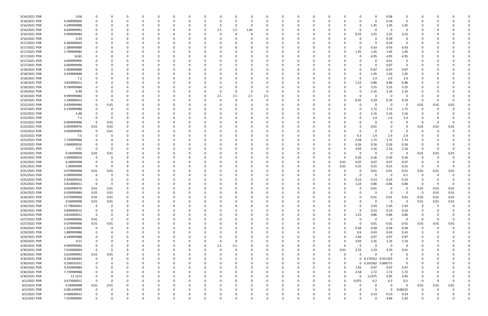| 3/16/2021 PDR | 0.06        |             |          |          | - 0      | - 0      |          | 0            |          |     | 0        |          |              | 0        |          |          | 0        |                     | 0.06                    | 0           |          |          |          |  |
|---------------|-------------|-------------|----------|----------|----------|----------|----------|--------------|----------|-----|----------|----------|--------------|----------|----------|----------|----------|---------------------|-------------------------|-------------|----------|----------|----------|--|
| 3/16/2021 PDR | 0.260000004 |             |          |          | $\Omega$ |          |          | <sup>0</sup> |          |     | $\Omega$ |          |              | O        |          |          | $\Omega$ | $\Omega$            | 0.26                    | $\Omega$    | -0       |          |          |  |
| 3/16/2021 PDR | 4.349999988 |             |          |          |          |          |          |              |          |     | 0        |          |              |          |          |          | 0        | 1.45                | 1.45                    | 1.45        |          |          |          |  |
| 3/16/2021 PDR | 6.649999992 |             |          |          |          |          |          |              | 2.5      | 2.5 | 1.65     |          |              |          |          |          | 0        |                     | - 0                     | 0           |          |          |          |  |
|               |             |             |          |          |          |          |          |              |          |     |          |          |              |          |          |          |          |                     |                         |             |          |          |          |  |
| 3/16/2021 PDR | 9.999999984 |             |          |          |          |          |          |              |          |     |          |          |              |          |          |          | 0.25     | 3.25                | 3.25                    | 3.25        |          |          |          |  |
| 3/16/2021 PDR | 0.39        |             |          |          |          |          |          |              |          |     |          |          |              |          |          |          | 0        |                     | 0.39                    | 0           |          |          |          |  |
| 3/17/2021 PDR | 0.260000004 |             |          |          |          |          |          |              |          |     |          |          |              |          |          |          | 0        |                     | 0.26                    | 0           |          |          |          |  |
| 3/17/2021 PDR | 1.289999988 |             |          |          |          |          |          |              |          |     |          |          |              |          |          |          | 0        | 0.43                | 0.43                    | 0.43        |          |          |          |  |
| 3/17/2021 PDR | 5.799999984 |             |          |          |          |          |          |              |          |     |          |          |              |          |          |          | 1.45     | 1.45                | 1.45                    | 1.45        |          |          |          |  |
| 3/17/2021 PDR | 14.85       |             |          |          |          |          |          |              |          |     |          |          |              |          |          |          | 0        | 4.95                | 4.95                    | 4.95        |          |          |          |  |
| 3/17/2021 PDR | 0.609999996 |             |          |          |          |          |          |              |          |     |          |          |              |          |          |          |          |                     | 0.61                    | 0           |          |          |          |  |
|               |             |             |          |          |          |          |          |              |          |     |          |          |              |          |          |          |          |                     |                         |             |          |          |          |  |
| 3/17/2021 PDR | 0.069999996 |             |          |          |          |          |          |              |          |     |          |          |              |          |          |          |          |                     | 0.07                    | 0           |          |          |          |  |
| 3/18/2021 PDR | 2.909999988 |             |          |          |          |          |          |              |          |     |          |          |              |          |          |          | 0        | 0.97                | 0.97                    | 0.97        |          |          |          |  |
| 3/18/2021 PDR | 4.349999988 |             |          |          |          |          |          |              |          |     |          |          |              |          |          |          | 0        | 1.45                | 1.45                    | 1.45        |          |          |          |  |
| 3/18/2021 PDR | 7.2         |             |          |          |          |          |          |              |          |     |          |          |              |          |          |          | 0        | 2.4                 | 2.4                     | 2.4         |          |          |          |  |
| 3/18/2021 PDR | 3.810000012 |             |          |          |          |          |          |              |          |     |          |          |              |          |          |          | 1.23     | 0.86                | 0.86                    | 0.86        |          |          |          |  |
| 3/18/2021 PDR | 9.749999988 |             |          |          |          |          |          |              |          |     |          |          |              |          |          |          | 0        | 3.25                | 3.25                    | 3.25        |          |          |          |  |
| 3/19/2021 PDR | 6.48        |             |          |          |          |          |          |              |          |     | $\Omega$ |          |              |          |          |          | 0        | 2.16                | 2.16                    | 2.16        |          |          |          |  |
| 3/19/2021 PDR | 9.999999984 |             |          |          |          |          |          |              | 2.5      | 2.5 | 2.5      | 2.5      |              |          |          |          | 0        |                     | - 0                     | 0           |          |          |          |  |
| 3/19/2021 PDR | 1.290000012 |             |          |          |          |          |          |              |          |     | $\Omega$ |          |              |          |          |          | 0.42     |                     | 0.29                    | 0.29        |          |          |          |  |
|               |             |             |          |          |          |          |          |              |          |     |          |          |              |          |          |          |          | 0.29                |                         |             |          |          |          |  |
| 3/22/2021 PDR | 0.039999984 |             | 0.01     |          |          |          |          |              |          |     |          |          |              |          |          |          | 0        |                     | - 0                     | 0           | 0.01     | 0.01     | 0.01     |  |
| 3/22/2021 PDR | 5.159999988 |             |          |          |          |          |          |              |          |     |          |          |              |          |          |          | 0        | 1.72                | 1.72                    | 1.72        |          |          |          |  |
| 3/22/2021 PDR | 6.48        |             |          |          |          |          |          |              |          |     |          |          |              |          |          |          | 0        | 2.16                | 2.16                    | 2.16        |          |          |          |  |
| 3/22/2021 PDR | 7.2         |             | 0        |          |          |          |          |              |          |     |          |          |              |          |          |          | 0        | 2.4                 | 2.4                     | 2.4         | -0       |          |          |  |
| 3/23/2021 PDR | 0.009999996 | - 0         | 0.01     |          |          |          |          |              |          |     |          |          |              |          |          |          |          |                     | $\Omega$                |             | 0        |          |          |  |
| 3/23/2021 PDR | 0.059999976 | 0.01        | 0.01     |          |          |          |          |              |          |     |          |          |              |          |          |          | $\Omega$ | 0.01                |                         | 0           | 0.01     | 0.01     | 0.01     |  |
| 3/23/2021 PDR | 0.009999996 |             | 0.01     |          |          |          |          |              |          |     |          |          |              |          |          |          | 0        |                     | - 0                     |             | -0       |          |          |  |
|               |             |             |          |          |          |          |          |              |          |     |          |          |              |          |          |          |          |                     |                         |             |          |          |          |  |
| 3/23/2021 PDR | 7.5         |             | 0        |          |          |          |          |              |          |     |          |          |              |          |          |          | 0.3      | 2.4                 | 2.4                     | 2.4         |          |          |          |  |
| 3/23/2021 PDR | 7.739999988 |             |          |          |          |          |          |              |          |     |          |          |              |          |          |          | 2.58     | 1.72                | 1.72                    | 1.72        |          |          |          |  |
| 3/23/2021 PDR | 1.040000016 |             |          |          |          |          |          |              |          |     |          |          |              |          |          |          | 0.26     | 0.26                | 0.26                    | 0.26        |          |          |          |  |
| 3/23/2021 PDR | 9.51        |             | 0        |          |          |          |          |              |          |     |          |          |              |          |          |          | 3.03     | 2.16                | 2.16                    | 2.16        | 0        |          |          |  |
| 3/24/2021 PDR | 0.04999998  | 0.01        | 0.01     |          |          |          |          |              |          |     |          |          |              |          |          |          | 0        |                     | - 0                     | 0           | 0.01     | 0.01     | 0.01     |  |
| 3/24/2021 PDR | 1.040000016 |             |          |          |          |          |          |              |          |     |          |          |              |          |          |          | 0.26     | 0.26                | 0.26                    | 0.26        |          |          |          |  |
| 3/25/2021 PDR | 0.28999998  |             |          |          |          |          |          |              |          |     |          |          |              |          | 0        | 0.01     | 0.07     | 0.07                | 0.07                    | 0.07        | - 0      |          |          |  |
| 3/25/2021 PDR | 1.00999998  |             |          |          |          |          |          |              |          |     |          |          |              |          |          | 0.01     | 0.25     | 0.25                | 0.25                    | 0.25        | -0       |          |          |  |
|               |             |             |          |          |          |          |          |              |          |     |          |          |              |          |          |          |          |                     |                         |             |          |          |          |  |
| 3/25/2021 PDR | 0.079999968 | 0.01        | 0.01     |          |          |          |          |              |          |     |          |          |              |          |          |          | 0        | 0.01                | 0.01                    | 0.01        | 0.01     | 0.01     | 0.01     |  |
| 3/25/2021 PDR | 0.099999996 |             | O        |          |          |          |          |              |          |     |          |          |              |          |          |          | 0        |                     | - 0                     | 0.1         | 0        |          |          |  |
| 3/25/2021 PDR | 0.920000016 |             |          |          |          |          |          |              |          |     |          |          |              |          |          |          | 0.23     | 0.23                | 0.23                    | 0.23        | -0       |          |          |  |
| 3/25/2021 PDR | 3.810000012 |             | O        |          |          |          |          |              |          |     |          |          |              |          |          |          | 1.23     | 0.86                | 0.86                    | 0.86        |          |          |          |  |
| 3/26/2021 PDR | 0.059999976 | 0.01        | 0.01     | O        | $\Omega$ |          |          |              |          |     |          |          |              |          |          |          | 0        | 0.01                | 0                       | 0           | 0.01     | 0.01     | 0.01     |  |
| 3/26/2021 PDR | 0.039999984 | 0.01        | 0.01     | O        |          |          |          |              |          |     |          |          |              |          |          |          | $\Omega$ |                     | $\Omega$                | 0           |          | 0.01     | 0.01     |  |
| 3/26/2021 PDR | 0.079999968 | 0.01        | 0.01     | $\Omega$ | $\Omega$ |          |          |              |          |     | $\Omega$ |          | $\Omega$     | C        |          |          | 0        | 0.01                | 0.01                    | 0.01        | 0.01     | 0.01     | 0.01     |  |
| 3/26/2021 PDR | 0.04999998  | 0.01        | $0.01\,$ | 0        |          |          |          |              |          |     | 0        |          |              |          |          |          | $\Omega$ | $\Omega$            | $\mathbf 0$             | 0           | 0.01     | $0.01\,$ | 0.01     |  |
| 3/26/2021 PDR | 17.79000001 |             | 0        | 0        |          |          |          | <sup>0</sup> |          |     |          |          |              |          |          |          | 0        |                     | 5.93                    |             | 0        | $\Omega$ |          |  |
|               |             | $\mathbf 0$ |          |          | 0        |          |          |              |          |     | 0        |          |              | 0        |          |          |          | 5.93                |                         | 5.93        |          |          |          |  |
| 3/26/2021 PDR | 0.690000012 | 0           |          |          |          |          |          |              |          |     |          |          |              | C        |          |          | $\Omega$ | 0.23                | 0.23                    | 0.23        |          |          |          |  |
| 3/26/2021 PDR | 3.810000012 | $\mathbf 0$ |          |          |          |          |          |              |          |     |          |          |              | C        |          |          | 1.23     | 0.86                | 0.86                    | 0.86        |          |          |          |  |
| 3/27/2021 PDR | 0.009999996 | 0.01        | 0        |          |          |          |          |              |          |     |          |          |              | 0        |          |          | 0        | -0                  | $\overline{\mathbf{0}}$ | 0           | 0        |          |          |  |
| 3/27/2021 PDR | 0.079999968 | $0.01\,$    | 0.01     | 0        |          |          |          |              |          |     |          |          | 0            | 0        |          |          | 0        | 0.01                | 0.01                    | 0.01        | 0.01     | 0.01     | 0.01     |  |
| 3/29/2021 PDR | 2.319999984 | $\mathbf 0$ | 0        | 0        | $\Omega$ |          |          | 0            |          |     | $\Omega$ |          | <sup>0</sup> | 0        |          |          | 0.58     | 0.58                | 0.58                    | 0.58        | 0        | $\Omega$ |          |  |
| 3/29/2021 PDR | 1.889999988 | 0           | 0        | 0        | 0        | $\Omega$ |          | $\Omega$     |          |     | 0        |          | <sup>0</sup> | 0        | 0        |          | 0.6      | 0.43                | 0.43                    | 0.43        | 0        |          |          |  |
| 3/29/2021 PDR | 4.349999988 |             | O        | C        | 0        |          |          |              |          |     |          |          | 0            | 0        | 0        |          | 1.44     | 0.97                | 0.97                    | 0.97        | 0        |          |          |  |
| 3/29/2021 PDR | 9.51        |             | 0        |          | 0        |          |          |              | 0        |     | 0        |          |              | 0        | 0        |          | 3.03     | 2.16                | 2.16                    | 2.16        |          |          |          |  |
|               |             |             |          |          |          |          |          |              |          |     |          |          |              |          |          |          |          |                     |                         |             |          |          |          |  |
| 3/29/2021 PDR | 4.999999992 |             | 0        |          |          |          |          |              | 2.5      | 2.5 | 0        |          |              | 0        | 0        |          | 0        | - 0                 | 0                       | 0           |          |          |          |  |
| 3/30/2021 PDR | 7.010000004 | $\mathbf 0$ | $\Omega$ |          |          |          |          |              | 0        |     |          |          | <sup>0</sup> |          | $\Omega$ | 0.01     | 2.33     | 2.33                | 2.33                    | 0.01        |          |          |          |  |
| 3/30/2021 PDR | 0.019999992 | 0.01        | 0.01     |          |          |          |          |              |          |     |          |          |              |          | 0        |          | $\Omega$ | $\Omega$            | $\overline{0}$          | $\mathbf 0$ |          |          |          |  |
| 3/30/2021 PDR | 0.181666664 | $\mathbf 0$ | 0        | 0        | 0        | $\Omega$ |          | <sup>0</sup> |          |     | 0        |          |              | 0        |          | 0        |          | 0 0.170312 0.011354 |                         | 0           | -0       |          |          |  |
| 3/30/2021 PDR | 0.108333331 |             | 0        | 0        | 0        |          |          | 0            |          |     | 0        |          |              | 0        |          |          |          | 0 0.101562 0.006771 |                         | 0           | 0        |          |          |  |
| 3/30/2021 PDR | 4.359999984 |             |          |          | $\Omega$ | $\Omega$ |          | 0            |          |     | $\Omega$ |          |              | 0        | 0        | $\Omega$ | 1.45     | 0.97                | 0.97                    | 0.97        |          |          |          |  |
| 3/30/2021 PDR | 7.739999988 |             | O        |          | 0        |          |          |              |          |     | 0        |          |              | 0        | 0        | 0        | 2.58     | 1.72                | 1.72                    | 1.72        |          |          |          |  |
| 3/30/2021 PDR | 11.1375     |             |          |          |          |          |          |              |          |     |          |          |              | 0        | 0        |          | 0        | 1.2375              | 4.95                    | 4.95        | 0        |          |          |  |
|               |             | $\mathbf 0$ | 0        |          |          |          |          |              |          |     |          |          |              | 0        |          |          | 0.075    |                     | 0.2                     | 0.2         | 0        |          | $\Omega$ |  |
| 4/1/2021 PDR  | 0.675000012 |             |          |          |          |          |          |              |          |     |          |          |              |          |          |          |          | 0.2                 |                         |             |          |          |          |  |
| 4/2/2021 PDR  | 0.04999998  | 0.01        | 0.01     | 0        | 0        |          |          |              |          |     | 0        |          |              | 0        |          |          | 0        | - 0                 | $\Omega$                | $\mathbf 0$ | 0.01     | 0.01     | 0.01     |  |
| 4/2/2021 PDR  | 0.081249999 | 0           | $\Omega$ | 0        | $\Omega$ |          |          | <sup>0</sup> |          |     | $\Omega$ |          |              | 0        |          |          | 0        | $\Omega$            | $\Omega$                | 0.08125     | $\Omega$ |          |          |  |
| 4/2/2021 PDR  | 0.690000012 |             |          |          | 0        |          |          | 0            |          |     | 0        |          |              | C        |          |          | 0        | 0.23                | 0.23                    | 0.23        |          |          |          |  |
| 4/2/2021 PDR  | 7.259999994 | $\Omega$    | 0        | $\Omega$ | $\Omega$ | $\Omega$ | $\Omega$ | 0            | $\Omega$ |     | $\Omega$ | $\Omega$ | $\Omega$     | $\Omega$ | U        |          | $\Omega$ |                     | 4.84                    | 2.42        | $\Omega$ |          | 0        |  |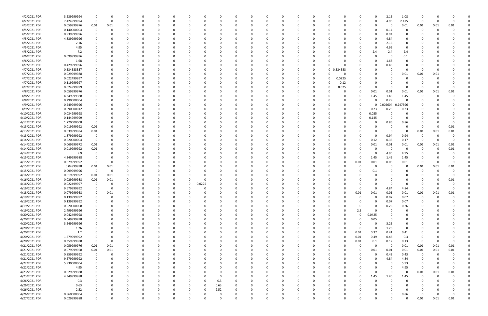| 4/2/2021 PDR  | 3.239999994 | 0                       | 0           |          |          | 0           | 0           |          |          |          |          | 0            |          | 0           | 0        |             |          |          | 0           | 2.16           | 1.08        | 0              |          |          |          |
|---------------|-------------|-------------------------|-------------|----------|----------|-------------|-------------|----------|----------|----------|----------|--------------|----------|-------------|----------|-------------|----------|----------|-------------|----------------|-------------|----------------|----------|----------|----------|
| 4/2/2021 PDR  | 7.424999994 | 0                       | 0           |          |          | 0           | $\Omega$    | 0        | -C       |          |          | $\Omega$     |          | $\Omega$    | 0        |             |          |          | $\Omega$    | 4.95           | 2.475       | 0              | - 0      |          |          |
| 4/3/2021 PDR  | 0.059999976 | 0.01                    | 0.01        |          |          |             |             |          |          |          |          |              |          |             |          |             |          |          | 0           | 0              | 0.01        | 0.01           | 0.01     | 0.01     |          |
|               |             |                         |             |          |          |             |             |          |          |          |          |              |          |             |          |             |          |          |             |                |             |                |          |          |          |
| 4/5/2021 PDR  | 0.140000004 | $\mathbf 0$             | 0           |          |          | 0           |             |          |          |          |          |              |          |             |          |             |          |          | 0           | 0.14           | 0           | 0              |          |          |          |
| 4/5/2021 PDR  | 0.939999996 | 0                       | -0          |          |          |             |             |          |          |          |          |              |          |             |          |             |          |          | $\Omega$    | 0.94           | 0           |                |          |          |          |
| 4/5/2021 PDR  | 4.839999996 |                         | - 0         |          |          |             |             |          |          |          |          |              |          |             |          |             |          |          | 0           | 4.84           | 0           |                |          |          |          |
| 4/5/2021 PDR  | 2.16        |                         |             |          |          |             |             |          |          |          |          |              |          |             |          |             |          |          | -0          | 2.16           | 0           |                |          |          |          |
| 4/5/2021 PDR  | 4.95        |                         | - 0         |          |          | -C          |             |          |          |          |          | <sup>0</sup> |          |             |          |             |          |          | 0           | 4.95           | 0           |                |          |          |          |
|               |             |                         |             |          |          |             |             |          |          |          |          |              |          |             |          |             |          |          |             |                |             |                |          |          |          |
| 4/5/2021 PDR  | 7.2         |                         | -0          |          |          | 0           |             |          |          |          |          | 0            |          |             |          |             |          |          | 2.4         | 2.4            | 2.4         |                |          |          |          |
| 4/6/2021 PDR  | 0.099999996 |                         |             |          |          |             |             |          |          |          |          |              |          |             |          |             |          |          | 0           | - 0            | 0.1         |                |          |          |          |
| 4/6/2021 PDR  | 1.68        |                         |             |          |          | -C          |             |          |          |          |          |              |          |             |          |             |          |          | 0           | 1.68           | 0           |                |          |          |          |
| 4/7/2021 PDR  | 0.429999996 |                         |             |          |          | 0           |             |          |          |          |          | 0            |          |             | C        |             |          |          | 0           | 0.43           | 0           |                |          |          |          |
| 4/7/2021 PDR  | 0.534583337 |                         |             |          |          |             |             |          |          |          |          | 0            |          |             | 0        | $\mathbf 0$ | 0.534583 |          | 0           |                | 0           | -0             |          |          |          |
|               |             |                         |             |          |          |             |             |          |          |          |          |              |          |             |          |             |          |          |             |                |             |                |          |          |          |
| 4/7/2021 PDR  | 0.029999988 |                         |             |          |          |             |             |          |          |          |          |              |          |             | C        |             |          |          | 0           |                | 0.01        | 0.01           | 0.01     |          |          |
| 4/7/2021 PDR  | 0.022499997 |                         |             |          |          |             |             |          |          |          |          |              |          |             | 0        |             | 0.0225   |          | 0           |                |             | O              |          |          |          |
| 4/7/2021 PDR  | 0.119999997 |                         |             |          |          |             |             |          |          |          |          |              |          |             |          |             | 0.12     |          | -0          |                |             |                |          |          |          |
| 4/7/2021 PDR  | 0.024999999 | 0                       |             |          |          |             |             |          |          |          |          |              |          |             | C        |             | 0.025    |          | 0           |                | 0           | O              |          |          |          |
| 4/8/2021 PDR  | 0.059999976 | 0                       |             |          |          | $\Omega$    |             |          |          |          |          |              |          |             |          |             |          |          | 0.01        | 0.01           | 0.01        | 0.01           | 0.01     | 0.01     |          |
|               |             |                         |             |          |          |             |             |          |          |          |          |              |          |             |          |             |          |          |             |                |             |                |          |          |          |
| 4/8/2021 PDR  | 4.349999988 |                         |             |          |          |             |             |          |          |          |          |              |          |             |          |             |          |          | 1.45        | 1.45           | 1.45        | 0              |          |          |          |
| 4/8/2021 PDR  | 0.290000004 | 0                       | - 0         |          |          | 0           |             |          |          |          |          | 0            |          |             |          |             |          |          | $\Omega$    | 0.29           | $\Omega$    | O              |          |          |          |
| 4/9/2021 PDR  | 0.249999996 |                         |             |          |          | -C          |             |          |          |          |          | 0            |          |             |          |             |          |          | $\mathbf 0$ | 0.002604       | 0.247396    |                |          |          |          |
| 4/9/2021 PDR  | 0.690000012 |                         |             |          |          |             |             |          |          |          |          |              |          |             |          |             |          |          | 0.23        | 0.23           | 0.23        |                |          |          |          |
| 4/10/2021 PDR | 0.034999998 |                         |             |          |          |             |             |          |          |          |          |              |          |             |          |             |          | 0        | 0.035       | - 0            | 0           |                |          |          |          |
|               |             |                         |             |          |          |             |             |          |          |          |          |              |          |             |          |             |          |          |             |                |             |                |          |          |          |
| 4/10/2021 PDR | 0.144999999 | 0                       |             |          |          |             |             |          |          |          |          |              |          |             |          |             |          |          | 0.145       | $\Omega$       | $\Omega$    |                |          |          |          |
| 4/12/2021 PDR | 1.720000008 | 0                       | - 0         |          |          |             |             |          |          |          |          | 0            |          |             |          |             |          |          | 0           | 0.86           | 0.86        | C              |          |          |          |
| 4/13/2021 PDR | 0.019999992 | 0.01                    | -0          |          |          | 0           |             |          |          |          |          | 0            |          |             |          |             |          |          | 0           | <u>n</u>       | 0           | -0             |          | 0.01     |          |
| 4/13/2021 PDR | 0.039999984 | 0.01                    |             |          |          |             |             |          |          |          |          |              |          |             |          |             |          |          | 0           | $\Omega$       | 0           | 0.01           | 0.01     | 0.01     |          |
| 4/13/2021 PDR | 1.879999992 | $\overline{\mathbf{0}}$ |             |          |          |             |             |          |          |          |          |              |          |             |          |             |          |          | 0           | 0.94           | 0.94        | -0             |          |          |          |
|               |             |                         |             |          |          |             |             |          |          |          |          |              |          |             |          |             |          |          |             |                |             |                |          |          |          |
| 4/14/2021 PDR | 0.620000004 | $\overline{\mathbf{0}}$ |             |          |          |             |             |          |          |          |          |              |          |             |          |             |          | 0        | 0.12        | 0.33           | 0.17        | - 0            |          | $\Omega$ |          |
| 4/14/2021 PDR | 0.069999972 | 0.01                    |             |          |          |             |             |          |          |          |          |              |          |             |          |             |          |          | 0.01        | 0.01           | 0.01        | 0.01           | 0.01     | 0.01     |          |
| 4/14/2021 PDR | 0.019999992 | 0.01                    |             |          |          |             |             |          |          |          |          |              |          |             |          |             |          |          | -0          | - 0            | O           | 0              |          | 0.01     |          |
| 4/14/2021 PDR | 9.9         | 0                       |             |          |          |             |             |          |          |          |          |              |          |             |          |             |          |          | 0           | 4.95           | 4.95        | 0              |          |          |          |
| 4/15/2021 PDR | 4.349999988 | 0                       | -0          |          |          | -C          |             |          |          |          |          | <sup>0</sup> |          |             |          |             |          | 0        | 1.45        | 1.45           | 1.45        | 0              |          |          |          |
|               |             |                         |             |          |          |             |             |          |          |          |          |              |          |             |          |             |          |          |             |                |             |                |          |          |          |
| 4/15/2021 PDR | 0.079999992 | 0                       | -0          |          |          | 0           |             |          |          |          |          | 0            |          |             |          |             |          | 0.01     | 0.01        | 0.05           | 0.01        | -0             |          | $\Omega$ |          |
| 4/15/2021 PDR | 0.04999998  | 0.01                    | 0.01        |          |          |             |             |          |          |          |          |              |          |             |          |             |          |          | -0          |                | 0           | 0.01           | 0.01     | 0.01     |          |
| 4/15/2021 PDR | 0.099999996 | $\overline{\mathbf{0}}$ | 0           |          |          |             |             |          |          |          |          |              |          |             |          |             |          |          | 0.1         |                |             | C              |          |          |          |
| 4/16/2021 PDR | 0.019999992 | 0.01                    | 0.01        |          |          | 0           |             |          |          |          |          | 0            |          |             |          |             |          |          | 0           |                |             | 0              |          |          |          |
| 4/16/2021 PDR | 0.029999988 | 0.01                    | 0.01        |          |          |             |             |          |          |          |          |              |          |             |          |             |          |          | -0          |                |             |                |          | 0.01     |          |
|               |             |                         |             |          |          |             |             |          |          |          |          |              |          |             |          |             |          |          |             |                |             |                |          |          |          |
| 4/16/2021 PDR | 0.022499997 | 0                       | -0          |          |          |             |             | 0.0225   |          |          |          |              |          |             |          |             |          |          |             |                | O           |                |          |          |          |
| 4/16/2021 PDR | 9.679999992 | 0                       | -0          |          |          |             |             |          |          |          |          |              |          |             |          |             |          |          | $\Omega$    | 4.84           | 4.84        | <sup>0</sup>   |          |          |          |
| 4/18/2021 PDR | 0.079999968 | 0                       | 0.01        |          |          |             | $\Omega$    | 0        |          |          |          | -0           |          | 0           | C        |             |          | 0.01     | 0.01        | 0.01           | 0.01        | 0.01           | 0.01     | 0.01     |          |
| 4/19/2021 PDR | 0.139999992 | $\mathbf 0$             | $\mathbf 0$ | $\Omega$ | 0        | $\Omega$    | $\Omega$    | 0        | 0        | $\Omega$ |          | $\Omega$     | $\Omega$ | 0           | 0        | $\Omega$    | 0        | 0        | $\mathbf 0$ | 0.07           | 0.07        | 0              | $\Omega$ | $\Omega$ |          |
| 4/19/2021 PDR | 0.139999992 | 0                       |             |          |          | $\Omega$    | $\Omega$    | 0        |          |          |          | $\Omega$     |          | $\Omega$    | 0        |             |          |          | 0           | 0.07           | 0.07        | 0              |          |          |          |
|               |             |                         | 0           |          |          |             |             |          |          |          |          |              |          |             |          |             |          |          |             |                |             |                |          |          |          |
| 4/19/2021 PDR | 0.520000008 | 0                       | 0           |          |          | 0           | $\Omega$    | 0        |          |          |          | 0            |          | $\Omega$    | 0        |             |          | 0        | $\mathbf 0$ | 0.26           | 0.26        | 0              |          |          |          |
| 4/19/2021 PDR | 2.499999996 | 0                       | 0           |          |          | 0           | 0           | 0        |          |          |          | 0            |          | 0           | 0        |             | O        | 2.5      | $\Omega$    | - 0            | 0           | 0              |          |          |          |
| 4/20/2021 PDR | 0.042499998 | 0                       | 0           |          |          | 0           | 0           |          |          |          |          | 0            |          | 0           | C        |             |          | 0        | 0.0425      |                | 0           |                |          |          |          |
| 4/20/2021 PDR | 0.049999998 | $\mathbf 0$             |             |          |          |             |             | 0        |          |          |          |              |          | $\Omega$    | 0        |             |          | $\Omega$ | 0.05        |                | 0           |                |          |          |          |
|               |             |                         |             |          |          |             |             |          |          |          |          |              |          |             |          |             |          |          |             |                |             |                |          |          |          |
| 4/20/2021 PDR | 3.249999996 | 0                       |             |          |          | 0           |             | 0        |          |          |          | 0            |          | 0           | C        |             |          | 0        | 0           | 3.25           | 0           |                |          |          |          |
| 4/20/2021 PDR | 1.26        | 0                       |             |          |          | 0           |             | 0        |          |          |          | 0            |          | 0           | C        |             |          | 0        | $\Omega$    | 1.26           | $\mathbf 0$ |                |          |          |          |
| 4/20/2021 PDR | 1.2         | 0                       | 0           |          |          | 0           |             | 0        |          |          |          | 0            |          | 0           | 0        |             |          | 0.01     | 0.37        | 0.41           | 0.41        | 0              |          |          |          |
| 4/20/2021 PDR | 1.279999992 | 0                       | 0           |          |          | 0           | 0           | 0        |          |          |          | 0            |          | 0           | 0        |             | $\Omega$ | 0.01     | 0.49        | 0.48           | 0.3         | 0              |          |          |          |
| 4/20/2021 PDR | 0.359999988 | $\overline{\mathbf{0}}$ | 0           |          |          |             |             |          |          |          |          | 0            |          |             | C        |             |          | 0.01     | 0.1         | 0.12           | 0.13        | 0              |          |          |          |
|               |             |                         |             |          |          |             |             |          |          |          |          |              |          |             |          |             |          |          |             |                |             |                |          |          |          |
| 4/21/2021 PDR | 0.059999976 | 0.01                    | 0.01        |          |          |             |             | 0        |          |          |          | 0            |          | 0           | C        |             |          | 0        | 0           | $\overline{0}$ | 0.01        | 0.01           | 0.01     | 0.01     |          |
| 4/21/2021 PDR | 0.079999968 | 0.01                    | 0.01        | 0        |          | 0           |             | 0        |          |          |          | 0            |          | 0           | 0        |             |          | 0        | 0.01        | 0.01           | 0.01        | 0.01           | 0.01     | 0.01     |          |
| 4/21/2021 PDR | 0.859999992 | $\overline{\mathbf{0}}$ | 0           |          |          | 0           |             | 0        |          |          |          | 0            |          | $\Omega$    | C        |             |          |          | $\Omega$    | 0.43           | 0.43        | $\overline{0}$ | 0        |          |          |
| 4/21/2021 PDR | 9.679999992 | 0                       | 0           |          |          | 0           |             | 0        |          |          |          | 0            |          | 0           | 0        |             |          |          | 0           | 4.84           | 4.84        | -0             |          |          |          |
| 4/22/2021 PDR | 5.930000004 | 0                       | 0           |          |          | 0           | 0           | 0        |          |          |          | 0            |          | 0           | 0        |             |          |          | 0           | $\Omega$       | 5.93        | -0             |          |          |          |
|               |             |                         |             |          |          |             |             |          |          |          |          |              |          |             |          |             |          |          |             |                |             |                |          |          |          |
| 4/22/2021 PDR | 4.95        | 0                       | 0           |          |          | 0           | 0           | 0        |          |          |          | 0            |          | 0           | 0        |             |          |          | 0           | $\Omega$       | 4.95        | 0              |          | 0        |          |
| 4/23/2021 PDR | 0.029999988 |                         | 0           |          |          | 0           |             |          |          |          |          | 0            |          | 0           | C        |             |          |          | 0           | $\Omega$       | 0           | 0.01           | 0.01     | 0.01     |          |
| 4/23/2021 PDR | 4.349999988 | $\Omega$                |             |          |          | 0           |             | 0        |          |          |          | 0            |          | 0           | C        |             |          | 0        | 1.45        | 1.45           | 1.45        | $\overline{0}$ |          |          |          |
| 4/26/2021 PDR | 0.3         | 0                       | -0          |          |          | 0           |             | 0        | 0.3      |          |          | 0            |          | $\Omega$    | C        |             |          |          | 0           | $\Omega$       | 0           | 0              |          |          |          |
| 4/26/2021 PDR | 0.63        |                         | 0           |          |          | 0           | 0           | 0        | 0.63     |          |          | 0            |          | 0           | C        |             |          |          | 0           |                | 0           |                |          |          |          |
|               |             |                         |             |          |          |             |             |          |          |          |          |              |          |             |          |             |          |          |             |                |             |                |          |          |          |
| 4/26/2021 PDR | 2.52        | 0                       | 0           |          |          | 0           | $\Omega$    | 0        | 2.52     |          |          | 0            |          | 0           | 0        |             |          |          | 0           |                | 0           | 0              |          |          |          |
| 4/26/2021 PDR | 0.860000004 | 0                       | -0          |          |          | 0           | 0           |          | 0        |          |          | 0            |          | 0           | C        |             |          |          | 0           | 0              | 0.86        | - 0            |          | $\Omega$ |          |
| 4/27/2021 PDR | 0.029999988 | $\mathbf 0$             | 0           | $\Omega$ | $\Omega$ | $\mathbf 0$ | $\mathbf 0$ | $\Omega$ | $\Omega$ | $\Omega$ | $\Omega$ | $\mathbf 0$  |          | $\mathbf 0$ | $\Omega$ |             | 0        | $\Omega$ | $\mathbf 0$ | $\Omega$       | $\Omega$    | 0.01           | 0.01     | 0.01     | $\Omega$ |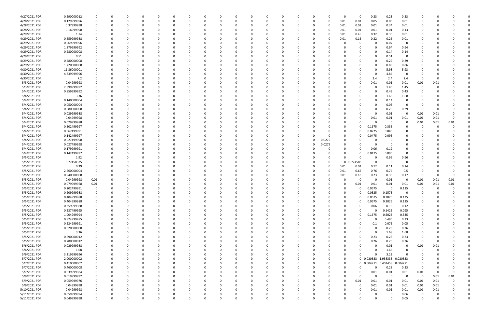| 4/27/2021 PDR | 0.690000012 |          |   | 0        |              | 0            | - 0      |   | 0        |          |          |   |          |        | 0           | 0            | 0.23                | 0.23     | 0.23        | 0              |          |          |  |
|---------------|-------------|----------|---|----------|--------------|--------------|----------|---|----------|----------|----------|---|----------|--------|-------------|--------------|---------------------|----------|-------------|----------------|----------|----------|--|
| 4/28/2021 PDR | 0.129999996 |          |   | $\Omega$ |              | <sup>0</sup> | $\Omega$ |   | $\Omega$ |          |          | n | $\Omega$ |        | 0.01        | 0.01         | 0.05                | 0.05     | 0.01        | 0              |          |          |  |
| 4/28/2021 PDR | 0.37999998  |          |   |          |              |              |          |   |          |          |          |   | -0       |        | 0.01        | 0.01         | 0.01                | 0.34     | 0.01        |                |          |          |  |
| 4/28/2021 PDR | 0.16999998  |          |   |          |              |              |          |   |          |          |          |   |          |        | 0.01        | 0.01         | 0.01                | 0.01     | 0.13        |                |          |          |  |
| 4/29/2021 PDR | 1.14        |          |   |          |              |              |          |   |          |          |          |   |          |        | 0.01        | 0.45         | 0.32                | 0.35     | 0.01        |                |          |          |  |
| 4/29/2021 PDR | 0.659999988 |          |   |          |              |              |          |   |          |          |          |   |          |        | 0.01        | 0.16         | 0.22                | 0.26     | 0.01        |                |          |          |  |
| 4/29/2021 PDR | 0.069999996 |          |   |          |              |              |          |   |          |          |          |   |          |        |             | 0            | $\Omega$            | 0.07     | 0           |                |          |          |  |
| 4/29/2021 PDR | 1.879999992 |          |   |          |              |              |          |   |          |          |          |   |          |        |             |              | $\Omega$            | 0.94     | 0.94        |                |          |          |  |
| 4/29/2021 PDR | 0.280000008 |          |   |          |              |              |          |   |          |          |          |   |          |        |             |              | $\Omega$            | 0.14     | 0.14        |                |          |          |  |
| 4/29/2021 PDR | 0.51        |          |   |          |              |              |          |   |          |          |          |   |          |        |             | 0            | 0                   | 0.51     | 0           |                |          |          |  |
| 4/29/2021 PDR | 0.580000008 |          |   |          |              |              |          |   |          |          |          |   |          |        |             |              | $\Omega$            | 0.29     | 0.29        |                |          |          |  |
| 4/29/2021 PDR | 1.720000008 |          |   |          |              |              |          |   |          |          |          |   |          |        |             | 0            | $\Omega$            | 0.86     | 0.86        |                |          |          |  |
| 4/30/2021 PDR | 11.86000001 |          |   |          |              |              |          |   |          |          |          |   |          |        |             | 0            | 0                   | 5.93     | 5.93        |                |          |          |  |
| 4/30/2021 PDR | 4.839999996 |          |   |          |              |              |          |   |          |          |          |   |          |        |             |              | - 0                 | 4.84     | 0           |                |          |          |  |
| 4/30/2021 PDR | 7.2         |          |   |          |              |              |          |   |          |          |          |   |          |        |             | 0            | 2.4                 | 2.4      | 2.4         | 0              |          |          |  |
| 5/3/2021 PDR  | 0.04999998  |          |   |          |              |              |          |   |          |          |          |   |          |        |             | 0            | 0.01                | 0.01     | 0.01        | 0.01           | 0.01     |          |  |
| 5/3/2021 PDR  | 2.899999992 |          |   |          |              |              |          |   |          |          |          |   |          |        |             |              | 0                   | 1.45     | 1.45        | 0              |          |          |  |
| 5/4/2021 PDR  | 0.859999992 |          |   |          |              |              |          |   |          |          |          |   |          |        |             |              | $\Omega$            | 0.43     | 0.43        | 0              |          |          |  |
| 5/4/2021 PDR  |             |          |   |          |              |              |          |   |          |          |          |   |          |        |             |              | 0                   |          |             |                |          |          |  |
|               | 3.36        |          |   |          |              |              |          |   |          |          |          |   |          |        |             |              | - 0                 | 1.68     | 1.68        |                |          |          |  |
| 5/4/2021 PDR  | 0.140000004 |          |   |          |              |              |          |   |          |          |          |   |          |        |             | <sup>0</sup> |                     | 0.14     | 0           |                |          |          |  |
| 5/4/2021 PDR  | 0.050000004 |          |   |          |              |              |          |   |          |          |          |   |          |        |             | 0            | $\Omega$            | 0.05     | - 0         |                |          |          |  |
| 5/4/2021 PDR  | 0.580000008 |          |   |          |              |              |          |   |          |          |          |   |          |        |             |              | 0                   | 0.29     | 0.29        | -C             |          |          |  |
| 5/4/2021 PDR  | 0.029999988 |          |   |          |              |              |          |   |          |          |          |   |          |        |             |              | - 0                 | 0.01     | $\mathbf 0$ | 0.01           | 0.01     |          |  |
| 5/4/2021 PDR  | 0.04999998  |          |   |          |              |              |          |   |          |          |          |   |          |        |             | 0            | 0.01                | 0.01     | 0.01        | 0.01           | 0.01     | $\Omega$ |  |
| 5/4/2021 PDR  | 0.029999988 |          |   |          |              |              |          |   |          |          |          |   |          |        | 0           | <sup>0</sup> | -C                  | - 0      | -0          | 0.01           | 0.01     | 0.01     |  |
| 5/4/2021 PDR  | 0.502499997 |          |   |          |              |              |          |   |          |          |          |   |          |        | 0           | 0            | 0.1675              | 0.335    |             | 0              |          |          |  |
| 5/4/2021 PDR  | 0.067499991 |          |   |          |              |              |          |   |          |          |          |   |          |        | 0           | 0            | 0.0225              | 0.045    |             |                |          |          |  |
| 5/4/2021 PDR  | 0.142499997 |          |   |          |              |              |          |   |          |          |          |   |          |        | 0           | 0            | 0.0475              | 0.095    |             |                |          |          |  |
| 5/4/2021 PDR  | 0.027499998 |          |   |          |              |              |          |   |          |          |          | 0 | 0        | 0.0275 | 0           | <sup>0</sup> |                     | - 0      |             |                |          |          |  |
| 5/4/2021 PDR  | 0.027499998 |          |   |          |              |              |          |   |          |          |          |   | 0        | 0.0275 | 0           |              | $\Omega$            | - 0      | 0           |                |          |          |  |
| 5/4/2021 PDR  | 0.179999991 |          |   |          |              |              |          |   |          |          |          |   |          |        | 0           | 0            | 0.06                | 0.12     | $\Omega$    |                |          |          |  |
| 5/4/2021 PDR  | 0.142499997 |          |   |          |              |              |          |   |          |          |          |   |          |        | 0           | 0            | 0.0475              | 0.095    | $\Omega$    |                |          |          |  |
| 5/5/2021 PDR  | 1.92        |          |   |          |              |              |          |   |          |          |          |   |          |        | $\Omega$    | 0            |                     | 0.96     | 0.96        |                |          |          |  |
| 5/5/2021 PDR  | 0.77458335  |          |   |          |              |              |          |   |          |          |          |   |          |        | 0           | 0.774583     | 0                   | - 0      | 0           |                |          |          |  |
| 5/5/2021 PDR  | 0.39        |          |   |          |              |              |          |   |          |          |          |   |          | 0      | 0.01        | 0.01         | 0.12                | 0.11     | 0.14        |                |          |          |  |
| 5/5/2021 PDR  | 2.660000004 |          |   |          |              |              |          |   |          |          |          |   |          |        | 0.01        | 0.65         | 0.76                | 0.74     | 0.5         |                |          |          |  |
| 5/5/2021 PDR  | 0.940000008 |          |   |          |              |              |          |   |          |          |          |   |          |        | 0.01        | 0.18         | 0.23                | 0.35     | 0.17        | 0              |          |          |  |
| 5/5/2021 PDR  | 0.04999998  | 0.01     |   |          |              |              |          |   |          |          |          |   |          |        | 0           | 0            | 0                   | 0.01     | 0           | 0.01           | 0.01     | 0.01     |  |
| 5/5/2021 PDR  | 0.079999968 | 0.01     |   |          |              |              |          |   |          |          |          |   |          |        |             | 0.01         | 0.01                | 0.01     | 0.01        | 0.01           | 0.01     | 0.01     |  |
| 5/5/2021 PDR  | 0.202499991 | $\Omega$ |   | $\Omega$ |              |              |          |   |          |          |          |   |          |        | 0           | 0            | 0.0675              | 0        | 0.135       | 0              | $\Omega$ | 0        |  |
| 5/5/2021 PDR  | 0.209999988 | $\sim$   |   |          |              |              |          |   |          |          |          |   |          |        | 0           | $\Omega$     | 0.0525              | 0.1575   | $\mathbf 0$ | $\Omega$       |          |          |  |
| 5/5/2021 PDR  | 0.404999988 |          |   | $\Omega$ | $\Omega$     | O            |          |   | 0        |          | $\Omega$ |   | 0        |        | 0           | 0            | 0.0675              | 0.2025   | 0.135       | 0              |          |          |  |
| 5/5/2021 PDR  | 0.404999988 |          |   |          |              |              |          |   |          |          |          |   | -0       |        | 0           | 0            | 0.0675              | 0.2025   | 0.135       | 0              |          |          |  |
| 5/5/2021 PDR  | 0.359999988 |          |   | 0        |              | <sup>0</sup> | 0        |   |          |          |          |   | 0        |        | 0           | $\Omega$     | 0.06                | 0.18     | 0.12        | 0              |          |          |  |
| 5/5/2021 PDR  | 0.237499995 |          |   |          |              |              |          |   |          |          |          |   |          |        | $\Omega$    | $\Omega$     | $\Omega$            | 0.1425   | 0.095       |                |          |          |  |
| 5/5/2021 PDR  | 1.004999994 |          |   |          |              |              |          |   |          |          |          |   |          |        | 0           | 0            | 0.1675              | 0.5025   | 0.335       |                |          |          |  |
| 5/5/2021 PDR  | 0.824999985 |          |   |          |              | 0            |          |   |          |          |          |   |          |        | 0           | $\Omega$     | $\Omega$            | 0.495    | 0.33        |                |          |          |  |
| 5/5/2021 PDR  | 0.224999991 |          |   |          |              | 0            |          |   |          |          |          |   | -0       |        | 0           | 0            | 0.1                 | 0.075    | 0.05        |                |          |          |  |
| 5/5/2021 PDR  | 0.520000008 |          |   | 0        | $\Omega$     | 0            | 0        |   |          |          |          |   | 0        |        | 0           | 0            | $\Omega$            | 0.26     | 0.26        | 0              |          |          |  |
| 5/5/2021 PDR  | 3.36        |          | O |          | <sup>0</sup> | 0            | 0        |   |          |          |          |   | 0        |        | 0           | 0            | $\Omega$            | 1.68     | 1.68        | 0              |          |          |  |
| 5/5/2021 PDR  | 0.690000012 |          |   |          | $\Omega$     | 0            | - 0      |   |          |          |          |   | 0        |        | o           | 0            | 0.23                | 0.23     | 0.23        |                |          |          |  |
| 5/5/2021 PDR  | 0.780000012 |          |   |          |              | 0            | $\Omega$ |   |          |          |          |   | 0        |        | 0           | 0            | 0.26                | 0.26     | 0.26        | 0              |          |          |  |
| 5/6/2021 PDR  | 0.029999988 |          |   |          |              | 0            |          |   |          |          |          |   | -0       |        | 0           | 0            | 0                   | 0.01     | 0           | 0.01           | 0.01     |          |  |
| 5/6/2021 PDR  | 1.68        |          |   |          |              |              |          |   |          |          |          |   |          |        | $\Omega$    |              | $\Omega$            | 1.68     | $\mathbf 0$ | 0              |          |          |  |
| 5/6/2021 PDR  | 3.219999996 |          |   |          |              |              |          |   |          |          |          |   |          |        | 0           | $\Omega$     | $\Omega$            | 3.22     | $\Omega$    | 0              |          |          |  |
| 5/7/2021 PDR  | 2.000000002 |          |   | 0        |              | <sup>0</sup> | 0        |   |          |          |          |   | 0        |        | 0           |              | 0 0.020833 1.958333 |          | 0.020833    | 0              |          |          |  |
| 5/7/2021 PDR  | 0.410000002 |          |   | 0        |              | 0            | 0        |   |          |          |          |   | 0        |        | 0           |              | 0 0.004271          | 0.401458 | 0.004271    | 0              |          |          |  |
| 5/7/2021 PDR  | 0.460000008 |          |   |          |              | <sup>0</sup> | - 0      |   |          | $\Omega$ |          |   | -0       |        | $\mathbf 0$ | $\Omega$     | $\Omega$            | 0.23     | 0.23        | $\Omega$       |          |          |  |
| 5/7/2021 PDR  | 0.039999984 |          |   |          |              | 0            |          |   |          |          |          |   |          |        | 0           | 0            | 0.01                | $0.01\,$ | 0.01        | 0.01           | 0        |          |  |
| 5/9/2021 PDR  | 0.019999992 |          |   |          |              | 0            |          |   |          |          |          |   | 0        |        | $\Omega$    | $\Omega$     | $\Omega$            | $\Omega$ | $\mathbf 0$ | $\overline{0}$ | 0.01     | 0.01     |  |
| 5/9/2021 PDR  | 0.059999976 |          |   |          |              |              |          |   |          |          |          |   |          |        | $\Omega$    | 0.01         | 0.01                | 0.01     | 0.01        | 0.01           | 0.01     |          |  |
| 5/9/2021 PDR  | 0.04999998  |          |   |          |              | 0            | 0        |   |          |          |          |   | -0       |        | 0           | 0            | 0.01                | 0.01     | 0.01        | 0.01           | 0.01     |          |  |
| 5/10/2021 PDR | 0.04999998  |          |   | $\Omega$ | $\Omega$     | <sup>0</sup> | $\Omega$ |   |          |          |          |   | 0        |        |             | $\Omega$     | 0.01                | 0.01     | 0.01        | 0.01           | 0.01     |          |  |
| 5/11/2021 PDR | 0.059999994 |          |   |          |              | 0            |          |   |          |          |          |   |          |        |             | 0            | 0                   | $\Omega$ | 0.06        | 0              |          |          |  |
| 5/11/2021 PDR | 0.049999998 | $\Omega$ | n | $\Omega$ | $\Omega$     | $\Omega$     |          | U | $\Omega$ |          | $\Omega$ | O |          |        | 0           | $\Omega$     | $\Omega$            | $\Omega$ | $0.05\,$    | $\Omega$       |          | $\Omega$ |  |
|               |             |          |   |          |              |              |          |   |          |          |          |   |          |        |             |              |                     |          |             |                |          |          |  |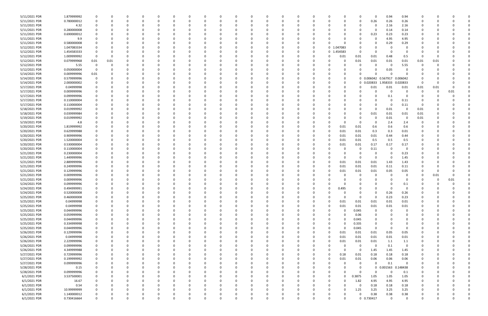| 5/11/2021 PDR | 1.879999992 |      |          | -0       |          |              | 0            |  | 0        |          | 0        |          |            |          | 0             |            | 0.94                | 0.94        |          |      |      |  |
|---------------|-------------|------|----------|----------|----------|--------------|--------------|--|----------|----------|----------|----------|------------|----------|---------------|------------|---------------------|-------------|----------|------|------|--|
| 5/11/2021 PDR | 0.780000012 |      |          | $\Omega$ |          |              | <sup>0</sup> |  | $\Omega$ |          |          | $\Omega$ |            |          | $\Omega$      | 0.26       | 0.26                | 0.26        | $\Omega$ |      |      |  |
| 5/11/2021 PDR | 4.32        |      |          |          |          |              |              |  |          |          |          |          |            |          |               |            | 2.16                | 2.16        |          |      |      |  |
| 5/11/2021 PDR | 0.280000008 |      |          |          |          |              |              |  |          |          |          |          |            |          |               |            | 0.14                | 0.14        |          |      |      |  |
| 5/11/2021 PDR | 0.690000012 |      |          |          |          |              |              |  |          |          |          |          |            |          |               | 0.23       | 0.23                | 0.23        |          |      |      |  |
| 5/11/2021 PDR | 9.9         |      |          |          |          |              |              |  |          |          |          |          |            |          |               |            | 4.95                | 4.95        |          |      |      |  |
| 5/11/2021 PDR | 0.580000008 |      |          |          |          |              |              |  |          |          |          |          |            |          | 0             |            | 0.29                | 0.29        |          |      |      |  |
| 5/12/2021 PDR | 1.047083334 |      |          |          |          |              |              |  |          |          |          | $\Omega$ | 0 1.047083 |          |               |            |                     |             |          |      |      |  |
| 5/12/2021 PDR | 1.454583333 |      |          |          |          |              |              |  |          |          |          | - 0      | 0 1.454583 |          | 0             |            |                     |             |          |      |      |  |
| 5/12/2021 PDR | 1.009999992 |      |          |          |          |              |              |  |          |          |          |          | 0          | 0.01     | 0.01          | 0.01       | 0.48                | 0.5         | 0        |      |      |  |
| 5/12/2021 PDR | 0.079999968 | 0.01 | 0.01     |          |          |              |              |  |          |          |          |          |            |          | 0.01          | 0.01       | 0.01                | 0.01        | 0.01     | 0.01 |      |  |
| 5/12/2021 PDR | 5.55        | 0    | O        |          |          |              |              |  |          |          |          |          |            |          | 0             |            | - 0                 | 5.55        | 0        |      |      |  |
| 5/12/2021 PDR | 0.050000004 |      |          |          |          |              |              |  |          |          |          |          |            |          |               |            | 0.05                |             |          |      |      |  |
| 5/14/2021 PDR | 0.009999996 | 0.01 |          |          |          |              |              |  |          |          |          |          |            |          |               |            |                     |             |          |      |      |  |
| 5/14/2021 PDR | 0.579999996 |      |          |          |          |              |              |  |          |          |          |          |            | 0        |               |            | 0 0.006042 0.567917 | 0.006042    |          |      |      |  |
| 5/14/2021 PDR | 2.000000002 |      |          |          |          |              |              |  |          |          |          |          |            |          | $\mathbf{0}$  |            | 0.020833 1.958333   | 0.020833    | 0        |      |      |  |
| 5/17/2021 PDR | 0.04999998  |      |          |          |          |              |              |  |          |          |          |          |            |          | $\Omega$      | 0.01       | 0.01                | 0.01        | 0.01     | 0.01 |      |  |
| 5/17/2021 PDR | 0.009999996 |      |          |          |          |              |              |  |          |          |          |          |            |          |               | $\Omega$   | - 0                 | $\Omega$    | $\Omega$ |      | 0.01 |  |
| 5/17/2021 PDR | 0.099999996 |      |          |          |          |              |              |  |          |          |          |          |            |          |               |            | 0.1                 |             |          |      |      |  |
| 5/17/2021 PDR | 0.110000004 |      |          |          |          |              |              |  |          |          |          |          |            |          |               |            | - 0                 | 0.11        |          |      |      |  |
| 5/17/2021 PDR | 0.110000004 |      |          |          |          |              |              |  |          |          |          |          |            |          |               |            | - 0                 | 0.11        | 0        |      |      |  |
| 5/18/2021 PDR | 0.019999992 |      |          |          |          |              |              |  |          |          |          |          |            |          |               |            | 0.01                | 0           | 0.01     |      |      |  |
| 5/18/2021 PDR | 0.039999984 |      |          |          |          |              |              |  |          |          |          |          |            |          | 0             | 0.01       | 0.01                | 0.01        | 0.01     |      |      |  |
| 5/19/2021 PDR | 0.019999992 |      |          |          |          |              |              |  |          |          |          |          |            |          | 0             | 0          | 0.01                | - 0         | 0.01     |      |      |  |
| 5/19/2021 PDR | 4.8         |      |          |          |          |              |              |  |          |          |          |          |            |          | 0             | - 0        | 2.4                 | 2.4         | 0        |      |      |  |
| 5/20/2021 PDR | 1.819999992 |      |          |          |          |              |              |  |          |          |          |          |            | 0.01     | 0.01          | 0.6        | 0.6                 | 0.6         |          |      |      |  |
| 5/20/2021 PDR | 0.629999988 |      |          |          |          |              |              |  |          |          |          |          |            | 0.01     | 0.01          | 0.3        | 0.3                 | 0.01        |          |      |      |  |
| 5/20/2021 PDR | 0.909999996 |      |          |          |          |              |              |  |          |          |          |          |            | 0.01     | 0.01          | 0.01       | 0.44                | 0.44        |          |      |      |  |
| 5/20/2021 PDR | 1.520000004 |      |          |          |          |              |              |  |          |          |          |          | 0          | 0.01     | 0.01          | 0.5        | 0.5                 | 0.5         |          |      |      |  |
| 5/20/2021 PDR | 0.530000004 |      |          |          |          |              |              |  |          |          |          |          |            | 0.01     | 0.01          | 0.17       | 0.17                | 0.17        |          |      |      |  |
| 5/20/2021 PDR | 0.110000004 |      |          |          |          |              |              |  |          |          |          |          |            |          | 0             | 0.11       |                     |             |          |      |      |  |
| 5/21/2021 PDR |             |      |          |          |          |              |              |  |          |          |          |          |            |          |               |            |                     |             |          |      |      |  |
|               | 0.230000004 |      |          |          |          |              |              |  |          |          |          |          |            |          | 0<br>$\Omega$ | $\Omega$   |                     | 0.23        |          |      |      |  |
| 5/21/2021 PDR | 1.449999996 |      |          |          |          |              |              |  |          |          |          |          |            |          |               |            | - 0                 | 1.45        |          |      |      |  |
| 5/21/2021 PDR | 2.889999996 |      |          |          |          |              |              |  |          |          |          |          |            | 0.01     | 0.01          | 0.01       | 1.43                | 1.43        |          |      |      |  |
| 5/21/2021 PDR | 0.249999996 |      |          |          |          |              |              |  |          |          |          |          | 0          | 0.01     | 0.01          | 0.01       | 0.11                | 0.11        |          |      |      |  |
| 5/21/2021 PDR | 0.129999996 |      |          |          |          |              |              |  |          |          |          |          |            | 0.01     | 0.01          | 0.01       | 0.05                | 0.05        |          |      |      |  |
| 5/21/2021 PDR | 0.009999996 |      |          |          |          |              |              |  |          |          |          |          |            |          | 0             |            |                     | 0           | 0        | 0.01 |      |  |
| 5/21/2021 PDR | 0.009999996 |      |          |          |          |              |              |  |          |          |          |          |            |          |               |            |                     | 0           | $\Omega$ |      | 0.01 |  |
| 5/24/2021 PDR | 0.099999996 |      |          |          |          |              |              |  |          |          |          |          |            |          |               |            |                     | 0.1         |          |      |      |  |
| 5/24/2021 PDR | 0.494999991 |      |          |          |          |              |              |  |          |          |          |          |            | 0.495    |               |            |                     |             |          |      |      |  |
| 5/24/2021 PDR | 0.520000008 |      | O        |          |          |              |              |  |          | O        |          |          |            |          | 0             |            | <b>0.26</b>         | 0.26        |          |      |      |  |
| 5/25/2021 PDR | 0.460000008 |      | $\Omega$ | $\Omega$ | $\Omega$ | $\Omega$     | 0            |  | $\Omega$ | $\Omega$ | 0        |          | 0          |          | $\mathbf 0$   | $\Omega$   | 0.23                | 0.23        | $\Omega$ |      |      |  |
| 5/25/2021 PDR | 0.04999998  |      |          | $\Omega$ |          |              |              |  |          |          |          |          | 0          | 0.01     | 0.01          | 0.01       | 0.01                | 0.01        |          |      |      |  |
| 5/25/2021 PDR | 0.04999998  |      |          | 0        |          |              | 0            |  |          |          | 0        | 0        | $\Omega$   | 0.01     | 0.01          | 0.01       | 0.01                | 0.01        |          |      |      |  |
| 5/25/2021 PDR | 0.044999996 |      |          |          |          |              |              |  |          |          | 0        |          | $\Omega$   |          | 0.045         | $\Omega$   | $\Omega$            | $\mathbf 0$ |          |      |      |  |
| 5/25/2021 PDR | 0.059999996 |      |          |          |          |              |              |  |          |          | 0        |          | 0          |          | 0.06          |            |                     | 0           |          |      |      |  |
| 5/25/2021 PDR | 0.044999996 |      |          |          |          |              | 0            |  |          |          | 0        |          | 0          |          | 0.045         |            |                     |             |          |      |      |  |
| 5/25/2021 PDR | 0.334999998 |      |          |          |          | 0            | 0            |  |          |          | 0        |          | 0          |          | 0.335         |            |                     |             |          |      |      |  |
| 5/25/2021 PDR | 0.044999996 | 0    |          | $\Omega$ |          | <sup>0</sup> | 0            |  | 0        |          | 0        | $\Omega$ | 0          | $\Omega$ | 0.045         | $\Omega$   | $\Omega$            | $\Omega$    | 0        |      |      |  |
| 5/26/2021 PDR | 0.129999996 |      |          | 0        | $\Omega$ | 0            | 0            |  |          |          | 0        | 0        | $\Omega$   | 0.01     | 0.01          | 0.01       | 0.05                | 0.05        | 0        |      |      |  |
| 5/26/2021 PDR | 0.04999998  |      |          | $\Omega$ |          | <sup>0</sup> | 0            |  |          |          | 0        | 0        | $\Omega$   | 0.01     | 0.01          | 0.01       | $0.01\,$            | 0.01        |          |      |      |  |
| 5/26/2021 PDR | 2.229999996 |      |          | 0        |          |              | 0            |  |          |          |          | -0       | $\Omega$   | 0.01     | 0.01          | 0.01       | 1.1                 | 1.1         |          |      |      |  |
| 5/26/2021 PDR | 0.099999996 |      |          | 0        |          |              | 0            |  |          |          |          |          |            |          | 0             | 0          | 0.1                 | 0           |          |      |      |  |
| 5/26/2021 PDR | 4.349999988 |      |          |          |          | <sup>0</sup> |              |  |          |          |          |          | 0          |          | 0             | 1.45       | 1.45                | 1.45        |          |      |      |  |
| 5/27/2021 PDR | 0.729999996 |      |          |          |          |              |              |  |          |          |          |          | $\Omega$   | 0.18     | 0.01          | 0.18       | 0.18                | 0.18        |          |      |      |  |
| 5/27/2021 PDR | 0.199999992 | 0    |          | 0        |          |              | 0            |  |          |          | 0        | 0        | $\Omega$   | 0.01     | 0.01          | 0.06       | 0.06                | 0.06        | 0        |      |      |  |
| 5/27/2021 PDR | 0.099999996 |      |          | 0        |          |              | 0            |  |          |          | 0        | 0        |            |          | 0             | $\Omega$   | 0.1                 | $\mathbf 0$ | 0        |      |      |  |
| 5/28/2021 PDR | 0.15        |      |          | $\Omega$ |          |              | 0            |  |          |          | 0        | - 0      |            |          | $\mathbf 0$   |            | 0 0.001563          | 0.148438    |          |      |      |  |
| 5/28/2021 PDR | 0.099999996 |      |          | 0        |          |              | 0            |  |          |          | 0        |          |            |          | $\mathbf 0$   | $\Omega$   | - 0                 | 0.1         |          |      |      |  |
| 6/1/2021 PDR  | 3.537500001 |      |          |          |          |              | 0            |  |          |          | 0        | 0        | 0          | 0        | 0.3875        | 1.05       | 1.05                | 1.05        | 0        |      |      |  |
| 6/1/2021 PDR  | 16.67       |      |          |          |          |              | 0            |  |          |          | 0        | 0        | 0          | 0        | 1.82          | 4.95       | 4.95                | 4.95        |          |      |      |  |
| 6/1/2021 PDR  | 0.54        |      |          | 0        |          | 0            | 0            |  |          |          | 0        | 0        |            |          | 0             | 0.18       | 0.18                | 0.18        | 0        |      |      |  |
| 6/1/2021 PDR  | 10.99999999 |      |          | $\Omega$ |          | <sup>0</sup> | 0            |  |          |          | 0        | $\Omega$ | 0          |          | 1.25          | 3.25       | 3.25                | 3.25        | 0        |      |      |  |
| 6/1/2021 PDR  | 1.140000012 |      |          |          |          |              | 0            |  |          |          |          |          |            |          | $\Omega$      | 0.38       | 0.38                | 0.38        |          |      |      |  |
| 6/1/2021 PDR  | 0.730416664 |      | U        | $\Omega$ | $\Omega$ | $\Omega$     | $\Omega$     |  | $\Omega$ | $\Omega$ | $\Omega$ |          | U          |          |               | 0 0.730417 | $\Omega$            | $\Omega$    |          |      |      |  |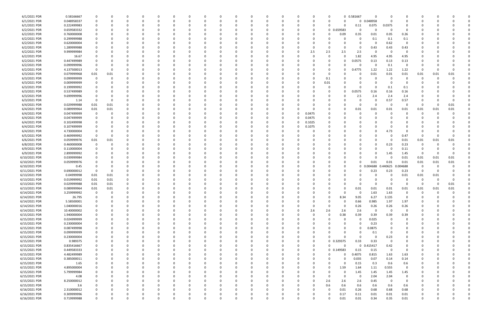| 6/1/2021 PDR  | 0.58166667  |                         | 0        |          | 0        |          |          |          | 0        |   |   | 0            |              | C      | $\Omega$    |            | 0 0.581667   | $\Omega$   |              |                |          |      |      |  |
|---------------|-------------|-------------------------|----------|----------|----------|----------|----------|----------|----------|---|---|--------------|--------------|--------|-------------|------------|--------------|------------|--------------|----------------|----------|------|------|--|
| 6/1/2021 PDR  | 0.048958337 | 0                       |          |          | $\Omega$ |          |          |          |          |   |   | 0            | 0            | C      | 0           |            |              | 0 0.048958 | $\Omega$     | 0              | C.       |      |      |  |
| 6/1/2021 PDR  | 0.222499983 | 0                       |          |          |          |          |          |          |          |   |   |              |              |        |             |            |              | 0.075      | 0.0375       |                |          |      |      |  |
|               |             |                         |          |          |          |          |          |          |          |   |   |              |              | C      | 0           |            | 0.11         |            |              | 0              |          |      |      |  |
| 6/2/2021 PDR  | 0.659583332 |                         |          |          |          |          |          |          |          |   |   |              |              | C      | $\mathbf 0$ | 0.659583   | 0            | 0          | $\Omega$     | $\Omega$       |          |      |      |  |
| 6/2/2021 PDR  | 0.760000008 |                         |          |          |          |          |          |          |          |   |   |              |              |        |             | 0.09       | 0.35         | 0.01       | 0.05         | 0.26           |          |      |      |  |
| 6/2/2021 PDR  | 0.299999988 |                         |          |          | C.       |          |          |          |          |   |   |              |              | C      |             |            | 0            | 0.1        | 0.1          | 0.1            |          |      |      |  |
|               |             |                         |          |          |          |          |          |          |          |   |   |              |              |        |             |            |              |            |              |                |          |      |      |  |
| 6/2/2021 PDR  | 0.620000004 |                         |          |          |          |          |          |          |          |   |   |              |              |        |             |            |              | 0          | 0.62         | $\overline{0}$ |          |      |      |  |
| 6/2/2021 PDR  | 1.289999988 |                         |          |          |          |          |          |          |          |   |   |              |              | C      |             |            |              | 0.43       | 0.43         | 0.43           |          |      |      |  |
|               |             |                         |          |          |          |          |          |          |          |   |   |              |              |        |             |            |              |            |              |                |          |      |      |  |
| 6/2/2021 PDR  | 9.999999984 |                         |          |          |          |          |          |          |          |   |   |              |              | 2.5    | 2.5         | 2.5        | 2.5          | 0          | - 0          | $\Omega$       |          |      |      |  |
| 6/2/2021 PDR  | 16.67       |                         |          |          |          |          |          |          |          |   |   |              |              | C      | 0           |            | 1.82         | 4.95       | 4.95         | 4.95           |          |      |      |  |
| 6/2/2021 PDR  | 0.447499989 |                         |          |          |          |          |          |          |          |   |   |              |              |        | - 0         |            | 0.0575       | 0.13       | 0.13         | 0.13           |          |      |      |  |
|               |             |                         |          |          |          |          |          |          |          |   |   |              |              |        |             |            |              |            |              |                |          |      |      |  |
| 6/2/2021 PDR  | 0.099999996 |                         |          |          | O        |          |          |          |          |   |   |              |              |        | - 0         |            |              | 0          | 0.1          | 0              |          |      |      |  |
| 6/2/2021 PDR  | 4.137500013 | 0                       |          |          |          |          |          |          |          |   |   |              |              |        | 0           |            | 0.4775       | 1.22       | 1.22         | 1.22           | 0        |      |      |  |
| 6/3/2021 PDR  | 0.079999968 | 0.01                    | 0.01     |          |          |          |          |          |          |   |   |              |              |        | 0           |            |              | 0.01       | 0.01         | 0.01           | 0.01     | 0.01 | 0.01 |  |
|               |             |                         |          |          |          |          |          |          |          |   |   |              |              |        |             |            |              |            |              |                |          |      |      |  |
| 6/3/2021 PDR  | 0.099999999 | 0                       | 0        |          |          |          |          |          |          |   |   |              |              | C      | 0.1         |            |              | 0          | - 0          | 0              | 0        |      |      |  |
| 6/3/2021 PDR  | 0.009999999 | 0                       |          |          |          |          |          |          |          |   |   |              |              | C      | 0.01        |            |              | 0          | - 0          | 0              |          |      |      |  |
| 6/3/2021 PDR  | 0.199999992 |                         |          |          |          |          |          |          |          |   |   |              |              |        | - 0         |            |              | $\Omega$   | 0.1          | 0.1            |          |      |      |  |
|               |             |                         |          |          |          |          |          |          |          |   |   |              |              |        |             |            |              |            |              |                |          |      |      |  |
| 6/3/2021 PDR  | 0.537499989 |                         |          |          |          |          |          |          |          |   |   |              |              |        |             |            | 0.0575       | 0.16       | 0.16         | 0.16           |          |      |      |  |
| 6/3/2021 PDR  | 9.699999996 |                         |          |          |          |          |          |          |          |   |   |              |              |        |             |            | 2.5          | 2.4        | 2.4          | 2.4            |          |      |      |  |
| 6/3/2021 PDR  | 1.14        | - 0                     | -0       |          |          |          |          |          |          |   |   |              |              |        |             |            |              | 0          | 0.57         | 0.57           |          |      |      |  |
|               |             |                         |          |          |          |          |          |          |          |   |   |              |              |        |             |            |              |            |              |                |          |      |      |  |
| 6/4/2021 PDR  | 0.029999988 | 0.01                    | 0.01     |          |          |          |          |          |          |   |   |              |              |        |             |            |              | 0          | - 0          | $\Omega$       | 0        |      | 0.01 |  |
| 6/4/2021 PDR  | 0.089999964 | 0.01                    | 0.01     |          |          |          |          |          |          |   |   |              |              | C      |             |            | 0.01         | 0.01       | 0.01         | 0.01           | 0.01     | 0.01 | 0.01 |  |
| 6/4/2021 PDR  | 0.047499999 | - 0                     |          |          |          |          |          |          |          |   |   | C            | 0            | 0.0475 |             |            |              | 0          |              | O              | 0        |      |      |  |
|               |             |                         |          |          |          |          |          |          |          |   |   |              |              |        |             |            |              |            |              |                |          |      |      |  |
| 6/4/2021 PDR  | 0.047499999 | 0                       |          |          | C.       |          |          |          |          |   |   | <sup>0</sup> | $\Omega$     | 0.0475 |             |            |              | 0          |              |                |          |      |      |  |
| 6/4/2021 PDR  | 0.102499998 |                         |          |          |          |          |          |          |          |   |   | C            | <sup>0</sup> | 0.1025 |             |            |              | -0         |              |                |          |      |      |  |
| 6/4/2021 PDR  | 0.107499999 |                         |          |          |          |          |          |          |          |   |   |              |              |        |             |            |              | 0          |              |                |          |      |      |  |
|               |             |                         |          |          |          |          |          |          |          |   |   |              |              | 0.1075 |             |            |              |            |              |                |          |      |      |  |
| 6/4/2021 PDR  | 4.730000004 | 0                       |          |          |          |          |          |          |          |   |   |              |              | -C     |             |            |              | 0          | 4.73         | $\Omega$       |          |      |      |  |
| 6/5/2021 PDR  | 0.469999992 | $\overline{\mathbf{0}}$ |          |          |          |          |          |          |          |   |   |              |              |        |             |            |              |            | - 0          | 0.47           | 0        |      |      |  |
| 6/6/2021 PDR  |             |                         |          |          |          |          |          |          |          |   |   |              |              |        |             |            |              | 0          | - 0          |                |          |      |      |  |
|               | 0.059999976 | 0.01                    | 0.01     |          |          |          |          |          |          |   |   |              |              |        |             |            |              |            |              | 0.01           | 0.01     | 0.01 | 0.01 |  |
| 6/8/2021 PDR  | 0.460000008 | - 0                     |          |          |          |          |          |          |          |   |   |              |              |        |             |            |              | 0          | 0.23         | 0.23           | 0        |      |      |  |
| 6/9/2021 PDR  | 0.110000004 | 0                       |          |          | O        |          |          |          |          |   |   |              |              |        |             |            |              | 0          | - 0          | 0.11           | 0        |      |      |  |
|               |             |                         |          |          |          |          |          |          |          |   |   |              |              |        |             |            |              |            |              |                |          |      |      |  |
| 6/9/2021 PDR  | 2.899999992 |                         |          |          |          |          |          |          |          |   |   |              |              |        |             |            |              | 0          | 1.45         | 1.45           | - 0      |      |      |  |
| 6/10/2021 PDR | 0.039999984 |                         |          |          |          |          |          |          |          |   |   |              |              |        |             |            |              | $\Omega$   | - 0          | 0.01           | 0.01     | 0.01 | 0.01 |  |
| 6/10/2021 PDR | 0.059999976 |                         |          |          |          |          |          |          |          |   |   |              |              |        |             |            |              | 0.01       | 0.01         | 0.01           | 0.01     | 0.01 | 0.01 |  |
|               |             |                         |          |          |          |          |          |          |          |   |   |              |              |        |             |            |              |            |              |                |          |      |      |  |
| 6/10/2021 PDR | 0.45        |                         |          |          |          |          |          |          |          |   |   |              |              |        |             |            | 0            | 0.004688   | .440625<br>n | .004688        | 0        |      |      |  |
| 6/11/2021 PDR | 0.690000012 | - 0                     | $\Omega$ |          |          |          |          |          |          |   |   |              |              |        |             |            |              | 0.23       | 0.23         | 0.23           | - 0      |      |      |  |
| 6/13/2021 PDR | 0.04999998  | 0.01                    | 0.01     |          |          |          |          |          |          |   |   |              |              |        |             |            |              | 0          |              | 0.01           | 0.01     | 0.01 |      |  |
|               |             |                         |          |          |          |          |          |          |          |   |   |              |              |        |             |            |              |            |              |                |          |      |      |  |
| 6/13/2021 PDR | 0.019999992 | 0.01                    | 0.01     |          |          |          |          |          |          |   |   |              |              |        |             |            |              | -0         |              |                | C        |      |      |  |
| 6/13/2021 PDR | 0.029999988 | 0.01                    | 0.01     |          |          |          |          |          |          |   |   |              |              |        |             |            |              | - വ        |              |                | C.       |      | 0.01 |  |
| 6/13/2021 PDR | 0.089999964 | 0.01                    | 0.01     |          | $\Omega$ |          |          |          |          |   |   |              |              |        |             |            | 0.01         | 0.01       | 0.01         | 0.01           | 0.01     | 0.01 | 0.01 |  |
|               |             |                         |          |          |          |          |          |          |          |   |   |              |              |        |             |            |              |            |              |                |          |      |      |  |
| 6/14/2021 PDR | 3.259999992 | $\overline{0}$          | $\Omega$ |          |          |          |          |          |          |   |   |              |              |        |             |            |              | 1.63       | 1.63         | $\Omega$       | $\Omega$ |      |      |  |
| 6/14/2021 PDR | 26.795      | 0                       | -0       | 0        | 0        |          |          | 0        | $\Omega$ |   |   | 0            |              | 0      | $\Omega$    | 8.34       | 9.05         | 6.27       | 3.135        | $\mathbf 0$    | 0        |      |      |  |
| 6/14/2021 PDR | 5.58500001  | 0                       |          |          | 0        |          |          | $\Omega$ | $\Omega$ |   |   |              | 0            | 0      | $\Omega$    | $\Omega$   | 0.66         | 0.985      | 1.97         | 1.97           | 0        |      |      |  |
|               |             |                         |          |          |          |          |          |          |          |   |   | 0            |              |        |             |            |              |            |              |                |          |      |      |  |
| 6/14/2021 PDR | 1.040000016 | 0                       |          |          | 0        |          |          |          |          |   |   | 0            | $\Omega$     | 0      | 0           | $\Omega$   | 0.26         | 0.26       | 0.26         | 0.26           |          |      |      |  |
| 6/14/2021 PDR | 10.40000002 |                         |          |          | 0        |          |          |          |          |   |   |              | 0            | 2.6    | 2.6         | 2.6        | 2.6          | 0          | $\Omega$     | $\overline{0}$ |          |      |      |  |
|               |             |                         |          |          |          |          |          |          |          |   |   |              |              |        |             |            |              |            |              |                |          |      |      |  |
| 6/15/2021 PDR | 1.940000004 | 0                       |          |          | 0        |          |          |          |          |   |   | 0            | 0            | 0      | 0           | 0.38       | 0.39         | 0.39       | 0.39         | 0.39           | 0        |      |      |  |
| 6/15/2021 PDR | 0.024999999 | $\mathbf 0$             |          |          | 0        |          |          |          | 0        |   |   | 0            | $\Omega$     | 0      | 0           | $\Omega$   | $\mathbf 0$  | 0.025      | $\Omega$     | $\overline{0}$ |          |      |      |  |
| 6/15/2021 PDR | 0.230000004 | 0                       |          |          | 0        |          |          |          | 0        |   |   | 0            | 0            | C      |             |            | 0            | 0.23       | 0            | 0              | 0        |      |      |  |
|               | 0.087499998 | $\mathbf 0$             | 0        |          | 0        |          | $\Omega$ |          | 0        |   |   |              | 0            | 0      |             | 0          | $\Omega$     | 0.0875     | $\Omega$     | 0              | 0        |      |      |  |
| 6/15/2021 PDR |             |                         |          |          |          |          |          |          |          |   |   | 0            |              |        |             |            |              |            |              |                |          |      |      |  |
| 6/15/2021 PDR | 0.099999999 | 0                       |          |          | 0        |          |          |          | 0        |   |   | 0            | 0            | 0      |             |            |              | 0.1        | $\Omega$     | 0              | 0        |      |      |  |
| 6/15/2021 PDR | 0.230000004 |                         |          |          | 0        |          |          |          | 0        |   |   | 0            | 0            | 0      | $\Omega$    |            | O            | 0          | 0.23         | 0              |          |      |      |  |
|               |             | 0                       |          |          |          |          |          |          |          |   |   | 0            | 0            | 0      |             | 0 0.329375 | 0.33         | 0.33       | $\Omega$     |                | 0        |      |      |  |
| 6/15/2021 PDR | 0.989375    |                         |          | 0        | 0        |          |          |          |          |   |   |              |              |        |             |            |              |            |              | 0              |          |      |      |  |
| 6/15/2021 PDR | 0.835416667 | $\mathbf 0$             |          | 0        | 0        |          |          |          | 0        |   |   | 0            | 0            | 0      | $\Omega$    | $\Omega$   | $\mathbf{0}$ | 0.415417   | 0.42         | $\mathbf 0$    |          |      |      |  |
| 6/15/2021 PDR | 0.449583333 | $\mathbf 0$             |          |          | 0        |          |          |          | 0        |   |   | 0            | $\Omega$     | 0      |             | 0 0.149583 | 0.15         | 0.15       | $\mathbf 0$  | $\overline{0}$ | 0        |      |      |  |
|               |             |                         |          |          |          |          |          |          |          |   |   |              |              |        |             | U          |              |            |              |                |          |      |      |  |
| 6/15/2021 PDR | 4.482499989 | 0                       |          | 0        | 0        |          |          |          | 0        |   |   | 0            | 0            | 0      | $\Omega$    |            | 0.4075       | 0.815      | 1.63         | 1.63           | 0        |      |      |  |
| 6/15/2021 PDR | 0.385000011 | 0                       | 0        | 0        | 0        |          |          | 0        | 0        |   |   | 0            | 0            | 0      | 0           | O          | 0.035        | 0.07       | 0.14         | 0.14           | 0        |      |      |  |
| 6/15/2021 PDR | 1.65        | $\overline{0}$          |          |          | 0        |          |          |          |          |   |   | 0            | 0            |        | 0           | $\Omega$   | 0.15         | 0.3        | 0.6          | 0.6            |          |      |      |  |
|               |             |                         |          |          |          |          |          |          |          |   |   |              |              |        |             |            |              |            |              |                |          |      |      |  |
| 6/15/2021 PDR | 4.895000004 |                         |          | 0        | 0        |          |          |          |          |   |   | 0            | $\Omega$     | 0      | 0           | 1.59       | 1.64         | 1.11       | 0.555        | $\mathbf 0$    |          |      |      |  |
| 6/15/2021 PDR | 5.799999984 | $\overline{0}$          |          |          | 0        |          |          |          |          |   |   | 0            | 0            | 0      | 0           | $\Omega$   | 1.45         | 1.45       | 1.45         | 1.45           | 0        |      |      |  |
| 6/15/2021 PDR | 4.08        | $\overline{0}$          |          |          | 0        |          |          |          |          |   |   | 0            | $\Omega$     | C      | 0           | $\Omega$   | $\mathbf 0$  | 2.04       | 2.04         | 0              |          |      |      |  |
|               |             |                         |          |          |          |          |          |          |          |   |   |              |              |        |             |            |              |            |              |                |          |      |      |  |
| 6/15/2021 PDR | 8.250000012 | 0                       |          |          | 0        |          |          |          | 0        |   |   | 0            | $\Omega$     | 0      | 2.6         | 2.6        | 2.6          | 0.45       | $\mathbf 0$  | $\mathbf 0$    | 0        |      |      |  |
| 6/15/2021 PDR | 3.6         | 0                       | 0        |          | 0        |          | 0        |          | 0        |   |   | 0            | 0            | 0      | 0.6         | 0.6        | 0.6          | 0.6        | 0.6          | 0.6            | 0        |      |      |  |
| 6/16/2021 PDR | 2.310000012 |                         |          |          | 0        |          |          |          |          |   |   | 0            |              | C      | $\Omega$    | 0.01       | 0.26         | 0.68       | 0.68         | 0.68           |          |      |      |  |
|               |             |                         |          |          |          |          |          |          |          |   |   |              |              |        |             |            |              |            |              |                |          |      |      |  |
| 6/16/2021 PDR | 0.309999996 |                         |          |          |          |          |          |          |          |   |   |              |              |        | 0           | 0.17       | 0.11         | 0.01       | 0.01         | 0.01           |          |      |      |  |
| 6/16/2021 PDR | 0.719999988 | $\mathbf 0$             | 0        | $\Omega$ | $\Omega$ | $\Omega$ | $\Omega$ | $\Omega$ | $\Omega$ | 0 | 0 | $\Omega$     | $\mathbf 0$  | 0      | $\Omega$    | 0.01       | 0.01         | 0.34       | 0.35         | 0.01           | 0        |      | 0    |  |
|               |             |                         |          |          |          |          |          |          |          |   |   |              |              |        |             |            |              |            |              |                |          |      |      |  |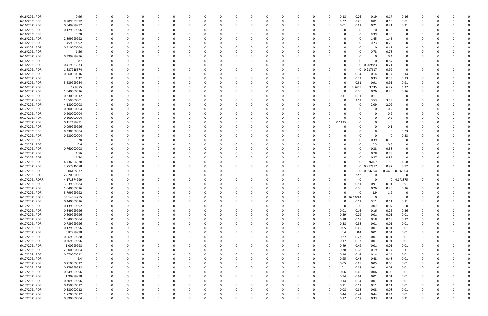|                |             |             |          |          |          | $\Omega$ |          |              |   |          |          |          |          |          |          |          |          |            |             |             |                         |             |          |  |  |
|----------------|-------------|-------------|----------|----------|----------|----------|----------|--------------|---|----------|----------|----------|----------|----------|----------|----------|----------|------------|-------------|-------------|-------------------------|-------------|----------|--|--|
| 6/16/2021 PDR  | 0.96        | 0           |          |          |          |          |          | <sup>0</sup> |   |          | $\Omega$ |          |          |          |          |          | 0.18     | 0.26       | 0.19        | 0.17        | 0.16                    |             |          |  |  |
| 6/16/2021 PDR  | 0.709999992 |             |          |          |          |          |          |              |   |          |          |          |          |          | -0       |          | 0.27     | 0.26       | 0.01        | 0.16        | 0.01                    |             |          |  |  |
| 6/16/2021 PDR  | 0.649999992 |             |          |          |          |          |          |              |   |          |          |          |          |          |          |          | 0.01     | 0.01       | 0.21        | 0.21        | 0.21                    |             |          |  |  |
| 6/16/2021 PDR  | 0.129999996 |             |          |          |          |          |          |              |   |          |          |          |          |          |          |          |          | 0          | $\Omega$    | 0.13        | 0                       |             |          |  |  |
|                |             |             |          |          |          |          |          |              |   |          |          |          |          |          |          |          |          |            |             |             |                         |             |          |  |  |
| 6/16/2021 PDR  | 0.78        |             |          |          |          |          |          |              |   |          |          |          |          |          |          |          |          |            | 0.39        | 0.39        | 0                       |             |          |  |  |
| 6/16/2021 PDR  | 2.899999992 |             |          |          |          |          |          |              |   |          |          |          |          |          |          |          |          | 0          | 1.45        | 1.45        | 0                       |             |          |  |  |
| 6/16/2021 PDR  | 1.459999992 |             |          |          |          |          |          |              |   |          |          |          |          |          |          |          |          | O          | 0.73        | 0.73        | 0                       |             |          |  |  |
| 6/16/2021 PDR  | 0.410000004 |             |          |          |          |          |          |              |   |          |          |          |          |          |          |          |          |            | $\Omega$    | 0.41        |                         |             |          |  |  |
|                |             |             |          |          |          |          |          |              |   |          |          |          |          |          |          |          |          |            |             |             |                         |             |          |  |  |
| 6/16/2021 PDR  | 1.56        |             |          |          |          |          |          |              |   |          |          |          |          |          |          |          |          |            | 0.78        | 0.78        |                         |             |          |  |  |
| 6/16/2021 PDR  | 0.399999996 |             |          |          |          |          |          |              |   |          |          |          |          |          |          |          |          |            | 0           | 0.4         |                         |             |          |  |  |
| 6/16/2021 PDR  | 0.87        |             |          |          |          |          |          |              |   |          |          |          |          |          |          |          | O        |            | 0           | 0.87        | O                       |             |          |  |  |
| 6/16/2021 PDR  | 0.419583333 |             |          |          |          |          |          |              |   |          |          |          |          |          |          |          | 0        |            |             | 0.21        | 0                       |             |          |  |  |
|                |             |             |          |          |          |          |          |              |   |          |          |          |          |          |          |          |          |            | 0 0.209583  |             |                         |             |          |  |  |
| 6/16/2021 PDR  | 1.837916674 |             |          |          |          |          |          |              |   |          |          |          |          |          |          |          |          |            | 0 0.917917  | 0.92        | $\Omega$                |             |          |  |  |
| 6/16/2021 PDR  | 0.560000016 |             |          |          |          |          |          |              |   |          |          |          |          |          |          |          | O        | 0.14       | 0.14        | 0.14        | 0.14                    |             |          |  |  |
| 6/16/2021 PDR  | 1.32        |             |          |          |          |          |          |              |   |          |          |          |          |          |          |          | 0        | 0.33       | 0.33        | 0.33        | 0.33                    |             |          |  |  |
|                |             |             |          |          |          |          |          |              |   |          |          |          |          |          |          |          |          |            |             |             |                         |             |          |  |  |
| 6/16/2021 PDR  | 3.639999984 |             |          |          |          |          |          |              |   |          |          |          |          |          |          |          |          | 0.91       | 0.91        | 0.91        | 0.91                    |             |          |  |  |
| 6/16/2021 PDR  | 17.9375     |             |          |          |          |          |          |              |   |          |          |          |          |          |          |          |          | 2.2625     | 3.135       | 6.27        | 6.27                    |             |          |  |  |
| 6/16/2021 PDR  | 1.040000016 |             |          |          |          |          |          |              |   |          |          |          |          |          |          |          | 0        | 0.26       | 0.26        | 0.26        | 0.26                    |             |          |  |  |
| 6/17/2021 PDR  | 0.330000012 |             |          |          |          |          |          |              |   |          |          |          |          |          |          |          | 0.11     | 0.11       | 0.11        | $\mathbf 0$ | 0                       |             |          |  |  |
|                |             |             |          |          |          |          |          |              |   |          |          |          |          |          |          |          |          |            |             |             |                         |             |          |  |  |
| 6/17/2021 PDR  | 10.59000001 |             |          |          |          |          |          |              |   |          |          |          |          |          |          |          | 0        | 3.53       | 3.53        | 3.53        |                         |             |          |  |  |
| 6/17/2021 PDR  | 4.180000008 |             |          |          |          |          |          |              |   |          |          |          |          |          |          |          |          | 0          | 2.09        | 2.09        |                         |             |          |  |  |
| 6/17/2021 PDR  | 0.200000004 |             |          |          |          |          |          |              |   |          |          |          |          |          |          |          |          |            | 0           | 0.2         |                         |             |          |  |  |
| 6/17/2021 PDR  | 0.200000004 |             |          |          |          |          |          |              |   |          |          |          |          |          |          |          |          |            | 0           | 0.2         |                         |             |          |  |  |
|                |             |             |          |          |          |          |          |              |   |          |          |          |          |          |          |          |          |            |             |             |                         |             |          |  |  |
| 6/17/2021 PDR  | 0.200000004 |             |          |          |          |          |          |              |   |          |          |          |          |          |          |          |          |            | 0           | 0.2         |                         |             |          |  |  |
| 6/17/2021 PDR  | 0.112499991 |             |          |          |          |          |          |              |   |          |          |          |          |          |          |          | 0.1125   |            | 0           |             |                         |             |          |  |  |
| 6/17/2021 PDR  | 0.099999996 |             |          |          |          |          |          |              |   |          |          |          |          |          |          |          |          |            | 0           | 0.1         | - 0                     |             |          |  |  |
| 6/17/2021 PDR  |             |             |          |          |          |          |          |              |   |          |          |          |          |          |          |          |          |            | 0           |             |                         |             |          |  |  |
|                | 0.230000004 |             |          |          |          |          |          |              |   |          |          |          |          |          |          |          |          |            |             |             | 0.23                    |             |          |  |  |
| 6/17/2021 PDR  | 0.230000004 |             |          |          |          |          |          |              |   |          |          |          |          |          |          |          |          |            | 0           | - 0         | 0.23                    |             |          |  |  |
| 6/17/2021 PDR  | 0.78        |             |          |          |          |          |          |              |   |          |          |          |          |          |          |          |          |            | 0.39        | 0.39        |                         |             |          |  |  |
| 6/17/2021 PDR  | 0.6         |             |          |          |          |          |          |              |   |          |          |          |          |          |          |          |          |            | 0.3         | 0.3         | O                       |             |          |  |  |
|                |             |             |          |          |          |          |          |              |   |          |          |          |          |          |          |          |          |            |             |             |                         |             |          |  |  |
| 6/17/2021 PDR  | 0.760000008 |             |          |          |          |          |          |              |   |          |          |          |          |          |          |          |          |            | 0.38        | 0.38        | 0                       |             |          |  |  |
| 6/17/2021 PDR  | 1.56        |             |          |          |          |          |          |              |   |          |          |          |          |          |          |          |          |            | 0.78        | 0.78        | $\Omega$                |             |          |  |  |
| 6/17/2021 PDR  | 1.74        |             |          |          |          |          |          |              |   |          |          |          |          |          |          |          | 0        |            | 0.87        | 0.87        | $\Omega$                |             |          |  |  |
| 6/17/2021 PDR  | 4.736666678 |             |          |          |          |          |          |              |   |          |          |          |          |          |          |          | 0        |            | 0 1.576667  | 1.58        | 1.58                    |             |          |  |  |
|                |             |             |          |          |          |          |          |              |   |          |          |          |          |          |          |          |          |            |             |             |                         |             |          |  |  |
| 6/17/2021 PDR  | 2.757916678 |             |          |          |          |          |          |              |   |          |          |          |          |          |          |          |          |            | 0 0.917917  | 0.92        | 0.92                    |             |          |  |  |
| 6/17/2021 PDR  | 1.606458337 |             |          |          |          |          |          |              |   |          |          |          |          |          |          |          |          |            | 0 0.556354  |             | 0.5475 0.502604         |             |          |  |  |
| 6/17/2021 RDRR | 22.20000001 |             |          |          |          |          |          |              |   |          |          |          |          |          |          |          |          | 22.2       | 0           |             | 0                       |             |          |  |  |
| 6/17/2021 RDRR | 4.171874999 |             |          |          |          |          |          |              |   |          |          |          |          |          |          |          |          | $\Omega$   | $\Omega$    | - 0         | 4.171875                |             |          |  |  |
|                |             |             |          |          |          |          |          |              |   |          |          |          |          |          |          |          |          |            |             |             |                         |             |          |  |  |
| 6/17/2021 PDR  | 3.639999984 |             |          |          |          |          |          |              |   |          |          |          |          |          |          |          |          | 0.91       | 0.91        | 0.91        | 0.91                    |             |          |  |  |
| 6/17/2021 PDR  | 1.040000016 | 0           |          |          |          |          |          |              |   |          |          |          |          |          |          |          | 0        | 0.26       | 0.26        | 0.26        | 0.26                    |             |          |  |  |
| 6/17/2021 PDR  | 3.799999992 | $\Omega$    |          |          |          |          |          |              |   |          |          |          |          |          |          |          |          | $\Omega$   | 1.9         | 1.9         |                         | $\Omega$    |          |  |  |
|                |             |             |          |          |          |          |          |              |   | n        |          | $\Omega$ |          |          |          |          |          |            |             |             |                         |             |          |  |  |
| 6/17/2021 RDRR | 36.14064255 | $\mathbf 0$ | $\Omega$ | $\Omega$ | $\Omega$ | $\Omega$ | $\Omega$ | 0            | 0 |          | 0        |          | $\Omega$ | $\Omega$ | $\Omega$ | $\Omega$ |          | 0 36.14064 | $\mathbf 0$ | $\Omega$    | $\overline{0}$          | $\Omega$    | $\Omega$ |  |  |
| 6/17/2021 PDR  | 0.440000016 | 0           |          | 0        |          | $\Omega$ |          | <sup>0</sup> |   |          | $\Omega$ |          |          |          | 0        |          | 0        | 0.11       | 0.11        | 0.11        | 0.11                    |             |          |  |  |
| 6/17/2021 PDR  | 0.139999992 | 0           |          | $\Omega$ |          | $\Omega$ |          | <sup>0</sup> |   |          |          |          |          |          | $\Omega$ |          | $\Omega$ | 0          | 0.07        | 0.07        | $\overline{\mathbf{0}}$ |             |          |  |  |
| 6/17/2021 PDR  | 0.849999996 |             |          |          |          |          |          |              |   |          |          |          |          |          |          |          | 0.01     | 0.16       | 0.16        | 0.26        | 0.26                    |             |          |  |  |
|                |             |             |          |          |          |          |          |              |   |          |          |          |          |          |          |          |          |            |             |             |                         |             |          |  |  |
| 6/17/2021 PDR  | 0.609999996 |             |          |          |          |          |          |              |   |          |          |          |          |          |          |          | 0.29     | 0.29       | 0.01        | 0.01        | 0.01                    |             |          |  |  |
| 6/17/2021 PDR  | 1.040000004 | $\Omega$    |          | 0        |          |          |          |              |   |          |          |          |          |          | 0        |          | 0.18     | 0.18       | 0.18        | 0.18        | 0.32                    | 0           |          |  |  |
| 6/17/2021 PDR  | 0.789999996 | $\mathbf 0$ |          | 0        |          |          |          |              |   |          |          |          |          |          |          |          | 0.38     | 0.38       | 0.01        | 0.01        | 0.01                    | 0           |          |  |  |
| 6/17/2021 PDR  | 0.129999996 | 0           |          | 0        |          | $\Omega$ |          | $\Omega$     |   |          |          |          |          | O        | 0        |          | 0.05     | 0.05       |             | 0.01        |                         | 0           | $\Omega$ |  |  |
|                |             |             |          |          |          |          |          |              |   |          |          |          |          |          |          |          |          |            | 0.01        |             | 0.01                    |             |          |  |  |
| 6/17/2021 PDR  | 0.82999998  | 0           |          | 0        |          | 0        |          | 0            |   |          | 0        |          |          |          | 0        |          | 0.4      | 0.4        | 0.01        | 0.01        | 0.01                    | 0           | 0        |  |  |
| 6/17/2021 PDR  | 0.569999988 |             |          |          |          |          |          |              |   |          |          |          |          |          |          |          | 0.27     | 0.27       | 0.01        | 0.01        | $0.01\,$                |             |          |  |  |
| 6/17/2021 PDR  | 0.369999996 | $\Omega$    |          |          |          |          |          |              |   |          |          |          |          |          | 0        |          | 0.17     | 0.17       | 0.01        | 0.01        | 0.01                    | 0           |          |  |  |
|                |             |             |          |          |          |          |          |              |   |          |          |          |          |          |          |          |          |            |             |             |                         |             |          |  |  |
| 6/17/2021 PDR  | 1.00999998  | 0           |          | 0        |          |          |          |              |   |          |          |          |          |          |          |          | 0.49     | 0.49       | 0.01        | 0.01        | 0.01                    | 0           |          |  |  |
| 6/17/2021 PDR  | 2.000000004 | $\mathbf 0$ |          | $\Omega$ |          | $\Omega$ |          |              |   |          |          |          |          |          |          |          | 0.78     | 0.78       | 0.19        | 0.14        | 0.11                    | 0           |          |  |  |
| 6/17/2021 PDR  | 0.570000012 | $\Omega$    |          | 0        |          | $\Omega$ |          | 0            |   |          |          |          |          |          | 0        |          | 0.14     | 0.14       | 0.14        | 0.14        | 0.01                    | 0           | - 0      |  |  |
| 6/17/2021 PDR  | 2.4         |             |          | 0        |          |          |          | 0            |   |          |          |          |          |          | 0        |          | 0.95     | 0.48       | 0.48        | 0.48        | $0.01\,$                | 0           | - 0      |  |  |
|                |             |             |          |          |          |          |          |              |   |          |          |          |          |          |          |          |          |            |             |             |                         |             |          |  |  |
| 6/17/2021 PDR  | 0.210000012 |             |          |          |          |          |          |              |   |          |          |          |          |          |          |          | 0.05     | 0.05       | 0.05        | 0.05        | 0.01                    |             |          |  |  |
| 6/17/2021 PDR  | 0.179999988 |             |          |          |          |          |          |              |   |          |          |          |          |          |          |          | 0.1      | 0.05       | 0.01        | 0.01        | 0.01                    |             |          |  |  |
| 6/17/2021 PDR  | 0.249999996 |             |          |          |          |          |          |              |   |          |          |          |          |          |          |          | 0.06     | 0.06       | 0.06        | 0.06        | 0.01                    |             |          |  |  |
| 6/17/2021 PDR  | 1.90999998  | $\Omega$    |          | $\Omega$ |          |          |          |              |   |          |          |          |          |          |          |          | 0.94     | 0.94       | 0.01        | 0.01        |                         | 0           |          |  |  |
|                |             |             |          |          |          |          |          |              |   |          |          |          |          |          |          |          |          |            |             |             | 0.01                    |             |          |  |  |
| 6/17/2021 PDR  | 0.309999996 | $\mathbf 0$ |          |          |          |          |          |              |   |          |          |          |          |          |          |          | 0.14     | 0.14       | 0.01        | 0.01        | 0.01                    | 0           |          |  |  |
| 6/17/2021 PDR  | 0.450000012 | 0           |          | 0        |          |          |          |              |   |          |          |          |          |          |          |          | 0.11     | 0.11       | 0.11        | 0.11        | 0.01                    | 0           |          |  |  |
| 6/17/2021 PDR  | 0.330000012 |             |          | 0        |          | 0        |          |              |   |          |          |          |          |          |          |          | 0.08     | 0.08       | 0.08        | 0.08        | 0.01                    | 0           |          |  |  |
|                |             |             |          |          |          |          |          |              |   |          |          |          |          |          |          |          |          |            |             |             |                         |             |          |  |  |
| 6/17/2021 PDR  | 1.770000012 |             |          |          |          |          |          |              |   |          |          |          |          |          |          |          | 0.44     | 0.44       | 0.44        | 0.44        | 0.01                    |             |          |  |  |
| 6/17/2021 PDR  | 0.890000004 | $\mathbf 0$ |          | $\Omega$ | $\Omega$ | $\Omega$ | $\Omega$ | $\Omega$     | 0 | $\Omega$ | $\Omega$ |          | $\Omega$ | $\Omega$ | $\Omega$ |          | 0.17     | 0.17       | 0.33        | 0.01        | 0.21                    | $\mathbf 0$ | $\Omega$ |  |  |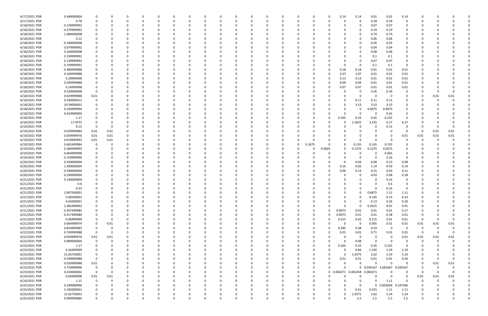| 6/17/2021 PDR | 0.440000004 |             |               |          |          |               | 0            |          |   | -0            |          |          |          |          |          | 0.14                         | 0.14     | 0.01                | 0.01           | 0.14           |             |          |          |  |
|---------------|-------------|-------------|---------------|----------|----------|---------------|--------------|----------|---|---------------|----------|----------|----------|----------|----------|------------------------------|----------|---------------------|----------------|----------------|-------------|----------|----------|--|
| 6/17/2021 PDR | 0.78        |             |               |          |          |               | <sup>0</sup> | $\Omega$ |   |               |          |          |          | $\Omega$ |          | $\Omega$                     | $\Omega$ | 0.39                | 0.39           | $\Omega$       |             |          |          |  |
| 6/18/2021 PDR | 0.139999992 |             |               |          |          |               |              |          |   |               |          |          |          |          |          |                              | 0        | 0.07                | 0.07           |                |             |          |          |  |
| 6/18/2021 PDR | 0.379999992 |             |               |          |          |               |              |          |   |               |          |          |          |          |          |                              | 0        | 0.19                | 0.19           |                |             |          |          |  |
| 6/18/2021 PDR | 1.480000008 |             |               |          |          |               |              |          |   |               |          |          |          |          |          |                              |          | 0.74                | 0.74           |                |             |          |          |  |
| 6/18/2021 PDR | 0.12        |             |               |          |          |               |              |          |   |               |          |          |          |          |          |                              | 0        | 0.06                | 0.06           | $\Omega$       |             |          |          |  |
| 6/18/2021 PDR | 0.100000008 |             |               |          |          |               |              |          |   |               |          |          |          |          |          |                              | 0        | 0.05                | 0.05           | 0              |             |          |          |  |
| 6/18/2021 PDR | 0.079999992 |             |               |          |          |               |              |          |   |               |          |          |          |          |          |                              | $\Omega$ | 0.04                | 0.04           |                |             |          |          |  |
| 6/18/2021 PDR | 0.160000008 |             |               |          |          |               |              |          |   |               |          |          |          |          |          |                              | 0        | 0.08                | 0.08           |                |             |          |          |  |
| 6/18/2021 PDR | 0.199999992 |             |               |          |          |               |              |          |   |               |          |          |          |          |          |                              | 0        | 0.1                 | 0.1            |                |             |          |          |  |
| 6/18/2021 PDR | 0.139999992 |             |               |          |          |               |              |          |   |               |          |          |          |          |          |                              |          | 0.07                | 0.07           |                |             |          |          |  |
| 6/18/2021 PDR | 0.199999992 |             |               |          |          |               |              |          |   |               |          |          |          |          |          | <sup>0</sup>                 | 0        | 0.1                 | 0.1            | 0              |             |          |          |  |
| 6/18/2021 PDR | 0.389999988 |             |               |          |          |               |              |          |   |               |          |          |          |          |          | 0.18                         | 0.18     | 0.01                | 0.01           | 0.01           |             |          |          |  |
| 6/18/2021 PDR | 4.169999988 |             |               |          |          |               |              |          |   |               |          |          |          |          |          | 2.07                         | 2.07     | 0.01                | 0.01           | 0.01           |             |          |          |  |
| 6/18/2021 PDR | 0.28999998  |             |               |          |          |               |              |          |   |               |          |          |          |          |          | 0.13                         | 0.13     | 0.01                | 0.01           | 0.01           |             |          |          |  |
| 6/18/2021 PDR | 0.209999988 |             |               |          |          |               |              |          |   |               |          |          |          |          |          | 0.09                         | 0.09     | 0.01                | 0.01           | 0.01           |             |          |          |  |
| 6/18/2021 PDR | 0.16999998  |             |               |          |          |               |              |          |   |               |          |          |          |          |          | 0.07                         | 0.07     | 0.01                | 0.01           | 0.01           |             |          |          |  |
| 6/18/2021 PDR | 0.520000008 | - 0         |               |          |          |               |              |          |   |               |          |          |          |          |          |                              | 0        | 0.26                | 0.26           | 0              |             |          |          |  |
| 6/18/2021 PDR | 0.029999988 | 0.01        |               |          |          |               |              |          |   |               |          |          |          |          |          |                              | 0        | -C                  | - 0            | 0              | 0           | 0.01     | 0.01     |  |
| 6/18/2021 PDR | 0.330000012 |             |               |          |          |               |              |          |   |               |          |          |          |          |          |                              | 0.11     | 0.11                | 0.11           | 0              |             |          |          |  |
| 6/18/2021 PDR | 10.59000001 |             |               |          |          |               |              |          |   |               |          |          |          |          |          | 0                            | 3.53     | 3.53                | 3.53           |                |             |          |          |  |
| 6/18/2021 PDR | 0.194999994 |             |               |          |          |               |              |          |   |               |          |          |          |          |          |                              | 0        | 0.0975              | 0.0975         |                |             |          |          |  |
| 6/18/2021 PDR | 0.410000004 |             |               |          |          |               |              |          |   |               |          |          |          |          |          |                              | 0        | -C                  | 0.41           |                |             |          |          |  |
| 6/18/2021 PDR | 1.17        |             |               |          |          |               |              |          |   |               |          |          |          |          |          | 0.165                        | 0.33     | 0.45                | 0.225          | $\Omega$       |             |          |          |  |
| 6/18/2021 PDR | 17.9375     |             |               |          |          |               |              |          |   |               |          |          |          |          |          |                              | .2625    | 3.135               | 6.27           | 6.27           |             |          |          |  |
| 6/19/2021 PDR | 0.15        | - 0         | O             |          |          |               |              |          |   |               |          |          |          |          |          |                              | 0        | 0                   | 0.15           | $\Omega$       |             |          |          |  |
| 6/19/2021 PDR | 0.039999984 | 0.01        | 0.01          |          |          |               |              |          |   |               |          |          |          |          |          |                              |          |                     |                | $\Omega$       | -0          | 0.01     | 0.01     |  |
| 6/19/2021 PDR | 0.059999976 | 0.01        | 0.01          |          |          |               |              |          |   |               |          |          |          |          |          |                              |          |                     |                | 0.01           | 0.01        | 0.01     | 0.01     |  |
| 6/19/2021 PDR | 0.019999992 | 0.01        | 0.01          |          |          |               |              |          |   |               |          |          |          |          |          |                              |          | ſ                   |                | 0              | 0           |          |          |  |
| 6/19/2021 PDR | 0.602499984 | 0           |               |          |          |               |              |          |   |               |          |          | 0        | 0.1675   |          | 0                            | 0.135    | 0.145               | 0.155          |                |             |          |          |  |
| 6/19/2021 PDR | 0.384999993 |             |               |          |          |               |              |          |   |               |          |          |          | -0       | 0.0825   | 0                            | 0.1375   | 0.1375              | 0.0275         |                |             |          |          |  |
| 6/19/2021 PDR | 0.064999998 |             |               |          |          |               |              |          |   |               |          |          |          |          |          |                              | 0        | 0                   | 0.065          | 0              |             |          |          |  |
| 6/19/2021 PDR | 0.159999996 |             |               |          |          |               |              |          |   |               |          |          |          |          |          |                              | $\Omega$ | 0                   | 0.16           | 0              |             |          |          |  |
| 6/20/2021 PDR | 0.350000004 |             |               |          |          |               |              |          |   |               |          |          |          |          |          | 0                            | 0.04     | 0.08                | 0.15           | 0.08           |             |          |          |  |
| 6/20/2021 PDR | 2.390000004 |             |               |          |          |               |              |          |   |               |          |          |          |          |          | 0.16                         | 0.02     | 1.14                | 0.93           | 0.14           |             |          |          |  |
| 6/20/2021 PDR | 0.590000004 |             |               |          |          |               |              |          |   |               |          |          |          |          |          | 0.06                         | 0.14     | 0.25                | 0.03           | 0.11           |             |          |          |  |
| 6/20/2021 PDR | 0.290000004 |             |               |          |          |               |              |          |   |               |          |          |          |          |          |                              | 0        |                     | 0.08           |                |             |          |          |  |
| 6/21/2021 PDR | 0.140000004 |             |               |          |          |               |              |          |   |               |          |          |          |          |          |                              | 0        | 0.03<br>- 0         |                | 0.18<br>0      |             |          |          |  |
|               |             |             |               |          |          |               |              |          |   |               |          |          |          |          |          |                              |          |                     | 0.14           |                |             |          |          |  |
| 6/21/2021 PDR | 0.6         |             |               |          |          |               |              |          |   |               |          |          |          |          |          |                              |          |                     | 0.6            |                |             |          |          |  |
| 6/21/2021 PDR | 0.33        |             |               |          |          |               |              |          |   |               |          |          |          |          |          |                              | 0        | $\Omega$            | 0.33           |                |             |          |          |  |
| 6/21/2021 PDR | 2.907500001 |             | O<br>$\Omega$ | $\Omega$ |          | 0<br>$\Omega$ |              |          |   | 0<br>$\Omega$ | $\Omega$ | $\Omega$ |          | $\Omega$ |          | $\Omega$                     | 0<br>0   | 0.6875              | 1.11           | 1.11           | $\Omega$    |          |          |  |
| 6/21/2021 PDR | 0.60500001  |             |               |          |          |               | 0            | 0        |   |               |          |          |          |          |          |                              |          | 0.145               | 0.23           | 0.23           |             |          |          |  |
| 6/21/2021 PDR | 0.65000001  |             |               | 0        |          | 0             |              |          |   |               |          |          |          | 0        |          | 0                            | 0        | 0.13                | 0.26           | 0.26           | 0           |          |          |  |
| 6/21/2021 PDR | 2.382499992 |             |               | 0        |          |               | 0            | 0        |   |               |          |          |          | 0        | $\Omega$ | $\Omega$                     | 0        | 0.5625              | 0.91           | 0.91           | 0           |          |          |  |
| 6/21/2021 PDR | 0.307499985 |             |               |          |          |               |              |          |   |               |          |          |          | 0        |          | 0.0075                       | 0.01     | 0.01                | 0.01           | 0.27           |             |          |          |  |
| 6/21/2021 PDR | 0.417499989 |             |               |          |          |               | 0            |          |   |               |          |          |          | 0        | 0        | 0.0075                       | 0.01     | 0.01                | 0.38           | 0.01           | 0           |          |          |  |
| 6/21/2021 PDR | 0.96999999  |             | 0             |          |          |               | 0            |          |   |               |          |          |          | 0        | 0        | 0.315                        | 0.42     | 0.215               | 0.01           | 0.01           | $\Omega$    |          |          |  |
| 6/21/2021 PDR | 0.064999974 | 0           | $0.01\,$      |          |          |               | 0            |          |   |               |          |          |          | 0        |          | $\Omega$                     | 0        | 0.005               | $0.01\,$       | 0.01           | 0.01        | 0.01     | 0.01     |  |
| 6/21/2021 PDR | 0.854999985 | $\mathbf 0$ | 0             |          |          | 0             | 0            | 0        |   |               |          |          | $\Omega$ | 0        | $\Omega$ | 0.285                        | 0.38     | 0.19                | $\overline{0}$ | 0              | $\mathbf 0$ |          |          |  |
| 6/22/2021 PDR | 0.749999988 | $\mathbf 0$ | $\Omega$      |          |          | 0             | 0            | 0        |   |               |          |          | $\Omega$ | 0        |          | 0.01                         | 0.01     | 0.71                | 0.01           | 0.01           | - 0         |          | $\Omega$ |  |
| 6/22/2021 PDR | 0.059999976 | 0.01        | $0.01\,$      |          |          | <sup>0</sup>  | 0            | - 0      |   |               |          |          |          | 0        |          | $\Omega$                     | 0        | 0                   | $\Omega$       | 0.01           | 0.01        | 0.01     | 0.01     |  |
| 6/22/2021 PDR | 0.980000004 | $\mathbf 0$ | $\Omega$      |          |          |               | 0            | $\Omega$ |   |               |          |          |          | 0        |          | $\Omega$                     | 0.98     | $\mathbf 0$         | 0              | 0              | $\Omega$    |          |          |  |
| 6/22/2021 PDR | 1.17        |             | 0             |          |          |               | 0            |          |   |               |          |          |          | 0        | $\Omega$ | 0.165                        | 0.33     | 0.45                | 0.225          | - 0            |             |          |          |  |
| 6/23/2021 PDR | 6.56499999  |             |               |          |          | <sup>0</sup>  | 0            |          |   |               |          |          |          | 0        |          | $\Omega$                     | 0.84     | 1.145               | 2.29           | 2.29           |             |          |          |  |
| 6/23/2021 PDR | 15.02750001 | 0           |               |          |          |               |              |          |   |               |          |          |          |          |          | $\Omega$                     | 1.9275   | 2.62                | 5.24           | 5.24           | 0           |          |          |  |
| 6/23/2021 PDR | 0.599999988 | $\mathbf 0$ |               |          |          |               | 0            | 0        |   |               |          |          |          | 0        |          | 0.01                         | 0.01     | 0.01                | $0.01\,$       | 0.56           | 0           |          | $\Omega$ |  |
| 6/23/2021 PDR | 0.029999988 | 0.01        |               |          |          |               | 0            | 0        |   |               |          |          |          | 0        |          | 0                            | 0        | $\Omega$            | $\Omega$       | $\mathbf 0$    | 0           | 0.01     | 0.01     |  |
| 6/23/2021 PDR | 3.759999996 | $\mathbf 0$ |               |          |          |               | 0            | - 0      |   |               | $\Omega$ |          | $\Omega$ | $\Omega$ |          | $\Omega$                     |          | 0 0.039167 3.681667 |                | 0.039167       | 0           | $\Omega$ |          |  |
| 6/23/2021 PDR | 0.410000002 | $\mathbf 0$ | 0             |          |          |               | 0            |          |   |               |          |          |          | $\Omega$ |          | 0 0.004271 0.401458 0.004271 |          |                     |                | 0              | -0          | 0        | 0        |  |
| 6/24/2021 PDR | 0.04999998  | 0.01        | $0.01\,$      |          |          |               | 0            |          |   |               |          |          |          | 0        |          | $\Omega$                     | 0        | 0                   | $\Omega$       | 0              | 0.01        | 0.01     | 0.01     |  |
| 6/24/2021 PDR | 1.11        | $\mathbf 0$ | 0             |          |          |               | 0            |          |   |               |          |          | 0        | 0        |          | $\Omega$                     | 0        | $\Omega$            | 1.11           | $\overline{0}$ | 0           | $\Omega$ |          |  |
| 6/25/2021 PDR | 0.249999996 |             |               | 0        |          | <sup>0</sup>  | 0            | 0        |   |               |          |          |          | 0        |          | 0                            | 0        |                     | 0 0.002604     | 0.247396       | 0           |          |          |  |
| 6/25/2021 PDR | 3.185000001 |             |               | $\Omega$ |          | 0             | 0            | $\Omega$ |   |               |          |          | $\Omega$ | 0        |          | $\Omega$                     | 0.41     | 0.555               | 1.11           | 1.11           | 0           |          |          |  |
| 6/25/2021 PDR | 15.02750001 |             |               | 0        |          | 0             | 0            |          |   |               |          |          |          |          |          | $\Omega$                     | 1.9275   | 2.62                | 5.24           | 5.24           |             |          |          |  |
| 6/25/2021 PDR | 9.999999984 |             | $\Omega$      | $\Omega$ | $\Omega$ | $\Omega$      | $\Omega$     |          | U | $\Omega$      |          | $\Omega$ | $\Omega$ |          |          | 0                            | 2.5      | 2.5                 | 2.5            | 2.5            | $\Omega$    |          | 0        |  |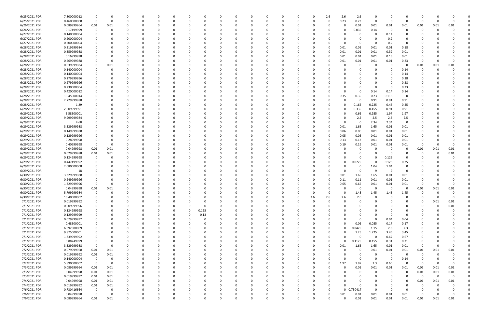| 6/25/2021 PDR | 7.800000012 | 0           |          |          |              | -0       |          |          | C        |          |          | 0        |          |          | n        | 2.6      | 2.6          | 2.6        | 0           |          |                         |             |          |          |  |
|---------------|-------------|-------------|----------|----------|--------------|----------|----------|----------|----------|----------|----------|----------|----------|----------|----------|----------|--------------|------------|-------------|----------|-------------------------|-------------|----------|----------|--|
| 6/25/2021 PDR | 0.460000008 | 0           |          |          | <sup>0</sup> | - 0      |          |          | 0        |          |          | $\Omega$ |          | 0        | 0        | 0        | 0.23         | 0.23       | $\mathbf 0$ | $\Omega$ | 0                       | 0           | -0       |          |  |
| 6/26/2021 PDR | 0.089999964 | 0.01        | 0.01     |          |              |          |          |          |          |          |          |          |          |          |          |          |              | 0.01       | 0.01        | 0.01     | 0.01                    | 0.01        | 0.01     | 0.01     |  |
| 6/26/2021 PDR | 0.17499999  | 0           |          |          |              |          |          |          |          |          |          | 0        |          |          |          |          |              | 0.035      | 0.14        | $\Omega$ | $\Omega$                | -0          | $\Omega$ |          |  |
| 6/27/2021 PDR | 0.140000004 | 0           |          |          |              |          |          |          |          |          |          | 0        |          |          |          |          |              | 0          | 0           | 0.14     | 0                       |             |          |          |  |
| 6/27/2021 PDR | 0.200000004 |             |          |          |              |          |          |          |          |          |          |          |          |          |          |          |              |            |             | 0.2      |                         |             |          |          |  |
|               |             |             |          |          |              |          |          |          |          |          |          |          |          |          |          |          |              |            |             |          |                         |             |          |          |  |
| 6/27/2021 PDR | 0.200000004 |             |          |          |              |          |          |          |          |          |          | $\Omega$ |          |          |          |          |              |            | 0           | 0.2      | - 0                     |             |          |          |  |
| 6/28/2021 PDR | 0.219999984 |             |          |          |              |          |          |          |          |          |          |          |          |          |          |          | 0.01         | 0.01       | 0.01        | 0.01     | 0.18                    |             |          |          |  |
| 6/28/2021 PDR | 0.359999988 |             |          |          |              |          |          |          |          |          |          |          |          |          |          |          | 0.01         | 0.01       | 0.01        | 0.32     | 0.01                    |             |          |          |  |
| 6/28/2021 PDR | 0.16999998  |             |          |          |              |          |          |          |          |          |          | 0        |          |          | C        |          | 0.01         | 0.01       | 0.01        | 0.13     | 0.01                    |             |          |          |  |
| 6/28/2021 PDR | 0.269999988 |             |          |          |              |          |          |          |          |          |          |          |          |          |          |          | 0.01         | 0.01       | 0.01        | 0.01     | 0.23                    | 0           |          |          |  |
| 6/28/2021 PDR | 0.039999984 | 0           | 0.01     |          |              |          |          |          |          |          |          | $\Omega$ |          |          |          |          |              |            | 0           | - 0      | $\Omega$                | 0.01        | 0.01     | 0.01     |  |
| 6/28/2021 PDR | 0.140000004 | 0           |          |          |              |          |          |          |          |          |          | 0        |          |          |          |          |              |            | 0           |          | 0.14                    | $\Omega$    | $\Omega$ |          |  |
| 6/28/2021 PDR | 0.140000004 |             |          |          |              |          |          |          |          |          |          |          |          |          |          |          |              |            | 0           |          | 0.14                    |             |          |          |  |
|               |             |             |          |          |              |          |          |          |          |          |          |          |          |          |          |          |              |            |             |          |                         |             |          |          |  |
| 6/28/2021 PDR | 0.279999996 |             |          |          |              |          |          |          |          |          |          |          |          |          |          |          |              |            | -0          |          | 0.28                    |             |          |          |  |
| 6/28/2021 PDR | 0.279999996 |             |          |          |              |          |          |          |          |          |          |          |          |          |          |          |              |            | 0           |          | 0.28                    |             |          |          |  |
| 6/28/2021 PDR | 0.230000004 |             |          |          |              |          |          |          |          |          |          |          |          |          |          |          |              |            | 0           |          | 0.23                    |             |          |          |  |
| 6/28/2021 PDR | 0.420000012 |             |          |          |              |          |          |          |          |          |          | 0        |          |          |          |          |              |            | 0.14        | 0.14     | 0.14                    |             |          |          |  |
| 6/28/2021 PDR | 1.045000014 |             |          |          |              |          |          |          |          |          |          | - 0      |          |          |          |          | 0.35         | 0.35       | 0.23        | 0.115    | $\Omega$                |             |          |          |  |
| 6/28/2021 PDR | 2.729999988 |             |          |          |              |          |          |          |          |          |          |          |          |          |          |          |              |            | 0.91        | 0.91     | 0.91                    |             |          |          |  |
| 6/28/2021 PDR | 1.29        |             |          |          |              |          |          |          |          |          |          |          |          |          |          |          |              | 0.165      | 0.225       | 0.45     | 0.45                    |             |          |          |  |
| 6/28/2021 PDR | 2.609999991 |             |          |          |              |          |          |          |          |          |          |          |          |          |          |          |              | 0.335      | 0.455       | 0.91     | 0.91                    |             |          |          |  |
|               |             |             |          |          |              |          |          |          |          |          |          |          |          |          |          |          |              |            |             |          |                         |             |          |          |  |
| 6/29/2021 PDR | 5.58500001  |             |          |          |              |          |          |          |          |          |          | 0        |          |          |          |          |              | 0.66       | 0.985       | 1.97     | 1.97                    |             |          |          |  |
| 6/29/2021 PDR | 9.999999984 |             |          |          |              |          |          |          |          |          |          | 0        |          |          |          |          |              | 2.5        | 2.5         | 2.5      | 2.5                     |             |          |          |  |
| 6/29/2021 PDR | 4.68        |             |          |          |              |          |          |          |          |          |          | $\Omega$ |          |          |          |          |              | - 0        | 2.34        | 2.34     | $\Omega$                |             |          |          |  |
| 6/29/2021 PDR | 3.329999988 |             |          |          |              |          |          |          |          |          |          | 0        |          |          |          |          | 0.01         | 1.65       | 1.65        | 0.01     | 0.01                    |             |          |          |  |
| 6/29/2021 PDR | 0.149999988 |             |          |          |              |          |          |          |          |          |          |          |          |          |          |          | 0.06         | 0.06       | 0.01        | 0.01     | 0.01                    |             |          |          |  |
| 6/29/2021 PDR | 0.129999996 |             |          |          |              |          |          |          |          |          |          |          |          |          |          |          | 0.05         | 0.05       | 0.01        | 0.01     | 0.01                    |             |          |          |  |
| 6/29/2021 PDR | 0.28999998  | -0          |          |          |              |          |          |          |          |          |          | $\Omega$ |          |          |          |          | 0.13         | 0.13       | 0.01        | 0.01     | 0.01                    |             |          |          |  |
| 6/29/2021 PDR | 0.40999998  | 0           |          |          |              |          |          |          |          |          |          |          |          |          |          |          | 0.19         | 0.19       | 0.01        | 0.01     | 0.01                    | $\Omega$    |          |          |  |
|               |             |             |          |          |              |          |          |          |          |          |          | $\Omega$ |          |          |          |          |              |            | -0          |          | - 0                     |             |          | 0.01     |  |
| 6/29/2021 PDR | 0.04999998  | 0.01        | 0.01     |          |              |          |          |          |          |          |          |          |          |          |          |          |              |            |             |          |                         | 0.01        | 0.01     |          |  |
| 6/29/2021 PDR | 0.029999988 | 0.01        | 0.01     |          |              |          |          |          |          |          |          | 0        |          |          |          |          |              |            | 0           |          |                         |             | -0       | 0.01     |  |
| 6/29/2021 PDR | 0.124999998 | 0           |          |          |              |          |          |          |          |          |          |          |          |          |          |          |              |            | 0           | 0.125    | 0                       |             |          |          |  |
| 6/29/2021 PDR | 0.447499992 | -0          |          |          |              |          |          |          |          |          |          |          |          |          |          |          |              | 0.0725     | 0           | 0.125    | 0.25                    |             |          |          |  |
| 6/29/2021 PDR | 2.080000008 |             |          |          |              |          |          |          |          |          |          | 0        |          |          |          |          |              | 0          | 1.04        | 1.04     | 0                       |             |          |          |  |
| 6/29/2021 PDR | 18          |             |          |          |              |          |          |          |          |          |          | 0        |          |          |          |          |              | 0          | -9          | 9        | 0                       |             |          |          |  |
| 6/30/2021 PDR | 3.329999988 |             |          |          |              |          |          |          |          |          |          | - 0      |          |          |          |          | 0.01         | 1.65       | 1.65        | 0.01     | 0.01                    |             |          |          |  |
| 6/30/2021 PDR | 0.249999996 |             |          |          |              |          |          |          |          |          |          |          |          |          |          |          | 0.11         | 0.11       | 0.01        | 0.01     | 0.01                    |             |          |          |  |
|               |             |             |          |          |              |          |          |          |          |          |          |          |          |          |          |          |              | 0.65       |             |          | 0.01                    | -0          |          |          |  |
| 6/30/2021 PDR | 1.329999996 |             |          |          |              |          |          |          |          |          |          |          |          |          |          |          | 0.65         |            | 0.01        | 0.01     |                         |             |          |          |  |
| 6/30/2021 PDR | 0.04999998  | 0.01        | 0.01     |          |              |          |          |          |          |          |          |          |          |          |          |          |              | 0          | $\Omega$    | - 0      | 0                       | 0.01        | 0.01     | 0.01     |  |
| 6/30/2021 PDR | 5.799999984 | $\Omega$    |          |          |              |          |          |          |          |          |          |          |          |          |          |          |              | 1.45       | 1.45        | 1.15     | 1.15                    | $\Omega$    |          |          |  |
| 6/30/2021 PDR | 10.40000002 | 0           |          | $\Omega$ | 0            | $\Omega$ | $\Omega$ | $\Omega$ | 0        | $\Omega$ | $\Omega$ | 0        | $\Omega$ | $\Omega$ | 2.6      | 2.6      | 2.6          | 2.6        | 0           | $\Omega$ | $\Omega$                | $\Omega$    | $\Omega$ | $\Omega$ |  |
| 7/1/2021 PDR  | 0.019999992 | 0           |          |          | 0            | $\Omega$ | $\Omega$ |          | 0        | 0        | 0        | 0        | $\Omega$ | 0        | $\Omega$ | $\Omega$ | O            | 0          | 0           |          | 0                       | 0           | 0.01     | 0.01     |  |
| 7/1/2021 PDR  | 0.009999996 | 0           |          |          |              | $\Omega$ |          |          | $\Omega$ |          |          | $\Omega$ |          |          | $\Omega$ |          |              |            | $\Omega$    |          | $\Omega$                | $\Omega$    | $\Omega$ | 0.01     |  |
| 7/1/2021 PDR  | 0.124999998 | 0           |          |          | 0            | 0        | - 0      | 0        | 0.125    |          |          | 0        |          | 0        | 0        |          |              |            | 0           |          | 0                       | 0           |          |          |  |
| 7/1/2021 PDR  | 0.129999999 | 0           |          |          |              | $\Omega$ |          | $\Omega$ | 0.13     |          |          | 0        |          |          | C        |          |              |            | 0           |          | 0                       |             |          |          |  |
| 7/1/2021 PDR  | 0.079999992 | 0           |          |          |              | $\Omega$ |          |          | 0        |          |          | $\Omega$ |          |          | 0        |          |              | 0          | $\mathbf 0$ | 0.04     | 0.04                    |             |          |          |  |
|               |             |             |          |          |              |          |          |          |          |          |          |          |          |          |          |          | 0            | 0.06       |             |          |                         |             |          |          |  |
| 7/1/2021 PDR  | 0.48500001  | 0           |          |          |              | $\Omega$ |          |          | 0        |          |          | 0        |          | O        | 0        |          |              |            | 0.085       | 0.17     | 0.17                    | 0           |          |          |  |
| 7/1/2021 PDR  | 6.592500009 | 0           |          |          |              |          |          |          |          |          |          | 0        |          |          | 0        |          |              | 0.8425     | 1.15        | 2.3      | 2.3                     | C           |          |          |  |
| 7/1/2021 PDR  | 9.875000001 |             |          |          |              | - 0      |          |          |          |          |          | 0        |          |          |          |          | $\Omega$     | 1.25       | 1.725       | 3.45     | 3.45                    |             |          |          |  |
| 7/1/2021 PDR  | 1.339999992 | 0           |          |          |              | 0        |          |          |          |          |          | 0        |          |          |          |          | U            | 0          | 0           | 0.67     | 0.67                    |             |          |          |  |
| 7/1/2021 PDR  | 0.88749999  | 0           |          |          |              |          |          |          |          |          |          | 0        |          |          |          |          | U            | 0.1125     | 0.155       | 0.31     | 0.31                    | 0           |          |          |  |
| 7/2/2021 PDR  | 3.329999988 | $\mathbf 0$ |          |          |              | - 0      |          |          |          |          |          | $\Omega$ |          |          | 0        |          | 0.01         | 1.65       | 1.65        | 0.01     | 0.01                    | $\mathbf 0$ |          |          |  |
| 7/2/2021 PDR  | 0.079999968 | 0.01        | 0.01     | 0        |              | $\Omega$ |          |          | 0        |          |          | 0        |          | 0        | 0        |          |              | 0          | 0.01        | 0.01     | 0.01                    | 0.01        | 0.01     | 0.01     |  |
| 7/2/2021 PDR  | 0.019999992 | 0.01        | 0.01     |          |              | 0        |          |          | 0        |          |          | 0        |          |          | 0        |          |              |            | 0           | $\Omega$ | $\overline{0}$          | 0           | $\Omega$ |          |  |
|               |             |             |          |          |              |          |          |          |          |          |          | $\Omega$ |          | $\Omega$ |          |          | <sup>0</sup> | $\Omega$   | $\Omega$    | $\Omega$ |                         |             |          |          |  |
| 7/2/2021 PDR  | 0.140000004 | $\mathbf 0$ | $\Omega$ |          |              | $\Omega$ |          |          | 0        |          |          |          |          |          | 0        |          |              |            |             |          | 0.14                    | -0          |          |          |  |
| 7/2/2021 PDR  | 5.890000002 | $\mathbf 0$ | $\Omega$ |          |              | $\Omega$ |          |          | 0        |          |          | 0        |          | 0        | 0        | $\Omega$ | 1.97         | 1.97       | 1.3         | 0.65     | $\overline{\mathbf{0}}$ | - 0         | $\Omega$ | $\Omega$ |  |
| 7/3/2021 PDR  | 0.089999964 | 0.01        | 0.01     |          |              |          |          |          |          |          |          | 0        |          |          |          |          | U            | $0.01\,$   | 0.01        | $0.01\,$ | 0.01                    | 0.01        | 0.01     | 0.01     |  |
| 7/3/2021 PDR  | 0.04999998  | 0.01        | 0.01     |          |              |          |          |          |          |          |          | 0        |          |          |          |          |              | 0          | 0           | $\Omega$ | $\overline{\mathbf{0}}$ | 0.01        | 0.01     | $0.01\,$ |  |
| 7/3/2021 PDR  | 0.019999992 | 0.01        | 0.01     | 0        |              | -0       |          |          | 0        |          |          | 0        |          |          | 0        |          |              |            | 0           | $\Omega$ | 0                       | 0           | 0        | $\Omega$ |  |
| 7/4/2021 PDR  | 0.04999998  | 0.01        | 0.01     |          |              |          |          |          |          |          |          | 0        |          |          |          |          |              |            | 0           |          | $\Omega$                | 0.01        | 0.01     | 0.01     |  |
| 7/4/2021 PDR  | 0.019999992 | 0.01        | 0.01     |          |              | -0       |          |          |          |          |          | $\Omega$ |          |          |          |          |              |            | 0           |          | O                       | -C          | $\Omega$ |          |  |
| 7/6/2021 PDR  | 0.730416664 | 0           |          |          |              |          |          |          |          |          |          | $\Omega$ |          |          | 0        | $\Omega$ |              | 0 0.730417 | $\Omega$    | $\Omega$ | - 0                     |             |          |          |  |
| 7/6/2021 PDR  | 0.04999998  | $\mathbf 0$ |          |          |              |          |          |          |          |          |          |          |          |          |          |          |              |            |             |          |                         |             |          | $\Omega$ |  |
|               |             |             |          |          |              |          |          |          |          |          |          | 0        |          |          |          |          | 0.01         | 0.01       | 0.01        | 0.01     | 0.01                    | O           |          |          |  |
| 7/6/2021 PDR  | 0.089999964 | 0.01        | 0.01     | $\Omega$ | $\Omega$     | $\Omega$ | $\Omega$ | $\Omega$ |          | $\Omega$ | $\Omega$ | $\Omega$ | $\Omega$ | $\Omega$ | 0        |          | $\Omega$     | 0.01       | 0.01        | 0.01     | 0.01                    | 0.01        | 0.01     | 0.01     |  |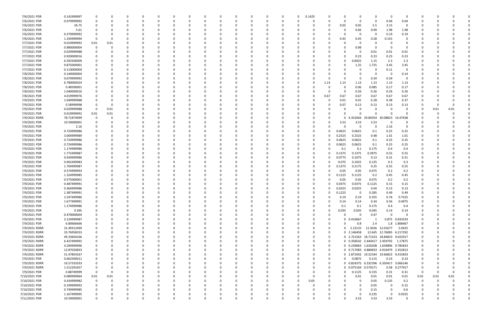| 7/6/2021 PDR                 | 0.142499997                |               | 0                    |          |  |               |              |          |          |          |            |          |          | $\Omega$ | 0.1425         |               |                 |                     |                                       | - 0                      | $\Omega$      |             |      |      |  |
|------------------------------|----------------------------|---------------|----------------------|----------|--|---------------|--------------|----------|----------|----------|------------|----------|----------|----------|----------------|---------------|-----------------|---------------------|---------------------------------------|--------------------------|---------------|-------------|------|------|--|
| 7/6/2021 PDR                 | 0.079999992                | $\Omega$      | 0                    |          |  | 0             |              |          |          |          | -C         |          | $\Omega$ |          | 0              | 0             |                 | 0                   | 0                                     | 0.04                     | 0.04          | 0           |      |      |  |
| 7/6/2021 PDR                 | 26.75                      |               |                      |          |  |               |              |          |          |          |            |          |          |          |                | 0             | 9.05            | 9.05                | 5.5                                   | 3.15                     | - 0           |             |      |      |  |
| 7/6/2021 PDR                 | 5.61                       |               |                      |          |  |               |              |          |          |          |            |          |          |          |                |               |                 | 0.66                | 0.99                                  | 1.98                     | 1.98          |             |      |      |  |
| 7/6/2021 PDR                 | 0.379999992                |               |                      |          |  |               |              |          |          |          |            |          |          |          |                |               |                 | 0                   | 0                                     | 0.19                     | 0.19          |             |      |      |  |
| 7/6/2021 PDR                 | 1.334999994                | $\Omega$      |                      |          |  |               |              |          |          |          |            |          |          |          |                | -0            | 0.45            | 0.45                | 0.28                                  | 0.155                    | 0             |             |      |      |  |
| 7/7/2021 PDR                 | 0.019999992                | 0.01          | 0.01                 |          |  |               |              |          |          |          |            |          |          |          |                |               |                 | 0                   | C                                     |                          | 0             |             |      |      |  |
| 7/7/2021 PDR                 | 0.980000004                | $\Omega$      |                      |          |  |               |              |          |          |          |            |          |          |          |                |               |                 | 0.98                | C                                     |                          | - 0           |             |      |      |  |
| 7/7/2021 PDR                 | 0.029999988                |               |                      |          |  |               |              |          |          |          |            |          |          |          |                |               |                 | 0                   | 0.01                                  | 0.01                     | 0.01          |             |      |      |  |
| 7/7/2021 PDR                 | 0.920000016                |               |                      |          |  |               |              |          |          |          |            |          |          |          |                |               |                 | 0.23                | 0.23                                  | 0.23                     | 0.23          |             |      |      |  |
| 7/7/2021 PDR                 | 6.592500009                |               |                      |          |  |               |              |          |          |          |            |          |          |          |                |               |                 | 0.8425              | 1.15                                  | 2.3                      | 2.3           |             |      |      |  |
| 7/7/2021 PDR                 | 9.875000001                |               |                      |          |  |               |              |          |          |          |            |          |          |          |                |               |                 | 1.25                | 1.725                                 | 3.45                     | 3.45          |             |      |      |  |
| 7/7/2021 PDR                 | 0.110000004                |               |                      |          |  |               |              |          |          |          |            |          |          |          |                |               |                 |                     | C                                     | 0.11                     | - 0           |             |      |      |  |
| 7/8/2021 PDR                 | 0.140000004                |               |                      |          |  |               |              |          |          |          |            |          |          |          |                |               |                 |                     | 0                                     | -0                       | 0.14          |             |      |      |  |
| 7/8/2021 PDR                 | 0.679999992                |               |                      |          |  |               |              |          |          |          |            |          |          |          |                |               |                 | 0                   | 0.34                                  | 0.34                     | - 0           |             |      |      |  |
| 7/8/2021 PDR                 | 6.780000024                |               |                      |          |  |               |              |          |          |          |            |          |          |          |                | 1.13          | 1.13            | 1.13                | 1.13                                  | 1.13                     | 1.13          |             |      |      |  |
| 7/8/2021 PDR                 | 0.48500001                 |               |                      |          |  |               |              |          |          |          |            |          |          |          |                | -C            |                 | 0.06                | 0.085                                 | 0.17                     | 0.17          |             |      |      |  |
| 7/8/2021 PDR                 | 1.040000016                |               |                      |          |  |               |              |          |          |          |            |          |          |          |                | -C            |                 | 0.26                | 0.26                                  | 0.26                     | 0.26          |             |      |      |  |
| 7/8/2021 PDR                 | 4.019999976                |               |                      |          |  |               |              |          |          |          |            |          |          |          |                | 0.67          | 0.67            | 0.67                | 0.67                                  | 0.67                     | 0.67          |             |      |      |  |
| 7/9/2021 PDR                 | 1.049999988                |               |                      |          |  |               |              |          |          |          |            |          |          |          |                | 0             | 0.01            | 0.01                | 0.28                                  | 0.38                     | 0.37          |             |      |      |  |
| 7/9/2021 PDR                 | 0.58999998                 | - 0           |                      |          |  |               |              |          |          |          |            |          |          |          |                |               | 0.07            | 0.13                | 0.13                                  | 0.13                     | 0.13          |             |      |      |  |
| 7/9/2021 PDR                 | 0.029999988                | 0             | 0.01                 |          |  |               |              |          |          |          |            |          |          |          |                |               |                 | 0                   | 0                                     |                          | 0             | C           | 0.01 | 0.01 |  |
| 7/9/2021 PDR                 | 0.019999992                | 0.01          | 0.01                 |          |  |               |              |          |          |          |            |          |          |          |                |               |                 |                     | $\Omega$                              |                          |               |             |      |      |  |
| 7/9/2021 RDRR                | 78.71874999                | - 0           |                      |          |  |               |              |          |          |          |            |          |          |          |                |               |                 | 4.352604            | 29.80354                              | 30.08823                 | 14.47438      |             |      |      |  |
| 7/9/2021 PDR                 | 10.59000001                |               |                      |          |  |               |              |          |          |          |            |          |          |          |                |               | 3.53            | 3.53                | 3.53                                  | - 0                      | 0             |             |      |      |  |
| 7/9/2021 PDR                 | 2.16                       |               |                      |          |  |               |              |          |          |          |            |          |          |          |                |               |                 | 0                   | 0                                     | 2.16                     | 0             |             |      |      |  |
| 7/9/2021 PDR                 | 0.724999986                |               |                      |          |  |               |              |          |          |          |            |          |          |          |                | 0             | 0.0625          | 0.0625              | 0.1                                   | 0.25                     | 0.25          |             |      |      |  |
| 7/9/2021 PDR                 | 3.004999989                |               |                      |          |  |               |              |          |          |          |            |          |          |          |                |               | 0.2525          | 0.2525              | 0.48                                  | 1.01                     | 1.01          |             |      |      |  |
| 7/9/2021 PDR                 | 0.724999986                |               |                      |          |  |               |              |          |          |          |            |          |          |          |                |               | 0.0625          | 0.0625              | 0.1                                   | 0.25                     | 0.25          |             |      |      |  |
| 7/9/2021 PDR                 | 0.724999986                |               |                      |          |  |               |              |          |          |          |            |          |          |          |                | 0             | 0.0625          | 0.0625              | 0.1                                   | 0.25                     | 0.25          |             |      |      |  |
| 7/9/2021 PDR                 | 1.174999986                |               |                      |          |  |               |              |          |          |          |            |          |          |          |                |               | 0.1             | 0.1                 | 0.175                                 | 0.4                      | 0.4           |             |      |      |  |
| 7/9/2021 PDR                 | 1.772499987                |               |                      |          |  |               |              |          |          |          |            |          |          |          |                | -0            | 0.1375          | 0.1375              | 0.3975                                | 0.55                     | 0.55          |             |      |      |  |
| 7/9/2021 PDR                 | 0.934999986                |               |                      |          |  |               |              |          |          |          |            |          |          |          |                | 0             | 0.0775          | 0.1075              | 0.13                                  | 0.31                     | 0.31          |             |      |      |  |
|                              |                            |               |                      |          |  |               |              |          |          |          |            |          |          |          |                |               |                 | 0.1025              |                                       | 0.3                      |               |             |      |      |  |
| 7/9/2021 PDR<br>7/9/2021 PDR | 0.902499983<br>1.704999987 |               |                      |          |  |               |              |          |          |          |            |          |          |          |                | -0<br>0       | 0.075<br>0.1375 | 0.2175              | 0.125<br>0.25                         | 0.55                     | 0.3<br>0.55   |             |      |      |  |
| 7/9/2021 PDR                 | 0.574999993                |               |                      |          |  |               |              |          |          |          |            |          |          |          |                | 0             | 0.05            | 0.05                | 0.075                                 | 0.2                      | 0.2           |             |      |      |  |
| 7/9/2021 PDR                 | 1.324999985                |               |                      |          |  |               |              |          |          |          |            |          |          |          |                | -0            | 0.1125          | 0.1125              | 0.2                                   | 0.45                     | 0.45          |             |      |      |  |
| 7/9/2021 PDR                 | 0.575000001                |               |                      |          |  |               |              |          |          |          |            |          |          |          |                |               | 0.05            | 0.05                | 0.075                                 | 0.2                      | 0.2           |             |      |      |  |
| 7/9/2021 PDR                 |                            |               |                      |          |  |               |              |          |          |          |            |          |          |          |                |               | 0.0375          | 0.0375              |                                       | 0.15                     |               |             |      |      |  |
|                              | 0.487499991<br>0.364999986 | 0             |                      |          |  |               |              |          |          |          |            |          |          |          |                | 0             | 0.0325          | 0.0325              | 0.1125<br>0.04                        | 0.13                     | 0.15<br>0.13  |             |      |      |  |
| 7/9/2021 PDR<br>7/9/2021 PDR | 1.387499991                |               |                      |          |  |               |              |          |          |          |            |          |          |          |                |               | 0.1225          | $\mathbf 0$         | 0.285                                 | 0.49                     | 0.49          |             |      |      |  |
| 7/9/2021 PDR                 | 2.247499986                | $\Omega$      | $\Omega$             | $\Omega$ |  | $\Omega$      | $\Omega$     |          | $\Omega$ | $\Omega$ | $\Omega$   | $\Omega$ | $\Omega$ | $\Omega$ | $\Omega$       | $\Omega$      | 0.19            | 0.19                |                                       | 0.76                     | 0.7525        | $\Omega$    |      |      |  |
|                              |                            | $\Omega$      | O                    | n        |  |               |              |          | $\Omega$ |          |            | O        |          |          | $\Omega$       | n             | 0.14            |                     | 0.355                                 | 0.56                     |               |             |      |      |  |
| 7/9/2021 PDR                 | 1.677499991                |               |                      |          |  | 0             | <sup>0</sup> |          | $\Omega$ |          | - 0<br>-C  |          | $\Omega$ |          |                |               |                 | 0.14                | 0.34                                  |                          | 0.4975        | 0           |      |      |  |
| 7/9/2021 PDR<br>7/9/2021 PDR | 1.174999986                | 0<br>$\Omega$ | 0<br>$\Omega$        |          |  | 0<br>$\Omega$ |              |          |          | O        |            |          | - 0      |          | 0<br>$\Omega$  | 0<br>$\Omega$ | 0.1<br>0.035    | 0.1<br>0.035        | 0.175                                 | 0.4<br>0.14              | 0.4<br>0.14   | 0           |      |      |  |
|                              | 0.395                      |               |                      |          |  |               |              |          |          |          |            |          |          |          | $\Omega$       |               |                 |                     | 0.045                                 | - 0                      | $\Omega$      |             |      |      |  |
| 7/9/2021 PDR                 | 0.470000004<br>3.124999987 |               | 0<br>0               |          |  | 0<br>0        |              |          |          |          |            |          |          |          |                | 0             |                 | - 0                 | 0.47                                  | 0.875                    | 0.833333      |             |      |      |  |
| 7/9/2021 PDR                 |                            |               |                      |          |  |               |              |          |          | 0        |            |          |          |          |                | 0             |                 | 0 0.416667          | -1                                    |                          |               | 0           |      |      |  |
| 7/9/2021 PDR                 | 6.80666666                 | $\Omega$      | $\Omega$<br>$\Omega$ |          |  |               |              | $\Omega$ |          |          |            |          |          | $\Omega$ |                | 0             |                 | 0.8                 | 2.4                                   | 1.8                      | 1.806667      | 0           |      |      |  |
| 7/9/2021 RDRR                | 31.49312499                | $\Omega$      |                      |          |  | 0             |              |          |          | O        | -C         |          | - 0      |          | 0              | $\Omega$      | 0               | 2.13125             |                                       | 12.3026 12.01677         | 5.0425        | 0           |      |      |  |
| 7/9/2021 RDRR                | 33.76958333                | 0             | $\Omega$             |          |  | $\Omega$      |              |          | $\Omega$ | 0        |            |          |          | $\Omega$ |                | $\Omega$      |                 | 0 2.146458          |                                       | 12.645 12.76083 6.217292 |               | 0           |      |      |  |
| 7/9/2021 RDRR                | 49.33604166                |               | $\Omega$             |          |  | 0             |              |          |          |          |            |          |          | $\Omega$ |                | 0             |                 |                     | 0 2.751563 18.71323 18.84833 9.022917 |                          |               | 0           |      |      |  |
| 7/9/2021 RDRR                | 6.437499992                | $\Omega$      | 0                    |          |  | 0             |              |          |          | 0        |            |          | $\Omega$ |          | $\Omega$       | 0             |                 |                     | 0 0.358542 2.440417 2.459792 1.17875  |                          |               | 0           |      |      |  |
| 7/9/2021 RDRR                | 4.294999996                | $\Omega$      | 0                    |          |  | 0             |              |          |          |          |            |          |          |          |                | 0             |                 |                     | 0 0.239063 1.630208 1.639896 0.785833 |                          |               | 0           |      |      |  |
| 7/9/2021 RDRR                | 12.87020833                | $\Omega$      | $\Omega$             |          |  |               |              |          |          |          |            |          |          |          |                | 0             |                 |                     | 0 0.717083 4.880833 4.919479 2.352813 |                          |               | 0           |      |      |  |
| 7/9/2021 RDRR                | 51.47854167                |               | 0                    |          |  | 0             |              |          |          |          |            |          | - 0      |          |                | 0             |                 |                     | 0 2.871042 19.52344 19.66823 9.415833 |                          |               | 0           |      |      |  |
| 7/9/2021 PDR                 | 0.662500011                | 0             | $\Omega$             |          |  | $\Omega$      |              |          | $\Omega$ | O        |            | O        | $\Omega$ |          | 0              | $\Omega$      | $\mathbf{0}$    | 0.0875              | 0.115                                 | 0.23                     | 0.23          | 0           |      |      |  |
| 7/9/2021 RDRR                | 16.57333333                | $\Omega$      | 0                    |          |  | ŋ             |              |          |          | 0        |            |          |          |          | 0              | 0             |                 |                     | 0 0.824375 6.332396 6.350417 3.066146 |                          |               | 0           |      |      |  |
| 7/9/2021 RDRR                | 1.512291657                | 0             | $\Omega$             |          |  | 0             |              |          |          |          |            |          |          |          |                | $\Omega$      |                 | 0 0.075104 0.579271 |                                       |                          | 0.58 0.277917 | 0           |      |      |  |
| 7/9/2021 PDR                 | 0.88749999                 | $\mathbf 0$   | $\Omega$             |          |  | 0             |              |          |          |          |            |          |          |          |                | 0             |                 | 0.1125              | 0.155                                 | 0.31                     | 0.31          | $\mathbf 0$ |      |      |  |
| 7/10/2021 PDR                | 0.089999964                | 0.01          | 0.01                 |          |  | ŋ             |              |          |          | 0        |            |          |          |          | $\overline{0}$ | 0             |                 | 0.01                | 0.01                                  | 0.01                     | 0.01          | 0.01        | 0.01 | 0.01 |  |
| 7/10/2021 PDR                | 0.434999982                | $\mathbf 0$   | 0                    |          |  | 0             |              |          |          |          |            |          |          | $\Omega$ | 0.05           |               |                 | 0                   | 0.05                                  | 0.135                    | 0.2           | 0           | - 0  |      |  |
| 7/10/2021 PDR                | 0.199999992                | 0             | $\Omega$             |          |  | 0             |              |          |          |          |            |          | - 0      |          |                |               |                 | 0                   | 0.05                                  | 0                        | 0.15          | 0           |      |      |  |
| 7/10/2021 PDR                | 0.749999985                | 0             | 0                    |          |  | $\Omega$      | <sup>0</sup> | $\Omega$ |          | 0        | $\sqrt{ }$ |          | $\Omega$ | $\Omega$ | 0              | -0            |                 | 0                   | 0.15                                  | $\Omega$                 | 0.6           | 0           |      |      |  |
| 7/10/2021 PDR                | 1.167499995                | 0             | 0                    |          |  |               |              |          |          |          |            |          |          |          |                |               |                 | 0                   | 0.235                                 | $\Omega$                 | 0.9325        |             |      |      |  |
| 7/11/2021 PDR                | 10.59000001                | $\Omega$      | $\Omega$             | $\Omega$ |  | 0             | $\Omega$     | $\Omega$ | $\Omega$ | $\Omega$ | $\Omega$   | $\Omega$ | $\Omega$ | $\Omega$ |                | $\Omega$      |                 | 3.53                | 3.53                                  | 3.53                     | $\Omega$      | $\Omega$    |      | O    |  |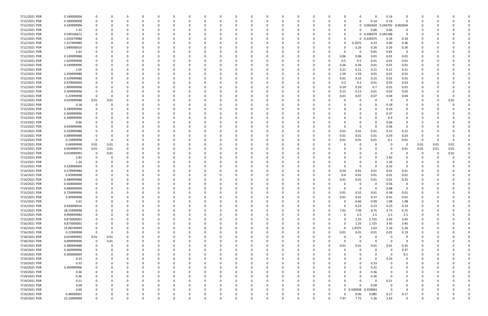| 7/11/2021 PDR | 0.140000004 |              |          |             | $\Omega$    |          |          |          |          |              |          |          |          | n        |          |          |              |                     | 0.14     |             |          |      |             |  |
|---------------|-------------|--------------|----------|-------------|-------------|----------|----------|----------|----------|--------------|----------|----------|----------|----------|----------|----------|--------------|---------------------|----------|-------------|----------|------|-------------|--|
| 7/12/2021 PDR | 0.280000008 | 0            |          | 0           | 0           |          | -0       |          |          | <sup>0</sup> | $\Omega$ |          |          | 0        |          | n        | $\Omega$     | 0.14                | 0.14     | 0           | - 0      |      |             |  |
| 7/12/2021 PDR | 0.249999996 |              |          |             |             |          |          |          |          |              |          |          |          |          |          |          | $\mathbf{0}$ | 0.002604            | 0.244792 | 0.002604    |          |      |             |  |
|               |             |              |          |             |             |          |          |          |          |              |          |          |          |          |          |          |              |                     |          |             |          |      |             |  |
| 7/12/2021 PDR | 1.32        |              |          |             |             |          |          |          |          |              |          |          |          |          |          |          | $\Omega$     | 0.66                | 0.66     | 0           |          |      |             |  |
| 7/12/2021 PDR | 0.549166672 |              |          |             |             |          |          |          |          |              |          |          |          |          |          | n        |              | 0 0.206979 0.342188 |          | 0           |          |      |             |  |
| 7/12/2021 PDR | 1.019374988 |              |          |             |             |          |          |          |          |              |          |          |          |          |          |          | 0            | 0.339375            | 0.34     | 0.34        |          |      |             |  |
| 7/12/2021 PDR | 1.317499989 |              |          |             |             |          |          |          |          |              |          |          |          |          |          |          | 0.1675       | 0.23                | 0.46     | 0.46        |          |      |             |  |
| 7/12/2021 PDR | 1.040000016 |              |          |             |             |          |          |          |          |              |          |          |          |          |          |          | 0.26         | 0.26                | 0.26     | 0.26        |          |      |             |  |
| 7/12/2021 PDR |             |              |          |             |             |          |          |          |          |              |          |          |          |          |          |          |              |                     | 0.81     |             |          |      |             |  |
|               | 1.62        |              |          |             |             |          |          |          |          |              |          |          |          |          | 0        |          | 0            | 0.81                |          | 0           |          |      |             |  |
| 7/12/2021 PDR | 0.149999988 |              |          |             |             |          |          |          |          |              |          |          |          |          |          | 0.06     | 0.06         | 0.01                | 0.01     | 0.01        |          |      |             |  |
| 7/12/2021 PDR | 1.029999996 |              |          |             |             |          |          |          |          |              |          |          |          |          |          | 0.5      | 0.5          | 0.01                | 0.01     | 0.01        |          |      |             |  |
| 7/12/2021 PDR | 0.549999996 |              |          |             |             |          |          |          |          |              |          |          |          |          |          | 0.26     | 0.26         | 0.01                | 0.01     | 0.01        |          |      |             |  |
| 7/12/2021 PDR | 1.05        |              |          |             |             |          |          |          |          |              |          |          |          |          |          | 0.21     | 0.21         | 0.21                | 0.21     | 0.21        |          |      |             |  |
| 7/12/2021 PDR | 3.209999988 |              |          |             |             |          |          |          |          |              |          |          |          |          | 0        | 1.59     | 1.59         | 0.01                | 0.01     | 0.01        |          |      |             |  |
| 7/12/2021 PDR | 0.329999988 |              |          |             |             |          |          |          |          |              |          |          |          |          |          | 0.01     | 0.15         | 0.15                | 0.01     | 0.01        |          |      |             |  |
|               |             |              |          |             |             |          |          |          |          |              |          |          |          |          |          |          |              |                     |          |             |          |      |             |  |
| 7/12/2021 PDR | 0.470000004 |              |          |             |             |          |          |          |          |              |          |          |          |          |          | 0.2      | 0.2          | 0.01                | 0.03     | 0.03        |          |      |             |  |
| 7/12/2021 PDR | 1.899999996 |              |          |             |             |          |          |          |          |              |          |          |          |          |          | 0.59     | 0.59         | 0.7                 | 0.01     | 0.01        |          |      |             |  |
| 7/12/2021 PDR | 0.309999996 |              |          |             |             |          |          |          |          |              |          |          |          |          |          | 0.13     | 0.13         | 0.01                | 0.02     | 0.02        |          |      |             |  |
| 7/12/2021 PDR | 0.22999998  | $\Omega$     |          |             |             |          |          |          |          |              |          |          |          |          |          | 0.01     | 0.07         | 0.07                | 0.04     | 0.04        |          |      |             |  |
| 7/12/2021 PDR | 0.029999988 | 0.01         | 0.01     |             |             |          |          |          |          |              |          |          |          |          |          |          | 0            |                     | - 0      | 0           |          |      | 0.01        |  |
|               |             |              |          |             |             |          |          |          |          |              |          |          |          |          |          |          |              |                     |          |             |          |      |             |  |
| 7/12/2021 PDR | 0.18        |              |          |             |             |          |          |          |          |              |          |          |          |          |          |          | 0            |                     | 0.18     | 0           |          |      |             |  |
| 7/13/2021 PDR | 0.189999996 |              |          |             |             |          |          |          |          |              |          |          |          |          |          |          | 0            |                     | 0.19     |             |          |      |             |  |
| 7/13/2021 PDR | 0.369999996 |              |          |             |             |          |          |          |          |              |          |          |          |          |          |          | 0            |                     | 0.37     |             |          |      |             |  |
| 7/13/2021 PDR | 0.399999996 |              |          |             |             |          |          |          |          |              |          |          |          |          |          |          | 0            |                     | 0.4      |             |          |      |             |  |
| 7/13/2021 PDR | 0.66        |              |          |             |             |          |          |          |          |              |          |          |          |          |          |          | 0            |                     | 0.66     |             |          |      |             |  |
| 7/13/2021 PDR | 0.459999996 |              |          |             |             |          |          |          |          |              |          |          |          |          |          |          | 0            | - 0                 | 0.46     | 0           |          |      |             |  |
|               |             |              |          |             |             |          |          |          |          |              |          |          |          |          |          |          | 0.01         |                     | 0.15     |             |          |      |             |  |
| 7/13/2021 PDR | 0.329999988 |              |          |             |             |          |          |          |          |              |          |          |          |          |          | 0.01     |              | 0.01                |          | 0.15        |          |      |             |  |
| 7/13/2021 PDR | 0.089999988 |              |          |             |             |          |          |          |          |              |          |          |          |          | 0        | 0.01     | 0.01         | 0.01                | 0.03     | 0.03        |          |      |             |  |
| 7/13/2021 PDR | 0.13999998  | $\Omega$     |          |             |             |          |          |          |          |              |          |          |          |          |          | 0.01     | 0.01         | 0.01                | 0.1      | 0.01        | 0        |      |             |  |
| 7/13/2021 PDR | 0.04999998  | 0.01         | 0.01     |             |             |          |          |          |          |              |          |          |          |          |          |          | 0            |                     | - 0      | 0           | 0.01     | 0.01 | 0.01        |  |
| 7/13/2021 PDR | 0.059999976 | 0.01         | 0.01     | 0           |             |          |          |          |          |              |          |          |          |          |          |          | $\Omega$     |                     | - 0      | 0.01        | 0.01     | 0.01 | 0.01        |  |
| 7/13/2021 PDR | 0.019999992 | 0            | 0.01     |             |             |          |          |          |          |              |          |          |          |          |          |          | 0            |                     | - 0      | 0           | 0        |      | 0.01        |  |
| 7/13/2021 PDR |             |              |          |             |             |          |          |          |          |              |          |          |          |          |          |          | $\Omega$     |                     |          |             |          |      |             |  |
|               | 2.82        |              |          |             |             |          |          |          |          |              |          |          |          |          |          |          |              |                     | 2.82     |             |          |      |             |  |
| 7/13/2021 PDR | 1.26        |              |          |             |             |          |          |          |          |              |          |          |          |          |          |          | 0            |                     | 1.26     |             |          |      |             |  |
| 7/13/2021 PDR | 0.320000004 |              |          |             |             |          |          |          |          |              |          |          |          |          |          |          | $\Omega$     |                     | 0.32     | 0           |          |      |             |  |
| 7/14/2021 PDR | 0.579999984 |              |          |             |             |          |          |          |          |              |          |          |          |          |          | 0.54     | 0.01         | 0.01                | 0.01     | 0.01        |          |      |             |  |
| 7/14/2021 PDR | 0.43999998  |              |          |             |             |          |          |          |          |              |          |          |          | 0        |          | 0.4      | 0.01         | 0.01                | 0.01     | 0.01        |          |      |             |  |
| 7/14/2021 PDR | 0.389999988 |              |          |             |             |          |          |          |          |              |          |          |          |          |          | 0.01     | 0.01         | 0.01                | 0.01     | 0.35        |          |      |             |  |
| 7/14/2021 PDR |             |              |          |             |             |          |          |          |          |              |          |          |          |          |          |          | 0            |                     |          |             |          |      |             |  |
|               | 0.560000004 |              |          |             |             |          |          |          |          |              |          |          |          |          |          |          |              |                     | 0.56     |             |          |      |             |  |
| 7/14/2021 PDR | 0.680000004 | 0            |          | $\Omega$    |             |          |          |          |          |              |          |          |          |          |          |          | 0            | - 0                 | 0.68     | 0           |          |      |             |  |
| 7/15/2021 PDR | 0.729999996 |              |          |             |             |          |          |          |          |              |          |          |          |          |          | 0.01     | 0.32         | 0.01                | 0.38     | 0.01        |          |      |             |  |
| 7/15/2021 PDR | 0.40999998  | $\Omega$     |          | $\Omega$    | $\Omega$    | $\Omega$ | $\Omega$ |          | 0        | $\Omega$     | $\Omega$ | $\Omega$ | $\Omega$ | $\Omega$ | 0        | 0.01     | 0.01         | 0.37                | 0.01     | 0.01        | $\Omega$ |      |             |  |
| 7/15/2021 PDR | 5.61        | 0            |          | 0           | $\Omega$    |          | -0       |          |          | 0            | 0        | $\Omega$ | $\Omega$ | 0        | O        | 0        | 0.66         | 0.99                | 1.98     | 1.98        | $\Omega$ |      |             |  |
| 7/15/2021 PDR | 0.920000016 | 0            |          | 0           | 0           |          | -0       |          |          | 0            |          |          |          | 0        |          |          | 0.23         | 0.23                | 0.23     | 0.23        | 0        |      |             |  |
| 7/15/2021 PDR | 28.35999998 |              |          | 0           | $\Omega$    |          | -0       |          |          | $\Omega$     | 0        | $\Omega$ |          | 0        | 0        | 7.02     | 7.09         | 4.75                | 4.75     | 4.75        |          |      |             |  |
|               |             |              |          |             |             |          |          |          |          |              |          |          |          |          |          |          |              |                     |          |             |          |      |             |  |
| 7/15/2021 PDR | 9.999999984 |              |          |             | 0           |          |          |          |          |              |          |          |          | 0        | 0        |          | 2.5          | 2.5                 | 2.5      | 2.5         |          |      |             |  |
| 7/15/2021 PDR | 9.875000001 | $\Omega$     |          |             | 0           |          |          |          |          | 0            |          |          |          | 0        |          | $\Omega$ | 1.25         | 1.725               | 3.45     | 3.45        | 0        |      |             |  |
| 7/16/2021 PDR | 9.875000001 | $\Omega$     |          |             | $\Omega$    |          |          |          |          |              |          |          |          |          |          | $\Omega$ | 1.25         | 1.725               | 3.45     | 3.45        | 0        |      |             |  |
| 7/16/2021 PDR | 15.08749999 | $\mathbf 0$  |          | 0           | $\Omega$    |          | -0       |          |          | 0            |          |          |          |          | 0        | $\Omega$ | 1.9375       | 2.63                | 5.26     | 5.26        | 0        |      |             |  |
| 7/16/2021 PDR | 0.22999998  | $\Omega$     | $\Omega$ | 0           | 0           |          |          |          |          | 0            |          |          |          | n        | O        | 0.01     | 0.01         | 0.01                | 0.01     | 0.19        |          |      |             |  |
| 7/18/2021 PDR | 0.019999992 | 0.01         | 0.01     |             | 0           |          |          |          |          |              |          |          |          |          |          |          | 0            | - 0                 | $\Omega$ | 0           |          |      |             |  |
|               |             |              |          |             |             |          |          |          |          |              |          |          |          |          |          |          |              |                     |          |             |          |      |             |  |
| 7/18/2021 PDR | 0.009999996 | 0            | 0.01     |             | 0           |          |          |          |          |              |          |          |          |          |          | n        | $\mathbf 0$  | $\Omega$            | - 0      | 0           |          |      |             |  |
| 7/19/2021 PDR | 0.389999988 | 0            |          |             | 0           |          |          |          |          |              |          |          |          |          | 0        | 0.01     | 0.01         | 0.01                | 0.01     | 0.35        |          |      |             |  |
| 7/19/2021 PDR | 0.369999996 | $\mathbf 0$  |          | $\Omega$    | $\Omega$    |          |          |          |          | $\Omega$     |          |          |          | 0        |          |          | $\mathbf 0$  | $\Omega$            | 0        | 0.37        | 0        |      |             |  |
| 7/19/2021 PDR | 0.500000004 | 0            |          | 0           | 0           |          | 0        |          |          | 0            |          |          |          | 0        |          |          | 0            |                     | - 0      | 0.5         | 0        |      |             |  |
| 7/19/2021 PDR | 0.24        | 0            |          | 0           | $\Omega$    |          |          |          |          | 0            |          | $\Omega$ |          | 0        |          |          | 0            | $\Omega$            | 0.24     | 0           |          |      |             |  |
|               |             | <sup>0</sup> |          |             | $\Omega$    |          |          |          |          |              |          |          |          |          |          |          | $\Omega$     |                     | - 0      |             |          |      |             |  |
| 7/19/2021 PDR | 0.33        |              |          | 0           |             |          | -0       |          |          | C.           |          |          |          | 0        |          |          |              | 0.33                |          | 0           | - 0      |      |             |  |
| 7/19/2021 PDR | 0.309999996 |              |          |             | 0           |          |          |          |          |              |          |          |          |          |          |          | 0            | 0.31                |          |             |          |      |             |  |
| 7/19/2021 PDR | 0.36        |              |          |             |             |          |          |          |          |              |          |          |          |          |          |          | 0            | 0.36                | $\Omega$ |             |          |      |             |  |
| 7/19/2021 PDR | 0.36        |              |          |             | 0           |          |          |          |          |              |          |          |          |          |          |          | 0            | 0.36                | - 0      | 0           | 0        |      |             |  |
| 7/19/2021 PDR | 0.51        |              |          |             |             |          |          |          |          |              |          |          |          |          |          |          | $\Omega$     | - 0                 | 0.51     |             |          |      |             |  |
| 7/19/2021 PDR | 0.09        |              |          |             | O           |          |          |          |          |              |          |          |          |          |          | $\Omega$ | $\Omega$     | 0.09                | 0        | 0           | -0       |      |             |  |
|               |             |              |          |             |             |          |          |          |          |              |          |          |          |          | O        |          |              |                     | $\Omega$ |             |          |      |             |  |
| 7/19/2021 PDR | 0.69        |              |          | 0           | 0           |          |          |          |          | 0            |          |          |          |          |          |          | 0 0.330938   | 0.359063            |          | 0           | 0        |      |             |  |
| 7/19/2021 PDR | 0.48500001  |              |          |             |             |          |          |          |          |              |          |          |          |          | 0        |          | 0.06         | 0.085               | 0.17     | 0.17        |          |      |             |  |
| 7/19/2021 PDR | 23.10999999 | 0            |          | $\mathbf 0$ | $\mathbf 0$ | $\Omega$ | $\Omega$ | $\Omega$ | $\Omega$ | $\Omega$     | $\Omega$ | $\Omega$ | $\Omega$ | $\Omega$ | $\Omega$ | 7.47     | 7.75         | 5.26                | 2.63     | $\mathbf 0$ | $\Omega$ | U    | $\mathbf 0$ |  |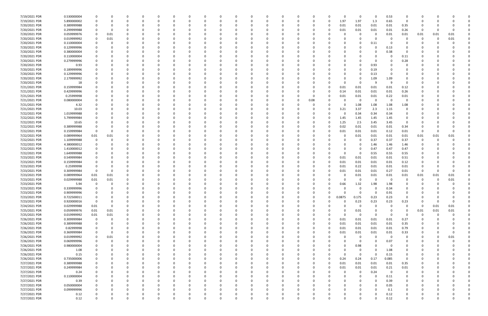| 7/19/2021 PDR | 0.530000004 |             |          |          |          | $\Omega$ |          |          |          |          | - 0         |          |          |          |          |          | $\Omega$    | 0           | $\Omega$ | 0.53  | 0           |          |      |          |  |
|---------------|-------------|-------------|----------|----------|----------|----------|----------|----------|----------|----------|-------------|----------|----------|----------|----------|----------|-------------|-------------|----------|-------|-------------|----------|------|----------|--|
| 7/19/2021 PDR | 5.890000002 |             |          |          |          |          |          |          |          |          |             |          |          |          | 0        | $\Omega$ | 1.97        | 1.97        | 1.3      | 0.65  | $\Omega$    | C.       |      |          |  |
| 7/20/2021 PDR | 0.389999988 |             |          |          |          |          |          |          |          |          |             |          |          |          |          |          | 0.01        | 0.01        | 0.01     | 0.01  | 0.35        |          |      |          |  |
| 7/20/2021 PDR | 0.299999988 |             |          |          |          |          |          |          |          |          |             |          |          |          |          |          | 0.01        | 0.01        | 0.01     | 0.01  | 0.26        | -0       |      |          |  |
|               |             |             |          |          |          |          |          |          |          |          |             |          |          |          |          |          |             |             |          |       |             |          |      |          |  |
| 7/20/2021 PDR | 0.059999976 |             | 0.01     |          |          |          |          |          |          |          |             |          |          |          |          |          |             | 0           | 0        | 0.01  | 0.01        | 0.01     | 0.01 | 0.01     |  |
| 7/20/2021 PDR | 0.019999992 |             | 0.01     | n        |          |          |          |          |          |          |             |          |          |          |          |          |             | $\Omega$    | - 0      | - 0   | 0           | -0       | 0    | 0.01     |  |
| 7/20/2021 PDR | 0.110000004 |             |          |          |          |          |          |          |          |          |             |          |          |          |          |          |             | 0           | 0.11     | - 0   |             |          |      |          |  |
| 7/20/2021 PDR | 0.129999996 |             |          |          |          |          |          |          |          |          |             |          |          |          |          |          |             |             | $\Omega$ | 0.13  |             |          |      |          |  |
| 7/20/2021 PDR | 0.380000004 |             |          |          |          |          |          |          |          |          |             |          |          |          |          |          |             |             | 0        | 0.38  |             |          |      |          |  |
| 7/20/2021 PDR | 0.110000004 |             |          |          |          |          |          |          |          |          |             |          |          |          |          |          |             |             |          |       | 0.11        |          |      |          |  |
| 7/20/2021 PDR | 0.279999996 |             |          |          |          |          |          |          |          |          |             |          |          |          |          |          |             |             | 0        |       | 0.28        |          |      |          |  |
| 7/20/2021 PDR | 0.93        |             |          |          |          |          |          |          |          |          |             |          |          |          |          |          |             | $\Omega$    | 0.93     |       |             |          |      |          |  |
| 7/20/2021 PDR | 0.189999996 |             |          |          |          |          |          |          |          |          |             |          |          |          |          |          |             | n           | 0.19     |       |             |          |      |          |  |
|               |             |             |          |          |          |          |          |          |          |          |             |          |          |          |          |          |             |             |          |       |             |          |      |          |  |
| 7/20/2021 PDR | 0.129999996 |             |          |          |          |          |          |          |          |          |             |          |          |          |          |          |             | 0           | 0.13     |       |             |          |      |          |  |
| 7/20/2021 PDR | 2.179999992 |             |          |          |          |          |          |          |          |          |             |          |          |          |          |          |             | 0           | 1.09     | 1.09  |             |          |      |          |  |
| 7/20/2021 PDR | 18          |             |          |          |          |          |          |          |          |          |             |          |          |          |          |          |             | 0           | - S      | -9    |             |          |      |          |  |
| 7/21/2021 PDR | 0.159999984 |             |          | $\Omega$ |          |          |          |          |          |          |             |          |          |          | -0       |          | 0.01        | 0.01        | 0.01     | 0.01  | 0.12        |          |      |          |  |
| 7/21/2021 PDR | 0.429999996 |             |          | n        |          |          |          |          |          |          |             |          |          |          | -0       |          | 0.14        | 0.01        | 0.01     | 0.01  | 0.26        |          |      |          |  |
| 7/21/2021 PDR | 0.25999998  |             |          |          |          |          |          |          |          |          |             |          |          |          | -0       |          | 0.01        | 0.01        | 0.01     | 0.22  | 0.01        |          |      |          |  |
| 7/21/2021 PDR | 0.080000004 |             |          |          |          |          |          |          |          |          |             |          |          |          | 0.08     |          |             | - 0         | $\Omega$ | - 0   | 0           |          |      |          |  |
| 7/21/2021 PDR | 4.32        |             |          |          |          |          |          |          |          |          |             |          |          |          |          |          |             | 1.08        | 1.08     | 1.08  | 1.08        |          |      |          |  |
| 7/21/2021 PDR | 10.03       |             |          |          |          |          |          |          |          |          |             |          |          |          | -0       |          | 3.21        | 3.37        | 2.3      | 1.15  | 0           |          |      |          |  |
|               |             |             |          |          |          |          |          |          |          |          |             |          |          |          |          |          |             |             |          |       |             |          |      |          |  |
| 7/22/2021 PDR | 1.019999988 |             |          |          |          |          |          |          |          |          |             |          |          |          |          |          | 0           | 0.34        | 0.34     | 0.34  | 0           |          |      |          |  |
| 7/22/2021 PDR | 5.799999984 |             |          |          |          |          |          |          |          |          |             |          |          |          |          |          | 1.45        | 1.45        | 1.45     | 1.45  | 0           |          |      |          |  |
| 7/22/2021 PDR | 10.65       |             |          |          |          |          |          |          |          |          |             |          |          |          |          |          | 1.25        | 2.5         | 3.45     | 3.45  | 0           |          |      |          |  |
| 7/22/2021 PDR | 0.389999988 |             |          |          |          |          |          |          |          |          |             |          |          |          |          |          | 0.02        | 0.01        | 0.01     | 0.01  | 0.34        |          |      |          |  |
| 7/22/2021 PDR | 0.159999984 |             |          |          |          |          |          |          |          |          |             |          |          |          |          |          | 0.01        | 0.01        | 0.01     | 0.12  | 0.01        | -0       |      |          |  |
| 7/22/2021 PDR | 0.089999964 | 0.01        | 0.01     |          |          |          |          |          |          |          |             |          |          |          |          |          |             | 0.01        | 0.01     | 0.01  | 0.01        | 0.01     | 0.01 | 0.01     |  |
| 7/22/2021 PDR | 1.109999988 |             |          |          |          |          |          |          |          |          |             |          |          |          |          |          |             | 0           | 0.37     | 0.37  | 0.37        | 0        |      |          |  |
| 7/22/2021 PDR | 4.380000012 |             |          |          |          |          |          |          |          |          |             |          |          |          |          |          |             | 0           | 1.46     | 1.46  | 1.46        | 0        |      |          |  |
| 7/22/2021 PDR | 1.410000012 |             |          | n        |          |          |          |          |          |          |             |          |          |          |          |          |             | 0           | 0.47     | 0.47  | 0.47        |          |      |          |  |
| 7/22/2021 PDR | 1.649999988 |             |          |          |          |          |          |          |          |          |             |          |          |          |          |          |             | 0           | 0.55     | 0.55  | 0.55        |          |      |          |  |
|               |             |             |          |          |          |          |          |          |          |          |             |          |          |          |          |          |             |             |          |       |             |          |      |          |  |
| 7/23/2021 PDR | 0.549999984 |             |          |          |          |          |          |          |          |          |             |          |          |          | - 0      |          | 0.01        | 0.01        | 0.01     | 0.01  | 0.51        |          |      |          |  |
| 7/23/2021 PDR | 0.159999984 |             |          |          |          |          |          |          |          |          |             |          |          |          |          | 0        | 0.01        | 0.01        | 0.01     | 0.01  | 0.12        |          |      |          |  |
| 7/23/2021 PDR | 0.25999998  |             |          |          |          |          |          |          |          |          |             |          |          |          |          |          | 0.01        | 0.22        | 0.01     | 0.01  | 0.01        | O        |      |          |  |
| 7/23/2021 PDR | 0.309999984 | $\Omega$    |          | n        |          |          |          |          |          |          |             |          |          |          | - 0      |          | 0.01        | 0.01        | 0.01     | 0.27  | 0.01        | -0       |      |          |  |
| 7/23/2021 PDR | 0.089999964 | 0.01        | 0.01     |          |          |          |          |          |          |          |             |          |          |          |          |          |             | 0.01        | 0.01     | 0.01  | 0.01        | 0.01     | 0.01 | 0.01     |  |
| 7/23/2021 PDR | 0.029999988 | 0.01        | 0.01     |          |          |          |          |          |          |          |             |          |          |          |          |          |             | 0           | -C       | - 0   |             | n        | - 0  | 0.01     |  |
| 7/23/2021 PDR | 5.94        |             |          |          |          |          |          |          |          |          |             |          |          |          |          |          | 0.66        | 1.32        | 1.98     | 1.98  |             |          |      |          |  |
| 7/23/2021 PDR | 0.339999996 | 0           |          | n        |          |          |          |          |          |          |             |          |          |          |          |          | 0           | 0           | 0        | 0.34  |             | n        |      |          |  |
| 7/23/2021 PDR | 0.909999996 | $\Omega$    |          | $\Omega$ |          |          |          |          |          |          |             |          |          |          |          |          |             | $\mathbf 0$ | $\Omega$ | 0.91  |             |          |      |          |  |
| 7/23/2021 PDR |             | $\mathbf 0$ | 0        | $\Omega$ | $\Omega$ | $\Omega$ | $\Omega$ | 0        | 0        |          | 0           | $\Omega$ | 0        | 0        | 0        | $\Omega$ | 0.0875      | 0.175       | 0.23     | 0.23  | 0           | 0        |      |          |  |
|               | 0.722500011 |             |          |          |          |          |          |          |          |          |             |          |          |          |          |          |             |             |          |       |             |          |      |          |  |
| 7/23/2021 PDR | 0.920000016 | 0           |          | 0        |          | $\Omega$ |          |          |          |          | 0           |          |          |          | 0        | $\Omega$ | 0           | 0.23        | 0.23     | 0.23  | 0.23        | 0        |      | $\Omega$ |  |
| 7/24/2021 PDR | 0.029999988 | 0.01        | $\Omega$ | $\Omega$ |          | $\Omega$ |          |          |          |          | $\Omega$    |          |          | 0        | $\Omega$ |          | $\Omega$    | 0           | $\Omega$ | - 0   | $\Omega$    | $\Omega$ | 0.01 | 0.01     |  |
| 7/25/2021 PDR | 0.059999976 | $0.01\,$    | 0.01     |          |          |          |          |          |          |          |             |          |          |          |          |          | 0           | 0.01        | $\Omega$ |       | $\Omega$    | 0.01     | 0.01 | 0.01     |  |
| 7/25/2021 PDR | 0.019999992 | $0.01\,$    | $0.01\,$ |          |          |          |          |          |          |          |             |          |          |          |          |          | $\Omega$    | 0           | $\Omega$ |       |             | -0       |      |          |  |
| 7/26/2021 PDR | 0.309999984 | 0           | 0        | 0        |          |          |          |          |          |          |             |          | 0        | 0        | 0        | 0        | 0.01        | 0.01        | 0.01     | 0.01  | 0.27        | 0        |      |          |  |
| 7/26/2021 PDR | 0.389999988 | 0           |          | 0        |          | $\Omega$ |          |          |          |          |             |          |          |          | 0        | $\Omega$ | 0.01        | 0.01        | 0.01     | 0.01  | 0.35        |          |      |          |  |
| 7/26/2021 PDR | 0.82999998  | $\mathbf 0$ |          | 0        |          | $\Omega$ |          |          |          |          | 0           |          |          | 0        | 0        |          | 0.01        | 0.01        | 0.01     | 0.01  | 0.79        | 0        |      |          |  |
| 7/26/2021 PDR | 0.369999984 | 0           | $\Omega$ | 0        |          | 0        |          | 0        |          |          | 0           |          |          | 0        | 0        | $\Omega$ | 0.01        | 0.01        | 0.01     | 0.01  | 0.33        | 0        |      | $\Omega$ |  |
| 7/26/2021 PDR | 0.019999992 | 0           | 0.01     | 0        |          | 0        |          |          |          |          |             |          |          |          | - 0      |          |             | $\mathbf 0$ | $\Omega$ | - 0   | $\mathbf 0$ | $\Omega$ | 0    | 0.01     |  |
| 7/26/2021 PDR | 0.069999996 | $\Omega$    | 0        |          |          | 0        |          |          |          |          | 0           |          |          |          | 0        |          |             | 0           | 0        | 0.07  | 0           | 0        |      |          |  |
|               |             |             |          |          |          |          |          |          |          |          |             |          |          |          |          |          |             |             |          |       |             |          |      |          |  |
| 7/26/2021 PDR | 0.980000004 | 0           |          | 0        |          | 0        |          |          |          |          |             |          |          |          | 0        |          | 0           | 0.98        | $\Omega$ | - 0   | 0           | C        |      |          |  |
| 7/26/2021 PDR | 1.08        | $\Omega$    |          | $\Omega$ |          | $\Omega$ |          |          |          |          |             |          |          |          | -0       |          |             | 0           | $\Omega$ | 1.08  | $\mathbf 0$ | $\Omega$ |      |          |  |
| 7/26/2021 PDR | 0.15        | $\Omega$    |          | 0        |          | $\Omega$ |          |          |          |          | 0           |          |          |          | 0        |          | $\Omega$    | 0           | $\Omega$ | 0.15  | 0           | 0        |      |          |  |
| 7/26/2021 PDR | 0.735000006 |             |          | 0        |          | $\Omega$ |          |          |          |          | 0           |          |          |          | 0        |          | 0.24        | 0.24        | 0.17     | 0.085 | $\mathbf 0$ | 0        |      |          |  |
| 7/27/2021 PDR | 0.389999988 |             |          |          |          |          |          |          |          |          |             |          |          |          | - 0      |          | 0.01        | 0.01        | 0.01     | 0.01  | 0.35        |          |      |          |  |
| 7/27/2021 PDR | 0.249999984 |             |          |          |          |          |          |          |          |          | 0           |          |          |          | 0        | 0        | 0.01        | 0.01        | 0.01     | 0.21  | 0.01        |          |      |          |  |
| 7/27/2021 PDR | 0.24        |             |          |          |          |          |          |          |          |          |             |          |          |          | 0        |          |             | 0           | 0.24     | 0     | 0           |          |      |          |  |
| 7/27/2021 PDR | 0.110000004 |             |          | $\Omega$ |          |          |          |          |          |          |             |          |          |          | -0       |          |             | $\Omega$    | $\Omega$ | 0.11  | $\mathbf 0$ | 0        |      |          |  |
| 7/27/2021 PDR | 0.39        |             |          |          |          |          |          |          |          |          |             |          |          |          | 0        |          |             |             | $\Omega$ | 0.39  | 0           |          |      |          |  |
| 7/27/2021 PDR | 0.050000004 |             |          |          |          |          |          |          |          |          |             |          |          |          | 0        |          |             |             | 0        | 0.05  | 0           | 0        |      |          |  |
| 7/27/2021 PDR | 0.099999996 |             |          | n        |          | 0        |          |          |          |          |             |          |          |          | - 0      |          |             |             | $\Omega$ | 0.1   | 0           |          |      |          |  |
|               |             |             |          |          |          |          |          |          |          |          |             |          |          |          |          |          |             |             |          |       |             |          |      |          |  |
| 7/27/2021 PDR | 0.12        |             |          |          |          |          |          |          |          |          |             |          |          |          |          |          |             |             | $\Omega$ | 0.12  | 0           |          |      |          |  |
| 7/27/2021 PDR | 0.12        | $\Omega$    | $\Omega$ | $\Omega$ |          | $\Omega$ | $\Omega$ | $\Omega$ | $\Omega$ | $\Omega$ | $\mathbf 0$ | $\Omega$ | $\Omega$ | $\Omega$ | $\Omega$ | U        | $\mathbf 0$ | $\mathbf 0$ | $\Omega$ | 0.12  | $\mathbf 0$ | $\Omega$ |      | O        |  |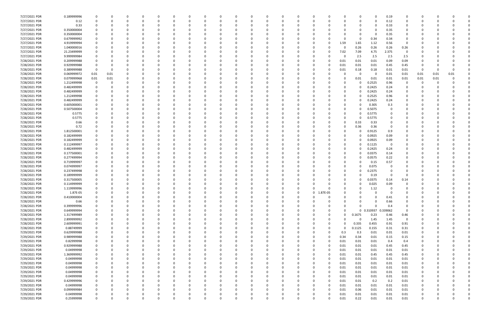| 7/27/2021 PDR | 0.189999996 |             |      |              |          |          |          |              |          | -0          |          |          |          |          |          |          | <sup>0</sup> | $\Omega$            | 0.19     |              |              |      |      |  |
|---------------|-------------|-------------|------|--------------|----------|----------|----------|--------------|----------|-------------|----------|----------|----------|----------|----------|----------|--------------|---------------------|----------|--------------|--------------|------|------|--|
| 7/27/2021 PDR | 0.12        |             | O    | 0            | $\Omega$ |          |          | 0            |          | $\Omega$    |          |          |          | $\Omega$ |          | 0        | 0            | $\Omega$            | 0.12     | 0            | O            |      |      |  |
| 7/27/2021 PDR | 0.33        |             |      |              |          |          |          |              |          |             |          |          |          |          |          |          | 0            | 0                   | 0.33     |              |              |      |      |  |
| 7/27/2021 PDR | 0.350000004 |             |      |              |          |          |          |              |          |             |          |          |          |          |          |          | <sup>0</sup> | 0                   | 0.35     | 0            |              |      |      |  |
|               |             |             |      |              |          |          |          |              |          |             |          |          |          |          |          |          |              |                     |          |              |              |      |      |  |
| 7/27/2021 PDR | 0.350000004 |             |      |              |          |          |          |              |          |             |          |          |          |          |          |          | 0            | $\Omega$            | 0.35     | 0            |              |      |      |  |
| 7/27/2021 PDR | 0.679999992 |             |      |              |          |          |          |              |          |             |          |          |          |          |          |          | 0            | 0.34                | 0.34     |              |              |      |      |  |
| 7/27/2021 PDR | 4.919999994 |             |      |              |          |          |          |              |          |             |          |          |          |          |          | 1.59     | 1.65         | 1.12                | 0.56     | 0            |              |      |      |  |
| 7/27/2021 PDR | 1.040000016 |             |      |              |          |          |          |              |          |             |          |          |          |          |          |          | 0.26         | 0.26                | 0.26     | 0.26         |              |      |      |  |
| 7/27/2021 PDR | 21.23499999 |             |      |              |          |          |          |              |          |             |          |          |          |          |          | 7.02     | 7.09         | 4.75                | 2.375    | 0            |              |      |      |  |
| 7/27/2021 PDR | 9.999999984 |             |      |              |          |          |          |              |          |             |          |          |          |          |          | -0       | 2.5          | 2.5                 | 2.5      | 2.5          |              |      |      |  |
| 7/28/2021 PDR | 0.209999988 |             |      |              |          |          |          |              |          |             |          |          |          |          |          | 0.01     | 0.01         | 0.01                | 0.09     | 0.09         |              |      |      |  |
|               |             |             |      |              |          |          |          |              |          |             |          |          |          |          |          |          |              |                     |          |              |              |      |      |  |
| 7/28/2021 PDR | 0.929999988 |             |      |              |          |          |          |              |          |             |          |          |          |          |          | 0.01     | 0.01         | 0.01                | 0.45     | 0.45         | O            |      |      |  |
| 7/28/2021 PDR | 0.389999988 | - 0         | 0    |              |          |          |          |              |          |             |          |          |          | -0       |          | 0.01     | 0.18         | 0.18                | 0.01     | 0.01         | 0            |      |      |  |
| 7/28/2021 PDR | 0.069999972 | 0.01        | 0.01 |              |          |          |          |              |          |             |          |          |          |          |          |          | 0            | 0                   | 0.01     | 0.01         | 0.01         | 0.01 | 0.01 |  |
| 7/28/2021 PDR | 0.079999968 | 0.01        | 0.01 |              |          |          |          |              |          |             |          |          |          |          |          | 0        | 0.01         | 0.01                | 0.01     | 0.01         | 0.01         | 0.01 |      |  |
| 7/28/2021 PDR | 1.212499998 | $\Omega$    |      |              |          |          |          |              |          |             |          |          |          |          |          |          | 0            | 0.2525              | 0.96     | 0            | O            |      |      |  |
| 7/28/2021 PDR | 0.482499999 |             |      |              |          |          |          |              |          |             |          |          |          |          |          |          | 0            | 0.2425              | 0.24     |              |              |      |      |  |
|               |             |             |      |              |          |          |          |              |          |             |          |          |          |          |          |          |              |                     |          |              |              |      |      |  |
| 7/28/2021 PDR | 0.482499999 |             |      |              |          |          |          |              |          |             |          |          |          |          |          | 0        | 0            | 0.2425              | 0.24     | <sup>0</sup> |              |      |      |  |
| 7/28/2021 PDR | 1.212499998 |             |      |              |          |          |          |              |          |             |          |          |          |          |          | 0        | 0            | 0.2525              | 0.96     | 0            |              |      |      |  |
| 7/28/2021 PDR | 0.482499999 |             |      |              |          |          |          |              |          |             |          |          |          |          |          | 0        | $\Omega$     | 0.2425              | 0.24     |              |              |      |      |  |
| 7/28/2021 PDR | 0.605000001 |             |      |              |          |          |          |              |          |             |          |          |          |          |          | 0        | 0            | 0.305               | 0.3      |              |              |      |      |  |
| 7/28/2021 PDR | 0.507500004 |             |      |              |          |          |          |              |          |             |          |          |          |          |          | 0        | 0            | 0.5075              |          |              |              |      |      |  |
| 7/28/2021 PDR | 0.5775      |             |      |              |          |          |          |              |          |             |          |          |          |          |          |          | C.           | 0.5775              |          |              |              |      |      |  |
|               |             |             |      |              |          |          |          |              |          |             |          |          |          |          |          |          |              |                     |          |              |              |      |      |  |
| 7/28/2021 PDR | 0.5775      |             |      |              |          |          |          |              |          |             |          |          |          |          |          | 0        | 0            | 0.5775              |          |              |              |      |      |  |
| 7/28/2021 PDR | 0.66        |             |      |              |          |          |          |              |          |             |          |          |          |          |          | 0        | 0.33         | 0.33                |          |              |              |      |      |  |
| 7/28/2021 PDR | 0.72        |             |      |              |          |          |          |              |          |             |          |          |          |          |          | 0        | 0.36         | 0.36                | - 0      |              |              |      |      |  |
| 7/28/2021 PDR | 1.812500001 |             |      |              |          |          |          |              |          |             |          |          |          |          |          | 0        | 0            | 0.9125              | 0.9      |              |              |      |      |  |
| 7/28/2021 PDR | 0.182499999 |             |      |              |          |          |          |              |          |             |          |          |          |          |          |          | 0            | 0.0925              | 0.09     |              |              |      |      |  |
| 7/28/2021 PDR | 0.182499999 |             |      |              |          |          |          |              |          |             |          |          |          |          |          | 0        | 0            | 0.0925              | 0.09     |              |              |      |      |  |
| 7/28/2021 PDR | 0.112499997 |             |      |              |          |          |          |              |          |             |          |          |          |          |          | 0        | 0            | 0.1125              | 0        | 0            |              |      |      |  |
|               |             |             |      |              |          |          |          |              |          |             |          |          |          |          |          |          |              |                     |          |              |              |      |      |  |
| 7/28/2021 PDR | 0.482499999 |             |      |              |          |          |          |              |          |             |          |          |          |          |          | $\Omega$ | 0            | 0.2425              | 0.24     | 0            |              |      |      |  |
| 7/28/2021 PDR | 0.177500001 |             |      |              |          |          |          |              |          |             |          |          |          |          |          | O        | 0            | 0.0375              | 0.14     | 0            |              |      |      |  |
| 7/28/2021 PDR | 0.277499994 |             |      |              |          |          |          |              |          |             |          |          |          |          |          |          | 0            | 0.0575              | 0.22     |              |              |      |      |  |
| 7/28/2021 PDR | 0.719999997 |             |      |              |          |          |          |              |          |             |          |          |          |          |          | 0        | <sup>0</sup> | 0.15                | 0.57     |              |              |      |      |  |
| 7/28/2021 PDR | 0.074999997 |             |      |              |          |          |          |              |          |             |          |          |          |          |          | 0        | 0            | 0.075               | - 0      |              |              |      |      |  |
| 7/28/2021 PDR | 0.237499998 |             |      |              |          |          |          |              |          |             |          |          |          |          |          | 0        | 0            | 0.2375              |          |              |              |      |      |  |
|               |             |             |      |              |          |          |          |              |          |             |          |          |          |          |          |          |              |                     |          |              |              |      |      |  |
| 7/28/2021 PDR | 0.189999999 |             |      |              |          |          |          |              |          |             |          |          |          |          |          | 0        | <sup>0</sup> | 0.19                | $\Omega$ | $\Omega$     |              |      |      |  |
| 7/28/2021 PDR | 0.317500005 |             |      |              |          |          |          |              |          |             |          |          |          |          |          | 0        | 0            | 0.0375              | 0.14     | 0.14         |              |      |      |  |
| 7/28/2021 PDR | 0.114999999 |             |      |              |          |          |          |              |          |             |          |          |          |          |          |          |              | 0.025               | 0.09     |              |              |      |      |  |
| 7/28/2021 PDR | 1.119999996 |             |      | <sup>0</sup> |          |          |          |              |          |             |          |          |          |          |          | 0        | 0            | 1.12                | 0        | 0            | <sup>0</sup> |      |      |  |
| 7/28/2021 PDR | 1.87E-05    |             |      |              |          |          |          |              |          |             |          | υ        |          |          | 1.87E-05 |          |              |                     |          |              |              |      |      |  |
| 7/28/2021 PDR | 0.410000004 | $\Omega$    | 0    | $\Omega$     | $\Omega$ | $\Omega$ | $\Omega$ | $\Omega$     | 0        | $\Omega$    | $\Omega$ | $\Omega$ | $\Omega$ | $\Omega$ |          | 0        | $\Omega$     | $\Omega$            | 0.41     | $\mathbf 0$  | $\Omega$     |      |      |  |
|               |             |             |      |              |          | $\Omega$ |          |              |          |             |          |          |          |          |          |          |              |                     |          |              |              |      |      |  |
| 7/28/2021 PDR | 0.66        |             | 0    | 0            | $\Omega$ |          | $\Omega$ | 0            | O        | 0           |          | $\Omega$ | O        | 0        |          | 0        | 0            | $\mathbf 0$         | 0.66     | 0            | 0            |      |      |  |
| 7/28/2021 PDR | 0.399999996 |             |      | 0            |          |          |          | 0            |          | 0           |          |          |          | 0        |          | 0        | $\Omega$     | $\Omega$            | 0.4      | 0            |              |      |      |  |
| 7/28/2021 PDR | 0.649999994 |             |      | 0            | 0        | 0        |          | 0            |          | $\Omega$    |          |          | $\Omega$ | 0        |          | $\Omega$ |              | 0 0.310937 0.339062 |          | 0            |              |      |      |  |
| 7/28/2021 PDR | 1.317499989 |             |      |              |          |          |          |              |          |             |          |          |          | 0        | 0        | 0        | 0.1675       | 0.23                | 0.46     | 0.46         |              |      |      |  |
| 7/28/2021 PDR | 2.899999992 | $\Omega$    |      | 0            |          |          |          | 0            |          |             |          |          | 0        | 0        | $\Omega$ | $\Omega$ | 0            | 1.45                | 1.45     | $\mathbf 0$  | 0            |      |      |  |
| 7/28/2021 PDR | 2.609999991 | $\Omega$    |      | $\Omega$     |          |          |          |              |          |             |          |          |          |          | $\Omega$ | $\Omega$ | 0.335        | 0.455               | 0.91     | 0.91         | 0            |      |      |  |
| 7/28/2021 PDR | 0.88749999  | 0           |      |              |          |          |          |              |          |             |          |          |          | -0       |          | O        | 0.1125       | 0.155               | 0.31     | 0.31         | 0            |      |      |  |
|               |             |             |      |              |          |          |          |              |          |             |          |          |          |          |          |          |              |                     |          |              |              |      |      |  |
| 7/29/2021 PDR | 0.629999988 | 0           |      | 0            |          |          |          |              |          |             |          |          |          | 0        |          | 0.3      | 0.3          | 0.01                | $0.01\,$ | 0.01         | 0            |      |      |  |
| 7/29/2021 PDR | 0.989999988 |             |      |              |          |          |          |              |          |             |          |          |          | 0        |          | 0.34     | 0.34         | 0.01                | 0.15     | 0.15         |              |      |      |  |
| 7/29/2021 PDR | 0.82999998  |             |      |              |          |          |          |              |          |             |          |          |          | -0       |          | 0.01     | 0.01         | 0.01                | 0.4      | 0.4          | 0            |      |      |  |
| 7/29/2021 PDR | 0.929999988 |             |      |              |          |          |          |              |          |             |          |          |          |          |          | 0.01     | 0.01         | 0.01                | 0.45     | 0.45         | 0            |      |      |  |
| 7/29/2021 PDR | 0.04999998  | $\Omega$    |      |              |          |          |          |              |          |             |          |          |          | -0       |          | 0.01     | 0.01         | 0.01                | $0.01\,$ | 0.01         | 0            |      |      |  |
| 7/29/2021 PDR | 1.369999992 | 0           |      |              |          |          |          |              |          |             |          |          |          | 0        |          | 0.01     | 0.01         | 0.45                | 0.45     | 0.45         | 0            |      |      |  |
| 7/29/2021 PDR | 0.04999998  | 0           |      | 0            | 0        | $\Omega$ |          | 0            |          | 0           |          |          |          | 0        |          | 0.01     | 0.01         | 0.01                | 0.01     | 0.01         | 0            |      |      |  |
|               |             |             |      |              |          |          |          |              |          |             |          |          |          |          |          |          |              |                     |          |              |              |      |      |  |
| 7/29/2021 PDR | 0.04999998  | 0           |      | C            |          | $\Omega$ |          | 0            |          | 0           |          |          | 0        | 0        |          | 0.01     | 0.01         | 0.01                | 0.01     | 0.01         | 0            |      |      |  |
| 7/29/2021 PDR | 0.04999998  | $\Omega$    |      |              |          | $\Omega$ |          | 0            |          |             |          |          | 0        | $\Omega$ |          | 0.01     | 0.01         | 0.01                | 0.01     | 0.01         | 0            |      |      |  |
| 7/29/2021 PDR | 0.04999998  | $\Omega$    |      |              |          |          |          | 0            |          |             |          |          |          | 0        | $\Omega$ | 0.01     | 0.01         | 0.01                | 0.01     | 0.01         | 0            |      |      |  |
| 7/29/2021 PDR | 0.04999998  | 0           |      |              |          |          |          |              |          |             |          |          |          | 0        |          | 0.01     | 0.01         | 0.01                | $0.01\,$ | $0.01\,$     | 0            |      |      |  |
| 7/29/2021 PDR | 0.429999996 | $\mathbf 0$ | 0    | 0            |          | $\Omega$ |          | 0            |          | 0           |          |          | 0        | 0        |          | 0.01     | 0.01         | 0.2                 | 0.2      | 0.01         | 0            |      |      |  |
| 7/29/2021 PDR | 0.04999998  | 0           |      | 0            |          | $\Omega$ |          | 0            |          |             |          |          |          | 0        |          | 0.01     | 0.01         | 0.01                | 0.01     | 0.01         | 0            |      |      |  |
| 7/29/2021 PDR | 0.099999984 | $\Omega$    |      | C            |          | $\Omega$ |          | <sup>0</sup> |          |             |          |          |          | 0        |          | 0.01     | 0.06         | 0.01                | 0.01     | 0.01         | 0            |      |      |  |
|               |             |             |      |              |          |          |          |              |          |             |          |          |          |          |          |          |              |                     |          |              |              |      |      |  |
| 7/29/2021 PDR | 0.04999998  |             |      |              |          |          |          | 0            |          |             |          |          |          |          |          | 0.01     | 0.01         | 0.01                | 0.01     | 0.01         | C            |      |      |  |
| 7/29/2021 PDR | 0.25999998  | $\mathbf 0$ | 0    | $\Omega$     | $\Omega$ | $\Omega$ | $\Omega$ | 0            | $\Omega$ | $\mathbf 0$ |          | $\Omega$ | $\Omega$ | 0        |          | 0.01     | 0.22         | 0.01                | $0.01\,$ | 0.01         | 0            |      | O    |  |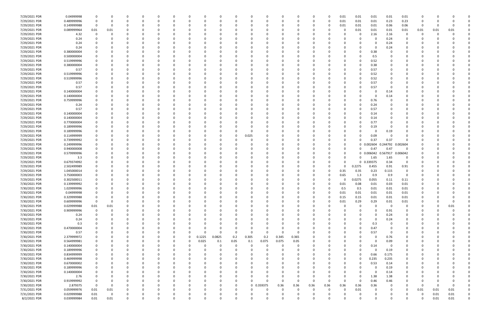| 7/29/2021 PDR | 0.04999998  |                | n        |          |          | $\Omega$ |              |          |          |        |          |             | $\Omega$ |          | 0        |      | 0        | 0.01     | 0.01         | 0.01              | 0.01         | 0.01        |          |      |          |  |
|---------------|-------------|----------------|----------|----------|----------|----------|--------------|----------|----------|--------|----------|-------------|----------|----------|----------|------|----------|----------|--------------|-------------------|--------------|-------------|----------|------|----------|--|
| 7/29/2021 PDR | 0.489999996 |                |          |          |          |          |              |          |          |        |          |             |          |          |          |      | 0        | 0.01     | 0.01         | 0.01              | 0.23         | 0.23        | -0       |      |          |  |
| 7/29/2021 PDR | 0.149999988 |                | $\Omega$ |          |          |          |              |          |          |        |          |             |          |          |          |      | 0        | 0.01     | 0.01         | 0.01              | 0.06         | 0.06        | - 0      |      |          |  |
|               |             |                |          |          |          |          |              |          |          |        |          |             |          |          |          |      |          |          |              |                   |              |             |          |      |          |  |
| 7/29/2021 PDR | 0.089999964 | 0.01           | 0.01     |          |          |          |              |          |          |        |          |             |          |          |          |      |          |          | 0.01         | 0.01              | 0.01         | 0.01        | 0.01     | 0.01 | 0.01     |  |
| 7/29/2021 PDR | 4.32        |                | 0        |          |          |          |              |          |          |        |          |             |          |          |          |      |          |          | 0            | 2.16              | 2.16         | 0           | 0        |      |          |  |
| 7/29/2021 PDR | 0.24        |                | n        |          |          |          |              |          |          |        | -C       |             |          |          |          |      |          |          | $\Omega$     |                   | 0.24         | O           |          |      |          |  |
| 7/29/2021 PDR | 0.24        |                |          |          |          |          |              |          |          |        |          |             |          |          |          |      |          |          | $\Omega$     |                   | 0.24         |             |          |      |          |  |
|               |             |                |          |          |          |          |              |          |          |        |          |             |          |          |          |      |          |          |              |                   |              |             |          |      |          |  |
| 7/29/2021 PDR | 0.24        |                |          |          |          |          |              |          |          |        |          |             |          |          |          |      |          |          | $\Omega$     |                   | 0.24         |             |          |      |          |  |
| 7/29/2021 PDR | 0.380000004 |                |          |          |          |          |              |          |          |        |          |             |          |          |          |      |          |          | 0            | 0.38              |              |             |          |      |          |  |
| 7/29/2021 PDR | 0.500000004 |                |          |          |          |          |              |          |          |        |          |             |          |          |          |      |          |          | 0            | 0.5               |              |             |          |      |          |  |
| 7/29/2021 PDR | 0.519999996 |                |          |          |          |          |              |          |          |        |          |             |          |          |          |      |          |          | 0            | 0.52              |              |             |          |      |          |  |
|               |             |                |          |          |          |          |              |          |          |        |          |             |          |          |          |      |          |          |              |                   |              |             |          |      |          |  |
| 7/29/2021 PDR | 0.380000004 |                |          |          |          |          |              |          |          |        |          |             |          |          |          |      |          |          | 0            | 0.38              |              |             |          |      |          |  |
| 7/29/2021 PDR | 0.57        |                |          |          |          |          |              |          |          |        |          |             |          |          |          |      |          |          | $\Omega$     | 0.57              |              |             |          |      |          |  |
| 7/29/2021 PDR | 0.519999996 |                |          |          |          |          |              |          |          |        |          |             |          |          |          |      |          |          | 0            | 0.52              |              |             |          |      |          |  |
| 7/29/2021 PDR | 0.519999996 |                |          |          |          |          |              |          |          |        |          |             |          |          |          |      |          |          | 0            | 0.52              |              |             |          |      |          |  |
|               |             |                |          |          |          |          |              |          |          |        |          |             |          |          |          |      |          |          |              |                   |              |             |          |      |          |  |
| 7/29/2021 PDR | 0.57        |                |          |          |          |          |              |          |          |        |          |             |          |          |          |      |          |          | 0            | 0.57              |              |             |          |      |          |  |
| 7/29/2021 PDR | 0.57        |                |          |          |          |          |              |          |          |        | $\Omega$ |             |          |          |          |      |          |          | $\Omega$     | 0.57              | - 0          |             |          |      |          |  |
| 7/29/2021 PDR | 0.140000004 |                |          |          |          |          |              |          |          |        | -C       |             |          |          |          |      |          |          | 0            |                   | 0.14         |             |          |      |          |  |
| 7/29/2021 PDR | 0.140000004 |                |          |          |          |          |              |          |          |        |          |             |          |          |          |      |          |          | $\Omega$     |                   | 0.14         |             |          |      |          |  |
| 7/29/2021 PDR | 0.759999996 |                |          |          |          |          |              |          |          |        |          |             |          |          |          |      |          |          | $\Omega$     | 0.76              |              |             |          |      |          |  |
|               |             |                |          |          |          |          |              |          |          |        |          |             |          |          |          |      |          |          |              |                   |              |             |          |      |          |  |
| 7/29/2021 PDR | 0.24        |                |          |          |          |          |              |          |          |        |          |             |          |          |          |      |          |          | 0            | 0.24              |              |             |          |      |          |  |
| 7/29/2021 PDR | 0.57        |                |          |          |          |          |              |          |          |        |          |             |          |          |          |      |          |          | 0            | 0.57              |              |             |          |      |          |  |
| 7/29/2021 PDR | 0.140000004 |                |          |          |          |          |              |          |          |        |          |             |          |          |          |      |          |          | 0            | 0.14              |              |             |          |      |          |  |
| 7/29/2021 PDR | 0.140000004 |                |          |          |          |          |              |          |          |        |          |             |          |          |          |      |          |          | 0            | 0.14              |              |             |          |      |          |  |
|               |             |                |          |          |          |          |              |          |          |        |          |             |          |          |          |      |          |          |              |                   |              |             |          |      |          |  |
| 7/29/2021 PDR | 0.770000004 |                |          |          |          |          |              |          |          |        |          |             |          |          |          |      |          |          | 0            | 0.77              |              |             |          |      |          |  |
| 7/29/2021 PDR | 0.189999996 |                |          |          |          |          |              |          |          |        |          |             |          |          |          |      |          |          | $\Omega$     | 0.19              |              |             |          |      |          |  |
| 7/29/2021 PDR | 0.189999996 |                |          |          |          |          |              |          |          |        |          |             |          |          |          |      |          |          |              |                   | 0.19         |             |          |      |          |  |
| 7/29/2021 PDR | 0.114999999 |                |          |          |          |          |              |          |          |        | 0        | 0.025       |          |          |          |      |          |          | 0            | 0.09              | - 0          |             |          |      |          |  |
|               |             |                |          |          |          |          |              |          |          |        |          |             |          |          |          |      |          |          |              |                   |              |             |          |      |          |  |
| 7/29/2021 PDR | 0.739999992 |                |          |          |          |          |              |          |          |        |          |             |          |          |          |      |          |          | $\Omega$     | 0.37              | 0.37         |             |          |      |          |  |
| 7/29/2021 PDR | 0.249999996 |                |          |          |          |          |              |          |          |        |          |             |          |          |          |      |          |          | 0            | 0.002604          | 0.244792     | 0.002604    |          |      |          |  |
| 7/29/2021 PDR | 0.940000008 |                |          |          |          |          |              |          |          |        |          |             |          |          |          |      |          | n        | $\Omega$     | 0.47              | 0.47         | 0           |          |      |          |  |
| 7/29/2021 PDR | 0.579999996 |                |          |          |          |          |              |          |          |        |          |             |          |          |          |      |          |          | 0            | 0.006042 0.567917 |              | 0.006042    |          |      |          |  |
|               |             |                |          |          |          |          |              |          |          |        |          |             |          |          |          |      |          |          | $\Omega$     |                   | 1.65         |             |          |      |          |  |
| 7/29/2021 PDR | 3.3         |                |          |          |          |          |              |          |          |        |          |             |          |          |          |      |          |          |              | 1.65              |              | 0           |          |      |          |  |
| 7/29/2021 PDR | 0.679374992 |                |          |          |          |          |              |          |          |        |          |             |          |          |          |      |          |          | $\mathbf{0}$ | 0.339375          | 0.34         | 0           |          |      |          |  |
| 7/29/2021 PDR | 2.502499989 |                |          |          |          |          |              |          |          |        |          |             |          |          |          |      |          |          | 0.2275       | 0.455             | 0.91         | 0.91        |          |      |          |  |
| 7/29/2021 PDR | 1.045000014 |                |          |          |          |          |              |          |          |        |          |             |          |          |          |      | 0        | 0.35     | 0.35         | 0.23              | 0.115        | 0           |          |      |          |  |
|               |             |                |          |          |          |          |              |          |          |        |          |             |          |          |          |      | O        |          |              |                   |              |             |          |      |          |  |
| 7/29/2021 PDR | 3.750000003 |                |          |          |          |          |              |          |          |        |          |             |          |          |          |      |          | 0.65     | 1.3          | 0.9               | 0.9          | 0           |          |      |          |  |
| 7/29/2021 PDR | 0.302500011 |                |          |          |          |          |              |          |          |        |          |             |          |          |          |      |          |          | 0.0275       | 0.055             | 0.11         | 0.11        |          |      |          |  |
| 7/30/2021 PDR | 0.139999992 |                |          |          |          |          |              |          |          |        |          |             |          |          |          |      |          | 0.01     | 0.08         | 0.01              | 0.03         | 0.01        |          |      |          |  |
| 7/30/2021 PDR | 1.029999996 |                | 0        |          |          |          |              |          |          |        |          |             |          |          |          |      | 0        | 0.5      | 0.5          | 0.01              | 0.01         | 0.01        |          |      |          |  |
| 7/30/2021 PDR | 0.04999998  | $\mathbf 0$    | $\Omega$ |          |          |          |              |          |          |        |          |             |          |          |          |      |          | 0.01     | 0.01         | 0.01              | 0.01         | 0.01        |          |      |          |  |
|               |             |                |          |          |          |          |              |          |          |        |          |             |          |          |          |      |          |          |              |                   |              |             |          |      |          |  |
| 7/30/2021 PDR | 0.329999988 | 0              | 0        | $\Omega$ | $\Omega$ | $\Omega$ | $\Omega$     |          | 0        |        | $\Omega$ | $\Omega$    | $\Omega$ | $\Omega$ | 0        |      | 0        | 0.15     | 0.15         | 0.01              | 0.01         | 0.01        | 0        |      | O        |  |
| 7/30/2021 PDR | 0.609999996 | $\mathbf 0$    | 0        |          | 0        | 0        | <sup>0</sup> |          | 0        |        | 0        |             | $\Omega$ |          | $\Omega$ |      | 0        | 0.01     | 0.29         | 0.29              | 0.01         | 0.01        | 0        |      | $\Omega$ |  |
| 7/30/2021 PDR | 0.029999988 | 0.01           | 0.01     |          | $\Omega$ | 0        |              |          | O        |        | 0        |             | $\Omega$ |          | -0       |      |          |          | $\mathbf 0$  |                   | $\mathbf{0}$ | $\mathbf 0$ | $\Omega$ |      | 0.01     |  |
| 7/30/2021 PDR | 0.909999996 | $\Omega$       | $\Omega$ |          |          |          |              |          |          |        |          |             |          |          |          |      |          |          | $\Omega$     | - 0               | 0.91         | 0           |          |      |          |  |
|               |             |                |          |          |          |          |              |          |          |        |          |             |          |          |          |      |          |          |              |                   |              |             |          |      |          |  |
| 7/30/2021 PDR | 0.24        |                |          |          |          |          |              |          |          |        |          |             |          |          |          |      |          |          | 0            |                   | 0.24         | 0           |          |      |          |  |
| 7/30/2021 PDR | 0.24        | 0              |          |          |          | 0        |              |          |          |        | 0        |             |          |          | 0        |      |          |          | 0            | $\Omega$          | 0.24         | 0           | -0       |      |          |  |
| 7/30/2021 PDR | 0.3         |                |          |          |          | 0        |              |          |          |        | 0        |             |          |          |          |      |          |          | 0            | 0.3               | 0            | 0           |          |      |          |  |
| 7/30/2021 PDR | 0.470000004 |                | n        |          | $\Omega$ | 0        | <sup>0</sup> |          | 0        |        | $\Omega$ |             | $\Omega$ |          | $\Omega$ |      |          |          | $\Omega$     | 0.47              | $\Omega$     | $\Omega$    | 0        |      |          |  |
|               |             |                |          |          |          |          |              |          |          |        |          |             |          |          |          |      |          |          |              |                   |              |             |          |      |          |  |
| 7/30/2021 PDR | 0.57        |                | 0        |          | 0        | $\Omega$ | 0            |          | $\Omega$ | O      | 0        | $\Omega$    | $\Omega$ | $\Omega$ | 0        |      |          |          | $\Omega$     | 0.57              | 0            | 0           | 0        |      |          |  |
| 7/30/2021 PDR | 2.379999972 |                |          |          |          | 0        | 0            | $\Omega$ | 0.1225   | 0.0825 | 0.2      | 0.305       | 0.2      | 0.345    | 0.365    |      |          |          | $\Omega$     | - 0               | 0.76         | 0           |          |      |          |  |
| 7/30/2021 PDR | 0.564999981 |                |          |          | 0        | 0        | 0            | $\Omega$ | 0.025    | 0.1    | 0.05     | 0.1         | 0.075    | 0.075    | 0.05     |      |          |          | 0            | $\Omega$          | 0.09         | 0           | 0        |      |          |  |
| 7/30/2021 PDR | 0.140000004 |                | 0        |          | 0        | 0        | 0            |          |          | 0      | 0        | - 0         | 0        | - 0      | 0        |      |          |          | 0            | 0.14              | - 0          | 0           |          |      |          |  |
| 7/30/2021 PDR | 0.189999996 |                | $\Omega$ |          |          | 0        | $\Omega$     |          | 0        |        | 0        |             | $\Omega$ | $\Omega$ | 0        |      |          |          | $\Omega$     | $\Omega$          | 0.19         | 0           |          |      |          |  |
|               |             |                |          |          |          |          |              |          |          |        |          |             |          |          |          |      |          |          |              |                   |              |             |          |      |          |  |
| 7/30/2021 PDR | 0.834999999 | 0              |          |          |          | $\Omega$ |              |          | 0        |        | 0        |             | $\Omega$ |          | 0        |      |          |          | 0            | 0.66              | 0.175        | 0           | 0        |      |          |  |
| 7/30/2021 PDR | 0.469999998 |                |          |          | 0        | 0        |              |          |          |        | 0        |             | $\Omega$ |          | 0        |      |          |          | 0            | 0.235             | 0.235        | 0           |          |      |          |  |
| 7/30/2021 PDR | 0.670000002 |                |          |          |          |          |              |          |          |        | $\Omega$ |             | $\Omega$ |          |          |      |          |          | $\Omega$     | 0.53              | 0.14         | 0           |          |      |          |  |
| 7/30/2021 PDR | 0.189999996 |                |          |          |          | 0        |              |          |          |        | 0        |             |          |          |          |      |          |          | 0            |                   | 0.19         | 0           |          |      |          |  |
|               |             |                |          |          |          |          |              |          |          |        |          |             |          |          |          |      |          |          |              |                   |              |             |          |      |          |  |
| 7/30/2021 PDR | 0.140000004 |                |          |          |          |          |              |          |          |        | 0        |             |          |          |          |      |          |          | 0            | -0                | 0.14         | 0           |          |      |          |  |
| 7/30/2021 PDR | 2.76        |                |          |          |          |          |              |          |          |        | $\Omega$ |             | $\Omega$ |          |          |      |          |          | $\mathbf 0$  | 1.38              | 1.38         | 0           |          |      |          |  |
| 7/30/2021 PDR | 0.919999992 |                |          |          |          | 0        |              |          |          |        | 0        |             | $\Omega$ | $\Omega$ | $\Omega$ |      | O        | n        | 0            | 0.46              | 0.46         | 0           | 0        |      |          |  |
| 7/30/2021 PDR | 2.879375    | $\overline{0}$ | 0        |          |          | $\Omega$ |              |          | 0        |        | 0        | $\mathbf 0$ | 0.359375 | 0.36     | 0.36     | 0.36 | 0.36     | 0.36     | 0.36         | 0.36              | 0            | $\Omega$    | 0        |      | $\Omega$ |  |
|               |             |                |          | - 0      |          | 0        |              |          |          |        |          |             | $\Omega$ |          |          |      | $\Omega$ |          |              |                   | - 0          |             |          |      |          |  |
| 7/31/2021 PDR | 0.059999976 | 0.01           | 0.01     |          |          |          |              |          |          |        | 0        |             |          |          | 0        |      |          |          | 0.01         |                   |              | 0           | 0.01     | 0.01 | 0.01     |  |
| 7/31/2021 PDR | 0.029999988 | 0.01           | 0        |          |          |          |              |          |          |        | 0        |             |          |          |          |      |          |          | 0            |                   |              |             | 0        | 0.01 | 0.01     |  |
| 8/2/2021 PDR  | 0.039999984 | 0.01           | 0.01     | $\Omega$ | $\Omega$ | $\Omega$ | $\Omega$     |          | $\Omega$ | O      | $\Omega$ |             | $\Omega$ | $\Omega$ | 0        |      | 0        | $\Omega$ | $\Omega$     |                   | $\Omega$     | $\Omega$    | $\Omega$ | 0.01 | 0.01     |  |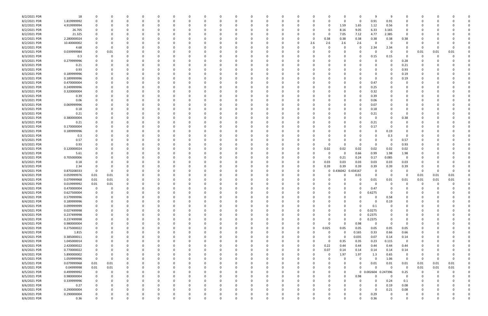| 8/2/2021 PDR | 18          | -0             | 0           |          |          |   |          |          |             | n        |          |          |          |          |             |             |          |          | 9           | -9       |             |          |          |          |  |
|--------------|-------------|----------------|-------------|----------|----------|---|----------|----------|-------------|----------|----------|----------|----------|----------|-------------|-------------|----------|----------|-------------|----------|-------------|----------|----------|----------|--|
| 8/2/2021 PDR | 1.819999992 | 0              | 0           |          |          |   | - 0      |          | $\Omega$    | 0        | O        | 0        | $\Omega$ |          |             | -0          | $\Omega$ | - 0      | 0.91        | 0.91     | $\Omega$    |          |          |          |  |
|              |             |                |             |          |          |   |          |          |             |          |          |          |          |          |             |             |          |          |             |          |             |          |          |          |  |
| 8/2/2021 PDR | 4.919999994 | 0              | O           |          |          |   |          |          |             |          |          |          |          |          |             | 0           | 1.59     | 1.65     | 1.12        | 0.56     |             |          |          |          |  |
| 8/2/2021 PDR | 26.705      |                |             |          |          |   |          |          |             |          |          |          |          |          |             | -0          | 8.16     | 9.05     | 6.33        | 3.165    |             |          |          |          |  |
| 8/2/2021 PDR | 21.325      |                |             |          |          |   |          |          |             |          |          |          |          |          |             | 0           | 7.05     | 7.12     | 4.77        | 2.385    | $\Omega$    |          |          |          |  |
|              |             |                |             |          |          |   |          |          |             |          |          |          |          |          |             |             |          |          |             |          |             |          |          |          |  |
| 8/2/2021 PDR | 2.280000024 |                | 0           |          |          |   |          |          |             |          |          |          |          |          | - 0         | 0.38        | 0.38     | 0.38     | 0.38        | 0.38     | 0.38        |          |          |          |  |
| 8/2/2021 PDR | 10.40000002 |                | 0           |          |          |   |          |          |             |          |          |          |          |          | 2.6         | 2.6         | 2.6      | 2.6      | 0           | - 0      | 0           |          |          |          |  |
| 8/2/2021 PDR | 4.68        |                | 0           |          |          |   |          |          |             |          |          |          |          |          |             | -0          |          | 0        | 2.34        | 2.34     | $\Omega$    | - 0      | - 0      |          |  |
|              |             |                |             |          |          |   |          |          |             |          |          |          |          |          |             |             |          |          |             |          |             |          |          |          |  |
| 8/3/2021 PDR | 0.039999984 | 0              | 0.01        |          |          |   |          |          |             |          |          |          |          |          |             |             |          | 0        | 0           | - 0      | -0          | 0.01     | 0.01     | 0.01     |  |
| 8/3/2021 PDR | 0.3         | 0              | 0           |          |          |   |          |          |             |          |          |          |          |          |             |             |          | 0        | 0.15        | 0.15     | 0           | 0        | $\Omega$ |          |  |
| 8/3/2021 PDR | 0.279999996 | 0              | 0           |          |          |   |          |          |             | 0        |          |          |          |          |             |             |          |          | 0           |          | 0.28        |          |          |          |  |
| 8/3/2021 PDR |             | 0              | 0           |          |          |   |          |          |             | 0        |          |          |          |          |             |             |          |          |             |          | 0.21        |          |          |          |  |
|              | 0.21        |                |             |          |          |   |          |          |             |          |          |          |          |          |             |             |          |          | 0           |          |             |          |          |          |  |
| 8/3/2021 PDR | 0.93        | - 0            | O           |          |          |   |          |          |             |          |          |          |          |          |             |             |          |          | 0           |          | 0.93        |          |          |          |  |
| 8/3/2021 PDR | 0.189999996 |                |             |          |          |   |          |          |             |          |          |          |          |          |             |             |          |          | 0           |          | 0.19        |          |          |          |  |
| 8/3/2021 PDR | 0.189999996 |                |             |          |          |   |          |          |             |          |          |          |          |          |             |             |          |          | 0           |          | 0.19        |          |          |          |  |
|              |             |                |             |          |          |   |          |          |             |          |          |          |          |          |             |             |          |          |             |          |             |          |          |          |  |
| 8/3/2021 PDR | 0.470000004 |                |             |          |          |   |          |          |             |          |          |          |          |          |             |             |          | 0        | 0.47        |          |             |          |          |          |  |
| 8/3/2021 PDR | 0.249999996 |                |             |          |          |   |          |          |             |          |          |          |          |          |             |             |          |          | 0.25        |          |             |          |          |          |  |
| 8/3/2021 PDR | 0.320000004 | - 0            |             |          |          |   |          |          |             |          |          |          |          |          |             |             |          | 0        | 0.32        |          |             |          |          |          |  |
|              |             |                |             |          |          |   |          |          |             |          |          |          |          |          |             |             |          |          |             |          |             |          |          |          |  |
| 8/3/2021 PDR | 0.39        |                |             |          |          |   |          |          |             |          |          |          |          |          |             |             |          |          | 0.39        |          |             |          |          |          |  |
| 8/3/2021 PDR | 0.06        |                |             |          |          |   |          |          |             |          |          |          |          |          |             |             |          |          | 0.06        |          |             |          |          |          |  |
| 8/3/2021 PDR | 0.069999996 |                |             |          |          |   |          |          |             |          |          |          |          |          |             |             |          | 0        | 0.07        |          |             |          |          |          |  |
|              |             |                |             |          |          |   |          |          |             |          |          |          |          |          |             |             |          |          |             |          |             |          |          |          |  |
| 8/3/2021 PDR | 0.18        |                |             |          |          |   |          |          |             |          |          |          |          |          |             |             |          | 0        | 0.18        |          |             |          |          |          |  |
| 8/3/2021 PDR | 0.21        |                |             |          |          |   |          |          |             |          |          |          |          |          |             |             |          |          | 0.21        |          |             |          |          |          |  |
| 8/3/2021 PDR | 0.380000004 | - 0            | 0           |          |          |   |          |          |             |          |          |          |          |          |             |             |          | 0        | 0           |          | 0.38        |          |          |          |  |
| 8/3/2021 PDR | 0.21        |                | 0           |          |          |   |          |          |             | 0        |          |          |          |          |             |             |          |          | 0.21        | - 0      | $\Omega$    |          |          |          |  |
|              |             |                |             |          |          |   |          |          |             |          |          |          |          |          |             |             |          |          |             |          |             |          |          |          |  |
| 8/3/2021 PDR | 0.170000004 |                | 0           |          |          |   |          |          |             |          |          |          |          |          |             |             |          |          | 0.17        |          |             |          |          |          |  |
| 8/3/2021 PDR | 0.189999996 | $\Omega$       |             |          |          |   |          |          |             |          |          |          |          |          |             |             |          | Ω        | 0           | 0.19     |             |          |          |          |  |
| 8/3/2021 PDR | 0.3         |                |             |          |          |   |          |          |             |          |          |          |          |          |             |             |          |          | 0           | 0.3      | 0           |          |          |          |  |
|              |             |                |             |          |          |   |          |          |             |          |          |          |          |          |             |             |          |          |             |          |             |          |          |          |  |
| 8/3/2021 PDR | 0.57        |                |             |          |          |   |          |          |             |          |          |          |          |          |             |             |          |          | C           | - 0      | 0.57        |          |          |          |  |
| 8/3/2021 PDR | 0.93        |                |             |          |          |   |          |          |             |          |          |          |          |          |             | -0          |          | 0        | $\Omega$    | $\Omega$ | 0.93        |          |          |          |  |
| 8/3/2021 PDR | 0.120000024 | 0              | 0           |          |          |   |          |          |             |          |          |          |          |          |             | 0.02        | 0.02     | 0.02     | 0.02        | 0.02     | 0.02        |          |          |          |  |
|              |             |                |             |          |          |   |          |          |             |          |          |          |          |          |             |             |          |          |             |          |             |          |          |          |  |
| 8/3/2021 PDR | 5.61        |                | 0           |          |          |   |          |          |             |          |          |          |          |          |             | -0          | - 0      | 0.66     | 0.99        | 1.98     | 1.98        |          |          |          |  |
| 8/3/2021 PDR | 0.705000006 |                |             |          |          |   |          |          |             |          |          |          |          |          |             | 0           | 0.21     | 0.24     | 0.17        | 0.085    | $\Omega$    |          |          |          |  |
| 8/3/2021 PDR | 0.18        | 0              | O           |          |          |   |          |          |             | 0        |          |          |          |          | -0          | 0.03        | 0.03     | 0.03     | 0.03        | 0.03     | 0.03        |          |          |          |  |
| 8/3/2021 PDR | 2.34        | 0              | 0           |          |          |   |          |          |             |          |          |          |          | 0        | 0           | 0.39        | 0.39     | 0.39     | 0.39        | 0.39     | 0.39        |          |          |          |  |
|              |             |                |             |          |          |   |          |          |             |          |          |          |          |          |             |             |          |          |             |          |             |          |          |          |  |
| 8/4/2021 PDR | 0.870208333 | 0              | 0           |          |          |   |          |          |             | 0        |          |          |          |          | $\Omega$    | $\mathbf 0$ | 0.436042 | 0.434167 | 0           | $\Omega$ | - 0         | - 0      | 0        | $\Omega$ |  |
| 8/4/2021 PDR | 0.059999976 | 0.01           | 0.01        |          |          |   |          |          |             | 0        |          |          |          |          |             | -0          |          | 0.01     | 0           | 0        | 0           | 0.01     | 0.01     | 0.01     |  |
| 8/4/2021 PDR | 0.079999968 | 0.01           | 0.01        |          |          |   |          |          |             |          |          |          |          |          |             |             |          | 0        | 0.01        | 0.01     | 0.01        | 0.01     | 0.01     | 0.01     |  |
|              |             |                |             |          |          |   |          |          |             |          |          |          |          |          |             |             |          |          |             |          |             |          |          |          |  |
| 8/4/2021 PDR | 0.019999992 | 0.01           | 0.01        |          |          |   |          |          |             |          |          |          |          |          |             |             |          |          | C           |          |             |          |          |          |  |
| 8/4/2021 PDR | 0.470000004 | $\mathbf 0$    | 0           |          |          |   |          |          |             |          |          |          |          |          |             |             |          | 0        | 0.47        |          |             |          |          |          |  |
| 8/4/2021 PDR | 0.627500004 | $\overline{0}$ | 0           |          |          |   | <b>U</b> |          |             |          |          |          |          |          |             |             |          | U        | 0.6275      | <b>U</b> |             |          |          |          |  |
|              |             |                |             |          |          | O |          | $\Omega$ |             |          |          |          |          | $\Omega$ | $\Omega$    |             | $\Omega$ |          |             |          |             |          |          |          |  |
| 8/4/2021 PDR | 0.579999996 | $\mathbf 0$    | 0           |          | 0        |   | $\Omega$ |          | $\mathbf 0$ | $\Omega$ | $\Omega$ | $\Omega$ | $\Omega$ |          |             | $\Omega$    |          | $\Omega$ | 0           | 0.58     | $\Omega$    | 0        | $\Omega$ |          |  |
| 8/4/2021 PDR | 0.189999996 | $\mathbf 0$    | 0           |          |          |   | $\Omega$ |          | 0           | 0        | 0        | 0        | $\Omega$ | $\Omega$ | 0           | -0          |          | 0        | 0           | 0.19     | $\Omega$    | 0        | -C       |          |  |
| 8/4/2021 PDR | 0.099999999 | $\mathbf 0$    | 0           |          |          |   |          |          | 0           | 0        | 0        | 0        | $\Omega$ | 0        |             |             |          | 0        | 0.1         | 0        | 0           | 0        | -0       |          |  |
| 8/4/2021 PDR | 0.027499998 | $\mathbf 0$    | 0           |          |          |   |          |          | $\Omega$    | 0        |          | 0        |          | 0        |             |             | $\Omega$ | $\Omega$ | 0.0275      | $\Omega$ | 0           |          |          |          |  |
|              |             |                |             |          |          |   |          |          |             |          |          |          |          |          |             |             |          |          |             |          |             |          |          |          |  |
| 8/4/2021 PDR | 0.237499998 | $\mathbf 0$    | 0           |          |          |   |          |          | 0           | 0        |          |          |          |          |             |             |          | 0        | 0.2375      | $\Omega$ |             |          |          |          |  |
| 8/4/2021 PDR | 0.237499998 | $\mathbf 0$    | 0           |          |          |   |          |          | 0           |          |          | 0        |          | 0        |             |             |          | 0        | 0.2375      | $\Omega$ |             |          |          |          |  |
| 8/4/2021 PDR | 0.980000004 | $\mathbf 0$    | 0           |          |          |   |          |          | 0           |          |          | 0        |          |          |             | 0           | $\Omega$ | 0.98     | $\mathbf 0$ | $\Omega$ | $\Omega$    |          |          |          |  |
|              |             |                |             |          |          |   |          |          |             |          |          |          |          |          |             |             |          |          |             |          |             |          |          |          |  |
| 8/4/2021 PDR | 0.275000022 | $\mathbf 0$    | 0           |          |          |   |          |          | 0           | 0        |          | 0        | 0        | $\Omega$ | 0           | 0.025       | 0.05     | 0.05     | 0.05        | 0.05     | 0.05        | 0        | - 0      |          |  |
| 8/4/2021 PDR | 1.815       | 0              | 0           |          |          |   |          |          | 0           | 0        |          | 0        | -0       | 0        |             | 0           |          | 0.165    | 0.33        | 0.66     | 0.66        | 0        | 0        |          |  |
| 8/4/2021 PDR | 0.385000011 | $\mathbf 0$    | 0           |          |          |   |          |          | 0           | 0        |          | 0        |          | $\Omega$ |             | $\Omega$    | $\Omega$ | 0.035    | 0.07        | 0.14     | 0.14        |          | -0       |          |  |
| 8/4/2021 PDR | 1.045000014 | $\mathbf 0$    | 0           |          |          |   |          |          | 0           | 0        |          | 0        |          |          | 0           | 0           | 0.35     | 0.35     | 0.23        | 0.115    | 0           |          | -0       |          |  |
|              |             |                |             |          |          |   |          |          |             |          |          |          |          |          |             |             |          |          |             |          |             |          |          |          |  |
| 8/4/2021 PDR | 2.420000022 | $\mathbf 0$    | 0           |          |          |   |          |          | 0           | 0        |          | O        |          |          | -0          | 0.22        | 0.44     | 0.44     | 0.44        | 0.44     | 0.44        |          |          |          |  |
| 8/4/2021 PDR | 0.770000022 | $\mathbf 0$    | 0           |          |          |   |          |          | 0           | 0        |          | 0        |          | $\Omega$ | $\mathbf 0$ | 0.07        | 0.14     | 0.14     | 0.14        | 0.14     | 0.14        | 0        |          |          |  |
| 8/4/2021 PDR | 5.890000002 | $\mathbf 0$    | 0           |          |          |   |          |          | 0           | 0        |          | 0        | $\Omega$ | $\Omega$ | 0           | $\Omega$    | 1.97     | 1.97     | 1.3         | 0.65     | 0           | 0        | 0        |          |  |
|              |             |                |             |          |          |   |          |          |             |          |          |          |          |          |             |             |          |          |             |          |             |          |          |          |  |
| 8/5/2021 PDR | 1.059999996 | $\mathbf 0$    | 0           |          |          |   |          |          | 0           | 0        |          | 0        | 0        | $\Omega$ |             | -0          |          | 0        | 0           | 1.06     | $\Omega$    | 0        | $\Omega$ | $\Omega$ |  |
| 8/5/2021 PDR | 0.079999968 | 0.01           | 0.01        |          |          |   |          |          | 0           | 0        |          | 0        |          | 0        |             | -0          |          | 0        | 0.01        | 0.01     | 0.01        | 0.01     | 0.01     | 0.01     |  |
| 8/5/2021 PDR | 0.04999998  | 0.01           | 0.01        |          |          |   |          |          | 0           | 0        | 0        | 0        | $\Omega$ | 0        |             | 0           |          | $\Omega$ | $\Omega$    | $\Omega$ | $\mathbf 0$ | 0.01     | 0.01     | 0.01     |  |
|              |             |                |             |          |          |   |          |          |             |          |          |          |          |          |             |             |          |          |             |          |             |          |          |          |  |
| 8/5/2021 PDR | 0.499999992 | $\mathbf 0$    | 0           |          |          |   |          |          | 0           | 0        | 0        | 0        |          | 0        |             | 0           |          |          | 0 0.002604  | 0.247396 | 0.25        | 0        | 0        |          |  |
| 8/5/2021 PDR | 0.980000004 | $\mathbf 0$    | 0           |          |          |   |          |          | 0           | 0        |          | 0        |          | $\Omega$ |             | 0           |          | 0.98     | $\Omega$    | $\Omega$ | 0           | 0        | 0        |          |  |
| 8/6/2021 PDR | 0.339999996 | $\mathbf 0$    | 0           |          |          |   |          |          | 0           | 0        |          | 0        | $\Omega$ | $\Omega$ | 0           | 0           |          | 0        | 0           | 0.24     | 0.1         | 0        | 0        |          |  |
|              |             | $\mathbf 0$    | 0           |          |          |   |          |          |             |          |          |          |          | $\Omega$ |             | $\Omega$    |          |          | 0           | 0.19     |             |          |          |          |  |
| 8/6/2021 PDR | 0.27        |                |             |          |          |   |          |          | 0           | 0        |          | 0        | 0        |          |             |             |          | 0        |             |          | 0.08        | 0        | 0        |          |  |
| 8/6/2021 PDR | 0.290000004 | $\mathbf 0$    | 0           |          |          |   |          |          | 0           | 0        |          | 0        |          | $\Omega$ |             |             |          | ŋ        | 0           | 0.21     | 0.08        |          | -0       |          |  |
| 8/6/2021 PDR | 0.290000004 | $\mathbf 0$    |             |          |          |   |          |          |             |          |          |          |          |          |             |             |          |          | 0.29        | -0       | 0           |          |          |          |  |
| 8/6/2021 PDR | 0.36        | $\mathbf 0$    | $\mathbf 0$ | $\Omega$ | $\Omega$ |   | $\Omega$ | $\Omega$ | $\Omega$    | $\Omega$ | $\Omega$ | $\Omega$ | $\Omega$ | $\Omega$ | $\Omega$    | $\Omega$    |          |          | 0.36        | $\Omega$ | $\Omega$    | $\Omega$ | 0        | 0        |  |
|              |             |                |             |          |          |   |          |          |             |          |          |          |          |          |             |             |          |          |             |          |             |          |          |          |  |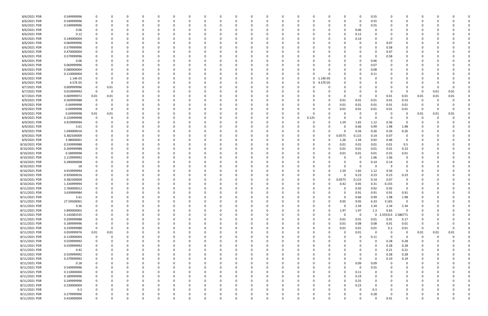| 8/6/2021 PDR  | 0.549999996 | 0                       | 0        |          | 0        |          |          |          |          | 0        | 0        | 0        |            |          | 0           | 0.55        |                     | 0              |             |      |          |  |
|---------------|-------------|-------------------------|----------|----------|----------|----------|----------|----------|----------|----------|----------|----------|------------|----------|-------------|-------------|---------------------|----------------|-------------|------|----------|--|
| 8/6/2021 PDR  | 0.549999996 | 0                       | 0        |          | 0        |          | O        |          |          | 0        | $\Omega$ | 0        |            |          | $\Omega$    | 0.55        |                     | O              | O           |      |          |  |
| 8/6/2021 PDR  | 0.549999996 |                         |          |          |          |          |          |          |          |          |          |          |            |          | 0           | 0.55        |                     |                |             |      |          |  |
| 8/6/2021 PDR  | 0.06        |                         |          |          |          |          |          |          |          |          |          |          |            |          | 0.06        | 0           |                     |                |             |      |          |  |
| 8/6/2021 PDR  | 0.12        |                         |          |          |          |          |          |          |          |          |          |          |            |          | 0.12        |             |                     |                |             |      |          |  |
| 8/6/2021 PDR  | 0.140000004 |                         |          |          |          |          |          |          |          |          |          |          |            |          | 0.14        | 0           |                     |                |             |      |          |  |
|               |             |                         |          |          |          |          |          |          |          |          |          |          |            |          |             |             |                     |                |             |      |          |  |
| 8/6/2021 PDR  | 0.069999996 |                         |          |          | 0        |          |          |          |          | 0        |          |          |            |          |             | 0           | 0.07                | 0              |             |      |          |  |
| 8/6/2021 PDR  | 0.579999996 |                         |          |          |          |          |          |          |          |          |          |          |            |          |             | 0           | 0.58                |                |             |      |          |  |
| 8/6/2021 PDR  | 0.470000004 |                         |          |          |          |          |          |          |          |          |          |          |            |          |             | 0           | 0.47                |                |             |      |          |  |
| 8/6/2021 PDR  | 0.579999996 |                         |          |          |          |          |          |          |          |          |          |          |            |          |             | 0           | 0.58                |                |             |      |          |  |
| 8/6/2021 PDR  | 0.06        |                         |          |          |          |          |          |          |          |          |          |          |            |          |             | 0.06        |                     |                |             |      |          |  |
| 8/6/2021 PDR  | 0.069999996 |                         |          |          |          |          |          |          |          |          |          |          |            |          |             | 0.07        |                     |                |             |      |          |  |
| 8/6/2021 PDR  | 0.080000004 |                         |          |          | 0        |          |          |          |          | 0        |          |          |            |          |             | 0.08        |                     |                |             |      |          |  |
| 8/6/2021 PDR  | 0.110000004 |                         |          |          |          |          |          |          |          |          | 0        |          |            |          |             | 0.11        |                     |                |             |      |          |  |
| 8/6/2021 PDR  | 1.14E-05    |                         |          |          |          |          |          |          |          |          | $\Omega$ |          | 0 1.14E-05 |          |             | 0           |                     |                |             |      |          |  |
| 8/6/2021 PDR  | 4.57E-05    |                         | -0       |          |          |          |          |          |          |          | 0        | 0        | 4.57E-05   |          |             |             |                     |                |             |      |          |  |
| 8/7/2021 PDR  | 0.009999996 | 0                       | 0.01     |          |          |          |          |          |          |          |          |          |            |          |             |             |                     |                |             |      |          |  |
|               |             |                         |          |          |          |          |          |          |          |          |          |          |            |          |             |             |                     |                |             |      |          |  |
| 8/7/2021 PDR  | 0.019999992 | $\overline{\mathbf{0}}$ | 0        |          |          |          |          |          |          |          |          |          |            |          |             | 0           |                     | $\Omega$       | -0          | 0.01 | 0.01     |  |
| 8/7/2021 PDR  | 0.069999972 | 0.01                    | 0.01     |          |          |          |          |          |          |          |          |          |            |          |             | 0           | 0.01                | 0.01           | 0.01        | 0.01 | 0.01     |  |
| 8/9/2021 PDR  | 0.569999988 | $\mathbf 0$             | -0       |          |          |          |          |          |          |          |          |          |            | 0.01     | 0.01        | 0.01        | 0.01                | 0.53           | O           |      |          |  |
| 8/9/2021 PDR  | 0.04999998  |                         |          |          |          |          |          |          |          |          |          |          |            | 0.01     | 0.01        | 0.01        | 0.01                | 0.01           |             |      |          |  |
| 8/9/2021 PDR  | 0.04999998  | $\overline{\mathbf{0}}$ |          |          |          |          |          |          |          |          |          | C        | - 0        | 0.01     | 0.01        | 0.01        | 0.01                | 0.01           | -0          |      | $\Omega$ |  |
| 8/9/2021 PDR  | 0.04999998  | 0.01                    | 0.01     |          |          |          |          |          |          |          | 0        | C        |            |          |             | 0           | - 0                 | 0              | 0.01        | 0.01 | 0.01     |  |
| 8/9/2021 PDR  | 0.124999998 | $\mathbf 0$             | 0        |          |          |          |          |          |          |          | 0        | 0.125    |            |          |             | $\Omega$    | - 0                 | n              | 0           |      |          |  |
| 8/9/2021 PDR  | 4.919999994 |                         |          |          |          |          |          |          |          |          |          |          |            | 1.59     | 1.65        | 1.12        | 0.56                | 0              |             |      |          |  |
| 8/9/2021 PDR  | 5.61        |                         |          |          |          |          |          |          |          |          |          |          |            |          | 0.66        | 0.99        | 1.98                | 1.98           |             |      |          |  |
| 8/9/2021 PDR  | 1.040000016 |                         |          |          |          |          |          |          |          |          |          |          |            |          | 0.26        | 0.26        | 0.26                | 0.26           |             |      |          |  |
| 8/9/2021 PDR  |             |                         |          |          |          |          |          |          |          |          |          |          |            |          |             |             | 0.07                | 0              |             |      |          |  |
|               | 0.382500009 |                         |          |          |          |          |          |          |          |          |          |          |            | 0.0575   | 0.115       | 0.14        |                     |                |             |      |          |  |
| 8/9/2021 PDR  | 3.98000001  |                         |          |          |          |          |          |          |          |          |          |          |            | 1.26     | 1.34        | 0.92        | 0.46                | 0              |             |      |          |  |
| 8/10/2021 PDR | 0.539999988 |                         |          |          |          |          |          |          |          |          |          |          |            | 0.01     | 0.01        | 0.01        | 0.01                | 0.5            |             |      |          |  |
| 8/10/2021 PDR | 0.269999988 |                         |          |          |          |          |          |          |          |          |          | O        |            | 0.01     | 0.01        | 0.01        | 0.01                | 0.23           |             |      |          |  |
| 8/10/2021 PDR | 0.58999998  |                         |          |          | 0        |          |          |          |          | 0        |          |          |            | 0.01     | 0.01        | 0.01        | 0.55                | 0.01           |             |      |          |  |
| 8/10/2021 PDR | 2.119999992 |                         |          |          |          |          |          |          |          |          |          |          |            |          | 0           | 1.06        | 1.06                | 0              |             |      |          |  |
| 8/10/2021 PDR | 0.280000008 |                         |          |          |          |          |          |          |          |          |          |          |            |          |             | 0.14        | 0.14                | 0              |             |      |          |  |
| 8/10/2021 PDR | 18          |                         |          |          |          |          |          |          |          |          |          |          |            |          |             | 9           | -9                  | 0              |             |      |          |  |
| 8/10/2021 PDR | 4.919999994 |                         |          |          |          |          |          |          |          |          |          |          |            | 1.59     | 1.65        | 1.12        | 0.56                | $\Omega$       |             |      |          |  |
| 8/10/2021 PDR | 0.920000016 |                         |          |          |          |          |          |          |          |          |          |          |            |          | 0.23        | 0.23        | 0.23                | 0.23           |             |      |          |  |
| 8/10/2021 PDR | 0.382500009 |                         |          |          |          |          |          |          |          |          |          |          |            | 0.0575   | 0.115       | 0.14        | 0.07                | 0              |             |      |          |  |
| 8/10/2021 PDR | 1.334999994 |                         |          |          |          |          |          |          |          |          |          |          |            | 0.42     | 0.45        | 0.31        | 0.155               | 0              |             |      |          |  |
|               |             |                         |          |          |          |          |          |          |          |          |          |          |            |          |             |             |                     |                |             |      |          |  |
| 8/11/2021 PDR | 2.760000012 | 0                       |          |          |          |          |          |          |          |          |          |          |            | 0        | 0.92        | 0.92        | 0.92                | 0              |             |      |          |  |
| 8/11/2021 PDR | 3.639999984 | $\mathbf 0$             |          |          |          | O        |          |          |          |          | O        |          |            |          | 0.91        | 0.91        | 0.91                | 0.91           | 0           |      |          |  |
| 8/11/2021 PDR | 5.61        | 0                       | 0        | 0        | $\Omega$ | $\Omega$ | 0        |          | 0        | $\Omega$ | $\Omega$ | 0        |            | $\Omega$ | 0.66        | 0.99        | 1.98                | 1.98           | 0           |      |          |  |
| 8/11/2021 PDR | 27.59500001 | $\mathbf 0$             | 0        |          | 0        |          | 0        |          |          | 0        | 0        | 0        | $\Omega$   | 9.05     | 9.05        | 6.33        | 3.165               | $\mathbf 0$    | 0           |      |          |  |
| 8/11/2021 PDR | 9.36        | 0                       | 0        |          | 0        | $\Omega$ | 0        |          |          | 0        | 0        | 0        |            | $\Omega$ | 2.34        | 2.34        | 2.34                | 2.34           | 0           |      |          |  |
| 8/11/2021 PDR | 5.890000002 |                         | 0        |          | 0        |          | 0        |          |          | 0        | 0        | 0        | $\Omega$   | 1.97     | 1.97        | 1.3         | 0.65                | $\mathbf 0$    |             |      |          |  |
| 8/11/2021 PDR | 5.142083335 |                         |          |          | 0        |          |          |          |          | 0        | 0        | 0        |            | $\Omega$ | 0           |             | 0 2.555313 2.586771 |                |             |      |          |  |
| 8/11/2021 PDR | 0.209999988 | 0                       |          |          | 0        | 0        | 0        |          |          | 0        | 0        | 0        | 0          | 0.01     | 0.01        | 0.01        | 0.01                | 0.17           |             |      |          |  |
| 8/11/2021 PDR | 0.189999996 | $\overline{0}$          | 0        |          | 0        |          | 0        |          |          | 0        | 0        | 0        | 0          | 0.01     | 0.08        | 0.08        | 0.01                | $0.01\,$       | 0           |      |          |  |
| 8/11/2021 PDR | 0.239999988 | $\overline{\mathbf{0}}$ | $\Omega$ |          | 0        | O        | 0        |          |          | 0        | $\Omega$ | 0        | $\Omega$   | 0.01     | 0.01        | 0.01        | 0.2                 | 0.01           | $\mathbf 0$ |      |          |  |
| 8/11/2021 PDR | 0.059999976 | 0.01                    | 0.01     |          | 0        |          | 0        |          |          | 0        | $\Omega$ | 0        |            | $\Omega$ | 0.01        | $\mathbf 0$ | $\Omega$            | $\overline{0}$ | 0.01        | 0.01 | 0.01     |  |
|               |             |                         |          |          |          |          |          |          |          |          |          |          |            |          |             |             | $\Omega$            |                |             |      |          |  |
| 8/11/2021 PDR | 0.110000004 | $\overline{\mathbf{0}}$ | 0        |          | 0        | 0        | 0        |          |          | 0        | 0        | 0        |            |          | 0           | 0.11        |                     | 0              | -0          |      |          |  |
| 8/11/2021 PDR | 0.559999992 | $\Omega$                | 0        |          | 0        |          | 0        |          |          | 0        |          | C        |            |          |             | $\Omega$    | 0.28                | 0.28           | 0           |      |          |  |
| 8/11/2021 PDR | 0.559999992 |                         |          |          | 0        |          | 0        |          |          | 0        | 0        | 0        |            |          |             | 0           | 0.28                | 0.28           |             |      |          |  |
| 8/11/2021 PDR | 0.42        | 0                       | 0        |          | 0        |          | 0        |          |          | 0        | 0        | 0        |            |          |             | $\mathbf 0$ | 0.21                | 0.21           | 0           |      |          |  |
| 8/11/2021 PDR | 0.559999992 | $\mathbf 0$             |          |          | 0        |          | 0        |          |          | 0        |          | C        |            |          |             | 0           | 0.28                | 0.28           | 0           |      |          |  |
| 8/11/2021 PDR | 0.379999992 | 0                       | $\Omega$ | 0        | 0        | $\Omega$ | 0        |          | $\Omega$ | 0        | 0        | 0        |            | $\Omega$ | 0           | $\mathbf 0$ | 0.19                | 0.19           | 0           |      |          |  |
| 8/11/2021 PDR | 0.18        | 0                       | 0        |          | 0        | 0        | 0        |          |          | 0        | 0        | 0        |            | O        | 0.09        | 0.09        | $\Omega$            | 0              | 0           |      |          |  |
| 8/11/2021 PDR | 0.549999996 |                         | 0        |          | 0        |          |          |          |          | 0        | 0        | C        |            |          | $\mathbf 0$ | 0.55        |                     | 0              |             |      |          |  |
| 8/11/2021 PDR | 0.110000004 | $\mathbf 0$             |          |          |          |          | 0        |          |          | 0        | 0        | 0        |            |          | 0.11        | 0           |                     | 0              |             |      |          |  |
| 8/11/2021 PDR | 0.189999996 | 0                       |          |          | 0        |          | 0        |          |          | 0        | 0        | 0        |            | 0        | 0.19        | 0           |                     | 0              | 0           |      |          |  |
| 8/11/2021 PDR | 0.249999996 | $\mathbf 0$             |          |          | 0        |          |          |          |          | $\Omega$ |          |          |            |          | 0.25        | 0           |                     |                |             |      |          |  |
|               |             |                         |          |          |          |          |          |          |          |          |          |          |            |          |             |             |                     |                |             |      |          |  |
| 8/11/2021 PDR | 0.230000004 | 0                       | - 0      |          | 0        |          | 0        |          |          | 0        | O        | 0        |            |          | 0.23        | 0           |                     | O              | 0           |      |          |  |
| 8/11/2021 PDR | 0.3         | 0                       | 0        |          | 0        | 0        | 0        |          |          | 0        | 0        | 0        |            |          | 0           | 0.3         |                     | 0              | 0           |      |          |  |
| 8/11/2021 PDR | 0.279999996 |                         |          |          | 0        | 0        |          |          |          | 0        | 0        |          |            |          |             | 0.28        |                     | 0              |             |      |          |  |
| 8/11/2021 PDR | 0.410000004 | $\mathbf 0$             | 0        | $\Omega$ | $\Omega$ | $\Omega$ | $\Omega$ | $\Omega$ | $\Omega$ | $\Omega$ | $\Omega$ | $\Omega$ | $\Omega$   | $\Omega$ | $\Omega$    | $\Omega$    | 0.41                | $\Omega$       | $\Omega$    |      | $\Omega$ |  |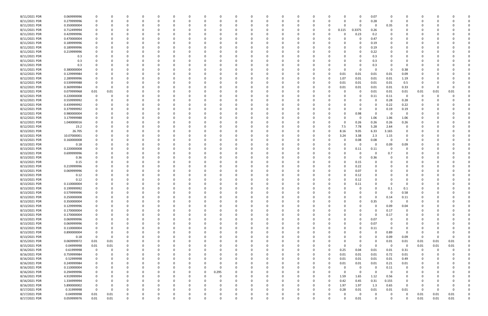| 8/11/2021 PDR | 0.069999996 |             |          |          |          |          |              |              |          |          |   |          |          |          |          |          |          |          | 0           | 0.07        |          |                     |                |      |          |  |
|---------------|-------------|-------------|----------|----------|----------|----------|--------------|--------------|----------|----------|---|----------|----------|----------|----------|----------|----------|----------|-------------|-------------|----------|---------------------|----------------|------|----------|--|
| 8/11/2021 PDR | 0.279999996 |             |          |          |          |          |              |              |          |          |   |          |          |          |          | -0       |          | 0        | 0           | 0.28        | - റ      |                     |                |      |          |  |
| 8/11/2021 PDR | 0.350000004 |             |          |          |          |          |              |              |          |          |   |          |          |          |          |          |          |          | 0           | 0           | 0.35     |                     |                |      |          |  |
| 8/11/2021 PDR | 0.712499994 |             |          |          |          |          |              |              |          |          |   |          |          |          |          |          | 0        | 0.115    | 0.3375      | 0.26        |          |                     |                |      |          |  |
| 8/11/2021 PDR | 0.429999996 |             |          |          |          |          |              |              |          |          |   |          |          |          |          |          |          | 0        | 0.23        | 0.2         |          |                     |                |      |          |  |
| 8/11/2021 PDR | 0.470000004 |             |          |          |          |          |              |              |          |          |   |          |          |          |          |          |          |          | 0           | 0.47        |          |                     |                |      |          |  |
| 8/11/2021 PDR | 0.189999996 |             |          |          |          |          |              |              |          |          |   |          |          |          |          |          |          |          | 0           | 0.19        |          |                     |                |      |          |  |
| 8/11/2021 PDR | 0.189999996 |             |          |          |          |          |              |              |          |          |   |          |          |          |          |          |          |          | 0           | 0.19        |          |                     |                |      |          |  |
| 8/11/2021 PDR | 0.219999996 |             |          |          |          |          |              |              |          |          |   |          |          |          |          |          |          |          | 0           | 0.22        |          |                     |                |      |          |  |
| 8/11/2021 PDR | 0.3         |             |          |          |          |          |              |              |          |          |   |          |          |          |          |          |          |          |             | 0.3         |          |                     |                |      |          |  |
| 8/11/2021 PDR | 0.3         |             |          |          |          |          |              |              |          |          |   |          |          |          |          |          |          |          |             | 0.3         |          |                     |                |      |          |  |
| 8/11/2021 PDR | 0.3         |             |          |          |          |          |              |              |          |          |   |          |          |          |          |          |          |          |             | 0.3         |          |                     |                |      |          |  |
| 8/11/2021 PDR | 0.380000004 |             |          |          |          |          |              |              |          |          |   |          |          |          |          |          |          |          | 0           | 0           | - 0      | 0.38                |                |      |          |  |
| 8/12/2021 PDR | 0.129999984 |             |          |          |          |          |              |              |          |          |   |          |          |          |          |          |          | 0.01     | 0.01        | 0.01        | 0.01     | 0.09                |                |      |          |  |
| 8/12/2021 PDR | 2.289999996 |             |          |          |          |          |              |              |          |          |   |          |          |          |          |          |          | 1.07     | 0.01        | 0.01        | 0.01     | 1.19                |                |      |          |  |
| 8/12/2021 PDR | 0.539999988 |             |          |          |          |          |              |              |          |          |   |          |          |          |          |          |          | 0.01     | 0.01        | 0.01        | 0.01     | 0.5                 |                |      |          |  |
| 8/12/2021 PDR | 0.369999984 | - 0         |          |          |          |          |              |              |          |          |   |          |          |          |          |          |          | 0.01     | 0.01        | 0.01        | 0.01     | 0.33                | -0             |      |          |  |
| 8/12/2021 PDR | 0.079999968 | 0.01        | 0.01     |          |          |          |              |              |          |          |   |          |          |          |          |          |          |          | 0           | 0.01        | 0.01     | 0.01                | 0.01           | 0.01 | 0.01     |  |
| 8/12/2021 PDR | 0.220000008 |             |          |          |          |          |              |              |          |          |   |          |          |          |          |          |          |          | 0           | 0.11        | 0.11     | - 0                 | 0              |      |          |  |
| 8/12/2021 PDR | 0.559999992 |             |          |          |          |          |              |              |          |          |   |          |          |          |          |          |          |          |             | $\Omega$    | 0.28     | 0.28                |                |      |          |  |
| 8/12/2021 PDR | 0.439999992 |             |          |          |          |          |              |              |          |          |   |          |          |          |          |          |          |          |             | 0           | 0.22     | 0.22                |                |      |          |  |
| 8/12/2021 PDR | 0.379999992 |             |          |          |          |          |              |              |          |          |   |          |          |          |          |          |          |          |             |             |          |                     |                |      |          |  |
|               | 0.980000004 |             |          |          |          |          |              |              |          |          |   |          |          |          |          |          |          |          |             | - 0         | 0.19     | 0.19<br>$\mathbf 0$ |                |      |          |  |
| 8/12/2021 PDR |             |             |          |          |          |          |              |              |          |          |   |          |          |          |          |          |          |          | 0.98        |             | - 0      |                     |                |      |          |  |
| 8/12/2021 PDR | 3.179999988 |             |          |          |          |          |              |              |          |          |   |          |          |          |          |          |          | ŋ        | 0           | 1.06        | 1.06     | 1.06                |                |      |          |  |
| 8/12/2021 PDR | 1.040000016 |             |          |          |          |          |              |              |          |          |   |          |          |          |          |          |          |          | 0.26        | 0.26        | 0.26     | 0.26                |                |      |          |  |
| 8/12/2021 PDR | 23.2        |             |          |          |          |          |              |              |          |          |   |          |          |          |          |          |          | 7.5      | 7.78        | 5.28        | 2.64     | $\Omega$            |                |      |          |  |
| 8/13/2021 PDR | 26.705      |             |          |          |          |          |              |              |          |          |   |          |          |          |          |          |          | 8.16     | 9.05        | 6.33        | 3.165    | 0                   |                |      |          |  |
| 8/13/2021 PDR | 10.07000001 |             |          |          |          |          |              |              |          |          |   |          |          |          |          |          |          | 3.24     | 3.38        | 2.3         | 1.15     | 0                   |                |      |          |  |
| 8/13/2021 PDR | 0.160000008 |             |          |          |          |          |              |              |          |          |   |          |          |          |          |          |          |          | 0.08        | 0.08        | 0        | $\Omega$            |                |      |          |  |
| 8/13/2021 PDR | 0.18        |             |          |          |          |          |              |              |          |          |   |          |          |          |          |          |          | 0        | 0           | 0           | 0.09     | 0.09                |                |      |          |  |
| 8/13/2021 PDR | 0.220000008 |             |          |          |          |          |              |              |          |          |   |          |          |          |          |          |          |          | 0.11        | 0.11        | - 0      | 0                   |                |      |          |  |
| 8/13/2021 PDR | 0.699999996 |             |          |          |          |          |              |              |          |          |   |          |          |          |          |          |          |          | 0           | -C          | 0.7      |                     |                |      |          |  |
| 8/13/2021 PDR | 0.36        |             |          |          |          |          |              |              |          |          |   |          |          |          |          |          |          |          | 0           | 0.36        |          |                     |                |      |          |  |
| 8/13/2021 PDR | 0.15        |             |          |          |          |          |              |              |          |          |   |          |          |          |          |          |          |          | 0.15        |             |          |                     |                |      |          |  |
| 8/13/2021 PDR | 0.219999996 |             |          |          |          |          |              |              |          |          |   |          |          |          |          |          |          |          | 0.22        |             |          |                     |                |      |          |  |
| 8/13/2021 PDR | 0.069999996 |             |          |          |          |          |              |              |          |          |   |          |          |          |          |          |          | 0        | 0.07        |             |          |                     |                |      |          |  |
| 8/13/2021 PDR | 0.12        |             |          |          |          |          |              |              |          |          |   |          |          |          |          |          |          |          | 0.12        |             |          |                     |                |      |          |  |
| 8/13/2021 PDR | 0.12        |             |          |          |          |          |              |              |          |          |   |          |          |          |          |          |          |          | 0.12        |             |          |                     |                |      |          |  |
| 8/13/2021 PDR | 0.110000004 |             |          |          |          |          |              |              |          |          |   |          |          |          |          |          |          |          | 0.11        |             |          |                     |                |      |          |  |
| 8/13/2021 PDR | 0.199999992 |             |          |          |          |          |              |              |          |          |   |          |          |          |          |          |          |          | $\Omega$    |             | 0.1      | 0.1                 |                |      |          |  |
| 8/13/2021 PDR | 0.579999996 |             |          |          |          |          |              |              |          |          |   |          |          |          |          |          |          |          | $\Omega$    |             |          | 0.58                |                |      |          |  |
| 8/13/2021 PDR | 0.250000008 | 0           | 0        | n        | 0        | $\Omega$ | 0            | 0            | $\Omega$ | $\Omega$ | ŋ | 0        | $\Omega$ | $\Omega$ | $\Omega$ | $\Omega$ |          | $\Omega$ | 0           | $\mathbf 0$ | 0.14     | 0.11                | 0              |      |          |  |
| 8/13/2021 PDR | 0.350000004 |             | 0        |          | 0        |          | $\Omega$     | 0            | 0        | n        |   | 0        |          |          |          | 0        |          | 0        | 0           | 0.35        | $\Omega$ | 0                   | 0              |      |          |  |
| 8/13/2021 PDR | 0.129999996 |             |          |          | $\Omega$ |          | n            | 0            | $\Omega$ |          |   |          | $\Omega$ |          |          | $\Omega$ |          |          | 0           | $\Omega$    | 0.09     | 0.04                | 0              |      |          |  |
| 8/13/2021 PDR | 0.170000004 |             |          |          |          |          |              | 0            | - 0      |          |   |          |          |          |          | 0        |          |          | 0           | $\Omega$    | 0.17     | $\mathbf 0$         |                |      |          |  |
| 8/13/2021 PDR | 0.170000004 |             |          |          |          |          |              | 0            |          |          |   |          |          |          |          | 0        |          | 0        | 0           | 0           | 0.17     | 0                   |                |      |          |  |
| 8/13/2021 PDR | 0.069999996 |             |          |          |          |          | 0            | 0            | 0        |          |   |          |          |          | 0        | 0        |          | 0        | 0           | 0.07        | - 0      | $\mathbf 0$         |                |      |          |  |
| 8/13/2021 PDR | 0.069999996 | 0           |          |          |          |          |              | 0            | 0        |          |   |          |          |          |          |          |          | 0        | 0           | 0.07        | 0        | 0                   | 0              |      |          |  |
| 8/13/2021 PDR | 0.110000004 |             |          |          |          |          |              | <sup>0</sup> | 0        |          |   |          |          |          |          | 0        |          | 0        | $\Omega$    | 0.11        | - 0      | $\Omega$            |                |      |          |  |
| 8/13/2021 PDR | 0.890000004 |             |          |          |          |          | 0            | 0            | 0        |          |   |          |          |          |          | 0        |          | 0        | 0           | $\Omega$    | 0.89     | $\Omega$            | 0              |      |          |  |
| 8/13/2021 PDR | 0.18        | $\mathbf 0$ | 0        |          |          |          |              |              | 0        |          |   |          |          |          |          |          |          |          |             | $\Omega$    | 0.09     | 0.09                | $\Omega$       |      | $\Omega$ |  |
| 8/15/2021 PDR | 0.069999972 | 0.01        | 0.01     |          |          |          |              | 0            |          |          |   |          |          |          |          | 0        |          | 0        |             | 0           | 0.01     | $0.01\,$            | 0.01           | 0.01 | 0.01     |  |
| 8/15/2021 PDR | 0.04999998  | 0.01        | 0.01     |          |          |          | 0            | 0            |          |          |   |          |          |          |          | 0        |          | $\Omega$ | 0           | $\Omega$    | 0        | 0                   | 0.01           | 0.01 | 0.01     |  |
| 8/16/2021 PDR | 0.61999998  | $\mathbf 0$ | 0        |          |          |          |              |              |          |          |   |          |          |          |          |          |          | 0.25     | 0.04        | 0.01        | 0.01     | 0.31                | $\overline{0}$ |      |          |  |
| 8/16/2021 PDR | 0.759999984 | 0           |          |          | 0        |          | <sup>0</sup> | 0            | 0        |          |   |          |          |          |          | 0        |          | 0.01     | 0.01        | 0.01        | 0.72     | 0.01                | 0              |      |          |  |
| 8/16/2021 PDR | 0.52999998  |             | 0        |          | $\Omega$ |          | 0            | 0            | 0        |          |   | 0        |          |          | 0        | 0        |          | 0.01     | 0.01        | 0.01        | 0.01     | 0.49                | 0              |      |          |  |
| 8/16/2021 PDR | 0.249999984 |             |          |          |          |          |              | 0            |          |          |   |          | 0        |          |          | 0        |          | 0.01     | 0.01        | 0.01        | 0.21     | 0.01                |                |      |          |  |
| 8/16/2021 PDR | 0.110000004 |             |          |          |          |          |              | 0            | 0        | 0        |   |          |          |          |          | $\Omega$ |          | $\Omega$ | 0           | 0           | 0.11     | $\mathbf 0$         |                |      |          |  |
| 8/16/2021 PDR | 0.294999996 |             |          |          |          |          |              | 0            | 0        | 0.295    |   |          |          |          |          | 0        |          | $\Omega$ | $\mathbf 0$ | $\mathbf 0$ | 0        | 0                   |                |      |          |  |
| 8/16/2021 PDR | 4.919999994 |             |          |          |          |          |              | 0            | C        |          |   |          |          |          |          | 0        | 0        | 1.59     | 1.65        | 1.12        | 0.56     | $\mathbf 0$         |                |      |          |  |
| 8/16/2021 PDR | 1.334999994 | 0           |          |          | 0        |          | <sup>0</sup> | 0            | 0        |          |   |          |          |          |          | 0        |          | 0.42     | 0.45        | 0.31        | 0.155    | $\mathbf 0$         | 0              |      |          |  |
| 8/16/2021 PDR | 5.890000002 | 0           |          |          |          |          |              | 0            | 0        |          |   |          |          |          |          | 0        | $\Omega$ | 1.97     | 1.97        | 1.3         | 0.65     | $\mathbf 0$         | 0              |      |          |  |
| 8/17/2021 PDR | 0.31999998  | $\mathbf 0$ | $\Omega$ |          |          |          |              |              |          |          |   |          |          |          |          | $\Omega$ |          | 0.28     | 0.01        | 0.01        | 0.01     | 0.01                | $\Omega$       |      | $\Omega$ |  |
| 8/17/2021 PDR | 0.04999998  | 0.01        | 0.01     |          |          |          |              |              |          |          |   |          |          |          |          |          |          | $\Omega$ | 0           | 0           |          | 0                   | 0.01           | 0.01 | 0.01     |  |
| 8/17/2021 PDR | 0.059999976 | 0.01        | 0.01     | $\Omega$ | 0        | $\Omega$ | $\mathbf 0$  | $\Omega$     | $\Omega$ | O        |   | $\Omega$ |          | $\Omega$ | O        | $\Omega$ |          | $\Omega$ | 0.01        | $\Omega$    | $\Omega$ | $\Omega$            | 0.01           | 0.01 | 0.01     |  |
|               |             |             |          |          |          |          |              |              |          |          |   |          |          |          |          |          |          |          |             |             |          |                     |                |      |          |  |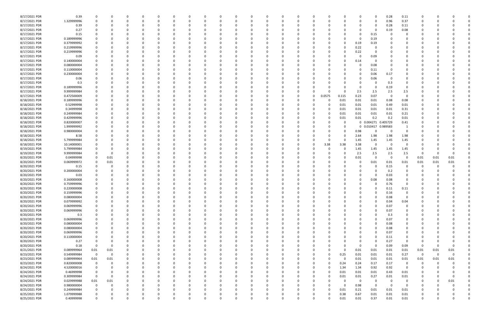| 8/17/2021 PDR | 0.39        | 0           |          |          | 0        | 0        |          | 0            |          | 0        |          |              | 0        | 0        |          |          | 0            |            | 0.28     | 0.11           | 0           |          |          |  |
|---------------|-------------|-------------|----------|----------|----------|----------|----------|--------------|----------|----------|----------|--------------|----------|----------|----------|----------|--------------|------------|----------|----------------|-------------|----------|----------|--|
| 8/17/2021 PDR | 1.329999996 |             |          | $\Omega$ |          |          |          | <sup>0</sup> |          | $\Omega$ |          |              | O        | $\Omega$ |          |          | $\Omega$     | $\Omega$   | 0.96     | 0.37           | 0           |          |          |  |
| 8/17/2021 PDR | 0.39        |             |          |          |          |          |          |              |          |          |          |              |          |          |          |          |              | 0          | 0.28     | 0.11           |             |          |          |  |
| 8/17/2021 PDR | 0.27        |             |          |          |          |          |          |              |          |          |          |              |          |          |          |          | 0            | -0         | 0.19     | 0.08           |             |          |          |  |
|               |             |             |          |          |          |          |          |              |          |          |          |              |          |          |          |          |              |            |          |                |             |          |          |  |
| 8/17/2021 PDR | 0.15        |             |          |          |          |          |          |              |          |          |          |              |          |          |          |          | 0            | 0.15       |          |                |             |          |          |  |
| 8/17/2021 PDR | 0.189999996 |             |          | n        |          |          |          |              |          |          |          |              |          |          |          |          | 0            | 0.19       |          | 0              |             |          |          |  |
| 8/17/2021 PDR | 0.379999992 |             |          |          |          |          |          |              |          |          |          |              |          |          |          |          | 0.19         | 0.19       |          | 0              |             |          |          |  |
| 8/17/2021 PDR | 0.219999996 |             |          |          |          |          |          |              |          |          |          |              |          |          |          |          | 0.22         |            |          |                |             |          |          |  |
| 8/17/2021 PDR | 0.219999996 |             |          |          |          |          |          |              |          |          |          |              |          |          |          |          | 0.22         | -0         |          |                |             |          |          |  |
| 8/17/2021 PDR | 0.09        |             |          |          |          |          |          |              |          |          |          |              |          |          |          |          | -0           | 0.09       |          |                |             |          |          |  |
| 8/17/2021 PDR | 0.140000004 |             |          |          |          |          |          |              |          |          |          |              |          |          |          |          | 0.14         | -0         |          |                |             |          |          |  |
|               |             |             |          |          |          |          |          |              |          |          |          |              |          |          |          |          |              |            |          |                |             |          |          |  |
| 8/17/2021 PDR | 0.080000004 |             |          |          |          |          |          |              |          |          |          |              |          |          |          |          | 0            | 0.08       |          |                |             |          |          |  |
| 8/17/2021 PDR | 0.110000004 |             |          |          |          |          |          |              |          |          |          |              |          |          |          |          | 0            | 0.11       |          |                |             |          |          |  |
| 8/17/2021 PDR | 0.230000004 |             |          |          |          |          |          |              |          |          |          |              |          |          |          |          | 0            | 0.06       | 0.17     |                |             |          |          |  |
| 8/17/2021 PDR | 0.06        |             |          |          |          |          |          |              |          |          |          |              |          |          |          |          | 0            | 0.06       |          |                |             |          |          |  |
| 8/17/2021 PDR | 0.3         |             |          |          |          |          |          |              |          |          |          |              |          |          |          |          | 0            |            | 0.3      |                |             |          |          |  |
| 8/17/2021 PDR | 0.189999996 |             |          |          |          |          |          |              |          |          |          |              |          |          |          |          | 0            | -0         | 0.19     |                |             |          |          |  |
| 8/17/2021 PDR | 9.999999984 |             |          |          |          |          |          |              |          |          |          |              |          | - 0      |          | $\Omega$ | 2.5          | 2.5        | 2.5      | 2.5            |             |          |          |  |
| 8/17/2021 PDR | 0.472500009 |             |          |          |          |          |          |              |          |          |          |              | 0        | 0        | 0.0575   | 0.115    | 0.23         | 0.07       | 0        | $\overline{0}$ |             |          |          |  |
|               |             |             |          |          |          |          |          |              |          |          |          |              |          |          |          |          |              |            |          |                |             |          |          |  |
| 8/18/2021 PDR | 0.189999996 |             |          |          |          |          |          |              |          |          |          |              |          |          | $\Omega$ | 0.01     | 0.01         | 0.01       | 0.08     | 0.08           |             |          |          |  |
| 8/18/2021 PDR | 0.52999998  |             |          |          |          |          |          |              |          |          |          |              |          |          | 0        | 0.01     | 0.01         | 0.01       | 0.49     | 0.01           |             |          |          |  |
| 8/18/2021 PDR | 0.34999998  |             |          |          |          |          |          |              |          |          |          |              |          |          | 0        | 0.01     | 0.01         | 0.01       | $0.01\,$ | 0.31           |             |          |          |  |
| 8/18/2021 PDR | 0.249999984 |             |          |          |          |          |          |              |          |          |          |              |          |          |          | 0.01     | 0.01         | 0.01       | 0.01     | 0.21           |             |          |          |  |
| 8/18/2021 PDR | 0.429999996 |             |          |          |          |          |          |              |          |          |          |              |          |          |          | 0.01     | 0.01         | 0.2        | 0.2      | 0.01           |             |          |          |  |
| 8/18/2021 PDR | 0.820000007 |             |          |          |          |          |          |              |          |          |          |              |          |          |          |          |              | 0 0.004271 | 0.405729 | 0.41           |             |          |          |  |
| 8/18/2021 PDR | 1.999999992 |             |          |          |          |          |          |              |          |          |          |              |          |          |          |          | $\mathbf{0}$ | 0.010417   | 0.989583 |                |             |          |          |  |
|               |             |             |          |          |          |          |          |              |          |          |          |              |          |          |          |          |              |            | - റ      | $\Omega$       |             |          |          |  |
| 8/18/2021 PDR | 0.980000004 |             |          |          |          |          |          |              |          |          |          |              |          |          |          |          | 0.98         |            |          |                |             |          |          |  |
| 8/18/2021 PDR | 8.58        |             |          |          |          |          |          |              |          |          |          |              |          |          |          |          | 2.64         | 1.98       | 1.98     | 1.98           |             |          |          |  |
| 8/18/2021 PDR | 5.799999984 |             |          |          |          |          |          |              |          |          |          |              |          |          | 0        |          | 1.45         | 1.45       | 1.45     | 1.45           |             |          |          |  |
| 8/18/2021 PDR | 10.14000001 |             |          |          |          |          |          |              |          |          |          |              |          | 0        | 3.38     | 3.38     | 3.38         | 0          | 0        | $\mathbf 0$    |             |          |          |  |
| 8/19/2021 PDR | 5.799999984 |             |          |          |          |          |          |              |          |          |          |              |          |          |          |          | 1.45         | 1.45       | 1.45     | 1.45           |             |          |          |  |
| 8/19/2021 PDR | 9.999999984 |             |          |          |          |          |          |              |          |          |          |              |          |          |          |          | 2.5          | 2.5        | 2.5      | 2.5            | 0           |          |          |  |
| 8/20/2021 PDR | 0.04999998  |             | 0.01     |          |          |          |          |              |          |          |          |              |          |          |          |          | 0.01         | $\Omega$   | 0        | 0              | 0.01        | 0.01     | 0.01     |  |
| 8/20/2021 PDR | 0.069999972 |             | 0.01     |          |          |          |          |              |          |          |          |              |          |          |          |          | 0            | 0.01       | 0.01     | 0.01           | 0.01        | 0.01     | 0.01     |  |
|               |             |             |          |          |          |          |          |              |          |          |          |              |          |          |          |          |              |            |          |                |             |          |          |  |
| 8/20/2021 PDR | 0.15        |             | 0        |          |          |          |          |              |          |          |          |              |          |          |          |          |              |            | 0.15     | 0              | 0           |          |          |  |
| 8/20/2021 PDR | 0.200000004 |             |          |          |          |          |          |              |          |          |          |              |          |          |          |          |              |            | 0.2      |                |             |          |          |  |
| 8/20/2021 PDR | 0.03        |             |          |          |          |          |          |              |          |          |          |              |          |          |          |          |              |            | 0.03     |                |             |          |          |  |
| 8/20/2021 PDR | 0.160000008 |             |          |          |          |          |          |              |          |          |          |              |          |          |          |          | 0            | 0.08       | 0.08     | 0              |             |          |          |  |
| 8/20/2021 PDR | 0.759999996 |             |          |          |          |          |          |              |          |          |          |              |          |          |          |          |              |            | 0.76     | $\Omega$       |             |          |          |  |
| 8/20/2021 PDR | 0.220000008 |             |          |          |          |          |          |              |          | $\Omega$ |          |              |          |          |          |          | 0            | $\Omega$   | 0.11     | 0.11           |             |          |          |  |
| 8/20/2021 PDR | 0.159999996 | 0           |          |          |          |          |          |              |          |          |          | 0            |          |          |          |          | 0            |            | 0.16     |                |             |          |          |  |
|               |             |             |          |          |          | $\Omega$ |          |              |          |          |          |              |          |          |          |          |              |            |          |                |             |          |          |  |
| 8/20/2021 PDR | 0.080000004 | 0           |          | $\Omega$ |          |          |          |              |          | $\Omega$ |          | $\Omega$     | 0        |          |          |          | 0            | $\Omega$   | 0.08     | $\overline{0}$ | 0           |          |          |  |
| 8/20/2021 PDR | 0.079999992 | 0           |          | C        |          |          |          |              |          | 0        |          |              |          |          |          |          |              | $\Omega$   | 0.04     | 0.04           |             |          |          |  |
| 8/20/2021 PDR | 0.069999996 | 0           |          | 0        |          |          |          | <sup>0</sup> |          | 0        |          |              | 0        | 0        |          |          | 0            | $\Omega$   | 0.07     | 0              |             |          |          |  |
| 8/20/2021 PDR | 0.069999996 |             |          |          |          |          |          |              |          |          |          |              |          |          |          |          |              | $\Omega$   | 0.07     | 0              |             |          |          |  |
| 8/20/2021 PDR | 0.3         |             |          |          |          |          |          |              |          |          |          |              |          |          |          |          |              |            | 0.3      | 0              |             |          |          |  |
| 8/20/2021 PDR | 0.069999996 |             |          |          |          |          |          |              |          |          |          |              | 0        |          |          |          |              | $\Omega$   | 0.07     | 0              |             |          |          |  |
| 8/20/2021 PDR | 0.080000004 | 0           |          |          |          |          |          |              |          |          |          | 0            | 0        |          |          |          |              | $\Omega$   | 0.08     | 0              |             |          |          |  |
| 8/20/2021 PDR | 0.080000004 | $\Omega$    |          | 0        |          | $\Omega$ |          | 0            |          | $\Omega$ |          | <sup>0</sup> | 0        | 0        |          |          | 0            | $\Omega$   | 0.08     | 0              | 0           |          |          |  |
| 8/20/2021 PDR | 0.069999996 | 0           |          | 0        |          | $\Omega$ |          | $\Omega$     |          |          |          |              | 0        |          |          |          |              | $\Omega$   | 0.07     | 0              |             |          |          |  |
|               |             |             |          |          |          |          |          |              |          | 0        |          | 0            |          | 0        |          |          | 0            |            |          |                | 0           |          |          |  |
| 8/20/2021 PDR | 0.110000004 |             |          | C        |          | $\Omega$ |          |              |          | 0        |          | 0            | 0        | - 0      |          |          |              | $\Omega$   | 0.11     | 0              |             |          |          |  |
| 8/20/2021 PDR | 0.27        | $\Omega$    |          | 0        |          |          |          |              |          | 0        |          |              | 0        | 0        |          |          | 0            | $\Omega$   | 0.27     | 0              | 0           |          |          |  |
| 8/20/2021 PDR | 0.18        | 0           | 0        |          |          |          |          |              |          | 0        |          | 0            | O        |          |          |          | 0            | 0          | 0.09     | 0.09           | 0           |          | 0        |  |
| 8/21/2021 PDR | 0.089999964 | $0.01\,$    | 0.01     |          |          |          |          |              |          |          |          | 0            |          |          | 0        |          | 0.01         | 0.01       | 0.01     | 0.01           | 0.01        | 0.01     | 0.01     |  |
| 8/23/2021 PDR | 0.549999984 | $\mathbf 0$ | 0        | $\Omega$ |          |          |          |              |          |          |          |              |          |          | 0        | 0.25     | 0.01         | 0.01       | 0.01     | 0.27           | $\mathbf 0$ | $\Omega$ | $\Omega$ |  |
| 8/23/2021 PDR | 0.089999964 | 0.01        | 0.01     | 0        |          | $\Omega$ |          | <sup>0</sup> |          | 0        |          |              | 0        | 0        | 0        | - 0      | 0.01         | 0.01       | 0.01     | 0.01           | 0.01        | 0.01     | 0.01     |  |
| 8/23/2021 PDR | 0.820000008 | 0           | 0        | 0        |          | 0        |          | 0            |          | 0        |          |              | 0        | 0        | 0        | 0.24     | 0.24         | 0.17       | 0.17     | 0              | 0           |          |          |  |
|               |             |             |          |          |          |          |          |              |          |          |          |              |          |          |          |          |              |            |          |                |             |          |          |  |
| 8/24/2021 PDR | 4.520000016 | 0           |          | 0        |          | 0        |          | 0            |          | $\Omega$ |          |              | 0        | - 0      | $\Omega$ | 1.34     | 1.34         | 0.92       | 0.92     | 0              | 0           |          |          |  |
| 8/24/2021 PDR | 0.46999998  | $\mathbf 0$ | 0        |          |          |          |          |              |          | 0        |          |              | 0        | - 0      | 0        | 0.01     | 0.01         | 0.01       | 0.43     | 0.01           |             |          |          |  |
| 8/24/2021 PDR | 0.309999984 | $\mathbf 0$ | $\Omega$ | $\Omega$ |          |          |          |              |          |          |          | 0            | 0        |          | 0        | 0.01     | 0.01         | 0.27       | $0.01\,$ | 0.01           |             |          |          |  |
| 8/24/2021 PDR | 0.029999988 | 0.01        | 0.01     | 0        |          |          |          |              |          |          |          |              | 0        |          |          | $\Omega$ | 0            | 0          | - 0      | 0              |             |          | 0.01     |  |
| 8/24/2021 PDR | 0.980000004 | $\mathbf 0$ | 0        | 0        |          |          |          |              |          | 0        |          | 0            | 0        | 0        |          | 0        | 0.98         | $\Omega$   | 0        | $\mathbf 0$    | 0           |          |          |  |
| 8/25/2021 PDR | 0.249999984 | 0           |          | 0        |          | $\Omega$ |          | <sup>0</sup> |          | $\Omega$ |          | <sup>0</sup> | 0        | - 0      | $\Omega$ | 0.01     | 0.21         | 0.01       | 0.01     | 0.01           | 0           |          |          |  |
| 8/25/2021 PDR | 1.079999988 | 0           |          | C        |          |          |          | 0            |          | 0        |          |              |          |          | 0        | 0.38     | 0.67         | 0.01       | 0.01     | 0.01           |             |          |          |  |
| 8/25/2021 PDR | 0.40999998  | $\mathbf 0$ |          | 0        | $\Omega$ | $\Omega$ | $\Omega$ | 0            | $\Omega$ | $\Omega$ | $\Omega$ | $\Omega$     | $\Omega$ |          | 0        | 0.01     | 0.01         | 0.37       | $0.01\,$ | 0.01           | 0           |          | $\Omega$ |  |
|               |             |             |          |          |          |          |          |              |          |          |          |              |          |          |          |          |              |            |          |                |             |          |          |  |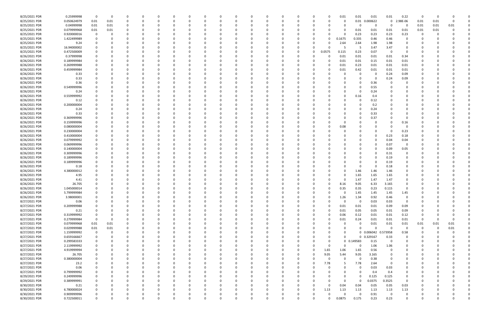| 8/25/2021 PDR | 0.25999998  | $\Omega$    | 0        | -0       |          | 0        |          |          |          |          | $\Omega$ |          |              | 0        |   | 0            | 0.01     | 0.01         | 0.01                | 0.01           | 0.22        | 0        |          |          |  |
|---------------|-------------|-------------|----------|----------|----------|----------|----------|----------|----------|----------|----------|----------|--------------|----------|---|--------------|----------|--------------|---------------------|----------------|-------------|----------|----------|----------|--|
| 8/25/2021 PDR | 0.050624979 | $0.01\,$    | 0.01     | -0       |          |          |          |          |          |          |          |          |              | C        |   |              |          | 0.01         | 0.000622            | 0              | 2.98E-06    | 0.01     | 0.01     |          |  |
| 8/25/2021 PDR | 0.04999998  | $0.01\,$    | 0.01     |          |          |          |          |          |          |          |          |          |              |          |   |              |          | 0            | $\Omega$            | - 0            | -0          | 0.01     | 0.01     | 0.01     |  |
| 8/25/2021 PDR | 0.079999968 | 0.01        | 0.01     | $\Omega$ |          |          |          |          |          |          |          |          |              |          |   |              |          | 0.01         | 0.01                | 0.01           | 0.01        | 0.01     | 0.01     |          |  |
| 8/25/2021 PDR | 0.920000016 |             |          |          |          |          |          |          |          |          |          |          |              |          |   |              |          | 0.23         | 0.23                | 0.23           | 0.23        |          |          |          |  |
| 8/25/2021 PDR | 1.422499989 |             |          | -0       |          |          |          |          |          |          | - 0      |          |              | C        |   | $\Omega$     | 0.1675   | 0.335        | 0.46                | 0.46           | 0           |          |          |          |  |
| 8/25/2021 PDR | 9.24        |             |          |          |          |          |          |          |          |          |          |          |              |          |   |              | 2.64     | 2.64         | 1.98                | 1.98           |             |          |          |          |  |
| 8/25/2021 PDR | 16.94000002 |             |          |          |          |          |          |          |          |          |          |          |              |          |   |              |          | -5           | 3.47                | 3.47           |             |          |          |          |  |
| 8/25/2021 PDR | 0.472500009 |             |          |          |          |          |          |          |          |          |          |          |              | 0        |   | 0.0575       | 0.115    | 0.23         | 0.07                | - 0            |             |          |          |          |  |
| 8/26/2021 PDR | 0.37999998  |             |          |          |          |          |          |          |          |          |          |          |              |          |   | $\Omega$     | 0.01     | 0.01         | 0.01                | 0.01           | 0.34        |          |          |          |  |
| 8/26/2021 PDR | 0.189999984 |             |          |          |          |          |          |          |          |          |          |          |              |          |   |              |          | 0.01         | 0.15                | 0.01           | 0.01        |          |          |          |  |
|               |             |             |          |          |          |          |          |          |          |          |          |          |              |          |   |              | 0.01     |              |                     |                |             |          |          |          |  |
| 8/26/2021 PDR | 0.269999988 |             |          |          |          |          |          |          |          |          |          |          |              |          |   |              | 0.01     | 0.23         | 0.01                | 0.01           | 0.01        |          |          |          |  |
| 8/26/2021 PDR | 0.459999984 |             |          |          |          |          |          |          |          |          |          |          |              |          |   |              | 0.01     | 0.42         | 0.01                | 0.01           | 0.01        |          |          |          |  |
| 8/26/2021 PDR | 0.33        |             |          |          |          |          |          |          |          |          |          |          |              |          |   |              |          | 0            |                     | 0.24           | 0.09        |          |          |          |  |
| 8/26/2021 PDR | 0.33        |             |          |          |          |          |          |          |          |          |          |          |              |          |   |              |          | 0            | -0                  | 0.24           | 0.09        |          |          |          |  |
| 8/26/2021 PDR | 0.36        |             |          |          |          |          |          |          |          |          |          |          |              |          |   |              |          | 0            | 0.36                |                |             |          |          |          |  |
| 8/26/2021 PDR | 0.549999996 |             |          | $\Omega$ |          |          |          |          |          |          |          |          |              |          |   |              |          | 0            | 0.55                |                | O           |          |          |          |  |
| 8/26/2021 PDR | 0.24        |             |          |          |          |          |          |          |          |          |          |          |              |          |   |              |          | 0            | 0.24                |                |             |          |          |          |  |
| 8/26/2021 PDR | 0.559999992 |             |          |          |          |          |          |          |          |          |          |          |              |          |   |              |          | 0.16         | 0.4                 |                |             |          |          |          |  |
| 8/26/2021 PDR | 0.12        |             |          |          |          |          |          |          |          |          |          |          |              |          |   |              |          | 0            | 0.12                |                |             |          |          |          |  |
| 8/26/2021 PDR | 0.200000004 |             |          |          |          |          |          |          |          |          |          |          |              |          |   |              |          | 0            | 0.2                 |                |             |          |          |          |  |
| 8/26/2021 PDR | 0.24        |             |          |          |          |          |          |          |          |          |          |          |              |          |   |              |          | 0            | 0.24                |                |             |          |          |          |  |
| 8/26/2021 PDR | 0.33        |             |          |          |          |          |          |          |          |          |          |          |              |          |   |              |          | 0            | 0.33                |                |             |          |          |          |  |
| 8/26/2021 PDR | 0.369999996 |             |          |          |          |          |          |          |          |          |          |          |              |          |   |              |          |              | 0.37                |                |             |          |          |          |  |
| 8/26/2021 PDR | 0.159999996 |             |          |          |          |          |          |          |          |          |          |          |              |          |   |              |          |              |                     |                | 0.16        |          |          |          |  |
| 8/26/2021 PDR | 0.080000004 |             |          |          |          |          |          |          |          |          |          |          |              |          |   |              | 0.08     |              |                     |                |             |          |          |          |  |
| 8/26/2021 PDR | 0.230000004 |             |          |          |          |          |          |          |          |          |          |          |              |          |   |              |          |              |                     |                | 0.23        |          |          |          |  |
| 8/26/2021 PDR | 0.410000004 |             |          |          |          |          |          |          |          |          |          |          |              |          |   |              |          |              |                     | 0.23           | 0.18        |          |          |          |  |
| 8/26/2021 PDR | 0.079999992 |             |          |          |          |          |          |          |          |          |          |          |              |          |   |              |          |              |                     | 0.04           | 0.04        |          |          |          |  |
| 8/26/2021 PDR | 0.069999996 |             |          |          |          |          |          |          |          |          |          |          |              |          |   |              |          |              |                     | 0.07           | 0           |          |          |          |  |
| 8/26/2021 PDR | 0.140000004 |             |          |          |          |          |          |          |          |          |          |          |              |          |   |              |          | -0           |                     | 0.09           | 0.05        |          |          |          |  |
| 8/26/2021 PDR | 0.309999996 |             |          |          |          |          |          |          |          |          |          |          |              |          |   |              |          |              |                     | 0.31           | 0           |          |          |          |  |
| 8/26/2021 PDR | 0.189999996 |             |          |          |          |          |          |          |          |          | -0       |          |              |          |   |              |          |              |                     | 0.19           |             |          |          |          |  |
| 8/26/2021 PDR | 0.189999996 |             |          |          |          |          |          |          |          |          |          |          |              |          |   |              |          | 0            |                     | 0.19           |             |          |          |          |  |
| 8/26/2021 PDR | 0.18        |             |          |          |          |          |          |          |          |          |          |          |              |          |   |              |          |              |                     | 0.18           |             |          |          |          |  |
| 8/26/2021 PDR | 4.380000012 |             |          |          |          |          |          |          |          |          |          |          |              |          |   |              |          | 1.46         | 1.46                | 1.46           |             |          |          |          |  |
| 8/26/2021 PDR | 4.95        |             |          |          |          |          |          |          |          |          |          |          |              |          |   |              |          | 1.65         | 1.65                | 1.65           | 0           |          |          |          |  |
| 8/26/2021 PDR | 4.41        |             |          |          |          |          |          |          |          |          |          |          |              |          |   |              |          | 1.47         | 1.47                | 1.47           |             |          |          |          |  |
| 8/26/2021 PDR |             |             |          |          |          |          |          |          |          |          |          |          |              |          |   |              |          |              |                     |                |             |          |          |          |  |
| 8/26/2021 PDR | 26.705      |             |          |          |          |          |          |          |          |          |          |          |              |          |   |              | 8.16     | 9.05<br>0.35 | 6.33                | 3.165          |             |          |          |          |  |
|               | 1.045000014 |             |          |          |          |          |          |          |          |          |          |          |              |          |   | 0            | 0.35     |              | 0.23<br>1.45        | 0.115          |             |          |          |          |  |
| 8/26/2021 PDR | 5.799999984 |             | $\Omega$ |          | $\Omega$ |          | $\Omega$ |          |          |          |          |          |              |          |   | $\Omega$     |          | 1.45         |                     | 1.45           | 1.45        |          |          |          |  |
| 8/26/2021 PDR | 3.98000001  | 0           |          | $\Omega$ |          | $\Omega$ |          | 0        | 0        | 0        | 0        | $\Omega$ | $\Omega$     | 0        | 0 |              | 1.26     | 1.34         | 0.92                | 0.46           | 0           | 0        |          |          |  |
| 8/27/2021 PDR | 0.06        | 0           |          | 0        |          | $\Omega$ |          | $\Omega$ |          |          | 0        |          |              | 0        |   | U            | $\Omega$ | 0            | 0.03                | 0.03           | 0           | 0        |          |          |  |
| 8/27/2021 PDR | 0.209999988 | 0           |          | 0        |          | - 0      |          | - 0      |          |          | $\Omega$ |          |              | 0        |   | $\Omega$     | 0.01     | 0.01         | 0.01                | 0.09           | 0.09        | 0        |          |          |  |
| 8/27/2021 PDR | 0.21        |             |          |          |          | 0        |          |          |          |          | 0        |          |              | 0        |   | $\Omega$     | 0.01     | 0.05         | 0.05                | 0.01           | 0.09        |          |          |          |  |
| 8/27/2021 PDR | 0.319999992 |             |          |          |          |          |          |          |          |          | 0        |          |              | 0        |   | 0            | 0.06     | 0.12         | 0.01                | 0.01           | 0.12        | -C       |          |          |  |
| 8/27/2021 PDR | 0.279999984 | $\mathbf 0$ | 0        | 0        |          | 0        |          | 0        |          |          | 0        |          | 0            | 0        |   | 0            | 0.01     | 0.24         | 0.01                | 0.01           | 0.01        | 0        |          | $\Omega$ |  |
| 8/27/2021 PDR | 0.079999968 | $0.01\,$    | 0.01     | $\Omega$ |          | $\Omega$ |          |          |          |          | $\Omega$ |          |              | 0        |   |              |          | 0            | 0.01                | 0.01           | 0.01        | 0.01     | 0.01     | 0.01     |  |
| 8/27/2021 PDR | 0.029999988 | 0.01        | 0.01     | 0        |          | $\Omega$ |          | $\Omega$ |          |          | $\Omega$ | $\Omega$ |              | 0        |   | <sup>n</sup> | 0        | $\Omega$     | $\Omega$            | $\Omega$       | $\mathbf 0$ | 0        | $\Omega$ | 0.01     |  |
| 8/27/2021 PDR | 1.159999992 | 0           | 0        | 0        |          | $\Omega$ |          | 0        |          | 0        | $\Omega$ | $\Omega$ |              | 0        |   | 0            | 0        |              | 0 0.006042 0.573958 |                | 0.58        | 0        |          |          |  |
| 8/27/2021 PDR | 0.659166667 | 0           |          | $\Omega$ |          | $\Omega$ |          |          |          |          | 0        |          |              | 0        |   | 0            | $\Omega$ |              | 0 0.329167          | 0.33           | $\mathbf 0$ |          |          |          |  |
| 8/27/2021 PDR | 0.299583333 | 0           |          | 0        |          | 0        |          | 0        |          |          | 0        |          |              | 0        |   | $\Omega$     |          | 0 0.149583   | 0.15                | - 0            | 0           | -C       |          |          |  |
| 8/27/2021 PDR | 2.119999992 | 0           |          | 0        |          | 0        |          | -0       |          |          | 0        |          |              | 0        |   | 0            | n        | 0            | 1.06                | 1.06           | 0           |          |          |          |  |
| 8/27/2021 PDR | 4.919999994 | $\mathbf 0$ |          | $\Omega$ |          | $\Omega$ |          |          |          |          | $\Omega$ |          |              | $\Omega$ | 0 | 1.65         | 1.06     | 1.65         | 0.56                | $\overline{0}$ | $\Omega$    | 0        |          |          |  |
| 8/27/2021 PDR | 26.705      | 0           |          | 0        |          | $\Omega$ |          | $\Omega$ |          |          | 0        | $\Omega$ | <sup>0</sup> | 0        | 0 | 9.05         | 5.44     | 9.05         | 3.165               | $\Omega$       | $\Omega$    | 0        |          |          |  |
| 8/27/2021 PDR | 0.380000004 | 0           |          | 0        |          | 0        |          | - 0      |          |          | $\Omega$ |          |              | 0        |   | $\Omega$     |          | 0            | 0.38                | 0              | 0           | 0        |          |          |  |
| 8/27/2021 PDR | 23.2        |             |          | $\Omega$ |          | $\Omega$ |          |          |          |          | $\Omega$ |          |              | 0        | 0 | 7.78         |          | 7.78         | 2.64                | - 0            |             |          |          |          |  |
| 8/27/2021 PDR | 0.06        |             |          | 0        |          | 0        |          |          |          |          | 0        |          |              | 0        |   | 0            |          | 0            | 0.03                | 0.03           | 0           |          |          |          |  |
| 8/27/2021 PDR | 0.799999992 |             |          | 0        |          | 0        |          |          |          |          | 0        |          |              | 0        |   |              |          | 0            | 0.4                 | 0.4            | 0           |          |          |          |  |
| 8/29/2021 PDR | 0.249999996 | 0           |          | $\Omega$ |          | $\Omega$ |          |          |          |          | $\Omega$ |          |              | 0        |   |              |          | $\Omega$     | 0.125               | 0.125          | $\mathbf 0$ |          |          |          |  |
| 8/29/2021 PDR | 0.389999991 | $\Omega$    |          | 0        |          | $\Omega$ |          |          |          |          | 0        |          |              | 0        |   |              | $\Omega$ | 0            | 0.0375              | 0.3525         | $\mathbf 0$ |          |          |          |  |
| 8/30/2021 PDR | 0.21        | 0           |          | 0        |          | 0        |          |          |          |          | $\Omega$ |          |              | 0        |   | $\Omega$     | 0.04     | 0.04         | 0.05                | 0.05           | 0.03        |          |          |          |  |
| 8/30/2021 PDR | 6.780000024 |             |          | 0        |          | $\Omega$ |          |          |          |          | 0        | $\Omega$ |              | 0        | 0 | 1.13         | 1.13     | 1.13         | 1.13                | 1.13           | 1.13        |          |          |          |  |
| 8/30/2021 PDR | 0.909999996 |             |          |          |          |          |          |          |          |          | 0        |          |              | C        |   | 0            |          | 0            | 0.91                | - 0            | 0           |          |          |          |  |
| 8/30/2021 PDR | 0.722500011 | $\Omega$    |          | $\Omega$ |          | $\Omega$ | $\Omega$ | $\Omega$ | $\Omega$ | $\Omega$ | $\Omega$ | $\Omega$ | $\Omega$     | $\Omega$ |   | 0            | 0.0875   | 0.175        | 0.23                | 0.23           | $\Omega$    | $\Omega$ |          | $\Omega$ |  |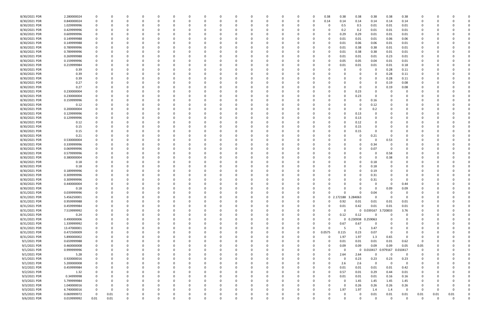| 8/30/2021 PDR | 2.280000024 |          |          |   |          |          |          |          |          |          |          | 0        |          | 0        | 0            | 0.38     | 0.38                | 0.38              | 0.38                | 0.38        | 0.38     |          |          |          |  |
|---------------|-------------|----------|----------|---|----------|----------|----------|----------|----------|----------|----------|----------|----------|----------|--------------|----------|---------------------|-------------------|---------------------|-------------|----------|----------|----------|----------|--|
| 8/30/2021 PDR | 0.840000024 | $\Omega$ |          |   | n        | $\Omega$ |          |          | 0        |          |          | 0        |          | 0        | 0            | 0.14     | 0.14                | 0.14              | 0.14                | 0.14        | 0.14     |          |          |          |  |
| 8/30/2021 PDR | 1.029999996 |          |          |   |          |          |          |          |          |          |          | 0        |          |          |              | -0       | 0.5                 | 0.5               | 0.01                | 0.01        | 0.01     |          |          |          |  |
| 8/30/2021 PDR | 0.429999996 |          |          |   |          |          |          |          |          |          |          |          |          |          |              |          | 0.2                 | 0.2               | 0.01                | 0.01        | 0.01     |          |          |          |  |
| 8/30/2021 PDR | 0.609999996 |          |          |   |          |          |          |          |          |          |          | 0        |          |          |              | $\Omega$ | 0.29                | 0.29              | 0.01                | 0.01        | 0.01     |          |          |          |  |
| 8/30/2021 PDR | 0.149999988 |          |          |   |          |          |          |          |          |          |          |          |          |          |              |          | 0.01                | 0.01              | 0.01                | 0.06        | 0.06     |          |          |          |  |
| 8/30/2021 PDR | 0.149999988 |          |          |   |          |          |          |          |          |          |          | $\Omega$ |          |          |              |          |                     |                   |                     |             |          |          |          |          |  |
|               |             |          |          |   |          |          |          |          |          |          |          |          |          |          |              |          | 0.01                | 0.06              | 0.06                | 0.01        | 0.01     |          |          |          |  |
| 8/30/2021 PDR | 0.789999996 |          |          |   |          |          |          |          |          |          |          | 0        |          |          |              | $\Omega$ | 0.01                | 0.38              | 0.38                | 0.01        | 0.01     |          |          |          |  |
| 8/30/2021 PDR | 0.789999996 |          |          |   |          |          |          |          |          |          |          | 0        |          |          |              | 0        | 0.01                | 0.38              | 0.38                | 0.01        | 0.01     |          |          |          |  |
| 8/30/2021 PDR | 0.269999988 |          |          |   |          |          |          |          |          |          |          |          |          |          |              |          | 0.01                | 0.01              | 0.01                | 0.23        | $0.01\,$ |          |          |          |  |
| 8/30/2021 PDR | 0.159999996 | 0        |          |   |          |          |          |          |          |          |          | 0        |          |          |              | 0        | 0.05                | 0.05              | 0.04                | 0.01        | 0.01     |          |          |          |  |
| 8/30/2021 PDR | 0.219999984 |          |          |   |          |          |          |          |          |          |          | 0        |          |          |              |          | 0.01                | 0.01              | 0.01                | 0.01        | 0.18     |          |          |          |  |
| 8/30/2021 PDR | 0.39        |          |          |   |          |          |          |          |          |          |          | - 0      |          |          |              |          |                     |                   | 0                   | 0.28        | 0.11     |          |          |          |  |
| 8/30/2021 PDR | 0.39        |          |          |   |          |          |          |          |          |          |          |          |          |          |              |          |                     |                   | 0                   | 0.28        | 0.11     |          |          |          |  |
| 8/30/2021 PDR | 0.39        |          |          |   |          |          |          |          |          |          |          |          |          |          |              |          |                     |                   | 0                   | 0.28        | 0.11     |          |          |          |  |
| 8/30/2021 PDR | 0.27        |          |          |   |          |          |          |          |          |          |          |          |          |          |              |          |                     |                   | 0                   | 0.19        | 0.08     |          |          |          |  |
| 8/30/2021 PDR | 0.27        |          |          |   |          |          |          |          |          |          |          |          |          |          |              |          |                     |                   | 0                   | 0.19        | 0.08     |          |          |          |  |
| 8/30/2021 PDR | 0.230000004 |          |          |   |          |          |          |          |          |          |          | 0        |          |          |              |          |                     | 0.23              | 0                   |             |          |          |          |          |  |
| 8/30/2021 PDR | 0.230000004 |          |          |   |          |          |          |          |          |          |          | 0        |          |          |              |          |                     | 0.23              | 0                   |             |          |          |          |          |  |
|               |             |          |          |   |          |          |          |          |          |          |          |          |          |          |              |          |                     |                   |                     |             |          |          |          |          |  |
| 8/30/2021 PDR | 0.159999996 |          |          |   |          |          |          |          |          |          |          |          |          |          |              |          |                     | 0                 | 0.16                |             |          |          |          |          |  |
| 8/30/2021 PDR | 0.12        |          |          |   |          |          |          |          |          |          |          | 0        |          |          |              |          |                     |                   | 0.12                |             |          |          |          |          |  |
| 8/30/2021 PDR | 0.200000004 |          |          |   |          |          |          |          |          |          |          | 0        |          |          |              |          |                     | 0                 | 0.2                 |             |          |          |          |          |  |
| 8/30/2021 PDR | 0.129999996 |          |          |   |          |          |          |          |          |          |          |          |          |          |              |          |                     | 0.13              | 0                   |             |          |          |          |          |  |
| 8/30/2021 PDR | 0.129999996 |          |          |   |          |          |          |          |          |          |          | 0        |          |          |              |          |                     | 0.13              |                     |             |          |          |          |          |  |
| 8/30/2021 PDR | 0.12        |          |          |   |          |          |          |          |          |          |          |          |          |          |              |          |                     | 0.12              |                     |             |          |          |          |          |  |
| 8/30/2021 PDR | 0.15        |          |          |   |          |          |          |          |          |          |          |          |          |          |              |          |                     | 0.15              |                     |             |          |          |          |          |  |
| 8/30/2021 PDR | 0.15        |          |          |   |          |          |          |          |          |          |          | -0       |          |          |              |          |                     | 0.15              |                     |             |          |          |          |          |  |
| 8/30/2021 PDR | 0.21        |          |          |   |          |          |          |          |          |          |          |          |          |          |              |          |                     |                   | 0.21                |             |          |          |          |          |  |
| 8/30/2021 PDR | 0.530000004 |          |          |   |          |          |          |          |          |          |          |          |          |          |              |          |                     |                   | 0                   | 0.53        |          |          |          |          |  |
| 8/30/2021 PDR | 0.339999996 |          |          |   |          |          |          |          |          |          |          |          |          |          |              |          |                     |                   | 0.34                |             |          |          |          |          |  |
| 8/30/2021 PDR | 0.069999996 |          |          |   |          |          |          |          |          |          |          | 0        |          |          |              |          |                     |                   | 0.07                | -0          | 0        |          |          |          |  |
|               | 0.579999996 |          |          |   |          |          |          |          |          |          |          |          |          |          |              |          |                     |                   |                     |             |          |          |          |          |  |
| 8/30/2021 PDR |             |          |          |   |          |          |          |          |          |          |          | 0        |          |          |              |          |                     |                   | 0                   | 0.58        | 0        |          |          |          |  |
| 8/30/2021 PDR | 0.380000004 |          |          |   |          |          |          |          |          |          |          | 0        |          |          |              |          |                     |                   | 0                   | 0.38        |          |          |          |          |  |
| 8/30/2021 PDR | 0.18        |          |          |   |          |          |          |          |          |          |          | 0        |          |          |              |          |                     |                   | 0.18                |             |          |          |          |          |  |
| 8/30/2021 PDR | 0.18        |          |          |   |          |          |          |          |          |          |          |          |          |          |              |          |                     |                   | 0.18                |             |          |          |          |          |  |
| 8/30/2021 PDR | 0.189999996 |          |          |   |          |          |          |          |          |          |          | 0        |          |          |              |          |                     |                   | 0.19                |             |          |          |          |          |  |
| 8/30/2021 PDR | 0.309999996 |          |          |   |          |          |          |          |          |          |          | 0        |          |          |              |          |                     |                   | 0.31                |             |          |          |          |          |  |
| 8/30/2021 PDR | 0.309999996 |          |          |   |          |          |          |          |          |          |          |          |          |          |              |          |                     |                   | 0.31                |             |          |          |          |          |  |
| 8/30/2021 PDR | 0.440000004 |          |          |   |          |          |          |          |          |          |          |          |          |          |              |          |                     |                   |                     |             | 0.44     |          |          |          |  |
| 8/30/2021 PDR | 0.18        | $\Omega$ |          |   |          |          |          |          |          |          |          | - 0      |          |          |              |          |                     |                   | 0                   | 0.09        | 0.09     |          |          |          |  |
| 8/31/2021 PDR | 0.039999996 |          |          |   | 0        |          |          |          |          |          |          |          |          |          |              |          |                     | U                 | 0.04                |             |          |          |          |          |  |
| 8/31/2021 PDR | 5.456250001 | 0        | $\Omega$ |   | $\Omega$ | $\Omega$ | $\Omega$ | $\Omega$ | $\Omega$ | $\Omega$ | $\Omega$ | 0        | $\Omega$ | $\Omega$ | 0            |          | 0 2.172188 3.284063 |                   | $\Omega$            | $\Omega$    | $\Omega$ | 0        |          |          |  |
| 8/31/2021 PDR | 0.959999988 | 0        | 0        |   | 0        | 0        |          | $\Omega$ | 0        | 0        | 0        | 0        |          | 0        | 0            | $\Omega$ | 0.92                | 0.01              | 0.01                | 0.01        | 0.01     | 0        |          |          |  |
| 8/31/2021 PDR | 0.459999984 | 0        |          |   | 0        |          |          |          | 0        |          |          | 0        |          | 0        | 0            | $\Omega$ | 0.01                | 0.42              | 0.01                | 0.01        | $0.01\,$ |          | - 0      |          |  |
|               | 7.519999992 | $\Omega$ |          |   |          | 0        |          | $\Omega$ | 0        |          |          | 0        |          | 0        | 0            | $\Omega$ | $\Omega$            |                   | 0 0.039167 3.720833 |             | 3.76     |          |          |          |  |
| 8/31/2021 PDR |             |          |          |   |          |          |          |          |          |          |          |          |          |          |              |          |                     |                   |                     |             |          |          |          |          |  |
| 8/31/2021 PDR | 0.24        | $\Omega$ |          |   |          |          |          |          |          |          |          | 0        |          | 0        | 0            | $\Omega$ | 0.12                | 0.12              | $\Omega$            | 0           | 0        |          |          |          |  |
| 8/31/2021 PDR | 0.490000006 | 0        |          |   |          |          |          |          |          |          |          | 0        |          | 0        | 0            | $\Omega$ | 0                   | 0.230938 0.259063 |                     |             | 0        |          |          |          |  |
| 8/31/2021 PDR | 1.339999992 | 0        |          |   |          |          |          |          |          |          |          | $\Omega$ |          | 0        | 0            | 0        | 0.67                | 0.67              | 0                   |             |          |          |          |          |  |
| 8/31/2021 PDR | 13.47000001 | 0        |          |   |          | $\Omega$ |          |          | 0        |          |          | 0        |          | 0        | 0            | $\Omega$ | -5                  | 5                 | 3.47                |             |          |          |          |          |  |
| 8/31/2021 PDR | 0.472500009 | 0        |          |   |          |          |          |          | 0        |          |          | 0        |          | 0        | 0            | 0.0575   | 0.115               | 0.23              | 0.07                | $\Omega$    | $\Omega$ |          |          |          |  |
| 8/31/2021 PDR | 5.890000002 | 0        |          |   |          | 0        |          |          |          |          |          | 0        |          | 0        | <sup>0</sup> | $\Omega$ | 1.97                | 1.97              | 1.3                 | 0.65        | $\Omega$ |          |          |          |  |
| 9/1/2021 PDR  | 0.659999988 | $\Omega$ |          |   |          |          |          |          |          |          |          | 0        |          | 0        | 0            | $\Omega$ | 0.01                | 0.01              | 0.01                | 0.01        | 0.62     | - 0      |          |          |  |
| 9/1/2021 PDR  | 0.460000008 | 0        |          |   |          |          |          |          |          |          |          | 0        |          | 0        | 0            | $\Omega$ | 0.09                | 0.09              | 0.09                | 0.09        | 0.05     | 0.05     |          |          |  |
| 9/1/2021 PDR  | 0.999999996 | 0        |          |   |          | 0        |          |          |          |          |          | 0        |          | 0        | 0            | $\Omega$ | $\Omega$            |                   | 0 0.010417          | 0.979167    | 0.010417 | 0        |          |          |  |
| 9/1/2021 PDR  | 5.28        | 0        |          |   |          | 0        |          |          | 0        | 0        |          | 0        |          | 0        | 0            | $\Omega$ | 2.64                | 2.64              | 0                   | $\mathbf 0$ | 0        | 0        | 0        |          |  |
| 9/1/2021 PDR  | 0.920000016 | 0        |          |   |          |          |          |          | 0        |          |          | 0        |          | 0        | 0            |          | $\Omega$            | 0.23              | 0.23                | 0.23        | 0.23     |          |          |          |  |
| 9/1/2021 PDR  | 5.200000008 | $\Omega$ |          |   |          |          |          |          | 0        |          |          | $\Omega$ |          | 0        | 0            |          | 2.6                 | 2.6               | 0                   | - 0         | $\Omega$ |          |          |          |  |
|               |             |          |          |   |          |          |          |          |          |          |          |          |          |          |              |          |                     |                   |                     |             |          |          |          |          |  |
| 9/2/2021 PDR  | 0.459999984 | 0        |          |   |          |          |          |          |          |          |          | 0        |          | 0        | 0            | $\Omega$ | 0.01                | 0.01              | 0.01                | 0.01        | 0.42     |          |          |          |  |
| 9/2/2021 PDR  | 1.32        | 0        |          |   |          |          |          |          |          |          |          | 0        |          | 0        |              | 0        | 0.57                | 0.01              | 0.29                | 0.44        | 0.01     |          |          |          |  |
| 9/3/2021 PDR  | 0.34999998  | 0        |          |   |          |          |          |          |          |          |          | $\Omega$ |          | 0        | 0            | $\Omega$ | 0.01                | 0.01              | 0.01                | 0.16        | 0.16     | 0        |          |          |  |
| 9/3/2021 PDR  | 5.799999984 | 0        |          |   |          |          |          |          |          |          |          | $\Omega$ |          | 0        | 0            |          |                     | 1.45              | 1.45                | 1.45        | 1.45     |          |          |          |  |
| 9/3/2021 PDR  | 1.040000016 | 0        |          |   |          |          |          |          | 0        |          |          | 0        |          | 0        | 0            |          | $\Omega$            | 0.26              | 0.26                | 0.26        | 0.26     |          |          |          |  |
| 9/3/2021 PDR  | 6.740000016 | 0        | 0        |   |          |          |          |          | 0        |          |          | $\Omega$ |          | 0        | 0            | $\Omega$ | 1.97                | 1.97              | 1.4                 | 1.4         | $\Omega$ | - 0      | 0        |          |  |
| 9/5/2021 PDR  | 0.069999972 | 0        | 0.01     |   |          |          |          |          |          |          |          | 0        |          | 0        |              |          |                     | 0                 | 0.01                | $0.01\,$    | 0.01     | 0.01     | 0.01     | 0.01     |  |
| 9/6/2021 PDR  | 0.019999992 | 0.01     | 0.01     | 0 | $\Omega$ | $\Omega$ | $\Omega$ | $\Omega$ | $\Omega$ | $\Omega$ | $\Omega$ | $\Omega$ | $\Omega$ | $\Omega$ | $\Omega$     |          | $\Omega$            | $\Omega$          | $\Omega$            | $\Omega$    | $\Omega$ | $\Omega$ | $\Omega$ | $\Omega$ |  |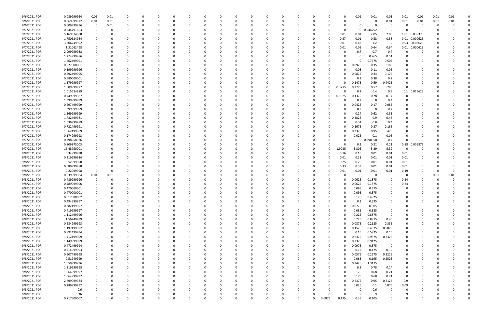| 9/6/2021 PDR |                   |             |              |  |          |              |          |          |   |          |              |          |          |        |        |          |             |               |          |      |      |  |
|--------------|-------------------|-------------|--------------|--|----------|--------------|----------|----------|---|----------|--------------|----------|----------|--------|--------|----------|-------------|---------------|----------|------|------|--|
|              | 0.089999964       | 0.01        | 0.01         |  |          |              |          |          |   |          |              |          | 0        |        | 0.01   | 0.01     | 0.01        | 0.01          | 0.01     | 0.01 | 0.01 |  |
| 9/6/2021 PDR | 0.069999972       | 0.01        | $0.01\,$     |  |          |              |          |          |   | 0        |              | 0        | 0        |        | 0      | 0        | 0.01        | 0.01          | 0.01     | 0.01 | 0.01 |  |
| 9/6/2021 PDR | 0.009999996       | $\mathbf 0$ | 0.01         |  |          |              |          |          |   |          |              |          |          |        | ი      | 0        | 0           |               | - 0      |      |      |  |
| 9/7/2021 PDR | 0.244791663       | 0           |              |  |          |              |          |          |   |          |              |          |          |        | 0      | 0.244792 | 0           |               |          |      |      |  |
|              |                   |             |              |  |          |              |          |          |   |          |              |          |          |        |        |          | 2.05        | 1.01 0.039375 |          |      |      |  |
| 9/7/2021 PDR | 5.169374988       | 0           |              |  |          |              |          |          |   |          |              |          | 0        | 0.01   | 0.01   | 2.05     |             |               |          |      |      |  |
| 9/7/2021 PDR | 1.750624984       | $\Omega$    |              |  |          |              |          |          |   |          |              |          | 0        | 0.57   | 0.01   | 0.58     | 0.58        | 0.01 0.000625 |          |      |      |  |
| 9/7/2021 PDR | 3.806249992       | 0           |              |  |          |              |          |          |   |          |              |          | 0        | 0.01   | 0.43   | 1.2      | 1.2         | 0.93          | 0.03625  |      |      |  |
| 9/7/2021 PDR | 1.31062498        | 0           |              |  |          |              |          |          |   |          |              |          | 0        | 0.01   | 0.01   | 0.64     | 0.64        | 0.01          | 0.000625 |      |      |  |
| 9/7/2021 PDR | 2.099999988       |             |              |  |          |              |          |          |   |          |              |          |          |        | 0.7    | 0.7      | 0.7         |               |          |      |      |  |
| 9/7/2021 PDR | 1.274999986       | 0           |              |  |          |              |          |          |   |          |              |          |          |        | 0      | 0.765    | 0.51        |               |          |      |      |  |
| 9/7/2021 PDR | 1.262499991       | 0           |              |  |          |              |          |          |   |          |              |          |          |        | 0      | 0.7575   | 0.505       |               |          |      |      |  |
|              |                   |             |              |  |          |              |          |          |   |          |              |          |          |        |        |          |             |               |          |      |      |  |
| 9/7/2021 PDR | 0.627500001       | 0           |              |  |          |              |          |          |   |          |              |          | 0        |        | 0.0925 | 0.35     | 0.185       |               |          |      |      |  |
| 9/7/2021 PDR | 0.199999996       | 0           |              |  |          |              |          |          |   |          |              |          | 0        |        | 0.03   | 0.11     | 0.06        |               |          |      |      |  |
| 9/7/2021 PDR | 0.592499995       | 0           |              |  |          |              |          |          |   |          |              |          | 0        |        | 0.0875 | 0.33     | 0.175       |               |          |      |      |  |
| 9/7/2021 PDR | 0.680000001       |             |              |  |          |              |          |          |   |          |              |          | 0        |        | 0.1    | 0.38     | 0.2         |               |          |      |      |  |
| 9/7/2021 PDR | 1.179999997       |             |              |  |          |              |          |          |   |          |              |          | 0        |        | 0.1475 | 0.59     | 0.4425      |               |          |      |      |  |
| 9/7/2021 PDR | 1.509999977       | 0           |              |  |          |              |          |          |   |          |              |          | 0        | 0.3775 | 0.2775 | 0.57     | 0.285       | $\Omega$      |          |      |      |  |
|              |                   |             |              |  |          |              |          |          |   |          |              |          |          |        |        |          |             |               |          |      |      |  |
| 9/7/2021 PDR | 1.015624989       | 0           |              |  |          |              |          |          |   |          |              |          | 0        |        | 0.2    | 0.4      | 0.3         | 0.1 0.015625  |          |      |      |  |
| 9/7/2021 PDR | 0.749999987       | 0           |              |  |          |              |          |          |   |          |              |          | 0        | 0.1925 | 0.1375 | 0.28     | 0.14        |               |          |      |      |  |
| 9/7/2021 PDR | 1.399999999       | 0           |              |  |          |              |          |          |   |          |              |          |          |        | 0.2    | 0.8      | 0.4         |               |          |      |      |  |
| 9/7/2021 PDR | 0.297499999       | 0           |              |  |          |              |          |          |   |          |              |          |          |        | 0.0425 | 0.17     | 0.085       |               |          |      |      |  |
| 9/7/2021 PDR | 1.399999999       | 0           |              |  |          |              |          |          |   |          |              |          |          |        | 0.2    | 0.8      | 0.4         |               |          |      |      |  |
| 9/7/2021 PDR | 1.169999999       | 0           |              |  |          |              |          |          |   |          |              |          | 0        |        | 0.24   | 0.62     | 0.31        |               |          |      |      |  |
|              |                   |             |              |  |          |              |          |          |   |          |              |          |          |        |        |          |             |               |          |      |      |  |
| 9/7/2021 PDR | 1.732499981       | 0           |              |  |          |              |          |          |   |          |              |          | 0        |        | 0.3825 | 0.9      | 0.45        |               |          |      |      |  |
| 9/7/2021 PDR | 1.539999989       | 0           |              |  |          |              |          |          |   |          |              |          | 0        |        | 0.34   | 0.8      | 0.4         |               |          |      |      |  |
| 9/7/2021 PDR | 0.722499991       | 0           |              |  |          |              |          |          |   |          |              |          | 0        |        | 0.1675 | 0.37     | 0.185       |               |          |      |      |  |
| 9/7/2021 PDR | 1.662499989       | 0           |              |  |          |              |          |          |   |          |              |          | 0        |        | 0.2375 | 0.95     | 0.475       |               |          |      |      |  |
| 9/7/2021 PDR | 0.174999993       | 0           |              |  |          |              |          |          |   |          |              |          | 0        |        | 0.025  | 0.1      | 0.05        | 0             |          |      |      |  |
| 9/7/2021 PDR | 0.798958326       | 0           |              |  |          |              |          |          |   |          |              |          | 0        |        | 0      | .398958  | 0.4         | $\Omega$      |          |      |      |  |
| 9/7/2021 PDR | 0.806875003       | 0           |              |  |          |              |          |          |   |          |              |          | n        |        | 0.2    | 0.21     | 0.21        | 0.18 0.006875 |          |      |      |  |
|              |                   |             |              |  |          |              |          |          |   |          |              |          |          |        |        |          |             |               |          |      |      |  |
| 9/7/2021 PDR | 16.48750001       | 0           |              |  |          |              |          |          |   |          |              |          | 0        | .9025  | 3.805  | 5.39     | 5.39        |               |          |      |      |  |
| 9/8/2021 PDR | 0.34999998        | 0           |              |  |          |              |          |          |   |          |              |          | 0        | 0.16   | 0.16   | 0.01     | 0.01        | 0.01          |          |      |      |  |
| 9/8/2021 PDR | 0.219999984       | 0           |              |  |          |              |          |          |   |          |              |          | 0        | 0.01   | 0.18   | 0.01     | 0.01        | 0.01          |          |      |      |  |
| 9/8/2021 PDR | 0.52999998        | 0           |              |  |          |              |          |          |   |          |              |          | 0        | 0.25   | 0.25   | 0.01     | 0.01        | 0.01          |          |      |      |  |
| 9/8/2021 PDR | 0.689999988       | 0           |              |  |          |              |          |          |   |          |              |          |          | 0.33   | 0.33   | 0.01     | 0.01        | 0.01          |          |      |      |  |
| 9/8/2021 PDR | 0.22999998        | 0           |              |  |          |              |          |          |   |          |              |          | 0        | 0.01   | 0.01   | 0.01     | 0.01        | 0.19          |          |      |      |  |
|              |                   |             |              |  |          |              |          |          |   |          |              |          |          |        |        |          |             |               |          |      |      |  |
| 9/8/2021 PDR | 0.039999984       | 0.01        | 0.01         |  |          |              |          |          |   |          |              |          | 0        |        |        | 0        | -0          | 0             | 0        | 0.01 | 0.01 |  |
| 9/8/2021 PDR | 0.489999996       | 0           |              |  |          |              |          |          |   |          |              |          |          |        | 0.0625 | 0.1875   | $\Omega$    | 0.24          |          |      |      |  |
| 9/8/2021 PDR | 0.489999996       |             |              |  |          |              |          |          |   |          |              |          |          |        | 0.0625 | 0.1875   | - 0         | 0.24          |          |      |      |  |
| 9/8/2021 PDR | 0.470000001       | 0           |              |  |          |              |          |          |   |          |              |          | 0        |        | 0.095  | 0.375    | 0           | 0             |          |      |      |  |
| 9/8/2021 PDR | 0.470000001       | $\mathbf 0$ |              |  |          |              |          |          |   |          |              |          | n        |        | 0.095  | 0.375    |             |               |          |      |      |  |
| 9/8/2021 PDR | 0.617500002       | 0           | $\Omega$     |  | $\Omega$ | <sup>0</sup> | $\Omega$ | $\Omega$ | C | 0        | 0            | 0        | 0        |        | 0.125  | 0.4925   | 0           |               | 0        |      |      |  |
|              |                   |             |              |  |          |              |          |          |   |          |              |          |          |        |        |          |             |               |          |      |      |  |
| 9/8/2021 PDR | 0.494999997       | 0           | <sup>0</sup> |  | 0        | 0            | $\Omega$ | 0        | C | 0        | <sup>0</sup> | 0        | 0        |        | 0.1    | 0.395    | 0           |               | 0        |      |      |  |
| 9/8/2021 PDR | 0.382499997       | 0           | $\Omega$     |  |          | $\Omega$     |          | 0        |   | 0        |              | $\Omega$ | 0        |        | 0.0775 | 0.305    | 0           |               |          |      |      |  |
| 9/8/2021 PDR | 0.419999997       | 0           |              |  |          |              |          |          |   | 0        |              | 0        | 0        |        | 0.085  | 0.335    | 0           |               |          |      |      |  |
| 9/8/2021 PDR | 1.112499996       | 0           |              |  |          |              |          |          |   | 0        |              | $\Omega$ | 0        |        | 0.225  | 0.8875   | 0           |               |          |      |      |  |
| 9/8/2021 PDR | 1.56249999        | 0           | $\Omega$     |  |          | $\Omega$     |          | 0        |   | 0        |              | 0        | 0        |        | 0.225  | 0.8875   | 0.45        | $\Omega$      | 0        |      |      |  |
| 9/8/2021 PDR |                   |             |              |  |          | 0            |          | 0        |   | 0        |              | 0        | 0        |        | 0.0875 | 0.2625   | 0.335       | $\Omega$      |          |      |      |  |
|              |                   |             |              |  |          |              |          |          |   |          |              |          |          |        |        |          |             |               |          |      |      |  |
|              | 0.684999993       | 0           | $\Omega$     |  |          |              |          |          |   |          |              |          |          |        |        |          |             |               |          |      |      |  |
| 9/8/2021 PDR | 1.197499992       | 0           | $\Omega$     |  |          | $\Omega$     |          | $\Omega$ |   | 0        |              | 0        | $\Omega$ |        | 0.1525 | 0.4575   | 0.5875      | $\Omega$      |          |      |      |  |
| 9/8/2021 PDR | 0.892499994       | 0           | $\Omega$     |  |          | $\Omega$     |          | $\Omega$ |   | $\Omega$ |              | 0        | 0        |        | 0.15   | 0.5925   | 0.15        | $\Omega$      |          |      |      |  |
| 9/8/2021 PDR | 1.412499999       | 0           |              |  |          | 0            |          | 0        |   | 0        |              | 0        | 0        |        | 0.2375 | 0.9375   | 0.2375      | 0             |          |      |      |  |
| 9/8/2021 PDR | 1.149999999       | 0           |              |  |          |              |          |          |   | 0        |              | 0        | 0        |        | 0.2375 | 0.9125   | 0           |               |          |      |      |  |
|              |                   |             |              |  |          |              |          | 0        |   | $\Omega$ |              | 0        | 0        |        |        |          | 0           |               |          |      |      |  |
| 9/8/2021 PDR | 0.472499994       | 0           |              |  |          |              |          |          |   |          |              |          |          |        | 0.0975 | 0.375    |             |               |          |      |      |  |
| 9/8/2021 PDR | 0.714999993       | 0           | $\Omega$     |  |          | 0            |          | $\Omega$ |   | 0        |              | 0        | 0        |        | 0.12   | 0.475    | 0.12        | $\Omega$      |          |      |      |  |
| 9/8/2021 PDR | 0.507499998       | 0           | $\Omega$     |  |          | 0            |          | 0        |   | 0        |              | 0        | 0        |        | 0.0575 | 0.2275   | 0.2225      | $\Omega$      |          |      |      |  |
| 9/8/2021 PDR | 0.51249999        | 0           | $\Omega$     |  |          | $\Omega$     |          | $\Omega$ |   | $\Omega$ |              | $\Omega$ | 0        |        | 0.065  | 0.195    | 0.2525      | $\Omega$      | 0        |      |      |  |
| 9/8/2021 PDR | 1.659999996       | 0           | <sup>0</sup> |  |          | $\Omega$     |          | $\Omega$ |   | 0        |              | $\Omega$ | 0        |        | 0.3425 | 1.3175   | $\mathbf 0$ | $\Omega$      |          |      |      |  |
| 9/8/2021 PDR | 1.219999998       | 0           |              |  |          |              |          |          |   | 0        |              | 0        | 0        |        | 0.2    | 0.78     | 0.24        | 0             |          |      |      |  |
|              |                   |             |              |  |          |              |          |          |   | 0        |              | 0        | 0        |        |        |          |             | 0             |          |      |      |  |
| 9/8/2021 PDR | 1.064999997       | 0           | $\Omega$     |  |          | $\Omega$     |          |          |   |          |              |          |          |        | 0.175  | 0.68     | 0.21        |               |          |      |      |  |
| 9/8/2021 PDR | 1.064999997       | 0           |              |  |          |              |          | $\Omega$ |   | 0        |              | 0        | 0        |        | 0.175  | 0.68     | 0.21        | $\mathbf 0$   |          |      |      |  |
| 9/8/2021 PDR | 2.799999984       | 0           | $\Omega$     |  |          | 0            |          | $\Omega$ |   | 0        |              | 0        | 0        |        | 0.2375 | 0.95     | 0.7125      | 0.9           | 0        |      |      |  |
| 9/8/2021 PDR | 0.289999992       | 0           | <sup>0</sup> |  |          |              |          | 0        |   | 0        |              | 0        | 0        |        | 0.025  | 0.1      | 0.075       | 0.09          | 0        |      |      |  |
| 9/8/2021 PDR | 0.6               | $\Omega$    | $\Omega$     |  |          | $\Omega$     |          | $\Omega$ |   | 0        |              | 0        | 0        |        | 0      | 0.6      | $\Omega$    | $\Omega$      |          |      |      |  |
| 9/8/2021 PDR | 36<br>0.717500007 | 0           |              |  |          |              |          |          |   | 0        |              | 0        | C.       |        | q      | 9        |             | q             |          |      |      |  |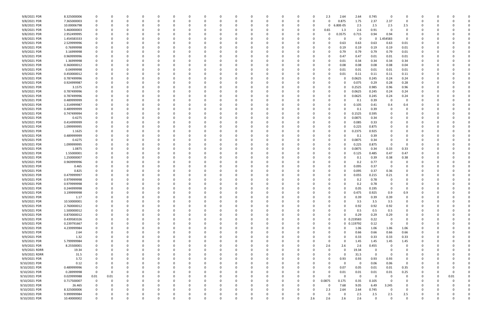| 9/8/2021 PDR  | 8.325000006 | 0                       | 0        |   |          |          |          |   | 0 |          |          |          |          |          | 2.3      | 2.64        | 2.64           | 0.745        | $\mathbf 0$ |          |          |   |      |  |
|---------------|-------------|-------------------------|----------|---|----------|----------|----------|---|---|----------|----------|----------|----------|----------|----------|-------------|----------------|--------------|-------------|----------|----------|---|------|--|
| 9/8/2021 PDR  | 7.365000003 | 0                       | 0        |   |          |          |          |   | 0 |          |          | -0       |          |          | 0        | 0.875       | 1.75           | 2.37         | 2.37        | 0        |          |   |      |  |
| 9/8/2021 PDR  | 10.00006798 | 0                       |          |   |          |          |          |   |   |          |          |          |          |          | 0        | 80E-05      | 2.5            | 2.5          | 2.5         | 2.5      |          |   |      |  |
| 9/8/2021 PDR  | 5.460000003 | 0                       |          |   |          |          |          |   |   |          |          |          |          | 0        | 0.65     | 1.3         | 2.6            | 0.91         | 0           |          |          |   |      |  |
|               |             |                         |          |   |          |          |          |   |   |          |          |          |          |          |          |             |                |              |             | $\Omega$ |          |   |      |  |
| 9/8/2021 PDR  | 2.952499995 | 0                       |          |   |          |          |          |   |   |          |          |          |          |          | $\Omega$ | 0.3575      | 0.715          | 0.94         | 0.94        |          |          |   |      |  |
| 9/8/2021 PDR  | 1.454583333 | 0                       |          |   |          |          |          |   |   |          |          |          |          |          |          |             | $\mathbf 0$    | $\mathbf{0}$ | 454583      | 0        |          |   |      |  |
| 9/9/2021 PDR  | 2.529999996 |                         |          |   |          |          |          |   |   |          |          |          |          |          | 0        | 0.63        | 0.63           | 0.63         | 0.63        | 0.01     |          |   |      |  |
| 9/9/2021 PDR  | 0.76999998  | 0                       |          |   |          |          |          |   |   |          |          |          |          |          | -0       | 0.19        | 0.19           | 0.19         | 0.19        | $0.01\,$ |          |   |      |  |
| 9/9/2021 PDR  | 3.16999998  | 0                       |          |   |          |          |          |   |   |          |          |          |          |          | 0        | 0.79        | 0.79           | 0.79         | 0.79        | 0.01     |          |   |      |  |
| 9/9/2021 PDR  | 0.969999996 | 0                       |          |   |          |          |          |   |   |          |          |          |          |          | 0        | 0.47        | 0.47           | 0.01         | 0.01        | 0.01     |          |   |      |  |
| 9/9/2021 PDR  | 1.36999998  | 0                       |          |   |          |          |          |   |   |          |          |          |          |          |          | 0.01        | 0.34           | 0.34         | 0.34        | 0.34     |          |   |      |  |
|               |             |                         |          |   |          |          |          |   |   |          |          |          |          |          |          |             |                |              |             |          |          |   |      |  |
| 9/9/2021 PDR  | 0.360000012 | 0                       |          |   |          |          |          |   |   |          |          |          |          |          | -0       | 0.08        | 0.08           | 0.08         | 0.08        | 0.04     |          |   |      |  |
| 9/9/2021 PDR  | 0.04999998  |                         |          |   |          |          |          |   |   |          |          |          |          |          | 0        | 0.01        | 0.01           | 0.01         | 0.01        | 0.01     |          |   |      |  |
| 9/9/2021 PDR  | 0.450000012 | 0                       |          |   |          |          |          |   |   |          |          |          |          |          | 0        | 0.01        | 0.11           | 0.11         | 0.11        | 0.11     |          |   |      |  |
| 9/9/2021 PDR  | 0.787499996 | 0                       |          |   |          |          |          |   |   |          |          |          |          |          | 0        |             | 0.0625         | 0.245        | 0.24        | 0.24     |          |   |      |  |
| 9/9/2021 PDR  | 0.924999987 | 0                       |          |   |          |          |          |   |   |          |          |          |          |          | 0        |             | 0.075          | 0.29         | 0.28        | 0.28     |          |   |      |  |
| 9/9/2021 PDR  | 3.1575      | 0                       |          |   |          |          |          |   |   |          |          |          |          |          |          |             | 0.2525         | 0.985        | 0.96        | 0.96     |          |   |      |  |
|               |             |                         |          |   |          |          |          |   |   |          |          |          |          |          |          |             |                |              |             |          |          |   |      |  |
| 9/9/2021 PDR  | 0.787499996 |                         |          |   |          |          |          |   |   |          |          |          |          |          | -0       |             | 0.0625         | 0.245        | 0.24        | 0.24     |          |   |      |  |
| 9/9/2021 PDR  | 0.787499996 | 0                       |          |   |          |          |          |   |   |          |          |          |          |          | 0        |             | 0.0625         | 0.245        | 0.24        | 0.24     |          |   |      |  |
| 9/9/2021 PDR  | 0.489999999 |                         |          |   |          |          |          |   |   |          |          |          |          |          |          |             | 0.1            | 0.39         | 0           |          |          |   |      |  |
| 9/9/2021 PDR  | 1.314999987 |                         |          |   |          |          |          |   |   |          |          |          |          |          |          |             | 0.105          | 0.41         | 0.4         | 0.4      |          |   |      |  |
| 9/9/2021 PDR  | 0.489999999 | 0                       |          |   |          |          |          |   |   |          |          |          |          |          | 0        |             | 0.1            | 0.39         | 0           |          |          |   |      |  |
| 9/9/2021 PDR  | 0.747499994 | 0                       |          |   |          |          |          |   |   |          |          |          |          |          | 0        |             | 0.1525         | 0.595        | 0           |          |          |   |      |  |
| 9/9/2021 PDR  | 0.4275      | 0                       |          |   |          |          |          |   |   |          |          |          |          |          | 0        |             | 0.0875         | 0.34         | 0           |          |          |   |      |  |
|               |             |                         |          |   |          |          |          |   |   |          |          |          |          |          |          |             |                |              |             |          |          |   |      |  |
| 9/9/2021 PDR  | 0.414999999 | 0                       |          |   |          |          |          |   |   |          |          |          |          |          | 0        |             | 0.085          | 0.33         | - 0         |          |          |   |      |  |
| 9/9/2021 PDR  | 1.099999995 |                         |          |   |          |          |          |   |   |          |          |          |          |          | 0        |             | 0.225          | 0.875        | - 0         |          |          |   |      |  |
| 9/9/2021 PDR  | 1.1625      |                         |          |   |          |          |          |   |   |          |          |          |          |          | 0        |             | 0.2375         | 0.925        |             |          |          |   |      |  |
| 9/9/2021 PDR  | 0.489999999 | 0                       |          |   |          |          |          |   |   |          |          |          |          |          | 0        |             | 0.1            | 0.39         | 0           |          |          |   |      |  |
| 9/9/2021 PDR  | 0.4275      |                         |          |   |          |          |          |   |   |          |          |          |          |          | 0        |             | 0.0875         | 0.34         | 0           |          |          |   |      |  |
| 9/9/2021 PDR  | 1.099999995 | 0                       |          |   |          |          |          |   |   |          |          |          |          |          |          |             | 0.225          | 0.875        | 0           | $\Omega$ |          |   |      |  |
| 9/9/2021 PDR  | 1.0875      | 0                       | -C       |   |          |          |          |   |   |          |          |          |          |          | 0        |             | 0.0875         | 0.34         | 0.33        | 0.33     |          |   |      |  |
|               |             |                         |          |   |          |          |          |   |   |          |          |          |          |          |          |             |                |              |             |          |          |   |      |  |
| 9/9/2021 PDR  | 1.55000001  |                         |          |   |          |          |          |   |   |          |          |          |          |          | 0        |             | 0.125          | 0.485        | 0.47        | 0.47     |          |   |      |  |
| 9/9/2021 PDR  | 1.250000007 | 0                       |          |   |          |          |          |   |   |          |          |          |          |          |          |             | 0.1            | 0.39         | 0.38        | 0.38     |          |   |      |  |
| 9/9/2021 PDR  | 0.969999996 | 0                       |          |   |          |          |          |   |   |          |          |          |          |          |          |             | 0.2            | 0.77         | 0           |          |          |   |      |  |
| 9/9/2021 PDR  | 0.465       |                         |          |   |          |          |          |   |   |          |          |          |          |          |          |             | 0.095          | 0.37         | $\Omega$    |          |          |   |      |  |
| 9/9/2021 PDR  | 0.825       | 0                       |          |   |          |          |          |   |   |          |          |          |          |          | -0       |             | 0.095          | 0.37         | 0.36        |          |          |   |      |  |
| 9/9/2021 PDR  | 0.479999997 | 0                       |          |   |          |          |          |   |   |          |          |          |          |          | -0       |             | 0.055          | 0.215        | 0.21        |          |          |   |      |  |
|               |             |                         |          |   |          |          |          |   |   |          |          |          |          |          |          |             |                |              |             |          |          |   |      |  |
| 9/9/2021 PDR  | 0.979999998 |                         |          |   |          |          |          |   |   |          |          |          |          |          |          |             | 0.2            | 0.78         | 0           |          |          |   |      |  |
| 9/9/2021 PDR  | 0.979999998 |                         |          |   |          |          |          |   |   |          |          |          |          |          |          |             | 0.2            | 0.78         |             |          |          |   |      |  |
| 9/9/2021 PDR  | 0.244999998 | 0                       | 0        |   |          |          |          |   |   |          |          |          |          |          | -0       |             | 0.05           | 0.195        | 0           |          |          |   |      |  |
| 9/9/2021 PDR  | 3.199999998 | $\Omega$                | $\Omega$ |   |          |          |          |   |   |          |          |          |          |          |          |             | 0.475          | 0.925        | 0.9         | 0.9      |          |   |      |  |
| 9/9/2021 PDR  | 1.17        | 0                       | 0        |   |          | $\Omega$ |          | 0 | n | ი        | 0        | $\Omega$ |          | 0        | $\Omega$ |             | 0.39           | 0.39         | 0.39        | $\Omega$ |          |   |      |  |
| 9/9/2021 PDR  | 10.50000001 | 0                       | 0        |   |          | $\Omega$ |          | 0 | n |          | 0        | $\Omega$ |          |          | 0        |             | 3.5            | 3.5          | 3.5         | $\Omega$ |          |   |      |  |
|               |             |                         |          |   |          |          |          |   |   |          |          |          |          |          |          |             |                |              |             |          |          |   |      |  |
| 9/9/2021 PDR  | 2.760000012 | - 0                     | 0        |   |          |          |          |   |   |          |          |          |          |          | 0        |             | 0.92           | 0.92         | 0.92        | 0        |          |   |      |  |
| 9/9/2021 PDR  | 1.500000012 | 0                       | 0        |   |          |          |          |   |   |          |          |          |          |          |          |             | 0.5            | 0.5          | 0.5         |          |          |   |      |  |
| 9/9/2021 PDR  | 0.870000012 | 0                       |          |   |          |          |          |   |   |          |          |          |          |          | 0        |             | 0.29           | 0.29         | 0.29        | $\Omega$ |          |   |      |  |
| 9/9/2021 PDR  | 0.439583326 | $\mathbf 0$             | 0        |   |          |          |          | 0 |   |          |          |          |          |          | 0        |             | 0 0.219583     | 0.22         | 0           | $\Omega$ |          |   |      |  |
| 9/9/2021 PDR  | 0.239791667 | $\mathbf 0$             | 0        |   |          |          |          | 0 | 0 |          |          | 0        |          | 0        | 0        |             | 0 0.119792     | 0.12         | $\mathbf 0$ | $\Omega$ |          |   |      |  |
| 9/9/2021 PDR  | 4.239999984 | $\mathbf 0$             | 0        |   |          |          | $\Omega$ | 0 | 0 |          | 0        | $\Omega$ | $\Omega$ |          | 0        |             | 1.06           | 1.06         | 1.06        | 1.06     |          |   |      |  |
| 9/9/2021 PDR  | 2.64        | 0                       | 0        |   |          |          |          | 0 | 0 |          | 0        | -0       | 0        |          | 0        |             | 0.66           | 0.66         | 0.66        | 0.66     |          |   |      |  |
|               |             |                         |          |   |          |          |          |   |   |          |          |          |          |          |          |             |                |              |             |          |          |   |      |  |
| 9/9/2021 PDR  | 1.32        | - 0                     | 0        |   |          |          |          |   | 0 |          |          |          |          |          | 0        |             | 0.33           | 0.33         | 0.33        | 0.33     |          |   |      |  |
| 9/9/2021 PDR  | 5.799999984 | 0                       | 0        |   |          |          |          | 0 |   |          |          |          |          |          | 0        |             | 1.45           | 1.45         | 1.45        | 1.45     |          |   |      |  |
| 9/9/2021 PDR  | 8.25500001  | $\mathbf 0$             | 0        |   |          |          |          | 0 | 0 |          | 0        |          |          | 0        | 2.6      | 2.6         | 2.6            | 0.455        | 0           | 0        |          |   |      |  |
| 9/9/2021 RDRR | 19.34       | 0                       | 0        |   |          |          |          | 0 | 0 |          |          | $\Omega$ |          |          | $\Omega$ |             | 19.34          | 0            | 0           |          |          |   |      |  |
| 9/9/2021 RDRR | 31.5        | 0                       | 0        |   |          |          |          | 0 | n |          |          | 0        | $\Omega$ |          | 0        | - 0         | 31.5           | $\mathbf 0$  | 0           |          |          |   |      |  |
| 9/9/2021 PDR  | 3.72        | 0                       | 0        |   |          |          |          | 0 | 0 |          | 0        | -0       | 0        | 0        | 0        | 0.93        | 0.93           | 0.93         | 0.93        | $\Omega$ |          |   |      |  |
|               |             |                         |          |   |          |          |          |   |   |          |          |          |          |          |          |             |                |              |             | 0        |          |   |      |  |
| 9/10/2021 PDR | 0.12        | 0                       | 0        |   |          |          |          |   | 0 |          |          |          | 0        |          | 0        | $\mathbf 0$ | $\mathbf 0$    | 0.06         | 0.06        |          |          |   |      |  |
| 9/10/2021 PDR | 0.489999996 | $\overline{\mathbf{0}}$ | 0        |   |          |          |          |   |   |          |          |          |          |          | 0        | 0.07        | 0.05           | 0.01         | 0.01        | 0.35     |          |   |      |  |
| 9/10/2021 PDR | 0.28999998  | $\overline{0}$          | 0        |   |          |          |          | 0 |   |          | 0        |          | 0        | 0        | 0        | 0.01        | 0.01           | 0.01         | 0.01        | 0.25     |          |   |      |  |
| 9/10/2021 PDR | 0.029999988 | 0.01                    | 0.01     |   |          |          |          | 0 |   |          |          |          | $\Omega$ | 0        | $\Omega$ | - 0         | $\overline{0}$ | 0            | 0           | 0        |          | 0 | 0.01 |  |
| 9/10/2021 PDR | 0.717500007 | $\overline{0}$          | 0        |   |          |          | $\Omega$ | 0 | n |          |          | -0       | $\Omega$ | $\Omega$ | 0.0875   | 0.175       | 0.35           | 0.105        | $\mathbf 0$ | $\Omega$ |          |   |      |  |
| 9/10/2021 PDR | 26.465      | 0                       | 0        |   |          |          |          | 0 | 0 |          | 0        | $\Omega$ | 0        |          | 0        | 7.68        | 9.05           | 6.49         | 3.245       | 0        |          |   |      |  |
| 9/10/2021 PDR | 8.325000006 | 0                       | 0        |   |          |          |          |   |   |          |          |          |          | 0        | 2.3      | 2.64        | 2.64           | 0.745        | $\mathbf 0$ | $\Omega$ |          |   |      |  |
|               |             |                         |          |   |          |          |          |   |   |          |          |          |          |          |          |             |                |              |             |          |          |   |      |  |
| 9/10/2021 PDR | 9.999999984 | 0                       |          |   |          |          |          |   |   |          |          |          |          |          | 0        |             | 2.5            | 2.5          | 2.5         | 2.5      |          |   |      |  |
| 9/10/2021 PDR | 10.40000002 | $\mathbf 0$             | 0        | 0 | $\Omega$ | $\Omega$ | $\Omega$ | 0 | 0 | $\Omega$ | $\Omega$ | $\Omega$ | $\Omega$ | 2.6      | 2.6      | 2.6         | 2.6            | $\Omega$     | $\Omega$    | $\Omega$ | $\Omega$ | 0 |      |  |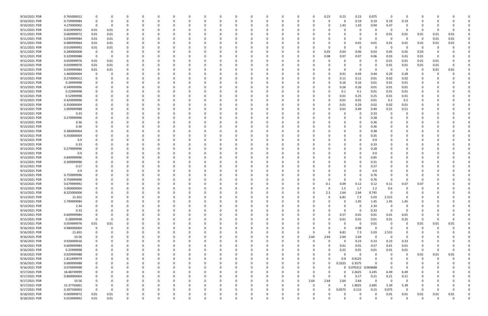| 9/10/2021 PDR | 0.765000012 |             |          |          |          |          | C            |  | 0        |          |   | 0        | 0.23     | 0.23        | 0.23                | 0.075       | 0           | 0              | C.                      |          |          |  |
|---------------|-------------|-------------|----------|----------|----------|----------|--------------|--|----------|----------|---|----------|----------|-------------|---------------------|-------------|-------------|----------------|-------------------------|----------|----------|--|
| 9/10/2021 PDR | 0.759999984 | $\Omega$    | 0        | $\Omega$ |          |          | -0           |  | $\Omega$ | $\Omega$ | 0 | 0        |          | 0           | 0.19                | 0.19        | 0.19        | 0.19           | 0                       |          |          |  |
| 9/10/2021 PDR | 4.270000002 | 0           | 0        |          |          |          |              |  |          |          |   |          |          | 1.43        | 1.43                | 0.94        | 0.47        | 0              |                         |          |          |  |
| 9/11/2021 PDR | 0.019999992 | 0.01        | 0.01     |          |          |          |              |  |          |          |   |          |          |             | 0                   | 0           | - 0         | n              | 0                       |          |          |  |
| 9/11/2021 PDR | 0.069999972 | 0.01        | 0.01     |          |          |          |              |  |          |          |   |          |          |             |                     | 0           | 0.01        | 0.01           | 0.01                    | 0.01     | 0.01     |  |
| 9/11/2021 PDR | 0.039999984 | 0.01        | 0.01     |          |          |          |              |  |          |          |   |          |          |             | 0                   | 0           | - 0         | $\Omega$       | 0                       | 0.01     | 0.01     |  |
| 9/11/2021 PDR | 0.089999964 | 0.01        | 0.01     |          |          |          |              |  |          |          |   |          |          |             | 0.01                | 0.01        | $0.01\,$    | 0.01           | 0.01                    | 0.01     | 0.01     |  |
| 9/11/2021 PDR | 0.019999992 | 0.01        | 0.01     |          |          |          |              |  |          |          |   |          |          | $\Omega$    | 0                   | $\Omega$    | 0           | - 0            | - 0                     |          |          |  |
| 9/11/2021 PDR | 0.280000008 | 0           | 0        |          |          |          |              |  |          |          |   | -0       | 0.03     | 0.03        | 0.06                | 0.03        | 0.05        | 0.05           | 0.03                    |          |          |  |
| 9/11/2021 PDR | 0.329999988 | $\mathbf 0$ | $\Omega$ |          |          |          |              |  |          |          |   |          | 0.08     | 0.07        | 0.07                | 0.06        | 0.03        | 0.01           | 0.01                    |          |          |  |
| 9/12/2021 PDR | 0.059999976 | 0.01        | 0.01     | 0        |          |          |              |  |          |          |   | -0       |          |             | 0                   | 0           | 0.01        | 0.01           | 0.01                    | 0.01     |          |  |
| 9/12/2021 PDR | 0.059999976 | 0.01        | 0.01     |          |          |          |              |  |          |          |   |          |          |             | 0                   | 0           | 0.01        | 0.01           | 0.01                    | 0.01     |          |  |
| 9/12/2021 PDR | 0.039999984 | 0.01        | 0.01     |          |          |          |              |  |          |          |   |          |          |             | 0                   | $\Omega$    | $\Omega$    | - 0            | 0                       | 0.01     | 0.01     |  |
| 9/13/2021 PDR | 1.460000004 |             | 0        |          |          |          |              |  |          |          |   |          |          | 0.01        | 0.44                | 0.44        | 0.29        | 0.28           | O                       |          |          |  |
| 9/13/2021 PDR | 0.270000012 |             |          |          |          |          |              |  |          |          |   |          |          | 0.11        | 0.11                | 0.01        | 0.02        | 0.02           |                         |          |          |  |
| 9/13/2021 PDR | 0.34999998  |             |          |          |          |          |              |  |          |          |   |          |          | 0.16        | 0.16                | 0.01        | 0.01        | 0.01           |                         |          |          |  |
| 9/13/2021 PDR | 0.549999996 |             |          |          |          |          |              |  |          |          |   |          |          | 0.26        | 0.26                | 0.01        | 0.01        | 0.01           |                         |          |          |  |
| 9/13/2021 PDR | 0.22999998  |             |          |          |          |          |              |  |          |          |   |          |          | 0.1         | 0.1                 | 0.01        | 0.01        | 0.01           |                         |          |          |  |
| 9/13/2021 PDR | 0.52999998  |             |          |          |          |          |              |  |          |          |   |          |          | 0.01        | 0.25                | 0.25        | 0.01        | 0.01           |                         |          |          |  |
| 9/13/2021 PDR | 0.429999996 |             |          |          |          |          |              |  |          |          |   |          |          | 0.01        | 0.01                | 0.01        | 0.2         | 0.2            |                         |          |          |  |
| 9/13/2021 PDR | 0.350000004 |             |          |          |          |          |              |  |          |          |   |          |          | 0.01        | 0.29                | 0.02        | 0.02        | 0.01           |                         |          |          |  |
| 9/13/2021 PDR | 2.009999988 |             |          |          |          |          |              |  |          |          |   |          |          | 0.01        | 0.49                | 0.49        | 0.51        | 0.51           |                         |          |          |  |
| 9/13/2021 PDR | 0.33        |             |          |          |          |          |              |  |          |          |   |          |          |             | 0                   | 0.33        | $\Omega$    |                |                         |          |          |  |
| 9/13/2021 PDR | 0.279999996 |             |          |          |          |          |              |  |          |          |   |          |          |             | 0                   | 0.28        |             |                |                         |          |          |  |
| 9/13/2021 PDR | 0.36        |             |          |          |          |          |              |  |          |          |   |          |          |             | 0                   | 0.36        |             |                |                         |          |          |  |
| 9/13/2021 PDR | 0.36        |             |          |          |          |          |              |  |          |          |   |          |          |             | 0                   | 0.36        |             |                |                         |          |          |  |
| 9/13/2021 PDR | 0.380000004 |             |          |          |          |          |              |  |          |          |   |          |          |             | 0                   | 0.38        |             |                |                         |          |          |  |
| 9/13/2021 PDR | 0.350000004 |             |          |          |          |          |              |  |          |          |   |          |          |             | O                   | 0.35        |             |                |                         |          |          |  |
| 9/13/2021 PDR | 0.9         |             |          |          |          |          |              |  |          |          |   |          |          |             |                     | 0.9         |             |                |                         |          |          |  |
| 9/13/2021 PDR | 0.33        |             |          |          |          |          |              |  |          |          |   |          |          |             | 0                   | 0.33        |             |                |                         |          |          |  |
| 9/13/2021 PDR | 0.279999996 |             |          |          |          |          |              |  |          |          |   |          |          |             | C.                  | 0.28        |             |                |                         |          |          |  |
| 9/13/2021 PDR | 0.9         |             |          |          |          |          |              |  |          |          |   |          |          |             |                     | 0.9         |             |                |                         |          |          |  |
| 9/13/2021 PDR | 0.849999996 |             |          |          |          |          |              |  |          |          |   |          |          |             | 0                   | 0.85        |             |                |                         |          |          |  |
| 9/13/2021 PDR | 0.309999996 |             |          |          |          |          |              |  |          |          |   |          |          |             | C                   | 0.31        |             |                |                         |          |          |  |
| 9/13/2021 PDR | 0.57        |             |          |          |          |          |              |  |          |          |   |          |          |             |                     | 0.57        |             |                |                         |          |          |  |
| 9/13/2021 PDR | 0.9         |             |          |          |          |          |              |  |          |          |   |          |          |             |                     | 0.9         |             |                |                         |          |          |  |
| 9/13/2021 PDR | 0.759999996 |             |          |          |          |          |              |  |          |          |   |          |          |             | O                   | 0.76        |             |                |                         |          |          |  |
| 9/13/2021 PDR | 0.759999996 |             |          |          |          |          |              |  |          |          |   |          |          | 0           | 0                   | 0.76        |             | $\Omega$       |                         |          |          |  |
| 9/13/2021 PDR | 0.679999992 |             |          |          |          |          |              |  |          |          |   |          | 0.1      | 0.09        | 0.12                | 0.12        | 0.11        | 0.07           | 0.07                    |          |          |  |
| 9/13/2021 PDR | 5.000000004 | 0           |          | $\Omega$ |          |          |              |  |          |          |   | 0        |          | 1.5         | 1.7                 | 1.2         | 0.6         | 0              | 0                       |          |          |  |
| 9/13/2021 PDR | 8.325000006 | $\Omega$    |          | $\Omega$ |          |          |              |  |          |          |   |          | 2.3      | 2.64        | 2.64                | 0.745       | $\Omega$    | $\Omega$       | $\Omega$                |          |          |  |
| 9/13/2021 PDR | 21.655      | 0           | 0        | 0        | $\Omega$ |          | <sup>0</sup> |  | $\Omega$ | O        |   | $\Omega$ |          | 6.81        | 7.3                 | 5.03        | 2.515       | $\Omega$       | 0                       |          |          |  |
| 9/13/2021 PDR | 5.799999984 |             |          | 0        | $\Omega$ | $\Omega$ | 0            |  | $\Omega$ | $\Omega$ |   | 0        |          | $\mathbf 0$ | 1.45                | 1.45        | 1.45        | 1.45           | $\Omega$                |          |          |  |
| 9/13/2021 PDR | 2.34        |             |          |          |          |          | 0            |  |          |          |   |          |          | $\Omega$    | 0                   | 2.34        | $\Omega$    | 0              |                         |          |          |  |
| 9/14/2021 PDR | 0.33        |             |          |          |          |          | 0            |  |          |          |   | $\Omega$ |          | $\Omega$    | 0                   | 0.33        | $\Omega$    | - 0            |                         |          |          |  |
| 9/15/2021 PDR | 0.609999984 |             |          |          |          |          | 0            |  |          |          |   |          | 0        | 0.57        | 0.01                | 0.01        | 0.01        | 0.01           | 0                       |          |          |  |
| 9/15/2021 PDR | 0.28999998  | $\mathbf 0$ | 0        |          |          |          |              |  |          |          |   | 0        |          | 0.01        | 0.01                | 0.01        | $0.01\,$    | 0.25           | $\mathbf 0$             |          |          |  |
| 9/15/2021 PDR | 0.059999976 | $0.01\,$    | 0.01     | 0        |          |          | $\Omega$     |  |          |          |   | 0        |          | $\Omega$    | 0                   | 0.01        | $\mathbf 0$ | 0              | 0.01                    | 0.01     | 0.01     |  |
| 9/16/2021 PDR | 0.980000004 | $\mathbf 0$ | 0        | 0        |          | $\Omega$ | $\Omega$     |  |          |          |   | 0        |          | 0           | 0.98                | $\mathbf 0$ | $\Omega$    | 0              | $\Omega$                | $\Omega$ |          |  |
| 9/16/2021 PDR | 21.655      |             | 0        | 0        |          |          |              |  |          |          |   | 0        |          | 6.81        | 7.3                 | 5.03        | 2.515       | 0              |                         |          |          |  |
| 9/16/2021 PDR | 10.56       |             |          |          |          |          |              |  |          |          | 0 | 2.64     | 2.64     | 2.64        | 2.64                | $\mathbf 0$ | $\Omega$    | 0              |                         |          |          |  |
| 9/16/2021 PDR | 0.920000016 |             |          |          |          |          |              |  |          |          |   | $\Omega$ | $\Omega$ | $\mathbf 0$ | 0.23                | 0.23        | 0.23        | 0.23           |                         |          |          |  |
| 9/16/2021 PDR | 0.609999984 |             |          |          |          |          |              |  |          |          |   | 0        |          | 0.01        | 0.01                | 0.57        | 0.01        | 0.01           | 0                       |          |          |  |
| 9/16/2021 PDR | 0.25999998  | 0           |          | 0        |          | $\Omega$ | 0            |  | 0        |          |   | 0        |          | 0.22        | 0.01                | 0.01        | 0.01        | 0.01           | $\overline{\mathbf{0}}$ | $\Omega$ | $\Omega$ |  |
| 9/16/2021 PDR | 0.029999988 | 0           |          | 0        |          | $\Omega$ | 0            |  | 0        |          |   | 0        |          | $\Omega$    | $\mathbf 0$         | 0           | $\Omega$    | 0              | 0.01                    | 0.01     | 0.01     |  |
| 9/16/2021 PDR | 1.812499979 | 0           | O        | 0        | $\Omega$ | $\Omega$ | 0            |  | $\Omega$ |          | 0 | $\Omega$ |          | 0.9         | 0.9125              | $\Omega$    | $\Omega$    | $\Omega$       | $\Omega$                | $\Omega$ |          |  |
| 9/16/2021 PDR | 0.689999988 |             |          |          |          | 0        | 0            |  |          |          | 0 | $\Omega$ | $\Omega$ | 0.3325      | 0.3575              | $\Omega$    |             | 0              |                         |          |          |  |
| 9/16/2021 PDR | 0.074999998 |             |          |          |          |          |              |  |          |          |   | 0        |          |             | 0 0.070312 0.004688 |             | $\Omega$    | $\Omega$       |                         |          |          |  |
| 9/17/2021 PDR | 18.48749999 |             |          | 0        |          |          |              |  |          |          |   | 0        |          | $\Omega$    | 2.2625              | 3.245       | 6.49        | 6.49           | 0                       |          |          |  |
| 9/17/2021 PDR | 0.800000004 |             |          |          |          |          |              |  |          |          | 0 | 0        |          | $\Omega$    | 0.17                | 0.21        | 0.21        | 0.21           |                         |          |          |  |
| 9/17/2021 PDR | 10.56       |             |          | 0        |          | $\Omega$ | <sup>0</sup> |  |          |          | O | 2.64     | 2.64     | 2.64        | 2.64                | $\mathbf 0$ | $\Omega$    | 0              |                         |          |          |  |
| 9/17/2021 PDR | 15.37750001 |             |          | 0        |          |          |              |  |          | 0        | O | 0        | $\Omega$ | O           | 1.9025              | 2.695       | 5.39        | 5.39           | 0                       |          |          |  |
| 9/17/2021 PDR | 0.397500003 | $\Omega$    | 0        |          |          |          |              |  |          |          |   | 0        | $\Omega$ | 0.0575      | 0.115               | 0.15        | 0.075       | $\Omega$       | $\Omega$                |          |          |  |
| 9/18/2021 PDR | 0.069999972 | $0.01\,$    | 0.01     |          |          |          |              |  |          |          |   |          |          | 0           | 0                   | 0           | $0.01\,$    | $0.01\,$       | 0.01                    | 0.01     | $0.01\,$ |  |
| 9/18/2021 PDR | 0.019999992 | $0.01\,$    | $0.01\,$ | $\Omega$ | $\Omega$ | $\Omega$ | $\Omega$     |  | $\Omega$ | $\Omega$ |   | $\Omega$ |          | $\Omega$    | $\Omega$            | $\Omega$    | $\Omega$    | $\overline{0}$ | $\mathbf 0$             | $\Omega$ | $\Omega$ |  |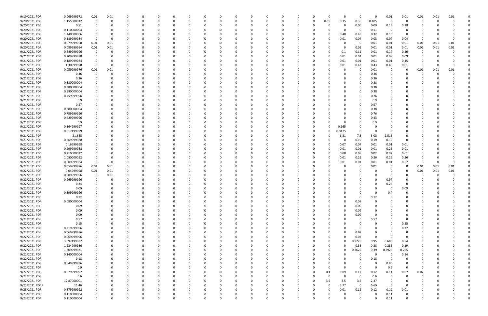| 9/19/2021 PDR                  | 0.069999972                | 0.01        | 0.01 |             |          |          |          | 0            |   | 0        |          |          | $\Omega$ | $\Omega$ | 0             | 0                | $\Omega$         | $0.01\,$         | 0.01             | 0.01     | 0.01 | 0.01 |  |
|--------------------------------|----------------------------|-------------|------|-------------|----------|----------|----------|--------------|---|----------|----------|----------|----------|----------|---------------|------------------|------------------|------------------|------------------|----------|------|------|--|
| 9/20/2021 PDR                  | 1.155000012                | $\Omega$    | 0    | 0           | $\Omega$ | $\Omega$ |          | -0           |   | $\Omega$ | $\Omega$ | 0        | 0        | 0.35     | 0.35          | 0.35             | 0.105            | 0                | 0                | 0        | -C   |      |  |
| 9/20/2021 PDR                  | 0.51                       |             |      |             |          |          |          |              |   |          |          |          | -0       |          | O             | 0.06             | 0.09             | 0.18             | 0.18             | C        |      |      |  |
| 9/20/2021 PDR                  | 0.110000004                |             |      |             |          |          |          |              |   |          |          |          |          |          | 0             | 0                | 0.11             | $\Omega$         |                  |          |      |      |  |
| 9/20/2021 PDR                  | 1.440000006                |             |      |             |          |          |          |              |   |          |          |          |          |          | 0.48          | 0.48             | 0.32             | 0.16             | $\Omega$         | 0        |      |      |  |
| 9/20/2021 PDR                  | 0.189999984                |             | 0    |             |          |          |          |              |   |          |          |          |          |          |               |                  |                  | 0.07             |                  | 0        |      |      |  |
|                                |                            |             |      |             |          |          |          |              |   |          |          |          |          |          | 0.01          | 0.04             | 0.03             |                  | 0.04             |          |      |      |  |
| 9/20/2021 PDR                  | 0.079999968                | 0.01        | 0.01 |             |          |          |          |              |   |          |          |          |          |          |               | 0                | 0.01             | 0.01             | 0.01             | 0.01     | 0.01 | 0.01 |  |
| 9/20/2021 PDR                  | 0.089999964                | 0.01        | 0.01 |             |          |          |          |              |   |          |          |          |          |          | 0             | 0.01             | 0.01             | 0.01             | 0.01             | 0.01     | 0.01 | 0.01 |  |
| 9/21/2021 PDR                  | 0.549999996                | $\Omega$    |      |             |          |          |          |              |   |          |          |          |          |          | 0.1           | 0.11             | 0.01             | 0.17             | 0.16             | 0        |      |      |  |
| 9/21/2021 PDR                  | 0.209999988                |             |      |             |          |          |          |              |   |          |          |          |          |          | 0.01          | 0.01             | 0.01             | 0.09             | 0.09             |          |      |      |  |
| 9/21/2021 PDR                  | 0.189999984                |             |      |             |          |          |          |              |   |          |          |          | -0       |          | 0.01          | 0.01             | 0.01             | 0.01             | 0.15             | 0        |      |      |  |
| 9/21/2021 PDR                  | 1.30999998                 | 0           | 0    |             |          |          |          |              |   |          |          |          | -0       |          | 0.01          | 0.43             | 0.43             | 0.43             | 0.01             | 0        |      |      |  |
| 9/21/2021 PDR                  | 0.059999976                | 0.01        | 0.01 |             |          |          |          |              |   |          |          |          |          |          |               | $\Omega$         | 0.01             | 0                | $\Omega$         | 0.01     | 0.01 | 0.01 |  |
| 9/21/2021 PDR                  | 0.36                       |             |      |             |          |          |          |              |   |          |          |          |          |          |               | 0                | 0.36             |                  |                  | O        |      |      |  |
| 9/21/2021 PDR                  | 0.36                       |             |      |             |          |          |          |              |   |          |          |          |          |          |               | 0                | 0.36             |                  |                  |          |      |      |  |
|                                |                            |             |      |             |          |          |          |              |   |          |          |          |          |          |               |                  |                  |                  |                  |          |      |      |  |
| 9/21/2021 PDR                  | 0.380000004                |             |      |             |          |          |          |              |   |          |          |          |          |          |               | 0                | 0.38             |                  |                  |          |      |      |  |
| 9/21/2021 PDR                  | 0.380000004                |             |      |             |          |          |          |              |   |          |          |          |          |          |               | 0                | 0.38             |                  |                  |          |      |      |  |
| 9/21/2021 PDR                  | 0.380000004                |             |      |             |          |          |          |              |   |          |          |          |          |          |               | C.               | 0.38             |                  |                  |          |      |      |  |
| 9/21/2021 PDR                  | 0.759999996                |             |      |             |          |          |          |              |   |          |          |          |          |          |               | <sup>0</sup>     | 0.76             |                  |                  |          |      |      |  |
| 9/21/2021 PDR                  | 0.9                        |             |      |             |          |          |          |              |   |          |          |          |          |          |               | <sup>n</sup>     | 0.9              |                  |                  |          |      |      |  |
| 9/21/2021 PDR                  | 0.57                       |             |      |             |          |          |          |              |   |          |          |          |          |          |               |                  | 0.57             |                  |                  |          |      |      |  |
| 9/21/2021 PDR                  | 0.380000004                |             |      |             |          |          |          |              |   |          |          |          |          |          |               | O                | 0.38             |                  |                  |          |      |      |  |
| 9/21/2021 PDR                  | 0.759999996                |             |      |             |          |          |          |              |   |          |          |          |          |          |               | O                | 0.76             |                  |                  |          |      |      |  |
| 9/21/2021 PDR                  | 0.429999996                |             |      |             |          |          |          |              |   |          |          |          |          |          |               | 0                | 0.43             |                  |                  |          |      |      |  |
|                                |                            |             |      |             |          |          |          |              |   |          |          |          |          |          |               |                  |                  |                  |                  |          |      |      |  |
| 9/21/2021 PDR                  | 0.9                        |             |      |             |          |          |          |              |   |          |          |          |          |          | O             | 0                | 0.9              |                  |                  |          |      |      |  |
| 9/21/2021 PDR                  | 0.164999997                |             |      |             |          |          |          |              |   |          |          |          |          |          | 0.165         |                  | 0                |                  |                  |          |      |      |  |
| 9/21/2021 PDR                  | 0.017499999                |             |      |             |          |          |          |              |   |          |          |          | 0        |          | 0.0175        | 0                | $\Omega$         |                  |                  |          |      |      |  |
| 9/21/2021 PDR                  | 21.655                     |             |      |             |          |          |          |              |   |          |          |          | -0       |          | 6.81          | 7.3              | 5.03             | 2.515            | 0                |          |      |      |  |
| 9/21/2021 PDR                  | 0.569999988                |             |      |             |          |          |          |              |   |          |          |          | 0        |          | -0            | 0.19             | 0.19             | 0.19             | $\mathbf 0$      |          |      |      |  |
| 9/22/2021 PDR                  | 0.16999998                 |             |      |             |          |          |          |              |   |          |          |          |          |          | 0.07          | 0.07             | 0.01             | 0.01             | 0.01             |          |      |      |  |
| 9/22/2021 PDR                  | 0.299999988                |             |      |             |          |          |          |              |   |          |          |          |          |          | 0.01          | 0.01             | 0.01             | 0.26             | 0.01             |          |      |      |  |
| 9/22/2021 PDR                  | 0.210000012                |             |      |             |          |          |          |              |   |          |          |          |          |          | 0.08          | 0.08             | 0.02             | 0.02             | 0.01             |          |      |      |  |
| 9/22/2021 PDR                  | 1.050000012                |             |      |             |          |          |          |              |   |          |          |          |          |          | 0.01          | 0.26             | 0.26             | 0.26             | 0.26             |          |      |      |  |
| 9/22/2021 PDR                  | 0.609999984                | - 0         |      |             |          |          |          |              |   |          |          |          |          |          | 0.01          |                  | 0.01             | $0.01\,$         | 0.57             | 0        |      |      |  |
|                                |                            |             |      |             |          |          |          |              |   |          |          |          |          |          |               | 0.01             |                  |                  |                  |          |      |      |  |
| 9/22/2021 PDR                  | 0.059999976                | 0.01        | 0.01 |             |          |          |          |              |   |          |          |          |          |          |               | $\Omega$         | 0.01             | 0                | 0                | 0.01     | 0.01 | 0.01 |  |
| 9/22/2021 PDR                  | 0.04999998                 | 0.01        | 0.01 |             |          |          |          |              |   |          |          |          |          |          |               |                  | -0               |                  | 0                | 0.01     | 0.01 | 0.01 |  |
| 9/22/2021 PDR                  | 0.009999996                | 0           | 0.01 |             |          |          |          |              |   |          |          |          |          |          |               |                  | $\Omega$         |                  |                  | C        |      |      |  |
| 9/22/2021 PDR                  | 0.969999996                |             |      |             |          |          |          |              |   |          |          |          |          |          |               |                  | $\Omega$         | 0.97             |                  |          |      |      |  |
| 9/22/2021 PDR                  | 0.24                       |             |      |             |          |          |          |              |   |          |          |          |          |          |               |                  | -0               | 0.24             |                  |          |      |      |  |
| 9/22/2021 PDR                  | 0.09                       |             |      | $\Omega$    |          |          |          |              |   |          |          |          |          |          |               | $\Omega$         | $\Omega$         | - 0              | 0.09             | 0        |      |      |  |
| 9/22/2021 PDR                  | 0.399999996                |             |      | $\Omega$    |          |          |          |              |   |          |          |          |          |          |               | $\Omega$         | $\Omega$         | 0.4              |                  | $\Omega$ |      |      |  |
| 9/22/2021 PDR                  | 0.12                       | 0           | 0    | $\Omega$    | $\Omega$ |          |          | <sup>0</sup> |   | $\Omega$ | ŋ        |          | 0        |          | 0             | 0                | 0.12             | $\Omega$         |                  | 0        |      |      |  |
| 9/22/2021 PDR                  | 0.080000004                |             |      | 0           | 0        |          |          | 0            |   | $\Omega$ | 0        |          | 0        |          | 0             | 0.08             | 0                |                  |                  | 0        |      |      |  |
|                                |                            |             |      |             |          |          |          |              |   |          |          |          | $\Omega$ |          | $\Omega$      |                  | $\Omega$         |                  |                  |          |      |      |  |
| 9/22/2021 PDR                  | 0.09                       |             |      |             |          |          |          | 0            |   |          |          |          |          |          |               | 0.09             |                  |                  |                  | O        |      |      |  |
| 9/22/2021 PDR                  | 0.09                       |             |      |             |          |          |          |              |   |          |          |          | $\Omega$ |          | 0             | 0.09             | $\Omega$         |                  | 0                | 0        |      |      |  |
| 9/22/2021 PDR                  | 0.09                       |             |      |             |          |          |          |              |   |          |          |          |          |          | 0             | 0.09             | 0                |                  | 0                |          |      |      |  |
| 9/22/2021 PDR                  | 0.57                       |             |      |             |          |          |          |              |   |          |          |          |          |          |               | 0                | 0.57             |                  | $\mathbf 0$      |          |      |      |  |
| 9/22/2021 PDR                  | 0.15                       |             |      | C           |          |          |          | $\Omega$     |   |          |          |          | 0        |          |               | 0                | 0                | $\Omega$         | 0.15             | 0        |      |      |  |
| 9/22/2021 PDR                  | 0.219999996                |             |      | 0           |          |          |          | 0            |   |          |          |          | 0        |          | 0             | 0                | 0                | $\Omega$         | 0.22             | 0        |      |      |  |
| 9/22/2021 PDR                  | 0.069999996                |             |      |             |          |          |          |              |   |          |          |          | 0        |          | ŋ             | 0.07             | $\Omega$         |                  | 0                |          |      |      |  |
| 9/22/2021 PDR                  | 0.069999996                |             |      |             |          |          |          |              |   |          |          |          | 0        | 0        | 0             | 0.07             | $\mathbf 0$      | $\Omega$         | 0                |          |      |      |  |
| 9/22/2021 PDR                  | 3.097499982                |             |      |             |          |          |          |              |   |          |          |          | -0       | 0        | 0             | 0.9225           | 0.95             | 0.685            | 0.54             |          |      |      |  |
| 9/22/2021 PDR                  | 1.234999986                |             |      |             |          |          |          |              |   |          |          |          | 0        |          | $\Omega$      | 0.38             | 0.38             | 0.285            | 0.19             | 0        |      |      |  |
|                                | 1.309999971                |             | 0    | 0           | $\Omega$ | $\Omega$ |          | 0            |   | 0        |          | 0        |          |          | 0             |                  |                  | 0.2925           | 0.265            |          |      |      |  |
| 9/22/2021 PDR                  |                            |             |      |             |          |          |          |              |   |          |          |          | 0        |          |               | 0.3625           | 0.39             |                  |                  | 0        |      |      |  |
| 9/22/2021 PDR                  | 0.140000004                | 0           | 0    | 0           | 0        | $\Omega$ |          | 0            |   | 0        |          |          | 0        |          | 0             | 0                | 0                | $\Omega$         | 0.14             | 0        |      |      |  |
| 9/22/2021 PDR                  | 0.18                       |             | O    | 0           | $\Omega$ | $\Omega$ |          | 0            |   | $\Omega$ |          | 0        | $\Omega$ |          | O             | 0                | 0.18             | $\Omega$         | $\mathbf 0$      | 0        |      |      |  |
| 9/22/2021 PDR                  | 0.849999996                |             |      |             |          |          |          | 0            |   |          |          |          |          |          | 0             | 0                | $\Omega$         | 0.85             | 0                | 0        |      |      |  |
| 9/22/2021 PDR                  | 0.9                        |             |      |             |          |          |          |              |   |          |          |          | 0        |          | $\Omega$      | $\mathbf 0$      | $\mathbf 0$      | 0.9              | $\overline{0}$   | 0        |      |      |  |
| 9/22/2021 PDR                  | 0.679999992                |             |      | 0           |          |          |          |              |   |          |          |          | 0        | $0.1\,$  | 0.09          | 0.12             | 0.12             | $0.11\,$         | 0.07             | 0.07     |      |      |  |
| 9/22/2021 PDR                  | 0.6                        |             |      |             |          |          |          |              |   |          |          |          | 0        | $\Omega$ | $\mathbf 0$   | $\mathbf 0$      | 0.6              | 0                | 0                | 0        |      |      |  |
| 9/22/2021 PDR                  | 12.87000001                |             |      | 0           |          | $\Omega$ |          | <sup>0</sup> |   |          |          |          | $\Omega$ | 3.5      | 3.5           | 3.5              | 2.37             | $\Omega$         | 0                | 0        |      |      |  |
| 9/22/2021 RDRR                 | 11.46                      |             | 0    | 0           |          |          |          | 0            |   |          |          |          | 0        | $\Omega$ | 5.77          | 0                | 5.69             | $\Omega$         | 0                | 0        |      |      |  |
|                                | 0.379999992                |             |      |             |          |          |          |              |   |          |          |          | -0       |          | 0.01          | 0.12             | 0.12             | 0.12             | 0.01             |          |      |      |  |
| 9/23/2021 PDR                  |                            |             |      |             |          |          |          |              |   |          |          |          |          |          |               |                  |                  |                  |                  |          |      |      |  |
|                                |                            |             |      |             |          |          |          |              |   |          |          |          |          |          |               |                  |                  |                  |                  |          |      |      |  |
| 9/23/2021 PDR<br>9/23/2021 PDR | 0.110000004<br>0.110000004 | $\mathbf 0$ | 0    | $\mathbf 0$ | $\Omega$ | $\Omega$ | $\Omega$ | 0            | 0 | $\Omega$ | $\Omega$ | $\Omega$ | $\Omega$ |          | 0<br>$\Omega$ | 0<br>$\mathbf 0$ | 0<br>$\mathbf 0$ | 0.11<br>$0.11\,$ | 0<br>$\mathbf 0$ | 0        |      | 0    |  |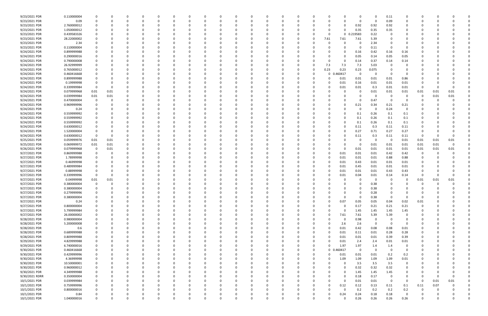| 9/23/2021 PDR  | 0.110000004 |          |          |          |          |          |          |              |          |          |          |          |              |          |          |                      | 0           |             | 0.11           |                |          |      |          |  |
|----------------|-------------|----------|----------|----------|----------|----------|----------|--------------|----------|----------|----------|----------|--------------|----------|----------|----------------------|-------------|-------------|----------------|----------------|----------|------|----------|--|
| 9/23/2021 PDR  | 0.09        | 0        |          | 0        | $\Omega$ |          |          | <sup>0</sup> |          |          | 0        |          | റ            | 0        | $\Omega$ |                      | 0           | $\Omega$    | 0.09           | 0              | -C       |      |          |  |
| 9/23/2021 PDR  | 2.760000012 |          |          |          |          |          |          |              |          |          |          |          |              |          |          |                      | 0.92        | 0.92        | 0.92           |                |          |      |          |  |
| 9/23/2021 PDR  | 1.050000012 |          |          |          |          |          |          |              |          |          |          |          |              |          |          |                      | 0.35        | 0.35        | 0.35           |                |          |      |          |  |
| 9/23/2021 PDR  | 0.439583326 |          |          |          |          |          |          |              |          |          |          |          |              |          |          | $\Omega$             | 0 0.219583  | 0.22        |                | $\Omega$       |          |      |          |  |
| 9/23/2021 PDR  | 28.22000002 |          |          |          |          |          |          |              |          |          |          |          |              |          | -0       | 7.61<br>7.61         | 7.61        | 5.39        |                |                |          |      |          |  |
| 9/23/2021 PDR  |             |          |          |          |          |          |          |              |          |          |          |          |              |          |          |                      | C           |             |                |                |          |      |          |  |
|                | 2.34        |          |          |          |          |          |          |              |          |          |          |          |              |          |          |                      |             | 2.34        |                |                |          |      |          |  |
| 9/23/2021 PDR  | 0.110000004 |          |          |          |          |          |          |              |          |          |          |          |              |          |          |                      | -0          | 0.11        | - 0            | $\Omega$       |          |      |          |  |
| 9/24/2021 PDR  | 0.899999988 |          |          |          |          |          |          |              |          |          |          |          |              |          |          |                      | 0.16        | 0.42        | 0.16           | 0.16           |          |      |          |  |
| 9/24/2021 PDR  | 0.290000016 |          |          |          |          |          |          |              |          |          |          |          |              |          |          |                      | 0.05        | 0.14        | 0.05           | 0.05           |          |      |          |  |
| 9/24/2021 PDR  | 0.790000008 |          |          |          |          |          |          |              |          |          |          |          |              |          |          | $\Omega$             | 0.14        | 0.37        | 0.14           | 0.14           |          |      |          |  |
| 9/24/2021 PDR  | 26.92999999 |          |          |          |          |          |          |              |          |          |          |          |              |          |          | 7.3<br>7.3           | 7.3         | 5.03        | - 0            |                |          |      |          |  |
| 9/24/2021 PDR  | 0.765000012 |          |          |          |          |          |          |              |          |          |          |          |              | 0        | 0        | 0.23<br>0.23         | 0.23        | 0.075       | $\Omega$       |                |          |      |          |  |
| 9/24/2021 PDR  | 0.460416668 |          |          |          |          |          |          |              |          |          |          |          |              |          | 0        | 460417<br>0          | 0           | $\Omega$    | - 0            | 0              |          |      |          |  |
| 9/24/2021 PDR  | 0.899999988 |          |          |          |          |          |          |              |          |          |          |          |              |          |          | 0.01                 | 0.01        | 0.01        | 0.01           | 0.86           |          |      |          |  |
| 9/24/2021 PDR  | 0.19999998  |          |          |          |          |          |          |              |          |          |          |          |              |          |          | 0.01                 | 0.16        | 0.01        | 0.01           | 0.01           |          |      |          |  |
| 9/24/2021 PDR  | 0.339999984 | $\Omega$ |          |          |          |          |          |              |          |          |          |          |              |          |          | 0.01                 | 0.01        | 0.3         | 0.01           | 0.01           | 0        |      |          |  |
| 9/24/2021 PDR  | 0.079999968 | 0.01     | 0.01     | 0        |          |          |          |              |          |          |          |          |              |          |          |                      | 0           | 0.01        | 0.01           | 0.01           | 0.01     | 0.01 | 0.01     |  |
| 9/24/2021 PDR  | 0.039999984 | 0.01     | 0.01     |          |          |          |          |              |          |          |          |          |              |          |          |                      | 0           |             | - 0            | 0              | 0        | 0.01 | 0.01     |  |
| 9/24/2021 PDR  |             |          |          |          |          |          |          |              |          |          |          |          |              |          |          |                      | 0           | 0.47        | - 0            | $\Omega$       |          |      |          |  |
|                | 0.470000004 |          |          |          |          |          |          |              |          |          |          |          |              |          |          |                      |             |             |                |                |          |      |          |  |
| 9/24/2021 PDR  | 0.969999996 |          |          |          |          |          |          |              |          |          |          |          |              |          |          |                      | 0.21        | 0.34        | 0.21           | 0.21           |          |      |          |  |
| 9/24/2021 PDR  | 0.24        |          |          |          |          |          |          |              |          |          |          |          |              |          |          |                      | -0          | -0          | 0.24           | $\Omega$       |          |      |          |  |
| 9/24/2021 PDR  | 0.559999992 |          |          |          |          |          |          |              |          |          |          |          |              |          |          |                      | 0.1         | 0.26        | 0.1            | 0.1            |          |      |          |  |
| 9/24/2021 PDR  | 0.559999992 |          |          |          |          |          |          |              |          |          |          |          |              |          |          |                      | 0.1         | 0.26        | 0.1            | 0.1            |          |      |          |  |
| 9/24/2021 PDR  | 0.559999992 |          |          |          |          |          |          |              |          |          |          |          |              |          |          |                      | 0.1         | 0.26        | 0.1            | 0.1            |          |      |          |  |
| 9/24/2021 PDR  | 0.630000012 |          |          |          |          |          |          |              |          |          |          |          |              |          |          |                      | 0.11        | 0.3         | 0.11           | 0.11           |          |      |          |  |
| 9/24/2021 PDR  | 1.520000004 |          |          |          |          |          |          |              |          |          |          |          |              |          |          |                      | 0.27        | 0.71        | 0.27           | 0.27           |          |      |          |  |
| 9/24/2021 PDR  | 0.630000012 | $\Omega$ |          |          |          |          |          |              |          |          |          |          |              |          |          |                      | 0.11        | 0.3         | 0.11           | 0.11           | -0       |      |          |  |
| 9/25/2021 PDR  | 0.059999976 | 0.01     | 0.01     |          |          |          |          |              |          |          |          |          |              |          |          |                      | 0           | -C          | - 0            | 0.01           | 0.01     | 0.01 | 0.01     |  |
| 9/25/2021 PDR  | 0.069999972 | 0.01     | 0.01     |          |          |          |          |              |          |          |          |          |              |          |          |                      | -0          | 0.01        | 0.01           | 0.01           | 0.01     | 0.01 |          |  |
| 9/26/2021 PDR  | 0.079999968 | 0        | 0.01     | 0        |          |          |          |              |          |          |          |          |              |          |          |                      | 0.01        | 0.01        | 0.01           | 0.01           | 0.01     | 0.01 | 0.01     |  |
| 9/27/2021 PDR  | 0.869999988 |          |          |          |          |          |          |              |          |          |          |          |              |          |          | 0.01<br>0            | 0.01        | 0.01        | 0.42           | 0.42           | 0        |      |          |  |
|                |             |          |          |          |          |          |          |              |          |          |          |          |              |          |          |                      |             |             |                |                |          |      |          |  |
| 9/27/2021 PDR  | 1.78999998  |          |          |          |          |          |          |              |          |          |          |          |              |          |          | 0.01<br>$\Omega$     | 0.01        | 0.01        | 0.88           | 0.88           |          |      |          |  |
| 9/27/2021 PDR  | 0.46999998  |          |          |          |          |          |          |              |          |          |          |          |              |          |          | 0.01<br><sup>0</sup> | 0.43        | 0.01        | 0.01           | 0.01           |          |      |          |  |
| 9/27/2021 PDR  | 0.489999984 |          |          |          |          |          |          |              |          |          |          |          |              |          |          | 0.01                 | 0.45        | 0.01        | 0.01           | 0.01           |          |      |          |  |
| 9/27/2021 PDR  | 0.88999998  |          |          |          |          |          |          |              |          |          |          |          |              |          |          | 0.01                 | 0.01        | 0.01        | 0.43           | 0.43           |          |      |          |  |
| 9/27/2021 PDR  | 0.339999996 | $\Omega$ |          |          |          |          |          |              |          |          |          |          |              |          |          | 0.01                 | 0.04        | 0.01        | 0.14           | 0.14           | -C       |      | $\Omega$ |  |
| 9/27/2021 PDR  | 0.04999998  | $0.01\,$ | 0.01     |          |          |          |          |              |          |          |          |          |              |          |          |                      | 0           |             |                |                | 0.01     | 0.01 | 0.01     |  |
| 9/27/2021 PDR  | 0.380000004 |          |          |          |          |          |          |              |          |          |          |          |              |          |          |                      |             | 0.38        |                |                |          |      |          |  |
| 9/27/2021 PDR  | 0.380000004 | 0        |          | n        |          |          |          |              |          |          |          |          |              |          |          |                      | 0           | 0.38        |                |                | -C       |      |          |  |
| 9/27/2021 PDR  | 0.279999996 |          |          |          |          |          |          |              |          |          |          |          |              |          |          |                      | 0           | 0.28        | 0              |                |          |      |          |  |
| 9/27/2021 PDR  | 0.380000004 | $\Omega$ | $\Omega$ | $\Omega$ | $\Omega$ | $\Omega$ | $\Omega$ | $\Omega$     | $\Omega$ |          | $\Omega$ | $\Omega$ | $\Omega$     | $\Omega$ | 0        | $\Omega$<br>0        | $\mathbf 0$ | 0.38        | $\Omega$       | $\Omega$       | 0        |      |          |  |
| 9/27/2021 PDR  | 0.24        | 0        | 0        | 0        | $\Omega$ | $\Omega$ | $\Omega$ | $\Omega$     | ŋ        |          | 0        |          | $\Omega$     | 0        | 0        | 0.07<br>$\Omega$     | 0.05        | 0.05        | 0.04           | 0.02           | 0.01     |      |          |  |
| 9/27/2021 PDR  | 0.800000004 | 0        |          | 0        |          | $\Omega$ |          | 0            |          |          | $\Omega$ |          | 0            | 0        | 0        | 0                    | 0.17        | 0.21        | 0.21           | 0.21           | 0        |      |          |  |
| 9/27/2021 PDR  | 5.799999984 |          |          | 0        |          | $\Omega$ |          | 0            |          |          | $\Omega$ |          |              | $\Omega$ | 0        | 0<br>$\Omega$        | 1.45        | 1.45        | 1.45           | 1.45           | -C       |      |          |  |
|                |             |          |          |          |          |          |          |              |          |          |          |          |              |          |          |                      |             |             |                |                |          |      |          |  |
| 9/27/2021 PDR  | 26.00000002 |          |          |          |          |          |          |              |          |          | 0        |          |              | 0        |          | 7.61<br>0            | 7.61        | 5.39        | 5.39           | 0              |          |      |          |  |
| 9/28/2021 PDR  | 0.980000004 | 0        |          | 0        |          |          |          |              |          |          |          |          |              | 0        |          | $\Omega$<br>0        | 0.98        | $\mathbf 0$ | - 0            | $\Omega$       |          |      |          |  |
| 9/28/2021 PDR  | 5.200000008 |          |          |          |          |          |          |              |          |          |          |          |              | 0        |          | 2.6<br>0             | 2.6         | $\Omega$    | $\Omega$       | $\mathbf 0$    |          |      |          |  |
| 9/28/2021 PDR  | 0.6         | 0        |          | 0        |          |          |          |              |          |          | 0        |          | <sup>0</sup> | 0        | 0        | 0.01<br>$\Omega$     | 0.42        | 0.08        | 0.08           | 0.01           |          |      |          |  |
| 9/28/2021 PDR  | 0.689999988 |          |          | 0        |          |          |          | <sup>0</sup> |          |          | 0        |          |              | 0        |          | 0.01<br>$\Omega$     | 0.11        | 0.01        | 0.28           | 0.28           |          |      |          |  |
| 9/28/2021 PDR  | 0.809999988 |          |          |          |          | $\Omega$ |          |              |          |          |          |          |              | 0        |          | 0.01<br>$\Omega$     | 0.01        | 0.01        | 0.39           | 0.39           |          |      |          |  |
| 9/29/2021 PDR  | 4.829999988 |          |          |          |          |          |          |              |          |          |          |          |              |          | -0       | 0.01<br>0            | 2.4         | 2.4         | $0.01\,$       | 0.01           |          |      |          |  |
| 9/29/2021 PDR  | 6.740000016 |          |          |          |          |          |          |              |          |          |          |          |              |          | 0        | 1.97<br>$\Omega$     | 1.97        | 1.4         | 1.4            | 0              |          |      |          |  |
| 9/30/2021 PDR  | 0.460416668 |          |          | 0        |          | $\Omega$ |          |              |          |          | 0        |          | $\Omega$     | 0        | 0        | 460417<br>$\Omega$   | $\mathbf 0$ | $\Omega$    | $\overline{0}$ | $\overline{0}$ |          |      |          |  |
| 9/30/2021 PDR  | 0.429999996 | 0        |          | 0        |          | $\Omega$ |          | 0            |          |          | 0        |          | 0            | 0        | 0        | $\Omega$<br>0.01     | 0.01        | 0.01        | 0.2            | 0.2            | 0        |      |          |  |
| 9/30/2021 PDR  | 4.36999998  | 0        |          | $\Omega$ |          | $\Omega$ |          |              |          |          | $\Omega$ |          |              | 0        | 0        | 1.09<br>$\Omega$     | 1.09        | 1.09        | 1.09           | 0.01           |          |      |          |  |
| 9/30/2021 PDR  | 10.50000001 |          |          |          |          | $\Omega$ |          |              |          |          | $\Omega$ |          |              | 0        | - 0      | 0                    | 3.5         | 3.5         | 3.5            | $\mathbf 0$    |          |      |          |  |
| 9/30/2021 PDR  | 0.960000012 |          |          |          |          |          |          |              |          |          |          |          |              | 0        |          | 0                    | 0.32        | 0.32        |                | 0              |          |      |          |  |
|                |             |          |          |          |          |          |          |              |          |          |          |          |              |          |          |                      |             |             | 0.32           |                |          |      |          |  |
| 9/30/2021 PDR  | 4.349999988 |          |          |          |          |          |          |              |          |          |          |          |              | 0        |          |                      | 1.45        | 1.45        | 1.45           |                |          |      |          |  |
| 9/30/2021 RDRR | 0.350000004 | $\Omega$ |          |          |          |          |          |              |          |          |          |          | 0            | 0        |          | 0                    | 0.18        | 0.17        | $\overline{0}$ | 0              | 0        |      |          |  |
| 10/1/2021 PDR  | 0.039999984 |          |          |          |          |          |          |              |          |          |          |          |              |          |          | $\Omega$             | 0.01        | 0.01        | $\overline{0}$ | $\Omega$       | 0        | 0.01 | 0.01     |  |
| 10/1/2021 PDR  | 0.759999996 | $\Omega$ |          | 0        |          |          |          |              |          |          |          |          |              |          |          | 0.12<br>$\Omega$     | 0.12        | 0.13        | 0.11           | 0.1            | 0.11     | 0.07 |          |  |
| 10/1/2021 PDR  | 0.800000016 | 0        |          | 0        |          | $\Omega$ |          |              |          |          | $\Omega$ |          | <sup>0</sup> | 0        | - 0      | $\Omega$<br>0        | 0.2         | 0.2         | 0.2            | 0.2            | 0        |      |          |  |
| 10/1/2021 PDR  | 0.84        |          |          |          |          |          |          |              |          |          |          |          |              |          |          | 0.24<br>0            | 0.24        | 0.18        | 0.18           | $\overline{0}$ |          |      |          |  |
| 10/1/2021 PDR  | 1.040000016 | $\Omega$ | 0        | $\Omega$ | $\Omega$ | $\Omega$ | $\Omega$ | 0            | $\Omega$ | $\Omega$ | $\Omega$ | $\Omega$ | $\Omega$     | $\Omega$ | 0        | $\Omega$             | 0.26        | 0.26        | 0.26           | 0.26           | $\Omega$ |      | 0        |  |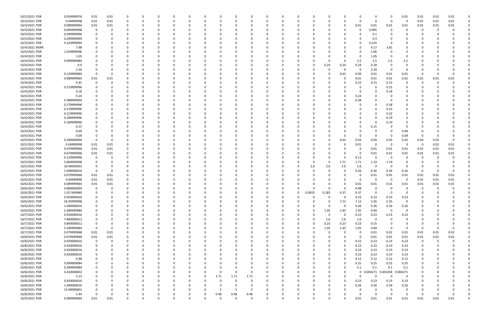| 10/2/2021 PDR  | 0.059999976         | 0.01        | 0.01     | 0            |          | 0           |          |          |              |          |          |          | $\Omega$             |          | 0        |               |                   |                  | 0            |                   | -0             | 0.01        | 0.01     | 0.01 | 0.01     |  |
|----------------|---------------------|-------------|----------|--------------|----------|-------------|----------|----------|--------------|----------|----------|----------|----------------------|----------|----------|---------------|-------------------|------------------|--------------|-------------------|----------------|-------------|----------|------|----------|--|
| 10/3/2021 PDR  | 0.04999998          | 0.01        | 0.01     | $\Omega$     |          | $\Omega$    |          | $\Omega$ |              |          |          | $\Omega$ | $\Omega$             |          | 0        |               |                   |                  | $\Omega$     | $\Omega$          | - 0            | 0           | 0.01     | 0.01 | 0.01     |  |
| 10/3/2021 PDR  | 0.089999964         | 0.01        | 0.01     | 0            |          |             |          |          |              |          |          |          |                      |          |          |               |                   |                  | 0.01         | 0.01              | 0.01           | 0.01        | 0.01     | 0.01 | 0.01     |  |
| 10/3/2021 PDR  | 0.094999998         | 0           | O        | $\Omega$     |          |             |          |          |              |          |          |          |                      |          | 0        |               |                   |                  | 0            | 0.095             | 0              |             | 0        |      |          |  |
| 10/3/2021 PDR  | 0.099999996         | 0           |          |              |          |             |          |          |              |          |          |          |                      |          |          |               |                   |                  | 0            | 0.1               | -0             |             |          |      |          |  |
| 10/3/2021 PDR  | 0.299999994         | 0           |          | $\Omega$     |          |             |          |          |              |          |          |          |                      |          |          |               |                   |                  |              | 0.3               |                |             |          |      |          |  |
| 10/3/2021 PDR  | 0.224999994         |             |          |              |          |             |          |          |              |          |          |          |                      |          |          |               |                   |                  | -0           | 0.225             | - 0            |             |          |      |          |  |
| 10/4/2021 RDRR | 7.98                |             |          |              |          |             |          |          |              |          |          |          |                      |          |          |               |                   |                  | -0           | 4.17              | 3.81           |             |          |      |          |  |
| 10/4/2021 PDR  | 1.059999996         |             |          |              |          |             |          |          |              |          |          |          |                      |          |          |               |                   |                  | 0            | 1.06              |                |             |          |      |          |  |
| 10/4/2021 PDR  | 1.05                |             |          |              |          |             |          |          |              |          |          |          |                      |          |          |               |                   |                  | 0            | 1.05              | - 0            |             |          |      |          |  |
| 10/4/2021 PDR  | 9.999999984         |             |          |              |          |             |          |          |              |          |          |          |                      |          |          |               |                   |                  | 2.5          | 2.5               | 2.5            | 2.5         |          |      |          |  |
| 10/4/2021 PDR  | 0.9                 |             |          |              |          |             |          |          |              |          |          |          |                      |          |          |               | 0.24              | 0.24             | 0.24         | 0.18              | $\Omega$       | $\Omega$    |          |      |          |  |
| 10/4/2021 PDR  | 2.34                |             |          |              |          |             |          |          |              |          |          |          |                      |          |          |               |                   |                  | 0            | 2.34              | 0              | $\Omega$    |          |      |          |  |
| 10/4/2021 PDR  | 0.129999984         |             |          |              |          |             |          |          |              |          |          |          |                      |          |          |               |                   | 0.01             | 0.09         | 0.01              | 0.01           | 0.01        |          |      |          |  |
| 10/4/2021 PDR  | 0.089999964         | 0.01        | 0.01     | 0            |          |             |          |          |              |          |          |          |                      |          |          |               |                   |                  | 0.01         | 0.01              | 0.01           | 0.01        | 0.01     | 0.01 | 0.01     |  |
| 10/4/2021 PDR  | 0.45                | 0           |          |              |          |             |          |          |              |          |          |          |                      |          |          |               |                   |                  | 0.15         | 0.15              | 0.15           | 0           |          |      |          |  |
| 10/4/2021 PDR  | 0.219999996         |             |          |              |          |             |          |          |              |          |          |          |                      |          |          |               |                   |                  | 0            |                   | 0.22           |             |          |      |          |  |
| 10/4/2021 PDR  | 0.18                |             |          |              |          |             |          |          |              |          |          |          |                      |          |          |               |                   |                  | 0            |                   | 0.18           | 0           |          |      |          |  |
| 10/4/2021 PDR  | 0.24                |             |          |              |          |             |          |          |              |          |          |          |                      |          |          |               |                   |                  | 0.24         |                   |                |             |          |      |          |  |
| 10/4/2021 PDR  | 0.380000004         |             |          | -0           |          | $\Omega$    |          |          |              |          |          |          |                      |          | 0        |               |                   |                  | 0.38         |                   |                |             |          |      |          |  |
| 10/4/2021 PDR  | 0.579999996         |             |          |              |          |             |          |          |              |          |          |          |                      |          |          |               |                   |                  | 0            |                   | 0.58           |             |          |      |          |  |
| 10/4/2021 PDR  | 0.219999996         |             |          |              |          |             |          |          |              |          |          |          |                      |          |          |               |                   |                  |              |                   | 0.22           |             |          |      |          |  |
| 10/4/2021 PDR  | 0.219999996         |             |          |              |          |             |          |          |              |          |          |          |                      |          |          |               |                   |                  |              |                   | 0.22           |             |          |      |          |  |
| 10/4/2021 PDR  | 0.189999996         |             |          |              |          |             |          |          |              |          |          |          |                      |          |          |               |                   |                  |              |                   | 0.19           |             |          |      |          |  |
| 10/4/2021 PDR  | 0.189999996         |             |          |              |          |             |          |          |              |          |          |          |                      |          |          |               |                   |                  |              |                   | 0.19           |             |          |      |          |  |
| 10/4/2021 PDR  | 0.15                |             |          |              |          |             |          |          |              |          |          |          |                      |          |          |               |                   |                  | 0            | 0.15              |                | 0           |          |      |          |  |
| 10/4/2021 PDR  | 0.09                |             |          |              |          |             |          |          |              |          |          |          |                      |          |          |               |                   |                  |              |                   |                | 0.09        |          |      |          |  |
| 10/4/2021 PDR  | 0.09                |             |          |              |          |             |          |          |              |          |          |          |                      |          |          |               |                   |                  | 0            | - റ               | - 0            | 0.09        | $\Omega$ |      |          |  |
| 10/4/2021 PDR  | 0.200000004         | 0           |          |              |          |             |          |          |              |          |          |          |                      |          |          |               |                   | 0.03             | 0.03         | 0.04              | 0.03           | 0.02        | 0.03     | 0.02 | 0        |  |
| 10/5/2021 PDR  | 0.04999998          | 0.01        | 0.01     |              |          |             |          |          |              |          |          |          |                      |          |          |               |                   |                  | 0.01         | - 0               | 0              |             | 0        | 0.01 | 0.01     |  |
| 10/5/2021 PDR  | 0.079999968         | 0.01        | 0.01     | $\Omega$     |          | O           |          |          |              |          |          |          |                      |          |          |               |                   |                  | 0            | 0.01              | 0.01           | 0.01        | 0.01     | 0.01 | 0.01     |  |
| 10/5/2021 PDR  | 0.079999968         | 0.01        | 0.01     | 0            |          |             |          |          |              |          |          |          |                      |          | 0        |               |                   |                  | 0            | 0.01              | 0.01           | 0.01        | 0.01     | 0.01 | 0.01     |  |
| 10/5/2021 PDR  | 0.129999996         | 0           |          |              |          |             |          |          |              |          |          |          |                      |          |          |               |                   |                  | 0.13         | $\Omega$          | 0              |             |          |      |          |  |
| 10/5/2021 PDR  | 5.800000008         |             |          |              |          |             |          |          |              |          |          |          |                      |          |          |               | 0                 | 1.71             | 1.71         | 1.19              | 1.19           |             |          |      |          |  |
| 10/5/2021 PDR  | 10.40000002         |             |          |              |          |             |          |          |              |          |          |          |                      |          |          | 2.6           | 2.6               | 2.6              | 2.6          | - 0               | - 0            |             |          |      |          |  |
| 10/5/2021 PDR  | 1.040000016         | $\mathbf 0$ |          | $\Omega$     |          |             |          |          |              |          |          |          |                      |          |          |               |                   |                  | 0.26         | 0.26              | 0.26           | 0.26        | 0        |      |          |  |
| 10/6/2021 PDR  | 0.079999968         | 0.01        | 0.01     | $\Omega$     |          |             |          |          |              |          |          |          |                      |          |          |               |                   |                  | 0            | 0.01              | 0.01           | 0.01        | 0.01     | 0.01 | 0.01     |  |
| 10/6/2021 PDR  | 0.04999998          | 0.01        | 0.01     | 0            |          |             |          |          |              |          |          |          |                      |          |          |               |                   |                  | 0            |                   | - 0            | $\Omega$    | 0.01     | 0.01 | 0.01     |  |
| 10/6/2021 PDR  | 0.089999964         | 0.01        | 0.01     |              |          |             |          |          |              |          |          |          |                      |          |          |               |                   |                  | 0.01         | 0.01              | 0.01           | 0.01        | 0.01     | 0.01 | 0.01     |  |
| 10/6/2021 PDR  | 0.980000004         | $\mathbf 0$ | $\Omega$ | $\Omega$     |          |             |          |          |              |          |          |          |                      |          |          |               |                   |                  | 0.98         | $\Omega$          | 0              | 0           | 0        |      | 0        |  |
| 10/6/2021 PDR  | 1.017499989         | $\mathbf 0$ |          |              |          | 0           |          |          |              |          | O        |          |                      | - 0      | 0        |               |                   |                  |              |                   | - 0            |             |          |      |          |  |
| 10/6/2021 PDR  | 0.920000016         | $\mathbf 0$ | $\Omega$ | $\Omega$     | $\Omega$ | $\mathbf 0$ | $\Omega$ | 0        | 0            | $\Omega$ | $\Omega$ | $\Omega$ | $\Omega$             | $\Omega$ | 0        | 0.0925<br>- 0 | 0.185<br>$\Omega$ | 0.37<br>$\Omega$ | 0.37<br>0.23 | 0.23              | 0.23           | 0.23        | 0        |      |          |  |
| 10/6/2021 PDR  | 24.93999998         | 0           |          | $\Omega$     |          | 0           |          | 0        |              |          | $\Omega$ | $\Omega$ | $\Omega$             | $\Omega$ | 0        |               | $\Omega$          | 7.12             | 7.12         | 5.35              | 5.35           | $\mathbf 0$ |          |      |          |  |
| 10/6/2021 PDR  | 1.040000016         | 0           |          | 0            |          | $\Omega$    |          | $\Omega$ |              |          | 0        |          | $\Omega$             |          | 0        |               | $\Omega$          |                  | 0.26         | 0.26              | 0.26           | 0.26        |          |      |          |  |
| 10/6/2021 PDR  | 5.289999984         | 0           |          | $\Omega$     |          | 0           |          | -0       |              |          | 0        | 0        | $\Omega$             |          | 0        |               | 1.45              | 1.45             | 1.45         | 0.94              | $\Omega$       | $\mathbf 0$ |          |      |          |  |
| 10/7/2021 PDR  | 0.920000016         | 0           |          | 0            |          | 0           |          |          |              |          |          |          |                      |          | 0        |               | $\Omega$          | $\Omega$         | 0.23         | 0.23              | 0.23           | 0.23        |          |      |          |  |
| 10/7/2021 PDR  | 7.800000012         | 0           |          | 0            |          | 0           |          | 0        |              |          | 0        |          | $\Omega$             |          | 0        |               | 2.6               | 2.6              | 2.6          | 0                 | - 0            | 0           |          |      |          |  |
| 10/7/2021 PDR  | 0.840000012         | 0           |          | 0            |          | 0           |          | 0        |              |          | 0        |          | $\Omega$             |          | 0        |               | 0.23              | 0.23             | 0.23         | 0.15              | - 0            | 0           | 0        |      |          |  |
| 10/7/2021 PDR  | 5.289999984         | $\mathbf 0$ | $\Omega$ | $\Omega$     |          | $\Omega$    |          |          |              |          | $\Omega$ |          |                      |          | $\Omega$ | $\Omega$      | 1.45              | 1.45             | 1.45         | 0.94              | $\overline{0}$ | $\Omega$    | 0        |      | $\Omega$ |  |
| 10/7/2021 PDR  | 0.079999968         | 0.01        | 0.01     | 0            |          | $\Omega$    |          | -0       |              |          | 0        |          | $\Omega$             |          | 0        |               | $\Omega$          |                  | 0            | 0.01              | 0.01           | 0.01        | 0.01     | 0.01 | 0.01     |  |
| 10/8/2021 PDR  | 0.079999968         | 0.01        | 0.01     | 0            |          | 0           |          | -0       |              |          | 0        |          | $\Omega$             |          | 0        |               | 0                 |                  | 0            | 0.01              | $0.01\,$       | 0.01        | 0.01     | 0.01 | 0.01     |  |
| 10/8/2021 PDR  | 0.920000016         | $\mathbf 0$ | $\Omega$ | $\Omega$     |          | 0           |          |          |              |          |          |          | $\Omega$             |          | 0        |               | 0                 |                  | 0.23         | 0.23              | 0.23           | 0.23        | $\Omega$ | - 0  |          |  |
| 10/8/2021 PDR  | 0.920000016         | $\mathbf 0$ |          | 0            |          | 0           |          |          |              |          |          |          |                      |          | 0        |               | 0                 |                  | 0.23         | 0.23              | 0.23           | 0.23        |          |      |          |  |
| 10/8/2021 PDR  | 0.920000016         | 0           |          | 0            |          | 0           |          |          |              |          | 0        |          |                      |          | 0        |               | 0                 |                  | 0.23         | 0.23              | 0.23           | 0.23        |          |      |          |  |
| 10/8/2021 PDR  | 0.920000016         | $\Omega$    |          | $\Omega$     |          | $\Omega$    |          |          |              |          |          |          |                      |          | 0        |               |                   |                  | 0.23         | 0.23              | 0.23           | 0.23        |          |      |          |  |
|                |                     |             |          |              |          |             |          |          |              |          |          |          |                      |          |          |               |                   |                  |              |                   |                |             | 0        |      |          |  |
| 10/8/2021 PDR  | 0.48<br>0.999999984 | 0           |          | $\Omega$     |          | 0<br>0      |          | -0       |              |          | 0        |          | $\Omega$<br>$\Omega$ |          | 0<br>0   |               |                   |                  | 0.12<br>0.25 | 0.12<br>0.25      | 0.12<br>0.25   | 0.12        | 0        |      |          |  |
| 10/8/2021 PDR  |                     | 0           |          | 0            |          |             |          | 0        |              |          | 0        | 0        |                      |          |          |               |                   |                  |              |                   |                | 0.25        | 0        |      |          |  |
| 10/8/2021 PDR  | 0.399999984         | 0           |          | $\Omega$     |          | $\Omega$    |          | 0        |              |          | $\Omega$ | $\Omega$ | $\Omega$             |          | 0        |               | 0                 |                  | 0.1          | 0.1               | 0.1            | 0.1         |          |      |          |  |
| 10/8/2021 PDR  | 0.410000002         | 0           |          | 0            |          | 0           |          | 0        |              | 0        | $\Omega$ | 0        | $\Omega$             |          | 0        |               |                   | O                | $\mathbf 0$  | 0.004271 0.401458 |                | 0.004271    |          |      |          |  |
| 10/8/2021 PDR  | 5.13                | 0           |          | 0            |          | 0           |          | 0        | 0            | 1.71     | 1.71     | 1.71     | $\Omega$             |          | 0        |               |                   |                  | $\Omega$     | $\Omega$          | $\Omega$       | 0           |          |      |          |  |
| 10/8/2021 PDR  | 0.920000016         | 0           |          | $\Omega$     |          | 0           |          |          |              | 0        | $\Omega$ | 0        |                      |          | 0        |               |                   |                  | 0.23         | 0.23              | 0.23           | 0.23        |          |      |          |  |
| 10/8/2021 PDR  | 1.040000016         | 0           |          | $\Omega$     |          | 0           |          |          |              |          | 0        | 0        | $\Omega$             |          | 0        |               |                   |                  | 0.26         | 0.26              | 0.26           | 0.26        |          |      |          |  |
| 10/8/2021 PDR  | 15.00000001         | 0           |          | 0            |          | 0           |          | $\Omega$ |              |          | 5        | -5       | $\Omega$             |          | 0        |               |                   |                  | 0            |                   | - 0            | $\Omega$    |          |      | 0        |  |
| 10/8/2021 PDR  | 1.44                | $\Omega$    | 0        | 0            | $\Omega$ | 0           |          | 0        | 0            | 0.48     | 0.48     | 0.48     | $\Omega$             |          | 0        |               |                   |                  | 0            | - 0               | - 0            | $\Omega$    | 0        |      | 0        |  |
| 10/9/2021 PDR  | 0.089999964         | 0.01        | 0.01     | $\mathbf{0}$ |          | $\Omega$    | $\Omega$ | $\Omega$ | <sup>0</sup> | $\Omega$ | $\Omega$ | $\Omega$ | $\Omega$             | $\Omega$ | $\Omega$ |               | $\Omega$          |                  | 0.01         | 0.01              | $0.01\,$       | 0.01        | 0.01     | 0.01 | $0.01\,$ |  |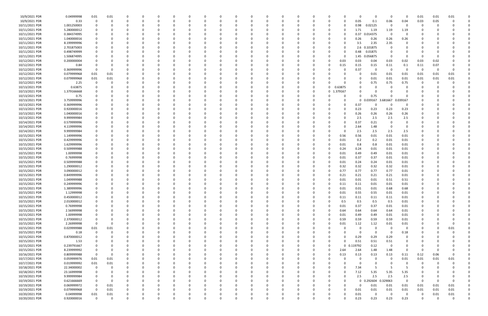| 10/9/2021 PDR  | 0.04999998  | 0.01         | $0.01\,$ |             | C.       |          |          |          |          | - 0      |          |          |          |   | -C          | - 0         | $\Omega$                   | - 0                     | -0          | 0.01     | 0.01         | 0.01     |  |
|----------------|-------------|--------------|----------|-------------|----------|----------|----------|----------|----------|----------|----------|----------|----------|---|-------------|-------------|----------------------------|-------------------------|-------------|----------|--------------|----------|--|
| 10/9/2021 PDR  | 0.33        | 0            | 0        | 0           | 0        |          | $\Omega$ |          |          | $\Omega$ | 0        | $\Omega$ | 0        |   | 0           | 0.05        | 0.1                        | 0.06                    | 0.04        | 0.03     | 0.05         |          |  |
| 10/11/2021 PDR | 1.001250003 |              |          |             |          |          |          |          |          |          |          |          |          |   | 0           | 0.98        | 0.02125                    | $\overline{\mathbf{0}}$ | 0           |          |              |          |  |
| 10/11/2021 PDR | 5.280000012 |              |          |             |          |          |          |          |          |          |          |          |          |   | $\Omega$    | 1.71        | 1.19                       | 1.19                    | 1.19        |          |              |          |  |
| 10/11/2021 PDR | 0.384374995 |              |          |             |          |          |          |          |          |          |          |          |          |   | 0           | 0.37        | 0.014375                   | - 0                     | -0          |          |              |          |  |
| 10/11/2021 PDR | 1.040000016 |              |          |             |          |          |          |          |          |          |          |          |          |   | 0           | 0.26        | 0.26                       | 0.26                    | 0.26        |          |              |          |  |
|                |             |              |          |             |          |          |          |          |          |          |          |          |          |   |             |             |                            |                         | $\Omega$    |          |              |          |  |
| 10/11/2021 PDR | 8.199999996 |              |          |             |          |          |          |          |          |          |          |          |          |   | 0           | 3.5         | 2.35                       | 2.35                    |             |          |              |          |  |
| 10/11/2021 PDR | 2.701875003 |              |          |             |          |          |          |          |          |          |          |          |          |   | 0           |             | 2.6 0.101875               | - 0                     |             |          |              |          |  |
| 10/11/2021 PDR | 0.498749999 |              |          |             |          |          |          |          |          |          |          |          |          |   | 0           | 0.48        | 0.01875                    |                         |             |          |              |          |  |
| 10/11/2021 PDR | 1.506874995 |              |          |             |          |          |          |          |          |          |          |          |          |   | $\Omega$    | 1.45        | 0.056875                   | $\overline{\mathbf{0}}$ | 0           |          |              |          |  |
| 10/12/2021 PDR | 0.200000004 |              |          |             |          |          |          |          |          |          |          |          |          |   | 0.03        | 0.03        | 0.04                       | 0.03                    | 0.02        | 0.03     | 0.02         |          |  |
| 10/12/2021 PDR | 0.84        |              |          |             |          |          |          |          |          |          |          |          |          |   | 0.15        | 0.15        | 0.15                       | 0.11                    | 0.1         | 0.11     | 0.07         |          |  |
| 10/12/2021 PDR | 0.369999996 | $\Omega$     | - 0      |             |          |          |          |          |          |          |          |          |          |   | -C          | 0.37        |                            | - 0                     | -0          | - 0      | $\Omega$     |          |  |
| 10/12/2021 PDR | 0.079999968 | 0.01         | 0.01     |             |          |          |          |          |          |          |          |          |          |   |             | - 0         | 0.01                       | 0.01                    | 0.01        | 0.01     | 0.01         | 0.01     |  |
| 10/12/2021 PDR | 0.079999968 | 0.01         | 0.01     |             |          |          |          |          |          |          |          |          |          |   | 0           | - 0         | 0.01                       | 0.01                    | 0.01        | 0.01     | 0.01         | 0.01     |  |
| 10/12/2021 PDR | 2.25        | 0            |          |             |          |          |          |          |          |          |          |          |          |   | $\Omega$    |             | 0.75                       | 0.75                    | 0.75        | -0       |              |          |  |
| 10/13/2021 PDR | 0.63875     |              |          |             |          |          |          |          |          |          |          |          | O        | O | 0.63875     |             |                            |                         | 0           |          |              |          |  |
| 10/13/2021 PDR | 1.379166668 |              |          |             |          |          |          |          |          |          |          |          | 0        | 0 | 1.379167    |             | $\Omega$                   |                         | 0           |          |              |          |  |
| 10/13/2021 PDR | 0.75        |              |          |             |          |          |          |          |          |          |          |          |          |   |             | $\Omega$    | 0.75                       |                         |             |          |              |          |  |
| 10/13/2021 PDR | 3.759999996 |              |          |             |          |          |          |          |          |          |          |          |          |   | 0           | $\Omega$    | 0.039167 3.681667 0.039167 |                         |             |          |              |          |  |
|                |             |              |          |             |          |          |          |          |          |          |          |          |          |   |             |             |                            |                         |             |          |              |          |  |
| 10/13/2021 PDR | 0.369999996 |              |          |             |          |          |          |          |          |          |          |          |          |   | 0           | 0.37        | 0                          | - 0                     | -0          |          |              |          |  |
| 10/13/2021 PDR | 0.920000016 |              |          |             |          |          |          |          |          |          |          |          |          |   | 0           | 0.23        | 0.23                       | 0.23                    | 0.23        |          |              |          |  |
| 10/13/2021 PDR | 1.040000016 |              |          |             |          |          |          |          |          |          |          |          |          |   | $\Omega$    | 0.26        | 0.26                       | 0.26                    | 0.26        |          |              |          |  |
| 10/13/2021 PDR | 9.999999984 |              |          |             |          |          |          |          |          |          |          |          |          |   | 0           | 2.5         | 2.5                        | 2.5                     | 2.5         |          |              |          |  |
| 10/14/2021 PDR | 0.579999996 |              |          |             |          |          |          |          |          |          |          |          |          |   | $\Omega$    | 0.37        | 0.21                       |                         | 0           |          |              |          |  |
| 10/14/2021 PDR | 4.119999996 |              |          |             |          |          |          |          |          |          |          |          |          |   | 0           | 2.64        | 1.48                       | - 0                     | 0           |          |              |          |  |
| 10/14/2021 PDR | 9.999999984 |              |          |             |          |          |          |          |          |          |          |          |          |   | 0           | 2.5         | 2.5                        | 2.5                     | 2.5         |          |              |          |  |
| 10/15/2021 PDR | 1.149999996 |              |          |             |          |          |          |          |          |          |          |          |          |   | 0.56        | 0.56        | 0.01                       | 0.01                    | 0.01        |          |              |          |  |
| 10/15/2021 PDR | 0.429999996 |              |          |             |          |          |          |          |          |          |          |          |          |   | 0.01        | 0.2         | 0.2                        | 0.01                    | 0.01        |          |              |          |  |
| 10/15/2021 PDR | 1.629999996 |              |          |             |          |          |          |          |          |          |          |          |          |   | 0.01        | 0.8         | 0.8                        | 0.01                    | 0.01        |          |              |          |  |
| 10/15/2021 PDR | 0.509999988 |              |          |             |          |          |          |          |          |          |          |          |          |   | 0.24        | 0.24        | 0.01                       | 0.01                    | 0.01        |          |              |          |  |
| 10/15/2021 PDR | 1.00999998  |              |          |             |          |          |          |          |          |          |          |          |          |   | 0.01        | 0.49        | 0.49                       | 0.01                    | 0.01        |          |              |          |  |
| 10/15/2021 PDR | 0.76999998  |              |          |             |          |          |          |          |          |          |          |          |          |   | 0.01        | 0.37        | 0.37                       | 0.01                    | 0.01        |          |              |          |  |
|                |             |              |          |             |          |          |          |          |          |          |          |          |          |   |             |             |                            |                         |             |          |              |          |  |
| 10/15/2021 PDR | 0.509999988 |              |          |             |          |          |          |          |          |          |          |          |          |   | 0.01        | 0.24        | 0.24                       | 0.01                    | 0.01        |          |              |          |  |
| 10/15/2021 PDR | 1.290000012 |              |          |             |          |          |          |          |          |          |          |          |          |   | 0.32        | 0.32        | 0.32                       | 0.32                    | 0.01        |          |              |          |  |
| 10/15/2021 PDR | 3.090000012 |              |          |             |          |          |          |          |          |          |          |          |          |   | 0.77        | 0.77        | 0.77                       | 0.77                    | 0.01        |          |              |          |  |
| 10/15/2021 PDR | 0.849999996 |              |          |             |          |          |          |          |          |          |          |          |          |   | 0.21        | 0.21        | 0.21                       | 0.21                    | 0.01        |          |              |          |  |
| 10/15/2021 PDR | 1.049999988 |              |          |             |          |          |          |          |          |          |          |          |          |   | 0.01        | 0.01        | 0.01                       | 0.51                    | 0.51        |          |              |          |  |
| 10/15/2021 PDR | 0.249999996 |              |          |             |          |          |          |          |          |          |          |          |          |   | 0.11        | 0.11        | 0.01                       | 0.01                    | 0.01        |          |              |          |  |
| 10/15/2021 PDR | 1.389999996 |              | $\Omega$ |             |          |          |          |          |          |          |          |          |          | 0 | 0.01        | 0.01        | 0.01                       | 0.68                    | 0.68        |          |              |          |  |
| 10/15/2021 PDR | 1.12999998  | $\mathbf 0$  | $\Omega$ |             | ∩        |          |          |          |          |          |          |          |          |   | 0.01        | 0.55        | 0.55                       | 0.01                    | 0.01        |          |              |          |  |
| 10/15/2021 PDR | 0.450000012 | $\Omega$     | $\Omega$ |             | 0        | U        | 0        | $\Omega$ |          | $\Omega$ | 0        | $\Omega$ | 0        | n | 0.11        | 0.11        | 0.11                       | 0.11                    | 0.01        |          |              |          |  |
| 10/15/2021 PDR | 2.010000012 | 0            | $\Omega$ |             | $\Omega$ |          | $\Omega$ |          |          | 0        | 0        | $\Omega$ | 0        |   | 0.5         | 0.5         | 0.5                        | 0.5                     | 0.01        |          |              |          |  |
| 10/15/2021 PDR | 0.76999998  | 0            |          |             | 0        |          | 0        |          |          | 0        |          |          | 0        |   | 0.01        | 0.37        | 0.37                       | 0.01                    | 0.01        |          |              |          |  |
| 10/15/2021 PDR | 2.56999998  | 0            |          |             | 0        |          | 0        |          |          | 0        | 0        |          | 0        |   | 0.64        | 0.64        | 0.64                       | 0.64                    | 0.01        |          |              |          |  |
| 10/15/2021 PDR | 1.00999998  | 0            |          |             |          |          | 0        |          |          | 0        |          |          | 0        |   | 0.01        | 0.49        | 0.49                       | 0.01                    | 0.01        |          |              |          |  |
| 10/15/2021 PDR | 2.370000012 | $\mathbf 0$  |          |             | 0        |          | $\Omega$ |          |          | $\Omega$ |          |          | $\Omega$ |   | 0.59        | 0.59        | 0.59                       | 0.59                    | 0.01        |          |              |          |  |
|                |             |              |          |             |          |          |          |          |          |          |          |          |          |   |             |             |                            |                         |             |          |              |          |  |
| 10/15/2021 PDR | 2.26999998  | $\mathbf 0$  | 0        | $\Omega$    | 0        |          | 0        |          |          | 0        | 0        |          | 0        |   | 0.01        | 1.12        | 1.12                       | 0.01                    | 0.01        |          |              |          |  |
| 10/15/2021 PDR | 0.029999988 | 0.01         | 0.01     |             | 0        |          | 0        |          |          | 0        |          |          | 0        |   | 0           | 0           | $\Omega$                   | - 0                     | $\mathbf 0$ |          | O            | 0.01     |  |
| 10/15/2021 PDR | 0.18        | 0            | $\Omega$ |             |          |          | 0        |          |          | 0        |          |          | 0        |   | $\Omega$    | $\Omega$    | $\Omega$                   | - 0                     | 0.18        |          |              |          |  |
| 10/15/2021 PDR | 0.870000012 | $\Omega$     |          | 0           | 0        |          | 0        |          |          | 0        |          |          | 0        |   | $\Omega$    | 0.29        | 0.29                       | 0.29                    | 0           |          |              |          |  |
| 10/15/2021 PDR | 1.53        |              |          |             | O        |          | 0        |          |          | 0        |          |          | 0        |   | $\Omega$    | 0.51        | 0.51                       | 0.51                    | 0           |          |              |          |  |
| 10/15/2021 PDR | 0.239791667 |              |          |             | O        |          | 0        |          |          | 0        |          |          | 0        |   | $\mathbf 0$ | 0.119792    | 0.12                       | $\overline{\mathbf{0}}$ | 0           |          |              |          |  |
| 10/15/2021 PDR | 8.239999992 |              |          |             | 0        |          | C        |          |          | 0        |          |          | 0        |   | 2.64        | 2.64        | 1.48                       | 1.48                    | 0           | - 0      |              |          |  |
| 10/16/2021 PDR | 0.809999988 | $\mathbf 0$  | - 0      |             | 0        |          | 0        |          |          | 0        |          |          | 0        |   | 0.13        | 0.13        | 0.13                       | 0.13                    | 0.11        | 0.12     | 0.06         |          |  |
| 10/17/2021 PDR | 0.059999976 | 0.01         | 0.01     | 0           | O        |          | 0        |          |          | 0        | 0        |          | 0        |   | 0           | - 0         | $\Omega$                   | - 0                     | 0.01        | 0.01     | 0.01         | 0.01     |  |
| 10/17/2021 PDR | 0.019999992 | 0.01         | $0.01\,$ | 0           |          |          | 0        |          |          | 0        |          |          | 0        |   | 0           | $\Omega$    | $\Omega$                   |                         | 0           |          |              |          |  |
| 10/18/2021 PDR | 22.34000002 | 0            | - 0      | $\Omega$    | n        |          | 0        |          |          | 0        | 0        |          | 0        |   | $\Omega$    | 7.34        | - 5                        | - 5                     | -5          |          |              |          |  |
| 10/18/2021 PDR | 23.16999998 | 0            | $\Omega$ | 0           | 0        |          | 0        |          |          | 0        |          |          | 0        |   | 0           | 7.12        | 5.35                       | 5.35                    | 5.35        |          |              |          |  |
| 10/19/2021 PDR | 9.999999984 | $\mathbf 0$  | $\Omega$ |             | 0        |          | $\Omega$ |          |          | $\Omega$ |          |          | 0        |   | $\Omega$    | 2.5         | 2.5                        | 2.5                     |             |          |              |          |  |
|                |             |              |          |             |          |          |          |          |          |          |          |          |          |   |             |             |                            |                         | 2.5         |          | <sup>0</sup> |          |  |
| 10/19/2021 PDR | 0.621666669 | 0            | 0        |             | 0        |          | 0        |          |          | 0        |          |          | 0        |   | $\mathbf 0$ | $\mathbf 0$ | 0.292604 0.329063          |                         | $\mathbf 0$ | $\Omega$ |              |          |  |
| 10/19/2021 PDR | 0.069999972 | 0            | 0.01     | 0           | 0        |          | 0        |          |          | 0        |          |          | 0        |   | 0           | $\Omega$    | 0.01                       | 0.01                    | 0.01        | 0.01     | $0.01\,$     | 0.01     |  |
| 10/19/2021 PDR | 0.079999968 | $\Omega$     | 0.01     | $\Omega$    | 0        |          | 0        |          |          | 0        | 0        |          | 0        |   | $\Omega$    | 0.01        | 0.01                       | 0.01                    | 0.01        | 0.01     | 0.01         | 0.01     |  |
| 10/20/2021 PDR | 0.04999998  | 0.01         | $0.01\,$ | 0           |          |          |          |          |          | 0        |          |          |          |   | 0           | 0.01        | $\Omega$                   | - 0                     | 0           | -0       | $0.01\,$     | 0.01     |  |
| 10/20/2021 PDR | 0.920000016 | $\mathbf{0}$ | $\Omega$ | $\mathbf 0$ | 0        | $\Omega$ | $\Omega$ | $\Omega$ | $\Omega$ | $\Omega$ | $\Omega$ | $\Omega$ | 0        |   | $\Omega$    | 0.23        | 0.23                       | 0.23                    | 0.23        | $\Omega$ | $\Omega$     | $\Omega$ |  |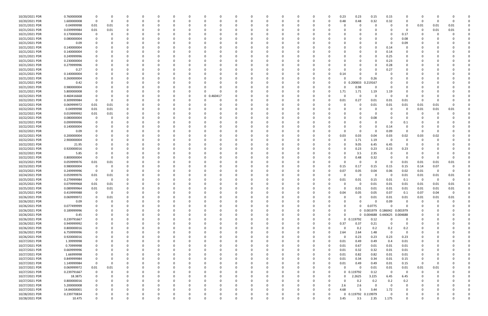| 10/20/2021 PDR | 0.760000008 |                |          |               |              |          |   |          |            |          |          |          |          |              |   |          | 0.23         | 0.23                | 0.15                         | 0.15                    | C           |             |          |          |  |
|----------------|-------------|----------------|----------|---------------|--------------|----------|---|----------|------------|----------|----------|----------|----------|--------------|---|----------|--------------|---------------------|------------------------------|-------------------------|-------------|-------------|----------|----------|--|
| 10/20/2021 PDR | 1.600000008 | $\mathbf 0$    | 0        | 0             | 0            |          |   |          | 0          | 0        |          | -0       | $\Omega$ | <sup>0</sup> | O | 0        | 0.48         | 0.48                | 0.32                         | 0.32                    | 0           | $\Omega$    |          |          |  |
| 10/21/2021 PDR | 0.04999998  | 0.01           | 0.01     | 0             |              |          |   |          |            |          |          |          |          |              |   |          | C            | 0                   |                              | 0                       | 0           | 0.01        | 0.01     | 0.01     |  |
| 10/21/2021 PDR | 0.039999984 | 0.01           | 0.01     |               |              |          |   |          |            |          |          |          |          |              |   |          |              |                     |                              |                         | C           | $\Omega$    | 0.01     | 0.01     |  |
| 10/21/2021 PDR | 0.170000004 | 0              |          |               |              |          |   |          |            |          |          |          |          |              |   |          | n            |                     |                              |                         | 0.17        |             |          |          |  |
| 10/21/2021 PDR | 0.080000004 |                |          |               |              |          |   |          |            |          |          |          |          |              |   |          |              |                     |                              |                         | 0.08        |             |          |          |  |
| 10/21/2021 PDR | 0.09        |                |          |               |              |          |   |          |            |          |          |          |          |              |   |          |              |                     |                              |                         | 0.09        |             |          |          |  |
| 10/21/2021 PDR | 0.140000004 |                |          |               |              |          |   |          |            |          |          |          |          |              |   |          |              |                     |                              | 0.14                    | O           |             |          |          |  |
|                |             |                |          |               |              |          |   |          |            |          |          |          |          |              |   |          |              |                     |                              |                         |             |             |          |          |  |
| 10/21/2021 PDR | 0.140000004 |                |          |               |              |          |   |          |            |          |          |          |          |              |   |          |              |                     |                              | 0.14                    |             |             |          |          |  |
| 10/21/2021 PDR | 0.249999996 |                |          |               |              |          |   |          |            |          |          |          |          |              |   |          |              |                     |                              | 0.25                    |             |             |          |          |  |
| 10/21/2021 PDR | 0.230000004 |                |          |               |              |          |   |          |            |          |          |          |          |              |   |          |              |                     |                              | 0.23                    |             |             |          |          |  |
| 10/21/2021 PDR | 0.279999996 |                |          |               |              |          |   |          |            |          |          |          |          |              |   |          |              |                     |                              | 0.28                    |             |             |          |          |  |
| 10/21/2021 PDR | 0.27        |                |          |               |              |          |   |          |            |          |          |          |          |              |   |          | n            |                     |                              | 0.27                    |             |             |          |          |  |
| 10/21/2021 PDR | 0.140000004 |                |          |               |              |          |   |          |            |          |          |          |          |              |   |          | 0.14         |                     |                              |                         |             |             |          |          |  |
| 10/21/2021 PDR | 0.260000004 |                |          |               |              |          |   |          |            |          |          |          |          |              |   |          | $\Omega$     |                     | 0.26                         |                         |             |             |          |          |  |
| 10/21/2021 PDR | 0.42        |                |          |               |              |          |   |          |            |          |          |          |          |              |   |          | $\mathbf{0}$ | 0.200833            | 0.219167                     |                         |             |             |          |          |  |
| 10/21/2021 PDR | 0.980000004 |                |          |               |              |          |   |          |            |          |          |          |          |              |   |          | 0            | 0.98                | $\Omega$                     | $\Omega$                |             |             |          |          |  |
| 10/21/2021 PDR | 5.800000008 |                |          |               |              |          |   |          | O          |          |          |          |          |              |   |          | 1.71         | 1.71                | 1.19                         | 1.19                    | 0           |             |          |          |  |
| 10/22/2021 PDR | 0.460416668 |                |          |               |              |          |   |          | 0 0.460417 |          |          |          |          |              |   |          | C            | $\Omega$            |                              | - 0                     | C           |             |          |          |  |
| 10/22/2021 PDR | 0.309999984 | $\Omega$       |          |               |              |          |   |          |            |          |          |          |          |              |   |          | 0.01         | 0.27                | 0.01                         | 0.01                    | 0.01        | $\Omega$    |          |          |  |
| 10/22/2021 PDR | 0.069999972 | 0.01           | 0.01     |               |              |          |   |          |            |          |          |          |          |              |   |          | T            | -0                  | 0.01                         | 0.01                    | 0.01        | 0.01        | 0.01     |          |  |
| 10/22/2021 PDR | 0.04999998  | 0.01           | 0.01     |               |              |          |   |          |            |          |          |          |          |              |   |          |              |                     |                              | $\Omega$                | 0           | 0.01        | 0.01     | 0.01     |  |
| 10/22/2021 PDR | 0.019999992 |                |          |               |              |          |   |          |            |          |          |          |          |              |   |          | n            |                     |                              |                         | C           | -C          |          |          |  |
|                |             | 0.01           | 0.01     |               |              |          |   |          |            |          |          |          |          |              |   |          |              |                     |                              |                         |             |             |          |          |  |
| 10/22/2021 PDR | 0.080000004 | 0              |          |               |              |          |   |          |            |          |          |          |          |              |   |          |              |                     | 0.08                         |                         | C           |             |          |          |  |
| 10/22/2021 PDR | 0.099999996 |                |          |               |              |          |   |          |            |          |          |          |          |              |   |          |              |                     |                              |                         | 0.1         |             |          |          |  |
| 10/22/2021 PDR | 0.140000004 |                |          |               |              |          |   |          |            |          |          |          |          |              |   |          |              |                     |                              | 0.14                    | C           |             |          |          |  |
| 10/22/2021 PDR | 0.09        |                |          |               |              |          |   |          |            |          |          |          |          |              |   |          | $\Omega$     | 0                   | $\Omega$                     | 0.09                    | 0           | $\Omega$    |          |          |  |
| 10/22/2021 PDR | 0.200000004 |                |          |               |              |          |   |          |            |          |          |          |          |              |   |          | 0.03         | 0.03                | 0.04                         | 0.03                    | 0.02        | 0.03        | 0.02     |          |  |
| 10/22/2021 PDR | 2.900000004 |                |          |               |              |          |   |          |            |          |          |          |          |              |   |          | 0            | 1.71                | 1.19                         | - 0                     | C           |             |          |          |  |
| 10/22/2021 PDR | 21.95       |                |          |               |              |          |   |          |            |          |          |          |          |              |   |          | 0            | 9.05                | 6.45                         | 6.45                    | 0           |             |          |          |  |
| 10/22/2021 PDR | 0.920000016 |                |          |               |              |          |   |          |            |          |          |          |          |              |   |          | C            | 0.23                | 0.23                         | 0.23                    | 0.23        |             |          |          |  |
| 10/22/2021 PDR | 5.85        |                |          |               |              |          |   |          |            |          |          |          |          |              |   |          | n            | 3.5                 | 2.35                         |                         |             |             |          |          |  |
| 10/22/2021 PDR | 0.800000004 |                |          |               |              |          |   |          |            |          |          |          |          |              |   |          | 0            | 0.48                | 0.32                         | - 0                     | 0           | 0           |          |          |  |
| 10/23/2021 PDR | 0.059999976 | 0.01           | 0.01     |               |              |          |   |          |            |          |          |          |          |              |   |          | 0            | -0                  | 0                            | - 0                     | 0.01        | 0.01        | 0.01     | 0.01     |  |
| 10/23/2021 PDR | 0.980000004 | 0              |          |               |              |          |   |          |            |          |          |          |          |              |   |          | 0.15         | 0.17                | 0.15                         | 0.15                    | 0.15        | 0.14        | 0.07     |          |  |
| 10/23/2021 PDR | 0.249999996 | 0              | - 0      |               |              |          |   |          |            |          |          |          |          |              |   |          | 0.07         | 0.05                | 0.04                         | 0.06                    | 0.02        | 0.01        | 0        | 0        |  |
| 10/24/2021 PDR | 0.059999976 | 0.01           | 0.01     |               |              |          |   |          |            |          |          |          |          |              |   |          | 0            | $\Omega$            |                              | - 0                     | 0.01        | 0.01        | 0.01     | 0.01     |  |
| 10/25/2021 PDR | 0.279999984 | 0              | - 0      |               |              |          |   |          |            |          |          |          |          |              |   |          | 0.01         | 0.01                | 0.15                         | 0.01                    | 0.1         | - 0         | $\Omega$ |          |  |
| 10/25/2021 PDR |             |                |          |               |              |          |   |          |            |          |          |          |          |              |   |          |              | -0                  |                              |                         |             |             |          |          |  |
|                | 0.079999968 | 0.01           | 0.01     |               |              |          |   |          |            |          |          |          |          |              |   |          |              |                     | 0.01                         | 0.01                    | 0.01        | 0.01        | 0.01     | 0.01     |  |
| 10/25/2021 PDR | 0.089999964 | 0.01           | 0.01     | 0<br>$\Omega$ |              |          |   |          |            |          |          |          |          |              |   |          | 0            | 0.01                | 0.01                         | 0.01                    | 0.01        | 0.01        | 0.01     | 0.01     |  |
| 10/25/2021 PDR | 0.419999988 | $\overline{0}$ | $\Omega$ |               | $\Omega$     |          |   |          |            |          |          |          |          |              |   |          | 0.04         | 0.05                | 0.05                         | 0.07                    | 0.1         | 0.07        | 0.04     |          |  |
| 10/26/2021 PDR | 0.069999972 | $\Omega$       | $0.01\,$ |               | 0            |          |   | 0        | 0          | $\Omega$ |          | $\Omega$ | $\Omega$ | n            | O |          | 0            | $\Omega$            | $0.01\,$                     | 0.01                    | 0.01        | 0.01        | 0.01     | 0.01     |  |
| 10/26/2021 PDR | 0.09        | 0              | 0        |               | 0            |          |   |          | 0          | $\Omega$ |          | 0        | $\Omega$ | $\Omega$     | 0 |          | 0            |                     | $\Omega$                     | 0.09                    | 0           | $\mathbf 0$ | $\Omega$ |          |  |
| 10/26/2021 PDR | 0.077499999 | 0              | $\Omega$ |               |              |          |   |          | 0          |          |          |          |          |              |   |          | 0            | $\Omega$            | 0.0775                       | $\Omega$                | C           |             |          |          |  |
| 10/26/2021 PDR | 0.189999996 | $\Omega$       |          |               | <sup>0</sup> |          |   |          | 0          |          |          | $\Omega$ | 0        |              |   |          | 0            |                     | 0 0.001979 0.186042 0.001979 |                         |             | - 0         |          |          |  |
| 10/26/2021 PDR | 0.45        | 0              |          |               |              |          |   |          |            |          |          | 0        |          |              |   |          | 0            |                     | 0 0.004688 0.440625 0.004688 |                         |             |             |          |          |  |
| 10/26/2021 PDR | 0.239791667 |                |          |               | 0            |          |   |          |            |          |          |          |          |              |   |          |              | 0 0.119792          | 0.12                         | $\Omega$                | $\mathbf 0$ |             |          |          |  |
| 10/26/2021 PDR | 0.949999992 | 0              |          | $\Omega$      | 0            |          |   |          | 0          |          |          | 0        | $\Omega$ |              | 0 | $\Omega$ | 0.37         | 0.37                | 0.21                         | $\overline{\mathbf{0}}$ | 0           | $\Omega$    |          |          |  |
| 10/26/2021 PDR | 0.800000016 | 0              |          |               | 0            |          |   |          | 0          |          |          | 0        |          |              |   |          | $\Omega$     | 0.2                 | 0.2                          | 0.2                     | 0.2         |             |          |          |  |
| 10/26/2021 PDR | 6.759999996 |                |          |               | O            |          |   |          |            |          |          | O        |          |              |   |          | 2.64         | 2.64                | 1.48                         | $\overline{\mathbf{0}}$ | $\mathbf 0$ | $\Omega$    |          |          |  |
| 10/26/2021 PDR | 0.920000016 | 0              |          |               | 0            |          |   |          |            |          |          | 0        |          |              |   |          | $\Omega$     | 0.23                | 0.23                         | 0.23                    | 0.23        |             |          |          |  |
| 10/27/2021 PDR | 1.39999998  |                |          |               |              |          |   |          |            |          |          |          |          |              |   |          | 0.01         | 0.49                | 0.49                         | 0.4                     | 0.01        |             |          |          |  |
| 10/27/2021 PDR | 0.70999998  | 0              |          |               | O            |          |   |          | 0          |          |          | 0        |          |              |   |          | 0.01         | 0.67                | 0.01                         | 0.01                    | 0.01        | 0           |          |          |  |
| 10/27/2021 PDR | 0.669999996 | 0              |          |               | 0            |          |   |          |            |          |          |          |          |              |   |          | 0.01         | 0.32                | 0.32                         | 0.01                    | 0.01        | 0           |          |          |  |
| 10/27/2021 PDR | 1.66999998  | 0              |          |               | 0            |          |   |          |            |          |          | 0        |          |              |   |          | 0.01         | 0.82                | 0.82                         | 0.01                    |             |             |          |          |  |
|                |             |                |          |               |              |          |   |          |            |          |          |          |          |              |   |          |              |                     |                              |                         | 0.01        | 0           |          |          |  |
| 10/27/2021 PDR | 0.849999984 | 0              |          |               | O            |          |   |          | 0          |          |          | 0        |          |              |   |          | 0.01         | 0.34                | 0.34                         | 0.01                    | 0.15        | 0           |          |          |  |
| 10/27/2021 PDR | 1.149999984 | $\mathbf 0$    | - 0      |               |              |          |   |          | 0          |          |          |          |          |              |   |          | 0.01         | 0.49                | 0.49                         | 0.01                    | 0.15        | 0           |          |          |  |
| 10/27/2021 PDR | 0.069999972 | 0.01           | 0.01     |               | n            |          |   |          | 0          |          |          | 0        |          |              | 0 | 0        | $\Omega$     | - 0                 | 0.01                         | 0.01                    | 0.01        | 0.01        | 0.01     |          |  |
| 10/27/2021 PDR | 0.239791667 | 0              | $\Omega$ | 0             | O            |          |   |          | 0          |          |          | 0        | 0        |              |   | 0        |              | 0 0.119792          | 0.12                         | $\overline{\mathbf{0}}$ | 0           | 0           |          |          |  |
| 10/27/2021 PDR | 18.3875     | 0              | $\Omega$ | $\Omega$      | $\Omega$     |          |   |          |            |          |          |          |          |              |   |          | 0            | 2.2625              | 3.225                        | 6.45                    | 6.45        | 0           |          |          |  |
| 10/27/2021 PDR | 0.800000016 | 0              |          |               | 0            |          |   |          | 0          |          |          | 0        | 0        |              | 0 |          | 0            | 0.2                 | 0.2                          | 0.2                     | 0.2         |             |          |          |  |
| 10/27/2021 PDR | 5.200000008 | 0              |          |               | 0            |          |   |          | 0          |          |          | 0        | $\Omega$ |              |   |          | 2.6          | 2.6                 | $\Omega$                     | - 0                     | 0           |             |          |          |  |
| 10/27/2021 PDR | 14.84000001 | 0              |          |               | 0            |          |   |          |            |          |          | 0        | $\Omega$ |              | 0 | $\Omega$ | 4.68         |                     | 3.44                         | 1.72                    | 0           |             |          |          |  |
| 10/28/2021 PDR | 0.239770834 |                |          |               |              |          |   |          |            |          |          |          |          |              |   | 0        |              | 0 0.119792 0.119979 |                              | $\Omega$                | 0           |             |          | 0        |  |
| 10/28/2021 PDR | 10.475      | $\Omega$       | $\Omega$ | $\Omega$      | $\Omega$     | $\Omega$ | 0 | $\Omega$ | $\Omega$   | $\Omega$ | $\Omega$ | $\Omega$ | $\Omega$ | $\Omega$     | 0 | 0        | 3.45         | 3.5                 | 2.35                         | 1.175                   | 0           | $\Omega$    |          | $\Omega$ |  |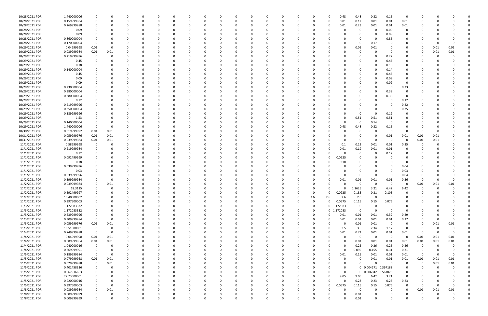| 10/28/2021 PDR | 1.440000006 | $\Omega$    |          |             |          |          |          |   |              |          |          |              |          |          |              |             | 0.48        | 0.48        | 0.32                | 0.16           | $\mathbf 0$ |          |          |          |  |
|----------------|-------------|-------------|----------|-------------|----------|----------|----------|---|--------------|----------|----------|--------------|----------|----------|--------------|-------------|-------------|-------------|---------------------|----------------|-------------|----------|----------|----------|--|
| 10/28/2021 PDR | 0.159999984 | $\mathbf 0$ |          | $\Omega$    |          | -C       |          |   |              | $\Omega$ |          | 0            | C        | 0        | <sup>0</sup> | 0           | 0.01        | 0.12        | 0.01                | 0.01           | 0.01        | 0        |          |          |  |
|                |             |             |          |             |          |          |          |   |              |          |          |              |          |          |              |             |             |             |                     |                |             |          |          |          |  |
| 10/28/2021 PDR | 0.269999988 |             |          |             |          |          |          |   |              |          |          |              |          |          |              | 0           | 0.01        | 0.23        | 0.01                | 0.01           | 0.01        |          |          |          |  |
| 10/28/2021 PDR | 0.09        |             |          |             |          |          |          |   |              |          |          |              |          |          |              |             |             | 0           |                     | 0.09           | $\mathbf 0$ |          |          |          |  |
| 10/28/2021 PDR | 0.09        | 0           |          |             |          |          |          |   |              |          |          |              |          |          |              |             |             | 0           |                     | 0.09           | 0           |          |          |          |  |
|                |             |             |          |             |          |          |          |   |              |          |          |              |          |          |              |             |             |             |                     |                |             |          |          |          |  |
| 10/28/2021 PDR | 0.860000004 |             |          |             |          |          |          |   |              |          |          |              |          |          |              |             |             | $\Omega$    |                     | 0.86           |             |          |          |          |  |
| 10/28/2021 PDR | 0.170000004 | $\Omega$    |          |             |          |          |          |   |              |          |          |              |          |          |              |             |             | $\Omega$    | 0.17                |                |             |          |          |          |  |
| 10/29/2021 PDR | 0.04999998  | 0.01        |          |             |          |          |          |   |              |          |          |              |          |          |              |             |             | 0.01        | 0.01                |                |             | 0        | 0.01     | 0.01     |  |
|                |             |             |          |             |          |          |          |   |              |          |          |              |          |          |              |             |             |             |                     |                |             |          |          |          |  |
| 10/29/2021 PDR | 0.039999984 | 0.01        | 0.01     |             |          |          |          |   |              |          |          |              |          |          |              |             |             | 0           |                     |                |             | -0       | 0.01     | 0.01     |  |
| 10/29/2021 PDR | 0.219999996 | 0           |          |             |          |          |          |   |              |          |          |              |          |          |              |             |             |             |                     | 0.22           |             |          |          |          |  |
| 10/29/2021 PDR | 0.45        | $\Omega$    |          |             |          |          |          |   |              |          |          |              |          |          |              |             |             | 0           |                     | 0.45           |             |          |          |          |  |
|                |             |             |          |             |          |          |          |   |              |          |          |              |          |          |              |             |             |             |                     |                |             |          |          |          |  |
| 10/29/2021 PDR | 0.18        | 0           |          |             |          |          |          |   |              |          |          |              |          |          |              |             |             | 0           |                     | 0.18           |             |          |          |          |  |
| 10/29/2021 PDR | 0.140000004 |             |          |             |          |          |          |   |              |          |          |              |          |          |              |             |             | 0           |                     | 0.14           |             |          |          |          |  |
| 10/29/2021 PDR | 0.45        |             |          |             |          |          |          |   |              |          |          |              |          |          |              |             |             | $\Omega$    |                     | 0.45           |             |          |          |          |  |
|                |             |             |          |             |          |          |          |   |              |          |          |              |          |          |              |             |             |             |                     |                |             |          |          |          |  |
| 10/29/2021 PDR | 0.09        |             |          |             |          |          |          |   |              |          |          |              |          |          |              |             |             | 0           |                     | 0.09           |             |          |          |          |  |
| 10/29/2021 PDR | 0.09        |             |          |             |          |          |          |   |              |          |          |              |          |          |              |             |             |             |                     | 0.09           |             |          |          |          |  |
| 10/29/2021 PDR | 0.230000004 |             |          |             |          |          |          |   |              |          |          |              |          |          |              |             |             | $\Omega$    |                     | - 0            | 0.23        |          |          |          |  |
|                |             |             |          |             |          |          |          |   |              |          |          |              |          |          |              |             |             |             |                     |                |             |          |          |          |  |
| 10/29/2021 PDR | 0.380000004 | 0           |          |             |          |          |          |   |              |          |          |              |          |          |              |             |             | 0           |                     | 0.38           | 0           |          |          |          |  |
| 10/29/2021 PDR | 0.380000004 |             |          |             |          |          |          |   |              |          |          |              |          |          |              |             |             | $\Omega$    |                     | 0.38           | $\Omega$    |          |          |          |  |
| 10/29/2021 PDR | 0.12        |             |          |             |          |          |          |   |              |          |          |              |          |          |              |             |             |             |                     | - 0            | 0.12        |          |          |          |  |
|                |             |             |          |             |          |          |          |   |              |          |          |              |          |          |              |             |             |             |                     |                |             |          |          |          |  |
| 10/29/2021 PDR | 0.219999996 |             |          |             |          |          |          |   |              |          |          |              |          |          |              |             |             |             |                     | - 0            | 0.22        |          |          |          |  |
| 10/29/2021 PDR | 0.350000004 |             |          |             |          |          |          |   |              |          |          |              |          |          |              |             |             | $\Omega$    |                     | - 0            | 0.35        |          |          |          |  |
| 10/29/2021 PDR | 0.189999996 |             |          |             |          |          |          |   |              |          |          |              |          |          |              |             |             | 0           | - 0                 | 0.19           | 0           |          |          |          |  |
|                |             |             |          |             |          |          |          |   |              |          |          |              |          |          |              |             |             |             |                     |                |             |          |          |          |  |
| 10/29/2021 PDR | 1.53        | $\Omega$    |          |             |          |          |          |   |              |          |          |              |          |          |              |             |             | 0.51        | 0.51                | 0.51           |             |          |          |          |  |
| 10/29/2021 PDR | 0.140000004 | 0           |          |             |          |          |          |   |              |          |          |              |          |          |              |             | $\Omega$    | 0           | 0.14                | 0              |             |          |          |          |  |
| 10/29/2021 PDR | 1.440000006 | $\mathbf 0$ | - 0      |             |          |          |          |   |              |          |          |              |          |          |              |             | 0.48        | 0.48        | 0.32                | 0.16           |             |          |          |          |  |
|                |             |             |          |             |          |          |          |   |              |          |          |              |          |          |              |             |             |             |                     |                |             |          |          |          |  |
| 10/30/2021 PDR | 0.019999992 | 0.01        | 0.01     |             |          |          |          |   |              |          |          |              |          |          |              |             |             | 0           |                     | - 0            | $\Omega$    | $\Omega$ |          |          |  |
| 10/31/2021 PDR | 0.059999976 | 0.01        | 0.01     |             |          |          |          |   |              |          |          |              |          |          |              |             |             | 0           |                     | 0.01           | 0.01        | 0.01     | 0.01     |          |  |
| 10/31/2021 PDR | 0.039999984 | 0.01        | 0.01     | $\Omega$    |          |          |          |   |              |          |          |              |          |          |              |             |             | $\Omega$    | $\Omega$            | $\Omega$       | $\mathbf 0$ | 0.01     | 0.01     |          |  |
|                |             |             |          |             |          |          |          |   |              |          |          |              |          |          |              |             |             |             |                     |                |             |          |          |          |  |
| 11/1/2021 PDR  | 0.58999998  | 0           |          | 0           |          |          |          |   |              |          |          |              |          |          |              | 0           | 0.1         | 0.22        | 0.01                | 0.01           | 0.25        | 0        |          |          |  |
| 11/1/2021 PDR  | 0.219999984 | 0           |          |             |          |          |          |   |              |          |          |              |          |          |              |             | 0.01        | 0.19        | 0.01                | 0.01           | $\Omega$    |          |          |          |  |
| 11/1/2021 PDR  | 0.12        |             |          |             |          |          |          |   |              |          |          |              |          |          |              |             |             | $\mathbf 0$ |                     | 0.12           |             |          |          |          |  |
|                |             |             |          |             |          |          |          |   |              |          |          |              |          |          |              |             |             |             |                     |                |             |          |          |          |  |
| 11/1/2021 PDR  | 0.092499999 |             |          |             |          |          |          |   |              |          |          |              |          |          |              | 0           | 0.0925      |             |                     |                |             |          |          |          |  |
| 11/1/2021 PDR  | 0.18        |             |          |             |          |          |          |   |              |          |          |              |          |          |              |             | 0.18        | 0           |                     |                |             |          |          |          |  |
| 11/1/2021 PDR  | 0.039999996 |             |          |             |          |          |          |   |              |          |          |              |          |          |              |             |             |             |                     | - 0            | 0.04        |          |          |          |  |
|                |             |             |          |             |          |          |          |   |              |          |          |              |          |          |              |             |             |             |                     |                |             |          |          |          |  |
| 11/1/2021 PDR  | 0.03        |             |          |             |          |          |          |   |              |          |          |              |          |          |              |             |             | $\Omega$    |                     | - 0            | 0.03        |          |          |          |  |
| 11/1/2021 PDR  | 0.039999996 |             |          |             |          |          |          |   |              |          |          |              |          |          |              |             |             | 0           |                     | - 0            | 0.04        |          |          |          |  |
| 11/2/2021 PDR  | 0.399999984 |             |          |             |          |          |          |   |              |          |          |              |          |          |              |             | 0.01        | 0.01        | 0.01                | 0.01           | 0.36        |          |          |          |  |
|                |             |             |          |             |          |          |          |   |              |          |          |              |          |          |              |             |             |             |                     |                |             |          |          |          |  |
| 11/2/2021 PDR  | 0.039999984 |             | 0.01     |             |          |          |          |   |              |          |          |              |          |          |              |             |             | $\Omega$    |                     | - 0            |             | 0.01     | 0.01     | 0.01     |  |
| 11/2/2021 PDR  | 18.3125     | 0           | $\Omega$ |             |          |          |          |   |              |          |          |              |          |          |              | 0           | 0           | 2.2625      | 3.21                | 6.42           | 6.42        | 0        | - 0      | $\Omega$ |  |
| 11/2/2021 PDR  | 0.592499997 | $\mathbf 0$ |          |             |          |          |          |   |              |          |          |              |          |          |              | 0           | 0.0925      | 0.185       | 0.21                | 0.105          | $\sim$      | $\sim$   |          |          |  |
|                |             |             |          |             |          |          |          |   |              |          |          |              |          |          |              |             |             |             |                     |                |             |          |          |          |  |
| 11/2/2021 PDR  | 10.40000002 | $\mathbf 0$ | $\Omega$ | $\Omega$    | $\Omega$ | $\Omega$ | $\Omega$ | O | $\Omega$     | $\Omega$ | $\Omega$ | $\Omega$     | $\Omega$ | $\Omega$ | 2.6          | 2.6         | 2.6         | 2.6         | $\Omega$            | $\mathbf 0$    | $\Omega$    | $\Omega$ |          |          |  |
| 11/2/2021 PDR  | 0.397500003 | 0           |          | $\Omega$    | 0        | $\Omega$ | 0        | O | <sup>0</sup> | $\Omega$ | $\Omega$ | $\Omega$     | 0        | 0        | $\Omega$     | $\mathbf 0$ | 0.0575      | 0.115       | 0.15                | 0.075          | $\Omega$    | 0        |          |          |  |
| 11/3/2021 PDR  | 1.172083332 | 0           |          | O           |          | $\Omega$ |          |   |              |          | $\Omega$ | <sup>0</sup> |          | $\Omega$ | $\Omega$     |             | 0 1.172083  | 0           |                     | $\Omega$       | 0           |          |          |          |  |
|                | 1.172083332 | 0           |          |             |          |          |          |   |              | 0        |          | 0            |          |          | $\Omega$     |             | 0 1.172083  | $\mathbf 0$ | $\Omega$            | 0              | 0           |          |          |          |  |
| 11/3/2021 PDR  |             |             |          |             |          |          |          |   |              |          |          |              |          | 0        |              |             |             |             |                     |                |             |          |          |          |  |
| 11/3/2021 PDR  | 0.639999996 | $\mathbf 0$ |          |             |          |          |          |   |              |          |          | 0            |          | 0        | <sup>0</sup> | 0           | 0.01        | 0.01        | 0.01                | 0.32           | 0.29        |          |          |          |  |
| 11/3/2021 PDR  | 0.309999984 | $\mathbf 0$ | $\Omega$ | 0           | O        | 0        | 0        |   |              |          | $\Omega$ | 0            |          | 0        | 0            | 0           | 0.01        | 0.01        | 0.01                | 0.01           | 0.27        | 0        |          |          |  |
| 11/3/2021 PDR  | 0.059999976 | 0.01        | 0.01     | 0           | 0        | 0        |          |   |              | -0       | 0        | 0            |          |          |              | 0           | 0           | 0.01        | 0.01                | $\overline{0}$ | 0           | 0        | 0.01     | 0.01     |  |
|                |             |             |          |             |          |          |          |   |              |          |          |              |          |          |              |             |             |             |                     |                |             |          |          |          |  |
| 11/3/2021 PDR  | 10.51000001 | $\mathbf 0$ | $\Omega$ | $\Omega$    |          |          |          |   |              |          |          | <sup>0</sup> |          |          |              | $\Omega$    | 3.5         | 3.5         | 2.34                | 1.17           | $\mathbf 0$ | 0        |          |          |  |
| 11/4/2021 PDR  | 0.749999988 | $\mathbf 0$ | $\Omega$ | 0           |          |          |          |   |              |          |          |              |          |          |              | $\Omega$    | 0.01        | 0.71        | 0.01                | 0.01           | 0.01        | $\Omega$ |          | $\Omega$ |  |
| 11/4/2021 PDR  | 0.04999998  | 0.01        | 0.01     | $\Omega$    |          |          |          |   |              |          |          |              |          |          |              |             | $\Omega$    | 0           | $\Omega$            | $\overline{0}$ | 0           | 0.01     | 0.01     | 0.01     |  |
|                |             |             |          |             |          |          |          |   |              |          |          |              |          |          |              |             |             |             |                     |                |             |          |          |          |  |
| 11/4/2021 PDR  | 0.089999964 | 0.01        | 0.01     | 0           |          | 0        |          |   |              |          |          | 0            |          |          |              | 0           | $\Omega$    | 0.01        | 0.01                | 0.01           | 0.01        | 0.01     | 0.01     | 0.01     |  |
| 11/4/2021 PDR  | 1.040000016 | $\mathbf 0$ | $\Omega$ | 0           |          | -0       |          |   |              |          |          | 0            |          |          |              | 0           | 0           | 0.26        | 0.26                | 0.26           | 0.26        | 0        |          |          |  |
| 11/4/2021 PDR  | 0.869999991 | $\mathbf 0$ | $\Omega$ | $\Omega$    |          |          |          |   |              |          |          |              |          |          |              | 0           | $\Omega$    | 0.095       | 0.155               | 0.31           | 0.31        | 0        |          |          |  |
|                |             |             |          |             |          |          |          |   |              |          |          |              |          |          |              |             |             |             |                     |                |             |          |          |          |  |
| 11/5/2021 PDR  | 0.189999984 | $\mathbf 0$ | $\Omega$ | 0           |          |          |          |   |              |          |          | 0            |          |          |              | $\Omega$    | 0.01        | 0.15        | 0.01                | 0.01           | 0.01        | 0        |          | $\Omega$ |  |
| 11/5/2021 PDR  | 0.079999968 | 0.01        | 0.01     | 0           |          |          |          |   |              |          |          |              |          |          |              |             | 0           | 0           | 0.01                | 0.01           | 0.01        | 0.01     | 0.01     | 0.01     |  |
| 11/5/2021 PDR  | 0.029999988 | $\mathbf 0$ | 0.01     | 0           |          |          |          |   |              |          |          |              |          |          |              |             | 0           | $\Omega$    | $\Omega$            | $\Omega$       | $\mathbf 0$ | $\Omega$ | 0.01     | 0.01     |  |
|                |             |             |          |             |          |          |          |   |              |          |          |              |          |          |              |             |             |             |                     |                |             |          |          |          |  |
| 11/5/2021 PDR  | 0.401458336 | 0           | $\Omega$ | 0           |          |          |          |   |              |          |          | 0            |          |          |              |             | 0           |             | 0 0.004271 0.397188 |                | 0           | 0        | $\Omega$ |          |  |
| 11/5/2021 PDR  | 0.567916663 | 0           |          | 0           |          |          |          |   |              |          |          |              |          |          |              | 0           | $\mathbf 0$ |             | 0 0.006042 0.561875 |                | 0           |          |          |          |  |
| 11/5/2021 PDR  | 27.73000001 | $\mathbf 0$ |          | O           |          |          |          |   |              |          |          | 0            |          |          |              | 0           | 9.05        | 9.05        | 6.42                | 3.21           | $\mathbf 0$ |          |          |          |  |
|                |             |             |          |             |          |          |          |   |              |          |          |              |          |          |              |             |             |             |                     |                |             |          |          |          |  |
| 11/5/2021 PDR  | 0.920000016 | 0           |          |             |          |          |          |   |              |          |          |              |          |          |              | 0           | $\Omega$    | 0.23        | 0.23                | 0.23           | 0.23        | 0        |          |          |  |
| 11/5/2021 PDR  | 0.397500003 | $\mathbf 0$ | $\Omega$ |             |          |          |          |   |              |          |          |              |          |          |              | 0           | 0.0575      | 0.115       | 0.15                | 0.075          | $\mathbf 0$ | $\Omega$ |          |          |  |
| 11/8/2021 PDR  | 0.039999984 | 0           | 0.01     | 0           |          |          |          |   |              |          |          | 0            |          |          |              |             | 0           | $\mathbf 0$ |                     | - 0            | 0           | 0.01     | 0.01     | 0.01     |  |
| 11/8/2021 PDR  |             | 0           |          |             |          |          |          |   |              |          |          |              |          |          |              |             |             |             |                     |                |             |          |          |          |  |
|                | 0.009999999 |             |          |             |          |          |          |   |              |          |          |              |          |          |              |             |             | 0.01        |                     |                |             |          |          |          |  |
| 11/8/2021 PDR  | 0.009999999 | $\mathbf 0$ | $\Omega$ | $\mathbf 0$ | 0        | $\Omega$ | $\Omega$ |   | $\Omega$     | $\Omega$ | $\Omega$ | $\Omega$     | $\Omega$ | $\Omega$ | $\Omega$     | $\Omega$    | $\Omega$    | 0.01        | $\Omega$            | $\mathbf 0$    | $\Omega$    | $\Omega$ |          | $\Omega$ |  |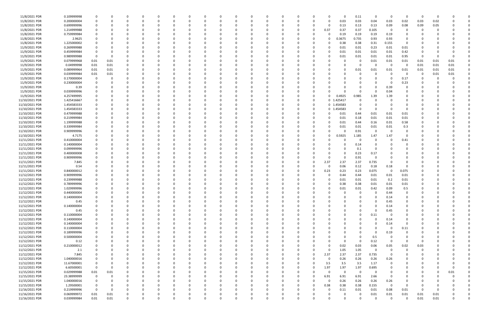| 11/8/2021 PDR  | 0.109999998 |             |              |          |          | $\Omega$ |          |          |          |          | $\Omega$ |          |          | 0           | $\Omega$   | 0.11         | $\Omega$ | 0           | $\Omega$    | - 0      |      |      |  |
|----------------|-------------|-------------|--------------|----------|----------|----------|----------|----------|----------|----------|----------|----------|----------|-------------|------------|--------------|----------|-------------|-------------|----------|------|------|--|
| 11/8/2021 PDR  | 0.200000004 |             |              |          |          |          |          |          |          |          |          |          |          | O           | 0.03       | 0.03         | 0.04     | 0.03        | 0.02        | 0.03     | 0.02 |      |  |
| 11/8/2021 PDR  | 0.699999996 |             |              |          |          |          |          |          |          |          |          |          |          | O           | 0.13       | 0.13         | 0.13     | 0.09        | 0.08        | 0.09     | 0.05 |      |  |
| 11/8/2021 PDR  | 1.214999988 |             |              |          |          |          |          |          |          |          |          |          |          | 0.37        | 0.37       | 0.37         | 0.105    | - 0         |             |          |      |      |  |
|                |             |             |              |          |          |          |          |          |          |          |          |          |          |             |            |              |          |             |             |          |      |      |  |
| 11/8/2021 PDR  | 0.759999984 |             |              |          |          |          |          |          |          |          |          |          |          | O           | 0.19       | 0.19         | 0.19     | 0.19        |             |          |      |      |  |
| 11/8/2021 PDR  | 2.9625      |             |              |          |          |          |          |          |          |          |          |          |          | 0           | 0.3675     | 0.735        | 0.93     | 0.93        | 0           |          |      |      |  |
| 11/8/2021 PDR  | 1.225000002 |             |              |          |          |          |          |          |          |          |          |          |          | O           | 0.38       | 0.38         | 0.31     | 0.155       | 0           |          |      |      |  |
| 11/9/2021 PDR  | 0.269999988 |             |              |          |          |          |          |          |          |          |          |          |          |             | 0.01       | 0.01         | 0.23     | 0.01        | 0.01        |          |      |      |  |
| 11/9/2021 PDR  | 0.459999984 |             |              |          |          |          |          |          |          |          |          |          |          |             | 0.01       | 0.01         | 0.01     | 0.01        | 0.42        |          |      |      |  |
| 11/9/2021 PDR  | 0.989999988 |             |              |          |          |          |          |          |          |          |          |          |          |             | 0.01       | 0.01         | 0.01     | 0.01        | 0.95        | 0        |      |      |  |
| 11/9/2021 PDR  | 0.079999968 | 0.01        | 0.01         |          |          |          |          |          |          |          |          |          |          |             |            | 0            | 0.01     | 0.01        | 0.01        | 0.01     | 0.01 | 0.01 |  |
| 11/9/2021 PDR  | 0.04999998  | 0.01        | 0.01         |          |          |          |          |          |          |          |          |          |          |             |            | 0            | - 0      | - 0         | - 0         | 0.01     | 0.01 | 0.01 |  |
|                |             |             |              |          |          |          |          |          |          |          |          |          |          |             |            |              |          |             |             |          |      |      |  |
| 11/9/2021 PDR  | 0.089999964 | 0.01        | 0.01         |          |          |          |          |          |          |          |          |          |          |             |            | 0.01         | 0.01     | 0.01        | 0.01        | 0.01     | 0.01 | 0.01 |  |
| 11/9/2021 PDR  | 0.039999984 | 0.01        | 0.01         |          |          |          |          |          |          |          |          |          |          |             |            | $\Omega$     |          | - 0         | $\Omega$    | 0        | 0.01 | 0.01 |  |
| 11/9/2021 PDR  | 0.170000004 |             | n            |          |          |          |          |          |          |          |          |          |          |             |            |              |          | - 0         | 0.17        |          |      |      |  |
| 11/9/2021 PDR  | 0.230000004 |             |              |          |          |          |          |          |          |          |          |          |          |             |            |              |          | - 0         | 0.23        |          |      |      |  |
| 11/9/2021 PDR  | 0.39        |             |              |          |          |          |          |          | $\Omega$ |          |          |          |          |             |            | $\Omega$     |          | 0.39        | 0           |          |      |      |  |
| 11/9/2021 PDR  | 0.039999996 |             |              |          |          |          |          |          |          |          |          |          |          |             |            | 0            |          | 0.04        |             |          |      |      |  |
| 11/9/2021 PDR  | 4.257499995 |             |              |          |          |          |          |          |          |          |          |          |          | $\Omega$    | 0.4925     | 0.985        | 1.39     | 1.39        |             |          |      |      |  |
|                |             |             |              |          |          |          |          |          |          |          |          |          |          |             |            |              |          |             |             |          |      |      |  |
| 11/10/2021 PDR | 1.425416667 |             |              |          |          |          |          |          |          |          |          |          |          |             | 0 1.425417 | 0            |          |             |             |          |      |      |  |
| 11/10/2021 PDR | 1.454583333 |             |              |          |          |          |          |          |          |          |          |          |          |             | 0 1.454583 |              |          |             |             |          |      |      |  |
| 11/10/2021 PDR | 1.454583333 |             |              |          |          |          |          |          |          |          |          |          |          |             | 0 1.454583 | 0            |          | - 0         |             |          |      |      |  |
| 11/10/2021 PDR | 0.479999988 |             |              |          |          |          |          |          |          |          |          |          |          | 0           | 0.01       | 0.44         | 0.01     | 0.01        | 0.01        |          |      |      |  |
| 11/10/2021 PDR | 0.219999984 |             |              |          |          |          |          |          |          |          |          |          |          |             | 0.01       | 0.18         | 0.01     | 0.01        | 0.01        |          |      |      |  |
| 11/10/2021 PDR | 1.199999988 |             |              |          |          |          |          |          |          |          |          |          |          |             | 0.01       | 0.44         | 0.16     | 0.01        | 0.58        |          |      |      |  |
| 11/10/2021 PDR | 0.339999984 |             |              |          |          |          |          |          |          |          |          |          |          |             | 0.01       | 0.01         | 0.01     | 0.01        | 0.3         |          |      |      |  |
| 11/10/2021 PDR | 0.909999996 |             |              |          |          |          |          |          |          |          |          |          |          |             |            | 0.91         |          | - 0         |             |          |      |      |  |
|                |             |             |              |          |          |          |          |          |          |          |          |          |          |             |            |              |          |             |             |          |      |      |  |
| 11/10/2021 PDR | 4.7175      |             |              |          |          |          |          |          |          |          |          |          |          | 0           | 0.5925     | 1.185        | 1.47     | 1.47        | 0           |          |      |      |  |
| 11/11/2021 PDR | 0.410000004 |             |              |          |          |          |          |          |          |          |          |          |          |             |            | 0            |          |             | 0.41        |          |      |      |  |
| 11/11/2021 PDR | 0.140000004 |             |              |          |          |          |          |          |          |          |          |          |          |             |            | 0.14         |          |             |             |          |      |      |  |
| 11/11/2021 PDR | 0.099999996 |             |              |          |          |          |          |          |          |          |          |          |          |             |            | 0.1          |          |             |             |          |      |      |  |
| 11/11/2021 PDR | 0.400000008 |             |              |          |          |          |          |          |          |          |          |          |          |             |            | 0.23         | 0.17     |             |             |          |      |      |  |
| 11/11/2021 PDR | 0.909999996 |             |              |          |          |          |          |          |          |          |          |          |          | O           |            | 0.91         |          |             |             |          |      |      |  |
| 11/11/2021 PDR | 7.845       |             |              |          |          |          |          |          |          |          |          |          |          | 2.37        | 2.37       | 2.37         | 0.735    | - 0         |             |          |      |      |  |
| 11/11/2021 PDR | 0.54        |             |              |          |          |          |          |          |          |          |          |          |          | $\Omega$    | 0.06       |              |          |             |             |          |      |      |  |
|                |             |             |              |          |          |          |          |          |          |          |          |          |          |             |            | 0.12         | 0.18     | 0.18        |             |          |      |      |  |
| 11/11/2021 PDR | 0.840000012 |             |              |          |          |          |          |          |          |          |          |          |          | 0.23        | 0.23       | 0.23         | 0.075    | - 0         | 0.075       |          |      |      |  |
| 11/12/2021 PDR | 0.909999996 |             |              |          |          |          |          |          |          |          |          |          |          | $\Omega$    | 0.44       | 0.44         | 0.01     | 0.01        | 0.01        |          |      |      |  |
| 11/12/2021 PDR | 0.239999988 |             |              |          |          |          |          |          |          |          |          |          |          |             | 0.01       | 0.01         | 0.01     | 0.2         | 0.01        |          |      |      |  |
| 11/12/2021 PDR | 0.789999996 |             |              |          |          |          |          |          |          |          |          |          |          |             | 0.38       | 0.38         | 0.01     | 0.01        | 0.01        |          |      |      |  |
| 11/12/2021 PDR | 1.029999996 |             | <sup>0</sup> |          |          |          |          |          |          |          |          |          |          | 0           | 0.01       | 0.01         | 0.42     | 0.09        | 0.5         |          |      |      |  |
| 11/12/2021 PDR | 0.440000004 | $\mathbf 0$ | $\Omega$     |          |          |          |          |          |          |          |          |          |          |             |            | $\mathbf 0$  | $\Omega$ | 0.44        |             |          |      |      |  |
| 11/12/2021 PDR | 0.140000004 | $\Omega$    | 0            | - 0      | $\Omega$ | $\Omega$ | $\Omega$ | $\Omega$ | $\Omega$ | $\Omega$ | $\Omega$ | $\Omega$ | 0        | 0           |            | 0            | $\Omega$ | 0.14        | $\Omega$    | 0        |      |      |  |
| 11/12/2021 PDR | 0.45        |             |              |          | 0        | 0        |          | 0        |          |          | $\Omega$ |          | $\Omega$ |             |            |              |          | 0.45        | 0           |          |      |      |  |
|                |             |             |              |          |          |          |          |          | 0        |          |          |          |          |             |            | 0            |          |             |             |          |      |      |  |
| 11/12/2021 PDR | 0.140000004 |             |              |          |          |          |          | O        | 0        |          | $\Omega$ |          |          |             |            | $\Omega$     | $\Omega$ | 0.14        | $\Omega$    |          |      |      |  |
| 11/12/2021 PDR | 0.45        |             |              |          |          |          |          |          |          |          |          |          |          |             |            | 0            | $\Omega$ | 0.45        | 0           |          |      |      |  |
| 11/12/2021 PDR | 0.110000004 |             |              |          |          |          |          |          |          |          |          |          |          |             |            | 0            | 0.11     | 0           |             |          |      |      |  |
| 11/12/2021 PDR | 0.140000004 |             |              |          |          | 0        |          |          |          |          |          |          |          |             |            | $\Omega$     | $\Omega$ | 0.14        | 0           |          |      |      |  |
| 11/12/2021 PDR | 0.140000004 |             |              |          |          | 0        |          |          |          |          |          |          |          |             |            |              | $\Omega$ | 0.14        | 0           |          |      |      |  |
| 11/12/2021 PDR | 0.110000004 |             |              |          |          | 0        |          | 0        | 0        |          | $\Omega$ |          | $\Omega$ |             |            | $\Omega$     | $\Omega$ | $\Omega$    | 0.11        |          |      |      |  |
| 11/12/2021 PDR | 0.189999996 |             |              |          |          | 0        |          | 0        | 0        |          | 0        |          | 0        |             |            | 0            | $\Omega$ | 0.19        | 0           |          |      |      |  |
| 11/12/2021 PDR | 0.500000004 |             |              |          |          |          |          |          |          |          |          |          |          |             |            | 0            | 0.5      | $\Omega$    | 0           |          |      |      |  |
|                |             |             |              |          |          |          |          |          |          |          |          |          |          |             | $\Omega$   |              |          |             |             |          |      |      |  |
| 11/12/2021 PDR | 0.12        |             |              |          |          |          |          |          |          |          |          |          |          |             |            | $\mathbf 0$  | 0.12     | 0           | - 0         | 0        |      |      |  |
| 11/12/2021 PDR | 0.210000012 |             |              |          |          |          |          |          |          |          | 0        |          |          | 0           | 0.02       | 0.03         | 0.06     | 0.05        | 0.02        | 0.03     |      |      |  |
| 11/12/2021 PDR | 2.1         |             |              |          |          | 0        |          |          | $\Omega$ |          | $\Omega$ |          |          | $\Omega$    | 1.05       | 1.05         | $\Omega$ | 0           | $\mathbf 0$ | $\Omega$ |      |      |  |
| 11/12/2021 PDR | 7.845       |             |              |          |          | 0        |          | 0        | 0        |          | $\Omega$ |          | 0        | 2.37        | 2.37       | 2.37         | 0.735    | 0           |             | 0        |      |      |  |
| 11/12/2021 PDR | 1.040000016 |             |              |          |          | 0        |          |          | 0        |          | $\Omega$ |          | 0        | $\Omega$    | 0.26       | 0.26         | 0.26     | 0.26        |             |          |      |      |  |
| 11/12/2021 PDR | 11.67000001 |             |              |          |          |          |          |          |          |          |          |          |          | 3.5         | 3.5        | 3.5          | 1.17     | $\Omega$    |             |          |      |      |  |
| 11/12/2021 PDR | 6.60500001  | $\mathbf 0$ | 0            |          |          |          |          |          |          |          |          |          |          | 1.97        | 1.97       | 1.97         | 0.695    |             |             |          |      | 0    |  |
| 11/15/2021 PDR | 0.029999988 | 0.01        | 0.01         |          |          |          |          |          |          |          |          |          |          | $\mathbf 0$ | $\Omega$   | $\mathbf{0}$ | 0        |             |             | 0        |      | 0.01 |  |
|                |             |             |              |          |          |          |          |          |          |          |          |          |          |             |            |              |          |             |             |          |      |      |  |
| 11/15/2021 PDR | 23.38999999 | $\mathbf 0$ | $\Omega$     |          |          |          |          |          |          |          |          |          |          | 6.91        | 6.91       | 6.91         | 2.66     | $\Omega$    |             |          |      |      |  |
| 11/15/2021 PDR | 1.040000016 | 0           |              |          |          |          |          |          |          |          |          |          |          | $\Omega$    | 0.26       | 0.26         | 0.26     | 0.26        | 0           |          |      |      |  |
| 11/15/2021 PDR | 1.29500001  | 0           |              |          |          |          |          |          |          |          |          |          |          | 0.38        | 0.38       | 0.38         | 0.155    | 0           | $\Omega$    |          |      |      |  |
| 11/16/2021 PDR | 0.219999996 | $\mathbf 0$ | $\Omega$     |          |          |          |          | 0        | 0        |          | 0        |          |          | $\Omega$    | 0.11       | 0.01         | 0.01     | 0.08        | 0.01        | $\Omega$ |      |      |  |
| 11/16/2021 PDR | 0.069999972 | 0.01        | 0.01         |          |          |          |          |          |          |          |          |          |          |             |            | 0            | 0.01     | 0.01        | 0.01        | 0.01     | 0.01 |      |  |
| 11/16/2021 PDR | 0.039999984 | 0.01        | 0.01         | $\Omega$ | $\Omega$ | $\Omega$ | $\Omega$ | $\Omega$ | $\Omega$ |          | $\Omega$ | $\Omega$ | 0        | $\Omega$    | $\Omega$   | 0            |          | $\mathbf 0$ | $\mathbf 0$ | 0.01     | 0.01 | 0    |  |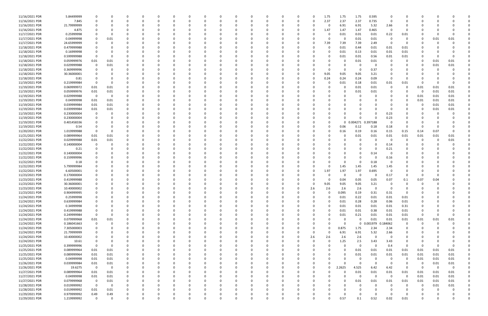| 11/16/2021 PDR | 5.84499999  | $\Omega$    |                         | C           |          |          |          |          | 0        |          |          |             | O        |          | 0        | 1.75     | 1.75     | 1.75                | 0.595    | - 0                     |                |          |             |          |  |
|----------------|-------------|-------------|-------------------------|-------------|----------|----------|----------|----------|----------|----------|----------|-------------|----------|----------|----------|----------|----------|---------------------|----------|-------------------------|----------------|----------|-------------|----------|--|
| 11/16/2021 PDR | 7.845       | $\Omega$    |                         |             | - 0      |          |          |          | $\Omega$ |          |          |             |          | $\Omega$ | $\Omega$ | 2.37     | 2.37     | 2.37                | 0.735    | - 0                     | 0              |          |             |          |  |
|                |             |             |                         |             |          |          |          |          |          |          |          |             |          |          |          |          |          |                     |          |                         |                |          |             |          |  |
| 11/16/2021 PDR | 21.79999999 |             |                         |             |          |          |          |          |          |          |          |             |          |          |          | 0        | 6.91     | 6.91                | 5.32     | 2.66                    |                |          |             |          |  |
| 11/16/2021 PDR | 4.875       |             |                         |             |          |          |          |          |          |          |          |             |          |          |          | 1.47     | 1.47     | 1.47                | 0.465    | 0                       |                |          |             |          |  |
|                |             |             |                         |             |          |          |          |          |          |          |          |             |          |          |          |          |          |                     |          |                         |                |          |             |          |  |
| 11/17/2021 PDR | 0.25999998  |             |                         |             |          |          |          |          |          |          |          |             |          |          |          |          | 0.01     | 0.01                | 0.01     | 0.22                    | 0.01           |          |             |          |  |
| 11/17/2021 PDR | 0.04999998  | 0           | 0.01                    |             |          |          |          |          |          |          |          |             |          |          |          |          | 0        | 0.01                | 0.01     | - 0                     | 0              | 0        | 0.01        | 0.01     |  |
|                |             |             |                         |             |          |          |          |          |          |          |          |             |          |          |          |          |          |                     |          |                         |                |          |             |          |  |
| 11/17/2021 PDR | 24.65999999 |             |                         |             |          |          |          |          |          |          |          |             |          |          |          | 7.39     | 7.39     | 7.39                | 2.49     | - 0                     | 0              |          |             |          |  |
| 11/18/2021 PDR | 0.479999988 |             |                         |             |          |          |          |          |          |          |          |             |          |          |          |          | 0.01     | 0.44                | 0.01     | 0.01                    | 0.01           |          |             |          |  |
|                |             |             |                         |             |          |          |          |          |          |          |          |             |          |          |          |          |          |                     |          |                         |                |          |             |          |  |
| 11/18/2021 PDR | 0.16999998  |             |                         |             |          |          |          |          |          |          |          |             |          |          |          |          | 0.01     | 0.13                | 0.01     | 0.01                    | 0.01           |          |             |          |  |
| 11/18/2021 PDR | 0.599999988 | $\Omega$    |                         |             |          |          |          |          |          |          |          |             |          |          |          |          | 0.01     | 0.01                | 0.56     | 0.01                    | 0.01           |          |             |          |  |
| 11/18/2021 PDR | 0.059999976 |             |                         |             |          |          |          |          |          |          |          |             |          |          |          |          |          | 0.01                |          | - 0                     |                |          |             | 0.01     |  |
|                |             | 0.01        | 0.01                    |             |          |          |          |          |          |          |          |             |          |          |          |          | C        |                     | 0.01     |                         | 0              | 0        | 0.01        |          |  |
| 11/18/2021 PDR | 0.029999988 | - 0         | 0.01                    |             |          |          |          |          |          |          |          |             |          |          |          |          | n        | -0                  |          |                         | 0              | 0        | 0.01        | 0.01     |  |
| 11/18/2021 PDR | 0.369999996 |             |                         |             |          |          |          |          |          |          |          |             |          |          |          |          | 0        | -0                  | 0.37     |                         |                |          |             |          |  |
|                |             |             |                         |             |          |          |          |          |          |          |          |             |          |          |          |          |          |                     |          |                         |                |          |             |          |  |
| 11/18/2021 PDR | 30.36000001 |             |                         |             |          |          |          |          |          |          |          |             |          |          | 0        | 9.05     | 9.05     | 9.05                | 3.21     |                         |                |          |             |          |  |
| 11/18/2021 PDR | 0.81        |             |                         |             |          |          |          |          |          |          |          |             |          |          |          | 0.24     | 0.24     | 0.24                | 0.09     | - 0                     | 0              |          |             |          |  |
|                |             |             |                         |             |          |          |          |          |          |          |          |             |          |          |          |          |          |                     |          |                         |                |          |             |          |  |
| 11/19/2021 PDR | 0.219999984 | $\Omega$    | - 0                     |             |          |          |          |          |          |          |          |             |          |          |          | 0        | 0.01     | 0.18                | 0.01     | 0.01                    | 0.01           | 0        |             |          |  |
| 11/19/2021 PDR | 0.069999972 | 0.01        | 0.01                    |             |          |          |          |          | $\Omega$ |          |          |             |          |          |          |          | 0        | 0.01                | 0.01     | 0                       | 0              | 0.01     | 0.01        | 0.01     |  |
|                |             |             |                         |             |          |          |          |          |          |          |          |             |          |          |          |          |          |                     |          |                         |                |          |             |          |  |
| 11/19/2021 PDR | 0.059999976 | 0.01        | 0.01                    |             |          |          |          |          | n        |          |          |             |          |          |          |          | 0        | 0.01                | 0.01     | 0                       | 0              | - 0      | 0.01        | 0.01     |  |
| 11/19/2021 PDR | 0.029999988 | $\Omega$    | - 0                     | O           |          |          |          |          |          |          |          |             |          |          |          |          |          | - 0                 |          |                         | 0              | 0.01     | 0.01        | 0.01     |  |
|                |             |             |                         |             |          |          |          |          |          |          |          |             |          |          |          |          |          |                     |          |                         |                |          |             |          |  |
| 11/19/2021 PDR | 0.04999998  | 0.01        | 0.01                    | 0           |          |          |          |          | 0        |          |          |             |          |          |          |          |          |                     |          |                         |                | 0.01     | 0.01        | 0.01     |  |
| 11/19/2021 PDR | 0.039999984 | 0.01        | 0.01                    |             |          |          |          |          |          |          |          |             |          |          |          |          |          |                     |          |                         |                | 0        | 0.01        | 0.01     |  |
|                |             |             |                         |             |          |          |          |          |          |          |          |             |          |          |          |          |          |                     |          |                         |                |          |             |          |  |
| 11/19/2021 PDR | 0.039999984 | 0.01        | 0.01                    |             |          |          |          |          |          |          |          |             |          |          |          |          |          |                     |          | - 0                     |                | 0        | 0.01        | 0.01     |  |
| 11/19/2021 PDR | 0.230000004 | - 0         | - 0                     |             |          |          |          |          |          |          |          |             |          |          |          |          | 0        | 0                   |          | 0.23                    |                |          |             |          |  |
|                |             |             |                         |             |          |          |          |          |          |          |          |             |          |          |          |          | $\Omega$ |                     |          |                         |                |          |             |          |  |
| 11/19/2021 PDR | 0.230000004 |             |                         |             |          |          |          |          |          |          |          |             |          |          |          |          |          |                     |          | 0.23                    |                |          |             |          |  |
| 11/19/2021 PDR | 0.401458336 |             |                         |             |          |          |          |          | n        |          |          |             |          |          |          |          |          | 0 0.004271 0.397188 |          | - 0                     | O              |          |             |          |  |
| 11/19/2021 PDR |             |             |                         |             |          |          |          |          |          |          |          |             |          |          |          |          |          |                     |          |                         | $\Omega$       | $\Omega$ |             |          |  |
|                | 0.54        |             |                         |             |          |          |          |          |          |          |          |             |          |          |          |          | 0.06     | 0.12                | 0.18     | 0.18                    |                |          |             |          |  |
| 11/20/2021 PDR | 1.019999988 | $\Omega$    | - 0                     |             |          |          |          |          |          |          |          |             |          |          |          |          | 0.16     | 0.19                | 0.16     | 0.15                    | 0.15           | 0.14     | 0.07        | $\Omega$ |  |
| 11/21/2021 PDR | 0.089999964 | 0.01        | 0.01                    |             |          |          |          |          |          |          |          |             |          |          |          |          | 0        | 0.01                | 0.01     | 0.01                    | 0.01           | 0.01     | 0.01        | 0.01     |  |
|                |             |             |                         |             |          |          |          |          |          |          |          |             |          |          |          |          |          |                     |          |                         |                |          |             |          |  |
| 11/22/2021 PDR | 0.029999988 | 0.01        | 0.01                    |             |          |          |          |          | $\Omega$ |          |          |             |          |          |          |          | $\Omega$ | $\Omega$            |          | - 0                     | 0              | 0        | - 0         | 0.01     |  |
| 11/22/2021 PDR | 0.140000004 | 0           | 0                       |             |          |          |          |          | 0        |          |          |             |          |          |          |          | 0        |                     |          | 0.14                    | 0              |          |             |          |  |
|                |             |             |                         |             |          |          |          |          |          |          |          |             |          |          |          |          |          |                     |          |                         |                |          |             |          |  |
| 11/22/2021 PDR | 0.21        |             |                         |             |          |          |          |          |          |          |          |             |          |          |          |          |          |                     |          | 0.21                    |                |          |             |          |  |
| 11/22/2021 PDR | 0.140000004 |             |                         |             |          |          |          |          |          |          |          |             |          |          |          |          |          | 0                   | 0.14     | - 0                     |                |          |             |          |  |
|                |             |             |                         |             |          |          |          |          |          |          |          |             |          |          |          |          |          |                     |          |                         |                |          |             |          |  |
| 11/22/2021 PDR | 0.159999996 |             |                         |             |          |          |          |          |          |          |          |             |          |          |          |          |          | - 0                 |          | 0.16                    |                |          |             |          |  |
| 11/22/2021 PDR | 0.18        |             |                         |             |          |          |          |          |          |          |          |             |          |          |          |          | $\Omega$ | -0                  | 0.18     | $\Omega$                |                |          |             |          |  |
|                |             |             |                         |             |          |          |          |          |          |          |          |             |          |          |          |          |          |                     |          |                         |                |          |             |          |  |
| 11/22/2021 PDR | 5.799999984 |             |                         |             |          |          |          |          |          |          |          |             |          |          |          |          | 1.45     | 1.45                | 1.45     | 1.45                    |                |          |             |          |  |
| 11/22/2021 PDR | 6.60500001  |             |                         |             |          |          |          |          |          |          |          |             |          |          | 0        | 1.97     | 1.97     | 1.97                | 0.695    | - 0                     |                |          |             |          |  |
|                |             |             |                         |             |          |          |          |          |          |          |          |             |          |          |          |          |          |                     |          |                         |                |          |             |          |  |
| 11/23/2021 PDR | 0.170000004 |             |                         |             |          |          |          |          |          |          |          |             |          |          |          |          | 0        | 0                   | $\Omega$ | 0.17                    | 0              | 0        |             |          |  |
| 11/23/2021 PDR | 0.419999988 |             |                         |             |          |          |          |          |          |          |          |             |          |          |          |          | 0.04     | 0.05                | 0.05     | 0.07                    | 0.1            | 0.07     | 0.04        |          |  |
|                |             |             |                         |             |          |          |          |          |          |          |          |             |          |          |          |          |          |                     |          |                         |                |          |             |          |  |
| 11/23/2021 PDR | 30.36000001 |             |                         |             |          |          |          |          |          |          |          |             |          |          |          | 9.05     | 9.05     | 9.05                | 3.21     | - 0                     |                |          |             |          |  |
| 11/23/2021 PDR | 10.40000002 | $\Omega$    |                         |             |          |          |          |          |          |          |          |             |          |          | 2.6      | 2.6      | 2.6      | 2.6                 | $\Omega$ | - 0                     |                |          |             |          |  |
|                |             |             |                         |             |          |          |          |          |          |          |          |             |          |          |          |          |          |                     |          |                         |                |          |             |          |  |
| 11/23/2021 PDR | 0.904999995 | $\mathbf 0$ |                         |             |          |          |          |          |          |          |          |             |          |          |          |          | 0.095    | 0.19                | 0.31     | 0.31                    |                |          |             |          |  |
| 11/24/2021 PDR | 0.25999998  | 0           | 0                       | 0           | $\Omega$ |          | $\Omega$ |          | 0        | $\Omega$ | $\Omega$ | $\Omega$    | 0        | $\Omega$ | 0        | $\Omega$ | 0.01     | 0.22                | $0.01\,$ | 0.01                    | 0.01           | $\Omega$ |             |          |  |
|                |             |             |                         |             |          |          |          |          |          |          |          |             |          |          |          |          |          |                     |          |                         |                |          |             |          |  |
| 11/24/2021 PDR | 0.639999984 | $\Omega$    | $\Omega$                | C           | 0        |          | O        |          | 0        |          |          | 0           | 0        |          | 0        |          | 0.01     | 0.28                | 0.28     | 0.06                    | 0.01           | 0        |             |          |  |
| 11/24/2021 PDR | 0.34999998  | $\Omega$    | O                       | C           | $\Omega$ |          |          |          | 0        |          |          | 0           | 0        | $\Omega$ | 0        |          | 0.01     | 0.01                | 0.01     | 0.01                    | 0.31           | 0        |             |          |  |
| 11/24/2021 PDR | 0.419999988 |             |                         |             | - 0      |          |          |          | 0        |          |          |             |          |          | O        |          | 0.01     | 0.01                | 0.38     | 0.01                    |                |          |             |          |  |
|                |             |             |                         |             |          |          |          |          |          |          |          |             |          |          |          |          |          |                     |          |                         | 0.01           |          |             |          |  |
| 11/24/2021 PDR | 0.249999984 | $\Omega$    | - 0                     |             |          |          |          |          | 0        |          |          |             |          |          |          |          | 0.01     | 0.21                | 0.01     | 0.01                    | 0.01           | $\Omega$ |             | $\Omega$ |  |
| 11/24/2021 PDR | 0.079999968 | $0.01\,$    | 0.01                    |             | -0       |          |          |          |          |          |          | 0           |          |          |          |          | 0        | $\mathbf 0$         | 0.01     | 0.01                    | 0.01           | 0.01     | 0.01        | 0.01     |  |
|                |             |             |                         |             |          |          |          |          |          |          |          |             |          |          |          |          |          |                     |          |                         |                |          |             |          |  |
| 11/24/2021 PDR | 0.186041663 | 0           | $\overline{0}$          |             |          |          |          |          | $\Omega$ |          |          |             |          |          |          |          | $\Omega$ | $\mathbf 0$         | 0.001979 | 0.184062                | 0              | $\Omega$ |             |          |  |
| 11/24/2021 PDR | 7.305000003 | - 0         | $\Omega$                | 0           | 0        |          | 0        |          | 0        |          |          | 0           | 0        | - 0      | 0        |          | 0.875    | 1.75                | 2.34     | 2.34                    | 0              | 0        |             |          |  |
|                |             |             |                         |             |          |          |          |          |          |          |          |             |          |          |          |          |          |                     |          |                         |                |          |             |          |  |
| 11/24/2021 PDR | 21.79999999 | 0           | O                       |             | 0        |          |          |          | 0        |          |          | 0           | 0        |          | 0        | $\Omega$ | 6.91     | 6.91                | 5.32     | 2.66                    | 0              |          |             |          |  |
| 11/24/2021 PDR | 10.40000002 | $\Omega$    |                         |             | 0        |          |          |          | 0        |          |          |             |          |          | 2.6      | 2.6      | 2.6      | 2.6                 | $\Omega$ | - 0                     | 0              |          |             |          |  |
|                |             |             |                         |             |          |          |          |          |          |          |          |             |          |          |          |          |          |                     |          |                         |                |          |             |          |  |
| 11/24/2021 PDR | 10.61       |             |                         |             | 0        |          |          |          |          |          |          |             | 0        |          | 0        |          | 1.25     | 2.5                 | 3.43     | 3.43                    | $\Omega$       |          |             |          |  |
| 11/25/2021 PDR | 0.399999996 | $\Omega$    | - 0                     |             |          |          |          |          | 0        |          |          | 0           |          |          |          |          | $\Omega$ | $\mathbf 0$         | $\Omega$ | 0.4                     | $\mathbf 0$    | $\Omega$ |             | 0        |  |
|                |             |             |                         |             |          |          |          |          |          |          |          |             |          |          |          |          |          |                     |          |                         |                |          |             |          |  |
| 11/25/2021 PDR | 0.089999964 | 0.01        | 0.01                    |             |          |          |          |          | 0        |          |          |             |          |          |          |          | $\Omega$ | 0.01                | 0.01     | 0.01                    | 0.01           | 0.01     | 0.01        | 0.01     |  |
| 11/25/2021 PDR | 0.089999964 | 0.01        | 0.01                    | 0           | 0        |          |          |          | 0        |          |          | 0           |          |          | 0        |          | 0        | 0.01                | 0.01     | 0.01                    | 0.01           | 0.01     | 0.01        | 0.01     |  |
| 11/25/2021 PDR | 0.04999998  |             |                         |             | 0        |          |          |          | 0        |          |          | 0           |          | - 0      |          |          | 0        | 0                   | $\Omega$ |                         |                |          |             |          |  |
|                |             | 0.01        | 0.01                    | 0           |          |          | 0        |          |          |          |          |             | 0        |          | 0        |          |          |                     |          | $\overline{\mathbf{0}}$ | 0              | 0.01     | 0.01        | 0.01     |  |
| 11/26/2021 PDR | 0.039999984 | 0.01        | 0.01                    | 0           |          |          |          |          | 0        |          |          |             | 0        |          |          |          | $\Omega$ | $\Omega$            | $\Omega$ | - 0                     | 0              | 0        | 0.01        | 0.01     |  |
| 11/26/2021 PDR | 19.6275     | $\Omega$    | $\overline{\mathbf{0}}$ | 0           | - 0      |          |          |          | 0        |          |          | n           | 0        | $\Omega$ | 0        | $\Omega$ | 2.2625   | 4.525               | 6.42     | 6.42                    | $\Omega$       | $\Omega$ | $\mathbf 0$ | 0        |  |
|                |             |             |                         |             |          |          |          |          |          |          |          |             |          |          |          |          |          |                     |          |                         |                |          |             |          |  |
| 11/27/2021 PDR | 0.089999964 | 0.01        | 0.01                    | 0           |          |          |          |          | 0        |          |          |             | 0        |          | 0        |          | $\Omega$ | 0.01                | 0.01     | 0.01                    | 0.01           | 0.01     | 0.01        | 0.01     |  |
| 11/27/2021 PDR | 0.04999998  | $0.01\,$    | 0.01                    | $\Omega$    |          |          |          |          | $\Omega$ |          |          | 0           | 0        |          | $\Omega$ |          | $\Omega$ | 0                   | $\Omega$ | $\overline{0}$          | $\overline{0}$ | 0.01     | 0.01        | 0.01     |  |
|                |             |             |                         |             |          |          |          |          |          |          |          |             |          |          |          |          |          |                     |          |                         |                |          |             |          |  |
| 11/27/2021 PDR | 0.079999968 | 0           | 0.01                    | 0           | 0        |          |          |          | 0        |          |          | 0           |          | -0       |          |          | 0        | 0.01                | 0.01     | 0.01                    | 0.01           | 0.01     | 0.01        | 0.01     |  |
| 11/28/2021 PDR | 0.019999992 | $\Omega$    | $\overline{\mathbf{0}}$ | 0           | 0        |          |          |          | 0        |          |          |             |          |          |          |          | 0        | 0                   |          | - 0                     | 0              | 0        | 0.01        | 0.01     |  |
|                |             |             |                         |             |          |          |          |          |          |          |          |             |          |          |          |          |          |                     |          |                         |                |          |             |          |  |
| 11/28/2021 PDR | 0.019999992 | 0.01        | 0.01                    | 0           |          |          |          |          | 0        |          |          |             |          |          |          |          | 0        |                     |          |                         | 0              |          |             | 0        |  |
| 11/29/2021 PDR | 0.979999992 | 0.49        | 0.49                    |             |          |          |          |          | 0        |          |          | 0           |          |          |          |          | 0        |                     |          | - 0                     |                |          |             | 0        |  |
|                |             | 0           | 0                       | $\mathbf 0$ | $\Omega$ | $\Omega$ | $\Omega$ | $\Omega$ | $\Omega$ | $\Omega$ | $\Omega$ | $\mathbf 0$ | $\Omega$ | $\Omega$ | 0        |          | 0.57     | 0.1                 | 0.52     | 0.02                    | 0.01           | $\Omega$ |             | 0        |  |
| 11/29/2021 PDR | 1.219999992 |             |                         |             |          |          |          |          |          |          |          |             |          |          |          |          |          |                     |          |                         |                |          |             |          |  |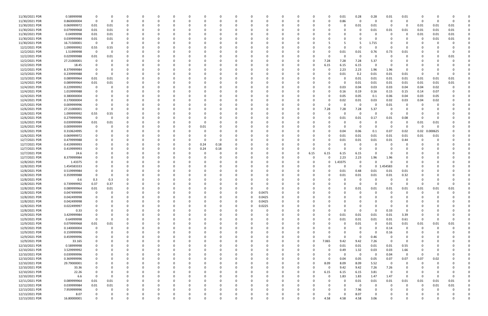| 11/30/2021 PDR | 0.58999998  | 0              |          |          |          | 0            |          |   |          |          |          |          | 0        |          |          |      | 0           | 0.01     | 0.28         | 0.28        | 0.01     | 0.01           |             |          |          |  |
|----------------|-------------|----------------|----------|----------|----------|--------------|----------|---|----------|----------|----------|----------|----------|----------|----------|------|-------------|----------|--------------|-------------|----------|----------------|-------------|----------|----------|--|
| 11/30/2021 PDR | 0.860000004 | $\mathbf 0$    | 0        |          |          | 0            |          |   | 0        |          | $\Omega$ |          | $\Omega$ |          | 0        |      | $\Omega$    | 0.86     | 0            | - 0         | 0        | $\Omega$       | -0          |          | $\Omega$ |  |
| 11/30/2021 PDR | 0.069999972 | 0.01           | 0.01     |          |          |              |          |   |          |          |          |          |          |          |          |      |             |          | 0.01         | 0.01        | - 0      | 0              | 0.01        | 0.01     | 0.01     |  |
|                |             |                |          |          |          |              |          |   |          |          |          |          |          |          |          |      |             |          |              |             |          |                |             |          |          |  |
| 11/30/2021 PDR | 0.079999968 | 0.01           | 0.01     |          |          |              |          |   |          |          |          |          |          |          |          |      |             |          | 0            | 0.01        | 0.01     | 0.01           | 0.01        | 0.01     | 0.01     |  |
| 11/30/2021 PDR | 0.04999998  | 0.01           | 0.01     |          |          |              |          |   |          |          |          |          |          |          |          |      |             |          | 0            |             | - 0      | -0             | 0.01        | 0.01     | 0.01     |  |
| 11/30/2021 PDR | 0.039999984 | 0.01           | 0.01     |          |          |              |          |   |          |          |          |          |          |          |          |      |             |          |              |             |          |                | 0           | 0.01     | 0.01     |  |
| 11/30/2021 PDR | 16.71500001 | 0              | $\Omega$ |          |          |              |          |   |          |          |          |          |          |          |          |      |             |          | -5           | 1.715       |          |                |             |          |          |  |
|                |             |                |          |          |          |              |          |   |          |          |          |          |          |          |          |      |             |          |              |             |          |                |             |          |          |  |
| 12/2/2021 PDR  | 1.099999992 | 0.55           | 0.55     |          |          |              |          |   |          |          |          |          |          |          |          |      |             |          | $\Omega$     |             | - 0      |                |             |          |          |  |
| 12/2/2021 PDR  | 1.51999998  | 0              | 0        |          |          |              |          |   |          |          |          |          |          |          |          |      |             | 0.01     | 0.01         | 0.76        | 0.73     | 0.01           |             |          |          |  |
| 12/2/2021 PDR  | 0.029999988 | 0.01           | 0.01     |          |          |              |          |   |          |          |          |          |          |          |          |      |             |          | 0            | $\Omega$    | $\Omega$ |                |             |          | 0.01     |  |
| 12/2/2021 PDR  | 27.21000001 | 0              |          |          |          |              |          |   |          |          |          |          |          |          |          |      | 7.28        | 7.28     | 7.28         | 5.37        |          |                |             |          |          |  |
|                |             |                |          |          |          |              |          |   |          |          |          |          |          |          |          |      |             |          |              |             |          |                |             |          |          |  |
| 12/2/2021 PDR  | 18.45       | 0              |          |          |          |              |          |   |          |          |          |          |          |          |          |      | 6.15        | 6.15     | 6.15         |             |          |                |             |          |          |  |
| 12/2/2021 PDR  | 8.379999984 |                |          |          |          |              |          |   |          |          |          |          |          |          |          |      | -0          | 2.23     | 2.23         | 1.96        | 1.96     |                |             |          |          |  |
| 12/3/2021 PDR  | 0.239999988 |                |          |          |          |              |          |   |          |          |          |          |          |          |          |      |             | 0.01     | 0.2          | 0.01        | 0.01     | 0.01           | -C          |          |          |  |
| 12/3/2021 PDR  |             | 0.01           | 0.01     |          |          |              |          |   |          |          |          |          |          |          |          |      |             |          |              |             | 0.01     |                |             |          | 0.01     |  |
|                | 0.089999964 |                |          |          |          |              |          |   |          |          |          |          |          |          |          |      |             |          | 0.01         | 0.01        |          | 0.01           | 0.01        | 0.01     |          |  |
| 12/4/2021 PDR  | 0.089999964 | 0.01           | 0.01     |          |          |              |          |   |          |          |          |          |          |          |          |      |             |          | 0.01         | 0.01        | 0.01     | 0.01           | 0.01        | 0.01     | 0.01     |  |
| 12/4/2021 PDR  | 0.229999992 | 0              | $\Omega$ |          |          |              |          |   |          |          |          |          |          |          |          |      |             | 0.03     | 0.04         | 0.03        | 0.03     | 0.04           | 0.04        | 0.02     |          |  |
| 12/4/2021 PDR  | 1.019999988 | 0              |          |          |          |              |          |   |          |          |          |          |          |          |          |      |             | 0.16     | 0.19         | 0.16        | 0.15     | 0.15           | 0.14        | 0.07     |          |  |
|                |             |                |          |          |          |              |          |   |          |          |          |          |          |          |          |      |             |          |              |             |          |                |             |          |          |  |
| 12/4/2021 PDR  | 0.380000004 |                |          |          |          |              |          |   |          |          |          |          |          |          |          |      |             | 0.05     | 0.05         | 0.1         | 0.06     | 0.04           | 0.03        | 0.05     |          |  |
| 12/4/2021 PDR  | 0.170000004 |                |          |          |          |              |          |   |          |          |          |          |          |          |          |      |             | 0.02     | 0.01         | 0.03        | 0.02     | 0.03           | 0.04        | 0.02     |          |  |
| 12/5/2021 PDR  | 0.009999996 |                |          |          |          |              |          |   |          |          |          |          |          |          |          |      | 0           |          | 0            |             | 0.01     |                |             |          |          |  |
| 12/6/2021 PDR  | 27.21000001 | 0              |          |          |          |              |          |   |          |          |          |          |          |          |          |      | 7.28        | 7.28     | 7.28         | 5.37        |          |                |             |          |          |  |
|                |             |                |          |          |          |              |          |   |          |          |          |          |          |          |          |      |             |          |              |             |          |                |             |          |          |  |
| 12/6/2021 PDR  | 1.099999992 | 0.55           | 0.55     |          |          |              |          |   |          |          |          |          |          |          |          |      | 0           | $\Omega$ | 0            | - 0         | - 0      | $\Omega$       |             |          |          |  |
| 12/6/2021 PDR  | 0.279999996 | $\mathbf 0$    | 0        |          |          |              |          |   |          |          |          |          |          |          |          |      |             | 0.01     | 0.01         | 0.17        | 0.01     | 0.08           |             |          |          |  |
| 12/6/2021 PDR  | 0.039999984 | 0.01           | 0.01     |          |          |              |          |   |          |          |          |          |          |          |          |      |             |          | 0            |             | - 0      |                | 0.01        | 0.01     |          |  |
| 12/6/2021 PDR  | 0.009999999 |                |          |          |          |              |          |   |          |          |          |          |          |          |          |      |             |          | 0            | - 0         | - 0      | - 0            | 0           |          |          |  |
|                |             | 0              |          |          |          |              |          |   | 0.01     |          |          |          |          |          |          |      |             |          |              |             |          |                |             |          |          |  |
| 12/6/2021 PDR  | 0.310624995 |                |          |          |          |              |          |   |          |          |          |          |          |          |          |      |             | 0.04     | 0.06         | 0.1         | 0.07     | 0.02           | 0.02<br>- 0 | .000625  |          |  |
| 12/6/2021 PDR  | 0.069999972 |                |          |          |          |              |          |   |          |          |          |          |          |          |          |      |             | 0.01     | 0.01         | 0.01        | 0.01     | 0.01           | 0.01        | 0.01     |          |  |
| 12/7/2021 PDR  | 0.479999988 |                |          |          |          |              |          |   |          |          |          |          |          |          |          |      |             | 0.01     | 0.01         | 0.01        | 0.01     | 0.44           | 0           |          |          |  |
|                |             |                |          |          |          |              |          |   |          |          |          |          |          |          |          |      |             |          |              |             |          |                |             |          |          |  |
| 12/7/2021 PDR  | 0.419999993 |                |          |          |          |              |          |   | 0.24     | 0.18     | 0        |          |          |          |          |      |             |          | 0            |             |          |                |             |          |          |  |
| 12/7/2021 PDR  | 0.419999993 |                |          |          |          |              |          |   | 0.24     | 0.18     |          |          |          |          |          |      |             |          | 0            |             |          |                |             |          |          |  |
| 12/7/2021 PDR  | 24.6        |                |          |          |          |              |          |   |          |          |          |          |          |          |          | 6.15 | 6.15        | 6.15     | 6.15         |             |          |                |             |          |          |  |
| 12/7/2021 PDR  | 8.379999984 |                |          |          |          |              |          |   |          |          |          |          |          |          |          |      | 0           | 2.23     | 2.23         | 1.96        | 1.96     |                |             |          |          |  |
|                |             |                |          |          |          |              |          |   |          |          |          |          |          |          |          |      |             |          |              |             |          |                |             |          |          |  |
| 12/8/2021 PDR  | 1.43375     |                |          |          |          |              |          |   |          |          |          |          |          |          |          |      | 0           | .43375   | 0            |             |          |                |             |          |          |  |
| 12/8/2021 PDR  | 1.454583333 |                |          |          |          |              |          |   |          |          |          |          |          |          |          |      |             |          | $\mathsf{o}$ | $\mathbf 0$ | 1.454583 | $\Omega$       |             |          |          |  |
| 12/8/2021 PDR  | 0.519999984 |                |          |          |          |              |          |   |          |          |          |          |          |          |          |      |             | 0.01     | 0.48         | 0.01        | 0.01     | 0.01           |             |          |          |  |
|                |             |                |          |          |          |              |          |   |          |          |          |          |          |          |          |      |             |          |              |             |          |                |             |          |          |  |
| 12/8/2021 PDR  | 0.359999988 |                |          |          |          |              |          |   |          |          |          |          |          |          |          |      |             | 0.01     | 0.01         | 0.01        | 0.01     | 0.32           |             |          |          |  |
| 12/8/2021 PDR  | 0.6         | 0.3            | 0.3      |          |          |              |          |   |          |          |          |          |          |          |          |      |             |          | -0           |             |          |                |             |          |          |  |
| 12/8/2021 PDR  | 0.739999992 | 0.37           | 0.37     |          |          |              |          |   |          |          |          |          |          |          |          |      |             |          | 0            |             |          |                |             |          |          |  |
| 12/8/2021 PDR  | 0.089999964 | $0.01\,$       | 0.01     | $\Omega$ |          |              |          |   |          |          | $\Omega$ |          |          |          |          |      |             |          | 0.01         | 0.01        | 0.01     | 0.01           | 0.01        | 0.01     | 0.01     |  |
|                |             |                |          |          |          |              |          |   |          |          |          |          |          |          |          |      |             |          |              |             |          |                |             |          |          |  |
| 12/8/2021 PDR  | 0.047499999 | $\overline{0}$ | $\Omega$ | $\Omega$ |          |              |          |   |          |          |          | $\Omega$ | 0.0475   |          |          |      |             |          | $\Omega$     | $\Omega$    | $\Omega$ | $\sqrt{ }$     | $\Omega$    |          |          |  |
| 12/8/2021 PDR  | 0.042499998 | 0              | $\Omega$ |          | $\Omega$ | $\Omega$     |          | 0 | 0        | O        | $\Omega$ | $\Omega$ | 0.0425   | 0        | $\Omega$ |      | ი           |          | 0            |             | $\Omega$ |                | $\Omega$    |          |          |  |
| 12/8/2021 PDR  | 0.042499998 | 0              | $\Omega$ |          | 0        | $\Omega$     |          | 0 | 0        |          | 0        | $\Omega$ | 0.0425   | $\Omega$ | 0        |      |             |          | $\Omega$     |             | $\Omega$ |                | 0           |          |          |  |
|                |             |                |          |          |          |              |          |   |          |          |          |          |          |          |          |      |             |          |              |             |          |                |             |          |          |  |
| 12/8/2021 PDR  | 0.022499997 |                |          |          |          |              |          |   |          |          | $\Omega$ | $\Omega$ | 0.0225   |          |          |      |             |          | $\Omega$     |             |          |                |             |          |          |  |
| 12/8/2021 PDR  | 0.33        | 0              |          |          |          | 0            |          |   | 0        |          | $\Omega$ | $\Omega$ | - 0      |          |          |      |             |          | 0            | $\Omega$    | 0.33     | $\Omega$       |             |          |          |  |
| 12/9/2021 PDR  | 3.429999984 | 0              |          |          |          |              |          |   |          |          | 0        |          | 0        |          |          |      | 0           | 0.01     | 0.01         | 0.01        | 0.01     | 3.39           |             |          |          |  |
| 12/9/2021 PDR  | 0.64999998  | $\mathbf 0$    | $\Omega$ |          |          |              |          |   |          |          | $\Omega$ |          | $\Omega$ |          |          |      | $\Omega$    | 0.01     | 0.01         | 0.01        | 0.01     | 0.61           | $\mathbf 0$ |          |          |  |
|                |             |                |          |          |          |              |          |   |          |          |          |          |          |          |          |      |             |          |              |             |          |                |             |          |          |  |
| 12/9/2021 PDR  | 0.079999968 | 0.01           | 0.01     |          |          | 0            |          |   | 0        |          | $\Omega$ |          | $\Omega$ |          | $\Omega$ |      | 0           | O        | 0.01         | $\Omega$    | 0.01     | 0.01           | 0.01        | 0.01     | 0.01     |  |
| 12/9/2021 PDR  | 0.140000004 | 0              | $\Omega$ |          |          | <sup>0</sup> |          |   |          |          | 0        |          | 0        |          |          |      |             |          | 0            |             | 0.14     | 0              | $\Omega$    |          |          |  |
| 12/9/2021 PDR  | 0.159999996 | 0              |          |          |          |              |          |   | 0        |          | $\Omega$ |          | $\Omega$ |          |          |      |             |          | 0            |             | 0.16     | 0              |             |          |          |  |
| 12/9/2021 PDR  | 0.459999996 | 0              |          |          |          |              |          |   | 0        |          | 0        |          | 0        |          |          |      | 0           | $\Omega$ | $\mathbf 0$  | 0.46        | 0        | -0             |             |          |          |  |
|                |             |                |          |          |          |              |          |   |          |          |          |          |          |          |          |      |             |          |              |             |          |                |             |          |          |  |
| 12/9/2021 PDR  | 33.165      | 0              |          |          |          |              |          |   |          |          |          |          | 0        |          |          |      | 7.065       | 9.42     | 9.42         | 7.26        | $\Omega$ | $\overline{0}$ |             |          |          |  |
| 12/10/2021 PDR | 0.58999998  | 0              |          |          | 0        |              |          |   | 0        |          | $\Omega$ |          | 0        |          |          |      | $\mathbf 0$ | 0.01     | 0.01         | 0.01        | 0.01     | 0.55           |             |          |          |  |
| 12/10/2021 PDR | 3.529999992 | 0              |          |          |          |              |          |   | 0        |          | 0        |          | 0        |          |          |      | $\Omega$    | 0.49     | 1.32         | 0.03        | 0.03     | 1.66           | 0           |          |          |  |
|                |             |                |          |          |          |              |          |   |          |          |          |          | $\Omega$ |          |          |      |             | $\Omega$ |              | $\Omega$    |          | 0              |             |          |          |  |
| 12/10/2021 PDR | 0.039999996 | 0              |          |          |          | <sup>0</sup> |          |   | 0        |          | 0        |          |          |          |          |      |             |          | $\mathsf{O}$ |             | 0.04     |                | 0           |          |          |  |
| 12/10/2021 PDR | 0.369999996 | 0              |          |          | 0        | 0            |          |   | 0        |          | $\Omega$ |          | 0        |          | 0        |      | $\Omega$    | 0.04     | 0.05         | 0.05        | 0.07     | 0.07           | 0.07        | 0.02     |          |  |
| 12/10/2021 PDR | 29.79000001 | $\Omega$       |          |          |          |              |          |   |          |          | $\Omega$ |          | 0        |          |          |      | 8.09        | 8.09     | 8.09         | 5.52        | 0        | 0              | 0           |          |          |  |
| 12/10/2021 PDR | 33.36       | $\Omega$       |          |          |          | 0            |          |   | 0        |          | 0        |          | 0        |          | 0        |      | $\mathbf 0$ | 9.42     | 9.42         | 7.26        | 7.26     | 0              | $\Omega$    |          |          |  |
|                |             |                |          |          |          |              |          |   |          |          |          |          |          |          |          |      |             |          |              |             |          |                |             |          |          |  |
| 12/10/2021 PDR | 22.26       | 0              |          |          |          | 0            |          |   | 0        |          | 0        |          | 0        |          | 0        |      | 6.15        | 6.15     | 6.15         | 3.81        | 0        | 0              | 0           |          |          |  |
| 12/10/2021 PDR | 6.6         | $\Omega$       | $\Omega$ |          |          |              |          |   | 0        |          | $\Omega$ |          | $\Omega$ |          |          |      | $\mathbf 0$ | 1.83     | 1.83         | 1.47        | 1.47     | $\Omega$       | $\Omega$    |          |          |  |
| 12/11/2021 PDR | 0.089999964 | 0.01           | 0.01     | $\Omega$ |          | <sup>0</sup> |          |   | 0        |          | 0        |          | 0        |          |          |      | $\Omega$    | 0        | 0.01         | 0.01        | 0.01     | 0.01           | 0.01        | 0.01     | 0.01     |  |
| 12/12/2021 PDR | 0.039999984 | 0.01           | 0.01     | $\Omega$ | 0        | 0            |          |   | 0        |          | 0        |          | 0        |          |          |      |             |          | $\mathbf{0}$ | -0          | - 0      | 0              | 0           | 0.01     | 0.01     |  |
|                |             |                |          |          |          |              |          |   |          |          |          |          |          |          |          |      |             |          |              |             |          |                |             |          |          |  |
| 12/13/2021 PDR | 7.959999996 | 0              | $\Omega$ |          |          | 0            |          |   | 0        |          | $\Omega$ |          | 0        |          |          |      | 0           | $\Omega$ | 7.96         | - 0         |          |                | 0           | $\Omega$ |          |  |
| 12/13/2021 PDR | 8.07        | 0              | 0        |          |          | O            |          |   | 0        |          | 0        |          | 0        |          |          |      | 0           | -0       | 8.07         |             |          |                |             |          |          |  |
| 12/13/2021 PDR | 16.80000001 | $\mathbf 0$    | $\Omega$ | $\Omega$ | $\Omega$ | $\Omega$     | $\Omega$ | 0 | $\Omega$ | $\Omega$ | $\Omega$ | $\Omega$ | $\Omega$ | $\Omega$ | 0        |      | 4.58        | 4.58     | 4.58         | 3.06        | $\Omega$ | $\Omega$       | 0           |          | 0        |  |
|                |             |                |          |          |          |              |          |   |          |          |          |          |          |          |          |      |             |          |              |             |          |                |             |          |          |  |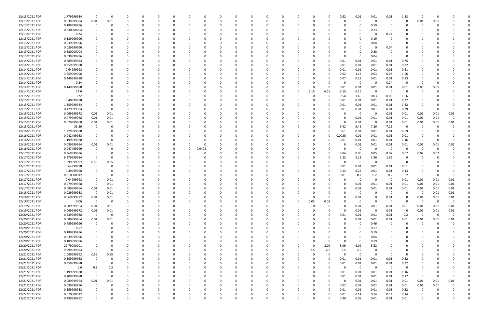| 12/13/2021 PDR | 1.779999984 | - 0         | - 0      |          | 0        |          |          |          | $\Omega$ |          |          |          |          |          |          | 0.52         | 0.01        | 0.01             | 0.01                            | 1.23        | 0           |             |             |  |
|----------------|-------------|-------------|----------|----------|----------|----------|----------|----------|----------|----------|----------|----------|----------|----------|----------|--------------|-------------|------------------|---------------------------------|-------------|-------------|-------------|-------------|--|
| 12/13/2021 PDR | 0.039999984 | 0.01        | $0.01\,$ | $\Omega$ | 0        |          |          | $\Omega$ | $\Omega$ |          | - 0      | $\Omega$ | $\Omega$ | $\Omega$ |          | $\Omega$     | $\mathbf 0$ | $\Omega$         | $\overline{0}$                  | $\Omega$    | 0.01        | 0.01        |             |  |
| 12/13/2021 PDR | 0.189999996 | -0          |          |          |          |          |          |          |          |          |          |          |          |          |          |              | 0           | 0.19             | - 0                             |             | 0           |             |             |  |
| 12/13/2021 PDR | 0.230000004 |             |          |          |          |          |          |          |          |          |          |          |          |          |          |              |             | 0.23             | - 0                             |             |             |             |             |  |
| 12/13/2021 PDR | 0.24        |             |          |          |          |          |          |          |          |          |          |          |          |          |          |              |             |                  | 0.24                            |             |             |             |             |  |
| 12/13/2021 PDR | 0.189999996 |             |          |          |          |          |          |          |          |          |          |          |          |          |          | <sup>0</sup> | 0           | 0.19             |                                 |             |             |             |             |  |
| 12/13/2021 PDR | 0.039999996 |             |          |          |          |          |          |          |          |          |          |          |          |          |          |              | 0           | 0.04             | - 0                             |             |             |             |             |  |
| 12/13/2021 PDR | 0.039999996 |             |          |          |          |          |          |          |          |          |          |          |          |          |          |              | $\Omega$    |                  | 0.04                            |             |             |             |             |  |
| 12/13/2021 PDR | 0.380000004 |             |          |          |          |          |          |          |          |          |          |          |          |          |          |              | 0           | 0.38             |                                 |             |             |             |             |  |
| 12/13/2021 PDR | 0.039999996 |             |          |          |          |          |          |          |          |          |          |          |          |          |          | O            | $\Omega$    | 0.04             | 0                               |             |             |             |             |  |
| 12/14/2021 PDR | 0.789999984 |             |          |          |          |          |          |          |          |          |          |          |          |          |          | 0.01         | 0.01        | 0.01             | 0.01                            | 0.75        |             |             |             |  |
| 12/14/2021 PDR | 0.359999988 |             |          |          |          |          |          |          |          |          |          |          |          |          |          | 0.01         | 0.01        | 0.01             | 0.01                            | 0.32        |             |             |             |  |
| 12/14/2021 PDR | 0.64999998  |             |          |          |          |          |          |          |          |          |          |          |          |          |          | 0.01         | 0.01        | 0.01             | 0.01                            | 0.61        |             |             |             |  |
| 12/14/2021 PDR | 3.759999996 |             |          |          |          |          |          |          |          |          |          |          |          |          |          | 0.62         | 1.42        | 0.03             | 0.03                            | 1.66        |             |             |             |  |
| 12/14/2021 PDR | 0.449999988 |             |          |          |          |          |          |          |          |          |          |          |          |          |          | 0.07         | 0.23        | 0.01             | 0.01                            | 0.13        |             |             |             |  |
| 12/14/2021 PDR | 0.24        |             |          |          |          |          |          |          |          |          |          |          |          |          |          | 0            | 0           | - 0              | 0.24                            | 0           | 0           |             |             |  |
| 12/14/2021 PDR | 0.149999988 |             |          |          |          |          |          |          |          |          |          |          |          |          |          | 0.01         | 0.01        | 0.01             | 0.01                            | 0.01        | 0.05        | 0.05        |             |  |
| 12/14/2021 PDR | 24.6        |             |          |          |          |          |          |          |          |          |          |          |          | 6.15     | 6.15     | 6.15         | 6.15        | $\Omega$         | 0                               | $\Omega$    |             |             |             |  |
| 12/15/2021 PDR | 3.72        |             |          |          |          |          |          |          |          |          |          |          |          |          |          | 0.54         | 1.46        | 0.03             | 0.03                            | 1.66        |             |             |             |  |
| 12/15/2021 PDR | 0.40999998  |             |          |          |          |          |          |          |          |          |          |          |          |          |          | 0.01         | 0.01        | 0.01             | 0.01                            | 0.37        |             |             |             |  |
| 12/15/2021 PDR | 1.359999984 |             |          |          |          |          |          |          |          |          |          |          |          |          | 0        | 0.01         | 0.01        | 0.01             | 0.01                            | 1.32        |             |             |             |  |
| 12/15/2021 PDR | 0.429999984 |             |          |          |          |          |          |          |          |          |          |          |          |          |          | 0.01         | 0.01        | 0.01             | 0.01                            | 0.39        | 0           |             |             |  |
| 12/15/2021 PDR | 0.069999972 | 0.01        | 0.01     |          |          |          |          |          |          |          |          |          |          |          |          | C.           | 0           | $\Omega$         | 0.01                            | 0.01        | 0.01        | 0.01        | 0.01        |  |
| 12/15/2021 PDR | 0.079999968 | 0.01        | 0.01     |          |          |          |          |          |          |          |          |          |          |          |          | 0            | 0.01        | 0.01             | 0.01                            | 0.01        | 0.01        | 0.01        |             |  |
| 12/15/2021 PDR | 0.079999968 | 0.01        | 0.01     |          |          |          |          |          |          |          |          |          |          |          |          | $\Omega$     | 0.01        | $\Omega$         | 0.01                            | 0.01        | 0.01        | 0.01        | 0.01        |  |
| 12/15/2021 PDR | 33.36       | 0           |          |          |          |          |          |          |          |          |          |          |          |          |          | 9.42         | 9.42        | 7.26             | 7.26                            | 0           | 0           |             |             |  |
| 12/16/2021 PDR | 1.229999988 |             |          |          |          |          |          |          |          |          |          |          |          |          |          | 0.61         | 0.01        | 0.01             | 0.01                            | 0.59        |             |             |             |  |
| 12/16/2021 PDR | 0.042499983 |             |          |          |          |          |          |          |          |          |          |          |          |          | 0        | 0.0025       | 0.01        | 0.01             | 0.01                            | 0.01        |             |             |             |  |
| 12/16/2021 PDR | 1.199999988 |             |          |          |          |          |          |          |          |          |          |          |          |          |          | 0.01         | 0.01        | 0.01             | 0.01                            | 1.16        | 0           |             |             |  |
| 12/16/2021 PDR | 0.089999964 |             |          |          |          |          |          |          |          |          |          |          |          |          |          |              |             |                  |                                 |             |             |             |             |  |
| 12/16/2021 PDR | 0.047499999 | 0.01        | 0.01     |          |          |          | 0        | 0.0475   |          |          |          |          |          |          |          | 0            | 0.01        | 0.01<br>$\Omega$ | 0.01<br>$\overline{\mathbf{0}}$ | 0.01<br>0   | 0.01<br>- 0 | 0.01<br>- 0 | 0.01        |  |
|                |             | -0          |          |          |          |          |          |          |          |          |          |          |          |          |          |              | $\mathbf 0$ |                  |                                 |             |             |             |             |  |
| 12/17/2021 PDR | 0.369999996 |             | - 0      |          |          |          |          |          |          |          |          |          |          |          |          | 0.04         | 0.05        | 0.05             | 0.07                            | 0.07        | 0.07        | 0.02        |             |  |
| 12/17/2021 PDR | 8.379999984 | $\Omega$    |          |          |          |          |          |          |          |          |          |          |          |          |          | 2.23         | 2.23        | 1.96             | 1.96                            | 0           |             |             |             |  |
| 12/17/2021 PDR | 1.099999992 | 0.55        | 0.55     |          |          |          |          |          |          |          |          |          |          |          |          | O            | $\mathbf 0$ | - 0              | - 0                             | 0           |             |             |             |  |
| 12/17/2021 PDR | 0.64999998  |             |          |          |          |          |          |          |          |          |          |          |          |          |          | 0.01         | 0.01        | 0.01             | 0.01                            | 0.61        |             |             |             |  |
| 12/17/2021 PDR | 0.49999998  |             |          |          |          |          |          |          |          |          |          |          |          |          |          | 0.13         | 0.22        | 0.01             | 0.01                            | 0.13        |             |             |             |  |
| 12/17/2021 PDR | 0.810000012 |             |          |          |          |          |          |          |          |          |          |          |          |          |          | 0.01         | 0.2         | 0.2              | 0.2                             | 0.2         | 0           |             |             |  |
| 12/17/2021 PDR | 0.04999998  |             | 0.01     |          |          |          |          |          |          |          |          |          |          |          |          | 0            | 0           | $\Omega$         | - 0                             | 0.01        | 0.01        | 0.01        | 0.01        |  |
| 12/17/2021 PDR | 0.079999968 |             | 0.01     |          |          |          |          |          |          |          |          |          |          |          |          |              | 0.01        | 0.01             | 0.01                            | 0.01        | 0.01        | 0.01        | 0.01        |  |
| 12/17/2021 PDR | 0.089999964 | 0.01        | 0.01     |          | n        |          |          |          |          |          |          |          |          |          |          | 0            | 0.01        | 0.01             | 0.01                            | 0.01        | 0.01        | 0.01        | 0.01        |  |
| 12/18/2021 PDR | 0.029999988 | $\Omega$    | 0.01     |          |          |          |          |          | 0        |          | O        |          |          |          |          | 0            | 0           | $\Omega$         | 0                               |             |             | 0.01        | 0.01        |  |
| 12/18/2021 PDR | 0.069999972 | 0.01        | $0.01\,$ |          | 0        | U        |          | $\Omega$ | $\Omega$ |          | $\Omega$ |          | $\Omega$ | $\Omega$ | $\Omega$ | $\Omega$     | $0.01\,$    | $\Omega$         | 0.01                            | $\mathbf 0$ | 0.01        | 0.01        | 0.01        |  |
| 12/18/2021 PDR | 0.06        | $\mathbf 0$ | 0        | $\Omega$ | 0        |          |          | O        | $\Omega$ |          | 0        |          | $\Omega$ | 0.03     | 0.03     | $\Omega$     | $\mathbf 0$ | $\Omega$         | $\mathbf 0$                     | $\Omega$    | $\mathbf 0$ | $\Omega$    | $\mathbf 0$ |  |
| 12/19/2021 PDR | 0.089999964 | 0.01        | 0.01     | $\Omega$ | 0        |          |          | 0        |          |          | 0        |          |          | 0        | 0        | $\Omega$     | 0.01        | 0.01             | 0.01                            | 0.01        | 0.01        | 0.01        | 0.01        |  |
| 12/19/2021 PDR | 0.069999972 | 0.01        | 0.01     |          |          |          |          | 0        |          |          |          |          |          |          |          | $\Omega$     | 0.01        | $\Omega$         | 0.01                            | 0           | 0.01        | 0.01        | 0.01        |  |
| 12/20/2021 PDR | 0.239999988 | $\mathbf 0$ | 0        | $\Omega$ | 0        |          |          |          |          |          |          |          |          |          | 0        | 0.01         | 0.01        | 0.01             | 0.01                            | 0.2         | $\mathbf 0$ | $\Omega$    | $\Omega$    |  |
| 12/20/2021 PDR | 0.089999964 | 0.01        | 0.01     |          |          |          |          |          |          |          |          |          |          |          |          | $\Omega$     | 0.01        | 0.01             | 0.01                            | 0.01        | 0.01        | 0.01        | 0.01        |  |
| 12/20/2021 PDR | 0.459999996 | $\mathbf 0$ | $\Omega$ |          |          |          |          | 0        |          |          |          |          |          |          |          | O            | $\mathbf 0$ | 0.46             | 0                               | $\mathbf 0$ | 0           |             |             |  |
| 12/20/2021 PDR | 0.57        | $\Omega$    | 0        | $\Omega$ | 0        |          |          | 0        |          |          |          |          |          |          |          | 0            | 0           | 0.57             | 0                               | 0           | 0           |             |             |  |
| 12/20/2021 PDR | 0.189999996 |             |          |          | 0        |          |          | 0        |          |          |          |          |          |          |          |              | 0           | 0.19             | 0                               |             |             |             |             |  |
| 12/20/2021 PDR | 0.039999996 |             |          |          | 0        |          |          | 0        |          |          | O        |          |          |          |          | $\Omega$     | $\Omega$    | 0.04             | 0                               |             |             |             |             |  |
| 12/20/2021 PDR | 0.189999996 |             |          |          |          |          |          |          |          |          |          |          |          |          |          | $\Omega$     | $\mathbf 0$ | 0.19             |                                 |             |             |             |             |  |
| 12/20/2021 PDR | 29.79000001 |             |          |          |          |          |          | 0        |          |          |          |          |          | $\Omega$ | 8.09     | 8.09         | 8.09        | 5.52             |                                 |             |             |             |             |  |
| 12/20/2021 PDR | 9.999999984 | $\Omega$    | $\Omega$ |          |          |          |          | 0        |          |          |          |          |          | 2.5      | 2.5      | 2.5          | 2.5         | $\Omega$         | 0                               |             |             |             |             |  |
| 12/21/2021 PDR | 1.099999992 | 0.55        | 0.55     |          |          |          |          |          |          |          |          |          |          |          |          | $\Omega$     | $\mathbf 0$ | $\Omega$         | - 0                             | 0           |             |             |             |  |
| 12/21/2021 PDR | 0.359999988 | 0           | - 0      | $\Omega$ | 0        |          |          | 0        |          |          | $\Omega$ | $\Omega$ |          | $\Omega$ | $\Omega$ | 0.01         | 0.01        | 0.01             | 0.01                            | 0.32        |             |             |             |  |
| 12/21/2021 PDR | 0.359999988 | 0           | - 0      | 0        | 0        |          |          | 0        |          |          | 0        | 0        |          | 0        | 0        | 0.01         | 0.01        | 0.01             | 0.01                            | 0.32        |             |             |             |  |
| 12/21/2021 PDR | 0.6         | 0.3         | 0.3      | $\Omega$ | $\Omega$ |          |          | $\Omega$ |          |          | $\Omega$ | $\Omega$ |          | $\Omega$ |          | $\Omega$     | $\mathbf 0$ | $\Omega$         | $\overline{\mathbf{0}}$         | 0           |             |             |             |  |
| 12/21/2021 PDR | 1.199999988 | $\Omega$    | 0        |          | C        |          |          | 0        |          |          | 0        |          |          |          | 0        | 0.01         | 0.01        | 0.01             | 0.01                            | 1.16        | 0           |             |             |  |
| 12/21/2021 PDR | 0.209999988 | $\Omega$    | $\Omega$ |          | 0        |          |          | 0        |          |          | 0        |          |          |          |          | 0.01         | 0.01        | 0.01             | 0.01                            | 0.17        | 0           |             |             |  |
| 12/21/2021 PDR | 0.089999964 | 0.01        | 0.01     | 0        | 0        |          |          | 0        |          |          |          | $\Omega$ |          |          | 0        | $\Omega$     | 0.01        | 0.01             | 0.01                            | 0.01        | 0.01        | 0.01        | 0.01        |  |
| 12/21/2021 PDR | 0.099999996 | 0           | $\Omega$ | 0        | 0        |          |          | 0        |          |          | 0        | 0        |          |          | 0        | 0.02         | 0.02        | 0.02             | 0.01                            | 0.01        | 0.01        | 0.01        |             |  |
| 12/22/2021 PDR | 0.359999988 | $\mathbf 0$ | $\Omega$ | $\Omega$ | 0        |          |          | $\Omega$ | $\Omega$ |          | $\Omega$ | $\Omega$ |          |          | O        | 0.01         | 0.01        | 0.01             | 0.01                            | 0.32        | 0           |             |             |  |
| 12/22/2021 PDR | 0.570000012 | 0           |          |          | 0        |          |          | 0        | 0        |          | 0        |          |          |          | 0        | 0.01         | 0.14        | 0.14             | 0.14                            | 0.14        | 0           |             |             |  |
| 12/22/2021 PDR | 0.499999992 | $\Omega$    | $\Omega$ | $\Omega$ | $\Omega$ | $\Omega$ | $\Omega$ | $\Omega$ | $\Omega$ | $\Omega$ | $\Omega$ | $\Omega$ | $\Omega$ | $\Omega$ |          | 0.39         | 0.08        | 0.01             | 0.01                            | 0.01        | $\Omega$    |             | $\Omega$    |  |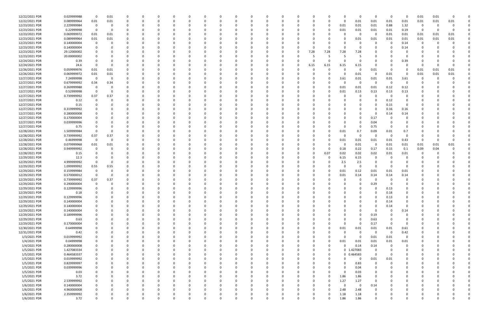| 12/22/2021 PDR | 0.029999988 | $\Omega$    | 0.01     | $\Omega$ | $\Omega$     |          |          |          |          |          |          |          | $\Omega$ |              |    |              |          |              | $\mathbf 0$ | $\Omega$ | - 0                     | $\Omega$    | 0.01     | 0.01 |      |  |
|----------------|-------------|-------------|----------|----------|--------------|----------|----------|----------|----------|----------|----------|----------|----------|--------------|----|--------------|----------|--------------|-------------|----------|-------------------------|-------------|----------|------|------|--|
| 12/22/2021 PDR | 0.089999964 | 0.01        | $0.01\,$ |          | <sup>0</sup> |          |          |          | $\Omega$ |          |          |          |          |              |    | U            |          | $\Omega$     | 0.01        | 0.01     | 0.01                    | 0.01        | 0.01     | 0.01 | 0.01 |  |
| 12/23/2021 PDR | 2.229999984 | 0           | - 0      |          |              |          |          |          |          |          |          |          |          |              |    |              |          | 0.01         | 0.01        | 0.01     | 0.88                    | 1.32        | - 0      |      |      |  |
| 12/23/2021 PDR | 0.22999998  | $\Omega$    | 0        |          |              |          |          |          |          |          |          |          |          |              |    |              |          | 0.01         | 0.01        | 0.01     | 0.01                    | 0.19        | - 0      |      |      |  |
| 12/23/2021 PDR | 0.069999972 | 0.01        | 0.01     |          |              |          |          |          |          |          |          |          |          |              |    |              |          | C.           | 0           | $\Omega$ | 0.01                    | 0.01        | 0.01     | 0.01 | 0.01 |  |
| 12/23/2021 PDR | 0.089999964 | 0.01        | 0.01     |          |              |          |          |          |          |          |          |          |          |              |    |              |          | 0            | 0.01        | 0.01     | 0.01                    | 0.01        | 0.01     | 0.01 | 0.01 |  |
| 12/23/2021 PDR | 0.140000004 |             |          |          |              |          |          |          |          |          |          |          |          |              |    |              |          |              | 0           |          | - 0                     | 0.14        | 0        |      |      |  |
| 12/23/2021 PDR | 0.140000004 |             |          |          |              |          |          |          |          |          |          |          |          |              |    |              |          | n            | $\Omega$    |          | - 0                     |             |          |      |      |  |
|                |             |             |          |          |              |          |          |          |          |          |          |          |          |              |    |              |          |              |             |          |                         | 0.14        |          |      |      |  |
| 12/23/2021 PDR | 29.12000002 |             |          |          |              |          |          |          |          |          |          |          |          |              | -0 | 7.28         | 7.28     | 7.28         | 7.28        |          |                         |             |          |      |      |  |
| 12/23/2021 PDR | 20.00000002 |             |          |          |              |          |          |          |          |          |          |          |          |              |    |              |          |              |             |          |                         |             |          |      |      |  |
| 12/24/2021 PDR | 0.39        |             |          |          |              |          |          |          |          |          |          |          |          |              |    | $\Omega$     | 0        | 0            | 0           |          | 0                       | 0.39        |          |      |      |  |
| 12/24/2021 PDR | 24.6        | -0          | - 0      |          |              |          |          |          |          |          |          |          |          |              |    | 6.15         | 6.15     | 6.15         | 6.15        |          | - 0                     | 0           | 0        |      |      |  |
| 12/26/2021 PDR | 0.059999976 | 0.01        | 0.01     |          |              |          |          |          |          |          |          |          |          |              |    | $\Omega$     |          | O            | 0           | 0.01     | 0                       | 0           | 0.01     | 0.01 | 0.01 |  |
| 12/26/2021 PDR | 0.069999972 | 0.01        | 0.01     |          |              |          |          |          |          |          |          |          |          |              |    |              |          | 0            | 0.01        | $\Omega$ | 0.01                    | - 0         | 0.01     | 0.01 | 0.01 |  |
| 12/27/2021 PDR | 7.24999998  | 0           | - 0      |          |              |          |          |          |          |          |          |          |          |              |    |              |          | 3.61         | 0.01        | 0.01     | 0.01                    | 3.61        | 0        |      |      |  |
| 12/27/2021 PDR | 0.679999992 | 0.34        | 0.34     |          |              |          |          |          |          |          |          |          |          |              |    |              |          | 0            | 0           | $\Omega$ | $\mathbf 0$             | 0           |          |      |      |  |
| 12/27/2021 PDR | 0.269999988 | 0           |          |          |              |          |          |          |          |          |          |          |          |              |    |              |          | 0.01         | 0.01        | 0.01     | 0.12                    | 0.12        |          |      |      |  |
| 12/27/2021 PDR | 0.52999998  |             | - 0      |          |              |          |          |          |          |          |          |          |          |              |    |              |          | 0.01         | 0.13        | 0.13     | 0.13                    | 0.13        |          |      |      |  |
| 12/27/2021 PDR | 0.739999992 | 0.37        | 0.37     |          |              |          |          |          |          |          |          |          |          |              |    |              |          | O            | $\Omega$    |          | - 0                     | 0           |          |      |      |  |
| 12/27/2021 PDR | 0.12        |             |          |          |              |          |          |          |          |          |          |          |          |              |    |              |          |              |             |          | 0.12                    |             |          |      |      |  |
| 12/27/2021 PDR | 0.15        |             |          |          |              |          |          |          |          |          |          |          |          |              |    |              |          |              |             |          | 0.15                    | 0           |          |      |      |  |
| 12/27/2021 PDR | 0.319999992 |             |          |          |              |          |          |          |          |          |          |          |          |              |    |              |          |              |             |          | 0.16                    | 0.16        |          |      |      |  |
|                |             |             |          |          |              |          |          |          |          |          |          |          |          |              |    |              |          |              |             |          |                         |             |          |      |      |  |
| 12/27/2021 PDR | 0.280000008 |             |          |          |              |          |          |          |          |          |          |          |          |              |    |              |          |              |             |          | 0.14                    | 0.14        |          |      |      |  |
| 12/27/2021 PDR | 0.170000004 |             |          |          |              |          |          |          |          |          |          |          |          |              |    |              |          | <sup>0</sup> | 0           | 0.17     | - 0                     |             |          |      |      |  |
| 12/27/2021 PDR | 0.039999996 |             |          |          |              |          |          |          |          |          |          |          |          |              |    |              |          | C.           | 0           | 0.04     | - 0                     | 0           |          |      |      |  |
| 12/27/2021 PDR | 0.75        |             |          |          |              |          |          |          |          |          |          |          |          |              |    |              |          | $\Omega$     | 0           | 0.75     | - 0                     | 0           |          |      |      |  |
| 12/28/2021 PDR | 1.509999984 |             |          |          |              |          |          |          |          |          |          |          |          |              |    |              |          | 0.01         | 0.7         | 0.09     | 0.01                    | 0.7         |          |      |      |  |
| 12/28/2021 PDR | 0.739999992 | 0.37        | 0.37     |          |              |          |          |          |          |          |          |          |          |              |    |              |          | 0            | 0           | $\Omega$ | 0                       | $\Omega$    |          |      |      |  |
| 12/28/2021 PDR | 0.46999998  | $\mathbf 0$ | 0        |          |              |          |          |          |          |          |          |          |          |              |    |              |          | 0.01         | 0.01        | 0.01     | 0.01                    | 0.43        | 0        |      |      |  |
| 12/28/2021 PDR | 0.079999968 | 0.01        | 0.01     |          |              |          |          |          |          |          |          |          |          |              |    |              |          | 0            | 0.01        | 0        | 0.01                    | 0.01        | 0.01     | 0.01 | 0.01 |  |
| 12/28/2021 PDR | 0.949999992 | -0          | - 0      |          | C            |          |          |          |          |          |          |          |          |              |    |              | $\Omega$ | 0.18         | 0.22        | 0.17     | 0.15                    | 0.1         | 0.09     | 0.04 |      |  |
| 12/28/2021 PDR | 0.15        |             |          |          |              |          |          |          |          |          |          |          |          |              |    |              | 0.07     | 0.02         | 0.02        | 0.02     | 0.01                    | 0.01        |          |      |      |  |
| 12/29/2021 PDR | 12.3        |             |          |          |              |          |          |          |          |          |          |          |          |              |    |              | 0        | 6.15         | 6.15        |          |                         |             |          |      |      |  |
| 12/29/2021 PDR | 4.999999992 |             |          |          |              |          |          |          |          |          |          |          |          |              |    |              |          | 2.5          | 2.5         |          |                         |             |          |      |      |  |
| 12/29/2021 PDR | 1.099999992 | 0.55        | 0.55     |          |              |          |          |          |          |          |          |          |          |              |    |              |          | O            | 0           |          | - 0                     |             |          |      |      |  |
| 12/29/2021 PDR | 0.159999984 | -0          | 0        |          | C            |          |          |          |          |          |          |          |          |              |    |              |          | 0.01         | 0.12        | 0.01     | 0.01                    | 0.01        |          |      |      |  |
| 12/29/2021 PDR | 0.570000012 | 0           | - 0      |          |              |          |          |          |          |          |          |          |          |              |    |              |          | 0.01         | 0.14        | 0.14     | 0.14                    | 0.14        |          |      |      |  |
| 12/29/2021 PDR | 0.739999992 | 0.37        |          |          |              |          |          |          |          |          |          |          |          |              |    |              |          |              | $\Omega$    |          | - 0                     |             |          |      |      |  |
|                |             |             | 0.37     |          |              |          |          |          |          |          |          |          |          |              |    |              |          |              |             |          |                         |             |          |      |      |  |
| 12/29/2021 PDR | 0.290000004 |             |          |          |              |          |          |          |          |          |          |          |          |              |    |              |          |              | $\Omega$    | 0.29     |                         |             |          |      |      |  |
| 12/29/2021 PDR | 0.129999996 | $\Omega$    | - 0      |          |              |          |          |          |          |          |          |          |          |              |    |              |          | n            | 0           | - 0      | 0.13                    |             |          |      |      |  |
| 12/29/2021 PDR | 0.18        | $\Omega$    | $\Omega$ |          |              |          |          |          |          |          |          |          |          |              |    |              |          |              |             |          | 0.18                    |             |          |      |      |  |
| 12/29/2021 PDR | 0.129999996 | $\Omega$    | $\Omega$ | $\Omega$ | 0            | $\Omega$ | 0        |          | $\Omega$ | $\Omega$ |          | 0        | $\Omega$ | 0            |    | $\Omega$     |          | $\Omega$     | $\Omega$    | $\Omega$ | 0.13                    | 0           | $\Omega$ |      |      |  |
| 12/29/2021 PDR | 0.140000004 |             | $\Omega$ |          | 0            |          |          |          | 0        |          |          | $\Omega$ |          |              |    | <sup>0</sup> |          | $\Omega$     | $\Omega$    | $\Omega$ | 0.14                    | 0           |          |      |      |  |
| 12/29/2021 PDR | 0.140000004 | $\Omega$    |          |          | 0            |          |          |          | 0        |          |          | $\Omega$ |          |              |    |              |          | $\Omega$     | $\Omega$    |          | 0.14                    | $\mathbf 0$ | $\Omega$ |      |      |  |
| 12/29/2021 PDR | 0.140000004 |             |          |          | n            |          |          |          |          |          |          |          |          |              |    |              |          |              | $\Omega$    | $\Omega$ | - 0                     | 0.14        |          |      |      |  |
| 12/29/2021 PDR | 0.189999996 |             |          |          |              |          |          |          |          |          |          |          |          |              |    |              |          |              | 0           | 0.19     | $\Omega$                | 0           |          |      |      |  |
| 12/29/2021 PDR | 0.63        |             |          |          | 0            |          |          |          | 0        |          |          | 0        |          |              |    |              |          | O            | 0           | 0.63     | - 0                     | 0           |          |      |      |  |
| 12/29/2021 PDR | 0.170000004 |             |          |          | 0            |          |          |          | 0        |          |          |          |          |              |    |              |          | $\Omega$     | $\Omega$    | 0.17     | 0                       | $\Omega$    |          |      |      |  |
| 12/30/2021 PDR | 0.64999998  | $\Omega$    |          | $\Omega$ | 0            |          |          |          | 0        |          |          | $\Omega$ | $\Omega$ | <sup>0</sup> |    | $\Omega$     | $\Omega$ | 0.01         | 0.01        | 0.01     | 0.01                    | 0.61        | 0        |      |      |  |
| 12/31/2021 PDR | 0.42        |             | $\Omega$ | $\Omega$ | 0            |          |          |          | 0        |          |          | 0        | 0        |              |    |              |          | 0            | $\mathbf 0$ | $\Omega$ | $\overline{\mathbf{0}}$ | 0.42        |          |      |      |  |
| 1/3/2021 PDR   | 0.019999992 |             |          |          | 0            |          |          |          | $\Omega$ |          |          | 0        | $\Omega$ |              |    |              |          | $\Omega$     | $\mathbf 0$ | 0.01     | 0.01                    | $\mathbf 0$ |          |      |      |  |
| 1/4/2021 PDR   | 0.04999998  |             |          |          | 0            |          |          |          | 0        |          |          | 0        |          |              |    |              |          | 0.01         | 0.01        | 0.01     | 0.01                    | 0.01        |          |      |      |  |
| 1/4/2021 PDR   | 0.280000008 |             |          |          | 0            |          |          |          | 0        |          |          | 0        |          |              |    |              | 0        | $\Omega$     | 0.14        | 0.14     | 0                       | 0           |          |      |      |  |
| 1/5/2021 PDR   | 1.427083334 | 0           | $\Omega$ |          | 0            |          |          |          | $\Omega$ |          |          | 0        | $\Omega$ |              |    |              | 0        |              | 0 1.427083  | $\Omega$ | 0                       | $\Omega$    |          |      |      |  |
|                |             |             |          |          |              |          |          |          |          |          |          |          |          |              |    |              |          |              |             | $\Omega$ |                         |             |          |      |      |  |
| 1/5/2021 PDR   | 0.464583337 | 0           |          | 0        | 0            |          |          |          | 0        | 0        |          | 0        | 0        |              |    | 0            | 0        |              | 0 0.464583  |          | - 0                     | 0           | 0        |      |      |  |
| 1/5/2021 PDR   | 0.019999992 | $\Omega$    | $\Omega$ | $\Omega$ | 0            |          |          |          | $\Omega$ | $\Omega$ |          | 0        | $\Omega$ |              |    | 0            |          | 0            | 0           | $0.01\,$ | 0.01                    | 0           | 0        |      |      |  |
| 1/5/2021 PDR   | 0.829999997 | $\Omega$    |          |          | 0            |          |          |          | 0        |          |          | 0        | $\Omega$ |              |    |              |          | $\Omega$     | 0.83        | $\Omega$ | - 0                     | $\Omega$    |          |      |      |  |
| 1/5/2021 PDR   | 0.039999996 |             |          |          | <sup>0</sup> |          |          |          | 0        |          |          |          |          |              |    |              |          | $\Omega$     | 0.04        |          |                         | 0           |          |      |      |  |
| 1/5/2021 PDR   | 0.03        |             |          |          | 0            |          |          |          | $\Omega$ |          |          | 0        |          |              |    |              |          | $\Omega$     | 0.03        |          |                         |             |          |      |      |  |
| 1/5/2021 PDR   | 3.72        |             |          |          | 0            |          |          |          | $\Omega$ |          |          | 0        |          |              |    |              | 0        | 1.86         | 1.86        |          |                         |             |          |      |      |  |
| 1/5/2021 PDR   | 2.539999992 |             |          | $\Omega$ | 0            |          |          |          | 0        |          |          | O        | $\Omega$ |              |    | 0            | $\Omega$ | 1.27         | 1.27        | $\Omega$ |                         | O           | -0       |      |      |  |
| 1/6/2021 PDR   | 0.140000004 | 0           |          | $\Omega$ | 0            |          |          |          | 0        |          |          | 0        | 0        |              |    |              |          | $\Omega$     | $\mathbf 0$ | 0.14     |                         | 0           | 0        |      |      |  |
| 1/6/2021 PDR   | 4.960000008 |             |          |          | 0            |          |          |          | O        |          |          |          |          |              |    |              |          | 2.48         | 2.48        | $\Omega$ |                         |             |          |      |      |  |
| 1/6/2021 PDR   | 2.359999992 |             |          |          |              |          |          |          |          |          |          |          |          |              |    |              | 0        | 1.18         | 1.18        |          |                         |             |          |      |      |  |
| 1/6/2021 PDR   | 3.72        | $\Omega$    | $\Omega$ | $\Omega$ | $\Omega$     |          | $\Omega$ | $\Omega$ | $\Omega$ | $\Omega$ | $\Omega$ | $\Omega$ | $\Omega$ | $\Omega$     |    | $\Omega$     | 0        | 1.86         | 1.86        | $\Omega$ | 0                       | $\Omega$    | $\Omega$ |      | 0    |  |
|                |             |             |          |          |              |          |          |          |          |          |          |          |          |              |    |              |          |              |             |          |                         |             |          |      |      |  |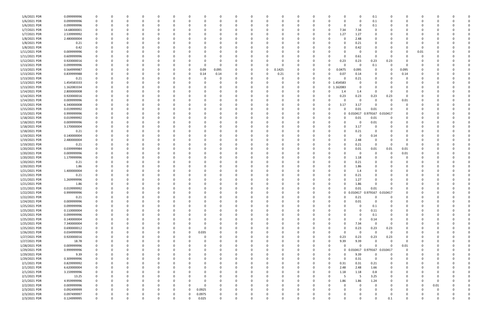| 1/6/2021 PDR  | 0.099999996 |                |    |          |             | C.       |          |          |          |          |          |          |          |          |          | 0                         | 0              | 0.1                          |             |          |          |          |  |
|---------------|-------------|----------------|----|----------|-------------|----------|----------|----------|----------|----------|----------|----------|----------|----------|----------|---------------------------|----------------|------------------------------|-------------|----------|----------|----------|--|
| 1/6/2021 PDR  | 0.099999996 | $\Omega$       | 0  |          | O           | 0        |          |          |          | -0       | O        | 0        | - 0      |          |          | 0                         | 0              | 0.1                          | $\Omega$    |          |          |          |  |
| 1/6/2021 PDR  | 0.099999996 |                |    |          |             |          |          |          |          |          |          |          |          |          |          |                           | -0             | 0.1                          |             |          |          |          |  |
| 1/7/2021 PDR  |             |                |    |          |             |          |          |          |          |          |          |          |          |          |          | 7.34                      |                |                              |             |          |          |          |  |
|               | 14.68000001 |                |    |          |             |          |          |          |          |          |          |          |          |          |          | 0                         | 7.34           |                              |             |          |          |          |  |
| 1/7/2021 PDR  | 2.539999992 |                |    |          |             |          |          |          |          |          |          |          |          |          |          | 1.27<br>0                 | 1.27           |                              |             |          |          |          |  |
| 1/8/2021 PDR  | 2.480000004 |                |    |          |             |          |          |          |          |          |          |          |          |          |          | -0                        | 2.48           |                              |             |          |          |          |  |
| 1/8/2021 PDR  | 0.21        |                |    |          |             |          |          |          |          |          |          |          |          |          |          | 0                         | 0.21           |                              |             |          |          |          |  |
| 1/8/2021 PDR  | 0.42        |                |    |          |             | 0        |          |          |          |          |          |          |          |          |          | 0                         | 0.42           |                              |             |          | - 0      |          |  |
| 1/11/2021 PDR |             |                |    |          |             |          |          |          |          |          |          |          |          |          |          |                           |                |                              |             |          |          |          |  |
|               | 0.009999996 |                |    |          |             |          |          |          |          |          |          |          |          |          |          |                           | $\overline{0}$ |                              |             |          | 0.01     |          |  |
| 1/11/2021 PDR | 0.609999996 |                |    |          |             |          |          |          |          |          |          |          |          |          |          | 0                         | 0.61           | 0                            |             |          |          |          |  |
| 1/12/2021 PDR | 0.920000016 |                |    |          |             | 0        |          |          |          |          |          |          |          |          |          | 0.23<br>0                 | 0.23           | 0.23                         | 0.23        |          |          |          |  |
| 1/13/2021 PDR | 0.099999996 |                |    |          |             | O        |          |          |          |          |          |          |          |          |          | 0                         | 0              | 0.1                          | 0           |          |          |          |  |
| 1/13/2021 PDR | 0.564999987 |                |    |          |             | 0        |          | $\Omega$ | 0.09     | 0.095    | O        | $\Omega$ | 0.1425   | $\Omega$ |          | 0.0475<br>0               | 0.095          | 0                            | $\Omega$    | 0.095    |          |          |  |
| 1/13/2021 PDR | 0.839999988 |                |    |          |             |          |          |          | 0.14     | 0.14     |          | 0        | 0.21     |          |          | 0.07<br>0                 | 0.14           |                              | $\Omega$    | 0.14     |          |          |  |
| 1/13/2021 PDR |             |                |    |          |             |          |          |          |          |          |          |          |          |          |          | -0                        |                |                              |             |          |          |          |  |
|               | 0.21        |                |    |          |             |          |          |          |          |          |          |          |          |          |          |                           | 0.21           |                              |             |          |          |          |  |
| 1/13/2021 PDR | 1.454583333 |                |    |          |             |          |          |          |          |          |          |          |          |          |          | .454583<br>0 <sub>1</sub> | 0              |                              |             |          |          |          |  |
| 1/13/2021 PDR | 1.162083334 |                |    |          |             |          |          |          |          |          |          |          |          |          |          | .162083<br>0 <sub>1</sub> | 0              |                              |             |          |          |          |  |
| 1/14/2021 PDR | 2.800000008 |                |    |          |             |          |          |          |          |          |          |          |          |          |          | 1.4<br>0                  | 1.4            | 0                            | $\Omega$    |          |          |          |  |
| 1/14/2021 PDR | 0.920000016 |                |    |          |             | C.       |          |          |          |          |          |          |          |          |          | 0.23<br>0                 | 0.23           | 0.23                         | 0.23        | $\Omega$ |          |          |  |
| 1/14/2021 PDR | 0.009999996 |                |    |          |             |          |          |          |          |          |          |          |          |          |          | 0                         | $\Omega$       |                              | 0           | 0.01     |          |          |  |
|               |             |                |    |          |             |          |          |          |          |          |          |          |          |          |          |                           |                |                              |             |          |          |          |  |
| 1/15/2021 PDR | 6.340000008 |                |    |          |             |          |          |          |          |          |          |          |          |          |          | 3.17<br>0                 | 3.17           | 0                            | 0           |          |          |          |  |
| 1/15/2021 PDR | 0.019999992 |                |    |          |             |          |          |          |          |          |          |          |          |          |          | 0                         | 0.01           | 0.01                         | 0           |          |          |          |  |
| 1/15/2021 PDR | 0.999999996 |                |    |          |             |          |          |          |          |          |          |          |          |          |          | $\Omega$<br>0             | 0.010417       | 979167                       | 0.010417    |          |          |          |  |
| 1/18/2021 PDR | 0.019999992 |                |    |          |             |          |          |          |          |          |          |          |          |          |          | 0                         | 0.01           | 0.01                         | 0           |          |          |          |  |
| 1/18/2021 PDR | 0.009999996 |                |    |          |             |          |          |          |          |          |          |          |          |          |          | 0                         | 0              | 0.01                         |             |          |          |          |  |
| 1/18/2021 PDR | 3.170000004 |                |    |          |             |          |          |          |          |          |          |          |          |          |          | 0                         | 3.17           |                              |             |          |          |          |  |
|               |             |                |    |          |             |          |          |          |          |          |          |          |          |          |          |                           |                |                              |             |          |          |          |  |
| 1/18/2021 PDR | 0.21        |                |    |          |             |          |          |          |          |          |          |          |          |          |          | -0                        | 0.21           |                              |             |          |          |          |  |
| 1/19/2021 PDR | 0.140000004 |                |    |          |             |          |          |          |          |          |          |          |          |          |          |                           | -0             | 0.14                         |             |          |          |          |  |
| 1/19/2021 PDR | 2.480000004 |                |    |          |             |          |          |          |          |          |          |          |          |          |          |                           | 2.48           |                              |             |          |          |          |  |
| 1/19/2021 PDR | 0.21        |                |    |          |             |          |          |          |          |          |          |          |          |          |          |                           | 0.21           | $\Omega$                     | 0           |          |          |          |  |
| 1/20/2021 PDR | 0.039999984 |                |    |          |             | 0        |          |          |          |          |          |          |          |          |          | 0                         | 0.01           | 0.01                         | 0.01        | 0.01     |          |          |  |
|               |             |                |    |          |             |          |          |          |          |          |          |          |          |          |          |                           |                |                              |             |          |          |          |  |
| 1/20/2021 PDR | 0.009999996 |                |    |          |             | O        |          |          |          |          |          |          |          |          |          | 0                         | -0             | 0                            | $\Omega$    | 0.01     |          |          |  |
| 1/20/2021 PDR | 1.179999996 |                |    |          |             |          |          |          |          |          |          |          |          |          |          | 0                         | 1.18           |                              |             |          |          |          |  |
| 1/20/2021 PDR | 0.21        |                |    |          |             |          |          |          |          |          |          |          |          |          |          | -0                        | 0.21           |                              |             |          |          |          |  |
| 1/20/2021 PDR | 1.86        |                |    |          |             |          |          |          |          |          |          |          |          |          |          | 0                         | 1.86           |                              |             |          |          |          |  |
| 1/21/2021 PDR | 1.400000004 |                |    |          |             |          |          |          |          |          |          |          |          |          |          | 0                         | 1.4            |                              |             |          |          |          |  |
| 1/21/2021 PDR | 0.21        |                |    |          |             |          |          |          |          |          |          |          |          |          |          | 0                         | 0.21           |                              |             |          |          |          |  |
|               |             |                |    |          |             |          |          |          |          |          |          |          |          |          |          |                           |                |                              |             |          |          |          |  |
| 1/21/2021 PDR | 1.269999996 |                |    |          |             |          |          |          |          |          |          |          |          |          |          |                           | 1.27           |                              |             |          |          |          |  |
| 1/21/2021 PDR | 1.86        |                |    |          |             |          |          |          |          |          |          |          |          |          |          |                           | 1.86           |                              |             |          |          |          |  |
| 1/21/2021 PDR | 0.019999992 | 0              |    |          |             |          |          |          |          |          |          |          |          |          |          | -0                        | 0.01           | 0.01                         | 0           |          |          |          |  |
| 1/22/2021 PDR | 0.999999996 | $\mathbf 0$    |    |          |             | 0        |          |          |          |          |          |          |          |          |          |                           | 0.010417       | 0.979167                     | 0.010417    |          |          |          |  |
| 1/22/2021 PDR | 0.21        | 0              | 0  |          | $\Omega$    | $\Omega$ | $\Omega$ | $\Omega$ | $\Omega$ | $\Omega$ | $\Omega$ | $\Omega$ | $\Omega$ | $\Omega$ | $\Omega$ | $\Omega$<br>$\Omega$      | 0.21           | 0                            | $\mathbf 0$ | $\Omega$ | $\Omega$ | $\Omega$ |  |
| 1/24/2021 PDR | 0.009999996 | 0              | 0  |          | 0           | 0        | 0        | $\Omega$ | 0        | $\Omega$ | 0        | 0        | $\Omega$ | $\Omega$ | 0        | 0                         | 0.01           | $\mathbf 0$                  | 0           | $\Omega$ | 0        | $\Omega$ |  |
|               |             |                |    |          |             |          |          |          |          |          |          |          |          |          |          |                           |                |                              |             |          |          |          |  |
| 1/25/2021 PDR | 0.099999996 | 0              | 0  |          |             | 0        |          |          |          |          |          | 0        |          | $\Omega$ |          | 0                         | $\mathbf 0$    | 0.1                          | $\Omega$    | $\Omega$ |          |          |  |
| 1/25/2021 PDR | 0.110000004 | $\mathbf 0$    | 0  |          |             | 0        |          | $\Omega$ |          |          |          | 0        |          | 0        |          | 0                         | $\Omega$       | 0.11                         | $\Omega$    | 0        | 0        |          |  |
| 1/25/2021 PDR | 0.099999996 | 0              |    |          | O           | 0        |          |          |          |          |          | 0        |          |          |          |                           | 0              | 0.1                          | 0           |          |          |          |  |
| 1/25/2021 PDR | 0.140000004 | $\mathbf 0$    |    |          |             | $\Omega$ |          |          |          |          |          | $\Omega$ |          |          |          |                           | 0              | 0.14                         | $\Omega$    |          |          |          |  |
| 1/25/2021 PDR | 7.340000004 | $\mathbf 0$    |    |          |             | 0        |          |          |          |          |          | $\Omega$ |          |          |          |                           | 7.34           | $\mathbf 0$                  | $\Omega$    |          | 0        |          |  |
| 1/25/2021 PDR | 0.690000012 | 0              | -0 |          | O           | 0        |          | $\Omega$ | 0        |          |          | 0        |          |          |          | 0                         | 0.23           | 0.23                         | 0.23        | $\Omega$ | 0        |          |  |
|               |             |                |    |          |             |          |          |          |          |          |          |          |          |          |          |                           |                |                              |             |          |          |          |  |
| 1/26/2021 PDR | 0.034999998 | 0              | -0 |          |             | 0        |          | $\Omega$ | 0.035    |          |          | 0        |          | $\Omega$ |          | 0                         | $\mathbf 0$    | 0                            | $\mathbf 0$ | $\Omega$ |          |          |  |
| 1/27/2021 PDR | 0.920000016 |                |    |          |             | 0        |          |          |          |          |          | 0        |          |          |          | 0.23<br>$\Omega$          | 0.23           | 0.23                         | 0.23        | $\Omega$ |          |          |  |
| 1/27/2021 PDR | 18.78       |                |    |          |             | 0        |          |          |          |          |          | 0        |          |          |          | 9.39<br>0                 | 9.39           | 0                            | 0           | $\Omega$ |          |          |  |
| 1/28/2021 PDR | 0.009999996 |                |    |          |             | 0        |          |          |          |          |          | 0        |          |          |          | 0                         | $\Omega$       | $\Omega$                     | $\Omega$    | 0.01     |          |          |  |
| 1/29/2021 PDR | 0.999999996 | $\overline{0}$ |    |          | 0           | 0        |          |          |          |          |          | 0        |          |          | 0        | 0                         |                | 0 0.010417 0.979167 0.010417 |             | $\Omega$ | $\Omega$ |          |  |
|               |             |                |    |          |             |          |          |          |          |          |          |          |          |          |          |                           |                |                              |             |          |          |          |  |
| 1/29/2021 PDR | 9.39        | 0              | 0  |          | 0           | 0        |          |          |          | 0        |          | 0        |          |          |          | 0                         | 9.39           | 0                            | $\mathbf 0$ | 0        | 0        | 0        |  |
| 1/29/2021 PDR | 0.309999996 | 0              | 0  |          |             | 0        |          |          |          |          |          | 0        |          | $\Omega$ |          | $\Omega$                  | 0.31           | 0                            | 0           | $\Omega$ | 0        |          |  |
| 2/1/2021 PDR  | 0.829999992 | 0              | -0 |          |             | 0        |          |          |          |          |          | 0        |          | $\Omega$ |          | 0.31<br>0                 | 0.31           | 0.21                         | $\Omega$    | $\Omega$ | n        |          |  |
| 2/1/2021 PDR  | 6.620000004 |                |    |          |             | 0        |          |          |          |          |          | 0        |          |          |          | 2.48<br>0                 | 2.48           | 1.66                         | 0           |          |          |          |  |
| 2/1/2021 PDR  | 3.159999996 |                |    |          |             | 0        |          |          |          |          |          | 0        |          |          |          | 1.18<br>0                 | 1.18           | 0.8                          | 0           |          |          |          |  |
|               |             |                |    |          |             |          |          |          |          |          |          |          |          |          |          | -5                        |                |                              |             |          |          |          |  |
| 2/1/2021 PDR  | 13.25       | 0              |    |          |             | 0        |          |          |          |          |          | 0        |          |          | 0        | 0                         | - 5            | 3.25                         | $\Omega$    |          | 0        |          |  |
| 2/1/2021 PDR  | 4.959999996 | 0              |    |          |             | 0        |          |          |          |          |          |          |          |          |          | 1.86<br>$\Omega$          | 1.86           | 1.24                         | 0           |          | 0        | C        |  |
| 2/2/2021 PDR  | 0.009999996 | 0              |    |          |             | 0        |          |          | $\Omega$ |          |          | 0        |          |          |          |                           | 0              | 0                            |             | $\Omega$ | 0        | 0.01     |  |
| 2/3/2021 PDR  | 0.092499999 | 0              | -0 |          |             | 0        | $\Omega$ | $\Omega$ | 0.0925   | 0        |          | 0        |          | -0       |          |                           |                | 0                            | -0          |          |          | 0        |  |
| 2/3/2021 PDR  | 0.097499997 |                |    |          |             |          | 0        | $\Omega$ | 0.0975   |          |          |          |          |          |          |                           |                |                              | 0           |          |          |          |  |
| 2/3/2021 PDR  | 0.124999995 | $\mathbf 0$    | 0  | $\Omega$ | $\mathbf 0$ | $\Omega$ | $\Omega$ | $\Omega$ | 0.025    | $\Omega$ | 0        | $\Omega$ | $\Omega$ | $\Omega$ | $\Omega$ | $\Omega$                  | $\Omega$       | $\Omega$                     | 0.1         | $\Omega$ | $\Omega$ | $\Omega$ |  |
|               |             |                |    |          |             |          |          |          |          |          |          |          |          |          |          |                           |                |                              |             |          |          |          |  |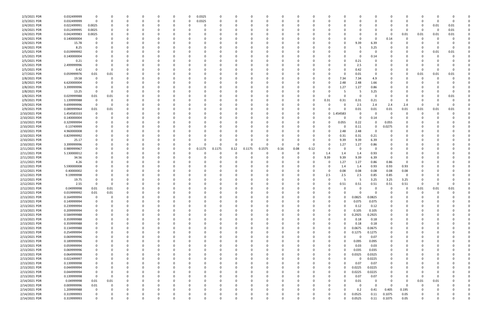| 2/3/2021 PDR  | 0.032499999 | 0                       |          |          |   | 0        | 0.0325<br>0             | 0      |              | 0            |      |          |          |              |          |          | 0            |          |            |             |          |          |  |
|---------------|-------------|-------------------------|----------|----------|---|----------|-------------------------|--------|--------------|--------------|------|----------|----------|--------------|----------|----------|--------------|----------|------------|-------------|----------|----------|--|
| 2/3/2021 PDR  | 0.032499999 | $\mathbf 0$             |          |          |   | 0        | 0.0325<br>0             | 0      |              | 0            |      | O        | C        |              |          |          | 0            |          | 0          | 0           | -0       | $\Omega$ |  |
| 2/4/2021 PDR  | 0.022499991 | 0.0025                  |          |          |   |          | C                       |        |              |              |      |          |          |              |          |          |              |          |            | 0           | 0.01     | 0.01     |  |
| 2/4/2021 PDR  | 0.012499995 | 0.0025                  |          |          |   |          |                         |        |              |              |      |          |          |              |          |          |              |          | $\Omega$   | 0           | 0        | $0.01\,$ |  |
| 2/4/2021 PDR  | 0.042499983 | 0.0025                  |          |          |   |          |                         |        |              |              |      |          |          |              |          |          |              |          |            |             |          |          |  |
|               |             |                         |          |          |   |          |                         |        |              |              |      |          |          |              |          |          |              |          | 0.01       | 0.01        | 0.01     | 0.01     |  |
| 2/4/2021 PDR  | 0.140000004 | 0                       |          |          |   | -0       |                         |        |              |              |      |          |          |              |          |          | 0            | 0.14     | $\Omega$   | O           | -C       |          |  |
| 2/4/2021 PDR  | 15.78       |                         |          |          |   |          |                         |        |              |              |      |          |          |              |          | 9.39     | 6.39         |          |            |             |          |          |  |
| 2/4/2021 PDR  | 8.25        |                         |          |          |   |          |                         |        |              |              |      |          |          |              |          | 5        | 3.25         |          |            |             |          |          |  |
| 2/5/2021 PDR  | 0.019999992 |                         |          |          |   |          |                         |        |              |              |      |          |          |              |          |          | 0            |          |            | C           | 0.01     | 0.01     |  |
| 2/5/2021 PDR  | 0.140000004 |                         |          |          |   |          |                         |        |              |              |      |          |          |              |          |          | 0.14         |          |            |             | $\Omega$ |          |  |
| 2/5/2021 PDR  | 0.21        |                         |          |          |   | 0        |                         |        |              | 0            |      |          |          |              |          | 0.21     | 0            |          |            |             |          |          |  |
|               |             |                         |          |          |   |          |                         |        |              |              |      |          |          |              |          |          |              |          |            |             |          |          |  |
| 2/5/2021 PDR  | 2.499999996 | 0                       |          |          |   | 0        |                         |        |              | 0            |      |          |          |              |          | 2.5      | 0            |          |            | C           |          |          |  |
| 2/5/2021 PDR  | 0.42        | - 0                     |          |          |   |          |                         |        |              |              |      |          |          |              |          | 0.42     | <sup>0</sup> |          |            | -0          |          |          |  |
| 2/7/2021 PDR  | 0.059999976 | 0.01                    | 0.01     |          |   |          |                         |        |              |              |      |          |          |              |          | 0.01     | 0            |          |            | 0.01        | 0.01     | 0.01     |  |
| 2/8/2021 PDR  | 19.58       | 0                       |          |          |   |          |                         |        |              |              |      |          |          | 0            | 7.34     | 7.34     | 4.9          |          |            | -0          |          |          |  |
| 2/8/2021 PDR  | 6.620000004 |                         |          |          |   |          |                         |        |              |              |      |          |          | 0            | 2.48     | 2.48     | 1.66         |          |            |             |          |          |  |
| 2/8/2021 PDR  | 3.399999996 | 0                       |          |          |   | 0        |                         |        |              | 0            |      |          |          | - 0          | 1.27     | 1.27     | 0.86         |          |            |             |          |          |  |
|               |             |                         |          |          |   |          |                         |        |              |              |      |          |          |              |          |          |              |          |            |             |          |          |  |
| 2/8/2021 PDR  | 13.25       | - 0                     | 0        |          |   | 0        |                         |        |              |              |      |          |          |              |          | -5       | 3.25         |          |            |             |          |          |  |
| 2/8/2021 PDR  | 0.029999988 | 0.01                    | 0.01     |          |   |          |                         |        |              |              |      |          |          |              |          |          | $\Omega$     |          |            |             |          | 0.01     |  |
| 2/9/2021 PDR  | 1.139999988 | - 0                     | -C       |          |   | 0        |                         |        |              |              |      |          | C        | 0.31         | 0.31     | 0.31     | 0.21         |          | $\Omega$   |             |          |          |  |
| 2/9/2021 PDR  | 9.699999996 | - 0                     |          |          |   |          |                         |        |              |              |      |          | C        | -0           |          | 2.5      | 2.4          | 2.4      | 2.4        | 0           |          |          |  |
| 2/9/2021 PDR  | 0.089999964 | 0.01                    | 0.01     |          |   |          |                         |        |              |              |      |          |          | 0            |          | 0.01     | 0.01         | 0.01     | 0.01       | 0.01        | 0.01     | 0.01     |  |
| 2/10/2021 PDR | 1.454583333 | 0                       |          |          |   | 0        |                         |        |              | <sup>0</sup> |      |          |          | $\mathbf{0}$ | .454583  | 0        | 0            | - 0      | $\Omega$   |             | $\Omega$ |          |  |
| 2/10/2021 PDR | 0.140000004 |                         |          |          |   |          |                         |        |              |              |      |          | C        | - 0          |          | 0        |              |          |            |             |          |          |  |
|               |             | -0                      |          |          |   | -0       |                         |        |              |              |      |          |          |              |          |          | 0.14         |          |            |             |          |          |  |
| 2/10/2021 PDR | 0.329999994 |                         |          |          |   |          |                         |        |              |              |      |          |          |              | 0.055    | 0.22     | 0            | 0.055    |            |             |          |          |  |
| 2/10/2021 PDR | 0.13749999  |                         |          |          |   | 0        |                         |        |              |              |      |          |          | - 0          |          | 0.11     | 0            | 0.0275   |            |             |          |          |  |
| 2/10/2021 PDR | 4.960000008 |                         |          |          |   |          |                         |        |              |              |      |          |          | -0           | 2.48     | 2.48     | 0            |          |            |             |          |          |  |
| 2/10/2021 PDR | 0.829999992 |                         |          |          |   |          |                         |        |              |              |      |          |          | 0            | 0.31     | 0.31     | 0.21         |          |            |             |          |          |  |
| 2/10/2021 PDR | 25.17       |                         |          |          |   | 0        |                         |        |              | 0            |      |          |          | $\Omega$     | 9.39     | 9.39     | 6.39         |          |            |             |          |          |  |
| 2/10/2021 PDR | 3.399999996 |                         |          |          |   | 0        | <sup>0</sup><br>C       |        | <sup>n</sup> | $\Omega$     |      | $\Omega$ | 0        | -0           | 1.27     | 1.27     | 0.86         |          |            |             |          |          |  |
|               |             |                         |          |          |   |          |                         | 0.1175 |              |              |      |          |          |              | $\Omega$ |          |              |          |            |             |          |          |  |
| 2/11/2021 PDR | 0.989999967 |                         |          |          |   | -0       | 0.1175<br>0             |        | 0.12         | 0.1575       | 0.16 | 0.08     | 0.12     | -0           |          | -0       | 0            |          |            |             |          |          |  |
| 2/11/2021 PDR | 5.130000012 |                         |          |          |   | -0       |                         |        |              |              |      |          |          | 1.4          | 1.4      | 1.4      | 0.93         |          |            |             |          |          |  |
| 2/11/2021 PDR | 34.56       |                         |          |          |   |          |                         |        |              |              |      |          | C        | 9.39         | 9.39     | 9.39     | 6.39         |          |            |             |          |          |  |
| 2/11/2021 PDR | 4.26        |                         |          |          |   |          |                         |        |              |              |      |          |          | 0            | 1.27     | 1.27     | 0.86         | 0.86     | 0          |             |          |          |  |
| 2/12/2021 PDR | 5.590000008 |                         |          |          |   |          |                         |        |              |              |      |          |          | 0            | 1.4      | 1.4      | 0.93         | 0.93     | 0.93       |             |          |          |  |
| 2/12/2021 PDR | 0.40000002  |                         |          |          |   |          |                         |        |              |              |      |          |          | -0           | 0.08     | 0.08     | 0.08         | 0.08     | 0.08       |             |          |          |  |
|               | 9.19999998  |                         |          |          |   |          |                         |        |              |              |      |          |          |              |          |          |              | 0.85     | 0          |             |          |          |  |
| 2/12/2021 PDR |             |                         |          |          |   |          |                         |        |              |              |      |          | C        | 2.5          | 2.5      | 2.5      | 0.85         |          |            |             |          |          |  |
| 2/12/2021 PDR | 19.75       |                         |          |          |   |          |                         |        |              |              |      |          |          | -0           |          | -5       | 3.25         | 3.25     | 3.25       |             |          |          |  |
| 2/12/2021 PDR | 2.55        | O                       |          |          |   |          |                         |        |              |              |      |          |          |              | 0.51     | 0.51     | 0.51         | 0.51     | 0.51       |             |          |          |  |
| 2/12/2021 PDR | 0.04999998  | 0.01                    | 0.01     |          |   | $\Omega$ |                         |        |              |              |      |          | 0        |              | 0        | 0        | $\Omega$     | $\Omega$ | 0          | 0.01        | 0.01     | 0.01     |  |
| 2/12/2021 PDR | 0.019999992 | 0.01                    | 0.01     |          |   | $\Omega$ |                         |        |              | $\Omega$     |      |          | $\Omega$ |              |          |          | $\mathbf 0$  | $\Omega$ | $\sqrt{ }$ | $\Omega$    |          |          |  |
| 2/13/2021 PDR | 0.164999994 | 0                       | $\Omega$ |          |   | 0        | $\Omega$<br>0           |        |              | 0            |      | n        | 0        | $\Omega$     |          | 0.0825   | 0.0825       |          | n          | 0           |          |          |  |
| 2/13/2021 PDR | 0.149999994 | 0                       |          |          |   | 0        | 0<br>0                  |        |              | 0            |      | 0        | 0        | $\Omega$     |          | 0.075    | 0.075        |          | 0          | 0           |          |          |  |
|               |             |                         |          |          |   |          |                         |        |              |              |      |          |          |              |          |          |              |          |            |             |          |          |  |
| 2/13/2021 PDR | 0.239999994 | 0                       |          |          |   | 0        | 0<br>C                  |        |              | 0            |      |          |          | 0            | $\Omega$ | 0.12     | 0.12         |          |            |             |          |          |  |
| 2/13/2021 PDR | 0.209999994 | 0                       |          |          |   | 0        |                         |        |              |              |      |          |          | 0            |          | 0.105    | 0.105        |          |            |             |          |          |  |
| 2/13/2021 PDR | 0.584999988 | 0                       |          |          |   | 0        |                         |        |              | 0            |      |          |          | 0            |          | 0.2925   | 0.2925       |          |            |             |          |          |  |
| 2/13/2021 PDR | 0.359999988 | $\mathbf 0$             |          |          |   | 0        | C                       |        |              | $\Omega$     |      |          |          | 0            | $\Omega$ | 0.18     | 0.18         |          |            | O           |          |          |  |
| 2/13/2021 PDR | 0.359999988 | 0                       |          |          |   | 0        | C                       |        |              | 0            |      |          |          | $\Omega$     |          | 0.18     | 0.18         |          | 0          |             |          |          |  |
| 2/13/2021 PDR | 0.134999988 | 0                       |          |          |   | 0        | 0<br>0                  |        |              | 0            |      | $\Omega$ | 0        | $\Omega$     |          | 0.0675   | 0.0675       |          | 0          | 0           |          |          |  |
| 2/13/2021 PDR | 0.254999994 | 0                       |          |          |   | 0        | 0<br>C                  |        |              | 0            |      | 0        | C        | 0            |          | 0.1275   | 0.1275       |          | 0          | 0           |          |          |  |
|               |             |                         |          |          |   |          |                         |        |              |              |      |          |          |              |          |          |              |          |            |             |          |          |  |
| 2/13/2021 PDR | 0.069999996 | 0                       |          |          |   | 0        | C                       |        |              | 0            |      |          | C        | 0            |          | $\Omega$ | 0.07         |          |            |             |          |          |  |
| 2/13/2021 PDR | 0.189999996 | $\mathbf 0$             |          |          |   | 0        | 0<br>C                  |        |              | 0            |      |          | C        | 0            |          | 0.095    | 0.095        |          |            | O           |          |          |  |
| 2/13/2021 PDR | 0.059999994 | 0                       |          |          |   | 0        | 0<br>C                  |        |              | 0            |      |          | C        | 0            |          | 0.03     | 0.03         |          |            | O           |          |          |  |
| 2/13/2021 PDR | 0.069999996 | 0                       |          |          |   | 0        | 0<br>C                  |        |              | 0            |      | 0        | C        | $\Omega$     |          | 0.035    | 0.035        | $\Omega$ | $\Omega$   |             |          |          |  |
| 2/13/2021 PDR | 0.064999998 | 0                       |          |          |   | 0        | 0<br>0                  |        |              | 0            |      | 0        | C        | $\Omega$     |          | 0.0325   | 0.0325       |          | $\Omega$   | O           |          |          |  |
| 2/13/2021 PDR | 0.022499997 | 0                       |          |          |   | 0        | 0<br>C                  |        |              | 0            |      | O        | C        | 0            |          |          | 0.0225       |          | O          | O           |          |          |  |
|               |             |                         |          |          |   |          |                         |        |              |              |      |          |          |              |          |          |              |          |            |             |          |          |  |
| 2/13/2021 PDR | 0.139999998 | $\mathbf 0$             |          |          |   | 0        |                         |        |              | 0            |      |          |          | 0            |          | 0.07     | 0.07         |          |            |             |          |          |  |
| 2/13/2021 PDR | 0.044999994 | 0                       |          |          |   | 0        | 0<br>C                  |        |              | 0            |      |          | C        | 0            |          | 0.0225   | 0.0225       |          |            | 0           |          |          |  |
| 2/13/2021 PDR | 0.044999994 | 0                       |          |          |   | 0        | C                       |        |              | 0            |      |          | C        | 0            |          | 0.0225   | 0.0225       |          |            | O           |          |          |  |
| 2/13/2021 PDR | 0.139999998 | $\overline{\mathbf{0}}$ | $\Omega$ |          |   | $\Omega$ | C                       |        |              | $\Omega$     |      |          |          | $\Omega$     | $\Omega$ | 0.07     | 0.07         |          | $\Omega$   | $\mathbf 0$ | -0       |          |  |
| 2/14/2021 PDR | 0.04999998  | 0.01                    | 0.01     |          |   | 0        | C                       |        |              | 0            |      |          | C        | 0            | O        | 0.01     | 0            |          | $\Omega$   | 0.01        | 0.01     |          |  |
| 2/14/2021 PDR | 0.009999996 | 0.01                    | 0        |          |   | 0        | 0<br>C                  |        |              | 0            |      |          | C        | 0            |          | 0        | $\Omega$     |          | $\Omega$   | 0           | 0        |          |  |
| 2/14/2021 PDR | 1.209999988 | 0                       | 0        |          |   | 0        | C                       |        |              | 0            |      |          | C        | 0            | U        | 0.2      | 0.41         | 0.405    | 0.195      |             |          |          |  |
|               |             |                         |          |          |   |          |                         |        |              |              |      |          |          |              |          |          |              |          |            |             |          |          |  |
| 2/14/2021 PDR | 0.319999993 | 0                       |          |          |   | 0        |                         |        |              |              |      |          |          | 0            |          | 0.0525   | 0.11         | 0.1075   | 0.05       |             |          |          |  |
| 2/14/2021 PDR | 0.319999993 | $\mathbf 0$             |          | $\Omega$ | 0 | $\Omega$ | $\mathbf 0$<br>$\Omega$ |        | $\Omega$     | $\Omega$     |      | $\Omega$ | $\Omega$ | $\Omega$     |          | 0.0525   | 0.11         | 0.1075   | 0.05       | $\mathbf 0$ |          | 0        |  |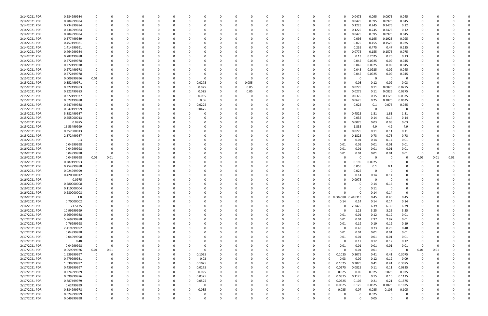| 2/14/2021 PDR | 0.284999984 |             |          |          |          |          |          |          |          |              |          |          |          |          |          |                     | 0.0475   | 0.095    | 0.0975         | 0.045                   |                |          |          |  |
|---------------|-------------|-------------|----------|----------|----------|----------|----------|----------|----------|--------------|----------|----------|----------|----------|----------|---------------------|----------|----------|----------------|-------------------------|----------------|----------|----------|--|
| 2/14/2021 PDR | 0.284999984 |             |          | $\Omega$ |          |          | 0        |          |          | <sup>0</sup> | $\Omega$ |          | 0        | -0       | - 0      |                     | 0.0475   | 0.095    | 0.0975         | 0.045                   | 0              |          |          |  |
| 2/14/2021 PDR | 0.734999984 |             |          |          |          |          |          |          |          |              |          |          |          |          |          |                     | 0.1225   | 0.245    | 0.2475         | 0.12                    |                |          |          |  |
| 2/14/2021 PDR | 0.734999984 |             |          |          |          |          |          |          |          |              |          |          |          |          |          |                     | 0.1225   | 0.245    | 0.2475         | 0.12                    |                |          |          |  |
|               |             |             |          |          |          |          |          |          |          |              |          |          |          |          |          |                     |          |          |                |                         |                |          |          |  |
| 2/14/2021 PDR | 0.284999984 |             |          |          |          |          |          |          |          |              |          |          |          |          |          |                     | 0.0475   | 0.095    | 0.0975         | 0.045                   |                |          |          |  |
| 2/14/2021 PDR | 0.577499989 |             |          |          |          |          |          |          |          |              |          |          |          |          |          |                     | 0.095    | 0.195    | 0.1925         | 0.095                   |                |          |          |  |
| 2/14/2021 PDR | 0.457499981 |             |          |          |          |          |          |          |          |              |          |          |          |          |          |                     | 0.075    | 0.155    | 0.1525         | 0.075                   |                |          |          |  |
| 2/14/2021 PDR | 1.414999991 |             |          |          |          |          |          |          |          |              |          |          |          |          |          |                     | 0.235    | 0.475    | 0.47           | 0.235                   |                |          |          |  |
| 2/14/2021 PDR | 0.464999984 |             |          |          |          |          |          |          |          |              |          |          |          |          |          |                     | 0.0775   | 0.155    | 0.1575         | 0.075                   |                |          |          |  |
| 2/14/2021 PDR | 0.782499988 |             |          |          |          |          |          |          |          |              |          |          |          |          |          |                     | 0.13     | 0.2625   | 0.26           | 0.13                    |                |          |          |  |
| 2/14/2021 PDR | 0.272499978 |             |          |          |          |          |          |          |          |              |          |          |          |          |          | 0                   |          | 0.0925   | 0.09           | 0.045                   |                |          |          |  |
|               |             |             |          |          |          |          |          |          |          |              |          |          |          |          |          |                     | 0.045    |          |                |                         |                |          |          |  |
| 2/14/2021 PDR | 0.272499978 |             |          |          |          |          |          |          |          |              |          |          |          |          |          |                     | 0.045    | 0.0925   | 0.09           | 0.045                   |                |          |          |  |
| 2/14/2021 PDR | 0.272499978 |             |          |          |          |          |          |          |          |              |          |          |          |          |          |                     | 0.045    | 0.0925   | 0.09           | 0.045                   |                |          |          |  |
| 2/14/2021 PDR | 0.272499978 | 0           |          |          |          |          |          |          |          |              |          |          |          |          |          |                     | 0.045    | 0.0925   | 0.09           | 0.045                   |                |          |          |  |
| 2/15/2021 PDR | 0.009999996 | 0.01        |          |          |          |          |          |          |          |              |          |          |          |          |          |                     | O        | 0        | - 0            | 0                       |                |          |          |  |
| 2/15/2021 PDR | 0.352499971 |             |          |          |          | 0        | 0.0275   |          |          | 0.055        |          |          |          |          |          |                     | 0.03     | 0.12     | 0.09           | 0.03                    |                |          |          |  |
| 2/15/2021 PDR | 0.322499983 |             |          |          |          | 0        | 0.025    |          |          | 0.05         |          |          |          |          |          |                     | 0.0275   | 0.11     | 0.0825         | 0.0275                  |                |          |          |  |
|               |             |             |          |          |          |          |          |          |          |              |          |          |          |          |          |                     |          |          |                |                         |                |          |          |  |
| 2/15/2021 PDR | 0.322499983 |             |          |          |          | 0        | 0.025    |          |          | 0.05         |          |          |          |          |          |                     | 0.0275   | 0.11     | 0.0825         | 0.0275                  |                |          |          |  |
| 2/15/2021 PDR | 0.372499977 |             |          |          |          |          | 0.035    |          |          | C.           |          |          |          |          |          |                     | 0.0375   | 0.15     | 0.1125         | 0.0375                  |                |          |          |  |
| 2/15/2021 PDR | 0.622499988 |             |          |          |          |          | 0.06     |          |          |              |          |          |          |          |          |                     | 0.0625   | 0.25     | 0.1875         | 0.0625                  |                |          |          |  |
| 2/15/2021 PDR | 0.247499988 |             |          |          |          | 0        | 0.0225   |          |          |              |          |          |          |          |          |                     | 0.025    | 0.1      | 0.075          | 0.025                   |                |          |          |  |
| 2/15/2021 PDR | 0.047499999 |             |          |          |          | 0        | 0.0475   |          |          |              |          |          |          |          |          |                     | 0        | 0        | 0              | $\Omega$                |                |          |          |  |
| 2/15/2021 PDR | 5.882499987 |             |          |          |          |          |          |          |          |              |          |          |          |          |          |                     | 0.4525   | 1.81     | 1.81           | 1.81                    |                |          |          |  |
| 2/15/2021 PDR | 0.455000013 |             |          |          |          |          |          |          |          |              |          |          |          |          |          |                     | 0.035    | 0.14     | 0.14           | 0.14                    |                |          |          |  |
|               |             |             |          |          |          |          |          |          |          |              |          |          |          |          |          |                     |          |          |                |                         |                |          |          |  |
| 2/15/2021 PDR | 0.0975      |             |          |          |          |          |          |          |          |              |          |          |          |          |          |                     | 0.0075   | 0.03     | 0.03           | 0.03                    |                |          |          |  |
| 2/15/2021 PDR | 16.53499999 |             |          |          |          |          |          |          |          |              |          |          |          |          |          |                     | 1.835    | 4.9      | 4.9            | 4.9                     |                |          |          |  |
| 2/15/2021 PDR | 0.357500013 |             |          |          |          |          |          |          |          |              |          |          |          |          |          |                     | 0.0275   | 0.11     | 0.11           | 0.11                    |                |          |          |  |
| 2/15/2021 PDR | 2.372499987 |             |          |          |          |          |          |          |          |              |          |          |          |          |          |                     | 0.1825   | 0.73     | 0.73           | 0.73                    |                |          |          |  |
| 2/16/2021 PDR | 0.3         |             |          |          |          |          |          |          |          |              |          |          |          |          |          |                     | 0.01     | 0.14     | 0.14           | 0.01                    |                |          |          |  |
| 2/16/2021 PDR | 0.04999998  |             |          |          |          |          |          |          |          |              |          |          |          |          |          | 0.01                | 0.01     | 0.01     | 0.01           | 0.01                    |                |          |          |  |
| 2/16/2021 PDR | 0.04999998  |             |          |          |          |          |          |          |          |              |          |          |          |          |          | 0.01                | 0.01     | 0.01     | 0.01           | 0.01                    |                |          |          |  |
|               |             |             |          |          |          |          |          |          |          |              |          |          |          |          |          |                     |          |          |                |                         |                |          |          |  |
| 2/16/2021 PDR | 0.04999998  | - 0         |          |          |          |          |          |          |          |              |          |          |          |          |          | 0.01                | 0.01     | 0.01     | 0.01           | 0.01                    | 0              |          |          |  |
| 2/16/2021 PDR | 0.04999998  | 0.01        | 0.01     |          |          |          |          |          |          |              |          |          |          |          |          |                     | $\Omega$ | 0        | $\Omega$       | 0                       | 0.01           | 0.01     | 0.01     |  |
| 2/16/2021 PDR | 0.287499993 |             |          |          |          |          |          |          |          |              |          |          |          |          |          |                     | 0.195    | 0.0925   |                |                         |                |          |          |  |
| 2/16/2021 PDR | 0.254999988 |             |          |          |          |          |          |          |          |              |          |          |          |          |          |                     | 0.055    | 0.1      | 0.1            |                         |                |          |          |  |
| 2/16/2021 PDR | 0.024999999 |             |          |          |          |          |          |          |          |              |          |          |          |          |          |                     | 0.025    | 0        | $\Omega$       |                         |                |          |          |  |
| 2/16/2021 PDR | 0.420000012 |             |          |          |          |          |          |          |          |              |          |          |          |          |          |                     | 0.14     | 0.14     | 0.14           |                         |                |          |          |  |
| 2/16/2021 PDR | 0.0975      |             |          |          |          |          |          |          |          |              |          |          |          |          |          |                     | 0.0975   | $\Omega$ |                |                         |                |          |          |  |
| 2/16/2021 PDR | 0.280000008 |             |          |          |          |          |          |          |          |              |          |          |          |          |          |                     |          | 0.14     | 0.14           |                         |                |          |          |  |
|               |             |             |          |          |          |          |          |          |          |              |          |          |          |          |          |                     |          |          |                |                         |                |          |          |  |
| 2/16/2021 PDR | 0.110000004 |             |          |          |          |          |          |          |          |              |          |          |          |          |          |                     | 0        | 0.11     | - 0            |                         |                |          |          |  |
| 2/16/2021 PDR | 0.280000008 |             |          |          |          |          |          |          |          | 0            |          |          |          |          |          |                     | 0        | 0.14     | 0.14           | υ                       |                |          |          |  |
| 2/16/2021 PDR | 1.8         |             | 0        | $\Omega$ | $\Omega$ | 0        | $\Omega$ | O        | O        | $\Omega$     | $\Omega$ | $\Omega$ | $\Omega$ | $\Omega$ |          | 0 0.004688 0.445313 |          | 0.45     | 0.45           | 0.45                    | $\Omega$       |          |          |  |
| 2/16/2021 PDR | 0.70000002  |             | O        | $\Omega$ | O        | 0        | 0        |          |          | 0            | $\Omega$ | $\Omega$ | $\Omega$ | 0        | $\Omega$ | 0.14                | 0.14     | 0.14     | 0.14           | 0.14                    | 0              |          |          |  |
| 2/16/2021 PDR | 21.5175     |             |          |          |          | 0        | 0        |          |          | 0            | $\Omega$ |          |          | 0        |          | $\Omega$            | 2.3475   | 6.39     | 6.39           | 6.39                    | 0              |          |          |  |
| 2/16/2021 PDR | 10.99999999 |             |          |          |          | 0        | 0        |          |          |              | $\Omega$ |          | $\Omega$ | 0        |          | $\Omega$            | 1.25     | 3.25     | 3.25           | 3.25                    | 0              |          |          |  |
| 2/17/2021 PDR | 0.269999988 |             |          |          |          |          | -0       |          |          |              | 0        |          |          |          |          | 0.01                | 0.01     | 0.12     | 0.12           | 0.01                    |                |          |          |  |
|               |             |             |          |          |          |          |          |          |          |              |          |          |          |          |          |                     |          |          |                |                         | $\Omega$       |          |          |  |
| 2/17/2021 PDR | 5.969999988 |             |          |          |          |          | 0        |          |          |              |          |          |          |          |          | 0.01                | 0.01     | 2.97     | 2.97           | 0.01                    |                |          |          |  |
| 2/17/2021 PDR | 0.76999998  |             |          |          |          |          |          |          |          |              | 0        |          |          |          |          | 0.01                | 0.19     | 0.19     | 0.19           | 0.19                    | 0              |          |          |  |
| 2/17/2021 PDR | 2.419999992 | $\Omega$    |          |          |          | 0        | 0        |          |          |              | $\Omega$ |          |          |          |          | - 0                 | 0.48     | 0.73     | 0.73           | 0.48                    | 0              |          |          |  |
| 2/17/2021 PDR | 0.04999998  |             |          |          |          | 0        | 0        |          |          |              | 0        |          |          |          |          | 0.01                | 0.01     | 0.01     | 0.01           | 0.01                    | 0              |          |          |  |
| 2/17/2021 PDR | 0.04999998  |             |          |          |          |          | 0        |          |          |              | $\Omega$ |          |          |          |          | 0.01                | 0.01     | 0.01     | 0.01           | 0.01                    |                |          |          |  |
| 2/17/2021 PDR | 0.48        |             |          |          |          |          | 0        |          |          |              |          |          |          |          |          | $\Omega$            | 0.12     | 0.12     | 0.12           | 0.12                    | 0              |          |          |  |
| 2/17/2021 PDR | 0.04999998  | $\Omega$    |          |          |          |          | 0        |          |          |              |          |          |          |          |          | 0.01                | 0.01     | 0.01     | $0.01\,$       | 0.01                    | $\overline{0}$ |          |          |  |
|               |             |             |          |          |          |          |          |          |          |              |          |          |          |          |          |                     |          |          |                |                         |                |          |          |  |
| 2/17/2021 PDR | 0.059999976 | 0.01        | 0.01     |          | $\Omega$ |          | 0        |          |          |              | 0        |          |          |          |          | $\Omega$            | 0.01     | 0.01     | $\overline{0}$ | $\overline{\mathbf{0}}$ | 0.01           | 0.01     |          |  |
| 2/17/2021 PDR | 1.639999997 | $\mathbf 0$ | 0        | 0        | 0        | 0        | 0.1025   |          |          |              | $\Omega$ |          | 0        | 0        |          | 0.1025              | 0.3075   | 0.41     | 0.41           | 0.3075                  | 0              | $\Omega$ |          |  |
| 2/17/2021 PDR | 0.479999981 | 0           | O        |          | $\Omega$ | $\Omega$ | 0.03     | 0        |          |              | $\Omega$ |          |          |          |          | 0.03                | 0.09     | 0.12     | 0.12           | 0.09                    | 0              |          |          |  |
| 2/17/2021 PDR | 1.639999997 |             |          |          | $\Omega$ | $\Omega$ | 0.1025   | 0        |          |              | $\Omega$ |          |          |          |          | 0.1025              | 0.3075   | 0.41     | 0.41           | 0.3075                  | 0              |          |          |  |
| 2/17/2021 PDR | 0.439999997 |             |          |          | 0        | 0        | 0.0275   |          |          |              | $\Omega$ |          |          |          |          | 0.0275              | 0.0825   | 0.11     | 0.11           | 0.0825                  | 0              |          |          |  |
| 2/17/2021 PDR | 0.274999989 |             |          |          | 0        | 0        | 0.025    |          |          |              |          |          |          |          |          | 0.025               | 0.05     | 0.025    | 0.075          | 0.075                   | 0              |          |          |  |
| 2/17/2021 PDR | 0.599999976 |             |          |          | $\Omega$ | 0        | 0.0375   |          |          |              |          |          |          |          |          | 0.0375              | 0.1125   | 0.15     | 0.15           | 0.1125                  | 0              |          |          |  |
| 2/17/2021 PDR |             |             |          |          |          |          |          |          |          |              |          |          |          |          |          |                     |          |          |                |                         |                |          |          |  |
|               | 0.787499979 |             |          |          | 0        | 0        | 0.0525   |          |          |              |          |          |          |          |          | 0.0525              | 0.105    | 0.21     | 0.21           | 0.1575                  | 0              |          |          |  |
| 2/17/2021 PDR | 0.62499999  |             |          |          | $\Omega$ |          | 0        |          |          |              | 0        |          |          |          |          | 0.0625              | 0.125    | 0.0625   | 0.1875         | 0.1875                  | 0              |          |          |  |
| 2/17/2021 PDR | 0.384999978 |             |          |          | 0        | 0        | 0.035    |          |          |              | 0        |          |          |          |          | 0.035               | 0.07     | 0.035    | 0.105          | 0.105                   | 0              |          |          |  |
| 2/17/2021 PDR | 0.024999999 |             |          |          |          |          | 0        |          |          |              |          |          |          |          |          |                     |          |          |                |                         |                |          |          |  |
|               |             |             |          |          |          |          |          |          |          |              |          |          |          |          |          |                     | O        | 0.025    |                | 0                       |                |          |          |  |
| 2/17/2021 PDR | 0.049999998 | $\Omega$    | $\Omega$ | $\Omega$ | $\Omega$ | $\Omega$ | $\Omega$ | $\Omega$ | $\Omega$ | $\Omega$     | $\Omega$ | $\Omega$ | $\Omega$ | $\Omega$ |          | $\Omega$            | $\Omega$ | 0.05     | $\Omega$       | $\mathbf 0$             | $\Omega$       |          | $\Omega$ |  |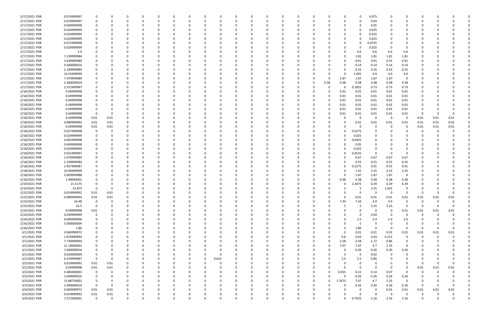| 2/17/2021 PDR                | 0.074999997                | 0                |          |          |          | 0        |          |          |          |       |          |          | $\Omega$ |          |          |          |          |          | 0               | 0.075            |               |                |              |          |          |  |
|------------------------------|----------------------------|------------------|----------|----------|----------|----------|----------|----------|----------|-------|----------|----------|----------|----------|----------|----------|----------|----------|-----------------|------------------|---------------|----------------|--------------|----------|----------|--|
| 2/17/2021 PDR                | 0.029999997                | 0                |          |          |          | $\Omega$ |          | $\Omega$ | n        |       |          | O        | 0        |          | $\Omega$ | n        |          | 0        | 0               | 0.03             |               | 0              | n            |          |          |  |
| 2/17/2021 PDR                | 0.049999998                |                  |          |          |          |          |          |          |          |       |          |          |          |          |          |          |          |          | 0               | 0.05             |               |                |              |          |          |  |
| 2/17/2021 PDR                | 0.024999999                |                  |          |          |          |          |          |          |          |       |          |          |          |          |          |          |          |          | 0               | 0.025            |               |                |              |          |          |  |
| 2/17/2021 PDR                | 0.024999999                |                  |          |          |          | $\Omega$ |          |          |          |       |          |          | 0        |          |          |          |          |          | 0               | 0.025            |               |                |              |          |          |  |
| 2/17/2021 PDR                | 0.024999999                |                  |          |          |          |          |          |          |          |       |          |          | 0        |          |          |          |          |          |                 | 0.025            |               |                |              |          |          |  |
| 2/17/2021 PDR                | 0.072499998                |                  |          |          |          |          |          |          |          |       |          |          | -0       |          |          |          |          |          |                 | 0.0725           |               |                |              |          |          |  |
| 2/17/2021 PDR                | 0.024999999                |                  |          |          |          | $\Omega$ |          |          |          |       |          |          | $\Omega$ |          |          |          |          | O        | 0               | 0.025            | $\Omega$      | 0              |              |          |          |  |
| 2/17/2021 PDR                | 2.4                        |                  |          |          |          |          |          |          |          |       |          |          | 0        |          |          |          |          |          | 0.6             | 0.6              | 0.6           | 0.6            |              |          |          |  |
| 2/17/2021 PDR                | 7.239999984                |                  |          |          |          |          |          |          |          |       |          |          |          |          |          |          |          |          | 1.81            | 1.81             | 1.81          | 1.81           |              |          |          |  |
| 2/17/2021 PDR                | 3.639999984                |                  |          |          |          | $\Omega$ |          |          |          |       |          |          | 0        |          |          |          |          | O        | 0.91            | 0.91             | 0.91          | 0.91           |              |          |          |  |
| 2/17/2021 PDR                | 0.560000016                | 0                |          |          |          |          |          |          |          |       |          |          | 0        |          |          |          |          | 0        | 0.14            | 0.14             | 0.14          | 0.14           |              |          |          |  |
| 2/17/2021 PDR                | 2.199999984                |                  |          |          |          | $\Omega$ |          |          |          |       |          |          | $\Omega$ |          |          |          |          |          | 0.55            | 0.55             | 0.55          | 0.55           |              |          |          |  |
| 2/17/2021 PDR                | 16.53499999                |                  |          |          |          | - 0      |          |          |          |       |          |          | -0       |          |          |          |          | $\Omega$ | 1.835           | 4.9              | 4.9           | 4.9            |              |          |          |  |
| 2/17/2021 PDR                | 7.479999984                |                  |          |          |          |          |          |          |          |       |          |          |          |          |          |          | 0        | 1.87     | 1.87            | 1.87             | 1.87          |                |              |          |          |  |
| 2/17/2021 PDR                | 2.280000024                |                  |          |          |          |          |          |          |          |       |          |          |          |          |          | 0        | 0.38     | 0.38     | 0.38            | 0.38             | 0.38          | 0.38           |              |          |          |  |
| 2/17/2021 PDR                | 2.372499987                |                  |          |          |          | $\Omega$ |          |          |          |       |          |          | $\Omega$ |          |          | 0        | 0        | 0        | 0.1825          | 0.73             | 0.73          | 0.73           |              |          |          |  |
| 2/18/2021 PDR                | 0.04999998                 |                  |          |          |          | - 0      |          |          |          |       |          |          | 0        |          |          |          |          | 0.01     | 0.01            | 0.01             | 0.01          | 0.01           |              |          |          |  |
| 2/18/2021 PDR                | 0.04999998                 |                  |          |          |          | $\Omega$ |          |          |          |       |          |          | 0        |          |          |          |          | 0.01     | 0.01            | 0.01             | 0.01          | 0.01           |              |          |          |  |
| 2/18/2021 PDR                | 0.04999998                 |                  |          |          |          | - 0      |          |          |          |       |          |          | -0       |          |          |          |          | 0.01     | 0.01            | 0.01             | 0.01          | 0.01           |              |          |          |  |
| 2/18/2021 PDR                | 0.04999998                 |                  |          |          |          | - 0      |          |          |          |       |          |          | -0       |          |          |          |          | 0.01     | 0.01            | 0.01             | 0.01          | 0.01           |              |          |          |  |
| 2/18/2021 PDR                | 0.04999998                 | 0                |          |          |          |          |          |          |          |       |          |          | 0        |          |          |          |          | 0.01     | 0.01            | 0.01             | 0.01          | 0.01           | C            |          |          |  |
| 2/18/2021 PDR                | 0.04999998                 | - 0              |          |          |          |          |          |          |          |       |          |          | $\Omega$ |          |          |          |          | 0.01     | 0.01            | 0.01             | 0.01          | 0.01           | -0           |          |          |  |
| 2/18/2021 PDR                | 0.04999998                 | 0.01             | 0.01     |          |          |          |          |          |          |       |          |          | -0       |          |          |          |          |          | 0               | 0                | $\Omega$      | $\Omega$       | 0.01         | 0.01     | 0.01     |  |
| 2/18/2021 PDR                | 0.089999964                | 0.01             | 0.01     |          |          |          |          |          |          |       |          |          |          |          |          |          |          |          | 0.01            | 0.01             | 0.01          | 0.01           | 0.01         | 0.01     | 0.01     |  |
| 2/18/2021 PDR                | 0.04999998                 | 0.01             | 0.01     |          |          |          |          |          |          |       |          |          | $\Omega$ |          |          |          |          |          | 0               | 0                |               |                | 0.01         | 0.01     | 0.01     |  |
| 2/18/2021 PDR                | 0.027499998                | - 0              |          |          |          |          |          |          |          |       |          |          | -0       |          |          |          |          |          | 0.0275          | 0                |               |                | C            |          |          |  |
| 2/18/2021 PDR                | 0.024999999                |                  |          |          |          |          |          |          |          |       |          |          |          |          |          |          |          |          | 0.025           |                  |               |                |              |          |          |  |
| 2/18/2021 PDR                | 0.042499998                |                  |          |          |          |          |          |          |          |       |          |          |          |          |          |          |          |          | 0.0425          |                  |               |                |              |          |          |  |
| 2/18/2021 PDR                | 0.049999998                |                  |          |          |          |          |          |          |          |       |          |          | -0       |          |          |          |          |          | 0.05            | 0                |               |                |              |          |          |  |
| 2/18/2021 PDR                | 0.024999999                |                  |          |          |          | $\Omega$ |          |          |          |       |          |          | 0        |          |          |          |          |          | 0.025           | 0                |               |                |              |          |          |  |
| 2/18/2021 PDR                | 0.052499997                |                  |          |          |          | - 0      |          |          |          |       |          |          | 0        |          |          |          |          |          | 0.0525          | 0                | $\Omega$      | 0              |              |          |          |  |
| 2/18/2021 PDR                | 2.679999984                |                  |          |          |          | $\Omega$ |          |          |          |       |          |          | $\Omega$ |          |          |          |          |          | 0.67            | 0.67             | 0.67          | 0.67           |              |          |          |  |
| 2/18/2021 PDR                | 2.199999984                |                  |          |          |          |          |          |          |          |       |          |          |          |          |          |          |          |          | 0.55            | 0.55             | 0.55          | 0.55           |              |          |          |  |
| 2/18/2021 PDR                | 2.957499987                |                  |          |          |          |          |          |          |          |       |          |          |          |          |          |          |          |          | .2275           | 0.91             | 0.91          | 0.91           |              |          |          |  |
| 2/18/2021 PDR                | 10.99999999                | 0                |          |          |          | $\Omega$ |          |          |          |       |          |          | 0        |          |          |          |          |          | 1.25            | 3.25             | 3.25          | 3.25           |              |          |          |  |
| 2/18/2021 PDR                | 5.609999988                | 0                |          |          |          |          |          |          |          |       |          |          | 0        |          |          |          |          | O        | 1.87            | 1.87             | 1.87          | - 0            |              |          |          |  |
| 2/18/2021 PDR                | 1.90000002                 |                  |          |          |          |          |          |          |          |       |          |          | $\Omega$ |          |          |          |          | 0.38     | 0.38            | 0.38             | 0.38          | 0.38           |              |          |          |  |
| 2/19/2021 PDR                | 21.5175                    |                  |          |          |          |          |          |          |          |       |          |          |          |          |          |          |          |          | .3475           | 6.39             | 6.39          | 6.39           |              |          |          |  |
| 2/19/2021 PDR                | 14.875                     | 0                |          |          |          | - 0      |          |          |          |       |          |          | $\Omega$ |          |          | n        |          | -5       | -5              | 3.25             | 1.625         | - 0            | <sup>0</sup> |          |          |  |
| 2/22/2021 PDR                | 0.019999992                | 0.01             | 0.01     |          |          |          |          |          |          |       |          |          |          |          |          |          |          |          | $\mathbf 0$     | $\mathbf 0$      | $\mathbf 0$   | $\mathbf 0$    |              |          |          |  |
| 2/23/2021 PDR                | 0.089999964                | 0.01             | 0.01     | $\Omega$ | $\Omega$ | $\Omega$ | $\Omega$ | $\Omega$ | $\Omega$ |       | $\Omega$ | $\Omega$ | $\Omega$ | $\Omega$ | $\Omega$ | $\Omega$ |          | $\Omega$ | 0.01            | 0.01             | 0.01          | 0.01           | 0.01         | 0.01     | 0.01     |  |
| 2/23/2021 PDR                | 24.48                      | 0                |          | 0        |          | $\Omega$ | $\Omega$ | $\Omega$ | 0        |       |          | 0        | 0        | $\Omega$ | $\Omega$ | 0        | $\Omega$ | 7.34     | 7.34            | 4.9              | 4.9           | $\overline{0}$ | 0            | $\Omega$ | $\Omega$ |  |
| 2/23/2021 PDR                | 16.5                       | 0                |          |          |          | 0        |          |          | 0        |       |          |          | 0        |          |          | 0        |          |          | 5               | 3.25             | 3.25          | $\Omega$       | 0            |          | 0        |  |
| 2/24/2021 PDR                | 0.04999998                 | 0.01             |          |          |          | $\Omega$ |          | $\Omega$ | 0        |       |          |          | 0        |          | $\Omega$ | 0        |          | $\Omega$ | $\Omega$        | $\mathbf 0$      | $\Omega$      | 0.01           | 0.01         | 0.01     | 0.01     |  |
| 2/24/2021 PDR                | 0.039999999                | 0                |          |          |          | $\Omega$ |          |          |          |       |          |          | 0        |          | 0        |          |          |          | 0               | 0.04             | 0             | 0              | -0           |          |          |  |
| 2/24/2021 PDR                | 9.699999996                | 0                |          |          |          | $\Omega$ |          |          |          |       |          |          | 0        |          |          |          |          |          | 2.5             | 2.4              | 2.4           | 2.4            | 0            |          |          |  |
| 2/26/2021 PDR                | 5.000000004                | 0                |          |          |          | $\Omega$ |          |          |          |       |          |          | $\Omega$ |          |          |          |          |          | 5               | $\Omega$         | $\Omega$      |                |              |          |          |  |
| 2/26/2021 PDR                | 1.86                       | 0                |          |          |          | $\Omega$ |          |          | 0        |       |          |          | 0        |          | $\Omega$ |          |          | $\Omega$ | 1.86            | $\mathbf 0$      | $\Omega$      | $\overline{0}$ | -0           |          | $\Omega$ |  |
| 3/1/2021 PDR                 | 0.069999972                | 0                |          |          |          | 0        |          |          | 0        |       |          |          | 0        |          |          |          |          | $\Omega$ | 0.01            | 0.01             | 0.01          | 0.01           | 0.01         | 0.01     | 0.01     |  |
| 3/1/2021 PDR                 | 1.874999994                | 0                |          |          |          | $\Omega$ |          |          | 0        |       |          |          | 0        |          |          |          |          | 0.6      | 0.63            | 0.43             | 0.215         | 0              | - 0          |          |          |  |
| 3/1/2021 PDR                 | 7.739999994                |                  |          |          |          | $\Omega$ |          |          |          |       |          |          | 0        |          |          |          | - 0      | 2.58     | 2.58            | 1.72             | 0.86          | 0              |              |          |          |  |
| 3/1/2021 PDR                 | 21.19000001                |                  |          |          |          | 0        |          |          |          |       |          |          | 0        |          |          |          |          | 7.07     | 7.07            | 4.7              | 2.35          | 0              |              |          |          |  |
| 3/1/2021 PDR                 | 1.040000016                | 0                |          |          |          | 0        |          |          | 0        |       |          |          | 0        |          |          | 0        |          | $\Omega$ | 0.26            | 0.26             | 0.26          | 0.26           |              |          |          |  |
|                              |                            |                  |          |          |          |          |          |          |          |       |          |          |          |          |          |          |          | $\Omega$ |                 |                  |               |                |              |          |          |  |
| 3/1/2021 PDR<br>3/1/2021 PDR | 0.020000004<br>6.474999987 | 0<br>$\mathbf 0$ |          |          |          | 0<br>0   |          | 0        | 0<br>0   |       |          |          | 0<br>0   |          | 0        | 0<br>0   |          | 2.5      | 0               | 0.02             | 0<br>$\Omega$ | 0              | 0<br>0       |          |          |  |
|                              |                            |                  |          |          |          |          |          |          |          | 0.625 |          |          |          |          |          |          |          |          | 2.5<br>$\Omega$ | 0.85<br>$\Omega$ |               |                |              |          | $\Omega$ |  |
| 3/2/2021 PDR                 | 0.019999992                | 0.01             | 0.01     |          |          | $\Omega$ |          |          | 0        |       |          |          | $\Omega$ |          | 0        |          |          | $\Omega$ | $\Omega$        |                  | $\Omega$      | 0              | -0           |          |          |  |
| 3/2/2021 PDR                 | 0.04999998                 | 0.01             | 0.01     |          |          | $\Omega$ |          |          | 0        |       |          |          | 0        |          |          |          |          |          |                 | $\mathbf 0$      |               | 0              | 0.01         | 0.01     | 0.01     |  |
| 3/2/2021 PDR                 | 0.485000001                | $\mathbf 0$      |          |          |          | 0        |          |          |          |       |          |          | 0        |          |          |          |          | 0.055    | 0.22            | 0.14             | 0.07          |                | -0           |          |          |  |
| 3/2/2021 PDR                 | 1.040000016                | 0                |          |          |          | $\Omega$ |          |          |          |       |          |          | $\Omega$ |          |          | 0        |          | $\Omega$ | 0.26            | 0.26             | 0.26          | 0.26           | 0            |          |          |  |
| 3/3/2021 PDR                 | 15.88750001                | 0                |          |          |          | $\Omega$ |          |          |          |       |          |          | $\Omega$ |          |          | 0        |          | 1.7675   | 7.07            | 4.7              | 2.35          | 0              |              |          |          |  |
| 3/3/2021 PDR                 | 1.040000016                | $\mathbf 0$      |          |          |          | 0        |          |          | 0        |       |          |          | 0        |          |          | n        |          |          | 0.26            | 0.26             | 0.26          | 0.26           | 0            |          | ŋ        |  |
| 3/4/2021 PDR                 | 0.069999972                | 0.01             | 0.01     |          |          | $\Omega$ |          |          | 0        |       |          |          | $\Omega$ |          | 0        |          |          | O        | 0               | 0                | 0.01          | 0.01           | 0.01         | 0.01     | 0.01     |  |
| 3/4/2021 PDR                 | 0.019999992                | 0.01             | 0.01     |          |          | 0        | $\Omega$ | $\Omega$ |          |       |          |          | 0        | $\Omega$ | $\Omega$ |          |          |          |                 | $\Omega$         | $\Omega$      | $\Omega$       | 0            |          |          |  |
| 3/4/2021 PDR                 | 7.272500001                | $\mathbf 0$      | $\Omega$ | $\Omega$ | $\Omega$ | $\Omega$ |          |          | $\Omega$ |       | $\Omega$ | $\Omega$ | $\Omega$ |          |          | 0        |          | 0        | 0.7925          | 2.16             | 2.16          | 2.16           | $\Omega$     |          | $\Omega$ |  |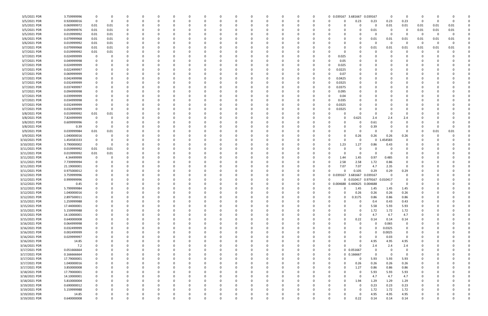| 3/5/2021 PDR  | 3.759999996 | - 0            |             |          |   |   |          |          |             | C        |   |          |          |          |          | 0 0.039167 3.681667 0.039167 |             |                              | 0             | 0              | O           |      |          |  |
|---------------|-------------|----------------|-------------|----------|---|---|----------|----------|-------------|----------|---|----------|----------|----------|----------|------------------------------|-------------|------------------------------|---------------|----------------|-------------|------|----------|--|
| 3/5/2021 PDR  | 0.920000016 | 0              | 0           |          |   |   |          |          |             |          |   |          |          |          | $\Omega$ |                              | 0.23        | 0.23                         | 0.23          | 0.23           | - 0         |      | $\Omega$ |  |
| 3/5/2021 PDR  | 0.069999972 | 0.01           | 0.01        |          |   |   |          |          |             |          |   |          |          |          |          |                              | 0           | 0                            | 0.01          | 0.01           | 0.01        | 0.01 | 0.01     |  |
| 3/5/2021 PDR  | 0.059999976 | 0.01           | 0.01        |          |   |   |          |          |             |          |   |          |          |          |          |                              |             | 0.01                         |               | 0              | 0.01        | 0.01 | 0.01     |  |
| 3/5/2021 PDR  | 0.019999992 | 0.01           | 0.01        |          |   |   |          |          |             |          |   |          |          |          |          |                              |             | C                            |               | 0              | - 0         |      |          |  |
| 3/6/2021 PDR  | 0.079999968 | 0.01           | 0.01        |          |   |   |          |          |             |          |   |          |          |          |          |                              |             | 0.01                         | 0.01          | 0.01           | 0.01        | 0.01 | 0.01     |  |
| 3/6/2021 PDR  | 0.019999992 | 0.01           | 0.01        |          |   |   |          |          |             |          |   |          |          |          |          |                              |             | 0                            | $\Omega$      | $\Omega$       | 0           | -0   |          |  |
| 3/7/2021 PDR  | 0.079999968 | 0.01           | 0.01        |          |   |   |          |          |             |          |   |          |          |          |          |                              |             | 0.01                         | 0.01          | 0.01           | 0.01        | 0.01 | 0.01     |  |
| 3/7/2021 PDR  | 0.019999992 | $0.01\,$       | 0.01        |          |   |   |          |          |             |          |   |          |          |          |          |                              |             |                              |               |                | C           |      |          |  |
|               |             |                |             |          |   |   |          |          |             |          |   |          |          |          |          |                              |             |                              |               |                |             |      |          |  |
| 3/7/2021 PDR  | 0.024999999 | 0              |             |          |   |   |          |          |             |          |   |          |          |          |          | 0.025                        |             |                              |               |                |             |      |          |  |
| 3/7/2021 PDR  | 0.049999998 |                |             |          |   |   |          |          |             |          |   |          |          |          |          | 0.05                         |             |                              |               |                |             |      |          |  |
| 3/7/2021 PDR  | 0.024999999 |                |             |          |   |   |          |          |             |          |   |          |          |          |          | 0.025                        |             |                              |               |                |             |      |          |  |
| 3/7/2021 PDR  | 0.022499997 |                |             |          |   |   |          |          |             |          |   |          |          |          |          | 0.0225                       |             |                              |               |                |             |      |          |  |
| 3/7/2021 PDR  | 0.069999999 |                |             |          |   |   |          |          |             |          |   |          |          |          |          | 0.07                         |             |                              |               |                |             |      |          |  |
| 3/7/2021 PDR  | 0.042499998 |                |             |          |   |   |          |          |             |          |   |          |          |          |          | 0.0425                       |             |                              |               |                |             |      |          |  |
| 3/7/2021 PDR  | 0.032499999 |                |             |          |   |   |          |          |             |          |   |          |          |          |          | 0.0325                       |             |                              |               |                |             |      |          |  |
| 3/7/2021 PDR  | 0.037499997 |                |             |          |   |   |          |          |             |          |   |          |          |          |          | 0.0375                       |             |                              |               |                |             |      |          |  |
| 3/7/2021 PDR  | 0.094999998 |                |             |          |   |   |          |          |             |          |   |          |          |          |          | 0.095                        |             |                              |               |                |             |      |          |  |
| 3/7/2021 PDR  | 0.039999999 |                |             |          |   |   |          |          |             |          |   |          |          |          |          | 0.04                         |             |                              |               |                |             |      |          |  |
| 3/7/2021 PDR  | 0.034999998 |                |             |          |   |   |          |          |             |          |   |          |          |          |          | 0.035                        |             |                              |               |                |             |      |          |  |
| 3/7/2021 PDR  | 0.032499999 |                |             |          |   |   |          |          |             |          |   |          |          |          |          | 0.0325                       |             |                              |               |                |             |      |          |  |
| 3/7/2021 PDR  | 0.032499999 | 0              |             |          |   |   |          |          |             |          |   |          |          |          |          | 0.0325                       |             |                              |               |                |             |      |          |  |
| 3/8/2021 PDR  | 0.019999992 | 0.01           | 0.01        |          |   |   |          |          |             |          |   |          |          |          |          |                              |             | 0                            |               |                |             |      |          |  |
| 3/8/2021 PDR  | 7.824999999 | - 0            |             |          |   |   |          |          |             |          |   |          |          |          |          |                              |             |                              |               |                |             |      |          |  |
|               |             |                |             |          |   |   |          |          |             |          |   |          |          |          |          |                              | 0.625       | 2.4                          | 2.4           | 2.4            |             |      |          |  |
| 3/8/2021 PDR  | 0.609999996 | - 0            |             |          |   |   |          |          |             |          |   |          |          |          |          |                              |             | 0.61                         |               | 0              |             |      |          |  |
| 3/8/2021 PDR  | 0.39        | - 0            |             |          |   |   |          |          |             |          |   |          |          |          |          |                              |             | 0.39                         |               |                |             |      |          |  |
| 3/9/2021 PDR  | 0.039999984 | 0.01           | 0.01        |          |   |   |          |          |             |          |   |          |          |          |          |                              | 0           | 0                            |               | 0              | C           | 0.01 | 0.01     |  |
| 3/9/2021 PDR  | 1.040000016 | 0              |             |          |   |   |          |          |             |          |   |          |          |          |          |                              | 0.26        | 0.26                         | 0.26          | 0.26           |             |      |          |  |
| 3/10/2021 PDR | 1.454583333 | - 0            |             |          |   |   |          |          |             |          |   |          |          |          |          |                              | 0           | 0                            | .454583<br>-1 | 0              |             |      |          |  |
| 3/10/2021 PDR | 3.790000002 | 0              |             |          |   |   |          |          |             |          |   |          |          |          |          | 1.23                         | 1.27        | 0.86                         | 0.43          | O              |             |      |          |  |
| 3/11/2021 PDR | 0.019999992 | 0.01           | 0.01        |          |   |   |          |          |             |          |   |          |          |          |          |                              | O           | <sup>r</sup>                 |               | 0              |             |      |          |  |
| 3/11/2021 PDR | 0.019999992 | 0.01           | 0.01        |          |   |   |          |          |             |          |   |          |          |          |          |                              | 0           | 0                            |               |                |             |      |          |  |
| 3/11/2021 PDR | 4.34499999  | - 0            |             |          |   |   |          |          |             |          |   |          |          |          |          | 1.44                         | 1.45        | 0.97                         | 0.485         |                |             |      |          |  |
| 3/11/2021 PDR | 7.739999994 | -0             |             |          |   |   |          |          |             |          |   |          |          |          |          | 2.58                         | 2.58        | 1.72                         | 0.86          | 0              |             |      |          |  |
| 3/11/2021 PDR | 21.19000001 |                |             |          |   |   |          |          |             |          |   |          |          |          |          | 7.07                         | 7.07        | 4.7                          | 2.35          | $\Omega$       |             |      |          |  |
| 3/11/2021 PDR | 0.975000012 |                |             |          |   |   |          |          |             |          |   |          |          |          |          | -0                           | 0.105       | 0.29                         | 0.29          | 0.29           |             |      |          |  |
| 3/12/2021 PDR | 3.759999996 |                |             |          |   |   |          |          |             |          |   |          |          |          |          | 0 0.039167 3.681667          |             | 0.039167                     |               |                |             |      |          |  |
| 3/12/2021 PDR | 0.999999996 |                |             |          |   |   |          |          |             |          |   |          |          |          |          |                              |             | 0 0.010417 0.979167 0.010417 |               |                |             |      |          |  |
| 3/12/2021 PDR | 0.45        |                |             |          |   |   |          |          |             |          |   |          |          |          |          | 0.004688<br>0                | 0.440625    | 0.004688                     |               |                |             |      |          |  |
| 3/12/2021 PDR |             | -0             |             |          |   |   |          |          |             |          |   |          |          |          | 0        | 0<br>0                       |             | 1.45                         | 1.45          | 1.45           |             |      |          |  |
|               | 5.799999984 |                |             |          |   |   |          |          |             |          |   |          |          |          | $\Omega$ | $\sqrt{ }$<br>$\cap$         | 1.45        |                              |               |                |             |      |          |  |
| 3/12/2021 PDR | 1.040000016 | 0              |             |          |   |   |          |          |             |          |   |          |          |          |          |                              | 0.26        | 0.26                         | 0.26          | 0.26           |             |      |          |  |
| 3/12/2021 PDR | 2.897500011 | $\mathbf 0$    | $\Omega$    | - 0      | 0 |   | $\Omega$ |          | 0           | 0        | 0 | 0        | $\Omega$ |          | $\Omega$ | $\Omega$<br>0                | 0.3175      | 0.86                         | 0.86          | 0.86           | 0           |      |          |  |
| 3/15/2021 PDR | 1.259999988 | $\mathbf 0$    | O           |          | 0 |   |          |          | 0           | $\Omega$ | 0 | 0        |          |          | $\Omega$ | $\Omega$                     | 0           | 0.4                          | 0.43          | 0.43           | 0           |      |          |  |
| 3/15/2021 PDR | 17.44000001 | 0              |             |          |   |   |          |          | $\Omega$    |          |   | 0        |          |          |          |                              | 0           | 5.58                         | 5.93          | 5.93           | 0           |      |          |  |
| 3/15/2021 PDR | 5.159999988 | $\mathbf 0$    |             |          |   |   |          |          | 0           |          |   |          |          |          |          |                              | 0           | 1.72                         | 1.72          | 1.72           |             |      |          |  |
| 3/15/2021 PDR | 14.10000001 | 0              |             |          |   |   |          |          | 0           |          |   |          |          |          |          |                              | 0           | 4.7                          | 4.7           | 4.7            | $\Omega$    |      |          |  |
| 3/15/2021 PDR | 0.640000008 | $\overline{0}$ |             |          |   |   |          |          | 0           |          |   | $\Omega$ |          |          |          | 0<br>0                       | 0.22        | 0.14                         | 0.14          | 0.14           | 0           |      |          |  |
| 3/16/2021 PDR | 0.064999998 | $\mathbf 0$    | 0           |          |   |   |          |          | 0           | 0        |   | 0        |          |          |          |                              | 0           | $\Omega$                     | 0.065         | $\mathbf 0$    | O           |      |          |  |
| 3/16/2021 PDR | 0.032499999 | 0              | $\Omega$    |          |   |   |          |          | 0           | 0        |   | 0        |          | $\Omega$ |          | $\Omega$                     |             | $\Omega$                     | 0.0325        | 0              | $\Omega$    |      |          |  |
| 3/16/2021 PDR | 0.002499999 | $\mathbf 0$    | $\Omega$    |          |   |   |          |          | 0           | 0        |   | $\Omega$ |          | $\Omega$ |          |                              |             | $\Omega$                     | 0.0025        | 0              | 0           |      |          |  |
| 3/16/2021 PDR | 0.029999997 | $\mathbf 0$    |             |          |   |   |          |          | 0           |          |   | 0        |          |          |          |                              |             | $\mathbf 0$                  | 0.03          | $\mathbf 0$    |             |      |          |  |
| 3/16/2021 PDR | 14.85       | $\mathbf 0$    |             |          |   |   |          |          | 0           |          |   | 0        |          |          |          |                              | 0           | 4.95                         | 4.95          | 4.95           | 0           |      |          |  |
| 3/16/2021 PDR | 7.2         | $\mathbf 0$    |             |          |   |   |          |          | 0           |          |   | 0        |          |          |          | 0                            | $\Omega$    | 2.4                          | 2.4           | 2.4            | 0           |      |          |  |
| 3/17/2021 PDR | 0.051666664 | $\mathbf 0$    |             |          |   |   |          |          | 0           |          |   | 0        |          |          |          | $\Omega$                     | 0 0.051667  | 0                            | $\Omega$      | $\overline{0}$ | 0           |      |          |  |
| 3/17/2021 PDR | 0.166666664 | $\mathbf 0$    |             |          |   |   |          |          | 0           | n        |   | 0        |          |          |          | $\Omega$                     | 0 0.166667  | $\mathbf 0$                  | $\Omega$      | $\overline{0}$ | 0           |      |          |  |
| 3/17/2021 PDR | 17.79000001 | $\mathbf 0$    | $\Omega$    |          |   |   |          |          | 0           | 0        |   | 0        |          | $\Omega$ | 0        | $\Omega$<br>U                | - 0         | 5.93                         | 5.93          | 5.93           | 0           |      |          |  |
|               | 1.040000016 | 0              |             |          |   |   |          |          | 0           |          |   | 0        |          |          |          | 0<br>0                       |             |                              | 0.26          | 0.26           |             |      |          |  |
| 3/17/2021 PDR |             |                |             |          |   |   |          |          |             |          |   |          |          |          |          |                              | 0.26        | 0.26                         |               |                |             |      |          |  |
| 3/17/2021 PDR | 3.850000008 | $\mathbf 0$    |             |          |   |   |          |          | $\Omega$    |          |   | 0        |          |          |          | $\Omega$                     | 1.27        | 0.86                         | 0.86          | 0.86           | $\Omega$    |      |          |  |
| 3/18/2021 PDR | 17.79000001 | $\mathbf 0$    |             |          |   |   |          |          | 0           |          |   | $\Omega$ |          |          |          |                              | 0           | 5.93                         | 5.93          | 5.93           | 0           |      |          |  |
| 3/18/2021 PDR | 14.10000001 | $\mathbf 0$    |             |          |   |   |          |          | 0           |          |   | 0        |          |          |          |                              | $\mathbf 0$ | 4.7                          | 4.7           | 4.7            | 0           |      |          |  |
| 3/18/2021 PDR | 5.810000004 | $\mathbf 0$    | $\Omega$    |          |   |   |          |          | 0           | $\Omega$ |   | 0        |          | $\Omega$ |          | $\Omega$                     | 1.94        | 1.29                         | 1.29          | 1.29           | 0           |      |          |  |
| 3/19/2021 PDR | 0.690000012 | 0              | $\Omega$    |          |   |   |          |          | 0           | 0        |   | $\Omega$ |          |          |          |                              | $\Omega$    | 0.23                         | 0.23          | 0.23           | 0           |      |          |  |
| 3/19/2021 PDR | 5.159999988 | $\mathbf 0$    |             |          |   |   |          |          | 0           |          |   |          |          |          |          |                              | $\Omega$    | 1.72                         | 1.72          | 1.72           | 0           |      |          |  |
| 3/19/2021 PDR | 14.85       |                |             |          |   |   |          |          | 0           |          |   |          |          |          |          |                              | 0           | 4.95                         | 4.95          | 4.95           |             |      |          |  |
| 3/19/2021 PDR | 0.640000008 | $\mathbf 0$    | $\mathbf 0$ | $\Omega$ | 0 | 0 | $\Omega$ | $\Omega$ | $\mathbf 0$ | 0        | 0 | 0        | $\Omega$ | $\Omega$ | $\Omega$ | U<br>0                       | 0.22        | 0.14                         | 0.14          | 0.14           | $\mathbf 0$ |      | 0        |  |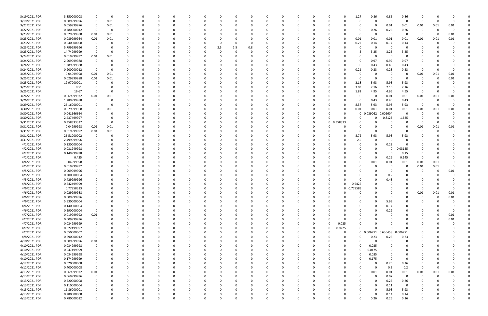| 3/19/2021 PDR | 3.850000008 |                | $\Omega$ |          |          |          |          |    |     |             |          | $\Omega$ |          |          |   |                   | 1.27          | 0.86                | 0.86     | 0.86                    |             |          |          |  |
|---------------|-------------|----------------|----------|----------|----------|----------|----------|----|-----|-------------|----------|----------|----------|----------|---|-------------------|---------------|---------------------|----------|-------------------------|-------------|----------|----------|--|
| 3/19/2021 PDR | 0.009999996 | 0              | 0.01     |          |          |          |          |    |     |             |          | 0        |          |          |   |                   | 0             | 0                   | 0        | 0                       | 0           |          |          |  |
| 3/22/2021 PDR | 0.059999976 | 0              | 0.01     |          |          |          |          |    |     |             |          |          |          |          |   |                   |               | 0                   | 0.01     | 0.01                    | 0.01        | 0.01     | 0.01     |  |
| 3/22/2021 PDR | 0.780000012 | $\mathbf 0$    | $\Omega$ |          |          |          |          |    |     |             |          | - 0      |          |          |   |                   | 0             | 0.26                | 0.26     | 0.26                    | 0           | -0       |          |  |
|               |             |                |          |          |          |          |          |    |     |             |          |          |          |          |   |                   |               |                     |          |                         |             |          |          |  |
| 3/23/2021 PDR | 0.029999988 | 0.01           | 0.01     |          |          |          |          |    |     |             |          | 0        |          |          |   |                   |               | 0                   | $\Omega$ | - 0                     | - 0         | -0       | 0.01     |  |
| 3/23/2021 PDR | 0.089999964 | 0.01           | 0.01     |          |          |          |          |    |     |             |          |          |          |          |   |                   | 0.01          | 0.01                | 0.01     | 0.01                    | 0.01        | 0.01     | 0.01     |  |
| 3/23/2021 PDR | 0.640000008 | - 0            |          |          |          |          |          |    |     |             | 0        |          |          |          |   |                   | 0.22          | 0.14                | 0.14     | 0.14                    | -0          |          |          |  |
| 3/23/2021 PDR | 5.799999996 | 0              |          |          |          |          |          |    | 2.5 | 2.5         | 0.8      |          |          |          |   |                   |               | 0                   | - 0      | - 0                     |             |          |          |  |
| 3/23/2021 PDR | 14.74999999 | - 0            |          |          |          |          |          |    |     |             |          |          |          |          |   |                   |               | 3.25                | 3.25     | 3.25                    |             |          |          |  |
| 3/24/2021 PDR | 0.019999992 | 0.01           | 0.01     |          |          |          |          |    |     |             |          |          |          |          |   |                   |               | $\Omega$            | $\Omega$ | $\Omega$                |             |          |          |  |
| 3/24/2021 PDR | 2.909999988 | - 0            |          |          |          |          |          |    |     |             |          |          |          |          |   |                   |               | 0.97                | 0.97     | 0.97                    |             |          |          |  |
|               |             |                |          |          |          |          |          |    |     |             |          |          |          |          |   |                   |               |                     |          |                         |             |          |          |  |
| 3/24/2021 PDR | 1.289999988 | 0              |          |          |          |          |          |    |     |             |          |          |          |          |   |                   | 0             | 0.43                | 0.43     | 0.43                    |             |          |          |  |
| 3/24/2021 PDR | 0.900000012 | 0              |          |          |          |          |          |    |     |             |          | - 0      |          |          |   |                   | 0.21          | 0.23                | 0.23     | 0.23                    | -0          |          |          |  |
| 3/25/2021 PDR | 0.04999998  | 0.01           | 0.01     |          |          |          |          |    |     |             |          |          |          |          |   |                   | 0             | -0                  | - 0      | 0                       | 0.01        | 0.01     | 0.01     |  |
| 3/25/2021 PDR | 0.029999988 | 0.01           | 0.01     |          |          |          |          |    |     |             |          |          |          |          |   |                   |               | $\Omega$            | - 0      | 0                       | 0           | 0        | 0.01     |  |
| 3/25/2021 PDR | 19.97000001 | 0              |          |          |          |          |          |    |     |             |          |          |          |          |   |                   | 2.18          | 5.93                | 5.93     | 5.93                    | C           |          |          |  |
| 3/25/2021 PDR | 9.51        | 0              |          |          |          |          |          |    |     |             |          |          |          |          |   |                   | 3.03          | 2.16                | 2.16     | 2.16                    | C           |          |          |  |
| 3/25/2021 PDR |             | - 0            |          |          |          |          |          |    |     |             |          |          |          |          |   |                   | 1.82          |                     | 4.95     | 4.95                    | - 0         |          |          |  |
|               | 16.67       |                |          |          |          |          |          |    |     |             |          |          |          |          |   |                   |               | 4.95                |          |                         |             |          |          |  |
| 3/26/2021 PDR | 0.069999972 | 0.01           | 0.01     |          |          |          |          |    |     |             |          | - 0      |          |          |   |                   | 0             | 0                   | 0.01     | 0.01                    | 0.01        | 0.01     | 0.01     |  |
| 3/26/2021 PDR | 1.289999988 | $\Omega$       |          |          |          |          |          |    |     |             |          |          |          |          |   |                   | 0             | 0.43                | 0.43     | 0.43                    | - 0         |          |          |  |
| 3/29/2021 PDR | 26.16000001 |                |          |          |          |          |          |    |     |             |          |          |          |          |   |                   | 8.37          | 5.93                | 5.93     | 5.93                    | - 0         |          | $\Omega$ |  |
| 3/30/2021 PDR | 0.079999968 | 0              | 0.01     |          |          |          |          |    |     |             |          |          |          |          |   |                   | 0.01          | 0.01                | 0.01     | 0.01                    | 0.01        | 0.01     | 0.01     |  |
| 3/30/2021 PDR | 0.041666664 | 0              |          |          |          |          |          |    |     |             |          |          |          |          |   |                   | 0             | 0.039062            | 0.002604 | $\Omega$                |             |          |          |  |
| 3/30/2021 PDR | 2.437499997 | 0              |          |          |          |          |          |    |     |             |          | 0        |          |          | 0 |                   |               | 0                   | 0.8125   | 1.625                   | O           |          |          |  |
|               |             |                |          |          |          |          |          |    |     |             |          |          |          |          |   |                   |               |                     |          |                         |             |          |          |  |
| 3/31/2021 PDR | 0.358333337 | $\overline{0}$ | 0        |          |          |          |          |    |     |             |          | 0        |          |          | 0 | 0 0.358333        |               | 0                   |          | - 0                     | 0           | $\Omega$ |          |  |
| 3/31/2021 PDR | 0.04999998  | 0.01           | 0.01     |          |          |          |          |    |     |             |          |          |          |          |   |                   |               | $\Omega$            |          | 0                       | 0.01        | 0.01     | 0.01     |  |
| 3/31/2021 PDR | 0.019999992 | 0.01           | 0.01     |          |          |          |          |    |     |             |          |          |          |          |   |                   | 0             | $\Omega$            |          | $\Omega$                | 0           | -0       |          |  |
| 3/31/2021 PDR | 26.51000002 | 0              |          |          |          |          |          |    |     |             |          |          |          |          |   |                   | 8.72          | 5.93                | 5.93     | 5.93                    |             |          |          |  |
| 3/31/2021 PDR | 2.499999996 | 0              |          |          |          |          |          |    |     |             |          |          |          |          |   |                   | 2.5           | $\Omega$            | $\Omega$ | $\Omega$                |             |          |          |  |
| 4/1/2021 PDR  | 0.230000004 | 0              |          |          |          |          |          |    |     |             |          | 0        |          |          |   |                   |               | 0                   | 0.23     | $\Omega$                |             |          |          |  |
| 4/2/2021 PDR  | 0.031249998 |                |          |          |          |          |          |    |     |             |          |          |          |          |   |                   |               | 0                   |          | 0.03125                 |             |          |          |  |
|               |             |                |          |          |          |          |          |    |     |             |          |          |          |          |   |                   |               |                     |          |                         |             |          |          |  |
| 4/2/2021 PDR  | 0.149999998 |                |          |          |          |          |          |    |     |             |          |          |          |          |   |                   |               | 0                   |          | 0.15                    |             |          |          |  |
| 4/2/2021 PDR  | 0.435       |                |          |          |          |          |          |    |     |             |          | 0        |          |          |   |                   |               | $\Omega$            | 0.29     | 0.145                   | - 0         |          |          |  |
| 4/4/2021 PDR  | 0.04999998  |                |          |          |          |          |          |    |     |             |          |          |          |          |   |                   | O             | 0.01                | 0.01     | 0.01                    | 0.01        | 0.01     |          |  |
| 4/5/2021 PDR  | 0.019999992 |                |          |          |          |          |          |    |     |             |          |          |          |          |   |                   |               |                     |          | $\Omega$                | 0.01        | 0.01     |          |  |
| 4/5/2021 PDR  | 0.009999996 | -0             |          |          |          |          |          |    |     |             |          | 0        |          |          |   |                   |               | 0                   |          | 0                       | C           |          | 0.01     |  |
| 4/5/2021 PDR  | 0.200000004 |                |          |          |          |          |          |    |     |             |          | -0       |          |          |   |                   |               | 0                   | 0.2      |                         |             |          |          |  |
| 4/5/2021 PDR  | 0.429999996 |                |          |          |          |          |          |    |     |             |          | - 0      |          |          |   |                   |               | $\Omega$            | 0.43     |                         |             |          |          |  |
|               |             |                |          |          |          |          |          |    |     |             |          |          |          |          |   |                   |               |                     |          |                         |             |          |          |  |
| 4/6/2021 PDR  | 0.542499999 |                |          |          |          |          |          |    |     |             |          | - 0      |          |          |   |                   | 0.5425        |                     |          |                         |             |          |          |  |
| 4/6/2021 PDR  | 0.77958333  | $\Omega$       |          |          |          |          |          |    |     |             |          |          |          |          |   |                   | 0 0.779583    | $\Omega$            |          |                         |             |          |          |  |
| 4/6/2021 PDR  | 0.029999988 |                |          |          |          |          |          |    |     |             |          |          |          |          |   |                   |               | $\sim$              |          |                         | 0.01        | 0.01     | 0.01     |  |
| 4/6/2021 PDR  | 0.009999996 | 0              | $\Omega$ | 0        | $\Omega$ | $\Omega$ | $\Omega$ | 0  |     | 0           | $\Omega$ | $\Omega$ | $\Omega$ | $\Omega$ | 0 |                   | 0<br>0        | $\Omega$            | $\Omega$ | $\Omega$                | 0           | $\Omega$ | $0.01\,$ |  |
| 4/6/2021 PDR  | 5.930000004 | 0              |          | 0        |          |          |          | 0  |     |             |          | 0        |          |          | 0 |                   |               | 0                   | 5.93     | 0                       | 0           |          |          |  |
| 4/6/2021 PDR  | 0.140000004 | 0              |          |          |          |          |          | -0 |     |             |          | $\Omega$ |          |          | 0 |                   |               | $\Omega$            | 0.14     | 0                       | O           |          |          |  |
| 4/6/2021 PDR  | 0.290000004 | $\mathbf 0$    |          |          |          |          |          |    |     |             |          | $\Omega$ |          |          |   |                   |               | 0                   | 0.29     | 0                       |             |          |          |  |
|               |             |                |          |          |          |          |          |    |     |             |          |          |          |          |   |                   |               |                     |          |                         |             |          |          |  |
| 4/7/2021 PDR  | 0.019999992 | 0.01           |          |          |          |          |          |    |     |             |          | -0       |          |          |   |                   |               | -0                  |          | 0                       |             | 0        | 0.01     |  |
| 4/7/2021 PDR  | 0.009999996 | $\mathbf 0$    |          |          |          |          |          | -0 |     |             | 0        | $\Omega$ |          | 0        |   |                   | 0             | 0                   |          | 0                       | 0           | $\Omega$ | 0.01     |  |
| 4/7/2021 PDR  | 0.024999999 | 0              |          |          |          |          |          |    |     |             |          | 0        |          |          | 0 | 0.025<br>$\Omega$ |               | 0                   |          | 0                       | O           |          |          |  |
| 4/7/2021 PDR  | 0.022499997 | 0              |          |          |          |          |          |    |     |             |          | 0        |          |          | 0 | 0.0225            | $\Omega$      | $\Omega$            |          | $\Omega$                | 0           |          |          |  |
| 4/7/2021 PDR  | 0.650000002 | 0              |          |          |          |          |          | 0  |     |             |          | $\Omega$ |          |          | 0 |                   | 0             | 0 0.006771 0.636458 |          | 0.006771                | 0           |          |          |  |
| 4/8/2021 PDR  | 0.690000012 | $\mathbf 0$    |          |          |          |          |          |    |     |             |          | 0        |          |          |   |                   | 0<br>0        | 0.23                | 0.23     | 0.23                    |             |          |          |  |
| 4/10/2021 PDR | 0.009999996 | 0.01           |          |          |          |          |          |    |     |             |          | 0        |          |          |   |                   | 0<br>$\Omega$ | 0                   | $\Omega$ | 0                       |             |          |          |  |
|               |             |                |          |          |          |          |          |    |     |             |          |          |          |          |   |                   |               |                     |          |                         |             |          |          |  |
| 4/10/2021 PDR | 0.034999998 | $\mathbf 0$    |          |          |          |          |          |    |     |             |          | 0        |          |          |   |                   | 0<br>0        | 0.035               | $\Omega$ | 0                       | 0           |          |          |  |
| 4/10/2021 PDR | 0.047499999 | 0              |          |          |          |          |          |    |     |             |          | 0        |          |          |   |                   | 0<br>0        | 0.0475              |          | 0                       |             |          |          |  |
| 4/10/2021 PDR | 0.034999998 | 0              |          |          |          |          |          | -0 |     | O           |          | $\Omega$ |          |          | 0 |                   | 0<br>0        | 0.035               | $\Omega$ | 0                       | C           |          |          |  |
| 4/10/2021 PDR | 0.174999999 | 0              |          |          |          |          |          | 0  |     |             | 0        | 0        |          | 0        | 0 |                   | 0<br>0        | 0.175               | $\Omega$ | 0                       | 0           |          |          |  |
| 4/12/2021 PDR | 0.520000008 | 0              |          |          |          |          |          |    |     |             |          | 0        |          |          |   |                   | 0             | $\Omega$            | 0.26     | 0.26                    | 0           |          |          |  |
| 4/12/2021 PDR | 0.400000008 | $\mathbf 0$    |          |          |          |          |          |    |     |             |          | $\Omega$ |          |          |   |                   | n             | $\Omega$            | 0.2      | 0.2                     | 0           | 0        |          |  |
|               |             |                |          |          |          |          |          |    |     |             |          |          |          |          |   |                   |               |                     |          |                         |             |          |          |  |
| 4/13/2021 PDR | 0.069999972 | 0.01           |          |          |          |          |          |    |     |             |          | 0        |          |          |   |                   | 0             | 0.01                | 0.01     | 0.01                    | 0.01        | 0.01     | 0.01     |  |
| 4/13/2021 PDR | 0.069999996 | $\mathbf 0$    |          |          |          |          |          |    |     |             |          | 0        |          |          |   |                   |               | $\mathbf 0$         | 0.07     | $\overline{\mathbf{0}}$ | $\mathbf 0$ | 0        |          |  |
| 4/13/2021 PDR | 0.520000008 | $\mathbf 0$    |          |          |          |          |          | 0  |     | 0           |          | $\Omega$ |          | $\Omega$ | 0 |                   | ი             | 0                   | 0.26     | 0.26                    | 0           |          |          |  |
| 4/13/2021 PDR | 0.110000004 | 0              |          |          |          |          |          |    |     |             |          | 0        |          |          |   |                   |               | 0                   | 0.11     | $\overline{0}$          | 0           |          |          |  |
| 4/13/2021 PDR | 11.86000001 | 0              |          |          |          |          |          |    |     |             |          | 0        |          |          |   |                   |               | $\Omega$            | 5.93     | 5.93                    |             |          |          |  |
| 4/13/2021 PDR | 0.280000008 | 0              |          |          |          |          |          |    |     |             |          |          |          |          |   |                   |               | $\Omega$            | 0.14     | 0.14                    |             |          |          |  |
| 4/13/2021 PDR | 0.780000012 | $\mathbf 0$    | 0        | $\Omega$ |          | $\Omega$ | $\Omega$ | 0  |     | $\mathbf 0$ | $\Omega$ | 0        | $\Omega$ | $\Omega$ | 0 |                   | 0<br>$\Omega$ | 0.26                | 0.26     | 0.26                    | 0           |          | O        |  |
|               |             |                |          |          |          |          |          |    |     |             |          |          |          |          |   |                   |               |                     |          |                         |             |          |          |  |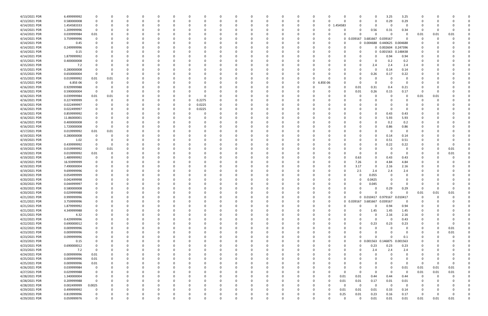| 4/13/2021 PDR | 6.499999992 |             |          |          |          | $\Omega$ |          | <sup>0</sup> |        |          |          | 0        |          |          | 0        | 0             |                  |             | $\Omega$<br>0                | 3.25                | 3.25     | 0        |      |          |  |
|---------------|-------------|-------------|----------|----------|----------|----------|----------|--------------|--------|----------|----------|----------|----------|----------|----------|---------------|------------------|-------------|------------------------------|---------------------|----------|----------|------|----------|--|
| 4/13/2021 PDR | 0.580000008 | 0           |          | $\Omega$ |          |          |          |              |        |          |          | $\Omega$ |          |          | 0        | 0             |                  |             | $\Omega$<br>$\Omega$         | 0.29                | 0.29     | 0        |      |          |  |
| 4/14/2021 PDR | 1.454583333 |             |          |          |          |          |          |              |        |          |          |          |          |          |          | 0             | .454583<br>0     |             | - 0                          | - 0                 |          |          |      |          |  |
|               |             |             |          |          |          |          |          |              |        |          |          |          |          |          |          |               |                  |             |                              |                     |          |          |      |          |  |
| 4/14/2021 PDR | 1.209999996 | $\Omega$    |          |          |          |          |          |              |        |          |          |          |          |          |          | -0            |                  |             | 0.56<br>0                    | 0.31                | 0.34     | -0       |      |          |  |
| 4/14/2021 PDR | 0.039999984 | 0.01        |          |          |          |          |          |              |        |          |          |          |          |          |          | -0            |                  |             | 0<br>ſ                       | - 0                 | - 0      | 0.01     | 0.01 | 0.01     |  |
| 4/14/2021 PDR | 3.759999996 |             |          |          |          |          |          |              |        |          |          |          |          |          |          | - 0           |                  |             | 0 0.039167 3.681667          | 0.039167            | $\Omega$ | 0        |      |          |  |
| 4/14/2021 PDR | 0.45        |             |          |          |          |          |          |              |        |          |          |          |          |          |          |               |                  |             | 0 0.004688                   | 0.440625 0.004688   |          |          |      |          |  |
| 4/14/2021 PDR | 0.249999996 |             |          |          |          |          |          |              |        |          |          |          |          |          |          |               |                  |             |                              | 0 0.002604          | 0.247396 |          |      |          |  |
|               |             |             |          |          |          |          |          |              |        |          |          |          |          |          |          |               |                  |             |                              |                     |          |          |      |          |  |
| 4/14/2021 PDR | 0.15        |             |          |          |          |          |          |              |        |          |          |          |          |          |          |               |                  |             |                              | 0 0.001563 0.148438 |          |          |      |          |  |
| 4/14/2021 PDR | 1.879999992 |             |          |          |          |          |          |              |        |          |          |          |          |          |          |               |                  |             | 0                            | 0.94                | 0.94     |          |      |          |  |
| 4/15/2021 PDR | 0.400000008 |             |          |          |          |          |          |              |        |          |          |          |          |          |          |               |                  |             | - 0                          | 0.2                 | 0.2      |          |      |          |  |
| 4/15/2021 PDR | 7.2         |             |          |          |          |          |          |              |        |          |          |          |          |          |          |               |                  |             | 2.4<br>0                     | 2.4                 | 2.4      |          |      |          |  |
| 4/15/2021 PDR | 0.280000008 |             |          |          |          |          |          |              |        |          |          |          |          |          |          |               |                  |             | 0<br>n                       | 0.14                | 0.14     |          |      |          |  |
| 4/15/2021 PDR | 0.650000004 |             |          |          |          |          |          |              |        |          |          |          |          |          |          |               |                  |             | 0.26<br>0                    | 0.17                | 0.22     |          |      |          |  |
|               |             |             |          |          |          |          |          |              |        |          |          |          |          |          |          | -0            |                  |             | $\Omega$<br>0                |                     | $\Omega$ |          |      |          |  |
| 4/15/2021 PDR | 0.019999992 | 0.01        | 0.01     |          |          |          |          |              |        |          |          |          |          |          |          |               |                  |             |                              |                     |          |          |      |          |  |
| 4/15/2021 PDR | 6.85E-06    | 0           |          |          |          |          |          |              |        |          |          |          |          |          | 0        | 6.85E-06<br>0 |                  |             | 0<br>0                       | - 0                 |          |          |      |          |  |
| 4/16/2021 PDR | 0.929999988 | $\Omega$    |          |          |          |          |          |              |        |          |          |          |          |          |          | - 0           |                  | 0.01<br>o   | 0.31                         | 0.4                 | 0.21     |          |      |          |  |
| 4/16/2021 PDR | 0.590000004 | $\Omega$    |          | $\Omega$ |          |          |          |              |        |          |          |          |          |          |          |               |                  | 0.01        | 0.26                         | 0.15                | 0.17     | $\Omega$ |      |          |  |
| 4/16/2021 PDR | 0.039999984 | 0.01        | 0.01     |          |          |          |          |              |        |          |          |          |          |          |          |               |                  |             | 0<br>-C                      |                     |          | 0.01     | 0.01 |          |  |
| 4/16/2021 PDR | 0.227499999 | 0           |          |          |          |          |          | 0            | 0.2275 |          |          |          |          |          |          | - 0           |                  |             | - 0                          |                     |          | C.       |      |          |  |
|               |             |             |          |          |          |          |          |              |        |          |          |          |          |          |          |               |                  |             |                              |                     |          |          |      |          |  |
| 4/16/2021 PDR | 0.022499997 |             |          |          |          |          |          | 0            | 0.0225 |          |          |          |          |          |          |               |                  |             | - 0                          |                     |          |          |      |          |  |
| 4/16/2021 PDR | 0.022499997 |             |          |          |          |          |          |              | 0.0225 |          |          |          |          |          |          |               |                  |             |                              |                     |          |          |      |          |  |
| 4/16/2021 PDR | 0.859999992 |             |          |          |          |          |          |              |        |          |          |          |          |          |          |               |                  |             | $\Omega$                     | 0.43                | 0.43     |          |      |          |  |
| 4/16/2021 PDR | 11.86000001 |             |          |          |          |          |          |              |        |          |          |          |          |          |          |               |                  |             | $\Omega$                     | 5.93                | 5.93     |          |      |          |  |
| 4/16/2021 PDR | 0.400000008 |             |          |          |          |          |          |              |        |          |          |          |          |          |          |               |                  |             | - 0                          | 0.2                 | 0.2      |          |      |          |  |
| 4/16/2021 PDR | 1.720000008 | 0           |          |          |          |          |          |              |        |          |          |          |          |          |          |               |                  |             | 0                            | 0.86                | 0.86     |          |      |          |  |
|               |             |             |          |          |          |          |          |              |        |          |          |          |          |          |          |               |                  |             |                              |                     |          |          |      |          |  |
| 4/17/2021 PDR | 0.019999992 | 0.01        | 0.01     |          |          |          |          |              |        |          |          |          |          |          |          |               |                  |             | റ                            | - ೧                 | $\Omega$ |          |      |          |  |
| 4/19/2021 PDR | 0.280000008 |             |          |          |          |          |          |              |        |          |          |          |          |          |          |               |                  |             | $\Omega$                     | 0.14                | 0.14     |          |      |          |  |
| 4/19/2021 PDR | 1.02        |             |          |          |          |          |          |              |        |          |          |          |          |          |          |               |                  |             | $\Omega$                     | 0.51                | 0.51     |          |      |          |  |
| 4/19/2021 PDR | 0.439999992 |             |          |          |          |          |          |              |        |          |          |          |          |          |          |               |                  |             | 0                            | 0.22                | 0.22     |          |      |          |  |
| 4/19/2021 PDR | 0.019999992 | 0           | 0.01     | n        |          |          |          |              |        |          |          |          |          |          |          |               |                  |             | 0<br>0                       |                     | 0        |          |      | 0.01     |  |
| 4/19/2021 PDR | 0.019999992 | 0.01        |          |          |          |          |          |              |        |          |          |          |          |          |          |               |                  |             | 0<br>0                       | - 0                 | $\Omega$ | 0        | - 0  | 0.01     |  |
|               |             |             |          |          |          |          |          |              |        |          |          |          |          |          |          |               |                  |             |                              |                     |          |          |      |          |  |
| 4/19/2021 PDR | 1.489999992 |             |          |          |          |          |          |              |        |          |          |          |          |          |          |               |                  | 0.63        | $\Omega$                     | 0.43                | 0.43     |          |      |          |  |
| 4/19/2021 PDR | 16.93999999 |             |          |          |          |          |          |              |        |          |          |          |          |          |          |               |                  | 7.26        | $\Omega$                     | 4.84                | 4.84     |          |      |          |  |
| 4/19/2021 PDR | 7.490000004 |             |          |          |          |          |          |              |        |          |          |          |          |          |          |               |                  | 3.17        | 0                            | 2.16                | 2.16     |          |      |          |  |
| 4/19/2021 PDR | 9.699999996 |             |          |          |          |          |          |              |        |          |          |          |          |          |          |               |                  | 2.5         | 2.4                          | 2.4                 | 2.4      |          |      |          |  |
| 4/20/2021 PDR | 0.054999999 |             |          |          |          |          |          |              |        |          |          |          |          |          |          |               |                  |             | 0.055<br>0                   | - 0                 | 0        |          |      |          |  |
| 4/20/2021 PDR | 0.042499998 |             |          |          |          |          |          |              |        |          |          |          |          |          |          |               |                  |             | 0.0425<br>0                  |                     |          |          |      |          |  |
|               |             |             |          |          |          |          |          |              |        |          |          |          |          |          |          |               |                  |             |                              |                     |          |          |      |          |  |
| 4/20/2021 PDR | 0.044999997 |             |          |          |          |          |          |              |        |          |          |          |          |          |          |               |                  |             | 0.045<br>C.                  |                     |          |          |      |          |  |
| 4/20/2021 PDR | 0.580000008 |             |          |          |          |          |          |              |        |          |          |          |          |          |          |               |                  |             | $\Omega$<br>0                | 0.29                | 0.29     |          |      |          |  |
| 4/20/2021 PDR | 0.029999988 |             |          |          |          |          |          |              |        |          |          | 0        |          | $\Omega$ |          |               |                  | 0           | 0                            |                     | -0       | 0.01     | 0.01 | 0.01     |  |
| 4/21/2021 PDR | 0.999999996 | $\Omega$    |          | 0        | $\Omega$ | $\Omega$ | $\Omega$ | 0            |        | 0        |          | $\Omega$ | $\Omega$ | $\Omega$ | 0        | $\Omega$      | $\Omega$         | $\Omega$    | 0 0.010417 0.979167 0.010417 |                     |          | 0        | -0   | U        |  |
| 4/21/2021 PDR | 3.759999996 | 0           |          | $\Omega$ |          |          |          |              |        |          |          | $\Omega$ |          | $\Omega$ |          | 0             | 0                |             | 0 0.039167 3.681667 0.039167 |                     | 0        | 0        |      |          |  |
| 4/21/2021 PDR | 1.879999992 | 0           |          | n        |          | $\Omega$ |          |              |        |          |          | 0        |          |          |          | 0             |                  | 0           | 0<br>0                       | 0.94                | 0.94     | 0        |      |          |  |
|               |             |             |          |          |          |          |          |              |        |          |          |          |          |          |          |               |                  |             |                              |                     |          |          |      |          |  |
| 4/21/2021 PDR | 4.349999988 | 0           |          | 0        |          |          |          | 0            |        |          |          | 0        |          |          | 0        | 0             |                  | 0           | 1.45<br>0                    | 1.45                | 1.45     | 0        |      |          |  |
| 4/21/2021 PDR | 4.32        |             |          |          |          |          |          |              |        |          |          |          |          |          |          | 0             |                  |             | $\Omega$<br>0                | 2.16                | 2.16     | 0        |      |          |  |
| 4/22/2021 PDR | 0.429999996 | $\Omega$    |          |          |          |          |          |              |        |          |          | 0        |          |          | 0        | 0             |                  | 0           | $\Omega$<br>0                | - 0                 | 0.43     | 0        |      |          |  |
| 4/22/2021 PDR | 0.690000012 | 0           |          | 0        |          | 0        |          |              |        |          |          |          |          |          |          | -0            |                  |             | 0.23<br>0                    | 0.23                | 0.23     | 0        |      |          |  |
| 4/22/2021 PDR | 0.009999996 | 0           |          | $\Omega$ |          |          |          |              |        |          |          |          |          |          |          |               |                  |             | $\Omega$                     |                     | $\Omega$ | 0        |      | 0.01     |  |
| 4/23/2021 PDR | 0.009999996 | $\Omega$    |          | 0        |          | $\Omega$ |          |              |        |          |          | 0        |          |          |          | 0             |                  | 0           | 0                            |                     | $\Omega$ | 0        |      | 0.01     |  |
|               |             |             |          |          |          |          |          |              |        |          |          |          |          |          |          |               |                  |             | $\Omega$                     |                     |          |          |      |          |  |
| 4/23/2021 PDR | 0.099999996 |             |          | 0        |          | $\Omega$ |          |              |        |          |          | 0        |          |          | 0        | 0             |                  | 0           | 0                            |                     | 0.1      | 0        |      |          |  |
| 4/23/2021 PDR | 0.15        |             |          | $\Omega$ |          | 0        |          |              |        |          |          |          |          |          |          | 0             |                  | $\mathbf 0$ | 0 0.001563 0.146875          |                     | 0.001563 |          |      |          |  |
| 4/23/2021 PDR | 0.690000012 |             |          |          |          |          |          |              |        |          |          | 0        |          |          |          | 0             |                  | 0           | 0.23<br>0                    | 0.23                | 0.23     | O        |      |          |  |
| 4/23/2021 PDR | 7.2         | $\Omega$    |          |          |          |          |          |              |        |          |          |          |          |          |          | 0             |                  | 0           | 2.4<br>0                     | 2.4                 | 2.4      | 0        |      |          |  |
| 4/24/2021 PDR | 0.009999996 | 0.01        |          |          |          |          |          |              |        |          |          |          |          |          |          | -0            |                  |             | 0                            | $\Omega$            |          |          |      |          |  |
| 4/25/2021 PDR | 0.009999996 | 0.01        |          | 0        |          |          |          |              |        |          |          | 0        |          |          |          | 0             |                  |             | 0<br>0                       |                     | 0        | 0        |      |          |  |
|               |             |             |          |          |          |          |          |              |        |          |          |          |          |          |          |               |                  |             |                              |                     |          |          |      |          |  |
| 4/25/2021 PDR | 0.009999996 | 0.01        |          | 0        |          | $\Omega$ |          |              |        |          |          | 0        |          |          |          | 0             |                  |             | 0                            |                     | $\Omega$ | $\Omega$ |      |          |  |
| 4/26/2021 PDR | 0.039999984 | 0           |          | 0        |          | $\Omega$ |          |              |        |          |          | $\Omega$ |          |          | 0        | 0             |                  |             | 0<br>0                       | $\Omega$            | 0.01     | 0.01     | 0.01 | 0.01     |  |
| 4/27/2021 PDR | 0.029999988 | 0           |          | 0        |          | 0        |          |              |        |          |          | 0        |          |          |          | 0             |                  | $\Omega$    | 0<br>$\mathbf 0$             | $\Omega$            | 0        | 0.01     | 0.01 | 0.01     |  |
| 4/28/2021 PDR | 1.340000004 | $\mathbf 0$ |          |          |          |          |          |              |        |          |          |          |          |          |          | 0             | 0.01<br>$\Omega$ | 0.01        | 0.44                         | 0.44                | 0.44     | $\Omega$ |      |          |  |
| 4/28/2021 PDR | 0.209999988 | $\mathbf 0$ |          | $\Omega$ |          |          |          |              |        |          |          |          |          |          | 0        | 0             | 0.01<br>0        | 0.01        | 0.17                         | 0.01                | 0.01     | 0        |      |          |  |
|               |             | 0.0025      |          | 0        |          |          |          |              |        |          |          |          |          |          |          |               |                  | $\Omega$    | 0<br>$\Omega$                | $\Omega$            | 0        |          |      |          |  |
| 4/28/2021 PDR | 0.002499999 |             |          |          |          |          |          |              |        |          |          |          |          |          |          | 0             |                  |             |                              |                     |          | 0        |      |          |  |
| 4/29/2021 PDR | 0.499999992 | 0           |          | 0        |          | $\Omega$ |          |              |        |          |          | $\Omega$ |          | 0        | 0        | 0             | 0.01             | 0.01        | 0.01                         | 0.33                | 0.14     | 0        |      |          |  |
| 4/29/2021 PDR | 0.819999996 | 0           |          | 0        |          | 0        |          | 0            |        |          |          | 0        |          | 0        | 0        | 0             | 0.25             | 0.01        | 0.23                         | 0.16                | 0.17     | -0       |      | $\Omega$ |  |
| 4/29/2021 PDR | 0.059999976 | $\mathbf 0$ | $\Omega$ | $\Omega$ |          | $\Omega$ | $\Omega$ | $\Omega$     |        | $\Omega$ | $\Omega$ | $\Omega$ | $\Omega$ | $\Omega$ | $\Omega$ | $\Omega$      |                  | ŋ           | 0.01<br>$\mathbf 0$          | $0.01\,$            | 0.01     | 0.01     | 0.01 | 0.01     |  |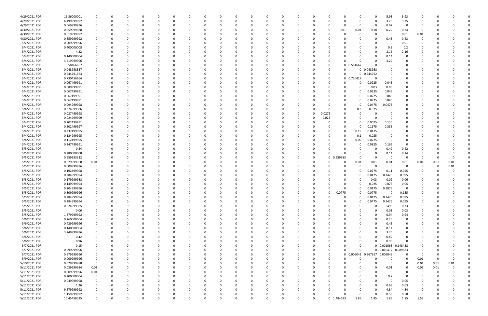| 4/29/2021 PDR | 11.86000001 | 0           |          |          | 0        |          |              | C.       |          |          | 0        |          |          |          |             |              |            | $\Omega$                     | 5.93                | 5.93           |             |            |          |  |
|---------------|-------------|-------------|----------|----------|----------|----------|--------------|----------|----------|----------|----------|----------|----------|----------|-------------|--------------|------------|------------------------------|---------------------|----------------|-------------|------------|----------|--|
| 4/29/2021 PDR | 6.499999992 | 0           |          |          | 0        |          | <sup>0</sup> | 0        |          |          | 0        |          | 0        | 0        |             | n            | 0          | 0                            | 3.25                | 3.25           | 0           |            |          |  |
| 4/29/2021 PDR | 0.069999996 | 0           |          |          | 0        |          |              |          |          |          | -0       |          |          |          |             | <sup>0</sup> | 0          | 0                            | 0.07                | - 0            |             |            |          |  |
| 4/30/2021 PDR | 0.659999988 |             |          |          | $\Omega$ |          |              |          |          |          |          |          |          |          |             | 0.01         | 0.01       | 0.18                         | 0.22                | 0.24           | 0           |            |          |  |
| 4/30/2021 PDR | 0.019999992 | 0           |          |          | 0        |          |              |          |          |          | 0        |          |          |          |             |              |            | 0                            | -0                  | 0.01           | 0.01        |            |          |  |
| 4/30/2021 PDR | 0.859999992 |             |          |          | 0        |          |              |          |          |          |          |          |          |          |             |              |            | 0                            | 0.43                | 0.43           | O           |            |          |  |
| 5/2/2021 PDR  | 0.009999996 |             |          |          | - 0      |          |              |          |          |          |          |          |          |          |             |              |            | <sup>0</sup>                 | -0                  | 0.01           |             |            |          |  |
|               |             |             |          |          |          |          |              |          |          |          |          |          |          |          |             |              |            |                              |                     |                |             |            |          |  |
| 5/4/2021 PDR  | 0.400000008 |             |          |          | $\Omega$ |          |              |          |          |          | 0        |          |          |          |             |              |            | 0                            | 0.2                 | 0.2            |             |            |          |  |
| 5/4/2021 PDR  | 4.32        |             |          |          | 0        |          |              |          |          |          | -0       |          |          |          |             |              |            | 0                            | 2.16                | 2.16           |             |            |          |  |
| 5/4/2021 PDR  | 0.140000004 |             |          |          | -0       |          |              |          |          |          |          |          |          |          |             |              |            | $\Omega$                     | 0.14                | $\Omega$       |             |            |          |  |
| 5/4/2021 PDR  | 3.219999996 | 0           |          |          | 0        |          |              |          |          |          | 0        |          |          |          |             |              |            | 0                            | 3.22                | 0              |             |            |          |  |
| 5/4/2021 PDR  | 0.58166667  | 0           |          |          | 0        |          |              |          |          |          | 0        |          |          | -C       | - 0         |              | 0 0.581667 | 0                            |                     |                |             |            |          |  |
| 5/4/2021 PDR  | 0.048958337 |             |          |          | $\Omega$ |          |              |          |          |          | -0       |          |          | -C       |             |              |            | 0 0.048958                   |                     | O              |             |            |          |  |
| 5/4/2021 PDR  | 0.244791663 |             |          |          | 0        |          |              |          |          |          | -0       |          |          |          | -0          |              |            | 0 0.244792                   |                     |                |             |            |          |  |
| 5/4/2021 PDR  | 0.730416664 |             |          |          | -0       |          |              |          |          |          |          |          |          |          |             |              | 0 0.730417 | <sup>0</sup>                 |                     |                |             |            |          |  |
| 5/4/2021 PDR  | 0.067499991 |             |          |          |          |          |              |          |          |          |          |          |          |          |             |              |            | 0.0225                       | 0.045               | 0              |             |            |          |  |
| 5/4/2021 PDR  | 0.089999991 |             |          |          | 0        |          |              |          |          |          | $\Omega$ |          |          |          |             |              |            | 0.03                         | 0.06                | 0              |             |            |          |  |
| 5/4/2021 PDR  | 0.067499991 |             |          |          | 0        |          |              |          |          |          | 0        |          |          |          |             |              |            | 0.0225                       | 0.045               | 0              |             |            |          |  |
| 5/4/2021 PDR  | 0.067499991 |             |          |          | 0        |          |              |          |          |          | 0        |          |          |          |             |              |            | 0.0225                       | 0.045               | 0              |             |            |          |  |
| 5/4/2021 PDR  | 0.067499991 |             |          |          | 0        |          |              |          |          |          |          |          |          |          |             |              |            | 0.0225                       | 0.045               | 0              |             |            |          |  |
| 5/4/2021 PDR  | 0.094999998 |             |          |          | 0        |          |              |          |          |          | - 0      |          |          |          |             |              |            | 0.0475                       | 0.0475              | 0              |             |            |          |  |
| 5/4/2021 PDR  | 0.374999986 |             |          |          | 0        |          |              |          |          |          |          |          | 0        | C        |             |              |            | 0.075                        |                     | 0              |             |            |          |  |
|               |             |             |          |          |          |          |              |          |          |          |          |          |          |          |             |              | 0.3        |                              |                     |                |             |            |          |  |
| 5/4/2021 PDR  | 0.027499998 |             |          |          | 0        |          |              |          |          |          |          |          | 0        | 0        | 0.0275      |              |            | 0                            |                     | 0              |             |            |          |  |
| 5/4/2021 PDR  | 0.024999999 |             |          |          | 0        |          |              |          |          |          | -0       |          | 0        | C        | 0.025       |              |            | $\Omega$                     |                     |                |             |            |          |  |
| 5/4/2021 PDR  | 0.202499991 |             |          |          | 0        |          |              |          |          |          |          |          |          |          |             |              |            | 0.0675                       | 0.135               |                |             |            |          |  |
| 5/4/2021 PDR  | 0.502499997 |             |          |          | -0       |          |              |          |          |          |          |          |          |          |             |              |            | 0.1675                       | 0.335               |                |             |            |          |  |
| 5/4/2021 PDR  | 0.237499995 |             |          |          | - 0      |          |              |          |          |          |          |          |          |          |             |              | 0.19       | 0.0475                       |                     |                |             |            |          |  |
| 5/4/2021 PDR  | 0.124999995 |             |          |          |          |          |              |          |          |          |          |          |          |          |             |              | 0.1        | 0.025                        |                     |                |             |            |          |  |
| 5/4/2021 PDR  | 0.112499995 |             |          |          |          |          |              |          |          |          |          |          |          |          |             |              | 0.09       | 0.0225                       |                     | 0              |             |            |          |  |
| 5/4/2021 PDR  | 0.247499991 |             |          |          | - 0      |          |              |          |          |          |          |          |          |          |             |              |            | 0.0825                       | 0.165               | $\Omega$       |             |            |          |  |
| 5/5/2021 PDR  | 0.84        |             |          |          | 0        |          |              |          |          |          | 0        |          |          |          |             |              |            | 0                            | 0.42                | 0.42           |             |            |          |  |
| 5/5/2021 PDR  | 0.280000008 | 0           |          |          | 0        |          |              |          |          |          | 0        |          |          | -C       |             |              |            | 0                            | 0.14                | 0.14           | C           |            |          |  |
| 5/5/2021 PDR  | 0.659583332 | 0           |          |          | $\Omega$ |          |              |          |          |          | -0       |          |          | 0        | $\mathbf 0$ | 0.659583     |            | 0                            | - 0                 | $\Omega$       | $\Omega$    | $\sqrt{ }$ |          |  |
| 5/5/2021 PDR  | 0.079999968 | 0.01        |          |          | 0        |          |              |          |          |          |          |          |          | C        |             |              | 0.01       | 0.01                         | 0.01                | 0.01           | 0.01        | 0.01       | 0.01     |  |
| 5/5/2021 PDR  | 0.009999996 | 0           |          |          | -0       |          |              |          |          |          |          |          |          |          |             |              |            | 0                            | -0                  | $\Omega$       | C           | 0          | 0.01     |  |
| 5/5/2021 PDR  | 0.192499998 | 0           |          |          | 0        |          |              |          |          |          | 0        |          |          |          |             |              | 0          | 0.0275                       | 0.11                | 0.055          |             |            |          |  |
| 5/5/2021 PDR  | 0.284999994 |             |          |          | 0        |          |              |          |          |          | 0        |          |          |          |             |              |            | 0.0475                       | 0.1425              | 0.095          |             |            |          |  |
|               |             | 0           |          |          |          |          |              |          |          |          |          |          |          |          |             |              |            |                              |                     |                |             |            |          |  |
| 5/5/2021 PDR  | 0.179999988 |             |          |          | -0       |          |              |          |          |          |          |          |          |          |             |              |            | 0.03                         | 0.09                | 0.06           |             |            |          |  |
| 5/5/2021 PDR  | 0.149999994 |             |          |          | റ        |          |              |          |          |          |          |          |          |          |             |              |            | 0.025                        | 0.075               | 0.05           |             |            |          |  |
| 5/5/2021 PDR  | 0.204999996 | 0           |          |          | $\Omega$ |          |              |          |          |          | - 0      |          |          |          |             | 0            | 0          | 0.0175                       | 0.1875              | 0              |             |            |          |  |
| 5/5/2021 PDR  | 0.309999996 | 0           |          |          |          |          |              |          |          |          |          |          | υ        |          |             | 0.0775       | υ          | 0.0775                       | 0                   | 0.155          | O           |            |          |  |
| 5/5/2021 PDR  | 0.284999994 | $\mathbf 0$ | $\Omega$ |          | $\Omega$ | $\Omega$ | $\Omega$     | $\Omega$ | $\Omega$ |          | $\Omega$ | $\Omega$ | $\Omega$ | $\Omega$ | $\Omega$    | $\Omega$     | $\Omega$   | 0.0475                       | 0.1425              | 0.095          | $\mathbf 0$ |            |          |  |
| 5/5/2021 PDR  | 0.284999994 | 0           | O        |          | 0        |          | <sup>0</sup> | 0        | O        |          | 0        |          | O        | 0        |             | $\Omega$     | $\Omega$   | 0.0475                       | 0.1425              | 0.095          | 0           |            |          |  |
| 5/5/2021 PDR  | 0.824999985 | 0           |          |          | 0        |          |              | 0        |          |          | 0        |          | 0        | 0        |             |              |            | 0                            | 0.495               | 0.33           | 0           |            |          |  |
| 5/5/2021 PDR  | 0.06        | 0           |          |          | $\Omega$ |          | $\Omega$     | 0        |          |          | $\Omega$ |          | $\Omega$ | 0        |             |              |            | $\Omega$                     | 0.03                | 0.03           | -0          |            |          |  |
| 5/5/2021 PDR  | 1.879999992 | 0           |          |          | 0        |          |              |          |          |          | 0        |          | 0        |          |             |              |            | 0                            | 0.94                | 0.94           |             |            |          |  |
| 5/6/2021 PDR  | 0.260000004 | 0           |          |          | 0        |          |              | 0        |          |          | 0        |          | 0        | 0        |             |              |            | 0                            | 0.26                | $\mathbf 0$    |             |            |          |  |
| 5/6/2021 PDR  | 0.429999996 | 0           |          |          | $\Omega$ |          |              | C        |          |          | $\Omega$ |          | $\Omega$ | C        |             |              |            | $\Omega$                     | 0.43                | $\overline{0}$ |             |            |          |  |
| 5/6/2021 PDR  | 0.140000004 | 0           |          |          | 0        |          | <sup>0</sup> | 0        |          |          | 0        |          | O        | 0        |             |              |            | $\Omega$                     | 0.14                | 0              | 0           |            |          |  |
| 5/6/2021 PDR  | 3.249999996 | 0           |          |          | 0        |          |              | 0        |          |          | 0        |          | 0        | 0        |             |              |            | 0                            | 3.25                | 0              |             |            |          |  |
| 5/6/2021 PDR  | 0.42        |             |          |          | 0        |          |              | 0        |          |          | $\Omega$ |          | 0        | 0        |             |              |            | $\Omega$                     | 0.42                | $\overline{0}$ |             |            |          |  |
| 5/6/2021 PDR  | 0.96        |             |          |          | 0        |          |              | C        |          |          | 0        |          |          | C        |             |              |            | $\Omega$                     | 0.96                | $\Omega$       |             |            |          |  |
| 5/7/2021 PDR  |             |             |          |          | 0        |          |              |          |          |          | 0        |          |          | C        |             |              | 0          |                              | 0 0.001563 0.148438 |                |             |            |          |  |
|               | 0.15        |             |          |          |          |          |              |          |          |          | $\Omega$ |          | $\Omega$ |          |             | <sup>0</sup> | 0          |                              |                     |                |             |            |          |  |
| 5/7/2021 PDR  | 0.999999996 | 0           |          |          | 0        |          |              | 0        |          |          |          |          |          | 0        | 0           |              |            |                              | 0 0.010417 0.989583 |                | 0           |            |          |  |
| 5/7/2021 PDR  | 0.579999996 | 0           |          |          | 0        |          | 0            | 0        |          |          | 0        |          | 0        | 0        | $\Omega$    |              |            | 0 0.006042 0.567917 0.006042 |                     | $\mathbf 0$    | 0           |            |          |  |
| 5/9/2021 PDR  | 0.009999996 | 0           |          |          | 0        |          |              | 0        |          |          | 0        |          | $\Omega$ | 0        |             |              | 0          | 0                            | $\Omega$            | $\overline{0}$ | 0.01        | $\Omega$   | $\Omega$ |  |
| 5/10/2021 PDR | 0.029999988 | 0           |          |          | $\Omega$ |          | <sup>0</sup> | C        |          |          | 0        |          | O        | C        |             |              |            | $\Omega$                     | $\Omega$            | $\overline{0}$ | 0.01        | 0.01       | 0.01     |  |
| 5/11/2021 PDR | 0.039999984 | 0.01        |          |          | 0        |          |              | C        |          |          | 0        |          | 0        | C        |             |              |            | 0                            | 0.01                | $\overline{0}$ | 0.01        | 0.01       |          |  |
| 5/11/2021 PDR | 0.009999996 | 0.01        |          |          | 0        |          |              |          |          |          | 0        |          | 0        |          |             |              |            | 0                            | $\Omega$            | $\Omega$       | $\Omega$    | -0         |          |  |
| 5/11/2021 PDR | 0.200000004 | 0           |          |          | $\Omega$ |          |              | C        |          |          | 0        |          | 0        | C        |             |              |            | $\Omega$                     | 0.2                 | $\Omega$       | 0           |            |          |  |
| 5/11/2021 PDR | 0.049999998 | 0           |          |          | $\Omega$ |          |              |          |          |          | 0        |          |          |          |             |              |            | $\Omega$                     | $\Omega$            | 0.05           |             |            |          |  |
| 5/11/2021 PDR | 1.26        | 0           |          |          | 0        |          |              | 0        |          |          | 0        |          |          | 0        |             |              |            | 0                            | 0.63                | 0.63           | 0           |            |          |  |
| 5/11/2021 PDR | 9.679999992 | 0           |          |          | $\Omega$ |          | <sup>0</sup> | 0        |          |          | 0        |          | 0        | 0        |             |              |            | $\Omega$                     | 4.84                | 4.84           | 0           |            |          |  |
| 5/11/2021 PDR | 1.159999992 | 0           |          |          | 0        |          |              |          |          |          | 0        |          | 0        | C        |             |              |            | $\Omega$                     | 0.58                | 0.58           | O           |            |          |  |
| 5/12/2021 PDR | 10.45458335 | $\mathbf 0$ | $\Omega$ | $\Omega$ | $\Omega$ | $\Omega$ | $\Omega$     | $\Omega$ | $\Omega$ | $\Omega$ | $\Omega$ | $\Omega$ | $\Omega$ | $\Omega$ |             | 0 1.484583   | 1.85       | 1.85                         | 1.85                | 1.85           | 1.57        | $\Omega$   | $\Omega$ |  |
|               |             |             |          |          |          |          |              |          |          |          |          |          |          |          |             |              |            |                              |                     |                |             |            |          |  |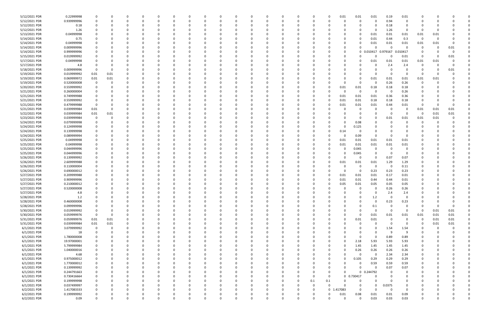| 5/12/2021 PDR | 0.22999998  |             |          |          |          |          |          |          |   |               |          |          |          |          |                | 0.01      | 0.01        | 0.01        | 0.19                 | 0.01                    |             |      |          |  |
|---------------|-------------|-------------|----------|----------|----------|----------|----------|----------|---|---------------|----------|----------|----------|----------|----------------|-----------|-------------|-------------|----------------------|-------------------------|-------------|------|----------|--|
| 5/12/2021 PDR | 0.939999996 |             |          | $\Omega$ |          |          | 0        | 0        |   | <sup>0</sup>  | $\Omega$ |          | 0        | 0        |                | 0         | 0           | $\Omega$    | 0.94                 | 0                       | C.          |      |          |  |
| 5/12/2021 PDR | 0.18        |             |          |          |          |          |          |          |   |               |          |          |          |          |                |           |             | 0           | 0.18                 | 0                       |             |      |          |  |
| 5/12/2021 PDR | 1.26        |             |          |          |          |          |          |          |   |               |          |          |          |          |                |           |             | $\Omega$    | 1.26                 | 0                       | O           |      |          |  |
| 5/13/2021 PDR | 0.04999998  |             |          |          |          |          |          |          |   |               |          |          |          |          |                |           | 0           | 0.01        | 0.01                 | 0.01                    | 0.01        | 0.01 |          |  |
| 5/14/2021 PDR | 0.75        |             |          |          |          |          |          |          |   |               |          |          |          |          |                |           |             | 0.01        | 0.44                 | 0.3                     | - 0         | - 0  |          |  |
| 5/14/2021 PDR | 0.04999998  |             |          |          |          |          |          |          |   |               |          |          |          |          |                |           |             | 0.01        | 0.01                 | 0.01                    | 0.01        | 0.01 |          |  |
| 5/14/2021 PDR | 0.009999996 |             |          |          |          |          |          |          |   |               |          |          |          |          |                | 0         |             | $\Omega$    | $\Omega$             | $\Omega$                | 0           | -0   | 0.01     |  |
| 5/14/2021 PDR | 0.999999996 |             |          |          |          |          |          |          |   |               |          |          |          |          |                | 0         |             | 0 0.010417  | 0.979167             | 0.010417                | C.          |      | $\Omega$ |  |
| 5/15/2021 PDR | 0.019999992 |             |          |          |          |          |          |          |   |               |          |          |          |          |                |           |             | $\Omega$    | $\Omega$             | 0.01                    | 0           |      | 0.01     |  |
| 5/17/2021 PDR | 0.04999998  |             |          |          |          |          |          |          |   |               |          |          |          |          |                | 0         |             | 0.01        | 0.01                 | 0.01                    | 0.01        | 0.01 |          |  |
| 5/17/2021 PDR | 4.8         |             |          |          |          |          |          |          |   |               |          |          |          |          |                |           |             | 0           | 2.4                  | 2.4                     | 0           |      |          |  |
| 5/18/2021 PDR | 0.009999996 | - 0         | ŋ        |          |          |          |          |          |   |               |          |          |          |          |                |           |             | $\Omega$    |                      | $\Omega$                | 0           |      | 0.01     |  |
| 5/19/2021 PDR | 0.019999992 | 0.01        | 0.01     |          |          |          |          |          |   |               |          |          |          |          |                |           |             | $\Omega$    | $\Omega$             | $\Omega$                | - 0         |      |          |  |
| 5/19/2021 PDR | 0.069999972 | 0.01        | 0.01     |          |          |          |          |          |   |               |          |          |          |          |                |           |             | 0.01        | 0.01                 | 0.01                    | 0.01        | 0.01 |          |  |
| 5/19/2021 PDR | 0.520000008 | 0           |          |          |          |          |          |          |   |               |          |          |          |          |                |           | 0           | 0           | 0.26                 | 0.26                    | 0           |      |          |  |
| 5/20/2021 PDR | 0.559999992 |             |          |          |          |          |          |          |   |               |          |          |          |          |                | 0.01      | 0.01        | 0.18        | 0.18                 | 0.18                    |             |      |          |  |
| 5/21/2021 PDR | 0.260000004 |             |          |          |          |          |          |          |   |               |          |          |          |          |                | $\Omega$  | 0           | 0           | - 0                  | 0.26                    |             |      |          |  |
| 5/21/2021 PDR | 0.749999988 |             |          |          |          |          |          |          |   |               |          |          |          |          |                | 0.01      | 0.01        | 0.01        | 0.36                 | 0.36                    |             |      |          |  |
| 5/21/2021 PDR | 0.559999992 |             |          |          |          |          |          |          |   |               |          |          |          |          |                | 0.01      | 0.01        | 0.18        | 0.18                 | 0.18                    |             |      |          |  |
| 5/21/2021 PDR | 0.479999988 | - 0         |          |          |          |          |          |          |   |               |          |          |          |          |                | 0.01      | 0.01        | 0.01        | 0.44                 | 0.01                    | -0          |      |          |  |
| 5/21/2021 PDR | 0.039999984 | 0.01        |          |          |          |          |          |          |   |               |          |          |          |          |                |           | 0           | 0           | - 0                  | - 0                     | 0.01        | 0.01 | 0.01     |  |
| 5/22/2021 PDR | 0.039999984 | 0.01        | 0.01     |          |          |          |          |          |   |               |          |          |          |          |                |           | 0           | $\Omega$    | - 0                  | $\Omega$                | 0           | 0.01 | 0.01     |  |
| 5/23/2021 PDR | 0.039999984 | $\Omega$    |          |          |          |          |          |          |   |               |          |          |          |          |                |           | 0           | 0           | 0.01                 | 0.01                    | 0.01        | 0.01 |          |  |
| 5/24/2021 PDR | 0.079999998 |             |          |          |          |          |          |          |   |               |          |          |          |          |                |           | 0.08        | 0           |                      | O                       | O           |      |          |  |
| 5/24/2021 PDR | 0.124999998 |             |          |          |          |          |          |          |   |               |          |          |          |          |                |           | 0.125       |             |                      |                         |             |      |          |  |
| 5/24/2021 PDR | 0.139999998 |             |          |          |          |          |          |          |   |               |          |          |          |          |                | 0.14      | $\Omega$    | - 0         |                      |                         |             |      |          |  |
| 5/24/2021 PDR | 0.089999994 |             |          |          |          |          |          |          |   |               |          |          |          |          |                | 0         | 0.09        | 0           |                      |                         |             |      |          |  |
| 5/25/2021 PDR | 0.04999998  |             |          |          |          |          |          |          |   |               |          |          |          |          |                | 0.01      | 0.01        | 0.01        | 0.01                 | 0.01                    |             |      |          |  |
| 5/25/2021 PDR | 0.04999998  |             |          |          |          |          |          |          |   |               |          |          |          |          |                | 0.01      | 0.01        | 0.01        | 0.01                 | 0.01                    |             |      |          |  |
| 5/25/2021 PDR | 0.044999996 |             |          |          |          |          |          |          |   |               |          |          |          |          |                |           | 0.045       | 0           | - 0                  | 0                       |             |      |          |  |
| 5/25/2021 PDR | 0.044999996 |             |          |          |          |          |          |          |   |               |          |          |          |          |                |           | 0.045       | 0           | $\Omega$             | - 0                     |             |      |          |  |
| 5/26/2021 PDR | 0.139999992 |             |          |          |          |          |          |          |   |               |          |          |          |          |                |           | 0           | $\Omega$    | 0.07                 | 0.07                    |             |      |          |  |
| 5/26/2021 PDR | 2.609999988 |             |          |          |          |          |          |          |   |               |          |          |          |          |                | 0.01      | 0.01        | 0.01        | 1.29                 | 1.29                    |             |      |          |  |
| 5/26/2021 PDR | 0.110000004 |             |          |          |          |          |          |          |   |               |          |          |          |          |                |           | 0           | 0           | 0                    | 0.11                    |             |      |          |  |
| 5/26/2021 PDR | 0.690000012 |             |          |          |          |          |          |          |   |               |          |          |          |          |                | $\Omega$  | 0           | 0.23        | 0.23                 | 0.23                    |             |      |          |  |
| 5/27/2021 PDR | 0.209999988 |             |          |          |          |          |          |          |   |               |          |          |          |          |                | 0.01      |             | 0.01        | 0.17                 | 0.01                    |             |      |          |  |
| 5/27/2021 PDR | 0.909999996 |             |          |          |          |          |          |          |   |               |          |          |          |          |                |           | 0.01        |             |                      |                         |             |      |          |  |
| 5/27/2021 PDR |             |             |          |          |          |          |          |          |   |               |          |          |          |          |                | 0.01      | 0.01        | 0.44        | 0.44                 | 0.01                    |             |      |          |  |
|               | 0.210000012 |             |          |          |          |          |          |          |   |               |          |          |          |          |                | 0.05<br>0 | 0.01<br>0   | 0.05<br>0   | 0.05                 | 0.05                    |             |      |          |  |
| 5/27/2021 PDR | 0.520000008 |             |          |          |          |          |          |          |   |               |          |          |          |          |                |           |             | $\mathbf 0$ | 0.26                 | 0.26                    |             |      |          |  |
| 5/27/2021 PDR | 4.8         |             | 0        | $\Omega$ | $\Omega$ | $\Omega$ | $\Omega$ | $\Omega$ | O | 0<br>$\Omega$ | $\Omega$ | $\Omega$ | $\Omega$ | $\Omega$ |                | $\Omega$  | $\Omega$    |             | 2.4<br>$\Omega$      | 2.4<br>$\mathbf 0$      | $\Omega$    |      |          |  |
| 5/28/2021 PDR | 1.2         | 0           |          |          |          |          |          |          |   |               |          |          |          |          |                |           |             | 1.2         |                      |                         |             |      |          |  |
| 5/28/2021 PDR | 0.460000008 |             | O        | $\Omega$ |          | O        | 0        | 0        |   | 0             | $\Omega$ |          | $\Omega$ | 0        |                | O         | 0           | $\mathbf 0$ | 0.23                 | 0.23                    | 0           |      |          |  |
| 5/28/2021 PDR | 0.099999996 |             |          |          |          |          | 0        | 0        |   |               | $\Omega$ |          |          | 0        |                |           | 0           | 0.1         | $\Omega$<br>$\Omega$ | $\mathbf 0$             | 0           |      | $\Omega$ |  |
| 5/30/2021 PDR | 0.019999992 | 0           |          |          |          |          |          | 0        |   |               | $\Omega$ |          | $\Omega$ | 0        |                |           | $\Omega$    | $\Omega$    |                      | $\overline{\mathbf{0}}$ | 0           | 0.01 | 0.01     |  |
| 5/30/2021 PDR | 0.059999976 | $\mathbf 0$ | 0        |          |          |          |          | -0       |   |               | 0        |          |          |          |                | 0         | 0           | 0.01        | 0.01                 | 0.01                    | 0.01        | 0.01 | 0.01     |  |
| 5/31/2021 PDR | 0.059999976 | 0.01        | 0.01     |          |          |          |          | 0        |   |               |          |          |          |          |                | $\Omega$  | 0.01        | 0.01        | $\Omega$             | $\mathbf 0$             | $\mathbf 0$ | 0.01 | $0.01\,$ |  |
| 5/31/2021 PDR | 0.039999984 | 0.01        | 0.01     |          |          |          |          | 0        |   |               | 0        |          |          |          |                |           | $\mathbf 0$ | $\Omega$    | $\Omega$             | $\Omega$                | 0           | 0.01 | $0.01\,$ |  |
| 6/1/2021 PDR  | 3.079999992 | $\mathbf 0$ | 0        |          |          |          | 0        | 0        |   |               | $\Omega$ |          |          | 0        |                |           |             | 0           | 1.54                 | 1.54                    | 0           | -0   |          |  |
| 6/1/2021 PDR  | 18          | 0           |          |          |          |          | 0        | 0        |   |               | 0        |          |          |          |                |           |             | 0           | -9                   | 9                       | 0           |      |          |  |
| 6/1/2021 PDR  | 1.780000008 |             |          |          |          |          |          | 0        |   |               | $\Omega$ |          |          |          |                |           | $\Omega$    | $\mathbf 0$ | 0.89                 | 0.89                    |             |      |          |  |
| 6/1/2021 PDR  | 19.97000001 |             |          |          |          |          |          | 0        |   |               |          |          |          |          |                | 0         | 2.18        | 5.93        | 5.93                 | 5.93                    | 0           |      |          |  |
| 6/1/2021 PDR  | 5.799999984 |             |          |          |          |          |          | 0        |   |               |          |          |          |          |                | $\Omega$  | 1.45        | 1.45        | 1.45                 | 1.45                    | 0           |      |          |  |
| 6/1/2021 PDR  | 1.040000016 |             |          |          |          |          | 0        | 0        |   |               | 0        |          |          |          |                | $\Omega$  | 0.26        | 0.26        | 0.26                 | 0.26                    | 0           |      |          |  |
| 6/1/2021 PDR  | 4.68        |             |          |          |          |          |          | 0        |   |               | $\Omega$ |          |          | 0        |                | 0         | 0           | $\mathbf 0$ | 2.34                 | 2.34                    | 0           |      |          |  |
| 6/1/2021 PDR  | 0.975000012 |             |          |          |          |          |          | 0        |   |               | $\Omega$ |          |          |          |                | ი         | 0.105       | 0.29        | 0.29                 | 0.29                    | 0           |      |          |  |
| 6/1/2021 PDR  | 1.770000012 |             |          |          |          |          | 0        | 0        |   |               | $\Omega$ |          |          |          |                |           | 0           | 0.59        | 0.59                 | 0.59                    | 0           |      |          |  |
| 6/1/2021 PDR  | 0.139999992 |             |          |          |          |          |          | 0        |   |               |          |          |          |          |                | 0         | $\Omega$    | $\Omega$    | 0.07                 | 0.07                    |             |      |          |  |
| 6/1/2021 PDR  | 0.244791663 |             |          |          |          |          |          | 0        |   |               |          |          |          |          |                | 0         |             | 0 0.244792  | $\Omega$             | 0                       |             |      |          |  |
| 6/1/2021 PDR  | 0.730416664 |             |          |          |          |          |          | 0        |   |               |          |          |          | 0        |                |           | 0 0.730417  | $\Omega$    |                      | 0                       | 0           |      |          |  |
| 6/1/2021 PDR  | 0.199999998 |             |          |          |          |          |          |          |   |               |          |          |          | 0.1      | 0.1            |           |             | $\Omega$    |                      | 0                       |             |      |          |  |
| 6/1/2021 PDR  | 0.037499997 |             |          |          |          |          |          | 0        |   |               |          |          |          | 0        |                |           | 0           | 0           | 0.0375               | 0                       | 0           |      |          |  |
| 6/2/2021 PDR  | 1.417083333 |             |          |          |          |          |          | 0        |   |               | $\Omega$ |          |          | 0        | 0 <sub>1</sub> | .417083   | 0           | $\Omega$    | $\Omega$             | 0                       | 0           |      |          |  |
| 6/2/2021 PDR  | 0.199999992 |             |          |          |          |          |          |          |   |               |          |          |          |          |                | 0.01      | 0.08        | 0.01        | 0.01                 | 0.09                    |             |      |          |  |
| 6/2/2021 PDR  | 0.09        | $\Omega$    | $\Omega$ | $\Omega$ |          | $\Omega$ | $\Omega$ | $\Omega$ | U | $\Omega$      | $\Omega$ | $\Omega$ | $\Omega$ | 0        |                | $\Omega$  | $\Omega$    | 0.03        | 0.03                 | 0.03                    | $\Omega$    |      | $\Omega$ |  |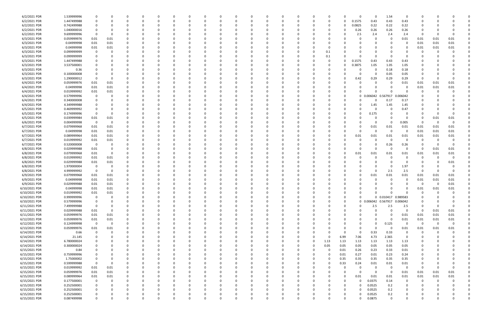| 6/2/2021 PDR  | 1.539999996 | -0             | 0           |   |          |   |          |          |          | 0        |          |          |          |          |                | -0       |          | $\Omega$ | $\Omega$            | 1.54                | $\Omega$    |                         |             |          |  |
|---------------|-------------|----------------|-------------|---|----------|---|----------|----------|----------|----------|----------|----------|----------|----------|----------------|----------|----------|----------|---------------------|---------------------|-------------|-------------------------|-------------|----------|--|
| 6/2/2021 PDR  | 1.447499988 | 0              | 0           |   |          |   |          |          |          |          |          |          |          |          |                | 0        |          | 0.1575   | 0.43                | 0.43                | 0.43        |                         |             |          |  |
| 6/2/2021 PDR  | 0.742499988 | 0              |             |   |          |   |          |          |          |          |          |          |          |          |                |          |          | 0.0825   | 0.22                | 0.22                | 0.22        |                         |             |          |  |
| 6/2/2021 PDR  | 1.040000016 | 0              |             |   |          |   |          |          |          |          |          |          |          |          |                |          |          | 0.26     | 0.26                | 0.26                | 0.26        |                         |             |          |  |
|               |             |                |             |   |          |   |          |          |          |          |          |          |          |          |                |          |          |          |                     |                     |             |                         |             |          |  |
| 6/2/2021 PDR  | 9.699999996 | - 0            | 0           |   |          |   |          |          |          |          |          |          |          |          |                |          |          | 2.5      | 2.4                 | 2.4                 | 2.4         | - 0                     | -0          |          |  |
| 6/3/2021 PDR  | 0.059999976 | 0.01           | 0.01        |   |          |   |          |          |          |          |          |          |          |          |                |          |          |          | C                   |                     | 0.01        | 0.01                    | 0.01        | 0.01     |  |
| 6/3/2021 PDR  | 0.04999998  | 0.01           | 0.01        |   |          |   |          |          |          |          |          |          |          |          |                |          |          |          |                     |                     |             | 0.01                    | 0.01        | 0.01     |  |
| 6/3/2021 PDR  | 0.04999998  | 0.01           | 0.01        |   |          |   |          |          |          |          |          |          |          |          |                |          |          |          |                     |                     |             | 0.01                    | 0.01        | 0.01     |  |
| 6/3/2021 PDR  | 0.099999999 | 0              |             |   |          |   |          |          |          |          |          |          |          |          |                | 0.1      |          |          |                     |                     |             |                         |             |          |  |
| 6/3/2021 PDR  | 0.099999999 | 0              |             |   |          |   |          |          |          |          |          |          |          |          |                | 0.1      |          |          | <sup>0</sup>        |                     |             |                         |             |          |  |
| 6/3/2021 PDR  | 1.447499988 | 0              |             |   |          |   |          |          |          |          |          |          |          |          |                | 0        |          | 0.1575   | 0.43                | 0.43                | 0.43        |                         |             |          |  |
| 6/3/2021 PDR  | 3.537500001 | 0              |             |   |          |   |          |          |          |          |          |          |          |          |                |          |          | 0.3875   | 1.05                | 1.05                | 1.05        |                         |             |          |  |
|               | 0.36        |                |             |   |          |   |          |          |          |          |          |          |          |          |                |          |          |          |                     | 0.18                |             |                         |             |          |  |
| 6/3/2021 PDR  |             | -0             |             |   |          |   |          |          |          |          |          |          |          |          |                |          |          |          | 0                   |                     | 0.18        |                         |             |          |  |
| 6/3/2021 PDR  | 0.100000008 | -0             |             |   |          |   |          |          |          |          |          |          |          |          |                |          |          | 0        | 0                   | 0.05                | 0.05        |                         |             |          |  |
| 6/3/2021 PDR  | 1.290000012 | 0              | 0           |   |          |   |          |          |          |          |          |          |          |          |                |          |          | 0.42     | 0.29                | 0.29                | 0.29        | - 0                     |             |          |  |
| 6/4/2021 PDR  | 0.059999976 | 0.01           | 0.01        |   |          |   |          |          |          |          |          |          |          |          |                |          |          | O        |                     |                     | 0.01        | 0.01                    | 0.01        | 0.01     |  |
| 6/4/2021 PDR  | 0.04999998  | 0.01           | 0.01        |   |          |   |          |          |          |          |          |          |          |          |                |          |          |          | 0                   | $\Omega$            | -0          | 0.01                    | 0.01        | 0.01     |  |
| 6/4/2021 PDR  | 0.019999992 | 0.01           | 0.01        |   |          |   |          |          |          |          |          |          |          |          |                |          |          |          | $\Omega$            |                     |             | 0                       | -0          |          |  |
| 6/4/2021 PDR  | 0.579999996 | - 0            |             |   |          |   |          |          |          |          |          |          |          |          |                |          |          | 0        | 0.006042            | 0.567917            | 0.006042    |                         |             |          |  |
| 6/4/2021 PDR  | 0.340000008 | 0              |             |   |          |   |          |          |          |          |          |          |          |          |                |          |          |          | 0                   | 0.17                | 0.17        |                         |             |          |  |
|               |             |                |             |   |          |   |          |          |          |          |          |          |          |          |                |          |          |          |                     |                     | 1.45        |                         |             |          |  |
| 6/4/2021 PDR  | 4.349999988 | 0              |             |   |          |   |          |          |          |          |          |          |          |          |                |          |          |          | 1.45                | 1.45                |             |                         |             |          |  |
| 6/5/2021 PDR  | 0.469999992 | 0              |             |   |          |   |          |          |          |          |          |          |          |          |                |          |          |          | C                   |                     | 0.47        |                         |             |          |  |
| 6/5/2021 PDR  | 0.174999996 | 0              |             |   |          |   |          |          |          |          |          |          |          |          |                |          |          |          | 0.175               |                     |             |                         | -0          |          |  |
| 6/5/2021 PDR  | 0.039999984 | 0.01           | 0.01        |   |          |   |          |          |          |          |          |          |          |          |                |          |          |          | 0                   |                     | $\Omega$    | 0                       | 0.01        | 0.01     |  |
| 6/6/2021 PDR  | 0.004999998 | $\overline{0}$ | 0           |   |          |   |          |          |          |          |          |          |          |          |                |          |          |          | 0                   |                     | 0.005       | - 0                     | 0           |          |  |
| 6/7/2021 PDR  | 0.079999968 | 0.01           | 0.01        |   |          |   |          |          |          |          |          |          |          |          |                |          |          | 0        | 0.01                | 0.01                | 0.01        | 0.01                    | 0.01        | 0.01     |  |
| 6/7/2021 PDR  | 0.04999998  | 0.01           | 0.01        |   |          |   |          |          |          |          |          |          |          |          |                |          |          | 0        | 0                   | - C                 |             | 0.01                    | 0.01        | 0.01     |  |
| 6/7/2021 PDR  | 0.089999964 | 0.01           | 0.01        |   |          |   |          |          |          |          |          |          |          |          |                |          |          | 0.01     | 0.01                | 0.01                | 0.01        | 0.01                    | 0.01        | 0.01     |  |
| 6/7/2021 PDR  | 0.019999992 | 0.01           | 0.01        |   |          |   |          |          |          |          |          |          |          |          |                |          |          | 0        | C                   | $\Omega$            | - 0         | 0                       | -0          |          |  |
|               |             |                |             |   |          |   |          |          |          |          |          |          |          |          |                |          |          |          |                     |                     |             |                         |             |          |  |
| 6/7/2021 PDR  | 0.520000008 | $\overline{0}$ | 0           |   |          |   |          |          |          |          |          |          |          |          |                |          |          | 0        | 0                   | 0.26                | 0.26        | 0                       | -0          |          |  |
| 6/8/2021 PDR  | 0.029999988 | 0.01           | 0           |   |          |   |          |          |          |          |          |          |          |          |                |          |          | 0        | 0                   | - റ                 | $\Omega$    | - 0                     | 0.01        | 0.01     |  |
| 6/8/2021 PDR  | 0.079999968 | 0.01           | 0           |   |          |   |          |          |          |          |          |          |          |          |                |          |          | 0.01     | 0.01                | 0.01                | 0.01        | 0.01                    | 0.01        | 0.01     |  |
| 6/8/2021 PDR  | 0.019999992 | 0.01           | 0.01        |   |          |   |          |          |          |          |          |          |          |          |                |          |          |          |                     |                     |             |                         | - 0         |          |  |
| 6/8/2021 PDR  | 0.029999988 | 0.01           | 0.01        |   |          |   |          |          |          |          |          |          |          |          |                |          |          |          |                     |                     |             |                         |             | 0.01     |  |
| 6/8/2021 PDR  | 1.970000004 | 0              | 0           |   |          |   |          |          |          |          |          |          |          |          |                |          |          |          | C                   | 0                   | 1.97        |                         |             |          |  |
| 6/8/2021 PDR  | 4.999999992 | 0              | 0           |   |          |   |          |          |          |          |          |          |          |          |                |          |          |          | 0                   | 2.5                 | 2.5         | - 0                     | -0          |          |  |
| 6/9/2021 PDR  | 0.079999968 | 0.01           | 0.01        |   |          |   |          |          |          |          |          |          |          |          |                |          |          |          | 0.01                | 0.01                | 0.01        | 0.01                    | 0.01        | 0.01     |  |
|               |             |                |             |   |          |   |          |          |          |          |          |          |          |          |                |          |          |          |                     |                     |             |                         |             |          |  |
| 6/9/2021 PDR  | 0.04999998  | 0.01           | 0.01        |   |          |   |          |          |          |          |          |          |          |          |                |          |          |          | C                   |                     |             | 0.01                    | 0.01        | 0.01     |  |
| 6/9/2021 PDR  | 0.029999988 | 0.01           | 0.01        |   |          |   |          |          |          |          |          |          |          |          |                |          |          |          |                     |                     |             | - 0                     | $\Omega$    | 0.01     |  |
| 6/10/2021 PDR | 0.04999998  | 0.01           | 0.01        |   |          |   |          |          |          |          |          |          |          |          |                |          |          |          |                     |                     |             | 0.01                    | 0.01        | $0.01\,$ |  |
| 6/10/2021 PDR | 0.019999992 | 0.01           | 0.01        |   |          |   |          |          |          |          |          |          |          |          |                |          |          |          |                     |                     |             | $\mathbf 0$             |             |          |  |
| 6/10/2021 PDR | 0.999999996 | $\mathbf 0$    | 0           | 0 | $\Omega$ | 0 | 0        | $\Omega$ | 0        | 0        | 0        | 0        | 0        | $\Omega$ | 0              | 0        | $\Omega$ | 0        |                     | 0 0.010417 0.989583 |             | $\mathbf 0$             | $\Omega$    | U        |  |
| 6/10/2021 PDR | 0.579999996 | $\mathbf 0$    | 0           |   | 0        |   | $\Omega$ |          | 0        | 0        | $\Omega$ | 0        | 0        | $\Omega$ | 0              | $\Omega$ |          |          | 0 0.006042 0.567917 |                     | 0.006042    | 0                       |             |          |  |
| 6/11/2021 PDR | 7.499999988 | $\mathbf 0$    | 0           |   |          |   |          |          | $\Omega$ | 0        |          | $\Omega$ |          | $\Omega$ |                | -C       |          | $\Omega$ | 2.5                 | 2.5                 | 2.5         | $\mathbf 0$             | $\Omega$    | $\Omega$ |  |
| 6/11/2021 PDR | 0.029999988 | 0.01           | 0           |   |          |   |          |          | 0        | 0        |          | 0        |          | 0        |                |          |          | 0        | $\Omega$            | $\Omega$            | $\Omega$    | $\overline{\mathbf{0}}$ | 0.01        | 0.01     |  |
| 6/11/2021 PDR | 0.059999976 | 0.01           | 0.01        |   |          |   |          |          | 0        |          |          |          |          |          |                |          |          |          | 0                   | 0                   | 0.01        | 0.01                    | 0.01        | $0.01\,$ |  |
|               |             |                |             |   |          |   |          |          |          |          |          |          |          | $\Omega$ |                |          |          |          |                     | $\Omega$            |             |                         |             |          |  |
| 6/12/2021 PDR | 0.059999976 | 0.01           | 0.01        |   |          |   |          |          | $\Omega$ | 0        |          | 0        |          |          |                |          |          | 0        | $\Omega$            |                     | 0.01        | 0.01                    | 0.01        | $0.01\,$ |  |
| 6/12/2021 PDR | 0.124999998 | $\overline{0}$ | $\mathbf 0$ |   |          |   |          |          | 0        | 0        |          | $\Omega$ |          | $\Omega$ |                |          |          | 0        | $\Omega$            | 0.125               | - 0         | $\overline{\mathbf{0}}$ | $\mathbf 0$ | $\Omega$ |  |
| 6/13/2021 PDR | 0.059999976 | 0.01           | 0.01        |   |          |   |          |          | 0        | $\Omega$ |          | 0        |          | $\Omega$ |                |          |          | 0        | $\Omega$            | 0                   | 0.01        | 0.01                    | 0.01        | $0.01\,$ |  |
| 6/14/2021 PDR | 0.66        | $\mathbf 0$    | 0           |   |          |   |          |          | 0        | 0        |          | 0        |          | $\Omega$ |                |          |          | - 0      | 0.33                | 0.33                | $\Omega$    | - 0                     | $\Omega$    |          |  |
| 6/14/2021 PDR | 21.145      | $\mathbf 0$    | $\Omega$    |   |          |   |          |          | 0        |          |          | 0        |          | $\Omega$ | $\Omega$       | $\Omega$ | 6.99     | 7.06     | 4.73                | 2.365               | $\mathbf 0$ |                         |             |          |  |
| 6/14/2021 PDR | 6.780000024 | $\mathbf 0$    |             |   |          |   |          |          | 0        |          |          |          |          |          | 0              | 1.13     | 1.13     | 1.13     | 1.13                | 1.13                | 1.13        |                         |             |          |  |
| 6/14/2021 PDR | 0.300000024 | $\mathbf 0$    | 0           |   |          |   |          |          | 0        |          |          | 0        |          |          | $\overline{0}$ | 0.05     | 0.05     | 0.05     | 0.05                | 0.05                | 0.05        |                         |             |          |  |
| 6/15/2021 PDR | 0.84        | 0              | 0           |   |          |   |          |          | 0        | 0        |          | 0        |          | $\Omega$ | 0              | 0        | 0.01     | 0.26     | 0.23                | 0.33                | 0.01        | 0                       |             |          |  |
| 6/15/2021 PDR | 0.759999996 | 0              | 0           |   |          |   |          |          | 0        | 0        |          | 0        |          | $\Omega$ | 0              | 0        | 0.01     | 0.27     | 0.01                | 0.23                | 0.24        | 0                       | 0           |          |  |
|               |             |                |             |   |          |   |          |          |          |          |          |          |          |          |                |          |          |          |                     |                     |             |                         |             |          |  |
| 6/15/2021 PDR | 1.75000002  | $\overline{0}$ | 0           |   |          |   |          |          | 0        | 0        | ი        | $\Omega$ |          | $\Omega$ | $\Omega$       | $\Omega$ | 0.35     | 0.35     | 0.35                | 0.35                | 0.35        | 0                       | $\Omega$    |          |  |
| 6/15/2021 PDR | 0.599999988 | $\mathbf 0$    | $\mathbf 0$ |   |          |   |          |          | $\Omega$ | 0        |          | $\Omega$ |          | $\Omega$ |                | 0        | 0.33     | 0.24     | 0.01                | 0.01                | 0.01        |                         |             |          |  |
| 6/15/2021 PDR | 0.019999992 | 0.01           | 0.01        |   |          |   |          |          | 0        |          |          | 0        |          |          |                |          |          | 0        | 0                   | $\mathbf 0$         | $\Omega$    | 0                       | 0           | $\Omega$ |  |
| 6/15/2021 PDR | 0.059999976 | 0.01           | 0.01        |   |          |   |          |          | 0        |          |          |          |          |          |                |          |          | 0        | $\Omega$            | 0                   | $0.01\,$    | 0.01                    | 0.01        | $0.01\,$ |  |
| 6/15/2021 PDR | 0.089999964 | 0.01           | 0.01        |   |          |   |          |          | 0        |          |          | $\Omega$ |          | $\Omega$ |                |          | $\Omega$ | 0.01     | 0.01                | 0.01                | 0.01        | 0.01                    | 0.01        | 0.01     |  |
| 6/15/2021 PDR | 0.177500001 | $\mathbf 0$    | 0           |   |          |   |          |          | 0        |          |          |          |          |          |                |          |          | 0        | 0.0375              | 0.14                | $\Omega$    | - 0                     | $\Omega$    |          |  |
| 6/15/2021 PDR | 0.252500001 | $\mathbf 0$    | 0           |   |          |   |          |          | 0        | n        |          | 0        |          | $\Omega$ |                |          |          | $\Omega$ | 0.0525              | 0.2                 | $\Omega$    |                         |             |          |  |
| 6/15/2021 PDR | 0.252500001 | 0              | $\Omega$    |   |          |   |          | $\Omega$ | $\Omega$ | 0        | ი        | $\Omega$ | $\Omega$ | $\Omega$ |                | $\Omega$ | $\Omega$ | $\Omega$ | 0.0525              | 0.2                 | $\mathbf 0$ |                         | - 0         |          |  |
|               | 0.252500001 |                |             |   |          |   |          |          |          |          |          |          |          |          |                |          |          | 0        | 0.0525              |                     |             |                         |             |          |  |
| 6/15/2021 PDR |             | $\mathbf 0$    | 0           |   |          |   |          |          | 0        | 0        |          |          |          |          |                |          |          |          |                     | 0.2                 | 0           |                         |             |          |  |
| 6/15/2021 PDR | 0.087499998 | $\mathbf 0$    | $\Omega$    |   | $\Omega$ |   | $\Omega$ | $\Omega$ | $\Omega$ | $\Omega$ | $\Omega$ | $\Omega$ | $\Omega$ | $\Omega$ |                | $\Omega$ | $\Omega$ | $\Omega$ | 0.0875              | $\mathbf{0}$        | $\Omega$    | $\Omega$                | $\Omega$    | 0        |  |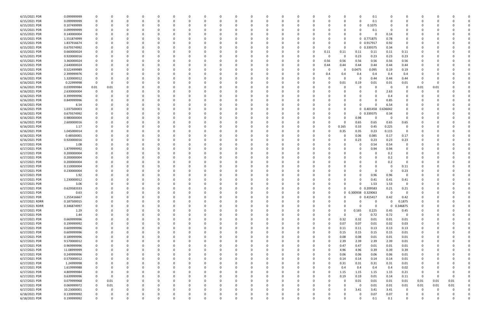| 6/15/2021 PDR  | 0.099999999 |          |          |          |          |          |          |          |              |   |          |          |          |          |          |      |          |             | 0.1         |             |                |          |      |          |  |
|----------------|-------------|----------|----------|----------|----------|----------|----------|----------|--------------|---|----------|----------|----------|----------|----------|------|----------|-------------|-------------|-------------|----------------|----------|------|----------|--|
| 6/15/2021 PDR  | 0.099999999 |          |          | $\Omega$ |          |          |          | 0        |              |   | n        | $\Omega$ |          |          | -0       |      | 0        | 0           | 0.1         |             | O              | C.       |      |          |  |
| 6/15/2021 PDR  | 0.107499999 |          |          |          |          |          |          |          |              |   |          |          |          |          |          |      |          | 0           | 0.1075      |             |                |          |      |          |  |
| 6/15/2021 PDR  | 0.099999999 |          |          |          |          |          |          |          |              |   |          |          |          |          |          |      |          |             | 0.1         |             |                |          |      |          |  |
| 6/15/2021 PDR  | 0.140000004 |          |          |          |          |          |          |          |              |   |          |          |          |          |          |      | 0        |             | $\Omega$    | 0.14        | 0              |          |      |          |  |
| 6/15/2021 PDR  | 1.551874999 |          |          |          |          |          |          |          |              |   |          |          |          |          |          |      | 0        |             | 0 0.771875  | 0.78        | 0              |          |      |          |  |
| 6/15/2021 PDR  | 1.837916674 |          |          |          |          |          |          |          |              |   |          |          |          |          |          |      | 0        |             | 0 0.917917  |             | 0              |          |      |          |  |
|                |             |          |          |          |          |          |          |          |              |   |          |          |          |          |          |      |          |             |             | 0.92        |                |          |      |          |  |
| 6/15/2021 PDR  | 0.679374992 |          |          |          |          |          |          |          |              |   |          |          |          |          |          |      | $\Omega$ |             | 0 0.339375  | 0.34        | 0              |          |      |          |  |
| 6/15/2021 PDR  | 0.660000024 |          |          |          |          |          |          |          |              |   |          |          |          |          |          | 0.11 | 0.11     | 0.11        | 0.11        | 0.11        | 0.11           |          |      |          |  |
| 6/15/2021 PDR  | 0.920000016 |          |          |          |          |          |          |          |              |   |          |          |          |          |          | 0    | $\Omega$ | 0.23        | 0.23        | 0.23        | 0.23           |          |      |          |  |
| 6/15/2021 PDR  | 3.360000024 |          |          |          |          |          |          |          |              |   |          |          |          |          | 0        | 0.56 | 0.56     | 0.56        | 0.56        | 0.56        | 0.56           |          |      |          |  |
| 6/15/2021 PDR  | 2.640000024 |          |          |          |          |          |          |          |              |   |          |          |          |          | 0        | 0.44 | 0.44     | 0.44        | 0.44        | 0.44        | 0.44           |          |      |          |  |
| 6/15/2021 PDR  | 0.522499989 |          |          |          |          |          |          |          |              |   |          |          |          |          | -0       |      | O        | 0.0475      | 0.095       | 0.19        | 0.19           |          |      |          |  |
| 6/15/2021 PDR  | 2.399999976 |          |          |          |          |          |          |          |              |   |          |          |          |          |          | 0.4  | 0.4      | 0.4         | 0.4         | 0.4         | 0.4            |          |      |          |  |
| 6/16/2021 PDR  | 1.320000012 |          |          |          |          |          |          |          |              |   |          |          |          |          |          |      | $\Omega$ | 0           | 0.44        | 0.44        | 0.44           |          |      |          |  |
| 6/16/2021 PDR  | 0.22999998  | $\Omega$ |          |          |          |          |          |          |              |   |          |          |          |          |          |      | 0.01     | 0.19        | 0.01        | 0.01        | 0.01           | $\Omega$ |      |          |  |
| 6/16/2021 PDR  | 0.039999984 | 0.01     | 0.01     |          |          |          |          |          |              |   |          |          |          |          |          |      |          | 0           | 0           | $\Omega$    | 0              | 0.01     | 0.01 |          |  |
| 6/16/2021 PDR  | 2.630000004 |          |          |          |          |          |          |          |              |   |          |          |          |          |          |      |          |             | 0           | 2.63        | 0              | C        |      |          |  |
| 6/16/2021 PDR  | 0.399999996 |          |          |          |          |          |          |          |              |   |          |          |          |          |          |      |          |             | 0           | 0.4         | 0              |          |      |          |  |
|                |             |          |          |          |          |          |          |          |              |   |          |          |          |          |          |      |          |             | $\Omega$    |             |                |          |      |          |  |
| 6/16/2021 PDR  | 0.849999996 |          |          |          |          |          |          |          |              |   |          |          |          |          |          |      |          |             |             | 0.85        |                |          |      |          |  |
| 6/16/2021 PDR  | 6.54        |          |          |          |          |          |          |          |              |   |          |          |          |          |          |      |          |             | $\Omega$    | 6.54        |                |          |      |          |  |
| 6/16/2021 PDR  | 1.037500003 |          |          |          |          |          |          |          |              |   |          |          |          |          |          |      |          |             | 0 0.401458  | 0.636042    |                |          |      |          |  |
| 6/16/2021 PDR  | 0.679374992 |          |          |          |          |          |          |          |              |   |          |          |          |          |          |      |          |             | 0 0.339375  | 0.34        | 0              |          |      |          |  |
| 6/16/2021 PDR  | 0.980000004 |          |          |          |          |          |          |          |              |   |          |          |          |          |          |      |          | 0.98        | 0           | 0           | $\Omega$       |          |      |          |  |
| 6/16/2021 PDR  | 2.600000016 |          |          |          |          |          |          |          |              |   |          |          |          |          |          |      | $\Omega$ | 0.65        | 0.65        | 0.65        | 0.65           |          |      |          |  |
| 6/16/2021 PDR  | 1.17        |          |          |          |          |          |          |          |              |   |          |          |          |          |          |      | 0.165    | 0.33        | 0.45        | 0.225       | 0              |          |      |          |  |
| 6/16/2021 PDR  | 1.045000014 |          |          |          |          |          |          |          |              |   |          |          |          |          |          |      | 0.35     | 0.35        | 0.23        | 0.115       | $\Omega$       |          |      |          |  |
| 6/16/2021 PDR  | 0.48500001  |          |          |          |          |          |          |          |              |   |          |          |          |          |          |      |          | 0.06        | 0.085       | 0.17        | 0.17           |          |      |          |  |
| 6/16/2021 PDR  | 0.920000016 |          |          |          |          |          |          |          |              |   |          |          |          |          |          |      |          | 0.23        | 0.23        | 0.23        | 0.23           |          |      |          |  |
| 6/17/2021 PDR  | 1.08        |          |          |          |          |          |          |          |              |   |          |          |          |          |          |      |          |             | 0.54        | 0.54        | 0              |          |      |          |  |
| 6/17/2021 PDR  | 1.879999992 |          |          |          |          |          |          |          |              |   |          |          |          |          |          |      |          | 0           | 0.94        | 0.94        | 0              |          |      |          |  |
|                |             |          |          |          |          |          |          |          |              |   |          |          |          |          |          |      |          |             |             |             |                |          |      |          |  |
| 6/17/2021 PDR  | 0.200000004 |          |          |          |          |          |          |          |              |   |          |          |          |          |          |      |          |             | 0           | 0.2         | 0              |          |      |          |  |
| 6/17/2021 PDR  | 0.200000004 |          |          |          |          |          |          |          |              |   |          |          |          |          |          |      |          |             | $\Omega$    | 0.2         | 0              |          |      |          |  |
| 6/17/2021 PDR  | 0.200000004 |          |          |          |          |          |          |          |              |   |          |          |          |          |          |      |          |             | 0           | 0.2         | $\Omega$       |          |      |          |  |
| 6/17/2021 PDR  | 0.110000004 |          |          |          |          |          |          |          |              |   |          |          |          |          |          |      |          |             | 0           | - 0         | 0.11           |          |      |          |  |
| 6/17/2021 PDR  | 0.230000004 |          |          |          |          |          |          |          |              |   |          |          |          |          |          |      |          |             | $\Omega$    | $\Omega$    | 0.23           |          |      |          |  |
| 6/17/2021 PDR  | 1.92        |          |          |          |          |          |          |          |              |   |          |          |          |          |          |      |          |             | 0.96        | 0.96        | 0              |          |      |          |  |
| 6/17/2021 PDR  | 1.230000012 |          |          |          |          |          |          |          |              |   |          |          |          |          |          |      |          |             | 0.41        | 0.41        | 0.41           |          |      |          |  |
| 6/17/2021 PDR  | 3.06        |          |          |          |          |          |          |          |              |   |          |          |          |          |          |      |          |             | 1.53        | 1.53        | $\Omega$       |          |      |          |  |
| 6/17/2021 PDR  | 0.629583333 |          |          |          |          |          |          |          |              |   |          |          |          |          |          |      | 0        |             | 0 0.209583  | 0.21        | 0.21           |          |      |          |  |
| 6/17/2021 PDR  | 0.63        |          |          |          |          |          |          |          |              |   | υ        |          |          |          |          |      | 0        | 0.300938    | 0.329063    |             | 0              |          |      |          |  |
| 6/17/2021 PDR  | 1.255416667 | 0        | 0        | $\Omega$ | $\Omega$ | $\Omega$ | $\Omega$ | $\Omega$ | 0            | O | $\Omega$ | $\Omega$ | $\Omega$ | $\Omega$ | $\Omega$ |      | $\Omega$ |             | 0 0.415417  | 0.42        | 0.42           | $\Omega$ |      |          |  |
| 6/17/2021 RDRR | 0.187500015 |          | $\Omega$ | $\Omega$ |          | O        | 0        | 0        |              | ŋ | 0        | $\Omega$ | $\Omega$ | $\Omega$ | 0        |      | $\Omega$ | 0           | $\mathbf 0$ | $\Omega$    | 0.1875         | 0        |      |          |  |
|                |             |          |          |          |          |          |          |          |              |   |          | $\Omega$ |          |          |          |      | $\Omega$ |             | $\mathbf 0$ |             | 0.346875       |          |      |          |  |
| 6/17/2021 RDRR | 0.346874997 |          |          | 0        |          |          | 0        | 0        |              |   | 0        |          |          |          | 0        |      |          | 0           |             | $\mathbf 0$ |                | 0        |      |          |  |
| 6/17/2021 PDR  | 1.29        |          |          |          |          |          | 0        | 0        |              |   |          | $\Omega$ |          | $\Omega$ | 0        |      | $\Omega$ | 0.165       | 0.225       | 0.45        | 0.45           |          |      |          |  |
| 6/17/2021 PDR  | 1.44        |          |          |          |          |          | 0        | 0        |              |   |          | $\Omega$ |          |          |          |      | $\Omega$ | - 0         | 0.72        | 0.72        | $\overline{0}$ |          |      |          |  |
| 6/17/2021 PDR  | 0.669999996 |          |          |          |          |          | 0        | 0        |              |   |          |          |          |          |          |      | 0.32     | 0.32        | 0.01        | $0.01\,$    | 0.01           | $\Omega$ |      |          |  |
| 6/17/2021 PDR  | 0.199999992 |          |          |          |          |          |          |          |              |   |          | 0        |          |          |          |      | 0.07     | 0.07        | 0.01        | 0.02        | 0.03           | $\Omega$ |      |          |  |
| 6/17/2021 PDR  | 0.609999996 | 0        |          |          |          |          | 0        | 0        |              |   |          | $\Omega$ |          |          | 0        |      | 0.11     | 0.11        | 0.13        | 0.13        | 0.13           | 0        |      |          |  |
| 6/17/2021 PDR  | 0.609999996 | 0        |          |          |          |          | 0        | 0        |              |   |          | 0        |          |          |          |      | 0.15     | 0.15        | 0.15        | 0.15        | 0.01           | 0        |      |          |  |
| 6/17/2021 PDR  | 0.189999996 |          |          |          |          |          |          | 0        |              |   |          | $\Omega$ |          |          |          |      | 0.08     | 0.08        | 0.01        | 0.01        | 0.01           |          |      |          |  |
| 6/17/2021 PDR  | 9.570000012 |          |          |          |          |          |          | 0        |              |   |          |          |          |          |          |      | 2.39     | 2.39        | 2.39        | 2.39        | 0.01           |          |      |          |  |
| 6/17/2021 PDR  | 0.969999996 |          |          |          |          |          |          |          |              |   |          |          |          |          |          |      | 0.47     | 0.47        | 0.01        | $0.01\,$    | 0.01           | 0        |      |          |  |
| 6/17/2021 PDR  | 11.08999999 | 0        |          |          |          |          | 0        | 0        |              |   |          | 0        |          |          |          |      | 4.96     | 4.96        | 0.39        | 0.39        | 0.39           | 0        |      |          |  |
| 6/17/2021 PDR  | 0.249999996 | 0        |          |          |          |          |          | 0        |              |   |          | $\Omega$ |          | 0        | 0        |      | 0.06     | 0.06        | 0.06        | 0.06        | 0.01           | 0        |      |          |  |
|                |             |          |          |          |          |          |          |          |              |   |          |          |          |          |          |      |          |             |             |             |                |          |      |          |  |
| 6/17/2021 PDR  | 0.570000012 | 0        |          |          |          |          |          | 0        |              |   |          | $\Omega$ |          |          |          |      | 0.14     | 0.14        | 0.14        | 0.14        | 0.01           | 0        |      |          |  |
| 6/17/2021 PDR  | 1.24999998  | 0        |          |          |          |          | 0        | $\Omega$ |              |   |          | $\Omega$ |          |          |          |      | 0.31     | 0.31        | 0.31        | 0.31        | 0.01           | 0        |      |          |  |
| 6/17/2021 PDR  | 1.619999988 |          |          |          |          |          |          | 0        |              |   |          | $\Omega$ |          |          |          |      | 0.4      | 0.4         | 0.4         | 0.4         | 0.02           |          |      |          |  |
| 6/17/2021 PDR  | 4.809999984 |          |          |          |          |          |          |          |              |   |          |          |          |          |          |      | 1.15     | 1.15        | 1.15        | 1.15        | 0.21           | $\Omega$ |      |          |  |
| 6/17/2021 PDR  | 0.639999996 |          | 0        |          |          |          |          | 0        |              |   |          |          |          |          |          |      | 0.19     | 0.19        | 0.01        | 0.14        | 0.11           | 0        |      |          |  |
| 6/17/2021 PDR  | 0.079999968 | $\Omega$ | 0.01     |          |          |          |          |          |              |   |          |          |          |          |          |      | $\Omega$ | 0.01        | 0.01        | 0.01        | 0.01           | 0.01     | 0.01 | 0.01     |  |
| 6/17/2021 PDR  | 0.069999972 |          | 0.01     |          |          |          |          | 0        |              |   |          |          |          |          |          |      | $\Omega$ | $\mathbf 0$ | 0.01        | 0.01        | 0.01           | 0.01     | 0.01 | 0.01     |  |
| 6/17/2021 PDR  | 10.23000001 | 0        | 0        |          |          |          | 0        | 0        |              |   |          | 0        |          |          |          |      | $\Omega$ | 3.41        | 3.41        | 3.41        | $\mathbf 0$    | 0        | - 0  | 0        |  |
| 6/18/2021 PDR  | 0.139999992 |          |          |          |          |          |          |          |              |   |          |          |          |          |          |      |          | O           | 0.07        | 0.07        | 0              |          |      |          |  |
| 6/18/2021 PDR  | 0.199999992 | $\Omega$ | $\Omega$ | $\Omega$ |          | $\Omega$ | $\Omega$ | $\Omega$ | <sup>0</sup> | 0 | $\Omega$ | $\Omega$ | $\Omega$ | $\Omega$ | $\Omega$ |      | $\Omega$ | $\Omega$    | 0.1         | 0.1         | $\mathbf 0$    | $\Omega$ |      | $\Omega$ |  |
|                |             |          |          |          |          |          |          |          |              |   |          |          |          |          |          |      |          |             |             |             |                |          |      |          |  |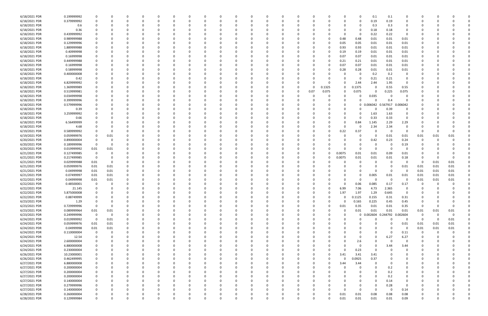| 6/18/2021 PDR | 0.199999992 |             |             |          | $\Omega$      | $\Omega$ |          | 0            |          | 0        |          |   | - 0      |              |          | 0            | 0.1               | 0.1      | 0              |          |      |          |  |
|---------------|-------------|-------------|-------------|----------|---------------|----------|----------|--------------|----------|----------|----------|---|----------|--------------|----------|--------------|-------------------|----------|----------------|----------|------|----------|--|
| 6/18/2021 PDR | 0.379999992 |             |             |          | $\Omega$      |          |          | $\Omega$     |          | $\Omega$ |          |   | $\Omega$ |              |          | $\Omega$     | 0.19              | 0.19     | $\Omega$       | റ        |      |          |  |
| 6/18/2021 PDR | 0.6         |             |             |          |               |          |          |              |          |          |          |   |          |              |          | 0            | 0.3               | 0.3      |                |          |      |          |  |
| 6/18/2021 PDR | 0.36        |             |             |          |               |          |          |              |          |          |          |   |          |              |          | 0            | 0.18              | 0.18     |                |          |      |          |  |
| 6/18/2021 PDR | 0.439999992 |             |             |          |               |          |          |              |          |          |          |   |          |              |          | 0            | 0.22              | 0.22     | $\mathbf 0$    |          |      |          |  |
| 6/18/2021 PDR | 0.989999988 |             |             |          |               |          |          | n            |          |          |          |   |          |              | 0.48     | 0.48         | 0.01              | 0.01     | 0.01           |          |      |          |  |
| 6/18/2021 PDR | 0.129999996 |             |             |          |               |          |          |              |          |          |          |   |          |              |          |              |                   |          |                |          |      |          |  |
|               |             |             |             |          |               |          |          |              |          |          |          |   |          |              | 0.05     | 0.05         | 0.01              | 0.01     | 0.01           |          |      |          |  |
| 6/18/2021 PDR | 1.889999988 |             |             |          |               |          |          |              |          |          |          |   |          |              | 0.93     | 0.93         | 0.01              | 0.01     | 0.01           |          |      |          |  |
| 6/18/2021 PDR | 0.40999998  |             |             |          |               |          |          |              |          |          |          |   |          |              | 0.19     | 0.19         | 0.01              | 0.01     | 0.01           |          |      |          |  |
| 6/18/2021 PDR | 0.16999998  |             |             |          |               |          |          |              |          |          |          |   |          |              | 0.07     | 0.07         | 0.01              | 0.01     | 0.01           |          |      |          |  |
| 6/18/2021 PDR | 0.449999988 |             |             |          |               |          |          |              |          |          |          |   |          |              | 0.21     | 0.21         | 0.01              | 0.01     | 0.01           |          |      |          |  |
| 6/18/2021 PDR | 0.16999998  |             |             |          |               |          |          |              |          |          |          |   | - 0      |              | 0.07     | 0.07         | 0.01              | 0.01     | 0.01           |          |      |          |  |
| 6/18/2021 PDR | 0.58999998  |             |             |          |               |          |          |              |          |          |          |   |          |              | 0.28     | 0.28         | 0.01              | 0.01     | 0.01           |          |      |          |  |
| 6/18/2021 PDR | 0.400000008 |             |             |          |               |          |          |              |          |          |          |   |          |              |          | -0           | 0.2               | 0.2      | 0              |          |      |          |  |
| 6/18/2021 PDR | 0.42        |             |             |          |               |          |          |              |          |          |          |   |          |              |          | -0           | 0.21              | 0.21     | 0              |          |      |          |  |
| 6/18/2021 PDR | 6.829999992 |             |             |          |               |          |          |              |          |          |          |   |          |              |          | 2.44         | 2.44              | 1.95     | -0             |          |      |          |  |
| 6/18/2021 PDR | 1.369999989 |             |             |          |               |          |          |              |          |          |          | 0 | -0       | 0.1325       | 0        | 0.1375       | 0                 | 0.55     | 0.55           |          |      |          |  |
| 6/18/2021 PDR | 0.519999981 |             |             |          |               |          |          |              |          |          |          | 0 | 0.07     | 0.075        | 0        | 0.075        | $\Omega$          | 0.225    | 0.075          |          |      |          |  |
| 6/18/2021 PDR | 0.034999998 |             |             |          |               |          |          |              |          |          |          |   |          |              |          | 0            | 0.035             | - 0      | 0              |          |      |          |  |
| 6/18/2021 PDR | 0.399999996 |             |             |          |               |          |          |              |          |          |          |   |          |              |          | 0            |                   | 0.4      |                |          |      |          |  |
| 6/18/2021 PDR | 0.579999996 |             |             |          |               |          |          |              |          |          |          |   |          |              |          |              | 0.006042 0.567917 |          |                |          |      |          |  |
|               |             |             |             |          |               |          |          |              |          |          |          |   |          |              |          | $\mathbf{0}$ |                   |          | 0.006042       |          |      |          |  |
| 6/18/2021 PDR | 0.39        |             |             |          |               |          |          |              |          |          |          |   |          |              |          | n            |                   | 0.39     | 0              |          |      |          |  |
| 6/18/2021 PDR | 3.259999992 |             |             |          |               |          |          |              |          |          |          |   |          |              |          | 0            | 1.63              | 1.63     | 0              |          |      |          |  |
| 6/18/2021 PDR | 0.66        |             |             |          |               |          |          |              |          |          |          |   |          |              |          | -0           | 0.33              | 0.33     | $\Omega$       |          |      |          |  |
| 6/18/2021 PDR | 6.56499999  |             |             |          |               |          |          |              |          |          |          |   |          |              |          | 0.84         | 1.145             | 2.29     | 2.29           |          |      |          |  |
| 6/18/2021 PDR | 4.68        |             |             |          | റ             |          |          |              |          |          |          |   |          |              | $\Omega$ | -0           | 2.34              | 2.34     | 0              |          |      |          |  |
| 6/19/2021 PDR | 0.589999992 |             | 0           |          |               |          |          |              |          |          |          |   |          |              | 0.22     | 0.37         |                   | - 0      | - 0            | -0       |      |          |  |
| 6/19/2021 PDR | 0.059999976 |             | 0.01        |          |               |          |          |              |          |          |          |   |          |              |          | 0            | 0                 | 0.01     | 0.01           | 0.01     | 0.01 | 0.01     |  |
| 6/20/2021 PDR | 0.890000004 |             | 0           |          |               |          |          |              |          |          |          |   |          |              |          | 0            | 0.42              | 0.23     | 0.24           | 0        |      |          |  |
| 6/20/2021 PDR | 0.189999996 | 0           | $\Omega$    |          |               |          |          |              |          |          |          |   |          |              |          | 0            | 0                 |          | 0.19           |          |      |          |  |
| 6/20/2021 PDR | 0.019999992 | 0.01        | 0.01        |          |               |          |          |              |          |          |          |   |          |              |          | 0            | -C                | - 0      |                |          |      |          |  |
| 6/21/2021 PDR | 0.127499985 | 0           |             |          |               |          |          |              |          |          |          |   | - 0      | 0            | 0.0075   | 0.01         | 0.01              | 0.09     | 0.01           |          |      |          |  |
| 6/21/2021 PDR | 0.217499985 | - 0         |             |          |               |          |          |              |          |          |          |   |          |              | 0.0075   | 0.01         | 0.01              | 0.01     | 0.18           |          |      |          |  |
| 6/21/2021 PDR | 0.029999988 | 0.01        | 0           |          |               |          |          |              |          |          |          |   |          |              |          | 0            |                   |          | 0              | 0        | 0.01 | 0.01     |  |
|               | 0.059999976 |             |             |          |               |          |          |              |          |          |          |   |          |              |          |              |                   |          |                |          |      | 0.01     |  |
| 6/21/2021 PDR |             | 0.01        | 0.01        |          |               |          |          |              |          |          |          |   |          |              |          |              |                   | - 0      | 0.01           | 0.01     | 0.01 |          |  |
| 6/21/2021 PDR | 0.04999998  | 0.01        | 0.01        |          |               |          |          |              |          |          |          |   |          |              |          |              |                   |          | 0              | 0.01     | 0.01 | 0.01     |  |
| 6/21/2021 PDR | 0.07499997  | 0.01        | 0.01        |          |               |          |          |              |          |          |          |   |          |              |          | 0            | 0.005             | 0.01     | 0.01           | 0.01     | 0.01 | 0.01     |  |
| 6/22/2021 PDR | 0.04999998  | 0.01        | 0.01        |          |               |          |          |              |          |          |          |   |          |              |          | 0            |                   | - 0      | 0              | 0.01     | 0.01 | 0.01     |  |
| 6/22/2021 PDR | 0.48500001  |             |             |          |               |          |          |              |          |          |          |   |          |              |          | 0.06         | 0.085             | 0.17     | 0.17           |          |      |          |  |
| 6/22/2021 PDR | 21.145      | $\Omega$    | 0           |          | $\Omega$      |          |          |              |          |          |          |   |          |              | 6.99     | 7.06         | 4.73              | 2.365    | $\Omega$       | $\Omega$ |      |          |  |
| 6/22/2021 PDR | 5.875000008 |             | O           |          |               |          |          |              |          |          | O        |   |          |              | 1.97     | 1.97         | 1.29              | 0.645    | 0              |          |      |          |  |
| 6/22/2021 PDR | 0.88749999  |             | $\Omega$    | O        | $\Omega$      | $\Omega$ | $\Omega$ | <sup>0</sup> |          | $\Omega$ | $\Omega$ |   | 0        | <sup>0</sup> |          | 0.1125       | 0.155             | 0.31     | 0.31           | 0        |      |          |  |
| 6/23/2021 PDR | 1.29        | 0           | 0           |          | $\Omega$      |          |          |              |          |          |          |   | 0        |              | $\Omega$ | 0.165        | 0.225             | 0.45     | 0.45           | 0        |      |          |  |
| 6/23/2021 PDR | 0.729999996 | 0           | 0           |          | 0             |          |          | 0            |          | 0        |          |   | 0        | $\Omega$     | 0.01     | 0.35         | 0.01              | 0.01     | 0.35           | 0        |      | 0        |  |
| 6/23/2021 PDR | 0.089999964 | 0.01        | 0.01        |          |               |          |          |              |          |          |          |   | - 0      |              |          | 0.01         | 0.01              | 0.01     | 0.01           | 0.01     | 0.01 | 0.01     |  |
| 6/23/2021 PDR | 0.249999996 | $\Omega$    | $\mathbf 0$ |          | $\Omega$      |          |          |              |          |          |          |   | $\Omega$ |              | $\Omega$ | $\mathbf 0$  | 0.002604 0.244792 |          | 0.002604       | 0        |      | $\Omega$ |  |
| 6/24/2021 PDR | 0.019999992 | $\mathbf 0$ | 0.01        |          | 0             |          |          | 0            |          |          |          |   | 0        |              | 0        | 0            | $\Omega$          | $\Omega$ | 0              | 0        | - 0  | 0.01     |  |
| 6/24/2021 PDR | 0.059999976 | 0.01        | 0.01        |          | 0             |          |          | 0            |          |          |          |   | 0        |              |          |              |                   | $\Omega$ | 0.01           | 0.01     | 0.01 | 0.01     |  |
| 6/24/2021 PDR | 0.04999998  | 0.01        | 0.01        | 0        | $\Omega$      | $\Omega$ |          | 0            |          | 0        |          | 0 | 0        |              |          | 0            | $\Omega$          | $\Omega$ | 0              | 0.01     | 0.01 | $0.01\,$ |  |
|               |             | $\Omega$    |             |          |               |          |          |              |          |          |          |   |          |              |          |              |                   | - 0      |                |          |      |          |  |
| 6/24/2021 PDR | 0.110000004 |             | 0           | 0        | 0             | $\Omega$ |          | 0            |          |          |          | 0 | 0        |              |          | 0            | $\Omega$          |          | 0.11           | 0        | - 0  |          |  |
| 6/24/2021 PDR | 12.54       |             | O           | 0        | 0             | $\Omega$ |          | 0            |          |          |          | 0 | 0        |              |          | 0            | $\Omega$          | 6.27     | 6.27           |          |      |          |  |
| 6/24/2021 PDR | 2.600000004 |             | 0           |          | 0             |          |          | 0            |          | 0        |          |   | 0        |              |          | 2.6          | $\Omega$          | - 0      | $\Omega$       | 0        |      |          |  |
| 6/24/2021 PDR | 6.880000008 |             | 0           |          | 0             |          |          | 0            |          |          |          |   | -0       |              |          | 0            | 0                 | 3.44     | 3.44           |          |      |          |  |
| 6/24/2021 PDR | 0.230000004 |             |             |          |               |          |          |              |          |          |          |   | 0        |              |          | 0.23         | $\Omega$          | $\Omega$ | 0              |          |      |          |  |
| 6/26/2021 PDR | 10.23000001 |             |             |          | $\Omega$      |          |          |              |          |          |          |   | 0        | 0            | 3.41     | 3.41         | 3.41              | $\Omega$ |                |          |      |          |  |
| 6/26/2021 PDR | 0.462499995 |             |             |          | 0             | $\Omega$ |          | 0            |          | 0        |          |   | 0        | <sup>0</sup> |          | 0.0925       | 0.37              | 0        |                | 0        |      |          |  |
| 6/27/2021 PDR | 6.880000008 |             |             |          | 0             |          |          | 0            |          | 0        |          | 0 | 0        | 0            | 3.44     | 3.44         | $\Omega$          | - 0      | 0              | 0        |      |          |  |
| 6/27/2021 PDR | 0.200000004 |             |             |          | $\Omega$      | $\Omega$ |          | 0            |          | $\Omega$ |          | 0 | 0        |              |          | $\Omega$     | $\Omega$          | 0.2      | 0              | 0        |      |          |  |
| 6/27/2021 PDR | 0.200000004 |             |             |          | 0             |          |          | 0            |          |          |          |   | 0        |              |          | 0            | $\Omega$          | 0.2      | 0              |          |      |          |  |
| 6/27/2021 PDR | 0.200000004 |             |             |          | 0             |          |          | 0            |          |          |          |   | 0        |              |          | 0            | $\Omega$          | 0.2      | 0              |          |      |          |  |
| 6/27/2021 PDR | 0.140000004 |             |             |          | 0             |          |          | 0            |          |          |          |   | -0       |              |          | 0            | $\Omega$          | 0.14     | $\overline{0}$ |          |      |          |  |
| 6/27/2021 PDR | 0.279999996 |             |             |          | 0             |          |          | 0            |          |          |          |   | 0        |              | 0        | 0            | $\Omega$          | 0.28     | $\mathbf 0$    | 0        |      |          |  |
| 6/27/2021 PDR | 0.140000004 |             |             | O        | $\Omega$      | $\Omega$ |          | 0            |          | 0        |          | 0 | 0        |              | $\Omega$ | $\Omega$     | $\Omega$          | - 0      | 0.14           | 0        |      |          |  |
| 6/28/2021 PDR | 0.260000004 |             |             |          |               |          |          |              |          |          |          |   |          | 0            | 0.01     |              |                   |          |                |          |      |          |  |
|               |             |             |             | $\Omega$ | 0<br>$\Omega$ | $\Omega$ | $\Omega$ | 0            | $\Omega$ | 0        | $\Omega$ |   | -0       |              |          | 0.01         | 0.08              | 0.08     | 0.08           |          |      |          |  |
| 6/28/2021 PDR | 0.129999984 | $\Omega$    | $\Omega$    |          |               |          |          | $\Omega$     |          | $\Omega$ |          | 0 | $\Omega$ |              | 0.01     | 0.01         | 0.01              | $0.01\,$ | 0.09           | 0        |      | $\Omega$ |  |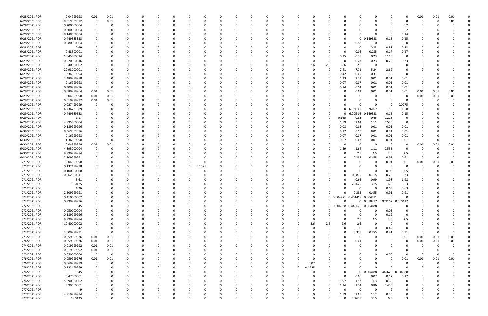| 6/28/2021 PDR | 0.04999998  | 0.01           | 0.01     |   |          |          |          |          |          |          |              |          |          |          |        |          |          |             | 0                            |          |                | 0.01     | 0.01 | 0.01     |  |
|---------------|-------------|----------------|----------|---|----------|----------|----------|----------|----------|----------|--------------|----------|----------|----------|--------|----------|----------|-------------|------------------------------|----------|----------------|----------|------|----------|--|
| 6/28/2021 PDR | 0.019999992 | 0              | 0.01     | O | n        | 0        |          |          | -0       | O        | <sup>0</sup> | $\Omega$ |          |          | -0     |          | ი        | O           | $\Omega$                     |          | $\Omega$       | -0       |      | 0.01     |  |
| 6/28/2021 PDR | 0.200000004 | 0              |          |   |          |          |          |          |          |          |              |          |          |          |        |          |          |             | 0                            |          | 0.2            |          |      |          |  |
| 6/28/2021 PDR | 0.200000004 |                |          |   |          |          |          |          |          |          |              |          |          |          |        |          |          |             | $\Omega$                     |          | 0.2            |          |      |          |  |
|               |             |                |          |   |          |          |          |          |          |          |              |          |          |          |        |          |          |             |                              |          |                |          |      |          |  |
| 6/28/2021 PDR | 0.140000004 |                |          |   |          |          |          |          |          |          |              |          |          |          |        |          |          | O           | $\Omega$                     | - 0      | 0.14           |          |      |          |  |
| 6/28/2021 PDR | 0.449583333 |                |          |   |          |          |          |          |          |          |              |          |          |          |        |          |          | $\mathbf 0$ | 0.149583                     | 0.15     | 0.15           |          |      |          |  |
| 6/28/2021 PDR | 0.980000004 |                |          |   |          |          |          |          |          |          |              |          |          |          |        |          |          | 0.98        | 0                            | $\Omega$ |                |          |      |          |  |
| 6/28/2021 PDR | 0.99        |                |          |   |          |          |          |          |          |          |              | - 0      |          |          |        |          | O        | 0           | 0.33                         | 0.33     | 0.33           |          |      |          |  |
| 6/28/2021 PDR | 0.48500001  |                |          |   |          |          |          |          |          |          |              |          |          |          |        |          | 0        | 0.06        | 0.085                        | 0.17     | 0.17           |          |      |          |  |
| 6/29/2021 PDR | 1.045000014 |                |          |   |          |          |          |          |          |          |              |          |          |          |        |          | 0.35     | 0.35        | 0.23                         | 0.115    | $\overline{0}$ |          |      |          |  |
| 6/29/2021 PDR | 0.920000016 |                |          |   |          |          |          |          |          |          |              | - 0      |          |          | 0      |          | 0        | 0.23        | 0.23                         | 0.23     | 0.23           |          |      |          |  |
|               |             |                |          |   |          |          |          |          |          |          |              |          |          |          |        |          |          |             |                              |          |                |          |      |          |  |
| 6/29/2021 PDR | 10.40000002 |                |          |   |          |          |          |          |          |          |              |          |          |          | 2.6    | 2.6      | 2.6      | 2.6         | 0                            | 0        | 0              |          |      |          |  |
| 6/29/2021 PDR | 22.98000001 |                |          |   |          |          |          |          |          |          |              | - 0      |          |          | 0      |          | 7.41     | 7.71        | 5.24                         | 2.62     | 0              |          |      |          |  |
| 6/29/2021 PDR | 1.334999994 |                |          |   |          |          |          |          |          |          |              |          |          |          |        |          | 0.42     | 0.45        | 0.31                         | 0.155    | 0              |          |      |          |  |
| 6/29/2021 PDR | 2.489999988 |                |          |   |          |          |          |          |          |          |              |          |          |          |        |          | 1.23     | 1.23        | 0.01                         | 0.01     | 0.01           |          |      |          |  |
| 6/29/2021 PDR | 0.16999998  |                |          |   |          |          |          |          |          |          |              |          |          |          |        |          | 0.07     | 0.07        | 0.01                         | 0.01     | 0.01           |          |      |          |  |
| 6/29/2021 PDR | 0.309999996 | 0              |          |   |          |          |          |          |          |          |              |          |          |          |        |          | 0.14     | 0.14        | 0.01                         | 0.01     | 0.01           | -0       |      |          |  |
|               |             |                |          |   |          |          |          |          |          |          |              |          |          |          |        |          |          |             |                              |          |                |          |      |          |  |
| 6/29/2021 PDR | 0.089999964 | 0.01           | 0.01     |   |          |          |          |          |          |          |              |          |          |          |        |          |          | 0.01        | 0.01                         | 0.01     | 0.01           | 0.01     | 0.01 | 0.01     |  |
| 6/29/2021 PDR | 0.04999998  | 0.01           | 0.01     |   |          |          |          |          |          |          |              |          |          |          |        |          |          | 0           | 0                            | $\Omega$ | 0              | 0.01     | 0.01 | 0.01     |  |
| 6/29/2021 PDR | 0.019999992 | 0.01           | 0.01     |   |          |          |          |          |          |          |              |          |          |          |        |          |          |             | 0                            |          |                |          |      |          |  |
| 6/29/2021 PDR | 0.027499999 | 0              |          |   |          |          |          |          |          |          |              |          |          |          |        |          |          |             | $\Omega$                     | $\Omega$ | 0.0275         |          |      |          |  |
| 6/29/2021 PDR | 4.736731989 | 0              |          |   |          |          |          |          |          |          |              |          |          |          |        |          | 0        |             | 6.53E-05 1.576667            | 1.58     | 1.58           |          |      |          |  |
| 6/29/2021 PDR | 0.449589533 |                |          |   |          |          |          |          |          |          |              |          |          |          |        |          | $\Omega$ |             | 6.20E-06 0.149583            | 0.15     | 0.15           |          |      |          |  |
| 6/29/2021 PDR | 1.17        |                |          |   |          |          |          |          |          |          |              |          |          |          |        |          | 0.165    | 0.33        | 0.45                         | 0.225    | 0              |          |      |          |  |
|               |             |                |          |   |          |          |          |          |          |          |              |          |          |          |        |          |          |             |                              |          |                |          |      |          |  |
| 6/29/2021 PDR | 4.895000004 |                |          |   |          |          |          |          |          |          |              |          |          |          |        |          | 1.59     | 1.64        | 1.11                         | 0.555    | 0              |          |      |          |  |
| 6/30/2021 PDR | 0.189999996 |                |          |   |          |          |          |          |          |          |              |          |          |          |        |          | 0.08     | 0.08        | 0.01                         | 0.01     | 0.01           |          |      |          |  |
| 6/30/2021 PDR | 0.369999996 |                |          |   |          |          |          |          |          |          |              |          |          |          |        |          | 0.17     | 0.17        | 0.01                         | 0.01     | 0.01           |          |      |          |  |
| 6/30/2021 PDR | 0.16999998  |                |          |   |          |          |          |          |          |          |              |          |          |          |        |          | 0.07     | 0.07        | 0.01                         | 0.01     | 0.01           |          |      |          |  |
| 6/30/2021 PDR | 1.36999998  | 0              |          |   |          |          |          |          |          |          |              |          |          |          |        |          | 0.67     | 0.67        | 0.01                         | 0.01     | 0.01           | 0        |      |          |  |
| 6/30/2021 PDR | 0.04999998  | 0.01           | 0.01     |   |          |          |          |          |          |          |              |          |          |          |        |          |          | 0           | 0                            | 0        | 0              | 0.01     | 0.01 | 0.01     |  |
| 6/30/2021 PDR | 4.895000004 | 0              |          |   |          |          |          |          |          |          |              | - 0      |          |          |        |          | 1.59     | 1.64        | 1.11                         | 0.555    | - 0            | -0       |      |          |  |
|               |             |                |          |   |          |          |          |          |          |          |              |          |          |          |        |          |          |             |                              |          |                |          |      |          |  |
| 6/30/2021 PDR | 9.999999984 | 0              |          |   |          |          |          |          |          |          |              |          |          |          |        |          |          | 2.5         | 2.5                          | 2.5      | 2.5            | 0        |      |          |  |
| 6/30/2021 PDR | 2.609999991 |                |          |   |          |          |          |          |          |          |              |          |          |          |        |          |          | 0.335       | 0.455                        | 0.91     | 0.91           | -0       |      |          |  |
| 7/1/2021 PDR  | 0.04999998  |                |          |   |          |          |          |          |          |          |              |          |          |          |        |          |          | 0           | 0                            | 0.01     | 0.01           | 0.01     | 0.01 | 0.01     |  |
| 7/1/2021 PDR  | 0.132499998 |                |          |   |          |          |          |          | 0.1325   |          |              |          |          |          |        |          |          |             | 0                            | 0        | 0              |          |      |          |  |
| 7/1/2021 PDR  | 0.100000008 |                |          |   |          |          |          |          |          |          |              |          |          |          |        |          |          | O           | $\Omega$                     | 0.05     | 0.05           |          |      |          |  |
| 7/1/2021 PDR  | 0.662500011 |                |          |   |          |          |          |          |          |          |              |          |          |          |        |          |          | 0.0875      | 0.115                        | 0.23     | 0.23           |          |      |          |  |
|               |             |                |          |   |          |          |          |          |          |          |              |          |          |          |        |          |          |             |                              |          |                |          |      |          |  |
| 7/1/2021 PDR  | 5.61        |                |          |   |          |          |          |          |          |          |              |          |          |          |        |          |          | 0.66        | 0.99                         | 1.98     | 1.98           |          |      |          |  |
| 7/1/2021 PDR  | 18.0125     |                |          |   |          |          |          |          |          |          |              |          |          |          |        |          |          | .2625       | 3.15                         | 6.3      | 6.3            |          |      |          |  |
| 7/1/2021 PDR  | 1.26        |                |          |   |          |          |          |          |          |          |              |          |          |          |        |          | 0        | 0           | 0                            | 0.63     | 0.63           | n        |      |          |  |
| 7/1/2021 PDR  | 2.609999991 |                |          |   | 0        |          |          |          |          |          | O            |          |          |          |        |          |          | 0.335       | 0.455                        | 0.91     | 0.91           |          |      |          |  |
| 7/2/2021 PDR  | 0.410000002 | $\Omega$       |          |   | $\Omega$ | $\Omega$ | $\Omega$ | $\Omega$ | 0        | $\Omega$ | $\Omega$     | $\Omega$ | $\Omega$ | $\Omega$ | 0      |          |          |             | 0 0.004271 0.401458 0.004271 | $\Omega$ | $\Omega$       | $\Omega$ |      |          |  |
| 7/2/2021 PDR  | 0.999999996 | $\Omega$       |          |   | 0        | 0        |          | $\Omega$ | 0        | 0        | 0            | $\Omega$ |          | $\Omega$ | 0      | $\Omega$ | 0        |             | 0 0.010417 0.979167          |          | 0.010417       | 0        |      |          |  |
| 7/2/2021 PDR  | 0.45        | 0              |          |   | 0        |          |          |          |          |          |              | $\Omega$ |          |          | 0      |          |          |             | 0 0.004688 0.440625 0.004688 | $\Omega$ | $\mathbf 0$    |          |      |          |  |
|               |             | 0              |          |   |          | 0        |          |          | -0       |          |              | $\Omega$ |          |          | 0      |          |          | $\Omega$    | $\Omega$                     | 0.05     |                | $\Omega$ |      |          |  |
| 7/2/2021 PDR  | 0.050000004 |                |          |   |          |          |          |          |          |          |              |          |          |          |        |          |          |             |                              |          | 0              |          |      |          |  |
| 7/2/2021 PDR  | 0.189999996 | 0              |          |   |          |          |          |          |          |          |              | $\Omega$ |          |          | 0      |          | 0        | 0           | $\mathbf 0$                  | 0.19     | 0              |          |      |          |  |
| 7/2/2021 PDR  | 9.999999984 | 0              |          |   |          |          |          |          |          |          |              | $\Omega$ |          |          | 0      |          | $\Omega$ | 2.5         | 2.5                          | 2.5      | 2.5            |          |      |          |  |
| 7/2/2021 PDR  | 10.40000002 | 0              |          |   |          |          |          |          |          |          |              | 0        |          |          | 2.6    | 2.6      | 2.6      | 2.6         | $\Omega$                     | $\Omega$ |                |          |      |          |  |
| 7/2/2021 PDR  | 0.42        | 0              |          |   |          | - 0      |          |          |          |          |              | $\Omega$ |          |          | 0      |          | $\Omega$ | 0           | $\mathbf 0$                  | 0.42     | $\overline{0}$ | 0        |      |          |  |
| 7/2/2021 PDR  | 2.609999991 | 0              | $\Omega$ |   |          |          |          |          |          |          |              | 0        |          |          |        |          | $\Omega$ | 0.335       | 0.455                        | 0.91     | 0.91           | $\Omega$ |      |          |  |
| 7/3/2021 PDR  | 0.059999976 | 0.01           | 0.01     |   |          | -0       |          |          |          |          |              | $\Omega$ |          |          |        |          | $\Omega$ | 0           | $\Omega$                     | $\Omega$ | 0.01           | 0.01     | 0.01 | 0.01     |  |
|               |             |                |          |   |          |          |          |          |          |          |              |          |          |          |        |          |          |             |                              |          |                |          |      |          |  |
| 7/4/2021 PDR  | 0.059999976 | 0.01           | 0.01     |   |          |          |          |          |          |          |              | $\Omega$ |          |          |        |          | 0        | 0.01        | $\Omega$                     |          | 0              | 0.01     | 0.01 | 0.01     |  |
| 7/4/2021 PDR  | 0.019999992 | 0.01           | 0.01     |   |          |          |          |          |          |          |              | 0        |          |          |        |          |          | 0           | 0                            |          |                | 0        |      |          |  |
| 7/5/2021 PDR  | 0.019999992 | 0.01           | 0.01     |   |          | 0        |          |          |          |          |              | 0        |          |          |        |          |          | 0           | $\Omega$                     | $\Omega$ |                | 0        |      |          |  |
| 7/5/2021 PDR  | 0.050000004 | $\overline{0}$ | $\Omega$ |   |          | $\Omega$ |          |          |          |          |              | $\Omega$ |          |          | 0      |          |          |             | 0                            | 0.05     | $\Omega$       | -0       |      | 0        |  |
| 7/6/2021 PDR  | 0.059999976 | 0.01           | 0.01     |   |          |          |          |          |          |          |              | $\Omega$ |          |          | 0      |          |          |             | $\Omega$                     | $\Omega$ | 0.01           | 0.01     | 0.01 | 0.01     |  |
| 7/6/2021 PDR  | 0.069999999 | $\mathbf 0$    |          |   |          | - 0      |          |          |          |          |              | $\Omega$ | $\Omega$ | $\Omega$ | 0.07   |          |          |             | $\Omega$                     | $\Omega$ | $\Omega$       | -0       |      |          |  |
|               |             |                |          |   |          |          |          |          |          |          |              |          |          | $\Omega$ |        |          |          |             | $\Omega$                     | $\Omega$ | $\Omega$       |          |      |          |  |
| 7/6/2021 PDR  | 0.122499999 | $\Omega$       |          |   |          |          |          |          |          |          |              | $\Omega$ |          |          | 0.1225 |          | 0        |             |                              |          |                |          |      |          |  |
| 7/6/2021 PDR  | 0.45        |                |          |   |          |          |          |          |          |          |              | -0       |          |          |        |          | $\Omega$ |             | 0 0.004688                   | 0.440625 | 0.004688       |          |      |          |  |
| 7/6/2021 PDR  | 0.47000001  | 0              |          |   |          |          |          |          |          |          |              | 0        |          |          | 0      |          | $\Omega$ | 0.06        | 0.07                         | 0.17     | 0.17           |          |      |          |  |
| 7/6/2021 PDR  | 5.890000002 |                |          |   |          |          |          |          |          |          |              | - 0      |          |          |        |          | 1.97     | 1.97        | 1.3                          | 0.65     | 0              |          |      |          |  |
| 7/6/2021 PDR  | 3.99500001  |                |          |   |          |          |          |          |          |          |              | 0        |          |          |        |          | 1.34     | 1.34        | 0.86                         | 0.455    | 0              |          |      |          |  |
| 7/7/2021 PDR  | -9          | 0              |          |   |          | - 0      |          |          |          |          |              | $\Omega$ |          |          | 0      |          | ŋ        | 0           | $\Omega$                     | -9       | 0              |          |      |          |  |
| 7/7/2021 PDR  | 4.919999994 |                |          |   |          |          |          |          |          |          |              |          |          |          |        |          | 1.59     | 1.65        | 1.12                         | 0.56     | 0              |          |      |          |  |
|               |             | $\Omega$       |          | 0 | $\Omega$ | $\Omega$ | $\Omega$ | $\Omega$ |          | $\Omega$ | $\Omega$     | $\Omega$ | $\Omega$ | $\Omega$ |        |          | ი        |             |                              |          |                |          |      | $\Omega$ |  |
| 7/7/2021 PDR  | 18.0125     |                |          |   |          |          |          |          | $\Omega$ |          |              |          |          |          | 0      |          |          | 2.2625      | 3.15                         | 6.3      | 6.3            | $\Omega$ |      |          |  |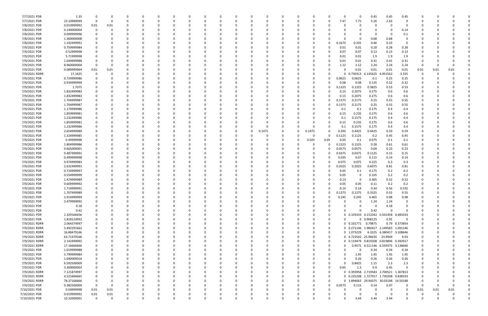| 7/7/2021 PDR                 | 1.35        | 0           |          |          |          |          |          |          |          |          |        |              |          | $\Omega$     |        | $\Omega$                              | 0.45              | 0.45                              | 0.45          |          |      |          |  |
|------------------------------|-------------|-------------|----------|----------|----------|----------|----------|----------|----------|----------|--------|--------------|----------|--------------|--------|---------------------------------------|-------------------|-----------------------------------|---------------|----------|------|----------|--|
| 7/7/2021 PDR                 | 23.10999999 | 0           | - 0      |          |          |          | 0        |          |          |          |        |              | 0        | 0            | 7.47   | 7.75                                  | 5.26              | 2.63                              |               |          |      |          |  |
| 7/8/2021 PDR                 | 0.019999992 | 0.01        | 0.01     |          |          |          |          |          |          |          |        |              |          |              |        |                                       |                   |                                   |               |          |      |          |  |
| 7/8/2021 PDR                 | 0.140000004 | 0           |          |          |          |          | $\Omega$ |          |          |          |        |              |          |              |        |                                       |                   | 0                                 | 0.14          |          |      |          |  |
| 7/8/2021 PDR                 | 0.099999996 |             |          |          |          |          | -0       |          |          |          |        |              |          |              |        |                                       | 0                 | $\Omega$                          | 0.1           |          |      |          |  |
| 7/8/2021 PDR                 | 1.360000008 |             |          |          |          |          |          |          |          |          |        |              |          |              |        |                                       | 0.68              | 0.68                              |               |          |      |          |  |
| 7/8/2021 PDR                 |             |             |          |          |          |          |          |          |          |          |        |              |          | 0            | 0.1675 |                                       |                   |                                   | $\Omega$      |          |      |          |  |
|                              | 1.192499991 |             |          |          |          |          |          |          |          |          |        |              |          |              |        | 0.335                                 | 0.46              | 0.23                              |               |          |      |          |  |
| 7/9/2021 PDR                 | 0.759999984 |             |          |          |          |          | -0       |          |          |          |        |              |          | 0            | 0.01   | 0.01                                  | 0.18              | 0.28                              | 0.28          |          |      |          |  |
| 7/9/2021 PDR                 | 0.52999998  |             |          |          |          |          |          |          |          |          |        |              |          | 0            | 0.07   | 0.07                                  | 0.13              | 0.13                              | 0.13          |          |      |          |  |
| 7/9/2021 PDR                 | 5.71999998  |             |          |          |          |          |          |          |          |          |        |              |          | O            | 0.01   | 0.01                                  | 1.9               | 1.9                               | 1.9           |          |      |          |  |
| 7/9/2021 PDR                 | 1.049999988 |             |          |          |          |          | -0       |          |          |          |        |              |          | 0            | 0.01   | 0.01                                  | 0.31              | 0.41                              | 0.31          |          |      |          |  |
| 7/9/2021 PDR                 | 8.960000004 | 0           | $\Omega$ |          |          |          |          |          |          |          |        |              |          | 0            | 1.12   | 1.12                                  | 2.24              | 2.24                              | 2.24          | - 0      | -0   |          |  |
| 7/9/2021 PDR                 | 0.089999964 | 0.01        | 0.01     |          |          |          |          |          |          |          |        |              |          |              |        | 0.01                                  | 0.01              | 0.01                              | 0.01          | 0.01     | 0.01 | 0.01     |  |
| 7/9/2021 RDRR                | 17.1625     | 0           |          |          |          |          |          |          |          |          |        |              |          | n            |        | 0.730313                              | 6.145625 6.951562 |                                   | 3.335         | 0        |      |          |  |
| 7/9/2021 PDR                 | 0.724999986 |             |          |          |          |          |          |          |          |          |        |              |          | 0            | 0.0625 | 0.0625                                | 0.1               | 0.25                              | 0.25          |          |      |          |  |
| 7/9/2021 PDR                 | 0.934999999 |             |          |          |          |          |          |          |          |          |        |              |          | 0            | 0.08   | 0.08                                  | 0.135             | 0.32                              | 0.32          |          |      |          |  |
| 7/9/2021 PDR                 | 1.7075      |             |          |          |          |          |          |          |          |          |        |              |          | 0            | 0.1325 | 0.1325                                | 0.3825            | 0.53                              | 0.53          |          |      |          |  |
| 7/9/2021 PDR                 | 1.832499983 |             |          |          |          |          |          |          |          |          |        |              |          |              | 0.15   | 0.2075                                | 0.275             | 0.6                               | 0.6           |          |      |          |  |
| 7/9/2021 PDR                 | 1.832499983 |             |          |          |          |          |          |          |          |          |        |              |          | 0            | 0.15   | 0.2075                                | 0.275             | 0.6                               | 0.6           |          |      |          |  |
| 7/9/2021 PDR                 | 1.704999987 |             |          |          |          |          |          |          |          |          |        |              |          | 0            | 0.1375 | 0.2175                                | 0.25              | 0.55                              | 0.55          |          |      |          |  |
| 7/9/2021 PDR                 | 1.704999987 |             |          |          |          |          |          |          |          |          |        |              |          | 0            | 0.1375 | 0.2175                                | 0.25              | 0.55                              | 0.55          |          |      |          |  |
| 7/9/2021 PDR                 | 1.174999986 |             |          |          |          |          |          |          |          |          |        |              |          | 0            | 0.1    | 0.1                                   | 0.175             | 0.4                               | 0.4           |          |      |          |  |
|                              | 1.859999981 |             |          |          |          |          |          |          |          |          |        |              |          | 0            |        |                                       |                   |                                   |               |          |      |          |  |
| 7/9/2021 PDR<br>7/9/2021 PDR | 1.232499986 |             |          |          |          |          |          |          |          |          |        |              |          | n            | 0.15   | 0.235<br>0.1575                       | 0.275<br>0.175    | 0.6                               | 0.6           |          |      |          |  |
|                              |             |             |          |          |          |          |          |          |          |          |        |              |          |              | 0.1    |                                       |                   | 0.4                               | 0.4           |          |      |          |  |
| 7/9/2021 PDR                 | 1.859999981 |             |          |          |          |          | $\Omega$ |          |          |          |        |              |          | 0            | 0.15   | 0.235                                 | 0.275             | 0.6                               | 0.6           |          |      |          |  |
| 7/9/2021 PDR                 | 1.232499986 |             |          |          |          |          |          |          |          |          |        |              | - 0      | 0            | 0.1    | 0.1575                                | 0.175             | 0.4                               | 0.4           |          |      |          |  |
| 7/9/2021 PDR                 | 2.654999989 |             |          |          |          |          |          |          |          |          | 0.1475 |              | 0.1475   | 0            | 0.295  | 0.4425                                | 0.4425            | 0.59                              | 0.59          |          |      |          |  |
| 7/9/2021 PDR                 | 1.324999985 |             |          |          |          |          |          |          |          |          |        |              | - 0      | 0            | 0.1125 | 0.1125                                | 0.2               | 0.45                              | 0.45          |          |      |          |  |
| 7/9/2021 PDR                 | 0.49999998  |             |          |          |          |          |          |          |          |          |        |              | 0.025    | 0.05         | 0.05   | 0.1                                   | 0.075             | 0.1                               | 0.1           |          |      |          |  |
| 7/9/2021 PDR                 | 1.804999986 |             |          |          |          |          | -0       |          |          |          |        |              | - 0      | 0            | 0.1525 | 0.1525                                | 0.28              | 0.61                              | 0.61          |          |      |          |  |
| 7/9/2021 PDR                 | 0.665000001 |             |          |          |          |          | $\Omega$ |          |          |          |        |              |          | 0            | 0.0575 | 0.0575                                | 0.09              | 0.23                              | 0.23          |          |      |          |  |
| 7/9/2021 PDR                 | 0.487499991 |             |          |          |          |          |          |          |          |          |        |              |          | 0            | 0.0375 | 0.0375                                | 0.1125            | 0.15                              | 0.15          |          |      |          |  |
| 7/9/2021 PDR                 | 0.499999998 |             |          |          |          |          |          |          |          |          |        |              |          | 0            | 0.035  | 0.07                                  | 0.115             | 0.14                              | 0.14          |          |      |          |  |
| 7/9/2021 PDR                 | 0.974999983 |             |          |          |          |          |          |          |          |          |        |              |          | 0            | 0.075  | 0.075                                 | 0.225             | 0.3                               | 0.3           |          |      |          |  |
| 7/9/2021 PDR                 | 2.632499991 |             |          |          |          |          |          |          |          |          |        |              |          | 0            | 0.2025 | 0.2025                                | 0.6075            | 0.81                              | 0.81          |          |      |          |  |
| 7/9/2021 PDR                 | 0.724999997 |             |          |          |          |          |          |          |          |          |        |              |          | C.           | 0.05   | 0.1                                   | 0.175             | 0.2                               | 0.2           |          |      |          |  |
| 7/9/2021 PDR                 | 0.554999999 |             |          |          |          |          |          |          |          |          |        |              |          |              | 0.05   | 0                                     | 0.105             | 0.2                               | 0.2           |          |      |          |  |
| 7/9/2021 PDR                 | 1.474999989 |             |          |          |          |          | $\Omega$ |          |          |          |        |              |          |              | 0.13   | 0                                     | 0.305             | 0.52                              | 0.52          |          |      |          |  |
| 7/9/2021 PDR                 | 0.609999992 |             |          |          |          |          |          |          |          |          |        |              |          |              | 0.05   | 0.05                                  | 0.11              | 0.2                               | 0.2           |          |      |          |  |
| 7/9/2021 PDR                 | 1.714999991 | $\Omega$    |          |          |          |          |          |          |          |          |        |              |          | 0            | 0.14   | 0.14                                  | 0.34              | 0.56                              | 0.535         |          |      |          |  |
| 7/9/2021 PDR                 | 1.707499989 | $\mathbf 0$ |          |          |          |          |          |          |          |          |        |              |          | 0            | 0.1375 | 0.1375                                | 0.3325            | 0.55                              | 0.55          |          |      |          |  |
|                              | 2.914999999 | 0           | $\Omega$ | O        | $\Omega$ | O        | $\Omega$ | $\Omega$ | $\Omega$ | $\Omega$ | 0      | $\Omega$     | 0        | $\Omega$     |        |                                       | 0.465             | 0.98                              | 0.98          | $\Omega$ | -0   |          |  |
| 7/9/2021 PDR                 |             |             |          |          |          |          |          |          |          |          |        |              |          |              | 0.245  | 0.245                                 |                   |                                   |               |          |      |          |  |
| 7/9/2021 PDR                 | 2.479999992 | 0           | $\Omega$ |          |          |          | $\Omega$ | $\Omega$ |          |          |        | <sup>0</sup> | $\Omega$ | <sup>0</sup> |        | $\Omega$                              | 1.24              | 1.24                              | 0             |          |      |          |  |
| 7/9/2021 PDR                 | 0.18        | 0           | $\Omega$ |          |          |          | $\Omega$ |          |          |          |        |              | $\Omega$ | <sup>0</sup> |        |                                       | 0                 | 0.18                              | $\Omega$      |          |      |          |  |
| 7/9/2021 PDR                 | 0.42        | $\Omega$    | 0        |          | - 0      |          | $\Omega$ |          | $\Omega$ |          | O      |              | 0        | 0            |        | 0                                     | 0.42              | $\mathbf 0$                       | $\Omega$      |          |      |          |  |
| 7/9/2021 PDR                 | 1.329166656 |             |          |          |          |          | 0        |          |          |          |        |              | 0        | 0            |        | 0 0.193333 0.151042 0.501458          |                   |                                   | 0.483333      |          |      |          |  |
| 7/9/2021 PDR                 | 1.818124992 | $\Omega$    |          |          |          |          | $\Omega$ |          |          |          |        |              | $\Omega$ | 0            |        |                                       | 0 0.908125        | 0.91                              | $\Omega$      |          |      |          |  |
| 7/9/2021 RDRR                | 2.064374997 | $\Omega$    | $\Omega$ |          |          |          | $\Omega$ |          |          |          |        |              | $\Omega$ | 0            |        | 0 0.101771 0.79875                    |                   |                                   | 0.79 0.373854 |          |      |          |  |
| 7/9/2021 RDRR                | 5.492291662 | 0           | $\Omega$ |          |          |          | $\Omega$ |          |          |          |        |              | 0        | 0            |        | 0 0.271146 1.980417 2.149583 1.091146 |                   |                                   |               |          |      |          |  |
| 7/9/2021 RDRR                | 16.88479166 | 0           | $\Omega$ |          |          |          | $\Omega$ |          |          |          |        |              | 0        | 0            |        | 0 1.073229                            |                   | 6.3225 6.380417 3.108646          |               |          |      |          |  |
| 7/9/2021 RDRR                | 63.71479166 | $\Omega$    | $\Omega$ |          |          |          | $\Omega$ |          |          |          |        |              | $\Omega$ | $\Omega$     |        | 0 4.723542 25.96635 23.9949           |                   |                                   | 9.03          |          |      |          |  |
| 7/9/2021 RDRR                | 2.142499992 | 0           |          |          |          |          | 0        |          |          |          |        |              | 0        | 0            |        | 0 0.119479 0.810208 0.819896 0.392917 |                   |                                   |               |          |      |          |  |
| 7/9/2021 RDRR                | 17.16666666 | 0           |          |          |          |          | 0        |          |          |          |        |              | 0        | 0            |        |                                       |                   | 0.9575 6.511146 6.559375 3.138646 |               |          |      |          |  |
| 7/9/2021 PDR                 | 1.019999988 | 0           | $\Omega$ |          |          |          | $\Omega$ |          |          |          |        |              | $\Omega$ | $\Omega$     |        | $\Omega$                              | 0.34              | 0.34                              | 0.34          | $\Omega$ |      |          |  |
| 7/9/2021 PDR                 | 5.799999984 | 0           | $\Omega$ |          |          |          | $\Omega$ |          | $\Omega$ |          | 0      |              | 0        | 0            |        | 1.45                                  | 1.45              | 1.45                              | 1.45          | 0        |      |          |  |
| 7/9/2021 PDR                 | 1.040000016 | 0           | $\Omega$ |          |          |          | $\Omega$ | $\Omega$ |          |          |        |              | 0        | 0            |        | 0.26                                  | 0.26              | 0.26                              | 0.26          |          |      |          |  |
| 7/9/2021 PDR                 | 6.592500009 | 0           | $\Omega$ |          |          |          | $\Omega$ |          |          |          |        |              | $\Omega$ | 0            |        | 0.8425                                | 1.15              | 2.3                               | 2.3           |          |      |          |  |
| 7/9/2021 PDR                 | 3.300000003 | $\Omega$    | O        |          |          |          | $\Omega$ |          |          |          | O      |              | 0        | 0            | 0.65   | 1.3                                   | 0.9               | 0.45                              | $\Omega$      |          |      |          |  |
|                              |             |             | O        |          |          |          |          |          |          |          |        |              |          |              |        |                                       |                   |                                   |               |          |      |          |  |
| 7/9/2021 RDRR                | 7.121874997 | 0           |          |          |          |          | 0        |          |          |          |        |              | 0        | 0            |        | 0 0.393958 2.719583 2.700521 1.307813 |                   |                                   |               |          |      |          |  |
| 7/9/2021 RDRR                | 4.521666665 | $\mathbf 0$ |          |          |          |          | $\Omega$ |          |          |          |        |              | $\Omega$ | 0            |        | 0 0.225208 1.727917 1.730208          |                   |                                   | 0.838333      |          |      |          |  |
| 7/9/2021 RDRR                | 78.37166666 | 0           | $\Omega$ |          |          |          | $\Omega$ |          | $\Omega$ |          | 0      |              | 0        | $\Omega$     |        | 0 3.894063 29.94375 30.03198 14.50188 |                   |                                   |               | $\Omega$ |      |          |  |
| 7/9/2021 PDR                 | 0.382500009 | $\mathbf 0$ | $\Omega$ |          |          |          | $\Omega$ |          | $\Omega$ |          |        |              | 0        | $\Omega$     | 0.0575 | 0.115                                 | 0.14              | 0.07                              | $\Omega$      | - 0      | 0    |          |  |
| 7/10/2021 PDR                | 0.04999998  | 0.01        | 0.01     |          |          |          | $\Omega$ |          |          |          |        |              | $\Omega$ |              |        | O                                     | 0                 | - 0                               | $\Omega$      | 0.01     | 0.01 | 0.01     |  |
| 7/10/2021 PDR                | 0.019999992 | $0.01\,$    | 0.01     |          |          |          | 0        |          |          |          |        |              | 0        |              |        |                                       | n                 |                                   |               |          |      |          |  |
| 7/10/2021 PDR                | 10.32000001 | $\mathbf 0$ | $\Omega$ | $\Omega$ | $\Omega$ | $\Omega$ | $\Omega$ | $\Omega$ | $\Omega$ | 0        | 0      | $\Omega$     | $\Omega$ | $\Omega$     |        | 3.44                                  | 3.44              | 3.44                              | $\Omega$      | 0        | 0    | $\Omega$ |  |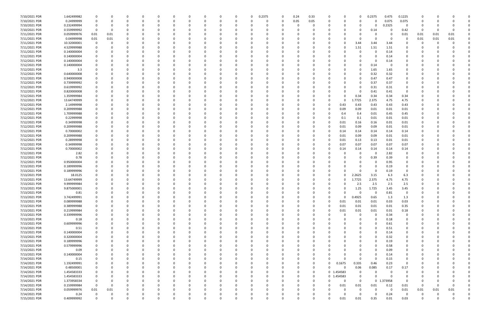| 7/10/2021 PDR | 1.642499982 |          |          |              | $\Omega$ | $\Omega$ |          | 0            |          | 0        | 0.2375 | - 0      | 0.24     | 0.33     |                | 0          | 0           | 0.2375        | 0.475         | 0.1225         |          |      |          |  |
|---------------|-------------|----------|----------|--------------|----------|----------|----------|--------------|----------|----------|--------|----------|----------|----------|----------------|------------|-------------|---------------|---------------|----------------|----------|------|----------|--|
| 7/10/2021 PDR | 0.24999999  |          |          |              |          |          |          |              |          | $\Omega$ |        | - 0      | 0.05     | 0.05     |                | 0          | $\Omega$    | $\Omega$      | 0.075         | 0.075          | $\Omega$ |      |          |  |
| 7/10/2021 PDR | 0.232499994 |          |          |              |          |          |          |              |          |          |        |          |          | 0        |                |            | 0           | $\Omega$      | 0.2325        | $\Omega$       | O        |      |          |  |
| 7/10/2021 PDR | 0.559999992 |          |          |              |          |          |          |              |          |          |        |          |          |          |                |            | 0           | 0.14          |               | 0.42           | 0        |      |          |  |
| 7/11/2021 PDR | 0.059999976 | 0.01     | 0.01     |              |          |          |          |              |          |          |        |          |          |          |                |            | O           | 0             |               | 0.01           | 0.01     | 0.01 | 0.01     |  |
| 7/11/2021 PDR | 0.04999998  | 0.01     | 0.01     | <sup>0</sup> |          |          |          | -0           |          |          |        |          |          |          |                |            | $\Omega$    | $\Omega$      | 0             | - 0            | 0.01     | 0.01 | 0.01     |  |
| 7/11/2021 PDR | 10.32000001 | $\Omega$ |          |              |          |          |          |              |          |          |        |          |          |          |                |            | 3.44        | 3.44          | 3.44          |                | C.       |      |          |  |
| 7/11/2021 PDR | 4.529999988 |          |          |              |          |          |          |              |          |          |        |          |          |          |                | 0          | 1.51        | 1.51          | 1.51          |                |          |      |          |  |
| 7/11/2021 PDR | 0.140000004 |          |          |              |          |          |          |              |          |          |        |          |          |          |                |            | 0           | 0             | 0.14          |                |          |      |          |  |
| 7/12/2021 PDR | 0.140000004 |          |          |              |          |          |          |              |          |          |        |          |          |          |                |            |             | 0             | 0.14          |                |          |      |          |  |
| 7/12/2021 PDR | 0.140000004 |          |          |              |          |          |          |              |          |          |        |          |          |          |                |            | 0           | $\Omega$      | 0.14          | 0              |          |      |          |  |
| 7/12/2021 PDR | 0.140000004 |          |          |              |          |          |          |              |          |          |        |          |          |          |                |            | 0           | 0.14          | 0             | 0              |          |      |          |  |
| 7/12/2021 PDR | 3.3         |          |          |              |          |          |          |              |          |          |        |          |          |          |                |            | 0           | 1.65          | 1.65          |                |          |      |          |  |
| 7/12/2021 PDR | 0.640000008 |          |          |              |          |          |          |              |          |          |        |          |          |          |                |            | 0           |               |               |                |          |      |          |  |
|               |             |          |          |              |          |          |          |              |          |          |        |          |          |          |                |            |             | 0.32          | 0.32<br>0.47  |                |          |      |          |  |
| 7/12/2021 PDR | 0.940000008 |          |          |              |          |          |          |              |          |          |        |          |          |          |                |            | 0           | 0.47          |               |                |          |      |          |  |
| 7/12/2021 PDR | 0.739999992 |          |          |              |          |          |          |              |          |          |        |          |          |          |                |            | 0           | 0.37          | 0.37          | 0              |          |      |          |  |
| 7/12/2021 PDR | 0.619999992 |          |          |              |          |          |          |              |          |          |        |          |          |          |                | ŋ          | 0           | 0.31          | 0.31          | 0              |          |      |          |  |
| 7/12/2021 PDR | 0.820000008 |          |          |              |          |          |          | <sup>0</sup> |          |          |        |          |          |          |                | 0          | 0           | 0.41          | 0.41          | 0              |          |      |          |  |
| 7/12/2021 PDR | 1.359999984 |          |          |              |          |          |          |              |          |          |        |          |          |          |                | ŋ          | 0.34        | 0.34          | 0.34          | 0.34           |          |      |          |  |
| 7/12/2021 PDR | 13.64749999 |          |          |              |          |          |          |              |          |          |        |          |          |          |                | 0          | .7725       | 2.375         | 4.75          | 4.75           |          |      |          |  |
| 7/12/2021 PDR | 2.14999998  |          |          |              |          |          |          |              |          |          |        |          |          |          |                | 0.43       | 0.43        | 0.43          | 0.43          | 0.43           |          |      |          |  |
| 7/12/2021 PDR | 0.209999988 |          |          |              |          |          |          |              |          |          |        |          |          |          |                | 0.09       | 0.09        | 0.01          | 0.01          | 0.01           |          |      |          |  |
| 7/12/2021 PDR | 1.709999988 |          |          |              |          |          |          |              |          |          |        |          |          |          |                | 0.4        | 0.4         | 0.01          | 0.45          | 0.45           |          |      |          |  |
| 7/12/2021 PDR | 0.22999998  |          |          |              |          |          |          |              |          |          |        |          |          |          |                | 0.1        | 0.1         | 0.01          | 0.01          | 0.01           |          |      |          |  |
| 7/12/2021 PDR | 0.34999998  |          |          |              |          |          |          |              |          |          |        |          |          |          |                | 0.01       | 0.16        | 0.16          | 0.01          | 0.01           |          |      |          |  |
| 7/12/2021 PDR | 0.209999988 |          |          |              |          |          |          |              |          |          |        |          |          |          |                | 0.01       | 0.09        | 0.09          | 0.01          | 0.01           |          |      |          |  |
| 7/12/2021 PDR | 0.70000002  |          |          |              |          |          |          |              |          |          |        |          |          |          |                | 0.14       | 0.14        | 0.14          | 0.14          | 0.14           |          |      |          |  |
| 7/12/2021 PDR | 0.209999988 |          |          |              |          |          |          |              |          |          |        |          |          |          |                | 0.01       | 0.09        | 0.09          | 0.01          | 0.01           |          |      |          |  |
| 7/12/2021 PDR | 0.28999998  |          |          |              |          |          |          |              |          |          |        |          |          |          |                | 0.01       | 0.13        | 0.13          | 0.01          | 0.01           |          |      |          |  |
| 7/12/2021 PDR | 0.34999998  |          |          |              |          |          |          |              |          |          |        |          |          |          |                | 0.07       | 0.07        | 0.07          | 0.07          | 0.07           |          |      |          |  |
| 7/12/2021 PDR | 0.70000002  |          |          |              |          |          |          |              |          |          |        |          |          | -0       |                | 0.14       | 0.14        | 0.14          | 0.14          | 0.14           |          |      |          |  |
| 7/12/2021 PDR | 2.82        |          |          |              |          |          |          |              |          |          |        |          |          |          |                |            | 0           | 0             | 2.82          | 0              |          |      |          |  |
| 7/12/2021 PDR | 0.78        |          |          |              |          |          |          |              |          |          |        |          |          |          |                |            | 0           | 0.39          | 0.39          | 0              |          |      |          |  |
| 7/12/2021 PDR | 0.950000004 |          |          |              |          |          |          |              |          |          |        |          |          |          |                |            | 0           | 0             | 0.95          | 0              |          |      |          |  |
| 7/13/2021 PDR | 0.189999996 |          |          |              |          |          |          |              |          |          |        |          |          |          |                |            | C.          | $\Omega$      | 0.19          |                |          |      |          |  |
| 7/13/2021 PDR | 0.189999996 |          |          |              |          |          |          |              |          |          |        |          |          |          |                | O          | 0           | $\Omega$      | 0.19          | $\Omega$       |          |      |          |  |
| 7/13/2021 PDR | 18.0125     |          |          |              |          |          |          |              |          |          |        |          |          |          |                |            | 2.2625      | 3.15          | 6.3           | 6.3            |          |      |          |  |
| 7/13/2021 PDR | 13.64749999 |          |          |              |          |          |          |              |          |          |        |          |          |          |                |            | 1.7725      | 2.375         | 4.75          | 4.75           |          |      |          |  |
| 7/13/2021 PDR | 9.999999984 |          |          |              |          |          |          |              |          |          |        |          |          |          |                |            | 2.5         | 2.5           | 2.5           | 2.5            |          |      |          |  |
| 7/13/2021 PDR | 9.875000001 |          |          | <sup>0</sup> |          |          |          |              |          |          |        |          |          |          |                | 0          | 1.25        | 1.725         | 3.45          | 3.45           | n        |      |          |  |
| 7/13/2021 PDR | 0.81        |          |          |              |          |          |          |              |          |          |        |          |          |          |                |            | $\mathbf 0$ | $\mathbf 0$   | 0.81          |                | $\Omega$ |      |          |  |
| 7/13/2021 PDR | 3.742499991 | 0        | 0        | $\Omega$     | $\Omega$ | $\Omega$ | $\Omega$ | $\Omega$     | 0        | 0        | - 0    | $\Omega$ | $\Omega$ | $\Omega$ | 0              | 0          | 0.4925      | 0.65          | 1.3           | 1.3            | 0        |      |          |  |
| 7/13/2021 PDR | 0.089999988 |          |          | 0            |          | $\Omega$ |          | $\Omega$     |          | 0        |        |          |          | 0        |                | 0.01       | 0.01        | 0.01          | 0.03          | 0.03           | 0        |      |          |  |
| 7/13/2021 PDR | 0.389999988 |          |          | $\Omega$     |          | $\Omega$ |          | $\Omega$     |          | $\Omega$ |        |          |          | $\Omega$ |                | 0.01       | 0.01        | 0.01          | 0.01          | 0.35           | 0        |      |          |  |
| 7/13/2021 PDR | 0.219999984 |          |          |              |          |          |          |              |          |          |        |          |          | 0        |                | 0.01       | 0.01        | 0.01          | 0.01          | 0.18           |          |      |          |  |
| 7/13/2021 PDR | 0.339999996 |          |          |              |          |          |          |              |          |          |        |          |          | 0        |                | $\Omega$   | $\mathbf 0$ | 0             | 0.34          | 0              |          |      |          |  |
| 7/13/2021 PDR | 0.18        |          |          | C            |          |          |          | 0            |          |          |        |          |          | 0        |                | O          | 0           | $\Omega$      | 0.18          | 0              | O        |      |          |  |
| 7/13/2021 PDR | 0.609999996 |          |          |              |          |          |          | 0            |          |          |        |          |          |          |                |            | 0           | $\Omega$      | 0.61          | 0              |          |      |          |  |
| 7/13/2021 PDR | 0.51        |          |          | 0            |          | $\Omega$ |          | $\Omega$     |          |          |        |          |          | 0        |                | 0          | 0           | $\Omega$      | 0.51          | $\mathbf 0$    | 0        |      |          |  |
| 7/13/2021 PDR | 0.140000004 |          |          | 0            |          | $\Omega$ |          | 0            |          |          |        |          |          | 0        |                |            | 0           | $\Omega$      | 0.14          | 0              | 0        |      |          |  |
| 7/13/2021 PDR | 0.320000004 |          |          |              |          |          |          |              |          |          |        |          |          |          |                |            |             | $\Omega$      | 0.32          | $\mathbf 0$    |          |      |          |  |
| 7/13/2021 PDR | 0.189999996 |          |          |              |          |          |          | 0            |          |          |        |          |          | 0        |                |            | 0           | $\mathbf 0$   | 0.19          | 0              | 0        |      |          |  |
| 7/13/2021 PDR | 0.579999996 |          |          | 0            |          |          |          |              |          |          |        |          |          | 0        |                |            | 0           | 0             | 0.58          | 0              |          |      |          |  |
| 7/13/2021 PDR | 0.09        |          |          |              |          |          |          | 0            |          |          |        |          |          |          |                |            |             | $\Omega$      | 0.09          | $\mathbf 0$    |          |      |          |  |
| 7/13/2021 PDR | 0.140000004 |          |          | 0            |          | $\Omega$ |          | 0            |          | 0        |        |          |          | 0        |                | 0          | 0           | $\Omega$      | 0.14          | 0              | 0        |      |          |  |
| 7/14/2021 PDR | 0.15        |          |          | 0            |          |          |          | 0            |          |          |        |          |          | 0        |                | $\Omega$   | 0           | $\Omega$      | 0.15          | 0              |          |      |          |  |
| 7/14/2021 PDR | 1.192499991 |          |          |              |          |          |          |              |          |          |        |          |          | $\Omega$ | $\Omega$       | 0.1675     | 0.335       | 0.46          | 0.23          | $\overline{0}$ |          |      |          |  |
| 7/14/2021 PDR | 0.48500001  |          |          |              |          |          |          |              |          |          |        |          |          | 0        |                | $\Omega$   |             |               | 0.17          |                |          |      |          |  |
|               |             |          |          |              |          |          |          |              |          |          |        |          |          |          |                |            | 0.06        | 0.085         |               | 0.17           |          |      |          |  |
| 7/14/2021 PDR | 1.454583333 |          |          |              |          |          |          |              |          |          |        |          |          | 0        |                | 0 1.454583 | 0           | 0<br>$\Omega$ | 0<br>$\Omega$ | 0              |          |      |          |  |
| 7/14/2021 PDR | 1.454583333 |          |          |              |          |          |          |              |          |          |        |          |          | 0        | 0 <sub>1</sub> | L.454583   | 0           |               |               | 0              |          |      |          |  |
| 7/14/2021 PDR | 1.373958334 | 0        |          |              |          |          |          |              |          |          |        |          |          | 0        |                | 0          | 0           |               | 0 1.373958    | 0              | 0        |      |          |  |
| 7/14/2021 PDR | 0.159999984 | $\Omega$ | 0        | 0            |          |          |          |              |          |          |        |          |          | 0        |                | 0.01       | 0.01        | 0.01          | 0.12          | 0.01           | 0        |      |          |  |
| 7/14/2021 PDR | 0.059999976 | $0.01\,$ | 0.01     | $\Omega$     | 0        | $\Omega$ |          | 0            |          | $\Omega$ |        |          |          | 0        |                | $\Omega$   | 0           | $\Omega$      | $\Omega$      | 0.01           | 0.01     | 0.01 | 0.01     |  |
| 7/14/2021 PDR | 0.24        | 0        | 0        |              | 0        |          |          | 0            |          | 0        |        |          |          |          |                | 0          | 0           | $\Omega$      | 0.24          | 0              | 0        |      |          |  |
| 7/15/2021 PDR | 0.409999992 | $\Omega$ | $\Omega$ | $\Omega$     | $\Omega$ | $\Omega$ |          | $\Omega$     | $\Omega$ | $\Omega$ |        | $\Omega$ |          |          |                | 0.01       | 0.01        | 0.35          | $0.01\,$      | 0.03           | $\Omega$ |      | $\Omega$ |  |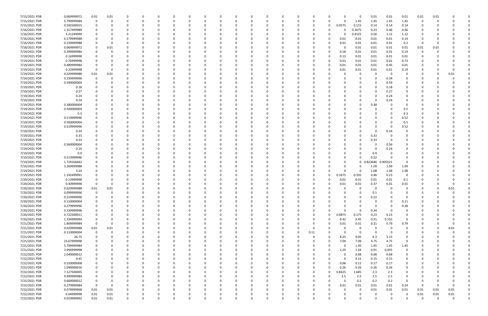| 7/15/2021 PDR | 0.069999972 | 0.01        | 0.01     |             |          |          |             | 0            |   | 0        |             |          |          |          |                | 0        | 0.01        | 0.01     | 0.01        | 0.01        | 0.01     |          |  |
|---------------|-------------|-------------|----------|-------------|----------|----------|-------------|--------------|---|----------|-------------|----------|----------|----------|----------------|----------|-------------|----------|-------------|-------------|----------|----------|--|
| 7/15/2021 PDR | 5.799999984 | $\Omega$    | 0        | $\Omega$    |          | $\Omega$ |             | -0           |   | $\Omega$ | $\Omega$    | 0        | 0        |          | 0              | 1.45     | 1.45        | 1.45     | 1.45        | $\mathbf 0$ | -0       |          |  |
| 7/15/2021 PDR | 0.592500015 |             |          |             |          |          |             |              |   |          |             |          |          | 0        | 0.0575         | 0.115    | 0.14        | 0.14     | 0.14        | O           |          |          |  |
| 7/16/2021 PDR | 1.317499989 |             |          |             |          |          |             |              |   |          |             |          |          |          | O              | 0.1675   | 0.23        | 0.46     | 0.46        |             |          |          |  |
| 7/16/2021 PDR | 3.21249999  |             |          |             |          |          |             |              |   |          |             |          |          |          | 0              | 0.4125   | 0.56        | 1.12     | 1.12        |             |          |          |  |
| 7/16/2021 PDR | 0.179999988 |             |          |             |          |          |             |              |   |          |             |          |          |          | 0.01           | 0.01     | 0.01        | 0.01     | 0.14        |             |          |          |  |
| 7/16/2021 PDR | 0.239999988 |             |          |             |          |          |             |              |   |          |             |          |          |          | 0.01           | 0.01     | 0.01        | 0.01     | 0.2         | -0          |          |          |  |
|               |             |             |          |             |          |          |             |              |   |          |             |          |          |          | -0             |          |             |          | 0.01        |             |          |          |  |
| 7/18/2021 PDR | 0.069999972 |             | 0.01     |             |          |          |             |              |   |          |             |          |          |          |                | 0.01     | 0.01        | 0.01     |             | 0.01        | 0.01     |          |  |
| 7/19/2021 PDR | 0.399999984 |             |          |             |          |          |             |              |   |          |             |          |          |          | 0.18           | 0.01     | 0.01        | 0.01     | 0.19        | 0           |          |          |  |
| 7/19/2021 PDR | 0.16999998  |             |          |             |          |          |             |              |   |          |             |          |          |          | 0.13           | 0.01     | 0.01        | 0.01     | 0.01        |             |          |          |  |
| 7/19/2021 PDR | 0.76999998  |             |          |             |          |          |             |              |   |          |             |          | -0       |          | 0.01           | 0.01     | 0.01        | 0.01     | 0.73        |             |          |          |  |
| 7/19/2021 PDR | 0.489999984 |             |          |             |          |          |             |              |   |          |             |          |          |          | 0.01           | 0.01     | 0.01        | 0.45     | 0.01        |             |          |          |  |
| 7/19/2021 PDR | 0.22999998  | $\Omega$    |          |             |          |          |             |              |   |          |             |          |          |          | 0.01           | 0.01     | 0.01        | 0.01     | 0.19        |             |          |          |  |
| 7/19/2021 PDR | 0.029999988 | $0.01\,$    | 0.01     |             |          |          |             |              |   |          |             |          |          |          |                | 0        | 0           | - 0      | 0           |             |          | 0.01     |  |
| 7/19/2021 PDR | 0.339999996 | $\Omega$    |          |             |          |          |             |              |   |          |             |          |          |          |                | 0        | 0           | 0.34     | 0           |             |          |          |  |
| 7/19/2021 PDR | 0.590000004 |             |          |             |          |          |             |              |   |          |             |          |          |          |                |          | $\Omega$    | 0.59     | 0           |             |          |          |  |
| 7/19/2021 PDR | 0.18        |             |          |             |          |          |             |              |   |          |             |          |          |          |                |          | $\Omega$    | 0.18     | 0           |             |          |          |  |
| 7/19/2021 PDR | 0.27        |             |          |             |          |          |             |              |   |          |             |          |          |          |                |          | 0           | 0.27     |             |             |          |          |  |
| 7/19/2021 PDR | 0.24        |             |          |             |          |          |             |              |   |          |             |          |          |          |                |          | 0           | 0.24     |             |             |          |          |  |
| 7/19/2021 PDR | 0.24        |             |          |             |          |          |             |              |   |          |             |          |          |          |                | $\Omega$ | $\Omega$    | 0.24     |             |             |          |          |  |
|               |             |             |          |             |          |          |             |              |   |          |             |          |          |          |                |          |             |          |             |             |          |          |  |
| 7/19/2021 PDR | 0.380000004 |             |          |             |          |          |             |              |   |          |             |          |          |          |                | 0        | 0.38        |          |             |             |          |          |  |
| 7/19/2021 PDR | 0.500000004 |             |          |             |          |          |             |              |   |          |             |          |          |          |                |          | -0          |          | 0.5         |             |          |          |  |
| 7/19/2021 PDR | 0.3         |             |          |             |          |          |             |              |   |          |             |          |          |          |                |          | 0           |          | 0.3         |             |          |          |  |
| 7/19/2021 PDR | 0.519999996 |             |          |             |          |          |             |              |   |          |             |          |          |          |                |          | $\Omega$    |          | 0.52        |             |          |          |  |
| 7/19/2021 PDR | 0.500000004 |             |          |             |          |          |             |              |   |          |             |          |          |          |                |          | 0           |          | 0.5         |             |          |          |  |
| 7/19/2021 PDR | 0.519999996 |             |          |             |          |          |             |              |   |          |             |          |          |          |                |          | $\Omega$    |          | 0.52        |             |          |          |  |
| 7/19/2021 PDR | 0.24        |             |          |             |          |          |             |              |   |          |             |          |          |          |                | 0        | 0           | 0.24     | 0           |             |          |          |  |
| 7/19/2021 PDR | 0.33        |             |          |             |          |          |             |              |   |          |             |          |          |          |                | 0        | 0.33        |          |             |             |          |          |  |
| 7/19/2021 PDR | 0.33        |             |          |             |          |          |             |              |   |          |             |          |          |          |                | 0        | 0.33        |          | $\Omega$    |             |          |          |  |
| 7/19/2021 PDR | 0.560000004 |             |          |             |          |          |             |              |   |          |             |          |          |          |                |          | 0           | 0.56     | 0           |             |          |          |  |
| 7/19/2021 PDR | 0.24        |             |          |             |          |          |             |              |   |          |             |          |          |          |                |          | $\Omega$    | 0.24     |             |             |          |          |  |
|               |             |             |          |             |          |          |             |              |   |          |             |          |          |          |                |          |             |          |             |             |          |          |  |
| 7/19/2021 PDR | 0.9         |             |          |             |          |          |             |              |   |          |             |          |          |          |                |          | 0.9         |          |             |             |          |          |  |
| 7/19/2021 PDR | 0.519999996 |             |          |             |          |          |             |              |   |          |             |          |          |          | 0              | 0        | 0.52        |          |             |             |          |          |  |
| 7/19/2021 PDR | 1.729166662 |             |          |             |          |          |             |              |   |          |             |          |          |          |                | 0        | .823646     | 0.905521 | 0           |             |          |          |  |
| 7/19/2021 PDR | 3.269999988 |             |          |             |          |          |             |              |   |          |             |          |          |          |                | 0        | 1.09        | 1.09     | 1.09        |             |          |          |  |
| 7/19/2021 PDR | 3.24        |             |          |             |          |          |             |              |   |          |             |          |          |          |                | 0        | 1.08        | 1.08     | 1.08        |             |          |          |  |
| 7/19/2021 PDR | 1.192499991 |             |          |             |          |          |             |              |   |          |             |          |          |          | 0.1675         | 0.335    | 0.46        | 0.23     | 0           |             |          |          |  |
| 7/20/2021 PDR | 0.13999998  |             |          |             |          |          |             |              |   |          |             |          |          |          | 0.01           | 0.01     | 0.01        | 0.01     | 0.1         |             |          |          |  |
| 7/20/2021 PDR | 0.40999998  |             |          |             |          |          |             |              |   |          |             |          |          |          | 0.01           | 0.01     | 0.37        | 0.01     | 0.01        |             |          |          |  |
| 7/20/2021 PDR | 0.029999988 | 0.01        | 0.01     | 0           |          |          |             |              |   |          |             |          |          |          | 0              | 0        | $\Omega$    | $\Omega$ | 0           | 0           |          | 0.01     |  |
| 7/20/2021 PDR | 0.099999996 | $\sqrt{ }$  |          | $\Omega$    |          |          |             |              |   |          |             |          |          |          |                | $\Omega$ | 0.1         | $\Omega$ | $\Omega$    | $\Omega$    |          |          |  |
| 7/20/2021 PDR | 0.219999996 | $\Omega$    | 0        | $\Omega$    | $\Omega$ |          |             | <sup>0</sup> |   | $\Omega$ | ŋ           |          | $\Omega$ |          | O              | 0        | 0.22        | $\Omega$ | $\Omega$    | 0           |          |          |  |
| 7/20/2021 PDR | 0.110000004 | 0           |          | 0           | $\Omega$ | $\Omega$ |             | $\Omega$     |   | $\Omega$ |             |          | 0        |          |                | $\Omega$ | 0           | $\Omega$ |             | 0           |          |          |  |
|               |             |             |          |             |          |          |             |              |   |          |             |          |          |          |                |          |             |          | 0.11        |             |          |          |  |
| 7/20/2021 PDR | 0.279999996 |             |          |             |          |          |             |              |   |          |             |          |          |          |                | 0        | $\mathbf 0$ | - 0      | 0.28        |             |          |          |  |
| 7/20/2021 PDR | 0.339999996 |             |          |             |          |          |             |              |   |          |             |          | 0        |          | O              | 0        | 0.34        | $\Omega$ | 0           |             |          |          |  |
| 7/20/2021 PDR | 0.722500011 |             |          |             |          |          |             |              |   |          |             |          | 0        | $\Omega$ | 0.0875         | 0.175    | 0.23        | 0.23     | 0           |             |          |          |  |
| 7/20/2021 PDR | 1.334999994 | $\Omega$    |          |             |          |          |             |              |   |          |             |          | 0        | $\Omega$ | 0.42           | 0.45     | 0.31        | 0.155    | 0           |             |          |          |  |
| 7/21/2021 PDR | 1.809999984 | $\mathbf 0$ | $\Omega$ |             |          |          |             |              |   |          |             |          | 0        |          | 0.01           | 0.01     | 0.21        | 0.79     | 0.79        | 0           |          |          |  |
| 7/21/2021 PDR | 0.029999988 | 0.01        | 0.01     | 0           |          | $\Omega$ |             | <sup>0</sup> |   |          |             |          | 0        |          | 0              | 0        | 0           | $\Omega$ | 0           | 0           | $\Omega$ | 0.01     |  |
| 7/21/2021 PDR | 0.110000004 | $\mathbf 0$ | $\Omega$ |             |          |          |             |              |   |          |             | 0        | 0.11     |          | $\Omega$       | 0        | $\Omega$    | 0        | 0           |             |          |          |  |
| 7/21/2021 PDR | 26.75       |             |          |             |          |          |             |              |   |          |             |          | $\Omega$ | $\Omega$ | 8.25           | 9.05     | 6.3         | 3.15     | 0           |             |          |          |  |
| 7/21/2021 PDR | 23.67999998 |             |          |             |          |          |             |              |   |          |             |          | 0        | $\Omega$ | 7.09           | 7.09     | 4.75        | 4.75     | 0           |             |          |          |  |
| 7/21/2021 PDR | 5.799999984 |             |          |             |          |          |             |              |   |          |             |          | 0        |          | $\Omega$       | 1.45     | 1.45        | 1.45     | 1.45        |             |          |          |  |
| 7/21/2021 PDR | 3.994999998 |             |          | 0           |          | $\Omega$ |             | 0            |   | 0        |             |          | 0        | $\Omega$ | 1.29           | 1.34     | 0.91        | 0.455    | 0           | 0           |          |          |  |
| 7/22/2021 PDR | 2.040000012 |             |          | 0           |          | $\Omega$ |             | 0            |   | 0        |             |          | 0        |          | $\overline{0}$ | 0.68     | 0.68        | 0.68     | 0           | 0           |          |          |  |
|               |             |             |          |             |          | $\Omega$ |             |              |   |          |             |          |          |          | $\Omega$       |          |             |          |             |             |          |          |  |
| 7/22/2021 PDR | 0.45        |             | O        | $\Omega$    | $\Omega$ |          |             | 0            |   | $\Omega$ |             | 0        | $\Omega$ |          |                | 0.15     | 0.15        | 0.15     | 0           | 0           |          |          |  |
| 7/22/2021 PDR | 0.520000008 |             |          |             |          | 0        |             | 0            |   |          |             |          |          | $\Omega$ | 0.06           | 0.12     | 0.17        | 0.17     | 0           |             |          |          |  |
| 7/22/2021 PDR | 1.040000016 |             |          |             |          |          |             |              |   |          |             |          | -0       | $\Omega$ | 0.26           | 0.26     | 0.26        | 0.26     | 0           |             |          |          |  |
| 7/22/2021 PDR | 7.127500005 |             |          |             |          |          |             |              |   |          |             |          | 0        | $\Omega$ | 0.8425         | 1.685    | 2.3         | 2.3      | 0           |             |          |          |  |
| 7/22/2021 PDR | 9.999999984 |             |          |             |          |          |             |              |   |          |             |          |          |          | 2.5            | 2.5      | 2.5         | 2.5      | 0           |             |          |          |  |
| 7/22/2021 PDR | 0.600000012 | $\mathbf 0$ |          | 0           |          | $\Omega$ |             | n            |   |          |             |          | $\Omega$ |          | $\Omega$       | 0.2      | 0.2         | 0.2      | $\Omega$    | 0           |          |          |  |
| 7/22/2021 PDR | 0.279999984 | $\Omega$    | 0        | 0           |          |          |             |              |   |          |             |          | 0        |          | 0.01           | 0.01     | 0.01        | 0.01     | 0.24        | - 0         | $\Omega$ | $\Omega$ |  |
| 7/22/2021 PDR | 0.079999968 | $0.01\,$    | $0.01\,$ |             |          |          |             |              |   |          |             |          |          |          |                | 0        | 0.01        | $0.01\,$ | 0.01        | 0.01        | 0.01     | 0.01     |  |
| 7/22/2021 PDR | 0.04999998  | $0.01\,$    | $0.01\,$ |             |          |          |             |              |   |          |             |          |          |          |                | C        | 0           | 0        | 0           | 0.01        | 0.01     | $0.01\,$ |  |
| 7/22/2021 PDR | 0.019999992 | $0.01\,$    | $0.01\,$ | $\mathbf 0$ | 0        | $\Omega$ | $\mathbf 0$ | 0            | 0 | 0        | $\mathbf 0$ | $\Omega$ | 0        |          | 0              | 0        | $\mathbf 0$ | $\Omega$ | $\mathbf 0$ | 0           | $\Omega$ | 0        |  |
|               |             |             |          |             |          |          |             |              |   |          |             |          |          |          |                |          |             |          |             |             |          |          |  |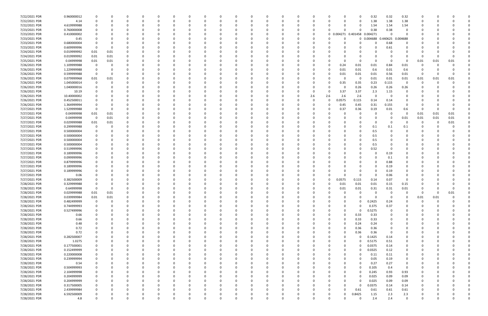| 7/22/2021 PDR | 0.960000012 |                |              |              |          | 0           |          |          |          |   |              |          |          |          | n        |     |              |          | 0                   | 0.32       | 0.32        | 0.32        |          |      |                         |  |
|---------------|-------------|----------------|--------------|--------------|----------|-------------|----------|----------|----------|---|--------------|----------|----------|----------|----------|-----|--------------|----------|---------------------|------------|-------------|-------------|----------|------|-------------------------|--|
| 7/22/2021 PDR | 4.14        | 0              |              | $\Omega$     |          | 0           |          | -0       |          |   | <sup>0</sup> | - 0      |          |          | 0        |     |              |          | 0                   | 1.38       | 1.38        | 1.38        | 0        |      |                         |  |
| 7/22/2021 PDR | 4.619999988 |                |              |              |          | 0           |          |          |          |   |              |          |          |          |          |     |              |          | 0                   | 1.54       | 1.54        | 1.54        |          |      |                         |  |
| 7/23/2021 PDR | 0.760000008 |                |              |              |          |             |          |          |          |   |              |          |          |          | n        |     |              |          | $\Omega$            | 0.38       | 0.38        |             |          |      |                         |  |
|               |             |                |              |              |          |             |          |          |          |   |              |          |          |          |          |     |              |          |                     |            |             | $\Omega$    |          |      |                         |  |
| 7/23/2021 PDR | 0.410000002 |                |              | $\Omega$     |          |             |          |          |          |   |              |          |          |          | 0        |     |              |          | 0 0.004271 0.401458 | 0.004271   | - 0         |             |          |      |                         |  |
| 7/23/2021 PDR | 0.45        |                |              |              |          |             |          |          |          |   |              |          |          |          |          |     |              |          |                     | 0 0.004688 | 0.440625    | 0.004688    |          |      |                         |  |
| 7/23/2021 PDR | 0.680000004 |                |              |              |          |             |          |          |          |   |              |          |          |          |          |     |              |          |                     |            | 0.68        | 0           |          |      |                         |  |
| 7/23/2021 PDR | 0.609999996 | $\Omega$       |              |              |          |             |          |          |          |   |              |          |          |          |          |     |              |          |                     |            | 0.61        |             |          |      |                         |  |
| 7/24/2021 PDR | 0.019999992 | 0.01           | 0.01         |              |          |             |          |          |          |   |              |          |          |          |          |     |              |          |                     |            |             |             |          |      |                         |  |
| 7/24/2021 PDR | 0.019999992 | 0.01           | 0.01         |              |          |             |          |          |          |   |              |          |          |          |          |     |              |          |                     |            |             |             | 0        |      |                         |  |
| 7/25/2021 PDR | 0.04999998  | 0.01           | 0.01         |              |          |             |          |          |          |   |              |          |          |          |          |     |              |          | 0                   |            | - 0         | $\Omega$    | 0.01     | 0.01 | 0.01                    |  |
| 7/26/2021 PDR | 1.109999988 | 0              |              |              |          |             |          |          |          |   |              |          |          |          |          |     |              | 0.24     | 0.01                | 0.01       | 0.84        | 0.01        | 0        |      |                         |  |
| 7/26/2021 PDR | 1.229999988 |                |              | -0           |          |             |          |          |          |   |              |          |          |          |          |     |              |          | 0.01                |            |             |             |          |      |                         |  |
|               |             | 0              |              |              |          |             |          |          |          |   |              |          |          |          |          |     |              | 0.01     |                     | 0.6        | 0.01        | 0.6         |          |      |                         |  |
| 7/26/2021 PDR | 0.599999988 | $\mathbf 0$    |              |              |          |             |          |          |          |   |              |          |          |          |          |     |              | 0.01     | 0.01                | 0.01       | 0.56        | 0.01        | 0        |      |                         |  |
| 7/26/2021 PDR | 0.079999968 | 0.01           | 0.01         |              |          |             |          |          |          |   |              |          |          |          |          |     |              |          | 0                   | 0.01       | 0.01        | 0.01        | 0.01     | 0.01 | 0.01                    |  |
| 7/26/2021 PDR | 1.045000014 | 0              |              |              |          |             |          |          |          |   |              |          |          |          |          |     |              | 0.35     | 0.35                | 0.23       | 0.115       | 0           | 0        |      |                         |  |
| 7/26/2021 PDR | 1.040000016 |                |              |              |          |             |          |          |          |   |              |          |          |          |          |     |              |          | 0.26                | 0.26       | 0.26        | 0.26        |          |      |                         |  |
| 7/26/2021 PDR | 10.19       |                |              |              |          |             |          |          |          |   |              |          |          |          |          |     |              | 3.37     | 3.37                | 2.3        | 1.15        | 0           |          |      |                         |  |
| 7/26/2021 PDR | 10.40000002 |                |              |              |          |             |          |          |          |   |              |          |          |          | 0        | 2.6 | 2.6          | 2.6      | 2.6                 |            | - 0         |             |          |      |                         |  |
| 7/26/2021 PDR | 0.452500011 |                |              |              |          |             |          |          |          |   |              |          |          |          |          |     | $\Omega$     | 0.0575   | 0.115               | 0.14       | 0.14        |             |          |      |                         |  |
| 7/26/2021 PDR | 1.364999994 |                |              |              |          |             |          |          |          |   |              |          |          |          |          |     | O            | 0.45     | 0.45                | 0.31       | 0.155       |             |          |      |                         |  |
| 7/27/2021 PDR |             | 0              |              |              |          |             |          |          |          |   |              |          |          |          |          |     |              |          | 0.36                |            | $0.01\,$    |             | 0        |      |                         |  |
|               | 1.529999988 |                |              |              |          |             |          |          |          |   |              |          |          |          |          |     |              | 0.37     |                     | 0.19       |             | 0.6         |          |      |                         |  |
| 7/27/2021 PDR | 0.04999998  | 0.01           | 0.01         |              |          |             |          |          |          |   |              |          |          |          |          |     |              |          | $\Omega$            |            | $\Omega$    | 0           | 0.01     | 0.01 | 0.01                    |  |
| 7/27/2021 PDR | 0.04999998  | $\overline{0}$ | 0.01         | 0            |          |             |          |          |          |   |              |          |          |          |          |     |              |          | 0                   |            | - 0         | 0.01        | 0.01     | 0.01 | 0.01                    |  |
| 7/27/2021 PDR | 0.029999988 | 0.01           | 0.01         |              |          |             |          |          |          |   |              |          |          |          |          |     |              |          | -C                  |            | - 0         | 0           | 0        |      | 0.01                    |  |
| 7/27/2021 PDR | 0.299999988 | 0              |              |              |          |             |          |          |          |   |              |          |          |          |          |     |              |          | $\Omega$            | 0.1        | 0.1         | 0.1         |          |      |                         |  |
| 7/27/2021 PDR | 0.500000004 |                |              |              |          |             |          |          |          |   |              |          |          |          |          |     |              |          | -C                  | 0.5        |             |             |          |      |                         |  |
| 7/27/2021 PDR | 0.500000004 |                |              |              |          |             |          |          |          |   |              |          |          |          |          |     |              |          |                     | 0.5        |             |             |          |      |                         |  |
| 7/27/2021 PDR | 0.500000004 |                |              |              |          |             |          |          |          |   |              |          |          |          |          |     |              |          |                     | 0.5        |             |             |          |      |                         |  |
| 7/27/2021 PDR | 0.500000004 |                |              |              |          |             |          |          |          |   |              |          |          |          |          |     |              |          | 0                   | 0.5        |             |             |          |      |                         |  |
| 7/27/2021 PDR | 0.519999996 |                |              |              |          |             |          |          |          |   |              |          |          |          |          |     |              |          | -C                  | 0.52       |             |             |          |      |                         |  |
| 7/27/2021 PDR | 0.189999996 |                |              |              |          | $\Omega$    |          |          |          |   |              |          |          |          |          |     |              |          | -0                  |            |             |             |          |      |                         |  |
|               |             |                |              |              |          |             |          |          |          |   |              |          |          |          |          |     |              |          |                     |            | 0.19        |             |          |      |                         |  |
| 7/27/2021 PDR | 0.099999996 |                |              |              |          |             |          |          |          |   |              |          |          |          |          |     |              |          |                     |            | 0.1         |             |          |      |                         |  |
| 7/27/2021 PDR | 0.879999996 |                |              |              |          |             |          |          |          |   |              |          |          |          |          |     |              |          |                     |            | 0.88        |             |          |      |                         |  |
| 7/27/2021 PDR | 0.189999996 |                |              |              |          |             |          |          |          |   |              |          |          |          |          |     |              |          |                     |            | 0.19        |             |          |      |                         |  |
| 7/27/2021 PDR | 0.189999996 |                |              |              |          |             |          |          |          |   |              |          |          |          |          |     |              |          | 0                   |            | 0.19        |             |          |      |                         |  |
| 7/27/2021 PDR | 0.06        |                |              |              |          |             |          |          |          |   |              |          |          |          |          |     |              |          | 0                   |            | 0.06        |             |          |      |                         |  |
| 7/27/2021 PDR | 0.382500009 |                |              |              |          |             |          |          |          |   |              |          |          |          |          |     |              | 0.0575   | 0.115               | 0.14       | 0.07        | 0           |          |      |                         |  |
| 7/28/2021 PDR | 0.329999988 |                |              |              |          |             |          |          |          |   |              |          |          |          |          |     |              | 0.01     | 0.01                | 0.01       | 0.15        | 0.15        |          |      |                         |  |
| 7/28/2021 PDR | 0.64999998  | 0              |              | 0            |          |             |          |          |          |   |              |          |          |          |          |     | 0            | 0.01     | 0.01                | 0.31       | 0.31        | 0.01        |          |      |                         |  |
| 7/28/2021 PDR | 0.029999988 | 0.01           | 0.01         |              |          |             |          |          |          |   |              |          |          |          |          |     |              |          | $\Omega$            | $\Omega$   | $\mathbf 0$ |             |          |      |                         |  |
|               |             |                |              | $\Omega$     | $\Omega$ | $\mathbf 0$ | $\Omega$ |          | 0        | 0 | $\Omega$     | $\Omega$ | $\Omega$ | $\Omega$ | $\Omega$ |     | $\Omega$     |          | $\Omega$            | $\Omega$   |             | $\Omega$    |          |      | <b>0.01</b><br>$\Omega$ |  |
| 7/28/2021 PDR | 0.039999984 | 0.01           | 0.01         |              |          |             |          | 0        |          |   |              |          |          |          |          |     |              |          |                     |            | $\mathbf 0$ |             | 0.01     | 0.01 |                         |  |
| 7/28/2021 PDR | 0.482499999 | $\mathbf 0$    | $\mathbf 0$  | 0            |          | $\Omega$    | 0        | 0        | $\Omega$ |   | 0            | $\Omega$ | $\Omega$ | $\Omega$ | 0        |     | O            | 0        | 0                   | 0.2425     | 0.24        | $\Omega$    | 0        |      | 0                       |  |
| 7/28/2021 PDR | 0.744999993 | 0              | <sup>0</sup> | 0            |          | 0           |          | -0       |          |   | 0            |          | $\Omega$ |          | 0        |     |              |          | $\Omega$            | 0.375      | 0.37        | 0           | 0        |      |                         |  |
| 7/28/2021 PDR | 0.527499996 | 0              |              | $\Omega$     |          | 0           |          | 0        |          |   | 0            | $\Omega$ | $\Omega$ |          | 0        |     |              | $\Omega$ | $\Omega$            | 0.5275     | - 0         | 0           | 0        |      |                         |  |
| 7/28/2021 PDR | 0.66        | 0              |              | 0            |          | 0           |          | -0       |          |   |              |          |          |          | 0        |     |              |          | 0.33                | 0.33       |             | 0           |          |      |                         |  |
| 7/28/2021 PDR | 0.66        | 0              |              | 0            |          | 0           |          | 0        |          |   | 0            |          | $\Omega$ |          | 0        |     | 0            |          | 0.33                | 0.33       | 0           | 0           | 0        |      |                         |  |
| 7/28/2021 PDR | 0.48        |                |              | $\Omega$     |          | 0           |          | 0        |          |   | $\Omega$     |          |          |          | 0        |     | 0            |          | 0.24                | 0.24       | 0           |             |          |      |                         |  |
| 7/28/2021 PDR | 0.72        | 0              |              | $\Omega$     |          | 0           |          |          |          |   | 0            |          |          |          | 0        |     |              |          | 0.36                | 0.36       | 0           |             |          |      |                         |  |
| 7/28/2021 PDR | 0.72        |                |              | 0            |          | 0           |          |          |          |   | 0            |          |          |          | 0        |     |              |          | 0.36                | 0.36       | - 0         | 0           |          |      |                         |  |
| 7/28/2021 PDR | 0.282500007 |                |              | 0            |          | 0           |          |          |          |   |              |          |          |          | 0        |     |              |          | $\Omega$            | 0.1425     | 0.14        |             |          |      |                         |  |
|               |             |                |              |              |          |             |          |          |          |   |              |          |          |          |          |     |              |          |                     |            |             |             |          |      |                         |  |
| 7/28/2021 PDR | 1.0275      |                |              | 0            |          | 0           |          |          |          |   |              |          |          |          |          |     |              |          | 0                   | 0.5175     | 0.51        |             |          |      |                         |  |
| 7/28/2021 PDR | 0.177500001 | 0              |              |              |          | 0           |          |          |          |   |              |          |          |          |          |     |              |          | 0                   | 0.0375     | 0.14        |             |          |      |                         |  |
| 7/28/2021 PDR | 0.152499999 | 0              |              | $\Omega$     |          | 0           |          |          |          |   |              |          |          |          |          |     |              |          | 0                   | 0.0325     | 0.12        | 0           |          |      |                         |  |
| 7/28/2021 PDR | 0.220000008 | 0              |              | 0            |          | 0           |          | -0       |          |   | 0            |          |          |          | 0        |     |              |          | 0                   | 0.11       | 0.11        | 0           |          |      |                         |  |
| 7/28/2021 PDR | 0.239999994 | 0              |              | 0            |          | 0           |          | 0        |          |   | 0            | $\Omega$ | $\Omega$ |          | 0        |     |              |          | $\Omega$            | 0.05       | 0.19        | 0           | 0        |      | 0                       |  |
| 7/28/2021 PDR | 0.54        | 0              |              | $\Omega$     |          | 0           |          | 0        |          |   | 0            | 0        | $\Omega$ |          | 0        |     |              |          | $\Omega$            | 0.27       | 0.27        | 0           |          |      |                         |  |
| 7/28/2021 PDR | 0.504999993 | 0              |              | $\Omega$     |          | $\Omega$    |          | -0       |          |   | $\Omega$     |          | $\Omega$ |          | 0        |     |              |          | $\Omega$            | 0.105      | 0.4         | $\mathbf 0$ |          |      |                         |  |
| 7/28/2021 PDR | 2.104999998 | 0              |              | 0            |          | 0           |          | 0        |          |   | 0            | 0        |          |          | 0        |     |              |          | 0                   | 0.245      | 0.93        | 0.93        |          |      |                         |  |
| 7/28/2021 PDR | 0.204999999 | 0              |              | 0            |          | 0           |          | 0        |          |   | 0            |          |          |          | 0        |     |              |          | 0                   | 0.025      | 0.09        | 0.09        |          |      |                         |  |
| 7/28/2021 PDR | 0.204999999 | 0              |              | $\Omega$     |          | 0           |          | 0        |          |   | 0            | $\Omega$ | $\Omega$ |          | 0        |     |              |          | $\Omega$            | 0.025      | 0.09        | 0.09        | 0        |      |                         |  |
|               |             |                |              |              |          |             |          |          |          |   |              |          |          |          |          |     |              |          |                     |            |             |             |          |      |                         |  |
| 7/28/2021 PDR | 0.317500005 | 0              |              | 0            |          | 0           |          | 0        |          |   | 0            |          | $\Omega$ |          | 0        |     |              |          | 0                   | 0.0375     | 0.14        | 0.14        | 0        |      |                         |  |
| 7/28/2021 PDR | 2.439999984 | $\Omega$       |              | $\Omega$     |          | $\Omega$    |          | റ        |          |   | $\Omega$     |          | $\Omega$ |          | 0        |     | O            | $\Omega$ | 0.61                | 0.61       | 0.61        | 0.61        |          |      |                         |  |
| 7/28/2021 PDR | 6.592500009 |                |              | 0            |          | 0           |          |          |          |   |              |          |          |          | 0        |     |              |          | .8425               | 1.15       | 2.3         | 2.3         |          |      |                         |  |
| 7/28/2021 PDR | 4.8         | 0              | $\Omega$     | $\mathbf{0}$ |          | $\Omega$    | $\Omega$ | $\Omega$ |          |   | $\Omega$     | $\Omega$ | $\Omega$ |          | $\Omega$ |     | <sup>0</sup> |          | 0                   | 2.4        | 2.4         | $\Omega$    | $\Omega$ |      | 0                       |  |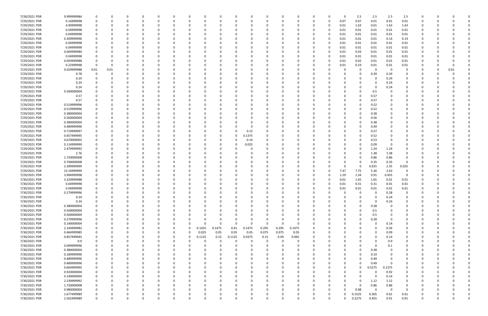| 7/28/2021 PDR | 9.999999984 |             |          |          |          |          |              |          |              |          |              |          |          |              | C.       |     | 0        |          | 2.5          | 2.5      | 2.5      | 2.5            |              |      |  |
|---------------|-------------|-------------|----------|----------|----------|----------|--------------|----------|--------------|----------|--------------|----------|----------|--------------|----------|-----|----------|----------|--------------|----------|----------|----------------|--------------|------|--|
| 7/29/2021 PDR | 0.16999998  | 0           | O        | 0        |          | 0        |              | - 0      | <sup>0</sup> |          | <sup>0</sup> | - 0      |          |              | 0        | - 0 | $\Omega$ | 0.07     | 0.07         | 0.01     | 0.01     | 0.01           | 0            |      |  |
| 7/29/2021 PDR | 4.90999998  |             |          |          |          |          |              |          |              |          |              |          |          |              |          |     | 0        | 0.01     | 1.63         | 0.01     | 1.63     | 1.63           |              |      |  |
| 7/29/2021 PDR | 0.04999998  |             |          |          |          |          |              |          |              |          |              |          |          |              |          |     | 0        | 0.01     | 0.01         | 0.01     | 0.01     | 0.01           |              |      |  |
|               |             |             |          |          |          |          |              |          |              |          |              |          |          |              |          |     |          |          |              |          |          |                |              |      |  |
| 7/29/2021 PDR | 0.04999998  | 0           |          |          |          |          |              |          |              |          |              |          |          |              |          |     | 0        | 0.01     | 0.01         | 0.01     | 0.01     | 0.01           |              |      |  |
| 7/29/2021 PDR | 0.309999996 |             |          |          |          |          |              |          |              |          |              |          |          |              |          |     |          | 0.01     | 0.01         | 0.01     | 0.14     | 0.14           |              |      |  |
| 7/29/2021 PDR | 0.04999998  |             |          |          |          |          |              |          |              |          |              |          |          |              |          |     |          | 0.01     | 0.01         | 0.01     | 0.01     | 0.01           |              |      |  |
| 7/29/2021 PDR | 0.04999998  |             |          |          |          |          |              |          |              |          |              |          |          |              |          |     |          | 0.01     | 0.01         | 0.01     | 0.01     | 0.01           |              |      |  |
| 7/29/2021 PDR | 0.069999984 |             |          |          |          |          |              |          |              |          |              |          |          |              |          |     | 0        | 0.01     | 0.03         | 0.01     | 0.01     | 0.01           |              |      |  |
| 7/29/2021 PDR | 0.04999998  |             |          |          |          |          |              |          |              |          |              |          |          |              |          |     | 0        | 0.01     | 0.01         | 0.01     | 0.01     | 0.01           |              |      |  |
| 7/29/2021 PDR | 0.059999988 |             |          |          |          |          |              |          |              |          |              |          |          |              |          |     |          |          |              |          |          |                |              |      |  |
|               |             |             |          |          |          |          |              |          |              |          |              |          |          |              |          |     |          | 0.01     | 0.02         | 0.01     | 0.01     | 0.01           |              |      |  |
| 7/29/2021 PDR | 0.22999998  | 0           | O        |          |          |          |              |          |              |          |              |          |          |              |          |     |          | 0.01     | 0.19         | 0.01     | 0.01     | 0.01           |              |      |  |
| 7/29/2021 PDR | 0.029999988 | 0.01        | 0.01     |          |          |          |              |          |              |          |              |          |          |              |          |     |          |          | 0            | 0        | - 0      | -0             |              | 0.01 |  |
| 7/29/2021 PDR | 0.78        | 0           |          |          |          |          |              |          |              |          |              |          |          |              |          |     |          |          | 0            | 0.39     | 0.39     | 0              |              |      |  |
| 7/29/2021 PDR | 0.24        |             |          |          |          |          |              |          |              |          |              |          |          |              |          |     |          |          | <sup>0</sup> | 0        | 0.24     |                |              |      |  |
| 7/29/2021 PDR | 0.24        |             |          |          |          |          |              |          |              |          |              |          |          |              |          |     |          |          |              |          | 0.24     | 0              |              |      |  |
| 7/29/2021 PDR | 0.24        |             |          |          |          |          |              |          |              |          |              |          |          |              |          |     |          |          |              |          | 0.24     |                |              |      |  |
|               |             |             |          |          |          |          |              |          |              |          |              |          |          |              |          |     |          |          |              |          |          |                |              |      |  |
| 7/29/2021 PDR | 0.500000004 |             |          |          |          |          |              |          |              |          |              |          |          |              |          |     |          |          |              | 0.5      |          |                |              |      |  |
| 7/29/2021 PDR | 0.57        |             |          |          |          |          |              |          |              |          |              |          |          |              |          |     |          |          | 0            | 0.57     |          |                |              |      |  |
| 7/29/2021 PDR | 0.57        |             |          |          |          |          |              |          |              |          |              |          |          |              |          |     |          |          | <sup>0</sup> | 0.57     |          |                |              |      |  |
| 7/29/2021 PDR | 0.519999996 |             |          |          |          |          |              |          |              |          |              |          |          |              |          |     |          |          | 0            | 0.52     |          |                |              |      |  |
| 7/29/2021 PDR | 0.519999996 |             |          |          |          |          |              |          |              |          |              |          |          |              |          |     |          |          | 0            | 0.52     |          |                |              |      |  |
| 7/29/2021 PDR | 0.380000004 |             |          |          |          |          |              |          |              |          |              |          |          |              |          |     |          |          |              | 0.38     |          |                |              |      |  |
| 7/29/2021 PDR |             |             |          |          |          |          |              |          |              |          |              |          |          |              |          |     |          |          |              |          |          |                |              |      |  |
|               | 0.560000004 |             |          |          |          |          |              |          |              |          |              |          |          |              |          |     |          |          | 0            | 0.56     |          |                |              |      |  |
| 7/29/2021 PDR | 0.380000004 |             |          |          |          |          |              |          |              |          |              |          |          |              |          |     |          |          | 0            | 0.38     |          |                |              |      |  |
| 7/29/2021 PDR | 0.489999996 |             |          |          |          |          |              |          |              |          |              | -0       |          |              |          |     |          |          | <sup>0</sup> | 0.49     |          |                |              |      |  |
| 7/29/2021 PDR | 0.719999997 |             |          |          |          |          |              |          |              |          | <sup>0</sup> | 0.15     |          |              |          |     |          |          | 0            | 0.57     |          |                |              |      |  |
| 7/29/2021 PDR | 0.657499995 |             |          |          |          |          |              |          |              |          | 0            | 0.1375   |          |              |          |     |          |          | 0            | 0.52     |          |                |              |      |  |
| 7/29/2021 PDR | 0.670000002 |             |          |          |          |          |              |          |              |          | 0            | 0.14     |          |              |          |     |          |          | 0            | 0.53     |          |                |              |      |  |
| 7/29/2021 PDR | 0.114999999 |             |          |          |          |          |              |          |              |          | 0            | 0.025    |          |              |          |     |          |          | 0            | 0.09     | - 0      | 0              |              |      |  |
|               |             |             |          |          |          |          |              |          |              |          |              |          |          |              |          |     |          |          |              |          |          |                |              |      |  |
| 7/29/2021 PDR | 2.479999992 |             |          |          |          |          |              |          |              |          |              | -0       |          |              |          |     |          |          | 0            | 1.24     | 1.24     | 0              |              |      |  |
| 7/29/2021 PDR | 2.76        |             |          |          |          |          |              |          |              |          |              |          |          |              |          |     |          |          | 0            | 1.38     | 1.38     | 0              |              |      |  |
| 7/29/2021 PDR | 1.720000008 |             |          |          |          |          |              |          |              |          |              |          |          |              |          |     |          |          | 0            | 0.86     | 0.86     |                |              |      |  |
| 7/29/2021 PDR | 0.700000008 |             |          |          |          |          |              |          |              |          |              |          |          |              |          |     |          |          | 0            | 0.35     | 0.35     |                |              |      |  |
| 7/29/2021 PDR | 2.399999999 |             |          |          |          |          |              |          |              |          |              |          |          |              |          |     |          |          | 0            | 0.025    | 2.35     | 0.025          |              |      |  |
| 7/29/2021 PDR | 23.10999999 |             |          |          |          |          |              |          |              |          |              |          |          |              |          |     |          | 7.47     | 7.75         | 5.26     | 2.63     | 0              |              |      |  |
| 7/29/2021 PDR | 3.994999998 |             |          |          |          |          |              |          |              |          |              |          |          |              |          |     |          | 1.29     |              |          | 0.455    | - 0            |              |      |  |
|               |             |             |          |          |          |          |              |          |              |          |              |          |          |              |          |     |          |          | 1.34         | 0.91     |          |                |              |      |  |
| 7/30/2021 PDR | 3.329999988 |             |          |          |          |          |              |          |              |          |              |          |          |              |          |     |          | 0.01     | 1.65         | 1.65     | 0.01     | 0.01           |              |      |  |
| 7/30/2021 PDR | 0.64999998  |             |          |          |          |          |              |          |              |          |              |          |          |              |          |     |          | 0.01     | 0.31         | 0.31     | 0.01     | 0.01           |              |      |  |
| 7/30/2021 PDR | 0.04999998  | 0           | 0        | 0        |          |          |              |          |              |          |              |          |          |              |          |     | 0        | 0.01     | 0.01         | 0.01     | 0.01     | 0.01           | <sup>0</sup> |      |  |
| 7/30/2021 PDR | 0.279999996 |             |          |          |          |          |              |          |              |          |              |          |          |              |          |     |          |          | $\Omega$     | $\Omega$ | 0.28     |                |              |      |  |
| 7/30/2021 PDR | 0.24        | 0           | $\Omega$ | $\Omega$ | $\Omega$ | $\Omega$ | $\Omega$     |          | 0            |          | $\Omega$     | $\Omega$ | $\Omega$ | $\Omega$     | $\Omega$ |     | 0        |          | 0            | $\Omega$ | 0.24     | $\Omega$       | $\Omega$     |      |  |
| 7/30/2021 PDR | 0.24        | 0           | 0        | 0        | $\Omega$ | 0        | <sup>0</sup> |          | 0            |          | 0            | 0        | $\Omega$ | <sup>0</sup> | 0        |     |          |          | 0            | $\Omega$ | 0.24     | $\Omega$       | 0            |      |  |
|               |             |             |          |          |          |          |              |          |              |          |              |          |          |              |          |     |          |          |              |          |          |                |              |      |  |
| 7/30/2021 PDR | 0.380000004 | 0           |          | 0        |          | 0        |              |          |              |          | 0            |          |          |              | 0        |     |          |          | 0            | 0.38     | 0        | 0              | 0            |      |  |
| 7/30/2021 PDR | 0.500000004 | 0           |          | 0        |          | 0        |              |          |              |          | 0            |          |          |              | 0        |     |          |          | $\Omega$     | 0.5      |          | 0              | 0            |      |  |
| 7/30/2021 PDR | 0.500000004 | 0           |          | 0        |          | 0        |              |          |              |          |              |          |          |              | 0        |     |          |          | 0            | 0.5      |          | 0              |              |      |  |
| 7/30/2021 PDR | 0.279999996 | 0           |          | 0        |          | 0        |              |          |              |          | $\Omega$     |          |          |              | 0        |     |          |          | 0            | 0.28     | - 0      | 0              | 0            |      |  |
| 7/30/2021 PDR | 0.140000004 | $\mathbf 0$ |          | $\Omega$ |          | $\Omega$ | 0            | -0       | $\Omega$     | $\Omega$ | $\Omega$     | $\Omega$ | $\Omega$ | $\Omega$     | $\Omega$ |     |          |          | 0            | 0        | 0.14     | 0              | 0            |      |  |
| 7/30/2021 PDR | 2.144999982 | 0           |          | $\Omega$ |          | $\Omega$ | 0            | $\Omega$ | 0.1425       | 0.1475   | 0.41         | 0.1475   | 0.295    | 0.295        | 0.1475   |     |          |          |              | $\Omega$ | 0.56     | $\Omega$       | C            |      |  |
| 7/30/2021 PDR | 0.464999985 | 0           |          | 0        |          | 0        | 0            | $\Omega$ | 0.025        | 0.05     | 0.05         | 0.05     | 0.075    | 0.075        | 0.05     |     |          |          |              | 0        | 0.09     | 0              | 0            |      |  |
|               |             |             |          |          |          |          |              |          |              |          |              |          |          |              |          |     |          |          |              | $\Omega$ |          |                |              |      |  |
| 7/30/2021 PDR | 0.857499945 |             |          |          |          | 0        | 0            | $\Omega$ | 0.1125       | 0.15     | 0.1125       | 0.0375   | 0.15     | 0.09         | 0.065    |     |          |          |              |          | 0.14     | -0             |              |      |  |
| 7/30/2021 PDR | 0.9         | 0           |          |          |          |          | O            |          |              | $\Omega$ | C.           | $\Omega$ |          |              | 0        |     |          |          |              |          | 0.9      | 0              |              |      |  |
| 7/30/2021 PDR | 0.099999996 |             |          |          |          | 0        |              |          |              |          | O            |          |          |              | 0        |     |          |          | 0            | 0        | 0.1      |                |              |      |  |
| 7/30/2021 PDR | 0.380000004 |             |          |          |          | 0        |              |          |              |          |              |          |          |              |          |     |          |          | 0            | 0.38     | 0        |                |              |      |  |
| 7/30/2021 PDR | 0.189999996 | 0           |          | $\Omega$ |          | 0        |              |          |              |          |              |          |          |              | 0        |     |          |          | 0            | 0.19     | 0        |                | 0            |      |  |
| 7/30/2021 PDR | 0.489999996 | 0           |          | 0        | $\Omega$ | 0        |              | - 0      |              |          | 0            | $\Omega$ | $\Omega$ |              | 0        |     |          |          | $\Omega$     | 0.49     | 0        | 0              | 0            |      |  |
| 7/30/2021 PDR | 0.489999996 | 0           | C        | $\Omega$ |          | 0        |              |          |              |          | 0            |          | $\Omega$ |              | 0        |     |          |          | 0            | 0.49     | - 0      | 0              | 0            |      |  |
|               |             |             |          |          |          |          |              |          |              |          |              |          |          |              |          |     |          |          |              |          |          |                |              |      |  |
| 7/30/2021 PDR | 0.664999995 | $\mathbf 0$ |          | $\Omega$ |          | 0        |              |          |              |          |              |          |          |              | 0        |     |          | $\Omega$ | 0            | 0.5275   | 0.1375   | $\Omega$       | 0            |      |  |
| 7/30/2021 PDR | 0.920000004 | 0           |          |          |          | 0        |              |          |              |          |              |          |          |              | 0        |     |          |          | 0            | 0        | 0.92     | 0              | 0            |      |  |
| 7/30/2021 PDR | 0.140000004 | $\mathbf 0$ |          |          |          | 0        |              |          |              |          | O            |          |          |              | 0        |     |          |          | 0            | $\Omega$ | 0.14     | 0              | 0            |      |  |
| 7/30/2021 PDR | 2.239999992 | 0           |          | 0        |          | 0        |              |          |              |          | 0            |          | $\Omega$ |              | 0        |     |          |          | 0            | 1.12     | 1.12     | $\mathbf 0$    | 0            |      |  |
| 7/30/2021 PDR | 1.720000008 | 0           | 0        | 0        |          | 0        |              |          |              |          | 0            |          | $\Omega$ |              | 0        |     |          |          | 0            | 0.86     | 0.86     | 0              | 0            |      |  |
| 7/30/2021 PDR | 0.980000004 | 0           |          | $\Omega$ |          | 0        |              |          |              |          | <sup>0</sup> |          | $\Omega$ |              | 0        |     | 0        |          | 0.98         | $\Omega$ | $\Omega$ | $\overline{0}$ | 0            |      |  |
| 7/30/2021 PDR | 1.677499989 | 0           |          |          |          | 0        |              |          |              |          |              |          |          |              | C        |     |          |          | 0.1525       | 0.305    | 0.61     | 0.61           |              |      |  |
|               |             |             |          |          |          |          |              |          |              |          |              |          |          |              |          |     |          |          |              |          |          |                |              |      |  |
| 7/30/2021 PDR | 2.502499989 | 0           | $\Omega$ | $\Omega$ | $\Omega$ | $\Omega$ | $\Omega$     | $\Omega$ | U            |          | $\Omega$     | $\Omega$ | $\Omega$ | $\Omega$     | $\Omega$ |     | $\Omega$ |          | 0.2275       | 0.455    | 0.91     | 0.91           | $\Omega$     | O    |  |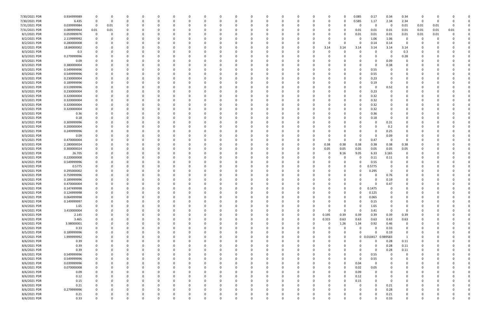| 7/30/2021 PDR | 0.934999989 |          | 0            | -0       |          |          |          |   |   | 0            |          |          |          |          |          |             | 0.085        | 0.17                | 0.34     | 0.34        | 0        |      |          |  |
|---------------|-------------|----------|--------------|----------|----------|----------|----------|---|---|--------------|----------|----------|----------|----------|----------|-------------|--------------|---------------------|----------|-------------|----------|------|----------|--|
| 7/30/2021 PDR | 6.435       | 0        | 0            | $\Omega$ |          |          | 0        |   |   | <sup>0</sup> | $\Omega$ |          |          | 0        |          | 0           | 0.585        | 1.17                | 2.34     | 2.34        | 0        |      |          |  |
| 7/31/2021 PDR | 0.039999984 | 0        | 0.01         |          |          |          |          |   |   |              |          |          |          |          |          | O           | 0            | - 0                 | - 0      | 0.01        | 0.01     | 0.01 |          |  |
| 7/31/2021 PDR | 0.089999964 | 0.01     | 0.01         |          |          |          |          |   |   |              |          |          |          |          |          | 0           | 0.01         | 0.01                | 0.01     | 0.01        | 0.01     | 0.01 | 0.01     |  |
| 8/1/2021 PDR  | 0.059999976 | 0        | $\Omega$     |          |          |          |          |   |   |              |          |          |          |          |          | O           | 0.01         | 0.01                | 0.01     | 0.01        | 0.01     | 0.01 |          |  |
| 8/2/2021 PDR  | 2.119999992 | 0        |              |          |          |          |          |   |   |              |          |          |          |          |          |             | 0            | 1.06                | 1.06     | -0          | 0        |      |          |  |
|               |             |          |              |          |          |          |          |   |   |              |          |          |          |          |          |             |              |                     |          |             |          |      |          |  |
| 8/2/2021 PDR  | 0.280000008 |          |              |          |          |          |          |   |   |              |          |          |          |          |          | O           | 0            | 0.14                | 0.14     | 0           |          |      |          |  |
| 8/2/2021 PDR  | 18.84000002 |          |              |          |          |          |          |   |   |              |          |          |          | -0       | 3.14     | 3.14        | 3.14         | 3.14                | 3.14     | 3.14        |          |      |          |  |
| 8/3/2021 PDR  | 0.3         |          |              |          |          |          |          |   |   |              |          |          |          |          |          |             | 0            | -0                  | - 0      | 0.3         |          |      |          |  |
| 8/3/2021 PDR  | 0.279999996 |          |              |          |          |          |          |   |   |              |          |          |          |          |          |             |              | - 0                 | - 0      | 0.28        |          |      |          |  |
| 8/3/2021 PDR  | 0.09        |          |              |          |          |          |          |   |   |              |          |          |          |          |          |             | 0            | 0                   | 0.09     | 0           |          |      |          |  |
| 8/3/2021 PDR  | 0.380000004 |          |              |          |          |          |          |   |   |              |          |          |          |          |          |             | 0            | 0                   | 0.38     | 0           |          |      |          |  |
| 8/3/2021 PDR  | 0.549999996 |          |              |          |          |          |          |   |   |              |          |          |          |          |          |             | 0            | 0.55                |          |             |          |      |          |  |
| 8/3/2021 PDR  | 0.549999996 |          |              |          |          |          |          |   |   |              |          |          |          |          |          |             | 0            | 0.55                |          |             |          |      |          |  |
| 8/3/2021 PDR  | 0.230000004 |          |              |          |          |          |          |   |   |              |          |          |          |          |          |             | 0            | 0.23                |          |             |          |      |          |  |
| 8/3/2021 PDR  | 0.189999996 |          |              |          |          |          |          |   |   |              |          |          |          |          |          |             |              | 0.19                | $\Omega$ |             |          |      |          |  |
| 8/3/2021 PDR  | 0.519999996 |          |              |          |          |          |          |   |   |              |          |          |          |          |          | 0           | 0            | 0                   | 0.52     | 0           |          |      |          |  |
| 8/3/2021 PDR  | 0.230000004 |          |              |          |          |          |          |   |   |              |          |          |          |          |          |             | 0            | 0.23                |          | 0           |          |      |          |  |
|               |             |          |              |          |          |          |          |   |   |              |          |          |          |          |          |             |              |                     |          |             |          |      |          |  |
| 8/3/2021 PDR  | 0.320000004 |          |              |          |          |          |          |   |   |              |          |          |          |          |          |             | <sup>0</sup> | 0.32                |          |             |          |      |          |  |
| 8/3/2021 PDR  | 0.320000004 |          |              |          |          |          |          |   |   |              |          |          |          |          |          | O           | 0            | 0.32                |          |             |          |      |          |  |
| 8/3/2021 PDR  | 0.320000004 |          |              |          |          |          |          |   |   |              |          |          |          |          |          |             | 0            | 0.32                |          |             |          |      |          |  |
| 8/3/2021 PDR  | 0.320000004 |          |              |          |          |          |          |   |   |              |          |          |          |          |          |             | O            | 0.32                |          |             |          |      |          |  |
| 8/3/2021 PDR  | 0.36        |          |              |          |          |          |          |   |   |              |          |          |          |          |          |             | 0            | 0.36                |          |             |          |      |          |  |
| 8/3/2021 PDR  | 0.18        |          |              |          |          |          |          |   |   |              |          |          |          |          |          |             | 0            | 0.18                | - 0      |             |          |      |          |  |
| 8/3/2021 PDR  | 0.309999996 |          |              |          |          |          |          |   |   |              |          |          |          |          |          |             | 0            | 0                   | 0.31     |             |          |      |          |  |
| 8/3/2021 PDR  | 0.200000004 |          |              |          |          |          |          |   |   |              |          |          |          |          |          |             |              | $\Omega$            | 0.2      | 0           |          |      |          |  |
| 8/3/2021 PDR  | 0.249999996 |          |              |          |          |          |          |   |   |              |          |          |          |          |          |             |              | -0                  | 0.25     |             |          |      |          |  |
| 8/3/2021 PDR  | 0.09        |          |              |          |          |          |          |   |   |              |          |          |          |          |          |             | 0            | -0                  | 0.09     |             |          |      |          |  |
| 8/3/2021 PDR  | 0.470000004 |          |              |          |          |          |          |   |   |              |          |          |          |          |          | 0           | 0            | 0.47                | 0        | 0           |          |      |          |  |
| 8/3/2021 PDR  | 2.280000024 |          |              |          |          |          |          |   |   |              |          |          |          | -0       | 0.38     | 0.38        | 0.38         | 0.38                | 0.38     | 0.38        |          |      |          |  |
| 8/3/2021 PDR  | 0.300000024 |          |              |          |          |          |          |   |   |              |          |          |          | 0        | 0.05     | 0.05        | 0.05         | 0.05                | 0.05     | $0.05\,$    |          |      |          |  |
| 8/3/2021 PDR  |             |          |              |          |          |          |          |   |   |              |          |          |          |          |          |             |              |                     |          |             |          |      |          |  |
|               | 26.705      |          |              |          |          |          |          |   |   |              |          |          |          |          |          | 8.16        | 9.05         | 6.33                | 3.165    | 0           |          |      |          |  |
| 8/4/2021 PDR  | 0.220000008 |          |              |          |          |          |          |   |   |              |          |          |          |          |          |             | 0            | 0.11                | 0.11     |             |          |      |          |  |
| 8/4/2021 PDR  | 0.549999996 |          |              |          |          |          |          |   |   |              |          |          |          |          |          |             | 0            | 0.55                | - 0      |             |          |      |          |  |
| 8/4/2021 PDR  | 0.5775      |          |              |          |          |          |          |   |   |              |          |          |          |          |          |             | 0            | 0.5775              | 0        |             |          |      |          |  |
| 8/4/2021 PDR  | 0.295000002 |          |              |          |          |          |          |   |   |              |          |          |          |          |          | 0           | <sup>0</sup> | 0.295               | - 0      |             |          |      |          |  |
| 8/4/2021 PDR  | 0.759999996 |          |              |          |          |          |          |   |   |              |          |          |          |          |          |             |              | -0                  | 0.76     |             |          |      |          |  |
| 8/4/2021 PDR  | 0.189999996 |          |              |          |          |          |          |   |   |              |          |          |          |          |          |             |              | - 0                 | 0.19     |             |          |      |          |  |
| 8/4/2021 PDR  | 0.470000004 |          |              |          |          |          |          |   |   |              |          |          |          |          |          |             |              |                     | 0.47     |             |          |      |          |  |
| 8/4/2021 PDR  | 0.147499998 |          | 0            |          |          |          |          |   |   |              |          |          |          |          |          | 0           | 0            | 0.1475              | - 0      |             |          |      |          |  |
| 8/4/2021 PDR  | 0.124999998 | $\Omega$ |              |          |          |          |          |   |   |              |          |          |          |          |          |             |              | 0.125               | $\Omega$ |             | $\Omega$ |      |          |  |
| 8/4/2021 PDR  | 0.064999998 | 0        | $\Omega$     | 0        | $\Omega$ | 0        | $\Omega$ |   |   | 0            | $\Omega$ | $\Omega$ |          | 0        |          | 0           | 0            | 0.065               | $\Omega$ |             | 0        |      |          |  |
| 8/4/2021 PDR  | 0.149999997 | 0        | 0            | 0        |          |          | 0        |   |   | 0            | $\Omega$ |          |          | 0        |          | 0           | $\Omega$     | 0.15                | $\Omega$ |             | 0        |      |          |  |
| 8/4/2021 PDR  | 1.65        |          |              |          |          |          | 0        |   |   |              | $\Omega$ |          |          |          |          | $\Omega$    | 0            | 1.65                | 0        |             |          |      |          |  |
|               |             |          |              |          |          |          |          |   |   |              |          |          |          |          |          |             |              |                     |          |             |          |      |          |  |
| 8/4/2021 PDR  | 3.410000004 |          |              |          |          |          | 0        |   |   |              |          |          |          | $\Omega$ |          | 0           | 0            | 3.41                | 0        | -0          |          |      |          |  |
| 8/4/2021 PDR  | 2.145       |          |              |          |          |          | 0        |   |   |              | 0        |          |          | 0        | 0.195    | 0.39        | 0.39         | 0.39                | 0.39     | 0.39        |          |      |          |  |
| 8/4/2021 PDR  | 3.465       |          |              |          |          | 0        | 0        |   |   |              | 0        |          | 0        | 0        | 0.315    | 0.63        | 0.63         | 0.63                | 0.63     | 0.63        |          |      |          |  |
| 8/4/2021 PDR  | 3.98000001  | 0        |              |          |          | 0        | 0        |   |   |              | $\Omega$ |          | $\Omega$ | 0        | $\Omega$ | 1.26        | 1.34         | 0.92                | 0.46     | 0           | 0        |      |          |  |
| 8/5/2021 PDR  | 0.33        | 0        | 0            |          |          | 0        | 0        |   | 0 | 0            | 0        |          | $\Omega$ | 0        |          | 0           | 0            | 0                   | 0.33     | 0           | 0        |      |          |  |
| 8/5/2021 PDR  | 0.189999996 |          |              |          |          | 0        | 0        |   |   |              | $\Omega$ |          |          | 0        |          | 0           | $\Omega$     | $\Omega$            | 0.19     | 0           |          |      |          |  |
| 8/5/2021 PDR  | 1.999999992 |          |              |          |          |          | 0        |   |   |              | $\Omega$ |          |          | 0        |          | $\mathbf 0$ |              | 0 0.010417 0.989583 |          | 1           |          |      |          |  |
| 8/6/2021 PDR  | 0.39        | $\Omega$ |              |          |          |          | 0        |   |   |              | 0        |          |          | 0        |          | 0           | $\Omega$     | 0                   | 0.28     | 0.11        |          |      |          |  |
| 8/6/2021 PDR  | 0.39        | $\Omega$ |              |          |          | O        | 0        |   |   |              | 0        |          |          | -0       |          | 0           | 0            | 0                   | 0.28     | 0.11        | 0        |      |          |  |
| 8/6/2021 PDR  | 0.39        | 0        |              | 0        |          | 0        | 0        |   | 0 | 0            | $\Omega$ |          | $\Omega$ | 0        |          | 0           | 0            | $\mathbf 0$         | 0.28     | 0.11        | 0        |      |          |  |
| 8/6/2021 PDR  | 0.549999996 | 0        | <sup>0</sup> | 0        |          | 0        | 0        |   | 0 | 0            | 0        |          | 0        | 0        |          | 0           | 0            | 0.55                | 0        | $\mathbf 0$ | 0        |      | 0        |  |
| 8/6/2021 PDR  | 0.549999996 | 0        |              |          |          | 0        | 0        |   |   |              | 0        |          |          | 0        |          | $\Omega$    | 0            | 0.55                | $\Omega$ | 0           | 0        |      |          |  |
|               |             |          |              |          |          |          |          |   |   |              |          |          |          |          |          |             |              |                     |          |             |          |      |          |  |
| 8/6/2021 PDR  | 0.039999996 |          |              |          |          |          | 0        |   |   |              | $\Omega$ |          |          |          |          | $\Omega$    | 0.04         | 0                   |          |             |          |      |          |  |
| 8/6/2021 PDR  | 0.070000008 | $\Omega$ |              |          |          | 0        | 0        |   |   |              | 0        |          |          | 0        |          | 0           | 0.02         | 0.05                |          | 0           | 0        |      |          |  |
| 8/6/2021 PDR  | 0.09        | $\Omega$ |              |          |          |          | 0        |   |   |              | 0        |          |          |          |          | 0           | 0.09         | 0                   |          |             | 0        |      |          |  |
| 8/6/2021 PDR  | 0.12        | $\Omega$ |              |          |          |          | 0        |   |   |              | $\Omega$ |          |          |          |          | $\Omega$    | 0.12         | 0                   | $\Omega$ | $\Omega$    | 0        |      |          |  |
| 8/6/2021 PDR  | 0.15        |          |              |          |          |          | 0        |   |   |              | 0        |          |          | -0       |          | 0           | 0.15         | 0                   | - 0      | 0           | 0        |      |          |  |
| 8/6/2021 PDR  | 0.21        |          |              |          |          | 0        | 0        |   |   |              | $\Omega$ |          |          | 0        |          |             | 0            | $\Omega$            | 0.21     | 0           | 0        |      |          |  |
| 8/6/2021 PDR  | 0.279999996 |          |              |          |          |          | 0        |   |   |              | $\Omega$ |          |          |          |          |             | 0            | $\Omega$            | 0.28     | $\Omega$    |          |      |          |  |
| 8/6/2021 PDR  | 0.21        |          |              |          |          |          |          |   |   |              |          |          |          |          |          |             | 0            | 0                   | 0.21     | -0          |          |      |          |  |
| 8/6/2021 PDR  | 0.33        | $\Omega$ | 0            | $\Omega$ | $\Omega$ | $\Omega$ | $\Omega$ | U | 0 | $\Omega$     | $\Omega$ | $\Omega$ | $\Omega$ |          |          | $\Omega$    | $\Omega$     | $\Omega$            | 0.33     | $\Omega$    | 0        |      | $\Omega$ |  |
|               |             |          |              |          |          |          |          |   |   |              |          |          |          |          |          |             |              |                     |          |             |          |      |          |  |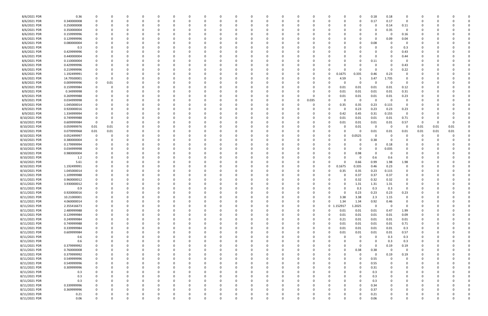| 8/6/2021 PDR  | 0.36        | 0           | 0    |          |   | 0            |          |          |          | - 0      |          |   | 0            |          |          |       | - 0         |          | O        | 0.18        | 0.18        | 0           |          |          |      |  |
|---------------|-------------|-------------|------|----------|---|--------------|----------|----------|----------|----------|----------|---|--------------|----------|----------|-------|-------------|----------|----------|-------------|-------------|-------------|----------|----------|------|--|
| 8/6/2021 PDR  | 0.340000008 | 0           | 0    |          |   | $\Omega$     |          | $\Omega$ |          | -0       |          |   | $\Omega$     |          | $\Omega$ | 0     | -0          | $\Omega$ | 0        | 0.17        | 0.17        | $\Omega$    | 0        |          |      |  |
|               |             |             |      |          |   |              |          |          |          |          |          |   |              |          |          |       |             |          |          |             |             |             |          |          |      |  |
| 8/6/2021 PDR  | 0.250000008 |             |      |          |   |              |          |          |          |          |          |   |              |          |          |       |             |          |          | 0           | 0.14        | 0.11        |          |          |      |  |
| 8/6/2021 PDR  | 0.350000004 |             |      |          |   |              |          |          |          |          |          |   |              |          |          |       |             |          |          | 0           | 0.35        | 0           |          |          |      |  |
|               |             |             |      |          |   |              |          |          |          |          |          |   |              |          |          |       |             |          |          |             |             |             |          |          |      |  |
| 8/6/2021 PDR  | 0.159999996 |             |      |          |   |              |          |          |          |          |          |   |              |          |          |       |             |          |          | 0           | -0          | 0.16        |          |          |      |  |
| 8/6/2021 PDR  | 0.129999996 |             |      |          |   |              |          |          |          |          |          |   |              |          |          |       |             |          |          | 0           | 0.09        | 0.04        |          |          |      |  |
| 8/6/2021 PDR  | 0.080000004 |             |      |          |   |              |          |          |          |          |          |   |              |          |          |       |             |          |          | 0.08        |             | 0           |          |          |      |  |
|               |             |             |      |          |   |              |          |          |          |          |          |   |              |          |          |       |             |          |          |             |             |             |          |          |      |  |
| 8/6/2021 PDR  | 0.3         |             |      |          |   | <sup>0</sup> |          |          |          |          |          |   | <sup>0</sup> |          |          |       |             |          |          | 0           |             | 0.3         |          |          |      |  |
| 8/6/2021 PDR  | 0.429999996 |             |      |          |   | 0            |          |          |          |          |          |   | 0            |          |          |       |             |          |          | 0           |             | 0.43        |          |          |      |  |
| 8/6/2021 PDR  | 0.440000004 |             |      |          |   |              |          |          |          |          |          |   |              |          |          |       |             |          |          | 0           |             | 0.44        |          |          |      |  |
|               |             |             |      |          |   |              |          |          |          |          |          |   |              |          |          |       |             |          |          |             |             |             |          |          |      |  |
| 8/6/2021 PDR  | 0.110000004 |             |      |          |   |              |          |          |          |          |          |   |              |          |          |       |             |          |          | 0.11        |             | - 0         |          |          |      |  |
| 8/6/2021 PDR  | 0.429999996 |             |      |          |   | 0            |          |          |          |          |          |   | 0            |          |          |       |             |          |          | 0           |             | 0.43        |          |          |      |  |
| 8/6/2021 PDR  | 0.219999996 |             |      |          |   | C            |          |          |          |          |          |   | <sup>0</sup> |          |          |       |             |          |          | $\Omega$    | - 0         | 0.22        |          |          |      |  |
|               |             |             |      |          |   |              |          |          |          |          |          |   |              |          |          |       |             |          |          |             |             |             |          |          |      |  |
| 8/6/2021 PDR  | 1.192499991 |             |      |          |   |              |          |          |          |          |          |   |              |          |          |       | $\Omega$    | 0.1675   | 0.335    | 0.46        | 0.23        |             |          |          |      |  |
| 8/6/2021 PDR  | 14.79500001 |             | -0   |          |   |              |          |          |          |          |          |   |              |          |          |       | -0          | 4.59     | 5        | 3.47        | 1.735       |             |          |          |      |  |
|               |             |             |      |          |   |              |          |          |          |          |          |   |              |          |          |       |             |          |          |             |             |             |          |          |      |  |
| 8/8/2021 PDR  | 0.009999996 | 0           | 0.01 |          |   |              |          |          |          |          |          |   |              |          |          |       |             |          |          | C           | - 0         | - 0         |          |          |      |  |
| 8/9/2021 PDR  | 0.159999984 | 0           | 0    |          |   |              |          |          |          |          |          |   |              |          |          |       | 0           | 0.01     | 0.01     | 0.01        | 0.01        | 0.12        |          |          |      |  |
| 8/9/2021 PDR  | 0.34999998  | 0           |      |          |   | $\Omega$     |          |          |          |          |          |   | $\Omega$     |          |          |       | $\Omega$    | 0.01     | 0.01     | 0.01        | 0.01        | 0.31        |          |          |      |  |
|               |             |             |      |          |   |              |          |          |          |          |          |   |              |          |          |       |             |          |          |             |             |             |          |          |      |  |
| 8/9/2021 PDR  | 0.269999988 |             |      |          |   |              |          |          |          |          |          |   |              |          |          |       | -0          | 0.01     | 0.01     | 0.01        | 0.01        | 0.23        |          |          |      |  |
| 8/9/2021 PDR  | 0.034999998 | 0           | -0   |          |   | C            |          |          |          | - 0      |          |   | 0            |          | $\Omega$ | 0.035 | - 0         | $\Omega$ | 0        | 0           | $\Omega$    | - 0         |          |          |      |  |
| 8/9/2021 PDR  | 1.045000014 |             |      |          |   | n            |          |          |          |          |          |   | <sup>0</sup> |          |          |       | 0           | 0.35     | 0.35     | 0.23        | 0.115       | 0           |          |          |      |  |
|               |             |             |      |          |   |              |          |          |          |          |          |   |              |          |          |       |             |          |          |             |             |             |          |          |      |  |
| 8/9/2021 PDR  | 0.920000016 |             |      |          |   |              |          |          |          |          |          |   |              |          |          |       | 0           |          | 0.23     | 0.23        | 0.23        | 0.23        |          |          |      |  |
| 8/9/2021 PDR  | 1.334999994 |             |      |          |   |              |          |          |          |          |          |   |              |          |          |       | 0           | 0.42     | 0.45     | 0.31        | 0.155       | 0           |          |          |      |  |
|               | 0.749999988 |             |      |          |   |              |          |          |          |          |          |   |              |          |          |       | 0           | 0.01     |          |             |             |             |          |          |      |  |
| 8/10/2021 PDR |             | 0           |      |          |   |              |          |          |          |          |          |   |              |          |          |       |             |          | 0.01     | 0.01        | 0.01        | 0.71        |          |          |      |  |
| 8/10/2021 PDR | 0.609999984 | 0           | 0    |          |   |              |          |          |          |          |          |   |              |          |          |       | 0           | 0.01     | 0.01     | 0.01        | 0.01        | 0.57        | - 0      | -0       |      |  |
| 8/10/2021 PDR | 0.059999976 | 0.01        | 0.01 |          |   | C            |          |          |          |          |          |   | C            |          |          |       | 0           |          | 0.01     | - 0         | 0           | 0           | 0.01     | 0.01     | 0.01 |  |
|               |             |             |      |          |   |              |          |          |          |          |          |   |              |          |          |       |             |          |          |             |             |             |          |          |      |  |
| 8/10/2021 PDR | 0.079999968 | 0.01        | 0.01 |          |   |              |          |          |          |          |          |   |              |          |          |       |             |          |          | 0.01        | 0.01        | 0.01        | 0.01     | 0.01     | 0.01 |  |
| 8/10/2021 PDR | 0.052499997 | 0           | 0    |          |   |              |          |          |          |          |          |   |              |          |          |       | -0          |          | 0.0525   | 0           | - 0         |             | -0       | -0       |      |  |
| 8/10/2021 PDR | 0.380000004 | 0           |      |          |   |              |          |          |          |          |          |   |              |          |          |       | 0           |          | 0        | 0.38        | - 0         |             |          |          |      |  |
|               |             |             |      |          |   |              |          |          |          |          |          |   |              |          |          |       |             |          |          |             |             |             |          |          |      |  |
| 8/10/2021 PDR | 0.179999994 | 0           |      |          |   |              |          |          |          |          |          |   |              |          |          |       | -0          |          |          | 0           | 0.18        | 0           |          |          |      |  |
| 8/10/2021 PDR | 0.034999998 |             |      |          |   |              |          |          |          |          |          |   |              |          |          |       |             |          |          | 0           | 0.035       |             |          |          |      |  |
| 8/10/2021 PDR | 0.980000004 |             |      |          |   |              |          |          |          |          |          |   |              |          |          |       |             |          | 0.98     | 0           | -0          | 0           |          |          |      |  |
|               |             |             |      |          |   |              |          |          |          |          |          |   |              |          |          |       |             |          |          |             |             |             |          |          |      |  |
| 8/10/2021 PDR | 1.2         |             |      |          |   | <sup>0</sup> |          |          |          |          |          |   | <sup>0</sup> |          |          |       |             |          | - 0      | 0.6         | 0.6         | 0           |          |          |      |  |
| 8/10/2021 PDR | 5.61        |             |      |          |   | 0            |          |          |          |          |          |   | 0            |          |          |       | 0           |          | 0.66     | 0.99        | 1.98        | 1.98        |          |          |      |  |
| 8/10/2021 PDR |             |             |      |          |   |              |          |          |          |          |          |   |              |          |          |       |             |          |          |             | 0.23        | 0           |          |          |      |  |
|               | 1.192499991 |             |      |          |   |              |          |          |          |          |          |   |              |          |          |       | 0           | 0.1675   | 0.335    | 0.46        |             |             |          |          |      |  |
| 8/10/2021 PDR | 1.045000014 |             |      |          |   |              |          |          |          |          |          |   |              |          |          |       | 0           | 0.35     | 0.35     | 0.23        | 0.115       | 0           |          |          |      |  |
| 8/11/2021 PDR | 1.109999988 |             |      |          |   | C            |          |          |          |          |          |   |              |          |          |       | - 0         |          | 0.37     | 0.37        | 0.37        | 0           |          |          |      |  |
|               |             |             |      |          |   |              |          |          |          |          |          |   |              |          |          |       |             |          |          |             |             |             |          |          |      |  |
| 8/11/2021 PDR | 0.960000012 |             |      |          |   |              |          |          |          |          |          |   |              |          |          |       |             |          | 0.32     | 0.32        | 0.32        |             |          |          |      |  |
| 8/11/2021 PDR | 3.930000012 |             |      |          |   |              |          |          |          |          |          |   |              |          |          |       |             |          | 1.31     | 1.31        | 1.31        |             |          |          |      |  |
| 8/11/2021 PDR | 0.9         | 0           |      |          |   |              |          |          |          |          |          |   |              |          |          |       |             |          | 0.3      | 0.3         | 0.3         | $\Omega$    |          |          |      |  |
|               |             |             |      |          |   |              |          |          |          |          |          |   |              |          |          |       |             |          |          |             |             |             |          |          |      |  |
| 8/11/2021 PDR | 0.920000016 | $\mathbf 0$ | 0    |          |   | 0            |          | $\Omega$ |          |          |          |   | -0           |          | 0        |       |             |          | 0.23     | 0.23        | 0.23        | 0.23        | 0        |          |      |  |
| 8/11/2021 PDR | 10.21000001 | $\mathbf 0$ | 0    | $\Omega$ | 0 | $\Omega$     | $\Omega$ | $\Omega$ | $\Omega$ | $\Omega$ | $\Omega$ | 0 | $\Omega$     | $\Omega$ | $\Omega$ | 0     | 0           | 3.38     | 3.38     | 2.3         | 1.15        | $\mathbf 0$ | $\Omega$ |          |      |  |
| 8/11/2021 PDR | 4.060000014 | $\mathbf 0$ | 0    |          |   | $\Omega$     |          | $\Omega$ | 0        | 0        |          |   | $\Omega$     |          | $\Omega$ | 0     | $\Omega$    | 1.34     | 1.34     | 0.92        | 0.46        | 0           |          |          |      |  |
|               |             |             |      |          |   |              |          |          |          |          |          |   |              |          |          |       |             |          |          |             |             |             |          |          |      |  |
| 8/11/2021 PDR | 2.355416673 | 0           | 0    |          |   | 0            |          |          |          |          |          |   | 0            |          | $\Omega$ | 0     | $\mathbf 0$ | 152917   | 1.2025   | $\mathbf 0$ | $\mathbf 0$ | $\mathbf 0$ | 0        |          |      |  |
| 8/11/2021 PDR | 2.489999988 | 0           | 0    |          |   | 0            |          | 0        | 0        | 0        |          |   | 0            |          | 0        | 0     | $\Omega$    | 0.01     | 0.01     | 0.01        | 0.47        | 1.99        | 0        |          |      |  |
|               | 0.129999984 | 0           |      |          |   |              |          |          |          |          |          |   |              |          |          |       | $\Omega$    | 0.01     |          |             | 0.01        |             |          |          |      |  |
| 8/11/2021 PDR |             |             |      |          |   | 0            |          |          |          |          |          |   | 0            |          | 0        |       |             |          | 0.01     | 0.01        |             | 0.09        |          |          |      |  |
| 8/11/2021 PDR | 0.249999984 | $\mathbf 0$ |      |          |   | 0            |          |          |          |          |          |   | 0            |          |          |       | 0           | 0.21     | $0.01\,$ | 0.01        | 0.01        | 0.01        | 0        |          |      |  |
| 8/11/2021 PDR | 0.749999988 | $\mathbf 0$ |      |          |   | 0            |          |          |          |          |          |   | 0            |          |          |       | 0           | 0.01     | 0.01     | 0.01        | 0.01        | 0.71        | 0        |          |      |  |
|               |             |             |      |          |   |              |          |          |          |          |          |   |              |          |          |       |             |          |          |             |             |             |          |          |      |  |
| 8/11/2021 PDR | 0.339999984 | $\mathbf 0$ |      |          |   | 0            |          |          |          |          |          |   | 0            |          |          |       | 0           | 0.01     | 0.01     | 0.01        | 0.01        | 0.3         | 0        |          |      |  |
| 8/11/2021 PDR | 0.609999984 | 0           | 0    |          |   | 0            |          |          |          | -0       |          |   | 0            |          |          |       | $\Omega$    | 0.01     | $0.01\,$ | 0.01        | 0.01        | 0.57        | 0        |          |      |  |
| 8/11/2021 PDR | 0.6         | 0           | 0    |          |   | 0            |          | 0        | 0        |          |          |   | 0            |          | 0        | 0     | 0           | $\Omega$ | 0        | 0           | 0.3         | 0.3         | 0        |          |      |  |
|               |             |             |      |          |   |              |          |          |          |          |          |   |              |          |          |       |             |          |          |             |             |             |          |          |      |  |
| 8/11/2021 PDR | 0.6         |             |      |          |   | 0            |          |          |          |          |          |   | 0            |          |          |       |             |          |          | $\Omega$    | 0.3         | 0.3         |          |          |      |  |
| 8/11/2021 PDR | 0.379999992 |             |      |          |   |              |          |          |          |          |          |   |              |          |          |       |             |          | 0        | 0           | 0.19        | 0.19        |          |          |      |  |
| 8/11/2021 PDR | 0.760000008 | $\mathbf 0$ |      |          |   | 0            |          |          |          |          |          |   | 0            |          |          | 0     | 0           | 0        | 0.38     | 0.38        | $\mathbf 0$ | 0           | 0        |          |      |  |
|               |             |             |      |          |   |              |          |          |          |          |          |   |              |          |          |       |             |          |          |             |             |             |          |          |      |  |
| 8/11/2021 PDR | 0.379999992 | 0           |      |          |   | 0            |          |          |          | 0        |          |   | 0            |          |          | 0     | 0           | 0        | 0        | $\mathbf 0$ | 0.19        | 0.19        | 0        |          |      |  |
| 8/11/2021 PDR | 0.549999996 | 0           | -0   |          |   | 0            |          |          |          | - 0      |          |   | 0            |          |          |       | - 0         |          |          | 0.55        | $\Omega$    | $\Omega$    |          |          |      |  |
| 8/11/2021 PDR | 0.549999996 | 0           | 0    |          |   | 0            |          |          |          |          |          |   | 0            |          |          | 0     |             | 0        | $\Omega$ | 0.55        |             | 0           | 0        |          |      |  |
|               |             |             |      |          |   |              |          |          |          |          |          |   |              |          |          |       |             |          |          |             |             |             |          |          |      |  |
| 8/11/2021 PDR | 0.309999996 | 0           | 0    |          |   | 0            |          | $\Omega$ |          |          |          |   | 0            |          |          | 0     |             |          | $\Omega$ | 0.31        |             | 0           | 0        |          |      |  |
| 8/11/2021 PDR | 0.3         |             |      |          |   | 0            |          |          |          |          |          |   | 0            |          |          |       |             |          |          | 0.3         |             |             |          |          |      |  |
|               |             |             |      |          |   |              |          |          |          |          |          |   |              |          |          |       |             |          |          |             |             |             |          |          |      |  |
| 8/11/2021 PDR | 0.3         |             |      |          |   | 0            |          |          |          |          |          |   | 0            |          |          |       |             |          |          | 0.3         |             | 0           |          |          |      |  |
| 8/11/2021 PDR | 0.3         | 0           | 0    |          |   | 0            |          |          | 0        |          |          |   | 0            |          |          | 0     |             |          |          | 0.3         |             | $\Omega$    | 0        |          |      |  |
| 8/11/2021 PDR | 0.339999996 | 0           | 0    |          |   | 0            |          |          |          |          |          |   | 0            |          |          |       |             |          |          | 0.34        |             | 0           |          |          |      |  |
|               |             |             |      |          |   |              |          |          |          |          |          |   |              |          |          |       |             |          |          |             |             |             |          |          |      |  |
| 8/11/2021 PDR | 0.369999996 | 0           | 0    |          |   | 0            |          | $\Omega$ |          |          |          |   | 0            |          | $\Omega$ |       |             | 0        |          | 0.37        |             | 0           |          |          |      |  |
| 8/11/2021 PDR | 0.21        | 0           | -0   |          |   | 0            |          | 0        |          |          |          |   | 0            |          | 0        |       |             | 0        |          | 0.21        |             | 0           |          |          |      |  |
| 8/11/2021 PDR | 0.06        | $\mathbf 0$ | 0    | 0        | ŋ | $\Omega$     |          | $\Omega$ | $\Omega$ | $\Omega$ | 0        |   | $\Omega$     |          | $\Omega$ | 0     | $\Omega$    | 0        |          | 0.06        | $\Omega$    | $\mathbf 0$ | 0        | $\Omega$ | 0    |  |
|               |             |             |      |          |   |              |          |          |          |          |          |   |              |          |          |       |             |          |          |             |             |             |          |          |      |  |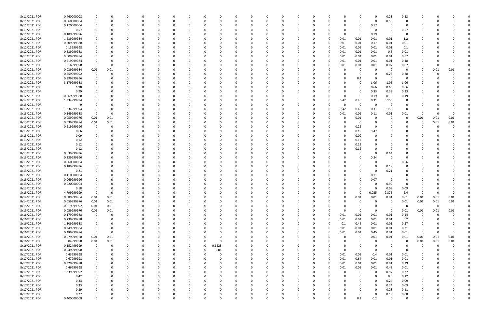| 8/11/2021 PDR | 0.460000008 |             | 0           |          |          |          |              |          |        |          |        | $\Omega$ |          | 0  |          |          | 0           |          | 0.23           | 0.23        |                |          |                |  |
|---------------|-------------|-------------|-------------|----------|----------|----------|--------------|----------|--------|----------|--------|----------|----------|----|----------|----------|-------------|----------|----------------|-------------|----------------|----------|----------------|--|
| 8/11/2021 PDR | 0.560000004 |             |             |          |          | $\Omega$ |              | O        |        | $\Omega$ |        | $\Omega$ |          | -0 |          |          | $\Omega$    | $\Omega$ | 0.56           | $\Omega$    |                |          |                |  |
|               |             |             |             |          |          |          |              |          |        |          |        |          |          |    |          |          |             |          |                |             |                |          |                |  |
| 8/11/2021 PDR | 0.170000004 |             |             |          |          |          |              |          |        |          |        |          |          |    |          |          | 0           | 0.17     |                |             |                |          |                |  |
| 8/11/2021 PDR | 0.57        |             |             |          |          |          |              |          |        |          |        |          |          |    |          |          | 0           |          |                | 0.57        |                |          |                |  |
| 8/11/2021 PDR | 0.189999996 |             |             |          |          |          |              |          |        |          |        |          |          |    |          |          | 0           | 0.19     | - 0            |             |                |          |                |  |
| 8/12/2021 PDR | 1.239999984 |             |             |          |          |          |              |          |        | n        |        |          |          |    | O        | 0.01     | 0.01        | 0.01     | 0.01           | 1.2         |                |          |                |  |
|               |             |             |             |          |          |          |              |          |        |          |        |          |          |    |          |          |             |          |                |             |                |          |                |  |
| 8/12/2021 PDR | 0.209999988 |             |             |          |          |          |              |          |        |          |        |          |          |    | 0        | 0.01     | 0.01        | 0.17     | 0.01           | 0.01        |                |          |                |  |
| 8/12/2021 PDR | 0.13999998  |             |             |          |          |          |              |          |        |          |        |          |          |    | $\Omega$ | 0.01     | 0.01        | 0.01     | 0.01           | 0.1         |                |          |                |  |
| 8/12/2021 PDR | 0.539999988 |             |             |          |          |          |              |          |        |          |        |          |          |    | 0        | 0.01     | 0.01        | 0.01     | 0.5            | 0.01        |                |          |                |  |
|               |             |             |             |          |          |          |              |          |        |          |        |          |          |    |          |          |             |          |                |             |                |          |                |  |
| 8/12/2021 PDR | 0.609999984 |             |             |          |          |          |              |          |        |          |        |          |          |    |          | 0.01     | 0.01        | 0.01     | 0.01           | 0.57        |                |          |                |  |
| 8/12/2021 PDR | 0.219999984 |             |             |          |          |          |              |          |        |          |        |          |          |    | 0        | 0.01     | 0.01        | 0.01     | 0.01           | 0.18        |                |          |                |  |
| 8/12/2021 PDR | 0.16999998  | 0           | 0           |          |          |          |              |          |        |          |        |          |          |    |          | 0.01     | 0.01        | 0.01     | 0.07           | 0.07        |                |          | - 0            |  |
| 8/12/2021 PDR | 0.039999984 | 0.01        | 0.01        |          |          |          |              |          |        |          |        |          |          |    |          |          | 0           |          | - 0            | 0           | 0              | 0.01     | 0.01           |  |
|               |             |             |             |          |          |          |              |          |        |          |        |          |          |    |          |          |             |          |                |             |                |          |                |  |
| 8/12/2021 PDR | 0.559999992 | 0           |             |          |          |          |              |          |        |          |        |          |          |    |          |          | $\Omega$    |          | 0.28           | 0.28        |                |          |                |  |
| 8/12/2021 PDR | 0.399999996 |             |             |          |          |          |              |          |        |          |        |          |          |    |          |          | 0.4         |          | - 0            | 0           |                |          |                |  |
| 8/12/2021 PDR | 3.179999988 |             |             |          |          |          |              |          |        |          |        |          |          |    |          |          | 0           | 1.06     | 1.06           | 1.06        |                |          |                |  |
|               |             |             |             |          |          |          |              |          |        |          |        |          |          |    |          |          |             |          |                |             |                |          |                |  |
| 8/12/2021 PDR | 1.98        |             |             |          |          |          |              |          |        |          |        |          |          |    |          |          | 0           | 0.66     | 0.66           | 0.66        |                |          |                |  |
| 8/12/2021 PDR | 0.99        |             |             |          |          |          |              |          |        |          |        |          |          |    |          |          | 0           | 0.33     | 0.33           | 0.33        |                |          |                |  |
| 8/12/2021 PDR | 0.569999988 |             |             |          |          |          |              |          |        |          |        |          |          |    |          |          | 0           | 0.19     | 0.19           | 0.19        |                |          |                |  |
| 8/12/2021 PDR | 1.334999994 |             |             |          |          |          |              |          |        |          |        |          |          |    |          | 0.42     | 0.45        | 0.31     | 0.155          |             |                |          |                |  |
|               |             |             |             |          |          |          |              |          |        |          |        |          |          |    |          |          |             |          |                |             |                |          |                |  |
| 8/13/2021 PDR |             |             |             |          |          |          |              |          |        |          |        |          |          |    |          |          | 0           |          |                | -0          |                |          |                |  |
| 8/13/2021 PDR | 1.334999994 |             |             |          |          |          |              |          |        |          |        |          |          |    | 0        | 0.42     | 0.45        | 0.31     | 0.155          | 0           |                |          |                |  |
| 8/13/2021 PDR | 0.149999988 |             |             |          |          |          |              |          |        |          |        |          |          |    |          | 0.01     | 0.01        | 0.11     | 0.01           | 0.01        | 0              |          |                |  |
|               |             |             |             |          |          |          |              |          |        |          |        |          |          |    |          |          |             |          |                |             |                |          |                |  |
| 8/13/2021 PDR | 0.059999976 | 0.01        | 0.01        |          |          |          |              |          |        |          |        |          |          |    |          |          | 0.01        |          | - 0            | 0           | 0.01           | 0.01     | 0.01           |  |
| 8/13/2021 PDR | 0.039999984 | 0.01        | 0.01        |          |          |          |              |          |        |          |        |          |          |    |          |          | 0           |          |                | 0           | 0              | 0.01     | 0.01           |  |
| 8/13/2021 PDR | 0.219999996 | 0           | n           |          |          |          |              |          |        |          |        |          |          |    |          |          | 0.22        |          |                |             |                |          |                |  |
|               |             |             |             |          |          |          |              |          |        |          |        |          |          |    |          |          |             |          |                |             |                |          |                |  |
| 8/13/2021 PDR | 0.66        |             |             |          |          |          |              |          |        |          |        |          |          |    |          |          | 0.19        | 0.47     |                |             |                |          |                |  |
| 8/13/2021 PDR | 0.09        |             |             |          |          |          |              |          |        |          |        |          |          |    |          |          | 0.09        |          |                |             |                |          |                |  |
| 8/13/2021 PDR | 0.12        |             |             |          |          |          |              |          |        |          |        |          |          |    |          |          | 0.12        |          |                |             |                |          |                |  |
| 8/13/2021 PDR | 0.12        |             |             |          |          |          |              |          |        |          |        |          |          |    |          |          |             |          |                |             |                |          |                |  |
|               |             |             |             |          |          |          |              |          |        |          |        |          |          |    |          |          | 0.12        |          |                |             |                |          |                |  |
| 8/13/2021 PDR | 0.12        |             |             |          |          |          |              |          |        |          |        |          |          |    |          |          | 0.12        |          |                |             |                |          |                |  |
| 8/13/2021 PDR | 0.639999996 |             |             |          |          |          |              |          |        |          |        |          |          |    |          |          | 0           |          | 0.64           |             |                |          |                |  |
| 8/13/2021 PDR | 0.339999996 |             |             |          |          |          |              |          |        |          |        |          |          |    |          |          | $\Omega$    | 0.34     |                |             |                |          |                |  |
|               |             |             |             |          |          |          |              |          |        |          |        |          |          |    |          |          |             |          |                |             |                |          |                |  |
| 8/13/2021 PDR | 0.560000004 |             |             |          |          |          |              |          |        |          |        |          |          |    |          |          | 0           |          | - 0            | 0.56        |                |          |                |  |
| 8/13/2021 PDR | 0.189999996 |             |             |          |          |          |              |          |        |          |        |          |          |    |          |          |             |          | 0.19           |             |                |          |                |  |
| 8/13/2021 PDR | 0.21        |             |             |          |          |          |              |          |        |          |        |          |          |    |          |          |             |          | 0.21           |             |                |          |                |  |
|               |             |             |             |          |          |          |              |          |        |          |        |          |          |    |          |          |             |          |                |             |                |          |                |  |
| 8/13/2021 PDR | 0.110000004 |             |             |          |          |          |              |          |        |          |        |          |          |    |          |          | 0           | 0.11     |                |             |                |          |                |  |
| 8/13/2021 PDR | 0.069999996 |             |             |          |          |          |              |          |        |          |        |          |          |    |          |          | 0           | 0.07     | - 0            |             |                |          |                |  |
| 8/13/2021 PDR | 0.920000004 |             |             |          |          |          |              |          |        |          |        |          |          |    |          |          |             |          | 0.92           | 0           |                |          |                |  |
|               |             |             |             |          |          |          |              |          |        |          |        |          |          |    |          |          |             |          |                |             |                |          |                |  |
| 8/13/2021 PDR | 0.18        |             | 0           |          |          |          |              |          |        |          |        |          |          |    |          |          | 0           |          | 0.09           | 0.09        |                |          |                |  |
| 8/13/2021 PDR | 4.799999999 | 0           | 0           |          |          |          |              |          |        |          |        |          |          |    |          |          | 0           | 0.025    | 2.375          | 2.4         | 0              | 0        | υ              |  |
| 8/14/2021 PDR | 0.089999964 | $0.01\,$    | 0.01        | $\Omega$ | 0        | 0        | 0            | $\Omega$ |        | $\Omega$ |        | $\Omega$ | $\Omega$ |    | $\Omega$ | $\Omega$ | 0.01        | 0.01     | 0.01           | 0.01        | 0.01           | 0.01     | $0.01\,$       |  |
| 8/14/2021 PDR | 0.059999976 | 0.01        | 0.01        |          |          |          | $\Omega$     | O        |        | 0        |        |          |          |    |          |          | $\mathbf 0$ |          | 0              | 0.01        | 0.01           | 0.01     | $0.01\,$       |  |
|               |             |             |             |          |          |          |              |          |        |          |        |          |          |    |          |          |             |          |                |             |                |          |                |  |
| 8/15/2021 PDR | 0.019999992 | 0.01        | 0.01        |          | 0        | 0        | <sup>0</sup> | 0        |        | 0        |        | 0        |          | 0  |          |          | 0           |          | - 0            | 0           | $\overline{0}$ | $\Omega$ | $\overline{0}$ |  |
| 8/15/2021 PDR | 0.059999976 | 0.01        | 0.01        |          |          |          |              |          |        | -C       |        | $\Omega$ |          |    |          |          | 0           | $\Omega$ | $\overline{0}$ | 0.01        | 0.01           | 0.01     | 0.01           |  |
| 8/16/2021 PDR | 0.179999988 | 0           | 0           |          |          | 0        |              |          |        | 0        |        |          |          |    | 0        | 0.01     | 0.01        | 0.01     | 0.01           | 0.14        | - 0            |          |                |  |
|               |             |             |             |          |          |          |              |          |        |          |        |          |          |    |          |          |             |          |                |             |                |          |                |  |
| 8/16/2021 PDR | 0.239999988 | 0           |             |          |          |          |              |          |        |          |        |          |          |    | 0        | 0.01     | 0.01        | 0.01     | 0.01           | 0.2         | 0              |          |                |  |
| 8/16/2021 PDR | 1.109999988 | 0           |             |          |          |          |              |          |        | 0        |        |          |          |    | 0        | 0.1      | 0.42        | 0.01     | 0.01           | 0.57        | 0              |          |                |  |
| 8/16/2021 PDR | 0.249999984 | $\mathbf 0$ | 0           |          |          | $\Omega$ | 0            |          |        | 0        |        | 0        |          | 0  | 0        | 0.01     | 0.01        | 0.01     | 0.01           | 0.21        | 0              |          | $\Omega$       |  |
| 8/16/2021 PDR | 0.489999984 | 0           | $\mathbf 0$ |          |          | 0        | <sup>0</sup> | 0        |        |          |        | 0        |          | 0  | $\Omega$ | 0.01     | 0.01        | 0.45     | 0.01           | 0.01        | 0              |          | 0              |  |
|               |             |             |             |          |          |          |              |          |        | 0        |        |          |          |    |          |          |             |          |                |             |                |          |                |  |
| 8/16/2021 PDR | 0.079999968 | 0.01        | 0.01        |          | 0        | 0        |              |          |        | $\Omega$ |        | $\Omega$ |          |    |          |          | $\mathbf 0$ | 0.01     | 0.01           | 0.01        | 0.01           | 0.01     | 0.01           |  |
| 8/16/2021 PDR | 0.04999998  | 0.01        | 0.01        |          |          | 0        |              | 0        |        | 0        |        |          |          |    |          |          | 0           |          | - 0            | 0           | 0.01           | 0.01     | 0.01           |  |
| 8/16/2021 PDR | 0.152499999 | 0           | 0           |          |          |          |              | 0        | 0.1525 |          |        |          |          |    |          |          | 0           |          | 0              | 0           | - 0            |          | 0              |  |
|               |             |             |             |          |          |          |              |          |        |          |        |          |          |    |          |          |             |          |                |             |                |          |                |  |
| 8/16/2021 PDR | 0.049999998 | 0           | 0           |          | 0        | 0        |              | 0        | 0.05   | 0        |        | 0        |          |    | 0        | $\Omega$ | $\Omega$    | $\Omega$ | $\Omega$       | 0           | 0              |          |                |  |
| 8/17/2021 PDR | 0.43999998  | 0           | 0           |          |          | 0        |              | 0        |        | 0        |        | 0        |          |    | 0        | 0.01     | 0.01        | 0.4      | 0.01           | 0.01        |                |          |                |  |
| 8/17/2021 PDR | 0.67999998  | 0           | n           |          |          | 0        |              | 0        |        | 0        |        | $\Omega$ |          |    | $\Omega$ | 0.01     | 0.64        | 0.01     | 0.01           | 0.01        | 0              |          |                |  |
|               |             |             |             |          |          |          |              |          |        |          |        |          |          |    |          |          |             |          |                |             |                |          |                |  |
| 8/17/2021 PDR | 0.329999988 | 0           | n           |          |          | 0        |              |          |        | 0        |        | 0        |          | 0  | O        | 0.01     | 0.01        | 0.01     | 0.01           | 0.29        | 0              |          |                |  |
| 8/17/2021 PDR | 0.46999998  |             |             |          |          |          |              |          |        |          |        |          |          |    | 0        | 0.01     | 0.01        | 0.01     | 0.43           | 0.01        |                |          |                |  |
| 8/17/2021 PDR | 1.339999992 |             |             |          |          |          |              |          |        |          |        |          |          |    |          |          | 0           |          | 0.97           | 0.37        |                |          |                |  |
| 8/17/2021 PDR | 0.42        |             |             |          |          |          |              |          |        | 0        |        |          |          |    |          |          | 0           | $\Omega$ | 0.3            | 0.12        | 0              |          |                |  |
|               |             |             |             |          |          |          |              |          |        |          |        |          |          |    |          |          |             |          |                |             |                |          |                |  |
| 8/17/2021 PDR | 0.33        |             |             |          |          |          |              |          |        |          |        |          |          |    |          |          |             |          | 0.24           | 0.09        |                |          |                |  |
| 8/17/2021 PDR | 0.33        |             |             |          |          | $\Omega$ |              | 0        |        | 0        |        |          |          |    |          |          | 0           |          | 0.24           | 0.09        | 0              |          |                |  |
| 8/17/2021 PDR | 0.39        |             |             |          | 0        |          |              |          |        | 0        |        | $\Omega$ |          | -0 |          |          | 0           |          | 0.28           | 0.11        | 0              |          | 0              |  |
|               |             |             |             |          |          |          |              |          |        |          |        |          |          |    |          |          |             |          |                |             |                |          |                |  |
| 8/17/2021 PDR | 0.27        |             |             |          |          |          |              |          |        | 0        |        |          |          |    |          |          | 0           |          | 0.19           | 0.08        |                |          |                |  |
| 8/17/2021 PDR | 0.400000008 | $\Omega$    | $\Omega$    | $\Omega$ | $\Omega$ | $\Omega$ | $\Omega$     | 0        | O      | $\Omega$ | $\cap$ | $\Omega$ | $\Omega$ | 0  | $\Omega$ |          | 0.2         | 0.2      | $\overline{0}$ | $\mathbf 0$ | $\Omega$       |          | 0              |  |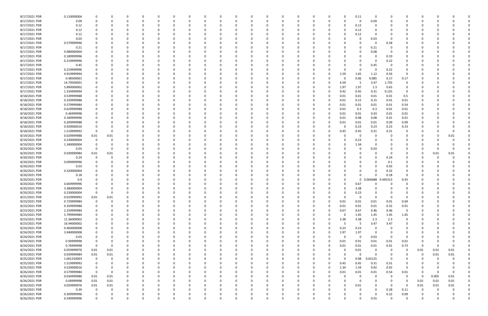| 8/17/2021 PDR | 0.110000004 |                         |          |          |          |              | 0            |          |   | -0       |          |          |          |          |          |              | 0.11        | 0           |          |                |          |          |          |  |
|---------------|-------------|-------------------------|----------|----------|----------|--------------|--------------|----------|---|----------|----------|----------|----------|----------|----------|--------------|-------------|-------------|----------|----------------|----------|----------|----------|--|
| 8/17/2021 PDR | 0.09        |                         |          |          |          |              | <sup>0</sup> | $\Omega$ |   |          |          |          |          | $\Omega$ |          | n            | $\mathbf 0$ | 0.09        |          |                |          |          |          |  |
| 8/17/2021 PDR | 0.12        |                         |          |          |          |              |              |          |   |          |          |          |          |          |          |              | 0.12        | 0           |          |                |          |          |          |  |
| 8/17/2021 PDR | 0.12        |                         |          |          |          |              |              |          |   |          |          |          |          |          |          | 0            | 0.12        |             |          |                |          |          |          |  |
| 8/17/2021 PDR | 0.12        |                         |          |          |          |              |              |          |   |          |          |          |          |          |          |              | 0.12        |             |          |                |          |          |          |  |
| 8/17/2021 PDR | 0.03        |                         |          |          |          |              |              |          |   |          |          |          |          |          |          |              | 0           | 0.03        |          |                |          |          |          |  |
|               | 0.579999996 |                         |          |          |          |              |              |          |   |          |          |          |          |          |          |              |             |             |          |                |          |          |          |  |
| 8/17/2021 PDR |             |                         |          |          |          |              |              |          |   |          |          |          |          |          |          |              | 0           | 0           | 0.58     | 0              |          |          |          |  |
| 8/17/2021 PDR | 0.21        |                         |          |          |          |              |              |          |   |          |          |          |          |          |          |              | 0           | 0.21        |          |                |          |          |          |  |
| 8/17/2021 PDR | 0.080000004 |                         |          |          |          |              |              |          |   |          |          |          |          |          |          |              | 0           | 0.08        |          |                |          |          |          |  |
| 8/17/2021 PDR | 0.189999996 |                         |          |          |          |              |              |          |   |          |          |          |          |          |          |              |             | 0           | 0.19     |                |          |          |          |  |
| 8/17/2021 PDR | 0.219999996 |                         |          |          |          |              |              |          |   |          |          |          |          |          |          |              |             | $\Omega$    | 0.22     |                |          |          |          |  |
| 8/17/2021 PDR | 0.45        |                         |          |          |          |              |              |          |   |          |          |          |          |          |          |              | 0           | 0.45        | 0        | 0              |          |          |          |  |
| 8/17/2021 PDR | 0.219999996 |                         |          |          |          |              |              |          |   |          |          |          |          |          |          |              | 0           | -C          | 0.22     | 0              |          |          |          |  |
| 8/17/2021 PDR | 4.919999994 |                         |          |          |          |              |              |          |   |          |          |          |          |          |          | 1.59         | 1.65        | 1.12        | 0.56     | 0              |          |          |          |  |
| 8/17/2021 PDR | 0.48500001  |                         |          |          |          |              |              |          |   |          |          |          |          |          |          | 0            | 0.06        | 0.085       | 0.17     | 0.17           |          |          |          |  |
| 8/17/2021 PDR | 14.79500001 |                         |          |          |          |              |              |          |   |          |          |          |          |          |          | 4.59         | - 5         | 3.47        | 1.735    | 0              |          |          |          |  |
| 8/17/2021 PDR | 5.890000002 |                         |          |          |          |              |              |          |   |          |          |          |          |          |          | 1.97         | 1.97        | 1.3         | 0.65     | 0              |          |          |          |  |
| 8/17/2021 PDR | 1.334999994 |                         |          |          |          |              |              |          |   |          |          |          |          |          |          | 0.42         | 0.45        | 0.31        | 0.155    | 0              |          |          |          |  |
| 8/18/2021 PDR | 0.539999988 |                         |          |          |          |              |              |          |   |          |          |          |          |          |          | 0.01         | 0.01        | 0.01        | 0.01     | 0.5            |          |          |          |  |
| 8/18/2021 PDR | 0.329999988 |                         |          |          |          |              |              |          |   |          |          |          |          |          |          | 0.01         | 0.15        | 0.15        | 0.01     | 0.01           |          |          |          |  |
|               |             |                         |          |          |          |              |              |          |   |          |          |          |          |          |          |              |             |             |          |                |          |          |          |  |
| 8/18/2021 PDR | 0.579999984 |                         |          |          |          |              |              |          |   |          |          |          |          |          |          | 0.01         | 0.01        | 0.01        | 0.01     | 0.54           |          |          |          |  |
| 8/18/2021 PDR | 0.629999988 |                         |          |          |          |              |              |          |   |          |          |          |          |          |          | 0.01         | 0.3         | 0.3         | $0.01\,$ | 0.01           |          |          |          |  |
| 8/18/2021 PDR | 0.46999998  |                         |          |          |          |              |              |          |   |          |          |          |          |          |          | 0.01         | 0.01        | 0.43        | $0.01\,$ | 0.01           |          |          |          |  |
| 8/18/2021 PDR | 0.189999996 |                         |          |          |          |              |              |          |   |          |          |          |          |          |          | 0.01         | 0.08        | 0.08        | 0.01     | 0.01           |          |          |          |  |
| 8/18/2021 PDR | 0.209999988 |                         |          |          |          |              |              |          |   |          |          |          |          |          |          | 0.01         | 0.01        | 0.01        | 0.09     | 0.09           |          |          |          |  |
| 8/18/2021 PDR | 0.920000016 |                         |          |          |          |              |              |          |   |          |          |          |          |          |          | 0            | 0.23        | 0.23        | 0.23     | 0.23           |          |          |          |  |
| 8/18/2021 PDR | 1.519999992 | 0                       |          |          |          |              |              |          |   |          |          |          |          |          |          | 0.45         | 0.45        | 0.31        | 0.31     | 0              |          |          |          |  |
| 8/19/2021 PDR | 0.029999988 | 0.01                    | 0.01     |          |          |              |              |          |   |          |          |          |          |          |          |              | 0           |             |          |                |          |          | 0.01     |  |
| 8/19/2021 PDR | 0.230000004 |                         |          |          |          |              |              |          |   |          |          |          |          |          |          | <sup>0</sup> | 0.23        | 0           |          |                |          |          |          |  |
| 8/19/2021 PDR | 1.340000004 |                         |          |          |          |              |              |          |   |          |          |          |          |          |          |              | 1.34        | 0           |          |                |          |          |          |  |
| 8/20/2021 PDR | 0.03        | - 0                     |          |          |          |              |              |          |   |          |          |          |          |          |          |              | 0           | 0.03        |          |                |          |          |          |  |
| 8/20/2021 PDR | 0.039999984 | 0.01                    | 0.01     |          |          |              |              |          |   |          |          |          |          |          |          |              |             |             |          | 0              | 0        | 0.01     | 0.01     |  |
| 8/20/2021 PDR | 0.24        |                         |          |          |          |              |              |          |   |          |          |          |          |          |          |              |             | $\Omega$    | 0.24     |                |          |          |          |  |
|               |             |                         |          |          |          |              |              |          |   |          |          |          |          |          |          |              |             |             |          |                |          |          |          |  |
| 8/20/2021 PDR | 0.099999996 |                         |          |          |          |              |              |          |   |          |          |          |          |          |          |              |             |             | 0.1      |                |          |          |          |  |
| 8/20/2021 PDR | 0.03        |                         |          |          |          |              |              |          |   |          |          |          |          |          |          |              |             |             | 0.03     |                |          |          |          |  |
| 8/20/2021 PDR | 0.320000004 |                         |          |          |          |              |              |          |   |          |          |          |          |          |          |              |             | $\Omega$    | 0.32     |                |          |          |          |  |
| 8/20/2021 PDR | 0.18        |                         |          |          |          |              |              |          |   |          |          |          |          |          |          |              | 0           | $\Omega$    | 0.18     | $\Omega$       |          |          |          |  |
| 8/20/2021 PDR | 0.9         |                         |          |          |          |              |              |          |   |          |          |          |          |          |          |              | 0           | 0.004688    | 0.445313 | 0.45           |          |          |          |  |
| 8/20/2021 PDR | 0.669999996 |                         |          |          |          |              |              |          |   |          |          |          |          |          |          |              | 0.67        |             |          |                |          |          |          |  |
| 8/20/2021 PDR | 3.380000004 |                         |          |          |          |              |              |          |   |          |          |          |          |          |          | 0            | 3.38        | $\Omega$    |          |                |          |          |          |  |
| 8/20/2021 PDR | 0.230000004 |                         | 0        |          |          | 0            |              |          |   | 0        |          |          |          |          |          | U            | 0.23        |             | 0        |                |          |          |          |  |
| 8/21/2021 PDR | 0.019999992 | 0.01                    | $0.01\,$ | $\Omega$ | $\Omega$ | $\Omega$     | 0            | 0        |   | $\Omega$ | $\Omega$ | $\Omega$ |          | 0        |          | $\Omega$     | 0           | $\Omega$    | $\Omega$ | $\overline{0}$ | 0        |          |          |  |
| 8/23/2021 PDR | 0.729999984 | $\mathbf 0$             | $\Omega$ | $\Omega$ |          | 0            | O            | $\Omega$ |   |          |          |          |          | 0        |          | 0.01         | 0.01        | 0.01        | 0.01     | 0.69           | 0        |          |          |  |
| 8/23/2021 PDR | 0.359999988 | 0                       | O        | $\Omega$ |          |              | 0            | 0        |   | 0        |          |          |          | 0        |          | 0.01         | 0.01        | 0.01        | 0.32     | 0.01           |          |          |          |  |
| 8/23/2021 PDR | 2.259999984 |                         |          |          |          |              | 0            |          |   |          |          |          |          | $\Omega$ |          | 0.67         | 0.67        | 0.46        | 0.46     | $\mathbf 0$    |          |          |          |  |
| 8/23/2021 PDR | 5.799999984 |                         |          |          |          |              | 0            | - 0      |   |          |          |          |          | $\Omega$ |          | $\Omega$     | 1.45        | 1.45        | 1.45     | 1.45           | 0        |          |          |  |
| 8/23/2021 PDR | 11.36000002 |                         |          |          |          |              | 0            |          |   |          |          |          |          | 0        | 0        | 3.38         | 3.38        | 2.3         | 2.3      | 0              |          |          |          |  |
|               |             |                         |          |          |          |              |              |          |   |          |          |          |          |          |          |              |             |             |          |                |          |          |          |  |
| 8/23/2021 PDR | 16.94000002 |                         |          |          |          |              | 0            |          |   |          |          |          |          | 0        | $\Omega$ | -5           | 5           | 3.47        | 3.47     | 0              |          |          |          |  |
| 8/24/2021 PDR | 0.460000008 |                         |          | $\Omega$ |          | 0            | $\Omega$     | 0        |   | 0        |          |          | $\Omega$ | 0        | $\Omega$ | 0.23         | 0.23        | $\Omega$    | 0        | $\mathbf 0$    | 0        |          |          |  |
| 8/24/2021 PDR | 3.940000008 |                         |          |          |          | 0            | 0            | 0        |   |          |          |          | $\Omega$ | 0        | $\Omega$ | 1.97         | 1.97        | $\mathbf 0$ | $\Omega$ | 0              | 0        |          |          |  |
| 8/24/2021 PDR | 0.03        |                         |          |          |          | <sup>0</sup> | 0            | 0        |   |          |          |          |          | 0        |          | $\Omega$     | $\mathbf 0$ | 0.03        | $\Omega$ | $\overline{0}$ |          |          |          |  |
| 8/24/2021 PDR | 0.94999998  |                         |          |          |          |              | 0            | 0        |   |          |          |          |          | 0        | $\Omega$ | 0.01         | 0.91        | 0.01        | 0.01     | 0.01           | 0        |          |          |  |
| 8/24/2021 PDR | 0.76999998  | $\overline{\mathbf{0}}$ | 0        |          |          |              | 0            |          |   |          |          |          |          | 0        | $\Omega$ | 0.01         | 0.01        | 0.01        | $0.01\,$ | 0.73           | 0        |          | 0        |  |
| 8/24/2021 PDR | 0.059999976 | 0.01                    | $0.01\,$ |          |          | <sup>0</sup> | 0            |          |   |          |          |          |          | 0        |          | $\Omega$     | 0.01        | $\mathbf 0$ | 0        | $\mathbf 0$    | 0.01     | 0.01     | $0.01\,$ |  |
| 8/25/2021 PDR | 0.039999984 | 0.01                    | 0.01     |          |          |              |              |          |   |          |          |          |          |          |          | $\Omega$     | $\mathbf 0$ | $\Omega$    | - 0      | 0              | 0        | 0.01     | $0.01\,$ |  |
| 8/25/2021 PDR | 1.001250003 | $\mathbf 0$             | 0        | 0        |          |              | 0            | 0        |   |          |          |          |          | 0        |          | 0            | 0.98        | 0.02125     | 0        | 0              | 0        | $\Omega$ |          |  |
| 8/25/2021 PDR | 1.519999992 | 0                       | 0        | 0        |          |              | 0            | 0        |   |          |          |          | 0        | 0        |          | 0.45         | 0.45        | 0.31        | 0.31     | 0              |          |          |          |  |
| 8/25/2021 PDR | 4.520000016 | $\mathbf 0$             | 0        | $\Omega$ |          |              | 0            | $\Omega$ |   |          | 0        |          | $\Omega$ | 0        | $\Omega$ | 1.34         | 1.34        | 0.92        | 0.92     | 0              | 0        |          |          |  |
| 8/26/2021 PDR | 0.579999984 | $\overline{\mathbf{0}}$ | 0        |          |          |              | 0            |          |   |          |          |          |          | 0        | 0        | 0.01         | 0.01        | 0.01        | 0.54     | 0.01           | 0        |          | 0        |  |
| 8/26/2021 PDR | 0.034999986 | 0.01                    | $0.01\,$ |          |          |              | 0            |          |   |          |          |          |          | 0        |          | $\Omega$     | 0           | 0           | 0        | $\mathbf 0$    | 0        | 0.005    | $0.01\,$ |  |
| 8/26/2021 PDR | 0.04999998  | 0.01                    | 0.01     |          |          |              | 0            | -C       |   |          |          |          |          |          |          | $\Omega$     | $\mathbf 0$ | $\Omega$    | 0        | 0              | 0.01     | 0.01     | 0.01     |  |
|               |             |                         |          |          |          |              |              |          |   |          |          |          |          |          |          |              |             |             |          |                |          |          |          |  |
| 8/26/2021 PDR | 0.059999976 | 0.01                    | 0.01     | 0        |          | 0            | 0            | 0        |   |          |          |          |          | 0        |          | 0            | 0.01        | $\Omega$    | 0        | 0              | 0.01     | 0.01     | 0.01     |  |
| 8/26/2021 PDR | 0.39        | $\mathbf 0$             | $\Omega$ | $\Omega$ |          | 0            | 0            | $\Omega$ |   | 0        |          |          | O        | 0        |          | 0            | 0           | $\Omega$    | 0.28     | 0.11           | 0        |          | 0        |  |
| 8/26/2021 PDR | 0.309999996 |                         |          | 0        |          | 0            | 0            |          |   |          |          |          |          |          |          |              | 0           | $\Omega$    | 0.22     | 0.09           |          |          |          |  |
| 8/26/2021 PDR | 0.549999996 | $\Omega$                | $\Omega$ | $\Omega$ | $\Omega$ | $\Omega$     | $\Omega$     |          | U | $\Omega$ |          | $\Omega$ | $\Omega$ |          |          | $\Omega$     | $\Omega$    | 0.55        | $\Omega$ | $\Omega$       | $\Omega$ |          | 0        |  |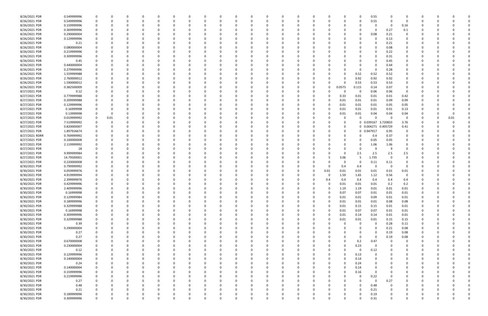| 8/26/2021 PDR  | 0.549999996 |             |      |              |          |          |          |              |          |             |          |          |          |          |          |          | 0        | 0.55        |          |             |              |          |  |
|----------------|-------------|-------------|------|--------------|----------|----------|----------|--------------|----------|-------------|----------|----------|----------|----------|----------|----------|----------|-------------|----------|-------------|--------------|----------|--|
| 8/26/2021 PDR  | 0.549999996 |             |      | <sup>0</sup> | $\Omega$ |          |          | <sup>0</sup> |          | $\Omega$    |          |          |          | $\Omega$ |          | 0        | 0        | 0.55        | $\Omega$ | 0           | 0            |          |  |
| 8/26/2021 PDR  | 0.159999996 |             |      |              |          |          |          |              |          |             |          |          |          |          |          |          |          | 0           | 0        | 0.16        |              |          |  |
| 8/26/2021 PDR  | 0.369999996 |             |      |              |          |          |          |              |          |             |          |          |          |          |          |          |          | $\Omega$    | 0.27     | 0.1         |              |          |  |
|                |             |             |      |              |          |          |          |              |          |             |          |          |          |          |          |          |          |             |          |             |              |          |  |
| 8/26/2021 PDR  | 0.290000004 |             |      |              |          |          |          |              |          |             |          |          |          |          |          |          | 0        | 0.08        | 0.21     | 0           |              |          |  |
| 8/26/2021 PDR  | 0.129999996 |             |      |              |          |          |          |              |          |             |          |          |          |          |          |          |          | 0           | 0.13     | 0           |              |          |  |
| 8/26/2021 PDR  | 0.21        |             |      |              |          |          |          |              |          |             |          |          |          |          |          |          |          | $\Omega$    | 0.21     | 0           |              |          |  |
| 8/26/2021 PDR  | 0.080000004 |             |      |              |          |          |          |              |          |             |          |          |          |          |          |          |          | $\Omega$    | 0.08     |             |              |          |  |
| 8/26/2021 PDR  | 0.219999996 |             |      |              |          |          |          |              |          |             |          |          |          |          |          |          |          | 0           | 0.22     |             |              |          |  |
| 8/26/2021 PDR  | 0.309999996 |             |      |              |          |          |          |              |          |             |          |          |          |          |          |          |          | 0           | 0.31     |             |              |          |  |
|                |             |             |      |              |          |          |          |              |          |             |          |          |          |          |          |          |          |             |          |             |              |          |  |
| 8/26/2021 PDR  | 0.45        |             |      |              |          |          |          |              |          |             |          |          |          |          |          |          |          | $\Omega$    | 0.45     |             |              |          |  |
| 8/26/2021 PDR  | 0.440000004 |             |      |              |          |          |          |              |          |             |          |          |          |          |          |          |          | 0           | 0.44     |             |              |          |  |
| 8/26/2021 PDR  | 0.279999996 |             |      |              |          |          |          |              |          |             |          |          |          |          |          |          | 0        | 0           | 0.28     | 0           |              |          |  |
| 8/26/2021 PDR  | 1.559999988 |             |      |              |          |          |          |              |          |             |          |          |          |          |          |          | 0.52     | 0.52        | 0.52     |             |              |          |  |
| 8/26/2021 PDR  | 2.760000012 |             |      |              |          |          |          |              |          |             |          |          |          |          |          | 0        | 0.92     | 0.92        | 0.92     |             |              |          |  |
| 8/26/2021 PDR  | 1.590000012 |             |      |              |          |          |          |              |          |             |          |          |          |          |          | 0        | 0.53     | 0.53        | 0.53     | 0           |              |          |  |
|                |             |             |      |              |          |          |          |              |          |             |          |          |          |          |          |          |          |             |          | $\Omega$    |              |          |  |
| 8/26/2021 PDR  | 0.382500009 |             |      |              |          |          |          |              |          |             |          |          |          |          |          | 0.0575   | 0.115    | 0.14        | 0.07     |             |              |          |  |
| 8/27/2021 PDR  | 0.12        |             |      |              |          |          |          |              |          |             |          |          |          |          |          | 0        | 0        | 0.06        | 0.06     | - 0         |              |          |  |
| 8/27/2021 PDR  | 0.779999988 |             |      |              |          |          |          |              |          |             |          |          |          |          |          | 0.33     | 0.01     | 0.01        | 0.01     | 0.42        |              |          |  |
| 8/27/2021 PDR  | 0.209999988 |             |      |              |          |          |          |              |          |             |          |          |          |          |          | 0.01     | 0.01     | 0.01        | 0.09     | 0.09        |              |          |  |
| 8/27/2021 PDR  | 0.129999996 |             |      |              |          |          |          |              |          |             |          |          |          |          |          | 0.01     | 0.01     | 0.01        | 0.05     | 0.05        |              |          |  |
| 8/27/2021 PDR  | 0.16999998  |             |      |              |          |          |          |              |          |             |          |          |          |          |          | 0.01     | 0.01     | 0.01        | 0.01     | 0.13        |              |          |  |
|                |             |             |      |              |          |          |          |              |          |             |          |          |          |          |          |          |          |             |          |             |              |          |  |
| 8/27/2021 PDR  | 0.13999998  |             |      |              |          |          |          |              |          |             |          |          |          |          |          | 0.01     | 0.01     | 0.04        | 0.04     | 0.04        |              |          |  |
| 8/27/2021 PDR  | 0.019999992 | 0           | 0.01 |              |          |          |          |              |          |             |          |          |          |          |          | 0        | 0        | $\Omega$    | - 0      | 0           |              | 0.01     |  |
| 8/27/2021 PDR  | 7.519999992 |             |      |              |          |          |          |              |          |             |          |          |          |          |          | 0        |          | 0 0.039167  | 3.720833 | 3.76        |              |          |  |
| 8/27/2021 PDR  | 0.820000007 |             |      |              |          |          |          |              |          |             |          |          |          |          |          | $\Omega$ |          | 0 0.004271  | 0.405729 | 0.41        |              |          |  |
| 8/27/2021 PDR  | 1.897916674 |             |      |              |          |          |          |              |          |             |          |          |          |          |          | 0        |          | 0 0.947917  | 0.95     | 0           |              |          |  |
| 8/27/2021 RDRR | 0.769999992 |             |      |              |          |          |          |              |          |             |          |          |          |          |          | 0        | 0        | 0.4         | 0.37     |             |              |          |  |
| 8/27/2021 PDR  | 0.100000008 |             |      |              |          |          |          |              |          |             |          |          |          |          |          |          | 0        | 0.05        | 0.05     | 0           |              |          |  |
|                |             |             |      |              |          |          |          |              |          |             |          |          |          |          |          |          |          |             |          |             |              |          |  |
| 8/27/2021 PDR  | 2.119999992 |             |      |              |          |          |          |              |          |             |          |          |          |          |          |          | 0        | 1.06        | 1.06     | 0           |              |          |  |
| 8/27/2021 PDR  | 18          |             |      |              |          |          |          |              |          |             |          |          |          |          |          |          | $\Omega$ | -9          | -9       | $\Omega$    |              |          |  |
| 8/27/2021 PDR  | 9.999999984 |             |      |              |          |          |          |              |          |             |          |          |          |          |          | O        | 2.5      | 2.5         | 2.5      | 2.5         |              |          |  |
| 8/27/2021 PDR  | 14.79500001 |             |      |              |          |          |          |              |          |             |          |          |          |          |          | 3.06     | 5        | 1.735       | - 0      | $\Omega$    |              |          |  |
| 8/27/2021 PDR  | 0.220000008 |             |      |              |          |          |          |              |          |             |          |          |          |          |          |          | 0        | 0.11        | 0.11     |             |              |          |  |
| 8/30/2021 PDR  | 0.799999992 |             |      |              |          |          |          |              |          |             |          |          |          |          |          | 0.4      | 0.4      | 0           | $\Omega$ | 0           |              |          |  |
|                |             |             |      |              |          |          |          |              |          |             |          |          |          |          |          |          |          |             |          |             |              |          |  |
| 8/30/2021 PDR  | 0.059999976 |             |      |              |          |          |          |              |          |             |          |          |          | 0        | 0.01     | 0.01     | 0.01     | 0.01        | 0.01     | 0.01        |              |          |  |
| 8/30/2021 PDR  | 4.919999994 |             |      |              |          |          |          |              |          |             |          |          |          | -0       |          | 1.59     | 1.65     | 1.12        | 0.56     | 0           |              |          |  |
| 8/30/2021 PDR  | 2.399999976 |             |      |              |          |          |          |              |          |             |          |          |          |          | 0.4      | 0.4      | 0.4      | 0.4         | 0.4      | 0.4         |              |          |  |
| 8/30/2021 PDR  | 0.429999996 |             |      |              |          |          |          |              |          |             |          |          |          |          |          | 0.01     | 0.01     | 0.01        | 0.2      | 0.2         |              |          |  |
| 8/30/2021 PDR  | 2.409999996 | 0           |      | <sup>0</sup> |          |          |          |              |          |             |          |          |          | 0        |          | 1.19     | 1.19     | 0.01        | 0.01     | 0.01        | <sup>0</sup> |          |  |
| 8/30/2021 PDR  | 0.16999998  | 0           |      |              |          |          |          |              |          |             |          |          |          |          |          | 0.07     | 0.07     | 0.01        | $0.01\,$ | 0.01        |              |          |  |
|                |             |             |      |              |          |          |          |              |          | U           |          |          |          |          |          |          |          |             |          |             |              |          |  |
| 8/30/2021 PDR  | 0.129999984 | $\mathbf 0$ | 0    | $\Omega$     | $\Omega$ | $\Omega$ | $\Omega$ | $\Omega$     | 0        | $\Omega$    | $\Omega$ | $\Omega$ | $\Omega$ | $\Omega$ | $\Omega$ | 0.01     | 0.01     | 0.09        | 0.01     | 0.01        | 0            |          |  |
| 8/30/2021 PDR  | 0.189999996 | $\mathbf 0$ | 0    | 0            | $\Omega$ | $\Omega$ | $\Omega$ | 0            | O        | 0           |          | $\Omega$ | 0        | $\Omega$ |          | 0.01     | 0.01     | 0.01        | 0.08     | 0.08        | 0            |          |  |
| 8/30/2021 PDR  | 0.329999988 | 0           |      | 0            |          |          |          | 0            |          | 0           |          |          | 0        | 0        |          | 0.01     | 0.15     | 0.15        | 0.01     | 0.01        | 0            |          |  |
| 8/30/2021 PDR  | 0.16999998  | 0           |      | 0            | 0        | 0        |          | 0            |          | 0           |          |          | 0        | 0        |          | 0.01     | 0.07     | 0.07        | 0.01     | 0.01        | 0            |          |  |
| 8/30/2021 PDR  | 0.309999996 |             |      |              |          |          |          |              |          |             |          |          |          | 0        | 0        | 0.01     | 0.14     | 0.14        | 0.01     | 0.01        |              |          |  |
| 8/30/2021 PDR  | 0.329999988 | $\Omega$    |      | 0            |          |          |          | 0            |          |             |          |          | 0        | 0        | 0        | 0.01     | 0.01     | 0.01        | 0.15     | 0.15        | 0            |          |  |
|                |             |             |      |              |          |          |          |              |          |             |          |          |          |          |          |          |          |             |          |             |              |          |  |
| 8/30/2021 PDR  | 0.39        | $\Omega$    |      |              |          |          |          |              |          |             |          |          |          | 0        |          | $\Omega$ | 0        | $\mathbf 0$ | 0.28     | 0.11        | 0            |          |  |
| 8/30/2021 PDR  | 0.290000004 |             |      | C            |          |          |          |              |          |             |          |          |          | 0        |          |          | 0        | $\Omega$    | 0.21     | 0.08        | 0            |          |  |
| 8/30/2021 PDR  | 0.27        |             |      | 0            |          |          |          | <sup>0</sup> |          |             |          |          |          | 0        |          |          | 0        | 0           | 0.19     | 0.08        | 0            |          |  |
| 8/30/2021 PDR  | 0.27        |             |      |              |          |          |          |              |          |             |          |          |          | 0        |          |          | 0        | $\mathbf 0$ | 0.19     | 0.08        |              |          |  |
| 8/30/2021 PDR  | 0.670000008 |             |      |              |          |          |          |              |          |             |          |          |          | 0        |          | 0        | 0.2      | 0.47        | $\Omega$ | 0           |              |          |  |
| 8/30/2021 PDR  | 0.230000004 |             |      |              |          |          |          |              |          |             |          |          |          | -0       |          | 0        | 0.23     | 0           |          | 0           |              |          |  |
| 8/30/2021 PDR  | 0.12        |             |      |              |          |          |          |              |          |             |          |          |          | -0       |          | 0        | 0        | 0.12        |          |             | C            |          |  |
|                |             |             |      |              |          |          |          |              |          |             |          |          |          |          |          |          |          |             |          |             |              |          |  |
| 8/30/2021 PDR  | 0.129999996 |             |      |              |          |          |          |              |          |             |          |          |          | 0        |          | 0        | 0.13     | 0           |          | 0           | 0            |          |  |
| 8/30/2021 PDR  | 0.140000004 |             |      | 0            | 0        | $\Omega$ |          | 0            |          | $\Omega$    |          |          |          | 0        |          | 0        | 0.14     | 0           |          | 0           | 0            |          |  |
| 8/30/2021 PDR  | 0.24        |             | O    | 0            | 0        | 0        |          | 0            |          | 0           |          |          | 0        | 0        |          | 0        | 0.24     | $\Omega$    |          | 0           | 0            |          |  |
| 8/30/2021 PDR  | 0.140000004 | $\Omega$    |      |              |          |          |          | 0            |          |             |          |          | O        | $\Omega$ |          | $\Omega$ | 0.14     | $\Omega$    |          | 0           | 0            |          |  |
| 8/30/2021 PDR  | 0.159999996 |             |      |              |          |          |          | 0            |          |             |          |          | 0        | 0        |          | 0        | 0.16     | 0           |          | 0           | 0            |          |  |
| 8/30/2021 PDR  | 0.219999996 |             |      |              |          |          |          |              |          |             |          |          |          |          |          | ŋ        |          | 0.22        | 0        | 0           |              |          |  |
|                |             |             |      |              |          |          |          |              |          |             |          |          |          | 0        |          |          | 0        |             |          |             | 0            |          |  |
| 8/30/2021 PDR  | 0.27        |             | 0    | 0            | $\Omega$ |          |          | 0            |          | 0           |          |          | 0        | 0        |          | 0        | 0        | $\mathbf 0$ | 0.27     | 0           | 0            |          |  |
| 8/30/2021 PDR  | 0.48        |             |      | 0            |          | $\Omega$ |          | 0            |          |             |          |          |          | 0        |          | 0        | 0        | 0.48        | $\Omega$ | 0           | 0            |          |  |
| 8/30/2021 PDR  | 0.21        |             |      | <sup>0</sup> |          | $\Omega$ |          | <sup>0</sup> |          |             |          |          |          | $\Omega$ |          | O        | $\Omega$ | 0.21        | $\Omega$ | 0           | 0            |          |  |
| 8/30/2021 PDR  | 0.189999996 |             |      |              |          |          |          | 0            |          |             |          |          |          |          |          | 0        | 0        | 0.19        |          |             |              |          |  |
| 8/30/2021 PDR  | 0.309999996 | $\Omega$    | 0    | $\Omega$     | $\Omega$ | $\Omega$ | $\Omega$ | $\Omega$     | $\Omega$ | $\mathbf 0$ |          | $\Omega$ | $\Omega$ | 0        |          | 0        | $\Omega$ | 0.31        | $\Omega$ | $\mathbf 0$ | $\Omega$     | $\Omega$ |  |
|                |             |             |      |              |          |          |          |              |          |             |          |          |          |          |          |          |          |             |          |             |              |          |  |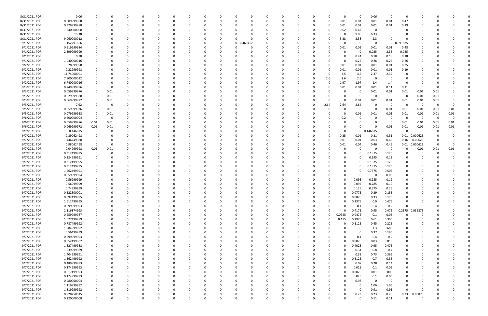| 8/31/2021 PDR | 0.06        | 0           |      |          |   | 0        |          |              | C        |          |            | 0        |          |          | n  |          | O        | 0        | 0.06        | $\Omega$                | $\Omega$    | O               |      |          |  |
|---------------|-------------|-------------|------|----------|---|----------|----------|--------------|----------|----------|------------|----------|----------|----------|----|----------|----------|----------|-------------|-------------------------|-------------|-----------------|------|----------|--|
| 8/31/2021 PDR | 0.509999988 | 0           |      |          |   | 0        |          |              | 0        |          |            | 0        |          | 0        | 0  | -0       | 0.01     | 0.01     | 0.01        | 0.01                    | 0.47        | 0               |      |          |  |
| 8/31/2021 PDR | 0.329999988 |             |      |          |   | -0       |          |              |          |          |            |          |          |          |    | 0        | 0.01     | 0.01     | 0.01        | 0.01                    | 0.29        |                 |      |          |  |
|               |             |             |      |          |   |          |          |              |          |          |            |          |          |          |    |          |          |          |             |                         |             |                 |      |          |  |
| 8/31/2021 PDR | 1.240000008 |             |      |          |   |          |          |              |          |          |            |          |          |          |    |          | 0.62     | 0.62     | 0           |                         |             |                 |      |          |  |
| 8/31/2021 PDR | 15.38       |             |      |          |   | -0       |          |              |          |          |            |          |          |          |    |          |          | 9.05     | 6.33        |                         |             |                 |      |          |  |
| 8/31/2021 PDR | 9.060000012 |             |      |          |   | -0       |          |              |          |          |            | $\Omega$ |          |          |    |          | 3.38     | 3.38     | 2.3         |                         | $\Omega$    |                 |      |          |  |
| 9/1/2021 PDR  | 1.152291666 |             |      |          |   | -0       |          |              |          |          | 0 0.460417 |          |          |          |    |          |          | $\Omega$ | $\Omega$    | $\Omega$                | 0.691875    |                 |      |          |  |
|               |             |             |      |          |   |          |          |              |          |          |            |          |          |          |    |          |          |          |             |                         |             |                 |      |          |  |
| 9/1/2021 PDR  | 0.519999984 |             |      |          |   |          |          |              |          |          |            |          |          |          |    |          | 0.01     | 0.01     | 0.01        | 0.01                    | 0.48        |                 |      |          |  |
| 9/1/2021 PDR  | 2.399999999 |             |      |          |   |          |          |              |          |          |            |          |          |          |    |          |          | - 0      | 0.025       | 2.35                    | 0.025       |                 |      |          |  |
| 9/1/2021 PDR  | 0.78        |             |      |          |   |          |          |              |          |          |            |          |          |          |    |          |          | 0.24     | 0.18        | 0.18                    | 0.18        |                 |      |          |  |
| 9/1/2021 PDR  | 1.040000016 |             |      |          |   | -0       |          |              |          |          |            | -0       |          |          |    |          | $\Omega$ | 0.26     | 0.26        | 0.26                    | 0.26        |                 |      |          |  |
| 9/2/2021 PDR  | 0.28999998  |             |      |          |   | -0       |          |              |          |          |            | -0       |          |          |    |          | 0.01     | 0.01     | 0.01        | 0.01                    | 0.25        |                 |      |          |  |
|               |             |             |      |          |   |          |          |              |          |          |            |          |          |          |    |          |          |          |             |                         |             |                 |      |          |  |
| 9/2/2021 PDR  | 0.22999998  |             |      |          |   |          |          |              |          |          |            |          |          |          |    |          | 0.01     | 0.01     | 0.01        | 0.01                    | 0.19        |                 |      |          |  |
| 9/2/2021 PDR  | 11.74000001 |             |      |          |   |          |          |              |          |          |            |          |          |          |    |          | 3.5      | 3.5      | 2.37        | 2.37                    | 0           |                 |      |          |  |
| 9/2/2021 PDR  | 7.800000012 | C           |      |          |   |          |          |              |          |          |            |          |          |          | 0  | 2.6      | 2.6      | 2.6      | 0           | - 0                     | 0           |                 |      |          |  |
| 9/2/2021 PDR  | 6.740000016 | 0           |      |          |   |          |          |              |          |          |            |          |          |          |    | 0        | 1.97     | 1.97     | 1.4         | 1.4                     | 0           |                 |      |          |  |
| 9/3/2021 PDR  | 0.249999996 |             |      |          |   |          |          |              |          |          |            | -0       |          |          |    |          | 0.01     | 0.01     | 0.01        | 0.11                    | 0.11        | -0              |      |          |  |
|               |             |             |      |          |   |          |          |              |          |          |            |          |          |          |    |          |          |          |             |                         |             |                 |      |          |  |
| 9/3/2021 PDR  | 0.059999976 |             | 0.01 |          |   |          |          |              |          |          |            |          |          |          |    |          |          | 0        | 0.01        | 0.01                    | 0.01        | 0.01            | 0.01 |          |  |
| 9/3/2021 PDR  | 0.029999988 | 0           | 0.01 |          |   |          |          |              |          |          |            |          |          |          |    |          |          | 0        | 0           | - 0                     | - 0         | 0.01            | 0.01 |          |  |
| 9/3/2021 PDR  | 0.069999972 | 0           | 0.01 |          |   |          |          |              |          |          |            |          |          |          |    |          |          | 0.01     | 0.01        | 0.01                    | 0.01        | 0.01            | 0.01 |          |  |
| 9/3/2021 PDR  | 7.92        | 0           | -C   |          |   |          |          |              |          |          |            |          |          |          | -C | 2.64     | 2.64     | 2.64     | 0           | $\Omega$                | $\Omega$    | - 0             | -0   | $\Omega$ |  |
| 9/5/2021 PDR  | 0.059999976 | 0           | 0.01 |          |   |          |          |              |          |          |            |          |          |          |    |          |          | 0        | $\Omega$    | 0.01                    | 0.01        | 0.01            | 0.01 | 0.01     |  |
|               |             |             |      |          |   |          |          |              |          |          |            |          |          |          |    |          |          |          |             |                         |             |                 |      |          |  |
| 9/5/2021 PDR  | 0.079999968 | 0           | 0.01 |          |   | 0        |          |              |          |          |            | -0       |          |          |    |          |          | 0.01     | 0.01        | 0.01                    | 0.01        | 0.01            | 0.01 | 0.01     |  |
| 9/6/2021 PDR  | 0.200000004 | - 0         | 0    |          |   | 0        |          |              |          |          |            | -0       |          |          |    |          | 0.2      | 0        | 0           | $\Omega$                | $\Omega$    | - 0             | -0   | $\Omega$ |  |
| 9/6/2021 PDR  | 0.059999976 | 0.01        | 0.01 |          |   | -C       |          |              |          |          |            | $\Omega$ |          |          |    |          |          |          | 0           | $\Omega$                | 0.01        | 0.01            | 0.01 | 0.01     |  |
| 9/6/2021 PDR  | 0.069999972 | 0.01        | 0.01 |          |   | -C       |          |              |          |          |            |          |          |          |    |          |          |          | $\Omega$    | 0.01                    | 0.01        | 0.01            | 0.01 | 0.01     |  |
| 9/7/2021 PDR  | 0.146875    | 0           |      |          |   |          |          |              |          |          |            |          |          |          |    |          | $\Omega$ |          | 0 0.146875  | $\Omega$                |             | - 0             |      |          |  |
| 9/7/2021 PDR  | 0.89062498  | 0           |      |          |   |          |          |              |          |          |            |          |          |          |    |          | 0.25     | 0.01     | 0.31        | 0.31                    | 0.01        | 0.000625        |      |          |  |
|               | 1.446249988 |             |      |          |   |          |          |              |          |          |            |          |          |          |    |          | 0.01     |          |             | 0.63                    |             |                 |      |          |  |
| 9/7/2021 PDR  |             | 0           |      |          |   |          |          |              |          |          |            |          |          |          |    |          |          | 0.01     | 0.63        |                         | 0.16        | 0.00625         |      |          |  |
| 9/7/2021 PDR  | 0.98062498  | - 0         |      |          |   |          |          |              |          |          |            |          |          |          |    |          | 0.01     | 0.04     | 0.46        | 0.46                    | 0.01        | 0.000625        |      |          |  |
| 9/7/2021 PDR  | 0.04999998  | 0.01        | 0.01 |          |   | 0        |          |              |          |          |            | -0       |          |          |    |          |          |          | 0           | - 0                     | 0           | 0.01            | 0.01 | 0.01     |  |
| 9/7/2021 PDR  | 0.312499995 | 0           |      |          |   | -C       |          |              |          |          |            | $\Omega$ |          |          |    |          |          | 0        | 0.1875      | 0.125                   |             |                 |      |          |  |
| 9/7/2021 PDR  | 0.324999991 | 0           |      |          |   |          |          |              |          |          |            |          |          |          |    |          |          | 0        | 0.195       | 0.13                    |             |                 |      |          |  |
| 9/7/2021 PDR  | 0.312499995 | C           |      |          |   |          |          |              |          |          |            |          |          |          |    |          |          | 0        | 0.1875      | 0.125                   |             |                 |      |          |  |
|               |             |             |      |          |   |          |          |              |          |          |            |          |          |          |    |          |          |          |             |                         |             |                 |      |          |  |
| 9/7/2021 PDR  | 0.312499995 |             |      |          |   |          |          |              |          |          |            |          |          |          |    |          |          | 0        | 0.1875      | 0.125                   |             |                 |      |          |  |
| 9/7/2021 PDR  | 1.262499991 | 0           |      |          |   | -0       |          |              |          |          |            | -0       |          |          |    |          |          | 0        | 0.7575      | 0.505                   | 0           |                 |      |          |  |
| 9/7/2021 PDR  | 0.059999994 |             |      |          |   | 0        |          |              |          |          |            | -0       |          |          |    |          |          |          | 0           | 0.06                    | 0           |                 |      |          |  |
| 9/7/2021 PDR  | 0.56999999  |             |      |          |   |          |          |              |          |          |            |          |          |          |    |          |          | 0.095    | 0.285       | 0.19                    |             |                 |      |          |  |
| 9/7/2021 PDR  | 0.56999999  |             |      |          |   |          |          |              |          |          |            |          |          |          |    |          |          | 0.095    | 0.285       | 0.19                    |             |                 |      |          |  |
|               |             |             |      |          |   |          |          |              |          |          |            |          |          |          |    |          |          |          | 0.375       | 0.25                    | 0           |                 |      |          |  |
| 9/7/2021 PDR  | 0.74999999  | 0           |      |          |   |          |          |              |          |          |            |          |          |          |    |          | 0        | 0.125    |             |                         |             |                 |      |          |  |
| 9/7/2021 PDR  | 0.522500001 | $\Omega$    |      |          |   |          |          |              |          |          |            |          |          |          |    |          | $\Omega$ | 0.0775   | 0.29        | 0.155                   | $\Omega$    | $\cap$          |      |          |  |
| 9/7/2021 PDR  | 0.592499995 | 0           |      |          |   | 0        |          |              | 0        |          |            | 0        |          | n        | 0  |          |          | 0.0875   | 0.33        | 0.175                   | 0           | 0               |      |          |  |
| 9/7/2021 PDR  | 1.612499995 | 0           |      |          |   | 0        |          |              | 0        |          |            | 0        |          |          | 0  |          | 0        | 0.2375   | 0.9         | 0.475                   | 0           | 0               |      |          |  |
| 9/7/2021 PDR  | 0.699999993 | 0           |      |          |   | 0        |          |              |          |          |            | 0        |          |          |    |          | $\Omega$ | 0.1      | 0.4         | 0.2                     | $\Omega$    | 0               |      |          |  |
| 9/7/2021 PDR  | 2.116874993 | 0           |      |          |   | 0        |          |              |          |          |            | 0        |          |          |    |          |          | 0.4175   | 0.95        | 0.475                   |             | 0.2375 0.036875 |      |          |  |
|               |             |             |      |          |   |          |          |              |          |          |            |          |          |          |    |          |          |          |             |                         |             |                 |      |          |  |
| 9/7/2021 PDR  | 0.259999987 | 0           |      |          |   | 0        |          |              |          |          |            | 0        |          |          |    |          | 0.0625   | 0.0475   | 0.1         | 0.05                    | 0           |                 |      |          |  |
| 9/7/2021 PDR  | 1.627499989 | 0           |      |          |   | 0        |          |              | C        |          |            | 0        |          | 0        | 0  | $\Omega$ | 0.415    | 0.2975   | 0.61        | 0.305                   | 0           | 0               |      |          |  |
| 9/7/2021 PDR  | 0.787499992 | 0           |      |          |   | 0        |          |              | 0        |          |            | 0        |          | 0        | 0  |          |          | 0.1125   | 0.45        | 0.225                   | 0           | C               |      |          |  |
| 9/7/2021 PDR  | 1.984999992 | 0           |      |          |   | 0        |          | 0            | 0        |          |            | 0        |          | 0        | 0  |          |          | 0        | 1.3         | 0.685                   | 0           | 0               |      |          |  |
| 9/7/2021 PDR  | 0.56499999  | 0           |      |          |   | $\Omega$ |          | 0            | 0        |          |            | $\Omega$ |          | 0        |    |          |          | 0        | 0.37        | 0.195                   | 0           |                 |      |          |  |
|               | 0.699999993 |             |      |          |   |          |          |              |          |          |            |          |          |          |    |          |          |          | 0.4         |                         |             |                 |      |          |  |
| 9/7/2021 PDR  |             | 0           |      |          |   | 0        |          |              | C        |          |            | 0        |          |          |    |          |          | 0.1      |             | 0.2                     | 0           |                 |      |          |  |
| 9/7/2021 PDR  | 0.052499982 | 0           |      |          |   | 0        |          |              | C        |          |            | 0        |          | 0        |    |          |          | 0.0075   | 0.03        | 0.015                   | 0           |                 |      |          |  |
| 9/7/2021 PDR  | 1.827499988 | 0           |      |          |   | 0        |          | 0            | C        |          |            | 0        |          | 0        |    |          |          | 0.4025   | 0.95        | 0.475                   | 0           |                 |      |          |  |
| 9/7/2021 PDR  | 1.539999989 | 0           |      |          |   | 0        |          |              | 0        |          |            | 0        |          |          | C  |          | ი        | 0.34     | 0.8         | 0.4                     | 0           | 0               |      |          |  |
| 9/7/2021 PDR  | 1.404999991 | 0           |      |          |   | 0        |          |              | 0        |          |            | 0        |          | 0        | 0  |          | O        | 0.31     | 0.73        | 0.365                   | 0           | 0               |      |          |  |
| 9/7/2021 PDR  | 1.362499992 | 0           |      |          |   | 0        |          | 0            | 0        |          |            | 0        |          | 0        | C  |          |          | 0.3125   | 0.7         | 0.35                    | 0           | 0               |      |          |  |
|               |             |             |      |          |   |          |          |              |          |          |            |          |          |          |    |          |          |          |             |                         |             |                 |      |          |  |
| 9/7/2021 PDR  | 0.489999993 | 0           |      |          |   | 0        |          |              |          |          |            | 0        |          | 0        |    |          |          | 0.07     | 0.28        | 0.14                    | 0           |                 |      |          |  |
| 9/7/2021 PDR  | 0.174999993 | 0           |      |          |   | 0        |          |              | C.       |          |            | 0        |          | 0        |    |          |          | 0.025    | 0.1         | 0.05                    | 0           |                 |      |          |  |
| 9/7/2021 PDR  | 0.017499993 | 0           |      |          |   | 0        |          | 0            | C        |          |            | 0        |          | 0        |    |          |          | 0.0025   | 0.01        | 0.005                   | 0           |                 |      |          |  |
| 9/7/2021 PDR  | 0.174999993 | $\mathbf 0$ |      |          |   | 0        |          |              |          |          |            | 0        |          |          |    |          |          | 0.025    | 0.1         | 0.05                    | 0           |                 |      |          |  |
| 9/7/2021 PDR  | 0.980000004 | 0           |      |          |   | 0        |          | <sup>0</sup> | 0        |          |            | 0        |          | 0        | 0  |          |          | 0.98     | $\mathbf 0$ | $\overline{\mathbf{0}}$ | $\Omega$    | 0               |      |          |  |
| 9/7/2021 PDR  | 2.119999992 | 0           |      |          |   | 0        |          | 0            | 0        |          |            | 0        |          | 0        |    |          |          | 0        | 1.06        | 1.06                    | 0           | 0               |      |          |  |
|               |             |             |      |          |   |          |          |              |          |          |            |          |          |          |    |          |          |          |             |                         |             |                 |      |          |  |
| 9/7/2021 PDR  | 1.819999992 | 0           |      |          |   | 0        |          |              |          |          |            | 0        |          |          |    |          |          | 0        | 0.91        | 0.91                    | $\Omega$    |                 |      |          |  |
| 9/7/2021 PDR  | 0.928750015 | 0           |      |          |   |          |          |              |          |          |            |          |          |          |    |          |          | 0.23     | 0.23        | 0.23                    | 0.23        | 0.00875         |      |          |  |
| 9/7/2021 PDR  | 0.220000008 | $\mathbf 0$ |      | $\Omega$ | O | $\Omega$ | $\Omega$ | $\Omega$     | $\Omega$ | $\Omega$ | $\Omega$   | 0        | $\Omega$ | $\Omega$ | 0  |          | U        | $\Omega$ | 0.11        | 0.11                    | $\mathbf 0$ | 0               |      | 0        |  |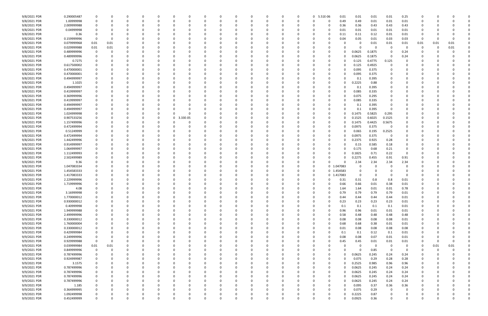| 9/8/2021 PDR<br>9/8/2021 PDR<br>9/8/2021 PDR<br>9/8/2021 PDR<br>9/8/2021 PDR<br>9/8/2021 PDR<br>9/8/2021 PDR<br>9/8/2021 PDR<br>9/8/2021 PDR<br>9/8/2021 PDR<br>9/8/2021 PDR<br>9/8/2021 PDR<br>9/8/2021 PDR<br>9/8/2021 PDR<br>9/8/2021 PDR<br>9/8/2021 PDR<br>9/8/2021 PDR<br>9/8/2021 PDR<br>9/8/2021 PDR<br>9/8/2021 PDR<br>9/8/2021 PDR<br>9/8/2021 PDR<br>9/8/2021 PDR<br>9/8/2021 PDR<br>9/8/2021 PDR<br>9/8/2021 PDR<br>9/8/2021 PDR<br>9/8/2021 PDR<br>9/8/2021 PDR<br>9/8/2021 PDR<br>9/8/2021 PDR<br>9/8/2021 PDR | 0.290005487<br>1.00999998<br>2.009999988<br>0.04999998<br>0.36<br>0.159999996<br>0.079999968<br>0.029999988<br>0.489999996<br>0.489999996<br>0.7275<br>0.617500002<br>0.470000001<br>0.470000001<br>0.494999997<br>1.1025<br>0.494999997<br>0.419999997<br>0.369999996<br>0.419999997<br>0.494999997<br>0.494999997<br>1.024999998<br>0.907533256<br>1.157499996<br>0.472499994<br>0.51249999<br>0.472499994<br>1.442499996<br>0.914999997 | $\Omega$<br>0<br>0<br>0.01<br>$0.01\,$<br>0<br>0 | 0.01<br>0.01 |          |   |   |          |          | 0        | 0<br>0   |          |          | 0<br>- 0 | 0<br>$\Omega$ | 0 5.51E-06<br>$\Omega$ | 0.01<br>0.49<br>0<br>0.36<br>0<br>0.01<br>0<br>0.11<br>0.04<br>0<br>-0<br>0<br>0<br>0<br>0<br>0<br>-0 | 0.01<br>0.49<br>0.36<br>0.01<br>0.11<br>0.05<br>0<br>0.0625<br>0.0625<br>0.125<br>0.125<br>0.095<br>0.095<br>0.1<br>0.2225<br>0.1<br>0.085 | 0.01<br>0.01<br>0.43<br>0.01<br>0.12<br>0.01<br>0.01<br>C<br>0.1875<br>0.1875<br>0.4775<br>0.4925<br>0.375<br>0.375<br>0.395<br>0.88<br>0.395<br>0.335 | 0.01<br>0.01<br>0.43<br>0.01<br>0.01<br>0.03<br>0.01<br>-0<br>0<br>0<br>0.125<br>0 | 0.25<br>0.01<br>0.43<br>$0.01\,$<br>0.01<br>0.03<br>0.01<br>0.24<br>0.24 | - 0<br>0.01<br>$\Omega$ | -0<br>0.01<br>-0 | 0.01<br>0.01 |  |
|------------------------------------------------------------------------------------------------------------------------------------------------------------------------------------------------------------------------------------------------------------------------------------------------------------------------------------------------------------------------------------------------------------------------------------------------------------------------------------------------------------------------------|--------------------------------------------------------------------------------------------------------------------------------------------------------------------------------------------------------------------------------------------------------------------------------------------------------------------------------------------------------------------------------------------------------------------------------------------|--------------------------------------------------|--------------|----------|---|---|----------|----------|----------|----------|----------|----------|----------|---------------|------------------------|-------------------------------------------------------------------------------------------------------|--------------------------------------------------------------------------------------------------------------------------------------------|--------------------------------------------------------------------------------------------------------------------------------------------------------|------------------------------------------------------------------------------------|--------------------------------------------------------------------------|-------------------------|------------------|--------------|--|
|                                                                                                                                                                                                                                                                                                                                                                                                                                                                                                                              |                                                                                                                                                                                                                                                                                                                                                                                                                                            |                                                  |              |          |   |   |          |          |          |          |          |          |          |               |                        |                                                                                                       |                                                                                                                                            |                                                                                                                                                        |                                                                                    |                                                                          |                         |                  |              |  |
|                                                                                                                                                                                                                                                                                                                                                                                                                                                                                                                              |                                                                                                                                                                                                                                                                                                                                                                                                                                            |                                                  |              |          |   |   |          |          |          |          |          |          |          |               |                        |                                                                                                       |                                                                                                                                            |                                                                                                                                                        |                                                                                    |                                                                          |                         |                  |              |  |
|                                                                                                                                                                                                                                                                                                                                                                                                                                                                                                                              |                                                                                                                                                                                                                                                                                                                                                                                                                                            |                                                  |              |          |   |   |          |          |          |          |          |          |          |               |                        |                                                                                                       |                                                                                                                                            |                                                                                                                                                        |                                                                                    |                                                                          |                         |                  |              |  |
|                                                                                                                                                                                                                                                                                                                                                                                                                                                                                                                              |                                                                                                                                                                                                                                                                                                                                                                                                                                            |                                                  |              |          |   |   |          |          |          |          |          |          |          |               |                        |                                                                                                       |                                                                                                                                            |                                                                                                                                                        |                                                                                    |                                                                          |                         |                  |              |  |
|                                                                                                                                                                                                                                                                                                                                                                                                                                                                                                                              |                                                                                                                                                                                                                                                                                                                                                                                                                                            |                                                  |              |          |   |   |          |          |          |          |          |          |          |               |                        |                                                                                                       |                                                                                                                                            |                                                                                                                                                        |                                                                                    |                                                                          |                         |                  |              |  |
|                                                                                                                                                                                                                                                                                                                                                                                                                                                                                                                              |                                                                                                                                                                                                                                                                                                                                                                                                                                            |                                                  |              |          |   |   |          |          |          |          |          |          |          |               |                        |                                                                                                       |                                                                                                                                            |                                                                                                                                                        |                                                                                    |                                                                          |                         |                  |              |  |
|                                                                                                                                                                                                                                                                                                                                                                                                                                                                                                                              |                                                                                                                                                                                                                                                                                                                                                                                                                                            |                                                  |              |          |   |   |          |          |          |          |          |          |          |               |                        |                                                                                                       |                                                                                                                                            |                                                                                                                                                        |                                                                                    |                                                                          |                         |                  |              |  |
|                                                                                                                                                                                                                                                                                                                                                                                                                                                                                                                              |                                                                                                                                                                                                                                                                                                                                                                                                                                            |                                                  |              |          |   |   |          |          |          |          |          |          |          |               |                        |                                                                                                       |                                                                                                                                            |                                                                                                                                                        |                                                                                    |                                                                          |                         |                  |              |  |
|                                                                                                                                                                                                                                                                                                                                                                                                                                                                                                                              |                                                                                                                                                                                                                                                                                                                                                                                                                                            |                                                  |              |          |   |   |          |          |          |          |          |          |          |               |                        |                                                                                                       |                                                                                                                                            |                                                                                                                                                        |                                                                                    |                                                                          |                         |                  |              |  |
|                                                                                                                                                                                                                                                                                                                                                                                                                                                                                                                              |                                                                                                                                                                                                                                                                                                                                                                                                                                            |                                                  |              |          |   |   |          |          |          |          |          |          |          |               |                        |                                                                                                       |                                                                                                                                            |                                                                                                                                                        |                                                                                    |                                                                          |                         |                  |              |  |
|                                                                                                                                                                                                                                                                                                                                                                                                                                                                                                                              |                                                                                                                                                                                                                                                                                                                                                                                                                                            |                                                  |              |          |   |   |          |          |          |          |          |          |          |               |                        |                                                                                                       |                                                                                                                                            |                                                                                                                                                        |                                                                                    |                                                                          |                         |                  |              |  |
|                                                                                                                                                                                                                                                                                                                                                                                                                                                                                                                              |                                                                                                                                                                                                                                                                                                                                                                                                                                            |                                                  |              |          |   |   |          |          |          |          |          |          |          |               |                        |                                                                                                       |                                                                                                                                            |                                                                                                                                                        |                                                                                    |                                                                          |                         |                  |              |  |
|                                                                                                                                                                                                                                                                                                                                                                                                                                                                                                                              |                                                                                                                                                                                                                                                                                                                                                                                                                                            |                                                  |              |          |   |   |          |          |          |          |          |          |          |               |                        |                                                                                                       |                                                                                                                                            |                                                                                                                                                        |                                                                                    |                                                                          |                         |                  |              |  |
|                                                                                                                                                                                                                                                                                                                                                                                                                                                                                                                              |                                                                                                                                                                                                                                                                                                                                                                                                                                            |                                                  |              |          |   |   |          |          |          |          |          |          |          |               |                        |                                                                                                       |                                                                                                                                            |                                                                                                                                                        |                                                                                    |                                                                          |                         |                  |              |  |
|                                                                                                                                                                                                                                                                                                                                                                                                                                                                                                                              |                                                                                                                                                                                                                                                                                                                                                                                                                                            |                                                  |              |          |   |   |          |          |          |          |          |          |          |               |                        |                                                                                                       |                                                                                                                                            |                                                                                                                                                        |                                                                                    |                                                                          |                         |                  |              |  |
|                                                                                                                                                                                                                                                                                                                                                                                                                                                                                                                              |                                                                                                                                                                                                                                                                                                                                                                                                                                            |                                                  |              |          |   |   |          |          |          |          |          |          |          |               |                        |                                                                                                       |                                                                                                                                            |                                                                                                                                                        |                                                                                    |                                                                          |                         |                  |              |  |
|                                                                                                                                                                                                                                                                                                                                                                                                                                                                                                                              |                                                                                                                                                                                                                                                                                                                                                                                                                                            |                                                  |              |          |   |   |          |          |          |          |          |          |          |               |                        |                                                                                                       |                                                                                                                                            |                                                                                                                                                        |                                                                                    |                                                                          |                         |                  |              |  |
|                                                                                                                                                                                                                                                                                                                                                                                                                                                                                                                              |                                                                                                                                                                                                                                                                                                                                                                                                                                            |                                                  |              |          |   |   |          |          |          |          |          |          |          |               |                        |                                                                                                       |                                                                                                                                            |                                                                                                                                                        |                                                                                    |                                                                          |                         |                  |              |  |
|                                                                                                                                                                                                                                                                                                                                                                                                                                                                                                                              |                                                                                                                                                                                                                                                                                                                                                                                                                                            |                                                  |              |          |   |   |          |          |          |          |          |          |          |               |                        |                                                                                                       |                                                                                                                                            |                                                                                                                                                        |                                                                                    |                                                                          |                         |                  |              |  |
|                                                                                                                                                                                                                                                                                                                                                                                                                                                                                                                              |                                                                                                                                                                                                                                                                                                                                                                                                                                            |                                                  |              |          |   |   |          |          |          |          |          |          |          |               |                        |                                                                                                       |                                                                                                                                            |                                                                                                                                                        |                                                                                    |                                                                          |                         |                  |              |  |
|                                                                                                                                                                                                                                                                                                                                                                                                                                                                                                                              |                                                                                                                                                                                                                                                                                                                                                                                                                                            |                                                  |              |          |   |   |          |          |          |          |          |          |          |               |                        |                                                                                                       |                                                                                                                                            |                                                                                                                                                        |                                                                                    |                                                                          |                         |                  |              |  |
|                                                                                                                                                                                                                                                                                                                                                                                                                                                                                                                              |                                                                                                                                                                                                                                                                                                                                                                                                                                            |                                                  |              |          |   |   |          |          |          |          |          |          |          |               |                        | 0                                                                                                     | 0.075                                                                                                                                      | 0.295                                                                                                                                                  |                                                                                    |                                                                          |                         |                  |              |  |
|                                                                                                                                                                                                                                                                                                                                                                                                                                                                                                                              |                                                                                                                                                                                                                                                                                                                                                                                                                                            |                                                  |              |          |   |   |          |          |          |          |          |          |          |               |                        |                                                                                                       | 0.085                                                                                                                                      | 0.335                                                                                                                                                  |                                                                                    |                                                                          |                         |                  |              |  |
|                                                                                                                                                                                                                                                                                                                                                                                                                                                                                                                              |                                                                                                                                                                                                                                                                                                                                                                                                                                            |                                                  |              |          |   |   |          |          |          |          |          |          |          |               |                        |                                                                                                       | 0.1                                                                                                                                        | 0.395                                                                                                                                                  |                                                                                    |                                                                          |                         |                  |              |  |
|                                                                                                                                                                                                                                                                                                                                                                                                                                                                                                                              |                                                                                                                                                                                                                                                                                                                                                                                                                                            |                                                  |              |          |   |   |          |          |          |          |          |          |          |               |                        | 0                                                                                                     | 0.1                                                                                                                                        | 0.395                                                                                                                                                  | 0                                                                                  |                                                                          |                         |                  |              |  |
|                                                                                                                                                                                                                                                                                                                                                                                                                                                                                                                              |                                                                                                                                                                                                                                                                                                                                                                                                                                            |                                                  |              |          |   |   |          |          |          |          |          |          |          |               |                        | 0                                                                                                     | 0.1475                                                                                                                                     | 0.5825                                                                                                                                                 | 0.295                                                                              |                                                                          |                         |                  |              |  |
|                                                                                                                                                                                                                                                                                                                                                                                                                                                                                                                              |                                                                                                                                                                                                                                                                                                                                                                                                                                            |                                                  |              |          |   |   |          |          |          |          |          |          |          |               |                        |                                                                                                       |                                                                                                                                            |                                                                                                                                                        |                                                                                    |                                                                          |                         |                  |              |  |
|                                                                                                                                                                                                                                                                                                                                                                                                                                                                                                                              |                                                                                                                                                                                                                                                                                                                                                                                                                                            |                                                  |              |          |   |   | $\Omega$ | 3.33E-05 |          |          |          |          |          |               |                        | 0                                                                                                     | 0.1525                                                                                                                                     | 0.6025                                                                                                                                                 | 0.1525                                                                             |                                                                          |                         |                  |              |  |
|                                                                                                                                                                                                                                                                                                                                                                                                                                                                                                                              |                                                                                                                                                                                                                                                                                                                                                                                                                                            |                                                  |              |          |   |   |          |          |          |          |          |          |          |               |                        | 0                                                                                                     | 0.1475                                                                                                                                     | 0.4425                                                                                                                                                 | 0.5675                                                                             |                                                                          |                         |                  |              |  |
|                                                                                                                                                                                                                                                                                                                                                                                                                                                                                                                              |                                                                                                                                                                                                                                                                                                                                                                                                                                            |                                                  |              |          |   |   |          |          |          |          |          |          |          |               |                        | 0                                                                                                     | 0.0975                                                                                                                                     | 0.375                                                                                                                                                  | 0                                                                                  |                                                                          |                         |                  |              |  |
|                                                                                                                                                                                                                                                                                                                                                                                                                                                                                                                              |                                                                                                                                                                                                                                                                                                                                                                                                                                            |                                                  |              |          |   |   |          |          |          |          |          |          |          |               |                        | 0                                                                                                     | 0.065                                                                                                                                      | 0.195                                                                                                                                                  | 0.2525                                                                             |                                                                          |                         |                  |              |  |
|                                                                                                                                                                                                                                                                                                                                                                                                                                                                                                                              |                                                                                                                                                                                                                                                                                                                                                                                                                                            |                                                  |              |          |   |   |          |          |          |          |          |          |          |               |                        | 0                                                                                                     | 0.0975                                                                                                                                     | 0.375                                                                                                                                                  | 0                                                                                  |                                                                          |                         |                  |              |  |
|                                                                                                                                                                                                                                                                                                                                                                                                                                                                                                                              |                                                                                                                                                                                                                                                                                                                                                                                                                                            |                                                  |              |          |   |   |          |          |          |          |          |          |          |               |                        |                                                                                                       | 0.2375                                                                                                                                     | 0.925                                                                                                                                                  | 0.28                                                                               |                                                                          |                         |                  |              |  |
|                                                                                                                                                                                                                                                                                                                                                                                                                                                                                                                              |                                                                                                                                                                                                                                                                                                                                                                                                                                            |                                                  |              |          |   |   |          |          |          |          |          |          |          |               |                        |                                                                                                       | 0.15                                                                                                                                       | 0.585                                                                                                                                                  | 0.18                                                                               |                                                                          |                         |                  |              |  |
|                                                                                                                                                                                                                                                                                                                                                                                                                                                                                                                              |                                                                                                                                                                                                                                                                                                                                                                                                                                            |                                                  |              |          |   |   |          |          |          |          |          |          |          |               |                        |                                                                                                       |                                                                                                                                            |                                                                                                                                                        |                                                                                    |                                                                          |                         |                  |              |  |
|                                                                                                                                                                                                                                                                                                                                                                                                                                                                                                                              | 1.064999997                                                                                                                                                                                                                                                                                                                                                                                                                                |                                                  |              |          |   |   |          |          |          |          |          |          |          |               |                        | 0                                                                                                     | 0.175                                                                                                                                      | 0.68                                                                                                                                                   | 0.21                                                                               | 0                                                                        |                         |                  |              |  |
|                                                                                                                                                                                                                                                                                                                                                                                                                                                                                                                              | 1.112499993                                                                                                                                                                                                                                                                                                                                                                                                                                |                                                  |              |          |   |   |          |          |          |          |          |          |          |               |                        | 0                                                                                                     | 0.1825                                                                                                                                     | 0.71                                                                                                                                                   | 0.22                                                                               | $\Omega$                                                                 |                         |                  |              |  |
| 9/8/2021 PDR                                                                                                                                                                                                                                                                                                                                                                                                                                                                                                                 | 2.502499989                                                                                                                                                                                                                                                                                                                                                                                                                                |                                                  |              |          |   |   |          |          |          |          |          |          |          |               |                        | -0                                                                                                    | 0.2275                                                                                                                                     | 0.455                                                                                                                                                  | 0.91                                                                               | 0.91                                                                     |                         |                  |              |  |
| 9/8/2021 PDR                                                                                                                                                                                                                                                                                                                                                                                                                                                                                                                 | 9.36                                                                                                                                                                                                                                                                                                                                                                                                                                       |                                                  |              |          |   |   |          |          |          |          |          |          |          |               |                        | -0                                                                                                    | 2.34                                                                                                                                       | 2.34                                                                                                                                                   | 2.34                                                                               | 2.34                                                                     |                         |                  |              |  |
| 9/8/2021 PDR                                                                                                                                                                                                                                                                                                                                                                                                                                                                                                                 | 1.047083334                                                                                                                                                                                                                                                                                                                                                                                                                                |                                                  |              |          |   |   |          |          |          |          |          |          |          |               |                        | 0 1.047083                                                                                            |                                                                                                                                            |                                                                                                                                                        | $\Omega$                                                                           |                                                                          |                         |                  |              |  |
| 9/8/2021 PDR                                                                                                                                                                                                                                                                                                                                                                                                                                                                                                                 | 1.454583333                                                                                                                                                                                                                                                                                                                                                                                                                                |                                                  |              |          |   |   |          |          |          |          |          |          |          |               |                        | 0 1.454583                                                                                            | 0                                                                                                                                          | 0                                                                                                                                                      |                                                                                    |                                                                          |                         |                  |              |  |
|                                                                                                                                                                                                                                                                                                                                                                                                                                                                                                                              |                                                                                                                                                                                                                                                                                                                                                                                                                                            |                                                  |              |          |   |   |          |          |          |          |          |          |          |               |                        |                                                                                                       |                                                                                                                                            |                                                                                                                                                        |                                                                                    |                                                                          |                         |                  |              |  |
| 9/8/2021 PDR                                                                                                                                                                                                                                                                                                                                                                                                                                                                                                                 | 1.417083333                                                                                                                                                                                                                                                                                                                                                                                                                                |                                                  |              |          |   |   |          |          |          |          |          |          |          |               |                        | 0 1.417083                                                                                            | 0                                                                                                                                          | 0                                                                                                                                                      |                                                                                    | - 0                                                                      |                         |                  |              |  |
| 9/9/2021 PDR                                                                                                                                                                                                                                                                                                                                                                                                                                                                                                                 | 2.229999996                                                                                                                                                                                                                                                                                                                                                                                                                                |                                                  |              |          |   |   |          |          |          |          |          |          |          |               |                        | 0.31                                                                                                  | 0.31                                                                                                                                       | 0.8                                                                                                                                                    | 0.8                                                                                | 0.01                                                                     |                         |                  |              |  |
| 9/9/2021 PDR                                                                                                                                                                                                                                                                                                                                                                                                                                                                                                                 | 1.719999996                                                                                                                                                                                                                                                                                                                                                                                                                                |                                                  |              |          |   |   |          |          |          |          |          |          |          |               |                        | 0.66                                                                                                  | 0.66                                                                                                                                       | 0.01                                                                                                                                                   | 0.38                                                                               | $0.01\,$                                                                 |                         |                  |              |  |
| 9/9/2021 PDR                                                                                                                                                                                                                                                                                                                                                                                                                                                                                                                 | 4.08                                                                                                                                                                                                                                                                                                                                                                                                                                       | $\Omega$                                         |              |          |   |   |          |          |          |          |          |          |          |               |                        | 1.64<br>0                                                                                             | 1.64                                                                                                                                       | 0.01                                                                                                                                                   | 0.01                                                                               | 0.78                                                                     |                         |                  |              |  |
| 9/9/2021 PDR                                                                                                                                                                                                                                                                                                                                                                                                                                                                                                                 | 3.16999998                                                                                                                                                                                                                                                                                                                                                                                                                                 | $\mathbf 0$                                      |              |          |   |   |          |          |          |          |          |          |          |               |                        | 0.79<br>$\Omega$                                                                                      | 0.79                                                                                                                                       | 0.79                                                                                                                                                   | 0.79                                                                               | 0.01                                                                     | $\Omega$                |                  |              |  |
| 9/9/2021 PDR                                                                                                                                                                                                                                                                                                                                                                                                                                                                                                                 | 1.770000012                                                                                                                                                                                                                                                                                                                                                                                                                                | $\mathbf 0$                                      | $\Omega$     | 0        |   |   | $\Omega$ |          | 0        | 0        |          |          | $\Omega$ | $\Omega$      | 0                      | 0.44<br>$\Omega$                                                                                      | 0.44                                                                                                                                       | 0.44                                                                                                                                                   | 0.44                                                                               | $0.01\,$                                                                 | 0                       | -C               |              |  |
|                                                                                                                                                                                                                                                                                                                                                                                                                                                                                                                              |                                                                                                                                                                                                                                                                                                                                                                                                                                            |                                                  |              |          |   |   |          |          |          |          |          |          |          |               |                        |                                                                                                       |                                                                                                                                            |                                                                                                                                                        |                                                                                    |                                                                          |                         |                  |              |  |
| 9/9/2021 PDR                                                                                                                                                                                                                                                                                                                                                                                                                                                                                                                 | 0.930000012                                                                                                                                                                                                                                                                                                                                                                                                                                | 0                                                | O            | 0        |   |   |          |          | 0        | 0        |          |          | $\Omega$ | $\Omega$      |                        | 0.23<br>$\Omega$                                                                                      | 0.23                                                                                                                                       | 0.23                                                                                                                                                   | 0.23                                                                               | $0.01\,$                                                                 | 0                       |                  |              |  |
| 9/9/2021 PDR                                                                                                                                                                                                                                                                                                                                                                                                                                                                                                                 | 0.40999998                                                                                                                                                                                                                                                                                                                                                                                                                                 | 0                                                |              |          |   |   |          |          | 0        | 0        |          |          |          |               |                        | 0.1<br>0                                                                                              | 0.1                                                                                                                                        | 0.1                                                                                                                                                    | 0.1                                                                                | 0.01                                                                     | 0                       |                  |              |  |
| 9/9/2021 PDR                                                                                                                                                                                                                                                                                                                                                                                                                                                                                                                 | 1.949999988                                                                                                                                                                                                                                                                                                                                                                                                                                | $\mathbf 0$                                      |              |          |   |   |          |          | O        |          |          |          |          |               |                        | 0.96<br>0                                                                                             | 0.96                                                                                                                                       | 0.01                                                                                                                                                   | 0.01                                                                               | 0.01                                                                     |                         |                  |              |  |
| 9/9/2021 PDR                                                                                                                                                                                                                                                                                                                                                                                                                                                                                                                 | 2.499999996                                                                                                                                                                                                                                                                                                                                                                                                                                | 0                                                |              |          |   |   |          |          | 0        | 0        |          |          |          |               |                        | 0.58<br>0                                                                                             | 0.48                                                                                                                                       | 0.48                                                                                                                                                   | 0.48                                                                               | 0.48                                                                     |                         |                  |              |  |
| 9/9/2021 PDR                                                                                                                                                                                                                                                                                                                                                                                                                                                                                                                 | 0.330000012                                                                                                                                                                                                                                                                                                                                                                                                                                | 0                                                |              |          |   |   |          |          | 0        | 0        |          |          |          |               |                        | 0.08<br>0                                                                                             | 0.08                                                                                                                                       | 0.08                                                                                                                                                   | 0.08                                                                               | 0.01                                                                     | 0                       |                  |              |  |
| 9/9/2021 PDR                                                                                                                                                                                                                                                                                                                                                                                                                                                                                                                 | 1.760000004                                                                                                                                                                                                                                                                                                                                                                                                                                | 0                                                | $\Omega$     |          |   |   |          |          | 0        | 0        |          |          | 0        |               |                        | 0.68<br>0                                                                                             | 0.68                                                                                                                                       | 0.38                                                                                                                                                   | 0.01                                                                               | 0.01                                                                     | 0                       | -0               |              |  |
| 9/9/2021 PDR                                                                                                                                                                                                                                                                                                                                                                                                                                                                                                                 | 0.330000012                                                                                                                                                                                                                                                                                                                                                                                                                                | 0                                                | $\Omega$     | $\Omega$ |   |   |          |          | 0        | 0        |          |          | $\Omega$ | 0             |                        | 0.01<br>0                                                                                             | 0.08                                                                                                                                       | 0.08                                                                                                                                                   | 0.08                                                                               | 0.08                                                                     | 0                       | 0                |              |  |
|                                                                                                                                                                                                                                                                                                                                                                                                                                                                                                                              |                                                                                                                                                                                                                                                                                                                                                                                                                                            |                                                  |              |          |   |   |          |          |          |          |          |          |          |               |                        |                                                                                                       |                                                                                                                                            |                                                                                                                                                        |                                                                                    |                                                                          |                         |                  |              |  |
| 9/9/2021 PDR                                                                                                                                                                                                                                                                                                                                                                                                                                                                                                                 | 0.429999984                                                                                                                                                                                                                                                                                                                                                                                                                                | 0                                                | 0            |          |   |   |          |          | 0        | 0        |          |          | - 0      | 0             |                        | 0.1<br>0                                                                                              | 0.1                                                                                                                                        | 0.12                                                                                                                                                   | 0.1                                                                                | 0.01                                                                     | 0                       | - 0              |              |  |
| 9/9/2021 PDR                                                                                                                                                                                                                                                                                                                                                                                                                                                                                                                 | 0.249999996                                                                                                                                                                                                                                                                                                                                                                                                                                | $\overline{0}$                                   | 0            |          |   |   |          |          | 0        | 0        |          |          |          |               |                        | 0.08<br>0                                                                                             | 0.08                                                                                                                                       | 0.07                                                                                                                                                   | 0.01                                                                               | 0.01                                                                     |                         |                  |              |  |
| 9/9/2021 PDR                                                                                                                                                                                                                                                                                                                                                                                                                                                                                                                 | 0.929999988                                                                                                                                                                                                                                                                                                                                                                                                                                | 0                                                | $\Omega$     |          |   |   |          |          | 0        | 0        |          |          |          |               |                        | 0.45<br>0                                                                                             | 0.45                                                                                                                                       | 0.01                                                                                                                                                   | 0.01                                                                               | 0.01                                                                     | 0                       | 0                | $\Omega$     |  |
| 9/9/2021 PDR                                                                                                                                                                                                                                                                                                                                                                                                                                                                                                                 | 0.039999984                                                                                                                                                                                                                                                                                                                                                                                                                                | 0.01                                             | 0.01         |          |   |   |          |          | 0        | 0        |          |          | 0        |               | 0                      | 0                                                                                                     | 0                                                                                                                                          | 0                                                                                                                                                      | 0                                                                                  | 0                                                                        | 0                       | 0.01             | 0.01         |  |
| 9/9/2021 PDR                                                                                                                                                                                                                                                                                                                                                                                                                                                                                                                 | 0.849999996                                                                                                                                                                                                                                                                                                                                                                                                                                | $\overline{0}$                                   | $\Omega$     |          |   |   |          |          | 0        | 0        |          |          | $\Omega$ |               |                        | 0                                                                                                     | 0                                                                                                                                          | 0.85                                                                                                                                                   | $\mathbf 0$                                                                        | $\Omega$                                                                 | 0                       | $\Omega$         |              |  |
| 9/9/2021 PDR                                                                                                                                                                                                                                                                                                                                                                                                                                                                                                                 | 0.787499996                                                                                                                                                                                                                                                                                                                                                                                                                                | 0                                                |              | 0        |   |   |          |          | 0        | 0        |          |          | 0        | $\Omega$      |                        | 0                                                                                                     | 0.0625                                                                                                                                     | 0.245                                                                                                                                                  | 0.24                                                                               |                                                                          | 0                       |                  |              |  |
|                                                                                                                                                                                                                                                                                                                                                                                                                                                                                                                              |                                                                                                                                                                                                                                                                                                                                                                                                                                            |                                                  |              |          |   |   |          |          |          |          |          |          |          |               |                        |                                                                                                       |                                                                                                                                            |                                                                                                                                                        |                                                                                    | 0.24                                                                     |                         |                  |              |  |
| 9/9/2021 PDR                                                                                                                                                                                                                                                                                                                                                                                                                                                                                                                 | 0.924999987                                                                                                                                                                                                                                                                                                                                                                                                                                | 0                                                | 0            | -0       |   |   |          |          | 0        | 0        |          |          | - 0      | 0             | 0                      | 0                                                                                                     | 0.075                                                                                                                                      | 0.29                                                                                                                                                   | 0.28                                                                               | 0.28                                                                     | 0                       | - 0              |              |  |
| 9/9/2021 PDR                                                                                                                                                                                                                                                                                                                                                                                                                                                                                                                 | 3.1575                                                                                                                                                                                                                                                                                                                                                                                                                                     | 0                                                | 0            |          |   |   |          |          | 0        | 0        |          |          |          | 0             |                        | 0                                                                                                     | 0.2525                                                                                                                                     | 0.985                                                                                                                                                  | 0.96                                                                               | 0.96                                                                     |                         |                  |              |  |
| 9/9/2021 PDR                                                                                                                                                                                                                                                                                                                                                                                                                                                                                                                 | 0.787499996                                                                                                                                                                                                                                                                                                                                                                                                                                | $\mathbf 0$                                      |              |          |   |   |          |          | 0        | 0        |          |          |          |               |                        | $\Omega$                                                                                              | 0.0625                                                                                                                                     | 0.245                                                                                                                                                  | 0.24                                                                               | 0.24                                                                     |                         |                  |              |  |
| 9/9/2021 PDR                                                                                                                                                                                                                                                                                                                                                                                                                                                                                                                 | 0.787499996                                                                                                                                                                                                                                                                                                                                                                                                                                | 0                                                |              |          |   |   |          |          | 0        | 0        |          |          |          |               |                        | 0                                                                                                     | 0.0625                                                                                                                                     | 0.245                                                                                                                                                  | 0.24                                                                               | 0.24                                                                     | 0                       |                  |              |  |
| 9/9/2021 PDR                                                                                                                                                                                                                                                                                                                                                                                                                                                                                                                 | 0.787499996                                                                                                                                                                                                                                                                                                                                                                                                                                | $\mathbf 0$                                      | 0            |          |   |   |          |          | 0        | C        |          |          |          |               |                        | 0                                                                                                     | 0.0625                                                                                                                                     | 0.245                                                                                                                                                  | 0.24                                                                               | 0.24                                                                     |                         |                  |              |  |
| 9/9/2021 PDR                                                                                                                                                                                                                                                                                                                                                                                                                                                                                                                 | 0.787499996                                                                                                                                                                                                                                                                                                                                                                                                                                | 0                                                | $\Omega$     |          |   |   |          |          | $\Omega$ | 0        |          |          | 0        | $\Omega$      |                        | $\Omega$                                                                                              | 0.0625                                                                                                                                     | 0.245                                                                                                                                                  | 0.24                                                                               | 0.24                                                                     | 0                       |                  |              |  |
|                                                                                                                                                                                                                                                                                                                                                                                                                                                                                                                              |                                                                                                                                                                                                                                                                                                                                                                                                                                            |                                                  |              |          |   |   |          |          |          |          |          |          |          |               |                        |                                                                                                       |                                                                                                                                            |                                                                                                                                                        |                                                                                    |                                                                          |                         |                  |              |  |
| 9/9/2021 PDR                                                                                                                                                                                                                                                                                                                                                                                                                                                                                                                 | 1.185                                                                                                                                                                                                                                                                                                                                                                                                                                      | 0                                                | 0            |          |   |   |          |          | 0        | 0        |          |          | $\Omega$ | 0             |                        | 0                                                                                                     | 0.095                                                                                                                                      | 0.37                                                                                                                                                   | 0.36                                                                               | 0.36                                                                     |                         | - 0              |              |  |
| 9/9/2021 PDR                                                                                                                                                                                                                                                                                                                                                                                                                                                                                                                 | 0.364999995                                                                                                                                                                                                                                                                                                                                                                                                                                | $\mathbf 0$                                      |              |          |   |   |          |          |          |          |          |          |          |               |                        | 0                                                                                                     | 0.075                                                                                                                                      | 0.29                                                                                                                                                   | $\Omega$                                                                           |                                                                          |                         |                  |              |  |
| 9/9/2021 PDR                                                                                                                                                                                                                                                                                                                                                                                                                                                                                                                 | 1.092499998                                                                                                                                                                                                                                                                                                                                                                                                                                | $\mathbf 0$                                      |              |          |   |   |          |          | 0        |          |          |          |          |               |                        | 0                                                                                                     | 0.2225                                                                                                                                     | 0.87                                                                                                                                                   |                                                                                    |                                                                          |                         |                  |              |  |
| 9/9/2021 PDR                                                                                                                                                                                                                                                                                                                                                                                                                                                                                                                 | 0.452499999                                                                                                                                                                                                                                                                                                                                                                                                                                | $\mathbf 0$                                      | $\Omega$     | 0        | U | 0 | $\Omega$ |          | $\Omega$ | $\Omega$ | $\Omega$ | $\Omega$ | $\Omega$ | $\Omega$      | $\Omega$               | 0                                                                                                     | 0.0925                                                                                                                                     | 0.36                                                                                                                                                   | $\Omega$                                                                           | $\Omega$                                                                 | 0                       | 0                | 0            |  |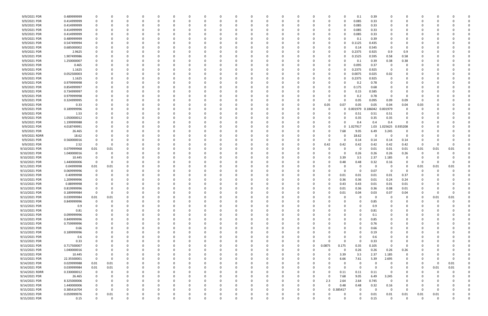| 9/9/2021 PDR   | 0.489999999 | -0                      | 0        |          | 0        | 0        | C |          | 0            | 0        | C        | 0        |            | 0.1             | 0.39     |               | 0           |             |          |          |  |
|----------------|-------------|-------------------------|----------|----------|----------|----------|---|----------|--------------|----------|----------|----------|------------|-----------------|----------|---------------|-------------|-------------|----------|----------|--|
| 9/9/2021 PDR   | 0.414999999 | 0                       | -C       |          | $\Omega$ | $\Omega$ | C |          | 0            | O        | C        | $\Omega$ |            | 0.085           | 0.33     |               | $\Omega$    |             |          |          |  |
| 9/9/2021 PDR   | 0.414999999 | 0                       |          |          | -0       |          |   |          |              |          |          | -0       |            | 0.085           | 0.33     |               |             |             |          |          |  |
| 9/9/2021 PDR   | 0.414999999 | 0                       |          |          |          |          |   |          |              |          |          |          |            | 0.085           | 0.33     |               |             |             |          |          |  |
| 9/9/2021 PDR   | 0.414999999 |                         |          |          |          |          |   |          |              |          |          |          |            | 0.085           | 0.33     |               |             |             |          |          |  |
| 9/9/2021 PDR   | 0.489999999 | 0                       |          |          | 0        |          |   |          | <sup>0</sup> |          |          | $\Omega$ | $\Omega$   | 0.1             | 0.39     |               | $\Omega$    |             |          |          |  |
| 9/9/2021 PDR   | 0.547499994 | 0                       |          |          | 0        |          |   |          | 0            |          |          | 0        |            | 0.1125          | 0.435    |               | 0           |             |          |          |  |
| 9/9/2021 PDR   | 0.685000002 |                         |          |          |          |          |   |          |              |          |          | - 0      |            | 0.14            | 0.545    | - 0           | - 0         |             |          |          |  |
| 9/9/2021 PDR   | 2.9625      |                         |          |          |          |          |   |          |              |          |          | 0        |            | 0.2375          | 0.925    | 0.9           | 0.9         |             |          |          |  |
| 9/9/2021 PDR   | 1.907499986 |                         |          |          |          |          |   |          |              |          |          | 0        |            | 0.1525          | 0.595    | 0.58          | 0.58        |             |          |          |  |
| 9/9/2021 PDR   | 1.250000007 |                         |          |          | $\Omega$ |          |   |          |              |          |          |          |            | 0.1             | 0.39     | 0.38          | 0.38        |             |          |          |  |
| 9/9/2021 PDR   | 0.465       |                         |          |          | 0        |          |   |          | 0            |          |          | $\Omega$ |            | 0.095           | 0.37     | 0             |             |             |          |          |  |
| 9/9/2021 PDR   | 1.1625      |                         |          |          | -0       |          |   |          |              |          |          | 0        |            | 0.2375          | 0.925    | 0             |             |             |          |          |  |
| 9/9/2021 PDR   | 0.052500003 |                         |          |          |          |          |   |          |              |          |          | 0        |            | 0.0075          | 0.025    | 0.02          |             |             |          |          |  |
| 9/9/2021 PDR   | 1.1625      |                         |          |          | 0        |          |   |          |              |          |          | 0        |            | 0.2375          | 0.925    |               |             |             |          |          |  |
| 9/9/2021 PDR   | 0.979999998 |                         |          |          |          |          |   |          |              |          |          |          |            | 0.2             | 0.78     |               |             |             |          |          |  |
| 9/9/2021 PDR   | 0.854999997 |                         |          |          |          |          |   |          |              |          |          | - 0      |            | 0.175           | 0.68     |               |             |             |          |          |  |
| 9/9/2021 PDR   | 0.734999997 |                         |          |          | 0        |          |   |          | 0            |          |          |          |            | 0.15            | 0.585    |               | $\Omega$    |             |          |          |  |
| 9/9/2021 PDR   | 0.979999998 |                         |          |          | -0       |          |   |          |              |          |          |          |            | 0.2             | 0.78     | 0             | $\Omega$    |             |          |          |  |
| 9/9/2021 PDR   | 0.324999995 |                         |          |          | -0       |          |   |          | <sup>0</sup> |          |          | 0        |            | 0.05            | 0.095    | 0.09          | 0.09        | -0          |          |          |  |
| 9/9/2021 PDR   | 0.33        |                         |          |          | 0        |          |   |          | 0            |          | C        | 0.05     | 0.07       | 0.05            | 0.05     | 0.04          | 0.04        | 0.03        |          |          |  |
| 9/9/2021 PDR   | 0.189999996 |                         |          |          |          |          |   |          |              |          |          | 0        |            | 0.001979        | 186042   | 0.001979      |             |             |          |          |  |
| 9/9/2021 PDR   | 1.53        |                         |          |          |          |          |   |          |              |          |          | -0       |            | 0.51            | 0.51     | 0.51          | 0           |             |          |          |  |
| 9/9/2021 PDR   | 1.050000012 |                         |          |          | 0        |          |   |          | 0            |          |          | 0        |            | 0.35            | 0.35     | 0.35          | 0           |             |          |          |  |
| 9/9/2021 PDR   | 1.199999988 |                         |          |          | 0        |          |   |          |              |          |          |          |            |                 | 0.4      | 0.4           | $\Omega$    |             |          |          |  |
| 9/9/2021 PDR   | 4.018749991 |                         |          |          | -0       |          |   |          |              |          |          | - 0      | 0          | 0.4<br>1.027917 |          | 1.03 1.025625 | 0.935208    |             |          |          |  |
| 9/9/2021 PDR   |             |                         |          |          |          |          |   |          |              |          |          |          |            |                 |          |               | 0           |             |          |          |  |
|                | 26.465      |                         |          |          |          |          |   |          |              |          |          | 0        | 7.68       | 9.05            | 6.49     | 3.245         | - 0         |             |          |          |  |
| 9/9/2021 RDRR  | 18.62       |                         |          |          |          |          |   |          |              |          |          |          | $\Omega$   | 18.62           | 0        | - 0           |             |             |          |          |  |
| 9/9/2021 PDR   | 0.560000016 | 0                       |          |          | -0       |          |   |          |              |          | C        | -0       |            | 0.14            | 0.14     | 0.14          | 0.14        | -0          |          |          |  |
| 9/9/2021 PDR   | 2.52        | - 0                     | 0        |          | -0       |          |   |          | <sup>0</sup> |          | 0        | 0.42     | 0.42       | 0.42            | 0.42     | 0.42          | 0.42        | 0           | -0       |          |  |
| 9/10/2021 PDR  | 0.079999968 | 0.01                    | 0.01     |          |          |          |   |          |              |          |          | -0       |            | 0               | 0.01     | 0.01          | 0.01        | 0.01        | 0.01     | 0.01     |  |
| 9/10/2021 PDR  | 1.040000016 | 0                       |          |          | -0       |          |   |          |              |          |          |          |            | 0.26            | 0.26     | 0.26          | 0.26        | -0          |          |          |  |
| 9/10/2021 PDR  | 10.445      | 0                       |          |          |          |          |   |          |              |          |          | -0       | 3.39       | 3.5             | 2.37     | 1.185         | 0           |             |          |          |  |
| 9/10/2021 PDR  | 1.440000006 | 0                       |          |          |          |          |   |          |              |          |          | -0       | 0.48       | 0.48            | 0.32     | 0.16          | $\Omega$    | -0          |          |          |  |
| 9/11/2021 PDR  | 0.04999998  | 0.01                    | 0.01     |          |          |          |   |          |              |          |          |          |            | 0               | 0        | -0            | - 0         | 0.01        | 0.01     | 0.01     |  |
| 9/13/2021 PDR  | 0.069999996 | 0                       |          |          |          |          |   |          |              |          |          |          |            | 0               | 0.07     | $\Omega$      |             |             |          |          |  |
| 9/13/2021 PDR  | 0.40999998  | 0                       |          |          |          |          |   |          |              |          |          | -0       | 0.01       | 0.01            | 0.01     | 0.01          | 0.37        |             |          |          |  |
| 9/13/2021 PDR  | 1.209999996 |                         |          |          | 0        |          |   |          | <sup>0</sup> |          |          | - 0      | 0.36       | 0.36            | 0.01     | 0.24          | 0.24        |             |          |          |  |
| 9/13/2021 PDR  | 0.88999998  |                         |          |          |          |          |   |          |              |          |          |          | 0.43       | 0.43            | 0.01     | 0.01          | 0.01        |             |          |          |  |
| 9/13/2021 PDR  | 0.819999996 | 0                       |          |          |          |          |   |          |              |          |          | $\Omega$ | 0.01       | 0.36            | 0.36     | 0.08          | 0.01        |             |          |          |  |
| 9/13/2021 PDR  | 0.189999984 | $\mathbf 0$             | 0        |          |          | 0        |   |          |              | O        |          |          | 0.01       | 0.04            | 0.03     | 0.07          | 0.04        |             |          |          |  |
| 9/13/2021 PDR  | 0.039999984 | 0.01                    | 0.01     | $\Omega$ | $\Omega$ | $\Omega$ | 0 | 0        | $\Omega$     | $\Omega$ | $\Omega$ | $\Omega$ | $\Omega$   |                 | 0        | $\Omega$      | 0           | $\mathbf 0$ | 0.01     | 0.01     |  |
| 9/13/2021 PDR  | 0.849999996 | $\mathbf 0$             | $\Omega$ |          | $\Omega$ | 0        | C |          | 0            |          | C        |          |            |                 | 0.85     |               | $\Omega$    | 0           | $\Omega$ |          |  |
| 9/13/2021 PDR  | 0.9         | 0                       | 0        |          | 0        | 0        | 0 |          | 0            | $\Omega$ | 0        |          |            |                 | 0.9      |               | 0           | 0           |          |          |  |
| 9/13/2021 PDR  | 0.81        | 0                       |          |          | 0        | $\Omega$ |   |          | $\Omega$     |          |          |          |            |                 | 0.81     |               |             |             |          |          |  |
| 9/13/2021 PDR  | 0.099999996 | 0                       |          |          | 0        | 0        |   |          | 0            |          |          |          |            |                 | 0.1      |               |             |             |          |          |  |
| 9/13/2021 PDR  | 0.849999996 | $\mathbf 0$             |          |          | 0        | 0        | C |          | 0            |          | C        |          |            | 0               | 0.85     |               |             | 0           |          |          |  |
| 9/13/2021 PDR  | 0.759999996 | 0                       |          |          | 0        | 0        | C |          | 0            |          | C        |          |            |                 | 0.76     |               |             | O           |          |          |  |
| 9/13/2021 PDR  | 0.66        | 0                       |          |          | 0        | $\Omega$ | 0 |          | $\Omega$     | $\Omega$ | C        |          |            | 0               | 0.66     |               | $\Omega$    | 0           |          |          |  |
| 9/13/2021 PDR  | 0.189999996 | 0                       | 0        |          | 0        | 0        | 0 |          | 0            | 0        | C        |          |            | 0               | 0.19     |               | 0           | O           |          |          |  |
| 9/13/2021 PDR  | 0.6         | 0                       |          |          | 0        | 0        | 0 |          | 0            | $\Omega$ | C        |          |            |                 | 0.6      |               | 0           | C           |          |          |  |
| 9/13/2021 PDR  | 0.33        | 0                       |          |          | 0        | 0        | C |          | 0            | 0        | 0        | $\Omega$ | $\Omega$   | $\Omega$        | 0.33     |               | 0           |             |          |          |  |
| 9/13/2021 PDR  | 0.717500007 | 0                       |          |          | 0        | 0        | C |          | 0            | 0        | 0        | 0.0875   | 0.175      | 0.35            | 0.105    | 0             | 0           |             |          |          |  |
| 9/13/2021 PDR  | 1.040000016 | $\mathbf 0$             |          |          | $\Omega$ | 0        | C |          | 0            | 0        | 0        | $\Omega$ | $\Omega$   | 0.26            | 0.26     | 0.26          | 0.26        |             |          |          |  |
| 9/13/2021 PDR  | 10.445      | 0                       |          |          | $\Omega$ |          | C |          | $\Omega$     | $\Omega$ | 0        | 0        | 3.39       | 3.5             | 2.37     | 1.185         | 0           |             |          |          |  |
| 9/13/2021 PDR  | 22.35500001 | $\overline{\mathbf{0}}$ | 0        |          | 0        | 0        | 0 |          | 0            | $\Omega$ | 0        | $\Omega$ | 6.66       | 7.61            | 5.39     | 2.695         | 0           | 0           |          | $\Omega$ |  |
| 9/14/2021 PDR  | 0.029999988 | 0.01                    | 0.01     |          | 0        | 0        | C |          | 0            | 0        | 0        | - 0      | 0          | 0               | 0        |               | 0           | 0           | $\Omega$ | 0.01     |  |
| 9/14/2021 PDR  | 0.039999984 | 0.01                    | 0.01     |          | 0        | $\Omega$ | C |          | 0            | $\Omega$ | 0        | $\Omega$ | $\Omega$   | 0               | $\Omega$ |               | 0           | 0           | 0.01     | 0.01     |  |
| 9/14/2021 RDRR | 0.330000012 | $\overline{0}$          | 0        |          | 0        | 0        |   |          | 0            | 0        | C        | 0        | 0.11       | 0.11            | 0.11     |               | 0           | O           | 0        |          |  |
| 9/14/2021 PDR  | 26.465      | $\mathbf 0$             |          |          | 0        | 0        | 0 |          | 0            | 0        | 0        | 0        | 7.68       | 9.05            | 6.49     | 3.245         | 0           | 0           |          |          |  |
| 9/14/2021 PDR  | 8.325000006 | $\mathbf 0$             |          |          | $\Omega$ | 0        | C |          | 0            | 0        | 0        | 2.3      | 2.64       | 2.64            | 0.745    | $\Omega$      | 0           | O           |          |          |  |
| 9/14/2021 PDR  | 1.440000006 | 0                       | 0        |          | 0        | 0        | C |          | 0            | 0        | 0        | $\Omega$ | 0.48       | 0.48            | 0.32     | 0.16          | 0           | O           |          |          |  |
| 9/15/2021 PDR  | 0.385416704 | 0                       | $\Omega$ |          | 0        | 0        | 0 |          | 0            | 0        | 0        |          | 0 0.385417 | 0               | 0        | $\mathbf 0$   | $\Omega$    | $\Omega$    | 0        |          |  |
| 9/15/2021 PDR  | 0.059999976 | 0                       | 0.01     |          | 0        | 0        |   |          | 0            | 0        | C        |          |            | 0               | 0.01     | 0.01          | 0.01        | 0.01        | 0.01     |          |  |
| 9/15/2021 PDR  | 0.15        | $\mathbf 0$             | $\Omega$ | $\Omega$ | $\Omega$ | $\Omega$ | C | $\Omega$ | $\Omega$     | $\Omega$ |          |          | $\Omega$   |                 | 0.15     | $\Omega$      | $\mathbf 0$ | $\Omega$    | $\Omega$ | 0        |  |
|                |             |                         |          |          |          |          |   |          |              |          |          |          |            |                 |          |               |             |             |          |          |  |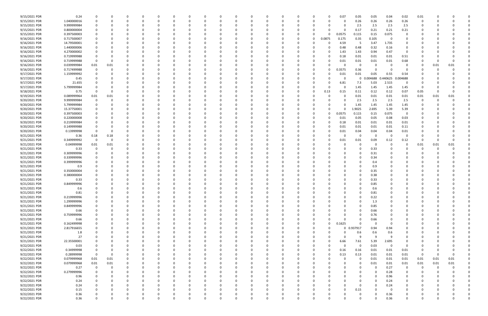| 9/15/2021 PDR | 0.24        |             |          |          |          |          |          |          |          |          |          |          |              |          |    |          | 0.07     | 0.05        | 0.05     | 0.04        | 0.02        | 0.01     |      |          |  |
|---------------|-------------|-------------|----------|----------|----------|----------|----------|----------|----------|----------|----------|----------|--------------|----------|----|----------|----------|-------------|----------|-------------|-------------|----------|------|----------|--|
| 9/15/2021 PDR | 1.040000016 | 0           |          | 0        |          | $\Omega$ |          | -0       |          |          | 0        |          |              | 0        |    | 0        |          | 0.26        | 0.26     | 0.26        | 0.26        | 0        |      |          |  |
| 9/15/2021 PDR | 9.999999984 |             |          |          |          |          |          |          |          |          |          |          |              |          |    |          |          | 2.5         | 2.5      | 2.5         | 2.5         |          |      |          |  |
|               |             |             |          |          |          |          |          |          |          |          |          |          |              |          |    |          |          |             |          |             |             |          |      |          |  |
| 9/15/2021 PDR | 0.800000004 |             |          |          |          |          |          |          |          |          |          |          |              |          |    |          |          | 0.17        | 0.21     | 0.21        | 0.21        |          |      |          |  |
| 9/15/2021 PDR | 0.397500003 |             |          | -0       |          |          |          |          |          |          |          |          |              | 0        |    | $\Omega$ | 0.0575   | 0.115       | 0.15     | 0.075       | 0           |          |      |          |  |
| 9/16/2021 PDR | 0.717500007 |             |          |          |          |          |          |          |          |          |          |          |              | 0        |    | 0.0875   | 0.175    | 0.35        | 0.105    | - 0         | 0           |          |      |          |  |
| 9/16/2021 PDR | 14.79500001 |             |          |          |          |          |          |          |          |          |          |          |              |          |    |          | 4.59     | -5          | 3.47     | 1.735       | 0           |          |      |          |  |
| 9/16/2021 PDR | 1.440000006 |             |          |          |          |          |          |          |          |          |          |          |              |          |    |          | 0.48     | 0.48        | 0.32     | 0.16        | 0           |          |      |          |  |
| 9/16/2021 PDR | 4.270000002 |             |          |          |          |          |          |          |          |          |          |          |              |          |    |          | 1.43     | 1.43        | 0.94     | 0.47        | 0           |          |      |          |  |
|               |             |             |          |          |          |          |          |          |          |          |          |          |              |          |    |          |          |             |          |             |             |          |      |          |  |
| 9/16/2021 PDR | 0.719999988 |             |          |          |          |          |          |          |          |          |          |          |              |          |    | 0        | 0.18     | 0.01        | 0.01     | 0.01        | 0.51        |          |      |          |  |
| 9/16/2021 PDR | 0.719999988 |             |          |          |          |          |          |          |          |          |          |          |              |          |    |          | 0.01     | 0.01        | 0.01     | 0.01        | 0.68        |          |      |          |  |
| 9/16/2021 PDR | 0.039999984 | 0.01        | 0.01     |          |          |          |          |          |          |          |          |          |              |          |    |          |          | 0           |          | - 0         |             |          | 0.01 | 0.01     |  |
| 9/16/2021 PDR | 0.717499988 | 0           |          |          |          |          |          |          |          |          | -0       |          |              |          |    | 0        | 0.3575   | 0.36        |          | - 0         | 0           |          |      |          |  |
| 9/17/2021 PDR | 1.159999992 |             |          |          |          |          |          |          |          |          |          |          |              |          |    |          | 0.01     | 0.01        | 0.05     | 0.55        | 0.54        |          |      |          |  |
| 9/17/2021 PDR | 0.45        |             |          |          |          |          |          |          |          |          |          |          |              |          |    |          |          | $\mathbf 0$ | 0.004688 | 0.440625    | 0.004688    |          |      |          |  |
| 9/17/2021 PDR | 21.655      |             |          |          |          |          |          |          |          |          |          |          |              |          |    |          | 6.81     |             | 5.03     | 2.515       | 0           |          |      |          |  |
|               |             |             |          |          |          |          |          |          |          |          |          |          |              |          |    |          |          | 7.3         |          |             |             |          |      |          |  |
| 9/17/2021 PDR | 5.799999984 |             |          |          |          |          |          |          |          |          |          |          |              |          |    |          |          | 1.45        | 1.45     | 1.45        | 1.45        | 0        |      |          |  |
| 9/18/2021 PDR | 0.75        | $\Omega$    |          |          |          |          |          |          |          |          |          |          |              |          | -0 | 0.13     | 0.15     | 0.11        | 0.12     | 0.12        | 0.07        | 0.05     |      |          |  |
| 9/19/2021 PDR | 0.089999964 | 0.01        | 0.01     |          |          |          |          |          |          |          |          |          |              |          |    |          |          | 0.01        | 0.01     | 0.01        | 0.01        | 0.01     | 0.01 | 0.01     |  |
| 9/20/2021 PDR | 9.999999984 |             |          |          |          |          |          |          |          |          |          |          |              |          |    |          |          | 2.5         | 2.5      | 2.5         | 2.5         |          |      |          |  |
| 9/20/2021 PDR | 5.799999984 |             |          |          |          |          |          |          |          |          |          |          |              |          |    |          |          | 1.45        | 1.45     | 1.45        | 1.45        |          |      |          |  |
| 9/20/2021 PDR | 15.37750001 |             |          |          |          |          |          |          |          |          |          |          |              |          |    | 0        |          | 1.9025      | 2.695    | 5.39        | 5.39        |          |      |          |  |
|               |             |             |          |          |          |          |          |          |          |          |          |          |              |          |    |          |          |             |          |             |             |          |      |          |  |
| 9/20/2021 PDR | 0.397500003 |             |          |          |          |          |          |          |          |          |          |          |              |          |    | 0        | 0.0575   | 0.115       | 0.15     | 0.075       | $\mathbf 0$ |          |      |          |  |
| 9/20/2021 PDR | 0.220000008 |             |          | -0       |          |          |          |          |          |          | -0       |          |              |          |    | 0        | 0.01     | 0.05        | 0.05     | 0.08        | 0.03        |          |      |          |  |
| 9/20/2021 PDR | 0.219999984 |             |          |          |          |          |          |          |          |          |          |          |              |          |    |          | 0.18     | 0.01        | 0.01     | 0.01        | 0.01        |          |      |          |  |
| 9/20/2021 PDR | 0.149999988 |             |          |          |          |          |          |          |          |          |          |          |              |          |    |          | 0.01     | 0.01        | 0.01     | 0.01        | 0.11        |          |      |          |  |
| 9/20/2021 PDR | 0.13999998  |             |          |          |          |          |          |          |          |          |          |          |              |          |    |          | 0.01     | 0.04        | 0.04     | 0.04        | 0.01        |          |      |          |  |
| 9/21/2021 PDR | 0.36        | 0.18        | 0.18     |          |          |          |          |          |          |          |          |          |              |          |    |          |          | 0           | -C       | - 0         |             |          |      |          |  |
| 9/21/2021 PDR | 0.349999992 | - 0         |          | $\Omega$ |          |          |          |          |          |          |          |          |              |          |    |          |          |             |          |             |             | 0        |      |          |  |
|               |             |             |          |          |          |          |          |          |          |          |          |          |              |          |    |          | 0.01     | 0.01        | 0.09     | 0.12        | 0.12        |          |      |          |  |
| 9/21/2021 PDR | 0.04999998  | 0.01        | 0.01     | 0        |          |          |          |          |          |          |          |          |              |          |    |          |          | 0           | -0       | -0          | 0           | 0.01     | 0.01 | 0.01     |  |
| 9/21/2021 PDR | 0.33        | 0           |          |          |          |          |          |          |          |          |          |          |              |          |    |          |          | 0           | 0.33     |             |             | -0       |      |          |  |
| 9/21/2021 PDR | 0.309999996 |             |          |          |          |          |          |          |          |          |          |          |              |          |    |          |          | 0           | 0.31     |             |             |          |      |          |  |
| 9/21/2021 PDR | 0.339999996 |             |          |          |          |          |          |          |          |          |          |          |              |          |    |          |          | 0           | 0.34     |             |             |          |      |          |  |
| 9/21/2021 PDR | 0.399999996 |             |          |          |          |          |          |          |          |          |          |          |              |          |    |          |          |             | 0.4      |             |             |          |      |          |  |
| 9/21/2021 PDR |             |             |          |          |          |          |          |          |          |          |          |          |              |          |    |          |          |             |          |             |             |          |      |          |  |
|               | 0.9         |             |          |          |          |          |          |          |          |          |          |          |              |          |    |          |          |             | 0.9      |             |             |          |      |          |  |
| 9/21/2021 PDR | 0.350000004 |             |          |          |          |          |          |          |          |          |          |          |              |          |    |          |          |             | 0.35     |             |             |          |      |          |  |
| 9/21/2021 PDR | 0.380000004 |             |          |          |          |          |          |          |          |          |          |          |              |          |    |          |          | 0           | 0.38     |             |             |          |      |          |  |
| 9/21/2021 PDR | 0.33        |             |          |          |          |          |          |          |          |          |          |          |              |          |    |          |          |             | 0.33     |             |             |          |      |          |  |
| 9/21/2021 PDR | 0.849999996 |             |          |          |          |          |          |          |          |          |          |          |              |          |    |          |          |             | 0.85     |             |             |          |      |          |  |
| 9/21/2021 PDR | 0.6         |             |          | $\Omega$ |          |          |          |          |          |          |          |          |              |          |    |          |          | 0           | 0.6      |             |             |          |      |          |  |
| 9/21/2021 PDR | 0.81        |             |          |          |          |          |          |          |          |          |          |          |              |          |    |          |          |             |          |             |             |          |      |          |  |
|               |             | 0           |          |          |          |          |          |          |          |          |          |          |              |          |    |          |          | U           | 0.81     |             |             |          |      |          |  |
| 9/21/2021 PDR | 0.219999996 | $\mathbf 0$ | $\Omega$ | $\Omega$ | $\Omega$ | $\Omega$ | $\Omega$ | $\Omega$ | $\Omega$ | $\Omega$ | $\Omega$ | $\Omega$ | $\Omega$     | $\Omega$ | 0  | 0        |          | $\mathbf 0$ | 0.22     | $\mathbf 0$ | $\Omega$    | $\Omega$ |      |          |  |
| 9/21/2021 PDR | 1.299999996 | 0           |          | 0        |          | $\Omega$ |          | - 0      | 0        |          | 0        | $\Omega$ | <sup>0</sup> | 0        |    |          |          | 0           | 1.3      | $\Omega$    | $\Omega$    | 0        |      |          |  |
| 9/21/2021 PDR | 0.849999996 |             |          | 0        |          | $\Omega$ |          | - 0      |          |          | $\Omega$ |          |              | 0        |    |          |          | $\Omega$    | 0.85     | 0           |             |          |      |          |  |
| 9/21/2021 PDR | 0.66        |             |          | 0        |          | $\Omega$ |          |          |          |          | $\Omega$ |          |              | 0        |    |          |          | $\Omega$    | 0.66     |             | 0           | 0        |      |          |  |
| 9/21/2021 PDR | 0.759999996 |             |          |          |          | 0        |          |          |          |          | 0        |          |              | 0        |    |          |          | 0           | 0.76     |             |             |          |      |          |  |
| 9/21/2021 PDR | 0.66        | O           |          | 0        |          | 0        |          |          |          |          | $\Omega$ |          |              | 0        |    | 0        |          | $\Omega$    | 0.66     | 0           |             |          |      |          |  |
|               |             |             |          | $\Omega$ |          |          |          |          |          |          |          |          |              |          |    | $\Omega$ |          |             | $\Omega$ |             |             |          |      |          |  |
| 9/21/2021 PDR | 0.162499998 |             |          |          |          | $\Omega$ |          |          |          |          |          |          |              | 0        |    |          | 0.1625   | $\mathbf 0$ |          | - 0         |             |          |      |          |  |
| 9/21/2021 PDR | 2.817916655 |             |          | 0        |          |          |          |          |          |          | 0        |          |              | 0        |    | U        |          | 0 0.937917  | 0.94     | 0.94        |             |          |      |          |  |
| 9/21/2021 PDR | 1.8         |             |          | 0        |          | 0        |          |          |          |          | 0        |          |              | O        |    |          |          | 0.6         | 0.6      | 0.6         | $\Omega$    |          |      |          |  |
| 9/21/2021 PDR | 27          |             |          | -0       |          | 0        |          |          |          |          |          |          |              | 0        |    |          | $\Omega$ | 9           | 9        | - 9         |             |          |      |          |  |
| 9/21/2021 PDR | 22.35500001 |             |          |          |          |          |          |          |          |          | 0        |          |              |          |    | $\Omega$ | 6.66     | 7.61        | 5.39     | 2.695       |             |          |      |          |  |
| 9/22/2021 PDR | 0.03        |             |          |          |          |          |          |          |          |          |          |          |              |          |    | 0        |          | 0           | 0.03     | $\Omega$    | 0           |          |      |          |  |
| 9/22/2021 PDR | 0.34999998  |             |          |          |          |          |          |          |          |          |          |          |              |          |    | 0        | 0.16     | 0.16        |          | 0.01        |             |          |      |          |  |
|               |             |             |          |          |          |          |          |          |          |          |          |          |              |          |    |          |          |             | 0.01     |             | 0.01        |          |      |          |  |
| 9/22/2021 PDR | 0.28999998  | $\mathbf 0$ |          | 0        |          | O        |          |          |          |          | $\Omega$ |          |              |          |    | 0        | 0.13     | 0.13        | 0.01     | 0.01        | 0.01        | 0        |      | $\Omega$ |  |
| 9/22/2021 PDR | 0.079999968 | 0.01        | 0.01     | 0        |          | $\Omega$ |          |          |          |          | 0        |          |              | 0        |    | 0        |          | 0           | 0.01     | 0.01        | 0.01        | 0.01     | 0.01 | 0.01     |  |
| 9/22/2021 PDR | 0.079999968 | $0.01\,$    | 0.01     | 0        |          | 0        |          | -0       |          |          | 0        |          |              | 0        |    |          |          | 0           | 0.01     | 0.01        | 0.01        | 0.01     | 0.01 | 0.01     |  |
| 9/22/2021 PDR | 0.27        | 0           | $\Omega$ | 0        |          | 0        |          |          |          |          | 0        |          |              | 0        |    |          |          | 0           | $\Omega$ | 0.27        | 0           | $\Omega$ |      |          |  |
| 9/22/2021 PDR | 0.279999996 | 0           |          | 0        |          | 0        |          |          |          |          | 0        |          |              | 0        |    |          |          | 0           | $\Omega$ | 0.28        | 0           | -0       |      | $\Omega$ |  |
| 9/22/2021 PDR | 0.96        |             |          |          |          |          |          |          |          |          | 0        |          |              | 0        |    |          |          | 0           | $\Omega$ | 0.96        | $\mathbf 0$ |          |      |          |  |
|               |             |             |          |          |          |          |          |          |          |          |          |          |              |          |    |          |          |             |          |             |             |          |      |          |  |
| 9/22/2021 PDR | 0.24        |             |          | $\Omega$ |          | $\Omega$ |          | 0        |          |          | $\Omega$ |          |              | 0        |    |          |          | 0           | $\Omega$ | 0.24        | $\mathbf 0$ | 0        |      |          |  |
| 9/22/2021 PDR | 0.24        | 0           |          | 0        |          | $\Omega$ |          | $\Omega$ |          |          | 0        |          |              | 0        |    |          |          | 0           | $\Omega$ | 0.24        | 0           |          |      |          |  |
| 9/22/2021 PDR | 0.15        |             |          | $\Omega$ |          | $\Omega$ |          | - 0      |          |          | $\Omega$ |          |              | 0        |    | 0        |          | 0.15        |          | - 0         | $\Omega$    |          |      |          |  |
| 9/22/2021 PDR | 0.36        |             |          | 0        |          |          |          |          |          |          | 0        |          |              | C        |    |          |          | 0           |          | 0.36        | 0           |          |      |          |  |
| 9/22/2021 PDR | 0.36        | $\Omega$    |          | $\Omega$ |          | $\Omega$ |          | 0        | $\Omega$ | $\Omega$ | $\Omega$ | $\Omega$ | $\Omega$     | $\Omega$ |    | $\Omega$ |          | $\Omega$    |          | 0.36        | $\Omega$    | 0        |      | 0        |  |
|               |             |             |          |          |          |          |          |          |          |          |          |          |              |          |    |          |          |             |          |             |             |          |      |          |  |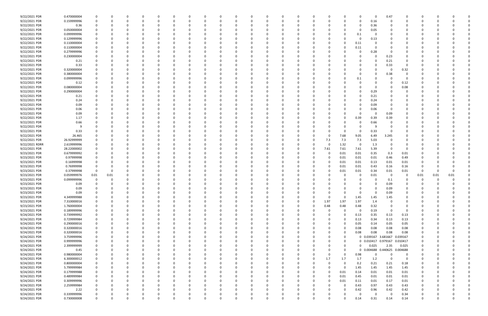| 9/22/2021 PDR  | 0.470000004 |          |      | 0        |          | 0        |          | <sup>0</sup> |          |   | 0        |          |              |          | 0        |          |             | 0            | $\Omega$            | 0.47     |                | 0        |      |      |  |
|----------------|-------------|----------|------|----------|----------|----------|----------|--------------|----------|---|----------|----------|--------------|----------|----------|----------|-------------|--------------|---------------------|----------|----------------|----------|------|------|--|
| 9/22/2021 PDR  | 0.159999996 |          |      | $\Omega$ |          | $\Omega$ |          |              |          |   | $\Omega$ |          |              |          | 0        |          |             | $\Omega$     | 0.16                | - 0      |                | O        |      |      |  |
| 9/22/2021 PDR  | 0.36        |          |      |          |          |          |          |              |          |   |          |          |              |          |          |          |             | 0            | 0.36                |          |                |          |      |      |  |
|                |             |          |      |          |          |          |          |              |          |   |          |          |              |          |          |          |             |              |                     |          |                |          |      |      |  |
| 9/22/2021 PDR  | 0.050000004 |          |      |          |          |          |          |              |          |   |          |          |              |          |          |          |             | 0            | 0.05                |          |                |          |      |      |  |
| 9/22/2021 PDR  | 0.099999996 |          |      |          |          |          |          |              |          |   |          |          |              |          |          |          |             | 0.1          | 0                   |          |                |          |      |      |  |
| 9/22/2021 PDR  | 0.129999996 |          |      |          |          |          |          |              |          |   |          |          |              |          |          |          |             | 0            | 0.13                |          |                |          |      |      |  |
| 9/22/2021 PDR  | 0.110000004 |          |      |          |          |          |          |              |          |   |          |          |              |          |          |          |             | 0.11         |                     |          |                |          |      |      |  |
| 9/22/2021 PDR  | 0.110000004 |          |      |          |          |          |          |              |          |   |          |          |              |          |          |          |             | 0.11         | -C                  |          |                |          |      |      |  |
| 9/22/2021 PDR  | 0.279999996 |          |      |          |          |          |          |              |          |   |          |          |              |          |          |          |             | 0            | 0.28                |          |                |          |      |      |  |
| 9/22/2021 PDR  |             |          |      |          |          |          |          |              |          |   |          |          |              |          |          |          |             |              | $\Omega$            |          |                |          |      |      |  |
|                | 0.230000004 |          |      |          |          |          |          |              |          |   |          |          |              |          |          |          |             |              |                     | 0.23     |                |          |      |      |  |
| 9/22/2021 PDR  | 0.21        |          |      |          |          |          |          |              |          |   |          |          |              |          |          |          |             |              | - 0                 | 0.21     |                |          |      |      |  |
| 9/22/2021 PDR  | 0.33        |          |      |          |          |          |          |              |          |   |          |          |              |          |          |          |             |              | $\Omega$            | 0.33     | $\Omega$       |          |      |      |  |
| 9/22/2021 PDR  | 0.320000004 |          |      |          |          |          |          |              |          |   |          |          |              |          |          |          |             | 0            | 0                   | - 0      | 0.32           |          |      |      |  |
| 9/22/2021 PDR  | 0.380000004 |          |      |          |          |          |          |              |          |   |          |          |              |          |          |          |             | 0            | 0                   | 0.38     | 0              |          |      |      |  |
| 9/22/2021 PDR  | 0.099999996 |          |      |          |          |          |          |              |          |   |          |          |              |          |          |          |             | 0.1          | $\Omega$            |          | 0              |          |      |      |  |
| 9/22/2021 PDR  | 0.12        |          |      |          |          |          |          |              |          |   |          |          |              |          |          |          |             | 0            |                     |          | 0.12           |          |      |      |  |
| 9/22/2021 PDR  | 0.080000004 |          |      |          |          |          |          |              |          |   |          |          |              |          |          |          |             |              | 0                   |          | 0.08           |          |      |      |  |
|                |             |          |      |          |          |          |          |              |          |   |          |          |              |          |          |          |             |              |                     |          |                |          |      |      |  |
| 9/22/2021 PDR  | 0.290000004 |          |      |          |          |          |          |              |          |   |          |          |              |          |          |          |             | 0            | 0.29                |          |                |          |      |      |  |
| 9/22/2021 PDR  | 0.21        |          |      |          |          |          |          |              |          |   |          |          |              |          |          |          |             | <sup>0</sup> | 0.21                |          |                |          |      |      |  |
| 9/22/2021 PDR  | 0.24        |          |      |          |          |          |          |              |          |   |          |          |              |          |          |          |             | 0            | 0.24                |          | 0              |          |      |      |  |
| 9/22/2021 PDR  | 0.09        |          |      |          |          |          |          |              |          |   |          |          |              |          |          |          |             | 0            | 0.09                |          |                |          |      |      |  |
| 9/22/2021 PDR  | 0.06        |          |      |          |          |          |          |              |          |   |          |          |              |          |          |          |             | <sup>0</sup> | 0.06                |          |                |          |      |      |  |
| 9/22/2021 PDR  | 0.09        |          |      |          |          |          |          |              |          |   |          |          |              |          |          |          |             | 0            | 0                   | 0.09     |                |          |      |      |  |
|                |             |          |      |          |          |          |          |              |          |   |          |          |              |          |          |          |             |              |                     |          |                |          |      |      |  |
| 9/22/2021 PDR  | 1.17        |          |      |          |          |          |          |              |          |   |          |          |              |          |          |          |             | 0.39         | 0.39                | 0.39     |                |          |      |      |  |
| 9/22/2021 PDR  | 0.66        |          |      |          |          |          |          |              |          |   |          |          |              |          |          |          |             | 0            | 0.66                |          |                |          |      |      |  |
| 9/22/2021 PDR  |             |          |      |          |          |          |          |              |          |   |          |          |              |          |          |          |             | 0            | -9                  |          |                |          |      |      |  |
| 9/22/2021 PDR  | 0.33        |          |      |          |          |          |          |              |          |   |          |          |              |          |          |          |             | 0            | 0.33                |          |                |          |      |      |  |
| 9/22/2021 PDR  | 26.465      |          |      |          |          |          |          |              |          |   |          |          |              |          | - 0      |          | 7.68        | 9.05         | 6.49                | 3.245    |                |          |      |      |  |
| 9/22/2021 PDR  | 26.92999999 |          |      |          |          |          |          |              |          |   |          |          |              |          | 0        | 7.3      | 7.3         | 7.3          | 5.03                |          |                |          |      |      |  |
| 9/22/2021 RDRR | 2.619999996 |          |      |          |          |          |          |              |          |   |          |          |              |          | -0       |          | 1.32        | 0            | 1.3                 |          |                |          |      |      |  |
|                |             |          |      |          |          |          |          |              |          |   |          |          |              |          |          |          |             |              |                     |          |                |          |      |      |  |
| 9/22/2021 PDR  | 28.22000002 |          |      | n        |          |          |          |              |          |   |          |          |              |          | 0        | 7.61     | 7.61        | 7.61         | 5.39                | 0        | $\Omega$       |          |      |      |  |
| 9/23/2021 PDR  | 0.679999992 |          |      | 0        |          |          |          |              |          |   |          |          |              |          | -0       |          | 0.01        | 0.01         | 0.35                | 0.3      | 0.01           |          |      |      |  |
| 9/23/2021 PDR  | 0.97999998  |          |      |          |          |          |          |              |          |   |          |          |              |          |          |          | 0.01        | 0.01         | 0.01                | 0.46     | 0.49           |          |      |      |  |
| 9/23/2021 PDR  | 0.16999998  |          |      |          |          |          |          |              |          |   |          |          |              |          | - 0      |          | 0.01        | 0.01         | 0.13                | 0.01     | 0.01           |          |      |      |  |
| 9/23/2021 PDR  | 0.76999998  |          |      |          |          |          |          |              |          |   |          |          |              |          |          |          | 0.01        | 0.01         | 0.43                | 0.16     | 0.16           |          |      |      |  |
| 9/23/2021 PDR  | 0.37999998  | $\Omega$ |      |          |          |          |          |              |          |   |          |          |              |          |          |          | 0.01        | 0.01         | 0.34                | 0.01     | 0.01           | 0        |      |      |  |
| 9/23/2021 PDR  | 0.059999976 |          |      |          |          |          |          |              |          |   |          |          |              |          |          |          |             | 0            |                     | - 0      | 0              |          |      |      |  |
|                |             | 0.01     | 0.01 |          |          |          |          |              |          |   |          |          |              |          |          |          |             |              | 0.01                |          |                | 0.01     | 0.01 | 0.01 |  |
| 9/23/2021 PDR  | 0.099999996 |          |      |          |          |          |          |              |          |   |          |          |              |          |          |          |             |              |                     | 0.1      |                |          |      |      |  |
| 9/23/2021 PDR  | 0.09        |          |      |          |          |          |          |              |          |   |          |          |              |          |          |          |             |              |                     | 0.09     |                |          |      |      |  |
| 9/23/2021 PDR  | 0.09        |          |      |          |          |          |          |              |          |   |          |          |              |          |          |          |             | <sup>0</sup> | $\Omega$            | 0.09     |                |          |      |      |  |
| 9/23/2021 PDR  | 0.09        |          |      |          |          |          |          |              |          |   | -0       |          | $\Omega$     |          |          |          |             | 0            | 0                   | 0.09     |                | -0       |      |      |  |
| 9/23/2021 PDR  | 4.349999988 | $\Omega$ |      | 0        | 0        | $\Omega$ | $\Omega$ | 0            | 0        |   | $\Omega$ |          | - 0          | 0        | 0        | $\Omega$ | $\mathbf 0$ | 1.45         | 1.45                | 1.45     | 0              | 0        |      |      |  |
| 9/23/2021 PDR  | 7.310000016 | 0        |      | $\Omega$ |          | $\Omega$ |          |              |          |   | $\Omega$ |          | $\Omega$     | 0        | 0        | 1.97     | 1.97        | 1.97         | 1.4                 | 0        | $\Omega$       | 0        |      |      |  |
|                |             |          |      |          |          | $\Omega$ |          |              |          |   |          |          |              |          |          |          |             |              |                     |          |                |          |      |      |  |
| 9/23/2021 PDR  | 1.760000004 | 0        |      | n        |          |          |          |              |          |   | 0        |          |              | 0        | $\Omega$ | 0.48     | 0.48        | 0.48         | 0.32                | $\Omega$ | $\Omega$       | 0        |      |      |  |
| 9/23/2021 PDR  | 0.189999996 | 0        |      | 0        |          | $\Omega$ |          | 0            |          |   | 0        |          |              | 0        | $\Omega$ | 0        | $\Omega$    | - 0          | 0.19                | 0        | 0              | 0        |      |      |  |
| 9/24/2021 PDR  | 0.739999992 |          |      |          |          |          |          |              |          |   |          |          |              | 0        | 0        |          | $\Omega$    | 0.13         | 0.35                | 0.13     | 0.13           | 0        |      |      |  |
| 9/24/2021 PDR  | 0.729999984 | $\Omega$ |      |          |          | $\Omega$ |          |              |          |   | 0        |          | <sup>0</sup> | 0        | 0        |          | 0           | 0.13         | 0.34                | 0.13     | 0.13           | 0        |      |      |  |
| 9/24/2021 PDR  | 0.290000016 | 0        |      | 0        |          | 0        |          |              |          |   |          |          |              | 0        | -0       |          | 0           | 0.05         | 0.14                | 0.05     | 0.05           | 0        |      |      |  |
| 9/24/2021 PDR  | 0.320000016 | $\Omega$ |      | $\Omega$ |          |          |          |              |          |   |          |          |              |          |          |          | 0           | 0.08         | 0.08                | 0.08     | 0.08           |          |      |      |  |
| 9/24/2021 PDR  | 0.320000016 | 0        |      | 0        |          | $\Omega$ |          |              |          |   | 0        |          | <sup>0</sup> |          | - 0      |          | 0           | 0.08         | 0.08                | 0.08     | 0.08           | 0        |      |      |  |
|                |             |          |      |          |          |          |          |              |          |   |          |          |              |          |          |          |             |              |                     |          |                |          |      |      |  |
| 9/24/2021 PDR  | 3.759999996 | 0        |      | 0        |          | 0        |          |              |          |   | 0        |          |              | 0        | 0        |          | 0           |              | 0 0.039167 3.681667 |          | 0.039167       | 0        |      |      |  |
| 9/24/2021 PDR  | 0.999999996 |          |      | $\Omega$ |          | 0        |          |              |          |   | - 0      |          |              |          | 0        |          | 0           |              | 0 0.010417 0.979167 |          | 0.010417       |          |      |      |  |
| 9/24/2021 PDR  | 2.399999999 |          |      |          |          |          |          |              |          |   | 0        |          |              |          | -0       |          | 0           | 0            | 0.025               | 2.35     | 0.025          | 0        |      |      |  |
| 9/24/2021 PDR  | 0.45        |          |      |          |          |          |          |              |          |   |          |          |              |          | 0        |          | 0           |              | 0 0.004688          | 0.440625 | 0.004688       | $\Omega$ |      |      |  |
| 9/24/2021 PDR  | 0.980000004 |          |      |          |          |          |          |              |          |   |          |          |              |          | -0       |          | 0           | 0.98         | 0                   | 0        | $\overline{0}$ | 0        |      |      |  |
| 9/24/2021 PDR  | 6.300000012 | 0        |      | 0        |          | $\Omega$ |          |              |          |   | 0        |          |              | 0        | $\Omega$ | 1.7      | 1.7         | 1.7          | 1.2                 | - 0      | $\overline{0}$ | 0        |      |      |  |
| 9/24/2021 PDR  | 0.800000004 |          |      | 0        |          | $\Omega$ |          |              |          |   | 0        |          |              | 0        | 0        | $\Omega$ |             | 0.2          | 0.21                | 0.21     | 0.18           | 0        |      |      |  |
|                |             |          |      |          |          |          |          |              |          |   |          |          |              |          |          |          |             |              |                     |          |                |          |      |      |  |
| 9/24/2021 PDR  | 5.799999984 | 0        |      | $\Omega$ |          | $\Omega$ |          |              |          |   | $\Omega$ |          |              | 0        | 0        | $\Omega$ | $\Omega$    | 1.45         | 1.45                | 1.45     | 1.45           | 0        |      |      |  |
| 9/24/2021 PDR  | 0.179999988 | 0        |      | 0        |          | 0        |          | 0            |          |   | 0        |          |              | 0        | 0        | $\Omega$ | 0.01        | 0.14         | 0.01                | 0.01     | 0.01           | 0        |      |      |  |
| 9/24/2021 PDR  | 0.489999984 | 0        |      |          |          | $\Omega$ |          |              |          |   |          |          |              | 0        | 0        | $\Omega$ | 0.01        | 0.45         | 0.01                | 0.01     | 0.01           | 0        |      |      |  |
| 9/24/2021 PDR  | 0.309999996 | $\Omega$ |      | $\Omega$ |          | $\Omega$ |          |              |          |   |          |          | 0            | 0        | 0        | $\Omega$ | 0.01        | 0.11         | 0.01                | 0.17     | 0.01           | 0        |      |      |  |
| 9/24/2021 PDR  | 2.259999984 | 0        |      | 0        |          |          |          |              |          |   | 0        |          |              |          | 0        |          | 0           | 0.43         | 0.97                | 0.43     | 0.43           | 0        |      |      |  |
| 9/24/2021 PDR  | 2.22        | $\Omega$ |      | 0        |          | $\Omega$ |          |              |          |   | $\Omega$ |          |              | 0        | $\Omega$ |          | 0           | 0.42         | 0.96                | 0.42     | 0.42           | 0        |      |      |  |
| 9/24/2021 PDR  | 0.339999996 |          |      |          |          | 0        |          |              |          |   |          |          |              |          |          |          | o           | 0            | $\Omega$            | - 0      |                |          |      |      |  |
|                |             |          |      | 0        |          |          |          | 0            |          |   | 0        |          | 0            | 0        | -0       |          |             |              |                     |          | 0.34           | 0        |      |      |  |
| 9/24/2021 PDR  | 0.730000008 | $\Omega$ |      | $\Omega$ | $\Omega$ | $\Omega$ | $\Omega$ | $\Omega$     | $\Omega$ | n | $\Omega$ | $\Omega$ | $\Omega$     | $\Omega$ | റ        |          |             | 0.14         | 0.31                | 0.14     | 0.14           | $\Omega$ |      | O    |  |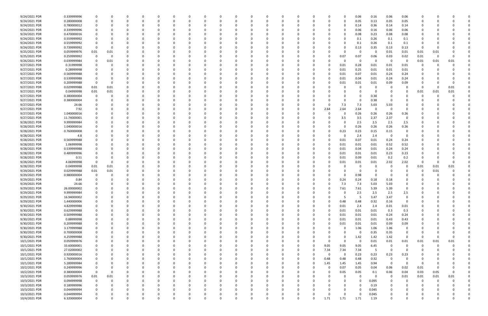| 9/24/2021 PDR | 0.339999996 |             |          |          |          |          |          |          |   |          |              |          |          |          |          |          |             | 0.06     | 0.16     | 0.06     | 0.06           |              |      |          |  |
|---------------|-------------|-------------|----------|----------|----------|----------|----------|----------|---|----------|--------------|----------|----------|----------|----------|----------|-------------|----------|----------|----------|----------------|--------------|------|----------|--|
| 9/24/2021 PDR | 0.280000008 | 0           |          |          |          |          |          | 0        |   |          | <sup>0</sup> | $\Omega$ |          |          | -0       |          | 0           | 0.05     | 0.13     | 0.05     | 0.05           | 0            |      |          |  |
| 9/24/2021 PDR | 0.780000012 |             |          |          |          |          |          |          |   |          |              |          |          |          |          |          | 0           | 0.14     | 0.36     | 0.14     | 0.14           |              |      |          |  |
|               |             |             |          |          |          |          |          |          |   |          |              |          |          |          |          |          |             |          |          |          |                |              |      |          |  |
| 9/24/2021 PDR | 0.339999996 |             |          |          |          |          |          |          |   |          |              |          |          |          |          |          |             | 0.06     | 0.16     | 0.06     | 0.06           |              |      |          |  |
| 9/24/2021 PDR | 0.470000016 |             |          |          |          |          |          |          |   |          |              |          |          |          |          |          | 0           | 0.08     | 0.23     | 0.08     | 0.08           |              |      |          |  |
| 9/24/2021 PDR | 0.559999992 |             |          |          |          |          |          |          |   |          |              |          |          |          |          |          |             | 0.1      | 0.26     | 0.1      | 0.1            |              |      |          |  |
| 9/24/2021 PDR | 0.559999992 | C           |          |          |          |          |          |          |   |          |              |          |          |          |          |          |             | 0.1      | 0.26     | 0.1      | 0.1            |              |      |          |  |
| 9/24/2021 PDR | 0.739999992 | 0           |          |          |          |          |          |          |   |          |              |          |          |          |          |          | 0           | 0.13     | 0.35     | 0.13     | 0.13           | -0           |      |          |  |
| 9/25/2021 PDR | 0.059999976 | 0.01        | 0.01     |          |          |          |          |          |   |          |              |          |          |          |          |          | 0           | 0        | 0        | 0.01     | 0.01           | 0.01         | 0.01 |          |  |
|               |             |             |          |          |          |          |          |          |   |          |              |          |          |          |          |          |             |          |          |          |                |              |      |          |  |
| 9/25/2021 PDR | 0.259999992 | $\mathbf 0$ | $\Omega$ |          |          |          |          |          |   |          |              |          |          |          |          |          | 0.07        | 0.07     | 0.06     | 0.03     | 0.02           | 0.01         |      |          |  |
| 9/26/2021 PDR | 0.039999984 | 0           | 0.01     |          |          |          |          |          |   |          |              |          |          |          |          |          | 0           | 0        | $\Omega$ | $\Omega$ | 0              | 0.01         | 0.01 | 0.01     |  |
| 9/27/2021 PDR | 0.31999998  | -0          |          |          |          |          |          |          |   |          |              |          |          |          |          |          | 0.01        | 0.28     | 0.01     | 0.01     | 0.01           | 0            |      |          |  |
| 9/27/2021 PDR | 0.28999998  | -0          |          |          |          |          |          |          |   |          |              |          |          |          |          |          | 0.01        | 0.25     | 0.01     | 0.01     | 0.01           |              |      |          |  |
| 9/27/2021 PDR | 0.569999988 |             |          |          |          |          |          |          |   |          |              |          |          |          |          |          | 0.01        | 0.07     | 0.01     | 0.24     | 0.24           |              |      |          |  |
| 9/27/2021 PDR |             |             |          |          |          |          |          |          |   |          |              |          |          |          |          |          |             |          |          | 0.24     |                |              |      |          |  |
|               | 0.539999988 |             |          |          |          |          |          |          |   |          |              |          |          |          |          |          | 0.01        | 0.04     | 0.01     |          | 0.24           |              |      |          |  |
| 9/27/2021 PDR | 0.209999988 | $\Omega$    |          |          |          |          |          |          |   |          |              |          |          |          |          |          | 0.01        | 0.01     | 0.01     | 0.09     | 0.09           |              |      |          |  |
| 9/27/2021 PDR | 0.029999988 | 0.01        | 0.01     |          |          |          |          |          |   |          |              |          |          |          |          |          |             | 0        | 0        |          |                | 0            |      | 0.01     |  |
| 9/27/2021 PDR | 0.04999998  | 0.01        | 0.01     |          |          |          |          |          |   |          |              |          |          |          |          |          |             | O        | 0        |          | 0              | 0.01         | 0.01 | 0.01     |  |
| 9/27/2021 PDR | 0.380000004 | - 0         |          |          |          |          |          |          |   |          |              |          |          |          |          |          |             | 0        | 0.38     |          |                | C            |      |          |  |
| 9/27/2021 PDR | 0.380000004 |             |          |          |          |          |          |          |   |          |              |          |          |          |          |          |             | 0        | 0.38     |          |                |              |      |          |  |
|               |             |             |          |          |          |          |          |          |   |          |              |          |          |          |          |          |             |          |          |          |                |              |      |          |  |
| 9/27/2021 PDR | 24.66       |             |          |          |          |          |          |          |   |          |              |          |          |          |          |          | 7.3         | 7.3      | 5.03     | 5.03     |                |              |      |          |  |
| 9/27/2021 PDR | 7.92        |             |          |          |          |          |          |          |   |          |              |          |          |          |          | 2.64     | 2.64        | 2.64     | $\Omega$ | 0        | 0              |              |      |          |  |
| 9/27/2021 PDR | 1.040000016 |             |          |          |          |          |          |          |   |          |              |          |          |          |          |          |             | 0.26     | 0.26     | 0.26     | 0.26           |              |      |          |  |
| 9/27/2021 PDR | 11.74000001 |             |          |          |          |          |          |          |   |          |              |          |          |          |          |          | 3.5         | 3.5      | 2.37     | 2.37     | 0              |              |      |          |  |
| 9/28/2021 PDR | 9.999999984 |             |          |          |          |          |          |          |   |          |              |          |          |          |          |          |             | 2.5      | 2.5      | 2.5      | 2.5            |              |      |          |  |
|               |             |             |          |          |          |          |          |          |   |          |              |          |          |          |          |          |             |          |          |          |                |              |      |          |  |
| 9/28/2021 PDR | 1.040000016 |             |          |          |          |          |          |          |   |          |              |          |          |          |          |          | 0           | 0.26     | 0.26     | 0.26     | 0.26           |              |      |          |  |
| 9/28/2021 PDR | 0.760000008 |             |          |          |          |          |          |          |   |          |              |          |          |          |          |          | 0.23        | 0.23     | 0.15     | 0.15     | 0              |              |      |          |  |
| 9/28/2021 PDR | 4.8         |             |          |          |          |          |          |          |   |          |              |          |          |          |          |          | 0           | 2.4      | 2.4      | - 0      | 0              |              |      |          |  |
| 9/28/2021 PDR | 0.569999988 |             |          |          |          |          |          |          |   |          |              |          |          |          |          |          | 0.01        | 0.07     | 0.01     | 0.24     | 0.24           |              |      |          |  |
| 9/28/2021 PDR | 1.06999998  |             |          |          |          |          |          |          |   |          |              |          |          |          |          |          | 0.01        | 0.01     | 0.01     | 0.52     | 0.52           |              |      |          |  |
| 9/28/2021 PDR | 0.539999988 |             |          |          |          |          |          |          |   |          |              |          |          |          |          |          | 0.01        | 0.04     | 0.01     | 0.24     | 0.24           |              |      |          |  |
|               |             |             |          |          |          |          |          |          |   |          |              |          |          |          |          |          |             |          |          |          |                |              |      |          |  |
| 9/28/2021 PDR | 0.489999996 |             |          |          |          |          |          |          |   |          |              |          |          |          |          |          | 0.01        | 0.01     | 0.01     | 0.23     | 0.23           |              |      |          |  |
| 9/28/2021 PDR | 0.51        |             |          |          |          |          |          |          |   |          |              |          |          |          |          |          | 0.01        | 0.09     | 0.01     | 0.2      | 0.2            | <sup>0</sup> |      |          |  |
| 9/28/2021 PDR | 4.06999998  | 0           |          |          |          |          |          |          |   |          |              |          |          |          |          |          | 0.01        | 0.01     | 0.01     | 2.02     | 2.02           | $\Omega$     |      | $\Omega$ |  |
| 9/28/2021 PDR | 0.04999998  | 0.01        | 0.01     |          |          |          |          |          |   |          |              |          |          |          |          |          |             | 0        | -0       | - 0      | 0              | 0.01         | 0.01 | 0.01     |  |
| 9/29/2021 PDR | 0.029999988 | 0.01        | 0.01     |          |          |          |          |          |   |          |              |          |          |          |          |          |             | 0        | 0        |          |                | C            | 0.01 |          |  |
|               |             |             |          |          |          |          |          |          |   |          |              |          |          |          |          |          |             |          |          |          |                |              |      |          |  |
| 9/29/2021 PDR | 0.980000004 | - 0         |          |          |          |          |          |          |   |          |              |          |          |          |          |          | 0           | 0.98     | 0        | - 0      |                |              |      |          |  |
| 9/29/2021 PDR | 0.84        |             |          |          |          |          |          |          |   |          |              |          |          |          |          |          | 0.24        | 0.24     | 0.18     | 0.18     |                |              |      |          |  |
| 9/29/2021 PDR | 24.66       |             |          |          |          |          |          |          |   |          |              |          |          |          |          |          | 7.3         | 7.3      | 5.03     | 5.03     |                |              |      |          |  |
| 9/29/2021 PDR | 26.00000002 |             |          |          |          |          |          |          |   |          |              |          |          |          |          |          | 7.61        | 7.61     | 5.39     | 5.39     |                |              |      |          |  |
| 9/29/2021 PDR | 9.999999984 |             |          |          |          |          |          |          |   |          | υ            |          |          |          |          |          |             | 2.5      | 2.5      | 2.5      | 2.5            |              |      |          |  |
| 9/29/2021 PDR | 16.94000002 | 0           | $\Omega$ | $\Omega$ | $\Omega$ | $\Omega$ | $\Omega$ | $\Omega$ | 0 | O        | $\Omega$     | $\Omega$ | $\Omega$ | $\Omega$ | $\Omega$ |          | 5           | 5        | 3.47     | 3.47     | 0              | $\Omega$     |      |          |  |
|               |             |             |          |          |          |          |          |          |   |          |              |          |          |          |          |          |             |          |          |          |                |              |      |          |  |
| 9/29/2021 PDR | 1.440000006 | 0           | 0        | 0        |          |          | 0        | 0        |   | 0        | 0            | $\Omega$ |          | $\Omega$ | 0        |          | 0.48        | 0.48     | 0.32     | 0.16     | 0              | 0            |      |          |  |
| 9/30/2021 PDR | 4.829999988 | 0           |          |          |          |          | 0        | 0        |   |          | 0            |          |          |          | 0        |          | 0.01        | 2.4      | 2.4      | 0.01     | 0.01           | 0            |      |          |  |
| 9/30/2021 PDR | 0.629999988 | 0           |          |          |          |          |          | 0        |   |          |              | $\Omega$ |          | $\Omega$ | 0        |          | 0.01        | 0.01     | 0.01     | 0.3      | 0.3            |              |      |          |  |
| 9/30/2021 PDR | 0.509999988 | 0           |          |          |          |          |          | -0       |   |          |              |          |          |          |          |          | 0.01        | 0.01     | 0.01     | 0.24     | 0.24           |              |      |          |  |
| 9/30/2021 PDR | 0.88999998  | $\mathbf 0$ |          |          |          |          |          | 0        |   |          |              |          |          |          |          |          | 0.01        | 0.01     | 0.01     | 0.43     | 0.43           |              |      |          |  |
|               |             |             |          |          |          |          |          |          |   |          |              |          |          |          |          |          |             |          |          |          |                |              |      |          |  |
| 9/30/2021 PDR | 0.209999988 | $\mathbf 0$ |          |          |          |          |          |          |   |          |              |          |          |          |          |          | 0.01        | 0.01     | 0.01     | 0.09     | 0.09           |              |      |          |  |
| 9/30/2021 PDR | 3.179999988 | 0           |          |          |          |          |          | 0        |   |          |              | $\Omega$ |          |          |          |          | 0           | 1.06     | 1.06     | 1.06     | 0              |              |      |          |  |
| 9/30/2021 PDR | 0.700000008 | 0           |          |          |          |          |          | 0        |   |          |              | 0        |          |          |          |          | $\Omega$    | 0        | 0.35     | 0.35     | 0              | 0            |      |          |  |
| 9/30/2021 PDR | 4.259999988 | 0           |          |          |          |          |          | 0        |   |          |              | $\Omega$ |          |          |          |          | $\Omega$    | 1.42     | 1.42     | 1.42     | 0              | $\Omega$     |      |          |  |
| 10/1/2021 PDR | 0.059999976 | 0           |          |          |          |          |          | -0       |   |          |              |          |          |          |          |          | $\Omega$    | 0        | 0.01     | $0.01\,$ | 0.01           | 0.01         | 0.01 | 0.01     |  |
|               |             |             |          |          |          |          |          |          |   |          |              |          |          |          |          |          |             |          |          |          |                |              |      |          |  |
| 10/1/2021 PDR | 33.60000001 | 0           |          |          |          |          |          |          |   |          |              |          |          |          | 0        | 9.05     | 9.05        | 9.05     | 6.45     | 0        | 0              | $\Omega$     |      |          |  |
| 10/1/2021 PDR | 27.02000002 | 0           |          |          |          |          |          | 0        |   |          |              | 0        |          |          | 0        | 7.34     | 7.34        | 7.34     | 5        | $\Omega$ | $\overline{0}$ | 0            |      |          |  |
| 10/1/2021 PDR | 0.920000016 | 0           |          |          |          |          |          | 0        |   |          |              | $\Omega$ |          |          | 0        | $\Omega$ | $\mathbf 0$ | 0.23     | 0.23     | 0.23     | 0.23           | 0            |      |          |  |
| 10/1/2021 PDR | 1.760000004 | 0           |          |          |          |          |          | 0        |   |          |              |          |          |          | 0        | 0.48     | 0.48        | 0.48     | 0.32     | $\Omega$ | $\Omega$       | 0            |      |          |  |
| 10/1/2021 PDR | 5.289999984 | 0           |          |          |          |          | 0        | $\Omega$ |   |          |              | $\Omega$ |          |          | 0        | 1.45     | 1.45        | 1.45     | 0.94     | $\Omega$ | $\overline{0}$ | -0           |      |          |  |
| 10/2/2021 PDR | 0.249999996 | 0           |          |          |          |          |          | -0       |   |          |              |          |          |          |          |          | 0.07        | 0.05     | 0.04     | 0.06     | 0.02           | 0.01         |      |          |  |
|               |             |             |          |          |          |          |          |          |   |          |              |          |          |          |          |          |             |          |          |          |                |              |      |          |  |
| 10/2/2021 PDR | 0.380000004 | 0           |          |          |          |          |          | -0       |   |          |              |          |          |          |          |          | 0.05        | 0.05     | 0.1      | 0.06     | 0.04           | 0.03         | 0.05 |          |  |
| 10/3/2021 PDR | 0.059999976 | 0.01        | 0.01     |          |          |          |          | 0        |   |          |              |          |          |          |          |          | O           | 0        | 0        | $\Omega$ | 0.01           | 0.01         | 0.01 | 0.01     |  |
| 10/3/2021 PDR | 0.094999998 | $\mathbf 0$ |          |          |          |          |          |          |   |          |              |          |          |          |          |          |             | 0        | 0.095    | $\Omega$ |                | 0            |      |          |  |
| 10/3/2021 PDR | 0.189999996 | 0           |          |          |          |          |          | 0        |   |          |              |          |          |          |          |          | 0           | $\Omega$ | 0.19     | $\Omega$ |                | 0            |      |          |  |
| 10/3/2021 PDR | 0.044999994 | 0           |          |          |          |          |          | 0        |   |          |              |          |          |          |          |          | $\Omega$    | 0        | 0.045    | $\Omega$ | 0              |              |      |          |  |
|               |             |             |          |          |          |          |          |          |   |          |              |          |          |          |          |          |             |          |          |          |                |              |      |          |  |
| 10/3/2021 PDR | 0.044999994 |             |          |          |          |          |          |          |   |          |              |          |          |          |          |          | $\Omega$    | $\Omega$ | 0.045    |          |                |              |      |          |  |
| 10/4/2021 PDR | 6.320000004 | $\Omega$    | $\Omega$ | $\Omega$ |          | $\Omega$ | $\Omega$ | $\Omega$ | U | $\Omega$ | $\Omega$     | $\Omega$ | $\Omega$ | $\Omega$ | $\Omega$ | 1.71     | 1.71        | 1.71     | 1.19     | $\Omega$ | $\Omega$       | $\Omega$     |      | $\Omega$ |  |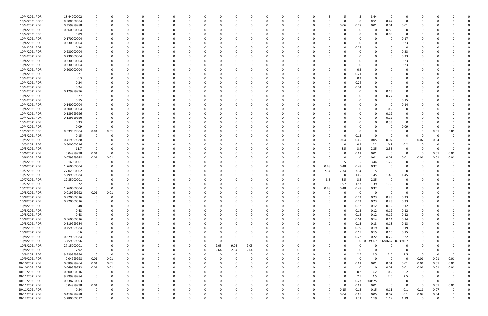| 10/4/2021 PDR  | 18.44000002 |             |             |              |          | C.           |          |          |          |          |          |          | $\Omega$ |          |          |          |          |             | -5          | 3.44              | 0           | 0              |             |          |             |  |
|----------------|-------------|-------------|-------------|--------------|----------|--------------|----------|----------|----------|----------|----------|----------|----------|----------|----------|----------|----------|-------------|-------------|-------------------|-------------|----------------|-------------|----------|-------------|--|
| 10/4/2021 RDRR | 0.980000004 | $\Omega$    | $\Omega$    |              | $\Omega$ | 0            | റ        |          | 0        |          | $\Omega$ |          | 0        |          | $\Omega$ |          | O        | $\Omega$    | $\mathbf 0$ | 0.51              | 0.47        | 0              | $\Omega$    |          |             |  |
| 10/4/2021 PDR  | 0.359999988 |             |             |              |          |              |          |          |          |          |          |          |          |          |          |          | 0        | 0.06        | 0.27        | 0.01              | 0.01        | 0.01           |             |          |             |  |
| 10/4/2021 PDR  | 0.860000004 |             |             |              |          |              |          |          |          |          | $\Omega$ |          |          |          |          |          |          |             | 0           | $\Omega$          | 0.86        | $\mathbf 0$    |             |          |             |  |
| 10/4/2021 PDR  | 0.09        |             |             |              |          |              |          |          |          |          | $\Omega$ |          |          |          |          |          |          |             | $\Omega$    |                   | 0.09        | $\Omega$       |             |          |             |  |
| 10/4/2021 PDR  | 0.170000004 |             |             |              |          |              |          |          |          |          |          |          |          |          |          |          |          |             | 0           |                   | - 0         | 0.17           |             |          |             |  |
| 10/4/2021 PDR  | 0.230000004 |             |             |              |          |              |          |          |          |          |          |          |          |          |          |          |          |             | $\Omega$    |                   |             | 0.23           |             |          |             |  |
| 10/4/2021 PDR  | 0.24        |             |             |              |          |              |          |          |          |          |          |          |          |          |          |          |          |             | 0.24        |                   |             | 0              |             |          |             |  |
| 10/4/2021 PDR  | 0.230000004 |             |             |              |          |              |          |          |          |          |          |          |          |          |          |          |          |             | 0           |                   |             | 0.23           |             |          |             |  |
| 10/4/2021 PDR  | 0.230000004 |             |             |              |          |              |          |          |          |          |          |          |          |          |          |          |          |             |             |                   | - 0         | 0.23           |             |          |             |  |
| 10/4/2021 PDR  | 0.230000004 |             |             |              |          |              |          |          |          |          |          |          |          |          |          |          |          |             | 0           |                   | - 0         | 0.23           |             |          |             |  |
| 10/4/2021 PDR  | 0.230000004 |             |             |              |          |              |          |          |          |          |          |          |          |          |          |          |          |             | 0           |                   |             | 0.23           |             |          |             |  |
| 10/4/2021 PDR  | 0.200000004 |             |             |              |          |              |          |          |          |          |          |          |          |          |          |          |          |             | 0.2         |                   |             | 0              |             |          |             |  |
| 10/4/2021 PDR  | 0.21        |             |             |              |          |              |          |          |          |          |          |          |          |          |          |          |          |             | 0.21        |                   |             |                |             |          |             |  |
| 10/4/2021 PDR  | 0.3         |             |             |              |          |              |          |          |          |          |          |          |          |          |          |          |          |             | 0.3         |                   |             |                |             |          |             |  |
| 10/4/2021 PDR  | 0.24        |             |             |              |          |              |          |          |          |          |          |          |          |          |          |          |          | O           | 0.24        |                   |             |                |             |          |             |  |
| 10/4/2021 PDR  | 0.24        |             |             |              |          |              |          |          |          |          |          |          |          |          |          |          |          |             | 0.24        |                   |             |                |             |          |             |  |
| 10/4/2021 PDR  | 0.129999996 |             |             |              |          |              |          |          |          |          |          |          |          |          |          |          |          |             | 0           |                   | 0.13        |                |             |          |             |  |
| 10/4/2021 PDR  | 0.27        |             |             |              |          |              |          |          |          |          |          |          |          |          |          |          |          |             | $\Omega$    |                   | 0.27        | 0              |             |          |             |  |
| 10/4/2021 PDR  | 0.15        |             |             |              |          |              |          |          |          |          |          |          |          |          |          |          |          |             |             |                   | - 0         | 0.15           |             |          |             |  |
| 10/4/2021 PDR  | 0.140000004 |             |             |              |          |              |          |          |          |          |          |          |          |          |          |          |          |             | -0          |                   | - 0         |                |             |          |             |  |
| 10/4/2021 PDR  | 0.200000004 |             |             |              |          |              |          |          |          |          |          |          |          |          |          |          |          |             |             |                   |             | 0.14<br>0      |             |          |             |  |
| 10/4/2021 PDR  |             |             |             |              |          |              |          |          |          |          |          |          |          |          |          |          |          |             |             |                   | 0.2         |                |             |          |             |  |
|                | 0.189999996 |             |             |              |          |              |          |          |          |          |          |          |          |          |          |          |          |             |             |                   | 0.19        |                |             |          |             |  |
| 10/4/2021 PDR  | 0.189999996 |             | - 0         |              |          |              |          |          |          |          | - 0      |          |          |          |          |          |          |             | 0           |                   | 0.19        |                |             |          |             |  |
| 10/4/2021 PDR  | 0.33        |             | 0           |              |          |              |          |          |          |          |          |          |          |          |          |          |          |             | 0           |                   | 0.33        | 0              |             |          |             |  |
| 10/4/2021 PDR  | 0.09        | $\Omega$    | $\Omega$    |              |          |              |          |          |          |          |          |          |          |          |          |          |          |             | $\Omega$    |                   |             | 0.09           |             |          |             |  |
| 10/5/2021 PDR  | 0.039999984 | 0.01        | 0.01        |              |          |              |          |          |          |          |          |          |          |          |          |          |          |             | 0           |                   |             | 0              | 0           | 0.01     | 0.01        |  |
| 10/5/2021 PDR  | 0.15        | $\Omega$    |             |              |          |              |          |          |          |          |          |          |          |          |          |          |          |             | 0.15        | - 0               | 0           | 0              | 0           |          |             |  |
| 10/5/2021 PDR  | 0.419999988 |             |             |              |          |              |          |          |          |          | $\Omega$ |          |          |          |          |          |          | 0.04        | 0.05        | 0.05              | 0.07        | 0.1            | 0.07        | 0.04     |             |  |
| 10/5/2021 PDR  | 0.800000016 |             |             |              |          |              |          |          |          |          | - 0      |          |          |          |          |          |          | 0           | 0.2         | 0.2               | 0.2         | 0.2            | 0           |          |             |  |
| 10/5/2021 PDR  | 11.7        | $\Omega$    | 0           |              |          |              |          |          |          |          |          |          |          |          |          |          |          | 3.5         | 3.5         | 2.35              | 2.35        | $\Omega$       | 0           |          | $\Omega$    |  |
| 10/6/2021 PDR  | 0.04999998  | 0.01        | $\Omega$    |              |          |              |          |          |          |          |          |          |          |          |          |          |          |             | 0.01        | 0.01              | 0           | 0              | -0          | 0.01     | 0.01        |  |
| 10/6/2021 PDR  | 0.079999968 | 0.01        | 0.01        |              |          |              |          |          |          |          |          |          |          |          |          |          |          |             | 0           | 0.01              | 0.01        | 0.01           | 0.01        | 0.01     | 0.01        |  |
| 10/6/2021 PDR  | 15.16000001 | 0           |             |              |          |              |          |          |          |          |          |          |          |          |          |          |          |             | -5          | 3.44              | 1.72        |                |             |          |             |  |
| 10/6/2021 PDR  | 1.760000004 | 0           |             |              |          |              |          |          |          |          |          |          |          |          |          |          | 0.48     | 0.48        | 0.48        | 0.32              | - 0         |                |             |          |             |  |
| 10/7/2021 PDR  | 27.02000002 |             |             |              |          |              |          |          |          |          |          |          |          |          |          |          | 7.34     | 7.34        | 7.34        |                   | - 0         |                |             |          |             |  |
| 10/7/2021 PDR  | 5.799999984 |             |             |              |          |              |          |          |          |          |          |          |          |          |          |          | $\Omega$ | 0           | 1.45        | 1.45              | 1.45        | 1.45           |             |          |             |  |
| 10/7/2021 PDR  | 12.85000001 |             |             |              |          |              |          |          |          |          |          |          |          |          |          |          | 3.5      | 3.5         | 3.5         | 2.35              | - 0         |                |             |          |             |  |
| 10/7/2021 PDR  | 6.72        |             |             |              |          |              |          |          |          |          |          |          |          |          |          |          | $\Omega$ | 1.97        | 1.97        | 1.39              | 1.39        |                |             |          |             |  |
| 10/7/2021 PDR  | 1.760000004 | 0           | $\Omega$    |              |          |              |          |          |          |          | $\Omega$ |          |          |          |          |          | 0.48     | 0.48        | 0.48        | 0.32              | 0           |                |             |          |             |  |
| 10/8/2021 PDR  | 0.019999992 | 0.01        | 0.01        |              |          |              |          |          |          |          |          |          | υ        |          |          |          |          |             | $\mathbf 0$ | $\Omega$          | 0           | -O             |             |          |             |  |
| 10/8/2021 PDR  | 0.920000016 | $\mathbf 0$ | $\mathbf 0$ | $\Omega$     | $\Omega$ | $\Omega$     | $\Omega$ | $\Omega$ | $\Omega$ | $\Omega$ | $\Omega$ | $\Omega$ | $\Omega$ | $\Omega$ | $\Omega$ | $\Omega$ | $\Omega$ | $\Omega$    | 0.23        | 0.23              | 0.23        | 0.23           | $\Omega$    |          |             |  |
| 10/8/2021 PDR  | 0.920000016 | 0           | 0           | $\Omega$     | $\Omega$ | 0            | $\Omega$ | $\Omega$ | 0        | 0        | $\Omega$ | $\Omega$ | $\Omega$ | 0        | $\Omega$ |          | 0        | $\Omega$    | 0.23        | 0.23              | 0.23        | 0.23           | $\Omega$    |          |             |  |
| 10/8/2021 PDR  | 0.48        | $\Omega$    | $\Omega$    | $\Omega$     | $\Omega$ | 0            |          |          | $\Omega$ |          | 0        | $\Omega$ | $\Omega$ |          | $\Omega$ |          | 0        | $\Omega$    | 0.12        | 0.12              | 0.12        | 0.12           | 0           |          |             |  |
| 10/8/2021 PDR  | 0.48        | $\Omega$    | $\Omega$    | $\Omega$     | $\Omega$ | 0            |          |          | $\Omega$ |          | $\Omega$ | $\Omega$ | - 0      |          | 0        |          | 0        | $\Omega$    | 0.12        | 0.12              | 0.12        | 0.12           |             |          |             |  |
| 10/8/2021 PDR  | 0.48        |             | 0           |              | 0        | 0            |          |          | 0        |          | $\Omega$ |          | 0        |          | 0        |          | 0        | $\Omega$    | 0.12        | 0.12              | 0.12        | 0.12           |             |          |             |  |
| 10/8/2021 PDR  | 0.560000016 | $\Omega$    |             | <sup>0</sup> | $\Omega$ | 0            |          |          | $\Omega$ |          | $\Omega$ |          | 0        |          | 0        |          | $\Omega$ | $\Omega$    | 0.14        | 0.14              | 0.14        | 0.14           | 0           |          |             |  |
| 10/8/2021 PDR  | 0.519999984 | $\Omega$    | $\Omega$    | $\Omega$     | $\Omega$ | $\Omega$     |          |          | $\Omega$ |          | $\Omega$ |          | $\Omega$ |          | 0        |          | $\Omega$ | $\Omega$    | 0.13        | 0.13              | 0.13        | 0.13           | 0           |          |             |  |
| 10/8/2021 PDR  | 0.759999984 | $\Omega$    | $\Omega$    |              | 0        | $\Omega$     |          |          | 0        |          | $\Omega$ |          | $\Omega$ |          | 0        |          | ŋ        | $\Omega$    | 0.19        | 0.19              | 0.19        | 0.19           | 0           |          |             |  |
| 10/8/2021 PDR  | 0.6         | 0           | $\Omega$    |              | $\Omega$ | $\Omega$     |          |          | 0        |          | 0        |          | $\Omega$ |          | 0        |          |          | $\mathbf 0$ | 0.15        | 0.15              | 0.15        | 0.15           |             |          |             |  |
| 10/8/2021 PDR  | 0.879999984 |             |             |              | 0        | 0            |          |          | $\Omega$ |          | $\Omega$ |          | - 0      |          |          |          |          | $\mathbf 0$ | 0.22        | 0.22              | 0.22        | 0.22           |             |          |             |  |
| 10/8/2021 PDR  | 3.759999996 |             |             |              | O        | <sup>0</sup> |          |          | $\Omega$ | 0        | $\Omega$ | $\Omega$ | $\Omega$ |          |          |          |          | $\Omega$    | $\mathbf 0$ | 0.039167 3.681667 |             | 0.039167       |             |          |             |  |
| 10/8/2021 PDR  | 27.15000001 |             |             |              | 0        | 0            |          |          | 0        | 9.05     | 9.05     | 9.05     | $\Omega$ |          |          |          |          | $\Omega$    | 0           |                   | 0           | 0              |             |          |             |  |
| 10/8/2021 PDR  | 7.92        | 0           | 0           |              | 0        | 0            |          |          | 0        | 2.64     | 2.64     | 2.64     | $\Omega$ |          |          |          |          | $\Omega$    | $\Omega$    | $\Omega$          | $\Omega$    | $\mathbf 0$    | 0           |          |             |  |
| 10/8/2021 PDR  | 9.999999984 | $\mathbf 0$ | $\mathbf 0$ |              | 0        | 0            |          |          | 0        | $\Omega$ | $\Omega$ | $\Omega$ | $\Omega$ |          | 0        |          |          | $\Omega$    | 2.5         | 2.5               | 2.5         | 2.5            | 0           |          | $\Omega$    |  |
| 10/9/2021 PDR  | 0.04999998  | 0.01        | 0.01        | $\Omega$     | 0        | 0            |          |          | 0        | $\Omega$ | 0        | $\Omega$ | $\Omega$ |          | $\Omega$ |          | 0        | $\Omega$    | 0           | $\Omega$          | $\mathbf 0$ | 0              | 0.01        | 0.01     | 0.01        |  |
| 10/10/2021 PDR | 0.089999964 | 0.01        | 0.01        | $\Omega$     | 0        | 0            |          |          | 0        |          | $\Omega$ |          | $\Omega$ |          | 0        |          | ŋ        | $\Omega$    | 0.01        | 0.01              | 0.01        | 0.01           | 0.01        | 0.01     | 0.01        |  |
| 10/10/2021 PDR | 0.069999972 | 0.01        | 0.01        | $\Omega$     | $\Omega$ | $\Omega$     |          |          | $\Omega$ |          | $\Omega$ |          | $\Omega$ |          | $\Omega$ |          |          | C           | $\mathbf 0$ | $\Omega$          | 0.01        | 0.01           | 0.01        | 0.01     | 0.01        |  |
| 10/11/2021 PDR | 0.800000016 | 0           | 0           | $\Omega$     | 0        | 0            |          |          | 0        |          | 0        |          | 0        |          | 0        |          | 0        | $\Omega$    | 0.2         | 0.2               | 0.2         | 0.2            | 0           | $\Omega$ |             |  |
| 10/11/2021 PDR | 9.999999984 | $\mathbf 0$ | $\Omega$    | $\Omega$     | $\Omega$ | 0            |          |          | $\Omega$ |          | $\Omega$ |          | $\Omega$ |          | 0        |          | 0        | $\Omega$    | 2.5         | 2.5               | 2.5         | $2.5\,$        | 0           |          |             |  |
| 10/11/2021 PDR | 0.238750003 | $\mathbf 0$ | $\Omega$    | $\Omega$     | 0        | $\Omega$     | $\Omega$ |          | 0        |          | $\Omega$ |          | $\Omega$ |          | $\Omega$ |          | $\Omega$ | $\Omega$    | 0.23        | 0.00875           | $\mathbf 0$ | $\mathbf 0$    | 0           | $\Omega$ | $\mathbf 0$ |  |
| 10/11/2021 PDR | 0.04999998  | 0.01        | 0           | $\Omega$     | 0        | 0            |          |          | 0        |          | 0        |          | 0        |          | 0        |          | $\Omega$ | $\Omega$    | 0.01        | 0.01              | $\mathbf 0$ | $\overline{0}$ | 0           | 0.01     | 0.01        |  |
| 10/11/2021 PDR | 0.84        | 0           | $\Omega$    | $\Omega$     | $\Omega$ | $\Omega$     |          |          | $\Omega$ |          | $\Omega$ | $\Omega$ | $\Omega$ |          | 0        |          | $\Omega$ | 0.15        | 0.15        | 0.15              | 0.11        | 0.1            | 0.11        | 0.07     |             |  |
| 10/11/2021 PDR | 0.419999988 | $\Omega$    |             |              | 0        | 0            |          |          | 0        |          | 0        |          | 0        |          |          |          | 0        | 0.04        | 0.05        | 0.05              | 0.07        | 0.1            | 0.07        | 0.04     |             |  |
| 10/12/2021 PDR | 5.280000012 | $\mathbf 0$ | $\mathbf 0$ | $\Omega$     | $\Omega$ | $\Omega$     | $\Omega$ | $\Omega$ | 0        | $\Omega$ | $\Omega$ | $\Omega$ | $\Omega$ | $\Omega$ | 0        |          | $\Omega$ | $\Omega$    | 1.71        | 1.19              | 1.19        | 1.19           | $\mathbf 0$ | $\Omega$ | 0           |  |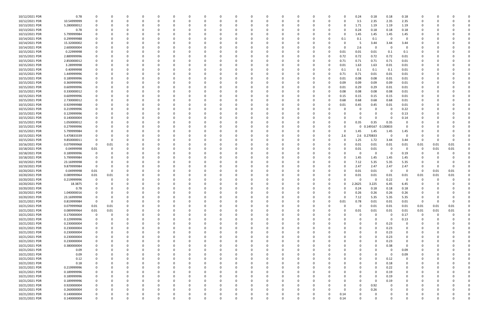| 10/12/2021 PDR | 0.78        | 0           |          |          |          | 0        | O        |   |          |          |          | 0            |          | 0        |          |          | 0.24         | 0.18     | 0.18     | 0.18     |          |      |          |  |
|----------------|-------------|-------------|----------|----------|----------|----------|----------|---|----------|----------|----------|--------------|----------|----------|----------|----------|--------------|----------|----------|----------|----------|------|----------|--|
| 10/12/2021 PDR | 10.54999999 | $\mathbf 0$ |          | $\Omega$ |          | 0        |          | O |          | $\Omega$ | $\Omega$ | $\Omega$     |          | $\Omega$ | O        | n        | 3.5          | 2.35     | 2.35     | 2.35     | 0        |      |          |  |
| 10/13/2021 PDR | 5.280000012 |             |          |          |          |          |          |   |          |          |          |              |          |          |          | 0        | 1.71         | 1.19     | 1.19     | 1.19     |          |      |          |  |
|                |             |             |          |          |          |          |          |   |          |          |          |              |          |          |          |          |              |          |          |          |          |      |          |  |
| 10/13/2021 PDR | 0.78        |             |          |          |          |          |          |   |          |          |          |              |          |          |          |          | 0.24         | 0.18     | 0.18     | 0.18     |          |      |          |  |
| 10/13/2021 PDR | 5.799999984 |             |          |          |          |          |          |   |          |          |          |              |          |          |          | n        | 1.45         | 1.45     | 1.45     | 1.45     |          |      |          |  |
| 10/14/2021 PDR | 0.299999988 |             |          |          |          |          |          |   |          |          |          |              |          |          |          | 0.1      | 0.1          | 0.1      | - 0      | $\Omega$ |          |      |          |  |
|                |             |             |          |          |          |          |          |   |          |          |          |              |          |          |          |          |              |          |          |          |          |      |          |  |
| 10/14/2021 PDR | 15.32000002 |             |          |          |          |          |          |   |          |          |          |              |          |          |          |          | -5           | 3.44     | 3.44     | 3.44     |          |      |          |  |
| 10/14/2021 PDR | 2.600000004 |             |          |          |          |          |          |   |          |          |          |              |          |          |          | n        | 2.6          | - 0      | - 0      | $\Omega$ |          |      |          |  |
| 10/15/2021 PDR | 0.22999998  |             |          |          |          |          |          |   |          |          |          |              |          |          | 0        |          |              |          |          |          |          |      |          |  |
|                |             |             |          |          |          |          |          |   |          |          |          |              |          |          |          | 0.01     | 0.01         | 0.01     | 0.1      | 0.1      |          |      |          |  |
| 10/15/2021 PDR | 2.889999996 |             |          |          |          |          |          |   |          |          |          |              |          |          |          | 0.72     | 0.72         | 0.72     | 0.72     | 0.01     |          |      |          |  |
| 10/15/2021 PDR | 2.850000012 |             |          |          |          |          |          |   |          |          |          |              |          |          |          | 0.71     | 0.71         | 0.71     | 0.71     | 0.01     |          |      |          |  |
| 10/15/2021 PDR | 3.28999998  |             |          |          |          |          |          |   |          |          |          |              |          |          |          |          | 1.63         |          | 0.01     |          |          |      |          |  |
|                |             | 0           |          |          |          |          |          |   |          |          |          |              |          |          |          | 0.01     |              | 1.63     |          | 0.01     |          |      |          |  |
| 10/15/2021 PDR | 0.40999998  | 0           |          |          |          |          |          |   |          |          |          |              |          |          |          | 0.1      | 0.1          | $0.1\,$  | 0.1      | 0.01     |          |      |          |  |
| 10/15/2021 PDR | 1.449999996 |             |          |          |          |          |          |   |          |          |          |              |          |          |          | 0.71     | 0.71         | 0.01     | 0.01     | 0.01     |          |      |          |  |
| 10/15/2021 PDR | 0.189999996 |             |          |          |          |          |          |   |          |          |          |              |          |          | 0        |          | 0.08         | 0.08     | 0.01     |          |          |      |          |  |
|                |             |             |          |          |          |          |          |   |          |          |          |              |          |          |          | 0.01     |              |          |          | 0.01     |          |      |          |  |
| 10/15/2021 PDR | 0.369999996 |             |          |          |          |          |          |   |          |          |          |              |          |          |          | 0.09     | 0.09         | 0.09     | 0.09     | 0.01     |          |      |          |  |
| 10/15/2021 PDR | 0.609999996 |             |          |          |          |          |          |   |          |          |          |              |          |          |          | 0.01     | 0.29         | 0.29     | 0.01     | 0.01     |          |      |          |  |
| 10/15/2021 PDR | 0.330000012 |             |          |          |          |          |          |   |          |          |          |              |          |          |          | 0.08     |              |          | 0.08     |          |          |      |          |  |
|                |             |             |          |          |          |          |          |   |          |          |          |              |          |          |          |          | 0.08         | 0.08     |          | 0.01     |          |      |          |  |
| 10/15/2021 PDR | 0.609999996 |             |          |          |          |          |          |   |          |          |          |              |          |          |          | 0.15     | 0.15         | 0.15     | 0.15     | 0.01     |          |      |          |  |
| 10/15/2021 PDR | 2.730000012 |             |          |          |          |          |          |   |          |          |          |              |          |          |          | 0.68     | 0.68         | 0.68     | 0.68     | 0.01     |          |      |          |  |
| 10/15/2021 PDR | 0.929999988 |             |          |          |          |          |          |   |          |          |          |              |          |          | 0        |          | 0.45         |          | 0.01     |          |          |      |          |  |
|                |             |             |          |          |          |          |          |   |          |          |          |              |          |          |          | 0.01     |              | 0.45     |          | 0.01     |          |      |          |  |
| 10/15/2021 PDR | 0.219999996 |             |          |          |          |          |          |   |          |          |          |              |          |          |          |          | 0            |          | - 0      | 0.22     |          |      |          |  |
| 10/15/2021 PDR | 0.129999996 |             |          |          |          |          |          |   |          |          |          |              |          |          |          |          |              |          | - 0      | 0.13     |          |      |          |  |
|                | 0.140000004 |             |          |          |          |          |          |   |          |          |          |              |          |          |          |          | $\Omega$     |          | - 0      |          |          |      |          |  |
| 10/15/2021 PDR |             |             |          |          |          |          |          |   |          |          |          |              |          |          |          |          |              |          |          | 0.14     |          |      |          |  |
| 10/15/2021 PDR | 1.050000012 |             |          |          |          |          |          |   |          |          |          |              |          |          |          |          | 0.35         | 0.35     | 0.35     | 0        |          |      |          |  |
| 10/15/2021 PDR | 0.279999996 |             |          |          |          |          |          |   |          |          |          |              |          |          |          | n        | 0            | 0.149167 | 0.130833 | 0        |          |      |          |  |
|                |             |             |          |          |          |          |          |   |          |          |          |              |          |          |          |          |              |          |          |          |          |      |          |  |
| 10/15/2021 PDR | 5.799999984 |             |          |          |          |          |          |   |          |          |          |              |          |          |          |          | 1.45         | 1.45     | 1.45     | 1.45     |          |      |          |  |
| 10/15/2021 PDR | 5.470833339 |             |          |          |          |          |          |   |          |          |          |              |          |          | 0        | 2.6      | 2.6          | 0.270833 | - 0      | $\Omega$ |          |      |          |  |
| 10/15/2021 PDR | 9.850000011 |             |          |          |          |          |          |   |          |          |          |              |          |          |          | 0        | 1.25         | 1.72     | 3.44     | 3.44     | 0        |      |          |  |
|                |             |             |          |          |          |          |          |   |          |          |          |              |          |          |          |          |              |          |          |          |          |      |          |  |
| 10/16/2021 PDR | 0.079999968 | 0           | 0.01     |          |          |          |          |   |          |          |          |              |          |          |          |          | 0.01         | 0.01     | 0.01     | 0.01     | 0.01     | 0.01 | 0.01     |  |
| 10/18/2021 PDR | 0.04999998  | 0.01        |          |          |          |          |          |   |          |          |          |              |          |          |          | 0        | 0.01         | 0.01     | 0        | 0        | -0       | 0.01 | 0.01     |  |
| 10/18/2021 PDR | 0.189999996 | 0           |          |          |          |          |          |   |          |          |          |              |          |          |          |          | 0            |          | - 0      | 0.19     | -0       |      |          |  |
|                |             |             |          |          |          |          |          |   |          |          |          |              |          |          |          |          |              |          |          |          |          |      |          |  |
| 10/18/2021 PDR | 5.799999984 | 0           |          |          |          |          |          |   |          |          |          |              |          |          |          |          | 1.45         | 1.45     | 1.45     | 1.45     |          |      |          |  |
| 10/19/2021 PDR | 23.16999998 |             |          |          |          |          |          |   |          |          |          |              |          |          | 0        |          | 7.12         | 5.35     | 5.35     | 5.35     |          |      |          |  |
| 10/19/2021 PDR | 9.879999984 | 0           |          |          |          |          |          |   |          |          |          |              |          |          |          |          | 2.47         | 2.47     | 2.47     | 2.47     |          |      |          |  |
|                |             |             |          |          |          |          |          |   |          |          |          |              |          |          |          |          |              |          |          |          |          |      |          |  |
| 10/20/2021 PDR | 0.04999998  | 0.01        |          |          |          |          |          |   |          |          |          |              |          |          |          |          | 0.01         | 0.01     | 0        | 0        | 0        | 0.01 | 0.01     |  |
| 10/20/2021 PDR | 0.089999964 | 0.01        | 0.01     |          |          |          |          |   |          |          |          |              |          |          |          | 0        | 0.01         | 0.01     | 0.01     | 0.01     | 0.01     | 0.01 | 0.01     |  |
| 10/20/2021 PDR | 0.219999996 | 0           |          |          |          |          |          |   |          |          |          |              |          |          |          |          | 0            |          | 0.22     | $\Omega$ | 0        |      |          |  |
|                |             |             |          |          |          |          |          |   |          |          |          |              |          |          |          |          |              |          |          |          |          |      |          |  |
| 10/20/2021 PDR | 18.3875     | $\Omega$    |          |          |          |          |          |   |          |          |          |              |          |          |          |          | 2.2625       | 3.225    | 6.45     | 6.45     |          |      |          |  |
| 10/20/2021 PDR | 0.78        | $\Omega$    |          |          |          |          |          |   |          |          |          |              |          |          | 0        | 0        | 0.24         | 0.18     | 0.18     | 0.18     | $\Omega$ |      |          |  |
| 10/20/2021 PDR | 1.040000016 | $\mathbf 0$ |          |          |          |          |          |   |          |          |          |              |          |          |          |          | 0.26         | 0.26     | 0.26     | 0.26     |          |      |          |  |
|                |             |             |          |          |          |          |          |   |          |          |          |              |          |          |          |          |              |          |          |          |          |      |          |  |
| 10/20/2021 PDR | 23.16999998 | 0           | $\Omega$ |          | $\Omega$ | $\Omega$ |          |   |          |          | $\Omega$ | $\Omega$     |          |          | $\Omega$ | $\Omega$ | 7.12         | 5.35     | 5.35     | 5.35     | $\Omega$ |      |          |  |
| 10/21/2021 PDR | 0.819999984 | $\mathbf 0$ | $\Omega$ |          |          |          |          |   |          |          |          | <sup>0</sup> |          |          | $\Omega$ | 0.01     | 0.78         | 0.01     | 0.01     | 0.01     | 0        |      |          |  |
| 10/21/2021 PDR | 0.079999968 | 0.01        | 0.01     | 0        |          |          |          |   |          |          |          | 0            |          | -0       | 0        | 0        | $\mathbf{0}$ | 0.01     | 0.01     | 0.01     | 0.01     | 0.01 | 0.01     |  |
|                |             |             |          |          |          |          |          |   |          |          |          |              |          |          |          |          |              |          |          |          |          |      |          |  |
| 10/21/2021 PDR | 0.089999964 | 0.01        | 0.01     |          |          |          |          |   |          |          |          | 0            |          |          |          |          | 0.01         | 0.01     | 0.01     | 0.01     | 0.01     | 0.01 | 0.01     |  |
| 10/21/2021 PDR | 0.170000004 | $\mathbf 0$ |          | 0        |          |          |          |   |          |          |          | 0            |          |          |          |          | $\mathbf 0$  |          | $\Omega$ | 0.17     | 0        |      |          |  |
| 10/21/2021 PDR | 0.129999996 | 0           |          |          |          |          |          |   |          |          |          |              |          |          |          |          |              |          | $\Omega$ | 0.13     | 0        |      |          |  |
|                |             |             |          |          |          |          |          |   |          |          |          |              |          |          |          |          |              |          |          |          |          |      |          |  |
| 10/21/2021 PDR | 0.230000004 | 0           |          |          |          |          |          |   |          |          |          | 0            |          |          |          |          |              |          | 0.23     | 0        |          |      |          |  |
| 10/21/2021 PDR | 0.230000004 | 0           |          |          |          |          |          |   |          |          |          | 0            |          |          |          |          | 0            | $\Omega$ | 0.23     | 0        |          |      |          |  |
| 10/21/2021 PDR | 0.230000004 | 0           |          |          |          |          |          |   |          |          |          | 0            |          |          |          |          | 0            |          | 0.23     | 0        |          |      |          |  |
|                |             |             |          |          |          |          |          |   |          |          |          |              |          |          |          |          |              |          |          |          |          |      |          |  |
| 10/21/2021 PDR | 0.230000004 | $\mathbf 0$ |          |          |          |          |          |   |          |          |          | 0            |          |          |          |          | $\Omega$     |          | 0.23     | 0        |          |      |          |  |
| 10/21/2021 PDR | 0.230000004 | 0           |          |          |          |          |          |   |          |          |          |              |          |          |          |          |              |          | 0.23     | 0        |          |      |          |  |
| 10/21/2021 PDR | 0.380000004 |             |          |          |          |          |          |   |          |          |          | 0            |          |          |          |          |              |          | 0.38     | 0        |          |      |          |  |
|                |             |             |          |          |          |          |          |   |          |          |          |              |          |          |          |          |              |          |          |          |          |      |          |  |
| 10/21/2021 PDR | 0.09        | 0           |          |          |          |          |          |   |          |          |          | 0            |          |          |          |          |              |          | - 0      | 0.09     |          |      |          |  |
| 10/21/2021 PDR | 0.09        | 0           |          |          |          |          |          |   |          |          |          |              |          |          |          |          |              |          | - 0      | 0.09     |          |      |          |  |
| 10/21/2021 PDR | 0.12        | 0           |          | $\Omega$ |          | 0        |          |   |          | 0        |          | 0            |          | 0        |          |          | 0            |          | 0.12     | 0        | 0        |      |          |  |
|                |             |             |          |          |          |          |          |   |          |          |          |              |          |          |          |          |              |          |          |          |          |      |          |  |
| 10/21/2021 PDR | 0.18        | 0           |          | 0        |          | 0        |          |   |          | $\Omega$ |          | 0            |          | 0        |          |          | 0            |          | 0.18     | 0        |          |      |          |  |
| 10/21/2021 PDR | 0.219999996 | 0           |          |          |          | $\Omega$ |          |   |          | $\Omega$ |          | $\Omega$     |          |          |          |          | $\Omega$     | $\Omega$ | 0.22     | $\Omega$ |          |      |          |  |
| 10/21/2021 PDR | 0.189999996 | 0           |          |          |          |          |          |   |          |          |          | 0            |          | -0       |          |          | 0            |          | 0.19     | 0        |          |      |          |  |
|                |             |             |          |          |          |          |          |   |          |          |          |              |          |          |          |          |              |          |          |          |          |      |          |  |
| 10/21/2021 PDR | 0.189999996 | 0           |          |          |          |          |          |   |          |          |          | 0            |          |          |          |          | 0            |          | 0.19     | 0        |          |      |          |  |
| 10/21/2021 PDR | 0.189999996 | 0           |          |          |          |          |          |   |          |          |          | 0            |          |          |          |          | 0            | $\Omega$ | 0.19     | 0        |          |      |          |  |
| 10/21/2021 PDR | 0.920000004 | 0           |          |          |          |          |          |   |          | 0        |          | 0            |          |          |          |          | 0            | 0.92     | 0        | 0        |          |      |          |  |
|                |             |             |          |          |          |          |          |   |          |          |          |              |          |          |          |          |              |          |          |          |          |      |          |  |
| 10/21/2021 PDR | 0.260000004 | 0           |          | 0        |          | 0        |          |   |          | $\Omega$ | $\Omega$ | 0            |          |          |          | $\Omega$ | $\Omega$     | 0.26     | 0        | $\Omega$ | 0        |      |          |  |
| 10/21/2021 PDR | 0.140000004 | 0           |          | 0        |          | 0        |          |   |          | 0        | 0        | 0            |          |          | 0        | 0.14     | 0            |          |          |          |          |      |          |  |
| 10/21/2021 PDR | 0.140000004 | $\mathbf 0$ |          | $\Omega$ | $\Omega$ | $\Omega$ | $\Omega$ |   | $\Omega$ | $\Omega$ | $\Omega$ | $\Omega$     | $\Omega$ | $\Omega$ | $\Omega$ | 0.14     | $\Omega$     | $\Omega$ | $\Omega$ | $\Omega$ | $\Omega$ |      | $\Omega$ |  |
|                |             |             |          |          |          |          |          |   |          |          |          |              |          |          |          |          |              |          |          |          |          |      |          |  |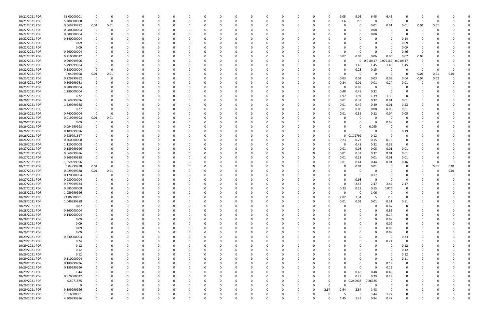| 10/21/2021 PDR | 31.00000001 | $\Omega$    |             |          |          |          |          | $\Omega$     |          |          |             | $\Omega$ |          |          |          | 9.05         | 9.05         | 6.45              | 6.45                    |             |          |      |      |  |
|----------------|-------------|-------------|-------------|----------|----------|----------|----------|--------------|----------|----------|-------------|----------|----------|----------|----------|--------------|--------------|-------------------|-------------------------|-------------|----------|------|------|--|
| 10/21/2021 PDR | 5.200000008 | $\Omega$    | 0           |          | -0       |          |          | $\Omega$     |          |          | $\Omega$    |          |          | ŋ        |          | 2.6          | 2.6          | $\Omega$          | $\mathbf 0$             | $\Omega$    | 0        |      |      |  |
|                |             |             |             |          |          |          |          |              |          |          |             |          |          |          |          |              |              |                   |                         |             |          |      |      |  |
| 10/22/2021 PDR | 0.069999972 | 0.01        | 0.01        |          |          |          |          |              |          |          |             |          |          |          |          | $\Omega$     | 0            | 0.01              | 0.01                    | 0.01        | 0.01     | 0.01 |      |  |
| 10/22/2021 PDR | 0.080000004 | $\Omega$    |             |          |          |          |          |              |          |          |             |          |          |          |          |              | $\Omega$     | 0.08              | $\Omega$                | 0           |          |      |      |  |
|                |             |             |             |          |          |          |          |              |          |          |             |          |          |          |          |              |              |                   |                         |             |          |      |      |  |
| 10/22/2021 PDR | 0.080000004 |             |             |          |          |          |          |              |          |          |             |          |          |          |          |              |              | 0.08              |                         |             |          |      |      |  |
| 10/22/2021 PDR | 0.140000004 |             |             |          |          |          |          | <sup>0</sup> |          |          |             |          |          |          |          | <sup>0</sup> |              |                   | <sup>0</sup>            | 0.14        |          |      |      |  |
|                |             |             |             |          |          |          |          |              |          |          |             |          |          |          |          |              |              |                   |                         |             |          |      |      |  |
| 10/22/2021 PDR | 0.09        |             |             |          |          |          |          |              |          |          |             |          |          |          |          |              |              |                   |                         | 0.09        |          |      |      |  |
| 10/22/2021 PDR | 0.09        |             |             |          |          |          |          |              |          |          |             |          |          |          |          |              |              |                   | - 0                     | 0.09        |          |      |      |  |
|                |             |             |             |          |          |          |          |              |          |          |             |          |          |          |          |              |              |                   |                         |             |          |      |      |  |
| 10/22/2021 PDR | 0.260000004 |             |             |          |          |          |          |              |          |          |             |          |          |          |          | 0            |              | $\Omega$          | - 0                     | 0.26        | 0        |      |      |  |
| 10/22/2021 PDR | 0.210000012 |             |             |          |          |          |          |              |          |          |             |          |          |          |          | 0.02         | 0.03         | 0.06              | 0.05                    | 0.02        | 0.03     |      |      |  |
|                |             |             |             |          |          |          |          |              |          |          |             |          |          |          |          |              |              |                   |                         |             |          |      |      |  |
| 10/22/2021 PDR | 0.999999996 |             |             |          |          |          |          | 0            |          |          |             |          |          |          |          | 0            | $\mathbf 0$  | 0.010417 0.979167 |                         | 0.010417    |          |      |      |  |
| 10/22/2021 PDR | 5.799999984 |             |             |          |          |          |          |              |          |          |             |          |          |          |          | 0            | 1.45         | 1.45              | 1.45                    | 1.45        |          |      |      |  |
|                |             | $\Omega$    | - 0         |          |          |          |          |              |          |          |             |          |          |          |          |              |              |                   |                         |             |          |      |      |  |
| 10/22/2021 PDR | 0.380000004 |             |             |          |          |          |          | <sup>0</sup> |          |          |             |          |          |          |          | 0            | 0.23         | 0.15              | $\Omega$                | $\Omega$    | 0        |      |      |  |
| 10/23/2021 PDR | 0.04999998  | 0.01        | 0.01        |          |          |          |          |              |          |          |             |          |          |          |          | -0           | $\mathbf 0$  | $\Omega$          | - 0                     | - 0         | 0.01     | 0.01 | 0.01 |  |
| 10/23/2021 PDR | 0.229999992 | - 0         |             |          |          |          |          |              |          |          |             |          |          |          |          | 0.03         | 0.04         | 0.03              | 0.03                    | 0.04        | 0.04     | 0.02 |      |  |
|                |             |             |             |          |          |          |          |              |          |          |             |          |          |          |          |              |              |                   |                         |             |          |      |      |  |
| 10/25/2021 PDR | 0.509999988 |             |             |          |          |          |          |              |          |          |             |          |          |          |          | 0.24         | 0.01         | 0.01              | 0.24                    | 0.01        | 0        |      |      |  |
| 10/25/2021 PDR | 0.980000004 |             |             |          |          |          |          |              |          |          |             |          |          |          |          | 0            | 0.98         | $\Omega$          | - 0                     | 0           |          |      |      |  |
|                |             |             |             |          |          |          |          |              |          |          |             |          |          |          |          |              |              |                   |                         |             |          |      |      |  |
| 10/25/2021 PDR | 1.280000004 |             |             |          |          |          |          |              |          |          |             |          |          |          |          | 0.48         | 0.48         | 0.32              | - 0                     |             |          |      |      |  |
| 10/25/2021 PDR | 6.72        |             |             |          |          |          |          |              |          |          |             |          |          |          |          | 1.97         | 1.97         | 1.39              | 1.39                    | 0           |          |      |      |  |
|                |             |             |             |          |          |          |          |              |          |          |             |          |          |          |          |              |              |                   |                         |             |          |      |      |  |
| 10/26/2021 PDR | 0.669999996 |             |             |          |          |          |          |              |          |          |             |          |          |          |          | 0.01         | 0.32         | 0.32              | 0.01                    | 0.01        |          |      |      |  |
| 10/26/2021 PDR | 1.529999988 |             |             |          |          |          |          |              |          |          |             |          |          |          |          | 0.01         | 0.49         | 0.49              | 0.01                    | 0.53        |          |      |      |  |
|                |             |             |             |          |          |          |          |              |          |          |             |          |          |          |          |              |              |                   |                         |             |          |      |      |  |
| 10/26/2021 PDR | 0.27        |             |             |          |          |          |          |              |          |          |             |          |          |          |          | 0.01         | 0.08         | 0.08              | 0.09                    | 0.01        |          |      |      |  |
| 10/26/2021 PDR | 0.740000004 |             |             |          |          |          |          |              |          |          |             |          |          |          |          | 0.01         | 0.32         | 0.32              | 0.04                    | 0.05        |          |      |      |  |
|                |             |             |             |          |          |          |          |              |          |          |             |          |          |          |          |              |              |                   |                         |             |          |      |      |  |
| 10/26/2021 PDR | 0.019999992 | 0.01        | 0.01        |          |          |          |          | <sup>0</sup> |          |          |             |          |          |          |          | 0            | $\Omega$     |                   | - 0                     | 0           |          |      |      |  |
| 10/26/2021 PDR | 0.09        |             | - 0         |          |          |          |          | C            |          |          |             |          |          |          |          | 0            | - 0          |                   | 0.09                    | 0           |          |      |      |  |
|                |             |             |             |          |          |          |          |              |          |          |             |          |          |          |          |              |              |                   |                         |             |          |      |      |  |
| 10/26/2021 PDR | 0.094999998 |             |             |          |          |          |          |              |          |          |             |          |          |          |          | $\Omega$     | $\Omega$     | 0.095             |                         | 0           |          |      |      |  |
| 10/26/2021 PDR | 0.189999996 |             |             |          |          |          |          |              |          |          |             |          |          |          |          | n            |              |                   | -0                      | 0.19        |          |      |      |  |
|                |             |             |             |          |          |          |          |              |          |          |             |          |          |          |          |              |              |                   |                         |             |          |      |      |  |
| 10/26/2021 PDR | 0.239791667 |             |             |          |          |          |          |              |          |          |             |          |          |          |          | $\mathbf 0$  | 0.119792     | 0.12              | - 0                     | 0           |          |      |      |  |
| 10/26/2021 PDR | 0.760000008 |             |             |          |          |          |          |              |          |          |             |          |          |          |          | 0.23         | 0.23         | 0.15              | 0.15                    | 0           |          |      |      |  |
|                |             |             |             |          |          |          |          |              |          |          |             |          |          |          |          |              |              |                   |                         |             |          |      |      |  |
| 10/26/2021 PDR | 1.120000008 |             |             |          |          |          |          |              |          |          |             |          |          |          |          | 0            | 0.48         | 0.32              | 0.32                    | 0           |          |      |      |  |
| 10/27/2021 PDR | 0.189999996 | $\Omega$    |             |          |          |          |          | 0            |          |          |             |          |          |          |          | 0.01         | 0.08         | 0.08              | 0.01                    | 0.01        |          |      |      |  |
|                |             |             |             |          |          |          |          |              |          |          |             |          |          |          |          |              |              |                   |                         |             |          |      |      |  |
| 10/27/2021 PDR | 0.669999996 |             |             |          |          |          |          | <sup>0</sup> |          |          |             |          |          |          |          | 0.01         | 0.32         | 0.32              | 0.01                    | 0.01        |          |      |      |  |
| 10/27/2021 PDR | 0.269999988 |             |             |          |          |          |          |              |          |          |             |          |          |          |          | 0.01         | 0.23         | 0.01              | 0.01                    | 0.01        |          |      |      |  |
|                |             |             |             |          |          |          |          |              |          |          |             |          |          |          |          |              |              |                   |                         |             |          |      |      |  |
| 10/27/2021 PDR | 1.059999996 | $\Omega$    |             |          |          |          |          |              |          |          |             |          |          |          |          | 0.01         | 0.44         | 0.44              | 0.01                    | 0.16        |          |      |      |  |
| 10/27/2021 PDR | 0.04999998  | 0.01        |             |          |          |          |          |              |          |          |             |          |          |          |          | C            | 0.01         | 0.01              | 0                       | 0           |          | 0.01 | 0.01 |  |
|                |             |             |             |          |          |          |          |              |          |          |             |          |          |          |          |              |              |                   |                         |             |          |      |      |  |
| 10/27/2021 PDR | 0.029999988 | 0.01        | 0.01        |          |          |          |          | 0            |          |          |             |          |          |          |          | 0            | $\Omega$     |                   | -0                      | 0           | 0        |      | 0.01 |  |
| 10/27/2021 PDR | 0.170000004 | - 0         |             |          |          |          |          |              |          |          |             |          |          |          |          | 0            | 0            | 0.17              |                         | 0           |          |      |      |  |
|                |             |             |             |          |          |          |          |              |          |          |             |          |          |          |          | n            |              | $\Omega$          | - 0                     |             |          |      |      |  |
| 10/27/2021 PDR | 0.980000004 |             |             |          |          |          |          |              |          |          |             |          |          |          |          |              | 0.98         |                   |                         | 0           |          |      |      |  |
| 10/27/2021 PDR | 9.879999984 |             |             |          |          |          |          |              |          |          |             |          |          |          |          | $\Omega$     | 2.47         | 2.47              | 2.47                    | 2.47        |          |      |      |  |
|                |             |             |             |          |          |          |          |              |          |          |             |          |          |          |          |              |              |                   |                         |             |          |      |      |  |
| 10/27/2021 PDR | 0.685000008 | 0           | 0           |          |          |          |          |              |          |          |             |          |          |          |          | 0.23         | 0.23         | 0.15              | 0.075                   | 0           |          |      |      |  |
| 10/28/2021 PDR | 1.059999996 | $\mathbf 0$ | $\Omega$    |          |          |          |          |              |          |          |             |          |          |          |          | $\mathbf 0$  | $\mathsf{O}$ | 1.06              | $\overline{\mathbf{0}}$ | $\Omega$    |          |      |      |  |
| 10/28/2021 PDR | 21.86000001 | 0           | $\mathbf 0$ | 0        | 0        | O        |          | 0            | $\Omega$ | $\Omega$ | 0           | $\Omega$ | $\Omega$ | 0        | $\Omega$ | 7.02         | 7.34         | -5                | 2.5                     | $\Omega$    | $\Omega$ |      |      |  |
|                |             |             |             |          |          |          |          |              |          |          |             |          |          |          |          |              |              |                   |                         |             |          |      |      |  |
| 10/28/2021 PDR | 1.049999988 | $\Omega$    | $\Omega$    |          | 0        | O        |          | 0            |          |          | 0           |          |          | 0        |          | 0.01         | $0.01\,$     | $0.01\,$          | 0.51                    | 0.51        | 0        |      |      |  |
| 10/28/2021 PDR | 0.87        | $\Omega$    | $\Omega$    | 0        | 0        |          |          | 0            |          |          | 0           | 0        |          |          |          | 0            | $\mathbf 0$  | $\Omega$          | 0.87                    | $\mathbf 0$ |          |      |      |  |
|                |             |             |             |          |          |          |          |              |          |          |             |          |          |          |          |              |              |                   |                         |             |          |      |      |  |
| 10/28/2021 PDR | 0.860000004 | $\Omega$    |             |          |          |          |          | 0            |          |          | 0           |          |          |          |          | C            |              | $\Omega$          | 0.86                    | 0           |          |      |      |  |
| 10/28/2021 PDR | 0.140000004 |             |             |          |          |          |          | 0            |          |          | 0           |          |          |          |          |              |              |                   | 0.14                    | 0           |          |      |      |  |
|                |             |             |             |          |          |          |          |              |          |          |             |          |          |          |          |              |              |                   |                         |             |          |      |      |  |
| 10/28/2021 PDR | 0.09        |             |             |          |          |          |          | 0            |          |          | 0           |          |          |          |          |              |              |                   | 0.09                    | 0           |          |      |      |  |
| 10/28/2021 PDR | 0.09        |             |             |          |          |          |          | 0            |          |          | 0           |          |          |          |          |              |              | $\Omega$          | 0.09                    | 0           |          |      |      |  |
|                |             |             |             |          |          |          |          |              |          |          |             |          |          |          |          |              |              |                   |                         |             |          |      |      |  |
| 10/29/2021 PDR | 0.09        | $\Omega$    | $\Omega$    | 0        | 0        | $\Omega$ |          | 0            |          |          | 0           | 0        | - 0      | 0        |          | 0            |              | $\Omega$          | 0.09                    | 0           | 0        |      |      |  |
| 10/29/2021 PDR | 0.09        |             | 0           | 0        | 0        |          |          | 0            |          |          | 0           | 0        |          |          |          | 0            |              | $\Omega$          | 0.09                    | 0           | 0        |      |      |  |
|                |             |             |             |          |          |          |          |              |          |          |             |          |          |          |          |              |              |                   |                         |             |          |      |      |  |
| 10/29/2021 PDR | 0.230000004 | $\Omega$    |             |          | 0        |          |          | 0            |          |          | 0           | 0        |          |          |          |              |              | $\Omega$          | - 0                     | 0.23        |          |      |      |  |
| 10/29/2021 PDR | 0.24        |             |             |          | 0        |          |          | 0            |          |          | 0           |          |          |          |          |              |              | $\Omega$          | 0.24                    | $\mathbf 0$ |          |      |      |  |
|                |             |             |             |          |          |          |          |              |          |          |             |          |          |          |          |              |              |                   |                         |             |          |      |      |  |
| 10/29/2021 PDR | 0.12        |             | 0           |          |          |          |          | 0            |          |          | 0           |          |          |          |          | 0            |              |                   | 0                       | 0.12        |          |      |      |  |
| 10/29/2021 PDR | 0.12        | $\Omega$    | $\Omega$    |          | 0        |          |          | $\Omega$     |          |          | 0           | 0        |          |          |          | 0            |              | $\Omega$          | 0                       | 0.12        |          |      |      |  |
|                |             |             |             |          |          |          |          |              |          |          |             |          |          |          |          |              |              | $\Omega$          |                         |             |          |      |      |  |
| 10/29/2021 PDR | 0.12        |             | 0           | 0        | 0        |          |          | 0            |          |          | 0           | 0        |          | 0        |          | 0            |              |                   | - 0                     | 0.12        | 0        |      |      |  |
| 10/29/2021 PDR | 0.110000004 | $\Omega$    | $\Omega$    | 0        | 0        |          |          | 0            |          |          | 0           | 0        |          | 0        |          | 0            | $\Omega$     | $\Omega$          | - 0                     | 0.11        | 0        |      |      |  |
| 10/29/2021 PDR | 0.189999996 |             |             |          |          |          |          | 0            |          |          | 0           | 0        |          |          |          | 0            | $\Omega$     | $\Omega$          | 0.19                    | 0           |          |      |      |  |
|                |             |             |             |          | 0        |          |          |              |          |          |             |          |          |          |          |              |              |                   |                         |             |          |      |      |  |
| 10/29/2021 PDR | 0.189999996 |             |             |          |          |          |          | 0            |          |          | 0           |          |          |          |          |              | $\Omega$     | $\Omega$          | 0.19                    | 0           |          |      |      |  |
|                |             |             |             |          |          |          |          |              |          |          |             |          |          |          |          | $\Omega$     |              |                   |                         |             |          |      |      |  |
| 10/29/2021 PDR | 1.44        |             |             |          |          |          |          | 0            |          |          | 0           |          |          |          |          |              | 0.48         | 0.48              | 0.48                    | 0           |          |      |      |  |
| 10/29/2021 PDR | 0.870000012 |             | $\Omega$    |          |          |          |          | 0            |          |          | 0           |          |          |          |          | $\Omega$     | 0.29         | 0.29              | 0.29                    | 0           |          |      |      |  |
| 10/29/2021 PDR | 0.5071875   | $\Omega$    | $\Omega$    | O        | 0        |          |          | 0            |          |          | 0           | 0        |          | 0        | 0        |              | 0 0.240938   | 0.26625           | $\mathbf 0$             | 0           | 0        |      |      |  |
|                |             |             |             |          |          |          |          |              |          |          |             |          |          |          |          |              |              |                   |                         |             |          |      |      |  |
| 10/29/2021 PDR | 9           | $\Omega$    | 0           |          | 0        |          |          | 0            |          |          | 0           | 0        |          |          | 0        | $\Omega$     | 0            | 9                 | - 0                     | 0           | 0        |      |      |  |
| 10/29/2021 PDR | 9.399999996 |             |             |          | -C       |          |          | 0            |          |          | 0           |          |          | 0        | 2.64     | 2.64         | 2.64         | 1.48              | $\Omega$                |             |          |      |      |  |
|                |             |             |             |          |          |          |          |              |          |          |             |          |          |          |          |              |              |                   |                         |             |          |      |      |  |
| 10/29/2021 PDR | 15.16000001 |             |             |          |          |          |          | C            |          |          | 0           |          |          |          |          |              | -5           | 3.44              | 1.72                    |             |          |      |      |  |
| 10/29/2021 PDR | 4.309999986 | $\mathbf 0$ | $\mathbf 0$ | $\Omega$ | $\Omega$ | $\Omega$ | $\Omega$ | $\Omega$     | $\Omega$ | $\Omega$ | $\mathbf 0$ | $\Omega$ | $\Omega$ | $\Omega$ |          | 1.45         | 1.45         | 0.94              | 0.47                    | $\mathbf 0$ | 0        |      | 0    |  |
|                |             |             |             |          |          |          |          |              |          |          |             |          |          |          |          |              |              |                   |                         |             |          |      |      |  |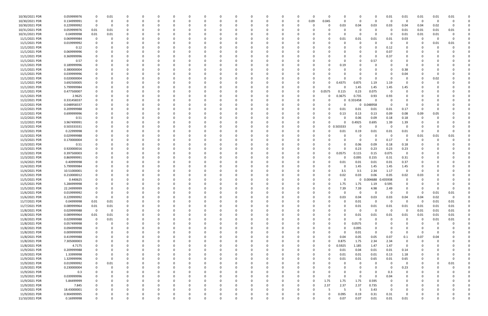| 10/30/2021 PDR | 0.059999976 | $\Omega$    | 0.01        |          |              | 0            |          |   |          |          |          |          | 0        |          |          |          | $\Omega$ |          | 0           |             | 0.01           | 0.01                    | 0.01     | 0.01     | 0.01     |  |
|----------------|-------------|-------------|-------------|----------|--------------|--------------|----------|---|----------|----------|----------|----------|----------|----------|----------|----------|----------|----------|-------------|-------------|----------------|-------------------------|----------|----------|----------|--|
| 10/30/2021 PDR | 0.134999991 | 0           | 0           |          |              | <sup>0</sup> |          |   | 0        |          | 0        |          | $\Omega$ |          | 0        | 0.09     | 0.045    | $\Omega$ | 0           | $\Omega$    | $\Omega$       | $\Omega$                | - 0      | -0       |          |  |
| 10/30/2021 PDR | 0.229999992 | 0           | 0           |          |              |              |          |   |          |          |          |          |          |          |          |          | 0        | 0.03     | 0.04        | 0.03        | 0.03           | 0.04                    | 0.04     | 0.02     | $\Omega$ |  |
| 10/31/2021 PDR | 0.059999976 | 0.01        | 0.01        |          |              |              |          |   |          |          |          |          |          |          |          |          |          |          | 0           |             |                | 0.01                    | 0.01     | 0.01     | 0.01     |  |
|                |             |             |             |          |              |              |          |   |          |          |          |          |          |          |          |          |          |          |             |             | - 0            |                         |          |          |          |  |
| 10/31/2021 PDR | 0.04999998  | 0.01        | 0.01        |          |              |              |          |   |          |          |          |          |          |          |          |          |          |          | 0           |             |                | 0.01                    | 0.01     | 0.01     |          |  |
| 11/1/2021 PDR  | 0.069999984 | 0           | 0           |          |              |              |          |   |          |          |          |          |          |          |          |          | 0        | 0.01     | 0.01        | 0.01        | 0.01           | 0.03                    | 0        | $\Omega$ |          |  |
| 11/1/2021 PDR  | 0.019999992 |             |             |          |              |              |          |   |          |          |          |          |          |          |          |          |          |          | $\Omega$    |             | - 0            | 0                       | 0        | 0.01     | 0.01     |  |
| 11/1/2021 PDR  | 0.12        |             |             |          |              |              |          |   |          |          |          |          |          |          |          |          |          |          | $\Omega$    |             | 0.12           |                         |          |          |          |  |
| 11/1/2021 PDR  | 0.069999996 |             |             |          |              |              |          |   |          |          |          |          |          |          |          |          |          |          |             |             | 0.07           |                         |          |          |          |  |
| 11/1/2021 PDR  | 0.369999996 |             |             |          |              |              |          |   |          |          |          |          |          |          |          |          |          |          |             |             | 0.37           |                         |          |          |          |  |
| 11/1/2021 PDR  | 0.57        |             |             |          |              |              |          |   |          |          |          |          |          |          |          |          |          |          | $\Omega$    | 0.57        |                |                         |          |          |          |  |
| 11/1/2021 PDR  | 0.189999996 |             |             |          |              |              |          |   |          |          |          |          |          |          |          |          |          | 0.19     | 0           |             |                | 0                       |          |          |          |  |
| 11/1/2021 PDR  | 0.380000004 |             |             |          |              |              |          |   |          |          |          |          |          |          |          |          |          |          |             |             |                | 0.38                    |          |          |          |  |
|                |             |             |             |          |              |              |          |   |          |          |          |          |          |          |          |          |          |          |             |             |                |                         |          |          |          |  |
| 11/1/2021 PDR  | 0.039999996 |             |             |          |              |              |          |   |          |          |          |          |          |          |          |          |          |          | $\Omega$    |             |                | 0.04                    |          |          |          |  |
| 11/1/2021 PDR  | 0.020000004 |             |             |          |              |              |          |   |          |          |          |          |          |          |          |          |          |          | 0           |             |                |                         |          | 0.02     |          |  |
| 11/1/2021 PDR  | 3.692500005 |             |             |          |              |              |          |   |          |          |          |          |          |          |          |          | ი        | 0.4375   | 0.875       | 1.19        | 1.19           |                         |          |          |          |  |
| 11/1/2021 PDR  | 5.799999984 |             |             |          |              |              |          |   |          |          |          |          |          |          |          |          |          |          | 1.45        | 1.45        | 1.45           | 1.45                    |          |          |          |  |
| 11/1/2021 PDR  | 0.477500007 |             |             |          |              |              |          |   |          |          |          |          |          |          |          |          | 0.0575   | 0.115    | 0.23        | 0.075       | - 0            |                         |          |          |          |  |
| 11/1/2021 PDR  | 2.9625      |             |             |          |              |              |          |   |          |          |          |          |          |          |          |          | 0        | 0.3675   | 0.735       | 0.93        | 0.93           |                         |          |          |          |  |
| 11/2/2021 PDR  | 0.331458337 |             |             |          |              |              |          |   |          |          |          |          |          |          |          |          |          | 0        | 0.331458    |             |                |                         |          |          |          |  |
| 11/2/2021 PDR  | 0.048958337 |             |             |          |              |              |          |   |          |          |          |          |          |          |          |          |          |          | 0           | 0.048958    | - 0            |                         |          |          |          |  |
| 11/2/2021 PDR  | 0.209999988 |             |             |          |              |              |          |   |          |          |          |          |          |          |          |          |          |          | 0.01        |             | 0.01           | 0.17                    | -C       |          |          |  |
|                |             |             |             |          |              |              |          |   |          |          |          |          |          |          |          |          |          | 0.01     |             | 0.01        |                |                         |          |          |          |  |
| 11/2/2021 PDR  | 0.699999996 |             |             |          |              |              |          |   |          |          |          |          |          |          |          |          |          | 0.13     | 0.13        | 0.13        | 0.09           | 0.08                    | 0.09     | 0.05     |          |  |
| 11/2/2021 PDR  | 0.51        |             |             |          |              |              |          |   |          |          |          |          |          |          |          |          | O        |          | 0.06        | 0.09        | 0.18           | 0.18                    | 0        |          |          |  |
| 11/2/2021 PDR  | 3.967499991 |             |             |          |              |              |          |   |          |          |          |          |          |          |          |          | ი        |          | 0.4925      | 0.695       | 1.39           | 1.39                    |          |          |          |  |
| 11/3/2021 PDR  | 0.503333331 |             |             |          |              |              |          |   |          |          |          |          |          |          |          |          | 0        | 0.503333 | 0           | $\Omega$    | 0              | $\Omega$                |          |          |          |  |
| 11/3/2021 PDR  | 0.22999998  |             |             |          |              |              |          |   |          |          |          |          |          |          |          |          |          | 0.01     | 0.19        | 0.01        | 0.01           | 0.01                    | $\Omega$ |          |          |  |
| 11/3/2021 PDR  | 0.029999988 |             |             |          |              |              |          |   |          |          |          |          |          |          |          |          |          |          | 0           |             | - 0            | $\Omega$                | 0.01     | 0.01     | 0.01     |  |
| 11/3/2021 PDR  | 0.170000004 |             |             |          |              |              |          |   |          |          |          |          |          |          |          |          |          |          | 0           | $\Omega$    | 0.17           | $\Omega$                | 0        |          |          |  |
| 11/3/2021 PDR  | 0.51        |             |             |          |              |              |          |   |          |          |          |          |          |          |          |          |          |          | 0.06        | 0.09        | 0.18           | 0.18                    |          |          |          |  |
| 11/3/2021 PDR  | 0.920000016 | 0           |             |          |              |              |          |   |          |          |          |          |          |          |          |          |          |          | 0.23        | 0.23        | 0.23           | 0.23                    |          |          |          |  |
|                |             |             |             |          |              |              |          |   |          |          |          |          |          |          |          |          | 0        |          |             |             |                |                         |          |          |          |  |
| 11/3/2021 PDR  | 0.397500003 |             |             |          |              |              |          |   |          |          |          |          |          |          |          |          |          | 0.0575   | 0.115       | 0.15        | 0.075          | $\overline{0}$          |          |          |          |  |
| 11/3/2021 PDR  | 0.869999991 |             |             |          |              |              |          |   |          |          |          |          |          |          |          |          |          |          | 0.095       | 0.155       | 0.31           | 0.31                    |          |          |          |  |
| 11/4/2021 PDR  | 0.40999998  |             |             |          |              |              |          |   |          |          |          |          |          |          |          |          |          | 0.01     | 0.01        | 0.01        | 0.01           | 0.37                    |          |          |          |  |
| 11/4/2021 PDR  | 5.799999984 |             |             |          |              |              |          |   |          |          |          |          |          |          |          |          |          |          | 1.45        | 1.45        | 1.45           | 1.45                    |          |          |          |  |
| 11/4/2021 PDR  | 10.51000001 |             |             |          |              |              |          |   |          |          |          |          |          |          |          |          |          | 3.5      | 3.5         | 2.34        | 1.17           | 0                       | 0        |          |          |  |
| 11/5/2021 PDR  | 0.210000012 |             |             |          |              |              |          |   |          |          |          |          |          |          |          |          | O        | 0.02     | 0.03        | 0.06        | 0.05           | 0.02                    | 0.03     |          |          |  |
| 11/5/2021 PDR  | 0.440625    |             |             |          |              |              |          |   |          |          |          |          |          |          |          |          |          |          | 0           | 0.004688    | 0.435938       | $\Omega$                |          |          |          |  |
| 11/5/2021 PDR  | 5.284999998 |             |             |          |              |              |          |   |          |          |          |          |          |          |          |          |          | 1.75     | 1.75        | 1.19        | 0.595          |                         |          |          |          |  |
| 11/5/2021 PDR  | 22.24999999 | $\Omega$    |             |          |              |              |          |   |          |          |          |          |          |          |          |          | 0        | 7.39     | 7.39        | 4.98        | 2.49           | 0                       | 0        |          |          |  |
| 11/6/2021 PDR  | 0.019999992 | $\mathbf 0$ |             |          |              |              |          |   |          |          |          |          |          |          |          |          |          | $\Omega$ | $\mathbf 0$ | $\mathbf 0$ | 0              | $\overline{\mathbf{0}}$ | $\Omega$ | 0.01     |          |  |
|                |             |             |             |          |              |              |          |   |          |          |          |          |          |          |          |          |          |          |             |             |                |                         |          |          | 0.01     |  |
| 11/6/2021 PDR  | 0.229999992 | $\mathbf 0$ | $\mathbf 0$ | $\Omega$ | $\Omega$     | $\Omega$     | $\Omega$ | 0 | 0        | $\Omega$ | $\Omega$ | $\Omega$ | 0        | 0        | 0        |          | 0        | 0.03     | 0.04        | 0.03        | 0.03           | 0.04                    | 0.04     | 0.02     | 0        |  |
| 11/7/2021 PDR  | 0.04999998  | 0.01        | 0.01        | $\Omega$ |              | $\Omega$     |          |   | 0        |          | 0        |          | $\Omega$ |          | $\Omega$ |          | $\Omega$ | 0        | 0.01        | $\Omega$    | $\Omega$       | $\Omega$                | - 0      | 0.01     | 0.01     |  |
| 11/7/2021 PDR  | 0.089999964 | 0.01        | 0.01        |          | <sup>0</sup> | <sup>0</sup> |          |   | O        |          | $\Omega$ |          | $\Omega$ |          | $\Omega$ |          |          |          | 0.01        | 0.01        | 0.01           | 0.01                    | 0.01     | 0.01     | 0.01     |  |
| 11/8/2021 PDR  | 0.029999988 | 0           | $\mathbf 0$ |          |              |              |          |   |          |          | $\Omega$ |          |          |          |          |          |          |          | $\mathbf 0$ | $\Omega$    | - 0            | - 0                     | 0.01     | 0.01     | 0.01     |  |
| 11/8/2021 PDR  | 0.089999964 | 0.01        | 0.01        |          |              |              |          |   |          |          | 0        |          | 0        |          |          |          |          |          | 0.01        | 0.01        | 0.01           | 0.01                    | 0.01     | 0.01     | 0.01     |  |
| 11/8/2021 PDR  | 0.029999988 | 0           | 0.01        |          | 0            |              |          |   | 0        |          | 0        |          | 0        |          |          |          |          |          | $\mathbf 0$ | $\Omega$    | $\overline{0}$ | 0                       | 0        | 0.01     | 0.01     |  |
| 11/8/2021 PDR  | 0.057499998 | 0           | 0           |          |              |              |          |   |          |          | 0        |          | 0        |          |          |          |          |          | 0.0575      |             |                |                         | $\Omega$ |          |          |  |
| 11/8/2021 PDR  | 0.094999998 | 0           | $\Omega$    | $\Omega$ | 0            | 0            |          |   | 0        |          | 0        |          | $\Omega$ |          | $\Omega$ |          | 0        | $\Omega$ | 0.095       |             |                | $\Omega$                | 0        |          |          |  |
| 11/8/2021 PDR  | 0.009999999 | 0           |             |          | 0            | 0            |          |   | 0        |          | 0        |          | 0        |          | 0        |          | 0        | $\Omega$ | 0.01        | $\Omega$    | 0              | $\Omega$                | -0       |          |          |  |
|                |             | $\Omega$    |             |          |              | $\Omega$     |          |   |          |          |          |          | $\Omega$ |          |          |          | 0        |          |             |             |                |                         |          |          |          |  |
| 11/8/2021 PDR  | 0.419999988 |             |             |          |              |              |          |   | 0        |          | 0        |          |          |          |          |          |          | 0.04     | 0.05        | 0.05        | 0.07           | 0.1                     | 0.07     | 0.04     |          |  |
| 11/8/2021 PDR  | 7.305000003 |             |             |          |              |              |          |   | 0        |          | 0        |          | 0        |          |          |          | $\Omega$ | 0.875    | 1.75        | 2.34        | 2.34           | 0                       | 0        |          |          |  |
| 11/8/2021 PDR  | 4.7175      | 0           |             |          |              |              |          |   |          |          | 0        |          | 0        |          |          |          | $\Omega$ | 0.5925   | 1.185       | 1.47        | 1.47           | $\overline{0}$          |          |          |          |  |
| 11/9/2021 PDR  | 0.209999988 | 0           | 0           |          |              | 0            |          |   | 0        |          | $\Omega$ |          | $\Omega$ |          |          |          | $\Omega$ | 0.01     | 0.04        | 0.01        | 0.01           | 0.14                    | 0        |          |          |  |
| 11/9/2021 PDR  | 1.33999998  | 0           | 0           |          | 0            | 0            |          |   | 0        |          | 0        |          | 0        |          | 0        |          | 0        | 0.01     | 0.01        | 0.01        | 0.13           | 1.18                    | 0        |          |          |  |
| 11/9/2021 PDR  | 1.329999996 | $\mathbf 0$ | $\Omega$    |          | 0            | 0            |          |   | 0        |          | $\Omega$ | $\Omega$ | $\Omega$ |          | 0        |          | 0        | 0.01     | 0.01        | 0.65        | 0.01           | 0.65                    | 0        |          |          |  |
| 11/9/2021 PDR  | 0.019999992 | 0           | 0.01        |          |              | 0            |          |   | 0        |          | $\Omega$ |          | $\Omega$ |          |          |          |          |          | 0           | - 0         | $\overline{0}$ | $\mathbf 0$             | 0        |          | 0.01     |  |
| 11/9/2021 PDR  | 0.230000004 | 0           | 0           |          |              |              |          |   | 0        |          | $\Omega$ |          | O        |          |          |          |          |          | $\Omega$    |             | - 0            | 0.23                    | 0        |          |          |  |
| 11/9/2021 PDR  |             | $\Omega$    |             |          |              |              |          |   |          |          |          |          | 0        |          |          |          |          |          |             |             | 0.3            | 0                       |          |          |          |  |
|                | 0.3         |             |             |          |              |              |          |   |          |          |          |          |          |          |          |          |          |          | 0           |             |                |                         |          |          |          |  |
| 11/9/2021 PDR  | 0.039999996 | 0           |             |          |              |              |          |   |          |          | 0        |          | 0        |          |          |          |          |          | 0           | $\Omega$    | 0.04           | 0                       |          |          |          |  |
| 11/9/2021 PDR  | 5.84499999  | 0           |             |          | <sup>0</sup> | <sup>0</sup> |          |   | 0        |          | $\Omega$ |          | $\Omega$ |          | 0        | $\Omega$ | 1.75     | 1.75     | 1.75        | 0.595       | $\Omega$       | $\Omega$                | 0        |          |          |  |
| 11/9/2021 PDR  | 7.845       | 0           | 0           |          |              | 0            |          |   | 0        |          | 0        |          | 0        |          | 0        |          | 2.37     | 2.37     | 2.37        | 0.735       | 0              | 0                       | 0        |          |          |  |
| 11/9/2021 PDR  | 18.43000001 | $\Omega$    |             |          |              |              |          |   |          |          | $\Omega$ |          | $\Omega$ |          |          |          | -5       | 5        | -5          | 3.43        | $\Omega$       | 0                       |          |          |          |  |
| 11/9/2021 PDR  | 0.904999995 | 0           |             |          |              |              |          |   |          |          | 0        |          |          |          |          |          | 0        | 0.095    | 0.19        | 0.31        | 0.31           | $\Omega$                |          |          |          |  |
| 11/10/2021 PDR | 0.16999998  | $\mathbf 0$ | $\Omega$    | $\Omega$ | $\Omega$     | $\Omega$     | $\Omega$ | 0 | $\Omega$ | $\Omega$ | $\Omega$ | $\Omega$ | $\Omega$ | $\Omega$ | 0        |          | $\Omega$ | 0.07     | 0.07        | 0.01        | 0.01           | 0.01                    | $\Omega$ |          | O        |  |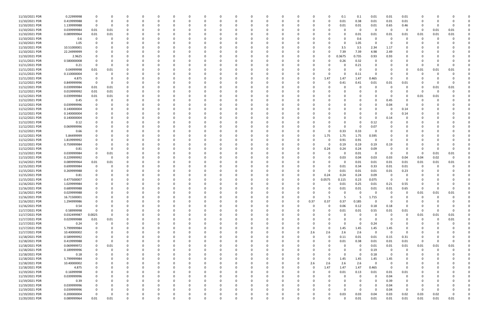| 11/10/2021 PDR | 0.22999998  | 0              |             | $\Omega$ |          |          | $\Omega$ |          |          |          | 0            |              |      | O        | 0.1         | 0.1             | 0.01           | 0.01                    | 0.01     |          |          |          |  |
|----------------|-------------|----------------|-------------|----------|----------|----------|----------|----------|----------|----------|--------------|--------------|------|----------|-------------|-----------------|----------------|-------------------------|----------|----------|----------|----------|--|
| 11/10/2021 PDR | 0.419999988 | $\Omega$       |             |          |          |          | $\Omega$ |          |          |          |              |              |      | 0        | 0.01        | 0.38            | 0.01           | 0.01                    | 0.01     |          |          |          |  |
| 11/10/2021 PDR | 1.139999988 | - 0            | - 0         |          |          |          |          |          |          |          |              |              |      | 0        | 0.01        | 0.01            | 0.01           | 0.65                    | 0.46     |          |          |          |  |
|                |             |                |             |          |          |          |          |          |          |          |              |              |      |          |             | $\Omega$        | - 0            | - 0                     |          |          |          |          |  |
| 11/10/2021 PDR | 0.039999984 | 0.01           | 0.01        |          |          |          |          |          |          |          |              |              |      |          | -0          |                 |                |                         | 0        | 0        | 0.01     | 0.01     |  |
| 11/10/2021 PDR | 0.089999964 | 0.01           | 0.01        |          |          |          |          |          |          |          |              |              |      |          | $\Omega$    | 0.01            | 0.01           | 0.01                    | 0.01     | 0.01     | 0.01     | 0.01     |  |
| 11/10/2021 PDR | 0.6         | - 0            | -0          |          |          |          | $\Omega$ |          |          |          |              |              |      |          | $\Omega$    | 0.6             | - 0            | - 0                     | $\Omega$ |          | $\Omega$ |          |  |
| 11/10/2021 PDR | 1.05        |                |             |          |          |          |          |          |          |          |              |              |      |          | 0           | 1.05            |                |                         |          |          |          |          |  |
| 11/10/2021 PDR | 10.51000001 |                |             |          |          |          | 0        |          |          |          |              |              |      | O        | 3.5         | 3.5             | 2.34           | 1.17                    |          |          |          |          |  |
| 11/10/2021 PDR |             |                |             |          |          |          |          |          |          |          |              |              |      | 0        |             |                 |                | 2.49                    |          |          |          |          |  |
|                | 22.24999999 |                |             |          |          |          |          |          |          |          |              |              |      |          | 7.39        | 7.39            | 4.98           |                         |          |          |          |          |  |
| 11/10/2021 PDR | 2.9625      | 0              |             |          |          |          |          |          |          |          |              |              |      | $\Omega$ | 0.3675      | 0.735           | 0.93           | 0.93                    |          |          |          |          |  |
| 11/11/2021 PDR | 0.580000008 | n              |             |          |          |          | - 0      |          |          |          |              |              |      |          | 0.26        | 0.32            |                |                         |          |          |          |          |  |
| 11/11/2021 PDR | 0.21        | - 0            | $\Omega$    |          |          |          |          |          |          |          |              |              |      |          | 0           | 0.21            |                |                         |          |          |          |          |  |
| 11/11/2021 PDR | 0.04999998  | 0.01           | 0.01        |          |          |          | -C       |          |          |          |              |              |      |          | $\Omega$    | $\Omega$        |                |                         | 0        | 0.01     | 0.01     | 0.01     |  |
| 11/11/2021 PDR | 0.110000004 | - 0            |             |          |          |          | - 0      |          |          |          |              |              |      |          | $\Omega$    | 0.11            |                |                         | 0        |          |          |          |  |
| 11/11/2021 PDR | 4.875       | - 0            |             |          |          |          |          |          |          |          |              |              |      | 1.47     | 1.47        | 1.47            | 0.465          | - 0                     | 0        |          |          |          |  |
|                |             |                |             |          |          |          |          |          |          |          |              |              |      |          |             |                 |                |                         |          |          |          |          |  |
| 11/12/2021 PDR | 0.849999996 | 0              | - 0         |          |          |          |          |          |          |          |              |              |      | 0        | 0.41        | 0.41            | 0.01           | 0.01                    | 0.01     |          |          |          |  |
| 11/12/2021 PDR | 0.039999984 | 0.01           | 0.01        |          |          |          | $\Omega$ |          |          |          |              |              |      |          | -0          | $\Omega$        | - 0            | $\Omega$                | $\Omega$ |          | 0.01     | 0.01     |  |
| 11/12/2021 PDR | 0.019999992 | 0.01           | 0.01        |          |          |          | 0        |          |          |          |              |              |      |          | -0          |                 |                |                         | 0        | -0       | $\Omega$ |          |  |
| 11/12/2021 PDR | 0.039999984 | 0.01           | 0.01        |          |          |          | -C       |          |          |          |              |              |      |          |             |                 |                |                         | 0        | 0.01     | 0.01     |          |  |
| 11/12/2021 PDR | 0.45        | - 0            |             |          |          |          | $\Omega$ |          |          |          |              |              |      |          | - 0         |                 | - 0            | 0.45                    | 0        |          |          |          |  |
|                | 0.039999996 |                |             |          |          |          |          |          |          |          |              |              |      |          |             |                 |                |                         |          |          |          |          |  |
| 11/12/2021 PDR |             |                |             |          |          |          |          |          |          |          |              |              |      |          | -0          |                 | 0              | 0.04                    | n        |          |          |          |  |
| 11/12/2021 PDR | 0.140000004 | 0              |             |          |          |          |          |          |          |          |              |              |      |          |             |                 |                | - 0                     | 0.14     |          |          |          |  |
| 11/12/2021 PDR | 0.140000004 | 0              |             |          |          |          | $\Omega$ |          |          |          |              |              |      |          | $\Omega$    |                 |                | - 0                     | 0.14     |          |          |          |  |
| 11/12/2021 PDR | 0.140000004 | <sup>0</sup>   |             |          |          |          |          |          |          |          |              |              |      |          |             |                 | $\Omega$       | 0.14                    | 0        |          |          |          |  |
| 11/12/2021 PDR | 0.12        | 0              |             |          |          |          | $\Omega$ |          |          |          |              |              |      |          | $\Omega$    | -0              | 0.12           |                         | n        |          |          |          |  |
| 11/12/2021 PDR | 0.069999996 |                |             |          |          |          |          |          |          |          |              |              |      |          | $\Omega$    | $\Omega$        |                |                         |          |          |          |          |  |
|                |             |                |             |          |          |          |          |          |          |          |              |              |      |          |             |                 | 0.07           |                         |          |          |          |          |  |
| 11/12/2021 PDR | 0.66        |                |             |          |          |          | 0        |          |          |          |              |              |      | 0        | 0.33        | 0.33            | - 0            |                         |          |          |          |          |  |
| 11/12/2021 PDR | 5.84499999  | 0              |             |          |          |          |          |          |          |          |              |              | 0    | 1.75     | 1.75        | 1.75            | 0.595          |                         |          |          |          |          |  |
| 11/12/2021 PDR | 1.819999992 | 0              |             |          |          |          | $\Omega$ |          |          |          |              |              |      | -0       | 0.91        | 0.91            | - 0            |                         |          |          |          |          |  |
| 11/12/2021 PDR | 0.759999984 | 0              |             |          |          |          | 0        |          |          |          |              |              | 0    | 0        | 0.19        | 0.19            | 0.19           | 0.19                    | 0        |          |          |          |  |
| 11/12/2021 PDR | 0.81        | $\Omega$       | $\Omega$    |          |          |          | $\Omega$ |          |          |          |              |              |      | 0.24     | 0.24        | 0.24            | 0.09           |                         | n        |          |          |          |  |
|                |             |                |             |          |          |          |          |          |          |          |              |              |      |          |             |                 | - 0            |                         |          |          |          |          |  |
| 11/13/2021 PDR | 0.039999984 | 0              | 0.01        |          |          |          | $\Omega$ |          |          |          |              |              |      | O        | $\Omega$    | 0.01            |                | - 0                     | $\Omega$ | 0        | 0.01     | 0.01     |  |
| 11/13/2021 PDR | 0.229999992 | - 0            | - 0         |          |          |          | - 0      |          |          |          |              |              |      |          | 0.03        | 0.04            | 0.03           | 0.03                    | 0.04     | 0.04     | 0.02     |          |  |
| 11/14/2021 PDR | 0.089999964 | 0.01           | 0.01        |          |          |          |          |          |          |          |              |              |      |          | 0           | 0.01            | 0.01           | 0.01                    | 0.01     | 0.01     | 0.01     | 0.01     |  |
| 11/15/2021 PDR | 0.699999984 | - 0            |             |          |          |          |          |          |          |          |              |              |      |          | 0.01        | 0.34            | 0.33           | 0.01                    | 0.01     |          |          |          |  |
| 11/15/2021 PDR | 0.269999988 | $\Omega$       |             |          |          |          | - 0      |          |          |          |              |              | O    | 0        | 0.01        | 0.01            | 0.01           | 0.01                    | 0.23     |          |          |          |  |
| 11/15/2021 PDR | 0.81        | 0              |             |          |          |          |          |          |          |          |              |              |      | 0.24     | 0.24        | 0.24            | 0.09           | - 0                     | -0       |          |          |          |  |
|                |             |                |             |          |          |          |          |          |          |          |              |              |      |          |             |                 |                | - 0                     |          |          |          |          |  |
| 11/15/2021 PDR | 0.477500007 |                |             |          |          |          |          |          |          |          |              |              |      | .0575    | 0.115       | 0.23            | 0.075          |                         | 0        |          |          |          |  |
| 11/16/2021 PDR | 1.029999984 |                |             |          |          |          |          |          |          |          |              |              |      |          | 0.01        | 0.25            | 0.01           | 0.21                    | 0.55     |          |          |          |  |
| 11/16/2021 PDR | 0.689999988 | 0              |             |          |          |          |          |          |          |          |              |              |      | 0        | 0.01        | 0.01            | 0.01           | 0.01                    | 0.65     |          |          |          |  |
| 11/16/2021 PDR | 0.029999988 | $\mathbf 0$    | $\Omega$    |          |          |          |          |          |          |          |              |              |      | $\Omega$ | $\Omega$    | $\overline{0}$  | $\overline{0}$ | $\mathbf 0$             | $\Omega$ | 0.01     | 0.01     | 0.01     |  |
| 11/16/2021 PDR | 16.71500001 | 0              | $\Omega$    | 0        | 0        | $\Omega$ | 0        | $\Omega$ | $\Omega$ | $\Omega$ | 0            | 0            | 0    | 5        | 5           | $5\overline{)}$ | 1.715          | 0                       | 0        | $\Omega$ | $\Omega$ | 0        |  |
| 11/16/2021 PDR | 1.294999986 | 0              |             |          |          |          | 0        |          |          |          | <sup>0</sup> | $\Omega$     | 0.37 | 0.37     | 0.37        | 0.185           | $\Omega$       | - 0                     | n        |          |          |          |  |
|                |             |                |             |          |          |          |          |          |          |          |              |              |      |          |             |                 |                |                         |          |          |          |          |  |
| 11/16/2021 PDR | 0.54        | 0              |             |          |          |          | $\Omega$ |          |          |          |              | <sup>0</sup> | 0    | $\Omega$ | 0.06        | 0.12            | 0.18           | 0.18                    | 0        | - 0      |          |          |  |
| 11/17/2021 PDR | 0.58999998  | $\overline{0}$ |             |          |          |          | $\Omega$ |          |          |          |              |              |      | O        | 0.01        | $0.01\,$        | 0.55           | 0.01                    | 0.01     | $\Omega$ |          |          |  |
| 11/17/2021 PDR | 0.032499987 | 0.0025         | $\Omega$    |          |          |          | 0        |          |          |          |              |              |      |          | 0           | $\Omega$        | -0             |                         | 0        | 0.01     | 0.01     | 0.01     |  |
| 11/17/2021 PDR | 0.029999988 | $0.01\,$       | 0.01        |          |          |          | 0        |          |          |          |              |              |      |          | 0           | $\Omega$        | - 0            |                         | 0        | $\Omega$ | 0        | 0.01     |  |
| 11/17/2021 PDR | 0.24        | $\overline{0}$ | $\Omega$    |          |          |          | $\Omega$ |          |          |          |              |              |      |          | $\Omega$    | $\Omega$        | 0.24           | $\Omega$                |          |          |          |          |  |
| 11/17/2021 PDR | 5.799999984 | - 0            |             | $\Omega$ |          |          | 0        |          | $\Omega$ |          | <sup>0</sup> |              | 0    | 0        | 1.45        | 1.45            | 1.45           | 1.45                    | 0        |          |          |          |  |
|                |             |                |             |          |          |          |          |          |          |          |              |              |      |          |             |                 |                |                         |          |          |          |          |  |
| 11/17/2021 PDR | 10.40000002 | 0              |             |          |          |          | 0        |          | 0        |          |              |              | 2.6  | 2.6      | 2.6         | 2.6             | $\Omega$       | - 0                     | 0        |          |          |          |  |
| 11/18/2021 PDR | 0.589999992 | - 0            |             |          |          |          | 0        |          |          |          |              |              | 0    | $\Omega$ | 0.11        | 0.01            | 0.01           | 0.15                    | 0.31     |          |          |          |  |
| 11/18/2021 PDR | 0.419999988 | - 0            | $\Omega$    |          |          |          | 0        |          |          |          |              |              |      |          | 0.01        | 0.38            | $0.01\,$       | 0.01                    | 0.01     | $\Omega$ |          | $\Omega$ |  |
| 11/18/2021 PDR | 0.069999972 | 0              | 0.01        |          |          |          | $\Omega$ |          |          |          |              |              |      |          | 0           | $\mathbf 0$     | 0.01           | 0.01                    | 0.01     | 0.01     | 0.01     | 0.01     |  |
| 11/18/2021 PDR | 0.189999996 | $\mathbf 0$    | $\mathbf 0$ |          |          |          | $\Omega$ |          |          |          |              |              |      |          | $\Omega$    | $\mathbf 0$     | 0.19           | $\overline{\mathbf{0}}$ | 0        | $\Omega$ | $\Omega$ |          |  |
| 11/18/2021 PDR | 0.18        | 0              |             |          |          |          | $\Omega$ |          |          |          |              |              |      |          | $\Omega$    | $\Omega$        | 0.18           | - 0                     | 0        |          |          |          |  |
|                |             |                |             |          |          |          |          |          |          |          |              |              |      |          |             |                 |                |                         |          |          |          |          |  |
| 11/18/2021 PDR | 5.799999984 | 0              |             | 0        |          |          | 0        |          | 0        |          | <sup>0</sup> |              | 0    | $\Omega$ | 1.45        | 1.45            | 1.45           | 1.45                    | 0        |          |          |          |  |
| 11/18/2021 PDR | 10.40000002 | 0              |             |          |          |          | $\Omega$ |          |          |          |              |              | 2.6  | 2.6      | 2.6         | 2.6             | $\Omega$       |                         | 0        |          |          |          |  |
| 11/18/2021 PDR | 4.875       | 0              |             |          |          |          | $\Omega$ |          | O        |          | <sup>0</sup> | 0            | 0    | 1.47     | 1.47        | 1.47            | 0.465          | 0                       | 0        |          |          |          |  |
| 11/19/2021 PDR | 0.16999998  | 0              |             |          |          |          | 0        |          |          |          |              |              | 0    | 0        | 0.01        | 0.13            | 0.01           | 0.01                    | 0.01     |          |          |          |  |
| 11/19/2021 PDR | 0.039999996 | 0              |             |          |          |          | $\Omega$ |          |          |          |              |              |      |          | $\Omega$    | $\Omega$        | $\Omega$       | 0.04                    | 0        |          |          |          |  |
| 11/19/2021 PDR | 0.39        | $\Omega$       |             |          |          |          | $\Omega$ |          |          |          |              |              |      |          | 0           |                 |                | 0.39                    | 0        |          |          |          |  |
|                |             |                |             |          |          |          |          |          |          |          |              |              |      |          |             |                 |                |                         |          |          |          |          |  |
| 11/19/2021 PDR | 0.039999996 | 0              |             |          |          |          | 0        |          |          |          |              |              |      |          | 0           |                 |                | 0.04                    | 0        |          |          |          |  |
| 11/19/2021 PDR | 0.039999996 | - 0            |             |          |          |          | $\Omega$ |          |          |          |              |              |      |          | $\Omega$    | $\Omega$        | - 0            | 0.04                    | $\Omega$ | $\Omega$ |          |          |  |
| 11/19/2021 PDR | 0.200000004 | 0              |             |          |          |          | 0        |          |          |          |              |              |      |          | 0.03        | 0.03            | 0.04           | 0.03                    | 0.02     | 0.03     | 0.02     | 0        |  |
| 11/20/2021 PDR | 0.089999964 | 0.01           | 0.01        | $\Omega$ | $\Omega$ | $\Omega$ | $\Omega$ | $\Omega$ | $\Omega$ | $\Omega$ | 0            | 0            | 0    | $\Omega$ | $\mathbf 0$ | 0.01            | 0.01           | 0.01                    | 0.01     | 0.01     | 0.01     | 0.01     |  |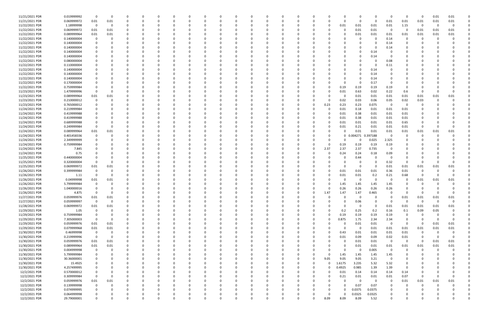| 11/21/2021 PDR | 0.019999992 | 0           | $\Omega$    |             |          |          |   |          |          |          |          |          |          |          |          |          |          |             |          |                         | $\Omega$    | 0           | 0.01     | 0.01        |  |
|----------------|-------------|-------------|-------------|-------------|----------|----------|---|----------|----------|----------|----------|----------|----------|----------|----------|----------|----------|-------------|----------|-------------------------|-------------|-------------|----------|-------------|--|
| 11/21/2021 PDR | 0.069999972 | 0.01        | 0.01        | 0           |          | -0       |   |          |          |          |          |          |          |          | 0        |          | 0        | 0           | $\Omega$ | 0.01                    | 0.01        | 0.01        | 0.01     | 0.01        |  |
| 11/22/2021 PDR | 1.18999998  | $\mathbf 0$ | 0           |             |          |          |   |          |          |          |          |          |          |          |          |          | 0.01     | 0.01        | 0.01     | 0.01                    | 1.15        | 0           | 0        | 0           |  |
| 11/22/2021 PDR | 0.069999972 | 0.01        | 0.01        | $\Omega$    |          |          |   |          |          |          |          |          |          |          |          |          | 0        | 0.01        | 0.01     | $\overline{\mathbf{0}}$ | 0           | 0.01        | 0.01     | 0.01        |  |
|                |             |             |             |             |          |          |   |          |          |          |          |          |          |          |          |          |          |             |          |                         |             |             |          |             |  |
| 11/22/2021 PDR | 0.089999964 | 0.01        | 0.01        | 0           |          |          |   |          |          |          |          |          |          |          |          |          | 0        | 0.01        | 0.01     | 0.01                    | 0.01        | 0.01        | 0.01     | 0.01        |  |
| 11/22/2021 PDR | 0.140000004 | 0           |             |             |          |          |   |          |          |          |          |          |          |          |          |          | n        | $\Omega$    |          | 0.14                    | 0           | 0           |          |             |  |
| 11/22/2021 PDR | 0.140000004 | $\Omega$    |             |             |          |          |   |          |          |          |          |          |          |          |          |          |          |             |          | 0.14                    |             |             |          |             |  |
| 11/22/2021 PDR | 0.140000004 |             |             |             |          |          |   |          |          |          |          |          |          |          |          |          |          |             |          | 0.14                    |             |             |          |             |  |
| 11/22/2021 PDR | 0.140000004 |             |             |             |          |          |   |          |          |          |          |          |          |          |          |          |          |             | 0.14     |                         |             |             |          |             |  |
| 11/22/2021 PDR | 0.140000004 |             |             |             |          |          |   |          |          |          |          |          |          |          |          |          |          | 0           | 0.14     | - 0                     |             |             |          |             |  |
| 11/22/2021 PDR | 0.080000004 |             |             |             |          |          |   |          |          |          |          |          |          |          |          |          |          |             |          | 0.08                    |             |             |          |             |  |
|                |             |             |             |             |          |          |   |          |          |          |          |          |          |          |          |          |          |             |          |                         |             |             |          |             |  |
| 11/22/2021 PDR | 0.110000004 |             |             |             |          |          |   |          |          |          |          |          |          |          |          |          |          |             |          | 0.11                    |             |             |          |             |  |
| 11/22/2021 PDR | 0.140000004 |             |             |             |          |          |   |          |          |          |          |          |          |          |          |          |          |             | 0.14     |                         |             |             |          |             |  |
| 11/22/2021 PDR | 0.140000004 |             |             |             |          |          |   |          |          |          |          |          |          |          |          |          |          | - 0         | 0.14     |                         |             |             |          |             |  |
| 11/22/2021 PDR | 0.140000004 |             |             |             |          |          |   |          |          |          |          |          |          |          |          |          |          | -0          | 0.14     |                         |             |             |          |             |  |
| 11/22/2021 PDR | 0.170000004 |             |             |             |          |          |   |          |          |          |          |          |          |          |          |          | O        | -0          | 0.17     | - 0                     |             |             |          |             |  |
| 11/22/2021 PDR | 0.759999984 | $\Omega$    |             |             |          |          |   |          |          |          |          |          |          |          |          |          | 0.19     | 0.19        | 0.19     | 0.19                    |             |             |          |             |  |
| 11/23/2021 PDR | 1.479999996 | 0           |             |             |          |          |   |          |          |          |          |          |          |          |          |          | 0.01     | 0.63        | 0.02     | 0.22                    | 0.6         | 0           |          |             |  |
|                |             |             |             |             |          |          |   |          |          |          |          |          |          |          |          |          |          |             |          |                         |             |             |          |             |  |
| 11/23/2021 PDR | 0.089999964 | 0.01        | 0.01        |             |          |          |   |          |          |          |          |          |          |          |          |          | 0        | 0.01        | 0.01     | 0.01                    | 0.01        | 0.01        | 0.01     | 0.01        |  |
| 11/23/2021 PDR | 0.210000012 | 0           |             |             |          |          |   |          |          |          |          |          |          |          |          |          | 0.02     | 0.03        | 0.06     | 0.05                    | 0.02        | 0.03        |          |             |  |
| 11/23/2021 PDR | 0.765000012 |             |             |             |          |          |   |          |          |          |          |          |          |          |          | 0.23     | 0.23     | 0.23        | 0.075    | $\overline{\mathbf{0}}$ | C           |             |          |             |  |
| 11/24/2021 PDR | 0.219999984 |             |             |             |          |          |   |          |          |          |          |          |          |          |          | -0       | 0.01     | 0.18        | 0.01     | 0.01                    | 0.01        |             |          |             |  |
| 11/24/2021 PDR | 0.419999988 |             |             |             |          |          |   |          |          |          |          |          |          |          |          |          | 0.01     | 0.38        | 0.01     | 0.01                    | 0.01        |             |          |             |  |
| 11/24/2021 PDR | 0.419999988 | $\Omega$    |             |             |          |          |   |          |          |          |          |          |          |          |          |          | 0.01     | 0.38        | 0.01     | 0.01                    | 0.01        |             |          |             |  |
| 11/24/2021 PDR | 0.689999988 | 0           |             |             |          |          |   |          |          |          |          |          |          |          |          |          | 0.01     | 0.01        | 0.01     | 0.01                    | 0.65        |             |          |             |  |
|                |             |             |             |             |          |          |   |          |          |          |          |          |          |          |          |          |          |             |          |                         |             |             |          |             |  |
| 11/24/2021 PDR | 0.249999984 | 0           |             |             |          |          |   |          |          |          |          |          |          |          |          |          | 0.01     | 0.21        | 0.01     | 0.01                    | 0.01        | -0          |          |             |  |
| 11/24/2021 PDR | 0.089999964 | 0.01        | 0.01        |             |          |          |   |          |          |          |          |          |          |          |          |          | 0        | 0.01        | 0.01     | 0.01                    | 0.01        | 0.01        | 0.01     | 0.01        |  |
| 11/24/2021 PDR | 0.401458336 | 0           |             |             |          |          |   |          |          |          |          |          |          |          |          |          | 0        | 0.004271    | 0.397188 | - 0                     | 0           | -0          |          |             |  |
| 11/24/2021 PDR | 2.349999999 |             |             |             |          |          |   |          |          |          |          |          |          |          |          |          | 0        | 0           | 0.025    | 2.325                   | C           |             |          |             |  |
| 11/24/2021 PDR | 0.759999984 | $\Omega$    |             |             |          |          |   |          |          |          |          |          |          |          |          | 0        | 0.19     | 0.19        | 0.19     | 0.19                    |             |             |          |             |  |
| 11/24/2021 PDR | 7.845       |             |             |             |          |          |   |          |          |          |          |          |          |          |          | 2.37     | 2.37     | 2.37        | 0.735    | - 0                     |             |             |          |             |  |
| 11/24/2021 PDR | 0.75        |             |             |             |          |          |   |          |          |          |          |          |          |          |          |          | 0.24     | 0.24        | 0.18     | 0.09                    |             |             |          |             |  |
| 11/25/2021 PDR | 0.440000004 |             |             |             |          |          |   |          |          |          |          |          |          |          |          |          |          | 0.44        |          | - റ                     |             |             |          |             |  |
|                |             |             |             |             |          |          |   |          |          |          |          |          |          |          |          |          |          |             |          |                         |             |             |          |             |  |
| 11/25/2021 PDR | 0.320000004 |             |             |             |          |          |   |          |          |          |          |          |          |          |          |          |          | 0           |          | 0.32                    | 0           |             |          |             |  |
| 11/25/2021 PDR | 0.069999972 | 0.01        | 0.01        |             |          |          |   |          |          |          |          |          |          |          |          |          |          | $\Omega$    |          | 0.01                    | 0.01        | 0.01        | 0.01     | 0.01        |  |
| 11/26/2021 PDR | 0.399999984 | $\Omega$    |             |             |          |          |   |          |          |          |          |          |          |          |          |          | 0.01     | 0.01        | 0.01     | 0.36                    | 0.01        | 0           |          |             |  |
| 11/26/2021 PDR | 1.11        | 0           | - 0         |             |          |          |   |          |          |          |          |          |          |          |          |          | 0.01     | 0.01        | 0.2      | 0.21                    | 0.68        | 0           |          |             |  |
| 11/26/2021 PDR | 0.04999998  | 0.01        | 0.01        |             |          |          |   |          |          |          |          |          |          |          |          |          | O        | 0           |          | - 0                     | C           | 0.01        | 0.01     | 0.01        |  |
| 11/26/2021 PDR | 5.799999984 |             |             |             |          |          |   |          |          |          |          |          |          |          |          |          | 1.45     | 1.45        | 1.45     | 1.45                    |             |             |          |             |  |
| 11/26/2021 PDR | 1.040000016 | $\Omega$    |             |             |          |          |   |          |          |          |          |          |          |          |          |          | 0.26     | 0.26        | 0.26     | 0.26                    | 0           |             |          |             |  |
|                |             |             |             |             |          |          |   |          |          |          |          |          |          |          |          |          | 1.47     | 1.47        | 0.465    |                         |             |             |          |             |  |
| 11/26/2021 PDR | 4.875       | 0           | 0           |             |          |          |   |          |          |          |          |          |          |          |          | 1.47     |          |             |          |                         | C           |             |          |             |  |
| 11/27/2021 PDR | 0.059999976 | 0.01        | $0.01\,$    | 0           | 0        | $\Omega$ | 0 | O        | $\Omega$ | $\Omega$ | $\Omega$ | $\Omega$ | $\Omega$ | $\Omega$ | $\Omega$ | $\Omega$ | $\Omega$ | 0           | $\Omega$ | $\mathbf 0$             | 0.01        | 0.01        | 0.01     | 0.01        |  |
| 11/27/2021 PDR | 0.059999997 | $\mathbf 0$ | $\mathbf 0$ | $\Omega$    | 0        | $\Omega$ | 0 | O        | $\Omega$ |          | 0        | $\Omega$ | $\Omega$ |          | $\Omega$ | 0        | 0        | 0.06        | $\Omega$ | $\overline{\mathbf{0}}$ | $\Omega$    | $\mathbf 0$ | $\Omega$ | $\mathbf 0$ |  |
| 11/28/2021 PDR | 0.069999972 | 0.01        | 0.01        | 0           |          | - 0      |   |          |          |          | 0        |          |          |          |          |          | $\Omega$ | $\mathbf 0$ | $\Omega$ | 0.01                    | 0.01        | 0.01        | 0.01     | 0.01        |  |
| 11/29/2021 PDR | 1.05        | $\mathbf 0$ | $\Omega$    | 0           |          | -0       |   |          |          |          | 0        | 0        |          |          |          | 0        | 0.2      | 0.25        | 0.2      | 0.16                    | 0.1         | 0.09        | 0.05     |             |  |
| 11/29/2021 PDR | 0.759999984 | 0           |             | 0           |          |          |   |          |          |          |          |          |          |          |          | 0        | 0.19     | 0.19        | 0.19     | 0.19                    | 0           | $\Omega$    |          |             |  |
| 11/29/2021 PDR | 7.305000003 | $\mathbf 0$ | $\Omega$    | 0           | 0        | 0        | 0 |          |          |          | 0        | 0        |          |          | 0        | 0        | 0.875    | 1.75        | 2.34     | 2.34                    | 0           | $\Omega$    | 0        | $\Omega$    |  |
| 11/29/2021 PDR | 0.059999976 | 0.01        | 0.01        | 0           | 0        | 0        |   |          |          |          | 0        | 0        |          |          |          |          | 0        | 0.01        | 0.01     | $\overline{\mathbf{0}}$ | $\mathbf 0$ | $\mathbf 0$ | 0.01     | 0.01        |  |
|                | 0.079999968 | 0.01        |             | $\Omega$    |          | - 0      |   |          |          |          |          | $\Omega$ |          |          |          |          | $\Omega$ | $\mathbf 0$ | 0.01     | 0.01                    |             | 0.01        | 0.01     | 0.01        |  |
| 11/29/2021 PDR |             |             | 0.01        |             |          |          |   |          |          |          |          |          |          |          |          |          |          |             |          |                         | 0.01        |             |          |             |  |
| 11/30/2021 PDR | 0.46999998  | 0           | $\Omega$    | 0           |          | - 0      |   |          |          |          | 0        | 0        |          |          |          |          | 0.43     | 0.01        | 0.01     | 0.01                    | 0.01        | 0           |          | 0           |  |
| 11/30/2021 PDR | 0.219999996 | $\mathbf 0$ | $\Omega$    | 0           |          |          |   |          |          |          |          |          |          |          |          |          | 0.01     | 0.09        | 0.09     | 0.02                    | 0.01        | 0           |          | $\mathbf 0$ |  |
| 11/30/2021 PDR | 0.059999976 | 0.01        | 0.01        | 0           |          | -0       |   |          |          |          |          | 0        |          |          |          |          | 0        | 0.01        | 0.01     | $\overline{\mathbf{0}}$ | 0           | $\Omega$    | 0.01     | 0.01        |  |
| 11/30/2021 PDR | 0.089999964 | 0.01        | 0.01        | 0           |          | -0       |   |          |          |          |          |          |          |          |          |          | 0        | 0.01        | 0.01     | 0.01                    | 0.01        | 0.01        | 0.01     | 0.01        |  |
| 11/30/2021 PDR | 0.004999998 | $\mathbf 0$ | $\Omega$    | $\Omega$    | 0        |          |   |          |          |          |          |          |          |          |          |          | $\Omega$ | $\mathbf 0$ | 0.005    | $\overline{\mathbf{0}}$ | $\mathbf 0$ | $\Omega$    |          |             |  |
| 11/30/2021 PDR | 5.799999984 | 0           |             | $\Omega$    |          | 0        |   |          |          |          |          | $\Omega$ | 0        |          |          | $\Omega$ | 1.45     | 1.45        | 1.45     | 1.45                    | 0           | 0           |          |             |  |
| 11/30/2021 PDR | 30.36000001 | 0           |             | 0           |          | - 0      |   |          |          |          | 0        |          |          |          | 0        | 9.05     | 9.05     | 9.05        | 3.21     | $\overline{0}$          | 0           | 0           |          |             |  |
|                |             |             |             |             |          |          |   |          |          |          | $\Omega$ |          |          |          |          | $\Omega$ |          |             |          |                         |             |             |          |             |  |
| 11/30/2021 PDR | 15.4925     | 0           |             | O           |          | -0       |   |          |          |          |          |          |          |          |          |          | 1.6175   | 3.235       | 5.32     | 5.32                    | 0           |             |          |             |  |
| 11/30/2021 PDR | 4.257499995 | 0           |             |             |          |          |   |          |          |          |          |          |          |          | 0        | $\Omega$ | 0.4925   | 0.985       | 1.39     | 1.39                    | 0           |             |          |             |  |
| 12/2/2021 PDR  | 0.570000012 | 0           |             |             |          |          |   |          |          |          |          |          |          |          |          |          | 0.01     | 0.14        | 0.14     | 0.14                    | 0.14        |             |          |             |  |
| 12/2/2021 PDR  | 0.309999984 | $\mathbf 0$ | $\Omega$    | O           |          |          |   |          |          |          |          |          |          |          |          |          | 0.21     | 0.01        | 0.01     | 0.01                    | 0.07        | $\mathbf 0$ |          |             |  |
| 12/2/2021 PDR  | 0.059999976 | 0.01        | 0.01        | 0           |          |          |   |          |          |          |          |          |          |          |          |          | 0        | $\mathbf 0$ | $\Omega$ | - 0                     | 0.01        | 0.01        | 0.01     | 0.01        |  |
| 12/2/2021 PDR  | 0.139999998 | $\mathbf 0$ |             | 0           |          |          |   |          |          |          |          |          |          |          |          |          | $\Omega$ | 0.07        | 0.07     | 0                       | 0           | $\Omega$    |          |             |  |
| 12/2/2021 PDR  | 0.074999995 | 0           |             | 0           | 0        | -0       |   |          |          |          |          |          |          |          |          |          | $\Omega$ | 0.0375      | 0.0375   | 0                       | 0           | - 0         |          |             |  |
| 12/2/2021 PDR  | 0.064999998 | 0           |             |             |          |          |   |          |          |          |          |          |          |          |          |          | $\Omega$ | 0.0325      | 0.0325   | 0                       |             |             |          |             |  |
|                |             |             | $\Omega$    |             | $\Omega$ |          |   | $\Omega$ | $\Omega$ |          | $\Omega$ | $\Omega$ | $\Omega$ |          | $\Omega$ |          |          |             |          | $\mathbf 0$             |             |             |          |             |  |
| 12/2/2021 PDR  | 29.79000001 | $\mathbf 0$ |             | $\mathbf 0$ |          | $\Omega$ | 0 |          |          |          |          |          |          |          |          | 8.09     | 8.09     | 8.09        | 5.52     |                         | 0           | $\Omega$    |          | 0           |  |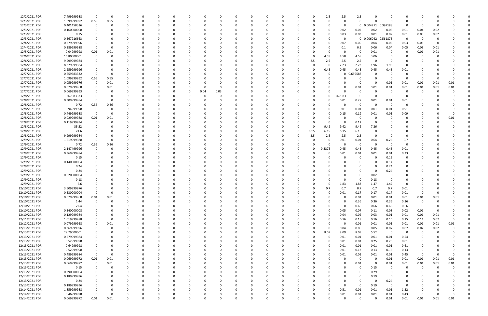| 12/2/2021 PDR                    | 7.499999988                | $\Omega$    | $\Omega$  | -0            |          | $\Omega$             |          |          |          |          |          | $\Omega$      |          |          | 0        |      | 2.5          | 2.5              | 2.5          |              |                         |              |              |              |                  |  |
|----------------------------------|----------------------------|-------------|-----------|---------------|----------|----------------------|----------|----------|----------|----------|----------|---------------|----------|----------|----------|------|--------------|------------------|--------------|--------------|-------------------------|--------------|--------------|--------------|------------------|--|
| 12/3/2021 PDR                    | 1.099999992                | 0.55        | 0.55      |               |          |                      |          |          |          |          |          |               |          |          |          |      | $\Omega$     |                  | 0            |              | - 0                     |              |              |              |                  |  |
| 12/3/2021 PDR                    | 0.401458336                | $\Omega$    |           |               |          |                      |          |          |          |          |          |               |          |          |          |      |              |                  | 0            | 0.004271     | 0.397188                |              |              |              |                  |  |
| 12/3/2021 PDR                    | 0.160000008                |             |           |               |          |                      |          |          |          |          |          |               |          |          |          |      |              | 0.02             | 0.02         | 0.02         | 0.03                    | 0.01         | 0.04         | 0.02         |                  |  |
| 12/3/2021 PDR                    | 0.15                       |             |           |               |          |                      |          |          |          |          |          |               |          |          |          |      |              | 0.03             | 0.03         | 0.01         | 0.02                    | 0.01         | 0.03         | 0.02         |                  |  |
| 12/3/2021 PDR                    | 0.567916663                |             |           |               |          |                      |          |          |          |          |          |               |          |          |          |      |              |                  | 0            | 0.006042     | 0.561875                | $\Omega$     | -0           |              |                  |  |
| 12/4/2021 PDR                    | 0.279999996                |             |           |               |          |                      |          |          |          |          |          |               |          |          |          |      | <sup>0</sup> | 0.07             | 0.05         | 0.04         | 0.06                    | 0.03         | 0.03         |              |                  |  |
| 12/4/2021 PDR                    | 0.389999988                |             |           |               |          |                      |          |          |          |          |          |               |          |          |          |      |              | 0.1              | 0.1          | 0.06         | 0.04                    | 0.05         | 0.03         | 0.01         |                  |  |
| 12/5/2021 PDR                    | 0.04999998                 | 0.01        | 0.01      |               |          |                      |          |          |          |          |          |               |          |          |          |      |              |                  | 0            | 0.01         | - 0                     |              | 0.01         | 0.01         |                  |  |
| 12/6/2021 PDR                    | 16.80000001                | $\Omega$    |           |               |          |                      |          |          |          |          |          |               |          |          |          |      | 4.58         | 4.58             | 4.58         | 3.06         |                         |              |              |              |                  |  |
| 12/6/2021 PDR                    | 9.999999984                |             |           |               |          |                      |          |          |          |          |          |               |          |          |          | 2.5  | 2.5          | 2.5              | 2.5          |              | - 0                     |              |              |              |                  |  |
| 12/6/2021 PDR                    | 8.379999984                |             |           |               |          |                      |          |          |          |          |          |               |          |          |          |      | - 0          | 2.23             | 2.23         | 1.96         | 1.96                    | 0            |              |              |                  |  |
| 12/6/2021 PDR                    | 2.259999996                |             |           |               |          |                      |          |          |          |          |          |               |          |          |          |      | 0.45         | 0.45             | 0.45         | 0.45         | 0.45                    | 0.01         |              |              |                  |  |
| 12/7/2021 PDR                    | 0.659583332                |             |           |               |          |                      |          |          |          |          |          |               |          |          |          |      | - 0          | 0                | 0.659583     |              |                         |              |              |              |                  |  |
| 12/7/2021 PDR                    | 1.099999992                | 0.55        | 0.55      |               |          |                      |          |          |          |          |          |               |          |          |          |      |              |                  | 0            |              | - ೧                     |              | 0            |              |                  |  |
| 12/7/2021 PDR                    | 0.059999976                | 0           | 0.01      |               |          |                      |          |          |          |          |          |               |          |          |          |      |              |                  | 0            |              | 0.01                    | 0.01         | 0.01         | 0.01         | 0.01             |  |
| 12/7/2021 PDR                    | 0.079999968                | 0           | 0.01      | 0             |          |                      |          |          |          |          |          |               |          |          |          |      |              |                  | 0.01         | 0.01         | 0.01                    | 0.01         | 0.01         | 0.01         | 0.01             |  |
| 12/7/2021 PDR                    | 0.069999993                | 0           |           |               |          |                      |          | - 0      | 0.04     | 0.03     |          |               |          |          |          |      | U            |                  | 0            |              | - 0                     | 0            | 0            |              |                  |  |
| 12/8/2021 PDR                    | 1.267083333                |             |           |               |          |                      |          |          |          |          |          |               |          |          |          |      | $\mathbf 0$  | .267083          | $\Omega$     |              |                         |              |              |              |                  |  |
| 12/8/2021 PDR                    | 0.309999984                |             |           |               |          |                      |          |          |          |          |          |               |          |          |          |      |              | 0.01             | 0.27         | 0.01         | 0.01                    | 0.01         |              |              |                  |  |
| 12/8/2021 PDR                    | 0.72                       | 0.36        | 0.36      |               |          |                      |          |          |          |          |          |               |          |          |          |      |              |                  | 0            | -0           | - 0                     |              |              |              |                  |  |
| 12/8/2021 PDR                    | 0.94999998                 |             |           |               |          |                      |          |          |          |          |          |               |          |          |          |      | 0            | 0.01             | 0.01         | 0.01         | 0.01                    | 0.91         |              |              |                  |  |
| 12/8/2021 PDR                    | 0.449999988                | 0           |           |               |          |                      |          |          |          |          |          |               |          |          |          |      |              | 0.15             | 0.19         | 0.01         | 0.01                    | 0.09         |              |              |                  |  |
| 12/8/2021 PDR                    | 0.029999988                | 0.01        | 0.01      |               |          |                      |          |          |          |          |          |               |          |          |          |      |              |                  | 0            |              |                         |              |              |              | 0.01             |  |
| 12/8/2021 PDR                    | 0.119999994                | 0           |           |               |          |                      |          |          |          |          |          |               |          |          |          |      |              |                  | 0.12         |              |                         |              |              |              |                  |  |
| 12/8/2021 PDR                    | 35.52                      |             |           |               |          |                      |          |          |          |          |          |               |          |          |          | 0    | 9.42         | 9.42             | 9.42         | 7.26         |                         |              |              |              |                  |  |
| 12/8/2021 PDR                    | 24.6                       |             |           |               |          |                      |          |          |          |          |          |               |          |          | 0        | 6.15 | 6.15         | 6.15             | 6.15         |              |                         |              |              |              |                  |  |
| 12/8/2021 PDR                    | 9.999999984                |             |           |               |          |                      |          |          |          |          |          |               |          |          |          | 2.5  | 2.5          | 2.5              | 2.5          |              | - 0                     |              |              |              |                  |  |
| 12/9/2021 PDR                    | 1.619999988                |             |           |               |          |                      |          |          |          |          |          |               |          |          |          |      |              | 0.01             | 0.01         | 0.64         | 0.26                    | 0.7          |              |              |                  |  |
| 12/9/2021 PDR                    | 0.72                       | 0.36        | 0.36      |               |          |                      |          |          |          |          |          |               |          |          |          |      |              |                  | 0            |              | - 0                     | $\Omega$     |              |              |                  |  |
| 12/9/2021 PDR                    | 2.147499996                |             |           |               |          |                      |          |          |          |          |          |               |          |          | 0        |      | 0.3375       | 0.45             | 0.45         | 0.45         | 0.45                    | 0.01         |              |              |                  |  |
| 12/9/2021 PDR                    | 0.369999984                |             |           |               |          |                      |          |          |          |          |          |               |          |          |          |      |              | 0.01             | 0.01         | 0.01         | 0.01                    | 0.33         |              |              |                  |  |
| 12/9/2021 PDR                    | 0.15                       |             |           |               |          |                      |          |          |          |          |          |               |          |          |          |      |              |                  | 0            |              | 0.15                    | 0            |              |              |                  |  |
| 12/9/2021 PDR                    | 0.140000004                |             |           |               |          |                      |          |          |          |          |          |               |          |          |          |      |              |                  |              |              | 0.14                    |              |              |              |                  |  |
| 12/9/2021 PDR                    | 0.24                       |             |           |               |          |                      |          |          |          |          |          |               |          |          |          |      |              |                  |              |              | 0.24                    |              |              |              |                  |  |
| 12/9/2021 PDR                    | 0.24                       |             |           |               |          |                      |          |          |          |          |          |               |          |          |          |      |              |                  | 0            | - 0          | 0.24                    |              |              |              |                  |  |
| 12/9/2021 PDR                    | 0.020000004                |             |           |               |          |                      |          |          |          |          |          |               |          |          |          |      |              |                  | 0            | 0.02         |                         |              |              |              |                  |  |
| 12/9/2021 PDR                    | 0.18                       |             |           |               |          |                      |          |          |          |          |          |               |          |          |          |      |              |                  | 0            | 0.18         |                         |              |              |              |                  |  |
| 12/9/2021 PDR                    | 6.6                        |             |           |               |          |                      |          |          |          |          |          |               |          |          |          |      |              | 1.83             |              |              | 1.47                    |              |              |              |                  |  |
| 12/10/2021 PDR                   |                            |             |           |               |          |                      |          |          |          |          |          |               |          |          |          |      | 0.7          | 0.7              | 1.83<br>0.7  | 1.47<br>0.7  | 0.7                     |              |              |              |                  |  |
|                                  | 3.509999976<br>0.530000004 |             |           |               |          |                      |          |          |          |          |          |               |          |          |          |      |              | 0.01             |              | 0.17         |                         | 0.01         |              |              |                  |  |
| 12/10/2021 PDR<br>12/10/2021 PDR | 0.079999968                | 0.01        | U         | 0             | $\Omega$ | $\Omega$             | $\Omega$ | 0        | $\Omega$ | 0        | $\Omega$ | 0             | $\Omega$ | 0        | 0        | 0    | $\Omega$     | $\Omega$         | 0.17<br>0.01 | 0.01         | 0.17<br>0.01            | 0.01         | 0.01         | 0.01         | O                |  |
| 12/10/2021 PDR                   |                            | $\mathbf 0$ | 0.01<br>0 |               |          | $\Omega$             |          |          |          |          |          |               | $\Omega$ |          |          |      | U            |                  |              |              |                         | 0.01         |              |              |                  |  |
| 12/10/2021 PDR                   | 1.44<br>2.64               | $\Omega$    |           | 0<br>$\Omega$ |          | $\Omega$             |          | 0<br>- 0 |          |          |          | 0<br>$\Omega$ |          |          | 0<br>0   |      |              | $\Omega$         | 0.36<br>0.66 | 0.36<br>0.66 | 0.36<br>0.66            | 0.36<br>0.66 | 0<br>0       |              |                  |  |
| 12/10/2021 PDR                   | 0.340000008                |             |           |               |          | 0                    |          |          |          |          |          | 0             |          |          | C        |      | $\Omega$     | 0.05             |              |              | 0.08                    | 0.02         |              |              |                  |  |
|                                  | 0.129999984                |             |           |               |          |                      |          |          |          |          |          |               |          |          |          |      | 0            | 0.04             | 0.07<br>0.02 | 0.11<br>0.03 | 0.01                    |              | 0.01<br>0.01 |              |                  |  |
| 12/10/2021 PDR<br>12/11/2021 PDR | 1.019999988                | 0           |           |               |          | 0                    |          |          |          |          |          | 0             |          |          |          |      | $\Omega$     |                  | 0.19         |              | 0.15                    | 0.01         | 0.14         | 0.01<br>0.07 | $\mathbf 0$      |  |
|                                  |                            |             |           |               |          |                      |          |          |          |          |          | 0             |          | 0        | 0        |      |              | 0.16<br>$\Omega$ |              | 0.16         |                         | 0.15         |              |              |                  |  |
| 12/12/2021 PDR                   | 0.079999968                | $\mathbf 0$ | 0.01      | $\Omega$      |          | $\Omega$<br>$\Omega$ |          |          |          |          |          | 0             | $\Omega$ |          | 0        |      | $\Omega$     |                  | 0.01         | 0.01         | 0.01                    | 0.01         | 0.01         | 0.01         | 0.01<br>$\Omega$ |  |
| 12/13/2021 PDR                   | 0.369999996                | $\mathbf 0$ |           | $\Omega$      |          |                      |          | $\Omega$ |          |          |          | $\Omega$      |          |          | $\Omega$ |      |              | 0.04             | 0.05         | 0.05         | 0.07                    | 0.07         | 0.07         | 0.02         |                  |  |
| 12/13/2021 PDR                   | 29.79000001                | 0           |           | 0             |          | $\Omega$             |          | 0        |          |          | 0        | $\Omega$      | $\Omega$ |          | 0        | 0    | 8.09         | 8.09             | 8.09         | 5.52         | $\overline{\mathbf{0}}$ | 0            | 0            |              |                  |  |
| 12/13/2021 PDR                   | 0.579999984                |             |           | 0             |          | $\Omega$             |          |          |          |          |          | $\Omega$      |          |          | 0        |      | $\Omega$     | 0.01             | 0.01         | 0.01         | $0.01\,$                | 0.54         |              |              |                  |  |
| 12/13/2021 PDR                   | 0.52999998                 | $\mathbf 0$ |           |               |          | 0                    |          |          |          |          |          | 0             |          |          | 0        |      | $\Omega$     | 0.01             | 0.01         | 0.25         | 0.25                    | 0.01         |              |              |                  |  |
| 12/13/2021 PDR                   | 0.64999998                 | 0           |           | 0             |          | 0                    |          |          |          |          |          |               |          |          | 0        |      | 0            | 0.01             | 0.01         | 0.01         | 0.01                    | 0.61         |              |              |                  |  |
| 12/13/2021 PDR                   | 0.52999998                 | $\mathbf 0$ |           | $\Omega$      |          | $\Omega$             |          |          |          |          |          | $\Omega$      |          |          | 0        |      | $\Omega$     | 0.01             | 0.13         | 0.13         | 0.13                    | 0.13         | 0            |              |                  |  |
| 12/13/2021 PDR                   | 0.489999984                | $\mathbf 0$ | $\Omega$  | 0             |          | $\Omega$             |          | $\Omega$ |          |          |          | 0             |          |          | 0        |      | $\Omega$     | 0.01             | 0.01         | 0.01         | 0.01                    | 0.45         | 0            |              | $\Omega$         |  |
| 12/13/2021 PDR                   | 0.069999972                | $0.01\,$    | 0.01      | 0             |          | $\Omega$             |          |          |          |          |          | 0             |          |          | 0        |      | 0            |                  | 0            | -0           | 0.01                    | 0.01         | 0.01         | 0.01         | 0.01             |  |
| 12/13/2021 PDR                   | 0.069999972                | $\mathbf 0$ | 0.01      | $\Omega$      |          | $\Omega$             |          |          |          |          |          | $\Omega$      |          |          | 0        |      |              |                  | 0.01         | $\Omega$     | 0.01                    | 0.01         | 0.01         | 0.01         | 0.01             |  |
| 12/13/2021 PDR                   | 0.15                       | 0           | 0         | 0             |          | 0                    |          |          |          |          |          | 0             |          |          | 0        |      |              |                  | 0            | 0.15         | - 0                     | 0            | -0           |              |                  |  |
| 12/13/2021 PDR                   | 0.290000004                |             |           |               |          | 0                    |          |          |          |          |          |               |          |          | 0        |      |              |                  | 0            | 0.29         | $\Omega$                | 0            | 0            |              |                  |  |
| 12/13/2021 PDR                   | 0.189999996                | 0           |           | $\Omega$      |          | $\Omega$             |          |          |          |          |          |               |          |          |          |      |              |                  | 0            | 0.19         | $\Omega$                | $\mathbf 0$  |              |              |                  |  |
| 12/13/2021 PDR                   | 0.24                       | 0           |           | 0             |          | $\Omega$             |          |          |          |          |          | 0             |          |          | 0        |      |              |                  | 0            | $\Omega$     | 0.24                    | $\mathbf 0$  |              |              |                  |  |
| 12/13/2021 PDR                   | 0.189999996                |             |           | 0             |          | $\Omega$             |          |          |          |          |          | 0             |          |          | 0        |      |              |                  | $\Omega$     | 0.19         | $\Omega$                | $\mathbf 0$  |              |              |                  |  |
| 12/14/2021 PDR                   | 1.859999988                | $\Omega$    |           | $\Omega$      |          | $\Omega$             |          |          |          |          | 0        | $\Omega$      | $\Omega$ |          | 0        |      | $\Omega$     | 0.51             | 0.01         | 0.01         | 0.01                    | 1.32         |              |              |                  |  |
| 12/14/2021 PDR                   | 0.46999998                 | $\Omega$    |           | 0             |          |                      |          |          |          |          |          | 0             |          |          | C        |      | 0            | 0.01             | 0.01         | 0.01         | 0.01                    | 0.43         | 0            |              | 0                |  |
| 12/14/2021 PDR                   | 0.069999972                | 0.01        | 0.01      | $\Omega$      |          | $\Omega$             | $\Omega$ | $\Omega$ |          | $\Omega$ | $\Omega$ | $\mathbf 0$   | $\Omega$ | $\Omega$ | $\Omega$ |      | 0            |                  | $\mathbf 0$  | $\Omega$     | 0.01                    | 0.01         | 0.01         | 0.01         | 0.01             |  |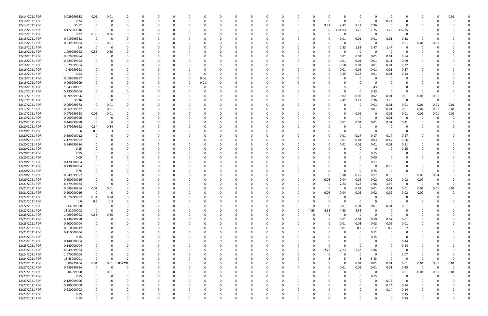| 12/14/2021 PDR | 0.029999988 | 0.01         | 0.01                    | O        |          |          | 0        |          |          |          | 0        |          |          |          |              | 0           | $\Omega$ | - 0                     | 0           |             |          | 0.01     |  |
|----------------|-------------|--------------|-------------------------|----------|----------|----------|----------|----------|----------|----------|----------|----------|----------|----------|--------------|-------------|----------|-------------------------|-------------|-------------|----------|----------|--|
| 12/14/2021 PDR | 0.24        | - 0          | - 0                     | O        | - 0      |          | $\Omega$ |          |          |          |          |          | $\Omega$ |          | $\Omega$     | $\Omega$    | $\Omega$ | 0.24                    | 0           |             |          |          |  |
|                |             |              |                         |          |          |          |          |          |          |          |          |          |          |          |              |             |          | $\Omega$                |             |             |          |          |  |
| 12/14/2021 PDR | 35.52       |              |                         |          |          |          |          |          |          |          |          |          | 0        | 9.42     | 9.42         | 9.42        | 7.26     |                         |             |             |          |          |  |
| 12/15/2021 PDR | 8.172083316 |              |                         |          |          |          |          |          |          |          |          |          |          | 0        | 419583       | 1.75        | 1.75     | 1.75                    | 1.5025      |             |          |          |  |
| 12/15/2021 PDR | 0.72        | 0.36         | 0.36                    |          |          |          |          |          |          |          |          |          |          |          | 0            | 0           |          | - 0                     |             |             |          |          |  |
| 12/15/2021 PDR | 0.419999988 | $\Omega$     | - 0                     |          |          |          | n        |          |          |          |          |          |          |          | 0.01         | 0.01        | 0.01     | 0.01                    | 0.38        | 0           |          |          |  |
| 12/15/2021 PDR |             |              |                         |          |          |          |          |          |          |          |          |          |          |          | C            | 0           | $\Omega$ | - 0                     |             |             |          |          |  |
|                | 0.039999984 |              | 0.01                    |          |          |          |          |          |          |          |          |          |          |          |              |             |          |                         | 0.01        | 0.01        | 0.01     |          |  |
| 12/15/2021 PDR | 6.6         |              | - 0                     |          |          |          |          |          |          |          |          |          |          |          | 1.83         | 1.83        | 1.47     | 1.47                    | 0           |             |          |          |  |
| 12/16/2021 PDR | 1.099999992 | 0.55         | 0.55                    |          |          |          |          |          |          |          |          |          |          |          | $\Omega$     | - 0         | $\Omega$ | - 0                     | 0           |             |          |          |  |
| 12/16/2021 PDR | 0.579999984 | $\Omega$     |                         |          |          |          |          |          |          |          |          |          |          |          | 0.01         | 0.01        | 0.01     | 0.01                    | 0.54        |             |          |          |  |
| 12/16/2021 PDR | 0.229999992 |              |                         |          |          |          |          |          |          |          |          |          |          |          | 0.01         | 0.01        | 0.01     | 0.11                    | 0.09        |             |          |          |  |
|                |             |              |                         |          |          |          |          |          |          |          |          |          |          |          |              |             |          |                         |             |             |          |          |  |
| 12/16/2021 PDR | 1.929999984 |              |                         |          |          |          |          |          |          |          |          |          |          |          | 0.58         | 0.01        | 0.01     | 0.01                    | 1.32        |             |          |          |  |
| 12/16/2021 PDR | 0.40999998  |              |                         |          |          |          | n        |          |          |          |          |          |          |          | 0.01         | 0.01        | 0.01     | 0.01                    | 0.37        |             |          |          |  |
| 12/16/2021 PDR | 0.54        |              |                         |          |          |          | 0        |          |          |          |          |          |          |          | 0.15         | 0.23        | 0.01     | 0.01                    | 0.14        |             |          |          |  |
| 12/16/2021 PDR | 0.059999997 |              |                         |          |          |          | 0.06     |          |          |          |          |          |          |          | T            | $\Omega$    |          | - 0                     | 0           |             |          |          |  |
|                |             |              |                         |          |          |          |          |          |          |          |          |          |          |          |              |             |          |                         |             |             |          |          |  |
| 12/16/2021 PDR | 0.009999999 |              |                         |          |          |          | 0.01     |          |          |          |          |          |          |          |              |             |          |                         | 0           |             |          |          |  |
| 12/16/2021 PDR | 18.43000001 |              |                         |          |          |          | 0        |          |          |          |          |          |          |          |              |             | 3.43     | 0                       |             |             |          |          |  |
| 12/17/2021 PDR | 0.230000004 |              |                         |          |          |          | 0        |          |          |          |          |          |          |          | $\Omega$     | 0           | 0.23     | - 0                     | $\Omega$    | 0           |          |          |  |
| 12/17/2021 PDR | 0.099999996 |              |                         |          |          |          |          |          |          |          |          |          |          |          | 0.02         | 0.02        | 0.02     | 0.01                    | 0.01        | 0.01        | 0.01     |          |  |
|                |             |              |                         |          |          |          |          |          |          |          |          |          |          |          |              |             |          |                         |             |             |          |          |  |
| 12/17/2021 PDR | 33.36       |              | - 0                     |          |          |          | 0        |          |          |          |          |          |          |          | 9.42         | 9.42        | 7.26     | 7.26                    | 0           | -0          | - 0      | 0        |  |
| 12/17/2021 PDR | 0.069999972 |              | 0.01                    |          |          |          |          |          |          |          |          |          |          |          |              | 0           | 0.01     | 0.01                    | 0.01        | 0.01        | 0.01     | 0.01     |  |
| 12/17/2021 PDR | 0.069999972 | $\Omega$     | 0.01                    |          |          |          |          |          |          |          |          |          |          |          | C            | 0           | 0.01     | 0.01                    | 0.01        | 0.01        | 0.01     | 0.01     |  |
| 12/17/2021 PDR | 0.079999968 | 0.01         | 0.01                    |          |          |          | n        |          |          |          |          |          |          |          | 0            | 0.01        |          | 0.01                    | 0.01        | 0.01        | 0.01     | 0.01     |  |
|                |             |              |                         |          |          |          |          |          |          |          |          |          |          |          |              |             |          |                         |             |             |          |          |  |
| 12/19/2021 PDR | 0.009999996 | $\Omega$     | - 0                     |          |          |          |          |          |          |          |          |          |          |          | $\Omega$     | - 0         | $\Omega$ | 0.01                    | $\Omega$    | 0           |          |          |  |
| 12/20/2021 PDR | 0.449999988 | - 0          | - 0                     | O        |          |          | 0        |          |          |          |          |          |          |          | 0.01         | 0.01        | 0.01     | 0.01                    | 0.41        |             |          |          |  |
| 12/20/2021 PDR | 0.679999992 | 0.34         | 0.34                    |          |          |          |          |          |          |          |          |          |          |          | C            | $\Omega$    |          |                         | 0           |             |          |          |  |
| 12/20/2021 PDR | 0.6         | 0.3          | 0.3                     |          |          |          |          |          |          |          |          |          |          |          | -0           | 0           | $\Omega$ | - 0                     | 0           |             |          |          |  |
|                |             |              |                         |          |          |          |          |          |          |          |          |          |          |          |              |             |          |                         |             |             |          |          |  |
| 12/20/2021 PDR | 0.690000012 | 0            |                         |          |          |          |          |          |          |          |          |          |          |          | 0.01         | 0.17        | 0.17     | 0.17                    | 0.17        |             |          |          |  |
| 12/20/2021 PDR | 2.179999992 |              |                         |          |          |          | $\Omega$ |          |          |          |          |          |          |          | 0.01         | 0.01        | 0.03     | 0.47                    | 1.66        |             |          |          |  |
| 12/20/2021 PDR | 0.549999984 |              |                         |          |          |          | 0        |          |          |          |          |          |          |          | 0.01         | 0.01        | 0.01     | 0.01                    | 0.51        |             |          |          |  |
| 12/20/2021 PDR | 0.15        |              |                         |          |          |          | n        |          |          |          |          |          |          |          | C            | $\Omega$    | $\Omega$ | - 0                     | 0.15        |             |          |          |  |
| 12/20/2021 PDR | 0.15        |              |                         |          |          |          |          |          |          |          |          |          |          |          |              | 0           | 0.15     |                         | 0           |             |          |          |  |
|                |             |              |                         |          |          |          |          |          |          |          |          |          |          |          |              |             |          |                         |             |             |          |          |  |
| 12/20/2021 PDR | 0.09        |              |                         |          |          |          |          |          |          |          |          |          |          |          |              | - 0         | 0.09     |                         |             |             |          |          |  |
| 12/20/2021 PDR | 0.170000004 |              |                         |          |          |          |          |          |          |          |          |          |          |          |              |             | 0.17     | - 0                     |             |             |          |          |  |
| 12/20/2021 PDR | 0.230000004 |              |                         |          |          |          |          |          |          |          |          |          |          |          |              |             |          | 0.23                    |             |             |          |          |  |
| 12/20/2021 PDR | 0.75        |              |                         |          |          |          |          |          |          |          |          |          |          |          | 0            | 0           | 0.75     | 0                       | 0           | 0           |          |          |  |
|                |             |              |                         |          |          |          |          |          |          |          |          |          |          |          |              |             |          |                         |             |             |          |          |  |
| 12/20/2021 PDR | 0.949999992 |              |                         |          |          |          |          |          |          |          |          |          |          |          | 0.18         | 0.22        | 0.17     | 0.15                    | 0.1         | 0.09        | 0.04     |          |  |
| 12/20/2021 PDR | 0.200000016 |              |                         |          |          |          |          |          |          |          |          |          |          | 0.06     | 0.04         | 0.02        | 0.02     | 0.02                    | 0.02        | 0.02        |          |          |  |
| 12/21/2021 PDR | 8.379999984 |              |                         |          |          |          |          |          |          |          |          |          |          |          | 2.23         | 2.23        | 1.96     | 1.96                    | O           | 0           |          |          |  |
|                |             | $0.01\,$     | 0.01                    |          |          |          |          |          |          |          |          |          |          |          | 0            |             |          | 0.01                    |             |             |          |          |  |
| 12/21/2021 PDR | 0.089999964 |              |                         |          |          |          |          |          |          |          |          |          |          |          |              | 0.01        | 0.01     |                         | 0.01        | 0.01        | 0.01     | 0.01     |  |
| 12/21/2021 PDR | 0.200000016 | $\mathbf 0$  |                         |          |          |          |          |          |          |          |          |          |          | 0.06     | 0.04         | 0.02        | 0.02     | 0.02                    | 0.02        | 0.02        |          |          |  |
| 12/22/2021 PDR | 0.679999992 | 0.34         | 0.34                    | $\Omega$ | $\Omega$ | $\Omega$ | 0        | $\Omega$ | $\Omega$ | $\Omega$ | $\Omega$ | $\Omega$ | 0        | $\Omega$ | 0            | 0           | $\Omega$ | $\mathbf 0$             | 0           | $\Omega$    |          |          |  |
| 12/22/2021 PDR | 0.6         | 0.3          | 0.3                     | O        | 0        |          | $\Omega$ |          |          |          |          |          | 0        |          | $\Omega$     | $\mathbf 0$ | $\Omega$ | - 0                     | $\Omega$    | 0           |          |          |  |
| 12/22/2021 PDR | 0.64999998  | $\Omega$     | - 0                     | O        | $\Omega$ |          | 0        |          |          | $\Omega$ | 0        |          | $\Omega$ | 0        | 0.01         | 0.01        | 0.01     | 0.01                    | 0.61        |             |          |          |  |
|                |             |              |                         |          |          |          |          |          |          |          |          |          |          |          |              |             |          |                         |             |             |          |          |  |
| 12/22/2021 PDR | 18.32000002 | $\Omega$     | - 0                     |          |          |          | 0        |          |          |          |          |          | 4.58     | 4.58     | 4.58         | 4.58        |          | $\Omega$                | $\Omega$    |             |          |          |  |
| 12/23/2021 PDR | 1.099999992 | 0.55         | 0.55                    |          |          |          | 0        |          |          |          |          |          | 0        |          | $\Omega$     | $\mathbf 0$ | $\Omega$ | - 0                     | 0           |             |          |          |  |
| 12/23/2021 PDR | 0.239999988 | $\mathbf 0$  | $\Omega$                |          |          |          | 0        |          |          | 0        |          |          |          |          | 0.01         | 0.01        | 0.19     | 0.02                    | 0.01        |             |          |          |  |
| 12/23/2021 PDR | 0.200000004 |              |                         |          |          |          | $\Omega$ |          |          |          |          |          |          |          | 0.01         | 0.08        | 0.08     | 0.02                    | 0.01        |             |          |          |  |
|                |             |              |                         |          |          |          |          |          |          |          |          |          |          |          |              |             |          |                         |             |             |          |          |  |
| 12/23/2021 PDR | 0.810000012 | $\Omega$     |                         | O        | 0        |          | 0        |          |          |          |          |          | 0        |          | 0.01         | 0.2         | 0.2      | 0.2                     | 0.2         |             |          |          |  |
| 12/23/2021 PDR | 0.110000004 |              |                         |          | 0        |          | 0        |          |          |          | 0        |          |          |          | 0            | $\Omega$    | 0.11     | $\Omega$                | 0           |             |          |          |  |
| 12/23/2021 PDR | 0.15        |              |                         |          |          |          | 0        |          |          |          |          |          |          |          | 0            | 0           | 0.15     | $\Omega$                | 0           |             |          |          |  |
| 12/23/2021 PDR | 0.140000004 |              |                         |          |          |          |          |          |          |          |          |          |          |          | 0            |             | $\Omega$ | $\Omega$                | 0.14        |             |          |          |  |
| 12/23/2021 PDR | 0.140000004 |              |                         |          |          |          | 0        |          |          |          |          |          | 0        |          | $\Omega$     | $\Omega$    | $\Omega$ | $\Omega$                |             |             |          |          |  |
|                |             |              |                         |          |          |          |          |          |          |          |          |          |          |          |              |             |          |                         | 0.14        |             |          |          |  |
| 12/23/2021 PDR | 8.649999984 |              |                         |          |          |          | 0        |          |          |          |          |          | 0        | 2.23     | 2.23         | 2.23        | 1.96     | $\Omega$                | 0           |             |          |          |  |
| 12/24/2021 PDR | 1.070000004 | $\Omega$     | 0                       |          | 0        |          | 0        |          |          | 0        |          |          | 0        |          | 0            | $\Omega$    | $\Omega$ | $\Omega$                | 1.07        | 0           |          |          |  |
| 12/24/2021 PDR | 18.43000001 | $\Omega$     | - 0                     | 0        |          |          | 0        |          |          | 0        | 0        |          | 0        |          | 5            | -5          | 3.43     | $\overline{\mathbf{0}}$ | 0           | 0           |          | $\Omega$ |  |
| 12/25/2021 PDR | 0.09229104  | $0.01\,$     | 0.01                    | 0.002291 |          |          | 0        |          |          |          |          |          |          |          | $\Omega$     | 0.01        | $0.01\,$ | 0.01                    | 0.01        | 0.01        | 0.01     | 0.01     |  |
|                |             |              |                         |          |          |          |          |          |          |          |          |          |          |          |              |             |          |                         |             |             |          |          |  |
| 12/27/2021 PDR | 0.489999984 | $\Omega$     | $\overline{\mathbf{0}}$ | 0        |          |          | 0        |          |          | n        | 0        |          | 0        | 0        | 0.01         | 0.01        | 0.01     | 0.01                    | 0.45        | $\mathbf 0$ | $\Omega$ | $\Omega$ |  |
| 12/27/2021 PDR | 0.04999998  | $\mathbf 0$  | 0.01                    | 0        |          |          | 0        |          |          |          | 0        |          |          |          | 0            | 0           | $\Omega$ | - 0                     | 0.01        | 0.01        | 0.01     | 0.01     |  |
| 12/27/2021 PDR | 0.15        | $\Omega$     | $\Omega$                |          |          |          | $\Omega$ |          |          |          |          |          |          |          | $\Omega$     | $\Omega$    | 0.15     | - 0                     | $\mathbf 0$ | $\Omega$    |          |          |  |
| 12/27/2021 PDR | 0.129999996 |              |                         |          | 0        |          | 0        |          |          |          |          |          |          |          | 0            |             | $\Omega$ | 0.13                    | $\mathbf 0$ | 0           |          |          |  |
|                |             |              |                         |          |          |          |          |          |          |          |          |          |          |          |              |             |          |                         |             |             |          |          |  |
| 12/27/2021 PDR | 0.280000008 |              |                         |          | 0        |          | 0        |          |          |          |          |          |          |          | 0            |             | $\Omega$ | 0.14                    | 0.14        |             |          |          |  |
| 12/27/2021 PDR | 0.280000008 | $\Omega$     |                         |          |          |          | 0        |          |          |          |          |          |          |          | <sup>0</sup> |             | $\Omega$ | 0.14                    | 0.14        |             |          |          |  |
| 12/27/2021 PDR | 0.15        |              |                         |          |          |          |          |          |          |          |          |          |          |          |              |             |          | - 0                     | 0.15        |             |          |          |  |
| 12/27/2021 PDR | 0.15        | $\mathbf{0}$ | $\mathbf 0$             | $\Omega$ | $\Omega$ | $\Omega$ | $\Omega$ | $\Omega$ | $\Omega$ | $\Omega$ | $\Omega$ | $\Omega$ | 0        |          | $\Omega$     | $\Omega$    | $\Omega$ | $\mathbf 0$             | 0.15        | 0           |          | O        |  |
|                |             |              |                         |          |          |          |          |          |          |          |          |          |          |          |              |             |          |                         |             |             |          |          |  |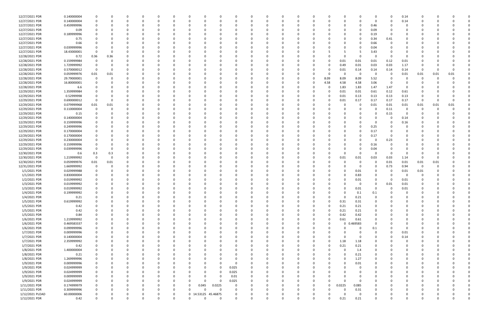| 12/27/2021 PDR  | 0.140000004 | 0           |          | 0        |          | 0        |          | 0        | n                    |          | - 0      | 0            |              | 0        |              |             |          | 0           |          | -0       | 0.14        |          |          |      |  |
|-----------------|-------------|-------------|----------|----------|----------|----------|----------|----------|----------------------|----------|----------|--------------|--------------|----------|--------------|-------------|----------|-------------|----------|----------|-------------|----------|----------|------|--|
| 12/27/2021 PDR  | 0.140000004 | $\mathbf 0$ | $\Omega$ | $\Omega$ | $\Omega$ | 0        |          | $\Omega$ | $\Omega$<br>$\Omega$ | $\Omega$ | - 0      | $\Omega$     | <sup>0</sup> | $\Omega$ | $\Omega$     |             | $\Omega$ | $\Omega$    | $\Omega$ | - 0      | 0.14        | $\Omega$ |          |      |  |
|                 |             |             |          |          |          |          |          |          |                      |          |          |              |              |          |              |             |          |             |          |          |             |          |          |      |  |
| 12/27/2021 PDR  | 0.459999996 | 0           |          |          |          |          |          |          |                      |          |          |              |              |          |              |             |          | 0           | 0.46     |          | 0           |          |          |      |  |
| 12/27/2021 PDR  | 0.09        |             |          |          |          |          |          |          |                      |          |          |              |              |          |              |             |          | 0           | 0.09     |          |             |          |          |      |  |
| 12/27/2021 PDR  | 0.189999996 |             |          |          |          |          |          |          |                      |          |          |              |              |          |              |             |          | 0           | 0.19     | - 0      |             |          |          |      |  |
|                 |             |             |          |          |          |          |          |          |                      |          |          |              |              |          |              |             |          |             |          |          |             |          |          |      |  |
| 12/27/2021 PDR  | 0.75        |             |          |          |          |          |          |          |                      |          |          |              |              |          |              |             |          | 0           | 0.34     | 0.41     |             |          |          |      |  |
| 12/27/2021 PDR  | 0.66        |             |          |          |          |          |          |          |                      |          |          |              |              |          |              |             |          | 0           | 0.66     |          |             |          |          |      |  |
| 12/27/2021 PDR  | 0.039999996 |             |          |          |          |          |          |          |                      |          |          |              |              |          |              |             |          | $\Omega$    | 0.04     |          |             |          |          |      |  |
|                 |             |             |          |          |          |          |          |          |                      |          |          |              |              |          |              |             |          |             |          |          |             |          |          |      |  |
| 12/27/2021 PDR  | 18.43000001 | $\Omega$    |          |          |          |          |          |          |                      |          |          |              |              |          |              |             |          | -5          | 3.43     |          |             |          |          |      |  |
| 12/28/2021 PDR  | 0.72        | 0.36        | 0.36     |          |          |          |          |          |                      |          |          |              |              |          |              |             | $\Omega$ | 0           | -0       | - 0      |             |          |          |      |  |
| 12/28/2021 PDR  | 0.159999984 | 0           |          |          |          |          |          |          |                      |          |          |              |              |          |              | 0           |          |             |          |          |             |          |          |      |  |
|                 |             |             |          |          |          |          |          |          |                      |          |          |              |              |          |              |             | 0.01     | 0.01        | 0.01     | 0.12     | 0.01        |          |          |      |  |
| 12/28/2021 PDR  | 1.729999992 | 0           |          |          |          |          |          |          |                      |          |          |              |              |          |              |             | 0.49     | 0.01        | 0.03     | 0.03     | 1.17        |          |          |      |  |
| 12/28/2021 PDR  | 0.570000012 | 0           | - 0      |          |          |          |          |          |                      |          |          |              |              |          |              | 0           | 0.01     | 0.14        | 0.14     | 0.14     | 0.14        | 0        |          |      |  |
|                 |             |             |          |          |          |          |          |          |                      |          |          |              |              |          |              |             |          |             |          |          |             |          |          |      |  |
| 12/28/2021 PDR  | 0.059999976 | 0.01        | $0.01\,$ |          |          |          |          |          |                      |          |          |              |              |          |              |             | 0        | $\mathbf 0$ | - 0      | - 0      | 0.01        | 0.01     | 0.01     | 0.01 |  |
| 12/28/2021 PDR  | 29.79000001 | 0           |          |          |          |          |          |          |                      |          |          |              |              |          | 0            | 8.09        | 8.09     | 8.09        | 5.52     |          | 0           | 0        | $\Omega$ |      |  |
| 12/28/2021 PDR  | 16.80000001 | $\Omega$    |          |          |          |          |          |          |                      |          |          |              |              |          |              | 4.58        | 4.58     | 4.58        | 3.06     | - 0      |             |          |          |      |  |
|                 |             |             |          |          |          |          |          |          |                      |          |          |              |              |          |              |             |          |             |          |          |             |          |          |      |  |
| 12/28/2021 PDR  | 6.6         |             |          |          |          |          |          |          |                      |          |          |              |              |          |              | -0          | 1.83     | 1.83        | 1.47     | 1.47     | 0           |          |          |      |  |
| 12/29/2021 PDR  | 1.359999984 |             |          |          |          |          |          |          |                      |          |          |              |              |          |              | $\Omega$    | 0.01     | 0.01        | 0.61     | 0.12     | 0.61        |          |          |      |  |
| 12/29/2021 PDR  | 0.52999998  | 0           |          |          |          |          |          |          |                      |          |          |              |              |          |              | 0           | 0.01     | 0.13        | 0.13     | 0.13     | 0.13        |          |          |      |  |
|                 |             |             |          |          |          |          |          |          |                      |          |          |              |              |          |              |             |          |             |          |          |             |          |          |      |  |
| 12/29/2021 PDR  | 0.690000012 | 0           | - 0      |          |          |          |          |          |                      |          |          |              |              |          |              | 0           | 0.01     | 0.17        | 0.17     | 0.17     | 0.17        | 0        |          |      |  |
| 12/29/2021 PDR  | 0.079999968 | 0.01        | 0.01     |          |          |          |          |          |                      |          |          |              |              |          |              |             |          | 0           | 0.01     | 0.01     | 0.01        | 0.01     | 0.01     | 0.01 |  |
| 12/29/2021 PDR  | 0.110000004 | $\Omega$    |          |          |          |          |          |          |                      |          |          |              |              |          |              |             |          | $\Omega$    |          | 0.11     | 0           | -0       |          |      |  |
|                 |             |             |          |          |          |          |          |          |                      |          |          |              |              |          |              |             |          |             |          |          |             |          |          |      |  |
| 12/29/2021 PDR  | 0.15        | 0           |          |          |          |          |          |          |                      |          |          |              |              |          |              |             |          | 0           |          | 0.15     | 0           |          |          |      |  |
| 12/29/2021 PDR  | 0.140000004 |             |          |          |          |          |          |          |                      |          |          |              |              |          |              |             |          |             |          | -0       | 0.14        |          |          |      |  |
| 12/29/2021 PDR  | 0.159999996 | 0           |          |          |          |          |          |          |                      |          |          |              |              |          |              |             |          | 0           |          | -0       | 0.16        |          |          |      |  |
|                 |             |             |          |          |          |          |          |          |                      |          |          |              |              |          |              |             |          |             |          |          |             |          |          |      |  |
| 12/29/2021 PDR  | 0.249999996 | 0           |          |          |          |          |          |          |                      |          |          |              |              |          |              |             |          | 0           | 0.25     |          | 0           |          |          |      |  |
| 12/29/2021 PDR  | 0.170000004 |             |          |          |          |          |          |          |                      |          |          |              |              |          |              |             |          | $\Omega$    | 0.17     |          |             |          |          |      |  |
| 12/29/2021 PDR  | 0.170000004 |             |          |          |          |          |          |          |                      |          |          |              |              |          |              |             |          | 0           | 0.17     |          |             |          |          |      |  |
|                 |             |             |          |          |          |          |          |          |                      |          |          |              |              |          |              |             |          |             |          |          |             |          |          |      |  |
| 12/29/2021 PDR  | 0.230000004 |             |          |          |          |          |          |          |                      |          |          |              |              |          |              |             |          | 0           | - 0      | 0.23     |             |          |          |      |  |
| 12/29/2021 PDR  | 0.159999996 | 0           |          |          |          |          |          |          |                      |          |          |              |              |          |              |             |          | 0           | 0.16     |          |             |          |          |      |  |
| 12/29/2021 PDR  | 0.039999996 | 0           |          |          |          |          |          |          |                      |          |          |              |              |          |              |             |          | 0           | 0.04     |          |             |          |          |      |  |
|                 |             |             |          |          |          |          |          |          |                      |          |          |              |              |          |              |             |          |             |          |          |             |          |          |      |  |
| 12/30/2021 PDR  | 0.6         | 0.3         | 0.3      |          |          |          |          |          |                      |          |          |              |              |          |              |             | O        | 0           |          | $\Omega$ |             |          |          |      |  |
| 12/30/2021 PDR  | 1.219999992 | 0           | $\Omega$ |          |          |          |          |          |                      |          |          |              |              |          |              |             | 0.01     | 0.01        | 0.03     | 0.03     | 1.14        | 0        |          |      |  |
|                 |             |             |          |          |          |          |          |          |                      |          |          |              |              |          |              |             |          |             |          |          |             |          |          |      |  |
| 12/30/2021 PDR  | 0.059999976 | 0.01        | 0.01     |          |          |          |          |          |                      |          |          |              |              |          |              |             |          | 0           | - 0      | 0.01     | 0.01        | 0.01     | 0.01     |      |  |
| 12/31/2021 PDR  | 1.669999992 | 0           |          |          |          |          |          |          |                      |          |          |              |              |          |              |             |          | 0           |          | 0.73     | 0.94        | 0        |          |      |  |
| 1/1/2021 PDR    | 0.029999988 | 0           |          |          |          |          |          |          |                      |          |          |              |              |          |              |             | 0        | 0.01        |          | - 0      | 0.01        | 0.01     |          |      |  |
|                 |             |             |          |          |          |          |          |          |                      |          |          |              |              |          |              |             |          |             |          |          |             |          |          |      |  |
| 1/1/2021 PDR    | 0.830000004 |             |          |          |          |          |          |          |                      |          |          |              |              |          |              |             |          | 0.83        |          |          |             |          |          |      |  |
| 1/2/2021 PDR    | 0.019999992 | 0           |          |          |          |          |          |          |                      |          |          |              |              |          |              |             | O        | 0.01        |          | - 0      | 0.01        |          |          |      |  |
| 1/3/2021 PDR    | 0.019999992 | 0           |          |          |          |          |          |          |                      |          |          |              |              |          |              |             |          | 0           |          | 0.01     | 0.01        |          |          |      |  |
|                 |             |             |          |          |          |          |          |          |                      |          |          |              |              |          |              |             |          |             |          |          |             |          |          |      |  |
| 1/3/2021 PDR    | 0.019999992 | $\Omega$    |          |          |          |          |          |          |                      |          |          |              |              |          |              |             |          | 0.01        |          | - 0      | 0.01        |          |          |      |  |
| 1/4/2021 PDR    | 0.199999992 | 0           |          | n        |          |          |          |          |                      |          |          |              |              |          |              | 0           |          | 0.1         | 0.1      | - 0      |             |          |          |      |  |
| 1/4/2021 PDR    | 0.21        | $\mathbf 0$ | $\Omega$ | $\Omega$ | 0        | 0        |          | 0        | $\Omega$             |          | $\Omega$ | 0            | <sup>0</sup> |          | 0            | 0           | 0        | 0.21        | 0        | $\Omega$ |             | 0        |          |      |  |
|                 |             |             |          |          |          |          |          |          |                      |          |          |              |              |          |              |             |          |             |          |          |             |          |          |      |  |
| 1/5/2021 PDR    | 0.619999992 | $\Omega$    | $\Omega$ | $\Omega$ | 0        |          |          |          |                      |          | $\Omega$ | $\Omega$     | <sup>0</sup> |          | O            | $\mathbf 0$ | 0.31     | 0.31        | $\Omega$ | $\Omega$ |             | 0        |          |      |  |
| 1/5/2021 PDR    | 0.42        | 0           |          | $\Omega$ | 0        | $\Omega$ |          |          |                      |          |          | 0            | <sup>0</sup> | $\Omega$ | 0            | 0           | 0.21     | 0.21        | 0        |          |             | 0        |          |      |  |
| 1/5/2021 PDR    | 0.42        | $\Omega$    |          | 0        | 0        | $\Omega$ |          | 0        |                      | $\Omega$ | 0        | $\Omega$     | <sup>0</sup> | $\Omega$ | 0            | $\Omega$    | 0.21     | 0.21        | 0        | 0        | 0           | 0        |          |      |  |
|                 |             |             |          |          |          |          |          |          |                      |          |          |              |              |          |              |             |          |             |          |          |             |          |          |      |  |
| 1/5/2021 PDR    | 0.84        | $\Omega$    |          | $\Omega$ |          | 0        |          |          |                      | 0        | 0        | $\Omega$     |              | 0        | 0            | $\Omega$    | 0.42     | 0.42        | 0        |          | 0           | -0       |          |      |  |
| 1/6/2021 PDR    | 1.219999992 | $\mathbf 0$ |          | O        |          | $\Omega$ |          |          |                      |          |          | <sup>0</sup> |              | -0       | 0            | $\mathbf 0$ | 0.61     | 0.61        |          |          | 0           | -0       |          |      |  |
| 1/6/2021 PDR    | 0.469583337 | 0           |          | 0        |          |          |          |          |                      |          |          | 0            |              |          | 0            | 0           |          | 0 0.469583  | 0        |          | 0           |          |          |      |  |
|                 |             |             |          |          |          |          |          |          |                      |          |          |              |              |          |              |             |          |             |          |          |             |          |          |      |  |
| 1/6/2021 PDR    | 0.099999996 | 0           |          |          |          |          |          |          |                      |          |          |              |              |          |              |             | $\Omega$ | 0           | 0.1      | $\Omega$ | $\mathbf 0$ |          |          |      |  |
| 1/7/2021 PDR    | 0.009999996 | 0           |          | O        | 0        |          |          |          |                      |          |          | <sup>0</sup> |              |          |              |             |          | 0           | $\Omega$ | $\Omega$ | 0.01        | 0        |          |      |  |
| 1/7/2021 PDR    | 0.140000004 | 0           |          | 0        |          | 0        |          |          |                      |          |          | 0            |              |          |              |             | $\Omega$ | $\mathbf 0$ | $\Omega$ | $\Omega$ | 0.14        |          |          |      |  |
|                 |             |             |          |          |          |          |          |          |                      |          |          |              |              |          |              |             |          |             |          |          |             |          |          |      |  |
| 1/7/2021 PDR    | 2.359999992 | 0           |          |          |          | $\Omega$ |          |          |                      |          |          | $\Omega$     |              |          |              | $\Omega$    | 1.18     | 1.18        | $\Omega$ |          | $\Omega$    |          |          |      |  |
| 1/7/2021 PDR    | 0.42        | $\Omega$    |          |          |          | 0        |          |          |                      |          |          | 0            |              | 0        |              | 0           | 0.21     | 0.21        | 0        |          | 0           | 0        |          |      |  |
| 1/8/2021 PDR    | 1.400000004 | 0           |          |          |          |          |          |          |                      |          |          |              |              |          |              | 0           | $\Omega$ | 1.4         |          |          |             |          |          |      |  |
|                 |             |             |          |          |          |          |          |          |                      |          |          |              |              |          |              |             |          |             |          |          |             |          |          |      |  |
| 1/8/2021 PDR    | 0.21        | 0           |          | O        | 0        |          |          |          |                      |          |          | 0            |              |          |              | 0           | $\Omega$ | 0.21        |          |          |             | 0        |          |      |  |
| 1/8/2021 PDR    | 1.269999996 | 0           |          | 0        | 0        | 0        |          |          |                      | $\Omega$ |          | 0            |              | $\Omega$ |              | 0           | $\Omega$ | 1.27        |          |          | O           | 0        |          |      |  |
| 1/9/2021 PDR    | 0.009999996 | 0           |          | 0        |          | $\Omega$ |          |          |                      | 0        | 0        | 0            |              |          |              | 0           | 0        | 0.01        |          |          |             | 0        |          |      |  |
|                 |             |             |          |          |          |          |          |          |                      |          |          |              |              |          |              |             |          |             |          |          |             |          |          |      |  |
| 1/9/2021 PDR    | 0.024999999 | $\mathbf 0$ |          | 0        | 0        | 0        |          |          | 0<br>0               | 0.025    | $\Omega$ | 0            |              | -0       |              |             | O        | $\Omega$    |          |          | 0           | 0        |          |      |  |
| 1/9/2021 PDR    | 0.024999999 | 0           |          | 0        |          | 0        |          |          | $\Omega$<br>$\Omega$ | 0.025    | 0        | 0            |              | 0        |              |             |          | $\Omega$    |          |          | $\Omega$    | -0       |          |      |  |
| 1/9/2021 PDR    | 0.009999999 | 0           |          | $\Omega$ |          |          |          |          | 0                    | 0.01     | $\Omega$ | 0            |              |          |              |             |          |             |          |          |             | -0       |          |      |  |
|                 |             |             |          |          |          |          |          |          |                      |          |          |              |              |          |              |             |          | 0           |          |          |             |          |          |      |  |
| 1/9/2021 PDR    | 0.024999999 | 0           |          | 0        | 0        |          |          |          | $\Omega$             | 0.025    | 0        | 0            |              | 0        |              | 0           | $\Omega$ | $\Omega$    |          |          |             | 0        |          |      |  |
| 1/11/2021 PDR   | 0.174999979 | 0           |          | 0        |          |          |          | 0        | 0.045<br>0.0225      | $\Omega$ |          | $\Omega$     |              |          |              | 0           | 0.0225   | 0.085       |          |          |             |          |          |      |  |
| 1/11/2021 PDR   | 0.309999996 | $\mathbf 0$ |          | $\Omega$ | 0        | 0        |          | $\Omega$ | $\Omega$<br>$\Omega$ | $\Omega$ | $\Omega$ | $\Omega$     | <sup>0</sup> | $\Omega$ | <sup>0</sup> | $\Omega$    | 0        |             |          | $\Omega$ | $\Omega$    | 0        |          | 0    |  |
|                 |             |             |          |          |          |          |          |          |                      |          |          |              |              |          |              |             |          | 0.31        |          |          |             |          |          |      |  |
| 1/12/2021 PLOAD | 60.00000006 | 0           |          | 0        |          | 0        |          |          | 0 14.53125 45.46875  | 0        | 0        | 0            |              | 0        |              |             | $\Omega$ | 0           |          |          | 0           | -0       |          | 0    |  |
| 1/12/2021 PDR   | 0.42        | $\mathbf 0$ | $\Omega$ | $\Omega$ | $\Omega$ | $\Omega$ | $\Omega$ | $\Omega$ | 0<br>0               | $\Omega$ | $\Omega$ | $\Omega$     | $\Omega$     | $\Omega$ | 0            | $\Omega$    | 0.21     | 0.21        | $\Omega$ | $\Omega$ | $\Omega$    | $\Omega$ |          | 0    |  |
|                 |             |             |          |          |          |          |          |          |                      |          |          |              |              |          |              |             |          |             |          |          |             |          |          |      |  |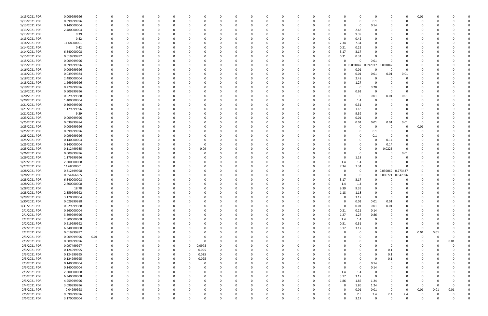| 1/13/2021 PDR | 0.009999996 |             |   |          |          |          |          |        |          |          | $\Omega$ |          |          | n |          |              |                     | 0           |                     | 0           | 0.01     |          |          |  |
|---------------|-------------|-------------|---|----------|----------|----------|----------|--------|----------|----------|----------|----------|----------|---|----------|--------------|---------------------|-------------|---------------------|-------------|----------|----------|----------|--|
| 1/13/2021 PDR | 0.099999996 |             |   |          |          |          |          | -0     |          |          | 0        |          |          |   |          |              | 0                   | 0.1         |                     |             | $\Omega$ |          |          |  |
|               |             |             |   |          |          |          |          |        |          |          |          |          |          |   |          |              |                     |             |                     |             |          |          |          |  |
| 1/13/2021 PDR | 0.140000004 |             |   |          |          |          |          |        |          |          |          |          |          |   |          |              | 0                   | 0.14        |                     |             |          |          |          |  |
| 1/13/2021 PDR | 2.480000004 |             |   |          |          |          |          |        |          |          | - 0      |          |          |   |          |              | 2.48                | 0           |                     |             |          |          |          |  |
|               |             |             |   |          |          |          |          |        |          |          |          |          |          |   |          |              |                     |             |                     |             |          |          |          |  |
| 1/13/2021 PDR | 9.39        |             |   |          |          |          |          |        |          |          | 0        |          |          |   |          |              | 9.39                | 0           |                     |             |          |          |          |  |
| 1/13/2021 PDR | 0.42        |             |   |          |          |          |          |        |          |          | - 0      |          |          |   |          |              | 0.42                | 0           |                     |             |          |          |          |  |
| 1/14/2021 PDR |             |             |   |          |          |          |          |        |          |          | - 0      |          |          |   |          | 7.34         |                     |             |                     |             |          |          |          |  |
|               | 14.68000001 |             |   |          |          |          |          |        |          |          |          |          |          |   |          |              | 7.34                |             |                     |             |          |          |          |  |
| 1/14/2021 PDR | 0.42        |             |   |          |          |          |          |        |          |          |          |          |          |   |          | 0.21         | 0.21                | 0           |                     |             |          |          |          |  |
| 1/14/2021 PDR | 6.340000008 |             |   |          |          |          |          |        |          |          |          |          |          |   |          | 3.17         | 3.17                |             |                     |             |          |          |          |  |
|               |             |             |   |          |          |          |          |        |          |          |          |          |          |   |          |              |                     |             |                     |             |          |          |          |  |
| 1/15/2021 PDR | 0.619999992 |             |   |          |          |          |          |        |          |          |          |          |          |   |          | 0.31         | 0.31                | $\Omega$    |                     |             |          |          |          |  |
| 1/15/2021 PDR | 0.009999996 |             |   |          |          |          |          |        |          |          |          |          |          |   |          |              |                     | 0.01        |                     |             |          |          |          |  |
|               |             |             |   |          |          |          |          |        |          |          |          |          |          |   |          |              |                     |             |                     |             |          |          |          |  |
| 1/15/2021 PDR | 0.099999996 |             |   |          |          |          |          |        |          |          |          |          |          |   |          |              | 0 0.001042 0.097917 |             | 0.001042            |             |          |          |          |  |
| 1/16/2021 PDR | 0.009999996 |             |   |          |          |          |          |        |          |          | - 0      |          |          |   |          |              | 0.01                | 0           | - 0                 | 0           |          |          |          |  |
| 1/16/2021 PDR |             |             |   |          |          |          |          |        |          |          |          |          |          |   |          |              |                     |             |                     |             |          |          |          |  |
|               | 0.039999984 |             |   |          |          |          |          |        |          |          |          |          |          |   |          |              | 0.01                | 0.01        | 0.01                | 0.01        |          |          |          |  |
| 1/18/2021 PDR | 2.480000004 |             |   |          |          |          |          |        |          |          |          |          |          |   |          |              | 2.48                | 0           |                     | 0           |          |          |          |  |
| 1/18/2021 PDR | 1.269999996 |             |   |          |          |          |          |        |          |          |          |          |          |   |          |              | 1.27                | 0           |                     | O           |          |          |          |  |
|               |             |             |   |          |          |          |          |        |          |          |          |          |          |   |          |              |                     |             |                     |             |          |          |          |  |
| 1/19/2021 PDR | 0.279999996 |             |   |          |          |          |          |        |          |          |          |          |          |   |          |              | 0                   | 0.28        |                     |             |          |          |          |  |
| 1/19/2021 PDR | 0.609999996 |             |   |          |          |          |          |        |          |          |          |          |          |   |          |              | 0.61                | 0           |                     | $\Omega$    |          |          |          |  |
|               |             |             |   |          |          |          |          |        |          |          |          |          |          |   |          |              |                     |             |                     |             |          |          |          |  |
| 1/20/2021 PDR | 0.029999988 |             |   |          |          |          |          |        |          |          | - 0      |          |          |   |          |              | 0                   | 0.01        | 0.01                | 0.01        |          |          |          |  |
| 1/20/2021 PDR | 1.400000004 |             |   |          |          |          |          |        |          |          |          |          |          |   |          |              | 1.4                 | 0           |                     | n           |          |          |          |  |
| 1/21/2021 PDR | 0.309999996 |             |   |          |          |          |          |        |          |          |          |          |          |   |          |              | 0.31                | 0           |                     |             |          |          |          |  |
|               |             |             |   |          |          |          |          |        |          |          |          |          |          |   |          |              |                     |             |                     |             |          |          |          |  |
| 1/21/2021 PDR | 1.179999996 |             |   |          |          |          |          |        |          |          |          |          |          |   |          |              | 1.18                |             |                     |             |          |          |          |  |
| 1/21/2021 PDR | 9.39        |             |   |          |          |          |          |        |          |          |          |          |          |   |          |              | 9.39                | 0           |                     |             |          |          |          |  |
|               |             |             |   |          |          |          |          |        |          |          |          |          |          |   |          |              |                     |             |                     |             |          |          |          |  |
| 1/23/2021 PDR | 0.009999996 |             |   |          |          |          |          |        |          |          | 0        |          |          |   |          | <sup>0</sup> | 0.01                | 0           | $\Omega$            | $\Omega$    |          |          |          |  |
| 1/25/2021 PDR | 0.039999984 |             |   |          |          |          |          |        |          |          | 0        |          |          |   |          |              | 0.01                | 0.01        | 0.01                | 0.01        | -0       |          |          |  |
| 1/25/2021 PDR | 0.009999996 |             |   |          |          |          |          |        |          |          |          |          |          |   |          |              | 0                   | $\Omega$    |                     | $\Omega$    | 0.01     |          |          |  |
|               |             |             |   |          |          |          |          |        |          |          |          |          |          |   |          |              |                     |             |                     |             |          |          |          |  |
| 1/25/2021 PDR | 0.099999996 |             |   |          |          |          |          |        |          |          |          |          |          |   |          |              | 0                   | 0.1         |                     |             | -C       |          |          |  |
| 1/25/2021 PDR | 0.099999996 |             |   |          |          |          |          |        |          |          |          |          |          |   |          |              |                     | 0.1         |                     |             |          |          |          |  |
| 1/25/2021 PDR | 0.140000004 |             |   |          |          |          |          |        |          |          |          |          |          |   |          |              |                     | $\Omega$    | 0.14                |             |          |          |          |  |
|               |             |             |   |          |          |          |          |        |          |          |          |          |          |   |          |              |                     |             |                     |             |          |          |          |  |
| 1/25/2021 PDR | 0.140000004 |             |   |          |          |          |          |        |          |          |          |          |          |   |          |              |                     | $\Omega$    | 0.14                | 0           |          |          |          |  |
| 1/25/2021 PDR | 0.112499985 |             |   |          |          |          |          | 0.09   |          |          |          |          |          |   |          |              |                     | 0           | 0.225               | 0           |          |          |          |  |
| 1/26/2021 PDR | 0.009999996 |             |   |          |          |          |          |        |          |          |          |          |          |   |          |              |                     |             |                     | 0.01        |          |          |          |  |
|               |             |             |   |          |          |          |          |        |          |          |          |          |          |   |          |              |                     |             |                     |             |          |          |          |  |
| 1/26/2021 PDR | 1.179999996 |             |   |          |          |          |          |        |          |          | 0        |          |          |   |          |              | 1.18                | 0           |                     | O           |          |          |          |  |
| 1/27/2021 PDR | 2.800000008 |             |   |          |          |          |          |        |          |          |          |          |          |   |          | 1.4          | 1.4                 |             |                     |             |          |          |          |  |
|               |             |             |   |          |          |          |          |        |          |          |          |          |          |   |          |              |                     | $\Omega$    |                     |             |          |          |          |  |
| 1/27/2021 PDR | 14.68000001 |             |   |          |          |          |          |        |          |          |          |          |          |   |          | 7.34         | 7.34                |             |                     |             |          |          |          |  |
| 1/28/2021 PDR | 0.312499998 | 0           |   |          |          |          |          |        |          |          |          |          |          |   |          |              | 0                   |             | 0 0.039062 0.273437 |             |          |          |          |  |
| 1/28/2021 PDR | 0.054166665 |             |   |          |          |          |          |        |          |          | 0        |          |          |   |          |              | 0                   |             | 0 0.006771          | 0.047396    |          |          |          |  |
|               |             |             |   |          |          |          |          |        |          |          |          |          |          |   |          |              |                     |             |                     |             |          |          |          |  |
| 1/28/2021 PDR | 6.340000008 |             |   |          |          |          |          |        |          |          | - 0      |          |          |   |          | 3.17         | 3.17                | 0           |                     | $\Omega$    |          |          |          |  |
| 1/28/2021 PDR | 2.800000008 |             |   |          |          |          |          |        |          |          |          |          |          |   |          | 1.4          | 1.4                 | $\Omega$    |                     |             |          |          |          |  |
| 1/28/2021 PDR | 18.78       | $\Omega$    |   |          |          |          |          |        |          |          |          |          |          |   |          | 9.39         | 9.39                | $\Omega$    |                     |             |          |          |          |  |
|               |             |             |   |          |          |          |          |        |          |          |          |          |          |   |          |              |                     |             |                     |             |          |          |          |  |
| 1/28/2021 PDR | 2.359999992 | $\Omega$    |   |          |          |          |          |        |          |          |          |          |          |   |          | 1.18         | 1.18                | $\Omega$    |                     |             |          |          |          |  |
| 1/29/2021 PDR | 3.170000004 | 0           | 0 | 0        | $\Omega$ | $\Omega$ | $\Omega$ | 0      | $\Omega$ | $\Omega$ | 0        | $\Omega$ | $\Omega$ | 0 |          | 0            | 3.17                | $\mathbf 0$ | 0                   | $\Omega$    | 0        |          |          |  |
|               |             |             |   |          |          |          |          |        |          |          |          |          |          |   |          |              |                     |             |                     |             |          |          |          |  |
| 1/30/2021 PDR | 0.029999988 | 0           | 0 | 0        |          |          |          | 0      |          |          | 0        |          |          | 0 |          | $\Omega$     | 0.01                | 0.01        | 0.01                | 0           | 0        |          |          |  |
| 1/31/2021 PDR | 0.029999988 | 0           |   |          |          |          |          | -0     |          |          | $\Omega$ |          |          | 0 |          | $\Omega$     | 0.01                | 0.01        | 0.01                | 0           | C.       |          |          |  |
| 2/1/2021 PDR  | 0.560000004 | 0           |   |          |          |          |          |        |          |          | $\Omega$ |          |          | 0 |          | 0.21         | 0.21                | 0.14        | $\Omega$            | 0           |          |          |          |  |
|               |             |             |   |          |          |          |          |        |          |          |          |          |          |   |          |              |                     |             |                     |             |          |          |          |  |
| 2/1/2021 PDR  | 3.399999996 | 0           |   |          |          |          |          |        |          |          | 0        |          |          |   |          | 1.27         | 1.27                | 0.86        |                     | 0           | O        |          |          |  |
| 2/2/2021 PDR  | 2.800000008 | 0           |   |          |          |          |          | -0     | ŋ        | 0        | $\Omega$ |          | 0        | 0 |          | 1.4          | 1.4                 | 0           |                     | 0           | 0        |          |          |  |
|               |             |             |   |          |          |          |          |        |          |          |          |          |          |   |          |              |                     |             |                     |             |          |          |          |  |
| 2/2/2021 PDR  | 0.619999992 | 0           |   |          |          |          |          |        |          |          | 0        |          | $\Omega$ | 0 | $\Omega$ | 0.31         | 0.31                | 0           |                     | 0           | O        |          |          |  |
| 2/2/2021 PDR  | 6.340000008 | $\mathbf 0$ |   |          |          |          |          | 0      |          |          | 0        |          |          | 0 |          | 3.17         | 3.17                | 0           |                     | $\Omega$    | 0        |          |          |  |
| 2/2/2021 PDR  | 0.019999992 | $\mathbf 0$ |   |          |          |          |          | 0      |          |          | 0        |          |          | 0 |          | <sup>0</sup> | $\Omega$            | 0           |                     | 0           | 0.01     | 0.01     |          |  |
|               |             |             |   |          |          |          |          |        |          |          |          |          |          |   |          |              |                     |             |                     |             |          |          |          |  |
| 2/3/2021 PDR  | 0.009999996 | 0.01        |   |          |          |          |          |        |          |          | 0        |          |          |   |          |              |                     | 0           |                     |             | 0        | $\Omega$ |          |  |
| 2/3/2021 PDR  | 0.009999996 | $\mathbf 0$ |   |          |          |          |          |        |          |          | 0        |          |          |   |          |              |                     | 0           |                     |             | 0        | 0        | 0.01     |  |
| 2/3/2021 PDR  | 0.097499997 | $\mathbf 0$ |   |          |          |          | 0        | 0.0975 |          |          | 0        |          |          | 0 |          |              |                     | 0           | $\Omega$            | 0           | 0        |          |          |  |
|               |             |             |   |          |          |          |          |        |          |          |          |          |          |   |          |              |                     |             |                     |             |          |          |          |  |
| 2/3/2021 PDR  | 0.124999995 | 0           |   |          |          |          | 0        | 0.025  |          |          | $\Omega$ |          |          |   |          |              |                     | 0           | 0.1                 | 0           | 0        |          |          |  |
| 2/3/2021 PDR  | 0.124999995 | 0           |   |          |          |          | 0        | 0.025  | 0        |          | $\Omega$ |          |          | 0 |          | 0            |                     | 0           | 0.1                 | 0           | 0        |          |          |  |
| 2/3/2021 PDR  | 0.124999995 | 0           |   | 0        |          | 0        | 0        | 0.025  | 0        | 0        | 0        |          | 0        | 0 |          | 0            |                     | 0           | 0.1                 | 0           | 0        |          |          |  |
|               |             |             |   |          |          |          |          |        |          |          |          |          |          |   |          |              |                     |             |                     |             |          |          |          |  |
| 2/3/2021 PDR  | 0.140000004 | 0           |   |          |          |          |          | 0      |          |          | 0        |          |          | 0 |          |              | 0                   | 0.14        |                     | 0           | O        |          |          |  |
| 2/3/2021 PDR  | 0.140000004 | $\Omega$    |   |          |          |          |          | -0     |          |          | $\Omega$ |          |          |   |          | <sup>0</sup> | 0                   | 0.14        |                     | $\Omega$    | C.       |          |          |  |
|               |             |             |   |          |          |          |          |        |          |          |          |          |          |   |          |              |                     |             |                     |             |          |          |          |  |
| 2/3/2021 PDR  | 2.800000008 | 0           |   |          |          |          |          |        |          |          | 0        |          |          |   |          | 1.4          | 1.4                 | 0           |                     | 0           |          |          |          |  |
| 2/3/2021 PDR  | 6.340000008 | 0           |   |          |          |          |          |        |          |          | 0        |          |          |   | 0        | 3.17         | 3.17                | $\mathbf 0$ |                     | 0           | C        |          |          |  |
| 2/3/2021 PDR  | 4.959999996 | 0           |   |          |          |          |          | 0      | 0        |          | $\Omega$ |          | $\Omega$ | 0 | $\Omega$ | 1.86         | 1.86                | 1.24        |                     | 0           | 0        |          |          |  |
|               |             |             |   |          |          |          |          |        |          |          |          |          |          |   |          |              |                     |             |                     |             |          |          |          |  |
| 2/4/2021 PDR  | 3.099999996 | 0           |   |          |          |          |          | 0      |          |          | 0        |          |          | 0 |          | 0            | 1.86                | 1.24        |                     | 0           | - 0      | $\Omega$ | $\Omega$ |  |
| 2/5/2021 PDR  | 0.04999998  | 0           |   |          |          |          |          |        |          |          | 0        |          |          |   |          | $\Omega$     | 0.01                | 0.01        | $\Omega$            | 0           | 0.01     | 0.01     | 0.01     |  |
| 2/5/2021 PDR  | 9.699999996 | 0           |   |          |          |          |          |        |          |          |          |          |          |   |          |              | 2.5                 | 2.4         | 2.4                 | 2.4         |          |          |          |  |
|               |             |             |   |          |          |          |          |        |          |          |          | $\Omega$ |          |   |          |              |                     |             |                     |             |          |          |          |  |
| 2/5/2021 PDR  | 3.170000004 | $\mathbf 0$ | 0 | $\Omega$ |          | $\Omega$ | $\Omega$ | 0      | $\Omega$ | $\Omega$ | $\Omega$ |          | $\Omega$ | 0 |          | $\Omega$     | 3.17                | $\mathbf 0$ | $\Omega$            | $\mathbf 0$ | $\Omega$ | $\Omega$ | 0        |  |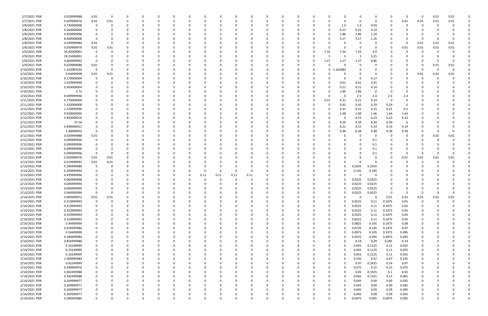| 2/7/2021 PDR  | 0.029999988 | 0.01           | 0    |   | $\Omega$ |          |          |          |          |      |             | 0        |          |          |   |             |        |          | 0      |          | $\Omega$ | $\Omega$    | 0.01 | 0.01 |  |
|---------------|-------------|----------------|------|---|----------|----------|----------|----------|----------|------|-------------|----------|----------|----------|---|-------------|--------|----------|--------|----------|----------|-------------|------|------|--|
| 2/7/2021 PDR  | 0.059999976 | 0.01           | 0.01 |   | 0        |          |          |          |          |      |             | 0        |          |          |   |             |        |          | 0      |          | 0.01     | 0.01        | 0.01 | 0.01 |  |
| 2/8/2021 PDR  | 3.730000008 | 0              | 0    |   |          |          |          |          |          |      |             |          |          |          |   | -0          | 1.4    | 1.4      | 0.93   |          |          | 0           |      |      |  |
| 2/8/2021 PDR  | 0.560000004 | 0              |      |   |          |          |          |          |          |      |             |          |          |          |   | 0           | 0.21   | 0.21     | 0.14   |          |          |             |      |      |  |
| 2/8/2021 PDR  | 4.959999996 | 0              |      |   |          |          |          |          |          |      |             |          |          |          |   | 0           | 1.86   | 1.86     | 1.24   |          |          |             |      |      |  |
| 2/8/2021 PDR  | 8.500000008 | 0              |      |   |          |          |          |          |          |      |             | C        |          |          |   | -0          | 3.17   | 3.17     | 2.16   |          |          | 0           |      |      |  |
| 2/8/2021 PDR  | 0.039999984 | 0.01           |      |   |          |          |          |          |          |      |             |          |          |          |   |             |        |          |        |          | - 0      | 0.01        | 0.01 | 0.01 |  |
| 2/8/2021 PDR  | 0.059999976 | 0.01           | 0.01 |   |          |          |          |          |          |      |             |          |          |          |   | - 0         |        |          | 0      |          | 0.01     | 0.01        | 0.01 | 0.01 |  |
|               |             | - 0            |      |   |          |          |          |          |          |      |             |          |          |          |   |             |        |          |        |          |          |             |      |      |  |
| 2/9/2021 PDR  | 26.92000001 |                |      |   |          |          |          |          |          |      |             |          |          |          |   | 7.34        | 7.34   | 7.34     | 4.9    |          |          |             |      |      |  |
| 2/9/2021 PDR  | 18.25000001 | 0              |      |   |          |          |          |          |          |      |             |          |          |          |   | -5          |        | 5        | 3.25   |          |          |             |      |      |  |
| 2/9/2021 PDR  | 4.669999992 | 0              |      |   |          |          |          |          |          |      |             |          |          |          | 0 | 1.27        | 1.27   | 1.27     | 0.86   |          |          |             |      |      |  |
| 2/9/2021 PDR  | 0.029999988 | 0.01           |      |   |          |          |          |          |          |      |             |          |          |          |   | -0          |        |          | -C     |          |          | -0          | 0.01 | 0.01 |  |
| 2/10/2021 PDR | 1.162083334 | $\overline{0}$ | -0   |   | C.       |          |          |          |          |      |             | C        |          |          |   | $\mathbf 0$ | 162083 |          | 0      |          |          | - 0         | 0    |      |  |
| 2/10/2021 PDR | 0.04999998  | 0.01           | 0.01 |   |          |          |          |          |          |      |             |          |          |          |   |             |        |          | 0      |          | 0        | 0.01        | 0.01 | 0.01 |  |
| 2/10/2021 PDR | 0.170000004 | - 0            |      |   |          |          |          |          |          |      |             |          |          |          |   |             |        | -0       | 0.17   |          |          |             |      |      |  |
| 2/10/2021 PDR | 1.629999996 |                |      |   |          |          |          |          |          |      |             |          |          |          |   | -0          | 0.61   | 0.61     | 0.41   |          |          |             |      |      |  |
| 2/10/2021 PDR | 0.560000004 | 0              |      |   |          |          |          |          |          |      |             |          |          |          |   | 0           | 0.21   | 0.21     | 0.14   |          |          |             |      |      |  |
| 2/10/2021 PDR | 3.72        |                | -0   |   |          |          |          |          |          |      |             |          |          |          |   | -0          | 1.86   | 1.86     | 0      |          | - 0      |             |      |      |  |
| 2/10/2021 PDR | 9.699999996 |                |      |   |          |          |          |          |          |      |             |          |          |          |   | -0          |        | 2.5      | 2.4    | 2.4      | 2.4      |             |      |      |  |
| 2/11/2021 PDR | 0.770000004 |                |      |   |          |          |          |          |          |      |             |          |          |          | 0 | 0.21        | 0.21   | 0.21     | 0.14   | $\Omega$ | 0        |             |      |      |  |
| 2/11/2021 PDR | 1.420000008 |                |      |   |          |          |          |          |          |      |             |          |          |          |   | 0           | 0.42   | 0.42     | 0.29   | 0.29     | 0        |             |      |      |  |
| 2/12/2021 PDR | 1.239999996 |                |      |   |          |          |          |          |          |      |             |          |          |          |   | 0           | 0.31   | 0.31     | 0.21   | 0.21     | 0.2      |             |      |      |  |
| 2/12/2021 PDR | 9.920000004 |                |      |   |          |          |          |          |          |      |             |          |          |          |   | -0          | 2.48   | 2.48     | 1.66   | 1.66     | 1.64     |             |      |      |  |
| 2/12/2021 PDR | 0.920000016 |                |      |   |          |          |          |          |          |      |             |          |          |          |   |             |        | 0.23     | 0.23   | 0.23     | 0.23     |             |      |      |  |
| 2/12/2021 PDR | 37.56       |                |      |   |          |          |          |          |          |      |             |          |          |          |   | 0           | 9.39   | 9.39     | 6.39   | 6.39     |          |             |      |      |  |
| 2/12/2021 PDR | 0.840000012 |                |      |   |          |          |          |          |          |      |             |          |          |          |   | 0           | 0.21   | 0.21     | 0.14   | 0.14     | 0.14     |             |      |      |  |
| 2/12/2021 PDR | 1.90000002  |                |      |   |          |          |          |          |          |      |             |          |          |          |   | - 0         | 0.38   | 0.38     | 0.38   | 0.38     | 0.38     |             |      |      |  |
| 2/12/2021 PDR | 0.029999988 | 0.01           |      |   |          |          |          |          |          |      |             |          |          |          |   |             |        |          | 0      |          |          | 0           | 0.01 | 0.01 |  |
| 2/12/2021 PDR | 0.099999996 | 0              |      |   |          |          |          |          |          |      |             |          |          |          |   |             |        |          | 0.1    |          |          |             | -0   |      |  |
| 2/12/2021 PDR | 0.099999996 | -0             |      |   |          |          |          |          |          |      |             |          |          |          |   |             |        |          | 0.1    |          |          |             |      |      |  |
| 2/12/2021 PDR | 0.099999996 | 0              |      |   | C.       |          |          |          |          |      |             | C        |          |          |   |             |        |          |        |          |          |             |      |      |  |
|               |             |                |      |   |          |          |          |          |          |      |             |          |          |          |   |             |        |          | 0.1    |          | $\Omega$ |             |      |      |  |
| 2/12/2021 PDR | 0.099999996 | - 0            |      |   |          |          |          |          |          |      |             |          |          |          |   |             |        |          | 0.1    |          |          | 0           |      |      |  |
| 2/13/2021 PDR | 0.059999976 | 0.01           | 0.01 |   |          |          |          |          |          |      |             |          |          |          |   |             |        |          | 0      |          | 0.01     | 0.01        | 0.01 | 0.01 |  |
| 2/13/2021 PDR | 0.019999992 | 0.01           | 0.01 |   |          |          |          |          |          |      |             |          |          |          |   |             |        |          | 0      |          |          |             |      |      |  |
| 2/13/2021 PDR | 0.584999988 | 0              |      |   |          |          |          |          |          |      |             |          |          |          |   |             |        | 0.2925   | 0.2925 |          |          |             |      |      |  |
| 2/13/2021 PDR | 0.209999994 | -0             |      |   |          |          |          |          |          |      | ŋ           |          |          |          |   | - 0         |        | 0.105    | 0.105  |          |          |             |      |      |  |
| 2/13/2021 PDR | 0.439999996 |                |      |   |          |          |          | 0.11     | 0.11     | 0.11 | 0.11        |          |          |          |   |             |        |          | 0      |          |          |             |      |      |  |
| 2/13/2021 PDR | 0.064999998 |                |      |   |          |          |          |          |          |      |             |          |          |          |   | -0          |        | 0.0325   | 0.0325 |          |          |             |      |      |  |
| 2/13/2021 PDR | 0.044999994 |                |      |   |          |          |          |          |          |      |             |          |          |          |   | -0          |        | 0.0225   | 0.0225 |          |          |             |      |      |  |
| 2/13/2021 PDR | 0.044999994 | $\Omega$       |      |   |          |          |          |          |          |      |             |          |          |          |   | -0          | 0      | 0.0225   | 0.0225 |          |          |             |      |      |  |
| 2/13/2021 PDR | 0.044999994 | $\mathbf 0$    |      |   |          |          |          |          |          |      |             |          |          |          |   |             |        | 0.0225   | 0.0225 |          |          |             |      |      |  |
| 2/14/2021 PDR | 0.069999972 | 0.01           | 0.01 | 0 | 0        | $\Omega$ | $\Omega$ | 0        | 0        |      | 0           | 0        | $\Omega$ | $\Omega$ | 0 | 0           |        | $\Omega$ | 0      | 0.01     | 0.01     | 0.01        | 0.01 | 0.01 |  |
| 2/14/2021 PDR | 0.319999993 | $\overline{0}$ | 0    | 0 | 0        |          | $\Omega$ | 0        | $\Omega$ |      | 0           | 0        |          | $\Omega$ | 0 | $\Omega$    |        | 0.0525   | 0.11   | 0.1075   | 0.05     | $\mathbf 0$ | 0    |      |  |
| 2/14/2021 PDR | 0.319999993 | $\mathbf 0$    | -0   | o | $\Omega$ |          | $\Omega$ |          |          |      |             | $\Omega$ |          | $\Omega$ |   | $\Omega$    |        | 0.0525   | 0.11   | 0.1075   | 0.05     | 0           |      |      |  |
| 2/14/2021 PDR | 0.319999993 | $\mathbf 0$    |      |   | 0        |          |          |          |          |      |             | 0        |          |          |   | 0           |        | 0.0525   | 0.11   | 0.1075   | 0.05     |             |      |      |  |
| 2/14/2021 PDR | 0.319999993 | $\mathbf 0$    |      | 0 | 0        |          |          |          |          |      |             | 0        |          |          |   | 0           |        | 0.0525   | 0.11   | 0.1075   | 0.05     |             |      |      |  |
| 2/14/2021 PDR | 0.319999993 | $\mathbf 0$    |      | 0 | 0        |          |          |          |          |      | 0           | 0        |          |          |   | 0           |        | 0.0525   | 0.11   | 0.1075   | 0.05     | 0           |      |      |  |
| 2/14/2021 PDR | 0.49499999  | 0              |      |   | $\Omega$ |          |          |          |          |      |             | $\Omega$ |          |          |   | 0           |        | 0.0825   | 0.165  | 0.1675   | 0.08     | 0           |      |      |  |
| 2/14/2021 PDR | 0.434999986 | $\mathbf 0$    |      |   | 0        |          |          |          |          |      |             | 0        |          |          |   | $\Omega$    |        | 0.0725   | 0.145  | 0.1475   | 0.07     | 0           |      |      |  |
| 2/14/2021 PDR | 0.58499999  | 0              |      |   | 0        |          |          |          |          |      |             | 0        |          |          |   | $\Omega$    |        | 0.0975   | 0.195  | 0.1975   | 0.095    | 0           |      |      |  |
| 2/14/2021 PDR | 0.284999984 | 0              |      |   | 0        |          |          |          |          |      |             | 0        |          |          |   | 0           |        | 0.0475   | 0.095  | 0.0975   | 0.045    |             |      |      |  |
| 2/14/2021 PDR | 0.854999986 |                |      |   | 0        |          |          |          |          |      |             |          |          |          |   | 0           |        | 0.14     | 0.29   | 0.285    | 0.14     |             |      |      |  |
| 2/14/2021 PDR | 0.33249999  | 0              |      |   | 0        |          |          |          |          |      |             | 0        |          |          |   | 0           |        | 0.055    | 0.1125 | 0.11     | 0.055    | 0           |      |      |  |
| 2/14/2021 PDR | 0.33249999  | 0              |      |   | 0        |          |          |          |          |      |             | 0        |          |          |   | $\Omega$    |        | 0.055    | 0.1125 | 0.11     | 0.055    | 0           |      |      |  |
| 2/14/2021 PDR | 0.33249999  | 0              |      | 0 | 0        |          |          |          | 0        |      |             | 0        |          |          |   | 0           |        | 0.055    | 0.1125 | 0.11     | 0.055    | 0           |      |      |  |
| 2/14/2021 PDR | 1.409999989 | 0              |      | 0 | 0        |          |          |          |          |      |             | 0        |          |          |   | $\Omega$    |        | 0.235    | 0.47   | 0.47     | 0.235    | 0           |      |      |  |
| 2/14/2021 PDR | 0.42249999  | 0              |      |   | 0        |          |          |          |          |      |             | 0        |          |          |   | 0           |        | 0.07     | 0.1425 | 0.14     | 0.07     |             |      |      |  |
|               | 0.449999976 | $\mathbf 0$    |      |   | 0        |          |          |          |          |      |             |          |          |          |   |             |        | 0.075    | 0.15   | 0.15     | 0.075    |             |      |      |  |
| 2/14/2021 PDR |             |                |      |   |          |          |          |          |          |      |             | 0        |          |          |   | 0           |        |          |        |          |          |             |      |      |  |
| 2/14/2021 PDR | 0.302499988 | $\mathbf 0$    |      |   | 0        |          |          |          |          |      |             | 0        |          |          |   | 0           |        | 0.05     | 0.1025 | 0.1      | 0.05     |             |      |      |  |
| 2/14/2021 PDR | 0.392499988 | $\mathbf 0$    |      |   | 0        |          |          |          |          |      |             | 0        |          |          |   | 0           |        | 0.065    | 0.1325 | 0.13     | 0.065    | $\mathbf 0$ |      |      |  |
| 2/14/2021 PDR | 0.269999977 | $\mathbf 0$    |      |   | 0        |          |          |          |          |      |             | 0        |          |          |   | - 0         |        | 0.045    | 0.09   | 0.09     | 0.045    | 0           |      |      |  |
| 2/14/2021 PDR | 0.269999977 | $\mathbf 0$    |      |   | 0        |          |          |          |          |      |             | 0        |          |          |   | 0           |        | 0.045    | 0.09   | 0.09     | 0.045    | 0           |      |      |  |
| 2/14/2021 PDR | 0.269999977 | 0              |      |   | 0        |          | $\Omega$ |          |          |      |             | 0        |          | 0        |   | 0           |        | 0.045    | 0.09   | 0.09     | 0.045    | 0           |      |      |  |
| 2/14/2021 PDR | 0.269999977 | 0              |      | 0 | O        |          |          |          |          |      |             | 0        |          |          |   | 0           |        | 0.045    | 0.09   | 0.09     | 0.045    | 0           |      |      |  |
| 2/14/2021 PDR | 0.284999984 | $\mathbf 0$    | 0    | 0 | $\Omega$ | $\Omega$ | $\Omega$ | $\Omega$ | 0        |      | $\mathbf 0$ | $\Omega$ |          | $\Omega$ |   | $\Omega$    |        | 0.0475   | 0.095  | 0.0975   | 0.045    | $\mathbf 0$ |      | 0    |  |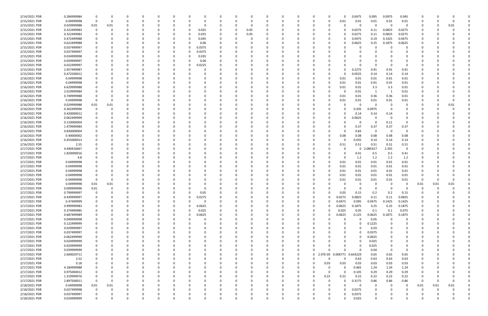| 2/14/2021 PDR | 0.284999984 |             |          |          |          |          |          |          |          | 0        |          |          |             |              |          |                   | 0.0475      | 0.095    | 0.0975   | 0.045          |          |      |          |  |
|---------------|-------------|-------------|----------|----------|----------|----------|----------|----------|----------|----------|----------|----------|-------------|--------------|----------|-------------------|-------------|----------|----------|----------------|----------|------|----------|--|
| 2/15/2021 PDR | 0.04999998  | 0           | $\Omega$ | $\Omega$ |          |          | 0        |          |          | 0        | $\Omega$ |          |             | 0            |          | 0.01              | 0.01        | 0.01     | 0.01     | 0.01           | 0        |      |          |  |
| 2/15/2021 PDR | 0.029999988 | 0.01        | 0.01     |          |          |          | 0        |          |          | C.       |          |          |             |              |          |                   | 0           | $\Omega$ | - 0      | $\overline{0}$ |          |      | 0.01     |  |
| 2/15/2021 PDR | 0.322499983 | 0           |          |          |          |          | 0.025    |          |          | 0.05     |          |          |             |              |          |                   | 0.0275      | 0.11     | 0.0825   | 0.0275         |          |      |          |  |
| 2/15/2021 PDR | 0.322499983 |             |          |          |          |          | 0.025    |          |          | 0.05     |          |          |             |              |          |                   | 0.0275      | 0.11     | 0.0825   | 0.0275         |          |      |          |  |
| 2/15/2021 PDR | 0.472499988 |             |          |          |          |          | 0.045    |          |          |          |          |          |             |              |          |                   | 0.0475      | 0.19     | 0.1425   | 0.0475         |          |      |          |  |
| 2/15/2021 PDR | 0.622499988 |             |          |          |          |          | 0.06     |          |          |          |          |          |             |              |          |                   | 0.0625      | 0.25     | 0.1875   | 0.0625         |          |      |          |  |
| 2/15/2021 PDR | 0.037499997 |             |          |          |          |          | 0.0375   |          |          |          |          |          |             |              |          |                   | 0           | -0       |          |                |          |      |          |  |
|               |             |             |          |          |          |          |          |          |          |          |          |          |             |              |          |                   |             |          |          |                |          |      |          |  |
| 2/15/2021 PDR | 0.037499997 |             |          |          |          | O        | 0.0375   |          |          |          |          |          |             |              |          |                   |             |          |          |                |          |      |          |  |
| 2/15/2021 PDR | 0.034999998 |             |          |          |          |          | 0.035    |          |          |          |          |          |             |              |          |                   |             |          |          |                |          |      |          |  |
| 2/15/2021 PDR | 0.059999997 |             |          |          |          |          | 0.06     |          |          |          |          |          |             |              |          |                   |             | 0        |          |                |          |      |          |  |
| 2/15/2021 PDR | 0.022499997 | C           |          |          |          | 0        | 0.0225   |          |          |          |          |          |             |              |          |                   |             | $\Omega$ | - 0      | 0              |          |      |          |  |
| 2/15/2021 PDR | 2.957499987 |             |          |          |          |          |          |          |          |          |          |          |             |              |          |                   | 0.2275      | 0.91     | 0.91     | 0.91           |          |      |          |  |
| 2/15/2021 PDR | 0.472500012 |             |          |          |          |          |          |          |          |          |          |          |             |              |          |                   | 0.0525      | 0.14     | 0.14     | 0.14           |          |      |          |  |
| 2/16/2021 PDR | 0.04999998  |             |          |          |          |          |          |          |          |          |          |          |             |              |          | 0.01              | 0.01        | 0.01     | 0.01     | 0.01           |          |      |          |  |
| 2/16/2021 PDR | 0.04999998  |             |          |          |          |          |          |          |          |          |          |          |             |              |          | 0.01              | 0.01        | 0.01     | 0.01     | 0.01           |          |      |          |  |
| 2/16/2021 PDR | 6.629999988 |             |          |          |          |          |          |          |          |          |          |          |             |              |          | 0.01              | 0.01        | 3.3      | 3.3      | 0.01           |          |      |          |  |
| 2/16/2021 PDR | 2.019999984 |             |          |          |          |          |          |          |          |          |          |          |             |              |          | -0                | 0.01        | -1       | -1       | 0.01           |          |      |          |  |
| 2/16/2021 PDR | 0.749999988 |             |          |          |          |          |          |          |          |          |          |          |             |              |          | 0.01              | 0.01        | 0.36     | 0.36     | 0.01           |          |      |          |  |
| 2/16/2021 PDR | 0.04999998  | 0           |          |          |          |          |          |          |          |          |          |          |             |              |          | 0.01              | 0.01        | 0.01     | 0.01     | 0.01           |          |      |          |  |
| 2/16/2021 PDR | 0.029999988 | 0.01        | 0.01     |          |          |          |          |          |          |          |          |          |             |              |          |                   | 0           | -0       | - 0      |                |          |      | 0.01     |  |
| 2/16/2021 PDR | 0.302499996 | 0           |          |          |          |          |          |          |          |          |          |          |             |              |          |                   | 0.205       | 0.0975   |          |                |          |      |          |  |
| 2/16/2021 PDR | 0.420000012 | 0           |          |          |          |          |          |          |          |          |          |          |             |              |          | 0                 |             | 0.14     |          |                |          |      |          |  |
|               |             |             |          |          |          |          |          |          |          |          |          |          |             |              |          |                   | 0.14        |          | 0.14     |                |          |      |          |  |
| 2/16/2021 PDR | 0.062499999 |             |          |          |          |          |          |          |          |          |          |          |             |              |          |                   | .0625       | -0       | - 0      |                |          |      |          |  |
| 2/16/2021 PDR | 0.110000004 |             |          |          |          |          |          |          |          |          |          |          |             |              |          |                   | 0           | -0       | 0.11     | 0              |          |      |          |  |
| 2/16/2021 PDR | 1.479999984 |             |          |          |          |          |          |          |          |          |          |          |             |              |          | 0                 | 0.37        | 0.37     | 0.37     | 0.37           |          |      |          |  |
| 2/16/2021 PDR | 0.830000004 |             |          |          |          |          |          |          |          |          |          |          |             |              |          |                   | 0.83        | 0        | - 0      |                |          |      |          |  |
| 2/16/2021 PDR | 0.40000002  |             |          |          |          |          |          |          |          |          |          |          |             |              |          | 0.08              | 0.08        | 0.08     | 0.08     | 0.08           |          |      |          |  |
| 2/16/2021 PDR | 0.455000013 |             |          |          |          |          |          |          |          |          |          |          |             |              |          | 0                 | 0.035       | 0.14     | 0.14     | 0.14           |          |      |          |  |
| 2/16/2021 PDR | 2.55        |             |          |          |          |          |          |          |          |          |          |          |             |              |          | 0.51              | 0.51        | 0.51     | 0.51     | 0.51           |          |      |          |  |
| 2/17/2021 PDR | 4.440416667 |             |          |          |          |          |          |          |          |          |          |          |             |              |          |                   | 0           | 2.085417 | 2.355    | $\overline{0}$ |          |      |          |  |
| 2/17/2021 PDR | 1.820000016 |             |          |          |          |          |          |          |          |          |          |          |             |              |          | 0                 | 0.41        | 0.5      | 0.5      | 0.41           |          |      |          |  |
| 2/17/2021 PDR | 4.8         |             |          |          |          |          |          |          |          |          |          |          |             |              |          | 0                 | 1.2         | 1.2      | 1.2      | 1.2            |          |      |          |  |
| 2/17/2021 PDR | 0.04999998  |             |          |          |          |          |          |          |          |          |          |          |             |              |          | 0.01              | 0.01        | 0.01     | $0.01\,$ | 0.01           |          |      |          |  |
| 2/17/2021 PDR | 0.04999998  |             |          |          |          |          |          |          |          |          |          |          |             |              |          | 0.01              | 0.01        | 0.01     | 0.01     | 0.01           |          |      |          |  |
| 2/17/2021 PDR | 0.04999998  |             |          |          |          |          |          |          |          |          |          |          |             |              |          | 0.01              | 0.01        | 0.01     | 0.01     | 0.01           |          |      |          |  |
| 2/17/2021 PDR | 0.04999998  | 0           |          |          |          |          |          |          |          |          |          |          |             |              |          | 0.01              | 0.01        | 0.01     | 0.01     | 0.01           |          |      |          |  |
|               | 0.04999998  | 0           |          |          |          |          |          |          |          |          |          |          |             |              |          |                   |             |          |          |                |          |      |          |  |
| 2/17/2021 PDR |             |             |          |          |          |          |          |          |          |          |          |          |             |              |          | 0.01              | 0.01        | 0.01     | 0.01     | 0.01           |          |      |          |  |
| 2/17/2021 PDR | 0.04999998  | 0.01        | 0.01     |          |          |          |          |          |          |          |          |          |             |              |          |                   | 0           |          |          |                | 0.01     | 0.01 | 0.01     |  |
| 2/17/2021 PDR | 0.009999996 | 0.01        | 0        | $\Omega$ |          |          |          |          |          |          |          |          |             |              |          | 0                 | 0           | $\Omega$ | $\Omega$ | 0              | 0        |      |          |  |
| 2/17/2021 PDR | 0.799999997 | $\Omega$    |          | $\Omega$ |          |          | 0.05     |          |          |          |          |          |             |              |          | 0.05              | 0.15        | 0.2      | 0.2      | 0.15           | $\Omega$ |      |          |  |
| 2/17/2021 PDR | 0.439999997 | 0           | 0        | 0        | ŋ        | 0        | 0.0275   | $\Omega$ |          | 0        |          | $\Omega$ |             | -0           |          | 0.0275            | 0.0825      | 0.11     | 0.11     | 0.0825         | 0        |      |          |  |
| 2/17/2021 PDR | 0.47499999  | 0           |          | 0        | $\Omega$ |          | 0        |          |          | 0        |          |          |             | 0            |          | 0.0475            | 0.095       | 0.0475   | 0.1425   | 0.1425         | 0        |      |          |  |
| 2/17/2021 PDR | 0.999999983 | 0           |          |          | $\Omega$ | $\Omega$ | 0.0625   |          |          |          | 0        |          |             | 0            |          | 0.0625            | 0.1875      | 0.25     | 0.25     | 0.1875         |          |      |          |  |
| 2/17/2021 PDR | 0.374999985 | 0           |          |          | $\Omega$ | $\Omega$ | 0.025    |          |          |          |          |          |             | $\Omega$     |          | 0.025             | 0.05        | 0.1      | 0.1      | 0.075          | 0        |      |          |  |
| 2/17/2021 PDR | 0.687499989 | 0           |          |          | $\Omega$ | 0        | 0.0625   |          |          |          |          |          |             | 0            |          | 0.0625            | 0.125       | 0.0625   | 0.1875   | 0.1875         | 0        |      |          |  |
| 2/17/2021 PDR | 0.049999998 | 0           |          |          |          |          | 0        |          |          |          |          |          |             |              |          | $\Omega$          | $\mathbf 0$ | 0.05     | $\Omega$ | $\overline{0}$ |          |      |          |  |
| 2/17/2021 PDR | 0.122499999 | 0           |          |          |          |          | 0        |          |          |          |          |          |             |              |          | 0                 | $\Omega$    | 0.1225   | $\Omega$ | $\Omega$       | 0        |      |          |  |
| 2/17/2021 PDR | 0.029999997 | 0           |          |          |          | 0        | 0        |          |          |          | 0        |          |             |              |          | 0                 | $\Omega$    | 0.03     | $\Omega$ | 0              | 0        |      |          |  |
| 2/17/2021 PDR | 0.037499997 | 0           |          |          |          | 0        | 0        |          |          |          | $\Omega$ |          |             |              |          | 0                 | $\Omega$    | 0.0375   | 0        | 0              |          |      |          |  |
| 2/17/2021 PDR | 0.062499999 | $\Omega$    |          |          |          |          | 0        |          |          |          |          |          |             |              |          | 0                 | $\Omega$    | 0.0625   | $\Omega$ | 0              |          |      |          |  |
| 2/17/2021 PDR | 0.024999999 | 0           |          |          |          |          | 0        |          |          |          | 0        |          |             |              |          | 0                 | 0           | 0.025    | $\Omega$ |                |          |      |          |  |
| 2/17/2021 PDR | 0.024999999 | 0           |          |          |          |          | -0       |          |          |          |          |          |             |              |          | 0                 | 0           | 0.025    | 0        | 0              |          |      |          |  |
| 2/17/2021 PDR | 0.039999999 | 0           |          |          |          |          | 0        |          |          |          | $\Omega$ |          | 0           | $\Omega$     |          | $\Omega$          | $\Omega$    | 0.04     | $\Omega$ | $\Omega$       | 0        |      |          |  |
|               |             |             |          |          |          |          |          |          |          |          |          |          |             |              |          |                   |             |          |          |                |          |      |          |  |
| 2/17/2021 PDR | 2.600029711 | 0           |          |          |          |          | 0        |          |          |          | 0        |          | $\mathbf 0$ | $\mathbf{0}$ |          | 2.97E-05 0.006771 | 0.643229    | 0.65     | 0.65     | 0.65           | 0        |      |          |  |
| 2/17/2021 PDR | 2.52        | $\Omega$    |          |          |          | 0        | 0        |          |          |          |          |          | 0           | -0           |          | $\Omega$          | 0.63        | 0.63     | 0.63     | 0.63           |          |      |          |  |
| 2/17/2021 PDR | 0.18        | 0           |          |          |          |          | $\Omega$ |          |          |          |          |          | 0           | 0            | 0.03     | 0.03              | 0.03        | 0.03     | 0.03     | 0.03           |          |      |          |  |
| 2/17/2021 PDR | 4.184999988 |             |          |          |          |          | 0        |          |          |          | 0        |          |             |              | $\Omega$ | 0                 | 0.465       | 1.24     | 1.24     | 1.24           |          |      |          |  |
| 2/17/2021 PDR | 0.975000012 | 0           |          |          |          |          | 0        |          |          |          |          |          |             |              | 0        | 0                 | 0.105       | 0.29     | 0.29     | 0.29           |          |      |          |  |
| 2/17/2021 PDR | 1.319999976 | 0           |          |          |          |          |          |          |          |          | $\Omega$ |          |             | 0            | 0.22     | 0.22              | 0.22        | 0.22     | 0.22     | 0.22           | 0        |      |          |  |
| 2/17/2021 PDR | 2.897500011 | 0           | $\Omega$ |          |          |          | 0        |          |          |          | 0        |          |             | 0            | $\Omega$ | $\Omega$          | 0.3175      | 0.86     | 0.86     | 0.86           | 0        |      | $\Omega$ |  |
| 2/18/2021 PDR | 0.04999998  | 0.01        | 0.01     |          |          |          | 0        |          |          |          |          |          |             |              |          | ŋ                 | 0           | 0        | - 0      | 0              | 0.01     | 0.01 | 0.01     |  |
| 2/18/2021 PDR | 0.027499998 | 0           | $\Omega$ |          |          |          | $\Omega$ |          |          |          | $\Omega$ |          |             |              | $\Omega$ | 0                 | 0.0275      | $\Omega$ |          |                | 0        |      |          |  |
| 2/18/2021 PDR | 0.037499997 | 0           |          |          |          |          |          |          |          |          |          |          |             |              |          | 0                 | 0.0375      | 0        |          |                |          |      | 0        |  |
| 2/18/2021 PDR | 0.024999999 | $\mathbf 0$ | O        | $\Omega$ | $\Omega$ | $\Omega$ |          | U        | $\Omega$ | $\Omega$ |          | $\Omega$ | $\Omega$    |              |          | 0                 | 0.025       | $\Omega$ | $\Omega$ | $\Omega$       | $\Omega$ |      | 0        |  |
|               |             |             |          |          |          |          |          |          |          |          |          |          |             |              |          |                   |             |          |          |                |          |      |          |  |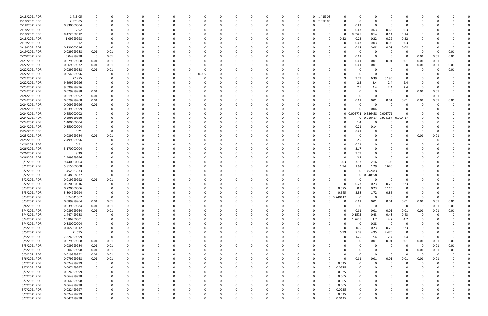| 2/18/2021 PDR | 1.41E-05    |                | Ω    |          | 0        | $\Omega$ |          | 0            |       |          | 0        |          | 0 | 0 1.41E-05 |               |             | 0                        |          |                |          |      |          |  |
|---------------|-------------|----------------|------|----------|----------|----------|----------|--------------|-------|----------|----------|----------|---|------------|---------------|-------------|--------------------------|----------|----------------|----------|------|----------|--|
| 2/18/2021 PDR | 2.97E-05    |                |      |          | $\Omega$ |          |          | $\Omega$     |       |          | $\Omega$ | $\Omega$ | 0 | 0 2.97E-05 |               | ŋ           | 0<br>$\Omega$            |          |                | റ        |      |          |  |
| 2/18/2021 PDR | 0.830000004 |                |      |          |          |          |          |              |       |          |          |          | O |            |               |             | 0.83<br>-0               |          |                |          |      |          |  |
|               |             |                |      |          |          |          |          |              |       |          |          |          |   |            |               |             |                          |          |                |          |      |          |  |
| 2/18/2021 PDR | 2.52        |                |      |          |          |          |          |              |       |          |          |          |   | - 0        |               |             | 0.63<br>0.63             | 0.63     | 0.63           |          |      |          |  |
| 2/18/2021 PDR | 0.472500012 |                |      |          |          |          |          |              |       |          |          |          |   |            |               | 0.0525      | 0.14                     | 0.14     | 0.14           |          |      |          |  |
| 2/18/2021 PDR | 1.09999998  |                |      |          |          |          |          | 0            |       |          |          |          |   | - 0        | $\Omega$      | 0.22        | 0.22<br>0.22             | 0.22     | 0.22           |          |      |          |  |
| 2/19/2021 PDR | 0.12        |                |      |          |          |          |          |              |       |          |          |          |   |            |               |             | 0.03<br>0.03             | 0.03     | 0.03           |          |      |          |  |
| 2/19/2021 PDR | 0.320000016 |                |      |          |          |          |          |              |       |          |          |          |   |            |               |             | 0.08<br>0.08             | 0.08     | 0.08           |          |      |          |  |
| 2/19/2021 PDR | 0.029999988 | 0.01           | 0.01 |          |          |          |          |              |       |          |          |          |   |            |               |             | -0                       |          |                | -0       |      | 0.01     |  |
|               |             |                |      |          |          |          |          |              |       |          |          |          |   |            |               |             |                          |          |                |          |      |          |  |
| 2/20/2021 PDR | 0.04999998  | $\overline{0}$ | 0.01 |          |          |          |          |              |       |          |          |          |   |            |               |             | 0.01<br>0                | - 0      | -0             | 0.01     | 0.01 | 0.01     |  |
| 2/21/2021 PDR | 0.079999968 | 0.01           | 0.01 |          |          |          |          |              |       |          |          |          |   |            |               |             | 0.01<br>0.01             | 0.01     | 0.01           | 0.01     | 0.01 | $\Omega$ |  |
| 2/22/2021 PDR | 0.069999972 | 0.01           | 0.01 |          |          |          |          |              |       |          |          |          |   |            |               |             | 0.01<br>0.01             | - 0      | 0              | 0.01     | 0.01 | 0.01     |  |
| 2/22/2021 PDR | 0.029999988 | 0.01           | 0.01 |          |          |          |          |              |       |          |          |          |   |            |               |             | -0                       |          |                | 0        |      | 0.01     |  |
| 2/22/2021 PDR | 0.054999996 |                |      |          |          |          |          | <sup>0</sup> | 0.055 |          |          |          |   |            |               |             | $\Omega$<br>0            |          |                |          |      |          |  |
| 2/22/2021 PDR | 27.975      |                |      |          |          |          |          |              |       |          |          |          |   |            |               |             | 6.39<br>9.39             | 3.195    | 0              |          |      |          |  |
|               |             |                |      |          |          |          |          |              |       |          |          |          |   |            |               |             |                          |          |                |          |      |          |  |
| 2/22/2021 PDR | 9.699999996 |                |      |          |          |          |          |              |       |          |          |          |   |            |               |             | 2.5<br>2.4               | 2.4      | 2.4            |          |      |          |  |
| 2/23/2021 PDR | 9.699999996 |                |      |          |          |          |          |              |       |          |          |          |   |            |               |             | 2.5<br>2.4               | 2.4      | 2.4            | -0       |      |          |  |
| 2/24/2021 PDR | 0.029999988 | 0.01           |      |          |          |          |          |              |       |          |          |          |   |            |               |             | 0                        |          | $\Omega$       | 0.01     | 0.01 |          |  |
| 2/24/2021 PDR | 0.019999992 | 0.01           |      |          |          |          |          |              |       |          |          |          |   |            |               |             | 0                        | - 0      | $\Omega$       | - 0      | 0.01 | $\Omega$ |  |
| 2/24/2021 PDR | 0.079999968 | 0.01           |      |          |          |          |          |              |       |          |          |          |   |            |               |             | 0.01<br>0.01             | 0.01     | 0.01           | 0.01     | 0.01 | 0.01     |  |
| 2/24/2021 PDR | 0.009999996 | 0.01           |      |          |          |          |          |              |       |          |          |          |   |            |               |             | 0<br>- 0                 |          |                |          |      |          |  |
|               |             |                |      |          |          |          |          |              |       |          |          |          |   |            |               |             |                          |          |                |          |      |          |  |
| 2/24/2021 PDR | 0.039999999 |                |      |          |          |          |          |              |       |          |          |          |   |            |               |             | 0.04<br>$\Omega$         |          |                |          |      |          |  |
| 2/24/2021 PDR | 0.650000002 |                |      |          |          |          |          |              |       |          |          |          |   |            |               | 0           | 0.006771 0.636458        | 0.006771 |                |          |      |          |  |
| 2/24/2021 PDR | 0.999999996 |                |      |          |          |          |          |              |       |          |          |          |   | -0         |               |             | 0.010417<br>0            | 0.979167 | 0.010417       |          |      |          |  |
| 2/24/2021 PDR | 1.400000004 |                |      |          |          |          |          |              |       |          |          |          |   |            |               |             | 1.4<br>0                 |          | 0              |          |      |          |  |
| 2/24/2021 PDR | 0.350000004 |                |      |          |          |          |          |              |       |          |          |          |   |            |               |             | 0.21<br>0.14             |          |                |          |      |          |  |
| 2/24/2021 PDR | 0.21        |                |      |          |          |          |          |              |       |          |          |          |   |            |               |             | 0.21                     |          |                | $\Omega$ |      |          |  |
|               |             |                |      |          |          |          |          |              |       |          |          |          |   |            |               |             |                          |          |                |          |      |          |  |
| 2/25/2021 PDR | 0.039999984 | 0.01           | 0.01 |          |          |          |          |              |       |          |          |          |   |            |               |             | 0                        |          |                | 0.01     | 0.01 |          |  |
| 2/25/2021 PDR | 2.499999996 |                | O    |          |          |          |          |              |       |          |          |          |   |            |               |             | 2.5                      |          |                | -C       |      |          |  |
| 2/26/2021 PDR | 0.21        |                |      |          |          |          |          |              |       |          |          |          |   |            |               |             | 0.21                     |          |                |          |      |          |  |
| 2/26/2021 PDR | 3.170000004 |                |      |          |          |          |          |              |       |          |          |          |   |            |               |             | 3.17                     |          |                |          |      |          |  |
| 2/26/2021 PDR | 9.39        |                |      |          |          |          |          |              |       |          |          |          |   |            |               |             | 9.39                     |          |                |          |      |          |  |
| 2/26/2021 PDR | 2.499999996 |                |      |          |          |          |          |              |       |          |          |          |   |            |               |             | 2.5<br>- 0               |          |                |          |      |          |  |
|               |             |                |      |          |          |          |          |              |       |          |          |          |   |            |               |             |                          |          |                |          |      |          |  |
| 3/1/2021 PDR  | 9.440000004 |                |      |          |          |          |          |              |       |          |          |          |   | - 0        |               | 3.03        | 3.17<br>2.16             | 1.08     |                |          |      |          |  |
| 3/1/2021 PDR  | 5.815000008 |                |      |          |          |          |          |              |       |          |          |          |   |            |               | 1.94        | 1.94<br>1.29             | 0.645    |                |          |      |          |  |
| 3/2/2021 PDR  | 1.452083333 |                |      |          |          |          |          |              |       |          |          |          |   |            |               |             | 1.452083<br>$\mathbf{0}$ |          |                |          |      |          |  |
| 3/2/2021 PDR  | 0.048958337 |                |      |          |          |          |          |              |       |          |          |          |   |            |               |             | 0.048958<br>$\mathbf{0}$ |          |                |          |      |          |  |
| 3/2/2021 PDR  | 0.019999992 | 0.01           | 0.01 |          |          |          |          |              |       |          |          |          |   |            |               |             | 0                        | - 0      | 0              |          |      |          |  |
| 3/2/2021 PDR  | 0.920000016 |                |      |          |          |          |          |              |       |          |          |          |   |            |               |             | 0.23<br>0.23             | 0.23     | 0.23           |          |      |          |  |
|               |             |                |      |          |          |          |          |              |       |          |          |          |   |            |               |             |                          |          | $\Omega$       |          |      |          |  |
| 3/3/2021 PDR  | 0.720000006 |                | 0    |          | $\Omega$ |          |          |              |       |          |          |          |   | -0         | 0             | 0.075       | 0.3<br>0.23              | 0.115    |                |          |      |          |  |
| 3/3/2021 PDR  | 5.804999994 |                | υ    |          |          |          |          |              |       |          |          | O        |   |            |               | 0.645       | 2.58<br>1.72             | 0.86     |                |          |      |          |  |
| 3/3/2021 PDR  | 0.74041667  | $\mathbf 0$    | 0    | O        | $\Omega$ | $\Omega$ |          | C            |       |          | $\Omega$ | $\Omega$ |   | 0          | 0.740417<br>0 |             | 0<br>$\Omega$            | 0        | $\overline{0}$ | $\Omega$ |      | $\Omega$ |  |
| 3/3/2021 PDR  | 0.089999964 | 0.01           | 0.01 |          | $\Omega$ |          |          |              |       |          |          |          |   | 0          |               | 0           | 0.01<br>0.01             | $0.01\,$ | 0.01           | 0.01     | 0.01 | 0.01     |  |
| 3/4/2021 PDR  | 0.039999984 | 0.01           | 0.01 |          | 0        |          |          | <sup>0</sup> |       |          | 0        |          |   | 0          |               | 0           | 0<br>$\Omega$            | $\Omega$ | - 0            | - 0      | 0.01 | 0.01     |  |
| 3/4/2021 PDR  | 0.089999964 | 0.01           | 0.01 |          |          |          |          |              |       |          |          |          |   |            |               |             | 0.01<br>0.01             | 0.01     | 0.01           | 0.01     | 0.01 | 0.01     |  |
|               |             |                |      |          |          |          |          |              |       |          |          |          |   |            |               |             |                          |          |                |          |      |          |  |
| 3/4/2021 PDR  | 1.447499988 | 0              | 0    |          |          |          |          |              |       |          |          |          |   | - 0        | <sup>0</sup>  | 0.1575<br>ŋ | 0.43                     | 0.43     | 0.43           | $\Omega$ |      |          |  |
| 3/4/2021 PDR  | 15.86750001 | 0              | 0    |          | 0        |          |          |              |       |          |          |          |   | 0          | 0             | 1.7675<br>0 | 4.7                      | 4.7      | 4.7            | 0        |      |          |  |
| 3/4/2021 PDR  | 0.380000004 |                |      |          | 0        |          |          | 0            |       |          |          |          |   | 0          |               |             | 0.38<br>0                | 0        | 0              |          |      |          |  |
| 3/5/2021 PDR  | 0.765000012 | $\Omega$       | 0    |          | $\Omega$ | $\Omega$ |          | 0            |       |          | 0        |          | O | 0          | $\Omega$      | $\Omega$    | 0.075<br>0.23            | 0.23     | 0.23           | 0        |      |          |  |
| 3/5/2021 PDR  | 21.695      | 0              | 0    | 0        | 0        | $\Omega$ |          | 0            |       |          | 0        |          | 0 | 0          | $\Omega$      | 6.99        | 4.95<br>7.28             | 2.475    | 0              | 0        |      | $\Omega$ |  |
| 3/5/2021 PDR  | 7.824999999 | $\Omega$       | 0    |          | $\Omega$ |          |          | 0            |       |          |          |          |   | 0          |               |             | 0.625<br>2.4             | 2.4      | 2.4            | 0        |      |          |  |
| 3/5/2021 PDR  |             | 0.01           |      |          | 0        |          |          | 0            |       |          | 0        |          |   | 0          |               |             | 0.01<br>0                | 0.01     | 0.01           | 0.01     | 0.01 | 0.01     |  |
|               | 0.079999968 |                | 0.01 |          |          |          |          |              |       |          |          |          |   |            |               |             |                          |          |                |          |      |          |  |
| 3/5/2021 PDR  | 0.039999984 | 0.01           | 0.01 |          | 0        |          |          | 0            |       |          |          |          |   | -0         |               |             | 0<br>0                   | $\Omega$ | - 0            | $\Omega$ | 0.01 | 0.01     |  |
| 3/5/2021 PDR  | 0.04999998  | 0.01           | 0.01 | 0        |          |          |          |              |       |          |          |          |   | 0          |               |             | $\Omega$                 | $\Omega$ | 0              | 0.01     | 0.01 | $0.01\,$ |  |
| 3/5/2021 PDR  | 0.019999992 | 0.01           | 0.01 | 0        | $\Omega$ |          |          |              |       |          |          |          |   | -0         |               |             | 0<br>$\Omega$            | $\Omega$ | $\Omega$       | $\Omega$ | 0    |          |  |
| 3/6/2021 PDR  | 0.079999968 | 0.01           | 0.01 | 0        | 0        | $\Omega$ |          | 0            |       |          | 0        |          |   | 0          |               | 0           | 0.01<br>0.01             | 0.01     | 0.01           | 0.01     | 0.01 |          |  |
| 3/7/2021 PDR  | 0.024999999 | 0              | 0    | 0        | 0        |          |          | 0            |       |          | 0        |          | 0 | 0          |               | 0.025       | 0                        | $\Omega$ | 0              | 0        |      |          |  |
|               |             |                |      | O        |          | $\Omega$ |          |              |       |          | $\Omega$ |          |   |            | $\Omega$      |             | $\Omega$                 |          | $\Omega$       | $\Omega$ |      |          |  |
| 3/7/2021 PDR  | 0.097499997 | 0              | 0    |          | $\Omega$ |          |          | 0            |       |          |          |          |   | $\Omega$   |               | 0.0975      | $\Omega$                 |          |                |          |      |          |  |
| 3/7/2021 PDR  | 0.024999999 |                |      |          | 0        |          |          | 0            |       |          |          |          |   | 0          | 0             | 0.025       | 0                        |          |                |          |      |          |  |
| 3/7/2021 PDR  | 0.064999998 |                |      |          | 0        |          |          | 0            |       |          |          |          |   | 0          | 0             | 0.065       | 0                        |          |                |          |      |          |  |
| 3/7/2021 PDR  | 0.064999998 | 0              |      |          | $\Omega$ |          |          | 0            |       |          |          |          |   | 0          |               | 0.065       | 0<br>$\Omega$            |          |                | 0        |      |          |  |
| 3/7/2021 PDR  | 0.064999998 |                |      |          | 0        |          |          | 0            |       |          |          |          |   | 0          |               | 0.065       | 0<br>$\Omega$            |          |                | 0        |      |          |  |
| 3/7/2021 PDR  | 0.022499997 |                |      |          | $\Omega$ |          |          | 0            |       |          | $\Omega$ |          |   | $\Omega$   |               | 0.0225      | 0                        |          |                | 0        |      |          |  |
|               |             |                |      |          |          |          |          |              |       |          |          |          |   |            |               |             |                          |          |                |          |      |          |  |
| 3/7/2021 PDR  | 0.024999999 |                |      |          | 0        |          |          | 0            |       |          | 0        |          |   | 0          |               | 0.025       | 0                        |          |                |          |      |          |  |
| 3/7/2021 PDR  | 0.042499998 | $\Omega$       | 0    | $\Omega$ | $\Omega$ | $\Omega$ | $\Omega$ | $\Omega$     |       | $\Omega$ | $\Omega$ | $\Omega$ | 0 | $\Omega$   |               | 0.0425      | $\Omega$<br>$\Omega$     | $\Omega$ | $\Omega$       | $\Omega$ |      | 0        |  |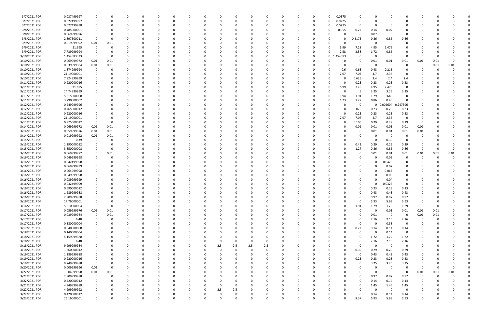| 3/7/2021 PDR  | 0.037499997 | 0                       |          |          | 0           |          |              |          |     |              |          | 0           |          |          |          |             | 0.0375   | 0           |             |                         |                |          |      |          |  |
|---------------|-------------|-------------------------|----------|----------|-------------|----------|--------------|----------|-----|--------------|----------|-------------|----------|----------|----------|-------------|----------|-------------|-------------|-------------------------|----------------|----------|------|----------|--|
| 3/7/2021 PDR  | 0.022499997 | 0                       |          |          | 0           |          | <sup>0</sup> | 0        |     |              | O        | 0           |          | 0        | 0        |             | 0.0225   | $\mathbf 0$ | $\Omega$    |                         |                | -0       |      |          |  |
| 3/7/2021 PDR  | 0.027499998 | 0                       |          |          | 0           |          |              |          |     |              |          | 0           |          |          |          |             | 0.0275   | 0           | 0           |                         |                |          |      |          |  |
| 3/8/2021 PDR  | 0.485000001 |                         |          |          |             |          |              |          |     |              |          |             |          |          |          |             | 0.055    | 0.22        | 0.14        | 0.07                    |                |          |      |          |  |
| 3/8/2021 PDR  | 0.069999996 | 0                       |          |          | 0           |          |              |          |     |              |          | -0          |          |          |          |             |          | 0           | 0.07        | - 0                     | $\Omega$       |          |      |          |  |
| 3/8/2021 PDR  | 2.897500011 | - 0                     |          |          | 0           |          |              |          |     |              |          | 0           |          |          |          |             |          | .3175       | 0.86        | 0.86                    | 0.86           |          |      |          |  |
| 3/9/2021 PDR  | 0.019999992 |                         |          |          | 0           |          |              |          |     |              |          | 0           |          |          |          |             |          | 0           | -C          | - 0                     |                |          |      |          |  |
|               |             | 0.01                    | 0.01     |          |             |          |              |          |     |              |          |             |          |          |          |             |          |             |             |                         |                |          |      |          |  |
| 3/9/2021 PDR  | 21.695      | 0                       |          |          | 0           |          |              |          |     |              |          | 0           |          |          |          |             | 6.99     | 7.28        | 4.95        | 2.475                   |                |          |      |          |  |
| 3/9/2021 PDR  | 7.739999994 | 0                       |          |          | -0          |          |              |          |     |              |          | 0           |          |          | 0        |             | 2.58     | 2.58        | 1.72        | 0.86                    |                |          |      |          |  |
| 3/10/2021 PDR | 1.454583333 | 0                       |          |          |             |          |              |          |     |              |          | $\Omega$    |          |          |          | $\mathbf 0$ | .454583  | 0           | -C          | - 0                     | 0              |          |      |          |  |
| 3/10/2021 PDR | 0.069999972 | 0.01                    | 0.01     |          | 0           |          |              |          |     |              |          | 0           |          |          | 0        |             |          | 0           | 0.01        | 0.01                    | 0.01           | 0.01     | 0.01 | $\Omega$ |  |
| 3/10/2021 PDR | 0.039999984 | 0.01                    | 0.01     |          | 0           |          |              |          |     |              |          | 0           |          |          |          |             |          | 0           | 0           | - 0                     | 0              | 0        | 0.01 | 0.01     |  |
| 3/10/2021 PDR | 1.874999994 | 0                       |          |          | -0          |          |              |          |     |              |          | -0          |          |          |          |             | 0.6      | 0.63        | 0.43        | 0.215                   |                |          |      |          |  |
| 3/10/2021 PDR | 21.19000001 |                         |          |          | -0          |          |              |          |     |              |          | -0          |          |          |          |             | 7.07     | 7.07        | 4.7         | 2.35                    |                |          |      |          |  |
| 3/10/2021 PDR | 7.824999999 |                         |          |          | 0           |          |              |          |     |              |          | 0           |          |          |          |             | 0        | 0.625       | 2.4         | 2.4                     | 2.4            |          |      |          |  |
| 3/11/2021 PDR | 0.920000016 |                         |          |          |             |          |              |          |     |              |          |             |          |          |          |             | 0        | 0.23        | 0.23        | 0.23                    | 0.23           |          |      |          |  |
| 3/11/2021 PDR | 21.695      |                         |          |          | $\Omega$    |          |              |          |     |              |          | $\Omega$    |          |          |          |             | 6.99     | 7.28        | 4.95        | 2.475                   | $\mathbf 0$    |          |      |          |  |
| 3/11/2021 PDR | 14.74999999 |                         |          |          | - 0         |          |              |          |     |              |          | -0          |          |          |          |             | n        | -5          | 3.25        | 3.25                    | 3.25           |          |      |          |  |
| 3/11/2021 PDR | 5.815000008 |                         |          |          | 0           |          |              |          |     |              |          | 0           |          |          |          |             | 1.94     | 1.94        | 1.29        | 0.645                   | 0              |          |      |          |  |
| 3/11/2021 PDR | 3.790000002 |                         |          |          | $\Omega$    |          |              |          |     |              |          | $\Omega$    |          |          |          |             | 1.23     | 1.27        | 0.86        | 0.43                    | $\Omega$       |          |      |          |  |
| 3/12/2021 PDR | 0.249999996 |                         |          |          | 0           |          |              |          |     |              |          | 0           |          |          |          |             |          | 0           | $\mathbf 0$ | 0.002604                | 0.247396       |          |      |          |  |
| 3/12/2021 PDR | 0.765000012 |                         |          |          |             |          |              |          |     |              |          |             |          |          |          |             |          |             | 0.23        | 0.23                    |                |          |      |          |  |
|               |             |                         |          |          |             |          |              |          |     |              |          |             |          |          |          |             |          | 0.075       |             |                         | 0.23           |          |      |          |  |
| 3/12/2021 PDR | 0.920000016 |                         |          |          |             |          |              |          |     |              |          |             |          |          |          |             |          | 0.23        | 0.23        | 0.23                    | 0.23           |          |      |          |  |
| 3/12/2021 PDR | 21.19000001 | 0                       |          |          | 0           |          |              |          |     |              |          | 0           |          |          |          |             | 7.07     | 7.07        | 4.7         | 2.35                    | 0              |          |      |          |  |
| 3/12/2021 PDR | 0.975000012 | - 0                     | -0       |          | 0           |          |              |          |     |              |          | 0           |          |          |          |             |          | 0.105       | 0.29        | 0.29                    | 0.29           | 0        |      |          |  |
| 3/14/2021 PDR | 0.069999972 | 0.01                    | 0.01     |          | -0          |          |              |          |     |              |          | $\Omega$    |          |          |          |             |          | 0.01        | 0.01        | 0.01                    | 0.01           | 0.01     |      |          |  |
| 3/14/2021 PDR | 0.059999976 | 0.01                    | 0.01     |          | 0           |          |              |          |     |              |          | 0           |          |          |          |             |          | 0           | 0.01        | 0.01                    | 0.01           | 0.01     |      |          |  |
| 3/14/2021 PDR | 0.019999992 | 0.01                    | 0.01     |          |             |          |              |          |     |              |          |             |          |          |          |             |          | 0           | -C          | - 0                     |                |          |      |          |  |
| 3/15/2021 PDR | 0.39        | 0                       |          |          |             |          |              |          |     |              |          |             |          |          |          |             |          | 0           | 0           | 0.39                    |                |          |      |          |  |
| 3/15/2021 PDR | 1.290000012 | 0                       |          |          | 0           |          |              |          |     |              |          | $\Omega$    |          |          |          |             | o        | 0.42        | 0.29        | 0.29                    | 0.29           |          |      |          |  |
| 3/15/2021 PDR | 3.850000008 | 0                       |          |          | 0           |          |              |          |     |              |          | 0           |          |          |          |             |          | 1.27        | 0.86        | 0.86                    | 0.86           | 0        |      |          |  |
| 3/16/2021 PDR | 0.069999972 | 0                       | 0.01     |          | 0           |          |              |          |     |              |          | 0           |          |          |          |             |          | 0           | 0.01        | 0.01                    | 0.01           | 0.01     | 0.01 | 0.01     |  |
| 3/16/2021 PDR | 0.049999998 | C                       |          |          | 0           |          |              |          |     |              |          | $\Omega$    |          |          |          |             |          |             | $\Omega$    | 0.05                    | 0              |          |      |          |  |
| 3/16/2021 PDR | 0.042499998 | C                       |          |          | 0           |          |              |          |     |              |          | 0           |          |          |          |             |          | 0           | 0           | 0.0425                  |                |          |      |          |  |
| 3/16/2021 PDR | 0.069999999 | C                       |          |          | -0          |          |              |          |     |              |          | $\Omega$    |          |          |          |             |          |             | - 0         | 0.07                    |                |          |      |          |  |
| 3/16/2021 PDR | 0.064999998 | 0                       |          |          | 0           |          |              |          |     |              |          | 0           |          |          |          |             |          |             | $\Omega$    | 0.065                   | 0              |          |      |          |  |
| 3/16/2021 PDR | 0.049999998 | 0                       |          |          | 0           |          |              |          |     |              |          | 0           |          |          |          |             |          |             | 0           | 0.05                    | 0              |          |      |          |  |
| 3/16/2021 PDR | 0.039999999 |                         |          |          | -0          |          |              |          |     |              |          | -0          |          |          |          |             |          |             |             | 0.04                    |                |          |      |          |  |
|               |             |                         |          |          |             |          |              |          |     |              |          |             |          |          |          |             |          |             |             |                         | $\Omega$       |          |      |          |  |
| 3/16/2021 PDR | 0.032499999 |                         |          |          |             |          |              |          |     |              |          |             |          |          |          |             |          |             |             | 0.0325                  |                |          |      |          |  |
| 3/16/2021 PDR | 0.690000012 | 0                       |          |          | - 0         |          |              |          |     |              |          | -0          |          |          |          |             |          | 0           | 0.23        | 0.23                    | 0.23           |          |      |          |  |
| 3/16/2021 PDR | 1.289999988 | $\mathbf 0$             |          |          |             |          |              |          |     |              |          |             |          |          |          |             |          | 0           | 0.43        | 0.43                    | 0.43           |          |      |          |  |
| 3/16/2021 PDR | 2.909999988 | 0                       |          | $\Omega$ | 0           | $\Omega$ | $\Omega$     | $\Omega$ |     | $\Omega$     | $\Omega$ | 0           | $\Omega$ | $\Omega$ | $\Omega$ |             | $\Omega$ | $\mathbf 0$ | 0.97        | 0.97                    | 0.97           | $\Omega$ |      |          |  |
| 3/16/2021 PDR | 17.79000001 | 0                       |          | $\Omega$ | 0           |          | <sup>0</sup> | 0        |     | <sup>0</sup> |          | 0           |          | $\Omega$ | 0        |             | $\Omega$ | 0           | 5.93        | 5.93                    | 5.93           | 0        |      |          |  |
| 3/16/2021 PDR | 5.810000004 | 0                       |          |          | 0           |          |              | 0        |     |              |          | 0           |          |          | 0        |             | 0        | 1.94        | 1.29        | 1.29                    | 1.29           | 0        |      |          |  |
| 3/17/2021 PDR | 0.059999976 | 0.01                    | 0.01     |          | 0           |          |              | 0        |     |              |          | 0           |          |          | n        |             | $\Omega$ | $\Omega$    | $\Omega$    | 0.01                    | 0.01           | 0.01     | 0.01 |          |  |
| 3/17/2021 PDR | 0.039999984 | $\mathbf 0$             | 0.01     |          | 0           |          |              |          |     |              |          | 0           |          |          |          |             | 0        | 0           | 0.01        | $\overline{\mathbf{0}}$ | 0              | 0.01     | 0.01 |          |  |
| 3/17/2021 PDR | 6.48        | 0                       |          |          | 0           |          |              |          |     |              |          | 0           |          |          |          |             |          | 0           | 2.16        | 2.16                    | 2.16           | 0        |      |          |  |
| 3/17/2021 PDR | 0.380000004 | 0                       |          |          | $\Omega$    |          |              |          |     |              |          | $\Omega$    |          |          |          |             | 0        | $\mathbf 0$ | $\Omega$    | 0.38                    | $\mathbf 0$    |          |      |          |  |
| 3/17/2021 PDR | 0.640000008 | 0                       |          |          | 0           |          | 0            | 0        |     |              |          | 0           |          | $\Omega$ | 0        |             | 0        | 0.22        | 0.14        | 0.14                    | 0.14           |          |      |          |  |
| 3/18/2021 PDR | 0.140000004 | 0                       |          |          | 0           |          |              | 0        |     |              |          | 0           |          |          |          |             | 0        | 0           | 0           | 0.14                    | 0              |          |      |          |  |
| 3/18/2021 PDR | 5.159999988 | 0                       |          |          | 0           |          |              |          |     |              |          | 0           |          |          |          |             |          | $\Omega$    | 1.72        | 1.72                    | 1.72           |          |      |          |  |
| 3/18/2021 PDR | 6.48        | 0                       |          |          | 0           |          |              | 0        |     | 0            | 0        | 0           |          |          |          |             | 0        | 0           | 2.16        | 2.16                    | 2.16           |          |      |          |  |
| 3/18/2021 PDR | 9.999999984 | 0                       |          |          | 0           |          |              | 0        | 2.5 | 2.5          | 2.5      | 2.5         |          |          |          |             | 0        | 0           | 0           | $\Omega$                | $\overline{0}$ |          |      |          |  |
| 3/18/2021 PDR | 1.260000012 | 0                       |          |          | $\Omega$    |          |              | 0        |     |              | $\Omega$ | $\mathbf 0$ |          |          |          |             | $\Omega$ | 0.39        | 0.29        | 0.29                    | 0.29           |          |      |          |  |
| 3/19/2021 PDR | 1.289999988 | 0                       |          |          | 0           |          | <sup>0</sup> | 0        |     |              |          | 0           |          | O        | 0        |             | $\Omega$ | - 0         | 0.43        | 0.43                    | 0.43           |          |      |          |  |
|               |             |                         |          |          |             |          |              |          |     |              |          |             |          |          |          |             |          |             |             |                         |                |          |      |          |  |
| 3/19/2021 PDR | 0.920000016 | 0                       |          |          | 0           |          |              | 0        |     |              |          | 0           |          |          | 0        |             | 0        | 0.23        | 0.23        | 0.23                    | 0.23           |          |      |          |  |
| 3/19/2021 PDR | 9.749999988 | $\overline{\mathbf{0}}$ |          |          | 0           |          | 0            | C        |     |              |          | 0           |          |          |          |             | ŋ        | 0           | 3.25        | 3.25                    | 3.25           |          |      |          |  |
| 3/20/2021 PDR | 0.009999996 | 0.01                    | $\Omega$ |          | 0           |          | 0            | 0        |     |              |          | 0           |          | 0        | 0        |             |          | $\Omega$    | $\Omega$    | - 0                     | 0              | $\Omega$ |      | $\Omega$ |  |
| 3/22/2021 PDR | 0.04999998  | 0.01                    | 0.01     |          | 0           |          | 0            |          |     |              |          | 0           |          |          |          |             |          | 0           | 0           | $\Omega$                | 0              | 0.01     | 0.01 | 0.01     |  |
| 3/22/2021 PDR | 2.909999988 | $\mathbf 0$             | 0        |          | $\Omega$    |          |              |          |     |              |          | 0           |          |          |          |             |          | 0           | 0.97        | 0.97                    | 0.97           | 0        |      |          |  |
| 3/22/2021 PDR | 0.420000012 | $\mathbf 0$             |          |          | 0           |          | $\Omega$     | 0        |     |              |          | 0           |          | $\Omega$ | 0        |             | 0        | 0           | 0.14        | 0.14                    | 0.14           | 0        |      |          |  |
| 3/22/2021 PDR | 4.349999988 | 0                       |          |          | 0           |          |              | 0        |     | 0            |          | 0           |          |          |          |             | 0        | 0           | 1.45        | 1.45                    | 1.45           |          |      |          |  |
| 3/22/2021 PDR | 4.999999992 | 0                       |          |          | $\Omega$    |          |              | 0        | 2.5 | 2.5          |          | $\Omega$    |          |          |          |             | ŋ        | $\Omega$    | $\Omega$    | $\Omega$                | $\mathbf 0$    |          |      |          |  |
| 3/22/2021 PDR | 0.420000012 | 0                       |          |          | 0           |          |              |          |     |              |          | 0           |          |          |          |             |          | $\Omega$    | 0.14        | 0.14                    | 0.14           |          |      |          |  |
| 3/23/2021 PDR | 26.16000001 | $\mathbf 0$             |          | 0        | $\mathbf 0$ | $\Omega$ | $\Omega$     | $\Omega$ |     | $\Omega$     | $\Omega$ | $\mathbf 0$ | $\Omega$ | $\Omega$ | 0        |             | 0        | 8.37        | 5.93        | 5.93                    | 5.93           | 0        |      | 0        |  |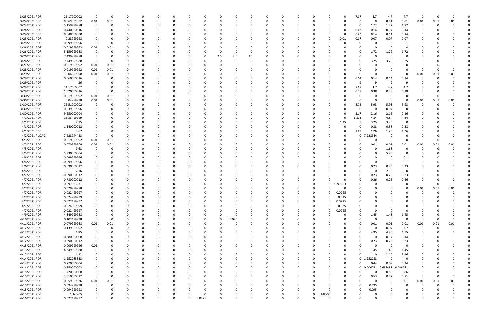| 3/23/2021 PDR  | 21.17000002 | 0           | $\Omega$ |   |     |          |   |          |     |        |     |          |          |          |             |          |          | 7.07     | 4.7        | 4.7      | 4.7         | 0           |      |      |  |
|----------------|-------------|-------------|----------|---|-----|----------|---|----------|-----|--------|-----|----------|----------|----------|-------------|----------|----------|----------|------------|----------|-------------|-------------|------|------|--|
| 3/24/2021 PDR  | 0.069999972 | 0.01        | 0.01     |   |     |          |   | -0       |     |        |     |          |          |          |             |          |          | 0        | 0          | $0.01\,$ | 0.01        | 0.01        | 0.01 | 0.01 |  |
| 3/24/2021 PDR  | 5.159999988 | $\mathbf 0$ |          |   |     |          |   |          |     |        |     |          |          |          |             |          |          | 0        | 1.72       | 1.72     | 1.72        | 0           |      |      |  |
| 3/24/2021 PDR  | 0.440000016 | 0           |          |   |     |          |   |          |     |        |     |          |          |          |             |          |          | 0.02     | 0.14       | 0.14     | 0.14        |             |      |      |  |
|                |             |             |          |   |     |          |   |          |     |        |     |          |          |          |             |          |          |          |            |          |             |             |      |      |  |
| 3/24/2021 PDR  | 0.640000008 | 0           |          |   |     |          |   |          |     |        |     |          |          |          |             |          | 0        | 0.22     | 0.14       | 0.14     | 0.14        |             |      |      |  |
| 3/25/2021 PDR  | 0.28999998  | 0           |          |   |     |          |   |          |     |        |     |          |          |          |             |          | 0.01     | 0.07     | 0.07       | 0.07     | 0.07        |             |      |      |  |
| 3/25/2021 PDR  | 0.099999996 | 0           |          |   |     |          |   |          |     |        |     |          |          |          |             |          |          | $\Omega$ | -0         |          | 0.1         |             |      |      |  |
| 3/26/2021 PDR  | 0.019999992 | 0.01        | 0.01     |   |     |          |   |          |     |        |     |          |          |          |             |          |          |          | 0          |          |             |             |      |      |  |
| 3/26/2021 PDR  | 5.159999988 | $\mathbf 0$ |          |   |     |          |   |          |     |        |     |          |          |          |             |          |          |          | 1.72       | 1.72     | 1.72        |             |      |      |  |
| 3/26/2021 PDR  | 7.499999988 | 0           |          |   |     |          |   |          | 2.5 | 2.5    | 2.5 |          |          |          |             |          |          |          | $\Omega$   | - 0      | $\Omega$    |             |      |      |  |
|                | 9.749999988 |             |          |   |     |          |   |          |     |        |     |          |          |          |             |          |          |          |            | 3.25     | 3.25        |             |      |      |  |
| 3/26/2021 PDR  |             | 0           |          |   |     |          |   |          |     |        |     |          |          |          |             |          |          | 0        | 3.25       |          |             |             |      |      |  |
| 3/27/2021 PDR  | 0.019999992 | 0.01        | 0.01     |   |     |          |   |          |     |        |     |          |          |          |             |          |          |          | -0         |          |             |             |      |      |  |
| 3/28/2021 PDR  | 0.019999992 | 0.01        | 0.01     |   |     |          |   |          |     |        |     |          |          |          |             |          |          |          | - 0        |          |             | 0           |      |      |  |
| 3/29/2021 PDR  | 0.04999998  | 0.01        | 0.01     |   |     |          |   |          |     |        |     |          |          |          |             |          |          | 0        | $\Omega$   |          | -0          | 0.01        | 0.01 | 0.01 |  |
| 3/29/2021 PDR  | 0.560000016 | 0           |          |   |     |          |   |          |     |        |     |          |          |          |             |          |          | 0.14     | 0.14       | 0.14     | 0.14        | C           |      |      |  |
| 3/29/2021 PDR  | 36          | -C          |          |   |     |          |   |          |     |        |     |          |          |          |             |          |          | 9        | -9         | -9       | 9           |             |      |      |  |
| 3/29/2021 PDR  | 21.17000002 | C           |          |   |     |          |   |          |     |        |     |          |          |          |             |          |          | 7.07     | 4.7        | 4.7      | 4.7         |             |      |      |  |
|                |             |             |          |   |     |          |   |          |     |        |     |          |          |          |             |          |          |          |            |          |             |             |      |      |  |
| 3/29/2021 PDR  | 1.520000016 | C           | $\Omega$ |   |     |          |   |          |     |        |     |          |          |          |             |          |          | 0.38     | 0.38       | 0.38     | 0.38        |             |      |      |  |
| 3/30/2021 PDR  | 0.019999992 | 0.01        | 0.01     |   |     |          |   |          |     |        |     |          |          |          |             |          |          | 0        | -0         | - 0      | 0           | C           |      |      |  |
| 3/30/2021 PDR  | 0.04999998  | 0.01        | 0.01     |   |     |          |   |          |     |        |     |          |          |          |             |          |          | 0        | $\Omega$   | - 0      | - 0         | 0.01        | 0.01 | 0.01 |  |
| 3/30/2021 PDR  | 26.51000002 | 0           |          |   |     |          |   |          |     |        |     |          |          |          |             |          |          | 8.72     | 5.93       | 5.93     | 5.93        |             |      |      |  |
| 3/30/2021 PDR  | 0.039999996 | 0           |          |   |     |          |   |          |     |        |     |          |          |          |             |          |          | 0        | $\Omega$   | 0.04     | 0           |             |      |      |  |
| 3/30/2021 PDR  | 9.650000004 |             |          |   |     |          |   |          |     |        |     |          |          |          |             |          |          | 3.17     | 2.16       | 2.16     | 2.16        |             |      |      |  |
|                |             |             |          |   |     |          |   |          |     |        |     |          |          |          |             |          |          |          |            |          |             |             |      |      |  |
| 4/1/2021 PDR   | 16.33499999 |             |          |   |     |          |   |          |     |        |     |          |          |          |             |          | O        | 1.815    | 4.84       | 4.84     | 4.84        |             |      |      |  |
| 4/1/2021 PDR   | 12.75       |             |          |   |     |          |   |          |     |        |     |          |          |          |             |          | 1.25     | -5       | 3.25       | 3.25     | -0          |             |      |      |  |
| 4/1/2021 PDR   | 1.140000012 |             |          |   |     |          |   |          |     |        |     |          |          |          |             |          |          | $\Omega$ | 0.38       | 0.38     | 0.38        |             |      |      |  |
| 4/1/2021 PDR   | 5.67        |             |          |   |     |          |   |          |     |        |     |          |          |          |             |          | 0        | 1.89     | 1.26       | 1.26     | 1.26        |             |      |      |  |
| 4/2/2021 PLOAD | 7.228944453 | - 0         |          |   |     |          |   |          |     |        |     |          |          |          |             |          |          | 0        | .228944    | - 0      |             |             |      |      |  |
| 4/3/2021 PDR   | 0.019999992 | 0.01        | 0.01     |   |     |          |   |          |     |        |     |          |          |          |             |          |          | $\Omega$ | $\Omega$   | - 0      | $\Omega$    | 0           |      |      |  |
| 4/3/2021 PDR   |             |             |          |   |     |          |   |          |     |        |     |          |          |          |             |          |          |          |            |          |             |             |      |      |  |
|                | 0.079999968 | 0.01        | 0.01     |   |     |          |   |          |     |        |     |          |          |          |             |          | O        | 0        | 0.01       | 0.01     | 0.01        | 0.01        | 0.01 | 0.01 |  |
| 4/5/2021 PDR   | 1.68        | 0           |          |   |     |          |   |          |     |        |     |          |          |          |             |          |          |          | 0          | 1.68     | 0           |             |      |      |  |
| 4/5/2021 PDR   | 5.930000004 |             |          |   |     |          |   |          |     |        |     |          |          |          |             |          |          |          | 0          | 5.93     |             |             |      |      |  |
| 4/6/2021 PDR   | 0.099999996 |             |          |   |     |          |   |          |     |        |     |          |          |          |             |          |          |          | -0         |          | 0.1         |             |      |      |  |
| 4/6/2021 PDR   | 0.099999996 |             |          |   |     |          |   |          |     |        |     |          |          |          |             |          |          | 0        | 0          | - 0      | 0.1         |             |      |      |  |
| 4/6/2021 PDR   | 0.690000012 |             |          |   |     |          |   |          |     |        |     |          |          |          |             |          |          |          | 0.23       | 0.23     | 0.23        |             |      |      |  |
| 4/6/2021 PDR   |             |             |          |   |     |          |   |          |     |        |     |          |          |          |             |          |          |          | $\Omega$   | 2.16     | - 0         |             |      |      |  |
|                | 2.16        |             |          |   |     |          |   |          |     |        |     |          |          |          |             |          |          | 0        |            |          |             |             |      |      |  |
| 4/7/2021 PDR   | 0.690000012 |             |          |   |     |          |   |          |     |        |     |          |          |          |             |          |          | 0        | 0.23       | 0.23     | 0.23        |             |      |      |  |
| 4/7/2021 PDR   | 0.780000012 |             |          |   |     |          |   |          |     |        |     |          |          |          |             |          |          | n        | 0.26       | 0.26     | 0.26        |             |      |      |  |
| 4/7/2021 PDR   | 0.597083331 |             |          |   |     |          |   |          |     |        |     |          |          |          |             | $\Omega$ | 0.597083 |          | - 0        |          |             |             |      |      |  |
| 4/7/2021 PDR   | 0.029999988 |             |          |   |     |          |   |          |     |        |     |          |          |          |             |          | 0        | $\Omega$ | $\Omega$   |          |             | 0.01        | 0.01 | 0.01 |  |
| 4/7/2021 PDR   | 0.022499997 |             |          |   |     |          |   |          |     |        |     |          |          |          |             |          | 0.0225   |          |            | $\Omega$ |             | $\Omega$    |      |      |  |
| 4/7/2021 PDR   | 0.024999999 | 0           | 0        | 0 | - 0 | $\Omega$ | 0 | 0        | 0   | 0      | 0   | $\Omega$ | $\Omega$ | $\Omega$ | $\Omega$    | $\Omega$ | 0.025    | 0        | 0          | $\Omega$ | $\Omega$    | $\Omega$    |      |      |  |
|                |             |             |          |   |     |          |   |          |     |        |     |          |          |          |             |          |          |          |            |          |             |             |      |      |  |
| 4/7/2021 PDR   | 0.022499997 | 0           | 0        | 0 |     |          |   | 0        |     |        | 0   | 0        |          |          | 0           |          | 0.0225   | 0        | 0          |          |             | 0           |      |      |  |
| 4/7/2021 PDR   | 0.024999999 | 0           |          |   |     |          | 0 | $\Omega$ |     |        |     | $\Omega$ |          |          | 0           |          | 0.025    | 0        | $\Omega$   |          | 0           |             |      |      |  |
| 4/7/2021 PDR   | 0.022499997 | 0           |          |   |     |          |   | $\Omega$ |     |        |     |          |          |          | 0           |          | 0.0225   | 0        | $\Omega$   | -0       | -0          |             |      |      |  |
| 4/9/2021 PDR   | 4.349999988 | 0           |          |   |     |          |   | 0        |     |        |     |          |          |          | 0           |          | 0        | 0        | 1.45       | 1.45     | 1.45        |             |      |      |  |
| 4/10/2021 PDR  | 0.102499998 | 0           | 0        |   |     |          | 0 | 0        | 0   | 0.1025 | 0   | $\Omega$ |          |          | 0           |          | $\Omega$ | 0        | $\Omega$   | $\Omega$ | 0           | 0           |      |      |  |
| 4/11/2021 PDR  | 0.079999968 | 0.01        | 0.01     |   |     |          |   | 0        |     |        | 0   | 0        |          |          |             |          | 0        | 0        | 0.01       | 0.01     | 0.01        | 0.01        | 0.01 | 0.01 |  |
|                |             |             |          |   |     |          |   |          |     |        |     |          |          |          |             |          |          |          |            |          |             |             |      |      |  |
| 4/12/2021 PDR  | 0.139999992 | $\mathbf 0$ | $\Omega$ |   |     |          |   | 0        |     |        | 0   | 0        |          |          |             |          | 0        | 0        | 0          | 0.07     | 0.07        | 0           |      |      |  |
| 4/12/2021 PDR  | 14.85       | 0           |          |   |     |          | 0 | 0        |     |        |     | $\Omega$ |          |          | 0           |          | 0        | 0        | 4.95       | 4.95     | 4.95        | 0           |      |      |  |
| 4/12/2021 PDR  | 0.280000008 | 0           |          |   |     |          |   | 0        |     |        |     | 0        |          |          |             |          | 0        | 0        | $\Omega$   | 0.14     | 0.14        |             |      |      |  |
| 4/12/2021 PDR  | 0.690000012 | $\mathbf 0$ |          |   |     |          |   | 0        |     |        |     |          |          |          | -0          |          | 0        | 0        | 0.23       | 0.23     | 0.23        |             |      |      |  |
| 4/13/2021 PDR  | 0.009999996 | 0.01        |          |   |     |          |   | 0        |     |        |     |          |          |          |             |          | 0        | 0        | $\Omega$   | $\Omega$ | 0           | 0           |      |      |  |
| 4/13/2021 PDR  | 4.349999988 | 0           |          |   |     |          |   |          |     |        |     |          |          |          |             |          | 0        | 0        | 1.45       | 1.45     | 1.45        | 0           |      |      |  |
|                |             |             |          |   |     |          |   |          |     |        |     |          |          |          |             |          |          |          |            |          |             |             |      |      |  |
| 4/13/2021 PDR  | 4.32        | 0           |          |   |     |          |   | 0        |     |        |     |          |          |          | 0           |          | 0        | 0        | $\Omega$   | 2.16     | 2.16        | 0           |      |      |  |
| 4/14/2021 PDR  | 1.252083333 | 0           |          |   |     |          | 0 | 0        |     |        | 0   | $\Omega$ |          |          | 0           |          | 0        |          | 0 1.252083 | $\Omega$ | $\mathbf 0$ | 0           |      |      |  |
| 4/14/2021 PDR  | 0.770000004 | 0           |          |   |     |          |   | 0        |     |        |     | 0        |          |          |             |          | 0        | $\Omega$ | 0.44       | 0.09     | 0.24        |             |      |      |  |
| 4/14/2021 PDR  | 0.650000002 | $\Omega$    |          |   |     |          |   | $\Omega$ |     |        |     | $\Omega$ |          |          |             |          | 0        |          | 0 0.006771 | 0.636458 | 0.006771    |             |      |      |  |
| 4/15/2021 PDR  | 1.720000008 | 0           |          |   |     |          |   | 0        |     |        |     |          |          |          |             |          | 0        | $\Omega$ | 0          | 0.86     | 0.86        | 0           |      |      |  |
| 4/15/2021 PDR  | 2.010000012 | $\mathbf 0$ | 0        |   |     |          |   | -0       |     |        |     |          |          |          |             |          | 0        | 0        | 0.53       | 0.77     | 0.71        | $\mathbf 0$ |      |      |  |
| 4/15/2021 PDR  | 0.059999976 | 0.01        | 0.01     |   |     |          |   | 0        |     | 0      |     | $\Omega$ |          |          |             |          | 0        | 0        | 0          | - 0      | 0.01        | 0.01        | 0.01 |      |  |
|                |             |             |          |   |     |          |   |          |     |        |     |          |          |          |             |          |          |          |            |          |             |             |      | 0.01 |  |
| 4/15/2021 PDR  | 0.094999998 | $\mathbf 0$ | 0        |   |     |          |   | 0        |     |        |     | 0        |          | 0        |             |          | 0        | $\Omega$ | 0.095      | - 0      | -0          | -0          |      |      |  |
| 4/15/2021 PDR  |             | 0           |          |   |     |          |   | 0        |     |        |     |          |          |          |             |          |          | $\Omega$ | 0.095      |          |             |             |      |      |  |
|                | 0.094999998 |             |          |   |     |          |   |          |     |        |     |          |          | 0        |             |          | $\Omega$ |          |            |          |             |             |      |      |  |
| 4/15/2021 PDR  | 1.14E-05    | 0           |          |   |     |          |   |          |     |        |     |          |          | 0        | $\mathbf 0$ | 1.14E-05 | 0        |          | -0         |          |             |             |      |      |  |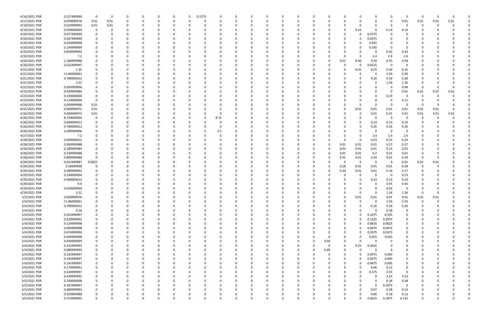| 4/16/2021 PDR | 0.227499999 | - 0         | $\Omega$ |          |          |              | 0            | 0.2275   |          |          |          |          |          |          |          |              |          | 0        |          | $\Omega$       | 0    |      |      |  |
|---------------|-------------|-------------|----------|----------|----------|--------------|--------------|----------|----------|----------|----------|----------|----------|----------|----------|--------------|----------|----------|----------|----------------|------|------|------|--|
| 4/17/2021 PDR | 0.059999976 | 0.01        | 0.01     | 0        |          | 0            | 0            | $\Omega$ |          | $\Omega$ |          |          |          | 0        |          |              | 0        | $\Omega$ | - 0      | 0.01           | 0.01 | 0.01 | 0.01 |  |
| 4/18/2021 PDR | 0.019999992 | 0.01        | 0.01     |          |          |              |              |          |          |          |          |          |          |          |          |              |          |          | - 0      |                |      |      |      |  |
|               |             |             |          |          |          |              |              |          |          |          |          |          |          |          |          |              |          |          |          |                |      |      |      |  |
| 4/19/2021 PDR | 0.500000004 | $\mathbf 0$ | $\Omega$ |          |          |              |              |          |          |          |          |          |          |          |          | 0            | 0.22     | $\Omega$ | 0.14     | 0.14           |      |      |      |  |
| 4/20/2021 PDR | 0.077499999 |             |          |          |          |              |              |          |          |          |          |          |          |          |          |              | 0        | 0.0775   |          |                |      |      |      |  |
| 4/20/2021 PDR | 0.047499999 |             |          |          |          |              |              |          |          |          |          |          |          |          |          |              | 0        | 0.0475   |          |                |      |      |      |  |
|               |             |             |          |          |          |              |              |          |          |          |          |          |          |          |          |              | 0        |          |          |                |      |      |      |  |
| 4/20/2021 PDR | 0.034999998 |             |          |          |          |              |              |          |          |          |          |          |          |          |          |              |          | 0.035    |          |                |      |      |      |  |
| 4/20/2021 PDR | 0.144999999 |             |          |          |          |              |              |          |          |          |          |          |          |          |          |              | 0        | 0.145    | - 0      |                |      |      |      |  |
| 4/20/2021 PDR | 0.859999992 |             |          |          |          |              |              |          |          |          |          |          |          |          |          |              |          | -C       | 0.43     | 0.43           |      |      |      |  |
| 4/20/2021 PDR | 7.2         |             |          |          |          |              |              |          |          |          |          |          |          |          |          | 0            | 0        | 2.4      | 2.4      | 2.4            |      |      |      |  |
|               |             |             |          |          |          |              |              |          |          |          |          |          |          |          |          |              |          |          |          |                |      |      |      |  |
| 4/20/2021 PDR | 2.189999988 |             |          |          |          |              |              |          |          |          |          |          |          |          |          | 0.01         | 0.46     | 0.59     | 0.55     | 0.58           |      |      |      |  |
| 4/20/2021 PDR | 0.022499997 |             |          |          |          |              |              |          |          |          |          |          |          |          |          | <sup>0</sup> | 0        | 0.0225   | 0        | 0              |      |      |      |  |
| 4/21/2021 PDR | 1.35        |             |          |          |          |              |              |          |          |          |          |          |          |          |          | 0            | 0.01     | 0.55     | 0.44     | 0.35           |      |      |      |  |
| 4/21/2021 PDR | 11.86000001 |             |          |          |          |              |              |          |          |          |          |          |          |          |          |              | 0        | 0        | 5.93     | 5.93           |      |      |      |  |
|               |             |             |          |          |          |              |              |          |          |          |          |          |          |          |          |              |          |          |          |                |      |      |      |  |
| 4/21/2021 PDR | 0.780000012 |             |          |          |          |              |              |          |          |          |          |          |          |          |          |              | 0        | 0.26     | 0.26     | 0.26           |      |      |      |  |
| 4/21/2021 PDR | 2.52        |             |          |          |          |              |              |          |          |          |          |          |          |          |          |              |          | 0        | 1.26     | 1.26           |      |      |      |  |
| 4/22/2021 PDR | 0.939999996 |             |          |          |          |              |              |          |          |          |          |          |          |          |          |              |          |          |          | 0.94           | -0   |      | n    |  |
| 4/23/2021 PDR | 0.039999984 |             |          |          |          |              |              |          |          |          |          |          |          |          |          |              |          |          | - 0      | 0.01           | 0.01 | 0.01 | 0.01 |  |
|               |             |             |          |          |          |              |              |          |          |          |          |          |          |          |          |              |          |          |          |                |      |      |      |  |
| 4/23/2021 PDR | 0.230000004 |             |          |          |          |              |              |          |          |          |          |          |          |          |          |              |          | $\Omega$ | 0.23     | $\Omega$       | C    |      |      |  |
| 4/23/2021 PDR | 0.110000004 |             |          |          |          |              |              |          |          |          |          |          |          |          |          |              |          |          |          | 0.11           |      |      |      |  |
| 4/24/2021 PDR | 0.009999996 | 0.01        |          |          |          |              |              |          |          |          |          |          |          |          |          |              | 0        |          |          | $\Omega$       | -C   |      |      |  |
| 4/25/2021 PDR | 0.069999972 | 0.01        |          |          |          |              |              |          |          |          |          |          |          |          |          |              | 0.01     | 0.01     | 0.01     | 0.01           | 0.01 | 0.01 |      |  |
|               |             |             |          |          |          |              |              |          |          |          |          |          |          |          |          |              |          |          |          |                |      |      |      |  |
| 4/26/2021 PDR | 0.069999972 | 0.01        |          |          |          |              |              |          |          |          |          |          |          |          |          |              | 0        | 0.01     | 0.01     | 0.01           | 0.01 | 0.01 | 0.01 |  |
| 4/26/2021 PDR | 8.720000004 |             |          |          |          |              |              | 0        | 8.72     |          |          |          |          |          |          |              | 0        | -C       | 0        | $\Omega$       | 0    |      |      |  |
| 4/26/2021 PDR | 0.690000012 |             |          |          |          |              |              |          |          |          |          |          |          |          |          |              | 0        | 0.23     | 0.23     | 0.23           |      |      |      |  |
|               |             |             |          |          |          |              |              |          |          |          |          |          |          |          |          |              |          |          |          |                |      |      |      |  |
| 4/26/2021 PDR | 0.780000012 |             |          |          |          |              |              |          |          |          |          |          |          |          |          |              | 0        | 0.26     | 0.26     | 0.26           |      |      |      |  |
| 4/26/2021 PDR | 2.499999996 |             |          |          |          |              |              |          | 2.5      |          |          |          |          |          |          |              | 0        | 0        | - 0      | 0              |      |      |      |  |
| 4/27/2021 PDR | 7.2         |             |          |          |          |              |              |          |          |          |          |          |          |          |          |              | 0        | 2.4      | 2.4      | 2.4            |      |      |      |  |
| 4/28/2021 PDR | 0.690000012 |             |          |          |          |              |              |          |          |          |          |          |          |          |          | n            | 0        | 0.23     | 0.23     | 0.23           |      |      |      |  |
|               |             |             |          |          |          |              |              |          |          |          |          |          |          |          |          |              |          |          |          |                |      |      |      |  |
| 4/28/2021 PDR | 0.569999988 |             |          |          |          |              |              |          |          |          |          |          |          |          |          | 0.01         | 0.01     | 0.01     | 0.27     | 0.27           |      |      |      |  |
| 4/28/2021 PDR | 0.189999984 |             |          |          |          |              |              |          |          |          |          |          |          |          |          | 0.01         | 0.01     | 0.01     | 0.15     | 0.01           |      |      |      |  |
| 4/28/2021 PDR | 0.239999988 |             |          |          |          |              |              |          |          |          |          |          |          |          |          | 0.01         | 0.01     | 0.2      | 0.01     | 0.01           |      |      |      |  |
| 4/28/2021 PDR | 0.809999988 |             |          |          |          |              |              |          |          |          |          |          |          |          |          | 0.01         | 0.01     | 0.39     | 0.01     | 0.39           | -0   |      |      |  |
|               |             |             |          |          |          |              |              |          |          |          |          |          |          |          |          |              |          |          |          |                |      |      |      |  |
| 4/28/2021 PDR | 0.032499987 | 0.0025      |          |          |          |              |              |          |          |          |          |          |          |          |          | - 0          | 0        | $\Omega$ | $\Omega$ | 0.01           | 0.01 | 0.01 |      |  |
| 4/29/2021 PDR | 0.58999998  |             |          |          |          |              |              |          |          |          |          |          |          |          |          | 0.28         | 0.01     | 0.01     | 0.01     | 0.28           | 0    |      |      |  |
| 4/29/2021 PDR | 0.589999992 |             |          |          |          |              |              |          |          |          |          |          |          |          |          | 0.24         | 0.01     | 0.01     | 0.16     | 0.17           |      |      |      |  |
| 4/29/2021 PDR | 0.230000004 |             |          |          |          |              |              |          |          |          |          |          |          |          |          |              | 0        | -C       | - 0      | 0.23           |      |      |      |  |
|               |             |             |          |          |          |              |              |          |          |          |          |          |          |          |          |              |          |          |          |                |      |      |      |  |
| 4/29/2021 PDR | 0.690000012 |             |          |          |          |              |              |          |          |          |          |          |          |          |          |              | 0        | 0.23     | 0.23     | 0.23           |      |      |      |  |
| 4/29/2021 PDR | 9.9         |             |          |          |          |              |              |          |          |          |          |          |          |          |          |              |          |          | 4.95     | 4.95           |      |      |      |  |
| 4/29/2021 PDR | 0.020000004 |             |          |          |          |              |              |          |          |          |          |          |          |          |          |              |          | $\Omega$ | 0.02     | $\overline{0}$ |      |      |      |  |
|               |             |             |          |          |          |              |              |          |          |          |          |          |          |          |          |              |          | $\Omega$ |          |                |      |      |      |  |
| 4/29/2021 PDR | 2.52        |             |          |          |          |              |              |          |          |          |          |          |          |          |          |              | 0        |          | 1.26     | 1.26           |      |      |      |  |
| 5/2/2021 PDR  | 0.059999976 | $\Omega$    | 0        | 0        | $\Omega$ | $\Omega$     | 0            | $\Omega$ | $\Omega$ | 0        | $\Omega$ | $\Omega$ | $\Omega$ | $\Omega$ |          | 0            | 0.01     | 0.01     | 0.01     | 0.01           | 0.01 | 0.01 |      |  |
| 5/4/2021 PDR  | 11.86000001 |             | 0        | $\Omega$ |          | 0            | 0            | 0        | 0        | 0        |          | 0        | 0        | 0        |          | 0            | 0        | $\Omega$ | 5.93     | 5.93           | 0    |      |      |  |
| 5/4/2021 PDR  | 0.780000012 |             |          |          |          |              | O            |          |          |          |          |          |          |          |          |              | $\Omega$ | 0.26     | 0.26     | 0.26           |      |      |      |  |
|               |             |             |          |          |          |              |              |          |          |          |          |          |          |          |          |              |          |          |          |                |      |      |      |  |
| 5/4/2021 PDR  | 0.18        |             |          |          |          | <sup>0</sup> | 0            |          |          |          |          |          |          | 0        |          | 0            | 0        | $\Omega$ | 0.18     | 0              |      |      |      |  |
| 5/4/2021 PDR  | 0.502499997 |             |          |          |          |              | 0            |          |          |          |          |          |          |          |          | 0            | 0        | 0.1675   | 0.335    | 0              |      |      |      |  |
| 5/4/2021 PDR  | 0.529999992 |             |          |          |          |              |              |          |          |          |          |          |          |          |          | 0            | 0        | 0.1325   | 0.3975   | $\mathbf 0$    |      |      |      |  |
| 5/4/2021 PDR  | 0.124999998 |             |          |          |          | <sup>0</sup> | 0            | 0        |          |          |          |          |          | -0       |          | 0            | 0        | 0.0625   | 0.0625   | 0              | 0    |      |      |  |
|               |             |             |          |          |          |              |              |          |          |          |          |          |          |          |          |              |          |          |          |                |      |      |      |  |
| 5/4/2021 PDR  | 0.094999998 |             |          |          |          |              | 0            | 0        |          |          |          |          |          |          |          | 0            | $\Omega$ | 0.0475   | 0.0475   | 0              |      |      |      |  |
| 5/4/2021 PDR  | 0.074999994 |             |          |          |          |              |              |          |          |          |          |          |          |          |          | 0            | $\Omega$ | 0.0375   | 0.0375   | 0              |      |      |      |  |
| 5/4/2021 PDR  | 0.049999998 |             |          |          |          |              |              | 0        |          |          |          |          |          | 0        |          | 0            | 0        | 0.025    | 0.025    | 0              |      |      |      |  |
| 5/4/2021 PDR  | 0.039999999 |             |          |          |          |              |              |          |          |          |          |          |          | 0        | 0.04     | 0            | $\Omega$ | ſ        | - 0      |                |      |      |      |  |
|               |             |             |          |          |          |              |              |          |          |          |          |          |          |          |          |              |          |          |          |                |      |      |      |  |
| 5/4/2021 PDR  | 0.312499995 |             |          |          |          |              |              |          |          |          |          |          |          | 0        | $\Omega$ | 0            | 0.25     | 0.0625   | $\Omega$ |                |      |      |      |  |
| 5/4/2021 PDR  | 0.089999994 |             |          | 0        |          | <sup>0</sup> | 0            | 0        |          |          |          |          |          | 0        | 0.09     | 0            | 0        | $\Omega$ | - 0      | 0              | 0    |      |      |  |
| 5/4/2021 PDR  | 0.142499997 |             |          | 0        |          |              | 0            | 0        |          |          |          |          |          | 0        |          | 0            | 0        | 0.0475   | 0.095    | 0              |      |      |      |  |
| 5/4/2021 PDR  | 0.142499997 |             |          |          |          |              | 0            | -C       |          |          | $\Omega$ |          |          |          |          | 0            | 0        | 0.0475   | 0.095    | 0              |      |      |      |  |
|               |             |             |          |          |          |              |              |          |          |          |          |          |          |          |          |              |          |          |          |                |      |      |      |  |
| 5/4/2021 PDR  | 0.142499997 |             |          |          |          |              | 0            |          |          |          |          |          |          |          |          | 0            | 0        | 0.0475   | 0.095    | 0              |      |      |      |  |
| 5/4/2021 PDR  | 0.179999991 |             |          |          |          |              |              |          |          |          |          |          |          |          |          | 0            | 0        | 0.06     | 0.12     | $\mathbf 0$    |      |      |      |  |
| 5/4/2021 PDR  | 0.524999997 |             |          |          |          | $\Omega$     | 0            |          |          |          |          |          |          |          |          | $\Omega$     | 0        | 0.175    | 0.35     | $\overline{0}$ |      |      |      |  |
|               |             |             |          |          |          |              | 0            |          |          |          |          |          |          |          |          |              | 0        | $\Omega$ | 3.22     |                | 0    |      |      |  |
| 5/5/2021 PDR  | 6.439999992 |             |          |          |          |              |              | 0        |          |          |          |          |          |          |          | 0            |          |          |          | 3.22           |      |      |      |  |
| 5/5/2021 PDR  | 0.760000008 |             |          |          |          |              | <sup>0</sup> |          |          |          |          |          |          |          |          |              |          | $\Omega$ | 0.38     | 0.38           |      |      |      |  |
| 5/5/2021 PDR  | 0.187499997 |             |          |          |          |              | 0            | - 0      |          |          |          |          |          | $\Omega$ |          | 0            |          | $\Omega$ | 0.1875   | $\overline{0}$ |      |      |      |  |
| 5/5/2021 PDR  | 0.489999993 |             |          |          |          |              |              |          |          |          |          |          |          |          |          | 0            | 0        | 0.07     | 0.28     | 0.14           |      |      |      |  |
|               |             |             |          |          |          |              |              |          |          |          |          |          |          |          |          |              |          |          |          |                |      |      |      |  |
| 5/5/2021 PDR  | 0.359999988 |             |          |          |          |              |              |          |          |          |          |          |          |          |          | 0            | 0        | 0.06     | 0.18     | 0.12           |      |      |      |  |
| 5/5/2021 PDR  | 0.374999993 | $\Omega$    | 0        | $\Omega$ | $\Omega$ | $\Omega$     | $\Omega$     | $\Omega$ | $\Omega$ | $\Omega$ | $\Omega$ | $\Omega$ | 0        | 0        |          | $\Omega$     | 0        | 0.0625   | 0.1875   | 0.125          | 0    |      | 0    |  |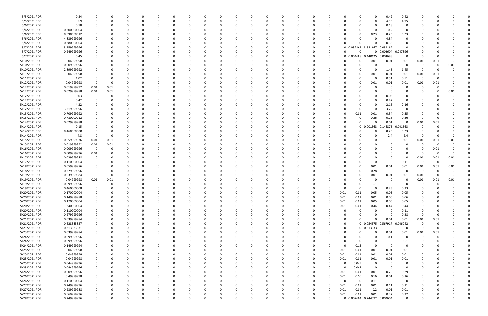| 5/5/2021 PDR  | 0.84        | 0                       |      |          | O        | 0        |          |          | 0        |          | 0        | 0        |          |          | 0        |          |          | 0            |                              | 0.42                    | 0.42           | 0        |      |      |  |
|---------------|-------------|-------------------------|------|----------|----------|----------|----------|----------|----------|----------|----------|----------|----------|----------|----------|----------|----------|--------------|------------------------------|-------------------------|----------------|----------|------|------|--|
| 5/5/2021 PDR  | 9.9         | 0                       |      |          |          | $\Omega$ |          |          | 0        |          | $\Omega$ | $\Omega$ |          |          | $\Omega$ |          |          | $\Omega$     | $\Omega$                     | 4.95                    | 4.95           |          |      |      |  |
| 5/6/2021 PDR  | 0.18        |                         |      |          |          |          |          |          |          |          |          |          |          |          |          |          |          |              | 0                            | 0.18                    | 0              |          |      |      |  |
| 5/6/2021 PDR  |             |                         |      |          |          |          |          |          |          |          |          |          |          |          |          |          |          |              | - 0                          | 0.2                     | $\Omega$       |          |      |      |  |
|               | 0.200000004 |                         |      |          |          |          |          |          |          |          |          |          |          |          |          |          |          | 0            |                              |                         |                |          |      |      |  |
| 5/6/2021 PDR  | 0.690000012 |                         |      |          |          |          |          |          |          |          |          |          |          |          |          |          |          | 0            | 0.23                         | 0.23                    | 0.23           |          |      |      |  |
| 5/6/2021 PDR  | 4.839999996 |                         |      |          |          |          |          |          |          |          |          |          |          |          |          |          |          |              |                              | 4.84                    | $\Omega$       |          |      |      |  |
| 5/6/2021 PDR  | 0.380000004 |                         |      |          |          |          |          |          |          |          |          |          |          |          |          |          |          |              |                              | 0.38                    |                |          |      |      |  |
| 5/7/2021 PDR  | 3.759999996 |                         |      |          |          | - 0      |          |          |          |          |          | - 0      |          |          |          |          |          |              | 0 0.039167 3.681667          | 0.039167                | $\Omega$       |          |      |      |  |
| 5/7/2021 PDR  | 0.249999996 |                         |      |          |          |          |          |          |          |          |          | - 0      |          |          |          |          |          | $\Omega$     |                              | 0 0.002604 0.247396     |                |          |      |      |  |
| 5/7/2021 PDR  | 0.45        |                         |      |          |          |          |          |          |          |          |          |          |          |          |          |          |          |              | 0 0.004688 0.440625          | 0.004688                | 0              |          |      |      |  |
|               |             |                         |      |          |          |          |          |          |          |          |          |          |          |          |          |          |          |              |                              |                         |                |          |      |      |  |
| 5/10/2021 PDR | 0.04999998  |                         |      |          |          |          |          |          |          |          |          |          |          |          |          |          |          | 0            | 0.01                         | 0.01                    | 0.01           | 0.01     | 0.01 |      |  |
| 5/10/2021 PDR | 0.009999996 |                         |      |          |          |          |          |          |          |          |          |          |          |          |          |          |          | 0            | - 0                          | - 0                     | $\Omega$       | 0        |      | 0.01 |  |
| 5/10/2021 PDR | 2.899999992 |                         |      |          |          |          |          |          |          |          |          |          |          |          |          |          |          | <sup>0</sup> |                              | 1.45                    | 1.45           | - 0      |      |      |  |
| 5/11/2021 PDR | 0.04999998  |                         |      |          |          |          |          |          |          |          |          |          |          |          |          |          |          | 0            | 0.01                         | 0.01                    | 0.01           | 0.01     | 0.01 |      |  |
| 5/11/2021 PDR | 1.02        | 0                       |      |          |          |          |          |          |          |          |          |          |          |          |          |          |          | 0            | - 0                          | 0.51                    | 0.51           | - 0      |      |      |  |
| 5/12/2021 PDR | 0.04999998  | -0                      |      |          |          |          |          |          |          |          |          |          |          |          |          |          |          | 0            | 0.01                         | 0.01                    | 0.01           | 0.01     | 0.01 |      |  |
| 5/12/2021 PDR | 0.019999992 | 0.01                    | 0.01 |          |          |          |          |          |          |          |          |          |          |          |          |          |          | <sup>0</sup> |                              | - 0                     |                | 0        |      |      |  |
|               |             |                         |      |          |          |          |          |          |          |          |          |          |          |          |          |          |          |              |                              |                         |                |          |      |      |  |
| 5/12/2021 PDR | 0.029999988 | 0.01                    | 0.01 |          |          | $\Omega$ |          |          |          |          |          | - 0      |          |          |          |          |          |              | - 0                          | - 0                     |                |          |      | 0.01 |  |
| 5/12/2021 PDR | 0.03        | 0                       |      |          |          |          |          |          |          |          |          |          |          |          |          |          |          |              |                              | 0.03                    |                |          |      |      |  |
| 5/12/2021 PDR | 0.42        |                         |      |          |          | - 0      |          |          |          |          |          | - 0      |          |          |          |          |          | 0            | - 0                          | 0.42                    | 0              |          |      |      |  |
| 5/12/2021 PDR | 4.32        |                         |      |          |          | - 0      |          |          |          |          |          | - 0      |          |          |          |          |          | 0            | $\Omega$                     | 2.16                    | 2.16           |          |      |      |  |
| 5/12/2021 PDR | 3.219999996 |                         |      |          |          |          |          |          |          |          |          |          |          |          |          |          |          | 0            | -C                           | 3.22                    | $\Omega$       |          |      |      |  |
| 5/13/2021 PDR | 0.709999992 |                         |      |          |          |          |          |          |          |          |          |          |          |          |          |          |          | 0.01         | 0.01                         | 0.34                    | 0.35           |          |      |      |  |
| 5/13/2021 PDR | 0.780000012 |                         |      |          |          |          |          |          |          |          |          |          |          |          |          |          |          | 0            | 0.26                         | 0.26                    | 0.26           | 0        |      |      |  |
|               |             |                         |      |          |          |          |          |          |          |          |          |          |          |          |          |          |          |              |                              |                         |                |          |      |      |  |
| 5/14/2021 PDR | 0.029999988 |                         |      |          |          |          |          |          |          |          |          |          |          |          |          |          | 0        | 0            | റ                            | 0.01                    | 0              | 0.01     | 0.01 |      |  |
| 5/14/2021 PDR | 0.15        |                         |      |          |          |          |          |          |          |          |          |          |          |          |          |          | 0        | $\mathbf{0}$ | 0.001563                     | 46875<br>0.2            | 0.001563       | 0        |      |      |  |
| 5/14/2021 PDR | 0.460000008 |                         |      |          |          |          |          |          |          |          |          |          |          |          |          |          |          |              |                              | 0.23                    | 0.23           |          |      |      |  |
| 5/14/2021 PDR | 4.8         | -0                      |      |          |          |          |          |          |          |          |          |          |          |          |          |          |          |              |                              | 2.4                     | 2.4            | 0        |      |      |  |
| 5/15/2021 PDR | 0.059999976 | 0.01                    | 0.01 |          |          |          |          |          |          |          |          |          |          |          |          |          |          |              |                              | - 0                     | 0.01           | 0.01     | 0.01 | 0.01 |  |
| 5/15/2021 PDR | 0.019999992 | 0.01                    | 0.01 |          |          |          |          |          |          |          |          |          |          |          |          |          |          |              |                              |                         |                | 0        | 0    |      |  |
| 5/16/2021 PDR | 0.009999996 | $\overline{\mathbf{0}}$ |      |          |          |          |          |          |          |          |          |          |          |          |          |          |          |              |                              |                         |                | -0       | 0.01 |      |  |
|               |             |                         |      |          |          |          |          |          |          |          |          |          |          |          |          |          |          |              |                              |                         |                |          |      |      |  |
| 5/16/2021 PDR | 0.009999996 | 0.01                    |      |          |          |          |          |          |          |          |          |          |          |          |          |          |          |              |                              |                         |                | 0        |      |      |  |
| 5/17/2021 PDR | 0.029999988 | 0                       |      |          |          | - 0      |          |          |          |          |          | - 0      |          |          |          |          |          |              | - 0                          | $\Omega$                | $\Omega$       | 0.01     | 0.01 | 0.01 |  |
| 5/17/2021 PDR | 0.110000004 |                         |      |          |          |          |          |          |          |          |          | - 0      |          |          |          |          |          | 0            | $\Omega$                     | - 0                     | 0.11           | - 0      | 0    | 0    |  |
| 5/18/2021 PDR | 0.059999976 |                         |      |          |          |          |          |          |          |          |          |          |          |          |          |          |          | 0            | 0.01                         | 0.01                    | 0.01           | 0.01     | 0.01 | 0.01 |  |
| 5/18/2021 PDR | 0.279999996 |                         |      |          |          |          |          |          |          |          |          |          |          |          |          |          |          | 0            | 0.28                         | 0                       | 0              | - 0      |      |      |  |
| 5/19/2021 PDR | 0.039999984 | -0                      |      |          |          |          |          |          |          |          |          |          |          |          |          |          |          | O            | 0.01                         | 0.01                    | 0.01           | 0.01     |      | 0    |  |
| 5/19/2021 PDR | 0.04999998  | 0.01                    | 0.01 |          |          |          |          |          |          |          |          |          |          |          |          |          |          | n            |                              | $\Omega$                |                | 0.01     | 0.01 | 0.01 |  |
|               |             |                         |      |          |          |          |          |          |          |          |          |          |          |          |          |          |          |              |                              |                         |                |          |      |      |  |
| 5/19/2021 PDR | 0.099999996 | 0                       |      |          |          |          |          |          |          |          |          |          |          |          |          |          |          |              | 0.1                          |                         |                | -0       |      |      |  |
| 5/19/2021 PDR | 0.460000008 | 0                       |      |          |          |          |          |          |          |          |          |          |          |          |          |          |          | 0            | $\Omega$                     | 0.23                    | 0.23           |          |      |      |  |
| 5/20/2021 PDR | 0.170000004 | 0                       |      | O        | O        |          |          |          |          |          | 0        |          |          |          |          |          | 0.01     | 0.01         | 0.05                         | 0.05                    | 0.05           |          |      |      |  |
| 5/20/2021 PDR | 0.149999988 | 0                       |      | $\Omega$ | 0        | $\Omega$ | $\Omega$ | $\Omega$ | 0        | $\Omega$ | 0        | $\Omega$ | $\Omega$ | 0        | 0        | $\Omega$ | 0.01     | 0.01         | 0.01                         | 0.06                    | 0.06           | 0        |      |      |  |
| 5/20/2021 PDR | 0.170000004 | 0                       |      |          | 0        | $\Omega$ | $\Omega$ |          |          |          | 0        | $\Omega$ | $\Omega$ | $\Omega$ | 0        |          | 0.01     | 0.01         | 0.05                         | 0.05                    | 0.05           |          |      |      |  |
| 5/20/2021 PDR | 1.340000004 | 0                       |      |          |          | $\Omega$ |          |          |          |          |          | 0        |          |          | 0        |          | 0.01     | 0.01         | 0.44                         | 0.44                    | 0.44           | 0        |      |      |  |
| 5/20/2021 PDR | 0.110000004 | 0                       |      |          | 0        | $\Omega$ |          |          | 0        |          | 0        | $\Omega$ |          | 0        | 0        |          | 0        | 0            | 0                            | - 0                     | 0.11           | 0        |      |      |  |
|               |             |                         |      |          |          |          |          |          |          |          |          |          |          |          |          |          |          |              |                              |                         |                |          |      |      |  |
| 5/20/2021 PDR | 0.279999996 | 0                       |      |          |          | $\Omega$ |          |          |          |          |          | $\Omega$ |          |          |          |          |          | <sup>0</sup> | $\Omega$                     | $\Omega$                | 0.28           | 0        |      |      |  |
| 5/21/2021 PDR | 0.039999984 | 0                       |      |          |          | $\Omega$ |          |          |          |          |          | 0        |          |          |          |          | 0        |              | $\Omega$                     | 0.01                    | 0.01           | 0.01     | 0.01 |      |  |
| 5/21/2021 PDR | 0.628333327 | 0                       |      |          |          | $\Omega$ |          |          |          |          |          | $\Omega$ |          |          |          |          | 0        |              | 0 0.054375                   | 0.567917                | 0.006042       | - 0      |      |      |  |
| 5/21/2021 PDR | 0.313333331 | 0                       |      |          |          | $\Omega$ |          |          |          |          |          | $\Omega$ |          |          |          |          | 0        |              | $0$ $0.313333$               | $\Omega$                | 0              | 0        |      |      |  |
| 5/23/2021 PDR | 0.039999984 | 0                       |      |          |          | $\Omega$ |          |          |          |          |          | $\Omega$ |          |          |          |          | 0        | 0            | $\Omega$                     | 0.01                    | 0.01           | 0.01     | 0.01 |      |  |
| 5/24/2021 PDR | 0.099999996 | 0                       |      |          |          | $\Omega$ |          |          | 0        |          |          | $\Omega$ |          |          |          |          | 0        | 0            | $\Omega$                     | 0.1                     | $\mathbf 0$    | $\Omega$ |      |      |  |
| 5/24/2021 PDR | 0.099999996 | 0                       |      |          |          | $\Omega$ |          |          |          |          |          | $\Omega$ |          |          |          |          |          | 0            | $\Omega$                     | - 0                     | 0.1            |          |      |      |  |
|               |             |                         |      |          |          |          |          |          |          |          |          |          |          |          |          |          |          |              |                              |                         |                |          |      |      |  |
| 5/24/2021 PDR | 0.149999994 | 0                       |      |          |          | 0        |          |          |          |          |          | 0        |          |          |          |          | $\Omega$ | 0.15         | $\Omega$                     | - 0                     | $\Omega$       |          |      |      |  |
| 5/25/2021 PDR | 0.04999998  | 0                       |      |          |          | $\Omega$ |          |          |          |          |          | 0        |          |          | 0        | $\Omega$ | 0.01     | 0.01         | 0.01                         | 0.01                    | 0.01           |          |      |      |  |
| 5/25/2021 PDR | 0.04999998  | 0                       |      |          |          | $\Omega$ |          |          |          |          |          | $\Omega$ |          |          |          | $\Omega$ | 0.01     | 0.01         | 0.01                         | 0.01                    | 0.01           |          |      |      |  |
| 5/25/2021 PDR | 0.04999998  | 0                       |      |          |          | $\Omega$ |          |          |          |          |          | $\Omega$ |          |          | 0        |          | 0.01     | 0.01         | 0.01                         | $0.01\,$                | 0.01           |          |      |      |  |
| 5/25/2021 PDR | 0.044999996 | 0                       |      |          |          | 0        |          |          | 0        |          |          | 0        |          |          | 0        |          | 0        | 0.045        | 0                            | 0                       | 0              |          |      |      |  |
| 5/25/2021 PDR | 0.044999996 | 0                       |      |          |          | $\Omega$ |          |          | -0       |          |          | 0        |          |          |          |          | $\Omega$ | 0.045        | $\mathbf 0$                  | $\Omega$                | $\overline{0}$ |          |      |      |  |
| 5/26/2021 PDR | 0.609999996 | 0                       |      |          |          | $\Omega$ |          |          |          |          |          | $\Omega$ |          |          |          |          | 0.01     | 0.01         | 0.01                         | 0.29                    | 0.29           |          |      |      |  |
|               |             |                         |      |          |          |          |          |          |          |          |          |          |          |          |          |          |          |              |                              |                         |                |          |      |      |  |
| 5/26/2021 PDR | 0.49999998  | 0                       |      |          |          | 0        |          |          |          |          |          | 0        |          |          |          |          | 0.01     | 0.16         | 0.16                         | $0.01\,$                | 0.16           |          |      |      |  |
| 5/26/2021 PDR | 0.110000004 | 0                       |      |          |          | 0        |          |          |          |          |          | 0        |          |          |          |          | $\Omega$ | 0            | 0.11                         | $\overline{\mathbf{0}}$ | $\overline{0}$ |          |      |      |  |
| 5/27/2021 PDR | 0.249999996 | 0                       |      |          |          | $\Omega$ |          |          |          |          |          | $\Omega$ |          |          |          |          | 0.01     | 0.01         | 0.01                         | 0.11                    | 0.11           |          |      |      |  |
| 5/27/2021 PDR | 0.239999988 | 0                       |      |          |          | $\Omega$ |          |          |          |          |          | $\Omega$ |          |          | 0        |          | 0.01     | 0.01         | 0.2                          | 0.01                    | 0.01           |          |      |      |  |
| 5/27/2021 PDR | 0.669999996 | 0                       |      |          | C        | 0        |          |          |          | O        | O        | -0       |          |          | -0       |          | 0.01     | 0.01         | 0.01                         | 0.32                    | 0.32           |          |      | 0    |  |
| 5/28/2021 PDR | 0.249999996 | $\Omega$                |      | 0        | $\Omega$ | $\Omega$ | $\Omega$ | $\Omega$ | $\Omega$ | $\Omega$ | $\Omega$ | $\Omega$ | $\Omega$ | $\Omega$ | $\Omega$ |          |          |              | 0 0.002604 0.244792 0.002604 |                         | $\mathbf 0$    | $\Omega$ |      | 0    |  |
|               |             |                         |      |          |          |          |          |          |          |          |          |          |          |          |          |          |          |              |                              |                         |                |          |      |      |  |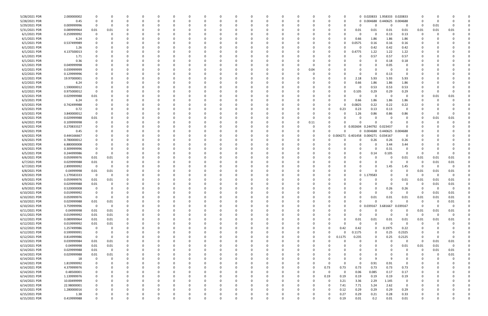| 5/28/2021 PDR | 2.000000002 |                         |                |          |          |          |          | C            |          |          | - 0         |          |              | C |          |              |        |                   |                              | 0 0.020833 1.958333 | 0.020833    |             |          |                         |  |
|---------------|-------------|-------------------------|----------------|----------|----------|----------|----------|--------------|----------|----------|-------------|----------|--------------|---|----------|--------------|--------|-------------------|------------------------------|---------------------|-------------|-------------|----------|-------------------------|--|
| 5/28/2021 PDR | 0.45        |                         | 0              | O        | - 0      |          |          | -0           |          |          | $\Omega$    |          |              | 0 |          | <sup>0</sup> |        |                   | 0 0.004688 0.440625          |                     | 0.004688    | $\Omega$    |          |                         |  |
|               |             |                         |                |          |          |          |          |              |          |          |             |          |              |   |          |              |        |                   |                              |                     |             |             |          |                         |  |
| 5/29/2021 PDR | 0.009999996 | $\Omega$                | O              |          |          |          |          |              |          |          |             |          |              |   |          |              |        | 0                 |                              | $\Omega$            | 0           | 0           | 0.01     |                         |  |
| 5/31/2021 PDR | 0.089999964 | 0.01                    | 0.01           |          |          |          |          |              |          |          |             |          |              |   |          |              |        | 0.01              | 0.01                         | 0.01                | 0.01        | 0.01        | 0.01     | 0.01                    |  |
| 6/1/2021 PDR  | 0.259999992 |                         |                |          |          |          |          |              |          |          |             |          |              |   |          |              |        | 0                 |                              | 0.13                | 0.13        | 0           |          |                         |  |
|               |             |                         |                |          |          |          |          |              |          |          |             |          |              |   |          |              |        |                   |                              |                     |             |             |          |                         |  |
| 6/1/2021 PDR  | 6.24        |                         |                |          |          |          |          |              |          |          |             |          |              |   |          |              |        | 0.66              | 1.86                         | 1.86                | 1.86        |             |          |                         |  |
| 6/1/2021 PDR  | 0.537499989 |                         |                |          |          |          |          |              |          |          |             |          |              |   |          |              |        | 0.0575            | 0.16                         | 0.16                | 0.16        |             |          |                         |  |
| 6/1/2021 PDR  | 1.26        |                         |                |          |          |          |          |              |          |          |             |          |              |   |          |              |        | 0                 | 0.42                         | 0.42                | 0.42        |             |          |                         |  |
|               |             |                         |                |          |          |          |          |              |          |          |             |          |              |   |          |              |        |                   |                              |                     |             |             |          |                         |  |
| 6/1/2021 PDR  | 4.137500013 |                         |                |          |          |          |          |              |          |          |             |          |              |   |          |              |        | 0.4775            | 1.22                         | 1.22                | 1.22        |             |          |                         |  |
| 6/1/2021 PDR  | 1.71        |                         |                |          |          |          |          |              |          |          |             |          |              |   |          |              |        | 0                 | 0.57                         | 0.57                | 0.57        |             |          |                         |  |
| 6/1/2021 PDR  | 0.36        |                         |                |          |          |          |          |              |          |          |             |          |              |   |          |              |        | 0                 |                              | 0.18                | 0.18        |             |          |                         |  |
|               |             |                         |                |          |          |          |          |              |          |          |             |          |              |   |          |              |        |                   |                              |                     |             |             |          |                         |  |
| 6/1/2021 PDR  | 0.049999998 |                         |                |          |          |          |          |              |          |          |             |          |              |   |          |              |        | 0                 |                              | 0.05                | 0           |             |          |                         |  |
| 6/2/2021 PDR  | 0.039999999 |                         |                |          |          |          |          |              |          |          |             |          |              |   | 0.04     |              |        |                   |                              | - 0                 |             |             |          |                         |  |
| 6/2/2021 PDR  | 0.129999996 |                         |                |          |          |          |          |              |          |          |             |          |              |   |          |              |        | 0                 |                              | 0.13                |             |             |          |                         |  |
|               |             |                         |                |          |          |          |          |              |          |          |             |          |              |   |          |              |        |                   |                              |                     |             |             |          |                         |  |
| 6/2/2021 PDR  | 19.97000001 |                         |                |          |          |          |          |              |          |          |             |          |              |   |          |              |        | 2.18              | 5.93                         | 5.93                | 5.93        |             |          |                         |  |
| 6/2/2021 PDR  | 6.24        |                         |                |          |          |          |          |              |          |          |             |          |              |   |          |              |        | 0.66              | 1.86                         | 1.86                | 1.86        |             |          |                         |  |
| 6/2/2021 PDR  | 1.590000012 |                         |                |          |          |          |          |              |          |          |             |          |              |   |          |              |        | 0                 | 0.53                         | 0.53                | 0.53        |             |          |                         |  |
| 6/2/2021 PDR  | 0.975000012 |                         |                |          |          |          |          |              |          |          |             |          |              |   |          |              |        |                   |                              |                     |             |             |          |                         |  |
|               |             |                         |                |          |          |          |          |              |          |          |             |          |              |   |          |              |        | 0.105             | 0.29                         | 0.29                | 0.29        |             |          |                         |  |
| 6/3/2021 PDR  | 0.029999988 | 0.01                    |                |          |          |          |          |              |          |          |             |          |              |   |          |              |        | 0                 |                              | - 0                 | 0           | 0           | 0.01     | 0.01                    |  |
| 6/3/2021 PDR  | 6.24        |                         |                |          |          |          |          |              |          |          |             |          |              |   |          |              |        | 0.66              | 1.86                         | 1.86                | 1.86        |             |          |                         |  |
| 6/3/2021 PDR  | 0.742499988 |                         |                |          |          |          |          |              |          |          |             |          |              |   |          |              |        | 0.0825            | 0.22                         | 0.22                | 0.22        |             |          |                         |  |
|               |             |                         |                |          |          |          |          |              |          |          |             |          |              |   |          |              |        |                   |                              |                     |             |             |          |                         |  |
| 6/3/2021 PDR  | 0.72        |                         |                |          |          |          |          |              |          |          |             |          |              |   |          |              | 0.23   | 0.23              | 0.13                         | 0.13                | $\mathbf 0$ |             |          |                         |  |
| 6/3/2021 PDR  | 3.840000012 |                         |                |          |          |          |          |              |          |          |             |          |              |   |          |              |        | 1.26              | 0.86                         | 0.86                | 0.86        |             |          | <sup>0</sup>            |  |
| 6/4/2021 PDR  | 0.029999988 | 0.01                    |                |          |          |          |          |              |          |          |             |          |              |   | -C       |              |        | 0                 |                              | - 0                 | 0           | -0          | 0.01     | 0.01                    |  |
|               |             |                         |                |          |          |          |          |              |          |          |             |          |              |   |          |              |        |                   |                              |                     |             |             |          |                         |  |
| 6/4/2021 PDR  | 0.109999998 |                         |                |          |          |          |          |              |          |          |             |          |              | C | 0.11     |              |        |                   |                              |                     |             |             |          |                         |  |
| 6/4/2021 PDR  | 0.270833327 |                         |                |          |          |          |          |              |          |          |             |          |              |   | -C       | 0            |        |                   | 0 0.002604 0.244792 0.023437 |                     | 0           |             |          |                         |  |
| 6/4/2021 PDR  | 0.45        |                         |                |          |          |          |          |              |          |          |             |          |              |   |          |              |        |                   |                              | 0 0.004688 0.440625 | 0.004688    |             |          |                         |  |
|               |             |                         |                |          |          |          |          |              |          |          |             |          |              |   |          |              |        |                   |                              |                     |             |             |          |                         |  |
| 6/4/2021 PDR  | 0.444166667 |                         |                |          |          |          |          |              |          |          |             |          |              |   |          | 0            |        | 0.004271 0.401458 | 0.004271                     | 0.034167            | 0           |             |          |                         |  |
| 6/4/2021 PDR  | 0.780000012 |                         |                |          |          |          |          |              |          |          |             |          |              |   |          |              |        | $\Omega$          | 0.26                         | 0.26                | 0.26        |             |          |                         |  |
| 6/4/2021 PDR  | 6.880000008 |                         |                |          |          |          |          |              |          |          |             |          |              |   |          |              |        |                   |                              | 3.44                | 3.44        |             |          |                         |  |
| 6/4/2021 PDR  | 0.309999996 |                         |                |          |          |          |          |              |          |          |             |          |              |   |          |              |        | n                 |                              | 0.31                | 0           |             |          |                         |  |
|               |             |                         |                |          |          |          |          |              |          |          |             |          |              |   |          |              |        |                   |                              |                     |             |             |          |                         |  |
| 6/5/2021 PDR  | 0.244999986 | - 0                     | 0              |          |          |          |          |              |          |          |             |          |              |   |          |              |        | 0                 | 0.14                         | 0.105               | 0           | $\Omega$    |          |                         |  |
| 6/6/2021 PDR  | 0.059999976 | 0.01                    | 0.01           |          |          |          |          |              |          |          |             |          |              |   |          |              |        |                   |                              |                     | 0.01        | 0.01        | 0.01     | 0.01                    |  |
| 6/7/2021 PDR  | 0.029999988 | 0.01                    |                |          |          |          |          |              |          |          |             |          |              |   |          |              |        |                   |                              | - 0                 |             | -0          | 0.01     | 0.01                    |  |
|               |             |                         |                |          |          |          |          |              |          |          |             |          |              |   |          |              |        |                   |                              |                     |             |             |          |                         |  |
| 6/7/2021 PDR  | 2.899999992 | $\mathbf 0$             | $\Omega$       |          |          |          |          |              |          |          |             |          |              |   |          |              |        |                   |                              | 1.45                | 1.45        | 0           | 0        | - 0                     |  |
| 6/8/2021 PDR  | 0.04999998  | 0.01                    | 0.01           |          |          |          |          |              |          |          |             |          |              |   |          |              |        |                   |                              |                     |             | 0.01        | 0.01     | 0.01                    |  |
| 6/9/2021 PDR  | 1.179583333 | $\mathbf 0$             | $\Omega$       |          |          |          |          |              |          |          |             |          |              |   |          |              |        | 0                 | 1.179583                     |                     | 0           | $\Omega$    | $\Omega$ |                         |  |
|               |             |                         |                |          |          |          |          |              |          |          |             |          |              |   |          |              |        |                   |                              |                     |             |             |          |                         |  |
| 6/9/2021 PDR  | 0.059999976 | 0.01                    | 0.01           |          |          |          |          |              |          |          |             |          |              |   |          |              |        |                   |                              |                     | 0.01        | 0.01        | 0.01     | 0.01                    |  |
| 6/9/2021 PDR  | 0.029999988 | 0.01                    |                |          |          |          |          |              |          |          |             |          |              |   |          |              |        |                   |                              |                     |             | - 0         | 0.01     | 0.01                    |  |
| 6/9/2021 PDR  | 0.520000008 | 0                       | 0              | 0        | $\Omega$ |          |          |              |          |          |             |          |              |   |          |              |        | 0                 |                              | 0.26                | 0.26        | $\Omega$    | $\Omega$ | $\Omega$                |  |
|               |             |                         |                |          |          |          |          |              |          |          |             |          |              |   |          |              |        |                   |                              |                     |             |             |          |                         |  |
| 6/10/2021 PDR | 0.019999992 | $\sqrt{ }$              |                | $\Omega$ |          |          |          |              |          |          |             |          |              |   |          |              |        | $\Omega$          |                              |                     |             | $\Omega$    | 0.01     | 0.01                    |  |
| 6/10/2021 PDR | 0.059999976 | $\Omega$                | 0              | 0        | $\Omega$ |          |          | <sup>0</sup> |          |          | 0           |          | <sup>0</sup> | 0 | - 0      |              |        | $\Omega$          | 0.01                         | 0.01                | 0.01        | 0.01        | 0.01     | 0.01                    |  |
| 6/10/2021 PDR | 0.029999988 | 0.01                    | 0.01           | 0        | 0        |          |          | <sup>0</sup> |          |          | $\Omega$    |          | 0            | 0 |          |              |        | $\Omega$          |                              | $\Omega$            | $\Omega$    | $\mathbf 0$ | $\Omega$ | $0.01\,$                |  |
|               |             |                         |                |          |          |          |          |              |          |          |             |          |              |   |          |              |        |                   |                              |                     |             |             |          |                         |  |
| 6/10/2021 PDR | 3.759999996 | $\overline{\mathbf{0}}$ | $\overline{0}$ |          |          |          |          |              |          |          |             |          |              | 0 |          |              | 0      | $\mathbf 0$       |                              | 0.039167 3.681667   | 0.039167    | $\Omega$    | $\Omega$ | 0                       |  |
| 6/11/2021 PDR | 0.04999998  | 0.01                    | 0.01           |          | 0        |          |          |              |          |          | 0           |          |              | 0 |          |              |        | $\Omega$          |                              | $\Omega$            | 0           | 0.01        | 0.01     | 0.01                    |  |
| 6/11/2021 PDR | 0.019999992 | 0.01                    | 0.01           |          |          |          |          |              |          |          |             |          |              | 0 |          |              |        | 0                 |                              | - 0                 | $\Omega$    | $\mathbf 0$ | $\Omega$ | $\Omega$                |  |
|               |             |                         |                |          |          |          |          |              |          |          |             |          |              |   |          |              |        |                   |                              |                     |             |             |          |                         |  |
| 6/12/2021 PDR | 0.089999964 | 0.01                    | 0.01           |          |          |          |          |              |          |          |             |          |              | C |          |              |        | 0.01              | 0.01                         | 0.01                | 0.01        | 0.01        | 0.01     | 0.01                    |  |
| 6/12/2021 PDR | 0.019999992 | 0.01                    | 0.01           | 0        | 0        |          |          |              |          |          | 0           |          | 0            | 0 |          |              |        | 0                 | $\Omega$                     | - 0                 | $\mathbf 0$ | $\Omega$    |          |                         |  |
| 6/12/2021 PDR | 1.257499986 | 0                       | 0              | 0        | $\Omega$ | $\Omega$ |          | 0            |          |          | 0           |          | 0            | 0 | 0        | $\Omega$     | 0.42   | 0.42              |                              | 0.1975              | 0.22        | 0           |          | 0                       |  |
|               | 0.599999991 |                         |                | 0        |          | $\Omega$ |          |              |          |          |             |          |              |   |          | 0            |        | 0.1175            |                              | 0.25                | 0.2325      |             |          |                         |  |
| 6/12/2021 PDR |             | 0                       | 0              |          | 0        |          |          | 0            |          |          | 0           |          | 0            | 0 | -0       |              |        |                   |                              |                     |             | 0           |          |                         |  |
| 6/12/2021 PDR | 0.814999986 | $\mathbf 0$             | 0              |          |          |          |          |              |          |          | 0           |          |              | 0 | $\Omega$ | 0            | 0.1175 | 0.235             |                              | 0.25                | 0.2125      | $\Omega$    | $\Omega$ | $\Omega$                |  |
| 6/13/2021 PDR | 0.039999984 | 0.01                    | 0.01           |          |          |          |          |              |          |          | 0           |          | 0            | 0 |          | 0            |        | 0                 |                              | - 0                 | 0           | $\Omega$    | 0.01     | 0.01                    |  |
| 6/13/2021 PDR | 0.04999998  | 0.01                    | 0.01           | 0        |          |          |          |              |          |          |             |          | 0            | 0 |          |              |        | 0                 |                              | -0                  | 0.01        | 0.01        | 0.01     | $\overline{\mathbf{0}}$ |  |
|               |             |                         |                |          |          |          |          |              |          |          |             |          |              |   |          |              |        |                   |                              |                     |             |             |          |                         |  |
| 6/14/2021 PDR | 0.029999988 | 0.01                    | $\overline{0}$ | $\Omega$ | $\Omega$ | $\Omega$ |          | 0            |          |          | $\Omega$    |          | 0            | 0 |          |              |        | 0                 |                              | $\Omega$            | $\Omega$    | $\mathbf 0$ | 0.01     | 0.01                    |  |
| 6/14/2021 PDR | 0.029999988 | 0.01                    | 0.01           | 0        | 0        | $\Omega$ |          | 0            |          |          | 0           |          | 0            | 0 |          |              |        | 0                 |                              | 0                   | 0           | 0           | $\Omega$ | 0.01                    |  |
| 6/14/2021 PDR | 18          | 0                       | $\mathbf 0$    | 0        | 0        |          |          | 0            |          |          | 0           |          |              | 0 |          |              |        | 0                 | <b>q</b>                     | - 9                 | 0           | $\Omega$    |          |                         |  |
|               |             |                         |                |          |          |          |          |              |          |          |             |          |              |   |          |              |        |                   |                              |                     |             |             |          |                         |  |
| 6/14/2021 PDR | 1.819999992 |                         |                | $\Omega$ |          |          |          |              |          |          |             |          |              | 0 |          | $\Omega$     |        | 0                 | 0.91                         | 0.91                | 0           |             |          |                         |  |
| 6/14/2021 PDR | 4.379999976 |                         | 0              |          | 0        |          |          | 0            |          |          | 0           |          | <sup>0</sup> | 0 | 0        | 0.73         | 0.73   | 0.73              | 0.73                         | 0.73                | 0.73        |             |          |                         |  |
| 6/14/2021 PDR | 0.48500001  |                         |                |          |          |          |          | 0            |          |          |             |          |              | 0 |          | $\mathbf 0$  | 0      | 0.06              | 0.085                        | 0.17                | 0.17        | 0           |          |                         |  |
|               |             |                         |                |          |          |          |          |              |          |          |             |          |              |   |          |              |        |                   |                              |                     |             |             |          |                         |  |
| 6/14/2021 PDR | 1.139999976 |                         |                |          |          |          |          |              |          |          |             |          |              | 0 | 0        | 0.19         | 0.19   | 0.19              | 0.19                         | 0.19                | 0.19        |             |          |                         |  |
| 6/14/2021 PDR | 10.00499999 |                         | 0              | 0        |          | $\Omega$ |          | <sup>0</sup> |          |          | 0           |          |              | 0 |          | $\Omega$     | 3.21   | 3.36              | 2.29                         | 1.145               | 0           | -0          |          |                         |  |
| 6/14/2021 PDR | 22.98000001 |                         |                | 0        | 0        |          |          |              |          |          | 0           |          | 0            | 0 |          | $\Omega$     | 7.41   | 7.71              | 5.24                         | 2.62                | 0           | 0           |          |                         |  |
| 6/15/2021 PDR | 1.280000016 |                         |                |          | 0        |          |          |              |          |          |             |          |              | 0 |          | $\Omega$     | 0.12   | 0.29              |                              | 0.29                |             |             |          |                         |  |
|               |             |                         |                |          |          |          |          |              |          |          |             |          |              |   |          |              |        |                   | 0.29                         |                     | 0.29        |             |          |                         |  |
| 6/15/2021 PDR | 1.38        |                         | 0              |          | 0        |          |          |              |          |          | 0           |          |              |   |          | 0            | 0.27   | 0.29              | 0.21                         | 0.28                | 0.33        |             |          | 0                       |  |
| 6/15/2021 PDR | 0.419999988 | $\Omega$                | 0              | $\Omega$ | $\Omega$ | $\Omega$ | $\Omega$ | 0            | $\Omega$ | $\Omega$ | $\mathbf 0$ | $\Omega$ | $\Omega$     | 0 |          | 0            | 0.19   | 0.01              | 0.2                          | 0.01                | 0.01        | $\Omega$    |          | 0                       |  |
|               |             |                         |                |          |          |          |          |              |          |          |             |          |              |   |          |              |        |                   |                              |                     |             |             |          |                         |  |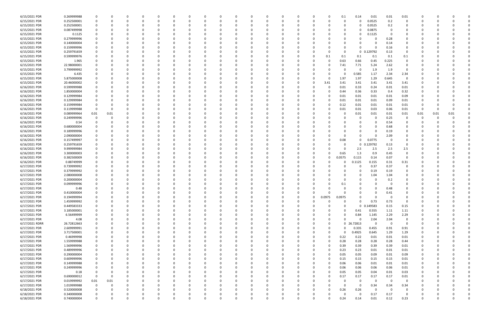| 6/15/2021 PDR  | 0.269999988 |             |      |          | 0        | - 0      |          | 0        | O        |          | 0        |          |          |          |          |          | 0.1      | 0.14         | 0.01        | 0.01     | 0.01        | 0        |          |      |  |
|----------------|-------------|-------------|------|----------|----------|----------|----------|----------|----------|----------|----------|----------|----------|----------|----------|----------|----------|--------------|-------------|----------|-------------|----------|----------|------|--|
| 6/15/2021 PDR  | 0.252500001 | $\Omega$    | O    | $\Omega$ | $\Omega$ | - 0      |          | $\Omega$ |          |          | $\Omega$ | $\Omega$ |          | $\Omega$ | $\Omega$ |          | $\Omega$ | $\Omega$     | 0.0525      | 0.2      | 0           | O        |          |      |  |
|                |             |             |      |          |          |          |          |          |          |          |          |          |          |          |          |          |          |              |             |          |             |          |          |      |  |
| 6/15/2021 PDR  | 0.252500001 |             |      |          |          |          |          |          |          |          |          |          |          |          |          |          | 0        | 0            | 0.0525      | 0.2      | 0           |          |          |      |  |
| 6/15/2021 PDR  | 0.087499998 |             |      |          |          |          |          |          |          |          |          |          |          |          |          |          | 0        | 0            | 0.0875      | $\Omega$ |             |          |          |      |  |
| 6/15/2021 PDR  | 0.1125      |             |      |          |          |          |          |          |          |          |          |          |          |          |          |          | 0        | 0            | 0.1125      | $\Omega$ |             |          |          |      |  |
| 6/15/2021 PDR  | 0.279999996 |             |      |          |          |          |          |          |          |          |          |          |          |          |          |          |          |              | 0           | 0.28     | 0           |          |          |      |  |
|                |             |             |      |          |          |          |          |          |          |          |          |          |          |          |          |          |          |              |             |          |             |          |          |      |  |
| 6/15/2021 PDR  | 0.140000004 |             |      |          |          |          |          |          |          |          |          |          |          |          |          |          |          |              | -0          | 0.14     |             |          |          |      |  |
| 6/15/2021 PDR  | 0.159999996 |             |      |          |          |          |          |          |          |          |          |          |          |          |          |          | O        | 0            | $\Omega$    | 0.16     | 0           |          |          |      |  |
| 6/15/2021 PDR  | 0.259791659 |             |      |          |          |          |          |          |          |          |          |          |          |          |          |          | 0        |              | 0 0.129792  | 0.13     | 0           |          |          |      |  |
| 6/15/2021 PDR  | 0.599999976 |             |      |          |          |          |          |          |          |          |          |          |          |          | 0        | 0.1      | 0.1      | 0.1          | 0.1         | 0.1      | 0.1         |          |          |      |  |
|                |             |             |      |          |          |          |          |          |          |          |          |          |          |          |          |          |          |              |             |          |             |          |          |      |  |
| 6/15/2021 PDR  | 1.965       |             |      |          |          |          |          |          |          |          |          |          |          |          | -0       |          | 0.63     | 0.66         | 0.45        | 0.225    | 0           |          |          |      |  |
| 6/15/2021 PDR  | 22.98000001 |             |      |          |          |          |          |          |          |          |          |          |          |          |          |          | 7.41     | 7.71         | 5.24        | 2.62     | 0           |          |          |      |  |
| 6/15/2021 PDR  | 3.799999992 |             |      |          |          |          |          |          |          |          |          |          |          |          |          |          | O        | 0            | 1.9         | 1.9      | 0           | 0        |          |      |  |
| 6/15/2021 PDR  | 6.435       |             |      |          |          |          |          |          |          |          |          |          |          |          |          |          | 0        | 0.585        | 1.17        | 2.34     | 2.34        |          |          |      |  |
|                |             |             |      |          |          |          |          |          |          |          |          |          |          |          |          |          |          |              |             |          |             |          |          |      |  |
| 6/15/2021 PDR  | 5.875000008 |             |      |          |          |          |          |          |          |          |          |          |          |          |          |          | 1.97     | 1.97         | 1.29        | 0.645    | $\mathbf 0$ |          |          |      |  |
| 6/15/2021 PDR  | 20.46000002 |             |      |          |          |          |          |          |          |          |          |          |          |          | 0        | 3.41     | 3.41     | 3.41         | 3.41        | 3.41     | 3.41        |          |          |      |  |
| 6/16/2021 PDR  | 0.599999988 |             |      |          |          |          |          |          |          |          |          |          |          |          |          |          | 0.01     | 0.33         | 0.24        | 0.01     | 0.01        |          |          |      |  |
| 6/16/2021 PDR  | 1.850000004 |             |      |          |          |          |          |          |          |          |          |          |          |          |          |          | 0.44     | 0.36         | 0.33        | 0.4      | 0.32        |          |          |      |  |
|                |             |             |      |          |          |          |          |          |          |          |          |          |          |          |          |          |          |              |             |          |             |          |          |      |  |
| 6/16/2021 PDR  | 0.129999984 |             |      |          |          |          |          |          |          |          |          |          |          |          | -0       |          | 0.01     | 0.01         | 0.01        | 0.01     | 0.09        |          |          |      |  |
| 6/16/2021 PDR  | 0.129999984 |             |      |          |          |          |          |          |          |          |          |          |          |          |          |          | 0.01     | 0.01         | 0.01        | 0.09     | 0.01        |          |          |      |  |
| 6/16/2021 PDR  | 0.159999984 |             |      |          |          |          |          |          |          |          |          |          |          |          |          |          | 0.12     | 0.01         | 0.01        | 0.01     | 0.01        |          |          |      |  |
| 6/16/2021 PDR  | 0.119999988 | $\Omega$    |      |          |          |          |          |          |          |          |          |          |          |          |          |          | 0.01     | 0.01         | 0.03        | 0.06     | 0.01        | 0        |          |      |  |
|                |             |             |      |          |          |          |          |          |          |          |          |          |          |          |          |          |          |              |             |          |             |          |          |      |  |
| 6/16/2021 PDR  | 0.089999964 | 0.01        | 0.01 |          |          |          |          |          |          |          |          |          |          |          |          |          |          | 0.01         | 0.01        | 0.01     | 0.01        | 0.01     | 0.01     | 0.01 |  |
| 6/16/2021 PDR  | 0.249999996 |             | 0    |          |          |          |          |          |          |          |          |          |          |          |          |          |          | 0            | 0           | 0.25     | $\Omega$    | 0        | -0       |      |  |
| 6/16/2021 PDR  | 0.54        |             |      |          |          |          |          |          |          |          |          |          |          |          |          |          |          | 0            | $\Omega$    | 0.54     | 0           |          |          |      |  |
| 6/16/2021 PDR  | 0.680000004 |             |      |          |          |          |          |          |          |          |          |          |          |          |          |          |          | <sup>0</sup> | 0           | 0.68     |             |          |          |      |  |
|                |             |             |      |          |          |          |          |          |          |          |          |          |          |          |          |          |          |              |             |          |             |          |          |      |  |
| 6/16/2021 PDR  | 0.189999996 |             |      |          |          |          |          |          |          |          |          |          |          |          |          |          |          |              | 0           | 0.19     |             |          |          |      |  |
| 6/16/2021 PDR  | 2.090000004 |             |      |          |          |          |          |          |          |          |          |          |          |          |          |          | 0        | <sup>0</sup> | $\Omega$    | 2.09     |             |          |          |      |  |
| 6/16/2021 PDR  | 0.157499997 |             |      |          |          |          |          |          |          |          |          |          |          |          |          |          | 0.08     | 0            | 0.0775      | 0        | 0           |          |          |      |  |
| 6/16/2021 PDR  | 0.259791659 |             |      |          |          |          |          |          |          |          |          |          |          |          |          |          | 0        | $\mathbf 0$  | 0.129792    | 0.13     | 0           |          |          |      |  |
|                |             |             |      |          |          |          |          |          |          |          |          |          |          |          |          |          |          |              |             |          |             |          |          |      |  |
| 6/16/2021 PDR  | 9.999999984 |             |      |          |          |          |          |          |          |          |          |          |          |          |          |          | 0        | 2.5          | 2.5         | 2.5      | 2.5         |          |          |      |  |
| 6/16/2021 PDR  | 3.300000003 |             |      |          |          |          |          |          |          |          |          |          |          |          |          |          | 0.65     | 1.3          | 0.9         | 0.45     | 0           |          |          |      |  |
| 6/16/2021 PDR  | 0.382500009 |             |      |          |          |          |          |          |          |          |          |          |          |          | 0        |          | 0.0575   | 0.115        | 0.14        | 0.07     | 0           |          |          |      |  |
| 6/16/2021 PDR  | 0.88749999  |             |      |          |          |          |          |          |          |          |          |          |          |          |          |          |          | .1125        | 0.155       | 0.31     | 0.31        |          |          |      |  |
|                |             |             |      |          |          |          |          |          |          |          |          |          |          |          |          |          |          |              |             |          |             |          |          |      |  |
| 6/17/2021 PDR  | 0.739999992 |             |      |          |          |          |          |          |          |          |          |          |          |          |          |          |          | 0            | 0.37        | 0.37     | 0           |          |          |      |  |
| 6/17/2021 PDR  | 0.379999992 |             |      |          |          |          |          |          |          |          |          |          |          |          |          |          |          | 0            | 0.19        | 0.19     |             |          |          |      |  |
| 6/17/2021 PDR  | 2.080000008 |             |      |          |          |          |          |          |          |          |          |          |          |          |          |          |          |              | 1.04        | 1.04     |             |          |          |      |  |
| 6/17/2021 PDR  | 0.200000004 |             |      |          |          |          |          |          |          |          |          |          |          |          |          |          | 0        |              | -0          | 0.2      |             |          |          |      |  |
|                |             |             |      |          |          |          |          |          |          |          |          |          |          |          |          |          |          |              |             |          |             |          |          |      |  |
| 6/17/2021 PDR  | 0.099999996 |             |      |          |          |          |          |          |          |          |          |          |          |          |          |          | 0.1      |              |             | - 0      |             |          |          |      |  |
| 6/17/2021 PDR  | 0.48        |             |      |          |          |          |          | n        |          |          | $\Omega$ |          |          |          |          |          |          | $\Omega$     | $\Omega$    | 0.48     | $\Omega$    |          |          |      |  |
| 6/17/2021 PDR  | 0.410000004 | 0           | 0    | C.       |          |          |          |          |          |          | 0        |          | - 0      |          |          |          | 0        | 0            | 0           | 0.41     | 0           | C.       |          |      |  |
| 6/17/2021 PDR  | 0.194999994 | 0           | 0    | $\Omega$ | $\Omega$ | $\Omega$ | $\Omega$ | 0        |          |          | $\Omega$ |          | $\Omega$ | $\Omega$ | $\Omega$ | 0.0975   | 0.0975   | $\Omega$     | $\Omega$    | $\Omega$ | 0           | 0        |          |      |  |
|                |             |             |      |          |          |          |          |          |          |          |          |          |          |          |          |          |          |              |             |          |             |          |          |      |  |
| 6/17/2021 PDR  | 1.459999992 | $\Omega$    |      | $\Omega$ |          |          |          |          |          |          |          |          | $\Omega$ |          | $\Omega$ | $\Omega$ | $\Omega$ | $\Omega$     | 0.73        | 0.73     | 0           | $\Omega$ |          |      |  |
| 6/17/2021 PDR  | 0.449583333 | 0           | 0    | 0        |          | $\Omega$ |          | 0        |          |          | 0        |          |          | 0        | 0        |          | $\Omega$ | $\mathbf 0$  | 0.149583    | 0.15     | 0.15        | 0        |          |      |  |
| 6/17/2021 PDR  | 3.185000001 | 0           |      | 0        | $\Omega$ | $\Omega$ |          | 0        |          |          | $\Omega$ |          |          | 0        | 0        |          | $\Omega$ | 0.41         | 0.555       | 1.11     | 1.11        | 0        |          |      |  |
| 6/17/2021 PDR  | 6.56499999  |             |      | 0        |          | $\Omega$ |          | 0        |          |          |          |          |          | 0        |          |          | 0        | 0.84         | 1.145       | 2.29     | 2.29        |          |          |      |  |
|                |             |             |      |          |          |          |          |          |          |          |          |          |          |          |          |          |          |              |             |          |             |          |          |      |  |
| 6/17/2021 PDR  | 4.08        |             |      |          |          |          |          |          |          |          |          |          |          |          | $\Omega$ |          | $\Omega$ | $\Omega$     | 2.04        | 2.04     | 0           |          |          |      |  |
| 6/17/2021 RDRR | 26.72812663 |             |      |          |          |          |          |          |          |          |          |          |          |          | 0        | 0        |          | 0 26.72813   | $\mathbf 0$ | $\Omega$ | 0           |          |          |      |  |
| 6/17/2021 PDR  | 2.609999991 |             |      |          |          |          |          |          |          |          |          |          |          |          | 0        |          | $\Omega$ | 0.335        | 0.455       | 0.91     | 0.91        | 0        |          |      |  |
| 6/17/2021 PDR  | 3.717500001 |             |      |          |          |          |          |          |          |          |          |          |          |          | 0        |          | $\Omega$ | 0.4925       | 0.645       | 1.29     | 1.29        | 0        |          |      |  |
|                |             |             |      |          |          |          |          |          |          |          |          |          |          |          |          |          |          |              |             |          |             |          |          |      |  |
| 6/17/2021 PDR  | 0.46999998  |             |      | 0        |          |          |          | $\Omega$ |          |          |          |          |          |          | 0        |          | 0.22     | 0.22         | 0.01        | 0.01     | 0.01        | 0        |          |      |  |
| 6/17/2021 PDR  | 1.559999988 |             |      |          |          |          |          |          |          |          |          |          |          |          |          |          | 0.28     | 0.28         | 0.28        | 0.28     | 0.44        |          |          |      |  |
| 6/17/2021 PDR  | 1.569999996 |             |      |          |          |          |          |          |          |          |          |          |          |          | 0        |          | 0.39     | 0.39         | 0.39        | 0.39     | 0.01        |          |          |      |  |
| 6/17/2021 PDR  | 0.489999996 |             |      |          |          |          |          |          |          |          |          |          |          |          | 0        |          | 0.23     | 0.23         | 0.01        | 0.01     | 0.01        | 0        |          |      |  |
|                |             |             |      |          |          |          |          |          |          |          |          |          |          |          |          |          |          |              |             |          |             |          |          |      |  |
| 6/17/2021 PDR  | 0.290000004 | 0           |      |          |          |          |          |          |          |          |          |          |          |          | 0        |          | 0.05     | 0.05         | 0.09        | 0.01     | 0.09        | 0        |          |      |  |
| 6/17/2021 PDR  | 0.609999996 | 0           | 0    | 0        |          | $\Omega$ |          | 0        |          |          | 0        |          |          | O        | 0        |          | 0.15     | 0.15         | 0.15        | 0.15     | 0.01        | 0        |          |      |  |
| 6/17/2021 PDR  | 0.149999988 | 0           |      | 0        |          | $\Omega$ |          | 0        |          |          | 0        |          |          |          | 0        |          | 0.06     | 0.06         | 0.01        | 0.01     | 0.01        | 0        |          |      |  |
| 6/17/2021 PDR  | 0.249999996 | $\Omega$    |      |          |          | $\Omega$ |          | 0        |          |          |          |          |          | 0        | $\Omega$ |          | 0.06     | 0.06         | 0.06        | 0.06     | 0.01        | 0        |          |      |  |
|                |             |             |      |          |          |          |          |          |          |          |          |          |          |          |          |          |          |              |             |          |             |          |          |      |  |
| 6/17/2021 PDR  | 0.18        | $\Omega$    |      |          |          |          |          |          |          |          |          |          |          |          | $\Omega$ |          | 0.05     | 0.05         | 0.04        | 0.01     | 0.03        |          |          |      |  |
| 6/17/2021 PDR  | 0.690000012 | $\mathbf 0$ | 0    |          |          |          |          |          |          |          |          |          |          |          | 0        |          | 0.17     | 0.17         | 0.17        | 0.17     | 0.01        | 0        |          |      |  |
| 6/17/2021 PDR  | 0.019999992 | $0.01\,$    | 0.01 | 0        |          |          |          | 0        |          |          |          |          |          |          | $\Omega$ |          | $\Omega$ | 0            | $\mathbf 0$ | $\Omega$ | 0           | 0        |          |      |  |
| 6/17/2021 PDR  | 1.019999988 | $\mathbf 0$ | 0    | 0        |          | $\Omega$ |          | 0        |          |          |          |          |          |          |          |          | $\Omega$ | $\mathbf 0$  | 0.34        | 0.34     | 0.34        | 0        |          |      |  |
| 6/18/2021 PDR  | 0.520000008 | $\mathbf 0$ |      | 0        |          |          |          |          |          |          |          |          |          |          | 0        |          |          | 0.26         | 0           | $\Omega$ | 0           |          |          |      |  |
|                |             |             |      |          |          |          |          |          |          |          |          |          |          |          |          |          | 0.26     |              |             |          |             |          |          |      |  |
| 6/18/2021 PDR  | 0.340000008 | 0           |      | 0        |          |          |          | 0        |          |          | 0        |          |          |          | 0        |          | O        | $\Omega$     | 0.17        | 0.17     | 0           | 0        |          |      |  |
| 6/18/2021 PDR  | 0.740000004 | 0           | 0    | $\Omega$ | $\Omega$ | $\Omega$ | $\Omega$ | $\Omega$ | $\Omega$ | $\Omega$ | $\Omega$ | $\Omega$ | $\Omega$ | $\Omega$ | 0        |          | 0.24     | 0.14         | 0.01        | 0.12     | 0.23        | $\Omega$ | $\Omega$ | 0    |  |
|                |             |             |      |          |          |          |          |          |          |          |          |          |          |          |          |          |          |              |             |          |             |          |          |      |  |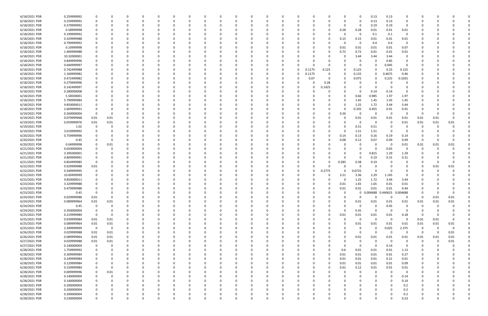| 6/18/2021 PDR                  | 0.259999992                |                |          |          |          |          |          |              |   |          |          |          |              |          |        |          |          | 0        | 0.13                | 0.13     | 0              |          |          |          |  |
|--------------------------------|----------------------------|----------------|----------|----------|----------|----------|----------|--------------|---|----------|----------|----------|--------------|----------|--------|----------|----------|----------|---------------------|----------|----------------|----------|----------|----------|--|
| 6/18/2021 PDR                  | 0.259999992                |                |          |          |          |          |          |              |   |          |          |          |              |          |        |          |          | 0        | 0.13                | 0.13     |                |          |          |          |  |
| 6/18/2021 PDR                  | 0.379999992                |                |          |          |          |          |          |              |   |          |          |          |              |          |        |          |          | -0       | 0.19                | 0.19     | 0              |          |          |          |  |
| 6/18/2021 PDR                  | 0.58999998                 |                |          |          |          |          |          |              |   |          |          |          |              |          |        |          | 0.28     | 0.28     | 0.01                | 0.01     | 0.01           |          |          |          |  |
|                                |                            |                |          |          |          |          |          |              |   |          |          |          |              |          |        |          |          |          |                     |          |                |          |          |          |  |
| 6/18/2021 PDR                  | 0.199999992                |                |          |          |          |          |          |              |   |          |          |          |              |          |        |          |          | -0       | $0.1\,$             | 0.1      | 0              |          |          |          |  |
| 6/18/2021 PDR                  | 0.329999988                |                |          |          |          |          |          |              |   |          |          |          |              |          |        |          | 0.15     | 0.15     | 0.01                | 0.01     | 0.01           |          |          |          |  |
| 6/18/2021 PDR                  | 0.799999992                |                |          |          |          |          |          |              |   |          |          |          |              |          |        |          |          | 0        | 0.4                 | 0.4      | $\overline{0}$ |          |          |          |  |
| 6/18/2021 PDR                  | 0.10999998                 |                |          |          |          |          |          |              |   |          |          |          |              |          |        |          | 0.01     | 0.01     | 0.01                | 0.01     | 0.07           |          |          |          |  |
| 6/18/2021 PDR                  | 1.469999988                |                |          |          |          |          |          |              |   |          |          |          |              |          |        |          | 0.72     | 0.72     | 0.01                | 0.01     | 0.01           |          |          |          |  |
| 6/18/2021 PDR                  | 10.32000001                |                |          |          |          |          |          |              |   |          |          |          |              |          |        |          |          | 3.44     | 3.44                | 3.44     | 0              |          |          |          |  |
| 6/18/2021 PDR                  | 0.849999996                |                |          |          |          |          |          |              |   |          |          |          |              |          |        |          |          | 0        |                     | 0.85     |                |          |          |          |  |
| 6/18/2021 PDR                  | 0.044999997                |                |          |          |          |          |          |              |   |          |          |          |              |          |        |          |          | 0        |                     | 0.045    | $\Omega$       |          |          |          |  |
| 6/18/2021 PDR                  | 0.742499988                |                |          |          |          |          |          |              |   |          |          |          | <sup>0</sup> | 0        | 0.1175 | 0.125    |          | 0.125    | $\Omega$            | 0.25     | 0.125          |          |          |          |  |
|                                |                            |                |          |          |          |          |          |              |   |          |          |          |              |          |        |          |          |          |                     |          |                |          |          |          |  |
| 6/18/2021 PDR                  | 1.169999982                |                |          |          |          |          |          |              |   |          |          |          |              | 0        | 0.1175 |          |          | 0.125    |                     | 0.4675   | 0.46           |          |          |          |  |
| 6/18/2021 PDR                  | 0.472499982                |                |          |          |          |          |          |              |   |          |          |          | 0            | 0        | 0.07   | $\Omega$ |          | 0.075    | $\Omega$            | 0.225    | 0.1025         |          |          |          |  |
| 6/18/2021 PDR                  | 0.279999996                |                |          |          |          |          |          |              |   |          |          |          |              |          | -C     | 0.28     |          | 0        |                     |          | 0              |          |          |          |  |
| 6/18/2021 PDR                  | 0.142499997                |                |          |          |          |          |          |              |   |          |          |          |              |          | -C     | 1425     |          |          |                     |          |                |          |          |          |  |
| 6/18/2021 PDR                  | 0.280000008                |                |          |          |          |          |          |              |   |          |          |          |              |          |        |          |          | 0        | 0.14                | 0.14     | $\Omega$       |          |          |          |  |
| 6/18/2021 PDR                  | 5.58500001                 |                |          |          |          |          |          |              |   |          |          |          |              |          |        |          |          | 0.66     | 0.985               | 1.97     | 1.97           |          |          |          |  |
| 6/18/2021 PDR                  | 5.799999984                |                |          |          |          |          |          |              |   |          |          |          |              |          |        |          |          | 1.45     | 1.45                | 1.45     | 1.45           |          |          |          |  |
| 6/18/2021 PDR                  | 9.850000011                |                |          |          |          |          |          |              |   |          |          |          |              |          |        |          |          | 1.25     | 1.72                | 3.44     | 3.44           |          |          |          |  |
|                                |                            |                |          |          |          |          |          |              |   |          |          |          |              |          |        |          |          |          |                     |          |                |          |          |          |  |
| 6/18/2021 PDR                  | 2.609999991                |                |          |          |          |          |          |              |   |          |          |          |              |          |        |          |          | 0.335    | 0.455               | 0.91     | 0.91           |          |          |          |  |
| 6/19/2021 PDR                  | 0.260000004                | $\Omega$       |          |          |          |          |          |              |   |          |          |          |              |          |        |          | 0.26     | 0        | $\Omega$            | - 0      | $\Omega$       | 0        |          |          |  |
| 6/19/2021 PDR                  | 0.079999968                | 0.01           | 0.01     | n        |          |          |          |              |   |          |          |          |              |          |        |          |          | 0.01     | 0.01                | 0.01     | 0.01           | 0.01     | 0.01     | $\Omega$ |  |
| 6/19/2021 PDR                  | 0.059999976                | 0.01           | 0.01     |          |          |          |          |              |   |          |          |          |              |          |        |          |          | -0       | -0                  | - 0      | 0.01           | 0.01     | 0.01     | 0.01     |  |
| 6/19/2021 PDR                  | 1.02                       | $\Omega$       |          |          |          |          |          |              |   |          |          |          |              |          |        |          |          | 0.51     | 0.51                |          |                |          |          |          |  |
| 6/19/2021 PDR                  | 3.019999992                |                |          |          |          |          |          |              |   |          |          |          |              |          |        |          |          | 1.51     | 1.51                | - 0      |                |          |          |          |  |
| 6/20/2021 PDR                  | 0.759999996                |                |          |          |          |          |          |              |   |          |          |          |              |          |        | 0        | 0.14     | 0.13     | 0.16                | 0.19     | 0.14           |          |          |          |  |
| 6/20/2021 PDR                  | 0.45                       |                |          |          |          |          |          |              |   |          |          |          |              |          |        |          | 0.08     | 0.12     | 0.07                | 0.09     | 0.09           | 0        |          |          |  |
| 6/20/2021 PDR                  | 0.04999998                 |                | 0.01     |          |          |          |          |              |   |          |          |          |              |          |        |          |          | 0        | -0                  | - 0      | 0.01           | 0.01     | 0.01     | 0.01     |  |
| 6/21/2021 PDR                  | 0.650000004                |                |          |          |          |          |          |              |   |          |          |          |              |          |        |          |          | 0        |                     | 0.65     | 0              | -0       |          |          |  |
|                                |                            |                |          |          |          |          |          |              |   |          |          |          |              |          |        |          |          |          |                     |          |                |          |          |          |  |
| 6/21/2021 PDR                  | 3.395000001                |                |          |          |          |          |          |              |   |          |          |          |              |          |        |          |          | 0        | 0.815               | 1.29     | 1.29           |          |          |          |  |
| 6/21/2021 PDR                  | 0.809999991                |                |          |          |          |          |          |              |   |          |          |          |              |          |        |          |          | 0        | 0.19                | 0.31     | 0.31           |          |          |          |  |
| 6/21/2021 PDR                  | 0.854999985                |                |          |          |          |          |          |              |   |          |          |          |              |          |        |          | 0.285    | 0.38     | 0.19                |          |                |          |          |          |  |
| 6/22/2021 PDR                  | 0.029999988                | 0.01           |          |          |          |          |          |              |   |          |          |          |              |          |        |          |          | 0        |                     |          |                |          | 0.01     | 0.01     |  |
| 6/22/2021 PDR                  | 0.349999995                |                |          |          |          |          |          |              |   |          |          |          |              | 0        | - 0    | 0.2775   | 0        | 0.0725   | $\Omega$            |          | 0              |          |          |          |  |
| 6/22/2021 PDR                  | 10.00499999                |                |          |          |          |          |          |              |   |          |          |          |              | 0        |        |          | 3.21     | 3.36     | 2.29                | 1.145    | 0              |          |          |          |  |
| 6/22/2021 PDR                  | 9.850000011                |                |          |          |          |          |          |              |   |          |          |          |              |          |        |          |          | 1.25     | 1.72                | 3.44     | 3.44           |          |          |          |  |
| 6/23/2021 PDR                  | 3.329999988                |                |          |          |          |          |          |              |   |          |          |          |              |          |        |          | 0.01     | 1.65     | 1.65                | 0.01     | 0.01           |          |          |          |  |
| 6/23/2021 PDR                  | 0.479999988                |                |          |          |          |          |          |              |   |          |          |          |              |          |        | 0        | 0.01     | $0.01\,$ | 0.01                | 0.01     | 0.44           |          |          |          |  |
| 6/23/2021 PDR                  | 0.45                       |                |          |          |          |          |          |              |   |          |          |          |              |          |        |          |          |          | 0 0.004688 0.440625 |          | 0.004688       |          |          |          |  |
|                                |                            |                |          |          |          |          |          |              |   |          |          |          |              |          |        |          |          |          |                     |          |                |          |          |          |  |
| 6/24/2021 PDR                  | 0.029999988                | 0.01           | 0        | 0        | $\Omega$ | $\Omega$ | $\Omega$ | 0            | 0 |          | 0        |          | 0            | 0        | 0      | 0        |          | 0        | $\Omega$            | $\Omega$ | 0              | 0        | 0.01     | $0.01\,$ |  |
| 6/24/2021 PDR                  | 0.089999964                | $0.01\,$       | 0.01     | 0        |          | $\Omega$ |          | <sup>0</sup> |   |          | 0        |          | 0            | 0        |        |          |          | 0.01     | 0.01                | 0.01     | 0.01           | 0.01     | 0.01     | 0.01     |  |
| 6/24/2021 PDR                  | 0.45                       | $\mathbf 0$    | $\Omega$ |          |          |          |          |              |   |          | $\Omega$ |          |              | 0        |        |          |          | 0        | - 0                 | 0.45     | $\mathbf 0$    | 0        |          |          |  |
| 6/24/2021 PDR                  | 0.350000004                | 0              |          |          |          |          |          |              |   |          |          |          |              |          |        | 0        | $\Omega$ | 0.35     | $\Omega$            | - 0      | $\Omega$       | 0        |          |          |  |
| 6/25/2021 PDR                  | 0.219999984                | $\mathbf 0$    |          |          |          |          |          |              |   |          |          |          |              | 0        |        | 0        | 0.01     | 0.01     | 0.01                | 0.01     | 0.18           | -0       |          |          |  |
| 6/25/2021 PDR                  | 0.039999984                | 0.01           | 0.01     | 0        |          |          |          |              |   |          | 0        |          | 0            | 0        | 0      | 0        |          | 0        | $\Omega$            | $\Omega$ | 0              | 0.01     | 0.01     | $\Omega$ |  |
| 6/25/2021 PDR                  | 0.089999964                | 0.01           | 0.01     | 0        |          |          |          |              |   |          |          |          |              | 0        | -C     |          |          | 0.01     | 0.01                | 0.01     | 0.01           | 0.01     | 0.01     | 0.01     |  |
| 6/25/2021 PDR                  | 2.399999999                | $\overline{0}$ | 0        | 0        |          |          |          |              |   |          |          |          |              | O        |        |          |          | 0        | $\Omega$            | 0.025    | 2.375          | 0        |          | $\Omega$ |  |
| 6/26/2021 PDR                  | 0.029999988                | $0.01\,$       | 0.01     | 0        |          |          |          |              |   |          |          |          |              | 0        | 0      |          |          | 0        | $\Omega$            | - 0      | $\Omega$       | $\Omega$ |          | 0.01     |  |
| 6/26/2021 PDR                  | 0.089999964                | 0.01           | 0.01     |          |          |          |          |              |   |          |          |          |              |          |        |          |          | 0.01     | 0.01                | 0.01     | 0.01           | 0.01     | 0.01     | 0.01     |  |
|                                |                            |                |          |          |          |          |          |              |   |          |          |          |              |          |        |          |          |          |                     | - 0      |                |          | $\Omega$ |          |  |
| 6/27/2021 PDR                  | 0.029999988                | $0.01\,$       | 0.01     |          |          |          |          |              |   |          |          |          |              |          |        |          |          | 0        | -0                  |          | 0              | 0        |          | 0.01     |  |
| 6/27/2021 PDR                  | 0.140000004                | $\mathbf 0$    | 0        | 0        |          |          |          |              |   |          |          |          |              |          |        |          |          | 0        | $\Omega$            | 0.14     | 0              | 0        |          |          |  |
| 6/28/2021 PDR                  | 1.759999992                | 0              |          |          |          |          |          |              |   |          |          |          |              |          |        |          | 0.6      | 0.01     | 0.01                | 0.01     | 1.13           |          |          |          |  |
| 6/28/2021 PDR                  | 0.309999984                | 0              |          |          |          |          |          |              |   |          | 0        |          |              |          | 0      |          | 0.01     | 0.01     | 0.01                | 0.01     | 0.27           | 0        |          |          |  |
| 6/28/2021 PDR                  | 0.249999984                | 0              |          | 0        |          | $\Omega$ |          | 0            |   |          | $\Omega$ |          | 0            | 0        | 0      | $\Omega$ | 0.01     | 0.01     | 0.01                | 0.21     | 0.01           | 0        |          |          |  |
| 6/28/2021 PDR                  | 0.129999984                | 0              |          |          |          | 0        |          |              |   |          |          |          |              | 0        |        | $\Omega$ | 0.01     | 0.01     | 0.01                | 0.01     | 0.09           |          |          |          |  |
| 6/28/2021 PDR                  | 0.159999984                | $\Omega$       | 0        |          |          |          |          |              |   |          | 0        |          |              | 0        | -0     | 0        | 0.01     | 0.12     | 0.01                | 0.01     | 0.01           |          |          |          |  |
| 6/28/2021 PDR                  | 0.009999996                | 0              | 0.01     |          |          |          |          |              |   |          |          |          |              | 0        |        |          |          | 0        | -0                  | $\Omega$ | 0              |          |          |          |  |
| 6/28/2021 PDR                  | 0.140000004                | $\mathbf 0$    |          |          |          |          |          |              |   |          |          |          |              | 0        |        |          |          | 0        | $\Omega$            | $\Omega$ | 0.14           |          |          |          |  |
| 6/28/2021 PDR                  | 0.140000004                | $\mathbf 0$    |          | 0        |          |          |          |              |   |          |          |          |              | 0        |        |          |          |          | $\Omega$            | $\Omega$ | 0.14           |          |          |          |  |
|                                |                            |                |          |          |          |          |          |              |   |          | 0        |          |              |          | 0      |          |          |          |                     |          |                | 0        |          |          |  |
| 6/28/2021 PDR                  | 0.200000004                | 0              |          | 0        |          |          |          |              |   |          |          |          |              | 0        |        |          |          |          | $\Omega$            | $\Omega$ | 0.2            |          |          |          |  |
|                                |                            |                |          |          |          |          |          |              |   |          |          |          |              |          |        |          |          |          |                     |          |                |          |          |          |  |
| 6/28/2021 PDR                  | 0.200000004                |                |          |          |          |          |          |              |   |          |          |          |              |          |        |          |          |          | - 0                 | $\Omega$ | 0.2            |          |          |          |  |
| 6/28/2021 PDR<br>6/28/2021 PDR | 0.200000004<br>0.230000004 | $\Omega$       | 0        | $\Omega$ | $\Omega$ | $\Omega$ | $\Omega$ | 0            | 0 | $\Omega$ | $\Omega$ | $\Omega$ | $\mathbf 0$  | $\Omega$ | 0      | 0        |          | $\Omega$ | $\Omega$            | $\Omega$ | 0.2<br>0.23    | $\Omega$ |          | 0        |  |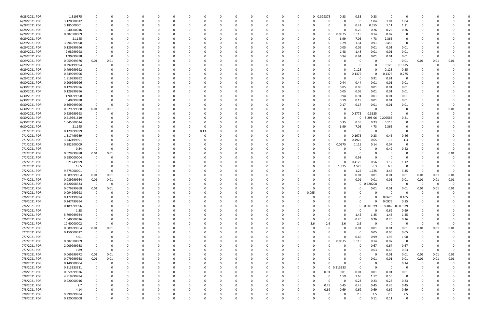| 6/28/2021 PDR | 1.319375    |             |          |   |          |          |          |          |          |          |          |          |          | $\Omega$ |          | 0 0.329375 | 0.33        | 0.33        | 0.33        | - 0         | $\Omega$    |          |      |          |  |
|---------------|-------------|-------------|----------|---|----------|----------|----------|----------|----------|----------|----------|----------|----------|----------|----------|------------|-------------|-------------|-------------|-------------|-------------|----------|------|----------|--|
| 6/28/2021 PDR | 3.120000012 | 0           |          |   |          |          |          |          | -0       |          |          |          |          |          | -0       |            |             | 0           | 1.04        | 1.04        | 1.04        |          |      |          |  |
|               | 3.185000001 |             |          |   |          |          |          |          |          |          |          |          |          |          |          |            |             |             | 0.555       |             |             |          |      |          |  |
| 6/28/2021 PDR |             |             |          |   |          |          |          |          |          |          |          |          |          |          |          |            |             | 0.41        |             | 1.11        | 1.11        |          |      |          |  |
| 6/28/2021 PDR | 1.040000016 |             |          |   |          |          |          |          |          |          |          |          |          |          |          |            |             | 0.26        | 0.26        | 0.26        | 0.26        |          |      |          |  |
| 6/28/2021 PDR | 0.382500009 |             |          |   |          |          |          |          |          |          |          |          |          |          |          |            | 0.0575      | 0.115       | 0.14        | 0.07        | 0           |          |      |          |  |
| 6/29/2021 PDR | 21.145      |             |          |   |          |          |          |          |          |          |          |          |          |          |          |            | 6.99        | 7.06        | 4.73        | 2.365       | 0           |          |      |          |  |
| 6/29/2021 PDR | 3.994999998 |             |          |   |          |          |          |          |          |          |          |          |          |          |          |            | 1.29        | 1.34        | 0.91        | 0.455       | 0           |          |      |          |  |
|               |             |             |          |   |          |          |          |          |          |          |          |          |          |          |          |            |             |             |             |             |             |          |      |          |  |
| 6/29/2021 PDR | 0.129999996 |             |          |   |          |          |          |          |          |          |          |          |          |          |          |            | 0.05        | 0.05        | 0.01        | 0.01        | 0.01        |          |      |          |  |
| 6/29/2021 PDR | 2.98999998  |             |          |   |          |          |          |          |          |          |          |          |          |          |          |            | 1.48        | 1.48        | 0.01        | 0.01        | 0.01        |          |      |          |  |
| 6/29/2021 PDR | 1.90999998  | 0           |          |   |          |          |          |          |          |          |          |          |          |          |          |            | 0.94        | 0.94        | 0.01        | 0.01        | 0.01        | 0        |      |          |  |
| 6/29/2021 PDR | 0.059999976 | 0.01        | 0.01     |   |          |          |          |          |          |          |          |          |          |          |          |            |             | 0           |             |             | 0.01        | 0.01     | 0.01 | 0.01     |  |
|               |             |             |          |   |          |          |          |          |          |          |          |          |          |          |          |            |             |             |             |             |             |          |      |          |  |
| 6/29/2021 PDR | 0.292499994 | 0           |          |   |          |          |          |          |          |          |          |          |          |          |          |            |             | 0           |             | 0.125       | 0.1675      | 0        |      |          |  |
| 6/29/2021 PDR | 0.499999992 |             |          |   |          |          |          |          |          |          |          |          |          |          |          |            |             | 0.125       | $\Omega$    | 0.125       | 0.25        |          |      |          |  |
| 6/29/2021 PDR | 0.549999996 |             |          |   |          |          |          |          |          |          |          |          |          |          |          |            |             | .1375       | $\Omega$    | 0.1375      | 0.275       |          |      |          |  |
| 6/29/2021 PDR | 1.819999992 |             |          |   |          |          |          |          |          |          |          |          |          |          |          |            |             | 0           | 0.91        | 0.91        | 0           |          |      |          |  |
|               |             |             |          |   |          |          |          |          |          |          |          |          |          |          |          |            |             |             |             |             |             |          |      |          |  |
| 6/30/2021 PDR | 0.909999996 |             |          |   |          |          |          |          |          |          |          |          |          |          |          |            | 0.44        | 0.44        | 0.01        | 0.01        | 0.01        |          |      |          |  |
| 6/30/2021 PDR | 0.129999996 |             |          |   |          |          |          |          |          |          |          |          |          |          |          |            | 0.05        | 0.05        | 0.01        | 0.01        | 0.01        |          |      |          |  |
| 6/30/2021 PDR | 0.129999996 |             |          |   |          |          |          |          |          |          |          |          |          |          |          |            | 0.05        | 0.05        | 0.01        | 0.01        | 0.01        |          |      |          |  |
| 6/30/2021 PDR | 1.90999998  |             |          |   |          |          |          |          |          |          |          |          |          |          |          |            | 0.94        | 0.94        | 0.01        | 0.01        | 0.01        |          |      |          |  |
|               |             |             |          |   |          |          |          |          |          |          |          |          |          |          |          |            |             |             |             |             |             |          |      |          |  |
| 6/30/2021 PDR | 0.40999998  |             |          |   |          |          |          |          |          |          |          |          |          |          |          |            | 0.19        | 0.19        | 0.01        | 0.01        | 0.01        |          |      |          |  |
| 6/30/2021 PDR | 0.369999996 | 0           |          |   |          |          |          |          |          |          |          |          |          |          |          |            | 0.17        | 0.17        | 0.01        | 0.01        | 0.01        |          |      |          |  |
| 6/30/2021 PDR | 0.029999988 | 0.01        | 0.01     |   |          |          |          |          |          |          |          |          |          |          |          |            |             | 0           |             | - 0         |             |          |      | 0.01     |  |
| 6/30/2021 PDR | 0.639999993 | 0           |          |   |          |          |          |          |          |          |          |          |          |          |          |            |             | 0.2775      | 0.3625      |             |             |          |      |          |  |
|               |             |             |          |   |          |          |          |          |          |          |          |          |          |          |          |            |             |             |             |             |             |          |      |          |  |
| 6/30/2021 PDR | 0.419591619 | 0           |          |   |          |          |          |          |          |          |          |          |          |          |          |            |             | 0           | 8.29E-06    | 0.209583    | 0.21        |          |      |          |  |
| 6/30/2021 PDR | 1.045000014 |             |          |   |          |          |          |          |          |          |          |          |          |          |          |            | 0.35        | 0.35        | 0.23        | 0.115       | 0           |          |      |          |  |
| 6/30/2021 PDR | 21.145      |             |          |   |          |          |          |          |          |          |          |          |          |          |          |            | 6.99        | 7.06        | 4.73        | 2.365       |             |          |      |          |  |
| 7/1/2021 PDR  | 0.129999999 |             |          |   |          |          |          |          | 0.13     |          |          |          |          |          |          |            |             | 0           | -0          | - 0         | 0           |          |      |          |  |
|               |             |             |          |   |          |          |          |          |          |          |          |          |          |          |          |            |             |             |             |             |             |          |      |          |  |
| 7/1/2021 PDR  | 1.317499989 |             |          |   |          |          |          |          |          |          |          |          |          |          |          |            |             | 0.1675      | 0.23        | 0.46        | 0.46        |          |      |          |  |
| 7/1/2021 PDR  | 3.742499991 |             |          |   |          |          |          |          |          |          |          |          |          |          |          |            |             | 0.4925      | 0.65        | 1.3         | 1.3         |          |      |          |  |
| 7/1/2021 PDR  | 0.382500009 | 0           |          |   |          |          |          |          |          |          |          |          |          |          |          |            | 0.0575      | 0.115       | 0.14        | 0.07        | $\Omega$    |          |      |          |  |
| 7/1/2021 PDR  | 0.84        | - 0         |          |   |          |          |          |          |          |          |          |          |          |          |          |            |             | 0           |             | 0.42        | 0.42        |          |      |          |  |
|               |             |             |          |   |          |          |          |          |          |          |          |          |          |          |          |            |             |             |             |             |             |          |      |          |  |
| 7/2/2021 PDR  | 0.029999988 | 0.01        | 0.01     |   |          |          |          |          |          |          |          |          |          |          |          |            |             | n           |             |             |             |          |      | 0.01     |  |
| 7/2/2021 PDR  | 0.980000004 | 0           |          |   |          |          |          |          |          |          |          |          |          |          |          |            |             | 0.98        | -0          |             |             |          |      |          |  |
| 7/2/2021 PDR  | 3.21249999  |             |          |   |          |          |          |          |          |          |          |          |          |          |          |            |             | .4125       | 0.56        | 1.12        | 1.12        |          |      |          |  |
| 7/2/2021 PDR  | 18.5        | -0          |          |   |          |          |          |          |          |          |          |          |          |          |          |            | 1.375       | 4.525       | 6.3         | 6.3         | $\mathbf 0$ |          |      |          |  |
|               |             |             |          |   |          |          |          |          |          |          |          |          |          |          |          |            |             |             |             |             |             |          |      |          |  |
| 7/2/2021 PDR  | 9.875000001 | 0           |          |   |          |          |          |          |          |          |          |          |          |          |          |            | O           | 1.25        | 1.725       | 3.45        | 3.45        | 0        |      | 0        |  |
| 7/4/2021 PDR  | 0.089999964 | 0.01        | 0.01     |   |          |          |          |          |          |          |          |          |          |          |          |            |             | 0.01        | 0.01        | 0.01        | 0.01        | 0.01     | 0.01 | 0.01     |  |
| 7/4/2021 PDR  | 0.089999964 | 0.01        | 0.01     |   |          |          |          |          |          |          |          |          |          |          |          |            |             | 0.01        | 0.01        | 0.01        | 0.01        | 0.01     | 0.01 | 0.01     |  |
| 7/6/2021 PDR  |             | - 0         |          |   |          |          |          |          |          |          |          |          |          |          |          |            |             | 0           |             | - 0         |             | - 0      |      |          |  |
|               | 0.420208333 |             |          |   |          |          |          |          |          |          |          |          |          |          |          |            |             |             | .420208     |             |             |          |      |          |  |
| 7/6/2021 PDR  | 0.079999968 | 0.01        | 0.01     |   |          |          |          |          |          |          |          |          |          |          |          |            |             | 0           | 0.01        | 0.01        | 0.01        | 0.01     | 0.01 | 0.01     |  |
| 7/6/2021 PDR  | 0.094999998 | $\mathbf 0$ |          |   |          |          |          |          |          |          |          |          |          |          | 0.095    |            |             | 0           | $\Omega$    | $\mathbf 0$ | 0           | $\sim$   |      |          |  |
| 7/6/2021 PDR  | 0.172499994 | 0           | 0        | O | 0        | $\Omega$ | $\Omega$ | $\Omega$ | $\Omega$ | 0        | 0        | $\Omega$ | $\Omega$ | $\Omega$ | 0        |            | 0           | 0           | $\Omega$    | 0.0675      | 0.105       | $\Omega$ |      |          |  |
| 7/6/2021 PDR  | 0.247499994 | 0           |          |   |          |          |          |          |          |          |          | -0       |          |          |          |            | 0           | 0           | $\mathbf 0$ | 0.0975      | 0.15        |          |      |          |  |
|               |             |             |          |   | 0        |          |          |          | 0        |          | 0        |          |          |          | 0        |            |             |             |             |             |             | 0        |      |          |  |
| 7/6/2021 PDR  | 0.189999996 | 0           |          |   |          |          |          |          | $\Omega$ |          |          | - 0      |          |          | $\Omega$ |            | $\Omega$    |             | 0 0.001979  | 0.186042    | 0.001979    |          |      |          |  |
| 7/6/2021 PDR  | 1.38        | 0           |          |   |          |          |          |          | -0       |          |          |          |          |          | $\Omega$ |            | $\Omega$    | 0           | $\Omega$    | 0.69        | 0.69        |          |      |          |  |
| 7/6/2021 PDR  | 5.799999984 | 0           |          |   |          |          |          |          |          |          |          |          |          |          | -0       |            | 0           | 1.45        | 1.45        | 1.45        | 1.45        |          |      |          |  |
| 7/6/2021 PDR  | 1.040000016 | 0           |          |   |          |          |          |          | 0        |          |          | $\Omega$ |          | 0        | 0        | $\Omega$   | $\Omega$    | 0.26        | 0.26        | 0.26        | 0.26        | 0        |      |          |  |
|               |             |             |          |   |          |          |          |          |          |          |          |          |          |          |          |            |             |             |             |             |             |          |      |          |  |
| 7/6/2021 PDR  | 10.40000002 | $\mathbf 0$ | $\Omega$ |   |          |          |          |          |          |          |          | $\Omega$ |          | $\Omega$ | 2.6      | 2.6        | 2.6         | 2.6         | $\mathbf 0$ | 0           | 0           | 0        |      | $\Omega$ |  |
| 7/7/2021 PDR  | 0.089999964 | 0.01        | 0.01     |   |          |          |          |          | 0        |          |          |          |          |          | $\Omega$ |            |             | 0.01        | 0.01        | 0.01        | 0.01        | 0.01     | 0.01 | 0.01     |  |
| 7/7/2021 PDR  | 0.150000012 | $\mathbf 0$ |          |   |          |          |          |          | 0        |          |          |          |          |          | 0        |            | $\Omega$    | - 0         | 0.05        | 0.05        | 0.05        | 0        |      |          |  |
| 7/7/2021 PDR  |             | 0           |          |   |          |          |          |          |          |          |          | -0       |          |          |          |            | $\Omega$    | 0.66        |             |             |             |          |      |          |  |
|               | 5.61        |             |          |   |          |          |          |          | 0        |          |          |          |          |          | 0        |            |             |             | 0.99        | 1.98        | 1.98        |          |      |          |  |
| 7/7/2021 PDR  | 0.382500009 |             |          |   |          |          |          |          | 0        |          |          |          |          |          | 0        | $\Omega$   | 0.0575      | 0.115       | 0.14        | 0.07        | $\mathbf 0$ |          |      |          |  |
| 7/7/2021 PDR  | 2.009999988 | 0           |          |   |          |          |          |          | 0        |          |          |          |          |          | 0        |            |             | -0          | 0.67        | 0.67        | 0.67        | 0        |      |          |  |
| 7/7/2021 PDR  | 1.89        | $\mathbf 0$ | $\Omega$ |   |          |          |          |          |          |          |          |          |          |          |          |            |             | 0           | 0.63        | 0.63        | 0.63        | 0        |      | 0        |  |
|               |             |             |          |   |          |          |          |          |          |          |          |          |          |          |          |            |             |             |             |             |             |          |      |          |  |
| 7/8/2021 PDR  | 0.069999972 | 0.01        | 0.01     |   |          |          |          |          | 0        |          |          |          |          |          | 0        |            |             | 0           | $\Omega$    | 0.01        | 0.01        | 0.01     | 0.01 | 0.01     |  |
| 7/8/2021 PDR  | 0.079999968 | 0.01        | 0.01     |   | 0        |          |          |          | 0        |          | 0        | $\Omega$ |          |          | 0        |            | 0           | 0           | 0.01        | 0.01        | 0.01        | 0.01     | 0.01 | 0.01     |  |
| 7/8/2021 PDR  | 0.140000004 | $\mathbf 0$ | $\Omega$ |   |          | 0        |          |          | -0       |          |          | $\Omega$ |          |          | 0        |            |             | 0           | $\Omega$    | - 0         | 0.14        | 0        |      |          |  |
| 7/8/2021 PDR  | 0.313333331 | 0           |          |   |          |          |          |          | $\Omega$ |          |          | $\Omega$ |          |          | $\Omega$ | $\Omega$   | 0.313333    | $\mathbf 0$ | $\Omega$    | - 0         | $\Omega$    |          |      |          |  |
|               |             |             |          |   |          |          |          |          |          |          |          |          |          |          |          |            |             |             |             |             |             |          |      |          |  |
| 7/8/2021 PDR  | 0.059999976 | 0           |          |   |          |          |          |          |          |          |          |          |          |          | 0        | 0.01       | 0.01        | 0.01        | 0.01        | 0.01        | 0.01        |          |      |          |  |
| 7/8/2021 PDR  | 4.919999994 | 0           |          |   |          |          |          |          | 0        |          |          |          |          |          | 0        | $\Omega$   | 1.59        | 1.65        | 1.12        | 0.56        | $\mathbf 0$ |          |      |          |  |
| 7/8/2021 PDR  | 0.920000016 | $\Omega$    |          |   |          |          |          |          | 0        | o        |          | $\Omega$ |          | $\Omega$ | 0        | $\Omega$   | $\mathbf 0$ | 0.23        | 0.23        | 0.23        | 0.23        | 0        |      |          |  |
| 7/8/2021 PDR  | 2.7         | 0           |          |   |          |          |          |          | 0        |          |          | $\Omega$ |          |          | 0        | 0.45       | 0.45        | 0.45        | 0.45        | 0.45        | 0.45        |          |      |          |  |
| 7/8/2021 PDR  | 4.14        |             |          |   |          |          |          |          |          |          |          |          |          |          | $\Omega$ |            |             | 0.69        |             | 0.69        | 0.69        |          |      |          |  |
|               |             |             |          |   |          |          |          |          |          |          |          |          |          |          |          | 0.69       | 0.69        |             | 0.69        |             |             |          |      |          |  |
| 7/8/2021 PDR  | 9.999999984 |             |          |   |          |          |          |          |          |          |          |          |          |          |          |            |             | 2.5         | 2.5         | 2.5         | 2.5         |          |      |          |  |
| 7/8/2021 PDR  | 0.220000008 | $\mathbf 0$ | U        | ŋ | $\Omega$ |          | $\Omega$ | $\Omega$ | 0        | $\Omega$ | $\Omega$ | $\Omega$ | $\Omega$ | $\Omega$ | 0        |            | O           | 0           | 0.11        | 0.11        | $\Omega$    | $\Omega$ |      | 0        |  |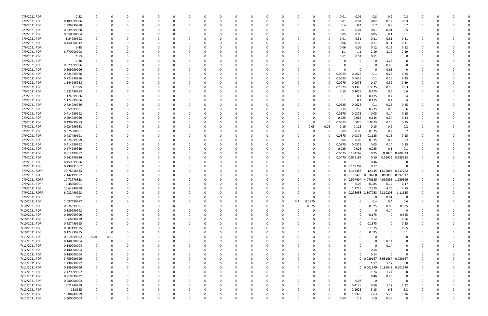| 7/9/2021 PDR  | 2.52        | 0                       | 0            |   |          |          |          | 0        |          |          |          |              |          | 0        | 0.01   | 0.01                         | 0.8                          | 0.9             | 0.8      |          |          |  |
|---------------|-------------|-------------------------|--------------|---|----------|----------|----------|----------|----------|----------|----------|--------------|----------|----------|--------|------------------------------|------------------------------|-----------------|----------|----------|----------|--|
| 7/9/2021 PDR  | 0.189999996 | $\Omega$                | C.           |   |          |          |          | C        |          |          |          |              |          | 0        | 0.01   | 0.01                         | 0.02                         | 0.12            | 0.03     |          |          |  |
| 7/9/2021 PDR  | 2.999999988 | 0                       |              |   |          |          |          |          |          |          |          |              |          | -0       | 0.4    | 0.4                          | 0.7                          | 0.8             | 0.7      |          |          |  |
| 7/9/2021 PDR  | 0.539999988 | 0                       |              |   |          |          |          |          |          |          |          |              |          | 0        | 0.01   | 0.01                         | 0.01                         | 0.01            | 0.5      |          |          |  |
| 7/9/2021 PDR  | 0.350000004 |                         |              |   |          |          |          |          |          |          |          |              |          | 0        | 0.05   | 0.05                         | 0.05                         | 0.1             | 0.1      |          |          |  |
| 7/9/2021 PDR  | 1.24999998  |                         |              |   |          |          |          |          |          |          |          |              |          | 0        | 0.01   | 0.31                         | 0.31                         | 0.31            | 0.31     |          |          |  |
| 7/9/2021 PDR  | 0.450000012 |                         |              |   |          |          |          |          |          |          |          |              |          |          |        |                              |                              |                 |          |          |          |  |
|               |             | 0                       |              |   |          |          |          |          |          |          |          |              |          | 0        | 0.06   | 0.06                         | 0.11                         | 0.11            | 0.11     |          |          |  |
| 7/9/2021 PDR  | 0.48        |                         |              |   |          |          |          |          |          |          |          |              |          |          | 0.06   | 0.06                         | 0.12                         | 0.12            | 0.12     |          |          |  |
| 7/9/2021 PDR  | 8.770000008 |                         |              |   |          |          |          |          |          |          |          |              |          |          | 1.1    | 1.1                          | 2.19                         | 2.19            | 2.19     |          |          |  |
| 7/9/2021 PDR  | 1.53        |                         |              |   |          |          |          |          |          |          |          |              |          | 0        | 0.51   | 0.51                         | 0.51                         | 0               |          |          |          |  |
| 7/9/2021 PDR  | 1.26        |                         |              |   |          |          |          |          |          |          |          |              |          |          |        | 0                            |                              | 1.26            |          |          |          |  |
| 7/9/2021 PDR  | 0.879999996 |                         |              |   |          |          |          |          |          |          |          |              |          |          |        | 0                            | 0                            | 0.88            |          |          |          |  |
| 7/9/2021 PDR  | 0.609999996 | 0                       |              |   |          |          |          |          |          |          |          |              |          |          |        | 0                            | 0                            | 0.61            | - 0      |          |          |  |
| 7/9/2021 PDR  | 0.724999986 |                         |              |   |          |          |          |          |          |          |          |              |          | 0        | 0.0625 | 0.0625                       | 0.1                          | 0.25            | 0.25     |          |          |  |
| 7/9/2021 PDR  | 0.724999986 | -0                      |              |   |          |          |          |          |          |          |          |              |          | 0        | 0.0625 | 0.0625                       | 0.1                          | 0.25            | 0.25     |          |          |  |
| 7/9/2021 PDR  | 1.144999988 |                         |              |   |          |          |          |          |          |          |          |              |          | 0        | 0.097  | 0.0975                       | 0.17                         | 0.39            | 0.39     |          |          |  |
| 7/9/2021 PDR  | 1.7075      |                         |              |   |          |          |          |          |          |          |          |              |          | 0        | 0.1325 | 0.1325                       | 0.3825                       | 0.53            | 0.53     |          |          |  |
| 7/9/2021 PDR  | 1.832499983 |                         |              |   |          |          |          |          |          |          |          |              |          |          | 0.15   | 0.2075                       | 0.275                        | 0.6             | 0.6      |          |          |  |
| 7/9/2021 PDR  | 1.174999986 |                         |              |   |          |          |          |          |          |          |          |              |          |          | 0.1    | 0.1                          | 0.175                        | 0.4             | 0.4      |          |          |  |
| 7/9/2021 PDR  |             |                         |              |   |          |          |          |          |          |          |          |              |          |          |        |                              |                              |                 |          |          |          |  |
|               | 1.174999986 |                         |              |   |          |          |          |          |          |          |          |              |          |          | 0.1    | 0.1                          | 0.175                        | 0.4             | 0.4      |          |          |  |
| 7/9/2021 PDR  | 0.724999986 |                         |              |   |          |          |          |          |          |          |          |              |          | 0        | 0.0625 | 0.0625                       | 0.1                          | 0.25            | 0.25     |          |          |  |
| 7/9/2021 PDR  | 1.859999981 | 0                       |              |   |          |          |          |          |          |          |          |              |          | -0       | 0.15   | 0.235                        | 0.275                        | 0.6             | 0.6      |          |          |  |
| 7/9/2021 PDR  | 0.414999992 | 0                       |              |   |          |          |          |          |          |          |          |              |          | 0        | 0.0375 | 0.0375                       | 0.05                         | 0.14            | 0.15     |          |          |  |
| 7/9/2021 PDR  | 0.994999986 |                         |              |   |          |          |          |          |          |          |          |              |          | 0        | 0.085  | 0.085                        | 0.145                        | 0.34            | 0.34     |          |          |  |
| 7/9/2021 PDR  | 0.499999983 | 0                       |              |   |          |          |          |          |          |          |          |              | - 0      | 0        | 0.0375 | 0.075                        | 0.0875                       | 0.15            | 0.15     |          |          |  |
| 7/9/2021 PDR  | 0.924999988 | 0                       |              |   |          |          |          |          |          |          |          |              | 0.05     | 0.05     | 0.15   | 0.125                        | 0.15                         | 0.2             | 0.2      |          |          |  |
| 7/9/2021 PDR  | 0.575000001 | 0                       |              |   |          |          |          |          |          |          |          |              |          | 0        | 0.05   | 0.05                         | 0.075                        | 0.2             | 0.2      |          |          |  |
| 7/9/2021 PDR  | 0.487499991 |                         |              |   |          |          |          |          |          |          |          |              |          | 0        | 0.0375 | 0.0375                       | 0.1125                       | 0.15            | 0.15     |          |          |  |
| 7/9/2021 PDR  | 0.574999999 | 0                       |              |   |          |          |          |          |          |          |          |              |          | 0        | 0.05   | 0.05                         | 0.075                        | 0.2             | 0.2      |          |          |  |
| 7/9/2021 PDR  | 0.414999992 |                         |              |   |          |          |          |          |          |          |          |              |          | 0        | 0.0375 | 0.0375                       | 0.05                         | 0.14            | 0.15     |          |          |  |
| 7/9/2021 PDR  | 0.274999989 | 0                       |              |   |          |          |          |          |          |          |          |              |          | 0        | 0.025  | 0.025                        | 0.025                        | 0.1             | 0.1      |          |          |  |
|               |             |                         |              |   |          |          |          |          |          |          |          |              |          |          |        |                              |                              |                 |          |          |          |  |
| 7/9/2021 PDR  | 0.812499987 | 0                       |              |   |          |          |          |          |          |          |          |              |          | 0        | 0.0625 | 0.104167                     | 0.25                         | 0.1875          | 0.208333 |          |          |  |
| 7/9/2021 PDR  | 0.641249986 |                         |              |   |          |          |          |          |          |          |          |              |          |          | 0.0475 | 0.079167                     | 0.19                         | 0.16625         | 0.158333 |          |          |  |
| 7/9/2021 PDR  | 0.459999996 | 0                       |              |   |          |          |          |          |          |          |          |              |          |          |        | 0                            | 0.46                         |                 |          |          |          |  |
| 7/9/2021 PDR  | 0.239791667 | 0                       |              |   |          |          |          |          |          |          |          |              |          | 0        |        | 0 0.119792                   | 0.12                         | റ               |          |          |          |  |
| 7/9/2021 RDRR | 33.76958333 |                         |              |   |          |          |          |          |          |          |          |              |          | 0        |        | 0 2.146458                   |                              | 12.645 12.76083 | 6.217292 |          |          |  |
| 7/9/2021 RDRR | 2.142499992 | 0                       |              |   |          |          |          |          |          |          |          |              |          | 0        |        | 0 0.119479 0.810208 0.819896 |                              |                 | 0.392917 |          |          |  |
| 7/9/2021 RDRR | 10.72770833 | 0                       |              |   |          |          |          |          |          |          |          |              |          | 0        |        | 0 0.597604                   | 4.070625 4.099583            |                 | 1.959896 |          |          |  |
| 7/9/2021 PDR  | 0.48500001  |                         |              |   |          |          |          |          |          |          |          |              |          | 0        |        | 0.06                         | 0.085                        | 0.17            | 0.17     |          |          |  |
| 7/9/2021 PDR  | 13.64749999 | 0                       | <sup>0</sup> |   |          |          |          |          |          |          | $\Omega$ |              |          | 0        | 0      | 1.7725                       | 2.375                        | 4.75            | 4.75     | 0        |          |  |
| 7/9/2021 RDRR | 6.032499993 | 0                       | -C           |   |          |          |          |          |          |          |          |              | 0        | 0        |        | 0.298958                     | 2.307083 2.310208            |                 | 1.11625  |          |          |  |
| 7/9/2021 PDR  | 0.81        | $\mathbf 0$             | 0            |   | $\Omega$ |          | $\Omega$ | 0        |          |          | $\Omega$ | $\Omega$     | 0        | 0        |        | $\Omega$                     | 0                            | 0.81            | 0        | 0        |          |  |
| 7/10/2021 PDR | 2.097499977 | $\overline{0}$          | C            |   |          |          | 0        |          |          |          | $\Omega$ | 0.4          | 0.2975   | 0        |        | 0                            | 0.4                          | 0.4             | 0.6      |          |          |  |
| 7/10/2021 PDR | 0.224999991 | 0                       | 0            |   |          |          | 0        | n        |          |          | $\Omega$ | $\Omega$     | 0.075    | 0        |        | 0                            | 0.025                        | 0.05            | 0.075    |          |          |  |
|               |             |                         |              |   |          |          |          |          |          |          |          |              |          |          |        | $\Omega$                     |                              |                 | $\Omega$ |          |          |  |
| 7/10/2021 PDR | 0.139999992 | $\overline{0}$          |              |   |          |          |          |          |          |          |          |              |          |          |        |                              | 0                            | 0.14            |          |          |          |  |
| 7/10/2021 PDR | 0.699999996 | $\overline{0}$          |              |   |          |          |          |          |          |          |          |              |          |          |        | 0                            | 0.175                        | $\mathbf 0$     | 0.525    |          |          |  |
| 7/10/2021 PDR | 0.69999999  | $\overline{0}$          |              |   |          |          |          |          |          |          |          |              |          |          |        | $\Omega$                     | 0.14                         | 0               | 0.56     |          |          |  |
| 7/10/2021 PDR | 0.687499995 | 0                       | 0            |   |          |          | 0        |          |          |          |          |              |          |          |        | 0                            | 0.1375                       | 0               | 0.55     |          |          |  |
| 7/10/2021 PDR | 0.687499995 | $\mathbf 0$             | C            |   |          |          | 0        |          |          |          |          |              |          |          |        | $\Omega$                     | 0.1375                       | $\mathbf 0$     | 0.55     |          |          |  |
| 7/10/2021 PDR | 0.124999995 | $\overline{\mathbf{0}}$ | $\Omega$     |   |          |          | 0        |          |          |          |          | $\Omega$     |          |          |        | $\Omega$                     | 0.025                        | 0               | 0.1      |          |          |  |
| 7/11/2021 PDR | 0.019999992 | 0.01                    | 0.01         |   |          |          | 0        |          |          |          |          |              |          |          |        |                              | 0                            | 0               |          |          |          |  |
| 7/12/2021 PDR | 0.140000004 | $\overline{0}$          | $\Omega$     |   |          |          |          |          |          |          |          |              |          |          |        |                              | $\Omega$                     | 0.14            |          |          |          |  |
| 7/12/2021 PDR | 0.140000004 | 0                       | 0            |   |          |          |          |          |          |          |          |              |          |          |        | 0                            | 0                            | 0.14            |          |          |          |  |
| 7/12/2021 PDR | 0.140000004 | $\mathbf 0$             |              |   |          |          | 0        |          |          |          |          |              |          |          |        | 0                            | 0.14                         | 0               |          |          |          |  |
| 7/12/2021 PDR | 0.140000004 | 0                       |              |   |          |          |          |          |          |          |          |              |          |          |        | $\Omega$                     | 0.14                         | $\Omega$        |          |          |          |  |
| 7/12/2021 PDR | 3.759999996 | $\mathbf 0$             | 0            |   |          |          | 0        | n        |          |          |          | $\Omega$     |          | $\Omega$ |        |                              | 0 0.039167 3.681667          |                 | 0.039167 |          |          |  |
|               |             |                         |              |   |          |          |          |          |          |          |          |              |          |          |        |                              |                              |                 |          |          |          |  |
| 7/12/2021 PDR | 2.239999992 | 0                       | 0            |   |          |          | 0        | 0        |          | 0        |          | <sup>0</sup> |          | 0        |        | 0                            | 1.12                         | 1.12            | $\Omega$ |          |          |  |
| 7/12/2021 PDR | 0.189999996 | 0                       | 0            |   |          |          |          |          |          |          |          |              |          |          |        |                              | 0 0.001979 0.186042 0.001979 |                 |          |          |          |  |
| 7/12/2021 PDR | 2.479999992 | 0                       |              |   |          |          |          |          |          |          |          |              |          |          |        | 0                            | 1.24                         | 1.24            | $\Omega$ |          |          |  |
| 7/12/2021 PDR | 0.919999992 | 0                       |              |   |          |          | 0        |          |          |          |          |              |          |          |        | 0                            | 0.46                         | 0.46            | 0        |          |          |  |
| 7/12/2021 PDR | 0.980000004 | 0                       |              |   |          |          |          |          |          |          |          |              |          |          |        | 0.98                         | $\mathbf 0$                  | $\Omega$        | $\Omega$ |          |          |  |
| 7/12/2021 PDR | 3.21249999  | 0                       | 0            |   |          |          | 0        |          |          |          |          |              |          | $\Omega$ |        | 0.4125                       | 0.56                         | 1.12            | 1.12     |          |          |  |
| 7/12/2021 PDR | 18.0125     | 0                       | 0            |   |          |          | 0        |          |          |          |          | 0            |          | 0        |        | 2.2625                       | 3.15                         | 6.3             | 6.3      |          |          |  |
| 7/12/2021 PDR | 15.08749999 | $\overline{0}$          |              |   |          |          |          |          |          |          |          |              |          | 0        |        | 1.9375                       | 2.63                         | 5.26            | 5.26     |          |          |  |
| 7/12/2021 PDR | 3.300000003 | $\mathbf 0$             | $\Omega$     | 0 | $\Omega$ | $\Omega$ | $\Omega$ | $\Omega$ | $\Omega$ | $\Omega$ | $\Omega$ | $\Omega$     | $\Omega$ | 0        | 0.65   | 1.3                          | 0.9                          | 0.45            | $\Omega$ | $\Omega$ | $\Omega$ |  |
|               |             |                         |              |   |          |          |          |          |          |          |          |              |          |          |        |                              |                              |                 |          |          |          |  |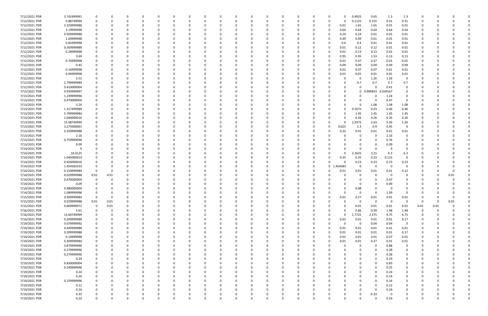| 7/12/2021 PDR | 3.742499991 | 0              | 0           |          |          | 0           |          | - 0      |          |   |          | -0       | $\Omega$ |          | 0            |          | <sup>0</sup> | 0        | 0.4925       | 0.65     | 1.3      | 1.3                   | 0        |          |          |  |
|---------------|-------------|----------------|-------------|----------|----------|-------------|----------|----------|----------|---|----------|----------|----------|----------|--------------|----------|--------------|----------|--------------|----------|----------|-----------------------|----------|----------|----------|--|
| 7/12/2021 PDR | 0.88749999  | 0              | C           | $\Omega$ | $\Omega$ | $\Omega$    |          | - 0      | $\Omega$ |   | n        | $\Omega$ | $\Omega$ |          | 0            | $\Omega$ | $\Omega$     |          | 0.1125       | 0.155    | 0.31     | 0.31                  | $\Omega$ |          |          |  |
| 7/12/2021 PDR | 3.329999988 |                |             |          |          |             |          |          |          |   |          |          |          |          | 0            |          | 0            | 0.01     | 1.65         | 1.65     | 0.01     | 0.01                  | n        |          |          |  |
| 7/12/2021 PDR | 3.19999998  |                |             |          |          |             |          |          |          |   |          |          |          |          |              |          |              | 0.64     | 0.64         | 0.64     | 0.64     | 0.64                  |          |          |          |  |
| 7/12/2021 PDR | 0.509999988 |                |             |          |          |             |          |          |          |   |          |          |          |          |              |          |              | 0.24     | 0.24         | 0.01     | 0.01     | 0.01                  |          |          |          |  |
| 7/12/2021 PDR | 1.00999998  | 0              |             | - 0      |          |             |          |          |          |   |          |          |          |          | <sup>0</sup> |          | $\Omega$     | 0.49     | 0.49         | 0.01     | 0.01     | 0.01                  | 0        |          |          |  |
| 7/12/2021 PDR | 0.82999998  |                |             |          |          |             |          |          |          |   |          |          |          |          |              |          |              |          |              |          |          |                       |          |          |          |  |
|               |             |                |             |          |          |             |          |          |          |   |          |          |          |          | 0            |          |              | 0.4      | 0.4          | 0.01     | 0.01     | 0.01                  |          |          |          |  |
| 7/12/2021 PDR | 0.269999988 |                |             |          |          |             |          |          |          |   |          |          |          |          |              |          | $\Omega$     | 0.01     | 0.12         | 0.12     | 0.01     | 0.01                  |          |          |          |  |
| 7/12/2021 PDR | 0.28999998  |                |             |          |          |             |          |          |          |   |          |          |          |          |              |          | $\Omega$     | 0.01     | 0.13         | 0.13     | 0.01     | 0.01                  |          |          |          |  |
| 7/12/2021 PDR | 3.69        |                |             |          |          |             |          |          |          |   |          |          |          |          |              |          | 0            | 0.95     | 0.95         | 1.53     | 0.13     | 0.13                  |          |          |          |  |
| 7/12/2021 PDR | 0.76999998  |                |             | -C       |          |             |          |          |          |   |          |          |          |          |              |          | 0            | 0.01     | 0.37         | 0.37     | 0.01     | 0.01                  |          |          |          |  |
| 7/12/2021 PDR | 0.45        |                |             | - 0      |          | 0           |          |          |          |   |          |          |          |          |              |          |              | 0.09     | 0.09         | 0.09     | 0.09     | 0.09                  |          |          |          |  |
| 7/12/2021 PDR | 0.16999998  |                |             |          |          |             |          |          |          |   |          |          |          |          | C            |          |              | 0.01     | 0.07         | 0.07     | 0.01     | 0.01                  |          |          |          |  |
| 7/12/2021 PDR | 0.04999998  |                |             |          |          |             |          |          |          |   |          |          |          |          |              |          | <sup>0</sup> | 0.01     | 0.01         | 0.01     | 0.01     | 0.01                  |          |          |          |  |
| 7/12/2021 PDR | 2.52        |                |             |          |          |             |          |          |          |   |          |          |          |          |              |          |              |          | -0           | 1.26     | 1.26     | 0                     |          |          |          |  |
| 7/12/2021 PDR | 2.799999984 |                |             |          |          |             |          |          |          |   |          |          |          |          |              |          |              |          | 0.7          | 0.7      | 0.7      | 0.7                   |          |          |          |  |
| 7/12/2021 PDR | 0.410000004 |                |             |          |          |             |          |          |          |   |          |          |          |          |              |          |              |          | 0            | $\Omega$ | 0.41     | 0                     |          |          |          |  |
| 7/13/2021 PDR | 0.939999997 |                |             |          |          |             |          |          |          |   |          |          |          |          |              |          |              |          | $\mathbf{0}$ | 0.900833 | 0.039167 | 0                     |          |          |          |  |
| 7/13/2021 PDR | 1.239999996 |                |             |          |          |             |          |          |          |   |          |          |          |          |              |          |              |          | n            |          | 1.24     | 0                     |          |          |          |  |
| 7/13/2021 PDR | 0.470000004 |                |             |          |          |             |          |          |          |   |          |          |          |          |              |          |              |          |              | 0        | 0.47     | $\overline{0}$        |          |          |          |  |
|               |             |                |             |          |          |             |          |          |          |   |          |          |          |          |              |          |              |          |              |          |          |                       |          |          |          |  |
| 7/13/2021 PDR | 3.24        |                |             |          |          |             |          |          |          |   |          |          |          |          |              |          |              |          | 0            | 1.08     | 1.08     | 1.08                  |          |          |          |  |
| 7/13/2021 PDR | 1.317499989 |                |             |          |          |             |          |          |          |   |          |          |          |          |              |          |              |          | 0.1675       | 0.23     | 0.46     | 0.46                  |          |          |          |  |
| 7/13/2021 PDR | 5.799999984 |                |             |          |          |             |          |          |          |   |          |          |          |          |              |          |              |          | 1.45         | 1.45     | 1.45     | 1.45                  |          |          |          |  |
| 7/13/2021 PDR | 1.040000016 |                |             |          |          |             |          |          |          |   |          |          |          |          |              |          |              |          | 0.26         | 0.26     | 0.26     | 0.26                  |          |          |          |  |
| 7/13/2021 PDR | 15.08749999 | 0              |             |          |          |             |          |          |          |   |          |          |          |          | 0            |          | <sup>n</sup> |          | 1.9375       | 2.63     | 5.26     | 5.26                  |          |          |          |  |
| 7/13/2021 PDR | 3.275000001 |                |             |          |          |             |          |          |          |   |          |          |          |          |              |          | <sup>0</sup> | 0.625    | 1.3          | 0.9      | 0.45     | $\overline{0}$        |          |          |          |  |
| 7/13/2021 PDR | 0.359999988 |                |             | റ        |          |             |          |          |          |   |          |          |          |          | <sup>0</sup> |          | $\Omega$     | 0.32     | 0.01         | 0.01     | 0.01     | 0.01                  |          |          |          |  |
| 7/13/2021 PDR | 2.16        |                |             |          |          |             |          |          |          |   |          |          |          |          | 0            |          |              |          | 0            | 0        | 2.16     | 0                     |          |          |          |  |
| 7/13/2021 PDR | 0.759999996 |                |             |          |          |             |          |          |          |   |          |          |          |          |              |          |              |          | 0            | $\Omega$ | 0.76     | 0                     |          |          |          |  |
| 7/13/2021 PDR | 0.09        |                |             |          |          |             |          |          |          |   |          |          |          |          |              |          |              |          | 0            | 0        | 0.09     | $\Omega$              |          |          |          |  |
| 7/14/2021 PDR |             |                |             |          |          |             |          |          |          |   |          |          |          |          |              |          |              |          | 0            | - 0      | q        | $\Omega$              |          |          |          |  |
| 7/14/2021 PDR | 18.0125     |                |             |          |          |             |          |          |          |   |          |          |          |          | C            |          |              |          | 2.2625       | 3.15     | 6.3      |                       |          |          |          |  |
|               |             |                |             |          |          |             |          |          |          |   |          |          |          |          |              |          |              |          |              |          |          | 6.3<br>$\overline{0}$ |          |          |          |  |
| 7/14/2021 PDR | 1.045000014 |                |             |          |          |             |          |          |          |   |          |          |          |          |              |          | 0            | 0.35     | 0.35         | 0.23     | 0.115    |                       |          |          |          |  |
| 7/14/2021 PDR | 0.920000016 |                |             |          |          |             |          |          |          |   |          |          |          |          |              |          | 0            |          | 0.23         | 0.23     | 0.23     | 0.23                  |          |          |          |  |
| 7/14/2021 PDR | 1.454583333 |                |             |          |          |             |          |          |          |   |          |          |          |          |              |          | $\mathbf 0$  | 454583.  | 0            | $\Omega$ | - 0      | 0                     |          |          |          |  |
| 7/14/2021 PDR | 0.159999984 | - 0            |             |          |          |             |          |          |          |   |          |          |          |          |              |          |              | 0.01     | 0.01         | 0.01     | 0.01     | 0.12                  |          |          |          |  |
| 7/14/2021 PDR | 0.029999988 | 0.01           | 0.01        |          |          |             |          |          |          |   |          |          |          |          |              |          |              |          | 0            |          | - 0      | O                     |          |          | 0.01     |  |
| 7/14/2021 PDR | 0.470000004 | 0              | O           |          |          |             |          |          |          |   |          |          |          |          | <sup>0</sup> |          |              |          | 0            |          | 0.47     |                       |          |          |          |  |
| 7/14/2021 PDR | 0.09        |                |             |          |          |             |          |          |          |   |          |          |          |          |              |          |              |          | 0            |          | 0.09     |                       |          |          |          |  |
| 7/14/2021 PDR | 0.980000004 | 0              |             | $\Omega$ |          |             |          |          |          |   |          |          |          |          |              |          |              |          | 0.98         |          | - 0      |                       | n        |          |          |  |
| 7/14/2021 PDR | 1.089999996 | 0              | 0           |          |          |             |          |          |          |   |          |          |          |          |              |          |              |          | <b>U</b>     | 0        | 1.09     | - 0                   |          |          |          |  |
| 7/15/2021 PDR | 0.309999984 | $\mathbf 0$    | $\mathbf 0$ | $\Omega$ | $\Omega$ | $\Omega$    | O        |          | 0        |   | $\Omega$ | $\Omega$ | $\Omega$ | $\Omega$ | $\Omega$     |          | $\Omega$     | 0.01     | 0.27         | 0.01     | $0.01\,$ | 0.01                  | 0        |          | $\Omega$ |  |
| 7/15/2021 PDR | 0.029999988 | $0.01\,$       | 0.01        | $\Omega$ |          | $\Omega$    |          |          |          |   |          |          |          |          | C            |          |              |          | $\mathbf 0$  | $\Omega$ | $\Omega$ | $\overline{0}$        | 0        | $\Omega$ | 0.01     |  |
| 7/15/2021 PDR | 0.069999972 | $\overline{0}$ | 0.01        | 0        |          | 0           |          |          |          |   | 0        |          |          |          | 0            |          |              |          | 0.01         | 0.01     | 0.01     | 0.01                  | 0.01     | 0.01     |          |  |
| 7/16/2021 PDR | 5.61        | 0              | $\Omega$    | $\Omega$ |          |             |          |          |          |   |          |          |          |          | <sup>0</sup> |          |              |          | 0.66         | 0.99     | 1.98     | 1.98                  | $\Omega$ |          |          |  |
|               |             |                |             |          |          |             |          |          |          |   |          |          |          |          |              |          |              | $\Omega$ |              |          | 4.75     |                       |          |          |          |  |
| 7/16/2021 PDR | 13.64749999 | 0              |             | 0        |          | 0           |          |          |          |   |          |          |          |          | 0            |          | 0            |          | 1.7725       | 2.375    |          | 4.75                  | 0        |          |          |  |
| 7/16/2021 PDR | 0.209999988 |                |             |          |          |             |          |          |          |   |          |          |          |          | 0            |          | 0            | 0.01     | 0.01         | 0.01     | 0.01     | 0.17                  |          |          |          |  |
| 7/19/2021 PDR | 0.079999992 | 0              |             |          |          | 0           |          |          |          |   |          |          |          |          | 0            |          | $\Omega$     |          | 0            | 0.04     | 0.04     | $\overline{0}$        |          |          |          |  |
| 7/19/2021 PDR | 0.449999988 | 0              |             | $\Omega$ |          | $\Omega$    | 0        |          |          |   | 0        | $\Omega$ | $\Omega$ |          | 0            |          | $\Omega$     | 0.01     | 0.01         | 0.01     | 0.41     | 0.01                  | 0        |          |          |  |
| 7/19/2021 PDR | 0.209999988 | 0              |             | 0        |          | 0           |          |          |          |   | 0        |          | $\Omega$ |          | 0            |          | $\Omega$     | 0.01     | 0.01         | 0.01     | 0.01     | 0.17                  | 0        |          |          |  |
| 7/19/2021 PDR | 0.10999998  | 0              |             | $\Omega$ |          | 0           |          |          |          |   | O        |          | $\Omega$ |          | 0            |          | $\Omega$     | 0.01     | 0.01         | 0.01     | 0.07     | 0.01                  | 0        |          |          |  |
| 7/19/2021 PDR | 0.309999984 |                |             | - 0      |          | 0           |          |          |          |   |          |          |          |          |              |          | 0            | 0.01     | $0.01\,$     | 0.27     | 0.01     | 0.01                  |          |          |          |  |
| 7/19/2021 PDR | 0.879999996 |                |             | 0        |          | 0           |          |          |          |   |          |          |          |          |              |          |              |          | 0            | 0        | 0.88     | 0                     |          |          |          |  |
| 7/19/2021 PDR | 0.279999996 | 0              | 0           | 0        |          | 0           | 0        |          |          |   | 0        |          | $\Omega$ |          | 0            |          |              |          | 0            | $\Omega$ | 0.28     | $\mathbf 0$           | 0        |          |          |  |
| 7/19/2021 PDR | 0.279999996 | 0              |             | $\Omega$ |          | 0           |          |          |          |   | $\Omega$ |          | $\Omega$ |          | 0            |          |              |          | 0            | $\Omega$ | 0.28     | 0                     | 0        |          |          |  |
| 7/19/2021 PDR | 0.24        | 0              |             | 0        |          | $\Omega$    |          |          |          |   | 0        |          | $\Omega$ |          | $\Omega$     |          |              |          |              | $\Omega$ | 0.24     | 0                     | 0        |          |          |  |
| 7/19/2021 PDR | 0.830000004 | 0              |             | 0        |          | 0           |          |          |          |   | 0        |          |          |          | 0            |          |              |          |              | $\Omega$ | 0.83     | 0                     | 0        |          |          |  |
|               | 0.249999996 |                |             | - 0      |          |             |          |          |          |   |          |          |          |          |              |          |              |          |              | $\Omega$ |          | 0                     |          |          |          |  |
| 7/19/2021 PDR |             |                |             |          |          |             |          |          |          |   |          |          |          |          | 0            |          |              |          |              |          | 0.25     |                       |          |          |          |  |
| 7/19/2021 PDR | 0.24        | 0              |             |          |          | 0           |          |          |          |   |          |          |          |          |              |          |              |          |              | $\Omega$ | 0.24     | 0                     |          |          |          |  |
| 7/19/2021 PDR | 0.24        | 0              |             |          |          | 0           |          |          |          |   | 0        |          |          |          | 0            |          |              |          | 0            | $\Omega$ | 0.24     | 0                     | 0        |          |          |  |
| 7/19/2021 PDR | 0.159999996 |                |             |          |          |             |          |          |          |   |          |          |          |          |              |          |              |          |              | $\Omega$ | 0.16     | $\mathbf 0$           |          |          |          |  |
| 7/19/2021 PDR | 0.12        | 0              |             | - 0      |          | $\Omega$    |          |          |          |   |          |          |          |          | <sup>0</sup> |          |              |          |              | $\Omega$ | 0.12     | $\Omega$              | 0        |          |          |  |
| 7/19/2021 PDR | 0.24        |                |             | 0        |          | 0           |          |          |          |   | 0        |          |          |          | 0            |          |              |          | 0            | $\Omega$ | 0.24     | 0                     | 0        |          |          |  |
| 7/19/2021 PDR | 0.33        |                |             |          |          |             |          |          |          |   |          |          |          |          |              |          |              |          | 0            | 0.33     | - 0      |                       |          |          |          |  |
| 7/19/2021 PDR | 0.24        | 0              | $\Omega$    | $\Omega$ | $\Omega$ | $\mathbf 0$ | $\Omega$ | $\Omega$ | $\Omega$ | 0 | 0        | $\Omega$ | $\Omega$ | $\Omega$ | $\Omega$     | $\Omega$ | $\Omega$     | 0        | $\Omega$     | $\Omega$ | 0.24     | $\mathbf 0$           | 0        | $\Omega$ | $\Omega$ |  |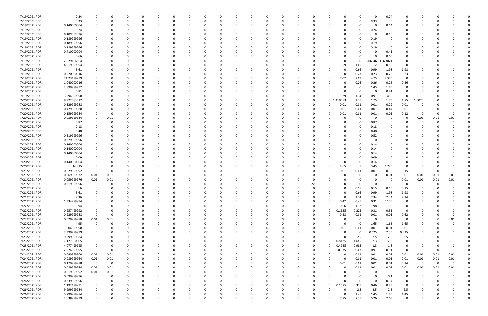| 7/19/2021 PDR | 0.24        | 0              |      | 0            | 0        | $\Omega$ |          | 0        | 0        |          | 0        | $\Omega$ |              | 0        |      | n            |          | 0        | - 0      | 0.24     | 0              |                |          |             |  |
|---------------|-------------|----------------|------|--------------|----------|----------|----------|----------|----------|----------|----------|----------|--------------|----------|------|--------------|----------|----------|----------|----------|----------------|----------------|----------|-------------|--|
| 7/19/2021 PDR | 0.33        | $\Omega$       |      | $\Omega$     | $\Omega$ | $\Omega$ |          | -0       |          |          | $\Omega$ | $\Omega$ |              | 0        |      |              |          | $\Omega$ | 0.33     | $\Omega$ | 0              | $\Omega$       |          |             |  |
| 7/19/2021 PDR | 0.140000004 |                |      |              |          |          |          |          |          |          |          |          |              |          |      |              |          | $\Omega$ |          | 0.14     |                |                |          |             |  |
| 7/19/2021 PDR | 0.24        |                |      |              |          |          |          |          |          |          |          |          |              |          |      |              |          |          | 0.24     | - 0      |                |                |          |             |  |
| 7/19/2021 PDR | 0.189999996 |                |      |              |          |          |          |          |          |          |          |          |              |          |      |              |          | 0        |          | 0.19     |                |                |          |             |  |
| 7/19/2021 PDR | 0.189999996 |                |      |              |          |          |          |          |          |          |          |          |              |          |      |              |          | 0        | 0.19     |          |                |                |          |             |  |
| 7/19/2021 PDR | 0.189999996 |                |      |              |          |          |          |          |          |          |          |          |              |          |      |              |          |          |          |          |                |                |          |             |  |
|               |             |                |      |              |          |          |          |          |          |          |          |          |              |          |      |              |          |          | 0.19     |          |                |                |          |             |  |
| 7/19/2021 PDR | 0.189999996 |                |      |              |          |          |          |          |          |          | റ        |          |              |          |      |              |          | $\Omega$ | 0.19     | - 0      |                |                |          |             |  |
| 7/19/2021 PDR | 0.410000004 |                |      |              |          |          |          |          |          |          |          |          |              |          |      |              |          | $\Omega$ |          | 0.41     |                |                |          |             |  |
| 7/19/2021 PDR | 0.66        |                |      |              |          |          |          |          |          |          |          |          |              |          |      |              |          | 0        |          | 0.66     |                |                |          |             |  |
| 7/19/2021 PDR | 2.529166664 |                |      |              |          |          |          |          |          |          |          |          |              |          |      |              |          | 0        | 1.206146 | .323021  | 0              |                |          |             |  |
| 7/19/2021 PDR | 4.919999994 |                |      |              |          |          |          |          |          |          |          |          |              |          |      | 0            | 1.59     | 1.65     | 1.12     | 0.56     | 0              |                |          |             |  |
| 7/19/2021 PDR | 5.61        |                |      |              |          |          |          |          |          |          |          |          |              |          |      |              |          | 0.66     | 0.99     | 1.98     | 1.98           |                |          |             |  |
| 7/19/2021 PDR | 0.920000016 |                |      |              |          |          |          |          |          |          |          |          |              | C        |      |              |          | 0.23     | 0.23     | 0.23     | 0.23           |                |          |             |  |
| 7/19/2021 PDR | 21.23499999 |                |      |              |          |          |          |          |          |          |          |          |              |          |      |              | 7.02     | 7.09     | 4.75     | 2.375    | 0              |                |          |             |  |
| 7/19/2021 PDR | 1.040000016 |                |      |              |          |          |          |          |          |          |          |          |              |          |      |              |          | 0.26     | 0.26     | 0.26     | 0.26           |                |          |             |  |
| 7/19/2021 PDR | 2.899999992 |                |      |              |          |          |          |          |          |          |          |          |              | 0        |      |              |          | 0        | 1.45     | 1.45     | 0              |                |          |             |  |
| 7/19/2021 PDR | 0.81        |                |      |              |          |          |          |          |          |          |          |          |              |          |      |              |          | 0        | - 0      | 0.81     | 0              |                |          |             |  |
| 7/19/2021 PDR | 3.994999998 |                |      |              |          |          |          |          |          |          |          |          |              |          |      |              | 1.29     | 1.34     | 0.91     | 0.455    | 0              | -0             |          |             |  |
| 7/20/2021 PDR | 9.922083312 |                |      | n            |          |          |          |          |          |          | - 0      |          |              | 0        |      | $\mathbf{0}$ | 419583   | 1.75     | 1.75     | 1.75     | 1.75           | 1.5025         |          |             |  |
| 7/20/2021 PDR | 0.329999988 |                |      |              |          |          |          |          |          |          |          |          |              |          |      |              | 0.01     | 0.01     | 0.01     | 0.29     | 0.01           |                |          |             |  |
| 7/20/2021 PDR | 0.479999988 |                |      |              |          |          |          |          |          |          | - 0      |          |              |          |      | <sup>0</sup> | 0.01     | 0.01     | 0.01     | 0.44     | 0.01           | - 0            |          |             |  |
|               |             |                |      |              |          |          |          |          |          |          |          |          |              |          |      |              |          |          |          |          |                |                |          |             |  |
| 7/20/2021 PDR | 0.159999984 |                |      |              |          |          |          |          |          |          |          |          |              |          |      |              | 0.01     | 0.01     | 0.01     | 0.01     | 0.12           | 0              |          |             |  |
| 7/20/2021 PDR | 0.039999984 |                | 0.01 |              |          |          |          |          |          |          |          |          |              |          |      |              |          | 0        |          | $\Omega$ | 0              | 0.01           | 0.01     | 0.01        |  |
| 7/20/2021 PDR | 0.87        |                |      |              |          |          |          |          |          |          |          |          |              |          |      |              |          | 0        | 0.87     |          |                | 0              |          |             |  |
| 7/20/2021 PDR | 0.18        |                |      |              |          |          |          |          |          |          |          |          |              |          |      |              |          | 0        | 0.18     |          |                |                |          |             |  |
| 7/20/2021 PDR | 0.48        |                |      |              |          |          |          |          |          |          |          |          |              |          |      |              |          | -0       | 0.48     |          |                |                |          |             |  |
| 7/20/2021 PDR | 0.519999996 |                |      |              |          |          |          |          |          |          |          |          |              |          |      |              |          | $\Omega$ | 0.52     |          |                |                |          |             |  |
| 7/20/2021 PDR | 0.279999996 |                |      |              |          |          |          |          |          |          |          |          |              |          |      |              |          | 0        | - 0      | 0        | 0.28           |                |          |             |  |
| 7/20/2021 PDR | 0.140000004 |                |      |              |          |          |          |          |          |          |          |          |              |          |      |              |          | 0        | 0.14     |          | O              |                |          |             |  |
| 7/20/2021 PDR | 0.140000004 |                |      | $\Omega$     |          |          |          |          |          |          |          |          |              |          |      |              |          | 0        | 0.14     |          |                |                |          |             |  |
| 7/20/2021 PDR | 0.140000004 |                |      | n            |          |          |          |          |          |          |          |          |              | 0        |      |              |          | 0        | 0.14     |          |                |                |          |             |  |
| 7/20/2021 PDR | 0.09        |                |      |              |          |          |          |          |          |          |          |          |              |          |      |              |          | 0        | 0.09     |          |                |                |          |             |  |
| 7/20/2021 PDR | 0.140000004 |                |      |              |          |          |          |          |          |          |          |          |              |          |      |              |          | $\Omega$ | 0.14     |          |                |                |          |             |  |
| 7/20/2021 PDR | 14.825      |                |      |              |          |          |          |          |          |          |          |          |              |          |      | <sup>0</sup> | 4.65     | -5       | 3.45     | 1.725    | 0              |                |          |             |  |
| 7/21/2021 PDR | 0.529999992 | $\Omega$       |      |              |          |          |          |          |          |          |          |          |              |          |      |              | 0.01     | 0.01     | 0.01     | 0.35     | 0.15           | 0              |          |             |  |
| 7/21/2021 PDR | 0.069999972 | 0.01           | 0.01 |              |          |          |          |          |          |          |          |          |              |          |      |              |          | 0        |          | 0.01     | 0.01           | 0.01           | 0.01     | 0.01        |  |
| 7/21/2021 PDR | 0.059999976 | 0.01           | 0.01 |              |          |          |          |          |          |          |          |          |              |          |      |              |          | 0        |          | - 0      |                | 0.01           | 0.01     | 0.01        |  |
|               |             |                |      |              |          |          |          |          |          |          |          |          |              |          |      |              |          |          |          | - 0      | 0.01           |                |          |             |  |
| 7/21/2021 PDR | 0.219999996 |                |      |              |          |          |          |          |          |          |          |          |              | 0        | 0.22 |              |          | 0        |          |          |                | 0              |          |             |  |
| 7/21/2021 PDR | 0.6         | $\Omega$       |      | $\Omega$     |          |          |          |          |          |          | $\Omega$ |          |              | $\Omega$ |      |              |          | 0.15     | 0.15     | 0.15     | 0.15           |                |          |             |  |
| 7/21/2021 PDR | 5.61        |                |      |              |          |          |          |          |          |          | 0        |          |              |          |      |              |          | 0.66     | 0.99     | 1.98     | 1.98           |                |          |             |  |
| 7/21/2021 PDR | 9.36        | 0              |      | 0            |          | $\Omega$ |          |          |          |          | $\Omega$ | $\Omega$ | <sup>0</sup> | 0        |      | O            | 0        | 2.34     | 2.34     | 2.34     | 2.34           | $\Omega$       |          |             |  |
| 7/21/2021 PDR | 1.334999994 |                |      |              |          |          |          |          |          |          |          |          |              |          |      | $\Omega$     | 0.42     | 0.45     | 0.31     | 0.155    | $\mathbf 0$    |                |          |             |  |
| 7/22/2021 PDR | 5.94        |                |      | 0            |          |          |          |          |          |          | $\Omega$ | $\Omega$ |              | 0        |      |              | 0.66     | 1.32     | 1.98     | 1.98     | 0              | 0              |          |             |  |
| 7/22/2021 PDR | 0.957499992 | 0              |      | 0            |          | $\Omega$ |          |          |          |          | $\Omega$ | $\Omega$ |              | 0        |      | $\Omega$     | 0.1125   | 0.225    | 0.31     | 0.31     | 0              | 0              |          |             |  |
| 7/22/2021 PDR | 0.929999988 | 0              | 0    | n            |          | $\Omega$ |          |          |          |          | $\Omega$ |          |              | 0        |      | O            | 0.28     | 0.01     | 0.01     | 0.01     | 0.62           |                |          | $\Omega$    |  |
| 7/22/2021 PDR | 0.029999988 | $0.01\,$       | 0.01 |              |          |          |          |          |          |          | 0        |          |              |          |      |              |          | 0        | - 0      | $\Omega$ | 0              |                |          | 0.01        |  |
| 7/22/2021 PDR | 4.95        | $\mathbf 0$    |      |              |          |          |          |          |          |          |          |          |              | 0        |      |              |          | 0        | 1.65     | 1.65     | 1.65           |                |          |             |  |
| 7/23/2021 PDR | 0.04999998  | $\mathbf 0$    |      | 0            |          | $\Omega$ |          |          |          |          |          |          |              | 0        |      | 0            | 0.01     | 0.01     | 0.01     | 0.01     | 0.01           | 0              |          |             |  |
| 7/23/2021 PDR | 2.399999999 | 0              |      | 0            |          | $\Omega$ |          |          |          |          | $\Omega$ |          |              | 0        |      | O            |          | 0        | 0.025    | 2.35     | 0.025          | 0              |          |             |  |
| 7/23/2021 PDR | 9.999999984 | 0              |      | 0            |          | $\Omega$ |          |          |          |          | $\Omega$ |          |              | 0        |      | <sup>0</sup> |          | 2.5      | 2.5      | 2.5      | 2.5            |                |          |             |  |
| 7/23/2021 PDR | 7.127500005 | 0              |      |              |          | 0        |          |          |          |          |          | $\Omega$ |              | 0        |      | $\Omega$     | 0.8425   | 1.685    | 2.3      | 2.3      | 0              |                |          |             |  |
| 7/23/2021 PDR | 4.077499995 |                |      |              |          |          |          |          |          |          | 0        |          |              |          |      | $\Omega$     | 0.4925   | 0.985    | 1.3      | 1.3      | 0              | 0              |          |             |  |
| 7/23/2021 PDR | 2.824999995 | 0              | 0    |              |          |          |          |          |          |          |          |          |              | 0        |      | 0            | 0.335    | 0.67     | 0.91     | 0.91     | $\overline{0}$ | 0              |          | $\Omega$    |  |
| 7/24/2021 PDR | 0.089999964 | 0.01           | 0.01 |              |          |          |          |          |          |          |          |          |              | 0        |      |              |          | 0.01     | 0.01     | 0.01     | 0.01           | 0.01           | 0.01     | 0.01        |  |
|               |             |                | 0.01 |              |          |          |          |          |          |          | $\Omega$ |          |              |          |      |              | $\Omega$ | 0.01     |          | 0.01     |                |                | $0.01\,$ |             |  |
| 7/24/2021 PDR | 0.089999964 | $0.01\,$       |      |              |          |          |          |          |          |          |          |          |              |          |      |              |          |          | 0.01     |          | 0.01           | 0.01           |          | 0.01        |  |
| 7/26/2021 PDR | 0.179999988 | $\overline{0}$ | 0    | 0            |          |          |          |          |          |          | 0        |          |              | 0        |      | $\Omega$     | 0.01     | 0.01     | 0.01     | 0.01     | 0.14           | $\overline{0}$ | $\Omega$ | 0           |  |
| 7/26/2021 PDR | 0.089999964 | 0.01           | 0.01 | 0            |          |          |          |          |          |          | $\Omega$ |          |              | 0        |      |              |          | 0.01     | 0.01     | 0.01     | 0.01           | 0.01           | 0.01     | 0.01        |  |
| 7/26/2021 PDR | 0.019999992 | $0.01\,$       | 0.01 |              |          |          |          |          |          |          | $\Omega$ |          |              | 0        |      |              |          | 0        |          | 0        | 0              | $\Omega$       |          |             |  |
| 7/26/2021 PDR | 0.099999996 | 0              |      |              |          |          |          |          |          |          |          |          |              |          |      |              |          | 0        |          | 0.1      | 0              | - 0            |          |             |  |
| 7/26/2021 PDR | 0.339999996 | 0              |      |              |          |          |          |          |          |          |          |          |              | 0        |      |              |          | 0        | $\Omega$ | 0.34     | 0              |                |          |             |  |
| 7/26/2021 PDR | 1.192499991 | $\mathbf 0$    |      |              |          |          |          |          |          |          |          |          |              |          |      | 0            | 0.1675   | 0.335    | 0.46     | 0.23     | 0              |                |          |             |  |
| 7/26/2021 PDR | 9.999999984 | 0              |      | 0            |          | $\Omega$ |          | - 0      |          |          | $\Omega$ | $\Omega$ |              | 0        |      | $\Omega$     |          | 2.5      | 2.5      | 2.5      | 2.5            | 0              |          |             |  |
| 7/26/2021 PDR | 5.799999984 | 0              |      | 0            |          | 0        |          | 0        |          |          | 0        | 0        | 0            | 0        |      | 0            | O        | 1.45     | 1.45     | 1.45     | 1.45           | 0              |          | 0           |  |
| 7/26/2021 PDR | 23.38999999 | $\Omega$       | O    | $\mathbf{0}$ | $\Omega$ | $\Omega$ | $\Omega$ | $\Omega$ | $\Omega$ | $\Omega$ | $\Omega$ | $\Omega$ | $\Omega$     | $\Omega$ |      | $\Omega$     | 7.75     | 7.75     | 5.26     | 2.63     | $\mathbf 0$    | $\Omega$       | $\Omega$ | $\mathbf 0$ |  |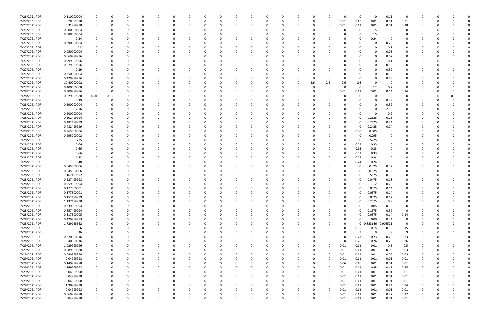| 7/26/2021 PDR | 0.110000004 |             |          |             |          |          |          |              |          |          |             |          |          |          |          |          |          | 0            | $\Omega$            | 0.11     | $\Omega$       |              |      |  |
|---------------|-------------|-------------|----------|-------------|----------|----------|----------|--------------|----------|----------|-------------|----------|----------|----------|----------|----------|----------|--------------|---------------------|----------|----------------|--------------|------|--|
| 7/27/2021 PDR | 0.70999998  |             |          | 0           |          |          |          | -0           |          |          | 0           |          |          | 0        | 0        | 0        | 0.01     | 0.67         | 0.01                | 0.01     | 0.01           | 0            |      |  |
| 7/27/2021 PDR | 0.31999998  |             |          |             |          |          |          |              |          |          |             |          |          |          |          |          | 0.01     | 0.01         | 0.01                | 0.01     | 0.28           |              |      |  |
| 7/27/2021 PDR | 0.500000004 |             |          |             |          |          |          |              |          |          |             |          |          |          |          |          |          |              |                     | $\Omega$ |                |              |      |  |
|               |             |             |          |             |          |          |          |              |          |          |             |          |          |          |          |          |          | 0            | 0.5                 |          |                |              |      |  |
| 7/27/2021 PDR | 0.500000004 |             |          | n           |          |          |          |              |          |          |             |          |          |          |          |          |          | 0            | 0.5                 |          | 0              |              |      |  |
| 7/27/2021 PDR | 0.24        |             |          |             |          |          |          |              |          |          |             |          |          |          |          |          |          | <sup>0</sup> | 0.24                |          |                |              |      |  |
| 7/27/2021 PDR | 0.290000004 |             |          |             |          |          |          |              |          |          |             |          |          |          |          |          |          |              | 0                   | 0.29     |                |              |      |  |
| 7/27/2021 PDR | 0.3         |             |          |             |          |          |          |              |          |          |             |          |          |          |          |          |          |              | $\Omega$            | 0.3      |                |              |      |  |
| 7/27/2021 PDR | 0.050000004 |             |          |             |          |          |          |              |          |          |             |          |          |          |          |          |          |              |                     | 0.05     |                |              |      |  |
|               |             |             |          |             |          |          |          |              |          |          |             |          |          |          |          |          |          |              |                     |          |                |              |      |  |
| 7/27/2021 PDR | 0.069999996 |             |          |             |          |          |          |              |          |          |             |          |          |          |          |          |          |              | 0                   | 0.07     |                |              |      |  |
| 7/27/2021 PDR | 0.099999996 |             |          |             |          |          |          |              |          |          |             |          |          |          |          |          |          |              | - 0                 | 0.1      |                |              |      |  |
| 7/27/2021 PDR | 0.579999996 |             |          |             |          |          |          |              |          |          |             |          |          |          |          |          |          |              | 0                   | 0.58     |                |              |      |  |
| 7/27/2021 PDR | 0.39        |             |          |             |          |          |          |              |          |          |             |          |          |          |          |          |          | 0            | 0                   | 0.39     | 0              |              |      |  |
| 7/27/2021 PDR | 0.350000004 |             |          |             |          |          |          |              |          |          |             |          |          |          |          |          |          | 0            | $\Omega$            | 0.35     |                |              |      |  |
| 7/27/2021 PDR | 0.429999996 |             |          |             |          |          |          |              |          |          |             |          |          |          | -0       |          |          | 0            | 0                   | 0.43     |                |              |      |  |
|               |             |             |          |             |          |          |          |              |          |          |             |          |          |          |          |          |          |              |                     |          |                |              |      |  |
| 7/27/2021 PDR | 10.40000002 |             |          |             |          |          |          |              |          |          |             |          |          |          | 2.6      | 2.6      | 2.6      | 2.6          |                     | - 0      |                |              |      |  |
| 7/27/2021 PDR | 0.400000008 |             |          |             |          |          |          |              |          |          |             |          |          |          | -0       |          |          | 0            | 0.2                 | 0.2      | $\Omega$       |              |      |  |
| 7/28/2021 PDR | 0.309999996 | $\Omega$    |          |             |          |          |          |              |          |          |             |          |          |          | - 0      |          | 0.01     | 0.01         | 0.01                | 0.14     | 0.14           |              |      |  |
| 7/28/2021 PDR | 0.029999988 | 0.01        | 0.01     |             |          |          |          |              |          |          |             |          |          |          |          |          |          | 0            | 0                   | - 0      | 0              |              | 0.01 |  |
| 7/28/2021 PDR | 0.39        |             |          |             |          |          |          |              |          |          |             |          |          |          |          |          |          |              | $\Omega$            | 0.39     |                |              |      |  |
| 7/28/2021 PDR | 0.590000004 |             |          |             |          |          |          |              |          |          |             |          |          |          |          |          |          |              | $\Omega$            | 0.59     |                |              |      |  |
|               |             |             |          |             |          |          |          |              |          |          |             |          |          |          |          |          |          |              |                     |          |                |              |      |  |
| 7/28/2021 PDR | 2.16        |             |          |             |          |          |          |              |          |          |             |          |          |          |          |          |          |              |                     | 2.16     |                |              |      |  |
| 7/28/2021 PDR | 0.200000004 |             |          |             |          |          |          |              |          |          |             |          |          |          |          |          |          |              |                     | 0.2      |                |              |      |  |
| 7/28/2021 PDR | 0.502499994 |             |          |             |          |          |          |              |          |          |             |          |          |          |          |          | 0        | 0            | 0.2525              | 0.25     | n              |              |      |  |
| 7/28/2021 PDR | 0.482499999 |             |          |             |          |          |          |              |          |          |             |          |          |          |          |          |          | 0            | 0.2425              | 0.24     |                |              |      |  |
| 7/28/2021 PDR | 0.482499999 |             |          |             |          |          |          |              |          |          |             |          |          |          |          |          | $\Omega$ | 0            | 0.2425              | 0.24     |                |              |      |  |
| 7/28/2021 PDR | 0.765000006 |             |          |             |          |          |          |              |          |          |             |          |          |          |          |          | 0        | 0.38         | 0.385               |          |                |              |      |  |
|               |             |             |          |             |          |          |          |              |          |          |             |          |          |          |          |          |          |              |                     |          |                |              |      |  |
| 7/28/2021 PDR | 0.295000002 |             |          |             |          |          |          |              |          |          |             |          |          |          |          |          |          | 0            | 0.295               |          |                |              |      |  |
| 7/28/2021 PDR | 0.5775      |             |          |             |          |          |          |              |          |          |             |          |          |          |          |          |          | 0            | 0.5775              |          |                |              |      |  |
| 7/28/2021 PDR | 0.66        |             |          |             |          |          |          |              |          |          |             |          |          |          |          |          | 0        | 0.33         | 0.33                |          |                |              |      |  |
| 7/28/2021 PDR | 0.66        |             |          |             |          |          |          |              |          |          |             |          |          |          |          |          |          | 0.33         | 0.33                |          |                |              |      |  |
| 7/28/2021 PDR | 0.66        |             |          |             |          |          |          |              |          |          |             |          |          |          |          |          | o        | 0.33         | 0.33                |          |                |              |      |  |
| 7/28/2021 PDR | 0.48        |             |          |             |          |          |          |              |          |          |             |          |          |          |          |          |          | 0.24         | 0.24                |          |                |              |      |  |
|               |             |             |          |             |          |          |          |              |          |          |             |          |          |          |          |          |          |              |                     |          |                |              |      |  |
| 7/28/2021 PDR | 0.48        |             |          |             |          |          |          |              |          |          |             |          |          |          |          |          |          | 0.24         | 0.24                |          |                |              |      |  |
| 7/28/2021 PDR | 0.645000006 |             |          |             |          |          |          |              |          |          |             |          |          |          |          |          |          | 0            | 0.325               | 0.32     |                |              |      |  |
| 7/28/2021 PDR | 0.645000006 |             |          |             |          |          |          |              |          |          |             |          |          |          |          |          |          | 0            | 0.325               | 0.32     |                |              |      |  |
| 7/28/2021 PDR | 1.167499992 |             |          |             |          |          |          |              |          |          |             |          |          |          |          |          |          | 0            | 0.5875              | 0.58     |                |              |      |  |
| 7/28/2021 PDR | 0.227499998 |             |          |             |          |          |          |              |          |          |             |          |          |          |          |          | 0        | 0            | 0.0475              | 0.18     |                |              |      |  |
| 7/28/2021 PDR | 0.959999994 |             |          |             |          |          |          |              |          |          |             |          |          |          |          |          |          |              | 0.2                 | 0.76     |                |              |      |  |
|               |             |             |          |             |          |          |          |              |          |          |             |          |          |          |          |          |          |              |                     |          |                |              |      |  |
| 7/28/2021 PDR | 0.177500001 | 0           |          | n           |          |          |          |              |          |          |             |          |          |          |          |          | 0        | 0            | 0.0375              | 0.14     | 0              | <sup>0</sup> |      |  |
| 7/28/2021 PDR | 0.177500001 |             |          |             |          |          |          |              |          |          |             |          |          |          |          |          |          | 0            | 0.0375              | 0.14     |                |              |      |  |
| 7/28/2021 PDR | 0.152499999 | 0           | $\Omega$ | $\Omega$    | $\Omega$ | $\Omega$ | $\Omega$ | 0            | 0        |          | $\Omega$    | $\Omega$ | $\Omega$ | 0        | $\Omega$ |          | $\Omega$ | 0            | 0.0325              | 0.12     | $\mathbf 0$    | $\Omega$     |      |  |
| 7/28/2021 PDR | 1.137499998 | 0           |          | 0           |          | $\Omega$ | $\Omega$ | 0            | ŋ        |          | 0           |          | $\Omega$ | 0        | 0        |          | 0        | 0            | 0.2375              | 0.9      | 0              | 0            |      |  |
| 7/28/2021 PDR | 0.239999994 | 0           |          | 0           |          | $\Omega$ |          | <sup>0</sup> |          |          | $\Omega$    |          |          | 0        | 0        |          | 0        | $\Omega$     | 0.05                | 0.19     | 0              | 0            |      |  |
| 7/28/2021 PDR | 0.657499994 | 0           |          | 0           |          | 0        |          |              |          |          | 0           |          |          | 0        | 0        |          | 0        | 0            | 0.1375              | 0.52     | 0              | 0            |      |  |
|               |             |             |          |             |          |          |          |              |          |          |             |          |          |          |          |          |          |              |                     |          |                |              |      |  |
| 7/28/2021 PDR | 0.317500005 |             |          |             |          |          |          |              |          |          | 0           |          |          | 0        | - 0      |          | 0        | 0            | 0.0375              | 0.14     | 0.14           |              |      |  |
| 7/28/2021 PDR | 0.429999993 | 0           |          | 0           |          | 0        |          |              |          |          | 0           |          | 0        | 0        | 0        |          | 0        | $\Omega$     | 0.09                | 0.34     | 0              |              |      |  |
| 7/28/2021 PDR | 1.729166662 | $\Omega$    |          | $\Omega$    |          | $\Omega$ |          |              |          |          |             |          | 0        | 0        | -0       |          | $\Omega$ |              | 0 0.823646 0.905521 |          | $\overline{0}$ | 0            |      |  |
| 7/28/2021 PDR | 0.6         |             |          |             |          |          |          |              |          |          | 0           |          |          |          | - 0      |          | 0        | 0.15         | 0.15                | 0.15     | 0.15           |              |      |  |
| 7/28/2021 PDR | 36          |             |          | 0           |          | $\Omega$ |          |              |          |          |             |          |          |          | 0        |          | $\Omega$ | 9            | 9                   | 9        | 9              | 0            |      |  |
| 7/28/2021 PDR | 0.920000016 |             |          |             |          | 0        |          |              |          |          |             |          |          |          | 0        |          | $\Omega$ | 0.23         | 0.23                | 0.23     | 0.23           |              |      |  |
|               |             |             |          |             |          |          |          |              |          |          |             |          |          |          |          |          | $\Omega$ |              |                     |          |                |              |      |  |
| 7/28/2021 PDR | 1.040000016 |             |          |             |          |          |          |              |          |          |             |          |          |          | - 0      |          |          | 0.26         | 0.26                | 0.26     | 0.26           |              |      |  |
| 7/29/2021 PDR | 1.029999996 |             |          |             |          |          |          |              |          |          |             |          |          |          | 0        | $\Omega$ | 0.01     | 0.01         | 0.01                | 0.5      | 0.5            | 0            |      |  |
| 7/29/2021 PDR | 0.089999988 |             |          |             |          |          |          |              |          |          |             |          |          |          | 0        |          | 0.01     | 0.01         | 0.01                | 0.03     | 0.03           | 0            |      |  |
| 7/29/2021 PDR | 0.089999988 | 0           |          | 0           |          |          |          |              |          |          | 0           |          |          |          | 0        |          | 0.01     | 0.01         | 0.01                | 0.03     | 0.03           | 0            |      |  |
| 7/29/2021 PDR | 0.04999998  | 0           |          | 0           |          | $\Omega$ |          | <sup>0</sup> |          |          | $\Omega$    |          |          | 0        | 0        |          | 0.01     | 0.01         | 0.01                | 0.01     | 0.01           | 0            |      |  |
| 7/29/2021 PDR | 0.149999988 | 0           |          | 0           |          | 0        |          | 0            |          |          | 0           |          |          | 0        | 0        |          | 0.06     | 0.06         | 0.01                | 0.01     | 0.01           | 0            |      |  |
|               |             |             |          |             |          |          |          |              |          |          |             |          |          |          |          |          |          |              |                     |          |                |              |      |  |
| 7/29/2021 PDR | 1.369999992 | 0           |          | $\Omega$    |          | $\Omega$ |          |              |          |          | 0           |          |          | 0        | $\Omega$ | $\Omega$ | 0.01     | 0.01         | 0.45                | 0.45     | 0.45           | 0            |      |  |
| 7/29/2021 PDR | 0.04999998  | 0           |          |             |          |          |          |              |          |          | 0           |          |          | 0        | 0        | $\Omega$ | 0.01     | 0.01         | 0.01                | 0.01     | 0.01           | 0            |      |  |
| 7/29/2021 PDR | 0.04999998  | 0           |          |             |          |          |          |              |          |          |             |          | 0        |          | 0        | $\Omega$ | 0.01     | 0.01         | 0.01                | 0.01     | 0.01           | 0            |      |  |
| 7/29/2021 PDR | 0.04999998  | 0           |          | 0           |          | $\Omega$ |          | 0            |          |          | $\Omega$    |          | 0        | 0        | 0        |          | 0.01     | 0.01         | 0.01                | 0.01     | 0.01           | 0            |      |  |
| 7/29/2021 PDR | 1.90999998  | 0           |          | 0           |          | $\Omega$ |          | $\Omega$     |          |          | 0           |          |          | 0        | 0        |          | 0.01     | 0.01         | 0.01                | 0.94     | 0.94           | 0            |      |  |
| 7/29/2021 PDR | 0.04999998  | 0           |          | $\Omega$    |          | $\Omega$ |          |              |          |          | $\Omega$    |          | n        | 0        | $\Omega$ |          | 0.01     | 0.01         | 0.01                | 0.01     | 0.01           | 0            |      |  |
|               |             |             |          |             |          |          |          |              |          |          |             |          |          |          |          |          |          |              |                     |          |                |              |      |  |
| 7/29/2021 PDR | 0.569999988 |             |          |             |          |          |          |              |          |          | 0           |          |          |          |          |          | 0.01     | 0.01         | 0.01                | 0.27     | 0.27           | 0            |      |  |
| 7/29/2021 PDR | 0.04999998  | $\mathbf 0$ |          | $\mathbf 0$ | $\Omega$ | $\Omega$ | $\Omega$ | 0            | $\Omega$ | $\Omega$ | $\mathbf 0$ | $\Omega$ | $\Omega$ | $\Omega$ | 0        |          | 0.01     | 0.01         | 0.01                | $0.01\,$ | 0.01           | $\mathbf 0$  | O    |  |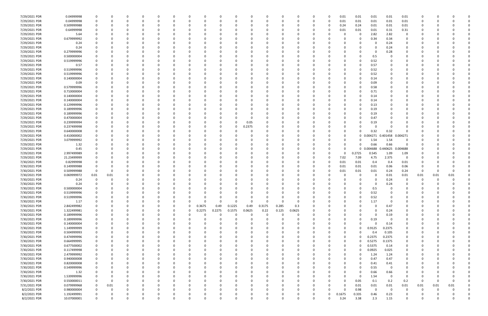| 7/29/2021 PDR | 0.04999998  |          |          |          |          |          |              |          |          |        |          |          |          |          | n        | n            | 0.01     | 0.01         | 0.01     | 0.01           | 0.01        |              |      |      |  |
|---------------|-------------|----------|----------|----------|----------|----------|--------------|----------|----------|--------|----------|----------|----------|----------|----------|--------------|----------|--------------|----------|----------------|-------------|--------------|------|------|--|
| 7/29/2021 PDR | 0.04999998  |          | n        | $\Omega$ |          | 0        | ſ            |          | $\Omega$ |        | 0        |          |          |          | 0        | 0            | 0.01     | 0.01         | 0.01     | 0.01           | 0.01        | 0            |      |      |  |
| 7/29/2021 PDR | 0.509999988 |          |          |          |          |          |              |          |          |        |          |          |          |          |          | 0            | 0.24     | 0.24         | 0.01     | 0.01           | 0.01        |              |      |      |  |
| 7/29/2021 PDR | 0.64999998  |          |          |          |          |          |              |          |          |        |          |          |          |          |          |              | 0.01     | 0.01         | 0.01     | 0.31           | 0.31        |              |      |      |  |
| 7/29/2021 PDR | 5.64        |          |          |          |          |          |              |          |          |        | C        |          |          |          |          |              |          | 0            | 2.82     | 2.82           | 0           |              |      |      |  |
| 7/29/2021 PDR | 0.679999992 |          |          |          |          |          |              |          |          |        |          |          |          |          |          |              |          | $\Omega$     | 0.34     | 0.34           | $\Omega$    |              |      |      |  |
| 7/29/2021 PDR | 0.24        |          |          |          |          |          |              |          |          |        |          |          |          |          |          |              |          |              |          | 0.24           |             |              |      |      |  |
|               |             |          |          |          |          |          |              |          |          |        |          |          |          |          |          |              |          |              |          |                |             |              |      |      |  |
| 7/29/2021 PDR | 0.24        |          |          |          |          |          |              |          |          |        |          |          |          |          |          |              |          |              | $\Omega$ | 0.24           |             |              |      |      |  |
| 7/29/2021 PDR | 0.279999996 |          |          |          |          |          |              |          |          |        |          |          |          |          |          |              |          |              |          | 0.28           |             |              |      |      |  |
| 7/29/2021 PDR | 0.500000004 |          |          |          |          |          |              |          |          |        |          |          |          |          |          |              |          | 0            | 0.5      |                |             |              |      |      |  |
| 7/29/2021 PDR | 0.519999996 |          |          |          |          |          |              |          |          |        |          |          |          |          |          |              |          |              | 0.52     |                |             |              |      |      |  |
| 7/29/2021 PDR | 0.57        |          |          |          |          |          |              |          |          |        |          |          |          |          |          |              |          |              | 0.57     |                |             |              |      |      |  |
| 7/29/2021 PDR | 0.519999996 |          |          |          |          |          |              |          |          |        |          |          |          |          |          |              |          | 0            | 0.52     |                |             |              |      |      |  |
| 7/29/2021 PDR | 0.519999996 |          |          |          |          |          |              |          |          |        |          |          |          |          |          |              |          | 0            | 0.52     |                |             |              |      |      |  |
| 7/29/2021 PDR | 0.140000004 |          |          |          |          |          |              |          |          |        |          |          |          |          |          |              |          | 0            | 0.14     |                |             |              |      |      |  |
| 7/29/2021 PDR | 0.09        |          |          |          |          |          |              |          |          |        |          |          |          |          |          |              |          | 0            | 0.09     |                |             |              |      |      |  |
| 7/29/2021 PDR | 0.579999996 |          |          |          |          |          |              |          |          |        |          |          |          |          |          |              |          |              | 0.58     |                |             |              |      |      |  |
| 7/29/2021 PDR | 0.710000004 |          |          |          |          |          |              |          |          |        |          |          |          |          |          |              |          |              | 0.71     |                |             |              |      |      |  |
| 7/29/2021 PDR | 0.140000004 |          |          |          |          |          |              |          |          |        |          |          |          |          |          |              |          | 0            | 0.14     |                |             |              |      |      |  |
| 7/29/2021 PDR | 0.140000004 |          |          |          |          |          |              |          |          |        |          |          |          |          |          |              |          | $\Omega$     | 0.14     |                |             |              |      |      |  |
| 7/29/2021 PDR | 0.129999996 |          |          |          |          |          |              |          |          |        |          |          |          |          |          |              |          | 0            | 0.13     |                |             |              |      |      |  |
| 7/29/2021 PDR | 0.189999996 |          |          |          |          |          |              |          |          |        |          |          |          |          |          |              |          | 0            | 0.19     |                |             |              |      |      |  |
| 7/29/2021 PDR | 0.189999996 |          |          |          |          |          |              |          |          |        |          |          |          |          |          |              |          |              | 0.19     |                |             |              |      |      |  |
|               | 0.470000004 |          |          |          |          |          |              |          |          |        |          | - 0      |          |          |          |              |          |              |          |                |             |              |      |      |  |
| 7/29/2021 PDR |             |          |          |          |          |          |              |          |          |        |          |          |          |          |          |              |          |              | 0.47     |                |             |              |      |      |  |
| 7/29/2021 PDR | 0.239999994 |          |          |          |          |          |              |          |          |        | n        | 0.05     |          |          |          |              |          | <sup>0</sup> | 0.19     |                |             |              |      |      |  |
| 7/29/2021 PDR | 0.237499998 |          |          |          |          |          |              |          |          |        | 0        | 0.2375   |          |          |          |              |          |              | $\Omega$ |                |             |              |      |      |  |
| 7/29/2021 PDR | 0.640000008 |          |          |          |          |          |              |          |          |        |          |          |          |          |          |              |          | 0            | 0.32     | 0.32           |             |              |      |      |  |
| 7/29/2021 PDR | 0.410000002 |          |          |          |          |          |              |          |          |        |          |          |          |          |          |              |          | 0            | 0.004271 | 0.401458       | 0.004271    |              |      |      |  |
| 7/29/2021 PDR | 3.079999992 |          |          |          |          |          |              |          |          |        |          |          |          |          |          |              |          | 0            | 1.54     | 1.54           | 0           |              |      |      |  |
| 7/29/2021 PDR | 1.32        |          |          |          |          |          |              |          |          |        |          |          |          |          |          |              |          | $\Omega$     | 0.66     | 0.66           | $\Omega$    |              |      |      |  |
| 7/29/2021 PDR | 0.45        |          |          |          |          |          |              |          |          |        |          |          |          |          |          |              |          | $\mathbf 0$  | 0.004688 | 0.440625       | 0.004688    |              |      |      |  |
| 7/29/2021 PDR | 2.997499989 |          |          |          |          |          |              |          |          |        |          |          |          |          |          |              |          | 0.2725       | 0.545    | 1.09           | 1.09        |              |      |      |  |
| 7/29/2021 PDR | 21.23499999 |          |          |          |          |          |              |          |          |        |          |          |          |          |          |              | 7.02     | 7.09         | 4.75     | 2.375          | $\Omega$    |              |      |      |  |
| 7/30/2021 PDR | 0.82999998  |          |          |          |          |          |              |          |          |        |          |          |          |          |          |              | 0.01     | 0.01         | 0.4      | 0.4            | 0.01        |              |      |      |  |
| 7/30/2021 PDR | 0.149999988 |          |          |          |          |          |              |          |          |        |          |          |          |          |          |              | 0.01     | 0.01         | 0.01     | 0.06           | 0.06        |              |      |      |  |
| 7/30/2021 PDR | 0.509999988 |          | $\Omega$ |          |          |          |              |          |          |        |          |          |          |          |          |              | 0.01     | 0.01         | 0.01     | 0.24           | 0.24        | -0           |      |      |  |
| 7/30/2021 PDR | 0.069999972 | 0.01     | 0.01     |          |          |          |              |          |          |        |          |          |          |          |          |              |          | 0            |          | 0.01           | 0.01        | 0.01         | 0.01 | 0.01 |  |
| 7/30/2021 PDR | 0.24        |          |          |          |          |          |              |          |          |        |          |          |          |          |          |              |          |              |          | 0.24           |             |              |      |      |  |
| 7/30/2021 PDR | 0.24        |          |          |          |          |          |              |          |          |        |          |          |          |          |          |              |          |              |          | 0.24           |             |              |      |      |  |
| 7/30/2021 PDR | 0.500000004 |          | n        |          |          |          |              |          |          |        |          |          |          |          |          |              |          | 0            | 0.5      | - 0            |             | <sup>0</sup> |      |      |  |
| 7/30/2021 PDR | 0.519999996 |          | 0        |          |          |          |              |          |          |        |          |          |          |          |          |              |          | 0            | 0.52     |                |             |              |      |      |  |
| 7/30/2021 PDR | 0.519999996 | $\Omega$ | $\Omega$ | $\Omega$ | $\Omega$ | $\Omega$ | $\Omega$     |          | 0        |        | $\Omega$ | $\Omega$ | $\Omega$ | $\Omega$ | $\Omega$ | $\Omega$     |          | 0            |          | $\Omega$       | $\Omega$    | $\Omega$     |      |      |  |
|               |             |          |          |          |          |          |              |          |          |        |          |          | $\Omega$ |          |          |              |          |              | 0.52     |                |             |              |      |      |  |
| 7/30/2021 PDR | 1.17        | 0        | 0        |          | 0        | 0        | 0            |          | $\Omega$ | O      | 0        | $\Omega$ |          | - 0      | 0        |              |          | 0            | 1.17     | 0              | 0           | 0            |      |      |  |
| 7/30/2021 PDR | 2.842499982 |          | n        |          | 0        | $\Omega$ | 0            |          | 0.3675   | 0.49   | 0.1225   | 0.49     | 0.3175   | 0.285    | 0.3      |              |          | $\Omega$     |          | 0.47           | 0           | 0            |      |      |  |
| 7/30/2021 PDR | 1.322499981 |          |          | $\Omega$ | 0        | $\Omega$ | 0            | $\Omega$ | 0.2275   | 0.2275 | 0.1575   | 0.0625   | 0.22     | 0.125    | 0.0625   |              |          | $\Omega$     | $\Omega$ | 0.24           | $\Omega$    | 0            |      |      |  |
| 7/30/2021 PDR | 0.189999996 |          |          |          |          | 0        | C            |          |          | 0      | 0        | 0        | $\Omega$ | - 0      | 0        |              |          | 0            | $\Omega$ | 0.19           | 0           |              |      |      |  |
| 7/30/2021 PDR | 0.189999996 |          |          |          |          | 0        | 0            |          |          |        | 0        | $\Omega$ | $\Omega$ |          | 0        |              |          | 0            | 0.19     | 0              | 0           | 0            |      |      |  |
| 7/30/2021 PDR | 0.140000004 |          |          |          |          | 0        |              |          |          |        | $\Omega$ |          |          |          | 0        |              |          | $\Omega$     | $\Omega$ | 0.14           | $\mathbf 0$ | 0            |      |      |  |
| 7/30/2021 PDR | 1.149999999 |          |          |          |          |          |              |          |          |        |          |          |          |          |          |              |          | $\Omega$     | 0.9125   | 0.2375         | 0           |              |      |      |  |
| 7/30/2021 PDR | 0.504999993 |          |          |          |          |          |              |          |          |        | 0        |          |          |          | n        |              |          | $\Omega$     | 0.4      | 0.105          | 0           | 0            |      |      |  |
| 7/30/2021 PDR | 0.474999996 |          |          |          |          |          |              |          |          |        |          |          |          |          |          |              | 0        | $\Omega$     | 0.2375   | 0.2375         | 0           |              |      |      |  |
| 7/30/2021 PDR | 0.664999995 |          |          |          |          |          |              |          |          |        |          |          |          |          |          |              |          | $\Omega$     | 0.5275   | 0.1375         | 0           |              |      |      |  |
| 7/30/2021 PDR | 0.677500002 |          |          |          |          |          |              |          |          |        |          |          |          |          |          |              | 0        | 0            | 0.5375   | 0.14           | 0           |              |      |      |  |
| 7/30/2021 PDR | 0.117499998 |          |          |          |          |          |              |          |          |        |          |          |          |          |          |              |          | 0            | 0.0925   | 0.025          | 0           |              |      |      |  |
| 7/30/2021 PDR | 2.479999992 |          |          |          |          | $\Omega$ |              |          |          |        | 0        |          |          |          |          |              |          | 0            | 1.24     | 1.24           | 0           | 0            |      |      |  |
| 7/30/2021 PDR | 0.940000008 | 0        | $\Omega$ |          | $\Omega$ | 0        | <sup>0</sup> |          | 0        |        | 0        |          | $\Omega$ |          | 0        |              |          | 0            | 0.47     | 0.47           | 0           | 0            |      |      |  |
| 7/30/2021 PDR | 0.820000008 |          |          |          |          | 0        |              |          |          |        | 0        |          | $\Omega$ |          | 0        |              |          | 0            | 0.41     | 0.41           | 0           | 0            |      |      |  |
| 7/30/2021 PDR | 0.549999996 |          |          |          |          | $\Omega$ |              |          |          |        | $\Omega$ |          | $\Omega$ |          | 0        |              |          | $\Omega$     | 0.55     | 0              | $\Omega$    | <sup>0</sup> |      |      |  |
| 7/30/2021 PDR | 1.32        |          |          |          |          | 0        |              |          |          |        |          |          |          |          | 0        |              |          | 0            | 0.66     | 0.66           | 0           |              |      |      |  |
| 7/30/2021 PDR | 1.539999996 |          |          |          |          |          |              |          |          |        |          |          |          |          | 0        |              |          | $\Omega$     | 1.54     | $\overline{0}$ | 0           | 0            |      |      |  |
| 7/30/2021 PDR | 0.550000011 | 0        | 0        |          |          | $\Omega$ | 0            |          |          |        | 0        |          | $\Omega$ |          | 0        |              | $\Omega$ | 0.05         | 0.1      | 0.2            | 0.2         | 0            |      |      |  |
| 7/31/2021 PDR | 0.079999968 | 0        | 0.01     |          |          | 0        | <sup>0</sup> |          | 0        |        | 0        |          | $\Omega$ |          | 0        | O            |          | 0.01         | 0.01     | 0.01           | 0.01        | 0.01         | 0.01 | 0.01 |  |
| 8/2/2021 PDR  | 0.980000004 |          | $\Omega$ |          | $\Omega$ |          |              |          |          |        | $\Omega$ |          | $\Omega$ |          | n        | <sup>0</sup> |          | 0.98         | $\Omega$ | $\Omega$       | 0           | 0            |      |      |  |
| 8/2/2021 PDR  | 1.192499991 |          |          |          |          |          |              |          |          |        |          |          |          |          |          | 0            | 0.1675   | 0.335        | 0.46     | 0.23           |             |              |      |      |  |
| 8/2/2021 PDR  |             | 0        | $\Omega$ | $\Omega$ | $\Omega$ | $\Omega$ | $\Omega$     |          | U        |        | $\Omega$ |          | $\Omega$ |          | 0        | U            | 3.24     | 3.38         |          | 1.15           | $\mathbf 0$ | 0            |      | 0    |  |
|               | 10.07000001 |          |          |          |          |          |              |          |          |        |          |          |          |          |          |              |          |              | 2.3      |                |             |              |      |      |  |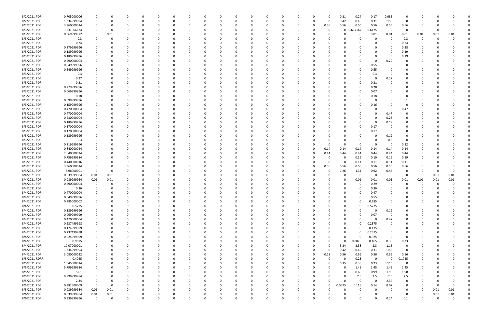| 8/2/2021 PDR                  | 0.705000006           |                            | 0           |          |               |   |                      |          |          |     |   |          |          | 0            | 0.21     | 0.24         | 0.17           | 0.085                |             |          |          |          |   |
|-------------------------------|-----------------------|----------------------------|-------------|----------|---------------|---|----------------------|----------|----------|-----|---|----------|----------|--------------|----------|--------------|----------------|----------------------|-------------|----------|----------|----------|---|
| 8/2/2021 PDR                  | 1.334999994           |                            | 0           |          | 0             |   |                      |          |          |     |   |          | 0        | -0           | 0.42     | 0.45         | 0.31           | 0.155                | $\Omega$    |          |          |          |   |
| 8/2/2021 PDR                  | 3.360000024           |                            | 0           |          |               |   |                      |          |          |     |   |          | 0        | 0.56         | 0.56     | 0.56         | 0.56           | 0.56                 | 0.56        |          |          |          |   |
| 8/3/2021 PDR                  | 1.231666674           |                            | 0           |          |               |   |                      |          |          |     |   |          | 0        | -0           |          | 0.614167     | 0.6175         | 0                    | $\Omega$    | - 0      |          |          |   |
| 8/3/2021 PDR                  | 0.069999972           | 0                          | 0.01        |          |               |   |                      |          |          |     |   |          |          |              |          | 0            | 0.01           | 0.01                 | 0.01        | 0.01     | 0.01     | 0.01     |   |
| 8/3/2021 PDR                  | 0.3                   |                            | 0           |          |               |   |                      |          |          |     |   |          |          |              |          |              | 0              | $\Omega$             | 0.3         | 0        | $\Omega$ |          |   |
| 8/3/2021 PDR                  | 0.24                  |                            |             |          |               |   |                      |          |          |     |   |          |          |              |          |              | 0              | $\Omega$             | 0.24        |          |          |          |   |
| 8/3/2021 PDR                  | 0.279999996           |                            |             |          |               |   |                      |          |          |     |   |          |          |              |          |              | 0              | 0                    | 0.28        |          |          |          |   |
| 8/3/2021 PDR                  | 0.189999996           |                            |             |          |               |   |                      |          |          |     |   |          |          |              |          |              |                | 0                    | 0.19        |          |          |          |   |
| 8/3/2021 PDR                  | 0.189999996           |                            |             |          |               |   |                      |          |          |     |   |          |          |              |          |              | 0              | $\Omega$             | 0.19        |          |          |          |   |
| 8/3/2021 PDR                  | 0.290000004           |                            |             |          |               |   |                      |          |          |     |   |          |          |              |          |              | 0              | 0.29                 |             |          |          |          |   |
| 8/3/2021 PDR                  | 0.549999996           |                            | 0           |          |               |   |                      |          |          |     |   |          |          |              |          | 0            | 0.55           | 0                    |             |          |          |          |   |
| 8/3/2021 PDR                  | 0.549999996           |                            |             |          |               |   |                      |          |          |     |   |          |          |              |          | 0            | 0.55           | - 0                  |             |          |          |          |   |
| 8/3/2021 PDR                  | 0.3                   |                            |             |          |               |   |                      |          |          |     |   |          |          |              |          | 0            | 0.3            |                      |             |          |          |          |   |
| 8/3/2021 PDR                  | 0.27                  |                            |             |          |               |   |                      |          |          |     |   |          |          |              |          |              | 0              | 0.27                 |             |          |          |          |   |
| 8/3/2021 PDR                  | 0.21                  |                            |             |          |               |   |                      |          |          |     |   |          |          |              |          |              | 0.21           |                      |             |          |          |          |   |
| 8/3/2021 PDR                  | 0.279999996           |                            | O           |          |               |   |                      |          |          |     |   |          |          |              |          | 0            | 0.28           | 0                    |             |          |          |          |   |
| 8/3/2021 PDR                  | 0.069999996           |                            | 0           |          |               |   |                      |          |          |     |   |          |          |              |          |              | 0.07           | 0                    |             |          |          |          |   |
| 8/3/2021 PDR                  | 0.18                  |                            | O           |          |               |   |                      |          |          |     |   |          |          |              |          |              | 0.18           |                      |             |          |          |          |   |
| 8/3/2021 PDR                  | 0.099999996           |                            |             |          |               |   |                      |          |          |     |   |          |          |              |          | $\Omega$     | 0              |                      | 0.1         |          |          |          |   |
| 8/3/2021 PDR                  | 0.159999996           |                            |             |          |               |   |                      |          |          |     |   |          |          |              |          |              | 0.16           | 0                    |             |          |          |          |   |
| 8/3/2021 PDR                  | 0.470000004           |                            |             |          |               |   |                      |          |          |     |   |          |          |              |          |              | 0              | - 0                  | 0.47        |          |          |          |   |
| 8/3/2021 PDR                  | 0.470000004           |                            |             |          |               |   |                      |          |          |     |   |          |          |              |          |              | 0              | 0.47                 |             |          |          |          |   |
| 8/3/2021 PDR                  | 0.230000004           |                            |             |          |               |   |                      |          |          |     |   |          |          |              |          |              | 0              | 0.23                 |             |          |          |          |   |
| 8/3/2021 PDR                  | 0.189999996           |                            | 0           |          |               |   |                      |          |          |     |   |          |          |              |          |              | 0              | 0.19                 |             |          |          |          |   |
| 8/3/2021 PDR                  | 0.170000004           |                            |             |          |               |   |                      |          |          |     |   |          |          |              |          | 0            | 0.17           | 0                    |             |          |          |          |   |
| 8/3/2021 PDR                  | 0.170000004           |                            |             |          |               |   |                      |          |          |     |   |          |          |              |          | 0            | 0.17           | 0                    |             |          |          |          |   |
| 8/3/2021 PDR                  | 0.189999996           |                            |             |          |               |   |                      |          |          |     |   |          |          |              |          |              | 0              | 0.19                 |             |          |          |          |   |
| 8/3/2021 PDR                  | 0.3                   |                            | O           |          |               |   |                      |          |          |     |   |          |          |              |          |              | 0              | 0.3                  | $\Omega$    |          |          |          |   |
| 8/3/2021 PDR                  | 0.219999996           |                            | O           |          |               |   |                      |          |          |     |   |          |          | n            |          | $\Omega$     | 0              | 0                    | 0.22        |          |          |          |   |
| 8/3/2021 PDR                  | 0.840000024           |                            | 0           |          |               |   |                      |          |          |     |   |          | 0        | 0.14         | 0.14     | 0.14         | 0.14           | 0.14                 | 0.14        |          |          |          |   |
| 8/3/2021 PDR                  | 2.640000024           |                            |             |          |               |   |                      |          |          |     |   |          |          | 0.44         | 0.44     | 0.44         | 0.44           | 0.44                 | 0.44        |          |          |          |   |
| 8/3/2021 PDR                  | 0.759999984           |                            |             |          |               |   |                      |          |          |     |   |          | 0        | O            |          | 0.19         | 0.19           | 0.19                 | 0.19        |          |          |          |   |
| 8/3/2021 PDR                  | 0.440000016           |                            |             |          |               |   |                      |          |          |     |   |          | 0        | -0           | -0       | 0.11         | 0.11           | 0.11                 | 0.11        |          |          |          |   |
| 8/3/2021 PDR                  | 3.360000024           | 0                          |             |          |               |   |                      |          |          |     |   |          | 0        | 0.56         | 0.56     | 0.56         | 0.56           | 0.56                 | 0.56        |          |          |          |   |
| 8/3/2021 PDR                  | 3.98000001            | $\mathbf 0$                | $\Omega$    |          |               |   |                      |          |          |     |   |          | 0        | 0            | 1.26     | 1.34         | 0.92           | 0.46                 | - 0         |          | $\Omega$ |          |   |
| 8/4/2021 PDR                  | 0.039999984           | 0.01                       | 0.01        |          |               |   |                      |          |          |     |   |          |          | 0            |          | 0            | 0              | 0                    | 0           | - 0      | 0.01     | 0.01     |   |
| 8/4/2021 PDR                  | 0.089999964           | 0.01                       | 0.01        |          |               |   |                      |          |          |     |   |          |          |              |          | 0.01         | 0.01           | 0.01                 | 0.01        | 0.01     | 0.01     | 0.01     |   |
| 8/4/2021 PDR                  | 0.290000004           | $\Omega$                   | n           |          |               |   |                      |          |          |     |   |          |          |              |          | O            | 0.29           | 0                    |             |          |          |          |   |
| 8/4/2021 PDR                  | 0.36                  | 0                          | 0           | n        |               |   |                      |          |          |     |   |          |          |              |          | 0            | 0.36           | $\Omega$             |             |          |          |          |   |
| 8/4/2021 PDR                  | 0.470000004           | $\mathbf 0$                |             | $\cap$   |               |   |                      |          |          |     |   |          |          |              |          |              | 0.47           |                      | $\Omega$    |          |          |          |   |
| 8/4/2021 PDR                  | 0.549999996           | $\mathbf 0$                | 0           | 0        | 0             | 0 | - 0                  | $\Omega$ | $\Omega$ | - 0 | 0 | 0        | 0        | 0            |          | 0            | 0.55           | $\mathbf 0$          |             | $\Omega$ | -C       |          |   |
| 8/4/2021 PDR                  | 0.385000002           | 0                          | 0           | 0        | 0             |   | $\Omega$             | 0        |          | 0   | 0 |          | 0        | 0            |          | $\Omega$     | 0.385          | 0                    |             |          |          |          |   |
| 8/4/2021 PDR                  | 0.5775                | 0                          | 0           |          | $\Omega$      |   | $\Omega$             | 0        |          |     |   |          | 0        | 0            |          | 0            | 0.5775         | 0                    |             |          |          |          |   |
| 8/4/2021 PDR                  | 0.189999996           | $\mathbf 0$                | 0           |          | 0             |   |                      |          |          |     |   |          | 0        |              |          | 0            | 0              | 0.19                 |             |          |          |          |   |
| 8/4/2021 PDR                  | 0.069999999           | $\mathbf 0$                | 0           |          | 0             |   | 0                    |          |          |     |   |          | 0        |              |          | 0            | 0.07           | 0                    |             |          |          |          |   |
| 8/4/2021 PDR                  | 0.470000004           | $\mathbf 0$                | 0           | 0        | 0             |   | $\Omega$             | 0        | 0        |     | 0 |          | 0        | 0            |          | 0            | 0              | 0.47                 | 0           |          | 0        |          |   |
| 8/4/2021 PDR                  | 0.237499998           | $\mathbf 0$                | 0           | 0        | 0             |   | $\Omega$             |          | 0        | -0  |   |          | 0        | 0            |          | 0            | 0.2375         | 0                    | $\Omega$    |          | 0        |          |   |
| 8/4/2021 PDR                  | 0.174999999           | $\mathbf 0$                | 0           | 0        | 0             |   | 0                    |          |          |     |   |          | 0        | <sup>0</sup> |          | $\Omega$     | 0.175          | 0                    | $\Omega$    |          |          |          |   |
| 8/4/2021 PDR                  | 0.237499998           | 0                          | $\Omega$    |          | 0             |   | $\Omega$             | 0        | 0        |     |   |          | 0        | 0            |          | $\Omega$     | 0.2375         | 0                    | 0           |          | -0       |          |   |
| 8/4/2021 PDR                  | 0.024999999           |                            | 0           |          | 0             |   | $\Omega$             |          |          |     |   |          | 0        | 0            |          | 0            | 0.025          | $\mathbf 0$          | 0           |          |          |          |   |
| 8/4/2021 PDR                  | 0.9075                | 0                          | 0           |          | 0             |   |                      |          |          |     |   |          | 0        | 0            |          | 0.0825       | 0.165          | 0.33                 | 0.33        |          |          |          |   |
| 8/4/2021 PDR                  | 10.07000001           | $\mathbf 0$                | 0           |          | 0             |   |                      |          |          |     |   |          | 0        | -0           | 3.24     | 3.38         | 2.3            | 1.15                 | 0           |          |          |          |   |
| 8/4/2021 PDR                  | 1.334999994           | $\mathbf 0$                | 0           | 0        | 0             |   | $\Omega$             |          | 0        | -0  |   |          | 0        | 0            | 0.42     | 0.45         | 0.31           | 0.155                | 0           |          | 0        |          |   |
| 8/4/2021 PDR                  | 3.080000022           | 0                          | 0           | 0        | 0             |   | 0                    |          | 0        | -0  |   |          | 0        | 0.28         | 0.56     | 0.56         | 0.56           | 0.56                 | 0.56        | 0        | -0       |          |   |
|                               |                       |                            |             |          | $\Omega$      |   |                      | $\Omega$ |          |     |   |          |          |              | $\Omega$ |              | $\overline{0}$ |                      |             | 0        |          |          |   |
| 8/5/2021 RDRR<br>8/5/2021 PDR | 0.4025<br>1.045000014 | $\mathbf 0$<br>$\mathbf 0$ | 0<br>0      | C        | 0             |   | $\Omega$<br>$\Omega$ |          | 0        | -0  | 0 |          | 0<br>0   | 0<br>0       | 0.35     | 0.23<br>0.35 | 0.23           | $\mathbf 0$<br>0.115 | 0.1725<br>0 |          | - 0      |          |   |
|                               |                       |                            |             |          |               |   |                      |          |          |     |   |          |          |              |          |              |                |                      |             |          |          |          |   |
| 8/5/2021 PDR                  | 5.799999984           | $\mathbf 0$                | 0           |          | 0             |   | 0                    |          |          |     |   |          | 0        | 0            |          | 1.45         | 1.45           | 1.45                 | 1.45        |          |          |          |   |
| 8/5/2021 PDR                  | 5.61                  | $\mathbf 0$                | 0           |          | 0             |   |                      |          |          |     |   |          | 0        | 0            |          | 0.66         | 0.99           | 1.98                 | 1.98        |          |          |          |   |
| 8/5/2021 PDR                  | 9.999999984           | $\mathbf 0$                | $\mathbf 0$ |          | $\Omega$      |   | $\Omega$             |          |          |     |   |          | 0        | 0            |          | 2.5          | 2.5            | 2.5                  | 2.5         |          |          |          |   |
| 8/5/2021 PDR                  | 2.34                  | $\mathbf 0$                | 0           | 0        | 0             |   | 0                    |          |          |     |   |          | 0        | 0            |          | $\mathbf 0$  | 0              | 2.34                 | $\mathbf 0$ |          |          |          |   |
| 8/5/2021 PDR<br>8/5/2021 PDR  | 0.382500009           | $\mathbf 0$                | 0           | 0        | 0<br>$\Omega$ |   | 0                    |          | 0        |     |   |          | 0        | 0            | 0.0575   | 0.115        | 0.14           | 0.07                 | 0           | 0        | 0        | $\Omega$ |   |
|                               | 0.039999984           | 0.01                       | 0.01        | 0        |               |   | $\Omega$             |          | 0        |     |   |          | 0        | 0            |          | 0            | 0              | $\Omega$             | 0           | 0        | 0.01     | 0.01     |   |
| 8/6/2021 PDR                  | 0.039999984           | 0.01                       | 0.01        | 0        | 0             |   | 0                    |          |          |     |   |          | 0        | C            |          | 0            | 0              | 0                    | $\Omega$    | 0        | 0.01     | 0.01     | 0 |
| 8/6/2021 PDR                  | 0.339999996           | $\Omega$                   | $\Omega$    | $\Omega$ |               |   |                      |          |          |     | U | $\Omega$ | $\Omega$ | $\Omega$     |          | $\Omega$     | $\Omega$       | 0.24                 | 0.1         | $\Omega$ | $\Omega$ | $\Omega$ |   |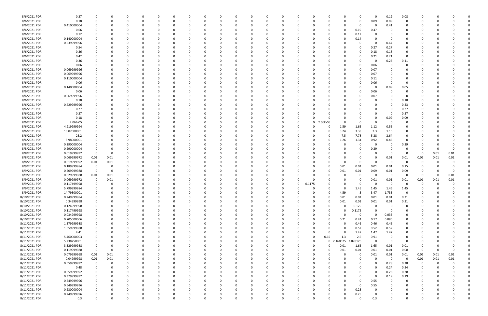| 8/6/2021 PDR  | 0.27        | 0                       | 0        | 0 | 0              | -0       | $\Omega$ |             | 0        |   | 0            |          | <sup>0</sup> |             | 0              |          |                  | 0            | 0.19        | 0.08        |                         |          |          |  |
|---------------|-------------|-------------------------|----------|---|----------------|----------|----------|-------------|----------|---|--------------|----------|--------------|-------------|----------------|----------|------------------|--------------|-------------|-------------|-------------------------|----------|----------|--|
| 8/6/2021 PDR  | 0.18        | $\mathbf 0$             | 0        |   | $\Omega$       | റ        | $\Omega$ | $\Omega$    | -0       |   | $\Omega$     |          | $\Omega$     | $\Omega$    | - 0            | $\Omega$ | 0                | 0.09         | 0.09        | $\Omega$    |                         |          |          |  |
|               |             |                         |          |   |                |          |          |             |          |   |              |          |              |             |                |          |                  |              |             |             |                         |          |          |  |
| 8/6/2021 PDR  | 0.410000004 |                         | 0        |   | 0              |          |          |             |          |   | 0            |          |              |             | -0             |          | 0                | -0           | 0.41        | 0           |                         |          |          |  |
| 8/6/2021 PDR  |             |                         |          |   |                |          |          |             |          |   |              |          |              |             |                |          |                  |              |             |             |                         |          |          |  |
|               | 0.66        |                         |          |   |                |          |          |             |          |   |              |          |              |             |                |          | 0.19             | 0.47         |             |             |                         |          |          |  |
| 8/6/2021 PDR  | 0.12        |                         |          |   | O              |          |          |             |          |   |              |          |              |             |                |          | 0.12             |              |             |             |                         |          |          |  |
| 8/6/2021 PDR  | 0.140000004 |                         | 0        |   | 0              |          |          |             |          |   | 0            |          |              |             | 0              |          | 0.14             | 0            | 0           | 0           |                         |          |          |  |
|               |             |                         |          |   |                |          |          |             |          |   |              |          |              |             |                |          |                  |              |             |             |                         |          |          |  |
| 8/6/2021 PDR  | 0.639999996 |                         | 0        |   | 0              |          |          |             |          |   | 0            |          |              |             | - 0            |          |                  | 0            | 0.64        | 0           |                         |          |          |  |
| 8/6/2021 PDR  | 0.54        |                         |          |   | C.             |          |          |             |          |   | C            |          |              |             |                |          |                  | 0.27         | 0.27        | $\Omega$    |                         |          |          |  |
|               |             |                         |          |   |                |          |          |             |          |   |              |          |              |             |                |          |                  |              |             |             |                         |          |          |  |
| 8/6/2021 PDR  | 0.36        |                         |          |   |                |          |          |             |          |   |              |          |              |             |                |          |                  | 0.18         | 0.18        | 0           |                         |          |          |  |
| 8/6/2021 PDR  | 0.42        |                         |          |   | O              |          |          |             |          |   | C            |          |              |             |                |          |                  | 0.21         | 0.21        | 0           |                         |          |          |  |
|               |             |                         |          |   |                |          |          |             |          |   |              |          |              |             |                |          |                  |              |             |             |                         |          |          |  |
| 8/6/2021 PDR  | 0.36        |                         |          |   |                |          |          |             |          |   |              |          |              |             |                |          |                  | 0            | 0.25        | 0.11        |                         |          |          |  |
| 8/6/2021 PDR  | 0.06        |                         |          |   |                |          |          |             |          |   |              |          |              |             |                |          |                  | 0.06         | $\Omega$    | $\Omega$    |                         |          |          |  |
|               |             |                         |          |   |                |          |          |             |          |   |              |          |              |             |                |          |                  |              |             |             |                         |          |          |  |
| 8/6/2021 PDR  | 0.069999996 |                         |          |   | 0              |          |          |             |          |   | 0            |          |              |             |                |          |                  | 0.07         |             |             |                         |          |          |  |
| 8/6/2021 PDR  | 0.069999996 |                         | -0       |   | 0              |          |          |             |          |   | 0            |          |              |             |                |          |                  | 0.07         |             |             |                         |          |          |  |
|               |             |                         |          |   |                |          |          |             |          |   |              |          |              |             |                |          |                  |              |             |             |                         |          |          |  |
| 8/6/2021 PDR  | 0.110000004 |                         |          |   | 0              |          |          |             |          |   | 0            |          |              |             |                |          |                  | 0.11         |             |             |                         |          |          |  |
| 8/6/2021 PDR  | 0.06        |                         |          |   |                |          |          |             |          |   |              |          |              |             |                |          |                  | 0.06         | - 0         | -0          |                         |          |          |  |
|               |             |                         |          |   |                |          |          |             |          |   |              |          |              |             |                |          |                  |              |             |             |                         |          |          |  |
| 8/6/2021 PDR  | 0.140000004 |                         |          |   |                |          |          |             |          |   |              |          |              |             |                |          |                  | 0            | 0.09        | 0.05        |                         |          |          |  |
| 8/6/2021 PDR  | 0.06        |                         |          |   |                |          |          |             |          |   |              |          |              |             |                |          |                  | 0.06         |             |             |                         |          |          |  |
|               |             |                         |          |   |                |          |          |             |          |   |              |          |              |             |                |          |                  |              |             |             |                         |          |          |  |
| 8/6/2021 PDR  | 0.069999996 |                         |          |   | 0              |          |          |             |          |   | 0            |          |              |             |                |          |                  | 0.07         |             | - 0         |                         |          |          |  |
| 8/6/2021 PDR  | 0.18        |                         | - ( )    |   | 0              |          |          |             |          |   | 0            |          |              |             |                |          |                  | 0            |             | 0.18        |                         |          |          |  |
|               |             |                         |          |   |                |          |          |             |          |   |              |          |              |             |                |          |                  |              |             |             |                         |          |          |  |
| 8/6/2021 PDR  | 0.429999996 |                         |          |   |                |          |          |             |          |   |              |          |              |             |                |          |                  | <sup>0</sup> |             | 0.43        |                         |          |          |  |
| 8/6/2021 PDR  | 0.27        |                         |          |   | O              |          |          |             |          |   | C            |          |              |             |                |          |                  | 0            |             | 0.27        |                         |          |          |  |
|               |             |                         |          |   |                |          |          |             |          |   |              |          |              |             |                |          |                  |              |             |             |                         |          |          |  |
| 8/6/2021 PDR  | 0.27        |                         |          |   |                |          |          |             |          |   | C            |          |              |             |                |          |                  | 0            | -0          | 0.27        |                         |          |          |  |
| 8/6/2021 PDR  | 0.18        |                         |          |   |                |          |          |             |          |   |              |          |              |             |                |          |                  | 0            | 0.09        | 0.09        |                         |          |          |  |
| 8/6/2021 PDR  |             |                         |          |   |                |          |          |             |          |   |              |          | - 0          |             |                | $\Omega$ |                  | $\Omega$     | - 0         | - 0         |                         |          |          |  |
|               | 2.06E-05    |                         |          |   | O              |          |          |             |          |   | 0            |          |              | 0           | 2.06E-05       |          | 0                |              |             |             |                         |          |          |  |
| 8/6/2021 PDR  | 4.919999994 |                         |          |   | 0              |          |          |             |          |   | 0            |          |              |             | 0              | 1.59     | 1.65             | 1.12         | 0.56        | -0          |                         |          |          |  |
| 8/6/2021 PDR  | 10.07000001 |                         | -0       |   | <sup>0</sup>   |          |          |             |          |   | 0            |          | - 0          |             | 0              | 3.24     | 3.38             | 2.3          | 1.15        | 0           |                         |          |          |  |
|               |             |                         |          |   |                |          |          |             |          |   |              |          |              |             |                |          |                  |              |             |             |                         |          |          |  |
| 8/6/2021 PDR  | 23.2        |                         |          |   | O              |          |          |             |          |   | C            |          |              |             | 0              | 7.5      | 7.78             | 5.28         | 2.64        | 0           |                         |          |          |  |
| 8/6/2021 PDR  | 3.98000001  |                         |          |   |                |          |          |             |          |   |              |          |              |             | 0              | 1.26     | 1.34             | 0.92         | 0.46        | $\Omega$    |                         |          |          |  |
|               |             |                         |          |   |                |          |          |             |          |   |              |          |              |             |                |          |                  |              |             |             |                         |          |          |  |
| 8/8/2021 PDR  | 0.290000004 |                         |          |   |                |          |          |             |          |   |              |          |              |             |                |          | 0                | 0            |             | 0.29        |                         |          |          |  |
| 8/8/2021 PDR  | 0.290000004 | 0                       | 0        |   | 0              |          |          |             |          |   | 0            |          |              |             | -0             |          | 0                | 0.29         | 0           | 0           | 0                       | 0        | $\Omega$ |  |
|               |             |                         |          |   |                |          |          |             |          |   |              |          |              |             |                |          |                  |              |             |             |                         |          |          |  |
| 8/8/2021 PDR  | 0.019999992 | $\overline{0}$          | 0        |   | 0              |          |          |             |          |   | 0            |          |              |             |                |          |                  | 0            | - 0         | 0           | - 0                     | 0.01     | 0.01     |  |
| 8/8/2021 PDR  | 0.069999972 | 0.01                    | 0.01     |   | C.             |          |          |             |          |   | C            |          |              |             |                |          |                  | 0            | 0.01        | 0.01        | 0.01                    | 0.01     | 0.01     |  |
|               |             |                         |          |   |                |          |          |             |          |   |              |          |              |             |                |          |                  |              |             |             |                         |          |          |  |
| 8/8/2021 PDR  | 0.019999992 | 0.01                    | 0.01     |   |                |          |          |             |          |   | C            |          |              |             |                | $\Omega$ | $\Omega$         | $\Omega$     | - 0         | - 0         |                         | -0       |          |  |
| 8/9/2021 PDR  | 0.189999984 | $\overline{\mathbf{0}}$ | 0        |   | O              |          |          |             |          |   | C            |          |              |             | 0              | 0.01     | 0.01             | 0.01         | 0.01        | 0.15        |                         |          |          |  |
|               |             |                         |          |   |                |          |          |             |          |   |              |          |              |             |                |          |                  |              |             |             |                         |          |          |  |
| 8/9/2021 PDR  | 0.209999988 | $\overline{\mathbf{0}}$ | 0        |   |                |          |          |             |          |   |              |          |              |             | 0              | 0.01     | 0.01             | 0.09         | 0.01        | 0.09        |                         | - 0      |          |  |
| 8/9/2021 PDR  | 0.029999988 | 0.01                    | 0.01     |   |                |          |          |             |          |   |              |          |              |             |                |          |                  | -0           | - 0         | 0           | $\Omega$                | $\Omega$ | 0.01     |  |
|               |             |                         |          |   |                |          |          |             |          |   |              |          |              |             |                |          |                  |              |             |             |                         |          |          |  |
| 8/9/2021 PDR  | 0.069999972 | 0                       | 0.01     |   |                |          |          |             |          |   | C            |          |              |             |                |          |                  | 0.01         | 0.01        | 0.01        | 0.01                    | 0.01     | 0.01     |  |
| 8/9/2021 PDR  | 0.117499998 | 0                       |          |   | O              |          |          |             |          |   | C            |          |              | 0.1175      |                |          |                  | C            | - 0         | $\Omega$    | -0                      | -0       |          |  |
|               |             |                         |          |   |                |          |          |             |          |   |              |          |              |             |                |          |                  |              |             |             |                         |          |          |  |
| 8/9/2021 PDR  | 5.799999984 | 0                       |          |   |                |          |          |             |          |   | <sup>0</sup> |          |              |             |                |          | 1.45             | 1.45         | 1.45        | 1.45        |                         |          |          |  |
|               |             | 0                       |          |   | <sup>0</sup>   |          |          |             |          |   | 0            |          |              |             |                |          |                  |              |             | -0          | -0                      |          |          |  |
| 8/9/2021 PDR  | 14.79500001 |                         |          |   |                |          |          |             |          |   |              |          |              |             |                | 4.59     | - 5              | 3.47         | 1.735       |             |                         |          |          |  |
| 8/10/2021 PDR | 0.249999984 | $\mathbf 0$             | 0        | 0 | 0              |          |          | $\Omega$    | 0        |   | 0            |          |              | 0           | 0              | $0.01\,$ | $0.01\,$         | 0.01         | 0.01        | 0.21        | $\Omega$                |          |          |  |
| 8/10/2021 PDR | 0.34999998  | $\mathbf 0$             |          |   | $\Omega$       |          |          |             |          |   | $\Omega$     |          |              |             | $\Omega$       | 0.01     | $0.01\,$         | 0.01         | 0.01        | 0.31        | 0                       |          |          |  |
|               |             |                         |          |   |                |          |          |             |          |   |              |          |              |             |                |          |                  |              |             |             |                         |          |          |  |
| 8/10/2021 PDR | 0.124999998 | 0                       |          | 0 | 0              |          |          |             | -0       |   | 0            |          |              | 0           | $\Omega$       | $\Omega$ | 0.125            | 0            | $\Omega$    | $\Omega$    | 0                       |          |          |  |
| 8/10/2021 PDR | 0.117499998 | 0                       |          |   | 0              |          |          |             |          |   | 0            |          |              | 0           | $\Omega$       | U        | 0.1175           | $\Omega$     | $\Omega$    | $\Omega$    | 0                       |          |          |  |
|               |             |                         |          |   |                |          |          |             |          |   |              |          |              |             |                |          |                  |              |             |             |                         |          |          |  |
| 8/10/2021 PDR | 0.034999998 | $\overline{0}$          |          |   | $\Omega$       |          |          |             |          |   | 0            |          |              |             | 0              | $\Omega$ | $\mathbf 0$      | $\Omega$     | 0.035       | $\Omega$    |                         |          |          |  |
| 8/10/2021 PDR | 0.705000006 | $\overline{0}$          |          |   | 0              |          |          |             |          |   | 0            |          |              |             | 0              | 0.21     | 0.24             | 0.17         | 0.085       | 0           |                         |          |          |  |
|               |             |                         |          |   |                |          |          |             |          |   |              |          |              |             |                |          |                  |              |             |             |                         |          |          |  |
| 8/11/2021 PDR | 1.379999988 | $\mathbf 0$             |          |   | 0              |          |          |             |          |   | 0            |          |              |             | -0             | $\Omega$ | 0.46             | 0.46         | 0.46        | 0           |                         |          |          |  |
| 8/11/2021 PDR | 1.559999988 | $\overline{0}$          |          | 0 | $\Omega$       |          | $\Omega$ |             |          |   | $\Omega$     |          | $\Omega$     | 0           | 0              | $\Omega$ | 0.52             | 0.52         | 0.52        | $\mathbf 0$ | 0                       |          |          |  |
|               |             |                         |          |   |                |          |          |             |          |   |              |          |              |             |                |          |                  |              |             |             |                         |          |          |  |
| 8/11/2021 PDR | 4.41        | 0                       | 0        |   | 0              |          |          | 0           | 0        | 0 | 0            |          | $\Omega$     | 0           | $\Omega$       | $\Omega$ | 1.47             | 1.47         | 1.47        | 0           | 0                       |          |          |  |
| 8/11/2021 PDR | 5.460000003 | $\mathbf 0$             |          |   | 0              |          |          |             |          |   | 0            |          | $\Omega$     | 0           | 0.65           | 1.3      | 2.6              | 0.91         | 0           | $\mathbf 0$ |                         |          |          |  |
|               |             |                         |          |   |                |          |          |             |          |   |              |          |              |             |                |          |                  | $\Omega$     |             |             |                         |          |          |  |
| 8/11/2021 PDR | 5.238750001 | 0                       |          |   | 0              |          | $\Omega$ |             |          |   | 0            |          | $\Omega$     | $\Omega$    | 0 <sub>2</sub> |          | .160625 3.078125 |              | $\mathbf 0$ | 0           | 0                       |          |          |  |
| 8/11/2021 PDR | 3.329999988 | 0                       | 0        |   | 0              |          |          |             |          |   | 0            |          |              | 0           | 0              | 0.01     | 1.65             | 1.65         | 0.01        | 0.01        |                         |          |          |  |
|               |             | $\,$ 0                  |          |   | $\Omega$       |          |          |             |          |   | $\Omega$     |          |              |             |                |          |                  | 0.01         | 0.01        | 0.08        | $\overline{\mathbf{0}}$ |          | $\Omega$ |  |
| 8/11/2021 PDR | 0.119999988 |                         | 0        |   |                |          |          |             |          |   |              |          |              |             | 0              | 0.01     | $0.01\,$         |              |             |             |                         | 0        |          |  |
| 8/11/2021 PDR | 0.079999968 | 0.01                    | 0.01     |   | 0              |          |          |             |          |   | 0            |          |              | 0           | - 0            |          | 0                | 0.01         | 0.01        | $0.01\,$    | $0.01\,$                | 0.01     | $0.01\,$ |  |
|               |             |                         |          |   |                |          |          |             |          |   |              |          |              |             |                |          |                  |              | $\mathbf 0$ | $\mathbf 0$ |                         |          |          |  |
| 8/11/2021 PDR | 0.04999998  | 0.01                    | 0.01     |   | 0              |          |          |             |          |   | 0            |          |              | 0           | 0              |          | 0                | 0            |             |             | 0.01                    | 0.01     | $0.01\,$ |  |
| 8/11/2021 PDR | 0.559999992 | $\overline{\mathbf{0}}$ | 0        | 0 | 0              |          | $\Omega$ |             | 0        |   | 0            |          | 0            |             | 0              |          |                  | 0            | 0.28        | 0.28        | $\mathbf 0$             | 0        |          |  |
|               |             |                         |          |   |                |          | $\Omega$ |             |          |   |              |          | $\Omega$     |             |                |          |                  | $\Omega$     | 0.24        |             |                         |          |          |  |
| 8/11/2021 PDR | 0.48        | 0                       | 0        | 0 | $\Omega$       |          |          |             | $\Omega$ |   | 0            |          |              | 0           | - 0            |          |                  |              |             | 0.24        | 0                       | -C       |          |  |
| 8/11/2021 PDR | 0.559999992 | $\mathbf 0$             |          |   | $\Omega$       |          |          |             |          |   | $\Omega$     |          |              |             |                |          |                  | $\Omega$     | 0.28        | 0.28        |                         |          |          |  |
|               |             | $\mathbf 0$             |          |   |                |          |          |             |          |   |              |          |              |             |                |          |                  |              |             |             |                         |          |          |  |
| 8/11/2021 PDR | 0.379999992 |                         |          |   | 0              |          |          |             |          |   | 0            |          |              |             |                |          | 0                | 0            | 0.19        | 0.19        | 0                       |          |          |  |
| 8/11/2021 PDR | 0.549999996 | $\overline{0}$          |          | 0 | 0              |          |          |             |          |   | 0            |          |              | 0           |                |          | 0                | 0.55         | $\Omega$    | 0           | 0                       |          |          |  |
| 8/11/2021 PDR | 0.549999996 | $\overline{0}$          | $\Omega$ |   | $\Omega$       |          |          |             |          |   | $\Omega$     |          |              |             |                | 0        | 0                |              | $\Omega$    | $\Omega$    |                         |          |          |  |
|               |             |                         |          |   |                |          |          |             |          |   |              |          |              |             |                |          |                  | 0.55         |             |             | 0                       |          |          |  |
| 8/11/2021 PDR | 0.230000004 | $\mathbf 0$             |          |   | 0              |          | $\Omega$ |             |          |   | 0            |          | $\Omega$     |             | 0              | 0        | 0.23             | 0            |             | $\Omega$    |                         |          |          |  |
| 8/11/2021 PDR |             |                         |          |   |                |          |          |             |          |   |              |          |              |             |                |          |                  | 0            |             |             |                         |          |          |  |
|               | 0.249999996 | 0                       |          |   | 0              |          |          |             |          |   | 0            |          | 0            |             | 0              |          | 0.25             |              |             | 0           |                         |          |          |  |
| 8/11/2021 PDR | 0.3         | $\mathbf 0$             | 0        | 0 | $\overline{0}$ | $\Omega$ | $\Omega$ | $\mathbf 0$ | $\Omega$ | 0 | $\mathbf 0$  | $\Omega$ | $\Omega$     | $\mathbf 0$ | $\Omega$       | 0        | $\mathbf 0$      | 0.3          | $\Omega$    | $\mathbf 0$ | $\Omega$                | $\Omega$ | 0        |  |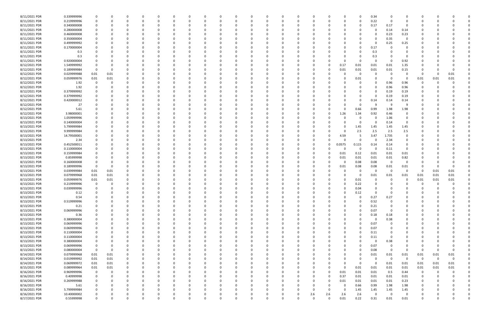| 8/11/2021 PDR | 0.339999996 | 0           |          | 0            |          | $\Omega$ |          | 0            | 0 |          | 0        |          | 0            | 0        | 0        |          |              | 0              | 0.34     | - 0            | 0           | 0            |             |          |          |
|---------------|-------------|-------------|----------|--------------|----------|----------|----------|--------------|---|----------|----------|----------|--------------|----------|----------|----------|--------------|----------------|----------|----------------|-------------|--------------|-------------|----------|----------|
| 8/11/2021 PDR | 0.219999996 | 0           |          | $\Omega$     |          | $\Omega$ |          | n            |   |          | $\Omega$ |          | n            | 0        | $\Omega$ |          | o            | 0              | 0.22     | 0              | $\Omega$    | 0            |             |          |          |
| 8/11/2021 PDR | 0.340000008 |             |          |              |          |          |          |              |   |          |          |          |              |          |          |          |              | $\Omega$       | 0.17     | 0.17           | 0           |              |             |          |          |
| 8/11/2021 PDR | 0.280000008 |             |          |              |          |          |          |              |   |          |          |          |              |          |          |          |              |                | -0       | 0.14           | 0.14        |              |             |          |          |
| 8/11/2021 PDR | 0.460000008 |             |          |              |          |          |          |              |   |          |          |          |              |          |          |          |              |                | $\Omega$ | 0.23           | 0.23        |              |             |          |          |
| 8/11/2021 PDR | 0.350000004 |             |          | $\Omega$     |          |          |          |              |   |          |          |          |              |          |          |          |              |                | $\Omega$ | 0.35           | $\mathbf 0$ |              |             |          |          |
| 8/11/2021 PDR | 0.499999992 |             |          | n            |          |          |          |              |   |          |          |          |              |          |          |          |              | 0              | $\Omega$ | 0.25           | 0.25        |              |             |          |          |
| 8/11/2021 PDR | 0.170000004 |             |          |              |          |          |          |              |   |          |          |          |              |          |          |          |              | 0              | 0.17     |                | $\Omega$    |              |             |          |          |
| 8/11/2021 PDR | 0.3         |             |          |              |          |          |          |              |   |          |          |          |              |          |          |          |              | n              | 0.3      |                |             |              |             |          |          |
| 8/11/2021 PDR | 0.3         |             |          |              |          |          |          |              |   |          |          |          |              |          |          |          |              | 0              | 0.3      |                | 0           |              |             |          |          |
| 8/11/2021 PDR | 0.920000004 |             |          |              |          |          |          |              |   |          |          |          |              |          |          |          |              | 0              | $\Omega$ | - 0            | 0.92        |              |             |          |          |
| 8/12/2021 PDR | 1.549999992 |             |          |              |          |          |          |              |   |          |          |          |              |          |          |          | 0.17         | 0.01           | 0.01     | 0.01           | 1.35        |              |             |          |          |
| 8/12/2021 PDR | 0.189999984 | $\Omega$    |          |              |          |          |          |              |   |          |          |          |              |          | - 0      |          | 0.01         | 0.01           | 0.01     | 0.01           | 0.15        |              |             |          |          |
| 8/12/2021 PDR | 0.029999988 | 0.01        | 0.01     |              |          |          |          |              |   |          |          |          |              |          |          |          |              | 0              | -0       | - 0            |             | - 0          |             | 0.01     |          |
| 8/12/2021 PDR | 0.059999976 | 0.01        | 0.01     |              |          |          |          |              |   |          |          |          |              |          |          |          |              | 0.01           | - 0      | - 0            | - 0         | 0.01         | 0.01        | 0.01     |          |
| 8/12/2021 PDR | 1.92        |             |          |              |          |          |          |              |   |          |          |          |              |          |          |          |              | n              | $\Omega$ | 0.96           | 0.96        | -0           |             |          |          |
| 8/12/2021 PDR | 1.92        |             |          |              |          |          |          |              |   |          |          |          |              |          |          |          |              |                | $\Omega$ | 0.96           | 0.96        | 0            |             |          |          |
| 8/12/2021 PDR | 0.379999992 |             |          |              |          |          |          |              |   |          |          |          |              |          |          |          |              | 0              | 0        | 0.19           | 0.19        |              |             |          |          |
| 8/12/2021 PDR | 0.379999992 |             |          |              |          |          |          |              |   |          |          |          |              |          |          |          |              |                | $\Omega$ | 0.19           | 0.19        |              |             |          |          |
| 8/12/2021 PDR | 0.420000012 |             |          | n            |          |          |          |              |   |          |          |          |              |          |          |          |              | 0              | 0.14     | 0.14           | 0.14        |              |             |          |          |
| 8/12/2021 PDR | 27          |             |          |              |          |          |          |              |   |          |          |          |              |          |          |          |              | 0              | - S      | -9             | 9           |              |             |          |          |
| 8/12/2021 PDR | 5.61        |             |          |              |          |          |          |              |   |          |          |          |              |          |          |          | $\Omega$     | 0.66           | 0.99     | 1.98           | 1.98        |              |             |          |          |
| 8/12/2021 PDR | 3.98000001  |             |          |              |          |          |          |              |   |          |          |          |              |          |          |          | 1.26         | 1.34           | 0.92     | 0.46           | 0           |              |             |          |          |
| 8/13/2021 PDR | 1.059999996 |             |          |              |          |          |          |              |   |          |          |          |              |          |          |          |              | 0              | 0        | 1.06           | 0           |              |             |          |          |
| 8/13/2021 PDR | 0.140000004 |             |          |              |          |          |          |              |   |          |          |          |              |          |          |          |              | 0              | $\Omega$ | 0.14           | $\Omega$    |              |             |          |          |
| 8/13/2021 PDR | 5.799999984 |             |          |              |          |          |          |              |   |          |          |          |              |          |          |          |              | 1.45           | 1.45     | 1.45           | 1.45        |              |             |          |          |
| 8/13/2021 PDR | 9.999999984 |             |          |              |          |          |          |              |   |          |          |          |              |          |          |          | <sup>0</sup> | 2.5            | 2.5      | 2.5            | 2.5         |              |             |          |          |
| 8/13/2021 PDR | 14.79500001 |             |          |              |          |          |          |              |   |          |          |          |              |          |          |          | 4.59         | -5             | 3.47     | 1.735          | 0           |              |             |          |          |
| 8/13/2021 PDR | 2.34        |             |          |              |          |          |          |              |   |          |          |          |              |          |          |          |              | 0              | -C       | 2.34           |             |              |             |          |          |
| 8/13/2021 PDR | 0.452500011 |             |          |              |          |          |          |              |   |          |          |          |              |          | -0       | 0        | 0.0575       | 0.115          | 0.14     | 0.14           | 0           |              |             |          |          |
| 8/13/2021 PDR | 0.110000004 |             |          |              |          |          |          |              |   |          |          |          |              |          |          |          | 0            | 0              | $\Omega$ | 0.11           | 0           |              |             |          |          |
| 8/13/2021 PDR | 0.159999984 |             |          |              |          |          |          |              |   |          |          |          |              |          | -0       |          | 0.01         | 0.12           | 0.01     | 0.01           | 0.01        |              |             |          |          |
| 8/13/2021 PDR | 0.85999998  |             |          | n            |          |          |          |              |   |          | - 0      |          |              |          | 0        |          | 0.01         | 0.01           | 0.01     | 0.01           | 0.82        |              |             |          |          |
| 8/13/2021 PDR | 0.160000008 |             |          |              |          |          |          |              |   |          |          |          |              |          |          |          | 0            | 0.08           | 0.08     | 0              | 0           |              |             |          |          |
| 8/13/2021 PDR | 0.189999996 | $\Omega$    |          |              |          |          |          |              |   |          |          |          |              |          |          |          | 0.01         | 0.08           | 0.08     | 0.01           | 0.01        |              |             |          |          |
| 8/13/2021 PDR | 0.039999984 | 0.01        | 0.01     | n            |          |          |          |              |   |          |          |          |              |          |          |          |              | 0              | $\Omega$ | - 0            | 0           | -0           | 0.01        | 0.01     |          |
| 8/13/2021 PDR | 0.079999968 | 0.01        | 0.01     |              |          |          |          |              |   |          |          |          |              |          |          |          |              | 0              | 0.01     | 0.01           | 0.01        | 0.01         | 0.01        | 0.01     |          |
| 8/13/2021 PDR | 0.059999976 | 0.01        | 0.01     |              |          |          |          |              |   |          |          |          |              |          |          |          | $\Omega$     | 0.01           | 0        |                | 0           | 0.01         | 0.01        | 0.01     |          |
| 8/13/2021 PDR | 0.219999996 | $\Omega$    |          |              |          |          |          |              |   |          |          |          |              |          |          |          |              | 0.22           |          |                |             | O            |             |          |          |
| 8/13/2021 PDR | 0.039999996 |             |          |              |          |          |          |              |   |          |          |          |              |          |          |          |              | 0.04           |          |                |             |              |             |          |          |
| 8/13/2021 PDR | 0.12        |             |          |              |          |          |          |              |   |          |          |          | $\Omega$     |          |          |          |              | 0.12           | $\Omega$ | - 0            |             | $\mathbf{r}$ |             |          |          |
| 8/13/2021 PDR | 0.54        | 0           |          | 0            |          | 0        |          | 0            |   |          | $\Omega$ |          | $\Omega$     | 0        | $\Omega$ |          | 0            | 0              | 0.27     | 0.27           |             | 0            |             |          |          |
| 8/13/2021 PDR | 0.519999996 |             |          |              |          |          |          |              |   |          |          |          | <sup>0</sup> |          | - 0      |          |              | 0              | 0.52     | $\overline{0}$ |             |              |             |          |          |
| 8/13/2021 PDR | 0.21        | 0           |          | 0            |          | $\Omega$ |          |              |   |          | 0        |          |              |          | 0        |          | 0            | 0              | 0.21     | 0              | $\Omega$    | 0            |             |          |          |
| 8/13/2021 PDR | 0.069999996 |             |          | 0            |          | $\Omega$ |          |              |   |          | 0        |          |              |          | 0        |          |              | $\Omega$       | 0.07     | 0              |             | 0            |             |          |          |
| 8/13/2021 PDR | 0.36        |             |          |              |          |          |          |              |   |          | - 0      |          |              | 0        | - 0      |          | 0            | 0              | 0.18     | 0.18           | 0           |              |             |          |          |
| 8/13/2021 PDR | 0.380000004 |             |          | 0            |          |          |          |              |   |          | 0        |          |              |          | 0        |          | 0            | 0              | $\Omega$ | 0.38           | 0           | O            |             |          |          |
| 8/13/2021 PDR | 0.069999996 |             |          |              |          |          |          |              |   |          | 0        |          |              |          | -0       |          |              | 0              | 0.07     | - 0            | 0           |              |             |          |          |
| 8/13/2021 PDR | 0.069999996 | $\Omega$    |          | 0            |          | 0        |          | 0            |   |          | 0        |          | 0            | 0        | 0        |          | 0            | $\overline{0}$ | 0.07     | 0              | 0           | 0            |             |          |          |
| 8/13/2021 PDR | 0.110000004 | 0           |          | 0            |          | $\Omega$ |          |              |   |          |          |          |              | 0        | -0       |          |              | 0              | 0.11     | 0              | 0           | 0            |             |          |          |
| 8/13/2021 PDR | 0.110000004 | 0           |          | 0            |          | $\Omega$ |          |              |   |          | 0        |          |              |          | 0        |          |              | 0              | 0.11     | - 0            |             | 0            |             |          |          |
| 8/13/2021 PDR | 0.380000004 | 0           |          | 0            |          | 0        |          |              |   |          | 0        |          |              | 0        | 0        |          | 0            | 0              | 0        | 0.38           | 0           |              |             |          |          |
| 8/13/2021 PDR | 0.069999996 |             |          |              |          |          |          |              |   |          |          |          |              |          | -0       |          |              | 0              | 0.07     | 0              | 0           | 0            |             |          |          |
| 8/13/2021 PDR | 0.080000004 | $\Omega$    |          |              |          |          |          |              |   |          | 0        |          |              |          | 0        |          | 0            | 0              | 0.08     | 0              | 0           | $\Omega$     |             | $\Omega$ |          |
| 8/14/2021 PDR | 0.079999968 | $0.01\,$    | 0.01     | 0            |          |          |          |              |   |          |          |          |              |          | 0        |          | 0            | 0              | 0.01     | 0.01           | 0.01        | 0.01         | 0.01        | 0.01     |          |
| 8/14/2021 PDR | 0.019999992 | $0.01\,$    | $0.01\,$ |              |          |          |          |              |   |          |          |          |              |          |          |          |              | $\Omega$       | $\Omega$ | $\Omega$       | $\Omega$    | 0            | $\mathbf 0$ | $\Omega$ |          |
| 8/14/2021 PDR | 0.069999972 | $0.01\,$    | 0.01     | 0            |          |          |          |              |   |          | 0        |          |              |          | 0        |          | 0            | 0              | $\Omega$ | 0.01           | 0.01        | 0.01         | 0.01        | $0.01\,$ |          |
| 8/15/2021 PDR | 0.089999964 | 0.01        | 0.01     | 0            |          | 0        |          | 0            |   |          | 0        |          |              | 0        | 0        |          | $\Omega$     | 0.01           | 0.01     | 0.01           | 0.01        | 0.01         | 0.01        | 0.01     |          |
| 8/16/2021 PDR | 0.969999996 | 0           |          |              |          | 0        |          |              |   |          |          |          |              | 0        | 0        | $\Omega$ | 0.01         | 0.01           | 0.01     | 0.5            | 0.44        | 0            | -0          |          |          |
| 8/16/2021 PDR | 0.40999998  | $\mathbf 0$ |          |              |          |          |          |              |   |          |          |          |              |          | 0        | $\Omega$ | 0.37         | 0.01           | 0.01     | 0.01           | 0.01        | -0           |             |          |          |
| 8/16/2021 PDR | 0.269999988 | 0           |          |              |          |          |          |              |   |          |          |          |              |          | 0        |          | 0.01         | 0.01           | 0.01     | $0.01\,$       | 0.23        | 0            |             |          |          |
| 8/16/2021 PDR | 5.61        | $\Omega$    |          |              |          |          |          |              |   |          |          |          |              |          | 0        |          | $\Omega$     | 0.66           | 0.99     | 1.98           | 1.98        | 0            |             |          |          |
| 8/16/2021 PDR | 5.799999984 | 0           |          | 0            |          | $\Omega$ |          | <sup>0</sup> |   |          | 0        |          | 0            | 0        | $\Omega$ |          | 0            | 1.45           | 1.45     | 1.45           | 1.45        | 0            |             |          |          |
| 8/16/2021 PDR | 10.40000002 | 0           |          | 0            |          | 0        |          | 0            |   |          | 0        |          | 0            | 0        | 2.6      | 2.6      | 2.6          | 2.6            | 0        | $\Omega$       | 0           | 0            |             |          |          |
| 8/17/2021 PDR | 0.55999998  | $\mathbf 0$ | $\Omega$ | $\mathbf{0}$ | $\Omega$ | $\Omega$ | $\Omega$ | $\Omega$     | 0 | $\Omega$ | $\Omega$ | $\Omega$ | $\Omega$     | $\Omega$ | $\Omega$ | $\Omega$ | 0.01         | 0.22           | 0.31     | 0.01           | 0.01        | $\mathbf 0$  | $\Omega$    | $\Omega$ | $\Omega$ |
|               |             |             |          |              |          |          |          |              |   |          |          |          |              |          |          |          |              |                |          |                |             |              |             |          |          |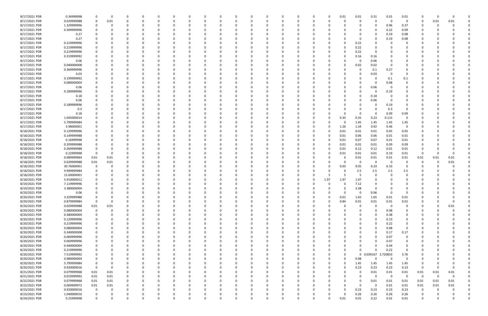| 8/17/2021 PDR                  | 0.34999998                | 0           | $\Omega$ |          |          | 0        |          |          |          |          |          | - 0      | - 0      |          | 0        | 0        | 0.01     | 0.01         | 0.31              | 0.01           | 0.01           |                         | $\Omega$    |        |  |
|--------------------------------|---------------------------|-------------|----------|----------|----------|----------|----------|----------|----------|----------|----------|----------|----------|----------|----------|----------|----------|--------------|-------------------|----------------|----------------|-------------------------|-------------|--------|--|
| 8/17/2021 PDR                  | 0.029999988               | 0           | 0.01     |          |          |          |          |          |          |          |          |          |          |          |          |          |          | 0            |                   | 0              | 0              | 0                       | 0.01        | 0.01   |  |
| 8/17/2021 PDR                  | 1.329999996               |             |          |          |          |          |          |          |          |          |          |          |          |          |          |          |          |              |                   |                | 0.37           | 0                       |             |        |  |
|                                |                           |             |          |          |          |          |          |          |          |          |          |          |          |          |          |          |          |              |                   | 0.96           |                |                         |             |        |  |
| 8/17/2021 PDR                  | 0.309999996               |             |          |          |          |          |          |          |          |          |          |          |          |          |          |          |          |              |                   | 0.22           | 0.09           |                         |             |        |  |
| 8/17/2021 PDR                  | 0.27                      |             |          |          |          |          |          |          |          |          |          |          |          |          |          |          |          | 0            |                   | 0.19           | 0.08           |                         |             |        |  |
| 8/17/2021 PDR                  | 0.27                      |             |          |          |          |          |          |          |          |          |          |          |          |          |          |          |          | 0            |                   |                |                |                         |             |        |  |
|                                |                           |             |          |          |          |          |          |          |          |          |          |          |          |          |          |          |          |              |                   | 0.19           | 0.08           |                         |             |        |  |
| 8/17/2021 PDR                  | 0.219999996               |             |          |          |          |          |          |          |          |          |          |          |          |          |          |          |          | 0.22         |                   |                | 0              |                         |             |        |  |
| 8/17/2021 PDR                  | 0.219999996               |             |          |          |          |          |          |          |          |          |          |          |          |          |          |          |          | 0.22         |                   |                |                |                         |             |        |  |
|                                |                           |             |          |          |          |          |          |          |          |          |          |          |          |          |          |          |          |              |                   |                |                |                         |             |        |  |
| 8/17/2021 PDR                  | 0.219999996               |             |          |          |          |          |          |          |          |          |          |          |          |          |          |          |          | 0.22         |                   |                |                |                         |             |        |  |
| 8/17/2021 PDR                  | 0.319999992               |             |          |          |          |          |          |          |          |          |          |          |          |          |          |          |          | 0.16         | 0.16              |                |                |                         |             |        |  |
| 8/17/2021 PDR                  | 0.06                      |             |          |          |          |          |          |          |          |          |          |          |          |          |          |          |          | -0           | 0.06              |                |                |                         |             |        |  |
|                                |                           |             |          |          |          |          |          |          |          |          |          |          |          |          |          |          |          |              |                   |                |                |                         |             |        |  |
| 8/17/2021 PDR                  | 0.040000008               |             |          |          |          |          |          |          |          |          |          |          |          |          |          |          |          | 0.02         | 0.02              |                |                |                         |             |        |  |
| 8/17/2021 PDR                  | 0.369999996               |             |          |          |          |          |          |          |          |          |          |          |          |          |          |          |          | 0            | 0.1               | 0.27           |                |                         |             |        |  |
| 8/17/2021 PDR                  | 0.03                      |             |          |          |          |          |          |          |          |          |          |          |          |          |          |          |          | 0            | 0.03              | - 0            |                |                         |             |        |  |
|                                |                           |             |          |          |          |          |          |          |          |          |          |          |          |          |          |          |          |              |                   |                |                |                         |             |        |  |
| 8/17/2021 PDR                  | 0.199999992               |             |          |          |          |          |          |          |          |          |          |          |          |          |          |          |          |              |                   | 0.1            | 0.1            |                         |             |        |  |
| 8/17/2021 PDR                  | 0.080000004               |             |          |          |          |          |          |          |          |          |          |          |          |          |          |          |          | 0            |                   | 0.08           | 0              |                         |             |        |  |
| 8/17/2021 PDR                  | 0.06                      |             |          |          |          |          |          |          |          |          |          |          |          |          |          |          |          | 0            | 0.06              | - 0            |                |                         |             |        |  |
|                                |                           |             |          |          |          |          |          |          |          |          |          |          |          |          |          |          |          |              |                   |                |                |                         |             |        |  |
| 8/17/2021 PDR                  | 0.189999996               |             |          |          |          |          |          |          |          |          |          |          |          |          |          |          |          | 0            |                   | 0.19           |                |                         |             |        |  |
| 8/17/2021 PDR                  | 0.18                      |             |          |          |          |          |          |          |          |          |          |          |          |          |          |          |          | 0            | 0.18              |                |                |                         |             |        |  |
|                                |                           |             |          |          |          |          |          |          |          |          |          |          |          |          |          |          |          |              |                   |                |                |                         |             |        |  |
| 8/17/2021 PDR                  | 0.06                      |             |          |          |          |          |          |          |          |          |          |          |          |          |          |          |          | 0            | 0.06              |                |                |                         |             |        |  |
| 8/17/2021 PDR                  | 0.189999996               |             |          |          |          |          |          |          |          |          |          |          |          |          |          |          |          |              |                   | 0.19           |                |                         |             |        |  |
| 8/17/2021 PDR                  | 0.3                       |             |          |          |          |          |          |          |          |          |          |          |          |          |          |          |          |              |                   | 0.3            | 0              |                         |             |        |  |
|                                |                           |             |          |          |          |          |          |          |          |          |          |          |          |          |          |          |          |              |                   |                |                |                         |             |        |  |
| 8/17/2021 PDR                  | 0.18                      |             |          |          |          |          |          |          |          |          |          |          |          |          |          |          |          | 0            |                   | 0.09           | 0.09           |                         |             |        |  |
| 8/17/2021 PDR                  | 1.045000014               |             |          |          |          |          |          |          |          |          |          |          |          |          |          | O        | 0.35     | 0.35         | 0.23              | 0.115          | 0              |                         |             |        |  |
| 8/17/2021 PDR                  | 5.799999984               |             |          |          |          |          |          |          |          |          |          |          |          |          |          |          |          | 1.45         | 1.45              | 1.45           | 1.45           |                         |             |        |  |
|                                |                           |             |          |          |          |          |          |          |          |          |          |          |          |          |          |          |          |              |                   |                |                |                         |             |        |  |
| 8/17/2021 PDR                  | 3.98000001                |             |          |          |          |          |          |          |          |          |          |          |          |          |          |          | 1.26     | 1.34         | 0.92              | 0.46           | $\mathbf 0$    |                         |             |        |  |
| 8/18/2021 PDR                  | 0.129999996               |             |          |          |          |          |          |          |          |          |          |          |          |          |          |          | 0.01     | 0.01         | 0.01              | 0.05           | 0.05           |                         |             |        |  |
|                                |                           |             |          |          |          |          |          |          |          |          |          |          |          |          |          |          |          |              |                   |                |                |                         |             |        |  |
| 8/18/2021 PDR                  | 0.149999988               |             |          |          |          |          |          |          |          |          |          |          |          |          |          |          | 0.01     | 0.06         | 0.06              | 0.01           | 0.01           |                         |             |        |  |
| 8/18/2021 PDR                  | 0.16999998                |             |          |          |          |          |          |          |          |          |          |          |          |          |          |          | 0.01     | 0.07         | 0.07              | 0.01           | 0.01           |                         |             |        |  |
| 8/18/2021 PDR                  | 0.209999988               |             |          |          |          |          |          |          |          |          |          |          |          |          |          |          | 0.01     | 0.01         | 0.01              | 0.09           | 0.09           |                         |             |        |  |
|                                |                           |             |          |          |          |          |          |          |          |          |          |          |          |          |          |          |          |              |                   |                |                |                         |             |        |  |
| 8/18/2021 PDR                  | 0.269999988               |             |          |          |          |          |          |          |          |          |          |          |          |          |          |          | 0.01     | 0.12         | 0.12              | 0.01           | 0.01           | -0                      |             |        |  |
| 8/18/2021 PDR                  | 0.22999998                |             |          |          |          |          |          |          |          |          |          |          |          |          |          |          | 0.01     | 0.01         | 0.01              | 0.19           | 0.01           | 0                       |             |        |  |
| 8/18/2021 PDR                  | 0.089999964               | 0.01        | 0.01     |          |          |          |          |          |          |          |          |          |          |          |          |          |          | 0.01         | 0.01              | 0.01           | 0.01           | 0.01                    | 0.01        | 0.01   |  |
|                                |                           |             |          |          |          |          |          |          |          |          |          |          |          |          |          |          |          |              |                   |                |                |                         |             |        |  |
| 8/18/2021 PDR                  | 0.029999988               | 0.01        | 0.01     |          |          |          |          |          |          |          |          |          |          |          |          |          |          | 0            | -0                | - 0            | 0              | -C                      |             | 0.01   |  |
| 8/18/2021 PDR                  | 30.76000001               | $\Omega$    |          |          |          |          |          |          |          |          |          |          |          |          |          |          | 9.05     | 9.05         | 6.33              | 6.33           |                |                         |             |        |  |
| 8/18/2021 PDR                  | 9.999999984               | 0           |          |          |          |          |          |          |          |          |          |          |          |          |          |          |          | 2.5          | 2.5               | 2.5            | 2.5            |                         |             |        |  |
|                                |                           |             |          |          |          |          |          |          |          |          |          |          |          |          |          |          |          |              |                   |                |                |                         |             |        |  |
| 8/18/2021 PDR                  | 15.00000001               |             |          |          |          |          |          |          |          |          |          |          |          |          |          |          |          | -5           |                   | $\Omega$       | 0              |                         |             |        |  |
| 8/18/2021 PDR                  | 5.910000012               |             |          |          |          |          |          |          |          |          |          |          |          |          |          | 1.97     | 1.97     | 1.97         |                   |                |                |                         |             |        |  |
|                                |                           |             |          |          |          |          |          |          |          |          |          |          |          |          |          |          |          |              |                   |                |                |                         |             |        |  |
| 8/19/2021 PDR                  | 7.119999996               |             |          |          |          |          |          |          |          |          |          |          |          |          |          |          |          | 7.12         |                   |                |                |                         |             |        |  |
| 8/19/2021 PDR                  | 3.380000004               |             |          |          |          |          |          |          |          |          |          |          |          |          |          |          |          | 3.38         |                   |                |                |                         |             |        |  |
| 8/20/2021 PDR                  | 0.06                      |             |          |          |          |          |          |          |          |          |          |          |          |          |          |          |          |              | 0.06              |                |                |                         |             |        |  |
|                                |                           |             |          |          |          |          |          |          |          |          |          |          |          |          |          |          |          |              |                   |                |                |                         |             |        |  |
| 8/20/2021 PDR                  | 3.329999988               | $\mathbf 0$ | 0        | 0        | $\Omega$ | 0        | 0        | 0        | $\Omega$ | 0        | $\Omega$ | $\Omega$ | $\Omega$ | $\Omega$ | 0        | 0        | 0.01     | 1.65         | 1.65              | 0.01           | 0.01           | 0                       |             |        |  |
| 8/20/2021 PDR                  | 0.879999984               | $\mathbf 0$ | 0        | 0        |          | $\Omega$ |          | 0        |          |          | 0        | 0        | $\Omega$ |          | 0        | $\Omega$ | 0.84     | 0.01         | 0.01              | 0.01           | 0.01           | 0                       |             | 0      |  |
| 8/20/2021 PDR                  | 0.029999988               | $0.01\,$    | 0.01     | 0        |          | $\Omega$ |          | -0       |          |          | $\Omega$ |          | $\Omega$ |          | 0        |          |          | $\mathsf{o}$ | $\Omega$          | $\mathbf 0$    | $\mathbf 0$    | - 0                     |             | 0.01   |  |
|                                |                           |             |          |          |          |          |          |          |          |          |          |          |          |          |          |          |          |              |                   |                |                |                         |             |        |  |
| 8/20/2021 PDR                  | 0.080000004               | 0           |          |          |          | 0        |          |          |          |          |          |          |          |          | 0        |          |          | $\Omega$     | - 0               | 0.08           | 0              | - 0                     |             |        |  |
| 8/20/2021 PDR                  | 0.380000004               | $\mathbf 0$ |          | 0        |          | 0        |          |          |          |          |          |          |          |          |          |          |          |              |                   | 0.38           | 0              | -0                      |             |        |  |
| 8/20/2021 PDR                  | 0.129999996               | $\mathbf 0$ |          | 0        |          | 0        |          | 0        |          |          | 0        |          |          |          | 0        |          |          | $\Omega$     |                   | 0.13           | 0              | 0                       |             |        |  |
|                                |                           |             |          |          |          |          |          |          |          |          |          |          |          |          |          |          |          |              |                   |                |                |                         |             |        |  |
| 8/20/2021 PDR                  | 0.219999996               | 0           |          | 0        |          | $\Omega$ |          | 0        |          |          | 0        |          | $\Omega$ |          | 0        |          |          | 0            | $\Omega$          | 0.22           | 0              |                         |             |        |  |
| 8/20/2021 PDR                  | 0.080000004               | 0           |          | 0        |          | $\Omega$ |          |          |          |          | $\Omega$ |          | $\Omega$ |          | n        |          |          | $\Omega$     |                   | 0.08           | $\mathbf 0$    | 0                       |             |        |  |
| 8/20/2021 PDR                  | 0.340000008               |             |          | 0        |          | 0        |          | -0       |          |          | 0        |          |          |          |          |          |          |              |                   | 0.17           |                |                         |             |        |  |
|                                |                           | 0           |          |          |          |          |          |          |          |          |          |          |          |          | 0        |          |          | 0            |                   |                | 0.17           | 0                       |             |        |  |
| 8/20/2021 PDR                  | 0.069999996               |             |          |          |          | 0        |          |          |          |          |          |          |          |          |          |          |          |              |                   | 0.07           | $\mathbf 0$    |                         |             |        |  |
| 8/20/2021 PDR                  | 0.069999996               |             |          |          |          | 0        |          |          |          |          |          |          |          |          |          |          |          |              |                   | 0.07           | 0              |                         |             |        |  |
|                                |                           |             |          |          |          |          |          |          |          |          |          |          |          |          |          |          |          |              |                   |                |                |                         |             |        |  |
| 8/20/2021 PDR                  | 0.440000004               | 0           |          |          |          | 0        |          |          |          |          | O        |          |          |          |          |          |          |              |                   | 0.44           | 0              |                         |             |        |  |
| 8/20/2021 PDR                  | 0.219999996               |             |          |          |          | $\Omega$ |          |          |          |          |          |          |          |          |          |          |          | $\Omega$     | $\Omega$          | 0.22           | $\mathbf 0$    |                         |             |        |  |
| 8/20/2021 PDR                  | 7.519999992               | 0           |          | 0        |          | O        |          | -0       |          |          | O        |          |          |          | 0        |          |          | $\mathbf 0$  | 0.039167 3.720833 |                | 3.76           | -0                      |             |        |  |
|                                |                           |             |          |          |          |          |          |          |          |          |          |          |          |          |          |          |          |              |                   |                |                |                         |             |        |  |
| 8/20/2021 PDR                  | 0.980000004               | 0           |          | 0        |          | 0        |          | 0        |          |          | 0        | $\Omega$ | $\Omega$ |          | 0        | 0        |          | 0.98         |                   | $\Omega$       | 0              | 0                       |             |        |  |
| 8/20/2021 PDR                  | 5.799999984               | $\mathbf 0$ |          | 0        |          | $\Omega$ |          | -0       |          |          |          |          | $\Omega$ |          | 0        | 0        | $\Omega$ | 1.45         | 1.45              | 1.45           | 1.45           | 0                       |             |        |  |
| 8/20/2021 PDR                  | 0.920000016               | $\mathbf 0$ |          |          |          | O        |          | -0       |          |          |          |          |          |          | 0        |          |          | 0.23         | 0.23              | 0.23           | 0.23           | $\Omega$                | $\Omega$    |        |  |
|                                |                           |             |          |          |          |          |          |          |          |          |          |          |          |          |          |          |          |              |                   |                |                |                         |             |        |  |
| 8/21/2021 PDR                  | 0.079999968               | $0.01\,$    | 0.01     |          |          | 0        |          |          |          |          |          |          |          |          | 0        |          |          | 0            | 0.01              | 0.01           | 0.01           | 0.01                    | 0.01        | 0.01   |  |
|                                | 0.019999992               | $0.01\,$    | 0.01     | $\Omega$ |          |          |          |          |          |          |          |          |          |          |          |          |          | $\mathbf 0$  | $\Omega$          | $\overline{0}$ | $\overline{0}$ | $\overline{\mathbf{0}}$ | $\mathbf 0$ |        |  |
|                                |                           |             |          |          |          | $\Omega$ |          | -0       |          |          | 0        |          | $\Omega$ |          | 0        |          |          | 0            | 0.01              | 0.01           | 0.01           | 0.01                    | 0.01        | 0.01   |  |
| 8/21/2021 PDR                  |                           |             |          |          |          |          |          |          |          |          |          |          |          |          |          |          |          |              |                   |                |                |                         |             |        |  |
| 8/22/2021 PDR                  | 0.079999968               | 0.01        | 0.01     | 0        |          |          |          |          |          |          |          |          |          |          |          |          |          |              |                   |                |                |                         |             |        |  |
| 8/22/2021 PDR                  | 0.069999972               | 0.01        | 0.01     | 0        |          | 0        |          |          |          |          | 0        |          | $\Omega$ |          | 0        |          |          | 0            | $\Omega$          | 0.01           | 0.01           | 0.01                    | 0.01        | 0.01   |  |
|                                |                           | $\mathbf 0$ |          |          |          | $\Omega$ |          |          |          |          |          |          |          |          |          |          |          |              |                   |                |                | $\Omega$                |             |        |  |
| 8/23/2021 PDR                  | 0.920000016               |             |          |          |          |          |          |          |          |          |          |          |          |          |          |          |          | 0.23         | 0.23              | 0.23           | 0.23           |                         |             |        |  |
| 8/23/2021 PDR<br>8/24/2021 PDR | 1.040000016<br>0.25999998 | $\mathbf 0$ | $\Omega$ | $\Omega$ |          | $\Omega$ | $\Omega$ | $\Omega$ | $\Omega$ | $\Omega$ | $\Omega$ | $\Omega$ | $\Omega$ | $\Omega$ | $\Omega$ | $\Omega$ | 0.01     | 0.26<br>0.01 | 0.26<br>0.22      | 0.26<br>0.01   | 0.26<br>0.01   | 0                       | U           | 0<br>0 |  |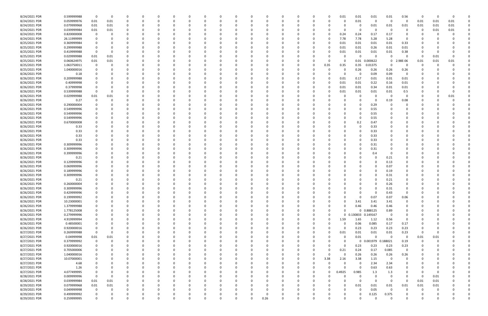| 8/24/2021 PDR | 0.599999988 | $\Omega$    | 0    |          |          |          |          |              |          |          |      |              | C        |   |          | 0.01     | 0.01                | 0.01              | 0.01                    | 0.56        | -0       | $\Omega$ |      |  |
|---------------|-------------|-------------|------|----------|----------|----------|----------|--------------|----------|----------|------|--------------|----------|---|----------|----------|---------------------|-------------------|-------------------------|-------------|----------|----------|------|--|
| 8/24/2021 PDR | 0.059999976 | 0.01        | 0.01 | 0        | 0        |          |          |              |          |          |      |              | 0        |   | 0        |          | 0.01                | - 0               | - 0                     | 0           | 0.01     | 0.01     | 0.01 |  |
| 8/24/2021 PDR | 0.079999968 | 0.01        | 0.01 | 0        |          |          |          |              |          |          |      |              |          |   |          |          | 0                   | 0.01              | 0.01                    | 0.01        | 0.01     | 0.01     | 0.01 |  |
| 8/24/2021 PDR | 0.039999984 | 0.01        | 0.01 |          |          |          |          |              |          |          |      |              |          |   |          |          | 0                   |                   | - 0                     | 0           | 0        | 0.01     | 0.01 |  |
| 8/24/2021 PDR | 0.820000008 | - 0         | 0    |          |          |          |          |              |          |          |      |              |          |   |          | 0.24     | 0.24                | 0.17              | 0.17                    | 0           |          |          |      |  |
| 8/24/2021 PDR | 26.11999999 |             |      | C        |          |          |          |              |          |          |      |              |          |   |          | 7.78     | 7.78                | 5.28              | 5.28                    | 0           |          |          |      |  |
| 8/25/2021 PDR | 0.369999984 |             |      |          |          |          |          |              |          |          |      |              |          |   |          | 0.01     | 0.01                | 0.01              | 0.01                    | 0.33        |          |          |      |  |
| 8/25/2021 PDR | 0.299999988 |             |      |          |          |          |          |              |          |          |      |              |          |   | 0        | 0.01     | 0.01                | 0.26              | 0.01                    | 0.01        |          |          |      |  |
| 8/25/2021 PDR | 0.419999988 | $\Omega$    | 0    |          |          |          |          |              |          |          |      |              |          |   |          | 0.01     | 0.01                | 0.01              | 0.01                    | 0.38        |          |          |      |  |
| 8/25/2021 PDR | 0.029999988 | 0.01        | 0.01 |          |          |          |          |              |          |          |      |              |          |   |          |          | $\mathbf 0$         | $\Omega$          | $\Omega$                | 0           | 0        | 0.01     |      |  |
| 8/25/2021 PDR | 0.060624975 | 0.01        | 0.01 | O        |          |          |          |              |          |          |      |              | 0        |   | $\Omega$ |          | 0.01                | .000622           | $\mathbf 0$             | 2.98E-06    | 0.01     | 0.01     | 0.01 |  |
| 8/25/2021 PDR | 1.063750011 |             | 0    |          |          |          |          |              |          |          |      |              | 0        |   | 0.35     | 0.35     | 0.35                | 0.01375           | - 0                     | 0           | 0        |          |      |  |
| 8/25/2021 PDR | 1.040000016 |             |      |          |          |          |          |              |          |          |      |              |          |   |          |          | 0.26                | 0.26              | 0.26                    | 0.26        |          |          |      |  |
| 8/26/2021 PDR | 0.18        |             |      |          |          |          |          |              |          |          |      |              |          |   |          |          | 0                   | 0.09              | 0.09                    | 0           |          |          |      |  |
| 8/26/2021 PDR | 0.209999988 |             |      |          |          |          |          |              |          |          |      |              |          |   |          | 0.01     | 0.17                | 0.01              | 0.01                    | 0.01        |          |          |      |  |
| 8/26/2021 PDR | 0.40999998  |             |      |          |          |          |          |              |          |          |      |              |          |   |          | 0.01     | 0.01                | 0.22              | 0.16                    | 0.01        |          |          |      |  |
| 8/26/2021 PDR | 0.37999998  |             |      |          |          |          |          |              |          |          |      |              |          |   |          | 0.01     | 0.01                | 0.34              | 0.01                    | 0.01        |          |          |      |  |
| 8/26/2021 PDR | 0.539999988 |             | 0    |          |          |          |          |              |          |          |      |              |          |   |          | 0.01     | 0.01                | 0.01              | 0.01                    | 0.5         |          |          |      |  |
| 8/26/2021 PDR | 0.029999988 | 0.01        | 0.01 |          |          |          |          |              |          |          |      |              |          |   |          |          | 0                   |                   | - 0                     | 0           |          |          | 0.01 |  |
| 8/26/2021 PDR | 0.27        |             | 0    |          |          |          |          |              |          |          |      |              |          |   |          |          | 0                   |                   | 0.19                    | 0.08        |          |          |      |  |
| 8/26/2021 PDR | 0.290000004 |             |      |          |          |          |          |              |          |          |      |              |          |   |          |          | 0                   | 0.29              |                         |             |          |          |      |  |
| 8/26/2021 PDR | 0.549999996 |             |      |          |          |          |          |              |          |          |      |              |          |   |          |          |                     | 0.55              |                         |             |          |          |      |  |
|               | 0.549999996 |             |      |          |          |          |          |              |          |          |      |              |          |   |          |          | 0                   |                   |                         |             |          |          |      |  |
| 8/26/2021 PDR |             |             |      |          |          |          |          |              |          |          |      |              |          |   |          |          |                     | 0.55              |                         |             |          |          |      |  |
| 8/26/2021 PDR | 0.549999996 |             |      |          |          |          |          |              |          |          |      |              |          |   |          |          | 0                   | 0.55              |                         |             |          |          |      |  |
| 8/26/2021 PDR | 0.670000008 |             |      |          |          |          |          |              |          |          |      |              |          |   |          |          | 0.2                 | 0.47              |                         |             |          |          |      |  |
| 8/26/2021 PDR | 0.33        |             |      |          |          |          |          |              |          |          |      |              |          |   |          |          | 0                   | 0.33              |                         |             |          |          |      |  |
| 8/26/2021 PDR | 0.33        |             |      |          |          |          |          |              |          |          |      |              |          |   |          |          | 0                   | 0.33              |                         |             |          |          |      |  |
| 8/26/2021 PDR | 0.33        |             |      |          |          |          |          |              |          |          |      |              |          |   |          |          |                     | 0.33              |                         |             |          |          |      |  |
| 8/26/2021 PDR | 0.33        |             |      |          |          |          |          |              |          |          |      |              |          |   |          |          | 0                   | 0.33              |                         |             |          |          |      |  |
| 8/26/2021 PDR | 0.309999996 |             |      |          |          |          |          |              |          |          |      |              |          |   |          |          |                     | 0.31              |                         |             |          |          |      |  |
| 8/26/2021 PDR | 0.309999996 |             |      |          |          |          |          |              |          |          |      |              |          |   |          |          | -0                  | 0.31              |                         |             |          |          |      |  |
| 8/26/2021 PDR | 0.399999996 |             |      |          |          |          |          |              |          |          |      |              |          |   |          |          | -0                  | 0.4               |                         |             |          |          |      |  |
| 8/26/2021 PDR | 0.21        |             |      |          |          |          |          |              |          |          |      |              |          |   |          |          |                     |                   | 0.21                    |             |          |          |      |  |
| 8/26/2021 PDR | 0.129999996 |             |      |          |          |          |          |              |          |          |      |              |          |   |          |          |                     |                   | 0.13                    |             |          |          |      |  |
| 8/26/2021 PDR | 0.069999996 |             |      |          |          |          |          |              |          |          |      |              |          |   |          |          |                     |                   | 0.07                    |             |          |          |      |  |
| 8/26/2021 PDR | 0.189999996 |             |      |          |          |          |          |              |          |          |      |              |          |   |          |          |                     |                   | 0.19                    |             |          |          |      |  |
| 8/26/2021 PDR | 0.309999996 |             |      |          |          |          |          |              |          |          |      |              |          |   |          |          |                     |                   | 0.31                    |             |          |          |      |  |
| 8/26/2021 PDR | 0.21        |             |      |          |          |          |          |              |          |          |      |              |          |   |          |          |                     |                   | 0.21                    |             |          |          |      |  |
| 8/26/2021 PDR | 0.260000004 |             |      |          |          |          |          |              |          |          |      |              |          |   |          |          |                     |                   | 0.26                    |             |          |          |      |  |
| 8/26/2021 PDR | 0.309999996 |             |      | O        |          |          |          |              |          |          |      |              |          |   |          |          |                     |                   | 0.31                    |             |          |          |      |  |
| 8/26/2021 PDR | 0.429999996 |             |      | $\Omega$ |          |          |          |              |          |          |      |              |          |   |          |          |                     |                   | 0.43                    |             |          |          |      |  |
| 8/26/2021 PDR | 0.199999992 | $\Omega$    | 0    | O        | $\Omega$ |          |          | n            |          | $\Omega$ |      | <sup>0</sup> | 0        |   |          |          | 0                   | 0.07              | 0.07                    | 0.06        | - 0      |          |      |  |
| 8/26/2021 PDR | 10.23000001 |             | 0    | 0        | 0        |          |          | <sup>0</sup> |          | $\Omega$ |      |              | 0        |   |          |          | 3.41                | 3.41              | 3.41                    | 0           |          |          |      |  |
| 8/26/2021 PDR | 1.379999988 |             |      |          |          |          |          |              |          |          |      |              | 0        |   |          |          | 0.46                | 0.46              | 0.46                    | 0           |          |          |      |  |
| 8/26/2021 PDR | 1.778125008 |             |      |          |          |          |          |              |          |          |      |              | 0        |   | 0        |          | $\mathbf 0$         | 0.888125          | 0.89                    | 0           |          |          |      |  |
| 8/26/2021 PDR | 0.279999996 |             |      |          |          |          |          |              |          |          |      |              | 0        |   | 0        |          | 0 0.130833 0.149167 |                   | $\mathbf 0$             | 0           |          |          |      |  |
| 8/26/2021 PDR | 4.919999994 |             |      |          |          |          |          |              |          |          |      |              | C        |   | 0        | 1.59     | 1.65                | 1.12              | 0.56                    | 0           |          |          |      |  |
| 8/26/2021 PDR | 0.48500001  |             |      |          |          |          |          |              |          | 0        |      |              | 0        |   |          |          | 0.06                | 0.085             | 0.17                    | 0.17        |          |          |      |  |
| 8/26/2021 PDR | 0.920000016 | 0           |      | 0        | 0        | $\Omega$ |          | 0            |          | 0        |      | 0            | 0        |   | 0        | $\Omega$ | 0.23                | 0.23              | 0.23                    | 0.23        | 0        |          |      |  |
| 8/27/2021 PDR | 0.269999988 | $\mathbf 0$ | 0    | 0        | 0        | 0        |          |              |          | 0        |      | 0            | 0        |   | 0        | 0.01     | 0.01                | 0.01              | 0.01                    | 0.23        | 0        |          |      |  |
| 8/27/2021 PDR | 0.04999998  | 0.01        | 0.01 |          |          |          |          |              |          |          |      |              | 0        |   | 0        | $\Omega$ | 0.01                | $\Omega$          | - 0                     | 0           | 0.01     | 0.01     |      |  |
| 8/27/2021 PDR | 0.379999992 | 0           | 0    | 0        |          |          |          |              |          | 0        |      | 0            | 0        |   | 0        |          | $\mathbf 0$         | 0.001979 0.188021 |                         | 0.19        | $\Omega$ |          |      |  |
| 8/27/2021 PDR | 0.920000016 |             | 0    | 0        |          |          |          |              |          |          |      | 0            | 0        |   | 0        | 0        | 0.23                | 0.23              | 0.23                    | 0.23        | 0        |          |      |  |
| 8/27/2021 PDR | 0.705000006 | $\Omega$    | 0    | O        | $\Omega$ | $\Omega$ |          | 0            |          | $\Omega$ |      | <sup>0</sup> | 0        |   | $\Omega$ | 0.21     | 0.24                | 0.17              | 0.085                   | $\mathbf 0$ | 0        |          |      |  |
| 8/27/2021 PDR | 1.040000016 | 0           | 0    | 0        | 0        | $\Omega$ |          | 0            |          | 0        |      | <sup>0</sup> | 0        |   | $\Omega$ | $\Omega$ | 0.26                | 0.26              | 0.26                    | 0.26        | 0        |          |      |  |
| 8/27/2021 PDR | 10.07000001 |             |      | C        | 0        |          |          |              |          | 0        |      |              | 0        | 0 | 3.38     | 2.16     | 3.38                | 1.15              | $\overline{\mathbf{0}}$ | 0           |          |          |      |  |
| 8/27/2021 PDR | 4.68        |             |      |          |          |          |          |              |          |          |      |              | 0        |   | $\Omega$ |          | 0                   | 2.34              | 2.34                    | 0           |          |          |      |  |
| 8/27/2021 PDR | 1.26        |             | 0    |          |          |          |          |              |          | 0        |      |              | 0        |   | 0        | $\Omega$ | 0                   | 0.63              | 0.63                    | 0           |          |          |      |  |
| 8/27/2021 PDR | 4.077499995 |             | 0    |          |          |          |          |              |          |          |      |              | 0        |   | 0        | 0.4925   | 0.985               | 1.3               | 1.3                     | 0           | 0        |          |      |  |
| 8/28/2021 PDR | 0.009999996 | $\mathbf 0$ | 0    | $\Omega$ |          |          |          |              |          |          |      |              | C        |   |          |          | $\mathbf 0$         |                   | 0                       | 0           | 0        | 0.01     |      |  |
| 8/28/2021 PDR | 0.039999984 | 0.01        | 0.01 | 0        |          |          |          | <sup>0</sup> |          |          |      |              | 0        |   |          |          | $\mathbf 0$         | $\Omega$          | $\mathbf 0$             | 0           | 0.01     | 0.01     |      |  |
| 8/29/2021 PDR | 0.079999968 | 0.01        | 0.01 | 0        | 0        |          |          |              |          |          |      |              | 0        |   |          |          | 0.01                | 0.01              | 0.01                    | 0.01        | 0.01     | 0.01     |      |  |
| 8/29/2021 PDR | 0.049999998 | 0           | 0    | 0        | $\Omega$ | $\Omega$ |          |              |          |          |      |              | 0        |   |          |          | 0                   | 0.05              | $\mathbf 0$             | $\Omega$    | $\Omega$ |          |      |  |
| 8/29/2021 PDR | 0.499999992 |             | 0    |          | 0        |          |          |              |          | 0        |      |              |          |   |          |          | 0                   | 0.125             | 0.375                   |             |          |          |      |  |
| 8/29/2021 PDR | 0.259999995 | $\Omega$    | 0    | $\Omega$ | $\Omega$ | $\Omega$ | $\Omega$ | 0            | $\Omega$ | $\Omega$ | 0.26 | $\Omega$     | $\Omega$ |   | 0        |          | $\Omega$            |                   | $\Omega$                | $\Omega$    | $\Omega$ | U        | 0    |  |
|               |             |             |      |          |          |          |          |              |          |          |      |              |          |   |          |          |                     |                   |                         |             |          |          |      |  |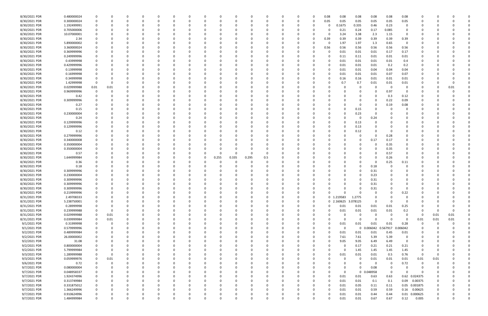| 8/30/2021 PDR | 0.480000024 |          |          |          |     |          |          |          |          |       |          |          |          |          |          | 0.08         | 0.08       | 0.08        | 0.08       | 0.08     | 0.08        |                |          |      |  |
|---------------|-------------|----------|----------|----------|-----|----------|----------|----------|----------|-------|----------|----------|----------|----------|----------|--------------|------------|-------------|------------|----------|-------------|----------------|----------|------|--|
| 8/30/2021 PDR | 0.300000024 |          |          | $\Omega$ |     |          | 0        | 0        |          |       | $\Omega$ |          |          | 0        | $\Omega$ | 0.05         | 0.05       | 0.05        | 0.05       | 0.05     | 0.05        | -C             |          |      |  |
| 8/30/2021 PDR | 1.192499991 |          |          |          |     |          |          |          |          |       |          |          |          |          |          | 0            | 0.1675     | 0.335       | 0.46       | 0.23     | 0           |                |          |      |  |
| 8/30/2021 PDR | 0.705000006 |          |          |          |     |          |          |          |          |       |          |          |          |          |          |              | 0.21       | 0.24        | 0.17       | 0.085    |             |                |          |      |  |
| 8/30/2021 PDR | 10.07000001 |          |          |          |     |          |          |          |          |       |          |          |          |          | 0        | $\Omega$     | 3.24       | 3.38        | 2.3        | 1.15     | $\Omega$    |                |          |      |  |
| 8/30/2021 PDR | 2.34        |          |          |          |     |          |          |          |          |       |          |          |          |          | 0        | 0.39         | 0.39       | 0.39        | 0.39       | 0.39     | 0.39        |                |          |      |  |
| 8/30/2021 PDR | 5.890000002 |          |          |          |     |          |          |          |          |       |          |          |          |          | - 0      | - റ          | 1.97       | 1.97        |            | 0.65     | $\mathbf 0$ |                |          |      |  |
|               |             |          |          |          |     |          |          |          |          |       |          |          |          |          |          |              |            |             | 1.3        |          |             |                |          |      |  |
| 8/30/2021 PDR | 3.360000024 |          |          |          |     |          |          |          |          |       |          |          |          |          | 0        | 0.56         | 0.56       | 0.56        | 0.56       | 0.56     | 0.56        |                |          |      |  |
| 8/30/2021 PDR | 0.369999996 |          |          |          |     |          |          |          |          |       |          |          |          |          |          | - 0          | 0.01       | 0.01        | 0.01       | 0.17     | 0.17        |                |          |      |  |
| 8/30/2021 PDR | 0.249999996 |          |          |          |     |          |          |          |          |       |          |          |          |          |          |              | 0.11       | 0.11        | 0.01       | 0.01     | 0.01        |                |          |      |  |
| 8/30/2021 PDR | 0.43999998  |          |          |          |     |          |          |          |          |       |          |          |          |          |          |              | 0.01       | 0.01        | 0.01       | 0.01     | 0.4         |                |          |      |  |
| 8/30/2021 PDR | 0.429999996 |          |          |          |     |          |          |          |          |       |          |          |          |          |          |              | 0.01       | 0.01        | 0.01       | 0.2      | 0.2         |                |          |      |  |
| 8/30/2021 PDR | 0.13999998  |          |          |          |     |          |          |          |          |       |          |          |          |          | - 0      |              | 0.01       | 0.01        | 0.04       | 0.04     | 0.04        |                |          |      |  |
| 8/30/2021 PDR | 0.16999998  |          |          |          |     |          |          |          |          |       |          |          |          |          |          |              | 0.01       | 0.01        | 0.01       | 0.07     | 0.07        |                |          |      |  |
| 8/30/2021 PDR | 0.34999998  |          |          |          |     |          |          |          |          |       |          |          |          |          |          |              | 0.16       | 0.16        | 0.01       | 0.01     | 0.01        |                |          |      |  |
| 8/30/2021 PDR | 1.42999998  | $\Omega$ |          |          |     |          |          |          |          |       |          |          |          |          |          |              | 0.7        | 0.7         | 0.01       | 0.01     | 0.01        |                |          |      |  |
| 8/30/2021 PDR | 0.029999988 | 0.01     | 0.01     |          |     |          |          |          |          |       |          |          |          |          |          |              |            | 0           |            | - 0      | 0           |                |          | 0.01 |  |
| 8/30/2021 PDR | 0.969999996 | 0        |          |          |     |          |          |          |          |       |          |          |          |          |          |              |            |             |            | 0.97     | 0           |                |          |      |  |
| 8/30/2021 PDR | 0.42        |          |          |          |     |          |          |          |          |       |          |          |          |          |          |              |            | 0           |            | 0.3      | 0.12        |                |          |      |  |
| 8/30/2021 PDR | 0.309999996 |          |          |          |     |          |          |          |          |       |          |          |          |          |          |              |            |             |            | 0.22     | 0.09        |                |          |      |  |
| 8/30/2021 PDR | 0.27        |          |          |          |     |          |          |          |          |       |          |          |          |          |          |              |            | 0           |            | 0.19     | 0.08        |                |          |      |  |
| 8/30/2021 PDR | 0.15        |          |          |          |     |          |          |          |          |       |          |          |          |          |          |              |            | 0.15        |            |          |             |                |          |      |  |
| 8/30/2021 PDR | 0.230000004 |          |          |          |     |          |          |          |          |       |          |          |          |          |          |              |            |             |            |          |             |                |          |      |  |
|               |             |          |          |          |     |          |          |          |          |       |          |          |          |          |          |              |            | 0.23        |            |          |             |                |          |      |  |
| 8/30/2021 PDR | 0.24        |          |          |          |     |          |          |          |          |       |          |          |          |          |          |              |            | 0           | 0.24       |          |             |                |          |      |  |
| 8/30/2021 PDR | 0.129999996 |          |          |          |     |          |          |          |          |       |          |          |          |          |          |              |            | 0.13        |            |          |             |                |          |      |  |
| 8/30/2021 PDR | 0.129999996 |          |          |          |     |          |          |          |          |       |          |          |          |          |          |              |            | 0.13        |            |          |             |                |          |      |  |
| 8/30/2021 PDR | 0.12        |          |          |          |     |          |          |          |          |       |          |          |          |          |          |              |            | 0.12        |            |          |             |                |          |      |  |
| 8/30/2021 PDR | 0.279999996 |          |          |          |     |          |          |          |          |       |          |          |          |          |          |              |            | 0           |            | 0.28     |             |                |          |      |  |
| 8/30/2021 PDR | 0.340000008 |          |          |          |     |          |          |          |          |       |          |          |          |          |          |              |            |             | 0.17       | 0.17     |             |                |          |      |  |
| 8/30/2021 PDR | 0.350000004 |          |          |          |     |          |          |          |          |       |          |          |          |          |          |              |            |             |            | 0.35     |             |                |          |      |  |
| 8/30/2021 PDR | 0.350000004 |          |          |          |     |          |          |          |          |       | 0        |          |          |          |          |              |            |             |            | 0.35     | 0           |                |          |      |  |
| 8/30/2021 PDR | 0.57        |          |          |          |     |          |          |          |          |       | 0        |          |          |          |          |              |            |             |            | 0.57     | 0           |                |          |      |  |
| 8/30/2021 PDR | 1.644999984 |          |          |          |     |          |          | -0       | 0.255    | 0.335 | 0.295    | 0.5      |          |          |          |              |            |             |            | 0.26     | $\Omega$    |                |          |      |  |
| 8/30/2021 PDR | 0.36        |          |          |          |     |          |          |          |          |       |          |          |          |          |          |              |            |             |            | 0.25     | 0.11        |                |          |      |  |
| 8/30/2021 PDR | 0.18        |          |          |          |     |          |          |          |          |       |          |          |          |          |          |              |            | 0           | 0.18       |          |             |                |          |      |  |
| 8/30/2021 PDR | 0.309999996 |          |          |          |     |          |          |          |          |       |          |          |          |          |          |              |            | 0           | 0.31       |          |             |                |          |      |  |
| 8/30/2021 PDR | 0.230000004 |          |          |          |     |          |          |          |          |       |          |          |          |          |          |              |            | 0           | 0.23       |          |             |                |          |      |  |
| 8/30/2021 PDR | 0.309999996 |          |          |          |     |          |          |          |          |       |          |          |          |          |          |              |            |             | 0.31       |          |             |                |          |      |  |
| 8/30/2021 PDR | 0.309999996 |          |          |          |     |          |          |          |          |       |          |          |          |          |          |              |            |             | 0.31       |          |             |                |          |      |  |
| 8/30/2021 PDR | 0.309999996 |          |          |          |     |          |          |          |          |       |          |          |          |          |          |              |            | 0           | 0.31       |          |             |                |          |      |  |
| 8/30/2021 PDR | 0.219999996 |          |          |          |     |          |          |          |          |       |          |          |          |          |          |              |            |             |            | 0        | 0.22        |                |          |      |  |
| 8/31/2021 PDR | 2.49708333  | 0        | 0        | $\Omega$ | - 0 | $\Omega$ | 0        | $\Omega$ | 0        |       | $\Omega$ | $\Omega$ | $\Omega$ | $\Omega$ | 0        |              | 0 1.219583 | U<br>1.2775 | $\Omega$   | $\Omega$ | $\Omega$    | $\Omega$       |          |      |  |
| 8/31/2021 PDR |             |          | 0        |          |     | O        |          |          |          |       |          |          | ŋ        |          | $\Omega$ |              |            | 3.078125    | $\Omega$   | - 0      | $\Omega$    |                |          |      |  |
|               | 5.238750001 | 0        |          | $\Omega$ |     |          | 0        | 0        |          |       | 0        |          |          | 0        |          |              | 0 2.160625 |             |            |          |             | 0              |          |      |  |
| 8/31/2021 PDR | 0.28999998  | 0        |          |          |     |          | 0        | 0        |          |       |          |          |          |          | $\Omega$ | <sup>0</sup> | 0.01       | 0.01        | 0.01       | 0.01     | 0.25        |                |          |      |  |
| 8/31/2021 PDR | 0.239999988 | 0        | $\Omega$ |          |     |          | 0        | - 0      |          |       |          |          |          | 0        | $\Omega$ | $\Omega$     | 0.01       | 0.01        | 0.01       | 0.01     | 0.2         | $\Omega$       |          | 0    |  |
| 8/31/2021 PDR | 0.029999988 | 0        | 0.01     |          |     |          | 0        |          |          |       |          |          |          |          | 0        |              |            | 0           |            | - 0      | 0           | 0              | 0.01     | 0.01 |  |
| 8/31/2021 PDR | 0.039999984 | 0        | 0.01     |          |     |          | 0        | 0        |          |       |          |          |          |          | 0        |              | n          | 0           | $\Omega$   | $\Omega$ | 0           | 0.01           | 0.01     | 0.01 |  |
| 9/1/2021 PDR  | 0.31999998  | 0        | $\Omega$ |          |     |          | 0        | -C       |          |       |          |          |          |          | 0        | 0            | 0.01       | 0.01        | 0.01       | 0.01     | 0.28        | $\Omega$       |          |      |  |
| 9/1/2021 PDR  | 0.579999996 | 0        |          |          |     |          | 0        | 0        |          |       |          |          |          |          | 0        |              | $\Omega$   |             | 0 0.006042 | 0.567917 | 0.006042    | 0              |          |      |  |
| 9/2/2021 PDR  | 0.489999984 | 0        |          |          |     |          | 0        | 0        |          |       |          |          |          |          | 0        | <sup>0</sup> | 0.01       | 0.01        | 0.01       | 0.45     | 0.01        |                |          |      |  |
| 9/2/2021 PDR  | 26.00000002 |          |          |          |     |          | 0        | -C       |          |       |          |          |          |          | 0        | $\Omega$     | 7.61       | 7.61        | 5.39       | 5.39     | 0           |                |          |      |  |
| 9/2/2021 PDR  | 31.08       |          |          |          |     |          |          | - 0      |          |       |          |          |          |          | 0        | 0            | 9.05       | 9.05        | 6.49       | 6.49     | $\mathbf 0$ |                |          |      |  |
| 9/2/2021 PDR  | 0.800000004 |          |          |          |     |          |          |          |          |       |          |          |          |          | 0        |              |            | 0.17        | 0.21       | 0.21     | 0.21        |                |          |      |  |
| 9/2/2021 PDR  | 5.799999984 | 0        |          |          |     |          | 0        | -C       |          |       |          |          |          |          | 0        | 0            | $\Omega$   | 1.45        | 1.45       | 1.45     | 1.45        | 0              |          |      |  |
| 9/3/2021 PDR  | 1.289999988 | 0        | 0        |          |     |          | 0        | 0        |          |       |          |          |          |          | 0        | 0            | 0.01       | 0.01        | 0.01       | 0.5      | 0.76        | 0              |          |      |  |
| 9/3/2021 PDR  | 0.059999976 | 0        | 0.01     |          |     |          | 0        | 0        |          |       |          |          |          |          | 0        |              |            | 0           | 0.01       | 0.01     | 0.01        | 0.01           | 0.01     |      |  |
| 9/6/2021 PDR  | 0.72        | 0        | 0        |          |     |          | 0        | - 0      |          |       |          |          |          |          | - 0      |              |            | $\Omega$    | $\Omega$   | $\Omega$ | 0.72        | 0              |          |      |  |
| 9/7/2021 PDR  | 0.080000004 |          |          |          |     |          |          | - 0      |          |       |          |          |          |          | - 0      |              |            | 0           | 0.08       | - 0      | $\Omega$    | 0              |          |      |  |
| 9/7/2021 PDR  | 0.048958337 |          |          |          |     |          | 0        |          |          |       |          |          |          |          |          |              | $\Omega$   | $\mathbf 0$ | 0.048958   | $\Omega$ |             |                |          |      |  |
| 9/7/2021 PDR  | 1.924374996 | 0        |          |          |     |          | 0        | 0        |          |       |          |          |          |          | 0        | 0            | 0.01       | 0.01        | 0.63       | 0.63     |             | 0.62 0.024375  |          |      |  |
| 9/7/2021 PDR  | 0.313749984 | 0        |          |          |     |          |          | 0        |          |       |          |          |          |          | 0        |              | 0.01       | 0.01        |            | 0.1      | 0.09        | 0.00375        |          |      |  |
|               |             |          |          |          |     |          |          |          |          |       |          |          |          |          |          |              |            |             | 0.1        |          |             |                |          |      |  |
| 9/7/2021 PDR  | 0.331875012 | 0        |          |          |     |          |          | 0        |          |       |          |          |          |          | 0        |              | 0.01       | 0.05        | 0.11       | 0.11     |             | 0.05  0.001875 |          |      |  |
| 9/7/2021 PDR  | 1.366249996 | 0        |          |          |     |          | 0        | 0        |          |       |          |          |          |          | $\Omega$ |              | 0.01       | 0.01        | 0.59       | 0.59     |             | 0.16  0.00625  |          |      |  |
| 9/7/2021 PDR  | 0.910624996 |          |          |          |     |          |          |          |          |       |          |          |          |          |          |              | 0.01       | 0.01        | 0.44       | 0.44     |             | 0.01 0.000625  |          |      |  |
| 9/7/2021 PDR  | 1.484999984 | $\Omega$ | U        | $\Omega$ |     | $\Omega$ | $\Omega$ | $\Omega$ | $\Omega$ |       | $\Omega$ |          | $\Omega$ | $\Omega$ | $\Omega$ | $\Omega$     | 0.01       | 0.01        | 0.67       | 0.67     | 0.12        | 0.005          | $\Omega$ | 0    |  |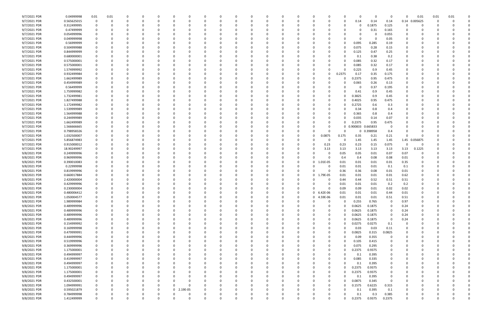| 9/7/2021 PDR | 0.04999998  | 0.01         | 0.01     |             |   |              |   |              |          |          |          |          |          |          |                        |          | O        |          | 0           | $\Omega$ | 0.01          | 0.01     | 0.01 |  |
|--------------|-------------|--------------|----------|-------------|---|--------------|---|--------------|----------|----------|----------|----------|----------|----------|------------------------|----------|----------|----------|-------------|----------|---------------|----------|------|--|
| 9/7/2021 PDR | 0.565625015 | $\mathbf{0}$ | 0        |             |   |              |   | <sup>0</sup> |          | 0        |          |          |          |          | 0<br>0                 | 0        | 0.14     | 0.14     | 0.14        | 0.14     | 0.005625      | 0        |      |  |
| 9/7/2021 PDR | 0.312499995 | 0            |          |             |   |              |   |              |          |          |          |          |          |          |                        |          | 0        | 0.1875   | 0.125       | 0        |               |          |      |  |
|              |             |              |          |             |   |              |   |              |          |          |          |          |          |          |                        |          |          |          |             |          |               |          |      |  |
| 9/7/2021 PDR | 0.47499999  | 0            |          |             |   |              |   |              |          |          |          |          |          |          |                        |          |          | 0.31     | 0.165       |          |               |          |      |  |
| 9/7/2021 PDR | 0.054999996 | 0            |          |             |   |              |   |              |          |          |          |          |          |          |                        |          |          |          | 0.055       |          |               |          |      |  |
| 9/7/2021 PDR | 0.049999998 | 0            |          |             |   |              |   |              |          |          |          |          |          |          |                        |          |          |          | 0.05        |          |               |          |      |  |
| 9/7/2021 PDR | 0.56999999  | 0            |          |             |   |              |   |              |          |          |          |          |          |          |                        |          | 0.095    | 0.285    | 0.19        |          |               |          |      |  |
| 9/7/2021 PDR | 0.504999988 | 0            |          |             |   |              |   |              |          |          |          |          |          |          |                        |          | 0.075    | 0.28     | 0.15        |          |               |          |      |  |
| 9/7/2021 PDR | 0.844999999 | 0            |          |             |   |              |   |              |          |          |          |          |          |          | 0                      |          | 0.125    | 0.47     | 0.25        |          |               |          |      |  |
| 9/7/2021 PDR | 0.680000001 | 0            |          |             |   |              |   |              |          |          |          |          |          |          |                        |          | 0.1      | 0.38     | 0.2         |          |               |          |      |  |
| 9/7/2021 PDR | 0.575000001 | 0            |          |             |   |              |   |              |          |          |          |          |          |          | 0                      |          | 0.085    | 0.32     | 0.17        |          |               |          |      |  |
| 9/7/2021 PDR | 0.575000001 | 0            |          |             |   |              |   |              |          |          |          |          |          |          | 0                      |          | 0.085    | 0.32     | 0.17        |          |               |          |      |  |
| 9/7/2021 PDR | 1.574999992 | 0            |          |             |   |              |   |              |          |          |          |          |          |          | 0                      |          | 0.225    | 0.9      | 0.45        |          |               |          |      |  |
|              |             |              |          |             |   |              |   |              |          |          |          |          |          |          |                        |          |          |          |             |          |               |          |      |  |
| 9/7/2021 PDR | 0.932499984 | 0            |          |             |   |              |   |              |          |          |          |          |          |          | 0                      | 0.2375   | 0.17     | 0.35     | 0.175       |          |               |          |      |  |
| 9/7/2021 PDR | 1.662499989 | 0            |          |             |   |              |   |              |          |          |          |          |          |          | 0                      |          | 0.2375   | 0.95     | 0.475       |          |               |          |      |  |
| 9/7/2021 PDR | 0.454999989 | 0            |          |             |   |              |   |              |          |          |          |          |          |          |                        |          | 0.065    | 0.26     | 0.13        |          |               |          |      |  |
| 9/7/2021 PDR | 0.56499999  | 0            |          |             |   |              |   |              |          |          |          |          |          |          |                        |          |          | 0.37     | 0.195       |          |               |          |      |  |
| 9/7/2021 PDR | 1.759999982 | 0            |          |             |   |              |   |              |          |          |          |          |          |          |                        |          | 0.41     | 0.9      | 0.45        |          |               |          |      |  |
| 9/7/2021 PDR | 1.732499981 | 0            |          |             |   |              |   |              |          |          |          |          |          |          | 0                      |          | 0.3825   | 0.9      | 0.45        |          |               |          |      |  |
| 9/7/2021 PDR | 1.827499988 | 0            |          |             |   |              |   |              |          |          |          |          |          |          | 0                      |          | 0.4025   | 0.95     | 0.475       |          |               |          |      |  |
| 9/7/2021 PDR | 1.172499982 |              |          |             |   |              |   |              |          |          |          |          |          |          |                        |          | 0.2725   | 0.6      | 0.3         |          |               |          |      |  |
| 9/7/2021 PDR | 1.539999989 | 0            |          |             |   |              |   |              |          |          |          |          |          |          |                        |          | 0.34     | 0.8      | 0.4         |          |               |          |      |  |
| 9/7/2021 PDR | 1.564999988 |              |          |             |   |              |   |              |          |          |          |          |          |          |                        |          |          |          |             |          |               |          |      |  |
|              |             | 0            |          |             |   |              |   |              |          |          |          |          |          |          |                        |          | 0.365    | 0.8      | 0.4         |          |               |          |      |  |
| 9/7/2021 PDR | 0.244999989 | 0            |          |             |   |              |   |              |          |          |          |          |          |          | 0                      |          | 0.035    | 0.14     | 0.07        |          |               |          |      |  |
| 9/7/2021 PDR | 1.662499989 | 0            |          |             |   |              |   |              |          |          |          |          |          |          | 0                      |          | 0.2375   | 0.95     | 0.475       |          |               |          |      |  |
| 9/7/2021 PDR | 1.566666665 | 0            |          |             |   |              |   |              |          |          |          |          |          |          | 0                      | 0        | 0.900833 | 0.665833 | 0           |          |               |          |      |  |
| 9/7/2021 PDR | 0.798958326 |              |          |             |   |              |   |              |          |          |          |          |          |          | 0                      |          | 0        | 0.398958 | 0.4         |          |               |          |      |  |
| 9/7/2021 PDR | 1.032500007 |              |          |             |   |              |   |              |          |          |          |          |          |          | 0.0875                 | 0.175    | 0.35     | 0.21     | 0.21        | $\Omega$ |               |          |      |  |
| 9/7/2021 PDR | 5.856874983 | 0            |          |             |   |              |   |              |          |          |          |          |          |          | -0                     | - 0      | 1.45     | 1.45     | 1.45        |          | 1.45 0.056875 |          |      |  |
| 9/7/2021 PDR | 0.915000012 | 0            |          |             |   |              |   |              |          |          |          |          |          |          | 0.23                   | 0.23     | 0.23     | 0.15     | 0.075       | $\Omega$ | -0            |          |      |  |
| 9/7/2021 PDR | 18.90249997 | 0            |          |             |   |              |   |              |          |          |          |          |          |          | 3.13                   | 3.13     | 3.13     | 3.13     | 3.13        | 3.13     | 0.1225        |          |      |  |
| 9/8/2021 PDR | 0.249999996 | 0            |          |             |   |              |   |              |          |          |          |          |          |          | 0                      | 0.05     | 0.05     | 0.01     | 0.07        | 0.07     |               |          |      |  |
| 9/8/2021 PDR | 0.969999996 | 0            |          |             |   |              |   |              |          |          |          |          |          |          |                        | 0.4      | 0.4      | 0.08     | 0.08        | 0.01     |               |          |      |  |
|              |             |              |          |             |   |              |   |              |          |          |          |          |          |          |                        |          |          |          |             |          |               |          |      |  |
| 9/8/2021 PDR | 0.390010083 | 0            |          |             |   |              |   |              |          |          |          |          |          |          | 1.01E-05<br>0          | 0.01     | 0.01     | 0.01     | 0.01        | 0.35     |               |          |      |  |
| 9/8/2021 PDR | 0.22999998  | 0            |          |             |   |              |   |              |          |          |          |          |          |          | 0                      | 0.01     | 0.01     | 0.01     | 0.1         | 0.1      |               |          |      |  |
| 9/8/2021 PDR | 0.819999996 | 0            |          |             |   |              |   |              |          |          |          |          |          |          | O                      | 0.36     | 0.36     | 0.08     | 0.01        | 0.01     |               |          |      |  |
| 9/8/2021 PDR | 0.660017884 | 0            |          |             |   |              |   |              |          |          |          |          |          |          | 1.79E-05<br>0          | 0.01     | 0.01     | 0.01     | 0.01        | 0.62     |               |          |      |  |
| 9/8/2021 PDR | 2.420000004 | 0            |          |             |   |              |   |              |          |          |          |          |          |          |                        | 0.44     | 0.44     | 0.52     | 0.51        | 0.51     |               |          |      |  |
| 9/8/2021 PDR | 0.429999996 |              |          |             |   |              |   |              |          |          |          |          |          |          |                        | 0.01     | 0.01     | 0.01     | 0.2         | 0.2      |               |          |      |  |
| 9/8/2021 PDR | 0.230000004 | 0            |          |             |   |              |   |              |          |          |          |          |          |          | 0                      | 0.09     | 0.09     | 0.01     | 0.02        | 0.02     |               |          |      |  |
| 9/8/2021 PDR | 0.480006412 | $\mathbf 0$  |          |             |   |              |   |              |          |          |          |          |          |          | $6.42F-06$<br>$\Omega$ | 0.01     | 0.01     | 0.01     | 0.44        | $0.01\,$ |               |          |      |  |
| 9/8/2021 PDR | 1.050004577 | 0            | $\Omega$ | $\Omega$    | 0 | $\Omega$     | 0 | $\Omega$     | $\Omega$ | 0        | 0        | 0        | 0        | $\Omega$ | 0 4.59E-06             | 0.01     | 0.01     | 0.01     | 0.51        | 0.51     | 0             | $\Omega$ |      |  |
| 9/8/2021 PDR | 1.989999984 |              | 0        |             | 0 |              |   | 0            |          | 0        | 0        | 0        | 0        | $\Omega$ | $\Omega$<br>0          |          | 0.255    | 0.765    | $\mathbf 0$ | 0.97     | 0             |          |      |  |
|              |             | 0            |          |             |   |              | 0 |              |          |          |          |          |          |          |                        |          |          |          |             |          |               | 0        |      |  |
| 9/8/2021 PDR | 0.489999996 | 0            | $\Omega$ |             |   |              |   | $\Omega$     |          | 0        |          | $\Omega$ |          | $\Omega$ | $\Omega$<br>0          |          | 0.0625   | 0.1875   | $\mathbf 0$ | 0.24     |               |          |      |  |
| 9/8/2021 PDR | 0.489999996 | 0            |          |             |   |              |   |              |          | 0        |          | 0        |          |          | 0<br>0                 |          | 0.0625   | 0.1875   | 0           | 0.24     | 0             |          |      |  |
| 9/8/2021 PDR | 0.489999996 | 0            |          |             |   |              |   |              |          | 0        |          |          |          |          | 0                      |          | 0.0625   | 0.1875   | $\mathbf 0$ | 0.24     |               |          |      |  |
| 9/8/2021 PDR | 0.489999996 | 0            |          |             |   |              |   |              |          | 0        |          | $\Omega$ |          |          | 0                      |          | 0.0625   | 0.1875   | $\mathbf 0$ | 0.24     |               |          |      |  |
| 9/8/2021 PDR | 0.154999992 | 0            |          |             |   |              |   |              |          | $\Omega$ |          | 0        |          |          | 0                      |          | 0.0275   | 0.0275   | 0.1         |          |               |          |      |  |
| 9/8/2021 PDR | 0.169999998 | 0            | $\Omega$ |             |   |              |   | 0            |          | 0        |          | 0        |          | 0        | 0<br>0                 |          | 0.03     | 0.03     | 0.11        | 0        |               |          |      |  |
| 9/8/2021 PDR | 0.479999991 | $\mathbf 0$  | $\Omega$ |             |   |              |   |              |          | 0        |          | $\Omega$ |          | 0        | 0<br>0                 |          | 0.0825   | 0.315    | 0.0825      | $\Omega$ |               |          |      |  |
| 9/8/2021 PDR | 0.444999996 | 0            |          |             |   |              |   |              |          | 0        |          | 0        |          |          | 0                      |          | 0.09     | 0.355    | 0           | $\Omega$ |               |          |      |  |
| 9/8/2021 PDR | 0.519999996 | 0            |          |             |   |              |   | 0            |          | 0        |          | 0        |          |          | 0<br>0                 |          | 0.105    | 0.415    | 0           | 0        |               |          |      |  |
|              | 0.369999996 | 0            | $\Omega$ |             |   |              |   |              |          | 0        |          | $\Omega$ |          |          | 0                      |          | 0.075    | 0.295    | 0           | $\Omega$ |               |          |      |  |
| 9/8/2021 PDR |             |              | $\Omega$ |             |   |              |   |              |          |          |          |          |          |          |                        |          |          |          |             |          |               |          |      |  |
| 9/8/2021 PDR | 1.175000001 | 0            |          |             |   |              |   |              |          | $\Omega$ |          | $\Omega$ |          |          | 0                      |          | 0.2375   | 0.9375   | 0           |          |               |          |      |  |
| 9/8/2021 PDR | 0.494999997 | 0            |          |             |   |              |   |              |          | 0        |          | 0        |          |          | 0<br>0                 |          | 0.1      | 0.395    | 0           |          |               |          |      |  |
| 9/8/2021 PDR | 0.419999997 | 0            | $\Omega$ |             |   |              |   | 0            |          | 0        |          | $\Omega$ |          | 0        | 0<br>0                 |          | 0.085    | 0.335    | 0           | $\Omega$ |               |          |      |  |
| 9/8/2021 PDR | 0.494999997 | 0            |          |             |   |              |   |              |          | 0        |          | 0        |          |          | 0                      |          | 0.1      | 0.395    | 0           |          |               |          |      |  |
| 9/8/2021 PDR | 1.175000001 | 0            |          |             |   |              |   |              |          | 0        |          | 0        |          |          | 0                      |          | 0.2375   | 0.9375   | 0           |          |               |          |      |  |
| 9/8/2021 PDR | 1.175000001 | 0            |          |             |   |              |   |              |          | $\Omega$ |          |          |          |          | 0                      |          | 0.2375   | 0.9375   | 0           |          |               |          |      |  |
| 9/8/2021 PDR | 0.494999997 | 0            |          |             |   |              |   |              |          | 0        |          | 0        |          |          | 0                      | $\Omega$ | 0.1      | 0.395    | 0           |          |               |          |      |  |
| 9/8/2021 PDR | 0.432500001 | 0            |          |             |   |              |   |              |          | 0        |          | 0        |          |          | 0                      |          | 0.0875   | 0.345    | $\mathbf 0$ | $\Omega$ |               |          |      |  |
| 9/8/2021 PDR | 1.094999991 | 0            |          |             |   |              |   | $\Omega$     |          | $\Omega$ |          | 0        |          |          | 0<br>O                 |          | 0.1575   | 0.6225   | 0.315       | $\Omega$ |               |          |      |  |
|              |             |              |          |             |   |              |   |              |          |          |          |          |          |          |                        |          |          |          |             |          |               |          |      |  |
| 9/8/2021 PDR | 0.595021879 | 0            |          |             |   | <sup>0</sup> | 0 | 2.19E-05     |          | 0        |          | 0        |          |          | 0                      |          | 0.1      | 0.395    | 0.1         | 0        |               |          |      |  |
| 9/8/2021 PDR | 0.784999998 | 0            |          |             |   |              |   |              |          | 0        |          |          |          |          |                        |          | 0.1      | 0.3      | 0.385       | 0        |               |          |      |  |
| 9/8/2021 PDR | 1.412499999 | $\mathsf{O}$ | $\Omega$ | $\mathbf 0$ | 0 |              | 0 | $\Omega$     |          | $\Omega$ | $\Omega$ | $\Omega$ | $\Omega$ | $\Omega$ | $\Omega$<br>0          |          | 0.2375   | 0.9375   | 0.2375      | $\Omega$ | $\mathbf 0$   | -0       | 0    |  |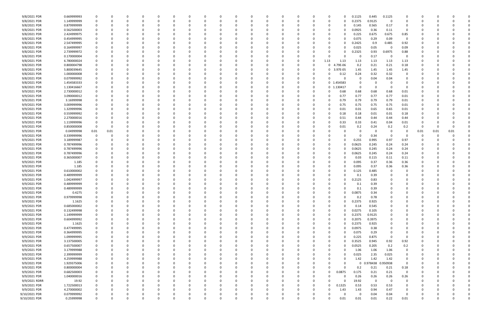| 9/8/2021 PDR  | 0.669999993 | 0                       | 0        |   |          |          |          |   | n        |             |          |          |          |          | -0             |          | 0.1125 | 0.445               | 0.1125      |             |          |          |      |  |
|---------------|-------------|-------------------------|----------|---|----------|----------|----------|---|----------|-------------|----------|----------|----------|----------|----------------|----------|--------|---------------------|-------------|-------------|----------|----------|------|--|
| 9/8/2021 PDR  | 1.149999999 | 0                       | C.       |   |          |          |          |   |          |             | 0        |          |          |          | 0              |          | 0.2375 | 0.9125              | 0           |             |          |          |      |  |
| 9/8/2021 PDR  | 0.879999999 | 0                       |          |   |          |          |          |   |          |             |          |          |          |          |                |          | 0.145  | 0.565               | 0.17        | 0           |          |          |      |  |
| 9/8/2021 PDR  | 0.562500003 | 0                       |          |   |          |          |          |   |          |             |          |          |          |          |                |          | 0.0925 | 0.36                | 0.11        | 0           |          |          |      |  |
|               |             |                         |          |   |          |          |          |   |          |             |          |          |          |          |                |          |        |                     |             |             |          |          |      |  |
| 9/8/2021 PDR  | 2.424999975 | 0                       |          |   |          |          |          |   |          |             |          |          |          |          | -0             |          | 0.225  | 0.675               | 0.675       | 0.85        |          |          |      |  |
| 9/8/2021 PDR  | 0.454999995 | 0                       |          |   |          |          |          |   |          |             |          |          |          |          | -0             |          | 0.075  | 0.29                | 0.09        | $\Omega$    |          |          |      |  |
| 9/8/2021 PDR  | 2.547499995 |                         |          |   |          |          |          |   |          |             |          |          |          |          | 0              |          | 0.2425 | 0.9                 | 0.485       | 0.92        |          |          |      |  |
| 9/8/2021 PDR  | 0.164999997 |                         |          |   |          |          |          |   |          |             |          |          |          |          | -0             |          | 0.025  | 0.05                | -0          | 0.09        |          |          |      |  |
| 9/8/2021 PDR  | 2.739999972 |                         |          |   |          |          |          |   |          |             |          |          |          |          |                |          | 0.2325 | 0.93                | 0.6975      | 0.88        |          |          |      |  |
| 9/8/2021 PDR  | 0.170000004 | $\Omega$                |          |   |          |          |          |   |          |             |          |          |          |          |                |          | 0      | 0.17                | 0           | $\Omega$    |          |          |      |  |
| 9/8/2021 PDR  | 6.780000024 | 0                       |          |   |          |          |          |   |          |             |          |          |          |          | 1.13           | 1.13     | 1.13   | 1.13                | 1.13        | 1.13        |          |          |      |  |
| 9/8/2021 PDR  | 0.800004798 | 0                       |          |   |          |          |          |   |          |             |          |          |          |          | 0              | 79E-06   | 0.2    | 0.21                | 0.21        | 0.18        |          |          |      |  |
| 9/8/2021 PDR  | 5.800039645 | 0                       |          |   |          |          |          |   |          |             | O        |          |          |          | 0              | 3.97E-05 | 1.45   | 1.45                | 1.45        | 1.45        |          |          |      |  |
|               |             |                         |          |   |          |          |          |   |          |             |          |          |          |          |                |          |        |                     |             |             |          |          |      |  |
| 9/8/2021 PDR  | 1.000000008 | 0                       |          |   |          |          |          |   |          |             |          |          |          |          |                | 0.12     | 0.24   | 0.32                | 0.32        | 0           |          |          |      |  |
| 9/8/2021 PDR  | 0.079999992 |                         |          |   |          |          |          |   |          |             |          |          |          |          |                |          | 0      | 0.04                | 0.04        |             |          |          |      |  |
| 9/8/2021 PDR  | 1.454583333 | 0                       |          |   |          |          |          |   |          |             |          |          |          |          | 0 1.           | .454583  | 0      |                     |             |             |          |          |      |  |
| 9/8/2021 PDR  | 1.130416667 | 0                       |          |   |          |          |          |   |          |             |          |          |          |          | 0 <sub>1</sub> | 130417   | 0      | 0                   | $\Omega$    | $\Omega$    |          |          |      |  |
| 9/9/2021 PDR  | 2.730000012 | 0                       | n        |   |          |          |          |   |          |             |          |          |          |          | -0             | 0.68     | 0.68   | 0.68                | 0.68        | 0.01        |          |          |      |  |
| 9/9/2021 PDR  | 3.090000012 | 0                       |          |   |          |          |          |   |          |             |          |          |          |          | $\Omega$       | 0.77     | 0.77   | 0.77                | 0.77        | 0.01        |          |          |      |  |
| 9/9/2021 PDR  | 3.16999998  | 0                       |          |   |          |          |          |   |          |             |          |          |          |          | 0              | 0.79     | 0.79   | 0.79                | 0.79        | 0.01        |          |          |      |  |
| 9/9/2021 PDR  | 3.009999996 |                         |          |   |          |          |          |   |          |             |          |          |          |          | 0              | 0.75     | 0.75   | 0.75                | 0.75        | 0.01        |          |          |      |  |
| 9/9/2021 PDR  | 1.329999996 |                         |          |   |          |          |          |   |          |             |          |          |          |          |                | 0.01     |        |                     | 0.65        |             |          |          |      |  |
|               |             | 0                       |          |   |          |          |          |   |          |             |          |          |          |          | 0              |          | 0.01   | 0.65                |             | 0.01        |          |          |      |  |
| 9/9/2021 PDR  | 0.559999992 |                         |          |   |          |          |          |   |          |             |          |          |          |          |                | 0.18     | 0.18   | 0.01                | 0.01        | 0.18        |          |          |      |  |
| 9/9/2021 PDR  | 2.270000016 | 0                       |          |   |          |          |          |   |          |             |          |          |          |          |                | 0.51     | 0.44   | 0.44                | 0.44        | 0.44        |          |          |      |  |
| 9/9/2021 PDR  | 1.119999996 | 0                       |          |   |          |          |          |   |          |             |          |          |          |          |                | 0.33     | 0.33   | 0.41                | 0.04        | 0.01        |          |          |      |  |
| 9/9/2021 PDR  | 0.850000008 | $\overline{\mathbf{0}}$ | 0        |   |          |          |          |   |          |             |          |          |          |          |                | 0.01     | 0.2    | 0.24                | 0.2         | 0.2         | - 0      | 0        |      |  |
| 9/9/2021 PDR  | 0.04999998  | 0.01                    | 0.01     |   |          |          |          |   |          |             |          |          |          |          |                |          |        | C                   | - 0         |             | 0.01     | 0.01     | 0.01 |  |
| 9/9/2021 PDR  | 0.339999996 | 0                       | -C       |   |          |          |          |   |          |             |          |          |          |          |                |          |        | 0.34                | - 0         |             | 0        |          |      |  |
| 9/9/2021 PDR  | 3.189999987 | - 0                     |          |   |          |          |          |   |          |             |          |          |          |          |                |          | 0.255  | 0.995               | 0.97        | 0.97        |          |          |      |  |
| 9/9/2021 PDR  | 0.787499996 | -0                      |          |   |          |          |          |   |          |             |          |          |          |          | 0              |          | 0.0625 | 0.245               | 0.24        | 0.24        |          |          |      |  |
| 9/9/2021 PDR  | 0.787499996 | 0                       |          |   |          |          |          |   |          |             |          |          |          |          | 0              |          | 0.0625 | 0.245               | 0.24        | 0.24        |          |          |      |  |
|               |             |                         |          |   |          |          |          |   |          |             |          |          |          |          |                |          |        |                     |             |             |          |          |      |  |
| 9/9/2021 PDR  | 0.787499996 |                         |          |   |          |          |          |   |          |             |          |          |          |          | -0             |          | 0.0625 | 0.245               | 0.24        | 0.24        |          |          |      |  |
| 9/9/2021 PDR  | 0.365000007 |                         |          |   |          |          |          |   |          |             |          |          |          |          | -0             |          | 0.03   | 0.115               | 0.11        | 0.11        |          |          |      |  |
| 9/9/2021 PDR  | 1.185       |                         |          |   |          |          |          |   |          |             |          |          |          |          |                |          | 0.095  | 0.37                | 0.36        | 0.36        |          |          |      |  |
| 9/9/2021 PDR  | 1.185       |                         |          |   |          |          |          |   |          |             |          |          |          |          |                |          | 0.095  | 0.37                | 0.36        | 0.36        |          |          |      |  |
| 9/9/2021 PDR  | 0.610000002 | 0                       |          |   |          |          |          |   |          |             |          |          |          |          |                |          | 0.125  | 0.485               | -0          |             |          |          |      |  |
| 9/9/2021 PDR  | 0.489999999 | 0                       |          |   |          |          |          |   |          |             |          |          |          |          |                |          | 0.1    | 0.39                |             |             |          |          |      |  |
| 9/9/2021 PDR  | 1.042499997 |                         |          |   |          |          |          |   |          |             |          |          |          |          |                |          | 0.2125 | 0.83                |             |             |          |          |      |  |
| 9/9/2021 PDR  | 0.489999999 |                         |          |   |          |          |          |   |          |             |          |          |          |          |                |          | 0.1    | 0.39                |             |             |          |          |      |  |
| 9/9/2021 PDR  | 0.489999999 | $\Omega$                | C        |   |          |          |          |   |          |             |          |          |          |          |                |          | 0.1    | 0.39                |             |             |          |          |      |  |
| 9/9/2021 PDR  | 0.4275      | 0                       |          |   |          |          |          |   |          |             |          |          |          |          |                |          | 0.0875 | 0.34                |             |             |          |          |      |  |
|               |             |                         |          |   |          |          |          |   |          |             |          |          |          |          |                |          |        |                     |             |             |          |          |      |  |
| 9/9/2021 PDR  | 0.979999998 | $\mathbf 0$             | 0        | 0 | 0        | 0        | $\Omega$ | 0 | 0        | 0           | 0        | $\Omega$ | $\Omega$ | $\Omega$ | 0              |          | 0.2    | 0.78                | $\Omega$    | $\Omega$    | 0        | $\Omega$ |      |  |
| 9/9/2021 PDR  | 1.1625      | 0                       | 0        | 0 | 0        | $\Omega$ | $\Omega$ |   | n        | 0           | 0        |          |          |          | 0              |          | 0.2375 | 0.925               | 0           |             |          |          |      |  |
| 9/9/2021 PDR  | 0.685000002 | $\mathbf 0$             | 0        |   |          | $\Omega$ | $\Omega$ |   |          | o           | 0        |          | $\Omega$ |          | 0              |          | 0.14   | 0.545               | 0           | $\Omega$    |          |          |      |  |
| 9/9/2021 PDR  | 0.132499998 | 0                       | 0        |   |          | 0        |          |   |          |             | 0        |          |          |          | 0              |          | 0.0275 | 0.105               | 0           |             |          |          |      |  |
| 9/9/2021 PDR  | 1.149999999 | 0                       |          |   |          |          |          |   |          | 0           | 0        |          |          |          | 0              |          | 0.2375 | 0.9125              |             |             |          |          |      |  |
| 9/9/2021 PDR  | 0.604999992 | $\mathbf 0$             | 0        |   | 0        | $\Omega$ |          | 0 |          | 0           | 0        |          |          |          | 0              |          | 0.2075 | 0.3975              | $\Omega$    |             | 0        |          |      |  |
| 9/9/2021 PDR  | 1.1625      | $\mathbf 0$             | 0        |   |          |          |          |   |          |             | 0        |          |          |          | 0              |          | 0.2375 | 0.925               | 0           | $\Omega$    |          |          |      |  |
| 9/9/2021 PDR  | 0.477499995 | 0                       | 0        |   |          | 0        |          |   |          |             | 0        |          |          |          | 0              |          | 0.0975 | 0.38                | 0           |             |          |          |      |  |
| 9/9/2021 PDR  | 0.364999995 | 0                       | 0        |   | 0        | $\Omega$ |          |   |          |             | 0        |          |          |          | 0              |          | 0.075  | 0.29                |             | 0           |          |          |      |  |
| 9/9/2021 PDR  | 1.099999995 | 0                       |          |   |          |          |          |   |          |             | 0        |          |          |          | 0              |          | 0.225  | 0.875               | $\mathbf 0$ | 0           |          |          |      |  |
|               |             |                         |          |   |          |          |          |   |          |             |          |          |          |          |                |          |        |                     |             |             |          |          |      |  |
| 9/9/2021 PDR  | 3.137500005 | $\mathbf 0$             |          |   |          |          |          |   |          |             | 0        |          |          |          | 0              |          | 0.3525 | 0.945               | 0.92        | 0.92        |          |          |      |  |
| 9/9/2021 PDR  | 0.657500007 | 0                       |          |   | 0        |          |          |   |          |             | 0        |          |          |          | 0              |          | 0.0525 | 0.205               | 0.2         | 0.2         |          |          |      |  |
| 9/9/2021 PDR  | 3.179999988 | $\mathbf 0$             | 0        |   |          |          |          |   |          |             | 0        |          |          |          | 0              |          | 1.06   | 1.06                | 1.06        | 0           |          |          |      |  |
| 9/9/2021 PDR  | 2.399999999 | 0                       | 0        |   | 0        | 0        |          |   |          | 0           | 0        |          |          |          | 0              |          | 0.025  | 2.35                | 0.025       | 0           |          | -0       |      |  |
| 9/9/2021 PDR  | 4.259999988 | $\mathbf 0$             | 0        |   | 0        | $\Omega$ |          |   | n        | 0           | 0        |          |          |          | 0              |          | 1.42   | 1.42                | 1.42        | 0           | 0        |          |      |  |
| 9/9/2021 PDR  | 1.929375006 | 0                       | 0        |   |          |          |          |   |          |             | 0        |          |          |          |                |          |        | 0 0.978438 0.950938 |             | $\Omega$    |          |          |      |  |
| 9/9/2021 PDR  | 0.800000004 | $\mathbf 0$             | C        |   |          |          |          |   |          |             | 0        |          |          |          | 0              |          | 0.2    | 0.21                | 0.21        | 0.18        |          |          |      |  |
| 9/9/2021 PDR  | 0.682500003 | 0                       |          |   |          |          |          |   |          |             | 0        |          |          |          | $\Omega$       | 0.0875   | 0.175  | 0.21                | 0.21        | $\mathbf 0$ |          |          |      |  |
| 9/9/2021 PDR  | 1.040000016 | $\mathbf 0$             | 0        |   | 0        |          |          |   |          |             | 0        |          |          |          |                |          | 0.26   | 0.26                | 0.26        | 0.26        | 0        |          |      |  |
| 9/9/2021 RDRR |             |                         |          |   |          |          |          |   |          |             |          |          |          |          |                |          |        |                     |             | $\Omega$    |          |          |      |  |
|               | 19.92       | 0                       | 0        |   |          | -0       |          |   |          |             | 0        |          |          |          |                |          | 19.92  | $\mathbf 0$         | $\mathbf 0$ |             |          |          |      |  |
| 9/9/2021 PDR  | 1.722500013 | 0                       | 0        |   | 0        | 0        |          |   |          |             | 0        |          |          |          | $\Omega$       | 0.1325   | 0.53   | 0.53                | 0.53        | 0           |          |          |      |  |
| 9/9/2021 PDR  | 4.270000002 | - 0                     | 0        |   | 0        |          | $\Omega$ |   |          |             | 0        |          | $\Omega$ |          | $\Omega$       | 1.43     | 1.43   | 0.94                | 0.47        | 0           |          |          |      |  |
| 9/10/2021 PDR | 0.079999992 | 0                       | C        |   |          | 0        |          |   |          |             |          |          |          |          |                |          | - 0    | 0.04                | 0.04        | 0           |          |          |      |  |
| 9/10/2021 PDR | 0.25999998  | $\mathbf 0$             | $\Omega$ | 0 | $\Omega$ | $\Omega$ | $\Omega$ |   | $\Omega$ | $\mathbf 0$ | $\Omega$ | $\Omega$ | $\Omega$ |          | $\Omega$       | 0.01     | 0.01   | 0.01                | 0.22        | $0.01\,$    | $\Omega$ | 0        | 0    |  |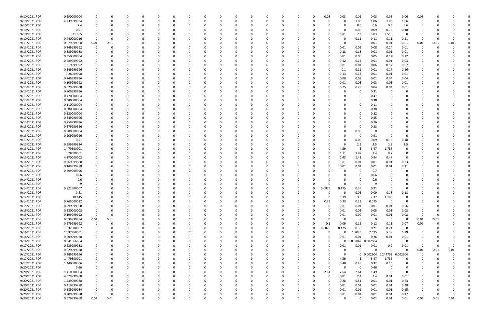| 9/10/2021 PDR                  | 0.290000004    |             |      |          |               |          |          | 0            |          | $\Omega$ |     |          |          |          | 0.03     | 0.03     | 0.06        | 0.03                         | 0.05              | 0.06                    | 0.03 |          |              |  |
|--------------------------------|----------------|-------------|------|----------|---------------|----------|----------|--------------|----------|----------|-----|----------|----------|----------|----------|----------|-------------|------------------------------|-------------------|-------------------------|------|----------|--------------|--|
| 9/10/2021 PDR                  | 4.239999984    |             |      |          |               |          |          |              |          |          |     |          |          | 0        |          | 0        | 1.06        | 1.06                         | 1.06              | 1.06                    | 0    |          |              |  |
| 9/10/2021 PDR                  | 2.4            |             |      |          |               |          |          |              |          |          |     |          |          |          |          | 0        | 0.6         | 0.6                          | 0.6               | 0.6                     | C    |          |              |  |
| 9/10/2021 PDR                  | 0.51           |             |      |          |               |          |          |              |          |          |     |          |          |          |          | 0        | 0.06        | 0.09                         | 0.18              | 0.18                    |      |          |              |  |
| 9/10/2021 PDR                  | 21.655         |             |      |          |               |          |          |              |          |          |     |          |          |          |          | 6.81     | 7.3         | 5.03                         | 2.515             | 0                       |      |          |              |  |
| 9/10/2021 PDR                  | 0.440000016    |             |      |          |               |          |          |              |          |          |     |          |          |          |          |          | 0.11        | 0.11                         | 0.11              | 0.11                    | 0    |          |              |  |
| 9/11/2021 PDR                  | 0.079999968    | 0.01        | 0.01 |          |               |          |          |              |          |          |     |          |          |          |          | $\Omega$ | - 0         | 0.01                         | 0.01              | 0.01                    | 0.01 | 0.01     | 0.01         |  |
| 9/13/2021 PDR                  | 0.349999992    |             |      |          |               |          |          |              |          |          |     |          |          |          |          | 0.01     | 0.01        | 0.08                         | 0.24              | 0.01                    | 0    |          |              |  |
| 9/13/2021 PDR                  | 0.389999988    |             |      |          |               |          |          |              |          |          |     |          |          |          |          | 0.18     | 0.18        | 0.01                         | 0.01              | 0.01                    |      |          |              |  |
| 9/13/2021 PDR                  | 0.350000004    |             |      |          |               |          |          |              |          |          |     |          |          |          |          | 0.01     | 0.05        | 0.05                         | 0.12              | 0.12                    |      |          |              |  |
| 9/13/2021 PDR                  | 0.289999992    |             |      |          |               |          |          |              |          |          |     |          |          |          |          | 0.12     | 0.12        | 0.01                         | 0.01              | 0.03                    |      |          |              |  |
| 9/13/2021 PDR                  | 1.219999992    |             |      |          |               |          |          |              |          |          |     |          |          |          |          | 0.01     | 0.01        | 0.06                         | 0.57              | 0.57                    |      |          |              |  |
| 9/13/2021 PDR                  | 0.549999996    |             |      |          |               |          |          |              |          |          |     |          |          |          |          | 0.1      | 0.11        | 0.01                         | 0.17              | 0.16                    |      |          |              |  |
| 9/13/2021 PDR                  | 0.28999998     |             |      |          |               |          |          |              |          |          |     |          |          |          |          | 0.13     | 0.13        | 0.01                         | 0.01              | 0.01                    |      |          |              |  |
| 9/13/2021 PDR                  | 0.249999996    |             |      |          |               |          |          |              |          |          |     |          |          |          |          | 0.08     | 0.08        | 0.01                         | 0.04              | 0.04                    |      |          |              |  |
| 9/13/2021 PDR                  | 0.109999992    |             |      |          |               |          |          |              |          |          |     |          |          |          |          | 0.01     | 0.03        | 0.03                         | 0.03              | 0.01                    |      |          |              |  |
| 9/13/2021 PDR                  | 0.629999988    |             |      |          |               |          |          |              |          |          |     |          |          |          |          | 0.25     | 0.29        | 0.04                         | 0.04              | 0.01                    |      |          |              |  |
| 9/13/2021 PDR                  | 0.309999996    |             |      |          |               |          |          |              |          |          |     |          |          |          |          |          | 0           | 0.31                         | - 0               | 0                       |      |          |              |  |
| 9/13/2021 PDR                  | 0.470000004    |             |      |          |               |          |          |              |          |          |     |          |          |          |          |          | 0           | 0.47                         |                   |                         |      |          |              |  |
| 9/13/2021 PDR                  | 0.380000004    |             |      |          |               |          |          |              |          |          |     |          |          |          |          |          | 0           | 0.38                         |                   |                         |      |          |              |  |
| 9/13/2021 PDR                  | 0.110000004    |             |      |          |               |          |          |              |          |          |     |          |          |          |          |          | 0           | 0.11                         |                   |                         |      |          |              |  |
| 9/13/2021 PDR                  | 0.380000004    |             |      |          |               |          |          |              |          |          |     |          |          |          |          |          | 0           | 0.38                         |                   |                         |      |          |              |  |
| 9/13/2021 PDR                  | 0.320000004    |             |      |          |               |          |          |              |          |          |     |          |          |          |          |          | 0           | 0.32                         |                   |                         |      |          |              |  |
| 9/13/2021 PDR                  | 0.849999996    |             |      |          |               |          |          |              |          |          |     |          |          |          |          |          | C.          | 0.85                         |                   |                         |      |          |              |  |
| 9/13/2021 PDR                  | 0.759999996    |             |      |          |               |          |          |              |          |          |     |          |          |          |          |          | O           | 0.76                         |                   |                         |      |          |              |  |
| 9/13/2021 PDR                  | 0.279999996    |             |      |          |               |          |          |              |          |          |     |          |          |          |          |          | 0           | 0.28                         |                   |                         |      |          |              |  |
| 9/13/2021 PDR                  | 0.980000004    |             |      |          |               |          |          |              |          |          |     |          |          |          |          | 0        | 0.98        | 0                            |                   |                         |      |          |              |  |
| 9/13/2021 PDR                  | 0.909999996    |             |      |          |               |          |          |              |          |          |     |          |          |          |          |          | 0           | 0.91                         | $\Omega$          | 0                       |      |          |              |  |
| 9/13/2021 PDR                  | 0.51           |             |      |          |               |          |          |              |          |          |     |          |          |          |          |          | 0.06        | 0.09                         | 0.18              | 0.18                    |      |          |              |  |
| 9/13/2021 PDR                  | 9.999999984    |             |      |          |               |          |          |              |          |          |     |          |          |          |          | O        | 2.5         | 2.5                          | 2.5               | 2.5                     |      |          |              |  |
| 9/13/2021 PDR                  | 14.79500001    |             |      |          |               |          |          |              |          |          |     |          |          |          |          | 4.59     | -5          | 3.47                         | 1.735             | 0                       |      |          |              |  |
| 9/13/2021 PDR                  | 5.78000001     |             |      |          |               |          |          |              |          |          |     |          |          |          |          | 1.71     | 1.97        | -1.4                         | 0.7               | 0                       |      |          |              |  |
| 9/13/2021 PDR                  | 4.270000002    |             |      |          |               |          |          |              |          |          |     |          |          | -0       |          | 1.43     | 1.43        | 0.94                         | 0.47              | $\Omega$                |      |          |              |  |
| 9/14/2021 PDR                  | 0.269999988    |             |      |          |               |          |          |              |          |          |     |          |          |          |          | 0.01     | 0.01        | 0.01                         | 0.01              | 0.23                    |      |          |              |  |
| 9/14/2021 PDR                  | 0.149999988    |             |      |          |               |          |          |              |          |          |     |          |          |          |          | 0.01     | 0.01        | 0.01                         | 0.01              | 0.11                    |      |          |              |  |
| 9/14/2021 PDR                  | 0.699999996    |             |      |          |               |          |          |              |          |          |     |          |          |          |          |          | 0           | 0.7                          | - 0               | 0                       |      |          |              |  |
| 9/14/2021 PDR                  | 0.66           |             |      |          |               |          |          |              |          |          |     |          |          |          |          |          | 0           | 0.66                         |                   |                         |      |          |              |  |
| 9/14/2021 PDR                  | 0.6            |             |      |          |               |          |          |              |          |          |     |          |          |          |          |          | $\Omega$    | 0.6                          |                   |                         |      |          |              |  |
| 9/14/2021 PDR<br>9/14/2021 PDR |                |             |      |          |               |          |          |              |          |          |     |          |          |          |          | O        | 0           |                              |                   |                         |      |          |              |  |
|                                | 0.822500007    |             |      |          |               |          |          |              |          |          |     |          |          | 0        | 0.0875   | 0.175    | 0.35        | 0.21                         |                   |                         |      |          |              |  |
| 9/14/2021 PDR<br>9/14/2021 PDR | 0.51<br>10.445 | 0           | 0    | $\Omega$ | $\Omega$      | $\Omega$ | $\Omega$ | 0            | 0        | 0        | - 0 | 0        | $\Omega$ | $\Omega$ | $\Omega$ | 3.39     | 0.06        | 0.09<br>2.37                 | $0.18\,$          | 0.18                    | 0    |          |              |  |
| 9/14/2021 PDR                  | 0.765000012    | 0           |      | 0        |               | $\Omega$ |          | <sup>0</sup> |          | 0        |     | O        |          | 0        | 0.23     | 0.23     | 3.5<br>0.23 | 0.075                        | 1.185<br>$\Omega$ | 0<br>0                  | 0    |          |              |  |
| 9/15/2021 PDR                  | 0.599999988    |             |      | $\Omega$ | 0<br>$\Omega$ |          |          | <sup>0</sup> |          | $\Omega$ |     |          | 0        | $\Omega$ |          | 0.01     | 0.01        | 0.01                         | 0.01              | 0.56                    | 0    |          |              |  |
| 9/15/2021 PDR                  | 0.220000008    |             |      |          |               |          |          |              |          |          |     |          |          | $\Omega$ |          | 0.01     | 0.05        | 0.05                         | 0.08              | 0.03                    | 0    |          |              |  |
| 9/15/2021 PDR                  | 0.199999992    | $\Omega$    | 0    |          |               |          |          |              |          |          |     |          |          |          |          | 0.01     | 0.09        | 0.01                         | $0.01\,$          | 0.08                    | - 0  |          |              |  |
| 9/15/2021 PDR                  | 0.039999984    | 0.01        | 0.01 | 0        |               |          |          | 0            |          |          |     |          | 0        | $\Omega$ |          | $\Omega$ | 0           | $\mathbf 0$                  | 0                 | $\overline{\mathbf{0}}$ | 0.01 | 0.01     |              |  |
| 9/15/2021 PDR                  | 0.679999992    | $\mathbf 0$ | 0    |          |               |          |          | 0            |          |          |     |          | 0        | $\Omega$ | 0.1      | 0.09     | 0.12        | 0.12                         | 0.11              | 0.07                    | 0.07 | 0        |              |  |
| 9/15/2021 PDR                  | 1.032500007    | $\mathbf 0$ | 0    | $\Omega$ | $\Omega$      | $\Omega$ |          | $\Omega$     |          | 0        |     |          | 0        | $\Omega$ | 0.0875   | 0.175    | 0.35        | 0.21                         | 0.21              | $\overline{\mathbf{0}}$ | 0    |          |              |  |
| 9/16/2021 PDR                  | 15.37750001    |             |      | 0        | $\Omega$      | $\Omega$ |          | 0            |          | 0        |     |          | 0        | $\Omega$ | $\Omega$ | $\Omega$ | 1.9025      | 2.695                        | 5.39              | 5.39                    | 0    |          |              |  |
| 9/16/2021 PDR                  | 0.299999988    |             |      |          |               |          |          | 0            |          |          |     |          |          | $\Omega$ | $\Omega$ | 0.01     | 0.01        | 0.26                         | $0.01\,$          | 0.01                    |      |          |              |  |
| 9/16/2021 PDR                  | 0.041666664    | $\Omega$    |      |          |               |          |          | 0            |          |          |     |          |          | 0        | $\Omega$ |          | 0 0.039062  | 0.002604                     | $\Omega$          | 0                       | 0    |          |              |  |
| 9/17/2021 PDR                  | 0.239999988    | 0           |      | 0        |               |          |          | 0            |          |          |     |          |          | 0        | 0        | 0.01     | 0.01        | 0.01                         | 0.2               | 0.01                    | 0    | -0       | <sup>0</sup> |  |
| 9/17/2021 PDR                  | 0.029999988    | $\Omega$    |      | $\Omega$ |               |          |          | 0            |          |          |     |          |          | 0        |          | $\Omega$ | $\mathbf 0$ | $\Omega$                     | $\Omega$          | $\Omega$                | 0.01 | 0.01     | 0.01         |  |
| 9/17/2021 PDR                  | 0.249999996    | 0           | 0    | 0        | 0             | $\Omega$ |          | 0            |          | 0        |     |          |          | 0        |          | 0        |             | 0 0.002604 0.244792 0.002604 |                   |                         | 0    | $\Omega$ |              |  |
| 9/17/2021 PDR                  | 14.79500001    | 0           |      | 0        |               |          |          | 0            |          | 0        |     |          |          | 0        |          | 4.59     | -5          | 3.47                         | 1.735             | 0                       | 0    |          |              |  |
| 9/17/2021 PDR                  | 1.440000006    |             |      |          |               |          |          |              |          |          |     |          |          |          |          | 0.48     | 0.48        | 0.32                         | 0.16              | $\Omega$                |      |          |              |  |
| 9/20/2021 PDR                  | 0.66           |             |      |          |               |          |          | 0            |          |          |     |          |          | 0        | $\Omega$ | 0        | - 0         | 0.66                         | 0                 | 0                       | O    |          |              |  |
| 9/20/2021 PDR                  | 9.410000004    |             |      |          |               |          |          |              |          |          |     |          |          | 0        | 2.64     | 2.64     | 2.64        | 1.49                         | $\Omega$          | 0                       |      |          |              |  |
| 9/20/2021 PDR                  | 4.829999988    |             |      |          |               |          |          |              |          |          |     |          |          | 0        | $\Omega$ | 0.01     | 2.4         | 2.4                          | 0.01              | 0.01                    | 0    |          |              |  |
| 9/20/2021 PDR                  | 1.439999988    |             |      |          |               |          |          |              |          |          |     |          |          | 0        |          | 0.28     | 0.51        | 0.01                         | 0.01              | 0.63                    | 0    |          |              |  |
| 9/20/2021 PDR                  | 0.419999988    |             |      | 0        |               |          |          |              |          |          |     |          |          | 0        |          | 0.01     | 0.01        | 0.01                         | 0.01              | 0.38                    | 0    |          |              |  |
| 9/20/2021 PDR                  | 0.189999984    | $\Omega$    |      | 0        |               | $\Omega$ |          | 0            |          | $\Omega$ |     |          |          | 0        |          | 0.01     | 0.01        | 0.01                         | 0.01              | 0.15                    | 0    |          |              |  |
| 9/20/2021 PDR                  | 0.209999988    | $\Omega$    | 0    |          |               |          |          | 0            |          | 0        |     |          |          |          |          | 0.01     | 0.01        | 0.01                         | 0.01              | 0.17                    | 0    |          | 0            |  |
| 9/20/2021 PDR                  | 0.079999968    | 0.01        | 0.01 | $\Omega$ | $\Omega$      | $\Omega$ | $\Omega$ | $\Omega$     | $\Omega$ | $\Omega$ |     | $\Omega$ | O        | $\Omega$ |          | $\Omega$ | $\mathbf 0$ | 0.01                         | 0.01              | 0.01                    | 0.01 | 0.01     | 0.01         |  |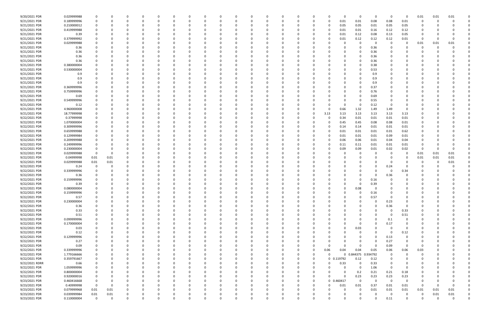| 9/20/2021 PDR  | 0.029999988 |             |             |          |          |          |          |              |          |          |          |          |          |          |              |            | 0            | $\Omega$    | - 0         | $\Omega$       | 0.01     | 0.01     | 0.01     |  |
|----------------|-------------|-------------|-------------|----------|----------|----------|----------|--------------|----------|----------|----------|----------|----------|----------|--------------|------------|--------------|-------------|-------------|----------------|----------|----------|----------|--|
| 9/21/2021 PDR  | 0.189999996 | $\Omega$    |             | 0        |          |          |          | -0           |          | $\Omega$ |          |          | 0        | 0        | 0            | 0.01       | 0.01         | 0.08        | 0.08        | 0.01           | -0       |          |          |  |
| 9/21/2021 PDR  | 0.210000012 |             |             |          |          |          |          |              |          |          |          |          |          |          |              | 0.05       | 0.05         | 0.01        | 0.05        | 0.05           |          |          |          |  |
|                |             |             |             |          |          |          |          |              |          |          |          |          |          |          |              |            |              |             |             |                |          |          |          |  |
| 9/21/2021 PDR  | 0.419999988 |             |             |          |          |          |          |              |          |          |          |          |          |          |              | 0.01       | 0.01         | 0.16        | 0.12        | 0.12           |          |          |          |  |
| 9/21/2021 PDR  | 0.39        |             |             | n        |          |          |          |              |          |          |          |          |          |          |              | 0.01       | 0.12         | 0.08        | 0.13        | 0.05           | 0        |          |          |  |
| 9/21/2021 PDR  | 0.379999992 |             |             |          |          |          |          |              |          |          |          |          |          |          |              | 0.01       | 0.12         | 0.12        | 0.12        | 0.01           | -0       |          |          |  |
| 9/21/2021 PDR  | 0.029999988 |             |             |          |          |          |          |              |          |          |          |          |          |          |              |            | 0            | -C          | - 0         | 0              | 0.01     | 0.01     | 0.01     |  |
| 9/21/2021 PDR  | 0.36        |             |             |          |          |          |          |              |          |          |          |          |          |          |              |            | 0            | 0.36        |             |                | - 0      |          |          |  |
|                |             |             |             |          |          |          |          |              |          |          |          |          |          |          |              |            |              |             |             |                |          |          |          |  |
| 9/21/2021 PDR  | 0.36        |             |             |          |          |          |          |              |          |          |          |          |          |          |              |            | 0            | 0.36        |             |                |          |          |          |  |
| 9/21/2021 PDR  | 0.36        |             |             |          |          |          |          |              |          |          |          |          |          |          |              |            | 0            | 0.36        |             |                |          |          |          |  |
| 9/21/2021 PDR  | 0.36        |             |             |          |          |          |          |              |          |          |          |          |          |          |              |            | O            | 0.36        |             |                |          |          |          |  |
| 9/21/2021 PDR  | 0.380000004 |             |             |          |          |          |          |              |          |          |          |          |          |          |              |            | C.           | 0.38        |             |                |          |          |          |  |
| 9/21/2021 PDR  | 0.530000004 |             |             |          |          |          |          |              |          |          |          |          |          |          |              |            | 0            | 0.53        |             |                |          |          |          |  |
| 9/21/2021 PDR  | 0.9         |             |             |          |          |          |          |              |          |          |          |          |          |          |              |            | <sup>0</sup> | 0.9         |             |                |          |          |          |  |
| 9/21/2021 PDR  |             |             |             |          |          |          |          |              |          |          |          |          |          |          |              |            | <sup>0</sup> |             |             |                |          |          |          |  |
|                | 0.9         |             |             |          |          |          |          |              |          |          |          |          |          |          |              |            |              | 0.9         |             |                |          |          |          |  |
| 9/21/2021 PDR  | 0.9         |             |             |          |          |          |          |              |          |          |          |          |          |          |              |            | 0            | 0.9         |             |                |          |          |          |  |
| 9/21/2021 PDR  | 0.369999996 |             |             |          |          |          |          |              |          |          |          |          |          |          |              |            |              | 0.37        |             |                |          |          |          |  |
| 9/21/2021 PDR  | 0.759999996 |             |             |          |          |          |          |              |          |          |          |          |          |          |              |            | 0            | 0.76        |             |                |          |          |          |  |
| 9/21/2021 PDR  | 0.69        |             |             |          |          |          |          |              |          |          |          |          |          |          |              |            | 0            | 0.69        |             |                |          |          |          |  |
| 9/21/2021 PDR  | 0.549999996 |             |             |          |          |          |          |              |          |          |          |          |          |          |              |            | $\Omega$     | 0.55        |             |                |          |          |          |  |
|                |             |             |             |          |          |          |          |              |          |          |          |          |          |          |              |            |              | 0.12        |             |                |          |          |          |  |
| 9/21/2021 PDR  | 0.12        |             |             |          |          |          |          |              |          |          |          |          |          |          |              | 0          | 0            |             |             |                |          |          |          |  |
| 9/21/2021 PDR  | 4.960000008 |             |             |          |          |          |          |              |          |          |          |          |          |          |              | 0.66       | 1.32         | 1.49        | 1.49        |                |          |          |          |  |
| 9/21/2021 PDR  | 18.77999998 |             |             |          |          |          |          |              |          |          |          |          |          | -0       | 3.13         | 3.13       | 3.13         | 3.13        | 3.13        | 3.13           |          |          |          |  |
| 9/22/2021 PDR  | 0.37999998  |             |             |          |          |          |          |              |          |          |          |          |          | 0        |              | 0.34       | 0.01         | 0.01        | 0.01        | 0.01           |          |          |          |  |
| 9/22/2021 PDR  | 1.070000004 |             |             |          |          |          |          |              |          |          |          |          |          |          |              | 0.45       | 0.45         | 0.08        | 0.08        | 0.01           |          |          |          |  |
| 9/22/2021 PDR  | 0.309999996 |             |             |          |          |          |          |              |          |          |          |          |          |          |              | 0.14       | 0.14         | 0.01        | 0.01        | 0.01           |          |          |          |  |
|                |             |             |             |          |          |          |          |              |          |          |          |          |          |          |              |            |              |             |             |                |          |          |          |  |
| 9/22/2021 PDR  | 0.659999988 |             |             |          |          |          |          |              |          |          |          |          |          |          |              | 0.01       | 0.01         | 0.01        | 0.01        | 0.62           |          |          |          |  |
| 9/22/2021 PDR  | 0.129999984 |             |             |          |          |          |          |              |          |          |          |          |          |          |              | 0.01       | 0.01         | 0.01        | 0.09        | 0.01           |          |          |          |  |
| 9/22/2021 PDR  | 0.209999988 |             |             |          |          |          |          |              |          |          |          |          |          |          |              | 0.06       | 0.06         | 0.01        | 0.04        | 0.04           |          |          |          |  |
| 9/22/2021 PDR  | 0.249999996 |             |             | n        |          |          |          |              |          |          |          |          |          |          |              | 0.11       | 0.11         | 0.01        | 0.01        | 0.01           | 0        |          |          |  |
| 9/22/2021 PDR  | 0.230000004 |             |             |          |          |          |          |              |          |          |          |          |          |          |              | 0.09       | 0.09         | 0.01        | 0.02        | 0.02           | -0       |          |          |  |
| 9/22/2021 PDR  | 0.029999988 | $\Omega$    |             |          |          |          |          |              |          |          |          |          |          |          |              |            | 0            | -C          |             | 0              | 0.01     | 0.01     | 0.01     |  |
|                |             |             |             |          |          |          |          |              |          |          |          |          |          |          |              |            |              |             |             |                |          |          |          |  |
| 9/22/2021 PDR  | 0.04999998  | 0.01        | 0.01        |          |          |          |          |              |          |          |          |          |          |          |              |            |              |             |             |                | 0.01     | 0.01     | 0.01     |  |
| 9/22/2021 PDR  | 0.029999988 | $0.01\,$    | 0.01        |          |          |          |          |              |          |          |          |          |          |          |              |            |              |             |             |                | C        |          | 0.01     |  |
| 9/22/2021 PDR  | 0.24        |             |             |          |          |          |          |              |          |          |          |          |          |          |              |            |              | 0           | 0.24        |                |          |          |          |  |
| 9/22/2021 PDR  | 0.339999996 |             |             |          |          |          |          |              |          |          |          |          |          |          |              |            |              | റ           | - 0         | 0.34           |          |          |          |  |
| 9/22/2021 PDR  | 0.36        |             |             |          |          |          |          |              |          |          |          |          |          |          |              |            | <sup>0</sup> | 0           | 0.36        |                |          |          |          |  |
| 9/22/2021 PDR  | 0.159999996 |             |             |          |          |          |          |              |          |          |          |          |          |          |              |            | O            | 0.16        |             |                |          |          |          |  |
|                |             |             |             |          |          |          |          |              |          |          |          |          |          |          |              |            |              |             |             |                |          |          |          |  |
| 9/22/2021 PDR  | 0.39        |             |             |          |          |          |          |              |          |          |          |          |          |          |              |            | C.           | 0.39        |             |                |          |          |          |  |
| 9/22/2021 PDR  | 0.080000004 |             |             | n        |          |          |          |              |          |          |          |          |          |          |              | 0          | 0.08         | $\Omega$    |             |                |          |          |          |  |
| 9/22/2021 PDR  | 0.159999996 |             |             |          |          |          |          |              |          |          |          |          |          |          |              |            | υ            | 0.16        | 0           |                |          |          |          |  |
| 9/22/2021 PDR  | 0.57        | 0           | $\Omega$    | $\Omega$ | $\Omega$ | $\Omega$ | $\Omega$ | $\Omega$     | 0        | $\Omega$ | $\Omega$ | $\Omega$ | $\Omega$ | $\Omega$ |              | $\Omega$   | $\mathbf 0$  | 0.57        | $\mathbf 0$ | $\Omega$       | $\Omega$ |          |          |  |
| 9/22/2021 PDR  | 0.230000004 | 0           |             | 0        |          | $\Omega$ | $\Omega$ | 0            | ŋ        | 0        |          | $\Omega$ | 0        | 0        |              | 0          | 0            | $\Omega$    | 0.23        | $\Omega$       | 0        |          |          |  |
| 9/22/2021 PDR  | 0.36        |             |             | 0        |          | $\Omega$ |          | 0            |          | $\Omega$ |          |          | 0        | 0        |              |            | 0            | $\Omega$    | 0.36        | 0              | 0        |          |          |  |
|                |             |             |             |          |          |          |          |              |          |          |          |          |          |          |              |            |              |             |             |                |          |          |          |  |
| 9/22/2021 PDR  | 0.33        |             |             | 0        |          | 0        |          | $\Omega$     |          | $\Omega$ |          |          | 0        | 0        |              |            | 0            | $\Omega$    | - 0         | 0.33           | 0        |          |          |  |
| 9/22/2021 PDR  | 0.51        |             |             |          |          |          |          |              |          | 0        |          |          |          | -0       |              |            | 0            | $\Omega$    | - 0         | 0.51           |          |          |          |  |
| 9/22/2021 PDR  | 0.099999996 |             |             | 0        |          | 0        |          |              |          | $\Omega$ |          | 0        | 0        | 0        |              |            | 0            | $\Omega$    | 0.1         | 0              | 0        |          |          |  |
| 9/22/2021 PDR  | 0.170000004 |             |             | $\Omega$ |          | $\Omega$ |          |              |          |          |          | 0        | 0        | 0        |              |            | $\Omega$     | $\Omega$    | 0.17        | $\overline{0}$ | 0        |          |          |  |
| 9/22/2021 PDR  | 0.03        | 0           |             | 0        |          |          |          |              |          | 0        |          |          |          | 0        |              | 0          | 0.03         | $\Omega$    | - 0         | $\Omega$       | 0        |          |          |  |
| 9/22/2021 PDR  | 0.12        |             |             | 0        |          | $\Omega$ |          |              |          |          |          |          |          | 0        |              |            | $\Omega$     | $\Omega$    | - 0         | 0.12           | 0        |          |          |  |
|                |             |             |             |          |          |          |          |              |          |          |          |          |          |          |              |            |              |             |             |                |          |          |          |  |
| 9/22/2021 PDR  | 0.129999996 |             |             | n        |          | 0        |          |              |          |          |          |          |          | 0        |              |            |              | $\Omega$    | 0.13        | $\Omega$       |          |          |          |  |
| 9/22/2021 PDR  | 0.27        |             |             |          |          |          |          |              |          |          |          |          |          | - 0      |              |            |              | $\Omega$    | 0.27        | 0              |          |          |          |  |
| 9/22/2021 PDR  | 0.09        |             |             |          |          |          |          |              |          |          |          |          |          | 0        |              | $\Omega$   | 0            | 0           | 0.09        | - 0            | -0       |          |          |  |
| 9/22/2021 PDR  | 0.339999996 |             |             |          |          |          |          |              |          |          |          |          |          | 0        | 0.06         | 0.04       | 0.04         | 0.05        | 0.06        | $0.06\,$       | 0.03     |          |          |  |
| 9/22/2021 PDR  | 1.779166666 |             |             | 0        |          |          |          |              |          | 0        |          |          | 0        | 0        | $\Omega$     | $\Omega$   | 0.844375     | 0.934792    | 0           | $\Omega$       | 0        |          |          |  |
| 9/22/2021 PDR  | 0.359791667 | 0           |             | 0        |          | $\Omega$ |          | <sup>0</sup> |          | 0        |          |          | 0        | 0        |              | 0 0.119792 | 0.12         | 0.12        | 0           | 0              | 0        |          |          |  |
|                |             |             |             |          |          |          |          |              |          |          |          |          |          |          |              |            |              |             |             |                |          |          |          |  |
| 9/22/2021 RDRR | 0.66        | 0           |             | 0        |          | 0        |          | 0            |          | 0        |          |          | 0        | $\Omega$ | <sup>0</sup> | 0.33       | 0            | 0.33        | 0           | 0              | 0        |          |          |  |
| 9/22/2021 PDR  | 1.059999996 | 0           |             | 0        |          | $\Omega$ |          |              |          | 0        |          |          | 0        | $\Omega$ |              | $\Omega$   | $\mathbf 0$  | 1.06        | $\Omega$    | 0              | 0        |          |          |  |
| 9/22/2021 PDR  | 0.800000004 |             |             |          |          |          |          |              |          | 0        |          |          | 0        | $\Omega$ |              | 0          | 0.2          | 0.21        | 0.21        | 0.18           | 0        |          |          |  |
| 9/22/2021 PDR  | 0.920000016 | 0           |             |          |          |          |          |              |          |          |          |          | 0        | $\Omega$ | 0            | $\Omega$   | 0.23         | 0.23        | 0.23        | 0.23           | 0        |          |          |  |
| 9/23/2021 PDR  | 0.460416668 | $\mathbf 0$ |             | $\Omega$ |          | $\Omega$ |          | 0            |          | $\Omega$ |          | 0        | 0        | 0        |              | 0 0.460417 | $\mathbf 0$  | $\mathbf 0$ | $\Omega$    | 0              | 0        |          |          |  |
| 9/23/2021 PDR  | 0.40999998  | $\mathbf 0$ | $\mathbf 0$ | 0        |          | $\Omega$ |          | $\Omega$     |          | 0        |          |          | 0        | 0        | $\Omega$     | 0.01       | 0.01         | 0.37        | 0.01        | 0.01           | 0        | $\Omega$ | $\Omega$ |  |
|                |             |             |             |          |          |          |          |              |          |          |          |          |          |          |              |            |              |             |             |                |          |          |          |  |
| 9/23/2021 PDR  | 0.079999968 | $0.01\,$    | $0.01\,$    | $\Omega$ |          | $\Omega$ |          |              |          | $\Omega$ |          | n        | 0        | $\Omega$ |              | n          | $\mathbf 0$  | 0.01        | $0.01\,$    | 0.01           | 0.01     | 0.01     | 0.01     |  |
| 9/23/2021 PDR  | 0.039999984 | $0.01\,$    | 0.01        | 0        |          |          |          |              |          | 0        |          |          |          |          |              |            | 0            | $\Omega$    | $\Omega$    | 0              | 0        | 0.01     | 0.01     |  |
| 9/23/2021 PDR  | 0.110000004 | $\mathbf 0$ | $\mathbf 0$ | $\Omega$ | $\Omega$ | $\Omega$ | $\Omega$ | 0            | $\Omega$ | $\Omega$ |          | $\Omega$ | $\Omega$ | $\Omega$ |              | 0          | $\Omega$     | $\Omega$    | 0.11        | $\mathbf 0$    | $\Omega$ | $\Omega$ | $\Omega$ |  |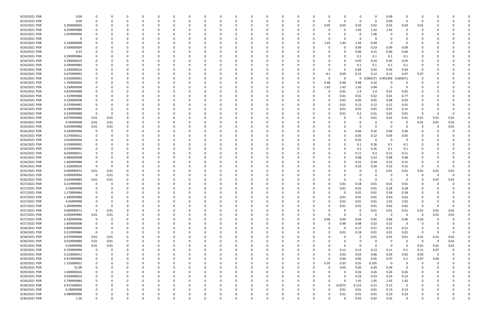| 9/23/2021 PDR | 0.09        |             |      |          |          |          |          | <sup>0</sup> |          |          |          |              |          |   |              |          | 0        |              | 0.09                    |             |                         |          |          |  |
|---------------|-------------|-------------|------|----------|----------|----------|----------|--------------|----------|----------|----------|--------------|----------|---|--------------|----------|----------|--------------|-------------------------|-------------|-------------------------|----------|----------|--|
| 9/23/2021 PDR | 0.09        |             |      |          |          |          |          |              |          |          |          |              | C        |   | $\Omega$     |          | 0        | $\Omega$     | 0.09                    | 0           | -0                      |          |          |  |
| 9/23/2021 PDR | 0.200000004 |             |      |          |          |          |          |              |          |          |          |              |          |   | 0.05         | 0.04     | 0.03     | 0.02         | 0.02                    | 0.03        | 0.01                    |          |          |  |
| 9/23/2021 PDR | 4.259999988 |             |      |          |          |          |          |              |          |          |          |              |          |   |              |          | 1.42     | 1.42         | 1.42                    | 0           |                         |          |          |  |
|               |             |             |      |          |          |          |          |              |          |          |          |              |          |   |              |          |          |              |                         |             |                         |          |          |  |
| 9/23/2021 PDR | 1.059999996 |             |      |          |          |          |          |              |          |          |          |              |          |   |              |          | 0        | 1.06         |                         |             |                         |          |          |  |
| 9/23/2021 PDR | 9           |             |      |          |          |          |          |              |          |          |          |              |          |   |              |          | 0        |              |                         |             |                         |          |          |  |
| 9/23/2021 PDR | 5.230000008 |             |      |          |          |          |          |              |          |          |          |              |          |   | 1.43         | 1.43     | 1.43     | 0.94         | - 0                     | 0           |                         |          |          |  |
| 9/24/2021 PDR | 0.500000004 |             |      |          |          |          |          |              |          |          |          |              |          |   |              |          | 0.09     | 0.23         | 0.09                    | 0.09        |                         |          |          |  |
| 9/24/2021 PDR | 0.33        |             |      |          |          |          |          |              |          |          |          |              |          |   |              |          | 0.06     | 0.15         | 0.06                    | 0.06        |                         |          |          |  |
| 9/24/2021 PDR | 0.399999984 |             |      |          |          |          |          |              |          |          |          |              |          |   |              |          | 0.1      | 0.1          | 0.1                     | 0.1         |                         |          |          |  |
| 9/24/2021 PDR | 0.290000016 |             |      |          |          |          |          |              |          |          |          |              |          |   |              |          | 0.05     | 0.14         | 0.05                    | 0.05        |                         |          |          |  |
|               |             |             |      |          |          |          |          |              |          |          |          |              |          |   |              |          |          |              |                         |             |                         |          |          |  |
| 9/24/2021 PDR | 0.399999984 |             |      |          |          |          |          |              |          |          |          |              |          |   |              |          | 0.1      | 0.1          | 0.1                     | 0.1         |                         |          |          |  |
| 9/24/2021 PDR | 2.240000016 |             |      |          |          |          |          |              |          |          |          |              |          |   |              |          | 0.44     | 0.92         | 0.44                    | 0.44        | -0                      |          |          |  |
| 9/24/2021 PDR | 0.679999992 |             |      |          |          |          |          |              |          |          |          |              |          |   | 0.1          | 0.09     | 0.12     | 0.12         | 0.11                    | 0.07        | 0.07                    |          |          |  |
| 9/24/2021 PDR | 0.410000002 |             |      |          |          |          |          |              |          |          |          |              |          |   | - 0          |          | 0        | .004271<br>0 | 0.401458                | 0.004271    |                         |          |          |  |
| 9/24/2021 PDR | 1.760000004 |             |      |          |          |          |          |              |          |          |          |              |          |   | 0.48         | 0.48     | 0.48     | 0.32         | 0                       | 0           |                         |          |          |  |
| 9/24/2021 PDR | 5.230000008 |             |      |          |          |          |          |              |          |          |          |              |          |   | 1.43         | 1.43     | 1.43     | 0.94         | - 0                     | 0           |                         |          |          |  |
| 9/24/2021 PDR | 4.829999988 |             |      |          |          |          |          |              |          |          |          |              |          |   |              | 0.01     | 2.4      | 2.4          | 0.01                    | 0.01        |                         |          |          |  |
| 9/24/2021 PDR | 1.319999988 |             |      |          |          |          |          |              |          |          |          |              |          |   |              | 0.01     | 0.01     | 0.52         | 0.01                    | 0.77        |                         |          |          |  |
|               |             |             |      |          |          |          |          |              |          |          |          |              |          |   |              |          |          |              |                         |             |                         |          |          |  |
| 9/24/2021 PDR | 0.220000008 |             |      |          |          |          |          |              |          |          |          |              |          |   |              | 0.01     | 0.05     | 0.05         | 0.08                    | 0.03        |                         |          |          |  |
| 9/24/2021 PDR | 0.379999992 |             |      |          |          |          |          |              |          |          |          |              |          |   |              | 0.01     | 0.12     | 0.12         | 0.12                    | 0.01        |                         |          |          |  |
| 9/24/2021 PDR | 0.189999984 |             |      |          |          |          |          |              |          |          |          |              |          |   |              | 0.01     | 0.01     | 0.01         | 0.01                    | 0.15        |                         |          |          |  |
| 9/24/2021 PDR | 0.239999988 | - 0         |      |          |          |          |          |              |          |          |          |              |          |   |              | 0.01     | 0.2      | 0.01         | 0.01                    | 0.01        | 0                       |          |          |  |
| 9/24/2021 PDR | 0.079999968 | 0.01        | 0.01 |          |          |          |          |              |          |          |          |              |          |   |              |          | 0        | 0.01         | 0.01                    | 0.01        | 0.01                    | 0.01     | 0.01     |  |
| 9/24/2021 PDR | 0.04999998  | 0.01        | 0.01 |          |          |          |          |              |          |          |          |              |          |   |              |          | 0        |              | - 0                     | 0           | 0.01                    | 0.01     | 0.01     |  |
| 9/24/2021 PDR | 0.029999988 | 0.01        | 0.01 |          |          |          |          |              |          |          |          |              |          |   |              |          | 0        | $\Omega$     | - 0                     | 0           | 0                       |          | 0.01     |  |
|               |             |             |      |          |          |          |          |              |          |          |          |              |          |   |              |          |          |              |                         |             |                         |          |          |  |
| 9/24/2021 PDR | 0.339999996 |             | 0    |          |          |          |          |              |          |          |          |              |          |   |              |          | 0.06     | 0.16         | 0.06                    | 0.06        |                         |          |          |  |
| 9/24/2021 PDR | 0.270000012 |             |      |          |          |          |          |              |          |          |          |              |          |   |              |          | 0.05     | 0.12         | 0.05                    | 0.05        |                         |          |          |  |
| 9/24/2021 PDR | 0.020000004 |             |      |          |          |          |          |              |          |          |          |              |          |   |              |          | 0.02     | $\Omega$     | 0                       | 0           |                         |          |          |  |
| 9/24/2021 PDR | 0.559999992 |             |      |          |          |          |          |              |          |          |          |              |          |   |              |          | 0.1      | 0.26         | 0.1                     | 0.1         |                         |          |          |  |
| 9/24/2021 PDR | 0.559999992 |             |      |          |          |          |          |              |          |          |          |              |          |   |              |          | 0.1      | 0.26         | 0.1                     | 0.1         |                         |          |          |  |
| 9/24/2021 PDR | 0.630000012 |             |      |          |          |          |          |              |          |          |          |              |          |   |              |          | 0.11     | 0.3          | 0.11                    | 0.11        |                         |          |          |  |
| 9/24/2021 PDR | 0.460000008 |             |      |          |          |          |          |              |          |          |          |              |          |   |              |          | 0.08     | 0.22         | 0.08                    | 0.08        |                         |          |          |  |
| 9/24/2021 PDR | 1.469999988 |             |      |          |          |          |          |              |          |          |          |              |          |   |              |          | 0.31     | 0.54         | 0.31                    | 0.31        |                         |          |          |  |
|               |             |             |      |          |          |          |          |              |          |          |          |              |          |   |              |          |          |              |                         |             |                         |          |          |  |
| 9/24/2021 PDR | 1.520000016 |             |      |          |          |          |          |              |          |          |          |              |          |   |              |          | 0.32     | 0.56         | 0.32                    | 0.32        | 0                       |          |          |  |
| 9/25/2021 PDR | 0.069999972 | 0.01        | 0.01 |          |          |          |          |              |          |          |          |              |          |   |              |          | 0        |              | 0.01                    | 0.01        | 0.01                    | 0.01     | 0.01     |  |
| 9/26/2021 PDR | 0.009999996 | $\mathbf 0$ | 0.01 |          |          |          |          |              |          |          |          |              |          |   |              |          | 0        |              | - 0                     | 0           | 0                       | $\Omega$ |          |  |
| 9/26/2021 PDR | 0.039999984 | 0.01        | 0.01 |          |          |          |          |              |          |          |          |              |          |   |              |          | $\Omega$ |              | - 0                     | 0           | - 0                     | 0.01     | 0.01     |  |
| 9/27/2021 PDR | 0.219999984 |             |      |          |          |          |          |              |          |          |          |              |          |   |              | 0.01     | 0.18     | 0.01         | 0.01                    | 0.01        |                         |          |          |  |
| 9/27/2021 PDR | 0.58999998  | $\Omega$    |      |          |          |          |          |              |          |          |          |              |          |   |              | 0.01     | 0.01     | 0.01         | 0.28                    | 0.28        |                         |          |          |  |
| 9/27/2021 PDR | 1.179999984 |             |      |          |          |          |          |              |          |          |          |              |          |   |              |          | 0.01     | $0.01\,$     | 0.58                    | 0.58        |                         |          |          |  |
| 9/27/2021 PDR | 1.289999988 | 0           | 0    | $\Omega$ | $\Omega$ | $\Omega$ | $\Omega$ | 0            | 0        | 0        | $\Omega$ | 0            | 0        | 0 | $\Omega$     | 0.01     | 0.01     | 0.01         | 0.63                    | 0.63        | 0                       |          |          |  |
|               |             |             |      |          |          |          |          |              |          |          |          |              |          |   |              |          |          |              |                         |             |                         |          |          |  |
| 9/27/2021 PDR | 4.06999998  |             | 0    | 0        | 0        | $\Omega$ |          | 0            |          | 0        |          | 0            | 0        |   | $\Omega$     | 0.01     | 0.01     | 0.01         | 2.02                    | 2.02        | 0                       |          |          |  |
| 9/27/2021 PDR | 1.269999996 |             | 0    | 0        | $\Omega$ |          |          | 0            |          | $\Omega$ |          | <sup>0</sup> | 0        |   | $\Omega$     | 0.01     | 0.01     | 0.01         | 0.62                    | 0.62        | $\Omega$                | $\Omega$ | $\Omega$ |  |
| 9/27/2021 PDR | 0.069999972 | $\mathbf 0$ | 0.01 |          |          |          |          | 0            |          | 0        |          |              | 0        |   |              |          | 0        | 0.01         | 0.01                    | 0.01        | 0.01                    | 0.01     | 0.01     |  |
| 9/27/2021 PDR | 0.039999984 | 0.01        | 0.01 |          |          |          |          |              |          | 0        |          |              | 0        |   | <sup>0</sup> |          | 0        | - 0          | $\overline{0}$          | 0           | $\overline{\mathbf{0}}$ | 0.01     | 0.01     |  |
| 9/27/2021 PDR | 0.339999996 | $\mathbf 0$ | 0    | 0        | 0        |          |          | 0            |          | 0        |          | 0            | 0        | 0 | 0.06         | 0.04     | 0.04     | 0.05         | 0.06                    | 0.06        | 0.03                    | 0        | $\Omega$ |  |
| 9/27/2021 PDR | 1.600000008 | 0           | 0    | $\Omega$ | $\Omega$ | $\Omega$ |          | 0            |          | $\Omega$ |          | 0            | 0        | 0 | $\Omega$     | 0.48     | 0.48     | 0.32         | 0.32                    | 0           | 0                       |          |          |  |
| 9/28/2021 PDR | 0.800000004 | $\mathbf 0$ | 0    | 0        |          | $\Omega$ |          | <sup>0</sup> |          | 0        |          | 0            | 0        |   | <sup>n</sup> | $\Omega$ | 0.17     | 0.21         | 0.21                    | 0.21        | 0                       |          | 0        |  |
| 9/28/2021 PDR | 0.219999984 | $\Omega$    | 0    | 0        | $\Omega$ |          |          | 0            |          | 0        |          | 0            | 0        |   | 0            | 0.01     | 0.18     | 0.01         | 0.01                    | 0.01        | 0                       |          | $\Omega$ |  |
|               |             |             |      |          |          |          |          |              |          |          |          |              |          |   |              |          |          |              |                         |             |                         |          |          |  |
| 9/28/2021 PDR | 0.079999968 | 0.01        | 0.01 |          |          |          |          |              |          |          |          |              |          |   |              |          | 0        | 0.01         | 0.01                    | 0.01        | 0.01                    | 0.01     | 0.01     |  |
| 9/28/2021 PDR | 0.029999988 | 0.01        | 0.01 |          |          |          |          |              |          | 0        |          | <sup>0</sup> | 0        |   |              |          | 0        |              | 0                       | 0           | $\mathbf 0$             | $\Omega$ | $0.01\,$ |  |
| 9/29/2021 PDR | 0.04999998  | 0.01        | 0.01 | 0        |          |          |          |              |          |          |          | 0            | 0        |   | 0            | O        | 0        | $\Omega$     | $\mathbf 0$             | 0           | 0.01                    | 0.01     | 0.01     |  |
| 9/29/2021 PDR | 0.759999996 | $\mathbf 0$ | 0    | $\Omega$ |          |          |          |              |          |          |          |              |          |   | 0            | 0.12     | 0.12     | 0.13         | 0.11                    | 0.1         | 0.11                    | 0.07     | 0        |  |
| 9/29/2021 PDR | 0.210000012 | 0           | 0    | 0        | 0        |          |          |              |          | 0        |          | 0            | 0        |   |              | 0.02     | 0.03     | 0.06         | 0.05                    | 0.02        | 0.03                    | $\Omega$ | 0        |  |
| 9/29/2021 PDR | 0.419999988 | 0           | 0    | 0        | $\Omega$ | $\Omega$ |          | 0            |          | $\Omega$ |          | 0            | 0        |   | $\Omega$     | 0.04     | 0.05     | 0.05         | 0.07                    | 0.1         | 0.07                    | 0.04     | 0        |  |
| 9/29/2021 PDR | 1.155000012 |             | 0    | 0        |          | $\Omega$ |          | 0            |          | 0        |          |              | 0        | 0 | 0.35         | 0.35     | 0.35     | 0.105        | $\overline{\mathbf{0}}$ | 0           | 0                       |          |          |  |
| 9/29/2021 PDR | 31.08       |             | 0    |          | 0        |          |          | 0            |          | 0        |          |              | 0        |   | $\Omega$     | 9.05     | 9.05     | 6.49         | 6.49                    | $\mathbf 0$ | - 0                     |          |          |  |
|               |             |             |      |          |          |          |          |              |          |          |          |              |          |   |              |          |          |              |                         |             |                         |          |          |  |
| 9/29/2021 PDR | 1.040000016 |             |      |          |          |          |          | 0            |          |          |          | 0            | 0        |   | 0            | 0        | 0.26     | 0.26         | 0.26                    | 0.26        |                         |          |          |  |
| 9/29/2021 PDR | 0.920000016 |             |      |          |          |          |          |              |          |          |          | 0            | 0        |   |              |          | 0.23     | 0.23         | 0.23                    | 0.23        |                         |          |          |  |
| 9/29/2021 PDR | 5.799999984 | $\Omega$    | 0    | 0        | 0        |          |          | 0            |          | 0        |          | <sup>0</sup> | 0        |   | 0            | $\Omega$ | 1.45     | 1.45         | 1.45                    | 1.45        | 0                       |          |          |  |
| 9/29/2021 PDR | 0.472500003 |             |      | 0        | 0        |          |          | <sup>0</sup> |          | 0        |          |              | 0        |   | $\Omega$     | 0.0575   | 0.115    | 0.15         | 0.15                    | 0           | 0                       |          |          |  |
| 9/30/2021 PDR | 0.28999998  |             |      |          |          |          |          |              |          |          |          |              | C        |   | U            | 0.01     | 0.01     | 0.01         | 0.13                    | 0.13        |                         |          |          |  |
| 9/30/2021 PDR | 0.489999996 |             |      |          |          |          |          |              |          |          |          |              |          |   |              | 0.01     | 0.01     | 0.01         | 0.23                    | 0.23        |                         |          |          |  |
| 9/30/2021 PDR | 1.26        | $\Omega$    | 0    | $\Omega$ | $\Omega$ | $\Omega$ | $\Omega$ | 0            | $\Omega$ | $\Omega$ | $\Omega$ | $\Omega$     | $\Omega$ |   | U            |          | 0.42     | 0.42         | 0.42                    | 0           | $\Omega$                |          | 0        |  |
|               |             |             |      |          |          |          |          |              |          |          |          |              |          |   |              |          |          |              |                         |             |                         |          |          |  |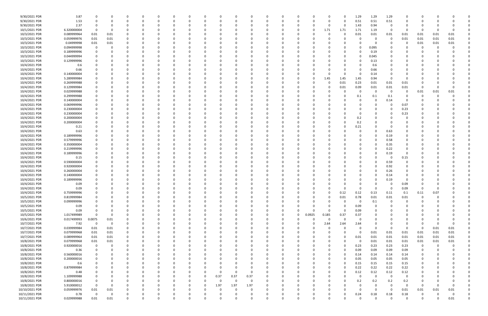| 9/30/2021 PDR                  | 3.87                       | 0                    |             |              |          | 0        |          | 0            |               |          | 0           |          |               | 0        | - 0      |          |               | 1.29                    | 1.29                 | 1.29         | 0              |          |                  |          |  |
|--------------------------------|----------------------------|----------------------|-------------|--------------|----------|----------|----------|--------------|---------------|----------|-------------|----------|---------------|----------|----------|----------|---------------|-------------------------|----------------------|--------------|----------------|----------|------------------|----------|--|
| 9/30/2021 PDR                  | 1.53                       | $\Omega$             |             | $\Omega$     |          | $\Omega$ |          | <sup>0</sup> |               |          | $\Omega$    |          |               | O        | $\Omega$ |          | $\Omega$      | 0.51                    | 0.51                 | 0.51         | $\Omega$       | $\Omega$ |                  |          |  |
| 9/30/2021 PDR                  | 2.37                       |                      |             |              |          |          |          |              |               |          |             |          |               |          |          |          | 0             | 1.43                    | 0.94                 | - 0          |                |          |                  |          |  |
| 10/1/2021 PDR                  | 6.320000004                |                      |             |              |          |          |          |              |               |          |             |          |               |          | 0        | 1.71     | 1.71          | 1.71                    | 1.19                 | 0            | n              | -0       |                  |          |  |
| 10/3/2021 PDR                  | 0.089999964                | 0.01                 | 0.01        |              |          |          |          |              |               |          |             |          |               |          |          |          |               | 0.01                    | 0.01                 | 0.01         | 0.01           | 0.01     | 0.01             | 0.01     |  |
| 10/3/2021 PDR                  | 0.059999976                | 0.01                 | 0.01        | 0            |          |          |          |              |               |          |             |          |               |          |          |          |               | 0                       | 0                    | $\Omega$     | 0.01           | 0.01     | 0.01             | 0.01     |  |
| 10/3/2021 PDR                  | 0.04999998                 | 0.01                 | 0.01        | 0            |          |          |          |              |               |          |             |          |               |          |          |          |               | <sup>0</sup>            | 0                    |              | -0             | 0.01     | 0.01             | 0.01     |  |
| 10/3/2021 PDR                  | 0.094999998                | 0                    |             |              |          |          |          |              |               |          |             |          |               |          |          |          |               | 0                       | 0.095                |              |                | - 0      | - 0              |          |  |
| 10/3/2021 PDR                  | 0.189999996                |                      |             |              |          |          |          |              |               |          |             |          |               |          |          |          |               | 0                       | 0.19                 |              |                |          |                  |          |  |
| 10/3/2021 PDR                  | 0.044999994                |                      |             |              |          |          |          |              |               |          |             |          |               |          |          |          |               | 0                       | 0.045                |              |                |          |                  |          |  |
| 10/3/2021 PDR                  | 0.129999996                |                      |             |              |          |          |          |              |               |          |             |          |               |          |          |          |               | 0                       | 0.13                 |              |                |          |                  |          |  |
| 10/4/2021 PDR                  | 0.6                        |                      |             |              |          |          |          |              |               |          |             |          |               |          |          |          |               | 0                       | 0.6                  |              |                |          |                  |          |  |
| 10/4/2021 PDR                  | 0.66                       |                      |             |              |          |          |          |              |               |          |             |          |               |          |          |          |               | 0                       | 0.66                 |              |                |          |                  |          |  |
| 10/4/2021 PDR                  | 0.140000004                |                      |             |              |          |          |          |              |               |          |             |          |               |          |          |          |               | 0                       | 0.14                 |              |                |          |                  |          |  |
| 10/4/2021 PDR                  | 5.289999984                |                      |             |              |          |          |          |              |               |          |             |          |               |          | 0        | 1.45     | 1.45          | 1.45                    | 0.94                 |              |                |          |                  |          |  |
| 10/4/2021 PDR                  | 0.269999988                |                      |             |              |          |          |          |              |               |          |             |          |               |          |          |          | 0.01          | 0.23                    | 0.01                 | 0.01         | 0.01           |          |                  |          |  |
| 10/4/2021 PDR                  | 0.129999984                |                      |             |              |          |          |          |              |               |          |             |          |               |          |          |          | 0.01          | 0.09                    | 0.01                 | 0.01         | 0.01           | -0       |                  |          |  |
| 10/4/2021 PDR                  | 0.029999988                |                      |             |              |          |          |          |              |               |          |             |          |               |          |          |          |               | 0                       | $\Omega$             | $\Omega$     | 0              | 0.01     | 0.01             | 0.01     |  |
| 10/4/2021 PDR                  | 0.299999988                |                      |             |              |          |          |          |              |               |          |             |          |               |          |          |          |               | 0.1                     | 0.1                  | 0.1          |                | 0        |                  |          |  |
| 10/4/2021 PDR                  | 0.140000004                |                      |             |              |          |          |          |              |               |          |             |          |               |          |          |          |               |                         | 0                    | 0.14         | $\Omega$       |          |                  |          |  |
| 10/4/2021 PDR                  | 0.069999996                |                      |             |              |          |          |          |              |               |          |             |          |               |          |          |          |               |                         | - 0                  |              | 0.07           |          |                  |          |  |
| 10/4/2021 PDR                  | 0.230000004                |                      |             |              |          |          |          |              |               |          |             |          |               |          |          |          |               |                         |                      |              | 0.23           |          |                  |          |  |
| 10/4/2021 PDR                  | 0.230000004                |                      |             |              |          |          |          |              |               |          |             |          |               |          |          |          |               |                         |                      |              | 0.23           |          |                  |          |  |
| 10/4/2021 PDR                  | 0.200000004                |                      |             |              |          |          |          |              |               |          |             |          |               |          |          |          |               | 0.2                     | $\Omega$             |              |                |          |                  |          |  |
| 10/4/2021 PDR                  | 0.200000004                |                      |             |              |          |          |          |              |               |          |             |          |               |          |          |          |               | 0.2                     | 0                    |              |                |          |                  |          |  |
| 10/4/2021 PDR                  | 0.21                       |                      |             |              |          |          |          |              |               |          |             |          |               |          |          |          |               | 0.21                    |                      |              |                |          |                  |          |  |
| 10/4/2021 PDR                  | 0.63                       |                      |             |              |          |          |          |              |               |          |             |          |               |          |          |          |               | 0                       | $\Omega$             | 0.63         | n              |          |                  |          |  |
| 10/4/2021 PDR                  | 0.189999996                |                      |             |              |          |          |          |              |               |          |             |          |               |          |          |          |               | 0                       | 0                    | 0.19         |                |          |                  |          |  |
| 10/4/2021 PDR                  | 0.579999996                |                      |             |              |          |          |          |              |               |          |             |          |               |          |          |          |               |                         | - 0                  | 0.58         | 0              |          |                  |          |  |
| 10/4/2021 PDR                  | 0.350000004                |                      |             |              |          |          |          |              |               |          |             |          |               |          |          |          |               |                         | $\Omega$             | 0.35         | 0              |          |                  |          |  |
| 10/4/2021 PDR                  | 0.219999996                |                      |             |              |          |          |          |              |               |          |             |          |               |          |          |          |               |                         | 0                    | 0.22         |                |          |                  |          |  |
| 10/4/2021 PDR                  |                            |                      |             |              |          |          |          |              |               |          |             |          |               |          |          |          |               |                         | - 0                  |              | $\Omega$       |          |                  |          |  |
| 10/4/2021 PDR                  | 0.189999996                |                      |             |              |          |          |          |              |               |          |             |          |               |          |          |          |               |                         | $\Omega$             | 0.19<br>- 0  |                |          |                  |          |  |
|                                | 0.15                       |                      |             |              |          |          |          |              |               |          |             |          |               |          |          |          |               |                         |                      |              | 0.15           |          |                  |          |  |
| 10/4/2021 PDR<br>10/4/2021 PDR | 0.590000004                |                      |             |              |          |          |          |              |               |          |             |          |               |          |          |          |               |                         | $\Omega$<br>$\Omega$ | 0.59<br>0.92 | 0              |          |                  |          |  |
| 10/4/2021 PDR                  | 0.920000004<br>0.260000004 |                      |             |              |          |          |          |              |               |          |             |          |               |          |          |          |               |                         | $\Omega$             |              |                |          |                  |          |  |
| 10/4/2021 PDR                  | 0.140000004                |                      |             |              |          |          |          |              |               |          |             |          |               |          |          |          |               |                         | $\Omega$             | 0.26<br>0.14 |                |          |                  |          |  |
| 10/4/2021 PDR                  | 0.189999996                |                      |             |              |          |          |          |              |               |          |             |          |               |          |          |          |               |                         | - 0                  |              | 0<br>0         |          |                  |          |  |
|                                |                            |                      |             |              |          |          |          |              |               |          |             |          |               |          |          |          |               | 0                       |                      | 0.19         |                |          |                  |          |  |
| 10/4/2021 PDR                  | 0.09                       |                      |             |              |          |          |          |              |               |          |             |          |               |          |          |          |               |                         | $\Omega$             |              | 0.09           | $\Omega$ |                  |          |  |
| 10/4/2021 PDR                  | 0.09<br>0.759999996        |                      |             |              |          |          |          |              |               |          |             |          |               |          |          |          |               | 0                       |                      |              | 0.09           |          |                  |          |  |
| 10/4/2021 PDR                  |                            | U<br>$\Omega$        |             | $\Omega$     |          | $\Omega$ | $\Omega$ |              | O<br>$\Omega$ |          | 0           | $\Omega$ | 0<br>$\Omega$ |          |          |          | 0.12          | 0.12                    | 0.13                 | 0.11         | 0.1            | 0.11     | 0.07<br>$\Omega$ |          |  |
| 10/5/2021 PDR                  | 0.819999984                |                      |             |              | $\Omega$ |          |          |              |               |          | $\Omega$    |          |               | 0        | $\Omega$ | $\Omega$ | 0.01          | 0.78                    | 0.01                 | $0.01\,$     | 0.01           | 0        |                  |          |  |
| 10/5/2021 PDR                  | 0.099999996                |                      |             | 0            |          |          |          |              |               |          | $\Omega$    |          | $\Omega$      |          | 0        |          | $\Omega$      | $\mathbf 0$             | 0.1                  | $\Omega$     | $\mathbf 0$    | 0        |                  |          |  |
| 10/5/2021 PDR                  | 0.09                       | 0                    |             | 0            |          | $\Omega$ |          | 0            |               |          | 0           |          | 0             | 0        | 0        | $\Omega$ | 0<br>$\Omega$ | 0.09                    | 0                    | $\Omega$     | 0              | 0        |                  |          |  |
| 10/5/2021 PDR                  | 0.09                       | $\Omega$<br>$\Omega$ |             | $\Omega$     |          | $\Omega$ |          |              |               |          | $\Omega$    |          |               | $\Omega$ | $\Omega$ |          |               | 0.09                    | $\Omega$             |              |                |          |                  |          |  |
| 10/5/2021 PDR                  | 1.017499989                |                      | $\Omega$    | $\Omega$     |          | $\Omega$ |          |              |               |          | 0           |          | $\Omega$      | 0        | 0.0925   | 0.185    | 0.37          | 0.37                    | $\Omega$             |              | $\Omega$       | 0        |                  |          |  |
| 10/6/2021 PDR                  | 0.017499993                | 0.0075               | 0.01        |              |          |          |          |              |               |          |             |          | $\Omega$      | 0        | $\Omega$ | 0        | $\Omega$      | 0                       | $\Omega$             |              |                | 0        |                  |          |  |
| 10/7/2021 PDR                  | 7.92                       | $\mathbf 0$          | $\mathbf 0$ |              |          |          |          |              |               |          |             |          | $\Omega$      | 0        | 0        | 2.64     | 2.64          | 2.64                    | $\Omega$             |              |                | 0        |                  |          |  |
| 10/7/2021 PDR                  | 0.039999984                | 0.01                 | 0.01        | 0            |          | $\Omega$ |          | 0            |               |          | $\Omega$    |          | $\Omega$      | $\Omega$ | $\Omega$ | $\Omega$ | $\Omega$      | 0                       | $\Omega$             | $\Omega$     | $\Omega$       | 0        | 0.01             | 0.01     |  |
| 10/7/2021 PDR                  | 0.079999968                | 0.01                 | 0.01        | 0            |          | $\Omega$ |          | $\Omega$     |               |          | $\Omega$    |          |               | 0        | 0        |          | $\Omega$      | $\mathbf 0$             | 0.01                 | 0.01         | 0.01           | 0.01     | 0.01             | $0.01\,$ |  |
| 10/7/2021 PDR                  | 0.089999964                | 0.01                 | 0.01        | $\Omega$     |          | $\Omega$ |          | <sup>0</sup> |               |          | $\Omega$    |          |               | 0        | $\Omega$ |          | $\Omega$      | 0.01                    | 0.01                 | 0.01         | 0.01           | 0.01     | 0.01             | $0.01\,$ |  |
| 10/8/2021 PDR                  | 0.079999968                | $0.01\,$             | 0.01        | 0            |          | 0        |          |              |               |          | 0           |          |               |          | 0        |          | $\Omega$      | $\overline{\mathbf{0}}$ | 0.01                 | 0.01         | 0.01           | 0.01     | 0.01             | $0.01\,$ |  |
| 10/8/2021 PDR                  | 0.920000016                | 0                    |             | 0            |          |          |          |              |               |          | 0           |          |               |          | 0        |          | 0             | 0.23                    | 0.23                 | 0.23         | 0.23           | 0        | -0               |          |  |
| 10/8/2021 PDR                  | 0.36                       | $\mathbf 0$          |             | $\Omega$     |          | $\Omega$ |          | 0            |               |          | $\Omega$    |          | $\Omega$      | 0        | 0        | 0        | $\Omega$      | 0.09                    | 0.09                 | 0.09         | 0.09           | 0        |                  |          |  |
| 10/8/2021 PDR                  | 0.560000016                |                      |             | $\Omega$     |          | $\Omega$ |          |              |               |          | $\Omega$    |          | 0             | 0        | 0        |          | $\Omega$      | 0.14                    | 0.14                 | 0.14         | 0.14           | 0        |                  |          |  |
| 10/8/2021 PDR                  | 0.200000016                | O                    |             | $\Omega$     |          | $\Omega$ |          |              |               |          | $\Omega$    |          |               |          | 0        |          | $\Omega$      | 0.05                    | 0.05                 | 0.05         | 0.05           | 0        |                  |          |  |
| 10/8/2021 PDR                  | 0.6                        |                      |             | 0            |          | $\Omega$ |          | <sup>0</sup> |               |          | $\Omega$    |          |               | 0        | $\Omega$ |          | $\Omega$      | 0.15                    | 0.15                 | 0.15         | 0.15           | 0        |                  |          |  |
| 10/8/2021 PDR                  | 0.879999984                |                      |             | $\Omega$     |          | $\Omega$ |          |              |               |          | $\Omega$    |          |               |          | - 0      |          | $\Omega$      | 0.22                    | 0.22                 | 0.22         | 0.22           |          |                  |          |  |
| 10/8/2021 PDR                  | 0.48                       |                      |             |              |          |          |          |              | 0             |          | 0           |          |               |          | - 0      |          | 0             | 0.12                    | 0.12                 | 0.12         | 0.12           |          |                  |          |  |
| 10/8/2021 PDR                  | 1.109999988                | 0                    |             | 0            |          | 0        |          | 0            | 0.37          | 0.37     | 0.37        |          |               |          | 0        |          | 0             | 0                       | 0                    | 0            | 0              | 0        |                  |          |  |
| 10/8/2021 PDR                  | 0.800000016                | $\Omega$             |             | $\Omega$     |          |          |          |              | $\mathbf 0$   | $\Omega$ | $\mathbf 0$ |          |               |          |          |          |               | 0.2                     | 0.2                  | 0.2          | 0.2            | 0        |                  |          |  |
| 10/8/2021 PDR                  | 5.910000012                | $\Omega$             | $\Omega$    | $\Omega$     |          | $\Omega$ |          | <sup>0</sup> | 1.97          | 1.97     | 1.97        |          | $\Omega$      |          | 0        |          | o             | 0                       | 0                    | $\Omega$     | $\overline{0}$ | 0        |                  | $\Omega$ |  |
| 10/10/2021 PDR                 | 0.059999976                | 0.01                 | 0.01        | $\Omega$     |          | $\Omega$ |          | 0            | $\Omega$      |          | 0           |          | 0             | 0        | $\Omega$ |          |               | $\mathbf 0$             | $\Omega$             | $\Omega$     | 0.01           | 0.01     | 0.01             | 0.01     |  |
| 10/11/2021 PDR                 | 0.78                       | 0                    |             | 0            |          |          |          |              |               |          | 0           |          |               |          |          |          |               | 0.24                    | 0.18                 | 0.18         | 0.18           | 0        |                  | $\Omega$ |  |
| 10/11/2021 PDR                 | 0.029999988                | 0.01                 | 0.01        | $\mathbf{0}$ | $\Omega$ | $\Omega$ | $\Omega$ | $\Omega$     | $\Omega$      | $\Omega$ | $\Omega$    | $\Omega$ | $\Omega$      | $\Omega$ | $\Omega$ | $\Omega$ | $\Omega$      | $\Omega$                | $\Omega$             | $\Omega$     | $\Omega$       | $\Omega$ | $\Omega$         | 0.01     |  |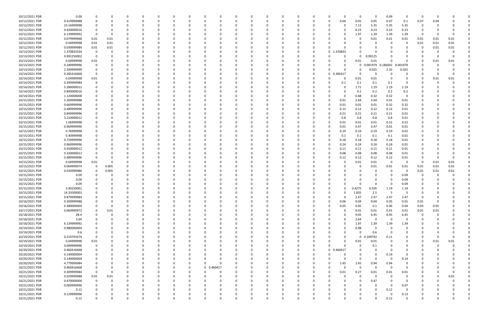| 10/12/2021 PDR | 0.09        |             |          |          |              |          |          |          |            |          |          |          |          |          |              | <sup>0</sup>         | $\Omega$    | $\Omega$          | 0.09           | $\Omega$    | 0        |      |          |  |
|----------------|-------------|-------------|----------|----------|--------------|----------|----------|----------|------------|----------|----------|----------|----------|----------|--------------|----------------------|-------------|-------------------|----------------|-------------|----------|------|----------|--|
| 10/12/2021 PDR | 0.419999988 |             |          |          | 0            |          |          |          | 0          | $\Omega$ |          | - 0      | 0        | n        | <sup>0</sup> | 0.04<br>0            | 0.05        | 0.05              | 0.07           | 0.1         | 0.07     | 0.04 |          |  |
|                |             |             |          |          |              |          |          |          |            |          |          |          |          |          |              |                      |             |                   |                |             |          |      |          |  |
| 10/12/2021 PDR | 23.16999998 |             |          |          |              |          |          |          |            |          |          |          |          |          |              | 0                    | 7.12        | 5.35              | 5.35           | 5.35        | 0        |      |          |  |
| 10/12/2021 PDR | 0.920000016 |             |          |          |              |          |          |          |            |          |          |          |          |          |              | 0                    | 0.23        | 0.23              | 0.23           | 0.23        | 0        |      |          |  |
| 10/12/2021 PDR | 6.139999992 | $\Omega$    | - 0      | $\Omega$ |              |          |          |          |            |          |          |          |          |          |              | 0                    | 1.97        | 1.39              | 1.39           | 1.39        | - 0      |      | $\Omega$ |  |
|                |             |             |          |          |              |          |          |          |            |          |          |          |          |          |              |                      |             |                   |                |             |          |      |          |  |
| 10/12/2021 PDR | 0.079999968 | 0.01        | 0.01     |          |              |          |          |          |            |          |          |          |          |          |              | C.                   | 0           | 0.01              | 0.01           | 0.01        | 0.01     | 0.01 | 0.01     |  |
| 10/12/2021 PDR | 0.04999998  | 0.01        | 0.01     |          |              |          |          |          |            |          |          |          |          |          |              |                      |             |                   | - 0            | 0           | 0.01     | 0.01 | 0.01     |  |
| 10/12/2021 PDR | 0.039999984 | 0.01        | 0.01     |          |              |          |          |          |            |          |          |          |          |          |              |                      |             |                   |                |             | 0        | 0.01 | 0.01     |  |
|                |             |             |          |          |              |          |          |          |            |          |          |          |          |          |              |                      |             |                   |                |             |          |      |          |  |
| 10/13/2021 PDR | 1.370833334 |             |          |          |              |          |          |          |            |          |          |          |          |          |              | .370833<br>0         |             |                   |                |             |          |      |          |  |
| 10/13/2021 PDR | 0.991250002 | $\Omega$    |          |          |              |          |          |          |            |          |          |          |          |          |              | 0                    | $\Omega$    | 0.99125           | 0              |             |          |      |          |  |
| 10/13/2021 PDR | 0.04999998  | 0.01        |          |          |              |          |          |          |            |          |          |          |          |          |              | 0                    | 0.01        | 0.01              | $\Omega$       | O           |          | 0.01 | 0.01     |  |
| 10/13/2021 PDR | 0.189999996 |             |          |          |              |          |          |          |            |          |          |          |          |          |              | 0                    | $\mathbf 0$ | 0.001979 0.186042 |                | 0.001979    |          |      |          |  |
|                |             |             |          |          |              |          |          |          |            |          |          |          |          |          |              |                      |             |                   |                |             |          |      |          |  |
| 10/13/2021 PDR | 2.399999999 |             |          |          |              |          |          |          |            |          |          |          |          |          |              | <sup>0</sup>         | $\Omega$    | 0.025             | 2.35           | 0.025       |          |      |          |  |
| 10/14/2021 PDR | 0.385416668 | $\Omega$    |          |          |              |          |          |          |            |          |          |          |          |          |              | 0.385417<br>0        | $\Omega$    | $\cap$            |                | 0           |          |      |          |  |
| 10/14/2021 PDR | 0.04999998  | 0.01        |          |          |              |          |          |          |            |          |          |          |          |          |              | 0                    | 0.01        | 0.01              | - 0            | 0           | -0       | 0.01 | 0.01     |  |
|                |             |             |          |          |              |          |          |          |            |          |          |          |          |          |              |                      |             |                   |                |             |          |      |          |  |
| 10/14/2021 PDR | 0.399999984 |             |          |          |              |          |          |          |            |          |          |          |          |          |              | 0.1                  | 0.1         | 0.1               | 0.1            | 0           |          |      |          |  |
| 10/14/2021 PDR | 5.280000012 |             |          |          |              |          |          |          |            |          |          |          |          |          |              | 0                    | 1.71        | 1.19              | 1.19           | 1.19        |          |      |          |  |
| 10/14/2021 PDR | 0.800000016 |             |          |          |              |          |          |          |            |          |          |          |          |          |              | 0                    | 0.2         | 0.2               | 0.2            | 0.2         |          |      |          |  |
|                |             |             |          |          |              |          |          |          |            |          |          |          |          |          |              |                      |             |                   |                |             |          |      |          |  |
| 10/14/2021 PDR | 1.120000008 |             |          |          |              |          |          |          |            |          |          |          |          |          |              | 0                    | 0.48        | 0.32              | 0.32           | $\mathbf 0$ |          |      |          |  |
| 10/15/2021 PDR | 5.309999988 |             |          |          |              |          |          |          |            |          |          |          |          |          |              | 0.01                 | 2.64        | 2.64              | 0.01           | 0.01        |          |      |          |  |
| 10/15/2021 PDR | 0.669999996 |             |          |          |              |          |          |          |            |          |          |          |          |          |              | 0.01                 | 0.01        | 0.01              | 0.32           | 0.32        |          |      |          |  |
|                |             |             |          |          |              |          |          |          |            |          |          |          |          |          |              |                      |             |                   |                |             |          |      |          |  |
| 10/15/2021 PDR | 0.489999996 |             |          |          |              |          |          |          |            |          |          |          |          |          |              | 0.12<br>0            | 0.12        | 0.12              | 0.12           | 0.01        |          |      |          |  |
| 10/15/2021 PDR | 0.849999996 |             |          |          |              |          |          |          |            |          |          |          |          |          |              | 0.21                 | 0.21        | 0.21              | 0.21           | 0.01        |          |      |          |  |
| 10/15/2021 PDR | 3.210000012 |             |          |          |              |          |          |          |            |          |          |          |          |          |              | 0.8                  | 0.8         | 0.8               | 0.8            | 0.01        |          |      |          |  |
| 10/15/2021 PDR | 1.06999998  |             |          |          |              |          |          |          |            |          |          |          |          |          |              | 0.01                 | 0.01        | 0.01              | 0.52           | 0.52        |          |      |          |  |
|                |             |             |          |          |              |          |          |          |            |          |          |          |          |          |              |                      |             |                   |                |             |          |      |          |  |
| 10/15/2021 PDR | 0.969999996 |             |          |          |              |          |          |          |            |          |          |          |          |          |              | 0.01                 | 0.47        | 0.47              | 0.01           | 0.01        |          |      |          |  |
| 10/15/2021 PDR | 0.76999998  |             |          |          |              |          |          |          |            |          |          |          |          |          |              | 0.19<br>0            | 0.19        | 0.19              | 0.19           | 0.01        |          |      |          |  |
| 10/15/2021 PDR | 0.40999998  |             |          |          |              |          |          |          |            |          |          |          |          |          |              | 0.1                  | 0.1         | 0.1               | 0.1            | 0.01        |          |      |          |  |
|                | 0.729999996 |             |          |          |              |          |          |          |            |          |          |          |          |          |              |                      |             |                   | 0.18           |             |          |      |          |  |
| 10/15/2021 PDR |             |             |          |          |              |          |          |          |            |          |          |          |          |          |              | 0.18                 | 0.18        | 0.18              |                | 0.01        |          |      |          |  |
| 10/15/2021 PDR | 0.969999996 |             |          |          |              |          |          |          |            |          |          |          |          |          |              | 0.24                 | 0.24        | 0.24              | 0.24           | 0.01        |          |      |          |  |
| 10/15/2021 PDR | 0.450000012 |             |          |          |              |          |          |          |            |          |          |          |          |          |              | 0.11                 | 0.11        | 0.11              | 0.11           | 0.01        |          |      |          |  |
| 10/15/2021 PDR | 0.330000012 |             |          |          |              |          |          |          |            |          |          |          |          |          |              | 0.08                 | 0.08        | 0.08              | 0.08           | 0.01        |          |      |          |  |
|                |             |             |          |          |              |          |          |          |            |          |          |          |          |          |              |                      |             |                   |                |             |          |      |          |  |
| 10/15/2021 PDR | 0.489999996 |             |          |          |              |          |          |          |            |          |          |          |          |          |              | 0.12                 | 0.12        | 0.12              | 0.12           | 0.01        |          |      |          |  |
| 10/15/2021 PDR | 0.04999998  | 0.01        |          |          |              |          |          |          |            |          |          |          |          |          |              |                      | 0.01        | 0.01              | - 0            | 0           | 0        | 0.01 | 0.01     |  |
| 10/15/2021 PDR | 0.064999974 | 0           | 0.005    |          |              |          |          |          |            |          |          |          |          |          |              |                      | 0           | 0.01              | 0.01           | 0.01        | 0.01     | 0.01 | 0.01     |  |
|                |             |             |          |          |              |          |          |          |            |          |          |          |          |          |              |                      |             |                   |                |             |          |      |          |  |
| 10/15/2021 PDR | 0.034999986 | $\Omega$    | 0.005    |          |              |          |          |          |            |          |          |          |          |          |              |                      |             |                   | - 0            | 0           | 0.01     | 0.01 | 0.01     |  |
| 10/15/2021 PDR | 0.09        |             |          |          |              |          |          |          |            |          |          |          |          |          |              |                      |             |                   | - 0            | 0.09        | -0       |      |          |  |
| 10/15/2021 PDR | 0.09        |             |          |          |              |          |          |          |            |          |          |          |          |          |              |                      |             |                   |                | 0.09        |          |      |          |  |
|                | 0.09        |             |          |          |              |          |          |          |            |          |          |          |          |          |              |                      |             |                   | - 0            |             |          |      |          |  |
| 10/15/2021 PDR |             |             |          |          |              |          |          |          |            |          |          |          |          |          |              |                      |             |                   |                | 0.09        |          |      |          |  |
| 10/15/2021 PDR | 3.40250001  |             | - 0      |          | <sup>0</sup> |          |          |          |            |          |          |          |          |          |              | 0                    | 0.4275      | 0.595             | 1.19           | 1.19        |          |      |          |  |
| 10/15/2021 PDR | 14.33500001 | 0           |          |          |              |          |          |          |            |          |          |          |          |          |              | 0                    | 1.835       | $2.5\,$           | -5             | -5          |          |      |          |  |
| 10/15/2021 PDR | 9.879999984 | $\Omega$    | $\Omega$ | $\Omega$ | $\Omega$     | $\Omega$ | 0        |          | $\Omega$   | $\Omega$ |          | $\Omega$ | $\Omega$ | $\Omega$ | $\Omega$     | $\Omega$<br>$\Omega$ | 2.47        | 2.47              | 2.47           | 2.47        | 0        |      |          |  |
|                |             |             |          |          |              |          |          |          |            |          |          |          |          |          |              |                      |             |                   |                |             |          |      |          |  |
| 10/16/2021 PDR | 0.209999988 | 0           | $\Omega$ | $\Omega$ | 0            |          | U        |          | $\Omega$   | $\Omega$ |          | 0        | $\Omega$ | $\Omega$ | <sup>0</sup> | 0.06<br>$\Omega$     | 0.04        | 0.04              | 0.05           | 0.01        | 0.01     |      |          |  |
| 10/16/2021 PDR | 0.380000004 |             | $\Omega$ |          | 0            |          |          |          | 0          |          |          | 0        |          |          |              | 0.05                 | 0.05        | 0.1               | 0.06           | 0.04        | 0.03     | 0.05 |          |  |
| 10/17/2021 PDR | 0.069999972 | $\Omega$    | 0.01     | 0        | 0            |          |          |          | 0          |          |          | 0        | 0        |          |              | $\Omega$             | 0.01        | 0.01              | 0.01           | 0.01        | 0.01     | 0.01 |          |  |
|                |             |             |          |          |              |          |          |          |            |          |          |          |          |          |              |                      |             |                   |                |             |          |      |          |  |
| 10/18/2021 PDR | 28.4        | -0          |          |          |              |          |          |          | 0          |          |          |          |          |          |              | 0                    | 9.05        | 6.45              | 6.45           | 6.45        | 0        |      |          |  |
| 10/18/2021 PDR | 2.64        | $\Omega$    | $\Omega$ | $\Omega$ | 0            |          |          |          | 0          |          |          | 0        | 0        |          |              | $\Omega$             | 2.64        | $\Omega$          | 0              | 0           | 0        |      |          |  |
| 10/18/2021 PDR | 6.139999992 |             |          |          | 0            |          |          |          | $\Omega$   |          |          | 0        | 0        |          |              | $\Omega$             | 1.97        | 1.39              | 1.39           | 1.39        |          |      |          |  |
|                |             |             |          |          |              |          |          |          |            |          |          |          |          |          |              |                      |             | $\Omega$          | $\Omega$       | $\Omega$    |          |      |          |  |
| 10/19/2021 PDR | 0.980000004 |             |          |          | 0            |          |          |          | 0          |          |          | O        |          |          |              | $\Omega$             | 0.98        |                   |                |             |          |      |          |  |
| 10/19/2021 PDR | 0.6         |             |          |          | 0            |          |          |          | 0          |          |          | 0        |          |          |              | 0                    | 0           | 0.6               | - 0            | 0           | 0        |      |          |  |
| 10/19/2021 PDR | 0.219791674 | $\Omega$    |          |          |              |          |          |          | 0          |          |          |          |          |          |              | $\Omega$             | $\mathbf 0$ | 0.109792          | 0.11           | 0           |          |      |          |  |
| 10/19/2021 PDR | 0.04999998  | 0.01        |          |          | 0            |          |          |          | 0          |          |          | 0        |          |          |              | 0                    | 0.01        | 0.01              | $\Omega$       | 0           | $\Omega$ | 0.01 | 0.01     |  |
|                |             |             |          |          |              |          |          |          |            |          |          |          |          |          |              |                      |             |                   |                |             |          |      |          |  |
| 10/19/2021 PDR | 0.099999996 | 0           |          |          | C            |          |          |          | 0          |          |          | 0        |          |          |              | $\Omega$             | 0           | 0.1               | 0              | 0           | 0        |      |          |  |
| 10/20/2021 PDR | 0.460416668 | $\mathbf 0$ |          |          | C            |          |          |          |            |          |          |          |          |          | $\Omega$     | 0 0.460417           | $\Omega$    | $\Omega$          | $\Omega$       | 0           |          |      |          |  |
| 10/20/2021 PDR | 0.140000004 | $\Omega$    |          |          | 0            |          |          |          | 0          |          |          |          | $\Omega$ |          |              | 0                    | $\Omega$    | $\Omega$          | 0.14           | $\Omega$    |          |      |          |  |
|                |             |             |          |          |              |          |          |          |            |          |          |          |          |          |              |                      |             |                   |                |             |          |      |          |  |
| 10/20/2021 PDR | 0.140000004 |             |          |          | 0            |          |          |          | 0          |          |          | 0        |          |          |              | $\Omega$             | 0           | $\Omega$          | $\overline{0}$ | 0.14        |          |      |          |  |
| 10/20/2021 PDR | 4.779999984 |             |          |          | 0            |          |          |          | $\Omega$   | $\Omega$ |          |          |          |          |              | 1.45                 | 1.45        | 0.94              | 0.94           | 0           |          |      |          |  |
| 10/21/2021 PDR | 0.460416668 | $\Omega$    |          |          | 0            |          |          | 0        | 0 0.460417 |          |          |          |          |          |              | $\Omega$             | $\mathbf 0$ | $\Omega$          | 0              | 0           |          |      |          |  |
|                |             |             |          |          |              |          |          |          |            |          |          |          |          |          |              |                      |             |                   |                |             |          |      |          |  |
| 10/21/2021 PDR | 0.309999984 | $\mathbf 0$ |          |          |              |          |          |          | $\Omega$   |          |          |          |          |          |              | 0.01                 | 0.27        | 0.01              | 0.01           | 0.01        |          |      |          |  |
| 10/21/2021 PDR | 0.029999988 | 0.01        | 0.01     |          |              |          |          |          | $\Omega$   |          |          | 0        |          |          |              | $\Omega$             | $\mathbf 0$ | $\Omega$          | $\Omega$       | $\mathbf 0$ |          |      | 0.01     |  |
| 10/21/2021 PDR | 0.470000004 | $\mathbf 0$ | $\Omega$ |          |              |          |          |          |            |          |          |          |          |          |              |                      | $\Omega$    | 0.47              | 0              | $\Omega$    |          |      |          |  |
| 10/21/2021 PDR | 0.069999996 |             |          |          | 0            |          |          |          | 0          |          |          |          |          |          |              |                      |             |                   | - 0            | 0.07        |          |      |          |  |
|                |             |             |          |          |              |          |          |          |            |          |          |          |          |          |              |                      |             |                   |                |             |          |      |          |  |
| 10/21/2021 PDR | 0.12        |             |          |          | 0            |          |          |          | 0          |          |          |          |          |          |              |                      |             | $\Omega$          | 0.12           | 0           |          |      |          |  |
| 10/21/2021 PDR | 0.129999996 |             |          |          |              |          |          |          |            |          |          |          |          |          |              |                      |             |                   | - 0            | 0.13        |          |      |          |  |
| 10/21/2021 PDR | 0.12        | $\Omega$    | $\Omega$ | $\Omega$ | $\Omega$     |          | $\Omega$ | $\Omega$ | $\Omega$   | $\Omega$ | $\Omega$ | $\Omega$ | $\Omega$ | $\Omega$ | $\Omega$     | $\Omega$             | $\Omega$    | $\Omega$          | 0.12           | $\mathbf 0$ | $\Omega$ |      | $\Omega$ |  |
|                |             |             |          |          |              |          |          |          |            |          |          |          |          |          |              |                      |             |                   |                |             |          |      |          |  |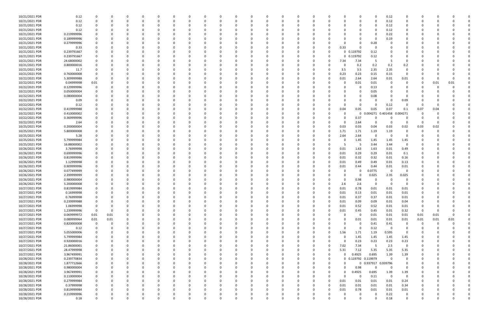| 10/21/2021 PDR                   | 0.12                       | 0                |              | O             |               | 0               |          |          | 0             |               |               |          |               |   |               |                     | $\Omega$                      | 0.12                            | 0                |          |          |      |  |
|----------------------------------|----------------------------|------------------|--------------|---------------|---------------|-----------------|----------|----------|---------------|---------------|---------------|----------|---------------|---|---------------|---------------------|-------------------------------|---------------------------------|------------------|----------|----------|------|--|
| 10/21/2021 PDR                   | 0.12                       | $\Omega$         |              | $\Omega$      | O             | $\Omega$        | $\Omega$ | $\Omega$ |               | - 0           | $\Omega$      |          | 0             |   | $\Omega$      |                     | $\Omega$                      | 0.12                            | $\Omega$         |          |          |      |  |
| 10/21/2021 PDR                   | 0.12                       |                  |              |               |               |                 |          |          |               |               |               |          |               |   |               |                     |                               | 0.12                            | 0                |          |          |      |  |
| 10/21/2021 PDR                   | 0.12                       |                  |              |               |               |                 |          |          |               |               |               |          |               |   |               |                     |                               | 0.12                            |                  |          |          |      |  |
| 10/21/2021 PDR                   | 0.219999996                |                  |              |               |               |                 |          |          |               |               |               |          |               |   |               |                     |                               | 0.22                            |                  |          |          |      |  |
| 10/21/2021 PDR                   | 0.189999996                |                  |              |               |               |                 |          |          |               |               |               |          |               |   | -C            |                     |                               | 0.19                            | n                |          |          |      |  |
| 10/21/2021 PDR                   | 0.279999996                |                  |              |               |               |                 |          |          |               |               |               |          |               |   | $\Omega$      |                     | 0.28                          |                                 | 0                |          |          |      |  |
| 10/21/2021 PDR                   | 0.33                       |                  |              |               |               |                 |          |          |               |               |               |          |               |   | 0.33          | $\Omega$            |                               |                                 |                  |          |          |      |  |
| 10/21/2021 PDR                   | 0.239791667                |                  |              |               |               |                 |          |          |               |               |               |          |               |   |               | 0 0.119792          | 0.12                          |                                 |                  |          |          |      |  |
| 10/21/2021 PDR                   | 0.239791667                |                  |              |               |               |                 |          |          |               |               |               |          |               |   |               | 0 0.119792          | 0.12                          |                                 |                  |          |          |      |  |
| 10/21/2021 PDR                   | 24.68000002                |                  |              |               |               |                 |          |          |               |               |               |          |               |   | 7.34          | 7.34                | - 5                           | -5                              |                  |          |          |      |  |
| 10/21/2021 PDR                   | 0.800000016                |                  |              |               |               |                 |          |          |               |               |               |          |               |   | 0             | 0.2                 | 0.2                           | 0.2                             | 0.2              |          |          |      |  |
| 10/21/2021 PDR                   | 11.7                       |                  |              |               |               |                 |          |          |               |               |               |          |               |   | 3.5           | 3.5                 | 2.35                          | 2.35                            | 0                |          |          |      |  |
| 10/21/2021 PDR                   | 0.760000008                |                  |              |               |               |                 |          |          |               |               |               |          |               |   | 0.23          | 0.23                | 0.15                          | 0.15                            | 0                |          |          |      |  |
| 10/22/2021 PDR                   | 5.309999988                | $\Omega$         |              |               |               |                 |          |          |               |               |               |          |               |   | 0.01          | 2.64                | 2.64                          | 0.01                            | 0.01             |          |          |      |  |
| 10/22/2021 PDR                   | 0.04999998                 | 0.01             |              |               |               |                 |          |          |               |               |               |          |               |   | 0             | 0.01                | 0.01                          | - 0                             | 0                |          | 0.01     | 0.01 |  |
| 10/22/2021 PDR                   | 0.129999996                | 0                |              |               |               |                 |          |          |               |               |               |          |               |   |               | -0                  | 0.13                          |                                 |                  |          |          |      |  |
| 10/22/2021 PDR                   | 0.050000004                | $\Omega$         |              |               |               |                 |          |          |               |               |               |          |               |   | $\Omega$      |                     | 0.05                          |                                 | $\Omega$         |          |          |      |  |
| 10/22/2021 PDR                   | 0.080000004                |                  |              |               |               |                 |          |          |               |               |               |          |               |   | -C            |                     | 0.08                          |                                 | 0                |          |          |      |  |
| 10/22/2021 PDR                   | 0.09                       |                  |              |               |               |                 |          |          |               |               |               |          |               |   | $\Omega$      |                     |                               |                                 | 0.09             |          |          |      |  |
| 10/22/2021 PDR                   | 0.12                       |                  |              |               |               |                 |          |          |               |               |               |          |               |   | 0             | $\Omega$            | $\Omega$                      | 0.12                            | 0                |          |          |      |  |
| 10/22/2021 PDR                   | 0.419999988                |                  |              |               |               |                 |          |          |               |               |               |          |               |   | 0.04          | 0.05                | 0.05                          | 0.07                            | 0.1              | 0.07     | 0.04     |      |  |
| 10/22/2021 PDR                   | 0.410000002                |                  |              |               |               |                 |          |          |               |               |               |          |               |   | 0             | 0                   | 0.004271                      | 0.401458                        | 0.004271         |          |          |      |  |
| 10/22/2021 PDR                   | 0.369999996                |                  |              |               |               |                 |          |          |               |               |               |          |               |   | 0             | 0.37                | $\Omega$                      | - 0                             | 0                |          |          |      |  |
| 10/22/2021 PDR                   | 2.64                       |                  |              |               |               |                 |          |          |               |               |               |          |               |   | 0             | 2.64                |                               |                                 | 0                |          |          |      |  |
| 10/25/2021 PDR                   | 0.200000004                |                  |              |               |               |                 |          |          |               |               |               |          |               |   | 0.03          | 0.03                | 0.04                          | 0.03                            | 0.02             | 0.03     | 0.02     |      |  |
| 10/25/2021 PDR                   | 5.800000008                |                  |              |               |               |                 |          |          |               |               |               |          |               |   | 1.71          | 1.71                | 1.19                          | 1.19                            | 0                |          |          |      |  |
| 10/25/2021 PDR                   | 5.28                       |                  |              |               |               |                 |          |          |               |               |               |          |               |   | 2.64          | 2.64                | - 0                           | - 0                             | 0                |          |          |      |  |
| 10/25/2021 PDR                   | 5.799999984                |                  |              |               |               |                 |          |          |               |               |               |          |               |   | 0             | 1.45                | 1.45                          | 1.45                            | 1.45             |          |          |      |  |
| 10/25/2021 PDR                   | 16.88000002                |                  |              |               |               |                 |          |          |               |               |               |          |               |   | 5             | - 5                 | 3.44                          | 3.44                            | $\mathbf 0$      |          |          |      |  |
| 10/26/2021 PDR                   | 3.76999998                 |                  |              |               |               |                 |          |          |               |               |               |          |               |   | 0.01          | 1.63                | 1.63                          | 0.01                            | 0.49             |          |          |      |  |
| 10/26/2021 PDR                   | 0.699999996                |                  |              |               |               |                 |          |          |               |               |               |          |               |   | 0.01          | 0.29                | 0.29                          | 0.01                            | 0.1              |          |          |      |  |
| 10/26/2021 PDR                   | 0.819999996                |                  |              |               |               |                 |          |          |               |               |               |          |               |   | 0.01          | 0.32                | 0.32                          | 0.01                            | 0.16             |          |          |      |  |
| 10/26/2021 PDR                   | 1.12999998                 |                  |              |               |               |                 |          |          |               |               |               |          |               |   | 0.01          | 0.49                | 0.49                          | 0.01                            | 0.13             |          |          |      |  |
| 10/26/2021 PDR                   | 0.909999996                |                  |              |               |               |                 |          |          |               |               |               |          |               |   | 0.01          | 0.44                | 0.44                          | 0.01                            | 0.01             |          |          |      |  |
| 10/26/2021 PDR                   | 0.077499999                |                  |              |               |               |                 |          |          |               |               |               |          |               |   | 0             | 0                   | 0.0775                        | $\overline{\mathbf{0}}$         | 0                |          |          |      |  |
| 10/26/2021 PDR                   | 2.399999999                |                  |              |               |               |                 |          |          |               |               |               |          |               |   | 0             | 0                   | 0.025                         | 2.35                            | 0.025            |          |          |      |  |
| 10/26/2021 PDR                   | 0.980000004                |                  |              |               |               |                 |          |          |               |               |               |          |               |   | 0             | 0.98                |                               | - 0                             | -0               |          |          |      |  |
| 10/26/2021 PDR                   | 5.200000008                |                  |              |               |               |                 |          |          |               |               |               |          |               |   | 2.6           | 2.6                 |                               |                                 | 0                |          |          |      |  |
| 10/27/2021 PDR                   | 0.819999984                | $\Omega$         |              |               |               |                 |          |          |               |               |               |          |               |   | 0.01          | 0.78                | 0.01                          | 0.01                            | 0.01             |          |          |      |  |
| 10/27/2021 PDR                   | 0.16999998                 | 0                | <sup>0</sup> |               |               |                 |          |          | 0             | O             |               |          |               |   | 0.01          | 0.13                | 0.01                          | 0.01                            | 0.01             |          |          |      |  |
| 10/27/2021 PDR                   | 0.76999998                 | $\mathbf 0$      | $\Omega$     | $\Omega$      | $\Omega$      | 0               | 0        | 0        | $\Omega$      | $\Omega$      | $\Omega$      | $\Omega$ | $\Omega$      |   | 0.01          | 0.37                | 0.37                          | 0.01                            | 0.01             |          |          |      |  |
| 10/27/2021 PDR                   | 0.239999988                | 0                |              |               | 0             | റ               |          |          | $\Omega$      | $\Omega$      |               |          | O             |   | 0.01          | 0.09                | 0.09                          | 0.01                            | 0.04             |          |          |      |  |
| 10/27/2021 PDR                   | 1.06999998                 | 0                |              |               | 0             | - 0             |          | 0        |               | 0             | $\Omega$      |          | 0             |   | 0.01          | 0.52                | 0.52                          | 0.01                            | 0.01             | 0        |          |      |  |
| 10/27/2021 PDR                   | 1.239999996                | $\mathbf 0$      | $\Omega$     |               |               |                 |          |          |               | $\Omega$      |               |          | O             |   | 0.01          | 0.45                | 0.45                          | 0.01                            | 0.32             | $\Omega$ |          |      |  |
| 10/27/2021 PDR                   | 0.069999972                | 0.01             | 0.01         | 0             |               |                 |          |          |               | 0             | 0             |          | 0             |   | 0             | $\mathbf 0$         | 0.01                          | 0.01                            | 0.01             | 0.01     | 0.01     |      |  |
| 10/27/2021 PDR                   | 0.089999964                | 0.01             | $0.01\,$     | 0             |               |                 |          |          |               |               |               |          |               |   | $\Omega$      | 0.01                | $0.01\,$                      | 0.01                            | 0.01             | 0.01     | $0.01\,$ | 0.01 |  |
| 10/27/2021 PDR                   | 0.820000008                | 0                | $\Omega$     | $\Omega$      |               |                 |          |          |               | 0             |               |          |               |   | $\Omega$      | $\mathbf 0$         | 0.41                          | 0.41                            | 0                | $\Omega$ | $\Omega$ |      |  |
| 10/27/2021 PDR                   | 0.12                       | 0                | $\Omega$     | $\Omega$      | 0             |                 |          |          |               | 0             |               |          | 0             |   | $\Omega$      | $\mathbf 0$         | 0.12                          | $\overline{\mathbf{0}}$         | 0                |          |          |      |  |
| 10/27/2021 PDR                   | 5.055000006                | 0                |              |               |               |                 |          |          |               | 0             |               |          | 0             |   | 1.56          | 1.71                | 1.19                          | 0.595                           | 0                |          |          |      |  |
| 10/27/2021 PDR                   | 5.799999984                | 0                |              | O             | 0             | - 0             |          | 0        |               | 0             |               |          |               |   | 0             | 1.45                | 1.45                          | 1.45                            | 1.45             |          |          |      |  |
| 10/27/2021 PDR                   | 0.920000016                | 0                |              |               |               |                 |          |          |               |               |               |          |               |   | 0             | 0.23                | 0.23                          | 0.23                            | 0.23             |          |          |      |  |
| 10/27/2021 PDR                   | 21.86000001                | 0                |              |               | 0             |                 |          |          |               | 0             |               |          | 0             |   | 7.02          | 7.34                | - 5                           | 2.5                             | $\mathbf 0$      |          |          |      |  |
| 10/27/2021 PDR                   | 28.47999998                | 0                |              |               | O             |                 |          |          |               | 0             |               |          |               | 0 | 5.31          | 7.12                | 5.35                          | 5.35                            | 5.35             |          |          |      |  |
| 10/27/2021 PDR                   | 3.967499991                |                  |              |               |               |                 |          |          |               |               |               |          | 0             |   | $\Omega$      | 0.4925              | 0.695                         | 1.39                            | 1.39             |          |          |      |  |
| 10/28/2021 PDR                   | 0.239770834                | 0<br>0           | $\Omega$     | $\Omega$      | 0             | - 0             | 0        | 0        |               | 0             | $\Omega$      |          | 0             | 0 |               | 0 0.119792 0.119979 |                               | $\overline{\mathbf{0}}$         | 0                |          |          |      |  |
|                                  |                            |                  |              |               |               |                 |          |          |               |               |               |          |               |   |               |                     |                               |                                 |                  |          |          |      |  |
| 10/28/2021 PDR                   | 1.877712666                | 0                |              | 0             | O             | 0               |          | 0        |               | 0             | 0             |          | 0             |   | 0<br>$\Omega$ | 0                   | 0.937917 0.939796<br>$\Omega$ |                                 | 0                |          |          |      |  |
| 10/28/2021 PDR                   | 0.980000004                | $\mathbf 0$      |              | $\Omega$      |               | - 0             |          | O        |               | $\Omega$      | $\Omega$      |          | 0             |   |               | 0.98                |                               | $\overline{\mathbf{0}}$         | $\mathbf 0$      |          |          |      |  |
| 10/28/2021 PDR                   | 3.967499991                | 0                |              | 0             |               |                 | O        |          |               | 0             |               |          | 0             |   | $\Omega$<br>0 | 0.4925<br>0         | 0.695                         | 1.39<br>$\overline{\mathbf{0}}$ | 1.39             |          |          |      |  |
| 10/28/2021 PDR<br>10/28/2021 PDR | 0.110000004<br>0.279999984 | 0                |              | $\Omega$      | 0<br>0        |                 |          |          |               | 0             | $\Omega$      |          | 0             | 0 | 0.01          | 0.01                | 0.11                          | 0.01                            | $\mathbf 0$      |          |          |      |  |
|                                  |                            | 0                |              |               |               |                 |          |          |               | 0             |               |          |               |   |               |                     | 0.01                          |                                 | 0.24             |          |          |      |  |
| 10/28/2021 PDR                   | 0.37999998                 | 0                | $\Omega$     | O             | O             | - 0<br>$\Omega$ |          | O        | $\Omega$      | 0             | 0<br>$\Omega$ |          | 0             | O | 0.01          | 0.01                | 0.01                          | 0.01                            | 0.34             |          |          |      |  |
| 10/28/2021 PDR                   | 0.819999984                | 0                |              | 0             | 0             |                 |          |          |               | 0             |               |          | 0             |   | 0.01          | 0.78                | 0.01                          | 0.01                            | 0.01             |          |          |      |  |
| 10/28/2021 PDR                   | 0.219999996                | 0<br>$\mathbf 0$ | $\Omega$     | 0<br>$\Omega$ | O<br>$\Omega$ | 0<br>$\Omega$   | $\Omega$ |          | 0<br>$\Omega$ | 0<br>$\Omega$ | $\Omega$      | $\Omega$ | 0<br>$\Omega$ |   | 0<br>$\Omega$ | 0<br>$\Omega$       | 0<br>$\Omega$                 | 0.22<br>0.18                    | 0<br>$\mathbf 0$ |          | $\Omega$ |      |  |
| 10/28/2021 PDR                   | 0.18                       |                  |              |               |               |                 |          |          |               |               |               |          |               |   |               |                     |                               |                                 |                  |          |          |      |  |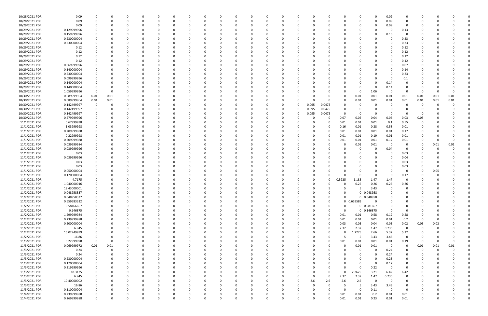| 10/28/2021 PDR | 0.09        | 0            |          | <sup>0</sup> |             | 0           |          | 0        |   | n        | 0        | $\Omega$ | 0            |              | 0        |          |          |             | 0           | $\Omega$   | 0.09                    | 0              |          |          |      |  |
|----------------|-------------|--------------|----------|--------------|-------------|-------------|----------|----------|---|----------|----------|----------|--------------|--------------|----------|----------|----------|-------------|-------------|------------|-------------------------|----------------|----------|----------|------|--|
| 10/28/2021 PDR | 0.09        | $\Omega$     |          |              |             | $\Omega$    |          |          |   |          | $\Omega$ | $\Omega$ | $\Omega$     |              | $\Omega$ |          |          | $\Omega$    | $\Omega$    |            | 0.09                    | 0              | -0       |          |      |  |
| 10/29/2021 PDR | 0.09        |              |          |              |             |             |          |          |   |          |          |          |              |              |          |          |          |             |             |            | 0.09                    | $\Omega$       |          |          |      |  |
| 10/29/2021 PDR | 0.129999996 |              |          |              |             |             |          |          |   |          |          |          |              |              |          |          |          |             |             |            | - 0                     | 0.13           |          |          |      |  |
| 10/29/2021 PDR | 0.159999996 |              |          |              |             |             |          |          |   |          |          |          |              |              |          |          |          |             |             |            | 0.16                    | 0              |          |          |      |  |
| 10/29/2021 PDR | 0.230000004 | 0            |          |              |             |             |          |          |   |          |          |          |              |              |          |          |          |             |             |            | - 0                     | 0.23           |          |          |      |  |
|                |             |              |          |              |             |             |          |          |   |          |          |          |              |              |          |          |          |             |             |            |                         |                |          |          |      |  |
| 10/29/2021 PDR | 0.230000004 | 0            |          |              |             |             |          |          |   |          |          |          | <sup>0</sup> |              |          |          |          |             |             |            | - 0                     | 0.23           |          |          |      |  |
| 10/29/2021 PDR | 0.12        |              |          |              |             |             |          |          |   |          |          |          |              |              |          |          |          |             |             |            | $\Omega$                | 0.12           |          |          |      |  |
| 10/29/2021 PDR | 0.12        |              |          |              |             |             |          |          |   |          |          |          |              |              |          |          |          |             |             |            | $\Omega$                | 0.12           |          |          |      |  |
| 10/29/2021 PDR | 0.12        |              |          |              |             |             |          |          |   |          |          |          |              |              |          |          |          |             |             |            | -0                      | 0.12           |          |          |      |  |
| 10/29/2021 PDR | 0.12        |              |          |              |             |             |          |          |   |          |          |          |              |              |          |          |          |             |             |            | - 0                     | 0.12           |          |          |      |  |
| 10/29/2021 PDR | 0.069999996 |              |          |              |             |             |          |          |   |          |          |          |              |              |          |          |          |             |             |            | - 0                     | 0.07           |          |          |      |  |
| 10/29/2021 PDR | 0.140000004 |              |          |              |             |             |          |          |   |          |          |          |              |              |          |          |          |             |             |            | -0                      | 0.14           |          |          |      |  |
| 10/29/2021 PDR | 0.230000004 |              |          |              |             |             |          |          |   |          |          |          |              |              |          |          |          |             |             |            | - 0                     | 0.23           |          |          |      |  |
| 10/29/2021 PDR | 0.099999996 |              |          |              |             |             |          |          |   |          |          |          |              |              |          |          |          |             |             |            | - 0                     | 0.1            |          |          |      |  |
| 10/29/2021 PDR | 0.140000004 |              |          |              |             |             |          |          |   |          |          |          |              |              |          |          |          |             | -0          |            | 0.14                    | 0              |          |          |      |  |
| 10/29/2021 PDR | 0.140000004 |              |          |              |             |             |          |          |   |          |          |          |              |              |          |          |          |             | 0           | $\Omega$   | 0.14                    | 0              |          |          |      |  |
| 10/29/2021 PDR | 1.059999996 | 0            | -0       |              |             |             |          |          |   |          |          |          |              |              |          |          |          |             | 0           | 1.06       | - 0                     | 0              | 0        |          |      |  |
| 10/30/2021 PDR | 0.089999964 | 0.01         | 0.01     |              |             |             |          |          |   |          |          |          |              |              |          |          |          | 0           | 0.01        | 0.01       | 0.01                    | 0.01           | 0.01     | 0.01     | 0.01 |  |
| 10/30/2021 PDR | 0.089999964 | 0.01         | 0.01     |              |             | 0           |          |          |   |          |          |          |              |              | - 0      |          |          | 0           | 0.01        | 0.01       | 0.01                    | 0.01           | 0.01     | 0.01     | 0.01 |  |
| 10/30/2021 PDR | 0.142499997 | 0            | - 0      |              |             |             |          |          |   |          |          |          | 0            |              | 0        | 0.095    | 0.0475   | 0           | 0           |            | - 0                     | 0              | 0        |          |      |  |
|                |             |              |          |              |             |             |          |          |   |          |          |          |              |              |          |          |          | O           |             |            |                         |                |          |          |      |  |
| 10/30/2021 PDR | 0.142499997 | 0            |          |              |             | 0           |          |          |   |          |          |          |              | O            | $\Omega$ | 0.095    | 0.0475   |             | $\Omega$    |            |                         |                |          |          |      |  |
| 10/30/2021 PDR | 0.142499997 |              |          |              |             |             |          |          |   |          |          |          |              |              | 0        | 0.095    | 0.0475   | $\Omega$    | 0           |            | - 0                     | 0              | 0        |          |      |  |
| 10/30/2021 PDR | 0.279999996 |              |          |              |             |             |          |          |   |          |          |          |              |              |          |          | 0        | 0.07        | 0.05        | 0.04       | 0.06                    | 0.03           | 0.03     |          |      |  |
| 11/1/2021 PDR  | 0.67999998  |              |          |              |             |             |          |          |   |          |          |          |              |              |          |          | 0        | 0.01        | 0.01        | 0.01       | 0.1                     | 0.55           |          |          |      |  |
| 11/1/2021 PDR  | 1.03999998  | 0            |          |              |             |             |          |          |   |          |          |          |              |              |          |          | 0        | 0.16        | 0.01        | 0.28       | 0.58                    | 0.01           | -0       |          |      |  |
| 11/1/2021 PDR  | 0.209999988 |              |          |              |             |             |          |          |   |          |          |          |              |              |          |          | O        | 0.01        | 0.01        | 0.01       | 0.01                    | 0.17           |          |          |      |  |
| 11/1/2021 PDR  | 0.22999998  |              |          |              |             |             |          |          |   |          |          |          |              |              |          |          | 0        | 0.01        | 0.01        | 0.19       | 0.01                    | 0.01           |          |          |      |  |
| 11/1/2021 PDR  | 0.209999988 |              |          |              |             |             |          |          |   |          |          |          |              |              |          |          | 0        | 0.01        | 0.01        | 0.01       | 0.17                    | 0.01           |          |          |      |  |
| 11/1/2021 PDR  | 0.039999984 |              |          |              |             |             |          |          |   |          |          |          |              |              |          |          |          | O           | 0.01        | 0.01       | - 0                     | 0              | 0        | 0.01     | 0.01 |  |
| 11/1/2021 PDR  | 0.039999996 |              |          |              |             |             |          |          |   |          |          |          |              |              |          |          |          |             | 0           |            | 0.04                    | 0              |          |          |      |  |
| 11/1/2021 PDR  | 0.03        |              |          |              |             |             |          |          |   |          |          |          |              |              |          |          |          |             | 0           |            | - 0                     | 0.03           | -0       |          |      |  |
| 11/1/2021 PDR  | 0.039999996 | 0            |          |              |             | 0           |          |          |   |          |          |          | <sup>0</sup> |              |          |          |          |             | $\Omega$    |            | - 0                     | 0.04           |          |          |      |  |
| 11/1/2021 PDR  | 0.03        |              |          |              |             | 0           |          |          |   |          |          |          |              |              |          |          |          |             |             |            | - 0                     | 0.03           |          |          |      |  |
| 11/1/2021 PDR  | 0.03        |              |          |              |             |             |          |          |   |          |          |          |              |              |          |          |          |             |             |            | -0                      | 0.03           |          |          |      |  |
| 11/1/2021 PDR  | 0.050000004 |              |          |              |             |             |          |          |   |          |          |          |              |              |          |          |          |             |             |            | - 0                     |                |          |          |      |  |
|                |             |              |          |              |             |             |          |          |   |          |          |          |              |              |          |          |          |             | 0           |            |                         | 0              | 0        | 0.05     |      |  |
| 11/1/2021 PDR  | 0.170000004 |              |          |              |             |             |          |          |   |          |          |          |              |              |          |          |          |             | $\Omega$    |            | - 0                     | 0.17           |          |          |      |  |
| 11/1/2021 PDR  | 4.7175      |              |          |              |             |             |          |          |   |          |          |          |              |              |          |          | 0        | 0.5925      | 1.185       | 1.47       | 1.47                    | 0              |          |          |      |  |
| 11/1/2021 PDR  | 1.040000016 |              |          |              |             |             |          |          |   |          |          |          |              |              |          |          |          |             | 0.26        | 0.26       | 0.26                    | 0.26           |          |          |      |  |
| 11/1/2021 PDR  | 18.43000001 |              |          |              |             |             |          |          |   |          |          |          |              |              |          |          |          |             | -5          | 3.43       | $\Omega$                | 0              |          |          |      |  |
| 11/2/2021 PDR  | 0.048958337 | 0            |          |              |             | -0          |          |          |   |          |          | $\Omega$ | 0            | $\Box$       |          |          | 0        | $\Omega$    |             | 0 0.048958 | 0                       |                |          |          |      |  |
| 11/2/2021 PDR  | 0.048958337 | 0            | $\Omega$ |              | $\Omega$    | 0           |          | O        | 0 | $\Omega$ | 0        | $\Omega$ | 0            | <sup>0</sup> | 0        | 0        | 0        | $\Omega$    |             | 0 0.048958 | $\mathbf 0$             | 0              | $\Omega$ |          |      |  |
| 11/2/2021 PDR  | 0.659583332 | 0            |          |              |             |             |          |          |   |          |          |          | 0            |              |          |          | 0        |             | 0 0.659583  | 0          | $\Omega$                |                |          |          |      |  |
| 11/2/2021 PDR  | 0.58166667  | 0            |          |              | 0           | 0           |          |          |   |          | $\Omega$ |          | $\Omega$     |              | 0        | 0        | 0        | $\mathbf 0$ |             | 0 0.581667 | $\mathbf 0$             | 0              |          |          |      |  |
| 11/2/2021 PDR  | 0.146875    | 0            |          |              |             | n           |          |          |   |          |          |          | 0            |              |          |          |          | $\Omega$    |             | 0 0.146875 | $\mathbf 0$             | 0              |          |          |      |  |
| 11/2/2021 PDR  | 1.299999984 | 0            |          |              |             |             |          |          |   |          | $\Omega$ |          | 0            |              | - 0      |          | O        | 0.01        | 0.01        | 0.58       | 0.12                    | 0.58           | - 0      |          |      |  |
| 11/2/2021 PDR  | 0.239999988 | 0            |          |              |             | 0           |          |          |   |          | $\Omega$ |          | 0            |              | -0       |          | 0        | 0.01        | 0.01        | 0.01       | 0.01                    | 0.2            | 0        |          |      |  |
| 11/2/2021 PDR  | 0.200000004 |              |          |              |             |             |          |          |   |          |          |          | 0            |              |          |          | 0        | 0.03        | 0.03        | 0.04       | 0.03                    | 0.02           | 0.03     | 0.02     |      |  |
| 11/2/2021 PDR  | 6.945       | $\Omega$     |          |              | 0           | 0           |          |          | O |          | 0        | 0        | 0            |              | 0        | 0        | 0        | 2.37        | 2.37        | 1.47       | 0.735                   | $\overline{0}$ | $\Omega$ |          |      |  |
| 11/2/2021 PDR  | 15.02749999 | 0            |          |              |             | 0           |          |          |   |          | $\Omega$ |          | 0            |              | 0        |          | 0        | $\Omega$    | 1.7275      | 2.66       | 5.32                    | 5.32           |          |          |      |  |
|                |             |              |          |              |             |             |          |          |   |          |          |          | $\Omega$     |              |          |          | $\Omega$ | 5           |             |            | 3.43                    | $\mathbf 0$    | 0        |          |      |  |
| 11/2/2021 PDR  | 16.86       | 0            |          |              |             | n           |          |          |   |          | 0        |          |              |              |          |          |          |             | -5          | 3.43       |                         |                | 0        |          |      |  |
| 11/3/2021 PDR  | 0.22999998  | $\mathbf 0$  | $\Omega$ |              | 0           | 0           |          |          |   |          | $\Omega$ | 0        | 0            |              | - 0      | 0        | 0        | 0.01        | 0.01        | 0.01       | 0.01                    | 0.19           | $\Omega$ |          |      |  |
| 11/3/2021 PDR  | 0.069999972 | $0.01\,$     | 0.01     |              |             | 0           |          |          |   |          |          |          | 0            |              |          |          |          | $\Omega$    | 0.01        | 0.01       | $\overline{\mathbf{0}}$ | $\overline{0}$ | 0.01     | 0.01     | 0.01 |  |
| 11/3/2021 PDR  | 0.24        | 0            | $\Omega$ |              |             | 0           |          |          |   |          |          |          | 0            |              |          |          |          |             | 0           | $\Omega$   | 0.24                    | $\Omega$       | $\Omega$ |          |      |  |
| 11/3/2021 PDR  | 0.24        | 0            |          |              |             | 0           |          |          |   |          |          |          | 0            |              |          |          |          |             | 0           | $\Omega$   | 0.24                    | 0              | 0        |          |      |  |
| 11/3/2021 PDR  | 0.230000004 | 0            |          |              |             |             |          |          |   |          |          |          | $\Omega$     |              |          |          |          |             | 0           |            | 0.23                    | 0              |          |          |      |  |
| 11/3/2021 PDR  | 0.170000004 | 0            |          |              |             |             |          |          |   |          |          |          | <sup>0</sup> |              |          |          |          | 0           | 0           | $\Omega$   | 0.17                    | 0              | 0        |          |      |  |
| 11/3/2021 PDR  | 0.219999996 | 0            |          |              | 0           | 0           |          |          |   |          | $\Omega$ | 0        | 0            |              | - 0      |          |          | $\Omega$    | $\mathbf 0$ | 0.22       | $\overline{\mathbf{0}}$ | 0              | 0        |          |      |  |
| 11/3/2021 PDR  | 18.3125     | 0            |          |              |             |             |          |          |   |          |          |          | 0            |              |          |          | 0        | $\Omega$    | 2.2625      | 3.21       | 6.42                    | 6.42           |          |          |      |  |
| 11/3/2021 PDR  | 6.945       | $\Omega$     |          |              |             |             |          |          |   |          |          |          | 0            |              | 0        | $\Omega$ | 0        | 2.37        | 2.37        | 1.47       | 0.735                   | 0              |          |          |      |  |
| 11/3/2021 PDR  | 10.40000002 | 0            |          |              |             |             |          |          |   |          |          |          | 0            |              | 0        | 2.6      | 2.6      | 2.6         | 2.6         | $\Omega$   | 0                       | 0              |          |          |      |  |
| 11/3/2021 PDR  | 16.86       |              |          |              |             |             |          |          |   |          |          |          | 0            |              |          | $\Omega$ |          |             | 5           | 3.43       | 3.43                    | 0              |          |          |      |  |
| 11/3/2021 PDR  | 0.110000004 | 0            |          | $\Omega$     | 0           | 0           |          |          | 0 |          | $\Omega$ |          | 0            | <sup>0</sup> | - 0      |          | 0        | $\Omega$    | $\mathbf 0$ | 0.11       | $\mathbf 0$             | $\mathbf 0$    | 0        |          | 0    |  |
| 11/4/2021 PDR  | 0.239999988 | 0            |          | 0            |             | 0           |          |          |   |          | 0        |          | 0            |              |          |          | 0        | 0.01        | 0.01        | 0.2        | 0.01                    | 0.01           | 0        |          | 0    |  |
| 11/4/2021 PDR  | 0.269999988 | $\mathsf{O}$ | $\Omega$ | $\mathbf 0$  | $\mathbf 0$ | $\mathbf 0$ | $\Omega$ | $\Omega$ | 0 | $\Omega$ | $\Omega$ | $\Omega$ | $\mathbf 0$  | $\Omega$     | $\Omega$ | $\Omega$ | $\Omega$ | 0.01        | 0.01        | 0.23       | 0.01                    | 0.01           | 0        | $\Omega$ | 0    |  |
|                |             |              |          |              |             |             |          |          |   |          |          |          |              |              |          |          |          |             |             |            |                         |                |          |          |      |  |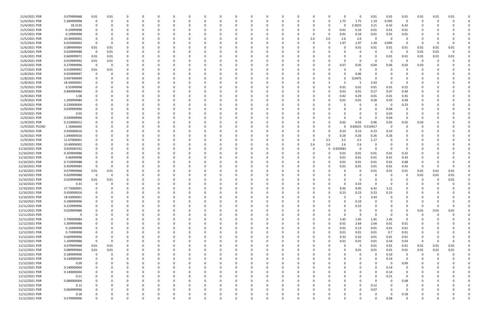| 11/4/2021 PDR   | 0.079999968 | 0.01                    | 0.01        |          |          | $\Omega$    |          |          |          |          |          |          |          |          | 0            |     | O            |         | 0            | 0.01        | 0.01     | 0.01           | 0.01        | 0.01     | 0.01     |  |
|-----------------|-------------|-------------------------|-------------|----------|----------|-------------|----------|----------|----------|----------|----------|----------|----------|----------|--------------|-----|--------------|---------|--------------|-------------|----------|----------------|-------------|----------|----------|--|
| 11/4/2021 PDR   | 5.284999998 | $\mathbf 0$             | $\Omega$    | $\Omega$ |          |             |          |          |          |          |          |          |          |          | <sup>0</sup> |     | 0            | 1.75    | 1.75         | 1.19        | 0.595    | $\Omega$       | -0          |          |          |  |
| 11/4/2021 PDR   | 18.3125     | $\Omega$                |             |          |          |             |          |          |          |          |          |          |          |          |              |     |              |         | 2.2625       | 3.21        | 6.42     | 6.42           |             |          |          |  |
| 11/5/2021 PDR   | 0.19999998  |                         |             |          |          |             |          |          |          |          |          |          |          |          |              |     | 0            | 0.01    | 0.16         | 0.01        | 0.01     | 0.01           |             |          |          |  |
| 11/5/2021 PDR   | 0.19999998  |                         |             |          |          |             |          |          |          |          |          |          |          |          |              |     | $\Omega$     | 0.01    | 0.16         | 0.01        | 0.01     | 0.01           |             |          |          |  |
| 11/5/2021 PDR   | 10.40000002 |                         |             |          |          |             |          |          |          |          |          |          |          |          | 0            | 2.6 | 2.6          | 2.6     | 2.6          | $\Omega$    | $\Omega$ | 0              |             |          |          |  |
| 11/5/2021 PDR   | 6.025000002 | - 0                     | 0           |          |          |             |          |          |          |          |          |          |          |          |              |     | $\Omega$     | 1.97    | 1.97         | 1.39        | 0.695    | 0              | -0          |          |          |  |
| 11/6/2021 PDR   | 0.089999964 | 0.01                    | 0.01        |          |          |             |          |          |          |          |          |          |          |          |              |     |              |         | 0.01         | 0.01        | 0.01     | 0.01           | 0.01        | 0.01     | 0.01     |  |
| 11/6/2021 PDR   | 0.029999988 | $\overline{\mathbf{0}}$ | 0.01        |          |          |             |          |          |          |          |          |          |          |          |              |     |              |         | 0            |             | $\Omega$ | - 0            | 0.01        | 0.01     | $\Omega$ |  |
| 11/6/2021 PDR   | 0.069999972 | 0.01                    | 0.01        |          |          |             |          |          |          |          |          |          |          |          |              |     |              |         |              |             | 0.01     | 0.01           | 0.01        | 0.01     | 0.01     |  |
| 11/6/2021 PDR   | 0.019999992 |                         |             |          |          |             |          |          |          |          |          |          |          |          |              |     |              |         | 0            | - 0         | - 0      | - 0            | - 0         | - 0      |          |  |
|                 |             | 0.01                    | 0.01        |          |          |             |          |          |          |          |          |          |          |          |              |     |              |         |              |             |          |                |             |          |          |  |
| 11/6/2021 PDR   | 0.279999996 | $\overline{\mathbf{0}}$ | 0           |          |          |             |          |          |          |          |          |          |          |          |              |     |              | 0.07    | 0.05         | 0.04        | 0.06     | 0.03           | 0.03        |          |          |  |
| 11/7/2021 PDR   | 0.019999992 | 0.01                    | 0.01        |          |          |             |          |          |          |          |          |          |          |          |              |     |              |         | 0            |             |          |                |             |          |          |  |
| 11/8/2021 PDR   | 0.059999997 | 0                       |             |          |          |             |          |          |          |          |          |          |          |          |              |     |              |         | 0.06         |             |          |                |             |          |          |  |
| 11/8/2021 PDR   | 0.047499999 |                         |             |          |          |             |          |          |          |          |          |          |          |          |              |     |              |         | 0.0475       |             |          |                |             |          |          |  |
| 11/8/2021 PDR   | 18.43000001 |                         |             |          |          |             |          |          |          |          |          |          |          |          |              |     |              |         | 5            | 3.43        |          |                |             |          |          |  |
| 11/9/2021 PDR   | 0.55999998  | 0                       |             |          |          |             |          |          |          |          |          |          |          |          |              |     | $\Omega$     | 0.01    | 0.01         | 0.01        | 0.01     | 0.52           |             |          |          |  |
| 11/9/2021 PDR   | 0.849999984 |                         |             |          |          |             |          |          |          |          |          |          |          |          |              |     | $\Omega$     | 0.01    | 0.01         | 0.27        | 0.07     | 0.49           |             |          |          |  |
| 11/9/2021 PDR   | 1.08        |                         |             |          |          |             |          |          |          |          |          |          |          |          |              |     |              | 0.42    | 0.29         | 0.01        | 0.01     | 0.35           |             |          |          |  |
| 11/9/2021 PDR   | 1.209999984 |                         |             |          |          |             |          |          |          |          |          |          |          |          |              |     |              | 0.01    | 0.01         | 0.58        | 0.03     | 0.58           |             |          |          |  |
| 11/9/2021 PDR   | 0.230000004 |                         |             |          |          |             |          |          |          |          |          |          |          |          |              |     |              |         | 0            |             | - 0      | 0.23           |             |          |          |  |
| 11/9/2021 PDR   | 0.039999996 |                         |             |          |          |             |          |          |          |          |          |          |          |          |              |     |              |         | <sup>0</sup> | 0           | 0.04     | 0              |             |          |          |  |
| 11/9/2021 PDR   | 0.03        |                         |             |          |          |             |          |          |          |          |          |          |          |          |              |     |              |         | 0            | $\Omega$    | 0.03     | 0              |             |          |          |  |
| 11/9/2021 PDR   | 0.039999996 |                         |             |          |          |             |          |          |          |          |          |          |          |          |              |     |              |         | 0            | - 0         | 0.04     | $\Omega$       | C           |          |          |  |
| 11/9/2021 PDR   | 0.210000012 |                         |             |          |          |             |          |          |          |          |          |          |          |          |              |     |              | 0.02    | 0.03         | 0.06        | 0.05     | 0.02           | 0.03        |          |          |  |
| 11/9/2021 PLOAD | 1.16666666  |                         |             |          |          |             |          |          |          |          |          |          |          |          |              |     |              |         | 0.65625      | 0.510417    | 0        |                |             |          |          |  |
| 11/9/2021 PDR   | 0.920000016 |                         |             |          |          |             |          |          |          |          |          |          |          |          |              |     |              | 0.23    | 0.23         | 0.23        | 0.23     |                |             |          |          |  |
| 11/9/2021 PDR   | 1.040000016 |                         |             |          |          |             |          |          |          |          |          |          |          |          |              |     | 0            | 0.26    | 0.26         | 0.26        | 0.26     |                |             |          |          |  |
| 11/9/2021 PDR   | 11.67000001 |                         |             |          |          |             |          |          |          |          |          |          |          |          |              |     | 3.5          | 3.5     | 3.5          | 1.17        |          |                |             |          |          |  |
|                 |             |                         |             |          |          |             |          |          |          |          |          |          |          |          |              |     | 2.6          |         |              |             |          |                |             |          |          |  |
| 11/9/2021 PDR   | 10.40000002 |                         |             |          |          |             |          |          |          |          |          |          |          |          |              | 2.6 |              | 2.6     | 2.6          |             |          |                |             |          |          |  |
| 11/10/2021 PDR  | 0.659583332 |                         |             |          |          |             |          |          |          |          |          |          |          |          | 0            | 0   | $\mathbf 0$  | .659583 | 0            | $\Omega$    | - 0      | $\Omega$       |             |          |          |  |
| 11/10/2021 PDR  | 0.359999988 |                         |             |          |          |             |          |          |          |          |          |          |          |          |              |     |              | 0.01    | 0.01         | 0.01        | 0.01     | 0.32           |             |          |          |  |
| 11/10/2021 PDR  | 0.46999998  |                         |             |          |          |             |          |          |          |          |          |          |          |          |              |     | <sup>0</sup> | 0.01    | 0.01         | 0.01        | 0.01     | 0.43           |             |          |          |  |
| 11/10/2021 PDR  | 0.719999988 |                         |             |          |          |             |          |          |          |          |          |          |          |          |              |     | 0            | 0.01    | 0.01         | 0.01        | 0.01     | 0.68           |             |          |          |  |
| 11/10/2021 PDR  | 0.459999984 | - 0                     |             |          |          |             |          |          |          |          |          |          |          |          |              |     |              | 0.01    | 0.01         | 0.01        | 0.01     | 0.42           | $\Omega$    |          |          |  |
| 11/10/2021 PDR  | 0.079999968 | 0.01                    | 0.01        |          |          |             |          |          |          |          |          |          |          |          |              |     |              |         | -0           | 0.01        | 0.01     | 0.01           | 0.01        | 0.01     | 0.01     |  |
| 11/10/2021 PDR  | 0.029999988 | $\overline{0}$          | 0           |          |          |             |          |          |          |          |          |          |          |          |              |     |              |         | 0            |             |          | 0              | 0.01        | 0.01     | 0.01     |  |
| 11/10/2021 PDR  | 0.029999988 | 0.01                    | 0.01        |          |          |             |          |          |          |          |          |          |          |          |              |     |              |         | 0            |             |          |                | n           |          | 0.01     |  |
| 11/10/2021 PDR  | 0.33        | 0                       |             |          |          |             |          |          |          |          |          |          |          |          |              |     |              |         | 0.33         |             |          |                |             |          |          |  |
| 11/10/2021 PDR  | 27.73000001 | $\Omega$                | O           |          |          |             |          |          |          |          |          |          |          |          |              |     |              | 9.05    | 9.05         | 6.42        | 3.21     |                |             |          |          |  |
| 11/10/2021 PDR  | 0.920000016 | $\Omega$                |             |          |          |             |          |          |          |          |          |          |          |          |              |     |              | 0.23    | 0.23         | 0.23        | 0.23     |                |             |          |          |  |
| 11/10/2021 PDR  | 18.43000001 | 0                       | 0           | $\Omega$ | $\Omega$ | 0           | $\Omega$ | $\Omega$ | $\Omega$ |          | $\Omega$ | $\Omega$ | $\Omega$ | $\Omega$ | 0            | 0   | 5            | 5       | 5            | 3.43        | 0        | $\Omega$       | 0           |          |          |  |
| 11/10/2021 PDR  | 0.189999996 | 0                       |             | $\Omega$ | $\Omega$ | $\Omega$    |          |          | $\Omega$ |          | $\Omega$ |          | $\Omega$ |          | 0            |     |              |         | 0.19         | 0           | $\Omega$ |                | 0           |          |          |  |
| 11/11/2021 PDR  | 0.219999996 | $\Omega$                |             | $\Omega$ |          | $\Omega$    |          |          | 0        |          | $\Omega$ |          |          |          | 0            |     |              |         | 0.22         | $\Omega$    |          | $\Omega$       | $\Omega$    |          |          |  |
| 11/11/2021 PDR  | 0.029999988 |                         |             |          |          |             |          |          |          |          |          |          |          |          |              |     |              |         | 0            |             |          | 0              | 0.01        | 0.01     | 0.01     |  |
| 11/11/2021 PDR  | 9           |                         |             |          |          |             |          |          |          |          |          |          |          |          |              |     |              |         | 9            | $\Omega$    |          |                | 0           |          |          |  |
| 11/11/2021 PDR  | 5.799999984 | $\Omega$                |             |          |          | 0           |          |          |          |          |          |          |          |          | 0            |     | $\mathbf 0$  | 1.45    | 1.45         | 1.45        | 1.45     | $\overline{0}$ | 0           |          |          |  |
| 11/12/2021 PDR  | 5.309999988 | 0                       |             |          |          | 0           |          |          |          |          |          |          |          |          |              |     | $\Omega$     | 0.01    | 2.64         | 2.64        | 0.01     | 0.01           |             |          |          |  |
| 11/12/2021 PDR  | 0.16999998  | 0                       |             | $\Omega$ |          | $\Omega$    |          |          | $\Omega$ |          | 0        |          | $\Omega$ |          | 0            |     | $\Omega$     | 0.01    | 0.13         | 0.01        | 0.01     | 0.01           | 0           |          |          |  |
| 11/12/2021 PDR  | 0.73999998  | 0                       |             | 0        |          | 0           |          |          | 0        |          | 0        |          | $\Omega$ |          | 0            |     | $\Omega$     | 0.01    | 0.01         | 0.01        | 0.7      | 0.01           | 0           |          |          |  |
| 11/12/2021 PDR  | 0.669999996 | $\mathbf 0$             |             |          |          | 0           |          |          |          |          |          |          |          |          |              |     | $\Omega$     | 0.32    | 0.32         | 0.01        | $0.01\,$ | 0.01           |             |          |          |  |
| 11/12/2021 PDR  | 1.109999988 | $\overline{0}$          | 0           |          |          | 0           |          |          |          |          |          |          |          |          |              |     | $\Omega$     | 0.01    | 0.01         | 0.01        | 0.54     | 0.54           | $\mathbf 0$ |          | $\Omega$ |  |
| 11/12/2021 PDR  | 0.079999968 | 0.01                    | 0.01        |          |          | 0           |          |          |          |          |          |          |          |          | 0            |     | 0            |         | 0            | 0.01        | 0.01     | 0.01           | 0.01        | 0.01     | 0.01     |  |
| 11/12/2021 PDR  | 0.089999964 | $0.01\,$                | 0.01        | $\Omega$ |          | $\Omega$    |          |          |          |          |          |          |          |          | $\Omega$     |     |              |         | 0.01         | 0.01        | 0.01     | 0.01           | 0.01        | 0.01     | 0.01     |  |
|                 |             |                         | $\mathbf 0$ | $\Omega$ |          |             |          |          |          |          |          |          |          |          |              |     |              |         |              | $\Omega$    |          |                |             | $\Omega$ |          |  |
| 11/12/2021 PDR  | 0.189999996 | $\overline{\mathbf{0}}$ |             |          |          | 0           |          |          |          |          |          |          |          |          | 0            |     |              |         | 0            |             | 0.19     | 0              | 0           |          |          |  |
| 11/12/2021 PDR  | 0.140000004 | 0                       |             | $\Omega$ |          | 0           |          |          |          |          | 0        |          |          |          | 0            |     |              |         | 0            | $\Omega$    | 0.14     | $\overline{0}$ | 0           |          |          |  |
| 11/12/2021 PDR  | 0.09        | 0                       |             |          |          |             |          |          |          |          |          |          |          |          |              |     |              |         |              | $\Omega$    | - 0      | 0.09           |             |          |          |  |
| 11/12/2021 PDR  | 0.140000004 | 0                       |             |          |          | 0           |          |          |          |          |          |          |          |          | 0            |     |              |         |              | $\Omega$    | 0.14     | 0              |             |          |          |  |
| 11/12/2021 PDR  | 0.140000004 |                         |             |          |          |             |          |          |          |          |          |          |          |          |              |     |              |         |              | 0           | 0.14     | 0              |             |          |          |  |
| 11/12/2021 PDR  | 0.21        | $\Omega$                |             |          |          | $\Omega$    |          |          |          |          |          |          |          |          |              |     |              |         |              | $\mathbf 0$ | 0.21     | $\overline{0}$ |             |          |          |  |
| 11/12/2021 PDR  | 0.080000004 | 0                       |             |          |          | 0           |          |          |          |          |          |          |          |          |              |     |              |         |              | $\Omega$    | $\Omega$ | 0.08           |             |          |          |  |
| 11/12/2021 PDR  | 0.12        | 0                       |             | 0        |          | 0           |          |          |          |          |          |          |          |          |              |     |              |         | $\Omega$     | 0.12        |          | 0              |             |          |          |  |
| 11/12/2021 PDR  | 0.069999996 |                         |             | 0        |          | 0           |          |          |          |          |          |          | $\Omega$ |          |              |     |              |         | 0            | 0.07        | $\Omega$ | 0              |             |          |          |  |
| 11/12/2021 PDR  | 0.18        | 0                       |             |          |          | 0           |          |          |          |          |          |          |          |          | C            |     |              |         | 0            | 0           | - 0      | 0.18           |             |          |          |  |
| 11/12/2021 PDR  | 0.579999996 | 0                       | $\Omega$    | $\Omega$ | $\Omega$ | $\mathbf 0$ | $\Omega$ | $\Omega$ | $\Omega$ | $\Omega$ | $\Omega$ | $\Omega$ | $\Omega$ | $\Omega$ | $\Omega$     |     | 0            |         | $\Omega$     | $\Omega$    | 0.58     | $\mathbf 0$    | $\Omega$    |          | $\Omega$ |  |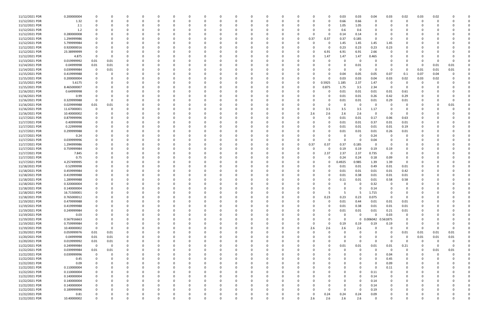| 11/12/2021 PDR | 0.200000004 | $\Omega$    |                         |          |          |          |          |          | 0        |          |          |          |              |          |          |             |             | 0.03        | 0.03        | 0.04              | 0.03                    | 0.02        | 0.03     | 0.02     |          |  |
|----------------|-------------|-------------|-------------------------|----------|----------|----------|----------|----------|----------|----------|----------|----------|--------------|----------|----------|-------------|-------------|-------------|-------------|-------------------|-------------------------|-------------|----------|----------|----------|--|
| 11/12/2021 PDR | 1.32        | $\Omega$    |                         | 0        | $\Omega$ |          |          |          | 0        |          |          |          | 0            |          |          | 0           | 0           | 0.66        | 0.66        | $\Omega$          | - 0                     | 0           | 0        |          |          |  |
| 11/12/2021 PDR | 2.1         |             |                         |          |          |          |          |          |          |          |          |          |              |          |          |             |             | 1.05        | 1.05        |                   |                         |             |          |          |          |  |
| 11/12/2021 PDR | 1.2         |             |                         |          |          |          |          |          | $\Omega$ |          |          |          |              |          |          |             |             | 0.6         | 0.6         |                   |                         |             |          |          |          |  |
| 11/12/2021 PDR | 0.280000008 |             |                         |          |          |          |          |          | 0        |          |          |          |              |          |          | 0           | 0           | 0.14        | 0.14        |                   |                         |             |          |          |          |  |
| 11/12/2021 PDR | 1.294999986 |             |                         |          |          |          |          |          |          |          |          |          |              |          |          | 0.37        | 0.37        | 0.37        | 0.185       |                   |                         |             |          |          |          |  |
| 11/12/2021 PDR | 5.799999984 |             |                         |          |          |          |          |          |          |          |          |          |              |          |          |             | $\Omega$    | 1.45        | 1.45        | 1.45              | 1.45                    |             |          |          |          |  |
| 11/12/2021 PDR | 0.920000016 |             |                         |          |          |          |          |          |          |          |          |          |              |          |          |             |             | 0.23        | 0.23        | 0.23              | 0.23                    |             |          |          |          |  |
|                |             |             |                         |          |          |          |          |          |          |          |          |          |              |          |          |             |             |             |             |                   |                         |             |          |          |          |  |
| 11/12/2021 PDR | 23.38999999 |             |                         |          |          |          |          |          |          |          |          |          |              |          |          | 0           | 6.91        | 6.91        | 6.91        | 2.66              |                         |             |          |          |          |  |
| 11/12/2021 PDR | 4.875       |             | 0                       |          |          |          |          |          |          |          |          |          |              |          |          | 0           | 1.47        | 1.47        | 1.47        | 0.465             |                         |             |          |          |          |  |
| 11/13/2021 PDR | 0.019999992 | 0.01        | 0.01                    |          |          |          |          |          |          |          |          |          |              |          |          |             |             | 0           | $\Omega$    |                   |                         |             |          |          |          |  |
| 11/14/2021 PDR | 0.04999998  | 0.01        | 0.01                    |          |          |          |          |          |          |          |          |          |              |          |          |             |             | 0           | 0.01        |                   |                         |             | - 0      | 0.01     | 0.01     |  |
| 11/14/2021 PDR | 0.039999984 | 0           | 0.01                    |          |          |          |          |          |          |          |          |          |              |          |          |             |             | 0           | $\Omega$    |                   |                         | 0           | 0.01     | 0.01     | 0.01     |  |
| 11/15/2021 PDR | 0.419999988 |             |                         |          |          |          |          |          |          |          |          |          |              |          |          |             |             | 0.04        | 0.05        | 0.05              | 0.07                    | 0.1         | 0.07     | 0.04     |          |  |
| 11/15/2021 PDR | 0.200000004 |             |                         |          |          |          |          |          |          |          |          |          |              |          |          |             |             | 0.03        | 0.03        | 0.04              | 0.03                    | 0.02        | 0.03     | 0.02     |          |  |
| 11/15/2021 PDR | 5.6175      |             |                         |          |          |          |          |          |          |          |          |          |              |          |          | 0           | 0.5925      | 1.185       | 2.37        | 1.47              | - 0                     | 0           |          |          |          |  |
| 11/15/2021 PDR | 8.465000007 |             |                         |          |          |          |          |          | $\Omega$ |          |          |          |              |          |          | 0           | 0.875       | 1.75        | 3.5         | 2.34              | 0                       | $\Omega$    |          |          |          |  |
| 11/16/2021 PDR | 0.64999998  |             |                         |          |          |          |          |          | 0        |          |          |          |              |          |          | 0           | 0           | 0.01        | 0.01        | 0.01              | 0.01                    | 0.61        |          |          |          |  |
| 11/16/2021 PDR | 0.99        |             |                         |          |          |          |          |          |          |          |          |          |              |          |          |             |             | 0.01        | 0.01        | 0.26              | 0.42                    | 0.29        |          |          |          |  |
| 11/16/2021 PDR | 0.329999988 |             |                         |          |          |          |          |          |          |          |          |          |              |          |          |             |             | 0.01        | 0.01        | 0.01              | 0.29                    | 0.01        |          |          |          |  |
| 11/16/2021 PDR | 0.029999988 | $0.01\,$    | 0.01                    |          |          |          |          |          |          |          |          |          |              |          |          |             |             | 0           | - 0         |                   |                         | 0           |          |          | 0.01     |  |
| 11/16/2021 PDR | 11.67000001 | - 0         |                         |          |          |          |          |          |          |          |          |          |              |          |          | 0           | 3.5         | 3.5         | 3.5         | 1.17              |                         | 0           |          |          |          |  |
| 11/16/2021 PDR | 10.40000002 |             |                         |          |          |          |          |          |          |          |          |          |              |          |          | 2.6         | 2.6         | 2.6         | 2.6         | $\Omega$          | - 0                     | 0           |          |          |          |  |
|                |             | 0           |                         |          |          |          |          |          |          |          |          |          |              |          |          |             |             |             |             |                   |                         |             |          |          |          |  |
| 11/17/2021 PDR | 0.879999996 |             |                         |          |          |          |          |          | -0       |          |          |          |              |          |          | 0           |             | 0.01        | 0.01        | 0.17              | 0.06                    | 0.63        |          |          |          |  |
| 11/17/2021 PDR | 0.40999998  |             |                         |          |          |          |          |          |          |          |          |          |              |          |          |             |             | 0.01        | 0.01        | 0.37              | 0.01                    | 0.01        |          |          |          |  |
| 11/17/2021 PDR | 0.22999998  |             |                         |          |          |          |          |          |          |          |          |          |              |          |          |             |             | 0.01        | 0.01        | 0.01              | 0.01                    | 0.19        |          |          |          |  |
| 11/17/2021 PDR | 0.299999988 |             |                         |          |          |          |          |          |          |          |          |          |              |          |          | 0           |             | 0.01        | 0.01        | 0.01              | 0.26                    | 0.01        |          |          |          |  |
| 11/17/2021 PDR | 0.24        |             |                         |          |          |          |          |          |          |          |          |          |              |          |          |             |             | 0           | 0           | 0.24              | - 0                     | 0           |          |          |          |  |
| 11/17/2021 PDR | 0.039999996 |             |                         |          |          |          |          |          |          |          |          |          |              |          |          | $\Omega$    |             | $\Omega$    | 0           | 0.04              |                         | C.          |          |          |          |  |
| 11/17/2021 PDR | 1.294999986 |             |                         |          |          |          |          |          | 0        |          |          |          |              |          |          | 0.37        | 0.37        | 0.37        | 0.185       | - 0               | - 0                     | 0           |          |          |          |  |
| 11/17/2021 PDR | 0.759999984 |             |                         |          |          |          |          |          |          |          |          |          |              |          |          | 0           | 0           | 0.19        | 0.19        | 0.19              | 0.19                    |             |          |          |          |  |
| 11/17/2021 PDR | 7.845       |             |                         |          |          |          |          |          |          |          |          |          |              |          |          | O           | 2.37        | 2.37        | 2.37        | 0.735             | - 0                     |             |          |          |          |  |
| 11/17/2021 PDR | 0.75        |             |                         |          |          |          |          |          |          |          |          |          |              |          |          |             |             | 0.24        | 0.24        | 0.18              | 0.09                    |             |          |          |          |  |
| 11/17/2021 PDR | 4.257499995 |             |                         |          |          |          |          |          |          |          |          |          |              |          |          |             | 0           | 0.4925      | 0.985       | 1.39              | 1.39                    | 0           |          |          |          |  |
| 11/18/2021 PDR | 0.52999998  |             |                         |          |          |          |          |          |          |          |          |          |              |          |          |             |             | 0.01        | 0.01        | 0.49              | 0.01                    | 0.01        |          |          |          |  |
| 11/18/2021 PDR | 0.459999984 |             |                         |          |          |          |          |          |          |          |          |          |              |          |          |             |             | 0.01        | 0.01        | 0.01              | 0.01                    | 0.42        |          |          |          |  |
| 11/18/2021 PDR | 0.419999988 |             |                         |          |          |          |          |          |          |          |          |          |              |          |          |             |             | 0.01        | 0.38        | 0.01              | 0.01                    | 0.01        |          |          |          |  |
|                |             |             |                         |          |          |          |          |          |          |          |          |          |              |          |          |             |             |             |             |                   |                         |             |          |          |          |  |
| 11/18/2021 PDR | 1.289999988 |             |                         |          |          |          |          |          |          |          |          |          |              |          |          |             |             | 0.11        | 0.01        | 0.01              | 0.58                    | 0.58        |          |          |          |  |
| 11/18/2021 PDR | 0.320000004 |             |                         |          |          |          |          |          |          |          |          |          |              |          |          |             |             |             |             | 0.32              |                         |             |          |          |          |  |
| 11/18/2021 PDR | 0.140000004 | $\Omega$    | $\Omega$                |          |          |          |          |          | $\Omega$ |          |          |          |              |          |          |             |             | $\Omega$    | $\Omega$    | 0.14              | $\Omega$                | n           |          |          |          |  |
| 11/18/2021 PDR | 16.71500001 | $\mathbf 0$ |                         |          |          |          |          |          |          |          |          |          |              |          |          |             | ל           | 5           | -5          | 1.715             |                         |             |          |          |          |  |
| 11/18/2021 PDR | 0.765000012 | 0           | $\Omega$                | $\Omega$ | $\Omega$ | $\Omega$ | $\Omega$ | $\Omega$ | $\Omega$ | $\Omega$ | $\Omega$ | $\Omega$ | $\Omega$     | $\Omega$ |          | $\mathbf 0$ | 0.23        | 0.23        | 0.23        | 0.075             | $\overline{\mathbf{0}}$ | $\mathbf 0$ | $\Omega$ |          |          |  |
| 11/19/2021 PDR | 0.479999988 | $\mathbf 0$ | $\Omega$                | 0        | 0        |          | $\Omega$ |          | 0        |          | $\Omega$ | 0        | 0            | - 0      |          | 0           | $\Omega$    | 0.01        | 0.44        | 0.01              | 0.01                    | 0.01        | $\Omega$ |          |          |  |
| 11/19/2021 PDR | 0.419999988 | $\mathbf 0$ |                         | $\Omega$ | $\Omega$ |          |          |          | $\Omega$ |          |          |          | <sup>0</sup> |          |          | 0           | n           | 0.01        | 0.38        | $0.01\,$          | 0.01                    | 0.01        |          |          |          |  |
| 11/19/2021 PDR | 0.249999984 | $\Omega$    |                         | 0        | 0        |          |          |          | 0        |          |          |          | 0            |          |          | 0           | 0           | 0.01        | 0.01        | 0.01              | 0.21                    | 0.01        |          |          |          |  |
| 11/19/2021 PDR | 0.03        |             |                         |          | -0       |          |          |          | 0        |          |          |          | 0            |          |          | 0           |             | 0           | $\Omega$    | $\Omega$          | 0.03                    | 0           |          |          |          |  |
| 11/19/2021 PDR | 0.567916663 | 0           |                         | 0        | 0        |          |          |          | 0        |          | 0        | 0        | 0            |          |          | $\Omega$    | 0           | $\mathbf 0$ | $\mathbf 0$ | 0.006042 0.561875 |                         | 0           |          |          |          |  |
| 11/19/2021 PDR | 0.759999984 | - 0         | $\Omega$                | 0        | -0       |          |          |          | $\Omega$ |          | $\Omega$ | 0        | 0            |          |          | $\mathbf 0$ | $\mathbf 0$ | 0.19        | 0.19        | 0.19              | 0.19                    | 0           | 0        |          |          |  |
| 11/19/2021 PDR | 10.40000002 | $\Omega$    | $\overline{0}$          | $\Omega$ | - 0      |          |          |          | 0        |          |          |          | <sup>0</sup> |          |          | 2.6         | 2.6         | 2.6         | 2.6         | $\Omega$          | $\Omega$                | $\Omega$    | $\Omega$ |          | $\Omega$ |  |
| 11/20/2021 PDR | 0.059999976 | 0.01        | 0.01                    | $\Omega$ | 0        |          |          |          | 0        |          |          |          | <sup>0</sup> |          |          | 0           |             | 0           |             | $\Omega$          | $\Omega$                | 0.01        | 0.01     | 0.01     | 0.01     |  |
| 11/20/2021 PDR | 0.04999998  | $0.01\,$    | 0.01                    | 0        |          |          |          |          | 0        |          |          |          |              |          |          | 0           |             | 0           |             |                   |                         | 0           | 0.01     | 0.01     | 0.01     |  |
| 11/20/2021 PDR | 0.019999992 | $0.01\,$    | 0.01                    | 0        | - 0      |          |          |          | 0        |          |          |          | 0            |          |          | 0           |             | $\Omega$    | $\Omega$    | $\Omega$          | - 0                     | 0           | $\Omega$ | $\Omega$ | 0        |  |
| 11/22/2021 PDR |             | 0           | $\overline{\mathbf{0}}$ |          |          |          |          |          |          |          |          |          |              |          |          |             |             |             | 0.01        |                   | 0.01                    |             | 0        | $\Omega$ | 0        |  |
|                | 0.249999984 |             |                         | 0        |          |          |          |          | 0        |          |          |          | 0            |          |          | 0           | 0           | 0.01        |             | 0.01              |                         | 0.21        |          |          |          |  |
| 11/22/2021 PDR | 0.039999984 | $0.01\,$    | 0.01                    | $\Omega$ |          |          |          |          | $\Omega$ |          |          |          |              |          |          | $\Omega$    |             | $\Omega$    | $\Omega$    | $\Omega$          | $\overline{\mathbf{0}}$ | 0           |          | 0.01     | 0.01     |  |
| 11/22/2021 PDR | 0.039999996 | 0           | - 0                     | 0        | 0        |          | 0        |          | 0        |          |          |          | 0            |          |          | 0           |             | 0           |             | $\Omega$          | 0.04                    | 0           | $\Omega$ |          |          |  |
| 11/22/2021 PDR | 0.45        | 0           |                         | $\Omega$ | 0        |          |          |          | 0        |          |          |          | <sup>0</sup> |          |          | 0           |             | 0           |             |                   | 0.45                    | 0           | 0        |          |          |  |
| 11/22/2021 PDR | 0.09        | $\Omega$    |                         |          | - 0      |          |          |          | 0        |          |          |          | <sup>0</sup> |          |          | O           |             | 0           |             |                   | 0.09                    | 0           |          |          |          |  |
| 11/22/2021 PDR | 0.110000004 |             |                         |          | - 0      |          |          |          | 0        |          |          |          | 0            |          |          | 0           |             | 0           | $\Omega$    | $\Omega$          | 0.11                    | 0           |          |          |          |  |
| 11/22/2021 PDR | 0.110000004 |             |                         |          |          |          |          |          | 0        |          |          |          |              |          |          | 0           |             |             | 0           | 0.11              |                         | 0           |          |          |          |  |
| 11/22/2021 PDR | 0.140000004 | 0           |                         |          | 0        |          |          |          | 0        |          |          | 0        | 0            |          |          | 0           |             | 0           | $\Omega$    | 0.14              | 0                       | 0           |          |          |          |  |
| 11/22/2021 PDR | 0.140000004 |             |                         |          |          |          |          |          | 0        |          |          |          |              |          |          | 0           |             | 0           | $\Omega$    | 0.14              |                         |             |          |          |          |  |
| 11/22/2021 PDR | 0.140000004 | $\Omega$    |                         |          | 0        |          |          |          | 0        |          |          |          |              |          |          | 0           |             | 0           |             | 0.14              |                         |             |          |          |          |  |
| 11/22/2021 PDR | 0.189999996 |             |                         |          | - 0      |          |          |          | 0        |          |          |          | 0            |          |          | 0           |             | $\Omega$    | 0           | 0.19              |                         |             | - 0      |          |          |  |
| 11/22/2021 PDR | 0.81        |             |                         |          |          |          |          |          |          |          |          |          |              |          |          | 0           | 0.24        | 0.24        | 0.24        | 0.09              |                         |             |          |          |          |  |
| 11/22/2021 PDR | 10.40000002 | $\mathbf 0$ | $\Omega$                | $\Omega$ | $\Omega$ | $\Omega$ | $\Omega$ | $\Omega$ | $\Omega$ |          | $\Omega$ | $\Omega$ | $\Omega$     | $\Omega$ | $\Omega$ | 2.6         | 2.6         | 2.6         | 2.6         | $\Omega$          | $\Omega$                | $\Omega$    | $\Omega$ | U        | 0        |  |
|                |             |             |                         |          |          |          |          |          |          |          |          |          |              |          |          |             |             |             |             |                   |                         |             |          |          |          |  |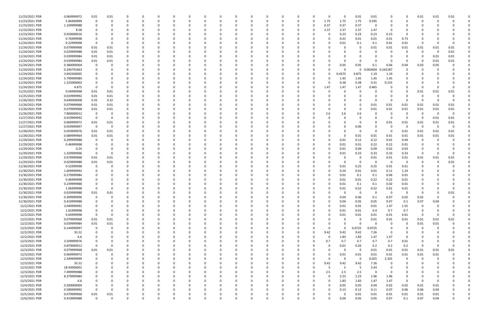| 11/23/2021 PDR | 0.069999972 | 0.01        | 0.01     |             |   |          |   |          |          |          |              |              |          |              | 0           |          | 0.01        | 0.01       |                 | O           | 0.01     | 0.01     | 0.01 |  |
|----------------|-------------|-------------|----------|-------------|---|----------|---|----------|----------|----------|--------------|--------------|----------|--------------|-------------|----------|-------------|------------|-----------------|-------------|----------|----------|------|--|
| 11/23/2021 PDR | 5.84499999  | 0           | $\Omega$ | $\Omega$    |   | 0        | O |          | - 0      |          | 0            | C            | 0        | <sup>0</sup> | 1.75        | 1.75     | 1.75        | 0.595      | $\Omega$        | O           | 0        |          |      |  |
| 11/23/2021 PDR | 1.109999988 | 0           |          |             |   |          |   |          |          |          |              |              |          |              | 0.37        | 0.37     | 0.37        | 0          |                 |             |          |          |      |  |
| 11/23/2021 PDR | 8.58        | $\Omega$    |          |             |   |          |   |          |          |          |              |              |          |              | 2.37        | 2.37     | 2.37        | 1.47       | - 0             |             |          |          |      |  |
| 11/23/2021 PDR | 0.920000016 |             |          |             |   |          |   |          |          |          |              |              |          |              | $\Omega$    | 0.23     | 0.23        | 0.23       | 0.23            | $\Omega$    |          |          |      |  |
|                |             |             |          |             |   |          |   |          |          |          |              |              |          |              |             |          |             |            |                 |             |          |          |      |  |
| 11/24/2021 PDR | 0.76999998  |             |          |             |   |          |   |          |          |          |              |              |          |              |             | 0.01     | 0.01        | 0.01       | 0.01            | 0.73        |          |          |      |  |
| 11/24/2021 PDR | 0.22999998  | 0           |          |             |   |          |   |          |          |          |              |              |          |              |             | 0.01     | 0.1         | 0.1        | 0.01            | 0.01        |          |          |      |  |
| 11/24/2021 PDR | 0.079999968 | 0.01        | 0.01     |             |   |          |   |          |          |          |              |              |          |              |             |          | 0           | 0.01       | 0.01            | 0.01        | 0.01     | 0.01     | 0.01 |  |
| 11/24/2021 PDR | 0.029999988 | 0.01        | 0.01     |             |   |          |   |          |          |          |              |              |          |              |             |          | 0           |            | -0              |             | 0        |          | 0.01 |  |
| 11/24/2021 PDR | 0.039999984 | 0.01        | 0.01     |             |   |          |   |          |          |          |              |              |          |              |             |          |             |            |                 |             | 0        | 0.01     | 0.01 |  |
| 11/24/2021 PDR | 0.039999984 | 0.01        | 0.01     |             |   |          |   |          |          |          |              |              |          |              |             |          | 0           |            |                 |             | 0        | 0.01     | 0.01 |  |
| 11/24/2021 PDR | 0.380000004 | 0           |          |             |   |          |   |          |          |          |              |              |          |              |             | 0.05     | 0.05        | 0.1        | 0.06            | 0.04        | 0.03     | 0.05     |      |  |
| 11/24/2021 PDR | 0.244791663 | 0           |          |             |   |          |   |          |          |          |              |              |          |              |             | O        | 0           | 0.002604   | 242187<br>. O.: | $\Omega$    |          |          |      |  |
|                |             |             |          |             |   |          |   |          |          |          |              |              |          |              |             |          |             |            |                 |             |          |          |      |  |
| 11/24/2021 PDR | 3.692500005 |             |          |             |   |          |   |          |          |          |              |              |          |              | 0           | 0.4375   | 0.875       | 1.19       | 1.19            |             |          |          |      |  |
| 11/24/2021 PDR | 5.799999984 | $\Omega$    |          |             |   |          |   |          |          |          |              |              |          |              | 0           | 1.45     | 1.45        | 1.45       | 1.45            |             |          |          |      |  |
| 11/24/2021 PDR | 1.225000002 | 0           |          |             |   |          |   |          |          |          |              |              |          |              | 0           | 0.38     | 0.38        | 0.31       | 0.155           |             |          |          |      |  |
| 11/24/2021 PDR | 4.875       | $\Omega$    |          |             |   |          |   |          |          |          |              |              |          |              | 1.47        | 1.47     | 1.47        | 0.465      | $\Omega$        |             | -0       |          |      |  |
| 11/25/2021 PDR | 0.04999998  | 0.01        | 0.01     | 0           |   |          |   |          |          |          |              |              |          |              |             |          | $\Omega$    |            | 0               | 0           | 0.01     | 0.01     | 0.01 |  |
| 11/25/2021 PDR | 0.019999992 | 0.01        | 0.01     |             |   |          |   |          |          |          |              |              |          |              |             |          |             |            |                 |             |          |          |      |  |
| 11/26/2021 PDR | 0.640000008 | 0.32        | 0.32     |             |   |          |   |          |          |          |              |              |          |              |             |          | 0           |            | - 0             |             | 0        |          |      |  |
| 11/26/2021 PDR | 0.079999968 | 0.01        | 0.01     |             |   |          |   |          |          |          |              |              |          |              |             |          | 0           | 0.01       | 0.01            | 0.01        | 0.01     | 0.01     | 0.01 |  |
| 11/26/2021 PDR | 0.079999968 |             |          |             |   |          |   |          |          |          |              |              |          |              |             |          | $\Omega$    |            | 0.01            |             | 0.01     |          | 0.01 |  |
|                |             | 0.01        | 0.01     |             |   |          |   |          |          |          |              |              |          |              |             |          |             | 0.01       |                 | 0.01        |          | 0.01     |      |  |
| 11/26/2021 PDR | 7.800000012 | 0           | $\Omega$ |             |   |          |   |          |          |          |              |              |          |              | 2.6         | 2.6      | 2.6         |            | - 0             | $\Omega$    | - 0      | 0        | 0    |  |
| 11/27/2021 PDR | 0.019999992 | 0           | $\Omega$ |             |   |          |   |          |          |          |              |              |          |              |             |          | 0           |            | - 0             |             | - 0      | 0.01     | 0.01 |  |
| 11/27/2021 PDR | 0.069999972 | 0.01        | 0.01     |             |   |          |   |          |          |          |              |              |          |              |             |          | $\Omega$    |            | 0.01            | 0.01        | 0.01     | 0.01     | 0.01 |  |
| 11/27/2021 PDR | 0.059999997 | $\mathbf 0$ | $\Omega$ |             |   |          |   |          |          |          |              |              |          |              |             |          | 0.06        |            | - 0             | 0           | -0       | 0        |      |  |
| 11/28/2021 PDR | 0.059999976 | 0.01        | 0.01     |             |   |          |   |          |          |          |              |              |          |              |             |          | 0           | - 0        | - 0             | 0.01        | 0.01     | 0.01     | 0.01 |  |
| 11/28/2021 PDR | 0.089999964 | 0.01        | 0.01     |             |   |          |   |          |          |          |              |              |          |              |             | 0        | 0.01        | 0.01       | 0.01            | 0.01        | 0.01     | 0.01     | 0.01 |  |
| 11/29/2021 PDR | 0.299999988 | 0           |          |             |   |          |   |          |          |          |              |              |          |              |             | 0.01     | 0.12        | 0.12       | 0.01            | 0.04        | 0        |          |      |  |
| 11/29/2021 PDR | 0.46999998  | 0           |          |             |   |          |   |          |          |          |              |              |          |              |             | 0.01     | 0.01        | 0.22       | 0.22            | 0.01        |          |          |      |  |
| 11/29/2021 PDR | 0.24        | $\Omega$    |          |             |   |          |   |          |          |          |              |              |          |              |             | 0.01     | 0.09        | 0.09       | 0.02            | 0.03        |          |          |      |  |
|                |             |             |          |             |   |          |   |          |          |          |              |              |          |              |             |          |             |            |                 |             |          |          |      |  |
| 11/29/2021 PDR | 1.329999996 | $\Omega$    |          |             |   |          |   |          |          |          |              |              |          |              |             | 0.01     | 0.33        | 0.33       | 0.33            | 0.33        | $\Omega$ |          |      |  |
| 11/29/2021 PDR | 0.079999968 | 0.01        | 0.01     |             |   |          |   |          |          |          |              |              |          |              |             |          | 0           | 0.01       | 0.01            | 0.01        | 0.01     | 0.01     | 0.01 |  |
| 11/29/2021 PDR | 0.029999988 | 0.01        | 0.01     |             |   |          |   |          |          |          |              |              |          |              |             | 0        | 0           | - 0        | - 0             | $\Omega$    | 0        |          | 0.01 |  |
| 11/30/2021 PDR | 0.52999998  | 0           |          |             |   |          |   |          |          |          |              |              |          |              |             | 0.01     | 0.25        | 0.25       | 0.01            | 0.01        |          |          |      |  |
| 11/30/2021 PDR | 1.609999992 | 0           |          |             |   |          |   |          |          |          |              |              |          |              |             | 0.24     | 0.01        | 0.01       | 0.11            | 1.24        |          |          |      |  |
| 11/30/2021 PDR | 0.279999984 |             |          |             |   |          |   |          |          |          |              |              |          |              |             | 0.01     | 0.1         | $0.1\,$    | 0.06            | 0.01        |          |          |      |  |
| 11/30/2021 PDR | 0.46999998  |             |          |             |   |          |   |          |          |          |              |              |          |              |             | 0.01     | 0.01        | 0.22       | 0.22            | 0.01        |          |          |      |  |
| 11/30/2021 PDR | 0.239999988 |             |          |             |   |          |   |          |          |          |              |              |          |              |             | 0.01     | 0.1         | 0.1        | 0.02            | 0.01        |          |          |      |  |
| 11/30/2021 PDR | 1.06999998  | 0           |          |             |   |          |   |          |          |          |              |              |          |              | 0           | 0.01     | 0.52        | 0.52       | 0.01            | 0.01        |          |          |      |  |
|                | 0.029999988 | 0.01        | 0.01     |             |   |          |   |          |          |          |              |              |          |              |             |          | $\mathbf 0$ | $\sqrt{ }$ | 0               |             | 0        |          |      |  |
| 11/30/2021 PDR |             |             |          |             |   |          |   |          |          |          |              |              |          |              |             |          |             |            |                 |             |          |          | 0.01 |  |
| 11/30/2021 PDR | 0.309999996 | 0           | $\Omega$ | O           | 0 | $\Omega$ | O | $\Omega$ |          | $\Omega$ | n            | <sup>0</sup> | - 0      |              | $\Omega$    | 0.04     | 0.06        | 0.1        | 0.07            | 0.02        | 0.02     |          |      |  |
| 11/30/2021 PDR | 0.419999988 | 0           |          | $\Omega$    | 0 | $\Omega$ | 0 |          |          | $\Omega$ | <sup>0</sup> | <sup>0</sup> | $\Omega$ | 0            | $\Omega$    | 0.04     | 0.05        | 0.05       | 0.07            | 0.1         | 0.07     | 0.04     |      |  |
| 12/2/2021 PDR  | 3.049999992 | 0           |          |             |   |          |   |          |          |          |              |              |          |              |             | 0.01     | 0.01        | 0.01       | 1.47            | 1.55        | 0        |          |      |  |
| 12/2/2021 PDR  | 1.81999998  | $\mathbf 0$ |          |             |   | -0       |   |          |          |          | 0            |              | -0       |              | 0           | 0.01     | 0.01        | 0.4        | 0.7             | 0.7         | 0        |          |      |  |
| 12/2/2021 PDR  | 0.64999998  | $\mathbf 0$ | $\Omega$ |             |   |          |   |          |          |          |              |              |          |              | 0           | 0.01     | 0.01        | 0.01       | 0.01            | 0.61        | 0        |          |      |  |
| 12/2/2021 PDR  | 0.079999968 | 0.01        | 0.01     | $\Omega$    |   |          |   |          |          |          |              |              |          |              | 0           | 0        | $\mathbf 0$ | 0.01       | 0.01            | 0.01        | 0.01     | 0.01     | 0.01 |  |
| 12/2/2021 PDR  | 0.039999984 | 0.01        | 0.01     | 0           | 0 | $\Omega$ |   |          |          |          | 0            |              |          |              | 0           | $\Omega$ | $\mathbf 0$ | $\Omega$   | $\mathbf 0$     | $\mathbf 0$ | 0.01     | 0.01     |      |  |
| 12/2/2021 PDR  | 0.144999997 | $\mathbf 0$ | $\Omega$ | $\Omega$    |   |          |   |          |          |          |              |              |          |              | $\Omega$    | $\Omega$ | 0.0725      | 0.0725     | $\Omega$        | 0           | 0        |          |      |  |
| 12/2/2021 PDR  | 35.52       | $\Omega$    |          | O           |   |          |   |          |          |          | 0            |              |          | $\Omega$     | 9.42        | 9.42     | 9.42        | 7.26       | 0               | 0           |          |          |      |  |
| 12/2/2021 PDR  |             |             |          |             |   |          |   |          |          |          |              |              |          | 0            |             | 1.83     | 1.83        | 1.47       | 1.47            |             |          |          |      |  |
|                | 6.6         | 0           |          |             |   |          |   |          |          |          | 0            |              |          |              | $\mathbf 0$ |          |             |            |                 | 0           |          |          |      |  |
| 12/3/2021 PDR  | 3.509999976 | 0           |          |             |   |          |   |          |          |          |              |              |          |              | 0.7         | 0.7      | 0.7         | 0.7        | 0.7             | 0.01        |          |          |      |  |
| 12/3/2021 PDR  | 0.870000012 | $\mathbf 0$ | $\Omega$ | O           |   |          |   |          |          |          | 0            |              |          |              | $\Omega$    | 0.01     | 0.26        | 0.2        | 0.2             | 0.2         | 0        |          |      |  |
| 12/3/2021 PDR  | 0.079999968 | 0.01        | 0.01     |             |   |          |   |          |          |          | <sup>0</sup> |              |          |              | $\Omega$    | $\Omega$ | 0           | 0.01       | 0.01            | 0.01        | 0.01     | 0.01     | 0.01 |  |
| 12/3/2021 PDR  | 0.069999972 | $\mathbf 0$ | $\Omega$ | O           |   |          |   |          |          |          |              |              |          |              | $\Omega$    | 0.01     | 0.01        | 0.01       | 0.01            | 0.01        | 0.01     | 0.01     |      |  |
| 12/3/2021 PDR  | 2.349999999 | 0           |          | 0           |   | $\Omega$ |   |          |          | $\Omega$ | 0            |              | - 0      |              | $\Omega$    | $\Omega$ | $\mathbf 0$ | 0.025      | 2.325           | 0           | 0        |          |      |  |
| 12/3/2021 PDR  | 35.52       | 0           |          |             |   |          |   |          |          |          |              |              | 0        | $\Omega$     | 9.42        | 9.42     | 9.42        | 7.26       | 0               | 0           |          |          |      |  |
| 12/3/2021 PDR  | 18.43000001 | 0           |          | $\Omega$    |   | $\Omega$ |   |          |          |          | 0            |              | 0        | $\Omega$     | -5          | -5       | 5           | 3.43       | $\Omega$        | 0           |          |          |      |  |
| 12/3/2021 PDR  | 7.499999988 | 0           |          | 0           |   | 0        |   |          |          |          | 0            |              | 0        | 0            | 2.5         | 2.5      | 2.5         | $\Omega$   | - 0             |             |          |          |      |  |
| 12/3/2021 PDR  | 8.379999984 | $\mathbf 0$ |          |             |   |          |   |          |          |          | $\Omega$     |              |          |              | $\mathbf 0$ | 2.23     | 2.23        | 1.96       | 1.96            | $\Omega$    | 0        |          |      |  |
|                |             |             |          |             |   |          |   |          |          |          |              |              |          |              |             |          |             |            |                 |             |          |          |      |  |
| 12/3/2021 PDR  | 6.6         | 0           |          |             |   |          |   |          |          |          | 0            |              |          |              | 0           | 1.83     | 1.83        | 1.47       | 1.47            | $\Omega$    | $\Omega$ | $\Omega$ |      |  |
| 12/4/2021 PDR  | 0.200000004 | 0           |          |             |   | $\Omega$ |   |          |          |          | 0            |              |          |              | 0           | 0.05     | 0.05        | 0.04       | 0.02            | 0.02        | 0.01     | 0.01     |      |  |
| 12/4/2021 PDR  | 0.589999992 | $\mathbf 0$ | $\Omega$ | 0           |   |          |   |          | $\Omega$ |          | 0            |              |          |              | $\Omega$    | 0.13     | 0.12        | 0.11       | 0.07            | 0.06        | 0.06     | 0.04     |      |  |
| 12/5/2021 PDR  | 0.079999968 | 0.01        | 0.01     | 0           |   |          |   |          |          |          |              |              |          |              | 0           | 0        | 0.01        | 0.01       | 0.01            | 0.01        | 0.01     | 0.01     |      |  |
| 12/6/2021 PDR  | 0.419999988 | $\mathbf 0$ | $\Omega$ | $\mathbf 0$ | 0 | $\Omega$ | 0 | $\Omega$ | $\Omega$ | $\Omega$ | $\Omega$     | $\Omega$     | $\Omega$ | 0            | 0           | 0.04     | 0.05        | 0.05       | 0.07            | 0.1         | 0.07     | 0.04     | 0    |  |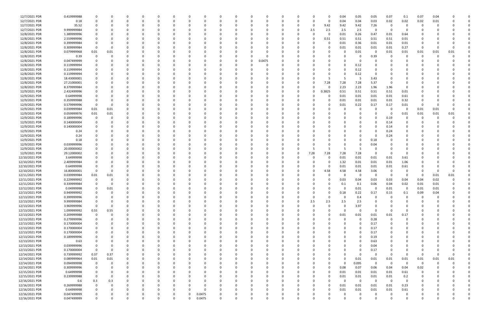| 12/7/2021 PDR  | 0.419999988 |              |          |          |          | $\Omega$ |          |          |        |   |          |          |          |          |          |          |          | 0.04     | 0.05        | 0.05        | 0.07     | 0.1         | 0.07     | 0.04     |          |  |
|----------------|-------------|--------------|----------|----------|----------|----------|----------|----------|--------|---|----------|----------|----------|----------|----------|----------|----------|----------|-------------|-------------|----------|-------------|----------|----------|----------|--|
| 12/7/2021 PDR  | 0.18        |              |          |          |          |          |          |          |        |   |          |          |          |          |          | -0       | $\Omega$ | 0.04     | 0.04        | 0.03        | 0.02     | 0.02        | 0.02     | 0.01     |          |  |
|                |             |              |          |          |          |          |          |          |        |   |          |          |          |          |          |          |          |          |             |             |          |             |          |          |          |  |
| 12/7/2021 PDR  | 35.52       |              |          |          |          |          |          |          |        |   |          |          |          |          |          | 0        | 9.42     | 9.42     | 9.42        | 7.26        | - 0      |             | 0        |          |          |  |
| 12/7/2021 PDR  | 9.999999984 |              |          |          |          |          |          |          |        |   |          |          |          |          |          | 2.5      | 2.5      | 2.5      | 2.5         | $\Omega$    | - 0      |             |          |          |          |  |
| 12/8/2021 PDR  | 1.389999996 |              |          |          |          |          |          |          |        |   |          |          |          |          |          | -0       |          | 0.01     | 0.26        | 0.47        | 0.01     | 0.64        |          |          |          |  |
| 12/8/2021 PDR  | 2.559999996 |              |          |          |          |          |          |          |        |   |          |          |          |          |          | 0        | 0.51     | 0.51     | 0.51        | 0.51        | 0.51     | 0.01        |          |          |          |  |
|                |             |              |          |          |          |          |          |          |        |   |          |          |          |          |          |          |          |          |             |             |          |             |          |          |          |  |
| 12/8/2021 PDR  | 0.399999984 |              |          |          |          |          |          |          |        |   |          |          |          |          |          |          | $\Omega$ | 0.01     | 0.36        | 0.01        | 0.01     | 0.01        |          |          |          |  |
| 12/8/2021 PDR  | 0.309999984 |              |          |          |          |          |          |          |        |   |          |          |          |          |          |          |          | 0.01     | 0.01        | 0.01        | 0.01     | 0.27        | -0       |          |          |  |
| 12/8/2021 PDR  | 0.079999968 | 0.01         | 0.01     |          |          |          |          |          |        |   |          |          |          |          |          |          |          |          | 0.01        | 0           | 0.01     | 0.01        | 0.01     | 0.01     | 0.01     |  |
|                |             |              |          |          |          |          |          |          |        |   |          |          |          |          |          |          |          |          |             |             |          |             |          |          |          |  |
| 12/8/2021 PDR  | 0.39        | $\Omega$     |          |          |          |          |          |          |        |   |          |          |          |          |          |          |          |          | 0           | 0.39        | - 0      |             | 0        |          |          |  |
| 12/8/2021 PDR  | 0.047499999 |              |          |          |          |          |          |          |        |   |          | $\Omega$ | 0.0475   |          |          |          |          |          | 0           | 0           |          |             |          |          |          |  |
| 12/8/2021 PDR  | 0.119999994 |              |          |          |          |          |          |          |        |   |          |          |          |          |          |          |          |          | 0.12        |             |          |             |          |          |          |  |
|                |             |              |          |          |          |          |          |          |        |   |          |          |          |          |          |          |          |          |             |             |          |             |          |          |          |  |
| 12/8/2021 PDR  | 0.119999994 |              |          |          |          |          |          |          |        |   |          |          |          |          |          |          |          |          | 0.12        |             |          |             |          |          |          |  |
| 12/8/2021 PDR  | 0.119999994 |              |          |          |          |          |          |          |        |   |          |          |          |          |          |          |          |          | 0.12        | - 0         |          |             |          |          |          |  |
| 12/8/2021 PDR  | 18.43000001 |              |          |          |          |          |          |          |        |   |          |          |          |          |          |          |          |          | -5          | 3.43        |          |             |          |          |          |  |
|                |             |              |          |          |          |          |          |          |        |   |          |          |          |          |          |          |          |          |             |             |          |             |          |          |          |  |
| 12/8/2021 PDR  | 27.21000001 |              |          |          |          |          |          |          |        |   |          |          |          |          |          | 0        | 7.28     | 7.28     | 7.28        | 5.37        |          |             |          |          |          |  |
| 12/8/2021 PDR  | 8.379999984 |              |          | $\Omega$ |          |          |          |          |        |   |          |          |          |          |          | 0        |          | 2.23     | 2.23        | 1.96        | 1.96     | $\Omega$    |          |          |          |  |
| 12/9/2021 PDR  | 2.432499996 |              |          |          |          |          |          |          |        |   |          |          |          |          | 0        | 0        | 0.3825   | 0.51     | 0.51        | 0.51        | 0.51     | 0.01        |          |          |          |  |
|                |             |              |          |          |          |          |          |          |        |   |          |          |          |          |          |          |          |          |             |             |          |             |          |          |          |  |
| 12/9/2021 PDR  | 0.64999998  |              |          |          |          |          |          |          |        |   |          |          |          |          |          |          |          | 0.01     | 0.01        | 0.01        | 0.01     | 0.61        |          |          |          |  |
| 12/9/2021 PDR  | 0.359999988 |              |          |          |          |          |          |          |        |   |          |          |          |          |          |          |          | 0.01     | 0.01        | 0.01        | 0.01     | 0.32        |          |          |          |  |
| 12/9/2021 PDR  | 0.579999996 | $\Omega$     |          |          |          |          |          |          |        |   |          |          |          |          |          |          |          | 0.01     | 0.22        | 0.17        | 0.17     | 0.01        | -0       |          |          |  |
|                |             |              |          |          |          |          |          |          |        |   |          |          |          |          |          |          |          |          |             |             |          |             |          |          |          |  |
| 12/9/2021 PDR  | 0.039999984 | 0.01         | 0.01     |          |          |          |          |          |        |   |          |          |          |          |          |          |          |          | 0           | -C          | $\Omega$ | 0           | 0.01     | 0.01     |          |  |
| 12/9/2021 PDR  | 0.059999976 | 0.01         | 0.01     |          |          |          |          |          |        |   |          |          |          |          |          |          |          |          |             | - 0         | - 0      | 0.01        | 0.01     | 0.01     | 0.01     |  |
| 12/9/2021 PDR  | 0.189999996 | 0            |          |          |          |          |          |          |        |   |          |          |          |          |          |          |          |          |             | - 0         | 0.19     |             | C.       |          |          |  |
| 12/9/2021 PDR  |             |              |          |          |          |          |          |          |        |   |          |          |          |          |          |          |          |          |             | - 0         |          |             |          |          |          |  |
|                | 0.140000004 |              |          |          |          |          |          |          |        |   |          |          |          |          |          |          |          |          | 0           |             | 0.14     |             |          |          |          |  |
| 12/9/2021 PDR  | 0.140000004 |              |          |          |          |          |          |          |        |   |          |          |          |          |          |          |          |          |             | - 0         | 0.14     |             |          |          |          |  |
| 12/9/2021 PDR  | 0.24        |              |          |          |          |          |          |          |        |   |          |          |          |          |          |          |          |          |             | 0           | 0.24     |             |          |          |          |  |
| 12/9/2021 PDR  | 0.24        |              |          |          |          |          |          |          |        |   |          |          |          |          |          |          |          |          | 0           | -C          | 0.24     |             |          |          |          |  |
|                |             |              |          |          |          |          |          |          |        |   |          |          |          |          |          |          |          |          |             |             |          |             |          |          |          |  |
| 12/9/2021 PDR  | 0.18        |              |          |          |          |          |          |          |        |   |          |          |          |          |          |          |          |          |             | 0.18        |          |             |          |          |          |  |
| 12/9/2021 PDR  | 0.039999996 |              |          |          |          |          |          |          |        |   |          |          |          |          |          |          |          |          | O           | 0.04        |          |             |          |          |          |  |
| 12/9/2021 PDR  | 20.00000002 |              |          |          |          |          |          |          |        |   |          |          |          |          |          |          |          |          | 5           | 0           |          |             |          |          |          |  |
|                |             |              |          |          |          |          |          |          |        |   |          |          |          |          |          |          |          |          |             |             |          |             |          |          |          |  |
| 12/9/2021 PDR  | 29.12000002 |              |          |          |          |          |          |          |        |   |          |          |          |          | 0        | 7.28     | 7.28     | 7.28     | 7.28        | $\Omega$    | - 0      | $\Omega$    |          |          |          |  |
| 12/10/2021 PDR | 3.64999998  |              |          |          |          |          |          |          |        |   |          |          |          |          |          | -0       |          | 0.01     | 0.01        | 0.01        | 0.01     | 3.61        |          |          |          |  |
| 12/10/2021 PDR | 2.409999984 |              |          |          |          |          |          |          |        |   |          |          |          |          |          |          |          | 1.32     | 0.01        | 0.01        | 0.01     | 1.06        |          |          |          |  |
|                |             |              |          |          |          |          |          |          |        |   |          |          |          |          |          |          |          |          |             |             |          |             |          |          |          |  |
| 12/10/2021 PDR | 0.64999998  |              |          |          |          |          |          |          |        |   |          |          |          |          |          |          |          | 0.01     | 0.01        | 0.01        | 0.01     | 0.61        |          |          |          |  |
| 12/10/2021 PDR | 16.80000001 | $\Omega$     |          |          |          |          |          |          |        |   |          |          |          |          |          | 0        | 4.58     | 4.58     | 4.58        | 3.06        | - 0      | 0           | O        |          |          |  |
| 12/11/2021 PDR | 0.039999984 | 0.01         | 0.01     |          |          |          |          |          |        |   |          |          |          |          |          |          |          | 0        | 0           | 0           | - 0      | 0           | -0       | 0.01     | 0.01     |  |
| 12/11/2021 PDR | 0.229999992 |              |          |          |          |          |          |          |        |   |          |          |          |          |          |          |          | 0.03     | 0.04        | 0.03        | 0.03     | 0.04        | 0.04     | 0.02     |          |  |
|                |             |              |          |          |          |          |          |          |        |   |          |          |          |          |          |          |          |          |             |             |          |             |          |          |          |  |
| 12/11/2021 PDR | 0.339999984 |              |          |          |          |          |          |          |        |   |          |          |          |          |          |          |          | 0.1      | 0.1         | 0.06        | 0.04     | 0.02        | 0.01     | 0.01     |          |  |
| 12/12/2021 PDR | 0.04999998  | 0            | 0.01     |          |          |          |          |          |        |   |          |          |          |          |          |          |          | 0        | 0.01        | 0           | 0.01     | 0           | 0.01     | 0.01     |          |  |
| 12/13/2021 PDR | 0.949999992 | $\mathsf{O}$ |          |          |          |          |          |          |        |   |          |          |          |          |          |          |          | 0.18     | 0.22        | 0.17        | 0.15     | 0.1         | 0.09     | 0.04     |          |  |
|                |             |              |          |          |          |          |          |          |        |   |          |          |          |          |          |          |          |          |             |             |          |             |          |          |          |  |
| 12/13/2021 PDR | 0.399999996 | $\mathbf 0$  | 0        | $\Omega$ | $\Omega$ | $\Omega$ | $\Omega$ | 0        |        | 0 |          | 0        |          | 0        | 0        | 0        | $\Omega$ | 0        | 0.4         | 0           | $\Omega$ | $\mathbf 0$ | 0        | $\Omega$ |          |  |
| 12/13/2021 PDR | 9.999999984 | $\mathbf 0$  |          | 0        |          | $\Omega$ |          |          |        |   |          | 0        |          |          | 0        | 2.5      | 2.5      | 2.5      | 2.5         | 0           |          |             | 0        |          |          |  |
| 12/13/2021 PDR | 3.969999996 | $\mathbf 0$  | $\Omega$ | $\Omega$ |          | $\Omega$ |          |          |        |   |          | $\Omega$ |          |          | 0        | $\Omega$ | $\Omega$ | $\Omega$ | 3.97        | $\Omega$    |          | 0           |          |          |          |  |
|                |             |              |          |          |          |          |          |          |        |   |          |          |          |          |          |          |          |          |             |             |          |             |          |          |          |  |
| 12/13/2021 PDR | 1.099999992 | 0.55         | 0.55     |          |          |          |          |          |        |   |          |          |          |          |          | - 0      |          | $\Omega$ | 0           | $\Omega$    |          | $\Omega$    |          |          |          |  |
| 12/13/2021 PDR | 0.209999988 | $\mathbf 0$  |          |          |          |          |          |          |        |   |          |          |          |          |          | 0        | $\Omega$ | 0.01     | 0.01        | 0.01        | $0.01\,$ | 0.17        |          |          |          |  |
| 12/13/2021 PDR | 0.279999996 | $\mathbf 0$  |          | 0        |          |          |          |          |        |   |          |          |          |          | 0        | 0        |          | $\Omega$ | 0           | 0.28        | $\Omega$ | 0           |          |          |          |  |
|                |             |              |          |          |          |          |          |          |        |   |          |          |          |          |          |          |          |          |             |             |          |             |          |          |          |  |
| 12/13/2021 PDR | 0.170000004 |              |          |          |          | $\Omega$ |          |          |        |   |          |          |          |          |          | 0        |          |          | 0           | 0.17        | $\Omega$ | 0           | 0        |          |          |  |
| 12/13/2021 PDR | 0.170000004 | $\mathbf 0$  |          | $\Omega$ |          | $\Omega$ |          |          |        |   |          | $\Omega$ |          |          | 0        | 0        |          | 0        | $\Omega$    | 0.17        | $\Omega$ | $\Omega$    | 0        |          |          |  |
| 12/13/2021 PDR | 0.170000004 |              |          | 0        |          | $\Omega$ |          | 0        |        |   |          | 0        |          |          | 0        | 0        |          | 0        | $\Omega$    | 0.17        | 0        | 0           | 0        |          |          |  |
| 12/13/2021 PDR | 0.189999996 |              |          |          |          |          |          |          |        |   |          |          |          |          |          |          |          |          | $\Omega$    |             |          |             |          |          |          |  |
|                |             |              |          |          |          |          |          |          |        |   |          |          |          |          |          |          |          |          |             | 0.19        |          |             |          |          |          |  |
| 12/13/2021 PDR | 0.63        | $\Omega$     |          |          |          |          |          |          |        |   |          | 0        |          |          |          | 0        |          |          | 0           | 0.63        |          |             |          |          |          |  |
| 12/13/2021 PDR | 0.039999996 | 0            |          |          |          | 0        |          |          |        |   |          |          |          |          |          |          |          |          | 0           | 0.04        | 0        |             |          |          |          |  |
| 12/13/2021 PDR | 0.170000004 | $\mathbf 0$  |          | $\Omega$ |          | $\Omega$ |          |          |        |   |          |          |          |          |          |          |          |          | $\Omega$    | 0.17        | $\Omega$ | $\Omega$    | 0        |          |          |  |
|                |             |              |          |          |          |          |          |          |        |   |          |          |          |          |          |          |          |          |             |             |          |             |          |          |          |  |
| 12/14/2021 PDR | 0.739999992 | 0.37         | 0.37     | 0        |          | $\Omega$ |          |          |        |   |          | 0        |          |          |          | 0        |          | 0        | 0           | 0           | - 0      | $\Omega$    | 0        | $\Omega$ | $\Omega$ |  |
| 12/14/2021 PDR | 0.089999964 | $0.01\,$     | 0.01     |          |          | $\Omega$ |          |          |        |   |          | 0        |          |          |          | 0        |          | $\Omega$ | 0.01        | 0.01        | $0.01\,$ | 0.01        | 0.01     | 0.01     | 0.01     |  |
| 12/14/2021 PDR | 0.094999998 | 0            |          |          |          |          |          |          |        |   |          |          |          |          |          |          |          | $\Omega$ | 0.095       | $\mathbf 0$ | $\Omega$ | $\Omega$    | - 0      | $\Omega$ |          |  |
|                |             |              |          |          |          |          |          |          |        |   |          |          |          |          |          |          |          |          |             |             |          |             |          |          |          |  |
| 12/14/2021 PDR | 0.309999996 | 0            |          |          |          |          |          |          |        |   |          | 0        |          |          |          | 0        | $\Omega$ | 0.08     | 0.07        | 0.06        | 0.04     | 0.04        | 0.02     |          |          |  |
| 12/15/2021 PDR | 0.64999998  | $\mathbf 0$  |          |          |          |          |          |          |        |   |          |          |          |          |          | 0        | 0        | 0.01     | 0.01        | 0.01        | $0.01\,$ | 0.61        | $\Omega$ |          |          |  |
| 12/15/2021 PDR | 0.239999988 | $\mathbf 0$  |          |          |          |          |          |          |        |   |          |          |          |          |          | 0        |          | 0.01     | 0.01        | 0.01        | $0.01\,$ | 0.2         | 0        |          |          |  |
|                |             |              |          |          |          |          |          |          |        |   |          |          |          |          |          |          |          |          |             |             | $\Omega$ |             |          |          |          |  |
| 12/16/2021 PDR | 0.6         | 0.3          | 0.3      |          |          |          |          |          |        |   |          |          |          |          |          | 0        |          | $\Omega$ | $\mathbf 0$ | $\Omega$    |          | 0           | 0        |          |          |  |
| 12/16/2021 PDR | 0.269999988 |              |          |          |          |          |          |          |        |   |          |          |          |          |          | 0        |          | 0.01     | 0.01        | 0.01        | 0.01     | 0.23        | 0        |          |          |  |
| 12/16/2021 PDR | 0.64999998  | $\mathbf 0$  |          | 0        |          | $\Omega$ |          |          |        |   |          |          |          |          |          | 0        |          | 0.01     | 0.01        | 0.01        | 0.01     | 0.61        |          |          |          |  |
| 12/16/2021 PDR |             |              |          |          |          |          |          | $\Omega$ |        |   |          |          |          |          |          |          |          |          |             |             |          |             |          |          |          |  |
|                | 0.047499999 |              |          |          |          |          |          |          | 0.0475 |   |          | 0        |          |          |          |          |          |          | 0           | 0           | - 0      | 0           |          |          |          |  |
| 12/16/2021 PDR | 0.047499999 | $\mathbf 0$  | O        | $\Omega$ |          | $\Omega$ | $\Omega$ | 0        | 0.0475 | 0 | $\Omega$ | $\Omega$ | $\Omega$ | $\Omega$ | $\Omega$ | $\Omega$ | U        | $\Omega$ | $\Omega$    | $\Omega$    | $\Omega$ | $\mathbf 0$ | $\Omega$ |          | 0        |  |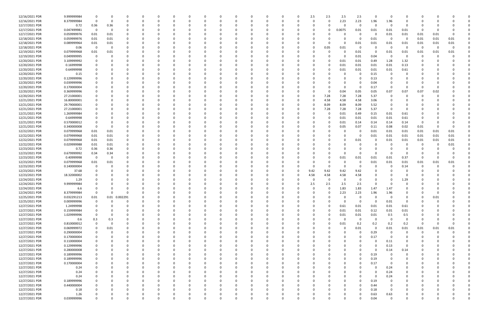| 12/16/2021 PDR                   | 9.999999984         |             | $\Omega$ |               | $\Omega$ |          |   |   |          |          |          | $\Omega$ |          | 0        | 2.5      | 2.5      | 2.5      | 2.5          | $\Omega$     | - 0              | $\Omega$       |          |          |          |  |
|----------------------------------|---------------------|-------------|----------|---------------|----------|----------|---|---|----------|----------|----------|----------|----------|----------|----------|----------|----------|--------------|--------------|------------------|----------------|----------|----------|----------|--|
| 12/16/2021 PDR                   | 8.379999984         | $\Omega$    | - 0      |               | n        |          |   |   |          |          |          |          |          | 0        | $\Omega$ | 0        | 2.23     | 2.23         | 1.96         | 1.96             |                |          |          |          |  |
| 12/17/2021 PDR                   |                     |             |          |               |          |          |   |   |          |          |          |          |          |          |          |          | 0        | 0            | $\Omega$     | - 0              |                |          |          |          |  |
|                                  | 0.72                | 0.36        | 0.36     |               |          |          |   |   |          |          |          |          |          |          |          |          |          |              |              |                  |                |          |          |          |  |
| 12/17/2021 PDR                   | 0.047499981         | $\mathbf 0$ | 0        |               |          |          |   |   |          |          |          |          |          |          |          | 0        | 0.0075   | 0.01         | 0.01         | 0.01             | 0.01           | -0       |          |          |  |
| 12/17/2021 PDR                   | 0.059999976         | 0.01        | 0.01     |               |          |          |   |   |          |          |          |          |          |          |          |          |          | 0            |              | 0.01             | 0.01           | 0.01     | 0.01     |          |  |
| 12/18/2021 PDR                   | 0.059999976         |             |          | 0             |          |          |   |   |          |          |          |          |          |          |          |          |          | 0            |              | - 0              | - 0            | 0.01     |          |          |  |
|                                  |                     | 0.01        | 0.01     |               |          |          |   |   |          |          |          |          |          |          |          |          |          |              | 0.01         |                  |                |          | 0.01     | 0.01     |  |
| 12/18/2021 PDR                   | 0.089999964         | 0.01        | 0.01     |               |          |          |   |   |          |          |          |          |          |          |          |          | O        | 0.01         | 0.01         | 0.01             | 0.01           | 0.01     | 0.01     | 0.01     |  |
| 12/18/2021 PDR                   | 0.06                | $\Omega$    | - 0      |               |          |          |   |   |          |          |          |          |          |          |          | 0.05     | 0.01     | 0            |              | - 0              | - 0            | - 0      | $\Omega$ | $\Omega$ |  |
|                                  |                     |             |          |               |          |          |   |   |          |          |          |          |          |          |          |          |          |              |              |                  |                |          |          |          |  |
| 12/19/2021 PDR                   | 0.079999968         | 0.01        | 0.01     |               |          |          |   |   |          |          |          |          |          |          |          | 0        | 0        | 0.01         | -0           | 0.01             | 0.01           | 0.01     | 0.01     | 0.01     |  |
| 12/19/2021 PDR                   | 0.049999995         | $\Omega$    |          |               |          |          |   |   |          |          |          |          |          |          |          |          | 0        | 0.01         | 0.04         | - 0              |                | $\Omega$ | - 0      |          |  |
| 12/20/2021 PDR                   | 3.109999992         |             |          |               |          |          |   |   |          |          |          |          |          |          |          | 0        | 0.01     | 0.01         | 0.49         | 1.28             | 1.32           | 0        |          |          |  |
|                                  |                     |             |          |               |          |          |   |   |          |          |          |          |          |          |          |          |          |              |              |                  |                |          |          |          |  |
| 12/20/2021 PDR                   | 0.16999998          |             |          |               |          |          |   |   |          |          |          |          |          |          |          |          | 0.01     | 0.01         | 0.01         | 0.01             | 0.13           |          |          |          |  |
| 12/20/2021 PDR                   | 0.64999998          |             |          |               |          |          |   |   |          |          |          |          |          |          |          |          | 0.01     | 0.01         | 0.01         | 0.01             | 0.61           |          |          |          |  |
| 12/20/2021 PDR                   | 0.15                |             |          |               |          |          |   |   |          |          |          |          |          |          |          |          |          | 0            | 0.15         | - 0              | 0              |          |          |          |  |
|                                  |                     |             |          |               |          |          |   |   |          |          |          |          |          |          |          |          |          |              |              |                  |                |          |          |          |  |
| 12/20/2021 PDR                   | 0.129999996         |             |          |               |          |          |   |   |          |          |          |          |          |          |          |          |          | 0            | 0.13         |                  |                |          |          |          |  |
| 12/20/2021 PDR                   | 0.039999996         |             |          |               |          |          |   |   |          |          |          |          |          |          |          |          |          | 0            | 0.04         |                  |                |          |          |          |  |
| 12/20/2021 PDR                   | 0.170000004         |             |          |               |          |          |   |   |          |          |          |          |          |          |          |          | O        | 0            | 0.17         | - 0              | $\Omega$       | -0       |          |          |  |
|                                  |                     |             |          |               |          |          |   |   |          |          |          |          |          |          |          |          |          |              |              |                  |                |          |          |          |  |
| 12/20/2021 PDR                   | 0.369999996         |             |          |               |          |          |   |   |          |          |          |          |          |          |          | O        | 0.04     | 0.05         | 0.05         | 0.07             | 0.07           | 0.07     | 0.02     |          |  |
| 12/20/2021 PDR                   | 27.21000001         |             |          |               |          |          |   |   |          |          |          |          |          |          |          | 7.28     | 7.28     | 7.28         | 5.37         | - 0              |                |          |          |          |  |
| 12/21/2021 PDR                   |                     |             |          |               |          |          |   |   |          |          |          |          |          |          |          | 4.58     |          |              |              |                  |                |          |          |          |  |
|                                  | 16.80000001         |             |          |               |          |          |   |   |          |          |          |          |          |          |          |          | 4.58     | 4.58         | 3.06         |                  |                |          |          |          |  |
| 12/21/2021 PDR                   | 29.79000001         |             |          |               |          |          |   |   |          |          |          |          |          |          |          | 8.09     | 8.09     | 8.09         | 5.52         |                  |                |          |          |          |  |
| 12/21/2021 PDR                   | 27.21000001         |             |          |               |          |          |   |   |          |          |          |          |          |          |          | 7.28     | 7.28     | 7.28         | 5.37         | - 0              |                |          |          |          |  |
|                                  |                     |             |          |               |          |          |   |   |          |          |          |          |          |          |          |          |          |              |              |                  |                |          |          |          |  |
| 12/21/2021 PDR                   | 1.269999984         |             |          |               |          |          |   |   |          |          |          |          |          |          |          |          | 0.01     | 0.49         | 0.15         | 0.01             | 0.61           |          |          |          |  |
| 12/21/2021 PDR                   | 0.64999998          |             |          |               |          |          |   |   |          |          |          |          |          |          |          | 0        | 0.01     | 0.01         | 0.01         | 0.01             | 0.61           | 0        |          |          |  |
| 12/21/2021 PDR                   | 0.570000012         |             |          |               |          |          |   |   |          |          |          |          |          |          |          |          | 0.01     | 0.14         | 0.14         | 0.14             | 0.14           | -0       |          |          |  |
|                                  |                     |             |          |               |          |          |   |   |          |          |          |          |          |          |          |          |          |              |              |                  |                |          |          |          |  |
| 12/21/2021 PDR                   | 0.340000008         | $\Omega$    | - 0      |               |          |          |   |   |          |          |          |          |          |          |          |          | 0.05     | 0.07         | 0.11         | 0.08             | 0.02           | 0.01     | - 0      |          |  |
| 12/22/2021 PDR                   | 0.079999968         | 0.01        | 0.01     |               |          |          |   |   |          |          |          |          |          |          |          |          |          | 0            | 0.01         | 0.01             | 0.01           | 0.01     | 0.01     | 0.01     |  |
| 12/22/2021 PDR                   | 0.079999968         | 0.01        | 0.01     |               |          |          |   |   |          |          |          |          |          |          |          |          |          | 0            | 0.01         | 0.01             | 0.01           | 0.01     | 0.01     | 0.01     |  |
|                                  |                     |             |          |               |          |          |   |   |          |          |          |          |          |          |          |          |          |              |              |                  |                |          |          |          |  |
| 12/22/2021 PDR                   | 0.079999968         | 0.01        | 0.01     | 0             |          |          |   |   |          |          |          |          |          |          |          |          |          | 0.01         | -0           | 0.01             | 0.01           | 0.01     | 0.01     | 0.01     |  |
| 12/22/2021 PDR                   | 0.029999988         | 0.01        | 0.01     | 0             |          |          |   |   |          |          |          |          |          |          |          |          |          | 0            |              |                  | 0              | 0        | -0       | 0.01     |  |
| 12/23/2021 PDR                   | 0.72                | 0.36        | 0.36     | 0             |          |          |   |   |          |          |          |          |          |          |          |          |          | $\Omega$     |              |                  |                | 0        |          |          |  |
|                                  |                     |             |          |               |          |          |   |   |          |          |          |          |          |          |          |          |          |              |              |                  |                |          |          |          |  |
| 12/23/2021 PDR                   | 0.679999992         | 0.34        | 0.34     |               |          |          |   |   |          |          |          |          |          |          |          |          | O        | 0            | - 0          | - 0              | $\Omega$       | 0        |          |          |  |
| 12/23/2021 PDR                   | 0.40999998          | $\Omega$    | - 0      |               |          |          |   |   |          |          |          |          |          |          |          | $\Omega$ | 0.01     | 0.01         | 0.01         | 0.01             | 0.37           | -0       |          |          |  |
|                                  |                     |             |          |               |          |          |   |   |          |          |          |          |          |          |          |          |          |              |              |                  |                |          |          |          |  |
| 12/23/2021 PDR                   | 0.079999968         | 0.01        | 0.01     |               |          |          |   |   |          |          |          |          |          |          |          |          |          | 0            | 0.01         | 0.01             | 0.01           | 0.01     | 0.01     | 0.01     |  |
| 12/23/2021 PDR                   | 0.140000004         |             |          |               |          |          |   |   |          |          |          |          |          |          |          |          |          | $\Omega$     |              |                  | 0.14           | 0        |          |          |  |
| 12/23/2021 PDR                   | 37.68               |             |          |               |          |          |   |   |          |          |          |          |          | 0        | 9.42     | 9.42     | 9.42     | 9.42         |              |                  |                | 0        |          |          |  |
|                                  |                     |             |          |               |          |          |   |   |          |          |          |          |          |          |          |          |          |              |              |                  |                |          |          |          |  |
| 12/23/2021 PDR                   | 18.32000002         |             |          |               |          |          |   |   |          |          |          |          |          | -0       | 4.58     | 4.58     | 4.58     | 4.58         |              |                  | 0              |          |          |          |  |
| 12/24/2021 PDR                   | 1.29                |             |          |               |          |          |   |   |          |          |          |          |          |          |          | $\Omega$ |          | 0            |              |                  | 1.29           |          |          |          |  |
| 12/24/2021 PDR                   | 9.999999984         |             |          |               |          |          |   |   |          |          |          |          |          |          | 2.5      | 2.5      | 2.5      | 2.5          |              |                  |                |          |          |          |  |
|                                  |                     |             |          |               |          |          |   |   |          |          |          |          |          |          |          |          |          |              |              |                  |                |          |          |          |  |
| 12/24/2021 PDR                   | 6.6                 |             |          |               |          |          |   |   |          |          |          |          |          |          | 0        | 0        | 1.83     | 1.83         | 1.47         | 1.47             |                |          |          |          |  |
| 12/24/2021 PDR                   | 8.379999984         |             | $\Omega$ |               |          |          |   |   |          |          |          |          |          |          |          |          | 2.23     | 2.23         | 1.96         | 1.96             |                |          |          |          |  |
| 12/25/2021 PDR                   | 0.032291213         | 0.01        |          | 0.01 0.002291 | 0        | $\Omega$ |   | 0 | 0        | $\Omega$ | $\Omega$ | $\Omega$ | $\Omega$ |          | $\Omega$ | $\Omega$ | O        | $\mathbf{0}$ | - 0          | - 0              | 0              | 0        | 0.01     |          |  |
|                                  |                     |             |          |               |          |          |   |   |          |          |          |          |          |          |          |          |          |              |              |                  |                |          |          |          |  |
| 12/25/2021 PDR                   | 0.009999996         | 0           | $\Omega$ | $\mathbf 0$   | 0        |          |   |   |          |          |          |          |          |          |          |          | $\Omega$ | $\mathbf{0}$ | $\Omega$     | 0.01             | $\overline{0}$ | 0        | $\Omega$ |          |  |
| 12/27/2021 PDR                   | 1.24999998          | $\Omega$    | $\Omega$ | $\Omega$      | 0        |          |   |   |          |          |          |          |          |          |          | O        | 0.61     | 0.01         | 0.01         | 0.01             | 0.61           |          |          |          |  |
| 12/27/2021 PDR                   | 0.159999984         |             |          |               |          |          |   |   |          |          |          |          |          |          |          | 0        |          | 0.01         | 0.12         | 0.01             |                |          |          |          |  |
|                                  |                     |             |          |               |          |          |   |   |          |          |          |          |          |          |          |          | 0.01     |              |              |                  | 0.01           |          |          |          |  |
| 12/27/2021 PDR                   | 1.029999996         |             |          |               |          |          |   |   |          |          |          |          |          |          |          | 0        | 0.01     | 0.01         | 0.01         | 0.5              | 0.5            |          |          |          |  |
| 12/27/2021 PDR                   | 0.6                 | 0.3         | 0.3      |               |          |          |   |   |          |          |          |          |          |          |          | 0        | 0        | $\mathbf{0}$ | $\Omega$     | $\overline{0}$   | $\overline{0}$ | 0        |          |          |  |
|                                  |                     |             | $\Omega$ |               |          |          |   |   |          |          |          |          |          |          |          |          |          |              |              |                  |                |          |          |          |  |
| 12/27/2021 PDR                   | 0.810000012         |             |          |               |          |          |   |   |          |          |          |          |          |          |          | 0        | 0.01     | 0.2          | 0.2          | 0.2              | 0.2            | 0        |          |          |  |
| 12/27/2021 PDR                   | 0.069999972         | 0           | 0.01     | $\Omega$      | 0        |          |   |   |          |          |          | 0        |          |          | 0        | 0        | 0        | 0.01         | $\Omega$     | 0.01             | 0.01           | 0.01     | 0.01     | 0.01     |  |
| 12/27/2021 PDR                   | 0.290000004         | 0           | $\Omega$ | 0             | 0        |          |   |   |          |          |          | 0        |          |          |          |          |          | 0            | 0.29         | - 0              | 0              | -0       | $\Omega$ |          |  |
|                                  |                     |             |          |               |          |          |   |   |          |          |          |          |          |          |          |          |          |              |              |                  |                |          |          |          |  |
| 12/27/2021 PDR                   | 0.170000004         |             |          |               |          |          |   |   |          |          |          |          |          |          |          |          |          | $\Omega$     | 0.17         | $\Omega$         | $\Omega$       |          |          |          |  |
| 12/27/2021 PDR                   | 0.110000004         |             |          |               | O        |          |   |   |          |          |          |          |          |          |          |          |          | 0            | - 0          | 0.11             |                |          |          |          |  |
| 12/27/2021 PDR                   | 0.129999996         |             |          |               |          |          |   |   |          |          |          |          |          |          |          |          |          | 0            |              | 0.13             | 0              |          |          |          |  |
|                                  |                     |             |          |               |          |          |   |   |          |          |          |          |          |          |          |          |          |              |              |                  |                |          |          |          |  |
| 12/27/2021 PDR                   | 0.280000008         | 0           |          |               | 0        |          |   |   |          |          |          | 0        |          |          |          |          |          | 0            | $\Omega$     | 0.14             | 0.14           |          |          |          |  |
| 12/27/2021 PDR                   | 0.189999996         | 0           |          |               | 0        |          |   | O |          |          |          | 0        |          |          |          |          |          | 0            | 0.19         | 0                | $\overline{0}$ |          |          |          |  |
| 12/27/2021 PDR                   | 0.189999996         | 0           |          | 0             | 0        |          |   |   | 0        |          | 0        | 0        |          |          |          |          | 0        | $\Omega$     | 0.19         | $\Omega$         | 0              | 0        |          |          |  |
|                                  |                     |             |          |               |          |          |   |   |          |          |          |          |          |          |          |          |          |              |              |                  |                |          |          |          |  |
| 12/27/2021 PDR                   | 0.170000004         | $\Omega$    |          |               | 0        |          |   |   |          |          |          | 0        |          |          |          |          |          | $\Omega$     | 0.17         | - 0              | 0              |          |          |          |  |
|                                  | 0.24                |             |          |               |          |          |   |   |          |          |          |          |          |          |          |          |          | $\Omega$     |              | 0.24             |                |          |          |          |  |
|                                  |                     |             |          |               |          |          |   |   |          |          |          |          |          |          |          |          |          |              |              | 0.24             |                |          |          |          |  |
| 12/27/2021 PDR                   |                     |             |          |               |          |          |   |   |          |          |          |          |          |          |          |          |          | 0            |              |                  |                |          |          |          |  |
| 12/27/2021 PDR                   | 0.24                |             |          |               |          |          |   |   |          |          |          |          |          |          |          |          |          |              |              |                  |                |          |          |          |  |
| 12/27/2021 PDR                   | 0.24                |             |          |               |          |          |   |   |          |          |          |          |          |          |          |          |          | 0            | $\Omega$     | 0.24             |                |          |          |          |  |
|                                  | 0.189999996         |             |          |               | 0        |          |   |   |          |          |          | 0        |          |          |          |          |          | $\Omega$     | 0.19         | $\Omega$         | $\Omega$       |          |          |          |  |
| 12/27/2021 PDR                   |                     |             |          |               |          |          |   |   |          |          |          |          |          |          |          |          |          |              |              |                  |                |          |          |          |  |
| 12/27/2021 PDR                   | 0.440000004         |             |          |               | 0        |          |   |   |          |          |          | 0        |          |          |          |          |          | $\Omega$     | 0.44         | -0               | 0              |          |          |          |  |
| 12/27/2021 PDR                   | 0.18                |             |          |               |          |          |   |   |          |          |          |          |          |          |          |          |          | $\Omega$     | 0.18         | $\Omega$         |                |          |          |          |  |
|                                  |                     |             |          |               |          |          |   |   |          |          |          |          |          |          |          |          |          | 0            |              |                  |                |          |          |          |  |
| 12/27/2021 PDR<br>12/27/2021 PDR | 1.26<br>0.039999996 | $\Omega$    | $\Omega$ | $\Omega$      | $\Omega$ |          | U | 0 | $\Omega$ | $\Omega$ | $\Omega$ | $\Omega$ | $\Omega$ | $\Omega$ | O        | $\Omega$ | $\Omega$ | $\Omega$     | 0.63<br>0.04 | 0.63<br>$\Omega$ | $\mathbf 0$    | $\Omega$ |          | U        |  |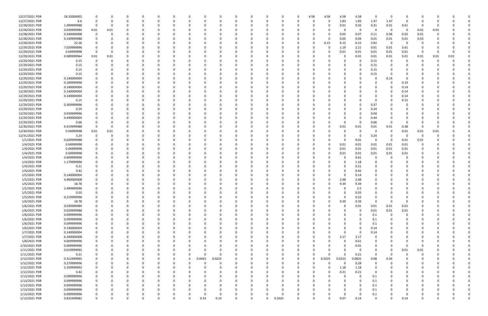| 12/27/2021 PDR | 18.32000002 | $\Omega$    |             |          |          |              |          | <sup>0</sup> |          |          |             |             |          | 4.58     | 4.58   | 4.58         | 4.58        | $\Omega$ | - 0                     | 0              |          |      |          |  |
|----------------|-------------|-------------|-------------|----------|----------|--------------|----------|--------------|----------|----------|-------------|-------------|----------|----------|--------|--------------|-------------|----------|-------------------------|----------------|----------|------|----------|--|
| 12/27/2021 PDR | 6.6         | $\Omega$    | - 0         |          | 0        |              |          | 0            |          |          | 0           | O           | - വ      | 0        | -0     | 1.83         | 1.83        | 1.47     | 1.47                    | 0              | 0        |      |          |  |
| 12/28/2021 PDR | 1.499999988 | $\Omega$    | - 0         |          |          |              |          | C            |          |          |             |             |          |          |        | 0.01         | 0.56        | 0.31     | 0.01                    | 0.61           | - 0      |      |          |  |
| 12/28/2021 PDR | 0.039999984 | 0.01        | 0.01        |          |          |              |          | $\Omega$     |          |          |             |             |          |          |        | 0            | $\mathbf 0$ | $\Omega$ | $\mathbf 0$             | $\overline{0}$ | 0.01     | 0.01 |          |  |
| 12/28/2021 PDR | 0.340000008 | 0           | 0           |          |          |              |          | 0            |          |          |             |             |          |          | 0      | 0.05         | 0.07        | 0.11     | 0.08                    | 0.02           | 0.01     |      |          |  |
| 12/28/2021 PDR | 0.149999988 |             |             |          |          |              |          | C.           |          |          |             |             |          |          |        | 0.05         | 0.04        | 0.01     | 0.01                    | 0.01           | 0.03     |      |          |  |
| 12/28/2021 PDR | 22.26       |             |             |          |          |              |          |              |          |          |             |             |          | O        | 6.15   | 6.15         | 6.15        | 3.81     | $\overline{\mathbf{0}}$ | 0              |          |      |          |  |
|                |             |             |             |          |          |              |          |              |          |          |             |             |          |          |        |              |             |          |                         |                |          |      |          |  |
| 12/29/2021 PDR | 7.029999996 |             |             |          |          |              |          |              |          |          |             |             |          |          |        | 1.19         | 2.21        | 0.01     | 0.01                    | 3.61           |          |      |          |  |
| 12/29/2021 PDR | 0.64999998  |             |             |          |          |              |          |              |          |          |             |             |          |          |        | 0.01         | 0.01        | 0.01     | 0.01                    | 0.61           | -0       |      |          |  |
| 12/29/2021 PDR | 0.089999964 | 0.01        | 0.01        |          |          |              |          |              |          |          |             |             |          |          |        | 0            | 0.01        | 0.01     | 0.01                    | 0.01           | 0.01     | 0.01 | 0.01     |  |
| 12/29/2021 PDR | 0.15        | $\Omega$    | $\Omega$    |          |          |              |          |              |          |          |             |             |          |          |        | C            | $\Omega$    | 0.15     | 0                       | 0              | 0        |      |          |  |
| 12/29/2021 PDR | 0.15        |             |             |          |          |              |          |              |          |          |             |             |          |          |        | <sup>0</sup> | -0          | 0.15     | 0                       |                |          |      |          |  |
| 12/29/2021 PDR | 0.15        |             |             |          |          |              |          |              |          |          |             |             |          |          |        |              | -0          | 0.15     |                         |                |          |      |          |  |
| 12/29/2021 PDR | 0.15        |             |             |          |          |              |          |              |          |          |             |             |          |          |        |              | $\Omega$    | 0.15     |                         |                |          |      |          |  |
| 12/29/2021 PDR | 0.140000004 |             |             |          |          |              |          |              |          |          |             |             |          |          |        |              |             |          | 0.14                    |                |          |      |          |  |
| 12/29/2021 PDR | 0.189999996 |             |             |          |          |              |          |              |          |          |             |             |          |          |        |              |             |          | - 0                     | 0.19           |          |      |          |  |
| 12/29/2021 PDR | 0.140000004 |             |             |          |          |              |          | C            |          |          |             |             |          |          |        |              |             |          | - 0                     | 0.14           |          |      |          |  |
| 12/29/2021 PDR | 0.140000004 |             |             |          |          |              |          | C            |          |          |             |             |          |          |        |              |             | $\Omega$ | - 0                     | 0.14           |          |      |          |  |
| 12/29/2021 PDR | 0.140000004 |             |             |          |          |              |          | C.           |          |          |             |             |          |          |        |              |             |          | $\Omega$                | 0.14           |          |      |          |  |
| 12/29/2021 PDR | 0.15        |             |             |          |          |              |          |              |          |          |             |             |          |          |        |              |             | $\Omega$ |                         | 0.15           |          |      |          |  |
| 12/29/2021 PDR | 0.369999996 |             |             |          |          |              |          |              |          |          |             |             |          |          |        |              | 0           | 0.37     |                         | 0              |          |      |          |  |
| 12/29/2021 PDR | 0.24        |             |             |          |          |              |          | 0            |          |          |             |             |          |          |        |              | $\Omega$    | 0.24     | 0                       | 0              |          |      |          |  |
| 12/29/2021 PDR | 0.039999996 |             |             |          |          |              |          |              |          |          |             |             |          |          |        |              |             | 0.04     | 0                       |                |          |      |          |  |
|                |             |             |             |          |          |              |          |              |          |          |             |             |          |          |        |              | -0          |          |                         |                |          |      |          |  |
| 12/29/2021 PDR | 0.440000004 |             |             |          |          |              |          | C            |          |          |             |             |          |          |        | n            | -0          | 0.44     | $\Omega$                |                |          |      |          |  |
| 12/29/2021 PDR | 0.66        |             |             |          |          |              |          | 0            |          |          |             |             |          |          |        | $\Omega$     | 0           | 0.66     | - 0                     | 0              |          |      |          |  |
| 12/30/2021 PDR | 0.419999988 | $\Omega$    | - 0         |          |          |              |          |              |          |          |             |             |          |          |        | 0.01         | 0.01        | 0.01     | 0.01                    | 0.38           |          |      |          |  |
| 12/30/2021 PDR | 0.04999998  | 0.01        | 0.01        |          |          |              |          |              |          |          |             |             |          |          |        | C            | - 0         | <u>n</u> | - 0                     | 0.01           | 0.01     | 0.01 |          |  |
| 12/31/2021 PDR | 3.24        | - 0         | - 0         |          |          |              |          |              |          |          |             |             |          |          |        | 0            | 0           | 3.24     | - 0                     | 0              | - 0      |      |          |  |
| 1/1/2021 PDR   | 0.029999988 |             |             |          |          |              |          |              |          |          |             |             |          |          |        | $\Omega$     | 0.01        | $\Omega$ | - 0                     | 0.01           | 0.01     |      |          |  |
| 1/4/2021 PDR   | 0.04999998  |             |             |          |          |              |          | 0            |          |          |             |             |          |          | 0      | 0.01         | 0.01        | 0.01     | 0.01                    | 0.01           | 0        |      |          |  |
| 1/4/2021 PDR   | 0.04999998  |             |             |          |          |              |          |              |          |          |             |             |          |          |        | 0.01         | 0.01        | 0.01     | 0.01                    | 0.01           |          |      |          |  |
| 1/4/2021 PDR   | 0.04999998  |             |             |          |          |              |          |              |          |          |             |             |          |          |        | 0.01         | 0.01        | 0.01     | 0.01                    | 0.01           |          |      |          |  |
| 1/4/2021 PDR   | 0.609999996 |             |             |          |          |              |          |              |          |          |             |             |          |          |        | 0            | 0.61        |          |                         | 0              |          |      |          |  |
| 1/4/2021 PDR   | 1.179999996 |             |             |          |          |              |          |              |          |          |             |             |          |          |        | 0            | 1.18        |          |                         |                |          |      |          |  |
| 1/4/2021 PDR   | 0.21        |             |             |          |          |              |          |              |          |          |             |             |          |          |        | 0            | 0.21        |          |                         |                |          |      |          |  |
| 1/4/2021 PDR   | 0.42        |             |             |          |          |              |          |              |          |          |             |             |          |          |        | $\Omega$     | 0.42        |          |                         |                |          |      |          |  |
| 1/5/2021 PDR   | 0.140000004 |             |             |          |          |              |          |              |          |          |             |             |          |          |        | $\Omega$     | 0.14        |          |                         |                |          |      |          |  |
| 1/5/2021 PDR   | 4.960000008 |             |             |          |          |              |          |              |          |          |             |             |          |          |        | 2.48         | 2.48        |          |                         |                |          |      |          |  |
| 1/5/2021 PDR   |             |             |             |          |          |              |          |              |          |          |             |             |          |          |        |              |             |          |                         |                |          |      |          |  |
|                | 18.78       |             |             |          |          |              |          |              |          |          |             |             |          |          |        | 9.39         | 9.39        |          |                         |                |          |      |          |  |
| 1/5/2021 PDR   | 2.499999996 | - 0         | 0           |          |          |              |          |              |          |          |             |             |          |          |        | 0            | 2.5         |          |                         |                |          |      |          |  |
| 1/5/2021 PDR   | 0.03        | $\mathbf 0$ |             |          |          |              |          |              |          |          |             |             |          |          |        | 0            | 0.03        |          |                         |                |          |      |          |  |
| 1/5/2021 PDR   | 0.219999996 | $\Omega$    | $\Omega$    | $\Omega$ | $\Omega$ | O            |          | $\Omega$     | $\Omega$ | $\Omega$ | $\Omega$    | $\Omega$    | $\Omega$ | 0        | O      | $\Omega$     | 0.22        | $\Omega$ | $\Omega$                | $\Omega$       | $\Omega$ |      |          |  |
| 1/6/2021 PDR   | 18.78       | 0           | $\Omega$    | 0        | 0        | O            |          | 0            | 0        |          | 0           | $\Omega$    | $\Omega$ | $\Omega$ | 0      | 9.39         | 9.39        | $\Omega$ | $\mathbf 0$             | $\mathbf 0$    | 0        |      |          |  |
| 1/6/2021 PDR   | 0.039999984 | $\Omega$    | $\Omega$    | O        | 0        |              |          | $\Omega$     |          |          | 0           | $\Omega$    |          |          |        | 0            | $0.01\,$    | $0.01\,$ | 0.01                    | 0.01           | 0        |      |          |  |
| 1/6/2021 PDR   | 0.029999988 | $\Omega$    |             | 0        | 0        |              |          | 0            |          |          | -0          | 0           |          | 0        |        | $\Omega$     | $\mathbf 0$ | 0.01     | 0.01                    | 0.01           |          |      |          |  |
| 1/6/2021 PDR   | 0.099999996 | 0           |             |          | 0        |              |          | 0            |          |          | 0           | 0           |          |          |        | 0            | 0           | 0.1      | $\mathbf 0$             | 0              |          |      |          |  |
| 1/6/2021 PDR   | 0.099999996 | $\mathbf 0$ | $\Omega$    | 0        | 0        | <sup>0</sup> |          | $\Omega$     |          |          | 0           | 0           |          | 0        |        | $\Omega$     | $\mathbf 0$ | 0.1      | 0                       | 0              | 0        |      |          |  |
| 1/6/2021 PDR   | 0.099999996 | $\mathbf 0$ | $\Omega$    | 0        | 0        |              |          | $\Omega$     |          |          | 0           | 0           |          | $\Omega$ |        | $\Omega$     | $\mathbf 0$ | 0.1      | 0                       | 0              | 0        |      |          |  |
| 1/6/2021 PDR   | 0.140000004 | $\Omega$    | $\Omega$    |          | -0       |              |          | $\Omega$     |          |          | 0           | O           |          | O        |        | $\Omega$     | $\Omega$    | 0.14     | $\Omega$                | $\Omega$       | $\Omega$ |      |          |  |
| 1/7/2021 PDR   | 0.140000004 | 0           | $\Omega$    |          | 0        |              |          | 0            |          |          | 0           | O           |          | 0        |        | $\Omega$     | $\Omega$    | 0.14     | 0                       | 0              | 0        |      |          |  |
| 1/7/2021 PDR   | 6.340000008 | $\Omega$    |             |          | 0        |              |          | 0            |          |          | 0           |             |          |          |        | 3.17         | 3.17        | $\Omega$ |                         |                |          |      |          |  |
| 1/8/2021 PDR   | 0.609999996 | $\Omega$    | $\Omega$    |          | 0        |              |          | 0            |          |          | 0           | 0           |          | 0        |        | $\Omega$     | 0.61        | $\Omega$ | n                       | 0              | $\Omega$ |      |          |  |
| 1/10/2021 PDR  | 0.009999996 | 0           | 0           |          | 0        |              |          | 0            |          |          | 0           | 0           |          |          |        | 0            | 0.01        | $\Omega$ | 0                       | 0              | 0        |      |          |  |
| 1/11/2021 PDR  | 0.019999992 | $\Omega$    | $\Omega$    |          | 0        |              |          | $\Omega$     |          |          | 0           |             |          |          |        | $\Omega$     | $\mathbf 0$ | $\Omega$ | 0                       | 0.01           | 0.01     |      |          |  |
| 1/11/2021 PDR  | 0.21        | $\Omega$    | $\Omega$    | O        | 0        | 0            | 0        | $\Omega$     | $\Omega$ |          | 0           | $\Omega$    |          | 0        | ŋ      | $\Omega$     | 0.21        | $\Omega$ | $\overline{\mathbf{0}}$ | $\Omega$       | $\Omega$ |      |          |  |
| 1/12/2021 PDR  | 0.312499965 | $\Omega$    | $\Omega$    | O        | 0        | O            | $\Omega$ | 0.0425       | 0.0225   |          | 0           | $\Omega$    |          | 0        | 0.0225 | 0.0225       | 0.0825      | 0.08     | 0.04                    | 0              | 0        |      |          |  |
| 1/12/2021 PDR  | 0.279999996 |             |             | O        | 0        |              |          | C            |          |          | 0           | 0           |          |          |        | $\Omega$     | 0.28        | $\Omega$ | $\Omega$                | 0              |          |      |          |  |
| 1/12/2021 PDR  | 2.359999992 | $\Omega$    |             |          | 0        |              |          | 0            |          |          | 0           | 0           |          | 0        | 0      | 1.18         |             | $\Omega$ |                         | 0              | 0        |      |          |  |
|                |             |             |             |          |          |              |          |              |          |          |             |             |          |          |        |              | 1.18        |          |                         |                |          |      |          |  |
| 1/12/2021 PDR  | 0.42        |             |             |          |          |              |          | 0            |          |          | 0           |             |          |          |        | 0.21         | 0.21        | $\Omega$ |                         |                |          |      |          |  |
| 1/13/2021 PDR  | 0.099999996 | $\Omega$    | $\Omega$    |          | 0        |              |          | 0            |          |          | 0           | 0           |          |          |        | 0            | $\mathbf 0$ | 0.1      | 0                       | 0              | 0        |      |          |  |
| 1/13/2021 PDR  | 0.099999996 | $\Omega$    |             |          | 0        |              |          | 0            |          |          | 0           |             |          |          |        | 0            | $\Omega$    | 0.1      |                         |                | 0        |      |          |  |
| 1/13/2021 PDR  | 0.099999996 | $\Omega$    |             |          | 0        |              |          | 0            |          |          | 0           |             |          |          |        | 0            | $\Omega$    | 0.1      |                         |                | 0        |      |          |  |
| 1/13/2021 PDR  | 0.099999996 | $\Omega$    |             |          | 0        |              |          | 0            |          |          | 0           |             |          |          |        | 0            | $\Omega$    | 0.1      | 0                       | 0              | $\Omega$ |      |          |  |
| 1/13/2021 PDR  | 0.099999996 |             |             |          |          |              |          | $\Omega$     |          |          | 0           | O           |          |          |        | $\Omega$     | $\Omega$    | 0.1      |                         |                |          |      |          |  |
| 1/13/2021 PDR  | 0.832499982 | $\mathbf 0$ | $\mathbf 0$ | $\Omega$ | $\Omega$ | $\Omega$     |          | 0.14         | 0.14     | $\Omega$ | $\mathbf 0$ | $\mathbf 0$ | 0.2025   | $\Omega$ |        | 0.07         | 0.14        | $\Omega$ | $\Omega$                | 0.14           | $\Omega$ |      | $\Omega$ |  |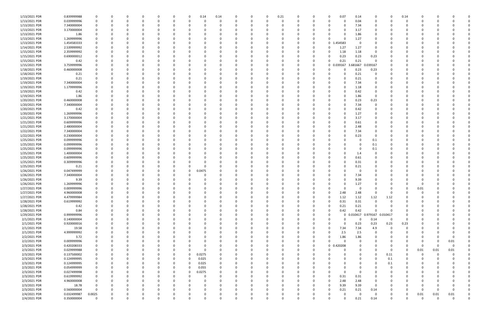| 1/13/2021 PDR | 0.839999988 |             |              |          | 0        |          |          | 0        | 0.14     | 0.14     |          | 0            | 0        | 0.21     |          | 0            |             | 0.07       | 0.14                | 0           |             | 0.14        | 0        |          |              |          |
|---------------|-------------|-------------|--------------|----------|----------|----------|----------|----------|----------|----------|----------|--------------|----------|----------|----------|--------------|-------------|------------|---------------------|-------------|-------------|-------------|----------|----------|--------------|----------|
| 1/13/2021 PDR | 0.039999996 | 0           |              |          |          |          |          |          | 0        |          |          | $\Omega$     | $\Omega$ | $\Omega$ |          | 0            |             | $\Omega$   | 0.04                | $\Omega$    |             | $\Omega$    |          |          |              |          |
| 1/13/2021 PDR | 7.340000004 |             |              |          |          |          |          |          |          |          |          |              | - 0      |          |          |              |             |            | 7.34                | 0           |             |             |          |          |              |          |
| 1/13/2021 PDR | 3.170000004 |             |              |          |          |          |          |          |          |          |          |              |          |          |          |              |             |            | 3.17                | 0           |             |             |          |          |              |          |
| 1/13/2021 PDR | 1.86        |             |              |          |          |          |          |          |          |          |          |              | 0        |          |          |              |             |            | 1.86                |             |             |             |          |          |              |          |
| 1/13/2021 PDR | 1.269999996 |             |              |          |          |          |          |          |          |          |          |              | - 0      |          |          |              |             |            | 1.27                |             |             |             |          |          |              |          |
| 1/13/2021 PDR | 1.454583333 |             |              |          |          |          |          |          |          |          |          |              |          |          |          |              | $\mathbf 0$ | .454583    | 0                   |             |             |             |          |          |              |          |
| 1/14/2021 PDR | 2.539999992 |             |              |          |          |          |          |          |          |          |          |              |          |          |          |              |             | 1.27       | 1.27                |             |             |             |          |          |              |          |
| 1/15/2021 PDR | 2.359999992 |             |              |          |          |          |          |          |          |          |          |              |          |          |          |              |             | 1.18       | 1.18                | 0           |             |             |          |          |              |          |
| 1/15/2021 PDR | 0.690000012 | 0           |              |          |          |          |          |          |          |          |          |              | 0        |          |          |              |             | 0.23       | 0.23                | 0.23        |             |             |          |          |              |          |
| 1/15/2021 PDR | 0.42        |             |              |          |          |          |          |          |          |          |          |              | - 0      |          |          | 0            |             | 0.21       | 0.21                | 0           |             |             |          |          |              |          |
| 1/15/2021 PDR | 3.759999996 |             |              |          |          |          |          |          |          |          |          |              | - 0      |          |          | 0            |             | 0 0.039167 | 3.681667            | 0.39167     |             |             |          |          |              |          |
| 1/18/2021 PDR | 0.460000008 |             |              |          |          |          |          |          |          |          |          |              |          |          |          |              |             |            | 0.23                | 0.23        |             |             |          |          |              |          |
| 1/18/2021 PDR | 0.21        |             |              |          |          |          |          |          |          |          |          |              |          |          |          |              |             |            | 0.21                | 0           |             |             |          |          |              |          |
| 1/19/2021 PDR | 0.21        |             |              |          |          |          |          |          |          |          |          |              | - 0      |          |          |              |             |            | 0.21                | 0           |             |             |          |          |              |          |
| 1/19/2021 PDR | 7.340000004 |             |              |          |          |          |          |          |          |          |          |              | 0        |          |          |              |             |            | 7.34                | 0           |             |             |          |          |              |          |
| 1/19/2021 PDR | 1.179999996 |             |              |          |          |          |          |          |          |          |          |              |          |          |          |              |             |            | 1.18                |             |             |             |          |          |              |          |
|               |             |             |              |          |          |          |          |          |          |          |          |              |          |          |          |              |             |            |                     |             |             |             |          |          |              |          |
| 1/19/2021 PDR | 0.42        |             |              |          |          |          |          |          |          |          |          |              | - 0      |          |          |              |             |            | 0.42                | 0           |             |             |          |          |              |          |
| 1/19/2021 PDR | 1.86        |             |              |          |          |          |          |          |          |          |          |              | 0        |          |          |              |             |            | 1.86                | 0           |             |             |          |          |              |          |
| 1/20/2021 PDR | 0.460000008 |             |              |          |          |          |          |          |          |          |          |              |          |          |          |              |             |            | 0.23                | 0.23        |             |             |          |          |              |          |
| 1/20/2021 PDR | 7.340000004 |             |              |          |          |          |          |          |          |          |          |              |          |          |          |              |             |            | 7.34                | 0           |             |             |          |          |              |          |
| 1/20/2021 PDR | 0.42        |             |              |          |          |          |          |          |          |          |          |              |          |          |          |              |             |            | 0.42                | 0           |             |             |          |          |              |          |
| 1/20/2021 PDR | 1.269999996 |             |              |          |          |          |          |          |          |          |          |              |          |          |          |              |             |            | 1.27                | 0           |             |             |          |          |              |          |
| 1/21/2021 PDR | 3.170000004 |             |              |          |          |          |          |          |          |          |          |              | - 0      |          |          |              |             |            | 3.17                | 0           |             |             |          |          |              |          |
| 1/21/2021 PDR | 0.609999996 |             |              |          |          |          |          |          |          |          |          |              | - 0      |          |          |              |             |            | 0.61                |             |             |             |          |          |              |          |
| 1/21/2021 PDR | 2.480000004 |             |              |          |          |          |          |          |          |          |          |              |          |          |          |              |             |            | 2.48                |             |             |             |          |          |              |          |
| 1/22/2021 PDR | 7.340000004 |             |              |          |          |          |          |          |          |          |          |              |          |          |          |              |             |            | 7.34                |             |             |             |          |          |              |          |
| 1/22/2021 PDR | 0.230000004 |             |              |          |          |          |          |          |          |          |          |              |          |          |          |              |             |            | 0.23                | 0           |             |             |          |          |              |          |
| 1/25/2021 PDR | 0.099999996 | 0           |              |          |          |          |          |          |          |          |          |              | 0        |          |          |              |             |            | 0                   | 0.1         |             |             |          |          |              |          |
| 1/25/2021 PDR | 0.099999996 | 0           |              |          |          |          |          |          |          |          |          |              | 0        |          |          |              |             |            | 0                   | 0.1         |             |             |          |          |              |          |
| 1/25/2021 PDR | 0.099999996 |             |              |          |          |          |          |          |          |          |          |              |          |          |          |              |             |            | 0                   | 0.1         |             |             |          |          |              |          |
| 1/25/2021 PDR | 1.400000004 |             |              |          |          |          |          |          |          |          |          |              |          |          |          |              |             |            | 1.4                 | 0           |             |             |          |          |              |          |
| 1/25/2021 PDR | 0.609999996 |             |              |          |          |          |          |          |          |          |          |              |          |          |          |              |             |            | 0.61                |             |             |             |          |          |              |          |
| 1/25/2021 PDR | 0.309999996 |             |              |          |          |          |          |          |          |          |          |              |          |          |          |              |             |            | 0.31                |             |             |             |          |          |              |          |
| 1/25/2021 PDR | 0.21        |             |              |          |          |          |          |          |          |          |          |              |          |          |          |              |             |            | 0.21                | 0           |             |             |          |          |              |          |
| 1/26/2021 PDR | 0.047499999 |             |              |          |          |          |          | 0        | 0.0475   |          |          |              |          |          |          |              |             |            | 0                   | 0           |             |             |          |          |              |          |
| 1/26/2021 PDR | 7.340000004 |             |              |          |          |          |          |          |          |          |          |              |          |          |          |              |             |            | 7.34                |             |             |             |          |          |              |          |
| 1/26/2021 PDR | 9.39        |             |              |          |          |          |          |          |          |          |          |              |          |          |          |              |             |            | 9.39                |             |             |             |          |          |              |          |
| 1/26/2021 PDR | 1.269999996 |             |              |          |          |          |          |          |          |          |          |              |          |          |          |              |             |            | 1.27                |             |             |             |          |          |              |          |
| 1/27/2021 PDR | 0.009999996 |             |              |          |          |          |          |          |          |          |          |              | റ        |          |          |              |             |            | $\Omega$            |             |             | 0           | 0.01     |          |              |          |
| 1/27/2021 PDR | 4.960000008 | $\Omega$    | $\Omega$     | $\Omega$ | $\Omega$ |          | n        |          | $\Omega$ |          | n        | $\Omega$     | $\Omega$ | $\Omega$ |          | <sup>n</sup> |             | 2.48       | 2.48                | $\Omega$    | $\Omega$    |             | $\Omega$ |          | $\Omega$     |          |
| 1/27/2021 PDR | 4.479999984 | 0           | 0            |          | 0        |          | $\Omega$ | $\Omega$ | 0        |          | 0        | 0            | 0        | $\Omega$ | $\Omega$ | 0            |             | 1.12       | 1.12                | 1.12        | 1.12        | $\Omega$    | 0        |          |              |          |
| 1/28/2021 PDR | 0.619999992 |             |              |          |          |          |          |          | 0        |          |          | 0            | $\Omega$ |          | 0        | 0            |             | 0.31       | 0.31                | $\mathbf 0$ |             | $\Omega$    | 0        |          |              |          |
| 1/28/2021 PDR | 0.42        | $\Omega$    |              |          |          |          |          |          | 0        |          |          |              | $\Omega$ |          | 0        | 0            |             | 0.21       | 0.21                | $\mathbf 0$ |             | 0           | 0        |          |              |          |
| 1/28/2021 PDR | 0.84        | $\Omega$    |              |          |          |          |          |          |          |          |          |              | 0        |          |          | 0            | 0           | 0.42       | 0.42                | $\Omega$    |             | 0           |          |          |              |          |
| 1/29/2021 PDR | 0.999999996 | 0           |              |          |          |          |          |          |          |          |          |              | $\Omega$ |          |          | 0            |             |            | 0 0.010417 0.979167 |             | 0.010417    | $\Omega$    |          |          |              |          |
| 2/1/2021 PDR  | 0.140000004 | 0           |              |          |          |          |          | O        |          |          | 0        |              | $\Omega$ |          | $\Omega$ | 0            |             | 0          | 0                   | 0.14        | $\mathbf 0$ | $\mathbf 0$ | 0        |          |              |          |
| 2/1/2021 PDR  | 0.920000016 | 0           |              |          |          |          |          |          | 0        |          |          |              | 0        |          |          | 0            |             | $\Omega$   | 0.23                | 0.23        | 0.23        | 0.23        | 0        |          |              |          |
| 2/1/2021 PDR  | 19.58       | $\Omega$    | 0            |          |          | $\Omega$ |          |          | 0        |          |          |              | $\Omega$ |          | $\Omega$ | 0            |             | 7.34       | 7.34                | 4.9         | $\Omega$    | $\Omega$    |          |          |              |          |
| 2/1/2021 PDR  | 4.999999992 |             |              |          |          |          |          |          |          |          |          |              | 0        |          | 0        | 0            |             | 2.5        | 2.5                 | 0           |             | 0           |          |          |              |          |
| 2/2/2021 PDR  | 3.72        |             |              |          |          |          |          |          |          |          |          |              | 0        |          |          | 0            |             | 1.86       | 1.86                | 0           |             | 0           | 0        |          | <sup>0</sup> |          |
|               | 0.009999996 | 0           |              |          |          |          |          |          | -0       |          |          |              | 0        |          |          |              |             | $\Omega$   | $\mathbf 0$         | $\Omega$    |             | 0           |          |          |              |          |
| 2/2/2021 PDR  |             |             |              |          |          |          |          |          | 0        |          |          | 0            |          |          | 0        | 0            |             |            |                     |             |             |             | 0        | 0        | 0.01         |          |
| 2/3/2021 PDR  | 0.420208333 | 0           |              |          |          |          |          |          | 0        |          |          |              | 0        |          | $\Omega$ | 0            |             | 0 0.420208 |                     | $\Omega$    |             | 0           | - 0      | $\Omega$ | $\Omega$     |          |
| 2/3/2021 PDR  | 0.029999988 | 0           |              |          |          |          |          |          | 0        |          | 0        |              | 0        |          |          | 0            |             | $\Omega$   |                     | 0           | $\Omega$    | $\Omega$    | 0.01     | 0.01     | $0.01\,$     |          |
| 2/3/2021 PDR  | 0.137500002 | 0           |              |          |          |          | $\Omega$ | $\Omega$ | 0.0275   |          |          |              | 0        |          | 0        | 0            |             |            |                     | 0           | 0.11        | 0           | 0        | $\Omega$ |              |          |
| 2/3/2021 PDR  | 0.124999995 | 0           |              |          |          |          |          | $\Omega$ | 0.025    |          |          |              | 0        |          |          | 0            |             |            |                     | 0           | 0.1         | 0           | C        |          |              |          |
| 2/3/2021 PDR  | 0.124999995 | 0           |              |          |          |          |          | $\Omega$ | 0.025    |          |          |              | 0        |          |          |              |             |            |                     | 0           | 0.1         | 0           |          |          |              |          |
| 2/3/2021 PDR  | 0.054999999 | $\mathbf 0$ |              |          |          |          | 0        | 0        | 0.055    |          | $\Omega$ | 0            | $\Omega$ |          | 0        | 0            |             | 0          |                     | $\Omega$    | $\Omega$    | 0           | 0        |          |              |          |
| 2/3/2021 PDR  | 0.027499998 | 0           |              |          |          |          | 0        | 0        | 0.0275   | $\Omega$ |          | 0            | 0        |          |          | 0            |             | $\Omega$   | 0                   | $\Omega$    |             | 0           | 0        |          |              |          |
| 2/3/2021 PDR  | 0.619999992 | 0           |              |          |          |          |          |          | 0        |          | 0        |              | $\Omega$ |          |          | 0            |             | 0.31       | 0.31                | 0           |             | O           | 0        |          |              |          |
| 2/3/2021 PDR  | 4.960000008 | 0           |              |          |          |          |          |          | 0        |          | 0        |              | $\Omega$ |          | 0        | 0            |             | 2.48       | 2.48                | 0           |             | 0           | O        |          |              |          |
| 2/3/2021 PDR  | 18.78       | 0           |              |          |          |          |          |          |          |          |          |              | $\Omega$ |          |          | 0            |             | 9.39       | 9.39                | 0           |             |             | O        |          |              |          |
| 2/3/2021 PDR  | 0.560000004 | $\Omega$    |              |          |          |          |          |          | $\Omega$ |          | 0        | <sup>0</sup> | $\Omega$ |          | 0        | 0            |             | 0.21       | 0.21                | 0.14        |             | O           | 0        | - 0      | <sup>0</sup> |          |
| 2/4/2021 PDR  | 0.032499987 | 0.0025      | 0            |          | 0        |          | 0        |          | 0        |          | 0        | 0            | 0        | $\Omega$ | 0        | 0            |             | 0          | 0                   | $\mathbf 0$ |             | 0           | 0.01     | 0.01     | 0.01         |          |
| 2/4/2021 PDR  | 0.350000004 | $\mathbf 0$ | <sup>0</sup> |          | $\Omega$ |          | $\Omega$ | $\Omega$ |          |          | $\Omega$ |              | $\Omega$ | $\Omega$ | $\Omega$ |              |             | $\Omega$   | 0.21                | 0.14        | $\Omega$    | $\Omega$    | $\Omega$ | $\Omega$ | $\Omega$     | $\Omega$ |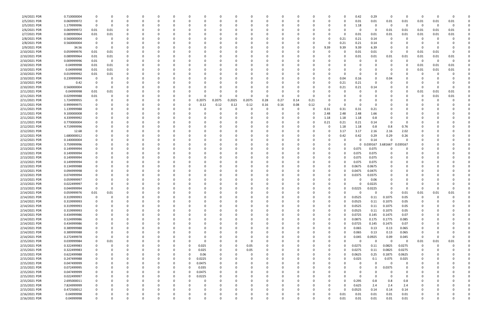| 2/4/2021 PDR  | 0.710000004 |             |      |          |          |          |          |             |          |          |             |              |          |          |          |      |          |          | 0.42   | 0.29     | - 0      |             |          |          |          |  |
|---------------|-------------|-------------|------|----------|----------|----------|----------|-------------|----------|----------|-------------|--------------|----------|----------|----------|------|----------|----------|--------|----------|----------|-------------|----------|----------|----------|--|
| 2/5/2021 PDR  | 0.069999972 | 0           |      | 0        | O        | $\Omega$ |          |             | -0       |          | O           | <sup>0</sup> | $\Omega$ |          | $\Omega$ | -0   |          | 0        | 0.01   | 0.01     | 0.01     | 0.01        | 0.01     | 0.01     | 0.01     |  |
| 2/5/2021 PDR  | 1.179999996 | - 0         |      |          |          |          |          |             |          |          |             |              |          |          |          |      |          | 0        | 1.18   | 0        | - 0      | 0           | - 0      | 0        | $\Omega$ |  |
| 2/6/2021 PDR  | 0.069999972 | 0.01        | 0.01 |          |          |          |          |             |          |          |             |              |          |          |          |      |          |          | 0      | $\Omega$ | 0.01     | 0.01        | 0.01     | 0.01     | 0.01     |  |
| 2/7/2021 PDR  | 0.089999964 | 0.01        | 0.01 |          |          |          |          |             |          |          |             |              |          |          |          |      |          | $\Omega$ | 0.01   | 0.01     | 0.01     | 0.01        | 0.01     | 0.01     | 0.01     |  |
| 2/8/2021 PDR  | 0.560000004 | 0           |      |          |          |          |          |             |          |          |             |              |          |          |          |      |          | 0.21     | 0.21   | 0.14     | - 0      |             | 0        |          |          |  |
| 2/8/2021 PDR  | 0.560000004 |             |      |          |          |          |          |             |          |          |             |              |          |          |          |      |          | 0.21     | 0.21   | 0.14     |          |             |          |          |          |  |
|               |             | - 0         |      |          |          |          |          |             |          |          |             |              |          |          |          | 0    |          |          |        |          |          |             | -0       |          |          |  |
| 2/9/2021 PDR  | 34.56       |             |      |          |          |          |          |             |          |          |             |              |          |          |          |      | 9.39     | 9.39     | 9.39   | 6.39     |          |             |          |          |          |  |
| 2/10/2021 PDR | 0.059999976 | 0.01        | 0.01 |          |          |          |          |             |          |          |             |              |          |          |          |      |          |          | 0.01   | 0.01     | - 0      | 0           | 0.01     | 0.01     |          |  |
| 2/10/2021 PDR | 0.089999964 | 0.01        | 0.01 |          |          |          |          |             |          |          |             |              |          |          |          |      |          |          | 0.01   | 0.01     | 0.01     | 0.01        | 0.01     | 0.01     | 0.01     |  |
| 2/10/2021 PDR | 0.009999996 | 0.01        | 0    |          |          |          |          |             |          |          |             |              |          |          |          |      |          |          | 0      | - 0      | - 0      | $\Omega$    | - 0      | $\Omega$ | - 0      |  |
| 2/10/2021 PDR | 0.04999998  | 0.01        | 0.01 |          |          |          |          |             |          |          |             |              |          |          |          |      |          |          | 0      |          |          |             | 0.01     | 0.01     | 0.01     |  |
| 2/10/2021 PDR | 0.04999998  | 0.01        | 0.01 |          |          |          |          |             |          |          |             |              |          |          |          |      |          |          |        |          |          |             | 0.01     | 0.01     | 0.01     |  |
| 2/10/2021 PDR | 0.019999992 | 0.01        | 0.01 |          |          |          |          |             |          |          |             |              |          |          |          |      |          |          | 0      |          |          |             |          |          |          |  |
| 2/10/2021 PDR | 0.239999994 | - 0         |      |          |          |          |          |             |          |          |             |              |          |          |          |      |          | 0.04     | 0.16   | 0        | 0.04     |             |          |          |          |  |
| 2/10/2021 PDR | 0.42        | 0           |      |          |          |          |          |             |          |          |             |              |          |          |          |      |          | 0.21     | 0.21   | 0        |          |             |          |          |          |  |
| 2/10/2021 PDR | 0.560000004 | 0           |      |          |          |          |          |             |          |          |             |              |          |          |          |      |          | 0.21     | 0.21   | 0.14     |          |             |          |          |          |  |
| 2/11/2021 PDR | 0.04999998  | 0.01        | 0.01 |          |          |          |          |             |          |          |             |              |          |          |          |      |          |          | 0      |          |          | $\Omega$    | 0.01     | 0.01     | 0.01     |  |
| 2/11/2021 PDR | 0.029999988 | 0.01        |      |          |          |          |          |             |          |          |             | O            |          |          |          | 0    |          |          |        |          |          |             | 0        | 0.01     | 0.01     |  |
| 2/11/2021 PDR | 1.724999955 | 0           |      |          |          |          |          | $\Omega$    | 0.2075   | 0.2075   | 0.2025      | 0.2075       | 0.28     | 0.27     | 0.14     | 0.21 |          |          |        |          |          |             |          |          |          |  |
| 2/11/2021 PDR | 0.999999975 |             |      |          |          |          |          |             | 0.12     | 0.12     | 0.12        | 0.12         | 0.16     | 0.16     | 0.08     | 0.12 |          | $\Omega$ | 0      | 0        |          |             |          |          |          |  |
| 2/11/2021 PDR | 1.139999988 |             |      |          |          |          |          |             |          |          |             | 0            |          |          |          | -0   | 0.31     | 0.31     | 0.31   | 0.21     |          |             |          |          |          |  |
|               | 9.100000008 |             |      |          |          |          |          |             |          |          |             |              |          |          |          |      |          | 2.48     |        |          |          |             |          |          |          |  |
| 2/11/2021 PDR |             |             |      |          |          |          |          |             |          |          |             |              |          |          |          | -0   | 2.48     |          | 2.48   | 1.66     |          |             |          |          |          |  |
| 2/11/2021 PDR | 4.339999992 |             |      |          |          |          |          |             |          |          |             |              |          |          |          | 0    | 1.18     | 1.18     | 1.18   | 0.8      |          |             |          |          |          |  |
| 2/11/2021 PDR | 0.770000004 |             |      |          |          |          |          |             |          |          |             |              |          |          |          | -0   | 0.21     | 0.21     | 0.21   | 0.14     | - 0      | 0           |          |          |          |  |
| 2/12/2021 PDR | 4.719999996 |             |      |          |          |          |          |             |          |          |             |              |          |          |          |      |          | 1.18     | 1.18   | 0.8      | 0.8      | 0.76        |          |          |          |  |
| 2/12/2021 PDR | 12.68       |             |      |          |          |          |          |             |          |          |             |              |          |          |          |      |          | 3.17     | 3.17   | 2.16     | 2.16     | 2.02        |          |          |          |  |
| 2/12/2021 PDR | 1.680000012 |             |      |          |          |          |          |             |          |          |             |              |          |          |          |      |          | 0.42     | 0.42   | 0.29     | 0.29     | 0.26        |          |          |          |  |
| 2/12/2021 PDR | 0.140000004 |             |      |          |          |          |          |             |          |          |             |              |          |          |          |      |          |          | 0      | 0.14     | - 0      |             |          |          |          |  |
| 2/12/2021 PDR | 3.759999996 |             |      |          |          |          |          |             |          |          |             |              |          |          |          |      |          | O        | 0      | 0.039167 | 3.681667 | 0.039167    |          |          |          |  |
| 2/13/2021 PDR | 0.149999994 |             |      |          |          |          |          |             |          |          |             |              |          |          |          |      |          |          | 0.075  | 0.075    |          | 0           |          |          |          |  |
| 2/13/2021 PDR | 0.149999994 |             |      |          |          |          |          |             |          |          |             |              |          |          |          |      |          |          | 0.075  | 0.075    |          |             |          |          |          |  |
| 2/13/2021 PDR | 0.149999994 |             |      |          |          |          |          |             |          |          |             |              |          |          |          |      |          |          | 0.075  | 0.075    |          |             |          |          |          |  |
| 2/13/2021 PDR | 0.149999994 |             |      |          |          |          |          |             |          |          |             |              |          |          |          |      |          |          | 0.075  | 0.075    |          |             |          |          |          |  |
| 2/13/2021 PDR | 0.134999988 |             |      |          |          |          |          |             |          |          |             |              |          |          |          |      |          |          | 0.0675 | 0.0675   |          |             |          |          |          |  |
| 2/13/2021 PDR | 0.094999998 |             |      |          |          |          |          |             |          |          |             |              |          |          |          |      |          | o        | 0.0475 | 0.0475   |          |             |          |          |          |  |
| 2/13/2021 PDR | 0.074999994 |             |      |          |          |          |          |             |          |          |             |              |          |          |          |      |          |          | 0.0375 | 0.0375   |          |             |          |          |          |  |
| 2/13/2021 PDR | 0.059999997 |             |      |          |          |          |          |             |          |          |             |              |          |          |          |      |          |          |        | 0.06     |          |             |          |          |          |  |
|               |             |             |      |          |          |          |          |             |          |          |             |              |          |          |          |      |          |          |        |          |          |             |          |          |          |  |
| 2/13/2021 PDR | 0.022499997 |             |      |          |          |          |          |             |          |          |             |              |          |          |          |      |          |          |        | 0.0225   |          |             |          |          |          |  |
| 2/13/2021 PDR | 0.044999994 | $\Omega$    |      |          |          |          |          |             |          |          |             |              |          |          |          |      |          | 0        | 0.0225 | 0.0225   | - 0      |             |          |          |          |  |
| 2/14/2021 PDR | 0.059999976 | $0.01\,$    | 0.01 |          |          |          |          |             |          |          |             | 0            |          |          |          |      |          |          | 0      |          |          | 0.01        | 0.01     | U.U1     |          |  |
| 2/14/2021 PDR | 0.319999993 | 0           |      | $\Omega$ | $\Omega$ | $\Omega$ | $\Omega$ | $\Omega$    | 0        |          | $\Omega$    | $\Omega$     | $\Omega$ | $\Omega$ | $\Omega$ | 0    |          | 0        | 0.0525 | 0.11     | 0.1075   | 0.05        | $\Omega$ |          |          |  |
| 2/14/2021 PDR | 0.319999993 | 0           |      | 0        | 0        | $\Omega$ |          | $\Omega$    | 0        |          | 0           | 0            | $\Omega$ |          | $\Omega$ | -0   |          | $\Omega$ | 0.0525 | 0.11     | 0.1075   | 0.05        | 0        |          |          |  |
| 2/14/2021 PDR | 0.319999993 | 0           |      |          |          | $\Omega$ |          |             |          |          |             |              | $\Omega$ |          |          |      |          | ŋ        | 0.0525 | 0.11     | 0.1075   | 0.05        |          |          |          |  |
| 2/14/2021 PDR | 0.319999993 | 0           |      |          |          | $\Omega$ |          |             | -0       |          |             |              | $\Omega$ |          |          |      | $\Omega$ |          | 0.0525 | 0.11     | 0.1075   | 0.05        |          |          |          |  |
| 2/14/2021 PDR | 0.434999986 | 0           |      |          |          | $\Omega$ |          |             |          |          |             |              | $\Omega$ |          |          |      | 0        | O        | 0.0725 | 0.145    | 0.1475   | 0.07        |          |          |          |  |
| 2/14/2021 PDR | 0.524999986 | 0           |      |          |          |          |          |             |          |          |             |              |          |          |          |      |          |          | 0.0875 | 0.175    | 0.1775   | 0.085       |          |          |          |  |
| 2/14/2021 PDR | 0.434999986 | 0           |      |          |          | 0        |          |             |          |          |             |              | 0        |          |          |      |          |          | 0.0725 | 0.145    | 0.1475   | 0.07        |          |          |          |  |
| 2/14/2021 PDR | 0.389999988 | 0           |      | 0        |          | $\Omega$ |          |             |          |          | 0           |              | $\Omega$ |          | $\Omega$ |      |          | 0        | 0.065  | 0.13     | 0.13     | 0.065       | 0        |          |          |  |
| 2/14/2021 PDR | 0.389999988 | 0           |      |          |          | 0        |          |             |          |          |             |              | 0        |          |          |      |          | 0        | 0.065  | 0.13     | 0.13     | 0.065       | 0        |          |          |  |
| 2/14/2021 PDR | 0.272499978 |             |      |          |          | 0        |          |             |          |          |             |              | $\Omega$ |          |          |      |          | 0        | 0.045  | 0.0925   | 0.09     | 0.045       | $\Omega$ |          |          |  |
| 2/15/2021 PDR | 0.039999984 | 0           | 0.01 |          |          | $\Omega$ |          |             | C        |          |             | 0            | $\Omega$ |          |          |      | 0        | 0        | 0      | $\Omega$ | $\Omega$ | $\Omega$    | 0.01     | 0.01     | 0.01     |  |
| 2/15/2021 PDR | 0.322499983 | 0           |      |          |          | 0        |          | 0           | 0.025    |          | 0           | 0.05         |          |          |          |      | 0        |          | 0.0275 | 0.11     | 0.0825   | 0.0275      | 0        |          |          |  |
| 2/15/2021 PDR | 0.322499983 | 0           |      |          |          | 0        |          | $\mathbf 0$ | 0.025    |          | $\Omega$    | 0.05         | 0        |          |          |      | 0        |          | 0.0275 | 0.11     | 0.0825   | 0.0275      | 0        |          |          |  |
| 2/15/2021 PDR | 0.622499988 | 0           |      |          |          | $\Omega$ |          | $\Omega$    | 0.06     | $\Omega$ | ŋ           | 0            | $\Omega$ |          |          |      |          | ŋ        | 0.0625 | 0.25     | 0.1875   | 0.0625      | 0        |          |          |  |
|               |             |             |      |          |          |          | $\Omega$ |             |          |          |             |              |          |          |          |      |          |          |        |          |          |             |          |          |          |  |
| 2/15/2021 PDR | 0.247499988 | 0           |      |          |          | 0        |          | $\Omega$    | 0.0225   |          |             | 0            | 0        |          |          |      |          | 0        | 0.025  | 0.1      | 0.075    | 0.025       | 0        |          |          |  |
| 2/15/2021 PDR | 0.047499999 | 0           |      |          |          | 0        | $\Omega$ | $\Omega$    | 0.0475   |          |             |              | $\Omega$ |          |          |      |          |          | 0      | $\Omega$ | - 0      | 0           |          |          |          |  |
| 2/15/2021 PDR | 0.072499995 | 0           |      |          |          | $\Omega$ | $\Omega$ | $\Omega$    | 0.035    |          |             |              | $\Omega$ |          |          |      |          | ŋ        | 0      | $\Omega$ | 0.0375   | 0           |          |          |          |  |
| 2/15/2021 PDR | 0.047499999 | 0           |      |          | O        | 0        | $\Omega$ | 0           | 0.0475   |          |             |              | 0        |          |          |      |          |          | 0      | 0        |          |             |          |          |          |  |
| 2/15/2021 PDR | 0.022499997 | 0           |      |          |          | $\Omega$ | $\Omega$ | $\mathbf 0$ | 0.0225   |          |             |              | $\Omega$ |          |          |      |          |          | 0      | $\Omega$ | $\Omega$ | $\mathbf 0$ |          |          |          |  |
| 2/15/2021 PDR | 2.695000011 | 0           |      |          |          | $\Omega$ |          | $\Omega$    | 0        |          | 0           |              | $\Omega$ |          | $\Omega$ |      |          | 0        | 0.295  | 0.8      | 0.8      | 0.8         |          |          |          |  |
| 2/15/2021 PDR | 7.824999999 | 0           |      |          |          | 0        |          |             | 0        |          |             |              | 0        |          |          |      |          | 0        | 0.625  | 2.4      | 2.4      | 2.4         |          |          |          |  |
| 2/15/2021 PDR | 0.472500012 | 0           |      |          |          | $\Omega$ |          |             |          |          |             |              | 0        |          |          |      |          | O        | 0.0525 | 0.14     | 0.14     | 0.14        |          |          |          |  |
| 2/16/2021 PDR | 0.04999998  | 0           |      |          |          |          |          |             |          |          |             |              |          |          |          |      |          | 0.01     | 0.01   | 0.01     | 0.01     | 0.01        |          |          |          |  |
| 2/16/2021 PDR | 0.04999998  | $\mathbf 0$ |      | 0        | $\Omega$ | $\Omega$ | $\Omega$ | $\Omega$    | $\Omega$ |          | $\mathbf 0$ | $\Omega$     | $\Omega$ | $\Omega$ | $\Omega$ | 0    |          | 0.01     | 0.01   | 0.01     | 0.01     | 0.01        | $\Omega$ |          | 0        |  |
|               |             |             |      |          |          |          |          |             |          |          |             |              |          |          |          |      |          |          |        |          |          |             |          |          |          |  |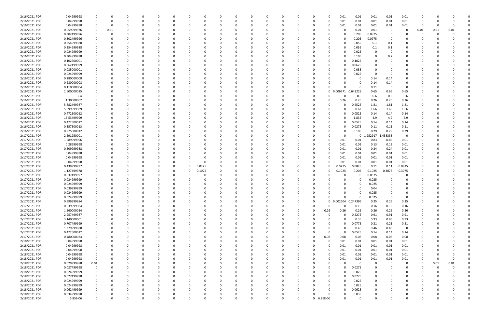| 2/16/2021 PDR | 0.04999998  |             |      |          |          |          |          |   |          |          |          |          |          |          |            | 0.01       | 0.01                | 0.01     | 0.01          | 0.01        |          |      |      |  |
|---------------|-------------|-------------|------|----------|----------|----------|----------|---|----------|----------|----------|----------|----------|----------|------------|------------|---------------------|----------|---------------|-------------|----------|------|------|--|
| 2/16/2021 PDR | 0.04999998  |             | 0    | 0        |          |          | 0        |   |          | $\Omega$ | $\Omega$ |          | O        | 0        |            | 0.01       | 0.01                | 0.01     | $0.01\,$      | 0.01        | 0        |      |      |  |
| 2/16/2021 PDR | 0.04999998  |             |      |          |          |          |          |   |          |          |          |          |          |          |            | 0.01       | 0.01                | 0.01     | 0.01          | 0.01        | -0       |      |      |  |
| 2/16/2021 PDR | 0.059999976 | 0           | 0.01 |          |          |          |          |   |          |          |          |          |          |          |            |            | 0.01                | 0.01     | - 0           | 0           | 0.01     | 0.01 | 0.01 |  |
| 2/16/2021 PDR | 0.302499996 |             |      |          |          |          |          |   |          |          |          |          |          |          |            | 0          | 0.205               | 0.0975   |               |             |          |      |      |  |
| 2/16/2021 PDR | 0.302499996 |             |      |          |          |          |          |   |          |          |          |          |          |          |            | O          | 0.205               | 0.0975   | - 0           |             |          |      |      |  |
| 2/16/2021 PDR | 0.254999988 |             |      |          |          |          |          |   |          |          |          |          |          |          |            |            | 0.055               | 0.1      | 0.1           |             |          |      |      |  |
| 2/16/2021 PDR | 0.254999988 |             |      |          |          |          |          |   |          |          |          |          |          |          |            |            | 0.055               | 0.1      | 0.1           |             |          |      |      |  |
|               |             |             |      |          |          |          |          |   |          |          |          |          |          |          |            |            |                     |          |               |             |          |      |      |  |
| 2/16/2021 PDR | 0.024999999 |             |      |          |          |          |          |   |          |          |          |          |          |          |            |            | 0.025               | 0        | - 0           |             |          |      |      |  |
| 2/16/2021 PDR | 0.304999998 |             |      |          |          |          |          |   |          |          |          |          |          |          |            |            | 0.105               | $\Omega$ | 0.2           |             |          |      |      |  |
| 2/16/2021 PDR | 0.102500001 |             |      |          |          |          |          |   |          |          |          |          |          |          |            |            | 0.1025              | $\Omega$ |               |             |          |      |      |  |
| 2/16/2021 PDR | 0.062499999 | 0           |      |          |          |          |          |   |          |          |          |          |          |          |            |            | 0.0625              | 0        |               |             |          |      |      |  |
| 2/16/2021 PDR | 0.035000001 |             |      |          |          |          |          |   |          |          |          |          |          |          |            |            | 0.035               |          |               |             |          |      |      |  |
| 2/16/2021 PDR | 0.024999999 |             |      |          |          |          |          |   |          |          |          |          |          |          |            |            | 0.025               | - 0      |               |             |          |      |      |  |
| 2/16/2021 PDR | 0.280000008 |             |      |          |          |          |          |   |          |          |          |          |          |          |            |            | 0                   | 0.14     | 0.14          |             |          |      |      |  |
| 2/16/2021 PDR | 0.280000008 |             |      |          |          |          |          |   |          |          |          |          |          |          |            |            | 0                   | 0.14     | 0.14          |             |          |      |      |  |
| 2/16/2021 PDR | 0.110000004 |             |      |          |          |          |          |   |          |          |          |          |          |          |            |            | 0                   | 0.11     | 0             | $\Omega$    |          |      |      |  |
| 2/16/2021 PDR | 2.600000015 |             |      |          |          |          |          |   |          |          |          |          |          | -0       |            | 0 0.006771 | 0.643229            | 0.65     | 0.65          | 0.65        |          |      |      |  |
| 2/16/2021 PDR | 2.4         |             |      |          |          |          |          |   |          |          |          |          |          |          |            |            | 0.6                 | 0.6      | 0.6           | 0.6         |          |      |      |  |
| 2/16/2021 PDR | 1.30000002  |             |      |          |          |          |          |   |          |          |          |          |          |          |            | 0.26       | 0.26                | 0.26     | 0.26          | 0.26        |          |      |      |  |
| 2/16/2021 PDR | 5.882499987 |             |      |          |          |          |          |   |          |          |          |          |          |          |            |            | .4525               | 1.81     | 1.81          | 1.81        |          |      |      |  |
| 2/16/2021 PDR | 5.599999989 |             |      |          |          |          |          |   |          |          |          |          |          |          |            |            | 0.62                | 1.66     | 1.66          | 1.66        |          |      |      |  |
| 2/16/2021 PDR | 0.472500012 |             |      |          |          |          |          |   |          |          |          |          |          |          |            | 0          | 0.0525              | 0.14     | 0.14          | 0.14        |          |      |      |  |
| 2/16/2021 PDR |             |             |      |          |          |          |          |   |          |          |          |          |          |          |            |            |                     |          |               |             |          |      |      |  |
|               | 16.53499999 |             |      |          |          |          |          |   |          |          |          |          |          |          |            |            | 1.835               | 4.9      | 4.9           | 4.9         |          |      |      |  |
| 2/16/2021 PDR | 0.472500012 |             |      |          |          |          |          |   |          |          |          |          |          |          |            |            | 0.0525              | 0.14     | 0.14          | 0.14        |          |      |      |  |
| 2/16/2021 PDR | 0.357500013 |             |      |          |          |          |          |   |          |          |          |          |          |          |            |            | 0.0275              | 0.11     | 0.11          | 0.11        |          |      |      |  |
| 2/16/2021 PDR | 0.975000012 |             |      |          |          |          |          |   |          |          |          |          |          |          |            |            | 0.105               | 0.29     | 0.29          | 0.29        |          |      |      |  |
| 2/17/2021 PDR | 2.691250001 |             |      |          |          |          |          |   |          |          |          |          |          |          |            |            | 0                   | .252917  | .438333       | $\mathbf 0$ |          |      |      |  |
| 2/17/2021 PDR | 1.689999996 |             |      |          |          |          |          |   |          |          |          |          |          |          |            | 0.01       | 0.01                | 0.83     | 0.83          | 0.01        |          |      |      |  |
| 2/17/2021 PDR | 0.28999998  |             |      |          |          |          |          |   |          |          |          |          |          |          |            | 0.01       | 0.01                | 0.13     | 0.13          | 0.01        |          |      |      |  |
| 2/17/2021 PDR | 0.509999988 |             |      |          |          |          |          |   |          |          |          |          |          |          |            | 0.01       | 0.01                | 0.24     | 0.24          | 0.01        |          |      |      |  |
| 2/17/2021 PDR | 0.04999998  |             |      |          |          |          |          |   |          |          |          |          |          |          |            | 0.01       | 0.01                | 0.01     | 0.01          | 0.01        |          |      |      |  |
| 2/17/2021 PDR | 0.04999998  |             |      |          |          |          |          |   |          |          |          |          |          |          |            | 0.01       | 0.01                | 0.01     | 0.01          | 0.01        |          |      |      |  |
| 2/17/2021 PDR | 0.04999998  |             |      |          |          |          |          |   |          |          |          |          |          |          |            | 0.01       | 0.01                | 0.01     | $0.01\,$      | 0.01        |          |      |      |  |
| 2/17/2021 PDR | 0.439999997 |             |      |          |          | 0        | 0.0275   |   |          |          |          |          |          |          |            | 0.0275     | 0.0825              | 0.11     | 0.11          | 0.0825      |          |      |      |  |
| 2/17/2021 PDR | 1.127499978 |             |      |          |          |          | 0.1025   |   |          |          |          |          |          |          |            | 0.1025     | 0.205               | 0.1025   | 0.3075        | 0.3075      |          |      |      |  |
| 2/17/2021 PDR | 0.037499997 |             |      |          |          |          |          |   |          |          |          |          |          |          |            |            | 0                   | 0.0375   | $\Omega$      |             |          |      |      |  |
| 2/17/2021 PDR | 0.024999999 |             |      |          |          |          |          |   |          |          |          |          |          |          |            |            | 0                   | 0.025    |               |             |          |      |      |  |
| 2/17/2021 PDR | 0.024999999 |             |      |          |          |          |          |   |          |          |          |          |          |          |            |            | C.                  | 0.025    |               |             |          |      |      |  |
| 2/17/2021 PDR | 0.039999999 | 0           | 0    |          |          |          |          |   |          |          |          |          |          |          |            |            | 0                   | 0.04     | $\Omega$      |             |          |      |      |  |
|               |             | $\Omega$    |      |          |          |          |          |   |          |          |          |          |          |          |            |            |                     |          |               |             | $\cap$   |      |      |  |
| 2/17/2021 PDR | 0.024999999 |             |      |          |          |          |          |   |          |          |          |          |          |          |            | $\Omega$   |                     | 0.025    | 0<br>$\Omega$ | $\Omega$    |          |      |      |  |
| 2/17/2021 PDR | 0.024999999 | $\mathbf 0$ | 0    | 0        | ŋ        |          | $\Omega$ |   |          | 0        | $\Omega$ | $\Omega$ |          | 0        |            |            | $\Omega$            | 0.025    |               |             | 0        |      |      |  |
| 2/17/2021 PDR | 0.999999984 | 0           | 0    | 0        |          |          | 0        |   |          | 0        |          |          |          | $\Omega$ |            |            | 0 0.002604 0.247396 | 0.25     | 0.25          | 0.25        | 0        |      |      |  |
| 2/17/2021 PDR | 0.639999984 | 0           |      |          |          |          |          |   |          |          | $\Omega$ |          |          | 0        |            | $\Omega$   | 0.16                | 0.16     | 0.16          | 0.16        |          |      |      |  |
| 2/17/2021 PDR | 1.560000024 | $\Omega$    |      |          |          |          | 0        |   |          |          |          |          |          | $\Omega$ | 0.26       | 0.26       | 0.26                | 0.26     | 0.26          | 0.26        |          |      |      |  |
| 2/17/2021 PDR | 2.957499987 | 0           |      |          |          |          |          |   |          |          |          |          |          | 0        |            | $\Omega$   | 0.2275              | 0.91     | 0.91          | 0.91        |          |      |      |  |
| 2/17/2021 PDR | 3.140000001 | 0           |      |          |          |          |          |   |          |          |          |          |          |          |            | $\Omega$   | 0.35                | 0.93     | 0.93          | 0.93        |          |      |      |  |
| 2/17/2021 PDR | 0.707499999 | 0           |      |          |          |          | 0        |   |          |          |          |          |          |          |            | $\Omega$   | 0.0775              | 0.21     | 0.21          | 0.21        |          |      |      |  |
| 2/17/2021 PDR | 1.379999988 | 0           |      |          |          | 0        | 0        |   |          |          | 0        |          |          |          |            | 0          | 0.46                | 0.46     | 0.46          | 0           | 0        |      |      |  |
| 2/17/2021 PDR | 0.472500012 | 0           |      |          |          | 0        | 0        |   |          |          | $\Omega$ |          |          | 0        | $\Omega$   | $\Omega$   | 0.0525              | 0.14     | 0.14          | 0.14        |          |      |      |  |
| 2/17/2021 PDR | 0.480000024 |             |      |          |          |          | 0        |   |          |          |          |          |          | $\Omega$ | 0.08       | 0.08       | 0.08                | 0.08     | 0.08          | 0.08        |          |      |      |  |
| 2/18/2021 PDR | 0.04999998  | 0           |      |          |          |          | 0        |   |          |          | 0        |          |          | 0        | 0          | 0.01       | 0.01                | 0.01     | 0.01          | 0.01        |          |      |      |  |
| 2/18/2021 PDR | 0.04999998  | 0           |      |          |          |          | -0       |   |          |          |          |          |          |          |            | 0.01       | 0.01                | 0.01     | 0.01          | 0.01        |          |      |      |  |
| 2/18/2021 PDR | 0.04999998  | 0           |      |          |          |          | 0        |   |          |          | $\Omega$ |          | $\Omega$ | 0        |            | 0.01       | 0.01                | 0.01     | 0.01          | 0.01        | 0        |      |      |  |
| 2/18/2021 PDR | 0.04999998  | $\mathbf 0$ |      |          |          |          | 0        |   |          |          | 0        |          |          | 0        |            | 0.01       | 0.01                | 0.01     | 0.01          | 0.01        | 0        |      |      |  |
| 2/18/2021 PDR | 0.04999998  | $\mathbf 0$ |      |          |          | 0        | 0        |   |          |          | - 0      |          |          | $\Omega$ |            | 0.01       | 0.01                | 0.01     | $0.01\,$      | 0.01        | 0        |      |      |  |
|               |             |             |      |          |          |          |          |   |          |          |          |          |          |          |            |            |                     |          |               |             |          |      |      |  |
| 2/18/2021 PDR | 0.029999988 | 0.01        |      |          |          |          | 0        |   |          |          | $\Omega$ |          |          |          |            | $\Omega$   | $\mathbf 0$         | 0        | - 0           | $\mathbf 0$ | $\Omega$ | 0.01 | 0.01 |  |
| 2/18/2021 PDR | 0.027499998 | $\mathbf 0$ |      |          |          |          | 0        |   |          |          |          |          |          |          | $\Omega$   | 0          | 0.0275              | 0        |               | 0           | $\Omega$ |      |      |  |
| 2/18/2021 PDR | 0.024999999 | 0           |      |          |          |          |          |   |          |          |          |          |          |          |            |            | 0.025               | 0        |               | 0           | 0        |      |      |  |
| 2/18/2021 PDR | 0.027499998 | 0           |      |          |          |          |          |   |          |          | $\Omega$ |          |          |          |            | 0          | 0.0275              | 0        |               |             |          |      |      |  |
| 2/18/2021 PDR | 0.024999999 | 0           |      |          |          |          | 0        |   |          |          | $\Omega$ |          |          |          |            | 0          | 0.025               | 0        |               |             |          |      |      |  |
| 2/18/2021 PDR | 0.024999999 | 0           |      |          |          |          | 0        |   |          |          |          |          |          |          |            | 0          | 0.025               | 0        |               |             |          |      |      |  |
| 2/18/2021 PDR | 0.062499999 | 0           |      |          |          |          | $\Omega$ |   |          |          | $\Omega$ |          | 0        |          |            | $\Omega$   | 0.0625              | $\Omega$ |               |             | n        |      |      |  |
| 2/18/2021 PDR | 0.034999998 | $\Omega$    |      |          |          |          |          |   |          |          |          |          |          |          |            | 0          | 0.035               | 0        |               |             |          |      |      |  |
| 2/18/2021 PDR | 6.85E-06    | $\Omega$    | 0    | $\Omega$ | $\Omega$ | $\Omega$ | $\Omega$ | U | $\Omega$ | $\Omega$ |          | $\Omega$ | $\Omega$ |          | 0 6.85E-06 | $\Omega$   | $\mathbf 0$         | $\Omega$ | $\Omega$      | $\Omega$    | $\Omega$ |      | Ó    |  |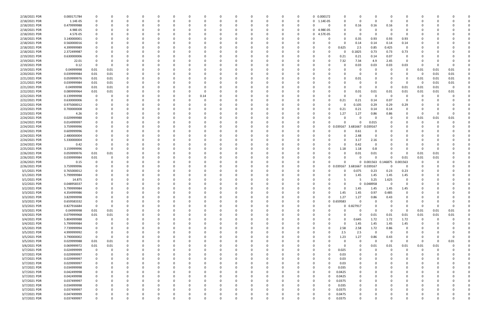| 2/18/2021 PDR                | 0.000171784                |                   |              |          |          |          |          |          |          |          | $\Omega$ |          | 0        | 0 0.000172    |                         |                 | 0           |          |                         |                |          |      |  |
|------------------------------|----------------------------|-------------------|--------------|----------|----------|----------|----------|----------|----------|----------|----------|----------|----------|---------------|-------------------------|-----------------|-------------|----------|-------------------------|----------------|----------|------|--|
| 2/18/2021 PDR                | 1.14E-05                   |                   |              |          |          |          |          | -0       |          |          | 0        |          | 0        | 0 1.14E-05    | 0                       | 0               | 0           |          |                         |                |          |      |  |
| 2/18/2021 PDR                | 0.479999988                |                   |              |          |          |          |          |          |          |          |          |          | 0        |               | 0                       | 0.16            | 0.16        | 0.16     |                         |                |          |      |  |
|                              |                            |                   |              |          |          |          |          |          |          |          |          |          |          |               |                         |                 |             |          |                         |                |          |      |  |
| 2/18/2021 PDR                | 4.98E-05                   |                   |              |          |          |          |          |          |          |          | - 0      |          | 0        | 0 4.98E-05    |                         |                 | 0           |          |                         |                |          |      |  |
| 2/18/2021 PDR                | 4.57E-05                   |                   |              |          |          |          |          |          |          |          | 0        |          |          | 4.57E-05<br>0 |                         |                 | 0           |          | 0                       |                |          |      |  |
| 2/18/2021 PDR                | 3.140000001                |                   |              |          |          |          |          |          |          |          | - 0      |          |          |               |                         | 0.35            | 0.93        | 0.93     | 0.93                    |                |          |      |  |
| 2/18/2021 PDR                | 0.560000016                |                   |              |          |          |          |          |          |          |          | - 0      |          |          |               |                         | 0.14            | 0.14        | 0.14     | 0.14                    |                |          |      |  |
| 2/18/2021 PDR                | 4.399999989                |                   |              |          |          |          |          |          |          |          |          |          |          |               | 0.625                   | 2.5             | 0.85        | 0.425    | - 0                     |                |          |      |  |
| 2/18/2021 PDR                | 2.372499987                |                   |              |          |          |          |          |          |          |          |          |          |          |               |                         | .1825           | 0.73        | 0.73     | 0.73                    |                |          |      |  |
|                              |                            |                   |              |          |          |          |          |          |          |          |          |          |          |               |                         |                 |             |          |                         |                |          |      |  |
| 2/19/2021 PDR                | 0.630000006                |                   |              |          |          |          |          |          |          |          |          |          |          |               | 0.21                    | 0.21            | 0.14        | 0.07     | 0                       |                |          |      |  |
| 2/19/2021 PDR                | 22.01                      | -0                |              |          |          |          |          |          |          |          |          |          |          |               | 7.32                    | 7.34            | 4.9         | 2.45     | $\Omega$                |                |          |      |  |
| 2/19/2021 PDR                | 0.12                       | 0                 | <sup>0</sup> |          |          |          |          |          |          |          |          |          |          |               |                         | 0.03            | 0.03        | 0.03     | 0.03                    | -0             |          |      |  |
| 2/19/2021 PDR                | 0.04999998                 | 0.01              | 0.01         |          |          |          |          |          |          |          | - 0      |          |          |               |                         |                 | 0           | - 0      | 0                       | 0.01           | 0.01     | 0.01 |  |
| 2/20/2021 PDR                | 0.039999984                | 0.01              | 0.01         |          |          |          |          |          |          |          |          |          |          |               |                         | 0               | 0           |          | 0                       | - 0            | 0.01     | 0.01 |  |
| 2/21/2021 PDR                | 0.059999976                | 0.01              | 0.01         |          |          |          |          |          |          |          |          |          |          |               |                         | 0.01            |             |          | 0                       | 0.01           | 0.01     | 0.01 |  |
|                              |                            |                   |              |          |          |          |          |          |          |          |          |          |          |               |                         |                 |             |          |                         |                |          |      |  |
| 2/21/2021 PDR                | 0.039999984                | 0.01              | 0.01         |          |          |          |          |          |          |          |          |          |          |               |                         |                 | $\Omega$    |          | - 0                     | - 0            | 0.01     | 0.01 |  |
| 2/21/2021 PDR                | 0.04999998                 | 0.01              | 0.01         |          |          |          |          |          |          |          |          |          |          |               |                         | 0               | $\Omega$    | $\Omega$ | 0.01                    | 0.01           | 0.01     |      |  |
| 2/22/2021 PDR                | 0.089999964                | 0.01              | 0.01         |          |          |          |          |          |          |          |          |          |          |               |                         | 0.01            | 0.01        | 0.01     | 0.01                    | 0.01           | 0.01     | 0.01 |  |
| 2/22/2021 PDR                | 0.139999998                | - 0               |              |          |          |          |          | 0.14     |          |          | - 0      |          |          |               |                         | 0               | 0           | 0        | 0                       | -C             |          |      |  |
| 2/22/2021 PDR                | 0.630000006                | 0                 |              |          |          |          |          |          |          |          |          |          |          |               | 0.21                    | 0.21            | 0.14        | 0.07     | $\Omega$                |                |          |      |  |
| 2/22/2021 PDR                | 0.975000012                |                   |              |          |          |          |          |          |          |          |          |          |          |               |                         | 0.105           | 0.29        | 0.29     | 0.29                    |                |          |      |  |
|                              |                            |                   |              |          |          |          |          |          |          |          |          |          |          |               |                         |                 |             |          |                         |                |          |      |  |
| 2/23/2021 PDR                | 0.700000008                |                   |              |          |          |          |          |          |          |          |          |          |          |               | 0.21                    | 0.21            | 0.14        | 0.14     | 0                       |                |          |      |  |
| 2/23/2021 PDR                | 4.26                       |                   |              |          |          |          |          |          |          |          |          |          |          |               | 1.27                    | 1.27            | 0.86        | 0.86     | 0                       | -0             |          |      |  |
| 2/24/2021 PDR                | 0.029999988                |                   |              |          |          |          |          |          |          |          | 0        |          |          | 0             | <sup>0</sup>            | 0               | 0           | $\Omega$ | 0                       | 0.01           | 0.01     | 0.01 |  |
| 2/24/2021 PDR                | 0.014999997                |                   |              |          |          |          |          |          |          |          | 0        |          |          | 0             |                         |                 | 0.015       |          | 0                       | -0             | $\Omega$ |      |  |
| 2/24/2021 PDR                | 3.759999996                |                   |              |          |          |          |          |          |          |          |          |          |          | 0             | 0.039167<br>$\mathbf 0$ | 3.681667        | 0.039167    |          |                         |                |          |      |  |
| 2/24/2021 PDR                | 0.609999996                |                   |              |          |          |          |          |          |          |          |          |          |          | 0             |                         | 0.61            | 0           |          |                         |                |          |      |  |
|                              |                            |                   |              |          |          |          |          |          |          |          |          |          |          |               |                         |                 |             |          |                         |                |          |      |  |
| 2/24/2021 PDR                | 2.480000004                |                   |              |          |          |          |          |          |          |          |          |          |          |               |                         | 2.48            | 0           |          |                         |                |          |      |  |
| 2/24/2021 PDR                | 5.330000004                |                   |              |          |          |          |          |          |          |          |          |          |          |               |                         | 3.17            | 2.16        |          |                         |                |          |      |  |
| 2/24/2021 PDR                | 0.42                       | 0                 |              |          |          |          |          |          |          |          | 0        |          |          |               | n                       | 0.42            | 0           |          |                         |                |          |      |  |
| 2/25/2021 PDR                | 3.159999996                | 0                 |              |          |          |          |          |          |          |          |          |          |          |               | 1.18                    | 1.18            | 0.8         |          |                         | -0             |          |      |  |
| 2/26/2021 PDR                | 0.059999976                | 0.01              | 0.01         |          |          |          |          |          |          |          |          |          |          |               |                         | 0.01            | 0.01        |          | $\Omega$                | 0.01           | 0.01     |      |  |
| 2/26/2021 PDR                | 0.039999984                | 0.01              |              |          |          |          |          |          |          |          | 0        |          |          |               |                         | 0               | $\Omega$    |          | 0.01                    | 0.01           | 0.01     |      |  |
|                              |                            | 0                 |              |          |          |          |          |          |          |          |          |          |          |               |                         |                 |             |          |                         |                |          |      |  |
| 2/26/2021 PDR                | 0.15                       |                   |              |          |          |          |          |          |          |          |          |          |          |               |                         |                 | 0 0.001563  | 0.146875 | 0.001563                |                |          |      |  |
| 2/26/2021 PDR                | 3.759999996                |                   |              |          |          |          |          |          |          |          |          |          |          |               | 0 0.039167              | 3.681667        | 0.039167    | $\Omega$ | $\Omega$                | O              |          |      |  |
| 3/1/2021 PDR                 |                            |                   |              |          |          |          |          |          |          |          | - 0      |          |          |               |                         | 0.075           |             |          |                         |                |          |      |  |
|                              | 0.765000012                | -0                |              |          |          |          |          |          |          |          |          |          |          |               |                         |                 | 0.23        | 0.23     | 0.23                    |                |          |      |  |
| 3/1/2021 PDR                 | 5.799999984                |                   |              |          |          |          |          |          |          |          | -0       |          |          |               |                         | 1.45            | 1.45        | 1.45     | 1.45                    |                |          |      |  |
|                              |                            |                   |              |          |          |          |          |          |          |          | - 0      |          |          |               |                         |                 |             |          | $\Omega$                |                |          |      |  |
| 3/1/2021 PDR                 | 14.875                     |                   |              |          |          |          |          |          |          |          |          |          |          |               |                         |                 | 3.25        | 1.625    |                         |                |          |      |  |
| 3/2/2021 PDR                 | 0.048958337                |                   |              |          |          |          |          |          |          |          |          |          |          |               |                         | $\Omega$        | 0.048958    | - 0      | 0                       |                |          |      |  |
| 3/2/2021 PDR                 | 5.799999984                |                   |              |          |          |          |          |          |          |          |          |          |          |               | 0                       | 1.45            | 1.45        | 1.45     | 1.45                    |                |          |      |  |
| 3/3/2021 PDR                 | 4.354999986                |                   |              |          |          |          |          |          |          |          |          |          |          |               | 1.45                    | 1.45            | 0.97        | 0.485    |                         |                |          |      |  |
| 3/3/2021 PDR                 | 3.829999998                | 0                 | $\Omega$     | 0        | $\Omega$ | $\Omega$ | $\Omega$ | 0        | 0        | $\Omega$ | $\Omega$ | $\Omega$ | $\Omega$ | 0             | 1.27<br>$\Omega$        | 1.27            | 0.86        | 0.43     | $\Omega$                | 0              |          |      |  |
| 3/3/2021 PDR                 | 0.659583332                | 0                 |              | 0        |          |          |          | 0        |          |          | 0        |          |          | 0             | 0 0.659583              | $\mathbf 0$     | 0           | $\Omega$ | 0                       | 0              |          |      |  |
|                              |                            | $\mathbf 0$       | $\Omega$     |          |          |          |          |          |          |          | $\Omega$ |          |          | 0             |                         |                 | $\Omega$    |          | $\Omega$                | 0              |          |      |  |
| 3/3/2021 PDR                 | 0.827916684                |                   |              |          |          |          |          |          |          |          | $\Omega$ |          |          | 0             |                         | 0 0.827917<br>0 | $\Omega$    | 0        |                         |                |          |      |  |
| 3/3/2021 PDR                 | 0.04999998                 | 0.01              | 0.01         |          |          |          |          |          |          |          |          |          |          |               |                         |                 |             |          | $\overline{\mathbf{0}}$ | 0.01           | 0.01     | 0.01 |  |
| 3/4/2021 PDR                 | 0.079999968                | 0.01              | 0.01         |          |          |          |          |          |          |          | -0       |          |          |               |                         | 0               | 0.01        | 0.01     | 0.01                    | 0.01           | 0.01     | 0.01 |  |
| 3/4/2021 PDR                 | 5.804999988                | $\mathbf 0$       | 0            |          |          |          |          |          |          | 0        | $\Omega$ |          | 0        |               | <sup>0</sup>            | 0.645           | 1.72        | 1.72     | 1.72                    | $\overline{0}$ | $\Omega$ |      |  |
| 3/4/2021 PDR                 | 5.799999984                | 0                 |              |          |          |          |          |          |          |          | $\Omega$ |          |          |               | $\Omega$                | 1.45            | 1.45        | 1.45     | 1.45                    | 0              |          |      |  |
| 3/5/2021 PDR                 | 7.739999994                | 0                 |              |          |          |          |          |          |          |          | 0        |          |          |               | 2.58                    | 2.58            | 1.72        | 0.86     | $\overline{0}$          |                |          |      |  |
|                              | 4.999999992                | 0                 |              |          |          |          |          | 0        |          |          | $\Omega$ |          |          |               | 2.5                     | 2.5             | $\mathbf 0$ | $\Omega$ | 0                       | 0              |          |      |  |
| 3/5/2021 PDR                 |                            |                   | 0            |          |          |          |          |          |          |          |          |          |          |               |                         |                 |             |          |                         |                |          |      |  |
| 3/5/2021 PDR                 | 3.790000002                | $\mathbf 0$       |              |          |          |          |          |          |          |          | 0        |          |          |               | 1.23                    | 1.27            | 0.86        | 0.43     | - 0                     |                |          |      |  |
| 3/5/2021 PDR                 | 0.029999988                | 0.01              | 0.01         |          |          |          |          |          |          |          | 0        |          |          |               | $\Omega$                | 0               | 0           | $\Omega$ | $\overline{0}$          | $\Omega$       | 0        | 0.01 |  |
| 3/6/2021 PDR                 | 0.069999972                | 0.01              | 0.01         |          |          |          |          |          |          |          | $\Omega$ |          |          |               | 0                       | 0               | 0.01        | 0.01     | 0.01                    | 0.01           | 0.01     |      |  |
| 3/7/2021 PDR                 | 0.024999999                | $\mathbf 0$       | $\Omega$     |          |          |          |          |          |          |          | 0        |          |          |               | 0.025                   |                 | $\Omega$    | $\Omega$ | $\Omega$                | $\mathbf 0$    | $\Omega$ |      |  |
| 3/7/2021 PDR                 | 0.029999997                | 0                 |              |          |          |          |          | -0       | O        |          | $\Omega$ |          |          | 0             | 0.03                    |                 | 0           |          | O                       | C              |          |      |  |
| 3/7/2021 PDR                 | 0.029999997                | 0                 |              |          |          |          |          | 0        |          |          | 0        |          | 0        | 0             | 0.03                    |                 | 0           |          | 0                       | 0              |          |      |  |
|                              |                            | 0                 |              |          |          |          |          |          |          |          | 0        |          |          | 0             |                         |                 | 0           |          | 0                       |                |          |      |  |
| 3/7/2021 PDR                 | 0.029999997                |                   |              |          |          |          |          |          |          |          |          |          |          |               | 0.03                    |                 |             |          |                         |                |          |      |  |
| 3/7/2021 PDR                 | 0.034999998                | $\Omega$          |              |          |          |          |          |          |          |          | $\Omega$ |          |          | 0             | 0.035                   |                 | $\Omega$    |          | O                       | C.             |          |      |  |
| 3/7/2021 PDR                 | 0.042499998                | 0                 |              |          |          |          |          |          |          |          | 0        |          |          |               | 0.0425                  |                 | 0           |          | 0                       | O              |          |      |  |
| 3/7/2021 PDR                 | 0.042499998                | 0                 |              |          |          |          |          |          |          |          | 0        |          |          |               | 0.0425                  |                 | 0           |          |                         | C              |          |      |  |
| 3/7/2021 PDR                 | 0.037499997                | 0                 |              |          |          |          |          | 0        | 0        |          | $\Omega$ |          | $\Omega$ | 0             | 0.0375                  |                 | 0           |          | 0                       | O              |          |      |  |
| 3/7/2021 PDR                 | 0.034999998                | 0                 |              |          |          |          |          |          |          |          | 0        |          |          |               | 0.035                   |                 | 0           |          | 0                       | O              |          |      |  |
|                              |                            | 0                 |              |          |          |          |          |          |          |          | 0        |          |          |               |                         |                 | 0           |          |                         |                |          |      |  |
| 3/7/2021 PDR                 | 0.037499997                |                   |              |          |          |          |          |          |          |          |          |          |          |               | 0.0375                  |                 |             |          |                         |                |          |      |  |
| 3/7/2021 PDR<br>3/7/2021 PDR | 0.047499999<br>0.037499997 | -0<br>$\mathbf 0$ | O            | $\Omega$ |          | $\Omega$ | $\Omega$ | $\Omega$ | $\Omega$ | $\Omega$ | $\Omega$ | $\Omega$ | $\Omega$ | 0             | 0.0475<br>0.0375        | $\mathbf 0$     | $\Omega$    |          | $\mathbf 0$             | $\Omega$       |          |      |  |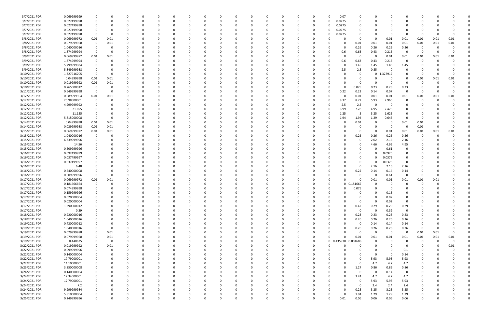| 3/7/2021 PDR  | 0.069999999 |                         |          |          |          |          |          |          |          |             |          |          |          |          |          | 0.07                |          |              |             |             |             |          |          |  |
|---------------|-------------|-------------------------|----------|----------|----------|----------|----------|----------|----------|-------------|----------|----------|----------|----------|----------|---------------------|----------|--------------|-------------|-------------|-------------|----------|----------|--|
| 3/7/2021 PDR  | 0.027499998 | 0                       | 0        | O        | 0        | - 0      |          |          | -0       | ŋ           | 0        |          |          | 0        | 0        | 0.0275              | 0        | 0            |             |             |             |          |          |  |
| 3/7/2021 PDR  | 0.027499998 |                         |          |          |          |          |          |          |          |             |          |          |          |          | -0       | 0.0275              |          |              |             |             |             |          |          |  |
| 3/7/2021 PDR  | 0.027499998 |                         |          |          |          |          |          |          |          |             |          |          |          |          | 0        | 0.0275              |          |              |             |             |             |          |          |  |
| 3/7/2021 PDR  | 0.027499998 | $\overline{\mathbf{0}}$ |          |          |          |          |          |          |          |             |          |          |          |          | 0        | 0.0275              |          | <sup>0</sup> |             |             | - 0         | -0       |          |  |
| 3/8/2021 PDR  | 0.069999972 | 0.01                    | 0.01     |          |          |          |          |          |          |             |          |          |          |          |          |                     | 0        | 0            | 0.01        | 0.01        | 0.01        | 0.01     | 0.01     |  |
| 3/8/2021 PDR  | 0.079999968 | 0                       |          |          |          |          |          |          |          |             |          |          |          |          |          |                     |          |              |             |             |             |          |          |  |
|               |             |                         | 0.01     |          | O        |          |          |          |          |             |          |          |          |          |          |                     | 0.01     | 0.01         | 0.01        | 0.01        | 0.01        | 0.01     | 0.01     |  |
| 3/8/2021 PDR  | 1.040000016 | - 0                     | 0        |          |          |          |          |          |          |             |          |          |          |          | -0       |                     | 0.26     | 0.26         | 0.26        | 0.26        | - 0         | -0       |          |  |
| 3/8/2021 PDR  | 1.874999994 | $\overline{\mathbf{0}}$ | -0       |          |          |          |          |          |          |             |          |          |          |          | -0       | 0.6                 | 0.63     | 0.43         | 0.215       | 0           | - 0         | -0       | $\Omega$ |  |
| 3/9/2021 PDR  | 0.069999972 | 0.01                    | 0.01     |          |          |          |          |          |          |             |          |          |          |          | -0       |                     | -0       | 0            | 0.01        | 0.01        | 0.01        | 0.01     | 0.01     |  |
| 3/9/2021 PDR  | 1.874999994 | 0                       | 0        |          |          |          |          |          |          |             | C        |          |          |          | 0        | 0.6                 | 0.63     | 0.43         | 0.215       | 0           | 0           | 0        |          |  |
| 3/9/2021 PDR  | 5.799999984 | -0                      |          |          | 0        |          |          |          |          |             | 0        |          |          |          | -0       |                     | 1.45     | 1.45         | 1.45        | 1.45        |             |          |          |  |
| 3/9/2021 PDR  | 5.849999988 | 0                       |          |          |          |          |          |          |          |             |          |          |          |          | - 0      | 2.5                 | 2.5      | 0.85         |             | $\Omega$    |             |          |          |  |
| 3/10/2021 PDR | 1.327916705 | - 0                     | -0       |          |          |          |          |          |          |             |          |          |          |          |          |                     |          | $\mathbf 0$  | 1.327917    |             | - 0         | -0       |          |  |
| 3/10/2021 PDR | 0.04999998  | 0.01                    | 0.01     |          |          |          |          |          |          |             |          |          |          |          |          |                     |          | <sup>0</sup> |             | -0          | 0.01        | 0.01     | 0.01     |  |
| 3/10/2021 PDR | 0.019999992 | 0.01                    | 0.01     |          |          |          |          |          |          |             |          |          |          |          |          |                     | 0        | 0            |             | 0           | -0          | -0       |          |  |
| 3/10/2021 PDR | 0.765000012 | $\overline{0}$          | -0       |          |          |          |          |          |          |             |          |          |          |          |          |                     | 0.075    | 0.23         | 0.23        | 0.23        |             |          |          |  |
| 3/11/2021 PDR | 0.649999998 | $\overline{\mathbf{0}}$ | -0       |          |          |          |          |          |          |             |          |          |          |          | - 0      | 0.22                | 0.22     | 0.14         | 0.07        | $\Omega$    | 0           |          |          |  |
| 3/12/2021 PDR | 0.089999964 | 0.01                    | 0.01     |          | O        |          |          |          |          |             | C        |          |          |          | -0       |                     | 0.01     | 0.01         | 0.01        | 0.01        | 0.01        | 0.01     | 0.01     |  |
| 3/12/2021 PDR | 25.98500001 | - 0                     | $\Omega$ |          |          |          |          |          |          |             |          |          |          |          | 0        | 8.37                | 8.72     | 5.93         | 2.965       | $\Omega$    |             | $\Omega$ |          |  |
| 3/12/2021 PDR | 4.999999992 |                         |          |          |          |          |          |          |          |             |          |          |          |          |          | 2.5                 | 2.5      | 0            | - 0         |             |             |          |          |  |
|               |             |                         |          |          |          |          |          |          |          |             |          |          |          |          | -0       |                     |          |              |             |             |             |          |          |  |
| 3/12/2021 PDR | 21.695      |                         |          |          |          |          |          |          |          |             |          |          |          |          | 0        | 6.99                | 7.28     | 4.95         | 2.475       |             |             |          |          |  |
| 3/12/2021 PDR | 11.125      |                         |          |          |          |          |          |          |          |             |          |          |          |          | 0        | 1.25                | -5       | 3.25         | 1.625       |             |             |          |          |  |
| 3/12/2021 PDR | 5.815000008 | - 0                     | 0        |          | O        |          |          |          |          |             | C        |          |          |          | - 0      | 1.94                | 1.94     | 1.29         | 0.645       | $\Omega$    | 0           |          |          |  |
| 3/14/2021 PDR | 0.04999998  | 0.01                    | 0.01     |          |          |          |          |          |          |             | 0        |          |          |          | - 0      |                     | 0.01     | 0            | -0          | 0.01        | 0.01        |          |          |  |
| 3/14/2021 PDR | 0.029999988 | 0.01                    | 0.01     |          |          |          |          |          |          |             |          |          |          |          |          |                     |          | $\Omega$     | - 0         | $\Omega$    | 0.01        | -0       |          |  |
| 3/15/2021 PDR | 0.069999972 | 0.01                    | 0.01     |          |          |          |          |          |          |             |          |          |          |          |          |                     | 0        | 0            | 0.01        | 0.01        | 0.01        | 0.01     | 0.01     |  |
| 3/15/2021 PDR | 1.040000016 | - 0                     |          |          |          |          |          |          |          |             |          |          |          |          |          |                     | 0.26     | 0.26         | 0.26        | 0.26        | 0           |          |          |  |
| 3/15/2021 PDR | 6.339999996 | 0                       |          |          |          |          |          |          |          |             |          |          |          |          |          |                     | 0        | 2.02         | 2.16        | 2.16        |             |          |          |  |
| 3/15/2021 PDR | 14.56       | 0                       |          |          |          |          |          |          |          |             |          |          |          |          |          |                     |          | 4.66         | 4.95        | 4.95        |             |          |          |  |
| 3/15/2021 PDR | 0.609999996 |                         |          |          |          |          |          |          |          |             | 0        |          |          |          |          |                     |          | 0            | 0.61        | 0           |             |          |          |  |
| 3/16/2021 PDR | 0.092499999 |                         |          |          | O        |          |          |          |          |             | C        |          |          |          |          |                     |          | 0            | 0.0925      | 0           |             |          |          |  |
| 3/16/2021 PDR | 0.037499997 |                         |          |          |          |          |          |          |          |             | C        |          |          |          |          |                     |          | 0            | 0.0375      | 0           |             |          |          |  |
| 3/16/2021 PDR | 0.037499997 |                         |          |          |          |          |          |          |          |             |          |          |          |          |          |                     | 0        | 0            | 0.0375      | 0           |             |          |          |  |
| 3/16/2021 PDR | 6.48        |                         |          |          |          |          |          |          |          |             |          |          |          |          |          |                     | 0        | 2.16         | 2.16        | 2.16        |             |          |          |  |
| 3/16/2021 PDR | 0.640000008 | 0                       |          |          |          |          |          |          |          |             |          |          |          |          |          |                     |          |              | 0.14        | 0.14        |             |          |          |  |
|               |             |                         |          |          |          |          |          |          |          |             | C        |          |          |          |          |                     | 0.22     | 0.14         |             |             |             |          |          |  |
| 3/16/2021 PDR | 0.609999996 | - 0                     | -0       |          |          |          |          |          |          |             |          |          |          |          | -0       |                     |          | 0            | 0.61        | - 0         | 0           | -0       |          |  |
| 3/17/2021 PDR | 0.069999972 | 0.01                    | 0.01     |          |          |          |          |          |          |             |          |          |          |          |          |                     |          | 0.01         | 0.01        | 0.01        | 0.01        | 0.01     |          |  |
| 3/17/2021 PDR | 0.181666664 |                         |          |          |          |          |          |          |          |             |          |          |          |          |          | 0                   | 0.181667 | C            |             |             |             |          |          |  |
| 3/17/2021 PDR | 0.074999998 | 0                       |          |          |          |          |          |          |          |             |          |          |          |          | -0       |                     | 0.075    | 0            |             |             |             |          |          |  |
| 3/17/2021 PDR | 0.159999996 | 0                       |          |          |          |          |          |          |          |             | υ        |          |          |          |          |                     |          | $\Omega$     | 0.16        | υ           |             |          |          |  |
| 3/17/2021 PDR | 0.020000004 | $\mathbf 0$             | $\Omega$ | $\Omega$ | $\Omega$ | $\Omega$ | $\Omega$ | $\Omega$ | $\Omega$ | 0           | $\Omega$ | $\Omega$ | $\Omega$ | $\Omega$ | 0        | $\Omega$            |          | 0            | 0.02        | $\mathbf 0$ | $\Omega$    |          |          |  |
| 3/17/2021 PDR | 0.020000004 | $\mathbf 0$             | $\Omega$ | 0        | 0        |          |          | 0        | -0       | 0           | 0        |          |          | 0        | - 0      | 0                   | 0        | $\mathbf 0$  | 0.02        | $\Omega$    | 0           |          |          |  |
| 3/17/2021 PDR | 1.290000012 | 0                       | 0        | 0        | 0        |          |          |          |          |             | 0        |          | 0        | 0        | 0        | 0                   | 0.42     | 0.29         | 0.29        | 0.29        |             |          |          |  |
| 3/17/2021 PDR | 0.39        | $\overline{0}$          |          |          | 0        |          |          |          |          |             | 0        |          | 0        |          | 0        | U                   | 0        | $\Omega$     | 0.39        | 0           |             |          |          |  |
| 3/18/2021 PDR | 0.920000016 | 0                       |          |          | 0        |          |          |          |          |             | 0        |          |          |          | 0        | 0                   | 0.23     | 0.23         | 0.23        | 0.23        |             |          |          |  |
| 3/18/2021 PDR | 1.040000016 | 0                       |          |          | 0        |          |          |          |          |             | 0        |          |          |          |          | 0                   | 0.26     | 0.26         | 0.26        | 0.26        |             |          |          |  |
| 3/19/2021 PDR | 0.420000012 | $\mathbf 0$             |          |          | 0        |          |          |          |          |             | 0        |          |          |          |          |                     | 0        | 0.14         | 0.14        | 0.14        | 0           |          |          |  |
| 3/19/2021 PDR | 1.040000016 | 0                       | 0        | 0        | 0        |          |          |          | -0       |             | 0        |          |          |          | 0        | $\Omega$            | 0.26     | 0.26         | 0.26        | 0.26        | 0           | 0        |          |  |
| 3/19/2021 PDR | 0.029999988 | 0                       | 0.01     |          | 0        |          | 0        |          | 0        |             | 0        |          | 0        |          | 0        |                     | 0        | 0            | $\mathbf 0$ | $\Omega$    | 0.01        | 0.01     | $\Omega$ |  |
| 3/19/2021 PDR | 0.079999968 | 0                       | 0.01     |          | $\Omega$ |          |          |          |          |             | $\Omega$ |          |          | 0        | $\Omega$ |                     | 0.01     | 0.01         | 0.01        | 0.01        | $0.01\,$    | 0.01     | 0.01     |  |
|               |             |                         |          |          |          |          |          |          |          |             |          |          |          | $\Omega$ |          |                     |          |              | - 0         | $\Omega$    | - 0         |          | $\Omega$ |  |
| 3/19/2021 PDR | 0.440625    | 0                       | 0        |          | 0        |          |          |          |          |             | 0        |          |          |          |          | 0 0.435938 0.004688 |          | 0            |             |             |             | 0        |          |  |
| 3/22/2021 PDR | 0.019999992 | 0                       | 0.01     | 0        | 0        |          |          |          |          |             | 0        |          |          | 0        | $\Omega$ |                     | 0        | 0            |             | 0           | 0           | 0        | 0.01     |  |
| 3/22/2021 PDR | 0.099999996 | $\overline{0}$          | 0        |          | $\Omega$ |          |          |          |          |             | 0        |          |          | 0        |          | 0                   |          | $\Omega$     | $\Omega$    | 0.1         | 0           |          |          |  |
| 3/22/2021 PDR | 0.140000004 | 0                       | 0        |          | 0        |          |          |          |          |             | 0        |          |          | 0        | - 0      |                     |          | $\Omega$     | $\Omega$    | 0.14        | 0           |          |          |  |
| 3/22/2021 PDR | 17.79000001 | 0                       | -0       |          | 0        |          |          |          |          |             | 0        |          |          | 0        | 0        | 0                   | 0        | 5.93         | 5.93        | 5.93        | 0           |          |          |  |
| 3/22/2021 PDR | 14.10000001 | 0                       |          | O        | 0        |          |          |          |          |             | 0        |          |          | 0        | 0        |                     | $\Omega$ | 4.7          | 4.7         | 4.7         | 0           |          |          |  |
| 3/23/2021 PDR | 3.850000008 | $\overline{0}$          | 0        | 0        | 0        |          |          |          |          |             | 0        |          |          | O        | 0        | $\Omega$            | 1.27     | 0.86         | 0.86        | 0.86        |             |          |          |  |
| 3/24/2021 PDR | 0.140000004 | $\overline{0}$          |          | 0        | 0        |          |          |          |          | 0           | 0        |          |          |          | 0        |                     | 0        | 0            | 0.14        | 0           |             |          |          |  |
| 3/24/2021 PDR | 17.34000001 | $\mathbf 0$             |          |          | $\Omega$ |          |          |          |          |             | 0        |          |          | 0        | 0        | 0                   | 3.24     | 4.7          | 4.7         | 4.7         | 0           |          |          |  |
| 3/24/2021 PDR | 17.79000001 | 0                       | 0        |          | 0        |          | $\Omega$ |          | 0        |             | 0        |          | $\Omega$ |          | 0        |                     | 0        | 5.93         | 5.93        | 5.93        | 0           |          |          |  |
| 3/24/2021 PDR | 7.2         | 0                       | 0        |          | 0        |          | $\Omega$ |          |          |             | 0        |          | $\Omega$ |          | 0        | U                   | - 0      | 2.4          | 2.4         | 2.4         | 0           |          |          |  |
| 3/24/2021 PDR | 9.999999984 |                         |          |          | 0        |          |          |          |          |             | 0        |          |          |          | - 0      | $\Omega$            | 0.25     | 3.25         | 3.25        | 3.25        | 0           |          |          |  |
| 3/24/2021 PDR | 5.810000004 |                         |          |          |          |          |          |          |          |             |          |          |          |          |          | $\Omega$            | 1.94     | 1.29         | 1.29        | 1.29        |             |          |          |  |
|               | 0.249999996 | $\mathbf 0$             | 0        | 0        | $\Omega$ | $\Omega$ | $\Omega$ | $\Omega$ | 0        | $\mathbf 0$ | $\Omega$ |          | $\Omega$ |          | $\Omega$ | 0.01                | 0.06     | 0.06         | 0.06        | 0.06        | $\mathbf 0$ | 0        | $\Omega$ |  |
| 3/25/2021 PDR |             |                         |          |          |          |          |          |          |          |             |          |          |          |          |          |                     |          |              |             |             |             |          |          |  |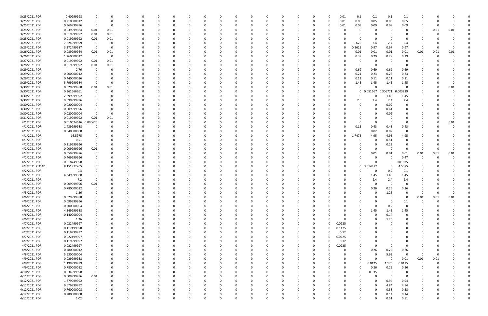| 3/25/2021 PDR                  | 0.40999998           | 0           |          |   |             | $\Omega$ |              |          | -0 |          | <sup>0</sup> | $\Omega$ |          |          |   |          | 0.01     | 0.1          | 0.1           | 0.1          | 0.1            |             |          |        |  |
|--------------------------------|----------------------|-------------|----------|---|-------------|----------|--------------|----------|----|----------|--------------|----------|----------|----------|---|----------|----------|--------------|---------------|--------------|----------------|-------------|----------|--------|--|
| 3/25/2021 PDR                  | 0.210000012          | 0           |          |   |             | $\Omega$ |              |          | -0 |          | $\Omega$     | $\Omega$ |          | O        | 0 |          | 0.01     | 0.05         | 0.05          | 0.05         | 0.05           | -C          |          |        |  |
| 3/25/2021 PDR                  | 0.369999996          | 0           |          |   |             |          |              |          |    |          |              |          |          |          |   |          |          | 0.09         |               | 0.09         | 0.09           |             |          |        |  |
|                                |                      |             |          |   |             |          |              |          |    |          |              |          |          |          |   |          | 0.01     |              | 0.09          |              |                |             |          |        |  |
| 3/25/2021 PDR                  | 0.039999984          | 0.01        | 0.01     |   |             |          |              |          |    |          |              |          |          |          |   |          |          | 0            |               |              |                | 0           | 0.01     | 0.01   |  |
| 3/25/2021 PDR                  | 0.019999992          | 0.01        | 0.01     |   |             |          |              |          |    |          |              |          |          |          |   |          |          |              |               |              |                |             |          |        |  |
| 3/25/2021 PDR                  | 0.019999992          | 0.01        | 0.01     |   |             |          |              |          |    |          |              |          |          |          |   |          |          | 0            | -C            |              | 0              |             |          |        |  |
|                                |                      |             |          |   |             |          |              |          |    |          |              |          |          |          |   |          |          |              |               |              |                |             |          |        |  |
| 3/25/2021 PDR                  | 7.824999999          | 0           |          |   |             |          |              |          |    |          |              |          |          |          |   |          |          | 0.625        | 2.4           | 2.4          | 2.4            |             |          |        |  |
| 3/25/2021 PDR                  | 3.272499987          | 0           |          |   |             |          |              |          |    |          |              |          |          |          |   |          | O        | .3625        | 0.97          | 0.97         | 0.97           | -C          |          |        |  |
| 3/26/2021 PDR                  | 0.089999964          | 0.01        | 0.01     |   |             |          |              |          |    |          |              |          |          |          |   |          |          | 0.01         | 0.01          | 0.01         | 0.01           | 0.01        | 0.01     | 0.01   |  |
| 3/26/2021 PDR                  | 1.260000012          | 0           | $\Omega$ |   |             |          |              |          |    |          |              |          |          |          |   |          |          | 0.39         | 0.29          | 0.29         | 0.29           |             |          |        |  |
|                                |                      |             |          |   |             |          |              |          |    |          |              |          |          |          |   |          |          |              |               |              |                |             |          |        |  |
| 3/27/2021 PDR                  | 0.019999992          | 0.01        | 0.01     |   |             |          |              |          |    |          |              |          |          |          |   |          |          | 0            |               | $\Omega$     |                |             |          |        |  |
| 3/28/2021 PDR                  | 0.019999992          | 0.01        | 0.01     |   |             |          |              |          |    |          |              |          |          |          |   |          |          | 0            | -C            | - 0          | 0              |             |          |        |  |
| 3/29/2021 PDR                  | 2.76                 | 0           |          |   |             |          |              |          |    |          |              |          |          |          |   |          |          | 0.69         | 0.69          | 0.69         | 0.69           |             |          |        |  |
|                                |                      |             |          |   |             |          |              |          |    |          |              |          |          |          |   |          |          |              |               |              |                |             |          |        |  |
| 3/29/2021 PDR                  | 0.900000012          |             |          |   |             |          |              |          |    |          |              |          |          |          |   |          | O        | 0.21         | 0.23          | 0.23         | 0.23           |             |          |        |  |
| 3/29/2021 PDR                  | 0.440000016          |             |          |   |             |          |              |          |    |          |              |          |          |          |   |          | 0        | 0.11         | 0.11          | 0.11         | 0.11           |             |          |        |  |
| 3/29/2021 PDR                  | 5.799999984          | 0           |          |   |             |          |              |          |    |          |              |          |          |          |   |          |          | 1.45         | 1.45          | 1.45         | 1.45           |             |          |        |  |
|                                | 0.029999988          |             |          |   |             |          |              |          |    |          |              |          |          |          |   |          |          |              | - 0           | - റ          |                |             |          |        |  |
| 3/30/2021 PDR                  |                      | 0.01        | 0.01     |   |             |          |              |          |    |          |              |          |          |          |   |          |          | 0            |               |              |                |             |          | 0.01   |  |
| 3/30/2021 PDR                  | 0.361666661          | -0          |          |   |             |          |              |          |    |          |              |          |          |          |   |          |          | 0            | 0.051667      | 0.306771     | 0.003229       |             |          |        |  |
| 3/30/2021 PDR                  | 2.899999992          |             |          |   |             |          |              |          |    |          |              |          |          |          |   |          |          | <sup>0</sup> |               | 1.45         | 1.45           |             |          |        |  |
| 3/30/2021 PDR                  | 9.699999996          |             |          |   |             |          |              |          |    |          |              |          |          |          |   |          |          | 2.5          | 2.4           | 2.4          | 2.4            |             |          |        |  |
|                                |                      |             |          |   |             |          |              |          |    |          |              |          |          |          |   |          |          |              |               |              |                |             |          |        |  |
| 3/30/2021 PDR                  | 0.020000004          |             |          |   |             |          |              |          |    |          |              |          |          |          |   |          |          | 0            |               | 0.02         | 0              |             |          |        |  |
| 3/30/2021 PDR                  | 0.609999996          | 0           |          |   |             |          |              |          |    |          |              |          |          |          |   |          |          |              | 0             | 0.61         |                |             |          |        |  |
| 3/30/2021 PDR                  | 0.020000004          | - 0         |          |   |             |          |              |          |    |          |              |          |          |          |   |          |          | 0            | - 0           | 0.02         |                |             |          |        |  |
|                                |                      |             |          |   |             |          |              |          |    |          |              |          |          |          |   |          |          |              |               |              |                |             |          |        |  |
| 3/31/2021 PDR                  | 0.019999992          | 0.01        | 0.01     |   |             |          |              |          |    |          |              |          |          |          |   |          |          | 0            |               |              |                |             |          |        |  |
| 4/1/2021 PDR                   | 0.010624616 0.000625 |             |          |   |             |          |              |          |    |          |              |          |          |          |   |          |          | 0            | -C            | - 0          | $\Omega$       |             |          | 0.01   |  |
| 4/1/2021 PDR                   | 1.439999988          |             |          |   |             |          |              |          |    |          |              |          |          |          |   |          | 0        | 0.15         | 0.43          | 0.43         | 0.43           |             |          |        |  |
| 4/1/2021 PDR                   |                      |             |          |   |             |          |              |          |    |          |              |          |          |          |   |          |          | 0            |               | 0.02         | 0              |             |          |        |  |
|                                | 0.040000008          |             |          |   |             |          |              |          |    |          |              |          |          |          |   |          |          |              | 0.02          |              |                |             |          |        |  |
| 4/1/2021 PDR                   | 16.5975              |             |          |   |             |          |              |          |    |          |              |          |          |          |   |          | 0        | 1.7475       | 4.95          | 4.95         | 4.95           |             |          |        |  |
| 4/1/2021 PDR                   | 0.51                 | 0           |          |   |             |          |              |          |    |          |              |          |          |          |   |          |          | 0            |               | 0.51         | 0              |             |          |        |  |
| 4/1/2021 PDR                   | 0.219999996          | 0           |          |   |             |          |              |          |    |          |              |          |          |          |   |          |          |              |               | 0.22         |                |             |          |        |  |
|                                |                      |             |          |   |             |          |              |          |    |          |              |          |          |          |   |          |          |              |               |              |                |             |          |        |  |
| 4/2/2021 PDR                   | 0.009999996          | 0.01        |          |   |             |          |              |          |    |          |              |          |          |          |   |          |          |              | -C            | - 0          | $\Omega$       | 0           |          |        |  |
| 4/2/2021 PDR                   | 0.059999976          |             |          |   |             |          |              |          |    |          |              |          |          |          |   |          |          | 0            | 0.01          | 0.01         | 0.01           | 0.01        | 0.01     | 0.01   |  |
| 4/2/2021 PDR                   | 0.469999996          |             |          |   |             |          |              |          |    |          |              |          |          |          |   |          |          |              |               | $\Omega$     | 0.47           |             |          |        |  |
|                                |                      |             |          |   |             |          |              |          |    |          |              |          |          |          |   |          |          |              |               |              |                |             |          |        |  |
| 4/2/2021 PDR                   | 0.018749998          |             |          |   |             |          |              |          |    |          |              |          |          |          |   |          |          |              | - 0           | 0            | 0.01875        |             |          |        |  |
| 4/2/2021 PLOAD                 | 8.151972205          |             |          |   |             |          |              |          |    |          |              |          |          |          |   |          |          | 0            | 3.614472      | 0            | 4.5375         |             |          |        |  |
| 4/2/2021 PDR                   | 0.3                  |             |          |   |             |          |              |          |    |          |              |          |          |          |   |          | 0        |              | -0            | 0.2          | 0.1            |             |          |        |  |
|                                |                      |             |          |   |             |          |              |          |    |          |              |          |          |          |   |          |          |              |               |              |                |             |          |        |  |
| 4/2/2021 PDR                   | 4.349999988          |             |          |   |             |          |              |          |    |          |              |          |          |          |   |          |          | 0            | 1.45          | 1.45         | 1.45           |             |          |        |  |
| 4/2/2021 PDR                   | 7.2                  |             |          |   |             |          |              |          |    |          |              |          |          |          |   |          |          |              | 2.4           | 2.4          | 2.4            |             |          |        |  |
| 4/3/2021 PDR                   | 0.009999996          | 0.01        |          |   |             |          |              |          |    |          |              |          |          |          |   |          |          |              |               |              |                |             |          |        |  |
|                                | 0.780000012          | 0           |          |   |             |          |              |          |    |          |              |          |          |          |   |          |          | 0            | 0.26          | 0.26         |                |             |          |        |  |
| 4/5/2021 PDR                   |                      |             |          |   |             |          |              |          |    |          |              |          |          |          |   |          |          |              |               |              | 0.26           |             |          |        |  |
| 4/5/2021 PDR                   | 1.26                 | $\Omega$    |          |   |             |          |              |          |    |          |              |          |          |          |   |          |          | $\Omega$     | $\Omega$      | 1.26         |                |             |          |        |  |
| 4/6/2021 PDR                   | 0.029999988          | 0           |          | ი | 0           | $\Omega$ | <sup>0</sup> |          | 0  | o        | 0            | $\Omega$ | $\Omega$ |          | 0 |          | ŋ        | 0            | - 0           | $\Omega$     | $\mathbf 0$    | 0.01        | 0.01     | 0.01   |  |
| 4/6/2021 PDR                   | 0.099999996          | 0           |          |   |             | $\Omega$ |              |          | 0  |          | 0            | 0        |          |          | 0 |          |          | 0            |               | - 0          | 0.1            | $\mathbf 0$ | $\Omega$ |        |  |
|                                |                      |             |          |   |             |          |              |          |    |          |              |          |          |          |   |          |          |              |               |              |                |             |          |        |  |
| 4/6/2021 PDR                   | 0.200000004          | 0           |          |   |             | $\Omega$ |              |          |    |          |              | $\Omega$ |          |          |   |          |          | 0            | $\Omega$      | 0.2          | $\overline{0}$ |             |          |        |  |
| 4/6/2021 PDR                   | 4.349999988          |             |          |   |             | $\Omega$ |              |          |    |          |              | $\Omega$ |          |          |   |          |          | 0            | 1.45          | 1.45         | 1.45           |             |          |        |  |
| 4/6/2021 PDR                   | 0.140000004          |             |          |   |             | 0        |              |          |    |          |              | 0        |          |          |   |          |          | 0            | 0             | 0.14         | 0              |             |          |        |  |
| 4/6/2021 PDR                   |                      |             |          |   |             |          |              |          |    |          |              |          |          |          |   |          |          |              |               |              |                |             |          |        |  |
|                                | 1.26                 | 0           |          |   |             | 0        |              |          |    |          |              | 0        |          |          |   |          | $\Omega$ | 0            | 0             | 1.26         | 0              |             |          |        |  |
| 4/7/2021 PDR                   | 0.022499997          | 0           |          |   |             | $\Omega$ |              |          |    |          |              | $\Omega$ |          |          |   |          | 0.0225   | 0            | - 0           |              | $\Omega$       |             |          |        |  |
| 4/7/2021 PDR                   | 0.117499998          | 0           |          |   |             | $\Omega$ |              |          | 0  |          |              | 0        |          |          | 0 | $\Omega$ | 0.1175   | 0            | 0             |              | $\Omega$       | 0           |          |        |  |
| 4/7/2021 PDR                   | 0.119999997          |             |          |   |             | $\Omega$ |              |          |    |          |              | $\Omega$ |          |          |   |          | 0.12     | 0            | $\Omega$      |              |                |             |          |        |  |
|                                |                      | 0           |          |   |             |          |              |          |    |          |              |          |          |          | 0 |          |          |              |               |              |                |             |          |        |  |
| 4/7/2021 PDR                   | 0.022499997          | 0           |          |   |             | $\Omega$ |              |          |    |          |              | $\Omega$ |          |          | 0 | $\Omega$ | 0.0225   | 0            |               |              |                |             |          |        |  |
| 4/7/2021 PDR                   | 0.119999997          | 0           |          |   |             | 0        |              |          |    |          |              | 0        |          |          | 0 |          | 0.12     | 0            |               |              |                |             |          |        |  |
| 4/7/2021 PDR                   | 0.022499997          | 0           |          |   |             | $\Omega$ |              |          |    |          |              | $\Omega$ |          |          | 0 | $\Omega$ | 0.0225   | 0            | 0             | $\Omega$     | 0              |             |          |        |  |
|                                |                      |             |          |   |             |          |              |          |    |          |              |          |          |          |   |          |          |              |               |              |                |             |          |        |  |
| 4/8/2021 PDR                   | 0.780000012          | 0           |          |   |             | $\Omega$ |              |          |    |          |              | $\Omega$ |          |          | 0 |          | 0        | 0            | 0.26          | 0.26         | 0.26           |             |          |        |  |
| 4/8/2021 PDR                   | 5.930000004          | 0           |          |   |             | $\Omega$ |              |          | 0  |          |              | 0        |          |          | 0 |          | 0        | 0            | 0             | 5.93         | $\overline{0}$ | 0           |          |        |  |
| 4/9/2021 PDR                   | 0.029999988          | 0           |          |   | 0           | $\Omega$ |              |          | 0  |          | <sup>0</sup> | $\Omega$ |          |          | 0 |          | 0        | 0            | $\Omega$      | $\Omega$     | 0.01           | 0.01        | 0.01     |        |  |
|                                |                      |             |          |   |             |          |              |          |    |          |              |          |          |          |   |          |          |              |               |              |                |             |          |        |  |
| 4/9/2021 PDR                   | 1.199999999          | 0           |          |   |             | $\Omega$ |              |          |    |          |              | $\Omega$ |          |          |   |          | 0        | 0            | 0.0125        | 1.175        | 0.0125         | $\Omega$    |          |        |  |
| 4/9/2021 PDR                   | 0.780000012          | $\mathbf 0$ |          |   |             | $\Omega$ |              |          |    |          |              | 0        |          |          |   |          | 0        | $\Omega$     | 0.26          | 0.26         | 0.26           |             |          |        |  |
| 4/10/2021 PDR                  | 0.034999998          | $\mathbf 0$ |          |   |             | $\Omega$ |              |          |    |          |              | $\Omega$ |          |          |   |          | 0        | 0            | 0.035         | 0            | 0              |             |          |        |  |
|                                | 0.009999996          | 0.01        |          |   |             | $\Omega$ |              |          |    |          |              | $\Omega$ |          |          |   |          | 0        | $\Omega$     | $\Omega$      | - 0          | $\overline{0}$ |             |          |        |  |
| 4/11/2021 PDR                  |                      |             |          |   |             |          |              |          |    |          |              |          |          |          |   |          |          |              |               |              |                |             |          |        |  |
| 4/12/2021 PDR                  | 1.879999992          | 0           |          |   |             | $\Omega$ |              |          |    |          |              | $\Omega$ |          |          |   |          | 0        |              | $\Omega$      | 0.94         | 0.94           |             |          |        |  |
| 4/12/2021 PDR                  | 9.679999992          | 0           |          |   |             | $\Omega$ |              |          | 0  |          |              | $\Omega$ |          |          |   |          |          |              | $\Omega$      | 4.84         | 4.84           |             |          |        |  |
|                                |                      |             |          |   |             |          |              |          |    |          |              |          |          |          |   |          |          |              |               |              |                |             |          |        |  |
|                                |                      |             |          |   |             |          |              |          |    |          |              |          |          |          |   |          |          |              |               |              |                |             |          |        |  |
| 4/12/2021 PDR                  | 0.760000008          | 0           |          |   |             | - 0      |              |          |    |          |              | - 0      |          |          |   |          |          |              | $\Omega$      | 0.38         | 0.38           |             |          |        |  |
| 4/12/2021 PDR<br>4/12/2021 PDR | 0.280000008<br>1.02  | 0           |          | 0 | $\mathbf 0$ | $\Omega$ | $\Omega$     | $\Omega$ |    | $\Omega$ | $\mathbf 0$  | $\Omega$ | $\Omega$ | $\Omega$ |   |          | 0        | 0            | 0<br>$\Omega$ | 0.14<br>0.51 | 0.14<br>0.51   | 0           |          | 0<br>0 |  |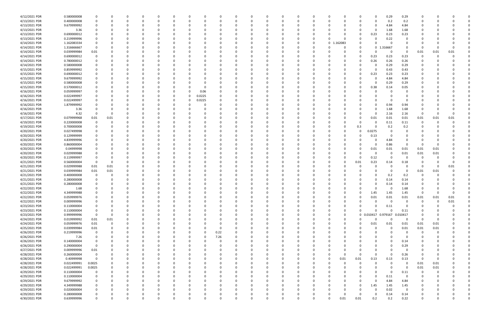| 4/12/2021 PDR | 0.580000008 | 0           |      |   | 0           | $\Omega$ |          | 0        | 0      |      |   | 0           | 0           | $\Omega$ | 0           | 0  |             |          |      | 0           | 0.29             | 0.29                    | 0           |          |              |             |
|---------------|-------------|-------------|------|---|-------------|----------|----------|----------|--------|------|---|-------------|-------------|----------|-------------|----|-------------|----------|------|-------------|------------------|-------------------------|-------------|----------|--------------|-------------|
| 4/13/2021 PDR | 0.400000008 | 0           |      |   | $\Omega$    | $\Omega$ | $\Omega$ | $\Omega$ | 0      |      | O | 0           | 0           | $\Omega$ | $\Omega$    | 0  |             | O        |      | 0           | 0.2              | 0.2                     | 0           |          |              |             |
| 4/13/2021 PDR | 9.679999992 |             |      |   |             | - 0      |          |          |        |      |   |             | 0           |          |             |    |             |          |      | 0           | 4.84             | 4.84                    | 0           |          |              |             |
| 4/13/2021 PDR | 3.36        |             |      |   |             |          |          |          |        |      |   |             | 0           |          |             |    |             |          |      | 0           | 1.68             | 1.68                    |             |          |              |             |
| 4/13/2021 PDR | 0.690000012 |             |      |   |             |          |          |          |        |      |   |             | -0          |          |             |    |             |          |      | 0.23        | 0.23             | 0.23                    |             |          |              |             |
| 4/13/2021 PDR | 0.219999996 |             |      |   |             |          |          |          |        |      |   |             | 0           |          |             |    |             |          |      | 0           | 0.22             | 0                       |             |          |              |             |
| 4/14/2021 PDR | 1.162083334 | 0           |      |   |             |          |          |          |        |      |   |             | 0           |          |             | 0  | $\mathbf 0$ | 162083   |      | $\Omega$    | - 0              | $\Omega$                | O           |          |              |             |
| 4/14/2021 PDR | 1.316666667 | 0           |      |   |             |          |          |          |        |      |   |             | 0           |          |             | C. |             |          |      | $\mathbf 0$ | 1.316667         | $\Omega$                | -0          |          |              |             |
| 4/14/2021 PDR | 0.039999984 | 0.01        |      |   |             |          |          |          |        |      |   |             | 0           |          |             | -C |             |          |      | 0           | - 0              | - 0                     | 0.01        | 0.01     | 0.01         |             |
| 4/14/2021 PDR | 0.690000012 | 0           |      |   |             |          |          |          |        |      |   |             | 0           |          |             |    |             |          |      | 0.23        | 0.23             | 0.23                    | O           |          |              |             |
| 4/14/2021 PDR | 0.780000012 |             |      |   |             |          |          |          |        |      |   |             | 0           |          |             |    |             |          |      | 0.26        | 0.26             | 0.26                    | 0           |          |              |             |
| 4/14/2021 PDR | 0.580000008 |             |      |   |             |          |          |          |        |      |   |             | 0           |          |             |    |             |          |      | 0           | 0.29             | 0.29                    |             |          |              |             |
| 4/15/2021 PDR | 0.859999992 |             |      |   |             |          |          |          |        |      |   |             | $\Omega$    |          |             |    |             |          |      | $\Omega$    | 0.43             | 0.43                    |             |          |              |             |
| 4/15/2021 PDR | 0.690000012 |             |      |   |             |          |          |          |        |      |   |             | 0           |          |             |    |             |          |      | 0.23        | 0.23             | 0.23                    |             |          |              |             |
| 4/15/2021 PDR | 9.679999992 | 0           |      |   |             |          |          |          |        |      |   |             | 0           |          |             | -C |             |          |      | 0           | 4.84             | 4.84                    | 0           |          |              |             |
| 4/15/2021 PDR | 0.580000008 |             |      |   |             |          |          |          |        |      |   |             | 0           |          |             |    |             |          |      | 0           | 0.29             | 0.29                    |             |          |              |             |
| 4/15/2021 PDR | 0.570000012 |             |      |   |             |          |          |          | C      |      |   |             | 0           |          |             |    |             |          |      | 0.38        | 0.14             | 0.05                    |             |          |              |             |
|               |             |             |      |   |             |          |          |          |        |      |   |             |             |          |             |    |             |          |      |             |                  | 0                       |             |          |              |             |
| 4/16/2021 PDR | 0.059999997 |             |      |   |             |          |          |          | 0.06   |      |   |             | -0          |          |             |    |             |          |      | 0           |                  |                         |             |          |              |             |
| 4/16/2021 PDR | 0.022499997 |             |      |   |             |          |          |          | 0.0225 |      |   |             | -0          |          |             |    |             |          |      | -0          |                  |                         |             |          |              |             |
| 4/16/2021 PDR | 0.022499997 |             |      |   |             |          |          | 0        | 0.0225 |      |   |             | 0           |          |             |    |             |          |      | 0           |                  | - 0                     |             |          |              |             |
| 4/16/2021 PDR | 1.879999992 |             |      |   |             |          |          |          |        |      |   |             | 0           |          |             |    |             |          |      | 0           | 0.94             | 0.94                    | O           |          |              |             |
| 4/16/2021 PDR | 3.36        |             |      |   |             |          |          |          |        |      |   |             | $\Omega$    |          |             |    |             |          |      | $\Omega$    | 1.68             | 1.68                    | O           |          |              |             |
| 4/16/2021 PDR | 4.32        | 0           |      |   |             |          |          |          |        |      |   |             | 0           |          |             |    |             |          |      | 0           | 2.16             | 2.16                    | 0           |          |              |             |
| 4/17/2021 PDR | 0.079999968 | 0.01        | 0.01 |   |             |          |          |          |        |      |   |             |             |          |             |    |             |          |      | 0.01        | 0.01             | 0.01                    | 0.01        | 0.01     | 0.01         |             |
| 4/19/2021 PDR | 0.220000008 | 0           |      |   |             |          |          |          |        |      |   |             | -0          |          |             |    |             |          |      | 0           | 0.11             | 0.11                    | 0           |          |              |             |
| 4/19/2021 PDR | 0.700000008 | 0           |      |   |             |          |          |          |        |      |   |             | 0           |          |             |    |             |          | 0.3  | $\Omega$    | 0.2              | 0.2                     | C           |          |              |             |
| 4/20/2021 PDR | 0.027499998 |             |      |   |             |          |          |          |        |      |   |             | 0           |          |             |    |             |          |      | 0.0275      | - 0              | 0                       |             |          |              |             |
| 4/20/2021 PDR | 0.129999999 |             |      |   |             |          |          |          |        |      |   |             | 0           |          |             |    |             |          |      | 0.13        |                  | 0                       |             |          |              |             |
| 4/20/2021 PDR | 4.839999996 | 0           |      |   |             | - 0      |          |          |        |      |   |             | 0           |          |             |    |             |          |      | 0           | 4.84             | - 0                     | 0           |          |              |             |
| 4/20/2021 PDR | 0.860000004 |             |      |   |             |          |          |          |        |      |   |             | 0           |          |             |    |             |          |      | 0           | 0.86             | 0                       | - 0         |          |              |             |
| 4/20/2021 PDR | 0.04999998  |             |      |   |             |          |          |          |        |      |   |             | $\Omega$    |          |             |    |             |          |      | 0.01        | 0.01             | 0.01                    | 0.01        | 0.01     |              |             |
| 4/20/2021 PDR | 0.029999988 |             |      |   |             |          |          |          |        |      |   |             | $\Omega$    |          |             |    |             |          |      | 0           | - 0              | 0.01                    | 0.01        | 0.01     |              |             |
| 4/20/2021 PDR | 0.119999997 | 0           |      |   |             |          |          |          |        |      |   |             | 0           |          |             |    |             |          |      | 0.12        | - 0              | - 0                     | 0           |          |              |             |
| 4/21/2021 PDR | 0.560000004 | 0           |      |   |             |          |          |          |        |      |   |             | 0           |          |             |    |             |          | 0.01 | 0.23        | 0.14             | 0.18                    | -0          |          |              |             |
| 4/21/2021 PDR | 0.029999988 | 0.01        | 0.01 |   |             |          |          |          |        |      |   |             | 0           |          |             |    |             |          |      | 0           |                  | - 0                     | 0           | -0       | 0.01         |             |
| 4/21/2021 PDR | 0.039999984 | 0.01        | 0.01 |   |             |          |          |          |        |      |   |             | -0          |          |             |    |             |          |      | -0          |                  | - 0                     | 0.01        | 0.01     |              |             |
| 4/21/2021 PDR | 0.400000008 | 0           |      |   |             |          |          |          |        |      |   |             |             |          |             |    |             |          |      | 0           | 0.2              | 0.2                     | C           |          |              |             |
| 4/21/2021 PDR | 0.280000008 |             |      |   |             |          |          |          |        |      |   |             | $\Omega$    |          |             |    |             |          |      | 0           | 0.14             | 0.14                    |             |          |              |             |
| 4/21/2021 PDR | 0.280000008 |             |      | O |             |          |          |          |        |      |   |             | 0           |          |             |    |             |          |      | 0           | 0.14             | 0.14                    |             |          |              |             |
| 4/22/2021 PDR | 1.68        | 0           |      |   | O           |          |          |          |        |      |   |             | $\Omega$    |          |             | C. |             |          |      | $\Omega$    |                  | 1.68                    | O           |          |              |             |
| 4/22/2021 PDR | 4.349999988 | $\mathbf 0$ |      |   | O           |          |          |          |        |      |   |             |             |          |             | 0  |             |          |      | 1.45        | 1.45             | 1.45                    | $\mathbf 0$ | $\Omega$ | <sup>0</sup> |             |
| 4/22/2021 PDR | 0.059999976 | 0           |      |   |             | $\Omega$ |          |          | n      |      |   |             | 0           |          |             | n  |             |          |      | 0.01        | $0.01\,$         | 0.01                    | 0.01        | 0.01     | 0.01         |             |
| 4/22/2021 PDR | 0.009999996 | 0           |      |   |             |          |          |          |        |      |   |             | 0           |          |             |    |             |          |      | 0           | $\Omega$         | $\overline{0}$          | $\Omega$    | 0        | $0.01\,$     |             |
| 4/23/2021 PDR | 0.110000004 | 0           |      |   |             | -0       |          |          | 0      |      |   |             | 0           |          |             | 0  |             |          |      | 0           | 0.11             | 0                       | 0           |          |              |             |
| 4/23/2021 PDR | 0.110000004 | 0           |      |   |             | $\Omega$ |          |          | 0      |      |   |             | 0           |          |             | 0  |             | 0        |      | $\Omega$    |                  | 0.11                    | O           |          |              |             |
| 4/23/2021 PDR | 0.999999996 | 0           |      |   |             | $\Omega$ |          |          | 0      |      |   |             | 0           |          | 0           | 0  |             | 0        |      | 0 0.010417  | 0.979167         | 0.010417                | 0           |          |              |             |
| 4/24/2021 PDR | 0.019999992 | 0.01        | 0.01 |   |             | -0       |          |          | 0      |      |   |             | 0           |          | 0           | 0  |             | 0        |      | 0           | $\Omega$         | - 0                     | 0           | 0        |              |             |
| 4/24/2021 PDR | 0.059999976 | 0.01        | 0    |   |             | $\Omega$ |          |          | 0      |      |   |             | 0           |          |             | C  |             |          | 0    |             |                  |                         | 0.01        |          |              |             |
|               |             | 0.01        |      |   |             |          |          |          |        |      |   |             |             |          | 0           |    |             | 0        |      | 0.01        | 0.01<br>$\Omega$ | 0.01<br>0.01            | 0.01        | 0.01     |              |             |
| 4/25/2021 PDR | 0.039999984 |             |      |   |             | 0        |          |          | 0      |      |   |             | 0           |          | 0           | 0  |             |          |      | 0           |                  |                         |             | 0.01     |              |             |
| 4/26/2021 PDR | 0.219999996 | 0           |      |   | 0           | $\Omega$ |          | 0        | 0      | 0.22 |   |             | $\Omega$    |          | 0           | 0  |             |          |      | 0           |                  | $\Omega$                | 0           | 0        |              |             |
| 4/26/2021 PDR | 7.26        | 0           |      |   |             | $\Omega$ |          |          | 0      | 7.26 |   |             | 0           |          | 0           | 0  |             |          |      | 0           |                  | $\Omega$                | 0           |          |              |             |
| 4/26/2021 PDR | 0.140000004 | 0           |      |   |             | 0        |          | 0        | 0      |      | 0 |             | 0           |          | 0           | 0  |             |          |      | 0           |                  | 0.14                    | 0           | - 0      |              |             |
| 4/26/2021 PDR | 0.290000004 | 0           |      |   |             | $\Omega$ |          |          | 0      |      |   |             | 0           |          | 0           | 0  |             |          |      | 0           |                  | 0.29                    | 0           |          |              |             |
| 4/27/2021 PDR | 0.009999996 | 0.01        |      |   |             | $\Omega$ |          |          | 0      |      |   |             | 0           |          |             | 0  |             |          |      | 0           | $\Omega$         | 0                       | C           |          |              |             |
| 4/28/2021 PDR | 0.260000004 | $\mathbf 0$ |      |   |             | 0        |          |          | 0      |      |   |             | 0           |          |             | 0  |             | $\Omega$ | 0    | 0           | $\Omega$         | 0.26                    | -0          |          |              |             |
| 4/28/2021 PDR | 0.40999998  | 0           |      |   |             | -0       |          |          |        |      |   |             | 0           |          |             | 0  | 0           | 0.01     | 0.01 | 0.13        | 0.13             | 0.13                    | $\mathbf 0$ | 0        |              |             |
| 4/28/2021 PDR | 0.022499991 | 0.0025      |      |   |             | -0       |          |          |        |      |   |             | 0           |          |             | 0  |             |          | 0    | 0           | $\Omega$         | $\overline{0}$          | 0.01        | 0.01     |              |             |
| 4/28/2021 PDR | 0.022499991 | 0.0025      |      | 0 | 0           | 0        |          | $\Omega$ | 0      |      | 0 |             | 0           |          | 0           | 0  |             |          |      | 0           | $\Omega$         | $\overline{\mathbf{0}}$ | 0.01        | 0.01     |              |             |
| 4/29/2021 PDR | 0.110000004 | 0           |      | 0 | 0           | 0        |          | 0        | 0      |      |   |             | 0           |          | 0           | 0  |             |          |      | 0           | $\Omega$         | 0.11                    | 0           | $\Omega$ |              |             |
| 4/29/2021 PDR | 0.110000004 | 0           |      |   |             | $\Omega$ |          |          | 0      |      |   |             | 0           |          | 0           | 0  |             |          |      | $\Omega$    | 0.11             | 0                       | 0           |          |              |             |
| 4/29/2021 PDR | 9.679999992 | 0           |      |   | 0           | 0        |          |          | 0      |      |   |             | 0           |          | 0           | 0  |             |          | 0    | $\mathbf 0$ | 4.84             | 4.84                    | 0           |          |              |             |
| 4/29/2021 PDR | 4.349999988 | 0           |      |   |             | $\Omega$ |          |          |        |      |   |             | 0           |          | 0           |    |             |          | 0    | 1.45        | 1.45             | 1.45                    | O           |          |              |             |
| 4/29/2021 PDR | 0.020000004 | 0           |      |   |             | $\Omega$ |          |          | 0      |      |   |             | $\Omega$    |          | $\Omega$    | 0  |             |          |      | $\Omega$    | 0.02             | $\overline{0}$          | 0           |          |              |             |
| 4/29/2021 PDR | 0.280000008 | 0           |      | 0 | 0           | 0        |          | 0        | 0      |      | 0 | O           | 0           |          | 0           | 0  |             | O        | 0    | 0           | 0.14             | 0.14                    | 0           |          | 0            |             |
| 4/30/2021 PDR | 0.639999996 | 0           |      | 0 | $\mathbf 0$ | $\Omega$ | $\Omega$ | $\Omega$ | 0      |      | 0 | $\mathbf 0$ | $\mathbf 0$ | $\Omega$ | $\mathbf 0$ | 0  |             | 0.01     | 0.01 | 0.2         | 0.2              | 0.22                    | 0           | $\Omega$ | 0            | $\mathbf 0$ |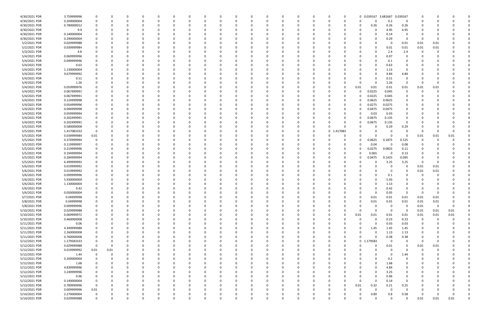| 4/30/2021 PDR | 3.759999996 |             | 0    |             | 0              | $\Omega$ | 0            | 0            | 0  | 0        |          | 0        | - 0      | - 0      | 0        | 0        |                        | 0         | 0 0.039167 3.681667 0.039167 |                         |                | 0        |             |          |   |
|---------------|-------------|-------------|------|-------------|----------------|----------|--------------|--------------|----|----------|----------|----------|----------|----------|----------|----------|------------------------|-----------|------------------------------|-------------------------|----------------|----------|-------------|----------|---|
| 4/30/2021 PDR | 0.200000004 |             | 0    |             | $\Omega$       | $\Omega$ | <sup>0</sup> | <sup>0</sup> | -C |          |          | 0        |          | - 0      | O        | 0        |                        | $\Omega$  | $\Omega$<br>0                | 0.2                     | 0              | 0        |             |          |   |
| 4/30/2021 PDR | 0.780000012 |             |      |             | $\blacksquare$ |          |              |              |    |          |          |          |          |          |          |          |                        |           | 0.26<br>0                    | 0.26                    | 0.26           | 0        |             |          |   |
|               |             |             |      |             |                |          |              |              |    |          |          |          |          |          |          |          |                        |           |                              |                         |                |          |             |          |   |
| 4/30/2021 PDR | 9.9         |             |      |             |                |          |              |              |    |          |          |          |          |          |          |          |                        |           | $\Omega$                     | 4.95                    | 4.95           |          |             |          |   |
| 4/30/2021 PDR | 0.140000004 |             |      |             |                |          |              |              |    |          |          |          |          |          |          |          |                        |           | 0                            | 0.14                    |                |          |             |          |   |
| 4/30/2021 PDR | 0.290000004 |             |      |             | -0             |          |              | 0            |    |          |          |          |          |          |          |          |                        |           | $\Omega$<br>0                | 0.29                    | 0              | 0        |             |          |   |
| 5/2/2021 PDR  | 0.029999988 |             |      |             |                |          |              |              |    |          |          |          |          |          |          |          |                        |           | $\Omega$                     | - 0                     | 0.01           | 0.01     | 0.01        |          |   |
| 5/2/2021 PDR  | 0.039999984 |             |      |             |                |          |              |              |    |          |          |          |          |          |          |          |                        |           | 0                            | 0.01                    | 0.01           | 0.01     | 0.01        |          |   |
| 5/3/2021 PDR  | 4.8         |             |      |             | -0             |          |              | -0           |    |          |          |          |          |          |          |          |                        |           | $\Omega$                     | 2.4                     | 2.4            | -0       |             |          |   |
| 5/4/2021 PDR  |             |             |      |             |                |          |              |              |    |          |          |          |          |          |          |          |                        |           | $\Omega$                     |                         | 0              |          |             |          |   |
|               | 0.069999996 |             |      |             |                |          |              |              |    |          |          |          |          |          |          |          |                        |           |                              | 0.07                    |                |          |             |          |   |
| 5/4/2021 PDR  | 0.099999996 |             |      |             | -0             |          |              |              |    |          |          |          |          |          |          |          |                        |           | 0<br>$\Omega$                | 0.1                     | 0              |          |             |          |   |
| 5/4/2021 PDR  | 0.63        |             |      |             |                |          |              |              |    |          |          |          |          |          |          |          |                        |           | 0<br>0                       | 0.63                    | 0              |          |             |          |   |
| 5/4/2021 PDR  | 1.130000004 |             |      |             |                |          |              |              |    |          |          |          |          |          |          |          |                        |           | $\Omega$                     | 1.13                    | 0              |          |             |          |   |
| 5/4/2021 PDR  | 9.679999992 |             |      |             | -0             |          |              |              |    |          |          |          |          |          |          |          |                        |           | $\Omega$<br>O                | 4.84                    | 4.84           |          |             |          |   |
| 5/4/2021 PDR  | 0.51        |             |      |             | 0              |          |              | C            |    |          |          | -0       |          |          |          |          |                        |           | 0<br>0                       | 0.51                    | 0              | O        |             |          |   |
| 5/4/2021 PDR  | 1.26        |             |      |             |                |          |              |              |    |          |          |          |          |          |          |          |                        |           | $\Omega$<br>0                | 1.26                    | 0              | C        |             |          |   |
|               |             |             |      |             |                |          |              |              |    |          |          |          |          |          |          |          |                        |           |                              |                         |                |          |             |          |   |
| 5/4/2021 PDR  | 0.059999976 |             |      |             |                |          |              |              |    |          |          |          |          |          |          |          |                        | 0.01<br>0 | 0.01                         | 0.01                    | 0.01           | 0.01     | 0.01        |          |   |
| 5/4/2021 PDR  | 0.067499991 |             |      |             |                |          |              |              |    |          |          |          |          |          |          |          |                        | 0         | 0.0225<br>0                  | 0.045                   | 0              | O        |             |          |   |
| 5/4/2021 PDR  | 0.067499991 |             |      |             |                |          |              |              |    |          |          |          |          |          |          |          |                        |           | 0.0225<br>0                  | 0.045                   | 0              |          |             |          |   |
| 5/4/2021 PDR  | 0.124999998 |             |      |             | -0             |          |              |              |    |          |          |          |          |          |          |          |                        | 0         | 0.0625<br>0                  | 0.0625                  | 0              |          |             |          |   |
| 5/4/2021 PDR  | 0.054999996 |             |      |             |                |          |              |              |    |          |          |          |          |          |          |          |                        | 0         | 0.0275<br>0                  | 0.0275                  | 0              |          |             |          |   |
| 5/4/2021 PDR  | 0.094999998 |             |      |             |                |          |              |              |    |          |          |          |          |          |          |          |                        |           | 0.0475<br>0                  | 0.0475                  | 0              |          |             |          |   |
|               |             |             |      |             |                |          |              |              |    |          |          |          |          |          |          |          |                        |           |                              |                         |                |          |             |          |   |
| 5/4/2021 PDR  | 0.059999994 |             |      |             |                |          |              |              |    |          |          |          |          |          |          |          |                        | 0         | 0.03<br>0                    | 0.03                    | 0              |          |             |          |   |
| 5/4/2021 PDR  | 0.202499991 |             |      |             |                |          |              |              |    |          |          |          |          |          |          |          |                        | 0         | 0.0675<br>0                  | 0.135                   | 0              |          |             |          |   |
| 5/4/2021 PDR  | 0.202499991 |             |      |             |                |          |              |              |    |          |          |          |          |          |          |          |                        |           | 0.0675<br>0                  | 0.135                   | 0              |          |             |          |   |
| 5/5/2021 PDR  | 0.580000008 |             |      |             |                |          |              |              |    |          |          |          |          |          |          |          |                        |           | 0                            | 0.29                    | 0.29           | O        |             |          |   |
| 5/5/2021 PDR  | 1.417083333 |             |      |             | -0             |          |              |              |    |          |          |          |          |          |          | -0       | .417083<br>$\mathbf 0$ |           | 0                            | - 0                     | 0              | 0        |             |          |   |
| 5/5/2021 PDR  | 0.039999984 | 0.01        |      |             | -0             |          |              |              |    |          |          |          |          |          |          |          |                        |           | $\Omega$                     |                         | 0              | 0.01     | 0.01        | 0.01     |   |
| 5/5/2021 PDR  | 0.374999994 |             |      |             | - 0            |          |              |              |    |          |          |          |          |          |          |          |                        | 0         | 0.0625<br>0                  | 0.1875                  | 0.125          | 0        | - 0         |          |   |
|               |             |             |      |             |                |          |              |              |    |          |          |          |          |          |          |          |                        |           |                              |                         |                |          |             |          |   |
| 5/5/2021 PDR  | 0.119999997 |             |      |             | - ( )          |          |              | 0            |    |          |          |          |          |          |          |          |                        | 0         | 0.04<br>0                    | - 0                     | 0.08           | O        |             |          |   |
| 5/5/2021 PDR  | 0.219999996 |             |      |             |                |          |              |              |    |          |          |          |          |          |          |          |                        | 0         | 0.0275<br>0                  | 0.0825                  | 0.11           |          |             |          |   |
| 5/5/2021 PDR  | 0.194999994 |             |      |             |                |          |              |              |    |          |          |          |          |          |          |          |                        | 0         | 0.065<br>0                   | $\Omega$                | 0.13           |          |             |          |   |
| 5/5/2021 PDR  | 0.284999994 |             |      |             | -0             |          |              |              |    |          |          |          |          |          |          |          |                        | 0         | 0.0475<br>0                  | 0.1425                  | 0.095          | 0        |             |          |   |
| 5/5/2021 PDR  | 6.499999992 |             |      |             | -0             |          |              |              |    |          |          |          |          |          |          |          |                        |           | 0                            | 3.25                    | 3.25           | 0        |             |          |   |
| 5/6/2021 PDR  | 0.019999992 |             |      |             |                |          |              |              |    |          |          |          |          |          |          |          |                        |           | 0                            |                         | $\Omega$       | 0.01     | 0.01        |          |   |
|               |             |             |      |             |                |          |              |              |    |          |          |          |          |          |          |          |                        |           |                              |                         |                |          |             |          |   |
| 5/6/2021 PDR  | 0.019999992 |             |      |             |                |          |              |              |    |          |          |          |          |          |          |          |                        |           | -0                           |                         | 0              | 0.01     | 0.01        |          |   |
| 5/6/2021 PDR  | 0.099999996 |             |      |             |                |          |              |              |    |          |          |          |          |          |          |          |                        |           | 0                            | 0.1                     |                | C        |             |          |   |
| 5/6/2021 PDR  | 5.930000004 |             |      |             |                |          |              |              |    |          |          |          |          |          |          |          |                        |           | $\Omega$                     | 5.93                    |                |          |             |          |   |
| 5/6/2021 PDR  | 1.130000004 |             |      |             | 0              |          | 0            | C            |    |          |          | 0        |          |          |          |          |                        |           | 0<br>0                       | 1.13                    | 0              |          |             |          |   |
| 5/6/2021 PDR  | 0.42        |             | 0    |             | $\Omega$       |          | <sup>0</sup> | <sup>0</sup> |    |          |          | $\Omega$ |          |          |          |          |                        |           | O<br>$\Omega$                | 0.42                    | 0              | C.       |             |          |   |
| 5/6/2021 PDR  | 0.050000004 |             | 0    |             | -0             |          | 0            | 0            |    |          |          |          |          |          |          |          |                        |           | $\Omega$<br>0                | 0.05                    | $\mathbf 0$    | $\Omega$ | $\Omega$    |          |   |
|               |             |             |      |             |                |          |              |              |    |          |          |          |          |          |          |          |                        |           |                              |                         |                |          |             |          |   |
| 5/7/2021 PDR  | 0.04999998  |             |      |             | 0              |          |              |              |    |          |          |          |          |          |          | $\Omega$ |                        |           | 0.01<br>0                    | $0.01\,$                | $0.01\,$       | 0.01     | 0.01        |          |   |
| 5/8/2021 PDR  | 0.04999998  |             |      |             |                |          |              |              |    |          |          |          |          |          |          | 0        |                        |           | 0.01<br>0                    | $0.01\,$                | $0.01\,$       | 0.01     | 0.01        |          |   |
| 5/8/2021 PDR  | 0.009999996 |             |      |             |                |          | 0            |              |    |          |          |          |          |          |          | 0        |                        |           | 0<br>0                       | $\mathbf 0$             | $\overline{0}$ | 0.01     | $\mathbf 0$ | $\Omega$ |   |
| 5/10/2021 PDR | 0.029999988 |             |      |             | 0              |          |              |              |    |          |          |          |          |          |          | 0        |                        | 0         | $\Omega$<br>0                | $\Omega$                | $\Omega$       | 0.01     | 0.01        | 0.01     |   |
| 5/10/2021 PDR | 0.069999972 |             |      |             | 0              |          |              | 0            |    |          |          |          |          |          |          | 0        |                        | 0<br>0.01 | 0.01                         | 0.01                    | 0.01           | 0.01     | 0.01        | 0.01     |   |
| 5/10/2021 PDR | 0.460000008 |             |      |             | 0              |          |              | 0            |    |          |          |          | 0        |          |          | 0        |                        |           | 0<br>$\Omega$                | 0.23                    | 0.23           | - 0      | 0           |          |   |
| 5/11/2021 PDR | 0.06        |             |      |             | 0              |          |              | 0            |    |          |          |          |          |          |          |          |                        |           | $\mathbf 0$<br>0             | 0.03                    | 0.03           | 0        |             |          |   |
|               |             |             |      |             |                |          |              |              |    |          |          |          |          |          |          |          |                        |           |                              |                         |                |          |             |          |   |
| 5/11/2021 PDR | 4.349999988 |             |      |             |                |          |              | 0            |    |          |          |          |          |          |          | 0        |                        | 0         | 1.45<br>0                    | 1.45                    | 1.45           | 0        |             |          |   |
| 5/11/2021 PDR | 2.260000008 |             |      |             | 0              |          | 0            | 0            |    |          |          |          |          |          |          | -0       |                        | 0         | $\mathbf 0$<br>0             | 1.13                    | 1.13           | 0        |             |          |   |
| 5/11/2021 PDR | 0.760000008 |             |      |             | $\Omega$       |          | 0            | 0            |    |          |          |          |          |          |          |          |                        | 0         | $\mathbf 0$<br>0             | 0.38                    | 0.38           | 0        |             |          |   |
| 5/12/2021 PDR | 1.179583333 | 0           |      |             | 0              |          |              | 0            | 0  |          |          |          |          |          | $\Omega$ | 0        |                        | 0         | 0 1.179583                   | $\overline{\mathbf{0}}$ | $\mathbf 0$    | 0        | $\Omega$    |          |   |
| 5/12/2021 PDR | 0.029999988 | $\mathbf 0$ | 0    |             | 0              |          | 0            | 0            |    |          |          |          |          |          |          | 0        |                        | 0         | 0<br>O                       | 0.01                    | 0              | 0.01     | 0.01        |          |   |
| 5/12/2021 PDR | 0.019999992 | 0.01        | 0.01 |             |                |          |              | 0            |    |          |          |          |          |          |          | 0        |                        | 0         | $\Omega$                     | $\Omega$                | $\Omega$       | $\Omega$ | $\Omega$    |          |   |
| 5/12/2021 PDR | 1.44        | $\Omega$    | 0    |             |                |          |              |              |    |          |          |          |          |          |          |          |                        | 0         | 0                            | $\Omega$                | 1.44           | 0        |             |          |   |
|               |             |             |      |             | 0              |          |              | 0            |    |          |          |          |          |          |          | -0       |                        |           |                              |                         |                |          |             |          |   |
| 5/12/2021 PDR | 0.200000004 |             |      |             | 0              |          | 0            | 0            |    |          |          |          |          |          |          | -0       |                        |           | 0                            | 0.2                     | 0              | C        |             |          |   |
| 5/12/2021 PDR | 1.68        |             |      |             |                |          |              |              |    |          |          |          |          |          |          |          |                        |           | 0                            | 1.68                    | 0              |          |             |          |   |
| 5/12/2021 PDR | 4.839999996 |             | 0    |             | 0              | $\Omega$ | 0            | 0            | 0  |          |          | 0        | $\Omega$ |          | 0        | 0        |                        | 0         | $\mathbf 0$<br>0             | 4.84                    | 0              | 0        |             |          |   |
| 5/12/2021 PDR | 3.249999996 |             |      |             | 0              | $\Omega$ | 0            | 0            |    |          |          | 0        |          |          | 0        | 0        |                        |           | 0<br>0                       | 3.25                    | 0              | 0        |             |          |   |
| 5/12/2021 PDR | 0.96        |             |      |             |                |          |              | 0            |    |          |          |          |          |          |          |          |                        |           | $\Omega$<br>0                | 0.96                    | $\mathbf 0$    |          |             |          |   |
| 5/12/2021 PDR | 0.140000004 |             |      |             | 0              |          |              | 0            |    |          |          |          |          |          |          | 0        |                        | 0         | $\mathbf 0$<br>0             | 0.14                    | $\mathbf 0$    |          |             |          |   |
|               |             |             |      |             |                |          |              |              |    |          |          |          |          |          |          |          |                        |           |                              |                         |                |          |             |          |   |
| 5/13/2021 PDR | 0.789999996 | $\mathbf 0$ |      |             |                |          |              | 0            |    |          |          |          |          |          |          |          |                        | 0.01<br>0 | 0.32                         | 0.21                    | 0.25           |          |             |          |   |
| 5/13/2021 PDR | 0.009999996 | 0.01        |      |             | $\Omega$       |          | 0            | 0            |    |          |          |          |          |          | $\Omega$ |          |                        | $\Omega$  | $\mathbf 0$<br>0             | $\Omega$                | $\mathbf 0$    | 0        |             |          |   |
| 5/14/2021 PDR | 2.270000004 | $\mathbf 0$ | 0    | 0           | 0              |          | 0            | 0            | 0  | 0        |          | 0        |          | 0        | 0        | 0        |                        | 0         | 0.89<br>0                    | 0.8                     | 0.58           | 0        |             | $\Omega$ |   |
| 5/14/2021 PDR | 0.029999988 | $\mathbf 0$ | 0    | $\mathbf 0$ | $\Omega$       | $\Omega$ | $\Omega$     | $\mathbf 0$  |    | $\Omega$ | $\Omega$ | $\Omega$ |          | $\Omega$ | $\Omega$ | $\Omega$ |                        | 0         | $\Omega$<br>$\mathbf 0$      | $\Omega$                | $\mathbf 0$    | 0.01     | 0.01        | $0.01\,$ | 0 |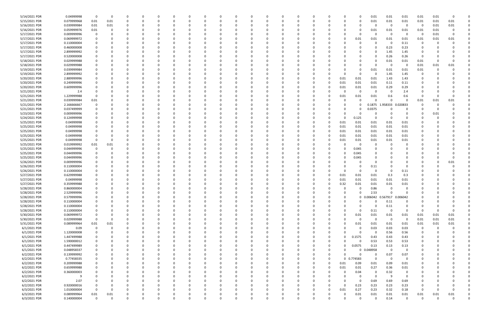| 5/14/2021 PDR<br>0.04999998<br>0.01<br>0.01<br>0<br>$\Omega$<br>0<br>5/15/2021 PDR<br>0.01<br>0.079999968<br>0.01<br>0.01<br>0.01<br>$\Omega$<br>$\Omega$<br>0<br>0<br>0<br>0<br>-0<br>o<br><sup>0</sup><br>-0<br>5/16/2021 PDR<br>0.039999984<br>0.01<br>0.01<br>0<br>0<br>0<br>5/16/2021 PDR<br>0.059999976<br>0.01<br>0.01<br>0.01<br>0<br>5/17/2021 PDR<br>0.009999996<br>0<br>$\Omega$<br>0<br>- 0<br>5/17/2021 PDR<br>0.069999972<br>0.01<br>0.01<br>0.01<br>5/17/2021 PDR<br>0.110000004<br>0<br>$\Omega$<br>- 0<br>5/17/2021 PDR<br>0.460000008<br>0.23<br>$\Omega$<br>- 0<br>5/17/2021 PDR<br>2.899999992<br>1.45<br>0<br>5/17/2021 PDR<br>0.26<br>0.520000008<br>$\Omega$<br>5/18/2021 PDR<br>0.029999988<br>$\Omega$<br>0.01<br>- 0<br>5/18/2021 PDR<br>0.029999988<br>0<br>0<br>0<br>5/19/2021 PDR<br>0.039999984<br>0.01<br>0.01<br>0<br>- 0<br>5/19/2021 PDR<br>2.899999992<br>0<br>0<br>1.45<br>1.45<br>$\Omega$<br>5/20/2021 PDR<br>2.889999996<br>0.01<br>0.01<br>1.43<br>1.43<br>0.01<br>5/20/2021 PDR<br>0.249999996<br>0.01<br>0.01<br>0.11<br>0.11<br>0.01<br>5/20/2021 PDR<br>0.29<br>0.29<br>0.609999996<br>0.01<br>0.01<br>0.01<br>5/21/2021 PDR<br>2.4<br>0<br>0<br>0<br>2.4<br>-0<br>5/21/2021 PDR<br>1.229999988<br>0.01<br>0.01<br>0.01<br>0.6<br>0<br>0.6<br>5/21/2021 PDR<br>0.039999984<br>0.01<br>$\Omega$<br>$\Omega$<br>0<br>2.166666667<br>5/21/2021 PDR<br>0.1875 1.958333<br>0.020833<br>0<br>5/21/2021 PDR<br>0.037499999<br>0.0375<br>0<br>$\Omega$<br>5/23/2021 PDR<br>0.009999996<br>0<br>0<br>$\Omega$<br>5/24/2021 PDR<br>0.124999998<br>0.125<br>0<br>O<br>5/25/2021 PDR<br>0.04999998<br>0.01<br>0.01<br>0.01<br>0.01<br>0.01<br>5/25/2021 PDR<br>0.04999998<br>0.01<br>0.01<br>0.01<br>0.01<br>0.01<br>5/25/2021 PDR<br>0.04999998<br>0.01<br>0.01<br>0.01<br>0.01<br>0.01<br>5/25/2021 PDR<br>0.01<br>0.01<br>0.04999998<br>0.01<br>0.01<br>0.01<br>5/25/2021 PDR<br>0.04999998<br>0.01<br>0<br>0.01<br>0.01<br>0.01<br>0.01<br>5/25/2021 PDR<br>0.019999992<br>0.01<br>0.01<br>0<br>0<br>5/25/2021 PDR<br>0.044999996<br>0.045<br>0<br>0<br>5/25/2021 PDR<br>0.044999996<br>0.045<br>0<br>-0<br>5/25/2021 PDR<br>0.044999996<br>0.045<br>$\Omega$<br>5/26/2021 PDR<br>0.009999996<br>0<br>0<br>5/26/2021 PDR<br>0.110000004<br>0.11<br>0<br>5/26/2021 PDR<br>0.110000004<br>$\Omega$<br>$\Omega$<br>- 0<br>5/27/2021 PDR<br>0.629999988<br>0.01<br>0.01<br>0.3<br>0.01<br>5/27/2021 PDR<br>0.04999998<br>0.01<br>0.01<br>0.01<br>0.01<br>5/27/2021 PDR<br>0.359999988<br>0.32<br>0.01<br>0.01<br>0.01<br>5/28/2021 PDR<br>0.860000004<br>0.86<br>0<br>0<br>0<br>0<br>5/28/2021 PDR<br>2.529999996<br>2.53<br>0<br>0<br>0<br>O<br>5/28/2021 PDR<br>0.579999996<br>0 0.006042 0.567917 0.006042<br>$\Omega$<br>$\Omega$<br>$\mathbf 0$<br>0<br>0<br>$\Omega$<br>$\Omega$<br>$\Omega$<br>$\Omega$<br>$\Omega$<br>$\Omega$<br>$\Omega$<br>$\Omega$<br>$\Omega$<br>5/28/2021 PDR<br>0.110000004<br>0.11<br>0<br>0<br>0<br>0<br>0<br>0<br>$\Omega$<br>0<br>0<br>0<br>$\Omega$<br>$\Omega$<br>0<br>5/28/2021 PDR<br>0.110000004<br>$0.11\,$<br>$\mathbf 0$<br>$\Omega$<br>0<br>0<br>$\Omega$<br>0<br>0<br>0<br>0<br>5/28/2021 PDR<br>0.110000004<br>$\mathbf 0$<br>0.11<br>$\Omega$<br>$\Omega$<br>$\Omega$<br>0<br>0<br>$\Omega$<br>$\Omega$<br>-0<br>0<br>5/30/2021 PDR<br>0.069999972<br>0.01<br>0.01<br>0.01<br>0<br>$\Omega$<br>0<br>5/30/2021 PDR<br>0.029999988<br>$\mathbf 0$<br>$\mathbf 0$<br>$\Omega$<br>$\mathbf 0$<br>ი<br>$\Omega$<br>5/31/2021 PDR<br>0.01<br>0.01<br>0.01<br>0.089999964<br>0.01<br>0.01<br>ი<br>0<br>6/1/2021 PDR<br>0.03<br>0.09<br>$\mathbf 0$<br>0.03<br>0<br>$\Omega$<br>$\Omega$<br>ი<br>6/1/2021 PDR<br>0.56<br>1.120000008<br>0<br>0<br>0<br>0<br>ი<br>6/1/2021 PDR<br>1.447499988<br>0.1575<br>0.43<br>0.43<br>U<br>0<br>-0<br>$\Omega$<br>6/1/2021 PDR<br>1.590000012<br>0.53<br>0.53<br>$\Omega$<br>0<br>0<br>6/1/2021 PDR<br>0.13<br>0.13<br>0.447499989<br>0.0575<br>0<br>0<br>0<br>6/1/2021 PDR<br>0.048958<br>0.048958337<br>$\Omega$<br>$\Omega$<br>0<br>0<br>0<br>0<br>6/2/2021 PDR<br>0.139999992<br>0.07<br>0<br>0<br>0<br>0<br>$\Omega$<br>O<br>0<br>6/2/2021 PDR<br>0.77458335<br>0 0.774583<br>$\mathbf 0$<br>$\overline{\mathbf{0}}$<br>0<br>0<br>0<br>0<br>6/2/2021 PDR<br>0.209999988<br>0.01<br>0.09<br>0.01<br>0.09<br>0<br>- 0<br>$\Omega$<br>0<br>6/2/2021 PDR<br>0.659999988<br>0.27<br>0.01<br>0.36<br>0.01<br>0<br>$\Omega$<br>0<br>6/2/2021 PDR<br>0.32<br>0.360000003<br>0.04<br>0<br>0<br>-0<br>6/2/2021 PDR<br>$\Omega$<br>9<br>$\Omega$<br>0<br>-9<br>$\Omega$<br>0<br>0.69<br>6/2/2021 PDR<br>2.07<br>0.69<br>0<br>- 0<br>O<br>6/2/2021 PDR<br>0.920000016<br>0.23<br>0.23<br>0.23<br>$\Omega$<br>0<br>0<br>6/3/2021 PDR<br>1.010000004<br>0.27<br>$\Omega$<br>0.01<br>0.23<br>0.32<br>- 0<br>$\Omega$<br><sup>0</sup><br>0<br>0<br><sup>0</sup><br>0 |  |      |  |  |  |  |  |  |  |  |  |                |              |          |          |  |
|----------------------------------------------------------------------------------------------------------------------------------------------------------------------------------------------------------------------------------------------------------------------------------------------------------------------------------------------------------------------------------------------------------------------------------------------------------------------------------------------------------------------------------------------------------------------------------------------------------------------------------------------------------------------------------------------------------------------------------------------------------------------------------------------------------------------------------------------------------------------------------------------------------------------------------------------------------------------------------------------------------------------------------------------------------------------------------------------------------------------------------------------------------------------------------------------------------------------------------------------------------------------------------------------------------------------------------------------------------------------------------------------------------------------------------------------------------------------------------------------------------------------------------------------------------------------------------------------------------------------------------------------------------------------------------------------------------------------------------------------------------------------------------------------------------------------------------------------------------------------------------------------------------------------------------------------------------------------------------------------------------------------------------------------------------------------------------------------------------------------------------------------------------------------------------------------------------------------------------------------------------------------------------------------------------------------------------------------------------------------------------------------------------------------------------------------------------------------------------------------------------------------------------------------------------------------------------------------------------------------------------------------------------------------------------------------------------------------------------------------------------------------------------------------------------------------------------------------------------------------------------------------------------------------------------------------------------------------------------------------------------------------------------------------------------------------------------------------------------------------------------------------------------------------------------------------------------------------------------------------------------------------------------------------------------------------------------------------------------------------------------------------------------------------------------------------------------------------------------------------------------------------------------------------------------------------------------------------------------------------------------------------------------------------------------------------------------------------------------------------------------------------------------------------------------------------------------------------------------------------------------------------------------------------------------------------------------------------------------------------------------------------------------------------------------------------------------------------------------------------------------------------------------------------------------------------------------------------------------------------------------------------------------------------------------------------------------------------------------------------------------------------------------------------------------------------------------------------------------------------------------------------------------------------------------------------------------------------------------------------------------------------------------------------------------------------------------------------------------------------------------------------------------------------------------------------------------------------------------------------|--|------|--|--|--|--|--|--|--|--|--|----------------|--------------|----------|----------|--|
|                                                                                                                                                                                                                                                                                                                                                                                                                                                                                                                                                                                                                                                                                                                                                                                                                                                                                                                                                                                                                                                                                                                                                                                                                                                                                                                                                                                                                                                                                                                                                                                                                                                                                                                                                                                                                                                                                                                                                                                                                                                                                                                                                                                                                                                                                                                                                                                                                                                                                                                                                                                                                                                                                                                                                                                                                                                                                                                                                                                                                                                                                                                                                                                                                                                                                                                                                                                                                                                                                                                                                                                                                                                                                                                                                                                                                                                                                                                                                                                                                                                                                                                                                                                                                                                                                                                                                                                                                                                                                                                                                                                                                                                                                                                                                                                                                                                                      |  |      |  |  |  |  |  |  |  |  |  | 0.01           | 0.01         | 0.01     |          |  |
|                                                                                                                                                                                                                                                                                                                                                                                                                                                                                                                                                                                                                                                                                                                                                                                                                                                                                                                                                                                                                                                                                                                                                                                                                                                                                                                                                                                                                                                                                                                                                                                                                                                                                                                                                                                                                                                                                                                                                                                                                                                                                                                                                                                                                                                                                                                                                                                                                                                                                                                                                                                                                                                                                                                                                                                                                                                                                                                                                                                                                                                                                                                                                                                                                                                                                                                                                                                                                                                                                                                                                                                                                                                                                                                                                                                                                                                                                                                                                                                                                                                                                                                                                                                                                                                                                                                                                                                                                                                                                                                                                                                                                                                                                                                                                                                                                                                                      |  |      |  |  |  |  |  |  |  |  |  | 0.01           | 0.01         | 0.01     | 0.01     |  |
|                                                                                                                                                                                                                                                                                                                                                                                                                                                                                                                                                                                                                                                                                                                                                                                                                                                                                                                                                                                                                                                                                                                                                                                                                                                                                                                                                                                                                                                                                                                                                                                                                                                                                                                                                                                                                                                                                                                                                                                                                                                                                                                                                                                                                                                                                                                                                                                                                                                                                                                                                                                                                                                                                                                                                                                                                                                                                                                                                                                                                                                                                                                                                                                                                                                                                                                                                                                                                                                                                                                                                                                                                                                                                                                                                                                                                                                                                                                                                                                                                                                                                                                                                                                                                                                                                                                                                                                                                                                                                                                                                                                                                                                                                                                                                                                                                                                                      |  |      |  |  |  |  |  |  |  |  |  |                | -0           | 0.01     | 0.01     |  |
|                                                                                                                                                                                                                                                                                                                                                                                                                                                                                                                                                                                                                                                                                                                                                                                                                                                                                                                                                                                                                                                                                                                                                                                                                                                                                                                                                                                                                                                                                                                                                                                                                                                                                                                                                                                                                                                                                                                                                                                                                                                                                                                                                                                                                                                                                                                                                                                                                                                                                                                                                                                                                                                                                                                                                                                                                                                                                                                                                                                                                                                                                                                                                                                                                                                                                                                                                                                                                                                                                                                                                                                                                                                                                                                                                                                                                                                                                                                                                                                                                                                                                                                                                                                                                                                                                                                                                                                                                                                                                                                                                                                                                                                                                                                                                                                                                                                                      |  |      |  |  |  |  |  |  |  |  |  | 0.01           | 0.01         | 0.01     |          |  |
|                                                                                                                                                                                                                                                                                                                                                                                                                                                                                                                                                                                                                                                                                                                                                                                                                                                                                                                                                                                                                                                                                                                                                                                                                                                                                                                                                                                                                                                                                                                                                                                                                                                                                                                                                                                                                                                                                                                                                                                                                                                                                                                                                                                                                                                                                                                                                                                                                                                                                                                                                                                                                                                                                                                                                                                                                                                                                                                                                                                                                                                                                                                                                                                                                                                                                                                                                                                                                                                                                                                                                                                                                                                                                                                                                                                                                                                                                                                                                                                                                                                                                                                                                                                                                                                                                                                                                                                                                                                                                                                                                                                                                                                                                                                                                                                                                                                                      |  |      |  |  |  |  |  |  |  |  |  | $\Omega$       | 0            | 0.01     | -0       |  |
|                                                                                                                                                                                                                                                                                                                                                                                                                                                                                                                                                                                                                                                                                                                                                                                                                                                                                                                                                                                                                                                                                                                                                                                                                                                                                                                                                                                                                                                                                                                                                                                                                                                                                                                                                                                                                                                                                                                                                                                                                                                                                                                                                                                                                                                                                                                                                                                                                                                                                                                                                                                                                                                                                                                                                                                                                                                                                                                                                                                                                                                                                                                                                                                                                                                                                                                                                                                                                                                                                                                                                                                                                                                                                                                                                                                                                                                                                                                                                                                                                                                                                                                                                                                                                                                                                                                                                                                                                                                                                                                                                                                                                                                                                                                                                                                                                                                                      |  |      |  |  |  |  |  |  |  |  |  | 0.01           | 0.01         | 0.01     | 0.01     |  |
|                                                                                                                                                                                                                                                                                                                                                                                                                                                                                                                                                                                                                                                                                                                                                                                                                                                                                                                                                                                                                                                                                                                                                                                                                                                                                                                                                                                                                                                                                                                                                                                                                                                                                                                                                                                                                                                                                                                                                                                                                                                                                                                                                                                                                                                                                                                                                                                                                                                                                                                                                                                                                                                                                                                                                                                                                                                                                                                                                                                                                                                                                                                                                                                                                                                                                                                                                                                                                                                                                                                                                                                                                                                                                                                                                                                                                                                                                                                                                                                                                                                                                                                                                                                                                                                                                                                                                                                                                                                                                                                                                                                                                                                                                                                                                                                                                                                                      |  |      |  |  |  |  |  |  |  |  |  | 0.11           | 0            |          |          |  |
|                                                                                                                                                                                                                                                                                                                                                                                                                                                                                                                                                                                                                                                                                                                                                                                                                                                                                                                                                                                                                                                                                                                                                                                                                                                                                                                                                                                                                                                                                                                                                                                                                                                                                                                                                                                                                                                                                                                                                                                                                                                                                                                                                                                                                                                                                                                                                                                                                                                                                                                                                                                                                                                                                                                                                                                                                                                                                                                                                                                                                                                                                                                                                                                                                                                                                                                                                                                                                                                                                                                                                                                                                                                                                                                                                                                                                                                                                                                                                                                                                                                                                                                                                                                                                                                                                                                                                                                                                                                                                                                                                                                                                                                                                                                                                                                                                                                                      |  |      |  |  |  |  |  |  |  |  |  | 0.23           | 0            |          |          |  |
|                                                                                                                                                                                                                                                                                                                                                                                                                                                                                                                                                                                                                                                                                                                                                                                                                                                                                                                                                                                                                                                                                                                                                                                                                                                                                                                                                                                                                                                                                                                                                                                                                                                                                                                                                                                                                                                                                                                                                                                                                                                                                                                                                                                                                                                                                                                                                                                                                                                                                                                                                                                                                                                                                                                                                                                                                                                                                                                                                                                                                                                                                                                                                                                                                                                                                                                                                                                                                                                                                                                                                                                                                                                                                                                                                                                                                                                                                                                                                                                                                                                                                                                                                                                                                                                                                                                                                                                                                                                                                                                                                                                                                                                                                                                                                                                                                                                                      |  |      |  |  |  |  |  |  |  |  |  | 1.45           |              |          |          |  |
|                                                                                                                                                                                                                                                                                                                                                                                                                                                                                                                                                                                                                                                                                                                                                                                                                                                                                                                                                                                                                                                                                                                                                                                                                                                                                                                                                                                                                                                                                                                                                                                                                                                                                                                                                                                                                                                                                                                                                                                                                                                                                                                                                                                                                                                                                                                                                                                                                                                                                                                                                                                                                                                                                                                                                                                                                                                                                                                                                                                                                                                                                                                                                                                                                                                                                                                                                                                                                                                                                                                                                                                                                                                                                                                                                                                                                                                                                                                                                                                                                                                                                                                                                                                                                                                                                                                                                                                                                                                                                                                                                                                                                                                                                                                                                                                                                                                                      |  |      |  |  |  |  |  |  |  |  |  | 0.26           | 0            |          |          |  |
|                                                                                                                                                                                                                                                                                                                                                                                                                                                                                                                                                                                                                                                                                                                                                                                                                                                                                                                                                                                                                                                                                                                                                                                                                                                                                                                                                                                                                                                                                                                                                                                                                                                                                                                                                                                                                                                                                                                                                                                                                                                                                                                                                                                                                                                                                                                                                                                                                                                                                                                                                                                                                                                                                                                                                                                                                                                                                                                                                                                                                                                                                                                                                                                                                                                                                                                                                                                                                                                                                                                                                                                                                                                                                                                                                                                                                                                                                                                                                                                                                                                                                                                                                                                                                                                                                                                                                                                                                                                                                                                                                                                                                                                                                                                                                                                                                                                                      |  |      |  |  |  |  |  |  |  |  |  | 0.01           | 0.01         |          | O        |  |
|                                                                                                                                                                                                                                                                                                                                                                                                                                                                                                                                                                                                                                                                                                                                                                                                                                                                                                                                                                                                                                                                                                                                                                                                                                                                                                                                                                                                                                                                                                                                                                                                                                                                                                                                                                                                                                                                                                                                                                                                                                                                                                                                                                                                                                                                                                                                                                                                                                                                                                                                                                                                                                                                                                                                                                                                                                                                                                                                                                                                                                                                                                                                                                                                                                                                                                                                                                                                                                                                                                                                                                                                                                                                                                                                                                                                                                                                                                                                                                                                                                                                                                                                                                                                                                                                                                                                                                                                                                                                                                                                                                                                                                                                                                                                                                                                                                                                      |  |      |  |  |  |  |  |  |  |  |  | 0              | 0.01         | 0.01     | 0.01     |  |
|                                                                                                                                                                                                                                                                                                                                                                                                                                                                                                                                                                                                                                                                                                                                                                                                                                                                                                                                                                                                                                                                                                                                                                                                                                                                                                                                                                                                                                                                                                                                                                                                                                                                                                                                                                                                                                                                                                                                                                                                                                                                                                                                                                                                                                                                                                                                                                                                                                                                                                                                                                                                                                                                                                                                                                                                                                                                                                                                                                                                                                                                                                                                                                                                                                                                                                                                                                                                                                                                                                                                                                                                                                                                                                                                                                                                                                                                                                                                                                                                                                                                                                                                                                                                                                                                                                                                                                                                                                                                                                                                                                                                                                                                                                                                                                                                                                                                      |  |      |  |  |  |  |  |  |  |  |  | 0.01           | 0.01         |          |          |  |
|                                                                                                                                                                                                                                                                                                                                                                                                                                                                                                                                                                                                                                                                                                                                                                                                                                                                                                                                                                                                                                                                                                                                                                                                                                                                                                                                                                                                                                                                                                                                                                                                                                                                                                                                                                                                                                                                                                                                                                                                                                                                                                                                                                                                                                                                                                                                                                                                                                                                                                                                                                                                                                                                                                                                                                                                                                                                                                                                                                                                                                                                                                                                                                                                                                                                                                                                                                                                                                                                                                                                                                                                                                                                                                                                                                                                                                                                                                                                                                                                                                                                                                                                                                                                                                                                                                                                                                                                                                                                                                                                                                                                                                                                                                                                                                                                                                                                      |  |      |  |  |  |  |  |  |  |  |  |                | C            |          |          |  |
|                                                                                                                                                                                                                                                                                                                                                                                                                                                                                                                                                                                                                                                                                                                                                                                                                                                                                                                                                                                                                                                                                                                                                                                                                                                                                                                                                                                                                                                                                                                                                                                                                                                                                                                                                                                                                                                                                                                                                                                                                                                                                                                                                                                                                                                                                                                                                                                                                                                                                                                                                                                                                                                                                                                                                                                                                                                                                                                                                                                                                                                                                                                                                                                                                                                                                                                                                                                                                                                                                                                                                                                                                                                                                                                                                                                                                                                                                                                                                                                                                                                                                                                                                                                                                                                                                                                                                                                                                                                                                                                                                                                                                                                                                                                                                                                                                                                                      |  |      |  |  |  |  |  |  |  |  |  |                |              |          |          |  |
|                                                                                                                                                                                                                                                                                                                                                                                                                                                                                                                                                                                                                                                                                                                                                                                                                                                                                                                                                                                                                                                                                                                                                                                                                                                                                                                                                                                                                                                                                                                                                                                                                                                                                                                                                                                                                                                                                                                                                                                                                                                                                                                                                                                                                                                                                                                                                                                                                                                                                                                                                                                                                                                                                                                                                                                                                                                                                                                                                                                                                                                                                                                                                                                                                                                                                                                                                                                                                                                                                                                                                                                                                                                                                                                                                                                                                                                                                                                                                                                                                                                                                                                                                                                                                                                                                                                                                                                                                                                                                                                                                                                                                                                                                                                                                                                                                                                                      |  |      |  |  |  |  |  |  |  |  |  |                |              |          |          |  |
|                                                                                                                                                                                                                                                                                                                                                                                                                                                                                                                                                                                                                                                                                                                                                                                                                                                                                                                                                                                                                                                                                                                                                                                                                                                                                                                                                                                                                                                                                                                                                                                                                                                                                                                                                                                                                                                                                                                                                                                                                                                                                                                                                                                                                                                                                                                                                                                                                                                                                                                                                                                                                                                                                                                                                                                                                                                                                                                                                                                                                                                                                                                                                                                                                                                                                                                                                                                                                                                                                                                                                                                                                                                                                                                                                                                                                                                                                                                                                                                                                                                                                                                                                                                                                                                                                                                                                                                                                                                                                                                                                                                                                                                                                                                                                                                                                                                                      |  |      |  |  |  |  |  |  |  |  |  |                |              |          |          |  |
|                                                                                                                                                                                                                                                                                                                                                                                                                                                                                                                                                                                                                                                                                                                                                                                                                                                                                                                                                                                                                                                                                                                                                                                                                                                                                                                                                                                                                                                                                                                                                                                                                                                                                                                                                                                                                                                                                                                                                                                                                                                                                                                                                                                                                                                                                                                                                                                                                                                                                                                                                                                                                                                                                                                                                                                                                                                                                                                                                                                                                                                                                                                                                                                                                                                                                                                                                                                                                                                                                                                                                                                                                                                                                                                                                                                                                                                                                                                                                                                                                                                                                                                                                                                                                                                                                                                                                                                                                                                                                                                                                                                                                                                                                                                                                                                                                                                                      |  |      |  |  |  |  |  |  |  |  |  |                |              |          |          |  |
|                                                                                                                                                                                                                                                                                                                                                                                                                                                                                                                                                                                                                                                                                                                                                                                                                                                                                                                                                                                                                                                                                                                                                                                                                                                                                                                                                                                                                                                                                                                                                                                                                                                                                                                                                                                                                                                                                                                                                                                                                                                                                                                                                                                                                                                                                                                                                                                                                                                                                                                                                                                                                                                                                                                                                                                                                                                                                                                                                                                                                                                                                                                                                                                                                                                                                                                                                                                                                                                                                                                                                                                                                                                                                                                                                                                                                                                                                                                                                                                                                                                                                                                                                                                                                                                                                                                                                                                                                                                                                                                                                                                                                                                                                                                                                                                                                                                                      |  |      |  |  |  |  |  |  |  |  |  |                | 0            |          |          |  |
|                                                                                                                                                                                                                                                                                                                                                                                                                                                                                                                                                                                                                                                                                                                                                                                                                                                                                                                                                                                                                                                                                                                                                                                                                                                                                                                                                                                                                                                                                                                                                                                                                                                                                                                                                                                                                                                                                                                                                                                                                                                                                                                                                                                                                                                                                                                                                                                                                                                                                                                                                                                                                                                                                                                                                                                                                                                                                                                                                                                                                                                                                                                                                                                                                                                                                                                                                                                                                                                                                                                                                                                                                                                                                                                                                                                                                                                                                                                                                                                                                                                                                                                                                                                                                                                                                                                                                                                                                                                                                                                                                                                                                                                                                                                                                                                                                                                                      |  |      |  |  |  |  |  |  |  |  |  |                |              |          |          |  |
|                                                                                                                                                                                                                                                                                                                                                                                                                                                                                                                                                                                                                                                                                                                                                                                                                                                                                                                                                                                                                                                                                                                                                                                                                                                                                                                                                                                                                                                                                                                                                                                                                                                                                                                                                                                                                                                                                                                                                                                                                                                                                                                                                                                                                                                                                                                                                                                                                                                                                                                                                                                                                                                                                                                                                                                                                                                                                                                                                                                                                                                                                                                                                                                                                                                                                                                                                                                                                                                                                                                                                                                                                                                                                                                                                                                                                                                                                                                                                                                                                                                                                                                                                                                                                                                                                                                                                                                                                                                                                                                                                                                                                                                                                                                                                                                                                                                                      |  |      |  |  |  |  |  |  |  |  |  |                | 0.01         | 0.01     | 0.01     |  |
|                                                                                                                                                                                                                                                                                                                                                                                                                                                                                                                                                                                                                                                                                                                                                                                                                                                                                                                                                                                                                                                                                                                                                                                                                                                                                                                                                                                                                                                                                                                                                                                                                                                                                                                                                                                                                                                                                                                                                                                                                                                                                                                                                                                                                                                                                                                                                                                                                                                                                                                                                                                                                                                                                                                                                                                                                                                                                                                                                                                                                                                                                                                                                                                                                                                                                                                                                                                                                                                                                                                                                                                                                                                                                                                                                                                                                                                                                                                                                                                                                                                                                                                                                                                                                                                                                                                                                                                                                                                                                                                                                                                                                                                                                                                                                                                                                                                                      |  |      |  |  |  |  |  |  |  |  |  |                |              |          |          |  |
|                                                                                                                                                                                                                                                                                                                                                                                                                                                                                                                                                                                                                                                                                                                                                                                                                                                                                                                                                                                                                                                                                                                                                                                                                                                                                                                                                                                                                                                                                                                                                                                                                                                                                                                                                                                                                                                                                                                                                                                                                                                                                                                                                                                                                                                                                                                                                                                                                                                                                                                                                                                                                                                                                                                                                                                                                                                                                                                                                                                                                                                                                                                                                                                                                                                                                                                                                                                                                                                                                                                                                                                                                                                                                                                                                                                                                                                                                                                                                                                                                                                                                                                                                                                                                                                                                                                                                                                                                                                                                                                                                                                                                                                                                                                                                                                                                                                                      |  |      |  |  |  |  |  |  |  |  |  | 0              | 0            |          |          |  |
|                                                                                                                                                                                                                                                                                                                                                                                                                                                                                                                                                                                                                                                                                                                                                                                                                                                                                                                                                                                                                                                                                                                                                                                                                                                                                                                                                                                                                                                                                                                                                                                                                                                                                                                                                                                                                                                                                                                                                                                                                                                                                                                                                                                                                                                                                                                                                                                                                                                                                                                                                                                                                                                                                                                                                                                                                                                                                                                                                                                                                                                                                                                                                                                                                                                                                                                                                                                                                                                                                                                                                                                                                                                                                                                                                                                                                                                                                                                                                                                                                                                                                                                                                                                                                                                                                                                                                                                                                                                                                                                                                                                                                                                                                                                                                                                                                                                                      |  |      |  |  |  |  |  |  |  |  |  | 0              | 0            | 0.01     |          |  |
|                                                                                                                                                                                                                                                                                                                                                                                                                                                                                                                                                                                                                                                                                                                                                                                                                                                                                                                                                                                                                                                                                                                                                                                                                                                                                                                                                                                                                                                                                                                                                                                                                                                                                                                                                                                                                                                                                                                                                                                                                                                                                                                                                                                                                                                                                                                                                                                                                                                                                                                                                                                                                                                                                                                                                                                                                                                                                                                                                                                                                                                                                                                                                                                                                                                                                                                                                                                                                                                                                                                                                                                                                                                                                                                                                                                                                                                                                                                                                                                                                                                                                                                                                                                                                                                                                                                                                                                                                                                                                                                                                                                                                                                                                                                                                                                                                                                                      |  |      |  |  |  |  |  |  |  |  |  | $\Omega$       |              |          |          |  |
|                                                                                                                                                                                                                                                                                                                                                                                                                                                                                                                                                                                                                                                                                                                                                                                                                                                                                                                                                                                                                                                                                                                                                                                                                                                                                                                                                                                                                                                                                                                                                                                                                                                                                                                                                                                                                                                                                                                                                                                                                                                                                                                                                                                                                                                                                                                                                                                                                                                                                                                                                                                                                                                                                                                                                                                                                                                                                                                                                                                                                                                                                                                                                                                                                                                                                                                                                                                                                                                                                                                                                                                                                                                                                                                                                                                                                                                                                                                                                                                                                                                                                                                                                                                                                                                                                                                                                                                                                                                                                                                                                                                                                                                                                                                                                                                                                                                                      |  |      |  |  |  |  |  |  |  |  |  |                |              |          |          |  |
|                                                                                                                                                                                                                                                                                                                                                                                                                                                                                                                                                                                                                                                                                                                                                                                                                                                                                                                                                                                                                                                                                                                                                                                                                                                                                                                                                                                                                                                                                                                                                                                                                                                                                                                                                                                                                                                                                                                                                                                                                                                                                                                                                                                                                                                                                                                                                                                                                                                                                                                                                                                                                                                                                                                                                                                                                                                                                                                                                                                                                                                                                                                                                                                                                                                                                                                                                                                                                                                                                                                                                                                                                                                                                                                                                                                                                                                                                                                                                                                                                                                                                                                                                                                                                                                                                                                                                                                                                                                                                                                                                                                                                                                                                                                                                                                                                                                                      |  |      |  |  |  |  |  |  |  |  |  |                |              |          |          |  |
|                                                                                                                                                                                                                                                                                                                                                                                                                                                                                                                                                                                                                                                                                                                                                                                                                                                                                                                                                                                                                                                                                                                                                                                                                                                                                                                                                                                                                                                                                                                                                                                                                                                                                                                                                                                                                                                                                                                                                                                                                                                                                                                                                                                                                                                                                                                                                                                                                                                                                                                                                                                                                                                                                                                                                                                                                                                                                                                                                                                                                                                                                                                                                                                                                                                                                                                                                                                                                                                                                                                                                                                                                                                                                                                                                                                                                                                                                                                                                                                                                                                                                                                                                                                                                                                                                                                                                                                                                                                                                                                                                                                                                                                                                                                                                                                                                                                                      |  |      |  |  |  |  |  |  |  |  |  |                |              |          |          |  |
|                                                                                                                                                                                                                                                                                                                                                                                                                                                                                                                                                                                                                                                                                                                                                                                                                                                                                                                                                                                                                                                                                                                                                                                                                                                                                                                                                                                                                                                                                                                                                                                                                                                                                                                                                                                                                                                                                                                                                                                                                                                                                                                                                                                                                                                                                                                                                                                                                                                                                                                                                                                                                                                                                                                                                                                                                                                                                                                                                                                                                                                                                                                                                                                                                                                                                                                                                                                                                                                                                                                                                                                                                                                                                                                                                                                                                                                                                                                                                                                                                                                                                                                                                                                                                                                                                                                                                                                                                                                                                                                                                                                                                                                                                                                                                                                                                                                                      |  |      |  |  |  |  |  |  |  |  |  |                |              |          |          |  |
|                                                                                                                                                                                                                                                                                                                                                                                                                                                                                                                                                                                                                                                                                                                                                                                                                                                                                                                                                                                                                                                                                                                                                                                                                                                                                                                                                                                                                                                                                                                                                                                                                                                                                                                                                                                                                                                                                                                                                                                                                                                                                                                                                                                                                                                                                                                                                                                                                                                                                                                                                                                                                                                                                                                                                                                                                                                                                                                                                                                                                                                                                                                                                                                                                                                                                                                                                                                                                                                                                                                                                                                                                                                                                                                                                                                                                                                                                                                                                                                                                                                                                                                                                                                                                                                                                                                                                                                                                                                                                                                                                                                                                                                                                                                                                                                                                                                                      |  |      |  |  |  |  |  |  |  |  |  |                |              |          |          |  |
|                                                                                                                                                                                                                                                                                                                                                                                                                                                                                                                                                                                                                                                                                                                                                                                                                                                                                                                                                                                                                                                                                                                                                                                                                                                                                                                                                                                                                                                                                                                                                                                                                                                                                                                                                                                                                                                                                                                                                                                                                                                                                                                                                                                                                                                                                                                                                                                                                                                                                                                                                                                                                                                                                                                                                                                                                                                                                                                                                                                                                                                                                                                                                                                                                                                                                                                                                                                                                                                                                                                                                                                                                                                                                                                                                                                                                                                                                                                                                                                                                                                                                                                                                                                                                                                                                                                                                                                                                                                                                                                                                                                                                                                                                                                                                                                                                                                                      |  |      |  |  |  |  |  |  |  |  |  |                |              |          |          |  |
|                                                                                                                                                                                                                                                                                                                                                                                                                                                                                                                                                                                                                                                                                                                                                                                                                                                                                                                                                                                                                                                                                                                                                                                                                                                                                                                                                                                                                                                                                                                                                                                                                                                                                                                                                                                                                                                                                                                                                                                                                                                                                                                                                                                                                                                                                                                                                                                                                                                                                                                                                                                                                                                                                                                                                                                                                                                                                                                                                                                                                                                                                                                                                                                                                                                                                                                                                                                                                                                                                                                                                                                                                                                                                                                                                                                                                                                                                                                                                                                                                                                                                                                                                                                                                                                                                                                                                                                                                                                                                                                                                                                                                                                                                                                                                                                                                                                                      |  |      |  |  |  |  |  |  |  |  |  |                |              |          |          |  |
|                                                                                                                                                                                                                                                                                                                                                                                                                                                                                                                                                                                                                                                                                                                                                                                                                                                                                                                                                                                                                                                                                                                                                                                                                                                                                                                                                                                                                                                                                                                                                                                                                                                                                                                                                                                                                                                                                                                                                                                                                                                                                                                                                                                                                                                                                                                                                                                                                                                                                                                                                                                                                                                                                                                                                                                                                                                                                                                                                                                                                                                                                                                                                                                                                                                                                                                                                                                                                                                                                                                                                                                                                                                                                                                                                                                                                                                                                                                                                                                                                                                                                                                                                                                                                                                                                                                                                                                                                                                                                                                                                                                                                                                                                                                                                                                                                                                                      |  |      |  |  |  |  |  |  |  |  |  |                |              |          |          |  |
|                                                                                                                                                                                                                                                                                                                                                                                                                                                                                                                                                                                                                                                                                                                                                                                                                                                                                                                                                                                                                                                                                                                                                                                                                                                                                                                                                                                                                                                                                                                                                                                                                                                                                                                                                                                                                                                                                                                                                                                                                                                                                                                                                                                                                                                                                                                                                                                                                                                                                                                                                                                                                                                                                                                                                                                                                                                                                                                                                                                                                                                                                                                                                                                                                                                                                                                                                                                                                                                                                                                                                                                                                                                                                                                                                                                                                                                                                                                                                                                                                                                                                                                                                                                                                                                                                                                                                                                                                                                                                                                                                                                                                                                                                                                                                                                                                                                                      |  |      |  |  |  |  |  |  |  |  |  |                |              |          |          |  |
|                                                                                                                                                                                                                                                                                                                                                                                                                                                                                                                                                                                                                                                                                                                                                                                                                                                                                                                                                                                                                                                                                                                                                                                                                                                                                                                                                                                                                                                                                                                                                                                                                                                                                                                                                                                                                                                                                                                                                                                                                                                                                                                                                                                                                                                                                                                                                                                                                                                                                                                                                                                                                                                                                                                                                                                                                                                                                                                                                                                                                                                                                                                                                                                                                                                                                                                                                                                                                                                                                                                                                                                                                                                                                                                                                                                                                                                                                                                                                                                                                                                                                                                                                                                                                                                                                                                                                                                                                                                                                                                                                                                                                                                                                                                                                                                                                                                                      |  |      |  |  |  |  |  |  |  |  |  |                |              |          | 0.01     |  |
|                                                                                                                                                                                                                                                                                                                                                                                                                                                                                                                                                                                                                                                                                                                                                                                                                                                                                                                                                                                                                                                                                                                                                                                                                                                                                                                                                                                                                                                                                                                                                                                                                                                                                                                                                                                                                                                                                                                                                                                                                                                                                                                                                                                                                                                                                                                                                                                                                                                                                                                                                                                                                                                                                                                                                                                                                                                                                                                                                                                                                                                                                                                                                                                                                                                                                                                                                                                                                                                                                                                                                                                                                                                                                                                                                                                                                                                                                                                                                                                                                                                                                                                                                                                                                                                                                                                                                                                                                                                                                                                                                                                                                                                                                                                                                                                                                                                                      |  |      |  |  |  |  |  |  |  |  |  |                |              |          |          |  |
|                                                                                                                                                                                                                                                                                                                                                                                                                                                                                                                                                                                                                                                                                                                                                                                                                                                                                                                                                                                                                                                                                                                                                                                                                                                                                                                                                                                                                                                                                                                                                                                                                                                                                                                                                                                                                                                                                                                                                                                                                                                                                                                                                                                                                                                                                                                                                                                                                                                                                                                                                                                                                                                                                                                                                                                                                                                                                                                                                                                                                                                                                                                                                                                                                                                                                                                                                                                                                                                                                                                                                                                                                                                                                                                                                                                                                                                                                                                                                                                                                                                                                                                                                                                                                                                                                                                                                                                                                                                                                                                                                                                                                                                                                                                                                                                                                                                                      |  |      |  |  |  |  |  |  |  |  |  | 0.11           |              |          |          |  |
|                                                                                                                                                                                                                                                                                                                                                                                                                                                                                                                                                                                                                                                                                                                                                                                                                                                                                                                                                                                                                                                                                                                                                                                                                                                                                                                                                                                                                                                                                                                                                                                                                                                                                                                                                                                                                                                                                                                                                                                                                                                                                                                                                                                                                                                                                                                                                                                                                                                                                                                                                                                                                                                                                                                                                                                                                                                                                                                                                                                                                                                                                                                                                                                                                                                                                                                                                                                                                                                                                                                                                                                                                                                                                                                                                                                                                                                                                                                                                                                                                                                                                                                                                                                                                                                                                                                                                                                                                                                                                                                                                                                                                                                                                                                                                                                                                                                                      |  |      |  |  |  |  |  |  |  |  |  | 0.3            |              |          |          |  |
|                                                                                                                                                                                                                                                                                                                                                                                                                                                                                                                                                                                                                                                                                                                                                                                                                                                                                                                                                                                                                                                                                                                                                                                                                                                                                                                                                                                                                                                                                                                                                                                                                                                                                                                                                                                                                                                                                                                                                                                                                                                                                                                                                                                                                                                                                                                                                                                                                                                                                                                                                                                                                                                                                                                                                                                                                                                                                                                                                                                                                                                                                                                                                                                                                                                                                                                                                                                                                                                                                                                                                                                                                                                                                                                                                                                                                                                                                                                                                                                                                                                                                                                                                                                                                                                                                                                                                                                                                                                                                                                                                                                                                                                                                                                                                                                                                                                                      |  |      |  |  |  |  |  |  |  |  |  | 0.01           |              |          |          |  |
|                                                                                                                                                                                                                                                                                                                                                                                                                                                                                                                                                                                                                                                                                                                                                                                                                                                                                                                                                                                                                                                                                                                                                                                                                                                                                                                                                                                                                                                                                                                                                                                                                                                                                                                                                                                                                                                                                                                                                                                                                                                                                                                                                                                                                                                                                                                                                                                                                                                                                                                                                                                                                                                                                                                                                                                                                                                                                                                                                                                                                                                                                                                                                                                                                                                                                                                                                                                                                                                                                                                                                                                                                                                                                                                                                                                                                                                                                                                                                                                                                                                                                                                                                                                                                                                                                                                                                                                                                                                                                                                                                                                                                                                                                                                                                                                                                                                                      |  |      |  |  |  |  |  |  |  |  |  | 0.01           |              |          |          |  |
|                                                                                                                                                                                                                                                                                                                                                                                                                                                                                                                                                                                                                                                                                                                                                                                                                                                                                                                                                                                                                                                                                                                                                                                                                                                                                                                                                                                                                                                                                                                                                                                                                                                                                                                                                                                                                                                                                                                                                                                                                                                                                                                                                                                                                                                                                                                                                                                                                                                                                                                                                                                                                                                                                                                                                                                                                                                                                                                                                                                                                                                                                                                                                                                                                                                                                                                                                                                                                                                                                                                                                                                                                                                                                                                                                                                                                                                                                                                                                                                                                                                                                                                                                                                                                                                                                                                                                                                                                                                                                                                                                                                                                                                                                                                                                                                                                                                                      |  |      |  |  |  |  |  |  |  |  |  | $\Omega$       | <sup>0</sup> |          |          |  |
|                                                                                                                                                                                                                                                                                                                                                                                                                                                                                                                                                                                                                                                                                                                                                                                                                                                                                                                                                                                                                                                                                                                                                                                                                                                                                                                                                                                                                                                                                                                                                                                                                                                                                                                                                                                                                                                                                                                                                                                                                                                                                                                                                                                                                                                                                                                                                                                                                                                                                                                                                                                                                                                                                                                                                                                                                                                                                                                                                                                                                                                                                                                                                                                                                                                                                                                                                                                                                                                                                                                                                                                                                                                                                                                                                                                                                                                                                                                                                                                                                                                                                                                                                                                                                                                                                                                                                                                                                                                                                                                                                                                                                                                                                                                                                                                                                                                                      |  |      |  |  |  |  |  |  |  |  |  |                |              |          |          |  |
|                                                                                                                                                                                                                                                                                                                                                                                                                                                                                                                                                                                                                                                                                                                                                                                                                                                                                                                                                                                                                                                                                                                                                                                                                                                                                                                                                                                                                                                                                                                                                                                                                                                                                                                                                                                                                                                                                                                                                                                                                                                                                                                                                                                                                                                                                                                                                                                                                                                                                                                                                                                                                                                                                                                                                                                                                                                                                                                                                                                                                                                                                                                                                                                                                                                                                                                                                                                                                                                                                                                                                                                                                                                                                                                                                                                                                                                                                                                                                                                                                                                                                                                                                                                                                                                                                                                                                                                                                                                                                                                                                                                                                                                                                                                                                                                                                                                                      |  |      |  |  |  |  |  |  |  |  |  |                | $\Omega$     |          |          |  |
|                                                                                                                                                                                                                                                                                                                                                                                                                                                                                                                                                                                                                                                                                                                                                                                                                                                                                                                                                                                                                                                                                                                                                                                                                                                                                                                                                                                                                                                                                                                                                                                                                                                                                                                                                                                                                                                                                                                                                                                                                                                                                                                                                                                                                                                                                                                                                                                                                                                                                                                                                                                                                                                                                                                                                                                                                                                                                                                                                                                                                                                                                                                                                                                                                                                                                                                                                                                                                                                                                                                                                                                                                                                                                                                                                                                                                                                                                                                                                                                                                                                                                                                                                                                                                                                                                                                                                                                                                                                                                                                                                                                                                                                                                                                                                                                                                                                                      |  |      |  |  |  |  |  |  |  |  |  | $\mathbf 0$    | 0            |          |          |  |
|                                                                                                                                                                                                                                                                                                                                                                                                                                                                                                                                                                                                                                                                                                                                                                                                                                                                                                                                                                                                                                                                                                                                                                                                                                                                                                                                                                                                                                                                                                                                                                                                                                                                                                                                                                                                                                                                                                                                                                                                                                                                                                                                                                                                                                                                                                                                                                                                                                                                                                                                                                                                                                                                                                                                                                                                                                                                                                                                                                                                                                                                                                                                                                                                                                                                                                                                                                                                                                                                                                                                                                                                                                                                                                                                                                                                                                                                                                                                                                                                                                                                                                                                                                                                                                                                                                                                                                                                                                                                                                                                                                                                                                                                                                                                                                                                                                                                      |  |      |  |  |  |  |  |  |  |  |  | 0              | 0            |          |          |  |
|                                                                                                                                                                                                                                                                                                                                                                                                                                                                                                                                                                                                                                                                                                                                                                                                                                                                                                                                                                                                                                                                                                                                                                                                                                                                                                                                                                                                                                                                                                                                                                                                                                                                                                                                                                                                                                                                                                                                                                                                                                                                                                                                                                                                                                                                                                                                                                                                                                                                                                                                                                                                                                                                                                                                                                                                                                                                                                                                                                                                                                                                                                                                                                                                                                                                                                                                                                                                                                                                                                                                                                                                                                                                                                                                                                                                                                                                                                                                                                                                                                                                                                                                                                                                                                                                                                                                                                                                                                                                                                                                                                                                                                                                                                                                                                                                                                                                      |  |      |  |  |  |  |  |  |  |  |  | $\Omega$       | $\Omega$     |          | 0        |  |
|                                                                                                                                                                                                                                                                                                                                                                                                                                                                                                                                                                                                                                                                                                                                                                                                                                                                                                                                                                                                                                                                                                                                                                                                                                                                                                                                                                                                                                                                                                                                                                                                                                                                                                                                                                                                                                                                                                                                                                                                                                                                                                                                                                                                                                                                                                                                                                                                                                                                                                                                                                                                                                                                                                                                                                                                                                                                                                                                                                                                                                                                                                                                                                                                                                                                                                                                                                                                                                                                                                                                                                                                                                                                                                                                                                                                                                                                                                                                                                                                                                                                                                                                                                                                                                                                                                                                                                                                                                                                                                                                                                                                                                                                                                                                                                                                                                                                      |  |      |  |  |  |  |  |  |  |  |  | 0.01           | 0.01         | 0.01     | 0.01     |  |
|                                                                                                                                                                                                                                                                                                                                                                                                                                                                                                                                                                                                                                                                                                                                                                                                                                                                                                                                                                                                                                                                                                                                                                                                                                                                                                                                                                                                                                                                                                                                                                                                                                                                                                                                                                                                                                                                                                                                                                                                                                                                                                                                                                                                                                                                                                                                                                                                                                                                                                                                                                                                                                                                                                                                                                                                                                                                                                                                                                                                                                                                                                                                                                                                                                                                                                                                                                                                                                                                                                                                                                                                                                                                                                                                                                                                                                                                                                                                                                                                                                                                                                                                                                                                                                                                                                                                                                                                                                                                                                                                                                                                                                                                                                                                                                                                                                                                      |  |      |  |  |  |  |  |  |  |  |  | $\overline{0}$ | 0.01         | 0.01     | $0.01\,$ |  |
|                                                                                                                                                                                                                                                                                                                                                                                                                                                                                                                                                                                                                                                                                                                                                                                                                                                                                                                                                                                                                                                                                                                                                                                                                                                                                                                                                                                                                                                                                                                                                                                                                                                                                                                                                                                                                                                                                                                                                                                                                                                                                                                                                                                                                                                                                                                                                                                                                                                                                                                                                                                                                                                                                                                                                                                                                                                                                                                                                                                                                                                                                                                                                                                                                                                                                                                                                                                                                                                                                                                                                                                                                                                                                                                                                                                                                                                                                                                                                                                                                                                                                                                                                                                                                                                                                                                                                                                                                                                                                                                                                                                                                                                                                                                                                                                                                                                                      |  |      |  |  |  |  |  |  |  |  |  | 0.01           | 0.01         | 0.01     | 0.01     |  |
|                                                                                                                                                                                                                                                                                                                                                                                                                                                                                                                                                                                                                                                                                                                                                                                                                                                                                                                                                                                                                                                                                                                                                                                                                                                                                                                                                                                                                                                                                                                                                                                                                                                                                                                                                                                                                                                                                                                                                                                                                                                                                                                                                                                                                                                                                                                                                                                                                                                                                                                                                                                                                                                                                                                                                                                                                                                                                                                                                                                                                                                                                                                                                                                                                                                                                                                                                                                                                                                                                                                                                                                                                                                                                                                                                                                                                                                                                                                                                                                                                                                                                                                                                                                                                                                                                                                                                                                                                                                                                                                                                                                                                                                                                                                                                                                                                                                                      |  |      |  |  |  |  |  |  |  |  |  | 0.03           | 0            |          |          |  |
|                                                                                                                                                                                                                                                                                                                                                                                                                                                                                                                                                                                                                                                                                                                                                                                                                                                                                                                                                                                                                                                                                                                                                                                                                                                                                                                                                                                                                                                                                                                                                                                                                                                                                                                                                                                                                                                                                                                                                                                                                                                                                                                                                                                                                                                                                                                                                                                                                                                                                                                                                                                                                                                                                                                                                                                                                                                                                                                                                                                                                                                                                                                                                                                                                                                                                                                                                                                                                                                                                                                                                                                                                                                                                                                                                                                                                                                                                                                                                                                                                                                                                                                                                                                                                                                                                                                                                                                                                                                                                                                                                                                                                                                                                                                                                                                                                                                                      |  |      |  |  |  |  |  |  |  |  |  | 0.56           | 0            |          |          |  |
|                                                                                                                                                                                                                                                                                                                                                                                                                                                                                                                                                                                                                                                                                                                                                                                                                                                                                                                                                                                                                                                                                                                                                                                                                                                                                                                                                                                                                                                                                                                                                                                                                                                                                                                                                                                                                                                                                                                                                                                                                                                                                                                                                                                                                                                                                                                                                                                                                                                                                                                                                                                                                                                                                                                                                                                                                                                                                                                                                                                                                                                                                                                                                                                                                                                                                                                                                                                                                                                                                                                                                                                                                                                                                                                                                                                                                                                                                                                                                                                                                                                                                                                                                                                                                                                                                                                                                                                                                                                                                                                                                                                                                                                                                                                                                                                                                                                                      |  |      |  |  |  |  |  |  |  |  |  | 0.43           |              |          |          |  |
|                                                                                                                                                                                                                                                                                                                                                                                                                                                                                                                                                                                                                                                                                                                                                                                                                                                                                                                                                                                                                                                                                                                                                                                                                                                                                                                                                                                                                                                                                                                                                                                                                                                                                                                                                                                                                                                                                                                                                                                                                                                                                                                                                                                                                                                                                                                                                                                                                                                                                                                                                                                                                                                                                                                                                                                                                                                                                                                                                                                                                                                                                                                                                                                                                                                                                                                                                                                                                                                                                                                                                                                                                                                                                                                                                                                                                                                                                                                                                                                                                                                                                                                                                                                                                                                                                                                                                                                                                                                                                                                                                                                                                                                                                                                                                                                                                                                                      |  |      |  |  |  |  |  |  |  |  |  | 0.53           |              |          |          |  |
|                                                                                                                                                                                                                                                                                                                                                                                                                                                                                                                                                                                                                                                                                                                                                                                                                                                                                                                                                                                                                                                                                                                                                                                                                                                                                                                                                                                                                                                                                                                                                                                                                                                                                                                                                                                                                                                                                                                                                                                                                                                                                                                                                                                                                                                                                                                                                                                                                                                                                                                                                                                                                                                                                                                                                                                                                                                                                                                                                                                                                                                                                                                                                                                                                                                                                                                                                                                                                                                                                                                                                                                                                                                                                                                                                                                                                                                                                                                                                                                                                                                                                                                                                                                                                                                                                                                                                                                                                                                                                                                                                                                                                                                                                                                                                                                                                                                                      |  |      |  |  |  |  |  |  |  |  |  | 0.13           |              |          |          |  |
|                                                                                                                                                                                                                                                                                                                                                                                                                                                                                                                                                                                                                                                                                                                                                                                                                                                                                                                                                                                                                                                                                                                                                                                                                                                                                                                                                                                                                                                                                                                                                                                                                                                                                                                                                                                                                                                                                                                                                                                                                                                                                                                                                                                                                                                                                                                                                                                                                                                                                                                                                                                                                                                                                                                                                                                                                                                                                                                                                                                                                                                                                                                                                                                                                                                                                                                                                                                                                                                                                                                                                                                                                                                                                                                                                                                                                                                                                                                                                                                                                                                                                                                                                                                                                                                                                                                                                                                                                                                                                                                                                                                                                                                                                                                                                                                                                                                                      |  |      |  |  |  |  |  |  |  |  |  | 0              | 0            |          |          |  |
|                                                                                                                                                                                                                                                                                                                                                                                                                                                                                                                                                                                                                                                                                                                                                                                                                                                                                                                                                                                                                                                                                                                                                                                                                                                                                                                                                                                                                                                                                                                                                                                                                                                                                                                                                                                                                                                                                                                                                                                                                                                                                                                                                                                                                                                                                                                                                                                                                                                                                                                                                                                                                                                                                                                                                                                                                                                                                                                                                                                                                                                                                                                                                                                                                                                                                                                                                                                                                                                                                                                                                                                                                                                                                                                                                                                                                                                                                                                                                                                                                                                                                                                                                                                                                                                                                                                                                                                                                                                                                                                                                                                                                                                                                                                                                                                                                                                                      |  |      |  |  |  |  |  |  |  |  |  | 0.07           | 0            |          |          |  |
|                                                                                                                                                                                                                                                                                                                                                                                                                                                                                                                                                                                                                                                                                                                                                                                                                                                                                                                                                                                                                                                                                                                                                                                                                                                                                                                                                                                                                                                                                                                                                                                                                                                                                                                                                                                                                                                                                                                                                                                                                                                                                                                                                                                                                                                                                                                                                                                                                                                                                                                                                                                                                                                                                                                                                                                                                                                                                                                                                                                                                                                                                                                                                                                                                                                                                                                                                                                                                                                                                                                                                                                                                                                                                                                                                                                                                                                                                                                                                                                                                                                                                                                                                                                                                                                                                                                                                                                                                                                                                                                                                                                                                                                                                                                                                                                                                                                                      |  |      |  |  |  |  |  |  |  |  |  | $\mathbf 0$    | 0            |          |          |  |
|                                                                                                                                                                                                                                                                                                                                                                                                                                                                                                                                                                                                                                                                                                                                                                                                                                                                                                                                                                                                                                                                                                                                                                                                                                                                                                                                                                                                                                                                                                                                                                                                                                                                                                                                                                                                                                                                                                                                                                                                                                                                                                                                                                                                                                                                                                                                                                                                                                                                                                                                                                                                                                                                                                                                                                                                                                                                                                                                                                                                                                                                                                                                                                                                                                                                                                                                                                                                                                                                                                                                                                                                                                                                                                                                                                                                                                                                                                                                                                                                                                                                                                                                                                                                                                                                                                                                                                                                                                                                                                                                                                                                                                                                                                                                                                                                                                                                      |  |      |  |  |  |  |  |  |  |  |  | 0.01           | 0            |          |          |  |
|                                                                                                                                                                                                                                                                                                                                                                                                                                                                                                                                                                                                                                                                                                                                                                                                                                                                                                                                                                                                                                                                                                                                                                                                                                                                                                                                                                                                                                                                                                                                                                                                                                                                                                                                                                                                                                                                                                                                                                                                                                                                                                                                                                                                                                                                                                                                                                                                                                                                                                                                                                                                                                                                                                                                                                                                                                                                                                                                                                                                                                                                                                                                                                                                                                                                                                                                                                                                                                                                                                                                                                                                                                                                                                                                                                                                                                                                                                                                                                                                                                                                                                                                                                                                                                                                                                                                                                                                                                                                                                                                                                                                                                                                                                                                                                                                                                                                      |  |      |  |  |  |  |  |  |  |  |  | 0.01           |              |          |          |  |
|                                                                                                                                                                                                                                                                                                                                                                                                                                                                                                                                                                                                                                                                                                                                                                                                                                                                                                                                                                                                                                                                                                                                                                                                                                                                                                                                                                                                                                                                                                                                                                                                                                                                                                                                                                                                                                                                                                                                                                                                                                                                                                                                                                                                                                                                                                                                                                                                                                                                                                                                                                                                                                                                                                                                                                                                                                                                                                                                                                                                                                                                                                                                                                                                                                                                                                                                                                                                                                                                                                                                                                                                                                                                                                                                                                                                                                                                                                                                                                                                                                                                                                                                                                                                                                                                                                                                                                                                                                                                                                                                                                                                                                                                                                                                                                                                                                                                      |  |      |  |  |  |  |  |  |  |  |  | 0              |              |          |          |  |
|                                                                                                                                                                                                                                                                                                                                                                                                                                                                                                                                                                                                                                                                                                                                                                                                                                                                                                                                                                                                                                                                                                                                                                                                                                                                                                                                                                                                                                                                                                                                                                                                                                                                                                                                                                                                                                                                                                                                                                                                                                                                                                                                                                                                                                                                                                                                                                                                                                                                                                                                                                                                                                                                                                                                                                                                                                                                                                                                                                                                                                                                                                                                                                                                                                                                                                                                                                                                                                                                                                                                                                                                                                                                                                                                                                                                                                                                                                                                                                                                                                                                                                                                                                                                                                                                                                                                                                                                                                                                                                                                                                                                                                                                                                                                                                                                                                                                      |  |      |  |  |  |  |  |  |  |  |  | $\overline{0}$ |              |          |          |  |
|                                                                                                                                                                                                                                                                                                                                                                                                                                                                                                                                                                                                                                                                                                                                                                                                                                                                                                                                                                                                                                                                                                                                                                                                                                                                                                                                                                                                                                                                                                                                                                                                                                                                                                                                                                                                                                                                                                                                                                                                                                                                                                                                                                                                                                                                                                                                                                                                                                                                                                                                                                                                                                                                                                                                                                                                                                                                                                                                                                                                                                                                                                                                                                                                                                                                                                                                                                                                                                                                                                                                                                                                                                                                                                                                                                                                                                                                                                                                                                                                                                                                                                                                                                                                                                                                                                                                                                                                                                                                                                                                                                                                                                                                                                                                                                                                                                                                      |  |      |  |  |  |  |  |  |  |  |  | 0.69           |              |          |          |  |
|                                                                                                                                                                                                                                                                                                                                                                                                                                                                                                                                                                                                                                                                                                                                                                                                                                                                                                                                                                                                                                                                                                                                                                                                                                                                                                                                                                                                                                                                                                                                                                                                                                                                                                                                                                                                                                                                                                                                                                                                                                                                                                                                                                                                                                                                                                                                                                                                                                                                                                                                                                                                                                                                                                                                                                                                                                                                                                                                                                                                                                                                                                                                                                                                                                                                                                                                                                                                                                                                                                                                                                                                                                                                                                                                                                                                                                                                                                                                                                                                                                                                                                                                                                                                                                                                                                                                                                                                                                                                                                                                                                                                                                                                                                                                                                                                                                                                      |  |      |  |  |  |  |  |  |  |  |  | 0.23           | 0            |          |          |  |
|                                                                                                                                                                                                                                                                                                                                                                                                                                                                                                                                                                                                                                                                                                                                                                                                                                                                                                                                                                                                                                                                                                                                                                                                                                                                                                                                                                                                                                                                                                                                                                                                                                                                                                                                                                                                                                                                                                                                                                                                                                                                                                                                                                                                                                                                                                                                                                                                                                                                                                                                                                                                                                                                                                                                                                                                                                                                                                                                                                                                                                                                                                                                                                                                                                                                                                                                                                                                                                                                                                                                                                                                                                                                                                                                                                                                                                                                                                                                                                                                                                                                                                                                                                                                                                                                                                                                                                                                                                                                                                                                                                                                                                                                                                                                                                                                                                                                      |  |      |  |  |  |  |  |  |  |  |  | 0.18           | -0           |          |          |  |
| 6/3/2021 PDR<br>0.089999964<br>0.01<br>0.01<br>0.01<br>0.01<br>0<br>0                                                                                                                                                                                                                                                                                                                                                                                                                                                                                                                                                                                                                                                                                                                                                                                                                                                                                                                                                                                                                                                                                                                                                                                                                                                                                                                                                                                                                                                                                                                                                                                                                                                                                                                                                                                                                                                                                                                                                                                                                                                                                                                                                                                                                                                                                                                                                                                                                                                                                                                                                                                                                                                                                                                                                                                                                                                                                                                                                                                                                                                                                                                                                                                                                                                                                                                                                                                                                                                                                                                                                                                                                                                                                                                                                                                                                                                                                                                                                                                                                                                                                                                                                                                                                                                                                                                                                                                                                                                                                                                                                                                                                                                                                                                                                                                                |  | 0.01 |  |  |  |  |  |  |  |  |  | 0.01           | 0.01         | 0.01     | 0.01     |  |
| 6/3/2021 PDR<br>0.140000004<br>0.14<br>$\mathbf 0$<br>$\Omega$<br>$\Omega$<br>$\Omega$<br>$\Omega$<br>$\Omega$<br>$\Omega$<br>$\Omega$<br>$\Omega$<br>$\Omega$<br>$\Omega$<br>$\Omega$                                                                                                                                                                                                                                                                                                                                                                                                                                                                                                                                                                                                                                                                                                                                                                                                                                                                                                                                                                                                                                                                                                                                                                                                                                                                                                                                                                                                                                                                                                                                                                                                                                                                                                                                                                                                                                                                                                                                                                                                                                                                                                                                                                                                                                                                                                                                                                                                                                                                                                                                                                                                                                                                                                                                                                                                                                                                                                                                                                                                                                                                                                                                                                                                                                                                                                                                                                                                                                                                                                                                                                                                                                                                                                                                                                                                                                                                                                                                                                                                                                                                                                                                                                                                                                                                                                                                                                                                                                                                                                                                                                                                                                                                               |  |      |  |  |  |  |  |  |  |  |  | $\Omega$       | $\Omega$     | $\Omega$ | $\Omega$ |  |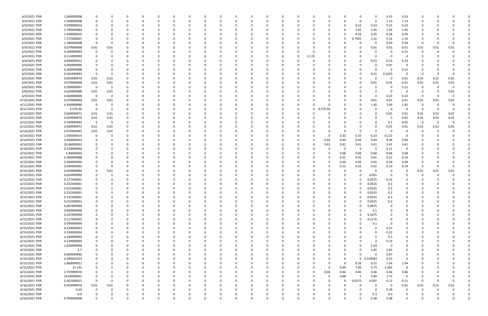| 6/3/2021 PDR  | 1.060000008 | 0                       | 0        |          |          | 0            |          |          | 0        |          | 0            |          |          | 0        |          |          | 0           | 0.53        | 0.53        |                         |          |          |  |
|---------------|-------------|-------------------------|----------|----------|----------|--------------|----------|----------|----------|----------|--------------|----------|----------|----------|----------|----------|-------------|-------------|-------------|-------------------------|----------|----------|--|
| 6/3/2021 PDR  | 2.260000008 | $\Omega$                | 0        |          |          | $\Omega$     |          |          | -0       |          | $\Omega$     |          | O        | - 0      |          | $\Omega$ | $\mathbf 0$ | 1.13        | 1.13        | 0                       |          |          |  |
| 6/3/2021 PDR  | 0.920000016 |                         |          |          |          |              |          |          |          |          |              |          |          | -0       | 0        | 0.23     | 0.23        | 0.23        | 0.23        |                         |          |          |  |
| 6/3/2021 PDR  | 5.799999984 |                         |          |          |          |              |          |          |          |          |              |          |          | -0       |          | 1.45     | 1.45        | 1.45        | 1.45        |                         |          |          |  |
| 6/3/2021 PDR  | 1.040000016 |                         |          |          |          |              |          |          |          |          |              |          |          | -0       |          | 0.26     | 0.26        | 0.26        | 0.26        |                         |          |          |  |
| 6/3/2021 PDR  | 7.272500001 | 0                       |          |          |          |              |          |          |          |          | <sup>0</sup> |          |          | - 0      |          | 0.7925   | 2.16        | 2.16        | 2.16        | 0                       |          |          |  |
| 6/3/2021 PDR  | 1.180000008 | 0                       | 0        |          |          | 0            |          |          |          |          | 0            |          |          | -0       |          |          | 0           | 0.59        | 0.59        | -0                      | $\Omega$ |          |  |
|               |             |                         |          |          |          |              |          |          |          |          |              |          |          |          |          |          |             |             |             |                         |          | 0.01     |  |
| 6/4/2021 PDR  | 0.079999968 | 0.01                    | 0.01     |          |          |              |          |          |          |          |              |          |          |          |          |          | 0.01        | 0.01        | 0.01        | 0.01                    | 0.01     |          |  |
| 6/4/2021 PDR  | 0.209999994 | 0                       |          |          |          |              |          |          |          |          |              |          |          |          |          |          |             | - 0         | 0.21        |                         |          |          |  |
| 6/4/2021 PDR  | 0.114999999 | 0                       |          |          |          |              |          |          |          |          |              |          | 0.115    |          |          |          | 0           | -0          | - 0         |                         |          |          |  |
| 6/4/2021 PDR  | 0.690000012 |                         |          |          |          |              |          |          |          |          |              |          |          |          |          |          | 0.23        | 0.23        | 0.23        |                         |          |          |  |
| 6/4/2021 PDR  | 0.909999996 |                         |          |          |          |              |          |          |          |          |              |          |          |          |          |          | 0           | 0.91        | 0           |                         |          |          |  |
| 6/5/2021 PDR  | 0.209999988 | 0                       | 0        |          |          | 0            |          |          |          |          | 0            |          |          |          |          |          | 0           |             | 0.21        |                         |          |          |  |
| 6/5/2021 PDR  | 0.542499993 | $\overline{\mathbf{0}}$ | 0        |          |          |              |          |          |          |          |              |          |          |          |          |          | 0.31        | 0.2325      | - 0         | - 0                     | -0       |          |  |
| 6/5/2021 PDR  | 0.059999976 | 0.01                    | 0.01     |          |          |              |          |          |          |          |              |          |          |          |          |          | C           | -0          | 0.01        | 0.01                    | 0.01     | 0.01     |  |
| 6/6/2021 PDR  | 0.079999968 | 0.01                    | 0.01     |          |          |              |          |          |          |          |              |          |          |          |          |          | 0.01        | 0.01        | 0.01        | 0.01                    | 0.01     | 0.01     |  |
| 6/6/2021 PDR  | 0.209999997 | $\overline{\mathbf{0}}$ | 0        |          |          |              |          |          |          |          |              |          |          |          |          |          | C           | - 0         | 0.21        | 0                       | -0       |          |  |
| 6/8/2021 PDR  | 0.029999988 | 0.01                    | 0.01     |          |          |              |          |          |          |          |              |          |          |          |          |          | 0           | $\Omega$    |             | -0                      |          | 0.01     |  |
| 6/9/2021 PDR  | 0.460000008 | $\overline{\mathbf{0}}$ | 0        |          |          |              |          |          |          |          |              |          |          |          |          |          | 0           | 0.23        | 0.23        | 0                       | -0       |          |  |
| 6/10/2021 PDR | 0.079999968 | 0.01                    | 0.01     |          |          |              |          |          |          |          |              |          |          |          |          |          | 0.01        | 0.01        | 0.01        | 0.01                    | 0.01     | 0.01     |  |
| 6/11/2021 PDR | 4.349999988 | - 0                     | 0        |          |          |              |          |          |          |          |              |          |          |          |          |          | 1.45        | 1.45        | 1.45        | 0                       |          |          |  |
| 6/11/2021 PDR | 4.57E-05    | $\overline{\mathbf{0}}$ | 0        |          |          |              |          |          |          |          |              |          | 0        | 7E-05    |          |          | 0           | 0           | - 0         | - 0                     | -0       | $\Omega$ |  |
|               |             |                         |          |          |          |              |          |          |          |          |              |          |          |          |          |          |             |             |             |                         |          |          |  |
| 6/12/2021 PDR | 0.069999972 | 0.01                    | 0.01     |          |          |              |          |          |          |          |              |          |          | -0       |          |          | 0           | 0.01        | 0.01        | 0.01                    | 0.01     | 0.01     |  |
| 6/12/2021 PDR | 0.059999976 | 0.01                    | 0.01     |          |          |              |          |          |          |          |              |          |          |          |          |          | 0           | $\Omega$    | 0.01        | 0.01                    | 0.01     | 0.01     |  |
| 6/12/2021 PDR | 0.149999994 | $\overline{\mathbf{0}}$ | 0        |          |          |              |          |          |          |          |              |          |          |          |          |          | 0           | 0.1         | 0.05        | $\overline{\mathbf{0}}$ | 0        | - 0      |  |
| 6/13/2021 PDR | 0.069999972 | 0.01                    | 0.01     |          |          |              |          |          |          |          |              |          |          |          |          |          | 0           | 0.01        | 0.01        | 0.01                    | 0.01     | 0.01     |  |
| 6/14/2021 PDR | 0.019999992 | 0.01                    | 0.01     |          |          |              |          |          |          |          |              |          |          |          |          |          | $\Omega$    | - 0         |             | $\Omega$                |          |          |  |
| 6/14/2021 PDR | 1.045000014 | 0                       | -0       |          |          |              |          |          |          |          |              |          |          | 0        | 0.35     | 0.35     | 0.23        | 0.115       | - 0         |                         |          |          |  |
| 6/14/2021 PDR | 2.640000024 | 0                       |          |          |          |              |          |          |          |          |              |          | O        | 0.44     | 0.44     | 0.44     | 0.44        | 0.44        | 0.44        |                         |          |          |  |
| 6/14/2021 PDR | 20.46000002 |                         |          |          |          |              |          |          |          |          |              |          | 0        | 3.41     | 3.41     | 3.41     | 3.41        | 3.41        | 3.41        |                         |          |          |  |
| 6/14/2021 PDR | 0.110000004 | 0                       |          |          |          | <sup>0</sup> |          |          |          |          | <sup>0</sup> |          |          | -0       | - 0      | - 0      | 0           | 0.11        | 0           |                         |          |          |  |
| 6/15/2021 PDR | 3.40000002  |                         |          |          |          | 0            |          |          |          |          | 0            |          |          | 0        | 0.68     | 0.68     | 0.68        | 0.68        | 0.68        |                         |          |          |  |
| 6/15/2021 PDR | 0.389999988 |                         |          |          |          |              |          |          |          |          |              |          |          | 0        | 0.01     | 0.01     | 0.01        | 0.22        | 0.14        |                         |          |          |  |
| 6/15/2021 PDR | 0.369999996 |                         |          |          |          |              |          |          |          |          |              |          |          | 0        | 0.09     | 0.09     | 0.01        | 0.09        | 0.09        |                         |          |          |  |
| 6/15/2021 PDR | 0.649999992 | 0                       |          |          |          |              |          |          |          |          |              |          |          | 0        | 0.12     | 0.25     | 0.01        | 0.13        | 0.14        | - 0                     | -0       | n        |  |
| 6/15/2021 PDR | 0.039999984 |                         | 0.01     |          |          |              |          |          |          |          |              |          |          |          |          |          | 0           | $\Omega$    |             | 0.01                    | 0.01     | 0.01     |  |
| 6/15/2021 PDR | 0.024999999 | 0                       | -0       |          |          |              |          |          |          |          |              |          |          |          |          |          | 0.025       | - 0         |             |                         |          |          |  |
| 6/15/2021 PDR | 0.177500001 |                         |          |          |          |              |          |          |          |          |              |          |          |          |          |          |             |             |             |                         |          |          |  |
|               |             |                         |          |          |          |              |          |          |          |          |              |          |          |          |          |          | 0.0375      | 0.14        |             |                         |          |          |  |
| 6/15/2021 PDR | 0.252500001 |                         |          |          |          |              |          |          |          |          |              |          |          |          |          |          | 0.0525      | 0.2         |             |                         |          |          |  |
| 6/15/2021 PDR | 0.252500001 | 0                       |          |          |          |              |          |          |          |          |              |          |          |          |          | 0        | 0.0525      | 0.2         | $\Omega$    |                         |          |          |  |
| 6/15/2021 PDR | 0.252500001 | $\mathbf 0$             |          |          |          |              |          |          |          |          |              |          |          |          |          |          | 0.0525      | 0.2         | 0           |                         |          |          |  |
| 6/15/2021 PDR | 0.252500001 | 0                       | 0        | 0        |          | $\Omega$     | $\Omega$ | 0        | 0        | 0        | $\Omega$     |          | 0        | 0        | $\Omega$ | 0        | 0.0525      | 0.2         | 0           | 0                       |          |          |  |
| 6/15/2021 PDR | 0.252500001 | 0                       | 0        |          |          | 0            |          |          |          |          | 0            |          | 0        |          | 0        | 0        | 0.0525      | 0.2         | $\Omega$    |                         |          |          |  |
| 6/15/2021 PDR | 0.087499998 | 0                       | 0        |          |          | 0            | 0        |          | - 0      |          | 0            |          | 0        |          | $\Omega$ | 0        | 0.0875      | $\Omega$    | 0           |                         |          |          |  |
| 6/15/2021 PDR | 0.099999999 | 0                       |          |          |          | 0            |          |          |          |          | 0            |          |          |          | 0        |          | 0.1         |             |             |                         |          |          |  |
| 6/15/2021 PDR | 0.107499999 | $\mathbf 0$             |          |          |          | 0            |          |          |          |          |              |          |          |          | $\Omega$ | $\Omega$ | 0.1075      |             |             |                         |          |          |  |
| 6/15/2021 PDR | 0.117500001 | 0                       |          |          |          | 0            |          |          |          |          | 0            |          | 0        |          | 0        | 0        | 0.1175      |             |             |                         |          |          |  |
| 6/15/2021 PDR | 0.099999999 | 0                       | 0        |          |          | 0            |          |          |          |          | 0            |          | 0        | 0        |          |          | 0.1         | -0          | 0           | 0                       |          |          |  |
| 6/15/2021 PDR | 0.230000004 | 0                       |          |          |          | 0            |          |          |          |          | 0            |          |          |          |          |          | 0           | 0.23        | $\mathbf 0$ |                         |          |          |  |
| 6/15/2021 PDR | 0.230000004 | 0                       |          |          |          | 0            |          |          |          |          | 0            |          | 0        |          |          |          | 0           | 0.23        | 0           | 0                       |          |          |  |
| 6/15/2021 PDR | 0.200000004 | 0                       | 0        |          |          | 0            |          |          | - 0      |          | 0            |          | 0        |          |          |          | 0           | 0.2         | 0           | 0                       |          |          |  |
| 6/15/2021 PDR | 0.230000004 |                         |          |          |          | 0            |          |          |          |          | 0            |          |          |          |          |          | $\Omega$    | 0.23        | 0           |                         |          |          |  |
| 6/15/2021 PDR | 1.629999996 |                         |          |          |          |              |          |          |          |          |              |          | 0        |          |          | 0        | 1.63        | 0           | 0           |                         |          |          |  |
|               |             |                         |          |          |          |              |          |          |          |          |              |          |          |          |          |          |             |             |             |                         |          |          |  |
| 6/15/2021 PDR | 5.7         | $\mathbf 0$             | 0        |          |          | 0            |          |          |          |          | 0            |          | 0        |          |          |          | 2.85        | 2.85        | 0           |                         |          |          |  |
| 6/15/2021 PDR | 0.669999996 |                         |          |          |          | 0            |          |          |          |          | 0            |          |          |          |          | 0        | 0           | 0.67        | 0           |                         |          |          |  |
| 6/15/2021 PDR | 0.299583333 | 0                       | 0        |          |          | 0            | $\Omega$ | 0        | 0        |          | 0            | $\Omega$ | 0        | $\Omega$ | $\Omega$ |          | 0 0.149583  | 0.15        | 0           | 0                       |          |          |  |
| 6/15/2021 PDR | 2.860000011 | 0                       | 0        |          |          | 0            | 0        |          | 0        |          | 0            | 0        | 0        | 0        | $\Omega$ | 0.26     | 0.52        | 1.04        | 1.04        |                         |          |          |  |
| 6/15/2021 PDR | 21.145      | $\mathbf 0$             |          |          |          | 0            |          |          |          |          | 0            |          | 0        | 0        | 6.99     | 7.06     | 4.73        | 2.365       | $\mathbf 0$ |                         |          |          |  |
| 6/15/2021 PDR | 2.759999976 | $\mathbf 0$             |          |          |          |              |          |          |          |          |              |          | 0        | 0.46     | 0.46     | 0.46     | 0.46        | 0.46        | 0.46        |                         |          |          |  |
| 6/15/2021 PDR | 14.84000001 | $\overline{\mathbf{0}}$ |          |          |          | 0            |          |          |          |          | 0            |          | 0        | 0        | 4.68     | -5       | 3.44        | 1.72        | $\mathbf 0$ | 0                       |          |          |  |
| 6/15/2021 PDR | 0.302500011 | $\overline{\mathbf{0}}$ | 0        |          |          |              |          |          |          |          |              |          |          | 0        |          | 0.0275   | 0.055       | 0.11        | 0.11        | $\mathbf 0$             | -0       |          |  |
| 6/16/2021 PDR | 0.059999976 | 0.01                    | 0.01     |          |          | 0            |          |          |          |          | 0            |          |          | - 0      |          | 0        | 0           | $\mathbf 0$ | 0.01        | 0.01                    | 0.01     | 0.01     |  |
| 6/16/2021 PDR | 0.39        | 0                       | 0        |          |          | 0            | 0        |          | 0        |          | 0            | 0        | 0        | 0        |          |          | 0           | 0.39        | 0           | 0                       | 0        |          |  |
| 6/16/2021 PDR | 0.6         |                         |          |          |          |              |          |          |          |          |              |          |          |          |          |          | 0.3         | 0.3         | 0           |                         |          |          |  |
| 6/16/2021 PDR | 0.760000008 | $\Omega$                | $\Omega$ | $\Omega$ | $\Omega$ | $\Omega$     | $\Omega$ | $\Omega$ | $\Omega$ | $\Omega$ | $\Omega$     | $\Omega$ | $\Omega$ | $\Omega$ | $\Omega$ |          | 0.38        | 0.38        | $\Omega$    | $\Omega$                | $\Omega$ | $\Omega$ |  |
|               |             |                         |          |          |          |              |          |          |          |          |              |          |          |          |          |          |             |             |             |                         |          |          |  |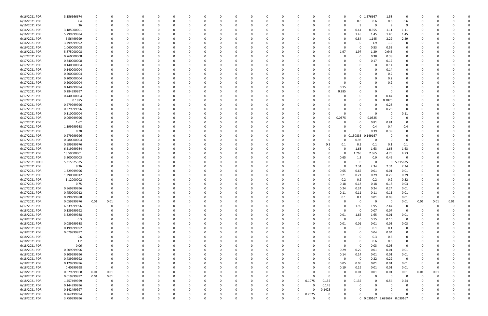| 6/16/2021 PDR  | 3.156666674 |              |          |          |          |          |          |          |              |   |              |          |          |          |          |        |          |                         | 0 1.576667                   | 1.58        | 0                       |             |          |          |  |
|----------------|-------------|--------------|----------|----------|----------|----------|----------|----------|--------------|---|--------------|----------|----------|----------|----------|--------|----------|-------------------------|------------------------------|-------------|-------------------------|-------------|----------|----------|--|
| 6/16/2021 PDR  | 2.4         |              |          | $\Omega$ |          |          |          | $\Omega$ |              |   | <sup>0</sup> | $\Omega$ |          |          | -0       |        | 0        | 0.6                     | 0.6                          | 0.6         | 0.6                     | 0           |          |          |  |
| 6/16/2021 PDR  | 36          |              |          |          |          |          |          |          |              |   |              |          |          |          |          |        |          | 9                       | 9                            | 9           | 9                       |             |          |          |  |
| 6/16/2021 PDR  | 3.185000001 |              |          |          |          |          |          |          |              |   |              |          |          |          |          |        |          | 0.41                    | 0.555                        | 1.11        | 1.11                    |             |          |          |  |
| 6/16/2021 PDR  | 5.799999984 |              |          |          |          |          |          |          |              |   |              |          |          |          |          |        | 0        | 1.45                    | 1.45                         | 1.45        | 1.45                    |             |          |          |  |
| 6/16/2021 PDR  | 6.56499999  |              |          |          |          |          |          |          |              |   |              |          |          |          |          |        |          | 0.84                    | 1.145                        | 2.29        | 2.29                    |             |          |          |  |
|                |             |              |          |          |          |          |          |          |              |   |              |          |          |          |          |        |          |                         |                              |             |                         |             |          |          |  |
| 6/16/2021 PDR  | 3.799999992 |              |          |          |          |          |          |          |              |   |              |          |          |          |          |        |          | 0                       | 1.9                          | 1.9         | 0                       |             |          |          |  |
| 6/16/2021 PDR  | 1.060000008 |              |          |          |          |          |          |          |              |   |              |          |          |          |          |        | O        | -0                      | 0.53                         | 0.53        | 0                       |             |          |          |  |
| 6/16/2021 PDR  | 5.875000008 |              |          |          |          |          |          |          |              |   |              |          |          |          |          |        | 1.97     | 1.97                    | 1.29                         | 0.645       |                         |             |          |          |  |
| 6/17/2021 PDR  | 0.760000008 |              |          |          |          |          |          |          |              |   |              |          |          |          |          |        |          | 0                       | 0.38                         | 0.38        | 0                       |             |          |          |  |
| 6/17/2021 PDR  | 0.340000008 |              |          |          |          |          |          |          |              |   |              |          |          |          |          |        |          | 0                       | 0.17                         | 0.17        | 0                       |             |          |          |  |
| 6/17/2021 PDR  | 0.140000004 |              |          |          |          |          |          |          |              |   |              |          |          |          |          |        |          |                         | 0                            | 0.14        | 0                       |             |          |          |  |
| 6/17/2021 PDR  | 0.140000004 |              |          |          |          |          |          |          |              |   |              |          |          |          |          |        |          |                         | 0                            | 0.14        | 0                       |             |          |          |  |
| 6/17/2021 PDR  | 0.200000004 |              |          |          |          |          |          |          |              |   |              |          |          |          |          |        |          |                         | 0                            | 0.2         |                         |             |          |          |  |
| 6/17/2021 PDR  | 0.200000004 |              |          |          |          |          |          |          |              |   |              |          |          |          |          |        |          |                         | 0                            | 0.2         |                         |             |          |          |  |
| 6/17/2021 PDR  | 0.200000004 |              |          |          |          |          |          |          |              |   |              |          |          |          |          |        |          |                         | 0                            | 0.2         |                         |             |          |          |  |
| 6/17/2021 PDR  | 0.149999994 |              |          |          |          |          |          |          |              |   |              |          |          |          |          |        | 0.15     |                         | $\Omega$                     |             |                         |             |          |          |  |
|                |             |              |          |          |          |          |          |          |              |   |              |          |          |          |          |        |          |                         |                              |             |                         |             |          |          |  |
| 6/17/2021 PDR  | 0.284999997 |              |          |          |          |          |          |          |              |   |              |          |          |          |          |        | 0.285    |                         | 0                            |             | 0                       |             |          |          |  |
| 6/17/2021 PDR  | 0.440000004 |              |          |          |          |          |          |          |              |   |              |          |          |          |          |        |          |                         | $\Omega$                     | 0.44        | 0                       |             |          |          |  |
| 6/17/2021 PDR  | 0.1875      |              |          |          |          |          |          |          |              |   |              |          |          |          |          |        |          |                         | $\Omega$                     | 0.1875      |                         |             |          |          |  |
| 6/17/2021 PDR  | 0.279999996 |              |          |          |          |          |          |          |              |   |              |          |          |          |          |        |          |                         | 0                            | 0.28        | 0                       |             |          |          |  |
| 6/17/2021 PDR  | 0.279999996 |              |          |          |          |          |          |          |              |   |              |          |          |          |          |        |          |                         | 0                            | 0.28        | 0                       |             |          |          |  |
| 6/17/2021 PDR  | 0.110000004 |              |          |          |          |          |          |          |              |   |              |          |          |          |          |        |          | 0                       | $\Omega$                     | - 0         | 0.11                    |             |          |          |  |
| 6/17/2021 PDR  | 0.069999996 |              |          |          |          |          |          |          |              |   |              |          |          |          |          |        | 0.0375   | 0                       | 0.0325                       | - 0         | 0                       |             |          |          |  |
| 6/17/2021 PDR  | 1.62        |              |          |          |          |          |          |          |              |   |              |          |          |          |          |        |          | 0                       | 0.81                         | 0.81        | 0                       |             |          |          |  |
| 6/17/2021 PDR  | 1.199999988 |              |          |          |          |          |          |          |              |   |              |          |          |          |          |        |          |                         | 0.4                          | 0.4         | 0.4                     |             |          |          |  |
| 6/17/2021 PDR  | 0.78        |              |          |          |          |          |          |          |              |   |              |          |          |          |          |        |          |                         | 0.39                         | 0.39        | O                       |             |          |          |  |
| 6/17/2021 PDR  | 0.279999996 |              |          |          |          |          |          |          |              |   |              |          |          |          |          |        |          |                         | 0 0.130833 0.149167          |             |                         |             |          |          |  |
|                |             |              |          |          |          |          |          |          |              |   |              |          |          |          |          |        |          |                         |                              |             |                         |             |          |          |  |
| 6/17/2021 PDR  | 0.980000004 |              |          |          |          |          |          |          |              |   |              |          |          |          |          |        |          | 0.98                    | 0                            |             | $\Omega$                |             |          |          |  |
| 6/17/2021 PDR  | 0.599999976 |              |          |          |          |          |          |          |              |   |              |          |          |          |          | 0.1    | 0.1      | 0.1                     | 0.1                          | 0.1         | 0.1                     |             |          |          |  |
| 6/17/2021 PDR  | 6.519999984 |              |          |          |          |          |          |          |              |   |              |          |          |          |          |        | 0        | 1.63                    | 1.63                         | 1.63        | 1.63                    |             |          |          |  |
| 6/17/2021 PDR  | 13.59000001 |              |          |          |          |          |          |          |              |   |              |          |          |          |          |        | O        | 1.765                   | 2.365                        | 4.73        | 4.73                    |             |          |          |  |
| 6/17/2021 PDR  | 3.300000003 |              |          |          |          |          |          |          |              |   |              |          |          |          |          |        | 0.65     | 1.3                     | 0.9                          | 0.45        | $\Omega$                |             |          |          |  |
| 6/17/2021 RDRR | 5.315625325 |              |          |          |          |          |          |          |              |   |              |          |          |          |          |        |          | 0                       | 0                            | $\mathbf 0$ | 5.315625                |             |          |          |  |
| 6/17/2021 PDR  | 9.36        |              |          |          |          |          |          |          |              |   |              |          |          |          |          |        | 0        | 2.34                    | 2.34                         | 2.34        | 2.34                    |             |          |          |  |
| 6/17/2021 PDR  | 1.329999996 |              |          |          |          |          |          |          |              |   |              |          |          |          |          |        | 0.65     | 0.65                    | 0.01                         | 0.01        | 0.01                    |             |          |          |  |
| 6/17/2021 PDR  | 1.290000012 |              |          |          |          |          |          |          |              |   |              |          |          |          |          |        | 0.21     | 0.21                    | 0.29                         | 0.29        | 0.29                    |             |          |          |  |
| 6/17/2021 PDR  | 1.12000002  |              |          |          |          |          |          |          |              |   |              |          |          |          |          |        | 0.2      | 0.2                     | 0.2                          | 0.2         | 0.32                    |             |          |          |  |
| 6/17/2021 PDR  | 0.75        |              |          |          |          |          |          |          |              |   |              |          |          |          |          |        | 0.18     | 0.18                    | 0.18                         | 0.18        | 0.03                    |             |          |          |  |
|                |             |              |          |          |          |          |          |          |              |   |              |          |          |          |          |        |          |                         |                              |             |                         |             |          |          |  |
| 6/17/2021 PDR  | 0.969999996 |              |          |          |          |          |          |          |              |   |              |          |          |          |          |        | 0.24     | 0.24                    | 0.24                         | 0.24        | 0.01                    |             |          |          |  |
| 6/17/2021 PDR  | 0.450000012 |              |          |          |          |          |          |          |              |   | υ            |          |          |          |          |        | 0.11     | 0.11                    | 0.11                         | 0.11        | 0.01                    | C           |          |          |  |
| 6/17/2021 PDR  | 0.299999988 | $\mathbf 0$  | 0        | $\Omega$ | $\Omega$ | $\Omega$ | 0        | $\Omega$ | 0            | O | $\Omega$     | $\Omega$ | $\Omega$ | $\Omega$ | $\Omega$ |        | 0.1      | 0.1                     | 0.01                         | 0.08        | 0.01                    | $\mathbf 0$ | $\Omega$ | $\Omega$ |  |
| 6/17/2021 PDR  | 0.059999976 | 0.01         | 0.01     | $\Omega$ |          | O        | 0        | 0        |              |   | 0            | $\Omega$ | $\Omega$ | $\Omega$ | 0        |        | $\Omega$ | $\mathbf 0$             | $\mathbf 0$                  | $\Omega$    | 0.01                    | 0.01        | 0.01     | 0.01     |  |
| 6/17/2021 PDR  | 6.339999996 | $\mathbf 0$  | $\Omega$ | 0        |          |          | 0        | 0        |              |   | 0            | $\Omega$ |          |          | 0        |        | $\Omega$ | 1.95                    | 1.95                         | 2.44        | $\overline{0}$          | 0           | $\Omega$ |          |  |
| 6/18/2021 PDR  | 0.139999992 | 0            |          | $\Omega$ |          |          | 0        | 0        |              |   |              | $\Omega$ |          | $\Omega$ | 0        |        | $\Omega$ | $\mathbf 0$             | 0.07                         | 0.07        | $\overline{0}$          | 0           |          |          |  |
| 6/18/2021 PDR  | 3.329999988 |              |          |          |          |          | 0        | 0        |              |   |              | 0        |          |          |          | 0      | 0.01     | 1.65                    | 1.65                         | 0.01        | 0.01                    |             |          |          |  |
| 6/18/2021 PDR  | 0.3         |              |          |          |          |          | 0        | 0        |              |   |              |          |          |          | 0        |        | $\Omega$ | $\mathbf 0$             | 0.15                         | 0.15        | $\mathbf 0$             |             |          |          |  |
| 6/18/2021 PDR  | 0.089999988 |              |          |          |          |          |          | 0        |              |   |              | 0        |          |          | 0        |        | 0.01     | 0.01                    | 0.01                         | 0.03        | 0.03                    | 0           |          |          |  |
| 6/18/2021 PDR  | 0.199999992 | 0            |          |          |          |          | 0        | 0        |              |   |              | $\Omega$ |          |          | 0        |        | $\Omega$ | 0                       | 0.1                          | 0.1         | 0                       | 0           |          |          |  |
| 6/18/2021 PDR  | 0.079999992 |              |          |          |          |          | 0        | 0        |              |   |              | 0        |          |          |          |        |          | 0                       | 0.04                         | 0.04        | 0                       | 0           |          |          |  |
| 6/18/2021 PDR  |             |              |          |          |          |          |          |          |              |   |              | $\Omega$ |          |          |          |        |          | $\Omega$                |                              |             | $\mathbf 0$             |             |          |          |  |
|                | 0.6         |              |          |          |          |          |          | 0        |              |   |              |          |          |          |          |        |          |                         | 0.3                          | 0.3         |                         |             |          |          |  |
| 6/18/2021 PDR  | 1.2         |              |          |          |          |          |          | 0        |              |   |              |          |          |          |          |        |          | 0                       | 0.6                          | 0.6         | 0                       |             |          |          |  |
| 6/18/2021 PDR  | 0.06        |              |          |          |          |          |          | 0        |              |   |              |          |          |          |          |        | $\Omega$ | 0                       | 0.03                         | 0.03        | $\mathbf 0$             |             |          |          |  |
| 6/18/2021 PDR  | 0.609999996 |              |          |          |          |          | 0        | 0        |              |   |              | 0        |          |          |          |        | 0.29     | 0.29                    | 0.01                         | 0.01        | 0.01                    | O           |          |          |  |
| 6/18/2021 PDR  | 0.309999996 |              |          |          |          |          |          | 0        |              |   |              | $\Omega$ |          | 0        | 0        |        | 0.14     | 0.14                    | 0.01                         | 0.01        | 0.01                    | O           |          |          |  |
| 6/18/2021 PDR  | 0.439999992 | 0            |          |          |          |          |          | 0        |              |   |              | $\Omega$ |          |          | 0        |        | $\Omega$ | $\overline{\mathbf{0}}$ | 0.22                         | 0.22        | $\mathbf 0$             | 0           |          |          |  |
| 6/18/2021 PDR  | 0.129999996 | 0            |          |          |          |          | 0        | 0        |              |   |              | $\Omega$ |          |          | 0        |        | 0.05     | 0.05                    | 0.01                         | 0.01        | 0.01                    | 0           |          |          |  |
| 6/18/2021 PDR  | 0.40999998  | $\mathbf{0}$ | 0        |          |          |          |          | 0        |              |   |              | $\Omega$ |          |          | 0        |        | 0.19     | 0.19                    | 0.01                         | 0.01        | 0.01                    | - 0         |          |          |  |
| 6/18/2021 PDR  | 0.079999968 | 0.01         | 0.01     |          |          |          |          | 0        |              |   |              |          |          |          |          |        | $\Omega$ | 0.01                    | 0.01                         | $0.01\,$    | 0.01                    | 0.01        | 0.01     |          |  |
| 6/18/2021 PDR  | 0.019999992 | 0.01         | 0.01     |          |          |          | 0        | 0        |              |   |              |          |          |          | C        |        | $\Omega$ | 0                       | $\Omega$                     | $\Omega$    | $\overline{\mathbf{0}}$ | 0           | $\Omega$ |          |  |
|                |             |              | $\Omega$ |          |          |          |          |          |              |   |              |          |          | $\Omega$ |          |        |          |                         | $\Omega$                     |             |                         |             |          |          |  |
| 6/18/2021 PDR  | 1.457499969 | $\mathbf 0$  |          |          |          |          |          |          |              |   |              |          |          |          | 0.1075   | 0.135  | 0        | 0.135                   |                              | 0.54        | 0.54                    | 0           |          |          |  |
| 6/18/2021 PDR  | 0.144999996 | 0            |          |          |          |          |          | 0        |              |   |              |          | $\Omega$ |          |          | 0.145  | 0        |                         | 0                            |             | 0                       | 0           |          |          |  |
| 6/18/2021 PDR  | 0.142499997 |              |          |          |          |          | 0        | 0        |              |   |              | $\Omega$ | $\Omega$ | $\Omega$ | 0        | 0.1425 | 0        |                         | $\Omega$                     |             | 0                       | 0           |          |          |  |
| 6/18/2021 PDR  | 0.262499994 |              |          |          |          |          |          |          |              |   |              |          |          | $\Omega$ | 0.2625   |        | 0        |                         | $\Omega$                     |             |                         |             |          |          |  |
| 6/18/2021 PDR  | 3.759999996 | $\Omega$     | $\Omega$ | $\Omega$ |          | $\Omega$ | $\Omega$ | $\Omega$ | <sup>0</sup> | 0 | $\Omega$     | $\Omega$ | $\Omega$ | O        | $\Omega$ |        | $\Omega$ |                         | 0 0.039167 3.681667 0.039167 |             |                         | $\Omega$    |          | $\Omega$ |  |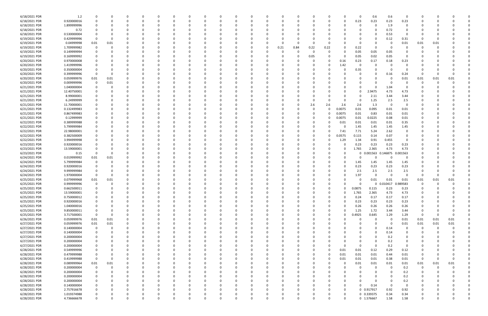| 6/18/2021 PDR | 1.2         |             |          |          |          |          |          |    |          |          | $\Omega$ |          |          |          |      |             | 0           | 0.6         | 0.6      | $\Omega$       |             |          |          |  |
|---------------|-------------|-------------|----------|----------|----------|----------|----------|----|----------|----------|----------|----------|----------|----------|------|-------------|-------------|-------------|----------|----------------|-------------|----------|----------|--|
| 6/18/2021 PDR | 0.920000016 |             |          |          |          |          |          |    |          |          | 0        |          |          |          |      |             | 0.23        | 0.23        | 0.23     | 0.23           |             |          |          |  |
| 6/18/2021 PDR |             |             |          |          |          |          |          |    |          |          |          |          |          |          |      |             | 0           | 0           |          | 0              |             |          |          |  |
|               | 1.899999996 |             |          |          |          |          |          |    |          |          |          |          |          |          |      |             |             |             | 1.9      |                |             |          |          |  |
| 6/18/2021 PDR | 0.72        |             |          |          |          |          |          |    |          |          |          |          |          |          |      |             |             | 0           | 0.72     | 0              |             |          |          |  |
| 6/18/2021 PDR | 0.530000004 |             |          |          |          |          |          |    |          |          |          |          |          |          |      |             |             | 0           | 0.53     | 0              |             |          |          |  |
|               |             |             |          |          |          |          |          |    |          |          |          |          |          |          |      |             |             |             |          |                |             |          |          |  |
| 6/19/2021 PDR | 0.429999996 | - 0         |          |          |          |          |          |    |          |          |          |          |          |          |      |             |             | 0           | 0.12     | 0.31           | -0          |          |          |  |
| 6/19/2021 PDR | 0.04999998  | 0.01        | 0.01     |          |          |          |          |    |          |          | - 0      |          |          | C        |      |             |             | -0          | <u>n</u> | 0.01           | 0.01        | 0.01     |          |  |
| 6/19/2021 PDR | 1.709999982 | -0          |          |          |          |          |          |    |          |          | 0        | 0.21     | 0.84     | 0.22     | 0.22 |             | 0.22        | 0           |          | O              |             |          |          |  |
|               |             |             |          |          |          |          |          |    |          |          |          |          |          |          |      |             |             |             |          |                |             |          |          |  |
| 6/19/2021 PDR | 0.149999994 |             |          |          |          |          |          |    |          |          |          |          |          | $\Omega$ |      |             | 0.05        | 0.05        | 0.05     |                |             |          |          |  |
| 6/19/2021 PDR | 0.169999992 |             |          |          |          |          |          |    |          |          |          |          |          | 0.05     |      |             | 0.05        | 0.02        | 0.05     | 0              |             |          |          |  |
| 6/20/2021 PDR | 0.970000008 |             |          |          |          |          |          |    |          |          |          |          |          |          |      | 0.16        | 0.23        | 0.17        | 0.18     | 0.23           |             |          |          |  |
|               |             |             |          |          |          |          |          |    |          |          |          |          |          |          |      |             |             |             |          |                |             |          |          |  |
| 6/20/2021 PDR | 1.419999996 |             |          |          |          |          |          |    |          |          |          |          |          |          |      | 1.42        | 0           | -0          |          |                |             |          |          |  |
| 6/20/2021 PDR | 0.350000004 |             |          |          |          |          |          |    |          |          |          |          |          |          |      |             | 0.35        | $\Omega$    | - വ      |                |             |          |          |  |
|               |             |             |          |          |          |          |          |    |          |          |          |          |          |          |      |             |             |             |          |                |             |          |          |  |
| 6/20/2021 PDR | 0.399999996 | - 0         |          |          |          |          |          |    |          |          |          |          |          |          |      |             |             | 0           | 0.16     | 0.24           | O           |          |          |  |
| 6/20/2021 PDR | 0.059999976 | 0.01        | 0.01     |          |          |          |          |    |          |          |          |          |          |          |      |             |             | 0           | - 0      | 0.01           | 0.01        | 0.01     | 0.01     |  |
| 6/20/2021 PDR | 0.009999996 | 0           | 0.01     |          |          |          |          |    |          |          |          |          |          |          |      |             |             | $\Omega$    | - 0      | 0              | C           |          |          |  |
|               |             |             |          |          |          |          |          |    |          |          |          |          |          |          |      |             |             |             |          |                |             |          |          |  |
| 6/21/2021 PDR | 1.040000004 | 0           |          |          |          |          |          |    |          |          |          |          |          |          |      |             |             | 0           | 1.04     | $\Omega$       |             |          |          |  |
| 6/21/2021 PDR | 12.40750001 | 0           |          |          |          |          |          |    |          |          |          |          |          |          |      |             | 0           | 2.9475      | 4.73     | 4.73           |             |          |          |  |
|               |             |             |          |          |          |          |          |    |          |          |          |          |          |          |      |             |             |             |          |                |             |          |          |  |
| 6/21/2021 PDR | 8.99000001  |             |          |          |          |          |          |    |          |          |          |          |          |          |      |             |             | 2.11        | 3.44     | 3.44           |             |          |          |  |
| 6/21/2021 PDR | 6.24999999  |             |          |          |          |          |          |    |          |          |          |          |          |          |      |             | 0           | 1.25        | 2.5      | 2.5            |             |          |          |  |
| 6/21/2021 PDR | 11.70000001 |             |          |          |          |          |          |    |          |          |          |          |          | 2.6      | 2.6  | 2.6         | 2.6         | 1.3         | $\Omega$ | $\Omega$       |             |          |          |  |
|               |             |             |          |          |          |          |          |    |          |          |          |          |          |          |      |             |             |             |          |                |             |          |          |  |
| 6/21/2021 PDR | 0.132499983 |             |          |          |          |          |          |    |          |          |          |          |          |          |      | 0.0075      | 0.01        | 0.095       | 0.01     | 0.01           |             |          |          |  |
| 6/21/2021 PDR | 0.867499983 |             |          |          |          |          |          |    |          |          |          |          |          |          |      | 0.0075      | 0.01        | 0.83        | 0.01     | 0.01           |             |          |          |  |
| 6/21/2021 PDR | 0.12999999  | 0           |          |          |          |          |          |    |          |          |          |          |          | 0        |      | 0.0075      | 0.01        | 0.0225      | 0.08     | 0.01           |             |          |          |  |
|               |             |             |          |          |          |          |          |    |          |          |          |          |          |          |      |             |             |             |          |                |             |          |          |  |
| 6/22/2021 PDR | 0.389999988 | 0           |          |          |          |          |          |    |          |          | -0       |          |          |          |      | 0.01        | 0.01        | 0.01        | 0.01     | 0.35           |             |          |          |  |
| 6/22/2021 PDR | 5.799999984 |             |          |          |          |          |          |    |          |          |          |          |          |          |      |             | 1.45        | 1.45        | 1.45     | 1.45           |             |          |          |  |
|               |             |             |          |          |          |          |          |    |          |          |          |          |          |          |      |             |             |             |          |                |             |          |          |  |
| 6/22/2021 PDR | 22.98000001 |             |          |          |          |          |          |    |          |          |          |          |          |          |      | 7.41        | 7.71        | 5.24        | 2.62     | - 0            |             |          |          |  |
| 6/22/2021 PDR | 0.382500009 |             |          |          |          |          |          |    |          |          |          |          |          |          |      | 0.0575      | 0.115       | 0.14        | 0.07     | 0              |             |          |          |  |
| 6/22/2021 PDR | 3.994999998 |             |          |          |          |          |          |    |          |          |          |          |          |          |      | 1.29        | 1.34        | 0.91        | 0.455    | $\Omega$       |             |          |          |  |
|               |             |             |          |          |          |          |          |    |          |          |          |          |          |          |      |             |             |             |          |                |             |          |          |  |
| 6/23/2021 PDR | 0.920000016 |             |          |          |          |          |          |    |          |          |          |          |          |          |      |             | 0.23        | 0.23        | 0.23     | 0.23           |             |          |          |  |
| 6/23/2021 PDR | 13.59000001 |             |          |          |          |          |          |    |          |          |          |          |          |          |      |             | 1.765       | 2.365       | 4.73     | 4.73           |             |          |          |  |
|               |             |             |          |          |          |          |          |    |          |          |          |          |          |          |      |             |             |             |          |                |             |          |          |  |
| 6/23/2021 PDR | 0.15        | -0          |          |          |          |          |          |    |          |          |          |          |          |          |      |             | 0           | 0.001563    | 0.146875 | 0.001563       |             |          |          |  |
| 6/24/2021 PDR | 0.019999992 | 0.01        | 0.01     |          |          |          |          |    |          |          | -0       |          |          |          |      |             | 0           | -0          | - 0      | 0              |             |          |          |  |
| 6/24/2021 PDR | 5.799999984 | -0          |          |          |          |          |          |    |          |          |          |          |          |          |      |             | 1.45        | 1.45        | 1.45     | 1.45           |             |          |          |  |
|               |             |             |          |          |          |          |          |    |          |          |          |          |          |          |      |             |             |             |          |                |             |          |          |  |
| 6/24/2021 PDR | 0.920000016 | -0          |          |          |          |          |          |    |          |          |          |          |          |          |      |             | 0.23        | 0.23        | 0.23     | 0.23           |             |          |          |  |
| 6/24/2021 PDR | 9.999999984 | 0           |          |          |          |          |          |    |          |          |          |          |          |          |      |             | 2.5         | 2.5         | 2.5      | 2.5            |             |          |          |  |
|               |             |             |          |          |          |          |          |    |          |          |          |          |          |          |      |             |             |             | $\Omega$ | $\Omega$       |             |          |          |  |
| 6/24/2021 PDR | 1.970000004 | 0           |          |          |          |          |          |    |          |          |          |          |          |          |      |             | 1.97        | 0           |          |                | 0           |          |          |  |
| 6/25/2021 PDR | 0.079999968 | 0.01        | 0.01     |          |          |          |          |    |          |          | - 0      |          |          |          |      |             |             | 0.01        | 0.01     | 0.01           | 0.01        | 0.01     | 0.01     |  |
| 6/25/2021 PDR | 0.999999996 | 0           |          |          |          |          |          |    |          |          |          |          |          |          |      |             |             | $\mathbf 0$ | 0.010417 | 0.989583       | -0          |          |          |  |
|               |             |             |          |          |          |          |          |    |          |          |          |          |          |          |      |             |             |             |          |                |             |          |          |  |
| 6/25/2021 PDR | 0.662500011 | $\Omega$    |          |          |          |          |          |    |          |          |          |          |          |          |      | 0           | 0.0875      | 0.115       | 0.23     | 0.23           | $\Omega$    |          |          |  |
| 6/25/2021 PDR | 13.59000001 | $\Omega$    |          |          |          |          |          |    |          |          |          |          |          |          |      | $\Omega$    | 1.765       | 2.365       | 4.73     | 4.73           | $\Omega$    |          |          |  |
|               |             |             |          |          | $\Omega$ | $\Omega$ | $\Omega$ |    | $\Omega$ |          |          | $\Omega$ | $\Omega$ |          |      | 0           |             |             |          |                |             |          |          |  |
| 6/25/2021 PDR | 0.750000012 | 0           | 0        | 0        |          |          |          | 0  |          | 0        | 0        |          |          | 0        |      |             | 0.24        | 0.17        | 0.17     | 0.17           | 0           |          |          |  |
| 6/25/2021 PDR | 0.920000016 | 0           | 0        | 0        |          |          |          | 0  |          | 0        | 0        |          |          | 0        |      | 0           | 0.23        | 0.23        | 0.23     | 0.23           | 0           |          |          |  |
| 6/25/2021 PDR | 1.040000016 | 0           |          |          |          |          |          | -0 |          |          | $\Omega$ |          | 0        | 0        |      | $\Omega$    | 0.26        | 0.26        | 0.26     | 0.26           | 0           |          |          |  |
|               |             |             |          |          |          |          |          |    |          |          |          |          |          |          |      |             |             |             |          |                |             |          |          |  |
| 6/25/2021 PDR | 9.850000011 | 0           |          |          |          |          |          |    |          |          | $\Omega$ |          |          | 0        |      | 0           | 1.25        | 1.72        | 3.44     | 3.44           | 0           |          |          |  |
| 6/25/2021 PDR | 3.717500001 | $\mathbf 0$ |          |          |          |          |          |    |          |          | -0       |          |          |          |      |             | .4925       | 0.645       | 1.29     | 1.29           | 0           |          |          |  |
| 6/26/2021 PDR | 0.059999976 | 0.01        | 0.01     |          |          |          |          | -0 |          | 0        | $\Omega$ |          | 0        |          |      | $\Omega$    | $\mathbf 0$ | $\Omega$    | $\Omega$ | 0.01           | 0.01        | 0.01     | 0.01     |  |
|               |             |             |          |          |          |          |          |    |          |          |          |          |          |          |      |             |             |             |          |                |             |          |          |  |
| 6/27/2021 PDR | 0.059999976 | 0.01        | 0.01     |          |          |          |          |    |          |          | 0        |          |          | 0        |      |             |             | $\Omega$    | $\Omega$ | 0.01           | 0.01        | 0.01     | 0.01     |  |
| 6/27/2021 PDR | 0.140000004 | $\mathbf 0$ | $\Omega$ |          |          |          |          |    |          |          | 0        |          |          | n        |      |             |             | 0           | 0.14     | 0              | $\mathbf 0$ | $\Omega$ |          |  |
|               |             |             |          |          |          |          |          |    |          |          |          |          |          |          |      |             |             |             |          |                |             |          |          |  |
| 6/27/2021 PDR | 0.140000004 | 0           |          |          |          |          |          | 0  |          |          | 0        |          |          | 0        |      |             |             | 0           | 0.14     | 0              |             |          |          |  |
| 6/27/2021 PDR | 0.200000004 | 0           |          |          |          |          |          |    |          |          | 0        |          |          |          |      |             |             | 0           | 0.2      | 0              |             |          |          |  |
| 6/27/2021 PDR | 0.200000004 | 0           |          |          |          |          |          | -0 |          |          | 0        |          |          |          |      |             |             | 0           | 0.2      | $\overline{0}$ |             |          |          |  |
|               |             |             |          |          |          |          |          |    |          |          |          |          |          |          |      |             |             |             |          |                |             |          |          |  |
| 6/27/2021 PDR | 0.200000004 | 0           |          |          |          |          |          |    |          |          | 0        |          |          |          |      | 0           | 0           | $\mathbf 0$ | 0.2      | 0              |             |          |          |  |
| 6/28/2021 PDR | 0.549999996 | 0           |          |          |          |          |          |    |          |          | $\Omega$ |          |          |          |      | 0.01        | 0.01        | 0.12        | 0.29     | 0.12           |             |          |          |  |
| 6/28/2021 PDR | 0.479999988 | 0           |          |          |          |          |          | 0  |          |          | $\Omega$ |          |          | 0        |      | 0.01        | 0.01        | 0.01        | 0.44     | 0.01           | 0           |          |          |  |
|               |             |             |          |          |          |          |          |    |          |          |          |          |          |          |      |             |             |             |          |                |             |          |          |  |
| 6/28/2021 PDR | 0.419999988 | $\mathbf 0$ | $\Omega$ |          |          |          |          | 0  |          | 0        | 0        |          | 0        | 0        |      | 0.01        | 0.01        | 0.01        | 0.38     | 0.01           | - 0         | $\Omega$ | $\Omega$ |  |
| 6/28/2021 PDR | 0.089999964 | 0.01        | 0.01     |          |          |          |          |    |          |          | 0        |          |          | 0        |      | $\Omega$    | 0.01        | 0.01        | 0.01     | 0.01           | 0.01        | 0.01     | 0.01     |  |
|               |             |             |          |          |          |          |          |    |          |          |          |          |          |          |      |             |             |             |          |                |             |          |          |  |
| 6/28/2021 PDR | 0.200000004 | $\mathbf 0$ | $\Omega$ |          |          |          |          |    |          |          | $\Omega$ |          |          |          |      |             | 0           | 0           | $\Omega$ | 0.2            | 0           | 0        |          |  |
| 6/28/2021 PDR | 0.200000004 | 0           |          |          |          |          |          |    |          |          | 0        |          |          |          |      |             |             | 0           | $\Omega$ | 0.2            | 0           |          |          |  |
| 6/28/2021 PDR | 0.200000004 | 0           |          |          |          |          |          |    |          |          | 0        |          |          |          |      |             |             | 0           | $\Omega$ | 0.2            | 0           |          |          |  |
|               |             |             |          |          |          |          |          |    |          |          |          |          |          |          |      |             |             |             |          |                |             |          |          |  |
| 6/28/2021 PDR | 0.200000004 | 0           |          |          |          |          |          | 0  | 0        |          | $\Omega$ |          | $\Omega$ | 0        |      | 0           |             | $\mathbf 0$ | $\Omega$ | 0.2            | 0           |          |          |  |
| 6/28/2021 PDR | 0.140000004 | 0           |          |          |          |          |          | 0  |          |          | 0        |          |          | 0        |      | 0           | O           | 0.14        | $\Omega$ | $\overline{0}$ | 0           |          |          |  |
| 6/28/2021 PDR | 2.757916678 | 0           |          |          |          |          |          |    |          |          | 0        |          |          |          |      | $\mathbf 0$ |             | 0 0.917917  | 0.92     | 0.92           |             |          |          |  |
|               |             |             |          |          |          |          |          |    |          |          |          |          |          |          |      |             |             |             |          |                |             |          |          |  |
| 6/28/2021 PDR | 1.019374988 | 0           |          |          |          |          |          |    |          |          |          |          |          |          |      | 0           |             | 0 0.339375  | 0.34     | 0.34           |             |          |          |  |
| 6/28/2021 PDR | 4.736666678 | $\mathbf 0$ | 0        | $\Omega$ |          | $\Omega$ | $\Omega$ | 0  | $\Omega$ | $\Omega$ | $\Omega$ | $\Omega$ | $\Omega$ | 0        |      | 0           |             | 0 1.576667  | 1.58     | 1.58           | 0           |          | O        |  |
|               |             |             |          |          |          |          |          |    |          |          |          |          |          |          |      |             |             |             |          |                |             |          |          |  |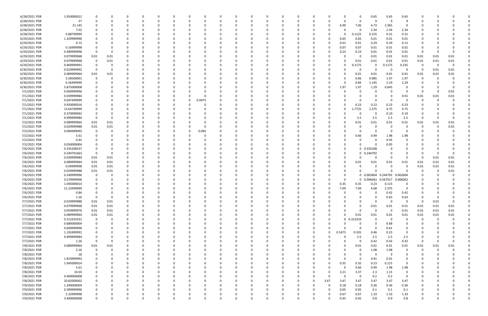| 6/28/2021 PDR | 1.950000012 |             |             |   |          |     |          |   |          |              |          |          |          |          |          |          |          |          | 0            | 0.65                | 0.65     | 0.65           |          |          |          |  |
|---------------|-------------|-------------|-------------|---|----------|-----|----------|---|----------|--------------|----------|----------|----------|----------|----------|----------|----------|----------|--------------|---------------------|----------|----------------|----------|----------|----------|--|
| 6/28/2021 PDR | 27          |             |             |   |          |     |          |   | -0       |              |          |          |          |          |          | -0       |          | $\Omega$ | 0            | 9                   | - 9      | 9              |          |          |          |  |
| 6/28/2021 PDR | 21.145      |             |             |   |          |     |          |   |          |              |          |          |          |          |          |          |          | 6.99     | 7.06         | 4.73                | 2.365    |                |          |          |          |  |
| 6/28/2021 PDR | 7.02        |             |             |   |          |     |          |   |          |              |          |          |          |          |          |          |          |          | 0            | 2.34                | 2.34     | 2.34           |          |          |          |  |
|               |             |             |             |   |          |     |          |   |          |              |          |          |          |          |          |          |          |          |              |                     |          |                |          |          |          |  |
| 6/28/2021 PDR | 0.88749999  |             |             |   |          |     |          |   |          |              |          |          |          |          |          |          |          | 0        | 0.1125       | 0.155               | 0.31     | 0.31           |          |          |          |  |
| 6/29/2021 PDR | 1.329999996 |             |             |   |          |     |          |   |          |              |          |          |          |          |          |          |          | 0.65     | 0.65         | 0.01                | 0.01     | 0.01           |          |          |          |  |
| 6/29/2021 PDR | 0.72        |             |             |   |          |     |          |   |          |              |          |          |          |          |          |          |          | 0.01     | 0.01         | 0.29                | 0.29     | 0.12           |          |          |          |  |
| 6/29/2021 PDR | 0.16999998  |             |             |   |          |     |          |   |          |              |          |          |          |          |          |          |          | 0.07     | 0.07         | 0.01                | 0.01     | 0.01           |          |          |          |  |
| 6/29/2021 PDR | 0.489999996 | -C          |             |   |          |     |          |   |          |              |          |          |          |          |          |          |          | 0.23     | 0.23         | 0.01                | 0.01     | 0.01           | -0       |          |          |  |
| 6/29/2021 PDR | 0.079999968 | 0.01        | 0.01        |   |          |     |          |   |          |              |          |          |          |          |          |          |          |          | 0            | 0.01                | 0.01     | 0.01           | 0.01     | 0.01     | 0.01     |  |
| 6/29/2021 PDR | 0.079999968 | 0           | 0.01        |   |          |     |          |   |          |              |          |          |          |          |          |          |          |          | 0.01         | 0.01                | 0.01     | 0.01           | 0.01     | 0.01     | 0.01     |  |
|               |             |             |             |   |          |     |          |   |          |              |          |          |          |          |          |          |          |          |              |                     |          |                |          |          |          |  |
| 6/29/2021 PDR | 0.469999992 | 0           |             |   |          |     |          |   |          |              |          |          |          |          |          |          |          | 0        | .1175        | 0                   | 0.1175   | 0.235          | -0       |          | -0       |  |
| 6/30/2021 PDR | 0.019999992 | - 0         |             |   |          |     |          |   |          |              |          |          |          |          |          |          |          |          | 0            | 0                   | - 0      | 0              | 0        | 0.01     | 0.01     |  |
| 6/30/2021 PDR | 0.089999964 | 0.01        | 0.01        |   |          |     |          |   |          |              |          |          |          |          |          |          |          |          | 0.01         | 0.01                | 0.01     | 0.01           | 0.01     | 0.01     | 0.01     |  |
| 6/30/2021 PDR | 5.58500001  | 0           |             |   |          |     |          |   |          |              |          |          |          |          |          |          |          |          | 0.66         | 0.985               | 1.97     | 1.97           | 0        |          |          |  |
| 6/30/2021 PDR | 6.56499999  |             |             |   |          |     |          |   |          |              |          |          |          |          |          |          |          | O        | 0.84         | 1.145               | 2.29     | 2.29           |          |          |          |  |
| 6/30/2021 PDR | 5.875000008 |             |             |   |          |     |          |   |          |              |          |          |          |          |          |          |          | 1.97     | 1.97         | 1.29                | 0.645    |                |          |          |          |  |
|               |             |             |             |   |          |     |          |   |          |              |          |          |          |          |          |          |          |          |              |                     |          |                |          |          |          |  |
| 7/1/2021 PDR  | 0.009999996 |             |             |   |          |     |          |   |          |              |          |          |          |          |          |          |          |          | 0            |                     |          |                | 0        |          | 0.01     |  |
| 7/1/2021 PDR  | 0.039999984 |             |             |   |          |     |          |   |          |              |          |          |          |          |          |          |          |          |              | 0                   | - 0      | 0.01           | 0.01     | 0.01     | 0.01     |  |
| 7/1/2021 PDR  | 0.047499999 |             |             |   |          |     |          |   | 0.0475   |              |          |          |          |          |          |          |          |          |              | $\Omega$            |          |                |          |          |          |  |
| 7/1/2021 PDR  | 0.920000016 |             |             |   |          |     |          |   |          |              |          |          |          |          |          |          |          |          | 0.23         | 0.23                | 0.23     | 0.23           |          |          |          |  |
| 7/1/2021 PDR  | 13.64749999 |             |             |   |          |     |          |   |          |              |          |          |          |          |          |          |          | O        | .7725        | 2.375               | 4.75     | 4.75           |          |          |          |  |
| 7/1/2021 PDR  | 0.379999992 |             |             |   |          |     |          |   |          |              |          |          |          |          |          |          |          |          | 0            | 0                   | 0.19     | 0.19           |          |          |          |  |
|               |             |             | $\Omega$    |   |          |     |          |   |          |              |          |          |          |          |          |          |          |          |              |                     |          |                |          |          |          |  |
| 7/1/2021 PDR  | 9.999999984 | - 0         |             |   |          |     |          |   |          |              |          |          |          |          |          |          |          | O        | 2.5          | 2.5                 | 2.5      | 2.5            | 0        |          | $\Omega$ |  |
| 7/2/2021 PDR  | 0.089999964 | 0.01        | 0.01        |   |          |     |          |   |          |              |          |          |          |          |          |          |          |          | 0.01         | 0.01                | 0.01     | 0.01           | 0.01     | 0.01     | 0.01     |  |
| 7/2/2021 PDR  | 0.029999988 | 0.01        | 0.01        |   |          |     |          |   |          |              |          |          |          |          |          |          |          |          | 0            | - 0                 |          |                | ſ        |          | 0.01     |  |
| 7/2/2021 PDR  | 0.094999995 | 0           |             |   |          |     |          | 0 | 0.095    |              |          |          |          |          |          |          |          |          | 0            | 0                   | - 0      |                |          |          |          |  |
| 7/2/2021 PDR  | 5.61        |             |             |   |          |     |          |   |          |              |          |          |          |          |          |          |          |          | 0.66         | 0.99                | 1.98     | 1.98           |          |          |          |  |
| 7/2/2021 PDR  | 0.45        |             |             |   |          |     |          |   |          |              |          |          |          |          |          |          |          |          | 0            | $\Omega$            | 0.45     | $\Omega$       |          |          |          |  |
| 7/2/2021 PDR  | 0.050000004 |             |             |   |          |     |          |   |          |              |          |          |          |          |          |          |          | 0        | n            | $\Omega$            | 0.05     | 0              |          |          |          |  |
|               |             |             |             |   |          |     |          |   |          |              |          |          |          |          |          |          |          |          |              |                     |          |                |          |          |          |  |
| 7/6/2021 PDR  | 0.335208337 |             |             |   |          |     |          |   |          |              |          |          |          |          |          |          |          |          |              | 0 0.335208          |          |                |          |          |          |  |
| 7/6/2021 PDR  | 0.244791663 | C           |             |   |          |     |          |   |          |              |          |          |          |          |          |          |          |          | $\mathbf{0}$ | 0.244792            |          |                |          |          |          |  |
| 7/6/2021 PDR  | 0.039999984 | 0.01        | 0.01        |   |          |     |          |   |          |              |          |          |          |          |          |          |          | 0        | n            | - 0                 | - 0      | - 0            | C        | 0.01     | 0.01     |  |
| 7/6/2021 PDR  | 0.089999964 | 0.01        | 0.01        |   |          |     |          |   |          |              |          |          |          |          |          |          |          | 0        | 0.01         | 0.01                | 0.01     | 0.01           | 0.01     | 0.01     | 0.01     |  |
| 7/6/2021 PDR  | 0.04999998  | 0.01        | 0.01        |   |          |     |          |   |          |              |          |          |          |          |          |          |          |          | O            | - 0                 | $\Omega$ |                | 0.01     | 0.01     | 0.01     |  |
| 7/6/2021 PDR  | 0.029999988 | 0.01        | 0.01        |   |          |     |          |   |          |              |          |          |          |          |          |          |          | 0        | n            | റ                   |          |                |          |          | 0.01     |  |
|               |             |             |             |   |          |     |          |   |          |              |          |          |          |          |          |          |          |          |              |                     |          |                |          |          |          |  |
| 7/6/2021 PDR  | 0.249999996 | 0           |             |   |          |     |          |   |          |              |          |          |          |          |          |          |          | 0        |              | 0 0.002604 0.244792 |          | 0.002604       |          |          |          |  |
| 7/6/2021 PDR  | 0.579999996 |             |             |   |          |     |          |   |          |              |          |          |          |          |          |          |          | $\Omega$ |              | 0 0.006042          | 0.567917 | 0.006042       |          |          |          |  |
| 7/6/2021 PDR  | 1.045000014 |             |             |   |          |     |          |   |          |              |          |          |          |          |          |          |          | 0.35     | 0.35         | 0.23                | 0.115    | 0              |          |          |          |  |
| 7/6/2021 PDR  | 21.23499999 |             |             |   |          |     |          |   |          |              |          |          |          |          |          |          |          | 7.09     | 7.09         | 4.68                | 2.375    | 0              | 0        |          |          |  |
| 7/6/2021 PDR  | 0.84        |             |             |   |          |     |          |   |          |              |          |          |          |          |          |          |          |          | $\Omega$     | $\Omega$            | 0.42     | 0.42           |          |          |          |  |
| 7/6/2021 PDR  | 1.26        | $\mathbf 0$ | $\mathbf 0$ | O | 0        | - 0 | $\Omega$ | 0 | $\Omega$ | <sup>0</sup> | $\Omega$ | 0        | $\Omega$ | $\Omega$ | $\Omega$ | 0        |          | $\Omega$ | 0            | $\mathbf 0$         | 0.63     | 0.63           | 0        |          | 0        |  |
|               |             |             |             |   |          |     |          |   |          |              |          |          |          |          |          |          |          |          |              |                     |          |                |          |          |          |  |
| 7/7/2021 PDR  | 0.029999988 | 0.01        | 0.01        |   | 0        |     |          |   | 0        |              |          | 0        | $\Omega$ |          |          | 0        |          | 0        | 0            | $\Omega$            | $\Omega$ | 0              | 0        | 0.01     | 0        |  |
| 7/7/2021 PDR  | 0.079999968 | 0.01        | 0.01        |   |          |     |          |   | 0        |              |          |          | - 0      |          |          | -0       |          | ŋ        | 0            | 0.01                | 0.01     | 0.01           | 0.01     | 0.01     | 0.01     |  |
| 7/7/2021 PDR  | 0.059999976 | 0.01        | 0.01        |   |          |     |          |   | 0        |              |          |          |          |          |          |          |          | 0        | $\Omega$     | $\mathbf 0$         | $\Omega$ | 0.01           | 0.01     | 0.01     | 0.01     |  |
| 7/7/2021 PDR  | 0.089999964 | 0.01        | 0.01        |   |          |     |          |   | 0        |              |          |          |          |          |          |          |          | 0        | 0.01         | 0.01                | 0.01     | 0.01           | 0.01     | 0.01     | 0.01     |  |
| 7/7/2021 PDR  | 0.313333331 | $\mathbf 0$ | 0           |   |          |     |          | 0 | 0        |              | ŋ        | 0        | $\Omega$ |          |          | 0        | 0        |          | 0 0.313333   | $\Omega$            | $\Omega$ | 0              | 0        | $\Omega$ |          |  |
| 7/7/2021 PDR  | 0.680000004 | 0           |             |   |          |     |          |   | 0        |              |          |          | $\Omega$ |          |          |          |          | $\Omega$ | 0            | 0                   | 0.68     | 0              | 0        |          |          |  |
| 7/7/2021 PDR  | 0.609999996 | 0           |             |   |          |     |          |   | 0        |              |          |          | 0        |          |          | 0        |          |          | $\mathbf 0$  | $\Omega$            | 0.61     | 0              |          |          |          |  |
|               |             |             |             |   |          |     |          |   |          |              |          |          |          |          |          |          |          |          |              |                     |          |                |          |          |          |  |
| 7/7/2021 PDR  | 1.192499991 | 0           |             |   |          |     |          | 0 | 0        |              |          |          | $\Omega$ |          |          | 0        | $\Omega$ | 0.1675   | 0.335        | 0.46                | 0.23     | $\mathbf 0$    |          |          |          |  |
| 7/7/2021 PDR  | 9.999999984 |             |             |   |          |     |          |   | 0        |              |          |          | 0        |          |          |          |          | 0        | 2.5          | 2.5                 | 2.5      | 2.5            |          |          |          |  |
| 7/7/2021 PDR  | 1.26        | 0           | 0           |   |          |     |          |   | 0        |              |          |          | 0        |          |          | 0        |          | $\Omega$ | $\mathbf 0$  | 0.42                | 0.42     | 0.42           | 0        |          | $\Omega$ |  |
| 7/8/2021 PDR  | 0.089999964 | 0.01        | 0.01        |   |          |     |          |   | 0        |              |          |          |          |          |          | 0        |          | 0        | 0.01         | 0.01                | 0.01     | 0.01           | 0.01     | 0.01     | 0.01     |  |
| 7/8/2021 PDR  | 2.16        | 0           | $\Omega$    |   |          |     |          |   |          |              |          |          |          |          |          |          |          |          | $\mathbf 0$  | 1.08                | 1.08     | $\overline{0}$ | 0        |          |          |  |
|               |             |             |             |   |          |     |          |   |          |              |          |          |          |          |          |          |          |          |              | 9                   |          |                |          |          |          |  |
| 7/8/2021 PDR  | 18          | 0           |             |   |          |     |          |   | 0        |              |          |          |          |          |          | 0        |          | 0        | 0            |                     | - 9      | $\Omega$       | 0        |          |          |  |
| 7/8/2021 PDR  | 1.819999992 | 0           | 0           |   | 0        |     |          | 0 | 0        |              |          | 0        | $\Omega$ |          | 0        | 0        |          | $\Omega$ | 0            | 0.91                | 0.91     | 0              | 0        |          |          |  |
| 7/8/2021 PDR  | 1.045000014 |             |             |   |          |     |          |   | 0        |              |          |          | $\Omega$ |          |          | 0        |          | 0.35     | 0.35         | 0.23                | 0.115    | 0              |          |          |          |  |
| 7/8/2021 PDR  | 5.61        |             |             |   |          |     |          |   | 0        |              |          |          | $\Omega$ |          |          | $\Omega$ |          | $\Omega$ | 0.66         | 0.99                | 1.98     | 1.98           |          |          |          |  |
| 7/8/2021 PDR  | 10.03       | $\Omega$    |             |   |          |     |          |   | 0        |              |          |          | -0       |          |          | 0        |          | 3.21     | 3.37         | 2.3                 | 1.15     | 0              |          |          |          |  |
| 7/8/2021 PDR  | 0.400000008 |             |             |   |          |     |          |   | 0        |              |          |          |          |          |          |          |          | $\Omega$ | 0            | 0.2                 | 0.2      | $\overline{0}$ |          |          |          |  |
| 7/8/2021 PDR  | 20.82000002 | 0           |             |   |          |     |          | O | 0        |              | 0        |          | $\Omega$ |          | $\Omega$ | $\Omega$ | 3.47     | 3.47     | 3.47         | 3.47                | 3.47     | 3.47           | 0        |          |          |  |
|               |             |             |             |   |          |     |          |   |          |              |          |          |          |          |          |          |          |          |              |                     |          |                |          |          |          |  |
| 7/9/2021 PDR  | 1.340000004 | 0           |             |   |          |     |          |   | 0        |              |          |          | $\Omega$ |          | 0        | 0        | - 0      | 0.18     | 0.18         | 0.26                | 0.36     | 0.36           |          |          |          |  |
| 7/9/2021 PDR  | 0.399999996 |             |             |   |          |     |          |   |          |              |          |          |          |          |          |          |          | 0.05     | 0.05         | 0.1                 | 0.1      | 0.1            |          |          |          |  |
| 7/9/2021 PDR  | 5.32999998  |             |             |   |          |     |          |   |          |              |          |          |          |          |          |          |          | 0.67     | 0.67         | 1.33                | 1.33     | 1.33           |          |          |          |  |
| 7/9/2021 PDR  | 3.400000008 | $\mathbf 0$ | O           |   | $\Omega$ |     | $\Omega$ | 0 | 0        | U            | 0        | $\Omega$ | $\Omega$ | $\Omega$ | $\Omega$ | 0        |          | 0.45     | 0.45         | 0.8                 | 0.9      | 0.8            | $\Omega$ |          | $\Omega$ |  |
|               |             |             |             |   |          |     |          |   |          |              |          |          |          |          |          |          |          |          |              |                     |          |                |          |          |          |  |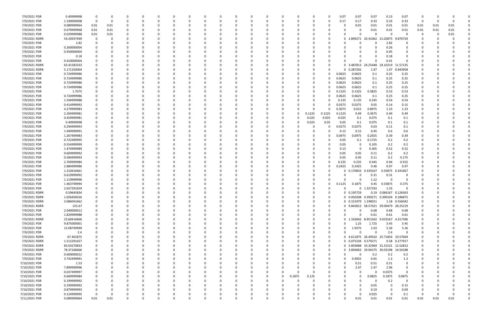| 7/9/2021 PDR  | 0.40999998  | -0          |          |          |          |              |          | C.       |          |          |          |              |          | -0       | 0.07     | 0.07                | 0.07         | 0.13                                  | 0.07           | O    |      |              |  |
|---------------|-------------|-------------|----------|----------|----------|--------------|----------|----------|----------|----------|----------|--------------|----------|----------|----------|---------------------|--------------|---------------------------------------|----------------|------|------|--------------|--|
|               |             |             |          |          |          |              |          |          |          |          |          |              |          |          |          |                     |              |                                       |                |      |      |              |  |
| 7/9/2021 PDR  | 1.330000008 | 0           | 0        | -0       |          |              | 0        | 0        |          | 0        |          |              |          | 0        | 0.17     | 0.17                | 0.33         | 0.33                                  | 0.33           | - 0  |      | $\Omega$     |  |
| 7/9/2021 PDR  | 0.089999964 | 0.01        | 0.01     |          |          |              |          |          |          |          |          |              |          |          |          | 0.01                | 0.01         | 0.01                                  | 0.01           | 0.01 | 0.01 | 0.01         |  |
| 7/9/2021 PDR  | 0.079999968 | 0.01        | 0.01     |          |          |              |          |          |          |          |          |              |          |          |          | 0                   | 0.01         | 0.01                                  | 0.01           | 0.01 | 0.01 | 0.01         |  |
|               | 0.029999988 |             |          |          |          |              |          |          |          |          |          |              |          |          |          |                     | $\Omega$     | - 0                                   | $\Omega$       | 0    |      |              |  |
| 7/9/2021 PDR  |             | 0.01        | 0.01     |          |          |              |          |          |          |          |          |              |          |          |          |                     |              |                                       |                |      |      | 0.01         |  |
| 7/9/2021 RDRR | 54.20937499 | - 0         |          |          |          |              |          |          |          |          |          |              |          | -0       |          | 0 2.899271          | 20.41062     | 21.02875                              | 9.870729       |      |      |              |  |
| 7/9/2021 PDR  | 2.82        |             |          |          |          |              |          |          |          |          |          |              |          |          |          |                     | <sup>0</sup> | 2.82                                  | 0              |      |      |              |  |
| 7/9/2021 PDR  | 0.260000004 |             |          |          |          |              |          |          |          |          |          |              |          |          |          |                     |              | 0.26                                  | 0              |      |      |              |  |
|               |             |             |          |          |          |              |          |          |          |          |          |              |          |          |          |                     |              |                                       |                |      |      |              |  |
| 7/9/2021 PDR  | 0.950000004 |             |          |          |          |              |          |          |          |          |          |              |          |          |          |                     |              | 0.95                                  | 0              |      |      |              |  |
| 7/9/2021 PDR  | 0.18        |             |          |          |          |              |          |          |          |          |          |              |          |          |          |                     | 0            | 0.18                                  | 0              |      |      |              |  |
| 7/9/2021 PDR  | 0.410000004 |             |          |          |          |              |          |          |          |          |          |              |          |          |          |                     | $\Omega$     | 0.41                                  | $\Omega$       |      |      |              |  |
| 7/9/2021 RDRR | 63.41583333 |             |          |          |          |              |          |          |          |          |          |              |          | $\Omega$ |          | 0 3.487813 24.25448 |              | 10219<br>-24                          | 11.57135       |      |      |              |  |
|               |             |             |          |          |          |              |          |          |          |          |          |              |          |          |          |                     |              |                                       |                |      |      |              |  |
| 7/9/2021 RDRR | 5.171250004 |             |          |          |          |              |          |          |          |          |          |              |          |          | n.       | 0.287292            | 1.97         |                                       | 1.97 0.943958  |      |      |              |  |
| 7/9/2021 PDR  | 0.724999986 |             |          |          |          |              |          |          |          |          |          |              |          |          | 0.0625   | 0.0625              | 0.1          | 0.25                                  | 0.25           |      |      |              |  |
| 7/9/2021 PDR  | 0.724999986 |             |          |          |          |              |          |          |          |          |          |              |          | 0        | 0.0625   | 0.0625              | 0.1          | 0.25                                  | 0.25           |      |      |              |  |
| 7/9/2021 PDR  | 0.724999986 |             |          |          |          |              |          |          |          |          |          |              |          |          | 0.0625   | 0.0625              | 0.1          | 0.25                                  | 0.25           |      |      |              |  |
|               |             |             |          |          |          |              |          |          |          |          |          |              |          |          |          |                     |              |                                       |                |      |      |              |  |
| 7/9/2021 PDR  | 0.724999986 |             |          |          |          |              |          |          |          |          |          |              |          | $\Omega$ | 0.0625   | 0.0625              | 0.1          | 0.25                                  | 0.25           |      |      |              |  |
| 7/9/2021 PDR  | 1.7075      |             |          |          |          |              |          |          |          |          |          |              |          | 0        | 0.1325   | 0.1325              | 0.3825       | 0.53                                  | 0.53           |      |      |              |  |
| 7/9/2021 PDR  | 0.724999986 |             |          |          |          |              |          |          |          |          |          |              |          |          | 0.0625   | 0.0625              | 0.1          | 0.25                                  | 0.25           |      |      |              |  |
| 7/9/2021 PDR  | 1.594999988 |             |          |          |          |              |          |          |          |          |          |              |          |          | 0.135    | 0.135               | 0.245        | 0.54                                  | 0.54           |      |      |              |  |
|               |             |             |          |          |          |              |          |          |          |          |          |              |          |          |          |                     |              |                                       |                |      |      |              |  |
| 7/9/2021 PDR  | 0.414999992 |             |          |          |          |              |          |          |          |          |          |              |          | -0       | 0.0375   | 0.0375              | 0.05         | 0.14                                  | 0.15           |      |      |              |  |
| 7/9/2021 PDR  | 4.279999983 |             |          |          |          |              |          |          |          |          |          |              |          |          | 0.3075   | 0.615               | 0.8975       | 1.23                                  | 1.23           |      |      |              |  |
| 7/9/2021 PDR  | 2.204999981 |             |          |          |          |              |          |          |          |          |          | <sup>0</sup> | 0.1225   | 0.1225   | 0.1225   | 0.49                | 0.3675       | 0.49                                  | 0.49           |      |      |              |  |
| 7/9/2021 PDR  | 0.459999981 |             |          |          |          |              |          |          |          |          | - 0      |              | 0.025    | 0.035    | 0.025    |                     | 0.075        | 0.1                                   |                |      |      |              |  |
|               |             |             |          |          |          |              |          |          |          |          |          |              |          |          |          | 0.1                 |              |                                       | 0.1            |      |      |              |  |
| 7/9/2021 PDR  | 0.49999998  |             |          |          |          |              |          |          |          |          |          |              | 0.025    | 0.05     | 0.05     | 0.1                 | 0.075        | 0.1                                   | 0.1            |      |      |              |  |
| 7/9/2021 PDR  | 0.294999993 |             |          |          |          |              |          |          |          |          |          |              |          | 0        | 0.0275   | 0.0275              | 0.03         | 0.11                                  | 0.1            |      |      |              |  |
| 7/9/2021 PDR  | 1.949999991 |             |          |          |          |              |          |          |          |          |          |              |          | -0       | 0.15     | 0.15                | 0.45         | 0.6                                   | 0.6            |      |      |              |  |
|               |             |             |          |          |          |              |          |          |          |          |          |              |          |          | 0.0975   |                     | 0.2925       |                                       |                |      |      |              |  |
| 7/9/2021 PDR  | 1.267499983 |             |          |          |          |              |          |          |          |          |          |              |          |          |          | 0.0975              |              | 0.39                                  | 0.39           |      |      |              |  |
| 7/9/2021 PDR  | 0.722499995 |             |          |          |          |              |          |          |          |          |          |              |          |          | 0.05     | 0.1                 | 0.1725       | 0.2                                   | 0.2            |      |      |              |  |
| 7/9/2021 PDR  | 0.554999999 |             |          |          |          |              |          |          |          |          |          |              |          |          | 0.05     | 0                   | 0.105        | 0.2                                   | 0.2            |      |      |              |  |
| 7/9/2021 PDR  | 1.474999989 |             |          |          |          |              |          |          |          |          |          |              |          |          | 0.13     | 0                   | 0.305        | 0.52                                  | 0.52           |      |      |              |  |
|               |             |             |          |          |          |              |          |          |          |          |          |              |          |          |          |                     |              |                                       |                |      |      |              |  |
| 7/9/2021 PDR  | 0.609999992 |             |          |          |          |              |          |          |          |          |          |              |          |          | 0.05     | 0.05                | 0.11         | 0.2                                   | 0.2            |      |      |              |  |
| 7/9/2021 PDR  | 0.584999993 |             |          |          |          |              |          |          |          |          |          |              |          |          | 0.05     | 0.05                | 0.11         | 0.2                                   | 0.175          |      |      |              |  |
| 7/9/2021 PDR  | 2.769999984 |             |          |          |          |              |          |          |          |          |          |              |          | 0        | 0.235    | 0.235               | 0.445        | 0.94                                  | 0.915          |      |      |              |  |
| 7/9/2021 PDR  | 2.884999986 |             |          |          |          |              |          |          |          |          |          |              |          | 0        | 0.2425   | 0.2425              | 0.46         | 0.97                                  | 0.97           |      |      |              |  |
|               |             |             |          |          |          |              |          |          |          |          |          |              |          |          |          |                     |              |                                       |                |      |      |              |  |
| 7/9/2021 PDR  | 1.210416661 |             |          |          |          |              |          |          |          |          |          |              |          |          | 0.       | 0.170833            | 0.339167     | 0.35875                               | 0.341667       |      |      |              |  |
| 7/9/2021 PDR  | 0.619999992 |             |          |          |          |              |          |          |          |          |          |              |          |          |          |                     | 0.31         | 0.31                                  | 0              |      |      |              |  |
| 7/9/2021 PDR  | 1.119999996 |             |          |          |          |              |          |          |          |          |          |              |          |          |          |                     | 1.12         |                                       | $\Omega$       |      |      |              |  |
| 7/9/2021 PDR  | 1.463749994 |             |          |          |          |              |          |          |          |          |          |              |          |          | 0.1125   | 0.1875              | 0.45         | 0.33875                               | 0.375          |      |      |              |  |
|               |             |             |          |          |          |              |          |          |          |          |          |              |          |          |          |                     |              |                                       |                |      |      |              |  |
| 7/9/2021 PDR  | 2.657291659 | 0           |          |          |          |              |          |          |          |          |          |              |          |          | $\Omega$ |                     | 0 1.327292   | 1.33                                  | 0              |      |      |              |  |
| 7/9/2021 RDRR | 0.59645834  | $\Omega$    |          |          |          |              |          |          |          |          |          |              | $\Omega$ | $\Omega$ |          | 0 0.195729          |              | 0.19  0.084167  0.126563              |                |      |      |              |  |
| 7/9/2021 RDRR | 1.026458326 | 0           | $\Omega$ | - 0      | $\Omega$ | $\Omega$     | $\Omega$ | $\Omega$ | $\Omega$ | 0        | $\Omega$ | $\Omega$     | $\Omega$ | $\Omega$ |          |                     |              | 0 0.050208 0.399271 0.390104 0.186875 |                | 0    |      |              |  |
| 7/9/2021 RDRR | 3.086041662 | 0           | O        |          | 0        | <sup>0</sup> | 0        | 0        | ი        | 0        | - 0      | $\Omega$     | $\Omega$ | $\Omega$ |          | 0 0.151979 1.198021 |              |                                       | 1.18 0.556042  | 0    |      |              |  |
|               |             |             |          |          |          |              |          |          |          |          |          |              |          |          |          |                     |              |                                       |                |      |      |              |  |
| 7/9/2021 RDRR | 155.67      |             |          |          |          |              |          |          |          |          |          |              |          | $\Omega$ |          |                     |              | 0 9.842812 58.57021 59.00479 28.25219 |                |      |      |              |  |
| 7/9/2021 PDR  | 2.040000012 | 0           |          |          |          |              | $\Omega$ | n        |          |          |          |              |          | 0        |          | 0                   | 0.68         | 0.68                                  | 0.68           | 0    |      |              |  |
| 7/9/2021 PDR  | 1.829999988 | 0           |          |          |          |              |          |          |          |          |          |              |          | 0        |          | 0                   | 0.61         | 0.61                                  | 0.61           | O    |      |              |  |
|               | 23.60416666 | $\mathbf 0$ |          |          |          |              |          |          |          |          |          |              |          |          |          | 0 1.316042 8.951562 |              | 9.019167                              | 4.317396       |      |      |              |  |
| 7/9/2021 RDRR |             |             |          |          |          |              |          |          |          |          |          |              |          |          |          |                     |              |                                       |                |      |      |              |  |
| 7/9/2021 PDR  | 9.875000001 | $\Omega$    |          |          |          |              | O        |          |          |          |          |              |          | $\Omega$ |          | 1.25                | 1.725        | 3.45                                  | 3.45           | 0    |      |              |  |
| 7/9/2021 PDR  | 15.08749999 | 0           | $\Omega$ |          |          |              | 0        | 0        |          | 0        |          |              |          | $\Omega$ |          | 1.9375              | 2.63         | 5.26                                  | 5.26           |      |      |              |  |
| 7/9/2021 PDR  | 2.4         |             |          |          |          |              |          |          |          |          |          |              |          | $\Omega$ |          |                     | $\Omega$     | 2.4                                   | $\Omega$       |      |      |              |  |
|               |             |             |          |          |          |              |          |          |          |          |          |              |          |          |          |                     |              | 0 4.611875 26.49542 25.71854 10.57604 |                |      |      |              |  |
| 7/9/2021 RDRR | 67.401875   |             |          |          |          |              | O        | n        |          |          |          |              |          | $\Omega$ |          |                     |              |                                       |                |      |      |              |  |
| 7/9/2021 RDRR | 1.512291657 | 0           |          |          |          |              | 0        |          |          |          |          |              |          | 0        |          | 0 0.075104 0.579271 |              |                                       | 0.58 0.277917  | O    |      |              |  |
| 7/9/2021 RDRR | 83.03270833 |             |          |          |          |              |          |          |          |          |          |              |          | 0        |          |                     |              | 0 5.859688 33.32969 31.31521 12.52813 |                | 0    |      |              |  |
| 7/9/2021 RDRR | 78.37166666 | 0           | $\Omega$ |          |          |              | O        | n        |          | 0        |          |              |          | $\Omega$ |          |                     |              | 0 3.894063 29.94375 30.03198 14.50188 |                | 0    |      |              |  |
|               |             |             |          |          |          |              |          |          |          |          |          |              |          |          |          |                     |              |                                       |                |      |      |              |  |
| 7/9/2021 PDR  | 0.600000012 | 0           | O        |          |          |              |          | n        |          |          |          |              |          | $\Omega$ |          | 0                   | 0.2          | 0.2                                   | 0.2            | 0    |      |              |  |
| 7/9/2021 PDR  | 3.742499991 |             |          |          |          |              |          |          |          |          |          |              |          | 0        |          | 0.4925              | 0.65         | 1.3                                   | 1.3            |      |      |              |  |
| 7/10/2021 PDR | 1.53        |             |          |          |          |              |          |          |          |          |          |              |          |          |          | 0.51                | 0.51         | 0.51                                  | $\overline{0}$ |      |      |              |  |
| 7/10/2021 PDR | 7.899999996 | 0           |          |          |          |              |          |          |          |          |          |              |          |          |          | 2.47                | 2.47         | 2.96                                  | 0              |      |      |              |  |
|               |             |             |          |          |          |              |          |          |          |          |          |              |          |          |          |                     |              |                                       |                |      |      |              |  |
| 7/10/2021 PDR | 0.037499997 | 0           |          |          |          |              | 0        |          |          | 0        |          | $\Omega$     | 0        |          |          | 0                   | 0            | 0.0375                                | 0              |      |      |              |  |
| 7/10/2021 PDR | 0.669999984 | 0           |          |          |          |              | 0        |          |          | $\Omega$ | $\Omega$ | 0.1875       | 0.125    |          |          | 0                   | 0.0825       | 0.1875                                | 0.0875         |      |      |              |  |
| 7/10/2021 PDR | 0.199999992 | 0           | O        |          |          |              | 0        | n        |          | 0        |          |              |          |          |          |                     | -0           | 0.2                                   | - 0            |      |      |              |  |
| 7/10/2021 PDR | 0.199999992 | 0           |          |          |          |              | O        | 0        |          | 0        |          |              |          |          |          |                     | 0.05         |                                       | 0.15           |      |      |              |  |
|               |             |             |          |          |          |              |          |          |          |          |          |              |          |          |          |                     |              |                                       |                |      |      |              |  |
| 7/10/2021 PDR | 0.879999993 | - 0         | $\Omega$ |          |          |              | $\Omega$ | 0        |          | 0        |          |              |          |          | U        | $\Omega$            | 0.19         | - 0                                   | 0.69           | 0    |      |              |  |
| 7/10/2021 PDR | 0.124999995 | - 0         |          |          |          |              |          |          |          |          |          |              |          |          |          | 0                   | 0.025        | 0                                     | 0.1            | 0    |      | <sup>0</sup> |  |
| 7/11/2021 PDR | 0.089999964 | 0.01        | 0.01     | $\Omega$ | 0        |              | $\Omega$ |          |          |          |          | $\Omega$     |          |          |          | 0.01                | 0.01         | 0.01                                  | 0.01           | 0.01 | 0.01 | 0.01         |  |
|               |             |             |          |          |          |              |          |          |          |          |          |              |          |          |          |                     |              |                                       |                |      |      |              |  |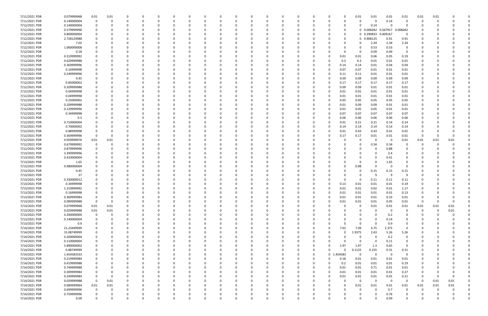| 7/11/2021 PDR | 0.079999968 | 0.01        | 0.01     |          | 0        | $\Omega$ |          | 0            |          |              | 0        |          |          |          | 0        |              |              | 0.01           | 0.01        | 0.01           | 0.01           | 0.01           | 0.01     |          |          |
|---------------|-------------|-------------|----------|----------|----------|----------|----------|--------------|----------|--------------|----------|----------|----------|----------|----------|--------------|--------------|----------------|-------------|----------------|----------------|----------------|----------|----------|----------|
| 7/11/2021 PDR | 0.140000004 | $\Omega$    | $\Omega$ | n        | $\Omega$ | $\Omega$ |          | 0            | $\Omega$ |              | $\Omega$ | $\Omega$ |          | $\Omega$ | $\Omega$ |              | <sup>0</sup> | 0              | $\Omega$    | 0.14           | $\Omega$       | 0              | $\Omega$ |          |          |
| 7/12/2021 PDR | 0.140000004 |             |          |          |          |          |          |              |          |              |          |          |          |          |          |              | <sup>0</sup> | O              | 0.14        | - 0            |                |                |          |          |          |
| 7/12/2021 PDR | 0.579999996 |             |          |          |          |          |          |              |          |              |          |          |          |          |          |              | 0            |                | 0 0.006042  | 0.567917       | 0.006042       |                |          |          |          |
| 7/12/2021 PDR | 0.800000004 |             |          |          |          |          |          |              |          |              |          |          |          |          |          |              | $\Omega$     |                | 0 0.390833  | 0.409167       | - 0            |                |          |          |          |
| 7/12/2021 PDR | 2.728124988 |             |          |          |          |          |          | <sup>0</sup> |          |              |          |          |          |          |          |              | $\Omega$     |                | 0 0.908125  | 0.91           | 0.91           |                |          |          |          |
| 7/12/2021 PDR | 7.02        |             |          |          |          |          |          | 0            |          |              |          |          |          |          |          |              | 0            | 0              | 2.34        | 2.34           | 2.34           |                |          |          |          |
| 7/12/2021 PDR | 1.060000008 |             |          |          |          |          |          |              |          |              |          |          |          |          |          |              | $\Omega$     |                | 0.53        | 0.53           | $\Omega$       |                |          |          |          |
| 7/12/2021 PDR | 0.18        |             |          |          |          |          |          |              |          |              |          |          |          |          |          |              | 0            | -0             | 0.09        | 0.09           | - 0            |                |          |          |          |
| 7/12/2021 PDR | 0.319999992 |             |          |          |          |          |          |              |          |              |          |          |          |          |          |              | 0.01         | 0.01           | 0.06        | 0.05           | 0.19           |                |          |          |          |
| 7/12/2021 PDR | 0.629999988 |             |          |          |          |          |          |              |          |              |          |          |          |          |          |              | 0.3          | 0.3            | 0.01        | 0.01           | 0.01           |                |          |          |          |
| 7/12/2021 PDR | 0.369999996 |             |          |          |          |          |          |              |          |              |          |          |          |          |          |              | 0.14         | 0.14           | 0.01        | 0.04           | 0.04           |                |          |          |          |
| 7/12/2021 PDR | 0.16999998  |             |          |          |          |          |          |              |          |              |          |          |          |          | 0        |              | 0.07         | 0.07           | 0.01        | 0.01           | 0.01           |                |          |          |          |
| 7/12/2021 PDR | 0.249999996 |             |          |          |          |          |          |              |          |              |          |          |          |          |          |              | 0.11         | 0.11           | 0.01        | 0.01           | 0.01           |                |          |          |          |
| 7/12/2021 PDR | 0.45        |             |          |          |          |          |          |              |          |              |          |          |          |          |          |              | 0.09         | 0.09           | 0.09        | 0.09           | 0.09           |                |          |          |          |
| 7/12/2021 PDR | 0.85000002  |             |          |          |          |          |          |              |          |              |          |          |          |          |          |              | 0.17         | 0.17           | 0.17        | 0.17           | 0.17           |                |          |          |          |
| 7/12/2021 PDR | 0.209999988 |             |          |          |          |          |          |              |          |              |          |          |          |          |          |              | 0.09         | 0.09           | 0.01        | 0.01           | 0.01           |                |          |          |          |
| 7/12/2021 PDR | 0.04999998  |             |          |          |          |          |          |              |          |              |          |          |          |          |          |              | 0.01         | 0.01           | 0.01        | 0.01           | 0.01           |                |          |          |          |
| 7/12/2021 PDR | 0.04999998  |             |          |          |          |          |          |              |          |              |          |          |          |          |          |              | 0.01         | 0.01           | 0.01        | 0.01           | 0.01           |                |          |          |          |
| 7/12/2021 PDR | 0.25000002  |             |          |          |          |          |          |              |          |              |          |          |          |          |          |              | 0.05         | 0.05           | 0.05        | 0.05           | 0.05           |                |          |          |          |
| 7/12/2021 PDR | 0.209999988 |             |          |          |          |          |          |              |          |              |          |          |          |          |          |              | 0.01         | 0.09           | 0.09        | 0.01           | 0.01           |                |          |          |          |
| 7/12/2021 PDR | 0.129999996 |             |          |          |          |          |          |              |          |              |          |          |          |          |          |              | 0.01         | 0.05           | 0.05        | 0.01           | 0.01           |                |          |          |          |
| 7/12/2021 PDR | 0.34999998  |             |          |          |          |          |          |              |          |              |          |          |          |          |          |              | 0.07         | 0.07           | 0.07        | 0.07           | 0.07           |                |          |          |          |
| 7/12/2021 PDR | 0.3         |             |          |          |          |          |          |              |          |              |          |          |          |          |          |              | 0.06         | 0.06           | 0.06        | 0.06           | 0.06           |                |          |          |          |
| 7/12/2021 PDR | 0.710000004 |             |          |          |          |          |          | 0            |          |              |          |          |          |          | -0       |              |              |                | 0.21        |                | 0.14           |                |          |          |          |
|               |             |             |          |          |          |          |          |              |          |              |          |          |          |          |          |              | 0.01         | 0.21           |             | 0.14           |                |                |          |          |          |
| 7/12/2021 PDR | 0.70000002  |             |          |          |          |          |          |              |          |              |          |          |          |          |          |              | 0.14         | 0.14           | 0.14        | 0.14           | 0.14           |                |          |          |          |
| 7/12/2021 PDR | 0.88999998  |             |          |          |          |          |          | <sup>0</sup> |          |              |          |          |          |          | 0        |              | 0.01         | 0.43           | 0.43        | 0.01           | 0.01           |                |          |          |          |
| 7/12/2021 PDR | 0.369999996 |             | 0        |          |          |          |          |              |          |              |          |          |          |          |          |              | 0.17         | 0.17           | 0.01        | 0.01           | 0.01           | - 0            | 0        |          |          |
| 7/12/2021 PDR | 0.059999976 | 0.01        | 0.01     |          |          |          |          |              |          |              |          |          |          |          |          |              |              | 0              | 0           | - 0            | 0.01           | 0.01           | 0.01     | 0.01     |          |
| 7/12/2021 PDR | 0.679999992 |             |          |          |          |          |          |              |          |              |          |          |          |          |          |              |              | 0              | 0.34        | 0.34           | $\Omega$       | 0              | $\Omega$ |          |          |
| 7/12/2021 PDR | 0.879999996 |             |          |          |          |          |          |              |          |              |          |          |          |          |          |              |              |                | 0           | 0.88           |                |                |          |          |          |
| 7/13/2021 PDR | 3.399999996 |             |          |          |          |          |          |              |          |              |          |          |          |          |          |              |              |                | 0           | 3.4            | 0              |                |          |          |          |
| 7/13/2021 PDR | 0.410000004 |             |          |          |          |          |          |              |          |              |          |          |          |          |          |              |              |                | 0           | 0.41           | 0              |                |          |          |          |
| 7/13/2021 PDR | 1.65        |             |          |          |          |          |          |              |          |              |          |          |          |          |          |              |              | 0              | 0           | 1.65           | 0              |                |          |          |          |
| 7/13/2021 PDR | 0.980000004 |             |          |          |          |          |          |              |          |              |          |          |          |          |          |              |              | 0.98           | 0           | - 0            | $\Omega$       |                |          |          |          |
| 7/13/2021 PDR | 0.45        |             |          |          |          |          |          |              |          |              |          |          |          |          |          |              |              | 0              | 0.15        | 0.15           | 0.15           |                |          |          |          |
| 7/13/2021 PDR | 27          |             |          |          |          |          |          |              |          |              |          |          |          |          |          |              |              | 0              | 9           | -9             | <b>q</b>       |                |          |          |          |
| 7/13/2021 PDR | 0.330000012 |             |          |          |          |          |          |              |          |              |          |          |          |          |          |              | <sup>0</sup> | 0              | 0.11        | 0.11           | 0.11           |                |          |          |          |
| 7/13/2021 PDR | 0.34999998  |             |          |          |          |          |          |              |          |              |          |          |          |          |          |              | 0.13         | 0.01           | 0.01        | 0.01           | 0.19           |                |          |          |          |
| 7/13/2021 PDR | 1.219999992 |             | O        | O        | $\Omega$ |          |          |              |          |              |          |          |          |          | $\Omega$ |              | 0.01         | 0.01           | 0.02        | 0.01           | 1.17           | 0              |          |          |          |
| 7/13/2021 PDR | 0.16999998  |             | O        |          |          |          |          |              |          |              | 0        |          |          |          |          |              | 0.01         | 0.01           | 0.01        | 0.01           | 0.13           |                |          |          |          |
| 7/13/2021 PDR | 0.369999984 | $\mathbf 0$ | 0        | C        | $\Omega$ | $\Omega$ | $\Omega$ | <sup>0</sup> |          |              | 0        | $\Omega$ | $\Omega$ |          | 0        |              | 0.01         | 0.01           | 0.01        | 0.33           | 0.01           | 0              |          |          |          |
| 7/13/2021 PDR | 0.089999988 | $\Omega$    | 0        |          |          |          |          |              |          |              |          |          |          |          | -0       |              | 0.01         | 0.01           | 0.01        | 0.05           | 0.01           | - 0            | $\Omega$ |          |          |
| 7/13/2021 PDR | 0.079999968 | 0.01        | 0.01     | 0        |          |          |          | <sup>0</sup> |          |              |          |          |          |          | 0        |              | $\Omega$     | 0              | 0.01        | 0.01           | 0.01           | 0.01           | 0.01     | 0.01     |          |
| 7/13/2021 PDR | 0.029999988 | $0.01\,$    | 0.01     |          |          |          |          |              |          |              |          |          |          |          |          |              |              |                | $\Omega$    | $\mathbf 0$    | $\Omega$       | $\Omega$       | $\Omega$ | 0.01     |          |
| 7/13/2021 PDR | 0.200000004 | $\Omega$    | 0        |          |          |          |          |              |          |              |          |          |          |          |          |              |              |                | $\Omega$    | 0.2            | - 0            |                |          |          |          |
| 7/13/2021 PDR | 0.140000004 | $\Omega$    |          |          |          |          |          |              |          |              |          |          |          |          |          |              |              |                | 0           | 0.14           | 0              |                |          |          |          |
| 7/13/2021 PDR | 0.9         |             |          |          |          |          |          |              |          |              |          |          |          |          |          |              |              | 0              | $\Omega$    | 0.9            | 0              |                |          |          |          |
| 7/14/2021 PDR | 21.23499999 |             |          | C        | $\Omega$ | $\Omega$ |          | 0            |          |              |          |          |          | $\Omega$ | 0        | $\Omega$     | 7.02         | 7.09           | 4.75        | 2.375          | $\overline{0}$ |                |          |          |          |
| 7/14/2021 PDR | 15.08749999 |             |          |          |          | $\Omega$ |          | 0            |          |              |          |          |          |          | 0        |              | $\Omega$     | 1.9375         | 2.63        | 5.26           | 5.26           |                |          |          |          |
| 7/14/2021 PDR | 0.200000004 |             |          |          |          |          |          |              |          |              |          |          |          |          |          |              |              | 0              | $\mathbf 0$ | 0.2            | $\overline{0}$ |                |          |          |          |
| 7/14/2021 PDR | 0.110000004 |             |          |          |          |          |          |              |          |              |          |          |          |          | 0        |              | $\Omega$     | 0              | $\mathbf 0$ | 0.11           | 0              |                |          |          |          |
| 7/14/2021 PDR | 5.890000002 |             |          |          |          |          |          |              |          |              |          |          |          |          | 0        |              | 1.97         | 1.97           | 1.3         | 0.65           | $\overline{0}$ |                |          |          |          |
| 7/14/2021 PDR | 0.88749999  |             |          |          |          |          |          |              |          |              |          |          |          |          | 0        | $\Omega$     | $\Omega$     | 0.1125         | 0.155       | 0.31           | 0.31           |                |          |          |          |
| 7/14/2021 PDR | 1.454583333 |             |          |          |          |          |          |              |          |              |          |          |          |          | 0        | $\mathbf{0}$ | .454583      | 0              | $\mathbf 0$ | $\mathbf 0$    | $\mathbf 0$    |                |          |          |          |
| 7/14/2021 PDR | 0.219999984 |             |          |          |          | $\Omega$ |          | <sup>0</sup> |          |              |          |          |          |          | 0        |              | 0.18         | 0.01           | 0.01        | 0.01           | 0.01           | 0              |          |          |          |
| 7/14/2021 PDR | 0.419999988 |             |          |          | $\Omega$ |          |          | 0            |          |              |          |          |          |          | 0        |              | 0.2          | 0.01           | 0.01        | 0.01           | 0.19           | 0              |          |          |          |
| 7/14/2021 PDR | 0.749999988 |             |          |          |          |          |          |              |          |              |          |          |          |          |          |              | 0.01         | 0.01           | 0.71        | 0.01           | 0.01           |                |          |          |          |
| 7/14/2021 PDR | 0.309999984 |             |          |          |          |          |          |              |          |              |          |          |          |          |          |              | 0.01         | 0.01           | 0.01        | 0.01           | 0.27           |                |          |          |          |
| 7/14/2021 PDR | 0.249999984 | $\Omega$    | 0        |          |          |          |          |              |          |              |          |          |          |          |          |              | 0.01         | 0.01           | 0.01        | 0.01           | 0.21           | 0              | 0        |          |          |
| 7/14/2021 PDR | 0.029999988 | $\mathbf 0$ | 0.01     |          |          |          |          |              |          |              |          |          |          |          |          |              | $\Omega$     | $\overline{0}$ | $\mathbf 0$ | $\overline{0}$ | 0              | $\overline{0}$ | 0.01     | 0.01     |          |
| 7/14/2021 PDR | 0.089999964 | 0.01        | 0.01     |          |          |          |          |              |          |              |          |          |          |          |          |              | <sup>0</sup> | 0.01           | 0.01        | 0.01           | 0.01           | 0.01           | 0.01     | 0.01     |          |
| 7/14/2021 PDR | 0.699999996 | 0           | 0        | 0        | $\Omega$ |          |          | 0            |          |              |          |          |          |          |          |              |              | 0              | 0           | 0.7            | 0              | -0             | 0        |          |          |
| 7/14/2021 PDR | 0.759999996 |             |          |          |          |          |          |              |          |              |          |          |          |          |          |              |              |                | 0           | 0.76           | 0              |                |          |          |          |
| 7/14/2021 PDR | 0.09        | $\Omega$    | 0        | $\Omega$ | $\Omega$ | $\Omega$ | $\Omega$ | $\Omega$     | $\Omega$ | <sup>0</sup> | $\Omega$ | $\Omega$ | $\Omega$ | $\Omega$ | $\Omega$ |              | $\Omega$     | $\Omega$       | $\Omega$    | 0.09           | $\Omega$       | $\Omega$       | 0        | $\Omega$ | $\Omega$ |
|               |             |             |          |          |          |          |          |              |          |              |          |          |          |          |          |              |              |                |             |                |                |                |          |          |          |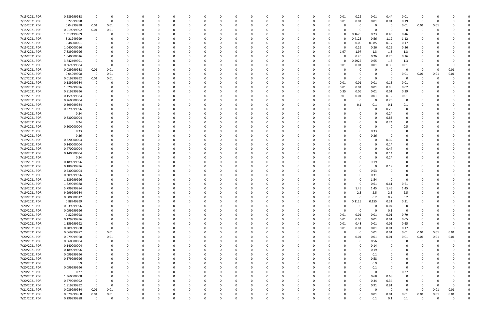| 7/15/2021 PDR | 0.689999988 |             |          |                    |          |          |              |   |          | 0        |             |          |          |          | 0.01     | 0.22        | 0.01     | 0.44     | 0.01     | -0          |          |          |  |
|---------------|-------------|-------------|----------|--------------------|----------|----------|--------------|---|----------|----------|-------------|----------|----------|----------|----------|-------------|----------|----------|----------|-------------|----------|----------|--|
| 7/15/2021 PDR | 0.22999998  | 0           | 0        | 0                  | $\Omega$ |          |              |   |          | 0        | $\Omega$    | 0        | 0        | $\Omega$ | 0.01     | 0.01        | 0.01     | 0.01     | 0.19     | $\Omega$    | -0       |          |  |
| 7/15/2021 PDR | 0.04999998  | 0.01        | 0.01     | n                  |          |          |              |   |          |          |             |          |          |          |          | 0           | 0        | - 0      | 0.01     | 0.01        | 0.01     |          |  |
| 7/15/2021 PDR | 0.019999992 | 0.01        | 0.01     |                    |          |          |              |   |          |          |             |          |          |          |          | 0           | $\Omega$ | - 0      |          | $\Omega$    |          |          |  |
| 7/15/2021 PDR | 1.317499989 | 0           |          |                    |          |          |              |   |          |          |             |          |          |          |          | 0.1675      | 0.23     | 0.46     | 0.46     |             |          |          |  |
| 7/15/2021 PDR | 3.21249999  |             |          |                    |          |          |              |   |          |          |             |          |          |          | O        | 0.4125      | 0.56     | 1.12     | 1.12     |             |          |          |  |
| 7/15/2021 PDR | 0.48500001  |             |          |                    |          |          |              |   |          |          |             |          |          |          |          | 0.06        | 0.085    | 0.17     | 0.17     |             |          |          |  |
| 7/15/2021 PDR | 1.040000016 |             |          |                    |          |          |              |   |          |          |             |          |          |          |          | 0.26        | 0.26     | 0.26     | 0.26     |             |          |          |  |
|               |             |             |          |                    |          |          |              |   |          |          |             |          |          |          |          |             |          |          |          |             |          |          |  |
| 7/15/2021 PDR | 7.839999996 |             |          |                    |          |          |              |   |          |          |             |          |          | 0        | 1.97     | 1.97        | 1.3      | 1.3      | 1.3      |             |          |          |  |
| 7/16/2021 PDR | 1.040000016 |             |          |                    |          |          |              |   |          |          |             |          |          |          |          | 0.26        | 0.26     | 0.26     | 0.26     |             |          |          |  |
| 7/16/2021 PDR | 3.742499991 |             |          |                    |          |          |              |   |          |          |             |          |          |          | 0        | .4925       | 0.65     | 1.3      | 1.3      |             |          |          |  |
| 7/16/2021 PDR | 0.369999984 |             |          |                    |          |          |              |   |          |          |             |          |          |          | 0.01     | 0.01        | 0.01     | 0.33     | 0.01     |             |          |          |  |
| 7/16/2021 PDR | 0.029999988 | 0.01        | 0.01     | n                  |          |          |              |   |          |          |             |          |          |          |          | $\Omega$    | $\Omega$ | - 0      | - 0      | -0          | -0       | 0.01     |  |
| 7/17/2021 PDR | 0.04999998  | - 0         | 0.01     |                    |          |          |              |   |          |          |             |          |          |          |          | 0           | 0        |          | 0.01     | 0.01        | 0.01     | 0.01     |  |
| 7/17/2021 PDR | 0.019999992 | $0.01\,$    | 0.01     |                    |          |          |              |   |          |          |             |          |          |          |          | 0           | 0        |          | $\Omega$ | 0           |          |          |  |
| 7/19/2021 PDR | 0.189999984 | $\Omega$    |          |                    |          |          |              |   |          |          |             |          |          |          | 0.01     | 0.01        | 0.01     | 0.15     | 0.01     |             |          |          |  |
| 7/19/2021 PDR | 1.029999996 |             |          |                    |          |          |              |   |          |          |             |          |          |          | 0.01     | 0.01        | 0.01     | 0.98     | 0.02     |             |          |          |  |
| 7/19/2021 PDR | 0.819999996 |             |          |                    |          |          |              |   |          |          |             |          |          |          | 0.35     | 0.06        | 0.01     | 0.01     | 0.39     |             |          |          |  |
| 7/19/2021 PDR | 0.159999984 |             |          |                    |          |          |              |   |          |          |             |          |          |          | 0.01     | 0.01        | 0.01     | 0.12     | 0.01     |             |          |          |  |
| 7/19/2021 PDR | 0.260000004 |             |          |                    |          |          |              |   |          |          |             |          |          |          |          | 0           | $\Omega$ | 0.26     | $\Omega$ |             |          |          |  |
| 7/19/2021 PDR | 0.399999984 |             |          |                    |          |          |              |   |          |          |             |          |          |          |          | 0.1         | 0.1      | 0.1      | 0.1      |             |          |          |  |
| 7/19/2021 PDR | 0.279999996 |             |          |                    |          |          |              |   |          |          |             |          |          |          |          | 0           | 0        | 0.28     | 0        |             |          |          |  |
| 7/19/2021 PDR | 0.24        |             |          |                    |          |          |              |   |          |          |             |          |          |          |          |             | $\Omega$ | 0.24     | 0        |             |          |          |  |
| 7/19/2021 PDR |             |             |          |                    |          |          |              |   |          |          |             |          |          |          |          | n           | 0        | 0.83     | 0        |             |          |          |  |
|               | 0.830000004 |             |          |                    |          |          |              |   |          |          |             |          |          |          |          |             |          |          |          |             |          |          |  |
| 7/19/2021 PDR | 0.24        |             |          |                    |          |          |              |   |          |          |             |          |          |          |          | 0           | 0        | 0.24     | 0        |             |          |          |  |
| 7/19/2021 PDR | 0.500000004 |             |          |                    |          |          |              |   |          |          |             |          |          |          |          |             | - 0      |          | 0.5      |             |          |          |  |
| 7/19/2021 PDR | 0.33        |             |          |                    |          |          |              |   |          |          |             |          |          |          |          | 0           | 0.33     |          | 0        |             |          |          |  |
| 7/19/2021 PDR | 0.36        |             |          |                    |          |          |              |   |          |          |             |          |          |          |          | O           | 0.36     |          |          |             |          |          |  |
| 7/19/2021 PDR | 0.320000004 |             |          | n                  |          |          |              |   |          |          |             |          |          |          |          |             | $\Omega$ | 0.32     | 0        |             |          |          |  |
| 7/19/2021 PDR | 0.140000004 |             |          |                    |          |          |              |   |          |          |             |          |          |          |          |             | 0        | 0.14     | 0        |             |          |          |  |
| 7/19/2021 PDR | 0.470000004 |             |          |                    |          |          |              |   |          |          |             |          |          |          |          |             | - 0      | 0.47     |          |             |          |          |  |
| 7/19/2021 PDR | 0.140000004 |             |          |                    |          |          |              |   |          |          |             |          |          |          |          |             | - 0      | 0.14     |          |             |          |          |  |
| 7/19/2021 PDR | 0.24        |             |          |                    |          |          |              |   |          |          |             |          |          |          |          | 0           | -C       | 0.24     |          |             |          |          |  |
| 7/19/2021 PDR | 0.189999996 |             |          |                    |          |          |              |   |          |          |             |          |          |          |          | 0           | 0.19     |          |          |             |          |          |  |
| 7/19/2021 PDR | 0.189999996 |             |          |                    |          |          |              |   |          |          |             |          |          |          |          |             | 0        | 0.19     |          |             |          |          |  |
| 7/19/2021 PDR | 0.530000004 |             |          |                    |          |          |              |   |          |          |             |          |          |          |          |             | 0.53     |          |          |             |          |          |  |
| 7/19/2021 PDR | 0.309999996 |             |          |                    |          |          |              |   |          |          |             |          |          |          |          | C.          | 0.31     |          |          |             |          |          |  |
| 7/19/2021 PDR | 1.539999996 |             |          |                    |          |          |              |   |          |          |             |          |          |          |          | C.          | 1.54     |          | $\Omega$ |             |          |          |  |
|               |             |             |          |                    |          |          |              |   |          |          |             |          |          |          |          |             |          |          |          |             |          |          |  |
| 7/19/2021 PDR | 1.829999988 |             |          |                    |          |          |              |   |          |          |             |          |          |          |          | C           | 0.61     | 0.61     | 0.61     |             |          |          |  |
| 7/19/2021 PDR | 5.799999984 | 0           |          | $\Omega$<br>$\cap$ |          |          |              |   |          |          |             |          |          |          | 0        | 1.45<br>າ ⊏ | 1.45     | 1.45     | 1.45     | 0           |          |          |  |
| 7/19/2021 PDR | 9.999999984 | $\Omega$    |          |                    |          |          |              |   |          |          |             |          |          |          |          |             | 2.5      | 2.5      | 2.5      | $\Omega$    |          |          |  |
| 7/19/2021 PDR | 0.600000012 | 0           |          | $\Omega$           |          |          |              |   |          | $\Omega$ | $\Omega$    | O        | $\Omega$ |          | ŋ        | 0           | 0.2      | 0.2      | 0.2      | 0           |          |          |  |
| 7/19/2021 PDR | 0.88749999  | 0           |          | 0                  | $\Omega$ |          | <sup>0</sup> |   |          | $\Omega$ |             |          | 0        |          | 0        | 0.1125      | 0.155    | 0.31     | 0.31     | 0           |          |          |  |
| 7/20/2021 PDR | 0.039999996 |             |          | $\Omega$           | 0        |          |              |   |          |          |             |          |          |          |          | 0           | $\Omega$ | 0.04     | 0        |             |          |          |  |
| 7/20/2021 PDR | 0.099999996 | $\Omega$    |          |                    |          |          |              |   |          | 0        |             |          | $\Omega$ |          | $\Omega$ | 0           | $\Omega$ | 0.1      | 0        |             |          |          |  |
| 7/20/2021 PDR | 0.82999998  | 0           |          |                    |          |          |              |   |          |          |             |          | 0        | 0        | 0.01     | 0.01        | 0.01     | 0.01     | 0.79     |             |          |          |  |
| 7/20/2021 PDR | 0.129999996 | $\Omega$    |          |                    |          |          |              |   |          |          |             |          | 0        | $\Omega$ | 0.01     | 0.05        | 0.01     | 0.01     | 0.05     |             |          |          |  |
| 7/20/2021 PDR | 1.159999992 | $\Omega$    |          | $\Omega$           |          |          |              |   |          |          |             |          | 0        |          | 0.01     | 0.48        | 0.01     | 0.01     | 0.65     | 0           |          |          |  |
| 7/20/2021 PDR | 0.209999988 | $\Omega$    | $\Omega$ | 0                  | $\Omega$ |          |              |   |          |          |             |          | 0        |          | 0.01     | 0.01        | 0.01     | 0.01     | 0.17     | - 0         |          | $\Omega$ |  |
| 7/20/2021 PDR | 0.069999972 |             | 0.01     |                    | $\Omega$ |          |              |   |          |          |             |          | - 0      |          | $\Omega$ | - 0         | 0.01     | $0.01\,$ | 0.01     | 0.01        | 0.01     | 0.01     |  |
| 7/20/2021 PDR | 0.079999968 | 0           | 0.01     | 0                  | 0        |          |              |   |          | 0        |             |          | 0        |          | $\Omega$ | 0.01        | 0.01     | 0.01     | 0.01     | 0.01        | 0.01     | 0.01     |  |
| 7/20/2021 PDR | 0.560000004 | 0           |          |                    |          |          |              |   |          |          |             |          |          |          |          | 0           | 0.56     | $\Omega$ | $\Omega$ | $\Omega$    | - 0      |          |  |
| 7/20/2021 PDR | 0.140000004 | 0           |          |                    |          |          |              |   |          |          |             |          | -0       |          |          | 0           | 0.14     | 0        | 0        | 0           |          |          |  |
| 7/20/2021 PDR | 0.189999996 | 0           |          | 0                  | $\Omega$ |          |              |   |          | $\Omega$ |             |          | 0        |          | 0        | 0           | 0.19     | 0        | 0        | 0           |          |          |  |
| 7/20/2021 PDR | 0.099999996 | 0           |          | 0                  | $\Omega$ |          |              |   |          | 0        |             |          | -0       |          |          | 0           | 0.1      | $\Omega$ | 0        | 0           |          |          |  |
| 7/20/2021 PDR | 0.579999996 | 0           |          | $\Omega$           | $\Omega$ |          | <sup>0</sup> |   |          | $\Omega$ |             | 0        | $\Omega$ |          | ŋ        | $\Omega$    |          |          | $\Omega$ | 0           |          |          |  |
|               |             |             |          |                    |          |          |              |   |          |          |             |          |          |          |          |             | 0.58     |          |          |             |          |          |  |
| 7/20/2021 PDR | 0.9         |             |          | 0                  | 0        |          |              |   |          |          |             |          |          |          |          | $\Omega$    | 0.9      |          | 0        |             |          |          |  |
| 7/20/2021 PDR | 0.099999996 |             |          |                    |          |          |              |   |          |          |             |          |          |          |          | 0           | 0.1      |          |          |             |          |          |  |
| 7/20/2021 PDR | 0.27        |             |          |                    |          |          |              |   |          |          |             |          | 0        |          |          | $\Omega$    | $\Omega$ | - 0      | 0.27     |             |          |          |  |
| 7/20/2021 PDR | 1.360000008 |             |          | $\Omega$           |          |          |              |   |          |          |             |          |          |          |          | 0           | 0.68     | 0.68     | 0        |             |          |          |  |
| 7/20/2021 PDR | 0.679999992 | 0           |          | $\Omega$           | $\Omega$ |          |              |   |          |          |             |          | -0       |          |          | 0           | 0.34     | 0.34     | $\Omega$ | 0           |          |          |  |
| 7/20/2021 PDR | 1.819999992 | $\Omega$    | $\Omega$ | 0                  | $\Omega$ |          |              |   |          |          |             |          | 0        |          | 0        | 0           | 0.91     | 0.91     | 0        | 0           |          |          |  |
| 7/21/2021 PDR | 0.039999984 | 0.01        | 0.01     |                    |          |          |              |   |          |          |             |          |          |          |          | 0           | $\Omega$ | $\Omega$ | 0        | $\Omega$    | 0.01     | 0.01     |  |
| 7/21/2021 PDR | 0.079999968 | $0.01\,$    | 0.01     |                    |          |          |              |   |          |          |             |          |          |          |          | 0           | 0.01     | 0.01     | 0.01     | 0.01        | 0.01     | $0.01\,$ |  |
| 7/21/2021 PDR | 0.299999988 | $\mathbf 0$ | 0        | 0                  | $\Omega$ | $\Omega$ | 0            | 0 | $\Omega$ | 0        | $\mathbf 0$ | $\Omega$ | $\Omega$ |          | 0        | 0           | 0.1      | 0.1      | 0.1      | $\mathbf 0$ | $\Omega$ | 0        |  |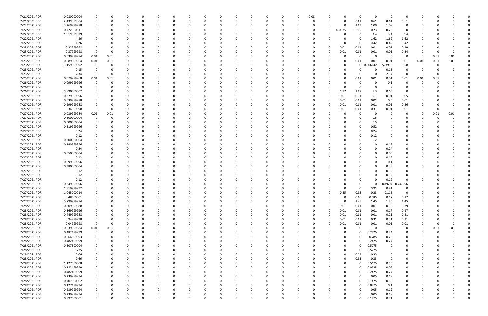| 7/21/2021 PDR                  | 0.080000004                |             |          |                   |          | 0                |   |          |          |          |          |          |          |          | 0        | 0.08 |          |          | 0             | $\Omega$       | - 0            | $\Omega$    |            |      |          |  |
|--------------------------------|----------------------------|-------------|----------|-------------------|----------|------------------|---|----------|----------|----------|----------|----------|----------|----------|----------|------|----------|----------|---------------|----------------|----------------|-------------|------------|------|----------|--|
| 7/21/2021 PDR                  | 2.439999984                | 0           |          | 0                 |          | $\Omega$         |   | $\Omega$ |          |          | $\Omega$ | - 0      |          |          | 0        | -0   | 0        |          | 0.61          | 0.61           | 0.61           | 0.61        |            |      |          |  |
| 7/22/2021 PDR                  | 3.269999988                |             |          |                   |          | 0                |   |          |          |          |          |          |          |          |          |      |          |          | 1.09          | 1.09           | 1.09           | 0           |            |      |          |  |
| 7/22/2021 PDR                  | 0.722500011                |             |          |                   |          |                  |   |          |          |          |          |          |          |          |          |      | 0        | 0.0875   | 0.175         | 0.23           | 0.23           | $\Omega$    |            |      |          |  |
|                                |                            |             |          |                   |          |                  |   |          |          |          |          |          |          |          |          |      |          |          |               |                |                |             |            |      |          |  |
| 7/22/2021 PDR                  | 10.19999999                |             |          |                   |          |                  |   |          |          |          |          |          |          |          |          |      |          |          | 0             | 3.4            | 3.4            | 3.4         |            |      |          |  |
| 7/22/2021 PDR                  | 4.86                       |             |          |                   |          |                  |   |          |          |          |          |          |          |          |          |      |          |          | 0             | 1.62           | 1.62           | 1.62        |            |      |          |  |
| 7/22/2021 PDR                  | 1.26                       |             |          |                   |          |                  |   |          |          |          |          |          |          |          |          |      |          |          | 0             | 0.42           | 0.42           | 0.42        |            |      |          |  |
| 7/23/2021 PDR                  | 0.22999998                 |             |          |                   |          |                  |   |          |          |          |          |          |          |          |          |      | 0        | 0.01     | 0.01          | 0.01           | 0.01           | 0.19        |            |      |          |  |
| 7/23/2021 PDR                  | 0.37999998                 | 0           |          |                   |          |                  |   |          |          |          |          |          |          |          |          |      | 0        | 0.01     | 0.01          | 0.01           | 0.01           | 0.34        |            |      | 0        |  |
| 7/23/2021 PDR                  | 0.039999984                | 0.01        | 0.01     |                   |          |                  |   |          |          |          |          |          |          |          |          |      |          |          | 0             | $\Omega$       | - 0            | $\mathbf 0$ | 0          | 0.01 | 0.01     |  |
| 7/23/2021 PDR                  | 0.089999964                | 0.01        | 0.01     |                   |          |                  |   |          |          |          |          |          |          |          |          |      |          |          | 0.01          | 0.01           | 0.01           | 0.01        | 0.01       | 0.01 | 0.01     |  |
|                                |                            |             |          |                   |          |                  |   |          |          |          |          |          |          |          |          |      |          |          |               |                |                |             |            |      |          |  |
| 7/23/2021 PDR                  | 1.159999992                | 0           | 0        |                   |          |                  |   |          |          |          |          |          |          |          |          |      |          |          | 0             | 0.006042       | 73958          | 0.58        | 0          |      |          |  |
| 7/23/2021 PDR                  | 0.15                       |             |          | 0                 |          |                  |   |          |          |          |          |          |          |          |          |      |          |          | $\Omega$      |                | 0.15           | $\Omega$    |            |      |          |  |
| 7/23/2021 PDR                  | 2.34                       | 0           | 0        | 0                 |          |                  |   |          |          |          |          |          |          |          |          |      |          |          | 0             |                | 2.34           | 0           | 0          |      |          |  |
| 7/25/2021 PDR                  | 0.079999968                | 0.01        | 0.01     |                   |          |                  |   |          |          |          |          |          |          |          |          |      |          |          | 0.01          | 0.01           | 0.01           | 0.01        | 0.01       | 0.01 |          |  |
| 7/26/2021 PDR                  | 0.099999996                |             |          |                   |          |                  |   |          |          |          |          |          |          |          |          |      |          |          | 0             |                | 0.1            | 0           |            |      |          |  |
| 7/26/2021 PDR                  |                            |             |          | -0                |          |                  |   |          |          |          |          |          |          |          |          |      |          |          | 0             |                | - q            |             |            |      |          |  |
|                                |                            |             |          |                   |          |                  |   |          |          |          |          |          |          |          |          |      |          |          |               |                |                | $\Omega$    |            |      |          |  |
| 7/26/2021 PDR                  | 5.890000002                |             |          |                   |          |                  |   |          |          |          |          |          |          |          |          |      |          | 1.97     | 1.97          | 1.3            | 0.65           |             |            |      |          |  |
| 7/27/2021 PDR                  | 0.279999996                |             |          |                   |          |                  |   |          |          |          |          |          |          |          |          |      |          | 0.01     | 0.11          | $0.1\,$        | 0.01           | 0.05        |            |      |          |  |
| 7/27/2021 PDR                  | 0.539999988                |             |          |                   |          |                  |   |          |          |          |          |          |          |          |          |      |          | 0.01     | 0.01          | 0.01           | 0.5            | 0.01        |            |      |          |  |
| 7/27/2021 PDR                  | 0.299999988                |             |          |                   |          |                  |   |          |          |          |          |          |          |          |          |      |          | 0.01     | 0.01          | 0.01           | 0.01           | 0.26        |            |      |          |  |
| 7/27/2021 PDR                  | 0.34999998                 | 0           |          |                   |          |                  |   |          |          |          |          |          |          |          |          |      |          | 0.01     | 0.01          | 0.31           | 0.01           | 0.01        |            |      |          |  |
| 7/27/2021 PDR                  | 0.039999984                | 0.01        | 0.01     |                   |          |                  |   |          |          |          |          |          |          |          |          |      |          |          | 0             |                | - 0            |             |            | 0.01 | 0.01     |  |
| 7/27/2021 PDR                  | 0.500000004                | 0           | 0        |                   |          |                  |   |          |          |          |          |          |          |          |          |      |          |          | 0             | 0.5            |                | 0           |            |      |          |  |
|                                |                            |             |          |                   |          |                  |   |          |          |          |          |          |          |          |          |      |          |          |               |                |                |             |            |      |          |  |
| 7/27/2021 PDR                  | 0.500000004                |             |          |                   |          | $\Omega$         |   |          |          |          |          |          |          |          |          |      |          |          | 0             | 0.5            |                |             |            |      |          |  |
| 7/27/2021 PDR                  | 0.519999996                |             |          |                   |          |                  |   |          |          |          |          |          |          |          |          |      |          |          | 0             | 0.52           |                |             |            |      |          |  |
| 7/27/2021 PDR                  | 0.24                       |             |          |                   |          |                  |   |          |          |          |          |          |          |          |          |      |          |          | 0             | 0.24           |                |             |            |      |          |  |
| 7/27/2021 PDR                  | 0.12                       |             |          |                   |          |                  |   |          |          |          |          |          |          |          |          |      |          |          | 0             | 0.12           |                |             |            |      |          |  |
| 7/27/2021 PDR                  | 0.200000004                |             |          | 0                 |          |                  |   |          |          |          |          |          |          |          |          |      |          |          | 0             | 0.2            | - 0            |             |            |      |          |  |
| 7/27/2021 PDR                  | 0.189999996                |             |          |                   |          | 0                |   |          |          |          |          |          |          |          | 0        |      |          |          | 0             |                | 0.19           | 0           |            |      |          |  |
|                                |                            |             |          |                   |          |                  |   |          |          |          |          |          |          |          |          |      |          |          |               |                |                |             |            |      |          |  |
| 7/27/2021 PDR                  | 0.24                       |             |          |                   |          |                  |   |          |          |          |          |          |          |          |          |      |          |          |               |                | 0.24           |             |            |      |          |  |
| 7/27/2021 PDR                  | 0.050000004                |             |          |                   |          |                  |   |          |          |          |          |          |          |          |          |      |          |          |               |                | 0.05           |             |            |      |          |  |
| 7/27/2021 PDR                  | 0.12                       |             |          |                   |          |                  |   |          |          |          |          |          |          |          |          |      |          |          |               |                | 0.12           |             |            |      |          |  |
| 7/27/2021 PDR                  | 0.099999996                |             |          |                   |          |                  |   |          |          |          |          |          |          |          |          |      |          |          |               |                | 0.1            |             |            |      |          |  |
| 7/27/2021 PDR                  | 0.380000004                |             |          |                   |          |                  |   |          |          |          |          |          |          |          |          |      |          |          |               |                | 0.38           |             |            |      |          |  |
| 7/27/2021 PDR                  | 0.12                       |             |          |                   |          |                  |   |          |          |          |          |          |          |          |          |      |          |          |               |                | 0.12           |             |            |      |          |  |
| 7/27/2021 PDR                  | 0.12                       |             |          |                   |          |                  |   |          |          |          |          |          |          |          |          |      |          |          | 0             |                | 0.12           |             |            |      |          |  |
|                                |                            |             |          |                   |          |                  |   |          |          |          |          |          |          |          |          |      |          |          |               |                |                |             |            |      |          |  |
| 7/27/2021 PDR                  | 0.12                       |             |          |                   |          |                  |   |          |          |          |          |          |          |          |          |      |          |          | -C            |                | 0.12           |             |            |      |          |  |
| 7/27/2021 PDR                  | 0.249999996                |             |          |                   |          |                  |   |          |          |          |          |          |          |          |          |      |          |          | 0             |                | 0.002604       | 0.247396    |            |      |          |  |
| 7/27/2021 PDR                  | 1.819999992                |             |          | $\Omega$          |          |                  |   |          |          |          |          |          |          |          |          |      |          |          | 0             | 0.91           | 0.91           | 0           |            |      |          |  |
| 7/27/2021 PDR                  | 1.045000014                | $\Omega$    |          | $\Omega$          |          |                  |   |          |          |          |          |          |          |          |          |      |          | 0.35     | 0.35          | 0.23           | 0.115          | $\Omega$    | $\sqrt{ }$ |      |          |  |
| 7/27/2021 PDR                  | 0.48500001                 | 0           | O        | $\Omega$          | $\Omega$ | $\Omega$         | O | -0       | $\Omega$ |          | $\Omega$ | $\Omega$ | $\Omega$ | $\Omega$ | $\Omega$ |      | U        |          | 0.06          | 0.085          | 0.17           | 0.17        | 0          |      |          |  |
| 7/27/2021 PDR                  | 5.799999984                | 0           |          | 0                 |          | 0                |   | $\Omega$ | 0        |          | $\Omega$ | $\Omega$ | $\Omega$ |          | 0        |      | O        | $\Omega$ | 1.45          | 1.45           | 1.45           | 1.45        | 0          |      |          |  |
|                                |                            |             |          | $\Omega$          |          |                  |   |          |          |          |          |          |          |          |          |      | $\Omega$ |          |               |                |                |             |            |      |          |  |
| 7/28/2021 PDR                  | 0.809999988                | 0           |          |                   |          | 0                |   |          |          |          | 0        |          |          |          | 0        |      |          | 0.01     | 0.01          | 0.01           | 0.39           | 0.39        |            |      |          |  |
| 7/28/2021 PDR                  | 0.369999996                | 0           |          | 0                 |          | 0                |   | -0       |          |          |          |          |          |          | 0        |      | $\Omega$ | 0.01     | 0.01          | 0.01           | 0.17           | 0.17        |            |      |          |  |
| 7/28/2021 PDR                  | 0.449999988                | 0           |          |                   |          | 0                |   |          |          |          |          |          |          |          | 0        |      | 0        | 0.01     | 0.01          | 0.01           | 0.21           | 0.21        |            |      |          |  |
| 7/28/2021 PDR                  | 0.94999998                 | $\mathbf 0$ |          | $\Omega$          |          | $\Omega$         |   |          |          |          |          |          |          |          | 0        |      | 0        | 0.01     | 0.01          | 0.31           | 0.31           | 0.31        | 0          |      |          |  |
| 7/28/2021 PDR                  | 0.04999998                 | $\mathbf 0$ | $\Omega$ | $\Omega$          |          | $\Omega$         |   |          |          |          | 0        |          |          |          | 0        |      |          | 0.01     | 0.01          | 0.01           | 0.01           | 0.01        | 0          |      | $\Omega$ |  |
| 7/28/2021 PDR                  | 0.039999984                | 0.01        | 0.01     | 0                 |          | 0                |   | -0       |          |          | 0        |          | $\Omega$ |          | 0        |      |          |          | $\mathbf 0$   | - 0            | $\overline{0}$ | 0           | $\Omega$   | 0.01 | 0.01     |  |
| 7/28/2021 PDR                  | 0.482499999                | 0           | 0        | $\Omega$          |          | 0                |   | -0       |          |          | 0        |          | $\Omega$ |          | 0        |      |          |          | 0             | 0.2425         | 0.24           | $\mathbf 0$ | 0          |      |          |  |
|                                |                            |             |          |                   |          |                  |   |          |          |          |          |          |          |          |          |      |          |          |               |                |                |             |            |      |          |  |
| 7/28/2021 PDR                  | 0.564999993                | 0           |          | $\Omega$          |          | 0                |   |          |          |          |          |          |          |          | 0        |      |          | 0        | $\Omega$      | 0.285          | 0.28           | 0           | 0          |      |          |  |
| 7/28/2021 PDR                  |                            |             |          |                   |          | 0                |   |          |          |          |          |          |          |          |          |      |          | 0        | 0             | 0.2425         | 0.24           | 0           |            |      |          |  |
|                                | 0.482499999                | 0           |          |                   |          |                  |   |          |          |          |          |          |          |          |          |      |          |          | $\Omega$      | 0.5075         | 0              |             |            |      |          |  |
| 7/28/2021 PDR                  | 0.507500004                | 0           |          | 0                 |          | 0                |   |          |          |          |          |          |          |          |          |      |          |          |               |                |                |             |            |      |          |  |
|                                |                            | 0           |          | $\Omega$          |          | 0                |   | 0        |          |          | 0        | $\Omega$ | $\Omega$ |          | 0        |      |          | $\Omega$ | $\Omega$      |                | 0              | $\Omega$    | 0          |      |          |  |
| 7/28/2021 PDR                  | 0.5775                     |             |          | 0                 |          | 0                |   | 0        |          |          | 0        |          | $\Omega$ |          | 0        |      | O        |          |               | 0.5775         | 0              | 0           | 0          |      |          |  |
| 7/28/2021 PDR                  | 0.66                       | 0           |          |                   |          |                  |   |          |          |          |          |          |          |          |          |      |          |          | 0.33          | 0.33           |                |             |            |      |          |  |
| 7/28/2021 PDR                  | 0.66                       | $\Omega$    |          | $\Omega$          |          | $\Omega$         |   | -0       |          |          | 0        | $\Omega$ | $\Omega$ |          | 0        |      | O        |          | 0.33          | 0.33           | 0              | $\Omega$    | 0          |      |          |  |
| 7/28/2021 PDR                  | 1.127500008                | $\Omega$    |          | $\Omega$          |          | 0                |   | 0        |          |          | 0        |          | $\Omega$ |          | 0        |      |          |          | $\Omega$      | 0.5675         | 0.56           | 0           |            |      |          |  |
| 7/28/2021 PDR                  | 0.182499999                |             |          | 0                 |          | $\Omega$         |   |          |          |          |          |          |          |          | 0        |      |          |          | 0             | 0.0925         | 0.09           |             |            |      |          |  |
| 7/28/2021 PDR                  | 0.482499999                | $\mathbf 0$ |          | 0                 |          | 0                |   |          |          |          | 0        |          |          |          | 0        |      |          |          | 0             | 0.2425         | 0.24           | 0           |            |      |          |  |
| 7/28/2021 PDR                  | 0.239999994                | 0           |          | 0                 |          | 0                |   |          |          |          | 0        |          |          |          | 0        |      |          |          | $\Omega$      | 0.05           | 0.19           | 0           |            |      |          |  |
|                                | 0.707500002                | 0           |          | $\Omega$          |          | $\Omega$         |   |          |          |          | 0        |          | $\Omega$ |          | 0        |      |          |          | $\Omega$      | 0.1475         | 0.56           | 0           |            |      |          |  |
| 7/28/2021 PDR                  |                            |             |          | $\Omega$          |          |                  |   | -0       |          |          | 0        |          | $\Omega$ |          | 0        |      |          | 0        | $\Omega$      |                |                |             |            |      |          |  |
| 7/28/2021 PDR                  | 0.127499994                | 0           |          |                   |          | 0                |   |          |          |          |          |          |          |          |          |      |          |          |               | 0.0275         | 0.1            | 0           |            |      |          |  |
| 7/28/2021 PDR                  | 0.239999994                | $\Omega$    |          | $\Omega$          |          | $\Omega$         |   |          |          |          |          |          |          |          |          |      |          |          | $\Omega$      | 0.05           | 0.19           | 0           |            |      |          |  |
| 7/28/2021 PDR<br>7/28/2021 PDR | 0.239999994<br>0.897500001 | 0<br>0      | 0        | -0<br>$\mathbf 0$ | $\Omega$ | 0<br>$\mathbf 0$ | 0 | $\Omega$ | 0        | $\Omega$ | 0        | $\Omega$ | $\Omega$ | $\Omega$ | 0        |      | 0        | 0        | $\Omega$<br>0 | 0.05<br>0.1875 | 0.19<br>0.71   | $\mathbf 0$ | 0          |      | 0        |  |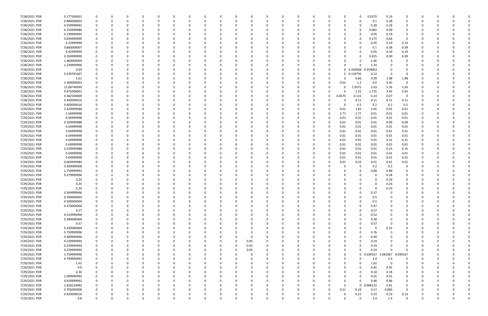| 7/28/2021 PDR | 0.177500001 | 0           |   | 0        | 0        | - 0      |          | 0            | O        |          | 0        |          |          |             | 0        | 0        | 0            | 0.0375   | 0.14        | 0              |   |          |   |          |
|---------------|-------------|-------------|---|----------|----------|----------|----------|--------------|----------|----------|----------|----------|----------|-------------|----------|----------|--------------|----------|-------------|----------------|---|----------|---|----------|
| 7/28/2021 PDR | 0.480000003 | $\Omega$    |   | $\Omega$ | $\Omega$ | - 0      |          | $\Omega$     |          |          | $\Omega$ | $\Omega$ |          | $\Omega$    | $\Omega$ | $\Omega$ | $\Omega$     | 0.1      | 0.38        | $\Omega$       |   |          |   |          |
| 7/28/2021 PDR | 0.559999992 |             |   |          |          |          |          |              |          |          |          |          |          |             |          |          | 0            | 0.28     | 0.28        | 0              |   |          |   |          |
| 7/28/2021 PDR | 0.154999986 |             |   |          |          |          |          |              |          |          |          |          |          |             |          |          | 0            | 0.065    | 0.09        |                |   |          |   |          |
| 7/28/2021 PDR | 0.239999994 |             |   |          |          |          |          |              |          |          |          |          |          |             |          |          | 0            | 0.05     | 0.19        | 0              |   |          |   |          |
| 7/28/2021 PDR | 0.834999999 |             |   |          |          |          |          |              |          |          |          |          |          |             |          |          | 0            | 0.175    | 0.66        | 0              |   |          |   |          |
|               | 0.42999999  |             |   |          |          |          |          |              |          |          |          |          |          |             |          |          |              |          |             |                |   |          |   |          |
| 7/28/2021 PDR |             |             |   |          |          |          |          |              |          |          |          |          |          |             |          |          |              | 0.05     | 0.19        | 0.19           |   |          |   |          |
| 7/28/2021 PDR | 0.860000007 |             |   |          |          |          |          |              |          |          |          |          |          |             |          |          | 0            | 0.1      | 0.38        | 0.38           |   |          |   |          |
| 7/28/2021 PDR | 0.42999999  |             |   |          |          |          |          |              |          |          |          |          |          |             |          |          | 0            | 0.05     | 0.19        | 0.19           |   |          |   |          |
| 7/28/2021 PDR | 0.204999999 |             |   |          |          |          |          |              |          |          |          |          |          |             |          |          | 0            | 0.025    | 0.09        | 0.09           |   |          |   |          |
| 7/28/2021 PDR | 1.460000004 |             |   |          |          |          |          |              |          |          |          |          |          |             |          |          | 0            | 1.46     | - 0         | O              |   |          |   |          |
| 7/28/2021 PDR | 1.239999996 |             |   |          |          |          |          |              |          |          |          |          |          |             |          |          | O            | 1.24     |             |                |   |          |   |          |
| 7/28/2021 PDR | 0.69        |             |   | n        |          |          |          |              |          |          |          |          |          |             | -0       |          | 0 0.330938   | .359063  |             | 0              |   |          |   |          |
| 7/28/2021 PDR | 0.239791667 |             |   |          |          |          |          |              |          |          |          |          |          |             |          |          | 0 0.119792   | 0.12     | - 0         | - 0            |   |          |   |          |
| 7/28/2021 PDR | 5.61        |             |   |          |          |          |          |              |          |          |          |          |          |             |          |          | 0.66         | 0.99     | 1.98        | 1.98           |   |          |   |          |
| 7/28/2021 PDR | 3.300000003 |             |   |          |          |          |          |              |          |          |          |          |          |             |          | 0.65     | 1.3          | 0.9      | 0.45        | - 0            |   |          |   |          |
| 7/28/2021 PDR | 15.08749999 |             |   |          |          |          |          |              |          |          |          |          |          |             |          |          | 1.9375       | 2.63     | 5.26        | 5.26           |   |          |   |          |
| 7/28/2021 PDR | 9.875000001 |             |   |          |          |          |          |              |          |          |          |          |          |             |          |          | 1.25         | 1.725    | 3.45        | 3.45           |   |          |   |          |
| 7/28/2021 PDR | 0.382500009 |             |   |          |          |          |          |              |          |          |          |          |          |             | -0       | 0.0575   | 0.115        | 0.14     | 0.07        | - 0            |   |          |   |          |
| 7/28/2021 PDR | 0.440000016 |             |   |          |          |          |          |              |          |          |          |          |          |             |          |          | 0.11         | 0.11     | 0.11        | 0.11           |   |          |   |          |
| 7/28/2021 PDR | 0.800000016 |             |   |          |          |          |          |              |          |          |          |          |          |             |          | $\Omega$ | 0.2          | 0.2      | 0.2         | 0.2            |   |          |   |          |
| 7/29/2021 PDR | 3.329999988 |             |   |          |          |          |          |              |          |          |          |          |          |             |          | 0.01     | 1.65         | 1.65     | 0.01        | 0.01           |   |          |   |          |
|               |             |             |   |          |          |          |          |              |          |          |          |          |          |             |          |          |              |          |             |                |   |          |   |          |
| 7/29/2021 PDR | 5.56999998  |             |   |          |          |          |          |              |          |          |          |          |          |             |          | 2.77     | 2.77         | 0.01     | 0.01        | 0.01           |   |          |   |          |
| 7/29/2021 PDR | 0.04999998  |             |   |          |          |          |          |              |          |          |          |          |          |             |          | 0.01     | 0.01         | 0.01     | 0.01        | 0.01           |   |          |   |          |
| 7/29/2021 PDR | 0.209999988 |             |   | n        |          |          |          |              |          |          |          |          |          |             |          | 0.01     | 0.01         | 0.01     | 0.09        | 0.09           |   |          |   |          |
| 7/29/2021 PDR | 0.04999998  |             |   |          |          |          |          |              |          |          |          |          |          |             |          | 0.01     | 0.01         | 0.01     | 0.01        | 0.01           |   |          |   |          |
| 7/29/2021 PDR | 0.04999998  |             |   |          |          |          |          |              |          |          |          |          |          |             |          | 0.01     | 0.01         | 0.01     | 0.01        | 0.01           |   |          |   |          |
| 7/29/2021 PDR | 0.04999998  |             |   |          |          |          |          |              |          |          |          |          |          |             |          | 0.01     | 0.01         | 0.01     | 0.01        | 0.01           |   |          |   |          |
| 7/29/2021 PDR | 0.64999998  |             |   |          |          |          |          |              |          |          |          |          |          |             |          | 0.01     | 0.01         | 0.01     | 0.31        | 0.31           |   |          |   |          |
| 7/29/2021 PDR | 0.04999998  |             |   |          |          |          |          |              |          |          |          |          |          |             |          | 0.01     | 0.01         | 0.01     | 0.01        | 0.01           |   |          |   |          |
| 7/29/2021 PDR | 0.329999988 |             |   |          |          |          |          |              |          |          |          |          |          |             |          | 0.01     | 0.01         | 0.01     | 0.15        | 0.15           |   |          |   |          |
| 7/29/2021 PDR | 0.04999998  |             |   |          |          |          |          |              |          |          |          |          |          |             |          | 0.01     | 0.01         | 0.01     | 0.01        | 0.01           |   |          |   |          |
| 7/29/2021 PDR | 0.04999998  |             |   |          |          |          |          |              |          |          |          |          |          |             |          | 0.01     | 0.01         | 0.01     | 0.01        | 0.01           |   |          |   |          |
| 7/29/2021 PDR | 0.069999984 |             |   |          |          |          |          |              |          |          |          |          |          |             |          | 0.01     | 0.03         | 0.01     | 0.01        | 0.01           |   |          |   |          |
| 7/29/2021 PDR | 0.400000008 |             |   |          |          |          |          |              |          |          |          |          |          |             |          |          | 0            | 0.2      | 0.2         | - 0            |   |          |   |          |
| 7/29/2021 PDR | 1.759999992 |             |   |          |          |          |          |              |          |          |          |          |          |             |          |          | 0            | 0.88     | 0.88        | 0              |   |          |   |          |
| 7/29/2021 PDR | 0.279999996 |             |   |          |          |          |          |              |          |          |          |          |          |             |          |          |              | 0        | 0.28        |                |   |          |   |          |
| 7/29/2021 PDR | 0.24        |             |   |          |          |          |          |              |          |          |          |          |          |             |          |          |              | 0        | 0.24        |                |   |          |   |          |
|               |             |             |   |          |          |          |          |              |          |          |          |          |          |             |          |          |              |          |             |                |   |          |   |          |
| 7/29/2021 PDR | 0.24        |             |   |          |          |          |          |              |          |          |          |          |          |             |          |          |              | -0       | 0.24        | 0              |   |          |   |          |
| 7/29/2021 PDR | 0.24        |             |   | $\Omega$ |          |          |          | n            |          |          | $\Omega$ |          |          |             |          |          | O            | $\Omega$ | 0.24        | $\Omega$       |   |          |   |          |
| 7/29/2021 PDR | 0.369999996 | 0           |   |          |          |          |          |              |          |          |          |          | n        |             |          |          |              | 0.37     |             | O              |   |          |   |          |
| 7/29/2021 PDR | 0.500000004 | 0           |   | 0        |          | $\Omega$ |          |              |          |          | 0        |          | $\Omega$ |             | 0        |          | 0            | 0.5      | $\Omega$    | 0              | 0 |          |   |          |
| 7/29/2021 PDR | 0.500000004 |             |   |          |          |          |          |              |          |          |          |          |          |             |          |          | $\Omega$     | 0.5      |             |                |   |          |   |          |
| 7/29/2021 PDR | 0.470000004 | 0           |   | 0        |          |          |          |              |          |          |          |          |          |             | 0        | 0        | 0            | 0.47     |             | 0              |   |          |   |          |
| 7/29/2021 PDR | 0.57        | 0           |   | 0        |          | $\Omega$ |          | 0            |          |          | 0        |          |          |             | 0        | 0        | 0            | 0.57     |             | 0              |   |          |   |          |
| 7/29/2021 PDR | 0.519999996 |             |   | n        |          | 0        |          | <sup>0</sup> |          |          |          |          |          |             |          | 0        | $\Omega$     | 0.52     |             | 0              |   |          |   |          |
| 7/29/2021 PDR | 0.380000004 |             |   |          |          |          |          |              |          |          |          |          |          |             |          |          | $\Omega$     | 0.38     |             |                |   |          |   |          |
| 7/29/2021 PDR | 0.57        |             |   |          |          |          |          |              |          |          |          |          |          |             |          | 0        | 0            | 0.57     |             |                |   |          |   |          |
| 7/29/2021 PDR | 0.320000004 |             |   |          |          |          |          |              |          |          |          |          |          |             |          |          | 0            | 0        | 0.32        | $\Omega$       |   |          |   |          |
| 7/29/2021 PDR | 0.759999996 |             |   |          |          |          |          |              |          |          |          |          |          |             |          |          | 0            | 0.76     |             | 0              |   |          |   |          |
| 7/29/2021 PDR | 0.489999996 | 0           |   | $\Omega$ |          |          |          |              |          |          | 0        |          |          |             |          | 0        | 0            | 0.49     |             | 0              |   |          |   |          |
| 7/29/2021 PDR | 0.239999994 |             |   |          |          |          |          |              |          |          | 0.05     |          |          |             |          |          |              | 0.19     |             |                |   |          |   |          |
| 7/29/2021 PDR | 0.239999994 |             |   |          |          |          |          |              |          |          | 0.05     |          |          |             |          | 0        |              | 0.19     |             |                |   |          |   |          |
| 7/29/2021 PDR | 0.239999994 |             |   |          |          |          |          |              |          |          | 0.05     |          |          |             | -0       | 0        | 0            | 0.19     |             |                |   |          |   |          |
| 7/29/2021 PDR | 3.759999996 | 0           |   |          |          |          |          |              |          |          | 0        |          |          |             |          | 0        | $\mathbf{0}$ | 0.039167 | 3.681667    | 0.039167       |   |          |   |          |
| 7/29/2021 PDR | 6.799999992 | $\mathbf 0$ |   | 0        |          | $\Omega$ |          | 0            |          |          | 0        |          |          |             | 0        | 0        | $\Omega$     | 3.4      | 3.4         | 0              | 0 | $\Omega$ |   |          |
|               |             |             |   |          |          | $\Omega$ |          | $\Omega$     |          |          |          |          |          |             |          | 0        | 0            | 1.62     | $\mathbf 0$ | 0              | 0 |          |   |          |
| 7/29/2021 PDR | 1.62        | 0           |   | 0        |          |          |          |              |          |          | 0        |          |          |             | 0        |          |              |          |             |                |   |          |   |          |
| 7/29/2021 PDR | 0.9         |             |   |          |          |          |          |              |          |          |          |          |          |             | -0       |          | $\Omega$     | 0.45     | 0.45        | $\Omega$       |   |          |   |          |
| 7/29/2021 PDR | 0.36        |             |   |          |          |          |          |              |          |          |          |          |          |             |          |          | $\Omega$     | 0.18     | 0.18        | 0              |   |          |   |          |
| 7/29/2021 PDR | 1.099999992 |             |   |          |          |          |          |              |          |          |          |          |          |             |          | 0        | 0            | 0.55     | 0.55        | 0              |   |          |   |          |
| 7/29/2021 PDR | 0.919999992 | $\Omega$    |   |          |          |          |          |              |          |          |          |          |          |             |          | $\Omega$ | $\Omega$     | 0.46     | 0.46        | $\mathbf 0$    |   |          |   |          |
| 7/29/2021 PDR | 1.818124992 | $\mathbf 0$ |   | $\Omega$ |          |          |          |              |          |          |          |          |          |             |          | $\Omega$ | $\mathbf{0}$ | 0.908125 | 0.91        | $\overline{0}$ |   |          |   |          |
| 7/29/2021 PDR | 0.705000006 | 0           |   | n        |          |          |          |              |          |          |          |          |          |             | -0       | 0.21     | 0.24         | 0.17     | 0.085       | 0              |   |          |   |          |
| 7/29/2021 PDR | 0.920000016 |             |   | 0        |          |          |          |              |          |          |          |          |          |             |          | 0        | 0.23         | 0.23     | 0.23        | 0.23           |   |          |   |          |
| 7/29/2021 PDR | 4.8         | 0           | O | $\Omega$ | $\Omega$ | $\Omega$ | $\Omega$ | $\Omega$     | $\Omega$ | $\Omega$ | $\Omega$ | $\Omega$ | $\Omega$ | $\mathbf 0$ | 0        | 0        | $\mathbf 0$  | 2.4      | 2.4         | $\mathbf 0$    | 0 | $\Omega$ | 0 | $\Omega$ |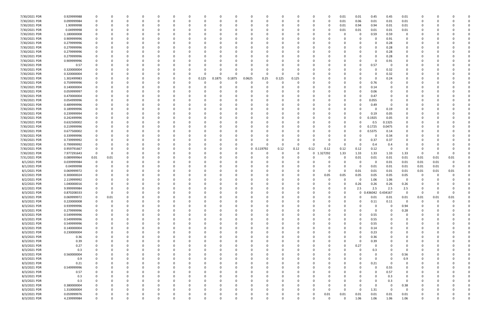| 7/30/2021 PDR | 0.929999988 |             |          |          |          |          |          |          |        |        |              |          |          |          |          |            | 0.01     | 0.01        | 0.45     | 0.45        | 0.01                    |              |          |          |  |
|---------------|-------------|-------------|----------|----------|----------|----------|----------|----------|--------|--------|--------------|----------|----------|----------|----------|------------|----------|-------------|----------|-------------|-------------------------|--------------|----------|----------|--|
| 7/30/2021 PDR | 0.099999984 |             |          | $\Omega$ |          |          | 0        | 0        |        |        | <sup>0</sup> | $\Omega$ |          | 0        | 0        | - 0        | 0.01     | 0.06        | 0.01     | 0.01        | 0.01                    | 0            |          |          |  |
| 7/30/2021 PDR | 1.90999998  |             |          |          |          |          |          |          |        |        |              |          |          |          |          |            | 0.01     | 0.94        | 0.94     | 0.01        | 0.01                    |              |          |          |  |
| 7/30/2021 PDR | 0.04999998  |             |          |          |          |          |          |          |        |        |              |          |          |          |          |            | 0.01     | 0.01        | 0.01     | 0.01        | 0.01                    |              |          |          |  |
| 7/30/2021 PDR | 1.180000008 |             |          |          |          |          |          |          |        |        |              |          |          |          |          |            |          | 0           | 0.59     | 0.59        | 0                       |              |          |          |  |
| 7/30/2021 PDR | 0.909999996 |             |          |          |          |          |          |          |        |        |              |          |          |          |          |            |          |             | 0        |             | 0                       |              |          |          |  |
|               |             |             |          |          |          |          |          |          |        |        |              |          |          |          |          |            |          |             |          | 0.91        |                         |              |          |          |  |
| 7/30/2021 PDR | 0.279999996 |             |          |          |          |          |          |          |        |        |              |          |          |          |          |            |          |             | 0        | 0.28        | 0                       |              |          |          |  |
| 7/30/2021 PDR | 0.279999996 |             |          |          |          |          |          |          |        |        |              |          |          |          |          |            |          |             | $\Omega$ | 0.28        | 0                       |              |          |          |  |
| 7/30/2021 PDR | 0.279999996 |             |          |          |          |          |          |          |        |        |              |          |          |          |          |            |          | 0           | 0        | 0.28        | 0                       |              |          |          |  |
| 7/30/2021 PDR | 0.279999996 |             |          |          |          |          |          |          |        |        |              |          |          |          |          |            |          |             | $\Omega$ | 0.28        | 0                       |              |          |          |  |
| 7/30/2021 PDR | 0.909999996 |             |          |          |          |          |          |          |        |        |              |          |          |          |          |            |          |             | $\Omega$ | 0.91        | 0                       |              |          |          |  |
| 7/30/2021 PDR | 0.57        |             |          |          |          |          |          |          |        |        |              |          |          |          |          |            |          |             | 0.57     | 0           | 0                       |              |          |          |  |
| 7/30/2021 PDR | 0.320000004 |             |          |          |          |          |          |          |        |        | <sup>0</sup> |          |          |          |          |            |          |             | 0        | 0.32        | 0                       |              |          |          |  |
| 7/30/2021 PDR | 0.320000004 |             |          |          |          |          |          | $\Omega$ |        |        | $\Omega$     | $\Omega$ | - 0      | $\Omega$ |          |            |          |             | $\Omega$ | 0.32        |                         |              |          |          |  |
| 7/30/2021 PDR | 1.302499983 |             |          |          |          |          | 0        | 0.125    | 0.1875 | 0.1875 | 0.0625       | 0.25     | 0.125    | 0.125    |          |            |          |             | 0        | 0.24        |                         |              |          |          |  |
|               |             |             |          |          |          |          |          |          |        |        |              |          |          |          |          |            |          |             |          |             |                         |              |          |          |  |
| 7/30/2021 PDR | 0.759999996 |             |          |          |          |          |          | 0        |        |        | 0            |          |          |          |          |            |          | C           | 0.76     |             |                         |              |          |          |  |
| 7/30/2021 PDR | 0.140000004 |             |          |          |          |          |          |          |        |        |              | 0        |          |          |          |            |          | 0           | 0.14     |             | 0                       |              |          |          |  |
| 7/30/2021 PDR | 0.059999997 |             |          |          |          |          |          |          |        |        |              |          |          |          |          |            |          |             | 0.06     |             | 0                       |              |          |          |  |
| 7/30/2021 PDR | 0.470000004 |             |          |          |          |          |          |          |        |        |              |          |          |          |          |            |          |             | 0.47     |             |                         |              |          |          |  |
| 7/30/2021 PDR | 0.054999996 |             |          |          |          |          |          |          |        |        |              |          |          |          |          |            |          | 0           | 0.055    |             |                         |              |          |          |  |
| 7/30/2021 PDR | 0.489999996 |             |          |          |          |          |          |          |        |        |              |          |          |          |          |            |          |             | 0.49     |             |                         |              |          |          |  |
| 7/30/2021 PDR | 0.189999996 |             |          |          |          |          |          |          |        |        |              |          |          |          |          |            |          |             | 0        | 0.19        | 0                       |              |          |          |  |
| 7/30/2021 PDR | 0.239999994 |             |          |          |          |          |          |          |        |        |              |          |          |          |          |            |          | 0           | 0.19     | 0.05        | 0                       |              |          |          |  |
| 7/30/2021 PDR | 0.242499996 |             |          |          |          |          |          |          |        |        |              |          |          |          |          |            | 0        | 0           | 0.1925   | 0.05        | O                       |              |          |          |  |
|               |             |             |          |          |          |          |          |          |        |        |              |          |          |          |          |            |          |             |          |             |                         |              |          |          |  |
| 7/30/2021 PDR | 0.632500002 |             |          |          |          |          |          |          |        |        |              |          |          |          |          |            | 0        | O           | 0.5      | 0.1325      |                         |              |          |          |  |
| 7/30/2021 PDR | 0.219999996 |             |          |          |          |          |          |          |        |        |              |          |          |          |          |            | 0        | 0           | 0.1725   | 0.0475      | 0                       |              |          |          |  |
| 7/30/2021 PDR | 0.677500002 |             |          |          |          |          |          |          |        |        |              |          |          |          |          |            |          | 0           | 0.5375   | 0.14        | 0                       |              |          |          |  |
| 7/30/2021 PDR | 0.339999996 |             |          |          |          |          |          |          |        |        |              |          |          |          |          |            |          |             | 0        | 0.34        | 0                       |              |          |          |  |
| 7/30/2021 PDR | 0.739999992 |             |          |          |          |          |          |          |        |        |              |          |          |          |          |            |          | C           | 0.37     | 0.37        | 0                       |              |          |          |  |
| 7/30/2021 PDR | 0.799999992 |             |          |          |          |          |          |          |        |        |              |          |          | $\Omega$ |          |            | ŋ        | 0           | 0.4      | 0.4         | 0                       |              |          |          |  |
| 7/30/2021 PDR | 0.959791667 | 0           |          |          |          |          |          |          |        |        | $\mathbf{0}$ | 0.119792 | 0.12     | 0.12     | 0.12     | 0.12       | 0.12     | 0.12        | 0.12     | $\mathbf 0$ | $\overline{0}$          | 0            |          |          |  |
| 7/30/2021 PDR | 7.977291643 | - 0         |          |          |          |          |          |          |        |        |              |          |          | 0        |          | 0 1.327292 | 1.33     | 1.33        | 1.33     | 1.33        | 1.33                    | - 0          | -0       |          |  |
| 7/31/2021 PDR | 0.089999964 | 0.01        | 0.01     |          |          |          |          |          |        |        |              |          |          |          |          |            | O        | 0.01        | 0.01     | 0.01        | 0.01                    | 0.01         | 0.01     | 0.01     |  |
| 8/1/2021 PDR  | 0.039999984 |             |          |          |          |          |          |          |        |        |              |          |          |          |          |            |          | 0           | 0        | 0.01        | 0.01                    | 0.01         | 0.01     |          |  |
|               |             |             |          |          |          |          |          |          |        |        |              |          |          |          |          |            |          |             |          |             |                         |              |          |          |  |
| 8/1/2021 PDR  | 0.04999998  |             |          |          |          |          |          |          |        |        |              |          |          |          |          |            |          | -0          | 0.01     | 0.01        | 0.01                    | 0.01         | 0.01     | - 0      |  |
| 8/1/2021 PDR  | 0.069999972 |             |          |          |          |          |          |          |        |        |              |          |          |          |          |            | 0        | 0.01        | 0.01     | 0.01        | 0.01                    | 0.01         | 0.01     | 0.01     |  |
| 8/2/2021 PDR  | 0.300000024 |             |          |          |          |          |          |          |        |        |              |          |          |          | 0        | 0.05       | 0.05     | 0.05        | 0.05     | 0.05        | 0.05                    | -0           |          |          |  |
| 8/2/2021 PDR  | 2.119999992 |             |          |          |          |          |          |          |        |        |              |          |          |          |          |            |          | 0           | 1.06     | 1.06        | $\Omega$                |              |          |          |  |
| 8/2/2021 PDR  | 1.040000016 |             |          |          |          |          |          |          |        |        |              |          |          |          |          |            |          | 0.26        | 0.26     | 0.26        | 0.26                    |              |          |          |  |
| 8/2/2021 PDR  | 9.999999984 |             |          |          |          |          |          |          |        |        |              |          |          |          |          |            | 0        | 2.5         | 2.5      | 2.5         | 2.5                     | <sup>0</sup> |          |          |  |
| 8/3/2021 PDR  | 0.870208333 |             | υ        |          |          |          |          |          |        |        | 0            |          |          |          |          |            |          | $\mathbf 0$ | 0.436042 | 0.434167    | 0                       |              |          |          |  |
| 8/3/2021 PDR  | 0.069999972 | $\mathbf 0$ | 0.01     | $\Omega$ | $\Omega$ | $\Omega$ | $\Omega$ | $\Omega$ | O      |        | $\Omega$     | $\Omega$ | $\Omega$ | $\Omega$ | $\Omega$ |            | $\Omega$ | $\mathbf 0$ | 0.01     | 0.01        | $0.01\,$                | 0.01         | 0.01     | 0.01     |  |
| 8/3/2021 PDR  | 0.220000008 | $\Omega$    | 0        | 0        |          | O        | 0        | 0        |        |        | 0            | $\Omega$ |          | $\Omega$ | 0        |            | 0        | 0           | 0.11     | 0.11        | $\overline{\mathbf{0}}$ | $\mathbf 0$  | $\Omega$ |          |  |
|               |             |             |          |          |          |          |          |          |        |        |              |          |          |          |          |            |          |             |          | $\Omega$    |                         |              |          |          |  |
| 8/3/2021 PDR  | 0.939999996 |             | O        | 0        |          |          |          | 0        |        |        |              | $\Omega$ |          |          | 0        |            | 0        | 0           | 0        |             | 0.94                    | 0            |          |          |  |
| 8/3/2021 PDR  | 0.279999996 | 0           |          |          |          |          |          | 0        |        |        |              | $\Omega$ |          |          | 0        |            | $\Omega$ | 0           | 0        | $\Omega$    | 0.28                    |              |          |          |  |
| 8/3/2021 PDR  | 0.549999996 |             |          |          |          |          |          | 0        |        |        |              | 0        |          |          |          |            |          | 0           | 0.55     |             | 0                       |              |          |          |  |
| 8/3/2021 PDR  | 0.549999996 |             |          |          |          |          |          | 0        |        |        |              |          |          |          |          |            |          | 0           | 0.55     |             | 0                       | 0            |          |          |  |
| 8/3/2021 PDR  | 0.549999996 |             |          |          |          |          |          | 0        |        |        |              | - 0      |          |          |          |            |          | 0           | 0.55     |             | $\Omega$                | O            |          |          |  |
| 8/3/2021 PDR  | 0.140000004 |             |          |          |          |          |          | 0        |        |        |              | $\Omega$ |          |          |          |            | 0        | 0           | 0.14     |             | 0                       | 0            |          |          |  |
| 8/3/2021 PDR  | 0.230000004 |             |          |          |          |          |          | 0        |        |        |              | $\Omega$ |          |          |          |            | 0        | 0           | 0.23     |             | 0                       | 0            |          |          |  |
| 8/3/2021 PDR  | 0.36        |             |          |          |          |          |          | 0        |        |        |              | $\Omega$ |          |          |          |            |          | $\Omega$    | 0.36     |             | 0                       |              |          |          |  |
| 8/3/2021 PDR  | 0.39        |             |          |          |          |          |          | 0        |        |        |              |          |          |          |          |            |          | 0           | 0.39     |             |                         |              |          |          |  |
| 8/3/2021 PDR  | 0.27        |             |          |          |          |          |          | 0        |        |        |              |          |          |          |          |            | 0        | 0.27        | 0        |             | 0                       |              |          |          |  |
|               |             |             |          |          |          |          |          |          |        |        |              |          |          |          |          |            | U        |             |          |             |                         |              |          |          |  |
| 8/3/2021 PDR  | 0.3         |             |          |          |          |          | 0        | 0        |        |        |              | 0        |          |          |          |            |          | 0           | 0.3      | $\Omega$    | 0                       | 0            |          |          |  |
| 8/3/2021 PDR  | 0.560000004 |             |          | 0        |          |          |          | 0        |        |        |              | $\Omega$ |          |          | 0        |            |          | 0           | 0        | $\Omega$    | 0.56                    | O            |          |          |  |
| 8/3/2021 PDR  | 0.9         |             |          |          |          |          |          | 0        |        |        |              | $\Omega$ |          |          | 0        |            |          |             | 0        | $\Omega$    | 0.9                     | 0            |          |          |  |
| 8/3/2021 PDR  | 0.21        |             |          |          |          |          | 0        | $\Omega$ |        |        |              | $\Omega$ |          |          |          |            |          | 0           | 0.21     |             | 0                       |              |          |          |  |
| 8/3/2021 PDR  | 0.549999996 |             |          |          |          |          |          | 0        |        |        |              |          |          |          |          |            |          |             | 0        | 0.55        | 0                       |              |          |          |  |
| 8/3/2021 PDR  | 0.57        |             |          |          |          |          |          | 0        |        |        |              |          |          |          |          |            |          |             | 0        | 0.57        | 0                       |              |          |          |  |
| 8/3/2021 PDR  | 0.3         |             |          |          |          |          |          | 0        |        |        |              |          |          |          |          |            |          |             | 0        | 0.3         | 0                       |              |          |          |  |
| 8/3/2021 PDR  | 0.3         |             |          |          |          |          |          | 0        |        |        |              |          |          |          |          |            |          |             | 0        | 0.3         | $\mathbf 0$             |              |          |          |  |
|               |             |             |          |          |          |          |          |          |        |        |              |          |          |          |          |            |          |             |          | $\Omega$    |                         |              |          |          |  |
| 8/3/2021 PDR  | 0.380000004 |             |          |          |          |          |          | 0        |        |        |              |          |          |          |          |            |          |             | 0        |             | 0.38                    | 0            |          |          |  |
| 8/3/2021 PDR  | 1.310000004 |             |          |          |          |          |          | 0        |        |        |              | 0        |          |          | 0        |            | $\Omega$ | 0           | 1.31     | $\Omega$    | 0                       | 0            |          |          |  |
| 8/3/2021 PDR  | 0.059999976 |             |          |          |          |          |          |          |        |        |              |          |          |          | 0        | 0.01       | 0.01     | 0.01        | 0.01     | 0.01        | 0.01                    |              |          |          |  |
| 8/3/2021 PDR  | 4.239999984 | $\Omega$    | $\Omega$ | $\Omega$ |          | $\Omega$ | $\Omega$ | $\Omega$ | U      |        | $\Omega$     | $\Omega$ | $\Omega$ | $\Omega$ | $\Omega$ | $\Omega$   | $\Omega$ | 1.06        | 1.06     | 1.06        | 1.06                    | 0            |          | $\Omega$ |  |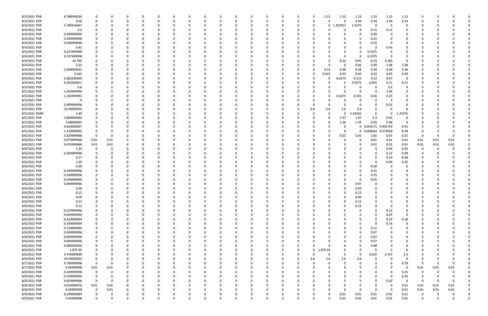| 8/3/2021 PDR  | 6.780000024 | $\Omega$                | 0        |          |          |          |          |   |          |   | 0            |          | 0        | 0            | 1.13        | 1.13         | 1.13    | 1.13                | 1.13                | 1.13            |             |      |              |  |
|---------------|-------------|-------------------------|----------|----------|----------|----------|----------|---|----------|---|--------------|----------|----------|--------------|-------------|--------------|---------|---------------------|---------------------|-----------------|-------------|------|--------------|--|
| 8/3/2021 PDR  | 9.36        | $\Omega$                | 0        |          | 0        |          |          |   |          |   | 0            |          |          | 0            | 0           | <sup>n</sup> | 2.34    | 2.34                | 2.34                | 2.34            | O           |      |              |  |
| 8/4/2021 PDR  | 2.780416667 | 0                       |          |          |          |          |          |   |          |   | C            |          |          | O            | $\mathbf 0$ | .352917      | 1.4275  | 0                   | - 0                 | 0               |             |      |              |  |
| 8/4/2021 PDR  | 0.3         |                         |          |          |          |          |          |   |          |   | C            |          |          |              | $\Omega$    |              | 0       | 0.15                | 0.15                | $\Omega$        |             |      |              |  |
| 8/4/2021 PDR  | 0.380000004 |                         | C        |          |          |          |          |   |          |   | C            |          |          |              | -0          |              |         | 0.38                |                     | O               |             |      |              |  |
| 8/4/2021 PDR  | 0.549999996 |                         |          |          |          |          |          |   |          |   | C            |          |          |              |             |              |         | 0.55                |                     | 0               |             |      |              |  |
| 8/4/2021 PDR  | 0.549999996 |                         |          |          |          |          |          |   |          |   |              |          |          |              |             |              |         | 0.55                |                     |                 |             |      |              |  |
| 8/4/2021 PDR  |             |                         |          |          |          |          |          |   |          |   |              |          |          |              |             |              |         |                     |                     |                 |             |      |              |  |
|               | 0.45        |                         |          |          |          |          |          |   |          |   |              |          |          |              |             |              |         | 0                   | 0.45                |                 |             |      |              |  |
| 8/4/2021 PDR  | 0.237499998 |                         |          |          |          |          |          |   |          |   |              |          |          |              |             |              | 0       | 0.2375              |                     |                 |             |      |              |  |
| 8/4/2021 PDR  | 0.237499998 |                         |          |          |          |          |          |   |          |   |              |          |          |              |             | $\Omega$     |         | 0.2375              | - 0                 | 0               |             |      |              |  |
| 8/4/2021 PDR  | 26.705      |                         |          |          |          |          |          |   |          |   | C            |          |          |              | - 0         | 8.16         | 9.05    | 6.33                | 3.165               | - 0             |             |      |              |  |
| 8/4/2021 PDR  | 5.61        |                         | 0        |          |          |          |          |   |          |   | C            |          |          |              | -0          | - 0          | 0.66    | 0.99                | 1.98                | 1.98            |             |      |              |  |
| 8/4/2021 PDR  | 2.090000022 |                         | 0        |          | O        |          |          |   |          |   | 0            |          |          | 0            | 0.19        | 0.38         | 0.38    | 0.38                | 0.38                | 0.38            |             |      |              |  |
| 8/4/2021 PDR  | 0.165       |                         | 0        |          |          |          |          |   |          |   | C            |          |          | 0            | 0.015       | 0.03         | 0.03    | 0.03                | 0.03                | 0.03            |             |      |              |  |
| 8/4/2021 PDR  | 0.382500009 |                         |          |          |          |          |          |   |          |   |              |          |          |              | 0           | 0.0575       | 0.115   | 0.14                | 0.07                | 0               |             |      |              |  |
| 8/4/2021 PDR  | 0.302500011 |                         |          |          |          |          |          |   |          |   |              |          |          |              | -0          |              | 0.0275  | 0.055               | 0.11                | 0.11            |             |      |              |  |
| 8/5/2021 PDR  | 0.6         | 0                       | 0        |          |          |          |          |   |          |   | C            |          |          |              | -0          |              | 0       | 0                   | 0.6                 | 0               |             |      |              |  |
| 8/5/2021 PDR  | 1.059999996 |                         | 0        |          |          |          |          |   |          |   | 0            |          |          |              | -0          |              |         | 0                   | 1.06                | 0               |             |      |              |  |
| 8/5/2021 PDR  | 1.192499991 |                         |          |          |          |          |          |   |          |   | C            |          |          |              | 0           | 0.1675       | 0.335   | 0.46                | 0.23                | 0               |             |      |              |  |
| 8/5/2021 PDR  |             |                         | 0        |          |          |          |          |   |          |   | C            |          |          |              |             |              |         | 0                   | - 9                 | 0               |             |      |              |  |
| 8/5/2021 PDR  | 0.909999996 |                         |          |          |          |          |          |   |          |   |              |          |          | 0            | -0          |              |         | 0                   | 0.91                | 0               |             |      |              |  |
| 8/5/2021 PDR  | 10.40000002 |                         |          |          |          |          |          |   |          |   |              |          |          | 2.6          | 2.6         | 2.6          | 2.6     | $\Omega$            | $\Omega$            | n               |             |      |              |  |
| 8/5/2021 RDRR |             |                         |          |          |          |          |          |   |          |   |              |          |          | 0            | 0           | $\Omega$     | 1.69625 | $\Omega$            | $\Omega$            | 1.29375         |             |      |              |  |
|               | 2.99        |                         |          |          |          |          |          |   |          |   |              |          |          |              |             |              |         |                     |                     |                 |             |      |              |  |
| 8/5/2021 PDR  | 5.890000002 |                         |          |          |          |          |          |   |          |   | C            |          |          |              | -0          | 1.97         | 1.97    | 1.3                 | 0.65                | 0               |             |      |              |  |
| 8/5/2021 PDR  | 3.98000001  |                         |          |          |          |          |          |   |          |   | C            |          |          |              | 0           | 1.26         | 1.34    | 0.92                | 0.46                | - 0             |             |      |              |  |
| 8/5/2021 PDR  | 0.820000007 |                         |          |          |          |          |          |   |          |   |              |          |          |              |             |              |         |                     | 0 0.004271 0.405729 | 0.41            |             |      |              |  |
| 8/5/2021 PDR  | 1.159999992 | 0                       |          |          |          |          |          |   |          |   |              |          |          |              |             | - 0          |         | 0 0.006042 0.573958 |                     | 0.58            |             |      |              |  |
| 8/6/2021 PDR  | 3.329999988 | 0                       | C        |          |          |          |          |   |          |   |              |          |          |              | -0          | 0.01         | 1.65    | 1.65                | 0.01                | 0.01            | - 0         |      |              |  |
| 8/6/2021 PDR  | 0.079999968 | 0.01                    | 0.01     |          |          |          |          |   |          |   | C            |          |          |              | -0          |              | 0       | 0.01                | 0.01                | 0.01            | 0.01        | 0.01 | 0.01         |  |
| 8/6/2021 PDR  | 0.079999968 | 0.01                    | 0.01     |          |          |          |          |   |          |   | C            |          |          |              |             |              |         | 0.01                | 0.01                | 0.01            | 0.01        | 0.01 | 0.01         |  |
| 8/6/2021 PDR  | 1.29        | 0                       | 0        |          |          |          |          |   |          |   | C            |          |          |              |             |              |         | 0                   | 0.94                | 0.35            | 0           |      |              |  |
| 8/6/2021 PDR  | 0.309999996 |                         |          |          |          |          |          |   |          |   |              |          |          |              |             |              |         | 0                   | 0.22                | 0.09            |             |      |              |  |
| 8/6/2021 PDR  | 0.27        |                         |          |          |          |          |          |   |          |   |              |          |          |              |             |              |         | 0                   | 0.19                | 0.08            |             |      |              |  |
| 8/6/2021 PDR  | 1.29        |                         |          |          |          |          |          |   |          |   |              |          |          |              |             |              |         | 0                   | 0.94                | 0.35            |             |      |              |  |
| 8/6/2021 PDR  | 0.36        | 0                       |          |          |          |          |          |   |          |   |              |          |          |              |             |              |         | 0.36                |                     |                 |             |      |              |  |
| 8/6/2021 PDR  | 0.549999996 |                         |          |          |          |          |          |   |          |   |              |          |          |              |             |              |         | 0.55                |                     |                 |             |      |              |  |
| 8/6/2021 PDR  | 0.549999996 |                         |          |          |          |          |          |   |          |   | C            |          |          |              |             |              |         | 0.55                |                     |                 |             |      |              |  |
| 8/6/2021 PDR  | 0.549999996 |                         |          |          |          |          |          |   |          |   | <sup>0</sup> |          |          |              |             |              |         | 0.55                |                     |                 |             |      |              |  |
|               |             |                         |          |          |          |          |          |   |          |   |              |          |          |              |             |              |         |                     |                     |                 |             |      |              |  |
| 8/6/2021 PDR  | 0.069999996 |                         |          |          |          |          |          |   |          |   |              |          |          |              |             |              | 0.07    | 0                   |                     |                 |             |      |              |  |
| 8/6/2021 PDR  | 0.09        | 0                       | n        |          |          |          |          |   |          |   |              |          |          |              |             |              | 0.09    | $\Omega$            |                     |                 |             |      |              |  |
| 8/6/2021 PDR  | 0.12        | $\Omega$                |          |          |          |          |          |   |          |   |              |          |          |              |             |              | 0.12    | $\Omega$            |                     |                 |             |      |              |  |
| 8/6/2021 PDR  | 0.09        | 0                       | 0        | 0        | 0        | $\Omega$ | $\Omega$ | 0 | 0        | 0 | 0            | $\Omega$ | $\Omega$ | 0            | $\Omega$    | $\Omega$     | 0.09    | 0                   | $\Omega$            | $\Omega$        | 0           |      | <sup>0</sup> |  |
| 8/6/2021 PDR  | 0.12        | 0                       | 0        | 0        | 0        | $\Omega$ | $\Omega$ | 0 | $\Omega$ |   | 0            |          | $\Omega$ | 0            | 0           | $\Omega$     | 0.12    | 0                   |                     | $\Omega$        | 0           |      |              |  |
| 8/6/2021 PDR  | 0.12        | 0                       | 0        |          | $\Omega$ | - 0      | $\Omega$ |   | -0       |   | 0            |          | $\Omega$ | 0            | $\Omega$    |              | 0.12    | $\Omega$            | - 0                 | $\Omega$        | 0           |      |              |  |
| 8/6/2021 PDR  | 0.219999996 | 0                       | 0        |          | 0        |          |          |   |          |   | 0            |          |          | 0            | 0           |              | 0       | $\Omega$            | 0.22                | 0               | O           |      |              |  |
| 8/6/2021 PDR  | 0.069999996 | $\mathbf 0$             |          |          | 0        |          |          |   |          |   | 0            |          |          |              | -0          |              |         | 0                   | 0.07                | $\overline{0}$  |             |      |              |  |
| 8/6/2021 PDR  | 0.410000004 | $\mathbf 0$             | 0        |          | $\Omega$ |          | 0        |   |          | 0 | 0            |          |          | 0            | 0           |              |         | $\Omega$            | 0.23                | 0.18            | 0           |      |              |  |
| 8/6/2021 PDR  | 0.350000004 | 0                       | 0        |          | $\Omega$ |          |          |   |          |   | $\Omega$     |          | $\Omega$ | 0            | 0           |              |         | 0                   | 0.35                | $\mathbf 0$     | 0           |      |              |  |
| 8/6/2021 PDR  | 0.110000004 | $\mathbf 0$             | n        |          | 0        |          |          |   |          |   | 0            |          |          | 0            | -0          | 0            |         | 0.11                | - 0                 | 0               | 0           |      |              |  |
| 8/6/2021 PDR  | 0.069999996 | 0                       | 0        |          | 0        |          |          |   |          |   | 0            |          |          | 0            | -0          |              |         | 0.07                |                     | 0               | 0           |      |              |  |
| 8/6/2021 PDR  | 0.069999996 | 0                       |          |          | 0        |          |          |   |          |   | 0            |          |          |              |             |              |         | 0.07                |                     | 0               |             |      |              |  |
| 8/6/2021 PDR  | 0.069999996 | $\mathbf 0$             |          |          | 0        |          |          |   |          |   | C            |          |          |              | -0          |              |         | 0.07                |                     | 0               |             |      |              |  |
| 8/6/2021 PDR  | 0.080000004 | $\mathbf 0$             |          |          | 0        |          |          |   |          |   | 0            |          | 0        | 0            | $\Omega$    |              |         | 0.08                |                     | 0               | C           |      |              |  |
| 8/6/2021 PDR  | 1.87E-05    | 0                       | 0        |          | 0        |          |          |   |          |   | 0            |          | $\Omega$ | $\mathbf{0}$ | 1.87E-05    |              | 0       | 0                   | $\Omega$            | 0               | 0           |      |              |  |
| 8/6/2021 PDR  | 4.799999999 | 0                       | 0        |          | 0        | 0        |          |   | 0        |   | 0            |          | $\Omega$ | 0            | 0           | $\Omega$     | 0       | 0.025               | 2.375               |                 |             |      |              |  |
|               |             |                         |          |          |          |          |          |   |          | 0 |              |          |          |              |             |              |         |                     | $\Omega$            | 2.4<br>$\Omega$ | C           |      |              |  |
| 8/6/2021 PDR  | 10.40000002 | $\mathbf 0$             | 0        |          | 0        | - 0      |          |   | -0       |   | 0            |          | $\Omega$ | 2.6          | 2.6         | 2.6          | 2.6     | 0                   |                     |                 | 0           |      |              |  |
| 8/7/2021 PDR  | 0.789999996 | $\mathbf 0$             | 0        |          | 0        |          | $\Omega$ |   |          |   | 0            |          | $\Omega$ | $\Omega$     | $\Omega$    | $\Omega$     |         | 0                   | $\Omega$            | 0.79            | 0           | 0    | $\Omega$     |  |
| 8/7/2021 PDR  | 0.04999998  | $0.01\,$                | 0.01     |          | 0        |          |          |   |          |   | 0            |          |          | 0            | - 0         |              |         | 0                   |                     | $\mathbf 0$     | 0.01        | 0.01 | 0.01         |  |
| 8/8/2021 PDR  | 0.249999996 | $\mathbf 0$             | 0        |          | 0        |          |          |   |          |   | 0            |          |          | 0            |             |              |         | 0                   | 0                   | 0.25            | $\mathbf 0$ |      |              |  |
| 8/8/2021 PDR  | 0.350000004 | $\overline{\mathbf{0}}$ | 0        |          | 0        |          |          |   |          |   | 0            |          |          | 0            | -0          |              |         | $\Omega$            | $\Omega$            | 0.35            | 0           |      |              |  |
| 8/8/2021 PDR  | 0.819999996 | $\overline{\mathbf{0}}$ | 0        |          | O        |          |          |   |          |   | 0            |          |          |              | -0          |              |         | 0                   | 0.82                | $\Omega$        | - 0         |      | $\Omega$     |  |
| 8/8/2021 PDR  | 0.059999976 | 0.01                    | 0.01     |          | 0        |          |          |   |          |   | 0            |          |          | 0            |             |              |         | 0                   | - 0                 | 0.01            | 0.01        | 0.01 | 0.01         |  |
| 8/8/2021 PDR  | 0.04999998  | $\overline{\mathbf{0}}$ | 0.01     |          | 0        | 0        | $\Omega$ |   | 0        |   | 0            |          | 0        | 0            | 0           | $\Omega$     | 0       | $\Omega$            | $\mathbf 0$         | 0.01            | 0.01        | 0.01 | 0.01         |  |
| 8/9/2021 PDR  | 0.249999984 | 0                       | 0        | 0        |          | 0        |          |   |          |   | 0            |          |          |              | 0           | 0.01         | 0.01    | 0.01                | 0.01                | 0.21            | 0           |      | 0            |  |
| 8/9/2021 PDR  | 0.04999998  | $\mathbf 0$             | $\Omega$ | $\Omega$ | $\Omega$ | $\Omega$ | $\Omega$ |   | $\Omega$ | 0 | $\Omega$     |          | $\Omega$ | $\Omega$     | $\Omega$    | 0.01         | 0.01    | 0.01                | 0.01                | 0.01            | $\Omega$    |      | $\Omega$     |  |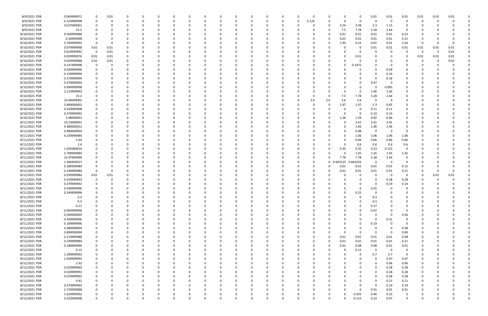| 8/9/2021 PDR  | 0.069999972 | 0           | 0.01 |          |          | - 0      |              |          | n        |          |          | 0           |          | n        | 0     |          |          | 0         | 0.01     | 0.01        | 0.01                   | 0.01     | 0.01 | 0.01 |  |
|---------------|-------------|-------------|------|----------|----------|----------|--------------|----------|----------|----------|----------|-------------|----------|----------|-------|----------|----------|-----------|----------|-------------|------------------------|----------|------|------|--|
| 8/9/2021 PDR  | 0.124999998 | 0           |      |          |          | $\Omega$ |              |          | n        |          |          | 0           |          | 0        | 0.125 |          | $\Omega$ | $\Omega$  | 0        | 0           | 0                      | 0        | -0   |      |  |
| 8/9/2021 PDR  | 10.07000001 | 0           |      |          |          |          |              |          |          |          |          | - 0         |          |          | 0     | -0       | 3.24     | 3.38      | 2.3      | 1.15        | 0                      |          |      |      |  |
| 8/9/2021 PDR  | 23.2        |             |      |          |          |          |              |          |          |          |          | - 0         |          |          |       |          | 7.5      | 7.78      | 5.28     | 2.64        | $\Omega$               |          |      |      |  |
| 8/10/2021 PDR | 0.569999988 |             |      |          |          |          |              |          |          |          |          | -0          |          |          |       |          | 0.01     | 0.01      | 0.01     | 0.01        | 0.53                   |          |      |      |  |
| 8/10/2021 PDR | 0.34999998  | -0          |      |          |          |          |              |          |          |          |          | - 0         |          |          |       |          | 0.01     | 0.01      | 0.01     | 0.01        | 0.31                   | C        |      |      |  |
| 8/10/2021 PDR | 3.769999992 | 0           |      |          |          |          |              |          |          |          |          | 0           |          |          |       |          | 1.95     | 0.16      | 0.01     | 0.01        | 1.64                   | 0        |      |      |  |
| 8/10/2021 PDR | 0.079999968 | 0.01        | 0.01 |          |          |          |              |          |          |          |          | 0           |          |          |       |          |          | 0         | 0.01     | 0.01        | 0.01                   | 0.01     | 0.01 | 0.01 |  |
| 8/10/2021 PDR | 0.019999992 | 0           | 0.01 |          |          |          |              |          |          |          |          |             |          |          |       |          |          | 0         | 0        | - 0         | - 0                    | 0        | 0    | 0.01 |  |
| 8/10/2021 PDR |             | 0.01        |      |          |          |          |              |          |          |          |          |             |          |          |       |          |          |           |          |             | 0                      |          |      |      |  |
|               | 0.059999976 |             | 0.01 |          |          |          |              |          |          |          |          |             |          |          |       |          |          | 0.01<br>0 |          |             |                        | 0.01     | 0.01 | 0.01 |  |
| 8/10/2021 PDR | 0.029999988 | 0.01        | 0.01 |          |          |          |              |          |          |          |          | 0           |          |          |       |          |          |           | 0        |             | - 0                    | 0        | 0    | 0.01 |  |
| 8/10/2021 PDR | 0.147499998 | 0           |      |          |          |          |              |          |          |          |          | 0           |          |          |       |          |          | 1475      |          |             |                        |          |      |      |  |
| 8/10/2021 PDR | 0.039999996 |             |      |          |          |          |              |          |          |          |          | $\Omega$    |          |          |       |          |          |           | $\Omega$ | 0.04        |                        |          |      |      |  |
| 8/10/2021 PDR | 0.159999996 |             |      |          |          |          |              |          |          |          |          | -0          |          |          |       |          |          |           | 0        | 0.16        |                        |          |      |      |  |
| 8/10/2021 PDR | 0.179999994 |             |      |          |          |          |              |          |          |          |          |             |          |          |       |          |          |           | 0        | 0.18        | 0                      |          |      |      |  |
| 8/10/2021 PDR | 0.470000004 |             |      |          |          |          |              |          |          |          |          |             |          |          |       |          |          |           | 0.47     |             | 0                      |          |      |      |  |
| 8/10/2021 PDR | 0.094999998 |             |      |          |          |          |              |          |          |          |          | 0           |          |          |       |          |          |           | 0        | 0.095       | 0                      |          |      |      |  |
| 8/10/2021 PDR | 2.119999992 |             |      |          |          |          |              |          |          |          |          | 0           |          |          |       |          |          | 0         | 1.06     | 1.06        | 0                      |          |      |      |  |
| 8/10/2021 PDR | 23.2        |             |      |          |          |          |              |          |          |          |          | $\Omega$    |          |          | C.    |          | 7.5      | 7.78      | 5.28     | 2.64        | 0                      |          |      |      |  |
| 8/10/2021 PDR | 10.40000002 |             |      |          |          |          |              |          |          |          |          | 0           |          |          | 2.6   | 2.6      | 2.6      | 2.6       | 0        | - 0         | 0                      |          |      |      |  |
| 8/10/2021 PDR | 5.890000002 |             |      |          |          |          |              |          |          |          |          |             |          |          | C     | -0       | 1.97     | 1.97      | 1.3      | 0.65        | 0                      |          |      |      |  |
| 8/10/2021 PDR | 0.220000008 |             |      |          |          |          |              |          |          |          |          |             |          |          |       |          |          | 0         | 0.11     | 0.11        | $\Omega$               |          |      |      |  |
| 8/10/2021 PDR | 0.379999992 |             |      |          |          |          |              |          |          |          |          | 0           |          |          |       |          | U        | 0         | 0.19     | 0.19        | 0                      |          |      |      |  |
| 8/10/2021 PDR | 3.98000001  |             |      |          |          |          |              |          |          |          |          | 0           |          |          |       |          | 1.26     | 1.34      | 0.92     | 0.46        | 0                      |          |      |      |  |
| 8/11/2021 PDR | 10.23000001 |             |      |          |          |          |              |          |          |          |          | $\Omega$    |          |          |       |          |          | 3.41      | 3.41     | 3.41        | 0                      |          |      |      |  |
| 8/11/2021 PDR | 4.380000012 |             |      |          |          |          |              |          |          |          |          | 0           |          |          |       |          |          | 1.46      | 1.46     | 1.46        | 0                      |          |      |      |  |
| 8/11/2021 PDR | 0.980000004 |             |      |          |          |          |              |          |          |          |          |             |          |          |       |          |          | 0.98      | 0        | - 0         | $\Omega$               |          |      |      |  |
| 8/11/2021 PDR | 4.239999984 |             |      |          |          |          |              |          |          |          |          |             |          |          |       |          |          | 1.06      | 1.06     | 1.06        | 1.06                   |          |      |      |  |
| 8/11/2021 PDR | 2.64        |             |      |          |          |          |              |          |          |          |          | 0           |          |          |       |          |          | 0.66      | 0.66     | 0.66        | 0.66                   |          |      |      |  |
| 8/11/2021 PDR | 2.4         |             |      |          |          |          |              |          |          |          |          | 0           |          |          |       |          | n        | 0.6       | 0.6      | 0.6         | 0.6                    |          |      |      |  |
| 8/11/2021 PDR | 1.045000014 |             |      |          |          |          |              |          |          |          |          | $\Omega$    |          |          |       |          | 0.35     | 0.35      | 0.23     | 0.115       | $\Omega$               |          |      |      |  |
| 8/11/2021 PDR | 5.799999984 |             |      |          |          |          |              |          |          |          |          | 0           |          |          |       |          |          | 1.45      | 1.45     | 1.45        | 1.45                   |          |      |      |  |
| 8/11/2021 PDR | 23.47999999 |             |      |          |          |          |              |          |          |          |          |             |          |          |       | - 0      | 7.78     | 7.78      | 5.28     | 2.64        | 0                      |          |      |      |  |
| 8/11/2021 PDR | 1.306458327 |             |      |          |          |          |              |          |          |          |          |             |          |          |       | 0        | .643125  | 0.663333  | 0        | - 0         | 0                      |          |      |      |  |
| 8/11/2021 PDR | 0.189999984 |             |      |          |          |          |              |          |          |          |          |             |          |          | C     | 0        | 0.01     | 0.01      | 0.01     | 0.01        | 0.15                   |          |      |      |  |
| 8/11/2021 PDR | 0.249999984 | 0           |      |          |          |          |              |          |          |          |          | -0          |          |          |       |          | 0.01     | 0.01      | 0.01     | 0.01        | 0.21                   |          |      |      |  |
| 8/11/2021 PDR | 0.039999984 | 0.01        | 0.01 |          |          |          |              |          |          |          |          | 0           |          |          |       |          |          |           | 0        | - 0         | 0                      | 0        | 0.01 | 0.01 |  |
| 8/11/2021 PDR | 0.559999992 | 0           |      |          |          |          |              |          |          |          |          |             |          |          |       |          |          |           | 0        | 0.28        | 0.28                   |          |      |      |  |
| 8/11/2021 PDR | 0.379999992 |             |      |          |          |          |              |          |          |          |          |             |          |          |       |          |          |           | -0       | 0.19        | 0.19                   |          |      |      |  |
| 8/11/2021 PDR | 0.549999996 | 0           |      |          |          |          |              |          |          |          |          | $\Omega$    |          |          |       |          |          | 0         | 0.55     | $\Omega$    | 0                      |          |      |      |  |
| 8/11/2021 PDR | 0.249999996 | $\Omega$    |      |          |          |          |              |          |          |          |          |             |          |          |       |          |          | 0.25      | $\Omega$ |             |                        | $\Omega$ |      |      |  |
| 8/11/2021 PDR | 0.3         | $\Omega$    |      | O        | 0        | $\Omega$ | <sup>0</sup> |          | 0        |          |          | 0           | $\Omega$ | n        | 0     |          |          |           | 0.3      |             | O                      | 0        |      |      |  |
| 8/11/2021 PDR | 0.3         |             |      |          | 0        | 0        |              |          | 0        |          |          | 0           |          |          | 0     |          | O        |           | 0.3      |             | 0                      | 0        |      |      |  |
| 8/11/2021 PDR | 0.27        |             |      |          |          | 0        |              |          | 0        |          |          | 0           |          |          | 0     |          |          |           | 0.27     |             | 0                      | 0        |      |      |  |
| 8/11/2021 PDR | 0.069999996 | 0           |      |          |          | 0        |              |          |          |          |          | 0           |          |          |       |          |          |           | 0.07     |             | 0                      |          |      |      |  |
|               |             |             |      |          |          |          |              |          |          |          |          |             |          |          |       |          |          |           |          |             |                        |          |      |      |  |
| 8/11/2021 PDR | 0.560000004 | 0           |      |          |          | -0       |              |          |          |          |          | 0           |          | 0        |       |          |          |           | 0        | - 0         | 0.56<br>$\overline{0}$ | 0        |      |      |  |
| 8/11/2021 PDR | 0.309999996 | 0           |      |          |          | -0       |              |          |          |          |          | 0           |          |          | 0     |          |          |           | 0        | 0.31        |                        | O        |      |      |  |
| 8/11/2021 PDR | 0.189999996 | 0           |      |          |          | $\Omega$ |              |          | 0        |          |          | 0           |          | 0        | 0     |          |          | 0         | 0.19     |             | $\overline{0}$         | O        |      |      |  |
| 8/11/2021 PDR | 0.380000004 | 0           |      |          |          | 0        |              | 0        | 0        | 0        |          | 0           |          | 0        | 0     |          | 0        |           | 0        | $\Omega$    | 0.38                   | 0        |      |      |  |
| 8/11/2021 PDR | 0.890000004 | 0           |      |          |          | 0        |              |          | 0        |          |          | 0           |          | 0        | 0     |          | $\Omega$ | 0         | 0        | $\Omega$    | 0.89                   | 0        |      |      |  |
| 8/12/2021 PDR | 0.119999988 | 0           |      |          |          | $\Omega$ |              |          | 0        |          |          | 0           |          | 0        | 0     | $\Omega$ | 0.01     | 0.01      | 0.01     | 0.01        | 0.08                   | 0        |      |      |  |
| 8/12/2021 PDR | 0.249999984 | 0           |      |          |          | 0        |              |          | 0        |          |          | 0           |          | 0        | 0     | 0        | 0.01     | 0.01      | 0.01     | 0.01        | 0.21                   | 0        |      |      |  |
| 8/12/2021 PDR | 0.189999996 | 0           |      |          |          | 0        |              |          |          |          |          | 0           |          | 0        | 0     | 0        | 0.01     | 0.08      | 0.08     | 0.01        | 0.01                   | 0        |      |      |  |
| 8/12/2021 PDR | 0.12        | 0           |      | 0        |          | $\Omega$ |              | $\Omega$ | 0        | 0        |          | 0           |          | 0        | 0     |          | $\Omega$ | 0.12      | 0        | $\mathbf 0$ | $\overline{0}$         | 0        |      |      |  |
| 8/12/2021 PDR | 1.399999992 | 0           |      | 0        | 0        | 0        |              | 0        | 0        | 0        |          | 0           |          | 0        | 0     |          | 0        | 0         | 0.7      | 0.7         | 0                      | 0        |      |      |  |
| 8/12/2021 PDR | 1.939999992 | 0           |      |          |          | $\Omega$ |              |          | 0        |          |          | 0           |          | 0        | 0     |          |          |           | 0        | 0.97        | 0.97                   | 0        |      |      |  |
| 8/12/2021 PDR | 1.92        | 0           |      |          |          | $\Omega$ |              |          | 0        |          |          | 0           |          | 0        | 0     |          |          |           | $\Omega$ | 0.96        | 0.96                   |          |      |      |  |
| 8/12/2021 PDR | 0.559999992 | 0           |      |          |          | 0        |              |          | 0        |          |          | 0           |          | 0        | 0     |          |          |           | 0        | 0.28        | 0.28                   | 0        |      |      |  |
| 8/12/2021 PDR | 0.559999992 | 0           |      |          |          | 0        |              |          |          |          |          | 0           |          | 0        | 0     |          |          |           | 0        | 0.28        | 0.28                   | 0        |      |      |  |
| 8/12/2021 PDR | 0.559999992 | 0           |      |          |          | $\Omega$ |              |          | 0        |          |          | $\Omega$    |          | $\Omega$ | 0     |          |          |           | $\Omega$ | 0.28        | 0.28                   | 0        |      |      |  |
| 8/12/2021 PDR | 0.42        | 0           |      |          |          | 0        |              |          | 0        |          |          | 0           |          | 0        | 0     |          |          |           | 0        | 0.21        | 0.21                   | 0        |      |      |  |
| 8/12/2021 PDR | 0.379999992 | 0           |      |          |          | $\Omega$ |              |          | 0        |          |          | 0           |          | 0        | 0     |          |          |           | 0        | 0.19        | 0.19                   | 0        |      |      |  |
| 8/12/2021 PDR | 2.729999988 | 0           |      |          |          | $\Omega$ |              |          | 0        |          |          | 0           |          |          | 0     |          | $\Omega$ | 0         | 0.91     | 0.91        | 0.91                   |          |      |      |  |
| 8/12/2021 PDR | 1.024999992 | 0           |      |          |          |          |              |          |          |          |          | 0           |          |          |       |          | 0        | 0.335     | 0.46     | 0.23        | 0                      |          |      |      |  |
| 8/12/2021 PDR | 0.325000008 | $\mathbf 0$ |      | $\Omega$ | $\Omega$ | $\Omega$ | $\Omega$     | $\Omega$ | $\Omega$ | $\Omega$ | $\Omega$ | $\mathbf 0$ | $\Omega$ | $\Omega$ | 0     |          |          | 0.115     | 0.14     | 0.07        | $\mathbf 0$            | 0        |      | 0    |  |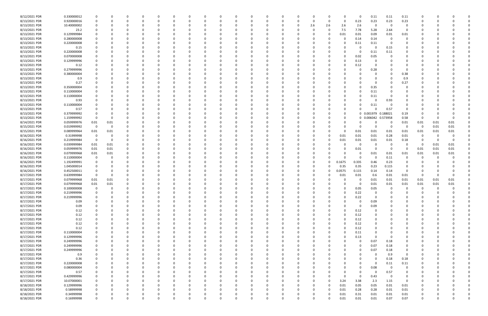| 8/12/2021 PDR | 0.330000012 |                |          |             |          |          |          |          |          |          |          |          |              |          |     |          |          | 0        | 0.11       | 0.11         | 0.11        |          |      |          |  |
|---------------|-------------|----------------|----------|-------------|----------|----------|----------|----------|----------|----------|----------|----------|--------------|----------|-----|----------|----------|----------|------------|--------------|-------------|----------|------|----------|--|
| 8/13/2021 PDR | 0.920000016 | 0              |          | 0           |          | $\Omega$ |          | -0       |          |          | 0        |          |              | 0        | 0   | $\Omega$ | 0        | 0.23     | 0.23       | 0.23         | 0.23        | -C       |      |          |  |
| 8/13/2021 PDR | 10.40000002 |                |          |             |          |          |          |          |          |          |          |          |              | 0        | 2.6 | 2.6      | 2.6      | 2.6      | -0         | - 0          | 0           |          |      |          |  |
| 8/13/2021 PDR |             |                |          |             |          |          |          |          |          |          |          |          |              |          |     | $\Omega$ |          | 7.78     |            | 2.64         | $\mathbf 0$ |          |      |          |  |
|               | 23.2        |                |          |             |          |          |          |          |          |          |          |          |              |          |     |          | 7.5      |          | 5.28       |              |             |          |      |          |  |
| 8/13/2021 PDR | 0.129999984 |                |          | -0          |          |          |          |          |          |          |          |          |              |          |     | $\Omega$ | 0.01     | 0.01     | 0.09       | 0.01         | 0.01        |          |      |          |  |
| 8/13/2021 PDR | 0.280000008 |                |          |             |          |          |          |          |          |          |          |          |              |          |     |          |          | 0.14     | 0.14       | - 0          | $\Omega$    |          |      |          |  |
| 8/13/2021 PDR | 0.220000008 |                |          |             |          |          |          |          |          |          |          |          |              |          |     |          |          | 0.11     | 0.11       | - 0          |             |          |      |          |  |
| 8/13/2021 PDR | 0.15        |                |          |             |          |          |          |          |          |          |          |          |              |          |     |          |          | -0       | $\Omega$   | 0.15         |             |          |      |          |  |
| 8/13/2021 PDR | 0.220000008 |                |          |             |          |          |          |          |          |          |          |          |              |          |     |          |          | -0       | 0.11       | 0.11         |             |          |      |          |  |
| 8/13/2021 PDR | 0.070000008 |                |          |             |          |          |          |          |          |          |          |          |              |          |     |          |          | 0.02     | 0.05       |              |             |          |      |          |  |
| 8/13/2021 PDR | 0.129999996 |                |          |             |          |          |          |          |          |          |          |          |              |          |     |          |          | 0.13     |            |              |             |          |      |          |  |
|               |             |                |          |             |          |          |          |          |          |          |          |          |              |          |     |          |          |          |            |              |             |          |      |          |  |
| 8/13/2021 PDR | 0.12        |                |          |             |          |          |          |          |          |          |          |          |              |          |     |          |          | 0.12     |            |              |             |          |      |          |  |
| 8/13/2021 PDR | 0.279999996 |                |          |             |          |          |          |          |          |          | -0       |          |              |          |     |          |          | 0        | 0.28       |              | 0           |          |      |          |  |
| 8/13/2021 PDR | 0.380000004 |                |          |             |          |          |          |          |          |          |          |          |              |          |     |          |          |          |            |              | 0.38        |          |      |          |  |
| 8/13/2021 PDR | 0.9         |                |          |             |          |          |          |          |          |          |          |          |              |          |     |          |          |          |            |              | 0.9         |          |      |          |  |
| 8/13/2021 PDR | 0.27        |                |          |             |          |          |          |          |          |          |          |          |              |          |     |          |          |          |            |              | 0.27        |          |      |          |  |
| 8/13/2021 PDR | 0.350000004 |                |          |             |          |          |          |          |          |          |          |          |              |          |     |          |          |          | 0.35       |              |             |          |      |          |  |
| 8/13/2021 PDR | 0.110000004 |                |          |             |          |          |          |          |          |          |          |          |              |          |     |          |          |          | 0.11       |              |             |          |      |          |  |
| 8/13/2021 PDR | 0.110000004 |                |          |             |          |          |          |          |          |          |          |          |              |          |     |          |          | -0       |            |              |             |          |      |          |  |
|               |             |                |          |             |          |          |          |          |          |          |          |          |              |          |     |          |          |          | 0.11       |              |             |          |      |          |  |
| 8/13/2021 PDR | 0.93        |                |          |             |          |          |          |          |          |          |          |          |              |          |     |          |          |          |            | 0.93         |             |          |      |          |  |
| 8/13/2021 PDR | 0.110000004 |                |          |             |          |          |          |          |          |          |          |          |              |          |     |          |          |          | 0.11       |              |             |          |      |          |  |
| 8/13/2021 PDR | 0.57        |                |          |             |          |          |          |          |          |          |          |          |              |          |     |          |          |          |            | 0.57         |             |          |      |          |  |
| 8/13/2021 PDR | 0.379999992 |                |          |             |          |          |          |          |          |          |          |          |              |          |     |          |          |          | 0 0.001979 | 0.188021     | 0.19        |          |      |          |  |
| 8/13/2021 PDR | 1.159999992 | $\Omega$       |          | -0          |          |          |          |          |          |          |          |          |              |          |     |          |          |          | 0 0.006042 | 0.573958     | 0.58        | 0        |      | 0        |  |
| 8/14/2021 PDR | 0.059999976 | $0.01\,$       | 0.01     |             |          |          |          |          |          |          |          |          |              |          |     |          |          | 0        |            | - 0          | 0.01        | 0.01     | 0.01 | 0.01     |  |
| 8/15/2021 PDR | 0.019999992 | 0              | $\Omega$ |             |          |          |          |          |          |          |          |          |              |          |     |          |          | 0        | $\Omega$   | - 0          | 0           | 0        | 0.01 | 0.01     |  |
|               |             |                |          |             |          |          |          |          |          |          |          |          |              |          |     |          |          |          |            |              |             |          |      |          |  |
| 8/15/2021 PDR | 0.089999964 | 0.01           | 0.01     |             |          |          |          |          |          |          |          |          |              |          |     |          |          | 0.01     | 0.01       | 0.01         | 0.01        | 0.01     | 0.01 | 0.01     |  |
| 8/16/2021 PDR | 0.31999998  | 0              |          |             |          |          |          |          |          |          |          |          |              |          |     |          | 0.01     | 0.01     | 0.01       | 0.28         | 0.01        | 0        |      |          |  |
| 8/16/2021 PDR | 0.219999984 | 0              |          | $\Omega$    |          |          |          |          |          |          |          |          |              |          |     | 0        | 0.01     | 0.01     | 0.01       | 0.01         | 0.18        | 0        |      | $\Omega$ |  |
| 8/16/2021 PDR | 0.039999984 | 0.01           | 0.01     | 0           |          |          |          |          |          |          |          |          |              |          |     |          |          | 0        |            | - 0          | 0           | - 0      | 0.01 | 0.01     |  |
| 8/16/2021 PDR | 0.059999976 | 0.01           | 0.01     | 0           |          |          |          |          |          |          |          |          |              |          |     |          |          | 0.01     |            | - 0          | $\Omega$    | 0.01     | 0.01 | 0.01     |  |
| 8/16/2021 PDR | 0.079999968 | 0.01           | 0.01     |             |          |          |          |          |          |          |          |          |              |          |     |          |          | 0        | 0.01       | 0.01         | 0.01        | 0.01     | 0.01 | 0.01     |  |
| 8/16/2021 PDR | 0.110000004 |                |          |             |          |          |          |          |          |          |          |          |              |          |     |          |          | 0        | -C         | 0.11         |             |          |      |          |  |
| 8/16/2021 PDR | 1.192499991 |                |          |             |          |          |          |          |          |          |          |          |              |          |     | 0        | 0.1675   | 0.335    | 0.46       | 0.23         |             |          |      |          |  |
|               |             |                |          |             |          |          |          |          |          |          |          |          |              |          |     |          |          |          |            |              |             |          |      |          |  |
| 8/16/2021 PDR | 1.045000014 |                |          |             |          |          |          |          |          |          |          |          |              |          |     | 0        | 0.35     | 0.35     | 0.23       | 0.115        |             |          |      |          |  |
| 8/16/2021 PDR | 0.452500011 |                |          |             |          |          |          |          |          |          |          |          |              |          |     |          | 0.0575   | 0.115    | 0.14       | 0.14         | $\Omega$    |          |      |          |  |
| 8/17/2021 PDR | 0.639999984 | $\Omega$       |          |             |          |          |          |          |          |          |          |          |              |          |     |          | 0.01     | 0.01     | 0.6        | 0.01         | 0.01        | 0        |      | - 0      |  |
| 8/17/2021 PDR | 0.079999968 | 0.01           | 0.01     |             |          |          |          |          |          |          |          |          |              |          |     |          |          | 0        | 0.01       | 0.01         | 0.01        | 0.01     | 0.01 | 0.01     |  |
| 8/17/2021 PDR | 0.079999968 | $0.01\,$       | 0.01     |             |          |          |          |          |          |          |          |          |              |          |     |          |          | 0        | 0.01       | 0.01         | 0.01        | 0.01     | 0.01 | 0.01     |  |
| 8/17/2021 PDR | 0.100000008 | $\mathbf 0$    | 0        | $\Omega$    |          |          |          |          |          |          |          |          |              |          |     |          |          | 0.05     | 0.05       | - 0          | -0          | 0        | - 0  | 0        |  |
| 8/17/2021 PDR | 0.219999996 | $\overline{0}$ |          |             |          |          |          |          |          |          |          |          |              |          |     |          |          | 0.22     |            | $\mathbf{0}$ |             | $\sim$   |      |          |  |
| 8/17/2021 PDR | 0.219999996 | $\Omega$       | $\Omega$ | $\Omega$    | $\Omega$ | $\Omega$ | $\Omega$ | $\Omega$ | $\Omega$ | $\Omega$ | $\Omega$ | $\Omega$ | $\Omega$     | $\Omega$ |     | $\Omega$ | $\Omega$ | 0.22     | $\Omega$   | $\Omega$     | $\Omega$    | $\Omega$ |      |          |  |
|               |             |                |          |             |          |          |          |          |          |          |          |          |              |          |     |          |          |          |            |              |             |          |      |          |  |
| 8/17/2021 PDR | 0.09        | 0              |          | 0           |          | $\Omega$ |          | $\Omega$ | ი        |          | 0        | $\Omega$ | <sup>0</sup> | 0        |     | 0        |          | 0        | 0.09       | $\Omega$     | $\Omega$    | 0        |      |          |  |
| 8/17/2021 PDR | 0.09        |                |          | 0           |          | $\Omega$ |          | - 0      |          |          | $\Omega$ |          |              | 0        |     | 0        |          | 0        | 0.09       | 0            |             | 0        |      |          |  |
| 8/17/2021 PDR | 0.12        |                |          | 0           |          | $\Omega$ |          |          |          |          | 0        |          |              | 0        |     | 0        | U        | 0.12     | $\Omega$   |              |             | 0        |      |          |  |
| 8/17/2021 PDR | 0.12        |                |          |             |          | 0        |          |          |          |          | 0        |          |              | 0        |     | 0        |          | 0.12     |            |              |             |          |      |          |  |
| 8/17/2021 PDR | 0.12        | 0              |          | 0           |          | 0        |          | 0        |          |          | $\Omega$ |          |              | 0        |     | 0        |          | 0.12     | $\Omega$   |              |             |          |      |          |  |
| 8/17/2021 PDR | 0.12        |                |          | $\Omega$    |          | $\Omega$ |          |          |          |          |          |          |              | 0        |     | 0        |          | 0.12     |            |              |             |          |      |          |  |
| 8/17/2021 PDR | 0.12        |                |          | 0           |          |          |          |          |          |          | 0        |          |              | 0        |     |          |          | 0.12     |            |              |             |          |      |          |  |
| 8/17/2021 PDR | 0.110000004 |                |          | 0           |          | 0        |          |          |          |          | 0        |          |              | 0        |     |          |          | 0.11     |            |              |             |          |      |          |  |
|               |             |                |          |             |          |          |          |          |          |          |          |          |              |          |     |          |          |          |            |              |             |          |      |          |  |
| 8/17/2021 PDR | 0.129999996 |                |          |             |          | 0        |          |          |          |          |          |          |              | 0        |     |          |          | 0.13     | $\Omega$   | -0           |             |          |      |          |  |
| 8/17/2021 PDR | 0.249999996 |                |          |             |          |          |          |          |          |          | 0        |          |              |          |     |          |          | 0        | 0.07       | 0.18         |             |          |      |          |  |
| 8/17/2021 PDR | 0.249999996 |                |          |             |          |          |          |          |          |          |          |          |              |          |     |          |          | 0        | 0.07       | 0.18         |             |          |      |          |  |
| 8/17/2021 PDR | 0.249999996 |                |          |             |          |          |          |          |          |          |          |          |              |          |     |          |          | 0        | 0.07       | 0.18         |             |          |      |          |  |
| 8/17/2021 PDR | 0.9         | 0              |          | 0           |          | 0        |          |          |          |          | 0        |          |              |          |     |          |          |          |            | 0.9          | $\mathbf 0$ |          |      |          |  |
| 8/17/2021 PDR | 0.36        | 0              |          | 0           |          | $\Omega$ |          | 0        |          |          | 0        |          |              | 0        |     |          |          | 0        | -0         | 0.18         | 0.18        | 0        |      |          |  |
| 8/17/2021 PDR | 0.220000008 |                |          | 0           |          | 0        |          | -0       |          |          | 0        |          |              | 0        |     |          |          | 0        | $\Omega$   | 0.11         | 0.11        |          |      |          |  |
| 8/17/2021 PDR | 0.080000004 |                |          | 0           |          | 0        |          |          |          |          | 0        |          |              | 0        |     |          |          | 0        | 0.08       | - 0          | $\mathbf 0$ |          |      |          |  |
|               |             |                |          |             |          |          |          |          |          |          |          |          |              |          |     |          |          |          |            |              |             |          |      |          |  |
| 8/17/2021 PDR | 0.57        | 0              |          |             |          | 0        |          |          |          |          | 0        |          |              | 0        |     |          |          | 0        | 0          | 0.57         | 0           |          |      |          |  |
| 8/17/2021 PDR | 0.429999996 | 0              |          | 0           |          | 0        |          |          |          |          | 0        |          |              | 0        |     |          |          | $\Omega$ | 0.43       | 0            | 0           |          |      |          |  |
| 8/17/2021 PDR | 10.07000001 | 0              |          | 0           |          | $\Omega$ |          | 0        |          |          | $\Omega$ |          | <sup>0</sup> | 0        |     | $\Omega$ | 3.24     | 3.38     | 2.3        | 1.15         | 0           | 0        |      |          |  |
| 8/18/2021 PDR | 0.129999996 | 0              |          | 0           |          | $\Omega$ |          |          |          |          | 0        |          |              | 0        |     | $\Omega$ | 0.01     | 0.05     | 0.05       | 0.01         | 0.01        | 0        |      |          |  |
| 8/18/2021 PDR | 0.58999998  | $\mathbf 0$    |          | $\Omega$    |          | $\Omega$ |          |          |          |          | $\Omega$ |          |              | 0        |     | $\Omega$ | 0.01     | 0.28     | 0.28       | 0.01         | 0.01        |          |      |          |  |
| 8/18/2021 PDR | 0.34999998  |                |          |             |          |          |          |          |          |          | 0        |          |              |          |     | 0        | 0.01     | 0.31     | 0.01       | 0.01         | 0.01        |          |      |          |  |
| 8/18/2021 PDR | 0.16999998  | $\mathbf 0$    |          | $\mathbf 0$ |          | $\Omega$ | $\Omega$ | 0        | $\Omega$ | $\Omega$ | $\Omega$ | $\Omega$ | $\Omega$     | $\Omega$ |     | 0        | 0.01     | 0.01     | 0.01       | 0.07         | 0.07        | $\Omega$ |      | 0        |  |
|               |             |                |          |             |          |          |          |          |          |          |          |          |              |          |     |          |          |          |            |              |             |          |      |          |  |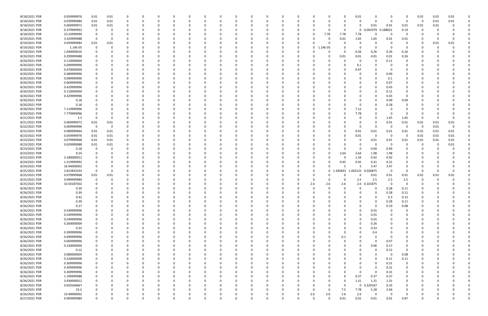| 8/18/2021 PDR | 0.059999976 | 0.01                    | 0.01     |              |          |          |          | C            |   | 0        |             |          |             |          |          | 0.01        | $\Omega$     |          |             | 0.01     | 0.01 | 0.01 |  |
|---------------|-------------|-------------------------|----------|--------------|----------|----------|----------|--------------|---|----------|-------------|----------|-------------|----------|----------|-------------|--------------|----------|-------------|----------|------|------|--|
| 8/18/2021 PDR | 0.039999984 | 0.01                    | 0.01     | $\Omega$     | 0        |          |          | -0           |   | $\Omega$ | $\Omega$    |          | -0          |          | 0        | 0           | $\Omega$     | $\Omega$ | 0           | - 0      | 0.01 | 0.01 |  |
| 8/18/2021 PDR | 0.069999972 | 0.01                    | 0.01     | 0            |          |          |          |              |   |          |             |          |             |          | $\Omega$ | 0           | 0.01         | 0.01     | 0.01        | 0.01     | 0.01 |      |  |
| 8/18/2021 PDR | 0.379999992 |                         | 0        |              |          |          |          |              |   |          |             |          |             |          | 0        | $\mathbf 0$ | 0.001979     | 0.188021 | 0.19        |          |      |      |  |
| 8/18/2021 PDR | 23.33999999 |                         |          |              |          |          |          |              |   |          |             |          | -0          | 7.78     | 7.78     | 7.78        | 0            | $\Omega$ |             |          |      |      |  |
| 8/19/2021 PDR | 3.329999988 |                         | 0        |              |          |          |          |              |   |          |             |          |             |          | 0.01     | 1.65        | 1.65         | 0.01     | 0.01        |          |      |      |  |
| 8/19/2021 PDR | 0.039999984 | 0.01                    | 0.01     |              |          |          |          |              |   |          |             |          |             |          |          | 0           | $\Omega$     |          | 0           | 0        | 0.01 | 0.01 |  |
| 8/19/2021 PDR | 1.14E-05    | $\Omega$                | 0        |              |          |          |          |              |   |          |             | 0        | 0           | 1.14E-05 |          | 0           | 0            | $\Omega$ | 0           |          |      |      |  |
| 8/19/2021 PDR | 1.040000016 |                         |          |              |          |          |          |              |   |          |             |          |             |          | 0        | 0.26        | 0.26         | 0.26     | 0.26        |          |      |      |  |
| 8/20/2021 PDR | 0.299999988 |                         |          |              |          |          |          |              |   |          |             |          |             |          | 0.01     |             |              |          |             |          |      |      |  |
|               |             |                         |          |              |          |          |          |              |   |          |             |          |             |          |          | 0.01        | 0.01         | 0.01     | 0.26        |          |      |      |  |
| 8/20/2021 PDR | 0.110000004 |                         |          |              |          |          |          |              |   |          |             |          | -0          |          | 0        | 0           | 0            | 0.11     | 0           |          |      |      |  |
| 8/20/2021 PDR | 0.099999996 |                         |          |              |          |          |          |              |   |          |             |          |             |          |          | 0.1         | 0            |          |             |          |      |      |  |
| 8/20/2021 PDR | 0.470000004 |                         |          |              |          |          |          |              |   |          |             |          |             |          |          | 0.47        | $\Omega$     | - വ      |             |          |      |      |  |
| 8/20/2021 PDR | 0.489999996 |                         |          |              |          |          |          |              |   |          |             |          |             |          |          | 0           | $\Omega$     | 0.49     |             |          |      |      |  |
| 8/20/2021 PDR | 0.099999996 |                         |          |              |          |          |          |              |   |          |             |          |             |          |          |             | $\Omega$     | 0.1      |             |          |      |      |  |
| 8/20/2021 PDR | 0.069999996 |                         |          |              |          |          |          |              |   |          |             |          |             |          |          |             | $\Omega$     | 0.07     |             |          |      |      |  |
| 8/20/2021 PDR | 0.429999996 |                         |          |              |          |          |          |              |   |          |             |          |             |          |          |             | $\Omega$     | 0.43     | 0           |          |      |      |  |
| 8/20/2021 PDR | 0.110000004 |                         |          |              |          |          |          |              |   |          |             |          |             |          |          |             | 0            | 0.11     | 0           |          |      |      |  |
| 8/20/2021 PDR | 0.429999996 |                         |          |              |          |          |          |              |   |          |             |          |             |          |          |             | 0            | 0.43     | 0           |          |      |      |  |
| 8/20/2021 PDR | 0.18        |                         |          |              |          |          |          |              |   |          |             |          |             |          |          |             | $\Omega$     | 0.09     | 0.09        |          |      |      |  |
| 8/20/2021 PDR | 0.18        |                         |          |              |          |          |          |              |   |          |             |          |             |          |          | 0           | 0            | 0.18     |             |          |      |      |  |
| 8/20/2021 PDR | 7.119999996 |                         |          |              |          |          |          |              |   |          |             |          |             |          |          | 7.12        |              |          |             |          |      |      |  |
| 8/20/2021 PDR | 7.779999996 |                         |          |              |          |          |          |              |   |          |             |          |             |          |          | 7.78        | -0           |          | n           |          |      |      |  |
| 8/21/2021 PDR | 3.3         |                         | 0        | <sup>0</sup> |          |          |          |              |   |          |             |          |             |          |          | 0           | $\Omega$     | 1.65     | 1.65        | 0        |      |      |  |
| 8/21/2021 PDR | 0.069999972 | 0.01                    | 0.01     |              |          |          |          |              |   |          |             |          |             |          |          | 0           | $\Omega$     | 0.01     | 0.01        | 0.01     | 0.01 | 0.01 |  |
| 8/22/2021 PDR | 0.009999996 | $\overline{\mathbf{0}}$ | 0        |              |          |          |          |              |   |          |             |          |             |          |          | 0           | $\Omega$     | - 0      | റ           | - 0      | 0.01 |      |  |
| 8/22/2021 PDR | 0.089999964 | 0.01                    | 0.01     |              |          |          |          |              |   |          |             |          |             |          | 0        | 0.01        | 0.01         | 0.01     | 0.01        | 0.01     | 0.01 | 0.01 |  |
| 8/23/2021 PDR | 0.059999976 | 0.01                    | 0.01     |              |          |          |          |              |   |          |             |          |             |          |          |             | 0            | 0        | 0           | 0.01     | 0.01 | 0.01 |  |
| 8/23/2021 PDR | 0.079999968 | 0.01                    | 0.01     | 0            |          |          |          |              |   |          |             |          |             |          |          | 0.01        |              |          |             |          |      | 0.01 |  |
|               |             |                         |          |              |          |          |          |              |   |          |             |          |             |          |          | 0           | 0.01         | 0.01     | 0.01        | 0.01     | 0.01 |      |  |
| 8/23/2021 PDR | 0.029999988 | 0.01                    | 0.01     | 0            |          |          |          |              |   |          |             |          |             |          |          | 0           | 0            | $\Omega$ | 0           | -0       | -0   | 0.01 |  |
| 8/23/2021 PDR | 0.18        |                         |          |              |          |          |          |              |   |          |             |          |             |          |          | 0           | 0.09         | 0.09     |             |          |      |      |  |
| 8/23/2021 PDR | 9.24        |                         |          |              |          |          |          |              |   |          |             |          |             |          | 2.64     | 2.64        | 1.98         | 1.98     |             |          |      |      |  |
| 8/23/2021 PDR | 3.180000012 |                         |          |              |          |          |          |              |   |          |             |          |             |          | 0        | 1.34        | 0.92         | 0.92     |             |          |      |      |  |
| 8/24/2021 PDR | 1.519999992 |                         |          |              |          |          |          |              |   |          |             |          |             |          | 0.45     | 0.45        | 0.31         | 0.31     |             |          |      |      |  |
| 8/24/2021 PDR | 16.94000002 |                         |          |              |          |          |          |              |   |          |             |          |             |          |          |             | 3.47         | 3.47     | $\Omega$    |          |      |      |  |
| 8/25/2021 PDR | 2.815833333 | $\Omega$                |          |              |          |          |          |              |   |          |             |          | -0          | $\Omega$ | .345833  | 1.443125    | 0.026875     | $\Omega$ | $\Omega$    | 0        |      |      |  |
| 8/25/2021 PDR | 0.079999968 | $0.01\,$                | 0.01     |              |          |          |          |              |   |          |             |          | -0          |          |          | 0           | 0.01         | 0.01     | 0.01        | 0.01     | 0.01 | 0.01 |  |
| 8/25/2021 PDR | 9.999999984 |                         |          |              |          |          |          |              |   |          |             |          | -0          |          |          | 2.5         | 2.5          | 2.5      | 2.5         |          |      |      |  |
| 8/25/2021 PDR | 10.50187502 |                         |          |              |          |          |          |              |   |          |             |          | 2.6         | 2.6      | 2.6      |             | 2.6 0.101875 | $\Omega$ |             |          |      |      |  |
| 8/26/2021 PDR | 0.39        | 0                       |          | $\Omega$     |          |          |          |              |   |          |             |          | $\Omega$    |          | $\Omega$ | 0           | 0            | 0.28     | 0.11        | 0        |      |      |  |
| 8/26/2021 PDR | 0.39        |                         |          | $\Omega$     |          |          |          |              |   |          |             |          |             |          |          | $\Omega$    | $\Omega$     | 0.28     | 0.11        | $\Omega$ |      |      |  |
| 8/26/2021 PDR | 0.42        | 0                       | 0        | $\Omega$     | $\Omega$ |          |          | <sup>0</sup> |   | $\Omega$ | ŋ           |          | 0           |          | ŋ        | 0           | $\Omega$     | 0.3      | 0.12        | 0        |      |      |  |
| 8/26/2021 PDR | 0.39        |                         |          | 0            | 0        |          |          | $\Omega$     |   | $\Omega$ |             |          | 0           |          |          | 0           | 0            | 0.28     | 0.11        | 0        |      |      |  |
| 8/26/2021 PDR | 0.27        |                         |          |              |          |          |          |              |   |          |             |          |             |          |          | 0           | $\mathbf 0$  | 0.19     | 0.08        |          |      |      |  |
| 8/26/2021 PDR | 0.549999996 |                         |          |              |          |          |          |              |   |          |             |          | $\Omega$    |          | 0        | 0           | 0.55         | 0        | 0           |          |      |      |  |
| 8/26/2021 PDR | 0.549999996 |                         |          |              |          |          |          |              |   |          |             |          |             |          | 0        | 0           | 0.55         |          | 0           | 0        |      |      |  |
| 8/26/2021 PDR | 0.549999996 |                         |          |              |          |          |          |              |   |          |             |          |             |          | 0        | $\Omega$    | 0.55         |          | $\Omega$    | 0        |      |      |  |
| 8/26/2021 PDR | 0.260000004 |                         |          | C            |          |          |          |              |   |          |             |          | 0           |          | 0        | $\Omega$    | 0.26         | $\Omega$ | 0           | 0        |      |      |  |
| 8/26/2021 PDR | 0.33        | 0                       |          | 0            |          |          |          | 0            |   |          |             |          | 0           |          | 0        | $\Omega$    | 0.33         | $\Omega$ | 0           | 0        |      |      |  |
| 8/26/2021 PDR | 0.399999996 |                         |          |              |          |          |          |              |   |          |             |          | 0           |          | 0        | 0           | 0.4          |          | 0           | 0        |      |      |  |
| 8/26/2021 PDR | 0.099999996 |                         |          |              |          |          |          |              |   |          |             |          | 0           |          |          | 0           | $\Omega$     | 0        | 0           | 0        |      |      |  |
|               |             |                         |          |              |          |          |          |              |   |          |             |          |             |          | 0.1      |             |              |          |             |          |      |      |  |
| 8/26/2021 PDR | 0.069999996 |                         |          |              |          |          |          |              |   |          |             |          | -0          |          | 0        | 0           | 0            | 0.07     |             |          |      |      |  |
| 8/26/2021 PDR | 0.230000004 |                         |          |              |          |          |          |              |   |          |             |          | 0           |          | 0        | 0           | 0.06         | 0.17     | 0           |          |      |      |  |
| 8/26/2021 PDR | 0.12        | 0                       | 0        | 0            |          | $\Omega$ |          | 0            |   | 0        |             |          | 0           |          | 0        | 0           | $\mathbf 0$  | 0.12     | 0           | 0        |      |      |  |
| 8/26/2021 PDR | 0.080000004 | 0                       |          | 0            |          | $\Omega$ |          | 0            |   | 0        |             |          | 0           |          | 0        | 0           | 0            | $\Omega$ | 0.08        | 0        |      |      |  |
| 8/26/2021 PDR | 0.220000008 |                         |          | 0            | $\Omega$ | $\Omega$ |          | 0            |   | $\Omega$ |             | 0        | $\Omega$    |          | O        | 0           | $\Omega$     | 0.11     | 0.11        | 0        |      |      |  |
| 8/26/2021 PDR | 0.309999996 |                         |          |              |          |          |          | 0            |   |          |             |          |             |          |          | 0           | $\Omega$     | 0.31     | 0           |          |      |      |  |
| 8/26/2021 PDR | 0.309999996 |                         |          |              |          |          |          |              |   |          |             |          |             |          |          | 0           | $\mathbf 0$  | 0.31     | $\mathbf 0$ |          |      |      |  |
| 8/26/2021 PDR | 0.309999996 |                         |          |              |          |          |          |              |   |          |             |          | 0           |          | 0        | 0           | $\Omega$     | 0.31     | 0           |          |      |      |  |
| 8/26/2021 PDR | 1.109999988 |                         |          |              |          |          |          |              |   |          |             |          |             |          | 0        | 0.37        | 0.37         | 0.37     | 0           |          |      |      |  |
| 8/26/2021 PDR | 3.930000012 |                         |          | 0            |          | $\Omega$ |          | <sup>0</sup> |   |          |             |          | 0           |          | $\Omega$ | 1.31        | 1.31         | 1.31     | 0           | 0        |      |      |  |
| 8/26/2021 PDR | 0.659166667 |                         |          | 0            |          |          |          | 0            |   |          |             |          | 0           |          | $\Omega$ | $\mathbf 0$ | .329167      | 0.33     | 0           | 0        |      |      |  |
| 8/26/2021 PDR | 23.2        |                         |          |              |          |          |          |              |   |          |             |          | 0           | $\Omega$ | 7.5      | 7.78        | 5.28         | 2.64     | 0           |          |      |      |  |
| 8/26/2021 PDR | 10.40000002 |                         |          |              |          |          |          |              |   |          |             |          | 2.6         | 2.6      | 2.6      | 2.6         | $\Omega$     | $\Omega$ | 0           |          |      |      |  |
| 8/27/2021 PDR | 0.909999984 | $\mathbf 0$             | $\Omega$ | $\mathbf 0$  | $\Omega$ | $\Omega$ | $\Omega$ | 0            | 0 | $\Omega$ | $\mathbf 0$ | $\Omega$ | $\mathbf 0$ | $\Omega$ | 0.01     | 0.01        | 0.01         | 0.01     | 0.87        | 0        |      | 0    |  |
|               |             |                         |          |              |          |          |          |              |   |          |             |          |             |          |          |             |              |          |             |          |      |      |  |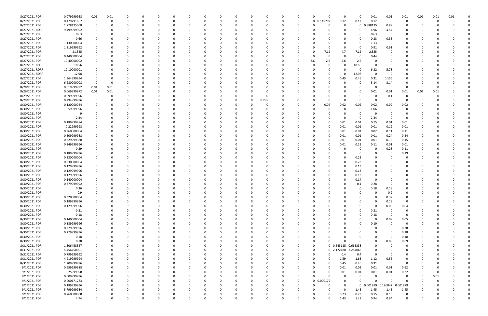| 8/27/2021 PDR  | 0.079999968 | 0.01 | 0.01 |          |          |          |          |   |   |              |          |          | 0           | $\Omega$   | 0                   | 0             | 0.01                   | 0.01        | 0.01           | 0.01     | 0.01 | 0.01     |  |
|----------------|-------------|------|------|----------|----------|----------|----------|---|---|--------------|----------|----------|-------------|------------|---------------------|---------------|------------------------|-------------|----------------|----------|------|----------|--|
| 8/27/2021 PDR  | 0.479791667 | 0    | 0    | $\Omega$ |          |          | 0        |   |   | <sup>0</sup> | $\Omega$ |          | 0           | 0 0.119792 | 0.12                | 0.12          | 0.12                   | $\mathbf 0$ | 0              | 0        | -0   |          |  |
| 8/27/2021 PDR  | 1.778125008 |      |      |          |          |          |          |   |   |              |          |          |             |            |                     |               | .888125<br>$\mathbf 0$ | 0.89        | 0              |          |      |          |  |
| 8/27/2021 RDRR | 9.499999992 |      |      |          |          |          |          |   |   |              |          |          |             |            |                     | 0             | 4.96                   | 4.54        |                |          |      |          |  |
| 8/27/2021 PDR  | 0.63        |      |      |          |          |          |          |   |   |              |          |          |             |            |                     |               | 0.63                   | 0           | 0              |          |      |          |  |
| 8/27/2021 PDR  | 0.66        |      |      |          |          |          |          |   |   |              |          |          |             |            |                     | 0             | 0.33                   | 0.33        | 0              |          |      |          |  |
| 8/27/2021 PDR  | 1.130000004 |      |      |          |          |          |          |   |   |              |          |          |             |            |                     | 0             | 1.13                   | - 0         |                |          |      |          |  |
| 8/27/2021 PDR  | 1.819999992 |      |      |          |          |          |          |   |   |              |          |          |             |            |                     | 0<br>O        | 0.91                   | 0.91        |                |          |      |          |  |
| 8/27/2021 PDR  | 21.325      |      |      |          |          |          |          |   |   |              |          |          |             | -0         | 7.12<br>4.7         | 7.12          | 2.385                  |             |                |          |      |          |  |
| 8/27/2021 PDR  | 0.440000004 |      |      |          |          |          |          |   |   |              |          |          |             |            |                     | 0             | 0.44                   |             |                |          |      |          |  |
| 8/27/2021 PDR  | 10.40000002 |      |      |          |          |          |          |   |   |              |          |          |             | 2.6        | 2.6<br>2.6          | 2.6           | 0                      |             |                |          |      |          |  |
|                |             |      |      |          |          |          |          |   |   |              |          |          |             |            |                     |               |                        |             |                |          |      |          |  |
| 8/27/2021 RDRR | 18.56       |      |      |          |          |          |          |   |   |              |          |          |             |            |                     | 18.56<br>0    | 0                      |             |                |          |      |          |  |
| 8/27/2021 RDRR | 12.10000001 |      |      |          |          |          |          |   |   |              |          |          |             |            |                     | O             | 6.32                   | 5.78        |                |          |      |          |  |
| 8/27/2021 RDRR | 12.98       |      |      |          |          |          |          |   |   |              |          |          |             |            |                     | 12.98<br>O    | $\Omega$               |             |                |          |      |          |  |
| 8/27/2021 PDR  | 1.364999994 |      |      |          |          |          |          |   |   |              |          |          |             |            | 0.45                | 0.45          | 0.31                   | 0.155       | 0              |          |      |          |  |
| 8/27/2021 PDR  | 6.280000008 | 0    |      |          |          |          |          |   |   |              |          |          |             |            |                     | 0             | 3.14                   | 3.14        | 0              |          |      |          |  |
| 8/28/2021 PDR  | 0.019999992 | 0.01 | 0.01 |          |          |          |          |   |   |              |          |          |             |            |                     | 0             | 0                      | $\Omega$    | $\Omega$       | 0        |      |          |  |
| 8/29/2021 PDR  | 0.069999972 | 0.01 | 0.01 |          |          |          |          |   |   |              |          |          |             |            |                     | 0             | 0.01                   | 0.01        | 0.01           | 0.01     | 0.01 |          |  |
| 8/29/2021 PDR  | 0.099999996 |      |      |          |          |          |          |   |   |              | -C       |          |             |            |                     |               | 0                      | 0.1         | $\Omega$       |          |      |          |  |
| 8/29/2021 PDR  | 0.294999996 |      |      |          |          |          |          |   |   | 0            | 0.295    |          |             |            |                     | 0<br>0        | 0                      | $\Omega$    | $\Omega$       |          |      |          |  |
| 8/30/2021 PDR  | 0.120000024 |      |      |          |          |          |          |   |   |              |          |          |             | 0          | 0.02<br>0.02        | 0.02          | 0.02                   | 0.02        | 0.02           |          |      |          |  |
| 8/30/2021 PDR  | 1.059999996 |      |      |          |          |          |          |   |   |              |          |          |             |            |                     | 0             | 1.06                   |             | $\Omega$       |          |      |          |  |
| 8/30/2021 PDR  | 9           |      |      |          |          |          |          |   |   |              |          |          |             |            |                     | 0             | 9                      |             | 0              |          |      |          |  |
| 8/30/2021 PDR  | 2.34        |      |      |          |          |          |          |   |   |              |          |          |             |            | $\Omega$            | 0             | 2.34                   | - 0         | 0              |          |      |          |  |
| 8/30/2021 PDR  | 0.189999984 |      |      |          |          |          |          |   |   |              |          |          |             |            | 0.01                | 0.01          | 0.15                   | 0.01        | 0.01           |          |      |          |  |
| 8/30/2021 PDR  | 0.22999998  |      |      |          |          |          |          |   |   |              |          |          |             |            | 0.01                | 0.01          | 0.01                   | 0.19        | 0.01           |          |      |          |  |
| 8/30/2021 PDR  | 0.260000004 |      |      |          |          |          |          |   |   |              |          |          |             |            | 0.01                | 0.01          | 0.02                   | 0.11        | 0.11           |          |      |          |  |
| 8/30/2021 PDR  | 0.509999988 |      |      |          |          |          |          |   |   |              |          |          |             |            | 0.01                | 0.01          | 0.01                   | 0.24        | 0.24           |          |      |          |  |
| 8/30/2021 PDR  | 0.329999988 |      |      |          |          |          |          |   |   |              |          |          |             |            | 0.01                | 0.01          | 0.01                   | 0.15        | 0.15           |          |      |          |  |
| 8/30/2021 PDR  | 0.249999996 |      |      |          |          |          |          |   |   |              |          |          |             |            | 0.01                | 0.11          | 0.11                   | 0.01        | 0.01           |          |      |          |  |
| 8/30/2021 PDR  | 0.39        |      |      |          |          |          |          |   |   |              |          |          |             |            |                     | 0             | $\Omega$               | 0.28        | 0.11           |          |      |          |  |
| 8/30/2021 PDR  | 0.189999996 |      |      |          |          |          |          |   |   |              |          |          |             |            |                     | 0             | 0                      |             | 0.19           |          |      |          |  |
| 8/30/2021 PDR  | 0.230000004 |      |      |          |          |          |          |   |   |              |          |          |             |            |                     | 0.23          | 0                      |             |                |          |      |          |  |
| 8/30/2021 PDR  | 0.230000004 |      |      |          |          |          |          |   |   |              |          |          |             |            |                     | 0.23          |                        |             |                |          |      |          |  |
| 8/30/2021 PDR  | 0.129999996 |      |      |          |          |          |          |   |   |              |          |          |             |            |                     | 0.13          |                        |             |                |          |      |          |  |
| 8/30/2021 PDR  | 0.129999996 |      |      |          |          |          |          |   |   |              |          |          |             |            |                     | 0.13          | 0                      |             |                |          |      |          |  |
| 8/30/2021 PDR  | 0.129999996 |      |      |          |          |          |          |   |   |              |          |          |             |            |                     | 0.13          | 0                      |             |                |          |      |          |  |
| 8/30/2021 PDR  | 0.140000004 |      |      |          |          |          |          |   |   |              |          |          |             |            |                     | 0.14          | - 0                    |             |                |          |      |          |  |
| 8/30/2021 PDR  | 0.379999992 |      |      |          |          |          |          |   |   |              |          |          |             |            |                     |               | 0.28                   |             |                |          |      |          |  |
|                |             |      |      |          |          |          |          |   |   |              |          |          |             |            |                     | 0.1<br>0      |                        | 0.18        | 0              |          |      |          |  |
| 8/30/2021 PDR  | 0.36        |      |      |          |          |          |          |   |   |              |          |          |             |            |                     | $\Omega$      | 0.18<br>$\Omega$       |             |                |          |      |          |  |
| 8/30/2021 PDR  | 0.9         |      | ŋ    |          | ŋ        |          |          |   |   |              |          |          |             |            |                     |               |                        | 0.9         |                |          |      |          |  |
| 8/30/2021 PDR  | 0.320000004 |      |      | $\Omega$ |          |          | $\Omega$ |   |   | 0            | - 0      |          |             | $\Omega$   |                     |               | 0                      | 0.32        | $\Omega$       | 0        |      |          |  |
| 8/30/2021 PDR  | 0.189999996 |      |      | 0        |          |          | 0        |   |   | 0            | $\Omega$ |          |             | 0          |                     | $\Omega$      | $\mathbf 0$            | 0.19        | $\overline{0}$ | 0        |      |          |  |
| 8/30/2021 PDR  | 0.129999996 |      |      |          |          |          | $\Omega$ |   |   |              | 0        |          |             |            |                     |               | $\mathbf 0$            | 0.09        | 0.04           |          |      |          |  |
| 8/30/2021 PDR  | 0.21        |      |      |          |          |          | $\Omega$ |   |   |              |          |          |             |            |                     | 0             | 0.21                   | $\Omega$    | 0              |          |      |          |  |
| 8/30/2021 PDR  | 0.18        |      |      |          |          |          |          |   |   |              |          |          |             |            |                     | 0<br>0        | 0.18                   | $\Omega$    | 0              |          |      |          |  |
| 8/30/2021 PDR  | 0.140000004 |      |      |          |          |          | -0       |   |   |              |          |          |             |            |                     | 0             | 0                      | 0.09        | 0.05           | 0        |      |          |  |
| 8/30/2021 PDR  | 0.189999996 |      |      |          |          |          | 0        |   |   |              |          |          |             |            |                     | 0<br>0        | 0.19                   | $\Omega$    | $\overline{0}$ | 0        |      |          |  |
| 8/30/2021 PDR  | 0.279999996 | 0    |      |          |          | 0        | 0        |   |   |              | 0        |          |             |            |                     | 0             | 0                      | $\Omega$    | 0.28           | 0        |      |          |  |
| 8/30/2021 PDR  | 0.279999996 |      |      |          |          | 0        | 0        |   |   |              | $\Omega$ |          |             |            |                     |               | $\Omega$               | $\Omega$    | 0.28           | 0        |      |          |  |
| 8/30/2021 PDR  | 0.18        |      |      |          |          |          | 0        |   |   |              | $\Omega$ |          |             |            |                     |               | $\Omega$               | $\Omega$    | 0.18           | 0        |      |          |  |
| 8/30/2021 PDR  | 0.18        |      |      |          |          |          | 0        |   |   |              | 0        |          |             | 0          |                     | 0             | 0                      | 0.09        | 0.09           | 0        |      |          |  |
| 8/31/2021 PDR  | 1.306458327 |      |      |          |          | O        | 0        |   |   |              | $\Omega$ |          |             | 0          | 0 0.643125 0.663333 |               | 0                      | $\Omega$    | 0              | 0        |      |          |  |
| 8/31/2021 PDR  | 5.456250001 | 0    |      |          |          |          | 0        |   |   |              | $\Omega$ |          | $\Omega$    | 0          | 0 2.172188 3.284063 |               | 0                      |             | $\Omega$       | 0        |      |          |  |
| 8/31/2021 PDR  | 0.799999992 | 0    |      |          |          | 0        | 0        |   |   |              | 0        |          | $\Omega$    | 0          | 0.4                 | 0.4           | $\mathbf 0$            | $\Omega$    | 0              | 0        |      |          |  |
| 8/31/2021 PDR  | 4.919999994 |      |      |          |          | 0        | 0        |   |   |              | - 0      |          |             | 0          | 1.59                | 1.65          | 1.12                   | 0.56        | 0              |          |      |          |  |
| 8/31/2021 PDR  | 1.209999996 |      |      |          |          |          | 0        |   |   |              | $\Omega$ |          |             |            | 0.45                | 0.45          | 0.31                   | $\Omega$    | $\overline{0}$ |          |      |          |  |
| 9/1/2021 PDR   | 0.659999988 |      |      |          |          | 0        | 0        |   |   |              | 0        |          | 0           |            | 0.01                | 0.01          | 0.01                   | 0.01        | 0.62           | 0        |      |          |  |
| 9/1/2021 PDR   | 0.25999998  |      |      |          |          |          | 0        |   |   |              |          |          | 0           |            | 0.01                | 0.01          | 0.01                   | 0.01        | 0.22           | 0        |      |          |  |
| 9/1/2021 PDR   | 0.009999996 | 0    |      |          |          |          |          |   |   |              | $\Omega$ |          | $\mathbf 0$ | $\Omega$   | $\Omega$            | 0             | $\mathbf 0$            | $\Omega$    | $\overline{0}$ | 0        | 0.01 |          |  |
| 9/1/2021 PDR   | 0.000171783 | 0    |      |          |          |          | 0        |   |   |              | 0        |          | $\mathbf 0$ | 0 0.000172 |                     | $\Omega$<br>0 | $\Omega$               |             | $\Omega$       | 0        | -0   |          |  |
| 9/1/2021 PDR   | 0.189999996 |      |      |          |          |          | 0        |   |   |              | $\Omega$ |          | 0           |            |                     | $\Omega$      | 0 0.001979 0.186042    |             | 0.001979       | 0        |      |          |  |
| 9/1/2021 PDR   | 5.799999984 |      |      |          |          |          | 0        |   |   |              | $\Omega$ |          | $\Omega$    |            | $\Omega$            | 1.45          | 1.45                   | 1.45        | 1.45           |          |      |          |  |
| 9/1/2021 PDR   | 0.760000008 |      |      |          |          |          |          |   |   |              |          |          |             |            | 0.23                | 0.23          | 0.15                   | 0.15        | 0              |          |      |          |  |
| 9/1/2021 PDR   | 4.74        |      | 0    | $\Omega$ | $\Omega$ | $\Omega$ | $\Omega$ | 0 | 0 | $\Omega$     |          | $\Omega$ | $\Omega$    | 0          | 1.43                | 1.43          | 0.94                   | 0.94        | $\mathbf 0$    | $\Omega$ |      | $\Omega$ |  |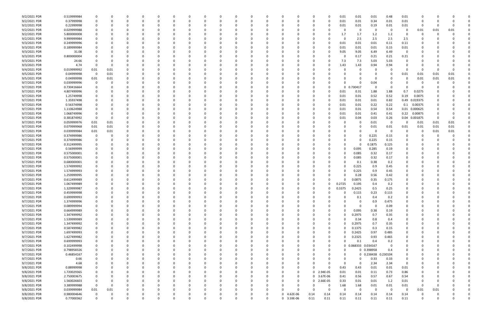| 9/2/2021 PDR | 0.519999984 |             |          |          |          |              |          |          |          |          |          |          |             |              | 0.01<br>-C       | 0.01                     | 0.01                | 0.48        | 0.01        | C             |      |          |  |
|--------------|-------------|-------------|----------|----------|----------|--------------|----------|----------|----------|----------|----------|----------|-------------|--------------|------------------|--------------------------|---------------------|-------------|-------------|---------------|------|----------|--|
|              |             |             |          |          |          |              |          |          |          |          |          |          |             |              |                  |                          |                     |             |             |               |      |          |  |
| 9/2/2021 PDR | 0.37999998  | -0          | 0        | C        |          |              |          |          |          | -0       |          | - 0      |             |              | 0.01<br>0        | 0.01                     | 0.34                | 0.01        | 0.01        | -0            |      |          |  |
| 9/2/2021 PDR | 0.22999998  |             |          |          |          |              |          |          |          |          |          |          |             |              | 0.01             | 0.01                     | 0.19                | 0.01        | 0.01        | -0            |      |          |  |
| 9/2/2021 PDR | 0.029999988 |             |          |          |          |              |          |          |          |          |          |          |             |              |                  | 0                        | 0                   | 0           | 0           | 0.01          | 0.01 | 0.01     |  |
| 9/2/2021 PDR | 5.800000008 |             |          |          |          |              |          |          |          |          |          |          |             |              | 1.7              | 1.7                      | 1.2                 | 1.2         | 0           | C             |      |          |  |
| 9/2/2021 PDR | 9.999999984 |             |          |          |          |              |          |          |          |          |          |          |             |              |                  | 2.5                      | 2.5                 | 2.5         | 2.5         |               |      |          |  |
| 9/3/2021 PDR | 0.249999996 |             |          |          |          |              |          |          |          |          |          |          |             |              | 0.01<br>0        | 0.01                     | 0.01                | 0.11        | 0.11        |               |      |          |  |
| 9/3/2021 PDR | 0.189999984 |             |          |          |          |              |          |          |          |          |          |          |             |              | 0.01<br>-0       | 0.01                     | 0.01                | 0.15        | 0.01        |               |      |          |  |
|              |             |             |          |          |          |              |          |          |          |          |          |          |             |              |                  |                          |                     |             |             |               |      |          |  |
| 9/3/2021 PDR | 31.08       |             |          |          |          |              |          |          |          |          |          |          |             |              | 9.05             | 9.05                     | 6.49                | 6.49        | $\Omega$    |               |      |          |  |
| 9/3/2021 PDR | 0.800000004 |             |          |          |          |              |          |          |          |          |          |          |             |              |                  | 0.17                     | 0.21                | 0.21        | 0.21        |               |      |          |  |
| 9/3/2021 PDR | 24.66       |             |          |          |          |              |          |          |          |          |          |          |             |              | 7.3              | 7.3                      | 5.03                | 5.03        | $\Omega$    |               |      |          |  |
| 9/3/2021 PDR | 4.74        | $\Omega$    | $\Omega$ |          |          |              |          |          |          |          |          |          |             |              | 1.43<br>-0       | 1.43                     | 0.94                | 0.94        | O           |               |      |          |  |
| 9/4/2021 PDR | 0.019999992 | 0.01        | 0.01     |          |          |              |          |          |          |          |          |          |             |              |                  |                          |                     |             | - 0         | -0            |      |          |  |
| 9/5/2021 PDR | 0.04999998  | 0           | 0.01     |          |          |              |          |          |          |          |          |          |             |              |                  |                          |                     |             | 0.01        | 0.01          | 0.01 | 0.01     |  |
|              |             |             |          |          |          |              |          |          |          |          |          |          |             |              |                  |                          |                     |             |             |               |      |          |  |
| 9/5/2021 PDR | 0.04999998  | 0.01        | 0.01     |          |          |              |          |          |          |          |          |          |             |              |                  |                          | <sup>0</sup>        |             | 0           | 0.01          | 0.01 | 0.01     |  |
| 9/7/2021 PDR | 0.039999996 | 0           |          |          |          |              |          |          |          |          |          |          |             |              |                  |                          | 0.04                |             |             | -C            |      |          |  |
| 9/7/2021 PDR | 0.730416664 |             |          |          |          |              |          |          |          |          |          |          |             |              |                  | 0.730417<br><sup>0</sup> | 0                   | - 0         |             |               |      |          |  |
| 9/7/2021 PDR | 4.807499996 |             |          |          |          |              |          |          |          |          |          |          |             |              | 0.01             | 0.31                     | 1.88                | 1.88        | 0.7         | 0.0275        |      |          |  |
| 9/7/2021 PDR | 1.25749998  |             |          |          |          |              |          |          |          |          |          |          |             |              | 0.01<br>-C       | 0.01                     | 0.52                | 0.52        | 0.19        | 0.0075        |      |          |  |
| 9/7/2021 PDR | 1.35937498  |             |          |          |          |              |          |          |          |          |          |          |             |              | 0.01             | 0.01                     | 0.01                | 0.82        |             | 0.49 0.019375 |      |          |  |
|              |             |             |          |          |          |              |          |          |          |          |          |          |             |              |                  |                          |                     |             |             |               |      |          |  |
| 9/7/2021 PDR | 0.56374998  |             |          |          |          |              |          |          |          |          |          |          |             |              | 0.01             | 0.01                     | 0.22                | 0.22        | 0.1         | 0.00375       |      |          |  |
| 9/7/2021 PDR | 1.110624988 |             |          |          |          |              |          |          |          |          |          |          |             |              | 0.01             | 0.01                     | 0.54                | 0.54        | 0.01        | 0.000625      |      |          |  |
| 9/7/2021 PDR | 1.068749996 |             |          |          |          |              |          |          |          |          |          |          |             |              | 0.01             | 0.01                     | 0.41                | 0.41        | 0.22        | 0.00875       |      |          |  |
| 9/7/2021 PDR | 0.381874992 | 0           | $\Omega$ |          |          |              |          |          |          |          |          |          |             |              | 0.01             | 0.04                     | 0.03                | 0.26        | 0.04        | 0.001875      |      |          |  |
| 9/7/2021 PDR | 0.059999976 | 0.01        | 0.01     |          |          |              |          |          |          |          |          |          |             |              |                  |                          | 0.01                | $\mathbf 0$ |             | 0.01          | 0.01 | 0.01     |  |
| 9/7/2021 PDR | 0.079999968 | 0.01        | 0.01     |          |          |              |          |          |          |          |          |          |             |              |                  |                          | 0.01                | 0.01        | 0.01        | 0.01          | 0.01 | 0.01     |  |
|              |             |             |          |          |          |              |          |          |          |          |          |          |             |              |                  |                          |                     |             |             |               |      |          |  |
| 9/7/2021 PDR | 0.039999984 | 0.01        | 0.01     |          |          |              |          |          |          |          |          |          |             |              |                  |                          | C                   | -0          | 0           | C             | 0.01 | 0.01     |  |
| 9/7/2021 PDR | 0.374999986 | 0           |          |          |          |              |          |          |          |          |          |          |             |              |                  |                          | 0.225               | 0.15        | 0           |               |      |          |  |
| 9/7/2021 PDR | 0.374999986 |             |          |          |          |              |          |          |          |          |          |          |             |              |                  |                          | 0.225               | 0.15        | 0           |               |      |          |  |
| 9/7/2021 PDR | 0.312499995 |             |          |          |          |              |          |          |          |          |          |          |             |              |                  |                          | 0.1875              | 0.125       | 0           |               |      |          |  |
| 9/7/2021 PDR | 0.56999999  |             |          |          |          |              |          |          |          |          |          |          |             |              |                  | 0.095                    | 0.285               | 0.19        | O           |               |      |          |  |
| 9/7/2021 PDR | 0.575000001 |             |          |          |          |              |          |          |          |          |          |          |             |              |                  | 0.085                    | 0.32                | 0.17        |             |               |      |          |  |
|              |             |             |          |          |          |              |          |          |          |          |          |          |             |              |                  |                          |                     |             |             |               |      |          |  |
| 9/7/2021 PDR | 0.575000001 |             |          |          |          |              |          |          |          |          |          |          |             |              |                  | 0.085                    | 0.32                | 0.17        |             |               |      |          |  |
| 9/7/2021 PDR | 0.680000001 |             |          |          |          |              |          |          |          |          |          |          |             |              |                  | 0.1                      | 0.38                | 0.2         |             |               |      |          |  |
| 9/7/2021 PDR | 1.574999992 |             |          |          |          |              |          |          |          |          |          |          |             |              |                  | 0.225                    | 0.9                 | 0.45        |             |               |      |          |  |
| 9/7/2021 PDR | 1.574999993 |             |          |          |          |              |          |          |          |          |          |          |             |              |                  | 0.225                    | 0.9                 | 0.45        | 0           |               |      |          |  |
| 9/7/2021 PDR | 1.259999995 |             |          |          |          |              |          |          |          |          |          |          |             |              |                  | 0.28                     | 0.56                | 0.42        | 0           |               |      |          |  |
| 9/7/2021 PDR | 0.612499989 |             |          |          |          |              |          |          |          |          |          |          |             |              |                  | 0.0875                   | 0.35                | 0.175       |             |               |      |          |  |
|              |             |             |          |          |          |              |          |          |          |          |          |          |             |              |                  |                          |                     |             |             |               |      |          |  |
| 9/7/2021 PDR | 1.067499989 |             |          |          |          |              |          |          |          |          |          |          |             |              | 0.2725           | 0.195                    | 0.4                 | 0.2         |             |               |      |          |  |
| 9/7/2021 PDR | 1.329999987 |             |          |          |          |              |          |          |          |          |          |          |             |              | 0.3375<br>0      | 0.2425                   | 0.5                 | 0.25        | 0           |               |      |          |  |
| 9/7/2021 PDR | 0.459999998 | $\mathbf 0$ |          |          |          |              |          |          |          |          |          |          | $\Omega$    | $\Omega$     | $\Omega$         | 0.115                    | 0.23                | 0.115       |             |               |      |          |  |
| 9/7/2021 PDR | 0.699999993 | 0           | 0        | 0        | 0        | $\Omega$     | $\Omega$ | $\Omega$ | $\Omega$ | $\Omega$ | $\Omega$ | 0        | $\Omega$    | 0            | 0                | 0.1<br>$\Omega$          | 0.4                 | 0.2         | 0           | 0             |      |          |  |
| 9/7/2021 PDR | 1.374999996 | 0           | 0        | 0        | $\Omega$ | <sup>0</sup> | $\Omega$ | 0        | 0        | $\Omega$ | 0        | $\Omega$ | $\Omega$    | 0            | 0                | 0                        | 0.9                 | 0.475       | 0           | 0             |      |          |  |
| 9/7/2021 PDR | 0.089999994 | 0           | 0        |          | $\Omega$ |              | $\Omega$ |          |          |          |          |          | 0           |              |                  | $\Omega$                 | $\Omega$            | 0.09        | 0           |               |      |          |  |
|              |             |             |          |          |          |              |          |          |          |          |          |          | $\Omega$    |              |                  |                          |                     |             |             |               |      |          |  |
| 9/7/2021 PDR | 0.664999989 | 0           | 0        |          | 0        |              | 0        |          | 0        | -0       |          |          |             |              | 0                | 0.095                    | 0.38                | 0.19        | 0           | n             |      |          |  |
| 9/7/2021 PDR | 1.347499992 | 0           | 0        |          |          |              |          |          |          |          |          |          | 0           |              | 0                | 0.2975                   | 0.7                 | 0.35        | 0           |               |      |          |  |
| 9/7/2021 PDR | 1.539999989 | $\mathbf 0$ | $\Omega$ |          | ი        |              |          |          |          |          |          |          |             |              | 0                | 0.34                     | 0.8                 | 0.4         | 0           |               |      |          |  |
| 9/7/2021 PDR | 1.347499992 | $\mathbf 0$ | $\Omega$ |          | 0        |              |          |          | 0        | -0       |          | - 0      |             |              | $\Omega$         | 0.2975                   | 0.7                 | 0.35        | $\mathbf 0$ | 0             |      |          |  |
| 9/7/2021 PDR | 0.587499982 | 0           | 0        | C        | 0        |              | $\Omega$ | 0        | 0        | $\Omega$ |          | $\Omega$ | 0           |              | $\Omega$         | 0.1375                   | 0.3                 | 0.15        | 0           | 0             |      |          |  |
| 9/7/2021 PDR | 1.697499993 | 0           | 0        |          | 0        |              | 0        |          | 0        |          |          |          | $\Omega$    |              | 0                | 0.2425                   | 0.97                | 0.485       | 0           |               |      |          |  |
| 9/7/2021 PDR | 1.627499982 |             | $\Omega$ |          | 0        |              |          |          | 0        | -0       |          |          |             |              | 0                | 0.2325                   | 0.93                | 0.465       | 0           |               |      |          |  |
|              |             |             |          |          |          |              |          |          |          |          |          |          |             |              |                  |                          |                     |             |             |               |      |          |  |
| 9/7/2021 PDR | 0.699999993 | 0           | 0        | C        | 0        |              |          | 0        | 0        | -0       |          |          | 0           |              | 0                | 0.1                      | 0.4                 | 0.2         | 0           |               |      |          |  |
| 9/7/2021 PDR | 0.102499998 | $\mathbf 0$ | $\Omega$ |          | 0        |              |          |          | 0        |          |          |          |             |              | 0                | 0.068333 0.034167<br>0   |                     | $\Omega$    | $\mathbf 0$ |               |      |          |  |
| 9/7/2021 PDR | 0.798958326 |             | $\Omega$ |          | 0        |              |          |          | 0        | -0       |          | - 0      |             |              | -0               |                          | 0 0.398958          | 0.4         | 0           | C             |      |          |  |
| 9/7/2021 PDR | 0.46854167  |             | $\Omega$ |          | 0        |              |          | 0        | 0        |          |          |          |             |              | -0               | $\Omega$                 | 0 0.238438 0.230104 |             | 0           |               |      |          |  |
| 9/7/2021 PDR | 0.66        | $\Omega$    | 0        |          | 0        |              | $\Omega$ | 0        | 0        |          |          |          | 0           |              |                  | $\Omega$<br>0            | 0.33                | 0.33        | 0           |               |      |          |  |
| 9/7/2021 PDR | 4.68        |             |          |          |          |              |          |          |          |          |          |          |             |              |                  | $\Omega$<br>0            |                     | 2.34        | 0           |               |      |          |  |
|              |             |             | 0        |          | 0        |              |          |          |          |          |          |          | 0           |              | 0                |                          | 2.34                |             |             |               |      |          |  |
| 9/8/2021 PDR | 0.88999998  |             | $\Omega$ |          |          |              |          |          |          |          |          |          | 0           |              | 0.43<br>$\Omega$ | 0.43                     | 0.01                | 0.01        | 0.01        |               |      |          |  |
| 9/8/2021 PDR | 1.720029365 | $\mathbf 0$ | O        |          |          |              |          |          |          |          |          |          | $\mathbf 0$ | 0 2.94E-05   | 0.01             | 0.01                     | 0.11                | 0.73        | 0.86        |               |      |          |  |
| 9/8/2021 PDR | 2.750003675 | $\mathbf 0$ | $\Omega$ |          | 0        |              |          |          |          |          |          |          | $\mathbf 0$ | 0 3.67E-06   | 0.41             | 0.56                     | 0.57                | 0.67        | 0.54        | 0             |      |          |  |
| 9/8/2021 PDR | 1.560026603 | 0           | $\Omega$ |          | 0        |              |          |          |          |          |          |          | $\Omega$    | 0 2.66E-05   | 0.33             | 0.01                     | 0.01                | 1.2         | 0.01        | 0             |      |          |  |
| 9/8/2021 PDR | 3.389999988 | $\Omega$    | $\Omega$ |          | ი        |              |          |          | 0        |          |          |          | $\Omega$    |              | 1.68<br>0        | 1.68                     | 0.01                | 0.01        | 0.01        | -0            |      |          |  |
| 9/8/2021 PDR | 0.039999984 | 0.01        | 0.01     |          | 0        |              | $\Omega$ |          |          | - 0      |          | $\Omega$ | $\Omega$    | - 0          | 0                | 0                        | 0                   | $\mathbf 0$ | $\Omega$    | 0.01          | 0.01 |          |  |
|              |             |             |          |          |          |              |          |          |          |          |          |          |             |              |                  |                          |                     |             |             |               |      |          |  |
| 9/8/2021 PDR | 0.980004646 | 0           |          |          |          |              |          |          |          |          |          | 0        | 4.62E-06    | 0.14<br>0.14 | 0.14             | 0.14                     | 0.14                | 0.14        | 0.14        | C             |      |          |  |
| 9/8/2021 PDR | 0.77000362  | $\Omega$    | $\Omega$ | $\Omega$ | $\Omega$ | $\Omega$     | $\Omega$ | $\Omega$ | $\Omega$ | $\Omega$ | 0        | $\Omega$ | 3.59E-06    | 0.11<br>0.11 | 0.11             | 0.11                     | 0.11                | 0.11        | 0.11        | $\Omega$      |      | $\Omega$ |  |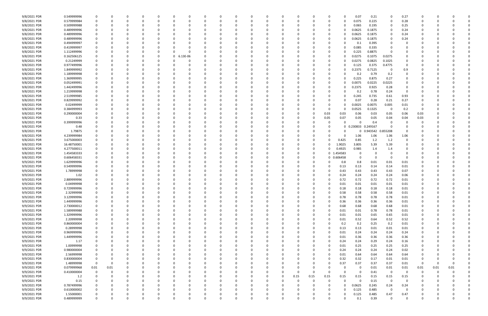| 9/8/2021 PDR | 0.549999996 | 0           |          |          |          |          |   |              |          |             |          |          |              |          |          |          |            | 0.07              | 0.21     | 0            | 0.27     |                         |      |      |             |
|--------------|-------------|-------------|----------|----------|----------|----------|---|--------------|----------|-------------|----------|----------|--------------|----------|----------|----------|------------|-------------------|----------|--------------|----------|-------------------------|------|------|-------------|
| 9/8/2021 PDR | 0.579999984 | 0           |          |          | -0       |          |   | <sup>0</sup> |          | 0           |          | 0        |              | $\Omega$ |          | 0        | -0         | 0.075             | 0.225    | 0            | 0.28     | n                       |      |      |             |
| 9/8/2021 PDR | 0.509999988 | 0           |          |          |          |          |   |              |          |             |          |          |              |          |          |          |            | 0.065             | 0.195    | 0            | 0.25     |                         |      |      |             |
| 9/8/2021 PDR | 0.489999996 |             |          |          |          |          |   |              |          |             |          |          |              |          |          |          | -0         | 0.0625            | 0.1875   | 0            | 0.24     |                         |      |      |             |
| 9/8/2021 PDR | 0.489999996 |             |          |          |          |          |   |              |          |             |          |          |              |          |          |          | -0         | 0.0625            | 0.1875   | 0            | 0.24     |                         |      |      |             |
| 9/8/2021 PDR | 0.489999996 | 0           |          |          |          |          |   |              |          |             |          |          |              |          |          | 0        | -0         | 0.0625            | 0.1875   | 0            | 0.24     |                         |      |      |             |
| 9/8/2021 PDR | 0.494999997 | 0           |          |          |          |          |   |              |          |             |          |          |              |          |          |          |            | 0.1               | 0.395    | 0            |          |                         |      |      |             |
| 9/8/2021 PDR | 0.419999997 |             |          |          |          |          |   |              |          |             |          |          |              |          |          |          |            | 0.085             | 0.335    | -0           |          |                         |      |      |             |
| 9/8/2021 PDR | 1.112499996 |             |          |          |          |          |   |              |          |             |          |          |              |          |          |          |            | 0.225             | 0.8875   |              |          |                         |      |      |             |
| 9/8/2021 PDR | 0.162506125 |             |          |          |          |          | 0 | 6.13E-06     |          |             |          |          |              |          |          |          | -0         | 0.0275            | 0.1075   | 0.0275       |          |                         |      |      |             |
| 9/8/2021 PDR | 0.21249999  |             |          |          |          |          |   |              |          |             |          |          |              |          |          |          |            | 0.0275            | 0.0825   | 0.1025       |          |                         |      |      |             |
| 9/8/2021 PDR | 0.977499996 |             |          |          |          |          |   |              |          |             |          |          |              |          |          |          |            | 0.125             | 0.375    | 0.4775       |          |                         |      |      |             |
| 9/8/2021 PDR | 1.849999992 | 0           |          |          |          |          |   |              |          |             |          |          |              |          |          | 0        | -0         | 0.2375            | 0.7125   | 0            | 0.9      |                         |      |      |             |
| 9/8/2021 PDR | 1.189999998 | 0           |          |          |          |          |   |              |          |             |          |          |              |          |          |          |            | 0.2               | 0.79     | 0.2          |          |                         |      |      |             |
| 9/8/2021 PDR | 1.369999995 | 0           |          |          |          |          |   |              |          |             |          |          |              |          |          |          |            | 0.225             | 0.875    | 0.27         |          |                         |      |      |             |
| 9/8/2021 PDR | 0.052499991 |             |          |          |          |          |   |              |          |             |          |          |              |          |          |          |            | 0.0075            | 0.0225   | 0.0225       |          |                         |      |      |             |
| 9/8/2021 PDR | 1.442499996 |             |          |          |          |          |   |              |          |             |          |          |              |          |          |          | -0         | 0.2375            | 0.925    | 0.28         |          |                         |      |      |             |
| 9/8/2021 PDR | 1.219999998 | 0           |          |          |          |          |   |              |          |             |          |          |              |          |          |          | -0         | 0.2               | 0.78     | 0.24         | $\Omega$ |                         |      |      |             |
| 9/8/2021 PDR | 2.519999985 | $\Omega$    |          |          |          |          |   |              |          |             |          |          |              |          |          |          |            | 0.245             | 0.735    | 0.61         | 0.93     |                         |      |      |             |
| 9/8/2021 PDR | 0.829999992 |             |          |          |          |          |   |              |          |             |          |          |              |          |          |          | -0         | 0.07              | 0.28     | 0.21         | 0.27     |                         |      |      |             |
| 9/8/2021 PDR | 0.02499999  | -0          |          |          |          |          |   |              |          |             |          |          |              |          |          |          | -0         | 0.0025            | 0.0075   | 0.005        | 0.01     |                         |      |      |             |
| 9/8/2021 PDR | 0.384999993 |             |          |          |          |          |   |              |          |             |          |          |              |          |          | 0        | -0         | 0.0525            | 0.1325   | 0            | 0.2      | - 0                     |      |      |             |
| 9/8/2021 PDR | 0.290000004 |             |          |          |          |          |   |              |          |             |          |          |              |          |          | 0.03     | 0.03       | 0.06              | 0.03     | 0.05         | 0.06     | 0.03                    |      |      |             |
| 9/8/2021 PDR | 0.33        | 0           |          |          |          |          |   |              |          |             |          |          |              |          |          | 0.05     | 0.07       | 0.05              | 0.05     | 0.04         | 0.04     | 0.03                    |      |      |             |
| 9/8/2021 PDR | 0.399999996 |             |          |          |          |          |   |              |          |             |          |          |              |          |          |          |            |                   | 0.4      | 0            |          |                         |      |      |             |
| 9/8/2021 PDR | 0.48        |             |          |          |          |          |   |              |          |             |          |          |              |          |          |          | 0          | 0.230833 0.249167 |          | $\Omega$     |          |                         |      |      |             |
| 9/8/2021 PDR | 1.79875     |             |          |          |          |          |   |              |          |             |          |          |              |          |          |          |            | 0                 | 0.943542 | 0.855208     |          |                         |      |      |             |
| 9/8/2021 PDR | 4.239999984 |             |          |          |          |          |   |              |          |             |          |          |              |          |          |          | -0         | 1.06              | 1.06     | 1.06         | 1.06     |                         |      |      |             |
| 9/8/2021 PDR | 3.675000003 |             |          |          |          |          |   |              |          |             |          |          |              |          |          | 0        | 0.425      | 0.85              | 1.2      | 1.2          | $\Omega$ |                         |      |      |             |
| 9/8/2021 PDR | 16.48750001 | 0           |          |          |          |          |   |              |          |             |          |          |              |          |          | 0        | 1.9025     | 3.805             | 5.39     | 5.39         |          |                         |      |      |             |
| 9/8/2021 PDR | 4.277500011 |             |          |          |          |          |   |              |          |             |          |          |              |          |          | 0        | 0.4925     | 0.985             | 1.4      | 1.4          |          |                         |      |      |             |
| 9/8/2021 PDR | 1.454583333 | 0           |          |          |          |          |   |              |          |             |          |          |              |          |          |          | 0 1.454583 | $\Omega$          |          |              |          |                         |      |      |             |
| 9/8/2021 PDR | 0.606458331 | 0           |          |          |          |          |   |              |          |             |          |          |              |          |          |          | 0 0.606458 | $\Omega$          |          | $\Omega$     |          |                         |      |      |             |
| 9/9/2021 PDR | 1.629999996 | 0           |          |          |          |          |   |              |          |             |          |          |              |          |          |          | 0.8        | 0.8               | 0.01     | 0.01         | 0.01     |                         |      |      |             |
| 9/9/2021 PDR | 0.549999996 |             |          |          |          |          |   |              |          |             |          |          |              |          |          | 0        | 0.13       | 0.13              | 0.14     | 0.14         | 0.01     |                         |      |      |             |
| 9/9/2021 PDR | 1.78999998  | $\Omega$    |          |          |          |          |   |              |          |             |          |          |              |          |          | 0        | 0.43       | 0.43              | 0.43     | 0.43         | 0.07     |                         |      |      |             |
| 9/9/2021 PDR | 1.02        | 0           |          |          |          |          |   |              |          |             |          |          |              |          |          |          | 0.24       | 0.24              | 0.24     | 0.24         | 0.06     |                         |      |      |             |
| 9/9/2021 PDR | 2.889999996 |             |          |          |          |          |   |              |          |             |          |          |              |          |          |          | 0.72       | 0.72              | 0.72     | 0.72         | 0.01     |                         |      |      |             |
| 9/9/2021 PDR | 0.04999998  |             |          |          |          |          |   |              |          |             |          |          |              |          |          |          | 0.01       | 0.01              | 0.01     | 0.01         | 0.01     |                         |      |      |             |
| 9/9/2021 PDR | 0.729999996 | 0           |          |          |          |          |   |              |          |             |          |          |              |          |          |          | 0.18       | 0.18              | 0.18     | 0.18         | 0.01     |                         |      |      |             |
| 9/9/2021 PDR | 2.32999998  | 0           |          |          |          |          |   |              |          | υ           |          |          | υ            |          |          |          | 0.58       | 0.58              | 0.58     | 0.58         | 0.01     | U                       |      |      |             |
| 9/9/2021 PDR | 3.129999996 | 0           | $\Omega$ | $\Omega$ | 0        | $\Omega$ |   | $\Omega$     | $\Omega$ | $\mathbf 0$ | $\Omega$ | $\Omega$ | $\Omega$     | $\Omega$ | $\Omega$ | $\Omega$ | 0.78       | 0.78              | 0.78     | 0.78         | 0.01     | $\mathbf 0$             |      |      |             |
| 9/9/2021 PDR | 1.449999996 | 0           | $\Omega$ |          | -C       | 0        |   | 0            |          | $\Omega$    | 0        | $\Omega$ | <sup>0</sup> | 0        |          | $\Omega$ | 0.36       | 0.36              | 0.36     | 0.36         | $0.01\,$ | 0                       |      |      |             |
| 9/9/2021 PDR | 2.730000012 | 0           |          |          |          |          |   | 0            |          | 0           |          | 0        |              | 0        | 0        | $\Omega$ | 0.68       | 0.68              | 0.68     | 0.68         | 0.01     | 0                       |      |      |             |
| 9/9/2021 PDR | 1.589999988 | 0           |          |          |          |          |   |              |          | $\Omega$    |          | $\Omega$ |              |          |          | $\Omega$ | 0.01       | 0.01              | 0.78     | 0.78         | 0.01     |                         |      |      |             |
| 9/9/2021 PDR | 1.329999996 | 0           |          |          |          |          |   |              |          | 0           |          | 0        |              |          |          | 0        | 0.01       | 0.01              | 0.65     | 0.65         | $0.01\,$ | 0                       |      |      |             |
| 9/9/2021 PDR | 2.20999998  | 0           |          |          |          |          |   |              |          | 0           |          |          |              |          |          | 0        | 0.01       | 0.52              | 0.64     | 0.52         | 0.52     | 0                       |      |      |             |
| 9/9/2021 PDR | 0.860000004 | 0           |          |          |          |          |   |              |          | 0           |          |          |              |          |          | 0        | 0.2        | 0.2               | 0.25     | 0.2          | $0.01\,$ | 0                       |      |      |             |
| 9/9/2021 PDR | 0.28999998  | 0           | $\Omega$ |          |          |          |   | 0            |          | $\Omega$    |          | $\Omega$ |              | 0        |          | $\Omega$ | 0.13       | 0.13              | 0.01     | 0.01         | 0.01     | 0                       |      |      |             |
| 9/9/2021 PDR | 0.969999996 | 0           | $\Omega$ |          |          |          |   | 0            |          | 0           |          | 0        |              | 0        |          | $\Omega$ | 0.01       | 0.24              | 0.24     | 0.24         | 0.24     | 0                       |      |      |             |
| 9/9/2021 PDR | 1.449999996 | 0           |          |          |          |          |   |              |          | 0           |          | 0        |              |          |          | 0        | 0.01       | 0.36              | 0.36     | 0.36         | 0.36     |                         |      |      |             |
| 9/9/2021 PDR | 1.17        | 0           |          |          |          |          |   |              |          | 0           |          | 0        |              |          |          | $\Omega$ | 0.24       | 0.24              | 0.29     | 0.24         | $0.16\,$ | 0                       |      |      |             |
| 9/9/2021 PDR | 1.00999998  | 0           |          |          |          |          |   |              |          | 0           |          |          |              |          |          | $\Omega$ | 0.01       | 0.25              | 0.25     | 0.25         | 0.25     |                         |      |      |             |
| 9/9/2021 PDR | 0.980000004 | 0           |          |          |          |          |   |              |          | 0           |          |          |              |          |          | 0        | 0.24       | 0.24              | 0.24     | 0.24         | 0.02     | 0                       |      |      |             |
| 9/9/2021 PDR | 2.56999998  | 0           |          |          |          |          |   |              |          | 0           |          | 0        |              |          |          | $\Omega$ | 0.01       | 0.64              | 0.64     | 0.64         | 0.64     | 0                       |      |      |             |
| 9/9/2021 PDR | 0.830000004 | 0           | $\Omega$ |          |          |          |   | 0            |          | 0           | C.       | 0        |              | 0        | 0        | $\Omega$ | 0.32       | 0.32              | 0.17     | 0.01         | 0.01     | 0                       |      |      |             |
| 9/9/2021 PDR | 1.48999998  | $\mathbf 0$ | $\Omega$ |          |          |          |   |              |          | 0           |          | 0        |              | 0        | 0        | 0        | 0.37       | 0.37              | 0.37     | 0.37         | 0.01     | $\overline{\mathbf{0}}$ | 0    |      |             |
| 9/9/2021 PDR | 0.079999968 | 0.01        | $0.01\,$ |          |          |          |   |              |          | 0           |          | 0        |              | 0        |          |          | -0         | - 0               | 0.01     | 0.01         | 0.01     | 0.01                    | 0.01 | 0.01 |             |
| 9/9/2021 PDR | 0.410000004 | $\mathbf 0$ |          |          |          |          |   |              |          | 0           |          | 0        |              | 0        | $\Omega$ |          | $\Omega$   | 0                 | 0.41     | 0            |          | 0                       |      |      |             |
| 9/9/2021 PDR | 1.2         | 0           |          |          |          |          |   |              |          | 0           |          |          | 0            | 0.15     | 0.15     | 0.15     | 0.15       | 0.15              | 0.15     | 0.15         | 0.15     | 0                       |      |      |             |
| 9/9/2021 PDR | 0.15        | 0           |          |          |          |          |   |              |          | 0           |          |          |              | -C       |          | 0        | $\Omega$   | $\Omega$          | 0.15     | $\mathbf 0$  |          |                         |      |      |             |
| 9/9/2021 PDR | 0.787499996 | 0           |          |          |          |          |   |              |          | 0           |          | 0        |              | C        |          | $\Omega$ | $\Omega$   | 0.0625            | 0.245    | 0.24         | 0.24     |                         |      |      |             |
| 9/9/2021 PDR | 0.610000002 | 0           | $\Omega$ |          | -0       | 0        |   | 0            |          | 0           |          | 0        | O            | 0        | 0        | $\Omega$ | $\Omega$   | 0.125             | 0.485    | $\mathbf 0$  | $\Omega$ | 0                       |      |      |             |
| 9/9/2021 PDR | 1.55000001  | 0           |          |          |          |          |   | 0            |          | 0           |          | 0        |              | 0        |          | 0        | -0         | 0.125             | 0.485    | 0.47         | 0.47     |                         |      |      |             |
| 9/9/2021 PDR | 0.489999999 | $\mathbf 0$ | $\Omega$ |          | $\Omega$ |          |   | $\Omega$     |          | $\Omega$    | $\Omega$ | 0        |              |          |          |          | $\Omega$   | 0.1               | 0.39     | $\mathsf{O}$ | $\Omega$ | $\Omega$                |      |      | $\mathbf 0$ |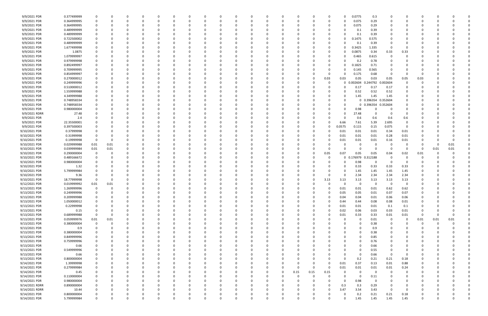| 9/9/2021 PDR   | 0.377499999 |                         | 0    |   |          |          |          |          |              |   |          |          |          |             |          |          | 0.0775      | 0.3        |              |             |             |          |          |  |
|----------------|-------------|-------------------------|------|---|----------|----------|----------|----------|--------------|---|----------|----------|----------|-------------|----------|----------|-------------|------------|--------------|-------------|-------------|----------|----------|--|
| 9/9/2021 PDR   | 0.364999995 | 0                       | 0    |   | 0        | $\Omega$ |          | n        | 0            | O | 0        | - 0      |          |             | 0        |          | 0.075       | 0.29       | - 0          |             |             |          |          |  |
|                |             |                         |      |   |          |          |          |          |              |   |          |          |          |             |          |          |             |            |              |             |             |          |          |  |
| 9/9/2021 PDR   | 0.364999995 | 0                       |      |   |          |          |          |          |              |   |          |          |          |             |          |          | 0.075       | 0.29       |              |             |             |          |          |  |
| 9/9/2021 PDR   | 0.489999999 | 0                       |      |   |          |          |          |          |              |   |          |          |          |             |          |          | 0.1         | 0.39       |              |             |             |          |          |  |
| 9/9/2021 PDR   | 0.489999999 | 0                       |      |   |          |          |          |          |              |   |          |          |          |             |          |          | 0.1         | 0.39       |              |             |             |          |          |  |
| 9/9/2021 PDR   | 0.722500002 | 0                       |      |   |          |          |          |          |              |   |          |          |          |             |          |          | 0.1475      | 0.575      |              |             |             |          |          |  |
|                |             |                         |      |   |          |          |          |          |              |   |          |          |          |             |          |          |             |            |              |             |             |          |          |  |
| 9/9/2021 PDR   | 0.489999999 | -0                      |      |   |          |          |          |          |              |   |          |          |          |             | -0       |          | 0.1         | 0.39       |              |             |             |          |          |  |
| 9/9/2021 PDR   | 1.677499998 | - 0                     |      |   |          |          |          |          |              |   |          |          |          |             | 0        |          | 0.3425      | 1.335      | - 0          | $\Omega$    |             |          |          |  |
| 9/9/2021 PDR   | 1.0875      | 0                       |      |   |          |          |          |          |              |   |          |          |          |             | 0        |          | 0.0875      | 0.34       | 0.33         | 0.33        |             |          |          |  |
| 9/9/2021 PDR   | 1.079999997 | 0                       |      |   |          |          |          |          |              |   |          |          |          |             |          |          | 0.465       | 0.615      | 0            |             |             |          |          |  |
| 9/9/2021 PDR   | 0.979999998 | 0                       |      |   |          |          |          |          |              |   |          |          |          |             | -C       |          |             | 0.78       | - 0          |             |             |          |          |  |
|                |             |                         |      |   |          |          |          |          |              |   |          |          |          |             |          |          | 0.2         |            |              |             |             |          |          |  |
| 9/9/2021 PDR   | 0.892499997 | 0                       |      |   |          |          |          |          |              |   |          |          |          |             | $\Omega$ |          | 0.1825      | 0.71       |              |             |             |          |          |  |
| 9/9/2021 PDR   | 0.709999995 | -0                      |      |   |          |          |          |          |              |   |          |          |          |             | -0       |          | 0.145       | 0.565      |              |             |             |          |          |  |
| 9/9/2021 PDR   | 0.854999997 |                         |      |   |          |          |          |          |              |   |          |          |          |             | 0        |          | 0.175       | 0.68       | - 0          |             |             |          |          |  |
| 9/9/2021 PDR   | 0.270000012 | 0                       |      |   |          |          |          |          |              |   |          |          |          |             | 0.03     | 0.03     | 0.05        | 0.03       | 0.05         | 0.05        | 0.03        |          |          |  |
|                |             |                         |      |   |          |          |          |          |              |   |          |          |          |             |          |          |             |            |              |             |             |          |          |  |
| 9/9/2021 PDR   | 0.249999996 | 0                       |      |   |          |          |          |          |              |   |          |          |          |             | 0        | 0        | 0.002604    | 244792     | 002604<br>-0 | 0           |             |          |          |  |
| 9/9/2021 PDR   | 0.510000012 | 0                       |      |   |          |          |          |          |              |   |          |          |          |             |          |          | 0.17        | 0.17       | 0.17         |             |             |          |          |  |
| 9/9/2021 PDR   | 1.559999988 | -0                      |      |   |          |          |          |          |              |   |          |          |          |             |          |          | 0.52        | 0.52       | 0.52         | 0           |             |          |          |  |
| 9/9/2021 PDR   | 4.349999988 |                         |      |   |          |          |          |          |              |   |          |          |          |             |          |          | 1.45        | 1.45       | 1.45         |             |             |          |          |  |
|                |             | 0                       |      |   |          |          |          |          |              |   |          |          |          |             |          |          |             |            |              |             |             |          |          |  |
| 9/9/2021 PDR   | 0.748958334 |                         |      |   |          |          |          |          |              |   |          |          |          |             |          |          |             | 0 0.396354 | 0.352604     |             |             |          |          |  |
| 9/9/2021 PDR   | 0.748958334 |                         |      |   |          |          |          |          |              |   |          |          |          |             |          |          |             | 0 0.396354 | 0.352604     |             |             |          |          |  |
| 9/9/2021 PDR   | 0.980000004 |                         |      |   |          |          |          |          |              |   |          |          |          |             |          |          | 0.98        | C          |              |             |             |          |          |  |
|                |             |                         |      |   |          |          |          |          |              |   |          |          |          |             |          |          |             |            |              |             |             |          |          |  |
| 9/9/2021 RDRR  | 27.48       |                         |      |   |          |          |          |          |              |   |          |          |          |             |          |          | 27.48       | 0          |              |             |             |          |          |  |
| 9/9/2021 PDR   | 2.4         | 0                       |      |   |          |          |          |          |              |   |          |          |          |             |          |          | 0.6         | 0.6        | 0.6          | 0.6         |             |          |          |  |
| 9/9/2021 PDR   | 22.35500001 |                         | n    |   |          |          |          |          |              |   |          |          |          |             | 0        | 6.66     | 7.61        | 5.39       | 2.695        | 0           |             |          |          |  |
| 9/9/2021 PDR   | 0.397500003 |                         |      |   |          |          |          |          |              |   |          |          |          |             | 0        | 0.0575   | 0.115       | 0.15       | 0.075        | $\Omega$    |             |          |          |  |
|                |             |                         |      |   |          |          |          |          |              |   |          |          |          |             |          |          |             |            |              |             |             |          |          |  |
| 9/10/2021 PDR  | 0.37999998  | 0                       |      |   |          |          |          |          |              |   |          |          |          |             | 0        | 0.01     | 0.01        | 0.01       | 0.34         | 0.01        |             |          |          |  |
| 9/10/2021 PDR  | 0.31999998  | 0                       |      |   |          |          |          |          |              |   |          |          |          |             | -0       | 0.01     | 0.01        | 0.01       | 0.28         | 0.01        |             |          |          |  |
| 9/10/2021 PDR  | 0.19999998  | 0                       | C    |   |          |          |          |          |              |   |          |          |          |             |          | 0.01     | 0.01        | 0.01       | 0.16         | 0.01        |             |          |          |  |
| 9/10/2021 PDR  | 0.029999988 | 0.01                    | 0.01 |   |          |          |          |          |              |   |          |          |          |             |          |          | 0           | C          | - 0          |             |             | 0        | 0.01     |  |
|                |             |                         |      |   |          |          |          |          |              |   |          |          |          |             |          |          |             |            |              |             |             |          |          |  |
| 9/10/2021 PDR  | 0.039999984 | 0.01                    | 0.01 |   |          |          |          |          |              |   |          |          |          |             | -0       |          |             | 0          | - 0          | - 0         | - 0         | 0.01     | 0.01     |  |
| 9/10/2021 PDR  | 0.290000004 | $\overline{0}$          | 0    |   |          |          |          |          |              |   | 0        |          |          |             | 0.05     | 0.07     | 0.05        | 0.05       | 0.04         | 0.02        | 0.01        | -0       |          |  |
| 9/10/2021 PDR  | 0.489166672 | - 0                     | 0    |   |          |          |          |          |              |   |          |          |          |             | 0        |          | 0.176979    | 0.312188   | - 0          |             |             |          |          |  |
| 9/10/2021 PDR  | 0.980000004 | 0                       |      |   |          |          |          |          |              |   |          |          |          |             | 0        |          | 0.98        | 0          | 0            |             |             |          |          |  |
|                |             |                         |      |   |          |          |          |          |              |   |          |          |          |             |          |          |             |            |              |             |             |          |          |  |
| 9/10/2021 PDR  | 1.32        | 0                       |      |   |          |          |          |          |              |   |          |          |          |             |          |          | 0.33        | 0.33       | 0.33         | 0.33        |             |          |          |  |
| 9/10/2021 PDR  | 5.799999984 | <sup>0</sup>            | 0    |   |          |          |          |          |              |   |          |          |          |             |          |          | 1.45        | 1.45       | 1.45         | 1.45        |             |          |          |  |
| 9/10/2021 PDR  | 9.36        | 0                       | 0    |   |          |          |          |          |              |   |          |          |          |             | -C       |          | 2.34        | 2.34       | 2.34         | 2.34        |             |          |          |  |
| 9/10/2021 PDR  | 18.77999998 | 0                       | C    |   |          |          |          |          |              |   |          |          |          |             | 3.13     | 3.13     | 3.13        | 3.13       | 3.13         | 3.13        |             |          |          |  |
|                |             |                         |      |   |          |          |          |          |              |   |          |          |          |             |          |          |             |            |              |             |             |          |          |  |
| 9/12/2021 PDR  | 0.019999992 | 0.01                    | 0.01 |   |          |          |          |          |              |   |          |          |          |             |          |          |             | C          | $\Omega$     |             |             |          |          |  |
| 9/13/2021 PDR  | 1.269999996 | $\overline{0}$          | 0    |   |          |          |          |          |              |   |          |          |          |             |          | 0.01     | 0.01        | 0.01       | 0.62         | 0.62        |             |          |          |  |
| 9/13/2021 PDR  | 0.249999996 | $\overline{0}$          | C    |   |          | <b>U</b> |          |          |              |   | O        |          |          |             |          | 0.05     | 0.05        | 0.01       | 0.07         | 0.07        |             |          |          |  |
| 9/13/2021 PDR  | 0.209999988 | $\mathbf 0$             | 0    | 0 | 0        | $\Omega$ | $\Omega$ | 0        | 0            | 0 | 0        | $\Omega$ | $\Omega$ | $\Omega$    | $\Omega$ | 0.04     | 0.04        |            | 0.06         |             | 0           | $\Omega$ |          |  |
|                |             |                         |      |   |          |          |          |          |              |   |          |          |          |             |          |          |             | 0.01       |              | 0.06        |             |          |          |  |
| 9/13/2021 PDR  | 1.050000012 | 0                       | 0    | 0 | 0        | $\Omega$ | $\Omega$ | 0        | <sup>0</sup> | 0 | 0        |          | $\Omega$ | 0           | $\Omega$ | 0.44     | 0.44        | 0.08       | 0.08         | $0.01\,$    | 0           | - 0      |          |  |
| 9/13/2021 PDR  | 0.22999998  | $\mathbf 0$             | 0    |   | 0        | 0        | $\Omega$ | 0        | 0            | 0 | 0        |          | $\Omega$ |             | 0        | 0.01     | 0.01        | 0.01       | 0.1          | 0.1         | 0           | - 0      |          |  |
| 9/13/2021 PDR  | 0.15        | $\overline{0}$          | 0    |   | 0        |          | $\Omega$ |          |              | 0 | 0        |          | 0        | $\Omega$    | $\Omega$ | 0.02     | 0.06        | 0.03       | 0.03         | 0.01        | 0           |          |          |  |
| 9/13/2021 PDR  | 0.689999988 | $\overline{\mathbf{0}}$ | 0    |   |          |          |          |          |              | 0 | 0        |          |          |             | 0        | 0.01     | 0.33        | 0.33       | 0.01         | 0.01        | - 0         | 0        |          |  |
|                |             |                         |      |   |          |          |          |          |              |   |          |          |          |             |          |          |             |            |              |             |             |          |          |  |
| 9/13/2021 PDR  | 0.059999976 | 0.01                    | 0.01 |   | 0        |          |          |          |              |   | 0        |          |          |             |          |          | $\mathbf 0$ | 0.01       | 0            | $\mathbf 0$ | 0.01        | 0.01     | 0.01     |  |
| 9/13/2021 PDR  | 0.380000004 | $\mathbf 0$             | 0    |   | 0        |          |          |          |              |   | 0        |          |          |             |          |          | $\mathbf 0$ | 0.38       | $\mathbf 0$  | $\Omega$    | $\mathbf 0$ | 0        |          |  |
| 9/13/2021 PDR  | 0.9         | $\mathbf 0$             | 0    |   | 0        | 0        | $\Omega$ | 0        | 0            | 0 | 0        |          | $\Omega$ | 0           |          |          | 0           | 0.9        | $\Omega$     | 0           | 0           | 0        |          |  |
| 9/13/2021 PDR  | 0.380000004 | 0                       | 0    |   | 0        | 0        | $\Omega$ |          | 0            |   |          |          | $\Omega$ |             |          |          | 0           |            | 0            | 0           |             | 0        |          |  |
|                |             |                         |      |   |          |          |          |          |              |   | 0        |          |          |             |          |          |             | 0.38       |              |             |             |          |          |  |
| 9/13/2021 PDR  | 0.849999996 | 0                       | 0    |   | 0        |          |          |          |              |   | 0        |          |          |             |          |          | $\Omega$    | 0.85       |              | 0           |             |          |          |  |
| 9/13/2021 PDR  | 0.759999996 | - 0                     |      |   | 0        | 0        |          |          |              | 0 | 0        |          |          |             |          |          | 0           | 0.76       |              |             | 0           | -0       |          |  |
| 9/13/2021 PDR  | 0.66        | 0                       | 0    |   | 0        |          |          |          |              | 0 | 0        |          |          |             |          |          | 0           | 0.66       |              |             | 0           |          |          |  |
|                |             | $\overline{0}$          |      |   |          |          |          |          |              |   |          |          |          |             |          |          |             |            |              |             |             |          |          |  |
| 9/13/2021 PDR  | 0.549999996 |                         | 0    |   | 0        |          |          |          |              |   | 0        |          |          |             |          |          | 0           | 0.55       | $\Omega$     |             | 0           |          |          |  |
| 9/13/2021 PDR  | 0.66        | 0                       | 0    |   | 0        | 0        |          | 0        |              | 0 | 0        |          |          |             |          |          | 0           | 0.66       | $\Omega$     | $\Omega$    | 0           | - 0      |          |  |
| 9/13/2021 PDR  | 0.800000004 | 0                       | 0    |   | 0        | 0        | $\Omega$ |          | n            | 0 | 0        |          |          |             | 0        | $\Omega$ | 0.2         | 0.21       | 0.21         | 0.18        | 0           |          |          |  |
| 9/14/2021 PDR  | 1.39999998  | 0                       | 0    |   | 0        | $\Omega$ | $\Omega$ | 0        |              | 0 | 0        |          |          | 0           | $\Omega$ | 0.01     | 0.37        | 0.13       | 0.01         | 0.88        | 0           | -0       |          |  |
|                |             |                         |      |   |          |          |          |          |              |   |          |          |          |             |          |          |             |            |              |             |             |          |          |  |
| 9/14/2021 PDR  | 0.279999984 | 0                       | 0    |   | 0        | 0        | 0        | 0        | 0            | 0 | 0        | $\Omega$ | $\Omega$ | 0           | $\Omega$ | 0.01     | 0.01        | 0.01       | 0.01         | 0.24        | 0           | 0        |          |  |
| 9/14/2021 PDR  | 0.45        | 0                       | 0    | 0 | 0        | 0        |          |          |              | 0 | 0        | 0        | 0.15     | 0.15        | 0.15     |          | $\mathbf 0$ | 0          | 0            | 0           |             |          |          |  |
| 9/14/2021 PDR  | 0.110000004 | $\mathbf 0$             | 0    |   | 0        |          |          | 0        |              | 0 | 0        |          | $\Omega$ | $\mathbf 0$ | 0        | $\Omega$ | 0           | 0.11       | $\Omega$     | 0           | 0           |          |          |  |
| 9/14/2021 PDR  | 0.980000004 | $\mathbf 0$             | 0    |   | 0        | $\Omega$ | $\Omega$ | 0        | 0            | 0 | 0        |          |          | 0           | 0        | $\Omega$ | 0.98        | 0          |              | 0           | 0           | 0        |          |  |
|                |             |                         |      |   |          |          |          |          |              |   |          |          |          |             |          |          |             |            |              |             |             |          |          |  |
| 9/14/2021 RDRR | 0.890000004 | 0                       | 0    |   | 0        | 0        | $\Omega$ | 0        | 0            | 0 | 0        |          | $\Omega$ |             | 0        | 0.3      | 0.3         | 0.29       | 0            | 0           | 0           |          |          |  |
| 9/14/2021 RDRR | 10.44       | 0                       | 0    |   | 0        | -0       | $\Omega$ |          |              | 0 | 0        |          | $\Omega$ |             | $\Omega$ | 3.47     | 3.54        | 3.43       | $\Omega$     | $\Omega$    | 0           |          |          |  |
| 9/14/2021 PDR  | 0.800000004 | 0                       |      |   |          |          |          |          |              |   |          |          |          |             |          |          | 0.2         | 0.21       | 0.21         | 0.18        |             |          |          |  |
| 9/14/2021 PDR  | 5.799999984 | $\mathbf 0$             | 0    | 0 | $\Omega$ | $\Omega$ | $\Omega$ | $\Omega$ | 0            | 0 | $\Omega$ | $\Omega$ | $\Omega$ |             | 0        |          | 1.45        | 1.45       | 1.45         | 1.45        | $\mathbf 0$ | 0        | $\Omega$ |  |
|                |             |                         |      |   |          |          |          |          |              |   |          |          |          |             |          |          |             |            |              |             |             |          |          |  |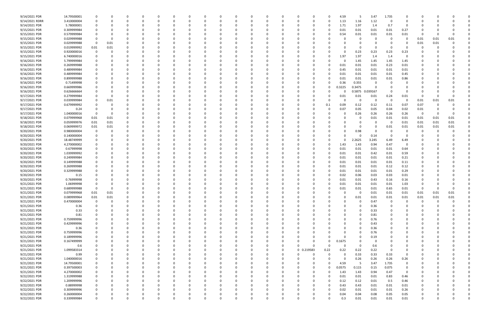| 9/14/2021 PDR  | 14.79500001 |             |              |          |          |          |          |   |          |          | 0        |          |                      |          | 4.59         | -5          | 3.47            | 1.735    |             |                |          |      |  |
|----------------|-------------|-------------|--------------|----------|----------|----------|----------|---|----------|----------|----------|----------|----------------------|----------|--------------|-------------|-----------------|----------|-------------|----------------|----------|------|--|
| 9/14/2021 RDRR | 3.410000004 |             |              | -0       |          |          | 0        |   |          | $\Omega$ | $\Omega$ |          | 0<br>0               | -0       | 1.13         | 1.16        | 1.12            | $\Omega$ | 0           |                |          |      |  |
| 9/14/2021 PDR  | 5.78000001  |             |              |          |          |          |          |   |          |          | -0       |          |                      | 0        | 1.71         | 1.97        | 1.4             | 0.7      | $\Omega$    |                |          |      |  |
| 9/15/2021 PDR  | 0.309999984 |             |              |          |          |          |          |   |          |          |          |          |                      |          | 0.01         | 0.01        | 0.01            | 0.01     | 0.27        |                |          |      |  |
|                | 0.579999984 |             |              |          |          |          |          |   |          |          |          |          |                      |          | 0.54         |             |                 | 0.01     |             |                |          |      |  |
| 9/15/2021 PDR  |             |             |              |          |          |          |          |   |          |          |          |          |                      |          |              | 0.01        | 0.01            |          | 0.01        |                |          |      |  |
| 9/15/2021 PDR  | 0.029999988 |             |              |          |          |          |          |   |          |          | $\Omega$ |          |                      |          |              |             | 0               | - 0      | 0           | 0.01           | 0.01     | 0.01 |  |
| 9/15/2021 PDR  | 0.029999988 | 0           | 0.01         |          |          |          |          |   |          |          |          |          |                      |          |              |             | 0               |          |             | 0.01           | 0.01     |      |  |
| 9/15/2021 PDR  | 0.019999992 | 0.01        | 0.01         |          |          |          |          |   |          |          |          |          |                      |          |              |             | 0               |          |             |                |          |      |  |
| 9/15/2021 PDR  | 0.920000016 | 0           |              |          |          |          |          |   |          |          |          |          |                      |          |              | 0.23        | 0.23            | 0.23     | 0.23        |                |          |      |  |
| 9/15/2021 PDR  | 6.740000016 |             |              |          |          |          |          |   |          |          |          |          |                      |          | 1.97         | 1.97        | 1.4             | 1.4      | $\Omega$    |                |          |      |  |
| 9/16/2021 PDR  | 5.799999984 |             |              |          |          |          |          |   |          |          | 0        |          | 0                    |          | $\Omega$     | 1.45        | 1.45            | 1.45     | 1.45        |                |          |      |  |
|                |             |             |              |          |          |          |          |   |          |          |          |          |                      |          |              |             |                 |          |             |                |          |      |  |
| 9/16/2021 PDR  | 0.269999988 |             |              |          |          |          |          |   |          |          | 0        |          |                      |          | 0.01         | 0.01        | 0.01            | 0.23     | 0.01        |                |          |      |  |
| 9/16/2021 PDR  | 0.489999984 |             |              |          |          |          |          |   |          |          |          |          |                      |          | 0.45         | 0.01        | 0.01            | 0.01     | 0.01        |                |          |      |  |
| 9/16/2021 PDR  | 0.489999984 |             |              |          |          |          |          |   |          |          |          |          |                      |          | 0.01         | 0.01        | 0.01            | 0.01     | 0.45        |                |          |      |  |
| 9/16/2021 PDR  | 0.899999988 |             |              |          |          |          |          |   |          |          |          |          |                      |          | 0.01         | 0.01        | 0.01            | 0.01     | 0.86        |                |          |      |  |
| 9/16/2021 PDR  | 0.71499998  |             |              |          |          |          |          |   |          |          |          |          |                      |          | 0.36         | 0.355       | 0               |          |             |                |          |      |  |
| 9/16/2021 PDR  | 0.669999986 |             |              |          |          |          |          |   |          |          | -0       |          |                      |          | 0.3225       | 0.3475      | 0               |          |             |                |          |      |  |
| 9/16/2021 PDR  | 0.626666664 |             |              |          |          |          |          |   |          |          |          |          |                      |          |              |             | 0.5875 0.039167 | 0        | $\Omega$    |                |          |      |  |
|                |             |             |              |          |          |          |          |   |          |          | 0        |          |                      |          |              |             |                 |          |             |                |          |      |  |
| 9/17/2021 PDR  | 0.279999984 |             |              |          |          |          |          |   |          |          |          |          |                      |          | 0.01         | 0.01        | 0.01            | 0.24     | 0.01        |                |          |      |  |
| 9/17/2021 PDR  | 0.039999984 |             | 0.01         |          |          |          |          |   |          |          | 0        |          |                      | - 0      |              | 0           | 0               | - 0      | - 0         | 0.01           | 0.01     | 0.01 |  |
| 9/17/2021 PDR  | 0.679999992 |             |              |          |          |          |          |   |          |          |          |          |                      | 0.1      | 0.09         | 0.12        | 0.12            | 0.11     | 0.07        | 0.07           |          |      |  |
| 9/17/2021 PDR  | 0.24        |             |              |          |          |          |          |   |          |          |          |          |                      |          | 0.07         | 0.05        | 0.05            | 0.04     | 0.02        | 0.01           |          |      |  |
| 9/17/2021 PDR  | 1.040000016 | $\Omega$    | <sup>0</sup> |          |          |          |          |   |          |          |          |          |                      |          |              | 0.26        | 0.26            | 0.26     | 0.26        | $\overline{0}$ | $\Omega$ |      |  |
| 9/18/2021 PDR  | 0.079999968 | 0.01        | 0.01         |          |          |          |          |   |          |          |          |          |                      |          |              |             | 0.01            | 0.01     | 0.01        | 0.01           | 0.01     | 0.01 |  |
|                |             |             |              |          |          |          |          |   |          |          |          |          |                      |          |              |             |                 |          |             |                |          |      |  |
| 9/18/2021 PDR  | 0.059999976 | 0.01        | 0.01         |          |          |          |          |   |          |          |          |          |                      |          |              |             | 0               | - 0      | 0.01        | 0.01           | 0.01     | 0.01 |  |
| 9/18/2021 PDR  | 0.069999972 | 0.01        | 0.01         |          |          |          |          |   |          |          | -0       |          |                      |          |              |             | 0               | 0.01     | 0.01        | 0.01           | 0.01     | 0.01 |  |
| 9/20/2021 PDR  | 0.980000004 |             |              |          |          |          |          |   |          |          |          |          |                      |          |              | 0.98        | 0               |          |             |                |          |      |  |
| 9/20/2021 PDR  | 0.140000004 |             |              |          |          |          |          |   |          |          |          |          |                      |          |              |             | 0.14            |          |             |                |          |      |  |
| 9/20/2021 PDR  | 18.48749999 |             |              |          |          |          |          |   |          |          | -0       |          |                      |          |              | 2.2625      | 3.245           | 6.49     | 6.49        |                |          |      |  |
| 9/20/2021 PDR  | 4.270000002 |             |              |          |          |          |          |   |          |          |          |          |                      |          | 1.43         | 1.43        | 0.94            | 0.47     | $\Omega$    |                |          |      |  |
|                | 0.67999998  |             |              |          |          |          |          |   |          |          | -0       |          |                      |          |              |             |                 |          | 0.64        |                |          |      |  |
| 9/20/2021 PDR  |             |             |              |          |          |          |          |   |          |          |          |          |                      |          | 0.01         | 0.01        | 0.01            | 0.01     |             |                |          |      |  |
| 9/20/2021 PDR  | 1.039999992 |             |              |          |          |          |          |   |          |          |          |          |                      | 0        | 0.01         | 0.01        | 0.42            | 0.01     | 0.59        |                |          |      |  |
| 9/20/2021 PDR  | 0.249999984 |             |              |          |          |          |          |   |          |          |          |          |                      |          | 0.01         | 0.01        | 0.01            | 0.01     | 0.21        |                |          |      |  |
| 9/20/2021 PDR  | 0.149999988 |             |              |          |          |          |          |   |          |          |          |          |                      |          | 0.01         | 0.01        | 0.01            | 0.01     | 0.11        |                |          |      |  |
| 9/20/2021 PDR  | 0.269999988 |             |              |          |          |          |          |   |          |          |          |          |                      |          | 0.01         | 0.01        | 0.01            | 0.12     | 0.12        |                |          |      |  |
| 9/20/2021 PDR  | 0.329999988 |             |              |          |          |          |          |   |          |          |          |          |                      |          | 0.01         | 0.01        | 0.01            | 0.01     | 0.29        |                |          |      |  |
| 9/20/2021 PDR  |             |             |              |          |          |          |          |   |          |          |          |          |                      |          |              |             |                 |          |             |                |          |      |  |
|                | 0.15        |             |              |          |          |          |          |   |          |          |          |          |                      |          | 0.02         | 0.06        | 0.03            | 0.03     | 0.01        |                |          |      |  |
| 9/20/2021 PDR  | 0.76999998  |             |              |          |          |          |          |   |          |          |          |          |                      |          | 0.01         | 0.01        | 0.43            | 0.16     | 0.16        |                |          |      |  |
| 9/21/2021 PDR  | 1.06999998  |             |              |          |          |          |          |   |          |          |          |          |                      |          | 0.01         | 0.01        | 0.01            | 0.01     | 1.03        |                |          |      |  |
| 9/21/2021 PDR  | 0.689999988 |             |              |          |          |          |          |   |          |          |          |          |                      |          | 0.01         | 0.01        | 0.01            | 0.65     | 0.01        | -C             |          |      |  |
| 9/21/2021 PDR  | 0.079999968 | 0.01        | 0.01         |          |          |          |          |   |          |          |          |          |                      |          |              | $\mathbf 0$ | 0.01            | 0.01     | 0.01        | 0.01           | 0.01     | 0.01 |  |
| 9/21/2021 PDR  | 0.089999964 | 0.01        | $0.01\,$     | 0        |          |          | 0        |   |          | 0        | 0        | $\Omega$ | 0                    |          | <sup>0</sup> | 0.01        | 0.01            | $0.01\,$ | $0.01\,$    | 0.01           | 0.01     | 0.01 |  |
| 9/21/2021 PDR  | 0.470000004 | $\mathbf 0$ | $\Omega$     | 0        |          |          | 0        |   |          |          | 0        |          | 0                    |          | $\Omega$     | $\Omega$    | 0.47            | $\Omega$ | $\Omega$    | $\mathbf 0$    | $\Omega$ |      |  |
|                |             |             |              |          |          |          |          |   |          |          |          |          |                      |          |              |             |                 |          |             |                |          |      |  |
| 9/21/2021 PDR  | 0.36        |             |              |          |          |          |          |   |          |          | 0        |          |                      |          |              | 0           | 0.36            |          | 0           |                |          |      |  |
| 9/21/2021 PDR  | 0.33        |             |              |          |          |          |          |   |          |          | $\Omega$ |          |                      |          |              |             | 0.33            |          |             |                |          |      |  |
| 9/21/2021 PDR  | 0.81        |             |              |          |          |          |          |   |          |          | 0        |          |                      |          |              | 0           | 0.81            |          |             |                |          |      |  |
| 9/21/2021 PDR  | 0.759999996 |             |              |          |          |          |          |   |          |          | 0        |          |                      |          |              |             | 0.76            |          |             |                |          |      |  |
| 9/21/2021 PDR  | 0.429999996 |             |              |          |          |          |          |   |          |          | $\Omega$ |          | 0                    |          |              |             | 0.43            |          |             |                |          |      |  |
| 9/21/2021 PDR  | 0.36        |             |              |          |          | 0        | 0        |   |          |          | 0        |          | 0<br>0               |          | 0            | O           | 0.36            |          | 0           |                |          |      |  |
|                |             |             |              |          |          |          |          |   |          |          |          |          |                      |          |              |             |                 |          |             |                |          |      |  |
| 9/21/2021 PDR  | 0.759999996 |             |              |          |          |          | 0        |   |          |          | 0        |          | 0                    |          |              |             | 0.76            |          | 0           |                |          |      |  |
| 9/21/2021 PDR  | 0.189999996 |             |              |          |          |          | $\Omega$ |   |          |          | 0        |          | 0                    |          |              |             | 0.19            |          |             |                |          |      |  |
| 9/21/2021 PDR  | 0.167499999 |             |              |          |          |          | 0        |   |          |          | 0        |          | 0                    | 0        | 0.1675       |             | 0               |          |             |                |          |      |  |
| 9/21/2021 PDR  | 0.6         |             |              |          |          |          |          |   |          |          | 0        | 0        | 0<br>C               |          | $\Omega$     | 0           | 0.6             |          |             |                |          |      |  |
| 9/21/2021 PDR  | 1.099583314 |             |              |          |          |          | 0        |   | 0        |          | 0        | $\Omega$ | 0 0.219583           | 0.22     | 0.22         | 0.22        | 0.22            | $\Omega$ | $\Omega$    |                |          |      |  |
| 9/21/2021 PDR  | 0.99        |             |              |          |          |          | 0        |   | 0        |          | 0        | $\Omega$ | $\Omega$<br>0        | $\Omega$ | $\Omega$     | 0.33        | 0.33            | 0.33     | $\mathbf 0$ |                |          |      |  |
|                |             |             |              |          |          |          |          |   |          |          | $\Omega$ |          |                      |          |              |             |                 | 0.26     |             |                |          |      |  |
| 9/21/2021 PDR  | 1.040000016 |             |              |          |          |          | 0        |   |          |          |          |          |                      |          |              | 0.26        | 0.26            |          | 0.26        |                |          |      |  |
| 9/21/2021 PDR  | 14.79500001 |             |              |          |          |          |          |   |          |          | $\Omega$ |          |                      |          | 4.59         | - 5         | 3.47            | 1.735    | $\mathbf 0$ |                |          |      |  |
| 9/21/2021 PDR  | 0.397500003 |             |              |          |          |          |          |   |          |          | 0        |          | 0                    | $\Omega$ | 0.0575       | 0.115       | 0.15            | 0.075    | 0           |                |          |      |  |
| 9/21/2021 PDR  | 4.270000002 | 0           |              |          |          |          |          |   |          |          | 0        |          | 0                    | 0        | 1.43         | 1.43        | 0.94            | 0.47     | 0           |                |          |      |  |
| 9/22/2021 PDR  | 1.319999988 | 0           |              |          |          |          |          |   |          |          | $\Omega$ |          | 0                    | $\Omega$ | 0.01         | 0.01        | 0.01            | 0.83     | 0.46        |                |          |      |  |
| 9/22/2021 PDR  | 1.209999996 | 0           |              |          |          |          | 0        |   |          |          | 0        |          | 0                    | $\Omega$ | 0.12         | 0.12        | 0.01            | 0.5      | 0.46        |                |          |      |  |
| 9/22/2021 PDR  | 0.88999998  | 0           |              |          |          |          | 0        |   |          |          | 0        |          | 0                    |          | 0.43         | 0.43        | 0.01            | 0.01     | 0.01        |                |          |      |  |
|                |             |             |              |          |          |          |          |   |          |          |          |          |                      |          |              |             |                 |          |             |                |          |      |  |
| 9/22/2021 PDR  | 0.309999996 | 0           |              |          |          |          |          |   |          |          | $\Omega$ |          |                      | 0        | 0.02         | 0.01        | 0.01            | 0.01     | 0.26        |                |          |      |  |
| 9/22/2021 PDR  | 0.260000004 |             |              |          |          |          |          |   |          |          | 0        |          |                      |          | 0.04         | 0.04        | 0.08            | 0.05     | 0.05        |                |          |      |  |
| 9/22/2021 PDR  | 0.339999984 | $\Omega$    | $\Omega$     | $\Omega$ | $\Omega$ | $\Omega$ | $\Omega$ | n | $\Omega$ | $\Omega$ | $\Omega$ | $\Omega$ | $\Omega$<br>$\Omega$ |          | 0.3          | 0.01        | 0.01            | $0.01\,$ | 0.01        | $\mathbf 0$    | $\Omega$ |      |  |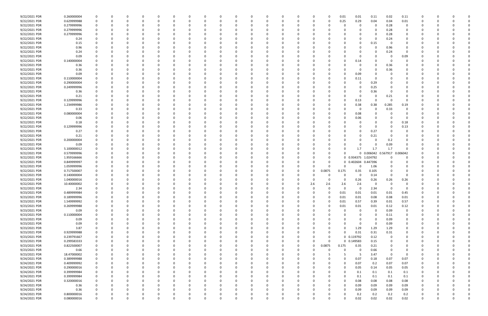| 9/22/2021 PDR                  | 0.260000004                |             |   |          |          | $\Omega$ |          | 0            |          | $\Omega$ |     |          |          |          |                    | 0.01              | 0.01                | 0.11                       | 0.02             | 0.11           |             |          |  |  |
|--------------------------------|----------------------------|-------------|---|----------|----------|----------|----------|--------------|----------|----------|-----|----------|----------|----------|--------------------|-------------------|---------------------|----------------------------|------------------|----------------|-------------|----------|--|--|
| 9/22/2021 PDR                  | 0.629999988                |             |   |          |          |          |          |              |          |          |     |          |          | -0       |                    | 0.25              | 0.29                | 0.04                       | 0.04             | 0.01           |             |          |  |  |
| 9/22/2021 PDR                  | 0.279999996                |             |   |          |          |          |          |              |          |          |     |          |          |          |                    |                   | 0                   | 0                          | 0.28             | 0              |             |          |  |  |
| 9/22/2021 PDR                  | 0.279999996                |             |   |          |          |          |          |              |          |          |     |          |          |          |                    |                   |                     | 0                          | 0.28             | 0              |             |          |  |  |
| 9/22/2021 PDR                  | 0.279999996                |             |   |          |          |          |          |              |          |          |     |          |          |          |                    |                   |                     | 0                          | 0.28             | 0              |             |          |  |  |
| 9/22/2021 PDR                  | 0.24                       |             |   | C.       |          |          |          |              |          |          |     |          |          |          |                    |                   |                     | 0                          | 0.24             | 0              |             |          |  |  |
| 9/22/2021 PDR                  | 0.15                       |             |   |          |          |          |          |              |          |          |     |          |          |          |                    |                   | 0                   | 0.15                       | - 0              | 0              |             |          |  |  |
| 9/22/2021 PDR                  | 0.96                       |             |   |          |          |          |          |              |          |          |     |          |          |          |                    |                   |                     | $\Omega$                   | 0.96             |                |             |          |  |  |
|                                |                            |             |   |          |          |          |          |              |          |          |     |          |          |          |                    |                   |                     |                            | 0.24             | 0              |             |          |  |  |
| 9/22/2021 PDR                  | 0.24                       |             |   |          |          |          |          |              |          |          |     |          |          |          |                    |                   |                     | 0                          |                  |                |             |          |  |  |
| 9/22/2021 PDR                  | 0.09                       |             |   |          |          |          |          |              |          |          |     |          |          |          |                    |                   |                     | $\Omega$                   |                  | 0.09           |             |          |  |  |
| 9/22/2021 PDR                  | 0.140000004                |             |   |          |          |          |          |              |          |          |     |          |          |          |                    |                   | 0.14                | 0                          |                  | O              |             |          |  |  |
| 9/22/2021 PDR                  | 0.36                       |             |   |          |          |          |          |              |          |          |     |          |          |          |                    |                   | 0                   | 0                          | 0.36             |                |             |          |  |  |
| 9/22/2021 PDR                  | 0.36                       |             |   |          |          |          |          |              |          |          |     |          |          |          |                    |                   | 0                   | 0                          | 0.36             |                |             |          |  |  |
| 9/22/2021 PDR                  | 0.09                       |             |   |          |          |          |          |              |          |          |     |          |          |          |                    |                   | 0.09                | -0                         |                  |                |             |          |  |  |
| 9/22/2021 PDR                  | 0.110000004                |             |   |          |          |          |          |              |          |          |     |          |          |          |                    |                   | 0.11                | -0                         |                  |                |             |          |  |  |
| 9/22/2021 PDR                  | 0.290000004                |             |   |          |          |          |          |              |          |          |     |          |          |          |                    |                   | O                   | 0.29                       |                  |                |             |          |  |  |
| 9/22/2021 PDR                  | 0.249999996                |             |   | $\Omega$ |          |          |          |              |          |          |     |          |          |          |                    |                   | 0                   | 0.25                       |                  |                |             |          |  |  |
| 9/22/2021 PDR                  | 0.36                       |             |   |          |          |          |          |              |          |          |     |          |          |          |                    |                   | 0                   | 0.36                       |                  | 0              |             |          |  |  |
| 9/22/2021 PDR                  | 0.21                       |             |   |          |          |          |          |              |          |          |     |          |          |          |                    |                   |                     | -0                         | 0.21             | O              |             |          |  |  |
| 9/22/2021 PDR                  | 0.129999996                |             |   |          |          |          |          |              |          |          |     |          |          |          |                    | 0                 | 0.13                | $\Omega$                   | - 0              | - 0            |             |          |  |  |
| 9/22/2021 PDR                  | 1.234999986                |             |   |          |          |          |          |              |          |          |     |          |          |          |                    |                   | 0.38                | 0.38                       | 0.285            | 0.19           |             |          |  |  |
| 9/22/2021 PDR                  | 0.33                       |             |   |          |          |          |          |              |          |          |     |          |          |          |                    |                   | 0                   | $\Omega$                   | 0.33             | 0              |             |          |  |  |
| 9/22/2021 PDR                  | 0.080000004                |             |   |          |          |          |          |              |          |          |     |          |          |          |                    |                   | 0.08                | 0                          |                  |                |             |          |  |  |
| 9/22/2021 PDR                  | 0.06                       |             |   |          |          |          |          |              |          |          |     |          |          |          |                    |                   | 0.06                | 0                          |                  |                |             |          |  |  |
| 9/22/2021 PDR                  | 0.18                       |             |   |          |          |          |          |              |          |          |     |          |          |          |                    |                   |                     | 0                          |                  | 0.18           |             |          |  |  |
| 9/22/2021 PDR                  | 0.129999996                |             |   |          |          |          |          |              |          |          |     |          |          |          |                    |                   |                     | 0                          |                  | 0.13           |             |          |  |  |
| 9/22/2021 PDR                  | 0.27                       |             |   |          |          |          |          |              |          |          |     |          |          |          |                    |                   | O                   | 0.27                       |                  |                |             |          |  |  |
| 9/22/2021 PDR                  | 0.21                       |             |   |          |          |          |          |              |          |          |     |          |          |          |                    |                   | 0                   | 0.21                       |                  |                |             |          |  |  |
| 9/22/2021 PDR                  | 0.200000004                |             |   |          |          |          |          |              |          |          |     |          |          |          |                    |                   |                     | 0                          | 0.2              |                |             |          |  |  |
| 9/22/2021 PDR                  | 0.09                       |             |   |          |          |          |          |              |          |          |     |          |          |          |                    |                   |                     | $\Omega$                   | 0.09             |                |             |          |  |  |
| 9/22/2021 PDR                  |                            |             |   |          |          |          |          |              |          |          |     |          |          |          |                    |                   |                     |                            |                  | 0              |             |          |  |  |
|                                | 5.100000012<br>0.579999996 |             |   |          |          |          |          |              |          |          |     |          |          |          |                    |                   | 1.7                 | 1.7<br>0 0.006042 0.567917 | 1.7              |                |             |          |  |  |
|                                |                            |             |   |          |          |          |          |              |          |          |     |          |          |          |                    |                   |                     |                            |                  | 0.006042       |             |          |  |  |
| 9/22/2021 PDR                  |                            |             |   |          |          |          |          |              |          |          |     |          |          |          |                    |                   |                     |                            |                  |                |             |          |  |  |
| 9/22/2021 PDR                  | 1.959166666                |             |   |          |          |          |          |              |          |          |     |          |          |          |                    |                   | 0 0.934375 1.024792 |                            |                  | O              |             |          |  |  |
| 9/22/2021 PDR                  | 0.849999997                |             |   |          |          |          |          |              |          |          |     |          |          |          |                    |                   | 0 0.402604 0.447396 |                            |                  |                |             |          |  |  |
| 9/22/2021 PDR                  | 1.059999996                |             |   |          |          |          |          |              |          |          |     |          |          |          |                    | $\Omega$          | 0                   | 1.06                       |                  |                |             |          |  |  |
| 9/22/2021 PDR                  | 0.717500007                |             |   |          |          |          |          |              |          |          |     |          |          | 0        | 0.0875             | 0.175             | 0.35                | 0.105                      |                  |                |             |          |  |  |
| 9/22/2021 PDR                  | 0.140000004                |             |   |          |          |          |          |              |          |          |     |          |          |          |                    | 0                 | 0                   | 0.14                       | - 0              | 0              |             |          |  |  |
| 9/22/2021 PDR                  | 1.040000016                |             |   |          |          |          |          |              |          |          |     |          |          |          |                    | O                 | 0.26                | 0.26                       | 0.26             | 0.26           |             |          |  |  |
| 9/22/2021 PDR                  | 10.40000002                |             |   |          |          |          |          |              |          |          |     |          |          | 2.6      | 2.6                | 2.6               | 2.6                 | 0                          |                  | 0              |             |          |  |  |
| 9/22/2021 PDR                  | 2.34                       |             |   |          |          |          |          |              |          |          |     |          |          | 0        |                    | 0                 | 0                   | 2.34                       |                  | 0              |             |          |  |  |
| 9/23/2021 PDR                  | 0.489999984                | $\Omega$    |   |          |          |          |          |              |          |          |     |          |          |          |                    | 0.01              | 0.01                | 0.01                       | 0.01             | 0.45           |             |          |  |  |
| 9/23/2021 PDR                  | 0.189999996                | $\mathbf 0$ | 0 | $\Omega$ | $\Omega$ | $\Omega$ | $\Omega$ | 0            | 0        | 0        | - 0 | $\Omega$ | $\Omega$ | 0        |                    | 0.01              | 0.01                | 0.08                       | 0.08             | 0.01           | 0           | $\Omega$ |  |  |
| 9/23/2021 PDR                  | 1.549999992                | 0           |   | 0        |          | $\Omega$ |          | <sup>0</sup> |          | 0        |     | O        |          | 0        |                    | 0.01              | 0.57                | 0.39                       | 0.01             | 0.57           | 0           |          |  |  |
| 9/23/2021 PDR                  | 0.269999988                | 0           |   | 0        |          | $\Omega$ |          | 0            |          | $\Omega$ |     |          |          | 0        |                    | 0.01              | 0.01                | 0.01                       | 0.12             | 0.12           | 0           | - 0      |  |  |
| 9/23/2021 PDR                  | 0.09                       |             |   |          |          |          |          |              |          |          |     |          |          | -0       |                    | 0                 | 0                   | $\Omega$                   | 0.09             | 0              |             |          |  |  |
| 9/23/2021 PDR                  | 0.110000004                |             |   |          |          |          |          |              |          |          |     |          |          | -0       |                    |                   | 0                   | 0                          | 0.11             | 0              |             |          |  |  |
| 9/23/2021 PDR                  | 0.09                       |             |   | 0        |          |          |          | 0            |          |          |     |          |          | -0       |                    | 0                 | 0                   | 0                          | 0.09             | 0              | 0           | -0       |  |  |
|                                | 0.09                       |             |   | 0        |          |          |          | 0            |          |          |     |          |          |          |                    | $\Omega$          | 0                   | $\Omega$                   | 0.09             | $\overline{0}$ | 0           |          |  |  |
| 9/23/2021 PDR                  | 3.87                       | $\Omega$    |   | 0        |          | $\Omega$ |          | $\Omega$     |          | 0        |     |          | $\Omega$ | 0        |                    | $\Omega$          | 1.29                | 1.29                       | 1.29             | $\mathbf 0$    | 0           | - 0      |  |  |
| 9/23/2021 PDR                  |                            | 0           |   | 0        |          | 0        |          | 0            |          | 0        |     |          | 0        | 0        |                    | 0                 | 0.31                |                            |                  | 0              | 0           | 0        |  |  |
| 9/23/2021 PDR                  | 0.929999988                |             |   | $\Omega$ |          |          |          |              |          |          |     |          |          | 0        | $\Omega$           |                   |                     | 0.31                       | 0.31<br>$\Omega$ | 0              |             |          |  |  |
| 9/23/2021 PDR                  | 0.239791667                | $\Omega$    |   | 0        |          |          |          | 0            |          |          |     |          | 0        | $\Omega$ |                    |                   | $0$ $0.119792$      | 0.12                       | $\Omega$         | 0              | 0           | 0        |  |  |
| 9/23/2021 PDR                  | 0.299583333                |             |   |          |          |          |          | 0            |          |          |     |          |          |          |                    |                   | 0 0.149583          | 0.15                       |                  |                |             | 0        |  |  |
| 9/23/2021 PDR                  | 0.822500007                | 0           |   | 0        |          | 0        |          |              |          |          |     |          | 0        | 0        | 0.0875<br>$\Omega$ | 0.175<br>$\Omega$ | 0.35                | 0.21                       |                  | 0              |             |          |  |  |
| 9/23/2021 PDR                  | 0.66                       | 0           |   | $\Omega$ |          | $\Omega$ |          | 0            |          |          |     |          | 0        | $\Omega$ |                    |                   | $\mathbf 0$         | 0.66                       | $\Omega$         | 0              |             |          |  |  |
| 9/23/2021 PDR                  | 18.47000002                | 0           |   | 0        |          | $\Omega$ |          | 0            |          | 0        |     |          | $\Omega$ | 0        |                    |                   | - 5                 | 3.47                       | $\Omega$         | $\overline{0}$ | 0           | - 0      |  |  |
| 9/24/2021 PDR                  | 0.389999988                | 0           |   | 0        |          | $\Omega$ |          | 0            |          | 0        |     |          | 0        | 0        |                    | $\Omega$          | 0.07                | 0.18                       | 0.07             | 0.07           | 0           | - 0      |  |  |
| 9/24/2021 PDR                  | 0.409999992                |             |   | n        |          |          |          |              |          |          |     |          |          |          |                    | $\Omega$          | 0.07                | 0.2                        | 0.07             | 0.07           |             |          |  |  |
| 9/24/2021 PDR                  | 0.290000016                | 0           |   |          |          |          |          |              |          |          |     |          |          | 0        |                    | 0                 | 0.05                | 0.14                       | 0.05             | 0.05           |             |          |  |  |
| 9/24/2021 PDR                  | 0.399999984                | 0           |   |          |          |          |          |              |          |          |     |          |          |          |                    | 0                 | 0.1                 | 0.1                        | 0.1              | 0.1            | 0           |          |  |  |
| 9/24/2021 PDR                  | 0.399999984                | $\Omega$    |   | $\Omega$ |          |          |          |              |          |          |     |          |          |          |                    | $\Omega$          | 0.1                 | 0.1                        | 0.1              | 0.1            | 0           |          |  |  |
| 9/24/2021 PDR                  | 0.320000016                | $\Omega$    |   | 0        |          |          |          |              |          |          |     |          |          |          |                    | 0                 | 0.08                | 0.08                       | 0.08             | 0.08           | 0           | -0       |  |  |
| 9/24/2021 PDR                  | 0.36                       |             |   | 0        |          |          |          |              |          |          |     |          |          |          |                    | 0                 | 0.09                | 0.09                       | 0.09             | 0.09           | 0           |          |  |  |
| 9/24/2021 PDR                  | 0.36                       |             |   | 0        |          | 0        |          |              |          |          |     |          |          |          |                    | $\Omega$          | 0.09                | 0.09                       | 0.09             | 0.09           | O           |          |  |  |
| 9/24/2021 PDR<br>9/24/2021 PDR | 0.800000016<br>0.080000016 | $\Omega$    |   | $\Omega$ |          | $\Omega$ | $\Omega$ | 0            | $\Omega$ | $\Omega$ |     | $\Omega$ | $\Omega$ | $\Omega$ |                    | 0<br>ი            | 0.2<br>0.02         | 0.2<br>0.02                | 0.2<br>0.02      | 0.2<br>0.02    | $\mathbf 0$ | $\Omega$ |  |  |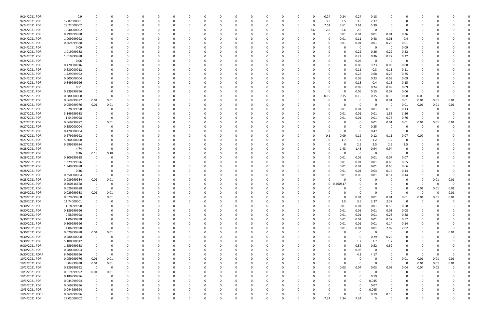| 9/24/2021 PDR  | 0.9         | 0            |          |          |          | $\Omega$ |          |   |          |          | $\Omega$ |          |              | 0        |     | 0.24     | 0.24     | 0.24        | 0.18     |             | O              |             |          |          |  |
|----------------|-------------|--------------|----------|----------|----------|----------|----------|---|----------|----------|----------|----------|--------------|----------|-----|----------|----------|-------------|----------|-------------|----------------|-------------|----------|----------|--|
| 9/24/2021 PDR  | 12.87000001 |              |          |          |          |          |          |   |          |          | 0        |          |              | n        | -C  | 3.5      | 3.5      | 3.5         | 2.37     |             |                |             |          |          |  |
| 9/24/2021 PDR  | 28.22000002 |              |          |          |          |          |          |   |          |          |          |          |              | 0        |     | 7.61     | 7.61     | 7.61        | 5.39     |             |                |             |          |          |  |
| 9/24/2021 PDR  | 10.40000002 |              |          |          |          |          |          |   |          |          |          |          |              | 0        | 2.6 | 2.6      | 2.6      | 2.6         | $\Omega$ | - 0         |                |             |          |          |  |
| 9/24/2021 PDR  | 0.299999988 |              |          |          |          |          |          |   |          |          |          |          |              | C.       |     |          |          | 0.01        |          |             |                |             |          |          |  |
|                |             |              |          |          |          |          |          |   |          |          |          |          |              |          |     |          | 0.01     |             | 0.01     | 0.01        | 0.26           |             |          |          |  |
| 9/24/2021 PDR  | 1.009999992 |              |          |          |          |          |          |   |          |          |          |          |              | C        |     |          | 0.01     | 0.11        | 0.48     | 0.01        | 0.4            |             |          |          |  |
| 9/24/2021 PDR  | 0.269999988 |              |          |          |          |          |          |   |          |          |          |          |              |          |     |          | 0.01     | 0.01        | 0.01     | 0.23        | 0.01           |             |          |          |  |
| 9/24/2021 PDR  | 0.09        |              |          |          |          |          |          |   |          |          |          |          |              |          |     |          |          | 0           |          | - 0         | 0.09           |             |          |          |  |
| 9/24/2021 PDR  | 1.019999988 |              |          |          |          |          |          |   |          |          |          |          |              |          |     |          |          | 0.22        | 0.36     | 0.22        | 0.22           |             |          |          |  |
| 9/24/2021 PDR  | 1.019999988 |              |          |          |          |          |          |   |          |          |          |          |              |          |     |          |          | 0.22        | 0.36     | 0.22        | 0.22           |             |          |          |  |
| 9/24/2021 PDR  | 0.06        |              |          |          |          |          |          |   |          |          |          |          |              |          |     |          |          | 0.06        | - റ      | 0           | 0              |             |          |          |  |
| 9/24/2021 PDR  | 0.470000016 |              |          |          |          |          |          |   |          |          |          |          |              |          |     |          |          | 0.08        | 0.23     | 0.08        | 0.08           |             |          |          |  |
| 9/24/2021 PDR  | 0.630000012 |              |          |          |          |          |          |   |          |          |          |          |              |          |     |          |          | 0.11        | 0.3      | 0.11        | 0.11           |             |          |          |  |
| 9/24/2021 PDR  | 1.429999992 |              |          |          |          |          |          |   |          |          |          |          |              |          |     |          |          | 0.25        | 0.68     | 0.25        | 0.25           |             |          |          |  |
| 9/24/2021 PDR  |             |              |          |          |          |          |          |   |          |          |          |          |              |          |     |          |          |             |          |             |                |             |          |          |  |
|                | 0.500000004 |              |          |          |          |          |          |   |          |          |          |          |              |          |     |          |          | 0.09        | 0.23     | 0.09        | 0.09           |             |          |          |  |
| 9/24/2021 PDR  | 0.849999996 |              |          |          |          |          |          |   |          |          |          |          |              |          |     |          |          | 0.15        | 0.4      | 0.15        | 0.15           |             |          |          |  |
| 9/24/2021 PDR  | 0.51        |              |          |          |          |          |          |   |          |          |          |          |              |          |     |          |          | 0.09        | 0.24     | 0.09        | 0.09           |             |          |          |  |
| 9/24/2021 PDR  | 0.339999996 |              |          |          |          |          |          |   |          |          |          |          |              |          |     |          |          | 0.06        | 0.15     | 0.07        | 0.06           | -0          |          |          |  |
| 9/25/2021 PDR  | 0.880000008 |              |          |          |          |          |          |   |          |          |          |          |              |          |     | 0.15     | 0.15     | 0.15        | 0.15     | 0.15        | 0.08           | 0.05        |          |          |  |
| 9/26/2021 PDR  | 0.069999972 | 0.01         | 0.01     |          |          |          |          |   |          |          |          |          |              |          |     |          |          | 0           |          | 0.01        | 0.01           | 0.01        | 0.01     | 0.01     |  |
| 9/26/2021 PDR  | 0.059999976 | $0.01\,$     | 0.01     |          |          |          |          |   |          |          |          |          |              |          |     |          |          | 0           |          | - 0         | 0.01           | 0.01        | 0.01     | 0.01     |  |
| 9/27/2021 PDR  | 0.28999998  | $\Omega$     |          |          |          |          |          |   |          |          |          |          |              |          |     |          | 0.01     | 0.01        | 0.01     | 0.13        | 0.13           | 0           |          |          |  |
| 9/27/2021 PDR  | 3.149999988 |              |          |          |          |          |          |   |          |          |          |          |              |          |     |          | 0.01     | 0.01        | 0.01     | 1.56        | 1.56           | -0          |          |          |  |
| 9/27/2021 PDR  | 1.54999998  |              |          | n        |          |          |          |   |          |          |          |          |              | n        |     | n        |          | 0.01        |          | 0.76        |                | 0           |          | 0        |  |
|                |             |              |          |          |          |          |          |   |          |          |          |          |              |          |     |          | 0.01     |             | 0.01     |             | 0.76           |             |          |          |  |
| 9/27/2021 PDR  | 0.069999972 |              | 0.01     |          |          |          |          |   |          |          | - 0      |          |              | 0        |     |          |          | - 0         | 0.01     | 0.01        | 0.01           | 0.01        | 0.01     | 0.01     |  |
| 9/27/2021 PDR  | 0.350000004 |              |          |          |          |          |          |   |          |          |          |          |              |          |     |          |          | 0           | 0.35     | 0           | 0              | 0           |          |          |  |
| 9/27/2021 PDR  | 0.470000004 |              |          |          |          |          |          |   |          |          |          |          |              | 0        |     |          |          | 0           | 0.47     | 0           | 0              | -0          |          |          |  |
| 9/27/2021 PDR  | 0.679999992 |              |          |          |          |          |          |   |          |          |          |          |              |          |     | 0.1      | 0.09     | 0.12        | 0.12     | 0.11        | 0.07           | 0.07        |          |          |  |
| 9/27/2021 PDR  | 5.800000008 |              |          |          |          |          |          |   |          |          |          |          |              |          |     |          | 1.7      | 1.7         | 1.2      | 1.2         | 0              |             |          |          |  |
| 9/27/2021 PDR  | 9.999999984 |              |          |          |          |          |          |   |          |          |          |          |              |          |     |          |          | 2.5         | 2.5      | 2.5         | 2.5            |             |          |          |  |
| 9/28/2021 PDR  | 4.74        |              |          |          |          |          |          |   |          |          |          |          |              |          |     |          | 1.43     | 1.43        | 0.94     | 0.94        | 0              |             |          |          |  |
| 9/28/2021 PDR  | 0.36        | 0.18         | 0.18     |          |          |          |          |   |          |          |          |          |              |          |     |          |          | 0           |          | - 0         | $\Omega$       |             |          |          |  |
| 9/28/2021 PDR  | 0.209999988 |              |          |          |          |          |          |   |          |          |          |          |              |          |     |          | 0.01     | 0.05        | 0.01     | 0.07        | 0.07           |             |          |          |  |
|                |             |              |          |          |          |          |          |   |          |          |          |          |              |          |     |          |          |             |          |             |                |             |          |          |  |
| 9/28/2021 PDR  | 1.329999996 |              |          |          |          |          |          |   |          |          |          |          |              |          |     |          | 0.01     | 0.01        | 0.01     | 0.65        | 0.65           |             |          |          |  |
| 9/28/2021 PDR  | 1.349999988 |              |          |          |          |          |          |   |          |          |          |          |              |          |     |          | 0.01     | 0.01        | 0.01     | 0.66        | 0.66           |             |          |          |  |
| 9/28/2021 PDR  | 0.36        |              |          |          |          |          |          |   |          |          |          |          |              |          |     |          | 0.01     | 0.04        | 0.03     | 0.14        | 0.14           |             |          |          |  |
| 9/28/2021 PDR  | 0.350000004 |              |          |          |          |          |          |   |          |          |          |          |              |          |     |          | 0.01     | 0.05        | 0.01     | 0.14        | 0.14           |             |          |          |  |
| 9/28/2021 PDR  | 0.039999984 | 0.01         | 0.01     |          |          |          |          |   |          |          |          |          |              |          |     | U        |          | 0           |          |             |                | -0          | 0.01     | 0.01     |  |
| 9/29/2021 PDR  | 0.460416668 |              |          |          |          |          |          |   |          |          |          |          |              |          |     | 0        | 0.460417 | 0           |          |             |                | -0          | $\Omega$ |          |  |
| 9/29/2021 PDR  | 0.029999988 | 0            |          | $\Omega$ |          |          |          |   |          |          |          |          |              |          |     |          |          | $\Omega$    |          |             | 0              | 0.01        | 0.01     | 0.01     |  |
| 9/29/2021 PDR  | 0.029999988 | 0.01         | 0.01     | $\Omega$ |          |          |          |   |          |          |          |          |              |          |     |          |          | 0           |          | $\mathbf 0$ |                |             |          | 0.01     |  |
| 9/29/2021 PDR  | 0.079999968 | $\mathbf 0$  | 0.01     | 0        | $\Omega$ | $\Omega$ | $\Omega$ | 0 | 0        | O        | 0        | $\Omega$ | $\Omega$     | 0        |     | 0        | $\Omega$ | 0.01        | 0.01     | 0.01        | 0.01           | 0.01        | 0.01     | 0.01     |  |
|                |             |              |          |          |          |          |          |   |          |          |          |          |              |          |     |          |          |             |          |             |                |             |          |          |  |
| 9/29/2021 PDR  | 11.74000001 | 0            | 0        | 0        |          | $\Omega$ |          |   |          |          | 0        | $\Omega$ |              | 0        |     | O        | 3.5      | 3.5         | 2.37     | 2.37        | 0              | $\mathbf 0$ | $\Omega$ |          |  |
| 9/30/2021 PDR  | 1.18999998  | $\mathbf 0$  |          | $\Omega$ |          | $\Omega$ |          |   |          |          | $\Omega$ |          |              | 0        |     | $\Omega$ | 0.01     | 0.01        | 0.01     | 0.58        | 0.58           | - 0         |          |          |  |
| 9/30/2021 PDR  | 0.189999996 | 0            |          |          |          |          |          |   |          |          | 0        |          |              | 0        |     | $\Omega$ | 0.01     | 0.01        | 0.01     | 0.08        | 0.08           |             |          |          |  |
| 9/30/2021 PDR  | 0.58999998  |              |          |          |          |          |          |   |          |          | 0        |          |              |          |     | 0        | 0.01     | 0.01        | 0.01     | 0.28        | 0.28           |             |          |          |  |
| 9/30/2021 PDR  | 1.06999998  | $\Omega$     |          |          |          |          |          |   |          |          | 0        |          | <sup>0</sup> | 0        |     | $\Omega$ | 0.01     | 0.01        | 0.01     | 0.52        | 0.52           | 0           |          |          |  |
| 9/30/2021 PDR  | 0.309999996 | $\mathbf 0$  |          | 0        |          | $\Omega$ |          |   |          |          | $\Omega$ |          |              | 0        |     | 0        | 0.01     | 0.01        | 0.01     | 0.14        | 0.14           |             |          |          |  |
| 9/30/2021 PDR  | 4.06999998  | $\Omega$     |          | $\Omega$ |          |          |          |   |          |          |          |          |              | $\Omega$ |     | U        | 0.01     | 0.01        | 0.01     | 2.02        | 2.02           |             |          |          |  |
| 9/30/2021 PDR  | 0.029999988 | 0.01         | 0.01     | 0        |          |          |          |   |          |          | $\Omega$ |          |              | 0        |     |          |          | $\mathbf 0$ | $\Omega$ | $\mathbf 0$ | 0              | 0           |          | 0.01     |  |
| 9/30/2021 PDR  | 0.580000008 | 0            |          |          |          |          |          |   |          |          |          |          |              |          |     |          |          | 0           | 0.29     | 0.29        | 0              |             |          |          |  |
| 9/30/2021 PDR  |             | $\mathbf 0$  |          |          |          |          |          |   |          |          |          |          |              |          |     |          |          |             |          | 1.7         | 0              |             |          |          |  |
|                | 5.100000012 |              |          |          |          |          |          |   |          |          | 0        |          |              |          |     |          |          | 1.7         | 1.7      |             |                |             |          |          |  |
| 9/30/2021 PDR  | 1.559999988 | 0            |          |          |          |          |          |   |          |          |          |          |              |          |     |          |          | 0.52        | 0.52     | 0.52        |                |             |          |          |  |
| 9/30/2021 PDR  | 0.980000004 | $\Omega$     |          |          |          |          |          |   |          |          |          |          |              |          |     |          |          | 0.98        | $\Omega$ | $\mathbf 0$ | 0              |             |          |          |  |
| 9/30/2021 RDRR | 8.469999996 | $\mathbf 0$  | $\Omega$ |          |          |          |          |   |          |          | 0        |          |              |          |     |          |          | 4.3         | 4.17     | $\Omega$    | $\Omega$       | $\Omega$    |          | $\Omega$ |  |
| 10/2/2021 PDR  | 0.059999976 | 0.01         | 0.01     | 0        |          | 0        |          |   |          |          | $\Omega$ |          |              | 0        |     |          |          | 0           |          | 0           | 0.01           | 0.01        | 0.01     | 0.01     |  |
| 10/2/2021 PDR  | 0.04999998  | $0.01\,$     | 0.01     |          |          | 0        |          |   |          |          | - 0      |          |              | 0        |     |          |          | 0           | $\Omega$ | $\Omega$    | $\overline{0}$ | 0.01        | 0.01     | 0.01     |  |
| 10/2/2021 PDR  | 0.229999992 | $\mathbf{0}$ | 0        |          |          |          |          |   |          |          | 0        |          |              | 0        |     | O        | 0.03     | 0.04        | 0.03     | 0.03        | 0.04           | 0.04        | 0.02     |          |  |
| 10/3/2021 PDR  | 0.019999992 | $0.01\,$     | 0.01     | 0        |          |          |          |   |          |          |          |          |              | 0        |     |          |          | 0           | $\Omega$ | $\mathbf 0$ | 0              | $\Omega$    |          |          |  |
| 10/3/2021 PDR  | 0.189999996 | 0            |          |          |          |          |          |   |          |          |          |          |              |          |     |          |          | 0           | 0.19     | $\mathbf 0$ |                | -0          |          |          |  |
|                |             |              |          |          |          |          |          |   |          |          |          |          |              |          |     |          |          |             |          |             |                |             |          |          |  |
| 10/3/2021 PDR  | 0.044999994 | $\mathbf 0$  |          | 0        |          | $\Omega$ |          |   |          |          | 0        |          |              | 0        |     |          |          | 0           | 0.045    | 0           | 0              | 0           |          |          |  |
| 10/3/2021 PDR  | 0.069999996 | 0            |          | 0        |          | $\Omega$ |          |   |          |          | 0        |          |              | 0        |     |          |          | 0           | 0.07     | 0           |                |             |          |          |  |
| 10/3/2021 PDR  | 0.044999994 |              |          |          |          |          |          |   |          |          |          |          |              |          |     |          |          | $\Omega$    | 0.045    | $\Omega$    |                |             |          |          |  |
| 10/4/2021 RDRR | 0.369999996 |              |          |          |          |          |          |   |          |          |          |          |              |          |     |          |          | $\Omega$    | 0.19     | 0.18        |                |             |          |          |  |
| 10/4/2021 PDR  | 27.02000002 | $\Omega$     |          | $\Omega$ |          | $\Omega$ | $\Omega$ | 0 | $\Omega$ | $\Omega$ | $\Omega$ | $\Omega$ | $\Omega$     | 0        |     | 7.34     | 7.34     | 7.34        | -5       | $\mathbf 0$ | $\Omega$       | 0           |          |          |  |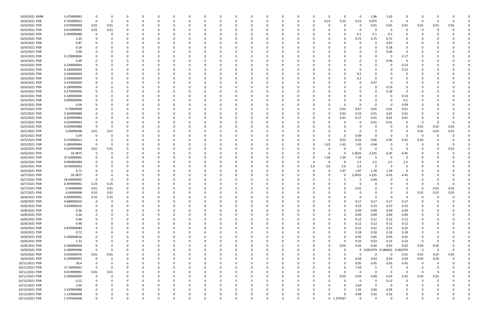| 10/4/2021 RDRR | 5.479999992 |             | 0           |          |          | -C       |          |   |          |          |          | - 0      |          |          |     | 0        | O          | $\mathbf 0$  | 2.86              | 2.62                    |          |                |          |             |  |
|----------------|-------------|-------------|-------------|----------|----------|----------|----------|---|----------|----------|----------|----------|----------|----------|-----|----------|------------|--------------|-------------------|-------------------------|----------|----------------|----------|-------------|--|
| 10/4/2021 PDR  | 0.765000012 | $\mathbf 0$ | $\mathbf 0$ |          | $\Omega$ | 0        | -0       | 0 |          | 0        |          | $\Omega$ |          | 0        |     | 0.23     | 0.23       | 0.23         | 0.075             | $\mathbf 0$             | 0        | $\Omega$       |          |             |  |
| 10/4/2021 PDR  | 0.079999968 | 0.01        | 0.01        |          |          |          |          |   |          |          |          |          |          |          |     | 0        |            | 0            | 0.01              | 0.01                    | 0.01     | 0.01           | 0.01     | 0.01        |  |
|                |             |             |             |          |          |          |          |   |          |          |          |          |          |          |     |          |            |              |                   |                         |          |                |          |             |  |
| 10/4/2021 PDR  | 0.019999992 | 0.01        | 0.01        |          |          |          |          |   |          |          |          |          |          |          |     |          |            | 0            |                   | - 0                     | $\Omega$ | $\Omega$       |          |             |  |
| 10/4/2021 PDR  | 0.299999988 | 0           | 0           |          |          |          |          |   |          |          |          |          |          |          |     |          |            | 0.1          | 0.1               | 0.1                     |          |                |          |             |  |
| 10/4/2021 PDR  | 2.25        |             |             |          |          |          |          |   |          |          |          |          |          |          |     |          |            | 0.75         | 0.75              | 0.75                    |          |                |          |             |  |
|                |             |             |             |          |          |          |          |   |          |          |          |          |          |          |     |          |            |              |                   |                         |          |                |          |             |  |
| 10/4/2021 PDR  | 0.87        |             |             |          |          |          |          |   |          |          |          |          |          |          |     |          |            | $\Omega$     |                   | 0.87                    |          |                |          |             |  |
| 10/4/2021 PDR  | 0.18        |             |             |          |          |          |          |   |          |          |          |          |          |          |     |          |            | 0            |                   | 0.18                    |          |                |          |             |  |
|                | 0.09        |             |             |          |          |          |          |   |          |          |          |          |          |          |     |          |            |              |                   |                         |          |                |          |             |  |
| 10/4/2021 PDR  |             |             |             |          |          |          |          |   |          |          |          |          |          |          |     |          |            |              |                   | 0.09                    | 0        |                |          |             |  |
| 10/4/2021 PDR  | 0.170000004 |             |             |          |          |          |          |   |          |          |          |          |          |          |     |          |            |              |                   | - 0                     | 0.17     |                |          |             |  |
| 10/4/2021 PDR  | 0.09        |             |             |          |          |          |          |   |          |          |          |          |          |          |     |          |            | 0            |                   | 0.09                    | 0        |                |          |             |  |
| 10/4/2021 PDR  | 0.230000004 |             |             |          |          |          |          |   |          |          |          |          |          |          |     |          |            |              |                   | - 0                     |          |                |          |             |  |
|                |             |             |             |          |          |          |          |   |          |          |          |          |          |          |     |          |            | 0            |                   |                         | 0.23     |                |          |             |  |
| 10/4/2021 PDR  | 0.230000004 |             |             |          |          |          |          |   |          |          |          |          |          |          |     |          |            | $\Omega$     |                   |                         | 0.23     |                |          |             |  |
| 10/4/2021 PDR  | 0.200000004 |             |             |          |          |          |          |   |          |          |          |          |          |          |     |          |            | 0.2          |                   |                         | 0        |                |          |             |  |
|                |             |             |             |          |          |          |          |   |          |          |          |          |          |          |     |          |            |              |                   |                         |          |                |          |             |  |
| 10/4/2021 PDR  | 0.200000004 |             |             |          |          |          |          |   |          |          |          |          |          |          |     |          |            | 0.2          |                   |                         |          |                |          |             |  |
| 10/4/2021 PDR  | 0.470000004 |             |             |          |          |          |          |   |          |          |          |          |          |          |     |          |            | 0            | 0.47              |                         |          |                |          |             |  |
| 10/4/2021 PDR  | 0.189999996 |             |             |          |          |          |          |   |          |          |          |          |          |          |     |          |            | 0            |                   | 0.19                    |          |                |          |             |  |
|                |             |             |             |          |          |          |          |   |          |          |          |          |          |          |     |          |            |              |                   |                         |          |                |          |             |  |
| 10/4/2021 PDR  | 0.279999996 |             |             |          |          |          |          |   |          |          |          |          |          |          |     |          |            | -0           |                   | 0.28                    | O        |                |          |             |  |
| 10/4/2021 PDR  | 0.140000004 |             |             |          |          |          |          |   |          |          |          |          |          |          |     |          |            |              |                   | - 0                     | 0.14     |                |          |             |  |
| 10/4/2021 PDR  | 0.099999996 |             |             |          |          |          |          |   |          |          |          |          |          |          |     |          |            | $\Omega$     |                   | - 0                     | 0.1      |                |          |             |  |
|                |             |             |             |          |          |          |          |   |          |          |          |          |          |          |     |          |            |              |                   |                         |          |                |          |             |  |
| 10/4/2021 PDR  | 0.09        |             |             |          |          |          |          |   |          |          |          |          |          |          |     |          |            | 0            |                   | - 0                     | 0.09     |                |          |             |  |
| 10/5/2021 PDR  | 0.70999998  |             |             |          |          |          |          |   |          |          |          |          |          |          |     |          | 0.01       | 0.67         | 0.01              | 0.01                    | 0.01     |                |          |             |  |
| 10/5/2021 PDR  | 0.269999988 |             |             |          |          |          |          |   |          |          |          |          |          |          |     |          | 0.01       | 0.23         | 0.01              | 0.01                    | 0.01     |                |          |             |  |
|                |             |             |             |          |          |          |          |   |          |          |          |          |          |          |     |          |            |              |                   |                         |          |                |          |             |  |
| 10/5/2021 PDR  | 0.309999984 |             |             |          |          |          |          |   |          |          |          |          |          |          |     | O        | 0.01       | 0.27         | 0.01              | 0.01                    | 0.01     |                |          |             |  |
| 10/5/2021 PDR  | 0.019999992 |             | 0           |          |          |          |          |   |          |          |          |          |          |          |     |          |            | 0            | 0.01              | 0.01                    | 0        | 0              |          |             |  |
| 10/5/2021 PDR  |             | $\Omega$    | 0           |          |          |          |          |   |          |          |          |          |          |          |     |          |            | 0            |                   | - 0                     | 0        |                |          | 0.01        |  |
|                | 0.029999988 |             |             |          |          |          |          |   |          |          |          |          |          |          |     |          |            |              |                   |                         |          | 0.01           | 0.01     |             |  |
| 10/5/2021 PDR  | 0.04999998  | 0.01        | 0.01        |          |          |          |          |   |          |          |          |          |          |          |     |          |            | 0            |                   | - 0                     | 0        | 0.01           | 0.01     | 0.01        |  |
| 10/5/2021 PDR  | 0.09        | 0           | 0           |          |          |          |          |   |          |          |          |          |          |          |     |          |            | 0.09         |                   | - 0                     | 0        | -0             |          |             |  |
|                |             |             |             |          |          |          |          |   |          |          |          |          |          |          |     |          |            |              |                   |                         |          |                |          |             |  |
| 10/5/2021 PDR  | 0.210000012 |             | 0           |          |          |          |          |   |          | $\Omega$ |          |          |          |          |     | 0        | 0.02       | 0.03         | 0.06              | 0.05                    | 0.02     | 0.03           |          |             |  |
| 10/5/2021 PDR  | 5.289999984 | 0           | 0           |          |          |          |          |   |          |          |          |          |          |          |     | 1.45     | 1.45       | 1.45         | 0.94              | - 0                     | 0        |                |          | $\Omega$    |  |
| 10/6/2021 PDR  | 0.029999988 | 0.01        | 0.01        |          |          |          |          |   |          |          |          |          |          |          |     | n        |            | 0            |                   | - 0                     |          |                |          | 0.01        |  |
|                |             |             |             |          |          |          |          |   |          |          |          |          |          |          |     |          |            |              |                   |                         |          |                |          |             |  |
| 10/6/2021 PDR  | 18.3875     |             |             |          |          |          |          |   |          |          |          |          |          |          |     | O        |            | 2.2625       | 3.225             | 6.45                    | 6.45     |                |          |             |  |
| 10/6/2021 PDR  | 27.02000002 |             |             |          |          |          |          |   |          |          |          |          |          |          |     | 7.34     | 7.34       | 7.34         | -5                | - 0                     |          |                |          |             |  |
| 10/6/2021 PDR  | 9.999999984 |             |             |          |          |          |          |   |          |          |          |          |          |          |     | 0        | O          | 2.5          | $2.5\,$           | 2.5                     | 2.5      |                |          |             |  |
|                |             |             |             |          |          |          |          |   |          |          |          |          |          |          |     |          |            |              |                   |                         |          |                |          |             |  |
| 10/6/2021 PDR  | 10.40000002 |             |             |          |          |          |          |   |          |          |          |          |          |          | 2.6 | 2.6      | 2.6        | 2.6          | $\Omega$          | $\Omega$                | $\Omega$ |                |          |             |  |
| 10/6/2021 PDR  | 6.72        |             |             |          |          |          |          |   |          |          |          |          |          |          |     | $\Omega$ | 1.97       | 1.97         | 1.39              | 1.39                    |          |                |          |             |  |
| 10/7/2021 PDR  | 18.3875     |             |             |          |          |          |          |   |          |          |          |          |          |          |     |          | O          | 2.2625       | 3.225             | 6.45                    | 6.45     |                |          |             |  |
|                |             |             |             |          |          |          |          |   |          |          |          |          |          |          |     |          |            |              |                   |                         |          |                |          |             |  |
| 10/7/2021 PDR  | 18.44000002 |             | 0           |          |          |          |          |   |          |          |          |          |          |          |     |          |            | -5           | 3.44              |                         |          |                |          |             |  |
| 10/7/2021 PDR  | 0.499999992 | 0.25        | 0.25        |          |          |          |          |   |          |          |          |          |          |          |     |          |            | 0            |                   |                         |          |                |          |             |  |
|                |             |             |             |          |          |          |          |   |          |          |          |          |          |          |     |          |            |              |                   |                         |          |                |          |             |  |
| 10/7/2021 PDR  | 0.04999998  | 0.01        | 0.01        |          | $\Omega$ |          |          |   |          | $\Omega$ |          |          |          |          |     |          | O          | 0.01         |                   | $\Omega$                | 0        | 0              | 0.01     | 0.01        |  |
| 10/7/2021 PDR  | 0.04999998  | 0.01        | 0.01        | $\Omega$ | $\Omega$ |          |          |   |          |          |          |          |          |          |     |          |            |              |                   | $\mathbf 0$             | $\Omega$ | 0.01           | 0.01     | 0.01        |  |
| 10/8/2021 PDR  | 0.499999992 | 0.25        | 0.25        |          | $\Omega$ | 0        | - വ      | 0 |          | 0        | $\Omega$ | $\Omega$ | 0        | -0       |     | O        | O          | $\mathbf{0}$ | $\Omega$          | $\mathbf 0$             | $\Omega$ | 0              |          |             |  |
|                |             |             |             |          |          |          |          |   |          |          |          |          |          |          |     |          |            |              |                   |                         |          |                |          |             |  |
| 10/8/2021 PDR  | 0.680000016 | 0           | 0           |          | 0        | O        | $\Omega$ | 0 |          | 0        |          | $\Omega$ |          | 0        |     | 0        | $\Omega$   | 0.17         | 0.17              | 0.17                    | 0.17     | 0              |          |             |  |
| 10/8/2021 PDR  | 0.920000016 | 0           | $\Omega$    |          | 0        |          |          | 0 |          | 0        |          | 0        |          |          |     |          | $\Omega$   | 0.23         | 0.23              | 0.23                    | 0.23     |                |          |             |  |
| 10/8/2021 PDR  | 0.36        | $\Omega$    |             |          | $\Omega$ | 0        |          | 0 |          | 0        |          | O        |          |          |     | 0        | $\Omega$   | 0.09         | 0.09              | 0.09                    | 0.09     |                |          |             |  |
|                |             |             |             |          |          |          |          |   |          |          |          |          |          |          |     |          |            |              |                   |                         |          |                |          |             |  |
| 10/8/2021 PDR  | 0.36        | 0           |             |          |          |          |          | 0 |          | 0        |          | 0        |          |          |     | 0        | $\Omega$   | 0.09         | 0.09              | 0.09                    | 0.09     |                |          |             |  |
| 10/8/2021 PDR  | 0.48        |             |             |          |          |          |          |   |          | $\Omega$ |          |          |          |          |     |          | $\Omega$   | 0.12         | 0.12              | 0.12                    | 0.12     |                |          |             |  |
| 10/8/2021 PDR  | 0.48        |             |             |          |          | O        |          | 0 |          | 0        |          | $\Omega$ |          |          |     | 0        | $\Omega$   | 0.12         | 0.12              | 0.12                    | 0.12     | 0              |          |             |  |
|                |             |             |             |          |          |          |          |   |          |          |          |          |          |          |     |          |            |              |                   |                         |          |                |          |             |  |
| 10/8/2021 PDR  | 0.879999984 |             |             |          | 0        | 0        |          | 0 |          | 0        |          | 0        |          | $\Omega$ |     | 0        | $\Omega$   | 0.22         | 0.22              | 0.22                    | 0.22     | 0              |          |             |  |
| 10/8/2021 PDR  | 0.72        |             |             |          | 0        | 0        |          | 0 |          | 0        |          | 0        |          |          |     | ი        | 0          | 0.18         | 0.18              | 0.18                    | 0.18     |                |          |             |  |
| 10/8/2021 PDR  | 0.200000016 |             |             |          | 0        | 0        |          | 0 |          | 0        |          | 0        |          |          |     | 0        | $\Omega$   | 0.05         | 0.05              | 0.05                    | 0.05     | 0              |          |             |  |
|                |             |             |             |          |          |          |          |   |          |          |          |          |          |          |     |          |            |              |                   |                         |          |                |          |             |  |
| 10/8/2021 PDR  | 1.32        |             |             |          |          |          |          | 0 |          |          |          | 0        |          |          |     | 0        | $\Omega$   | 0.33         | 0.33              | 0.33                    | 0.33     | 0              |          |             |  |
| 10/8/2021 PDR  | 0.200000004 |             |             |          |          | 0        |          |   |          | 0        |          | 0        |          |          |     | $\Omega$ | 0.03       | 0.03         | 0.04              | 0.03                    | 0.02     | 0.03           | $0.02\,$ |             |  |
| 10/8/2021 PDR  | 0.189999996 | 0           | 0           |          | 0        | 0        |          | 0 |          | 0        |          | $\Omega$ |          | 0        |     | 0        | 0          | $\mathbf 0$  | 0.001979 0.186042 |                         | 0.001979 | $\overline{0}$ | 0        | 0           |  |
|                |             |             |             |          |          |          |          |   |          |          |          |          |          |          |     |          |            |              |                   |                         |          |                |          |             |  |
| 10/9/2021 PDR  | 0.059999976 | 0.01        | 0.01        |          | 0        | 0        |          | 0 |          | 0        |          | 0        |          | 0        |     | 0        | 0          | $\mathbf{0}$ | $\Omega$          | $\mathbf 0$             | 0.01     | 0.01           | 0.01     | 0.01        |  |
| 10/9/2021 PDR  | 0.199999992 | 0           | $\Omega$    |          | 0        | 0        |          | 0 |          | $\Omega$ |          | $\Omega$ |          | $\Omega$ |     | O        | $\Omega$   | 0.04         | 0.03              | 0.03                    | 0.04     | 0.04           | 0.02     |             |  |
| 10/11/2021 PDR |             | 0           | $\Omega$    |          | 0        | 0        |          | 0 |          | 0        |          | 0        |          |          |     | 0        | $\Omega$   |              | 6.45              | 6.45                    |          | 0              |          |             |  |
|                | 28.4        |             |             |          |          |          |          |   |          |          |          |          |          |          |     |          |            | 9.05         |                   |                         | 6.45     |                |          |             |  |
| 10/11/2021 PDR | 17.34000001 | $\mathbf 0$ | 0           |          |          |          |          | 0 |          | 0        |          |          |          |          |     |          | 0          | 7.34         | -5                | - 5                     | 0        | $\Omega$       |          |             |  |
| 10/11/2021 PDR | 0.019999992 | 0.01        | 0.01        |          | 0        | 0        |          |   |          | 0        |          | 0        |          |          |     | 0        | $\Omega$   | $\mathbf{0}$ | $\Omega$          | $\Omega$                | 0        | $\Omega$       |          |             |  |
|                |             | $\mathbf 0$ |             |          |          |          |          | 0 |          |          |          |          |          |          |     |          |            |              |                   |                         |          |                |          |             |  |
| 10/11/2021 PDR | 0.200000004 |             | 0           |          |          |          |          |   |          | 0        |          | 0        |          |          |     | 0        | 0.03       | 0.03         | 0.04              | 0.03                    | 0.02     | 0.03           | 0.02     |             |  |
| 10/12/2021 PDR | 0.12        | 0           | $\Omega$    |          | 0        |          |          | 0 |          | 0        |          | $\Omega$ |          |          |     | 0        | $\Omega$   | $\mathbf{0}$ | 0                 | 0.12                    | 0        | 0              |          |             |  |
| 10/12/2021 PDR | 2.64        | 0           | 0           |          | 0        | 0        |          | 0 |          | 0        |          | 0        |          | 0        |     | 0        | $\Omega$   | 2.64         | $\Omega$          | $\overline{\mathbf{0}}$ | 0        | 0              |          |             |  |
|                |             |             |             |          |          |          |          |   |          |          |          |          |          |          |     |          |            |              |                   |                         |          |                |          |             |  |
| 10/12/2021 PDR | 3.329999988 |             |             |          |          |          |          |   |          | $\Omega$ |          |          |          |          |     |          |            | 1.45         | 0.94              | 0.94                    |          |                |          |             |  |
| 10/12/2021 PDR | 1.120000008 |             |             |          |          |          |          |   |          | 0        |          |          |          |          |     | 0        |            | 0.48         | 0.32              | 0.32                    |          |                |          |             |  |
| 10/13/2021 PDR | 1.379166668 | $\mathbf 0$ | 0           | $\Omega$ | $\Omega$ | $\Omega$ | 0        | 0 | $\Omega$ | 0        |          | $\Omega$ | $\Omega$ | 0        |     |          | 0 1.379167 | $\mathbf 0$  | $\Omega$          | $\mathbf 0$             | 0        | 0              |          | $\mathbf 0$ |  |
|                |             |             |             |          |          |          |          |   |          |          |          |          |          |          |     |          |            |              |                   |                         |          |                |          |             |  |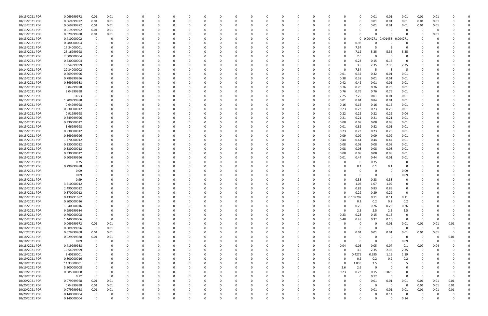| 10/13/2021 PDR | 0.069999972 | 0.01        | 0.01     | 0           |          | 0        | O |          |          |          |          | <sup>0</sup> |              | 0        |          |             |          | $\Omega$     | 0.01                         | 0.01                    | 0.01           | 0.01                    | 0.01     |          |          |
|----------------|-------------|-------------|----------|-------------|----------|----------|---|----------|----------|----------|----------|--------------|--------------|----------|----------|-------------|----------|--------------|------------------------------|-------------------------|----------------|-------------------------|----------|----------|----------|
| 10/13/2021 PDR | 0.069999972 | 0.01        | $0.01\,$ | $\Omega$    |          | -0       |   |          |          |          |          |              |              | 0        |          |             |          | 0            | 0.01                         | $0.01\,$                | 0.01           | 0.01                    | 0.01     |          |          |
| 10/13/2021 PDR | 0.069999972 | 0.01        | 0.01     | 0           |          |          |   |          |          |          |          |              |              |          |          |             |          | 0            | 0.01                         | 0.01                    | 0.01           | 0.01                    | 0.01     |          |          |
| 10/13/2021 PDR | 0.019999992 | 0.01        | 0.01     | $\Omega$    |          |          |   |          |          |          |          |              |              |          |          |             |          |              |                              |                         |                | 0                       | -0       |          |          |
|                |             |             |          |             |          |          |   |          |          |          |          |              |              |          |          |             |          |              |                              |                         |                |                         |          |          |          |
| 10/13/2021 PDR | 0.029999988 | 0.01        | 0.01     |             |          |          |   |          |          |          |          |              |              |          |          |             |          | 0            |                              |                         |                |                         | 0.01     |          |          |
| 10/13/2021 PDR | 0.410000002 | 0           | $\Omega$ |             |          |          |   |          |          |          |          |              |              |          |          |             | O        | 0            | 0.004271  0.401458  0.004271 |                         |                |                         | - 0      |          |          |
| 10/13/2021 PDR | 0.980000004 |             |          |             |          |          |   |          |          |          |          |              |              |          |          |             |          | 0.98         |                              |                         | 0              |                         |          |          |          |
| 10/13/2021 PDR | 17.34000001 |             |          |             |          |          |   |          |          |          |          |              |              |          |          |             |          | 7.34         |                              | -5                      | $\Omega$       |                         |          |          |          |
| 10/13/2021 PDR | 23.16999998 |             |          |             |          |          |   |          |          |          |          |              |              |          |          |             |          | 7.12         | 5.35                         | 5.35                    | 5.35           |                         |          |          |          |
| 10/13/2021 PDR | 2.600000004 |             |          |             |          |          |   |          |          |          |          |              |              |          |          |             |          | 2.6          | $\Omega$                     | $\Omega$                | $\mathbf 0$    |                         |          |          |          |
| 10/13/2021 PDR | 0.530000004 |             |          |             |          |          |   |          |          |          |          |              |              |          |          |             | n        | 0.23         | 0.15                         | 0.15                    | 0              |                         |          |          |          |
| 10/14/2021 PDR | 10.54999999 |             |          |             |          |          |   |          |          |          |          |              |              |          |          |             |          | 3.5          | 2.35                         | 2.35                    | 2.35           |                         |          |          |          |
| 10/14/2021 PDR | 22.34000002 |             |          |             |          |          |   |          |          |          |          |              |              |          |          |             |          |              | -5                           | - 5                     | 5              |                         |          |          |          |
|                |             |             |          |             |          |          |   |          |          |          |          |              |              |          |          |             |          | 7.34         |                              |                         |                |                         |          |          |          |
| 10/15/2021 PDR | 0.669999996 |             |          |             |          |          |   |          |          |          |          |              |              |          |          | 0           | 0.01     | 0.32         | 0.32                         | 0.01                    | 0.01           |                         |          |          |          |
| 10/15/2021 PDR | 0.789999996 |             |          |             |          |          |   |          |          |          |          |              |              |          |          |             | 0.38     | 0.38         | 0.01                         | 0.01                    | 0.01           |                         |          |          |          |
| 10/15/2021 PDR | 0.869999988 |             |          |             |          |          |   |          |          |          |          |              |              |          |          |             | 0.42     | 0.42         | 0.01                         | 0.01                    | 0.01           |                         |          |          |          |
| 10/15/2021 PDR | 3.04999998  |             |          |             |          |          |   |          |          |          |          |              |              |          |          |             | 0.76     | 0.76         | 0.76                         | 0.76                    | 0.01           |                         |          |          |          |
| 10/15/2021 PDR | 3.04999998  |             |          |             |          |          |   |          |          |          |          |              |              |          |          |             | 0.76     | 0.76         | 0.76                         | 0.76                    | 0.01           |                         |          |          |          |
| 10/15/2021 PDR | 14.53       |             |          |             |          |          |   |          |          |          |          |              |              |          |          |             | 7.25     | 7.25         | 0.01                         | 0.01                    | 0.01           |                         |          |          |          |
| 10/15/2021 PDR | 1.709999988 |             |          |             |          |          |   |          |          |          |          |              |              |          |          |             | 0.01     | 0.84         | 0.84                         | 0.01                    | 0.01           |                         |          |          |          |
| 10/15/2021 PDR | 0.64999998  |             |          |             |          |          |   |          |          |          |          |              |              |          |          | 0           | 0.16     | 0.16         | 0.16                         | 0.16                    | 0.01           |                         |          |          |          |
| 10/15/2021 PDR |             |             |          |             |          |          |   |          |          |          |          |              |              |          |          |             |          |              |                              | 0.23                    |                |                         |          |          |          |
|                | 0.930000012 |             |          |             |          |          |   |          |          |          |          |              |              |          |          |             | 0.23     | 0.23         | 0.23                         |                         | 0.01           |                         |          |          |          |
| 10/15/2021 PDR | 0.91999998  |             |          |             |          |          |   |          |          |          |          |              |              |          |          |             | 0.22     | 0.22         | 0.22                         | 0.22                    | 0.04           |                         |          |          |          |
| 10/15/2021 PDR | 0.849999996 |             |          |             |          |          |   |          |          |          |          |              |              |          |          |             | 0.21     | 0.21         | 0.21                         | 0.21                    | 0.01           |                         |          |          |          |
| 10/15/2021 PDR | 0.330000012 |             |          |             |          |          |   |          |          |          |          |              |              |          |          |             | 0.08     | 0.08         | 0.08                         | 0.08                    | 0.01           |                         |          |          |          |
| 10/15/2021 PDR | 1.66999998  |             |          |             |          |          |   |          |          |          |          |              |              |          |          |             | 0.01     | 0.82         | 0.82                         | 0.01                    | 0.01           |                         |          |          |          |
| 10/15/2021 PDR | 0.930000012 |             |          |             |          |          |   |          |          |          |          |              |              |          |          |             | 0.23     | 0.23         | 0.23                         | 0.23                    | 0.01           |                         |          |          |          |
| 10/15/2021 PDR | 0.369999996 |             |          |             |          |          |   |          |          |          |          |              |              |          |          |             | 0.09     | 0.09         | 0.09                         | 0.09                    | 0.01           |                         |          |          |          |
| 10/15/2021 PDR | 1.770000012 |             |          |             |          |          |   |          |          |          |          |              |              |          |          |             | 0.44     | 0.44         | 0.44                         | 0.44                    | 0.01           |                         |          |          |          |
| 10/15/2021 PDR | 0.330000012 |             |          |             |          |          |   |          |          |          |          |              |              |          |          |             | 0.08     | 0.08         | 0.08                         | 0.08                    | 0.01           |                         |          |          |          |
| 10/15/2021 PDR | 0.330000012 |             |          |             |          |          |   |          |          |          |          |              |              |          |          |             | 0.08     | 0.08         | 0.08                         | 0.08                    | 0.01           |                         |          |          |          |
|                |             |             |          |             |          |          |   |          |          |          |          |              |              |          |          |             |          |              |                              |                         |                |                         |          |          |          |
| 10/15/2021 PDR | 0.330000012 |             |          |             |          |          |   |          |          |          |          |              |              |          |          |             | 0.08     | 0.08         | 0.08                         | 0.08                    | 0.01           |                         |          |          |          |
| 10/15/2021 PDR | 0.909999996 |             |          |             |          |          |   |          |          |          |          |              |              |          |          |             | 0.01     | 0.44         | 0.44                         | 0.01                    | 0.01           |                         |          |          |          |
| 10/15/2021 PDR | 0.75        |             |          |             |          |          |   |          |          |          |          |              |              |          |          |             |          | 0            | 0.75                         | 0                       | 0              |                         |          |          |          |
| 10/15/2021 PDR | 0.299999988 |             |          |             |          |          |   |          |          |          |          |              |              |          |          |             |          | 0.1          | 0.1                          | 0.1                     | $\mathbf 0$    |                         |          |          |          |
| 10/15/2021 PDR | 0.09        |             |          |             |          |          |   |          |          |          |          |              |              |          |          |             |          | 0            |                              | - 0                     | 0.09           |                         |          |          |          |
| 10/15/2021 PDR | 0.09        |             |          |             |          |          |   |          |          |          |          |              |              |          |          |             |          | 0            | - 0                          | - 0                     | 0.09           |                         |          |          |          |
| 10/15/2021 PDR | 0.99        |             |          |             |          |          |   |          |          |          |          |              |              |          |          |             |          | 0.33         | 0.33                         | 0.33                    |                |                         |          |          |          |
| 10/15/2021 PDR | 3.210000012 |             |          |             |          |          |   |          |          |          |          |              |              |          |          |             |          | 1.07         | 1.07                         | 1.07                    |                |                         |          |          |          |
| 10/15/2021 PDR | 2.490000012 |             |          |             |          |          |   |          |          |          |          |              |              |          |          |             | 0        | 0.83         | 0.83                         | 0.83                    |                |                         |          |          |          |
| 10/15/2021 PDR | 0.870000012 | $\mathbf 0$ | $\Omega$ |             |          |          |   |          |          |          |          |              |              |          |          |             |          | 0.29         | 0.29                         | 0.29                    |                |                         |          |          |          |
|                |             |             |          |             |          |          |   |          |          |          |          |              |              |          |          |             |          |              |                              |                         |                |                         |          |          |          |
| 10/15/2021 PDR | 0.439791682 | 0           | 0        | $\Omega$    | 0        | $\Omega$ | 0 | $\Omega$ | $\Omega$ | $\Omega$ | 0        | $\Omega$     | $\Omega$     | $\Omega$ | $\Omega$ | $\mathbf 0$ |          | 0 0.109792   | 0.11                         | 0.11                    | 0.11           | 0                       |          |          |          |
| 10/15/2021 PDR | 0.800000016 | 0           | $\Omega$ |             | 0        | - 0      | 0 |          |          |          | $\Omega$ |              | <sup>0</sup> | 0        |          | $\Omega$    | $\Omega$ | 0.2          | 0.2                          | 0.2                     | 0.2            | 0                       |          |          |          |
| 10/15/2021 PDR | 1.040000016 | 0           |          | O           | 0        | - 0      |   |          |          | - 0      |          | 0            |              | $\Omega$ |          |             | $\Omega$ | 0.26         | 0.26                         | 0.26                    | 0.26           | 0                       |          |          |          |
| 10/15/2021 PDR | 9.999999984 |             |          |             |          |          |   |          |          |          |          |              |              |          |          |             | $\Omega$ | 2.5          | 2.5                          | 2.5                     | 2.5            |                         |          |          |          |
| 10/15/2021 PDR | 0.760000008 |             |          |             |          |          |   |          |          |          |          |              |              |          |          | 0           | 0.23     | 0.23         | 0.15                         | 0.15                    | 0              |                         |          |          |          |
| 10/15/2021 PDR | 1.440000006 | $\mathbf 0$ | $\Omega$ | 0           |          |          |   |          |          |          |          | 0            |              | 0        |          | 0           | 0.48     | 0.48         | 0.32                         | 0.16                    | $\overline{0}$ | -0                      |          |          |          |
| 10/16/2021 PDR | 0.069999972 | 0.01        | $0.01\,$ | 0           |          |          |   |          |          |          |          |              |              |          |          |             |          | 0            | $\Omega$                     | 0.01                    | 0.01           | 0.01                    | 0.01     | 0.01     |          |
| 10/16/2021 PDR | 0.009999996 | $\mathbf 0$ | 0.01     | 0           | 0        | 0        |   |          |          |          |          | $\Omega$     | <sup>0</sup> | $\Omega$ |          | 0           | 0        | $\mathsf{o}$ | $\Omega$                     | $\overline{\mathbf{0}}$ | $\overline{0}$ | $\overline{\mathbf{0}}$ | $\Omega$ | $\Omega$ |          |
| 10/17/2021 PDR | 0.079999968 | 0.01        | 0.01     | 0           | 0        | $\Omega$ |   |          |          |          |          | 0            |              | 0        |          |             | O        | 0.01         | 0.01                         | 0.01                    | 0.01           | 0.01                    | 0.01     | $\Omega$ |          |
| 10/18/2021 PDR | 0.029999988 | 0.01        | 0.01     | 0           |          |          |   |          |          |          |          | $\Omega$     |              |          |          |             |          | 0            | $\Omega$                     | $\Omega$                | $\overline{0}$ | 0                       | 0        | 0.01     |          |
|                |             |             |          |             |          |          |   |          |          |          |          |              |              |          |          |             |          |              |                              |                         |                |                         |          |          |          |
| 10/18/2021 PDR | 0.09        | 0           | - 0      | 0           |          |          |   |          |          |          |          |              |              |          |          | 0           | $\Omega$ | 0            | $\Omega$                     | $\Omega$                | 0.09           | - 0                     | -0       |          |          |
| 10/18/2021 PDR | 0.419999988 | 0           | 0        | 0           |          |          |   |          |          |          |          |              |              |          |          | 0           | 0.04     | 0.05         | 0.05                         | 0.07                    | 0.1            | 0.07                    | 0.04     |          |          |
| 10/18/2021 PDR | 10.54999999 | 0           |          | $\Omega$    | 0        |          |   |          |          |          |          | 0            |              | 0        |          | 0           | $\Omega$ | 3.5          | 2.35                         | 2.35                    | 2.35           | $\overline{0}$          | $\Omega$ |          |          |
| 10/19/2021 PDR | 3.40250001  | 0           |          | 0           |          | 0        |   |          |          |          |          | 0            |              | 0        |          | 0           | 0        | 0.4275       | 0.595                        | 1.19                    | 1.19           | 0                       |          |          |          |
| 10/19/2021 PDR | 0.800000016 | 0           | $\Omega$ | 0           | 0        | 0        |   |          |          |          | 0        | $\Omega$     |              | $\Omega$ |          | ი           | $\Omega$ | 0.2          | 0.2                          | 0.2                     | 0.2            | 0                       |          |          |          |
| 10/19/2021 PDR | 14.33500001 | 0           |          | $\Omega$    |          | 0        |   |          |          | 0        |          | $\Omega$     |              | 0        |          | $\Omega$    | $\Omega$ | 1.835        | 2.5                          | -5                      | 5              |                         |          |          |          |
| 10/19/2021 PDR | 5.200000008 | $\mathbf 0$ |          |             |          |          |   |          |          |          |          |              |              | - 0      |          | 0           | 2.6      | 2.6          | $\Omega$                     | $\Omega$                |                |                         |          |          |          |
| 10/19/2021 PDR | 0.685000008 | 0           |          |             |          |          |   |          |          |          |          |              |              |          |          | 0           | 0.23     | 0.23         | 0.15                         | 0.075                   |                |                         |          |          |          |
| 10/19/2021 PDR | 0.12        | $\mathbf 0$ | 0        |             |          |          |   |          |          |          |          |              |              |          |          |             |          | $\mathbf 0$  | 0.12                         | $\Omega$                | 0              | $\mathbf 0$             |          |          |          |
|                |             |             |          |             |          |          |   |          |          |          |          |              |              |          |          |             |          |              |                              |                         |                |                         |          |          |          |
| 10/20/2021 PDR | 0.079999968 | 0.01        | 0.01     | $\Omega$    |          | - 0      |   |          |          |          |          | 0            |              | - 0      |          |             |          | 0            | 0.01                         | 0.01                    | 0.01           | 0.01                    | 0.01     | 0.01     |          |
| 10/20/2021 PDR | 0.04999998  | 0.01        | 0.01     | 0           |          | 0        |   |          |          |          |          | 0            |              | 0        |          |             |          | 0            | $\Omega$                     | $\mathbf 0$             | $\overline{0}$ | 0.01                    | 0.01     | 0.01     |          |
| 10/20/2021 PDR | 0.079999968 | 0.01        | 0.01     | $\Omega$    |          |          |   |          |          |          |          |              |              |          |          |             |          | $\Omega$     | 0.01                         | 0.01                    | 0.01           | 0.01                    | 0.01     | 0.01     |          |
| 10/20/2021 PDR | 0.140000004 | 0           |          | 0           |          |          |   |          |          |          |          |              |              |          |          |             |          | 0            |                              | 0.14                    | $\Omega$       | -0                      |          | 0        | 0        |
| 10/20/2021 PDR | 0.140000004 | $\mathbf 0$ | $\Omega$ | $\mathbf 0$ | $\Omega$ | $\Omega$ | 0 |          | $\Omega$ |          | $\Omega$ | $\Omega$     | $\Omega$     | $\Omega$ |          | $\Omega$    |          | $\mathbf 0$  |                              | $\Omega$                | 0.14           | $\mathbf 0$             |          | 0        | $\Omega$ |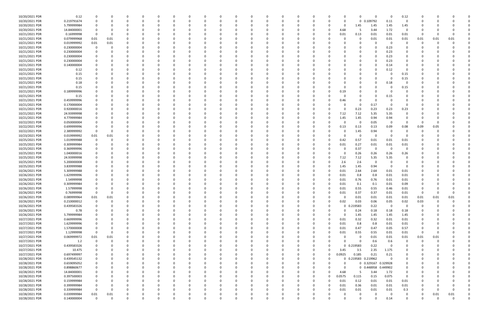| 10/20/2021 PDR | 0.12        |             |          |          |          |          |          |          |          |          |          |          |          |          |          |          |               |          | $\Omega$            |                     | - 0      | 0.12           |              |          |          |  |
|----------------|-------------|-------------|----------|----------|----------|----------|----------|----------|----------|----------|----------|----------|----------|----------|----------|----------|---------------|----------|---------------------|---------------------|----------|----------------|--------------|----------|----------|--|
| 10/20/2021 PDR | 0.219791674 |             |          |          | 0        |          |          | o        | 0        |          |          |          | 0        |          | - 0      |          | o             | $\Omega$ | $\mathbf 0$         | 0.109792            | 0.11     | 0              | <sup>0</sup> |          |          |  |
| 10/20/2021 PDR | 5.799999984 |             |          |          |          |          |          |          |          |          |          |          |          |          |          |          |               | 0        | 1.45                | 1.45                | 1.45     | 1.45           |              |          |          |  |
| 10/20/2021 PDR | 14.84000001 |             |          |          |          |          |          |          |          |          |          |          |          |          |          |          | 0             | 4.68     | -5                  | 3.44                | 1.72     | $\overline{0}$ |              |          |          |  |
| 10/21/2021 PDR | 0.16999998  | -0          | - 0      |          |          |          |          |          |          |          |          |          |          |          |          |          | 0             | 0.01     | 0.13                | 0.01                | 0.01     | 0.01           | -0           |          |          |  |
| 10/21/2021 PDR | 0.079999968 | 0.01        | 0.01     |          |          |          |          |          |          |          |          |          |          |          |          |          |               |          | 0                   | 0.01                | 0.01     | 0.01           | 0.01         | 0.01     | 0.01     |  |
| 10/21/2021 PDR | 0.019999992 | 0.01        | 0.01     |          |          |          |          |          |          |          |          |          |          |          |          |          |               |          | റ                   |                     | - 0      | 0              | n            |          |          |  |
| 10/21/2021 PDR | 0.230000004 |             |          |          |          |          |          |          |          |          |          |          |          |          |          |          |               |          |                     |                     | 0.23     |                |              |          |          |  |
| 10/21/2021 PDR | 0.230000004 |             |          |          |          |          |          |          |          |          |          |          |          |          |          |          |               |          |                     |                     | 0.23     |                |              |          |          |  |
| 10/21/2021 PDR | 0.230000004 |             |          |          |          |          |          |          |          |          |          |          |          |          |          |          |               |          |                     |                     | 0.23     |                |              |          |          |  |
| 10/21/2021 PDR | 0.230000004 |             |          |          |          |          |          |          |          |          |          |          |          |          |          |          |               |          | 0                   |                     | 0.23     |                |              |          |          |  |
| 10/21/2021 PDR | 0.140000004 |             |          |          |          |          |          |          |          |          |          |          |          |          |          |          |               |          | 0                   |                     | 0.14     |                |              |          |          |  |
| 10/21/2021 PDR | 0.12        |             |          |          |          |          |          |          |          |          |          |          |          |          |          |          |               |          | -0                  |                     | 0.12     |                |              |          |          |  |
| 10/21/2021 PDR | 0.15        |             |          |          |          |          |          |          |          |          |          |          |          |          |          |          |               |          |                     |                     |          | 0.15           |              |          |          |  |
| 10/21/2021 PDR | 0.15        |             |          |          |          |          |          |          |          |          |          |          |          |          |          |          |               |          | 0                   |                     |          | 0.15           |              |          |          |  |
| 10/21/2021 PDR | 0.18        |             |          |          |          |          |          |          |          |          |          |          |          |          |          |          |               |          |                     |                     | 0.18     | 0              |              |          |          |  |
| 10/21/2021 PDR | 0.15        |             |          |          |          |          |          |          |          |          |          |          |          |          |          |          |               |          |                     |                     |          | 0.15           |              |          |          |  |
|                |             |             |          |          |          |          |          |          |          |          |          |          |          |          |          |          |               |          |                     |                     |          |                |              |          |          |  |
| 10/21/2021 PDR | 0.189999996 |             |          |          |          |          |          |          |          |          |          |          |          |          |          |          |               | 0.19     | 0                   |                     |          | 0              |              |          |          |  |
| 10/21/2021 PDR | 0.15        |             |          |          |          |          |          |          |          |          |          |          |          |          |          |          |               |          | $\Omega$            |                     | 0.15     |                |              |          |          |  |
| 10/21/2021 PDR | 0.459999996 |             |          |          |          |          |          |          |          |          |          |          |          |          |          |          |               | 0.46     | - 0                 | - 0                 |          |                |              |          |          |  |
| 10/21/2021 PDR | 0.170000004 |             |          |          |          |          |          |          |          |          |          |          |          |          |          |          |               |          | 0                   | 0.17                |          |                |              |          |          |  |
| 10/21/2021 PDR | 0.920000016 |             |          |          |          |          |          |          |          |          |          |          |          |          |          |          |               | 0        | 0.23                | 0.23                | 0.23     | 0.23           |              |          |          |  |
| 10/21/2021 PDR | 24.93999998 |             |          |          |          |          |          |          |          |          |          |          |          |          |          |          | 0             | 7.12     | 7.12                | 5.35                | 5.35     |                |              |          |          |  |
| 10/21/2021 PDR | 4.779999984 |             |          |          |          |          |          |          |          |          |          |          |          |          |          |          | O             | 1.45     | 1.45                | 0.94                | 0.94     | $\Omega$       |              |          |          |  |
| 10/22/2021 PDR | 0.050000004 |             |          |          |          |          |          |          |          |          |          |          |          |          |          |          |               | 0        | 0                   | 0.05                | - 0      | $\Omega$       | -0           |          |          |  |
| 10/22/2021 PDR | 0.699999996 |             |          |          |          |          |          |          |          |          |          |          |          |          |          |          |               | 0.13     | 0.13                | 0.13                | 0.09     | 0.08           | 0.09         | 0.05     |          |  |
| 10/22/2021 PDR | 2.389999992 |             |          |          |          |          |          |          |          |          |          |          |          |          |          |          |               | 0        | 1.45                | 0.94                | - 0      |                | C            |          |          |  |
| 10/23/2021 PDR | 0.019999992 | 0.01        | 0.01     |          |          |          |          |          |          |          |          |          |          |          |          |          |               | 0        | 0                   | - 0                 | - 0      |                |              |          |          |  |
| 10/25/2021 PDR | 1.019999988 | 0           |          |          |          |          |          |          |          |          |          |          |          |          |          |          | 0             | 0.42     | 0.57                | 0.01                | 0.01     | 0.01           |              |          |          |  |
| 10/25/2021 PDR | 0.309999984 |             |          |          |          |          |          |          |          |          |          |          |          |          |          |          | 0             | 0.01     | 0.27                | 0.01                | 0.01     | 0.01           |              |          |          |  |
| 10/25/2021 PDR | 0.369999996 |             |          |          |          |          |          |          |          |          |          |          |          |          |          |          |               | 0        | 0.37                | -0                  | - 0      | $\Omega$       |              |          |          |  |
| 10/25/2021 PDR | 1.040000016 |             |          |          |          |          |          |          |          |          |          |          |          |          |          |          |               |          | 0.26                | 0.26                | 0.26     | 0.26           |              |          |          |  |
| 10/25/2021 PDR | 24.93999998 |             |          |          |          |          |          |          |          |          |          |          |          |          |          |          |               | 7.12     | 7.12                | 5.35                | 5.35     |                |              |          |          |  |
| 10/25/2021 PDR | 5.200000008 |             |          |          |          |          |          |          |          |          |          |          |          |          |          |          | 0             | 2.6      | 2.6                 |                     |          |                |              |          |          |  |
| 10/25/2021 PDR | 3.839999988 |             |          |          |          |          |          |          |          |          |          |          |          |          |          |          | 0             | 1.45     | 1.45                | 0.94                | - 0      |                |              |          |          |  |
| 10/26/2021 PDR | 5.309999988 |             |          |          |          |          |          |          |          |          |          |          |          |          |          |          |               | 0.01     | 2.64                | 2.64                | 0.01     | 0.01           |              |          |          |  |
| 10/26/2021 PDR | 1.629999996 |             |          |          |          |          |          |          |          |          |          |          |          |          |          |          |               | 0.01     | 0.8                 | 0.8                 | 0.01     | 0.01           |              |          |          |  |
| 10/26/2021 PDR | 1.54999998  |             |          |          |          |          |          |          |          |          |          |          |          |          |          |          |               | 0.01     | 0.76                | 0.76                | 0.01     | 0.01           |              |          |          |  |
| 10/26/2021 PDR | 0.309999984 |             |          |          |          |          |          |          |          |          |          |          |          |          |          |          |               | 0.01     | 0.1                 | 0.1                 | 0.01     | 0.09           |              |          |          |  |
| 10/26/2021 PDR | 1.57999998  |             | $\Omega$ |          |          |          |          |          |          |          |          |          |          |          |          |          | 0             | 0.01     | 0.55                | 0.55                | 0.46     | 0.01           | <sup>0</sup> |          |          |  |
| 10/26/2021 PDR | 0.76999998  | $\mathbf 0$ | $\Omega$ |          |          |          |          |          |          |          |          |          |          |          |          |          | υ             | 0.01     | 0.37                | 0.37                | $0.01\,$ | 0.01           | -0           |          |          |  |
| 10/26/2021 PDR | 0.089999964 | 0.01        | $0.01\,$ | $\Omega$ | $\Omega$ | $\Omega$ |          | $\Omega$ | $\Omega$ | $\Omega$ | $\Omega$ | $\Omega$ | $\Omega$ | $\Omega$ | $\Omega$ | $\Omega$ | 0             | 0        | 0.01                | 0.01                | 0.01     | 0.01           | 0.01         | 0.01     | 0.01     |  |
| 10/26/2021 PDR | 0.210000012 | 0           | $\Omega$ | 0        | 0        |          |          | 0        | 0        | $\Omega$ |          | 0        | $\Omega$ | 0        | $\Omega$ | 0        | 0             | 0.02     | 0.03                | 0.06                | 0.05     | 0.02           | 0.03         | $\Omega$ |          |  |
| 10/26/2021 PDR | 0.439583326 |             | $\Omega$ |          | 0        |          |          |          |          |          |          | $\Omega$ | $\Omega$ |          |          |          | 0             |          | 0 0.219583          | 0.22                | $\Omega$ | $\overline{0}$ | 0            |          |          |  |
| 10/26/2021 PDR | 0.78        | $\Omega$    |          | $\Omega$ | 0        |          |          |          | 0        |          |          | 0        | 0        |          |          |          | 0             | $\Omega$ | 0.24                | 0.18                | 0.18     | 0.18           | 0            |          |          |  |
| 10/26/2021 PDR | 5.799999984 |             |          |          | O        |          |          |          |          |          |          |          |          |          |          |          | 0             | 0        | 1.45                | 1.45                | 1.45     | 1.45           |              |          |          |  |
| 10/27/2021 PDR | 0.669999996 |             |          | 0        | 0        |          |          | 0        | 0        |          |          | 0        | 0        |          |          |          | 0             | 0.01     | 0.32                | 0.32                | 0.01     | 0.01           | 0            |          |          |  |
| 10/27/2021 PDR | 1.629999996 | 0           | $\Omega$ |          | 0        |          |          |          |          |          |          | 0        | 0        |          |          |          | 0             | 0.01     | 0.8                 | 0.8                 | 0.01     | 0.01           | 0            |          |          |  |
| 10/27/2021 PDR | 1.570000008 | $\mathbf 0$ |          |          | 0        |          |          |          |          |          |          |          | $\Omega$ |          |          |          | $\Omega$      | 0.01     | 0.47                | 0.47                | 0.05     | 0.57           | 0            |          |          |  |
| 10/27/2021 PDR | 1.12999998  | $\mathbf 0$ | 0        |          | 0        |          |          |          |          |          |          | 0        | 0        |          |          |          |               | 0.01     | 0.55                | 0.55                | 0.01     | 0.01           | 0            | -0       |          |  |
| 10/27/2021 PDR | 0.069999972 | 0.01        | $0.01\,$ |          |          |          |          |          |          |          |          |          |          |          |          |          |               | 0        | $\mathbf 0$         | 0.01                | 0.01     | 0.01           | 0.01         | 0.01     |          |  |
| 10/27/2021 PDR | 1.2         | $\Omega$    | $\Omega$ | $\Omega$ | 0        |          |          |          |          |          |          |          | 0        |          |          |          | 0             | $\Omega$ | $\mathbf 0$         | 0.6                 | 0.6      | 0              | $\Omega$     | $\Omega$ |          |  |
| 10/27/2021 PDR | 0.439583326 |             | $\Omega$ |          | O        |          |          |          |          |          |          |          |          |          |          |          | 0             |          | 0 0.219583          | 0.22                | - 0      | 0              | C            |          |          |  |
| 10/27/2021 PDR | 10.475      |             |          |          | 0        |          |          |          |          |          |          |          |          |          |          |          | $\mathbf 0$   | 3.45     | 3.5                 | 2.35                | 1.175    |                |              |          |          |  |
| 10/27/2021 PDR | 0.697499997 |             |          | $\Omega$ | 0        |          |          |          | O        |          |          |          | $\Omega$ |          |          | 0        | 0             | 0.0925   | 0.185               | 0.21                | 0.21     | $\Omega$       | 0            |          |          |  |
| 10/28/2021 PDR | 0.439545132 |             |          |          | 0        |          |          |          |          |          |          |          |          |          |          | 0        | 0             |          | 0 0.219583 0.219962 |                     | $\Omega$ | 0              | 0            |          |          |  |
| 10/28/2021 PDR | 0.659095052 |             |          |          | O        |          |          |          |          |          |          |          |          |          |          |          |               | 0        |                     | 0 0.329167 0.329928 |          | 0              |              |          |          |  |
| 10/28/2021 PDR | 0.898860677 |             |          |          | 0        |          |          |          |          |          |          |          | 0        |          |          |          | 0             | $\Omega$ |                     | 0 0.448958 0.449902 |          | 0              |              |          |          |  |
|                |             |             |          |          |          |          |          |          |          |          |          |          |          |          |          |          |               |          |                     |                     |          |                |              |          |          |  |
| 10/28/2021 PDR | 14.84000001 |             |          |          |          |          |          |          |          |          |          |          |          |          |          |          | 0<br>$\Omega$ | 4.68     | 5                   | 3.44                | 1.72     | 0              |              |          |          |  |
| 10/28/2021 PDR | 0.397500003 |             |          |          | O        |          |          |          |          |          |          |          | 0        |          |          | 0        |               | 0.0575   | 0.115               | 0.15                | 0.075    | $\overline{0}$ |              |          |          |  |
| 10/28/2021 PDR | 0.159999984 |             |          |          | 0        |          |          |          |          |          |          |          |          |          |          |          | 0             | 0.01     | 0.12                | 0.01                | 0.01     | 0.01           |              |          |          |  |
| 10/28/2021 PDR | 0.399999984 |             |          |          | 0        |          |          |          |          |          |          |          |          |          |          |          | 0             | 0.01     | 0.36                | 0.01                | 0.01     | 0.01           | 0            |          |          |  |
| 10/28/2021 PDR | 0.339999984 | $\Omega$    | $\Omega$ |          | O        |          |          |          |          |          |          |          |          |          |          |          | O             | 0.01     | 0.01                | 0.01                | 0.01     | 0.3            | 0            |          | 0        |  |
| 10/28/2021 PDR | 0.039999984 | 0.01        | $0.01\,$ |          |          |          |          |          |          |          |          |          |          |          |          |          |               |          | 0                   |                     | - 0      | 0              | 0            | 0.01     | $0.01\,$ |  |
| 10/28/2021 PDR | 0.140000004 | $\Omega$    | $\Omega$ | $\Omega$ | $\Omega$ | $\Omega$ | $\Omega$ | $\Omega$ | $\Omega$ | $\Omega$ |          | $\Omega$ | $\Omega$ | $\Omega$ | $\Omega$ | $\Omega$ | $\Omega$      | $\Omega$ | $\mathbf 0$         | $\Omega$            | 0.14     | $\mathbf 0$    | 0            | $\Omega$ | $\Omega$ |  |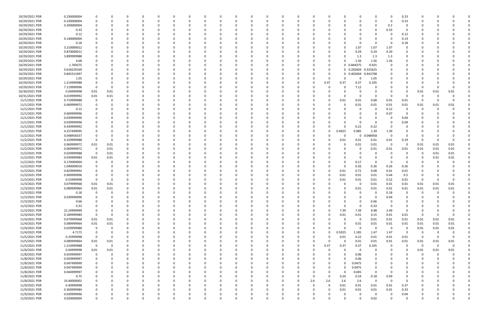| 10/29/2021 PDR | 0.230000004 |             |          |          |          |          |          |          |              |          |          |              |          |          |          |          |          |             |          | $\Omega$                | 0.23           |             |          |             |  |
|----------------|-------------|-------------|----------|----------|----------|----------|----------|----------|--------------|----------|----------|--------------|----------|----------|----------|----------|----------|-------------|----------|-------------------------|----------------|-------------|----------|-------------|--|
| 10/29/2021 PDR | 0.230000004 | 0           |          |          |          | -C       |          |          |              | $\Omega$ |          | <sup>0</sup> |          | - 0      |          |          | n        | $\Omega$    |          | - 0                     |                | - 0         |          |             |  |
|                |             |             |          |          |          |          |          |          |              |          |          |              |          |          |          |          |          |             |          |                         | 0.23           |             |          |             |  |
| 10/29/2021 PDR | 0.200000004 |             |          |          |          |          |          |          |              |          |          |              |          |          |          |          |          |             |          | 0.2                     | 0              |             |          |             |  |
| 10/29/2021 PDR | 0.33        |             |          |          |          |          |          |          |              |          |          |              |          |          |          |          |          |             | $\Omega$ | 0.33                    | 0              |             |          |             |  |
|                |             |             |          |          |          |          |          |          |              |          |          |              |          |          |          |          |          |             |          |                         |                |             |          |             |  |
| 10/29/2021 PDR | 0.12        | 0           |          |          |          |          |          |          |              |          |          |              |          |          |          |          |          |             |          | 0                       | 0.12           |             |          |             |  |
| 10/29/2021 PDR | 0.140000004 |             |          |          |          |          |          |          |              |          |          |              |          |          |          |          |          |             |          |                         | 0.14           |             |          |             |  |
|                |             |             |          |          |          |          |          |          |              |          |          |              |          |          |          |          |          |             |          |                         |                |             |          |             |  |
| 10/29/2021 PDR | 0.18        |             |          |          |          |          |          |          |              |          |          |              |          |          |          |          |          | 0           |          | - 0                     | 0.18           |             |          |             |  |
| 10/29/2021 PDR | 3.210000012 |             |          |          |          |          |          |          |              |          |          |              |          |          |          |          |          | 1.07        | 1.07     | 1.07                    |                |             |          |             |  |
|                |             |             |          |          |          |          |          |          |              |          |          |              |          |          |          |          |          |             |          |                         |                |             |          |             |  |
| 10/29/2021 PDR | 0.870000012 |             |          |          |          |          |          |          |              |          |          |              |          |          |          |          |          | 0.29        | 0.29     | 0.29                    |                |             |          |             |  |
| 10/29/2021 PDR | 3.899999988 |             |          |          |          |          |          |          |              |          |          |              |          |          |          |          | n        | 1.3         | 1.3      | 1.3                     |                |             |          |             |  |
|                |             |             |          |          |          |          |          |          |              |          |          |              |          |          |          |          |          |             |          |                         |                |             |          |             |  |
| 10/29/2021 PDR | 4.68        |             |          |          |          |          |          |          |              |          |          |              |          |          |          |          | $\Omega$ | 1.56        | 1.56     | 1.56                    |                |             |          |             |  |
| 10/29/2021 PDR | 1.769375    |             |          |          |          |          |          |          |              |          |          |              |          |          |          | 0        |          | 0 0.844375  | 0.925    | $\Omega$                |                |             |          |             |  |
| 10/29/2021 PDR | 0.618229169 |             |          |          |          |          |          |          |              |          |          |              |          |          |          |          |          | 0 0.292604  | 0.325625 |                         |                |             |          |             |  |
|                |             |             |          |          |          |          |          |          |              |          |          |              |          |          |          |          |          |             |          |                         |                |             |          |             |  |
| 10/29/2021 PDR | 0.845312497 |             |          |          |          |          |          |          |              |          |          |              |          |          |          |          |          | 0 0.402604  | 0.442708 |                         |                |             |          |             |  |
| 10/29/2021 PDR | 1.05        |             |          |          |          |          |          |          |              |          |          |              |          |          |          | 0        | n        | 0           | 1.05     |                         |                |             |          |             |  |
|                |             |             |          |          |          |          |          |          |              |          |          |              |          |          |          |          |          |             |          |                         |                |             |          |             |  |
| 10/29/2021 PDR | 1.214999988 |             |          |          |          |          |          |          |              |          |          |              |          |          |          | 0.37     | 0.37     | 0.37        | 0.105    |                         |                |             |          |             |  |
| 10/29/2021 PDR | 7.119999996 | 0           |          |          |          |          |          |          |              |          |          |              |          |          |          |          | $\Omega$ | 7.12        |          |                         |                | 0           |          |             |  |
|                |             |             |          |          |          |          |          |          |              |          |          |              |          |          |          |          |          |             |          |                         |                |             |          |             |  |
| 10/30/2021 PDR | 0.04999998  | 0.01        | 0.01     |          |          |          |          |          |              |          |          |              |          |          |          |          | C.       | 0           |          | 0                       | 0              | 0.01        | 0.01     | 0.01        |  |
| 10/31/2021 PDR | 0.019999992 | 0.01        | 0.01     |          |          |          |          |          |              |          |          |              |          |          |          |          | O        | $\Omega$    |          | - 0                     | O              | 0           |          |             |  |
|                |             |             |          |          |          |          |          |          |              |          |          |              |          |          |          |          |          |             |          |                         |                |             |          |             |  |
| 11/1/2021 PDR  | 0.719999988 | 0           |          |          |          |          |          |          |              |          |          |              |          |          |          |          | 0.01     | 0.01        | 0.68     | 0.01                    | 0.01           | 0           |          |             |  |
| 11/1/2021 PDR  | 0.069999972 |             |          |          |          |          |          |          |              |          |          |              |          |          |          |          | C.       | 0.01        | 0.01     | 0.01                    | 0.01           | 0.01        | 0.01     | 0.01        |  |
|                |             |             |          |          |          |          |          |          |              |          |          |              |          |          |          |          |          |             |          |                         |                | $\Omega$    |          |             |  |
| 11/1/2021 PDR  | 0.12        |             |          |          |          |          |          |          |              |          |          |              |          |          |          |          |          | 0           | $\Omega$ | 0.12                    | 0              |             |          |             |  |
| 11/1/2021 PDR  | 0.069999996 |             |          |          |          |          |          |          |              |          |          |              |          |          |          |          |          |             |          | 0.07                    | 0              |             |          |             |  |
| 11/1/2021 PDR  | 0.039999996 |             |          |          |          |          |          |          |              |          |          |              |          |          |          |          |          | 0           |          | - 0                     | 0.04           |             |          |             |  |
|                |             |             |          |          |          |          |          |          |              |          |          |              |          |          |          |          |          |             |          |                         |                |             |          |             |  |
| 11/1/2021 PDR  | 0.039999996 | 0           |          |          |          |          |          |          |              |          |          |              |          |          |          |          |          | 0           |          |                         | 0.04           |             |          |             |  |
| 11/1/2021 PDR  | 0.439999992 |             |          |          |          |          |          |          |              |          |          |              |          |          |          |          | n        | 0.22        | 0.22     | - 0                     |                |             |          |             |  |
|                |             |             |          |          |          |          |          |          |              |          |          |              |          |          |          |          |          |             |          |                         |                |             |          |             |  |
| 11/1/2021 PDR  | 4.257499995 |             |          |          |          |          |          |          |              |          |          |              |          |          |          | 0        | 0.4925   | 0.985       | 1.39     | 1.39                    |                |             |          |             |  |
| 11/2/2021 PDR  | 0.048958337 |             |          |          |          |          |          |          |              |          |          |              |          |          |          |          | 0        | 0           | 0.048958 | 0                       |                |             |          |             |  |
|                |             |             |          |          |          |          |          |          |              |          |          |              |          |          |          |          |          |             |          |                         |                |             |          |             |  |
| 11/2/2021 PDR  | 0.329999988 | $\mathbf 0$ |          |          |          |          |          |          |              |          |          |              |          |          |          |          | 0.01     | 0.01        | 0.01     | 0.01                    | 0.29           | 0           |          |             |  |
| 11/2/2021 PDR  | 0.069999972 | 0.01        | 0.01     | 0        |          |          |          |          |              |          |          |              |          |          |          |          | 0        | 0.01        | 0.01     | $\overline{\mathbf{0}}$ | 0              | 0.01        | 0.01     | 0.01        |  |
|                |             |             |          |          |          |          |          |          |              |          |          |              |          |          |          |          |          |             |          |                         |                |             |          |             |  |
| 11/2/2021 PDR  | 0.069999972 | 0           | 0.01     |          |          |          |          |          |              |          |          |              |          |          |          |          |          | 0           | 0.01     | 0.01                    | 0.01           | 0.01        | 0.01     | 0.01        |  |
| 11/2/2021 PDR  | 0.029999988 | 0           | 0.01     |          |          |          |          |          |              |          |          |              |          |          |          |          |          | -0          |          | - 0                     | 0              | $\Omega$    | 0.01     | 0.01        |  |
|                |             |             |          |          |          |          |          |          |              |          |          |              |          |          |          |          |          |             |          |                         |                |             |          |             |  |
| 11/2/2021 PDR  | 0.039999984 | 0.01        | 0.01     |          |          |          |          |          |              |          |          |              |          |          |          |          |          | $\Omega$    |          |                         |                | 0           | 0.01     | 0.01        |  |
| 11/2/2021 PDR  | 0.170000004 | 0           |          |          |          |          |          |          |              |          |          |              |          |          |          |          |          | 0.17        |          | - 0                     |                |             |          |             |  |
| 11/2/2021 PDR  | 1.040000016 | 0           |          |          |          |          |          |          |              |          |          |              |          |          |          |          | 0        | 0.26        |          | 0.26                    |                |             |          |             |  |
|                |             |             |          |          |          |          |          |          |              |          |          |              |          |          |          |          |          |             | 0.26     |                         | 0.26           |             |          |             |  |
| 11/3/2021 PDR  | 0.829999992 |             |          |          |          |          |          |          |              |          |          |              |          |          |          |          | 0.01     | 0.72        | 0.08     | 0.01                    | 0.01           |             |          |             |  |
| 11/3/2021 PDR  | 0.969999996 | 0           |          |          |          |          |          |          |              |          |          |              |          |          |          |          | 0.01     | 0.01        | 0.01     | 0.44                    | 0.5            | -0          |          |             |  |
|                |             |             |          |          |          |          |          |          |              |          |          |              |          |          |          |          |          |             |          |                         |                |             |          |             |  |
| 11/3/2021 PDR  | 0.55999998  | $\Omega$    |          |          |          |          |          |          |              |          |          |              |          |          |          |          | 0.01     | 0.01        | 0.01     | 0.52                    | 0.01           | 0           |          |             |  |
| 11/3/2021 PDR  | 0.079999968 | 0.01        | 0.01     |          |          |          |          |          |              |          |          |              |          |          |          |          |          | $\Omega$    | 0.01     | 0.01                    | 0.01           | 0.01        | 0.01     | 0.01        |  |
|                |             |             |          |          |          |          |          |          |              |          |          |              |          |          |          |          |          |             |          |                         |                |             |          |             |  |
| 11/3/2021 PDR  | 0.089999964 | 0.01        | 0.01     | 0        |          |          |          |          |              |          |          |              |          |          |          |          | 0        | 0.01        | 0.01     | 0.01                    | 0.01           | 0.01        | 0.01     | 0.01        |  |
| 11/3/2021 PDR  | 0.18        | $\mathbf 0$ |          |          |          |          |          |          |              |          |          |              |          |          |          |          |          |             |          | 0.18                    | $\Omega$       | $\sim$      |          |             |  |
|                |             |             |          |          |          |          |          |          |              |          |          |              |          |          |          |          |          |             |          |                         |                |             |          |             |  |
| 11/3/2021 PDR  | 0.039999996 | $\Omega$    | $\Omega$ | $\Omega$ | $\Omega$ | $\Omega$ | 0        | $\Omega$ | $\Omega$     | $\Omega$ | $\Omega$ | $\Omega$     | $\Omega$ | $\Omega$ | $\Omega$ |          | $\Omega$ | $\Omega$    | $\Omega$ | 0.04                    | $\Omega$       | $\Omega$    |          |             |  |
| 11/3/2021 PDR  | 0.66        | 0           |          | - 0      | 0        | $\Omega$ | 0        | 0        | <sup>0</sup> | $\Omega$ | 0        | $\Omega$     | 0        | -0       | 0        |          | 0        | 0           | 0.66     | $\overline{\mathbf{0}}$ | 0              | 0           |          |             |  |
|                |             |             |          |          |          |          |          |          |              |          |          |              |          |          |          |          |          |             |          |                         |                |             |          |             |  |
| 11/3/2021 PDR  | 0.33        | 0           |          | $\Omega$ |          | -C       |          |          |              |          | $\Omega$ | <sup>0</sup> |          |          |          |          | $\Omega$ | $\Omega$    | 0.33     | 0                       | 0              | - 0         |          |             |  |
| 11/3/2021 PDR  | 22.24999999 | 0           |          |          |          |          |          |          |              | 0        |          | 0            |          |          |          | $\Omega$ | 7.39     | 7.39        | 4.98     | 2.49                    | 0              | 0           |          |             |  |
| 11/4/2021 PDR  | 0.189999984 | $\mathbf 0$ |          |          |          |          |          |          |              |          |          | 0            |          |          |          | 0        | 0.01     | 0.01        | 0.15     | 0.01                    | 0.01           | $\Omega$    |          | 0           |  |
|                |             |             |          |          |          |          |          |          |              |          |          |              |          |          |          |          |          |             |          |                         |                |             |          |             |  |
| 11/4/2021 PDR  | 0.079999968 | 0.01        | 0.01     | 0        |          | 0        |          |          |              | 0        | 0        | 0            | C        |          | 0        | 0        | $\Omega$ | $\mathbf 0$ | 0.01     | 0.01                    | 0.01           | 0.01        | 0.01     | 0.01        |  |
| 11/4/2021 PDR  | 0.089999964 | 0.01        | 0.01     | 0        |          | 0        |          |          |              | 0        | 0        | 0            |          |          |          |          | $\Omega$ | 0.01        | 0.01     | 0.01                    | 0.01           | 0.01        | 0.01     | 0.01        |  |
|                |             |             |          |          |          |          |          |          |              |          |          |              |          |          |          |          |          |             |          |                         |                |             |          |             |  |
| 11/4/2021 PDR  | 0.029999988 | $\mathbf 0$ | $\Omega$ | $\Omega$ |          |          |          |          |              |          |          | <sup>0</sup> |          |          | 0        |          | $\Omega$ | $\mathbf 0$ | $\Omega$ | $\overline{\mathbf{0}}$ | $\overline{0}$ | 0.01        | 0.01     | 0.01        |  |
| 11/4/2021 PDR  | 4.7175      | $\mathbf 0$ | 0        | $\Omega$ |          |          |          |          |              |          |          | 0            |          |          | 0        | $\Omega$ | 0.5925   | 1.185       | 1.47     | 1.47                    | 0              | 0           | $\Omega$ | 0           |  |
|                |             |             |          |          |          |          |          |          |              |          |          |              |          |          |          |          |          |             |          |                         |                |             |          |             |  |
| 11/5/2021 PDR  | 0.25999998  | $\mathbf 0$ | - 0      |          |          |          |          |          |              |          |          |              |          |          |          |          | 0.01     | 0.22        | 0.01     | 0.01                    | 0.01           | $\Omega$    |          | $\mathbf 0$ |  |
| 11/5/2021 PDR  | 0.089999964 | 0.01        | 0.01     |          |          |          |          |          |              |          |          | 0            |          |          | 0        | 0        | $\Omega$ | 0.01        | 0.01     | 0.01                    | 0.01           | 0.01        | 0.01     | 0.01        |  |
|                |             |             |          |          |          |          |          |          |              |          |          |              |          |          |          |          |          |             |          |                         |                |             |          |             |  |
| 11/5/2021 PDR  | 1.214999988 | $\mathbf 0$ | 0        | 0        |          |          |          |          |              |          |          | 0            |          |          | 0        | 0.37     | 0.37     | 0.37        | 0.105    | $\overline{0}$          | 0              | $\mathbf 0$ | 0        | $\mathbf 0$ |  |
| 11/6/2021 PDR  | 0.04999998  | 0.01        | 0.01     | $\Omega$ |          |          |          |          |              |          |          |              |          |          | O        | $\Omega$ | $\Omega$ | $\mathbf 0$ | $\Omega$ | 0                       | 0              | 0.01        | 0.01     | 0.01        |  |
| 11/8/2021 PDR  | 0.059999997 |             | $\Omega$ | 0        |          | $\Omega$ |          |          |              |          |          | 0            | 0        |          |          | 0        | $\Omega$ | 0.06        |          | 0                       | 0              | 0           |          | 0           |  |
|                |             | $\mathbf 0$ |          |          |          |          |          |          |              |          |          |              |          |          |          |          |          |             |          |                         |                |             |          |             |  |
| 11/8/2021 PDR  | 0.059999997 | 0           |          | $\Omega$ |          |          |          |          |              |          |          |              |          |          |          |          | $\Omega$ | 0.06        | $\Omega$ | 0                       | 0              | 0           |          |             |  |
| 11/8/2021 PDR  | 0.047499999 | 0           |          |          |          |          |          |          |              |          |          |              |          |          |          | 0        | $\Omega$ | 0.0475      |          |                         | 0              | - 0         |          |             |  |
|                |             |             |          |          |          |          |          |          |              |          |          |              |          |          |          |          |          |             |          |                         |                |             |          |             |  |
| 11/8/2021 PDR  | 0.047499999 | 0           |          |          |          |          |          |          |              |          |          |              |          |          |          | 0        | 0        | 0.0475      |          |                         |                | - 0         |          |             |  |
| 11/8/2021 PDR  | 0.044999997 | 0           |          |          |          |          |          |          |              |          |          |              |          |          |          | 0        | $\Omega$ | 0.045       | $\Omega$ | - 0                     | 0              |             |          |             |  |
|                |             |             |          |          |          |          |          |          |              |          |          |              |          |          |          |          |          |             |          |                         |                |             |          |             |  |
| 11/8/2021 PDR  | 0.75        | $\Omega$    |          |          |          |          |          |          |              |          |          | 0            |          |          | 0        | $\Omega$ | 0.24     | 0.24        | 0.18     | 0.09                    | 0              |             |          |             |  |
| 11/8/2021 PDR  | 10.40000002 | 0           |          |          |          |          |          |          |              |          |          |              |          |          | 2.6      | 2.6      | 2.6      | 2.6         | $\Omega$ | $\overline{\mathbf{0}}$ | $\Omega$       |             |          |             |  |
|                |             |             |          |          |          |          |          |          |              |          |          |              |          |          |          |          |          |             |          |                         |                |             |          |             |  |
| 11/9/2021 PDR  | 0.40999998  | 0           |          |          |          |          |          |          |              |          |          |              |          |          | 0        | $\Omega$ | 0.01     | 0.01        | 0.01     | 0.01                    | 0.37           | 0           |          |             |  |
| 11/9/2021 PDR  | 0.369999984 | 0           |          |          |          |          |          |          |              |          |          |              |          |          |          |          | 0.01     | 0.01        | 0.01     | 0.01                    | 0.33           | -0          |          |             |  |
| 11/9/2021 PDR  | 0.039999996 | 0           |          |          |          |          |          |          |              |          |          |              |          |          |          |          |          | 0           |          | - 0                     |                |             |          |             |  |
|                |             |             |          |          |          |          |          |          |              |          |          |              |          |          |          |          |          |             |          |                         | 0.04           |             |          |             |  |
| 11/9/2021 PDR  | 0.020000004 | $\mathbf 0$ |          | $\Omega$ | $\Omega$ | $\Omega$ | $\Omega$ |          | $\Omega$     | $\Omega$ | $\Omega$ | $\Omega$     | $\Omega$ | 0        | $\Omega$ | $\Omega$ | $\Omega$ | $\Omega$    | 0.02     | $\Omega$                | 0              | $\Omega$    |          | 0           |  |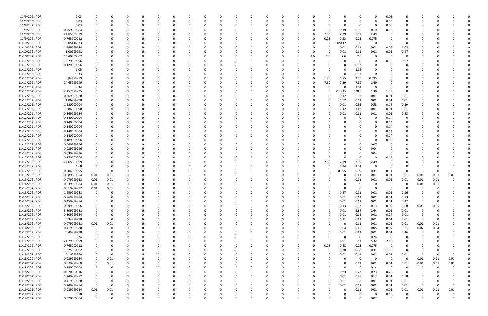| 11/9/2021 PDR  | 0.03        |                |             |          |             |          |          |          |          |          |             |          |          |          |          |          |              |             | 0            |          | 0.03     |                |          |          |          |  |
|----------------|-------------|----------------|-------------|----------|-------------|----------|----------|----------|----------|----------|-------------|----------|----------|----------|----------|----------|--------------|-------------|--------------|----------|----------|----------------|----------|----------|----------|--|
| 11/9/2021 PDR  | 0.03        | 0              | 0           |          | $\Omega$    | 0        |          |          | $\Omega$ |          | $\Omega$    |          |          |          | -0       |          |              |             | 0            | $\Omega$ | 0.03     | 0              | $\Omega$ |          |          |  |
| 11/9/2021 PDR  | 0.03        |                |             |          |             |          |          |          |          |          |             |          |          |          |          |          |              |             | 0            |          | 0.03     |                |          |          |          |  |
|                |             |                |             |          |             |          |          |          |          |          |             |          |          |          |          |          |              |             |              |          |          |                |          |          |          |  |
| 11/9/2021 PDR  | 0.759999984 |                |             |          |             |          |          |          |          |          |             |          |          |          |          |          |              | 0.19        | 0.19         | 0.19     | 0.19     |                |          |          |          |  |
| 11/9/2021 PDR  | 24.65999999 |                |             |          |             |          |          |          |          |          |             |          |          |          |          |          | 7.39         | 7.39        | 7.39         | 2.49     |          | $\Omega$       |          |          |          |  |
| 11/9/2021 PDR  | 0.765000012 |                |             |          |             |          |          |          |          |          |             |          |          |          |          |          | 0.23         | 0.23        | 0.23         | 0.075    |          |                |          |          |          |  |
| 11/10/2021 PDR | 1.005416673 |                |             |          |             |          |          |          |          |          |             |          |          |          |          |          | $\mathbf 0$  | 005417      | 0            |          |          |                |          |          |          |  |
| 11/10/2021 PDR | 1.269999984 |                |             |          |             |          |          |          |          |          |             |          |          |          |          |          | 0            | 0.01        | 0.01         | 0.01     | 0.22     | 1.02           |          |          |          |  |
|                |             |                |             |          |             |          |          |          |          |          |             |          |          |          |          |          |              |             |              |          |          |                |          |          |          |  |
| 11/10/2021 PDR | 1.00999998  |                |             |          |             |          |          |          |          |          |             |          |          |          |          |          |              | 0.01        | 0.01         | 0.01     | 0.01     | 0.97           |          |          |          |  |
| 11/10/2021 PDR | 10.40000002 |                |             |          |             |          |          |          |          |          |             |          |          |          |          | 2.6      | 2.6          | 2.6         | 2.6          |          | - 0      | $\Omega$       |          |          |          |  |
| 11/11/2021 PDR | 1.029999996 |                |             |          |             |          |          |          |          |          |             |          |          |          |          |          |              |             | 0            |          | 0.36     | 0.67           |          |          |          |  |
| 11/11/2021 PDR | 0.129999996 |                |             |          |             |          |          |          |          |          |             |          |          |          |          |          |              |             | 0.13         |          |          |                |          |          |          |  |
| 11/11/2021 PDR | 1.05        |                |             |          |             |          |          |          |          |          |             |          |          |          |          |          |              |             | 1.05         |          |          |                |          |          |          |  |
| 11/11/2021 PDR | 0.33        |                |             |          |             |          |          |          |          |          |             |          |          |          |          |          | O            |             | 0.33         |          |          |                |          |          |          |  |
|                | 5.84499999  |                |             |          |             |          |          |          |          |          |             |          |          |          |          |          | 1.75         | 1.75        | 1.75         |          |          |                |          |          |          |  |
| 11/11/2021 PDR |             |                |             |          |             |          |          |          |          |          |             |          |          |          |          |          |              |             |              | 0.595    |          |                |          |          |          |  |
| 11/11/2021 PDR | 24.65999999 |                |             |          |             |          |          |          |          |          |             |          |          |          |          |          | 7.39         | 7.39        | 7.39         | 2.49     |          |                |          |          |          |  |
| 11/11/2021 PDR | 2.34        |                |             |          |             |          |          |          |          |          |             |          |          |          |          |          | O            |             | 2.34         | 0        |          |                |          |          |          |  |
| 11/11/2021 PDR | 4.257499995 |                |             |          |             |          |          |          |          |          |             |          |          |          |          |          | O            | 0.4925      | 0.985        | 1.39     | 1.39     | $\Omega$       |          |          |          |  |
| 11/12/2021 PDR | 0.269999988 |                |             |          |             |          |          |          |          |          |             |          |          |          |          |          |              | 0.12        | 0.12         | 0.01     | 0.01     | 0.01           |          |          |          |  |
| 11/12/2021 PDR | 1.06999998  |                |             |          |             |          |          |          |          |          |             |          |          |          |          |          |              | 0.52        | 0.52         | 0.01     | 0.01     | 0.01           |          |          |          |  |
|                |             |                |             |          |             |          |          |          |          |          |             |          |          |          |          |          |              |             |              |          |          |                |          |          |          |  |
| 11/12/2021 PDR | 1.520000004 |                |             |          |             |          |          |          |          |          |             |          |          |          |          |          | 0            | 0.01        | 0.53         | 0.53     | 0.16     | 0.29           |          |          |          |  |
| 11/12/2021 PDR | 2.86999998  |                |             |          |             |          |          |          |          |          |             |          |          |          |          |          |              | 1.42        | 1.42         | 0.01     | 0.01     | 0.01           |          |          |          |  |
| 11/12/2021 PDR | 0.369999984 |                |             |          |             |          |          |          |          |          |             |          |          |          |          |          |              | 0.01        | 0.01         | 0.01     | 0.01     | 0.33           |          |          |          |  |
| 11/12/2021 PDR | 0.140000004 |                |             |          |             |          |          |          |          |          |             |          |          |          |          |          |              |             | 0            |          | 0.14     | 0              |          |          |          |  |
| 11/12/2021 PDR | 0.140000004 |                |             |          |             |          |          |          |          |          |             |          |          |          |          |          |              |             | 0            |          | 0.14     | 0              |          |          |          |  |
| 11/12/2021 PDR | 0.140000004 |                |             |          |             |          |          |          |          |          |             |          |          |          |          |          |              |             |              |          | 0.14     |                |          |          |          |  |
|                |             |                |             |          |             |          |          |          |          |          |             |          |          |          |          |          |              |             |              |          |          |                |          |          |          |  |
| 11/12/2021 PDR | 0.140000004 |                |             |          |             |          |          |          |          |          |             |          |          |          |          |          |              |             |              |          | 0.14     |                |          |          |          |  |
| 11/12/2021 PDR | 0.140000004 |                |             |          |             |          |          |          |          |          |             |          |          |          |          |          |              |             |              |          | 0.14     |                |          |          |          |  |
| 11/12/2021 PDR | 0.189999996 |                |             |          |             |          |          |          |          |          |             |          |          |          |          |          |              |             |              |          | 0.19     |                |          |          |          |  |
| 11/12/2021 PDR | 0.069999996 |                |             |          |             |          |          |          |          |          |             |          |          |          |          |          |              |             | 0            | 0.07     |          |                |          |          |          |  |
| 11/12/2021 PDR | 0.039999996 |                |             |          |             |          |          |          |          |          |             |          |          |          |          |          |              |             | $\Omega$     | 0.04     |          |                |          |          |          |  |
| 11/12/2021 PDR | 0.039999996 |                |             |          |             |          |          |          |          |          |             |          |          |          |          |          |              |             | 0            | 0.04     |          |                |          |          |          |  |
|                |             |                |             |          |             |          |          |          |          |          |             |          |          |          |          |          |              |             |              |          |          |                |          |          |          |  |
| 11/12/2021 PDR | 0.170000004 |                |             |          |             |          |          |          |          |          |             |          |          |          |          |          |              |             | 0            |          | 0.17     |                |          |          |          |  |
| 11/12/2021 PDR | 24.65999999 |                |             |          |             |          |          |          |          |          |             |          |          |          |          |          | 7.39         | 7.39        | 7.39         | 2.49     |          |                |          |          |          |  |
| 11/12/2021 PDR | 4.68        |                |             |          |             |          |          |          |          |          |             |          |          |          |          |          | 0            | 2.34        | 2.34         | - 0      | - 0      |                |          |          |          |  |
| 11/12/2021 PDR | 0.904999995 | 0              | $\Omega$    |          |             |          |          |          |          |          |             |          |          |          |          |          | O            | 0.095       | 0.19         | 0.31     | 0.31     |                | 0        |          |          |  |
| 11/13/2021 PDR | 0.089999964 | 0.01           | 0.01        |          |             |          |          |          |          |          |             |          |          |          |          |          |              |             | 0.01         | 0.01     | 0.01     | 0.01           | 0.01     | 0.01     | 0.01     |  |
| 11/13/2021 PDR | 0.079999968 | 0.01           | 0.01        |          |             |          |          |          |          |          |             |          |          |          |          |          |              |             | 0.01         | 0.01     | 0.01     | 0.01           | 0.01     | 0.01     |          |  |
|                |             |                |             |          |             |          |          |          |          |          |             |          |          |          |          |          |              |             |              |          |          |                |          |          |          |  |
| 11/14/2021 PDR | 0.039999984 | 0.01           | 0.01        |          |             |          |          |          |          |          |             |          |          |          |          |          |              |             | 0            |          |          |                | 0.01     | 0.01     |          |  |
| 11/14/2021 PDR | 0.019999992 | 0.01           | 0.01        | $\Omega$ | 0           |          |          |          |          |          |             |          |          |          |          |          |              |             | $\Omega$     |          | - 0      |                | $\Omega$ |          |          |  |
| 11/15/2021 PDR | 1.259999988 | $\overline{0}$ | 0           |          | 0           |          |          |          |          |          |             |          | υ        |          |          |          |              | 0.27        | 0.01         | 0.01     | 0.01     | 0.96           | $\Omega$ |          |          |  |
| 11/15/2021 PDR | 0.969999984 | $\mathbf 0$    | $\mathbf 0$ | $\Omega$ | $\mathbf 0$ | $\Omega$ | $\Omega$ | $\Omega$ | $\Omega$ | $\Omega$ | $\Omega$    | $\Omega$ | $\Omega$ | $\Omega$ | $\Omega$ | $\Omega$ | $\Omega$     | 0.01        | 0.01         | 0.01     | 0.01     | 0.93           | 0        |          |          |  |
| 11/15/2021 PDR | 0.459999984 | 0              | 0           |          | 0           | $\Omega$ | $\Omega$ |          | $\Omega$ |          | 0           |          | $\Omega$ | O        | $\Omega$ |          | $\Omega$     | 0.01        | 0.01         | 0.01     | 0.01     | 0.42           | 0        | $\Omega$ |          |  |
| 11/15/2021 PDR | 0.699999996 | 0              | $\Omega$    |          | 0           | 0        |          |          | $\Omega$ |          | 0           |          | $\Omega$ |          | 0        |          | <sup>0</sup> | 0.13        | 0.13         | 0.13     | 0.09     | 0.08           | 0.09     | 0.05     |          |  |
|                |             |                |             |          | $\Omega$    |          |          |          | $\Omega$ |          | $\Omega$    |          | $\Omega$ |          |          |          | $\Omega$     |             |              |          |          |                | $\Omega$ |          |          |  |
| 11/16/2021 PDR | 5.309999988 | 0              | $\Omega$    |          |             | 0        |          |          |          |          |             |          |          |          |          |          |              | 0.01        | 2.64         | 2.64     | 0.01     | 0.01           |          | 0        |          |  |
| 11/16/2021 PDR | 0.309999984 | $\mathbf 0$    | 0           |          | 0           | O        |          |          | 0        |          | 0           |          | 0        |          |          |          | 0            | 0.01        | 0.01         | 0.01     | 0.27     | 0.01           |          |          |          |  |
| 11/16/2021 PDR | 0.34999998  | $\mathbf 0$    | $\mathbf 0$ |          | 0           | 0        |          |          | $\Omega$ |          | 0           |          | $\Omega$ |          |          |          | 0            | 0.31        | 0.01         | 0.01     | 0.01     | 0.01           | 0        |          |          |  |
| 11/16/2021 PDR | 0.079999968 | 0.01           | 0.01        |          | 0           | $\Omega$ |          |          | $\Omega$ |          | $\Omega$    |          | $\Omega$ |          |          |          | 0            | $\mathbf 0$ | 0.01         | 0.01     | 0.01     | 0.01           | 0.01     | 0.01     |          |  |
| 11/16/2021 PDR | 0.419999988 | 0              | $\mathbf 0$ |          | 0           |          |          |          | $\Omega$ |          | 0           |          | $\Omega$ |          |          |          |              | 0.04        | 0.05         | 0.05     | 0.07     | 0.1            | 0.07     | 0.04     |          |  |
| 11/17/2021 PDR | 0.49999998  | 0              | $\Omega$    |          | 0           | 0        |          |          | 0        |          | 0           |          | $\Omega$ |          |          |          | O            | 0.01        | 0.01         | 0.01     | $0.01\,$ | 0.46           | 0        |          |          |  |
|                |             | $\Omega$       |             |          |             |          |          |          | $\Omega$ |          |             |          | $\Omega$ |          |          |          |              | $\Omega$    | $\mathbf 0$  |          | 0        | $\overline{0}$ |          |          |          |  |
| 11/17/2021 PDR | 0.24        |                |             |          | 0           |          |          |          |          |          | 0           |          |          |          |          |          |              |             |              | 0.24     |          |                |          |          |          |  |
| 11/17/2021 PDR | 21.79999999 |                |             |          | 0           |          |          |          | 0        |          |             |          |          |          |          |          | $\Omega$     | 6.91        | 6.91         | 5.32     | 2.66     |                |          |          |          |  |
| 11/17/2021 PDR | 0.765000012 |                |             |          | 0           |          |          |          | 0        |          |             |          |          |          |          |          | 0.23         | 0.23        | 0.23         | 0.075    | $\Omega$ |                |          |          |          |  |
| 11/17/2021 PDR | 1.225000002 | $\Omega$       | $\Omega$    |          | 0           |          |          |          |          |          |             |          | $\Omega$ |          |          |          | $\mathbf 0$  | 0.38        | 0.38         | 0.31     | 0.155    | $\overline{0}$ |          |          |          |  |
| 11/18/2021 PDR | 0.16999998  | 0              | $\mathbf 0$ |          | 0           |          |          |          | $\Omega$ |          | 0           |          | $\Omega$ |          |          |          | 0            | 0.01        | 0.13         | 0.01     | $0.01\,$ | 0.01           | 0        |          |          |  |
| 11/18/2021 PDR | 0.039999984 | 0              | 0.01        |          | 0           | $\Omega$ |          |          | 0        |          | 0           |          | $\Omega$ |          | 0        |          | 0            | $\Omega$    | $\mathbf{0}$ | $\Omega$ | 0        | 0              | 0.01     | 0.01     | 0.01     |  |
|                |             |                |             |          |             |          |          |          |          |          |             |          |          |          |          |          |              |             |              |          |          |                |          |          |          |  |
| 11/18/2021 PDR | 0.079999968 | 0              | 0.01        |          | 0           | 0        |          |          | $\Omega$ |          | $\Omega$    |          | $\Omega$ |          |          |          |              |             | 0.01         | 0.01     | 0.01     | 0.01           | 0.01     | 0.01     | 0.01     |  |
| 11/18/2021 PDR | 0.140000004 | 0              | $\Omega$    |          | $\Omega$    | $\Omega$ |          |          | $\Omega$ |          | $\Omega$    |          | $\Omega$ |          |          |          | U            | $\Omega$    | $\mathbf 0$  | 0.14     | $\Omega$ | $\overline{0}$ | $\Omega$ | $\Omega$ |          |  |
| 11/18/2021 PDR | 0.920000016 | $\mathbf 0$    | 0           |          | 0           | 0        |          |          | 0        |          |             |          | $\Omega$ |          |          |          | 0            | 0.23        | 0.23         | 0.23     | 0.23     | $\overline{0}$ | 0        |          |          |  |
| 11/19/2021 PDR | 1.249999992 | 0              |             |          | 0           | O        |          |          | 0        |          |             |          |          |          |          |          | 0            | 0.01        | 0.48         | 0.17     | 0.01     | 0.58           |          |          |          |  |
| 11/19/2021 PDR | 0.419999988 | $\mathbf 0$    | 0           |          | 0           | $\Omega$ |          |          | 0        |          | $\Omega$    |          | $\Omega$ |          | 0        |          | 0            | 0.01        | 0.38         | 0.01     | 0.01     | 0.01           | 0        |          |          |  |
| 11/19/2021 PDR | 0.249999984 | $\mathbf 0$    | 0           |          | 0           | $\Omega$ |          |          | 0        |          | 0           |          | $\Omega$ |          | $\Omega$ |          | $\Omega$     | 0.01        | 0.21         | 0.01     | 0.01     | 0.01           | 0        |          | $\Omega$ |  |
|                |             |                |             |          |             |          |          |          |          |          |             |          |          |          |          |          |              |             |              |          |          |                |          |          |          |  |
| 11/19/2021 PDR | 0.089999964 | 0.01           | 0.01        | $\Omega$ | $\Omega$    | $\Omega$ |          |          | $\Omega$ |          | $\Omega$    |          | $\Omega$ |          |          |          | $\Omega$     |             | 0.01         | 0.01     | 0.01     | 0.01           | 0.01     | 0.01     | 0.01     |  |
| 11/19/2021 PDR | 0.18        | 0              | 0           |          | 0           | O        |          |          |          |          | 0           |          |          |          |          |          |              |             | 0            |          | 0.18     | 0              | 0        |          |          |  |
| 11/19/2021 PDR | 0.020000004 | $\Omega$       | $\mathbf 0$ | $\Omega$ | $\Omega$    | $\Omega$ | $\Omega$ | $\Omega$ | $\Omega$ | $\Omega$ | $\mathbf 0$ |          | $\Omega$ | $\Omega$ | 0        |          | $\Omega$     |             | $\Omega$     | 0.02     | $\Omega$ | $\mathbf 0$    | $\Omega$ |          | 0        |  |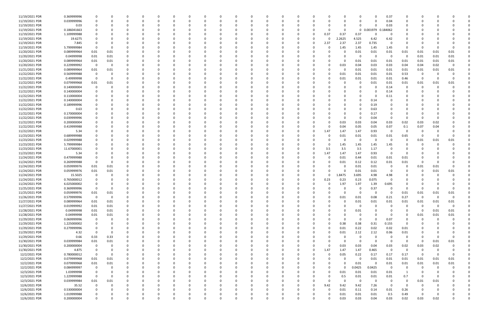| 11/19/2021 PDR | 0.369999996 |             |          |          |              |          |   |             |          |          |          |          |          |          |          |          |              |             | $\Omega$       | 0.37                    | 0           |             |          |             |  |
|----------------|-------------|-------------|----------|----------|--------------|----------|---|-------------|----------|----------|----------|----------|----------|----------|----------|----------|--------------|-------------|----------------|-------------------------|-------------|-------------|----------|-------------|--|
| 11/19/2021 PDR | 0.039999996 |             |          |          | <sup>0</sup> |          |   |             | $\Omega$ |          |          |          |          |          |          |          | <sup>0</sup> |             | $\Omega$       | 0.04                    | 0           |             |          |             |  |
| 11/19/2021 PDR | 0.03        |             |          |          |              |          |   |             |          |          |          |          |          |          |          |          | C            |             | $\Omega$       | 0.03                    | 0           |             |          |             |  |
| 11/19/2021 PDR | 0.186041663 |             |          |          |              |          |   |             |          |          |          |          |          |          |          |          | $\Omega$     | $\mathbf 0$ | 0.001979<br>0. | 184062                  |             |             |          |             |  |
| 11/19/2021 PDR | 1.109999988 |             |          |          |              |          |   |             |          |          |          |          |          |          |          | 0.37     | 0.37         | 0.37        |                | - 0                     |             |             |          |             |  |
| 11/19/2021 PDR |             |             |          |          |              |          |   |             |          |          |          |          |          |          |          | $\Omega$ | 2.2625       | 4.525       |                |                         | 0           |             |          |             |  |
|                | 19.6275     |             |          |          |              |          |   |             |          |          |          |          |          |          |          |          |              |             | 6.42           | 6.42                    |             |             |          |             |  |
| 11/19/2021 PDR | 7.845       |             |          |          |              |          |   |             |          |          |          |          |          |          |          | 2.37     | 2.37         | 2.37        | 0.735          | - 0                     |             |             |          |             |  |
| 11/19/2021 PDR | 5.799999984 |             |          |          |              |          |   |             |          |          |          |          |          |          |          |          | 1.45         | 1.45        | 1.45           | 1.45                    | 0           | $\Omega$    |          |             |  |
| 11/20/2021 PDR | 0.089999964 | 0.01        | 0.01     |          |              |          |   |             |          |          |          |          |          |          |          |          | 0            | 0.01        | 0.01           | 0.01                    | 0.01        | 0.01        | 0.01     | 0.01        |  |
| 11/20/2021 PDR | 0.04999998  | 0.01        | $0.01\,$ |          |              |          |   |             |          |          |          |          |          |          |          |          |              | 0           | $\Omega$       | - 0                     | 0           | 0.01        | 0.01     | 0.01        |  |
| 11/20/2021 PDR | 0.089999964 | 0.01        | 0.01     |          |              |          |   |             |          |          |          |          |          |          |          |          | 0            | 0.01        | 0.01           | 0.01                    | 0.01        | 0.01        | 0.01     | 0.01        |  |
| 11/20/2021 PDR | 0.229999992 | 0           | 0        |          |              |          |   |             |          |          |          |          |          |          |          |          | 0.03         | 0.04        | 0.03           | 0.03                    | 0.04        | 0.04        | 0.02     | 0           |  |
| 11/21/2021 PDR | 0.089999964 | 0.01        | 0.01     |          |              |          |   |             |          |          |          |          |          |          |          |          | 0            | 0.01        | 0.01           | 0.01                    | 0.01        | 0.01        | 0.01     | 0.01        |  |
| 11/22/2021 PDR | 0.569999988 | $\Omega$    |          |          |              |          |   |             |          |          |          |          |          |          |          |          | 0.01         | 0.01        | 0.01           | 0.01                    | 0.53        | -0          |          |             |  |
| 11/22/2021 PDR | 0.49999998  | $\mathbf 0$ |          |          |              |          |   |             |          |          |          |          |          |          |          |          | 0.01         | 0.01        | 0.01           | 0.01                    | 0.46        | $\Omega$    |          |             |  |
| 11/22/2021 PDR | 0.079999968 | 0.01        | 0.01     |          |              |          |   |             |          |          |          |          |          |          |          |          |              | 0           | 0.01           | 0.01                    | 0.01        | 0.01        | 0.01     | 0.01        |  |
| 11/22/2021 PDR | 0.140000004 | 0           |          |          |              |          |   |             |          |          |          |          |          |          |          |          |              |             |                | 0.14                    | 0           | -0          |          |             |  |
| 11/22/2021 PDR | 0.140000004 |             |          |          |              |          |   |             |          |          |          |          |          |          |          |          |              |             |                |                         |             |             |          |             |  |
|                |             |             |          |          |              |          |   |             |          |          |          |          |          |          |          |          |              |             |                | 0.14                    |             |             |          |             |  |
| 11/22/2021 PDR | 0.110000004 |             |          |          |              |          |   |             |          |          |          |          |          |          |          |          |              |             |                | 0.11                    | 0           |             |          |             |  |
| 11/22/2021 PDR | 0.140000004 |             |          |          |              |          |   |             |          |          |          |          |          |          |          |          |              | $\Omega$    | 0.14           |                         |             |             |          |             |  |
| 11/22/2021 PDR | 0.189999996 |             |          |          |              |          |   |             |          |          |          |          |          |          |          |          |              | 0           | 0.19           |                         |             |             |          |             |  |
| 11/22/2021 PDR | 0.63        |             |          |          |              |          |   |             |          |          |          |          |          |          |          |          |              |             | 0.63           |                         |             |             |          |             |  |
| 11/22/2021 PDR | 0.170000004 |             |          |          |              |          |   |             |          |          |          |          |          |          |          |          |              |             | 0.17           |                         |             |             |          |             |  |
| 11/22/2021 PDR | 0.039999996 |             |          |          |              |          |   |             |          |          |          |          |          |          |          |          | $\Omega$     | 0           | 0.04           | - 0                     | $\Omega$    | -0          |          |             |  |
| 11/22/2021 PDR | 0.200000004 |             |          |          |              |          |   |             |          |          |          |          |          |          |          |          | 0.03         | 0.03        | 0.04           | 0.03                    | 0.02        | 0.03        | 0.02     |             |  |
| 11/22/2021 PDR | 0.419999988 |             |          |          |              |          |   |             |          |          |          |          |          |          |          |          | 0.04         | 0.05        | 0.05           | 0.07                    | 0.1         | 0.07        | 0.04     |             |  |
| 11/22/2021 PDR | 5.34        |             |          |          |              |          |   |             |          |          |          |          |          |          |          | 1.47     | 1.47         | 1.47        | 0.93           | - 0                     | C           | -0          |          |             |  |
| 11/23/2021 PDR | 0.689999988 |             |          |          |              |          |   |             |          |          |          |          |          |          |          |          | 0.01         | 0.01        | 0.01           | 0.01                    | 0.65        | 0           |          |             |  |
| 11/23/2021 PDR | 0.029999988 |             |          |          |              |          |   |             |          |          |          |          |          |          |          |          | 0            | - 0         | - 0            | - 0                     | 0           | 0.01        | 0.01     | 0.01        |  |
| 11/23/2021 PDR | 5.799999984 |             |          |          |              |          |   |             |          |          |          |          |          |          |          |          | 1.45         | 1.45        | 1.45           | 1.45                    | 0           | 0           |          |             |  |
|                |             |             |          |          |              |          |   |             |          |          |          |          |          |          |          |          |              |             |                | $\Omega$                |             |             |          |             |  |
| 11/23/2021 PDR | 11.67000001 |             |          |          |              |          |   |             |          |          |          |          |          |          |          | 3.5      | 3.5          | 3.5         | 1.17           |                         | 0           |             |          |             |  |
| 11/23/2021 PDR | 5.34        |             |          |          |              |          |   |             |          |          |          |          |          |          |          | 1.47     | 1.47         | 1.47        | 0.93           | - 0                     | 0           |             |          |             |  |
| 11/24/2021 PDR | 0.479999988 |             |          |          |              |          |   |             |          |          |          |          |          |          |          |          | 0.01         | 0.44        | 0.01           | 0.01                    | 0.01        |             |          |             |  |
| 11/24/2021 PDR | 0.269999988 | 0           |          |          |              |          |   |             |          |          |          |          |          |          |          |          | 0.01         | 0.12        | 0.12           | 0.01                    | 0.01        | -0          |          |             |  |
| 11/24/2021 PDR | 0.059999976 | 0.01        | 0.01     |          |              |          |   |             |          |          |          |          |          |          |          |          | C            | 0.01        | 0.01           | - 0                     | 0           | 0.01        | 0.01     |             |  |
| 11/24/2021 PDR | 0.059999976 | 0.01        | 0.01     |          |              |          |   |             |          |          |          |          |          |          |          |          | 0            | 0.01        | 0.01           | - 0                     | 0           | 0           | 0.01     | 0.01        |  |
| 11/24/2021 PDR | 15.5025     | 0           |          |          |              |          |   |             |          |          |          |          |          |          |          | $\Omega$ | 1.8475       | 3.695       | 4.98           | 4.98                    |             |             |          |             |  |
| 11/24/2021 PDR | 0.765000012 |             |          |          |              |          |   |             |          |          |          |          |          |          |          | 0.23     | 0.23         | 0.23        | 0.075          | $\Omega$                |             |             |          |             |  |
| 11/24/2021 PDR | 6.025000002 |             |          |          |              |          |   |             |          |          |          |          |          |          |          |          | 1.97         | 1.97        | 1.39           | 0.695                   |             |             |          |             |  |
| 11/25/2021 PDR | 0.369999996 | $\Omega$    |          |          |              |          |   |             |          |          |          |          |          |          |          |          | 0            | 0           | 0.37           | $\Omega$                | 0           |             |          |             |  |
| 11/25/2021 PDR | 0.059999976 | 0.01        | 0.01     |          |              |          |   |             |          |          |          |          |          |          |          |          | $\Omega$     | $\Omega$    | $\Omega$       | $\Omega$                | 0.01        | 0.01        | 0.01     | 0.01        |  |
| 11/26/2021 PDR | 0.579999996 | $\mathbf 0$ | 0        | $\Omega$ | 0            | $\Omega$ |   | 0           | 0        | 0        |          | 0        | $\Omega$ | 0        | 0        | $\Omega$ | 0.01         | 0.01        | 0.08           | 0.21                    | 0.27        | $\mathbf 0$ | $\Omega$ | 0           |  |
| 11/27/2021 PDR |             |             |          | $\Omega$ |              |          |   |             |          |          |          |          |          |          |          |          | $\Omega$     |             |                |                         |             |             |          |             |  |
|                | 0.089999964 | 0.01        | $0.01\,$ |          | 0            |          |   |             | 0        | 0        |          | 0        |          |          | 0        |          |              | 0.01        | $0.01\,$       | 0.01                    | 0.01        | 0.01        | 0.01     | 0.01        |  |
| 11/27/2021 PDR | 0.019999992 | 0.01        | 0.01     | 0        | 0            |          |   |             | 0        |          |          | $\Omega$ |          |          |          |          | 0            | $\mathbf 0$ | $\Omega$       | - 0                     | 0           | $\Omega$    | $\Omega$ | $\mathbf 0$ |  |
| 11/28/2021 PDR | 0.04999998  | 0.01        | 0.01     | $\Omega$ |              |          |   |             |          |          |          |          |          |          |          |          | 0            | 0.01        |                | - 0                     | 0           | $\Omega$    | 0.01     | 0.01        |  |
| 11/28/2021 PDR | 0.04999998  | 0.01        | 0.01     |          |              |          |   |             |          |          |          | O        |          |          |          |          | C            | -0          |                | - 0                     | 0           | 0.01        | 0.01     | 0.01        |  |
| 11/29/2021 PDR | 0.069999996 | $\mathbf 0$ | 0        | 0        | O            |          |   |             | 0        |          |          | 0        |          |          |          |          | $\Omega$     | $\Omega$    | $\Omega$       | 0.07                    | 0           | $\Omega$    |          |             |  |
| 11/29/2021 PDR | 1.225000002 | 0           |          |          | 0            |          |   |             |          |          |          |          |          |          |          |          | 0.38         | 0.38        | 0.31           | 0.155                   | $\mathbf 0$ |             |          |             |  |
| 11/29/2021 PDR | 0.279999996 | 0           | - 0      | $\Omega$ | 0            | - 0      |   |             | 0        | 0        |          | $\Omega$ | $\Omega$ | $\Omega$ | 0        | $\Omega$ | 0.01         | 0.22        | 0.02           | 0.02                    | 0.01        | 0           |          | 0           |  |
| 11/29/2021 PDR | 4.32        | $\Omega$    | 0        | 0        | 0            |          |   |             | 0        | $\Omega$ |          | 0        | 0        |          | 0        | 0        | 0.01         | 2.12        | 2.12           | 0.06                    | 0.01        |             |          |             |  |
| 11/29/2021 PDR | 0.66        | 0.33        | 0.33     | 0        |              |          |   |             |          |          |          | 0        | $\Omega$ |          |          |          | $\Omega$     | $\mathbf 0$ | $\Omega$       | $\Omega$                | 0           | 0           | $\Omega$ | $\Omega$    |  |
| 11/30/2021 PDR | 0.039999984 | 0.01        | $0.01\,$ |          |              |          |   |             | 0        |          |          | 0        |          |          |          |          | $\Omega$     | $\mathbf 0$ | $\Omega$       | - 0                     | 0           | 0           | 0.01     | 0.01        |  |
| 11/30/2021 PDR | 0.200000004 | 0           | - 0      | 0        | C            |          |   |             | 0        |          |          | 0        |          |          |          |          | 0.03         | 0.03        | 0.04           | 0.03                    | 0.02        | 0.03        | 0.02     | 0           |  |
| 11/30/2021 PDR | 4.875       | 0           | 0        | $\Omega$ | 0            |          |   |             | 0        |          |          | 0        | 0        |          | 0        | 1.47     | 1.47         | 1.47        | 0.465          | $\overline{\mathbf{0}}$ | $\mathbf 0$ | $\mathbf 0$ | $\Omega$ |             |  |
|                |             | $\Omega$    | 0        |          |              |          |   |             |          |          |          |          |          |          |          |          |              |             |                |                         |             |             | $\Omega$ |             |  |
| 12/2/2021 PDR  | 0.780000012 |             |          | 0        | C            |          |   | O           | 0        | 0        |          | 0        | 0        |          | 0        | 0        | 0.05         | 0.22        | 0.17           | 0.17                    | 0.17        | 0           |          | 0           |  |
| 12/2/2021 PDR  | 0.079999968 | 0.01        | 0.01     | 0        | 0            |          |   |             | 0        | $\Omega$ |          | 0        | 0        |          | 0        |          | $\Omega$     | $\mathbf 0$ | 0.01           | 0.01                    | 0.01        | 0.01        | 0.01     | 0.01        |  |
| 12/2/2021 PDR  | 0.079999968 | 0.01        | 0.01     | $\Omega$ | O            |          |   |             | 0        |          |          | 0        | 0        |          |          |          | $\Omega$     | 0.01        | $\Omega$       | 0.01                    | 0.01        | 0.01        | 0.01     | 0.01        |  |
| 12/2/2021 PDR  | 0.084999997 | 0           |          |          | C.           |          |   |             |          |          |          | $\Omega$ |          |          |          |          | $\Omega$     | 0.0425      | 0.0425         | $\overline{\mathbf{0}}$ | 0           | $\Omega$    |          | $\Omega$    |  |
| 12/3/2021 PDR  | 1.03999998  | 0           | $\Omega$ |          | O            |          |   |             |          |          |          | 0        |          |          |          | 0        | 0.01         | 0.01        | $0.01\,$       | 0.01                    | 1           | $\Omega$    |          |             |  |
| 12/3/2021 PDR  | 1.229999988 | $\mathbf 0$ | - 0      |          | O            |          |   |             | 0        |          |          | 0        |          |          |          |          | 0.5          | 0.01        | 0.01           | 0.01                    | 0.7         | 0           |          |             |  |
| 12/3/2021 PDR  | 0.039999984 | 0.01        | 0.01     | $\Omega$ | 0            |          |   |             | 0        |          |          | O        | 0        |          | O        | $\Omega$ | $\Omega$     | $\mathbf 0$ | $\Omega$       | $\overline{0}$          | $\mathbf 0$ | 0.01        | 0.01     |             |  |
| 12/6/2021 PDR  | 35.52       | 0           | $\Omega$ | 0        | 0            |          |   |             | 0        |          |          | 0        | 0        |          | 0        | 9.42     | 9.42         | 9.42        | 7.26           | $\overline{\mathbf{0}}$ | 0           | 0           |          |             |  |
| 12/6/2021 PDR  | 0.530000004 | $\Omega$    |          |          |              |          |   |             |          |          |          |          |          |          |          | $\Omega$ | 0.01         | 0.11        | 0.14           | 0.01                    | 0.26        |             |          |             |  |
| 12/6/2021 PDR  | 1.019999988 | $\Omega$    |          |          | C            |          |   |             |          |          |          | 0        |          |          |          | 0        | 0.01         | 0.01        | 0.01           | 0.5                     | 0.49        | 0           |          |             |  |
| 12/6/2021 PDR  | 0.200000004 | $\mathbf 0$ | $\Omega$ | $\Omega$ | $\Omega$     |          | U | $\mathbf 0$ | $\Omega$ | $\Omega$ | $\Omega$ | $\Omega$ | $\Omega$ | $\Omega$ | $\Omega$ |          | 0.03         | 0.03        | 0.04           | 0.03                    | 0.02        | 0.03        | 0.02     | 0           |  |
|                |             |             |          |          |              |          |   |             |          |          |          |          |          |          |          |          |              |             |                |                         |             |             |          |             |  |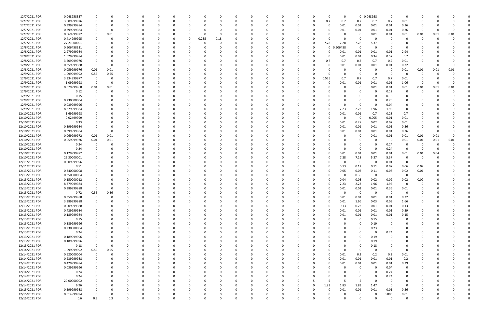| 12/7/2021 PDR  | 0.048958337 |             |             |          |          | $\Omega$ |          |          |       |          |          |             |          |             |             |          | $\Omega$ | $\Omega$ |             | 0 0.048958  | 0        | 0              |              |      |      |  |
|----------------|-------------|-------------|-------------|----------|----------|----------|----------|----------|-------|----------|----------|-------------|----------|-------------|-------------|----------|----------|----------|-------------|-------------|----------|----------------|--------------|------|------|--|
| 12/7/2021 PDR  | 3.509999976 |             |             |          |          |          |          |          |       |          |          |             |          |             |             | 0        | 0.7      | 0.7      | 0.7         | 0.7         | 0.7      | 0.01           | n            |      |      |  |
| 12/7/2021 PDR  | 0.399999984 |             |             |          |          |          |          |          |       |          |          |             |          |             |             |          | 0        | 0.01     | 0.01        | 0.01        | 0.01     | 0.36           |              |      |      |  |
| 12/7/2021 PDR  | 0.399999984 |             |             |          |          |          |          |          |       |          |          |             |          |             |             |          |          | 0.01     | 0.01        | 0.01        | 0.01     | 0.36           | $\Omega$     |      |      |  |
| 12/7/2021 PDR  | 0.069999972 |             | 0.01        |          |          |          |          |          |       |          |          |             |          |             |             |          |          |          | 0           | 0.01        | 0.01     | 0.01           | 0.01         | 0.01 | 0.01 |  |
|                |             |             |             |          |          |          |          |          |       |          |          |             |          |             |             |          |          |          |             |             |          |                |              |      |      |  |
| 12/7/2021 PDR  | 0.414999995 |             |             |          |          |          |          | 0        | 0.235 | 0.18     |          |             |          |             |             |          |          |          | 0           | -C          | - 0      | 0              | 0            |      |      |  |
| 12/7/2021 PDR  | 27.21000001 |             |             |          |          |          |          |          |       |          |          |             |          |             |             | 0        | 7.28     | 7.28     | 7.28        | 5.37        |          |                |              |      |      |  |
| 12/8/2021 PDR  | 0.606458331 |             |             |          |          |          |          |          |       |          |          |             |          |             |             | -0       | $\Omega$ | 606458   | $\Omega$    | 0           |          |                |              |      |      |  |
| 12/8/2021 PDR  | 2.979999984 |             |             |          |          |          |          |          |       |          |          |             |          |             |             |          |          | 0.01     | 0.01        | 0.01        | 0.01     | 2.94           |              |      |      |  |
| 12/8/2021 PDR  | 1.629999984 |             |             |          |          |          |          |          |       |          |          |             |          |             |             |          |          | 0.01     | 0.01        | 0.34        | 0.57     | 0.7            |              |      |      |  |
| 12/8/2021 PDR  | 3.509999976 |             |             |          |          |          |          |          |       |          |          |             |          |             |             | - 0      | 0.7      | 0.7      | 0.7         | 0.7         | 0.7      | 0.01           |              |      |      |  |
| 12/8/2021 PDR  | 0.359999988 | $\Omega$    |             |          |          |          |          |          |       |          |          |             |          |             |             |          |          | 0.01     | 0.01        | 0.01        | 0.01     | 0.32           | -0           |      |      |  |
| 12/8/2021 PDR  | 0.059999976 | 0.01        | 0.01        |          |          |          |          |          |       |          |          |             |          |             |             |          |          |          | 0           | -C          | - 0      | 0.01           | 0.01         | 0.01 | 0.01 |  |
|                |             |             |             |          |          |          |          |          |       |          |          |             |          |             |             |          |          |          |             | $\Omega$    |          |                |              |      |      |  |
| 12/9/2021 PDR  | 1.099999992 | 0.55        | 0.55        |          |          |          |          |          |       |          |          |             |          |             |             |          |          |          | 0           |             |          |                | -0           |      |      |  |
| 12/9/2021 PDR  | 3.334999977 | 0           |             |          |          |          |          |          |       |          |          |             |          |             |             | -0       | 0.525    | 0.7      | 0.7         | 0.7         | 0.7      | 0.01           |              |      |      |  |
| 12/9/2021 PDR  | 1.09999998  | 0           |             |          |          |          |          |          |       |          |          |             |          |             |             |          |          | 0.01     | 0.01        | 0.01        | 0.01     | 1.06           | -0           |      |      |  |
| 12/9/2021 PDR  | 0.079999968 | 0.01        | 0.01        | 0        |          |          |          |          |       |          |          |             |          |             |             |          |          |          | 0           | 0.01        | 0.01     | 0.01           | 0.01         | 0.01 | 0.01 |  |
| 12/9/2021 PDR  | 0.12        | 0           |             |          |          |          |          |          |       |          |          |             |          |             |             |          |          |          | 0           | 0           | 0.12     | 0              | 0            | - 0  |      |  |
| 12/9/2021 PDR  | 0.15        |             |             |          |          |          |          |          |       |          |          |             |          |             |             |          |          |          |             | - 0         | 0.15     | $\Omega$       |              |      |      |  |
| 12/9/2021 PDR  | 0.230000004 |             |             |          |          |          |          |          |       |          |          |             |          |             |             |          |          |          | 0           | $\Omega$    | 0.23     | 0              |              |      |      |  |
| 12/9/2021 PDR  | 0.039999996 |             |             |          |          |          |          |          |       |          |          |             |          |             |             |          |          |          | 0           | -C          | 0.04     |                |              |      |      |  |
| 12/9/2021 PDR  | 8.379999984 |             |             |          |          |          |          |          |       |          |          |             |          |             |             |          |          | 2.23     | 2.23        | 1.96        | 1.96     | 0              |              |      |      |  |
|                |             |             |             |          |          |          |          |          |       |          |          |             |          |             |             |          |          |          |             |             |          |                |              |      |      |  |
| 12/10/2021 PDR | 1.69999998  |             |             |          |          |          |          |          |       |          |          |             |          |             |             |          |          | 0.01     | 0.01        | 0.7         | 0.28     | 0.7            |              |      |      |  |
| 12/10/2021 PDR | 0.02499999  |             |             |          |          |          |          |          |       |          |          |             |          |             |             |          |          | 0        | 0           | 0.005       | 0.01     | 0.01           |              |      |      |  |
| 12/10/2021 PDR | 0.33        |             |             |          |          |          |          |          |       |          |          |             |          |             |             |          |          | 0.01     | 0.27        | 0.02        | 0.02     | 0.01           |              |      |      |  |
| 12/10/2021 PDR | 0.399999984 |             |             |          |          |          |          |          |       |          |          |             |          |             |             |          |          | 0.01     | 0.01        | 0.01        | 0.01     | 0.36           |              |      |      |  |
| 12/10/2021 PDR | 0.399999984 |             |             |          |          |          |          |          |       |          |          |             |          |             |             |          |          | 0.01     | 0.01        | 0.01        | 0.01     | 0.36           | -0           |      |      |  |
| 12/10/2021 PDR | 0.069999972 | 0.01        | 0.01        |          |          |          |          |          |       |          |          |             |          |             |             |          |          |          | 0           | 0.01        | 0.01     | 0.01           | 0.01         | 0.01 |      |  |
| 12/10/2021 PDR | 0.059999976 | 0.01        | 0.01        |          |          |          |          |          |       |          |          |             |          |             |             |          |          |          |             | -C          | - 0      | 0.01           | 0.01         | 0.01 | 0.01 |  |
| 12/10/2021 PDR | 0.24        |             |             |          |          |          |          |          |       |          |          |             |          |             |             |          |          |          | 0           | - 0         | 0.24     | 0              | -0           |      |      |  |
| 12/10/2021 PDR | 0.24        |             |             |          |          |          |          |          |       |          |          |             |          |             |             |          |          |          | $\Omega$    | 0           | 0.24     | 0              | -0           |      |      |  |
| 12/10/2021 PDR | 0.129999972 |             |             |          |          |          |          |          |       |          |          |             |          |             |             |          |          | 0.01     | 0.01        | 0.01        | 0.01     | 0.01           | 0.04         | 0.04 |      |  |
|                |             |             |             |          |          |          |          |          |       |          |          |             |          |             |             |          |          |          |             |             |          |                |              |      |      |  |
| 12/10/2021 PDR | 25.30000001 |             |             |          |          |          |          |          |       |          |          |             |          |             |             | - 0      |          | 7.28     | 7.28        | 5.37        | 5.37     | $\Omega$       | C.           |      |      |  |
| 12/11/2021 PDR | 0.009999996 |             |             |          |          |          |          |          |       |          |          |             |          |             |             |          |          |          | 0           | 0           | 0.01     | - 0            | - 0          |      |      |  |
| 12/11/2021 PDR | 0.51        |             |             |          |          |          |          |          |       |          |          |             |          |             |             |          |          | 0.13     | 0.12        | 0.11        | 0.07     | 0.06           | 0.02         |      |      |  |
| 12/13/2021 PDR | 0.340000008 |             |             |          |          |          |          |          |       |          |          |             |          |             |             | - 0      |          | 0.05     | 0.07        | 0.11        | 0.08     | 0.02           | 0.01         |      |      |  |
| 12/13/2021 PDR | 0.350000004 |             |             |          |          |          |          |          |       |          |          |             |          |             |             |          |          | 0        | 0.35        | 0           | - 0      | $\Omega$       | - 0          |      |      |  |
| 12/13/2021 PDR | 0.150000012 |             |             |          |          |          |          |          |       |          |          |             |          |             |             |          |          | 0.04     | 0.03        | 0.02        | 0.02     | 0.02           | 0.02         |      |      |  |
| 12/13/2021 PDR | 8.379999984 |             |             |          |          |          |          |          |       |          |          |             |          |             |             |          |          | 2.23     | 2.23        | 1.96        | 1.96     |                |              |      |      |  |
| 12/13/2021 PDR | 0.389999988 | 0           |             |          |          |          |          |          |       |          |          |             |          |             |             |          |          | 0.01     | 0.01        | 0.01        | 0.35     | 0.01           | <sup>0</sup> |      |      |  |
| 12/13/2021 PDR | 0.72        | 0.36        | 0.36        |          |          |          |          |          |       |          |          |             |          |             |             |          |          |          | $\mathbf 0$ | $\mathbf 0$ | $\Omega$ |                | $\Omega$     |      |      |  |
|                |             |             |             |          |          |          |          |          |       |          |          |             |          |             |             |          |          |          |             |             |          |                |              |      |      |  |
| 12/13/2021 PDR | 0.359999988 | 0           | 0           | $\Omega$ | $\Omega$ | $\Omega$ | $\Omega$ | 0        |       | 0        |          | 0           |          | 0           | 0           | 0        | $\Omega$ | 0.01     | 0.01        | 0.01        | 0.01     | 0.32           | 0            |      |      |  |
| 12/13/2021 PDR | 3.389999988 | 0           |             | 0        |          | $\Omega$ |          |          |       |          |          | 0           |          |             |             | 0        |          | 0.01     | 1.66        | 0.03        | 0.03     | 1.66           | 0            |      |      |  |
| 12/13/2021 PDR | 0.509999988 | 0           |             | 0        |          | $\Omega$ |          |          |       |          |          | $\Omega$    |          |             | 0           | $\Omega$ |          | 0.13     | 0.23        | 0.01        | 0.01     | 0.13           | 0            |      |      |  |
| 12/13/2021 PDR | 0.429999984 |             |             |          |          |          |          |          |       |          |          |             |          |             |             | $\Omega$ |          | 0.01     | 0.01        | 0.01        | 0.01     | 0.39           |              |      |      |  |
| 12/13/2021 PDR | 0.189999984 |             |             |          |          |          |          |          |       |          |          |             |          |             | 0           | 0        |          | 0.01     | 0.01        | 0.01        | $0.01\,$ | 0.15           |              |      |      |  |
| 12/13/2021 PDR | 0.15        | 0           |             |          |          |          |          |          |       |          |          |             |          | 0           | 0           | 0        |          | 0        | 0           | 0.15        | 0        | 0              | O            |      |      |  |
| 12/13/2021 PDR | 0.189999996 |             |             | 0        |          |          |          |          |       |          |          |             |          |             |             |          |          |          | 0           | 0.19        | 0        | 0              | 0            |      |      |  |
| 12/13/2021 PDR | 0.230000004 | $\Omega$    |             | 0        |          | $\Omega$ |          |          |       |          |          | 0           |          |             | 0           | 0        |          | 0        | $\Omega$    | 0.23        | - 0      | 0              | 0            |      |      |  |
| 12/13/2021 PDR | 0.24        | 0           |             | 0        |          | 0        |          | 0        |       |          |          | 0           |          |             | 0           | 0        |          | 0        | $\Omega$    | 0           | 0.24     | 0              | 0            |      |      |  |
| 12/13/2021 PDR | 0.189999996 |             |             |          |          |          |          |          |       |          |          |             |          |             |             | 0        |          |          | $\Omega$    | 0.19        |          | 0              |              |      |      |  |
|                |             |             |             |          |          |          |          |          |       |          |          |             |          |             |             |          |          |          |             |             | $\Omega$ |                |              |      |      |  |
| 12/13/2021 PDR | 0.189999996 |             |             |          |          |          |          |          |       |          |          | 0           |          |             |             | 0        |          | 0        | 0           | 0.19        |          | 0              | 0            |      |      |  |
| 12/13/2021 PDR | 0.18        | $\mathbf 0$ | 0           |          |          |          |          |          |       |          |          |             |          |             |             |          |          | 0        | 0           | 0.18        | 0        | 0              |              |      |      |  |
| 12/14/2021 PDR | 1.099999992 | 0.55        | 0.55        | $\Omega$ |          | $\Omega$ |          |          |       |          |          |             |          |             |             |          |          | $\Omega$ | $\Omega$    | $\mathbf 0$ | $\Omega$ | $\overline{0}$ | 0            |      |      |  |
| 12/14/2021 PDR | 0.620000004 | 0           | $\mathbf 0$ | 0        |          | $\Omega$ |          |          |       |          |          | 0           |          |             |             | 0        |          | 0.01     | 0.2         | 0.2         | 0.2      | 0.01           | 0            |      |      |  |
| 12/14/2021 PDR | 0.239999988 | 0           |             | 0        |          | $\Omega$ |          |          |       |          |          | 0           |          |             | 0           | 0        |          | 0.01     | 0.01        | 0.01        | 0.01     | 0.2            | 0            |      |      |  |
| 12/14/2021 PDR | 0.429999984 |             |             |          |          |          |          |          |       |          |          |             |          |             |             | 0        |          | 0.01     | 0.01        | 0.01        | 0.01     | 0.39           |              |      |      |  |
| 12/14/2021 PDR | 0.039999996 |             |             |          |          |          |          |          |       |          |          | 0           |          |             |             | 0        |          | 0        | 0           | $\Omega$    | 0.04     | 0              |              |      |      |  |
| 12/14/2021 PDR | 0.24        |             |             |          |          |          |          |          |       |          |          |             |          |             |             |          |          |          | 0           | 0           | 0.24     | 0              |              |      |      |  |
| 12/14/2021 PDR | 0.24        | $\Omega$    |             |          |          |          |          |          |       |          |          |             |          |             | 0           |          |          |          | 0           | $\Omega$    | 0.24     | 0              |              |      |      |  |
|                |             |             |             |          |          |          |          |          |       |          |          |             |          |             |             |          |          | 5        |             | $\Omega$    |          |                |              |      |      |  |
| 12/14/2021 PDR | 20.00000002 |             |             |          |          |          |          |          |       |          |          |             |          |             |             |          |          |          | 5           |             |          | $\Omega$       |              |      |      |  |
| 12/14/2021 PDR | 6.96        |             |             |          |          |          |          |          |       |          |          |             |          |             |             | 0        | 1.83     | 1.83     | 1.83        | 1.47        | - 0      | $\overline{0}$ | 0            |      |      |  |
| 12/15/2021 PDR | 0.599999988 |             |             | 0        |          | 0        |          |          |       |          |          | 0           |          |             | 0           | 0        | $\Omega$ | 0.01     | 0.01        | 0.01        | 0.01     | 0.56           |              |      |      |  |
| 12/15/2021 PDR | 0.014999994 | $\Omega$    |             |          |          |          |          |          |       |          |          |             |          |             |             |          |          |          | 0           | 0           | 0.005    | 0.01           |              |      |      |  |
| 12/15/2021 PDR | 0.6         | 0.3         | 0.3         | $\Omega$ |          | $\Omega$ | $\Omega$ | $\Omega$ |       | $\Omega$ | $\Omega$ | $\mathbf 0$ | $\Omega$ | $\mathbf 0$ | $\mathbf 0$ | $\Omega$ | U        | $\Omega$ | $\mathbf 0$ | $\Omega$    | $\Omega$ | 0              | $\Omega$     |      | 0    |  |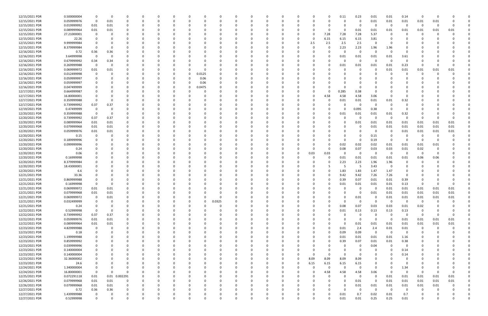| 12/15/2021 PDR | 0.500000004 |          | - 0         |               | -C       |          |   | C           |          |          |              |              |          |          |          |          | 0.11     | 0.23        | 0.01     | 0.01                    | 0.14     | - 0         | <sup>0</sup> |      |  |
|----------------|-------------|----------|-------------|---------------|----------|----------|---|-------------|----------|----------|--------------|--------------|----------|----------|----------|----------|----------|-------------|----------|-------------------------|----------|-------------|--------------|------|--|
| 12/15/2021 PDR | 0.059999976 | $\Omega$ | 0.01        | 0             | 0        |          |   | 0           |          |          |              |              |          |          |          |          | 0        | -0          | 0.01     | 0.01                    | 0.01     | 0.01        | 0.01         |      |  |
| 12/15/2021 PDR | 0.019999992 | 0.01     | 0.01        |               |          |          |   |             |          |          |              |              |          |          |          |          |          | $\Omega$    | - 0      | - 0                     | 0        | $\Omega$    | $\Omega$     |      |  |
|                |             |          |             | O             |          |          |   |             |          |          |              |              |          |          |          |          |          |             |          |                         |          |             |              |      |  |
| 12/15/2021 PDR | 0.089999964 | 0.01     | 0.01        |               |          |          |   |             |          |          |              |              |          |          | O        |          | 0        | 0.01        | 0.01     | 0.01                    | 0.01     | 0.01        | 0.01         | 0.01 |  |
| 12/15/2021 PDR | 27.21000001 | - 0      | - 0         |               |          |          |   | n           |          |          |              |              |          |          | 0        | 7.28     | 7.28     | 7.28        | 5.37     | -0                      | 0        |             |              |      |  |
| 12/15/2021 PDR | 22.26       |          |             |               |          |          |   |             |          |          |              |              |          |          | O        | 6.15     | 6.15     | 6.15        | 3.81     |                         |          |             |              |      |  |
| 12/15/2021 PDR | 9.999999984 |          |             |               |          |          |   |             |          |          |              |              |          |          | 2.5      | 2.5      | 2.5      | 2.5         | - 0      |                         |          |             |              |      |  |
| 12/15/2021 PDR | 8.379999984 |          |             |               |          |          |   |             |          |          |              |              |          |          |          |          | 2.23     | 2.23        | 1.96     | 1.96                    |          |             |              |      |  |
|                |             |          |             |               |          |          |   |             |          |          |              |              |          |          |          |          |          |             |          |                         |          |             |              |      |  |
| 12/16/2021 PDR | 0.72        | 0.36     | 0.36        |               |          |          |   |             |          |          |              |              |          |          |          |          | 0        | $\Omega$    | $\Omega$ | $\Omega$                |          |             |              |      |  |
| 12/16/2021 PDR | 3.64999998  | $\Omega$ | 0           |               |          |          |   |             |          |          |              |              |          |          |          |          | 0.01     | 0.01        | 0.01     | 0.01                    | 3.61     |             |              |      |  |
| 12/16/2021 PDR | 0.679999992 | 0.34     | 0.34        |               |          |          |   | 0           |          |          |              |              |          |          |          |          | 0        | $\Omega$    | $\Omega$ | - 0                     | $\Omega$ |             |              |      |  |
| 12/16/2021 PDR | 0.269999988 | $\Omega$ | - 0         |               |          |          |   |             |          |          |              |              |          |          |          |          |          |             |          |                         | 0.23     |             |              |      |  |
|                |             |          |             |               |          |          |   | C           |          |          |              |              |          |          |          |          | 0.01     | 0.01        | 0.01     | 0.01                    |          |             |              |      |  |
| 12/16/2021 PDR | 0.069999972 | 0.01     | 0.01        |               |          |          |   | C           |          |          |              |              |          |          |          |          | -C       | - 0         | - 0      | 0.01                    | 0.01     | 0.01        | 0.01         | 0.01 |  |
| 12/16/2021 PDR | 0.012499998 |          |             |               |          |          |   | 0.0125      |          |          |              |              |          |          |          |          |          |             |          |                         | 0        |             |              |      |  |
| 12/16/2021 PDR | 0.059999997 |          |             |               |          |          |   | 0.06        |          |          |              |              |          |          |          |          |          |             |          |                         |          |             |              |      |  |
| 12/16/2021 PDR | 0.059999997 |          |             |               |          |          |   | 0.06        |          |          |              |              |          |          |          |          |          |             |          |                         |          |             |              |      |  |
|                |             |          |             |               |          |          |   |             |          |          |              |              |          |          |          |          |          |             |          |                         |          |             |              |      |  |
| 12/16/2021 PDR | 0.047499999 |          |             |               |          |          |   | 0.0475      |          |          |              |              |          |          |          |          | 0        |             |          |                         |          |             |              |      |  |
| 12/17/2021 PDR | 0.664999987 |          |             |               |          |          |   | -C          |          |          |              |              |          |          |          |          | 0.285    | 0.38        | - 0      |                         |          |             |              |      |  |
| 12/17/2021 PDR | 16.80000001 |          |             |               |          |          |   | C.          |          |          |              |              |          |          | 0        | 4.58     | 4.58     | 4.58        | 3.06     | - വ                     | 0        |             |              |      |  |
| 12/17/2021 PDR | 0.359999988 |          |             |               |          |          |   |             |          |          |              |              |          |          |          |          | 0.01     | 0.01        | 0.01     | 0.01                    | 0.32     |             |              |      |  |
|                |             |          |             |               |          |          |   |             |          |          |              |              |          |          |          |          |          |             |          |                         |          |             |              |      |  |
| 12/17/2021 PDR | 0.739999992 | 0.37     | 0.37        |               |          |          |   |             |          |          |              |              |          |          |          |          | 0        | - 0         | - 0      |                         | 0        |             |              |      |  |
| 12/19/2021 PDR | 0.47499999  | 0        | 0           |               |          |          |   |             |          |          |              |              |          |          |          |          | $\Omega$ | 0.095       | 0.38     | - 0                     | 0        |             |              |      |  |
| 12/20/2021 PDR | 0.359999988 | 0        | - 0         |               |          |          |   |             |          |          |              |              |          |          |          |          | 0.01     | 0.01        | 0.01     | 0.01                    | 0.32     |             |              |      |  |
| 12/20/2021 PDR | 0.739999992 | 0.37     | 0.37        |               |          |          |   | 0           |          |          |              |              |          |          |          |          | 0        | $\Omega$    | $\Omega$ | 0                       | $\Omega$ |             |              |      |  |
|                |             |          |             |               |          |          |   |             |          |          |              |              |          |          |          |          |          |             |          |                         |          |             |              |      |  |
| 12/20/2021 PDR | 0.089999964 | 0.01     | 0.01        |               |          |          |   |             |          |          |              |              |          |          |          |          | -C       | 0.01        | 0.01     | 0.01                    | 0.01     | 0.01        | 0.01         | 0.01 |  |
| 12/20/2021 PDR | 0.079999968 | 0.01     | 0.01        |               |          |          |   |             |          |          |              |              |          |          |          |          | -C       | -0          | 0.01     | 0.01                    | 0.01     | 0.01        | 0.01         | 0.01 |  |
| 12/20/2021 PDR | 0.059999976 | 0.01     | 0.01        |               |          |          |   |             |          |          |              |              |          |          |          |          |          | -0          | - 0      | - 0                     | 0.01     | 0.01        | 0.01         | 0.01 |  |
| 12/20/2021 PDR | 0.15        | 0        |             |               |          |          |   |             |          |          |              |              |          |          |          |          |          |             | 0.15     |                         | 0        | -0          |              |      |  |
|                | 0.189999996 |          |             |               |          |          |   |             |          |          |              |              |          |          |          |          |          |             |          |                         |          |             | <sup>0</sup> |      |  |
| 12/20/2021 PDR |             |          |             |               |          |          |   | C           |          |          |              |              |          |          |          |          | $\Omega$ | -0          | 0.19     | - 0                     | 0        | - 0         |              |      |  |
| 12/20/2021 PDR | 0.099999996 |          |             |               |          |          |   | n           |          |          |              |              |          |          |          |          | 0.02     | 0.02        | 0.02     | 0.01                    | 0.01     | 0.01        | 0.01         |      |  |
| 12/20/2021 PDR | 0.24        |          |             |               |          |          |   |             |          |          |              |              |          |          |          |          | 0.08     | 0.07        | 0.03     | 0.03                    | 0.01     | 0.02        |              |      |  |
| 12/20/2021 PDR | 0.06        |          |             |               |          |          |   |             |          |          |              |              |          |          | 0.03     | 0.03     | 0        | - 0         | - 0      | $\overline{\mathbf{0}}$ | -0       | - 0         |              |      |  |
|                |             |          |             |               |          |          |   |             |          |          |              |              |          |          |          |          |          |             |          |                         |          |             |              |      |  |
| 12/20/2021 PDR | 0.16999998  |          |             |               |          |          |   |             |          |          |              |              |          |          |          |          | 0.01     | 0.01        | 0.01     | 0.01                    | 0.01     | 0.06        | 0.06         |      |  |
| 12/20/2021 PDR | 8.379999984 |          |             |               |          |          |   |             |          |          |              |              |          |          |          |          | 2.23     | 2.23        | 1.96     | 1.96                    | n        |             |              |      |  |
| 12/20/2021 PDR | 18.43000001 |          |             |               |          |          |   |             |          |          |              |              |          |          |          |          | 5        | - 5         | 3.43     | - 0                     | 0        |             |              |      |  |
| 12/20/2021 PDR | 6.6         |          |             |               |          |          |   |             |          |          |              |              |          |          |          |          | 1.83     | 1.83        | 1.47     | 1.47                    | 0        |             |              |      |  |
|                |             |          |             |               |          |          |   |             |          |          |              |              |          |          |          |          |          |             |          |                         |          |             |              |      |  |
| 12/21/2021 PDR | 33.36       |          |             |               |          |          |   |             |          |          |              |              |          |          |          |          | 9.42     | 9.42        | 7.26     | 7.26                    | 0        |             |              |      |  |
| 12/21/2021 PDR | 0.869999988 |          |             |               |          |          |   |             |          |          |              |              |          |          |          |          | 0.39     | 0.07        | 0.01     | 0.01                    | 0.39     |             |              |      |  |
| 12/21/2021 PDR | 0.16999998  |          |             |               |          |          |   |             |          |          |              |              |          |          |          |          | 0.01     | 0.01        | 0.01     | 0.01                    | 0.13     |             |              |      |  |
| 12/21/2021 PDR | 0.069999972 | 0.01     | 0.01        |               |          |          |   |             |          |          |              |              |          |          |          |          | 0        | $\Omega$    | $\Omega$ | 0.01                    | 0.01     | 0.01        | 0.01         | 0.01 |  |
|                |             |          |             |               |          |          |   |             |          |          |              |              |          |          |          |          | $\Omega$ |             |          |                         |          |             |              |      |  |
| 12/21/2021 PDR | 0.079999968 | 0.01     | 0.01        |               |          |          |   |             |          |          |              |              |          |          |          |          |          | $\Omega$    | 0.01     | 0.01                    | 0.01     | 0.01        | 0.01         | 0.01 |  |
| 12/21/2021 PDR | 0.069999972 | 0        | 0.01        | $\Omega$      | $\Omega$ | $\Omega$ | 0 | $\Omega$    | 0        | $\Omega$ | $\Omega$     | $\Omega$     | $\Omega$ |          | 0        | $\Omega$ | 0        | 0.01        | - 0      | 0.01                    | 0.01     | 0.01        | 0.01         | 0.01 |  |
| 12/21/2021 PDR | 0.032499999 | 0        | - 0         | $\Omega$      | 0        |          |   | 0           | 0.0325   | $\Omega$ | 0            | 0            | $\Omega$ |          | 0        |          | $\Omega$ | $\mathbf 0$ | $\Omega$ | $\overline{\mathbf{0}}$ | 0        | $\mathbf 0$ | $\Omega$     |      |  |
| 12/21/2021 PDR | 0.24        | $\Omega$ | $\Omega$    |               | $\Omega$ |          |   | $\Omega$    | $\Omega$ |          |              |              |          |          | $\Omega$ | $\Omega$ | 0.08     | 0.07        | 0.03     | 0.03                    | 0.01     | 0.02        |              |      |  |
| 12/22/2021 PDR |             | $\Omega$ |             |               |          |          |   |             |          |          |              |              |          |          |          |          |          |             |          |                         |          |             |              |      |  |
|                | 0.52999998  |          | - 0         |               |          |          |   | 0           |          |          |              |              |          |          | 0        |          | 0.01     | 0.13        | 0.13     | 0.13                    | 0.13     |             |              |      |  |
| 12/22/2021 PDR | 0.739999992 | 0.37     | 0.37        |               |          |          |   | 0           |          |          |              |              |          |          | 0        |          | 0        | 0           | - 0      | $\overline{0}$          | 0        | $\Omega$    |              |      |  |
| 12/22/2021 PDR | 0.059999976 | 0.01     | 0.01        | 0             |          |          |   | $\Omega$    |          |          |              |              |          |          | $\Omega$ |          | $\Omega$ | $\Omega$    | $\Omega$ | $\overline{\mathbf{0}}$ | 0.01     | 0.01        | 0.01         | 0.01 |  |
| 12/22/2021 PDR | 0.089999964 | 0.01     | 0.01        | 0             | 0        |          |   | 0           |          |          | 0            | 0            |          |          | 0        |          | 0        | 0.01        | 0.01     | 0.01                    | 0.01     | 0.01        | 0.01         | 0.01 |  |
| 12/23/2021 PDR | 4.829999988 | 0        | $\Omega$    | $\Omega$      | 0        |          |   | $\Omega$    |          | $\Omega$ | $\Omega$     | 0            |          |          | 0        | O        | 0.01     | 2.4         | 2.4      | 0.01                    | 0.01     | $\Omega$    | $\Omega$     |      |  |
|                |             |          |             |               |          |          |   |             |          |          |              |              |          |          |          |          |          |             |          |                         |          |             |              |      |  |
| 12/23/2021 PDR | 0.18        | 0        |             |               |          |          |   | 0           |          |          |              | 0            |          |          | 0        | $\Omega$ | 0.09     | 0.09        | $\Omega$ | $\overline{\mathbf{0}}$ | 0        |             |              |      |  |
| 12/23/2021 PDR | 1.199999988 |          |             |               |          |          |   | 0           |          |          | <sup>0</sup> | 0            |          |          | 0        | 0        | 0.01     | 0.01        | $0.01\,$ | 0.01                    | 1.16     |             |              |      |  |
| 12/23/2021 PDR | 0.859999992 |          | 0           |               | 0        |          |   | 0           |          |          | 0            | 0            |          |          | 0        | 0        | 0.39     | 0.07        | 0.01     | 0.01                    | 0.38     |             |              |      |  |
| 12/23/2021 PDR | 0.039999996 | 0        |             |               |          |          |   | 0           |          |          |              | 0            |          |          | 0        |          | 0        | 0           | 0.04     | $\overline{0}$          | 0        |             |              |      |  |
|                |             |          |             |               |          |          |   |             |          |          |              |              |          |          |          |          |          |             |          |                         |          |             |              |      |  |
| 12/23/2021 PDR | 0.140000004 | $\Omega$ | $\Omega$    |               | 0        |          |   | 0           |          |          | 0            | <sup>0</sup> |          |          | $\Omega$ |          | 0        | $\Omega$    | $\Omega$ | $\Omega$                | 0.14     |             |              |      |  |
| 12/23/2021 PDR | 0.140000004 | 0        |             |               | 0        |          |   | 0           |          |          |              | 0            |          |          | 0        | $\Omega$ | 0        | $\Omega$    | $\Omega$ |                         | 0.14     |             |              |      |  |
| 12/23/2021 PDR | 32.36000002 |          |             |               |          |          |   | $\Omega$    |          |          |              |              |          | $\Omega$ | 8.09     | 8.09     | 8.09     | 8.09        | $\Omega$ |                         | 0        |             |              |      |  |
| 12/23/2021 PDR | 24.6        |          |             |               |          |          |   | 0           |          |          |              |              |          | $\Omega$ | 6.15     | 6.15     | 6.15     | 6.15        | $\Omega$ |                         | 0        |             |              |      |  |
|                |             |          |             |               |          |          |   |             |          |          |              |              |          |          |          |          |          |             |          |                         |          |             |              |      |  |
| 12/24/2021 PDR | 1.340000004 |          |             |               |          |          |   | 0           |          |          |              |              |          |          | 0        | 0        | 0        | 0           | $\Omega$ | $\Omega$                | 1.34     |             |              |      |  |
| 12/24/2021 PDR | 16.80000001 | $\Omega$ | $\Omega$    |               |          |          |   | C           |          |          |              |              |          |          | 0        | 4.58     | 4.58     | 4.58        | 3.06     | $\overline{0}$          | 0        | $\Omega$    |              |      |  |
| 12/25/2021 PDR | 0.072291118 | 0.01     |             | 0.01 0.002291 |          |          |   | 0           |          |          |              |              |          |          | 0        | 0        | 0        | $\mathbf 0$ | $\Omega$ | 0.01                    | 0.01     | 0.01        | 0.01         | 0.01 |  |
| 12/26/2021 PDR | 0.079999968 | 0.01     | 0.01        | 0             |          |          |   | 0           |          |          |              |              |          |          | 0        |          | 0        | 0.01        | $\Omega$ | 0.01                    | 0.01     | 0.01        | 0.01         | 0.01 |  |
|                |             |          |             |               |          |          |   |             |          |          |              |              |          |          |          |          |          |             |          |                         |          |             |              |      |  |
| 12/26/2021 PDR | 0.079999968 | 0.01     | 0.01        | 0             |          |          |   | 0           |          |          |              |              |          |          | O        |          | 0        | 0.01        | 0.01     | 0.01                    | 0.01     | 0.01        | 0.01         |      |  |
| 12/27/2021 PDR | 0.72        | 0.36     | 0.36        | 0             |          |          |   | 0           |          |          |              |              |          |          | 0        |          | $\Omega$ | $\mathbf 0$ | $\Omega$ | $\overline{\mathbf{0}}$ | 0        |             |              |      |  |
| 12/27/2021 PDR | 1.439999988 |          |             |               |          |          |   |             |          |          |              |              |          |          |          |          | 0.01     | 0.7         | 0.02     | 0.01                    | 0.7      |             |              |      |  |
| 12/27/2021 PDR | 0.52999998  | $\Omega$ | $\mathbf 0$ | $\mathbf 0$   | 0        | $\Omega$ |   | $\mathbf 0$ | $\Omega$ | $\Omega$ | $\Omega$     | $\Omega$     | $\Omega$ |          | 0        |          | 0.01     | 0.01        | 0.25     | 0.25                    | 0.01     |             |              |      |  |
|                |             |          |             |               |          |          |   |             |          |          |              |              |          |          |          |          |          |             |          |                         |          |             |              |      |  |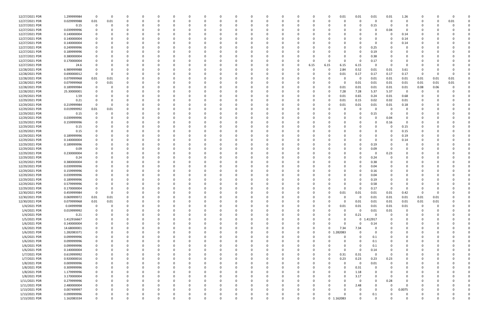| 12/27/2021 PDR | 1.299999984 | $\Omega$    | 0           | 0            | $\Omega$ |          | 0            |          |          |             | $\Omega$ |          |          |              | 0.01       | 0.01        | 0.01        | 0.01           | 1.26     |          |          |      |  |
|----------------|-------------|-------------|-------------|--------------|----------|----------|--------------|----------|----------|-------------|----------|----------|----------|--------------|------------|-------------|-------------|----------------|----------|----------|----------|------|--|
| 12/27/2021 PDR | 0.029999988 | $0.01\,$    | 0.01        |              | -C       |          | $\Omega$     |          |          | $\Omega$    |          |          | O        |              | 0          | 0           | $\Omega$    | - 0            | 0        |          |          | 0.01 |  |
| 12/27/2021 PDR | 0.15        | $\Omega$    | 0           |              |          |          |              |          |          |             |          |          |          |              | n          | $\Omega$    | 0.15        | - 0            |          |          |          |      |  |
|                |             |             |             |              |          |          |              |          |          |             |          |          |          |              |            |             |             |                |          |          |          |      |  |
| 12/27/2021 PDR | 0.039999996 |             |             |              |          |          |              |          |          |             |          |          |          |              |            |             |             | 0.04           |          |          |          |      |  |
| 12/27/2021 PDR | 0.140000004 |             |             |              |          |          |              |          |          |             |          |          |          |              |            |             |             | -0             | 0.14     |          |          |      |  |
| 12/27/2021 PDR | 0.140000004 |             |             |              |          |          | 0            |          |          |             |          |          |          |              |            |             |             | - 0            | 0.14     |          |          |      |  |
| 12/27/2021 PDR | 0.140000004 |             |             |              |          |          |              |          |          |             |          |          |          |              |            |             | $\Omega$    |                | 0.14     |          |          |      |  |
| 12/27/2021 PDR | 0.249999996 |             |             |              |          |          |              |          |          |             |          |          |          |              |            | 0           | 0.25        |                |          |          |          |      |  |
|                |             |             |             |              |          |          |              |          |          |             |          |          |          |              |            |             |             |                |          |          |          |      |  |
| 12/27/2021 PDR | 0.189999996 |             |             |              |          |          |              |          |          |             |          |          |          |              |            | 0           | 0.19        |                |          |          |          |      |  |
| 12/27/2021 PDR | 0.380000004 |             |             |              |          |          |              |          |          |             |          |          |          |              |            |             | 0.38        |                |          |          |          |      |  |
| 12/27/2021 PDR | 0.170000004 |             |             |              |          |          | C            |          |          |             |          |          |          |              | 0          | 0           | 0.17        | 0              |          |          |          |      |  |
| 12/27/2021 PDR | 24.6        |             |             |              |          |          |              |          |          |             |          |          | 6.15     | 6.15         | 6.15       | 6.15        |             | - 0            | 0        |          |          |      |  |
| 12/28/2021 PDR | 6.989999988 |             |             |              |          |          | <sup>0</sup> |          |          |             |          |          | O        |              | 2.84       | 0.52        | 0.01        | 0.01           | 3.61     |          |          |      |  |
|                |             |             |             |              |          |          |              |          |          |             |          |          |          |              |            |             |             |                |          |          |          |      |  |
| 12/28/2021 PDR | 0.690000012 | $\Omega$    | - 0         |              |          |          |              |          |          |             |          |          |          |              | 0.01       | 0.17        | 0.17        | 0.17           | 0.17     | - 0      |          |      |  |
| 12/28/2021 PDR | 0.079999968 | $0.01\,$    | 0.01        |              |          |          |              |          |          |             |          |          |          |              | C          | 0           | 0.01        | 0.01           | 0.01     | 0.01     | 0.01     | 0.01 |  |
| 12/28/2021 PDR | 0.079999968 | 0           | 0.01        |              |          |          |              |          |          |             |          |          |          |              | 0          | 0.01        | 0.01        | 0.01           | 0.01     | 0.01     | 0.01     | 0.01 |  |
| 12/28/2021 PDR | 0.189999984 |             | - 0         |              |          |          |              |          |          |             |          |          |          |              | 0.01       | 0.01        | 0.01        | 0.01           | 0.01     | 0.08     | 0.06     |      |  |
| 12/28/2021 PDR | 25.30000001 |             |             |              |          |          |              |          |          |             |          |          |          |              | 7.28       | 7.28        | 5.37        | 5.37           | 0        | 0        |          |      |  |
| 12/29/2021 PDR |             |             |             |              |          |          |              |          |          |             |          |          |          |              |            | 0.65        |             | 0.01           |          |          |          |      |  |
|                | 1.59        |             |             |              |          |          |              |          |          |             |          |          |          |              | 0.01       |             | 0.24        |                | 0.68     |          |          |      |  |
| 12/29/2021 PDR | 0.21        |             |             |              |          |          |              |          |          |             |          |          |          |              | 0.01       | 0.15        | 0.02        | 0.02           | 0.01     |          |          |      |  |
| 12/29/2021 PDR | 0.219999984 |             |             |              |          |          |              |          |          |             |          |          |          |              | 0.01       | 0.01        | 0.01        | 0.01           | 0.18     |          |          |      |  |
| 12/29/2021 PDR | 0.019999992 | $0.01\,$    | $0.01\,$    |              |          |          |              |          |          |             |          |          |          |              |            | -0          |             | - 0            | 0        |          |          |      |  |
| 12/29/2021 PDR | 0.15        |             | $\Omega$    |              |          |          |              |          |          |             |          |          |          |              |            |             | 0.15        | - 0            |          |          |          |      |  |
| 12/29/2021 PDR | 0.039999996 |             |             |              |          |          |              |          |          |             |          |          |          |              | n          |             |             | 0.04           |          |          |          |      |  |
|                |             |             |             |              |          |          |              |          |          |             |          |          |          |              |            |             |             |                |          |          |          |      |  |
| 12/29/2021 PDR | 0.159999996 |             |             |              |          |          |              |          |          |             |          |          |          |              |            |             |             | 0.16           | 0        |          |          |      |  |
| 12/29/2021 PDR | 0.15        |             |             |              |          |          |              |          |          |             |          |          |          |              |            |             |             | $\Omega$       | 0.15     |          |          |      |  |
| 12/29/2021 PDR | 0.15        |             |             |              |          |          |              |          |          |             |          |          |          |              |            |             |             | - 0            | 0.15     |          |          |      |  |
| 12/29/2021 PDR | 0.189999996 |             |             |              |          |          |              |          |          |             |          |          |          |              |            |             |             | - 0            | 0.19     |          |          |      |  |
| 12/29/2021 PDR | 0.140000004 |             |             |              |          |          |              |          |          |             |          |          |          |              |            |             |             | 0              | 0.14     |          |          |      |  |
|                |             |             |             |              |          |          |              |          |          |             |          |          |          |              |            |             |             |                |          |          |          |      |  |
| 12/29/2021 PDR | 0.189999996 |             |             |              |          |          |              |          |          |             |          |          |          |              |            |             | 0.19        |                | O        |          |          |      |  |
| 12/29/2021 PDR | 0.09        |             |             |              |          |          | 0            |          |          |             |          |          |          |              | n          | $\Omega$    | 0.09        | - 0            | 0        |          |          |      |  |
| 12/29/2021 PDR | 0.230000004 |             |             |              |          |          | <sup>0</sup> |          |          |             |          |          |          |              |            | -0          |             | 0.23           |          |          |          |      |  |
| 12/29/2021 PDR | 0.24        |             |             |              |          |          |              |          |          |             |          |          |          |              |            | 0           | 0.24        |                |          |          |          |      |  |
| 12/29/2021 PDR | 0.380000004 |             |             |              |          |          |              |          |          |             |          |          |          |              |            | -0          | 0.38        |                |          |          |          |      |  |
|                |             |             |             |              |          |          |              |          |          |             |          |          |          |              |            |             |             |                |          |          |          |      |  |
| 12/29/2021 PDR | 0.039999996 |             |             |              |          |          |              |          |          |             |          |          |          |              |            |             | 0.04        |                |          |          |          |      |  |
| 12/29/2021 PDR | 0.159999996 |             |             |              |          |          |              |          |          |             |          |          |          |              |            | -0          | 0.16        |                |          |          |          |      |  |
| 12/29/2021 PDR | 0.039999996 |             |             |              |          |          |              |          |          |             |          |          |          |              | n          | -0          | 0.04        |                |          |          |          |      |  |
| 12/29/2021 PDR | 0.189999996 |             |             |              |          |          |              |          |          |             |          |          |          |              |            | - 0         | 0.19        |                |          |          |          |      |  |
| 12/29/2021 PDR | 0.579999996 |             |             |              |          |          |              |          |          |             |          |          |          |              |            |             | 0.58        |                |          |          |          |      |  |
|                |             |             |             |              |          |          |              |          |          |             |          |          |          |              |            |             |             |                |          |          |          |      |  |
| 12/29/2021 PDR | 0.170000004 | 0           | 0           |              |          |          |              |          |          |             |          |          |          |              | n          | 0           | 0.17        | 0              |          |          |          |      |  |
| 12/30/2021 PDR | 0.459999984 | $\mathbf 0$ | $\mathbf 0$ |              |          |          |              |          |          |             |          |          |          |              | 0.01       | 0.01        | 0.01        | 0.01           | 0.42     |          |          |      |  |
| 12/30/2021 PDR | 0.069999972 | 0.01        | $0.01\,$    | $\Omega$     | 0        | O        | 0            | $\Omega$ | $\Omega$ | 0           | $\Omega$ | 0        | $\Omega$ |              | 0          | $\mathbf 0$ | $0.01\,$    | 0.01           | 0.01     | 0.01     | 0.01     |      |  |
| 12/30/2021 PDR | 0.079999968 | $0.01\,$    | 0.01        | $\Omega$     | 0        | O        | 0            |          |          | $\Omega$    | $\Omega$ |          | 0        |              | $\Omega$   | 0.01        | $0.01\,$    | 0.01           | 0.01     | 0.01     | $0.01\,$ |      |  |
| 1/4/2021 PDR   | 0.04999998  | $\mathbf 0$ | $\Omega$    | 0            | 0        |          | 0            |          |          | 0           | O        |          | O        |              | 0.01       | 0.01        | 0.01        | 0.01           |          | $\Omega$ |          |      |  |
|                |             |             |             |              |          |          |              |          |          |             |          |          |          |              |            |             |             |                | 0.01     |          |          |      |  |
| 1/4/2021 PDR   | 0.019999992 | $\Omega$    |             |              | $\Omega$ |          | $\Omega$     |          |          | 0           |          |          |          |              | $\Omega$   | $\mathbf 0$ | 0.01        | 0.01           | 0        |          |          |      |  |
| 1/4/2021 PDR   | 0.21        |             |             |              |          |          | 0            |          |          | 0           |          |          |          |              | $\Omega$   | 0.21        | $\Omega$    | $\overline{0}$ | $\Omega$ |          |          |      |  |
| 1/5/2021 PDR   | 1.412916667 | $\Omega$    | 0           |              | -0       |          | 0            |          |          | 0           | 0        |          |          |              | 0          | $\mathbf 0$ | .412917     | 0              | 0        | 0        |          |      |  |
| 1/6/2021 PDR   | 0.140000004 | $\Omega$    |             |              |          |          | $\Omega$     |          |          | 0           |          |          |          |              | $\Omega$   | $\mathbf 0$ | 0.14        | $\Omega$       | 0        |          |          |      |  |
| 1/6/2021 PDR   | 14.68000001 | $\mathbf 0$ | $\Omega$    | $\Omega$     | 0        | O        | 0            |          |          | 0           | $\Omega$ |          | $\Omega$ | $\Omega$     | 7.34       | 7.34        | $\Omega$    | $\Omega$       | $\Omega$ | 0        |          |      |  |
|                |             |             |             |              |          |          |              |          |          |             |          |          |          |              |            |             |             |                |          |          |          |      |  |
| 1/6/2021 PDR   | 1.282083371 | 0           | 0           | O            | 0        |          | 0            |          |          | 0           | 0        |          | 0        | $\mathbf{0}$ | .282083    | 0           | - 0         | 0              | 0        | 0        |          |      |  |
| 1/6/2021 PDR   | 0.099999996 | $\Omega$    |             |              | 0        |          | $\Omega$     |          |          | 0           | 0        |          | 0        |              | 0          | $\Omega$    | 0.1         |                |          |          |          |      |  |
| 1/6/2021 PDR   | 0.099999996 | $\Omega$    |             |              | 0        |          | 0            |          |          | 0           |          |          | 0        |              | 0          | 0           | 0.1         | 0              |          | 0        |          |      |  |
| 1/6/2021 PDR   | 0.099999996 | 0           | 0           |              | -0       |          | 0            |          |          | 0           |          |          |          |              | 0          | 0           | 0.1         | 0              |          | 0        |          |      |  |
| 1/6/2021 PDR   | 0.140000004 | 0           | $\Omega$    |              | 0        |          | $\Omega$     |          |          | 0           | $\Omega$ |          |          |              | $\Omega$   | $\mathbf 0$ | 0.14        | 0              | 0        | 0        |          |      |  |
|                |             |             |             |              |          |          |              |          |          |             |          |          |          |              |            |             |             |                |          |          |          |      |  |
| 1/7/2021 PDR   | 0.619999992 | $\mathbf 0$ | 0           | 0            | 0        |          | 0            |          |          | 0           | 0        |          | 0        | 0            | 0.31       | 0.31        | $\Omega$    | - 0            | 0        | 0        |          |      |  |
| 1/7/2021 PDR   | 0.920000016 | $\mathbf 0$ | $\Omega$    | <sup>0</sup> | 0        |          | 0            |          |          | 0           | $\Omega$ |          | 0        | $\Omega$     | 0.23       | 0.23        | 0.23        | 0.23           | 0        | 0        |          |      |  |
| 1/8/2021 PDR   | 0.009999996 | $\Omega$    |             | 0            | 0        |          | 0            |          |          | 0           | 0        |          | 0        |              | $\Omega$   | $\mathbf 0$ | 0.01        | $\Omega$       | 0        |          |          |      |  |
| 1/8/2021 PDR   | 0.309999996 | $\Omega$    |             |              | -C       |          | 0            |          |          | - 0         |          |          |          |              | $\Omega$   | 0.31        | $\Omega$    |                | 0        |          |          |      |  |
| 1/8/2021 PDR   | 1.179999996 | $\Omega$    |             |              |          |          | $\Omega$     |          |          | 0           |          |          |          |              | $\Omega$   | 1.18        | $\Omega$    |                |          |          |          |      |  |
|                |             |             |             |              |          |          |              |          |          |             |          |          |          |              |            |             |             |                |          |          |          |      |  |
| 1/8/2021 PDR   | 3.170000004 | $\mathbf 0$ |             |              |          |          | $\Omega$     |          |          | 0           |          |          |          |              | $\Omega$   | 3.17        | $\Omega$    | - 0            | 0        |          |          |      |  |
| 1/11/2021 PDR  | 0.279999996 | $\mathbf 0$ | $\Omega$    | O            | 0        |          | 0            |          |          | 0           | O        |          | 0        |              | $\Omega$   | $\mathbf 0$ | $\Omega$    | 0.28           | $\Omega$ | 0        |          |      |  |
| 1/11/2021 PDR  | 2.480000004 | 0           | $\Omega$    |              | 0        |          | 0            |          |          | 0           | 0        |          |          |              | $\Omega$   | 2.48        | $\Omega$    | $\Omega$       | $\Omega$ | 0        |          |      |  |
| 1/13/2021 PDR  | 0.007499997 | $\Omega$    |             |              | -C       |          | 0            |          |          | $\Omega$    |          |          |          |              | $\Omega$   | $\Omega$    | $\Omega$    | $\Omega$       | 0.0075   |          |          |      |  |
| 1/13/2021 PDR  | 0.099999996 | $\Omega$    |             |              |          |          | 0            |          |          | 0           |          |          |          |              | $\Omega$   | $\Omega$    | 0.1         |                |          |          |          |      |  |
|                |             |             |             |              |          | $\Omega$ |              |          |          |             |          |          |          |              |            |             |             |                |          |          |          |      |  |
| 1/13/2021 PDR  | 1.162083334 | $\mathbf 0$ | $\mathbf 0$ | $\Omega$     | 0        |          | $\Omega$     | $\Omega$ | $\Omega$ | $\mathbf 0$ | $\Omega$ | $\Omega$ | $\Omega$ |              | 0 1.162083 | $\Omega$    | $\mathbf 0$ | $\Omega$       | $\Omega$ | $\Omega$ |          | 0    |  |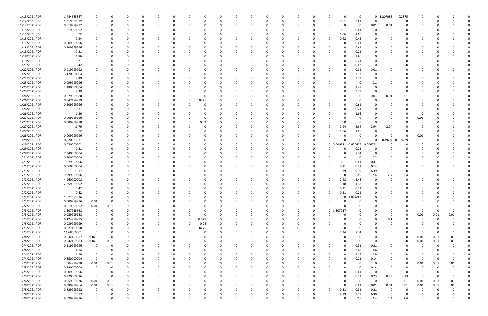| 1/13/2021 PDR | 1.444583367 |             |          |   |          | $\Omega$ |          |          | 0        |          |          | $\Omega$    |          |          |          |          | O          | 0                 |             | 0 1.207083  | 0.2375   |             |            |          |  |
|---------------|-------------|-------------|----------|---|----------|----------|----------|----------|----------|----------|----------|-------------|----------|----------|----------|----------|------------|-------------------|-------------|-------------|----------|-------------|------------|----------|--|
| 1/14/2021 PDR | 1.219999992 |             |          |   |          | -0       |          |          |          |          |          | 0           |          |          | n        | -0       | 0.61       | 0.61              | 0           | - 0         | 0        |             |            |          |  |
| 1/14/2021 PDR | 0.019999992 |             |          |   |          |          |          |          |          |          |          | 0           |          |          |          |          |            | 0                 | 0.01        | 0.01        |          |             |            |          |  |
| 1/15/2021 PDR | 1.219999992 |             |          |   |          |          |          |          |          |          |          | 0           |          |          |          | -0       | 0.61       | 0.61              | 0           |             |          |             |            |          |  |
|               |             |             |          |   |          |          |          |          |          |          |          |             |          |          |          |          |            |                   |             |             |          |             |            |          |  |
| 1/15/2021 PDR | 3.72        |             |          |   |          |          |          |          |          |          |          | 0           |          |          |          |          | 1.86       | 1.86              | 0           |             |          |             |            |          |  |
| 1/15/2021 PDR | 0.84        |             |          |   |          |          |          |          |          |          |          | 0           |          |          | C        |          | 0.42       | 0.42              | 0           |             |          |             |            |          |  |
| 1/17/2021 PDR | 0.009999996 |             |          |   |          |          |          |          |          |          |          | $\Omega$    |          |          |          |          |            | 0.01              | $\Omega$    |             |          |             |            |          |  |
| 1/18/2021 PDR | 0.609999996 |             |          |   |          |          |          |          |          |          |          | - 0         |          |          |          |          |            | 0.61              | 0           |             |          |             |            |          |  |
| 1/18/2021 PDR | 0.21        |             |          |   |          |          |          |          |          |          |          |             |          |          |          |          |            | 0.21              |             |             |          |             |            |          |  |
|               |             |             |          |   |          |          |          |          |          |          |          |             |          |          |          |          |            |                   |             |             |          |             |            |          |  |
| 1/18/2021 PDR | 1.86        |             |          |   |          |          |          |          |          |          |          | $\Omega$    |          |          |          |          |            | 1.86              |             |             |          |             |            |          |  |
| 1/19/2021 PDR | 0.21        |             |          |   |          |          |          |          |          |          |          | - 0         |          |          |          |          |            | 0.21              | 0           |             |          |             |            |          |  |
| 1/21/2021 PDR | 0.42        |             |          |   |          |          |          |          |          |          |          | 0           |          |          |          |          |            | 0.42              | 0           |             |          |             |            |          |  |
| 1/22/2021 PDR | 0.019999992 |             |          |   |          |          |          |          |          |          |          | - 0         |          |          |          |          |            | 0.01              | 0.01        |             |          |             |            |          |  |
| 1/22/2021 PDR | 3.170000004 |             |          |   |          |          |          |          |          |          |          | 0           |          |          |          |          |            | 3.17              | 0           |             |          |             |            |          |  |
| 1/22/2021 PDR | 9.39        |             |          |   |          |          |          |          |          |          |          |             |          |          |          |          |            | 9.39              | 0           |             |          |             |            |          |  |
|               |             |             |          |   |          |          |          |          |          |          |          |             |          |          |          |          |            |                   |             |             |          |             |            |          |  |
| 1/25/2021 PDR | 0.099999996 |             |          |   |          |          |          |          |          |          |          | $\Omega$    |          |          |          |          |            | 0                 | 0.1         |             |          |             |            |          |  |
| 1/25/2021 PDR | 2.480000004 |             |          |   |          |          |          |          |          |          |          | - 0         |          |          |          |          |            | 2.48              | 0           |             |          |             |            |          |  |
| 1/25/2021 PDR | 9.39        |             |          |   |          |          |          |          |          |          |          | -0          |          |          |          |          |            | 9.39              | 0           |             | O        |             |            |          |  |
| 1/26/2021 PDR | 0.029999988 |             |          |   |          |          |          |          |          |          |          | - 0         |          |          |          |          |            | 0                 | 0.01        | 0.01        | 0.01     |             |            |          |  |
| 1/26/2021 PDR | 0.047499999 |             |          |   |          |          |          | $\Omega$ | 0.0475   |          |          | - 0         |          |          |          |          |            |                   | $\Omega$    |             |          |             |            |          |  |
|               |             |             |          |   |          |          |          |          |          |          |          |             |          |          |          |          |            |                   |             |             |          |             |            |          |  |
| 1/26/2021 PDR | 0.609999996 |             |          |   |          |          |          |          |          |          |          | 0           |          |          |          |          |            | 0.61              |             |             |          |             |            |          |  |
| 1/26/2021 PDR | 0.21        |             |          |   |          |          |          |          |          |          |          | $\Omega$    |          |          |          |          |            | 0.21              |             |             |          |             |            |          |  |
| 1/26/2021 PDR | 1.86        |             |          |   |          |          |          |          |          |          |          | $\Omega$    |          |          |          |          |            | 1.86              |             |             |          |             |            |          |  |
| 1/27/2021 PDR | 0.009999996 |             |          |   |          |          |          |          | n        |          |          | 0           |          |          |          |          |            |                   | 0           |             | O        | 0.01        |            |          |  |
| 1/27/2021 PDR | 0.089999988 |             |          |   |          |          |          |          | 0.09     |          |          | 0           |          |          |          |          |            | 0                 | 0           |             |          | C           |            |          |  |
|               |             |             |          |   |          |          |          |          |          |          |          |             |          |          |          |          |            |                   |             |             |          |             |            |          |  |
| 1/27/2021 PDR | 11.76       |             |          |   |          |          |          |          |          |          |          | $\Omega$    |          |          |          |          | 2.94       | 2.94              | 2.94        | 2.94        |          |             |            |          |  |
| 1/27/2021 PDR | 3.72        |             |          |   |          |          |          |          |          |          |          | 0           |          |          | 0        | 0        | 1.86       | 1.86              | 0           |             |          | -0          |            |          |  |
| 1/28/2021 PDR | 0.009999996 |             |          |   |          |          |          |          |          |          |          |             |          |          | -C       |          |            | 0                 | $\Omega$    |             | O        | 0.01        |            |          |  |
| 1/28/2021 PDR | 0.020833331 |             |          |   |          |          |          |          |          |          |          | $\Omega$    |          |          | 0        |          |            | n                 |             | 0 0.002604  | 0.018229 |             |            |          |  |
| 1/29/2021 PDR | 0.650000002 |             |          |   |          |          |          |          |          |          |          | 0           |          |          | 0        |          | 0 0.006771 | 0.636458 0.006771 |             |             | O        |             |            |          |  |
| 1/29/2021 PDR | 0.21        |             |          |   |          |          |          |          |          |          |          | 0           |          |          |          |          |            | 0.21              | 0           |             |          |             |            |          |  |
|               |             |             |          |   |          |          |          |          |          |          |          |             |          |          |          |          |            |                   |             |             |          |             |            |          |  |
| 1/29/2021 PDR | 7.340000004 |             |          |   |          |          |          |          |          |          |          | $\Omega$    |          |          |          |          |            | 7.34              | 0           |             |          |             |            |          |  |
| 2/1/2021 PDR  | 0.200000004 |             |          |   |          |          |          |          |          |          |          | 0           |          |          |          |          |            | - 0               | 0.2         |             |          |             |            |          |  |
| 2/1/2021 PDR  | 1.629999996 |             |          |   |          |          |          |          |          |          |          |             |          |          |          | - 0      | 0.61       | 0.61              | 0.41        |             |          |             |            |          |  |
| 2/1/2021 PDR  | 0.560000004 |             |          |   |          |          |          |          |          |          |          |             |          |          |          |          | 0.21       | 0.21              | 0.14        |             |          |             |            |          |  |
| 2/1/2021 PDR  | 25.17       |             |          |   |          |          |          |          |          |          |          | 0           |          |          | 0        |          | 9.39       | 9.39              | 6.39        |             | $\Omega$ |             |            |          |  |
|               |             |             |          |   |          |          |          |          |          |          |          |             |          |          |          |          |            |                   |             |             |          |             |            |          |  |
| 2/1/2021 PDR  | 9.699999996 |             |          |   |          |          |          |          |          |          |          | 0           |          |          |          |          | $\Omega$   | 2.5               | 2.4         | 2.4         | 2.4      |             |            |          |  |
| 2/2/2021 PDR  | 4.960000008 |             |          |   |          |          |          |          |          |          |          | $\Omega$    |          |          |          |          | 2.48       | 2.48              | -0          |             |          |             |            |          |  |
| 2/2/2021 PDR  | 2.359999992 |             |          |   |          |          |          |          |          |          |          | - 0         |          |          |          |          | 1.18       | 1.18              |             |             |          |             |            |          |  |
| 2/2/2021 PDR  | 0.42        | 0           |          |   |          |          |          |          |          |          |          | $\Omega$    |          |          |          |          | 0.21       | 0.21              | $\Omega$    |             |          |             |            |          |  |
| 2/2/2021 PDR  | 0.42        | $\Omega$    |          |   |          |          |          |          |          |          |          |             |          |          | $\Omega$ |          | 0.21       | 0.21              | $\Omega$    |             |          |             |            |          |  |
|               |             |             |          |   |          |          |          |          |          |          |          |             |          |          |          |          |            |                   |             |             |          |             |            |          |  |
| 2/2/2021 PDR  | 1.072083336 | $\mathbf 0$ |          | 0 | 0        | $\Omega$ | $\Omega$ | $\Omega$ | $\Omega$ | $\Omega$ | 0        | $\mathbf 0$ | $\Omega$ | $\Omega$ | 0        | $\Omega$ |            | 0 1.072083        | 0           | $\Omega$    | $\Omega$ | 0           |            |          |  |
| 2/2/2021 PDR  | 0.009999996 | 0.01        | $\Omega$ | 0 | 0        | -0       |          |          | 0        |          |          | 0           |          |          | 0        |          | 0          | 0                 | 0           |             | O        | 0           |            |          |  |
| 2/2/2021 PDR  | 0.019999992 | 0.01        | 0.01     |   |          | $\Omega$ |          |          | 0        |          |          | $\Omega$    |          | 0        | 0        |          |            |                   | $\Omega$    |             | O        | 0           |            |          |  |
| 2/3/2021 PDR  | 1.307916668 | 0           |          |   |          | $\Omega$ |          |          | 0        |          |          | 0           |          |          | 0        |          | 0 1.307917 |                   | 0           |             | 0        | 0           | - 0        |          |  |
| 2/3/2021 PDR  | 0.029999988 | 0           |          |   |          |          |          |          | 0        |          |          | 0           |          |          | 0        |          |            |                   | 0           |             | 0        | 0.01        | 0.01       | 0.01     |  |
| 2/3/2021 PDR  | 0.124999995 | 0           |          | O |          | $\Omega$ |          | 0        | 0.025    |          |          | $\Omega$    |          |          |          |          |            |                   | 0           |             | $\Omega$ | 0           | 0          |          |  |
|               |             |             |          |   | 0        |          | 0        |          |          |          |          |             |          | 0        | 0        |          |            |                   |             | 0.1         |          |             |            |          |  |
| 2/3/2021 PDR  | 0.039999999 | 0           |          |   |          | $\Omega$ | $\Omega$ | 0        | 0.04     |          |          | 0           |          | $\Omega$ | 0        |          |            |                   | $\Omega$    |             | $\Omega$ | C           |            |          |  |
| 2/3/2021 PDR  | 0.027499998 | 0           |          |   |          | -0       | $\Omega$ | $\Omega$ | 0.0275   |          |          | 0           |          |          | 0        |          | $\Omega$   |                   | $\Omega$    |             | O        | 0           |            |          |  |
| 2/3/2021 PDR  | 14.68000001 | 0           |          |   |          | -0       | 0        |          | 0        |          |          | 0           |          | 0        | 0        | $\Omega$ | 7.34       | 7.34              | 0           |             | 0        | 0           | $\Omega$   |          |  |
| 2/4/2021 PDR  | 0.032499987 | 0.0025      | 0        |   |          | -0       |          |          | C        |          |          | 0           |          |          | 0        |          |            |                   | 0           |             | 0        | 0.01        | 0.01       | 0.01     |  |
|               |             |             |          |   |          |          |          |          |          |          |          |             |          |          |          |          | O          |                   |             |             | $\Omega$ |             |            |          |  |
| 2/4/2021 PDR  | 0.042499983 | 0.0025      | 0.01     |   |          | 0        |          |          | 0        |          |          | 0           |          |          | 0        |          |            | 0                 | 0           |             |          | 0.01        | 0.01       | 0.01     |  |
| 2/4/2021 PDR  | 0.519999996 | $\mathbf 0$ | $\Omega$ |   |          | $\Omega$ |          |          | 0        |          |          | 0           |          |          | C        |          | 0          | 0.31              | 0.21        |             |          | 0           | 0          |          |  |
| 2/4/2021 PDR  | 4.14        | 0           |          |   |          | - 0      |          |          | 0        |          |          | $\Omega$    |          |          | C        |          | $\Omega$   | 2.48              | 1.66        |             |          | O           |            |          |  |
| 2/4/2021 PDR  | 1.98        | 0           |          | 0 |          | $\Omega$ |          |          | 0        |          |          | 0           |          | O        | 0        |          | O          | 1.18              | 0.8         |             | 0        | 0           |            |          |  |
| 2/4/2021 PDR  | 0.350000004 | 0           | $\Omega$ | 0 | 0        | $\Omega$ |          | 0        | 0        | 0        |          | 0           |          | 0        | 0        |          | O          | 0.21              | 0.14        |             | 0        | 0           | $\Omega$   | $\Omega$ |  |
|               |             |             |          |   |          |          |          |          |          |          |          |             |          |          |          |          |            |                   |             |             |          |             |            |          |  |
| 2/5/2021 PDR  | 0.04999998  | 0.01        | 0.01     |   |          | -0       |          |          | 0        |          |          | 0           |          | 0        | 0        |          |            | 0                 | 0           |             | 0        | 0.01        | 0.01       | 0.01     |  |
| 2/5/2021 PDR  | 0.140000004 | $\mathbf 0$ |          |   |          | $\Omega$ |          |          | n        |          |          | $\Omega$    |          | O        | 0        |          | U          | 0                 | 0.14        |             | 0        | 0           | 0          |          |  |
| 2/5/2021 PDR  | 0.609999996 | $\mathbf 0$ |          |   |          | -0       |          |          |          |          |          | 0           |          | 0        |          |          | O          | 0.61              | 0           | $\Omega$    | 0        | 0           |            |          |  |
| 2/5/2021 PDR  | 0.920000016 | $\mathbf 0$ |          |   |          | -0       |          |          |          |          |          | $\Omega$    |          |          | 0        |          |            | 0.23              | 0.23        | 0.23        | 0.23     | $\mathbf 0$ |            |          |  |
| 2/6/2021 PDR  | 0.059999976 | 0.01        | 0.01     | 0 |          | $\Omega$ |          | $\Omega$ | 0        | ი        |          | 0           |          | 0        | 0        |          | $\Omega$   | 0                 | $\mathbf 0$ | $\mathbf 0$ | 0.01     | 0.01        | 0.01       | 0.01     |  |
| 2/6/2021 PDR  | 0.089999964 | 0.01        | 0.01     |   |          | 0        |          |          | 0        |          |          | 0           |          | 0        | 0        |          | $\Omega$   | 0.01              | 0.01        | 0.01        | 0.01     | 0.01        | 0.01       | 0.01     |  |
|               |             |             |          |   |          |          |          |          |          |          |          |             |          |          |          |          |            |                   |             |             |          |             |            |          |  |
| 2/8/2021 PDR  | 0.829999992 | $\mathbf 0$ |          |   |          | - 0      |          |          |          |          |          | 0           |          |          |          | $\Omega$ | 0.31       | 0.31              | 0.21        | $\Omega$    | $\Omega$ | -0          | $\sqrt{ }$ |          |  |
| 2/8/2021 PDR  | 25.17       | 0           |          |   |          |          |          |          |          |          |          | 0           |          |          |          |          | 9.39       | 9.39              | 6.39        |             | 0        |             |            |          |  |
| 2/8/2021 PDR  | 9.699999996 | $\Omega$    |          | 0 | $\Omega$ | $\Omega$ | $\Omega$ | $\Omega$ | $\Omega$ | $\Omega$ | $\Omega$ | $\Omega$    | $\Omega$ | $\Omega$ | 0        |          | U          | 2.5               | 2.4         | 2.4         | 2.4      | 0           |            | $\Omega$ |  |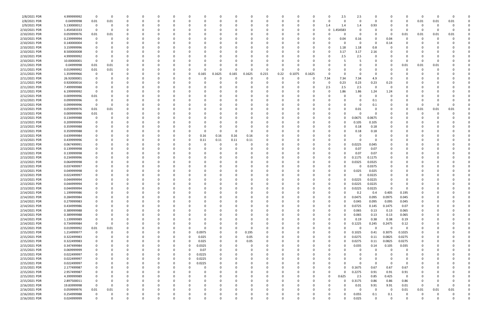| 2/8/2021 PDR  | 4.999999992 | 0           |          |          |              |          |          |          |        |          |          |              | 0        |          |          |          |             | 2.5      | 2.5    | 0           |          |             | n        |      |          |  |
|---------------|-------------|-------------|----------|----------|--------------|----------|----------|----------|--------|----------|----------|--------------|----------|----------|----------|----------|-------------|----------|--------|-------------|----------|-------------|----------|------|----------|--|
| 2/8/2021 PDR  | 0.04999998  | 0.01        | 0.01     |          | <sup>0</sup> |          |          |          |        |          |          | <sup>0</sup> | 0        |          |          |          |             | 0        | 0      | 0           |          | 0           | 0.01     | 0.01 | 0.01     |  |
| 2/9/2021 PDR  | 5.130000012 | 0           |          |          |              |          |          |          |        |          |          |              |          |          |          | 0        | 1.4         | 1.4      | 1.4    | 0.93        |          |             | 0        |      |          |  |
| 2/10/2021 PDR | 1.454583333 | 0           |          |          |              |          |          |          |        |          |          |              |          |          |          | 0        | $\mathbf 0$ | 454583   | 0      | $\Omega$    |          | n           | -0       |      |          |  |
| 2/10/2021 PDR | 0.059999976 | 0.01        | 0.01     |          |              |          |          |          |        |          |          |              |          |          |          |          |             |          | 0      | 0           | - 0      | 0.01        | 0.01     | 0.01 | 0.01     |  |
| 2/10/2021 PDR | 0.239999994 | 0           |          |          |              |          |          |          |        |          |          |              |          |          |          |          |             | 0.04     | 0.16   | $\Omega$    | 0.04     |             |          |      |          |  |
| 2/10/2021 PDR | 0.140000004 |             |          |          |              |          |          |          |        |          |          |              |          |          |          |          |             |          | 0      | $\Omega$    | 0.14     |             |          |      |          |  |
| 2/10/2021 PDR | 3.159999996 |             |          |          |              |          |          |          |        |          |          |              |          |          |          |          |             | 1.18     | 1.18   | 0.8         |          |             |          |      |          |  |
|               |             |             |          |          |              |          |          |          |        |          |          |              |          |          |          |          |             |          |        |             |          |             |          |      |          |  |
| 2/10/2021 PDR | 8.500000008 |             |          |          |              |          |          |          |        |          |          |              |          |          |          |          |             | 3.17     | 3.17   | 2.16        |          |             |          |      |          |  |
| 2/10/2021 PDR | 4.999999992 | 0           |          |          |              |          |          |          |        |          |          |              |          |          |          |          |             | 2.5      | 2.5    | $\Omega$    |          |             |          |      |          |  |
| 2/10/2021 PDR | 10.00000001 | - 0         |          |          |              |          |          |          |        |          |          |              |          |          |          |          |             |          |        | 0           |          |             | C        |      |          |  |
| 2/11/2021 PDR | 0.04999998  | 0.01        | 0.01     |          |              |          |          |          |        |          |          |              |          |          |          |          |             |          |        | -0          |          | 0.01        | 0.01     | 0.01 |          |  |
| 2/11/2021 PDR | 0.019999992 | 0.01        | 0.01     |          |              |          |          |          | ſ      |          | O        | 0            | $\Omega$ | $\Omega$ |          |          |             |          |        | $\Omega$    |          |             | C        |      |          |  |
| 2/11/2021 PDR | 1.359999966 | 0           |          |          |              |          |          | 0        | 0.165  | 0.1625   | 0.165    | 0.1625       | 0.215    | 0.22     | 0.1075   | 0.1625   |             |          | 0      | 0           |          |             |          |      |          |  |
| 2/11/2021 PDR | 26.92000001 | 0           |          |          |              |          |          |          |        |          |          | 0            | 0        | $\Omega$ |          | $\Omega$ | 7.34        | 7.34     | 7.34   | 4.9         |          |             |          |      |          |  |
| 2/11/2021 PDR | 0.920000016 |             |          |          |              |          |          |          |        |          |          |              | - 0      |          |          |          |             | 0.23     | 0.23   | 0.23        | 0.23     |             |          |      |          |  |
| 2/11/2021 PDR | 7.499999988 | 0           |          |          |              |          |          |          |        |          |          |              |          |          |          |          | 2.5         | 2.5      | 2.5    | 0           | - 0      |             |          |      |          |  |
| 2/11/2021 PDR | 6.199999992 | 0           |          |          |              |          |          |          |        |          |          |              |          |          |          |          |             | 1.86     | 1.86   | 1.24        | 1.24     |             |          |      |          |  |
| 2/12/2021 PDR | 0.009999996 | 0.01        |          |          |              |          |          |          |        |          |          |              |          |          |          |          |             |          | 0      | 0           |          |             |          |      |          |  |
| 2/12/2021 PDR | 0.099999996 | - 0         |          |          |              |          |          |          |        |          |          |              |          |          |          |          |             |          | 0      | 0.1         |          |             |          |      |          |  |
| 2/12/2021 PDR | 0.099999996 | 0           |          |          |              |          |          |          |        |          |          |              |          |          |          |          |             |          | 0      | 0.1         |          |             |          |      |          |  |
| 2/13/2021 PDR | 0.059999976 | 0.01        | 0.01     |          |              |          |          |          |        |          |          |              |          |          |          |          |             |          | 0.01   | 0           |          | 0           | 0.01     | 0.01 | 0.01     |  |
| 2/13/2021 PDR | 0.009999996 |             |          |          |              |          |          |          |        |          |          |              |          |          |          |          |             |          | 0      | $\Omega$    |          |             |          |      |          |  |
|               |             | 0.01        |          |          |              |          |          |          |        |          |          |              |          |          |          |          |             |          |        |             |          |             |          |      |          |  |
| 2/13/2021 PDR | 0.134999988 | 0           |          |          |              |          |          |          |        |          |          |              |          |          |          |          |             |          | .0675  | 0.0675      |          |             |          |      |          |  |
| 2/13/2021 PDR | 0.209999994 |             |          |          |              |          |          |          |        |          |          |              |          |          |          |          |             |          | 0.105  | 0.105       |          |             |          |      |          |  |
| 2/13/2021 PDR | 0.359999988 |             |          |          |              |          |          |          |        |          |          |              |          |          |          |          |             |          | 0.18   | 0.18        |          |             |          |      |          |  |
| 2/13/2021 PDR | 0.359999988 |             |          |          |              |          |          |          | -C     |          |          | 0            |          |          |          |          |             |          | 0.18   | 0.18        |          |             |          |      |          |  |
| 2/13/2021 PDR | 0.639999984 |             |          |          |              |          |          |          | 0.16   | 0.16     | 0.16     | 0.16         |          |          |          |          |             |          |        | 0           |          |             |          |      |          |  |
| 2/13/2021 PDR | 0.439999996 |             |          |          |              |          |          |          | 0.11   | 0.11     | 0.11     | 0.11         |          |          |          |          |             |          |        | $\Omega$    |          |             |          |      |          |  |
| 2/13/2021 PDR | 0.067499991 |             |          |          |              |          |          |          |        |          |          | 0            |          |          |          |          |             |          | .0225  | 0.045       |          |             |          |      |          |  |
| 2/13/2021 PDR | 0.139999998 |             |          |          |              |          |          |          |        |          |          |              |          |          |          |          |             |          | 0.07   | 0.07        |          |             |          |      |          |  |
| 2/13/2021 PDR | 0.139999998 |             |          |          |              |          |          |          |        |          |          |              |          |          |          |          |             |          | 0.07   | 0.07        |          |             |          |      |          |  |
| 2/13/2021 PDR | 0.234999996 |             |          |          |              |          |          |          |        |          |          |              |          |          |          |          |             |          | .1175  | 0.1175      |          |             |          |      |          |  |
| 2/13/2021 PDR | 0.064999998 |             |          |          |              |          |          |          |        |          |          |              |          |          |          |          |             |          | ).0325 | 0.0325      |          |             |          |      |          |  |
| 2/13/2021 PDR | 0.037499997 |             |          |          |              |          |          |          |        |          |          |              |          |          |          |          |             |          | 0      | 0.0375      |          |             |          |      |          |  |
| 2/13/2021 PDR | 0.049999998 |             |          |          |              |          |          |          |        |          |          |              |          |          |          |          |             |          | 0.025  | 0.025       |          |             |          |      |          |  |
| 2/13/2021 PDR | 0.022499997 |             |          |          |              |          |          |          |        |          |          |              |          |          |          |          |             |          |        | 0.0225      |          |             |          |      |          |  |
| 2/13/2021 PDR | 0.044999994 |             |          |          |              |          |          |          |        |          |          |              |          |          |          |          |             |          | 0.0225 | 0.0225      |          |             |          |      |          |  |
|               |             |             |          |          |              |          |          |          |        |          |          |              |          |          |          |          |             |          |        | 0.0225      |          |             |          |      |          |  |
| 2/13/2021 PDR | 0.044999994 |             |          |          |              |          |          |          |        |          |          |              |          |          |          |          |             |          | 0.0225 |             |          |             |          |      |          |  |
| 2/13/2021 PDR | 0.044999994 | 0           |          |          |              |          |          |          |        |          |          |              |          |          |          |          |             | 0        | 0.0225 | 0.0225      | $\Omega$ |             |          |      |          |  |
| 2/14/2021 PDR | 1.199999986 | $\Omega$    |          |          |              |          |          |          |        |          |          |              |          |          |          |          |             | $\Omega$ | 0.2    | 0.4         | 0.405    | 0.195       |          |      |          |  |
| 2/14/2021 PDR | 0.284999984 | 0           | $\Omega$ | $\Omega$ | 0            | 0        | $\Omega$ | $\Omega$ | 0      |          | $\Omega$ | 0            | 0        | $\Omega$ | $\Omega$ | 0        |             | $\Omega$ | 0.0475 | 0.095       | 0.0975   | 0.045       | 0        |      |          |  |
| 2/14/2021 PDR | 0.279999983 | 0           |          |          | 0            | 0        | $\Omega$ | 0        | 0      |          | 0        | 0            | $\Omega$ | $\Omega$ | 0        | 0        |             | $\Omega$ | 0.045  | 0.095       | 0.095    | 0.045       | 0        |      |          |  |
| 2/14/2021 PDR | 0.434999986 | 0           |          |          |              | $\Omega$ |          |          |        |          |          |              | $\Omega$ |          |          |          |             | ი        | 0.0725 | 0.145       | 0.1475   | 0.07        |          |      |          |  |
| 2/14/2021 PDR | 0.389999988 | 0           |          |          |              | 0        |          |          |        |          |          | 0            | 0        |          | 0        |          |             | 0        | 0.065  | 0.13        | 0.13     | 0.065       | 0        |      |          |  |
| 2/14/2021 PDR | 0.389999988 | 0           |          |          |              |          |          |          |        |          |          |              | 0        |          |          |          |             |          | 0.065  | 0.13        | 0.13     | 0.065       | 0        |      |          |  |
| 2/14/2021 PDR | 1.139999989 | 0           |          |          |              | $\Omega$ |          |          |        |          |          |              | $\Omega$ |          |          |          |             | $\Omega$ | 0.19   | 0.38        | 0.38     | 0.19        | $\Omega$ |      |          |  |
| 2/14/2021 PDR | 0.734999984 | $\mathbf 0$ |          |          |              |          |          |          | 0      |          |          | 0            | $\Omega$ |          |          |          |             | ი        | 0.1225 | 0.245       | 0.2475   | 0.12        | 0        |      |          |  |
| 2/15/2021 PDR | 0.019999992 | 0.01        | 0.01     |          |              |          |          |          |        |          |          | 0            | $\Omega$ |          |          |          |             |          | 0      | $\mathbf 0$ | $\Omega$ | $\Omega$    |          |      |          |  |
| 2/15/2021 PDR | 1.214999977 | $\mathbf 0$ |          |          |              |          |          | $\Omega$ | 0.0975 | 0        | $\Omega$ | 0.195        | $\Omega$ |          |          |          |             |          | 0.1025 | 0.41        | 0.3075   | 0.1025      |          |      |          |  |
| 2/15/2021 PDR | 0.322499983 | 0           |          |          |              |          |          | $\Omega$ | 0.025  | 0        | 0        | 0.05         | $\Omega$ |          |          |          | 0           |          | 0.0275 | 0.11        | 0.0825   | 0.0275      |          |      |          |  |
| 2/15/2021 PDR | 0.322499983 | 0           |          |          |              |          | 0        | 0        | 0.025  |          | 0        | 0.05         | $\Omega$ |          |          |          |             |          | 0.0275 | 0.11        | 0.0825   | 0.0275      | 0        |      |          |  |
| 2/15/2021 PDR | 0.347499984 | 0           |          |          |              |          |          | 0        | 0.0325 | $\Omega$ |          | 0            | 0        |          |          |          |             | ი        | 0.035  | 0.14        | 0.105    | 0.035       | 0        |      |          |  |
| 2/15/2021 PDR | 0.069999999 | 0           |          |          |              | $\Omega$ |          | $\Omega$ | 0.07   |          | 0        | 0            | $\Omega$ |          |          |          |             |          | 0      | 0           | $\Omega$ | 0           | 0        |      |          |  |
| 2/15/2021 PDR | 0.022499997 | 0           |          |          | 0            |          | $\Omega$ | $\Omega$ | 0.0225 |          |          | 0            | 0        |          |          |          |             |          | 0      | 0           |          | 0           | 0        |      |          |  |
|               |             |             |          |          |              |          |          |          |        |          |          |              |          |          |          |          |             |          |        |             |          |             |          |      |          |  |
| 2/15/2021 PDR | 0.022499997 | 0           |          |          |              | $\Omega$ | $\Omega$ | $\Omega$ | 0.0225 |          |          |              | $\Omega$ |          |          |          |             |          |        | $\Omega$    |          | 0           |          |      |          |  |
| 2/15/2021 PDR | 0.022499997 | 0           |          |          |              |          | $\Omega$ | $\Omega$ | 0.0225 |          |          |              | $\Omega$ |          | 0        |          |             | ი        | 0      | $\mathbf 0$ | 0        | 0           |          |      |          |  |
| 2/15/2021 PDR | 2.177499987 | 0           |          |          |              |          |          |          | 0      |          |          |              | 0        |          |          |          |             | 0        | 0.1675 | 0.67        | 0.67     | 0.67        |          |      |          |  |
| 2/15/2021 PDR | 2.957499987 | 0           |          |          |              |          |          |          | 0      |          |          |              | 0        |          |          |          |             | U        | 0.2275 | 0.91        | 0.91     | 0.91        |          |      |          |  |
| 2/15/2021 PDR | 4.399999989 | 0           |          |          |              |          |          |          |        |          |          |              | $\Omega$ |          |          | 0        | $\Omega$    | 0.625    | 2.5    | 0.85        | 0.425    | 0           | 0        |      |          |  |
| 2/15/2021 PDR | 2.897500011 | 0           |          |          |              |          |          |          |        |          |          |              | $\Omega$ |          |          |          |             |          | 0.3175 | 0.86        | 0.86     | 0.86        | 0        |      |          |  |
| 2/16/2021 PDR | 19.83999998 | 0           |          |          |              |          |          |          |        |          |          |              | $\Omega$ |          |          |          |             | O        | 0.01   | 9.91        | 9.91     | 0.01        | -0       |      |          |  |
| 2/16/2021 PDR | 0.059999976 | 0.01        | 0.01     |          |              |          |          |          |        |          |          |              | $\Omega$ |          |          |          |             | $\Omega$ | 0      | 0           | $\Omega$ | 0.01        | 0.01     | 0.01 | 0.01     |  |
| 2/16/2021 PDR | 0.254999988 | 0           |          |          |              |          |          |          |        |          |          |              |          |          |          |          |             |          | 0.055  | 0.1         | 0.1      |             | C        |      |          |  |
| 2/16/2021 PDR | 0.024999999 | $\mathbf 0$ |          | $\Omega$ | 0            | $\Omega$ | $\Omega$ | $\Omega$ |        |          | $\Omega$ | $\Omega$     | $\Omega$ | $\Omega$ | $\Omega$ | 0        |             | $\Omega$ | 0.025  | $\Omega$    | $\Omega$ | $\mathbf 0$ | 0        |      | $\Omega$ |  |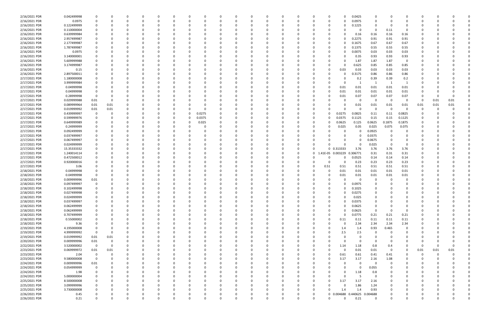| 2/16/2021 PDR | 0.042499998 |             |          |          |          |          |          |          |        |          |          | - 0      |          |              | n        |                 |                   | 0.0425              |          |             |          |          |          |      |  |
|---------------|-------------|-------------|----------|----------|----------|----------|----------|----------|--------|----------|----------|----------|----------|--------------|----------|-----------------|-------------------|---------------------|----------|-------------|----------|----------|----------|------|--|
| 2/16/2021 PDR | 0.0975      | $\Omega$    |          | $\Omega$ | $\Omega$ | $\Omega$ |          | -0       |        |          |          | $\Omega$ |          |              | 0        | - 0<br>$\Omega$ |                   | 0.0975              |          | $\Omega$    | 0        | - 0      |          |      |  |
| 2/16/2021 PDR | 0.122499999 |             |          |          |          |          |          |          |        |          |          |          |          |              |          |                 |                   | 0.1225              |          | -0          |          |          |          |      |  |
| 2/16/2021 PDR | 0.110000004 |             |          |          |          |          |          |          |        |          |          |          |          |              |          |                 |                   | 0                   | $\Omega$ | 0.11        | 0        |          |          |      |  |
| 2/16/2021 PDR | 0.639999984 |             |          |          |          |          |          |          |        |          |          |          |          |              |          |                 |                   | 0.16                | 0.16     | 0.16        | 0.16     |          |          |      |  |
| 2/16/2021 PDR | 2.957499987 |             |          |          |          |          |          |          |        |          |          |          |          |              |          |                 |                   | 0.2275              | 0.91     | 0.91        | 0.91     |          |          |      |  |
| 2/16/2021 PDR | 2.177499987 |             |          |          |          |          |          |          |        |          |          |          |          |              |          |                 |                   | 0.1675              | 0.67     | 0.67        | 0.67     |          |          |      |  |
|               |             |             |          |          |          |          |          |          |        |          |          |          |          |              |          |                 |                   |                     |          |             |          |          |          |      |  |
| 2/16/2021 PDR | 1.787499987 |             |          |          |          |          |          |          |        |          |          | $\Omega$ |          |              |          | 0               |                   | 0.1375              | 0.55     | 0.55        | 0.55     |          |          |      |  |
| 2/16/2021 PDR | 0.0975      |             |          |          |          |          |          |          |        |          |          |          |          |              |          | 0               |                   | 0.0075              | 0.03     | 0.03        | 0.03     |          |          |      |  |
| 2/16/2021 PDR | 3.140000001 |             |          |          |          |          |          |          |        |          |          |          |          |              |          |                 |                   | 0.35                | 0.93     | 0.93        | 0.93     |          |          |      |  |
| 2/16/2021 PDR | 5.609999988 |             |          |          |          |          |          |          |        |          |          |          |          |              |          |                 |                   | 1.87                | 1.87     | 1.87        | 0        |          |          |      |  |
| 2/16/2021 PDR | 3.174999987 |             |          |          |          |          |          |          |        |          |          |          |          |              |          |                 |                   | 0.625               | 0.85     | 0.85        | 0.85     |          |          |      |  |
| 2/16/2021 PDR | 0.15        |             |          |          |          |          |          |          |        |          |          | റ        |          |              |          | $\Omega$        | 0.03              | 0.03                | 0.03     | 0.03        | 0.03     |          |          |      |  |
| 2/16/2021 PDR | 2.897500011 |             |          |          |          |          |          |          |        |          |          |          |          |              |          |                 |                   | 0.3175              | 0.86     | 0.86        | 0.86     |          |          |      |  |
| 2/17/2021 PDR | 1.180000008 |             |          |          |          |          |          |          |        |          |          |          |          |              |          |                 |                   | 0.2                 | 0.39     | 0.39        | 0.2      |          |          |      |  |
| 2/17/2021 PDR | 3.999999984 |             |          |          |          |          |          |          |        |          |          |          |          |              |          |                 |                   | - 1                 |          | 1           |          |          |          |      |  |
| 2/17/2021 PDR | 0.04999998  |             |          |          |          |          |          |          |        |          |          |          |          |              |          |                 | 0.01              | 0.01                | 0.01     | 0.01        | 0.01     |          |          |      |  |
| 2/17/2021 PDR | 0.04999998  | 0           |          |          |          |          |          |          |        |          |          |          |          |              |          |                 | 0.01              | 0.01                | 0.01     | 0.01        | 0.01     |          |          |      |  |
| 2/17/2021 PDR | 0.28999998  | $\Omega$    |          |          |          |          |          |          |        |          |          |          |          |              |          |                 | 0.01              | 0.07                | 0.07     | 0.07        | 0.07     |          |          |      |  |
| 2/17/2021 PDR | 0.029999988 | 0.01        |          |          |          |          |          |          |        |          |          |          |          |              |          |                 |                   | 0                   | - റ      | - 0         | 0        | - 0      | 0.01     | 0.01 |  |
| 2/17/2021 PDR | 0.089999964 | $0.01\,$    | 0.01     |          |          |          |          |          |        |          |          |          |          |              |          |                 |                   | 0.01                | 0.01     | 0.01        | 0.01     | 0.01     | 0.01     | 0.01 |  |
| 2/17/2021 PDR | 0.019999992 | $0.01\,$    | 0.01     |          |          |          |          |          |        |          |          |          |          |              |          |                 |                   | 0                   | - 0      | - 0         | $\Omega$ | $\Omega$ |          |      |  |
| 2/17/2021 PDR | 0.439999997 | $\Omega$    |          |          |          |          |          | -0       |        |          |          |          |          |              |          | O               | 0.0275            | 0.0825              |          | 0.11        | 0.0825   |          |          |      |  |
|               |             |             |          |          |          |          |          |          | 0.0275 |          |          |          |          |              |          |                 |                   |                     | 0.11     |             |          |          |          |      |  |
| 2/17/2021 PDR | 0.599999976 |             |          |          |          |          |          | -0       | 0.0375 |          |          |          |          |              |          |                 | 0.0375            | 0.1125              | 0.15     | 0.15        | 0.1125   |          |          |      |  |
| 2/17/2021 PDR | 0.649999989 |             |          |          |          |          |          |          | 0.025  |          |          |          |          |              |          |                 | 0.0625            | 0.125               | 0.0625   | 0.1875      | 0.1875   |          |          |      |  |
| 2/17/2021 PDR | 0.24999999  |             |          |          |          |          |          |          |        |          |          |          |          |              |          |                 | 0.025             | 0.05                | 0.025    | 0.075       | 0.075    |          |          |      |  |
| 2/17/2021 PDR | 0.092499999 |             |          |          |          |          |          |          |        |          |          |          |          |              |          |                 |                   | 0                   | 0.0925   | $\Omega$    | 0        |          |          |      |  |
| 2/17/2021 PDR | 0.037499997 |             |          |          |          |          |          |          |        |          |          |          |          |              |          |                 |                   | 0                   | 0.0375   |             |          |          |          |      |  |
| 2/17/2021 PDR | 0.067499997 |             |          |          |          |          |          |          |        |          |          |          |          |              |          |                 |                   | 0                   | 0.0675   |             |          |          |          |      |  |
| 2/17/2021 PDR | 0.024999999 |             |          |          |          |          |          |          |        |          |          |          |          |              |          |                 |                   | 0                   | 0.025    | - 0         | O        |          |          |      |  |
| 2/17/2021 PDR | 15.35333332 |             |          |          |          |          |          |          |        |          |          |          |          |              | 0        |                 | $0$ $0.313333$    | 3.76                | 3.76     | 3.76        | 3.76     |          |          |      |  |
| 2/17/2021 PDR | 1.240014114 |             |          |          |          |          |          |          |        |          |          |          |          |              | 0        | $\mathbf 0$     | 1.41E-05 0.003229 | 0.306771            | 0.31     | 0.31        | 0.31     |          |          |      |  |
| 2/17/2021 PDR | 0.472500012 |             |          |          |          |          |          |          |        |          |          |          |          |              | 0        |                 |                   | 0.0525              | 0.14     | 0.14        | 0.14     |          |          |      |  |
| 2/17/2021 PDR | 0.920000016 |             |          |          |          |          |          |          |        |          |          |          |          |              | 0        | <sup>0</sup>    |                   | 0.23                | 0.23     | 0.23        | 0.23     |          |          |      |  |
| 2/17/2021 PDR | 3.06        |             |          |          |          |          |          |          |        |          |          |          |          |              |          | 0.51            | 0.51              | 0.51                | 0.51     | 0.51        | 0.51     |          |          |      |  |
| 2/18/2021 PDR | 0.04999998  |             |          |          |          |          |          |          |        |          |          |          |          |              |          |                 | 0.01              | 0.01                | 0.01     | 0.01        | 0.01     |          |          |      |  |
| 2/18/2021 PDR | 0.04999998  | 0           |          |          |          |          |          |          |        |          |          |          |          |              | n        | - 0             | 0.01              | 0.01                | 0.01     | 0.01        | 0.01     |          |          |      |  |
| 2/18/2021 PDR | 0.009999996 | 0.01        |          |          |          |          |          |          |        |          |          |          |          |              |          |                 |                   | 0                   |          |             |          |          |          |      |  |
| 2/18/2021 PDR | 0.097499997 |             |          |          |          |          |          |          |        |          |          |          |          |              |          |                 |                   | 0.0975              |          |             |          |          |          |      |  |
| 2/18/2021 PDR | 0.102499998 | 0           |          | n        |          |          |          |          |        |          |          |          |          |              |          | 0               |                   | 0.1025              |          |             |          |          |          |      |  |
| 2/18/2021 PDR | 0.027499998 | 0           |          |          |          |          |          |          |        |          |          |          |          |              |          |                 |                   | 0.0275              |          | 0           |          |          |          |      |  |
|               |             | $\mathbf 0$ | O        | $\Omega$ | $\Omega$ | $\Omega$ | $\Omega$ | $\Omega$ |        | $\Omega$ | $\Omega$ | $\Omega$ | $\Omega$ | $\Omega$     | $\Omega$ | $\Omega$        | U                 |                     | $\Omega$ | $\Omega$    | $\Omega$ |          |          |      |  |
| 2/18/2021 PDR | 0.024999999 |             |          |          |          |          |          |          |        |          |          |          |          |              |          |                 |                   | 0.025               |          |             |          | $\Omega$ |          |      |  |
| 2/18/2021 PDR | 0.037499997 | $\mathbf 0$ |          | 0        |          | $\Omega$ |          | $\Omega$ |        |          |          | $\Omega$ | $\Omega$ | <sup>0</sup> | 0        | 0               |                   | 0.0375              |          |             |          | - 0      |          |      |  |
| 2/18/2021 PDR | 0.062499999 | 0           |          | 0        |          | $\Omega$ |          |          |        |          |          | $\Omega$ |          |              | 0        | O               |                   | 0.0625              |          |             | 0        | 0        |          |      |  |
| 2/18/2021 PDR | 0.062499999 |             |          | 0        |          | 0        |          |          |        |          |          | $\Omega$ | $\Omega$ |              | 0        | 0               |                   | 0.0625              | $\Omega$ | 0           | 0        |          |          |      |  |
| 2/18/2021 PDR | 0.707499999 |             |          |          |          |          |          |          |        |          |          | 0        |          |              | 0        | 0               |                   | 0.0775              | 0.21     | 0.21        | 0.21     |          |          |      |  |
| 2/18/2021 PDR | 0.55000002  | $\Omega$    |          |          |          |          |          |          |        |          |          |          |          |              | 0        | $\Omega$        | 0.11              | 0.11                | 0.11     | 0.11        | 0.11     |          |          |      |  |
| 2/18/2021 PDR | 9.36        | $\Omega$    |          |          |          |          |          |          |        |          |          |          |          |              |          |                 |                   | 2.34                | 2.34     | 2.34        | 2.34     |          |          |      |  |
| 2/19/2021 PDR | 4.195000008 | $\Omega$    |          |          |          |          |          |          |        |          |          | 0        |          |              | 0        |                 | 1.4               | 1.4                 | 0.93     | 0.465       | 0        |          |          |      |  |
| 2/19/2021 PDR | 4.999999992 | $\Omega$    | 0        | $\Omega$ |          | $\Omega$ |          |          |        |          |          | 0        |          |              | n        |                 | 2.5               | 2.5                 |          | $\Omega$    | 0        |          |          |      |  |
| 2/19/2021 PDR | 0.019999992 | 0.01        | 0.01     |          |          | $\Omega$ |          |          |        |          |          |          |          |              |          |                 |                   | $\Omega$            |          |             |          |          |          |      |  |
| 2/20/2021 PDR | 0.009999996 | $0.01\,$    |          |          |          |          |          |          |        |          |          |          |          |              |          |                 |                   | 0                   |          | - 0         |          | - 0      |          |      |  |
| 2/22/2021 PDR | 3.520000002 | $\mathbf 0$ |          |          |          |          |          |          |        |          |          |          |          |              |          |                 | 1.14              | 1.18                | 0.8      | 0.4         | 0        | 0        |          |      |  |
| 2/23/2021 PDR | 0.069999972 | 0.01        | 0.01     | $\Omega$ |          | $\Omega$ |          |          |        |          |          |          |          |              | 0        | 0               | $\Omega$          | 0.01                | 0.01     | $\mathbf 0$ | 0        | 0.01     | 0.01     | 0.01 |  |
| 2/23/2021 PDR | 2.04        | 0           | 0        | 0        |          | $\Omega$ |          |          |        |          |          | $\Omega$ |          |              | 0        | 0               | 0.61              | 0.61                | 0.41     | 0.41        | 0        | 0        | $\Omega$ |      |  |
| 2/23/2021 PDR | 9.580000008 | 0           |          | $\Omega$ |          | $\Omega$ |          |          |        |          |          | $\Omega$ | $\Omega$ |              | 0        | <sup>0</sup>    | 3.17              | 3.17                | 2.16     | 1.08        | 0        | 0        |          |      |  |
| 2/24/2021 PDR | 0.009999996 | 0.01        |          |          |          | $\Omega$ |          |          |        |          |          | $\Omega$ |          |              | 0        |                 |                   | 0                   | $\Omega$ | $\Omega$    | 0        | - 0      |          |      |  |
| 2/24/2021 PDR | 0.054999999 | $\Omega$    |          |          |          |          |          |          |        |          |          |          |          |              |          |                 |                   | 0                   | 0.055    |             |          |          |          |      |  |
| 2/24/2021 PDR | 1.98        |             |          |          |          |          |          |          |        |          |          |          |          |              |          |                 |                   | 1.18                | 0.8      |             |          |          |          |      |  |
| 2/24/2021 PDR | 5.000000004 | 0           |          |          |          |          |          |          |        |          |          |          |          |              |          |                 | $\Omega$          | -5                  | $\Omega$ |             |          | 0        |          |      |  |
| 2/25/2021 PDR | 8.500000008 |             |          |          |          |          |          |          |        |          |          |          |          |              |          | $\Omega$        | 3.17              | 3.17                |          |             |          |          |          |      |  |
|               |             |             |          |          |          |          |          |          |        |          |          |          |          |              |          |                 |                   |                     | 2.16     |             |          |          |          |      |  |
| 2/25/2021 PDR | 3.099999996 | $\Omega$    |          |          |          |          |          |          |        |          |          |          |          |              |          |                 |                   | 1.86                | 1.24     |             |          | 0        |          |      |  |
| 2/25/2021 PDR | 3.730000008 | 0           |          |          |          |          |          |          |        |          |          | $\Omega$ |          |              | 0        |                 | 1.4<br>0          | 1.4                 | 0.93     |             |          | - 0      |          |      |  |
| 2/26/2021 PDR | 0.45        |             |          |          |          |          |          |          |        |          |          |          |          |              |          |                 |                   | 0 0.004688 0.440625 | 0.004688 |             |          |          |          |      |  |
| 2/26/2021 PDR | 0.21        | $\Omega$    | $\Omega$ | $\Omega$ | $\Omega$ | $\Omega$ | $\Omega$ | $\Omega$ |        | $\Omega$ | $\Omega$ | $\Omega$ | $\Omega$ | $\Omega$     | $\Omega$ |                 | 0                 | 0.21                | $\Omega$ | $\Omega$    | $\Omega$ | $\Omega$ | U        | 0    |  |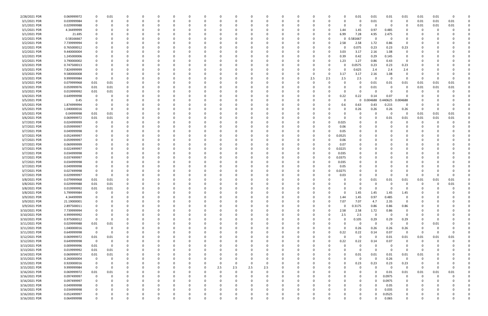| 2/28/2021 PDR | 0.069999972 | 0                       | 0.01     |          |   | 0        |          |              | C.       |     |              |     | 0        |          |             |          |          |          | 0.01        | 0.01     | 0.01     | 0.01           | 0.01     | 0.01 |          |  |
|---------------|-------------|-------------------------|----------|----------|---|----------|----------|--------------|----------|-----|--------------|-----|----------|----------|-------------|----------|----------|----------|-------------|----------|----------|----------------|----------|------|----------|--|
| 3/1/2021 PDR  | 0.039999984 | 0                       | -0       |          |   | 0        |          |              | C        |     |              |     | $\Omega$ |          |             | 0        |          |          | 0           | 0.01     | - 0      | -0             | 0.01     | 0.01 | 0.01     |  |
| 3/1/2021 PDR  | 0.029999988 | 0                       |          |          |   | -0       |          |              |          |     |              |     | -0       |          |             |          |          |          | 0           | -C       | - 0      |                | 0.01     | 0.01 | 0.01     |  |
|               |             |                         |          |          |   |          |          |              |          |     |              |     |          |          |             |          |          |          |             |          |          |                |          |      |          |  |
| 3/1/2021 PDR  | 4.34499999  |                         |          |          |   | 0        |          |              |          |     |              |     | 0        |          |             |          |          | 1.44     | 1.45        | 0.97     | 0.485    |                | C        |      |          |  |
| 3/1/2021 PDR  | 21.695      |                         |          |          |   | 0        |          |              |          |     |              |     | 0        |          |             |          |          | 6.99     | 7.28        | 4.95     | 2.475    |                |          |      |          |  |
| 3/2/2021 PDR  | 0.58166667  |                         |          |          |   |          |          |              |          |     |              |     |          |          |             |          |          | ŋ        | 0.581667    | C        |          |                |          |      |          |  |
| 3/2/2021 PDR  | 7.739999994 |                         |          |          |   | -0       |          |              |          |     |              |     | $\Omega$ |          |             |          |          | 2.58     | 2.58        | 1.72     | 0.86     | 0              |          |      |          |  |
| 3/2/2021 PDR  | 0.765000012 |                         |          |          |   |          |          |              |          |     |              |     |          |          |             |          |          |          | 0.075       | 0.23     | 0.23     | 0.23           |          |      |          |  |
| 3/2/2021 PDR  | 9.440000004 |                         |          |          |   | -0       |          |              |          |     |              |     | -0       |          |             |          |          | 3.03     | 3.17        | 2.16     | 1.08     | 0              |          |      |          |  |
| 3/2/2021 PDR  | 1.245000006 |                         |          |          |   | 0        |          |              |          |     |              |     | $\Omega$ |          |             |          |          | 0.39     | 0.42        | 0.29     | 0.145    | 0              |          |      |          |  |
| 3/2/2021 PDR  | 3.790000002 | 0                       |          |          |   | 0        |          |              |          |     |              |     | 0        |          |             |          |          | 1.23     | 1.27        | 0.86     | 0.43     | 0              |          |      |          |  |
| 3/3/2021 PDR  | 0.747500013 | C                       |          |          |   | -0       |          |              |          |     |              |     | 0        |          |             |          |          |          | 0.0575      | 0.23     | 0.23     | 0.23           |          |      |          |  |
| 3/3/2021 PDR  | 7.824999999 |                         |          |          |   | - 0      |          |              |          |     |              |     | -0       |          |             |          |          | O        | 0.625       | 2.4      | 2.4      | 2.4            |          |      |          |  |
|               |             |                         |          |          |   |          |          |              |          |     |              |     |          |          |             |          |          |          |             |          |          |                |          |      |          |  |
| 3/3/2021 PDR  | 9.580000008 | 0                       |          |          |   |          |          |              |          |     |              |     | -0       |          |             | 0        |          | 3.17     | 3.17        | 2.16     | 1.08     |                |          |      |          |  |
| 3/3/2021 PDR  | 9.999999984 | 0                       |          |          |   |          |          |              |          |     |              |     | $\Omega$ |          |             | 2.5      | 2.5      | 2.5      | 2.5         | -C       | $\Omega$ |                | 0        |      |          |  |
| 3/3/2021 PDR  | 0.079999968 | 0.01                    | 0.01     |          |   |          |          |              |          |     |              |     | $\Omega$ |          |             |          |          |          | O           | 0.01     | 0.01     | 0.01           | 0.01     | 0.01 | 0.01     |  |
| 3/3/2021 PDR  | 0.059999976 | 0.01                    | 0.01     |          |   | 0        |          |              |          |     |              |     | 0        |          |             |          |          |          | 0           | 0.01     | - 0      | 0              | 0.01     | 0.01 | 0.01     |  |
| 3/3/2021 PDR  | 0.019999992 | 0.01                    | 0.01     |          |   | 0        |          |              |          |     |              |     | 0        |          |             |          |          | 0        | $\Omega$    | -C       | - 0      |                |          |      |          |  |
| 3/4/2021 PDR  | 0.649999998 | $\Omega$                |          |          |   | -0       |          |              |          |     |              |     | $\Omega$ |          |             |          |          | 0.22     | 0.22        | 0.14     | 0.07     |                |          |      |          |  |
| 3/5/2021 PDR  | 0.45        | 0                       |          |          |   | 0        |          |              |          |     |              |     | 0        |          |             |          |          |          | 0           | 0.004688 | 0.440625 | 0.004688       |          |      |          |  |
| 3/5/2021 PDR  | 1.874999994 | C                       |          |          |   |          |          |              |          |     |              |     |          |          |             |          |          | 0.6      | 0.63        | 0.43     | 0.215    | 0              |          |      |          |  |
| 3/5/2021 PDR  | 1.040000016 | 0                       |          |          |   |          |          |              |          |     |              |     | $\Omega$ |          |             |          |          |          | 0.26        | 0.26     | 0.26     | 0.26           | 0        |      |          |  |
| 3/5/2021 PDR  | 0.04999998  | 0.01                    | 0.01     |          |   | - 0      |          |              |          |     |              |     | -0       |          |             |          |          |          | 0           | - 0      | - 0      | $\Omega$       | 0.01     | 0.01 | 0.01     |  |
|               |             |                         |          |          |   |          |          |              |          |     |              |     |          |          |             |          |          |          |             |          |          |                |          |      |          |  |
| 3/6/2021 PDR  | 0.069999972 | 0.01                    | 0.01     |          |   | 0        |          |              |          |     |              |     | 0        |          |             |          |          |          | 0           | 0        | 0.01     | 0.01           | 0.01     | 0.01 | 0.01     |  |
| 3/7/2021 PDR  | 0.024999999 | 0                       |          |          |   | -0       |          |              |          |     |              |     | -0       |          |             |          |          | 0.025    | 0           |          |          |                |          |      |          |  |
| 3/7/2021 PDR  | 0.059999997 | 0                       |          |          |   | - 0      |          |              |          |     |              |     | -0       |          |             |          |          | 0.06     |             |          |          |                |          |      |          |  |
| 3/7/2021 PDR  | 0.049999998 | C                       |          |          |   |          |          |              |          |     |              |     |          |          |             |          |          | 0.05     | 0           |          |          |                |          |      |          |  |
| 3/7/2021 PDR  | 0.052499997 |                         |          |          |   |          |          |              |          |     |              |     |          |          |             |          |          | 0.0525   |             |          |          |                |          |      |          |  |
| 3/7/2021 PDR  | 0.059999997 | 0                       |          |          |   | 0        |          |              |          |     |              |     | 0        |          |             |          |          | 0.06     | 0           |          |          |                |          |      |          |  |
| 3/7/2021 PDR  | 0.069999999 |                         |          |          |   | 0        |          |              |          |     |              |     | 0        |          |             |          |          | 0.07     |             |          |          |                |          |      |          |  |
| 3/7/2021 PDR  | 0.022499997 |                         |          |          |   |          |          |              |          |     |              |     |          |          |             |          |          | 0.0225   |             |          |          |                |          |      |          |  |
| 3/7/2021 PDR  | 0.034999998 |                         |          |          |   | -0       |          |              |          |     |              |     | $\Omega$ |          |             |          |          | 0.035    |             |          |          |                |          |      |          |  |
| 3/7/2021 PDR  | 0.037499997 |                         |          |          |   |          |          |              |          |     |              |     |          |          |             |          |          | 0.0375   | 0           |          |          |                |          |      |          |  |
|               |             |                         |          |          |   |          |          |              |          |     |              |     |          |          |             |          |          |          |             |          |          |                |          |      |          |  |
| 3/7/2021 PDR  | 0.034999998 |                         |          |          |   | -0       |          |              |          |     |              |     | -0       |          |             |          |          | 0.035    |             |          |          |                |          |      |          |  |
| 3/7/2021 PDR  | 0.049999998 | C                       |          |          |   | - 0      |          |              |          |     |              |     | $\Omega$ |          |             |          |          | 0.05     |             |          |          |                |          |      |          |  |
| 3/7/2021 PDR  | 0.027499998 | 0                       |          |          |   | 0        |          |              |          |     |              |     | 0        |          |             |          |          | 0.0275   | 0           | 0        |          |                |          |      |          |  |
| 3/7/2021 PDR  | 0.029999997 | - 0                     |          |          |   | -0       |          |              |          |     |              |     | 0        |          |             |          |          | 0.03     | 0           | - 0      |          |                |          |      |          |  |
| 3/8/2021 PDR  | 0.079999968 | 0.01                    | 0.01     |          |   | - 0      |          |              |          |     |              |     | -0       |          |             |          |          |          | 0           | 0.01     | 0.01     | 0.01           | 0.01     | 0.01 | 0.01     |  |
| 3/8/2021 PDR  | 0.029999988 | 0.01                    | 0.01     |          |   |          |          |              |          |     |              |     |          |          |             |          |          |          |             |          |          |                |          |      | 0.01     |  |
| 3/8/2021 PDR  | 0.019999992 | 0.01                    | 0.01     |          |   | - 0      |          |              |          |     |              |     |          |          |             |          |          |          |             |          |          |                |          |      |          |  |
| 3/8/2021 PDR  | 5.799999984 | $\overline{0}$          |          | $\Omega$ |   |          |          |              |          |     |              |     |          |          |             |          |          |          | 1.45        | 1.45     | 1.45     | 1.45           | $\Omega$ |      |          |  |
| 3/9/2021 PDR  | 4.34499999  | 0                       |          | $\Omega$ |   | 0        | $\Omega$ | $\Omega$     | $\Omega$ |     | $\Omega$     | 0   | 0        | $\Omega$ | $\Omega$    | 0        |          | 1.44     | 1.45        | 0.97     | 0.485    | 0              | $\Omega$ |      |          |  |
| 3/9/2021 PDR  | 21.19000001 | 0                       |          |          |   | 0        |          | 0            | 0        |     |              | 0   | 0        | $\Omega$ | 0           | 0        |          | 7.07     | 7.07        | 4.7      | 2.35     | 0              | 0        |      |          |  |
|               |             |                         |          |          |   | $\Omega$ |          |              | $\Omega$ |     |              |     | $\Omega$ |          |             | $\Omega$ |          |          |             |          |          |                |          |      |          |  |
| 3/9/2021 PDR  | 2.897500011 | $\mathbf 0$             |          |          |   |          |          |              |          |     |              |     |          |          |             |          |          |          | 0.3175      | 0.86     | 0.86     | 0.86           |          |      |          |  |
| 3/10/2021 PDR | 7.739999994 | 0                       |          |          |   | 0        |          |              | 0        |     |              |     | 0        |          | 0           | 0        | $\Omega$ | 2.58     | 2.58        | 1.72     | 0.86     | 0              |          |      |          |  |
| 3/10/2021 PDR | 4.999999992 | 0                       |          |          |   | 0        |          |              | C        |     |              |     | 0        |          |             |          |          | 2.5      | 2.5         | 0        | $\Omega$ | 0              |          |      |          |  |
| 3/10/2021 PDR | 0.975000012 | $\overline{\mathbf{0}}$ |          |          |   | $\Omega$ |          |              |          |     |              |     | $\Omega$ |          |             |          |          | $\Omega$ | 0.105       | 0.29     | 0.29     | 0.29           |          |      |          |  |
| 3/11/2021 PDR | 0.029999988 | 0.01                    | 0.01     |          |   | $\Omega$ |          |              | 0        |     |              |     | $\Omega$ |          |             |          |          | 0        | 0           | $\Omega$ | - 0      | $\Omega$       | 0        | 0.01 |          |  |
| 3/11/2021 PDR | 1.040000016 | $\overline{\mathbf{0}}$ | $\Omega$ |          |   | 0        |          |              | 0        |     |              |     | 0        |          |             |          |          | $\Omega$ | 0.26        | 0.26     | 0.26     | 0.26           | 0        |      |          |  |
| 3/11/2021 PDR | 0.649999998 | 0                       |          |          |   | 0        |          |              |          |     |              |     | 0        |          |             |          |          | 0.22     | 0.22        | 0.14     | 0.07     | $\mathbf 0$    | 0        |      | $\Omega$ |  |
| 3/12/2021 PDR | 0.069999972 | 0.01                    | 0.01     |          |   | 0        |          |              |          |     |              |     | 0        |          |             | n        |          | $\Omega$ | $\mathbf 0$ | $\Omega$ | 0.01     | 0.01           | 0.01     | 0.01 | 0.01     |  |
| 3/12/2021 PDR | 0.649999998 | $\overline{\mathbf{0}}$ | 0        |          |   | 0        |          |              | C        |     |              |     | 0        |          |             |          |          | 0.22     | 0.22        | 0.14     | 0.07     | $\Omega$       | 0        |      |          |  |
| 3/13/2021 PDR | 0.009999996 | 0.01                    | -0       |          |   | 0        |          |              |          |     |              |     | 0        |          |             |          |          |          | 0           | $\Omega$ | - 0      |                |          |      |          |  |
| 3/13/2021 PDR | 0.019999992 | 0.01                    | 0.01     | 0        |   | 0        |          | <sup>0</sup> | 0        |     |              |     | 0        |          | $\Omega$    | 0        |          | 0        | 0           | $\Omega$ | - 0      | $\Omega$       | 0        |      |          |  |
|               |             |                         |          |          |   |          |          |              |          |     |              |     |          |          |             |          |          |          |             |          |          |                |          |      |          |  |
| 3/14/2021 PDR | 0.069999972 | 0.01                    | 0.01     |          |   | 0        |          |              | 0        |     |              |     | 0        |          |             |          |          | 0        | 0.01        | 0.01     | 0.01     | 0.01           | 0.01     |      |          |  |
| 3/15/2021 PDR | 0.260000004 | 0                       | $\Omega$ |          |   | $\Omega$ |          |              | C        |     |              |     | 0        |          |             |          |          | $\Omega$ | $\mathbf 0$ | $\Omega$ | 0.26     | $\overline{0}$ |          |      |          |  |
| 3/15/2021 PDR | 0.920000016 | 0                       |          |          |   | $\Omega$ |          |              | 0        |     | <sup>0</sup> | 0   | 0        |          |             |          |          | $\Omega$ | 0.23        | 0.23     | 0.23     | 0.23           |          |      |          |  |
| 3/15/2021 PDR | 9.999999984 | 0                       |          |          |   | 0        |          |              | 0        | 2.5 | 2.5          | 2.5 | 2.5      |          |             |          |          |          | 0           | $\Omega$ | - 0      | 0              | 0        |      | $\Omega$ |  |
| 3/16/2021 PDR | 0.069999972 | 0.01                    | 0.01     |          |   | $\Omega$ |          |              | C        |     |              | 0   | 0        |          |             |          |          |          | 0           | $\Omega$ | 0.01     | 0.01           | 0.01     | 0.01 | 0.01     |  |
| 3/16/2021 PDR | 0.097499997 | $\mathbf 0$             | $\Omega$ |          |   | $\Omega$ |          |              | 0        |     |              |     | $\Omega$ |          |             |          |          |          | 0           | $\Omega$ | 0.0975   | 0              | 0        |      |          |  |
| 3/16/2021 PDR | 0.097499997 | 0                       |          |          |   | 0        |          |              | 0        |     |              |     | 0        |          |             |          |          |          | 0           | $\Omega$ | 0.0975   | 0              |          |      |          |  |
| 3/16/2021 PDR | 0.049999998 | 0                       |          |          |   | 0        |          |              |          |     |              |     | 0        |          |             |          |          |          | 0           | $\Omega$ | 0.05     | 0              |          |      |          |  |
| 3/16/2021 PDR | 0.034999998 | 0                       |          |          |   | $\Omega$ |          |              | 0        |     |              |     | $\Omega$ |          |             |          |          |          | 0           | $\Omega$ | 0.035    | $\Omega$       |          |      |          |  |
|               |             |                         |          |          |   |          |          |              |          |     |              |     |          |          |             |          |          |          |             | $\Omega$ |          |                |          |      |          |  |
| 3/16/2021 PDR | 0.052499997 | 0                       |          |          |   | 0        |          |              |          |     |              |     | 0        |          |             |          |          |          | 0           |          | 0.0525   | 0              |          |      | 0        |  |
| 3/16/2021 PDR | 0.064999998 | $\mathbf 0$             |          | $\Omega$ | 0 | $\Omega$ | $\Omega$ | $\mathbf 0$  | 0        |     | $\Omega$     | 0   | $\Omega$ | $\Omega$ | $\mathbf 0$ |          |          | $\Omega$ | 0           | $\Omega$ | 0.065    | $\mathbf 0$    | 0        |      | 0        |  |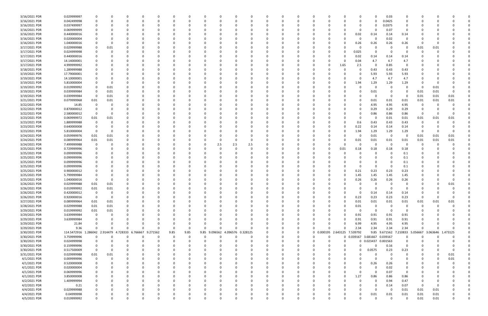| 3/16/2021 PDR                | 0.029999997                   |             |             |          |          |          |              |              |          |          |     |                   |          |          |                              |              | 0                            |                     | 0.03          |             |              |              |          |  |
|------------------------------|-------------------------------|-------------|-------------|----------|----------|----------|--------------|--------------|----------|----------|-----|-------------------|----------|----------|------------------------------|--------------|------------------------------|---------------------|---------------|-------------|--------------|--------------|----------|--|
| 3/16/2021 PDR                | 0.042499998                   |             | O           | O        | 0        |          |              | 0            |          |          |     | $\Omega$          |          |          | 0                            |              | 0                            | $\Omega$            | 0.0425        | 0           | $\Omega$     |              |          |  |
| 3/16/2021 PDR                | 0.037499997                   |             |             |          |          |          |              |              |          |          |     |                   |          |          |                              |              | 0                            |                     | 0.0375        | 0           |              |              |          |  |
| 3/16/2021 PDR                |                               |             |             |          |          |          |              |              |          |          |     |                   |          |          |                              |              | 0                            | $\Omega$            | 0.07          | $\mathbf 0$ |              |              |          |  |
|                              | 0.069999999                   |             |             |          |          |          |              |              |          |          |     |                   |          |          |                              |              |                              |                     |               |             |              |              |          |  |
| 3/16/2021 PDR                | 0.440000016                   |             |             |          |          |          |              |              |          |          |     |                   |          |          |                              |              | 0.02                         | 0.14                | 0.14          | 0.14        |              |              |          |  |
| 3/16/2021 PDR                | 0.020000004                   |             |             |          |          |          |              |              |          |          |     |                   |          |          |                              |              | 0                            | 0                   | 0.02          | $\Omega$    |              |              |          |  |
| 3/16/2021 PDR                | 1.040000016                   |             |             |          |          |          |              |              |          |          |     |                   |          |          |                              |              | 0.26                         | 0.26                | 0.26          | 0.26        |              |              |          |  |
| 3/17/2021 PDR                | 0.029999988                   |             | 0.01        |          | - 0      |          |              |              |          |          |     |                   |          |          |                              |              | 0                            | - 0                 |               | -0          | 0.01         | 0.01         |          |  |
| 3/17/2021 PDR                | 0.024999998                   |             |             |          |          |          |              |              |          |          |     |                   |          |          |                              |              | 0.025                        | 0                   | - 0           |             |              |              |          |  |
| 3/17/2021 PDR                | 0.440000016                   |             |             |          |          |          |              |              |          |          |     |                   |          |          |                              |              | 0.02                         | 0.14                | 0.14          | 0.14        |              |              |          |  |
|                              |                               |             |             |          |          |          |              |              |          |          |     |                   |          |          |                              |              |                              |                     |               |             |              |              |          |  |
| 3/17/2021 PDR                | 14.14000001                   |             |             |          |          |          |              |              |          |          |     |                   |          |          |                              |              | 0.04                         | 4.7                 | 4.7           | 4.7         |              |              |          |  |
| 3/17/2021 PDR                | 4.999999992                   |             |             |          |          |          |              |              |          |          |     |                   |          |          |                              | 1.65         | 2.5                          | -0                  | 0.85          | 0           |              |              |          |  |
| 3/18/2021 PDR                | 1.289999988                   |             |             |          | റ        |          |              |              |          |          |     |                   |          |          | - 0                          |              | 0                            | 0.43                | 0.43          | 0.43        |              |              |          |  |
| 3/19/2021 PDR                | 17.79000001                   |             |             |          |          |          |              |              |          |          |     |                   |          |          |                              |              | -0                           | 5.93                | 5.93          | 5.93        |              |              |          |  |
| 3/19/2021 PDR                | 14.10000001                   |             |             |          |          |          |              |              |          |          |     |                   |          |          |                              |              | 0                            | 4.7                 | 4.7           | 4.7         |              |              |          |  |
| 3/19/2021 PDR                | 5.810000004                   |             |             |          |          |          |              |              |          |          |     |                   |          |          |                              |              | 1.94                         | 1.29                | 1.29          | 1.29        |              |              |          |  |
| 3/19/2021 PDR                | 0.019999992                   |             | 0.01        |          |          |          |              |              |          |          |     |                   |          |          |                              |              | 0                            | 0                   | $\Omega$      | 0           | 0            | 0.01         |          |  |
|                              |                               |             |             |          |          |          |              |              |          |          |     |                   |          |          |                              |              |                              |                     |               |             |              |              |          |  |
| 3/19/2021 PDR                | 0.039999984                   |             | 0.01        |          |          |          |              |              |          |          |     |                   |          |          |                              |              | 0                            | 0.01                | 0             | -0          | 0.01         | 0.01         | 0        |  |
| 3/19/2021 PDR                | 0.039999984                   | 0           | 0.01        |          |          |          |              |              |          |          |     |                   |          |          |                              |              |                              | -C                  | - 0           | -0          | 0.01         | 0.01         | 0.01     |  |
| 3/21/2021 PDR                | 0.079999968                   | 0.01        | 0.01        |          |          |          |              |              |          |          |     |                   |          |          |                              |              | 0                            | 0.01                | 0.01          | 0.01        | 0.01         | 0.01         | 0.01     |  |
| 3/22/2021 PDR                | 14.85                         |             |             |          |          |          |              |              |          |          |     |                   |          |          |                              |              | 0                            | 4.95                | 4.95          | 4.95        | -C           |              |          |  |
| 3/22/2021 PDR                | 0.870000012                   |             |             |          |          |          |              |              |          |          |     |                   |          |          |                              |              | 0                            | 0.29                | 0.29          | 0.29        | 0            |              |          |  |
| 3/22/2021 PDR                | 2.580000012                   | 0           |             |          |          |          |              |              |          |          |     |                   |          |          |                              |              | 0                            | 0.86                | 0.86          | 0.86        | -0           |              |          |  |
| 3/23/2021 PDR                | 0.069999972                   | 0.01        | 0.01        |          |          |          |              |              |          |          |     |                   |          |          |                              |              | 0                            | 0                   | 0.01          | 0.01        | 0.01         | 0.01         | 0.01     |  |
|                              |                               |             |             |          |          |          |              |              |          |          |     |                   |          |          |                              |              |                              |                     |               |             |              |              |          |  |
| 3/23/2021 PDR                | 1.889999988                   |             | 0           |          |          |          |              |              |          |          |     |                   |          |          |                              |              | 0.6                          | 0.43                | 0.43          | 0.43        | 0            |              |          |  |
| 3/23/2021 PDR                | 0.640000008                   |             |             |          |          |          |              |              |          |          |     |                   |          |          |                              |              | 0.22                         | 0.14                | 0.14          | 0.14        | 0            |              |          |  |
| 3/23/2021 PDR                | 5.810000004                   | $\Omega$    | 0           |          |          |          |              |              |          |          |     |                   |          |          |                              |              | 1.94                         | 1.29                | 1.29          | 1.29        | -0           |              |          |  |
| 3/24/2021 PDR                | 0.059999976                   | 0.01        | 0.01        |          |          |          |              |              |          |          |     |                   |          |          |                              |              | 0                            | 0.01                | 0             | -0          | 0.01         | 0.01         | 0.01     |  |
| 3/24/2021 PDR                | 0.089999964                   | 0.01        | 0.01        |          |          |          |              |              |          |          |     |                   |          |          |                              |              | 0.01                         | 0.01                | 0.01          | 0.01        | 0.01         | 0.01         | 0.01     |  |
| 3/24/2021 PDR                | 7.499999988                   |             |             |          |          |          |              |              |          | 2.5      | 2.5 | 2.5               |          |          |                              |              | 0                            | -C                  | - 0           |             | 0            |              |          |  |
| 3/25/2021 PDR                | 0.729999996                   |             |             |          |          |          |              |              |          |          |     | $\Omega$          |          |          |                              | 0.01         | 0.18                         | 0.18                | 0.18          | 0.18        |              |              |          |  |
|                              |                               |             |             |          |          |          |              |              |          |          |     |                   |          |          |                              |              |                              |                     |               |             |              |              |          |  |
| 3/25/2021 PDR                | 0.099999996                   |             |             |          | -0       |          |              |              |          |          |     |                   |          |          |                              |              | 0                            |                     |               | 0.1         |              |              |          |  |
| 3/25/2021 PDR                | 0.099999996                   |             |             |          |          |          |              |              |          |          |     |                   |          |          |                              |              |                              |                     |               | 0.1         |              |              |          |  |
| 3/25/2021 PDR                | 0.099999996                   |             |             |          |          |          |              |              |          |          |     |                   |          |          |                              |              |                              |                     |               | 0.1         |              |              |          |  |
| 3/25/2021 PDR                | 0.099999996                   |             |             |          |          |          |              |              |          |          |     |                   |          |          |                              |              |                              |                     | $\Omega$      | 0.1         |              |              |          |  |
| 3/25/2021 PDR                | 0.900000012                   |             |             |          |          |          |              |              |          |          |     |                   |          |          |                              |              | 0.21                         | 0.23                | 0.23          | 0.23        |              |              |          |  |
| 3/25/2021 PDR                | 5.799999984                   |             |             |          |          |          |              |              |          |          |     |                   |          |          |                              |              | 1.45                         | 1.45                | 1.45          | 1.45        |              |              |          |  |
|                              |                               |             |             |          |          |          |              |              |          |          |     |                   |          |          |                              |              |                              |                     |               |             |              |              |          |  |
| 3/25/2021 PDR                | 1.040000016                   |             |             |          |          |          |              |              |          |          |     |                   |          |          |                              |              | 0.26                         | 0.26                | 0.26          | 0.26        |              |              |          |  |
| 3/26/2021 PDR                | 0.029999988                   | 0.01        | 0.01        |          |          |          |              |              |          |          |     |                   |          |          |                              |              | C                            |                     |               |             |              |              | 0.01     |  |
| 3/26/2021 PDR                | 0.019999992                   | 0.01        | 0.01        | 0        | 0        |          |              |              |          |          |     |                   |          |          |                              |              | n                            | - 0                 |               |             |              |              |          |  |
| 3/26/2021 PDR                | 0.420000012                   | $\sim$      | υ           |          |          |          |              |              |          |          |     |                   |          |          |                              |              | -U                           | 0.14                | 0.14          | 0.14        |              |              |          |  |
| 3/26/2021 PDR                | 0.920000016                   | $\mathbf 0$ | $\mathbf 0$ | $\Omega$ | $\Omega$ | $\Omega$ | $\Omega$     | $\Omega$     |          | $\Omega$ |     | $\Omega$          | $\Omega$ | O        | 0                            | $\Omega$     | 0.23                         | 0.23                | 0.23          | 0.23        | $\Omega$     |              | $\Omega$ |  |
| 3/27/2021 PDR                | 0.089999964                   | 0.01        | 0.01        | 0        | 0        |          | <sup>0</sup> | $\Omega$     |          |          |     | $\Omega$          | n        |          | - 0                          | $\Omega$     | 0.01                         | 0.01                | 0.01          | 0.01        | 0.01         | 0.01         | 0.01     |  |
| 3/28/2021 PDR                | 0.029999988                   | 0.01        | 0.01        |          | 0        |          |              | <sup>0</sup> |          |          |     | 0                 |          |          | -0                           |              | 0.01                         | 0                   | - 0           | 0           | 0            |              |          |  |
|                              |                               |             |             |          |          |          |              | $\Omega$     |          |          |     |                   |          |          |                              |              |                              | $\Omega$            | - 0           |             |              |              |          |  |
| 3/29/2021 PDR                | 0.019999992                   | 0.01        | 0.01        |          | $\Omega$ |          |              |              |          |          |     | $\Omega$          |          |          | - 0                          |              | 0                            |                     |               | 0           | -0           |              |          |  |
| 3/29/2021 PDR                | 3.639999984                   | 0           | 0           |          | 0        |          |              |              |          |          |     |                   |          |          |                              | 0            | 0.91                         | 0.91                | 0.91          | 0.91        |              |              |          |  |
| 3/29/2021 PDR                | 3.639999984                   |             |             |          |          |          |              |              |          |          |     |                   |          |          |                              | 0            | 0.91                         | 0.91                | 0.91          | 0.91        |              |              |          |  |
| 3/29/2021 PDR                | 21.84                         |             |             |          |          |          |              |              |          |          |     |                   |          | 0        |                              |              | 6.99                         | 4.95                | 4.95          | 4.95        | 0            |              |          |  |
| 3/29/2021 PDR                | 9.36                          |             | O           | $\Omega$ | $\Omega$ | $\Omega$ | - 0          | 0            | $\Omega$ |          |     | $\Omega$          |          | 0        | $\Omega$                     | <sup>0</sup> | 2.34                         | 2.34                | 2.34          | 2.34        | 0            |              |          |  |
| 3/30/2021 PDR                | 114.5472916 1.286042 2.914479 |             |             | 4.728333 | 6.766667 | 9.271562 | 9.85         | 9.85         | 9.85     | 9.096562 |     | 4.096576 0.328125 |          | 0        | 0 0.000195 2.643125 7.539792 |              |                              |                     | 9.85 9.671562 | .210833     | 5.056667     | 3.063646     | 1.473125 |  |
| 3/30/2021 PDR                | 3.759999996                   |             | $\Omega$    |          | $\Omega$ | $\Omega$ | $\Omega$     | 0            |          | O        |     | 0                 |          | 0        | $\Omega$<br>$\Omega$         |              | 0 0.039167 3.681667 0.039167 |                     |               | 0           | 0            |              |          |  |
|                              |                               |             |             |          |          |          |              |              |          |          |     |                   |          |          | - 0                          |              |                              |                     |               |             |              |              |          |  |
| 3/30/2021 PDR                | 0.024999998                   |             |             |          |          |          |              | <sup>0</sup> |          |          |     |                   |          |          |                              |              |                              | 0 0.023437 0.001563 |               | 0           |              |              |          |  |
| 3/30/2021 PDR                | 0.159999996                   |             |             |          |          |          |              |              |          |          |     |                   |          |          | -0                           |              | $\Omega$                     | $\Omega$            | 0.16          | 0           |              |              |          |  |
| 3/30/2021 PDR                | 0.517500009                   | $\Omega$    | $\Omega$    |          |          |          |              | 0            |          |          |     |                   |          |          | -0                           | $\Omega$     | 0                            | 0.0575              | 0.23          | 0.23        |              |              |          |  |
| 3/31/2021 PDR                | 0.029999988                   | 0.01        | 0.01        |          | 0        |          |              | 0            |          |          |     |                   |          |          | -0                           | 0            | 0                            | 0                   | $\Omega$      | 0           |              |              | 0.01     |  |
| 4/1/2021 PDR                 | 0.009999996                   | 0           | $\Omega$    |          | $\Omega$ |          |              | <sup>0</sup> |          |          |     |                   |          |          | -0                           |              | $\Omega$                     | $\Omega$            | - 0           | $\Omega$    | -0           |              | 0.01     |  |
| 4/1/2021 PDR                 | 0.520000008                   |             |             |          | $\Omega$ |          |              | <sup>0</sup> |          |          |     |                   |          |          | -0                           |              | 0                            | 0.26                | 0.26          | 0           |              |              |          |  |
| 4/1/2021 PDR                 | 0.020000004                   |             |             |          |          |          |              |              |          |          |     |                   |          |          |                              |              | 0                            | $\Omega$            | 0.02          | 0           |              |              |          |  |
|                              |                               |             |             |          |          |          |              |              |          |          |     |                   |          |          |                              |              |                              |                     |               |             |              |              |          |  |
| 4/1/2021 PDR                 | 0.069999996                   |             |             |          |          |          |              |              |          |          |     |                   |          |          |                              |              | 0                            | $\Omega$            | 0.07          | 0           |              |              |          |  |
| 4/1/2021 PDR                 | 3.850000008                   |             |             |          |          |          |              |              |          |          |     |                   |          |          | 0                            | 0            | 1.27                         | 0.86                | 0.86          | 0.86        |              |              |          |  |
| 4/2/2021 PDR                 | 1.409999994                   |             |             |          |          |          |              |              |          |          |     |                   |          |          |                              |              | 0                            | $\Omega$            | 0.94          | 0.47        | 0            |              |          |  |
| 4/2/2021 PDR                 | 0.21                          |             |             |          |          |          |              |              |          |          |     |                   |          |          | -0                           |              |                              | 0                   | 0.14          | 0.07        | -0           |              |          |  |
| 4/4/2021 PDR                 | 0.029999988                   |             |             |          | $\Omega$ |          |              | C            |          |          |     |                   |          |          | - 0                          |              | 0                            | - 0                 | $\Omega$      | 0.01        | 0.01         | 0.01         |          |  |
|                              |                               |             |             |          |          |          |              |              |          |          |     |                   |          |          |                              |              |                              |                     |               |             |              |              |          |  |
|                              |                               |             |             |          |          |          |              |              |          |          |     |                   |          |          |                              |              | 0                            |                     |               |             |              |              |          |  |
| 4/4/2021 PDR<br>4/5/2021 PDR | 0.04999998<br>0.019999992     | $\Omega$    | O           | $\Omega$ | $\Omega$ | $\Omega$ | $\Omega$     | $\Omega$     |          | $\Omega$ |     | $\Omega$          | $\Omega$ | $\Omega$ | $\Omega$                     | $\Omega$     | $\Omega$                     | 0.01<br>$\Omega$    | 0.01<br>- 0   | 0.01<br>0   | 0.01<br>0.01 | 0.01<br>0.01 | $\Omega$ |  |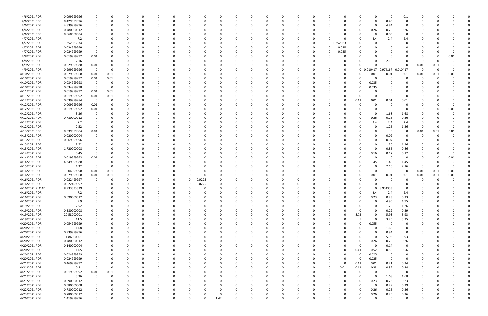| 4/6/2021 PDR                   | 0.099999996                | 0              |              |                  | 0                |          |          |             | -0       |      |          | 0                | 0                |          |             | 0        |             |          | 0           | 0                | 0                | 0.1                     | 0         |          |          |  |
|--------------------------------|----------------------------|----------------|--------------|------------------|------------------|----------|----------|-------------|----------|------|----------|------------------|------------------|----------|-------------|----------|-------------|----------|-------------|------------------|------------------|-------------------------|-----------|----------|----------|--|
| 4/6/2021 PDR                   | 0.429999996                | 0              |              | O                | 0                | 0        | $\Omega$ | 0           | 0        |      | 0        | 0                | $\Omega$         | $\Omega$ | 0           | 0        |             | 0        | 0           | $\Omega$         | 0.43             | 0                       | 0         |          |          |  |
| 4/6/2021 PDR                   | 4.839999996                | 0              |              |                  |                  |          |          |             |          |      |          |                  | -0               |          |             |          |             |          | 0           | 0                | 4.84             | 0                       |           |          |          |  |
| 4/6/2021 PDR                   | 0.780000012                |                |              |                  |                  |          |          |             |          |      |          |                  | - 0              |          |             |          |             |          | 0           | 0.26             | 0.26             | 0.26                    |           |          |          |  |
| 4/6/2021 PDR                   | 0.860000004                |                |              |                  |                  |          |          |             |          |      |          |                  |                  |          |             |          |             |          | 0           | 0                | 0.86             | 0                       |           |          |          |  |
| 4/7/2021 PDR                   | 7.2                        |                |              |                  |                  |          |          |             |          |      |          |                  |                  |          |             |          |             |          | 0           | 2.4              | 2.4              | 2.4                     |           |          |          |  |
| 4/7/2021 PDR                   | 1.352083334                |                |              |                  |                  |          |          |             |          |      |          |                  |                  |          |             |          | $\mathbf 0$ | 352083   |             | -0               |                  |                         |           |          |          |  |
| 4/7/2021 PDR                   | 0.024999999                | -0             |              |                  |                  |          |          |             |          |      |          |                  | -0               |          |             | 0        |             | 0.025    |             | 0                |                  |                         |           |          |          |  |
| 4/7/2021 PDR                   | 0.024999999                | 0              |              |                  |                  |          |          |             |          |      |          |                  | -0               |          |             | 0        |             | 0.025    |             | 0                |                  |                         |           |          |          |  |
| 4/8/2021 PDR                   | 0.019999992                | 0.01           |              |                  |                  |          |          |             |          |      |          |                  | - 0              |          |             |          |             |          |             | $\Omega$         |                  |                         | T         |          | 0.01     |  |
| 4/8/2021 PDR                   | 2.16                       | 0              |              |                  |                  |          |          |             |          |      |          |                  |                  |          |             |          |             |          |             | 0                | 2.16             |                         | -0        |          |          |  |
| 4/9/2021 PDR                   | 0.029999988                | 0.01           |              |                  |                  |          |          |             |          |      |          |                  |                  |          |             |          |             |          | O           | $\Omega$         |                  | 0                       | 0.01      | 0.01     |          |  |
| 4/9/2021 PDR                   | 0.999999996                | 0              |              |                  |                  |          |          |             |          |      |          |                  | - 0              |          |             |          |             | 0        |             | 0 0.010417       | 0.979167         | 0.010417                | - 0       | $\Omega$ | $\Omega$ |  |
| 4/10/2021 PDR<br>4/10/2021 PDR | 0.079999968<br>0.019999992 | 0.01           | 0.01         |                  |                  |          |          |             |          |      |          |                  | -0               |          |             |          |             | 0        | 0           | 0.01<br>0        | 0.01             | 0.01                    | 0.01<br>0 | 0.01     | 0.01     |  |
|                                |                            | 0.01<br>0      | 0.01         |                  |                  |          |          |             |          |      |          |                  |                  |          |             |          |             | O        | 0           |                  |                  |                         |           |          |          |  |
| 4/10/2021 PDR<br>4/10/2021 PDR | 0.034999998<br>0.034999998 | $\mathbf 0$    |              |                  |                  |          |          |             |          |      |          |                  |                  |          |             |          |             | 0        | 0           | 0.035<br>0.035   |                  |                         |           |          |          |  |
|                                |                            |                |              |                  |                  |          |          |             |          |      |          |                  |                  |          |             |          |             |          |             |                  |                  |                         |           |          |          |  |
| 4/11/2021 PDR<br>4/11/2021 PDR | 0.019999992<br>0.019999992 | 0.01<br>0.01   | 0.01<br>0.01 |                  |                  |          |          |             |          |      |          |                  |                  |          |             |          |             |          | 0           | 0<br>$\Omega$    | $\Omega$         | $\Omega$                |           |          |          |  |
| 4/12/2021 PDR                  | 0.039999984                | $\overline{0}$ |              |                  |                  |          |          |             |          |      |          |                  |                  |          |             |          |             | 0        | 0.01        | 0.01             | 0.01             | 0.01                    |           |          |          |  |
| 4/12/2021 PDR                  | 0.009999996                | 0.01           |              |                  |                  |          |          |             |          |      |          |                  | -0               |          |             |          |             |          | 0           | 0                |                  |                         |           |          |          |  |
| 4/12/2021 PDR                  | 0.019999992                | 0.01           |              |                  |                  |          |          |             |          |      |          |                  | - 0              |          |             |          |             |          |             | $\Omega$         | - 0              | 0                       | 0         |          | 0.01     |  |
| 4/12/2021 PDR                  | 3.36                       |                |              |                  |                  |          |          |             |          |      |          |                  | -0               |          |             |          |             |          | 0           | 0                | 1.68             | 1.68                    |           |          |          |  |
| 4/12/2021 PDR                  | 0.780000012                |                |              |                  |                  |          |          |             |          |      |          |                  |                  |          |             |          |             |          | 0           | 0.26             | 0.26             | 0.26                    |           |          |          |  |
| 4/12/2021 PDR                  | 7.2                        |                |              |                  |                  |          |          |             |          |      |          |                  |                  |          |             |          |             |          | 0           | 2.4              | 2.4              | 2.4                     |           |          |          |  |
| 4/12/2021 PDR                  | 2.52                       | 0              |              |                  |                  |          |          |             |          |      |          |                  | -0               |          |             |          |             |          | O           | 0                | 1.26             | 1.26                    | -0        |          | n        |  |
| 4/13/2021 PDR                  | 0.039999984                | 0.01           |              |                  |                  |          |          |             |          |      |          |                  | - 0              |          |             |          |             |          | $\Omega$    | 0                | 0                | 0                       | 0.01      | 0.01     | 0.01     |  |
| 4/13/2021 PDR                  | 0.020000004                |                |              |                  |                  |          |          |             |          |      |          |                  | - 0              |          |             |          |             |          |             | $\Omega$         | 0.02             | 0                       | 0         |          |          |  |
| 4/13/2021 PDR                  | 0.069999996                |                |              |                  |                  |          |          |             |          |      |          |                  |                  |          |             |          |             |          |             | $\Omega$         | 0.07             |                         |           |          |          |  |
| 4/13/2021 PDR                  | 2.52                       |                |              |                  |                  |          |          |             |          |      |          |                  |                  |          |             |          |             |          |             | 0                | 1.26             | 1.26                    |           |          |          |  |
| 4/13/2021 PDR                  | 1.720000008                |                |              |                  |                  |          |          |             |          |      |          |                  | -0               |          |             |          |             |          | 0           | $\Omega$         | 0.86             | 0.86                    |           |          |          |  |
| 4/14/2021 PDR                  | 0.45                       | 0              |              |                  |                  |          |          |             |          |      |          |                  | 0                |          |             |          |             |          | 0           | 0.16             | 0.17             | 0.12                    |           |          |          |  |
| 4/14/2021 PDR                  | 0.019999992                | 0.01           |              |                  |                  |          |          |             |          |      |          |                  | - 0              |          |             |          |             |          |             | 0                | - 0              | $\Omega$                |           |          | 0.01     |  |
| 4/14/2021 PDR                  | 4.349999988                | - 0            |              |                  |                  |          |          |             |          |      |          |                  | - 0              |          |             |          |             |          | 0           | 1.45             | 1.45             | 1.45                    | 0         |          |          |  |
| 4/15/2021 PDR                  | 4.32                       | - 0            |              |                  |                  |          |          |             |          |      |          |                  | - 0              |          |             |          |             |          |             | 0                | 2.16             | 2.16                    | -0        |          |          |  |
| 4/16/2021 PDR                  | 0.04999998                 | 0.01           | 0.01         |                  |                  |          |          |             |          |      |          |                  |                  |          |             |          |             |          |             | 0                | 0                | 0                       | 0.01      | 0.01     | 0.01     |  |
| 4/16/2021 PDR                  | 0.079999968                | 0.01           | 0.01         |                  |                  |          |          |             |          |      |          |                  |                  |          |             |          |             |          | O           | 0.01             | 0.01             | 0.01                    | 0.01      | 0.01     | 0.01     |  |
| 4/16/2021 PDR                  | 0.022499997                | 0              |              |                  |                  |          |          |             | 0.0225   |      |          |                  |                  |          |             |          |             |          |             | $\Omega$         |                  |                         |           |          |          |  |
| 4/16/2021 PDR                  | 0.022499997                | 0              |              |                  | 0                |          |          |             | 0.0225   |      | O        |                  |                  |          |             |          |             | 0        |             | $\Omega$         |                  |                         |           |          |          |  |
| 4/16/2021 PLOAD                | 8.933333329                | 0              |              |                  | n                |          | - 0      |             | -C       |      |          | <sup>0</sup>     | - 0              |          |             |          |             |          | 0           |                  | 0 8.933333       | 0                       | C         |          |          |  |
| 4/16/2021 PDR                  | 7.2                        | $\Omega$       |              |                  |                  |          |          |             |          |      |          |                  |                  |          |             |          |             | 0        | 0           | 2.4              | 2.4              | 2.4                     | $\Omega$  |          |          |  |
| 4/16/2021 PDR                  | 0.690000012                | $\Omega$       |              |                  | 0                | 0        | $\Omega$ |             | $\Omega$ |      | $\Omega$ | 0                | 0                | $\Omega$ |             | $\Omega$ |             | 0        | 0           | 0.23             | 0.23             | 0.23                    | 0         |          |          |  |
| 4/16/2021 PDR                  | 9.9                        | 0              |              |                  | 0                |          |          |             | 0        |      |          | 0                | 0                |          |             | 0        |             |          | $\Omega$    | $\mathbf 0$      | 4.95             | 4.95                    | 0         |          |          |  |
| 4/19/2021 PDR                  | 2.52                       |                |              |                  |                  | $\Omega$ |          |             |          |      |          |                  | 0                |          |             | 0        |             |          | 0           | $\mathbf 0$      | 1.26             | 1.26                    | 0         |          |          |  |
| 4/19/2021 PDR                  | 0.580000008                | 0              |              | 0                | 0                | 0        |          | $\Omega$    | 0        |      | 0        | 0                | 0                |          | 0           | 0        |             | 0        | 0           | $\mathbf 0$      | 0.29             | 0.29                    | 0         |          | 0        |  |
| 4/19/2021 PDR                  | 20.58000001                | 0              |              |                  | 0                | 0        |          | 0           | 0        |      | 0        | 0                | 0                |          | 0           | 0        |             | 0        | 8.72        | $\Omega$         | 5.93             | 5.93                    | 0         |          |          |  |
| 4/19/2021 PDR                  | 11.5                       | $\Omega$       |              |                  |                  | 0        |          |             | 0        |      |          |                  | $\Omega$         |          |             | 0        |             | $\Omega$ | 5           | $\Omega$         | 3.25             | 3.25                    |           |          |          |  |
| 4/20/2021 PDR                  | 0.054999999                | 0              |              |                  |                  |          |          |             |          |      |          |                  | 0                |          |             |          |             | 0        | 0           | 0.055            | $\Omega$         | 0                       |           |          |          |  |
| 4/20/2021 PDR                  | 1.68                       | 0              |              |                  |                  |          |          |             |          |      |          |                  | 0                |          |             |          |             | 0        | 0           | 0                | 1.68             | 0                       | 0         |          |          |  |
| 4/20/2021 PDR                  | 0.939999996                | 0              |              |                  |                  |          |          |             |          |      |          |                  | 0                |          |             |          |             |          |             | $\mathbf 0$      | 0.94             | $\overline{0}$          |           |          |          |  |
| 4/20/2021 PDR                  | 11.86000001                | 0              |              |                  |                  | 0        |          | $\Omega$    | 0        |      | 0        |                  | 0                |          | $\Omega$    | 0        |             | 0        | 0           | $\mathbf 0$      | 5.93             | 5.93                    | 0         |          |          |  |
| 4/20/2021 PDR                  | 0.780000012                | 0              |              |                  |                  |          |          |             | 0        |      |          |                  | 0                |          |             | 0        |             | 0        | 0           | 0.26             | 0.26             | 0.26                    |           |          |          |  |
| 4/20/2021 PDR                  | 0.140000004                | $\Omega$       |              |                  |                  | -0       |          |             | 0        |      |          |                  | 0                |          |             |          |             | $\Omega$ | $\mathbf 0$ | $\Omega$         | 0.14             | 0                       |           |          |          |  |
| 4/20/2021 PDR                  | 1.65                       | 0              |              |                  |                  | 0        |          |             | 0        |      | 0        |                  | 0                |          |             | 0        |             | 0        | 0.01        | 0.52             | 0.56             | 0.56                    |           |          |          |  |
| 4/20/2021 PDR                  | 0.024999999                | 0              |              |                  |                  | -0       |          |             |          |      |          | 0                | 0                |          |             |          |             | 0        | 0           | 0.025            | 0                | 0                       |           |          |          |  |
| 4/20/2021 PDR                  | 0.024999999                | 0              |              |                  |                  | 0        |          |             |          |      |          |                  | 0                |          |             | 0        |             | $\Omega$ | $\mathbf 0$ | 0.025            | $\Omega$         | $\mathbf 0$             | 0         |          |          |  |
| 4/21/2021 PDR                  | 0.469999992                | 0              |              |                  |                  | 0        |          |             | 0        |      | 0        |                  | 0                |          | 0           | 0        |             | $\Omega$ | 0.01        | 0.01             | 0.21             | 0.24                    | 0         |          |          |  |
| 4/21/2021 PDR                  | 0.81                       | 0              | $\Omega$     |                  | 0                | 0        |          |             | 0        |      | 0        | 0                | 0                |          |             | 0        |             | 0.01     | 0.01        | 0.23             | 0.32             | 0.24                    | 0         |          |          |  |
| 4/21/2021 PDR                  | 0.019999992                | 0.01           | $0.01\,$     |                  |                  | 0        |          |             | 0        |      |          | 0                | 0                |          | 0           | 0        |             | O        | 0           | $\Omega$         | $\Omega$         | $\overline{\mathbf{0}}$ |           |          |          |  |
| 4/21/2021 PDR                  | 3.36                       | 0              |              |                  |                  | 0        |          |             | 0        |      |          |                  | 0                |          | 0           | 0        |             | 0        | $\Omega$    | $\mathbf 0$      | 1.68             | 1.68                    | 0         |          |          |  |
| 4/21/2021 PDR                  | 0.690000012                | 0              |              |                  |                  |          |          |             |          |      |          |                  | 0                |          |             |          |             | 0        | 0           | 0.23             | 0.23             | 0.23                    |           |          |          |  |
| 4/21/2021 PDR                  | 0.580000008                | 0<br>0         |              |                  |                  | 0        |          |             |          |      |          |                  | 0<br>$\Omega$    |          | 0           |          |             | 0        | $\Omega$    | $\mathbf 0$      | 0.29<br>0.26     | 0.29                    | 0         |          |          |  |
| 4/22/2021 PDR<br>4/23/2021 PDR | 0.780000012                | 0              |              |                  |                  |          |          | 0           |          |      | 0        |                  |                  |          | 0           | 0        |             | 0        | 0           | 0.26             |                  | 0.26                    | 0         |          | 0        |  |
| 4/26/2021 PDR                  | 0.780000012<br>1.419999996 | $\mathbf 0$    | $\Omega$     | 0<br>$\mathbf 0$ | 0<br>$\mathbf 0$ | $\Omega$ | $\Omega$ | $\mathbf 0$ | -0<br>0  | 1.42 | 0<br>0   | 0<br>$\mathbf 0$ | 0<br>$\mathbf 0$ | $\Omega$ | $\mathbf 0$ | 0<br>0   |             | 0<br>0   | 0<br>0      | 0.26<br>$\Omega$ | 0.26<br>$\Omega$ | 0.26<br>$\mathbf 0$     | 0<br>0    |          | 0        |  |
|                                |                            |                |              |                  |                  |          |          |             |          |      |          |                  |                  |          |             |          |             |          |             |                  |                  |                         |           |          |          |  |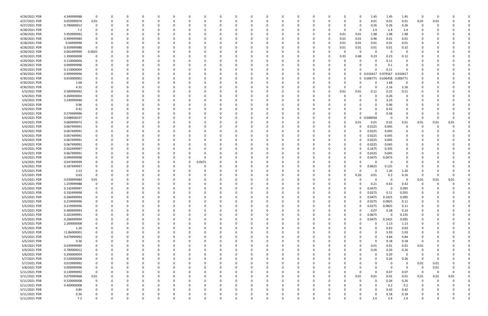| 4/26/2021 PDR | 4.349999988 | 0           |   |          |          |          |              |              |        |          |          |          |          |          |          |              |          | 0            | 1.45                | 1.45     | 1.45     | 0           |          |      |  |
|---------------|-------------|-------------|---|----------|----------|----------|--------------|--------------|--------|----------|----------|----------|----------|----------|----------|--------------|----------|--------------|---------------------|----------|----------|-------------|----------|------|--|
| 4/27/2021 PDR | 0.059999976 | 0.01        | 0 |          | $\Omega$ |          |              | 0            | - 0    |          | 0        |          |          | 0        | 0        |              |          | 0            | 0.01                | 0.01     | 0.01     | 0.01        | 0.01     |      |  |
| 4/27/2021 PDR | 0.780000012 |             |   |          |          |          |              |              |        |          |          |          |          |          |          |              |          | 0            | 0.26                | 0.26     | 0.26     | 0           |          |      |  |
| 4/28/2021 PDR | 7.2         |             |   |          |          |          |              |              |        |          |          |          |          |          |          |              |          | 0            | 2.4                 | 2.4      | 2.4      |             |          |      |  |
| 4/28/2021 PDR | 5.959999992 |             |   |          |          |          |              |              |        |          |          |          |          |          |          |              | 0.01     | 0.01         | 1.98                | 1.98     | 1.98     |             |          |      |  |
| 4/28/2021 PDR | 0.999999984 |             |   |          |          |          |              |              |        |          |          |          |          |          |          |              | 0.01     | 0.01         | 0.96                | 0.01     | 0.01     |             |          |      |  |
| 4/28/2021 PDR | 0.04999998  |             |   |          |          |          |              |              |        |          |          |          |          |          |          |              |          |              |                     |          |          |             |          |      |  |
|               |             |             |   |          |          |          |              |              |        |          |          |          |          |          |          |              | 0.01     | 0.01         | 0.01                | 0.01     | 0.01     |             |          |      |  |
| 4/28/2021 PDR | 0.359999988 |             |   |          |          |          |              |              |        |          |          |          |          |          |          |              | 0.01     | 0.01         | 0.01                | 0.01     | 0.32     |             |          |      |  |
| 4/28/2021 PDR | 0.002499999 | 0.0025      |   |          |          |          |              |              |        |          |          |          |          |          |          | 0            |          | 0            | - 0                 | - 0      | 0        |             |          |      |  |
| 4/29/2021 PDR | 1.390000008 |             |   |          |          |          |              |              |        |          |          |          |          |          |          |              | 0.33     | 0.48         | 0.23                | 0.23     | 0.12     |             |          |      |  |
| 4/29/2021 PDR | 0.110000004 |             |   |          |          |          |              |              |        |          |          |          |          |          |          |              |          | 0            |                     | 0.11     | 0        |             |          |      |  |
| 4/29/2021 PDR | 0.099999996 |             |   |          |          |          |              |              |        |          |          |          |          |          |          |              |          |              |                     | 0.1      |          |             |          |      |  |
| 4/29/2021 PDR | 0.110000004 |             |   |          |          |          |              |              |        |          |          |          |          |          |          |              |          |              |                     | 0.11     |          |             |          |      |  |
| 4/30/2021 PDR | 0.999999996 |             |   |          |          |          |              |              |        |          |          |          |          |          |          |              |          |              | 0 0.010417 0.979167 |          | 0.010417 |             |          |      |  |
| 4/30/2021 PDR | 0.650000002 |             |   |          |          |          |              |              |        |          |          |          |          |          |          |              |          |              | 0 0.006771          | 0.636458 | 0.006771 |             |          |      |  |
| 4/30/2021 PDR | 1.68        |             |   |          |          |          |              |              |        |          |          |          |          |          |          |              |          | -C           |                     | 1.68     | 0        |             |          |      |  |
| 4/30/2021 PDR | 4.32        |             |   |          |          |          |              |              |        |          |          |          |          |          |          |              | $\Omega$ | $\Omega$     | $\Omega$            | 2.16     | 2.16     |             |          |      |  |
| 5/3/2021 PDR  | 0.589999992 |             |   |          |          |          |              |              |        |          |          |          |          |          |          | <sup>0</sup> | 0.01     | 0.01         | 0.11                | 0.25     | 0.21     |             |          |      |  |
| 5/4/2021 PDR  | 0.260000004 |             |   |          |          |          |              |              |        |          |          |          |          |          |          |              |          | 0            |                     | 0.26     | 0        |             |          |      |  |
| 5/4/2021 PDR  | 3.249999996 |             |   |          |          |          |              |              |        |          |          |          |          |          |          |              |          |              |                     | 3.25     |          |             |          |      |  |
|               |             |             |   |          |          |          |              |              |        |          |          |          |          |          |          |              |          |              |                     |          |          |             |          |      |  |
| 5/4/2021 PDR  | 0.96        |             |   |          |          |          |              |              |        |          |          |          |          |          |          |              |          |              |                     | 0.96     |          |             |          |      |  |
| 5/4/2021 PDR  | 0.42        |             |   |          |          |          |              |              |        |          |          |          |          |          |          |              |          |              |                     | 0.42     |          |             |          |      |  |
| 5/4/2021 PDR  | 0.579999996 |             |   |          |          |          |              |              |        |          |          |          |          |          |          |              |          | $\Omega$     |                     | 0.58     |          |             |          |      |  |
| 5/4/2021 PDR  | 0.048958337 |             |   |          |          |          |              |              |        |          |          |          |          |          |          |              |          | 0            | 0.048958            | 0        | $\Omega$ | 0           |          |      |  |
| 5/4/2021 PDR  | 0.069999972 |             |   |          |          |          |              |              |        |          |          |          |          |          |          |              |          | 0.01         | 0.01                | 0.01     | 0.01     | 0.01        | 0.01     | 0.01 |  |
| 5/4/2021 PDR  | 0.067499991 |             |   |          |          |          |              |              |        |          |          |          |          |          |          |              |          | 0            | 0.0225              | 0.045    | 0        |             |          |      |  |
| 5/4/2021 PDR  | 0.067499991 |             |   |          |          |          |              |              |        |          |          |          |          |          |          |              |          | 0            | 0.0225              | 0.045    |          |             |          |      |  |
| 5/4/2021 PDR  | 0.067499991 |             |   |          |          |          |              |              |        |          |          |          |          |          |          |              |          | 0            | 0.0225              | 0.045    |          |             |          |      |  |
| 5/4/2021 PDR  | 0.067499991 |             |   |          |          |          |              |              |        |          |          |          |          |          |          |              |          | 0            | 0.0225              | 0.045    |          |             |          |      |  |
| 5/4/2021 PDR  | 0.067499991 |             |   |          |          |          |              |              |        |          |          |          |          |          |          |              |          | 0            | 0.0225              | 0.045    | 0        |             |          |      |  |
| 5/4/2021 PDR  | 0.502499997 |             |   |          |          |          |              |              |        |          |          |          |          |          |          |              |          | 0            | 0.1675              | 0.335    | 0        |             |          |      |  |
| 5/4/2021 PDR  | 0.067499991 |             |   |          |          |          |              | C            |        |          |          |          |          |          |          |              |          | 0            | 0.0225              | 0.045    | 0        |             |          |      |  |
| 5/4/2021 PDR  | 0.094999998 |             |   |          |          |          |              | <sup>0</sup> |        |          |          |          |          |          |          |              |          | 0            | 0.0475              | 0.0475   |          |             |          |      |  |
|               |             |             |   |          |          |          |              |              |        |          |          |          |          |          |          |              |          |              |                     | - 0      |          |             |          |      |  |
| 5/4/2021 PDR  | 0.047499999 |             |   |          |          |          |              | 0            | 0.0475 |          |          |          |          |          |          |              |          | <sup>0</sup> |                     |          | 0        |             |          |      |  |
| 5/4/2021 PDR  | 0.187499997 |             |   |          |          |          |              |              |        |          |          |          |          |          |          |              |          | 0            | 0.0625              | 0.125    | 0        |             |          |      |  |
| 5/5/2021 PDR  | 2.52        |             |   |          |          |          |              |              |        |          |          |          |          |          |          |              |          | 0            |                     | 1.26     | 1.26     |             |          |      |  |
| 5/5/2021 PDR  | 0.63        |             |   |          |          |          |              |              |        |          |          |          |          |          |          |              |          | 0.26         | 0.01                | 0.2      | 0.16     | 0           |          |      |  |
| 5/5/2021 PDR  | 0.039999984 | 0.01        |   |          |          |          |              |              |        |          |          |          |          |          |          |              |          | -C           |                     | - 0      |          | 0.01        | 0.01     | 0.01 |  |
| 5/5/2021 PDR  | 1.259999988 |             |   |          |          |          |              |              |        |          |          |          |          |          |          |              |          |              | 0.21                | 0.63     | 0.42     |             |          |      |  |
| 5/5/2021 PDR  | 0.142499997 |             |   |          |          |          |              |              |        |          |          |          |          |          |          |              |          | 0            | 0.0475              | - 0      | 0.095    | 0           |          |      |  |
| 5/5/2021 PDR  | 0.192499998 |             |   |          |          |          |              |              |        |          |          |          |          |          |          |              |          | U            | 0.0275              | 0.11     | 0.055    |             |          |      |  |
| 5/5/2021 PDR  | 0.284999994 | $\Omega$    | 0 |          | $\Omega$ | $\Omega$ | $\Omega$     | $\Omega$     |        | $\Omega$ | $\Omega$ | $\Omega$ | $\Omega$ | $\Omega$ | $\Omega$ | 0            | $\Omega$ | $\mathbf 0$  | 0.0475              | 0.1425   | 0.095    | $\Omega$    |          |      |  |
| 5/5/2021 PDR  | 0.219999996 |             | 0 |          | $\Omega$ | $\Omega$ | <sup>0</sup> | 0            |        |          | $\Omega$ |          | O        | 0        | 0        |              | $\Omega$ | 0            | 0.0275              | 0.0825   | 0.11     | 0           |          |      |  |
| 5/5/2021 PDR  | 0.219999996 |             |   |          | 0        |          |              | 0            |        |          | 0        |          |          | 0        | - 0      |              | 0        | $\Omega$     | 0.0275              | 0.0825   | 0.11     | 0           |          |      |  |
| 5/5/2021 PDR  | 0.489999993 |             |   |          | $\Omega$ |          |              | 0            |        |          |          |          |          | 0        | - 0      |              | 0        | $\Omega$     | 0.07                | 0.28     | 0.14     |             |          |      |  |
| 5/5/2021 PDR  | 0.202499991 |             |   |          |          |          |              | 0            |        |          |          |          |          |          |          |              | 0        | 0            | 0.0675              | 0        | 0.135    |             |          |      |  |
| 5/5/2021 PDR  | 0.284999994 |             |   |          |          |          |              | 0            |        |          |          |          |          | 0        |          |              |          | 0            | 0.0475              | 0.1425   | 0.095    |             |          |      |  |
|               |             |             |   |          |          |          |              |              |        |          |          |          |          |          |          |              |          |              | $\Omega$            |          |          |             |          |      |  |
| 5/5/2021 PDR  | 2.260000008 |             |   |          |          |          |              |              |        |          |          |          |          |          |          |              |          | $\Omega$     |                     | 1.13     | 1.13     |             |          |      |  |
| 5/5/2021 PDR  | 1.26        |             |   |          | 0        |          |              | 0            |        |          |          |          |          | 0        | 0        |              |          |              | $\Omega$            | 0.63     | 0.63     | 0           |          |      |  |
| 5/5/2021 PDR  | 11.86000001 |             |   |          |          |          |              | <sup>0</sup> |        |          |          |          |          | 0        | 0        |              |          |              |                     | 5.93     | 5.93     | 0           |          |      |  |
| 5/5/2021 PDR  | 9.679999992 |             |   |          |          |          |              |              |        |          |          |          |          |          |          |              |          |              | $\Omega$            | 4.84     | 4.84     |             |          |      |  |
| 5/5/2021 PDR  | 0.36        |             |   |          |          |          |              |              |        |          |          |          |          |          |          |              |          |              | $\Omega$            | 0.18     | 0.18     | 0           |          |      |  |
| 5/6/2021 PDR  | 0.039999984 |             |   |          |          |          |              |              |        |          |          |          |          |          |          |              |          | 0            | 0.01                | $0.01\,$ | 0.01     | 0.01        |          |      |  |
| 5/6/2021 PDR  | 0.780000012 |             |   |          |          |          | 0            |              |        |          |          |          |          |          | -C       |              |          | 0            | 0.26                | 0.26     | 0.26     | 0           |          |      |  |
| 5/6/2021 PDR  | 0.290000004 |             |   |          | 0        |          |              | 0            |        |          | 0        |          |          |          | 0        |              |          | 0            | $\Omega$            | 0.29     | 0        | 0           |          |      |  |
| 5/7/2021 PDR  | 0.520000008 |             |   |          | $\Omega$ |          |              | <sup>0</sup> |        |          |          |          |          |          | 0        |              |          | 0            |                     | 0.26     | 0.26     | 0           |          |      |  |
| 5/7/2021 PDR  | 0.019999992 |             |   |          |          |          |              | 0            |        |          |          |          |          | 0        | - 0      |              |          |              |                     | - 0      | $\Omega$ | 0.01        | 0.01     |      |  |
| 5/8/2021 PDR  | 0.009999996 |             |   |          |          |          |              |              |        |          |          |          |          |          |          |              |          |              |                     | - 0      | - 0      | 0           | 0.01     |      |  |
| 5/11/2021 PDR | 0.139999992 | $\mathbf 0$ |   |          |          |          |              |              |        |          |          |          |          |          |          |              |          | 0            | $\Omega$            | 0.07     | 0.07     | $\mathbf 0$ | $\Omega$ |      |  |
| 5/11/2021 PDR | 0.079999968 | 0.01        |   |          |          |          |              |              |        |          |          |          |          | 0        | 0        |              |          | 0.01         | 0.01                | 0.01     | 0.01     | 0.01        | 0.01     | 0.01 |  |
| 5/11/2021 PDR | 0.520000008 | $\mathbf 0$ |   |          |          |          |              |              |        |          |          |          |          |          |          |              |          | 0            |                     | 0.26     | 0.26     | 0           |          |      |  |
|               |             |             |   |          |          |          |              |              |        |          |          |          |          |          |          |              |          |              |                     |          |          |             |          |      |  |
| 5/11/2021 PDR | 0.400000008 |             |   |          |          |          |              |              |        |          |          |          |          |          | 0        |              |          |              |                     | 0.2      | 0.2      | 0           |          |      |  |
| 5/11/2021 PDR | 0.84        |             |   |          | $\Omega$ |          | 0            | 0            |        |          |          |          |          | 0        | - 0      |              |          |              |                     | 0.42     | 0.42     | 0           |          |      |  |
| 5/11/2021 PDR | 0.36        |             |   |          |          |          |              |              |        |          |          |          |          |          |          |              |          |              |                     | 0.18     | 0.18     |             |          |      |  |
| 5/11/2021 PDR | 7.2         | $\Omega$    | 0 | $\Omega$ | $\Omega$ | $\Omega$ | $\Omega$     | $\Omega$     |        | $\Omega$ | $\Omega$ |          | $\Omega$ | $\Omega$ | $\Omega$ | U            |          | $\Omega$     | 2.4                 | 2.4      | 2.4      | $\Omega$    |          | 0    |  |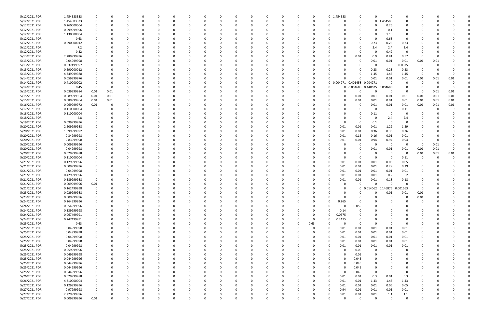| 5/12/2021 PDR | 1.454583333 |             |          |              |          |          |          |              |          |          |          |          |             |          | 0 1.454583         | 0                            | $\Omega$    | $\Omega$                     |               |          |      |          |  |
|---------------|-------------|-------------|----------|--------------|----------|----------|----------|--------------|----------|----------|----------|----------|-------------|----------|--------------------|------------------------------|-------------|------------------------------|---------------|----------|------|----------|--|
| 5/12/2021 PDR | 1.454583333 |             |          | <sup>0</sup> | $\Omega$ |          |          | <sup>0</sup> |          | 0        |          |          | O           | 0        |                    | 0<br>0                       | $\mathbf 0$ | 454583                       | 0             | O        |      |          |  |
| 5/12/2021 PDR | 0.260000004 |             |          |              |          |          |          |              |          |          |          |          |             |          |                    | 0                            | 0           | 0.26                         |               |          |      |          |  |
| 5/12/2021 PDR | 0.099999996 |             |          |              |          |          |          |              |          |          |          |          |             |          |                    |                              | $\Omega$    | 0.1                          | $\Omega$      |          |      |          |  |
| 5/12/2021 PDR | 1.130000004 |             |          |              |          |          |          |              |          |          |          |          |             |          |                    |                              | $\Omega$    | 1.13                         | 0             |          |      |          |  |
| 5/12/2021 PDR | 0.63        |             |          |              |          |          |          |              |          |          |          |          |             |          |                    |                              | 0           | 0.63                         | 0             |          |      |          |  |
| 5/12/2021 PDR | 0.690000012 |             |          |              |          |          |          |              |          |          |          |          |             |          |                    | 0                            | 0.23        | 0.23                         | 0.23          |          |      |          |  |
| 5/12/2021 PDR | 7.2         |             |          |              |          |          |          |              |          |          |          |          |             |          |                    | 0                            | 2.4         | 2.4                          | 2.4           |          |      |          |  |
| 5/12/2021 PDR | 0.42        |             |          |              |          |          |          |              |          |          |          |          |             |          |                    | 0                            | 0           | 0.42                         | - 0           |          |      |          |  |
| 5/13/2021 PDR | 2.289999996 |             |          |              |          |          |          |              |          |          |          |          |             |          |                    |                              | 0.9         | 0.81                         | 0.57          | 0        |      |          |  |
|               | 0.04999998  |             |          |              |          |          |          |              |          |          |          |          |             |          |                    | 0.01<br>0                    |             |                              |               |          |      |          |  |
| 5/13/2021 PDR |             |             |          |              |          |          |          |              |          |          |          |          |             |          |                    |                              | 0.01        | 0.01                         | 0.01          | 0.01     | 0.01 |          |  |
| 5/13/2021 PDR | 0.037499997 |             |          |              |          |          |          |              |          |          |          |          |             |          |                    |                              | 0           | 0                            | 0.0375        | 0        |      |          |  |
| 5/13/2021 PDR | 0.690000012 |             |          |              |          |          |          |              |          |          |          |          |             |          |                    | 0                            | 0.23        | 0.23                         | 0.23          | O        |      |          |  |
| 5/13/2021 PDR | 4.349999988 |             |          |              |          |          |          |              |          |          |          |          |             |          |                    | 0                            | 1.45        | 1.45                         | 1.45          | 0        |      |          |  |
| 5/14/2021 PDR | 0.059999976 |             |          |              |          |          |          |              |          |          |          |          |             |          |                    | 0                            | 0.01        | 0.01                         | 0.01          | 0.01     | 0.01 | 0.01     |  |
| 5/14/2021 PDR | 0.410000002 |             |          |              |          |          |          |              |          |          |          |          |             | -0       |                    | 0 0.004271 0.401458 0.004271 |             | 0                            | 0             | 0        |      |          |  |
| 5/14/2021 PDR | 0.45        |             |          |              |          |          |          |              |          |          |          |          |             |          |                    | 0 0.004688                   | 0.440625    | 0.004688                     |               |          |      |          |  |
| 5/15/2021 PDR | 0.039999984 | 0.01        | 0.01     |              |          |          |          |              |          |          |          |          |             |          |                    | O<br>0                       | 0           | - 0                          | $\Omega$      | 0        | 0.01 | 0.01     |  |
| 5/15/2021 PDR | 0.089999964 | 0.01        | 0.01     |              |          |          |          |              |          |          |          |          |             |          |                    | 0.01<br>O                    | 0.01        | 0.01                         | 0.01          | 0.01     | 0.01 | 0.01     |  |
| 5/15/2021 PDR | 0.089999964 | 0.01        | 0.01     |              |          |          |          |              |          |          |          |          |             |          |                    | 0.01                         | 0.01        | 0.01                         | 0.01          | 0.01     | 0.01 | 0.01     |  |
| 5/16/2021 PDR | 0.069999972 | 0.01        |          |              |          |          |          |              |          |          |          |          |             |          |                    | 0                            | 0.01        | 0.01                         | 0.01          | 0.01     | 0.01 | 0.01     |  |
| 5/17/2021 PDR | 0.110000004 |             |          |              |          |          |          |              |          |          |          |          |             |          |                    | 0                            | 0           | - 0                          | 0.11          | -0       |      |          |  |
| 5/18/2021 PDR | 0.110000004 |             |          |              |          |          |          |              |          |          |          |          |             |          |                    | O                            | 0.11        |                              |               |          |      |          |  |
| 5/18/2021 PDR | 4.8         |             |          |              |          |          |          |              |          |          |          |          |             |          |                    | 0<br>$\Omega$                | 0           | 2.4                          | 2.4           |          |      |          |  |
| 5/19/2021 PDR | 0.099999996 |             |          |              |          |          |          |              |          |          |          |          |             |          |                    | 0<br>0                       | 0.1         | 0                            | 0             |          |      |          |  |
| 5/20/2021 PDR | 2.609999988 |             |          |              |          |          |          |              |          |          |          |          |             |          | 0.01               | 0.01                         | 0.01        | 1.29                         | 1.29          |          |      |          |  |
| 5/20/2021 PDR | 1.099999992 |             |          |              |          |          |          |              |          |          |          |          |             |          | 0.01               | 0.01                         | 0.36        | 0.36                         | 0.36          |          |      |          |  |
| 5/20/2021 PDR | 0.34999998  |             |          |              |          |          |          |              |          |          |          |          |             |          | 0.01               | 0.16                         | 0.16        | 0.01                         | 0.01          |          |      |          |  |
| 5/20/2021 PDR | 2.83999998  |             |          |              |          |          |          |              |          |          |          |          |             |          | 0.01               | 0.01                         | 0.94        | 0.94                         | 0.94          | O        |      |          |  |
| 5/20/2021 PDR | 0.009999996 |             |          |              |          |          |          |              |          |          |          |          |             |          |                    | 0                            | 0           | 0                            | 0             | 0        | 0.01 |          |  |
| 5/20/2021 PDR | 0.04999998  |             |          |              |          |          |          |              |          |          |          |          |             |          |                    | 0                            | 0.01        | 0.01                         | 0.01          | 0.01     | 0.01 |          |  |
| 5/20/2021 PDR | 0.029999988 |             |          |              |          |          |          |              |          |          |          |          |             |          |                    | 0                            | 0           | - 0                          | 0             | 0.01     | 0.01 | 0.01     |  |
| 5/20/2021 PDR | 0.110000004 |             |          |              |          |          |          |              |          |          |          |          |             |          |                    | 0                            | $\Omega$    | - 0                          | 0.11          |          |      |          |  |
| 5/21/2021 PDR | 0.129999996 |             |          |              |          |          |          |              |          |          |          |          |             |          | 0.01               | 0.01                         | 0.01        | 0.05                         | 0.05          |          |      |          |  |
| 5/21/2021 PDR | 0.609999996 |             |          |              |          |          |          |              |          |          |          |          |             |          | 0.01               | 0.01                         | 0.01        | 0.29                         | 0.29          |          |      |          |  |
| 5/21/2021 PDR | 0.04999998  |             |          |              |          |          |          |              |          |          |          |          |             |          | 0.01               | 0.01                         | 0.01        | 0.01                         | 0.01          |          |      |          |  |
| 5/21/2021 PDR | 0.429999996 |             |          |              |          |          |          |              |          |          |          |          |             |          | 0.01               | 0.01                         | 0.01        | 0.2                          | 0.2           |          |      |          |  |
| 5/21/2021 PDR | 0.389999988 |             |          |              |          |          |          |              |          |          |          |          |             |          | 0.01               | 0.01                         | 0.01        | 0.18                         | 0.18          |          |      |          |  |
| 5/21/2021 PDR | 0.009999996 | $0.01\,$    |          |              |          |          |          |              |          |          |          |          |             |          |                    |                              |             |                              |               |          |      |          |  |
| 5/21/2021 PDR | 0.162499998 | $\Omega$    |          | <sup>0</sup> |          |          |          |              |          |          |          |          |             |          |                    | 0                            |             | 0 0.014062 0.146875 0.001563 |               | 0        |      |          |  |
| 5/23/2021 PDR | 0.029999988 |             |          |              |          |          |          |              |          |          |          |          |             |          |                    | 0                            |             | 0.01                         | 0.01          | 0.01     |      |          |  |
| 5/23/2021 PDR | 0.009999996 | $\mathbf 0$ | $\Omega$ | $\Omega$     | $\Omega$ | $\Omega$ | $\Omega$ | $\Omega$     | 0        | $\Omega$ | $\Omega$ | $\Omega$ | $\Omega$    | $\Omega$ |                    | $\Omega$<br>0                | $\Omega$    | $\Omega$                     | $\mathbf 0$   | 0.01     |      |          |  |
| 5/24/2021 PDR | 0.264999996 | $\Omega$    | 0        | 0            | $\Omega$ | $\Omega$ | $\Omega$ | 0            |          | $\Omega$ |          | O        |             | 0        | 0.265<br>0         | 0                            | $\Omega$    |                              | $\Omega$      | 0        |      |          |  |
| 5/24/2021 PDR | 0.054999996 |             |          | 0            |          |          |          | 0            |          | 0        |          |          |             | 0        |                    | $\Omega$                     | $\Omega$    |                              |               | 0        |      |          |  |
| 5/24/2021 PDR | 0.139999998 |             |          | 0            | 0        | 0        |          | 0            |          | $\Omega$ |          |          |             | 0        | 0.14               | 0.055<br>$\Omega$            | $\Omega$    |                              | $\Omega$      | 0        |      |          |  |
|               | 0.067499991 |             |          |              |          |          |          |              |          |          |          |          |             |          | 0.0675<br>$\Omega$ |                              | $\Omega$    |                              |               |          |      |          |  |
| 5/24/2021 PDR |             | $\Omega$    |          | 0            |          |          |          |              |          |          |          |          |             | 0<br>0   | 0.2475<br>$\Omega$ | 0<br>0                       | $\Omega$    |                              | 0             | 0        |      |          |  |
| 5/24/2021 PDR | 0.247499991 |             |          |              |          |          |          | 0            |          |          |          |          | 0           |          |                    | $\Omega$                     | $\Omega$    | $\Omega$                     | 0<br>$\Omega$ |          |      |          |  |
| 5/25/2021 PDR | 0.63        | $\Omega$    |          |              |          |          |          |              |          |          |          | 0        | $\mathbf 0$ | 0.63     |                    | $\mathbf 0$                  |             |                              |               |          |      |          |  |
| 5/25/2021 PDR | 0.04999998  |             |          |              |          |          |          |              |          |          |          |          |             | 0        | 0.01               | 0.01                         | 0.01        | 0.01                         | 0.01          | 0        |      |          |  |
| 5/25/2021 PDR | 0.04999998  |             |          |              |          |          |          |              |          |          |          |          |             | 0        | 0.01               | 0.01                         | 0.01        | 0.01                         | 0.01          | 0        |      |          |  |
| 5/25/2021 PDR | 0.04999998  |             |          |              |          |          |          |              |          |          |          |          |             | 0        | 0.01               | 0.01                         | 0.01        | 0.01                         | 0.01          |          |      |          |  |
| 5/25/2021 PDR | 0.04999998  |             |          |              |          |          |          |              |          |          |          |          |             | -0       | 0.01               | 0.01                         | 0.01        | 0.01                         | $0.01\,$      |          |      |          |  |
| 5/25/2021 PDR | 0.04999998  |             |          |              |          |          |          |              |          |          |          |          |             | 0        | 0.01               | 0.01                         | 0.01        | $0.01\,$                     | 0.01          |          |      |          |  |
| 5/25/2021 PDR | 0.059999996 |             |          |              |          |          |          |              |          |          |          |          |             |          |                    | 0.06<br>$\Omega$             | $\mathbf 0$ | $\Omega$                     | $\mathbf 0$   |          |      |          |  |
| 5/25/2021 PDR | 0.049999998 |             |          |              |          |          |          |              |          |          |          |          |             |          |                    | 0.05<br>0                    | 0           |                              | 0             | O        |      |          |  |
| 5/25/2021 PDR | 0.044999996 | 0           |          | 0            |          | $\Omega$ |          | 0            |          | 0        |          |          |             |          |                    | 0.045<br>0                   | 0           |                              | 0             | 0        |      |          |  |
| 5/25/2021 PDR | 0.044999996 |             |          |              |          |          |          | 0            |          |          |          |          | 0           | $\Omega$ | $\Omega$           | 0.045<br>O                   | 0           |                              | 0             | O        |      |          |  |
| 5/25/2021 PDR | 0.044999996 |             |          |              |          |          |          | 0            |          |          |          |          |             | $\Omega$ | $\Omega$           | 0.045<br>$\Omega$            | $\Omega$    |                              | 0             | 0        |      |          |  |
| 5/25/2021 PDR | 0.044999996 |             |          |              |          |          |          | 0            |          |          |          |          |             | 0        | $\Omega$           | 0.045<br>0                   | $\mathbf 0$ | $\Omega$                     | 0             |          |      |          |  |
| 5/26/2021 PDR | 0.629999988 |             |          |              |          |          |          |              |          |          |          |          |             | 0        | 0.01<br>$\Omega$   | 0.01                         | 0.3         | $0.01\,$                     | 0.3           | 0        |      |          |  |
| 5/26/2021 PDR | 4.310000004 | 0           |          | 0            |          |          |          | 0            |          | 0        |          |          |             | 0        | 0.01               | 0.01                         | 1.43        | 1.43                         | 1.43          | 0        |      |          |  |
| 5/27/2021 PDR | 0.129999996 | 0           |          | 0            |          | $\Omega$ |          | $\Omega$     |          |          |          |          |             | 0        | 0.01               | 0.01                         | 0.01        | 0.05                         | 0.05          | 0        |      |          |  |
| 5/27/2021 PDR | 0.97999998  | $\Omega$    |          |              |          | $\Omega$ |          |              |          |          |          |          |             | $\Omega$ | 0.94               | 0.01                         | 0.01        | 0.01                         | 0.01          | 0        |      |          |  |
| 5/27/2021 PDR | 2.229999996 | $\Omega$    |          |              |          |          |          |              |          |          |          |          |             |          | 0.01               | 0.01                         | 0.01        | 1.1                          | 1.1           |          |      |          |  |
| 5/27/2021 PDR | 0.009999996 | $0.01\,$    |          | $\Omega$     | $\Omega$ | $\Omega$ | $\Omega$ | 0            | $\Omega$ | $\Omega$ |          | $\Omega$ | $\Omega$    | $\Omega$ |                    | $\Omega$<br>$\Omega$         | $\mathbf 0$ | $\Omega$                     | $\mathbf 0$   | $\Omega$ |      | $\Omega$ |  |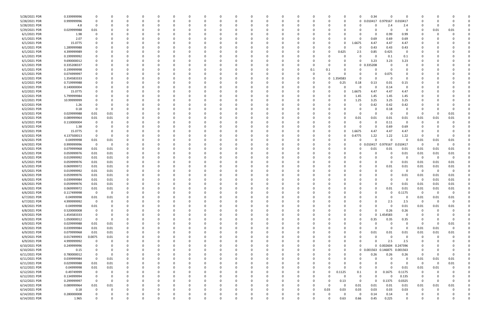| 5/28/2021 PDR | 0.339999996 |                |          |          |     |          |          |          |          |          |          |          |          |          |          |          | 0           | 0.34                |                     |             |             |          |          |  |
|---------------|-------------|----------------|----------|----------|-----|----------|----------|----------|----------|----------|----------|----------|----------|----------|----------|----------|-------------|---------------------|---------------------|-------------|-------------|----------|----------|--|
| 5/28/2021 PDR | 0.999999996 | 0              |          |          |     |          |          | 0        |          | $\Omega$ |          |          |          | 0        |          | 0        |             | 0 0.010417 0.979167 |                     | 0.010417    | -C          |          |          |  |
| 5/28/2021 PDR | 4.8         | 0              |          |          |     |          |          |          |          |          |          |          |          |          |          |          |             |                     | 2.4                 | 2.4         |             |          |          |  |
| 5/29/2021 PDR | 0.029999988 | 0.01           |          |          |     |          |          |          |          |          |          |          |          |          |          |          |             |                     | - 0                 | $\mathbf 0$ | 0           | 0.01     | 0.01     |  |
|               |             |                |          |          |     |          |          |          |          |          |          |          |          |          |          |          |             |                     |                     |             |             |          |          |  |
| 6/1/2021 PDR  | 1.98        |                |          |          |     |          |          |          |          |          |          |          |          |          |          |          | 0           | $\Omega$            | 0.99                | 0.99        |             |          |          |  |
| 6/1/2021 PDR  | 2.07        |                |          |          |     |          |          |          |          |          |          |          |          |          |          |          | n           | 0.69                | 0.69                | 0.69        |             |          |          |  |
| 6/1/2021 PDR  | 15.0775     |                |          |          |     |          |          |          |          |          |          |          |          |          |          |          | L.6675      | 4.47                | 4.47                | 4.47        |             |          |          |  |
| 6/1/2021 PDR  | 1.289999988 |                |          |          |     |          |          |          |          |          |          |          |          | - 0      |          |          | -0          | 0.43                | 0.43                | 0.43        |             |          |          |  |
| 6/1/2021 PDR  | 4.399999989 |                |          |          |     |          |          |          |          |          |          |          |          |          | 0        | 0.625    | 2.5         | 0.85                | 0.425               | 0           |             |          |          |  |
| 6/1/2021 PDR  | 0.199999992 |                |          |          |     |          |          |          |          |          |          |          |          |          |          |          | 0           |                     | 0.1                 | 0.1         |             |          |          |  |
| 6/1/2021 PDR  | 9.690000012 |                |          |          |     |          |          |          |          |          |          |          |          |          |          |          | 0           | 3.23                | 3.23                | 3.23        |             |          |          |  |
|               |             |                |          |          |     |          |          |          |          |          |          |          |          |          |          |          |             |                     |                     |             |             |          |          |  |
| 6/1/2021 PDR  | 0.335208337 |                |          |          |     |          |          |          |          |          |          |          |          | -0       |          |          | 0           | 0.335208            | - 0                 |             |             |          |          |  |
| 6/1/2021 PDR  | 0.199999998 |                |          |          |     |          |          |          |          |          |          |          |          | 0.1      | 0.1      |          |             |                     |                     |             |             |          |          |  |
| 6/1/2021 PDR  | 0.074999997 |                |          |          |     |          |          |          |          |          |          |          |          | -0       |          |          | 0           | $\Omega$            | 0.075               |             |             |          |          |  |
| 6/2/2021 PDR  | 1.354583333 |                |          |          |     |          |          |          |          |          |          |          |          | -0       | 0        | 354583   | 0           |                     |                     |             |             |          |          |  |
| 6/2/2021 PDR  | 0.719999988 |                |          |          |     |          |          |          |          |          |          |          |          |          |          | 0.25     | 0.18        | 0.13                | 0.01                | 0.15        |             |          |          |  |
| 6/2/2021 PDR  | 0.140000004 |                |          |          |     |          |          |          |          |          |          |          |          |          |          |          | 0           | $\Omega$            | 0.14                | $\mathbf 0$ |             |          |          |  |
|               |             |                |          |          |     |          |          |          |          |          |          |          |          |          |          |          |             |                     |                     |             |             |          |          |  |
| 6/2/2021 PDR  | 15.0775     |                |          |          |     |          |          |          |          |          |          |          |          |          |          |          | .6675       | 4.47                | 4.47                | 4.47        |             |          |          |  |
| 6/2/2021 PDR  | 5.799999984 |                |          |          |     |          |          |          |          |          |          |          |          |          |          |          | 1.45        | 1.45                | 1.45                | 1.45        |             |          |          |  |
| 6/2/2021 PDR  | 10.99999999 |                |          |          |     |          |          |          |          |          |          |          |          |          |          |          | 1.25        | 3.25                | 3.25                | 3.25        |             |          |          |  |
| 6/2/2021 PDR  | 1.26        |                |          |          |     |          |          |          |          |          |          |          |          |          |          |          | 0           | 0.42                | 0.42                | 0.42        |             |          |          |  |
| 6/2/2021 PDR  | 0.18        | $\Omega$       | 0        |          |     |          |          |          |          |          |          |          |          |          |          |          | 0           |                     | 0.18                | 0           |             |          |          |  |
| 6/3/2021 PDR  | 0.029999988 | 0.01           | 0.01     |          |     |          |          |          |          |          |          |          |          |          |          |          | 0           | - 0                 | - 0                 | $\mathbf 0$ | 0           |          | 0.01     |  |
| 6/3/2021 PDR  | 0.089999964 | 0.01           | 0.01     |          |     |          |          |          |          |          |          |          |          |          |          |          | 0.01        | 0.01                | 0.01                | 0.01        | 0.01        | 0.01     | 0.01     |  |
|               |             |                |          |          |     |          |          |          |          |          |          |          |          |          |          |          |             |                     |                     |             |             |          |          |  |
| 6/3/2021 PDR  | 0.110000004 | 0              |          |          |     |          |          |          |          |          |          |          |          |          |          |          | 0           |                     | 0.11                | 0           | 0           |          |          |  |
| 6/3/2021 PDR  | 1.38        |                |          |          |     |          |          |          |          |          |          |          |          |          |          |          | $\Omega$    | -C                  | 0.69                | 0.69        |             |          |          |  |
| 6/3/2021 PDR  | 15.0775     |                |          |          |     |          |          |          |          |          |          |          |          |          |          |          | 1.6675      | 4.47                | 4.47                | 4.47        |             |          |          |  |
| 6/3/2021 PDR  | 4.137500013 | 0              |          |          |     |          |          |          |          |          |          |          |          |          |          |          | 0.4775      | 1.22                | 1.22                | 1.22        | 0           |          |          |  |
| 6/4/2021 PDR  | 0.04999998  | 0.01           | 0.01     |          |     |          |          |          |          |          |          |          |          |          |          |          | $\Omega$    | $\Omega$            | - 0                 | 0           | 0.01        | 0.01     | 0.01     |  |
| 6/4/2021 PDR  | 0.999999996 | $\overline{0}$ | $\Omega$ |          |     |          |          |          |          |          |          |          |          |          |          |          | 0           | 0.010417 0.979167   |                     | 0.010417    | 0           |          | - 0      |  |
| 6/5/2021 PDR  | 0.079999968 | 0.01           | 0.01     |          |     |          |          |          |          |          |          |          |          |          |          |          | n           | 0.01                | 0.01                |             | 0.01        | 0.01     | 0.01     |  |
|               |             |                |          |          |     |          |          |          |          |          |          |          |          |          |          |          |             |                     |                     | 0.01        |             |          |          |  |
| 6/5/2021 PDR  | 0.059999976 | 0.01           | 0.01     |          |     |          |          |          |          |          |          |          |          |          |          |          |             |                     |                     | 0.01        | 0.01        | 0.01     | 0.01     |  |
| 6/5/2021 PDR  | 0.019999992 | 0.01           | 0.01     |          |     |          |          |          |          |          |          |          |          |          |          |          |             |                     |                     | $\Omega$    | - 0         | $\Omega$ | $\Omega$ |  |
| 6/5/2021 PDR  | 0.059999976 | 0.01           | 0.01     |          |     |          |          |          |          |          |          |          |          |          |          |          |             |                     | - 0                 | 0.01        | 0.01        | 0.01     | 0.01     |  |
| 6/5/2021 PDR  | 0.069999972 | 0.01           | 0.01     |          |     |          |          |          |          |          |          |          |          |          |          |          |             |                     | 0.01                | 0.01        | 0.01        | 0.01     | 0.01     |  |
| 6/5/2021 PDR  | 0.019999992 | 0.01           | 0.01     |          |     |          |          |          |          |          |          |          |          |          |          |          |             |                     |                     |             | $\Omega$    | 0        | 0        |  |
| 6/6/2021 PDR  | 0.059999976 | 0.01           | 0.01     |          |     |          |          |          |          |          |          |          |          |          |          |          |             |                     |                     | 0.01        | 0.01        | 0.01     | 0.01     |  |
| 6/6/2021 PDR  | 0.039999984 |                |          |          |     |          |          |          |          |          |          |          |          |          |          |          |             |                     |                     |             | - 0         |          |          |  |
|               |             | 0.01           | 0.01     |          |     |          |          |          |          |          |          |          |          |          |          |          |             |                     |                     |             |             | 0.01     | 0.01     |  |
| 6/6/2021 PDR  | 0.059999976 | 0.01           | 0.01     |          |     |          |          |          |          |          |          |          |          |          |          |          |             |                     |                     | 0.01        | 0.01        | 0.01     | 0.01     |  |
| 6/6/2021 PDR  | 0.069999972 | 0.01           | 0.01     |          |     |          |          |          |          |          |          |          |          |          |          |          |             |                     | 0.01                | 0.01        | 0.01        | 0.01     | 0.01     |  |
| 6/6/2021 PDR  | 0.117499998 | $\mathbf 0$    | υ        |          |     |          |          |          |          |          |          |          |          |          |          |          | U           |                     | 0                   | 0.1175      |             | υ        |          |  |
| 6/7/2021 PDR  | 0.04999998  | 0.01           | $0.01\,$ | $\Omega$ | - 0 | $\Omega$ | $\Omega$ | $\Omega$ | O        | $\Omega$ | $\Omega$ | $\Omega$ | $\Omega$ | $\Omega$ |          |          | $\Omega$    | $\Omega$            | $\mathbf 0$         | $\mathbf 0$ | 0.01        | 0.01     | 0.01     |  |
| 6/7/2021 PDR  | 4.999999992 | $\overline{0}$ | $\Omega$ | $\Omega$ |     | O        | 0        | 0        | 0        | 0        |          | O        | O        | 0        |          |          | 0           | $\Omega$            | 2.5                 | 2.5         | $\mathbf 0$ | $\Omega$ | 0        |  |
| 6/8/2021 PDR  | 0.04999998  | 0.01           | 0        | 0        |     |          | 0        | 0        |          | 0        |          |          |          | 0        |          |          | 0           |                     | - 0                 | 0.01        | 0.01        | 0.01     | 0.01     |  |
|               | 0.520000008 |                |          |          |     |          | 0        | 0        |          | $\Omega$ | $\Omega$ |          | 0        | 0        |          |          | 0           | $\Omega$            | 0.26                |             | $\Omega$    | $\Omega$ |          |  |
| 6/8/2021 PDR  |             | 0              |          |          |     |          |          |          |          |          |          |          |          |          |          |          |             |                     |                     | 0.26        |             |          |          |  |
| 6/9/2021 PDR  | 1.454583333 | 0              |          |          |     |          | 0        | 0        |          |          |          |          |          | -0       |          |          | 0           | $\Omega$            | .454583<br>- 1      | 0           |             |          | 0        |  |
| 6/9/2021 PDR  | 1.050000012 | $\mathbf 0$    | 0        |          |     |          | 0        | 0        |          |          |          |          |          | 0        |          |          | 0           | 0.35                | 0.35                | 0.35        | 0           |          | $\Omega$ |  |
| 6/9/2021 PDR  | 0.029999988 | 0.01           | $0.01\,$ |          |     |          | 0        | -C       |          |          |          |          |          | 0        |          |          | $\Omega$    |                     | $\Omega$            | $\mathbf 0$ | 0           |          | 0.01     |  |
| 6/9/2021 PDR  | 0.039999984 | 0.01           | 0.01     |          |     |          | 0        | 0        |          |          |          |          |          | 0        |          |          | 0           | $\Omega$            | - 0                 | $\mathbf 0$ | 0.01        | 0.01     | 0        |  |
| 6/9/2021 PDR  | 0.079999968 | 0.01           | 0.01     |          |     |          | 0        | 0        |          |          |          |          |          | 0        |          |          | 0           | 0.01                | 0.01                | 0.01        | 0.01        | 0.01     | 0.01     |  |
| 6/9/2021 PDR  | 0.017499993 | 0.0075         | 0.01     |          |     |          | 0        | 0        |          |          |          |          |          | 0        |          |          |             | $\Omega$            | $\Omega$            | $\mathbf 0$ | $\Omega$    |          |          |  |
|               |             |                |          |          |     |          |          |          |          |          |          |          |          |          |          |          |             | $\Omega$            |                     |             |             |          |          |  |
| 6/9/2021 PDR  | 4.999999992 | 0              |          |          |     |          |          | - 0      |          |          |          |          |          | 0        |          |          |             |                     | 2.5                 | 2.5         | 0           |          |          |  |
| 6/10/2021 PDR | 0.249999996 | $\Omega$       |          |          |     |          |          | -C       |          |          |          |          |          | 0        |          | 0        | $\Omega$    |                     | 0 0.002604 0.247396 |             |             |          |          |  |
| 6/10/2021 PDR | 0.15        | 0              |          |          |     |          | 0        | -C       |          |          |          |          |          | 0        |          | 0        |             | 0 0.001563 0.146875 |                     | 0.001563    | 0           |          |          |  |
| 6/11/2021 PDR | 0.780000012 | 0              | 0        |          |     |          | 0        | 0        |          | 0        |          |          |          | 0        |          | 0        | 0           | 0.26                | 0.26                | 0.26        | 0           |          | 0        |  |
| 6/11/2021 PDR | 0.039999984 | 0              | 0.01     |          |     |          | 0        | 0        |          |          |          |          |          | 0        |          |          | 0           |                     | $\Omega$            | $\Omega$    | 0.01        | 0.01     | 0.01     |  |
| 6/11/2021 PDR | 0.029999988 | 0.01           | 0.01     |          |     |          | 0        | - 0      |          |          |          |          | 0        | - 0      |          |          | 0           |                     | $\Omega$            | -0          | $\mathbf 0$ | $\Omega$ | 0.01     |  |
|               |             |                |          |          |     |          |          |          |          |          |          |          |          |          |          |          |             | $\Omega$            | $\Omega$            |             |             |          |          |  |
| 6/12/2021 PDR | 0.04999998  | 0.01           | 0.01     |          |     |          |          | 0        |          |          |          |          |          | 0        |          |          | 0           |                     |                     | 0.01        | 0.01        | 0.01     |          |  |
| 6/12/2021 PDR | 0.49749999  | 0              |          |          |     |          | 0        | -C       |          |          |          |          |          | 0        | 0        | 0.1125   | 0.1         | $\Omega$            | 0.1675              | 0.1175      | $\Omega$    |          |          |  |
| 6/12/2021 PDR | 0.134999994 | 0              |          |          |     |          | 0        | 0        |          |          |          |          |          | 0        |          | 0        | $\mathbf 0$ | $\Omega$            | $\Omega$            | 0.135       | 0           |          | 0        |  |
| 6/12/2021 PDR | 0.299999997 | $\mathbf 0$    | 0        |          |     |          |          | 0        |          |          |          |          |          | $\Omega$ |          | 0.13     | 0           | $\Omega$            | 0.1375              | 0.0325      | 0           |          | $\Omega$ |  |
| 6/14/2021 PDR | 0.089999964 | 0.01           | 0.01     |          |     |          |          | 0        |          |          |          |          |          | 0        |          | $\Omega$ | 0.01        | 0.01                | 0.01                | 0.01        | 0.01        | 0.01     | 0.01     |  |
| 6/14/2021 PDR | 0.18        | 0              | 0        |          |     |          | 0        | 0        |          |          |          |          |          | $\Omega$ | 0.03     | 0.03     | 0.03        | 0.03                | 0.03                | 0.03        | 0           |          | 0        |  |
| 6/14/2021 PDR | 0.280000008 |                |          |          |     |          |          |          |          |          |          |          |          |          |          | n        | 0           | 0.14                | 0.14                | 0           |             |          | 0        |  |
|               |             | $\Omega$       | $\Omega$ | $\Omega$ |     | $\Omega$ |          |          | $\Omega$ | $\Omega$ |          | $\Omega$ | $\Omega$ |          | $\Omega$ |          |             |                     |                     |             |             |          |          |  |
| 6/14/2021 PDR | 1.965       |                |          |          |     |          | $\Omega$ | $\Omega$ |          |          |          |          |          | $\Omega$ |          | 0.63     | 0.66        | 0.45                | 0.225               | $\mathbf 0$ | 0           |          | 0        |  |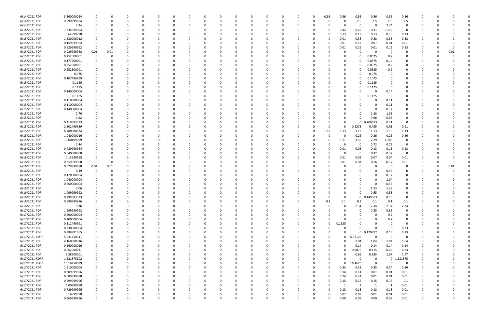| 6/14/2021 PDR  | 3.360000024 |             |          |              |          |          |          |              |          |          |          |          |          |          | 0.56     | 0.56     | 0.56           | 0.56        | 0.56                    | 0.56     |             |          |  |
|----------------|-------------|-------------|----------|--------------|----------|----------|----------|--------------|----------|----------|----------|----------|----------|----------|----------|----------|----------------|-------------|-------------------------|----------|-------------|----------|--|
| 6/14/2021 PDR  | 9.999999984 |             | O        | <sup>0</sup> | $\Omega$ |          |          | <sup>0</sup> |          | 0        |          |          |          | 0        |          | 0        | 2.5            | 2.5         | 2.5                     | 2.5      | 0           |          |  |
| 6/14/2021 PDR  | 2.34        |             |          |              |          |          |          |              |          |          |          |          |          |          |          | 0        | 0              | 0           | 2.34                    | 0        |             |          |  |
| 6/14/2021 PDR  | 1.334999994 |             |          |              |          |          |          |              |          |          |          |          |          |          |          | 0.42     | 0.45           | 0.31        | 0.155                   | 0        |             |          |  |
|                |             |             |          |              |          |          |          |              |          |          |          |          |          |          |          |          |                |             |                         |          |             |          |  |
| 6/15/2021 PDR  | 0.64999998  |             |          |              |          |          |          |              |          |          |          |          |          |          |          | 0.13     | 0.13           | 0.13        | 0.13                    | 0.13     |             |          |  |
| 6/15/2021 PDR  | 1.530000012 |             |          |              |          |          |          |              |          |          |          |          |          |          |          | 0.01     | 0.38           | 0.38        | 0.38                    | 0.38     |             |          |  |
| 6/15/2021 PDR  | 0.159999984 |             |          |              |          |          |          |              |          |          |          |          |          |          |          | 0.01     | 0.12           | 0.01        | 0.01                    | 0.01     |             |          |  |
| 6/15/2021 PDR  | 0.529999992 | $\Omega$    |          |              |          |          |          |              |          |          |          |          |          |          |          | 0.01     | 0.26           | 0.01        | 0.12                    | 0.13     |             |          |  |
| 6/15/2021 PDR  | 0.029999988 | 0.01        | 0.01     |              |          |          |          |              |          |          |          |          |          |          |          |          | 0              | 0           | 0                       | 0        |             | 0.01     |  |
| 6/15/2021 PDR  | 0.252500001 | $\Omega$    | O        |              |          |          |          |              |          |          |          |          |          |          |          |          | 0              | 0.0525      | 0.2                     | 0        |             |          |  |
| 6/15/2021 PDR  | 0.177500001 |             |          |              |          |          |          |              |          |          |          |          |          |          |          |          | 0              | 0.0375      | 0.14                    |          |             |          |  |
| 6/15/2021 PDR  | 0.252500001 |             |          |              |          |          |          |              |          |          |          |          |          |          |          | 0        | <sup>0</sup>   | 0.0525      |                         |          |             |          |  |
|                |             |             |          |              |          |          |          |              |          |          |          |          |          |          |          |          |                |             | 0.2                     |          |             |          |  |
| 6/15/2021 PDR  | 0.252500001 |             |          |              |          |          |          |              |          |          |          |          |          |          |          | 0        | 0              | 0.0525      | 0.2                     | 0        |             |          |  |
| 6/15/2021 PDR  | 0.075       |             |          |              |          |          |          |              |          |          |          |          |          |          |          | 0        | <sup>0</sup>   | 0.075       |                         |          |             |          |  |
| 6/15/2021 PDR  | 0.107499999 |             |          |              |          |          |          |              |          |          |          |          |          |          |          | 0        | 0              | 0.1075      |                         |          |             |          |  |
| 6/15/2021 PDR  | 0.1125      |             |          |              |          |          |          |              |          |          |          |          |          |          |          | 0        | 0              | 0.1125      |                         |          |             |          |  |
| 6/15/2021 PDR  | 0.1125      |             |          |              |          |          |          |              |          |          |          |          |          |          |          |          |                | 0.1125      |                         |          |             |          |  |
| 6/15/2021 PDR  | 0.140000004 |             |          |              |          |          |          |              |          |          |          |          |          |          |          | 0        |                | 0           | 0.14                    | 0        |             |          |  |
| 6/15/2021 PDR  | 0.1125      |             |          |              |          |          |          |              |          |          |          |          |          |          |          | 0        | 0              | 0.1125      | 0                       | 0        |             |          |  |
| 6/15/2021 PDR  | 0.110000004 |             |          |              |          |          |          |              |          |          |          |          |          |          |          |          |                | $\Omega$    |                         |          |             |          |  |
|                |             |             |          |              |          |          |          |              |          |          |          |          |          |          |          |          |                |             | 0.11                    |          |             |          |  |
| 6/15/2021 PDR  | 0.110000004 |             |          |              |          |          |          |              |          |          |          |          |          |          |          |          |                | 0           | 0.11                    |          |             |          |  |
| 6/15/2021 PDR  | 0.140000004 |             |          |              |          |          |          |              |          |          |          |          |          |          |          |          |                | 0           | 0.14                    |          |             |          |  |
| 6/15/2021 PDR  | 2.76        |             |          |              |          |          |          |              |          |          |          |          |          |          |          |          | 0              | 1.38        | 1.38                    |          |             |          |  |
| 6/15/2021 PDR  | 1.92        |             |          |              |          |          |          |              |          |          |          |          |          |          |          | 0        | 0              | 0.96        | 0.96                    | 0        |             |          |  |
| 6/15/2021 PDR  | 0.419583333 |             |          |              |          |          |          |              |          |          |          |          |          |          |          | 0        | 0              | 0.209583    | 0.21                    | 0        |             |          |  |
| 6/15/2021 PDR  | 2.502499989 |             |          |              |          |          |          |              |          |          |          |          |          |          |          |          | 0.2275         | 0.455       | 0.91                    | 0.91     |             |          |  |
| 6/15/2021 PDR  | 6.780000024 |             |          |              |          |          |          |              |          |          |          |          |          | 0        | 1.13     | 1.13     | 1.13           | 1.13        | 1.13                    | 1.13     |             |          |  |
|                |             |             |          |              |          |          |          |              |          |          |          |          |          |          |          |          |                |             | 0.26                    |          |             |          |  |
| 6/15/2021 PDR  | 1.040000016 |             |          |              |          |          |          |              |          |          |          |          |          |          |          |          | 0.26           | 0.26        |                         | 0.26     |             |          |  |
| 6/15/2021 PDR  | 10.00499999 |             |          |              |          |          |          |              |          |          |          |          |          |          |          | 3.21     | 3.36           | 2.29        | 1.145                   | 0        |             |          |  |
| 6/15/2021 PDR  | 1.44        |             |          |              |          |          |          |              |          |          |          |          |          |          |          | 0        | 0              | 0.72        | 0.72                    | 0        |             |          |  |
| 6/16/2021 PDR  | 0.429999984 |             |          |              |          |          |          |              |          |          |          |          |          |          |          | 0.01     | 0.03           | 0.13        | 0.13                    | 0.13     |             |          |  |
| 6/16/2021 PDR  | 0.640000008 |             |          |              |          |          |          |              |          |          |          |          |          |          |          | $\Omega$ | 0              | 0.32        | 0.32                    | 0        |             |          |  |
| 6/16/2021 PDR  | 0.13999998  |             |          |              |          |          |          |              |          |          |          |          |          |          |          | 0.01     | 0.01           | 0.07        | 0.04                    | 0.01     |             |          |  |
| 6/16/2021 PDR  | 0.359999988 | $\Omega$    |          |              |          |          |          |              |          |          |          |          |          |          |          | 0.01     | 0.01           | 0.16        | 0.17                    | 0.01     |             |          |  |
| 6/16/2021 PDR  | 0.029999988 | 0.01        | 0.01     |              |          |          |          |              |          |          |          |          |          |          |          |          | 0              | 0           | 0                       | 0        |             | 0.01     |  |
| 6/16/2021 PDR  | 0.39        |             |          |              |          |          |          |              |          |          |          |          |          |          |          |          |                | $\Omega$    | 0.39                    | 0        |             |          |  |
|                |             |             |          |              |          |          |          |              |          |          |          |          |          |          |          |          |                |             |                         |          |             |          |  |
| 6/16/2021 PDR  | 0.170000004 |             |          |              |          |          |          |              |          |          |          |          |          |          |          |          |                | 0           | 0.17                    |          |             |          |  |
| 6/16/2021 PDR  | 1.040000004 |             |          |              |          |          |          |              |          |          |          |          |          |          |          |          |                | $\Omega$    | 1.04                    |          |             |          |  |
| 6/16/2021 PDR  | 0.560000004 |             |          |              |          |          |          |              |          |          |          |          |          |          |          |          |                |             | 0.56                    |          |             |          |  |
| 6/16/2021 PDR  | 3.06        |             |          | <sup>0</sup> |          |          |          |              |          |          |          |          |          |          |          | 0        | 0              | 1.53        | 1.53                    | 0        |             |          |  |
| 6/16/2021 PDR  | 1.099999992 |             |          |              |          |          |          |              |          |          |          |          |          |          |          |          | 0              | 0.55        | 0.55                    |          |             |          |  |
| 6/16/2021 PDR  | 0.299583333 | $\Omega$    | $\Omega$ | $\Omega$     | $\Omega$ | $\Omega$ | $\Omega$ | $\Omega$     | 0        | $\Omega$ | $\Omega$ | $\Omega$ | $\Omega$ | $\Omega$ | $\Omega$ | $\Omega$ |                | 0 0.149583  | 0.15                    | 0        | $\Omega$    |          |  |
| 6/16/2021 PDR  | 0.599999976 |             | 0        | 0            | $\Omega$ | $\Omega$ | $\Omega$ | 0            | O        | 0        |          | $\Omega$ | O        | $\Omega$ | 0.1      | 0.1      | 0.1            | 0.1         | 0.1                     | 0.1      | 0           |          |  |
| 6/16/2021 PDR  | 9.36        |             |          | 0            |          |          |          | 0            |          | 0        |          |          |          | 0        |          | $\Omega$ | 2.34           | 2.34        | 2.34                    | 2.34     | 0           |          |  |
| 6/17/2021 PDR  | 1.699999992 | 0           |          | 0            | 0        | 0        |          | 0            |          | $\Omega$ |          |          | 0        | $\Omega$ |          | $\Omega$ | 0              |             | 0.85                    | 0        |             |          |  |
|                |             |             |          |              |          |          |          |              |          |          |          |          |          |          |          |          |                | 0.85        |                         |          |             |          |  |
| 6/17/2021 PDR  | 0.200000004 |             |          |              |          |          |          |              |          |          |          |          |          |          |          | 0        | 0              | 0           | 0.2                     | 0        |             |          |  |
| 6/17/2021 PDR  | 0.200000004 | $\Omega$    |          | 0            |          |          |          | 0            |          |          |          |          |          | 0        |          |          | 0              | 0           | 0.2                     | 0        | 0           |          |  |
| 6/17/2021 PDR  | 0.112499991 | $\Omega$    |          |              |          |          |          |              |          |          |          |          |          | 0        | $\Omega$ | 0.1125   | 0              | 0           | $\Omega$                | 0        |             |          |  |
| 6/17/2021 PDR  | 0.230000004 | $\Omega$    |          |              |          |          |          |              |          |          |          |          |          | 0        |          | 0        | $\Omega$       | $\Omega$    | $\Omega$                | 0.23     | 0           |          |  |
| 6/17/2021 PDR  | 0.389791655 |             |          | 0            |          |          |          | <sup>0</sup> |          |          |          |          |          | 0        |          | $\Omega$ |                | 0 0.129792  | 0.13                    | 0.13     |             |          |  |
| 6/17/2021 RDRR | 5.531250341 |             |          |              |          |          |          |              |          |          |          |          |          | 0        | 0        | $\Omega$ | 5.53125        | $\Omega$    | $\overline{\mathbf{0}}$ | 0        |             |          |  |
| 6/17/2021 PDR  | 4.160000016 |             |          |              |          |          |          |              |          |          |          |          |          | -0       |          | $\Omega$ | 1.04           | 1.04        | 1.04                    | 1.04     |             |          |  |
|                |             |             |          |              |          |          |          |              |          |          |          |          |          |          |          |          |                |             |                         |          |             |          |  |
| 6/17/2021 PDR  | 0.560000016 |             |          |              |          |          |          |              |          |          |          |          |          |          |          | 0        | 0.14           | 0.14        | 0.14                    | 0.14     |             |          |  |
| 6/17/2021 PDR  | 0.662500011 |             |          |              |          |          |          |              |          |          |          |          |          |          |          | 0        | 0.0875         | 0.115       | 0.23                    | 0.23     | 0           |          |  |
| 6/17/2021 PDR  | 5.58500001  |             |          |              |          |          |          |              |          |          |          |          |          |          |          | 0        | 0.66           | 0.985       | 1.97                    | 1.97     | 0           |          |  |
| 6/17/2021 RDRR | 1.621875102 | 0           |          | 0            | 0        | $\Omega$ |          | 0            |          | 0        |          |          |          | 0        |          | $\Omega$ | 0              | $\mathbf 0$ | $\mathbf 0$             | 1.621875 | 0           |          |  |
| 6/17/2021 RDRR | 16.16250099 |             |          | C            |          | $\Omega$ |          | 0            |          |          |          |          | 0        | 0        |          | $\Omega$ | 16.1625        | $\Omega$    | $\Omega$                | 0        | 0           |          |  |
| 6/17/2021 PDR  | 1.610000004 | $\Omega$    |          |              |          | $\Omega$ |          | 0            |          |          |          |          |          | $\Omega$ | $\Omega$ | 0.33     | 0.33           | 0.35        | 0.34                    | 0.26     | $\Omega$    |          |  |
| 6/17/2021 PDR  | 0.309999996 | $\Omega$    |          |              |          |          |          | 0            |          |          |          |          |          | 0        | $\Omega$ | 0.14     | 0.14           | 0.01        | 0.01                    | 0.01     | 0           |          |  |
| 6/17/2021 PDR  | 0.509999988 | 0           |          |              |          |          |          |              |          |          |          |          |          | 0        |          | 0.24     | 0.24           | 0.01        | 0.01                    | $0.01\,$ | 0           |          |  |
| 6/17/2021 PDR  | 0.699999996 | $\mathbf 0$ |          | 0            |          | $\Omega$ |          | 0            |          | 0        |          |          | 0        | 0        |          | 0.15     | 0.15           | 0.15        | 0.15                    |          | 0           |          |  |
|                |             |             |          |              |          |          |          |              |          |          |          |          |          |          |          |          |                |             |                         | 0.1      |             |          |  |
| 6/17/2021 PDR  | 4.00999998  | 0           |          | 0            |          | $\Omega$ |          | $\Omega$     |          |          |          |          |          | 0        |          |          | $\overline{1}$ | -1          | 1                       | 0.01     | 0           |          |  |
| 6/17/2021 PDR  | 0.729999996 | 0           |          | $\Omega$     |          | $\Omega$ |          | <sup>0</sup> |          |          |          |          |          | $\Omega$ |          | 0.18     | 0.18           | 0.18        | 0.18                    | $0.01\,$ | 0           |          |  |
| 6/17/2021 PDR  | 0.16999998  |             |          |              |          |          |          |              |          |          |          |          |          |          |          | 0.07     | 0.07           | 0.01        | 0.01                    | 0.01     |             |          |  |
| 6/17/2021 PDR  | 0.369999996 | $\Omega$    |          | $\Omega$     | $\Omega$ | $\Omega$ |          | $\Omega$     | $\Omega$ | $\Omega$ |          | $\Omega$ | O        | $\Omega$ |          | 0.09     | 0.09           | 0.09        | 0.09                    | 0.01     | $\mathbf 0$ | $\Omega$ |  |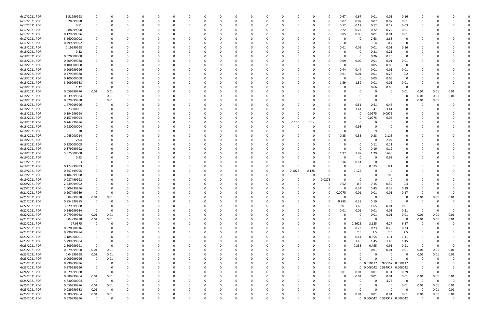| 6/17/2021 PDR | 1.51999998  |                |          |          |          |          |          |              |          |          |          |          |              |          |          |              | 0.67     | 0.67         | 0.01                | 0.01                         | 0.16           |          |          |          |  |
|---------------|-------------|----------------|----------|----------|----------|----------|----------|--------------|----------|----------|----------|----------|--------------|----------|----------|--------------|----------|--------------|---------------------|------------------------------|----------------|----------|----------|----------|--|
| 6/17/2021 PDR | 0.28999998  |                |          | 0        | - 0      |          |          | <sup>0</sup> |          |          | $\Omega$ |          |              | 0        | $\Omega$ | $\Omega$     | 0.07     | 0.07         | 0.07                | 0.07                         | 0.01           | 0        |          |          |  |
| 6/17/2021 PDR | 0.51        |                |          |          |          |          |          |              |          |          |          |          |              |          |          | 0            | 0.12     | 0.12         | 0.12                | 0.12                         | 0.03           |          |          |          |  |
| 6/17/2021 PDR | 0.88999998  |                |          |          |          |          |          |              |          |          |          |          |              |          |          |              | 0.22     | 0.22         | 0.22                | 0.22                         | 0.01           |          |          |          |  |
| 6/17/2021 PDR | 0.129999996 |                |          |          |          |          |          |              |          |          |          |          |              |          |          |              | 0.05     | 0.05         | 0.01                | 0.01                         | 0.01           |          |          |          |  |
| 6/17/2021 PDR | 5.260000008 |                |          |          |          |          |          |              |          |          |          |          |              |          |          |              |          | -0           | 2.63                | 2.63                         | 0              |          |          |          |  |
| 6/17/2021 PDR | 0.799999992 |                |          |          |          |          |          |              |          |          |          |          |              |          |          |              |          | 0            | 0.4                 | 0.4                          | 0              |          |          |          |  |
|               |             |                |          |          |          |          |          |              |          |          |          |          |              |          |          |              |          |              |                     |                              |                |          |          |          |  |
| 6/18/2021 PDR | 0.19999998  |                |          |          |          |          |          |              |          |          |          |          |              |          |          |              | 0.01     | 0.01         | 0.01                | 0.01                         | 0.16           |          |          |          |  |
| 6/18/2021 PDR | 0.42        |                |          |          |          |          |          |              |          |          |          |          |              |          |          |              |          | -0           | 0.21                | 0.21                         | 0              |          |          |          |  |
| 6/18/2021 PDR | 0.520000008 |                |          |          |          |          |          |              |          |          |          |          |              |          |          |              |          | -0           | 0.26                | 0.26                         | $\mathbf 0$    |          |          |          |  |
| 6/18/2021 PDR | 0.209999988 |                |          |          |          |          |          |              |          |          |          |          |              |          |          |              | 0.09     | 0.09         | 0.01                | 0.01                         | 0.01           |          |          |          |  |
| 6/18/2021 PDR | 0.100000008 |                |          |          |          |          |          |              |          |          |          |          |              |          |          |              |          | 0            | 0.05                | 0.05                         | 0              |          |          |          |  |
| 6/18/2021 PDR | 0.909999996 |                |          |          |          |          |          |              |          |          |          |          |              |          |          |              | 0.44     | 0.44         | 0.01                | 0.01                         | 0.01           |          |          |          |  |
| 6/18/2021 PDR | 0.479999988 |                |          |          |          |          |          |              |          |          |          |          |              |          |          |              | 0.01     | 0.01         | 0.01                | 0.25                         | 0.2            |          |          |          |  |
| 6/18/2021 PDR | 0.100000008 |                |          |          |          |          |          |              |          |          |          |          |              |          |          |              |          | 0            | 0.05                | 0.05                         | $\overline{0}$ |          |          |          |  |
| 6/18/2021 PDR | 3.209999988 |                |          |          |          |          |          |              |          |          |          |          |              |          |          |              | 1.59     | 1.59         | 0.01                | 0.01                         | 0.01           |          |          |          |  |
| 6/18/2021 PDR | 1.32        | $\Omega$       |          |          |          |          |          |              |          |          |          |          |              |          |          |              |          | 0            | 0.66                | 0.66                         | 0              | 0        |          |          |  |
| 6/18/2021 PDR | 0.059999976 | 0.01           | 0.01     |          |          |          |          |              |          |          |          |          |              |          |          |              |          | 0            |                     |                              | 0.01           | 0.01     | 0.01     | 0.01     |  |
| 6/18/2021 PDR | 0.039999984 | 0              | 0.01     |          |          |          |          |              |          |          |          |          |              |          |          |              |          |              |                     |                              | 0              | 0.01     | 0.01     | 0.01     |  |
| 6/18/2021 PDR | 0.029999988 |                | 0.01     |          |          |          |          |              |          |          |          |          |              |          |          |              |          | $\Omega$     | - 0                 |                              |                | 0.01     | 0.01     |          |  |
| 6/18/2021 PDR | 1.479999996 |                |          |          |          |          |          |              |          |          |          |          |              |          |          |              |          | 0.51         | 0.51                | 0.46                         |                |          |          |          |  |
| 6/18/2021 PDR | 10.23000001 |                |          |          |          |          |          |              |          |          |          |          |              |          |          |              |          | 3.41         | 3.41                | 3.41                         |                |          |          |          |  |
|               |             |                |          |          |          |          |          |              |          |          |          |          |              |          |          |              |          |              |                     |                              |                |          |          |          |  |
| 6/18/2021 PDR | 0.194999994 |                |          |          |          |          |          |              |          |          |          |          |              |          |          |              |          | 0            | 0.0975              | 0.0975                       |                |          |          |          |  |
| 6/18/2021 PDR | 0.157499994 |                |          |          |          |          |          |              |          |          |          |          |              |          |          |              |          | 0            | 0.0975              | 0.06                         |                |          |          |          |  |
| 6/18/2021 PDR | 0.244999986 |                |          |          |          |          |          |              |          |          |          |          | 0            | 0.105    | 0.14     |              |          | 0            |                     |                              |                |          |          |          |  |
| 6/18/2021 PDR | 0.980000004 |                |          |          |          |          |          |              |          |          |          |          |              |          |          |              |          | 0.98         |                     |                              |                |          |          |          |  |
| 6/18/2021 PDR | 18          |                |          |          |          |          |          |              |          |          |          |          |              |          |          |              |          | 0            |                     |                              |                |          |          |          |  |
| 6/18/2021 PDR | 1.045000014 |                |          |          |          |          |          |              |          |          |          |          |              |          |          |              | 0.35     | 0.35         | 0.23                | 0.115                        |                |          |          |          |  |
| 6/18/2021 PDR | 2.04        |                |          |          |          |          |          |              |          |          |          |          |              |          |          |              |          | 0            | -C                  | 2.04                         |                |          |          |          |  |
| 6/18/2021 PDR | 0.220000008 |                |          |          |          |          |          |              |          |          |          |          |              |          |          |              |          | 0            | 0.11                | 0.11                         |                |          |          |          |  |
| 6/18/2021 PDR | 0.379999992 |                |          |          |          |          |          |              |          |          |          |          |              |          |          |              |          | -0           | 0.19                | 0.19                         | 0              |          |          |          |  |
| 6/18/2021 PDR | 5.875000008 |                |          |          |          |          |          |              |          |          |          |          |              |          |          | <sup>0</sup> | 1.97     | 1.97         | 1.29                | 0.645                        | 0              |          |          |          |  |
| 6/19/2021 PDR | 0.93        |                |          |          |          |          |          |              |          |          |          |          |              |          |          |              |          | 0            |                     | 0.93                         |                |          |          |          |  |
| 6/19/2021 PDR | 0.3         |                |          |          |          |          |          |              |          |          |          |          |              |          |          | 0            | 0.16     | 0.14         |                     |                              |                |          |          |          |  |
| 6/19/2021 PDR | 0.174999993 |                |          |          |          |          |          |              |          |          |          |          | <sup>0</sup> | 0        |          |              |          | 0            | 0.075               | 0.1                          |                |          |          |          |  |
| 6/19/2021 PDR | 0.357499995 |                |          |          |          |          |          |              |          |          |          |          | 0            | 0.1075   | 0.125    |              |          | 0.125        |                     |                              |                |          |          |          |  |
| 6/19/2021 PDR | 0.184999998 |                |          |          |          |          |          |              |          |          |          |          |              |          |          |              |          | 0            |                     |                              |                |          |          |          |  |
|               |             |                |          |          |          |          |          |              |          |          |          |          |              |          |          |              |          |              |                     | 0.185                        |                |          |          |          |  |
| 6/19/2021 PDR | 0.087499998 |                |          |          |          |          |          |              |          |          |          |          |              |          |          | 0.0875       |          | 0            |                     |                              |                |          |          |          |  |
| 6/20/2021 PDR | 2.239999992 |                |          |          |          |          |          |              |          |          |          |          |              |          |          |              | 0.52     | 0.6          | 0.15                | 0.57                         | 0.4            |          |          |          |  |
| 6/20/2021 PDR | 1.509999996 |                |          | n        |          |          |          |              |          |          |          |          |              |          |          | 0            | 0        | 0.34         | 0.45                | 0.33                         | 0.39           |          |          |          |  |
| 6/21/2021 PDR | 0.207499989 | 0              | - U      |          |          |          |          |              |          |          |          |          |              |          |          |              | 0.0075   | 0.01         | 0.01                | 0.01                         | 0.17           |          |          |          |  |
| 6/21/2021 PDR | 0.04999998  | 0.01           | 0.01     | $\Omega$ | $\Omega$ | $\Omega$ | $\Omega$ | $\Omega$     | 0        |          | $\Omega$ |          | $\Omega$     | $\Omega$ | $\Omega$ | 0            | $\Omega$ | 0            | $\Omega$            | 0                            | $\mathbf 0$    | 0.01     | 0.01     | 0.01     |  |
| 6/21/2021 PDR | 0.854999985 | $\mathbf 0$    | 0        | 0        | 0        | $\Omega$ | $\Omega$ | $\Omega$     | ŋ        |          | 0        |          | 0            | 0        | 0        | $\Omega$     | 0.285    | 0.38         | 0.19                | $\Omega$                     | $\Omega$       | 0        | $\Omega$ |          |  |
| 6/22/2021 PDR | 3.329999988 | 0              | 0        | 0        |          |          |          | <sup>0</sup> |          |          | $\Omega$ |          | 0            | 0        | 0        | 0            | 0.01     | 1.65         | 1.65                | 0.01                         | 0.01           | 0        |          |          |  |
| 6/22/2021 PDR | 0.549999984 | $\mathbf 0$    | 0        | 0        |          | $\Omega$ |          | <sup>0</sup> |          |          | $\Omega$ |          |              | 0        | 0        | 0            | 0.01     | 0.01         | 0.01                | 0.01                         | 0.51           | $\Omega$ |          | $\Omega$ |  |
| 6/22/2021 PDR | 0.079999968 | 0.01           | 0.01     |          |          |          |          |              |          |          | 0        |          |              | 0        |          | 0            |          | 0            | 0.01                | 0.01                         | 0.01           | 0.01     | 0.01     | 0.01     |  |
| 6/22/2021 PDR | 0.04999998  | $0.01\,$       | $0.01\,$ | 0        |          |          |          |              |          |          |          |          |              | 0        |          | 0            |          | 0            | $\Omega$            | 0                            | $\overline{0}$ | 0.01     | 0.01     | 0.01     |  |
| 6/22/2021 PDR | 17.9375     | $\mathbf 0$    |          |          |          |          |          |              |          |          |          |          |              | 0        |          | 0            |          | 2.2625       | 3.135               | 6.27                         | 6.27           | 0        |          |          |  |
| 6/22/2021 PDR | 0.920000016 | 0              |          | 0        |          |          |          |              |          |          | 0        |          | <sup>0</sup> | 0        |          |              | O        | 0.23         | 0.23                | 0.23                         | 0.23           | 0        |          |          |  |
| 6/22/2021 PDR | 9.999999984 | 0              |          | 0        |          |          |          |              |          |          | 0        |          |              | 0        |          | 0            |          | 2.5          | 2.5                 | 2.5                          | 2.5            |          |          |          |  |
| 6/23/2021 PDR | 3.185000001 |                |          |          |          |          |          |              |          |          |          |          |              | 0        |          | 0            |          | 0.41         | 0.555               | 1.11                         | 1.11           |          |          |          |  |
| 6/23/2021 PDR | 5.799999984 | $\Omega$       |          |          |          |          |          |              |          |          |          |          |              |          |          | 0            |          | 1.45         | 1.45                | 1.45                         | 1.45           |          |          |          |  |
|               |             | $\Omega$       |          |          |          |          |          |              |          |          |          |          |              |          |          | 0            |          | 0.335        | 0.455               | 0.91                         |                | 0        |          | 0        |  |
| 6/23/2021 PDR | 2.609999991 |                |          |          |          |          |          |              |          |          |          |          |              |          |          |              |          |              |                     |                              | 0.91           |          |          |          |  |
| 6/23/2021 PDR | 0.079999968 | 0.01           | 0.01     | 0        |          |          |          |              |          |          |          |          | 0            | 0        |          |              |          | 0            | 0.01                | 0.01                         | 0.01           | 0.01     | 0.01     | 0.01     |  |
| 6/23/2021 PDR | 0.04999998  | 0.01           | 0.01     | 0        |          |          |          | 0            |          |          | 0        |          |              | 0        |          |              |          | 0            | $\Omega$            | - 0                          | 0              | 0.01     | 0.01     | 0.01     |  |
| 6/23/2021 PDR | 0.009999996 | 0              | 0.01     | 0        |          | $\Omega$ |          |              |          |          | $\Omega$ |          |              | 0        |          |              |          | $\Omega$     |                     | $\Omega$                     | $\Omega$       | $\Omega$ |          |          |  |
| 6/23/2021 PDR | 0.999999996 | 0              | 0        |          |          |          |          |              |          |          | $\Omega$ |          |              | 0        | -C       |              | $\Omega$ |              | 0 0.010417 0.979167 |                              | 0.010417       | 0        |          |          |  |
| 6/23/2021 PDR | 0.579999996 | $\mathbf 0$    |          |          |          |          |          |              |          |          |          |          |              | 0        |          |              | $\Omega$ | $\mathbf{0}$ | 0.006042 0.567917   |                              | 0.006042       | 0        |          |          |  |
| 6/24/2021 PDR | 0.629999988 | $\mathbf 0$    | 0        |          |          |          |          |              |          |          |          |          |              | 0        |          | 0            | 0.01     | 0.01         | 0.01                | 0.31                         | 0.29           | $\Omega$ |          |          |  |
| 6/24/2021 PDR | 0.089999964 | 0.01           | 0.01     |          |          |          |          |              |          |          |          |          | 0            | 0        | 0        | 0            | 0        | 0.01         | 0.01                | 0.01                         | 0.01           | 0.01     | 0.01     | 0.01     |  |
| 6/24/2021 PDR | 4.730000004 | $\overline{0}$ | 0        |          |          |          |          |              |          |          |          |          |              |          |          |              |          | 0            |                     | 4.73                         | $\Omega$       | 0        | $\Omega$ | $\Omega$ |  |
| 6/25/2021 PDR | 0.059999976 | $0.01\,$       | 0.01     | 0        |          |          |          |              |          |          |          |          |              |          |          |              |          | 0            |                     | - 0                          | 0.01           | 0.01     | 0.01     | 0.01     |  |
| 6/25/2021 PDR | 0.029999988 | $0.01\,$       | 0        | 0        |          |          |          |              |          |          | $\Omega$ |          | <sup>0</sup> | 0        | - 0      |              |          | 0            | $\Omega$            | $\Omega$                     | $\Omega$       | - 0      | 0.01     | 0.01     |  |
| 6/25/2021 PDR | 0.089999964 | 0.01           | 0.01     |          |          |          |          |              |          |          |          |          |              |          |          |              |          | 0.01         | 0.01                | 0.01                         | 0.01           | 0.01     | 0.01     | 0.01     |  |
| 6/25/2021 PDR | 0.579999996 | $\mathbf 0$    | $\Omega$ | $\Omega$ | $\Omega$ | $\Omega$ | $\Omega$ | $\Omega$     | $\Omega$ | $\Omega$ | $\Omega$ | $\Omega$ | $\Omega$     | $\Omega$ |          | U            |          |              |                     | 0 0.006042 0.567917 0.006042 |                | $\Omega$ | $\Omega$ | $\Omega$ |  |
|               |             |                |          |          |          |          |          |              |          |          |          |          |              |          |          |              |          |              |                     |                              |                |          |          |          |  |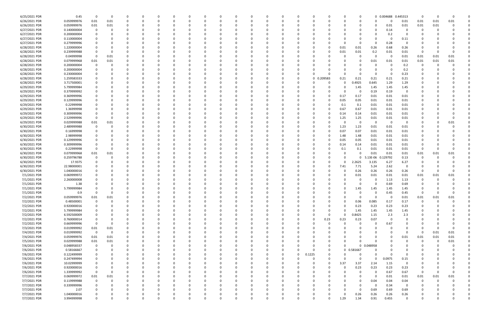| 6/25/2021 PDR | 0.45        | 0              | $\Omega$ |          |          | $\Omega$ |          |          |    |          | <sup>0</sup> | $\Omega$ |          |          |              |          |          | 0            |          | 0 0.004688 | 0.445313    | 0        |      |      |  |
|---------------|-------------|----------------|----------|----------|----------|----------|----------|----------|----|----------|--------------|----------|----------|----------|--------------|----------|----------|--------------|----------|------------|-------------|----------|------|------|--|
|               |             |                |          |          |          |          |          |          |    |          |              |          |          |          |              |          |          |              |          |            |             |          |      |      |  |
| 6/26/2021 PDR | 0.059999976 | 0.01           | 0.01     | 0        | O        | 0        |          |          |    |          |              | 0        |          |          |              |          |          | 0            | $\Omega$ |            | 0.01        | 0.01     | 0.01 | 0.01 |  |
| 6/26/2021 PDR | 0.059999976 | 0.01           | 0.01     |          |          |          |          |          |    |          |              |          |          |          |              |          |          |              |          | 0.01       | 0.01        | 0.01     | 0.01 |      |  |
| 6/27/2021 PDR | 0.140000004 | 0              |          |          |          | $\Omega$ |          |          |    |          |              | - 0      |          |          |              |          |          |              | $\Omega$ | 0.14       | $\Omega$    |          |      |      |  |
|               |             |                |          |          |          |          |          |          |    |          |              |          |          |          |              |          |          |              |          |            |             |          |      |      |  |
| 6/27/2021 PDR | 0.200000004 |                |          |          |          |          |          |          |    |          |              |          |          |          |              |          |          | 0            | - 0      | 0.2        | 0           |          |      |      |  |
| 6/27/2021 PDR | 0.110000004 |                |          |          |          |          |          |          |    |          |              |          |          |          |              |          |          | 0            |          | - 0        | 0.11        |          |      |      |  |
| 6/27/2021 PDR | 0.279999996 |                |          |          |          |          |          |          |    |          |              |          |          |          |              |          |          | 0            | - 0      | 0.28       |             |          |      |      |  |
| 6/28/2021 PDR | 1.220000004 |                |          |          |          |          |          |          |    |          |              |          |          |          |              |          | 0.01     | 0.01         | 0.26     | 0.68       | 0.26        |          |      |      |  |
|               |             |                |          |          |          |          |          |          |    |          |              |          |          |          |              |          |          |              |          |            |             |          |      |      |  |
| 6/28/2021 PDR | 0.239999988 |                |          |          |          |          |          |          |    |          |              |          |          |          |              |          | 0.01     | 0.01         | 0.2      | 0.01       | 0.01        | 0        |      |      |  |
| 6/28/2021 PDR | 0.04999998  | 0              | 0.01     |          |          |          |          |          |    |          |              |          |          |          |              |          |          | 0            | $\Omega$ | $\Omega$   | 0.01        | 0.01     | 0.01 | 0.01 |  |
| 6/28/2021 PDR | 0.079999968 | 0.01           | 0.01     |          |          |          |          |          |    |          |              |          |          |          |              |          |          | 0            | 0.01     | 0.01       | 0.01        | 0.01     | 0.01 | 0.01 |  |
|               |             |                |          |          |          |          |          |          |    |          |              |          |          |          |              |          |          |              |          |            |             |          |      |      |  |
| 6/28/2021 PDR | 0.200000004 | 0              |          |          |          |          |          |          |    |          |              |          |          |          |              |          |          | 0            | -C       |            | 0.2         | 0        |      |      |  |
| 6/28/2021 PDR | 0.200000004 |                |          |          |          | - 0      |          |          |    |          |              | - 0      |          |          |              |          |          | <sup>0</sup> | 0        | $\Omega$   | 0.2         |          |      |      |  |
| 6/28/2021 PDR | 0.230000004 |                |          |          |          |          |          |          |    |          |              |          |          | 0        |              |          | 0        | 0            | $\Omega$ | - 0        | 0.23        |          |      |      |  |
| 6/28/2021 PDR | 1.259583333 |                |          |          |          |          |          |          |    |          |              |          |          |          | $\mathbf{0}$ | 0.209583 | 0.21     | 0.21         | 0.21     | 0.21       | 0.21        |          |      |      |  |
|               |             |                |          |          |          |          |          |          |    |          |              |          |          |          |              |          |          |              |          |            |             |          |      |      |  |
| 6/28/2021 PDR | 3.717500001 |                |          |          |          |          |          |          |    |          |              |          |          |          |              |          | $\Omega$ | 0.4925       | 0.645    | 1.29       | 1.29        |          |      |      |  |
| 6/29/2021 PDR | 5.799999984 |                |          |          |          |          |          |          |    |          |              |          |          |          |              |          | 0        | 1.45         | 1.45     | 1.45       | 1.45        |          |      |      |  |
| 6/29/2021 PDR | 0.379999992 |                |          |          |          |          |          |          |    |          |              |          |          |          |              |          | $\Omega$ | 0            | 0.19     | 0.19       | 0           |          |      |      |  |
|               |             |                |          |          |          |          |          |          |    |          |              |          |          |          |              |          |          |              |          |            |             |          |      |      |  |
| 6/29/2021 PDR | 0.369999996 |                |          |          |          |          |          |          |    |          |              |          |          |          |              |          | 0.17     | 0.17         | 0.01     | 0.01       | 0.01        |          |      |      |  |
| 6/29/2021 PDR | 0.129999996 |                |          |          |          |          |          |          |    |          |              |          |          |          |              |          | 0.05     | 0.05         | 0.01     | 0.01       | 0.01        |          |      |      |  |
| 6/29/2021 PDR | 0.22999998  |                |          |          |          |          |          |          |    |          |              |          |          |          |              |          | 0.1      | 0.1          | 0.01     | 0.01       | 0.01        |          |      |      |  |
| 6/29/2021 PDR | 1.36999998  |                |          |          |          |          |          |          |    |          |              |          |          |          |              |          | 0.67     | 0.67         | 0.01     | 0.01       | 0.01        |          |      |      |  |
|               |             |                |          |          |          |          |          |          |    |          |              |          |          |          |              |          |          |              |          |            |             |          |      |      |  |
| 6/29/2021 PDR | 0.309999996 |                |          |          |          |          |          |          |    |          |              |          |          |          |              |          | 0.14     | 0.14         | 0.01     | 0.01       | 0.01        |          |      |      |  |
| 6/29/2021 PDR | 2.529999996 | 0              |          |          |          |          |          |          |    |          |              |          |          |          |              |          | 1.25     | 1.25         | 0.01     | 0.01       | 0.01        |          |      |      |  |
| 6/29/2021 PDR | 0.029999988 | 0.01           | 0.01     |          |          |          |          |          |    |          |              |          |          |          |              |          |          | 0            | -C       | - 0        | $\Omega$    |          |      | 0.01 |  |
|               |             |                |          |          |          |          |          |          |    |          |              |          |          |          |              |          |          |              |          |            |             |          |      |      |  |
| 6/30/2021 PDR | 2.489999988 | 0              |          |          |          |          |          |          |    |          |              |          |          |          |              |          | 1.23     | 1.23         | 0.01     | 0.01       | 0.01        |          |      |      |  |
| 6/30/2021 PDR | 0.16999998  |                |          |          |          |          |          |          |    |          |              |          |          |          |              |          | 0.07     | 0.07         | 0.01     | 0.01       | 0.01        |          |      |      |  |
| 6/30/2021 PDR | 2.98999998  |                |          |          |          |          |          |          |    |          |              |          |          |          |              |          | 1.48     | 1.48         | 0.01     | 0.01       | 0.01        |          |      |      |  |
|               | 0.129999996 |                |          |          |          |          |          |          |    |          |              |          |          |          |              |          |          |              |          |            |             |          |      |      |  |
| 6/30/2021 PDR |             |                |          |          |          |          |          |          |    |          |              |          |          |          |              |          | 0.05     | 0.05         | 0.01     | 0.01       | 0.01        |          |      |      |  |
| 6/30/2021 PDR | 0.309999996 | 0              |          |          |          |          |          |          |    |          |              |          |          |          |              |          | 0.14     | 0.14         | 0.01     | 0.01       | 0.01        |          |      |      |  |
| 6/30/2021 PDR | 0.22999998  | 0              |          |          |          |          |          |          |    |          |              |          |          |          |              |          | 0.1      | 0.1          | 0.01     | 0.01       | 0.01        | 0        |      |      |  |
| 6/30/2021 PDR | 0.079999968 | 0.01           | 0.01     |          |          |          |          |          |    |          |              |          |          |          |              |          |          | 0            | 0.01     | 0.01       | 0.01        | 0.01     | 0.01 | 0.01 |  |
|               |             |                |          |          |          |          |          |          |    |          |              |          |          |          |              |          |          |              |          |            |             |          |      |      |  |
| 6/30/2021 PDR | 0.259796788 | 0              |          |          |          |          |          |          |    |          |              |          |          |          |              |          |          | 0            | 5.13E-06 | 0.129792   | 0.13        |          |      |      |  |
| 6/30/2021 PDR | 17.9375     |                |          |          |          |          |          |          |    |          |              |          |          |          |              |          |          | 2.2625       | 3.135    | 6.27       | 6.27        |          |      |      |  |
| 6/30/2021 PDR | 22.98000001 |                |          |          |          |          |          |          |    |          |              |          |          |          |              |          | 7.41     | 7.71         | 5.24     | 2.62       | $\mathbf 0$ |          |      |      |  |
|               |             |                |          |          |          |          |          |          |    |          |              |          |          |          |              |          |          |              |          |            |             |          |      |      |  |
| 6/30/2021 PDR | 1.040000016 |                |          |          |          |          |          |          |    |          |              |          |          |          |              |          | $\Omega$ | 0.26         | 0.26     | 0.26       | 0.26        | 0        |      |      |  |
| 7/1/2021 PDR  | 0.069999972 |                |          |          |          |          |          |          |    |          |              |          |          |          |              |          |          | 0.01         | 0.01     | 0.01       | 0.01        | 0.01     | 0.01 | 0.01 |  |
| 7/1/2021 PDR  | 2.260000008 |                |          |          |          | - 0      |          |          |    |          |              | - 0      |          |          |              |          |          | 0            | - 0      | 1.13       | 1.13        | -0       |      |      |  |
| 7/1/2021 PDR  | 1.38        |                |          |          |          |          |          |          |    |          |              |          |          |          |              |          |          | 0            | - 0      | 0.69       | 0.69        |          |      |      |  |
|               |             |                |          |          |          |          |          |          |    |          |              |          |          |          |              |          |          |              |          |            |             |          |      |      |  |
| 7/1/2021 PDR  | 5.799999984 |                |          |          |          |          |          |          |    |          |              |          |          |          |              |          | 0        | 1.45         | 1.45     | 1.45       | 1.45        |          |      |      |  |
| 7/1/2021 PDR  | 0.9         | 0              |          |          |          |          |          |          |    |          |              |          |          |          |              |          |          | 0            |          | 0.45       | 0.45        |          |      |      |  |
| 7/2/2021 PDR  | 0.059999976 | 0.01           | 0.01     | $\Omega$ | 0        | $\Omega$ | $\Omega$ | $\Omega$ | 0  | $\Omega$ | $\Omega$     | $\Omega$ | $\Omega$ | $\Omega$ | 0            |          | $\Omega$ | 0            | $\Omega$ | $\Omega$   | 0.01        | 0.01     | 0.01 | 0.01 |  |
|               |             |                |          |          |          |          |          |          |    |          |              |          |          |          |              |          |          |              |          |            |             |          |      |      |  |
| 7/2/2021 PDR  | 0.48500001  | 0              |          |          | 0        | 0        |          |          | 0  |          | 0            | 0        |          |          |              |          | 0        | 0.06         | 0.085    | 0.17       | 0.17        | 0        |      |      |  |
| 7/2/2021 PDR  | 0.920000016 | 0              |          |          |          | $\Omega$ |          |          | -0 |          |              | $\Omega$ |          |          |              |          | $\Omega$ | 0.23         | 0.23     | 0.23       | 0.23        |          |      |      |  |
| 7/2/2021 PDR  | 5.799999984 | 0              |          |          |          | $\Omega$ |          |          | 0  |          |              | $\Omega$ |          |          |              |          | 0        | 1.45         | 1.45     | 1.45       | 1.45        |          |      |      |  |
| 7/2/2021 PDR  | 6.592500009 | 0              |          |          |          | 0        |          |          |    |          |              | -0       |          |          |              | $\Omega$ | $\Omega$ | 0.8425       | 1.15     | 2.3        | 2.3         |          |      |      |  |
|               |             |                |          |          |          |          |          |          |    |          |              |          |          |          |              |          |          |              |          |            |             |          |      |      |  |
| 7/2/2021 PDR  | 0.760000014 | 0              |          |          |          | $\Omega$ |          |          |    |          |              | $\Omega$ |          |          | 0            | 0.23     | 0.23     | 0.23         | 0.07     | $\Omega$   | $\mathbf 0$ |          |      |      |  |
| 7/2/2021 PDR  | 0.669999996 | 0              |          |          |          | $\Omega$ |          |          |    |          |              | $\Omega$ |          |          | 0            |          |          | 0            | $\Omega$ | 0.67       | $\Omega$    |          |      |      |  |
| 7/3/2021 PDR  | 0.019999992 | 0.01           | 0.01     |          |          | 0        |          |          |    |          |              | 0        |          |          |              |          |          | n            |          |            |             | 0        |      |      |  |
|               |             |                |          |          |          |          |          |          |    |          |              |          |          |          |              |          |          |              |          |            |             |          |      |      |  |
| 7/4/2021 PDR  | 0.019999992 | $\overline{0}$ | - 0      |          |          | 0        |          |          |    |          |              | $\Omega$ |          |          |              |          |          |              |          | $\Omega$   | $\Omega$    | 0        | 0.01 | 0.01 |  |
| 7/4/2021 PDR  | 0.059999976 | 0.01           | 0.01     |          |          | $\Omega$ |          |          |    |          |              | $\Omega$ |          |          |              |          |          |              | $\Omega$ | $\Omega$   | 0.01        | 0.01     | 0.01 | 0.01 |  |
| 7/5/2021 PDR  | 0.029999988 | 0.01           | 0.01     |          |          |          |          |          |    |          |              |          |          |          |              |          | 0        |              |          |            |             | $\Omega$ |      | 0.01 |  |
|               |             |                |          |          |          |          |          |          |    |          |              |          |          |          |              |          | 0        |              |          |            |             |          |      |      |  |
| 7/6/2021 PDR  | 0.048958337 | 0              |          |          |          | 0        |          |          |    |          |              |          |          |          |              |          |          | $\mathbf 0$  | 0.048958 |            |             |          |      |      |  |
| 7/6/2021 PDR  | 0.58166667  | 0              |          |          |          | $\Omega$ |          |          |    |          |              | $\Omega$ |          | $\Omega$ | 0            |          |          | 0 0.581667   | 0        |            |             |          |      |      |  |
| 7/6/2021 PDR  | 0.122499999 | 0              |          |          |          | $\Omega$ |          |          |    |          | O            | $\Omega$ |          | 0        | 0.1225       |          | 0        | 0            | $\Omega$ | $\Omega$   | $\Omega$    |          |      |      |  |
| 7/6/2021 PDR  | 0.247499994 | 0              |          |          |          | $\Omega$ |          |          | 0  |          | $\Omega$     | $\Omega$ |          |          | 0            |          | $\Omega$ | $\mathbf 0$  | $\Omega$ | 0.0975     | 0.15        |          |      |      |  |
|               |             |                |          |          |          |          |          |          |    |          |              |          |          |          |              |          |          |              |          |            |             |          |      |      |  |
| 7/6/2021 PDR  | 10.02999999 | 0              |          |          |          | $\Omega$ |          |          |    |          |              | $\Omega$ |          |          |              | $\Omega$ | 3.37     | 3.37         | 2.14     | 1.15       | $\mathbf 0$ |          |      |      |  |
| 7/6/2021 PDR  | 0.920000016 | 0              |          |          |          | 0        |          |          |    |          |              | $\Omega$ |          |          |              |          | 0        | 0.23         | 0.23     | 0.23       | 0.23        |          |      |      |  |
| 7/6/2021 PDR  | 1.339999992 | 0              |          |          |          |          |          |          |    |          |              | -0       |          |          |              |          |          | 0            | 0        | 0.67       | 0.67        | 0        |      |      |  |
| 7/7/2021 PDR  | 0.069999972 | 0.01           |          |          |          | 0        |          |          |    |          |              | 0        |          |          |              |          |          | 0            | $\Omega$ | 0.01       | 0.01        | 0.01     | 0.01 | 0.01 |  |
|               |             |                | 0.01     |          |          |          |          |          |    |          |              |          |          |          |              |          |          |              |          |            |             |          |      |      |  |
| 7/7/2021 PDR  | 0.119999988 | 0              |          |          |          | 0        |          |          |    |          |              | 0        |          |          |              |          |          | 0            | 0.04     | 0.04       | 0.04        | 0        |      |      |  |
| 7/7/2021 PDR  | 0.339999996 | 0              |          |          |          | 0        |          |          |    |          |              | 0        |          |          |              |          |          | 0            | 0        | 0.34       | 0           |          |      |      |  |
| 7/7/2021 PDR  | 2.07        | 0              |          |          |          | $\Omega$ |          |          |    |          |              | $\Omega$ |          |          |              |          | $\Omega$ | $\Omega$     | 0.69     | 0.69       | 0.69        |          |      |      |  |
|               |             |                |          |          |          |          |          |          |    |          |              |          |          |          |              |          |          |              |          |            |             |          |      |      |  |
| 7/7/2021 PDR  | 1.040000016 | 0              |          |          |          | $\Omega$ |          |          |    |          |              | 0        |          |          |              |          | 0        | 0.26         | 0.26     | 0.26       | 0.26        |          |      |      |  |
| 7/7/2021 PDR  | 3.994999998 | $\Omega$       |          | 0        | $\Omega$ | $\Omega$ | $\Omega$ | $\Omega$ |    | 0        | $\Omega$     | $\Omega$ | $\Omega$ |          |              |          | 1.29     | 1.34         | 0.91     | 0.455      | $\Omega$    | $\Omega$ |      | 0    |  |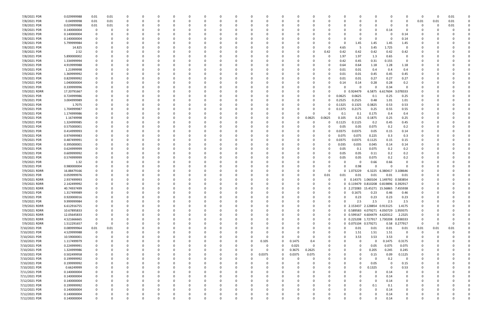| 7/8/2021 PDR  | 0.029999988 | 0.01           | 0.01     |   |          |          |          |          |   |          | C            |          |          |          |          |          |                              | 0                         |                                       |               | 0        |      | 0.01 |  |
|---------------|-------------|----------------|----------|---|----------|----------|----------|----------|---|----------|--------------|----------|----------|----------|----------|----------|------------------------------|---------------------------|---------------------------------------|---------------|----------|------|------|--|
| 7/8/2021 PDR  | 0.04999998  | 0.01           | 0.01     |   |          | -0       |          |          |   |          | <sup>0</sup> |          |          |          |          |          |                              | 0                         |                                       | 0             | 0.01     | 0.01 | 0.01 |  |
| 7/8/2021 PDR  | 0.029999988 | 0.01           | 0.01     |   |          |          |          |          |   |          |              |          |          |          |          |          |                              |                           |                                       |               |          |      | 0.01 |  |
| 7/8/2021 PDR  | 0.140000004 | 0              | C        |   |          |          |          |          |   |          |              |          |          |          |          |          |                              | $\Omega$                  | 0.14                                  |               |          |      |      |  |
| 7/8/2021 PDR  | 0.140000004 | - 0            |          |   |          |          |          |          |   |          |              |          |          |          |          |          |                              | -0                        |                                       | 0.14          |          |      |      |  |
| 7/8/2021 PDR  | 0.140000004 | - 0            | C        |   |          |          |          |          |   |          |              |          |          |          |          |          |                              | $\Omega$                  |                                       | 0.14          |          |      |      |  |
| 7/8/2021 PDR  | 5.799999984 |                |          |   |          |          |          |          |   |          |              |          |          |          |          |          | 1.45                         | 1.45                      | 1.45                                  | 1.45          |          |      |      |  |
| 7/8/2021 PDR  | 14.825      | $\Omega$       |          |   |          |          |          |          |   |          |              |          |          |          | -0       | 4.65     | -5                           | 3.45                      | 1.725                                 | $\Omega$      |          |      |      |  |
| 7/8/2021 PDR  | 2.52        | 0              |          |   |          |          |          |          |   |          |              |          |          | O        | 0.42     | 0.42     | 0.42                         | 0.42                      | 0.42                                  | 0.42          |          |      |      |  |
| 7/8/2021 PDR  | 5.890000002 |                |          |   |          |          |          |          |   |          |              |          |          |          | -0       | 1.97     | 1.97                         | 1.3                       | 0.65                                  | 0             |          |      |      |  |
| 7/8/2021 PDR  | 1.334999994 | 0              |          |   |          |          |          |          |   |          |              |          |          |          |          | 0.42     | 0.45                         | 0.31                      | 0.155                                 | $\Omega$      |          |      |      |  |
| 7/9/2021 PDR  | 4.919999988 | 0              |          |   |          |          |          |          |   |          |              |          |          |          |          | 0.64     | 0.64                         | 1.18                      | 1.28                                  | 1.18          |          |      |      |  |
| 7/9/2021 PDR  | 1.21999998  | 0              |          |   |          |          |          |          |   |          |              |          |          |          |          | 0.01     | 0.01                         | 0.4                       | 0.4                                   | 0.4           |          |      |      |  |
| 7/9/2021 PDR  | 1.369999992 | 0              |          |   |          |          |          |          |   |          |              |          |          |          |          | 0.01     | 0.01                         | 0.45                      | 0.45                                  | 0.45          |          |      |      |  |
| 7/9/2021 PDR  | 0.829999992 | 0              |          |   |          |          |          |          |   |          |              |          |          |          |          | 0.01     | 0.01                         | 0.27                      | 0.27                                  | 0.27          |          |      |      |  |
| 7/9/2021 PDR  | 1.040000004 | 0              |          |   |          |          |          |          |   |          |              |          |          |          |          | 0.14     | 0.14                         | 0.28                      | 0.28                                  | 0.2           |          |      |      |  |
| 7/9/2021 PDR  | 0.339999996 | 0              |          |   |          |          |          |          |   |          |              |          |          |          |          |          | 0                            | $\mathbf 0$               | 0.34                                  | $\Omega$      |          |      |      |  |
| 7/9/2021 RDRR | 17.20791667 | 0              |          |   |          |          |          |          |   |          |              |          |          |          |          | O.       | 0.924479                     | 6.5875                    | 17604<br>6.6                          | 3.078333      |          |      |      |  |
| 7/9/2021 PDR  | 0.724999986 |                |          |   |          |          |          |          |   |          |              |          |          |          |          | 0.0625   | 0.0625                       | 0.1                       | 0.25                                  | 0.25          |          |      |      |  |
| 7/9/2021 PDR  | 3.004999989 |                |          |   |          |          |          |          |   |          |              |          |          |          |          | 0.2525   | 0.2525                       | 0.48                      | 1.01                                  | 1.01          |          |      |      |  |
| 7/9/2021 PDR  | 1.7075      |                |          |   |          |          |          |          |   |          |              |          |          |          |          | 0.1325   | 0.1325                       | 0.3825                    | 0.53                                  | 0.53          |          |      |      |  |
| 7/9/2021 PDR  | 1.704999987 |                |          |   |          |          |          |          |   |          |              |          |          | O        |          | 0.1375   | 0.2175                       | 0.25                      | 0.55                                  | 0.55          |          |      |      |  |
| 7/9/2021 PDR  | 1.174999986 | 0              |          |   |          |          |          |          |   |          |              |          |          | 0        |          | 0.1      | 0.1                          | 0.175                     | 0.4                                   | 0.4           |          |      |      |  |
| 7/9/2021 PDR  | 1.16749998  | 0              |          |   |          |          |          |          |   |          |              |          | O        | 0.0625   | 0.0625   | 0.105    | 0.25                         | 0.1875                    | 0.25                                  | 0.25          |          |      |      |  |
|               |             |                |          |   |          |          |          |          |   |          |              |          |          |          |          |          |                              |                           |                                       |               |          |      |      |  |
| 7/9/2021 PDR  | 1.324999985 | - 0            |          |   |          |          |          |          |   |          |              |          |          |          |          | 0.1125   | 0.1125                       | 0.2                       | 0.45                                  | 0.45          |          |      |      |  |
| 7/9/2021 PDR  | 0.575000001 | 0              |          |   |          |          |          |          |   |          |              |          |          |          |          | 0.05     | 0.05                         | 0.075                     | 0.2                                   | 0.2           |          |      |      |  |
| 7/9/2021 PDR  | 0.414999993 |                |          |   |          |          |          |          |   |          |              |          |          |          |          | 0.0375   | 0.0375                       | 0.05                      | 0.15                                  | 0.14          |          |      |      |  |
| 7/9/2021 PDR  | 0.974999983 | 0              |          |   |          |          |          |          |   |          |              |          |          |          |          | 0.075    | 0.075                        | 0.225                     | 0.3                                   | 0.3           |          |      |      |  |
| 7/9/2021 PDR  | 0.487499991 |                |          |   |          |          |          |          |   |          |              |          |          |          | 0        | 0.0375   | 0.0375                       | 0.1125                    | 0.15                                  | 0.15          |          |      |      |  |
| 7/9/2021 PDR  | 0.395000001 |                |          |   |          |          |          |          |   |          |              |          |          |          |          | 0.035    | 0.035                        | 0.045                     | 0.14                                  | 0.14          |          |      |      |  |
| 7/9/2021 PDR  | 0.624999999 | 0              |          |   |          |          |          |          |   |          |              |          |          |          |          | 0.05     | 0.1                          | 0.075                     | 0.2                                   | 0.2           |          |      |      |  |
| 7/9/2021 PDR  | 0.609999992 |                |          |   |          |          |          |          |   |          |              |          |          |          |          | 0.05     | 0.05                         | 0.11                      | 0.2                                   | 0.2           |          |      |      |  |
| 7/9/2021 PDR  | 0.574999999 |                |          |   |          |          |          |          |   |          |              |          |          |          |          | 0.05     | 0.05                         | 0.075                     | 0.2                                   | 0.2           |          |      |      |  |
| 7/9/2021 PDR  | 1.32        |                |          |   |          |          |          |          |   |          |              |          |          |          |          |          | 0                            | 0.66                      | 0.66                                  |               |          |      |      |  |
| 7/9/2021 PDR  | 0.980000004 |                |          |   |          |          |          |          |   |          |              |          |          |          |          |          | 0.98                         | $\Omega$                  |                                       | $\Omega$      |          |      |      |  |
| 7/9/2021 RDRR | 16.88479166 | 0              |          |   |          |          |          |          |   |          |              |          |          |          | 0        | 0        | 1.073229                     | 6.3225                    | 6.380417                              | 3.108646      |          |      |      |  |
| 7/9/2021 PDR  | 0.059999976 | 0              |          |   |          |          |          |          |   |          |              |          |          | 0        | 0.01     | 0.01     | 0.01                         | 0.01                      | 0.01                                  | 0.01          |          |      |      |  |
| 7/9/2021 RDRR | 2.937499993 |                |          |   |          |          |          |          |   |          |              |          |          |          | 0        |          |                              | 0.14375 1.060104 1.149792 |                                       | 0.583854      |          |      |      |  |
| 7/9/2021 RDRR | 2.142499992 |                |          |   |          |          |          |          |   |          |              |          |          |          | -0       |          |                              |                           | 0 0.119479 0.810208 0.819896 0.392917 |               |          |      |      |  |
| 7/9/2021 RDRR | 40.74937499 | 0              | C        |   |          |          |          |          |   |          |              |          |          |          | $\Omega$ |          |                              |                           | 0 2.272083 15.45271 15.56865 7.455938 |               | 0        |      |      |  |
| 7/9/2021 PDR  | 1.317499989 | $\Omega$       | റ        |   |          |          |          |          |   |          |              |          |          |          |          |          | $0$ 0.1675                   | 0.23                      | 0.46                                  | 0.46          | $\Omega$ |      |      |  |
| 7/9/2021 PDR  | 0.920000016 | $\mathbf 0$    | 0        |   |          | $\Omega$ |          | $\Omega$ |   |          | 0            |          |          | 0        | $\Omega$ | U        | 0.23                         | 0.23                      | 0.23                                  | 0.23          | $\Omega$ |      |      |  |
| 7/9/2021 PDR  | 9.999999984 | 0              | 0        |   |          | $\Omega$ |          |          |   |          | 0            |          |          | $\Omega$ | $\Omega$ |          | 2.5                          | 2.5                       | 2.5                                   | 2.5           |          |      |      |  |
| 7/9/2021 RDRR | 6.612916755 | 0              | 0        |   |          |          |          |          |   |          | 0            |          |          | 0        | 0        |          | 0 2.153437 2.128854          |                           | 0.913125                              | 1.4175        |          |      |      |  |
| 7/9/2021 RDRR | 10.67895833 | 0              |          |   |          |          |          |          |   |          |              |          |          | O        | $\Omega$ |          |                              |                           | 0 0.589583 4.079271 4.050729 1.959375 |               |          |      |      |  |
| 7/9/2021 RDRR | 12.05645833 | $\overline{0}$ |          |   |          |          |          |          |   |          | <sup>0</sup> |          |          | 0        | 0        |          | 0 0.599167 4.604479 4.620312 |                           |                                       | 2.2325        |          |      |      |  |
| 7/9/2021 RDRR | 4.521666665 | 0              |          |   |          |          |          |          |   |          | 0            |          |          | 0        | 0        |          |                              |                           | 0 0.225208 1.727917 1.730208 0.838333 |               | 0        |      |      |  |
| 7/9/2021 RDRR | 1.512291657 | 0              | $\Omega$ |   |          |          |          |          |   |          | 0            |          |          | 0        | 0        |          | 0 0.075104 0.579271          |                           |                                       | 0.58 0.277917 | 0        |      |      |  |
| 7/10/2021 PDR | 0.089999964 | 0.01           | 0.01     |   |          |          | $\Omega$ |          |   |          | $\Omega$     |          | $\Omega$ | 0        | $\Omega$ | 0        | 0.01                         | 0.01                      | 0.01                                  | 0.01          | 0.01     | 0.01 | 0.01 |  |
| 7/10/2021 PDR | 4.529999988 | $\mathbf 0$    | $\Omega$ |   |          |          |          |          |   |          | 0            |          |          | 0        | $\Omega$ | $\Omega$ | 1.51                         | 1.51                      | 1.51                                  | 0             | 0        |      |      |  |
| 7/10/2021 PDR | 10.59000001 | 0              | 0        |   |          |          |          |          |   |          | $\Omega$     |          | $\Omega$ | -0       | 0        |          | 3.53                         | 3.53                      | 3.53                                  | $\Omega$      | $\Omega$ |      |      |  |
| 7/10/2021 PDR | 1.117499979 | $\overline{0}$ | 0        |   |          |          |          |          |   | 0        | 0.105        | $\Omega$ | 0.1475   | 0.4      |          |          | 0                            | $\Omega$                  | 0.1475                                | 0.3175        |          |      |      |  |
| 7/10/2021 PDR | 0.224999991 | 0              | 0        |   |          |          |          |          |   |          | 0            | $\Omega$ | 0.025    | 0        |          |          | 0                            | 0.05                      | 0.075                                 | 0.075         |          |      |      |  |
| 7/10/2021 PDR | 1.324999986 | 0              | C        |   |          |          |          |          |   |          | 0            | $\Omega$ | 0.3675   | 0.2625   |          |          | 0                            | 0.205                     | 0.245                                 | 0.245         | 0        |      |      |  |
| 7/10/2021 PDR | 0.502499958 | 0              | O        |   |          |          |          |          |   | 0        | 0.0375       | $\Omega$ | 0.0375   | 0.075    |          |          |                              | 0.15                      | 0.09                                  | 0.1125        |          |      |      |  |
| 7/10/2021 PDR | 0.199999992 | 0              | 0        |   |          |          |          |          |   |          | 0            |          | $\Omega$ | 0        |          |          |                              | $\Omega$                  | 0.2                                   | 0             |          |      |      |  |
| 7/10/2021 PDR | 0.199999992 | 0              | 0        |   |          |          |          |          |   |          | 0            |          |          | O        |          |          | $\Omega$                     | 0.05                      | $\Omega$                              | 0.15          |          |      |      |  |
|               |             | $\overline{0}$ | O        |   |          |          |          |          |   |          | 0            |          |          |          |          | O        | $\Omega$                     | 0.1325                    | $\Omega$                              |               |          |      |      |  |
| 7/10/2021 PDR | 0.66249999  |                |          |   |          |          |          |          |   |          |              |          |          |          |          |          |                              |                           |                                       | 0.53          |          |      |      |  |
| 7/11/2021 PDR | 0.140000004 | 0              | C        |   |          |          |          |          |   |          | 0            |          |          |          |          |          |                              | 0                         | 0.14                                  | 0             |          |      |      |  |
| 7/11/2021 PDR | 0.140000004 | 0              |          |   |          |          |          |          |   |          | $\Omega$     |          |          |          |          |          |                              | $\Omega$                  | 0.14                                  | 0             |          |      |      |  |
| 7/12/2021 PDR | 0.140000004 | - 0            | O        |   |          |          | $\Omega$ |          |   |          | 0            |          |          | O        |          |          |                              | $\Omega$                  | 0.14                                  | $\Omega$      |          |      |      |  |
| 7/12/2021 PDR | 0.199999992 | 0              | 0        |   |          |          |          |          |   |          | 0            |          |          | 0        |          |          |                              | 0.1                       | 0.1                                   | 0             |          |      |      |  |
| 7/12/2021 PDR | 0.140000004 | 0              |          |   |          |          |          |          |   |          | <sup>0</sup> |          |          |          |          |          |                              | $\Omega$                  | 0.14                                  | $\Omega$      |          |      |      |  |
| 7/12/2021 PDR | 0.140000004 | 0              |          |   |          |          |          |          |   |          |              |          |          |          |          |          |                              | 0                         | 0.14                                  |               |          |      |      |  |
| 7/12/2021 PDR | 0.140000004 | $\mathbf 0$    | 0        | 0 | $\Omega$ | $\Omega$ | $\Omega$ | $\Omega$ | 0 | $\Omega$ | 0            |          | $\Omega$ | 0        | $\Omega$ | $\Omega$ | $\Omega$                     | $\mathbf 0$               | 0.14                                  | $\mathbf 0$   | 0        |      | 0    |  |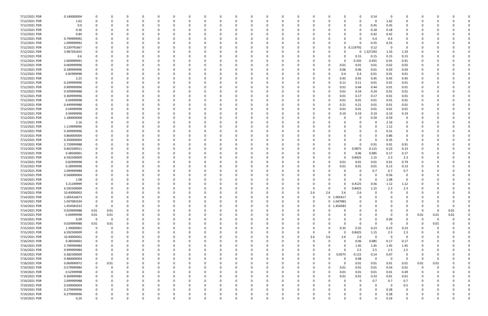| 7/12/2021 PDR | 0.140000004 |             |             |          |          |          |          |          |          |          |          |          |          |             |              |              | 0           | 0.14        | - 0      |             |             |          |          |  |
|---------------|-------------|-------------|-------------|----------|----------|----------|----------|----------|----------|----------|----------|----------|----------|-------------|--------------|--------------|-------------|-------------|----------|-------------|-------------|----------|----------|--|
| 7/12/2021 PDR | 1.62        |             |             | $\Omega$ |          |          |          | -0       |          | $\Omega$ |          |          |          | - 0         |              | 0            | 0           | $\Omega$    | 1.62     | 0           | O           |          |          |  |
| 7/12/2021 PDR | 0.9         |             |             |          |          |          |          |          |          |          |          |          |          |             |              |              | 0           | 0.45        | 0.45     |             |             |          |          |  |
| 7/12/2021 PDR | 0.36        |             |             |          |          |          |          |          |          |          |          |          |          |             |              |              | 0           | 0.18        | 0.18     | 0           |             |          |          |  |
|               |             |             |             |          |          |          |          |          |          |          |          |          |          |             |              |              |             |             |          |             |             |          |          |  |
| 7/12/2021 PDR | 0.84        |             |             | n        |          |          |          |          |          |          |          |          |          |             |              |              | 0           | 0.42        | 0.42     | 0           |             |          |          |  |
| 7/12/2021 PDR | 0.799999992 |             |             |          |          |          |          |          |          |          |          |          |          |             |              |              |             | 0.4         | 0.4      |             |             |          |          |  |
| 7/12/2021 PDR | 1.099999992 |             |             |          |          |          |          |          |          |          |          |          |          |             |              |              |             | 0.55        | 0.55     | 0           |             |          |          |  |
| 7/12/2021 PDR | 0.239791667 |             |             |          |          |          |          |          |          |          |          |          |          |             |              |              | 0 0.119792  | 0.12        | - 0      | 0           |             |          |          |  |
| 7/12/2021 PDR | 3.987291655 |             |             |          |          |          |          |          |          |          |          |          |          |             |              |              | 0           | 1.327292    | 1.33     | 1.33        |             |          |          |  |
| 7/12/2021 PDR | 0.6         |             |             |          |          |          |          |          |          |          |          |          |          |             |              |              | 0.15        | 0.15        | 0.15     | 0.15        |             |          |          |  |
| 7/12/2021 PDR | 2.609999991 |             |             |          |          |          |          |          |          |          |          |          |          |             |              | <sup>0</sup> | 0.335       | 0.455       | 0.91     | 0.91        |             |          |          |  |
|               |             |             |             |          |          |          |          |          |          |          |          |          |          |             |              |              |             |             |          |             |             |          |          |  |
| 7/12/2021 PDR | 0.069999996 |             |             |          |          |          |          |          |          |          |          |          |          |             |              | 0.01         | 0.01        | 0.01        | 0.02     | 0.02        |             |          |          |  |
| 7/12/2021 PDR | 0.189999996 |             |             |          |          |          |          |          |          |          |          |          |          |             |              | 0.06         | 0.06        | 0.01        | 0.03     | 0.03        |             |          |          |  |
| 7/12/2021 PDR | 0.82999998  |             |             |          |          |          |          |          |          |          |          |          |          |             |              | 0.4          | 0.4         | 0.01        | 0.01     | 0.01        |             |          |          |  |
| 7/12/2021 PDR | 2.25        |             |             |          |          |          |          |          |          |          |          |          |          |             |              | 0.45         | 0.45        | 0.45        | 0.45     | 0.45        |             |          |          |  |
| 7/12/2021 PDR | 0.249999996 |             |             |          |          |          |          |          |          |          |          |          |          |             |              | 0.11         | 0.11        | 0.01        | 0.01     | 0.01        |             |          |          |  |
| 7/12/2021 PDR | 0.909999996 |             |             |          |          |          |          |          |          |          |          |          |          |             |              | 0.01         | 0.44        | 0.44        | 0.01     | 0.01        |             |          |          |  |
| 7/12/2021 PDR | 0.509999988 |             |             |          |          |          |          |          |          |          |          |          |          |             |              | 0.01         | 0.24        | 0.24        | 0.01     | 0.01        |             |          |          |  |
| 7/12/2021 PDR | 0.369999996 |             |             |          |          |          |          |          |          |          |          |          |          |             |              |              |             |             |          |             |             |          |          |  |
|               |             |             |             |          |          |          |          |          |          |          |          |          |          |             |              | 0.01         | 0.17        | 0.17        | 0.01     | 0.01        |             |          |          |  |
| 7/12/2021 PDR | 0.04999998  |             |             |          |          |          |          |          |          |          |          |          |          |             |              | 0.01         | 0.01        | 0.01        | 0.01     | 0.01        |             |          |          |  |
| 7/12/2021 PDR | 0.449999988 |             |             |          |          |          |          |          |          |          |          |          |          |             |              | 0.21         | 0.21        | 0.01        | 0.01     | 0.01        |             |          |          |  |
| 7/12/2021 PDR | 0.04999998  |             |             |          |          |          |          |          |          |          |          |          |          |             |              | 0.01         | 0.01        | 0.01        | 0.01     | 0.01        |             |          |          |  |
| 7/12/2021 PDR | 0.94999998  |             |             |          |          |          |          |          |          |          |          |          |          |             |              | 0.19         | 0.19        | 0.19        | 0.19     | 0.19        |             |          |          |  |
| 7/12/2021 PDR | 1.180000008 |             |             |          |          |          |          |          |          |          |          |          |          |             |              |              | 0           | 0.59        | 0.59     | 0           |             |          |          |  |
| 7/12/2021 PDR | 2.16        |             |             |          |          |          |          |          |          |          |          |          |          |             |              |              | 0           | 0           | 2.16     | 0           |             |          |          |  |
| 7/13/2021 PDR | 1.119999996 |             |             |          |          |          |          |          |          |          |          |          |          |             |              |              |             | - 0         | 1.12     |             |             |          |          |  |
|               |             |             |             |          |          |          |          |          |          |          |          |          |          |             |              |              |             |             |          |             |             |          |          |  |
| 7/13/2021 PDR | 0.309999996 |             |             |          |          |          |          |          |          |          |          |          |          |             |              |              |             | 0           | 0.31     |             |             |          |          |  |
| 7/13/2021 PDR | 0.860000004 |             |             |          |          |          |          |          |          |          |          |          |          |             |              |              |             | 0           | 0.86     |             |             |          |          |  |
| 7/13/2021 PDR | 0.350000004 |             |             |          |          |          |          |          |          |          |          |          |          |             |              |              | 0           | $\Omega$    | 0.35     | 0           |             |          |          |  |
| 7/13/2021 PDR | 2.729999988 |             |             |          |          |          |          |          |          |          |          |          |          |             |              |              | 0           | 0.91        | 0.91     | 0.91        |             |          |          |  |
| 7/13/2021 PDR | 0.662500011 |             |             |          |          |          |          |          |          |          |          |          |          |             |              |              | 0.0875      | 0.115       | 0.23     | 0.23        |             |          |          |  |
| 7/13/2021 PDR | 0.48500001  |             |             |          |          |          |          |          |          |          |          |          |          |             |              | n            | 0.06        | 0.085       | 0.17     | 0.17        |             |          |          |  |
| 7/13/2021 PDR | 6.592500009 |             |             |          |          |          |          |          |          |          |          |          |          |             |              |              | .8425       | 1.15        | 2.3      | 2.3         |             |          |          |  |
| 7/13/2021 PDR |             |             |             |          |          |          |          |          |          |          |          |          |          |             |              |              |             |             |          | 0.79        |             |          |          |  |
|               | 0.82999998  |             |             |          |          |          |          |          |          |          |          |          |          |             |              | 0.01         | 0.01        | 0.01        | 0.01     |             |             |          |          |  |
| 7/13/2021 PDR | 0.28999998  |             |             |          |          |          |          |          |          |          |          |          |          |             |              | 0.01         | 0.01        | 0.01        | 0.13     | 0.13        |             |          |          |  |
| 7/13/2021 PDR | 2.099999988 |             |             |          |          |          |          |          |          |          |          |          |          |             |              |              | 0           | 0.7         | 0.7      | 0.7         |             |          |          |  |
| 7/13/2021 PDR | 0.560000004 |             |             |          |          |          |          |          |          |          |          |          |          |             |              |              | 0           | 0           | 0.56     | 0           |             |          |          |  |
| 7/14/2021 PDR | 1.08        |             |             |          |          |          |          |          |          |          |          |          |          |             |              |              | n           | -C          | 1.08     | $\Omega$    |             |          |          |  |
| 7/14/2021 PDR | 3.21249999  |             |             |          |          |          |          |          |          |          |          |          |          |             |              |              | 0.4125      | 0.56        | 1.12     | 1.12        |             |          |          |  |
| 7/14/2021 PDR | 6.592500009 |             |             | n        |          |          |          |          |          |          |          |          |          | 0           | 0            | 0            | 0.8425      | 1.15        | 2.3      | 2.3         | n           |          |          |  |
| 7/14/2021 PDR | 10.40000002 |             |             |          |          |          |          |          |          |          |          |          |          |             | 2.6          | 2.6          | 2.6         | $\Omega$    |          |             |             |          |          |  |
|               |             |             |             |          |          | $\Omega$ | $\Omega$ |          |          |          |          | υ        |          | 2.6         |              |              |             |             | $\Omega$ |             |             |          |          |  |
| 7/14/2021 PDR | 1.005416673 | 0           | $\Omega$    | $\Omega$ | $\Omega$ |          |          | $\Omega$ | 0        | $\Omega$ | $\Omega$ | $\Omega$ | $\Omega$ | $\mathbf 0$ | 0 1.005417   |              | $\mathbf 0$ | $\Omega$    |          | $\Omega$    | $\Omega$    |          |          |  |
| 7/14/2021 PDR | 1.047083334 | $\mathbf 0$ |             | 0        |          | $\Omega$ |          | $\Omega$ |          | 0        |          | $\Omega$ | 0        | $\Omega$    | 0 1.047083   |              | 0           | $\Omega$    |          | $\Omega$    | 0           |          |          |  |
| 7/14/2021 PDR | 1.454583333 | $\Omega$    | 0           | 0        |          | $\Omega$ |          |          |          | $\Omega$ |          |          |          | 0           | 0 1.454583   |              | 0           | $\Omega$    |          |             | 0           |          |          |  |
| 7/14/2021 PDR | 0.029999988 | 0.01        | 0.01        | 0        |          | 0        |          |          |          | $\Omega$ |          |          |          | $\Omega$    |              |              | 0           | $\Omega$    |          | $\Omega$    | $\Omega$    | $\Omega$ | 0.01     |  |
| 7/14/2021 PDR | 0.04999998  | $0.01\,$    | 0.01        |          |          |          |          |          |          | 0        |          |          |          | 0           |              |              | 0           | $\Omega$    |          | 0           | 0.01        | 0.01     | 0.01     |  |
| 7/14/2021 PDR | 0.09        | $\mathbf 0$ | $\mathbf 0$ | $\Omega$ |          | O        |          |          |          |          |          |          |          | 0           |              |              | 0           | $\mathbf 0$ | 0.09     | 0           | $\mathbf 0$ | 0        |          |  |
| 7/15/2021 PDR | 0.029999988 | $0.01\,$    | 0.01        | 0        |          | $\Omega$ |          |          |          |          |          |          |          |             |              | $\Omega$     | 0           | $\Omega$    | $\Omega$ | 0           | 0           | 0.01     |          |  |
| 7/15/2021 PDR | 1.39000002  | 0           |             |          |          |          |          |          |          |          |          |          |          | 0           | $\Omega$     | 0.35         | 0.35        | 0.23        | 0.23     | 0.23        | 0           |          |          |  |
|               |             |             |             |          |          |          |          |          |          |          |          |          |          |             | $\Omega$     | $\Omega$     |             |             |          |             |             |          |          |  |
| 7/15/2021 PDR | 6.592500009 | 0           |             | 0        |          |          |          |          |          |          |          |          |          | 0           |              |              | 0.8425      | 1.15        | 2.3      | 2.3         |             |          |          |  |
| 7/15/2021 PDR | 10.40000002 |             |             |          |          |          |          |          |          |          |          |          | 0        | 2.6         | 2.6          | 2.6          | 2.6         | $\mathbf 0$ | $\Omega$ | 0           |             |          |          |  |
| 7/16/2021 PDR | 0.48500001  |             |             |          |          |          |          |          |          |          |          |          |          | $\Omega$    | $\Omega$     | $\Omega$     | 0.06        | 0.085       | 0.17     | 0.17        |             |          |          |  |
| 7/16/2021 PDR | 5.799999984 |             |             |          |          |          |          |          |          |          |          |          |          | 0           |              | $\Omega$     | 1.45        | 1.45        | 1.45     | 1.45        |             |          |          |  |
| 7/16/2021 PDR | 9.999999984 |             |             |          |          |          |          |          |          |          |          |          |          | 0           |              | $\Omega$     | 2.5         | 2.5         | 2.5      | 2.5         |             |          |          |  |
| 7/16/2021 PDR | 0.382500009 |             |             |          |          |          |          |          |          |          |          |          |          | 0           | $\Omega$     | 0.0575       | 0.115       | 0.14        | 0.07     | $\mathbf 0$ | 0           |          |          |  |
| 7/16/2021 PDR | 0.980000004 | 0           | 0           | 0        |          | $\Omega$ |          |          |          | $\Omega$ |          |          |          | 0           |              | 0            | 0.98        | $\mathbf 0$ | $\Omega$ | 0           | 0           | $\Omega$ |          |  |
| 7/18/2021 PDR | 0.069999972 | 0           | 0.01        |          |          | 0        |          |          |          | $\Omega$ |          |          | 0        | - 0         |              | $\Omega$     | 0.01        | 0.01        | 0.01     | 0.01        | 0.01        | 0.01     |          |  |
|               |             |             |             |          |          |          |          |          |          |          |          |          |          |             |              |              |             |             |          |             |             |          |          |  |
| 7/19/2021 PDR | 0.579999984 | 0           | $\Omega$    |          |          | $\Omega$ |          |          |          |          |          |          | 0        | $\Omega$    | <sup>0</sup> | 0.01         | 0.01        | 0.01        | 0.54     | 0.01        | 0           | $\Omega$ |          |  |
| 7/19/2021 PDR | 0.52999998  | $\mathbf 0$ |             |          |          |          |          |          |          |          |          |          | 0        | 0           | $\Omega$     | 0.01         | 0.01        | 0.01        | 0.01     | 0.49        | 0           |          |          |  |
| 7/19/2021 PDR | 0.369999984 | 0           |             |          |          |          |          |          |          |          |          |          |          | 0           |              | 0.01         | 0.01        | 0.33        | $0.01\,$ | 0.01        | 0           |          |          |  |
| 7/19/2021 PDR | 2.099999988 | $\mathbf 0$ |             | 0        |          | $\Omega$ |          |          |          | 0        |          |          |          | 0           |              | 0            | 0           | 0.7         | 0.7      | 0.7         | 0           |          |          |  |
| 7/19/2021 PDR | 0.500000004 | 0           |             | 0        |          | $\Omega$ |          |          |          |          |          |          |          | -0          |              |              | 0           | 0           | $\Omega$ | 0.5         | 0           |          |          |  |
| 7/19/2021 PDR | 0.279999996 |             |             |          |          | $\Omega$ |          |          |          |          |          |          |          | - 0         |              |              |             | $\Omega$    | 0.28     | $\mathbf 0$ |             |          |          |  |
| 7/19/2021 PDR | 0.279999996 |             |             |          |          |          |          |          |          |          |          |          |          |             |              |              |             | $\Omega$    | 0.28     | 0           |             |          |          |  |
| 7/19/2021 PDR | 0.24        | $\Omega$    |             | $\Omega$ |          | $\Omega$ |          | 0        | $\Omega$ | $\Omega$ |          | $\Omega$ | $\Omega$ | $\Omega$    |              | 0            | $\Omega$    | $\Omega$    | 0.24     | $\Omega$    | $\Omega$    |          | $\Omega$ |  |
|               |             |             |             |          |          |          |          |          |          |          |          |          |          |             |              |              |             |             |          |             |             |          |          |  |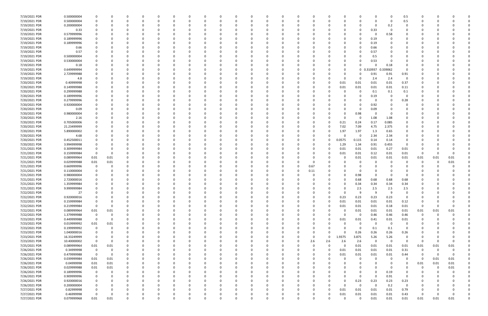| 7/19/2021 PDR | 0.500000004 |             |      | 0        |          | 0        |          | - 0      |          |          | $\Omega$ | $\Omega$ |          | 0        |          |          |          | 0           |          | -0           | 0.5         | 0        |          |          |  |
|---------------|-------------|-------------|------|----------|----------|----------|----------|----------|----------|----------|----------|----------|----------|----------|----------|----------|----------|-------------|----------|--------------|-------------|----------|----------|----------|--|
| 7/19/2021 PDR | 0.500000004 |             |      | $\Omega$ |          | $\Omega$ |          |          |          |          | $\Omega$ |          |          | O        |          |          |          | $\Omega$    | $\Omega$ | - 0          | 0.5         |          |          |          |  |
|               |             |             |      |          |          |          |          |          |          |          |          |          |          |          |          |          |          |             |          |              |             |          |          |          |  |
| 7/19/2021 PDR | 0.200000004 |             |      |          |          |          |          |          |          |          |          |          |          |          |          |          |          |             |          | 0.2          |             |          |          |          |  |
| 7/19/2021 PDR | 0.33        |             |      |          |          |          |          |          |          |          |          |          |          |          |          |          |          | 0           | 0.33     | - 0          |             |          |          |          |  |
| 7/19/2021 PDR | 0.579999996 |             |      |          |          |          |          |          |          |          |          |          |          |          |          |          |          | 0           | -0       | 0.58         |             |          |          |          |  |
| 7/19/2021 PDR | 0.189999996 |             |      |          |          |          |          |          |          |          |          |          |          |          |          |          |          |             | 0.19     |              |             |          |          |          |  |
| 7/19/2021 PDR | 0.189999996 |             |      |          |          |          |          |          |          |          |          |          |          |          |          |          |          | 0           | 0.19     |              |             |          |          |          |  |
| 7/19/2021 PDR | 0.66        |             |      |          |          |          |          |          |          |          |          |          |          |          |          |          |          |             | 0.66     |              |             |          |          |          |  |
|               |             |             |      |          |          |          |          |          |          |          |          |          |          |          |          |          |          |             |          |              |             |          |          |          |  |
| 7/19/2021 PDR | 0.57        |             |      |          |          |          |          |          |          |          |          |          |          |          |          |          |          |             | 0.57     |              |             |          |          |          |  |
| 7/19/2021 PDR | 0.500000004 |             |      |          |          |          |          |          |          |          |          |          |          |          |          |          |          |             | 0.5      |              |             |          |          |          |  |
| 7/19/2021 PDR | 0.530000004 |             |      |          |          |          |          |          |          |          |          |          |          |          |          |          |          |             | 0.53     |              |             |          |          |          |  |
| 7/19/2021 PDR | 0.18        |             |      |          |          |          |          |          |          |          |          |          |          |          |          |          |          | 0           |          | 0.18         |             |          |          |          |  |
| 7/19/2021 PDR | 0.649999994 |             |      |          |          |          |          |          |          |          |          |          |          |          |          |          |          | 0           | 0.310937 | 339062<br>0. | $\Omega$    |          |          |          |  |
| 7/19/2021 PDR | 2.729999988 |             |      |          |          |          |          |          |          |          |          |          |          |          |          |          |          | 0           | 0.91     | 0.91         | 0.91        |          |          |          |  |
|               |             |             |      |          |          |          |          |          |          |          |          |          |          |          |          |          | n        |             |          |              | $\Omega$    |          |          |          |  |
| 7/19/2021 PDR | 4.8         |             |      | -0       |          |          |          |          |          |          | - 0      |          |          |          |          |          |          | 0           | 2.4      | 2.4          |             |          |          |          |  |
| 7/20/2021 PDR | 0.40999998  |             |      |          |          |          |          |          |          |          |          |          |          |          |          | 0        | 0.01     | 0.01        | 0.01     | 0.01         | 0.37        |          |          |          |  |
| 7/20/2021 PDR | 0.149999988 |             |      |          |          |          |          |          |          |          |          |          |          |          |          |          | 0.01     | 0.01        | 0.01     | 0.01         | 0.11        |          |          |          |  |
| 7/20/2021 PDR | 0.299999988 |             |      |          |          |          |          |          |          |          |          |          |          |          |          |          |          | 0           | 0.1      | 0.1          | 0.1         |          |          |          |  |
| 7/20/2021 PDR | 0.189999996 |             |      |          |          |          |          |          |          |          |          |          |          |          |          |          |          | 0           | 0.19     |              |             |          |          |          |  |
| 7/20/2021 PDR | 0.279999996 |             |      |          |          |          |          |          |          |          | റ        |          |          |          |          |          |          | 0           | -0       | - 0          | 0.28        |          |          |          |  |
|               |             |             |      |          |          |          |          |          |          |          |          |          |          |          |          |          |          |             |          |              |             |          |          |          |  |
| 7/20/2021 PDR | 0.920000004 |             |      |          |          |          |          |          |          |          |          |          |          |          |          |          |          | 0           | 0.92     |              |             |          |          |          |  |
| 7/20/2021 PDR | 0.09        |             |      |          |          |          |          |          |          |          |          |          |          |          |          |          |          | 0           | 0.09     |              |             |          |          |          |  |
| 7/20/2021 PDR | 0.980000004 |             |      |          |          |          |          |          |          |          |          |          |          |          |          |          |          | 0.98        |          |              |             |          |          |          |  |
| 7/20/2021 PDR | 2.16        |             |      |          |          |          |          |          |          |          |          |          |          |          |          |          |          | 0           | 1.08     | 1.08         |             |          |          |          |  |
| 7/20/2021 PDR | 0.705000006 |             |      |          |          |          |          |          |          |          |          |          |          |          |          |          | 0.21     | 0.24        | 0.17     | 0.085        |             |          |          |          |  |
| 7/20/2021 PDR | 21.23499999 |             |      |          |          |          |          |          |          |          |          |          |          |          |          |          | 7.02     | 7.09        | 4.75     | 2.375        |             |          |          |          |  |
|               | 5.890000002 |             |      |          |          |          |          |          |          |          |          |          |          |          |          |          |          |             |          |              |             |          |          |          |  |
| 7/20/2021 PDR |             |             |      |          |          |          |          |          |          |          |          |          |          |          |          |          | 1.97     | 1.97        | 1.3      | 0.65         |             |          |          |          |  |
| 7/20/2021 PDR | 4.68        |             |      |          |          |          |          |          |          |          |          |          |          |          |          |          |          | -0          | 2.34     | 2.34         |             |          |          |          |  |
| 7/20/2021 PDR | 0.452500011 |             |      |          |          |          |          |          |          |          |          |          |          |          |          | 0        | 0.0575   | 0.115       | 0.14     | 0.14         |             |          |          |          |  |
| 7/20/2021 PDR | 3.994999998 |             |      |          |          |          |          |          |          |          |          |          |          |          |          |          | 1.29     | 1.34        | 0.91     | 0.455        | $\Omega$    |          |          |          |  |
| 7/21/2021 PDR | 0.309999984 |             |      | 0        |          |          |          |          |          |          |          |          |          | C        |          | $\Omega$ | 0.01     | 0.01        | 0.01     | 0.27         | 0.01        | 0        |          |          |  |
| 7/21/2021 PDR | 0.159999984 | $\Omega$    |      | 0        |          |          |          |          |          |          |          |          |          |          |          | - 0      | 0.01     | 0.01        | 0.12     | 0.01         | 0.01        | -0       |          | $\Omega$ |  |
| 7/21/2021 PDR | 0.089999964 |             |      |          |          |          |          |          |          |          |          |          |          |          |          |          |          |             |          |              |             |          | 0.01     | 0.01     |  |
|               |             | 0.01        | 0.01 |          |          |          |          |          |          |          |          |          |          |          |          |          |          | 0.01        | 0.01     | 0.01         | 0.01        | 0.01     |          |          |  |
| 7/21/2021 PDR | 0.029999988 | 0.01        | 0.01 |          |          |          |          |          |          |          |          |          |          |          |          |          |          | 0           |          |              |             | -0       |          | 0.01     |  |
| 7/21/2021 PDR | 0.669999996 |             |      |          |          |          |          |          |          |          |          |          |          | 0        | 0.67     |          |          |             |          |              |             |          |          |          |  |
| 7/21/2021 PDR | 0.110000004 |             |      |          |          |          |          |          |          |          |          |          |          | 0        | 0.11     |          |          |             |          |              |             |          |          |          |  |
| 7/21/2021 PDR | 0.980000004 |             |      | -0       |          |          |          |          |          |          |          |          |          |          |          |          |          | 0.98        | - 0      | - 0          | $\Omega$    |          |          |          |  |
| 7/21/2021 PDR | 2.720000016 |             |      |          |          |          |          |          |          |          |          |          |          |          |          |          |          | 0.68        | 0.68     | 0.68         | 0.68        |          |          |          |  |
|               |             |             |      |          |          |          |          |          |          |          |          |          |          |          |          |          |          |             |          |              |             |          |          |          |  |
| 7/21/2021 PDR | 1.359999984 |             |      |          |          |          |          |          |          |          |          |          |          |          |          |          |          | 0.34        | 0.34     | 0.34         | 0.34        |          |          |          |  |
| 7/21/2021 PDR | 9.999999984 |             |      |          |          |          |          |          |          |          |          |          |          |          |          |          |          | 2.5         | 2.5      | 2.5          | 2.5         |          |          |          |  |
| 7/22/2021 PDR | 27          |             |      |          |          | $\Omega$ |          |          |          |          | 0        |          |          | I.       |          |          |          | 9           |          | - 9          |             |          |          |          |  |
| 7/22/2021 PDR | 0.920000016 | 0           |      | 0        | $\Omega$ | $\Omega$ | $\Omega$ | 0        | 0        | 0        | $\Omega$ | $\Omega$ | $\Omega$ | 0        | $\Omega$ | 0        | 0.23     | 0.23        | 0.23     | 0.23         | $\mathbf 0$ | 0        |          |          |  |
| 7/22/2021 PDR | 0.159999984 | 0           |      | 0        |          | $\Omega$ |          |          |          |          | $\Omega$ |          | $\Omega$ | 0        |          | $\Omega$ | 0.01     | 0.01        | 0.01     | 0.01         | 0.12        | 0        |          |          |  |
| 7/22/2021 PDR | 0.219999984 | $\mathbf 0$ | 0    | 0        |          | $\Omega$ |          |          |          |          | $\Omega$ |          |          | O        |          | $\Omega$ | 0.01     | 0.01        | 0.01     | 0.18         | 0.01        | 0        |          | $\Omega$ |  |
| 7/22/2021 PDR | 0.089999964 |             |      |          |          | $\Omega$ |          |          |          |          | $\Omega$ |          |          |          |          | 0        |          |             |          |              |             |          |          |          |  |
|               |             | 0.01        | 0.01 | 0        |          |          |          | -0       |          |          |          |          |          | 0        |          |          |          | 0.01        | 0.01     | 0.01         | 0.01        | 0.01     | 0.01     | 0.01     |  |
| 7/22/2021 PDR | 1.379999988 | 0           |      |          |          |          |          |          |          |          | 0        |          |          | 0        |          |          |          | 0           | 0.46     | 0.46         | 0.46        | 0        |          |          |  |
| 7/23/2021 PDR | 0.449999988 | $\mathbf 0$ | 0    | 0        |          | 0        |          |          |          |          | 0        |          |          | 0        |          | 0        | 0.01     | 0.01        | 0.41     | 0.01         | 0.01        | -0       |          |          |  |
| 7/23/2021 PDR | 0.019999992 | $0.01\,$    | 0.01 | 0        |          | 0        |          |          |          |          |          |          |          | 0        |          | 0        |          | 0           | 0        | - 0          | 0           |          |          |          |  |
| 7/23/2021 PDR | 0.199999992 | $\mathbf 0$ |      | $\Omega$ |          | $\Omega$ |          |          |          |          |          |          |          |          |          |          |          | $\mathbf 0$ | 0.1      | 0.1          | $\mathbf 0$ |          |          |          |  |
| 7/23/2021 PDR | 1.040000016 | $\mathbf 0$ |      | 0        |          | $\Omega$ |          |          |          |          | 0        |          |          | 0        | -0       | U        | $\Omega$ | 0.26        | 0.26     | 0.26         | 0.26        |          |          |          |  |
|               |             |             |      |          |          |          |          |          |          |          |          |          |          |          |          | $\Omega$ |          |             |          |              |             |          |          |          |  |
| 7/23/2021 PDR | 16.33249999 | 0           |      | 0        |          | 0        |          |          |          |          | 0        |          |          | 0        | 0        |          | 1.9375   | 3.875       | 5.26     | 5.26         | 0           |          |          |          |  |
| 7/23/2021 PDR | 10.40000002 | $\Omega$    |      | $\Omega$ |          | 0        |          |          |          |          | $\Omega$ |          |          | 0        | 2.6      | 2.6      | 2.6      | 2.6         | $\Omega$ | $\Omega$     | $\mathbf 0$ | $\Omega$ |          | $\Omega$ |  |
| 7/25/2021 PDR | 0.089999964 | $0.01\,$    | 0.01 |          |          |          |          |          |          |          | 0        |          |          | 0        | 0        | $\Omega$ | n        | 0.01        | 0.01     | 0.01         | 0.01        | 0.01     | 0.01     | 0.01     |  |
| 7/26/2021 PDR | 0.34999998  | $\mathbf 0$ |      |          |          |          |          |          |          |          |          |          |          |          |          | 0        | 0.01     | 0.01        | 0.01     | $0.01\,$     | 0.31        | 0        |          |          |  |
| 7/26/2021 PDR | 0.479999988 | 0           |      | $\Omega$ |          |          |          |          |          |          |          |          |          |          |          | $\Omega$ | 0.01     | 0.01        | 0.01     | $0.01\,$     | 0.44        | 0        |          | $\Omega$ |  |
| 7/26/2021 PDR | 0.039999984 | 0.01        | 0.01 | 0        |          |          |          |          |          |          | 0        |          |          | 0        |          |          |          | 0           | - 0      | - 0          | 0           | 0        | 0.01     | 0.01     |  |
|               |             |             |      |          |          |          |          |          |          |          |          |          |          |          |          |          |          |             |          |              |             |          |          |          |  |
| 7/26/2021 PDR | 0.04999998  | 0.01        | 0.01 | 0        |          | 0        |          |          |          |          | 0        |          |          | 0        |          |          |          | 0           |          | -0           | 0           | 0.01     | 0.01     | 0.01     |  |
| 7/26/2021 PDR | 0.029999988 | 0.01        | 0.01 | $\Omega$ |          | $\Omega$ |          |          |          |          | $\Omega$ |          |          | 0        |          |          |          | $\Omega$    | $\Omega$ | - 0          | 0           | 0        | $\Omega$ | 0.01     |  |
| 7/26/2021 PDR | 0.189999996 | 0           |      | 0        |          | 0        |          |          |          |          | 0        |          |          | 0        |          |          |          | 0           | $\Omega$ | 0.19         | 0           | 0        |          |          |  |
| 7/26/2021 PDR | 0.909999996 | $\mathbf 0$ |      | 0        |          | $\Omega$ |          |          |          |          |          |          |          | 0        |          |          |          | 0           | $\Omega$ | 0.91         | $\mathbf 0$ |          |          |          |  |
| 7/26/2021 PDR | 0.920000016 | $\mathbf 0$ |      | $\Omega$ |          | $\Omega$ |          |          |          |          |          |          |          | C        |          |          |          | 0.23        | 0.23     | 0.23         | 0.23        |          |          |          |  |
| 7/26/2021 PDR | 0.200000004 | 0           |      | 0        |          | $\Omega$ |          |          |          |          | 0        |          |          |          |          |          |          | 0           | $\Omega$ | 0.2          | 0           |          |          |          |  |
|               |             |             |      |          |          |          |          |          |          |          |          |          |          |          |          |          |          |             |          |              |             |          |          |          |  |
| 7/27/2021 PDR | 0.82999998  | 0           |      | 0        |          | $\Omega$ |          |          |          |          | $\Omega$ |          |          | 0        |          | $\Omega$ | 0.01     | 0.01        | 0.01     | 0.01         | 0.79        |          |          |          |  |
| 7/27/2021 PDR | 0.46999998  | $\Omega$    |      | 0        |          | 0        |          | -0       |          |          | 0        |          |          | 0        |          | 0        | 0.01     | 0.01        | 0.01     | 0.01         | 0.43        | 0        |          | 0        |  |
| 7/27/2021 PDR | 0.079999968 | $0.01\,$    | 0.01 | $\Omega$ |          | $\Omega$ | $\Omega$ | $\Omega$ | $\Omega$ | $\Omega$ | $\Omega$ | $\Omega$ | $\Omega$ | $\Omega$ |          | U        |          | $\Omega$    | 0.01     | $0.01\,$     | 0.01        | 0.01     | 0.01     | 0.01     |  |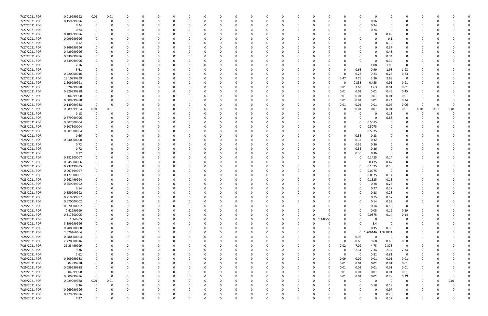| 7/27/2021 PDR | 0.019999992 | 0.01        | 0.01     | 0        | 0        |          | $\Omega$ |          |          | $\Omega$ |          |              | 0        |                         | 0                    |           | 0                       | $\Omega$ | $\Omega$ |             |          |      |      |  |
|---------------|-------------|-------------|----------|----------|----------|----------|----------|----------|----------|----------|----------|--------------|----------|-------------------------|----------------------|-----------|-------------------------|----------|----------|-------------|----------|------|------|--|
| 7/27/2021 PDR | 0.159999996 | $\Omega$    |          | $\Omega$ | $\Omega$ |          |          |          |          | $\Omega$ |          |              | O        |                         |                      |           | 0.16<br>$\Omega$        |          |          |             | $\Omega$ |      |      |  |
| 7/27/2021 PDR | 0.24        |             |          |          |          |          |          |          |          |          |          |              |          |                         |                      |           | 0.24<br>0               |          |          |             |          |      |      |  |
| 7/27/2021 PDR | 0.24        |             |          | -0       |          |          |          |          |          |          |          |              | 0        |                         |                      |           | 0                       | 0.24     | - 0      |             |          |      |      |  |
| 7/27/2021 PDR | 0.489999996 |             |          |          |          |          |          |          |          |          |          |              |          |                         |                      |           |                         |          | 0.49     |             |          |      |      |  |
|               |             |             |          |          |          |          |          |          |          |          |          |              |          |                         |                      |           |                         |          |          |             |          |      |      |  |
| 7/27/2021 PDR | 0.099999996 |             |          |          |          |          |          |          |          |          |          |              |          |                         |                      |           |                         |          | 0.1      |             |          |      |      |  |
| 7/27/2021 PDR | 0.12        |             |          |          |          |          |          |          |          |          |          |              |          |                         |                      |           |                         |          | 0.12     | 0           |          |      |      |  |
| 7/27/2021 PDR | 0.369999996 |             |          |          |          |          |          |          |          |          |          |              |          |                         |                      |           |                         |          | 0.37     |             |          |      |      |  |
| 7/27/2021 PDR | 0.429999996 |             |          |          |          |          |          |          |          |          |          |              |          |                         |                      |           |                         |          | 0.43     |             |          |      |      |  |
| 7/27/2021 PDR | 0.339999996 |             |          |          |          |          |          |          |          |          |          |              |          |                         |                      |           |                         |          | 0.34     |             |          |      |      |  |
| 7/27/2021 PDR | 0.339999996 |             |          |          |          |          |          |          |          |          |          |              |          |                         |                      |           |                         |          | 0.34     |             |          |      |      |  |
| 7/27/2021 PDR | 2.16        |             |          |          |          |          |          |          |          |          |          |              |          |                         |                      |           | 1.08<br>0               |          | 1.08     | $\Omega$    |          |      |      |  |
| 7/27/2021 PDR | 5.61        |             |          |          |          |          |          |          |          |          |          |              |          |                         |                      | 0.66      | 0.99                    |          | 1.98     | 1.98        |          |      |      |  |
| 7/27/2021 PDR | 0.920000016 |             |          |          |          |          |          |          |          |          |          |              |          |                         |                      | 0.23      | 0.23                    |          | 0.23     | 0.23        |          |      |      |  |
| 7/27/2021 PDR | 23.10999999 |             |          | -0       |          |          |          |          |          | - 0      |          |              |          |                         | 7.47<br>$\Omega$     | 7.75      | 5.26                    |          | 2.63     | $\Omega$    |          |      |      |  |
|               |             |             |          |          |          |          |          |          |          |          |          |              |          |                         |                      |           |                         |          |          |             |          |      |      |  |
| 7/27/2021 PDR | 2.609999991 |             |          |          |          |          |          |          |          |          |          |              |          |                         | 0                    | 0.335     | 0.455                   |          | 0.91     | 0.91        |          |      |      |  |
| 7/28/2021 PDR | 3.28999998  |             |          |          |          |          |          |          |          |          |          |              |          |                         | 0.01<br>0            | 1.63      | 1.63                    |          | 0.01     | 0.01        |          |      |      |  |
| 7/28/2021 PDR | 0.929999988 |             |          | $\Omega$ |          |          |          |          |          |          |          |              |          |                         | 0.01<br>$\Omega$     | 0.01      | 0.01                    |          | 0.45     | 0.45        |          |      |      |  |
| 7/28/2021 PDR | 0.04999998  |             |          |          |          |          |          |          |          |          |          |              |          |                         | 0.01                 | 0.01      | 0.01                    |          | 0.01     | 0.01        |          |      |      |  |
| 7/28/2021 PDR | 0.509999988 |             |          |          |          |          |          |          |          | - 0      |          |              | C        |                         | 0.01<br>$\Omega$     | 0.01      | 0.01                    |          | 0.24     | 0.24        |          |      |      |  |
| 7/28/2021 PDR | 0.149999988 |             |          |          |          |          |          |          |          |          |          |              |          |                         | 0.01<br>0            | 0.01      | 0.01                    |          | 0.06     | 0.06        | -0       |      |      |  |
| 7/28/2021 PDR | 0.089999964 | 0.01        | 0.01     |          |          |          |          |          |          |          |          |              |          |                         |                      | 0.01      | 0.01                    |          | 0.01     | 0.01        | 0.01     | 0.01 | 0.01 |  |
| 7/28/2021 PDR | 0.18        |             |          |          |          |          |          |          |          |          |          |              |          |                         |                      |           | 0                       |          | 0.18     |             | 0        |      |      |  |
| 7/28/2021 PDR | 0.879999996 |             |          |          |          |          |          |          |          |          |          |              |          |                         |                      |           | 0                       |          | 0.88     |             |          |      |      |  |
| 7/28/2021 PDR | 0.507500004 |             |          |          |          |          |          |          |          |          |          |              |          |                         |                      |           | 0.5075<br>0             |          |          |             |          |      |      |  |
| 7/28/2021 PDR | 0.507500004 |             |          |          |          |          |          |          |          |          |          |              |          |                         |                      |           | 0                       |          |          |             |          |      |      |  |
|               |             |             |          |          |          |          |          |          |          |          |          |              |          |                         |                      |           | 0.5075                  |          | -0       |             |          |      |      |  |
| 7/28/2021 PDR | 0.507500004 |             |          |          |          |          |          |          |          |          |          |              |          |                         |                      |           | 0.5075<br>$\Omega$      |          |          |             |          |      |      |  |
| 7/28/2021 PDR | 0.66        |             |          |          |          |          |          |          |          |          |          |              |          |                         |                      | 0.33      | 0.33                    |          |          |             |          |      |      |  |
| 7/28/2021 PDR | 0.640000008 |             |          |          |          |          |          |          |          |          |          |              |          |                         |                      | 0.32      | 0.32                    |          |          |             |          |      |      |  |
| 7/28/2021 PDR | 0.72        |             |          |          |          |          |          |          |          |          |          |              |          |                         |                      | 0.36      | 0.36                    |          |          |             |          |      |      |  |
| 7/28/2021 PDR | 0.72        |             |          | 0        |          |          |          |          |          |          |          |              |          |                         |                      | 0.36<br>0 | 0.36                    |          |          |             |          |      |      |  |
| 7/28/2021 PDR | 0.72        |             |          | -0       |          |          |          |          |          |          |          |              |          |                         |                      | 0.36      | 0.36                    |          | - 0      | $\Omega$    |          |      |      |  |
| 7/28/2021 PDR | 0.282500007 |             |          |          |          |          |          |          |          |          |          |              |          |                         |                      |           | 0.1425<br>0             |          | 0.14     |             |          |      |      |  |
| 7/28/2021 PDR | 0.945000006 |             |          |          |          |          |          |          |          |          |          |              |          |                         |                      |           | 0.475<br>0              |          | 0.47     |             |          |      |      |  |
| 7/28/2021 PDR | 0.732499995 |             |          |          |          |          |          |          |          |          |          |              |          |                         |                      |           | 0.1525<br>0             |          | 0.58     |             |          |      |      |  |
| 7/28/2021 PDR | 0.097499997 |             |          |          |          |          |          |          |          |          |          |              |          |                         |                      |           | 0.0975<br>0             |          | - 0      |             |          |      |      |  |
|               |             |             |          |          |          |          |          |          |          |          |          |              |          |                         |                      |           |                         |          |          |             |          |      |      |  |
| 7/28/2021 PDR | 0.177500001 |             |          | -0       |          |          |          |          |          |          |          |              |          |                         |                      |           | 0.0375<br>0             |          | 0.14     |             |          |      |      |  |
| 7/28/2021 PDR | 0.262499994 |             |          |          |          |          |          |          |          |          |          |              |          |                         |                      |           | 0.1325<br>0             |          | 0.13     |             |          |      |      |  |
| 7/28/2021 PDR | 0.559999992 |             |          |          |          |          |          |          |          |          |          |              |          |                         |                      |           | 0.28                    |          | 0.28     |             |          |      |      |  |
| 7/28/2021 PDR | 0.54        |             |          | $\Omega$ |          |          |          |          |          | $\Omega$ |          |              |          |                         |                      |           | 0.27<br>$\Omega$        |          | 0.27     |             |          |      |      |  |
| 7/28/2021 PDR | 0.559999992 | 0           |          |          | $\Omega$ |          |          |          |          | 0        |          |              | C        |                         |                      |           | 0.28<br>$\Omega$        |          | 0.28     |             |          |      |      |  |
| 7/28/2021 PDR | 0.719999997 | $\mathbf 0$ |          | 0        | $\Omega$ | $\Omega$ | 0        | O        | O        | $\Omega$ | $\Omega$ | $\Omega$     | 0        |                         | 0                    |           | 0.15<br>0               |          | 0.57     | 0           | 0        |      |      |  |
| 7/28/2021 PDR | 0.670000002 | 0           |          | $\Omega$ | $\Omega$ |          |          |          |          | $\Omega$ |          | <sup>0</sup> | 0        |                         |                      |           | 0.14<br>0               |          | 0.53     | 0           |          |      |      |  |
| 7/28/2021 PDR | 0.670000002 | 0           |          | 0        | $\Omega$ |          |          |          |          | $\Omega$ |          |              | O        |                         |                      |           | 0.14<br>$\Omega$        |          | 0.53     | $\mathbf 0$ |          |      |      |  |
| 7/28/2021 PDR | 0.42999999  | 0           |          | 0        | - 0      |          | -0       |          |          | $\Omega$ |          |              | 0        |                         |                      |           | 0.05<br>0               |          | 0.19     | 0.19        |          |      |      |  |
| 7/28/2021 PDR | 0.317500005 |             |          |          | 0        |          |          |          |          | $\Omega$ |          |              | 0        |                         |                      |           | 0.0375<br>$\Omega$      |          | 0.14     | 0.14        |          |      |      |  |
| 7/28/2021 PDR | 1.14E-05    | 0           |          |          | $\Omega$ |          |          |          |          | 0        |          |              | 0        | 1.14E-05<br>$\mathbf 0$ |                      |           | 0                       | -0       | - 0      | 0           |          |      |      |  |
|               |             |             |          |          |          |          |          |          |          |          |          |              |          |                         |                      |           |                         |          |          |             |          |      |      |  |
| 7/28/2021 PDR | 3.399999996 | 0           |          | 0        | 0        |          |          |          |          |          |          |              | 0        |                         | 0                    |           | 0                       | 3.4      | - 0      | 0           |          |      |      |  |
| 7/28/2021 PDR | 0.700000008 | 0           |          | $\Omega$ | $\Omega$ |          |          |          |          |          |          |              | $\Omega$ |                         |                      |           | 0.35<br>$\Omega$        |          | 0.35     | $\mathbf 0$ |          |      |      |  |
| 7/28/2021 PDR | 2.529166664 | 0           |          | 0        | $\Omega$ |          |          |          |          | 0        |          |              | O        |                         |                      |           | 1.206146<br>$\mathbf 0$ | 1.323021 |          | 0           |          |      |      |  |
| 7/28/2021 PDR | 0.980000004 | 0           |          | 0        | 0        |          |          |          |          | 0        |          |              | 0        |                         |                      | 0.98      |                         |          | - 0      | 0           |          |      |      |  |
| 7/28/2021 PDR | 2.720000016 |             |          | $\Omega$ | $\Omega$ |          |          |          |          | $\Omega$ |          |              | 0        |                         | $\Omega$             | 0.68<br>n | 0.68                    |          | 0.68     | 0.68        |          |      |      |  |
| 7/28/2021 PDR | 21.23499999 |             |          |          | 0        |          |          |          |          | 0        |          |              |          |                         | 7.02<br>0            | 7.09      | 4.75                    | 2.375    |          | 0           |          |      |      |  |
| 7/28/2021 PDR | 9.36        |             |          |          | 0        |          |          |          |          |          |          |              |          |                         |                      | 2.34      | 2.34                    |          | 2.34     | 2.34        |          |      |      |  |
| 7/28/2021 PDR | 1.62        |             |          |          |          |          |          |          |          |          |          |              |          |                         |                      |           | 0.81<br>0               |          | 0.81     | $\mathbf 0$ |          |      |      |  |
| 7/29/2021 PDR | 0.209999988 | 0           |          | 0        | $\Omega$ |          |          |          |          | 0        |          |              | 0        |                         | 0.09<br>$\Omega$     | 0.09      | 0.01                    |          | 0.01     | 0.01        | 0        |      |      |  |
| 7/29/2021 PDR | 0.04999998  |             |          | 0        | $\Omega$ |          |          |          |          | 0        |          |              | 0        |                         | 0.01<br><sup>n</sup> | 0.01      | 0.01                    |          | 0.01     | 0.01        |          |      |      |  |
| 7/29/2021 PDR | 0.059999988 | 0           |          | $\Omega$ | $\Omega$ |          |          |          |          | $\Omega$ | $\Omega$ |              | 0        |                         | 0.01<br>$\Omega$     | 0.02      | 0.01                    |          | 0.01     |             |          |      |      |  |
|               |             |             |          |          |          |          |          |          |          |          |          |              |          |                         |                      |           |                         |          |          | 0.01        |          |      |      |  |
| 7/29/2021 PDR | 0.04999998  | 0           |          | 0        | 0        |          |          |          |          | 0        |          |              | 0        |                         | 0.01<br>0            | 0.01      | 0.01                    |          | 0.01     | 0.01        |          |      |      |  |
| 7/29/2021 PDR | 0.609999996 | $\Omega$    |          |          | $\Omega$ |          |          |          |          |          |          |              | 0        |                         | 0.01<br>$\Omega$     | 0.01      | 0.01                    |          | 0.29     | 0.29        |          |      |      |  |
| 7/29/2021 PDR | 0.029999988 | $0.01\,$    | 0.01     | 0        | $\Omega$ |          |          |          |          |          |          |              | 0        |                         |                      |           | 0                       | $\Omega$ | 0        | 0           |          |      | 0.01 |  |
| 7/29/2021 PDR | 0.36        | $\mathbf 0$ |          | 0        | $\Omega$ |          |          |          |          | 0        |          |              |          |                         |                      |           | 0                       | 0.18     | 0.18     | 0           |          |      |      |  |
| 7/29/2021 PDR | 0.969999996 | 0           |          | $\Omega$ | $\Omega$ |          |          |          |          | $\Omega$ |          |              | 0        |                         |                      |           | $\Omega$                |          | 0.97     | $\Omega$    |          |      |      |  |
| 7/29/2021 PDR | 0.279999996 |             |          | 0        | 0        |          | -0       |          |          | 0        |          | 0            | 0        |                         |                      |           | 0                       |          | 0.28     | 0           |          |      | 0    |  |
| 7/29/2021 PDR | 0.27        | $\mathbf 0$ | $\Omega$ | $\Omega$ | $\Omega$ | $\Omega$ | $\Omega$ | $\Omega$ | $\Omega$ | $\Omega$ | $\Omega$ | $\Omega$     | $\Omega$ |                         | $\Omega$             |           | $\Omega$                |          | 0.27     | $\mathbf 0$ | $\Omega$ |      | 0    |  |
|               |             |             |          |          |          |          |          |          |          |          |          |              |          |                         |                      |           |                         |          |          |             |          |      |      |  |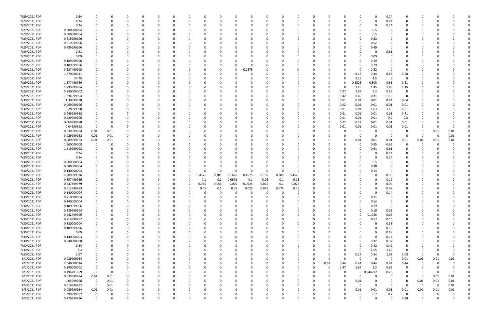| 7/29/2021 PDR | 0.24        |             |          | 0        | 0        | - 0      |          | 0            |        | 0        |        | 0        |          |          | 0        | 0        |          |      | 0            | 0        | 0.24        | 0              | -0          |          |             |             |
|---------------|-------------|-------------|----------|----------|----------|----------|----------|--------------|--------|----------|--------|----------|----------|----------|----------|----------|----------|------|--------------|----------|-------------|----------------|-------------|----------|-------------|-------------|
| 7/29/2021 PDR | 0.24        | $\Omega$    |          | $\Omega$ | $\Omega$ | - 0      |          | <sup>0</sup> |        |          |        | $\Omega$ | $\Omega$ | $\Omega$ | $\Omega$ | 0        |          |      | 0            | $\Omega$ | 0.24        | $\mathbf 0$    | 0           |          |             |             |
| 7/29/2021 PDR | 0.24        |             |          |          |          |          |          |              |        |          |        |          |          |          |          |          |          |      | 0            | $\Omega$ | 0.24        | 0              |             |          |             |             |
| 7/29/2021 PDR | 0.500000004 |             |          |          |          |          |          |              |        |          |        |          |          |          |          |          |          |      | 0            | 0.5      |             |                |             |          |             |             |
| 7/29/2021 PDR | 0.500000004 |             |          |          |          |          |          |              |        |          |        |          |          |          |          |          |          |      | 0            | 0.5      |             |                |             |          |             |             |
| 7/29/2021 PDR | 0.519999996 |             |          |          |          |          |          |              |        |          |        |          |          |          |          |          |          |      | 0            |          |             |                |             |          |             |             |
|               |             |             |          |          |          |          |          |              |        |          |        |          |          |          |          |          |          |      |              | 0.52     |             |                |             |          |             |             |
| 7/29/2021 PDR | 0.519999996 |             |          |          |          |          |          |              |        |          |        |          |          |          |          |          |          |      | 0            | 0.52     |             |                |             |          |             |             |
| 7/29/2021 PDR | 0.489999996 |             |          |          |          |          |          |              |        |          |        | റ        |          |          |          |          |          |      | <sup>0</sup> | 0.49     | $\Omega$    |                |             |          |             |             |
| 7/29/2021 PDR | 0.51        |             |          |          |          |          |          |              |        |          |        |          |          |          |          |          |          |      | 0            | -0       | 0.51        |                |             |          |             |             |
| 7/29/2021 PDR | 0.09        |             |          |          |          |          |          |              |        |          |        |          |          |          |          |          |          |      | 0            | 0.09     |             |                |             |          |             |             |
| 7/29/2021 PDR | 0.189999996 |             |          |          |          |          |          |              |        |          |        | -0       |          |          |          |          |          |      | 0            | 0.19     | $\Omega$    |                |             |          |             |             |
| 7/29/2021 PDR | 0.189999996 |             |          |          |          |          |          |              |        |          |        | $\Omega$ |          |          |          |          |          |      | 0            | 0.19     |             |                |             |          |             |             |
| 7/29/2021 PDR | 0.657499995 |             |          |          |          |          |          |              |        |          |        | 0.1375   |          |          |          |          |          |      | 0            | 0.52     | - 0         |                |             |          |             |             |
| 7/29/2021 PDR | 1.870000011 |             |          |          |          |          |          |              |        |          |        | 0        |          |          |          |          |          |      | 0.17         | 0.34     | 0.68        | 0.68           |             |          |             |             |
| 7/29/2021 PDR | 24.75       |             |          |          |          |          |          |              |        |          |        |          |          |          |          |          |          |      | 2.25         | 4.5      | -9          | 9              |             |          |             |             |
| 7/29/2021 PDR | 1.677499989 |             |          |          |          |          |          |              |        |          |        |          |          |          |          |          | 0        |      | .1525        | 0.305    | 0.61        | 0.61           |             |          |             |             |
| 7/29/2021 PDR | 5.799999984 |             |          |          |          |          |          |              |        |          |        |          |          |          |          |          | 0        | O    | 1.45         | 1.45     | 1.45        | 1.45           |             |          |             |             |
| 7/29/2021 PDR | 5.890000002 |             |          |          |          |          |          |              |        |          |        |          |          |          |          |          | 0        | 1.97 |              |          | 0.65        | 0              |             |          |             |             |
|               |             |             |          |          |          |          |          |              |        |          |        |          |          |          |          |          |          |      | 1.97         | 1.3      |             |                |             |          |             |             |
| 7/29/2021 PDR | 1.334999994 |             |          |          |          |          |          |              |        |          |        |          |          |          |          |          |          | 0.42 | 0.45         | 0.31     | 0.155       | $\overline{0}$ |             |          |             |             |
| 7/30/2021 PDR | 1.30999998  |             |          | 0        |          |          |          | -0           |        |          |        | - 0      |          |          |          |          | 0        | 0.01 | 0.01         | 0.01     | 0.64        | 0.64           |             |          |             |             |
| 7/30/2021 PDR | 0.069999996 |             |          |          |          |          |          |              |        |          |        |          |          |          |          |          | $\Omega$ | 0.02 | 0.02         | 0.01     | 0.01        | 0.01           |             |          |             |             |
| 7/30/2021 PDR | 3.28999998  |             |          |          |          |          |          |              |        |          |        |          |          |          |          |          | $\Omega$ | 0.01 | 0.01         | 1.63     | 1.63        | 0.01           |             |          |             |             |
| 7/30/2021 PDR | 0.449999988 |             |          |          |          |          |          |              |        |          |        |          |          |          |          |          | 0        | 0.01 | 0.01         | 0.01     | 0.01        | 0.41           |             |          |             |             |
| 7/30/2021 PDR | 0.429999996 |             |          |          |          |          |          |              |        |          |        |          |          |          |          |          |          | 0.01 | 0.01         | 0.01     | 0.2         | 0.2            |             |          |             |             |
| 7/30/2021 PDR | 0.569999988 |             |          |          |          |          |          |              |        |          |        |          |          |          |          |          |          | 0.27 | 0.27         | 0.01     | 0.01        | 0.01           |             |          |             |             |
| 7/30/2021 PDR | 0.04999998  | 0           | 0        | n        |          |          |          |              |        |          |        |          |          |          |          |          |          | 0.01 | 0.01         | 0.01     | 0.01        | 0.01           |             |          | -0          |             |
| 7/30/2021 PDR | 0.039999984 | 0.01        | 0.01     |          |          |          |          |              |        |          |        |          |          |          |          |          |          |      | -0           |          | $\Omega$    |                | -0          | 0.01     | 0.01        |             |
| 7/30/2021 PDR | 0.029999988 | 0.01        | 0.01     |          |          |          |          |              |        |          |        |          |          |          |          |          |          |      | 0            | $\Omega$ | - 0         | $\Omega$       | 0           | - 0      | 0.01        |             |
| 7/30/2021 PDR | 0.089999964 | 0.01        | 0.01     |          |          |          |          |              |        |          |        |          |          |          |          |          |          |      | 0.01         | 0.01     | 0.01        | 0.01           | 0.01        | 0.01     | 0.01        |             |
| 7/30/2021 PDR | 1.900000008 | 0           |          |          |          |          |          |              |        |          |        |          |          |          |          |          |          |      | 0            | 0.95     | 0.95        | 0              | 0           |          |             |             |
| 7/30/2021 PDR | 1.219999992 |             |          | $\Omega$ |          |          |          |              |        |          |        |          |          |          |          |          |          |      | 0            | 0.61     | 0.61        | 0              | 0           |          |             |             |
|               |             |             |          |          |          |          |          |              |        |          |        |          |          |          |          |          |          |      |              |          |             |                |             |          |             |             |
| 7/30/2021 PDR | 0.24        |             |          |          |          |          |          |              |        |          |        |          |          |          |          |          |          |      | 0            |          | 0.24        | 0              |             |          |             |             |
| 7/30/2021 PDR | 0.24        |             |          |          |          |          |          |              |        |          |        |          |          |          |          |          |          |      |              |          | 0.24        |                |             |          |             |             |
| 7/30/2021 PDR | 0.500000004 |             |          |          |          |          |          |              |        |          |        |          |          |          |          |          |          |      | n            | 0.5      |             |                |             |          |             |             |
| 7/30/2021 PDR | 0.380000004 |             |          |          |          |          |          |              |        |          |        | 0        |          | -0       |          |          |          |      | 0            | 0.38     |             |                |             |          |             |             |
| 7/30/2021 PDR | 0.140000004 |             |          |          |          |          |          |              |        |          |        |          |          | $\Omega$ |          |          |          |      |              | 0.14     |             |                |             |          |             |             |
| 7/30/2021 PDR | 2.909999976 |             |          |          |          |          |          | 0            | 0.4575 | 0.305    | 0.1625 | 0.4575   | 0.185    | 0.305    | 0.4575   |          |          |      |              |          | 0.58        |                |             |          |             |             |
| 7/30/2021 PDR | 0.857499969 |             |          |          |          |          |          |              | 0.1    | 0.1      | 0.0675 | 0.1      | 0.05     | 0.1      | 0.15     |          |          |      |              |          | 0.19        |                |             |          |             |             |
| 7/30/2021 PDR | 0.547499979 |             |          | -C       |          |          |          |              | 0.075  | 0.055    | 0.025  | 0.0525   | 0.075    | 0.1      | 0.075    |          |          |      | 0            |          | 0.09        |                |             |          |             |             |
| 7/30/2021 PDR | 0.514999983 |             |          | $\Omega$ |          |          |          | $\Omega$     | 0.05   | 0.1      | 0.05   | 0.025    | 0.075    | 0.075    | 0.05     |          |          |      | $\Omega$     |          | 0.09        | $\Omega$       |             |          |             |             |
| 7/30/2021 PDR | 0.140000004 |             |          |          |          |          |          |              |        |          |        | - 0      |          | -0       |          |          |          |      | 0            | 0        | 0.14        |                |             |          |             |             |
| 7/30/2021 PDR | 0.710000004 | $\Omega$    |          | 0        |          | $\Omega$ |          |              |        |          |        | $\Omega$ |          | $\Omega$ | 0        | $\Omega$ |          |      | 0            | 0.71     | 0           |                | -C          |          |             |             |
| 7/30/2021 PDR | 0.140000004 | $\Omega$    |          |          |          |          |          |              |        |          |        |          |          |          |          |          |          |      | $\Omega$     | 0.14     | $\mathbf 0$ |                |             |          |             |             |
|               |             |             |          |          |          |          |          |              |        |          |        |          |          |          |          |          |          |      |              |          |             |                |             |          |             |             |
| 7/30/2021 PDR | 0.189999996 | 0           |          | 0        |          |          |          |              |        |          |        | 0        |          |          | 0        | 0        |          |      | 0            | 0.19     | 0           | 0              |             |          |             |             |
| 7/30/2021 PDR | 0.239999994 | 0           |          | 0        |          | $\Omega$ |          | <sup>0</sup> |        |          |        | $\Omega$ |          |          | 0        |          |          |      | $\Omega$     | 0.19     | 0.05        | 0              |             |          |             |             |
| 7/30/2021 PDR | 0.242499996 |             |          |          |          | $\Omega$ |          |              |        |          |        |          |          |          | 0        |          |          |      | $\Omega$     | 0.1925   | 0.05        | $\Omega$       |             |          |             |             |
| 7/30/2021 PDR | 0.719999997 |             |          |          |          |          |          |              |        |          |        |          |          |          |          |          |          |      | 0            | 0.57     | 0.15        | 0              |             |          |             |             |
| 7/30/2021 PDR | 0.380000004 |             |          |          |          |          |          |              |        |          |        |          |          |          | 0        |          |          |      |              | -0       | 0.38        | 0              |             |          |             |             |
| 7/30/2021 PDR | 0.189999996 | 0           |          | 0        |          |          |          |              |        |          |        |          |          | 0        | 0        |          |          |      | 0            | $\Omega$ | 0.19        | 0              |             |          |             |             |
| 7/30/2021 PDR | 0.09        |             |          | 0        |          | $\Omega$ |          | 0            |        |          |        | 0        |          |          | 0        | 0        |          |      | 0            | $\Omega$ | 0.09        | 0              | 0           |          |             |             |
| 7/30/2021 PDR | 0.140000004 |             |          | 0        |          | $\Omega$ |          |              |        |          |        |          |          |          | 0        |          |          |      | $\Omega$     | $\Omega$ | 0.14        | 0              |             |          |             |             |
| 7/30/2021 PDR | 0.640000008 |             |          |          |          | 0        |          |              |        |          |        |          |          |          | 0        |          |          |      | 0            | 0.32     | 0.32        | 0              |             |          |             |             |
| 7/30/2021 PDR | 0.84        |             |          |          |          |          |          |              |        |          |        |          |          |          |          |          |          |      | 0            | 0.42     | 0.42        | 0              |             |          |             |             |
| 7/30/2021 PDR | 3.3         |             |          |          |          |          |          |              |        |          |        |          |          |          |          |          |          |      | 0            | 1.65     | 1.65        | 0              |             |          |             |             |
| 7/30/2021 PDR | 2.97        |             |          |          |          |          |          |              |        |          |        |          |          | 0        | 0        |          |          |      | 0.27         | 0.54     | 1.08        | 1.08           | 0           |          |             |             |
| 8/1/2021 PDR  | 0.039999984 |             |          |          |          |          |          |              |        |          |        |          |          |          |          | 0        | O        |      | 0            | $\Omega$ | $\Omega$    | 0.01           | 0.01        | 0.01     | 0.01        |             |
| 8/2/2021 PDR  | 2.640000024 | 0           |          |          |          |          |          |              |        |          |        | 0        |          |          | 0        | 0        | 0.44     | 0.44 | 0.44         | 0.44     | 0.44        |                | 0           |          |             |             |
|               |             |             |          |          |          |          |          |              |        |          |        |          |          |          |          |          |          |      |              |          |             | 0.44           |             |          |             |             |
| 8/2/2021 PDR  | 5.890000002 | 0           |          |          |          |          |          |              |        |          |        | $\Omega$ |          |          | 0        | 0        | - 0      | 1.97 | 1.97         | 1.3      | 0.65        | 0              |             |          |             |             |
| 8/3/2021 PDR  | 0.494791659 | $\mathbf 0$ | 0        |          |          |          |          |              |        |          |        |          |          |          | 0        | - 0      | 0        |      | $\mathbf 0$  | 0.244792 | 0.25        | $\Omega$       | 0           |          | 0           |             |
| 8/3/2021 PDR  | 0.039999984 | $0.01\,$    | $0.01\,$ |          |          |          |          |              |        |          |        |          |          |          | 0        |          |          |      | 0            |          | $\Omega$    | 0              | $\Omega$    | 0.01     | 0.01        |             |
| 8/3/2021 PDR  | 0.04999998  | $\mathbf 0$ | 0.01     |          |          |          |          |              |        |          |        |          |          |          | 0        |          |          | 0    | 0.01         |          | 0           | 0              | 0.01        | 0.01     | 0.01        |             |
| 8/3/2021 PDR  | 0.019999992 | $\mathbf 0$ | 0.01     |          |          |          |          |              |        |          |        |          |          |          |          |          |          |      | 0            | $\Omega$ | - 0         | $\Omega$       | $\mathbf 0$ | $\Omega$ | $0.01\,$    |             |
| 8/3/2021 PDR  | 0.089999964 | 0.01        | 0.01     | 0        | 0        | $\Omega$ |          | $\Omega$     |        |          |        | $\Omega$ |          | 0        | 0        | 0        | O        | 0    | 0.01         | 0.01     | 0.01        | 0.01           | 0.01        | 0.01     | 0.01        |             |
| 8/3/2021 PDR  | 1.399999992 | $\mathbf 0$ | 0        | 0        |          | 0        |          | 0            |        |          |        | 0        |          | 0        | 0        | 0        | 0        |      | 0            | 0.7      | 0.7         | 0              | 0           |          | 0           | 0           |
| 8/3/2021 PDR  | 0.279999996 | $\Omega$    | O        | $\Omega$ | $\Omega$ | $\Omega$ | $\Omega$ | $\Omega$     |        | $\Omega$ |        | $\Omega$ | $\Omega$ | $\Omega$ | $\Omega$ |          | U        |      | $\Omega$     | $\Omega$ | $\Omega$    | 0.28           | $\Omega$    |          | $\mathbf 0$ | $\mathbf 0$ |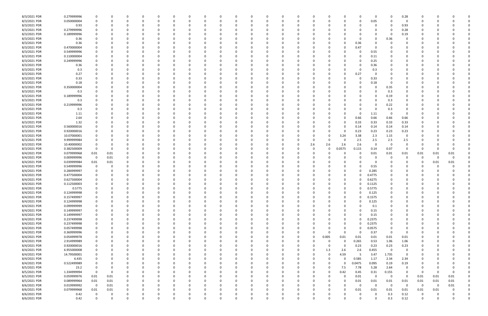| 8/3/2021 PDR | 0.279999996 | 0                       | 0              |          |   |          |          | 0        | 0        |          |   | -0       |          |             | -0       |          |             | 0           |             | 0.28                    |                         |          |             |  |
|--------------|-------------|-------------------------|----------------|----------|---|----------|----------|----------|----------|----------|---|----------|----------|-------------|----------|----------|-------------|-------------|-------------|-------------------------|-------------------------|----------|-------------|--|
| 8/3/2021 PDR | 0.050000004 |                         |                |          |   |          |          | $\Omega$ | C        |          |   |          |          |             |          |          |             | 0.05        |             | $\Omega$                |                         |          |             |  |
| 8/3/2021 PDR | 0.93        |                         |                |          |   |          |          |          |          |          |   |          |          |             |          |          |             | 0           |             | 0.93                    |                         |          |             |  |
| 8/3/2021 PDR | 0.279999996 |                         |                |          |   |          |          |          |          |          |   |          |          |             |          |          |             | C           |             | 0.28                    |                         |          |             |  |
| 8/3/2021 PDR | 0.189999996 |                         |                |          |   |          |          |          |          |          |   |          |          |             |          |          |             | 0           |             | 0.19                    |                         |          |             |  |
| 8/3/2021 PDR |             |                         |                |          |   |          |          |          |          |          |   |          |          |             |          |          |             | 0           | 0.36        |                         |                         |          |             |  |
|              | 0.36        |                         |                |          |   |          |          |          |          |          |   |          |          |             |          |          |             |             |             |                         |                         |          |             |  |
| 8/3/2021 PDR | 0.36        |                         |                |          |   |          |          |          |          |          |   |          |          |             |          |          | 0.36        | C           |             |                         |                         |          |             |  |
| 8/3/2021 PDR | 0.470000004 |                         |                |          |   |          |          |          |          |          |   |          |          |             |          |          | 0.47        | 0           |             |                         |                         |          |             |  |
| 8/3/2021 PDR | 0.549999996 |                         |                |          |   |          |          |          |          |          |   |          |          |             |          |          | 0           | 0.55        |             |                         |                         |          |             |  |
| 8/3/2021 PDR | 0.110000004 |                         |                |          |   |          |          |          |          |          |   |          |          |             |          |          | 0           | 0.11        |             |                         |                         |          |             |  |
| 8/3/2021 PDR | 0.249999996 |                         |                |          |   |          |          |          |          |          |   |          |          |             |          |          |             | 0.25        |             |                         |                         |          |             |  |
| 8/3/2021 PDR | 0.36        |                         |                |          |   |          |          |          |          |          |   |          |          |             |          |          | 0           | 0.36        |             |                         |                         |          |             |  |
| 8/3/2021 PDR | 0.3         | $\Omega$                |                |          |   |          |          |          |          |          |   |          |          |             |          |          | 0           | 0.3         |             |                         |                         |          |             |  |
| 8/3/2021 PDR | 0.27        |                         |                |          |   |          |          |          |          |          |   |          |          |             |          |          | 0.27        | 0           |             |                         |                         |          |             |  |
| 8/3/2021 PDR | 0.33        |                         |                |          |   |          |          |          |          |          |   |          |          |             |          |          | 0           | 0.33        |             |                         |                         |          |             |  |
| 8/3/2021 PDR | 0.18        |                         |                |          |   |          |          |          |          |          |   |          |          |             |          |          |             | 0.18        |             |                         |                         |          |             |  |
| 8/3/2021 PDR | 0.350000004 |                         |                |          |   |          |          |          |          |          |   |          |          |             |          |          |             | 0           | 0.35        | 0                       |                         |          |             |  |
| 8/3/2021 PDR | 0.3         |                         | 0              |          |   |          |          |          |          |          |   |          |          |             |          |          |             | 0           | 0.3         | 0                       |                         |          |             |  |
|              |             |                         |                |          |   |          |          |          |          |          |   |          |          |             |          |          |             |             |             |                         |                         |          |             |  |
| 8/3/2021 PDR | 0.189999996 |                         |                |          |   |          |          |          |          |          |   |          |          |             |          |          |             | 0           | 0.19        | 0                       |                         |          |             |  |
| 8/3/2021 PDR | 0.3         |                         |                |          |   |          |          |          |          |          |   |          |          |             |          |          |             | 0           | 0.3         | 0                       |                         |          |             |  |
| 8/3/2021 PDR | 0.219999996 |                         |                |          |   |          |          |          |          |          |   |          |          |             |          |          |             | 0           | 0.22        | 0                       |                         |          |             |  |
| 8/3/2021 PDR | 0.3         |                         |                |          |   |          |          |          |          |          |   |          |          |             |          |          |             | 0           | 0.3         |                         |                         |          |             |  |
| 8/3/2021 PDR | 1.11        |                         |                |          |   |          |          |          |          |          |   |          |          |             |          |          | 0           | 1.11        | -0          | 0                       |                         |          |             |  |
| 8/3/2021 PDR | 2.64        |                         |                |          |   |          |          |          |          |          |   |          |          |             |          |          | 0.66        | 0.66        | 0.66        | 0.66                    |                         |          |             |  |
| 8/3/2021 PDR | 1.32        |                         |                |          |   |          |          |          |          |          |   |          |          |             | $\Omega$ |          | 0.33        | 0.33        | 0.33        | 0.33                    |                         |          |             |  |
| 8/3/2021 PDR | 0.560000016 |                         |                |          |   |          |          |          |          |          |   |          |          |             | -0       |          | 0.14        | 0.14        | 0.14        | 0.14                    |                         |          |             |  |
| 8/3/2021 PDR | 0.920000016 |                         |                |          |   |          |          |          |          |          |   |          |          |             | 0        |          | 0.23        | 0.23        | 0.23        | 0.23                    |                         |          |             |  |
| 8/3/2021 PDR | 10.07000001 |                         |                |          |   |          |          |          |          |          |   |          |          |             | 0        | 3.24     | 3.38        | 2.3         | 1.15        | - 0                     |                         |          |             |  |
| 8/3/2021 PDR | 9.999999984 |                         |                |          |   |          |          |          |          |          |   |          |          |             |          |          | 2.5         | 2.5         | 2.5         | 2.5                     |                         |          |             |  |
| 8/3/2021 PDR | 10.40000002 | 0                       |                |          |   |          |          |          |          |          |   |          |          | 2.6         | 2.6      | 2.6      | 2.6         | $\Omega$    | $\Omega$    | $\Omega$                |                         |          |             |  |
| 8/3/2021 PDR |             | 0                       | $\Omega$       |          |   |          |          |          |          |          |   |          |          |             |          | 0.0575   | 0.115       |             | 0.07        | - 0                     | 0                       |          | n           |  |
|              | 0.382500009 |                         |                |          |   |          |          |          |          |          |   |          |          |             | 0        |          |             | 0.14        |             |                         |                         |          |             |  |
| 8/4/2021 PDR | 0.079999968 | 0.01                    | 0.01           |          |   |          |          |          |          |          |   |          |          |             |          |          | 0           | 0.01        | 0.01        | 0.01                    | 0.01                    | 0.01     | 0.01        |  |
| 8/4/2021 PDR | 0.009999996 | $\overline{0}$          | 0.01           |          |   |          |          |          |          |          |   |          |          |             |          |          |             | C           |             |                         | C                       | -0       |             |  |
| 8/4/2021 PDR | 0.039999984 | 0.01                    | 0.01           |          |   |          |          |          |          |          |   |          |          |             |          |          |             | 0           |             |                         | 0                       | 0.01     | 0.01        |  |
| 8/4/2021 PDR | 0.549999996 | 0                       |                |          |   |          |          |          |          |          |   |          |          |             |          |          |             | 0.55        |             |                         |                         |          |             |  |
| 8/4/2021 PDR | 0.284999997 |                         |                |          |   |          |          |          |          |          |   |          |          |             |          |          |             | 0.285       |             |                         |                         |          |             |  |
| 8/4/2021 PDR | 0.477500004 |                         |                |          |   |          |          |          |          |          |   |          |          |             |          |          | 0           | 0.4775      |             |                         |                         |          |             |  |
| 8/4/2021 PDR | 0.627500004 |                         |                |          |   |          |          |          |          |          |   |          |          |             |          |          |             | 0.6275      |             |                         |                         |          |             |  |
| 8/4/2021 PDR | 0.112500003 |                         |                |          |   |          |          |          |          |          |   |          |          |             |          |          |             | 0.1125      |             |                         |                         |          |             |  |
| 8/4/2021 PDR | 0.5775      | $\mathbf 0$             |                |          |   |          |          |          |          |          |   |          |          |             |          |          | 0           | 0.5775      |             |                         |                         |          |             |  |
| 8/4/2021 PDR | 0.124999998 | $\mathbf 0$             |                |          |   | 0        |          | 0        |          |          |   | 0        |          |             |          |          |             | 0.125       | <b>U</b>    | O                       | U                       |          |             |  |
| 8/4/2021 PDR | 0.157499997 | $\mathbf 0$             | $\overline{0}$ | 0        | 0 | $\Omega$ |          | 0        | 0        | 0        | 0 | $\Omega$ | - 0      | $\mathbf 0$ | 0        | $\Omega$ | 0           | 0.1575      | $\mathbf 0$ | $\Omega$                | 0                       |          |             |  |
|              | 0.124999998 | $\mathbf 0$             | $\Omega$       |          | 0 |          |          | 0        | 0        |          |   | $\Omega$ |          | 0           |          |          | $\Omega$    |             | $\Omega$    | 0                       |                         |          |             |  |
| 8/4/2021 PDR |             |                         |                |          |   |          |          |          |          |          |   |          |          |             |          |          |             | 0.125       |             |                         | O                       |          |             |  |
| 8/4/2021 PDR | 0.099999999 | 0                       | $\Omega$       |          | 0 |          |          | 0        | 0        |          |   | $\Omega$ | 0        |             | -C       |          | 0           | 0.1         |             | 0                       | 0                       |          |             |  |
| 8/4/2021 PDR | 0.149999997 | 0                       | 0              |          |   |          |          | 0        | 0        |          |   |          | 0        |             |          |          |             | 0.15        |             | 0                       | 0                       |          |             |  |
| 8/4/2021 PDR | 0.149999997 | $\mathbf 0$             | 0              |          |   |          |          | 0        | 0        |          |   |          |          |             |          |          | 0           | 0.15        |             | 0                       | 0                       |          |             |  |
| 8/4/2021 PDR | 0.237499998 | 0                       | 0              |          | 0 |          |          | $\Omega$ | 0        |          |   |          | 0        |             |          | $\Omega$ | 0           | 0.2375      | 0           | 0                       | 0                       |          |             |  |
| 8/4/2021 PDR | 0.237499998 | $\mathbf 0$             | 0              |          | 0 |          |          | 0        | 0        |          |   |          | 0        |             |          | $\Omega$ | 0           | 0.2375      | 0           | 0                       | 0                       |          |             |  |
| 8/4/2021 PDR | 0.057499998 | $\mathbf 0$             | $\Omega$       |          | 0 |          |          | 0        | 0        |          |   |          | $\Omega$ |             |          | $\Omega$ | 0           | 0.0575      | 0           | 0                       | O                       |          |             |  |
| 8/4/2021 PDR | 0.369999996 | 0                       |                |          | 0 |          |          | 0        | 0        |          |   |          | $\Omega$ |             | $\Omega$ | $\Omega$ | 0           | 0.37        | $\Omega$    | $\overline{0}$          | 0                       |          |             |  |
| 8/4/2021 PDR | 0.054999978 | 0                       | 0              |          | 0 |          |          | 0        | 0        |          |   |          | 0        | 0           | 0.005    | 0.01     | 0.01        | 0.01        | 0.01        | 0.01                    | 0                       |          |             |  |
| 8/4/2021 PDR | 2.914999989 | $\mathbf 0$             |                |          |   |          |          | 0        |          |          |   |          |          |             | 0        |          | 0.265       | 0.53        | 1.06        | 1.06                    |                         |          |             |  |
| 8/4/2021 PDR | 0.920000016 | $\mathbf 0$             |                |          |   |          |          | 0        | 0        |          |   |          |          |             | 0        | - 0      | 0.23        | 0.23        | 0.23        | 0.23                    | 0                       |          |             |  |
| 8/4/2021 PDR | 6.955000008 | $\mathbf 0$             | 0              |          | 0 |          |          | 0        | 0        |          |   | 0        | 0        | 0           | 1.3      | 2.6      | 2.6         | 0.455       | $\mathbf 0$ | 0                       | O                       |          |             |  |
| 8/4/2021 PDR | 14.79500001 | 0                       | 0              |          | 0 |          |          | 0        | 0        |          |   | $\Omega$ | $\Omega$ | 0           | 0        | 4.59     | 5           | 3.47        | 1.735       | $\mathbf 0$             | O                       |          |             |  |
| 8/4/2021 PDR | 6.435       | 0                       | $\Omega$       |          | 0 |          |          | 0        | 0        |          |   | 0        | $\Omega$ |             | $\Omega$ |          | 0.585       | 1.17        | 2.34        | 2.34                    | 0                       |          |             |  |
|              |             |                         |                |          |   |          |          |          |          |          |   |          |          |             |          |          |             |             |             |                         |                         |          |             |  |
| 8/4/2021 PDR | 0.522499989 | 0                       | 0              |          | 0 |          |          | 0        | 0        |          |   | $\Omega$ | 0        |             | 0        |          | 0.0475      | 0.095       | 0.19        | 0.19                    | 0                       |          |             |  |
| 8/5/2021 PDR | 23.2        | 0                       | 0              |          | 0 |          |          | $\Omega$ | 0        |          |   |          | $\Omega$ |             | $\Omega$ | 7.5      | 7.78        | 5.28        | 2.64        | 0                       | 0                       |          |             |  |
| 8/5/2021 PDR | 1.334999994 | $\mathbf 0$             | 0              |          | 0 |          |          | 0        | 0        |          |   | -0       | 0        |             | 0        | 0.42     | 0.45        | 0.31        | 0.155       | 0                       | - 0                     | 0        |             |  |
| 8/5/2021 PDR | 0.059999976 | $0.01\,$                | $0.01\,$       |          | 0 |          |          | 0        | 0        |          |   |          | $\Omega$ |             | 0        |          | $0.01\,$    | $\mathbf 0$ | $\mathbf 0$ | $\overline{\mathbf{0}}$ | 0.01                    | 0.01     | 0.01        |  |
| 8/5/2021 PDR | 0.089999964 | 0.01                    | 0.01           |          | 0 |          |          | 0        | 0        |          |   | 0        | $\Omega$ |             | 0        |          | 0.01        | 0.01        | 0.01        | 0.01                    | 0.01                    | 0.01     | 0.01        |  |
| 8/6/2021 PDR | 0.019999992 | $\overline{\mathbf{0}}$ | 0.01           | 0        | 0 |          |          | 0        | 0        |          |   | 0        | 0        |             | 0        |          | $\mathbf 0$ | 0           | $\mathbf 0$ | $\mathbf 0$             | $\overline{\mathbf{0}}$ | - 0      | 0.01        |  |
| 8/6/2021 PDR | 0.079999968 | $0.01\,$                | 0.01           |          | 0 |          |          | 0        | 0        |          |   | $\Omega$ | $\Omega$ |             | 0        |          | 0.01        | 0.01        | 0.01        | 0.01                    | 0.01                    | 0.01     |             |  |
| 8/6/2021 PDR | 0.42        | 0                       |                |          |   |          |          | 0        | C        |          |   |          |          |             |          |          | 0           | 0           | 0.3         | 0.12                    | 0                       |          |             |  |
| 8/6/2021 PDR | 0.42        | $\Omega$                | $\Omega$       | $\Omega$ |   | $\Omega$ | $\Omega$ | $\Omega$ | $\Omega$ | $\Omega$ |   | $\Omega$ | $\Omega$ | $\Omega$    | 0        |          | $\Omega$    | $\Omega$    | 0.3         | 0.12                    | $\mathbf 0$             | $\Omega$ | $\mathbf 0$ |  |
|              |             |                         |                |          |   |          |          |          |          |          |   |          |          |             |          |          |             |             |             |                         |                         |          |             |  |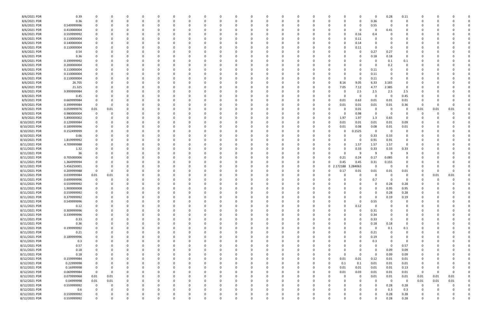| 8/6/2021 PDR  | 0.39        |                |          |          |          |          |          |          |              |          |              |          |          |          |          |              |          |             | $\Omega$    | 0.28     | 0.11           |              |      |          |  |
|---------------|-------------|----------------|----------|----------|----------|----------|----------|----------|--------------|----------|--------------|----------|----------|----------|----------|--------------|----------|-------------|-------------|----------|----------------|--------------|------|----------|--|
| 8/6/2021 PDR  | 0.36        | $\Omega$       | 0        |          |          |          |          | 0        |              |          | <sup>0</sup> | $\Omega$ |          |          | 0        |              | 0        | 0           | 0.36        | 0        | 0              |              |      |          |  |
| 8/6/2021 PDR  | 0.549999996 |                |          |          |          |          |          |          |              |          |              |          |          |          |          |              |          | 0           | 0.55        | - 0      |                |              |      |          |  |
| 8/6/2021 PDR  | 0.410000004 |                |          |          |          |          |          |          |              |          |              |          |          |          |          |              |          | 0           | $\Omega$    | 0.41     |                |              |      |          |  |
|               |             |                |          |          |          |          |          |          |              |          |              |          |          |          |          |              |          |             |             |          |                |              |      |          |  |
| 8/6/2021 PDR  | 0.559999992 |                |          |          |          |          |          |          |              |          |              |          |          |          |          |              | 0        | 0.16        | 0.4         |          |                |              |      |          |  |
| 8/6/2021 PDR  | 0.110000004 |                |          |          |          |          |          |          |              |          |              |          |          |          |          |              | 0        | 0.11        | -0          |          |                |              |      |          |  |
| 8/6/2021 PDR  | 0.140000004 |                |          |          |          |          |          |          |              |          |              |          |          |          |          |              | o        | 0.14        |             |          |                |              |      |          |  |
| 8/6/2021 PDR  | 0.110000004 |                |          |          |          |          |          |          |              |          |              |          |          |          |          |              | 0        | 0.11        | $\Omega$    |          |                |              |      |          |  |
| 8/6/2021 PDR  | 0.54        |                |          |          |          |          |          |          |              |          |              |          |          |          |          |              |          | 0           | 0.27        | 0.27     |                |              |      |          |  |
| 8/6/2021 PDR  | 0.36        |                |          |          |          |          |          |          |              |          |              |          |          |          |          |              |          | 0           | 0.18        | $0.18\,$ | 0              |              |      |          |  |
| 8/6/2021 PDR  |             |                |          |          |          |          |          |          |              |          |              |          |          |          |          |              |          |             | 0           |          |                |              |      |          |  |
|               | 0.199999992 |                |          |          |          |          |          |          |              |          |              |          |          |          |          |              |          | 0           |             | 0.1      | 0.1            |              |      |          |  |
| 8/6/2021 PDR  | 0.200000004 |                |          |          |          |          |          |          |              |          |              |          |          |          |          |              |          | 0           | 0           | 0.2      | 0              |              |      |          |  |
| 8/6/2021 PDR  | 0.110000004 |                |          |          |          |          |          |          |              |          |              |          |          |          |          |              |          | 0           | 0.11        | - 0      |                |              |      |          |  |
| 8/6/2021 PDR  | 0.110000004 |                |          |          |          |          |          |          |              |          |              |          |          |          |          |              |          | 0           | 0.11        |          |                |              |      |          |  |
| 8/6/2021 PDR  | 0.110000004 |                |          |          |          |          |          |          |              |          |              |          |          |          |          |              | 0        | 0           | 0.11        |          |                |              |      |          |  |
| 8/6/2021 PDR  | 26.705      |                |          |          |          |          |          |          |              |          |              |          |          |          |          |              | 8.16     | 9.05        | 6.33        | 3.165    |                |              |      |          |  |
| 8/6/2021 PDR  | 21.325      |                |          |          |          |          |          |          |              |          |              |          |          |          |          |              | 7.05     | 7.12        | 4.77        | 2.385    | 0              |              |      |          |  |
|               |             |                |          |          |          |          |          |          |              |          |              |          |          |          |          |              |          |             |             |          |                |              |      |          |  |
| 8/6/2021 PDR  | 9.999999984 |                |          |          |          |          |          |          |              |          |              |          |          |          |          |              | 0        | 2.5         | 2.5         | 2.5      | 2.5            |              |      |          |  |
| 8/8/2021 PDR  | 0.45        |                |          |          |          |          |          |          |              |          |              |          |          |          |          |              | O        | 0           | $\Omega$    | - 0      | 0.45           |              |      |          |  |
| 8/9/2021 PDR  | 0.669999984 |                |          |          |          |          |          |          |              |          |              |          |          |          |          |              | 0.01     | 0.63        | 0.01        | 0.01     | 0.01           |              |      |          |  |
| 8/9/2021 PDR  | 0.399999984 | -C             |          |          |          |          |          |          |              |          |              |          |          |          |          |              | 0.01     | 0.01        | 0.01        | $0.01\,$ | 0.36           | C            |      |          |  |
| 8/9/2021 PDR  | 0.059999976 | 0.01           | 0.01     |          |          |          |          |          |              |          |              |          |          |          |          |              |          | 0.01        | 0           | - 0      | 0              | 0.01         | 0.01 | 0.01     |  |
| 8/9/2021 PDR  | 0.980000004 | 0              |          |          |          |          |          |          |              |          |              |          |          |          |          |              | 0        | 0.98        | 0           | - 0      |                | C            |      |          |  |
|               | 5.890000002 |                |          |          |          |          |          |          |              |          |              |          |          |          |          |              | 1.97     | 1.97        |             | 0.65     | -0             |              |      |          |  |
| 8/9/2021 PDR  |             | 0              |          |          |          |          |          |          |              |          |              |          |          |          |          |              |          |             | 1.3         |          |                |              |      |          |  |
| 8/10/2021 PDR | 0.129999984 |                |          |          |          |          |          |          |              |          |              |          |          |          |          |              | 0.01     | 0.01        | 0.01        | 0.01     | 0.09           |              |      |          |  |
| 8/10/2021 PDR | 0.189999996 |                |          |          |          |          |          |          |              |          |              |          |          |          |          |              | 0.01     | 0.08        | 0.08        | 0.01     | 0.01           |              |      |          |  |
| 8/10/2021 PDR | 0.152499999 |                |          |          |          |          |          |          |              |          |              |          |          |          |          |              | 0        | .1525       | 0           | - 0      | 0              |              |      |          |  |
| 8/10/2021 PDR | 0.66        |                |          |          |          |          |          |          |              |          |              |          |          |          |          |              |          | 0           | 0.33        | 0.33     | 0              |              |      |          |  |
| 8/10/2021 PDR | 1.819999992 |                |          |          |          |          |          |          |              |          |              |          |          |          |          |              |          | 0           | 0.91        | 0.91     | 0              |              |      |          |  |
| 8/11/2021 PDR | 4.709999988 |                |          |          |          |          |          |          |              |          |              |          |          |          |          |              | 0        | 1.57        | 1.57        | 1.57     | $\Omega$       |              |      |          |  |
|               |             |                |          |          |          |          |          |          |              |          |              |          |          |          |          |              |          |             |             |          |                |              |      |          |  |
| 8/11/2021 PDR | 1.32        |                |          |          |          |          |          |          |              |          |              |          |          |          |          |              | 0        | 0.33        | 0.33        | 0.33     | 0.33           |              |      |          |  |
| 8/11/2021 PDR | 36          |                |          |          |          |          |          |          |              |          |              |          |          |          |          |              | n        | -9          | -9          | -9       | 9              |              |      |          |  |
| 8/11/2021 PDR | 0.705000006 |                |          |          |          |          |          |          |              |          |              |          |          |          |          |              | 0.21     | 0.24        | 0.17        | 0.085    |                |              |      |          |  |
| 8/11/2021 PDR | 1.364999994 |                |          |          |          |          |          |          |              |          |              |          |          |          | 0        |              | 0.45     | 0.45        | 0.31        | 0.155    |                |              |      |          |  |
| 8/11/2021 PDR | 5.456250001 |                |          |          |          |          |          |          |              |          |              |          |          |          | -0       | $\mathbf{0}$ | 172188   | 3.284063    | $\Omega$    | - 0      | 0              |              |      |          |  |
| 8/11/2021 PDR | 0.209999988 | 0              |          |          |          |          |          |          |              |          |              |          |          |          |          |              | 0.17     | 0.01        | 0.01        | 0.01     | 0.01           |              |      |          |  |
| 8/11/2021 PDR | 0.039999984 | 0.01           | 0.01     |          |          |          |          |          |              |          |              |          |          |          |          |              |          | 0           | 0           | - 0      | 0              | 0            | 0.01 | 0.01     |  |
|               |             |                |          |          |          |          |          |          |              |          |              |          |          |          |          |              |          |             |             |          |                |              |      |          |  |
| 8/11/2021 PDR | 0.699999996 | 0              |          |          |          |          |          |          |              |          |              |          |          |          |          |              |          | 0           | 0.7         |          | 0              |              |      |          |  |
| 8/11/2021 PDR | 0.559999992 |                |          |          |          |          |          |          |              |          |              |          |          |          |          |              |          |             |             | 0.28     | 0.28           |              |      |          |  |
| 8/11/2021 PDR | 1.900000008 | 0              |          |          |          |          |          |          |              |          |              |          |          |          |          |              |          | 0           | 0           | 0.95     | 0.95           | <sup>0</sup> |      |          |  |
| 8/11/2021 PDR | 0.559999992 |                |          |          |          |          |          |          |              |          | υ            |          |          |          |          |              |          | 0           |             | 0.28     | 0.28           |              |      |          |  |
| 8/11/2021 PDR | 0.379999992 | $\mathbf 0$    | $\Omega$ | $\Omega$ | $\Omega$ | $\Omega$ | $\Omega$ | $\Omega$ | $\Omega$     | $\Omega$ | $\Omega$     | $\Omega$ | $\Omega$ | $\Omega$ | $\Omega$ |              | $\Omega$ | $\mathbf 0$ | $\mathbf 0$ | 0.19     | 0.19           | $\Omega$     |      |          |  |
| 8/11/2021 PDR | 0.549999996 | $\mathbf 0$    | $\Omega$ | 0        |          | O        | 0        | 0        |              | 0        | 0            | $\Omega$ |          | $\Omega$ | 0        |              | $\Omega$ | $\mathbf 0$ | 0.55        | $\Omega$ | $\mathbf 0$    | 0            |      |          |  |
|               |             |                |          |          |          |          |          |          |              |          |              |          |          |          |          |              |          |             |             |          |                |              |      |          |  |
| 8/11/2021 PDR | 0.12        | 0              |          | 0        |          |          | 0        | 0        |              |          | 0            | $\Omega$ |          |          | 0        |              | 0        | 0.12        | 0           | $\Omega$ | 0              | 0            |      |          |  |
| 8/11/2021 PDR | 0.309999996 | 0              |          |          | - 0      |          | 0        | 0        |              |          | 0            | 0        |          | $\Omega$ | 0        |              | 0        | $\Omega$    | 0.31        | 0        | 0              | 0            |      |          |  |
| 8/11/2021 PDR | 0.339999996 |                |          |          |          |          |          | 0        |              |          |              | 0        |          |          |          |              | 0        | 0           | 0.34        |          | 0              |              |      |          |  |
| 8/11/2021 PDR | 0.33        | $\Omega$       |          |          |          |          | 0        | 0        |              |          |              |          |          |          |          |              | 0        | $\mathbf 0$ | 0.33        | $\Omega$ |                |              |      |          |  |
| 8/11/2021 PDR | 0.36        | 0              |          |          |          |          |          | 0        |              |          |              | 0        |          |          |          |              | 0        | 0           | 0.18        | $0.18\,$ | $\mathbf 0$    |              |      |          |  |
| 8/11/2021 PDR | 0.199999992 | 0              |          |          |          |          | 0        | 0        |              |          |              | $\Omega$ |          |          | 0        |              | 0        | 0           | 0           | 0.1      | 0.1            |              |      |          |  |
| 8/11/2021 PDR | 0.21        | 0              |          |          |          |          | 0        | 0        |              |          |              | 0        |          |          | 0        |              | 0        | 0           | 0.21        | 0        | 0              |              |      |          |  |
|               |             |                |          |          |          |          |          |          |              |          |              |          |          |          |          |              |          |             |             |          |                |              |      |          |  |
| 8/11/2021 PDR | 0.189999996 |                |          |          |          |          |          | 0        |              |          |              | 0        |          |          |          |              | $\Omega$ | $\Omega$    | 0.19        |          | $\overline{0}$ |              |      |          |  |
| 8/11/2021 PDR | 0.3         |                |          |          |          |          |          | 0        |              |          |              |          |          |          |          |              | 0        | 0           | 0.3         |          | 0              |              |      |          |  |
| 8/11/2021 PDR | 0.57        |                |          |          |          |          |          | 0        |              |          |              |          |          |          |          |              | 0        |             | 0           | $\Omega$ | 0.57           |              |      |          |  |
| 8/11/2021 PDR | 0.18        |                |          |          |          |          | 0        | 0        |              |          | 0            | 0        |          |          | 0        |              | $\Omega$ | 0           | 0           | 0.09     | 0.09           | 0            |      |          |  |
| 8/11/2021 PDR | 0.18        | 0              |          |          |          |          |          | 0        |              |          | 0            | 0        |          |          | 0        |              | 0        | 0           | $\mathbf 0$ | 0.09     | 0.09           | 0            |      |          |  |
| 8/12/2021 PDR | 0.159999984 | 0              |          |          |          |          |          | 0        |              |          | 0            | 0        |          |          | 0        |              | 0.01     | 0.01        | 0.12        | 0.01     | 0.01           | 0            |      |          |  |
|               |             |                |          |          |          |          |          |          |              |          |              |          |          |          |          |              |          |             |             |          |                |              |      |          |  |
| 8/12/2021 PDR | 0.22999998  | 0              |          |          |          |          | 0        | 0        |              |          |              | $\Omega$ |          | 0        | 0        |              | 0.1      | 0.1         | 0.01        | 0.01     | 0.01           |              |      |          |  |
| 8/12/2021 PDR | 0.16999998  | 0              |          |          |          |          |          | 0        |              |          |              | $\Omega$ |          |          | 0        |              | 0.01     | 0.01        | 0.01        | 0.01     | 0.13           | 0            |      |          |  |
| 8/12/2021 PDR | 0.069999984 | $\overline{0}$ | $\Omega$ |          |          |          |          | 0        |              |          |              |          |          |          | 0        |              | 0.01     | 0.03        | 0.01        | $0.01\,$ | $0.01\,$       | 0            |      |          |  |
| 8/12/2021 PDR | 0.079999968 | 0.01           | 0.01     |          |          |          |          | 0        |              |          |              |          |          |          | 0        |              | $\Omega$ | 0           | 0.01        | 0.01     | 0.01           | 0.01         | 0.01 | 0.01     |  |
| 8/12/2021 PDR | 0.04999998  | 0.01           | 0.01     |          |          |          |          |          |              |          |              |          |          |          |          |              |          | $\Omega$    | 0           | $\Omega$ | 0              | 0.01         | 0.01 | $0.01\,$ |  |
| 8/12/2021 PDR | 0.559999992 | $\mathbf 0$    | $\Omega$ |          |          |          |          | 0        |              |          |              | $\Omega$ |          |          | -0       |              | 0        |             | 0           | 0.28     | 0.28           | -0           |      |          |  |
| 8/12/2021 PDR | 0.6         | 0              | 0        |          |          |          | 0        | 0        |              |          |              | $\Omega$ |          |          | 0        |              | 0        | 0           | $\Omega$    | 0.3      | 0.3            | 0            |      | 0        |  |
|               |             |                |          |          |          |          |          |          |              |          |              |          |          |          |          |              |          |             |             |          |                |              |      |          |  |
| 8/12/2021 PDR | 0.559999992 |                |          |          |          |          |          |          |              |          |              |          |          |          |          |              |          |             | $\Omega$    | 0.28     | 0.28           |              |      |          |  |
| 8/12/2021 PDR | 0.559999992 | $\mathbf 0$    | $\Omega$ | $\Omega$ |          | $\Omega$ | $\Omega$ | $\Omega$ | <sup>0</sup> | 0        | $\Omega$     | $\Omega$ | $\Omega$ | $\Omega$ | $\Omega$ |              | $\Omega$ | $\Omega$    | $\Omega$    | 0.28     | 0.28           | $\Omega$     |      | $\Omega$ |  |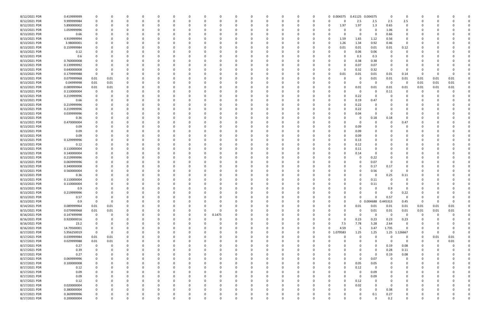| 8/12/2021 PDR | 0.419999999 |             |          |          |          |          |              |        |          | 0        |          |              | 0        | 0        |                | 0 0.004375 |              | 0.41125 0.004375    | 0                       | 0             | C.       |      |          |  |
|---------------|-------------|-------------|----------|----------|----------|----------|--------------|--------|----------|----------|----------|--------------|----------|----------|----------------|------------|--------------|---------------------|-------------------------|---------------|----------|------|----------|--|
| 8/12/2021 PDR | 9.999999984 | 0           |          | $\Omega$ | $\Omega$ |          |              |        |          | 0        |          | 0            | 0        | 0        |                | $\Omega$   | 2.5          | 2.5                 | 2.5                     | 2.5           | 0        |      |          |  |
| 8/12/2021 PDR | 5.890000002 |             |          |          |          |          |              |        |          |          |          |              |          | -0       |                | 1.97       | 1.97         | 1.3                 | 0.65                    | 0             |          |      |          |  |
| 8/13/2021 PDR | 1.059999996 |             |          |          |          |          |              |        |          |          |          |              |          |          |                |            | 0            | $\Omega$            | 1.06                    | $\Omega$      |          |      |          |  |
|               | 0.66        |             |          |          |          |          |              |        |          |          |          |              |          |          |                |            | 0            | 0                   | 0.66                    | 0             |          |      |          |  |
| 8/13/2021 PDR |             |             |          |          |          |          |              |        |          |          |          |              |          |          |                |            |              |                     |                         |               |          |      |          |  |
| 8/13/2021 PDR | 4.919999994 |             |          |          |          |          |              |        |          |          |          |              |          | - 0      |                | 1.59       | 1.65         | 1.12                | 0.56                    | 0             |          |      |          |  |
| 8/13/2021 PDR | 3.98000001  |             |          |          |          |          |              |        |          |          |          |              |          |          |                | 1.26       | 1.34         | 0.92                | 0.46                    | $\Omega$      |          |      |          |  |
| 8/13/2021 PDR | 0.159999984 |             |          |          |          |          |              |        |          |          |          |              |          | -0       |                | 0.01       | 0.01         | 0.01                | 0.01                    | 0.12          |          |      |          |  |
| 8/13/2021 PDR | 0.12        |             |          |          |          |          |              |        |          |          |          |              |          |          |                |            | 0.06         | 0.06                | - 0                     | 0             |          |      |          |  |
| 8/13/2021 PDR | 0.6         |             |          |          |          |          |              |        |          |          |          |              |          |          |                |            | 0.3          | 0.3                 |                         |               |          |      |          |  |
| 8/13/2021 PDR | 0.760000008 |             |          |          |          |          |              |        |          |          |          |              |          |          |                | 0          | 0.38         | 0.38                |                         |               |          |      |          |  |
|               |             |             |          |          |          |          |              |        |          |          |          |              |          |          |                |            |              |                     |                         |               |          |      |          |  |
| 8/13/2021 PDR | 0.139999992 |             |          |          |          |          |              |        |          |          |          |              |          |          |                | 0          | 0.07         | 0.07                |                         |               |          |      |          |  |
| 8/13/2021 PDR | 0.640000008 |             |          |          |          |          |              |        |          |          |          |              |          |          |                | $\Omega$   | 0.32         | 0.32                | - 0                     | $\Omega$      |          |      |          |  |
| 8/13/2021 PDR | 0.179999988 | 0           |          |          |          |          |              |        |          |          |          |              |          |          |                | 0.01       | 0.01         | 0.01                | 0.01                    | 0.14          | - 0      | -0   |          |  |
| 8/13/2021 PDR | 0.079999968 | $0.01\,$    | 0.01     |          |          |          |              |        |          |          |          |              |          |          |                |            | 0            | 0.01                | $0.01\,$                | 0.01          | 0.01     | 0.01 | 0.01     |  |
| 8/13/2021 PDR | 0.04999998  | $0.01\,$    | 0.01     |          |          |          |              |        |          |          |          |              |          |          |                |            | 0            | $\Omega$            | $\Omega$                | 0             | 0.01     | 0.01 | 0.01     |  |
| 8/13/2021 PDR | 0.089999964 | 0.01        | 0.01     |          |          |          |              |        |          |          |          |              |          |          |                | O          | 0.01         | 0.01                | 0.01                    | 0.01          | 0.01     | 0.01 | 0.01     |  |
| 8/13/2021 PDR | 0.110000004 |             |          |          |          |          |              |        |          |          |          |              |          |          |                |            | 0            | -0                  | 0.11                    | 0             | O        |      |          |  |
|               |             |             |          |          |          |          |              |        |          |          |          |              |          |          |                |            |              |                     |                         |               |          |      |          |  |
| 8/13/2021 PDR | 0.219999996 |             |          |          |          |          |              |        |          |          |          |              |          |          |                |            | 0.22         | 0                   |                         |               |          |      |          |  |
| 8/13/2021 PDR | 0.66        |             |          |          |          |          |              |        |          |          |          |              |          |          |                |            | 0.19         | 0.47                |                         |               |          |      |          |  |
| 8/13/2021 PDR | 0.219999996 |             |          |          |          |          |              |        |          |          |          |              |          |          |                |            | 0.22         |                     |                         |               |          |      |          |  |
| 8/13/2021 PDR | 0.219999996 |             |          |          |          |          |              |        |          |          |          |              |          |          |                |            | 0.22         |                     |                         |               |          |      |          |  |
| 8/13/2021 PDR | 0.039999996 |             |          |          |          |          |              |        |          |          |          |              |          |          |                |            | 0.04         | 0                   |                         |               |          |      |          |  |
| 8/13/2021 PDR | 0.36        |             |          |          |          |          |              |        |          |          |          |              |          |          |                |            | 0            | 0.18                | 0.18                    |               |          |      |          |  |
|               |             |             |          |          |          |          |              |        |          |          |          |              |          |          |                |            |              |                     |                         |               |          |      |          |  |
| 8/13/2021 PDR | 0.470000004 |             |          |          |          |          |              |        |          |          |          |              |          |          |                |            | 0            | 0                   |                         | 0.47          |          |      |          |  |
| 8/13/2021 PDR | 0.09        |             |          |          |          |          |              |        |          |          |          |              |          |          |                |            | 0.09         |                     |                         |               |          |      |          |  |
| 8/13/2021 PDR | 0.09        |             |          |          |          |          |              |        |          |          |          |              |          |          |                |            | 0.09         |                     |                         |               |          |      |          |  |
| 8/13/2021 PDR | 0.09        |             |          |          |          |          |              |        |          |          |          |              |          |          |                |            | 0.09         |                     |                         |               |          |      |          |  |
| 8/13/2021 PDR | 0.129999996 |             |          | $\Omega$ |          |          |              |        |          |          |          |              |          |          |                | ŋ          | 0.13         | $\Omega$            |                         |               |          |      |          |  |
| 8/13/2021 PDR | 0.12        |             |          |          |          |          |              |        |          |          |          |              |          |          |                | 0          | 0.12         |                     |                         |               |          |      |          |  |
| 8/13/2021 PDR | 0.110000004 |             |          |          |          |          |              |        |          |          |          |              |          |          |                |            | 0.11         |                     |                         |               |          |      |          |  |
|               |             |             |          |          |          |          |              |        |          |          |          |              |          |          |                |            |              | - 0                 |                         |               |          |      |          |  |
| 8/13/2021 PDR | 0.140000004 |             |          |          |          |          |              |        |          |          |          |              |          |          |                |            | 0.14         |                     |                         |               |          |      |          |  |
| 8/13/2021 PDR | 0.219999996 |             |          |          |          |          |              |        |          |          |          |              |          |          |                |            | 0            | 0.22                |                         |               |          |      |          |  |
| 8/13/2021 PDR | 0.069999996 |             |          |          |          |          |              |        |          |          |          |              |          |          |                |            | 0            | 0.07                |                         |               |          |      |          |  |
| 8/13/2021 PDR | 0.340000008 |             |          |          |          |          |              |        |          |          |          |              |          |          |                |            | 0            | 0.17                | 0.17                    |               |          |      |          |  |
| 8/13/2021 PDR | 0.560000004 |             |          |          |          |          |              |        |          |          |          |              |          |          |                |            | <sup>0</sup> | 0.56                | - 0                     |               |          |      |          |  |
| 8/13/2021 PDR | 0.36        |             |          |          |          |          |              |        |          |          |          |              |          |          |                |            | 0            | 0                   | 0.25                    | 0.11          |          |      |          |  |
| 8/13/2021 PDR | 0.110000004 |             |          |          |          |          |              |        |          |          |          |              |          |          |                |            | <sup>0</sup> | 0.11                |                         |               |          |      |          |  |
|               |             |             |          |          |          |          |              |        |          |          |          |              |          |          |                |            |              |                     |                         |               |          |      |          |  |
| 8/13/2021 PDR | 0.110000004 |             |          |          |          |          |              |        |          |          |          |              |          |          |                |            |              | 0.11                |                         |               |          |      |          |  |
| 8/13/2021 PDR | 0.9         |             |          | $\Omega$ |          |          |              |        |          |          |          |              |          |          |                | 0          | 0            | $\Omega$            | 0.9                     | 0             | n        |      |          |  |
| 8/13/2021 PDR | 0.219999996 | $\Omega$    |          | $\Omega$ |          |          |              |        |          |          |          |              |          |          |                |            | $\Omega$     | $\Omega$            | $\mathbf 0$             | 0.22          | $\Omega$ |      |          |  |
| 8/13/2021 PDR | 0.57        | $\Omega$    |          | 0        |          | $\Omega$ |              | ŋ      |          | 0        |          | $\Omega$     | O        | $\Omega$ |                | $\Omega$   | 0            | $\Omega$            | 0.57                    | $\Omega$      | 0        |      |          |  |
| 8/13/2021 PDR | 0.9         | $\Omega$    | 0        | $\Omega$ | $\Omega$ |          | $\Omega$     |        |          | 0        |          | 0            |          | 0        |                | $\Omega$   |              | 0 0.004688 0.445313 |                         | 0.45          | 0        |      | $\Omega$ |  |
| 8/14/2021 PDR | 0.089999964 | 0.01        | 0.01     | 0        |          |          |              |        |          | 0        |          |              | 0        | 0        |                | $\Omega$   | 0.01         | 0.01                | 0.01                    | 0.01          | 0.01     | 0.01 | 0.01     |  |
|               |             |             |          |          |          |          |              |        |          |          |          |              |          |          |                |            |              |                     |                         |               |          |      |          |  |
| 8/15/2021 PDR | 0.079999968 | 0.01        | 0.01     |          |          |          | $\Omega$     | 0      |          | 0        |          |              |          | $\Omega$ |                | 0          | 0            | 0.01                | 0.01                    | 0.01          | 0.01     | 0.01 | 0.01     |  |
| 8/16/2021 PDR | 0.147499998 | 0           |          | 0        | 0        |          | 0            | 0.1475 |          |          |          |              | 0        | 0        |                | 0          | 0            | 0                   | $\overline{\mathbf{0}}$ | 0             | 0        | -0   |          |  |
| 8/16/2021 PDR | 0.920000016 | $\mathbf 0$ |          | $\Omega$ |          |          |              |        |          |          |          |              |          | 0        |                | $\Omega$   | 0.23         | 0.23                | 0.23                    | 0.23          | 0        |      |          |  |
| 8/16/2021 PDR | 23.2        | 0           |          | 0        |          |          |              |        |          | 0        |          |              | 0        | 0        | O              | 7.5        | 7.78         | 5.28                | 2.64                    | 0             |          |      |          |  |
| 8/16/2021 PDR | 14.79500001 | 0           |          | 0        | $\Omega$ |          | <sup>0</sup> |        |          | 0        |          |              | 0        | 0        | $\Omega$       | 4.59       | - 5          | 3.47                | 1.735                   | $\mathbf 0$   | 0        |      |          |  |
| 8/17/2021 PDR | 5.956250019 | $\Omega$    | 0        |          | 0        |          |              |        |          | $\Omega$ |          |              | 0        | $\Omega$ | 0 <sup>2</sup> | .079583    | 1.25         | 1.25                |                         | 1.25 1.126667 | 0        |      |          |  |
| 8/17/2021 PDR | 0.039999984 | 0.01        | 0.01     | 0        | 0        |          |              |        |          | 0        |          |              |          | $\Omega$ |                | 0          | 0            | $\Omega$            | - 0                     | 0             | $\Omega$ | 0.01 | 0.01     |  |
|               | 0.029999988 | $0.01\,$    | $0.01\,$ |          |          |          |              |        |          |          |          |              |          | 0        |                |            | 0            | 0                   | - 0                     | 0             | 0        | 0    | $0.01\,$ |  |
| 8/17/2021 PDR |             |             |          |          |          |          |              |        |          |          |          |              |          |          |                |            |              |                     |                         |               |          |      |          |  |
| 8/17/2021 PDR | 0.27        | $\mathbf 0$ |          | 0        |          |          |              |        |          |          |          | 0            |          | 0        |                |            | 0            | $\Omega$            | 0.19                    | 0.08          | 0        |      |          |  |
| 8/17/2021 PDR | 0.39        | 0           |          | $\Omega$ | $\Omega$ |          | 0            |        |          | $\Omega$ |          | 0            | 0        | 0        |                | 0          | 0            | $\Omega$            | 0.28                    | 0.11          | 0        |      |          |  |
| 8/17/2021 PDR | 0.27        | 0           |          | 0        | $\Omega$ |          | 0            |        |          | 0        |          |              | 0        | 0        |                | 0          | 0            | $\mathbf 0$         | 0.19                    | 0.08          | 0        |      |          |  |
| 8/17/2021 PDR | 0.069999996 | $\Omega$    |          | 0        | $\Omega$ |          | $\Omega$     |        |          | $\Omega$ |          | <sup>0</sup> | 0        | 0        |                | $\Omega$   | $\mathbf 0$  | 0.07                | - 0                     | 0             | 0        |      |          |  |
| 8/17/2021 PDR | 0.100000008 |             |          | 0        | 0        |          |              |        |          | 0        |          |              | 0        | 0        |                | $\Omega$   | 0.05         | 0.05                |                         | 0             | 0        |      |          |  |
| 8/17/2021 PDR | 0.12        |             |          |          |          |          |              |        |          | -0       |          |              | 0        | 0        |                | 0          | 0.12         | 0                   |                         |               |          |      |          |  |
|               |             |             |          |          |          |          |              |        |          |          |          |              |          |          |                |            |              |                     |                         |               |          |      |          |  |
| 8/17/2021 PDR | 0.09        |             |          | 0        |          |          |              |        |          |          |          |              |          | 0        |                |            | 0            | 0.09                | $\Omega$                |               | 0        |      |          |  |
| 8/17/2021 PDR | 0.09        |             |          | 0        |          |          |              |        |          |          |          |              |          | 0        |                | 0          | $\mathbf 0$  | 0.09                | $\Omega$                | 0             | 0        |      |          |  |
| 8/17/2021 PDR | 0.12        | $\Omega$    |          | 0        | $\Omega$ |          |              |        |          | 0        |          |              | O        | 0        |                | $\Omega$   | 0.12         | 0                   |                         |               | 0        |      |          |  |
| 8/17/2021 PDR | 0.020000004 |             |          | 0        | 0        |          |              |        |          | 0        |          |              | 0        | 0        |                | $\Omega$   | 0.02         | $\Omega$            | - 0                     | 0             | 0        |      |          |  |
| 8/17/2021 PDR | 0.380000004 |             |          |          |          |          |              |        |          |          |          |              |          | - 0      |                |            | $\Omega$     | $\Omega$            | 0.38                    |               |          |      |          |  |
| 8/17/2021 PDR | 0.369999996 |             |          |          |          |          |              |        |          |          |          |              |          |          |                |            | 0            | 0.1                 | 0.27                    |               |          |      |          |  |
| 8/17/2021 PDR | 0.200000004 | $\mathbf 0$ | 0        | $\Omega$ | $\Omega$ | $\Omega$ | 0            | 0      | $\Omega$ | 0        | $\Omega$ | $\mathbf 0$  | $\Omega$ | $\Omega$ | U              | $\Omega$   | $\mathbf 0$  | $\Omega$            | 0.2                     | $\mathbf 0$   | 0        |      | 0        |  |
|               |             |             |          |          |          |          |              |        |          |          |          |              |          |          |                |            |              |                     |                         |               |          |      |          |  |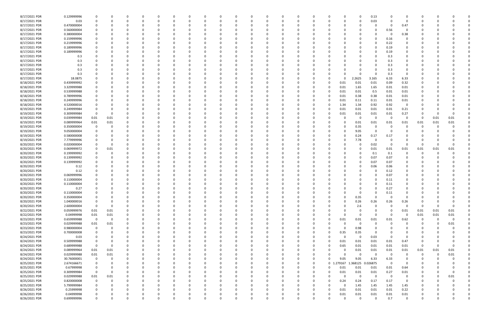| 8/17/2021 PDR | 0.129999996 | 0              | 0        |          | 0        |          |          |          |    |   |          | 0        |          |          |          |          |          |             | 0           | 0.13                |          |                |          |          |          |  |
|---------------|-------------|----------------|----------|----------|----------|----------|----------|----------|----|---|----------|----------|----------|----------|----------|----------|----------|-------------|-------------|---------------------|----------|----------------|----------|----------|----------|--|
| 8/17/2021 PDR | 0.03        | 0              |          |          | $\Omega$ | $\Omega$ |          | $\Omega$ | 0  |   |          | $\Omega$ | $\Omega$ |          | $\Omega$ | $\Omega$ |          | $\Omega$    | $\Omega$    | 0.03                | $\Omega$ | $\Omega$       | 0        |          |          |  |
| 8/17/2021 PDR | 0.470000004 |                |          |          |          |          |          |          |    |   |          |          |          |          |          |          |          |             |             | $\Omega$            | - 0      | 0.47           |          |          |          |  |
| 8/17/2021 PDR | 0.560000004 |                |          |          |          |          |          |          |    |   |          |          |          |          |          |          |          |             |             | 0                   | 0.56     |                |          |          |          |  |
| 8/17/2021 PDR | 0.380000004 |                |          |          |          |          |          |          |    |   |          |          |          |          |          |          |          |             |             | - 0                 | - 0      | 0.38           |          |          |          |  |
| 8/17/2021 PDR | 0.159999996 |                |          |          |          |          |          |          |    |   |          |          |          |          |          |          |          |             |             | $\Omega$            | 0.16     | 0              |          |          |          |  |
| 8/17/2021 PDR | 0.219999996 |                |          |          |          |          |          |          |    |   |          |          |          |          |          |          |          |             |             | 0                   | 0.22     | 0              |          |          |          |  |
| 8/17/2021 PDR | 0.189999996 |                |          |          |          |          |          |          |    |   |          |          |          |          |          |          |          |             | n           | 0                   | 0.19     | 0              |          |          |          |  |
| 8/17/2021 PDR | 0.189999996 |                |          |          |          |          |          |          |    |   |          |          |          |          |          |          |          |             |             | $\Omega$            | 0.19     | 0              |          |          |          |  |
| 8/17/2021 PDR | 0.3         |                |          |          |          |          |          |          |    |   |          |          |          |          |          |          |          |             |             |                     | 0.3      |                |          |          |          |  |
| 8/17/2021 PDR | 0.3         |                |          |          |          |          |          |          |    |   |          |          |          |          |          |          |          |             |             |                     | 0.3      | 0              |          |          |          |  |
| 8/17/2021 PDR | 0.3         |                |          |          |          |          |          |          |    |   |          |          |          |          |          |          |          |             |             | 0                   | 0.3      |                |          |          |          |  |
| 8/17/2021 PDR | 0.3         |                |          |          |          |          |          |          |    |   |          |          |          |          |          |          |          |             |             | 0                   | 0.3      |                |          |          |          |  |
| 8/17/2021 PDR | 0.3         |                |          |          |          |          |          |          |    |   |          |          |          |          |          |          |          |             | O           | $\Omega$            | 0.3      | $\Omega$       |          |          |          |  |
| 8/17/2021 PDR | 18.0875     |                |          |          |          |          |          |          |    |   |          |          |          |          |          |          |          | O           | 2.2625      | 3.165               | 6.33     | 6.33           |          |          |          |  |
| 8/18/2021 PDR | 0.439999992 |                |          |          |          |          |          |          |    |   |          |          |          |          |          |          |          | 0.01        | 0.01        | 0.01                | 0.09     | 0.32           |          |          |          |  |
| 8/18/2021 PDR | 3.329999988 |                |          |          |          |          |          |          |    |   |          |          |          |          |          |          |          | 0.01        | 1.65        | 1.65                | 0.01     | 0.01           |          |          |          |  |
| 8/18/2021 PDR | 0.539999988 |                |          |          |          |          |          |          |    |   |          |          |          |          |          |          |          | 0.01        | 0.01        | 0.5                 | 0.01     | 0.01           |          |          |          |  |
| 8/18/2021 PDR | 0.789999996 | 0              |          |          |          |          |          |          |    |   |          |          |          |          |          |          |          | 0.01        | 0.38        | 0.38                | 0.01     |                |          |          |          |  |
| 8/18/2021 PDR | 0.249999996 |                |          |          |          |          |          |          |    |   |          |          |          |          |          |          |          |             |             |                     |          | 0.01           |          |          |          |  |
|               |             | 0              |          |          |          |          |          |          |    |   |          |          |          |          |          |          |          | 0.01        | 0.11        | 0.11                | 0.01     | 0.01           |          |          |          |  |
| 8/18/2021 PDR | 4.520000016 |                |          |          |          |          |          |          |    |   |          |          |          |          |          |          |          | 1.34        | 1.34        | 0.92                | 0.92     | $\overline{0}$ |          |          |          |  |
| 8/19/2021 PDR | 0.249999984 |                |          |          |          |          |          |          |    |   |          |          |          |          |          |          |          | 0.01        | 0.01        | 0.01                | 0.01     | 0.21           |          |          |          |  |
| 8/19/2021 PDR | 0.309999984 | - 0            |          |          |          |          |          |          |    |   |          |          |          |          |          |          |          | 0.01        | 0.01        | 0.01                | 0.01     | 0.27           |          |          | $\Omega$ |  |
| 8/19/2021 PDR | 0.039999984 | 0.01           | 0.01     |          |          |          |          |          |    |   |          |          |          |          |          |          |          |             | 0           | $\Omega$            | $\Omega$ | $\overline{0}$ | 0        | 0.01     | 0.01     |  |
| 8/19/2021 PDR | 0.089999964 | 0.01           | 0.01     |          |          |          |          |          |    |   |          |          |          |          |          |          |          |             | 0.01        | 0.01                | 0.01     | 0.01           | 0.01     | 0.01     | 0.01     |  |
| 8/19/2021 PDR | 0.350000004 | 0              |          |          |          |          |          |          |    |   |          |          |          |          |          |          |          | 0           | 0.35        | 0                   |          |                | 0        |          |          |  |
| 8/19/2021 PDR | 9.050000004 |                |          |          |          |          |          |          |    |   |          |          |          |          |          |          |          |             | 9.05        | 0                   |          |                |          |          |          |  |
| 8/19/2021 PDR | 0.580000008 |                |          |          |          |          |          |          |    |   |          |          |          |          |          |          |          | 0           | 0.24        | 0.17                | 0.17     |                |          |          |          |  |
| 8/19/2021 PDR | 7.779999996 |                |          |          |          |          |          |          |    |   |          |          |          |          |          |          |          | 0           | 7.78        | 0                   |          |                |          |          |          |  |
| 8/20/2021 PDR | 0.020000004 |                |          |          |          |          |          |          |    |   |          |          |          |          |          |          |          |             | 0           | 0.02                | - 0      | 0              | C        |          |          |  |
| 8/20/2021 PDR | 0.069999972 | 0              | 0.01     |          |          |          |          |          |    |   |          |          |          |          |          |          |          |             | 0           | 0.01                | 0.01     | 0.01           | 0.01     | 0.01     | 0.01     |  |
| 8/20/2021 PDR | 0.199999992 | -0             |          |          |          |          |          |          |    |   |          |          |          |          |          |          |          |             | 0           | 0.1                 | 0.1      | -0             | 0        |          |          |  |
| 8/20/2021 PDR | 0.139999992 |                |          |          |          |          |          |          |    |   |          |          |          |          |          |          |          |             | 0           | 0.07                | 0.07     |                |          |          |          |  |
| 8/20/2021 PDR | 0.139999992 |                |          |          |          |          |          |          |    |   |          |          |          |          |          |          |          |             | 0           | 0.07                | 0.07     |                |          |          |          |  |
| 8/20/2021 PDR | 0.12        |                |          |          |          |          |          |          |    |   |          |          |          |          |          |          |          |             | 0           | 0.06                | 0.06     |                |          |          |          |  |
| 8/20/2021 PDR | 0.12        |                |          |          |          |          |          |          |    |   |          |          |          |          |          |          |          |             |             | -0                  | 0.12     |                |          |          |          |  |
| 8/20/2021 PDR | 0.069999996 |                |          |          |          |          |          |          |    |   |          |          |          |          |          |          |          |             |             | $\Omega$            | 0.07     |                |          |          |          |  |
| 8/20/2021 PDR | 0.110000004 |                |          |          |          |          |          |          |    |   |          |          |          |          |          |          |          |             |             | 0                   | 0.11     |                |          |          |          |  |
| 8/20/2021 PDR | 0.110000004 |                |          |          |          |          |          |          |    |   |          |          |          |          |          |          |          |             |             |                     | 0.11     |                |          |          |          |  |
| 8/20/2021 PDR | 0.27        |                |          |          |          |          |          |          |    |   |          |          |          |          |          |          |          |             | $\Omega$    | - 0                 | 0.27     |                |          |          |          |  |
| 8/20/2021 PDR | 0.110000004 |                |          |          |          |          |          |          |    |   |          |          |          |          |          |          |          | 0           | 0           | 0                   | 0.11     |                |          |          |          |  |
| 8/20/2021 PDR | 0.350000004 | $\Omega$       |          |          | $\Omega$ |          | $\Omega$ |          | 0  |   |          | 0        |          | $\Omega$ |          | 0        |          | 0           | 0.35        | $\mathbf 0$         | $\Omega$ | 0              | 0        |          |          |  |
| 8/20/2021 PDR | 1.040000016 | $\mathbf 0$    |          |          |          |          |          |          |    |   |          |          |          |          |          |          |          | $\Omega$    | 0.26        | 0.26                | 0.26     | 0.26           |          |          |          |  |
| 8/20/2021 PDR | 2.600000004 | 0              | $\Omega$ |          |          |          |          |          | 0  |   |          |          | $\Omega$ |          |          | 0        |          | 0           | 2.6         | 0                   | - 0      | $\overline{0}$ | 0        |          | $\Omega$ |  |
| 8/22/2021 PDR | 0.059999976 | 0.01           | 0.01     |          |          |          |          | 0        | 0  |   |          | 0        |          |          |          | 0        |          | O           | 0           | $\Omega$            | - 0      | 0.01           | 0.01     | 0.01     | 0.01     |  |
| 8/22/2021 PDR | 0.04999998  | $0.01\,$       | 0.01     |          |          |          |          |          | 0  |   |          |          | $\Omega$ |          |          |          |          | $\Omega$    | 0           | $\Omega$            | - 0      | 0              | 0.01     | 0.01     | 0.01     |  |
| 8/23/2021 PDR | 0.659999988 | $\overline{0}$ | 0        |          |          |          |          |          | -0 |   |          |          |          |          |          |          |          | 0.01        | 0.01        | 0.01                | $0.01\,$ | 0.62           | -0       | $\Omega$ |          |  |
| 8/23/2021 PDR | 0.029999988 | 0.01           | 0.01     |          |          |          |          |          | -0 |   |          |          |          |          |          |          |          | 0           | 0           | 0                   | $\Omega$ | 0              | 0        |          | 0.01     |  |
| 8/23/2021 PDR | 0.980000004 | $\mathsf{O}$   | $\Omega$ |          |          |          |          | 0        | 0  |   |          |          | 0        |          |          | -0       |          | $\Omega$    | 0.98        | 0                   | $\Omega$ | 0              | 0        |          |          |  |
| 8/23/2021 PDR | 0.700000008 | 0              |          |          |          |          |          |          | 0  |   |          | 0        | $\Omega$ |          |          | 0        |          | 0.35        | 0.35        | 0                   |          | 0              | 0        |          |          |  |
| 8/24/2021 PDR | 0.03        | 0              |          |          |          |          |          |          | 0  |   |          |          | 0        |          |          | 0        |          | $\Omega$    | 0           | 0.03                | - 0      | $\Omega$       | 0        |          |          |  |
| 8/24/2021 PDR | 0.509999988 | 0              |          |          |          |          |          |          | 0  |   |          |          | 0        |          |          | 0        |          | 0.01        | 0.01        | 0.01                | 0.01     | 0.47           | 0        |          |          |  |
| 8/24/2021 PDR | 0.689999988 | $\overline{0}$ | 0        |          |          |          |          |          | 0  |   |          |          |          |          |          | 0        |          | 0.65        | 0.01        | 0.01                | $0.01\,$ | 0.01           | 0        |          | $\Omega$ |  |
| 8/24/2021 PDR | 0.089999964 | 0.01           | 0.01     |          |          |          |          |          | 0  |   |          |          |          |          |          |          |          | 0           | 0.01        | 0.01                | $0.01\,$ | 0.01           | 0.01     | 0.01     | 0.01     |  |
| 8/24/2021 PDR | 0.029999988 | 0.01           | 0.01     |          |          |          |          |          | 0  |   |          |          |          |          |          |          |          | $\Omega$    | 0           | $\Omega$            | $\Omega$ | $\overline{0}$ | $\Omega$ | $\Omega$ | 0.01     |  |
| 8/24/2021 PDR | 30.76000001 | $\mathbf 0$    | $\Omega$ |          |          |          |          |          | 0  |   |          |          |          |          |          | 0        | $\Omega$ | 9.05        | 9.05        | 6.33                | 6.33     | $\Omega$       | 0        |          |          |  |
| 8/25/2021 PDR | 2.674166671 | 0              |          |          |          |          |          |          | 0  |   |          |          |          |          |          | 0        | $\Omega$ | .279167     | 1.368125    | 0.026875            | $\Omega$ | $\Omega$       | 0        |          |          |  |
| 8/25/2021 PDR | 0.67999998  | 0              |          |          |          |          |          | 0        | 0  |   |          |          | $\Omega$ |          |          | 0        |          | 0.01        | 0.01        | 0.01                | 0.01     | 0.64           | 0        |          |          |  |
|               | 0.309999984 |                | $\Omega$ |          |          |          |          |          |    |   |          |          | $\Omega$ |          |          |          |          | 0.01        |             |                     | 0.27     |                |          |          |          |  |
| 8/25/2021 PDR |             | $\mathbf 0$    |          |          |          |          |          |          | -0 |   |          |          |          |          |          | 0        |          | $\mathbf 0$ | 0.01        | 0.01<br>$\mathbf 0$ | $\Omega$ | 0.01           |          |          |          |  |
| 8/25/2021 PDR | 0.029999988 | 0.01           | 0.01     |          |          |          |          |          | 0  |   |          |          |          |          |          |          |          |             | $\mathbf 0$ |                     |          | 0              |          |          | 0.01     |  |
| 8/25/2021 PDR | 0.820000008 | 0              | 0        |          |          |          |          |          | 0  |   |          |          |          |          |          | -0       |          | 0.24        | 0.24        | 0.17                | 0.17     | 0              | 0        |          |          |  |
| 8/25/2021 PDR | 5.799999984 | 0              |          |          |          |          |          |          |    |   |          |          |          |          |          |          |          | $\Omega$    | 1.45        | 1.45                | 1.45     | 1.45           |          |          |          |  |
| 8/26/2021 PDR | 0.25999998  | 0              | 0        |          |          |          |          |          | 0  |   |          | 0        | $\Omega$ |          | $\Omega$ | 0        |          | 0.01        | 0.01        | 0.01                | 0.01     | 0.22           | 0        |          | 0        |  |
| 8/26/2021 PDR | 0.04999998  | 0              | 0        |          | 0        |          | 0        | 0        | 0  |   | 0        | 0        |          | $\Omega$ | 0        | 0        |          | 0.01        | 0.01        | 0.01                | 0.01     | 0.01           | 0        |          | 0        |  |
| 8/26/2021 PDR | 0.699999996 | $\mathbf 0$    | $\Omega$ | $\Omega$ | $\Omega$ | $\Omega$ | $\Omega$ | $\Omega$ |    | U | $\Omega$ | $\Omega$ | $\Omega$ |          | $\Omega$ |          |          | $\Omega$    | $\Omega$    | $\Omega$            | 0.7      | $\mathbf 0$    | $\Omega$ |          | 0        |  |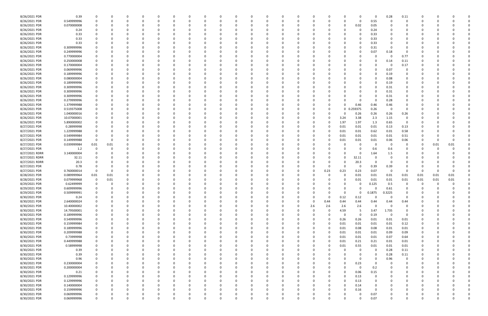| 8/26/2021 PDR  | 0.39        |             |          | -0       |          |          |          | -0       |   |   | 0        |          |          |          |          |      |          | 0        | 0           | 0.28     | 0.11           |          |      |      |  |
|----------------|-------------|-------------|----------|----------|----------|----------|----------|----------|---|---|----------|----------|----------|----------|----------|------|----------|----------|-------------|----------|----------------|----------|------|------|--|
| 8/26/2021 PDR  | 0.549999996 |             |          |          |          |          |          | $\Omega$ |   |   |          | $\Omega$ |          |          | $\Omega$ |      | O        | 0        | 0.55        | $\Omega$ | $\Omega$       |          |      |      |  |
|                |             |             |          |          |          |          |          |          |   |   |          |          |          |          |          |      |          |          |             |          |                |          |      |      |  |
| 8/26/2021 PDR  | 0.070000008 |             |          |          |          |          |          |          |   |   |          |          |          |          |          |      | 0        | 0.02     | 0.05        |          |                |          |      |      |  |
| 8/26/2021 PDR  | 0.24        |             |          |          |          |          |          |          |   |   |          |          |          |          |          |      |          | 0        | 0.24        |          |                |          |      |      |  |
| 8/26/2021 PDR  | 0.33        |             |          |          |          |          |          |          |   |   |          |          |          |          |          |      |          |          | 0.33        |          |                |          |      |      |  |
| 8/26/2021 PDR  | 0.33        |             |          |          |          |          |          |          |   |   |          |          |          |          |          |      |          | 0        | 0.33        |          | O              |          |      |      |  |
|                |             |             |          |          |          |          |          |          |   |   |          |          |          |          |          |      |          |          |             |          |                |          |      |      |  |
| 8/26/2021 PDR  | 0.33        |             |          |          |          |          |          |          |   |   |          |          |          |          |          |      |          | 0        | 0.33        |          | 0              |          |      |      |  |
| 8/26/2021 PDR  | 0.309999996 |             |          |          |          |          |          |          |   |   |          |          |          |          |          |      |          |          | 0.31        |          |                |          |      |      |  |
| 8/26/2021 PDR  | 0.249999996 |             |          |          |          |          |          |          |   |   |          |          |          |          |          |      |          |          | 0.07        | 0.18     | 0              |          |      |      |  |
| 8/26/2021 PDR  | 0.770000004 |             |          |          |          |          |          |          |   |   |          |          |          |          |          |      |          |          | 0           | - 0      | 0.77           |          |      |      |  |
|                |             |             |          |          |          |          |          |          |   |   |          |          |          |          |          |      |          |          |             |          |                |          |      |      |  |
| 8/26/2021 PDR  | 0.250000008 |             |          |          |          |          |          |          |   |   |          |          |          |          |          |      |          |          | $\Omega$    | 0.14     | 0.11           |          |      |      |  |
| 8/26/2021 PDR  | 0.170000004 |             |          |          |          |          |          |          |   |   |          |          |          |          |          |      |          |          | $\Omega$    | - 0      | 0.17           |          |      |      |  |
| 8/26/2021 PDR  | 0.069999996 |             |          |          |          |          |          |          |   |   |          |          |          |          |          |      |          |          | 0           | 0.07     | 0              |          |      |      |  |
| 8/26/2021 PDR  | 0.189999996 |             |          |          |          |          |          |          |   |   |          |          |          |          |          |      |          |          | $\Omega$    | 0.19     |                |          |      |      |  |
|                |             |             |          |          |          |          |          |          |   |   |          |          |          |          |          |      |          |          |             |          |                |          |      |      |  |
| 8/26/2021 PDR  | 0.080000004 |             |          |          |          |          |          |          |   |   |          |          |          |          |          |      |          |          | $\Omega$    | 0.08     | O              |          |      |      |  |
| 8/26/2021 PDR  | 0.189999996 |             |          |          |          |          |          |          |   |   |          |          |          |          |          |      |          |          | 0           | 0.19     | 0              |          |      |      |  |
| 8/26/2021 PDR  | 0.309999996 |             |          |          |          |          |          |          |   |   |          |          |          |          |          |      |          |          | $\Omega$    | 0.31     | 0              |          |      |      |  |
| 8/26/2021 PDR  | 0.309999996 |             |          |          |          |          |          |          |   |   |          |          |          |          |          |      |          |          | $\Omega$    | 0.31     | 0              |          |      |      |  |
|                |             |             |          |          |          |          |          |          |   |   |          |          |          |          |          |      |          |          |             |          |                |          |      |      |  |
| 8/26/2021 PDR  | 0.309999996 |             |          |          |          |          |          |          |   |   |          |          |          |          |          |      |          |          | 0           | 0.31     | 0              |          |      |      |  |
| 8/26/2021 PDR  | 0.279999996 |             |          |          |          |          |          |          |   |   |          | - 0      |          |          |          |      |          |          | $\Omega$    | 0.28     | 0              |          |      |      |  |
| 8/26/2021 PDR  | 1.379999988 |             |          |          |          |          |          |          |   |   |          |          |          |          |          |      | ი        | 0.46     | 0.46        | 0.46     | 0              |          |      |      |  |
| 8/26/2021 PDR  | 0.519375008 |             |          |          |          |          |          |          |   |   |          |          |          |          |          |      | 0        | 0.259375 | 0.26        | $\Omega$ | 0              |          |      |      |  |
|                |             |             |          |          |          |          |          |          |   |   |          |          |          |          |          |      |          |          |             |          |                |          |      |      |  |
| 8/26/2021 PDR  | 1.040000016 |             |          |          |          |          |          |          |   |   |          |          |          |          |          |      |          | 0.26     | 0.26        | 0.26     | 0.26           |          |      |      |  |
| 8/26/2021 PDR  | 10.07000001 |             |          |          |          |          |          |          |   |   |          |          |          |          |          |      | 3.24     | 3.38     | 2.3         | 1.15     | 0              |          |      |      |  |
| 8/26/2021 PDR  | 5.890000002 |             |          |          |          |          |          |          |   |   |          |          |          |          |          |      | 1.97     | 1.97     | 1.3         | 0.65     | 0              |          |      |      |  |
| 8/27/2021 PDR  | 0.28999998  |             |          |          |          |          |          |          |   |   |          |          |          |          |          |      | 0.01     |          |             | 0.13     |                |          |      |      |  |
|                |             |             |          |          |          |          |          |          |   |   |          |          |          |          |          |      |          | 0.01     | 0.01        |          | 0.13           |          |      |      |  |
| 8/27/2021 PDR  | 1.229999988 |             |          |          |          |          |          |          |   |   |          |          |          |          |          |      | 0.01     | 0.01     | 0.62        | 0.01     | 0.58           |          |      |      |  |
| 8/27/2021 PDR  | 0.549999984 |             |          |          |          |          |          |          |   |   |          |          |          |          |          |      | 0.01     | 0.01     | 0.01        | 0.01     | 0.51           |          |      |      |  |
| 8/27/2021 PDR  | 0.149999988 |             |          |          |          |          |          |          |   |   |          |          |          |          |          |      | 0.01     | 0.01     | 0.01        | 0.06     | 0.06           | O        |      |      |  |
| 8/27/2021 PDR  |             |             |          |          |          |          |          |          |   |   |          |          |          |          |          |      |          | 0        |             | - 0      | 0              |          |      | 0.01 |  |
|                | 0.039999984 | 0.01        | 0.01     |          |          |          |          |          |   |   |          |          |          |          |          |      |          |          | 0           |          |                | 0        | 0.01 |      |  |
| 8/27/2021 PDR  | 1.2         | $\Omega$    |          |          |          |          |          |          |   |   |          |          |          |          |          |      |          |          | 0.6         | 0.6      | 0              |          |      |      |  |
| 8/27/2021 RDRR | 3.140000004 |             |          |          |          |          |          |          |   |   |          |          |          |          |          |      |          | 0        | 1.64        | 1.5      | 0              |          |      |      |  |
| 8/27/2021 RDRR | 32.11       |             |          |          |          |          |          |          |   |   |          |          |          |          |          |      |          | 32.11    | -0          |          |                |          |      |      |  |
|                |             |             |          |          |          |          |          |          |   |   |          |          |          |          |          |      |          |          |             |          |                |          |      |      |  |
| 8/27/2021 RDRR | 20.3        |             |          |          |          |          |          |          |   |   |          |          |          |          |          |      |          | 20.3     | 0           |          |                |          |      |      |  |
| 8/27/2021 PDR  | 0.78        |             |          |          |          |          |          |          |   |   |          |          |          |          |          |      |          | 0        | 0.39        | 0.39     |                |          |      |      |  |
| 8/27/2021 PDR  | 0.760000014 |             |          |          |          |          |          |          |   |   |          |          |          |          |          | 0.23 | 0.23     | 0.23     | 0.07        | 0        | $\Omega$       | -0       |      |      |  |
| 8/28/2021 PDR  | 0.089999964 | 0.01        | 0.01     |          |          |          |          |          |   |   |          |          |          |          |          |      | O        | 0.01     | 0.01        | 0.01     | 0.01           | 0.01     | 0.01 | 0.01 |  |
|                |             |             |          |          |          |          |          |          |   |   |          |          |          |          |          |      |          |          |             |          |                |          |      |      |  |
| 8/28/2021 PDR  | 0.079999968 | 0           | 0.01     |          |          |          |          |          |   |   |          |          |          |          |          |      | 0        | 0.01     | 0.01        | 0.01     | 0.01           | 0.01     | 0.01 | 0.01 |  |
| 8/29/2021 PDR  | 0.62499999  |             |          |          |          |          |          |          |   |   |          |          |          |          |          |      |          | 0        | 0.125       | 0.5      | 0              |          |      |      |  |
| 8/29/2021 PDR  | 0.609999996 |             |          |          |          |          |          |          |   |   |          |          |          |          |          |      |          | 0        | 0           | 0.61     | 0              | $\Omega$ |      |      |  |
| 8/29/2021 PDR  | 0.509999991 |             |          |          |          |          |          |          |   |   |          |          |          |          |          |      |          | 0        |             |          | 0              |          |      |      |  |
|                |             |             | O        |          |          | O        |          |          |   |   | 0        |          |          |          |          |      | υ        |          | 0.1875      | 0.3225   |                |          |      |      |  |
| 8/30/2021 PDR  | 0.24        |             | 0        | $\Omega$ |          | $\Omega$ | 0        | 0        |   |   | $\Omega$ | $\Omega$ | $\Omega$ |          | 0        | 0    | 0.12     | 0.12     | $\mathbf 0$ | $\Omega$ | $\overline{0}$ | $\Omega$ |      |      |  |
| 8/30/2021 PDR  | 2.640000024 |             |          |          |          |          |          | 0        |   |   |          |          |          |          | $\Omega$ | 0.44 | 0.44     | 0.44     | 0.44        | 0.44     | 0.44           | O        |      |      |  |
| 8/30/2021 PDR  | 10.40000002 | 0           |          | 0        |          |          | 0        | 0        |   |   | 0        | 0        |          | 0        | 2.6      | 2.6  | 2.6      | 2.6      | $\mathbf 0$ | $\Omega$ | $\overline{0}$ | 0        |      |      |  |
| 8/30/2021 PDR  | 14.79500001 |             |          |          |          |          | 0        | 0        |   |   |          | 0        |          |          | 0        |      | 4.59     | -5       | 3.47        | 1.735    | $\mathbf 0$    |          |      |      |  |
|                |             |             |          |          |          |          |          |          |   |   |          |          |          |          |          |      |          |          |             |          |                |          |      |      |  |
| 8/30/2021 PDR  | 0.189999996 |             |          |          |          |          |          | 0        |   |   |          | $\Omega$ |          |          | 0        |      | $\Omega$ | 0        | 0.19        | $\Omega$ | 0              |          |      |      |  |
| 8/30/2021 PDR  | 0.549999996 |             |          |          |          |          | 0        | 0        |   |   |          | 0        |          |          |          | 0    | 0.26     | 0.26     | 0.01        | 0.01     | 0.01           | 0        |      |      |  |
| 8/30/2021 PDR  | 0.159999984 |             |          |          |          |          | 0        | 0        |   |   |          | 0        |          |          |          |      | 0.01     | 0.01     | 0.01        | 0.01     | 0.12           | 0        |      |      |  |
| 8/30/2021 PDR  | 0.189999996 | $\mathbf 0$ |          | 0        |          | O        | 0        | 0        |   | 0 | 0        | $\Omega$ |          | $\Omega$ | 0        |      | 0.01     | 0.08     | 0.08        | 0.01     | $0.01\,$       | 0        |      |      |  |
|                |             |             |          |          |          |          |          |          |   |   |          |          |          |          |          |      |          |          |             |          |                |          |      |      |  |
| 8/30/2021 PDR  | 0.209999988 | 0           | O        |          |          |          | 0        | 0        |   |   | 0        | 0        |          | $\Omega$ | 0        |      | 0.01     | 0.01     | 0.01        | 0.09     | 0.09           | 0        |      |      |  |
| 8/30/2021 PDR  | 0.73999998  |             |          |          |          |          | 0        | $\Omega$ |   |   |          | $\Omega$ |          |          | 0        |      | 0.01     | 0.01     | 0.01        | 0.07     | 0.64           | 0        |      |      |  |
| 8/30/2021 PDR  | 0.449999988 |             |          |          |          |          | 0        | $\Omega$ |   |   |          | $\Omega$ |          | 0        | 0        |      | 0.01     | 0.21     | 0.21        | 0.01     | 0.01           | 0        |      |      |  |
|                |             |             |          |          |          |          |          |          |   |   |          |          |          |          |          |      |          |          |             |          |                |          |      |      |  |
| 8/30/2021 PDR  | 0.58999998  |             |          |          |          |          | O        | 0        |   |   |          | 0        |          |          | 0        |      | 0.01     | 0.55     | 0.01        | 0.01     | 0.01           | 0        |      |      |  |
| 8/30/2021 PDR  | 0.39        |             |          |          |          |          |          | 0        |   |   |          | $\Omega$ |          |          | 0        |      |          | 0        | $\mathbf 0$ | 0.28     | $0.11\,$       | 0        |      |      |  |
| 8/30/2021 PDR  | 0.39        |             |          |          |          |          |          | 0        |   |   |          | $\Omega$ |          |          |          |      | $\Omega$ | 0        | $\mathbf 0$ | 0.28     | 0.11           | 0        |      |      |  |
| 8/30/2021 PDR  | 0.96        |             |          |          |          |          | 0        | 0        |   |   | 0        | 0        |          |          | 0        |      | $\Omega$ | 0        | 0           | 0.96     | $\overline{0}$ | 0        |      |      |  |
|                |             |             |          |          |          |          |          |          |   |   |          |          |          |          |          |      |          |          |             |          |                |          |      |      |  |
| 8/30/2021 PDR  | 0.230000004 |             |          | 0        |          |          | 0        | 0        |   |   | 0        | 0        |          | 0        | 0        |      | 0        | 0.23     | 0           | $\Omega$ | 0              | 0        |      |      |  |
| 8/30/2021 PDR  | 0.200000004 |             |          |          |          |          | 0        | 0        |   |   |          | $\Omega$ |          | 0        | 0        |      | $\Omega$ | 0        | 0.2         |          | 0              | 0        |      |      |  |
| 8/30/2021 PDR  | 0.21        |             |          |          |          |          | 0        | 0        |   |   |          | 0        |          | 0        |          |      | 0        | 0.06     | 0.15        |          | 0              | O        |      |      |  |
| 8/30/2021 PDR  | 0.129999996 |             |          |          |          |          | 0        | 0        |   |   |          | $\Omega$ |          |          |          |      | 0        | 0.13     | 0           |          | 0              | 0        |      |      |  |
|                |             |             |          |          |          |          |          |          |   |   |          |          |          |          |          |      |          |          |             |          |                |          |      |      |  |
| 8/30/2021 PDR  | 0.129999996 | 0           |          |          |          |          | 0        | 0        |   |   |          | $\Omega$ |          | 0        |          |      | $\Omega$ | 0.13     | 0           |          | 0              | 0        |      |      |  |
| 8/30/2021 PDR  | 0.140000004 | 0           |          |          |          |          | 0        | 0        |   | 0 | 0        | $\Omega$ |          | 0        | 0        |      | 0        | 0.14     | 0           |          | 0              | 0        |      |      |  |
| 8/30/2021 PDR  | 0.159999996 | 0           |          | 0        |          | O        | 0        | 0        |   |   | 0        | $\Omega$ |          | 0        | 0        |      | 0        | 0.16     | 0           |          | 0              | 0        |      |      |  |
| 8/30/2021 PDR  | 0.069999996 |             |          | 0        |          |          | 0        |          |   |   | 0        |          |          |          |          |      |          | 0        | 0.07        |          | 0              |          |      |      |  |
|                |             |             |          |          |          |          |          |          |   |   |          |          |          |          |          |      |          |          |             |          |                |          |      |      |  |
| 8/30/2021 PDR  | 0.069999996 | $\Omega$    | $\Omega$ | $\Omega$ | $\Omega$ | $\Omega$ | $\Omega$ | $\Omega$ | U | 0 | $\Omega$ | $\Omega$ | $\Omega$ | $\Omega$ | $\Omega$ |      |          | $\Omega$ | 0.07        | $\Omega$ | $\Omega$       | $\Omega$ |      | 0    |  |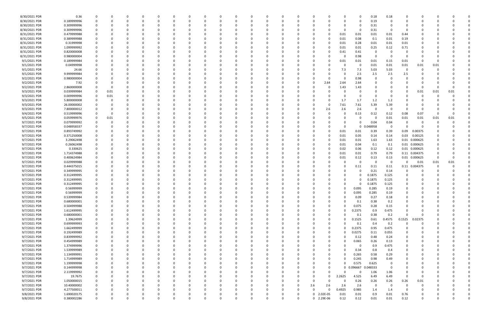| 8/30/2021 PDR | 0.36        |             | - 0      |          |          |          |          |          |          |              |             |            |          |          |             | 0.18     | 0.18                    |                |               |      |      |  |
|---------------|-------------|-------------|----------|----------|----------|----------|----------|----------|----------|--------------|-------------|------------|----------|----------|-------------|----------|-------------------------|----------------|---------------|------|------|--|
| 8/30/2021 PDR | 0.189999996 | $\Omega$    | 0        |          | 0        | - 0      | 0        | - 0      |          | 0            | $\Omega$    | 0          |          |          | 0           | 0.19     | $\Omega$                | O              | C.            |      |      |  |
| 8/30/2021 PDR | 0.309999996 |             |          |          |          |          |          |          |          |              |             |            |          |          | 0           | 0.31     |                         |                |               |      |      |  |
|               |             |             |          |          |          |          |          |          |          |              |             |            |          |          |             |          | - 0                     |                |               |      |      |  |
| 8/30/2021 PDR | 0.309999996 |             |          |          |          |          |          |          |          |              |             |            |          |          |             | 0.31     |                         |                |               |      |      |  |
| 8/31/2021 PDR | 0.479999988 |             |          |          |          |          |          |          |          |              |             |            |          | 0.01     | 0.01        | 0.01     | 0.01                    | 0.44           |               |      |      |  |
| 8/31/2021 PDR | 0.389999988 |             |          |          |          |          |          |          |          |              |             |            |          | 0.01     | 0.08        | 0.1      | 0.01                    | 0.19           |               |      |      |  |
| 8/31/2021 PDR | 0.31999998  |             |          |          |          |          |          |          |          |              |             |            |          | 0.01     | 0.28        | 0.01     | 0.01                    | 0.01           |               |      |      |  |
| 8/31/2021 PDR | 1.099999992 |             |          |          |          |          |          |          |          | <sup>0</sup> |             |            |          | 0.01     | 0.01        | 0.25     | 0.12                    | 0.71           |               |      |      |  |
| 8/31/2021 PDR | 0.820000008 |             |          |          |          |          |          |          |          |              |             |            |          | 0.41     | 0.41        | -0       | - 0                     | 0              |               |      |      |  |
|               |             |             |          |          |          |          |          |          |          |              |             |            |          |          |             |          |                         |                |               |      |      |  |
| 8/31/2021 PDR | 0.980000004 |             |          |          |          |          |          |          |          |              |             |            |          |          | 0.98        | 0        | - 0                     | O              |               |      |      |  |
| 9/1/2021 PDR  | 0.189999984 |             |          |          | 0        |          |          |          |          | 0            |             |            | - 0      | 0.01     | 0.01        | 0.01     | 0.15                    | 0.01           | -0            |      |      |  |
| 9/1/2021 PDR  | 0.04999998  |             |          |          |          |          |          |          |          |              |             |            |          | റ        | - 0         | 0.01     | 0.01                    | 0.01           | 0.01          | 0.01 |      |  |
| 9/1/2021 PDR  | 24.66       |             |          |          |          |          |          |          |          |              |             |            |          | 7.3      | 7.3         | 5.03     | 5.03                    | 0              | O             |      |      |  |
| 9/1/2021 PDR  | 9.999999984 |             |          |          |          |          |          |          |          |              |             |            |          |          | 2.5         | 2.5      | 2.5                     | 2.5            |               |      |      |  |
| 9/2/2021 PDR  | 0.980000004 |             |          |          |          |          |          |          |          |              |             |            | -0       |          | 0.98        | 0        |                         | 0              |               |      |      |  |
|               |             |             |          |          |          |          |          |          |          |              |             |            |          |          |             |          |                         |                |               |      |      |  |
| 9/2/2021 PDR  | 7.92        |             |          |          |          |          |          |          |          |              |             | 0          | 2.64     | 2.64     | 2.64        |          |                         |                |               |      |      |  |
| 9/2/2021 PDR  | 2.860000008 |             | -0       |          |          |          |          |          |          |              |             |            | - 0      | 1.43     | 1.43        |          |                         |                | 0             |      |      |  |
| 9/3/2021 PDR  | 0.039999984 | 0           | 0.01     |          |          |          |          |          |          |              |             |            |          |          |             | 0        |                         | O              | 0.01          | 0.01 | 0.01 |  |
| 9/3/2021 PDR  | 0.009999996 | 0           | 0.01     |          |          |          |          |          |          |              |             |            |          |          | 0           | 0        | <u>n</u>                |                | -C            |      |      |  |
| 9/3/2021 PDR  | 5.800000008 |             |          |          |          |          |          |          |          |              |             |            |          | 1.7      | 1.7         | 1.2      | 1.2                     |                |               |      |      |  |
| 9/3/2021 PDR  | 26.00000002 |             |          |          |          |          |          |          |          |              |             |            | 0        | 7.61     | 7.61        | 5.39     | 5.39                    |                |               |      |      |  |
|               |             |             |          |          |          |          |          |          |          |              |             |            |          |          |             |          |                         |                |               |      |      |  |
| 9/3/2021 PDR  | 7.800000012 |             |          |          |          |          |          |          |          |              |             | C          | 2.6      | 2.6      | 2.6         | 0        | $\Omega$                | 0              | 0             |      |      |  |
| 9/4/2021 PDR  | 0.519999996 | 0           |          |          |          |          |          |          |          |              |             |            |          |          | 0.13        | 0.12     | 0.12                    | 0.08           | 0.07          |      |      |  |
| 9/5/2021 PDR  | 0.059999976 | 0           | 0.01     |          | 0        |          |          |          |          | 0            |             |            |          |          | 0           | 0        | 0.01                    | 0.01           | 0.01          | 0.01 | 0.01 |  |
| 9/7/2021 PDR  | 0.079999992 | 0           | 0        |          | -0       |          |          |          |          |              |             |            |          |          | 0           | 0.04     | 0.04                    | 0              | -0            |      |      |  |
| 9/7/2021 PDR  | 0.048958337 |             |          |          |          |          |          |          |          |              |             |            |          |          | $\mathbf 0$ | 0.048958 | $\overline{\mathbf{0}}$ |                |               |      |      |  |
| 9/7/2021 PDR  | 0.893749992 |             |          |          |          |          |          |          |          |              |             |            | 0        | 0.01     | 0.01        | 0.39     | 0.39                    | 0.09           | 0.00375       |      |      |  |
|               |             |             |          |          |          |          |          |          |          |              |             |            |          |          |             |          |                         |                |               |      |      |  |
| 9/7/2021 PDR  | 0.371250008 |             |          |          |          |          |          |          |          |              |             |            | -0       | 0.01     | 0.05        | 0.14     | 0.14                    | 0.03           | 0.00125       |      |      |  |
| 9/7/2021 PDR  | 3.29062498  |             |          |          |          |          |          |          |          |              |             |            |          | 0.01     | 0.01        | 1.63     | 1.63                    | 0.01           | 0.000625      |      |      |  |
| 9/7/2021 PDR  | 0.26062498  |             |          |          |          |          |          |          |          |              |             |            |          | 0.01     | 0.04        | 0.1      | 0.1                     |                | 0.01 0.000625 |      |      |  |
| 9/7/2021 PDR  | 0.330625    |             |          |          |          |          |          |          |          |              |             |            |          | 0.02     | 0.06        | 0.12     | 0.12                    |                | 0.01 0.000625 |      |      |  |
| 9/7/2021 PDR  | 1.714374988 |             |          |          |          |          |          |          |          |              |             |            |          | 0.01     | 0.01        | 0.79     | 0.79                    |                | 0.11 0.004375 |      |      |  |
| 9/7/2021 PDR  | 0.400624984 |             |          |          | -0       |          |          |          |          | <sup>0</sup> |             |            |          | 0.01     | 0.12        | 0.13     | 0.13                    |                | 0.01 0.000625 |      |      |  |
|               |             |             |          |          |          |          |          |          |          |              |             |            |          |          |             |          |                         |                |               |      |      |  |
| 9/7/2021 PDR  | 0.029999988 |             |          |          |          |          |          |          |          |              |             |            |          |          | 0           | 0        | $\mathbf 0$             | 0              | 0.01          | 0.01 | 0.01 |  |
| 9/7/2021 PDR  | 0.444375015 |             |          |          |          |          |          |          |          |              |             |            |          |          | 0.11        | 0.11     | 0.11                    |                | 0.11 0.004375 |      |      |  |
| 9/7/2021 PDR  | 0.349999995 |             |          |          | 0        |          |          |          |          | 0            |             |            |          |          | 0           | 0.21     | 0.14                    | 0              | O             |      |      |  |
| 9/7/2021 PDR  | 0.312499995 |             |          |          |          |          |          |          |          |              |             |            |          |          |             | 0.1875   | 0.125                   | 0              |               |      |      |  |
| 9/7/2021 PDR  | 0.312499995 |             |          |          |          |          |          |          |          |              |             |            |          |          |             | 0.1875   | 0.125                   |                |               |      |      |  |
|               |             |             |          |          |          |          |          |          |          |              |             |            |          |          |             |          |                         |                |               |      |      |  |
| 9/7/2021 PDR  | 0.312499995 |             |          |          |          |          |          |          |          |              |             |            |          |          |             | 0.1875   | 0.125                   |                |               |      |      |  |
| 9/7/2021 PDR  | 0.56999999  | 0           |          |          |          |          |          |          |          |              |             |            |          | 0        | 0.095       | 0.285    | 0.19                    | 0              |               |      |      |  |
| 9/7/2021 PDR  | 0.56999999  | $\mathbf 0$ |          |          |          |          |          |          |          |              |             |            |          |          | 0.095       | 0.285    | 0.19                    |                |               |      |      |  |
| 9/7/2021 PDR  | 0.539999984 | 0           | $\Omega$ | O        | $\Omega$ | $\Omega$ | $\Omega$ |          | 0        | $\Omega$     | $\Omega$    | $\Omega$   | $\Omega$ | $\Omega$ | 0.09        | 0.27     | $0.18\,$                | $\Omega$       | $\Omega$      |      |      |  |
| 9/7/2021 PDR  | 0.680000001 | 0           | 0        |          | 0        | O        | 0        |          | 0        | 0            | O           | 0          | - 0      | $\Omega$ | 0.1         | 0.38     | 0.2                     | 0              | 0             |      |      |  |
| 9/7/2021 PDR  | 0.504999988 | 0           | 0        |          | 0        | 0        | 0        |          |          | 0            | 0           | 0          | $\Omega$ |          | 0.075       | 0.28     | 0.15                    | 0              | 0             |      |      |  |
| 9/7/2021 PDR  | 1.612499995 | 0           | 0        |          | 0        |          |          |          |          | 0            | 0           | 0          | $\Omega$ |          | 0.2375      | 0.9      | 0.475                   | $\Omega$       |               |      |      |  |
|               |             |             |          |          |          |          |          |          |          |              |             |            |          |          |             |          |                         |                |               |      |      |  |
| 9/7/2021 PDR  | 0.680000001 | 0           | -0       |          | 0        |          |          |          |          | 0            | 0           | C          | 0        |          | 0.1         | 0.38     | 0.2                     | $\Omega$       | O             |      |      |  |
| 9/7/2021 PDR  | 1.39624999  | 0           |          |          | 0        |          | 0        |          |          | 0            | 0           | C          | 0        |          | 0.1525      | 0.61     | 0.4575                  | 0.1525         | 0.02375       |      |      |  |
| 9/7/2021 PDR  | 0.69999993  | $\mathbf 0$ | 0        |          | $\Omega$ |          | 0        |          |          | $\Omega$     | 0           |            |          | U        | 0.1         | 0.4      | 0.2                     | $\mathbf 0$    | $\Omega$      |      |      |  |
| 9/7/2021 PDR  | 1.662499999 | 0           | $\Omega$ |          | 0        | 0        | 0        |          |          | 0            | 0           | 0          | $\Omega$ |          | 0.2375      | 0.95     | 0.475                   | 0              | 0             |      |      |  |
| 9/7/2021 PDR  | 0.192499989 | 0           | $\Omega$ |          | 0        | 0        | 0        |          |          | 0            | 0           | 0          | $\Omega$ |          | 0.0275      | 0.11     | 0.055                   | 0              | 0             |      |      |  |
| 9/7/2021 PDR  | 0.839999992 | 0           | 0        |          | 0        |          |          |          |          | 0            | 0           | C          | $\Omega$ |          | 0.12        | 0.48     | 0.24                    | 0              |               |      |      |  |
|               |             |             |          |          |          |          |          |          |          |              |             |            |          |          |             |          |                         |                |               |      |      |  |
| 9/7/2021 PDR  | 0.454999989 | 0           | -0       |          | 0        |          | 0        |          |          | 0            | 0           | 0          | 0        |          | 0.065       | 0.26     | 0.13                    | 0              | O             |      |      |  |
| 9/7/2021 PDR  | 1.374999996 | 0           |          |          | 0        |          | 0        |          |          | 0            | 0           | C          |          |          | 0           | 0.9      | 0.475                   | 0              |               |      |      |  |
| 9/7/2021 PDR  | 1.539999989 | 0           | 0        |          | 0        |          | 0        |          |          | 0            | 0           |            |          |          | 0.34        | 0.8      | 0.4                     | 0              |               |      |      |  |
| 9/7/2021 PDR  | 1.134999991 | 0           | 0        |          | 0        | O        | 0        |          |          | 0            | 0           | C          |          |          | 0.265       | 0.58     | 0.29                    | 0              | 0             |      |      |  |
| 9/7/2021 PDR  | 1.714999989 | 0           | 0        |          | 0        | 0        | 0        |          |          | 0            | 0           | 0          |          |          | 0.245       | 0.98     | 0.49                    | 0              | 0             |      |      |  |
| 9/7/2021 PDR  | 1.199999998 | 0           | 0        |          | 0        | O        | 0        |          |          | 0            | 0           | C          |          |          | 0.575       | 0.625    | 0                       | 0              |               |      |      |  |
|               |             |             |          |          |          |          |          |          |          |              |             |            |          |          |             |          |                         |                | O             |      |      |  |
| 9/7/2021 PDR  | 0.144999998 | $\mathbf 0$ | 0        |          | 0        | 0        | 0        |          |          | 0            | 0           | 0          | $\Omega$ | 0        | 0.096667    | 0.048333 | $\Omega$                | 0              | 0             |      |      |  |
| 9/7/2021 PDR  | 2.119999992 | $\mathbf 0$ | 0        |          | 0        | 0        | 0        |          |          | 0            | 0           | 0          | 0        |          | 0           | 1.06     | 1.06                    | 0              | 0             |      |      |  |
| 9/7/2021 PDR  | 19.7675     | 0           | 0        |          | 0        | 0        | 0        |          |          | 0            | 0           | 0          | $\Omega$ | 2.2625   | 4.525       | 6.49     | 6.49                    | $\overline{0}$ | -0            |      |      |  |
| 9/7/2021 PDR  | 1.050000015 | 0           | $\Omega$ |          | 0        | 0        | 0        |          |          | 0            | 0           | 0          | $\Omega$ | $\Omega$ | 0.26        | 0.26     | 0.26                    | 0.26           | 0.01          |      |      |  |
| 9/7/2021 PDR  | 10.40000002 | 0           | $\Omega$ |          | 0        | 0        | 0        |          |          | 0            | 0           | 2.6        | 2.6      | 2.6      | 2.6         | 0        | 0                       | $\overline{0}$ | -0            |      |      |  |
| 9/7/2021 PDR  | 4.277500011 | 0           | - 0      |          | $\Omega$ | O        |          |          |          | $\Omega$     | 0           | $\Omega$   | $\Omega$ | 0.4925   | 0.985       |          | 1.4                     | 0              | 0             |      |      |  |
|               |             |             |          |          |          |          |          |          |          |              |             |            |          |          |             | 1.4      |                         |                |               |      |      |  |
| 9/8/2021 PDR  | 1.690020175 |             |          |          |          |          |          |          |          |              | 0           | 0 2.02E-05 |          | 0.01     | 0.01        | 0.9      | 0.01                    | 0.76           |               |      |      |  |
| 9/8/2021 PDR  | 0.380002286 | $\mathbf 0$ | 0        | $\Omega$ | $\Omega$ | $\Omega$ | 0        | $\Omega$ | $\Omega$ | $\Omega$     | $\mathbf 0$ | 0 2.29E-06 |          | 0.12     | 0.12        | 0.01     | 0.01                    | 0.12           | 0             |      | 0    |  |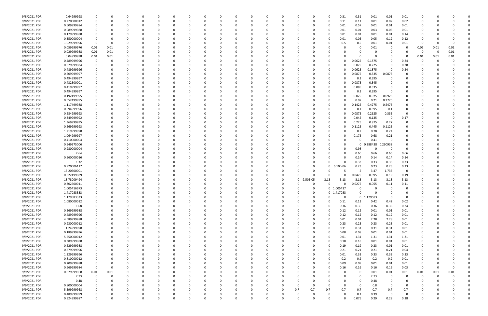| 9/8/2021 PDR | 0.64999998  | - 0         |          |   |          |              |          |          |          |          |  |          |          |               | 0        | 0.31       | 0.31            | 0.01        | 0.01         | 0.01         |             |      |      |  |
|--------------|-------------|-------------|----------|---|----------|--------------|----------|----------|----------|----------|--|----------|----------|---------------|----------|------------|-----------------|-------------|--------------|--------------|-------------|------|------|--|
| 9/8/2021 PDR | 0.270000012 | 0           | 0        |   | 0        |              |          |          |          |          |  |          |          |               | 0        | 0.11       | 0.11            | 0.01        | 0.02         | 0.02         | 0           |      |      |  |
| 9/8/2021 PDR | 0.609999984 |             | 0        |   |          |              |          |          |          |          |  |          |          |               | -0       | 0.01       | 0.57            | 0.01        | 0.01         | 0.01         |             |      |      |  |
| 9/8/2021 PDR | 0.089999988 |             |          |   |          |              |          |          |          |          |  |          |          |               | 0        | 0.01       | 0.01            | 0.03        | 0.03         | 0.01         |             |      |      |  |
| 9/8/2021 PDR | 0.179999988 |             |          |   |          |              |          |          |          |          |  |          |          |               |          | 0.01       | 0.01            | 0.01        | 0.01         | 0.14         |             |      |      |  |
| 9/8/2021 PDR | 0.350000004 | 0           | O        |   |          |              |          |          |          |          |  |          |          |               | -0       | 0.01       | 0.05            | 0.05        | 0.12         | 0.12         | O           |      |      |  |
| 9/8/2021 PDR | 1.029999996 | 0           | 0        |   |          |              |          |          |          |          |  |          |          |               |          | 0.5        | 0.5             | 0.01        | 0.01         | 0.01         | 0           |      |      |  |
| 9/8/2021 PDR | 0.059999976 | 0.01        | 0.01     |   |          |              |          |          |          |          |  |          |          |               |          |            | 0               | 0.01        | -0           |              | 0.01        | 0.01 | 0.01 |  |
| 9/8/2021 PDR | 0.029999988 | 0.01        | 0.01     |   |          |              |          |          |          |          |  |          |          |               |          |            |                 | C           |              |              | 0           | -0   | 0.01 |  |
| 9/8/2021 PDR | 0.04999998  | 0.01        | 0.01     |   |          |              |          |          |          |          |  |          |          |               |          |            |                 | 0           |              | - 0          | 0.01        | 0.01 | 0.01 |  |
| 9/8/2021 PDR | 0.489999996 | 0           |          |   |          |              |          |          |          |          |  |          |          |               |          |            | 0.0625          | 0.1875      |              | 0.24         | O           |      |      |  |
| 9/8/2021 PDR | 0.579999984 |             |          |   |          |              |          |          |          |          |  |          |          |               | -0       |            | 0.075           | 0.225       | -0           | 0.28         |             |      |      |  |
| 9/8/2021 PDR | 0.489999996 | - 0         |          |   |          |              |          |          |          |          |  |          |          |               | 0        |            | 0.0625          | 0.1875      | -0           | 0.24         |             |      |      |  |
| 9/8/2021 PDR | 0.509999997 |             |          |   |          |              |          |          |          |          |  |          |          |               | -0       |            | 0.0875          | 0.335       | 0.0875       |              |             |      |      |  |
| 9/8/2021 PDR | 0.494999997 |             |          |   |          |              |          |          |          |          |  |          |          |               |          |            | 0.1             | 0.395       |              |              |             |      |      |  |
| 9/8/2021 PDR | 0.432500001 |             |          |   |          |              |          |          |          |          |  |          |          |               |          |            | 0.0875          | 0.345       |              |              |             |      |      |  |
| 9/8/2021 PDR | 0.419999997 |             |          |   |          |              |          |          |          |          |  |          |          |               |          |            | 0.085           | 0.335       |              |              |             |      |      |  |
| 9/8/2021 PDR | 0.494999997 |             |          |   |          |              |          |          |          |          |  |          |          |               |          |            | 0.1             | 0.395       | -0           | 0            |             |      |      |  |
| 9/8/2021 PDR | 0.192499995 |             |          |   |          |              |          |          |          |          |  |          |          |               |          |            | 0.025           | 0.075       | 0.0925       | 0            |             |      |      |  |
| 9/8/2021 PDR | 0.552499995 |             |          |   |          |              |          |          |          |          |  |          |          |               | -0       |            | 0.07            | 0.21        | 0.2725       | 0            |             |      |      |  |
| 9/8/2021 PDR | 1.117499988 |             |          |   |          |              |          |          |          |          |  |          |          |               |          |            | 1425            | 0.4275      | 0.5475       |              |             |      |      |  |
| 9/8/2021 PDR | 0.594999996 |             |          |   |          |              |          |          |          |          |  |          |          |               |          |            | 0.1             | 0.395       | 0.1          | 0            |             |      |      |  |
| 9/8/2021 PDR | 0.684999993 |             |          |   |          |              |          |          |          |          |  |          |          |               |          |            | 0.0875          | 0.2625      | 0.335        | $\Omega$     |             |      |      |  |
| 9/8/2021 PDR | 0.349999992 |             |          |   |          |              |          |          |          |          |  |          |          |               | -0       |            | 0.045           | 0.135       | 0            | 0.17         |             |      |      |  |
| 9/8/2021 PDR | 1.369999995 |             |          |   |          |              |          |          |          |          |  |          |          |               | -0       |            | 0.225           | 0.875       | 0.27         | 0            |             |      |      |  |
| 9/8/2021 PDR | 0.669999993 |             |          |   |          |              |          |          |          |          |  |          |          |               | 0        |            | 0.1125          | 0.445       | 0.1125       |              |             |      |      |  |
| 9/8/2021 PDR | 1.219999998 |             |          |   |          |              |          |          |          |          |  |          |          |               |          |            | 0.2             | 0.78        | 0.24         |              |             |      |      |  |
| 9/8/2021 PDR | 1.064999997 |             |          |   |          |              |          |          |          |          |  |          |          |               |          |            | 0.175           | 0.68        | 0.21         | 0            |             |      |      |  |
| 9/8/2021 PDR | 0.410000004 |             |          |   |          |              |          |          |          |          |  |          |          |               |          |            | 0               | 0.41        | $\Omega$     | 0            |             |      |      |  |
| 9/8/2021 PDR | 0.549375006 |             |          |   |          |              |          |          |          |          |  |          |          |               |          |            | 0               | 0.288438    | 0.260938     | 0            |             |      |      |  |
| 9/8/2021 PDR | 0.980000004 |             |          |   |          |              |          |          |          |          |  |          |          |               |          |            | 0.98            | C           | -0           | 0            |             |      |      |  |
| 9/8/2021 PDR |             |             |          |   |          |              |          |          |          |          |  |          |          |               |          |            |                 |             |              |              |             |      |      |  |
| 9/8/2021 PDR | 2.64        |             |          |   |          |              |          |          |          |          |  |          |          |               |          |            | 0.66            | 0.66        | 0.66<br>0.14 | 0.66<br>0.14 |             |      |      |  |
|              | 0.560000016 |             |          |   |          |              |          |          |          |          |  |          |          |               |          |            | 0.14            | 0.14        |              |              |             |      |      |  |
| 9/8/2021 PDR | 1.32        |             |          |   |          |              |          |          |          |          |  |          |          |               | 0        |            | 0.33            | 0.33        | 0.33         | 0.33         |             |      |      |  |
| 9/8/2021 PDR | 0.920006117 |             |          |   |          |              |          |          |          |          |  |          |          |               | 0        | 10E-06     | 0.23            | 0.23        | 0.23         | 0.23         |             |      |      |  |
| 9/8/2021 PDR | 15.20500001 |             |          |   |          |              |          |          |          |          |  |          |          |               |          |            | 5               | 3.47        | 1.735        | 0            |             |      |      |  |
| 9/8/2021 PDR | 0.522499989 |             |          |   |          |              |          |          |          |          |  |          |          |               |          |            | 0.0475          | 0.095       | 0.19         | 0.19         |             |      |      |  |
| 9/8/2021 PDR | 18.78009494 |             |          |   |          |              |          |          |          |          |  |          | 0        | .50E-05<br>-9 | 3.13     | 3.13       | 3.13            | 3.13        | 3.13         | 3.13         |             |      |      |  |
| 9/8/2021 PDR | 0.302500011 |             |          |   |          |              |          |          |          |          |  |          |          |               |          |            | 0.0275          | 0.055       | 0.11         | 0.11         |             |      |      |  |
| 9/8/2021 PDR | 1.005416673 |             |          |   |          |              |          |          |          |          |  | $\Omega$ |          | 0             |          | 0 1.005417 | 0<br>$\sqrt{ }$ | 0           | - 0          | $\Omega$     | $\Omega$    |      |      |  |
| 9/8/2021 PDR | 1.417083333 | $\mathbf 0$ |          |   |          |              |          |          |          |          |  |          |          | $\mathbf 0$   | $\Omega$ | 417083     |                 | $\mathbf 0$ | $\Omega$     |              |             |      |      |  |
| 9/8/2021 PDR | 1.179583333 | 0           | $\Omega$ | n | 0        | 0            |          | $\Omega$ | 0        | $\Omega$ |  | $\Omega$ |          | $\Omega$      | $\Omega$ | - 0        |                 | 0 1.179583  | $\Omega$     | $\Omega$     | 0           |      |      |  |
| 9/9/2021 PDR | 1.080000012 |             | 0        |   | 0        | <sup>0</sup> |          | 0        |          | 0        |  | $\Omega$ |          |               | $\Omega$ | 0.11       | 0.11            | 0.42        | 0.42         | 0.02         | 0           |      |      |  |
| 9/9/2021 PDR | 1.68        |             | 0        |   | 0        |              |          |          |          |          |  |          |          |               | $\Omega$ | 0.36       | 0.36            | 0.36        | 0.36         | 0.24         | 0           |      |      |  |
| 9/9/2021 PDR | 0.269999988 |             | 0        |   | 0        |              |          |          |          |          |  |          |          |               | -C       | 0.12       | 0.12            | 0.01        | 0.01         | 0.01         | 0           |      |      |  |
| 9/9/2021 PDR | 0.489999996 |             |          |   | 0        |              |          |          |          |          |  |          |          |               | 0        | 0.12       | 0.12            | 0.12        | 0.12         | 0.01         | 0           |      |      |  |
| 9/9/2021 PDR | 4.589999988 | $\mathbf 0$ | 0        |   | $\Omega$ |              |          |          | 0        |          |  |          |          |               | 0        | 0.01       | 0.01            | 2.28        | 2.28         | 0.01         | 0           |      |      |  |
| 9/9/2021 PDR | 0.930000012 | 0           | 0        |   | 0        |              |          |          | 0        | 0        |  |          |          |               | 0        | 0.23       | 0.23            | 0.23        | 0.23         | 0.01         | 0           |      |      |  |
| 9/9/2021 PDR | 1.24999998  | $\mathbf 0$ | 0        |   | 0        |              |          |          |          |          |  |          |          |               | $\Omega$ | 0.31       | 0.31            | 0.31        | 0.31         | 0.01         | 0           |      |      |  |
| 9/9/2021 PDR | 0.189999996 | 0           | $\Omega$ |   | 0        |              |          | 0        | 0        |          |  |          |          |               |          | 0.08       | 0.08            | 0.01        | 0.01         | 0.01         | 0           |      |      |  |
| 9/9/2021 PDR | 5.250000012 | 0           | 0        |   | 0        |              |          |          |          |          |  |          |          |               | 0        | 0.01       | 1.31            | 1.31        | 1.31         | 1.31         |             |      |      |  |
| 9/9/2021 PDR | 0.389999988 |             |          |   | 0        |              |          |          |          |          |  |          |          |               | 0        | 0.18       | 0.18            | 0.01        | 0.01         | 0.01         | O           |      |      |  |
| 9/9/2021 PDR | 0.629999988 | $\mathbf 0$ | 0        |   | 0        |              |          |          | 0        | -0       |  |          |          |               | 0        | 0.19       | 0.19            | 0.23        | 0.01         | 0.01         | 0           |      |      |  |
| 9/9/2021 PDR | 0.879999996 | $\mathbf 0$ | 0        |   | 0        |              |          |          | 0        | 0        |  | 0        |          |               | 0        | 0.21       | 0.21            | 0.21        | 0.21         | 0.04         | 0           |      |      |  |
| 9/9/2021 PDR | 1.329999996 | 0           | 0        |   | 0        |              |          |          | 0        |          |  |          |          |               | 0        | 0.01       | 0.33            | 0.33        | 0.33         | 0.33         | 0           |      |      |  |
| 9/9/2021 PDR | 0.810000012 | $\mathbf 0$ | $\Omega$ |   | 0        |              |          | 0        | 0        | -0       |  |          |          |               | $\Omega$ | 0.2        | 0.2             | 0.2         | 0.2          | 0.01         | 0           |      |      |  |
| 9/9/2021 PDR | 0.209999988 | $\mathbf 0$ | 0        |   | 0        |              |          |          |          |          |  |          |          |               | 0        | 0.09       | 0.09            | 0.01        | 0.01         | 0.01         | 0           |      |      |  |
| 9/9/2021 PDR | 0.669999984 | $\mathbf 0$ | 0        |   | 0        |              |          |          |          |          |  |          |          |               | 0        | 0.16       | 0.16            | 0.16        | 0.16         | 0.03         | $\mathbf 0$ | -0   |      |  |
| 9/9/2021 PDR | 0.079999968 | $0.01\,$    | 0.01     |   | 0        |              |          |          |          |          |  |          |          |               |          |            | 0               | 0.01        | 0.01         | 0.01         | 0.01        | 0.01 | 0.01 |  |
| 9/9/2021 PDR | 2.73        | $\mathbf 0$ | 0        |   | $\Omega$ |              |          |          |          |          |  |          |          |               |          |            | 0               | 2.73        | $\mathbf 0$  | 0            | $\mathbf 0$ | 0    |      |  |
| 9/9/2021 PDR | 0.48        | 0           | 0        |   | 0        |              |          |          |          |          |  |          |          |               |          |            | 0               | 0.48        | 0            | 0            | O           |      |      |  |
| 9/9/2021 PDR | 0.800000004 |             | 0        |   | 0        |              |          |          | 0        |          |  | 0        | $\Omega$ | 0             |          |            | 0               | 0.8         | -0           | 0            | 0           |      |      |  |
| 9/9/2021 PDR | 5.599999968 | 0           | $\Omega$ |   | $\Omega$ |              | $\Omega$ |          | 0        | - 0      |  | $\Omega$ | 0.7      | 0.7           | 0.7      | 0.7        | 0.7             | 0.7         | 0.7          | 0.7          |             |      |      |  |
| 9/9/2021 PDR | 0.489999999 | 0           | 0        |   | 0        |              |          |          |          |          |  | 0        |          | 0             | 0        |            | 0.1             | 0.39        | $\Omega$     | 0            |             |      |      |  |
| 9/9/2021 PDR | 0.924999987 | $\Omega$    | $\Omega$ |   |          | $\Omega$     |          |          | $\Omega$ |          |  | $\Omega$ | $\Omega$ |               | $\Omega$ |            | 0.075           | 0.29        | 0.28         | 0.28         | $\Omega$    |      |      |  |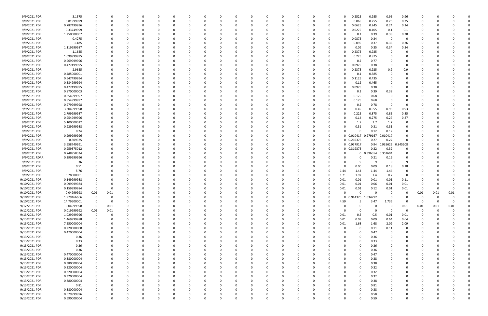| 9/9/2021 PDR  | 3.1575      | - 0                     | 0        |          |          |          |          | 0           | 0 |             | -0       |          |             | 0            |      | 0.2525              | 0.985       | 0.96          | 0.96        |             |          |      |  |
|---------------|-------------|-------------------------|----------|----------|----------|----------|----------|-------------|---|-------------|----------|----------|-------------|--------------|------|---------------------|-------------|---------------|-------------|-------------|----------|------|--|
| 9/9/2021 PDR  | 0.81999999  | $\Omega$                |          |          |          |          |          | $\Omega$    | O |             | $\Omega$ |          |             | 0            |      | 0.065               | 0.255       | 0.25          | 0.25        |             |          |      |  |
| 9/9/2021 PDR  | 0.787499996 | $\Omega$                |          |          |          |          |          |             |   |             |          |          |             | 0            |      | 0.0625              | 0.245       | 0.24          | 0.24        |             |          |      |  |
| 9/9/2021 PDR  | 0.33249999  | 0                       |          |          |          |          |          |             |   |             |          |          |             |              |      | 0.0275              | 0.105       | 0.1           | 0.1         |             |          |      |  |
|               |             |                         |          |          |          |          |          |             |   |             |          |          |             | 0            |      |                     |             |               |             |             |          |      |  |
| 9/9/2021 PDR  | 1.250000007 |                         |          |          |          |          |          |             |   |             |          |          |             | 0            |      | 0.1                 | 0.39        | 0.38          | 0.38        |             |          |      |  |
| 9/9/2021 PDR  | 0.4275      |                         |          |          |          |          |          |             |   |             |          |          |             | 0            |      | 0.0875              | 0.34        | 0             | - 0         |             |          |      |  |
| 9/9/2021 PDR  | 1.185       | 0                       |          |          |          |          |          |             | C |             |          |          |             | 0            |      | 0.095               | 0.37        | 0.36          | 0.36        |             |          |      |  |
| 9/9/2021 PDR  | 1.119999987 |                         |          |          |          |          |          |             |   |             |          |          |             | 0            |      | 0.09                | 0.35        | 0.34          | 0.34        |             |          |      |  |
| 9/9/2021 PDR  | 1.1625      |                         |          |          |          |          |          |             |   |             |          |          |             | 0            |      | 0.2375              | 0.925       | 0             |             |             |          |      |  |
| 9/9/2021 PDR  | 1.099999995 |                         |          |          |          |          |          |             |   |             |          |          |             | 0            |      | 0.225               | 0.875       | 0             |             |             |          |      |  |
|               | 0.969999996 |                         |          |          |          |          |          |             |   |             |          |          |             |              |      |                     |             | 0             |             |             |          |      |  |
| 9/9/2021 PDR  |             |                         |          |          |          |          |          |             |   |             |          |          |             |              |      | 0.2                 | 0.77        |               |             |             |          |      |  |
| 9/9/2021 PDR  | 0.477499995 |                         |          |          |          |          |          |             |   |             |          |          |             | 0            |      | 0.0975              | 0.38        | 0             |             |             |          |      |  |
| 9/9/2021 PDR  | 2.9625      | 0                       |          |          |          |          |          |             | C |             |          |          |             | 0            |      | 0.2375              | 0.925       | 0.9           | 0.9         |             |          |      |  |
| 9/9/2021 PDR  | 0.485000001 | 0                       |          |          |          |          |          |             |   |             |          |          |             | 0            |      | 0.1                 | 0.385       | 0             |             |             |          |      |  |
| 9/9/2021 PDR  | 0.547499994 |                         |          |          |          |          |          |             |   |             |          |          |             | 0            |      | 0.1125              | 0.435       | 0             |             |             |          |      |  |
| 9/9/2021 PDR  | 0.584999994 |                         |          |          |          |          |          |             |   |             |          |          |             | 0            |      | 0.12                | 0.465       |               |             |             |          |      |  |
| 9/9/2021 PDR  | 0.477499995 |                         |          |          |          |          |          |             |   |             |          |          |             | 0            |      | 0.0975              | 0.38        | $\Omega$      |             |             |          |      |  |
|               |             |                         |          |          |          |          |          |             |   |             |          |          |             |              |      |                     |             |               |             |             |          |      |  |
| 9/9/2021 PDR  | 0.870000003 |                         |          |          |          |          |          |             |   |             |          |          |             | 0            |      | 0.1                 | 0.39        | 0.38          |             |             |          |      |  |
| 9/9/2021 PDR  | 0.854999997 | 0                       |          |          |          |          |          |             |   |             |          |          |             | 0            |      | 0.175               | 0.68        | 0             |             |             |          |      |  |
| 9/9/2021 PDR  | 0.854999997 | 0                       |          |          |          |          |          |             |   |             |          |          |             | 0            |      | 0.175               | 0.68        | 0             |             |             |          |      |  |
| 9/9/2021 PDR  | 0.979999998 |                         |          |          |          |          |          |             |   |             |          |          |             | 0            |      | 0.2                 | 0.78        | $\mathbf 0$   |             |             |          |      |  |
| 9/9/2021 PDR  | 3.304999998 | 0                       |          |          |          |          |          |             |   |             |          |          |             | 0            |      | 0.49                | 0.955       | 0.93          | 0.93        |             |          |      |  |
| 9/9/2021 PDR  | 2.799999987 | 0                       |          |          |          |          |          |             |   |             |          |          |             | 0            |      | 0.225               | 0.875       | 0.85          | 0.85        |             |          |      |  |
| 9/9/2021 PDR  | 0.954999996 |                         |          |          |          |          |          |             |   |             |          |          |             |              |      | 0.14                | 0.275       | 0.27          | 0.27        |             |          |      |  |
|               |             |                         |          |          |          |          |          |             |   |             |          |          |             |              |      |                     |             |               |             |             |          |      |  |
| 9/9/2021 PDR  | 5.100000012 |                         |          |          |          |          |          |             |   |             |          |          |             |              |      | 1.7                 | 1.7         | 1.7           | -0          |             |          |      |  |
| 9/9/2021 PDR  | 0.929999988 | 0                       |          |          |          |          |          |             |   |             |          |          |             | 0            |      | 0.31                | 0.31        | 0.31          |             |             |          |      |  |
| 9/9/2021 PDR  | 0.24        |                         |          |          |          |          |          |             |   |             |          |          |             | 0            |      | $\Omega$            | 0.12        | 0.12          |             |             |          |      |  |
| 9/9/2021 PDR  | 0.999999996 |                         |          |          |          |          |          |             |   |             |          |          |             | 0            |      | 0 0.010417 0.979167 |             | 0.010417      |             |             |          |      |  |
| 9/9/2021 PDR  | 0.809375    |                         |          |          |          |          |          |             |   |             |          |          |             | 0            |      | 0 0.269375          | 0.27        | 0.27          | $\Omega$    |             |          |      |  |
| 9/9/2021 PDR  | 3.658749991 |                         |          |          |          |          |          |             |   |             |          |          |             | 0            |      | 0 0.937917          |             | 0.94 0.935625 | 0.845208    |             |          |      |  |
| 9/9/2021 PDR  | 0.959375012 |                         |          |          |          |          |          |             |   |             |          |          |             | 0            |      | 0 0.319375          | 0.32        | 0.32          | 0           |             |          |      |  |
|               |             |                         |          |          |          |          |          |             |   |             |          |          |             |              |      |                     |             |               |             |             |          |      |  |
| 9/9/2021 PDR  | 0.748958334 | 0                       |          |          |          |          |          |             | C |             |          |          |             | 0            |      | 0                   | 0.396354    | 0.352604      | 0           |             |          |      |  |
| 9/9/2021 RDRR | 0.399999996 |                         |          |          |          |          |          |             |   |             |          |          |             |              |      |                     | 0.21        | 0.19          |             |             |          |      |  |
| 9/9/2021 PDR  | 36          |                         |          |          |          |          |          |             |   |             |          |          |             |              |      |                     | -9          | -9            | <b>q</b>    |             |          |      |  |
| 9/9/2021 PDR  | 0.51        |                         |          |          |          |          |          |             |   |             |          |          |             | 0            |      | 0.06                | 0.09        | 0.18          | 0.18        |             |          |      |  |
| 9/9/2021 PDR  | 5.76        |                         |          |          |          |          |          |             |   |             |          |          |             | 0            | 1.44 | 1.44                | 1.44        | 1.44          | $\Omega$    |             |          |      |  |
| 9/9/2021 PDR  | 5.78000001  |                         |          |          |          |          |          |             |   |             |          |          |             | <sup>0</sup> | 1.71 | 1.97                | 1.4         | 0.7           | - 0         |             |          |      |  |
| 9/10/2021 PDR | 0.149999988 |                         |          |          |          |          |          |             |   |             |          |          |             | 0            | 0.01 | 0.01                | 0.01        | 0.01          | 0.11        |             |          |      |  |
|               |             |                         |          |          |          |          |          |             |   |             |          |          |             |              |      |                     |             |               |             |             |          |      |  |
| 9/10/2021 PDR | 0.099999984 |                         |          |          |          |          |          |             |   |             |          |          |             |              | 0.01 | 0.01                | 0.06        | 0.01          | 0.01        |             |          |      |  |
| 9/10/2021 PDR | 0.159999984 | $\mathbf 0$             | O        |          |          |          |          |             |   |             |          |          |             | <sup>0</sup> | 0.01 | 0.01                | 0.12        | 0.01          | 0.01        | 0           |          |      |  |
| 9/10/2021 PDR | 0.04999998  | 0.01                    | 0.01     |          |          |          |          | O           |   |             | 0        |          | 0           | 0            |      |                     | $\Omega$    | 0             |             | 0.01        | 0.01     | 0.01 |  |
| 9/10/2021 PDR | 1.979166666 | $\mathbf 0$             | 0        | 0        |          | $\Omega$ |          | $\mathbf 0$ | 0 |             | $\Omega$ |          | $\mathbf 0$ | 0            |      | 0 0.944375 1.034792 |             | $\mathbf 0$   | $\Omega$    | $\mathbf 0$ | 0        |      |  |
| 9/10/2021 PDR | 14.79500001 | $\overline{\mathbf{0}}$ | 0        |          |          |          |          | 0           |   |             |          |          | 0           | 0            | 4.59 | 5                   | 3.47        | 1.735         | $\Omega$    | 0           |          |      |  |
| 9/12/2021 PDR | 0.04999998  | $\mathbf 0$             | 0.01     |          |          |          |          | 0           | 0 |             |          |          | 0           | $\Omega$     |      | 0                   | 0           | $\mathbf 0$   | 0.01        | 0.01        | 0.01     | 0.01 |  |
| 9/12/2021 PDR | 0.019999992 | $0.01\,$                | 0.01     |          |          |          |          | 0           |   |             |          |          |             |              |      | 0                   | $\mathbf 0$ | $\Omega$      | $\Omega$    | 0           | $\Omega$ |      |  |
| 9/13/2021 PDR | 1.029999996 | $\mathbf 0$             | 0        |          |          |          |          | 0           |   |             |          |          |             | 0            | 0.01 | 0.5                 | 0.5         | 0.01          | $0.01\,$    |             |          |      |  |
|               |             |                         |          |          |          |          |          |             |   |             |          |          |             |              |      |                     |             |               |             |             |          |      |  |
| 9/13/2021 PDR | 1.469999988 | $\overline{\mathbf{0}}$ | 0        |          |          |          |          | 0           |   |             |          |          | 0           | 0            | 0.01 | 0.09                | 0.09        | 0.64          | 0.64        |             |          |      |  |
| 9/13/2021 PDR | 7.550000004 | $\mathbf 0$             | 0        |          |          |          |          | 0           | 0 |             |          |          | 0           | 0            | 0.01 | 1.68                | 1.68        | 2.09          | 2.09        | 0           |          |      |  |
| 9/13/2021 PDR | 0.220000008 | $\mathbf 0$             | 0        |          |          |          |          | 0           |   |             |          |          | 0           | $\Omega$     |      | 0                   | 0.11        | 0.11          | $\mathbf 0$ |             |          |      |  |
| 9/13/2021 PDR | 0.470000004 | $\mathbf 0$             | $\Omega$ |          |          |          |          | 0           | O |             |          |          | 0           |              |      | $\mathbf 0$         | 0.47        | 0             | $\Omega$    |             |          |      |  |
| 9/13/2021 PDR | 0.36        | -0                      | 0        |          |          |          |          | 0           | C |             |          |          | 0           |              |      | $\Omega$            | 0.36        | 0             | 0           |             |          |      |  |
| 9/13/2021 PDR | 0.33        |                         |          |          |          |          |          | 0           |   |             |          |          |             |              |      | 0                   | 0.33        | 0             |             |             |          |      |  |
| 9/13/2021 PDR | 0.36        | 0                       |          |          |          |          |          | 0           |   |             |          |          |             |              |      | 0                   |             |               |             |             |          |      |  |
|               |             |                         |          |          |          |          |          |             |   |             |          |          |             |              |      |                     | 0.36        | 0             |             |             |          |      |  |
| 9/13/2021 PDR | 0.36        | 0                       |          |          |          |          |          | 0           |   |             |          |          | 0           |              |      | 0                   | 0.36        | 0             |             |             |          |      |  |
| 9/13/2021 PDR | 0.470000004 | $\mathbf 0$             |          |          |          |          |          | 0           |   |             |          |          |             |              |      | $\Omega$            | 0.47        | 0             |             |             |          |      |  |
| 9/13/2021 PDR | 0.380000004 | $\mathbf 0$             | $\Omega$ |          |          |          |          | 0           | 0 |             |          |          | 0           | <sup>0</sup> |      | 0                   | 0.38        | 0             | $\Omega$    |             |          |      |  |
| 9/13/2021 PDR | 0.380000004 | 0                       | 0        |          |          |          |          | 0           | 0 |             |          |          | 0           | 0            |      | $\Omega$            | 0.38        | 0             |             |             |          |      |  |
| 9/13/2021 PDR | 0.320000004 | $\mathbf 0$             |          |          |          |          |          | 0           |   |             |          |          |             |              |      | $\Omega$            | 0.32        | 0             |             |             |          |      |  |
| 9/13/2021 PDR | 0.320000004 | $\mathbf 0$             |          |          |          |          |          | 0           |   |             |          |          |             |              |      | 0                   | 0.32        | 0             |             |             |          |      |  |
|               |             |                         |          |          |          |          |          |             |   |             |          |          |             |              |      |                     |             |               |             |             |          |      |  |
| 9/13/2021 PDR | 0.320000004 | $\mathbf 0$             |          |          |          |          |          | 0           |   |             |          |          |             |              |      | 0                   | 0.32        |               |             |             |          |      |  |
| 9/13/2021 PDR | 0.380000004 | $\mathbf 0$             |          |          |          |          |          |             |   |             |          |          |             |              |      | $\Omega$            | 0.38        |               |             |             |          |      |  |
| 9/13/2021 PDR | 0.81        | 0                       | 0        |          |          |          |          | 0           |   |             |          |          | 0           |              |      | 0                   | 0.81        | 0             |             |             |          |      |  |
| 9/13/2021 PDR | 0.380000004 | 0                       | 0        |          |          |          |          | 0           | 0 |             |          |          | 0           |              |      | 0                   | 0.38        | 0             | 0           |             |          |      |  |
| 9/13/2021 PDR | 0.579999996 | $\mathbf 0$             |          |          |          |          |          | 0           |   |             |          |          |             |              |      |                     | 0.58        |               |             |             |          |      |  |
| 9/13/2021 PDR | 0.590000004 | $\mathbf 0$             | 0        | $\Omega$ | $\Omega$ | $\Omega$ | $\Omega$ | $\Omega$    | 0 | $\mathbf 0$ | $\Omega$ | $\Omega$ | $\Omega$    | $\Omega$     |      | $\Omega$            | 0.59        | $\Omega$      | $\Omega$    | $\Omega$    | $\Omega$ |      |  |
|               |             |                         |          |          |          |          |          |             |   |             |          |          |             |              |      |                     |             |               |             |             |          |      |  |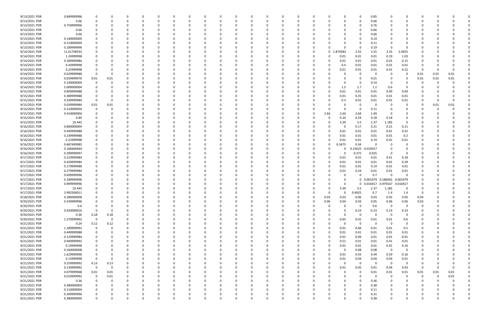| 9/13/2021 PDR | 0.849999996 |                |             |          |          |          |          |          |          |          |          |          |              |          |          |             |                  | 0            | 0.85     |                         |                |          |          |      |  |
|---------------|-------------|----------------|-------------|----------|----------|----------|----------|----------|----------|----------|----------|----------|--------------|----------|----------|-------------|------------------|--------------|----------|-------------------------|----------------|----------|----------|------|--|
| 9/13/2021 PDR | 0.66        | 0              | 0           | 0        | - 0      |          |          | -0       |          |          | 0        |          | റ            | 0        | - 0      |             |                  | 0            | 0.66     |                         | 0              | -0       |          |      |  |
| 9/13/2021 PDR | 0.759999996 |                |             |          |          |          |          |          |          |          |          |          |              |          |          |             |                  | 0            | 0.76     |                         |                |          |          |      |  |
| 9/13/2021 PDR | 0.66        |                |             |          |          |          |          |          |          |          |          |          |              |          |          |             |                  |              | 0.66     |                         |                |          |          |      |  |
| 9/13/2021 PDR | 0.66        |                |             |          |          |          |          |          |          |          |          |          |              |          |          |             |                  | 0            | 0.66     |                         |                |          |          |      |  |
| 9/13/2021 PDR | 0.140000004 |                |             |          |          |          |          |          |          |          |          |          |              |          |          |             |                  | <sup>0</sup> | 0.14     |                         |                |          |          |      |  |
| 9/13/2021 PDR | 0.110000004 |                |             |          |          |          |          |          |          |          |          |          |              |          |          |             |                  | C            | 0.11     |                         |                |          |          |      |  |
|               |             |                |             |          |          |          |          |          |          |          |          |          |              |          |          |             |                  |              |          |                         | $\Omega$       |          |          |      |  |
| 9/13/2021 PDR | 0.189999996 |                |             |          |          |          |          |          |          |          |          |          |              |          |          |             |                  | -0           | 0.19     |                         |                |          |          |      |  |
| 9/14/2021 PDR | 11.61708333 |                |             |          |          |          |          |          |          |          |          |          |              |          |          | $\mathbf 0$ | 874583           | 2.55         | 2.55     | 2.55                    | 2.0925         |          |          |      |  |
| 9/14/2021 PDR | 1.24999998  |                |             |          |          |          |          |          |          |          |          |          |              |          |          | 0           | 0.01             | 0.01         | 0.01     | 0.19                    | 1.03           |          |          |      |  |
| 9/14/2021 PDR | 0.189999984 |                |             |          |          |          |          |          |          |          |          |          |              |          |          |             | 0.01             | 0.01         | 0.01     | 0.01                    | 0.15           |          |          |      |  |
| 9/14/2021 PDR | 0.43999998  |                |             |          |          |          |          |          |          |          |          |          |              |          |          |             | 0.4              | 0.01         | 0.01     | 0.01                    | 0.01           |          |          |      |  |
| 9/14/2021 PDR | 0.25999998  |                |             |          |          |          |          |          |          |          |          |          |              |          |          |             | 0.01             | 0.01         | 0.01     | 0.01                    | 0.22           |          |          |      |  |
| 9/14/2021 PDR | 0.029999988 | 0              |             |          |          |          |          |          |          |          |          |          |              |          |          |             |                  | $\Omega$     | -0       | - 0                     | $\Omega$       | 0.01     | 0.01     | 0.01 |  |
| 9/14/2021 PDR | 0.059999976 | $0.01\,$       | 0.01        |          |          |          |          |          |          |          |          |          |              |          |          |             |                  | 0            | 0.01     |                         |                | 0.01     | 0.01     | 0.01 |  |
| 9/14/2021 PDR | 0.140000004 | 0              |             |          |          |          |          |          |          |          |          |          |              |          |          |             |                  | 0            | 0.14     |                         |                |          |          |      |  |
| 9/14/2021 PDR | 5.000000004 |                |             |          |          |          |          |          |          |          |          |          |              |          |          |             | 1.5              | 1.7          | 1.2      | 0.6                     | $\Omega$       |          |          |      |  |
| 9/15/2021 PDR | 0.809999988 |                |             |          |          |          |          |          |          |          |          |          |              |          |          |             | 0.01             | 0.01         | 0.01     | 0.09                    | 0.69           |          |          |      |  |
| 9/15/2021 PDR | 0.389999988 |                |             |          |          |          |          |          |          |          |          |          |              |          |          |             | 0.01             | 0.35         | 0.01     | 0.01                    | 0.01           |          |          |      |  |
| 9/15/2021 PDR | 0.339999984 | $\Omega$       |             |          |          |          |          |          |          |          |          |          |              |          |          |             | 0.3              | 0.01         | 0.01     | 0.01                    | 0.01           |          |          |      |  |
| 9/15/2021 PDR | 0.039999984 | 0.01           | 0.01        |          |          |          |          |          |          |          |          |          |              |          |          |             |                  | -0           |          |                         | 0              |          | 0.01     | 0.01 |  |
| 9/15/2021 PDR | 0.110000004 | $\Omega$       |             |          |          |          |          |          |          |          |          |          |              |          |          |             |                  | -0           | 0.11     |                         | 0              |          |          |      |  |
|               |             |                |             |          |          |          |          |          |          |          |          |          |              |          |          |             |                  |              |          |                         |                |          |          |      |  |
| 9/15/2021 PDR | 9.410000004 |                |             |          |          |          |          |          |          |          |          |          |              |          |          | 2.64        | 2.64             | 2.64         | 1.49     | - 0                     |                |          |          |      |  |
| 9/15/2021 PDR | 0.84        |                |             |          |          |          |          |          |          |          |          |          |              |          |          |             | 0.24             | 0.24         | 0.18     | 0.18                    |                |          |          |      |  |
| 9/15/2021 PDR | 10.445      |                |             |          |          |          |          |          |          |          |          |          |              |          |          |             | 3.39             | 3.5          | 2.37     | 1.185                   | $\Omega$       |          |          |      |  |
| 9/16/2021 PDR | 0.800000004 |                |             |          |          |          |          |          |          |          |          |          |              |          |          |             |                  | 0.17         | 0.21     | 0.21                    | 0.21           |          |          |      |  |
| 9/16/2021 PDR | 0.449999988 |                |             |          |          |          |          |          |          |          |          |          |              |          |          |             | 0.01             | 0.01         | 0.01     | 0.01                    | 0.41           |          |          |      |  |
| 9/16/2021 PDR | 0.239999988 |                |             |          |          |          |          |          |          |          |          |          |              |          |          |             | 0.01             | 0.01         | 0.01     | 0.01                    | 0.2            |          |          |      |  |
| 9/16/2021 PDR | 0.22999998  |                |             |          |          |          |          |          |          |          |          |          |              |          |          |             | 0.01             | 0.01         | 0.19     | 0.01                    | 0.01           |          |          |      |  |
| 9/16/2021 PDR | 0.687499985 |                |             |          |          |          |          |          |          |          |          |          |              |          |          | 0           | 0.3475           | 0.34         | -C       |                         |                |          |          |      |  |
| 9/16/2021 PDR | 0.166666664 |                |             |          |          |          |          |          |          |          |          |          |              |          |          |             |                  | 0.15625      | .010417  |                         | 0              |          |          |      |  |
| 9/16/2021 PDR | 0.399999997 |                |             |          |          |          |          |          |          |          |          |          |              |          |          |             |                  | 0.375        | 0.025    | - 0                     | 0              |          |          |      |  |
| 9/17/2021 PDR | 0.219999984 |                |             |          |          |          |          |          |          |          |          |          |              |          |          |             | 0.01             | 0.01         | 0.01     | 0.01                    | 0.18           |          |          |      |  |
| 9/17/2021 PDR | 0.429999984 |                |             |          |          |          |          |          |          |          |          |          |              |          |          |             | 0.01             | 0.01         | 0.01     | 0.01                    | 0.39           |          |          |      |  |
| 9/17/2021 PDR | 0.179999988 |                |             |          |          |          |          |          |          |          |          |          |              |          |          |             | 0.01             | 0.01         | 0.14     | 0.01                    | 0.01           |          |          |      |  |
| 9/17/2021 PDR | 0.279999984 |                |             |          |          |          |          |          |          |          |          |          |              |          |          |             | 0.01             | 0.24         | 0.01     | 0.01                    | 0.01           |          |          |      |  |
| 9/17/2021 PDR | 0.699999996 |                |             |          |          |          |          |          |          |          |          |          |              |          |          |             |                  | 0            | 0.7      | $\Omega$                | $\Omega$       |          |          |      |  |
|               |             |                |             |          |          |          |          |          |          |          |          |          |              |          |          |             |                  |              |          |                         |                |          |          |      |  |
| 9/17/2021 PDR | 0.189999996 |                |             |          |          |          |          |          |          |          |          |          |              |          |          |             |                  | $\mathbf{0}$ |          | 0.001979 0.186042       | 0.001979       |          |          |      |  |
| 9/17/2021 PDR | 0.999999996 |                |             |          |          |          |          |          |          |          |          |          |              |          |          |             |                  | 0            |          | 0.010417 0.979167       | 0.010417       |          |          |      |  |
| 9/17/2021 PDR | 10.445      | 0              |             | n        |          |          |          |          |          |          |          |          |              |          |          | 0           | 3.39             | 3.5          | 2.37     | 1.185                   | 0              | $\Omega$ |          |      |  |
| 9/17/2021 PDR | 3.992500011 |                |             |          |          |          |          |          |          |          |          |          |              |          |          | υ           | 0                | 0.4925       | 0.7      | 1.4                     | 1.4            | 0        |          |      |  |
| 9/18/2021 PDR | 0.280000008 | $\Omega$       | $\Omega$    | $\Omega$ | $\Omega$ | $\Omega$ | $\Omega$ | $\Omega$ | 0        |          | $\Omega$ | $\Omega$ | $\Omega$     | $\Omega$ | $\Omega$ | 0.03        | 0.03             | 0.06         | 0.03     | 0.05                    | 0.05           | 0.03     |          |      |  |
| 9/20/2021 PDR | 0.339999996 |                | 0           | 0        | 0        | $\Omega$ | $\Omega$ | $\Omega$ |          |          | 0        |          | <sup>0</sup> | 0        | $\Omega$ | 0.06        | 0.04             | 0.04         | 0.05     | 0.06                    | 0.06           | 0.03     |          |      |  |
| 9/20/2021 PDR | 0.6         |                |             | 0        |          |          |          | 0        |          |          | $\Omega$ |          |              | 0        | 0        | $\Omega$    |                  | 0            | 0.6      | $\Omega$                | 0              | 0        |          |      |  |
| 9/20/2021 PDR | 0.920000016 | $\Omega$       | 0           | 0        |          | 0        |          | 0        |          |          | $\Omega$ |          |              | 0        | 0        | $\Omega$    | $\Omega$         | 0.23         | 0.23     | 0.23                    | 0.23           | -C       |          |      |  |
| 9/20/2021 PDR | 0.36        | 0.18           | 0.18        |          |          |          |          |          |          |          | 0        |          |              | 0        |          |             | $\Omega$         | 0            | $\Omega$ | $\Omega$                | $\overline{0}$ |          |          |      |  |
| 9/20/2021 PDR | 1.279999992 | $\mathbf 0$    | $\mathbf 0$ |          |          |          |          |          |          |          |          |          |              | 0        |          | $\Omega$    | 0.65             | 0.01         | 0.01     | 0.01                    | 0.6            |          |          |      |  |
| 9/21/2021 PDR | 0.24        | 0.12           | 0.12        | 0        |          |          |          |          |          |          |          |          |              |          |          | 0           | $\Omega$         | $\mathbf 0$  | $\Omega$ | $\Omega$                | $\overline{0}$ |          |          |      |  |
| 9/21/2021 PDR | 1.189999992 | $\mathbf 0$    | 0           | 0        |          |          |          |          |          |          | 0        |          |              | 0        | 0        | $\Omega$    | 0.01             | 0.66         | 0.01     | 0.01                    | 0.5            |          |          |      |  |
| 9/21/2021 PDR | 0.449999988 | 0              |             | 0        |          |          |          |          |          |          |          |          |              | 0        |          | $\Omega$    | 0.01             | 0.41         | 0.01     | 0.01                    | 0.01           |          |          |      |  |
| 9/21/2021 PDR | 0.129999984 |                |             |          |          |          |          |          |          |          |          |          |              | 0        |          | $\Omega$    | 0.01             | 0.09         | 0.01     | 0.01                    | 0.01           |          |          |      |  |
| 9/21/2021 PDR | 0.949999992 |                |             |          |          |          |          |          |          |          |          |          |              |          |          | 0           | 0.51             | 0.01         | 0.01     | 0.41                    | 0.01           |          |          |      |  |
|               |             |                |             |          |          |          |          |          |          |          |          |          |              |          |          |             |                  |              |          |                         |                |          |          |      |  |
| 9/21/2021 PDR | 0.19999998  | $\Omega$       |             |          |          |          |          |          |          |          |          |          |              |          |          | 0<br>0      | 0.01<br>$\Omega$ | 0.01         | 0.01     | $0.01\,$                | 0.16           |          |          |      |  |
| 9/21/2021 PDR | 0.160000008 |                |             | 0        |          | $\Omega$ |          |          |          |          |          |          | 0            | 0        |          |             |                  | 0.08         | 0.08     | $\overline{\mathbf{0}}$ | $\overline{0}$ |          |          |      |  |
| 9/21/2021 PDR | 1.629999996 | 0              |             | 0        |          |          |          | 0        |          |          | 0        |          |              | 0        |          | 0           | 0.01             | 0.43         | 0.44     | 0.59                    | 0.16           |          |          |      |  |
| 9/21/2021 PDR | 0.13999998  | $\mathbf 0$    | 0           | $\Omega$ |          | $\Omega$ |          |          |          |          | $\Omega$ |          |              | 0        |          | $\Omega$    | 0.01             | 0.04         | 0.04     | 0.04                    | 0.01           |          |          |      |  |
| 9/21/2021 PDR | 0.259999992 | 0.13           | 0.13        |          |          |          |          |          |          |          | $\Omega$ |          |              | 0        | - 0      | 0           | $\Omega$         | $\mathbf 0$  | $\Omega$ | - 0                     | $\overline{0}$ | 0        |          |      |  |
| 9/21/2021 PDR | 0.139999992 | $\overline{0}$ | 0           |          |          |          |          |          |          |          |          |          |              |          |          | 0           | 0.01             | 0.05         | 0.01     | 0.04                    | 0.03           | $\Omega$ |          | 0    |  |
| 9/21/2021 PDR | 0.079999968 | $0.01\,$       | 0.01        |          |          |          |          |          |          |          |          |          |              | 0        |          |             |                  | 0            | 0.01     | $0.01\,$                | 0.01           | 0.01     | 0.01     | 0.01 |  |
| 9/21/2021 PDR | 0.019999992 | $\mathbf 0$    | 0.01        |          |          |          |          |          |          |          |          |          | 0            | 0        |          |             |                  | $\Omega$     | $\Omega$ | $\Omega$                | 0              | $\Omega$ | $\Omega$ | 0.01 |  |
| 9/21/2021 PDR | 0.36        | $\mathbf 0$    | 0           |          |          |          |          |          |          |          |          |          |              |          |          |             |                  | 0            | 0.36     |                         |                | 0        |          |      |  |
| 9/21/2021 PDR | 0.380000004 |                |             | 0        |          |          |          |          |          |          |          |          |              |          |          |             |                  | 0            | 0.38     |                         |                |          |          |      |  |
| 9/21/2021 PDR | 0.110000004 |                |             | 0        |          |          |          |          |          |          | $\Omega$ |          |              | 0        | - 0      |             |                  | 0            | 0.11     |                         |                |          |          |      |  |
| 9/21/2021 PDR | 0.309999996 |                |             |          |          |          |          |          |          |          | 0        |          |              |          |          |             |                  | 0            | 0.31     |                         |                |          |          |      |  |
| 9/21/2021 PDR | 0.380000004 | $\Omega$       | 0           | $\Omega$ | $\Omega$ | $\Omega$ | $\Omega$ | 0        | $\Omega$ | $\Omega$ | $\Omega$ | $\Omega$ | $\Omega$     | $\Omega$ | $\Omega$ | U           | $\Omega$         | $\Omega$     | 0.38     | $\Omega$                | $\Omega$       | $\Omega$ |          | 0    |  |
|               |             |                |             |          |          |          |          |          |          |          |          |          |              |          |          |             |                  |              |          |                         |                |          |          |      |  |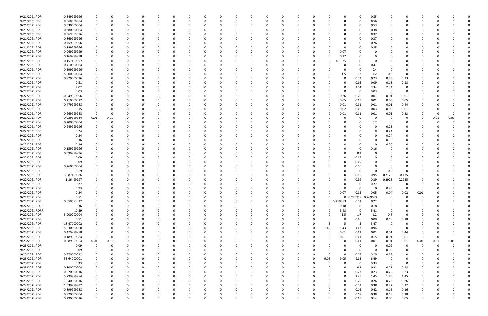| 9/21/2021 PDR  | 0.849999996                |             | 0        |              | 0        | - 0      |          | 0            | 0        |          | 0        |          |              | 0        |          |              |            | 0          | 0.85     | 0           | 0           |          |          |             |  |
|----------------|----------------------------|-------------|----------|--------------|----------|----------|----------|--------------|----------|----------|----------|----------|--------------|----------|----------|--------------|------------|------------|----------|-------------|-------------|----------|----------|-------------|--|
| 9/21/2021 PDR  | 0.560000004                |             | $\Omega$ | $\Omega$     | $\Omega$ | $\Omega$ |          | <sup>0</sup> |          |          | $\Omega$ | $\Omega$ |              | O        | $\Omega$ |              |            | $\Omega$   | 0.56     | $\Omega$    | 0           | $\Omega$ |          |             |  |
| 9/21/2021 PDR  | 0.530000004                |             |          |              |          |          |          |              |          |          |          |          |              |          |          |              |            | 0          | 0.53     |             |             |          |          |             |  |
| 9/21/2021 PDR  | 0.380000004                |             |          |              |          |          |          |              |          |          |          |          |              |          |          |              |            | 0          | 0.38     |             |             |          |          |             |  |
| 9/21/2021 PDR  | 0.369999996                |             |          |              |          |          |          |              |          |          |          |          |              |          |          |              |            | 0          | 0.37     |             |             |          |          |             |  |
| 9/21/2021 PDR  | 0.369999996                |             |          |              |          |          |          |              |          |          |          |          |              |          |          |              |            | 0          | 0.37     |             |             |          |          |             |  |
| 9/21/2021 PDR  | 0.759999996                |             |          |              |          |          |          |              |          |          |          |          |              |          |          |              |            |            | 0.76     |             |             |          |          |             |  |
| 9/21/2021 PDR  | 0.849999996                |             |          |              |          |          |          |              |          |          |          |          |              |          |          |              |            | -0         | 0.85     |             |             |          |          |             |  |
| 9/21/2021 PDR  | 0.069999999                |             |          |              |          |          |          |              |          |          |          |          |              |          |          |              | 0.07       | 0          |          |             |             |          |          |             |  |
| 9/21/2021 PDR  | 0.169999998                |             |          |              |          |          |          |              |          |          |          |          |              |          |          |              | 0.17       |            |          |             |             |          |          |             |  |
| 9/21/2021 PDR  | 0.157499997                |             |          |              |          |          |          |              |          |          |          |          |              |          |          | 0            | 0.1575     | 0          |          |             |             |          |          |             |  |
| 9/21/2021 PDR  | 0.410000004                |             |          |              |          |          |          |              |          |          |          |          |              |          |          |              |            | 0          | 0.41     |             |             |          |          |             |  |
| 9/21/2021 PDR  | 0.399999996                |             |          |              |          |          |          |              |          |          |          |          |              |          |          |              |            | 0          | 0.4      | - 0         |             |          |          |             |  |
| 9/21/2021 PDR  | 5.000000004                |             |          |              |          |          |          |              |          |          |          |          |              |          |          |              | 1.5        | 1.7        | 1.2      | 0.6         | 0           |          |          |             |  |
| 9/21/2021 PDR  | 0.920000016                |             |          |              |          |          |          |              |          |          |          |          |              |          |          |              |            | 0.23       | 0.23     | 0.23        | 0.23        |          |          |             |  |
| 9/21/2021 PDR  | 0.51                       |             |          |              |          |          |          |              |          |          |          |          |              |          |          |              |            | 0.06       | 0.09     | 0.18        | 0.18        |          |          |             |  |
| 9/21/2021 PDR  | 7.02                       |             |          |              |          |          |          |              |          |          |          |          |              |          |          |              |            | 2.34       | 2.34     | 2.34        | 0           |          |          |             |  |
| 9/22/2021 PDR  | 0.03                       |             |          |              |          |          |          |              |          |          |          |          |              |          |          |              |            | 0          | 0.03     | - 0         | 0           |          |          |             |  |
| 9/22/2021 PDR  | 0.549999996                |             |          |              |          |          |          |              |          |          |          |          |              |          |          |              | 0.26       | 0.26       | 0.01     | 0.01        | 0.01        |          |          |             |  |
| 9/22/2021 PDR  | 0.210000012                |             |          |              |          |          |          | -0           |          |          |          |          |              | C        |          | <sup>0</sup> | 0.05       | 0.05       | 0.01     | 0.05        | 0.05        |          |          |             |  |
| 9/22/2021 PDR  | 0.479999988                |             |          |              |          |          |          |              |          |          |          |          |              |          |          | 0            | 0.01       | 0.01       | 0.01     | 0.01        | 0.44        |          |          |             |  |
| 9/22/2021 PDR  | 0.15                       |             |          |              |          |          |          |              |          |          |          |          |              |          |          | 0            | 0.02       | 0.06       | 0.03     | 0.03        | 0.01        |          |          |             |  |
| 9/22/2021 PDR  |                            |             |          |              |          |          |          |              |          |          |          |          |              |          |          |              |            |            |          |             |             |          |          |             |  |
| 9/22/2021 PDR  | 0.269999988<br>0.039999984 |             |          |              |          |          |          |              |          |          |          |          |              |          |          |              | 0.01       | 0.01<br>0  | 0.01     | 0.01<br>- 0 | 0.23        | 0        |          |             |  |
|                |                            | 0.01        | 0.01     |              |          |          |          |              |          |          |          |          |              |          |          |              |            |            |          |             | 0           |          | 0.01     | 0.01        |  |
| 9/22/2021 PDR  | 0.200000004                |             |          |              |          |          |          |              |          |          |          |          |              |          |          |              |            |            | 0.2      | - 0         |             | - 0      |          |             |  |
| 9/22/2021 PDR  | 0.249999996                |             |          |              |          |          |          |              |          |          |          |          |              |          |          |              |            | $\Omega$   |          | 0.25        |             |          |          |             |  |
| 9/22/2021 PDR  | 0.24                       |             |          |              |          |          |          |              |          |          |          |          |              |          |          |              |            |            |          | 0.24        |             |          |          |             |  |
| 9/22/2021 PDR  | 0.24                       |             |          |              |          |          |          |              |          |          |          |          |              |          |          |              |            |            |          | 0.24        |             |          |          |             |  |
| 9/22/2021 PDR  | 0.36                       |             |          |              |          |          |          |              |          |          |          |          |              |          |          |              |            |            |          | 0.36        |             |          |          |             |  |
| 9/22/2021 PDR  | 0.36                       |             |          |              |          |          |          |              |          |          |          |          |              |          |          |              |            | 0          |          | 0.36        |             |          |          |             |  |
| 9/22/2021 PDR  | 0.159999996                |             |          |              |          |          |          |              |          |          |          |          |              |          |          |              |            | 0          | 0.16     |             |             |          |          |             |  |
| 9/22/2021 PDR  | 0.099999996                |             |          |              |          |          |          |              |          |          |          |          |              |          |          |              |            | 0.1        |          |             |             |          |          |             |  |
| 9/22/2021 PDR  | 0.09                       |             |          |              |          |          |          |              |          |          |          |          |              |          |          |              |            | 0.09       |          |             |             |          |          |             |  |
| 9/22/2021 PDR  | 0.09                       |             |          |              |          |          |          |              |          |          |          |          |              |          |          |              |            | 0.09       |          |             |             |          |          |             |  |
| 9/22/2021 PDR  | 0.260000004                |             |          |              |          |          |          |              |          |          |          |          |              |          |          |              |            | 0.26       |          |             |             |          |          |             |  |
| 9/22/2021 PDR  | 0.9                        |             |          |              |          |          |          |              |          |          |          |          |              |          |          |              |            | 0          |          | 0.9         |             |          |          |             |  |
| 9/22/2021 PDR  | 3.087499986                |             |          |              |          |          |          |              |          |          |          |          |              |          |          |              |            | 0.95       | 0.95     | 0.7125      | 0.475       |          |          |             |  |
| 9/22/2021 PDR  | 1.36499997                 |             |          |              |          |          |          |              |          |          |          |          |              |          |          |              |            | 0.39       | 0.39     | 0.2925      | 0.2925      |          |          |             |  |
| 9/22/2021 PDR  | 0.27                       |             |          |              |          |          |          |              |          |          |          |          |              |          |          |              |            | 0          | 0.27     | - 0         | 0           |          |          |             |  |
| 9/22/2021 PDR  | 0.93                       |             |          |              | $\Omega$ |          |          |              |          |          | $\Omega$ |          |              |          |          |              |            | $\Omega$   |          | 0.93        | $\Omega$    |          |          |             |  |
| 9/22/2021 PDR  | 0.24                       |             | 0        | <sup>-</sup> | 0        |          |          |              |          |          | 0        |          | 0            |          |          | 0            | 0.07       | 0.05       | 0.05     | 0.04        | 0.02        | 0.01     |          |             |  |
| 9/22/2021 PDR  | 0.51                       |             | 0        | $\Omega$     | $\Omega$ | $\Omega$ |          | 0            |          |          | 0        |          | $\Omega$     | 0        | 0        | 0            |            | 0 0.240938 | 0.269063 | $\mathbf 0$ | 0           | $\Omega$ |          |             |  |
| 9/22/2021 PDR  | 0.659583322                |             |          |              |          |          |          |              |          |          | $\Omega$ |          | $\Omega$     | C        |          |              | 0 0.219583 | 0.22       | 0.22     | $\mathbf 0$ |             |          |          |             |  |
| 9/22/2021 RDRR | 0.36                       |             | 0        | 0            | 0        | $\Omega$ |          | 0            |          |          | 0        |          | 0            | 0        | 0        | $\Omega$     | 0.18       | 0          | 0.18     | 0           | 0           | 0        |          |             |  |
| 9/22/2021 RDRR | 10.89                      |             | 0        | 0            | $\Omega$ | $\Omega$ |          | 0            |          |          | $\Omega$ |          | 0            | 0        |          | 0            | 5.48       | 0          | 5.41     | - 0         | 0           | 0        |          |             |  |
| 9/22/2021 PDR  | 5.000000004                |             |          | O            | 0        | $\Omega$ |          | 0            |          |          | $\Omega$ |          |              | 0        |          | $\Omega$     | 1.5        | 1.7        | 1.2      | 0.6         | 0           | - 0      |          |             |  |
| 9/22/2021 PDR  | 0.51                       |             |          |              |          |          |          |              |          |          | 0        |          |              | 0        |          |              |            | 0.06       | 0.09     | 0.18        | 0.18        |          |          |             |  |
| 9/22/2021 PDR  | 18.47000002                |             |          |              |          |          |          |              |          |          |          |          |              | 0        |          |              | 5          | 5          | 3.47     | 0           | 0           |          |          |             |  |
| 9/22/2021 PDR  | 5.230000008                |             |          | 0            |          | $\Omega$ |          | 0            |          |          | $\Omega$ |          | 0            | 0        | 0        | 1.43         | 1.43       | 1.43       | 0.94     | 0           | $\mathbf 0$ | 0        |          |             |  |
| 9/23/2021 PDR  | 0.479999988                | 0           | 0        | C            | $\Omega$ | $\Omega$ |          | 0            |          |          | $\Omega$ |          | 0            | 0        | 0        | $\Omega$     | 0.01       | 0.01       | 0.01     | 0.01        | 0.44        | 0        |          |             |  |
| 9/23/2021 PDR  | 0.189999984                | $\mathbf 0$ | 0        | $\Omega$     | $\Omega$ | $\Omega$ |          | $\Omega$     |          |          | $\Omega$ |          | 0            | 0        |          | $\Omega$     | 0.01       | 0.01       | 0.15     | 0.01        | 0.01        | 0        |          | $\Omega$    |  |
| 9/23/2021 PDR  | 0.089999964                | 0.01        | 0.01     | 0            |          | $\Omega$ |          | 0            |          |          | 0        |          |              | 0        |          | 0            |            | 0.01       | 0.01     | 0.01        | 0.01        | 0.01     | 0.01     | 0.01        |  |
| 9/23/2021 PDR  | 0.09                       | 0           | 0        |              | 0        |          |          |              |          |          | 0        |          |              | C        |          |              |            | 0          | - 0      | 0.09        | 0           | 0        |          |             |  |
| 9/23/2021 PDR  | 0.09                       |             | 0        | 0            |          |          |          |              |          |          | 0        |          |              | 0        |          |              |            | 0          | $\Omega$ | 0.09        | 0           | 0        |          |             |  |
| 9/23/2021 PDR  | 0.870000012                |             | 0        | C            |          | $\Omega$ |          |              |          |          |          |          | 0            | 0        |          | 0            | $\Omega$   | 0.29       | 0.29     | 0.29        | 0           | -0       |          |             |  |
| 9/23/2021 PDR  | 33.64000001                |             |          |              |          |          |          |              |          |          | $\Omega$ |          |              | 0        | 0        | 9.05         | 9.05       | 9.05       | 6.49     | 0           | 0           | 0        |          |             |  |
| 9/23/2021 PDR  | 0.33                       |             | 0        | 0            | 0        | $\Omega$ |          | <sup>0</sup> |          |          | 0        |          |              | 0        | -0       | $\Omega$     |            | 0          | 0.33     | $\Omega$    | $\mathbf 0$ | 0        |          |             |  |
| 9/23/2021 PDR  | 0.800000004                |             | ი        | 0            | 0        | $\Omega$ |          | 0            |          |          | 0        |          | <sup>0</sup> | 0        |          | 0            |            | 0.2        | 0.21     | 0.21        | 0.18        | 0        |          |             |  |
| 9/23/2021 PDR  | 0.920000016                |             |          |              |          |          |          | 0            |          |          | 0        |          |              | 0        |          |              |            | 0.23       | 0.23     | 0.23        | 0.23        |          |          |             |  |
| 9/23/2021 PDR  | 5.799999984                |             |          |              |          |          |          |              |          |          | 0        |          |              | 0        |          | 0            |            | 1.45       | 1.45     | 1.45        | 1.45        |          |          |             |  |
| 9/23/2021 PDR  | 1.040000016                |             |          | C            |          |          |          |              |          |          |          |          | 0            | 0        |          | 0            |            | 0.26       | 0.26     | 0.26        | 0.26        | 0        |          |             |  |
| 9/24/2021 PDR  | 1.039999992                |             |          |              |          |          |          |              |          |          |          |          |              | C        |          |              |            | 0.22       | 0.38     | 0.22        | 0.22        |          |          |             |  |
| 9/24/2021 PDR  | 0.899999988                | $\Omega$    | 0        | 0            | 0        | $\Omega$ |          | $\Omega$     |          |          | 0        |          | $\Omega$     | 0        |          | $\Omega$     |            | 0.16       | 0.42     | 0.16        | 0.16        | 0        |          | 0           |  |
| 9/24/2021 PDR  | 0.920000004                | 0           | 0        | 0            | 0        | 0        | 0        | 0            |          |          | 0        |          | 0            | 0        |          | 0            |            | 0.18       | 0.38     | 0.18        | 0.18        | 0        |          | 0           |  |
| 9/24/2021 PDR  | 0.290000016                | $\Omega$    | 0        | $\Omega$     | $\Omega$ | $\Omega$ | $\Omega$ | $\Omega$     | $\Omega$ | $\Omega$ | $\Omega$ | $\Omega$ | $\Omega$     | $\Omega$ |          | $\Omega$     |            | 0.05       | 0.14     | 0.05        | 0.05        | $\Omega$ | $\Omega$ | $\mathbf 0$ |  |
|                |                            |             |          |              |          |          |          |              |          |          |          |          |              |          |          |              |            |            |          |             |             |          |          |             |  |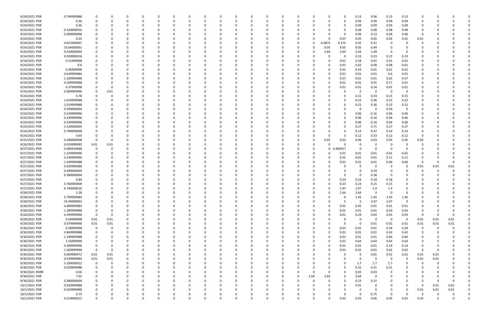| 9/24/2021 PDR  | 0.749999988 |             |             |          |          |          |          | <sup>0</sup> |          | $\Omega$ |     |          |             |          |             |          | 0.13        | 0.36        | 0.13                    | 0.13           | $\Omega$     |          |          |  |
|----------------|-------------|-------------|-------------|----------|----------|----------|----------|--------------|----------|----------|-----|----------|-------------|----------|-------------|----------|-------------|-------------|-------------------------|----------------|--------------|----------|----------|--|
| 9/24/2021 PDR  | 0.36        |             |             |          |          |          |          |              |          |          |     |          |             | -0       |             | 0        | 0.09        | 0.09        | 0.09                    | 0.09           | <sup>0</sup> |          |          |  |
| 9/24/2021 PDR  | 0.36        |             |             |          |          |          |          |              |          |          |     |          |             |          |             | 0        | 0.09        | 0.09        | 0.09                    | 0.09           |              |          |          |  |
| 9/24/2021 PDR  | 0.320000016 |             |             |          |          |          |          |              |          |          |     |          |             |          |             | 0        | 0.08        | 0.08        | 0.08                    | 0.08           |              |          |          |  |
|                |             |             |             |          |          |          |          |              |          |          |     |          |             |          |             |          |             |             |                         |                |              |          |          |  |
| 9/24/2021 PDR  | 0.309999996 |             |             |          |          |          |          |              |          |          |     |          |             |          |             | 0        | 0.06        | 0.13        | 0.06                    | 0.06           | 0            |          |          |  |
| 9/24/2021 PDR  | 0.24        |             |             |          |          |          |          |              |          |          |     |          |             |          |             | 0.07     | 0.05        | 0.05        | 0.04                    | 0.02           | 0.01         |          |          |  |
| 9/24/2021 PDR  | 0.822500007 |             |             |          |          |          |          |              |          |          |     |          |             | 0        | 0.0875      | 0.175    | 0.35        | 0.21        | $\Omega$                |                |              |          |          |  |
| 9/24/2021 PDR  | 33.64000001 |             |             |          |          |          |          |              |          |          |     |          |             | -0       | 9.05        | 9.05     | 9.05        | 6.49        |                         |                |              |          |          |  |
| 9/24/2021 PDR  | 9.410000004 |             |             |          |          |          |          |              |          |          |     |          |             | -0       | 2.64        | 2.64     | 2.64        | 1.49        | $\Omega$                |                |              |          |          |  |
| 9/24/2021 PDR  | 0.920000016 |             |             |          |          |          |          |              |          |          |     |          |             |          |             | 0        | 0.23        | 0.23        | 0.23                    | 0.23           |              |          |          |  |
| 9/24/2021 PDR  | 0.31999998  |             |             |          |          |          |          |              |          |          |     |          |             | -0       |             | 0.01     | 0.28        | 0.01        | 0.01                    | 0.01           |              |          |          |  |
| 9/24/2021 PDR  | 0.6         |             |             |          |          |          |          |              |          |          |     |          |             |          |             | 0.01     | 0.42        | 0.08        | 0.08                    | 0.01           |              |          |          |  |
| 9/24/2021 PDR  | 0.46999998  |             |             |          |          |          |          |              |          |          |     |          |             |          |             | 0.01     |             |             |                         |                |              |          |          |  |
|                |             |             |             |          |          |          |          |              |          |          |     |          |             |          |             |          | 0.43        | 0.01        | 0.01                    | 0.01           |              |          |          |  |
| 9/24/2021 PDR  | 0.639999984 |             |             |          |          |          |          |              |          |          |     |          |             |          |             | 0.01     | 0.01        | 0.01        | 0.6                     | 0.01           |              |          |          |  |
| 9/24/2021 PDR  | 1.169999988 |             |             |          |          |          |          |              |          |          |     |          |             |          |             | 0.57     | 0.01        | 0.01        | 0.01                    | 0.57           |              |          |          |  |
| 9/24/2021 PDR  | 0.209999988 |             |             |          |          |          |          |              |          |          |     |          |             |          |             | 0.01     | 0.01        | 0.01        | 0.17                    | 0.01           |              |          |          |  |
| 9/24/2021 PDR  | 0.37999998  |             | 0           |          |          |          |          |              |          |          |     |          |             |          |             | 0.01     | 0.01        | 0.34        | 0.01                    | 0.01           |              |          |          |  |
| 9/24/2021 PDR  | 0.009999996 |             | 0.01        |          |          |          |          |              |          |          |     |          |             |          |             | 0        | 0           | 0           | $\overline{\mathbf{0}}$ | 0              |              |          |          |  |
| 9/24/2021 PDR  | 0.78        |             |             |          |          |          |          |              |          |          |     |          |             |          |             | o        | 0.15        | 0.33        | 0.15                    | 0.15           |              |          |          |  |
| 9/24/2021 PDR  | 1.019999988 |             |             |          |          |          |          |              |          |          |     |          |             |          |             | 0        | 0.22        | 0.36        | 0.22                    | 0.22           |              |          |          |  |
| 9/24/2021 PDR  | 1.019999988 |             |             |          |          |          |          |              |          |          |     |          |             |          |             | 0        | 0.22        | 0.36        | 0.22                    | 0.22           |              |          |          |  |
| 9/24/2021 PDR  | 0.290000004 |             |             |          |          |          |          |              |          |          |     |          |             |          |             |          | 0           | $\Omega$    | 0.29                    | 0              |              |          |          |  |
|                |             |             |             |          |          |          |          |              |          |          |     |          |             |          |             |          |             |             |                         |                |              |          |          |  |
| 9/24/2021 PDR  | 0.339999996 |             |             |          |          |          |          |              |          |          |     |          |             |          |             |          | 0.06        | 0.16        | 0.06                    | 0.06           |              |          |          |  |
| 9/24/2021 PDR  | 0.339999996 |             |             |          |          |          |          |              |          |          |     |          |             |          |             | 0        | 0.06        | 0.16        | 0.06                    | 0.06           |              |          |          |  |
| 9/24/2021 PDR  | 0.339999996 |             |             |          |          |          |          |              |          |          |     |          |             |          |             | 0        | 0.06        | 0.16        | 0.06                    | 0.06           |              |          |          |  |
| 9/24/2021 PDR  | 1.520000004 |             |             |          |          |          |          |              |          |          |     |          |             |          |             |          | 0.27        | 0.71        | 0.27                    | 0.27           |              |          |          |  |
| 9/24/2021 PDR  | 0.790000008 |             |             |          |          |          |          |              |          |          |     |          |             |          |             | 0        | 0.14        | 0.37        | 0.14                    | 0.14           |              |          |          |  |
| 9/24/2021 PDR  | 0.69        |             |             |          |          |          |          |              |          |          |     |          |             |          |             | 0        | 0.12        | 0.33        | 0.12                    | 0.12           | 0            |          |          |  |
| 9/25/2021 PDR  | 0.280000008 |             |             |          |          |          |          |              |          |          |     |          |             |          | 0.03        | 0.03     | 0.06        | 0.03        | 0.05                    | 0.05           | 0.03         |          |          |  |
| 9/26/2021 PDR  | 0.019999992 | 0.01        | 0.01        |          |          |          |          |              |          |          |     |          |             | -0       |             |          | 0           | 0           |                         |                |              |          |          |  |
| 9/27/2021 PDR  | 0.460416668 |             |             |          |          |          |          |              |          |          |     |          |             | 0        | $\mathbf 0$ | .460417  | 0           | $\Omega$    | $\Omega$                | 0              |              |          |          |  |
| 9/27/2021 PDR  | 1.329999996 |             |             |          |          |          |          |              |          |          |     |          |             |          |             | 0.01     |             |             |                         |                |              |          |          |  |
|                |             |             |             |          |          |          |          |              |          |          |     |          |             |          |             |          | 0.01        | 0.01        | 0.65                    | 0.65           |              |          |          |  |
| 9/27/2021 PDR  | 0.249999996 |             |             |          |          |          |          |              |          |          |     |          |             | -0       |             | 0.01     | 0.01        | 0.01        | 0.11                    | 0.11           | C.           |          |          |  |
| 9/27/2021 PDR  | 1.349999988 |             |             |          |          |          |          |              |          |          |     |          |             |          |             | 0.01     | 0.01        | 0.01        | 0.66                    | 0.66           | 0            |          | $\Omega$ |  |
| 9/27/2021 PDR  | 0.029999988 |             |             |          |          |          |          |              |          |          |     |          |             |          |             |          | $\Omega$    | 0           | $\Omega$                | 0              | 0.01         | 0.01     | 0.01     |  |
| 9/27/2021 PDR  | 0.290000004 |             |             |          |          |          |          |              |          |          |     |          |             |          |             | 0        | 0           | 0.29        |                         | <sup>0</sup>   | O            |          |          |  |
| 9/27/2021 PDR  | 0.380000004 |             |             |          |          |          |          |              |          |          |     |          |             |          |             | 0        | 0           | 0.38        | 0                       |                |              |          |          |  |
| 9/27/2021 PDR  | 0.84        |             |             |          |          |          |          |              |          |          |     |          |             |          |             | 0.24     | 0.24        | 0.18        | 0.18                    |                |              |          |          |  |
| 9/27/2021 PDR  | 0.760000008 |             |             |          |          |          |          |              |          |          |     |          |             |          |             | 0.23     | 0.23        | 0.15        | 0.15                    |                |              |          |          |  |
| 9/27/2021 PDR  | 6.740000016 |             |             |          |          |          |          |              |          |          |     |          |             |          |             | 1.97     | 1.97        | 1.4         | 1.4                     |                |              |          |          |  |
| 9/28/2021 PDR  | 5.28        |             |             |          |          |          |          |              |          |          |     |          |             |          |             | 2.64     | 2.64        | $\Omega$    |                         |                |              |          |          |  |
|                |             |             |             |          |          | $\Omega$ |          |              |          |          | - 0 |          |             |          |             |          |             |             |                         |                |              |          |          |  |
| 9/28/2021 PDR  | 5.799999984 | 0           | 0           | $\Omega$ | $\Omega$ |          | $\Omega$ | $\Omega$     | 0        | 0        |     | 0        | $\Omega$    | 0        |             | 0        | 1.45        | 1.45        | 1.45                    | 1.45           | 0            |          |          |  |
| 9/28/2021 PDR  | 16.94000002 |             |             | 0        | 0        | $\Omega$ |          | $\Omega$     |          | 0        |     | O        |             | 0        |             | 5        | - 5         | 3.47        | 3.47                    | 0              | 0            |          |          |  |
| 9/28/2021 PDR  | 0.489999984 | 0           |             | $\Omega$ | $\Omega$ | $\Omega$ |          | $\Omega$     |          | $\Omega$ |     |          | 0           | $\Omega$ |             | 0.01     | 0.45        | 0.01        | 0.01                    | 0.01           | 0            |          |          |  |
| 9/28/2021 PDR  | 1.289999988 |             |             |          |          |          |          |              |          |          |     |          |             | $\Omega$ |             | 0.01     | 0.01        | 0.01        | 0.63                    | 0.63           | 0            |          |          |  |
| 9/28/2021 PDR  | 0.399999996 | $\mathbf 0$ | 0           |          |          |          |          |              |          |          |     |          |             | 0        |             | 0.01     | 0.29        | 0.04        | 0.03                    | 0.03           | $\Omega$     |          |          |  |
| 9/28/2021 PDR  | 0.04999998  | $0.01\,$    | 0.01        | 0        |          |          |          | 0            |          |          |     |          |             | 0        |             | $\Omega$ | 0           | $\mathbf 0$ | 0                       | $\overline{0}$ | 0.01         | 0.01     | 0.01     |  |
| 9/29/2021 PDR  | 0.079999968 | $0.01\,$    | 0.01        | 0        |          |          |          | 0            |          |          |     |          |             |          |             | $\Omega$ | $\mathbf 0$ | 0.01        | 0.01                    | 0.01           | 0.01         | 0.01     | 0.01     |  |
| 9/30/2021 PDR  | 0.58999998  | $\mathbf 0$ | $\mathbf 0$ | $\Omega$ |          | $\Omega$ |          | $\Omega$     |          | 0        |     |          |             | 0        |             | 0.01     | 0.01        | 0.01        | 0.28                    | 0.28           | 0            | $\Omega$ |          |  |
| 9/30/2021 PDR  | 0.869999988 | 0           |             | 0        | $\Omega$ | $\Omega$ |          | 0            |          | 0        |     |          | 0           | 0        |             | 0.01     | 0.01        | 0.01        | 0.42                    | 0.42           | 0            |          |          |  |
| 9/30/2021 PDR  | 1.349999988 |             |             |          |          |          |          | 0            |          |          |     |          |             | 0        |             | 0.01     | 0.01        | 0.01        | 0.66                    | 0.66           |              |          |          |  |
| 9/30/2021 PDR  |             | $\Omega$    |             |          |          |          |          | 0            |          |          |     |          |             | 0        |             | 0.01     | 0.64        |             | 0.64                    |                | 0            |          |          |  |
|                | 2.56999998  |             |             |          |          |          |          |              |          |          |     |          |             |          |             |          |             | 0.64        |                         | 0.64           |              |          |          |  |
| 9/30/2021 PDR  | 0.309999996 | 0           |             | 0        |          |          |          | 0            |          |          |     |          |             | 0        |             | 0.01     | 0.01        | 0.01        | 0.14                    | 0.14           | 0            |          |          |  |
| 9/30/2021 PDR  | 1.269999996 | $\mathbf 0$ | 0           | $\Omega$ |          |          |          | 0            |          |          |     |          |             |          |             | 0.01     | 0.01        | 0.01        | 0.62                    | 0.62           | 0            |          |          |  |
| 9/30/2021 PDR  | 0.069999972 | 0.01        | 0.01        | 0        |          | $\Omega$ |          | 0            |          | 0        |     |          |             | 0        |             | $\Omega$ | 0           | 0.01        | 0.01                    | 0.01           | 0.01         | 0.01     |          |  |
| 9/30/2021 PDR  | 0.039999984 | $0.01\,$    | 0.01        | 0        |          |          |          | 0            |          | 0        |     |          |             | 0        |             | ŋ        | 0           | $\mathbf 0$ | 0                       | $\mathbf 0$    | 0.01         | 0.01     |          |  |
| 9/30/2021 PDR  | 5.100000012 | 0           | $\Omega$    |          |          |          |          |              |          |          |     |          |             |          |             | $\Omega$ | 1.7         | 1.7         | 1.7                     | $\Omega$       | 0            | $\Omega$ |          |  |
| 9/30/2021 PDR  | 0.929999988 |             | 0           | 0        | 0        |          |          | 0            |          |          |     |          |             | 0        |             | 0        | 0.31        | 0.31        | 0.31                    | 0              | 0            |          |          |  |
| 9/30/2021 RDRR | 0.06        |             |             |          |          |          |          |              |          |          |     |          | 0           | 0        |             | 0        | 0.03        | 0.03        | $\Omega$                | 0              |              |          |          |  |
| 9/30/2021 PDR  | 7.92        |             |             |          |          |          |          |              |          |          |     |          | $\mathbf 0$ | 2.64     | 2.64        | $\Omega$ | 2.64        | $\mathbf 0$ | $\Omega$                | $\Omega$       | 0            |          |          |  |
| 9/30/2021 PDR  | 0.380000004 |             |             |          |          |          |          |              |          |          |     |          |             | 0        |             | 0        | 0.23        | 0.15        |                         | 0              | 0            |          |          |  |
|                |             |             |             |          |          |          |          |              |          |          |     |          |             |          |             |          |             |             |                         |                |              |          |          |  |
| 10/1/2021 PDR  | 0.029999988 |             |             | 0        |          |          |          | <sup>0</sup> |          |          |     |          |             | 0        |             | 0        | 0.01        | 0           |                         | $\Omega$       | 0            | 0.01     | 0.01     |  |
| 10/1/2021 PDR  | 0.029999988 |             |             | 0        | 0        | $\Omega$ |          | 0            |          | $\Omega$ |     |          |             |          |             | $\Omega$ | 0           | 0           | $\Omega$                | - 0            | 0.01         | 0.01     | 0.01     |  |
| 10/1/2021 PDR  | 0.75        |             |             |          | 0        |          |          | 0            |          | 0        |     |          |             |          |             | 0        | 0           | 0.75        | $\Omega$                | $\Omega$       | - 0          |          |          |  |
| 10/1/2021 PDR  | 0.210000012 | $\Omega$    | 0           | $\Omega$ | $\Omega$ | $\Omega$ | $\Omega$ | $\Omega$     | $\Omega$ | $\Omega$ |     | $\Omega$ | O           | $\Omega$ |             | 0.02     | 0.03        | 0.06        | 0.05                    | 0.02           | 0.03         |          | 0        |  |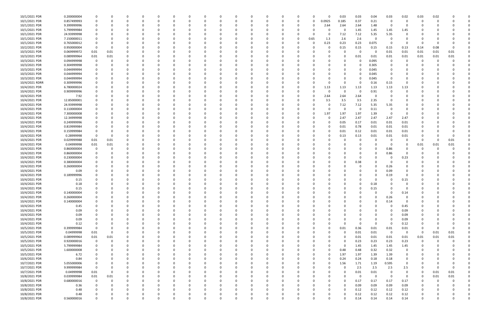| 10/1/2021 PDR  | 0.200000004 |             |          |              |          |          |    |          |          | 0        |          |          | n    |          | 0.03     | 0.03 | 0.04        | 0.03        | 0.02                    | 0.03        | 0.02 |          |  |
|----------------|-------------|-------------|----------|--------------|----------|----------|----|----------|----------|----------|----------|----------|------|----------|----------|------|-------------|-------------|-------------------------|-------------|------|----------|--|
| 10/1/2021 PDR  | 0.857499993 | 0           |          | <sup>0</sup> |          |          |    |          |          | $\Omega$ |          | 0        | 0    | 0.0925   | 0.185    | 0.37 | 0.21        | $\Omega$    | 0                       | 0           | 0    |          |  |
| 10/1/2021 PDR  | 9.399999996 | 0           |          |              |          |          |    |          |          |          |          |          | 0    | 2.64     | 2.64     | 2.64 | 1.48        | - 0         | O                       |             |      |          |  |
|                |             |             |          |              |          |          |    |          |          |          |          |          |      |          |          |      |             |             |                         |             |      |          |  |
| 10/1/2021 PDR  | 5.799999984 |             |          |              |          |          |    |          |          |          |          |          |      |          | $\Omega$ | 1.45 | 1.45        | 1.45        | 1.45                    |             |      |          |  |
| 10/1/2021 PDR  | 24.93999998 | 0           |          |              |          |          |    |          |          |          |          |          | 0    |          | 7.12     | 7.12 | 5.35        | 5.35        | $\Omega$                |             |      |          |  |
| 10/1/2021 PDR  | 7.150000011 | 0           |          |              |          |          |    |          |          | - 0      |          |          | 0.65 | 1.3      | 2.6      | 2.6  | 0           | - 0         | 0                       |             |      |          |  |
| 10/1/2021 PDR  | 0.765000012 |             |          |              |          |          |    |          |          |          |          |          | 0    | 0.23     | 0.23     | 0.23 | 0.075       | - 0         | - 0                     | O           |      |          |  |
| 10/2/2021 PDR  |             | - 0         |          |              |          |          |    |          |          |          |          |          |      |          | 0.15     |      |             |             | 0.13                    |             | 0.08 |          |  |
|                | 0.950000004 |             |          |              |          |          |    |          |          |          |          |          |      |          |          | 0.15 | 0.15        | 0.15        |                         | 0.14        |      |          |  |
| 10/3/2021 PDR  | 0.069999972 | 0.01        | 0.01     |              |          |          |    |          |          |          |          |          |      |          |          | 0    | 0           | 0.01        | 0.01                    | 0.01        | 0.01 | 0.01     |  |
| 10/3/2021 PDR  | 0.089999964 | 0.01        | $0.01\,$ |              |          |          |    |          |          |          |          |          |      |          |          | 0.01 | 0.01        | 0.01        | 0.01                    | 0.01        | 0.01 | 0.01     |  |
| 10/3/2021 PDR  | 0.094999998 | 0           | $\Omega$ |              |          |          |    |          |          | 0        |          |          |      |          |          | 0    | 0.095       | $\Omega$    | 0                       | 0           | 0    |          |  |
|                | 0.304999998 |             |          |              |          |          |    |          |          |          |          |          |      |          |          |      |             |             |                         |             |      |          |  |
| 10/3/2021 PDR  |             | 0           |          |              |          |          |    |          |          | 0        |          |          |      |          |          | 0    | 0.305       |             |                         |             |      |          |  |
| 10/3/2021 PDR  | 0.044999994 |             |          |              |          |          |    |          |          |          |          |          |      |          |          |      | 0.045       |             |                         |             |      |          |  |
| 10/3/2021 PDR  | 0.044999994 |             |          |              |          |          |    |          |          |          |          |          |      |          |          | 0    | 0.045       |             |                         |             |      |          |  |
| 10/3/2021 PDR  | 0.044999994 |             |          |              |          |          |    |          |          |          |          |          |      |          |          | 0    | 0.045       | - 0         |                         |             |      |          |  |
| 10/4/2021 RDRR | 0.309999996 |             |          |              |          |          |    |          |          |          |          |          |      |          |          |      | 0.16        | 0.15        | $\Omega$                |             |      |          |  |
|                |             |             |          |              |          |          |    |          |          |          |          |          |      |          |          |      |             |             |                         |             |      |          |  |
| 10/4/2021 PDR  | 6.780000024 |             |          |              |          |          |    |          |          | -0       |          |          |      | 1.13     | 1.13     | 1.13 | 1.13        | 1.13        | 1.13                    |             |      |          |  |
| 10/4/2021 PDR  | 0.909999996 |             |          |              |          |          |    |          |          | -0       |          |          |      |          | $\Omega$ | 0    | 0.91        |             | 0                       |             |      |          |  |
| 10/4/2021 PDR  | 7.92        |             |          |              |          |          |    |          |          |          |          |          | 0    | 2.64     | 2.64     | 2.64 | 0           |             |                         |             |      |          |  |
| 10/4/2021 PDR  | 12.85000001 |             |          |              |          |          |    |          |          | -0       |          |          |      | 3.5      | 3.5      | 3.5  | 2.35        |             |                         |             |      |          |  |
|                |             |             |          |              |          |          |    |          |          |          |          |          |      |          |          |      |             |             |                         |             |      |          |  |
| 10/4/2021 PDR  | 24.93999998 |             |          |              |          |          |    |          |          |          |          |          |      |          | 7.12     | 7.12 | 5.35        | 5.35        |                         |             |      |          |  |
| 10/4/2021 PDR  | 0.110000004 |             |          |              |          |          |    |          |          |          |          |          |      |          |          | 0    | 0.11        | $\Omega$    | $\Omega$                |             |      |          |  |
| 10/4/2021 PDR  | 7.300000008 |             |          |              |          |          |    |          |          |          |          |          | 0    | 1.97     | 1.97     | 1.97 | 1.39        | $\Omega$    | $\Omega$                |             |      |          |  |
| 10/4/2021 PDR  | 12.34999998 |             |          |              |          |          |    |          |          |          |          |          |      |          | 2.47     | 2.47 | 2.47        | 2.47        | 2.47                    |             |      |          |  |
|                |             |             |          |              |          |          |    |          |          |          |          |          |      |          |          |      |             |             |                         |             |      |          |  |
| 10/4/2021 PDR  | 0.249999996 |             |          |              |          |          |    |          |          |          |          |          |      |          | 0.05     | 0.17 | 0.01        | 0.01        | 0.01                    |             |      |          |  |
| 10/4/2021 PDR  | 0.819999984 |             |          |              |          |          |    |          |          |          |          |          |      |          | 0.01     | 0.78 | 0.01        | 0.01        | 0.01                    |             |      |          |  |
| 10/4/2021 PDR  | 0.159999984 |             |          |              |          |          |    |          |          |          |          |          |      |          | 0.01     | 0.12 | 0.01        | 0.01        | 0.01                    |             |      |          |  |
| 10/4/2021 PDR  | 0.28999998  | 0           |          |              |          |          |    |          |          |          |          |          |      |          | 0.13     | 0.13 | 0.01        | 0.01        | 0.01                    |             |      |          |  |
|                |             |             |          |              |          |          |    |          |          |          |          |          |      |          |          |      |             |             |                         |             |      |          |  |
| 10/4/2021 PDR  | 0.029999988 | 0.01        | 0.01     |              |          |          |    |          |          |          |          |          |      |          |          | 0    | 0           | - 0         | - 0                     | 0           | -0   | 0.01     |  |
| 10/4/2021 PDR  | 0.04999998  | 0.01        | 0.01     |              |          |          |    |          |          |          |          |          |      |          |          |      | -0          | - 0         | 0                       | 0.01        | 0.01 | 0.01     |  |
| 10/4/2021 PDR  | 0.860000004 | 0           |          |              |          |          |    |          |          | - 0      |          |          |      |          |          |      | 0           | 0.86        | - 0                     | O           |      |          |  |
| 10/4/2021 PDR  | 0.860000004 |             |          |              |          |          |    |          |          |          |          |          |      |          |          |      | 0           | 0.86        | $\Omega$                |             |      |          |  |
|                |             |             |          |              |          |          |    |          |          |          |          |          |      |          |          |      |             |             |                         |             |      |          |  |
| 10/4/2021 PDR  | 0.230000004 |             |          |              |          |          |    |          |          |          |          |          |      |          |          | 0    |             |             | 0.23                    |             |      |          |  |
| 10/4/2021 PDR  | 0.380000004 |             |          |              |          |          |    |          |          |          |          |          |      |          |          | 0.38 |             |             |                         |             |      |          |  |
| 10/4/2021 PDR  | 0.260000004 |             |          |              |          |          |    |          |          |          |          |          |      |          |          |      | $\Omega$    | 0.26        |                         |             |      |          |  |
| 10/4/2021 PDR  | 0.09        |             |          |              |          |          |    |          |          |          |          |          |      |          |          |      | 0           | 0.09        | 0                       |             |      |          |  |
|                |             |             |          |              |          |          |    |          |          |          |          |          |      |          |          |      |             |             |                         |             |      |          |  |
| 10/4/2021 PDR  | 0.189999996 |             |          |              |          |          |    |          |          |          |          |          |      |          |          |      | 0           | 0.19        | 0                       |             |      |          |  |
| 10/4/2021 PDR  | 0.15        |             |          |              |          |          |    |          |          |          |          |          |      |          |          |      | 0           |             | 0.15                    |             |      |          |  |
| 10/4/2021 PDR  | 0.18        |             |          |              |          |          |    |          |          |          |          |          |      |          |          |      | 0.18        |             | O                       |             |      |          |  |
| 10/4/2021 PDR  | 0.15        |             |          |              |          |          |    |          |          |          |          |          |      |          |          | 0    | 0.15        |             | 0                       |             |      |          |  |
|                |             |             |          |              |          |          |    |          |          |          |          |          |      |          |          |      |             |             | 0.14                    |             |      |          |  |
| 10/4/2021 PDR  | 0.140000004 |             |          |              |          |          |    |          |          |          |          |          |      |          |          |      |             |             |                         |             |      |          |  |
| 10/4/2021 PDR  | 0.260000004 | 0           | 0        | 0            | $\Omega$ |          | 0  | ŋ        | 0        | 0        | $\Omega$ |          | 0    |          |          |      | 0           | 0.26        | $\overline{0}$          | 0           |      |          |  |
| 10/4/2021 PDR  | 0.140000004 | 0           | 0        | 0            |          |          | 0  |          | 0        | 0        | $\Omega$ |          | 0    |          | 0        |      | $\mathbf 0$ | 0.14        | $\overline{0}$          | $\Omega$    |      |          |  |
| 10/4/2021 PDR  | 0.45        | $\Omega$    |          |              |          |          |    |          |          | 0        |          |          | 0    |          |          |      | 0           | $\Omega$    | 0.45                    | 0           |      |          |  |
| 10/4/2021 PDR  | 0.09        | $\Omega$    |          |              |          |          |    |          |          | $\Omega$ |          |          |      |          |          |      | 0           | $\Omega$    | 0.09                    | 0           |      |          |  |
|                |             |             |          |              |          |          |    |          |          |          |          |          |      |          |          |      |             |             |                         |             |      |          |  |
| 10/4/2021 PDR  | 0.09        | $\Omega$    |          |              |          |          |    |          |          | 0        |          |          |      |          |          |      | 0           | $\Omega$    | 0.09                    | 0           |      |          |  |
| 10/4/2021 PDR  | 0.09        | 0           |          |              |          |          |    |          |          | 0        |          |          |      |          |          |      | 0           | $\Omega$    | 0.09                    | 0           |      |          |  |
| 10/4/2021 PDR  | 0.12        | 0           |          |              |          |          |    |          |          | 0        |          |          | 0    |          | 0        | 0    | $\mathbf 0$ | $\Omega$    | 0.12                    | 0           |      |          |  |
| 10/5/2021 PDR  | 0.399999984 | $\mathbf 0$ |          |              |          | 0        | 0  | 0        | 0        | 0        |          | 0        | 0    | $\Omega$ | 0.01     | 0.36 | 0.01        | 0.01        | 0.01                    | 0           | 0    | $\Omega$ |  |
|                |             |             |          |              |          |          |    |          |          |          |          |          |      |          |          |      |             |             |                         |             |      |          |  |
| 10/5/2021 PDR  | 0.04999998  | 0.01        | $\Omega$ |              |          |          | 0  |          | 0        | 0        |          | 0        | 0    |          | $\Omega$ | 0.01 | 0.01        | $\mathbf 0$ | $\overline{\mathbf{0}}$ | - 0         | 0.01 | 0.01     |  |
| 10/5/2021 PDR  | 0.089999964 | 0.01        | $0.01\,$ |              |          |          | 0  |          |          | 0        |          |          | 0    |          | 0        | 0.01 | 0.01        | $0.01\,$    | 0.01                    | 0.01        | 0.01 | 0.01     |  |
| 10/5/2021 PDR  | 0.920000016 | $\mathbf 0$ | 0        |              |          |          | 0  |          |          | 0        |          |          |      |          | $\Omega$ | 0.23 | 0.23        | 0.23        | 0.23                    | 0           | 0    | $\Omega$ |  |
| 10/5/2021 PDR  | 5.799999984 | 0           | 0        |              |          |          | -0 |          |          | 0        |          |          |      |          | $\Omega$ | 1.45 | 1.45        | 1.45        | 1.45                    | 0           |      |          |  |
|                | 1.600000008 | 0           |          |              |          | O        | 0  | 0        |          | 0        |          | $\Omega$ |      |          | 0.48     | 0.48 | 0.32        | 0.32        | $\mathbf 0$             |             |      |          |  |
| 10/5/2021 PDR  |             |             |          |              |          |          |    |          |          |          |          |          | 0    |          |          |      |             |             |                         | 0           |      |          |  |
| 10/5/2021 PDR  | 6.72        | 0           |          |              |          | 0        | 0  | 0        | 0        | 0        |          | 0        | 0    |          | 1.97     | 1.97 | 1.39        | 1.39        | $\mathbf 0$             | 0           |      | $\Omega$ |  |
| 10/6/2021 PDR  | 0.84        | 0           |          |              |          |          | 0  |          | 0        | $\Omega$ |          | 0        | 0    |          | 0.24     | 0.24 | 0.18        | $0.18\,$    | $\mathbf 0$             | O           |      |          |  |
| 10/7/2021 PDR  | 5.055000006 | $\mathbf 0$ |          |              |          |          |    |          |          | $\Omega$ |          |          | 0    |          | 1.56     | 1.71 | 1.19        | 0.595       | $\mathbf 0$             | 0           |      |          |  |
|                | 9.999999984 | $\mathbf 0$ |          |              |          |          |    |          |          |          |          |          |      |          | $\Omega$ |      | 2.5         |             |                         | 0           |      | $\Omega$ |  |
| 10/7/2021 PDR  |             |             |          |              |          |          |    | 0        |          | 0        |          | 0        | 0    |          |          | 2.5  |             | 2.5         | 2.5                     |             | 0    |          |  |
| 10/7/2021 PDR  | 0.04999998  | 0.01        | 0        |              |          |          |    |          |          | 0        |          |          |      |          | 0        | 0.01 | 0.01        | 0           | 0                       | 0           | 0.01 | 0.01     |  |
| 10/8/2021 PDR  | 0.039999984 | 0.01        | 0.01     |              |          |          |    |          |          | $\Omega$ |          |          |      |          | $\Omega$ | 0    | $\mathbf 0$ | $\Omega$    | $\mathbf 0$             | 0           | 0.01 | 0.01     |  |
| 10/8/2021 PDR  | 0.680000016 | $\mathbf 0$ | 0        |              |          |          | 0  | 0        |          | 0        |          |          | 0    |          | 0        | 0.17 | 0.17        | 0.17        | 0.17                    | 0           | 0    |          |  |
| 10/8/2021 PDR  |             | 0           | 0        |              |          |          | 0  |          |          | 0        |          | 0        |      |          | 0        | 0.09 | 0.09        | 0.09        | 0.09                    | 0           |      |          |  |
|                | 0.36        |             |          |              |          |          |    |          |          |          |          |          |      |          |          |      |             |             |                         |             |      |          |  |
| 10/8/2021 PDR  | 0.48        | $\Omega$    |          |              |          |          | 0  |          |          | 0        |          | 0        | 0    |          | $\Omega$ | 0.12 | 0.12        | 0.12        | 0.12                    | 0           |      |          |  |
| 10/8/2021 PDR  | 0.48        | 0           |          | 0            |          |          |    | 0        |          | 0        |          |          |      |          | 0        | 0.12 | 0.12        | 0.12        | 0.12                    | C           |      |          |  |
| 10/8/2021 PDR  | 0.560000016 | $\Omega$    | 0        | $\Omega$     | $\Omega$ | $\Omega$ |    | $\Omega$ | $\Omega$ | $\Omega$ | $\Omega$ | $\Omega$ |      |          |          | 0.14 | 0.14        | 0.14        | 0.14                    | $\mathbf 0$ |      | 0        |  |
|                |             |             |          |              |          |          |    |          |          |          |          |          |      |          |          |      |             |             |                         |             |      |          |  |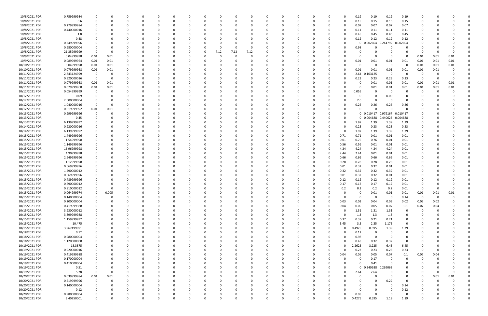| 10/8/2021 PDR  | 0.759999984 |                |          |          |          | $\Omega$ |          |          |      |          |          |          |          | -0       |          |          | 0.19         | 0.19          | 0.19                | 0.19        |          |          |          |  |
|----------------|-------------|----------------|----------|----------|----------|----------|----------|----------|------|----------|----------|----------|----------|----------|----------|----------|--------------|---------------|---------------------|-------------|----------|----------|----------|--|
| 10/8/2021 PDR  | 0.6         |                |          |          |          |          |          |          |      |          |          |          |          |          |          |          | 0.15         | 0.15          | 0.15                | 0.15        |          |          |          |  |
| 10/8/2021 PDR  | 0.279999984 |                |          |          |          |          |          |          |      |          |          |          |          |          |          |          | 0.07         | 0.07          | 0.07                | 0.07        |          |          |          |  |
| 10/8/2021 PDR  | 0.440000016 |                |          |          |          |          |          |          |      |          |          |          |          |          |          |          | 0.11         | 0.11          | 0.11                | 0.11        |          |          |          |  |
|                |             |                |          |          |          |          |          |          |      |          |          |          |          |          |          |          |              |               |                     |             |          |          |          |  |
| 10/8/2021 PDR  | 1.8         |                |          |          |          |          |          |          |      |          |          |          |          |          |          |          | 0.45         | 0.45          | 0.45                | 0.45        |          |          |          |  |
| 10/8/2021 PDR  | 0.48        |                |          |          |          |          |          |          |      |          |          |          |          |          |          |          | 0.12         | 0.12          | 0.12                | 0.12        |          |          |          |  |
| 10/8/2021 PDR  | 0.249999996 |                |          |          |          |          |          |          |      |          |          |          |          |          |          |          | $\Omega$     | 0.002604      | 0.244792            | 0.002604    |          |          |          |  |
| 10/8/2021 PDR  | 0.980000004 |                |          |          |          |          |          |          |      |          |          |          |          |          |          |          | 0.98         |               |                     |             |          |          |          |  |
| 10/8/2021 PDR  | 21.35999999 |                |          |          |          |          |          |          | 7.12 | 7.12     | 7.12     |          |          |          |          |          | 0            |               |                     |             | 0        |          |          |  |
| 10/9/2021 PDR  | 0.04999998  | 0.01           | 0.01     |          |          |          |          |          |      |          |          |          |          |          |          |          | 0            |               | $\Omega$            | 0           | 0.01     | 0.01     | 0.01     |  |
| 10/9/2021 PDR  | 0.089999964 | 0.01           | 0.01     |          |          |          |          |          |      |          |          |          |          |          |          |          | 0.01         | 0.01          | 0.01                | 0.01        | 0.01     | 0.01     | 0.01     |  |
| 10/10/2021 PDR | 0.04999998  | 0.01           | 0.01     |          |          |          |          |          |      |          |          |          |          |          |          |          | 0            | - റ           | $\mathbf 0$         | - 0         | 0.01     | 0.01     | 0.01     |  |
| 10/10/2021 PDR | 0.079999968 |                |          |          |          |          |          |          |      |          |          |          |          |          |          |          |              |               |                     |             |          |          |          |  |
|                |             | 0.01           | 0.01     |          |          |          |          |          |      |          |          |          |          |          |          |          | 0.01         | 0.01          | 0.01                | 0.01        | 0.01     | 0.01     |          |  |
| 10/11/2021 PDR | 2.743124999 |                | 0        |          |          |          |          |          |      |          |          |          |          |          |          |          | 2.64         | .103125<br>-0 | 0                   |             | 0        |          |          |  |
| 10/11/2021 PDR | 0.920000016 | - 0            | 0        |          |          |          |          |          |      |          |          |          |          |          |          |          | 0.23         | 0.23          | 0.23                | 0.23        | - 0      |          |          |  |
| 10/11/2021 PDR | 0.079999968 | 0.01           | 0.01     |          |          |          |          |          |      |          |          |          |          |          |          |          | 0            | 0.01          | 0.01                | 0.01        | 0.01     | 0.01     | 0.01     |  |
| 10/11/2021 PDR | 0.079999968 | 0.01           | 0.01     |          |          |          |          |          |      | -0       |          |          |          |          |          |          | 0            | 0.01          | 0.01                | 0.01        | 0.01     | 0.01     | 0.01     |  |
| 10/12/2021 PDR | 0.054999999 | 0              | 0        |          |          |          |          |          |      |          |          |          |          |          |          |          | 0.055        |               | 0                   | 0           | 0        |          |          |  |
| 10/12/2021 PDR | 0.09        |                |          |          |          |          |          |          |      |          |          |          |          |          |          |          | 0            |               | 0.09                |             |          |          |          |  |
| 10/12/2021 PDR | 2.600000004 |                |          |          |          |          |          |          |      |          |          |          |          |          |          |          | 2.6          |               | - 0                 | $\Omega$    |          |          |          |  |
| 10/12/2021 PDR | 1.040000016 |                |          |          |          |          |          |          |      |          |          |          |          |          |          |          | 0.26         | 0.26          | 0.26                | 0.26        |          |          |          |  |
| 10/12/2021 PDR | 0.019999992 |                |          |          |          |          |          |          |      |          |          |          |          |          |          |          | $\Omega$     |               | $\Omega$            | $\Omega$    |          |          |          |  |
|                |             | 0.01           | 0.01     |          |          |          |          |          |      |          |          |          |          |          |          |          |              |               |                     |             |          |          |          |  |
| 10/13/2021 PDR | 0.999999996 |                | $\Omega$ |          |          |          |          |          |      |          |          |          |          |          |          |          |              |               | 0 0.010417 0.979167 | 0.010417    |          |          |          |  |
| 10/13/2021 PDR | 0.45        |                |          |          |          |          |          |          |      |          |          |          |          |          |          |          |              | 0 0.004688    | 0.440625            | 0.004688    |          |          |          |  |
| 10/13/2021 PDR | 6.139999992 |                |          |          |          |          |          |          |      |          |          |          |          |          |          |          | 1.97         | 1.39          | 1.39                | 1.39        |          |          |          |  |
| 10/14/2021 PDR | 0.920000016 |                |          |          |          |          |          |          |      |          |          |          |          |          |          |          | 0.23         | 0.23          | 0.23                | 0.23        |          |          |          |  |
| 10/14/2021 PDR | 6.139999992 |                |          |          |          |          |          |          |      |          |          |          |          |          |          |          | 1.97         | 1.39          | 1.39                | 1.39        |          |          |          |  |
| 10/15/2021 PDR | 1.449999996 |                |          |          |          |          |          |          |      |          |          |          |          |          | 0        | 0.71     | 0.71         | 0.01          | 0.01                | 0.01        |          |          |          |  |
| 10/15/2021 PDR | 1.54999998  |                |          |          |          |          |          |          |      |          |          |          |          |          |          | 0.01     | 0.76         | 0.76          | 0.01                | 0.01        |          |          |          |  |
| 10/15/2021 PDR | 1.149999996 |                |          |          |          |          |          |          |      |          |          |          |          |          |          | 0.56     | 0.56         | 0.01          | 0.01                | 0.01        |          |          |          |  |
| 10/15/2021 PDR | 16.96999998 |                |          |          |          |          |          |          |      |          |          |          |          |          |          | 4.24     | 4.24         | 4.24          | 4.24                | 0.01        |          |          |          |  |
|                |             |                |          |          |          |          |          |          |      |          |          |          |          |          |          |          |              |               |                     |             |          |          |          |  |
| 10/15/2021 PDR | 4.90999998  |                |          |          |          |          |          |          |      |          |          |          |          |          | O        | 2.44     | 2.44         | 0.01          | 0.01                | 0.01        |          |          |          |  |
| 10/15/2021 PDR | 2.649999996 |                |          |          |          |          |          |          |      |          |          |          |          |          | O        | 0.66     | 0.66         | 0.66          | 0.66                | 0.01        |          |          |          |  |
| 10/15/2021 PDR | 1.12999998  |                |          |          |          |          |          |          |      |          |          |          |          |          |          | 0.28     | 0.28         | 0.28          | 0.28                | 0.01        |          |          |          |  |
| 10/15/2021 PDR | 0.669999996 |                |          |          |          |          |          |          |      |          |          |          |          |          |          | 0.01     | 0.32         | 0.32          | 0.01                | 0.01        |          |          |          |  |
| 10/15/2021 PDR | 1.290000012 |                |          |          |          |          |          |          |      |          |          |          |          |          |          | 0.32     | 0.32         | 0.32          | 0.32                | 0.01        |          |          |          |  |
| 10/15/2021 PDR | 0.669999996 |                |          |          |          |          |          |          |      |          |          |          |          |          |          | 0.01     | 0.32         | 0.32          | 0.01                | 0.01        |          |          |          |  |
| 10/15/2021 PDR | 0.489999996 |                |          |          |          |          |          |          |      |          |          |          |          |          |          | 0.12     | 0.12         | 0.12          | 0.12                | 0.01        |          |          |          |  |
| 10/15/2021 PDR | 0.690000012 |                |          |          |          |          |          |          |      |          |          |          |          |          |          | 0.17     | 0.17         | 0.17          | 0.17                | 0.01        |          |          |          |  |
| 10/15/2021 PDR | 0.810000012 |                | $\Omega$ |          |          |          |          |          |      |          |          |          |          |          |          | 0.2      | 0.2          | 0.2           | 0.2                 | 0.01        | $\Omega$ |          |          |  |
|                | 0.064999974 | $\mathbf 0$    |          |          |          |          |          |          |      |          |          |          |          |          |          |          |              |               |                     |             |          |          |          |  |
| 10/15/2021 PDR |             |                | 0.005    |          |          |          |          |          |      |          |          |          |          |          |          |          | $\mathsf{o}$ | 0.01          | 0.01                | 0.01        | 0.01     | 0.01     | 0.01     |  |
| 10/15/2021 PDR | 0.140000004 | 0              | 0        | $\Omega$ | $\Omega$ | $\Omega$ | $\Omega$ | 0        |      | $\Omega$ | $\Omega$ | $\Omega$ | $\Omega$ | 0        | 0        | $\Omega$ | $\mathbf{0}$ | $\Omega$      | $\mathbf 0$         | 0.14        | 0        | $\Omega$ | $\Omega$ |  |
| 10/15/2021 PDR | 0.200000004 |                | 0        |          | $\Omega$ | 0        |          | 0        |      | 0        |          | $\Omega$ |          | 0        | $\Omega$ | 0.03     | 0.03         | 0.04          | 0.03                | 0.02        | 0.03     | 0.02     |          |  |
| 10/15/2021 PDR | 0.419999988 |                |          |          | $\Omega$ | 0        |          | O        |      | 0        |          | $\Omega$ |          | $\Omega$ | O        | 0.04     | 0.05         | 0.05          | 0.07                | 0.1         | 0.07     | 0.04     |          |  |
| 10/15/2021 PDR | 3.930000012 |                |          |          |          |          |          |          |      |          |          |          |          |          |          |          | 1.31         | 1.31          | 1.31                | 0           | 0        |          |          |  |
| 10/15/2021 PDR | 3.899999988 |                |          |          |          |          |          |          |      |          |          |          |          |          |          | $\Omega$ | 1.3          | 1.3           | 1.3                 | 0           |          |          |          |  |
| 10/15/2021 PDR | 1.159999992 |                |          |          |          | 0        |          |          |      |          |          |          |          |          | 0        | 0.37     | 0.37         | 0.21          | 0.21                | 0           |          |          |          |  |
| 10/15/2021 PDR | 10.475      |                |          |          |          | 0        |          |          |      | 0        |          |          |          |          | 0        | 3.45     | 3.5          | 2.35          | 1.175               | 0           |          |          |          |  |
| 10/15/2021 PDR | 3.967499991 |                |          |          |          | 0        |          | 0        |      | 0        |          | $\Omega$ |          | $\Omega$ | 0        |          | 0.4925       | 0.695         | 1.39                | 1.39        |          |          |          |  |
| 10/18/2021 PDR | 0.12        |                |          |          |          | 0        |          | 0        |      | 0        |          | 0        |          | 0        | 0        | 0        | 0.12         | $\Omega$      | 0                   | 0           |          |          |          |  |
| 10/18/2021 PDR | 0.980000004 |                |          |          |          | 0        |          |          |      |          |          |          |          |          |          |          | 0.98         | $\Omega$      | 0                   | $\mathbf 0$ |          |          |          |  |
|                |             |                |          |          |          |          |          |          |      |          |          |          |          |          |          |          |              |               |                     |             |          |          |          |  |
| 10/18/2021 PDR | 1.120000008 |                |          |          |          |          |          |          |      |          |          |          |          |          | 0        | $\Omega$ | 0.48         | 0.32          | 0.32                | - 0         |          |          |          |  |
| 10/19/2021 PDR | 18.3875     |                |          |          |          | 0        |          |          |      | 0        |          | 0        |          |          | 0        |          | 2.2625       | 3.225         | 6.45                | 6.45        | 0        |          |          |  |
| 10/19/2021 PDR | 0.920000016 |                |          |          |          | 0        |          |          |      | 0        |          | $\Omega$ |          |          | 0        | $\Omega$ | 0.23         | 0.23          | 0.23                | 0.23        | 0        |          |          |  |
| 10/19/2021 PDR | 0.419999988 | 0              |          |          |          | 0        |          | 0        |      | 0        |          | $\Omega$ |          | 0        | 0        | 0.04     | 0.05         | 0.05          | 0.07                | 0.1         | 0.07     | 0.04     |          |  |
| 10/19/2021 PDR | 0.170000004 |                |          |          |          | 0        |          |          |      | 0        |          | $\Omega$ |          |          |          |          | 0            | 0.17          | 0                   | 0           | 0        |          |          |  |
| 10/19/2021 PDR | 0.410000004 |                |          |          |          |          |          |          |      |          |          |          |          |          |          |          | $\Omega$     | 0.41          | $\Omega$            | 0           |          |          |          |  |
| 10/19/2021 PDR | 0.51        |                |          |          |          |          |          |          |      |          |          |          |          |          |          | $\Omega$ | $\mathbf 0$  |               | 0.240938 0.269063   |             |          |          |          |  |
| 10/19/2021 PDR | 5.28        | $\Omega$       | 0        |          |          |          |          |          |      |          |          |          |          |          |          | $\Omega$ | 2.64         | 2.64          | 0                   | 0           |          |          |          |  |
| 10/20/2021 PDR | 0.039999984 | 0.01           | 0.01     |          |          |          |          |          |      | $\Omega$ |          |          |          |          |          |          | 0            | $\Omega$      | $\Omega$            | $\mathbf 0$ | 0        | 0.01     | 0.01     |  |
|                | 0.219999996 | $\overline{0}$ |          |          |          |          |          |          |      |          |          |          |          |          |          |          |              |               | 0.22                | $\Omega$    |          |          |          |  |
| 10/20/2021 PDR |             |                | 0        |          |          |          |          |          |      |          |          |          |          |          |          |          | 0            |               |                     |             | 0        |          |          |  |
| 10/20/2021 PDR | 0.140000004 |                |          |          |          |          |          |          |      | 0        |          |          |          |          |          |          | 0            |               | $\Omega$            | 0.14        |          |          |          |  |
| 10/20/2021 PDR | 0.12        |                |          |          | 0        | 0        |          | 0        |      | 0        |          | $\Omega$ |          |          |          |          | 0            | - 0           | $\Omega$            | 0.12        |          |          |          |  |
| 10/20/2021 PDR | 0.980000004 |                |          |          |          |          |          |          |      |          |          |          |          |          |          |          | 0.98         | $\Omega$      | - 0                 | 0           |          |          |          |  |
| 10/20/2021 PDR | 3.40250001  | 0              | $\Omega$ |          | $\Omega$ | $\Omega$ | $\Omega$ | $\Omega$ |      | $\Omega$ |          | $\Omega$ |          | $\Omega$ | $\Omega$ |          | 0.4275       | 0.595         | 1.19                | 1.19        | $\Omega$ |          | $\Omega$ |  |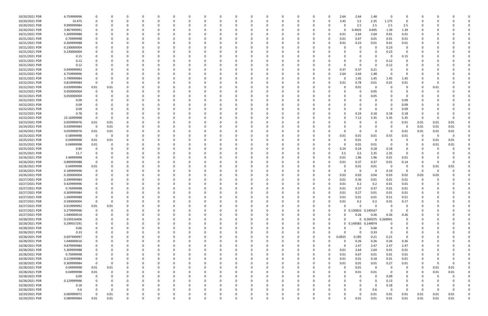| 10/20/2021 PDR | 6.759999996 |             |                         |          |          |          |          | n        |          |          |              |          |          |          |          | 2.64         | 2.64                | 1.48              | $\Omega$                | 0           |          |      |          |  |
|----------------|-------------|-------------|-------------------------|----------|----------|----------|----------|----------|----------|----------|--------------|----------|----------|----------|----------|--------------|---------------------|-------------------|-------------------------|-------------|----------|------|----------|--|
| 10/20/2021 PDR | 10.475      | $\Omega$    |                         | C        | 0        |          |          | 0        |          |          | <sup>0</sup> |          | - C      | 0        |          | 3.45         | 3.5                 | 2.35              | 1.175                   | 0           | -C       |      |          |  |
| 10/20/2021 PDR | 9.999999984 |             |                         |          |          |          |          |          |          |          |              |          |          |          |          | <sup>0</sup> | 2.5                 | 2.5               | 2.5                     | 2.5         |          |      |          |  |
| 10/20/2021 PDR | 3.967499991 |             |                         |          |          |          |          | n        |          |          |              |          |          |          |          | 0            | 0.4925              | 0.695             | 1.39                    | 1.39        |          |      |          |  |
| 10/21/2021 PDR | 5.309999988 |             |                         |          |          |          |          | 0        |          |          |              |          |          |          |          | 0.01         | 2.64                | 2.64              | 0.01                    | 0.01        |          |      |          |  |
| 10/21/2021 PDR | 0.70999998  |             |                         |          |          |          |          | n        |          |          |              |          |          |          |          | 0.01         | 0.67                | 0.01              | 0.01                    | 0.01        |          |      |          |  |
| 10/21/2021 PDR | 0.269999988 |             |                         |          |          |          |          |          |          |          |              |          |          |          |          | 0.01         | 0.23                | 0.01              | 0.01                    | 0.01        |          |      |          |  |
| 10/21/2021 PDR | 0.230000004 |             |                         |          |          |          |          |          |          |          |              |          |          |          |          |              | $\Omega$            |                   | 0.23                    | $\Omega$    |          |      |          |  |
| 10/21/2021 PDR | 0.230000004 |             |                         |          |          |          |          |          |          |          |              |          |          |          |          |              |                     |                   | 0.23                    | 0           |          |      |          |  |
| 10/21/2021 PDR | 0.15        |             |                         |          |          |          |          |          |          |          |              |          |          |          |          |              |                     |                   | - 0                     | 0.15        |          |      |          |  |
| 10/21/2021 PDR | 0.12        |             |                         |          |          |          |          | 0        |          |          |              |          |          |          |          | <sup>0</sup> |                     | $\Omega$          | 0.12                    | 0           |          |      |          |  |
| 10/21/2021 PDR | 0.12        |             |                         |          |          |          |          | 0        |          |          |              |          |          |          |          | 0            | 0                   | $\Omega$          | 0.12                    |             |          |      |          |  |
| 10/21/2021 PDR | 0.949999992 |             |                         |          |          |          |          |          |          |          |              |          |          |          |          | 0.37         | 0.37                | 0.21              | - 0                     | 0           |          |      |          |  |
| 10/21/2021 PDR | 6.759999996 |             |                         |          |          |          |          |          |          |          |              |          |          |          |          | 2.64         | 2.64                | 1.48              | - 0                     | 0           |          |      |          |  |
| 10/21/2021 PDR | 5.799999984 |             |                         |          |          |          |          |          |          |          |              |          |          |          |          | 0            | 1.45                | 1.45              | 1.45                    | 1.45        |          |      |          |  |
| 10/22/2021 PDR | 0.819999984 | $\Omega$    |                         |          |          |          |          |          |          |          |              |          |          |          |          | 0.01         | 0.78                | 0.01              | 0.01                    | 0.01        |          |      |          |  |
| 10/22/2021 PDR | 0.039999984 | 0.01        | 0.01                    |          |          |          |          |          |          |          |              |          |          |          |          | C            | 0.01                | $\Omega$          |                         | 0           |          | 0.01 |          |  |
| 10/22/2021 PDR | 0.050000004 | $\Omega$    |                         |          |          |          |          |          |          |          |              |          |          |          |          |              |                     | 0.05              |                         |             |          |      |          |  |
| 10/22/2021 PDR | 0.050000004 |             |                         |          |          |          |          |          |          |          |              |          |          |          |          | <sup>0</sup> | -0                  | 0.05              |                         | 0           |          |      |          |  |
| 10/22/2021 PDR | 0.09        |             |                         |          |          |          |          |          |          |          |              |          |          |          |          |              |                     |                   |                         | 0.09        |          |      |          |  |
| 10/22/2021 PDR | 0.09        |             |                         |          |          |          |          |          |          |          |              |          |          |          |          |              |                     |                   | - 0                     | 0.09        |          |      |          |  |
| 10/22/2021 PDR | 0.09        |             |                         |          |          |          |          |          |          |          |              |          |          |          |          |              |                     |                   | - 0                     | 0.09        |          |      |          |  |
| 10/22/2021 PDR | 0.78        |             |                         |          |          |          |          |          |          |          |              |          |          |          |          |              | 0.24                | 0.18              | 0.18                    | 0.18        |          |      |          |  |
| 10/22/2021 PDR | 23.16999998 |             | $\Omega$                |          |          |          |          |          |          |          |              |          |          |          |          | 0            | 7.12                | 5.35              | 5.35                    | 5.35        | 0        |      |          |  |
| 10/23/2021 PDR | 0.059999976 | 0.01        | 0.01                    |          |          |          |          |          |          |          |              |          |          |          |          |              | $\Omega$            |                   | - 0                     | 0.01        | 0.01     | 0.01 | 0.01     |  |
| 10/24/2021 PDR | 0.039999984 | - 0         | 0.01                    |          |          |          |          |          |          |          |              |          |          |          |          |              |                     |                   |                         | 0           | 0.01     | 0.01 | 0.01     |  |
| 10/24/2021 PDR | 0.059999976 | 0.01        | 0.01                    |          |          |          |          |          |          |          |              |          |          |          |          |              | - 0                 |                   | - 0                     | 0.01        | 0.01     | 0.01 | 0.01     |  |
| 10/25/2021 PDR | 0.58999998  | $\Omega$    | - 0                     |          |          |          |          |          |          |          |              |          |          |          |          | 0.01         | 0.01                | 0.01              | 0.55                    | 0.01        | 0        | - 0  | $\Omega$ |  |
| 10/25/2021 PDR | 0.04999998  | $0.01\,$    | 0.01                    |          |          |          |          |          |          |          |              |          |          |          |          | C            | 0.01                | $\Omega$          | $\Omega$                | 0           | -0       | 0.01 | 0.01     |  |
| 10/25/2021 PDR | 0.04999998  | 0.01        |                         |          |          |          |          |          |          |          |              |          |          |          |          | 0            | 0.01                | 0.01              | - 0                     | 0           | 0        | 0.01 | 0.01     |  |
| 10/25/2021 PDR | 0.84        |             |                         |          |          |          |          |          |          |          |              |          |          |          |          | 0.24         | 0.24                | 0.18              | 0.18                    | 0           |          |      |          |  |
| 10/25/2021 PDR | 11.7        |             |                         |          |          |          |          |          |          |          |              |          |          |          |          | 3.5          | 3.5                 | 2.35              | 2.35                    | 0           |          |      |          |  |
| 10/26/2021 PDR | 3.94999998  |             |                         |          |          |          |          |          |          |          |              |          |          |          |          | 0.01         | 1.96                | 1.96              | 0.01                    | 0.01        |          |      |          |  |
| 10/26/2021 PDR | 0.899999988 |             |                         |          |          |          |          |          |          |          |              |          |          |          |          | 0.01         | 0.37                | 0.37              | 0.01                    | 0.14        |          |      |          |  |
| 10/26/2021 PDR | 0.04999998  | 0.01        |                         |          |          |          |          |          |          |          |              |          |          |          |          | C            | 0.01                | 0.01              | $\overline{\mathbf{0}}$ | 0           | 0        | 0.01 | 0.01     |  |
| 10/26/2021 PDR | 0.189999996 |             |                         |          |          |          |          |          |          |          |              |          |          |          |          | 0            | - 0                 | $\Omega$          | 0.19                    | 0           | 0        |      |          |  |
| 10/26/2021 PDR | 0.200000004 |             |                         |          |          |          |          |          |          |          |              |          |          |          |          | 0.03         | 0.03                | 0.04              | 0.03                    | 0.02        | 0.03     | 0.02 |          |  |
| 10/27/2021 PDR | 0.399999984 |             |                         |          |          |          |          |          |          |          |              |          |          |          |          | 0.01         | 0.36                | 0.01              | 0.01                    | 0.01        |          |      |          |  |
| 10/27/2021 PDR | 0.429999996 |             |                         |          |          |          |          |          |          |          |              |          |          |          |          | 0.01         | 0.2                 | 0.2               | 0.01                    | 0.01        |          |      |          |  |
| 10/27/2021 PDR | 0.76999998  | - 0         | 0                       |          |          |          |          |          |          |          |              |          |          |          |          | 0.01         | 0.37                | 0.37              | 0.01                    | 0.01        |          |      |          |  |
| 10/27/2021 PDR | 0.309999984 | $\mathbf 0$ |                         |          |          |          |          |          |          |          |              |          |          |          |          | 0.01         | 0.27                | $0.01\,$          | 0.01                    | 0.01        |          |      |          |  |
| 10/27/2021 PDR | 1.049999988 | $\Omega$    | 0                       | $\Omega$ | $\Omega$ | $\Omega$ | $\Omega$ | $\Omega$ | $\Omega$ | $\Omega$ | $\Omega$     | $\Omega$ | $\Omega$ | 0        | $\Omega$ | 0.01         | 0.01                | 0.01              | 0.51                    | 0.51        | $\Omega$ |      |          |  |
| 10/27/2021 PDR | 0.590000004 | $\Omega$    | $\overline{\mathbf{0}}$ | 0        | 0        | $\Omega$ |          | 0        | - 0      | $\Omega$ | 0            | 0        | $\Omega$ | 0        | 0        | 0.01         | 0.2                 | 0.2               | 0.01                    | 0.17        | 0        |      |          |  |
| 10/27/2021 PDR | 0.019999992 | $0.01\,$    | 0.01                    | 0        | $\Omega$ |          |          | $\Omega$ |          | $\Omega$ | 0            | 0        |          | 0        |          | $\Omega$     | $\Omega$            | $\Omega$          | $\overline{0}$          | 0           |          |      |          |  |
| 10/27/2021 PDR | 0.279999996 | 0           | - 0                     | O        | - 0      |          |          | 0        |          |          | 0            | 0        |          | 0        | $\Omega$ |              | 0 0.130833 0.149167 |                   | - 0                     | 0           |          |      |          |  |
| 10/27/2021 PDR | 1.040000016 | $\Omega$    |                         | 0        | - 0      |          |          | 0        |          |          | n            |          |          | 0        |          | 0            | 0.26                | 0.26              | 0.26                    | 0.26        |          |      |          |  |
| 10/28/2021 PDR | 0.539316406 | 0           | 0                       | 0        | 0        | 0        |          | 0        |          | $\Omega$ | 0            | 0        | -0       | 0        | 0        | 0            | $\mathbf 0$         | 0.269375 0.269941 |                         | 0           |          |      |          |  |
| 10/28/2021 PDR | 0.299557291 | 0           | 0                       | C        | -0       |          |          | $\Omega$ |          |          | 0            | 0        |          | 0        |          |              | 0 0.149583 0.149974 |                   | 0                       | 0           |          |      |          |  |
| 10/28/2021 PDR | 0.66        | $\Omega$    | O                       | 0        | 0        | $\Omega$ |          | $\Omega$ |          | $\Omega$ | 0            | 0        | - 0      | 0        | $\Omega$ | 0            | 0                   | 0.66              | $\mathbf 0$             | $\mathbf 0$ | 0        |      |          |  |
| 10/28/2021 PDR | 0.33        | $\Omega$    |                         | 0        | 0        | 0        |          | 0        |          | $\Omega$ | 0            | 0        |          | 0        | O        | $\Omega$     | 0                   | 0.33              | $\overline{\mathbf{0}}$ | 0           | 0        |      |          |  |
| 10/28/2021 PDR | 0.697499997 |             |                         |          |          |          |          | $\Omega$ |          |          |              | 0        |          | $\Omega$ | $\Omega$ | 0.0925       | 0.185               | 0.21              | 0.21                    | 0           |          |      |          |  |
| 10/28/2021 PDR | 1.040000016 |             |                         | C        | - 0      |          |          | 0        |          |          | 0            | 0        |          | 0        |          | 0            | 0.26                | 0.26              | 0.26                    | 0.26        |          |      |          |  |
| 10/28/2021 PDR | 9.879999984 |             |                         |          |          |          |          | 0        |          |          | 0            | 0        |          | 0        |          | 0            | 2.47                | 2.47              | 2.47                    | 2.47        |          |      |          |  |
| 10/28/2021 PDR | 5.309999988 | 0           | $\Omega$                | C        | -0       | $\Omega$ |          | $\Omega$ |          |          | 0            | 0        |          | 0        |          | 0.01         | 2.64                | 2.64              | 0.01                    | 0.01        | 0        |      |          |  |
| 10/28/2021 PDR | 0.70999998  | 0           | 0                       | C        | -0       | 0        |          | 0        |          |          | 0            | 0        |          | 0        | 0        | 0.01         | 0.67                | 0.01              | 0.01                    | 0.01        | 0        |      |          |  |
| 10/28/2021 PDR | 0.219999984 | 0           | $\Omega$                | O        | 0        | $\Omega$ |          | 0        |          | $\Omega$ | $\Omega$     | $\Omega$ |          | 0        |          | 0.01         | 0.01                | 0.18              | 0.01                    | 0.01        | $\Omega$ |      |          |  |
| 10/28/2021 PDR | 0.309999984 | $\Omega$    | - 0                     | 0        | - 0      |          |          | 0        |          |          | 0            | 0        |          | 0        |          | 0.01         | 0.01                | 0.01              | 0.27                    | 0.01        | 0        |      | $\Omega$ |  |
| 10/28/2021 PDR | 0.04999998  | $0.01\,$    | 0.01                    | 0        |          |          |          | 0        |          |          | $\Omega$     |          |          | O        |          | $\Omega$     | 0.01                | $\Omega$          | - 0                     | 0           | $\Omega$ | 0.01 | 0.01     |  |
| 10/28/2021 PDR | 0.04999998  | $0.01\,$    | $\Omega$                | 0        | 0        |          |          | 0        |          |          | 0            | 0        |          | 0        |          | 0            | $0.01\,$            | $0.01\,$          | - 0                     | 0           | 0        | 0.01 | 0.01     |  |
| 10/28/2021 PDR | 0.09        | 0           | $\Omega$                | 0        | 0        |          |          | 0        |          |          | 0            | 0        |          |          |          | 0            | 0                   | $\Omega$          | 0.09                    | 0           | 0        |      |          |  |
| 10/28/2021 PDR | 0.129999996 | $\Omega$    | 0                       | 0        | 0        | $\Omega$ |          | $\Omega$ |          |          | 0            | 0        |          | 0        |          | $\Omega$     | $\Omega$            | $\Omega$          | 0.13                    | 0           | 0        |      |          |  |
| 10/28/2021 PDR | 0.18        | $\Omega$    | 0                       | 0        | 0        | 0        |          | 0        |          | $\Omega$ | 0            | 0        |          | 0        |          | 0            | 0                   | $\Omega$          | 0.18                    | 0           | 0        |      |          |  |
| 10/28/2021 PDR | 0.6         | $\Omega$    | $\overline{0}$          | 0        | $\Omega$ |          |          | $\Omega$ |          | $\Omega$ | $\Omega$     | $\Omega$ | $\Omega$ | 0        |          | $\Omega$     | $\Omega$            | 0.6               | $\overline{0}$          | $\Omega$    | $\Omega$ |      | $\Omega$ |  |
| 10/29/2021 PDR | 0.069999972 | $\Omega$    | 0.01                    | 0        |          |          |          | 0        |          |          | 0            | 0        |          |          |          | 0            | 0                   | 0.01              | 0.01                    | 0.01        | 0.01     | 0.01 | 0.01     |  |
| 10/29/2021 PDR | 0.089999964 | 0.01        | 0.01                    | $\Omega$ | $\Omega$ | $\Omega$ |          | $\Omega$ | $\Omega$ | $\Omega$ | $\Omega$     | $\Omega$ | $\Omega$ | $\Omega$ |          | $\Omega$     | 0.01                | $0.01\,$          | 0.01                    | 0.01        | 0.01     | 0.01 | 0.01     |  |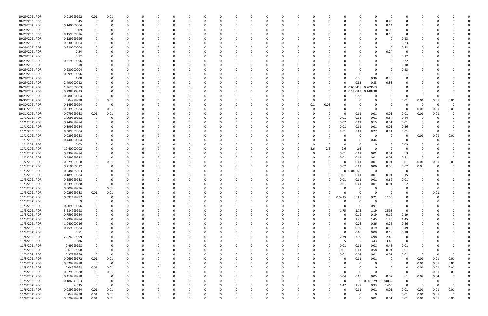| 10/29/2021 PDR | 0.019999992 | 0.01        | 0.01     | n           | 0            | - 0      |          |          | 0        | $\Omega$ |          | 0           | $\Omega$ |          |          |      | 0            |                     | $\Omega$ | - 0                     | 0           |          |          |             |  |
|----------------|-------------|-------------|----------|-------------|--------------|----------|----------|----------|----------|----------|----------|-------------|----------|----------|----------|------|--------------|---------------------|----------|-------------------------|-------------|----------|----------|-------------|--|
| 10/29/2021 PDR | 0.45        | $\Omega$    | $\Omega$ |             | $\Omega$     | -0       |          |          | $\Omega$ |          |          | $\Omega$    |          |          |          |      | $\Omega$     | $\Omega$            | $\Omega$ | 0.45                    | $\Omega$    | $\Omega$ |          |             |  |
| 10/29/2021 PDR | 0.140000004 |             |          |             |              |          |          |          |          |          |          |             |          |          |          |      |              |                     |          | 0.14                    |             |          |          |             |  |
| 10/29/2021 PDR | 0.09        |             |          |             |              |          |          |          |          |          |          |             |          |          |          |      | <sup>0</sup> |                     |          | 0.09                    | 0           |          |          |             |  |
| 10/29/2021 PDR | 0.159999996 |             |          |             |              |          |          |          |          |          |          |             |          |          |          |      |              |                     |          | 0.16                    | 0           |          |          |             |  |
| 10/29/2021 PDR | 0.129999996 |             |          |             |              |          |          |          |          |          |          |             |          |          |          |      | <sup>0</sup> |                     |          | - 0                     | 0.13        |          |          |             |  |
|                |             |             |          |             |              |          |          |          |          |          |          |             |          |          |          |      |              |                     |          |                         |             |          |          |             |  |
| 10/29/2021 PDR | 0.230000004 |             |          |             |              |          |          |          |          |          |          |             |          |          |          |      | <sup>0</sup> |                     |          |                         | 0.23        |          |          |             |  |
| 10/29/2021 PDR | 0.230000004 |             |          |             |              |          |          |          |          |          |          |             |          |          |          |      |              |                     |          |                         | 0.23        |          |          |             |  |
| 10/29/2021 PDR | 0.24        |             |          |             |              |          |          |          |          |          |          |             |          |          |          |      |              |                     | $\Omega$ | 0.24                    | 0           |          |          |             |  |
| 10/29/2021 PDR | 0.12        |             |          |             |              |          |          |          |          |          |          |             |          |          |          |      |              |                     |          |                         | 0.12        |          |          |             |  |
| 10/29/2021 PDR | 0.219999996 |             |          |             |              |          |          |          |          |          |          |             |          |          |          |      |              |                     |          |                         | 0.22        |          |          |             |  |
| 10/29/2021 PDR | 0.18        |             |          |             |              |          |          |          |          |          |          |             |          |          |          |      |              |                     |          | 0                       | 0.18        |          |          |             |  |
| 10/29/2021 PDR | 0.230000004 |             |          |             |              |          |          |          |          |          |          |             |          |          |          |      |              |                     |          |                         | 0.23        |          |          |             |  |
| 10/29/2021 PDR | 0.099999996 |             |          |             |              |          |          |          |          |          |          |             |          |          |          |      |              | - 0                 | $\Omega$ | - 0                     | 0.1         |          |          |             |  |
| 10/29/2021 PDR | 1.08        |             |          |             |              |          |          |          |          |          |          |             |          |          |          |      | <sup>0</sup> | 0.36                | 0.36     | 0.36                    | 0           |          |          |             |  |
| 10/29/2021 PDR | 2.490000012 |             |          |             |              |          |          |          |          |          |          |             |          |          |          |      |              | 0.83                | 0.83     | 0.83                    |             |          |          |             |  |
| 10/29/2021 PDR | 1.362500003 |             |          |             |              |          |          |          |          |          |          |             |          |          |          |      |              | 0 0.653438 0.709063 |          | - 0                     | C           |          |          |             |  |
| 10/29/2021 PDR | 0.298020833 |             |          |             |              |          |          |          |          |          |          |             |          |          |          |      |              | 0 0.149583 0.148438 |          |                         |             |          |          |             |  |
| 10/29/2021 PDR | 0.980000004 |             | - 0      |             |              |          |          |          |          |          |          |             |          |          |          |      | 0            | 0.98                |          | 0                       | $\Omega$    | 0        |          |             |  |
| 10/30/2021 PDR | 0.04999998  |             | 0.01     |             |              |          |          |          |          |          |          |             |          |          |          |      |              |                     |          | 0                       | 0.01        | 0.01     | 0.01     | 0.01        |  |
| 10/30/2021 PDR | 0.149999994 |             | - 0      |             |              |          |          |          |          |          |          |             |          |          | 0.1      | 0.05 |              |                     |          |                         | C           | $\Omega$ |          |             |  |
| 10/31/2021 PDR | 0.039999984 | 0           | 0.01     |             |              |          |          |          |          |          |          |             |          |          |          |      | n            | 0                   |          | - 0                     | 0           | 0.01     | 0.01     | 0.01        |  |
| 10/31/2021 PDR | 0.079999968 | 0.01        | 0.01     |             |              |          |          |          |          |          |          |             |          |          |          |      | 0            | 0.01                | 0.01     | 0.01                    | 0.01        | 0.01     | 0.01     |             |  |
| 11/1/2021 PDR  | 1.009999992 | 0           | - 0      |             |              |          |          |          |          |          |          |             |          |          |          |      | 0.01         | 0.01                | 0.01     | 0.54                    | 0.44        | $\Omega$ |          |             |  |
| 11/1/2021 PDR  | 0.249999984 |             |          |             |              |          |          |          |          |          |          |             |          |          |          |      |              |                     |          |                         |             |          |          |             |  |
|                |             | 0           |          |             |              |          |          |          |          |          |          |             |          |          |          |      | 0.07         | 0.01                | 0.15     | 0.01                    | 0.01        | 0        |          |             |  |
| 11/1/2021 PDR  | 0.399999984 |             |          |             |              |          |          |          |          |          |          |             |          |          |          |      | 0.01         | 0.01                | 0.01     | 0.01                    | 0.36        | 0        |          |             |  |
| 11/1/2021 PDR  | 0.309999984 |             |          |             |              |          |          |          |          |          |          |             |          |          |          |      | 0.01         | 0.01                | 0.27     | 0.01                    | 0.01        | 0        |          |             |  |
| 11/1/2021 PDR  | 0.029999988 |             |          |             |              |          |          |          |          |          |          |             |          |          |          |      |              | 0                   |          | - 0                     | 0           | 0.01     | 0.01     | 0.01        |  |
| 11/1/2021 PDR  | 0.440000004 |             |          |             |              |          |          |          |          |          |          |             |          |          |          |      | 0            | 0                   | 0.44     | 0                       | 0           | $\Omega$ |          |             |  |
| 11/1/2021 PDR  | 0.03        |             |          |             |              |          |          |          |          |          |          |             |          |          |          |      | $\Omega$     | $\Omega$            |          | 0                       | 0.03        |          |          |             |  |
| 11/1/2021 PDR  | 10.40000002 |             |          |             |              |          |          |          |          |          |          |             |          |          | 2.6      | 2.6  | 2.6          | 2.6                 | $\Omega$ | - 0                     | 0           |          |          |             |  |
| 11/2/2021 PDR  | 0.339999984 |             |          |             |              |          |          |          |          |          |          |             |          |          |          |      | 0.01         | 0.01                | 0.01     | 0.01                    | 0.3         | 0        |          |             |  |
| 11/2/2021 PDR  | 0.449999988 |             |          |             |              |          |          |          |          |          |          |             |          |          |          |      | 0.01         | 0.01                | 0.01     | 0.01                    | 0.41        | 0        |          |             |  |
| 11/2/2021 PDR  | 0.079999968 |             | 0.01     |             |              |          |          |          |          |          |          |             |          |          |          |      | 0            | 0.01                | 0.01     | 0.01                    | 0.01        | 0.01     | 0.01     | 0.01        |  |
| 11/2/2021 PDR  | 0.210000012 |             |          |             |              |          |          |          |          |          |          |             |          |          |          |      | 0.02         | 0.03                | 0.06     | 0.05                    | 0.02        | 0.03     |          |             |  |
| 11/3/2021 PDR  | 0.048125003 |             |          |             |              |          |          |          |          |          |          |             |          |          |          |      | 0            | 0.048125            | $\Omega$ | $\overline{\mathbf{0}}$ | C           | 0        |          |             |  |
| 11/3/2021 PDR  | 0.189999984 |             |          |             |              |          |          |          |          |          |          |             |          |          |          |      | 0.01         | 0.01                | 0.01     | 0.01                    | 0.15        |          |          |             |  |
| 11/3/2021 PDR  | 0.659999988 |             |          |             |              |          |          |          |          |          |          |             |          |          |          |      | 0.01         | 0.01                | 0.01     | 0.62                    | 0.01        |          |          |             |  |
| 11/3/2021 PDR  | 0.239999988 |             |          |             |              |          |          |          |          |          |          |             |          |          |          |      | 0.01         | 0.01                | 0.01     | 0.01                    | 0.2         |          |          |             |  |
| 11/3/2021 PDR  | 0.009999996 | $\Omega$    | 0.01     |             |              |          |          |          |          |          |          |             |          |          |          |      | 0            | $\Omega$            | 0        | - 0                     | $\Omega$    |          |          |             |  |
| 11/3/2021 PDR  | 0.029999988 | $0.01\,$    | 0.01     |             | O            |          |          |          |          | 0        |          | -0          |          |          |          |      | $\Omega$     | $\mathbf 0$         | $\Omega$ | - 0                     | -0          |          | 0.01     |             |  |
| 11/3/2021 PDR  | 0.592499997 | 0           | 0        | 0           | 0            | $\Omega$ | $\Omega$ | 0        | 0        | $\Omega$ | - 0      | $\mathbf 0$ | 0        | 0        | 0        | 0    | 0.0925       | 0.185               | 0.21     | 0.105                   | 0           | 0        |          |             |  |
| 11/3/2021 PDR  | 9           | 0           | $\Omega$ | $\Omega$    | 0            |          |          |          | 0        | $\Omega$ |          | $\Omega$    | $\Omega$ |          | 0        |      | $\Omega$     | $\mathbf 0$         | 9        | $\overline{0}$          | $\Omega$    |          |          |             |  |
| 11/3/2021 PDR  | 0.909999996 | 0           | $\Omega$ |             | 0            |          |          |          | $\Omega$ |          |          | 0           |          |          | 0        |      | $\Omega$     | 0                   | 0.91     | 0                       | 0           | 0        |          |             |  |
| 11/3/2021 PDR  | 5.284999998 |             |          |             | 0            |          |          |          | 0        |          |          | 0           |          |          |          |      | 1.75         | 1.75                | 1.19     | 0.595                   | 0           | 0        |          |             |  |
| 11/3/2021 PDR  | 0.759999984 | $\Omega$    |          |             | O            |          |          |          |          |          |          | 0           |          |          |          |      | $\Omega$     | 0.19                | 0.19     | 0.19                    | 0.19        |          |          |             |  |
| 11/3/2021 PDR  | 5.799999984 | 0           |          |             |              |          |          |          | 0        |          |          | 0           |          |          | 0        |      | 0            | 1.45                | 1.45     | 1.45                    |             |          |          |             |  |
|                |             |             |          |             | 0            |          |          |          |          |          |          |             |          |          |          |      |              |                     |          |                         | 1.45        | 0        |          |             |  |
| 11/3/2021 PDR  | 1.040000016 | 0           |          |             | 0            |          |          |          | 0        |          |          | 0           | 0        |          |          |      | 0            | 0.26                | 0.26     | 0.26                    | 0.26        | 0        |          |             |  |
| 11/4/2021 PDR  | 0.759999984 | $\mathbf 0$ | $\Omega$ | $\Omega$    | $\Omega$     |          |          |          | $\Omega$ |          |          | $\Omega$    | $\Omega$ |          |          |      | $\Omega$     | 0.19                | 0.19     | 0.19                    | 0.19        | 0        |          |             |  |
| 11/4/2021 PDR  | 0.51        | 0           | $\Omega$ | 0           | 0            | - 0      |          | 0        | 0        | 0        |          | 0           | 0        |          | 0        |      | 0            | 0.06                | 0.09     | 0.18                    | 0.18        | 0        |          |             |  |
| 11/4/2021 PDR  | 22.24999999 | $\Omega$    |          |             | 0            |          |          |          | 0        |          |          | 0           | $\Omega$ |          |          |      | 7.39         | 7.39                | 4.98     | 2.49                    | 0           |          |          |             |  |
| 11/4/2021 PDR  | 16.86       | 0           |          |             | 0            |          |          |          | 0        |          |          | 0           | 0        |          |          |      | 5            | 5                   | 3.43     | 3.43                    | 0           |          |          |             |  |
| 11/5/2021 PDR  | 0.49999998  |             |          |             | O            |          |          |          | 0        | 0        |          | 0           | 0        |          |          | 0    | 0.01         | 0.01                | 0.01     | 0.46                    | 0.01        |          |          |             |  |
| 11/5/2021 PDR  | 0.61999998  | 0           | 0        |             | O            |          |          |          | 0        | 0        |          | 0           | 0        |          |          | 0    | 0.01         | 0.01                | 0.58     | 0.01                    | 0.01        | $\Omega$ |          |             |  |
| 11/5/2021 PDR  | 0.37999998  | $\mathbf 0$ | 0        |             | C            |          |          |          | 0        |          |          | 0           | 0        |          |          |      | 0.01         | 0.34                | 0.01     | 0.01                    | 0.01        | 0        | $\Omega$ | $\mathbf 0$ |  |
| 11/5/2021 PDR  | 0.069999972 | 0.01        | $0.01\,$ |             | 0            |          |          |          | 0        | $\Omega$ |          | 0           | $\Omega$ |          |          |      | 0            | 0.01                | 0.01     | $\overline{\mathbf{0}}$ | 0           | 0.01     | 0.01     | 0.01        |  |
| 11/5/2021 PDR  | 0.029999988 | $\mathbf 0$ | 0        |             | 0            |          |          |          | 0        |          |          | 0           | $\Omega$ |          |          |      | 0            | $\Omega$            | $\Omega$ |                         | 0           | 0.01     | 0.01     | 0.01        |  |
| 11/5/2021 PDR  | 0.04999998  | 0.01        | 0.01     |             |              |          |          |          |          |          |          |             |          |          |          |      | $\Omega$     |                     | $\Omega$ |                         | 0           | 0.01     | 0.01     | 0.01        |  |
| 11/5/2021 PDR  | 0.029999988 | $\mathbf 0$ | 0.01     |             |              |          |          |          |          |          |          |             |          |          |          |      | $\Omega$     | $\Omega$            | $\Omega$ | - 0                     | 0           | 0        | 0.01     | 0.01        |  |
| 11/5/2021 PDR  | 0.419999988 | 0           | - 0      | 0           |              |          |          |          |          |          |          | 0           |          |          |          |      | 0.04         | 0.05                | 0.05     | 0.07                    | 0.1         | 0.07     | 0.04     | 0           |  |
| 11/5/2021 PDR  | 0.186041663 | $\mathbf 0$ | 0        |             |              |          |          |          |          |          |          |             |          |          |          |      | $\Omega$     | $\Omega$            | 0.001979 | 0.184062                | $\mathbf 0$ | 0        |          |             |  |
| 11/5/2021 PDR  | 4.335       | $\Omega$    | 0        | $\Omega$    | 0            |          |          |          | 0        |          |          | 0           | $\Omega$ |          | 0        | 0    | 1.47         | 1.47                | 0.93     | 0.465                   | $\mathbf 0$ | 0        | $\Omega$ | 0           |  |
| 11/6/2021 PDR  | 0.089999964 | 0.01        | 0.01     | $\Omega$    | <sup>0</sup> |          |          |          |          |          |          | 0           |          |          |          |      | 0            | 0.01                | 0.01     | 0.01                    | 0.01        | 0.01     | 0.01     | 0.01        |  |
| 11/6/2021 PDR  | 0.04999998  | 0.01        | 0.01     | 0           |              |          |          |          |          |          |          |             |          |          |          |      | 0            | -0                  | $\Omega$ | - 0                     | 0.01        | 0.01     | 0.01     | $\mathbf 0$ |  |
| 11/8/2021 PDR  | 0.079999968 | 0.01        | $0.01\,$ | $\mathbf 0$ | $\Omega$     | $\Omega$ | U        | $\Omega$ |          | $\Omega$ | $\Omega$ | $\Omega$    | $\Omega$ | $\Omega$ | $\Omega$ |      | 0            | $\Omega$            | 0.01     | 0.01                    | 0.01        | 0.01     | 0.01     | 0.01        |  |
|                |             |             |          |             |              |          |          |          |          |          |          |             |          |          |          |      |              |                     |          |                         |             |          |          |             |  |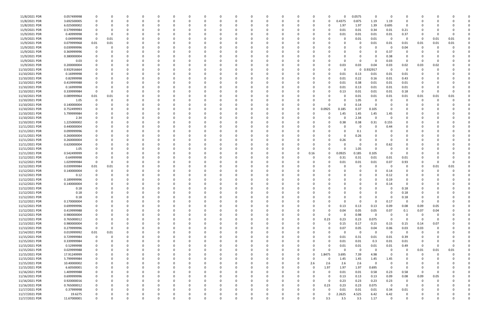| 11/8/2021 PDR  | 0.057499998 |             | - 0         |          |          | 0        |          |          |          |          |          | $\Omega$ |          |          |          | 0            |          | 0.0575       | $\Omega$ | - 0         | $\Omega$       |          |          |          |  |
|----------------|-------------|-------------|-------------|----------|----------|----------|----------|----------|----------|----------|----------|----------|----------|----------|----------|--------------|----------|--------------|----------|-------------|----------------|----------|----------|----------|--|
| 11/8/2021 PDR  | 3.692500005 |             | - 0         |          | $\Omega$ |          |          | $\Omega$ |          | $\Omega$ |          |          |          | -0       |          | 0            | 0.4375   | 0.875        | 1.19     | 1.19        |                |          |          |          |  |
| 11/8/2021 PDR  | 6.025000002 |             |             |          |          |          |          |          |          |          |          |          |          |          |          | 0            | 1.97     | 1.97         | 1.39     | 0.695       | $\Omega$       |          |          |          |  |
| 11/9/2021 PDR  | 0.579999984 |             |             |          |          |          |          |          |          |          |          |          |          |          |          |              | 0.01     | 0.01         | 0.34     | 0.01        | 0.21           |          |          |          |  |
| 11/9/2021 PDR  | 0.40999998  |             | 0           |          |          |          |          |          |          |          |          |          |          |          |          |              | 0.01     | 0.01         | 0.01     | 0.01        | 0.37           |          |          |          |  |
| 11/9/2021 PDR  | 0.04999998  | 0           | 0.01        |          |          |          |          |          |          |          |          |          |          |          |          |              |          | 0.01         | 0.01     | - 0         | $\Omega$       | -0       | 0.01     | 0.01     |  |
| 11/9/2021 PDR  | 0.079999968 | 0.01        | 0.01        |          |          |          |          |          |          |          |          |          |          |          |          |              |          | $\Omega$     | 0.01     | 0.01        | 0.01           | 0.01     | 0.01     | 0.01     |  |
| 11/9/2021 PDR  | 0.039999996 | 0           | $\Omega$    |          |          |          |          |          |          |          |          |          |          |          |          |              |          |              |          | - 0         | 0.04           | $\Omega$ |          |          |  |
| 11/9/2021 PDR  | 0.369999996 |             |             |          |          |          |          |          |          |          |          |          |          |          |          |              |          |              |          | 0.37        |                |          |          |          |  |
| 11/9/2021 PDR  | 0.380000004 |             |             |          |          |          |          |          |          |          |          |          |          |          |          |              |          |              |          | 0.38        |                |          |          |          |  |
| 11/9/2021 PDR  | 0.03        |             |             |          |          |          |          |          |          |          |          |          |          |          |          |              |          | 0            |          | 0.03        | $\Omega$       | 0        |          |          |  |
| 11/9/2021 PDR  | 0.200000004 |             |             |          |          |          |          |          |          |          |          |          |          |          |          |              | 0.03     | 0.03         | 0.04     | 0.03        | 0.02           | 0.03     | 0.02     |          |  |
| 11/10/2021 PDR | 0.932916664 |             |             |          |          |          |          |          |          |          |          |          |          |          |          |              |          | 0            | .932917  | - 0         | $\Omega$       |          |          |          |  |
| 11/10/2021 PDR | 0.16999998  |             |             |          |          |          |          |          |          |          |          |          |          |          |          |              | 0.01     | 0.13         | 0.01     | 0.01        | 0.01           |          |          |          |  |
| 11/10/2021 PDR | 0.82999998  |             |             |          |          |          |          |          |          |          |          |          |          |          |          |              | 0.01     | 0.22         | 0.16     | 0.01        | 0.43           |          |          |          |  |
| 11/10/2021 PDR | 0.419999988 |             |             |          |          |          |          |          |          |          |          |          |          |          |          |              | 0.01     | 0.38         | 0.01     | 0.01        | 0.01           |          |          |          |  |
| 11/10/2021 PDR | 0.16999998  | 0           | $\Omega$    |          |          |          |          |          |          | $\Omega$ |          |          |          |          |          | O            | 0.01     | 0.13         | 0.01     | 0.01        | 0.01           | 0        |          |          |  |
| 11/10/2021 PDR | 0.339999984 | 0           | 0           |          |          |          |          |          |          |          |          |          |          |          |          | $\Omega$     | 0.13     | 0.01         | 0.01     | 0.01        | 0.18           | -0       |          |          |  |
| 11/10/2021 PDR | 0.089999964 | 0.01        | 0.01        |          |          |          |          |          |          |          |          |          |          |          |          |              |          | 0.01         | 0.01     | 0.01        | 0.01           | 0.01     | 0.01     | 0.01     |  |
| 11/10/2021 PDR | 1.05        |             | $\Omega$    |          |          |          |          |          |          |          |          |          |          |          |          |              |          | 1.05         |          |             | $\Omega$       | $\Omega$ |          |          |  |
| 11/10/2021 PDR | 0.140000004 |             |             |          |          |          |          |          |          |          |          |          |          |          |          |              |          | 0.14         | - 0      |             |                |          |          |          |  |
| 11/10/2021 PDR | 0.752499993 |             |             |          |          |          |          |          |          |          |          |          |          |          |          | 0.0925       | 0.185    | 0.37         | 0.105    |             |                |          |          |          |  |
| 11/10/2021 PDR | 5.799999984 |             |             |          |          |          |          |          |          |          |          |          |          |          |          | O            |          |              |          |             |                |          |          |          |  |
| 11/10/2021 PDR | 2.34        |             |             |          |          |          |          |          |          |          |          |          |          |          |          |              | 1.45     | 1.45<br>2.34 | 1.45     | 1.45<br>- 0 |                |          |          |          |  |
|                |             |             |             |          |          |          |          |          |          |          |          |          |          |          |          |              |          |              |          |             |                |          |          |          |  |
| 11/10/2021 PDR | 1.225000002 |             |             |          |          |          |          |          |          |          |          |          |          |          |          |              | 0.38     | 0.38         | 0.31     | 0.155       |                |          |          |          |  |
| 11/11/2021 PDR | 0.440000004 |             |             |          |          |          |          |          |          |          |          |          |          |          |          |              |          | 0            |          | 0.44        |                |          |          |          |  |
| 11/11/2021 PDR | 0.099999996 |             |             |          |          |          |          |          |          |          |          |          |          |          |          |              |          | 0.1          |          |             |                |          |          |          |  |
| 11/11/2021 PDR | 0.260000004 |             |             |          |          |          |          |          |          |          |          |          |          |          |          |              |          | 0.26         |          |             |                |          |          |          |  |
| 11/11/2021 PDR | 0.260000004 |             |             |          |          |          |          |          |          |          |          |          |          |          |          |              | 0.26     | 0            |          |             |                |          |          |          |  |
| 11/11/2021 PDR | 0.620000004 |             |             |          |          |          |          |          |          |          |          |          |          |          |          |              |          | 0            |          | 0.62        |                |          |          |          |  |
| 11/11/2021 PDR | 1.05        |             |             |          |          |          |          |          |          |          |          |          |          |          |          |              |          | 1.05         |          | - 0         |                |          |          |          |  |
| 11/11/2021 PDR | 0.542499999 |             |             |          |          |          |          |          |          |          |          |          |          | -0       | 0.16     | 0            | 0.0925   | 0.185        | 0.105    | - 0         | 0              |          |          |          |  |
| 11/12/2021 PDR | 0.64999998  |             | 0           |          |          |          |          |          |          |          |          |          |          |          |          | O            | 0.31     | 0.31         | 0.01     | 0.01        | 0.01           |          |          |          |  |
| 11/12/2021 PDR | 1.029999984 | 0           | $\Omega$    |          |          |          |          |          |          |          |          |          |          |          |          |              | 0.01     | 0.01         | 0.01     | 0.07        | 0.93           |          |          |          |  |
| 11/12/2021 PDR | 0.039999984 | 0.01        | 0.01        |          |          |          |          |          |          |          |          |          |          |          |          |              |          | $\Omega$     |          | - 0         | 0              | 0        | 0.01     | 0.01     |  |
| 11/12/2021 PDR | 0.140000004 | 0           | $\Omega$    |          |          |          |          |          |          |          |          |          |          |          |          |              |          | 0            |          | 0.14        | 0              | 0        |          |          |  |
| 11/12/2021 PDR | 0.12        | 0           | 0           |          |          |          |          |          |          |          |          |          |          |          |          |              |          | 0            |          | 0.12        | 0              |          |          |          |  |
| 11/12/2021 PDR | 0.189999996 |             |             |          |          |          |          |          |          |          |          |          |          |          |          |              |          |              |          | 0.19        | $\Omega$       |          |          |          |  |
| 11/12/2021 PDR | 0.140000004 |             |             |          |          |          |          |          |          |          |          |          |          |          |          |              |          |              |          | 0.14        |                |          |          |          |  |
| 11/12/2021 PDR | 0.18        | O           | $\Omega$    |          |          |          |          |          |          |          |          |          |          |          |          |              |          |              |          | -0          | 0.18           |          |          |          |  |
| 11/12/2021 PDR | 0.18        | $\Omega$    |             |          |          |          |          |          |          |          |          |          |          |          |          |              |          |              |          | $\Omega$    | 0.18           |          |          |          |  |
| 11/12/2021 PDR | 0.18        | 0           | 0           | $\Omega$ | 0        | $\Omega$ | $\Omega$ | 0        | 0        | 0        | $\Omega$ | $\Omega$ | $\Omega$ | 0        |          | 0            | ∩        | $\mathbf 0$  | $\Omega$ | $\mathbf 0$ | 0.18           | 0        |          |          |  |
| 11/12/2021 PDR | 0.170000004 | 0           | 0           |          | 0        | 0        |          | 0        |          | 0        |          | $\Omega$ |          | $\Omega$ |          | U            |          | $\mathbf{0}$ | $\Omega$ | 0.17        | $\overline{0}$ | 0        |          |          |  |
| 11/12/2021 PDR | 0.699999996 | $\Omega$    | $\Omega$    |          | 0        | 0        |          | $\Omega$ |          | $\Omega$ |          | $\Omega$ |          | $\Omega$ |          | $\Omega$     | 0.13     | 0.13         | 0.13     | 0.09        | 0.08           | 0.09     | 0.05     |          |  |
| 11/12/2021 PDR | 0.419999988 |             |             |          |          |          |          | 0        |          |          |          |          |          |          |          | O            | 0.04     | 0.05         | 0.05     | 0.07        | 0.1            | 0.07     | 0.04     |          |  |
| 11/12/2021 PDR | 0.980000004 |             |             |          | 0        |          |          | 0        |          |          |          |          |          |          |          | $\Omega$     | $\Omega$ | 0.98         | $\Omega$ | - 0         |                | -0       |          |          |  |
| 11/12/2021 PDR | 0.765000012 | 0           |             |          | 0        | 0        |          | 0        |          | 0        |          | 0        |          |          | $\Omega$ | 0.23         | 0.23     | 0.23         | 0.075    | 0           | $\overline{0}$ | 0        |          |          |  |
| 11/13/2021 PDR | 0.980000004 | 0           | 0           |          | 0        | O        |          | $\Omega$ |          | 0        |          | $\Omega$ |          |          |          | 0            | 0.15     | 0.17         | 0.15     | 0.15        | 0.15           | 0.14     | 0.07     |          |  |
| 11/13/2021 PDR | 0.279999996 | $\mathbf 0$ | $\mathbf 0$ |          | $\Omega$ | $\Omega$ |          | $\Omega$ |          | 0        |          | $\Omega$ |          | $\Omega$ |          | $\Omega$     | 0.07     | 0.05         | 0.04     | 0.06        | 0.03           | 0.03     | $\Omega$ |          |  |
| 11/14/2021 PDR | 0.019999992 | 0.01        | 0.01        | $\Omega$ | 0        | 0        |          | $\Omega$ |          | 0        |          | $\Omega$ |          | 0        |          | O            | $\cap$   | $\mathbf 0$  | $\Omega$ | 0           | 0              | 0        |          |          |  |
| 11/15/2021 PDR | 0.729999984 | $\mathbf 0$ | $\Omega$    |          | $\Omega$ | 0        |          | $\Omega$ |          |          |          | $\Omega$ |          |          |          | $\Omega$     | 0.01     | 0.31         | 0.01     | 0.01        | 0.39           |          |          |          |  |
| 11/15/2021 PDR | 0.339999984 | 0           | 0           |          | 0        | 0        |          | 0        |          |          |          | $\Omega$ |          |          |          | $\Omega$     | 0.01     | 0.01         | 0.3      | 0.01        | 0.01           | 0        |          |          |  |
| 11/15/2021 PDR | 0.52999998  | 0           | $\Omega$    |          | 0        | O        |          | 0        |          |          |          | 0        |          |          |          | 0            | 0.01     | 0.01         | 0.01     | $0.01\,$    | 0.49           | 0        |          | O        |  |
| 11/15/2021 PDR | 0.029999988 | 0           | $\Omega$    |          | $\Omega$ |          |          | $\Omega$ |          | $\Omega$ |          | $\Omega$ |          |          |          | <sup>0</sup> | $\cap$   | $\mathbf 0$  | $\Omega$ | 0           | 0              | 0.01     | 0.01     | 0.01     |  |
| 11/15/2021 PDR | 17.91249999 | 0           | $\Omega$    |          | 0        | 0        |          | 0        |          | 0        |          | $\Omega$ |          | 0        | $\Omega$ | 1.8475       | 3.695    | 7.39         | 4.98     | - 0         | $\Omega$       | $\Omega$ | $\Omega$ |          |  |
| 11/15/2021 PDR | 5.799999984 | 0           | $\Omega$    |          | 0        | 0        |          | 0        |          | 0        |          | 0        |          | 0        |          | $\Omega$     | 1.45     | 1.45         | 1.45     | 1.45        |                | 0        |          |          |  |
| 11/15/2021 PDR | 10.40000002 | $\Omega$    |             |          | 0        |          |          | $\Omega$ |          | $\Omega$ |          |          |          | $\Omega$ | 2.6      | 2.6          | 2.6      | 2.6          | $\Omega$ | $\Omega$    |                |          |          |          |  |
| 11/15/2021 PDR | 6.60500001  | 0           | 0           |          | 0        | 0        |          | 0        |          | 0        |          |          |          | 0        |          | 1.97         | 1.97     | 1.97         | 0.695    | - 0         | $\Omega$       | 0        |          |          |  |
| 11/16/2021 PDR | 1.409999988 | $\mathbf 0$ |             |          | 0        |          |          |          |          |          |          | 0        |          |          |          | 0            | 0.01     | 0.01         | 0.58     | 0.23        | 0.58           | $\Omega$ |          |          |  |
| 11/16/2021 PDR | 0.699999996 | 0           |             |          | $\Omega$ | 0        |          | $\Omega$ |          | $\Omega$ |          | $\Omega$ |          |          |          | $\Omega$     | 0.13     | 0.13         | 0.13     | 0.09        | 0.08           | 0.09     | 0.05     |          |  |
| 11/16/2021 PDR | 0.920000016 | 0           | $\Omega$    |          | 0        |          |          | 0        |          | 0        |          |          |          |          |          | $\Omega$     | 0.23     | 0.23         | 0.23     | 0.23        | $\overline{0}$ | 0        |          |          |  |
| 11/16/2021 PDR | 0.765000012 | 0           | $\Omega$    |          | 0        |          |          | 0        |          | 0        |          | $\Omega$ |          |          |          | 0.23         | 0.23     | 0.23         | 0.075    | $\Omega$    | 0              | 0        |          |          |  |
| 11/17/2021 PDR | 0.37999998  | 0           |             |          | 0        | 0        |          | $\Omega$ |          | $\Omega$ |          | $\Omega$ |          |          |          | $\Omega$     | 0.01     | 0.01         | 0.01     | 0.34        | 0.01           |          |          |          |  |
| 11/17/2021 PDR | 19.6275     | 0           | 0           |          | 0        |          |          |          |          | 0        |          |          |          |          |          | 0            | 2.2625   | 4.525        | 6.42     | 6.42        | 0              |          |          |          |  |
| 11/17/2021 PDR | 11.67000001 | $\mathbf 0$ | $\mathbf 0$ | $\Omega$ | $\Omega$ | $\Omega$ | $\Omega$ | $\Omega$ | $\Omega$ | $\Omega$ |          | $\Omega$ | $\Omega$ | 0        |          | 3.5          | 3.5      | 3.5          | 1.17     | $\Omega$    | $\mathbf 0$    | $\Omega$ |          | $\Omega$ |  |
|                |             |             |             |          |          |          |          |          |          |          |          |          |          |          |          |              |          |              |          |             |                |          |          |          |  |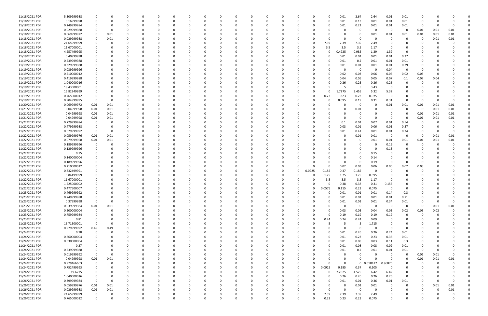| 11/18/2021 PDR | 5.309999988 |             |          |              |          |          |          |          |          |          |          |          |              |          |              |              | 0.01     | 2.64         | 2.64     | 0.01                    | 0.01        |          |          |          |  |
|----------------|-------------|-------------|----------|--------------|----------|----------|----------|----------|----------|----------|----------|----------|--------------|----------|--------------|--------------|----------|--------------|----------|-------------------------|-------------|----------|----------|----------|--|
| 11/18/2021 PDR | 0.16999998  |             |          |              | C.       |          |          |          |          |          |          |          |              |          |              | 0            | 0.01     | 0.13         | 0.01     | 0.01                    | 0.01        | -C       |          |          |  |
| 11/18/2021 PDR | 0.249999984 |             |          |              |          |          |          |          |          |          |          |          |              |          |              |              | 0.01     | 0.21         | 0.01     | 0.01                    | 0.01        | 0        |          |          |  |
| 11/18/2021 PDR | 0.029999988 |             |          |              |          |          |          |          |          |          |          |          |              |          |              |              |          | 0            | - 0      | 0                       | - 0         | 0.01     | 0.01     | 0.01     |  |
| 11/18/2021 PDR | 0.069999972 |             | 0.01     |              |          |          |          |          |          |          |          |          |              |          |              |              |          | 0            | 0.01     | 0.01                    | 0.01        | 0.01     | 0.01     | 0.01     |  |
| 11/18/2021 PDR | 0.029999988 | 0           | 0.01     |              |          |          |          |          |          |          |          |          |              |          |              |              | $\Omega$ | 0            |          | - 0                     | 0           | 0        | 0.01     | 0.01     |  |
| 11/18/2021 PDR | 24.65999999 |             |          |              |          |          |          |          |          |          |          |          |              |          |              | 7.39         | 7.39     | 7.39         | 2.49     |                         |             |          |          |          |  |
| 11/18/2021 PDR |             |             |          |              |          |          |          |          |          |          |          |          |              |          | <sup>0</sup> |              | 3.5      |              | 1.17     | - 0                     |             |          |          |          |  |
|                | 11.67000001 |             |          |              |          |          |          |          |          |          |          |          |              |          |              | 3.5          |          | 3.5          |          |                         |             |          |          |          |  |
| 11/18/2021 PDR | 4.257499995 |             |          |              |          |          |          |          |          |          |          |          |              |          |              | 0            | 0.4925   | 0.985        | 1.39     | 1.39                    |             |          |          |          |  |
| 11/19/2021 PDR | 0.40999998  |             |          |              |          |          |          |          |          |          |          |          |              |          |              |              | 0.01     | 0.01         | 0.01     | 0.01                    | 0.37        |          |          |          |  |
| 11/19/2021 PDR | 0.239999988 |             |          |              |          |          |          |          |          |          |          |          |              |          |              |              | 0.01     | 0.2          | 0.01     | 0.01                    | 0.01        |          |          |          |  |
| 11/19/2021 PDR | 0.329999988 |             |          |              |          |          |          |          |          |          |          |          |              |          |              |              | 0.01     | 0.01         | 0.01     | 0.01                    | 0.29        |          |          |          |  |
| 11/19/2021 PDR | 0.039999996 |             |          |              |          |          |          |          |          |          |          |          |              |          |              |              | O        | $\mathbf 0$  | - 0      | 0.04                    | $\Omega$    |          |          |          |  |
| 11/19/2021 PDR | 0.210000012 |             |          |              |          |          |          |          |          |          |          |          |              |          |              |              | 0.02     | 0.03         | 0.06     | 0.05                    | 0.02        | 0.03     |          |          |  |
| 11/19/2021 PDR | 0.419999988 |             |          |              |          |          |          |          |          |          |          |          |              |          |              |              | 0.04     | 0.05         | 0.05     | 0.07                    | 0.1         | 0.07     | 0.04     |          |  |
| 11/19/2021 PDR | 1.040000016 |             |          |              |          |          |          |          |          |          |          |          |              |          |              |              | 0.26     | 0.26         | 0.26     | 0.26                    |             |          |          |          |  |
| 11/19/2021 PDR | 18.43000001 |             |          |              |          |          |          |          |          |          |          |          |              |          |              |              |          | -5           | 3.43     | - 0                     |             |          |          |          |  |
| 11/19/2021 PDR | 15.82249999 |             |          |              |          |          |          |          |          |          |          |          |              |          |              | $\Omega$     | 1.7275   | 3.455        | 5.32     | 5.32                    |             |          |          |          |  |
| 11/19/2021 PDR | 0.765000012 |             |          |              |          |          |          |          |          |          |          |          |              |          |              | 0.23         | 0.23     | 0.23         | 0.075    | 0                       |             |          |          |          |  |
| 11/19/2021 PDR | 0.904999995 |             |          |              |          |          |          |          |          |          |          |          |              |          |              | <sup>0</sup> | 0.095    | 0.19         | 0.31     | 0.31                    | $\Omega$    | n        |          |          |  |
| 11/20/2021 PDR | 0.069999972 | 0.01        | 0.01     |              |          |          |          |          |          |          |          |          |              |          |              |              |          | 0            |          | 0.01                    | 0.01        | 0.01     | 0.01     | 0.01     |  |
| 11/21/2021 PDR | 0.04999998  | 0.01        | $0.01\,$ |              |          |          |          |          |          |          |          |          |              |          |              |              |          | 0.01         |          | - 0                     | 0           | - 0      | 0.01     | 0.01     |  |
|                |             |             |          |              |          |          |          |          |          |          |          |          |              |          |              |              |          |              |          |                         |             |          |          |          |  |
| 11/21/2021 PDR | 0.04999998  | 0.01        | 0.01     |              |          |          |          |          |          |          |          |          |              |          |              |              |          | 0            |          |                         | 0           | 0.01     | 0.01     | 0.01     |  |
| 11/21/2021 PDR | 0.04999998  | 0.01        | 0.01     |              |          |          |          |          |          |          |          |          |              |          |              |              | $\Omega$ | 0            | - 0      | - 0                     | - 0         | 0.01     | 0.01     | 0.01     |  |
| 11/22/2021 PDR | 0.729999984 | 0           |          |              |          |          |          |          |          |          |          |          |              |          |              |              | 0.1      | 0.01         | 0.07     | 0.01                    | 0.54        | 0        |          |          |  |
| 11/22/2021 PDR | 0.479999988 | 0           |          |              |          |          |          |          |          |          |          |          |              |          |              |              | 0.03     | 0.01         | 0.06     | 0.01                    | 0.37        |          |          |          |  |
| 11/22/2021 PDR | 0.679999992 | 0           |          |              |          |          |          |          |          |          |          |          |              |          |              |              | 0.01     | 0.41         | 0.01     | 0.01                    | 0.24        |          |          |          |  |
| 11/22/2021 PDR | 0.059999976 | 0.01        | 0.01     |              |          |          |          |          |          |          |          |          |              |          |              |              | O        | 0.01         | 0.01     | 0                       | 0           | 0        | 0.01     | 0.01     |  |
| 11/22/2021 PDR | 0.079999968 | 0.01        | 0.01     |              |          |          |          |          |          |          |          |          |              |          |              |              |          | 0            | 0.01     | 0.01                    | 0.01        | 0.01     | 0.01     | 0.01     |  |
| 11/22/2021 PDR | 0.189999996 | 0           |          |              |          |          |          |          |          |          |          |          |              |          |              |              |          | 0            |          | 0.19                    | 0           | 0        |          |          |  |
| 11/22/2021 PDR | 0.129999996 | 0           |          |              |          |          |          |          |          |          |          |          |              |          |              |              |          | $\Omega$     |          | 0.13                    | 0           |          |          |          |  |
| 11/22/2021 PDR | 0.15        |             |          |              |          |          |          |          |          |          |          |          |              |          |              |              |          | $\Omega$     | 0.15     |                         |             |          |          |          |  |
| 11/22/2021 PDR | 0.140000004 |             |          |              |          |          |          |          |          |          |          |          |              |          |              |              |          | $\Omega$     | 0.14     |                         |             |          |          |          |  |
| 11/22/2021 PDR | 0.189999996 |             |          |              |          |          |          |          |          |          |          |          |              |          |              |              | $\Omega$ | 0            | 0.19     | 0                       |             |          |          |          |  |
| 11/22/2021 PDR | 0.210000012 |             |          |              |          |          |          |          |          |          |          |          |              |          |              |              | 0.02     | 0.03         | 0.06     | 0.05                    | 0.02        | 0.03     |          |          |  |
| 11/22/2021 PDR | 0.832499991 |             |          |              |          |          |          |          |          |          |          |          |              | 0        | 0.0925       | 0.185        | 0.37     | 0.185        |          | - 0                     |             |          |          |          |  |
| 11/22/2021 PDR | 5.84499999  |             |          |              |          |          |          |          |          |          |          |          |              |          |              | 1.75         | 1.75     | 1.75         | 0.595    | - 0                     |             |          |          |          |  |
| 11/22/2021 PDR | 11.67000001 |             |          |              |          |          |          |          |          |          |          |          |              |          |              | 3.5          | 3.5      | 3.5          | 1.17     |                         |             |          |          |          |  |
|                |             |             |          |              |          |          |          |          |          |          |          |          |              |          |              |              |          |              |          |                         |             |          |          |          |  |
| 11/22/2021 PDR | 1.225000002 |             |          |              |          |          |          |          |          |          |          |          |              |          |              |              | 0.38     | 0.38         | 0.31     | 0.155                   |             |          |          |          |  |
| 11/22/2021 PDR | 0.477500007 | $\Omega$    |          |              |          |          |          |          |          |          |          |          |              |          | 0            | 0.0575       | 0.115    | 0.23         | 0.075    | 0                       |             |          |          |          |  |
| 11/23/2021 PDR | 0.469999992 | $\Omega$    | $\Omega$ |              |          |          |          |          |          |          |          |          |              |          |              |              | 0.01     | 0.01         | 0.01     | 0.14                    | 0.3         |          |          |          |  |
| 11/23/2021 PDR | 0.749999988 | 0           | 0        | $\Omega$     | 0        | $\Omega$ | 0        | O        | 0        | $\Omega$ | $\Omega$ | $\Omega$ | $\Omega$     | $\Omega$ | $\Omega$     | 0            | 0.01     | 0.01         | 0.01     | 0.01                    | 0.71        | 0        |          |          |  |
| 11/23/2021 PDR | 0.37999998  | $\mathbf 0$ | $\Omega$ |              | 0        |          | 0        |          | 0        |          | $\Omega$ |          | <sup>0</sup> |          | $\Omega$     | 0            | 0.01     | 0.01         | 0.01     | 0.34                    | 0.01        | 0        |          | $\Omega$ |  |
| 11/23/2021 PDR | 0.039999984 | 0.01        | 0.01     | $\Omega$     | C.       | - 0      |          |          |          |          | $\Omega$ | 0        |              |          |              |              | $\Omega$ | $\mathbf 0$  | $\Omega$ | $\overline{\mathbf{0}}$ | 0           | 0        | 0.01     | 0.01     |  |
| 11/23/2021 PDR | 0.200000004 | 0           |          |              |          |          |          |          |          |          |          |          |              |          |              | 0            | 0.03     | 0.03         | 0.04     | 0.03                    | 0.02        | 0.03     | 0.02     |          |  |
| 11/23/2021 PDR | 0.759999984 | 0           |          |              | O        |          |          |          |          |          |          |          |              |          |              | 0            | 0.19     | 0.19         | 0.19     | 0.19                    | 0           | -C       |          |          |  |
| 11/23/2021 PDR | 0.81        | 0           |          |              | C        |          |          |          |          |          |          |          |              |          | 0            | 0.24         | 0.24     | 0.24         | 0.09     | - 0                     | 0           |          |          |          |  |
| 11/23/2021 PDR | 16.71500001 | $\Omega$    | $\Omega$ |              |          |          |          |          |          |          |          |          |              |          | 0            |              |          | 5            | 1.715    | 0                       | 0           |          |          |          |  |
| 11/24/2021 PDR | 0.979999992 | 0.49        | 0.49     | $\Omega$     | 0        | $\Omega$ |          |          |          |          | $\Omega$ | $\Omega$ | <sup>0</sup> |          | $\Omega$     |              | $\Omega$ | $\mathbf 0$  | $\Omega$ | 0                       | 0           | 0        |          |          |  |
| 11/24/2021 PDR | 0.78        | 0           | 0        | 0            | 0        | 0        |          |          |          |          | 0        | 0        |              |          |              | 0            | 0.01     | 0.26         | 0.26     | 0.24                    | 0.01        |          |          |          |  |
| 11/24/2021 PDR | 0.860000004 |             |          |              |          |          |          |          |          |          |          | $\Omega$ |              |          |              | $\Omega$     | 0.01     | 0.23         | 0.23     | 0.38                    | 0.01        |          |          |          |  |
| 11/24/2021 PDR | 0.530000004 |             |          |              | O        |          |          |          |          |          |          |          |              |          |              | 0            | 0.01     | 0.08         | 0.03     | 0.11                    | 0.3         |          |          |          |  |
| 11/24/2021 PDR | 0.27        |             |          |              |          |          |          |          |          |          |          |          |              |          |              | 0            | 0.01     | 0.08         | 0.08     | 0.09                    | 0.01        |          |          |          |  |
| 11/24/2021 PDR | 0.239999988 | 0           | $\Omega$ |              | 0        |          |          |          |          |          |          | 0        |              |          |              | $\Omega$     |          |              | 0.01     | 0.01                    |             | 0        |          |          |  |
|                |             |             |          |              |          | 0        |          |          |          |          |          |          |              |          |              |              | 0.01     | 0.2          |          |                         | 0.01        |          |          |          |  |
| 11/24/2021 PDR | 0.019999992 | $\mathbf 0$ | 0        | <sup>0</sup> | C        | 0        | 0        |          |          |          |          | 0        |              |          |              |              | O        | 0            | - 0      | $\mathbf 0$             | 0           | 0.01     | 0.01     | $\Omega$ |  |
| 11/24/2021 PDR | 0.04999998  | 0.01        | 0.01     | 0            | 0        | $\Omega$ |          | O        |          |          | 0        | $\Omega$ |              |          | 0            |              | 0        | $\Omega$     | $\Omega$ | - 0                     | 0           | 0.01     | 0.01     | 0.01     |  |
| 11/24/2021 PDR | 0.979166663 | 0           | $\Omega$ | $\Omega$     |          | 0        |          |          |          |          | 0        | 0        |              | 0        | $\Omega$     | $\Omega$     | $\Omega$ | $\mathbf{0}$ | 0.010417 | 0.96875                 | 0           | 0        | 0        |          |  |
| 11/24/2021 PDR | 0.752499993 | $\mathbf 0$ |          |              |          |          |          |          |          |          |          |          |              | 0        | $\Omega$     | 0.0925       | 0.185    | 0.37         | 0.105    | 0                       |             |          |          |          |  |
| 11/24/2021 PDR | 19.6275     |             |          |              |          |          |          |          |          |          |          |          |              |          | 0            | 0            | 2.2625   | 4.525        | 6.42     | 6.42                    | 0           |          |          |          |  |
| 11/24/2021 PDR | 1.040000016 | 0           |          |              | C        |          |          |          |          |          |          |          |              |          |              | $\Omega$     | 0.26     | 0.26         | 0.26     | 0.26                    | $\mathbf 0$ |          |          |          |  |
| 11/26/2021 PDR | 0.399999984 | $\mathbf 0$ | $\Omega$ | $\Omega$     | 0        | - 0      |          |          |          |          |          | $\Omega$ |              |          |              | 0            | 0.01     | 0.01         | 0.36     | 0.01                    | 0.01        | 0        |          | $\Omega$ |  |
| 11/26/2021 PDR | 0.059999976 | 0.01        | 0.01     | 0            |          | 0        |          |          |          |          |          | 0        |              |          |              | 0            | 0        | 0.01         | 0.01     | - 0                     | 0           | $\Omega$ | 0.01     | 0.01     |  |
| 11/26/2021 PDR | 0.029999988 | 0.01        | $0.01\,$ | $\Omega$     |          |          |          |          |          |          |          |          |              |          | U            | $\Omega$     | $\Omega$ | $\mathbf 0$  | $\Omega$ |                         | 0           |          | $\Omega$ | 0.01     |  |
| 11/26/2021 PDR | 24.65999999 | 0           |          | 0            |          |          |          |          |          |          |          |          |              |          | 0            | 7.39         | 7.39     | 7.39         | 2.49     |                         |             |          |          | 0        |  |
| 11/26/2021 PDR | 0.765000012 | $\mathbf 0$ | $\Omega$ | $\Omega$     | $\Omega$ | $\Omega$ | $\Omega$ | $\Omega$ | $\Omega$ |          | $\Omega$ | $\Omega$ | $\Omega$     | 0        | U            | 0.23         | 0.23     | 0.23         | 0.075    | $\Omega$                | $\Omega$    | $\Omega$ |          | 0        |  |
|                |             |             |          |              |          |          |          |          |          |          |          |          |              |          |              |              |          |              |          |                         |             |          |          |          |  |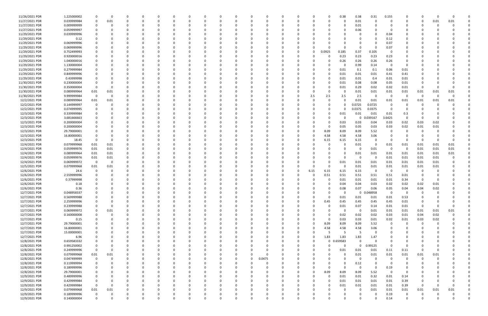| 11/26/2021 PDR | 1.225000002                | 0            | $\mathbf 0$ |          |             | O            |          |   |          |          |          |          | 0        |          |          |          | 0           | 0.38     | 0.38         | 0.31         | 0.155        |                 |          |          |          |  |
|----------------|----------------------------|--------------|-------------|----------|-------------|--------------|----------|---|----------|----------|----------|----------|----------|----------|----------|----------|-------------|----------|--------------|--------------|--------------|-----------------|----------|----------|----------|--|
| 11/27/2021 PDR | 0.039999984                | 0            | 0.01        | $\Omega$ | $\Omega$    | 0            | $\Omega$ |   | $\Omega$ |          | $\Omega$ |          | $\Omega$ |          | 0        |          | 0           | $\Omega$ | 0.01         | $\Omega$     | 0            | 0               | 0        | 0.01     | 0.01     |  |
| 11/27/2021 PDR | 0.009999999                | 0            | 0           |          |             |              |          |   |          |          |          |          |          |          |          |          |             | 0        | 0.01         |              |              | 0               | 0        |          |          |  |
| 11/27/2021 PDR | 0.059999997                |              |             |          |             |              |          |   |          |          |          |          |          |          |          |          |             |          | 0.06         |              | - 0          |                 |          |          |          |  |
| 11/29/2021 PDR | 0.039999996                |              |             |          |             |              |          |   |          |          |          |          |          |          |          |          |             |          | 0            |              | 0.04         |                 |          |          |          |  |
| 11/29/2021 PDR | 0.12                       |              |             |          |             |              |          |   |          |          |          |          |          |          |          |          |             |          | $\Omega$     |              | 0.12         |                 |          |          |          |  |
| 11/29/2021 PDR | 0.069999996                |              |             |          |             |              |          |   |          |          |          |          |          |          |          |          |             |          | 0            |              | 0.07         |                 |          |          |          |  |
| 11/29/2021 PDR | 0.069999996                |              |             |          |             |              |          |   |          |          |          |          |          |          |          |          |             |          | 0            |              | 0.07         |                 |          |          |          |  |
| 11/29/2021 PDR | 0.752499993                |              |             |          |             |              |          |   |          |          |          |          |          |          | -0       |          | 0.0925      | 0.185    | 0.37         | 0.105        | - 0          |                 |          |          |          |  |
| 11/29/2021 PDR | 0.920000016                |              |             |          |             |              |          |   |          |          |          |          |          |          |          |          | $\Omega$    | 0.23     | 0.23         | 0.23         | 0.23         |                 |          |          |          |  |
| 11/29/2021 PDR | 1.040000016                |              |             |          |             |              |          |   |          |          |          |          |          |          |          |          | 0           | 0.26     | 0.26         | 0.26         | 0.26         |                 |          |          |          |  |
| 11/29/2021 PDR | 1.130000004                |              |             |          |             |              |          |   |          |          |          |          |          |          |          |          |             | 0        | 0.99         | 0.14         | - 0          | 0               |          |          |          |  |
| 11/29/2021 PDR | 0.279999984                |              |             |          |             |              |          |   |          |          |          |          |          |          |          |          | O           | 0.01     | 0.1          | 0.1          | 0.06         | 0.01            |          |          |          |  |
| 11/29/2021 PDR | 0.849999996                |              |             |          |             |              |          |   |          |          |          |          |          |          |          |          | 0           | 0.01     | 0.01         | 0.01         | 0.41         | 0.41            |          |          |          |  |
| 11/29/2021 PDR | 0.43999998                 |              |             |          |             |              |          |   |          |          |          |          |          |          |          |          |             | 0.01     | 0.01         | 0.4          | 0.01         | 0.01            |          |          |          |  |
| 11/30/2021 PDR | 0.230000004                |              |             |          |             |              |          |   |          |          |          |          |          |          |          |          |             | 0.01     | 0.08         | 0.08         | 0.05         | 0.01            |          |          |          |  |
| 11/30/2021 PDR | 0.350000004                | 0            | $\Omega$    |          |             |              |          |   |          |          | -0       |          |          |          |          |          | $\Omega$    | 0.01     | 0.29         | 0.02         | 0.02         | 0.01            | 0        |          |          |  |
| 11/30/2021 PDR | 0.089999964                | 0.01         | 0.01        |          |             |              |          |   |          |          |          |          |          |          |          |          |             |          | 0.01         | 0.01         | 0.01         | 0.01            | 0.01     | 0.01     | 0.01     |  |
| 11/30/2021 PDR | 9.999999984                | - 0          | $\Omega$    |          |             |              |          |   |          |          |          |          |          |          |          | 2.5      | 2.5         | 2.5      | 2.5          | - 0          | - 0          | $\Omega$        | $\Omega$ | $\Omega$ |          |  |
| 12/2/2021 PDR  | 0.089999964                | 0.01         | 0.01        |          |             |              |          |   |          |          |          |          |          |          |          |          | O           |          | 0.01         | 0.01         | 0.01         | 0.01            | 0.01     | 0.01     | 0.01     |  |
| 12/2/2021 PDR  | 0.144999997                | 0            |             |          |             |              |          |   |          |          |          |          |          |          |          |          |             |          | 0.0725       | 0.0725       | 0            |                 |          |          |          |  |
| 12/2/2021 PDR  | 0.074999995                |              |             |          |             |              |          |   |          |          |          |          |          |          |          |          |             |          | 0.0375       | 0.0375       | 0            |                 |          |          |          |  |
|                |                            |              |             |          |             |              |          |   |          |          |          |          |          |          |          |          |             |          |              |              |              |                 |          |          |          |  |
| 12/3/2021 PDR  | 0.339999984                |              |             |          |             |              |          |   |          |          |          |          |          |          |          |          | 0           | 0.01     | 0.01         | 0.01         | 0.01         | 0.3<br>$\Omega$ |          |          |          |  |
| 12/3/2021 PDR  | 3.681666663                |              |             |          |             |              |          |   |          |          |          |          |          |          |          |          |             | 0        | $\mathbf{0}$ | 0.039167     | 3.6425       |                 | 0        |          |          |  |
| 12/3/2021 PDR  | 0.200000004                |              |             |          |             |              |          |   |          |          |          |          |          |          |          |          |             | 0.03     | 0.03         | 0.04         | 0.03         | 0.02            | 0.03     | 0.02     |          |  |
| 12/3/2021 PDR  | 0.200000004                |              |             |          |             |              |          |   |          |          |          |          |          |          |          |          | 0           | 0.05     | 0.05         | 0.03         | 0.03         | 0.02            | 0.01     | 0.01     |          |  |
| 12/3/2021 PDR  | 29.79000001                |              |             |          |             |              |          |   |          |          |          |          |          |          |          |          | 8.09        | 8.09     | 8.09         | 5.52         | 0            |                 | 0        |          |          |  |
| 12/3/2021 PDR  | 16.80000001                |              |             |          |             |              |          |   |          |          |          |          |          |          |          |          | 4.58        | 4.58     | 4.58         | 3.06         | - 0          |                 | -0       |          |          |  |
| 12/3/2021 PDR  | 18.45                      | $\Omega$     | $\Omega$    |          |             |              |          |   |          |          | $\Omega$ |          |          |          |          |          | 6.15        | 6.15     | 6.15         |              | 0            | O               | 0        |          |          |  |
| 12/4/2021 PDR  | 0.079999968                | 0.01         | 0.01        |          |             |              |          |   |          |          |          |          |          |          |          |          | 0           | 0        | 0.01         | - 0          | 0.01         | 0.01            | 0.01     | 0.01     | 0.01     |  |
| 12/4/2021 PDR  | 0.059999976                | 0.01         | 0.01        |          |             |              |          |   |          |          |          |          |          |          |          |          |             |          | 0            | 0.01         | $\Omega$     | $\Omega$        | 0.01     | 0.01     | 0.01     |  |
| 12/4/2021 PDR  | 0.089999964                | 0.01         | 0.01        |          |             |              |          |   |          |          |          |          |          |          |          |          |             |          | 0.01         | 0.01         | 0.01         | 0.01            | 0.01     | 0.01     | 0.01     |  |
| 12/4/2021 PDR  | 0.059999976                | 0.01         | 0.01        |          |             |              |          |   |          |          |          |          |          |          |          |          |             | O        | 0            | - 0          | 0.01         | 0.01            | 0.01     | 0.01     |          |  |
| 12/4/2021 PDR  | 0.069999972                | 0            | 0           |          |             |              |          |   |          |          |          |          |          |          |          |          |             | 0.01     | 0.01         | 0.01         | 0.01         | 0.01            | 0.01     | 0.01     |          |  |
| 12/5/2021 PDR  | 0.079999968                | 0.01         | 0.01        |          |             |              |          |   |          |          |          |          |          |          |          |          | O           | -0       | 0.01         | 0.01         | 0.01         | 0.01            | 0.01     | 0.01     |          |  |
| 12/6/2021 PDR  | 24.6                       | 0            | 0           |          |             |              |          |   |          |          |          |          |          |          | -0       | 6.15     | 6.15        | 6.15     | 6.15         | - 0          | - 0          | 0               | 0        |          |          |  |
| 12/6/2021 PDR  | 2.559999996                |              |             |          |             |              |          |   |          |          |          |          |          |          |          |          | 0.51        | 0.51     | 0.51         | 0.51         | 0.51         | 0.01            |          |          |          |  |
| 12/6/2021 PDR  | 0.37999998                 |              |             |          |             |              |          |   |          |          |          |          |          |          |          |          |             | 0.01     | 0.01         | 0.01         | 0.01         | 0.34            | -C       |          |          |  |
| 12/6/2021 PDR  | 0.18                       |              |             |          |             |              |          |   |          |          |          |          |          |          |          |          |             | 0.04     | 0.04         | 0.03         | 0.02         | 0.02            | 0.02     | 0.01     |          |  |
| 12/6/2021 PDR  | 0.36                       | <sup>0</sup> | $\Omega$    |          |             |              |          |   |          |          | $\Omega$ |          |          |          |          |          | 0           | 0.08     | 0.07         | 0.06         | 0.05         | 0.04            | 0.04     | 0.02     | 0        |  |
| 12/7/2021 PDR  | 0.048958337                | 0            |             |          |             |              |          |   |          |          |          |          |          |          |          |          |             |          |              | 0 0.048958   | $\mathbf 0$  | $\Omega$        | $\Omega$ |          |          |  |
| 12/7/2021 PDR  | 0.569999988                | 0            | $\Omega$    |          | $\Omega$    | 0            | റ        |   | 0        | O        | $\Omega$ | $\Omega$ | $\Omega$ | O        | $\Omega$ |          | $\mathbf 0$ | 0.01     | 0.01         | 0.01         | 0.01         | 0.53            | $\Omega$ |          |          |  |
| 12/7/2021 PDR  | 2.259999996                | $\mathbf 0$  | 0           |          | $\Omega$    | $\Omega$     |          |   | 0        |          | 0        | $\Omega$ | $\Omega$ |          | 0        | $\Omega$ | 0.45        | 0.45     | 0.45         | 0.45         | 0.45         | 0.01            | 0        |          |          |  |
| 12/7/2021 PDR  | 0.239999988                | 0            | 0           |          |             |              |          |   |          |          | $\Omega$ |          | 0        |          |          |          | $\Omega$    | 0.01     | 0.07         | 0.14         | 0.01         | 0.01            | 0        |          | $\Omega$ |  |
| 12/7/2021 PDR  | 0.069999972                | 0            | 0.01        |          | O           | <sup>0</sup> |          |   | 0        |          | 0        |          | 0        |          |          |          | 0           | 0        | $\mathbf 0$  | 0.01         | 0.01         | 0.01            | 0.01     | 0.01     | 0.01     |  |
| 12/7/2021 PDR  | 0.160000008                | 0            | 0           |          |             |              |          |   |          |          |          |          | 0        |          |          |          | 0           | 0.02     | 0.02         | 0.02         | 0.03         | 0.01            | 0.04     | 0.02     |          |  |
| 12/7/2021 PDR  | 0.15                       | $\Omega$     | $\Omega$    |          | 0           |              |          |   |          |          |          |          | $\Omega$ |          |          |          | $\Omega$    | 0.03     | 0.03         | 0.01         | 0.02         | 0.01            | 0.03     | 0.02     |          |  |
| 12/7/2021 PDR  | 29.79000001                |              | $\Omega$    |          | 0           |              |          |   | 0        |          | $\Omega$ |          | $\Omega$ |          |          |          | 8.09        | 8.09     | 8.09         | 5.52         | 0            | $\Omega$        | $\Omega$ |          |          |  |
| 12/7/2021 PDR  | 16.80000001                | 0            | $\Omega$    |          | 0           | $\Omega$     |          |   | 0        |          | 0        |          | 0        |          | $\Omega$ |          | 4.58        | 4.58     | 4.58         | 3.06         | 0            | 0               | 0        |          |          |  |
| 12/7/2021 PDR  | 15.00000001                |              |             |          | 0           | 0            |          |   | ი        |          | $\Omega$ |          | 0        |          | -0       |          | -5          | -5       | -5           |              | <sup>0</sup> |                 | $\Omega$ |          |          |  |
| 12/7/2021 PDR  | 6.96                       |              | 0           |          | 0           | 0            |          |   | 0        |          | 0        |          | 0        |          |          | $\Omega$ | 1.83        | 1.83     | 1.83         | 1.47         |              |                 |          |          |          |  |
| 12/8/2021 PDR  | 0.659583332                |              |             |          |             |              |          |   |          |          |          |          | 0        |          |          |          | $\mathbf 0$ | 0.659583 | $\mathbf 0$  | - 0          | $\Omega$     |                 |          |          |          |  |
| 12/8/2021 PDR  | 0.991250002                | 0            |             |          | 0           |              |          |   | 0        |          | $\Omega$ |          | 0        |          |          |          | $\Omega$    | $\Omega$ | $\mathbf 0$  | 0.99125      | $\Omega$     | 0               |          |          |          |  |
| 12/8/2021 PDR  | 0.249999996                | $\mathbf 0$  | 0           |          | 0           | 0            |          |   | 0        |          | $\Omega$ |          | $\Omega$ |          | 0        |          | 0           | 0.01     | 0.01         | 0.01         | 0.11         | 0.11            | -0       |          |          |  |
| 12/8/2021 PDR  | 0.079999968                | 0.01         | 0.01        |          | 0           | 0            |          |   | 0        |          | 0        | $\Omega$ | - 0      |          | 0        |          | 0           | 0        | 0.01         | 0.01         | 0.01         | 0.01            | 0.01     | 0.01     |          |  |
| 12/8/2021 PDR  | 0.047499999                | 0            | $\Omega$    |          | $\Omega$    | 0            |          |   | O        |          | $\Omega$ | $\Omega$ | 0.0475   |          | 0        |          |             | $\Omega$ | $\mathbf 0$  | - 0          | $\Omega$     | 0               | $\Omega$ |          |          |  |
| 12/8/2021 PDR  | 0.119999994                | 0            | $\Omega$    |          |             | 0            |          |   | 0        |          | $\Omega$ | $\Omega$ | - 0      |          |          |          |             | $\Omega$ | 0.12         | $\Omega$     | 0            | 0               |          |          |          |  |
| 12/8/2021 PDR  | 0.189999996                |              |             |          |             |              |          |   | 0        |          | 0        |          | 0        |          |          |          | $\Omega$    | $\Omega$ | 0            | $\Omega$     | 0.19         | 0               |          |          |          |  |
| 12/8/2021 PDR  |                            | 0            |             |          | 0           |              |          |   |          |          | 0        |          | 0        |          |          | $\Omega$ | 8.09        | 8.09     | 8.09         | 5.52         | 0            | 0               |          |          |          |  |
| 12/9/2021 PDR  | 29.79000001<br>0.489999996 | 0            |             |          |             |              |          |   | 0        |          | 0        |          | $\Omega$ |          |          |          | 0           | 0.01     | 0.01         |              | 0.01         |                 |          |          |          |  |
| 12/9/2021 PDR  | 0.429999984                | 0            | $\Omega$    |          | O           |              |          |   | 0        |          | 0        |          | $\Omega$ |          |          |          | $\Omega$    |          | 0.01         | 0.32<br>0.01 | 0.01         | 0.14            |          |          |          |  |
|                |                            |              |             |          |             |              |          |   |          |          |          |          |          |          |          |          |             | 0.01     |              |              |              | 0.39            | 0        |          |          |  |
| 12/9/2021 PDR  | 0.429999984                | $\mathbf 0$  | $\Omega$    |          | 0           | <sup>0</sup> |          |   | 0        |          | $\Omega$ |          | 0        |          |          |          | 0           | 0.01     | 0.01         | 0.01         | 0.01         | 0.39            | 0        |          | 0        |  |
| 12/9/2021 PDR  | 0.079999968                | 0.01         | 0.01        |          |             |              |          |   |          |          | $\Omega$ |          | $\Omega$ |          |          |          |             |          | 0            | 0.01         | 0.01         | 0.01            | 0.01     | 0.01     | 0.01     |  |
| 12/9/2021 PDR  | 0.189999996                | $\mathbf 0$  | 0           |          |             |              |          |   |          |          | 0        |          |          |          |          |          |             |          | 0            |              | 0.19         | 0               |          |          |          |  |
| 12/9/2021 PDR  | 0.140000004                | $\mathbf 0$  | $\mathbf 0$ | $\Omega$ | $\mathbf 0$ | $\Omega$     | $\Omega$ | 0 | $\Omega$ | $\Omega$ | $\Omega$ | $\Omega$ | $\Omega$ | $\Omega$ | $\Omega$ |          | 0           | $\Omega$ | 0            |              | 0.14         | 0               | 0        |          | 0        |  |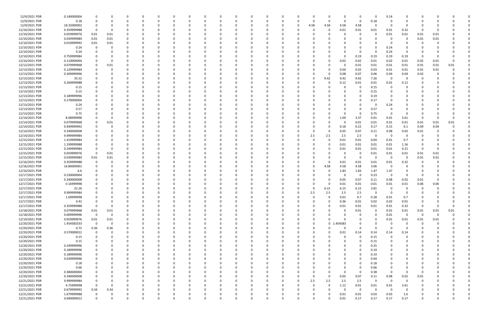| 12/9/2021 PDR  | 0.140000004 | $\Omega$                |             |          |          |              | 0        |          |          |          | $\Omega$ |          |          |          |              | $\Omega$    | $\Omega$ | 0.14                    | O           |          |      |          |  |
|----------------|-------------|-------------------------|-------------|----------|----------|--------------|----------|----------|----------|----------|----------|----------|----------|----------|--------------|-------------|----------|-------------------------|-------------|----------|------|----------|--|
| 12/9/2021 PDR  | 0.18        |                         |             |          | -0       |              | $\Omega$ |          |          | $\Omega$ |          |          | $\Omega$ |          | $\Omega$     | 0           | $0.18\,$ | $\Omega$                |             |          |      |          |  |
|                |             |                         |             |          |          |              |          |          |          |          |          |          |          |          |              |             | $\Omega$ |                         |             |          |      |          |  |
| 12/9/2021 PDR  | 18.32000002 |                         |             |          |          |              |          |          |          |          |          |          | 4.58     | 4.58     | 4.58         | 4.58        |          | - 0                     | O           |          |      |          |  |
| 12/10/2021 PDR | 0.359999988 |                         | 0           |          |          |              |          |          |          |          |          |          |          |          | 0.01         | 0.01        | 0.01     | 0.01                    | 0.32        | 0        |      |          |  |
| 12/10/2021 PDR | 0.059999976 | 0.01                    | 0.01        |          |          |              |          |          |          |          |          |          |          |          | C            | 0           | $\Omega$ | 0.01                    | 0.01        | 0.01     | 0.01 |          |  |
| 12/10/2021 PDR | 0.039999984 |                         | 0.01        |          |          |              | 0        |          |          |          |          |          |          |          | <sup>0</sup> |             |          | - 0                     | - 0         |          |      |          |  |
|                |             | 0.01                    |             |          |          |              |          |          |          |          |          |          |          |          |              |             |          |                         |             | 0.01     | 0.01 |          |  |
| 12/10/2021 PDR | 0.019999992 | 0.01                    | 0.01        |          |          |              |          |          |          |          |          |          |          |          |              |             |          | - 0                     | 0           |          |      |          |  |
| 12/10/2021 PDR | 0.24        |                         | - 0         |          |          |              |          |          |          |          |          |          |          |          |              |             |          | 0.24                    |             |          |      |          |  |
| 12/10/2021 PDR | 0.24        |                         |             |          |          |              |          |          |          |          |          |          |          |          |              | 0           |          | 0.24                    | 0           |          |      |          |  |
|                |             |                         |             |          |          |              |          |          |          |          |          |          |          |          |              |             |          |                         |             |          |      |          |  |
| 12/10/2021 PDR | 0.759999984 |                         |             |          |          |              |          |          |          |          |          |          |          |          | $\Omega$     | 0.19        | 0.19     | 0.19                    | 0.19        | 0        |      |          |  |
| 12/10/2021 PDR | 0.110000004 |                         | - 0         |          |          |              | C        |          |          |          |          |          |          |          | 0.02         | 0.02        | 0.01     | 0.02                    | 0.01        | 0.02     | 0.01 |          |  |
| 12/12/2021 PDR | 0.079999968 | 0                       | 0.01        |          |          |              |          |          |          |          |          |          |          |          | 0            | 0.01        | 0.01     | 0.01                    | 0.01        | 0.01     | 0.01 | 0.01     |  |
|                |             |                         |             |          |          |              |          |          |          |          |          |          |          |          |              |             |          |                         |             |          |      |          |  |
| 12/13/2021 PDR | 0.129999984 |                         | - 0         |          |          |              |          |          |          |          |          |          |          |          | 0.04         | 0.02        | 0.03     | 0.01                    | 0.01        | 0.01     | 0.01 |          |  |
| 12/13/2021 PDR | 0.309999996 |                         |             |          |          |              |          |          |          |          |          |          |          | 0        | 0.08         | 0.07        | 0.06     | 0.04                    | 0.04        | 0.02     |      |          |  |
| 12/13/2021 PDR | 35.52       |                         |             |          |          |              |          |          |          |          |          |          |          | 9.42     | 9.42         | 9.42        | 7.26     | $\overline{\mathbf{0}}$ | 0           |          |      |          |  |
|                |             |                         |             |          |          |              |          |          |          |          |          |          |          |          |              |             |          |                         |             |          |      |          |  |
| 12/13/2021 PDR | 0.269999988 |                         |             |          |          |              |          |          |          |          |          |          |          |          | 0.12         | 0.01        | 0.01     | 0.01                    | 0.12        |          |      |          |  |
| 12/13/2021 PDR | 0.15        |                         |             |          |          |              |          |          |          |          |          |          |          |          | C            | 0           | 0.15     | 0                       |             |          |      |          |  |
| 12/13/2021 PDR | 0.15        |                         |             |          |          |              |          |          |          |          |          |          |          |          |              | -0          | 0.15     | O                       |             |          |      |          |  |
| 12/13/2021 PDR | 0.189999996 |                         |             |          |          |              |          |          |          |          |          |          |          |          |              | -0          | 0.19     |                         |             |          |      |          |  |
|                |             |                         |             |          |          |              |          |          |          |          |          |          |          |          |              |             |          |                         |             |          |      |          |  |
| 12/13/2021 PDR | 0.170000004 |                         |             |          |          |              |          |          |          |          |          |          |          |          |              | $\Omega$    | 0.17     |                         |             |          |      |          |  |
| 12/13/2021 PDR | 0.24        |                         |             |          |          |              |          |          |          |          |          |          |          |          |              |             |          | 0.24                    |             |          |      |          |  |
| 12/13/2021 PDR | 0.57        |                         |             |          |          |              |          |          |          |          |          |          |          |          |              | -0          | 0.57     | - 0                     |             |          |      |          |  |
|                |             |                         |             |          |          |              |          |          |          |          |          |          |          |          |              |             |          |                         |             |          |      |          |  |
| 12/13/2021 PDR | 0.75        |                         |             |          |          |              |          |          |          |          |          |          |          |          |              | - 0         | 0.75     | - 0                     |             |          |      |          |  |
| 12/14/2021 PDR | 8.08999998  |                         | - 0         |          |          |              |          |          |          |          |          |          |          |          | 1.09         | 3.37        | 0.01     | 0.01                    | 3.61        | 0        |      | $\Omega$ |  |
| 12/14/2021 PDR | 0.079999968 |                         | 0.01        |          |          |              |          |          |          |          |          |          |          |          | 0            | 0.01        | 0.01     | 0.01                    | 0.01        | 0.01     | 0.01 | 0.01     |  |
|                |             |                         |             |          |          |              |          |          |          |          |          |          |          |          |              |             |          |                         |             |          |      |          |  |
| 12/14/2021 PDR | 0.949999992 |                         |             |          |          |              |          |          |          |          |          |          |          |          | 0.18         | 0.22        | 0.17     | 0.15                    | 0.1         | 0.09     | 0.04 |          |  |
| 12/14/2021 PDR | 0.340000008 |                         |             |          |          |              |          |          |          |          |          |          |          |          | 0.05         | 0.07        | 0.11     | 0.08                    | 0.02        | 0.01     |      |          |  |
| 12/14/2021 PDR | 9.999999984 |                         |             |          |          |              |          |          |          |          |          |          | 2.5      | 2.5      | 2.5          | 2.5         | $\Omega$ | $\mathbf 0$             | 0           |          |      |          |  |
| 12/15/2021 PDR | 1.419999984 |                         |             |          |          |              |          |          |          |          |          |          |          |          | 0.01         | 0.01        | 0.69     | 0.01                    | 0.7         |          |      |          |  |
|                |             |                         |             |          |          |              |          |          |          |          |          |          |          |          |              |             |          |                         |             |          |      |          |  |
| 12/15/2021 PDR | 1.199999988 |                         |             |          |          |              |          |          |          |          |          |          |          |          | 0.01         | 0.01        | 0.01     | 0.01                    | 1.16        |          |      |          |  |
| 12/15/2021 PDR | 0.249999984 |                         | 0           |          |          |              | 0        |          |          |          |          |          |          |          | 0.01         | 0.01        | 0.01     | 0.01                    | 0.21        | 0        |      |          |  |
| 12/15/2021 PDR | 0.059999976 | $\Omega$                | 0.01        |          |          |              |          |          |          |          |          |          |          |          | C            | 0           | 0.01     | 0.01                    | 0.01        | 0.01     | 0.01 |          |  |
|                |             |                         |             |          |          |              |          |          |          |          |          |          |          |          |              |             |          |                         |             |          |      |          |  |
| 12/15/2021 PDR | 0.039999984 | 0.01                    | 0.01        |          |          |              |          |          |          |          |          |          |          |          | $\Omega$     | 0           |          | $\overline{0}$          | 0           | 0.01     | 0.01 |          |  |
| 12/16/2021 PDR | 0.359999988 |                         |             |          |          |              |          |          |          |          |          |          |          |          | 0.01         | 0.01        | 0.01     | 0.01                    | 0.32        |          |      |          |  |
| 12/16/2021 PDR | 16.80000001 |                         |             |          |          |              |          |          |          |          |          |          |          | 4.58     | 4.58         | 4.58        | 3.06     | 0                       | 0           |          |      |          |  |
|                |             |                         |             |          |          |              |          |          |          |          |          |          |          |          |              |             |          |                         |             |          |      |          |  |
| 12/16/2021 PDR | 6.6         |                         |             |          |          |              |          |          |          |          |          |          |          | 0        | 1.83         | 1.83        | 1.47     | 1.47                    | 0           |          |      |          |  |
| 12/17/2021 PDR | 0.230000004 |                         |             |          |          |              |          |          |          |          |          |          |          |          | -0           | 0           | 0.23     | - 0                     | 0           | 0        |      |          |  |
| 12/17/2021 PDR | 0.340000008 |                         |             |          |          |              |          |          |          |          |          |          |          |          | 0.05         | 0.07        | 0.11     | 0.08                    | 0.02        | 0.01     |      |          |  |
| 12/17/2021 PDR | 0.16999998  |                         |             |          |          |              |          |          |          |          |          |          |          |          |              | 0.01        | 0.01     | 0.01                    |             |          |      |          |  |
|                |             |                         |             |          |          |              |          |          |          |          |          |          |          |          | 0.01         |             |          |                         | 0.01        | 0.06     | 0.06 |          |  |
| 12/17/2021 PDR | 22.26       | $\Omega$                | 0           |          |          |              |          |          |          |          |          |          | 0        | 6.15     | 6.15         | 6.15        | 3.81     | $\mathbf 0$             | 0           | 0        |      |          |  |
| 12/17/2021 PDR | 9.999999984 | $\mathbf 0$             | $\Omega$    |          |          |              |          |          |          |          |          |          | 2.5      | 2.5      | 2.5          | 2.5         | $\Omega$ | $\overline{\mathbf{0}}$ | 0           | $\sim$   |      |          |  |
| 12/17/2021 PDR | 1.69999998  | $\mathbf 0$             | $\mathbf 0$ | $\Omega$ | $\Omega$ | O            | 0        | $\Omega$ | $\Omega$ | 0        | $\Omega$ | 0        | $\Omega$ | $\Omega$ | 0.01         | 0.7         | 0.28     | 0.01                    | 0.7         | $\Omega$ |      |          |  |
|                |             |                         |             |          |          |              |          |          |          |          |          |          |          |          |              |             |          |                         |             |          |      |          |  |
| 12/17/2021 PDR | 0.42        | $\Omega$                | 0           |          | 0        | O            | $\Omega$ |          |          | $\Omega$ |          |          | 0        |          | 0.36         | 0.01        | 0.02     | 0.02                    | 0.01        | 0        |      |          |  |
| 12/17/2021 PDR | 0.359999988 | $\Omega$                | $\Omega$    | O        | 0        |              | 0        |          |          | 0        | 0        |          | O        |          | 0.01         | 0.01        | 0.01     | 0.01                    | 0.32        | $\Omega$ |      | $\Omega$ |  |
| 12/18/2021 PDR | 0.079999968 | $0.01\,$                | 0.01        |          |          |              | 0        |          |          | 0        |          |          |          |          | 0            | 0.01        | $\Omega$ | 0.01                    | 0.01        | 0.01     | 0.01 | 0.01     |  |
|                |             |                         |             |          |          |              |          |          |          |          |          |          |          |          |              |             |          |                         |             |          |      |          |  |
| 12/18/2021 PDR | 0.009999996 | $\Omega$                | $\Omega$    |          |          |              | 0        |          |          | 0        |          |          |          |          | C            | 0           | $\Omega$ | 0.01                    | 0           | $\Omega$ | - 0  |          |  |
| 12/19/2021 PDR | 0.059999976 | $0.01\,$                | 0.01        | 0        |          |              | 0        |          |          | 0        |          |          |          |          |              | $\Omega$    | $\Omega$ | 0.01                    | 0.01        | 0.01     | 0.01 |          |  |
| 12/20/2021 PDR | 1.454583333 | $\overline{\mathbf{0}}$ | 0           |          |          |              | $\Omega$ |          |          | 0        |          |          |          | 0        | .454583      | 0           |          | 0                       | 0           | 0        |      |          |  |
| 12/20/2021 PDR | 0.72        | 0.36                    | 0.36        | $\Omega$ | 0        | <sup>0</sup> | 0        |          |          | 0        | 0        |          | $\Omega$ |          | $\Omega$     | $\mathbf 0$ | $\Omega$ | - 0                     | 0           | 0        |      | $\Omega$ |  |
|                |             |                         |             |          |          |              |          |          |          |          |          |          |          |          |              |             |          |                         |             |          |      |          |  |
| 12/20/2021 PDR | 0.570000012 | 0                       | 0           | 0        | 0        |              | 0        |          |          | 0        | 0        |          | 0        | 0        | 0.01         | 0.14        | 0.14     | 0.14                    | 0.14        |          |      |          |  |
| 12/20/2021 PDR | 0.15        |                         |             |          | 0        |              | $\Omega$ |          |          | 0        | 0        |          |          |          | $\Omega$     | $\mathbf 0$ | 0.15     | $\Omega$                | $\Omega$    |          |      |          |  |
| 12/20/2021 PDR | 0.15        |                         |             |          | -0       |              | 0        |          |          | 0        |          |          |          |          | 0            | 0           | 0.15     | $\Omega$                | 0           |          |      |          |  |
|                |             |                         |             |          |          |              |          |          |          |          |          |          |          |          |              |             |          |                         |             |          |      |          |  |
| 12/20/2021 PDR | 0.249999996 |                         |             |          |          |              | 0        |          |          | 0        |          |          |          |          | 0            | 0           | 0.25     | 0                       |             |          |      |          |  |
| 12/20/2021 PDR | 0.189999996 | 0                       | $\Omega$    |          |          |              | $\Omega$ |          |          | 0        |          |          |          |          | 0            | 0           | 0.19     | 0                       | 0           |          |      |          |  |
| 12/20/2021 PDR | 0.189999996 | 0                       | 0           |          | 0        |              | 0        |          |          | 0        | 0        |          |          |          | 0            | 0           | 0.19     | 0                       | 0           | 0        |      |          |  |
| 12/20/2021 PDR | 0.039999996 | $\Omega$                | $\Omega$    | 0        | 0        |              | 0        |          |          | 0        | 0        |          |          |          | 0            | $\Omega$    |          | 0                       | 0           |          |      |          |  |
|                |             |                         |             |          |          |              |          |          |          |          |          |          |          |          |              |             | 0.04     |                         |             | 0        |      |          |  |
| 12/20/2021 PDR | 0.18        | $\Omega$                |             |          | 0        |              | 0        |          |          | 0        | 0        |          |          |          | 0            | 0           | 0.18     | $\Omega$                | 0           |          |      |          |  |
| 12/20/2021 PDR | 0.66        |                         |             |          |          |              | 0        |          |          | O        |          |          |          |          | 0            | 0           | 0.66     | $\Omega$                |             |          |      |          |  |
| 12/20/2021 PDR | 0.380000004 |                         |             |          |          |              | 0        |          |          | 0        |          |          |          |          | $\Omega$     | $\mathbf 0$ | 0.38     | $\overline{0}$          | 0           | 0        |      |          |  |
|                |             |                         |             |          |          |              |          |          |          |          |          |          |          |          |              |             |          |                         |             |          |      |          |  |
| 12/20/2021 PDR | 0.340000008 | $\Omega$                |             |          |          |              | 0        |          |          | 0        |          |          | 0        |          | 0.05         | 0.07        | 0.11     | 0.08                    | 0.02        | 0.01     |      |          |  |
| 12/21/2021 PDR | 9.999999984 | $\Omega$                | 0           |          | 0        |              | 0        |          |          | 0        | 0        |          | 2.5      | 2.5      | 2.5          | 2.5         | $\Omega$ | $\overline{0}$          | $\mathbf 0$ | $\Omega$ |      |          |  |
| 12/21/2021 PDR | 4.75999998  | $\Omega$                | 0           | 0        | 0        |              | 0        |          |          | 0        | 0        |          | $\Omega$ | $\Omega$ | 1.12         | 0.01        | 0.01     | 0.01                    | 3.61        |          |      |          |  |
| 12/21/2021 PDR | 0.679999992 | 0.34                    | 0.34        |          |          |              | 0        |          |          | 0        |          |          |          |          | $\Omega$     | $\mathbf 0$ | $\Omega$ | $\overline{0}$          | $\mathbf 0$ |          |      |          |  |
|                |             |                         |             |          |          |              |          |          |          |          |          |          |          |          |              |             |          |                         |             |          |      |          |  |
| 12/21/2021 PDR | 1.679999988 | $\Omega$                |             |          |          |              | C        |          |          | 0        |          |          |          | 0        | 0.01         | 0.01        | 0.03     | 0.03                    | 1.6         |          |      |          |  |
| 12/21/2021 PDR | 0.690000012 | $\mathbf 0$             | 0           | $\Omega$ | 0        | $\Omega$     | $\Omega$ | $\Omega$ | $\Omega$ | $\Omega$ | $\Omega$ | $\Omega$ | $\Omega$ |          | 0.01         | 0.17        | 0.17     | 0.17                    | 0.17        | $\Omega$ |      | O        |  |
|                |             |                         |             |          |          |              |          |          |          |          |          |          |          |          |              |             |          |                         |             |          |      |          |  |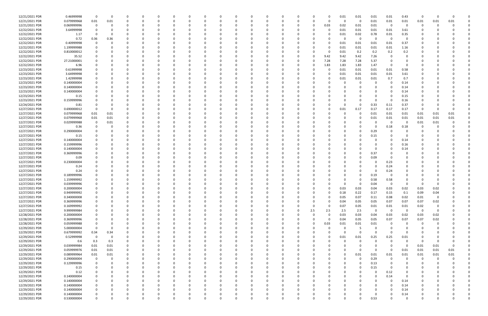| 12/21/2021 PDR | 0.46999998  | $\mathbf 0$    | $\Omega$ | 0        |          |          | $\Omega$ |          | 0           |          |   | 0        |          | 0        | 0.01     | 0.01        | 0.01        | 0.01                    | 0.43        | 0            | $\Omega$ |      |  |
|----------------|-------------|----------------|----------|----------|----------|----------|----------|----------|-------------|----------|---|----------|----------|----------|----------|-------------|-------------|-------------------------|-------------|--------------|----------|------|--|
| 12/21/2021 PDR | 0.079999968 | 0.01           | 0.01     | $\Omega$ |          |          | 0        |          | $\Omega$    | O        |   | O        |          | 0        | $\Omega$ | $\mathbf 0$ | 0.01        | 0.01                    | 0.01        | 0.01         | 0.01     | 0.01 |  |
| 12/21/2021 PDR | 0.069999996 | $\overline{0}$ | O        |          |          |          |          |          |             |          |   |          |          | 0.03     | 0.02     | 0.01        | 0.01        | $\overline{\mathbf{0}}$ | 0           |              |          |      |  |
| 12/22/2021 PDR | 3.64999998  |                |          |          |          |          |          |          |             |          |   |          |          | 0        | 0.01     | 0.01        | 0.01        | 0.01                    | 3.61        |              |          |      |  |
|                |             |                |          |          |          |          |          |          |             |          |   |          |          |          |          |             |             |                         |             |              |          |      |  |
| 12/22/2021 PDR | 1.17        |                |          |          |          |          |          |          |             |          |   |          |          |          | 0.01     | 0.02        | 0.78        | 0.01                    | 0.35        |              |          |      |  |
| 12/22/2021 PDR | 0.72        | 0.36           | 0.36     | $\Omega$ |          |          |          |          |             |          |   |          |          | 0        | -0       | $\mathbf 0$ | - 0         | $\overline{\mathbf{0}}$ | 0           |              |          |      |  |
| 12/22/2021 PDR | 0.40999998  | $\Omega$       |          |          |          |          |          |          |             |          |   |          |          | $\Omega$ | 0.01     | 0.01        | 0.01        | 0.01                    | 0.37        |              |          |      |  |
| 12/22/2021 PDR | 1.199999988 | 0              |          |          |          |          |          |          |             |          |   |          |          | 0        | 0.01     | 0.01        | 0.01        | 0.01                    | 1.16        |              |          |      |  |
| 12/22/2021 PDR | 0.810000012 |                |          |          |          |          |          |          |             |          |   |          |          | -0       | 0.01     | 0.2         | 0.2         | 0.2                     | 0.2         |              |          |      |  |
|                |             |                |          |          |          |          |          |          |             |          |   |          |          |          |          |             |             | $\Omega$                |             |              |          |      |  |
| 12/22/2021 PDR | 35.52       |                |          |          |          |          |          |          |             |          |   |          |          | 9.42     | 9.42     | 9.42        | 7.26        |                         | $\Omega$    |              |          |      |  |
| 12/22/2021 PDR | 27.21000001 |                |          |          |          |          |          |          |             |          |   |          |          | 7.28     | 7.28     | 7.28        | 5.37        | 0                       | 0           |              |          |      |  |
| 12/22/2021 PDR | 6.96        |                |          |          |          |          |          |          |             |          |   |          |          | 1.83     | 1.83     | 1.83        | 1.47        | - 0                     | 0           |              |          |      |  |
| 12/23/2021 PDR | 0.61999998  |                |          |          |          |          |          |          |             |          |   |          |          | -0       | 0.01     | 0.01        | 0.01        | 0.01                    | 0.58        |              |          |      |  |
| 12/23/2021 PDR | 3.64999998  |                |          |          |          |          |          |          |             |          |   |          |          | 0        | 0.01     | 0.01        | 0.01        | 0.01                    | 3.61        |              |          |      |  |
| 12/23/2021 PDR | 1.42999998  |                |          |          |          |          |          |          |             |          |   |          |          | 0        | 0.01     | 0.01        | 0.01        | 0.7                     | 0.7         |              |          |      |  |
|                |             |                |          |          |          |          |          |          |             |          |   |          |          |          |          |             |             |                         |             |              |          |      |  |
| 12/23/2021 PDR | 0.140000004 | 0              |          |          |          |          |          |          |             |          |   |          |          |          |          | - 0         | 0           | -0                      | 0.14        |              |          |      |  |
| 12/23/2021 PDR | 0.140000004 | 0              |          |          |          |          |          |          |             |          |   |          |          |          |          |             | 0           | O                       | 0.14        |              |          |      |  |
| 12/23/2021 PDR | 0.140000004 | 0              |          |          |          |          |          |          |             |          |   |          |          |          |          |             | - 0         | O                       | 0.14        |              |          |      |  |
| 12/23/2021 PDR | 0.15        | O              |          |          |          |          |          |          |             |          |   |          |          |          |          |             | $\Omega$    |                         | 0.15        |              |          |      |  |
| 12/23/2021 PDR | 0.159999996 | 0              |          |          |          |          | $\Omega$ |          |             |          |   |          |          |          | $\Omega$ | $\Omega$    | - 0         | - 0                     | 0.16        |              |          |      |  |
| 12/24/2021 PDR | 0.81        |                |          |          |          |          |          |          |             |          |   |          |          |          | 0        | - 0         | 0.33        | 0.11                    | 0.37        |              |          |      |  |
|                |             |                |          |          |          |          |          |          |             |          |   |          |          |          |          |             |             |                         |             |              |          |      |  |
| 12/27/2021 PDR | 0.690000012 | $\Omega$       | 0        |          |          |          |          |          |             |          |   |          |          | 0        | 0.01     | 0.17        | 0.17        | 0.17                    | 0.17        |              |          |      |  |
| 12/27/2021 PDR | 0.079999968 | 0.01           | 0.01     |          |          |          |          |          |             |          |   |          |          |          | $\Omega$ | - 0         | 0.01        | 0.01                    | 0.01        | 0.01         | 0.01     | 0.01 |  |
| 12/27/2021 PDR | 0.079999968 | 0.01           | 0.01     |          |          |          |          |          |             |          |   |          |          |          |          |             | 0.01        | 0.01                    | 0.01        | 0.01         | 0.01     | 0.01 |  |
| 12/27/2021 PDR | 0.029999988 | 0              | 0.01     | $\Omega$ |          |          |          |          |             |          |   |          |          |          |          |             | - 0         | $\overline{\mathbf{0}}$ | 0           | 0.01         | 0.01     |      |  |
| 12/27/2021 PDR | 0.36        |                |          |          |          |          |          |          |             |          |   |          |          |          |          |             | - 0         | 0.18                    | 0.18        |              |          |      |  |
| 12/27/2021 PDR | 0.290000004 |                |          |          |          |          |          |          |             |          |   |          |          |          |          |             |             |                         | 0           |              |          |      |  |
|                |             |                |          |          |          |          |          |          |             |          |   |          |          |          |          |             | 0.29        |                         |             |              |          |      |  |
| 12/27/2021 PDR | 0.15        |                |          |          |          |          |          |          |             |          |   |          |          |          |          |             | 0.15        |                         | 0           |              |          |      |  |
| 12/27/2021 PDR | 0.140000004 |                |          |          |          |          |          |          |             |          |   |          |          |          | $\Omega$ |             | - 0         |                         | 0.14        |              |          |      |  |
| 12/27/2021 PDR | 0.159999996 | 0              |          |          |          |          |          |          |             |          |   |          |          |          |          |             | 0           | 0                       | 0.16        |              |          |      |  |
| 12/27/2021 PDR | 0.140000004 | <sup>0</sup>   |          |          |          |          |          |          |             |          |   |          |          |          |          |             | - 0         |                         | 0.14        |              |          |      |  |
| 12/27/2021 PDR | 0.369999996 | O              |          |          |          |          |          |          |             |          |   |          |          |          |          | - 0         | 0.37        |                         | -0          |              |          |      |  |
|                |             |                |          |          |          |          |          |          |             |          |   |          |          |          |          |             |             |                         |             |              |          |      |  |
| 12/27/2021 PDR | 0.09        |                |          |          |          |          |          |          |             |          |   |          |          |          |          |             | 0.09        |                         |             |              |          |      |  |
| 12/27/2021 PDR | 0.230000004 |                |          |          |          |          |          |          |             |          |   |          |          |          |          |             | - 0         | 0.23                    |             |              |          |      |  |
| 12/27/2021 PDR | 0.24        |                |          |          |          |          |          |          |             |          |   |          |          |          |          |             | - 0         | 0.24                    |             |              |          |      |  |
| 12/27/2021 PDR | 0.24        |                |          |          |          |          |          |          |             |          |   |          |          |          |          |             | - 0         | 0.24                    |             |              |          |      |  |
| 12/27/2021 PDR | 0.189999996 |                |          |          |          |          |          |          |             |          |   |          |          |          |          |             | 0.19        | - 0                     |             |              |          |      |  |
| 12/27/2021 PDR | 1.159999992 |                |          |          |          |          |          |          |             |          |   |          |          |          |          |             | 0.58        | 0.58                    |             |              |          |      |  |
|                |             |                |          |          |          |          |          |          |             |          |   |          |          |          |          |             |             |                         |             |              |          |      |  |
| 12/27/2021 PDR | 0.039999996 |                |          |          |          |          |          |          |             |          |   |          |          |          | $\Omega$ |             | 0.04        | - 0                     |             |              |          |      |  |
| 12/27/2021 PDR | 0.200000004 | 0              |          |          |          |          |          |          |             |          |   |          |          | 0        | 0.03     | 0.03        | 0.04        | 0.03                    | 0.02        | 0.03         | 0.02     |      |  |
| 12/27/2021 PDR | 0.949999992 | $\mathbf 0$    | $\Omega$ |          |          |          |          |          |             |          |   |          |          | 0        | 0.18     | 0.22        | 0.17        | 0.15                    | 0.1         | 0.09         | 0.04     |      |  |
| 12/27/2021 PDR | 0.340000008 | 0              | 0        | 0        | 0        | $\Omega$ | $\Omega$ | $\Omega$ | $\Omega$    | 0        | 0 | 0        |          | 0        | 0.05     | 0.07        | 0.11        | 0.08                    | 0.02        | 0.01         | 0        |      |  |
| 12/27/2021 PDR | 0.369999996 | 0              |          |          |          |          | 0        |          |             | 0        |   |          |          | 0        | 0.04     | 0.05        | 0.05        | 0.07                    | 0.07        | 0.07         | 0.02     |      |  |
|                |             |                |          |          |          |          |          |          |             |          |   |          |          |          |          |             |             |                         |             |              |          |      |  |
| 12/27/2021 PDR | 0.169999992 | 0              |          |          |          |          | 0        |          | O           | 0        |   |          |          | $\Omega$ | 0.07     | 0.05        | 0.01        | 0.01                    | 0.01        | 0.02         | 0        |      |  |
| 12/27/2021 PDR | 9.999999984 | $\mathbf 0$    |          |          |          |          | $\Omega$ |          |             |          |   |          | 2.5      | 2.5      | 2.5      | 2.5         | 0           | $\overline{\mathbf{0}}$ | 0           | $\mathbf{0}$ |          |      |  |
| 12/28/2021 PDR | 0.200000004 | 0              |          |          |          |          |          |          |             |          |   |          |          | 0        | 0.03     | 0.03        | 0.04        | 0.03                    | 0.02        | 0.03         | 0.02     |      |  |
| 12/28/2021 PDR | 0.369999996 | 0              |          |          |          |          |          |          |             |          |   |          |          | 0        | 0.04     | 0.05        | 0.05        | 0.07                    | 0.07        | 0.07         | 0.02     |      |  |
| 12/28/2021 PDR | 0.059999988 | 0              |          |          |          |          |          |          |             |          |   |          |          | 0.03     | 0.01     | 0.01        | 0.01        | 0                       | 0           |              |          |      |  |
| 12/29/2021 PDR | 5.000000004 | $\overline{0}$ | 0        | $\Omega$ |          |          | 0        |          | 0           | 0        |   |          |          | $\Omega$ | 0        | -5          | 0           | 0                       | 0           |              |          |      |  |
|                |             |                |          |          |          |          |          |          |             |          |   |          |          |          |          |             |             |                         |             |              |          |      |  |
| 12/29/2021 PDR | 0.679999992 | 0.34           | 0.34     | $\Omega$ |          |          | 0        |          | 0           |          |   |          |          | $\Omega$ | $\Omega$ | $\Omega$    | 0           | $\Omega$                | 0           |              |          |      |  |
| 12/29/2021 PDR | 0.52999998  | $\overline{0}$ | - 0      |          |          |          | 0        |          |             |          |   |          |          | 0        | 0.01     | 0.01        | 0.25        | 0.25                    | 0.01        |              |          |      |  |
| 12/29/2021 PDR | 0.6         | 0.3            | 0.3      |          |          |          |          |          |             |          |   |          |          |          | $\Omega$ | $\Omega$    | - 0         | $\Omega$                | 0           |              |          |      |  |
| 12/29/2021 PDR | 0.039999984 | 0.01           | 0.01     |          |          |          |          |          |             |          |   |          |          |          |          | 0           | - 0         | $\Omega$                | 0           | 0.01         | 0.01     |      |  |
| 12/29/2021 PDR | 0.059999976 | 0.01           | 0.01     |          |          |          |          |          |             |          |   |          |          |          | $\Omega$ | $\Omega$    | 0           | 0                       | 0.01        | 0.01         | 0.01     | 0.01 |  |
| 12/29/2021 PDR | 0.089999964 |                |          | $\Omega$ |          |          | 0        |          | O           |          |   |          |          |          | $\Omega$ | $0.01\,$    |             |                         |             | 0.01         |          | 0.01 |  |
|                |             | 0.01           | 0.01     |          |          |          |          |          |             |          |   |          |          |          |          |             | 0.01        | 0.01                    | 0.01        |              | 0.01     |      |  |
| 12/29/2021 PDR | 0.290000004 | $\overline{0}$ | - 0      | $\Omega$ |          |          | 0        |          | 0           | 0        | 0 |          |          |          | $\Omega$ | $\Omega$    | 0.29        | - 0                     | 0           | 0            | 0        |      |  |
| 12/29/2021 PDR | 0.129999996 | - 0            |          | $\Omega$ |          |          | 0        |          |             |          |   |          |          |          | - 0      | $\Omega$    | 0.13        |                         | 0           |              |          |      |  |
| 12/29/2021 PDR | 0.15        | 0              |          | 0        |          |          | 0        |          | 0           |          |   |          |          |          | $\Omega$ | $\Omega$    | 0.15        | - 0                     | 0           |              |          |      |  |
| 12/29/2021 PDR | 0.12        | 0              |          |          |          |          | 0        |          | 0           |          |   |          |          |          |          | $\Omega$    | 0           | 0.12                    | 0           |              |          |      |  |
| 12/29/2021 PDR | 0.140000004 | 0              |          |          |          |          | $\Omega$ |          | $\Omega$    | 0        |   |          |          |          |          |             | $\mathbf 0$ | 0.14                    | $\mathbf 0$ |              |          |      |  |
| 12/29/2021 PDR | 0.140000004 |                |          |          |          |          | 0        |          | O           |          |   |          |          |          |          |             | 0           | 0                       |             |              |          |      |  |
|                |             | 0              |          |          |          |          |          |          |             |          |   |          |          |          |          |             |             |                         | 0.14        |              |          |      |  |
| 12/29/2021 PDR | 0.140000004 | - 0            |          |          |          |          | 0        |          |             |          |   |          |          |          |          |             | 0           | $\Omega$                | 0.14        |              |          |      |  |
| 12/29/2021 PDR | 0.140000004 | 0              |          |          |          |          | 0        |          |             |          |   |          |          |          | 0        |             | - 0         | $\Omega$                | 0.14        |              |          |      |  |
| 12/29/2021 PDR | 0.140000004 | 0              |          |          |          |          |          |          |             |          |   |          |          |          |          |             | 0           |                         | 0.14        |              |          |      |  |
| 12/29/2021 PDR | 0.530000004 | $\mathbf 0$    | $\Omega$ | $\Omega$ | $\Omega$ | $\Omega$ | $\Omega$ | $\Omega$ | $\mathbf 0$ | $\Omega$ | 0 | $\Omega$ | $\Omega$ | $\Omega$ | $\Omega$ | $\Omega$    | 0.53        | $\Omega$                | 0           |              | $\Omega$ |      |  |
|                |             |                |          |          |          |          |          |          |             |          |   |          |          |          |          |             |             |                         |             |              |          |      |  |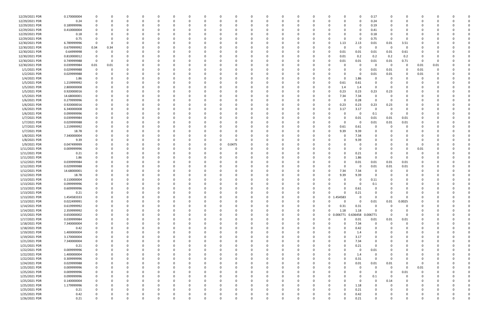| 12/29/2021 PDR                 | 0.170000004                | 0           | 0        |          | <sup>0</sup> | 0            |          |          | 0        |                |  | - 0                      |          | 0        |               |                    | 0                | 0.17            | -0          | 0                   | C.       |          |          |  |
|--------------------------------|----------------------------|-------------|----------|----------|--------------|--------------|----------|----------|----------|----------------|--|--------------------------|----------|----------|---------------|--------------------|------------------|-----------------|-------------|---------------------|----------|----------|----------|--|
| 12/29/2021 PDR                 | 0.24                       | $\Omega$    | $\Omega$ |          | $\Omega$     | 0            | $\Omega$ |          | 0        | $\Omega$       |  | $\Omega$                 |          | 0        |               |                    | $\Omega$         | 0.24            | $\Omega$    | $\Omega$            | $\Omega$ |          |          |  |
| 12/29/2021 PDR                 | 0.189999996                |             |          |          |              |              |          |          | 0        | -C             |  |                          |          |          |               |                    | 0                | 0.19            |             |                     |          |          |          |  |
| 12/29/2021 PDR                 | 0.410000004                |             |          |          |              |              |          |          |          |                |  |                          |          |          |               |                    | 0                | 0.41            |             |                     |          |          |          |  |
| 12/29/2021 PDR                 | 0.18                       |             |          |          |              |              |          |          |          |                |  |                          |          |          |               |                    | 0                | 0.18            |             |                     |          |          |          |  |
| 12/29/2021 PDR                 | 0.75                       | 0           |          |          |              |              |          |          |          |                |  |                          |          |          |               |                    | 0                | 0.75            | - 0         | $\Omega$            |          |          |          |  |
| 12/30/2021 PDR                 | 6.789999996                | 0           |          |          |              |              |          |          |          |                |  |                          |          |          |               | 1.13               | 2.13             | 0.01            | 0.01        | 3.51                |          |          |          |  |
| 12/30/2021 PDR                 | 0.679999992                | 0.34        | 0.34     |          |              |              |          |          |          |                |  |                          |          |          |               |                    | 0                | 0               | - 0         | $\overline{0}$      |          |          |          |  |
| 12/30/2021 PDR                 | 0.64999998                 | 0           | - 0      |          |              |              |          |          |          |                |  |                          |          |          | 0             | 0.01               | 0.01             | 0.01            | 0.01        | 0.61                |          |          |          |  |
| 12/30/2021 PDR                 | 0.810000012                | 0           |          |          |              |              |          |          |          |                |  |                          |          |          | 0             | 0.01               | 0.2              | 0.2             | 0.2         | 0.2                 | 0        |          |          |  |
| 12/30/2021 PDR                 | 0.749999988                | 0           | $\Omega$ |          |              |              |          |          |          |                |  |                          |          |          |               | 0.01               | 0.01             | 0.01            | 0.01        | 0.71                | 0        |          |          |  |
| 12/30/2021 PDR                 | 0.039999984                | 0.01        | 0.01     |          |              |              |          |          |          |                |  |                          |          |          |               |                    | 0                | 0               | $\Omega$    | $\Omega$            | 0.01     | 0.01     |          |  |
| 1/1/2021 PDR                   | 0.029999988                | 0           | $\Omega$ |          |              | C.           |          |          |          | 0              |  |                          |          | -0       |               |                    | 0                | 0.01            | 0.01        | 0                   | 0.01     | $\Omega$ |          |  |
| 1/2/2021 PDR                   | 0.029999988                |             |          |          |              |              |          |          |          |                |  |                          |          |          |               |                    | 0                | 0.01            | 0.01        |                     | 0.01     |          |          |  |
| 1/4/2021 PDR                   | 1.86                       |             |          |          |              |              |          |          |          |                |  |                          |          |          |               |                    | 1.86             | $\Omega$        |             |                     | $\Omega$ |          |          |  |
| 1/5/2021 PDR                   | 1.219999992                |             |          |          |              |              |          |          |          |                |  |                          |          |          | 0             | 0.61               | 0.61             | -0              |             |                     |          |          |          |  |
| 1/5/2021 PDR                   | 2.800000008                |             |          |          |              |              |          |          |          |                |  |                          |          |          |               | 1.4                | 1.4              | $\Omega$        |             |                     |          |          |          |  |
| 1/5/2021 PDR                   | 0.920000016                |             |          |          |              |              |          |          |          |                |  |                          |          |          |               | 0.23               | 0.23             | 0.23            | 0.23        |                     |          |          |          |  |
| 1/5/2021 PDR                   | 14.68000001                | 0           |          |          |              |              |          |          |          |                |  |                          |          |          | O             | 7.34               | 7.34             | 0               |             |                     |          |          |          |  |
| 1/6/2021 PDR                   | 0.279999996                |             |          |          |              |              |          |          |          |                |  |                          |          |          | ŋ             |                    | 0.28             | $\Omega$        | - 0         |                     |          |          |          |  |
| 1/6/2021 PDR                   | 0.920000016                |             |          |          |              |              |          |          |          |                |  |                          |          |          | 0             | 0.23               | 0.23             | 0.23            | 0.23        |                     |          |          |          |  |
| 1/6/2021 PDR                   | 6.340000008                |             |          |          |              |              |          |          |          |                |  |                          |          |          | 0             | 3.17               | 3.17             | 0               |             |                     |          |          |          |  |
| 1/6/2021 PDR                   | 0.099999996                |             |          |          |              |              |          |          |          |                |  |                          |          |          |               |                    | -0               | 0.1             | - 0         | $\Omega$            |          |          |          |  |
| 1/7/2021 PDR                   | 0.039999984                |             |          |          |              |              |          |          |          |                |  |                          |          |          |               |                    | 0.01             | 0.01            | 0.01        | 0.01                |          |          |          |  |
| 1/7/2021 PDR                   | 0.029999988                |             |          |          |              |              |          |          |          |                |  |                          |          |          |               |                    | 0                | 0.01            | 0.01        | 0.01                |          |          |          |  |
| 1/7/2021 PDR                   | 1.219999992                |             |          |          |              |              |          |          |          |                |  |                          |          |          |               | 0.61               | 0.61             | $\Omega$        |             | 0                   |          |          |          |  |
| 1/7/2021 PDR                   | 18.78                      |             |          |          |              |              |          |          |          |                |  |                          |          |          |               | 9.39               | 9.39             |                 |             |                     |          |          |          |  |
| 1/8/2021 PDR                   | 7.340000004                |             |          |          |              |              |          |          |          |                |  |                          |          |          |               |                    | 7.34             |                 |             |                     |          |          |          |  |
| 1/8/2021 PDR                   | 9.39                       |             |          |          |              |              |          |          |          |                |  |                          |          |          |               |                    | 9.39             |                 |             |                     |          |          |          |  |
| 1/9/2021 PDR                   | 0.047499999                |             |          |          |              |              |          |          |          | 0.0475         |  |                          |          |          |               |                    | 0                |                 |             |                     |          |          |          |  |
| 1/11/2021 PDR                  | 0.009999996                |             |          |          |              |              |          |          | 0        | 0              |  |                          |          | -0       |               |                    | 0                |                 |             | $\Omega$            | 0.01     |          |          |  |
| 1/11/2021 PDR                  | 0.21                       |             |          |          |              |              |          |          |          |                |  |                          |          | -0       |               |                    | 0.21             |                 |             |                     | O        |          |          |  |
| 1/11/2021 PDR                  | 1.86                       |             |          |          |              |              |          |          |          |                |  |                          |          |          |               |                    | 1.86             | $\Omega$        | - 0         | $\Omega$            |          |          |          |  |
| 1/12/2021 PDR                  | 0.039999984                |             |          |          |              |              |          |          |          |                |  |                          |          |          |               |                    | 0.01             | 0.01            | 0.01        | 0.01                |          |          |          |  |
| 1/12/2021 PDR                  | 0.029999988                |             |          |          |              |              |          |          |          |                |  |                          |          |          |               |                    | 0                | 0.01            | 0.01        | 0.01                |          |          |          |  |
| 1/12/2021 PDR                  | 14.68000001                |             |          |          |              |              |          |          |          |                |  |                          |          |          |               | 7.34               | 7.34             | 0               | 0           | $\Omega$            |          |          |          |  |
| 1/12/2021 PDR                  | 18.78                      |             |          |          |              |              |          |          |          |                |  |                          |          |          |               |                    |                  | $\Omega$        |             |                     |          |          |          |  |
| 1/13/2021 PDR                  | 0.110000004                |             |          |          |              |              |          |          |          | -0<br>$\Omega$ |  |                          |          |          |               | 9.39               | 9.39<br>-0       |                 |             |                     |          |          |          |  |
|                                |                            |             |          |          |              |              |          |          |          |                |  |                          |          |          |               |                    |                  | 0.11            |             |                     |          |          |          |  |
| 1/13/2021 PDR<br>1/13/2021 PDR | 0.099999996<br>0.609999996 | 0           |          |          |              |              |          |          |          | $\Omega$       |  |                          |          |          |               |                    | 0<br>0.61        | 0.1<br>$\Omega$ |             |                     |          |          |          |  |
| 1/13/2021 PDR                  |                            | $\Omega$    |          |          |              |              |          |          |          |                |  |                          |          |          |               |                    |                  |                 |             |                     |          |          |          |  |
| 1/13/2021 PDR                  | 0.21<br>1.454583333        | $\Omega$    | $\Omega$ |          | $\Omega$     | $\Omega$     |          |          | $\Omega$ | $\Omega$       |  | $\mathbf{0}$<br>$\Omega$ | $\Omega$ |          |               | 0 1.454583         | 0.21             | $\Omega$        | $\Omega$    | $\Omega$            | 0        |          |          |  |
|                                |                            |             |          |          |              |              |          |          |          |                |  |                          |          |          | U             | $\Omega$           | 0                |                 |             |                     |          |          |          |  |
| 1/13/2021 PDR                  | 0.022499991                | 0           |          |          | 0            |              |          |          | $\Omega$ | 0              |  |                          |          |          |               |                    | $\mathbf 0$      | $0.01\,$        | 0.01<br>- 0 | 0.0025              |          |          |          |  |
| 1/14/2021 PDR                  | 0.619999992                | 0           |          |          | 0            | <sup>0</sup> |          |          | 0        | 0<br>$\Omega$  |  | -0<br>$\Omega$           |          | 0        | 0<br>$\Omega$ | 0.31               | 0.31             | 0<br>$\Omega$   |             | 0<br>$\Omega$       |          |          |          |  |
| 1/14/2021 PDR<br>1/15/2021 PDR | 2.359999992<br>0.650000002 | 0<br>0      |          |          |              |              |          |          | 0        |                |  |                          |          |          |               | 1.18<br>0 0.006771 | 1.18<br>0.636458 | 0.006771        | 0           | 0                   |          |          |          |  |
| 1/17/2021 PDR                  | 0.039999984                |             |          |          |              |              |          |          |          | 0              |  | 0                        |          | 0        | U             |                    | 0.01             | $0.01\,$        | $0.01\,$    |                     |          |          |          |  |
| 1/18/2021 PDR                  |                            |             |          |          |              |              |          |          | ი        |                |  |                          |          |          |               |                    |                  | $\mathbf 0$     | $\Omega$    | 0.01<br>$\mathbf 0$ |          |          |          |  |
|                                | 7.340000004                |             |          |          | 0            |              |          |          |          |                |  | $\Omega$                 |          |          |               |                    | 7.34             | $\Omega$        |             | $\Omega$            |          |          |          |  |
| 1/18/2021 PDR                  | 0.42                       | 0           |          |          |              |              |          |          | 0        | 0              |  |                          |          | 0        |               |                    | 0.42             |                 |             |                     |          |          |          |  |
| 1/19/2021 PDR<br>1/19/2021 PDR | 1.400000004                | 0           |          |          |              |              |          |          | 0        | 0<br>$\Omega$  |  | $\Omega$<br>$\Omega$     |          |          |               |                    | 1.4              | $\Omega$        |             |                     | 0        |          |          |  |
| 1/21/2021 PDR                  | 3.170000004<br>7.340000004 |             |          |          | 0            | 0            |          |          | 0        |                |  |                          |          |          |               |                    | 3.17<br>7.34     |                 |             |                     |          |          |          |  |
|                                |                            |             |          |          |              |              |          |          |          |                |  |                          |          |          |               |                    |                  |                 |             |                     |          |          |          |  |
| 1/21/2021 PDR                  | 0.21                       |             |          |          |              |              |          |          | 0        |                |  |                          |          |          |               |                    | 0.21             | 0               |             |                     |          |          |          |  |
| 1/22/2021 PDR                  | 0.009999996                | 0           |          |          | 0            | O            |          |          | 0        |                |  |                          |          |          |               |                    | 0                | 0.01            |             |                     | C        |          |          |  |
| 1/22/2021 PDR                  | 1.400000004                |             |          |          |              |              |          |          | 0        |                |  |                          |          |          |               |                    | 1.4              | 0               |             |                     |          |          |          |  |
| 1/22/2021 PDR                  | 0.309999996                | 0           | 0        |          | 0            | 0            |          |          | 0        | 0              |  | $\Omega$                 |          | 0        | O             |                    | 0.31             | $\mathbf 0$     | - 0         |                     | 0        |          |          |  |
| 1/24/2021 PDR                  | 0.029999988                | 0           |          |          | 0            | 0            |          |          | 0        | 0              |  | 0                        |          | 0        | 0             |                    | 0.01             | 0.01            | 0.01        | 0                   | 0        |          |          |  |
| 1/25/2021 PDR                  | 0.009999996                | $\Omega$    |          |          | $\Omega$     | $\Omega$     |          |          | $\Omega$ | $\Omega$       |  | $\Omega$                 |          | $\Omega$ |               |                    | 0                | $\Omega$        | $\Omega$    | $\Omega$            | 0.01     |          |          |  |
| 1/25/2021 PDR                  | 0.009999996                | 0           |          |          | $\Omega$     | 0            |          |          | 0        | 0              |  |                          |          |          |               |                    | 0                | 0               | - 0         | 0.01                | 0        |          |          |  |
| 1/25/2021 PDR                  | 0.099999996                | 0           |          |          | 0            |              |          |          | 0        |                |  |                          |          |          |               |                    | 0                | 0.1             | - 0         | 0                   | 0        |          |          |  |
| 1/25/2021 PDR                  | 0.140000004                | $\mathbf 0$ |          |          | 0            |              |          |          | $\Omega$ | 0              |  | $\Omega$                 |          |          |               |                    | $\Omega$         | $\mathbf 0$     | 0.14        | 0                   |          |          |          |  |
| 1/25/2021 PDR                  | 1.179999996                | 0           |          |          | 0            | 0            |          |          | 0        | 0              |  |                          |          |          |               |                    | 1.18             | $\Omega$        |             | 0                   | 0        |          |          |  |
| 1/25/2021 PDR                  | 0.21                       | $\Omega$    | $\Omega$ |          | 0            | 0            |          |          | 0        | 0              |  | $\Omega$                 |          | 0        | O             |                    | 0.21             | $\Omega$        |             | 0                   | 0        |          |          |  |
| 1/25/2021 PDR                  | 0.42                       | 0           | 0        |          | 0            | 0            |          |          | 0        | 0              |  | 0                        |          | 0        | 0             |                    | 0.42             |                 |             | 0                   |          |          |          |  |
| 1/26/2021 PDR                  | 0.21                       | $\Omega$    | $\Omega$ | $\Omega$ | $\Omega$     | $\Omega$     |          | $\Omega$ | $\Omega$ | $\Omega$       |  | $\Omega$                 |          | $\Omega$ | <sup>0</sup>  |                    | 0.21             | $\Omega$        | $\Omega$    | $\Omega$            | $\Omega$ |          | $\Omega$ |  |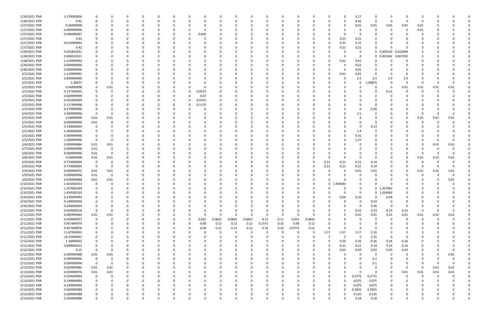| 1/26/2021 PDR | 3.170000004 |                         |          | -0       |          |               | 0            |          |              |        | 0             |          |          |          |             |          | O                    | 3.17         | 0                    |                     |                | 0        |      |      |  |
|---------------|-------------|-------------------------|----------|----------|----------|---------------|--------------|----------|--------------|--------|---------------|----------|----------|----------|-------------|----------|----------------------|--------------|----------------------|---------------------|----------------|----------|------|------|--|
| 1/26/2021 PDR | 0.42        |                         |          | $\Omega$ |          |               | n            | $\Omega$ |              |        |               |          |          |          | $\Omega$    |          | 0                    | 0.42         | $\Omega$             | - 0                 | $\Omega$       | - 0      |      |      |  |
| 1/27/2021 PDR | 0.04999998  |                         |          |          |          |               |              |          |              |        |               |          |          |          |             |          | 0                    | 0.01         | 0.01                 | 0.01                | 0.01           | 0.01     |      |      |  |
| 1/27/2021 PDR | 0.009999996 |                         |          |          |          |               |              |          |              |        |               |          |          |          |             |          |                      | 0            | 0                    |                     | 0              | 0.01     |      |      |  |
| 1/27/2021 PDR | 0.044999997 |                         |          |          |          |               | 0            | 0.045    |              |        |               |          |          |          |             |          |                      | $\Omega$     |                      |                     |                |          |      |      |  |
| 1/27/2021 PDR | 0.42        |                         |          |          |          |               | <sup>0</sup> |          |              |        |               |          |          |          |             |          | 0.21                 | 0.21         |                      |                     |                |          |      |      |  |
| 1/27/2021 PDR | 0.619999992 |                         |          |          |          |               |              |          |              |        |               |          |          |          |             |          | 0.31                 | 0.31         |                      |                     |                |          |      |      |  |
| 1/27/2021 PDR | 0.42        |                         |          |          |          |               |              |          |              |        |               |          |          |          |             |          | 0.21                 | 0.21         |                      |                     |                |          |      |      |  |
| 1/28/2021 PDR | 0.025833331 |                         |          |          |          |               |              |          |              |        |               |          |          |          |             |          |                      | 0            |                      | 0 0.003229 0.022604 |                |          |      |      |  |
| 1/28/2021 PDR | 0.008333331 |                         |          |          |          |               |              |          |              |        |               |          |          |          |             |          | 0                    | 0            |                      | 0 0.001042          | 0.007292       |          |      |      |  |
| 1/28/2021 PDR | 1.219999992 |                         |          |          |          |               |              |          |              |        |               |          |          |          |             |          | 0.61                 | 0.61         | $\Omega$             |                     | $\Omega$       |          |      |      |  |
| 1/29/2021 PDR | 0.609999996 |                         |          |          |          |               |              |          |              |        |               |          |          |          |             |          | 0                    | 0.61         | 0                    |                     |                |          |      |      |  |
| 1/30/2021 PDR | 0.009999996 |                         |          |          |          |               |              |          |              |        |               |          |          |          |             |          | 0                    | 0.01         |                      |                     |                |          |      |      |  |
| 2/2/2021 PDR  | 1.219999992 |                         |          |          |          |               |              |          |              |        |               |          |          |          |             |          | 0.61                 | 0.61         |                      |                     |                |          |      |      |  |
| 2/2/2021 PDR  | 9.699999996 |                         |          |          |          |               |              |          |              |        |               |          |          |          |             |          | 0                    | 2.5          | 2.4                  | 2.4                 | 2.4            |          |      |      |  |
| 2/2/2021 PDR  | 1.40875     |                         |          |          |          |               |              |          |              |        |               |          |          |          |             |          |                      | 0            | .40875               | - 0                 | 0              | 0        |      |      |  |
| 2/2/2021 PDR  | 0.04999998  |                         | 0.01     |          |          |               |              |          |              |        |               |          |          |          |             |          |                      | <sup>0</sup> | 0                    | - 0                 | 0.01           | 0.01     | 0.01 | 0.01 |  |
| 2/3/2021 PDR  | 0.137500002 |                         |          |          |          |               | 0            | 0.0275   |              |        |               |          |          |          |             |          |                      |              | $\Omega$             | 0.11                | $\Omega$       | 0        |      |      |  |
| 2/3/2021 PDR  | 0.069999999 |                         |          |          |          | 0             | 0            | 0.07     |              |        |               |          |          |          |             |          |                      |              |                      |                     |                |          |      |      |  |
| 2/3/2021 PDR  | 0.032499999 |                         |          |          |          | - 0           | 0            | 0.0325   |              |        |               |          |          |          |             |          |                      |              | -C                   |                     |                |          |      |      |  |
| 2/3/2021 PDR  | 0.117499998 |                         |          |          |          |               | 0            | 0.1175   |              |        |               |          |          |          |             |          |                      |              | $\Omega$             |                     |                |          |      |      |  |
| 2/3/2021 PDR  | 0.279999996 |                         |          |          |          |               |              |          |              |        |               |          |          |          |             |          |                      | 0            | 0.28                 |                     |                |          |      |      |  |
| 2/4/2021 PDR  | 2.499999996 | 0                       |          |          |          |               |              |          |              |        |               |          |          |          |             |          |                      | 2.5          |                      |                     |                |          |      |      |  |
| 2/5/2021 PDR  | 0.04999998  | 0.01                    | 0.01     |          |          |               |              |          |              |        |               |          |          |          |             |          |                      |              | 0                    |                     | 0              | 0.01     | 0.01 | 0.01 |  |
| 2/5/2021 PDR  | 0.009999996 | 0.01                    | O        |          |          |               |              |          |              |        |               |          |          |          |             |          |                      | 0            | -C                   |                     |                | C        |      |      |  |
| 2/5/2021 PDR  | 0.140000004 |                         |          |          |          |               |              |          |              |        |               |          |          |          |             |          |                      | 0            | 0.14                 |                     |                |          |      |      |  |
| 2/5/2021 PDR  | 1.400000004 |                         |          |          |          |               |              |          |              |        |               |          |          |          |             |          |                      | 1.4          |                      |                     |                |          |      |      |  |
| 2/5/2021 PDR  | 0.309999996 |                         |          |          |          |               |              |          |              |        |               |          |          |          |             |          |                      | 0.31         |                      |                     |                |          |      |      |  |
| 2/5/2021 PDR  | 1.269999996 | $\Omega$                |          |          |          |               |              |          |              |        |               |          |          |          |             |          |                      | 1.27         |                      |                     |                |          |      |      |  |
| 2/6/2021 PDR  | 0.039999984 | 0.01                    | 0.01     |          |          |               |              |          |              |        |               |          |          |          |             |          |                      | 0            |                      |                     |                | 0        | 0.01 | 0.01 |  |
| 2/7/2021 PDR  | 0.009999996 | 0.01                    | $\Omega$ |          |          |               |              |          |              |        |               |          |          |          |             |          |                      |              |                      |                     |                |          |      |      |  |
| 2/8/2021 PDR  | 0.009999996 | 0.01                    | n        |          |          |               |              |          |              |        |               |          |          |          |             |          |                      | 0            |                      |                     |                | -0       |      |      |  |
| 2/8/2021 PDR  | 0.04999998  | 0.01                    | 0.01     |          |          |               |              |          |              |        |               |          |          |          |             |          | $\Omega$             | $\Omega$     | 0                    |                     |                | 0.01     | 0.01 | 0.01 |  |
| 2/9/2021 PDR  | 0.770000004 |                         |          |          |          |               |              |          |              |        |               |          |          |          | 0           | 0.21     | 0.21                 | 0.21         | 0.14                 |                     |                |          |      |      |  |
| 2/9/2021 PDR  | 0.770000004 | $\Omega$                |          |          |          |               |              |          |              |        |               |          |          |          | 0           | 0.21     | 0.21                 | 0.21         | 0.14                 |                     |                | -0       |      |      |  |
| 2/9/2021 PDR  | 0.069999972 | 0.01                    | 0.01     |          |          |               |              |          |              |        |               |          |          |          |             |          |                      | 0.01         | 0.01                 |                     |                | 0.01     | 0.01 | 0.01 |  |
| 2/9/2021 PDR  | 0.009999996 | 0.01                    | $\Omega$ |          |          |               |              |          |              |        |               |          |          |          |             |          |                      | 0            |                      |                     |                |          |      |      |  |
| 2/9/2021 PDR  | 0.029999988 |                         |          |          |          |               |              |          |              |        |               |          |          |          |             |          |                      | 0            |                      |                     |                |          |      |      |  |
| 2/10/2021 PDR | 1.454583333 | 0.01                    | 0.01     |          |          |               |              |          |              |        |               |          |          |          |             |          |                      |              | $\Omega$             |                     |                |          |      | 0.01 |  |
|               | 1.207083369 | -0<br>$\Omega$          |          | $\Omega$ |          |               |              |          |              |        |               |          |          |          | $\Omega$    | 0        | .454583<br>0         | 0<br>0       |                      | 0 1.207083          |                |          |      |      |  |
| 2/10/2021 PDR |             |                         |          |          |          |               |              |          |              |        |               |          |          |          |             |          |                      |              |                      |                     |                |          |      |      |  |
| 2/10/2021 PDR | 1.454583333 |                         | O        | $\Omega$ |          | 0<br>$\Omega$ |              | $\Omega$ |              |        | 0<br>$\Omega$ | $\Omega$ | $\Omega$ |          |             | $\Omega$ | 0                    | 0            | $\Omega$<br>$\Omega$ | 1.454583            | $\mathbf 0$    | $\Omega$ |      |      |  |
| 2/10/2021 PDR | 0.239999994 |                         |          |          |          |               | 0            |          |              |        |               |          |          |          | 0           |          | 0.04                 | 0.16         |                      | 0.04                | $\Omega$       |          |      |      |  |
| 2/10/2021 PDR | 0.140000004 |                         |          |          |          |               |              |          |              |        |               |          |          |          | 0           |          | $\Omega$             | $\mathbf 0$  | 0.14                 | 0                   |                |          |      |      |  |
| 2/10/2021 PDR | 0.260000004 |                         |          |          |          |               |              |          |              |        |               |          |          |          | 0           |          | $\Omega$<br>$\Omega$ | 0            | 0.26                 | $\Omega$            | - 0            | 0        |      |      |  |
| 2/10/2021 PDR | 0.920000016 | $\mathbf 0$             |          |          |          |               |              |          |              |        |               | $\Omega$ |          |          | 0           |          |                      | 0.23         | 0.23                 | 0.23                | 0.23           | $\Omega$ |      |      |  |
| 2/11/2021 PDR | 0.089999964 | 0.01                    | 0.01     |          |          |               | 0            | റ        |              |        | $\Omega$      |          | $\Omega$ | $\cap$   | 0           |          | 0                    | 0.01         | 0.01                 | 0.01                | 0.01           | 0.01     | 0.01 | 0.01 |  |
| 2/11/2021 PDR | 0.659999957 | $\mathbf 0$             |          |          |          | 0             | 0            | 0.055    | 0.0825       | 0.0825 | 0.0825        | 0.11     | 0.11     | 0.055    | 0.0825      |          |                      | 0            | 0                    | 0                   | 0              | $\Omega$ |      |      |  |
| 2/11/2021 PDR | 0.957499974 |                         |          |          |          | 0             | 0            | 0.08     | 0.12         | 0.12   | 0.12          | 0.1575   | 0.16     | 0.08     | 0.12        |          | 0                    | 0            | 0                    | 0                   | 0              | 0        |      |      |  |
| 2/11/2021 PDR | 0.957499976 | 0                       |          | 0        |          | 0             | 0            | 0.08     | 0.12         | 0.12   | 0.12          | 0.16     | 0.16     | 0.0775   | 0.12        |          | $\Omega$             | 0            | $\Omega$             | $\Omega$            | $\Omega$       | 0        |      |      |  |
| 2/11/2021 PDR | 11.67000001 | 0                       |          |          |          | 0             | 0            | 0        | 0            |        | 0             | 0        | $\Omega$ | $\Omega$ | $\mathbf 0$ | 3.17     | 3.17                 | 3.17         | 2.16                 | $\Omega$            | 0              | 0        |      |      |  |
| 2/11/2021 PDR | 18.25000001 |                         |          |          |          | <sup>0</sup>  | 0            |          |              |        |               |          |          |          | 0           |          |                      | 5            | 3.25                 | $\Omega$            | $\overline{0}$ |          |      |      |  |
| 2/12/2021 PDR | 1.30000002  |                         |          |          |          |               | 0            | 0        |              |        |               |          |          |          | $\Omega$    | $\Omega$ | 0.26                 | 0.26         | 0.26                 | 0.26                | 0.26           |          |      |      |  |
| 2/12/2021 PDR | 0.840000012 |                         |          |          |          |               | 0            |          |              |        |               |          |          |          | 0           | 0        | 0.21                 | 0.21         | 0.14                 | 0.14                | 0.14           |          |      |      |  |
| 2/12/2021 PDR | 0.15        | 0                       | 0        |          |          |               |              |          |              |        |               |          |          |          | 0           |          | 0.03                 | 0.03         | 0.03                 | 0.03                | 0.03           | 0        |      |      |  |
| 2/12/2021 PDR | 0.029999988 | 0.01                    | 0.01     |          |          |               |              |          |              |        |               |          |          |          |             |          |                      | $\mathbf 0$  | $\Omega$             | 0                   | 0              |          |      | 0.01 |  |
| 2/12/2021 PDR | 0.099999996 | $\overline{0}$          | 0        |          |          |               | 0            | 0        |              |        |               |          |          |          | 0           |          |                      | 0            | 0.1                  | $\Omega$            | 0              | 0        |      |      |  |
| 2/12/2021 PDR | 0.099999996 | $\overline{\mathbf{0}}$ | 0        | 0        |          |               | 0            | 0        |              |        |               |          |          |          | 0           |          |                      | 0            | 0.1                  |                     | 0              | 0        |      | 0    |  |
| 2/13/2021 PDR | 0.039999984 | 0.01                    | 0.01     |          |          |               | 0            | - 0      |              |        |               | $\Omega$ |          |          |             |          | $\Omega$             | $\Omega$     | $\Omega$             | $\Omega$            | 0              | $\Omega$ | 0.01 | 0.01 |  |
| 2/13/2021 PDR | 0.059999976 | 0.01                    | 0.01     |          |          |               | 0            |          |              |        |               |          |          |          |             |          | 0                    | 0            | 0                    | $\Omega$            | 0.01           | 0.01     | 0.01 | 0.01 |  |
| 2/13/2021 PDR | 0.554999994 | $\mathbf 0$             | 0        |          |          |               | 0            |          |              |        |               |          |          |          | 0           |          | $\Omega$             | 0.2775       | 0.2775               | 0                   | 0              | $\Omega$ |      |      |  |
| 2/13/2021 PDR | 0.149999994 | 0                       |          |          |          |               | 0            | -C       |              |        |               |          |          |          |             |          | $\Omega$             | 0.075        | 0.075                | 0                   | 0              | 0        |      |      |  |
| 2/13/2021 PDR | 0.149999994 |                         |          |          |          |               | 0            | 0        |              |        |               |          |          |          | 0           |          | 0                    | 0.075        | 0.075                | $\Omega$            | 0              |          |      |      |  |
| 2/13/2021 PDR | 0.584999988 |                         |          |          |          | 0             | 0            | $\Omega$ |              |        |               |          |          | O        | $\Omega$    |          | $\Omega$             | 0.2925       | 0.2925               | $\Omega$            | 0              |          |      |      |  |
| 2/13/2021 PDR | 0.269999988 |                         |          |          |          | 0             | 0            |          |              |        |               |          |          |          |             |          | $\Omega$             | 0.135        | 0.135                |                     |                |          |      |      |  |
| 2/13/2021 PDR | 0.359999988 | $\Omega$                | $\Omega$ | $\Omega$ | $\Omega$ | $\Omega$      | $\Omega$     |          | <sup>0</sup> |        | $\Omega$      |          | $\Omega$ | O        |             |          | $\Omega$             | 0.18         | 0.18                 | $\Omega$            | $\Omega$       | 0        |      | 0    |  |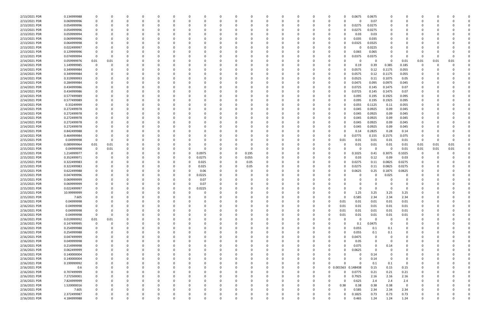| 2/13/2021 PDR | 0.134999988 |             |          |          |          |          |          |        |              |          |          |   |          |                     |          | 0.0675   | 0.0675   |          |                |          |      |      |  |
|---------------|-------------|-------------|----------|----------|----------|----------|----------|--------|--------------|----------|----------|---|----------|---------------------|----------|----------|----------|----------|----------------|----------|------|------|--|
| 2/13/2021 PDR | 0.069999996 |             | O        | $\Omega$ |          |          | 0        | -C     |              | 0        |          |   | -0       |                     |          | 0        | 0.07     | - 0      |                |          |      |      |  |
| 2/13/2021 PDR | 0.054999996 |             |          |          |          |          |          |        |              |          |          |   |          |                     | o        | 0.0275   | 0.0275   |          |                |          |      |      |  |
| 2/13/2021 PDR | 0.054999996 |             |          |          |          |          |          |        |              |          |          |   |          |                     |          | 0.0275   | 0.0275   |          |                |          |      |      |  |
| 2/13/2021 PDR | 0.059999994 |             |          |          |          |          |          |        |              |          |          |   |          |                     | 0        | 0.03     | 0.03     |          |                |          |      |      |  |
| 2/13/2021 PDR | 0.069999996 |             |          |          |          |          |          |        |              |          |          |   |          |                     | o        | 0.035    | 0.035    |          |                |          |      |      |  |
| 2/13/2021 PDR | 0.064999998 |             |          |          |          |          |          |        |              |          |          |   |          |                     |          | .0325    | 0.0325   |          |                |          |      |      |  |
| 2/13/2021 PDR | 0.022499997 |             |          |          |          |          |          |        |              |          |          |   |          |                     |          | 0        | 0.0225   |          |                |          |      |      |  |
| 2/13/2021 PDR | 0.129999996 |             |          |          |          |          |          |        |              |          |          |   |          |                     |          | 0.065    | 0.065    |          |                |          |      |      |  |
|               |             |             |          |          |          |          |          |        |              |          |          |   |          |                     |          |          |          |          |                |          |      |      |  |
| 2/13/2021 PDR | 0.074999994 | 0           |          |          |          |          |          |        |              |          |          |   |          |                     |          | .0375    | 0.0375   |          |                | 0        |      |      |  |
| 2/14/2021 PDR | 0.059999976 | 0.01        | 0.01     |          |          |          |          |        |              |          |          |   |          |                     |          | 0        | 0        | - 0      | 0.01           | 0.01     | 0.01 | 0.01 |  |
| 2/14/2021 PDR | 1.149999985 |             |          |          |          |          |          |        |              |          |          |   |          |                     |          | 0.19     | 0.39     | 0.385    | 0.185          | 0        |      |      |  |
| 2/14/2021 PDR | 0.349999984 |             |          |          |          |          |          |        |              |          |          |   |          |                     |          | 0.0575   | 0.12     | 0.1175   | 0.055          |          |      |      |  |
| 2/14/2021 PDR | 0.349999984 |             |          |          |          |          |          |        |              |          |          |   |          |                     |          | 0.0575   | 0.12     | 0.1175   | 0.055          |          |      |      |  |
| 2/14/2021 PDR | 0.319999993 |             |          |          |          |          |          |        |              |          |          |   |          |                     |          | 0.0525   | 0.11     | 0.1075   | 0.05           |          |      |      |  |
| 2/14/2021 PDR | 0.284999984 |             |          |          |          |          |          |        |              |          |          |   |          |                     |          | 0.0475   | 0.095    | 0.0975   | 0.045          |          |      |      |  |
| 2/14/2021 PDR | 0.434999986 |             |          |          |          |          |          |        |              |          |          |   |          |                     | o        | 0.0725   | 0.145    | 0.1475   | 0.07           |          |      |      |  |
| 2/14/2021 PDR | 0.434999986 |             |          |          |          |          |          |        |              |          |          |   |          |                     |          | 0.0725   | 0.145    | 0.1475   | 0.07           |          |      |      |  |
| 2/14/2021 PDR | 0.577499989 |             |          |          |          |          |          |        |              |          |          |   |          |                     |          | 0.095    | 0.195    | 0.1925   | 0.095          |          |      |      |  |
| 2/14/2021 PDR | 0.577499989 |             |          |          |          |          |          |        |              |          |          |   |          |                     |          | 0.095    | 0.195    | 0.1925   | 0.095          |          |      |      |  |
| 2/14/2021 PDR | 0.33249999  |             |          |          |          |          |          |        |              |          |          |   |          |                     |          | 0.055    | 0.1125   | 0.11     | 0.055          |          |      |      |  |
| 2/14/2021 PDR | 0.272499978 |             |          |          |          |          |          |        |              |          |          |   |          |                     |          | 0.045    | 0.0925   | 0.09     | 0.045          |          |      |      |  |
| 2/14/2021 PDR | 0.272499978 |             |          |          |          |          |          |        |              |          |          |   |          |                     | 0        | 0.045    | 0.0925   | 0.09     | 0.045          |          |      |      |  |
| 2/14/2021 PDR | 0.272499978 |             |          |          |          |          |          |        |              |          |          |   |          |                     |          | 0.045    | 0.0925   | 0.09     | 0.045          |          |      |      |  |
|               |             |             |          |          |          |          |          |        |              |          |          |   |          |                     |          |          |          |          |                |          |      |      |  |
| 2/14/2021 PDR | 0.272499978 |             |          |          |          |          |          |        |              |          |          |   |          |                     |          | 0.045    | 0.0925   | 0.09     | 0.045          |          |      |      |  |
| 2/14/2021 PDR | 0.272499978 |             |          |          |          |          |          |        |              |          |          |   |          |                     | 0        | 0.045    | 0.0925   | 0.09     | 0.045          |          |      |      |  |
| 2/14/2021 PDR | 0.842499988 |             |          |          |          |          |          |        |              |          |          |   |          |                     |          | 0.14     | 0.2825   | 0.28     | 0.14           |          |      |      |  |
| 2/14/2021 PDR | 0.464999984 |             |          |          |          |          |          |        |              |          |          |   |          |                     | n        | 0.0775   | 0.155    | 0.1575   | 0.075          |          |      |      |  |
| 2/15/2021 PDR | 0.04999998  | $\Omega$    |          |          |          |          |          |        |              |          |          |   |          |                     | 0.01     | 0.01     | 0.01     | 0.01     | 0.01           | -0       |      |      |  |
| 2/15/2021 PDR | 0.089999964 | 0.01        | 0.01     |          |          |          |          |        |              |          |          |   |          |                     |          | 0.01     | 0.01     | 0.01     | 0.01           | 0.01     | 0.01 | 0.01 |  |
| 2/15/2021 PDR | 0.04999998  |             | 0.01     |          |          |          |          |        |              | $\Omega$ |          |   |          |                     |          | 0        | $\Omega$ | - 0      | 0.01           | 0.01     | 0.01 | 0.01 |  |
| 2/15/2021 PDR | 1.214999977 |             |          |          |          |          | 0        | 0.0975 |              | 0.195    |          |   |          |                     |          | 0.1025   | 0.41     | 0.3075   | 0.1025         | 0        |      |      |  |
| 2/15/2021 PDR | 0.352499971 |             |          |          |          |          | 0        | 0.0275 | 0            | 0.055    |          |   |          |                     |          | 0.03     | 0.12     | 0.09     | 0.03           |          |      |      |  |
| 2/15/2021 PDR | 0.322499983 |             |          |          |          |          | 0        | 0.025  |              | 0.05     |          |   |          |                     |          | 0.0275   | 0.11     | 0.0825   | 0.0275         |          |      |      |  |
| 2/15/2021 PDR | 0.322499983 |             |          |          |          |          | 0        | 0.025  |              | 0.05     |          |   |          |                     |          | 0.0275   | 0.11     | 0.0825   | 0.0275         |          |      |      |  |
| 2/15/2021 PDR | 0.622499988 |             |          |          |          |          |          | 0.06   |              |          |          |   |          |                     |          | 0.0625   | 0.25     | 0.1875   | 0.0625         |          |      |      |  |
| 2/15/2021 PDR | 0.047499996 |             |          |          |          |          | 0        | 0.0225 |              |          |          |   |          |                     |          | 0        | 0        | 0.025    | 0              |          |      |      |  |
| 2/15/2021 PDR | 0.069999999 |             |          |          |          |          |          | 0.07   |              |          |          |   |          |                     |          |          |          |          |                |          |      |      |  |
| 2/15/2021 PDR | 0.069999999 |             |          |          |          |          |          | 0.07   |              |          |          |   |          |                     |          |          |          |          |                |          |      |      |  |
|               |             |             |          |          |          |          |          |        |              |          |          |   |          |                     |          |          |          |          |                |          |      |      |  |
| 2/15/2021 PDR | 0.022499997 |             |          |          |          | 0        | 0        | 0.0225 |              |          |          |   |          |                     |          |          |          |          |                |          |      |      |  |
| 2/15/2021 PDR | 10.99999999 |             |          |          |          |          |          |        |              |          |          |   |          |                     |          | 1.25     | 3.25     | 3.25     | 3.25           |          |      |      |  |
| 2/15/2021 PDR | 7.605       |             | O        | $\Omega$ |          | $\Omega$ | 0        | 0      |              | 0        | ŋ        |   | 0        |                     | $\Omega$ | 0.585    | 2.34     | 2.34     | 2.34           | 0        |      |      |  |
| 2/16/2021 PDR | 0.04999998  |             |          | $\Omega$ |          |          | 0        | 0      |              | 0        |          |   | $\Omega$ |                     | 0.01     | 0.01     | 0.01     | 0.01     | 0.01           | 0        |      |      |  |
| 2/16/2021 PDR | 0.04999998  |             |          |          |          |          |          |        |              |          |          |   |          |                     | 0.01     | 0.01     | 0.01     | 0.01     | 0.01           |          |      |      |  |
| 2/16/2021 PDR | 0.04999998  |             |          |          |          |          |          |        |              |          |          |   | $\Omega$ |                     | 0.01     | 0.01     | 0.01     | 0.01     | 0.01           |          |      |      |  |
| 2/16/2021 PDR | 0.04999998  | $\mathbf 0$ | 0        |          |          |          |          |        |              |          |          |   |          |                     | 0.01     | 0.01     | 0.01     | 0.01     | 0.01           |          |      |      |  |
| 2/16/2021 PDR | 0.019999992 | 0.01        | 0.01     |          |          |          |          |        |              |          |          |   |          |                     | $\Omega$ | 0        | 0        | 0        | $\mathbf 0$    |          |      |      |  |
| 2/16/2021 PDR | 0.147499995 | $\mathbf 0$ | $\Omega$ |          |          |          |          | 0      |              |          |          |   |          |                     | $\Omega$ | 0.1      | 0.0475   | $\Omega$ | $\Omega$       | 0        |      |      |  |
| 2/16/2021 PDR | 0.254999988 | 0           | 0        |          |          |          | 0        | 0      |              |          |          |   |          |                     | $\Omega$ | 0.055    | 0.1      | 0.1      | 0              | 0        |      |      |  |
| 2/16/2021 PDR | 0.254999988 |             |          |          |          |          | 0        | - 0    |              |          |          |   | $\Omega$ | $\Omega$            | $\Omega$ | 0.055    | 0.1      | 0.1      | 0              |          |      |      |  |
| 2/16/2021 PDR | 0.047499999 |             |          |          |          |          | 0        | - 0    |              |          |          |   |          | $\Omega$            | 0        | 0.0475   | $\Omega$ | $\Omega$ | $\Omega$       |          |      |      |  |
| 2/16/2021 PDR | 0.049999998 |             |          |          |          |          | 0        |        |              |          |          |   |          | 0                   | $\Omega$ | 0.05     | 0        | - 0      |                |          |      |      |  |
| 2/16/2021 PDR | 0.214999998 |             |          |          |          | 0        | 0        |        |              |          |          |   |          |                     | ŋ        | 0.075    | 0        | 0.14     |                |          |      |      |  |
| 2/16/2021 PDR | 0.062499999 |             |          |          |          |          | 0        | 0      |              |          |          |   | 0        |                     | 0        | 0.0625   | $\Omega$ | 0        | $\Omega$       | 0        |      |      |  |
| 2/16/2021 PDR | 0.140000004 |             |          |          |          |          | 0        | 0      |              |          |          |   | 0        |                     | $\Omega$ | 0        | 0.14     | $\Omega$ | 0              | 0        |      |      |  |
| 2/16/2021 PDR | 0.140000004 |             |          |          |          |          | 0        | - 0    |              |          |          |   | 0        |                     | ŋ        | 0        | 0.14     | $\Omega$ | 0              |          |      |      |  |
|               |             |             |          |          |          |          |          |        |              |          |          |   |          |                     |          |          |          |          |                |          |      |      |  |
| 2/16/2021 PDR | 0.199999992 |             |          |          |          |          | 0        |        |              |          |          |   | 0        |                     |          | $\Omega$ | 0.1      | 0.1      | $\overline{0}$ |          |      |      |  |
| 2/16/2021 PDR | 0.6         |             |          |          |          |          | 0        |        |              |          |          |   | 0        | 0 0.001563 0.148438 |          |          | 0.15     | 0.15     | 0.15           |          |      |      |  |
| 2/16/2021 PDR | 0.707499999 |             |          |          |          |          | 0        |        |              |          |          |   | 0        |                     | $\Omega$ | 0.0775   | 0.21     | 0.21     | 0.21           |          |      |      |  |
| 2/16/2021 PDR | 7.272500001 |             |          |          |          |          |          |        |              |          |          |   |          |                     | $\Omega$ | 0.7925   | 2.16     | 2.16     | 2.16           |          |      |      |  |
| 2/16/2021 PDR | 7.824999999 |             |          |          |          |          | 0        |        |              |          |          |   |          |                     | 0        | 0.625    | 2.4      | 2.4      | 2.4            |          |      |      |  |
| 2/16/2021 PDR | 1.520000016 |             |          |          |          |          | 0        | 0      |              |          |          |   | 0        | $\Omega$            | 0.38     | 0.38     | 0.38     | 0.38     | $\mathbf 0$    |          |      |      |  |
| 2/16/2021 PDR | 7.605       |             |          |          |          |          |          |        |              |          |          |   |          |                     | $\Omega$ | 0.585    | 2.34     | 2.34     | 2.34           |          |      |      |  |
| 2/16/2021 PDR | 2.372499987 |             |          | 0        |          |          |          |        |              |          |          |   |          |                     | 0        | 0.1825   | 0.73     | 0.73     | 0.73           |          |      |      |  |
| 2/16/2021 PDR | 4.184999988 |             | $\Omega$ | $\Omega$ | $\Omega$ | $\Omega$ | $\Omega$ |        | <sup>0</sup> | $\Omega$ | $\Omega$ | O |          |                     | 0        | 0.465    | 1.24     | 1.24     | 1.24           | $\Omega$ |      | 0    |  |
|               |             |             |          |          |          |          |          |        |              |          |          |   |          |                     |          |          |          |          |                |          |      |      |  |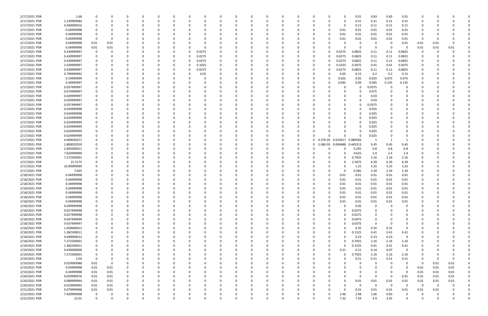| 2/17/2021 PDR | 1.68        |             |          |   |          |          |          |          |        |          |          | $\Omega$ |              |          |   |          |                     | 0.01        | 0.83        | 0.83           | 0.01                    |          |          |          |  |
|---------------|-------------|-------------|----------|---|----------|----------|----------|----------|--------|----------|----------|----------|--------------|----------|---|----------|---------------------|-------------|-------------|----------------|-------------------------|----------|----------|----------|--|
| 2/17/2021 PDR | 1.239999984 |             |          |   |          |          |          |          |        |          |          | 0        |              |          |   |          |                     | 0.31        | 0.31        | 0.31           | 0.31                    | 0        |          |          |  |
| 2/17/2021 PDR | 0.440000016 |             |          |   |          |          |          |          |        |          |          |          |              |          |   |          | <sup>0</sup>        | 0.11        | 0.11        | 0.11           | 0.11                    |          |          |          |  |
|               | 0.04999998  |             |          |   |          |          |          |          |        |          |          | - 0      |              |          |   |          |                     |             |             |                |                         |          |          |          |  |
| 2/17/2021 PDR |             |             |          |   |          |          |          |          |        |          |          |          |              |          |   |          | 0.01                | 0.01        | 0.01        | 0.01           | 0.01                    |          |          |          |  |
| 2/17/2021 PDR | 0.04999998  | 0           |          |   |          |          |          |          |        |          |          | -0       |              |          |   |          | 0.01                | 0.01        | 0.01        | 0.01           | 0.01                    | C        |          |          |  |
| 2/17/2021 PDR | 0.04999998  | 0           |          |   |          |          |          |          |        |          |          | - 0      |              |          |   |          | 0.01                | 0.01        | 0.01        | 0.01           | 0.01                    | 0        |          |          |  |
| 2/17/2021 PDR | 0.04999998  | 0.01        | 0.01     |   |          |          |          |          |        |          |          | - 0      |              |          |   |          |                     | $\Omega$    | -0          | 0              | 0.01                    | 0.01     | 0.01     |          |  |
| 2/17/2021 PDR | 0.04999998  | 0.01        | 0.01     |   |          |          |          |          |        |          |          |          |              |          |   |          |                     |             | 0           | $\Omega$       | റ                       | 0.01     | 0.01     | 0.01     |  |
| 2/17/2021 PDR | 0.439999997 | 0           |          |   |          |          |          |          | 0.0275 |          |          |          |              |          |   |          | 0.0275              | 0.0825      | 0.11        | 0.11           | 0.0825                  | -0       |          |          |  |
|               |             |             |          |   |          |          |          |          |        |          |          |          |              |          |   |          |                     |             |             |                |                         |          |          |          |  |
| 2/17/2021 PDR | 0.439999997 |             |          |   |          |          |          |          | 0.0275 |          |          |          |              |          |   |          | 0.0275              | 0.0825      | 0.11        | 0.11           | 0.0825                  |          |          |          |  |
| 2/17/2021 PDR | 0.439999997 |             |          |   |          |          |          |          | 0.0275 |          |          |          |              |          |   |          | 0.0275              | 0.0825      | 0.11        | 0.11           | 0.0825                  |          |          |          |  |
| 2/17/2021 PDR | 1.639999997 |             |          |   |          |          |          |          | 0.1025 |          |          |          |              |          |   |          | 0.1025              | 0.3075      | 0.41        | 0.41           | 0.3075                  |          |          |          |  |
| 2/17/2021 PDR | 0.439999997 |             |          |   |          |          |          |          | 0.0275 |          |          |          |              |          |   |          | 0.0275              | 0.0825      | 0.11        | 0.11           | 0.0825                  |          |          |          |  |
| 2/17/2021 PDR | 0.799999992 |             |          |   |          |          |          |          | 0.05   |          |          |          |              |          |   |          | 0.05                | 0.15        | 0.2         | 0.2            | 0.15                    |          |          |          |  |
| 2/17/2021 PDR | 0.24999999  |             |          |   |          |          |          |          |        |          |          |          |              |          |   |          | 0.025               | 0.05        | 0.025       | 0.075          | 0.075                   |          |          |          |  |
|               |             |             |          |   |          |          |          |          |        |          |          |          |              |          |   |          |                     |             |             |                |                         |          |          |          |  |
| 2/17/2021 PDR | 0.44999997  |             |          |   |          |          |          |          |        |          |          |          |              |          |   |          | 0.045               | 0.09        | 0.045       | 0.135          | 0.135                   |          |          |          |  |
| 2/17/2021 PDR | 0.037499997 |             |          |   |          |          |          |          |        |          |          |          |              |          |   |          |                     | 0           | 0.0375      |                |                         |          |          |          |  |
| 2/17/2021 PDR | 0.074999997 |             |          |   |          |          |          |          |        |          |          |          |              |          |   |          |                     |             | 0.075       |                |                         |          |          |          |  |
| 2/17/2021 PDR | 0.029999997 |             |          |   |          |          |          |          |        |          |          |          |              |          |   |          |                     |             | 0.03        |                |                         |          |          |          |  |
| 2/17/2021 PDR | 0.029999997 |             |          |   |          |          |          |          |        |          |          |          |              |          |   |          |                     |             | 0.03        |                |                         |          |          |          |  |
|               |             |             |          |   |          |          |          |          |        |          |          |          |              |          |   |          |                     |             |             |                |                         |          |          |          |  |
| 2/17/2021 PDR | 0.037499997 |             |          |   |          |          |          |          |        |          |          |          |              |          |   |          |                     |             | 0.0375      |                |                         |          |          |          |  |
| 2/17/2021 PDR | 0.034999998 |             |          |   |          |          |          |          |        |          |          |          |              |          |   |          |                     |             | 0.035       |                |                         |          |          |          |  |
| 2/17/2021 PDR | 0.034999998 |             |          |   |          |          |          |          |        |          |          |          |              |          |   |          |                     |             | 0.035       |                |                         |          |          |          |  |
| 2/17/2021 PDR | 0.024999999 | 0           |          |   |          |          |          |          |        |          |          | 0        |              |          |   |          | 0                   |             | 0.025       |                |                         |          |          |          |  |
| 2/17/2021 PDR | 0.024999999 | 0           |          |   |          |          |          |          |        |          |          | 0        |              |          |   |          |                     |             | 0.025       |                |                         |          |          |          |  |
| 2/17/2021 PDR | 0.024999999 |             |          |   |          |          |          |          |        |          |          |          |              |          |   |          |                     |             | 0.025       |                |                         |          |          |          |  |
|               |             |             |          |   |          |          |          |          |        |          |          |          |              |          |   |          |                     |             |             |                |                         |          |          |          |  |
| 2/17/2021 PDR | 0.024999999 |             |          |   |          |          |          |          |        |          |          |          |              |          |   |          | <sup>0</sup>        |             | 0.025       |                |                         |          |          |          |  |
| 2/17/2021 PDR | 0.024999999 |             |          |   |          |          |          |          |        |          |          |          |              | 0        |   |          |                     |             | 0.025       |                |                         |          |          |          |  |
| 2/17/2021 PDR | 4.000045671 |             |          |   |          |          |          |          |        |          |          |          |              | 0        |   |          | 0 4.57E-05 0.010417 | 0.989583    | -1          |                |                         |          |          |          |  |
| 2/17/2021 PDR | 1.800020559 | 0           |          |   |          |          |          |          |        |          |          | - 0      |              | 0        |   |          | 0 2.06E-05 0.004688 | 0.445313    | 0.45        | 0.45           | 0.45                    |          |          |          |  |
| 2/17/2021 PDR | 2.695000011 |             |          |   |          |          |          |          |        |          |          |          |              |          |   |          |                     | 0.295       | 0.8         | 0.8            | 0.8                     |          |          |          |  |
| 2/17/2021 PDR | 7.824999999 |             |          |   |          |          |          |          |        |          |          |          |              |          |   |          |                     | 0.625       | 2.4         | 2.4            | 2.4                     |          |          |          |  |
|               |             |             |          |   |          |          |          |          |        |          |          |          |              |          |   |          |                     |             |             |                |                         |          |          |          |  |
| 2/17/2021 PDR | 7.272500001 |             |          |   |          |          |          |          |        |          |          | - 0      |              |          |   |          |                     | 0.7925      | 2.16        | 2.16           | 2.16                    |          |          |          |  |
| 2/17/2021 PDR | 21.5175     |             |          |   |          |          |          |          |        |          |          |          |              |          |   |          |                     | 2.3475      | 6.39        | 6.39           | 6.39                    |          |          |          |  |
| 2/17/2021 PDR | 10.99999999 |             |          |   |          |          |          |          |        |          |          |          |              |          |   |          |                     | 1.25        | 3.25        | 3.25           | 3.25                    |          |          |          |  |
| 2/17/2021 PDR | 7.605       |             |          |   |          |          |          |          |        |          |          |          |              |          |   |          | <sup>0</sup>        | 0.585       | 2.34        | 2.34           | 2.34                    |          |          |          |  |
| 2/18/2021 PDR | 0.04999998  |             |          |   |          |          |          |          |        |          |          |          |              |          |   |          | 0.01                | 0.01        | 0.01        | 0.01           | 0.01                    |          |          |          |  |
|               |             |             |          |   |          |          |          |          |        |          |          |          |              |          |   |          |                     |             |             |                |                         |          |          |          |  |
| 2/18/2021 PDR | 0.04999998  |             |          |   |          |          |          |          |        |          |          | - 0      |              |          |   |          | 0.01                | 0.01        | 0.01        | 0.01           | 0.01                    |          |          |          |  |
| 2/18/2021 PDR | 0.04999998  |             |          |   |          |          |          |          |        |          |          |          |              |          |   |          | 0.01                | 0.01        | 0.01        | 0.01           | 0.01                    |          |          |          |  |
| 2/18/2021 PDR | 0.04999998  | $\Omega$    |          |   |          |          |          |          |        |          |          |          |              |          |   |          | 0.01                | 0.01        | 0.01        | 0.01           | 0.01                    | $\Omega$ |          |          |  |
| 2/18/2021 PDR | 0.04999998  | $\Omega$    |          |   |          |          |          |          |        |          |          |          |              |          |   |          | 0.01                | 0.01        | 0.01        | 0.01           | 0.01                    |          |          |          |  |
| 2/18/2021 PDR | 0.04999998  | 0           | 0        | ŋ | 0        | $\Omega$ | $\Omega$ | $\Omega$ | 0      | $\Omega$ | 0        | $\Omega$ | $\Omega$     | $\Omega$ | 0 | $\Omega$ | 0.01                | 0.01        | 0.01        | 0.01           | 0.01                    | 0        | $\Omega$ |          |  |
| 2/18/2021 PDR | 0.04999998  | 0           | 0        |   | 0        |          |          |          | 0      |          | 0        | 0        | <sup>0</sup> |          | 0 |          | 0.01                |             |             |                | 0.01                    | 0        |          |          |  |
|               |             |             |          |   |          |          |          |          |        |          |          |          |              |          |   |          |                     | 0.01        | 0.01        | 0.01           |                         |          |          |          |  |
| 2/18/2021 PDR | 0.049999998 | 0           |          |   |          |          |          |          | -0     |          |          | $\Omega$ |              | 0        | 0 |          | $\Omega$            | 0.05        | 0           | $\Omega$       | $\mathbf 0$             | O        |          |          |  |
| 2/18/2021 PDR | 0.027499998 | 0           |          |   |          |          |          |          |        |          |          | $\Omega$ |              |          | 0 |          | ი                   | 0.0275      | 0           |                | 0                       | O        |          |          |  |
| 2/18/2021 PDR | 0.027499998 | 0           |          |   |          |          |          |          |        |          |          | 0        |              |          |   |          |                     | 0.0275      | 0           |                | 0                       |          |          |          |  |
| 2/18/2021 PDR | 0.047499999 | 0           |          |   |          |          |          |          | -0     |          | 0        | $\Omega$ |              | 0        |   |          | 0                   | 0.0475      | 0           |                | 0                       | O        |          |          |  |
| 2/18/2021 PDR | 0.037499997 | 0           |          |   |          |          |          |          |        |          |          | 0        |              | $\Omega$ |   |          | 0                   | 0.0375      | $\mathbf 0$ | $\Omega$       | 0                       | O        |          |          |  |
| 2/18/2021 PDR | 1.050000012 | 0           |          |   |          |          |          |          | 0      |          |          | 0        |              |          |   |          | $\Omega$            | 0.35        | 0.35        | 0.35           | 0                       | 0        |          |          |  |
|               |             |             |          |   |          |          |          |          |        |          |          |          |              |          |   |          |                     |             |             |                |                         |          |          |          |  |
| 2/18/2021 PDR | 1.382500011 | 0           |          |   |          |          |          |          | 0      |          |          | 0        |              |          |   |          | 0                   | 0.1525      | 0.41        | 0.41           | 0.41                    | 0        |          |          |  |
| 2/18/2021 PDR | 0.690000012 | 0           |          |   |          |          |          |          |        |          |          | 0        |              |          |   |          | $\Omega$            | 0.23        | 0.23        | 0.23           | $\overline{0}$          |          |          |          |  |
| 2/18/2021 PDR | 7.272500001 | 0           |          |   |          |          |          |          | -0     |          |          | 0        |              |          |   |          |                     | 0.7925      | 2.16        | 2.16           | 2.16                    |          |          |          |  |
| 2/19/2021 PDR | 1.382500011 | 0           |          |   |          |          |          |          |        |          |          | 0        |              |          |   |          | <sup>0</sup>        | 0.1525      | 0.41        | 0.41           | 0.41                    | O        |          |          |  |
| 2/19/2021 PDR | 0.630000006 | 0           |          |   |          |          |          |          |        |          |          | $\Omega$ |              |          | 0 |          | 0.21                | 0.21        | 0.14        | 0.07           | $\overline{\mathbf{0}}$ |          |          |          |  |
|               |             |             |          |   |          |          |          |          |        |          |          |          |              |          |   |          |                     |             |             |                |                         |          |          |          |  |
| 2/19/2021 PDR | 7.272500001 | 0           |          |   |          |          |          |          | 0      | 0        |          | $\Omega$ |              |          | 0 |          |                     | 0.7925      | 2.16        | 2.16           | 2.16                    | 0        |          |          |  |
| 2/19/2021 PDR | 2.04        | $\mathbf 0$ | 0        |   | 0        |          |          |          | 0      |          | 0        | 0        |              | 0        | 0 |          | 0                   | 0.51        | 0.51        | 0.51           | 0.51                    | 0        | $\Omega$ | $\Omega$ |  |
| 2/19/2021 PDR | 0.029999988 | 0.01        | $\Omega$ |   |          |          |          |          |        |          |          | 0        |              |          |   |          |                     | 0           | 0           | $\Omega$       | 0                       | 0        | 0.01     | 0.01     |  |
| 2/19/2021 PDR | 0.04999998  | 0.01        | 0.01     |   |          |          |          |          |        |          |          | $\Omega$ |              |          |   |          |                     |             | 0           | $\Omega$       | $\Omega$                | 0.01     | 0.01     | 0.01     |  |
| 2/19/2021 PDR | 0.04999998  | 0.01        | 0.01     |   |          |          |          |          |        |          |          | 0        |              |          |   |          |                     |             | 0           | 0              | $\overline{\mathbf{0}}$ | 0.01     | 0.01     | 0.01     |  |
|               | 0.059999976 | 0.01        |          |   |          |          |          |          |        |          |          | 0        |              |          |   |          |                     | 0           | $\Omega$    | $\Omega$       | 0.01                    | 0.01     | 0.01     | $0.01\,$ |  |
| 2/20/2021 PDR |             |             | 0.01     |   |          |          |          |          |        |          |          |          |              |          |   |          |                     |             |             |                |                         |          |          |          |  |
| 2/20/2021 PDR | 0.089999964 | 0.01        | 0.01     |   |          |          |          |          | 0      | 0        |          | $\Omega$ |              | $\Omega$ | 0 |          | 0                   | 0.01        | 0.01        | 0.01           | 0.01                    | 0.01     | 0.01     | 0.01     |  |
| 2/20/2021 PDR | 0.019999992 | 0.01        | 0.01     |   |          |          |          |          | 0      |          |          | 0        |              |          |   |          | 0                   | $\mathbf 0$ | 0           | $\overline{0}$ | 0                       | 0        | 0        |          |  |
| 2/21/2021 PDR | 0.079999968 | 0.01        | 0.01     |   |          |          |          |          |        |          |          | 0        |              |          |   |          | $\Omega$            | 0.01        | 0.01        | 0.01           | 0.01                    | 0.01     | 0.01     |          |  |
| 2/22/2021 PDR | 7.429999998 | $\mathbf 0$ |          |   |          |          |          |          |        |          |          | -0       |              |          |   |          | 2.46                | 2.48        | 1.66        | 0.83           | 0                       |          |          |          |  |
| 2/22/2021 PDR | 22.01       | 0           | $\Omega$ |   | $\Omega$ |          | $\Omega$ | $\Omega$ | 0      | $\Omega$ | $\Omega$ | $\Omega$ | $\Omega$     | $\Omega$ | 0 |          | 7.32                | 7.34        | 4.9         | 2.45           | $\mathbf 0$             | $\Omega$ | $\Omega$ | 0        |  |
|               |             |             |          |   |          |          |          |          |        |          |          |          |              |          |   |          |                     |             |             |                |                         |          |          |          |  |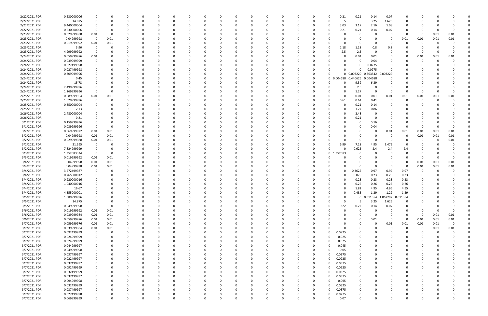| 2/22/2021 PDR | 0.630000006 |             |      |   |              | - 0      |          |          | n |   |          | 0        |          |          | 0  |            | 0.21<br>0.21 | 0.14                         | 0.07              | 0                       |          |          |          |  |
|---------------|-------------|-------------|------|---|--------------|----------|----------|----------|---|---|----------|----------|----------|----------|----|------------|--------------|------------------------------|-------------------|-------------------------|----------|----------|----------|--|
| 2/22/2021 PDR | 14.875      | 0           |      |   |              | $\Omega$ |          |          | 0 |   |          | $\Omega$ |          | 0        | 0  |            | -5           | 3.25                         | 1.625             | 0                       |          |          |          |  |
| 2/22/2021 PDR | 9.440000004 | -0          |      |   |              |          |          |          |   |   |          | - 0      |          |          |    | -0         | 3.03<br>3.17 | 2.16                         | 1.08              | 0                       |          |          |          |  |
| 2/22/2021 PDR | 0.630000006 | 0           |      |   |              |          |          |          |   |   |          | $\Omega$ |          |          |    |            | 0.21<br>0.21 | 0.14                         | 0.07              | 0                       |          |          |          |  |
| 2/23/2021 PDR | 0.029999988 | 0.01        |      |   |              |          |          |          |   |   |          | -0       |          |          |    |            |              | -0                           |                   | $\Omega$                | 0        | 0.01     | 0.01     |  |
| 2/23/2021 PDR | 0.04999998  | - 0         | 0.01 |   |              |          |          |          |   |   |          | - 0      |          |          |    |            |              | 0                            | - 0               | 0.01                    | 0.01     | 0.01     | 0.01     |  |
| 2/23/2021 PDR | 0.019999992 | 0.01        | 0.01 |   |              |          |          |          |   |   |          | -0       |          |          |    |            |              | 0                            |                   |                         |          |          |          |  |
| 2/23/2021 PDR | 3.96        | 0           |      |   |              |          |          |          |   |   |          | 0        |          |          |    |            | 1.18<br>1.18 | 0.8                          | 0.8               |                         |          |          |          |  |
| 2/23/2021 PDR | 4.999999992 | 0           |      |   |              |          |          |          |   |   |          |          |          |          |    |            | 2.5<br>2.5   | 0                            |                   |                         | 0        |          |          |  |
|               |             |             |      |   |              |          |          |          |   |   |          |          |          |          |    |            |              |                              |                   |                         |          |          |          |  |
| 2/24/2021 PDR | 0.059999976 | 0.01        |      |   |              |          |          |          |   |   |          | $\Omega$ |          |          |    |            | 0.01         | 0.01                         |                   | 0                       | 0.01     | 0.01     | 0.01     |  |
| 2/24/2021 PDR | 0.039999999 | 0           |      |   |              |          |          |          |   |   |          | 0        |          |          |    |            |              | 0.04                         |                   | - 0                     | -0       | $\Omega$ |          |  |
| 2/24/2021 PDR | 0.027499998 |             |      |   |              |          |          |          |   |   |          | 0        |          |          |    |            |              | 0.0275                       |                   |                         |          |          |          |  |
| 2/24/2021 PDR | 0.027499998 |             |      |   |              |          |          |          |   |   |          | $\Omega$ |          |          |    |            |              | 0.0275                       |                   |                         |          |          |          |  |
| 2/24/2021 PDR | 0.309999996 |             |      |   |              |          |          |          |   |   |          | -0       |          |          |    |            | 0 0.003229   |                              | 0.303542 0.003229 |                         |          |          |          |  |
| 2/24/2021 PDR | 0.45        |             |      |   |              |          |          |          |   |   |          |          |          |          | -C | 0 0.004688 | 0.440625     | 0.004688                     |                   |                         |          |          |          |  |
| 2/24/2021 PDR | 15.78       |             |      |   |              |          |          |          |   |   |          |          |          |          |    |            | 9.39         | 6.39                         |                   |                         |          |          |          |  |
| 2/24/2021 PDR | 2.499999996 |             |      |   |              |          |          |          |   |   |          | 0        |          |          |    |            | 2.5          | 0                            |                   | O                       |          |          |          |  |
| 2/24/2021 PDR | 1.269999996 | 0           |      |   |              |          |          |          |   |   |          | 0        |          |          |    |            | 1.27         | 0                            | - 0               | $\Omega$                | 0        | -0       |          |  |
| 2/25/2021 PDR | 0.089999964 | 0.01        | 0.01 |   |              |          |          |          |   |   |          | $\Omega$ |          |          |    |            | 0.01         | 0.01                         | 0.01              | 0.01                    | 0.01     | 0.01     | 0.01     |  |
| 2/25/2021 PDR | 1.629999996 | 0           |      |   |              |          |          |          |   |   |          | 0        |          |          |    | 0          | 0.61<br>0.61 | 0.41                         | - 0               | O                       |          |          |          |  |
| 2/25/2021 PDR | 0.350000004 |             |      |   |              |          |          |          |   |   |          |          |          |          |    |            | 0.21         | 0.14                         |                   |                         |          |          |          |  |
| 2/25/2021 PDR | 2.13        |             |      |   |              |          |          |          |   |   |          |          |          |          |    |            | 1.27         | 0.86                         |                   |                         |          |          |          |  |
| 2/26/2021 PDR | 2.480000004 |             |      |   |              |          |          |          |   |   |          | 0        |          |          |    |            | 2.48         | 0                            |                   |                         |          |          |          |  |
| 2/26/2021 PDR |             |             |      |   |              |          |          |          |   |   |          |          |          |          |    |            |              |                              |                   |                         |          |          |          |  |
|               | 0.21        |             |      |   |              |          |          |          |   |   |          | -0       |          |          |    |            | 0.21         | 0                            |                   |                         |          |          |          |  |
| 3/1/2021 PDR  | 0.159999996 |             |      |   |              |          |          |          |   |   |          | $\Omega$ |          |          |    |            |              | 0.16                         |                   |                         |          |          |          |  |
| 3/1/2021 PDR  | 0.039999996 | 0           |      |   |              |          |          |          |   |   |          | 0        |          |          |    |            |              | 0.04                         | - 0               | - 0                     | $\Omega$ | - 0      |          |  |
| 3/2/2021 PDR  | 0.069999972 | 0.01        | 0.01 |   |              |          |          |          |   |   |          |          |          |          |    |            |              | -0                           | 0.01              | 0.01                    | 0.01     | 0.01     | 0.01     |  |
| 3/2/2021 PDR  | 0.04999998  | 0.01        | 0.01 |   |              |          |          |          |   |   |          |          |          |          |    |            |              | -0                           |                   | 0                       | 0.01     | 0.01     | 0.01     |  |
| 3/2/2021 PDR  | 0.029999988 | 0.01        | 0.01 |   |              |          |          |          |   |   |          | 0        |          |          |    |            |              | $\Omega$                     |                   |                         | 0        | 0        | 0.01     |  |
| 3/2/2021 PDR  | 21.695      | 0           |      |   |              |          |          |          |   |   |          | 0        |          |          | -C |            | 7.28<br>6.99 | 4.95                         | 2.475             | 0                       |          |          |          |  |
| 3/2/2021 PDR  | 7.824999999 | 0           |      |   |              |          |          |          |   |   |          | - 0      |          |          | 0  |            | 0.625        | 2.4                          | 2.4               | 2.4                     |          |          |          |  |
| 3/3/2021 PDR  | 1.352083334 | 0           |      |   |              |          |          |          |   |   |          | 0        |          |          | 0  | 0 1.352083 |              | 0                            |                   |                         |          |          |          |  |
| 3/3/2021 PDR  | 0.019999992 | 0.01        | 0.01 |   |              |          |          |          |   |   |          | -0       |          |          |    |            |              |                              |                   | O                       | 0        |          |          |  |
| 3/4/2021 PDR  | 0.04999998  | 0.01        | 0.01 |   |              |          |          |          |   |   |          |          |          |          |    |            |              |                              |                   | - 0                     | 0.01     | 0.01     | 0.01     |  |
| 3/4/2021 PDR  | 0.04999998  | 0.01        | 0.01 |   |              |          |          |          |   |   |          | $\Omega$ |          |          |    |            |              | $\Omega$                     | $\Omega$          | - 0                     | 0.01     | 0.01     | 0.01     |  |
| 3/4/2021 PDR  | 3.272499987 | 0           |      |   |              |          |          |          |   |   |          | -0       |          |          |    |            | 0.3625       | 0.97                         | 0.97              | 0.97                    | 0        |          |          |  |
| 3/4/2021 PDR  | 0.765000012 | 0           |      |   |              |          |          |          |   |   |          | 0        |          |          |    |            | 0.075        | 0.23                         | 0.23              | 0.23                    |          |          |          |  |
| 3/4/2021 PDR  | 0.920000016 |             |      |   |              |          |          |          |   |   |          |          |          |          |    |            | 0.23         | 0.23                         | 0.23              | 0.23                    |          |          |          |  |
|               |             |             |      |   |              |          |          |          |   |   |          |          |          |          |    |            |              |                              |                   |                         |          |          |          |  |
| 3/4/2021 PDR  | 1.040000016 |             |      |   |              |          |          |          |   |   |          |          |          |          |    |            | 0.26         | 0.26                         | 0.26              | 0.26                    |          |          |          |  |
| 3/4/2021 PDR  | 16.67       | $\Omega$    |      |   |              |          |          |          |   |   |          | $\Omega$ |          |          |    |            | 1.82         | 4.95                         | 4.95              | 4.95                    | O        |          |          |  |
| 3/4/2021 PDR  | 4.355000001 | $\sqrt{ }$  |      |   |              |          |          |          |   |   |          |          |          |          |    |            | 0.485        | 1.29                         | 1.29              | 1.29                    | $\Omega$ |          |          |  |
| 3/5/2021 PDR  | 1.089999996 | 0           |      |   | <sup>0</sup> | - 0      |          |          | 0 |   |          | 0        |          |          | 0  |            | <sup>0</sup> | 0 0.011354 1.067292 0.011354 |                   |                         | 0        |          |          |  |
| 3/5/2021 PDR  | 14.875      | 0           |      |   |              | -0       |          |          | 0 |   |          | 0        |          |          | 0  |            | -5<br>5      | 3.25                         | 1.625             | $\mathbf 0$             |          |          |          |  |
| 3/5/2021 PDR  | 0.649999998 | $\mathbf 0$ | 0    |   |              | -0       |          |          |   |   |          | 0        |          |          | 0  |            | 0.22<br>0.22 | 0.14                         | 0.07              | $\Omega$                |          |          |          |  |
| 3/6/2021 PDR  | 0.019999992 | 0.01        | 0.01 |   |              |          |          |          |   |   |          | $\Omega$ |          |          |    |            | $\Omega$     | 0                            |                   | O                       | 0        |          |          |  |
| 3/6/2021 PDR  | 0.039999984 | 0.01        | 0.01 |   |              |          |          |          |   |   |          | 0        |          |          |    |            |              | 0                            |                   | - 0                     | 0        | 0.01     | 0.01     |  |
| 3/6/2021 PDR  | 0.059999976 | 0.01        | 0.01 |   |              |          |          |          |   |   |          | 0        |          |          |    |            |              | 0.01                         | $\Omega$          | $\overline{\mathbf{0}}$ | 0.01     | 0.01     | 0.01     |  |
| 3/7/2021 PDR  | 0.059999976 | 0.01        | 0.01 |   |              |          |          |          |   |   |          | $\Omega$ |          |          | 0  |            |              | 0                            | 0.01              | 0.01                    | 0.01     | 0.01     | $\Omega$ |  |
| 3/7/2021 PDR  | 0.039999984 | 0.01        | 0.01 |   |              | $\Omega$ |          |          | 0 |   |          | 0        |          |          | 0  |            | $\Omega$     | 0                            | $\Omega$          | 0                       | $\Omega$ | 0.01     | 0.01     |  |
| 3/7/2021 PDR  | 0.092499999 | 0           |      |   |              | $\Omega$ |          |          |   |   |          | 0        |          | 0        | 0  | 0.0925     |              | 0                            |                   | 0                       | 0        | 0        |          |  |
| 3/7/2021 PDR  | 0.024999999 | 0           |      |   |              | $\Omega$ |          |          | 0 |   |          | 0        |          |          | 0  | 0.025      |              | 0                            |                   |                         |          |          |          |  |
| 3/7/2021 PDR  | 0.024999999 | 0           |      |   |              | -0       |          |          |   |   |          | 0        |          |          | 0  | 0.025      |              | 0                            |                   | 0                       | 0        |          |          |  |
| 3/7/2021 PDR  | 0.044999997 | 0           |      |   |              |          |          |          |   |   |          | 0        |          |          |    | 0.045      |              | 0                            |                   |                         |          |          |          |  |
|               |             |             |      |   |              |          |          |          |   |   |          |          |          |          | 0  |            |              |                              |                   | 0                       | O        |          |          |  |
| 3/7/2021 PDR  | 0.049999998 | 0           |      |   |              | $\Omega$ |          |          | 0 |   |          | $\Omega$ |          | O        | 0  |            | 0.05         | 0                            |                   | 0                       | 0        |          |          |  |
| 3/7/2021 PDR  | 0.037499997 | 0           |      |   |              | $\Omega$ |          |          | 0 |   |          | 0        |          | 0        | 0  | 0.0375     |              | 0                            |                   | 0                       | 0        |          |          |  |
| 3/7/2021 PDR  | 0.022499997 | 0           |      |   |              | - 0      |          |          |   |   |          | $\Omega$ |          | 0        | 0  | 0.0225     |              | 0                            |                   | O                       | 0        |          |          |  |
| 3/7/2021 PDR  | 0.037499997 | 0           |      |   |              | - 0      |          |          |   |   |          | $\Omega$ |          |          | 0  | 0.0375     |              | 0                            |                   |                         |          |          |          |  |
| 3/7/2021 PDR  | 0.092499999 | 0           |      |   |              | 0        |          |          |   |   |          | 0        |          |          | 0  | 0.0925     |              | 0                            |                   |                         | 0        |          |          |  |
| 3/7/2021 PDR  | 0.032499999 | 0           |      |   |              |          |          |          |   |   |          | 0        |          |          | 0  | 0.0325     |              |                              |                   |                         |          |          |          |  |
| 3/7/2021 PDR  | 0.037499997 | 0           |      |   |              | - 0      |          |          |   |   |          | $\Omega$ |          |          | 0  | 0.0375     |              | $\Omega$                     |                   |                         |          |          |          |  |
| 3/7/2021 PDR  | 0.094999998 | 0           |      |   |              | -0       |          |          |   |   |          | 0        |          |          | 0  | 0.095      |              | 0                            |                   |                         | 0        |          |          |  |
| 3/7/2021 PDR  | 0.032499999 | 0           |      |   |              | -0       |          |          |   |   |          | 0        |          |          | 0  | 0.0325     |              | 0                            |                   | 0                       | 0        |          |          |  |
| 3/7/2021 PDR  | 0.037499997 | 0           |      |   |              | 0        |          |          |   |   |          | $\Omega$ |          |          | 0  | 0.0375     |              | 0                            |                   |                         |          |          |          |  |
| 3/7/2021 PDR  | 0.027499998 | 0           |      |   |              |          |          |          |   |   |          | 0        |          |          | 0  | 0.0275     |              | -0                           |                   |                         |          |          |          |  |
| 3/7/2021 PDR  | 0.069999999 | $\mathbf 0$ |      | 0 | $\Omega$     | $\Omega$ | $\Omega$ | $\Omega$ |   | O | $\Omega$ | $\Omega$ | $\Omega$ | $\Omega$ | 0  |            | 0.07<br>0    | $\Omega$                     |                   | $\Omega$                | $\Omega$ |          |          |  |
|               |             |             |      |   |              |          |          |          |   |   |          |          |          |          |    |            |              |                              |                   |                         |          |          |          |  |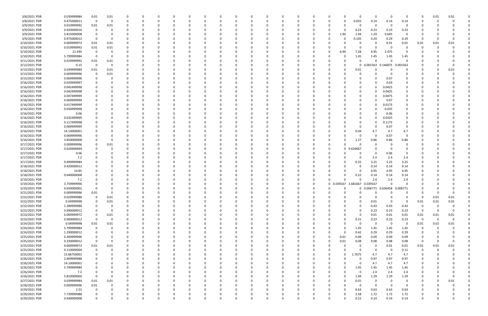| 3/8/2021 PDR  | 0.039999984 | 0.01        | 0.01 |          |             | 0        |          |             | C        |          |             | 0        |          |             | C        |             | 0                       | $\Omega$                     | - 0            | 0              | 0                       | 0.01        | 0.01     |  |
|---------------|-------------|-------------|------|----------|-------------|----------|----------|-------------|----------|----------|-------------|----------|----------|-------------|----------|-------------|-------------------------|------------------------------|----------------|----------------|-------------------------|-------------|----------|--|
| 3/8/2021 PDR  | 0.475000011 | 0           | 0    |          |             | $\Omega$ |          |             |          |          |             | $\Omega$ |          |             |          |             | 0.055<br>0              | 0.14                         | 0.14           | 0.14           | 0                       |             |          |  |
| 3/9/2021 PDR  | 0.019999992 | 0.01        | 0.01 |          |             |          |          |             |          |          |             |          |          |             |          |             | 0                       | 0                            |                | $\mathbf 0$    |                         |             |          |  |
|               |             |             |      |          |             |          |          |             |          |          |             |          |          |             |          |             |                         |                              |                |                |                         |             |          |  |
| 3/9/2021 PDR  | 0.920000016 | 0           |      |          |             | - 0      |          |             |          |          |             | 0        |          |             |          |             | 0.23<br>O               | 0.23                         | 0.23           | 0.23           |                         |             |          |  |
| 3/9/2021 PDR  | 5.815000008 | -0          |      |          |             |          |          |             |          |          |             | 0        |          |             |          | 1.94        | 1.94                    | 1.29                         | 0.645          | 0              |                         |             |          |  |
| 3/9/2021 PDR  | 0.975000012 | 0           |      |          |             |          |          |             |          |          |             |          |          |             |          |             | 0.105                   | 0.29                         | 0.29           | 0.29           | C                       |             |          |  |
| 3/10/2021 PDR | 0.069999972 | 0.01        | 0.01 |          |             |          |          |             |          |          |             | -0       |          |             |          |             |                         | $\Omega$                     | 0.01           | 0.01           | 0.01                    | 0.01        | 0.01     |  |
|               |             |             |      |          |             |          |          |             |          |          |             |          |          |             |          |             |                         |                              |                |                |                         |             |          |  |
| 3/10/2021 PDR | 0.019999992 | 0.01        | 0.01 |          |             |          |          |             |          |          |             |          |          |             |          |             | O                       | 0                            | - 0            |                |                         |             |          |  |
| 3/10/2021 PDR | 21.695      | - 0         |      |          |             |          |          |             |          |          |             |          |          |             |          | 6.99        | 7.28                    | 4.95                         | 2.475          | 0              |                         |             |          |  |
| 3/10/2021 PDR | 5.799999984 | 0           |      |          |             | - 0      |          |             |          |          |             | 0        |          |             |          |             | 1.45                    | 1.45                         | 1.45           | 1.45           |                         |             |          |  |
| 3/11/2021 PDR | 0.019999992 | 0.01        | 0.01 |          |             |          |          |             |          |          |             | 0        |          |             |          |             | 0                       | $\Omega$                     |                |                |                         |             |          |  |
|               |             |             |      |          |             |          |          |             |          |          |             |          |          |             |          |             |                         |                              |                |                |                         |             |          |  |
| 3/12/2021 PDR | 0.15        | 0           |      |          |             |          |          |             |          |          |             | -0       |          |             |          |             | 0                       | 0.001563                     | 0.146875       | 0.001563       |                         |             |          |  |
| 3/13/2021 PDR | 0.039999984 | 0.01        | 0.01 |          |             | - 0      |          |             |          |          |             | 0        |          |             |          |             | 0.01                    | -0                           |                | 0              |                         |             | 0.01     |  |
| 3/13/2021 PDR | 0.009999996 | 0           | 0.01 |          |             |          |          |             |          |          |             | -0       |          |             |          |             | 0                       |                              |                |                |                         |             |          |  |
| 3/15/2021 PDR | 0.069999996 | 0           |      |          |             |          |          |             |          |          |             |          |          |             |          |             |                         | $\Omega$                     | 0.07           |                |                         |             |          |  |
|               |             |             |      |          |             |          |          |             |          |          |             |          |          |             |          |             |                         |                              |                |                |                         |             |          |  |
| 3/16/2021 PDR | 0.029999997 | 0           |      |          |             |          |          |             |          |          |             |          |          |             |          |             |                         | $\Omega$                     | 0.03           |                |                         |             |          |  |
| 3/16/2021 PDR | 0.042499998 |             |      |          |             |          |          |             |          |          |             | 0        |          |             |          |             |                         | $\Omega$                     | 0.0425         | 0              |                         |             |          |  |
| 3/16/2021 PDR | 0.042499998 |             |      |          |             |          |          |             |          |          |             | 0        |          |             |          |             |                         | $\Omega$                     | 0.0425         | 0              |                         |             |          |  |
| 3/16/2021 PDR | 0.047499999 |             |      |          |             | - 0      |          |             |          |          |             | -0       |          |             |          |             |                         | $\Omega$                     | 0.0475         | 0              |                         |             |          |  |
|               |             |             |      |          |             |          |          |             |          |          |             |          |          |             |          |             |                         |                              |                |                |                         |             |          |  |
| 3/16/2021 PDR | 0.069999999 |             |      |          |             |          |          |             |          |          |             |          |          |             |          |             |                         | 0                            | 0.07           |                |                         |             |          |  |
| 3/16/2021 PDR | 0.017499999 |             |      |          |             |          |          |             |          |          |             |          |          |             |          |             |                         | $\Omega$                     | 0.0175         |                |                         |             |          |  |
| 3/16/2021 PDR | 0.034999998 |             |      |          |             | -0       |          |             |          |          |             | $\Omega$ |          |             |          |             |                         | $\Omega$                     | 0.035          | 0              |                         |             |          |  |
|               |             |             |      |          |             |          |          |             |          |          |             |          |          |             |          |             |                         |                              |                |                |                         |             |          |  |
| 3/16/2021 PDR | 0.06        |             |      |          |             | 0        |          |             |          |          |             | 0        |          |             |          |             |                         | $\Omega$                     | 0.06           | 0              |                         |             |          |  |
| 3/16/2021 PDR | 0.032499999 |             |      |          |             | - 0      |          |             |          |          |             | 0        |          |             |          |             | O                       | $\Omega$                     | 0.0325         | 0              |                         |             |          |  |
| 3/16/2021 PDR | 0.117499998 |             |      |          |             | -0       |          |             |          |          |             | -0       |          |             |          |             |                         | $\Omega$                     | 0.1175         | 0              |                         |             |          |  |
| 3/16/2021 PDR | 0.069999999 |             |      |          |             | - 0      |          |             |          |          |             | 0        |          |             |          |             | 0                       | $\Omega$                     | 0.07           | 0              |                         |             |          |  |
|               |             |             |      |          |             |          |          |             |          |          |             |          |          |             |          |             |                         |                              |                |                |                         |             |          |  |
| 3/16/2021 PDR | 14.14000001 |             |      |          |             |          |          |             |          |          |             | 0        |          |             |          |             | 0.04                    | 4.7                          | 4.7            | 4.7            |                         |             |          |  |
| 3/16/2021 PDR | 0.069999996 |             |      |          |             |          |          |             |          |          |             |          |          |             |          |             | 0                       | 0                            | 0.07           | $\overline{0}$ |                         |             |          |  |
| 3/16/2021 PDR | 3.850000008 |             |      |          |             |          |          |             |          |          |             | -0       |          |             |          |             | 1.27                    | 0.86                         | 0.86           | 0.86           |                         |             |          |  |
| 3/17/2021 PDR | 0.009999996 |             | 0.01 |          |             |          |          |             |          |          |             |          |          |             |          |             |                         | -0                           |                |                |                         |             |          |  |
|               |             |             |      |          |             |          |          |             |          |          |             |          |          |             |          |             |                         |                              |                |                |                         |             |          |  |
| 3/17/2021 PDR | 0.626666664 |             |      |          |             |          |          |             |          |          |             | -0       |          |             |          |             | 0 0.626667              |                              |                |                |                         |             |          |  |
| 3/17/2021 PDR | 0.06        |             |      |          |             | - 0      |          |             |          |          |             | 0        |          |             |          |             |                         | $\Omega$                     | 0.06           | 0              |                         |             |          |  |
| 3/17/2021 PDR | 7.2         |             |      |          |             |          |          |             |          |          |             |          |          |             |          |             | 0                       | 2.4                          | 2.4            | 2.4            |                         |             |          |  |
| 3/17/2021 PDR | 9.999999984 |             |      |          |             |          |          |             |          |          |             | -0       |          |             |          |             | 0.25                    | 3.25                         | 3.25           | 3.25           |                         |             |          |  |
|               |             |             |      |          |             |          |          |             |          |          |             |          |          |             |          |             |                         |                              |                |                |                         |             |          |  |
| 3/18/2021 PDR | 0.420000012 |             |      |          |             |          |          |             |          |          |             | 0        |          |             |          |             | O                       | 0.14                         | 0.14           | 0.14           |                         |             |          |  |
| 3/18/2021 PDR | 14.85       |             |      |          |             | 0        |          |             |          |          |             | 0        |          |             |          |             | 0                       | 4.95                         | 4.95           | 4.95           |                         |             |          |  |
| 3/18/2021 PDR | 0.640000008 |             |      |          |             | - 0      |          |             |          |          |             | 0        |          |             |          |             | 0.22                    | 0.14                         | 0.14           | 0.14           |                         |             |          |  |
| 3/19/2021 PDR | 7.2         |             |      |          |             |          |          |             |          |          |             | -0       |          |             |          |             | O                       | 2.4                          | 2.4            | 2.4            |                         |             |          |  |
|               |             |             |      |          |             |          |          |             |          |          |             |          |          |             |          |             |                         |                              |                |                |                         |             |          |  |
| 3/19/2021 PDR | 3.759999996 |             |      |          |             |          |          |             |          |          |             |          |          |             |          | $\Omega$    | 0.039167 3.681667       | 0.039167                     |                |                |                         |             |          |  |
| 3/19/2021 PDR | 0.650000002 | 0           |      |          |             |          |          |             |          |          |             |          |          |             | 0        |             | 0                       | 0 0.006771 0.636458 0.006771 |                |                |                         |             |          |  |
| 3/21/2021 PDR | 0.009999996 | 0.01        |      |          |             |          |          |             |          |          |             |          | $\Omega$ |             | $\Omega$ |             | $\cap$                  | $\overline{a}$<br>$\cap$     | $\Omega$       | $\sqrt{ }$     | $\Omega$                |             |          |  |
| 3/22/2021 PDR | 0.029999988 | 0           | 0.01 | 0        | 0           | 0        | $\Omega$ | $\Omega$    | $\Omega$ | 0        | 0           | 0        | $\Omega$ | $\Omega$    | 0        |             | $\Omega$<br>$\Omega$    | $\mathbf 0$                  | $\Omega$       | $\Omega$       | $\Omega$                | 0.01        | 0.01     |  |
|               |             |             |      |          |             |          |          |             |          |          |             |          |          |             |          |             |                         |                              |                |                |                         |             |          |  |
| 3/22/2021 PDR | 0.04999998  | 0           | 0.01 |          | 0           | 0        | $\Omega$ | 0           | 0        | 0        | 0           | 0        | $\Omega$ | 0           | 0        |             | $\Omega$<br>0           | 0.01                         | $\mathbf 0$    | 0              | 0.01                    | 0.01        | 0.01     |  |
| 3/22/2021 PDR | 1.289999988 | 0           |      |          |             | $\Omega$ |          |             | $\Omega$ |          |             | $\Omega$ |          | $\Omega$    | $\Omega$ |             | $\Omega$                | 0.43                         | 0.43           | 0.43           | 0                       |             |          |  |
| 3/22/2021 PDR | 0.690000012 | 0           | -0   |          |             | 0        |          |             | n        |          |             | 0        |          | 0           | n        |             | 0<br>0                  | 0.23                         | 0.23           | 0.23           | - 0                     | 0           | $\Omega$ |  |
| 3/23/2021 PDR | 0.069999972 | 0           | 0.01 |          |             | 0        |          |             | C        |          |             | 0        |          |             |          |             | 0                       | 0.01                         | 0.01           | 0.01           | 0.01                    | 0.01        | 0.01     |  |
|               |             |             |      |          |             |          |          |             |          |          |             |          |          |             |          |             |                         |                              |                |                |                         |             |          |  |
| 3/23/2021 PDR |             |             |      |          |             |          |          |             | 0        |          |             | $\Omega$ |          | $\Omega$    |          |             | 0.21<br>$\Omega$        | 0.23                         | 0.23           | 0.23           | $\overline{\mathbf{0}}$ | $\mathbf 0$ | $\Omega$ |  |
| 3/24/2021 PDR | 0.900000012 | $\mathbf 0$ | 0    |          |             | $\Omega$ |          |             |          |          |             |          |          |             |          |             |                         |                              | $\overline{0}$ | 0              | 0.01                    | 0.01        | 0.01     |  |
|               | 0.04999998  | 0.01        | 0.01 |          |             | $\Omega$ |          | $\Omega$    | 0        |          |             | 0        |          | $\Omega$    | 0        |             | $\mathbf 0$<br>$\Omega$ | $\mathbf 0$                  |                |                |                         |             |          |  |
|               |             |             |      |          |             | $\Omega$ |          |             | 0        |          |             | 0        |          |             | 0        |             |                         |                              |                |                | 0                       |             |          |  |
| 3/24/2021 PDR | 5.799999984 | 0           |      |          |             |          |          |             |          |          |             |          |          |             |          |             | 1.45                    | 1.45                         | 1.45           | 1.45           |                         |             |          |  |
| 3/24/2021 PDR | 1.290000012 | 0           |      |          |             | $\Omega$ |          |             |          |          |             | 0        |          |             |          |             | 0.42<br>$\Omega$        | 0.29                         | 0.29           | 0.29           |                         |             |          |  |
| 3/25/2021 PDR | 0.369999996 | 0           |      |          |             | 0        |          |             |          |          |             | 0        |          |             |          | 0.01<br>- 0 | 0.09                    | 0.09                         | 0.09           | 0.09           | 0                       |             |          |  |
| 3/25/2021 PDR | 0.330000012 | $\mathbf 0$ |      |          |             | 0        |          |             |          |          |             | 0        |          |             |          | 0.01        | 0.08                    | 0.08                         | 0.08           | 0.08           | 0                       |             |          |  |
|               |             |             |      |          |             | $\Omega$ |          |             |          |          |             | $\Omega$ |          |             |          |             |                         |                              |                |                |                         |             |          |  |
| 3/25/2021 PDR | 0.069999972 | 0.01        | 0.01 |          |             |          |          |             |          |          |             |          |          |             |          |             | $\mathbf 0$             | $\mathbf 0$                  | $0.01\,$       | 0.01           | 0.01                    | 0.01        | 0.01     |  |
| 3/25/2021 PDR | 0.110000004 | 0           |      |          |             | $\Omega$ |          |             | 0        |          |             | 0        |          | 0           | 0        |             | 0<br>ი                  | 0                            | $\Omega$       | 0.11           | 0                       | $\Omega$    |          |  |
| 3/25/2021 PDR | 15.86750001 | 0           |      |          |             | 0        |          |             | 0        |          |             | 0        |          |             | 0        |             | 1.7675<br>$\Omega$      | 4.7                          | 4.7            | 4.7            | 0                       |             |          |  |
| 3/26/2021 PDR | 2.909999988 | 0           |      |          |             | $\Omega$ |          | $\Omega$    | 0        |          |             | 0        |          | $\Omega$    | 0        |             | $\Omega$                | 0.97                         | 0.97           | 0.97           | 0                       |             |          |  |
|               |             | 0           |      |          |             | $\Omega$ |          | 0           | 0        |          |             | 0        |          | 0           | 0        |             | 0<br>0                  |                              |                |                | 0                       |             |          |  |
| 3/26/2021 PDR | 14.10000001 |             |      |          |             |          |          |             |          |          |             |          |          |             |          |             |                         | 4.7                          | 4.7            | 4.7            |                         |             |          |  |
| 3/26/2021 PDR | 5.799999984 | 0           |      |          |             | 0        |          |             |          |          |             | 0        |          |             |          |             | 1.45<br>0               | 1.45                         | 1.45           | 1.45           |                         |             |          |  |
| 3/26/2021 PDR | 7.2         | 0           |      |          |             | $\Omega$ |          |             |          |          |             | $\Omega$ |          |             |          |             | 0                       | 2.4                          | 2.4            | 2.4            | 0                       |             |          |  |
| 3/26/2021 PDR | 5.810000004 | 0           |      |          |             | $\Omega$ |          | $\Omega$    | 0        |          |             | 0        |          | 0           | 0        |             | 1.94<br>$\Omega$        | 1.29                         | 1.29           | 1.29           | 0                       |             | $\Omega$ |  |
|               |             |             |      |          |             | 0        |          |             | 0        |          |             | 0        |          |             |          |             | $\Omega$                |                              | $\Omega$       | $\mathbf 0$    | 0                       |             |          |  |
| 3/27/2021 PDR | 0.039999984 | 0.01        | 0.01 |          |             |          |          |             |          |          |             |          |          |             |          |             | 0.01                    | 0                            |                |                |                         |             | 0.01     |  |
| 3/28/2021 PDR | 0.009999996 | 0.01        |      |          |             | $\Omega$ |          |             |          |          |             | $\Omega$ |          |             |          |             | $\mathbf 0$<br>$\Omega$ | $\mathbf 0$                  | $\Omega$       | 0              |                         |             |          |  |
| 3/29/2021 PDR | 2.52        | 0           |      |          |             | $\Omega$ |          |             |          |          |             | 0        |          |             |          |             | 0.63<br>$\Omega$        | 0.63                         | 0.63           | 0.63           |                         |             |          |  |
| 3/29/2021 PDR | 7.739999988 |             |      |          |             |          |          |             |          |          |             | 0        |          |             |          |             | 2.58                    | 1.72                         | 1.72           | 1.72           |                         |             |          |  |
| 3/29/2021 PDR | 0.640000008 | 0           |      | $\Omega$ | $\mathbf 0$ | $\Omega$ | $\Omega$ | $\mathbf 0$ | 0        | $\Omega$ | $\mathbf 0$ | $\Omega$ | $\Omega$ | $\mathbf 0$ | 0        |             | 0.22<br>$\Omega$        | 0.14                         | 0.14           | 0.14           | 0                       |             | $\Omega$ |  |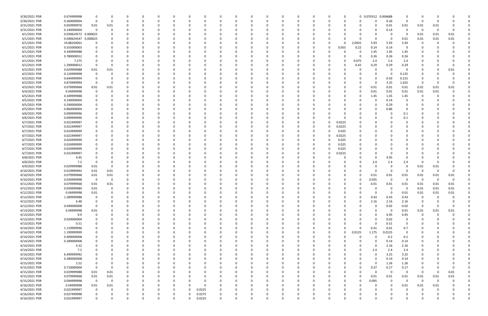| 3/30/2021 PDR | 0.074999998          |                         | O           | -0       |          | -0                 |          |   | 0        |          |          |          |    |          |             | 0 0.070312  | 0.004688       | 0                       | O              |             |          |  |
|---------------|----------------------|-------------------------|-------------|----------|----------|--------------------|----------|---|----------|----------|----------|----------|----|----------|-------------|-------------|----------------|-------------------------|----------------|-------------|----------|--|
| 3/30/2021 PDR | 0.260000004          | $\mathbf 0$             | $\Omega$    | $\Omega$ |          | $\Omega$           |          |   | $\Omega$ | $\Omega$ |          |          | -0 | O        |             | $\Omega$    | 0.26           | $\mathbf 0$             | - 0            | - 0         |          |  |
| 3/31/2021 PDR | 0.059999976          | 0.01                    | 0.01        |          |          |                    |          |   |          |          |          |          |    |          |             | 0           | 0.01           | 0.01                    | 0.01           | 0.01        |          |  |
|               |                      |                         |             |          |          |                    |          |   |          |          |          |          |    |          |             |             |                |                         |                |             |          |  |
| 3/31/2021 PDR | 0.140000004          | $\Omega$                |             |          |          |                    |          |   |          |          |          |          |    |          |             | $\Omega$    | 0.14           | 0                       | - 0            | -0          |          |  |
| 4/1/2021 PDR  | 0.030624572 0.000625 |                         |             |          |          |                    |          |   |          |          |          |          |    |          |             | 0           |                | 0                       | 0.01           | 0.01        | 0.01     |  |
|               |                      |                         |             |          |          |                    |          |   |          |          |          |          |    |          |             |             |                |                         |                |             |          |  |
| 4/1/2021 PDR  | 0.040624547 0.000625 |                         |             |          |          |                    |          |   |          |          |          |          |    |          |             | 0           | $\Omega$       | 0.01                    | 0.01           | 0.01        | 0.01     |  |
| 4/1/2021 PDR  | 19.88250001          |                         |             |          |          |                    |          |   |          |          |          |          |    |          | 2.0925      | 5.93        | 5.93           | 5.93                    | 0              | - 0         |          |  |
| 4/1/2021 PDR  | 0.555000003          |                         |             |          |          |                    |          |   |          |          |          |          |    | 0.055    | 0.22        | 0.14        | 0.14           | $\Omega$                |                |             |          |  |
|               |                      |                         |             |          |          |                    |          |   |          |          |          |          |    |          |             |             |                |                         |                |             |          |  |
| 4/1/2021 PDR  | 4.349999988          |                         |             |          |          |                    |          |   |          |          |          |          |    |          | C           | 1.45        | 1.45           | 1.45                    |                |             |          |  |
| 4/1/2021 PDR  | 0.780000012          |                         |             |          |          |                    |          |   |          |          |          |          |    |          | 0           | 0.26        | 0.26           | 0.26                    |                |             |          |  |
|               |                      |                         |             |          |          |                    |          |   |          |          |          |          |    |          |             |             |                |                         |                |             |          |  |
| 4/1/2021 PDR  | 7.275                |                         |             |          |          |                    |          |   |          |          |          |          |    |          | 0.075       | 2.4         | 2.4            | 2.4                     |                |             |          |  |
| 4/1/2021 PDR  | 1.290000012          | - 0                     | ŋ           |          |          |                    |          |   |          |          |          |          |    | ი        | 0.42        | 0.29        | 0.29           | 0.29                    |                |             |          |  |
| 4/2/2021 PDR  | 0.029999988          | 0.01                    | 0.01        |          |          |                    |          |   |          |          |          |          |    |          | 0           | 0           |                | 0                       | 0              |             | 0.01     |  |
|               |                      |                         |             |          |          |                    |          |   |          |          |          |          |    |          |             |             |                |                         |                |             |          |  |
| 4/2/2021 PDR  | 0.124999998          | 0                       |             |          |          |                    |          |   |          |          |          |          |    |          |             | 0           | $\Omega$       | 0.125                   |                |             |          |  |
| 4/2/2021 PDR  | 0.644999994          |                         |             |          |          |                    |          |   |          |          |          |          |    |          |             | 0           | 0.43           | 0.215                   | O              |             |          |  |
| 4/2/2021 PDR  |                      | - 0                     |             |          |          |                    |          |   |          |          |          |          |    |          |             | 0           |                |                         | - 0            |             |          |  |
|               | 4.874999994          |                         |             |          |          |                    |          |   |          |          |          |          |    |          | 0           |             | 3.25           | 1.625                   |                |             |          |  |
| 4/3/2021 PDR  | 0.079999968          | 0.01                    | 0.01        |          |          |                    |          |   |          |          |          |          |    |          | 0           | 0.01        | 0.01           | 0.01                    | 0.01           | 0.01        | 0.01     |  |
| 4/4/2021 PDR  | 0.04999998           | 0                       |             |          |          |                    |          |   |          |          |          |          |    |          | 0           | 0.01        | 0.01           | 0.01                    | 0.01           | 0.01        |          |  |
|               |                      |                         |             |          |          |                    |          |   |          |          |          |          |    |          |             |             |                |                         |                |             |          |  |
| 4/5/2021 PDR  | 4.349999988          |                         |             |          |          |                    |          |   |          |          |          |          |    |          |             | 1.45        | 1.45           | 1.45                    | 0              |             |          |  |
| 4/5/2021 PDR  | 0.140000004          |                         |             |          |          |                    |          |   |          |          |          |          |    |          |             | 0           | 0.14           | $\Omega$                |                |             |          |  |
| 4/5/2021 PDR  | 0.290000004          |                         |             |          |          |                    |          |   |          |          |          |          |    |          |             | 0           | 0.29           | 0                       |                |             |          |  |
|               |                      |                         |             |          |          |                    |          |   |          |          |          |          |    |          |             |             |                |                         |                |             |          |  |
| 4/5/2021 PDR  | 0.860000004          |                         |             |          |          |                    |          |   |          |          |          |          |    |          |             | 0           | 0.86           | 0                       |                |             |          |  |
| 4/6/2021 PDR  | 0.099999996          |                         |             |          |          |                    |          |   |          |          |          |          |    |          |             | $\Omega$    |                | 0.1                     |                |             |          |  |
|               |                      |                         |             |          |          |                    |          |   |          |          |          |          |    |          |             |             |                |                         |                |             |          |  |
| 4/6/2021 PDR  | 0.099999996          |                         |             |          |          |                    |          |   |          |          |          |          |    |          |             | 0           |                | 0.1                     |                |             |          |  |
| 4/7/2021 PDR  | 0.022499997          |                         |             |          |          |                    |          |   |          |          |          |          |    | 0.0225   |             | 0           |                |                         |                |             |          |  |
| 4/7/2021 PDR  | 0.022499997          |                         |             |          |          |                    |          |   |          |          |          |          | 0  | 0.0225   |             | - 0         |                |                         |                |             |          |  |
|               |                      |                         |             |          |          |                    |          |   |          |          |          |          |    |          |             |             |                |                         |                |             |          |  |
| 4/7/2021 PDR  | 0.024999999          |                         |             |          |          |                    |          |   |          |          |          |          |    | 0.025    |             | -0          |                |                         |                |             |          |  |
| 4/7/2021 PDR  | 0.022499997          |                         |             |          |          |                    |          |   |          |          |          |          |    | 0.0225   |             |             |                |                         |                |             |          |  |
| 4/7/2021 PDR  | 0.024999999          |                         |             |          |          |                    |          |   |          |          |          |          |    | 0.025    |             | $\Omega$    |                |                         |                |             |          |  |
|               |                      |                         |             |          |          |                    |          |   |          |          |          |          |    |          |             |             |                |                         |                |             |          |  |
| 4/7/2021 PDR  | 0.024999999          |                         |             |          |          |                    |          |   |          |          |          |          |    | 0.025    |             | 0           |                |                         |                |             |          |  |
| 4/7/2021 PDR  | 0.024999999          |                         |             |          |          |                    |          |   |          |          |          |          |    | 0.025    |             | 0           |                |                         |                |             |          |  |
|               |                      |                         |             |          |          |                    |          |   |          |          |          |          |    |          |             |             |                |                         |                |             |          |  |
| 4/7/2021 PDR  | 0.022499997          |                         |             |          |          |                    |          |   |          |          |          |          |    | 0.0225   |             | 0           |                |                         |                |             |          |  |
| 4/8/2021 PDR  | 4.95                 |                         |             |          |          |                    |          |   |          |          |          |          |    |          |             | $\Omega$    | 4.95           | 0                       |                |             |          |  |
| 4/8/2021 PDR  | 7.2                  |                         |             |          |          |                    |          |   |          |          |          |          |    |          |             | 2.4         | 2.4            | 2.4                     | -C             |             |          |  |
|               |                      |                         |             |          |          |                    |          |   |          |          |          |          |    |          |             |             |                |                         |                |             |          |  |
| 4/9/2021 PDR  | 0.029999988          | 0.01                    | O           |          |          |                    |          |   |          |          |          |          |    |          |             | 0           | 0              | 0                       | 0.01           | 0.01        |          |  |
| 4/10/2021 PDR | 0.019999992          | 0.01                    | 0.01        |          |          |                    |          |   |          |          |          |          |    |          |             | $\Omega$    | $\Omega$       | $\Omega$                | 0              | $\Omega$    |          |  |
|               |                      |                         |             |          |          |                    |          |   |          |          |          |          |    |          |             |             |                |                         |                |             |          |  |
| 4/10/2021 PDR | 0.079999968          | 0.01                    | 0.01        |          |          |                    |          |   |          |          |          |          |    |          |             | 0.01        | 0.01           | 0.01                    | 0.01           | 0.01        | 0.01     |  |
| 4/10/2021 PDR | 0.034999998          | $\overline{\mathbf{0}}$ | 0           |          |          |                    |          |   |          |          |          |          |    |          | 0           | 0.035       | $\Omega$       | 0                       | - 0            | $\Omega$    | $\Omega$ |  |
| 4/11/2021 PDR | 0.079999968          | 0.01                    | 0.01        |          |          |                    |          |   |          |          |          |          |    |          |             | 0.01        | 0.01           | 0.01                    | 0.01           | 0.01        | 0.01     |  |
|               |                      |                         |             |          |          |                    |          |   |          |          |          |          |    |          |             |             |                |                         |                |             |          |  |
| 4/12/2021 PDR | 0.039999984          | 0.01                    | $\Omega$    | $\Omega$ |          |                    |          |   |          |          |          |          |    |          |             | 0           | $\Omega$       | 0                       | 0.01           | 0.01        | 0.01     |  |
| 4/12/2021 PDR | 0.04999998           | 0.01                    | υ           |          | O        |                    |          |   | 0        |          |          |          |    |          | U           | 0           | $\Omega$       | 0.01                    | 0.01           | 0.01        | 0.01     |  |
|               |                      |                         | $\Omega$    |          |          |                    |          |   |          |          | $\Omega$ |          |    | $\Omega$ |             |             |                |                         |                |             |          |  |
| 4/12/2021 PDR | 1.289999988          | $\mathbf 0$             |             | 0        | $\Omega$ | 0<br>0             |          |   | 0        | $\Omega$ |          |          | 0  |          | 0           | 0.43        | 0.43           | 0.43                    | $\mathbf 0$    | $\Omega$    |          |  |
| 4/12/2021 PDR | 6.48                 | 0                       |             |          |          | 0                  |          |   |          |          |          |          | 0  | 0        | 0           | 2.16        | 2.16           | 2.16                    | 0              |             |          |  |
| 4/12/2021 PDR | 0.040000008          | $\mathbf 0$             |             |          |          | 0                  |          |   |          | 0        |          |          | 0  | 0        | 0           | 0           | 0.02           | 0.02                    | $\overline{0}$ | $\Omega$    | $\Omega$ |  |
|               |                      |                         |             |          |          |                    |          |   |          |          |          |          |    |          |             |             |                |                         |                |             |          |  |
| 4/13/2021 PDR | 0.04999998           | 0.01                    |             |          |          | 0                  |          |   |          | 0        |          |          |    |          |             | $\Omega$    | $\overline{0}$ | 0.01                    | 0.01           | 0.01        | 0.01     |  |
| 4/13/2021 PDR | 9.9                  | $\Omega$                |             |          |          | 0                  |          |   |          |          |          |          |    |          |             | 0           | 4.95           | 4.95                    | $\overline{0}$ | $\Omega$    |          |  |
| 4/13/2021 PDR | 0.020000004          |                         |             |          |          | 0<br>0             |          |   |          | -0       |          |          |    |          |             | 0           | 0.02           | $\overline{0}$          | 0              |             |          |  |
|               |                      |                         |             |          |          |                    |          |   |          |          |          |          |    |          |             |             |                |                         |                |             |          |  |
| 4/13/2021 PDR | 0.51                 |                         |             |          |          | 0<br>0             |          |   |          |          |          |          |    |          | 0           | $\mathbf 0$ | 0.51           | 0                       | C              |             |          |  |
| 4/14/2021 PDR | 1.119999996          | 0                       |             |          |          | 0<br>0             |          |   |          | $\Omega$ |          | $\Omega$ | 0  | 0        | $\mathbf 0$ | 0.41        | 0.01           | 0.7                     | 0              |             |          |  |
|               |                      |                         |             |          |          |                    |          |   |          |          |          |          |    |          |             |             |                |                         |                |             |          |  |
| 4/14/2021 PDR | 1.199999999          | 0                       |             |          |          | 0<br>0             |          |   |          | 0        |          | $\Omega$ | 0  | 0        | 0.0125      | 1.175       | 0.0125         | $\overline{\mathbf{0}}$ | 0              |             |          |  |
| 4/14/2021 PDR | 0.400000008          |                         |             |          |          | 0<br>0             |          |   |          | $\Omega$ |          |          | 0  |          | 0           | $\Omega$    | 0.2            | 0.2                     | 0              |             |          |  |
| 4/14/2021 PDR | 0.280000008          |                         |             |          |          | 0                  |          |   |          | $\Omega$ |          |          | 0  |          |             | $\Omega$    | 0.14           | 0.14                    | 0              |             |          |  |
|               |                      |                         |             |          |          |                    |          |   |          |          |          |          |    |          |             |             |                |                         |                |             |          |  |
| 4/14/2021 PDR | 4.32                 |                         |             |          |          | 0                  |          |   |          | 0        |          |          | 0  |          | 0           | 0           | 2.16           | 2.16                    |                |             |          |  |
| 4/14/2021 PDR | 7.2                  |                         |             |          |          | 0                  |          |   |          |          |          |          |    |          | 0           | 2.4         | 2.4            | 2.4                     | 0              |             |          |  |
|               |                      |                         |             |          |          |                    |          |   |          |          |          |          |    |          |             |             |                |                         |                |             |          |  |
| 4/14/2021 PDR | 6.499999992          |                         |             |          |          | 0                  |          |   |          | 0        |          |          |    |          |             | $\mathbf 0$ | 3.25           | 3.25                    | 0              |             |          |  |
| 4/14/2021 PDR | 0.280000008          |                         |             |          |          | 0                  |          |   |          | 0        |          |          | 0  | 0        | 0           | $\mathbf 0$ | 0.14           | 0.14                    | 0              |             |          |  |
| 4/15/2021 PDR | 2.52                 | 0                       |             |          |          | 0<br>0             |          |   |          | $\Omega$ |          |          | 0  |          | 0           | $\mathbf 0$ | 1.26           | 1.26                    | 0              |             |          |  |
|               |                      |                         |             |          |          |                    |          |   |          |          |          |          |    |          |             |             |                |                         |                |             |          |  |
| 4/15/2021 PDR | 0.710000004          | $\mathbf 0$             | $\Omega$    |          |          | 0<br>0             |          |   |          | $\Omega$ |          | $\Omega$ | 0  | 0        | 0           | 0.37        | 0.17           | 0.17                    | 0              |             | $\Omega$ |  |
| 4/15/2021 PDR | 0.029999988          | 0.01                    | 0.01        |          |          | 0                  |          |   |          | 0        |          |          |    | 0        | 0           | 0           | 0              | $\mathbf 0$             | 0              | - 0         | 0.01     |  |
|               |                      |                         |             |          |          |                    |          |   |          |          |          |          |    |          |             |             |                |                         |                |             |          |  |
| 4/15/2021 PDR | 0.079999968          | 0.01                    | $0.01\,$    |          |          | 0                  |          |   |          |          |          |          |    | 0        | 0           | 0.01        | $0.01\,$       | 0.01                    | 0.01           | 0.01        | $0.01\,$ |  |
| 4/15/2021 PDR | 0.094999998          | $\overline{0}$          | $\mathbf 0$ |          |          | 0                  |          |   |          | $\Omega$ |          |          |    | 0        | 0           | 0.095       | $\Omega$       | $\overline{\mathbf{0}}$ | $\mathbf 0$    | $\mathbf 0$ |          |  |
| 4/16/2021 PDR | 0.04999998           | 0.01                    | 0.01        |          |          | 0<br>0             |          |   |          | $\Omega$ |          |          |    | 0        | 0           | 0           | $\Omega$       | 0.01                    | 0.01           | 0.01        |          |  |
|               |                      |                         |             |          |          |                    |          |   |          |          |          |          |    |          |             |             |                |                         |                |             |          |  |
| 4/16/2021 PDR | 0.022499997          | $\mathbf 0$             | $\Omega$    | $\Omega$ | $\Omega$ | 0.0225<br>$\Omega$ | 0        |   |          | $\Omega$ |          | 0        | 0  | 0        |             | 0           | $\Omega$       | 0                       | 0              | $\Omega$    |          |  |
| 4/16/2021 PDR | 0.027499998          |                         |             |          | 0        | 0.0275<br>$\Omega$ | 0        |   |          |          |          |          |    |          |             | 0           |                | 0                       |                |             |          |  |
| 4/16/2021 PDR | 0.022499997          | $\Omega$                | $\Omega$    | $\Omega$ | $\Omega$ | 0.0225<br>0        | $\Omega$ | 0 | $\Omega$ | $\Omega$ | $\Omega$ | $\Omega$ |    | $\Omega$ |             | $\mathbf 0$ | $\Omega$       | $\Omega$                | $\Omega$       |             | 0        |  |
|               |                      |                         |             |          |          |                    |          |   |          |          |          |          |    |          |             |             |                |                         |                |             |          |  |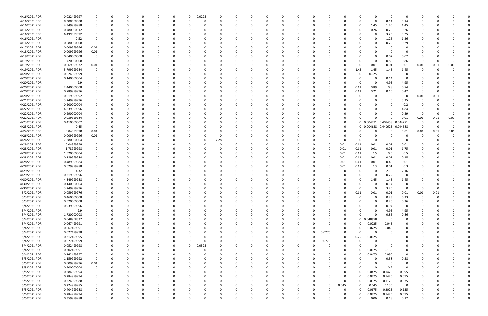| 4/16/2021 PDR | 0.022499997                |             |          | 0        |          |              | 0            | 0.0225   | 0            | 0        |          |          |          | -0       |        |             | 0            |                      | - 0                 | 0                       |           |      |      |  |
|---------------|----------------------------|-------------|----------|----------|----------|--------------|--------------|----------|--------------|----------|----------|----------|----------|----------|--------|-------------|--------------|----------------------|---------------------|-------------------------|-----------|------|------|--|
| 4/16/2021 PDR | 0.280000008                |             |          | $\Omega$ |          | $\Omega$     | 0            | $\Omega$ |              | റ        |          |          |          | $\Omega$ |        | $\Omega$    | 0            | $\Omega$             | 0.14                | 0.14                    | 0         |      |      |  |
| 4/16/2021 PDR | 4.349999988                |             |          |          |          |              |              |          |              |          |          |          |          |          |        |             | 0            | 1.45                 | 1.45                | 1.45                    |           |      |      |  |
| 4/16/2021 PDR | 0.780000012                |             |          |          |          |              |              |          |              |          |          |          |          |          |        |             | 0            | 0.26                 | 0.26                | 0.26                    |           |      |      |  |
| 4/16/2021 PDR | 6.499999992                |             |          |          |          |              |              |          |              |          |          |          |          |          |        |             |              | - 0                  | 3.25                | 3.25                    |           |      |      |  |
| 4/16/2021 PDR | 2.52                       |             |          |          |          |              |              |          |              |          |          |          |          |          |        |             |              | 0                    | 1.26                | 1.26                    |           |      |      |  |
| 4/16/2021 PDR | 0.580000008                | - 0         |          |          |          |              |              |          |              |          |          |          |          |          |        |             |              | 0                    | 0.29                | 0.29                    |           |      |      |  |
| 4/17/2021 PDR | 0.009999996                | 0.01        |          |          |          |              |              |          |              |          |          |          |          |          |        |             |              |                      |                     |                         |           |      |      |  |
| 4/18/2021 PDR | 0.009999996                | 0.01        |          |          |          |              |              |          |              |          |          |          |          |          |        |             |              |                      |                     |                         |           |      |      |  |
| 4/19/2021 PDR | 0.040000008                | 0           |          |          |          |              |              |          |              |          |          |          |          |          |        |             |              | 0                    | 0.02                | 0.02                    |           |      |      |  |
| 4/19/2021 PDR | 1.720000008                | 0           |          |          |          |              |              |          |              |          |          |          |          |          |        |             |              | $\Omega$             | 0.86                | 0.86                    | 0         |      |      |  |
| 4/19/2021 PDR | 0.069999972                | 0.01        |          |          |          |              |              |          |              |          |          |          |          |          |        | O           | 0            | 0.01                 | 0.01                | 0.01                    | 0.01      | 0.01 | 0.01 |  |
| 4/19/2021 PDR | 5.799999984                |             |          |          |          |              |              |          |              |          |          |          |          |          |        |             | 1.45         | 1.45                 | 1.45                | 1.45                    | 0         |      |      |  |
| 4/20/2021 PDR | 0.024999999                |             |          |          |          |              |              |          |              |          |          |          |          |          |        |             | 0            | 0.025                | - 0                 |                         |           |      |      |  |
| 4/20/2021 PDR | 0.140000004                |             |          |          |          |              |              |          |              |          |          |          |          |          |        |             | 0            | $\Omega$             | 0.14                | -0                      |           |      |      |  |
| 4/20/2021 PDR | 9.9                        |             |          |          |          |              |              |          |              |          |          |          |          |          |        |             | 0            | 0                    | 4.95                | 4.95                    |           |      |      |  |
| 4/20/2021 PDR | 2.440000008                |             |          |          |          |              |              |          |              |          |          |          |          |          |        | ŋ           | 0.01         | 0.89                 | 0.8                 | 0.74                    |           |      |      |  |
| 4/20/2021 PDR | 0.789999996                |             |          |          |          |              |              |          |              |          |          |          |          |          |        | 0           | 0.01         | 0.21                 | 0.15                | 0.42                    | -0        |      |      |  |
| 4/20/2021 PDR | 0.019999992                |             |          |          |          |              |              |          |              |          |          |          |          |          |        |             | 0            | -C                   |                     | 0                       | 0.01      | 0.01 |      |  |
| 4/21/2021 PDR | 3.249999996                |             |          |          |          |              |              |          |              |          |          |          |          |          |        |             |              | $\Omega$             | - 0                 | 3.25                    |           |      |      |  |
| 4/22/2021 PDR | 0.200000004                |             |          |          |          |              |              |          |              |          |          |          |          |          |        |             |              | $\Omega$             |                     | 0.2                     |           |      |      |  |
| 4/22/2021 PDR | 4.839999996                |             |          |          |          |              |              |          |              |          |          |          |          |          |        |             |              |                      |                     | 4.84                    |           |      |      |  |
| 4/22/2021 PDR | 0.290000004                |             |          |          |          |              |              |          |              |          |          |          |          |          |        |             |              |                      |                     | 0.29                    | 0         |      |      |  |
| 4/22/2021 PDR | 0.039999984                |             |          |          |          |              |              |          |              |          |          |          |          |          |        | 0           |              | $\Omega$             | $\Omega$            | 0.01                    | 0.01      | 0.01 | 0.01 |  |
| 4/23/2021 PDR | 0.410000002                |             |          |          |          |              |              |          |              |          |          |          |          |          |        | 0           |              |                      | 0 0.004271 0.401458 | 0.004271                | -0        |      |      |  |
| 4/23/2021 PDR | 0.45                       | - 0         |          |          |          |              |              |          |              |          |          |          |          |          |        | 0           |              | 0 0.004688           | 0.440625            | 0.004688                | -0        |      |      |  |
| 4/24/2021 PDR | 0.04999998                 | 0.01        |          |          |          |              |              |          |              |          |          |          |          |          |        | 0           |              |                      |                     | 0.01                    | 0.01      | 0.01 | 0.01 |  |
| 4/26/2021 PDR | 0.009999996                | 0.01        |          |          |          |              |              |          |              |          |          |          |          |          |        |             |              |                      |                     |                         | 0         |      |      |  |
| 4/26/2021 PDR | 7.280000004                |             |          |          |          |              |              | 0        | 7.28         |          |          |          |          |          |        |             | 0            | $\Omega$             |                     | $\Omega$                |           |      |      |  |
| 4/28/2021 PDR | 0.04999998                 |             |          |          |          |              |              |          |              |          |          |          |          |          |        | 0.01        | 0.01         | 0.01                 | 0.01                | 0.01                    |           |      |      |  |
| 4/28/2021 PDR | 1.78999998                 |             |          |          |          |              |              |          |              |          |          |          |          |          |        | 0.01        | 0.01         | 0.01                 | 0.01                | 1.75                    |           |      |      |  |
| 4/28/2021 PDR | 1.520000004                |             |          |          |          |              |              |          |              |          |          |          |          |          |        | 0.01        | 0.01         | 0.5                  | 0.5                 | 0.5                     |           |      |      |  |
| 4/28/2021 PDR | 0.189999984                |             |          |          |          |              |              |          |              |          |          |          |          |          |        | 0.01        | 0.01         | 0.01                 | 0.01                | 0.15                    |           |      |      |  |
| 4/28/2021 PDR | 0.489999984                |             |          |          |          |              |              |          |              |          |          |          |          |          |        | 0.01        | 0.01         | 0.01                 | 0.45                | 0.01                    |           |      |      |  |
| 4/28/2021 PDR | 0.629999988                |             |          |          |          |              |              |          |              |          |          |          |          |          |        | 0.01        | 0.01         | 0.3                  | 0.01                | 0.3                     |           |      |      |  |
| 4/29/2021 PDR | 4.32                       |             |          |          |          |              |              |          |              |          |          |          |          |          |        |             | 0            | - 0                  | 2.16                | 2.16                    |           |      |      |  |
| 4/29/2021 PDR | 0.219999996                |             |          |          |          |              |              |          |              |          |          |          |          |          |        |             | 0            | - 0                  | 0.22                | 0                       |           |      |      |  |
| 4/30/2021 PDR | 4.349999988                |             |          |          |          |              |              |          |              |          |          |          |          |          |        |             | 0            | 1.45                 | 1.45                | 1.45                    |           |      |      |  |
| 4/30/2021 PDR |                            |             |          |          |          |              |              |          |              |          |          |          |          |          |        |             |              |                      |                     | 0                       |           |      |      |  |
| 4/30/2021 PDR | 0.140000004<br>3.249999996 |             |          |          |          |              |              |          |              |          |          |          |          |          |        |             | 0            | $\Omega$             | 0.14<br>3.25        | $\Omega$                | 0         |      |      |  |
|               |                            |             |          |          |          |              |              |          |              |          |          |          |          |          |        |             |              |                      |                     | 0.01                    |           |      |      |  |
| 5/2/2021 PDR  | 0.059999976<br>0.460000008 |             |          | $\Omega$ |          | $\Omega$     |              |          |              | $\Omega$ |          | $\Omega$ |          | 0        |        | 0           | 0.01<br>0    | 0.01<br>$\Omega$     | 0.01<br>0.23        | 0.23                    | 0.01<br>0 | 0.01 |      |  |
| 5/3/2021 PDR  | 0.520000008                |             |          |          |          |              |              |          |              |          |          |          |          |          |        |             |              | $\Omega$             |                     |                         |           |      |      |  |
| 5/3/2021 PDR  |                            |             |          |          |          |              |              |          |              |          |          |          |          |          |        |             |              |                      | 0.26                | 0.26                    | 0         |      |      |  |
| 5/4/2021 PDR  | 0.939999996                |             |          |          |          |              | <sup>0</sup> | 0        |              |          |          |          |          |          |        |             |              | $\Omega$<br>$\Omega$ | 0.94                | 0                       | 0         |      |      |  |
| 5/4/2021 PDR  | 9.9                        |             |          |          |          |              |              |          |              |          |          |          |          |          |        |             |              | $\Omega$             | 4.95                | 4.95                    |           |      |      |  |
| 5/4/2021 PDR  | 1.720000008                |             |          |          |          |              |              |          |              |          |          |          |          |          |        | 0           | $\Omega$     |                      | 0.86                | 0.86                    |           |      |      |  |
| 5/4/2021 PDR  | 0.048958337                |             |          |          |          |              |              |          |              |          |          |          |          |          |        | 0           |              | 0 0.048958           | 0                   | 0                       |           |      |      |  |
| 5/4/2021 PDR  | 0.067499991                |             |          |          |          |              | O            |          |              |          |          |          |          |          |        | 0           | 0            | 0.0225               | 0.045               | 0                       |           |      |      |  |
| 5/4/2021 PDR  | 0.067499991                | $\Omega$    |          |          |          | 0            | 0            | 0        |              |          |          |          | $\Omega$ | $\Omega$ |        | $\mathbf 0$ | 0            | 0.0225               | 0.045               | 0                       | 0         |      |      |  |
| 5/4/2021 PDR  | 0.027499998                |             |          |          |          | 0            | <sup>0</sup> | 0        |              |          |          |          | 0        | $\Omega$ | 0.0275 | 0           | 0            | 0                    | 0                   | 0                       | 0         |      |      |  |
| 5/4/2021 PDR  | 0.312499995                |             |          |          |          | <sup>0</sup> | 0            | -C       |              |          |          |          | 0        | 0        |        | $\Omega$    | 0.25         | 0.0625               |                     | 0                       |           |      |      |  |
| 5/4/2021 PDR  | 0.077499999                |             |          |          |          | 0            | 0            | $\Omega$ |              |          |          |          | 0        | $\Omega$ | 0.0775 | 0           | <sup>0</sup> | $\Omega$             |                     |                         | 0         |      |      |  |
| 5/4/2021 PDR  | 0.052499998                |             |          |          |          | 0            | 0            | 0.0525   |              |          |          |          |          | 0        |        | 0           | 0            | $\Omega$             | - 0                 |                         |           |      |      |  |
| 5/4/2021 PDR  | 0.202499991                |             |          |          |          | 0            | 0            | -C       |              |          |          |          |          | 0        |        | 0           | 0            | 0.0675               | 0.135               |                         |           |      |      |  |
| 5/4/2021 PDR  | 0.142499997                | 0           |          |          |          |              |              | -C       |              |          |          |          |          |          |        | $\Omega$    | $\Omega$     | 0.0475               | 0.095               | $\overline{0}$          |           |      |      |  |
| 5/5/2021 PDR  | 1.159999992                | $\mathbf 0$ |          |          |          |              | <sup>0</sup> | 0        |              |          |          |          |          | 0        |        | 0           | 0            | 0                    | 0.58                | 0.58                    | 0         |      |      |  |
| 5/5/2021 PDR  | 0.009999996                | 0.01        |          |          |          |              | 0            | 0        |              |          |          |          |          | 0        |        | 0           | 0            | -C                   | - 0                 | 0                       |           |      |      |  |
| 5/5/2021 PDR  | 0.200000004                | 0           |          |          |          |              | <sup>0</sup> | - 0      |              |          | $\Omega$ |          |          |          |        | 0           | $\Omega$     | $\Omega$             | 0.2                 | 0                       |           |      |      |  |
| 5/5/2021 PDR  | 0.284999994                |             |          |          |          |              | 0            |          |              |          |          |          |          |          |        | 0           | 0            | 0.0475               | 0.1425              | 0.095                   |           |      |      |  |
| 5/5/2021 PDR  | 0.284999994                |             |          |          |          |              | 0            |          |              |          |          |          |          | 0        |        | 0           | 0            | 0.0475               | 0.1425              | 0.095                   |           |      |      |  |
| 5/5/2021 PDR  | 0.224999988                |             |          |          |          |              |              | -C       |              |          |          |          |          |          |        | $\mathbf 0$ | 0            | 0.0375               | 0.1125              | 0.075                   | 0         |      |      |  |
| 5/5/2021 PDR  | 0.224999985                |             |          |          |          |              | 0            | 0        |              |          |          |          |          | 0        |        | 0.045       | 0            | 0.045                | 0.135               | $\overline{\mathbf{0}}$ | 0         |      |      |  |
| 5/5/2021 PDR  | 0.404999988                |             |          |          |          | 0            | 0            | - 0      |              |          |          |          |          | 0        |        | 0           | 0            | 0.0675               | 0.2025              | 0.135                   | 0         |      |      |  |
| 5/5/2021 PDR  | 0.284999994                |             |          |          |          | 0            |              |          |              |          |          |          |          |          |        | 0           | $\Omega$     | 0.0475               | 0.1425              | 0.095                   |           |      |      |  |
| 5/5/2021 PDR  | 0.359999988                |             | $\Omega$ | $\Omega$ | $\Omega$ | $\Omega$     | $\Omega$     |          | <sup>0</sup> | $\Omega$ |          | $\Omega$ | O        |          |        | 0           | 0            | 0.06                 | 0.18                | 0.12                    | 0         |      | ი    |  |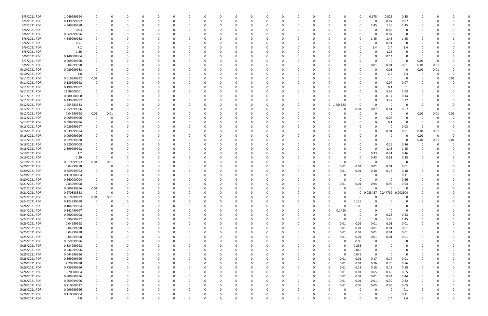| 5/5/2021 PDR                   | 1.049999994                | 0           |      |   | 0           | 0             |          |             | 0 |   | 0           | 0             |          | 0           | 0 |                    | 0           | 0           | 0.175                             | 0.525            | 0.35             | 0      |      |      |  |
|--------------------------------|----------------------------|-------------|------|---|-------------|---------------|----------|-------------|---|---|-------------|---------------|----------|-------------|---|--------------------|-------------|-------------|-----------------------------------|------------------|------------------|--------|------|------|--|
| 5/5/2021 PDR                   | 0.139999992                | 0           |      |   |             | $\Omega$      |          |             | 0 |   |             | 0             |          | $\Omega$    | 0 |                    | ი           | $\Omega$    | $\Omega$                          | 0.07             | 0.07             | 0      |      |      |  |
| 5/5/2021 PDR                   | 4.349999988                |             |      |   |             | $\Omega$      |          |             |   |   |             | 0             |          |             |   |                    |             | 0           | 1.45                              | 1.45             | 1.45             |        |      |      |  |
| 5/6/2021 PDR                   | 0.03                       |             |      |   |             | 0             |          |             |   |   |             | 0             |          |             |   |                    |             |             | 0                                 | 0.03             | 0                |        |      |      |  |
| 5/6/2021 PDR                   | 0.069999996                |             |      |   |             |               |          |             |   |   |             | 0             |          |             |   |                    |             |             | 0                                 | 0.07             | 0                |        |      |      |  |
| 5/6/2021 PDR                   | 4.349999988                |             |      |   |             | $\Omega$      |          |             |   |   |             | $\Omega$      |          |             |   |                    |             | 0           | 1.45                              | 1.45             | 1.45             |        |      |      |  |
| 5/6/2021 PDR                   | 0.51                       |             |      |   |             | 0             |          |             |   |   |             | 0             |          |             |   |                    |             |             | 0                                 | 0.51             | 0                |        |      |      |  |
| 5/6/2021 PDR                   | 7.2                        |             |      |   |             | - 0           |          |             |   |   |             | 0             |          |             |   |                    |             |             | 2.4                               | 2.4              | 2.4              |        |      |      |  |
| 5/6/2021 PDR                   | 1.26                       |             |      |   |             | -0            |          |             |   |   |             | $\Omega$      |          |             |   |                    |             |             | 0                                 | 1.26             |                  |        |      |      |  |
| 5/6/2021 PDR                   | 0.140000004                |             |      |   |             | 0             |          |             |   |   |             | 0             |          |             |   |                    |             |             | 0                                 | 0.14             | - 0              | -C     |      |      |  |
| 5/7/2021 PDR                   | 0.009999996                |             |      |   |             |               |          |             |   |   |             | -0            |          |             |   |                    |             |             | $\Omega$                          | 0                | - 0              | 0.01   |      |      |  |
| 5/8/2021 PDR                   | 0.04999998                 |             |      |   |             |               |          |             |   |   |             | $\Omega$      |          |             |   |                    |             | 0           | 0.01                              | 0.01             | 0.01             | 0.01   | 0.01 |      |  |
| 5/10/2021 PDR                  | 0.029999988                |             |      |   |             | 0             |          |             |   |   |             | 0             |          |             |   |                    |             |             | 0                                 | 0.01             | 0                | 0.01   | 0.01 |      |  |
| 5/10/2021 PDR                  | 4.8                        | 0           |      |   |             | 0             |          |             |   |   |             | 0             |          |             |   |                    |             |             | 0                                 | 2.4              | 2.4              | 0      |      |      |  |
| 5/11/2021 PDR                  | 0.019999992                | 0.01        |      |   |             | 0             |          |             |   |   |             | 0             |          |             |   |                    |             |             | 0                                 | - 0              | - 0              | 0      |      | 0.01 |  |
| 5/11/2021 PDR                  | 0.139999992                | 0           |      |   |             | 0             |          |             |   |   |             | 0             |          |             |   |                    |             |             | 0                                 | 0.07             | 0.07             | C      |      |      |  |
| 5/11/2021 PDR                  | 0.199999992                |             |      |   |             |               |          |             |   |   |             |               |          |             |   |                    |             |             | 0                                 | 0.1              | 0.1              |        |      |      |  |
| 5/11/2021 PDR                  | 11.86000001                |             |      |   |             |               |          |             |   |   |             | $\Omega$      |          |             |   |                    |             |             | 0                                 | 5.93             | 5.93             |        |      |      |  |
| 5/11/2021 PDR                  | 0.280000008                |             |      |   |             | 0             |          |             |   |   |             | 0             |          |             |   |                    |             |             | 0                                 | 0.14             | 0.14             |        |      |      |  |
| 5/11/2021 PDR                  | 6.439999992                |             |      |   |             | 0             |          |             |   |   |             | 0             |          |             | 0 |                    |             |             | 0                                 | 3.22             | 3.22             |        |      |      |  |
| 5/12/2021 PDR                  | 1.454583333                |             |      |   |             | - 0           |          |             |   |   |             | 0             |          |             | 0 | $\mathbf 0$<br>- 1 | .454583     | O           | $\Omega$                          | $\Omega$         |                  |        |      |      |  |
| 5/12/2021 PDR                  | 2.259999996                | - 0         |      |   |             | - 0           |          |             |   |   |             | 0             |          |             |   |                    |             | 0.01        | 0.87                              | 0.81             | 0.57             | -0     |      |      |  |
| 5/12/2021 PDR                  | 0.04999998                 | 0.01        | 0.01 |   |             |               |          |             |   |   |             | -0            |          |             |   |                    |             | 0           | 0                                 | - 0              | 0                | 0.01   | 0.01 | 0.01 |  |
| 5/12/2021 PDR                  | 0.069999996                | 0           |      |   |             | 0             |          |             |   |   |             | 0             |          |             |   |                    |             |             | $\Omega$                          | 0.07             | 0                | 0      |      |      |  |
| 5/13/2021 PDR                  | 0.099999996                | 0           |      |   |             | 0             |          |             |   |   |             | 0             |          |             |   |                    |             |             | $\Omega$                          | 0.1              | 0                | 0      |      |      |  |
| 5/13/2021 PDR                  | 0.029999997                | 0           |      |   |             | 0             |          |             |   |   |             | 0             |          |             |   |                    |             |             | 0                                 | $\Omega$         | 0.03             | -0     |      |      |  |
| 5/16/2021 PDR                  | 0.039999984                |             |      |   |             | 0             |          |             |   |   |             | 0             |          |             |   |                    |             |             | 0                                 | 0.01             | 0.01             | 0.01   | 0.01 |      |  |
| 5/16/2021 PDR                  | 0.009999996                |             |      |   |             | 0             |          |             |   |   |             | 0             |          |             |   |                    |             |             | 0                                 | - 0              | 0                | 0.01   | 0    |      |  |
| 5/17/2021 PDR                  | 0.029999988                |             |      |   |             | 0             |          |             |   |   |             | 0             |          |             |   |                    |             |             | $\Omega$                          | - 0              | - 0              | 0.01   | 0.01 | 0.01 |  |
| 5/18/2021 PDR                  | 0.520000008                |             |      |   |             |               |          |             |   |   |             | 0             |          |             |   |                    |             |             | 0                                 | 0.26             | 0.26             | -0     |      |      |  |
| 5/18/2021 PDR                  | 2.899999992                |             |      |   |             |               |          |             |   |   |             | $\Omega$      |          |             |   |                    |             |             | $\Omega$                          | 1.45             | 1.45             |        |      |      |  |
| 5/19/2021 PDR                  | 1.2                        |             |      |   |             | - 0           |          |             |   |   |             | 0             |          |             |   |                    |             |             | 0.33                              | 0.41             | 0.46             | 0      |      |      |  |
| 5/19/2021 PDR                  | 1.29                       | -0          |      |   |             | 0             |          |             |   |   |             | $\Omega$      |          |             | C |                    |             | 0           | 0.43                              | 0.51             | 0.35             |        |      |      |  |
| 5/19/2021 PDR                  | 0.019999992                | 0.01        | 0.01 |   |             | 0             |          |             |   |   |             | 0             |          |             |   |                    | $\Omega$    | 0           | 0                                 | 0                | 0                |        |      |      |  |
| 5/20/2021 PDR                  | 0.04999998                 | 0           |      |   |             | 0             |          |             |   |   |             | 0             |          |             |   |                    | 0.01        | 0.01        | 0.01                              | 0.01             | 0.01             |        |      |      |  |
| 5/20/2021 PDR                  | 0.559999992                | 0           |      |   |             |               |          |             |   |   |             | 0             |          |             |   |                    | 0.01        | 0.01        | 0.18                              | 0.18             | 0.18             |        |      |      |  |
| 5/20/2021 PDR                  | 0.110000004                |             |      |   |             |               |          |             |   |   |             | $\Omega$      |          |             |   |                    |             | O           | 0                                 | - 0              | 0.11             |        |      |      |  |
| 5/20/2021 PDR                  | 0.260000004                | 0           |      |   |             | - 0           |          |             |   |   |             | 0             |          |             |   |                    | O           | 0           | $\Omega$                          | - 0              | 0.26             |        |      |      |  |
| 5/21/2021 PDR                  | 2.83999998                 | -0          |      |   |             | 0<br>$\Omega$ |          |             |   |   |             | 0<br>$\Omega$ |          |             |   |                    | 0.01<br>O   | 0.01        | 0.94                              | 0.94<br>$\Omega$ | 0.94<br>$\Omega$ |        |      |      |  |
| 5/21/2021 PDR                  | 0.009999996                | 0.01        |      |   |             | $\Omega$      |          |             |   |   |             | $\Omega$      |          |             |   |                    |             | 0           | $\mathbf 0$                       |                  |                  |        |      |      |  |
| 5/21/2021 PDR<br>5/22/2021 PDR | 0.270833328<br>0.019999992 | 0<br>0.01   | 0.01 | 0 | 0           | 0             | $\Omega$ | 0           | 0 | 0 | 0           | 0             | $\Omega$ | 0           | 0 |                    | O           | 0           | 0 0.023437 0.244792 0.002604<br>0 | $\Omega$         | 0                | 0<br>0 |      |      |  |
| 5/24/2021 PDR                  | 0.124999998                | $\mathbf 0$ |      |   |             | $\Omega$      |          |             |   |   |             | $\Omega$      |          |             |   |                    |             | 0.125       | $\Omega$                          |                  | $\Omega$         |        |      |      |  |
| 5/24/2021 PDR                  | 0.104999994                | 0           |      |   |             | $\Omega$      |          | $\Omega$    | 0 |   |             | 0             |          | 0           | 0 |                    | $\Omega$    | 0.105       | $\Omega$                          |                  | $\Omega$         | 0      |      |      |  |
| 5/24/2021 PDR                  | 0.142499997                | 0           |      |   |             | 0             |          |             | 0 |   |             | 0             |          |             | 0 |                    | 0.1425      | 0           | 0                                 | $\Omega$         | 0                | 0      |      |      |  |
| 5/24/2021 PDR                  | 0.460000008                | 0           |      |   |             | $\Omega$      |          |             |   |   |             | 0             |          | 0           | 0 |                    |             | 0           | $\Omega$                          | 0.23             | 0.23             | C      |      |      |  |
| 5/24/2021 PDR                  | 2.899999992                | 0           |      |   |             | $\Omega$      |          | 0           | 0 |   |             | 0             |          | 0           | 0 |                    | $\Omega$    | 0           | $\mathbf 0$                       | 1.45             | 1.45             | 0      |      |      |  |
| 5/25/2021 PDR                  | 0.04999998                 | 0           |      |   |             | 0             |          |             |   |   |             | 0             |          |             |   |                    | 0.01        | 0.01        | 0.01                              | 0.01             | 0.01             |        |      |      |  |
| 5/25/2021 PDR                  | 0.04999998                 | 0           |      |   |             | $\Omega$      |          |             |   |   |             | $\Omega$      |          |             |   |                    | 0.01        | 0.01        | 0.01                              | 0.01             | $0.01\,$         | 0      |      |      |  |
| 5/25/2021 PDR                  | 0.04999998                 | 0           |      |   |             | $\Omega$      |          |             |   |   |             | $\Omega$      |          | $\Omega$    | 0 |                    | 0.01        | 0.01        | 0.01                              | 0.01             | 0.01             | 0      |      |      |  |
| 5/25/2021 PDR                  | 0.04999998                 | 0           |      |   |             | 0             |          |             | 0 |   |             | 0             |          |             | 0 |                    | 0.01        | 0.01        | 0.01                              | 0.01             | 0.01             | 0      |      |      |  |
| 5/25/2021 PDR                  | 0.059999996                | 0           |      |   |             | $\Omega$      |          |             | 0 |   |             | $\Omega$      |          | 0           |   |                    | $\Omega$    | 0.06        | 0                                 | $\Omega$         | 0                |        |      |      |  |
| 5/25/2021 PDR                  | 0.334999998                | 0           |      |   |             | 0             |          |             |   |   |             | 0             |          |             |   |                    | $\Omega$    | 0.335       | 0                                 |                  | 0                |        |      |      |  |
| 5/25/2021 PDR                  | 0.044999996                | 0           |      |   |             | 0             |          |             |   |   |             | 0             |          |             |   |                    | $\Omega$    | 0.045       | 0                                 |                  |                  |        |      |      |  |
| 5/25/2021 PDR                  | 0.044999996                | 0           |      |   |             | 0             |          |             |   |   |             | 0             |          |             |   |                    | $\Omega$    | 0.045       | $\mathbf 0$                       | $\Omega$         | $\Omega$         |        |      |      |  |
| 5/26/2021 PDR                  | 0.369999996                | 0           |      |   |             | $\Omega$      |          |             | 0 |   |             | 0             |          |             | 0 | $\Omega$           | 0.01        | 0.01        | 0.17                              | 0.17             | 0.01             | 0      |      |      |  |
| 5/26/2021 PDR                  | 2.29999998                 | 0           |      |   |             | 0             |          |             | C |   |             | 0             |          | 0           | 0 |                    | 0.01        | 0.01        | 0.76                              | 0.76             | 0.76             | 0      |      |      |  |
| 5/26/2021 PDR                  | 0.729999996                | 0           |      |   |             | 0             |          |             | 0 |   |             | 0             |          | 0           | 0 |                    | 0.01        | 0.18        | 0.18                              | 0.18             | 0.18             | 0      |      |      |  |
| 5/26/2021 PDR                  | 1.970000004                | 0           |      |   |             | $\Omega$      |          |             | 0 |   |             | 0             |          | 0           | n |                    | 0.01        | 0.01        | 0.65                              | 0.65             | 0.65             |        |      |      |  |
| 5/26/2021 PDR                  | 0.909999996                | 0           |      |   |             | 0             |          |             |   |   |             | 0             |          | 0           |   |                    | 0.01        | 0.01        | 0.01                              | 0.44             | 0.44             |        |      |      |  |
| 5/26/2021 PDR                  | 0.669999996                | 0           |      |   |             | $\Omega$      |          | 0           | 0 |   |             | 0             |          | 0           | 0 |                    | 0.01        | 0.01        | 0.01                              | 0.32             | 0.32             | 0      |      |      |  |
| 5/26/2021 PDR                  | 0.210000012                | 0           |      |   |             | $\Omega$      |          |             |   |   |             | $\Omega$      |          | 0           | 0 |                    | 0.01        | 0.05        | 0.05                              | 0.05             | $0.05\,$         | 0      |      |      |  |
| 5/26/2021 PDR                  | 0.099999996                | 0           |      |   |             | $\Omega$      |          |             |   |   |             | $\Omega$      |          |             |   |                    |             | $\mathbf 0$ | 0                                 | $\Omega$         | 0.1              |        |      |      |  |
| 5/26/2021 PDR                  | 0.110000004                |             |      |   |             | 0             |          |             |   |   |             | 0             |          |             |   |                    |             |             | 0                                 | - 0              | 0.11             | 0      |      |      |  |
| 5/26/2021 PDR                  | 4.8                        | 0           |      | 0 | $\mathbf 0$ | $\mathbf 0$   | $\Omega$ | $\mathbf 0$ | 0 | 0 | $\mathbf 0$ | $\mathbf 0$   | $\Omega$ | $\mathbf 0$ | 0 |                    | $\mathbf 0$ | $\mathbf 0$ | $\mathbf 0$                       | 2.4              | 2.4              | 0      |      | 0    |  |
|                                |                            |             |      |   |             |               |          |             |   |   |             |               |          |             |   |                    |             |             |                                   |                  |                  |        |      |      |  |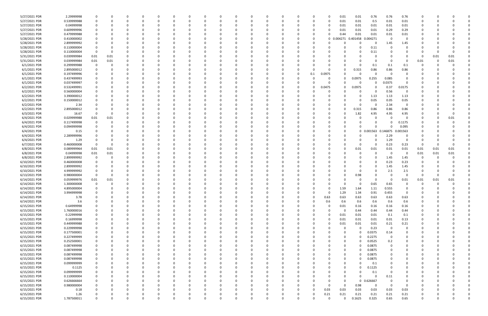| 5/27/2021 PDR | 2.29999998  |             |          |          |          |          |              |              |          |          |          |          |          |          |          | 0.01     | 0.01         | 0.76     | 0.76                    | 0.76           |          |      |          |  |
|---------------|-------------|-------------|----------|----------|----------|----------|--------------|--------------|----------|----------|----------|----------|----------|----------|----------|----------|--------------|----------|-------------------------|----------------|----------|------|----------|--|
| 5/27/2021 PDR | 0.539999988 |             | O        |          | 0        |          |              | <sup>0</sup> |          | $\Omega$ |          |          | 0        | $\Omega$ | 0        | 0.01     | 0.01         | 0.5      | 0.01                    | 0.01           | 0        |      |          |  |
| 5/27/2021 PDR | 0.04999998  |             |          |          |          |          |              |              |          |          |          |          |          |          |          | 0.01     | 0.01         | 0.01     | 0.01                    | 0.01           |          |      |          |  |
| 5/27/2021 PDR | 0.609999996 |             |          |          |          |          |              |              |          |          |          |          |          |          |          | 0.01     | 0.01         | 0.01     | 0.29                    | 0.29           |          |      |          |  |
|               |             |             |          |          |          |          |              |              |          |          |          |          |          |          |          |          |              |          |                         |                |          |      |          |  |
| 5/27/2021 PDR | 0.479999988 |             |          |          |          |          |              |              |          |          |          |          |          | - 0      |          | 0.44     | 0.01         | 0.01     | 0.01                    | 0.01           |          |      |          |  |
| 5/28/2021 PDR | 0.410000002 |             |          |          |          |          |              |              |          |          |          |          |          | 0        | 0        | 0.004271 | 0.401458     | .004271  | 0                       | $\Omega$       |          |      |          |  |
| 5/28/2021 PDR | 2.899999992 |             |          |          |          |          |              |              |          |          |          |          |          | - 0      |          |          | 0            | 0        | 1.45                    | 1.45           |          |      |          |  |
| 5/28/2021 PDR | 0.110000004 |             |          |          | - 0      |          |              |              |          |          |          |          |          | -0       |          |          | 0            | 0.11     |                         | $\Omega$       |          |      |          |  |
| 5/28/2021 PDR | 0.110000004 | $\mathbf 0$ | 0        |          |          |          |              |              |          |          |          |          |          |          |          |          | 0            | 0.11     |                         |                |          |      | $\Omega$ |  |
| 5/31/2021 PDR | 0.039999984 | 0.01        | $0.01\,$ |          |          |          |              |              |          |          |          |          |          |          |          |          |              |          |                         |                | 0        | 0.01 | 0.01     |  |
| 5/31/2021 PDR | 0.039999984 |             |          |          | 0        |          |              |              |          |          |          |          |          |          |          |          | 0            | 0        | - 0                     | 0              |          |      | 0.01     |  |
|               |             | 0.01        | 0.01     |          |          |          |              |              |          |          |          |          |          |          |          |          |              |          |                         |                | 0.01     |      |          |  |
| 6/1/2021 PDR  | 0.299999988 |             | 0        |          | -0       |          |              |              |          |          |          |          |          |          |          |          | 0            | 0.1      | 0.1                     | 0.1            | 0        |      |          |  |
| 6/1/2021 PDR  | 2.895000012 |             |          |          | - 0      |          |              |              |          |          |          |          |          | -0       |          |          | 0.315        | 0.86     | 0.86                    | 0.86           |          |      |          |  |
| 6/1/2021 PDR  | 0.197499996 |             |          |          |          |          |              |              |          |          |          |          | 0        | 0.1      | 0.0975   |          | 0            | 0        | - 0                     | 0              |          |      |          |  |
| 6/1/2021 PDR  | 0.437499993 |             |          |          |          |          |              |              |          |          |          |          |          |          |          |          | 0.0975       | 0.255    | 0.085                   |                |          |      |          |  |
| 6/1/2021 PDR  | 0.037499997 |             |          |          |          |          |              |              |          |          |          |          |          |          |          |          | -0           | $\Omega$ | 0.0375                  | 0              |          |      |          |  |
| 6/2/2021 PDR  | 0.532499991 |             |          |          |          |          |              |              |          |          |          |          | 0        | 0        | 0.0475   | 0        | 0.0975       | $\Omega$ | 0.37                    | 0.0175         |          |      |          |  |
| 6/2/2021 PDR  | 0.560000004 |             |          |          |          |          |              |              |          |          |          |          |          |          |          |          |              | $\Omega$ | 0.56                    |                |          |      |          |  |
|               |             |             |          |          |          |          |              |              |          |          |          |          |          |          |          |          | 0            |          |                         | 0              |          |      |          |  |
| 6/2/2021 PDR  | 3.390000012 |             |          |          |          |          |              |              |          |          |          |          |          |          |          |          | 0            | 1.13     | 1.13                    | 1.13           |          |      |          |  |
| 6/2/2021 PDR  | 0.150000012 |             |          |          |          |          |              |              |          |          |          |          |          |          |          |          | 0            | 0.05     | 0.05                    | 0.05           |          |      |          |  |
| 6/2/2021 PDR  | 2.34        |             |          |          |          |          |              |              |          |          |          |          |          |          |          |          | 0            | 0        | 2.34                    | 0              |          |      |          |  |
| 6/2/2021 PDR  | 2.895000012 |             |          |          |          |          |              |              |          |          |          |          |          |          |          |          | 0.315        | 0.86     | 0.86                    | 0.86           |          |      |          |  |
| 6/3/2021 PDR  | 16.67       | 0           |          |          |          |          |              |              |          |          |          |          |          |          |          |          | 1.82         | 4.95     | 4.95                    | 4.95           |          |      |          |  |
| 6/4/2021 PDR  | 0.029999988 | 0.01        | 0.01     |          |          |          |              |              |          |          |          |          |          |          |          |          | C            |          |                         |                |          |      | 0.01     |  |
|               |             |             |          |          |          |          |              |              |          |          |          |          |          |          |          |          |              |          |                         |                |          |      |          |  |
| 6/4/2021 PDR  | 0.117499998 |             |          |          |          |          |              |              |          |          |          |          |          |          |          |          |              |          | $\Omega$                | 0.1175         |          |      |          |  |
| 6/4/2021 PDR  | 0.094999998 |             |          |          |          |          |              |              |          |          |          |          |          |          |          |          |              | $\Omega$ |                         | 0.095          |          |      |          |  |
| 6/4/2021 PDR  | 0.15        |             |          |          |          |          |              |              |          |          |          |          |          |          |          |          |              |          | 0 0.001563 0.146875     | 0.001563       |          |      |          |  |
| 6/4/2021 PDR  | 2.289999996 |             |          |          |          |          |              |              |          |          |          |          |          |          |          |          |              |          | 2.29                    | -0             |          |      |          |  |
| 6/4/2021 PDR  | 1.29        |             |          |          |          |          |              |              |          |          |          |          |          |          |          |          |              | - 0      | 1.29                    | $\overline{0}$ |          |      |          |  |
| 6/7/2021 PDR  | 0.460000008 | -0          | 0        |          |          |          |              |              |          |          |          |          |          |          |          |          | 0            | റ        | 0.23                    | 0.23           | -0       |      |          |  |
| 6/8/2021 PDR  | 0.089999964 | 0.01        | 0.01     |          |          |          |              |              |          |          |          |          |          |          |          |          | 0.01         | 0.01     | 0.01                    | 0.01           | 0.01     | 0.01 | 0.01     |  |
|               |             |             |          |          |          |          |              |              |          |          |          |          |          |          |          |          |              |          |                         |                |          |      |          |  |
| 6/8/2021 PDR  | 0.04999998  | 0.01        | 0.01     |          | -0       |          |              |              |          |          |          |          |          |          |          |          | 0            |          | - 0                     | -0             | 0.01     | 0.01 | 0.01     |  |
| 6/8/2021 PDR  | 2.899999992 |             |          |          |          |          |              |              |          |          |          |          |          |          |          |          |              | $\Omega$ | 1.45                    | 1.45           | 0        |      |          |  |
| 6/10/2021 PDR | 0.460000008 |             |          |          |          |          |              |              |          |          |          |          |          |          |          |          |              | 0        | 0.23                    | 0.23           |          |      |          |  |
| 6/10/2021 PDR | 2.899999992 |             |          |          |          |          |              |              |          |          |          |          |          |          |          |          | 0            |          | 1.45                    | 1.45           |          |      |          |  |
| 6/10/2021 PDR | 4.999999992 |             |          |          |          |          |              |              |          |          |          |          |          |          |          |          | 0            |          | 2.5                     | 2.5            |          |      |          |  |
| 6/13/2021 PDR | 0.980000004 | -0          | $\Omega$ |          |          |          |              |              |          |          |          |          |          |          |          |          | 0.98         |          | - 0                     | 0              | -0       |      | $\Omega$ |  |
| 6/14/2021 PDR | 0.059999976 | 0.01        | 0.01     |          |          |          |              |              |          |          |          |          |          |          |          |          | C            |          |                         | 0.01           | 0.01     | 0.01 | 0.01     |  |
|               |             |             |          |          |          |          |              |              |          |          |          |          |          |          |          |          |              |          |                         |                |          |      |          |  |
| 6/14/2021 PDR | 1.300000008 |             |          |          |          |          |              |              |          |          |          |          |          |          |          |          | $\Omega$     | 0.65     | 0.65                    |                |          |      |          |  |
| 6/14/2021 PDR | 4.895000004 |             | 0        |          | 0        |          |              |              |          |          |          |          |          |          |          | 1.59     | 1.64         | 1.11     | 0.555                   |                | 0        |      |          |  |
| 6/14/2021 PDR | 3.994999998 |             |          |          |          |          |              |              |          |          |          |          |          |          | υ        | 1.29     | 1.34         | 0.91     | 0.455                   | 0              |          |      |          |  |
| 6/14/2021 PDR | 3.78        | 0           | 0        | $\Omega$ | $\Omega$ | $\Omega$ | $\Omega$     | $\Omega$     | 0        | $\Omega$ | $\Omega$ | $\Omega$ | 0        | $\Omega$ | 0.63     | 0.63     | 0.63         | 0.63     | 0.63                    | 0.63           | $\Omega$ |      |          |  |
| 6/14/2021 PDR | 3.6         |             | 0        | 0        | 0        | $\Omega$ | <sup>0</sup> | 0            |          | 0        |          | O        | 0        | $\Omega$ | 0.6      | 0.6      | 0.6          | 0.6      | 0.6                     | 0.6            | 0        |      |          |  |
| 6/15/2021 PDR | 0.64999998  |             |          |          | 0        |          |              | 0            |          | 0        |          |          | 0        | $\Omega$ | $\Omega$ | 0.01     | 0.16         | 0.16     | 0.16                    | 0.16           | 0        |      |          |  |
| 6/15/2021 PDR | 1.760000016 |             |          |          | $\Omega$ | $\Omega$ |              | 0            |          | $\Omega$ |          |          | 0        | 0        | $\Omega$ | - 0      | 0.44         | 0.44     | 0.44                    | 0.44           |          |      |          |  |
|               |             |             |          |          |          |          |              |              |          |          |          |          |          |          |          |          |              |          |                         |                |          |      |          |  |
| 6/15/2021 PDR | 0.22999998  |             |          |          | 0        |          |              | 0            |          |          |          |          |          | 0        | 0        | 0.01     | 0.01         | 0.01     | 0.1                     | 0.1            |          |      |          |  |
| 6/15/2021 PDR | 0.16999998  |             |          |          | 0        |          |              | 0            |          |          |          |          | 0        | 0        | $\Omega$ | 0.01     | 0.01         | 0.01     | $0.01\,$                | 0.13           |          |      |          |  |
| 6/15/2021 PDR | 0.449999988 |             |          |          |          |          |              |              |          |          |          |          |          | 0        |          | 0.01     | 0.01         | 0.01     | 0.21                    | 0.21           | 0        |      |          |  |
| 6/15/2021 PDR | 0.229999998 |             |          | 0        | 0        |          |              | 0            |          |          |          |          | 0        | 0        |          | 0        | 0            | 0.23     | $\overline{\mathbf{0}}$ | 0              |          |      |          |  |
| 6/15/2021 PDR | 0.177500001 |             |          |          | 0        |          |              | 0            |          |          |          |          |          | 0        |          |          | 0            | 0.0375   | 0.14                    | 0              |          |      |          |  |
| 6/15/2021 PDR | 0.227499999 |             |          |          | 0        |          |              |              |          |          |          |          |          | 0        |          | 0        | 0            | 0.2275   | 0                       | 0              |          |      |          |  |
| 6/15/2021 PDR | 0.252500001 |             |          |          | 0        |          |              |              |          |          |          |          |          | 0        |          | 0        | 0            | 0.0525   | 0.2                     | 0              |          |      |          |  |
|               |             |             |          |          |          |          |              |              |          |          |          |          |          |          |          |          |              | 0.0875   | 0                       |                |          |      |          |  |
| 6/15/2021 PDR | 0.087499998 |             |          |          |          |          |              |              |          |          |          |          |          | 0        |          | 0        | 0            |          |                         |                |          |      |          |  |
| 6/15/2021 PDR | 0.087499998 | 0           | 0        |          | 0        |          | 0            | 0            |          |          |          | 0        | 0        | 0        |          | 0        | 0            | 0.0875   | 0                       | 0              | 0        |      |          |  |
| 6/15/2021 PDR | 0.087499998 |             | 0        |          | 0        | $\Omega$ |              | 0            |          | 0        |          |          |          | 0        |          | 0        | 0            | 0.0875   | 0                       | 0              | 0        |      |          |  |
| 6/15/2021 PDR | 0.087499998 |             |          |          | 0        | $\Omega$ |              | 0            |          | 0        |          |          |          | 0        |          | 0        | $\Omega$     | 0.0875   | $\Omega$                | 0              | 0        |      |          |  |
| 6/15/2021 PDR | 0.099999999 |             |          |          | 0        |          |              | 0            |          |          |          |          | 0        | 0        |          | 0        | $\Omega$     | 0.1      | $\Omega$                |                |          |      |          |  |
| 6/15/2021 PDR | 0.1125      |             |          |          | 0        |          |              |              |          |          |          |          |          | 0        |          | 0        | 0            | 0.1125   |                         |                |          |      |          |  |
| 6/15/2021 PDR | 0.099999999 |             |          |          | 0        |          |              |              |          |          |          |          |          |          |          | 0        | 0            | 0.1      |                         |                |          |      |          |  |
|               |             |             |          |          |          |          |              |              |          |          |          |          |          |          |          |          |              |          |                         |                |          |      |          |  |
| 6/15/2021 PDR | 0.110000004 |             |          |          | 0        |          |              |              |          |          |          |          |          | 0        |          | $\Omega$ | 0            | $\Omega$ | 0.11                    | 0              |          |      |          |  |
| 6/15/2021 PDR | 0.626666664 |             |          |          |          |          |              |              |          |          |          |          |          | 0        |          | $\Omega$ | $\mathbf{0}$ | 0.626667 | $\Omega$                |                |          |      |          |  |
| 6/15/2021 PDR | 0.980000004 |             |          |          | 0        |          |              |              |          |          |          |          |          | 0        |          | $\Omega$ | 0.98         | 0        | $\Omega$                | $\overline{0}$ | 0        |      |          |  |
| 6/15/2021 PDR | 0.18        |             |          | 0        | 0        | 0        |              | 0            |          |          |          |          | 0        | $\Omega$ | 0.03     | 0.03     | 0.03         | 0.03     | 0.03                    | 0.03           |          |      |          |  |
| 6/15/2021 PDR | 1.26        |             |          |          | 0        |          |              |              |          |          |          |          |          | 0        | 0.21     | 0.21     | 0.21         | 0.21     | 0.21                    | 0.21           |          |      |          |  |
| 6/15/2021 PDR | 1.787500011 | $\Omega$    | 0        | $\Omega$ | $\Omega$ | $\Omega$ | $\Omega$     | $\Omega$     | $\Omega$ | $\Omega$ |          | $\Omega$ | $\Omega$ | $\Omega$ | $\Omega$ |          | 0.1625       | 0.325    | 0.65                    | 0.65           | $\Omega$ |      | $\Omega$ |  |
|               |             |             |          |          |          |          |              |              |          |          |          |          |          |          |          |          |              |          |                         |                |          |      |          |  |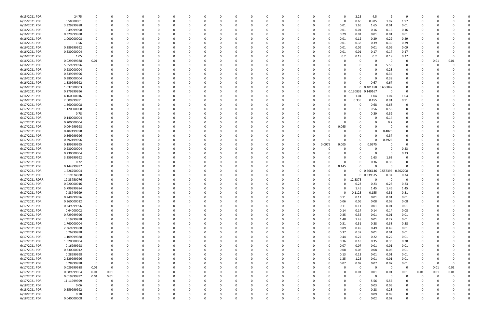| 6/15/2021 PDR  | 24.75       |             |          |          |          |          |          |              |          |          |          |          |              |          |          |              |       | 2.25         | 4.5        | q        | q              |          |      |          |  |
|----------------|-------------|-------------|----------|----------|----------|----------|----------|--------------|----------|----------|----------|----------|--------------|----------|----------|--------------|-------|--------------|------------|----------|----------------|----------|------|----------|--|
| 6/15/2021 PDR  | 5.58500001  |             |          | n        | - 0      |          |          | <sup>0</sup> |          |          | $\Omega$ |          |              | 0        | $\Omega$ | <sup>0</sup> | 0     | 0.66         | 0.985      | 1.97     | 1.97           | -C       |      |          |  |
| 6/16/2021 PDR  | 3.329999988 |             |          |          |          |          |          |              |          |          |          |          |              |          |          | 0            | 0.01  | 1.65         | 1.65       | 0.01     | 0.01           |          |      |          |  |
| 6/16/2021 PDR  | 0.49999998  |             |          |          |          |          |          |              |          |          |          |          |              |          |          |              | 0.01  | 0.01         | 0.16       | 0.16     | 0.16           |          |      |          |  |
|                |             |             |          |          |          |          |          |              |          |          |          |          |              |          |          |              |       |              |            |          |                |          |      |          |  |
| 6/16/2021 PDR  | 0.329999988 |             |          |          |          |          |          |              |          |          |          |          |              |          |          |              | 0.29  | 0.01         | 0.01       | 0.01     | 0.01           |          |      |          |  |
| 6/16/2021 PDR  | 1.000000008 |             |          |          |          |          |          |              |          |          |          |          |              |          |          |              | 0.01  | 0.12         | 0.29       | 0.29     | 0.29           |          |      |          |  |
| 6/16/2021 PDR  | 1.56        |             |          |          |          |          |          |              |          |          |          |          |              |          |          |              | 0.01  | 0.38         | 0.39       | 0.39     | 0.39           |          |      |          |  |
| 6/16/2021 PDR  | 0.289999992 |             |          |          |          |          |          |              |          |          |          |          |              |          |          |              | 0.01  | 0.09         | 0.01       | 0.09     | 0.09           |          |      |          |  |
| 6/16/2021 PDR  | 0.530000004 |             |          |          |          |          |          |              |          |          |          |          |              |          |          | 0            | 0.01  | 0.01         | 0.17       | 0.17     | 0.17           |          |      |          |  |
| 6/16/2021 PDR  | 1.05        | $\Omega$    |          |          |          |          |          |              |          |          |          |          |              |          |          |              | 0.2   | 0.19         | 0.2        | 0.19     | 0.27           |          |      |          |  |
|                |             |             |          |          |          |          |          |              |          |          |          |          |              |          |          |              |       | 0            | - 0        | - 0      | 0              |          |      |          |  |
| 6/16/2021 PDR  | 0.029999988 | 0.01        |          |          |          |          |          |              |          |          |          |          |              |          |          |              |       |              |            |          |                | 0        | 0.01 | 0.01     |  |
| 6/16/2021 PDR  | 5.559999996 |             |          |          |          |          |          |              |          |          |          |          |              |          |          |              |       | 0            |            | 5.56     | 0              |          |      |          |  |
| 6/16/2021 PDR  | 0.230000004 |             |          |          |          |          |          |              |          |          |          |          |              |          |          |              |       |              |            | 0.23     | 0              |          |      |          |  |
| 6/16/2021 PDR  | 0.339999996 |             |          |          |          |          |          |              |          |          |          |          |              |          |          |              |       |              | - 0        | 0.34     |                |          |      |          |  |
| 6/16/2021 PDR  | 0.380000004 |             |          |          |          |          |          |              |          |          |          |          |              |          |          |              |       |              | - 0        | 0.38     |                |          |      |          |  |
| 6/16/2021 PDR  | 1.339999992 |             |          |          |          |          |          |              |          |          |          |          |              |          |          |              |       | <sup>0</sup> | 0.67       | 0.67     |                |          |      |          |  |
| 6/16/2021 PDR  | 1.037500003 |             |          |          |          |          |          |              |          |          |          |          |              |          |          |              |       |              | 0 0.401458 | 0.636042 |                |          |      |          |  |
|                |             |             |          |          |          |          |          |              |          |          |          |          |              |          |          |              |       |              |            |          |                |          |      |          |  |
| 6/16/2021 PDR  | 0.279999996 |             |          |          |          |          |          |              |          |          |          |          |              |          |          |              |       | 0 0.130833   | 0.149167   | - 0      | 0              |          |      |          |  |
| 6/16/2021 PDR  | 4.160000016 |             |          |          |          |          |          |              |          |          |          |          |              |          |          |              |       | 1.04         | 1.04       | 1.04     | 1.04           |          |      |          |  |
| 6/16/2021 PDR  | 2.609999991 |             |          |          |          |          |          |              |          |          |          |          |              |          |          |              |       | 0.335        | 0.455      | 0.91     | 0.91           |          |      |          |  |
| 6/17/2021 PDR  | 1.360000008 |             |          |          |          |          |          |              |          |          |          |          |              |          |          |              |       | 0            | 0.68       | 0.68     | 0              |          |      |          |  |
| 6/17/2021 PDR  | 1.120000008 |             |          |          |          |          |          |              |          |          |          |          |              |          |          |              |       | 0            | 0.56       | 0.56     | 0              |          |      |          |  |
| 6/17/2021 PDR  | 0.78        |             |          |          |          |          |          |              |          |          |          |          |              |          |          |              |       |              | 0.39       | 0.39     |                |          |      |          |  |
|                |             |             |          |          |          |          |          |              |          |          |          |          |              |          |          |              |       |              |            |          |                |          |      |          |  |
| 6/17/2021 PDR  | 0.140000004 |             |          |          |          |          |          |              |          |          |          |          |              |          |          |              |       |              |            | 0.14     |                |          |      |          |  |
| 6/17/2021 PDR  | 0.200000004 |             |          |          |          |          |          |              |          |          |          |          |              |          |          |              |       |              |            | 0.2      |                |          |      |          |  |
| 6/17/2021 PDR  | 0.064999998 |             |          |          |          |          |          |              |          |          |          |          |              |          |          |              | 0.065 |              |            |          |                |          |      |          |  |
| 6/17/2021 PDR  | 0.402499998 |             |          |          |          |          |          |              |          |          |          |          |              |          |          |              |       | 0            |            | 0.4025   |                |          |      |          |  |
| 6/17/2021 PDR  | 0.369999996 |             |          |          |          |          |          |              |          |          |          |          |              |          |          |              |       |              |            | 0.37     |                |          |      |          |  |
| 6/17/2021 PDR  | 0.392499996 |             |          |          |          |          |          |              |          |          |          |          |              |          |          |              |       | n            |            | 0.3925   |                |          |      |          |  |
|                |             |             |          |          |          |          |          |              |          |          |          |          |              |          |          |              |       |              |            |          | $\Omega$       |          |      |          |  |
| 6/17/2021 PDR  | 0.199999995 |             |          |          |          |          |          |              |          |          |          |          |              |          | 0        | 0.0975       | 0.005 | 0            | 0.0975     |          |                |          |      |          |  |
| 6/17/2021 PDR  | 0.230000004 |             |          |          |          |          |          |              |          |          |          |          |              |          |          |              |       | n            | -0         |          | 0.23           |          |      |          |  |
| 6/17/2021 PDR  | 0.230000004 |             |          |          |          |          |          |              |          |          |          |          |              |          |          |              |       |              | - 0        | - 0      | 0.23           |          |      |          |  |
| 6/17/2021 PDR  | 3.259999992 |             |          |          |          |          |          |              |          |          |          |          |              |          |          |              |       |              | 1.63       | 1.63     |                |          |      |          |  |
| 6/17/2021 PDR  | 0.72        |             |          |          |          |          |          |              |          |          |          |          |              |          |          |              |       | 0            | 0.36       | 0.36     |                |          |      |          |  |
| 6/17/2021 PDR  | 0.144999997 |             |          |          |          |          |          |              |          |          |          |          |              |          |          |              | 0.145 |              |            | $\Omega$ |                |          |      |          |  |
| 6/17/2021 PDR  | 1.626250004 |             |          |          |          |          |          |              |          |          |          |          |              |          |          |              | O     |              | 0 0.566146 | 0.557396 | 0.502708       |          |      |          |  |
|                |             |             |          |          |          |          |          |              |          |          |          |          |              |          |          |              |       |              |            |          |                |          |      |          |  |
| 6/17/2021 PDR  | 1.019374988 |             |          |          |          |          |          |              |          |          |          |          |              |          |          |              |       |              | 0 0.339375 | 0.34     | 0.34           |          |      |          |  |
| 6/17/2021 RDRR | 12.33750076 |             |          |          |          |          |          |              |          |          |          |          |              |          |          |              | 0     | 12.3375      |            | - 0      |                |          |      |          |  |
| 6/17/2021 PDR  | 0.920000016 |             |          |          |          |          |          |              |          |          |          |          |              |          |          |              |       | 0.23         | 0.23       | 0.23     | 0.23           |          |      |          |  |
| 6/17/2021 PDR  | 5.799999984 | 0           |          | n        |          |          |          |              |          |          |          |          |              |          |          |              | 0     | 1.45         | 1.45       | 1.45     | 1.45           |          |      |          |  |
| 6/17/2021 PDR  | 0.88749999  |             |          |          |          |          |          |              |          |          |          |          |              |          |          |              |       | 0.1125       | 0.155      | 0.31     | 0.31           |          |      |          |  |
| 6/17/2021 PDR  | 0.249999996 | $\mathbf 0$ | $\Omega$ | $\Omega$ | $\Omega$ | $\Omega$ | $\Omega$ | $\Omega$     | $\Omega$ |          | $\Omega$ | $\Omega$ | $\Omega$     | $\Omega$ | $\Omega$ | $\Omega$     | 0.11  | 0.11         | 0.01       | 0.01     | 0.01           | $\Omega$ |      |          |  |
|                |             |             |          |          |          |          |          |              |          |          |          |          |              |          |          |              |       |              |            |          |                |          |      |          |  |
| 6/17/2021 PDR  | 0.360000012 | $\mathbf 0$ | 0        | 0        | 0        | $\Omega$ | $\Omega$ | $\Omega$     | O        |          | 0        |          | $\Omega$     | 0        | 0        | $\Omega$     | 0.06  | 0.06         | 0.08       | 0.08     | 0.08           | 0        |      |          |  |
| 6/17/2021 PDR  | 0.249999996 |             |          | 0        |          | $\Omega$ |          | 0            |          |          | $\Omega$ |          | 0            | 0        | - 0      | 0            | 0.11  | 0.11         | 0.01       | 0.01     | 0.01           | 0        |      |          |  |
| 6/17/2021 PDR  | 0.64000002  | 0           |          | 0        |          | 0        |          | 0            |          |          | $\Omega$ |          |              | 0        | -0       | $\Omega$     | 0.14  | 0.14         | 0.14       | 0.14     | 0.08           |          |      |          |  |
| 6/17/2021 PDR  | 0.729999996 |             |          |          |          |          |          |              |          |          | 0        |          |              | 0        |          | 0            | 0.35  | 0.35         | 0.01       | 0.01     | 0.01           |          |      |          |  |
| 6/17/2021 PDR  | 3.19999998  | $\Omega$    |          | 0        |          |          |          |              |          |          |          |          |              | 0        |          | $\Omega$     | 1.48  | 1.48         | 0.01       | 0.22     | 0.01           |          |      |          |  |
| 6/17/2021 PDR  | 1.760000004 | $\Omega$    |          |          |          |          |          |              |          |          |          |          | 0            | 0        |          | $\Omega$     | 0.31  | 0.31         | 0.38       | 0.38     | 0.38           |          |      |          |  |
|                |             | $\mathbf 0$ |          |          |          |          |          |              |          |          |          |          |              |          |          | $\Omega$     |       |              |            |          |                |          |      |          |  |
| 6/17/2021 PDR  | 2.369999988 |             |          | 0        |          |          |          |              |          |          | 0        |          | <sup>0</sup> | 0        | 0        |              | 0.89  | 0.49         | 0.49       | 0.49     | 0.01           | 0        |      |          |  |
| 6/17/2021 PDR  | 0.76999998  | 0           |          | 0        |          |          |          | <sup>0</sup> |          |          | 0        |          |              | 0        |          | $\Omega$     | 0.37  | 0.37         | 0.01       | 0.01     | 0.01           |          |      |          |  |
| 6/17/2021 PDR  | 1.109999988 |             |          |          |          | 0        |          |              |          |          |          |          |              | 0        |          | $\Omega$     | 0.44  | 0.22         | 0.22       | 0.22     | 0.01           |          |      |          |  |
| 6/17/2021 PDR  | 1.520000004 |             |          |          |          |          |          |              |          |          |          |          |              |          |          | 0            | 0.36  | $0.18\,$     | 0.35       | 0.35     | 0.28           |          |      |          |  |
| 6/17/2021 PDR  | 0.16999998  |             |          |          |          |          |          |              |          |          |          |          | 0            |          |          | 0            | 0.07  | 0.07         | 0.01       | 0.01     | 0.01           |          |      |          |  |
| 6/17/2021 PDR  | 0.330000012 | 0           |          | 0        |          | $\Omega$ |          |              |          |          |          |          | 0            | 0        |          | $\Omega$     | 0.08  | 0.08         | 0.08       | 0.08     | 0.01           | 0        |      |          |  |
|                |             |             |          |          |          |          |          |              |          |          |          |          |              |          |          |              |       |              |            |          |                |          |      |          |  |
| 6/17/2021 PDR  | 0.28999998  | 0           |          | 0        |          | $\Omega$ |          | 0            |          |          | 0        |          | 0            | 0        | 0        | 0            | 0.13  | 0.13         | 0.01       | 0.01     | 0.01           | 0        |      |          |  |
| 6/17/2021 PDR  | 2.529999996 | 0           |          | 0        |          | $\Omega$ |          |              |          |          | $\Omega$ |          |              | 0        |          | $\Omega$     | 1.25  | 1.25         | 0.01       | 0.01     | 0.01           | 0        |      |          |  |
| 6/17/2021 PDR  | 0.28999998  | $\mathbf 0$ | 0        |          |          | $\Omega$ |          |              |          |          | $\Omega$ |          |              | 0        | - 0      | $\Omega$     | 0.07  | 0.07         | 0.07       | 0.07     | 0.01           | 0        |      | $\Omega$ |  |
| 6/17/2021 PDR  | 0.029999988 | $0.01\,$    | 0        |          |          |          |          |              |          |          |          |          |              | 0        |          |              |       | 0            | $\Omega$   | $\Omega$ | $\mathbf 0$    | $\Omega$ | 0.01 | 0.01     |  |
| 6/17/2021 PDR  | 0.089999964 | $0.01\,$    | 0.01     |          |          |          |          |              |          |          |          |          |              | 0        |          |              |       | 0.01         | 0.01       | 0.01     | 0.01           | 0.01     | 0.01 | 0.01     |  |
| 6/17/2021 PDR  | 0.019999992 | $0.01\,$    | 0.01     |          |          |          |          |              |          |          |          |          | 0            | 0        |          |              |       | 0            | $\Omega$   | $\Omega$ | $\overline{0}$ | $\Omega$ |      |          |  |
| 6/17/2021 PDR  | 11.11999999 | $\mathbf 0$ | 0        |          |          |          |          |              |          |          |          |          |              |          |          |              |       | 0            | 5.56       | 5.56     | 0              |          |      |          |  |
|                |             |             |          |          |          |          |          |              |          |          |          |          |              |          |          |              |       |              |            |          |                |          |      |          |  |
| 6/18/2021 PDR  | 0.06        | 0           |          | 0        |          |          |          |              |          |          |          |          |              |          |          |              |       | 0            | 0.03       | 0.03     | 0              |          |      |          |  |
| 6/18/2021 PDR  | 0.559999992 |             |          | 0        |          |          |          |              |          |          | $\Omega$ |          |              | 0        | - 0      |              |       | 0            | 0.28       | 0.28     | 0              |          |      |          |  |
| 6/18/2021 PDR  | 0.18        |             |          |          |          |          |          |              |          |          |          |          |              |          |          |              |       | 0            | 0.09       | 0.09     | 0              |          |      |          |  |
| 6/18/2021 PDR  | 0.040000008 | $\Omega$    | $\Omega$ | $\Omega$ | $\Omega$ | $\Omega$ | $\Omega$ | $\Omega$     | $\Omega$ | $\Omega$ | $\Omega$ | $\Omega$ | $\Omega$     | $\Omega$ | $\Omega$ | U            |       | $\Omega$     | 0.02       | 0.02     | $\Omega$       | $\Omega$ |      | 0        |  |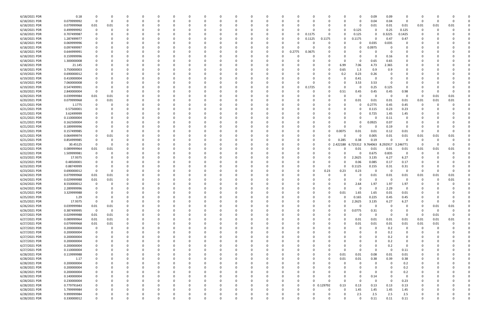| 6/18/2021 PDR | 0.18        |                         |             |          |          |          |              |              |          |          |          |          |          |             |        |            |          | O        | 0.09        | 0.09                    |                |          |      |              |  |
|---------------|-------------|-------------------------|-------------|----------|----------|----------|--------------|--------------|----------|----------|----------|----------|----------|-------------|--------|------------|----------|----------|-------------|-------------------------|----------------|----------|------|--------------|--|
|               |             |                         |             |          |          |          |              |              |          |          |          |          |          |             |        |            |          |          |             |                         |                |          |      |              |  |
| 6/18/2021 PDR | 0.079999992 | $\Omega$                | 0           |          | 0        |          |              | C            |          |          | 0        |          |          |             |        |            |          | 0        | 0.04        | 0.04                    | 0              | 0        |      |              |  |
| 6/18/2021 PDR | 0.079999968 | 0.01                    | 0.01        |          |          |          |              |              |          |          |          |          |          |             |        |            |          | 0        | 0.01        | 0.01                    | 0.01           | 0.01     | 0.01 | 0.01         |  |
| 6/18/2021 PDR | 0.499999992 |                         | $\Omega$    |          |          |          |              |              |          |          |          |          |          |             |        |            | o        | 0.125    | 0           | 0.25                    | 0.125          | 0        | - 0  |              |  |
| 6/18/2021 PDR | 0.707499987 |                         |             |          |          |          |              |              |          |          |          |          |          | O           | 0.1175 |            |          |          |             | 0.3225                  |                |          |      |              |  |
|               |             |                         |             |          |          |          |              |              |          |          |          |          |          |             |        |            |          | 0.125    | 0           |                         | 0.1425         |          |      |              |  |
| 6/18/2021 PDR | 1.287499977 |                         |             |          |          |          |              |              |          |          |          |          |          |             | 0.1125 | 0.1175     | o        | 0.1175   | $\Omega$    | 0.47                    | 0.47           |          |      |              |  |
| 6/18/2021 PDR | 0.069999996 |                         |             |          |          |          |              |              |          |          |          |          |          |             |        |            |          | 0        | 0.035       | 0.035                   | O              |          |      |              |  |
| 6/18/2021 PDR | 0.097499997 |                         |             |          |          |          |              |              |          |          |          |          |          |             |        |            |          | 0        | 0.0975      |                         |                |          |      |              |  |
|               |             |                         |             |          |          |          |              |              |          |          |          |          |          |             |        |            |          |          |             |                         |                |          |      |              |  |
| 6/18/2021 PDR | 0.644999991 |                         |             |          |          |          |              |              |          |          |          |          | 0        | 2775        | 0.3675 |            |          |          | -0          | 0                       |                |          |      |              |  |
| 6/18/2021 PDR | 0.159999996 |                         |             |          |          |          |              |              |          |          |          |          |          |             |        |            |          |          | $\Omega$    | 0.16                    |                |          |      |              |  |
| 6/18/2021 PDR | 1.300000008 |                         |             |          |          |          |              |              |          |          |          |          |          |             |        |            | $\Omega$ | 0        | 0.65        | 0.65                    |                |          |      |              |  |
| 6/18/2021 PDR | 21.145      |                         |             |          |          |          |              |              |          |          |          |          |          |             |        |            | 6.99     | 7.06     | 4.73        | 2.365                   |                |          |      |              |  |
|               |             |                         |             |          |          |          |              |              |          |          |          |          |          |             |        |            |          |          |             |                         |                |          |      |              |  |
| 6/18/2021 PDR | 3.750000003 |                         |             |          |          |          |              |              |          |          |          |          |          |             |        |            | 0.65     | 1.3      | 0.9         | 0.9                     |                |          |      |              |  |
| 6/19/2021 PDR | 0.690000012 |                         |             |          |          |          |              |              |          |          |          |          |          |             |        |            | 0.2      | 0.23     | 0.26        |                         |                |          |      |              |  |
| 6/19/2021 PDR | 0.410000004 |                         |             |          |          |          |              |              |          |          |          |          |          |             |        |            |          | 0.41     | 0           |                         |                |          |      |              |  |
| 6/19/2021 PDR | 7.060000008 |                         |             |          |          |          |              |              |          |          |          |          |          |             |        |            |          | 3.53     | 3.53        |                         |                |          |      |              |  |
|               |             |                         |             |          |          |          |              |              |          |          |          |          |          |             |        |            |          |          |             |                         |                |          |      |              |  |
| 6/19/2021 PDR | 0.547499991 |                         |             |          |          |          |              |              |          |          |          |          |          |             | 0.1725 |            | 0        | 0        | 0.25        | 0.125                   | $\Omega$       |          |      |              |  |
| 6/20/2021 PDR | 2.840000004 |                         |             |          |          |          |              |              |          |          |          |          |          |             |        |            | 0.51     | 0.45     | 0.45        | 0.45                    | 0.98           |          |      |              |  |
| 6/20/2021 PDR | 0.039999984 | 0.01                    | 0.01        |          |          |          |              |              |          |          |          |          |          |             |        |            |          | $\Omega$ | $\Omega$    | $\Omega$                | 0              | - 0      | 0.01 | 0.01         |  |
| 6/20/2021 PDR | 0.079999968 |                         | 0.01        |          |          |          |              |              |          |          |          |          |          |             |        |            | 0        | 0.01     | 0.01        | 0.01                    | 0.01           | 0.01     | 0.01 | 0.01         |  |
|               |             |                         |             |          |          |          |              |              |          |          |          |          |          |             |        |            |          |          |             |                         |                |          |      |              |  |
| 6/21/2021 PDR | 1.1775      |                         |             |          |          |          |              |              |          |          |          |          |          |             |        |            |          | 0        | 0.2775      | 0.45                    | 0.45           | -0       |      |              |  |
| 6/21/2021 PDR | 0.57500001  |                         |             |          |          |          |              |              |          |          |          |          |          |             |        |            |          | 0        | 0.115       | 0.23                    | 0.23           |          |      |              |  |
| 6/21/2021 PDR | 3.62499999  |                         |             |          |          |          |              |              |          |          |          |          |          |             |        |            | 0        | 0        | 0.725       | 1.45                    | 1.45           |          |      |              |  |
| 6/21/2021 PDR | 0.110000004 |                         |             |          |          |          |              |              |          |          |          |          |          |             |        |            |          | 0        | 0           | 0.11                    | 0              |          |      |              |  |
|               |             |                         |             |          |          |          |              |              |          |          |          |          |          |             |        |            |          |          |             |                         |                |          |      |              |  |
| 6/21/2021 PDR | 0.162500004 |                         |             |          |          |          |              |              |          |          |          |          |          |             |        |            |          | 0        | 0.0925      | 0.07                    | $\Omega$       |          |      |              |  |
| 6/21/2021 PDR | 0.189999996 |                         |             |          |          |          |              |              |          |          |          |          |          |             |        |            |          | 0        | 0           | 0.19                    | 0              |          |      |              |  |
| 6/21/2021 PDR | 0.157499985 |                         | 0           |          |          |          |              |              |          |          |          |          |          |             |        |            | 0.0075   | 0.01     | 0.01        | 0.12                    | 0.01           | 0        |      |              |  |
| 6/21/2021 PDR | 0.064999974 |                         |             |          |          |          |              |              |          |          |          |          |          |             |        |            | -0       | 0        |             |                         | 0.01           |          | 0.01 | 0.01         |  |
|               |             |                         | 0.01        |          |          |          |              |              |          |          |          |          |          |             |        |            |          |          | 0.005       | 0.01                    |                | 0.01     |      |              |  |
| 6/21/2021 PDR | 0.854999985 |                         |             |          |          |          |              |              |          |          |          |          |          |             |        |            | 0.285    | 0.38     | 0.19        | $\Omega$                |                | 0        |      |              |  |
| 6/22/2021 PDR | 30.45125    | 0                       | $\Omega$    |          |          |          |              |              |          |          |          |          |          |             |        | $\Omega$   | .422188  | 6.725312 | 764063      | 8.292917                | 3.246771       | - 0      |      |              |  |
| 6/22/2021 PDR | 0.089999964 | 0.01                    | 0.01        |          |          |          |              |              |          |          |          |          |          |             |        |            |          | 0.01     | 0.01        | 0.01                    | 0.01           | 0.01     | 0.01 | 0.01         |  |
|               |             |                         |             |          |          |          |              |              |          |          |          |          |          |             |        |            |          |          |             |                         |                |          |      |              |  |
| 6/22/2021 PDR | 1.509999981 |                         |             |          |          |          |              |              |          |          |          |          |          |             |        |            |          | 0        | 0.675       | 0.835                   | 0              | -0       |      |              |  |
| 6/23/2021 PDR | 17.9375     |                         |             |          |          |          |              |              |          |          |          |          |          |             |        |            |          | 2.2625   | 3.135       | 6.27                    | 6.27           |          |      |              |  |
| 6/23/2021 PDR | 0.48500001  |                         |             |          |          |          |              |              |          |          |          |          |          |             |        |            |          | 0.06     | 0.085       | 0.17                    | 0.17           |          |      |              |  |
| 6/23/2021 PDR | 0.88749999  |                         |             |          |          |          |              |              |          |          |          |          |          |             |        |            | O        | 1125     | 0.155       | 0.31                    | 0.31           |          |      |              |  |
|               |             |                         |             |          |          |          |              |              |          |          |          |          |          |             |        |            |          |          |             |                         |                |          |      |              |  |
| 6/23/2021 PDR | 0.690000012 | 0                       | $\Omega$    |          |          |          |              |              |          |          |          |          |          |             | -0     | 0.23       | 0.23     | 0.23     | 0           | $\overline{\mathbf{0}}$ | 0              | 0        |      |              |  |
| 6/24/2021 PDR | 0.079999968 | 0.01                    | 0.01        |          |          |          |              |              |          |          |          |          |          |             |        |            |          | 0        | 0.01        | 0.01                    | 0.01           | 0.01     | 0.01 | 0.01         |  |
| 6/24/2021 PDR | 0.029999988 | 0.01                    | 0.01        |          |          |          |              |              |          |          |          |          |          |             |        |            |          | 0        | $\Omega$    | $\Omega$                | n              | C        |      | 0.01         |  |
| 6/24/2021 PDR | 8.550000012 |                         |             |          |          |          |              |              |          |          |          |          |          |             |        |            |          | 2.64     | 1.97        | 1.97                    | 1.97           |          |      |              |  |
|               |             |                         |             |          |          |          |              |              |          |          |          |          |          |             |        |            |          |          |             |                         |                |          |      |              |  |
| 6/24/2021 PDR | 2.289999996 |                         |             |          |          |          |              |              |          |          |          |          |          |             |        |            |          | 0        | $\Omega$    | 2.29                    | $\overline{0}$ |          |      |              |  |
| 6/25/2021 PDR | 3.329999988 |                         |             |          |          |          |              |              |          |          |          |          |          |             |        |            | 0.01     | 1.65     | 1.65        | $0.01\,$                | 0.01           | $\Omega$ |      |              |  |
| 6/25/2021 PDR | 1.29        | $\Omega$                | 0           | $\Omega$ | 0        | $\Omega$ | $\Omega$     | 0            | $\Omega$ | $\Omega$ | 0        | $\Omega$ | $\Omega$ | $\Omega$    | 0      |            | $\Omega$ | 0.165    | 0.225       | 0.45                    | 0.45           | $\Omega$ |      | <sup>0</sup> |  |
| 6/25/2021 PDR | 17.9375     | $\mathbf 0$             | 0           | 0        | 0        | $\Omega$ | 0            | 0            | 0        | 0        | 0        |          | 0        | 0           | 0      |            | $\Omega$ | 2.2625   | 3.135       | 6.27                    | 6.27           | 0        |      | $\Omega$     |  |
|               |             |                         |             |          |          |          |              |              |          |          |          |          |          |             |        |            |          |          |             |                         |                |          |      |              |  |
| 6/26/2021 PDR | 0.039999984 | $0.01\,$                | $0.01\,$    |          |          |          |              | 0            |          |          |          |          |          |             | -0     |            | 0        | 0        | $\mathbf 0$ | $\Omega$                | $\mathbf 0$    | $\Omega$ | 0.01 | 0.01         |  |
| 6/26/2021 PDR | 0.387499995 | $\overline{\mathbf{0}}$ | $\mathbf 0$ |          | 0        |          | <sup>0</sup> | 0            |          |          |          |          |          |             | 0      | $\Omega$   | 0        | 0.0775   | 0.31        | $\Omega$                | 0              | $\Omega$ | - 0  |              |  |
| 6/27/2021 PDR | 0.029999988 | 0.01                    | 0.01        |          | 0        |          |              | 0            |          |          |          |          |          |             |        |            |          | 0        | $\mathbf 0$ | $\Omega$                | 0              | - 0      | 0.01 | $\Omega$     |  |
| 6/27/2021 PDR | 0.089999964 | 0.01                    | 0.01        |          |          |          |              | 0            |          |          |          |          |          |             |        |            | $\Omega$ | 0.01     | 0.01        | 0.01                    | 0.01           | 0.01     | 0.01 | 0.01         |  |
|               |             |                         |             |          |          |          |              |              |          |          |          |          |          |             |        |            |          |          |             |                         |                |          |      |              |  |
| 6/27/2021 PDR | 0.079999968 | 0.01                    | 0.01        | 0        | 0        |          | <sup>0</sup> | 0            | 0        |          |          |          |          | $\Omega$    | 0      |            | 0        | 0.01     | 0.01        | 0.01                    | 0.01           | 0.01     | 0.01 |              |  |
| 6/27/2021 PDR | 0.200000004 | 0                       | $\Omega$    |          | 0        |          |              | 0            |          |          |          |          |          |             | 0      |            | 0        | 0        | 0           | 0.2                     | 0              | 0        | - 0  |              |  |
| 6/27/2021 PDR | 0.200000004 |                         |             |          |          |          |              |              |          |          |          |          |          |             |        |            |          |          | $\Omega$    | 0.2                     | 0              |          |      |              |  |
| 6/27/2021 PDR | 0.200000004 |                         |             |          | 0        |          |              |              |          |          |          |          |          |             | 0      |            |          |          | 0           | 0.2                     | 0              |          |      |              |  |
|               |             |                         |             |          |          |          |              |              |          |          |          |          |          |             |        |            |          |          |             |                         |                |          |      |              |  |
| 6/27/2021 PDR | 0.200000004 |                         |             |          |          |          |              |              |          |          |          |          |          |             |        |            |          |          | 0           | 0.2                     | 0              |          |      |              |  |
| 6/27/2021 PDR | 0.200000004 |                         |             |          |          |          |              |              |          |          |          |          |          |             |        |            |          | 0        | 0           | 0.2                     | 0              | 0        |      |              |  |
| 6/27/2021 PDR | 0.110000004 |                         |             |          | 0        | $\Omega$ | 0            | 0            | 0        |          |          |          |          |             | 0      |            | $\Omega$ | 0        | $\mathbf 0$ | $\Omega$                | 0.11           | 0        |      |              |  |
|               |             |                         |             |          |          |          |              |              |          |          |          |          |          |             |        |            |          |          |             |                         |                |          |      |              |  |
| 6/28/2021 PDR | 0.119999988 |                         |             |          | 0        |          |              | 0            |          |          | 0        |          |          |             | 0      |            | 0.01     | 0.01     | 0.08        | 0.01                    | 0.01           | 0        |      |              |  |
| 6/28/2021 PDR | 1.17        |                         |             |          | $\Omega$ | $\Omega$ |              | 0            | - 0      |          | $\Omega$ | $\Omega$ |          | $\Omega$    | 0      |            | 0.01     | 0.01     | 0.38        | 0.39                    | 0.38           | 0        |      |              |  |
| 6/28/2021 PDR | 0.200000004 |                         |             |          | 0        |          |              | 0            |          |          |          |          |          |             | 0      |            | 0        | 0        | 0           | $\Omega$                | 0.2            | 0        |      |              |  |
| 6/28/2021 PDR | 0.200000004 |                         |             |          |          |          |              | 0            |          |          |          |          |          |             |        |            |          | 0        | 0           | $\Omega$                | 0.2            | 0        |      |              |  |
|               |             |                         |             |          |          |          |              |              |          |          |          |          |          |             |        |            |          |          |             |                         |                |          |      |              |  |
| 6/28/2021 PDR | 0.200000004 |                         |             |          |          |          | <sup>0</sup> | 0            |          |          |          |          |          |             |        |            |          | 0        | $\Omega$    | $\Omega$                | 0.2            | 0        |      |              |  |
| 6/28/2021 PDR | 0.140000004 |                         |             |          | 0        |          | 0            | 0            |          |          |          |          |          | 0           |        |            | 0        | 0        | 0.14        | $\Omega$                | 0              | 0        |      |              |  |
| 6/28/2021 PDR | 0.230000004 |                         |             |          | 0        |          |              | <sup>0</sup> |          |          |          |          |          | $\Omega$    |        |            | $\Omega$ | $\Omega$ | $\mathbf 0$ | $\Omega$                | 0.23           | 0        |      |              |  |
| 6/28/2021 PDR | 0.779791643 |                         |             |          | $\Omega$ |          |              | 0            |          |          |          |          |          | 0           |        | 0 0.129792 | 0.13     | 0.13     | 0.13        | 0.13                    | 0.13           | 0        |      |              |  |
|               |             |                         |             |          |          |          |              |              |          |          |          |          |          |             |        |            |          |          |             |                         |                |          |      |              |  |
| 6/28/2021 PDR | 5.799999984 |                         |             |          |          |          |              |              |          |          |          |          |          |             |        |            | 0        | 1.45     | 1.45        | 1.45                    | 1.45           |          |      |              |  |
| 6/28/2021 PDR | 9.999999984 |                         |             |          | 0        |          |              |              |          |          |          |          |          |             |        |            | 0        | 2.5      | 2.5         | 2.5                     | 2.5            |          |      |              |  |
| 6/28/2021 PDR | 0.330000012 | $\mathbf 0$             | $\Omega$    | $\Omega$ | $\Omega$ | $\Omega$ | $\mathbf 0$  | 0            |          | $\Omega$ | $\Omega$ | $\Omega$ | $\Omega$ | $\mathbf 0$ | 0      |            | $\Omega$ | 0        | 0.11        | 0.11                    | 0.11           | 0        |      | O            |  |
|               |             |                         |             |          |          |          |              |              |          |          |          |          |          |             |        |            |          |          |             |                         |                |          |      |              |  |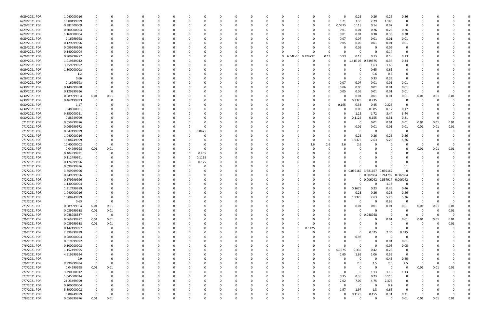| 6/29/2021 PDR                | 1.040000016                | 0                       |          |          |          | 0             |          |          |          |          |          | 0             |          |                  |          |          |          | 0.26              | 0.26                | 0.26             | 0.26                    |              |      |                  |  |
|------------------------------|----------------------------|-------------------------|----------|----------|----------|---------------|----------|----------|----------|----------|----------|---------------|----------|------------------|----------|----------|----------|-------------------|---------------------|------------------|-------------------------|--------------|------|------------------|--|
| 6/29/2021 PDR                | 10.00499999                | 0                       |          |          |          | $\Omega$      |          |          | n        |          |          | $\Omega$      |          | 0                | 0        | - 0      | 3.21     | 3.36              | 2.29                | 1.145            | 0                       |              |      |                  |  |
| 6/29/2021 PDR                | 0.382500009                |                         |          |          |          | -0            |          |          |          |          |          | -0            |          |                  |          |          | 0.0575   | 0.115             | 0.14                | 0.07             | 0                       |              |      |                  |  |
| 6/29/2021 PDR                | 0.800000004                |                         |          |          |          |               |          |          |          |          |          |               |          |                  |          |          | 0.01     | 0.01              | 0.26                | 0.26             | 0.26                    |              |      |                  |  |
| 6/29/2021 PDR                | 1.160000004                |                         |          |          |          | $\Omega$      |          |          |          |          |          | $\Omega$      |          |                  |          |          | 0.01     | 0.01              | 0.38                | 0.38             | 0.38                    |              |      |                  |  |
| 6/29/2021 PDR                | 0.16999998                 |                         |          |          |          |               |          |          |          |          |          |               |          |                  |          |          | 0.07     | 0.07              | 0.01                | 0.01             | 0.01                    |              |      |                  |  |
| 6/29/2021 PDR                | 0.129999996                |                         |          |          |          |               |          |          |          |          |          | $\Omega$      |          |                  |          |          | 0.05     | 0.05              | 0.01                | 0.01             | 0.01                    |              |      |                  |  |
| 6/29/2021 PDR                | 0.099999996                |                         |          |          |          | - 0           |          |          |          |          |          | $\Omega$      |          |                  | C        |          |          | 0.05              | $\Omega$            | 0.05             | 0                       |              |      |                  |  |
| 6/29/2021 PDR                | 0.140000004                |                         |          |          |          |               |          |          |          |          |          | 0             |          |                  | T        |          |          | 0                 | 0                   | 0.14             | - 0                     |              |      |                  |  |
| 6/29/2021 PDR                | 0.909798277                |                         |          |          |          |               |          |          |          |          |          | $\Omega$      | $\Omega$ | .64E-06 0.129792 |          | 0.13     | 0.13     | 0.13              | 0.13                | 0.13             | 0.13                    |              |      |                  |  |
| 6/29/2021 PDR                | 1.019389042                | 0                       |          |          |          | $\Omega$      |          |          |          |          |          | $\Omega$      |          | $\Omega$         | 0        | 0        | 0        | 1.41E-05          | 339375              | 0.34             | 0.34                    |              |      |                  |  |
| 6/29/2021 PDR                | 3.259999992                |                         |          |          |          |               |          |          |          |          |          | 0             |          |                  |          |          |          | 0                 | 1.63                | 1.63             | 0                       |              |      |                  |  |
| 6/29/2021 PDR                | 1.300000008                |                         |          |          |          | - 0           |          |          |          |          |          | -0            |          |                  |          |          |          | 0                 | 0.65                | 0.65             | 0                       |              |      |                  |  |
| 6/29/2021 PDR                | 1.2                        |                         |          |          |          | - 0           |          |          |          |          |          | -0            |          |                  |          |          |          | 0                 | 0.6                 | 0.6              | 0                       |              |      |                  |  |
| 6/29/2021 PDR                | 0.66                       |                         |          |          |          |               |          |          |          |          |          |               |          |                  |          |          |          | 0                 | 0.33                | 0.33             |                         |              |      |                  |  |
| 6/30/2021 PDR                | 0.16999998                 |                         |          |          |          |               |          |          |          |          |          |               |          |                  |          |          | 0.07     | 0.07              | 0.01                | 0.01             | 0.01                    |              |      |                  |  |
| 6/30/2021 PDR                | 0.149999988                |                         |          |          |          | -0            |          |          |          |          |          | -0            |          |                  |          |          | 0.06     | 0.06              | 0.01                | 0.01             | 0.01                    |              |      |                  |  |
| 6/30/2021 PDR                | 0.129999996                | - 0                     |          |          |          | - 0           |          |          |          |          |          | 0             |          |                  |          |          | 0.05     | 0.05              | 0.01                | 0.01             | 0.01                    | -0           |      |                  |  |
| 6/30/2021 PDR                | 0.089999964                | 0.01                    | 0.01     |          |          | -0            |          |          |          |          |          | -0            |          |                  |          |          |          | 0.01              | 0.01                | 0.01             | 0.01                    | 0.01         | 0.01 | 0.01             |  |
| 6/30/2021 PDR                | 0.467499993                | 0                       |          |          |          |               |          |          |          |          |          | $\Omega$      |          |                  |          |          |          | .2325             | 0.235               | $\Omega$         |                         |              |      |                  |  |
| 6/30/2021 PDR                | 1.17                       |                         |          |          |          | -0            |          |          |          |          |          | -0            |          |                  |          |          | 0.165    | 0.33              | 0.45                | 0.225            | - 0                     |              |      |                  |  |
| 6/30/2021 PDR                | 0.48500001                 |                         |          |          |          |               |          |          |          |          |          | 0             |          |                  |          |          |          | 0.06              | 0.085               | 0.17             | 0.17                    |              |      |                  |  |
| 6/30/2021 PDR                | 9.850000011                |                         |          |          |          |               |          |          |          |          |          |               |          |                  |          |          |          | 1.25              | 1.72                | 3.44             | 3.44                    | C            |      |                  |  |
| 6/30/2021 PDR                | 0.88749999                 |                         |          |          |          |               |          |          |          |          |          | -0            |          |                  |          |          |          | 1125              | 0.155               | 0.31             | 0.31                    | -0           |      |                  |  |
| 7/1/2021 PDR                 | 0.059999976                |                         |          |          |          |               |          |          |          |          |          | -0            |          |                  |          |          |          | O                 | 0.01                | 0.01             | 0.01                    | 0.01         | 0.01 | 0.01             |  |
| 7/1/2021 PDR                 | 0.069999972                |                         |          |          |          |               |          |          |          |          |          |               |          |                  |          |          |          | 0.01              | 0.01                | 0.01             | 0.01                    | 0.01         | 0.01 | 0.01             |  |
| 7/1/2021 PDR                 | 0.047499999                |                         |          |          |          | - 0           |          | 0        | 0.0475   |          |          | -0            |          |                  |          |          |          | - 0               | 0                   | 0                |                         | n            |      |                  |  |
| 7/1/2021 PDR                 | 1.040000016                |                         |          |          |          |               |          |          |          |          |          |               |          |                  |          |          |          | 0.26              | 0.26                | 0.26             | 0.26                    |              |      |                  |  |
| 7/1/2021 PDR                 | 15.08749999                |                         |          |          |          |               |          |          |          |          |          |               |          |                  |          |          |          | .9375             | 2.63                | 5.26             | 5.26                    |              |      |                  |  |
| 7/1/2021 PDR                 | 10.40000002                | - 0                     |          |          |          |               |          |          |          |          |          | $\Omega$      |          |                  | 2.6      | 2.6      | 2.6      | 2.6               | 0                   |                  |                         | $\Omega$     |      |                  |  |
| 7/2/2021 PDR                 | 0.04999998                 | 0.01                    | 0.01     |          |          | - 0           |          |          | C        |          |          | 0             |          |                  |          |          |          |                   | 0                   |                  | 0                       | 0.01         | 0.01 | 0.01             |  |
| 7/2/2021 PDR                 | 0.404999991                | 0                       |          |          |          | - 0           |          |          | 0.405    |          |          | 0             |          |                  |          |          |          |                   | -0                  |                  |                         |              |      |                  |  |
| 7/2/2021 PDR                 | 0.112499991                |                         |          |          |          | - 0           |          |          | 0.1125   |          |          | -0            |          |                  |          |          |          |                   | $\Omega$            |                  |                         |              |      |                  |  |
|                              |                            |                         |          |          |          |               |          |          |          |          |          |               |          |                  |          |          |          |                   | -0                  |                  |                         |              |      |                  |  |
| 7/2/2021 PDR<br>7/2/2021 PDR | 0.174999996<br>0.099999996 |                         |          |          |          |               |          |          | 0.175    |          |          |               |          |                  |          |          |          |                   |                     |                  |                         |              |      |                  |  |
|                              |                            |                         |          |          |          |               |          |          |          |          |          | $\Omega$      |          |                  |          |          |          |                   |                     |                  | 0.1                     |              |      |                  |  |
|                              |                            |                         |          |          |          |               |          |          |          |          |          |               |          |                  |          |          |          |                   |                     |                  |                         |              |      |                  |  |
| 7/2/2021 PDR                 | 3.759999996                |                         |          |          |          | $\Omega$      |          |          |          |          |          |               |          |                  |          |          |          |                   | 0 0.039167 3.681667 | 0.039167         | $\Omega$                |              |      |                  |  |
| 7/2/2021 PDR                 | 0.249999996                |                         |          |          |          |               |          |          |          |          |          | 0             |          |                  |          |          |          |                   | 0 0.002604          | 0.244792         | 0.002604                |              |      |                  |  |
| 7/2/2021 PDR                 | 0.579999996                |                         |          |          |          |               |          |          |          |          |          | $\Omega$      |          |                  |          |          |          |                   | 0 0.006042          | 0.567917         | 0.006042                |              |      |                  |  |
| 7/2/2021 PDR                 | 1.130000004                |                         |          |          |          |               |          |          |          |          |          |               |          |                  |          |          |          |                   |                     | 1.13             | $\Omega$                |              |      |                  |  |
| 7/2/2021 PDR                 | 1.317499989                | 0                       |          |          |          | - 0           |          |          |          |          |          | -0            |          |                  |          |          | 0        | 0.1675            | 0.23                | 0.46             | 0.46                    | <sup>0</sup> |      |                  |  |
| 7/2/2021 PDR                 | 1.040000016                | 0                       |          |          |          |               |          |          |          |          |          |               |          |                  |          |          |          | 0.26              | 0.26                | 0.26             | 0.26                    |              |      |                  |  |
| 7/2/2021 PDR                 | 15.08749999                | 0                       |          | $\Omega$ | $\Omega$ | $\Omega$      | $\Omega$ | $\Omega$ | $\Omega$ | $\Omega$ | $\Omega$ | $\Omega$      | $\Omega$ | $\Omega$         | $\Omega$ |          | $\Omega$ | 1.9375            | 2.63                | 5.26             | 5.26                    | 0            |      |                  |  |
| 7/2/2021 PDR                 | 0.63                       | $\mathbf 0$             | $\Omega$ | 0        |          | $\Omega$      |          |          | 0        |          |          | 0             |          | n                | 0        |          | $\Omega$ | $\mathbf 0$       | $\mathbf 0$         | 0.63             | 0                       | 0            |      | $\Omega$         |  |
| 7/3/2021 PDR                 | 0.089999964                | 0.01                    | 0.01     |          |          | 0             |          |          | 0        |          |          | 0             |          |                  | 0        |          | 0        | 0.01              | 0.01                | 0.01             | 0.01                    | 0.01         | 0.01 | 0.01             |  |
| 7/5/2021 PDR                 | 0.029999988                | 0.01                    | 0.01     |          |          | $\Omega$      |          | $\Omega$ | 0        |          |          | $\Omega$      |          |                  | 0        |          | $\Omega$ | $\Omega$          | $\Omega$            | $\Omega$         | $\Omega$                | $\Omega$     | 0    | 0.01             |  |
| 7/6/2021 PDR                 | 0.048958337                | $\overline{\mathbf{0}}$ | 0        |          |          | $\Omega$      |          |          |          |          |          | 0             |          |                  |          |          | 0        |                   | 0 0.048958          | 0                | 0                       | - 0          | - 0  | $\Omega$         |  |
| 7/6/2021 PDR                 | 0.069999972                | 0.01                    | 0.01     |          |          | $\Omega$      |          |          |          |          |          | $\Omega$      |          |                  | 0        |          |          | $\Omega$          | 0                   | 0.01             | 0.01                    | 0.01         | 0.01 | $0.01\,$         |  |
| 7/6/2021 PDR                 | 0.029999988                | 0.01                    | 0.01     |          |          | $\Omega$      |          |          |          |          |          | $\Omega$      |          |                  | 0        |          |          |                   | $\Omega$            | $\Omega$         | $\Omega$                | $\Omega$     |      | 0.01             |  |
| 7/6/2021 PDR                 | 0.142499997                | 0                       |          |          |          | $\Omega$      |          |          | 0        |          |          | 0             | $\Omega$ | $\Omega$         | 0.1425   |          |          |                   | 0                   | $\Omega$         | $\Omega$                | 0            |      |                  |  |
| 7/6/2021 PDR                 | 2.399999999                | 0                       |          |          |          | 0             |          |          | 0        |          |          | 0             |          |                  | 0        |          | 0        | 0                 | 0.025               | 2.35             | 0.025                   |              |      |                  |  |
| 7/6/2021 PDR                 | 0.980000004                | 0                       |          |          |          | $\Omega$      |          |          | 0        |          |          | 0             |          |                  |          |          | $\Omega$ | 0.98              | $\Omega$            | $\Omega$         | 0                       |              |      |                  |  |
| 7/6/2021 PDR                 | 0.019999992                |                         |          |          |          | $\Omega$      |          |          |          |          |          | 0             |          |                  |          |          |          | 0                 | 0                   | 0.01             | 0.01                    |              |      |                  |  |
| 7/6/2021 PDR                 | 0.100000008                |                         |          |          |          | 0             |          |          |          |          |          | 0             |          |                  |          |          |          | 0                 | $\mathbf 0$         | 0.05             | $0.05\,$                |              |      |                  |  |
| 7/6/2021 PDR                 | 1.152499995                | 0                       |          |          |          | $\Omega$      |          |          | 0        |          |          | 0             |          |                  | 0        | $\Omega$ | 0.1675   | 0.335             | 0.42                | 0.23             | 0                       |              |      |                  |  |
| 7/6/2021 PDR                 | 4.919999994                | 0                       |          |          |          | 0             |          |          | 0        |          |          | 0             |          | 0                | 0        |          | 1.65     | 1.65              | 1.06                | 0.56             | 0                       | 0            |      |                  |  |
| 7/6/2021 PDR                 | 0.9                        | 0                       |          |          |          | 0             |          |          | 0        |          |          | 0             |          |                  | 0        |          | $\Omega$ | $\mathbf 0$       | $\mathbf 0$         | 0.45             | 0.45                    | 0            |      |                  |  |
| 7/6/2021 PDR                 | 9.999999984                | 0                       |          |          |          | $\Omega$      |          |          | 0        |          |          | $\Omega$      |          | 0                | 0        |          |          | 2.5               | 2.5                 | 2.5              | 2.5                     | -0           |      |                  |  |
| 7/7/2021 PDR                 | 0.04999998                 | 0.01                    | 0.01     |          |          | $\Omega$      |          |          |          |          |          | $\Omega$      |          |                  |          |          |          | 0                 | $\mathbf 0$         | $\Omega$         | $\Omega$                | 0.01         | 0.01 | 0.01             |  |
| 7/7/2021 PDR                 | 3.390000012                | 0                       |          |          |          | 0             |          |          |          |          |          | 0             |          |                  |          |          | $\Omega$ | 0                 | 1.13                | 1.13             | 1.13                    | 0            |      |                  |  |
| 7/7/2021 PDR                 | 1.045000014                | 0                       |          |          |          | $\Omega$      |          |          |          |          |          | $\Omega$      |          |                  |          |          | 0.35     | 0.35              | 0.23                | 0.115            | 0                       | 0            |      |                  |  |
| 7/7/2021 PDR                 | 21.23499999                | 0                       |          |          |          | $\Omega$      |          |          |          |          |          | $\Omega$      |          |                  |          |          | 7.02     | 7.09              | 4.75                | 2.375            | 0                       |              |      |                  |  |
| 7/7/2021 PDR                 | 0.200000004                | 0                       |          |          |          | 0             |          |          | 0        |          |          | 0             |          |                  | 0        |          | $\Omega$ | $\mathbf 0$       | 0                   | 0.2              | $\Omega$                |              |      |                  |  |
| 7/7/2021 PDR                 | 5.890000002                | 0                       |          |          |          | $\Omega$      |          |          | 0        |          |          | $\Omega$      |          |                  | 0        |          | 1.97     | 1.97              | 1.3                 | 0.65             | $\overline{\mathbf{0}}$ | 0            |      |                  |  |
| 7/7/2021 PDR<br>7/8/2021 PDR | 0.88749999<br>0.059999976  | 0<br>0.01               | 0.01     | $\Omega$ | $\Omega$ | 0<br>$\Omega$ | $\Omega$ | $\Omega$ | $\Omega$ | $\Omega$ | $\Omega$ | 0<br>$\Omega$ | $\Omega$ | $\Omega$         | 0        |          | $\Omega$ | .1125<br>$\Omega$ | 0.155<br>$\Omega$   | 0.31<br>$\Omega$ | 0.31<br>0.01            | -0<br>0.01   | 0.01 | $\Omega$<br>0.01 |  |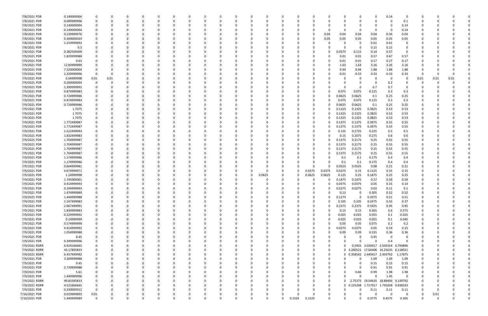| 7/8/2021 PDR  | 0.140000004 |             | 0           |          |          |          |          |          |          |          |              |        |          |        |             |          |        |                              |          | 0.14                      |          |          |          |          |  |
|---------------|-------------|-------------|-------------|----------|----------|----------|----------|----------|----------|----------|--------------|--------|----------|--------|-------------|----------|--------|------------------------------|----------|---------------------------|----------|----------|----------|----------|--|
| 7/8/2021 PDR  | 0.099999996 | 0           | 0           | n        | 0        |          | $\Omega$ |          | O        | - 0      | <sup>0</sup> |        | n        |        | $\Omega$    | 0        |        | 0                            | 0        | $\Omega$                  | 0.1      | 0        |          |          |  |
| 7/8/2021 PDR  | 0.140000004 |             |             |          |          |          |          |          |          |          |              |        |          |        |             |          |        |                              |          | -0                        | 0.14     |          |          |          |  |
| 7/8/2021 PDR  | 0.140000004 |             |             |          |          |          |          |          |          |          |              |        |          |        |             |          |        |                              | 0        | 0                         | 0.14     |          |          |          |  |
| 7/8/2021 PDR  | 0.239999976 |             |             |          |          |          |          |          |          |          |              |        |          |        | 0           | 0.04     | 0.04   | 0.04                         | 0.04     | 0.04                      | 0.04     |          |          |          |  |
| 7/8/2021 PDR  | 0.300000024 |             |             |          |          |          |          |          |          |          |              |        |          |        | 0           | 0.05     | 0.05   | 0.05                         | 0.05     | 0.05                      | 0.05     |          |          |          |  |
| 7/8/2021 PDR  | 1.219999992 |             | 0           |          |          |          |          |          |          |          |              |        |          |        | 0           | O        |        | - 0                          |          | 0.61                      | 0        |          |          |          |  |
|               |             |             |             |          |          |          |          |          |          |          |              |        |          |        |             |          |        |                              | 0.61     |                           |          |          |          |          |  |
| 7/8/2021 PDR  | 0.3         |             |             |          |          |          |          |          |          |          |              |        |          |        |             | C.       |        | -0                           | 0.15     | 0.15                      |          |          |          |          |  |
| 7/8/2021 PDR  | 0.382500009 |             |             |          |          |          |          |          |          |          |              |        |          |        |             | 0        | 0.0575 | 0.115                        | 0.14     | 0.07                      | - 0      |          |          |          |  |
| 7/9/2021 PDR  | 1.829999988 |             |             |          |          |          |          |          |          |          |              |        |          |        |             | 0        | 0.01   | 0.01                         | 0.57     | 0.67                      | 0.57     |          |          |          |  |
| 7/9/2021 PDR  | 0.63        |             |             |          |          |          |          |          |          |          |              |        |          |        |             | 0        | 0.01   | 0.01                         | 0.17     | 0.27                      | 0.17     |          |          |          |  |
| 7/9/2021 PDR  | 12.83999999 |             |             |          |          |          |          |          |          |          |              |        |          |        |             | n        | 1.63   | 1.63                         | 3.16     | 3.26                      | 3.16     |          |          |          |  |
| 7/9/2021 PDR  | 7.520000004 |             | 0           |          |          |          |          |          |          |          |              |        |          |        | 0           | 0        | 0.94   | 0.94                         | 1.88     | 1.88                      | 1.88     |          |          |          |  |
| 7/9/2021 PDR  | 1.329999996 | 0           | 0           |          |          |          |          |          |          |          |              |        |          |        |             | 0        | 0.01   | 0.33                         | 0.33     | 0.33                      | 0.33     | 0        | -0       |          |  |
| 7/9/2021 PDR  | 0.04999998  | 0.01        | 0.01        |          |          |          |          |          |          |          |              |        |          |        |             |          |        | 0                            | 0        | - 0                       |          | 0.01     | 0.01     | 0.01     |  |
| 7/9/2021 PDR  | 0.200000004 | 0           | 0           |          |          |          |          |          |          |          |              |        |          |        |             |          |        |                              | 0        | 0.2                       |          | 0        |          |          |  |
| 7/9/2021 PDR  | 1.399999992 |             |             |          |          |          |          |          |          |          |              |        |          |        |             |          |        | 0                            | 0.7      | 0.7                       |          |          |          |          |  |
| 7/9/2021 PDR  | 0.874999983 |             |             |          |          |          |          |          |          |          |              |        |          |        |             | 0        | 0.075  | 0.075                        | 0.125    | 0.3                       | 0.3      |          |          |          |  |
| 7/9/2021 PDR  | 0.724999986 |             |             |          |          |          |          |          |          |          |              |        |          |        | O           | 0        | 0.0625 | 0.0625                       | 0.1      | 0.25                      | 0.25     |          |          |          |  |
| 7/9/2021 PDR  | 0.874999983 |             |             |          |          |          |          |          |          |          |              |        |          |        |             | 0        | 0.075  | 0.075                        | 0.125    | 0.3                       | 0.3      |          |          |          |  |
| 7/9/2021 PDR  | 0.724999986 |             |             |          |          |          |          |          |          |          |              |        |          |        | - 0         | 0        | 0.0625 | 0.0625                       | 0.1      | 0.25                      | 0.25     |          |          |          |  |
| 7/9/2021 PDR  | 1.7075      |             |             |          |          |          |          |          |          |          |              |        |          |        | 0           | 0        | 0.1325 | 0.1325                       | 0.3825   | 0.53                      | 0.53     |          |          |          |  |
| 7/9/2021 PDR  | 1.7075      |             |             |          |          |          |          |          |          |          |              |        |          |        | 0           | 0        | 0.1325 | 0.1325                       | 0.3825   | 0.53                      | 0.53     |          |          |          |  |
|               |             |             |             |          |          |          |          |          |          |          |              |        |          |        |             |          |        |                              |          |                           |          |          |          |          |  |
| 7/9/2021 PDR  | 1.7075      |             |             |          |          |          |          |          |          |          |              |        |          |        | 0           | 0        | 0.1325 | 0.1325                       | 0.3825   | 0.53                      | 0.53     |          |          |          |  |
| 7/9/2021 PDR  | 1.772499987 |             |             |          |          |          |          |          |          |          |              |        |          |        |             | 0        | 0.1375 | 0.1375                       | 0.3975   | 0.55                      | 0.55     |          |          |          |  |
| 7/9/2021 PDR  | 1.772499987 |             |             |          |          |          |          |          |          |          |              |        |          |        |             | 0        | 0.1375 | 0.1375                       | 0.3975   | 0.55                      | 0.55     |          |          |          |  |
| 7/9/2021 PDR  | 1.522499993 |             |             |          |          |          |          |          |          |          |              |        |          |        |             | 0        | 0.125  | 0.1725                       | 0.225    | 0.5                       | 0.5      |          |          |          |  |
| 7/9/2021 PDR  | 1.832499983 |             |             |          |          |          |          |          |          |          |              |        |          |        |             | 0        | 0.15   | 0.2075                       | 0.275    | 0.6                       | 0.6      |          |          |          |  |
| 7/9/2021 PDR  | 1.704999987 |             |             |          |          |          |          |          |          |          |              |        |          |        | 0           | 0        | 0.1375 | 0.2175                       | 0.25     | 0.55                      | 0.55     |          |          |          |  |
| 7/9/2021 PDR  | 1.704999987 |             |             |          |          |          |          |          |          |          |              |        |          |        |             | 0        | 0.1375 | 0.2175                       | 0.25     | 0.55                      | 0.55     |          |          |          |  |
| 7/9/2021 PDR  | 1.704999987 |             |             |          |          |          |          |          |          |          |              |        |          |        |             | 0        | 0.1375 | 0.2175                       | 0.25     | 0.55                      | 0.55     |          |          |          |  |
| 7/9/2021 PDR  | 1.704999987 |             |             |          |          |          |          |          |          |          |              |        |          |        | 0           | 0        | 0.1375 | 0.2175                       | 0.25     | 0.55                      | 0.55     |          |          |          |  |
| 7/9/2021 PDR  | 1.174999986 |             |             |          |          |          |          |          |          |          |              |        |          |        |             | 0        | 0.1    | 0.1                          | 0.175    | 0.4                       | 0.4      |          |          |          |  |
| 7/9/2021 PDR  | 1.174999986 |             |             |          |          |          |          |          |          |          |              |        |          |        | - 0         | 0        | 0.1    | 0.1                          | 0.175    | 0.4                       | 0.4      |          |          |          |  |
| 7/9/2021 PDR  | 0.604999981 |             |             |          |          |          |          |          |          |          |              |        |          |        | O           | 0        | 0.0525 | 0.0525                       | 0.08     | 0.21                      | 0.21     |          |          |          |  |
| 7/9/2021 PDR  | 0.674999971 |             |             |          |          |          |          |          |          |          |              |        | 0        |        | 0.0375      | 0.0375   | 0.0375 | 0.15                         | 0.1125   | 0.15                      | 0.15     |          |          |          |  |
| 7/9/2021 PDR  | 1.24999998  |             |             |          |          |          |          |          |          |          |              | 0.0625 | 0        |        | 0.0625      | 0.0625   | 0.125  | 0.25                         | 0.1875   | 0.25                      | 0.25     |          |          |          |  |
| 7/9/2021 PDR  | 1.745000001 |             |             |          |          |          |          |          |          |          |              |        |          |        |             | 0        | 0.1475 | 0.1475                       | 0.27     | 0.59                      | 0.59     |          |          |          |  |
| 7/9/2021 PDR  | 0.414999993 |             |             |          |          |          |          |          |          |          |              |        |          |        |             |          |        |                              |          |                           | 0.14     |          |          |          |  |
|               |             |             |             |          |          |          |          |          |          |          |              |        |          |        |             |          | 0.0375 | 0.0375                       | 0.05     | 0.15                      |          |          |          |          |  |
| 7/9/2021 PDR  | 0.294999993 | 0           |             |          |          |          |          |          |          |          |              |        |          |        | 0           | 0        | 0.0275 | 0.0275                       | 0.03     | 0.11                      | 0.1      |          |          |          |  |
| 7/9/2021 PDR  | 1.474999989 |             | υ           |          |          |          |          |          |          |          |              |        |          |        |             |          | 0.13   | $\mathbf 0$                  | 0.305    | 0.52                      | 0.52     |          |          |          |  |
| 7/9/2021 PDR  | 1.444999988 | $\mathbf 0$ | $\mathbf 0$ | $\Omega$ | $\Omega$ | $\Omega$ | $\Omega$ | $\Omega$ | $\Omega$ | $\Omega$ | 0            |        | $\Omega$ |        | $\mathbf 0$ | $\Omega$ | 0.1275 | $\Omega$                     | 0.2975   | 0.51                      | 0.51     | 0        |          |          |  |
| 7/9/2021 PDR  | 1.247499983 |             | $\Omega$    | $\Omega$ | $\Omega$ |          | $\Omega$ | $\Omega$ |          | - 0      | 0            |        | $\Omega$ |        | $\Omega$    | 0        | 0.105  | 0.105                        | 0.2475   | 0.42                      | 0.37     |          |          |          |  |
| 7/9/2021 PDR  | 2.967499991 |             | 0           |          | 0        |          | $\Omega$ |          |          |          |              |        |          |        | 0           | 0        | 0.2375 | 0.2375                       | 0.5925   | 0.95                      | 0.95     |          | -0       |          |  |
| 7/9/2021 PDR  | 1.839999983 | $\Omega$    | $\Omega$    |          | $\Omega$ |          | $\Omega$ |          |          |          |              |        |          |        | $\Omega$    | $\Omega$ | 0.15   | 0.15                         | 0.365    | 0.6                       | 0.575    |          |          |          |  |
| 7/9/2021 PDR  | 0.229999992 |             | 0           |          | O        |          |          |          |          |          |              |        |          |        | 0           | 0        | 0.025  | 0.025                        | 0.055    | 0.1                       | 0.025    |          |          |          |  |
| 7/9/2021 PDR  | 0.24999999  | 0           | 0           |          |          |          |          |          |          |          | 0            |        |          |        | 0           | 0        | 0.025  | 0.025                        | 0.055    | 0.1                       | 0.045    |          |          |          |  |
| 7/9/2021 PDR  | 0.574999999 | $\mathbf 0$ | $\Omega$    |          |          |          |          |          |          |          |              |        |          |        | 0           | 0        | 0.05   | 0.05                         | 0.075    | 0.2                       | 0.2      |          |          |          |  |
| 7/9/2021 PDR  | 0.414999992 | $\Omega$    | $\Omega$    |          | $\Omega$ |          | $\Omega$ |          | $\Omega$ |          |              |        |          |        | $\Omega$    | 0        | 0.0375 | 0.0375                       | 0.05     | 0.14                      | 0.15     | 0        |          |          |  |
| 7/9/2021 PDR  | 1.054999988 | 0           | 0           |          | $\Omega$ |          | $\Omega$ |          | $\Omega$ |          |              |        |          |        | 0           | 0        | 0.09   | 0.09                         | 0.155    | 0.36                      | 0.36     |          |          |          |  |
| 7/9/2021 PDR  | 0.45        |             | 0           |          | O        |          | - 0      |          |          |          |              |        |          |        | 0           | 0        |        | $\Omega$                     | 0.45     | 0                         | $\Omega$ |          |          |          |  |
| 7/9/2021 PDR  | 0.399999996 |             | $\Omega$    |          | 0        |          | $\Omega$ |          |          |          |              |        |          |        | 0           | 0        |        | $\Omega$                     | $\Omega$ | 0.4                       | $\Omega$ |          |          |          |  |
| 7/9/2021 RDRR | 6.924166665 |             | 0           |          | 0        |          |          |          |          |          |              |        |          |        | 0           | 0        |        |                              |          | 0.5925 3.030417 2.506354  | 0.794896 |          |          |          |  |
| 7/9/2021 RDRR |             |             | $\Omega$    |          |          |          |          |          |          |          |              |        |          |        | 0           | 0        |        | 0 3.200521 17.60406 16.25635 |          |                           | 6.118021 |          |          |          |  |
|               | 43.17895833 |             |             |          |          |          |          |          |          |          |              |        |          |        |             |          |        |                              |          |                           |          |          |          |          |  |
| 7/9/2021 RDRR | 6.437499992 |             | 0           |          | 0        |          |          |          |          |          |              |        |          |        | 0           | 0        |        | 0 0.358542 2.440417 2.459792 |          |                           | 1.17875  | 0        |          |          |  |
| 7/9/2021 PDR  | 3.269999988 | $\Omega$    | 0           |          | $\Omega$ |          | $\Omega$ | $\Omega$ | $\Omega$ |          |              |        |          |        | 0           | $\Omega$ |        | 0                            | 1.09     | 1.09                      | 1.09     | 0        |          |          |  |
| 7/9/2021 PDR  | 0.45        |             | 0           |          | ი        |          | - 0      |          | 0        |          |              |        |          |        | 0           | 0        |        | 0                            | 0.15     | 0.15                      | 0.15     |          | -0       |          |  |
| 7/9/2021 PDR  | 2.729999988 |             | 0           |          | ი        |          |          |          |          |          |              |        |          |        | 0           | 0        |        | 0                            | 0.91     | 0.91                      | 0.91     |          |          |          |  |
| 7/9/2021 PDR  | 5.61        |             | $\Omega$    |          |          |          |          |          |          |          |              |        |          |        | 0           | 0        |        | 0.66                         | 0.99     | 1.98                      | 1.98     |          |          |          |  |
| 7/9/2021 PDR  | 1.449999996 |             | 0           |          |          |          |          |          |          |          |              |        |          |        | 0           | 0        |        | $\Omega$                     | $\Omega$ | 1.45                      | $\Omega$ |          |          |          |  |
| 7/9/2021 RDRR | 49.83395833 |             | $\Omega$    |          |          |          |          |          |          |          |              |        |          |        | 0           | 0        |        |                              |          | 2.75375 19.04635 18.88406 | 9.149792 |          |          |          |  |
| 7/9/2021 RDRR | 4.521666665 | 0           | $\Omega$    |          | 0        |          |          |          |          |          |              |        |          |        | 0           | $\Omega$ |        | 0 0.225208 1.727917 1.730208 |          |                           | 0.838333 |          |          |          |  |
| 7/9/2021 PDR  | 0.330000012 | $\Omega$    | 0           |          | O        |          | $\Omega$ | $\Omega$ |          |          |              |        |          |        | 0           | 0        |        | 0                            | 0.11     | 0.11                      | 0.11     | 0        | 0        |          |  |
| 7/10/2021 PDR | 0.019999992 | 0.01        |             |          |          |          |          |          |          |          |              |        | 0        |        | $\Omega$    | 0        |        | 0                            | $\Omega$ | $\mathbf 0$               | $\Omega$ | 0        | 0.01     |          |  |
| 7/10/2021 PDR | 1.444999989 | $\Omega$    | $\Omega$    | $\Omega$ | O        | $\Omega$ | $\Omega$ | $\Omega$ | $\Omega$ |          | U            |        | $\Omega$ | 0.1525 | 0.1525      | $\Omega$ |        | O                            | 0.3775   | 0.4575                    | 0.305    | $\Omega$ | $\Omega$ | $\Omega$ |  |
|               |             |             |             |          |          |          |          |          |          |          |              |        |          |        |             |          |        |                              |          |                           |          |          |          |          |  |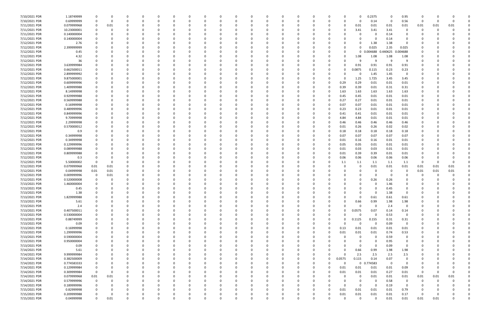| 7/10/2021 PDR | 1.18749999  |             |          |          |          | 0        |          |          |          |          | $\Omega$ |          |          | 0        |          |              |          | 0           | 0.2375   | - 0      | 0.95           | 0        |      |          |  |
|---------------|-------------|-------------|----------|----------|----------|----------|----------|----------|----------|----------|----------|----------|----------|----------|----------|--------------|----------|-------------|----------|----------|----------------|----------|------|----------|--|
| 7/10/2021 PDR | 0.69999999  |             |          | -0       |          |          |          |          |          |          | - 0      |          |          | O        |          |              |          | 0           | 0.14     | - 0      | 0.56           | 0        |      |          |  |
| 7/11/2021 PDR | 0.079999968 | 0           | 0.01     |          |          |          |          |          |          |          |          |          |          |          |          |              |          | 0.01        | 0.01     | 0.01     | 0.01           | 0.01     | 0.01 | 0.01     |  |
| 7/11/2021 PDR | 10.23000001 |             |          |          |          |          |          |          |          |          |          |          |          |          |          |              |          | 3.41        | 3.41     | 3.41     | 0              | 0        |      |          |  |
| 7/11/2021 PDR | 0.140000004 |             |          |          |          |          |          |          |          |          |          |          |          |          |          |              |          | 0           |          | 0.14     | 0              |          |      |          |  |
| 7/11/2021 PDR | 0.140000004 |             |          | -0       |          |          |          |          |          |          | - 0      |          |          | C        |          |              |          | $\Omega$    |          | 0.14     | 0              |          |      |          |  |
|               |             |             |          |          |          |          |          |          |          |          |          |          |          |          |          |              |          |             |          |          | $\Omega$       |          |      |          |  |
| 7/12/2021 PDR | 2.76        |             |          |          |          |          |          |          |          |          |          |          |          |          |          |              |          | 0           | 1.38     | 1.38     |                |          |      |          |  |
| 7/12/2021 PDR | 2.399999999 |             |          |          |          |          |          |          |          |          |          |          |          |          |          |              |          | $\Omega$    | 0.025    | 2.35     | 0.025          |          |      |          |  |
| 7/12/2021 PDR | 0.45        |             |          |          |          |          |          |          |          |          |          |          |          |          |          |              |          | 0           | 0.004688 | 0.440625 | 0.004688       |          |      |          |  |
| 7/12/2021 PDR | 4.32        |             |          |          |          |          |          |          |          |          |          |          |          |          |          |              |          | 1.08        | 1.08     | 1.08     | 1.08           |          |      |          |  |
| 7/12/2021 PDR | 36          |             |          |          |          |          |          |          |          |          |          |          |          |          |          |              |          | 9           | ٩        | - q      | -9             |          |      |          |  |
| 7/12/2021 PDR | 3.639999984 |             |          |          |          |          |          |          |          |          |          |          |          |          |          |              |          | 0.91        | 0.91     | 0.91     | 0.91           |          |      |          |  |
| 7/12/2021 PDR | 0.662500011 |             |          |          |          |          |          |          |          |          |          |          |          |          |          |              |          | 0.0875      | 0.115    | 0.23     | 0.23           |          |      |          |  |
| 7/12/2021 PDR | 2.899999992 |             |          |          |          |          |          |          |          |          |          |          |          |          |          |              |          | -0          | 1.45     | 1.45     | $\Omega$       |          |      |          |  |
| 7/12/2021 PDR | 9.875000001 |             |          |          |          |          |          |          |          |          |          |          |          |          |          |              |          | 1.25        | 1.725    | 3.45     | 3.45           |          |      |          |  |
| 7/12/2021 PDR | 0.609999996 |             |          |          |          |          |          |          |          |          |          |          |          |          |          | 0            | 0.29     | 0.29        | 0.01     | 0.01     | 0.01           |          |      |          |  |
| 7/12/2021 PDR | 1.409999988 |             |          | $\Omega$ |          |          |          |          |          |          |          |          |          |          |          | $\Omega$     | 0.39     | 0.39        | 0.01     | 0.31     | 0.31           |          |      |          |  |
| 7/12/2021 PDR | 8.14999998  |             |          | -0       |          |          |          |          |          |          |          |          |          |          |          | $\Omega$     | 1.63     | 1.63        | 1.63     | 1.63     | 1.63           |          |      |          |  |
| 7/12/2021 PDR | 0.929999988 |             |          |          |          |          |          |          |          |          |          |          |          |          |          |              | 0.45     | 0.45        | 0.01     | 0.01     | 0.01           |          |      |          |  |
| 7/12/2021 PDR | 0.569999988 |             |          |          |          |          |          |          |          |          | - 0      |          |          |          |          | 0            | 0.27     | 0.27        | 0.01     | 0.01     | 0.01           |          |      |          |  |
|               |             |             |          |          |          |          |          |          |          |          |          |          |          |          |          |              |          |             |          |          |                |          |      |          |  |
| 7/12/2021 PDR | 0.16999998  |             |          |          |          |          |          |          |          |          |          |          |          |          |          | 0            | 0.07     | 0.07        | 0.01     | 0.01     | 0.01           |          |      |          |  |
| 7/12/2021 PDR | 0.489999996 |             |          |          |          |          |          |          |          |          |          |          |          |          |          | 0            | 0.23     | 0.23        | 0.01     | 0.01     | 0.01           |          |      |          |  |
| 7/12/2021 PDR | 0.849999996 |             |          |          |          |          |          |          |          |          |          |          |          |          |          |              | 0.41     | 0.41        | 0.01     | 0.01     | 0.01           |          |      |          |  |
| 7/12/2021 PDR | 9.70999998  |             |          |          |          |          |          |          |          |          |          |          |          |          |          |              | 4.84     | 4.84        | 0.01     | 0.01     | 0.01           |          |      |          |  |
| 7/12/2021 PDR | 2.29999998  |             |          |          |          |          |          |          |          |          |          |          |          |          |          |              | 0.46     | 0.46        | 0.46     | 0.46     | 0.46           |          |      |          |  |
| 7/12/2021 PDR | 0.570000012 |             |          |          |          |          |          |          |          |          |          |          |          |          |          |              | 0.01     | 0.26        | 0.26     | 0.02     | 0.02           |          |      |          |  |
| 7/12/2021 PDR | 0.9         |             |          |          |          |          |          |          |          |          |          |          |          |          |          | <sup>0</sup> | 0.18     | 0.18        | 0.18     | 0.18     | 0.18           |          |      |          |  |
| 7/12/2021 PDR | 0.34999998  |             |          |          |          |          |          |          |          |          |          |          |          |          |          | 0            | 0.07     | 0.07        | 0.07     | 0.07     | 0.07           |          |      |          |  |
| 7/12/2021 PDR | 0.34999998  |             |          |          |          |          |          |          |          |          |          |          |          |          |          |              | 0.01     | 0.16        | 0.16     | 0.01     | 0.01           |          |      |          |  |
| 7/12/2021 PDR | 0.129999996 |             |          |          |          |          |          |          |          |          |          |          |          |          |          |              | 0.05     | 0.05        | 0.01     | 0.01     | 0.01           |          |      |          |  |
| 7/12/2021 PDR | 0.089999988 |             |          | -0       |          |          |          |          |          |          |          |          |          |          |          |              | 0.01     | 0.03        | 0.03     | 0.01     | 0.01           |          |      |          |  |
| 7/12/2021 PDR | 0.809999988 |             |          |          |          |          |          |          |          |          |          |          |          |          |          | <sup>0</sup> | 0.01     | 0.39        | 0.39     | 0.01     | 0.01           |          |      |          |  |
| 7/12/2021 PDR | 0.3         |             |          |          |          |          |          |          |          |          | -0       |          |          |          |          | 0            | 0.06     | 0.06        | 0.06     | 0.06     | 0.06           |          |      |          |  |
|               |             |             |          |          |          |          |          |          |          |          |          |          |          |          |          |              |          |             |          |          |                |          |      |          |  |
| 7/12/2021 PDR | 5.50000002  | 0           |          |          |          |          |          |          |          |          |          |          |          |          |          |              | 1.1      | 1.1         | 1.1      | 1.1      | 1.1            | -0       |      |          |  |
| 7/12/2021 PDR | 0.079999968 | 0.01        | 0.01     |          |          |          |          |          |          |          |          |          |          |          |          |              |          | 0           | 0.01     | 0.01     | 0.01           | 0.01     | 0.01 | 0.01     |  |
| 7/12/2021 PDR | 0.04999998  | 0.01        | 0.01     | 0        |          |          |          |          |          |          | - 0      |          |          |          |          |              |          | 0           |          | - 0      | 0              | 0.01     | 0.01 | 0.01     |  |
| 7/12/2021 PDR | 0.009999996 | 0           | 0.01     |          |          |          |          |          |          |          |          |          |          |          |          |              |          | 0           |          | - 0      |                | 0        |      |          |  |
| 7/12/2021 PDR | 0.520000008 |             |          |          |          |          |          |          |          |          |          |          |          |          |          |              |          | $\Omega$    | 0.26     | 0.26     |                |          |      |          |  |
| 7/13/2021 PDR | 1.460000004 |             |          |          |          |          |          |          |          |          |          |          |          |          |          |              |          |             |          | 1.46     |                |          |      |          |  |
| 7/13/2021 PDR | 0.45        |             |          | -0       |          |          |          |          |          |          |          |          |          |          |          |              |          |             |          | 0.45     |                |          |      |          |  |
| 7/13/2021 PDR | 1.38        |             |          | $\Omega$ |          |          |          |          |          |          |          |          |          |          |          |              |          | $\Omega$    |          | 1.38     |                |          |      |          |  |
| 7/13/2021 PDR | 1.829999988 | $\Omega$    | $\Omega$ | $\Omega$ | $\Omega$ | $\Omega$ | $\Omega$ | 0        | 0        | O        | 0        | $\Omega$ | $\Omega$ | 0        | $\Omega$ | 0            |          | $\mathbf 0$ | 0.61     | 0.61     | 0.61           | $\Omega$ |      |          |  |
| 7/13/2021 PDR | 5.61        |             |          | 0        |          | $\Omega$ |          |          |          |          | 0        |          |          | 0        |          | 0            |          | 0.66        | 0.99     | 1.98     | 1.98           |          |      |          |  |
| 7/13/2021 PDR | 2.4         |             |          | $\Omega$ |          | $\Omega$ |          |          |          |          | $\Omega$ |          |          | 0        |          |              |          | $\Omega$    | $\Omega$ | 2.4      | $\mathbf 0$    |          |      |          |  |
| 7/13/2021 PDR | 0.407500011 |             |          |          |          |          |          |          |          |          |          |          |          |          |          | 0            |          | 0.0575      | 0.07     | 0.14     | 0.14           |          |      |          |  |
| 7/13/2021 PDR | 0.530000004 |             |          |          |          |          |          |          |          |          | 0        |          |          | 0        |          |              |          | -0          | $\Omega$ | 0.53     | $\overline{0}$ |          |      |          |  |
| 7/13/2021 PDR | 0.88749999  |             |          | 0        |          | 0        |          |          |          |          | 0        |          | 0        | 0        |          | 0            | 0        | 0.1125      | 0.155    | 0.31     | 0.31           |          |      |          |  |
|               |             |             |          |          |          |          |          |          |          |          |          |          |          |          |          |              |          |             | $\Omega$ |          |                |          |      |          |  |
| 7/13/2021 PDR | 0.09        |             |          | 0        |          | $\Omega$ |          |          |          |          | 0        |          |          | C        |          |              |          | $\mathbf 0$ |          | 0.09     | $\overline{0}$ |          |      |          |  |
| 7/13/2021 PDR | 0.16999998  | 0           |          | 0        |          | $\Omega$ |          |          |          |          | $\Omega$ | $\Omega$ |          | 0        |          | $\Omega$     | 0.13     | 0.01        | 0.01     | 0.01     | 0.01           | 0        |      |          |  |
| 7/13/2021 PDR | 1.299999996 | 0           |          | 0        |          | 0        |          | 0        |          |          | $\Omega$ |          |          | 0        |          | $\Omega$     | 0.01     | 0.01        | 0.01     | 0.74     | 0.53           |          |      |          |  |
| 7/13/2021 PDR | 0.590000004 |             |          |          |          | $\Omega$ |          |          |          |          |          |          |          |          |          |              |          | 0           | $\Omega$ | 0.59     | 0              |          |      |          |  |
| 7/13/2021 PDR | 0.950000004 |             |          |          |          | 0        |          |          |          |          | 0        |          |          | 0        |          |              |          | 0           | $\Omega$ | 0.95     | 0              |          |      |          |  |
| 7/13/2021 PDR | 0.09        | 0           |          | 0        |          | 0        |          |          |          |          |          |          |          | 0        |          |              |          | 0           | $\Omega$ | 0.09     | 0              |          |      |          |  |
| 7/14/2021 PDR | 5.61        |             |          | $\Omega$ |          | $\Omega$ |          |          |          |          | $\Omega$ |          |          |          |          |              |          | 0.66        | 0.99     | 1.98     | 1.98           |          |      |          |  |
| 7/14/2021 PDR | 9.999999984 | 0           |          | 0        |          | $\Omega$ |          | $\Omega$ |          |          | 0        |          |          | 0        |          | 0            | $\Omega$ | 2.5         | 2.5      | 2.5      | 2.5            |          |      |          |  |
| 7/14/2021 PDR | 0.382500009 |             |          | 0        |          | 0        |          |          |          |          | $\Omega$ |          |          | 0        |          | $\Omega$     | 0.0575   | 0.115       | 0.14     | 0.07     | $\mathbf 0$    |          |      |          |  |
| 7/14/2021 PDR | 0.774583333 |             |          |          |          |          |          |          |          |          |          |          |          | 0        |          | U            |          | $\mathbf 0$ | 0.774583 | $\Omega$ | $\overline{0}$ |          |      |          |  |
| 7/14/2021 PDR | 0.129999984 |             |          |          |          |          |          |          |          |          | 0        |          |          | 0        |          | 0            | 0.01     | 0.01        | 0.01     | 0.01     | 0.09           |          |      |          |  |
| 7/14/2021 PDR | 0.309999984 | $\mathbf 0$ |          |          |          |          |          |          |          |          |          |          |          | 0        |          | 0            | 0.01     | 0.01        | 0.01     | 0.27     | 0.01           | 0        |      |          |  |
| 7/14/2021 PDR | 0.079999968 | $0.01\,$    | 0.01     | $\Omega$ |          |          |          |          |          |          |          |          |          |          |          |              |          | 0           | 0.01     | 0.01     | 0.01           | 0.01     | 0.01 | 0.01     |  |
| 7/14/2021 PDR | 0.579999996 | $\mathbf 0$ |          |          |          |          |          |          |          |          | 0        |          |          |          |          |              |          | 0           | $\Omega$ | 0.58     | 0              | 0        |      |          |  |
|               |             |             |          |          |          |          |          |          |          |          |          |          |          |          |          |              |          |             |          |          |                |          |      |          |  |
| 7/14/2021 PDR | 0.189999996 | 0           |          | 0        |          | $\Omega$ |          |          |          |          | 0        |          |          |          |          |              |          | 0           | $\Omega$ | 0.19     | $\overline{0}$ |          |      |          |  |
| 7/15/2021 PDR | 0.82999998  | $\Omega$    |          | $\Omega$ |          | $\Omega$ |          |          |          |          | 0        | $\Omega$ |          | 0        |          | $\Omega$     | 0.01     | 0.01        | 0.01     | 0.01     | 0.79           |          |      |          |  |
| 7/15/2021 PDR | 0.209999988 |             |          |          |          |          |          |          |          |          | 0        |          |          |          |          | 0            | 0.01     | 0.01        | 0.01     | 0.01     | 0.17           | 0        |      |          |  |
| 7/15/2021 PDR | 0.04999998  | $\Omega$    | 0.01     | $\Omega$ |          | $\Omega$ | $\Omega$ | 0        | $\Omega$ | $\Omega$ | $\Omega$ | $\Omega$ | $\Omega$ | $\Omega$ |          | 0            |          | $\mathbf 0$ | $\Omega$ | 0.01     | 0.01           | 0.01     | 0.01 | $\Omega$ |  |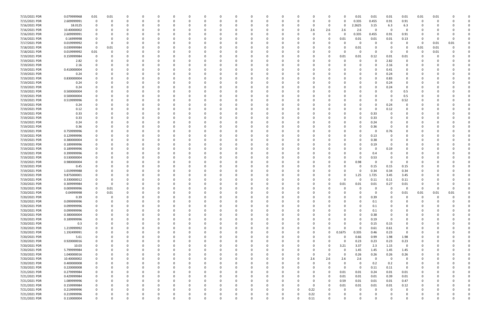| 7/15/2021 PDR | 0.079999968 | 0.01         | 0.01 |          |          |          |              |   |          | 0        |          |              |   |          |              |          | 0.01        | 0.01        | 0.01        | 0.01           | 0.01 | 0.01 |      |  |
|---------------|-------------|--------------|------|----------|----------|----------|--------------|---|----------|----------|----------|--------------|---|----------|--------------|----------|-------------|-------------|-------------|----------------|------|------|------|--|
| 7/15/2021 PDR | 2.609999991 | $\Omega$     | 0    | 0        | 0        |          |              |   |          | 0        |          | 0            | 0 | 0        | $\Omega$     |          | 0.335       | 0.455       | 0.91        | 0.91           | 0    | -0   |      |  |
| 7/16/2021 PDR | 18.0125     |              |      |          |          |          |              |   |          |          |          |              |   | -0       |              | 0        | 2.2625      | 3.15        | 6.3         | 6.3            |      |      |      |  |
| 7/16/2021 PDR | 10.40000002 |              |      |          |          |          |              |   |          |          |          |              |   | 2.6      | 2.6          | 2.6      | 2.6         | 0           | - 0         |                |      |      |      |  |
| 7/16/2021 PDR | 2.609999991 |              |      |          |          |          |              |   |          |          |          |              |   | -0       |              | $\Omega$ | 0.335       | 0.455       | 0.91        | 0.91           |      |      |      |  |
| 7/16/2021 PDR | 0.16999998  |              |      |          |          |          |              |   |          |          |          |              |   | - 0      |              | 0.01     | 0.01        | 0.01        | 0.01        | 0.13           |      |      |      |  |
| 7/17/2021 PDR | 0.019999992 |              |      |          |          |          |              |   |          |          |          |              |   |          |              |          | 0           |             |             | $\Omega$       | -0   | 0.01 | 0.01 |  |
| 7/18/2021 PDR | 0.039999984 | $\Omega$     | 0.01 |          |          |          |              |   |          |          |          |              |   |          |              |          | 0.01        |             |             | 0              | 0.01 | 0.01 |      |  |
|               |             |              |      |          |          |          |              |   |          |          |          |              |   |          |              |          |             | -C          | - 0         | $\Omega$       |      |      |      |  |
| 7/18/2021 PDR | 0.019999992 | 0.01         |      |          |          |          |              |   |          |          |          |              |   |          |              |          | 0           |             |             |                | 0    | 0.01 |      |  |
| 7/19/2021 PDR | 0.159999984 |              |      |          |          |          |              |   |          |          |          |              |   |          |              | 0.01     | 0.01        | 0.12        | 0.01        | 0.01           |      |      |      |  |
| 7/19/2021 PDR | 2.82        |              |      |          |          |          |              |   |          |          |          |              |   |          |              |          | 0           | $\Omega$    | 2.82        | 0              |      |      |      |  |
| 7/19/2021 PDR | 2.16        |              |      |          |          |          |              |   |          |          |          |              |   |          |              |          | 0           | 0           | 2.16        | 0              |      |      |      |  |
| 7/19/2021 PDR | 0.410000004 |              |      |          |          |          |              |   |          |          |          |              |   |          |              |          |             | $\Omega$    | 0.41        | 0              |      |      |      |  |
| 7/19/2021 PDR | 0.24        |              |      |          |          |          |              |   |          |          |          |              |   |          |              |          | 0           | 0           | 0.24        | 0              |      |      |      |  |
| 7/19/2021 PDR | 0.830000004 |              |      |          |          |          |              |   |          |          |          |              |   |          |              |          |             | $\Omega$    | 0.83        |                |      |      |      |  |
| 7/19/2021 PDR | 0.24        |              |      |          |          |          |              |   |          |          |          |              |   |          |              |          |             | - 0         | 0.24        | 0              |      |      |      |  |
| 7/19/2021 PDR | 0.24        |              |      |          |          |          |              |   |          |          |          |              |   |          |              |          |             | -0          | 0.24        | 0              |      |      |      |  |
| 7/19/2021 PDR | 0.500000004 |              |      |          |          |          |              |   |          |          |          |              |   |          |              |          |             |             |             | 0.5            |      |      |      |  |
| 7/19/2021 PDR | 0.500000004 |              |      |          |          |          |              |   |          |          |          |              |   |          |              |          |             | - 0         |             | 0.5            |      |      |      |  |
| 7/19/2021 PDR | 0.519999996 |              |      |          |          |          |              |   |          |          |          |              |   |          |              |          |             |             |             | 0.52           |      |      |      |  |
| 7/19/2021 PDR | 0.24        |              |      |          |          |          |              |   |          |          |          |              |   |          |              |          |             | 0           | 0.24        |                |      |      |      |  |
| 7/19/2021 PDR | 0.12        |              |      |          |          |          |              |   |          |          |          |              |   |          |              |          |             | $\Omega$    | 0.12        |                |      |      |      |  |
| 7/19/2021 PDR | 0.33        |              |      |          |          |          |              |   |          |          |          |              |   |          |              |          | O           | 0.33        |             |                |      |      |      |  |
| 7/19/2021 PDR | 0.33        |              |      |          |          |          |              |   |          |          |          |              |   |          |              |          | 0           | 0.33        |             |                |      |      |      |  |
| 7/19/2021 PDR | 0.24        |              |      |          |          |          |              |   |          |          |          |              |   |          |              |          | 0           | 0.24        |             |                |      |      |      |  |
| 7/19/2021 PDR | 0.36        |              |      |          |          |          |              |   |          |          |          |              |   |          |              |          | 0           | 0.36        |             |                |      |      |      |  |
| 7/19/2021 PDR | 0.759999996 |              |      |          |          |          |              |   |          |          |          |              |   |          |              |          | 0           | 0           | 0.76        |                |      |      |      |  |
| 7/19/2021 PDR | 0.129999996 |              |      |          |          |          |              |   |          |          |          |              |   |          |              |          | 0           | 0.13        |             |                |      |      |      |  |
| 7/19/2021 PDR | 0.380000004 |              |      | n        |          |          |              |   |          |          |          |              |   |          |              |          | 0           | 0.38        |             | $\Omega$       |      |      |      |  |
| 7/19/2021 PDR | 0.189999996 |              |      |          |          |          |              |   |          |          |          |              |   |          |              |          | 0           | 0.19        |             |                |      |      |      |  |
| 7/19/2021 PDR | 0.189999996 |              |      |          |          |          |              |   |          |          |          |              |   |          |              |          | C.          | 0           | 0.19        |                |      |      |      |  |
|               |             |              |      |          |          |          |              |   |          |          |          |              |   |          |              |          |             |             |             |                |      |      |      |  |
| 7/19/2021 PDR | 0.399999996 |              |      |          |          |          |              |   |          |          |          |              |   |          |              |          |             | 0.4         |             |                |      |      |      |  |
| 7/19/2021 PDR | 0.530000004 |              |      |          |          |          |              |   |          |          |          |              |   |          |              |          | 0           | 0.53        |             |                |      |      |      |  |
| 7/19/2021 PDR | 0.980000004 |              |      |          |          |          |              |   |          |          |          |              |   |          |              |          | 0.98        | 0           | - 0         |                |      |      |      |  |
| 7/19/2021 PDR | 0.45        |              |      |          |          |          |              |   |          |          |          |              |   |          |              |          | 0           | 0.15        | 0.15        | 0.15           |      |      |      |  |
| 7/19/2021 PDR | 1.019999988 |              |      |          |          |          |              |   |          |          |          |              |   |          |              |          | 0           | 0.34        | 0.34        | 0.34           |      |      |      |  |
| 7/19/2021 PDR | 9.875000001 |              |      |          |          |          |              |   |          |          |          |              |   |          |              |          | 1.25        | 1.725       | 3.45        | 3.45           |      |      |      |  |
| 7/19/2021 PDR | 0.330000012 |              |      |          |          |          |              |   |          |          |          |              |   |          |              |          | 0           | 0.11        | 0.11        | 0.11           |      |      |      |  |
| 7/20/2021 PDR | 0.309999984 |              |      |          |          |          |              |   |          |          |          |              |   |          |              | 0.01     | 0.01        | 0.01        | 0.27        | 0.01           |      |      |      |  |
| 7/20/2021 PDR | 0.009999996 | 0            | 0.01 | $\Omega$ |          |          |              |   |          |          |          |              |   |          |              | 0        | 0           | $\Omega$    | $\Omega$    | 0              | 0    |      |      |  |
| 7/20/2021 PDR | 0.04999998  | $\mathbf{0}$ | 0.01 | $\cap$   |          |          |              |   |          |          |          |              |   |          |              |          | $\Omega$    | $\mathbf 0$ | $\mathbf 0$ | 0.01           | 0.01 | 0.01 |      |  |
| 7/20/2021 PDR | 0.39        | 0            |      | 0        |          |          |              |   |          | 0        |          | $\Omega$     |   | $\Omega$ |              |          | 0           | 0.39        | $\Omega$    | $\Omega$       | -0   |      |      |  |
| 7/20/2021 PDR | 0.099999996 | 0            |      | 0        | $\Omega$ |          | <sup>0</sup> |   |          | $\Omega$ |          |              |   | 0        |              |          | $\Omega$    | 0.1         |             |                | 0    |      |      |  |
| 7/20/2021 PDR | 0.099999996 |              |      | 0        | 0        |          |              |   |          |          |          |              |   |          |              |          | $\Omega$    | 0.1         |             |                |      |      |      |  |
| 7/20/2021 PDR | 0.099999996 | 0            |      |          |          |          |              |   |          | 0        |          |              |   | - 0      |              |          | 0           | 0.1         |             | n              |      |      |      |  |
| 7/20/2021 PDR | 0.380000004 | 0            |      |          | 0        |          |              |   |          |          |          |              |   |          |              |          | 0           | 0.38        |             |                |      |      |      |  |
| 7/20/2021 PDR | 0.189999996 |              |      |          |          |          |              |   |          |          |          |              |   |          |              |          | $\Omega$    | 0.19        | 0           |                |      |      |      |  |
| 7/20/2021 PDR | 0.3         | O            |      | 0        |          |          |              |   |          |          |          |              |   | 0        |              |          | 0           | 0.15        | 0.15        | 0              | 0    |      |      |  |
| 7/20/2021 PDR | 1.219999992 |              |      | 0        | $\Omega$ |          |              |   |          |          |          |              | 0 | 0        |              | $\Omega$ | $\Omega$    | 0.61        | 0.61        | 0              | 0    |      |      |  |
| 7/20/2021 PDR | 1.192499991 |              |      |          | 0        |          |              |   |          |          |          |              | 0 | $\Omega$ | $\Omega$     | 0.1675   | 0.335       | 0.46        | 0.23        | 0              | 0    |      |      |  |
| 7/20/2021 PDR | 5.61        |              |      |          | 0        |          |              |   |          | 0        |          |              |   | $\Omega$ |              | $\Omega$ | 0.66        | 0.99        | 1.98        | 1.98           |      |      |      |  |
| 7/20/2021 PDR | 0.920000016 |              |      |          |          |          |              |   |          |          |          |              |   | 0        |              | 0        | 0.23        | 0.23        | 0.23        | 0.23           |      |      |      |  |
| 7/20/2021 PDR | 10.03       |              |      |          |          |          |              |   |          |          |          | 0            |   | 0        | 0            | 3.21     | 3.37        | 2.3         | 1.15        | $\overline{0}$ | O    |      |      |  |
| 7/20/2021 PDR | 5.799999984 | 0            |      | 0        | $\Omega$ |          |              |   |          | $\Omega$ |          | 0            | 0 | 0        | $\Omega$     | $\Omega$ | 1.45        | 1.45        | 1.45        | 1.45           | 0    |      |      |  |
| 7/20/2021 PDR | 1.040000016 | 0            |      | 0        | 0        |          |              |   |          | 0        |          | 0            | 0 | 0        | $\Omega$     | 0        | 0.26        | 0.26        | 0.26        | 0.26           | 0    |      |      |  |
| 7/20/2021 PDR | 10.40000002 | 0            |      | 0        | $\Omega$ |          | <sup>0</sup> |   |          | $\Omega$ |          | <sup>0</sup> | 0 | 2.6      | 2.6          | 2.6      | 2.6         | $\Omega$    | $\Omega$    | 0              | 0    |      |      |  |
|               |             |              |      |          |          |          |              |   |          |          |          |              |   |          |              |          |             |             |             |                |      |      |      |  |
| 7/20/2021 PDR | 0.400000008 |              |      | 0        | 0        |          |              |   |          |          |          |              | 0 | 0        | $\Omega$     | $\Omega$ | 0           | 0.2         | 0.2         | 0              |      |      |      |  |
| 7/20/2021 PDR | 0.220000008 |              |      |          |          |          |              |   |          |          |          |              |   | 0        |              | $\Omega$ | $\mathbf 0$ | 0.11        | $0.11\,$    | 0              |      |      |      |  |
| 7/21/2021 PDR | 0.279999984 | 0            |      | 0        |          |          |              |   |          |          |          |              |   | 0        | $\Omega$     | 0.01     | 0.01        | 0.24        | 0.01        | 0.01           | 0    |      |      |  |
| 7/21/2021 PDR | 0.429999984 | 0            |      | 0        |          |          |              |   |          |          |          |              |   | 0        | $\Omega$     | 0.01     | 0.01        | 0.01        | 0.39        | 0.01           | 0    |      |      |  |
| 7/21/2021 PDR | 1.089999996 | 0            |      | $\Omega$ | $\Omega$ |          |              |   |          |          |          |              |   | 0        |              | 0.59     | 0.01        | 0.01        | 0.01        | 0.47           | 0    |      |      |  |
| 7/21/2021 PDR | 0.159999984 | 0            |      | 0        | 0        |          |              |   |          | 0        |          | 0            | 0 | 0        | $\Omega$     | 0.01     | 0.01        | 0.01        | 0.01        | 0.12           | 0    |      |      |  |
| 7/21/2021 PDR | 0.219999996 |              |      |          |          |          |              |   |          |          |          |              | 0 | 0.22     |              |          | $\Omega$    | - 0         |             | $\Omega$       |      |      |      |  |
| 7/21/2021 PDR | 0.219999996 |              |      |          |          |          |              |   |          |          |          |              |   | 0.22     |              |          |             |             |             |                |      |      |      |  |
| 7/21/2021 PDR | 0.110000004 | $\mathbf 0$  | 0    | 0        | $\Omega$ | $\Omega$ | 0            | 0 | $\Omega$ | 0        | $\Omega$ | $\mathbf 0$  | 0 | 0.11     | <sup>0</sup> | 0        | $\mathbf 0$ | $\Omega$    | $\Omega$    | $\mathbf 0$    | 0    |      | 0    |  |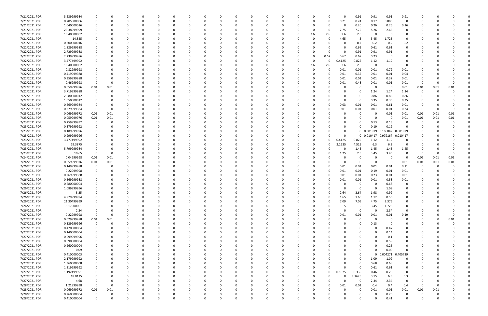| 7/21/2021 PDR | 3.639999984 |             |          |          |          |          |              |              |          |          |          |          |          |          |              |          | 0.91        | 0.91                | 0.91                | 0.91        |          |          |      |  |
|---------------|-------------|-------------|----------|----------|----------|----------|--------------|--------------|----------|----------|----------|----------|----------|----------|--------------|----------|-------------|---------------------|---------------------|-------------|----------|----------|------|--|
| 7/21/2021 PDR | 0.705000006 |             |          |          | $\Omega$ |          |              | <sup>0</sup> |          | $\Omega$ |          |          | 0        | $\Omega$ | $\Omega$     | 0.21     | 0.24        | 0.17                | 0.085               | 0           | -C       |          |      |  |
| 7/21/2021 PDR | 1.040000016 |             |          |          |          |          |              |              |          |          |          |          |          |          |              |          | 0.26        | 0.26                | 0.26                | 0.26        |          |          |      |  |
| 7/21/2021 PDR | 23.38999999 |             |          |          |          |          |              |              |          |          |          |          |          |          | 0            | 7.75     | 7.75        | 5.26                | 2.63                | 0           |          |          |      |  |
| 7/21/2021 PDR | 10.40000002 |             |          |          |          |          |              |              |          |          |          |          |          | 2.6      | 2.6          | 2.6      | 2.6         | $\Omega$            | - 0                 | $\Omega$    |          |          |      |  |
| 7/21/2021 PDR | 14.825      |             |          |          |          |          |              |              |          |          |          |          |          |          |              | 4.65     | -5          | 3.45                | 1.725               | 0           |          |          |      |  |
| 7/21/2021 PDR | 0.800000016 |             |          |          |          |          |              |              |          |          |          |          |          |          |              |          |             |                     |                     |             |          |          |      |  |
|               |             |             |          |          |          |          |              |              |          |          |          |          |          |          |              |          | 0.2         | 0.2                 | 0.2                 | 0.2         |          |          |      |  |
| 7/22/2021 PDR | 1.829999988 |             |          |          |          |          |              |              |          |          |          |          |          |          |              |          | 0.61        | 0.61                | 0.61                | 0           |          |          |      |  |
| 7/22/2021 PDR | 2.729999988 |             |          |          |          |          |              |              |          |          |          |          |          |          | <sup>0</sup> |          | 0.91        | 0.91                | 0.91                |             |          |          |      |  |
| 7/22/2021 PDR | 2.239999986 |             |          |          |          |          |              |              |          |          |          |          |          | 0        | 0.67         | 0.67     | 0.67        | 0.23                | 0                   |             |          |          |      |  |
| 7/22/2021 PDR | 3.477499992 |             |          |          |          |          |              |              |          |          |          |          |          | 0        | - 0          | 0.4125   | 0.825       | 1.12                | 1.12                |             |          |          |      |  |
| 7/22/2021 PDR | 10.40000002 |             |          |          |          |          |              |              |          |          |          |          |          | 2.6      | 2.6          | 2.6      | 2.6         | - 0                 | 0                   | 0           |          |          |      |  |
| 7/22/2021 PDR | 0.82999998  |             |          |          |          |          |              |              |          |          |          |          |          | $\Omega$ | $\Omega$     | 0.01     | 0.01        | 0.01                | 0.79                | 0.01        |          |          |      |  |
| 7/22/2021 PDR | 0.419999988 |             |          |          |          |          |              |              |          |          |          |          |          |          |              | 0.01     | 0.35        | 0.01                | 0.01                | 0.04        |          |          |      |  |
| 7/22/2021 PDR | 0.359999988 |             |          |          |          |          |              |              |          |          |          |          |          |          |              | 0.01     | 0.01        | 0.01                | 0.32                | 0.01        |          |          |      |  |
| 7/22/2021 PDR | 0.46999998  |             |          |          |          |          |              |              |          |          |          |          |          |          |              | 0.01     | 0.43        | 0.01                | $0.01\,$            | 0.01        | 0        |          |      |  |
| 7/22/2021 PDR | 0.059999976 | 0.01        | 0.01     |          |          |          |              |              |          |          |          |          |          |          |              |          | 0           | - 0                 | - 0                 | 0.01        | 0.01     | 0.01     | 0.01 |  |
| 7/22/2021 PDR | 3.719999988 |             |          |          |          |          |              |              |          |          |          |          |          |          |              |          | 0           | 1.24                | 1.24                | 1.24        | 0        |          |      |  |
| 7/22/2021 PDR | 2.580000012 |             |          |          |          |          |              |              |          |          |          |          |          |          |              |          | 0           | 0.86                | 0.86                | 0.86        |          |          |      |  |
| 7/22/2021 PDR | 1.050000012 |             |          |          |          |          |              |              |          |          |          |          |          |          |              |          | 0           | 0.35                | 0.35                | 0.35        |          |          |      |  |
| 7/23/2021 PDR | 0.669999984 |             |          |          |          |          |              |              |          |          |          |          |          |          | $\Omega$     | 0.03     |             |                     | 0.61                |             |          |          |      |  |
|               |             |             |          |          |          |          |              |              |          |          |          |          |          |          |              |          | 0.01        | 0.01                |                     | 0.01        |          |          |      |  |
| 7/23/2021 PDR | 0.279999984 |             |          |          |          |          |              |              |          |          |          |          |          |          | 0            | 0.01     | 0.01        | 0.01                | 0.01                | 0.24        | -0       |          |      |  |
| 7/23/2021 PDR | 0.069999972 | 0.01        | 0.01     |          |          |          |              |              |          |          |          |          |          |          |              |          | 0           |                     | 0.01                | 0.01        | 0.01     | 0.01     | 0.01 |  |
| 7/23/2021 PDR | 0.059999976 | 0.01        | 0.01     |          |          |          |              |              |          |          |          |          |          |          |              |          |             |                     | - 0                 | 0.01        | 0.01     | 0.01     | 0.01 |  |
| 7/23/2021 PDR | 0.259999992 |             |          |          |          |          |              |              |          |          |          |          |          |          |              |          | -0          | 0.13                | 0.13                |             | 0        |          |      |  |
| 7/23/2021 PDR | 0.379999992 |             |          |          |          |          |              |              |          |          |          |          |          |          |              |          | 0           | 0.19                | 0.19                |             |          |          |      |  |
| 7/23/2021 PDR | 0.189999996 |             |          |          |          |          |              |              |          |          |          |          |          |          |              |          |             | 0 0.001979 0.186042 |                     | 0.001979    |          |          |      |  |
| 7/23/2021 PDR | 0.999999996 |             |          |          |          |          |              |              |          |          |          |          |          |          |              |          |             | 0 0.010417 0.979167 |                     | 0.010417    |          |          |      |  |
| 7/23/2021 PDR | 3.477499992 |             |          |          |          |          |              |              |          |          |          |          |          |          | 0            | 0.4125   | 0.825       | 1.12                | 1.12                | 0           |          |          |      |  |
| 7/23/2021 PDR | 19.3875     |             |          |          |          |          |              |              |          |          |          |          |          |          | 0            | 2.2625   | 4.525       | 6.3                 | 6.3                 | O           |          |          |      |  |
| 7/23/2021 PDR | 5.799999984 |             |          |          |          |          |              |              |          |          |          |          |          |          |              |          | 1.45        | 1.45                | 1.45                | 1.45        |          |          |      |  |
| 7/23/2021 PDR | 10.65       | - 0         | O        |          |          |          |              |              |          |          |          |          |          |          | <sup>0</sup> | 1.25     | 2.5         | 3.45                | 3.45                | 0           | 0        |          |      |  |
| 7/24/2021 PDR | 0.04999998  | 0.01        | 0.01     |          |          |          |              |              |          |          |          |          |          |          |              |          | 0           |                     | - 0                 | - 0         | 0.01     | 0.01     | 0.01 |  |
| 7/24/2021 PDR |             | 0.01        | 0.01     |          |          |          |              |              |          |          |          |          |          |          |              |          | 0           |                     | - 0                 |             |          |          | 0.01 |  |
|               | 0.059999976 |             |          |          |          |          |              |              |          |          |          |          |          |          |              |          |             |                     |                     | 0.01        | 0.01     | 0.01     |      |  |
| 7/26/2021 PDR | 0.149999988 |             |          |          |          |          |              |              |          |          |          |          |          |          |              | 0.01     | 0.01        | 0.01                | 0.01                | 0.11        | 0        |          |      |  |
| 7/26/2021 PDR | 0.22999998  |             |          |          |          |          |              |              |          |          |          |          |          |          |              | 0.01     | 0.01        | 0.19                | 0.01                | 0.01        |          |          |      |  |
| 7/26/2021 PDR | 0.269999988 |             |          |          |          |          |              |              |          |          |          |          |          |          |              | 0.01     | 0.01        | 0.23                | 0.01                | 0.01        |          |          |      |  |
| 7/26/2021 PDR | 0.569999988 |             |          |          |          |          |              |              |          |          |          |          |          |          |              | 0.01     | 0.01        | 0.01                | 0.53                | 0.01        |          |          |      |  |
| 7/26/2021 PDR | 0.680000004 |             |          |          |          |          |              |              |          |          |          |          |          |          |              |          | 0           |                     | 0.68                |             |          |          |      |  |
| 7/26/2021 PDR | 1.089999996 |             |          |          |          |          |              |              |          |          |          |          |          |          |              |          | 0           | - 0                 | 1.09                |             |          |          |      |  |
| 7/26/2021 PDR | 8.25        |             |          |          |          |          |              |              |          |          |          |          |          |          |              | 2.64     | 2.64        | 1.98                | 0.99                |             |          |          |      |  |
| 7/26/2021 PDR | 4.979999994 |             | 0        |          | $\Omega$ | $\Omega$ | $\Omega$     | $\Omega$     | $\Omega$ | $\Omega$ | $\Omega$ | $\Omega$ | 0        | 0        | $\Omega$     | 1.65     | 1.65        | 1.12                | 0.56                | $\Omega$    | $\Omega$ |          |      |  |
| 7/26/2021 PDR | 21.30499999 |             | ŋ        |          | $\Omega$ | $\Omega$ | <sup>0</sup> | 0            |          | $\Omega$ |          | O        | 0        | 0        | $\Omega$     | 7.09     | 7.09        | 4.75                | 2.375               | 0           | 0        |          |      |  |
| 7/26/2021 PDR | 15.17500001 |             |          |          | 0        |          |              | 0            |          |          |          |          | 0        | 0        |              |          | -5          | 3.45                | 1.725               | 0           |          |          |      |  |
| 7/26/2021 PDR | 2.34        |             |          |          |          |          |              | 0            |          |          |          |          | 0        | 0        | O            | $\Omega$ | $\mathbf 0$ | $\Omega$            | 2.34                | 0           |          |          |      |  |
| 7/27/2021 PDR | 0.22999998  | $\mathbf 0$ | 0        |          |          |          |              | 0            |          |          |          |          |          |          | 0            | 0.01     | 0.01        | 0.01                | 0.01                | 0.19        |          |          | 0    |  |
| 7/27/2021 PDR | 0.029999988 | $0.01\,$    | $0.01\,$ |          |          |          |              | 0            |          |          |          |          |          |          |              |          | 0           | $\Omega$            | 0                   | 0           | 0        |          | 0.01 |  |
| 7/27/2021 PDR | 0.129999996 | $\mathbf 0$ |          |          |          |          |              |              |          |          |          |          |          |          |              |          | 0           | 0.13                | 0                   | 0           |          |          |      |  |
|               |             |             |          |          |          |          |              |              |          |          |          |          |          |          |              |          |             |                     |                     |             |          |          |      |  |
| 7/27/2021 PDR | 0.470000004 |             |          |          | 0        |          |              | 0            |          |          |          |          | 0        | 0        |              |          | 0           | $\Omega$            | 0.47                | 0           | 0        |          |      |  |
| 7/27/2021 PDR | 0.140000004 |             |          |          |          |          |              | 0            |          |          |          |          | 0        | 0        |              |          |             |                     | 0.14                | 0           |          |          |      |  |
| 7/27/2021 PDR | 0.099999996 |             |          |          |          |          |              |              |          |          |          |          |          |          |              |          |             |                     | 0.1                 | 0           |          |          |      |  |
| 7/27/2021 PDR | 0.590000004 |             |          |          |          |          |              |              |          |          |          |          |          |          |              |          |             |                     | 0.59                |             |          |          |      |  |
| 7/27/2021 PDR | 0.260000004 |             |          |          |          |          |              |              |          |          |          |          |          |          |              |          |             |                     | 0.26                |             |          |          |      |  |
| 7/27/2021 PDR | 0.09        |             |          |          |          |          | 0            |              |          |          |          |          |          |          |              |          | 0           | $\Omega$            | 0.09                | $\Omega$    |          |          |      |  |
| 7/27/2021 PDR | 0.410000003 |             |          |          | 0        |          |              | 0            |          |          |          |          |          | 0        |              |          | 0           |                     | 0 0.004271 0.405729 |             |          |          |      |  |
| 7/27/2021 PDR | 2.179999992 |             |          |          | $\Omega$ |          |              | <sup>0</sup> |          |          |          |          |          |          |              |          | 0           | 1.09                | 1.09                | $\mathbf 0$ |          |          |      |  |
| 7/27/2021 PDR | 1.360000008 |             |          |          |          |          |              | 0            |          |          |          |          | 0        | - 0      |              |          | $\Omega$    | 0.68                | 0.68                | 0           |          |          |      |  |
| 7/27/2021 PDR | 1.219999992 |             |          |          |          |          |              |              |          |          |          |          |          | - 0      | 0            |          | 0           | 0.61                | 0.61                | 0           |          |          |      |  |
| 7/27/2021 PDR | 1.192499991 |             |          |          |          |          |              |              |          |          |          |          |          | 0        | $\Omega$     | 0.1675   | 0.335       | 0.46                | 0.23                | 0           |          |          |      |  |
| 7/27/2021 PDR | 18.0125     |             |          |          |          |          |              |              |          |          |          |          | 0        | 0        | O            |          | 2.2625      | 3.15                | 6.3                 | 6.3         |          |          |      |  |
| 7/27/2021 PDR | 4.68        |             |          |          |          |          |              |              |          |          |          |          |          | 0        |              |          | 0           | 2.34                | 2.34                | $\mathbf 0$ |          |          |      |  |
|               |             |             |          |          |          |          |              |              |          |          |          |          |          |          |              |          |             |                     |                     |             |          |          |      |  |
| 7/28/2021 PDR | 1.21999998  | - 0         | O        |          |          |          |              |              |          |          |          |          |          |          | $\Omega$     | 0.01     | 0.01        | 0.4                 | 0.4                 | 0.4         | $\Omega$ |          |      |  |
| 7/28/2021 PDR | 0.069999972 | 0.01        | 0.01     |          |          |          |              |              |          |          |          |          |          | - 0      |              |          | $\Omega$    | 0.01                | 0.01                | 0.01        | 0.01     | 0.01     |      |  |
| 7/28/2021 PDR | 0.260000004 | 0           |          |          |          |          |              |              |          |          |          |          |          |          |              |          | 0           |                     | 0.26                | 0           |          |          |      |  |
| 7/28/2021 PDR | 0.410000004 | $\Omega$    | 0        | $\Omega$ | $\Omega$ | $\Omega$ | $\Omega$     | $\Omega$     | $\Omega$ | $\Omega$ |          | $\Omega$ | $\Omega$ | $\Omega$ | U            |          | $\Omega$    |                     | 0.41                | $\Omega$    | $\Omega$ | $\Omega$ | 0    |  |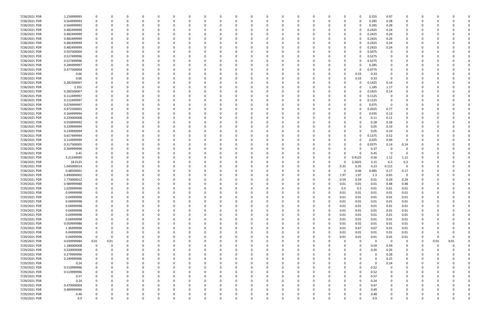| 7/28/2021 PDR | 1.224999993 | 0           |          | 0        |          | n        |          | <sup>0</sup> | 0        |          | 0        |          | <sup>0</sup> | 0           | 0        |          | 0            | $\Omega$    | 0.255       | 0.97           | 0           | 0        |      |          |  |
|---------------|-------------|-------------|----------|----------|----------|----------|----------|--------------|----------|----------|----------|----------|--------------|-------------|----------|----------|--------------|-------------|-------------|----------------|-------------|----------|------|----------|--|
| 7/28/2021 PDR | 0.564999993 | 0           |          | 0        | $\Omega$ | $\Omega$ |          | 0            |          |          | $\Omega$ |          | 0            | 0           | 0        |          | 0            | 0           | 0.285       | 0.28           | 0           | 0        |      |          |  |
| 7/28/2021 PDR | 0.564999993 |             |          |          |          |          |          |              |          |          |          |          |              |             |          |          | 0            | 0           | 0.285       | 0.28           | 0           |          |      |          |  |
| 7/28/2021 PDR | 0.482499999 |             |          |          |          |          |          |              |          |          |          |          |              |             |          |          | 0            | 0           | 0.2425      | 0.24           | n           |          |      |          |  |
| 7/28/2021 PDR | 0.482499999 |             |          |          |          |          |          |              |          |          |          |          |              |             |          |          | 0            | 0           | 0.2425      | 0.24           |             |          |      |          |  |
| 7/28/2021 PDR | 0.482499999 |             |          |          |          |          |          |              |          |          |          |          |              |             |          |          |              | 0           | 0.2425      | 0.24           |             |          |      |          |  |
| 7/28/2021 PDR | 0.482499999 |             |          |          |          |          |          |              |          |          |          |          |              |             |          |          | 0            | 0           | 0.2425      | 0.24           | 0           |          |      |          |  |
| 7/28/2021 PDR | 0.482499999 |             |          |          |          |          |          |              |          |          |          |          |              |             |          |          | 0            | 0           | 0.2425      | 0.24           | 0           |          |      |          |  |
| 7/28/2021 PDR | 0.507500004 |             |          |          |          |          |          |              |          |          |          |          |              |             |          |          | 0            | 0           | 0.5075      | - 0            |             |          |      |          |  |
| 7/28/2021 PDR | 0.527499996 |             |          |          |          |          |          |              |          |          |          |          |              |             |          |          | 0            | 0           | 0.5275      |                |             |          |      |          |  |
| 7/28/2021 PDR | 0.527499996 |             |          |          |          |          |          |              |          |          |          |          |              |             |          |          |              | 0           | 0.5275      |                |             |          |      |          |  |
| 7/28/2021 PDR | 0.284999997 |             |          |          |          |          |          |              |          |          |          |          |              |             |          |          |              | O           | 0.285       |                |             |          |      |          |  |
| 7/28/2021 PDR | 0.477500004 |             |          | n        |          |          |          |              |          |          |          |          |              |             |          |          | 0            | 0           | 0.4775      |                |             |          |      |          |  |
| 7/28/2021 PDR | 0.66        |             |          |          |          |          |          |              |          |          | -0       |          |              |             |          |          | 0            | 0.33        | 0.33        |                |             |          |      |          |  |
| 7/28/2021 PDR | 0.66        |             |          |          |          |          |          |              |          |          | - 0      |          |              |             |          |          | <sup>0</sup> | 0.33        | 0.33        | - 0            |             |          |      |          |  |
| 7/28/2021 PDR | 0.282500007 |             |          |          |          |          |          |              |          |          |          |          |              |             |          |          |              | 0           | 0.1425      | 0.14           |             |          |      |          |  |
| 7/28/2021 PDR | 2.355       |             |          |          |          |          |          |              |          |          |          |          |              |             |          |          |              | 0           | 1.185       | 1.17           |             |          |      |          |  |
| 7/28/2021 PDR | 0.282500007 |             |          |          |          |          |          |              |          |          |          |          |              |             |          |          | 0            | 0           | 0.1425      | 0.14           |             |          |      |          |  |
| 7/28/2021 PDR | 0.112499997 |             |          |          |          |          |          |              |          |          |          |          |              |             |          |          |              | 0           | 0.1125      | - 0            |             |          |      |          |  |
| 7/28/2021 PDR | 0.112499997 |             |          |          |          |          |          |              |          |          |          |          |              |             |          |          | 0            | 0           | 0.1125      | - 0            | 0           |          |      |          |  |
| 7/28/2021 PDR | 0.074999997 |             |          |          |          |          |          |              |          |          |          |          |              |             |          |          | 0            | 0           | 0.075       | - 0            | 0           |          |      |          |  |
| 7/28/2021 PDR | 0.972500001 |             |          |          |          |          |          |              |          |          |          |          |              |             |          |          |              | 0           | 0.2025      | 0.77           |             |          |      |          |  |
| 7/28/2021 PDR | 0.164999994 |             |          |          |          |          |          |              |          |          |          |          |              |             |          |          |              | 0           | 0.035       | 0.13           |             |          |      |          |  |
| 7/28/2021 PDR |             |             |          |          |          |          |          |              |          |          |          |          |              |             |          |          |              |             |             |                | 0           |          |      |          |  |
| 7/28/2021 PDR | 0.220000008 |             |          |          |          |          |          |              |          |          |          |          |              |             |          |          |              | 0           | 0.11        | 0.11           |             |          |      |          |  |
|               | 0.559999992 |             |          |          |          |          |          |              |          |          |          |          |              |             |          |          |              |             | 0.28        | 0.28           |             |          |      |          |  |
| 7/28/2021 PDR | 0.239999994 |             |          |          |          |          |          |              |          |          |          |          |              |             |          |          | O            | 0           | 0.05        | 0.19           | 0           |          |      |          |  |
| 7/28/2021 PDR | 0.239999994 |             |          |          |          |          |          |              |          |          |          |          |              |             |          |          |              | 0           | 0.05        | 0.19           | 0           |          |      |          |  |
| 7/28/2021 PDR | 0.657499994 |             |          |          |          |          |          |              |          |          |          |          |              |             |          |          |              | 0           | 0.1375      | 0.52           |             |          |      |          |  |
| 7/28/2021 PDR | 0.114999999 |             |          |          |          |          |          |              |          |          | -0       |          |              |             |          |          | 0            | 0           | 0.025       | 0.09           | 0           |          |      |          |  |
| 7/28/2021 PDR | 0.317500005 |             |          |          |          |          |          |              |          |          |          |          |              |             |          |          | 0            | 0           | 0.0375      | 0.14           | 0.14        |          |      |          |  |
| 7/28/2021 PDR | 0.369999996 |             |          |          |          |          |          |              |          |          |          |          |              |             |          |          |              | 0           | 0.37        | 0              | 0           |          |      |          |  |
| 7/28/2021 PDR | 0.45        |             |          | n        |          |          |          |              |          |          |          |          |              |             |          |          | $\Omega$     | 0           | 0.45        | 0              | $\Omega$    |          |      |          |  |
| 7/28/2021 PDR | 3.21249999  |             |          |          |          |          |          |              |          |          |          |          |              |             |          |          |              | 0.4125      | 0.56        | 1.12           | 1.12        |          |      |          |  |
| 7/28/2021 PDR | 18.0125     |             |          |          |          |          |          |              |          |          |          |          |              |             |          |          |              | 2.2625      | 3.15        | 6.3            | 6.3         |          |      |          |  |
| 7/28/2021 PDR | 1.045000014 |             |          |          |          |          |          |              |          |          |          |          |              |             | - 0      |          | 0.35         | 0.35        | 0.23        | 0.115          | - 0         |          |      |          |  |
| 7/28/2021 PDR | 0.48500001  |             |          |          |          |          |          |              |          |          |          |          |              |             |          |          |              | 0.06        | 0.085       | 0.17           | 0.17        |          |      |          |  |
| 7/28/2021 PDR | 5.890000002 |             |          |          |          |          |          |              |          |          |          |          |              |             |          |          | 1.97         | 1.97        | 1.3         | 0.65           | 0           |          |      |          |  |
| 7/29/2021 PDR | 1.770000012 |             |          |          |          |          |          |              |          |          |          |          |              |             |          |          | 0.59         | 0.59        | 0.01        | 0.29           | 0.29        |          |      |          |  |
| 7/29/2021 PDR | 0.989999988 |             |          |          |          |          |          |              |          |          | -0       |          |              |             |          |          | 0.01         | 0.01        | 0.01        | 0.48           | 0.48        | O        |      |          |  |
| 7/29/2021 PDR | 1.029999996 | 0           |          | $\Omega$ |          | $\Omega$ |          |              |          |          | $\Omega$ |          | $\Omega$     | O           | - 0      |          | 0.5          | 0.5         | 0.01        | 0.01           | 0.01        | O        |      |          |  |
| 7/29/2021 PDR | 0.04999998  | 0           |          |          |          |          |          |              | U        |          | 0        |          | $\Omega$     |             | $\Omega$ |          | 0.01         | 0.01        | 0.01        | 0.01           | 0.01        | 0        |      |          |  |
| 7/29/2021 PDR | 0.04999998  | $\Omega$    |          | 0        |          | $\Omega$ |          | $\Omega$     | O        |          | 0        |          | $\Omega$     | 0           | $\Omega$ | $\Omega$ | 0.01         | 0.01        | 0.01        | 0.01           | 0.01        | $\Omega$ |      |          |  |
| 7/29/2021 PDR | 0.04999998  | 0           |          | 0        |          | 0        |          |              |          |          | $\Omega$ |          | 0            |             | 0        | $\Omega$ | 0.01         | 0.01        | 0.01        | 0.01           | 0.01        | 0        |      |          |  |
| 7/29/2021 PDR | 0.04999998  | 0           |          | $\Omega$ |          |          |          |              |          |          | 0        |          |              |             | 0        |          | 0.01         | 0.01        | 0.01        | 0.01           | 0.01        | 0        |      |          |  |
| 7/29/2021 PDR | 0.04999998  | 0           |          | 0        |          | $\Omega$ |          | 0            |          |          | 0        |          | 0            | 0           | 0        |          | 0.01         | 0.01        | 0.01        | 0.01           | 0.01        | 0        |      |          |  |
| 7/29/2021 PDR | 0.04999998  | 0           |          | 0        |          | $\Omega$ |          | 0            |          |          | $\Omega$ |          |              | 0           | 0        |          | 0.01         | 0.01        | 0.01        | 0.01           | 0.01        | 0        |      |          |  |
| 7/29/2021 PDR | 0.04999998  | 0           |          | $\Omega$ |          | $\Omega$ |          |              |          |          | $\Omega$ |          |              | 0           | $\Omega$ |          | 0.01         | 0.01        | 0.01        | 0.01           | 0.01        |          |      |          |  |
| 7/29/2021 PDR | 0.059999988 |             |          |          |          |          |          |              |          |          | 0        |          |              |             | 0        | $\Omega$ | 0.01         | 0.02        | 0.01        | 0.01           | 0.01        |          |      |          |  |
| 7/29/2021 PDR | 1.36999998  | 0           |          |          |          |          |          |              |          |          |          |          |              |             | 0        | 0        | 0.01         | 0.67        | 0.67        | $0.01\,$       | 0.01        | 0        |      |          |  |
| 7/29/2021 PDR | 0.04999998  | $\Omega$    |          |          |          |          |          |              |          |          |          |          |              |             | 0        |          | 0.01         | 0.01        | 0.01        | $0.01\,$       | 0.01        | 0        |      |          |  |
| 7/29/2021 PDR | 0.04999998  | $\mathbf 0$ | $\Omega$ | 0        |          | $\Omega$ |          |              |          |          | 0        |          |              |             | 0        |          | 0.01         | 0.01        | 0.01        | 0.01           | 0.01        | 0        | 0    | $\Omega$ |  |
| 7/29/2021 PDR | 0.039999984 | 0.01        | 0.01     | 0        |          | $\Omega$ |          |              |          |          | $\Omega$ |          |              |             | $\Omega$ |          | $\Omega$     | $\mathbf 0$ | $\mathbf 0$ | $\overline{0}$ | 0           | 0        | 0.01 | 0.01     |  |
| 7/29/2021 PDR | 1.180000008 | $\mathbf 0$ |          |          |          | $\Omega$ |          |              |          |          |          |          |              |             | - 0      |          |              | $\Omega$    | 0.59        | 0.59           | 0           | C.       | 0    |          |  |
| 7/29/2021 PDR | 0.520000008 | $\mathbf 0$ |          |          |          |          |          |              |          |          |          |          |              |             | - 0      |          |              | 0           | 0.26        | 0.26           | 0           |          |      |          |  |
| 7/29/2021 PDR | 0.279999996 |             |          |          |          |          |          |              |          |          |          |          |              |             |          |          |              | 0           | 0           | 0.28           | 0           |          |      |          |  |
| 7/29/2021 PDR | 0.249999996 | $\Omega$    |          | $\Omega$ |          | $\Omega$ |          |              |          |          |          |          | 0            | 0           | -0       |          |              | 0           | $\Omega$    | 0.25           | $\mathbf 0$ | 0        |      |          |  |
| 7/29/2021 PDR | 0.24        | 0           |          | 0        |          | $\Omega$ |          |              |          |          | 0        |          |              |             | 0        |          |              | 0           | 0           | 0.24           | 0           | 0        |      |          |  |
| 7/29/2021 PDR | 0.519999996 | 0           |          | $\Omega$ |          | $\Omega$ |          |              |          |          | $\Omega$ |          |              |             | 0        |          | 0            | $\Omega$    | 0.52        | 0              | 0           | 0        |      |          |  |
| 7/29/2021 PDR | 0.519999996 |             |          | 0        |          | $\Omega$ |          |              |          |          | $\Omega$ |          |              | 0           | - 0      |          | ŋ            | $\Omega$    | 0.52        | $\Omega$       | 0           | 0        |      |          |  |
| 7/29/2021 PDR | 0.57        |             |          |          |          | O        |          |              |          |          |          |          |              |             | - 0      |          | 0            | $\Omega$    | 0.57        |                | 0           | 0        |      |          |  |
| 7/29/2021 PDR | 0.24        | 0           |          | 0        |          | 0        |          |              |          |          |          |          |              | 0           | 0        |          |              | 0           | 0.24        | $\Omega$       | 0           | 0        |      |          |  |
| 7/29/2021 PDR | 0.470000004 |             |          |          |          |          |          |              |          |          |          |          |              | 0           | 0        |          |              | 0           | 0.47        | 0              | 0           | 0        |      |          |  |
| 7/29/2021 PDR | 0.489999996 |             |          | $\Omega$ |          | $\Omega$ |          |              |          |          | $\Omega$ |          |              |             | - 0      |          | ŋ            | $\Omega$    | 0.49        | $\Omega$       | $\Omega$    | 0        |      |          |  |
| 7/29/2021 PDR | 0.48        | 0           |          | 0        |          | 0        |          | 0            |          |          | 0        |          | 0            | 0           | 0        |          | 0            | 0           | 0.48        | 0              | 0           | 0        |      | 0        |  |
| 7/29/2021 PDR | 0.9         | 0           |          | 0        | $\Omega$ | $\Omega$ | $\Omega$ | $\Omega$     | $\Omega$ | $\Omega$ | $\Omega$ | $\Omega$ | $\Omega$     | $\mathbf 0$ | 0        | 0        | 0            | $\Omega$    | 0.9         | $\Omega$       | $\mathbf 0$ | 0        |      | 0        |  |
|               |             |             |          |          |          |          |          |              |          |          |          |          |              |             |          |          |              |             |             |                |             |          |      |          |  |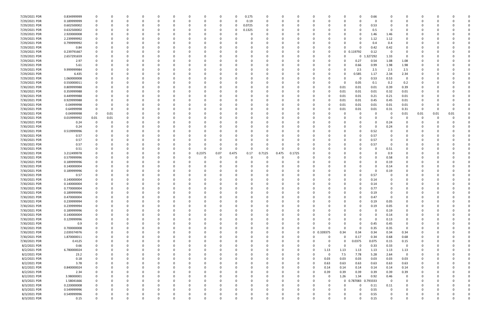| 7/29/2021 PDR | 0.834999999 |             |              |          |          | 0        |          | <sup>0</sup> |        | O        |          | 0.175    |          |              | O           |          |            |          | 0            | 0.66     |             |                         |          |      |          |  |
|---------------|-------------|-------------|--------------|----------|----------|----------|----------|--------------|--------|----------|----------|----------|----------|--------------|-------------|----------|------------|----------|--------------|----------|-------------|-------------------------|----------|------|----------|--|
| 7/29/2021 PDR | 0.189999999 |             |              |          |          |          |          |              |        | 0        |          | 0.19     |          |              |             | 0        |            |          | 0            | 0        |             |                         |          |      |          |  |
| 7/29/2021 PDR | 0.602500002 |             |              |          |          |          |          |              |        |          |          | 0.0725   |          |              |             |          |            |          | 0            | 0.53     |             |                         |          |      |          |  |
| 7/29/2021 PDR | 0.632500002 |             |              |          |          |          |          |              |        |          |          | 0.1325   |          |              |             |          |            |          |              | 0.5      |             |                         |          |      |          |  |
| 7/29/2021 PDR | 2.920000008 |             |              |          |          |          |          |              |        |          |          | 0        |          |              |             |          |            |          | 0            | 1.46     | 1.46        | 0                       |          |      |          |  |
| 7/29/2021 PDR | 2.239999992 |             |              | n        |          |          |          |              |        |          |          | 0        |          |              |             |          |            |          | 0            | 1.12     | 1.12        | 0                       |          |      |          |  |
| 7/29/2021 PDR | 0.799999992 |             |              |          |          |          |          |              |        |          |          |          |          |              |             |          |            |          | <sup>0</sup> | 0.4      | 0.4         | 0                       |          |      |          |  |
| 7/29/2021 PDR |             |             |              |          |          |          |          |              |        |          |          |          |          |              |             |          |            | ŋ        | <sup>0</sup> |          | 0.42        |                         |          |      |          |  |
|               | 0.84        |             |              |          |          |          |          |              |        |          |          |          |          |              |             |          |            |          |              | 0.42     |             |                         |          |      |          |  |
| 7/29/2021 PDR | 0.239791667 |             |              |          |          |          |          |              |        |          |          |          |          |              |             |          |            |          | 0 0.119792   | 0.12     | 0           |                         |          |      |          |  |
| 7/29/2021 PDR | 2.657291659 |             |              |          |          |          |          |              |        |          |          |          |          |              |             |          |            |          | 0            | .327292  | 1.33        | 0                       |          |      |          |  |
| 7/29/2021 PDR | 2.97        |             |              |          |          |          |          |              |        |          |          |          |          |              |             | - 0      |            | O        | 0.27         | 0.54     | 1.08        | 1.08                    |          |      |          |  |
| 7/29/2021 PDR | 5.61        |             |              |          |          |          |          |              |        |          |          |          |          |              |             |          |            |          | 0.66         | 0.99     | 1.98        | 1.98                    |          |      |          |  |
| 7/29/2021 PDR | 9.999999984 |             |              |          |          |          |          |              |        |          |          |          |          |              |             |          |            |          | 2.5          | 2.5      | 2.5         | 2.5                     |          |      |          |  |
| 7/29/2021 PDR | 6.435       |             |              |          |          |          |          |              |        |          |          |          |          |              |             |          |            | n        | 0.585        | 1.17     | 2.34        | 2.34                    |          |      |          |  |
| 7/29/2021 PDR | 1.060000008 |             |              |          |          |          |          |              |        |          |          |          |          |              |             |          |            |          | - 0          | 0.53     | 0.53        | - 0                     |          |      |          |  |
| 7/29/2021 PDR | 0.550000011 |             |              |          |          |          |          |              |        |          |          |          |          |              |             |          |            | $\Omega$ | 0.05         | 0.1      | 0.2         | 0.2                     |          |      |          |  |
| 7/30/2021 PDR | 0.809999988 |             |              | $\Omega$ |          |          |          |              |        |          |          |          |          |              |             | 0        |            | 0.01     | 0.01         | 0.01     | 0.39        | 0.39                    |          |      |          |  |
| 7/30/2021 PDR | 0.359999988 |             |              | n        |          |          |          |              |        |          |          |          |          |              |             | -0       |            | 0.01     | 0.01         | 0.01     | 0.32        | 0.01                    | 0        |      |          |  |
| 7/30/2021 PDR | 0.449999988 |             |              |          |          |          |          |              |        |          |          |          |          |              |             | - 0      |            | 0.01     | 0.01         | 0.21     | 0.21        | 0.01                    |          |      |          |  |
| 7/30/2021 PDR | 0.929999988 |             |              |          |          |          |          |              |        |          |          | - 0      |          |              |             | - 0      |            | 0.01     | 0.01         | 0.45     | 0.45        | 0.01                    |          |      |          |  |
| 7/30/2021 PDR | 0.04999998  |             |              |          |          |          |          |              |        |          |          |          |          |              |             |          |            | 0.01     | 0.01         | 0.01     | 0.01        | 0.01                    |          |      |          |  |
| 7/30/2021 PDR | 0.64999998  |             |              |          |          |          |          |              |        |          |          |          |          |              |             | - 0      |            | 0.01     | 0.01         | 0.01     | 0.31        | 0.31                    | -0       |      |          |  |
| 7/30/2021 PDR | 0.04999998  | - 0         | 0.01         |          |          |          |          |              |        |          |          |          |          |              |             |          |            |          | $\Omega$     | 0        | - 0         | 0.01                    | 0.01     | 0.01 | 0.01     |  |
| 7/30/2021 PDR | 0.019999992 | 0.01        | 0.01         |          |          |          |          |              |        |          |          |          |          |              |             |          |            |          |              | -C       | - 0         |                         | $\Omega$ |      |          |  |
| 7/30/2021 PDR | 0.24        | 0           |              |          |          |          |          |              |        |          |          |          |          |              |             |          |            |          | <sup>0</sup> | 0        | 0.24        |                         |          |      |          |  |
| 7/30/2021 PDR | 0.24        |             |              |          |          |          |          |              |        |          |          |          |          |              |             |          |            |          | <sup>0</sup> | 0        | 0.24        |                         |          |      |          |  |
| 7/30/2021 PDR | 0.519999996 |             |              |          |          |          |          |              |        |          |          |          |          |              |             |          |            |          | 0            | 0.52     |             |                         |          |      |          |  |
| 7/30/2021 PDR | 0.57        |             |              |          |          |          |          |              |        |          |          |          |          |              |             |          |            |          | 0            | 0.57     |             |                         |          |      |          |  |
| 7/30/2021 PDR | 0.57        |             |              |          |          |          |          |              |        |          |          |          |          |              |             |          |            |          |              | 0.57     |             |                         |          |      |          |  |
| 7/30/2021 PDR | 0.57        |             |              |          |          |          |          |              |        |          |          | -0       |          |              |             |          |            |          |              | 0.57     |             |                         |          |      |          |  |
| 7/30/2021 PDR | 0.51        |             |              | n        |          |          |          |              |        |          |          | $\Omega$ |          | 0            |             |          |            |          | 0            | 0        | 0.51        | 0                       |          |      |          |  |
|               |             |             |              |          |          |          |          |              |        |          |          |          |          |              |             |          |            |          |              |          |             |                         |          |      |          |  |
| 7/30/2021 PDR | 3.212499978 |             |              |          |          |          |          | 0            | 0.2375 | 0.07     | 0.475    | 0.17     | 0.7125   | 0.475        | 0.1725      |          |            |          |              | - 0      | 0.9         |                         |          |      |          |  |
| 7/30/2021 PDR | 0.579999996 |             |              |          |          |          |          |              |        | 0        |          | $\Omega$ |          |              |             |          |            |          | n            | $\Omega$ | 0.58        | n                       |          |      |          |  |
| 7/30/2021 PDR | 0.189999996 |             |              |          |          |          |          |              |        |          |          |          |          |              |             |          |            |          |              | $\Omega$ | 0.19        |                         |          |      |          |  |
| 7/30/2021 PDR | 0.140000004 |             |              |          |          |          |          |              |        |          |          |          |          |              |             |          |            |          |              | - 0      | 0.14        |                         |          |      |          |  |
| 7/30/2021 PDR | 0.189999996 |             |              |          |          |          |          |              |        |          |          | 0        |          |              |             |          |            |          | 0            | $\Omega$ | 0.19        | 0                       |          |      |          |  |
| 7/30/2021 PDR | 0.57        |             |              |          |          |          |          |              |        |          |          |          |          |              |             |          |            |          | 0            | 0.57     |             |                         |          |      |          |  |
| 7/30/2021 PDR | 0.140000004 |             |              |          |          |          |          |              |        |          |          |          |          |              |             |          |            |          | $\Omega$     | 0.14     |             |                         |          |      |          |  |
| 7/30/2021 PDR | 0.140000004 |             |              |          |          |          |          |              |        |          |          |          |          |              |             |          |            |          | 0            | 0.14     |             |                         |          |      |          |  |
| 7/30/2021 PDR | 0.770000004 |             |              |          |          |          |          |              |        |          |          |          |          |              |             |          |            |          | 0            | 0.77     |             |                         |          |      |          |  |
| 7/30/2021 PDR | 0.189999996 |             |              |          |          |          |          |              |        |          |          |          |          |              |             |          |            |          |              | 0.19     |             |                         |          |      |          |  |
| 7/30/2021 PDR | 0.470000004 | 0           | <sup>0</sup> | $\Omega$ | $\Omega$ | $\Omega$ | $\Omega$ | 0            |        | 0        |          | 0        |          | 0            | 0           | $\Omega$ |            | 0        | 0            | 0.47     | $\mathbf 0$ | $\Omega$                | 0        |      |          |  |
| 7/30/2021 PDR | 0.239999994 | 0           |              | 0        |          | $\Omega$ |          | <sup>0</sup> |        |          |          | 0        |          | $\Omega$     |             | 0        |            |          | 0            | 0.19     | 0.05        | 0                       | 0        |      |          |  |
| 7/30/2021 PDR | 0.239999994 | 0           |              | 0        |          | $\Omega$ |          |              |        |          |          | $\Omega$ |          |              | 0           | - 0      |            | ŋ        | 0            | 0.19     | 0.05        | 0                       | 0        |      |          |  |
| 7/30/2021 PDR | 0.189999996 |             |              |          |          |          |          |              |        |          |          |          |          |              |             |          |            |          | 0            | $\Omega$ | 0.19        | 0                       |          |      |          |  |
| 7/30/2021 PDR | 0.140000004 |             |              |          |          |          |          |              |        |          |          |          |          |              | 0           |          |            |          |              | 0        | 0.14        | 0                       |          |      |          |  |
| 7/30/2021 PDR | 0.129999996 | $\Omega$    |              | 0        |          | 0        |          | 0            |        |          |          | 0        |          | 0            | 0           | 0        |            | 0        | 0            | $\Omega$ | 0.13        | 0                       | 0        |      |          |  |
| 7/30/2021 PDR | 0.9         | 0           |              | 0        |          | $\Omega$ |          |              |        |          |          |          |          |              | 0           | 0        |            |          | 0            | 0.45     | 0.45        | 0                       | 0        |      |          |  |
| 7/30/2021 PDR | 0.700000008 | 0           |              | 0        |          | $\Omega$ |          | $\Omega$     |        |          |          | $\Omega$ |          | 0            | $\mathbf 0$ | $\Omega$ |            | $\Omega$ | 0            | 0.35     | 0.35        | 0                       | 0        |      |          |  |
| 7/30/2021 PDR | 2.039374976 | 0           |              | 0        |          | 0        |          | 0            |        |          |          | 0        |          | 0            | 0           |          | 0 0.339375 | 0.34     | 0.34         | 0.34     | 0.34        | 0.34                    | 0        |      |          |  |
| 7/30/2021 PDR | 1.870000011 |             |              | $\Omega$ |          | 0        |          |              |        |          |          |          |          |              | 0           | $\Omega$ | $\Omega$   | $\Omega$ | 0.17         | 0.34     | 0.68        | 0.68                    |          |      |          |  |
| 7/30/2021 PDR | 0.4125      | $\Omega$    |              | 0        |          | 0        |          |              |        |          |          | 0        |          | 0            | 0           | $\Omega$ | $\Omega$   | 0        | 0.0375       | 0.075    | 0.15        | 0.15                    | 0        |      |          |  |
| 8/2/2021 PDR  | 0.66        | 0           |              | 0        |          | 0        |          |              |        |          |          |          |          | 0            | 0           | $\Omega$ | 0          | $\Omega$ | 0            | 0.33     | 0.33        | 0                       | 0        |      |          |  |
| 8/2/2021 PDR  | 6.780000024 |             |              | $\Omega$ |          | $\Omega$ |          |              |        |          |          | 0        |          |              | 0           | 0        | 1.13       | 1.13     | 1.13         | 1.13     | 1.13        | 1.13                    | $\Omega$ |      |          |  |
| 8/2/2021 PDR  | 23.2        | 0           |              | 0        |          | $\Omega$ |          | <sup>0</sup> |        |          |          | 0        |          | <sup>0</sup> | 0           | $\Omega$ | $\Omega$   | 7.5      | 7.78         | 5.28     | 2.64        | $\overline{\mathbf{0}}$ | 0        |      |          |  |
| 8/2/2021 PDR  | 0.18        |             |              | 0        |          | $\Omega$ |          |              |        |          |          | $\Omega$ |          |              | 0           | $\Omega$ | 0.03       | 0.03     | 0.03         | 0.03     | 0.03        | 0.03                    | 0        |      |          |  |
| 8/2/2021 PDR  | 3.78        |             |              | $\Omega$ |          | $\Omega$ |          |              |        |          |          |          |          |              | 0           | $\Omega$ | 0.63       | 0.63     | 0.63         | 0.63     | 0.63        | 0.63                    |          |      |          |  |
|               | 0.840000024 |             |              |          |          |          |          |              |        |          |          |          |          |              |             |          |            |          |              |          |             |                         |          |      |          |  |
| 8/2/2021 PDR  |             |             |              |          |          |          |          |              |        |          |          | 0        |          |              | 0           | $\Omega$ | 0.14       | 0.14     | 0.14         | 0.14     | 0.14        | 0.14                    | 0        |      |          |  |
| 8/2/2021 PDR  | 2.34        |             |              |          |          |          |          |              |        |          |          |          |          |              | 0           | 0        | 0.39       | 0.39     | 0.39         | 0.39     | 0.39        | 0.39                    |          |      |          |  |
| 8/2/2021 PDR  | 3.98000001  | 0           |              | $\Omega$ |          | $\Omega$ |          |              |        |          |          |          |          | 0            | $\Omega$    | 0        | 0          | 1.26     | 1.34         | 0.92     | 0.46        | 0                       | 0        |      |          |  |
| 8/3/2021 PDR  | 1.58041666  | 0           |              | 0        |          |          |          |              |        |          |          | 0        |          |              |             | 0        | $\Omega$   |          | 0 0.787083   | 0.793333 | 0           | 0                       | 0        |      |          |  |
| 8/3/2021 PDR  | 0.220000008 | 0           |              | 0        |          | $\Omega$ |          |              |        |          |          | 0        |          |              |             | 0        |            |          | 0            | 0.11     | 0.11        | 0                       | 0        |      |          |  |
| 8/3/2021 PDR  | 0.549999996 |             |              | 0        |          | 0        |          |              |        |          |          |          |          |              |             | 0        |            |          | $\Omega$     | 0.55     | 0           | $\Omega$                | 0        |      |          |  |
| 8/3/2021 PDR  | 0.549999996 |             |              |          |          |          |          |              |        |          |          | 0        |          |              |             |          |            |          | 0            | 0.55     |             | 0                       |          |      |          |  |
| 8/3/2021 PDR  | 0.15        | $\mathbf 0$ |              | $\Omega$ |          | $\Omega$ | $\Omega$ | 0            |        | $\Omega$ | $\Omega$ | $\Omega$ | $\Omega$ | $\Omega$     | $\Omega$    | $\Omega$ | U          | $\Omega$ | $\Omega$     | 0.15     | $\Omega$    | $\Omega$                | $\Omega$ |      | $\Omega$ |  |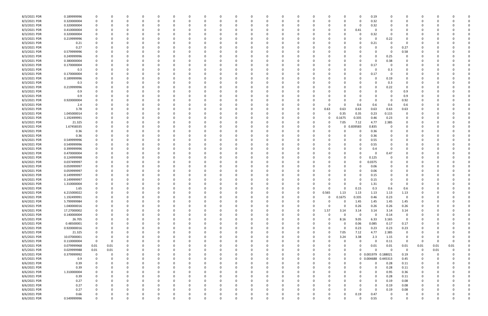| 8/3/2021 PDR | 0.189999996 | 0              | 0           |          |          |   | <sup>0</sup> |          | -0       | 0           |          | O        |   | 0        |          | 0           | 0        |          | 0           | 0.19                | 0           |             |                         |          |          |          |
|--------------|-------------|----------------|-------------|----------|----------|---|--------------|----------|----------|-------------|----------|----------|---|----------|----------|-------------|----------|----------|-------------|---------------------|-------------|-------------|-------------------------|----------|----------|----------|
| 8/3/2021 PDR | 0.320000004 | 0              | $\Omega$    |          |          |   | n            |          | $\Omega$ | O           | $\Omega$ |          |   |          | - 0      | $\Omega$    | 0        |          | $\Omega$    | 0.32                | $\Omega$    | $\Omega$    |                         |          |          |          |
|              |             |                |             |          |          |   |              |          |          |             |          |          |   |          |          |             |          |          |             |                     |             |             |                         |          |          |          |
| 8/3/2021 PDR | 0.320000004 |                |             |          |          |   |              |          |          |             |          |          |   |          |          |             | 0        |          | -0          | 0.32                | 0           |             |                         |          |          |          |
| 8/3/2021 PDR | 0.410000004 |                |             |          |          |   |              |          |          |             |          |          |   |          |          |             |          |          | 0.41        | 0                   |             |             |                         |          |          |          |
| 8/3/2021 PDR | 0.320000004 |                |             |          |          |   |              |          |          |             |          |          |   |          |          |             |          |          |             | 0.32                | $\Omega$    |             |                         |          |          |          |
| 8/3/2021 PDR | 0.219999996 | $\Omega$       |             |          |          |   |              |          |          |             |          |          |   |          |          |             | 0        |          | 0           | 0                   | 0.22        | - 0         |                         |          |          |          |
|              |             |                |             |          |          |   |              |          |          |             |          |          |   |          |          |             |          |          |             |                     |             |             |                         |          |          |          |
| 8/3/2021 PDR | 0.21        |                |             |          |          |   |              |          |          |             |          |          |   |          |          |             |          |          | O           | 0.21                | 0           | 0           |                         |          |          |          |
| 8/3/2021 PDR | 0.27        |                |             |          |          |   |              |          |          |             |          |          |   |          |          |             |          |          |             |                     | $\Omega$    | 0.27        |                         |          |          |          |
| 8/3/2021 PDR | 0.579999996 |                |             |          |          |   |              |          |          |             |          |          |   |          |          |             |          |          |             |                     | $\Omega$    | 0.58        |                         |          |          |          |
| 8/3/2021 PDR | 0.249999996 |                |             |          |          |   |              |          |          |             |          |          |   |          |          |             |          |          |             | 0                   | 0.25        |             |                         |          |          |          |
|              |             |                |             |          |          |   |              |          |          |             |          |          |   |          |          |             |          |          |             |                     |             |             |                         |          |          |          |
| 8/3/2021 PDR | 0.380000004 |                |             |          |          |   |              |          |          |             |          |          |   |          |          |             |          |          |             | 0                   | 0.38        |             |                         |          |          |          |
| 8/3/2021 PDR | 0.170000004 |                |             |          |          |   |              |          |          |             |          |          |   |          |          |             |          |          |             | 0.17                | 0           |             |                         |          |          |          |
| 8/3/2021 PDR | 0.3         |                |             |          |          |   |              |          |          |             |          |          |   |          |          |             |          |          |             | 0                   | 0.3         |             |                         |          |          |          |
| 8/3/2021 PDR | 0.170000004 |                |             |          |          |   |              |          |          |             |          |          |   |          |          |             |          |          | 0           | 0.17                | 0           |             |                         |          |          |          |
|              |             |                |             |          |          |   |              |          |          |             |          |          |   |          |          |             |          |          |             |                     |             |             |                         |          |          |          |
| 8/3/2021 PDR | 0.189999996 |                |             |          |          |   |              |          |          |             |          |          |   |          |          |             |          |          |             |                     | 0.19        | 0           |                         |          |          |          |
| 8/3/2021 PDR | 0.3         |                |             |          |          |   |              |          |          |             |          |          |   |          |          |             |          |          |             | O                   | 0.3         |             |                         |          |          |          |
| 8/3/2021 PDR | 0.219999996 |                |             |          |          |   |              |          |          |             |          |          |   |          |          |             |          |          |             |                     | 0.22        | - 0         |                         |          |          |          |
| 8/3/2021 PDR | 0.9         |                |             |          |          |   |              |          |          |             |          |          |   |          |          |             |          |          |             |                     | 0           | 0.9         |                         |          |          |          |
|              |             |                |             |          |          |   |              |          |          |             |          |          |   |          |          |             |          |          |             |                     |             |             |                         |          |          |          |
| 8/3/2021 PDR | 0.9         |                |             |          |          |   |              |          |          |             |          |          |   |          |          |             |          |          |             |                     | 0           | 0.9         |                         |          |          |          |
| 8/3/2021 PDR | 0.920000004 |                |             |          |          |   |              |          |          |             |          |          |   |          |          |             |          |          | 0           | 0                   | $\Omega$    | 0.92        |                         |          |          |          |
| 8/3/2021 PDR | 2.4         |                |             |          |          |   |              |          |          |             |          |          |   |          |          |             |          |          | 0.6         | 0.6                 | 0.6         | 0.6         |                         |          |          |          |
| 8/3/2021 PDR | 3.78        |                |             |          |          |   |              |          |          |             |          |          |   |          |          | - 0         | 0.63     | 0.63     | 0.63        | 0.63                | 0.63        | 0.63        |                         |          |          |          |
|              |             |                |             |          |          |   |              |          |          |             |          |          |   |          |          |             |          |          |             |                     |             |             |                         |          |          |          |
| 8/3/2021 PDR | 1.045000014 |                |             |          |          |   |              |          |          |             |          |          |   |          |          | -0          | 0        | 0.35     | 0.35        | 0.23                | 0.115       | 0           |                         |          |          |          |
| 8/3/2021 PDR | 1.192499991 |                |             |          |          |   |              |          |          |             |          |          |   |          |          | 0           | 0        | 0.1675   | 0.335       | 0.46                | 0.23        | 0           |                         |          |          |          |
| 8/3/2021 PDR | 21.325      |                |             |          |          |   |              |          |          |             |          |          |   |          |          | 0           | 0        | 7.05     | 7.12        | 4.77                | 2.385       |             |                         |          |          |          |
| 8/4/2021 PDR | 1.67458335  |                |             |          |          |   |              |          |          |             |          |          |   |          |          |             | 0        |          | 0.839583    | 0.835               | 0           |             |                         |          |          |          |
|              |             |                |             |          |          |   |              |          |          |             |          |          |   |          |          |             |          |          |             |                     |             |             |                         |          |          |          |
| 8/4/2021 PDR | 0.36        |                |             |          |          |   |              |          |          |             |          |          |   |          |          |             | 0        |          | $\Omega$    | 0.36                | 0           |             |                         |          |          |          |
| 8/4/2021 PDR | 0.36        |                |             |          |          |   |              |          |          |             |          |          |   |          |          |             | O        |          | 0           | 0.36                | 0           |             |                         |          |          |          |
| 8/4/2021 PDR | 0.549999996 |                |             |          |          |   |              |          |          |             |          |          |   |          |          |             |          |          | 0           | 0.55                |             |             |                         |          |          |          |
| 8/4/2021 PDR | 0.549999996 |                |             |          |          |   |              |          |          |             |          |          |   |          |          |             |          |          |             | 0.55                |             |             |                         |          |          |          |
|              |             |                |             |          |          |   |              |          |          |             |          |          |   |          |          |             |          |          |             |                     |             |             |                         |          |          |          |
| 8/4/2021 PDR | 0.399999996 |                |             |          |          |   |              |          |          |             |          |          |   |          |          |             |          |          |             | 0.4                 | $\Omega$    |             |                         |          |          |          |
| 8/4/2021 PDR | 0.470000004 |                |             |          |          |   |              |          |          |             |          |          |   |          |          |             |          |          |             |                     | 0.47        | -0          |                         |          |          |          |
| 8/4/2021 PDR | 0.124999998 | 0              |             |          |          |   |              |          |          |             |          |          |   |          |          |             |          |          | O           | 0.125               | $\Omega$    |             |                         |          |          |          |
| 8/4/2021 PDR | 0.037499997 |                |             |          |          |   |              |          |          |             |          |          |   |          |          |             |          |          | 0           | 0.0375              | - 0         |             |                         |          |          |          |
|              |             |                |             |          |          |   |              |          |          |             |          |          |   |          |          |             |          |          |             |                     |             |             |                         |          |          |          |
| 8/4/2021 PDR | 0.059999997 |                |             |          |          |   |              |          |          |             |          |          |   |          |          |             |          |          | 0           | 0.06                | -0          |             |                         |          |          |          |
| 8/4/2021 PDR | 0.059999997 | $\Omega$       |             |          |          |   |              |          |          |             |          |          |   |          |          |             |          |          |             | 0.06                | 0           |             |                         |          |          |          |
| 8/4/2021 PDR | 0.149999997 |                |             |          |          |   |              |          |          |             |          |          |   |          |          |             |          |          |             | 0.15                | $\Omega$    |             |                         |          |          |          |
|              | 0.149999997 |                |             |          |          |   |              |          |          |             |          |          |   |          |          |             |          |          |             |                     |             |             |                         |          |          |          |
| 8/4/2021 PDR |             |                |             |          |          |   |              |          |          |             |          |          |   |          |          |             |          |          |             | 0.15                | 0           |             |                         |          |          |          |
| 8/4/2021 PDR | 1.310000004 |                |             |          |          |   |              |          |          |             |          |          |   |          |          |             |          |          |             | 1.31                | $\Omega$    |             |                         |          |          |          |
| 8/4/2021 PDR | 1.65        | $\Omega$       |             |          |          |   |              |          |          |             |          |          |   |          |          |             | n        |          | 0.15        | 0.3                 | 0.6         | 0.6         |                         |          |          |          |
| 8/4/2021 PDR | 6.215000022 | 0              |             |          |          |   | <sup>0</sup> |          | $\Omega$ |             |          |          |   | 0        |          | - 0         | 0.565    | 1.13     | 1.13        | 1.13                | 1.13        | 1.13        | 0                       |          |          |          |
|              |             | 0              |             |          |          |   | $\Omega$     |          |          |             |          |          |   |          |          | $\mathbf 0$ |          |          |             |                     |             | 0           |                         |          |          |          |
| 8/4/2021 PDR | 1.192499991 |                | 0           | 0        |          | 0 |              |          | 0        | 0           | 0        |          |   | $\Omega$ |          |             | 0        | 0.1675   | 0.335       | 0.46                | 0.23        |             | 0                       |          |          |          |
| 8/4/2021 PDR | 5.799999984 | $\mathbf 0$    |             |          |          |   |              |          | 0        | 0           | $\Omega$ |          |   |          |          | $\Omega$    | 0        | $\Omega$ | 1.45        | 1.45                | 1.45        | 1.45        |                         |          |          |          |
| 8/4/2021 PDR | 1.040000016 | 0              | 0           | -0       |          | 0 |              |          | 0        | 0           | 0        |          |   | 0        |          | 0           | 0        | - 0      | 0.26        | 0.26                | 0.26        | 0.26        | 0                       |          |          |          |
| 8/4/2021 PDR | 17.27000002 | 0              | $\Omega$    |          |          | 0 |              |          | 0        | 0           | - 0      |          |   |          |          | 0           | 1.57     | 3.14     | 3.14        | 3.14                | 3.14        | 3.14        |                         |          |          |          |
| 8/5/2021 PDR | 0.140000004 | $\mathbf 0$    | 0           |          |          |   |              |          | $\Omega$ | 0           |          |          |   |          |          | $\Omega$    | $\Omega$ | $\Omega$ | $\mathbf 0$ | $\Omega$            | 0.14        | 0           |                         |          |          |          |
|              |             |                |             |          |          |   |              |          |          |             |          |          |   |          |          |             |          |          |             |                     |             |             |                         |          |          |          |
| 8/5/2021 PDR | 26.705      | $\mathbf 0$    |             |          |          | 0 |              |          | 0        | 0           |          |          |   |          |          | 0           | 0        | 8.16     | 9.05        | 6.33                | 3.165       | $\Omega$    |                         |          |          |          |
| 8/5/2021 PDR | 0.48500001  | 0              |             |          |          |   |              |          | 0        | 0           |          |          |   |          |          | 0           | 0        |          | 0.06        | 0.085               | 0.17        | 0.17        |                         |          |          |          |
| 8/5/2021 PDR | 0.920000016 | 0              | $\mathbf 0$ |          |          | 0 |              |          | $\Omega$ | 0           | -0       |          |   |          |          | 0           | 0        | $\Omega$ | 0.23        | 0.23                | 0.23        | 0.23        | 0                       |          |          |          |
| 8/5/2021 PDR | 21.325      | 0              | 0           | 0        |          | 0 |              |          | 0        | 0           | 0        |          |   |          |          | 0           | 0        | 7.05     | 7.12        | 4.77                | 2.385       | 0           | 0                       |          |          |          |
|              |             |                |             |          |          |   |              |          |          |             |          |          |   |          |          |             |          |          |             |                     |             |             |                         |          |          |          |
| 8/5/2021 PDR | 10.07000001 | 0              | $\Omega$    |          |          | 0 |              |          | 0        | 0           | -0       |          |   |          |          | 0           | $\Omega$ | 3.24     | 3.38        | 2.3                 | 1.15        | 0           | 0                       |          |          |          |
| 8/5/2021 PDR | 0.110000004 | $\mathbf 0$    | $\mathbf 0$ |          |          | 0 |              | - 0      | $\Omega$ | 0           | $\Omega$ |          |   |          | $\Omega$ | 0           | 0        |          | $\mathbf 0$ | $\Omega$            | 0.11        | $\mathbf 0$ | $\overline{\mathbf{0}}$ | 0        |          |          |
| 8/5/2021 PDR | 0.079999968 | $0.01\,$       | 0.01        |          |          | 0 |              |          | 0        | 0           |          |          |   |          |          | 0           | 0        |          | 0           | 0.01                | 0.01        | 0.01        | 0.01                    | 0.01     | 0.01     |          |
| 8/5/2021 PDR | 0.029999988 | $0.01\,$       | 0.01        |          |          |   |              |          | 0        | 0           |          |          |   |          |          | 0           | 0        |          | 0           | $\Omega$            | $\mathbf 0$ | $\Omega$    | $\overline{0}$          | 0.01     |          |          |
|              |             |                |             |          |          |   |              |          |          |             |          |          |   |          |          |             |          |          |             |                     |             |             |                         |          |          |          |
| 8/5/2021 PDR | 0.379999992 | $\overline{0}$ | 0           |          |          | 0 |              |          | 0        | 0           | 0        |          |   |          |          | 0           | 0        |          |             | 0 0.001979 0.188021 |             | 0.19        | $\mathbf 0$             | 0        |          |          |
| 8/5/2021 PDR | 0.9         | 0              | 0           | 0        |          | 0 |              |          | 0        | 0           | 0        |          |   | 0        |          | 0           | 0        | $\Omega$ |             | 0 0.004688 0.445313 |             | 0.45        | 0                       | 0        |          |          |
| 8/6/2021 PDR | 0.39        | 0              | 0           | 0        |          | 0 |              |          | 0        | 0           | -0       | 0        |   |          |          | 0           | 0        |          | 0           | 0                   | 0.28        | 0.11        | 0                       | 0        |          |          |
| 8/6/2021 PDR | 0.39        | $\mathbf 0$    | $\mathbf 0$ |          |          | 0 |              |          | $\Omega$ | 0           | $\Omega$ |          |   |          |          | $\Omega$    | 0        |          | 0           | $\Omega$            | 0.28        | 0.11        | 0                       | -0       |          |          |
|              |             |                |             |          |          |   |              |          |          |             |          |          |   |          |          |             |          |          |             |                     |             |             |                         |          |          |          |
| 8/6/2021 PDR | 1.310000004 | $\Omega$       | 0           |          |          | 0 |              |          | 0        | 0           |          |          |   |          |          | $\Omega$    | 0        |          | 0           | $\Omega$            | 0.95        | 0.36        |                         |          |          |          |
| 8/6/2021 PDR | 0.39        | $\Omega$       |             |          |          |   |              |          | 0        | 0           |          |          |   |          |          | 0           | 0        |          | 0           | 0                   | 0.28        | 0.11        |                         |          |          |          |
| 8/6/2021 PDR | 0.27        | $\Omega$       | 0           |          |          | 0 |              |          | 0        | 0           | -0       |          |   |          |          | 0           | 0        |          | 0           | $\Omega$            | 0.19        | 0.08        | 0                       |          |          |          |
| 8/6/2021 PDR | 0.27        | 0              | 0           |          |          | 0 |              |          | $\Omega$ | 0           | -0       |          |   |          |          | 0           | 0        |          | 0           | $\mathbf 0$         | 0.19        | 0.08        | 0                       |          |          |          |
|              |             |                |             |          |          |   |              |          |          |             |          |          |   |          |          |             |          |          |             |                     |             |             |                         |          |          |          |
| 8/6/2021 PDR | 0.27        | $\Omega$       | $\Omega$    |          |          |   |              |          | 0        | 0           |          |          |   |          |          | 0           | 0        |          | 0           | $\mathbf 0$         | 0.19        | 0.08        |                         |          |          |          |
| 8/6/2021 PDR | 0.66        | 0              | 0           |          |          |   |              |          | 0        | O           |          |          |   |          |          | 0           | O        |          | 0.19        | 0.47                | 0           | 0           |                         |          |          |          |
| 8/6/2021 PDR | 0.549999996 | $\mathbf 0$    | $\mathbf 0$ | $\Omega$ | $\Omega$ | 0 | $\Omega$     | $\Omega$ | $\Omega$ | $\mathbf 0$ | $\Omega$ | $\Omega$ | 0 | $\Omega$ | $\Omega$ | $\mathbf 0$ | $\Omega$ |          | $\Omega$    | 0.55                | $\mathbf 0$ | $\mathbf 0$ | $\mathbf 0$             | $\Omega$ | $\Omega$ | $\Omega$ |
|              |             |                |             |          |          |   |              |          |          |             |          |          |   |          |          |             |          |          |             |                     |             |             |                         |          |          |          |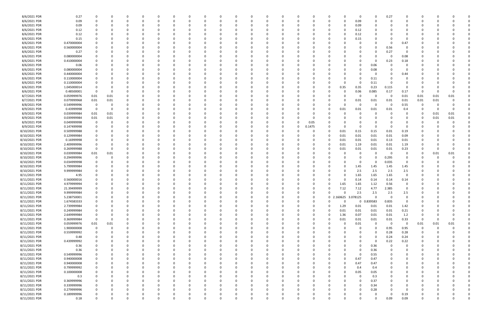| 8/6/2021 PDR  | 0.27        | <sup>0</sup>            | 0        |          | 0        |          |          |             | 0        |          | 0        |          |          |             | 0        |                     | 0        | 0            | 0.27        | 0                       | O           |      |      |  |
|---------------|-------------|-------------------------|----------|----------|----------|----------|----------|-------------|----------|----------|----------|----------|----------|-------------|----------|---------------------|----------|--------------|-------------|-------------------------|-------------|------|------|--|
| 8/6/2021 PDR  | 0.09        | $\Omega$                | 0        |          | $\Omega$ | റ        |          |             |          |          | $\Omega$ |          |          | 0           | $\Omega$ |                     | 0.09     | 0            | - 0         | $\Omega$                | 0           |      |      |  |
| 8/6/2021 PDR  | 0.09        |                         |          |          |          |          |          |             |          |          |          |          |          |             | -0       |                     | 0.09     |              |             |                         |             |      |      |  |
|               |             |                         |          |          |          |          |          |             |          |          |          |          |          |             |          |                     |          |              |             |                         |             |      |      |  |
| 8/6/2021 PDR  | 0.12        |                         |          |          |          |          |          |             |          |          |          |          |          |             | 0        |                     | 0.12     |              |             |                         |             |      |      |  |
| 8/6/2021 PDR  | 0.12        |                         |          |          |          |          |          |             |          |          |          |          |          |             | 0        |                     | 0.12     |              |             |                         |             |      |      |  |
| 8/6/2021 PDR  | 0.15        |                         |          |          |          |          |          |             |          |          |          |          |          |             | -0       |                     | 0.15     |              |             | O                       |             |      |      |  |
| 8/6/2021 PDR  | 0.470000004 |                         |          |          |          |          |          |             |          |          |          |          |          |             |          |                     |          |              | - 0         | 0.47                    |             |      |      |  |
| 8/6/2021 PDR  | 0.560000004 |                         | n        |          |          |          |          |             |          |          | 0        |          |          |             | -0       |                     |          | 0            | 0.56        | - 0                     |             |      |      |  |
| 8/6/2021 PDR  | 0.27        |                         |          |          |          |          |          |             |          |          |          |          |          |             |          |                     |          |              | 0.27        |                         |             |      |      |  |
|               |             |                         | 0        |          |          |          |          |             |          |          | C        |          |          |             |          |                     |          | 0            |             | - 0                     |             |      |      |  |
| 8/6/2021 PDR  | 0.080000004 |                         |          |          |          |          |          |             |          |          |          |          |          |             |          |                     |          | 0            | - 0         | 0.08                    |             |      |      |  |
| 8/6/2021 PDR  | 0.410000004 |                         |          |          |          |          |          |             |          |          |          |          |          |             |          |                     |          | 0            | 0.23        | 0.18                    |             |      |      |  |
| 8/6/2021 PDR  | 0.06        |                         | 0        |          |          |          |          |             |          |          | C        |          |          |             |          |                     |          | 0.06         |             |                         |             |      |      |  |
| 8/6/2021 PDR  | 0.080000004 |                         |          |          |          |          |          |             |          |          | C        |          |          |             |          |                     |          | 0.08         |             | 0                       |             |      |      |  |
| 8/6/2021 PDR  | 0.440000004 | 0                       |          |          |          |          |          |             |          |          | C        |          |          |             |          |                     |          | 0            |             | 0.44                    |             |      |      |  |
|               |             |                         |          |          |          |          |          |             |          |          |          |          |          |             |          |                     |          |              |             |                         |             |      |      |  |
| 8/6/2021 PDR  | 0.110000004 |                         |          |          |          |          |          |             |          |          |          |          |          |             |          |                     |          | 0.11         |             |                         |             |      |      |  |
| 8/6/2021 PDR  | 0.110000004 |                         |          |          |          |          |          |             |          |          |          |          |          |             |          | <sup>n</sup>        |          | 0.11         |             |                         |             |      |      |  |
| 8/6/2021 PDR  | 1.045000014 | - 0                     |          |          |          |          |          |             |          |          |          |          |          |             | 0        | 0.35                | 0.35     | 0.23         | 0.115       | $\Omega$                |             |      |      |  |
| 8/6/2021 PDR  | 0.48500001  | $\overline{0}$          | $\Omega$ |          |          |          |          |             |          |          |          |          |          |             | 0        |                     | 0.06     | 0.085        | 0.17        | 0.17                    | - 0         |      |      |  |
| 8/7/2021 PDR  | 0.059999976 | 0.01                    | 0.01     |          |          |          |          |             |          |          |          |          |          |             |          |                     |          | 0            | 0           | 0.01                    | 0.01        | 0.01 | 0.01 |  |
| 8/7/2021 PDR  | 0.079999968 | 0.01                    | 0.01     |          | 0        |          |          |             |          |          | 0        |          |          |             | -0       |                     | 0.01     | 0.01         | 0.01        | 0.01                    | 0.01        | 0.01 |      |  |
|               |             |                         |          |          |          |          |          |             |          |          |          |          |          |             |          |                     |          |              |             |                         |             |      |      |  |
| 8/8/2021 PDR  | 0.549999996 | $\overline{0}$          | 0        |          |          |          |          |             |          |          | C        |          |          |             | -0       | $\Omega$            | 0        | 0            | $\mathbf 0$ | 0.55                    | -0          |      |      |  |
| 8/9/2021 PDR  | 0.43999998  | $\overline{\mathbf{0}}$ | 0        |          |          |          |          |             |          |          |          |          |          |             | 0        | 0.01                | 0.01     | 0.01         | 0.01        | 0.4                     | C.          |      | n    |  |
| 8/9/2021 PDR  | 0.039999984 | 0.01                    | 0.01     |          |          |          |          |             |          |          |          |          |          |             |          |                     |          | <sup>1</sup> |             | 0                       | 0           | 0.01 | 0.01 |  |
| 8/9/2021 PDR  | 0.039999984 | 0.01                    | 0.01     |          |          |          |          |             |          |          |          |          |          |             |          |                     |          | 0            |             | 0                       | 0           | 0.01 | 0.01 |  |
| 8/9/2021 PDR  | 0.049999998 | $\overline{0}$          | C        |          |          |          |          |             |          |          | C        |          |          | 0.05        |          |                     |          | 0            |             | 0                       | O           |      |      |  |
|               |             |                         |          |          |          |          |          |             |          |          |          |          |          |             |          |                     |          |              |             |                         |             |      |      |  |
| 8/9/2021 PDR  | 0.147499998 | - 0                     | C        |          |          |          |          |             |          |          | 0        |          | 0        | 0.1475      |          | $\Omega$            |          | $\Omega$     |             | - 0                     | O           |      |      |  |
| 8/10/2021 PDR | 0.509999988 | 0                       |          |          |          |          |          |             |          |          |          |          |          |             | 0        | 0.01                | 0.15     | 0.15         | 0.01        | 0.19                    |             |      |      |  |
| 8/10/2021 PDR | 0.129999984 | 0                       |          |          |          |          |          |             |          |          |          |          |          |             | 0        | 0.01                | 0.01     | 0.01         | 0.01        | 0.09                    |             |      |      |  |
| 8/10/2021 PDR | 0.16999998  | 0                       |          |          |          |          |          |             |          |          | C        |          |          |             | 0        | 0.01                | 0.01     | 0.01         | 0.13        | 0.01                    | O           |      |      |  |
| 8/10/2021 PDR | 2.409999996 | 0                       |          |          |          |          |          |             |          |          |          |          |          |             | 0        | 0.01                | 1.19     | 0.01         | 0.01        | 1.19                    | O           |      |      |  |
| 8/10/2021 PDR | 0.269999988 | $\overline{0}$          | C.       |          |          |          |          |             |          |          |          |          |          |             | - 0      | 0.01                | 0.01     | 0.01         | 0.01        | 0.23                    | 0           |      |      |  |
|               |             |                         |          |          |          |          |          |             |          |          |          |          |          |             |          |                     |          |              |             |                         |             |      |      |  |
| 8/10/2021 PDR | 0.039999984 | 0.01                    | 0.01     |          |          |          |          |             |          |          |          |          |          |             |          |                     |          | 0            | - 0         | 0                       | 0           | 0.01 | 0.01 |  |
| 8/10/2021 PDR | 0.294999996 | $\overline{0}$          | 0        |          |          |          |          |             |          |          | 0        |          |          |             | -0       |                     |          | $\Omega$     | 0.295       | 0                       |             |      |      |  |
| 8/10/2021 PDR | 0.034999998 | - 0                     | 0        |          |          |          |          |             |          |          | C        |          |          |             |          |                     | 0        | 0            | 0.035       | $\overline{\mathbf{0}}$ |             |      |      |  |
| 8/10/2021 PDR | 5.799999984 |                         |          |          |          |          |          |             |          |          |          |          |          |             |          |                     | 1.45     | 1.45         | 1.45        | 1.45                    |             |      |      |  |
| 8/10/2021 PDR | 9.999999984 | 0                       |          |          |          |          |          |             |          |          |          |          |          |             | -0       |                     | 2.5      | 2.5          | 2.5         | 2.5                     |             |      |      |  |
|               |             |                         |          |          |          |          |          |             |          |          |          |          |          |             |          |                     |          |              |             |                         |             |      |      |  |
| 8/11/2021 PDR | 4.95        |                         |          |          |          |          |          |             |          |          |          |          |          |             | -0       |                     | 1.65     | 1.65         | 1.65        | 0                       |             |      |      |  |
| 8/11/2021 PDR | 0.560000016 |                         |          |          |          |          |          |             |          |          |          |          |          |             |          |                     | 0.14     | 0.14         | 0.14        | 0.14                    |             |      |      |  |
| 8/11/2021 PDR | 4.979999994 |                         |          |          |          |          |          |             |          |          |          |          |          |             |          | 1.65                | 1.65     | 1.12         | 0.56        | 0                       |             |      |      |  |
| 8/11/2021 PDR | 21.39499999 | 0                       | C        |          |          |          |          |             |          |          |          |          |          |             | 0        | 7.12                | 7.12     | 4.77         | 2.385       | 0                       |             |      |      |  |
| 8/11/2021 PDR | 9.999999984 | 0                       | C        |          | $\Omega$ | 0        |          |             |          |          | 0        |          | O        | 0           |          |                     | 2.5      | 2.5          | 2.5         | 2.5                     | C           |      |      |  |
| 8/11/2021 PDR | 5.238750001 | $\mathbf 0$             | 0        | 0        | 0        | $\Omega$ | $\Omega$ | $\mathbf 0$ | 0        | 0        | 0        | $\Omega$ | $\Omega$ | $\mathbf 0$ |          | 0 2.160625 3.078125 |          | $\Omega$     | $\Omega$    | $\mathbf 0$             | $\Omega$    |      |      |  |
|               |             |                         |          |          |          |          |          |             |          |          |          |          |          |             |          |                     |          |              |             |                         |             |      |      |  |
| 8/11/2021 PDR | 1.674583333 | 0                       | $\Omega$ | $\Omega$ | $\Omega$ | $\Omega$ |          | 0           |          |          | $\Omega$ |          | $\Omega$ | 0           | $\Omega$ | $\Omega$            |          | 0 0.839583   | 0.835       | $\mathbf 0$             | $\Omega$    |      |      |  |
| 8/11/2021 PDR | 2.739999984 | 0                       | $\Omega$ |          | 0        |          |          |             |          |          | 0        |          |          | 0           | $\Omega$ | 1.29                | 0.01     | 0.01         | 0.01        | 1.42                    | 0           |      |      |  |
| 8/11/2021 PDR | 0.249999984 | 0                       | 0        |          | 0        | $\Omega$ | $\Omega$ | 0           | $\Omega$ | 0        | 0        |          | 0        | 0           | $\Omega$ | 0.01                | 0.01     | 0.01         | 0.01        | 0.21                    | 0           |      |      |  |
| 8/11/2021 PDR | 2.649999984 | 0                       | 0        |          | 0        |          |          |             |          |          | 0        |          | 0        | 0           | 0        | 1.36                | 0.07     | 0.01         | 0.01        | 1.2                     | 0           |      |      |  |
| 8/11/2021 PDR | 0.369999984 | $\overline{\mathbf{0}}$ | 0        |          | $\Omega$ |          |          |             |          |          | 0        |          |          | 0           | 0        | 0.01                | $0.01\,$ | 0.01         | 0.01        | 0.33                    | $\mathbf 0$ |      |      |  |
|               |             |                         |          |          |          |          |          |             |          |          |          |          |          |             |          |                     |          |              |             |                         |             |      |      |  |
| 8/11/2021 PDR | 0.059999976 | $0.01\,$                | 0.01     |          | 0        |          |          |             |          |          | 0        |          |          | 0           | 0        | $\Omega$            | 0.01     | 0            | $\mathbf 0$ | $\overline{\mathbf{0}}$ | 0.01        | 0.01 | 0.01 |  |
| 8/11/2021 PDR | 1.900000008 | $\mathbf 0$             | 0        |          | 0        |          |          |             |          |          | 0        |          |          | 0           |          |                     | 0        | $\Omega$     | 0.95        | 0.95                    | $\mathbf 0$ | 0    |      |  |
| 8/11/2021 PDR | 0.559999992 | 0                       | 0        |          | 0        |          |          |             |          |          | 0        |          |          |             | -0       |                     |          | 0            | 0.28        | 0.28                    | 0           |      |      |  |
| 8/11/2021 PDR | 0.48        | 0                       | 0        |          | $\Omega$ |          |          |             |          |          | 0        |          |          | 0           |          |                     |          | $\Omega$     | 0.24        | 0.24                    | 0           |      |      |  |
| 8/11/2021 PDR | 0.439999992 |                         |          |          | 0        |          |          |             |          |          | 0        |          |          |             |          |                     |          | $\mathbf 0$  | 0.22        | 0.22                    |             |      |      |  |
|               |             |                         |          |          |          |          |          |             |          |          |          |          |          |             |          |                     |          |              | $\Omega$    |                         |             |      |      |  |
| 8/11/2021 PDR | 0.36        | 0                       |          |          | O        |          |          |             |          |          | 0        |          |          | 0           |          |                     | 0        | 0.36         |             | 0                       |             |      |      |  |
| 8/11/2021 PDR | 0.36        | $\mathbf 0$             | 0        |          | 0        |          |          |             |          |          | 0        |          |          | 0           | 0        | 0                   | 0        | 0.36         | $\Omega$    | 0                       | 0           |      |      |  |
| 8/11/2021 PDR | 0.549999996 | $\mathbf 0$             | 0        |          | 0        |          |          |             |          |          | 0        |          |          | 0           | 0        | U                   | 0        | 0.55         |             | $\Omega$                | O           |      |      |  |
| 8/11/2021 PDR | 0.940000008 | $\mathbf 0$             |          |          | 0        |          |          |             |          |          | 0        |          |          |             | $\Omega$ | U                   | 0.47     | 0.47         |             | $\Omega$                | 0           |      |      |  |
| 8/11/2021 PDR | 0.940000008 | $\mathbf 0$             | 0        |          | 0        |          |          |             |          |          | 0        |          |          |             | 0        |                     | 0.47     | 0.47         |             | 0                       | 0           |      |      |  |
| 8/11/2021 PDR | 0.799999992 | - 0                     | 0        |          | 0        |          | $\Omega$ |             |          |          | 0        |          | $\Omega$ | 0           | 0        | $\Omega$            | 0.4      | 0.4          |             | 0                       | 0           |      |      |  |
|               |             |                         |          |          |          |          |          |             |          |          |          |          |          |             |          |                     |          |              |             |                         |             |      |      |  |
| 8/11/2021 PDR | 0.100000008 | 0                       | 0        |          | 0        |          |          |             |          |          | 0        |          |          |             | 0        | 0                   | 0.05     | 0.05         |             | 0                       |             |      |      |  |
| 8/11/2021 PDR | 0.3         | $\mathbf 0$             |          |          | 0        |          |          |             |          |          | $\Omega$ |          |          |             |          |                     | 0        | 0.3          |             | 0                       |             |      |      |  |
| 8/11/2021 PDR | 0.369999996 | $\mathbf 0$             | 0        |          | $\Omega$ |          |          |             |          |          | 0        |          |          | 0           | -0       |                     | 0        | 0.37         |             | 0                       | C           |      |      |  |
| 8/11/2021 PDR | 0.339999996 | 0                       | 0        |          | 0        |          |          |             |          |          | 0        |          |          | 0           | 0        |                     | 0        | 0.34         |             | 0                       | O           |      |      |  |
| 8/11/2021 PDR | 0.279999996 | 0                       | $\Omega$ |          | $\Omega$ |          | $\Omega$ |             |          |          | $\Omega$ |          | $\Omega$ | 0           |          | 0                   | O        | 0.28         |             | $\overline{0}$          | 0           |      |      |  |
|               |             |                         |          |          |          |          |          |             |          |          |          |          |          |             |          |                     |          |              |             |                         |             |      |      |  |
| 8/11/2021 PDR | 0.189999996 | 0                       | 0        |          | O        |          | 0        |             |          |          | 0        |          | 0        | O           |          |                     |          | 0            | $\Omega$    | 0.19                    | C           |      |      |  |
| 8/11/2021 PDR | 0.18        | $\mathbf 0$             | 0        | 0        | $\Omega$ | $\Omega$ | $\Omega$ | $\Omega$    | 0        | $\Omega$ | $\Omega$ | $\Omega$ | $\Omega$ | $\Omega$    | 0        | $\Omega$            | $\Omega$ | $\Omega$     | 0.09        | 0.09                    | $\Omega$    |      | 0    |  |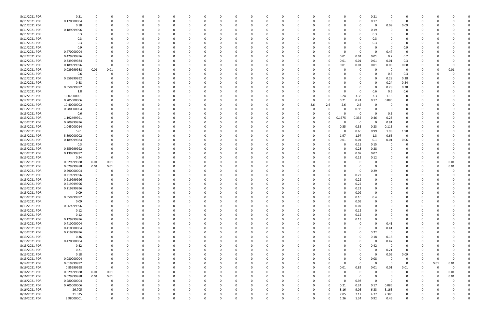| 8/11/2021 PDR | 0.21        |                |             |              |          |          |          | <sup>0</sup> |          | -C       |          |          |          |          |          |             | 0            | 0.21        |             |                |          |          |          |  |
|---------------|-------------|----------------|-------------|--------------|----------|----------|----------|--------------|----------|----------|----------|----------|----------|----------|----------|-------------|--------------|-------------|-------------|----------------|----------|----------|----------|--|
| 8/11/2021 PDR | 0.170000004 | 0              | O           |              | $\Omega$ |          |          | <sup>0</sup> |          | 0        |          |          |          | 0        |          | 0           | 0            | 0.17        | 0           | 0              | 0        |          |          |  |
| 8/11/2021 PDR | 0.18        |                |             |              |          |          |          |              |          |          |          |          |          |          |          |             | 0            | 0           | 0.09        | 0.09           |          |          |          |  |
|               |             |                |             |              |          |          |          |              |          |          |          |          |          |          |          |             |              |             |             |                |          |          |          |  |
| 8/11/2021 PDR | 0.189999996 |                |             |              |          |          |          |              |          |          |          |          |          |          |          |             | 0            | 0.19        |             | $\Omega$       |          |          |          |  |
| 8/11/2021 PDR | 0.3         |                |             |              |          |          |          |              |          |          |          |          |          |          |          |             | 0            | 0.3         |             | 0              |          |          |          |  |
| 8/11/2021 PDR | 0.3         |                |             |              |          |          |          |              |          |          |          |          |          |          |          |             |              | 0.3         |             |                |          |          |          |  |
| 8/11/2021 PDR | 0.3         |                |             |              |          |          |          |              |          |          |          |          |          |          |          |             | <sup>0</sup> | 0.3         |             | 0              |          |          |          |  |
|               |             |                |             |              |          |          |          |              |          |          |          |          |          |          |          |             |              |             |             |                |          |          |          |  |
| 8/11/2021 PDR | 0.9         |                |             |              |          |          |          |              |          |          |          |          |          |          |          |             | 0            | $\Omega$    |             | 0.9            |          |          |          |  |
| 8/11/2021 PDR | 0.470000004 |                |             |              |          |          |          |              |          |          |          |          |          |          |          | 0           | 0            | 0           | 0.47        | 0              |          |          |          |  |
| 8/12/2021 PDR | 0.429999996 |                |             |              |          |          |          |              |          |          |          |          |          |          |          | 0.01        | 0.01         | 0.01        | 0.2         | 0.2            |          |          |          |  |
| 8/12/2021 PDR | 0.339999984 |                |             |              |          |          |          |              |          |          |          |          |          |          |          | 0.01        | 0.01         | 0.01        | 0.01        | 0.3            |          |          |          |  |
|               |             |                |             |              |          |          |          |              |          |          |          |          |          |          |          |             |              |             |             |                |          |          |          |  |
| 8/12/2021 PDR | 0.189999996 | $\Omega$       |             |              |          |          |          |              |          |          |          |          |          | -0       |          | 0.01        | 0.01         | 0.01        | 0.08        | 0.08           |          |          |          |  |
| 8/12/2021 PDR | 0.029999988 | 0.01           | 0.01        |              |          |          |          |              |          |          |          |          |          | -0       |          |             | 0            | 0           | 0           | 0              | 0        |          | 0.01     |  |
| 8/12/2021 PDR | 0.6         | $\Omega$       |             |              |          |          |          |              |          |          |          |          |          |          |          |             |              | $\Omega$    | 0.3         | 0.3            |          |          |          |  |
| 8/12/2021 PDR | 0.559999992 |                |             |              |          |          |          |              |          |          |          |          |          |          |          |             | $\Omega$     | 0           | 0.28        | 0.28           |          |          |          |  |
| 8/12/2021 PDR | 0.48        |                |             |              |          |          |          |              |          |          |          |          |          |          |          |             | 0            | 0           | 0.24        | 0.24           |          |          |          |  |
|               |             |                |             |              |          |          |          |              |          |          |          |          |          |          |          |             |              |             |             |                |          |          |          |  |
| 8/12/2021 PDR | 0.559999992 |                |             |              |          |          |          |              |          |          |          |          |          |          |          |             |              | $\Omega$    | 0.28        | 0.28           |          |          |          |  |
| 8/12/2021 PDR | 1.8         |                |             |              |          |          |          |              |          |          |          |          |          |          |          | n           | 0            | 0.6         | 0.6         | 0.6            |          |          |          |  |
| 8/12/2021 PDR | 10.07000001 |                |             |              |          |          |          |              |          |          |          |          |          | -0       |          | 3.24        | 3.38         | 2.3         | 1.15        | 0              |          |          |          |  |
| 8/12/2021 PDR | 0.705000006 |                |             |              |          |          |          |              |          |          |          |          |          | -0       |          | 0.21        | 0.24         | 0.17        | 0.085       | $\Omega$       |          |          |          |  |
|               |             |                |             |              |          |          |          |              |          |          |          |          |          |          |          |             |              |             |             |                |          |          |          |  |
| 8/12/2021 PDR | 10.40000002 |                |             |              |          |          |          |              |          |          |          |          |          | 2.6      | 2.6      | 2.6         | 2.6          | 0           |             |                |          |          |          |  |
| 8/13/2021 PDR | 0.980000004 |                |             |              |          |          |          |              |          |          |          |          |          | 0        |          |             | 0.98         |             |             |                |          |          |          |  |
| 8/13/2021 PDR | 0.6         |                |             |              |          |          |          |              |          |          |          |          |          |          |          |             | 0            | $\Omega$    | 0.6         |                |          |          |          |  |
| 8/13/2021 PDR | 1.192499991 |                |             |              |          |          |          |              |          |          |          |          |          | 0        | $\Omega$ | 0.1675      | 0.335        | 0.46        | 0.23        | 0              |          |          |          |  |
|               |             |                |             |              |          |          |          |              |          |          |          |          |          |          |          |             |              |             |             |                |          |          |          |  |
| 8/13/2021 PDR | 0.909999996 |                |             |              |          |          |          |              |          |          |          |          |          |          |          | 0           | 0            | 0           | 0.91        | 0              |          |          |          |  |
| 8/13/2021 PDR | 1.045000014 |                |             |              |          |          |          |              |          |          |          |          |          |          |          | 0.35        | 0.35         | 0.23        | 0.115       | 0              |          |          |          |  |
| 8/13/2021 PDR | 5.61        |                |             |              |          |          |          |              |          |          |          |          |          |          |          | 0           | 0.66         | 0.99        | 1.98        | 1.98           |          |          |          |  |
| 8/13/2021 PDR | 5.890000002 |                |             |              |          |          |          |              |          |          |          |          |          |          |          | 1.97        | 1.97         | 1.3         | 0.65        | 0              |          |          |          |  |
| 8/13/2021 PDR | 0.189999984 |                |             |              |          |          |          |              |          |          |          |          |          |          |          | 0.01        | 0.01         | 0.1         | 0.01        | 0.06           |          |          |          |  |
|               |             |                |             |              |          |          |          |              |          |          |          |          |          |          |          |             |              |             |             |                |          |          |          |  |
| 8/13/2021 PDR | 0.3         |                |             |              |          |          |          |              |          |          |          |          |          |          |          | 0           | 0.15         | 0.15        |             | 0              |          |          |          |  |
| 8/13/2021 PDR | 0.559999992 |                |             |              |          |          |          |              |          |          |          |          |          |          |          | 0           | 0.28         | 0.28        |             |                |          |          |          |  |
| 8/13/2021 PDR | 0.139999992 |                |             |              |          |          |          |              |          |          |          |          |          |          |          | 0           | 0.07         | 0.07        |             |                |          |          |          |  |
| 8/13/2021 PDR | 0.24        | $\Omega$       | 0           |              |          |          |          |              |          |          |          |          |          |          |          |             | 0.12         | 0.12        |             |                |          |          |          |  |
|               |             |                |             |              |          |          |          |              |          |          |          |          |          |          |          |             |              |             |             |                |          |          |          |  |
| 8/13/2021 PDR | 0.029999988 | 0.01           | 0.01        |              |          |          |          |              |          |          |          |          |          |          |          |             | C.           | -0          |             |                |          |          | 0.01     |  |
| 8/13/2021 PDR | 0.029999988 | 0.01           | 0.01        |              |          |          |          |              |          |          |          |          |          |          |          |             | 0            | 0           |             |                |          |          | 0.01     |  |
| 8/13/2021 PDR | 0.290000004 |                | O           |              |          |          |          |              |          |          |          |          |          |          |          |             | 0            | 0.29        |             |                |          |          |          |  |
| 8/13/2021 PDR | 0.219999996 |                |             |              |          |          |          |              |          |          |          |          |          |          |          | 0           | 0.22         | 0           |             |                |          |          |          |  |
|               |             |                |             |              |          |          |          |              |          |          |          |          |          |          |          |             |              |             |             |                |          |          |          |  |
| 8/13/2021 PDR | 0.219999996 |                |             |              |          |          |          |              |          |          |          |          |          |          |          |             | 0.22         |             |             |                |          |          |          |  |
| 8/13/2021 PDR | 0.219999996 |                |             |              |          |          |          |              |          |          |          |          |          |          |          |             | 0.22         |             |             |                |          |          |          |  |
| 8/13/2021 PDR | 0.219999996 |                |             | <sup>0</sup> |          |          |          |              |          |          |          |          |          |          |          | 0           | 0.22         | 0           |             |                |          |          |          |  |
| 8/13/2021 PDR | 0.09        |                |             | 0            |          |          |          |              |          | 0        |          |          |          |          |          |             | 0.09         | U           |             |                |          |          |          |  |
|               |             |                |             |              |          |          |          |              |          |          |          |          |          |          |          |             |              |             |             |                |          |          |          |  |
| 8/13/2021 PDR | 0.559999992 | $\Omega$       | $\Omega$    | $\Omega$     | $\Omega$ | $\Omega$ | $\Omega$ | $\Omega$     | 0        | $\Omega$ | $\Omega$ | $\Omega$ | $\Omega$ | $\Omega$ |          | $\Omega$    | 0.16         | 0.4         | $\Omega$    | $\Omega$       | $\Omega$ |          |          |  |
| 8/13/2021 PDR | 0.09        |                | 0           | $\Omega$     | 0        | $\Omega$ | $\Omega$ | 0            | O        | 0        |          | $\Omega$ | $\Omega$ | 0        |          | 0           | 0.09         | $\mathbf 0$ | $\Omega$    | $\Omega$       | 0        |          |          |  |
| 8/13/2021 PDR | 0.069999996 |                |             | 0            | $\Omega$ | $\Omega$ |          | 0            |          | 0        |          |          | 0        | 0        |          | 0           | 0.07         | 0           |             | 0              | 0        |          |          |  |
| 8/13/2021 PDR | 0.12        |                |             | 0            | $\Omega$ | $\Omega$ |          | 0            |          | $\Omega$ | - 0      |          | $\Omega$ | 0        | $\Omega$ | $\Omega$    | 0.12         | $\Omega$    |             | $\Omega$       | 0        |          |          |  |
| 8/13/2021 PDR | 0.12        |                |             |              |          |          |          | 0            |          |          |          |          |          | 0        |          | 0           | 0.12         | $\Omega$    |             | 0              |          |          |          |  |
|               |             |                |             |              |          |          |          |              |          |          |          |          |          |          |          |             |              |             |             |                |          |          |          |  |
| 8/13/2021 PDR | 0.129999996 |                |             | $\Omega$     |          | $\Omega$ |          | 0            |          |          |          |          | 0        | 0        |          | $\mathbf 0$ | 0.13         | $\Omega$    | $\Omega$    | 0              | 0        |          |          |  |
| 8/13/2021 PDR | 0.410000004 | $\Omega$       |             | $\Omega$     |          | $\Omega$ |          | 0            |          |          |          |          |          | 0        |          |             | 0            | $\Omega$    | 0.41        | $\mathbf 0$    | 0        |          |          |  |
| 8/13/2021 PDR | 0.410000004 |                |             | 0            |          |          |          |              |          |          |          |          |          | 0        |          |             | 0            | $\mathbf 0$ | 0.41        | $\Omega$       | 0        |          |          |  |
| 8/13/2021 PDR | 0.219999996 |                |             | 0            |          |          |          | $\Omega$     |          |          |          |          |          | 0        |          |             | $\Omega$     | 0.22        | $\mathbf 0$ | 0              | 0        |          |          |  |
|               |             |                |             |              |          |          |          |              |          |          |          |          |          |          |          |             |              |             |             |                |          |          |          |  |
| 8/13/2021 PDR | 0.36        |                |             |              |          |          |          |              |          |          |          |          |          | 0        |          | $\Omega$    | $\Omega$     | 0.18        | 0.18        | 0              |          |          |          |  |
| 8/13/2021 PDR | 0.470000004 |                |             |              |          |          |          |              |          |          |          |          |          | 0        |          | 0           | $\Omega$     | $\Omega$    | 0.47        | 0              |          |          |          |  |
| 8/13/2021 PDR | 0.42        |                |             |              |          |          |          |              |          |          |          |          |          | 0        |          | 0           | 0            | 0.42        | $\Omega$    | 0              |          |          |          |  |
| 8/13/2021 PDR | 0.21        |                |             |              |          |          |          |              |          |          |          |          |          | 0        |          | 0           | 0            | 0           | 0.21        | 0              | 0        |          |          |  |
| 8/13/2021 PDR | 0.18        |                |             | C            |          |          |          |              |          |          |          |          |          | 0        |          | 0           | 0            | $\mathbf 0$ | 0.09        | 0.09           | 0        |          |          |  |
|               |             |                |             |              |          |          |          |              |          |          |          |          |          |          |          |             |              |             |             |                |          |          |          |  |
| 8/13/2021 PDR | 0.080000004 | 0              |             | $\Omega$     | $\Omega$ | $\Omega$ |          | 0            |          | $\Omega$ |          |          | 0        | 0        |          | 0           | 0            | 0.08        | $\Omega$    | 0              | 0        | $\Omega$ | $\Omega$ |  |
| 8/14/2021 PDR | 0.019999992 | $\mathbf 0$    | 0           | 0            | 0        | 0        |          | 0            |          | 0        |          |          | 0        | 0        |          | $\Omega$    | $\mathbf 0$  | $\Omega$    | $\Omega$    | 0              | 0        | 0.01     | 0.01     |  |
| 8/16/2021 PDR | 0.85999998  | $\overline{0}$ | $\mathbf 0$ | $\Omega$     |          | $\Omega$ |          | 0            |          |          |          |          | O        | $\Omega$ | $\Omega$ | 0.01        | 0.82         | 0.01        | 0.01        | 0.01           | $\Omega$ | $\Omega$ | $\Omega$ |  |
| 8/16/2021 PDR | 0.029999988 | $0.01\,$       | $0.01\,$    |              |          |          |          | 0            |          |          |          |          | 0        | 0        |          | 0           | $\mathbf 0$  | 0           | $\Omega$    | 0              | 0        | 0        | 0.01     |  |
|               |             |                |             |              |          |          |          |              |          |          |          |          |          |          |          |             |              |             |             |                |          |          |          |  |
| 8/16/2021 PDR | 0.029999988 | $0.01\,$       | $0.01\,$    | $\Omega$     |          |          |          | 0            |          |          |          |          |          | 0        |          | $\Omega$    | $\mathbf 0$  | $\mathbf 0$ | $\Omega$    | 0              | 0        |          | 0.01     |  |
| 8/16/2021 PDR | 0.980000004 | $\mathbf 0$    | 0           | $\Omega$     | $\Omega$ | $\Omega$ |          | $\Omega$     |          | $\Omega$ |          |          | 0        | 0        |          | $\mathbf 0$ | 0.98         | $\mathbf 0$ | $\Omega$    | 0              | 0        |          |          |  |
| 8/16/2021 PDR | 0.705000006 | 0              | 0           | 0            | 0        | $\Omega$ |          | 0            |          |          |          |          | 0        | 0        | $\Omega$ | 0.21        | 0.24         | 0.17        | 0.085       | 0              | 0        |          |          |  |
| 8/16/2021 PDR | 26.705      |                | O           | $\Omega$     | $\Omega$ | $\Omega$ |          | 0            |          | $\Omega$ |          |          | 0        | $\Omega$ |          | 8.16        | 9.05         | 6.33        | 3.165       | $\mathbf 0$    | 0        |          |          |  |
| 8/16/2021 PDR | 21.325      |                |             |              |          |          |          |              |          |          |          |          |          |          |          | 7.05        |              | 4.77        |             | 0              |          |          |          |  |
|               |             |                |             |              | 0        |          |          | 0            |          | 0        |          |          |          |          |          |             | 7.12         |             | 2.385       |                |          |          |          |  |
| 8/16/2021 PDR | 3.98000001  | $\Omega$       | 0           | $\Omega$     | $\Omega$ | $\Omega$ | $\Omega$ | $\Omega$     | $\Omega$ | $\Omega$ |          | $\Omega$ |          | $\Omega$ |          | 1.26        | 1.34         | 0.92        | 0.46        | $\overline{0}$ | $\Omega$ |          | $\Omega$ |  |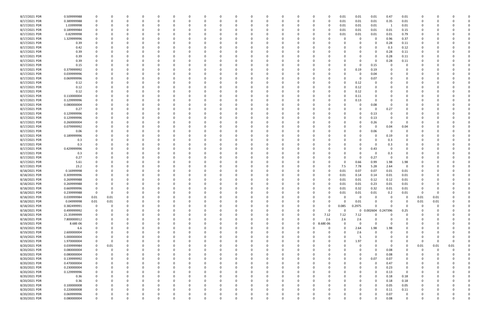| 8/17/2021 PDR | 0.509999988 |             | 0        |          | 0        | 0        |              | 0            | 0            |          | 0        |          |          | 0        | 0             |          | 0.01         | 0.01     | 0.01                | 0.47           | 0.01           | 0           |          |      |          |
|---------------|-------------|-------------|----------|----------|----------|----------|--------------|--------------|--------------|----------|----------|----------|----------|----------|---------------|----------|--------------|----------|---------------------|----------------|----------------|-------------|----------|------|----------|
| 8/17/2021 PDR | 0.389999988 |             |          |          | $\Omega$ | $\Omega$ |              | <sup>0</sup> |              |          | $\Omega$ | $\Omega$ |          | $\Omega$ | 0             | $\Omega$ | 0.01         | 0.01     | 0.01                | 0.35           | 0.01           |             |          |      |          |
| 8/17/2021 PDR | 1.03999998  |             |          |          |          |          |              |              |              |          |          |          |          |          |               |          | 0.01         | 0.01     | 0.01                | $\overline{1}$ | 0.01           |             |          |      |          |
|               |             |             |          |          |          |          |              |              |              |          |          |          |          |          |               |          |              |          |                     |                |                |             |          |      |          |
| 8/17/2021 PDR | 0.189999984 |             |          |          |          |          |              |              |              |          |          |          |          |          |               |          | 0.01         | 0.01     | 0.01                | 0.01           | 0.15           |             |          |      |          |
| 8/17/2021 PDR | 0.82999998  |             |          |          |          |          |              |              |              |          |          |          |          |          |               |          | 0.01         | 0.01     | 0.01                | 0.01           | 0.79           |             |          |      |          |
| 8/17/2021 PDR | 1.329999996 |             |          |          |          |          |              |              |              |          |          |          |          |          |               |          |              | 0        | 0                   | 0.96           | 0.37           |             |          |      |          |
| 8/17/2021 PDR | 0.39        |             |          |          |          |          |              |              |              |          |          |          |          |          |               |          |              |          | 0                   | 0.28           | 0.11           |             |          |      |          |
| 8/17/2021 PDR | 0.42        |             |          |          |          |          |              |              |              |          |          |          |          |          |               |          |              |          | 0                   | 0.3            | 0.12           |             |          |      |          |
|               |             |             |          |          |          |          |              |              |              |          |          |          |          |          |               |          |              |          |                     |                |                |             |          |      |          |
| 8/17/2021 PDR | 0.39        |             |          |          |          |          |              |              |              |          |          |          |          |          |               |          |              |          | 0                   | 0.28           | 0.11           |             |          |      |          |
| 8/17/2021 PDR | 0.39        |             |          |          |          |          |              |              |              |          |          |          |          |          |               |          |              |          | 0                   | 0.28           | 0.11           |             |          |      |          |
| 8/17/2021 PDR | 0.39        |             |          |          |          |          |              |              |              |          |          |          |          |          |               |          |              |          | $\Omega$            | 0.28           | 0.11           |             |          |      |          |
| 8/17/2021 PDR | 0.15        |             |          |          |          |          |              |              |              |          |          |          |          |          |               |          |              | 0        | 0.15                |                |                |             |          |      |          |
| 8/17/2021 PDR | 0.379999992 |             |          |          |          |          |              |              |              |          |          |          |          |          |               |          |              | 0.19     | 0.19                |                |                |             |          |      |          |
| 8/17/2021 PDR | 0.039999996 |             |          |          |          |          |              |              |              |          |          |          |          |          |               |          |              | 0        | 0.04                |                |                |             |          |      |          |
| 8/17/2021 PDR | 0.069999996 |             |          |          |          |          |              |              |              |          |          |          |          |          |               |          |              | -0       | 0.07                |                |                |             |          |      |          |
|               |             |             |          |          |          |          |              |              |              |          |          |          |          |          |               |          |              |          |                     |                |                |             |          |      |          |
| 8/17/2021 PDR | 0.12        |             |          |          |          |          |              |              |              |          |          |          |          |          |               |          |              | 0.12     | 0                   |                |                |             |          |      |          |
| 8/17/2021 PDR | 0.12        |             |          |          |          |          |              |              |              |          |          |          |          |          |               |          |              | 0.12     | $\Omega$            |                |                |             |          |      |          |
| 8/17/2021 PDR | 0.12        |             |          |          |          |          |              |              |              |          |          |          |          |          |               |          | $\Omega$     | 0.12     | 0                   |                |                |             |          |      |          |
| 8/17/2021 PDR | 0.110000004 |             |          |          |          |          |              |              |              |          |          |          |          |          |               |          |              | 0.11     | 0                   |                |                |             |          |      |          |
| 8/17/2021 PDR | 0.129999996 |             |          |          | - 0      |          |              |              |              |          |          |          |          |          |               |          |              | 0.13     | 0                   |                |                |             |          |      |          |
| 8/17/2021 PDR |             |             |          |          |          |          |              |              |              |          |          |          |          |          |               |          |              | 0        |                     |                |                |             |          |      |          |
|               | 0.080000004 |             |          |          |          |          |              |              |              |          |          |          |          |          |               |          |              |          | 0.08                |                |                |             |          |      |          |
| 8/17/2021 PDR | 0.27        |             |          |          |          |          |              |              |              |          |          |          |          |          |               |          |              |          | 0                   | 0.27           |                |             |          |      |          |
| 8/17/2021 PDR | 0.129999996 |             |          |          |          |          |              |              |              |          |          |          |          |          |               |          |              | 0        | 0.13                |                |                |             |          |      |          |
| 8/17/2021 PDR | 0.129999996 |             |          |          |          |          |              |              |              |          |          |          |          |          |               |          |              |          | 0.13                |                |                |             |          |      |          |
| 8/17/2021 PDR | 0.260000004 |             |          |          |          |          |              |              |              |          |          |          |          |          |               |          |              |          | 0.26                |                |                |             |          |      |          |
| 8/17/2021 PDR | 0.079999992 |             |          |          |          |          |              |              |              |          |          |          |          |          |               |          |              |          | 0                   | 0.04           | 0.04           |             |          |      |          |
| 8/17/2021 PDR |             |             |          |          |          |          |              |              |              |          |          |          |          |          |               |          |              |          |                     | - 0            |                |             |          |      |          |
|               | 0.06        |             |          |          |          |          |              |              |              |          |          |          |          |          |               |          |              |          | 0.06                |                |                |             |          |      |          |
| 8/17/2021 PDR | 0.189999996 |             |          |          |          |          |              |              |              |          |          |          |          |          |               |          |              |          | 0                   | 0.19           |                |             |          |      |          |
| 8/17/2021 PDR | 0.3         |             |          |          |          |          |              |              |              |          |          |          |          |          |               |          |              |          | 0                   | 0.3            |                |             |          |      |          |
| 8/17/2021 PDR | 0.3         |             |          |          |          |          |              |              |              |          |          |          |          |          |               |          |              |          | 0                   | 0.3            |                |             |          |      |          |
| 8/17/2021 PDR | 0.429999996 |             |          |          |          |          |              |              |              |          |          |          |          |          |               |          |              | 0        | 0.43                | - 0            | 0              |             |          |      |          |
| 8/17/2021 PDR | 0.3         |             |          |          |          |          |              |              |              |          |          |          |          |          |               |          |              |          | 0                   | 0.3            | 0              |             |          |      |          |
| 8/17/2021 PDR |             |             |          |          |          |          |              |              |              |          |          |          |          |          |               |          |              | 0        | 0.27                | 0              | $\Omega$       |             |          |      |          |
|               | 0.27        |             |          |          |          |          |              |              |              |          |          |          |          |          |               |          |              |          |                     |                |                |             |          |      |          |
| 8/17/2021 PDR | 5.61        |             |          |          |          |          |              |              |              |          |          |          |          |          |               |          | $\Omega$     | 0.66     | 0.99                | 1.98           | 1.98           |             |          |      |          |
| 8/17/2021 PDR | 23.2        |             |          |          |          |          |              |              |              |          |          |          |          |          |               |          | 7.5          | 7.78     | 5.28                | 2.64           | 0              |             |          |      |          |
| 8/18/2021 PDR | 0.16999998  |             |          |          |          |          |              |              |              |          |          |          |          |          |               |          | 0.01         | 0.07     | 0.07                | 0.01           | 0.01           |             |          |      |          |
| 8/18/2021 PDR | 0.309999996 |             |          |          |          |          |              |              |              |          |          |          |          |          |               |          | 0.01         | 0.14     | 0.14                | 0.01           | 0.01           |             |          |      |          |
| 8/18/2021 PDR | 0.269999988 |             |          |          |          |          |              |              |              |          |          |          |          |          |               |          | 0.01         | 0.01     | 0.12                | 0.12           | 0.01           |             |          |      |          |
|               |             |             |          |          |          |          |              |              |              |          |          |          |          |          |               |          |              |          |                     |                |                |             |          |      |          |
| 8/18/2021 PDR | 0.269999988 |             |          |          |          |          |              |              |              |          |          |          |          |          |               |          | 0.01         | 0.01     | 0.23                | 0.01           | 0.01           |             |          |      |          |
| 8/18/2021 PDR | 0.669999996 |             |          |          |          |          |              |              |              |          |          |          |          |          |               |          | 0.01         | 0.32     | 0.32                | 0.01           | 0.01           |             |          |      |          |
| 8/18/2021 PDR | 0.239999988 | 0           | 0        | 0        |          |          |              | C            |              |          | -0       |          |          |          |               |          | 0.01         | 0.01     | 0.01                | 0.2            | 0.01           | -0          | 0        |      |          |
| 8/18/2021 PDR | 0.039999984 | 0.01        | 0.01     | 0        | $\Omega$ | $\Omega$ | $\Omega$     | 0            | 0            |          | $\Omega$ | $\Omega$ | $\Omega$ | $\Omega$ | 0             |          | $\Omega$     | 0        | 0                   | $\Omega$       | $\mathbf 0$    | 0.01        | 0.01     |      |          |
| 8/18/2021 PDR | 0.04999998  | $0.01\,$    | $0.01\,$ | $\Omega$ | $\Omega$ |          | <sup>0</sup> | 0            |              |          | $\Omega$ | $\Omega$ |          |          |               |          | $\Omega$     | 0.01     | 0                   | $\Omega$       | $\Omega$       | 0.01        | 0.01     |      |          |
| 8/18/2021 PDR | 0.382499991 | $\mathbf 0$ | 0        | $\Omega$ | 0        | $\Omega$ |              | <sup>0</sup> |              |          |          |          |          |          | 0             |          | 0.085        | 0.2975   | $\Omega$            |                | $\Omega$       | $\mathbf 0$ | $\Omega$ |      |          |
|               |             |             |          |          |          |          |              |              |              |          |          |          |          |          |               |          | $\Omega$     |          | 0 0.002604 0.247396 |                |                |             |          |      |          |
| 8/18/2021 PDR | 0.499999992 | 0           | 0        | 0        | 0        | $\Omega$ |              | 0            |              |          |          | $\Omega$ |          | 0        | 0             |          |              |          |                     |                | 0.25           |             | - 0      |      |          |
| 8/18/2021 PDR | 21.35999999 |             |          |          |          |          |              | 0            |              |          |          |          |          | 0        | 0             | 7.12     | 7.12         | 7.12     | $\Omega$            |                | $\Omega$       |             |          |      |          |
| 8/18/2021 PDR | 7.800000012 |             | 0        |          |          |          |              | 0            |              |          |          |          |          | 0        | $\Omega$      | 2.6      | 2.6          | 2.6      | 0                   |                | $\Omega$       | O           |          |      |          |
| 8/19/2021 PDR | 8.68E-06    | $\Omega$    |          |          |          |          |              | 0            |              |          |          |          |          | 0        | 8.68E-06<br>0 |          | <sup>0</sup> | 0        | $\mathbf 0$         |                | 0              |             |          |      |          |
| 8/19/2021 PDR | 6.6         |             |          |          |          |          |              |              |              |          |          |          |          | $\Omega$ | $\Omega$      | $\Omega$ | $\Omega$     | 2.64     | 1.98                | 1.98           | $\Omega$       |             |          |      |          |
| 8/19/2021 PDR | 2.600000004 |             |          |          |          |          |              | 0            |              |          |          |          |          | $\Omega$ | -0            |          | $\Omega$     | 2.6      | 0                   |                | O              |             |          |      |          |
|               |             |             |          |          |          |          |              |              |              |          |          |          |          |          |               |          |              |          |                     |                |                |             |          |      |          |
| 8/19/2021 PDR | 5.000000004 |             |          |          | 0        |          |              | 0            |              |          |          |          |          |          | 0             |          | 0            | 5        | 0                   |                | 0              | 0           |          |      |          |
| 8/19/2021 PDR | 1.970000004 |             | 0        |          |          |          |              | 0            |              |          |          | $\Omega$ |          |          | 0             |          | 0            | 1.97     | $\Omega$            |                | $\Omega$       | 0           | 0        |      |          |
| 8/20/2021 PDR | 0.039999984 | 0           | 0.01     |          | 0        |          |              |              |              |          |          |          |          |          |               |          |              | 0        | 0                   | - 0            | - 0            | 0.01        | 0.01     | 0.01 |          |
| 8/20/2021 PDR | 0.080000004 | $\mathbf 0$ | 0        |          |          |          |              |              |              |          |          |          |          |          |               |          |              |          | 0                   | 0.08           | 0              | $\Omega$    | $\Omega$ |      |          |
| 8/20/2021 PDR | 0.080000004 | $\Omega$    |          |          |          |          |              |              |              |          |          |          |          |          |               |          |              |          | $\Omega$            | 0.08           | $\Omega$       |             |          |      |          |
| 8/20/2021 PDR | 0.139999992 |             | 0        | 0        | 0        | $\Omega$ |              | 0            |              |          |          |          |          |          | 0             |          | 0            | 0        | 0.07                | 0.07           | 0              |             |          |      |          |
|               |             |             |          |          |          |          |              |              |              |          |          |          |          |          |               |          |              |          |                     |                |                |             |          |      |          |
| 8/20/2021 PDR | 0.470000004 | 0           |          | C        | 0        | $\Omega$ |              | 0            |              |          |          |          |          |          | 0             |          |              | 0        | 0                   | 0.47           | 0              |             |          |      |          |
| 8/20/2021 PDR | 0.230000004 |             |          | O        | $\Omega$ | $\Omega$ |              | 0            |              |          |          | $\Omega$ |          | $\Omega$ | 0             |          |              |          | $\Omega$            | 0.23           | $\overline{0}$ |             |          |      |          |
| 8/20/2021 PDR | 0.129999996 |             |          |          | 0        |          |              | 0            |              |          |          |          |          | 0        | 0             |          |              |          | 0                   | 0.13           | $\mathbf 0$    |             |          |      |          |
| 8/20/2021 PDR | 0.36        |             |          |          |          |          |              |              |              |          |          |          |          |          |               |          |              |          | $\mathbf 0$         | 0.18           | 0.18           |             |          |      |          |
| 8/20/2021 PDR | 0.36        |             |          |          |          |          |              |              |              |          |          | $\Omega$ |          |          |               |          |              |          | $\Omega$            | 0.18           | 0.18           | 0           |          |      |          |
| 8/20/2021 PDR | 0.100000008 |             |          |          |          |          |              |              |              |          |          |          |          |          |               |          |              |          | 0                   | 0.05           | 0.05           |             |          |      |          |
|               |             |             |          |          |          |          |              |              |              |          |          |          |          |          |               |          |              |          |                     |                |                |             |          |      |          |
| 8/20/2021 PDR | 0.220000008 |             |          | O        | $\Omega$ | $\Omega$ |              | 0            |              |          |          |          |          | $\Omega$ | 0             |          | 0            |          | 0                   | 0.11           | 0.11           |             |          |      |          |
| 8/20/2021 PDR | 0.069999996 |             |          | C        | 0        | 0        | 0            | 0            |              |          | 0        |          |          | 0        |               |          |              |          | 0                   | 0.07           | $\mathbf 0$    |             |          |      |          |
| 8/20/2021 PDR | 0.080000004 | $\Omega$    | $\Omega$ | $\Omega$ | $\Omega$ | $\Omega$ | $\Omega$     | $\Omega$     | <sup>0</sup> | $\Omega$ | $\Omega$ | $\Omega$ | $\Omega$ | $\Omega$ | $\Omega$      |          | $\Omega$     | $\Omega$ | $\Omega$            | 0.08           | $\mathbf 0$    | $\Omega$    | $\Omega$ |      | $\Omega$ |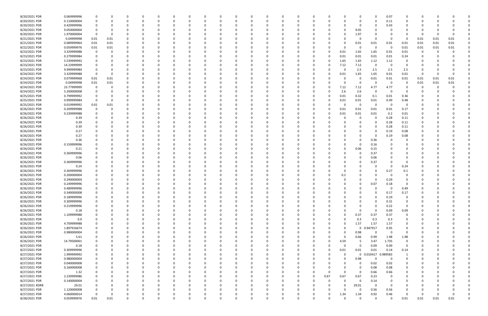| 8/20/2021 PDR  | 0.069999996 |             |          |   |          |          |          |          |   |          |   |             |          |          |          |          |              |             | 0           | 0.07        |             |          |          |      |          |
|----------------|-------------|-------------|----------|---|----------|----------|----------|----------|---|----------|---|-------------|----------|----------|----------|----------|--------------|-------------|-------------|-------------|-------------|----------|----------|------|----------|
| 8/20/2021 PDR  | 0.110000004 |             |          |   |          |          |          |          |   |          |   | 0           |          |          | C.       |          |              |             | 0           | 0.11        |             |          |          |      |          |
| 8/20/2021 PDR  | 0.429999996 |             |          |   |          |          |          |          |   |          |   |             |          |          |          |          |              |             | 0           | 0.43        |             |          |          |      |          |
| 8/20/2021 PDR  | 9.050000004 | 0           |          |   |          |          |          |          |   |          |   |             |          |          |          |          |              | 9.05        |             |             |             |          |          |      |          |
| 8/20/2021 PDR  | 1.970000004 | - 0         |          |   |          |          |          |          |   |          |   | 0           |          |          |          |          |              | 1.97        |             |             |             | - 0      |          |      |          |
|                | 0.04999998  |             |          |   |          |          |          |          |   |          |   | 0           |          |          |          |          |              |             | 0           |             | - 0         |          |          |      |          |
| 8/21/2021 PDR  |             | 0.01        | 0.01     |   |          |          |          |          |   |          |   |             |          |          |          |          |              |             |             |             |             | 0.01     | 0.01     | 0.01 |          |
| 8/21/2021 PDR  | 0.089999964 | 0.01        | 0.01     |   |          |          |          |          |   |          |   | - 0         |          |          |          |          |              | 0.01        | 0.01        | 0.01        | 0.01        | 0.01     | 0.01     | 0.01 |          |
| 8/22/2021 PDR  | 0.059999976 | 0.01        | 0.01     |   |          |          |          |          |   |          |   | -0          |          |          |          |          |              | 0           | 0           | - 0         | 0.01        | 0.01     | 0.01     | 0.01 |          |
| 8/23/2021 PDR  | 3.329999988 | 0           |          |   |          |          |          |          |   |          |   |             |          |          |          |          | 0.01         | 1.65        | 1.65        | 0.01        | 0.01        | - 0      |          |      |          |
| 8/23/2021 PDR  | 0.279999984 | 0           |          |   |          |          |          |          |   |          |   |             |          |          |          |          | 0.01         | 0.01        | 0.01        | 0.01        | 0.24        |          |          |      |          |
| 8/23/2021 PDR  | 5.539999992 | 0           |          |   |          |          |          |          |   |          |   | -0          |          |          |          |          | 1.65         | 1.65        | 1.12        | 1.12        |             |          |          |      |          |
| 8/23/2021 PDR  | 14.23999999 |             |          |   |          |          |          |          |   |          |   |             |          |          |          |          | 7.12         | 7.12        | 0           | $\Omega$    | $\Omega$    |          |          |      |          |
| 8/23/2021 PDR  | 9.999999984 | -0          |          |   |          |          |          |          |   |          |   | $\Omega$    |          |          |          |          |              | 2.5         | 2.5         | 2.5         | 2.5         |          |          |      |          |
| 8/24/2021 PDR  | 3.329999988 | 0           |          |   |          |          |          |          |   |          |   |             |          |          |          |          | 0.01         | 1.65        | 1.65        | 0.01        | 0.01        | - 0      | -0       |      |          |
| 8/24/2021 PDR  | 0.079999968 | 0.01        | 0.01     |   |          |          |          |          |   |          |   |             |          |          |          |          |              | 0           | 0.01        | 0.01        | 0.01        | 0.01     | 0.01     | 0.01 |          |
| 8/24/2021 PDR  | 0.04999998  | 0.01        | 0.01     |   |          |          |          |          |   |          |   |             |          |          |          |          |              | 0           | 0           | $\Omega$    | 0           | 0.01     | 0.01     | 0.01 |          |
| 8/24/2021 PDR  | 23.77999999 | 0           |          |   |          |          |          |          |   |          |   |             |          |          |          |          | 7.12         | 7.12        | 4.77        | 4.77        |             |          |          |      |          |
|                |             |             |          |   |          |          |          |          |   |          |   |             |          |          |          |          |              |             |             |             |             |          |          |      |          |
| 8/24/2021 PDR  | 5.200000008 | 0           |          |   |          |          |          |          |   |          |   |             |          |          |          |          | 2.6          | 2.6         | 0           | - റ         |             |          |          |      |          |
| 8/25/2021 PDR  | 0.799999992 | 0           |          |   |          |          |          |          |   |          |   | $\Omega$    |          |          |          |          | 0.01         | 0.32        | 0.1         | 0.01        | 0.36        |          |          |      |          |
| 8/25/2021 PDR  | 0.999999984 | 0           |          |   |          |          |          |          |   |          |   |             |          |          |          |          | 0.01         | 0.01        | 0.01        | 0.49        | 0.48        |          |          |      |          |
| 8/25/2021 PDR  | 0.019999992 | 0.01        | 0.01     |   |          |          |          |          |   |          |   |             |          |          |          |          | റ            | 0           | 0           | -0          |             |          |          |      |          |
| 8/26/2021 PDR  | 0.209999988 | $\mathbf 0$ |          |   |          |          |          |          |   |          |   |             |          |          |          |          | 0.01         | 0.01        | 0.01        | 0.01        | 0.17        |          |          |      |          |
| 8/26/2021 PDR  | 0.239999988 |             |          |   |          |          |          |          |   |          |   |             |          |          |          |          | 0.01         | 0.01        | 0.01        | 0.2         | 0.01        |          |          |      |          |
| 8/26/2021 PDR  | 0.39        |             |          |   |          |          |          |          |   |          |   | 0           |          |          |          |          |              |             | 0           | 0.28        | 0.11        |          |          |      |          |
| 8/26/2021 PDR  | 0.39        |             |          |   |          |          |          |          |   |          |   | 0           |          |          |          |          |              |             | 0           | 0.28        | 0.11        |          |          |      |          |
| 8/26/2021 PDR  | 0.39        |             |          |   |          |          |          |          |   |          |   |             |          |          |          |          |              |             | $\Omega$    | 0.28        | 0.11        |          |          |      |          |
| 8/26/2021 PDR  | 0.27        |             |          |   |          |          |          |          |   |          |   | 0           |          |          |          |          |              |             | 0           | 0.19        | 0.08        |          |          |      |          |
| 8/26/2021 PDR  | 0.27        |             |          |   |          |          |          |          |   |          |   |             |          |          |          |          |              |             | 0           | 0.19        | 0.08        |          |          |      |          |
|                | 0.36        |             |          |   |          |          |          |          |   |          |   |             |          |          |          |          |              |             |             |             |             |          |          |      |          |
| 8/26/2021 PDR  |             |             |          |   |          |          |          |          |   |          |   |             |          |          |          |          |              |             | 0.36        |             |             |          |          |      |          |
| 8/26/2021 PDR  | 0.159999996 |             |          |   |          |          |          |          |   |          |   | 0           |          |          |          |          |              |             | 0.16        |             |             |          |          |      |          |
| 8/26/2021 PDR  | 0.21        |             |          |   |          |          |          |          |   |          |   | 0           |          |          |          |          |              | 0.06        | 0.15        |             |             |          |          |      |          |
| 8/26/2021 PDR  | 0.369999996 |             |          |   |          |          |          |          |   |          |   |             |          |          |          |          |              |             | 0.37        |             |             |          |          |      |          |
| 8/26/2021 PDR  | 0.06        |             |          |   |          |          |          |          |   |          |   | 0           |          |          |          |          |              |             | 0.06        |             |             |          |          |      |          |
| 8/26/2021 PDR  | 0.369999996 |             |          |   |          |          |          |          |   |          |   |             |          |          |          |          |              |             | 0.37        |             |             |          |          |      |          |
| 8/26/2021 PDR  | 0.24        |             |          |   |          |          |          |          |   |          |   |             |          |          |          |          |              |             |             |             | 0.24        |          |          |      |          |
| 8/26/2021 PDR  | 0.369999996 |             |          |   |          |          |          |          |   |          |   | 0           |          |          |          |          |              |             | 0           | 0.27        | 0.1         |          |          |      |          |
| 8/26/2021 PDR  | 0.200000004 |             |          |   |          |          |          |          |   |          |   | 0           |          |          |          |          | 0.2          |             | 0           | -0          | 0           |          |          |      |          |
| 8/26/2021 PDR  | 0.290000004 |             |          |   |          |          |          |          |   |          |   |             |          |          |          |          |              |             | $\Omega$    | 0.29        |             |          |          |      |          |
| 8/26/2021 PDR  | 0.249999996 |             |          |   |          |          |          |          |   |          |   |             |          |          |          |          |              |             | 0.07        | 0.18        | $\Omega$    |          |          |      |          |
| 8/26/2021 PDR  | 0.489999996 | $\Omega$    |          |   |          |          |          |          |   |          |   |             |          |          |          |          |              |             | 0           |             | 0.49        |          |          |      |          |
|                |             |             |          |   |          |          |          |          |   |          |   |             |          |          |          |          |              |             | $\Omega$    |             |             |          |          |      |          |
| 8/26/2021 PDR  | 0.340000008 |             |          |   |          |          |          |          |   |          |   |             |          |          |          |          |              |             |             | 0.17        | 0.17        |          |          |      |          |
| 8/26/2021 PDR  | 0.189999996 | $\mathbf 0$ | $\Omega$ | O | 0        | $\Omega$ | $\Omega$ | $\Omega$ | 0 | $\Omega$ | 0 | $\mathbf 0$ | $\Omega$ | $\Omega$ | 0        | $\Omega$ | $\Omega$     | 0           | 0           | 0.19        | 0           | $\Omega$ | $\Omega$ |      |          |
| 8/26/2021 PDR  | 0.309999996 | 0           | 0        |   | 0        | 0        |          |          | 0 | $\Omega$ |   | 0           |          | 0        | 0        |          | O            |             | 0           | 0.31        | $\mathbf 0$ |          |          |      |          |
| 8/26/2021 PDR  | 0.219999996 | $\Omega$    |          |   |          | $\Omega$ |          |          | 0 |          |   | $\Omega$    |          | 0        | 0        |          |              |             | $\Omega$    | 0.22        | 0           |          |          |      |          |
| 8/26/2021 PDR  | 0.18        | $\Omega$    |          |   |          |          |          |          | 0 |          |   | 0           |          | 0        | 0        |          |              | 0           | $\mathbf 0$ | 0.09        | 0.09        |          |          |      |          |
| 8/26/2021 PDR  | 1.109999988 | 0           |          |   |          |          |          |          |   |          |   | 0           |          | 0        | 0        |          | O            | 0.37        | 0.37        | 0.37        | 0           |          |          |      |          |
| 8/26/2021 PDR  | 0.9         | $\Omega$    |          |   |          | 0        |          | 0        | 0 |          | 0 | 0           |          | 0        | 0        | 0        | $\Omega$     | 0.3         | 0.3         | 0.3         | $\mathbf 0$ | 0        | 0        |      |          |
| 8/26/2021 PDR  | 4.709999988 | 0           |          |   |          | 0        |          | $\Omega$ | 0 |          |   | 0           |          | 0        | 0        | 0        | $\Omega$     | 1.57        | 1.57        | 1.57        | 0           |          |          |      |          |
| 8/26/2021 PDR  | 1.897916674 | 0           |          |   |          |          |          |          | 0 |          |   | 0           |          | $\Omega$ | 0        |          | $\Omega$     |             | 0 0.947917  | 0.95        | $\Omega$    |          |          |      |          |
| 8/26/2021 PDR  | 0.980000004 | 0           |          |   |          |          |          |          | 0 |          |   | 0           |          | 0        | 0        |          |              | 0.98        | 0           | $\mathbf 0$ | $\mathbf 0$ | 0        |          |      |          |
| 8/26/2021 PDR  | 5.61        | 0           |          |   |          | 0        |          |          | 0 |          |   | 0           |          | 0        | 0        | 0        | $\Omega$     | 0.66        | 0.99        | 1.98        | 1.98        |          |          |      |          |
| 8/26/2021 PDR  | 14.79500001 |             |          |   |          |          |          |          | 0 |          |   | 0           |          | 0        | 0        | 0        | 4.59         | -5          | 3.47        | 1.735       | 0           |          |          |      |          |
| 8/27/2021 PDR  |             | 0           |          |   |          |          |          |          |   |          |   | 0           |          | 0        |          | $\Omega$ | $\Omega$     | 0           | 0.09        | 0.09        | $\mathbf 0$ |          |          |      |          |
|                | 0.18        |             |          |   |          |          |          |          | 0 |          |   |             |          |          | 0        |          |              |             |             |             |             |          |          |      |          |
| 8/27/2021 PDR  | 0.309999996 | 0           |          |   |          |          |          |          |   |          |   | 0           |          | 0        | 0        | $\Omega$ | 0.01         | 0.01        | 0.01        | 0.14        | 0.14        |          |          |      |          |
| 8/27/2021 PDR  | 1.999999992 | 0           |          |   |          | 0        |          |          | 0 | ი        |   | 0           |          | 0        | 0        | $\Omega$ | $\Omega$     |             | 0 0.010417  | 0.989583    | 1           |          |          |      |          |
| 8/27/2021 PDR  | 0.980000004 | 0           |          |   | 0        | 0        |          | 0        | 0 | 0        |   | 0           |          | 0        | 0        | $\Omega$ |              | 0.98        | $\Omega$    | $\mathbf 0$ | 0           |          | 0        |      |          |
| 8/27/2021 PDR  | 0.040000008 | 0           |          |   |          | 0        |          |          | 0 |          |   | 0           |          | 0        | 0        |          |              | 0           | 0.02        | 0.02        | $\mathbf 0$ |          |          |      |          |
| 8/27/2021 PDR  | 0.160000008 | $\Omega$    |          |   |          | 0        |          |          | n |          |   | 0           |          | 0        | 0        |          |              | 0           | 0.08        | 0.08        | $\mathbf 0$ |          |          |      |          |
| 8/27/2021 PDR  | 1.32        | 0           |          |   |          |          |          |          |   |          |   | 0           |          | 0        | 0        | 0        | $\Omega$     | 0           | 0.66        | 0.66        | 0           |          |          |      |          |
| 8/27/2021 PDR  | 2.239999986 | 0           |          |   |          |          |          |          |   |          |   | 0           |          | 0        | 0        | 0.67     | 0.67         | 0.67        | 0.23        | 0           | $\mathbf 0$ |          |          |      |          |
| 8/27/2021 PDR  | 0.140000004 | $\Omega$    |          |   |          | 0        |          | $\Omega$ | 0 | 0        |   | 0           |          | 0        | 0        | $\Omega$ | <sup>0</sup> | $\mathbf 0$ | 0.14        | $\Omega$    | $\Omega$    | 0        |          |      |          |
| 8/27/2021 RDRR | 29.01       | 0           |          |   |          | 0        |          |          | 0 |          |   | 0           |          | 0        | 0        | $\Omega$ | $\Omega$     | 29.01       | 0           | $\Omega$    | 0           |          |          |      |          |
| 8/27/2021 PDR  | 1.120000008 | 0           |          |   |          |          |          |          |   |          |   | $\Omega$    |          | 0        |          |          | $\Omega$     | $\Omega$    | 0.56        | 0.56        | $\Omega$    |          |          |      |          |
| 8/27/2021 PDR  | 4.060000014 | $\mathbf 0$ |          |   |          |          |          |          |   |          |   | 0           |          |          |          |          | 1.34         | 1.34        | 0.92        | 0.46        | $\Omega$    | $\Omega$ |          |      |          |
| 8/28/2021 PDR  | 0.059999976 | 0.01        | 0.01     |   | $\Omega$ |          | $\Omega$ |          |   |          |   | $\Omega$    |          | $\Omega$ | $\Omega$ |          | $\Omega$     | n           | $\Omega$    | $\Omega$    | 0.01        | 0.01     | 0.01     | 0.01 | $\Omega$ |
|                |             |             |          |   |          |          |          |          |   |          |   |             |          |          |          |          |              |             |             |             |             |          |          |      |          |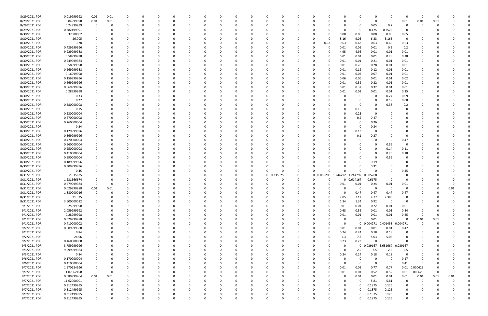| 8/29/2021 PDR | 0.019999992 | 0.01        | 0.01     |          |          |          |          |          |          |          | 0        |            |          |              |          |                         | 0           |                     | 0           | - 0            |          |      |  |
|---------------|-------------|-------------|----------|----------|----------|----------|----------|----------|----------|----------|----------|------------|----------|--------------|----------|-------------------------|-------------|---------------------|-------------|----------------|----------|------|--|
| 8/29/2021 PDR | 0.04999998  | 0.01        | $0.01\,$ |          |          |          |          |          |          |          | 0        |            |          |              |          |                         | 0           | - 0                 | 0.01        | 0.01           | 0.01     |      |  |
| 8/29/2021 PDR | 0.24999999  | $\mathbf 0$ |          |          |          |          |          |          |          |          |          |            |          |              |          |                         | 0.05        | 0.2                 | 0           |                |          |      |  |
| 8/29/2021 PDR | 0.382499991 | 0           |          |          |          |          |          |          |          |          | $\Omega$ |            |          |              |          | 0                       | 0.125       | 0.2575              | $\Omega$    |                |          |      |  |
| 8/30/2021 PDR | 0.37000002  | 0           |          |          |          |          |          |          |          |          | 0        |            |          |              |          | 0.08<br>0.08            | 0.08        | 0.08                | 0.05        |                |          |      |  |
| 8/30/2021 PDR | 26.705      |             |          |          |          |          |          |          |          |          | 0        |            |          |              |          | 8.16<br>9.05            | 6.33        | 3.165               | $\mathbf 0$ |                |          |      |  |
| 8/30/2021 PDR | 3.78        |             |          |          |          |          |          |          |          |          |          |            |          | 0            | 0.63     | 0.63<br>0.63            | 0.63        | 0.63                | 0.63        |                |          |      |  |
|               |             |             |          |          |          |          |          |          |          |          |          |            |          |              |          |                         |             |                     |             |                |          |      |  |
| 8/30/2021 PDR | 0.429999996 |             |          |          |          |          |          |          |          |          | -0       |            |          |              | 0        | 0.01<br>0.01            | 0.01        | 0.2                 | 0.2         |                |          |      |  |
| 8/30/2021 PDR | 9.929999988 |             |          |          |          |          |          |          |          |          |          |            |          |              |          | 4.95<br>4.95            | 0.01        | 0.01                | 0.01        |                |          |      |  |
| 8/30/2021 PDR | 0.58999998  |             |          |          |          |          |          |          |          |          |          |            |          |              |          | 0.01<br>0.01            | 0.01        | 0.28                | 0.28        |                |          |      |  |
| 8/30/2021 PDR | 0.249999984 |             |          |          |          |          |          |          |          |          | -0       |            |          |              |          | 0.01<br>0.01            | 0.21        | 0.01                | 0.01        |                |          |      |  |
| 8/30/2021 PDR | 0.58999998  |             |          |          |          |          |          |          |          |          |          |            |          |              |          | 0.01<br>0.28            | 0.28        | 0.01                | 0.01        |                |          |      |  |
| 8/30/2021 PDR | 0.269999988 |             |          |          |          |          |          |          |          |          |          |            |          |              |          | 0.12<br>0.01            | 0.12        | 0.01                | 0.01        |                |          |      |  |
| 8/30/2021 PDR | 0.16999998  |             |          |          |          |          |          |          |          |          |          |            |          |              |          | 0.07<br>0.01            | 0.07        | 0.01                | 0.01        |                |          |      |  |
| 8/30/2021 PDR | 0.159999996 |             |          |          |          |          |          |          |          |          |          |            |          |              |          | 0.06<br>0.06            | 0.01        | 0.01                | 0.02        |                |          |      |  |
| 8/30/2021 PDR | 0.669999996 |             |          |          |          |          |          |          |          |          |          |            |          |              |          | 0.32<br>0.01            | 0.32        | 0.01                | 0.01        |                |          |      |  |
| 8/30/2021 PDR | 0.669999996 |             |          |          |          |          |          |          |          |          |          |            |          |              |          | 0.32<br>0.01            | 0.32        | 0.01                | 0.01        |                |          |      |  |
| 8/30/2021 PDR | 0.28999998  |             |          |          |          |          |          |          |          |          |          |            |          |              |          | 0.01<br>0.01            | 0.01        | 0.01                | 0.25        |                |          |      |  |
| 8/30/2021 PDR | 0.33        |             |          |          |          |          |          |          |          |          | $\Omega$ |            |          |              |          |                         | 0           | 0.24                | 0.09        |                |          |      |  |
| 8/30/2021 PDR | 0.27        |             |          |          |          |          |          |          |          |          |          |            |          |              |          |                         | 0           | 0.19                | 0.08        |                |          |      |  |
| 8/30/2021 PDR | 0.580000008 |             |          |          |          |          |          |          |          |          |          |            |          |              |          |                         | 0           | 0.38                | 0.2         |                |          |      |  |
| 8/30/2021 PDR | 0.15        |             |          |          |          |          |          |          |          |          |          |            |          |              |          |                         |             |                     |             |                |          |      |  |
|               |             |             |          |          |          |          |          |          |          |          |          |            |          |              |          | 0.15                    |             |                     |             |                |          |      |  |
| 8/30/2021 PDR | 0.230000004 |             |          |          |          |          |          |          |          |          |          |            |          |              |          | 0.23                    | $\Omega$    |                     |             |                |          |      |  |
| 8/30/2021 PDR | 0.670000008 |             |          |          |          |          |          |          |          |          | 0        |            |          |              |          | 0.2                     | 0.47        |                     |             |                |          |      |  |
| 8/30/2021 PDR | 0.260000004 |             |          |          |          |          |          |          |          |          | 0        |            |          |              |          |                         | 0.26        |                     |             |                |          |      |  |
| 8/30/2021 PDR | 0.24        |             |          |          |          |          |          |          |          |          |          |            |          |              |          |                         | 0.24        |                     |             |                |          |      |  |
| 8/30/2021 PDR | 0.129999996 |             |          |          |          |          |          |          |          |          | 0        |            |          |              |          | 0.13                    | 0           |                     |             |                |          |      |  |
| 8/30/2021 PDR | 0.369999996 |             |          |          |          |          |          |          |          |          |          |            |          |              |          | 0.1                     | 0.27        |                     |             |                |          |      |  |
| 8/30/2021 PDR | 0.470000004 |             |          |          |          |          |          |          |          |          |          |            |          |              |          |                         | 0           |                     | 0.47        |                |          |      |  |
| 8/30/2021 PDR | 0.560000004 |             |          |          |          |          |          |          |          |          | 0        |            |          |              |          |                         | 0           | 0.56                | $\Omega$    |                |          |      |  |
| 8/30/2021 PDR | 0.250000008 |             |          |          |          |          |          |          |          |          | -0       |            |          |              |          |                         | 0           | 0.14                | 0.11        |                |          |      |  |
| 8/30/2021 PDR | 0.410000004 |             |          |          |          |          |          |          |          |          |          |            |          |              |          |                         | 0           | 0.23                | 0.18        |                |          |      |  |
| 8/30/2021 PDR | 0.590000004 |             |          |          |          |          |          |          |          |          | 0        |            |          |              |          |                         | 0           | 0.59                |             |                |          |      |  |
| 8/30/2021 PDR | 0.189999996 |             |          |          |          |          |          |          |          |          |          |            |          |              |          |                         | 0.19        |                     |             |                |          |      |  |
| 8/30/2021 PDR | 0.309999996 |             |          |          |          |          |          |          |          |          |          |            | 0        |              |          |                         | 0.31        |                     |             |                |          |      |  |
| 8/30/2021 PDR | 0.45        |             |          |          |          |          |          |          |          |          | $\Omega$ |            | 0        |              |          |                         | 0           |                     | 0.45        |                |          |      |  |
| 8/31/2021 PDR |             |             |          |          |          |          |          |          |          |          |          |            | 0        | 0 0.005208   | 1.244792 | 1.244792                |             |                     |             |                |          |      |  |
|               | 2.835625    |             |          |          |          |          |          |          |          |          |          | 0 0.335625 |          |              |          |                         | 0.005208    | $\Omega$            |             |                |          |      |  |
| 8/31/2021 PDR | 1.231666674 |             |          |          |          |          |          |          |          |          |          |            | 0        |              |          | 0 0.614167              | 0.6175      |                     |             |                |          |      |  |
| 8/31/2021 PDR | 0.279999984 | 0           |          |          |          |          |          |          |          |          |          |            | 0        |              |          | 0.01<br>0.01            | 0.24        | 0.01                | 0.01        |                |          |      |  |
| 8/31/2021 PDR | 0.029999988 | 0.01        | 0.01     |          |          |          |          |          |          |          |          |            |          |              |          | 0<br>0                  | 0           | $\Omega$            | $\Omega$    |                |          | 0.01 |  |
| 8/31/2021 PDR | 1.880000016 | $\sim$      |          |          |          |          |          |          |          |          |          |            |          |              |          | 0.47                    | 0.47        | 0.47                | 0.47        |                |          |      |  |
| 8/31/2021 PDR | 21.325      | 0           | 0        | 0        | $\Omega$ | $\Omega$ | $\Omega$ | 0        | $\Omega$ | 0        | 0        | $\Omega$   | 0        | $\mathbf 0$  | $\Omega$ | 7.05<br>7.12            | 4.77        | 2.385               | 0           | 0              | - 0      |      |  |
| 8/31/2021 PDR | 3.600000012 | 0           |          | 0        |          |          |          | 0        |          |          | 0        |            | 0        | 0            | $\Omega$ | 1.34<br>1.34            | 0.92        | $\mathbf 0$         | $\mathbf 0$ |                |          |      |  |
| 9/1/2021 PDR  | 0.25999998  | $\Omega$    |          |          |          |          |          | 0        |          |          | $\Omega$ |            | 0        | 0            |          | 0.01<br>0.01            | 0.22        | 0.01                | 0.01        |                |          |      |  |
| 9/1/2021 PDR  | 2.059999992 | 0           |          |          |          |          |          |          |          |          | $\Omega$ |            |          | 0            | $\Omega$ | 0.68<br>0.52            | 0.01        | 0.01                | 0.84        |                |          |      |  |
| 9/1/2021 PDR  | 0.28999998  | 0           |          |          |          |          |          |          |          |          | 0        |            | 0        | <sup>0</sup> | 0        | $0.01\,$<br>0.01        | 0.01        | 0.01                | 0.25        | - 0            | -0       |      |  |
| 9/1/2021 PDR  | 0.029999988 | 0           |          |          | 0        |          |          |          |          |          | $\Omega$ |            | 0        | 0            |          | $\mathbf 0$<br>$\Omega$ | 0.01        | $\Omega$            | $\Omega$    | 0.01           | 0.01     |      |  |
| 9/1/2021 PDR  | 0.410000002 | 0           |          |          | 0        |          |          |          |          |          | 0        |            | 0        | 0            |          | - 0                     | 0 0.004271  | 0.401458            | 0.004271    | 0              | 0        |      |  |
| 9/2/2021 PDR  | 0.509999988 | $\Omega$    |          |          |          |          |          |          |          |          | 0        |            | 0        | 0            |          | 0.01<br>0.01            | 0.01        | 0.01                | 0.47        |                |          |      |  |
| 9/2/2021 PDR  | 0.84        | $\Omega$    |          |          |          |          |          | 0        |          |          | 0        |            | 0        | 0            | $\Omega$ | 0.24<br>0.24            | 0.18        | 0.18                | 0           |                |          |      |  |
| 9/2/2021 PDR  | 24.66       |             |          |          |          |          |          |          |          |          | 0        |            |          |              | 0        | 7.3<br>7.3              | 5.03        | 5.03                | 0           |                |          |      |  |
| 9/2/2021 PDR  |             | 0           |          |          |          |          |          |          |          |          | 0        |            | 0        | 0            | $\Omega$ | 0.23<br>0.23            | $\Omega$    | $\Omega$            | $\Omega$    |                |          |      |  |
|               | 0.460000008 |             |          |          |          |          |          |          |          |          |          |            |          |              |          |                         |             |                     |             |                |          |      |  |
| 9/3/2021 PDR  | 3.759999996 | 0           |          |          |          |          |          |          |          |          | 0        |            | 0        | 0            |          | $\Omega$                |             | 0 0.039167 3.681667 | 0.039167    |                |          |      |  |
| 9/3/2021 PDR  | 9.999999984 | 0           |          |          |          |          |          |          |          |          | $\Omega$ |            |          |              |          | 2.5<br>$\Omega$         | 2.5         | 2.5                 | 2.5         |                |          |      |  |
| 9/3/2021 PDR  | 0.84        | 0           |          |          |          |          |          | 0        |          |          | 0        |            | 0        | 0            | $\Omega$ | 0.24<br>0.24            | 0.18        | 0.18                | $\Omega$    | 0              |          |      |  |
| 9/6/2021 PDR  | 0.170000004 | 0           |          | 0        | 0        |          |          | 0        | 0        |          | 0        |            | 0        | 0            |          | 0<br>$\Omega$           | 0           | $\Omega$            | 0.17        | 0              | 0        |      |  |
| 9/6/2021 PDR  | 0.410000004 | 0           |          |          | 0        |          |          |          |          |          | 0        |            | 0        | C            |          | $\Omega$<br>0           | $\mathbf 0$ | $\mathbf 0$         | 0.41        | - 0            |          |      |  |
| 9/7/2021 PDR  | 1.570624996 | 0           |          |          |          |          |          |          |          |          | $\Omega$ |            | 0        | 0            | $\Omega$ | 0.01<br>0.01            | 0.77        | 0.77                |             | 0.01  0.000625 |          |      |  |
| 9/7/2021 PDR  | 1.07062498  | $\mathbf 0$ | 0        |          |          |          |          |          |          |          | 0        |            | 0        | 0            | $\Omega$ | 0.01<br>0.01            | 0.52        | 0.52                |             | 0.01 0.000625  | 0        |      |  |
| 9/7/2021 PDR  | 0.089999964 | 0.01        | 0.01     |          |          |          |          |          |          |          | $\Omega$ |            | 0        | 0            |          | 0.01<br>$\Omega$        | 0.01        | 0.01                | 0.01        | 0.01           | 0.01     | 0.01 |  |
| 9/7/2021 PDR  | 11.62000001 | $\mathbf 0$ | $\Omega$ |          | $\Omega$ |          |          | 0        | ი        |          | 0        |            | 0        | 0            |          | 0                       | 5.81        | 5.81                | $\mathbf 0$ | - 0            | $\Omega$ |      |  |
| 9/7/2021 PDR  | 0.312499995 | 0           |          |          |          |          |          |          |          |          | 0        |            | 0        | 0            |          | $\Omega$                | 0.1875      | 0.125               | 0           |                |          |      |  |
| 9/7/2021 PDR  | 0.312499995 | 0           |          |          |          |          |          |          |          |          | 0        |            |          |              |          | 0<br>$\Omega$           | 0.1875      | 0.125               | $\Omega$    |                |          |      |  |
| 9/7/2021 PDR  | 0.312499995 | 0           |          |          |          |          |          |          |          |          | 0        |            |          |              |          | O                       | 0.1875      | 0.125               | 0           |                |          |      |  |
| 9/7/2021 PDR  | 0.312499995 | $\Omega$    | 0        | $\Omega$ |          | $\Omega$ | $\Omega$ | $\Omega$ | $\Omega$ | $\Omega$ | $\Omega$ | $\Omega$   | $\Omega$ | 0            |          | $\Omega$<br>$\Omega$    | 0.1875      | 0.125               | $\mathbf 0$ | $\Omega$       | 0        |      |  |
|               |             |             |          |          |          |          |          |          |          |          |          |            |          |              |          |                         |             |                     |             |                |          |      |  |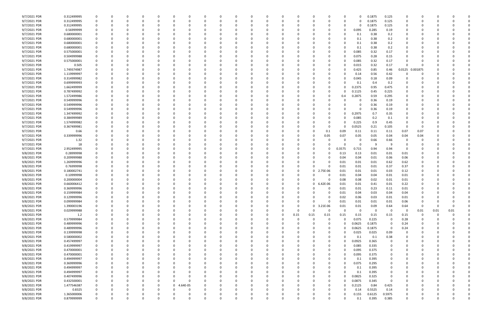| 9/7/2021 PDR | 0.312499995 | $\Omega$    |          |          |          |              |                   |          |          |          |          |              |          |                         |            | 0      | 0.1875 | 0.125       |          |                         |      |      |  |
|--------------|-------------|-------------|----------|----------|----------|--------------|-------------------|----------|----------|----------|----------|--------------|----------|-------------------------|------------|--------|--------|-------------|----------|-------------------------|------|------|--|
| 9/7/2021 PDR | 0.312499995 |             |          |          |          |              | $\Omega$          |          |          |          | 0        |              |          |                         |            | O      | 0.1875 | 0.125       |          |                         |      |      |  |
| 9/7/2021 PDR | 0.312499995 |             |          |          |          |              |                   |          |          |          |          |              |          |                         |            |        | 0.1875 | 0.125       |          |                         |      |      |  |
| 9/7/2021 PDR | 0.56999999  |             |          |          |          |              |                   |          |          |          |          |              |          |                         | -0         | 0.095  | 0.285  | 0.19        |          |                         |      |      |  |
|              |             |             |          |          |          |              |                   |          |          |          |          |              |          |                         |            |        |        |             |          |                         |      |      |  |
| 9/7/2021 PDR | 0.680000001 |             |          |          |          |              |                   |          |          |          |          |              |          |                         | -0         | 0.1    | 0.38   | 0.2         |          |                         |      |      |  |
| 9/7/2021 PDR | 0.680000001 |             |          |          |          |              |                   |          |          |          |          |              |          |                         |            | 0.1    | 0.38   | 0.2         |          |                         |      |      |  |
| 9/7/2021 PDR | 0.680000001 |             |          |          |          |              |                   |          |          |          |          |              |          |                         |            | 0.1    | 0.38   | 0.2         |          |                         |      |      |  |
| 9/7/2021 PDR | 0.680000001 |             |          |          |          |              |                   |          |          |          |          |              |          | 0                       | -0         | 0.1    | 0.38   | 0.2         |          |                         |      |      |  |
| 9/7/2021 PDR | 0.575000001 |             |          |          |          |              |                   |          |          |          |          |              |          | 0                       |            | 0.085  | 0.32   | 0.17        |          |                         |      |      |  |
| 9/7/2021 PDR | 0.504999988 |             |          |          |          |              |                   |          |          |          |          |              |          |                         |            | 0.075  | 0.28   | 0.15        |          |                         |      |      |  |
|              |             |             |          |          |          |              |                   |          |          |          |          |              |          |                         |            |        |        |             | $\Omega$ |                         |      |      |  |
| 9/7/2021 PDR | 0.575000001 |             |          |          |          |              | -0                |          |          |          |          |              |          | 0                       |            | 0.085  | 0.32   | 0.17        |          |                         |      |      |  |
| 9/7/2021 PDR | 0.505       |             |          |          |          |              |                   |          |          |          |          |              |          | 0                       |            | 0.015  | 0.32   | 0.17        | $\Omega$ |                         |      |      |  |
| 9/7/2021 PDR | 1.749374987 |             |          |          |          |              |                   |          |          |          |          |              |          | 0                       |            | 0.425  | 0.85   | 0.46        | 0.0125   | 0.001875                |      |      |  |
| 9/7/2021 PDR | 1.119999997 |             |          |          |          |              |                   |          |          |          |          |              |          |                         |            | 0.14   | 0.56   | 0.42        |          |                         |      |      |  |
| 9/7/2021 PDR | 0.314999982 |             |          |          |          |              |                   |          |          |          |          |              |          | 0                       |            | 0.045  | 0.18   | 0.09        |          |                         |      |      |  |
| 9/7/2021 PDR | 0.699999993 |             |          |          |          |              |                   |          |          |          |          |              |          | 0                       |            | 0.1    | 0.4    | 0.2         |          |                         |      |      |  |
| 9/7/2021 PDR | 1.662499999 |             |          |          |          |              |                   |          |          |          |          |              |          |                         |            | 0.2375 | 0.95   | 0.475       |          |                         |      |      |  |
|              |             |             |          |          |          |              |                   |          |          |          |          |              |          |                         |            |        |        |             |          |                         |      |      |  |
| 9/7/2021 PDR | 0.787499992 |             |          |          |          |              |                   |          |          |          |          |              |          | 0                       |            | 0.1125 | 0.45   | 0.225       |          |                         |      |      |  |
| 9/7/2021 PDR | 1.572499986 |             |          |          |          |              |                   |          |          |          |          |              |          | 0                       | 0.4        | 0.2875 | 0.59   | 0.295       |          |                         |      |      |  |
| 9/7/2021 PDR | 0.549999996 |             |          |          |          |              |                   |          |          |          |          |              |          |                         |            |        | 0.36   | 0.19        |          |                         |      |      |  |
| 9/7/2021 PDR | 0.549999996 |             |          |          |          |              |                   |          |          |          |          |              |          |                         |            |        | 0.36   | 0.19        |          |                         |      |      |  |
| 9/7/2021 PDR | 0.549999996 |             |          |          |          |              |                   |          |          |          |          |              |          |                         |            |        | 0.36   | 0.19        |          |                         |      |      |  |
|              |             |             |          |          |          |              |                   |          |          |          |          |              |          |                         |            |        |        |             |          |                         |      |      |  |
| 9/7/2021 PDR | 1.347499992 |             |          |          |          |              |                   |          |          |          |          |              |          |                         |            | 0.2975 | 0.7    | 0.35        |          |                         |      |      |  |
| 9/7/2021 PDR | 0.384999989 |             |          |          |          |              |                   |          |          |          |          |              |          | 0                       |            | 0.085  | 0.2    | 0.1         |          |                         |      |      |  |
| 9/7/2021 PDR | 1.574999982 |             |          |          |          |              |                   |          |          |          |          |              |          | 0                       |            | 0.225  | 0.9    | 0.45        |          |                         |      |      |  |
| 9/7/2021 PDR | 0.367499981 |             |          |          |          |              |                   |          |          |          |          |              |          | 0                       | -0         | 0.0525 | 0.21   | 0.105       | $\Omega$ |                         |      |      |  |
| 9/7/2021 PDR | 0.66        |             |          |          |          |              |                   |          |          |          |          |              |          | 0.1                     | 0.09       | 0.11   | 0.11   | 0.11        | 0.07     | 0.07                    |      |      |  |
| 9/7/2021 PDR | 0.339999996 |             |          |          |          |              |                   |          |          |          |          |              |          | 0.05                    | 0.07       | 0.05   | 0.05   | 0.04        | 0.04     | 0.04                    |      |      |  |
| 9/7/2021 PDR |             |             |          |          |          |              |                   |          |          |          |          |              |          |                         |            |        | 0.66   | 0.66        |          |                         |      |      |  |
|              | 1.32        |             |          |          |          |              |                   |          |          |          |          |              |          |                         |            |        |        |             |          |                         |      |      |  |
| 9/7/2021 PDR | 18          |             |          |          |          |              |                   |          |          |          |          |              |          |                         |            |        |        | 9           |          |                         |      |      |  |
| 9/7/2021 PDR | 2.952499995 |             |          |          |          |              |                   |          |          |          |          |              |          | 0                       | 0.3575     | 0.715  | 0.94   | 0.94        | $\Omega$ |                         |      |      |  |
| 9/8/2021 PDR | 0.28999998  |             |          |          |          |              |                   |          |          |          |          |              |          | 0                       | 0.13       | 0.13   | 0.01   | 0.01        | 0.01     |                         |      |      |  |
| 9/8/2021 PDR | 0.209999988 |             |          |          |          |              |                   |          |          |          |          |              |          |                         | 0.04       | 0.04   | 0.01   | 0.06        | $0.06\,$ |                         |      |      |  |
| 9/8/2021 PDR | 1.269999996 |             |          |          |          |              |                   |          |          |          |          |              |          |                         | 0.01       | 0.01   | 0.01   | 0.62        | 0.62     |                         |      |      |  |
|              | 0.76999998  |             |          |          |          |              |                   |          |          |          |          |              |          | 0                       | 0.01       |        |        |             |          |                         |      |      |  |
| 9/8/2021 PDR |             |             |          |          |          |              |                   |          |          |          |          |              |          |                         |            | 0.01   | 0.01   | 0.37        | 0.37     |                         |      |      |  |
| 9/8/2021 PDR | 0.180002741 |             |          |          |          |              |                   |          |          |          |          |              |          | 2.75E-06<br>0           | 0.01       | 0.01   | 0.01   | 0.03        | 0.12     |                         |      |      |  |
| 9/8/2021 PDR | 0.10999998  |             |          |          |          |              |                   |          |          |          |          |              |          |                         | 0.01       | 0.04   | 0.04   | 0.01        | 0.01     |                         |      |      |  |
| 9/8/2021 PDR | 0.200000004 |             |          |          |          |              |                   |          |          |          |          |              |          |                         | 0.08       | 0.08   | 0.02   | 0.01        | 0.01     |                         |      |      |  |
| 9/8/2021 PDR | 0.660006412 |             |          |          |          |              |                   |          |          |          |          |              |          | 0<br>6.42E-06           | 0.01       | 0.01   | 0.41   | 0.01        | 0.22     |                         |      |      |  |
| 9/8/2021 PDR | 0.369999996 | 0           |          |          |          |              |                   |          |          |          |          |              |          | 0<br>0                  | 0.01       | 0.01   | 0.23   | 0.11        | 0.01     |                         |      |      |  |
| 9/8/2021 PDR | 0.159999984 | $\mathbf 0$ |          |          |          |              |                   |          |          |          |          |              |          | $\Omega$<br>0           | 0.01       | 0.04   | 0.03   | 0.04        | 0.04     |                         |      |      |  |
|              |             |             |          |          |          |              |                   |          |          |          |          |              |          |                         |            |        |        |             |          |                         |      |      |  |
| 9/8/2021 PDR | 0.129999996 | $\mathbf 0$ | $\Omega$ | 0        | $\Omega$ | $\Omega$     | 0<br><sup>0</sup> | $\Omega$ | 0        | $\Omega$ | 0        | 0            | $\Omega$ | $\Omega$<br>$\Omega$    | 0.02       | 0.06   | 0.03   | 0.01        | 0.01     | 0                       | 0    |      |  |
| 9/8/2021 PDR | 0.099999984 | 0           | $\Omega$ | 0        | 0        | 0            | 0                 | $\Omega$ | 0        | 0        | 0        | 0            | 0        | $\Omega$<br>$\Omega$    | 0.01       | 0.01   | 0.01   | 0.01        | 0.06     | 0                       | -0   |      |  |
| 9/8/2021 PDR | 1.390003196 | 0           | $\Omega$ |          | - 0      |              | 0                 | $\Omega$ | 0        |          | 0        |              | $\Omega$ | 3.21E-06<br>$\mathbf 0$ | 0.01       | 0.01   | 0.09   | 0.64        | 0.64     | $\overline{\mathbf{0}}$ | 0    |      |  |
| 9/8/2021 PDR | 0.029999988 | 0           | 0        |          | 0        |              | 0                 | $\Omega$ | 0        |          | 0        | 0            | $\Omega$ | 0<br>0                  | $\Omega$   | - 0    | 0      | $\mathbf 0$ | $\Omega$ | 0.01                    | 0.01 | 0.01 |  |
| 9/8/2021 PDR | 1.2         | 0           |          |          | 0        |              | 0                 |          | 0        |          | 0        | 0            | 0.15     | 0.15<br>0.15            | 0.15       | 0.15   | 0.15   | 0.15        | 0.15     | 0                       | 0    |      |  |
| 9/8/2021 PDR | 0.579999984 | $\mathbf 0$ |          |          | 0        |              | 0                 |          | 0        |          | $\Omega$ | <sup>0</sup> |          | $\Omega$<br>0           | $\sqrt{ }$ | 0.075  | 0.225  | $\mathbf 0$ | 0.28     | $\mathbf 0$             |      |      |  |
|              |             |             |          |          |          |              |                   |          |          |          |          |              |          |                         |            |        |        |             |          |                         |      |      |  |
| 9/8/2021 PDR | 0.489999996 | 0           | $\Omega$ |          | 0        |              | $\Omega$          |          | 0        |          | 0        |              |          | 0                       | $\Omega$   | 0.0625 | 0.1875 | $\mathbf 0$ | 0.24     | 0                       |      |      |  |
| 9/8/2021 PDR | 0.489999996 | 0           | $\Omega$ |          | 0        | 0            | 0                 | $\Omega$ | 0        |          | 0        |              |          | 0                       | $\sqrt{ }$ | 0.0625 | 0.1875 | $\mathbf 0$ | 0.24     | 0                       | -0   |      |  |
| 9/8/2021 PDR | 0.139999998 | 0           | 0        |          | 0        |              | 0                 |          | 0        |          | 0        |              |          | 0<br>0                  | $\Omega$   | 0.025  | 0.025  | 0.09        | 0        | 0                       |      |      |  |
| 9/8/2021 PDR | 0.580000002 | $\mathbf 0$ | 0        |          |          |              | 0                 |          | 0        |          | 0        |              |          | 0<br>0                  | $\Omega$   | 0.1    | 0.1    | 0.38        | 0        |                         |      |      |  |
| 9/8/2021 PDR | 0.457499997 | 0           |          |          |          |              | 0                 |          | 0        |          | 0        |              |          | 0                       |            | 0.0925 | 0.365  | 0           |          |                         |      |      |  |
| 9/8/2021 PDR | 0.419999997 | 0           |          |          |          |              | -0                |          |          |          | 0        |              |          | 0                       |            | 0.085  | 0.335  | 0           |          | 0                       |      |      |  |
|              |             |             |          |          |          |              |                   |          | 0        |          |          |              |          |                         |            |        |        |             |          |                         |      |      |  |
| 9/8/2021 PDR | 0.470000001 | $\mathbf 0$ | $\Omega$ |          | -0       |              | $\Omega$          |          | 0        |          | 0        |              |          | 0                       | $\Omega$   | 0.095  | 0.375  | 0           |          | 0                       |      |      |  |
| 9/8/2021 PDR | 0.470000001 | 0           | $\Omega$ |          | 0        | 0            | 0                 |          | 0        |          | 0        |              |          | 0<br>0                  | $\Omega$   | 0.095  | 0.375  | 0           |          | 0                       |      |      |  |
| 9/8/2021 PDR | 0.494999997 | 0           | 0        |          | 0        |              | 0                 | $\Omega$ | 0        |          | 0        |              |          | 0<br>0                  | $\Omega$   | 0.1    | 0.395  | 0           |          | 0                       |      |      |  |
| 9/8/2021 PDR | 0.369999996 | 0           |          |          | 0        |              | 0                 |          |          |          | 0        |              |          | 0                       | -0         | 0.075  | 0.295  | 0           |          |                         |      |      |  |
| 9/8/2021 PDR | 0.494999997 | $\mathbf 0$ |          |          | 0        |              | 0                 |          | 0        |          | 0        |              |          | 0<br>0                  | $\Omega$   | 0.1    | 0.395  | 0           |          | n                       |      |      |  |
|              | 0.494999997 |             |          |          |          |              |                   |          |          |          |          |              |          |                         | $\Omega$   |        |        |             |          |                         |      |      |  |
| 9/8/2021 PDR |             | 0           |          |          |          |              | 0                 |          | 0        |          | 0        |              |          | 0                       |            | 0.1    | 0.395  | 0           |          |                         |      |      |  |
| 9/8/2021 PDR | 0.407499996 | 0           |          |          |          |              | $\Omega$          |          |          |          | 0        |              |          | 0                       |            | 0.0825 | 0.325  | $\mathbf 0$ |          |                         |      |      |  |
| 9/8/2021 PDR | 0.432500001 | $\mathbf 0$ | $\Omega$ |          | 0        | 0            | $\Omega$          |          | $\Omega$ |          | 0        |              | $\Omega$ | 0<br>0                  |            | 0.0875 | 0.345  | $\mathbf 0$ | $\Omega$ | 0                       |      |      |  |
| 9/8/2021 PDR | 1.477546387 | 0           | $\Omega$ |          | 0        | 0            | 1.64E-05<br>0     | $\Omega$ | 0        |          | 0        |              |          | 0<br>0                  |            | 0.2125 | 0.84   | 0.425       | 0        |                         |      |      |  |
| 9/8/2021 PDR | 0.8325      | 0           |          |          |          |              | -0                |          |          |          | 0        |              |          | 0                       | -0         | 0.14   | 0.5525 | 0.14        | $\Omega$ |                         |      |      |  |
| 9/8/2021 PDR | 1.365000006 |             |          |          |          |              |                   |          |          |          |          |              |          |                         | -0         | 0.155  | 0.6125 | 0.5975      |          |                         |      |      |  |
| 9/8/2021 PDR | 0.879999999 | $\Omega$    | $\Omega$ | $\Omega$ | $\Omega$ | <sup>0</sup> | $\Omega$          | $\Omega$ | $\Omega$ | $\Omega$ | $\Omega$ | $\Omega$     |          | $\Omega$<br>$\Omega$    | $\Omega$   | 0.1    | 0.395  | 0.385       | $\Omega$ | $\Omega$                | 0    |      |  |
|              |             |             |          |          |          |              |                   |          |          |          |          |              |          |                         |            |        |        |             |          |                         |      |      |  |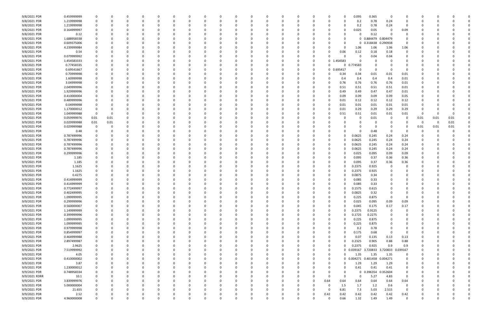| 9/8/2021 PDR  | 0.459999999 | - 0         | 0        |        |          |              |          |          |   |          |              |          |          |    | 0              |          | 0.095       | 0.365                        | 0        |                |          |      |      |  |
|---------------|-------------|-------------|----------|--------|----------|--------------|----------|----------|---|----------|--------------|----------|----------|----|----------------|----------|-------------|------------------------------|----------|----------------|----------|------|------|--|
| 9/8/2021 PDR  | 1.219999998 | 0           | 0        |        | 0        |              |          |          |   |          |              |          |          |    | -0             |          | 0.2         | 0.78                         | 0.24     | 0              |          |      |      |  |
| 9/8/2021 PDR  | 1.219999998 |             | O        |        |          |              |          |          |   |          |              |          |          |    |                |          | 0.2         | 0.78                         | 0.24     | 0              |          |      |      |  |
| 9/8/2021 PDR  | 0.164999997 |             |          |        |          |              |          |          |   |          |              |          |          |    |                |          | 0.025       | 0.05                         | -0       | 0.09           |          |      |      |  |
| 9/8/2021 PDR  |             |             |          |        |          |              |          |          |   |          |              |          |          |    |                |          |             |                              |          | 0              |          |      |      |  |
|               | 0.12        |             |          |        |          |              |          |          |   |          |              |          |          |    |                |          | 0           | 0.12                         |          |                |          |      |      |  |
| 9/8/2021 PDR  | 1.688958338 |             | 0        |        |          |              |          |          |   |          |              |          |          |    |                |          |             | 0 0.884479                   | 0.804479 | 0              |          |      |      |  |
| 9/8/2021 PDR  | 0.609375006 |             |          |        |          |              |          |          |   |          |              |          |          |    |                |          |             | 0 0.318438                   | 0.290938 | 0              |          |      |      |  |
| 9/8/2021 PDR  | 4.239999984 |             |          |        |          |              |          |          |   |          |              |          |          |    |                | - 0      | 1.06        | 1.06                         | 1.06     | 1.06           |          |      |      |  |
| 9/8/2021 PDR  | 0.54        |             |          |        |          |              |          |          |   |          |              |          |          |    |                | 0.06     | 0.12        | 0.18                         | 0.18     | 0              |          |      |      |  |
| 9/8/2021 PDR  | 0.079999992 |             |          |        |          |              |          |          |   |          |              |          |          |    | -C             |          | 0           | 0.04                         | 0.04     |                |          |      |      |  |
| 9/8/2021 PDR  | 1.454583333 |             |          |        |          |              |          |          |   |          |              |          |          |    | 0 <sub>1</sub> | .454583  | 0           | C                            |          |                |          |      |      |  |
|               |             |             |          |        |          |              |          |          |   |          |              |          |          |    |                |          |             |                              |          |                |          |      |      |  |
| 9/8/2021 PDR  | 0.77458335  |             |          |        |          |              |          |          |   |          |              |          |          |    | 0              | 0        | 0.774583    | C                            |          |                |          |      |      |  |
| 9/8/2021 PDR  | 0.69541667  |             |          |        |          |              |          |          |   |          |              |          |          |    | $\mathbf{0}$   | 0.695417 | - 0         | $\Omega$                     | - 0      | - 0            |          |      |      |  |
| 9/9/2021 PDR  | 0.70999998  |             |          |        |          |              |          |          |   |          |              |          |          |    | -0             | 0.34     | 0.34        | 0.01                         | 0.01     | 0.01           |          |      |      |  |
| 9/9/2021 PDR  | 1.60999998  |             |          |        |          |              |          |          |   |          |              |          |          |    |                | 0.4      | 0.4         | 0.4                          | 0.4      | 0.01           |          |      |      |  |
| 9/9/2021 PDR  | 3.04999998  |             |          |        |          |              |          |          |   |          |              |          |          |    | -0             | 0.76     | 0.76        | 0.76                         | 0.76     | 0.01           |          |      |      |  |
| 9/9/2021 PDR  | 2.049999996 |             |          |        |          |              |          |          |   |          |              |          |          |    | 0              | 0.51     | 0.51        | 0.51                         | 0.51     | 0.01           |          |      |      |  |
| 9/9/2021 PDR  | 1.929999996 |             |          |        |          |              |          |          |   |          |              |          |          |    | 0              | 0.49     | 0.49        | 0.47                         | 0.47     | 0.01           |          |      |      |  |
|               |             |             |          |        |          |              |          |          |   |          |              |          |          |    |                |          |             |                              |          |                |          |      |      |  |
| 9/9/2021 PDR  | 0.410000004 |             |          |        |          |              |          |          |   |          |              |          |          |    | -C             | 0.09     | 0.09        | 0.09                         | 0.09     | 0.05           |          |      |      |  |
| 9/9/2021 PDR  | 0.489999996 |             |          |        |          |              |          |          |   |          |              |          |          |    | 0              | 0.01     | 0.12        | 0.12                         | 0.12     | 0.12           |          |      |      |  |
| 9/9/2021 PDR  | 0.04999998  |             |          |        |          |              |          |          |   |          |              |          |          |    | 0              | 0.01     | 0.01        | 0.01                         | 0.01     | 0.01           |          |      |      |  |
| 9/9/2021 PDR  | 1.170000012 | 0           |          |        |          |              |          |          |   |          |              |          |          |    | -0             | 0.01     | 0.29        | 0.29                         | 0.29     | 0.29           |          |      |      |  |
| 9/9/2021 PDR  | 1.049999988 | $\mathbf 0$ | O        |        |          |              |          |          |   |          |              |          |          |    | -0             | 0.51     | 0.51        | 0.01                         | 0.01     | 0.01           | -0       |      |      |  |
| 9/9/2021 PDR  | 0.059999976 | 0.01        | 0.01     |        |          |              |          |          |   |          |              |          |          |    |                |          | 0           | 0.01                         | 0        | 0              | 0.01     | 0.01 | 0.01 |  |
|               |             |             |          |        |          |              |          |          |   |          |              |          |          |    |                |          |             |                              |          |                |          |      |      |  |
| 9/9/2021 PDR  | 0.029999988 | 0.01        | 0.01     |        |          |              |          |          |   |          |              |          |          |    |                |          |             | 0                            |          | 0              | - 0      | -C   | 0.01 |  |
| 9/9/2021 PDR  | 0.029999988 | $\Omega$    | O        |        |          |              |          |          |   |          |              |          |          |    |                |          |             | 0                            |          |                | 0.01     | 0.01 | 0.01 |  |
| 9/9/2021 PDR  | 0.48        |             |          |        |          |              |          |          |   |          |              |          |          |    |                |          |             | 0.48                         | 0        | - 0            | O        |      |      |  |
| 9/9/2021 PDR  | 0.787499996 |             |          |        |          |              |          |          |   |          |              |          |          |    |                |          | 0.0625      | 0.245                        | 0.24     | 0.24           |          |      |      |  |
| 9/9/2021 PDR  | 0.787499996 |             |          |        |          |              |          |          |   |          |              |          |          |    | 0              |          | 0.0625      | 0.245                        | 0.24     | 0.24           |          |      |      |  |
| 9/9/2021 PDR  | 0.787499996 |             |          |        |          |              |          |          |   |          |              |          |          |    | $\Omega$       |          | 0.0625      | 0.245                        | 0.24     | 0.24           |          |      |      |  |
| 9/9/2021 PDR  | 0.787499996 |             |          |        |          |              |          |          |   |          |              |          |          |    | -0             |          | 0.0625      | 0.245                        | 0.24     | 0.24           |          |      |      |  |
|               |             |             |          |        |          |              |          |          |   |          |              |          |          |    |                |          |             |                              |          |                |          |      |      |  |
| 9/9/2021 PDR  | 0.299999996 |             |          |        |          |              |          |          |   |          |              |          |          |    | -0             |          | 0.025       | 0.095                        | 0.09     | 0.09           |          |      |      |  |
| 9/9/2021 PDR  | 1.185       |             |          |        |          |              |          |          |   |          |              |          |          |    | 0              |          | 0.095       | 0.37                         | 0.36     | 0.36           |          |      |      |  |
| 9/9/2021 PDR  | 1.185       |             |          |        |          |              |          |          |   |          |              |          |          |    | -0             |          | 0.095       | 0.37                         | 0.36     | 0.36           |          |      |      |  |
| 9/9/2021 PDR  | 1.1625      |             |          |        |          |              |          |          |   |          |              |          |          |    | 0              |          | 0.2375      | 0.925                        | $\Omega$ |                |          |      |      |  |
| 9/9/2021 PDR  | 1.1625      |             |          |        |          |              |          |          |   |          |              |          |          |    | $\Omega$       |          | 0.2375      | 0.925                        | - 0      |                |          |      |      |  |
| 9/9/2021 PDR  | 0.4275      |             |          |        |          |              |          |          |   |          |              |          |          |    | 0              |          | 0.0875      | 0.34                         |          |                |          |      |      |  |
| 9/9/2021 PDR  | 0.414999999 |             |          |        |          |              |          |          |   |          |              |          |          |    |                |          | 0.085       | 0.33                         |          |                |          |      |      |  |
|               |             |             |          |        |          |              |          |          |   |          |              |          |          |    |                |          |             |                              |          |                |          |      |      |  |
| 9/9/2021 PDR  | 0.414999999 |             |          |        |          |              |          |          |   |          |              |          |          |    |                |          | 0.085       | 0.33                         |          |                |          |      |      |  |
| 9/9/2021 PDR  | 0.772499997 | - 0         | 0        |        |          |              |          |          |   |          |              |          |          |    | -0             |          | 0.1575      | 0.615                        |          |                |          |      |      |  |
| 9/9/2021 PDR  | 0.402499995 | $\mathbf 0$ |          | $\cap$ |          |              |          |          |   |          |              |          |          |    | n              |          | 0.0825      | 0.32                         |          |                |          |      |      |  |
| 9/9/2021 PDR  | 1.099999995 | 0           | 0        | n      | 0        | 0            |          | $\Omega$ | 0 | - 0      |              | $\Omega$ |          | 0  | -0             |          | 0.225       | 0.875                        | $\Omega$ | - 0            | 0        |      |      |  |
| 9/9/2021 PDR  | 0.299999996 | $\mathbf 0$ | 0        | n      | 0        | <sup>0</sup> |          | 0        |   | 0        |              | 0        |          |    | 0              |          | 0.025       | 0.095                        | 0.09     | 0.09           | 0        |      |      |  |
| 9/9/2021 PDR  | 0.560000007 | 0           | 0        |        | 0        |              | - 0      | 0        |   |          |              |          |          |    | 0              |          | 0.045       | 0.175                        | 0.17     | 0.17           | 0        |      |      |  |
| 9/9/2021 PDR  | 1.149999999 | 0           | 0        |        | 0        |              |          |          |   |          |              |          |          |    | 0              |          | 0.2375      | 0.9125                       | 0        | $\Omega$       |          |      |      |  |
|               |             |             |          |        |          |              |          |          |   |          |              |          |          |    |                |          |             |                              |          |                |          |      |      |  |
| 9/9/2021 PDR  | 0.399999996 | $\mathbf 0$ | 0        |        | 0        |              |          |          |   | - 0      |              |          |          |    | 0              |          | 0.1725      | 0.2275                       | $\Omega$ | 0              | 0        |      |      |  |
| 9/9/2021 PDR  | 1.099999995 | $\mathbf 0$ | 0        |        | 0        |              |          | 0        | 0 | -0       |              |          |          | 0  | 0              |          | 0.225       | 0.875                        | 0        | 0              | O        |      |      |  |
| 9/9/2021 PDR  | 1.099999995 | 0           | 0        |        | 0        |              |          |          | 0 | 0        |              | 0        |          |    | 0              |          | 0.225       | 0.875                        | $\Omega$ | 0              | O        |      |      |  |
| 9/9/2021 PDR  | 0.979999998 | $\mathbf 0$ | 0        |        | 0        |              |          | 0        | 0 | $\Omega$ |              |          |          |    | -0             |          | 0.2         | 0.78                         | $\Omega$ | 0              | 0        |      |      |  |
| 9/9/2021 PDR  | 0.854999997 | 0           | $\Omega$ |        | 0        |              |          | 0        | 0 | -0       |              |          |          |    | 0              |          | 0.175       | 0.68                         | $\Omega$ | 0              | 0        |      |      |  |
| 9/9/2021 PDR  | 0.464999988 | 0           | 0        |        | 0        |              |          |          |   | - 0      |              |          |          |    | 0              |          | 0.07        | 0.135                        | 0.13     | 0.13           |          |      |      |  |
| 9/9/2021 PDR  | 2.897499987 | 0           | 0        |        | 0        |              |          |          |   |          |              |          |          |    | 0              |          | 0.2325      | 0.905                        | 0.88     | 0.88           |          |      |      |  |
|               |             |             |          |        |          |              |          |          |   |          |              |          |          |    |                |          |             |                              |          |                |          |      |      |  |
| 9/9/2021 PDR  | 2.9625      | 0           | 0        |        | 0        |              |          |          | 0 | 0        |              |          |          |    | 0              |          | 0.2375      | 0.925                        | 0.9      | 0.9            | O        |      |      |  |
| 9/9/2021 PDR  | 7.519999992 | $\mathbf 0$ | 0        | 0      | 0        |              |          |          | 0 | 0        |              | 0        |          | 0  | 0              |          | 0 0.039167  | 3.720833 3.720833 0.039167   |          |                | O        |      |      |  |
| 9/9/2021 PDR  | 4.05        | 0           | 0        |        | 0        |              |          |          | 0 | -0       |              | 0        |          | 0  | 0              | 0        | 1.35        | 1.35                         | 1.35     | $\mathbf 0$    | O        |      |      |  |
| 9/9/2021 PDR  | 0.410000002 | $\Omega$    | 0        |        | 0        |              | - 0      | 0        | 0 | - 0      |              |          |          | 0  | 0              |          |             | 0 0.004271 0.401458 0.004271 |          | $\Omega$       | 0        |      |      |  |
| 9/9/2021 PDR  | 3.87        | 0           | 0        |        | 0        |              |          |          | 0 |          |              |          |          |    | 0              |          | 1.29        | 1.29                         | 1.29     | 0              |          |      |      |  |
| 9/9/2021 PDR  | 1.230000012 |             | 0        |        | 0        |              |          |          |   |          |              |          |          |    | 0              |          | 0.41        | 0.41                         | 0.41     | 0              |          |      |      |  |
|               |             |             |          |        |          |              |          |          |   |          |              |          |          |    |                |          |             |                              |          |                |          |      |      |  |
| 9/9/2021 PDR  | 0.748958334 | 0           | 0        |        | 0        |              |          |          |   | -0       |              |          |          |    |                |          | 0           | 0.396354                     | 0.352604 | 0              |          |      |      |  |
| 9/9/2021 RDRR | 10.1        | $\mathbf 0$ | 0        |        | $\Omega$ |              |          |          |   | -0       |              |          |          | 0  | 0              | $\Omega$ | $\mathbf 0$ | 5.27                         | 4.83     | 0              | 0        |      |      |  |
| 9/9/2021 PDR  | 3.839999976 | 0           | 0        |        | 0        |              |          |          | 0 |          |              |          | $\Omega$ | 0  | 0.64           | 0.64     | 0.64        | 0.64                         | 0.64     | 0.64           | C        |      |      |  |
| 9/9/2021 PDR  | 5.000000004 | 0           | 0        |        | 0        |              |          | 0        | 0 | -0       |              |          |          |    | 0              | 1.5      | 1.7         | 1.2                          | 0.6      | 0              | C        |      |      |  |
| 9/9/2021 PDR  | 21.655      | $\Omega$    | 0        |        | 0        |              | $\Omega$ |          | 0 | - 0      |              |          |          | 0  | 0              | 6.81     | 7.3         | 5.03                         | 2.515    | 0              |          |      |      |  |
| 9/9/2021 PDR  | 2.52        |             | 0        |        | 0        |              |          |          |   |          |              |          |          | -0 | 0.42           | 0.42     | 0.42        | 0.42                         | 0.42     | 0.42           |          |      |      |  |
| 9/9/2021 PDR  | 4.960000008 | $\Omega$    | 0        | 0      | 0        | $\Omega$     |          | $\Omega$ | 0 | $\Omega$ | <sup>0</sup> | $\Omega$ | $\Omega$ |    | 0              | 0.66     | 1.32        | 1.49                         | 1.49     | $\overline{0}$ | $\Omega$ |      |      |  |
|               |             |             |          |        |          |              |          |          |   |          |              |          |          |    |                |          |             |                              |          |                |          |      |      |  |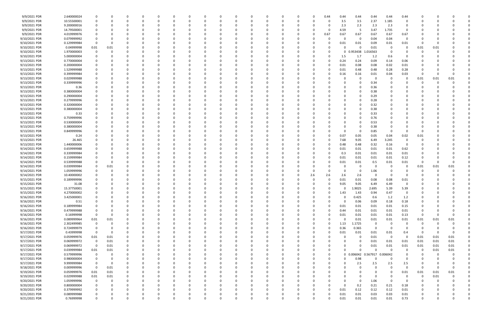| 9/9/2021 PDR  | 2.640000024 |             |          |          |              | $\Omega$ |              |          |   |          |          | $\Omega$ |          |          | 0   | 0.44     | 0.44     | 0.44                | 0.44        | 0.44        | 0.44                    |             |          |          |  |
|---------------|-------------|-------------|----------|----------|--------------|----------|--------------|----------|---|----------|----------|----------|----------|----------|-----|----------|----------|---------------------|-------------|-------------|-------------------------|-------------|----------|----------|--|
| 9/9/2021 PDR  | 10.55500001 |             |          |          |              | -0       |              |          |   |          |          | 0        |          |          | C.  |          | 3.5      | 3.5                 | 2.37        | 1.185       | 0                       |             |          |          |  |
| 9/9/2021 PDR  | 9.200000016 |             |          |          |              |          |              |          |   |          |          |          |          |          |     |          | 2.3      | 2.3                 | 2.3         | 2.3         | 0                       |             |          |          |  |
| 9/9/2021 PDR  | 14.79500001 |             |          |          |              |          |              |          |   |          |          | $\Omega$ |          |          |     |          | 4.59     | -5                  | 3.47        | 1.735       | 0                       |             |          |          |  |
| 9/9/2021 PDR  | 4.019999976 |             |          |          |              |          |              |          |   |          |          | 0        |          |          | 0   | 0.67     | 0.67     | 0.67                | 0.67        | 0.67        | 0.67                    |             |          |          |  |
| 9/10/2021 PDR | 0.079999992 | -0          |          |          |              |          |              |          |   |          |          | 0        |          |          |     |          |          | 0                   | 0.04        | 0.04        | $\overline{0}$          |             |          |          |  |
| 9/10/2021 PDR | 0.129999984 | 0           |          |          |              |          |              |          |   |          |          | - 0      |          |          |     |          | 0.01     | 0.01                | 0.09        | 0.01        | 0.01                    | $\Omega$    |          |          |  |
| 9/10/2021 PDR | 0.04999998  | 0.01        | 0.01     |          |              |          |              |          |   |          |          | -0       |          |          |     |          |          |                     | 0.01        | - 0         | 0                       | 0.01        | 0.01     |          |  |
| 9/10/2021 PDR | 1.970000003 | 0           |          |          |              |          |              |          |   |          |          |          |          |          |     |          | 0        | 0.953438            | 1.016563    | - 0         |                         |             |          |          |  |
| 9/10/2021 PDR | 5.000000004 |             |          |          |              |          |              |          |   |          |          |          |          |          |     |          | 1.5      | 1.7                 | 1.2         | 0.6         | - 0                     |             |          |          |  |
| 9/13/2021 PDR | 0.770000004 |             |          |          |              |          |              |          |   |          |          | - 0      |          |          |     |          | 0.24     | 0.24                | 0.09        | 0.14        | 0.06                    |             |          |          |  |
| 9/13/2021 PDR | 0.200000004 |             |          |          |              |          |              |          |   |          |          |          |          |          |     |          | 0.01     | 0.08                | 0.08        | 0.02        | 0.01                    |             |          |          |  |
| 9/13/2021 PDR | 1.529999988 |             |          |          |              |          |              |          |   |          |          | $\Omega$ |          |          |     |          | 0.01     | 0.48                | 0.48        | 0.28        | 0.28                    |             |          |          |  |
| 9/13/2021 PDR | 0.399999984 |             |          |          |              |          |              |          |   |          |          | -0       |          |          |     |          | 0.16     | 0.16                | 0.01        | 0.04        | 0.03                    | -0          |          |          |  |
| 9/13/2021 PDR | 0.029999988 |             |          |          |              |          |              |          |   |          |          |          |          |          |     |          |          | 0                   | 0           | - 0         | 0                       | 0.01        | 0.01     | 0.01     |  |
| 9/13/2021 PDR | 0.339999996 |             |          |          |              |          |              |          |   |          |          |          |          |          |     |          |          |                     | 0.34        |             |                         | O           |          |          |  |
| 9/13/2021 PDR | 0.36        |             |          |          |              |          |              |          |   |          |          |          |          |          |     |          |          |                     | 0.36        |             |                         |             |          |          |  |
| 9/13/2021 PDR | 0.380000004 |             |          |          |              |          |              |          |   |          |          |          |          |          |     |          |          |                     | 0.38        |             |                         |             |          |          |  |
| 9/13/2021 PDR | 0.290000004 |             |          |          |              |          |              |          |   |          |          | 0        |          |          |     |          |          |                     | 0.29        |             |                         |             |          |          |  |
| 9/13/2021 PDR | 0.279999996 |             |          |          |              |          |              |          |   |          |          | - 0      |          |          |     |          |          |                     | 0.28        |             |                         |             |          |          |  |
| 9/13/2021 PDR | 0.320000004 |             |          |          |              |          |              |          |   |          |          |          |          |          |     |          |          |                     | 0.32        |             |                         |             |          |          |  |
| 9/13/2021 PDR | 0.380000004 |             |          |          |              |          |              |          |   |          |          |          |          |          |     |          |          |                     | 0.38        |             |                         |             |          |          |  |
|               |             |             |          |          |              |          |              |          |   |          |          |          |          |          |     |          |          |                     |             |             |                         |             |          |          |  |
| 9/13/2021 PDR | 0.33        |             |          |          |              |          |              |          |   |          |          |          |          |          |     |          |          |                     | 0.33        |             |                         |             |          |          |  |
| 9/13/2021 PDR | 0.759999996 |             |          |          |              |          |              |          |   |          |          | 0        |          |          |     |          |          |                     | 0.76        |             |                         |             |          |          |  |
| 9/13/2021 PDR | 0.530000004 |             |          |          |              |          |              |          |   |          |          | 0        |          |          |     |          |          |                     | 0.53        |             |                         |             |          |          |  |
| 9/13/2021 PDR | 0.380000004 |             |          |          |              |          |              |          |   |          |          | - 0      |          |          |     |          |          |                     | 0.38        |             |                         |             |          |          |  |
| 9/13/2021 PDR | 0.849999996 |             |          |          |              |          |              |          |   |          |          | 0        |          |          |     |          | $\Omega$ |                     | 0.85        | - 0         | - 0                     | -0          |          |          |  |
| 9/13/2021 PDR | 0.24        |             |          |          |              |          |              |          |   |          |          |          |          |          |     |          | 0.07     | 0.05                | 0.05        | 0.04        | 0.02                    | 0.01        |          |          |  |
| 9/13/2021 PDR | 26.465      |             |          |          |              |          |              |          |   |          |          |          |          |          |     |          | 7.68     | 9.05                | 6.49        | 3.245       | 0                       |             |          |          |  |
| 9/13/2021 PDR | 1.440000006 |             |          |          |              |          |              |          |   |          |          | 0        |          |          |     |          | 0.48     | 0.48                | 0.32        | 0.16        | $\Omega$                |             |          |          |  |
| 9/14/2021 PDR | 0.659999988 |             |          |          |              |          |              |          |   |          |          | -0       |          |          |     |          | 0.01     | 0.01                | 0.01        | 0.01        | 0.62                    |             |          |          |  |
| 9/14/2021 PDR | 0.339999984 |             |          |          |              |          |              |          |   |          |          |          |          |          |     |          | 0.3      | 0.01                | 0.01        | 0.01        | 0.01                    |             |          |          |  |
| 9/14/2021 PDR | 0.159999984 |             |          |          |              |          |              |          |   |          |          | 0        |          |          |     |          | 0.01     | 0.01                | 0.01        | 0.01        | 0.12                    |             |          |          |  |
| 9/14/2021 PDR | 0.539999988 |             |          |          |              |          |              |          |   |          |          |          |          |          |     |          | 0.01     | 0.01                | 0.5         | 0.01        | 0.01                    | 0           |          | n        |  |
| 9/14/2021 PDR | 0.039999984 |             | 0.01     |          |              |          |              |          |   |          |          |          |          |          |     |          |          | 0                   | 0           | - 0         | $\Omega$                | 0.01        | 0.01     | 0.01     |  |
| 9/14/2021 PDR | 1.059999996 | 0           |          |          |              |          |              |          |   |          |          | 0        |          |          | C   |          |          | 0                   | 1.06        |             | - 0                     |             |          |          |  |
| 9/14/2021 PDR | 10.40000002 |             |          |          |              |          |              |          |   |          |          | 0        |          |          | 2.6 | 2.6      | 2.6      | 2.6                 | 0           | $\Omega$    | - 0                     |             |          |          |  |
| 9/15/2021 PDR | 0.189999996 |             |          |          |              |          |              |          |   |          |          | - 0      |          |          | n   | - 0      | 0.01     | 0.01                | 0.08        | 0.08        | 0.01                    |             |          |          |  |
| 9/15/2021 PDR | 31.08       |             |          |          |              |          |              |          |   |          |          |          |          |          |     |          | 9.05     | 9.05                | 6.49        | 6.49        | 0                       |             |          |          |  |
| 9/15/2021 PDR | 15.37750001 | $\Omega$    |          |          |              |          |              |          |   |          |          |          |          |          |     |          | 0        | 1.9025              | 2.695       | 5.39        | 5.39                    |             |          |          |  |
| 9/15/2021 PDR | 4.270000002 | $\Omega$    |          |          |              |          |              |          |   |          |          |          |          |          |     |          | 1.43     | 1.43                | 0.94        | 0.47        |                         |             |          |          |  |
| 9/16/2021 PDR | 3.425000001 | 0           |          | $\Omega$ | 0            | $\Omega$ | $\Omega$     | $\Omega$ | 0 | $\Omega$ | 0        | 0        | $\Omega$ | $\Omega$ | 0   | $\Omega$ | $\Omega$ | 0.425               | 0.6         | 1.2         | 1.2                     | 0           | $\Omega$ |          |  |
| 9/16/2021 PDR | 0.51        | 0           |          | 0        | 0            | 0        | <sup>0</sup> |          | 0 | 0        |          | 0        | $\Omega$ | 0        | 0   |          | $\Omega$ | 0.06                | 0.09        | 0.18        | 0.18                    | 0           |          |          |  |
| 9/16/2021 PDR | 0.189999984 | 0           |          |          | <sup>0</sup> | $\Omega$ |              |          | 0 |          |          | $\Omega$ |          | 0        | 0   | $\Omega$ | 0.01     | 0.01                | 0.01        | 0.01        | 0.15                    | 0           |          |          |  |
| 9/16/2021 PDR | 0.479999988 | 0           |          |          |              | $\Omega$ |              |          | 0 |          |          | 0        |          |          | 0   | $\Omega$ | 0.44     | 0.01                | 0.01        | 0.01        | 0.01                    | 0           |          |          |  |
| 9/16/2021 PDR | 0.16999998  | $\mathbf 0$ |          |          |              |          |              |          |   |          |          | 0        |          | 0        | 0   |          | 0.01     | 0.01                | 0.01        | 0.01        | 0.13                    | $\mathbf 0$ | -0       |          |  |
| 9/16/2021 PDR | 0.089999964 | 0.01        | 0.01     | 0        | 0            | $\Omega$ |              | 0        | 0 |          | 0        | $\Omega$ |          | 0        | 0   |          | $\Omega$ | 0.01                | 0.01        | 0.01        | 0.01                    | 0.01        | 0.01     | 0.01     |  |
| 9/16/2021 PDR | 2.302499985 | $\mathbf 0$ |          |          |              | $\Omega$ |              |          | 0 |          |          | 0        |          | 0        | 0   | 0        | 1.13     | 1.1725              | 0           | 0           | 0                       | $\mathbf 0$ | 0        |          |  |
| 9/16/2021 PDR | 0.724999979 | $\mathbf 0$ |          |          |              | -0       |              |          | n |          |          | 0        |          | 0        | 0   | $\Omega$ | 0.36     | 0.365               | $\mathbf 0$ | $\Omega$    | $\Omega$                | 0           |          |          |  |
| 9/17/2021 PDR | 0.43999998  | 0           |          | 0        |              | $\Omega$ |              |          | 0 |          |          | 0        |          | 0        | 0   |          | 0.01     | 0.01                | 0.01        | 0.01        | 0.4                     | 0           | $\Omega$ | $\Omega$ |  |
| 9/17/2021 PDR | 0.059999976 | 0.01        | 0.01     |          |              | -0       |              |          | 0 |          |          | 0        |          |          | 0   |          |          | - 0                 | 0.01        | $\mathbf 0$ | $\overline{\mathbf{0}}$ | 0.01        | 0.01     | 0.01     |  |
| 9/17/2021 PDR | 0.069999972 | $\mathbf 0$ | 0.01     |          |              |          |              |          | 0 |          |          | 0        |          |          | 0   |          |          | 0                   | 0.01        | 0.01        | 0.01                    | 0.01        | 0.01     | 0.01     |  |
| 9/17/2021 PDR | 0.069999972 | $\mathbf 0$ | 0.01     | 0        |              | $\Omega$ |              |          | C |          |          | 0        |          |          | C   |          |          | 0                   | 0.01        | 0.01        | 0.01                    | 0.01        | 0.01     | 0.01     |  |
| 9/17/2021 PDR | 0.039999984 | 0.01        | 0.01     |          |              | - 0      |              |          |   |          |          | $\Omega$ |          |          | 0   |          | U        | $\Omega$            | $\Omega$    | $\Omega$    | $\overline{0}$          | 0           | 0.01     | 0.01     |  |
| 9/17/2021 PDR | 0.579999996 | 0           |          | 0        |              | $\Omega$ |              |          | 0 |          |          | 0        |          | 0        | 0   | $\Omega$ |          | 0 0.006042 0.567917 |             | 0.006042    | $\Omega$                | O           | 0        |          |  |
| 9/17/2021 PDR | 0.980000004 | 0           |          | 0        | 0            | $\Omega$ |              | 0        | 0 | 0        |          | 0        |          | 0        | 0   | $\Omega$ |          | 0.98                | 0           | $\Omega$    | 0                       | 0           |          |          |  |
| 9/17/2021 PDR | 9.999999984 | 0           | $\Omega$ |          |              | $\Omega$ |              |          | 0 |          |          | 0        |          | 0        | 0   |          |          | 2.5                 | 2.5         | 2.5         | 2.5                     | 0           |          |          |  |
| 9/18/2021 PDR | 0.009999996 | $\mathbf 0$ | 0.01     |          |              | $\Omega$ |              |          | n |          |          | 0        |          | 0        | 0   |          |          | 0                   | $\Omega$    | $\Omega$    | $\Omega$                | $\Omega$    | 0        |          |  |
| 9/19/2021 PDR | 0.059999976 | 0.01        | 0.01     |          |              | -0       |              |          |   |          |          | 0        |          | 0        |     |          |          |                     | 0           | 0           | 0.01                    | 0.01        | 0.01     | 0.01     |  |
| 9/19/2021 PDR | 0.029999988 | 0.01        | 0.01     |          |              | -0       |              |          |   |          |          | 0        |          |          | 0   |          |          |                     | $\mathbf 0$ | $\Omega$    | $\overline{0}$          | $\mathbf 0$ | 0.01     |          |  |
| 9/20/2021 PDR | 1.059999996 | $\mathbf 0$ |          | 0        |              | $\Omega$ |              | 0        | 0 |          |          | 0        |          | 0        | 0   |          | $\Omega$ | 0                   | 1.06        | $\Omega$    | $\overline{0}$          | 0           | 0        |          |  |
| 9/20/2021 PDR | 0.800000004 | 0           |          |          |              | 0        |              |          | 0 |          |          | 0        |          | 0        | 0   |          | $\Omega$ | 0.2                 | 0.21        | 0.21        | 0.18                    | 0           |          |          |  |
| 9/20/2021 PDR | 0.379999992 | 0           |          |          |              | - 0      |              |          |   |          |          | 0        |          |          | 0   | $\Omega$ | 0.01     | 0.12                | 0.12        | 0.12        | 0.01                    | 0           |          |          |  |
| 9/21/2021 PDR | 0.089999988 | 0           |          |          |              |          |              |          |   |          |          | 0        |          |          |     |          | 0.01     | 0.01                | 0.03        | 0.03        | 0.01                    |             |          |          |  |
| 9/21/2021 PDR | 0.76999998  | $\mathbf 0$ |          | $\Omega$ | $\Omega$     | $\Omega$ | $\Omega$     | $\Omega$ | 0 | $\Omega$ | $\Omega$ | $\Omega$ | $\Omega$ | $\Omega$ | 0   |          | 0.01     | 0.01                | 0.01        | 0.01        | 0.73                    | 0           |          | 0        |  |
|               |             |             |          |          |              |          |              |          |   |          |          |          |          |          |     |          |          |                     |             |             |                         |             |          |          |  |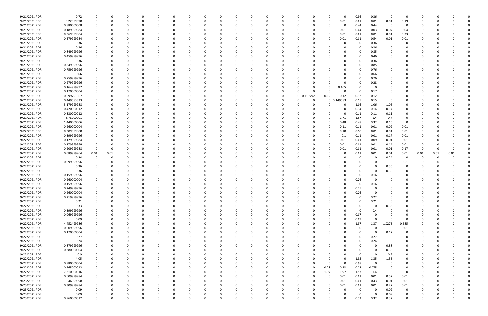| 9/21/2021 PDR | 0.72        | 0           |          |          |          | 0        |          | 0            |          |          | 0        |          |          | 0                    |             | 0        | 0.36     | 0.36        | - 0      | 0              | 0        |          |          |  |
|---------------|-------------|-------------|----------|----------|----------|----------|----------|--------------|----------|----------|----------|----------|----------|----------------------|-------------|----------|----------|-------------|----------|----------------|----------|----------|----------|--|
| 9/21/2021 PDR | 0.22999998  | 0           |          | $\Omega$ |          | $\Omega$ |          | <sup>0</sup> |          |          | $\Omega$ |          |          | O<br>$\Omega$        |             | 0.01     | 0.01     | 0.01        | 0.01     | 0.19           | 0        |          |          |  |
| 9/21/2021 PDR | 0.880000008 |             |          |          |          |          |          |              |          |          |          |          |          | - 0                  |             | 0        | 0.44     | 0.44        | - 0      |                |          |          |          |  |
| 9/21/2021 PDR | 0.189999984 |             |          |          |          |          |          |              |          |          |          |          |          |                      |             | 0.01     | 0.04     | 0.03        | 0.07     | 0.04           |          |          |          |  |
|               |             |             |          |          |          |          |          |              |          |          |          |          |          |                      |             |          |          |             |          |                |          |          |          |  |
| 9/21/2021 PDR | 0.369999984 |             |          |          |          |          |          |              |          |          |          |          |          |                      |             | 0.01     | 0.01     | 0.01        | 0.01     | 0.33           |          |          |          |  |
| 9/21/2021 PDR | 0.579999984 |             |          | n        |          |          |          |              |          |          |          |          |          |                      |             | 0.01     | 0.01     | 0.54        | 0.01     | 0.01           |          |          |          |  |
| 9/21/2021 PDR | 0.36        |             |          |          |          |          |          |              |          |          |          |          |          |                      |             |          | 0        | 0.36        | - 0      | 0              |          |          |          |  |
| 9/21/2021 PDR | 0.36        |             |          |          |          |          |          |              |          |          |          |          |          |                      |             |          | 0        | 0.36        |          |                |          |          |          |  |
| 9/21/2021 PDR | 0.849999996 |             |          |          |          |          |          |              |          |          |          |          |          |                      |             |          | 0        | 0.85        |          |                |          |          |          |  |
| 9/21/2021 PDR | 0.459999996 |             |          |          |          |          |          |              |          |          |          |          |          |                      |             |          | 0        | 0.46        |          |                |          |          |          |  |
| 9/21/2021 PDR |             |             |          |          |          |          |          |              |          |          |          |          |          |                      |             |          | 0        |             |          |                |          |          |          |  |
|               | 0.36        |             |          |          |          |          |          |              |          |          |          |          |          |                      |             |          |          | 0.36        |          |                |          |          |          |  |
| 9/21/2021 PDR | 0.849999996 |             |          |          |          |          |          |              |          |          |          |          |          |                      |             |          | 0        | 0.85        |          |                |          |          |          |  |
| 9/21/2021 PDR | 0.759999996 |             |          |          |          |          |          |              |          |          |          |          |          |                      |             |          | 0        | 0.76        |          |                |          |          |          |  |
| 9/21/2021 PDR | 0.66        |             |          |          |          |          |          |              |          |          |          |          |          |                      |             |          | 0        | 0.66        |          |                |          |          |          |  |
| 9/21/2021 PDR | 0.759999996 |             |          |          |          |          |          |              |          |          |          |          |          |                      |             |          | 0        | 0.76        |          |                |          |          |          |  |
| 9/21/2021 PDR | 0.279999996 |             |          |          |          |          |          |              |          |          |          |          |          |                      |             |          | 0        | 0.28        |          |                |          |          |          |  |
| 9/21/2021 PDR | 0.164999997 |             |          |          |          |          |          |              |          |          |          |          |          | -0                   |             | 0.165    | 0        | 0           |          |                |          |          |          |  |
|               |             |             |          |          |          |          |          |              |          |          |          |          |          | 0<br>-0              |             | 0        |          |             |          |                |          |          |          |  |
| 9/21/2021 PDR | 0.170000004 |             |          |          |          |          |          |              |          |          |          |          |          |                      |             |          | 0        | 0.17        |          |                |          |          |          |  |
| 9/21/2021 PDR | 0.599791667 |             |          |          |          |          |          |              |          |          |          |          | 0        | 0 0.119792           | 0.12        | 0.12     | 0.12     | 0.12        |          |                |          |          |          |  |
| 9/21/2021 PDR | 0.449583333 |             |          |          |          |          |          |              |          |          |          |          |          | -0                   | $\mathbf 0$ | 149583   | 0.15     | 0.15        |          |                |          |          |          |  |
| 9/21/2021 PDR | 3.179999988 |             |          |          |          |          |          |              |          |          |          |          |          |                      |             | 0        | 1.06     | 1.06        | 1.06     |                |          |          |          |  |
| 9/21/2021 PDR | 0.420000012 |             |          |          |          |          |          |              |          |          |          |          |          |                      |             |          | 0.14     | 0.14        | 0.14     |                |          |          |          |  |
| 9/21/2021 PDR | 0.330000012 |             |          |          |          |          |          |              |          |          |          |          |          |                      |             |          | 0.11     | 0.11        | 0.11     | 0              |          |          |          |  |
| 9/21/2021 PDR | 5.78000001  |             |          |          |          |          |          |              |          |          |          |          |          | -0                   |             | 1.71     | 1.97     | 1.4         | 0.7      | $\Omega$       |          |          |          |  |
|               |             |             |          |          |          |          |          |              |          |          |          |          |          |                      |             |          |          |             |          |                |          |          |          |  |
| 9/21/2021 PDR | 1.440000006 |             |          |          |          |          |          |              |          |          |          |          |          | -0                   |             | 0.48     | 0.48     | 0.32        | 0.16     | 0              |          |          |          |  |
| 9/22/2021 PDR | 0.260000004 |             |          |          |          |          |          |              |          |          |          |          |          | - 0                  |             | 0.11     | 0.11     | 0.01        | 0.02     | 0.01           |          |          |          |  |
| 9/22/2021 PDR | 0.389999988 |             |          |          |          |          |          |              |          |          |          |          |          | - 0                  |             | 0.18     | 0.18     | 0.01        | 0.01     | 0.01           |          |          |          |  |
| 9/22/2021 PDR | 0.399999996 |             |          |          |          |          |          |              |          |          |          |          |          |                      |             | 0.1      | 0.11     | 0.01        | 0.17     | 0.01           |          |          |          |  |
| 9/22/2021 PDR | 0.129999984 |             |          |          |          |          |          |              |          |          |          |          |          |                      |             | 0.01     | 0.01     | 0.09        | 0.01     | 0.01           |          |          |          |  |
| 9/22/2021 PDR | 0.179999988 |             |          |          |          |          |          |              |          |          |          |          |          |                      |             | 0.01     | 0.01     | 0.01        | 0.14     | 0.01           | 0        |          |          |  |
| 9/22/2021 PDR | 0.209999988 | $\Omega$    |          |          |          |          |          |              |          |          |          |          |          |                      |             | 0.01     | 0.01     | 0.01        | 0.01     | 0.17           | -0       |          |          |  |
|               |             |             |          |          |          |          |          |              |          |          |          |          |          |                      |             |          |          |             |          |                |          |          |          |  |
| 9/22/2021 PDR | 0.089999964 | 0.01        | 0.01     |          |          |          |          |              |          |          |          |          |          |                      |             |          | 0.01     | 0.01        | 0.01     | 0.01           | 0.01     | 0.01     | 0.01     |  |
| 9/22/2021 PDR | 0.24        |             |          |          |          |          |          |              |          |          |          |          |          |                      |             |          | 0        | 0           | 0.24     | 0              | 0        |          |          |  |
| 9/22/2021 PDR | 0.099999996 |             |          |          |          |          |          |              |          |          |          |          |          |                      |             |          |          | 0           | - 0      | 0.1            |          |          |          |  |
| 9/22/2021 PDR | 0.36        |             |          |          |          |          |          |              |          |          |          |          |          |                      |             |          |          | 0           | 0.36     | 0              |          |          |          |  |
| 9/22/2021 PDR | 0.36        |             |          |          |          |          |          |              |          |          |          |          |          |                      |             |          | 0        | $\Omega$    | 0.36     |                |          |          |          |  |
| 9/22/2021 PDR | 0.159999996 |             |          |          |          |          |          |              |          |          |          |          |          |                      |             |          | 0        | 0.16        |          |                |          |          |          |  |
| 9/22/2021 PDR | 0.260000004 |             |          |          |          |          |          |              |          |          |          |          |          |                      |             |          | 0.26     |             |          |                |          |          |          |  |
| 9/22/2021 PDR | 0.159999996 |             |          |          |          |          |          |              |          |          |          |          |          |                      |             |          |          |             |          |                |          |          |          |  |
|               |             |             |          |          |          |          |          |              |          |          |          |          |          |                      |             |          | 0        | 0.16        |          |                |          |          |          |  |
| 9/22/2021 PDR | 0.249999996 |             |          |          |          |          |          |              |          |          | $\Omega$ |          |          |                      |             | 0        | 0.25     | $\Omega$    |          |                |          |          |          |  |
| 9/22/2021 PDR | 0.260000004 | 0           |          |          |          |          |          |              |          |          |          |          | 0        |                      |             | 0        | 0.26     | $\Omega$    | 0        |                |          |          |          |  |
| 9/22/2021 PDR | 0.219999996 | $\Omega$    |          | $\Omega$ |          | $\Omega$ |          |              |          |          | $\Omega$ |          | $\Omega$ | $\Omega$             |             |          | 0        | 0.22        | 0        |                | 0        |          |          |  |
| 9/22/2021 PDR | 0.21        | 0           |          | $\Omega$ |          |          |          |              |          |          | $\Omega$ |          |          | - 0                  |             |          | 0        | 0.21        | 0        |                | 0        |          |          |  |
| 9/22/2021 PDR | 0.33        | 0           |          | 0        |          | 0        |          | <sup>0</sup> |          |          | 0        |          |          | 0                    |             |          | 0        | 0           | 0.33     | 0              | 0        |          |          |  |
| 9/22/2021 PDR | 0.399999996 |             |          |          |          | $\Omega$ |          |              |          |          |          |          |          |                      |             |          | 0        | 0.4         |          |                |          |          |          |  |
| 9/22/2021 PDR | 0.069999996 |             |          |          |          |          |          |              |          |          |          |          |          | 0                    |             | $\Omega$ | 0.07     | $\Omega$    |          | 0              |          |          |          |  |
|               |             |             |          |          |          |          |          |              |          |          |          |          |          |                      |             |          |          | $\Omega$    | $\Omega$ | $\Omega$       |          |          |          |  |
| 9/22/2021 PDR | 0.09        |             |          |          |          |          |          |              |          |          |          |          |          | 0<br>0               |             | 0        | 0.09     |             |          |                |          |          |          |  |
| 9/22/2021 PDR | 4.452499986 | 0           |          |          |          |          |          |              |          |          |          |          |          | 0                    |             | $\Omega$ | 1.37     | 1.37        | 1.0275   | 0.685          | 0        |          |          |  |
| 9/22/2021 PDR | 0.009999996 | $\mathbf 0$ |          | 0        |          | $\Omega$ |          | 0            |          |          | $\Omega$ |          | 0        | 0<br>0               |             | 0        | 0        | $\mathbf 0$ | $\Omega$ | 0.01           | 0        |          |          |  |
| 9/22/2021 PDR | 0.170000004 | 0           |          | 0        |          | 0        |          | $\Omega$     |          |          | 0        |          |          | 0<br>0               |             |          | 0        | 0           | 0.17     | 0              | 0        |          |          |  |
| 9/22/2021 PDR | 0.27        |             |          | $\Omega$ |          | $\Omega$ |          |              |          |          | $\Omega$ |          |          | 0<br>- 0             |             |          | $\Omega$ | 0.27        | - 0      | $\Omega$       | 0        |          |          |  |
| 9/22/2021 PDR | 0.24        |             |          |          |          |          |          |              |          |          |          |          |          | 0                    |             |          | 0        | 0.24        | - 0      | 0              | 0        |          |          |  |
| 9/22/2021 PDR | 0.879999996 |             |          |          |          |          |          |              |          |          | 0        |          |          | -0                   |             |          | 0        | 0           | 0.88     |                |          |          |          |  |
|               |             |             |          |          |          |          |          |              |          |          |          |          |          |                      |             | ŋ        |          | $\Omega$    |          |                |          |          |          |  |
| 9/22/2021 PDR | 0.380000004 |             |          | 0        |          | 0        |          |              |          |          | 0        |          | 0        | 0<br>0               |             |          | 0        |             | 0.38     | 0              | C        |          |          |  |
| 9/22/2021 PDR | 0.9         |             |          | 0        |          | $\Omega$ |          |              |          |          | 0        |          |          | -0                   |             | 0        | 0        | $\Omega$    | 0.9      | 0              | 0        |          |          |  |
| 9/22/2021 PDR | 4.05        | $\Omega$    |          | 0        |          | $\Omega$ |          |              |          |          | 0        |          |          | 0                    |             | $\Omega$ | 1.35     | 1.35        | 1.35     | $\Omega$       | 0        |          |          |  |
| 9/22/2021 PDR | 0.980000004 |             |          | 0        |          | 0        |          |              |          |          | 0        |          |          | $\Omega$<br>0        | $\Omega$    | $\Omega$ | 0.98     | $\mathbf 0$ | 0        | 0              | 0        |          |          |  |
| 9/22/2021 PDR | 0.765000012 |             |          |          |          |          |          |              |          |          |          |          |          | $\Omega$             | 0.23        | 0.23     | 0.23     | 0.075       |          | 0              |          |          |          |  |
| 9/22/2021 PDR | 7.310000016 |             |          |          |          |          |          |              |          |          |          |          |          | $\Omega$<br>O        | 1.97        | 1.97     | 1.97     | 1.4         | - 0      | 0              |          |          |          |  |
| 9/23/2021 PDR | 0.609999984 | 0           |          | 0        |          |          |          |              |          |          |          |          |          | 0<br>0               | $\Omega$    | 0.01     | 0.01     | 0.01        | 0.57     | 0.01           | 0        |          |          |  |
| 9/23/2021 PDR | 0.46999998  |             |          |          |          |          |          |              |          |          |          |          |          |                      |             | 0.01     |          | 0.43        | 0.01     | 0.01           |          |          |          |  |
|               |             |             |          |          |          |          |          |              |          |          |          |          |          |                      |             |          | 0.01     |             |          |                |          |          |          |  |
| 9/23/2021 PDR | 0.309999984 | $\Omega$    |          | 0        |          |          |          |              |          |          |          |          |          | - 0                  |             | 0.01     | 0.01     | 0.01        | 0.27     | 0.01           | 0        |          |          |  |
| 9/23/2021 PDR | 0.09        |             |          | 0        |          | $\Omega$ |          |              |          |          | 0        |          |          | 0                    |             | 0        | 0        | 0           | 0.09     | 0              | 0        |          |          |  |
| 9/23/2021 PDR | 0.09        |             |          |          |          |          |          |              |          |          | 0        |          |          |                      |             |          | 0        | $\Omega$    | 0.09     | 0              |          |          |          |  |
| 9/23/2021 PDR | 0.960000012 | $\Omega$    | $\Omega$ | $\Omega$ | $\Omega$ | $\Omega$ | $\Omega$ | 0            | $\Omega$ | $\Omega$ | $\Omega$ | $\Omega$ | $\Omega$ | $\Omega$<br>$\Omega$ | U           | 0        | 0.32     | 0.32        | 0.32     | $\overline{0}$ | $\Omega$ | $\Omega$ | $\Omega$ |  |
|               |             |             |          |          |          |          |          |              |          |          |          |          |          |                      |             |          |          |             |          |                |          |          |          |  |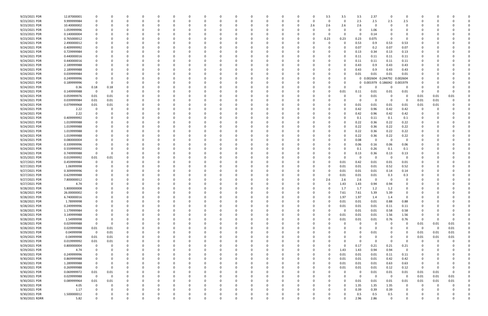| 9/23/2021 PDR  | 12.87000001 |                         |             |          |          |          |          |              |          |          |          |          |          |          | 3.5          | 3.5      | 3.5          | 2.37              | - 0      | $\Omega$                |          |          |          |  |
|----------------|-------------|-------------------------|-------------|----------|----------|----------|----------|--------------|----------|----------|----------|----------|----------|----------|--------------|----------|--------------|-------------------|----------|-------------------------|----------|----------|----------|--|
| 9/23/2021 PDR  | 9.999999984 |                         | O           |          | $\Omega$ |          |          | <sup>0</sup> |          | $\Omega$ |          | $\Omega$ | 0        | $\Omega$ | 0            | 0        | 2.5          | 2.5               | 2.5      | 2.5                     |          |          |          |  |
| 9/23/2021 PDR  | 10.40000002 |                         |             |          |          |          |          |              |          |          |          |          |          | 2.6      | 2.6          | 2.6      | 2.6          | 0                 |          |                         |          |          |          |  |
| 9/23/2021 PDR  | 1.059999996 |                         |             |          |          |          |          |              |          |          |          |          |          |          |              |          | 0            | 1.06              |          |                         |          |          |          |  |
| 9/23/2021 PDR  | 0.140000004 |                         |             |          |          |          |          |              |          |          |          |          |          |          |              | $\Omega$ | -0           | 0.14              |          |                         |          |          |          |  |
| 9/23/2021 PDR  | 0.765000012 |                         |             |          |          |          |          |              |          |          |          |          |          | -0       | 0.23         | 0.23     | 0.23         | 0.075             | - 0      | $\Omega$                |          |          |          |  |
| 9/24/2021 PDR  | 2.490000012 |                         |             |          |          |          |          |              |          |          |          |          |          |          |              |          | 0.53         |                   | 0.53     | 0.53                    |          |          |          |  |
|                |             |                         |             |          |          |          |          |              |          |          |          |          |          |          |              |          |              | 0.9               |          |                         |          |          |          |  |
| 9/24/2021 PDR  | 0.409999992 |                         |             |          |          |          |          |              |          |          |          |          |          |          |              | 0        | 0.07         | 0.2               | 0.07     | 0.07                    |          |          |          |  |
| 9/24/2021 PDR  | 0.729999984 |                         |             |          |          |          |          |              |          |          |          |          |          |          |              |          | 0.13         | 0.34              | 0.13     | 0.13                    |          |          |          |  |
| 9/24/2021 PDR  | 0.440000016 |                         |             |          |          |          |          |              |          |          |          |          |          |          |              |          | 0.11         | 0.11              | 0.11     | 0.11                    |          |          |          |  |
| 9/24/2021 PDR  | 0.440000016 |                         |             |          |          |          |          |              |          |          |          |          |          |          |              |          | 0.11         | 0.11              | 0.11     | 0.11                    |          |          |          |  |
| 9/24/2021 PDR  | 2.189999988 |                         |             |          |          |          |          |              |          |          |          |          |          |          |              |          | 0.43         | 0.9               | 0.43     | 0.43                    |          |          |          |  |
| 9/24/2021 PDR  | 2.189999988 |                         |             |          | - 0      |          |          |              |          |          |          |          |          |          |              |          | 0.43         | 0.9               | 0.43     | 0.43                    |          |          |          |  |
| 9/24/2021 PDR  | 0.039999984 |                         |             |          |          |          |          |              |          |          |          |          |          |          |              |          | 0.01         | 0.01              | 0.01     | 0.01                    |          |          |          |  |
| 9/24/2021 PDR  | 0.249999996 |                         |             |          |          |          |          |              |          |          |          |          |          |          |              |          | $\mathbf{0}$ | 0.002604 0.244792 |          | 0.002604                |          |          |          |  |
| 9/24/2021 PDR  | 0.189999996 |                         |             |          |          |          |          |              |          |          |          |          |          |          |              |          | 0            | 0.001979          | 0.186042 | 0.001979                |          |          |          |  |
| 9/24/2021 PDR  | 0.36        | 0.18                    | 0.18        |          |          |          |          |              |          |          |          |          |          |          |              | $\Omega$ | $\Omega$     |                   | $\Omega$ | $\Omega$                |          |          |          |  |
| 9/24/2021 PDR  | 0.149999988 | 0                       | - 0         |          |          |          |          |              |          |          |          |          |          |          |              | 0.01     | 0.11         | 0.01              | 0.01     | 0.01                    | 0        |          |          |  |
| 9/24/2021 PDR  | 0.059999976 | 0.01                    | 0.01        |          |          |          |          |              |          |          |          |          |          |          |              |          | 0            | 0.01              | - 0      | 0                       | 0.01     | 0.01     | 0.01     |  |
| 9/24/2021 PDR  | 0.039999984 | 0.01                    | 0.01        |          |          |          |          |              |          |          |          |          |          |          |              |          | -0           | 0                 | - 0      | -0                      | 0.01     | 0.01     |          |  |
|                |             |                         |             |          |          |          |          |              |          |          |          |          |          |          |              |          |              |                   |          |                         |          |          |          |  |
| 9/24/2021 PDR  | 0.079999968 | 0.01                    | 0.01        |          |          |          |          |              |          |          |          |          |          |          |              |          | 0.01         | 0.01              | 0.01     | 0.01                    | 0.01     | 0.01     |          |  |
| 9/24/2021 PDR  | 2.22        |                         | 0           |          |          |          |          |              |          |          |          |          |          |          |              |          | 0.42         | 0.96              | 0.42     | 0.42                    | 0        |          |          |  |
| 9/24/2021 PDR  | 2.22        |                         |             |          |          |          |          |              |          |          |          |          |          |          |              |          | 0.42         | 0.96              | 0.42     | 0.42                    |          |          |          |  |
| 9/24/2021 PDR  | 0.409999992 |                         |             |          |          |          |          |              |          |          |          |          |          |          |              |          | 0.1          | 0.11              | 0.1      | 0.1                     |          |          |          |  |
| 9/24/2021 PDR  | 1.019999988 |                         |             |          |          |          |          |              |          |          |          |          |          |          |              |          | 0.22         | 0.36              | 0.22     | 0.22                    |          |          |          |  |
| 9/24/2021 PDR  | 1.019999988 |                         |             |          |          |          |          |              |          |          |          |          |          |          |              |          | 0.22         | 0.36              | 0.22     | 0.22                    |          |          |          |  |
| 9/24/2021 PDR  | 1.019999988 |                         |             |          |          |          |          |              |          |          |          |          |          |          |              |          | 0.22         | 0.36              | 0.22     | 0.22                    |          |          |          |  |
| 9/24/2021 PDR  | 1.019999988 |                         |             |          |          |          |          |              |          |          |          |          |          |          |              |          | 0.22         | 0.36              | 0.22     | 0.22                    |          |          |          |  |
| 9/24/2021 PDR  | 0.080000004 |                         |             |          |          |          |          |              |          |          |          |          |          |          |              |          | 0.08         | 0                 | 0        | $\mathbf 0$             |          |          |          |  |
| 9/24/2021 PDR  | 0.339999996 |                         |             |          |          |          |          |              |          |          |          |          |          |          |              |          | 0.06         | 0.16              | 0.06     | 0.06                    |          |          |          |  |
| 9/24/2021 PDR  | 0.559999992 |                         |             |          |          |          |          |              |          |          |          |          |          |          |              |          | 0.1          | 0.26              | 0.1      | 0.1                     |          |          |          |  |
| 9/24/2021 PDR  | 0.749999988 |                         |             |          |          |          |          |              |          |          |          |          |          |          |              |          | 0.13         | 0.36              | 0.13     | 0.13                    |          |          |          |  |
| 9/25/2021 PDR  | 0.019999992 | 0.01                    | 0.01        |          |          |          |          |              |          |          |          |          |          |          |              |          | 0            | -C                | - 0      | $\Omega$                |          |          |          |  |
|                |             |                         |             |          |          |          |          |              |          |          |          |          |          |          |              |          | 0.42         |                   | 0.01     |                         |          |          |          |  |
| 9/27/2021 PDR  | 0.459999984 |                         |             |          |          |          |          |              |          |          |          |          |          |          |              | 0.01     |              | 0.01              |          | 0.01                    |          |          |          |  |
| 9/27/2021 PDR  | 1.06999998  |                         |             |          |          |          |          |              |          |          |          |          |          |          |              | 0.01     | 0.01         | 0.01              | 0.52     | 0.52                    |          |          |          |  |
| 9/27/2021 PDR  | 0.309999996 |                         |             |          |          |          |          |              |          |          |          |          |          |          |              | 0.01     | 0.01         | 0.01              | 0.14     | 0.14                    |          |          |          |  |
| 9/27/2021 PDR  | 0.629999988 |                         |             |          |          |          |          |              |          |          |          |          |          |          |              | 0.01     | 0.01         | 0.01              | 0.3      | 0.3                     |          |          |          |  |
| 9/27/2021 PDR  | 7.800000012 |                         |             |          |          |          |          |              |          |          |          |          |          | - 0      | 2.6          | 2.6      | 2.6          | -C                | - 0      |                         |          |          |          |  |
| 9/27/2021 PDR  | 4.74        |                         |             |          |          |          |          |              |          |          |          |          |          |          |              | 1.43     | 1.43         | 0.94              | 0.94     |                         |          |          |          |  |
| 9/28/2021 PDR  | 5.800000008 |                         |             |          |          |          |          |              |          |          |          |          |          |          |              | 1.7      | 1.7          | 1.2               | 1.2      |                         |          |          |          |  |
| 9/28/2021 PDR  | 26.00000002 |                         |             |          |          |          |          |              |          | <b>U</b> |          |          |          |          |              | 7.61     | 7.61         | 5.39              | 5.39     |                         |          |          |          |  |
| 9/28/2021 PDR  | 6.740000016 | 0                       | 0           | $\Omega$ | $\Omega$ | $\Omega$ | $\Omega$ | $\Omega$     | 0        | $\Omega$ | $\Omega$ | $\Omega$ | $\Omega$ | $\Omega$ | $\Omega$     | 1.97     | 1.97         | 1.4               | 1.4      | 0                       | $\Omega$ |          |          |  |
| 9/28/2021 PDR  | 1.78999998  | $\Omega$                | 0           | 0        | 0        | $\Omega$ | 0        | 0            | O        | 0        |          | $\Omega$ | 0        | $\Omega$ | $\Omega$     | 0.01     | 0.01         | 0.01              | 0.88     | 0.88                    | 0        |          |          |  |
| 9/28/2021 PDR  | 0.249999996 |                         |             |          | $\Omega$ |          |          | 0            |          | 0        |          |          | 0        | $\Omega$ |              | 0.01     | 0.01         | 0.01              | 0.11     | 0.11                    | 0        |          |          |  |
| 9/28/2021 PDR  | 1.179999984 |                         |             |          | $\Omega$ | $\Omega$ |          | 0            |          | $\Omega$ |          |          | 0        | $\Omega$ | <sup>0</sup> | - 0      | 0.01         | 0.01              | 0.58     | 0.58                    | 0        |          |          |  |
| 9/28/2021 PDR  | 3.149999988 |                         |             |          | 0        |          |          | 0            |          |          |          |          | O        | 0        | 0            | 0.01     | 0.01         | 0.01              | 1.56     | 1.56                    | 0        |          |          |  |
| 9/28/2021 PDR  | 1.54999998  |                         |             |          | 0        |          |          | 0            |          |          |          |          | 0        | 0        | 0            | 0.01     | 0.01         | 0.01              | 0.76     | 0.76                    | $\Omega$ |          | O        |  |
|                |             | $\mathbf 0$             | $\Omega$    |          |          |          |          |              |          |          |          |          |          |          |              |          |              | $\Omega$          | 0        | $\overline{0}$          |          |          |          |  |
| 9/28/2021 PDR  | 0.029999988 |                         |             |          |          |          |          |              |          |          |          |          | 0        | 0        |              |          | $\mathbf 0$  |                   |          |                         | 0.01     | 0.01     | 0.01     |  |
| 9/28/2021 PDR  | 0.029999988 | 0.01                    | 0.01        | 0        | 0        |          |          | 0            |          |          |          |          | 0        | 0        |              | 0        | 0            | $\Omega$          | $\Omega$ | $\Omega$                | 0        | $\Omega$ | $0.01\,$ |  |
| 9/29/2021 PDR  | 0.04999998  | $\overline{\mathbf{0}}$ | 0.01        | 0        | 0        |          |          | 0            |          |          |          |          | 0        | 0        |              |          | 0            | 0.01              | 0        | -0                      | 0.01     | 0.01     | 0.01     |  |
| 9/29/2021 PDR  | 0.04999998  | 0.01                    | 0.01        | 0        | 0        |          |          | 0            |          |          |          |          |          | 0        |              |          | 0            | 0                 | $\Omega$ | 0                       | 0.01     | 0.01     | 0.01     |  |
| 9/29/2021 PDR  | 0.019999992 | 0.01                    | 0.01        |          | 0        |          |          |              |          |          |          |          |          | 0        |              |          | 0            | $\Omega$          | - 0      |                         | 0        |          |          |  |
| 9/29/2021 PDR  | 0.800000004 | 0                       | 0           | 0        | 0        |          |          |              |          |          |          |          |          | 0        |              | 0        | 0.17         | 0.21              | 0.21     | 0.21                    |          |          |          |  |
| 9/29/2021 PDR  | 4.74        | 0                       | 0           | $\Omega$ | 0        |          | 0        | 0            |          |          |          | 0        | 0        | 0        | $\Omega$     | 1.43     | 1.43         | 0.94              | 0.94     | $\overline{0}$          |          |          |          |  |
| 9/30/2021 PDR  | 0.249999996 |                         | 0           | 0        | 0        | $\Omega$ |          | 0            |          | 0        |          |          |          | 0        | $\Omega$     | 0.01     | 0.01         | 0.01              | 0.11     | 0.11                    | 0        |          |          |  |
| 9/30/2021 PDR  | 0.869999988 |                         |             |          | 0        | $\Omega$ |          | 0            |          | 0        |          |          |          | 0        |              | 0.01     | 0.01         | 0.01              | 0.42     | 0.42                    | 0        |          |          |  |
| 9/30/2021 PDR  | 1.289999988 |                         | 0           |          | 0        |          |          | 0            |          |          |          |          | 0        | 0        |              | 0.01     | 0.01         | 0.01              | 0.63     | 0.63                    | 0        |          |          |  |
| 9/30/2021 PDR  | 0.269999988 | $\mathbf 0$             | 0           |          | 0        |          |          | 0            |          |          |          |          |          | 0        |              | 0.01     | 0.01         | 0.01              | 0.12     | 0.12                    | 0        |          |          |  |
| 9/30/2021 PDR  | 0.069999972 | $0.01\,$                | 0.01        |          | 0        |          |          |              |          |          |          |          |          | 0        |              |          | 0            | 0.01              | $0.01\,$ | 0.01                    | 0.01     | 0.01     | $\Omega$ |  |
| 9/30/2021 PDR  | 0.029999988 | $\mathbf 0$             | $\mathbf 0$ |          | 0        |          |          |              |          |          |          |          | 0        | 0        |              |          | 0            | $\Omega$          | 0        | $\overline{\mathbf{0}}$ | 0.01     | 0.01     | 0.01     |  |
| 9/30/2021 PDR  | 0.089999964 | 0.01                    | 0.01        |          | 0        |          |          |              |          |          |          |          |          |          |              | 0        | 0.01         | 0.01              | $0.01\,$ | 0.01                    | 0.01     | 0.01     | 0.01     |  |
|                |             |                         |             |          |          |          |          |              |          |          |          |          |          |          |              |          |              |                   |          |                         |          |          |          |  |
| 9/30/2021 PDR  | 4.05        | $\Omega$                | 0           | 0        | 0        |          |          | <sup>0</sup> |          |          |          |          |          | 0        |              |          | 1.35         | 1.35              | 1.35     | 0                       | 0        |          |          |  |
| 9/30/2021 PDR  | 1.17        |                         | O           | 0        | 0        |          |          | 0            |          |          |          |          | 0        | 0        | 0            | 0        | 0.39         | 0.39              | 0.39     | 0                       |          |          |          |  |
| 9/30/2021 PDR  | 1.500000012 |                         |             |          |          |          |          |              |          |          |          |          |          |          |              |          | 0.5          | 0.5               | 0.5      |                         |          |          |          |  |
| 9/30/2021 RDRR | 5.82        | $\Omega$                | $\Omega$    | $\Omega$ | $\Omega$ | $\Omega$ | $\Omega$ | $\Omega$     | $\Omega$ | $\Omega$ |          | $\Omega$ | $\Omega$ | $\Omega$ | U            |          | 2.96         | 2.86              | $\Omega$ | $\Omega$                | $\Omega$ |          | $\Omega$ |  |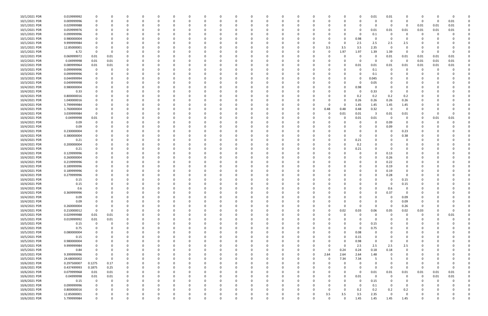| 10/1/2021 PDR | 0.019999992 |             |          |          |          | $\Omega$ |          |          |          |          |              |          |          |          | n        |          |          | $\Omega$     | 0.01     | 0.01                    |             |          |          |          |  |
|---------------|-------------|-------------|----------|----------|----------|----------|----------|----------|----------|----------|--------------|----------|----------|----------|----------|----------|----------|--------------|----------|-------------------------|-------------|----------|----------|----------|--|
| 10/1/2021 PDR | 0.009999996 | 0           |          | 0        |          | 0        |          | -0       |          |          | <sup>0</sup> | - 0      |          |          | n        |          |          | $\Omega$     |          | $\mathbf 0$             | 0           | $\Omega$ | $\Omega$ | 0.01     |  |
| 10/1/2021 PDR | 0.029999988 |             |          |          |          |          |          |          |          |          |              |          |          |          |          |          |          | 0            |          | - 0                     | 0           | 0.01     | 0.01     | 0.01     |  |
| 10/1/2021 PDR | 0.059999976 |             |          |          |          |          |          |          |          |          |              |          |          |          |          |          |          | 0            | 0.01     | 0.01                    | 0.01        | 0.01     | 0.01     | 0.01     |  |
| 10/1/2021 PDR | 0.099999996 |             |          |          |          |          |          |          |          |          |              |          |          |          |          |          |          | 0            | 0.1      | 0                       | 0           | -C       |          |          |  |
| 10/1/2021 PDR | 0.980000004 |             |          |          |          |          |          |          |          |          |              |          |          |          |          |          |          | 0.98         |          | 0                       | 0           |          |          |          |  |
| 10/1/2021 PDR | 9.999999984 |             |          |          |          |          |          |          |          |          |              |          |          |          |          |          |          | 2.5          | 2.5      | 2.5                     | 2.5         |          |          |          |  |
| 10/1/2021 PDR | 12.85000001 |             |          |          |          |          |          |          |          |          |              |          |          |          | n        | 3.5      | 3.5      | 3.5          | 2.35     | 0                       | $\Omega$    |          |          |          |  |
| 10/1/2021 PDR | 6.72        | 0           |          |          |          |          |          |          |          |          |              |          |          |          |          | 0        | 1.97     | 1.97         | 1.39     | 1.39                    | 0           | -0       |          |          |  |
| 10/2/2021 PDR | 0.069999972 | $0.01\,$    | 0.01     |          |          |          |          |          |          |          |              |          |          |          |          |          |          | 0            |          | $0.01\,$                | 0.01        | 0.01     | 0.01     | $0.01\,$ |  |
| 10/2/2021 PDR | 0.04999998  | 0.01        | 0.01     | 0        |          |          |          |          |          |          |              |          |          |          |          |          |          | 0            | $\Omega$ | $\overline{\mathbf{0}}$ | 0           | 0.01     | 0.01     | $0.01\,$ |  |
| 10/2/2021 PDR | 0.089999964 | 0.01        | 0.01     |          |          |          |          |          |          |          |              |          |          |          |          |          |          | 0.01         | 0.01     | 0.01                    | 0.01        | 0.01     | 0.01     | 0.01     |  |
| 10/3/2021 PDR | 0.099999996 | 0           |          |          |          |          |          |          |          |          |              |          |          |          |          |          |          | $\Omega$     | 0.1      | - 0                     | 0           | 0        | $\Omega$ |          |  |
| 10/3/2021 PDR | 0.099999996 |             |          |          |          |          |          |          |          |          |              |          |          |          |          |          |          | $\Omega$     | 0.1      |                         |             |          |          |          |  |
| 10/3/2021 PDR | 0.044999994 |             |          |          |          |          |          |          |          |          |              |          |          |          |          |          |          | 0            | 0.045    |                         |             |          |          |          |  |
| 10/3/2021 PDR | 0.049999998 |             |          |          |          |          |          |          |          |          |              |          |          |          |          |          |          | 0            | 0.05     |                         |             |          |          |          |  |
| 10/4/2021 PDR | 0.980000004 |             |          |          |          |          |          |          |          |          |              |          |          |          |          |          |          | 0.98         | -0       |                         |             |          |          |          |  |
| 10/4/2021 PDR | 0.33        |             |          |          |          |          |          |          |          |          |              |          |          |          |          |          |          | 0            | 0.33     | - 0                     | 0           |          |          |          |  |
| 10/4/2021 PDR | 0.800000016 |             |          |          |          |          |          |          |          |          |              |          |          |          |          |          |          |              |          |                         |             |          |          |          |  |
| 10/4/2021 PDR |             |             |          |          |          |          |          |          |          |          |              |          |          |          |          |          |          | 0.2          | 0.2      | 0.2                     | 0.2         |          |          |          |  |
|               | 1.040000016 |             |          |          |          |          |          |          |          |          |              |          |          |          |          |          |          | 0.26         | 0.26     | 0.26                    | 0.26        |          |          |          |  |
| 10/4/2021 PDR | 5.799999984 |             |          |          |          |          |          |          |          |          |              |          |          |          |          |          |          | 1.45         | 1.45     | 1.45<br>0               | 1.45        |          |          |          |  |
| 10/4/2021 PDR | 1.760000004 |             |          |          |          |          |          |          |          |          |              |          |          |          |          | 0.48     | 0.48     | 0.48         | 0.32     |                         | 0           |          |          |          |  |
| 10/4/2021 PDR | 3.039999984 | $\mathbf 0$ |          |          |          |          |          |          |          |          |              |          |          |          |          | 0        | 0.01     | 0.01         | -3       | 0.01                    | 0.01        |          |          |          |  |
| 10/4/2021 PDR | 0.04999998  | 0.01        |          |          |          |          |          |          |          |          |              |          |          |          |          |          |          | 0.01         | 0.01     | 0                       | 0           | 0        | 0.01     | 0.01     |  |
| 10/4/2021 PDR | 0.09        | 0           |          |          |          |          |          |          |          |          |              |          |          |          |          |          |          | 0            |          | 0.09                    | 0           |          |          |          |  |
| 10/4/2021 PDR | 0.09        |             |          |          |          |          |          |          |          |          |              |          |          |          |          |          |          | $\Omega$     |          | 0.09                    | 0           |          |          |          |  |
| 10/4/2021 PDR | 0.230000004 |             |          |          |          |          |          |          |          |          |              |          |          |          |          |          |          | -0           |          | - 0                     | 0.23        |          |          |          |  |
| 10/4/2021 PDR | 0.380000004 |             |          |          |          |          |          |          |          |          |              |          |          |          |          |          |          | 0            |          |                         | 0.38        |          |          |          |  |
| 10/4/2021 PDR | 0.21        |             |          |          |          |          |          |          |          |          |              |          |          |          |          |          |          | 0.21         |          |                         |             |          |          |          |  |
| 10/4/2021 PDR | 0.200000004 |             |          |          |          |          |          |          |          |          |              |          |          |          |          |          |          | 0.2          |          |                         |             |          |          |          |  |
| 10/4/2021 PDR | 0.21        |             |          |          |          |          |          |          |          |          |              |          |          |          | n        |          |          | 0.21         |          | - 0                     |             |          |          |          |  |
| 10/4/2021 PDR | 0.129999996 |             |          |          |          |          |          |          |          |          |              |          |          |          |          |          |          | $\Omega$     |          | 0.13                    | 0           |          |          |          |  |
| 10/4/2021 PDR | 0.260000004 |             |          |          |          |          |          |          |          |          |              |          |          |          |          |          |          | 0            |          | 0.26                    |             |          |          |          |  |
| 10/4/2021 PDR | 0.219999996 |             |          |          |          |          |          |          |          |          |              |          |          |          |          |          |          | 0            |          | 0.22                    |             |          |          |          |  |
| 10/4/2021 PDR | 0.189999996 |             |          |          |          |          |          |          |          |          |              |          |          |          |          |          |          |              |          | 0.19                    |             |          |          |          |  |
| 10/4/2021 PDR | 0.189999996 |             |          |          |          |          |          |          |          |          |              |          |          |          |          |          |          |              |          | 0.19                    |             |          |          |          |  |
| 10/4/2021 PDR | 0.279999996 |             |          |          |          |          |          |          |          |          |              |          |          |          |          |          |          | 0            |          | 0.28                    | O           |          |          |          |  |
| 10/4/2021 PDR | 0.15        |             |          |          |          |          |          |          |          |          |              |          |          |          |          |          |          |              |          | - 0                     | 0.15        |          |          |          |  |
| 10/4/2021 PDR | 0.15        |             |          |          |          |          |          |          |          |          |              |          |          |          |          |          |          |              |          | - 0                     | 0.15        |          |          |          |  |
| 10/4/2021 PDR | 0.6         |             |          | $\Omega$ |          |          |          |          |          |          |              |          |          |          |          |          |          |              |          | 0.6                     | 0           |          |          |          |  |
| 10/4/2021 PDR | 0.369999996 |             |          |          |          | υ        |          |          |          |          |              |          |          |          |          |          |          | U            |          | 0.37                    | O           |          |          |          |  |
| 10/4/2021 PDR | 0.09        | $\Omega$    | $\Omega$ | $\Omega$ | $\Omega$ | $\Omega$ | $\Omega$ | $\Omega$ | $\Omega$ | $\Omega$ | $\Omega$     | $\Omega$ | $\Omega$ | $\Omega$ | $\Omega$ | $\Omega$ |          | $\Omega$     | $\Omega$ | $\Omega$                | 0.09        | $\Omega$ |          |          |  |
| 10/4/2021 PDR | 0.09        | $\Omega$    |          | $\Omega$ |          | $\Omega$ |          | $\Omega$ |          |          | 0            | $\Omega$ | $\Omega$ | $\Omega$ | 0        | U        |          | 0            |          | $\Omega$                | 0.09        | $\Omega$ |          |          |  |
| 10/4/2021 PDR | 0.260000004 | 0           |          | 0        |          | $\Omega$ |          | -0       |          |          | 0            |          | $\Omega$ |          | 0        |          |          | 0            |          | 0                       | 0.26        | 0        |          |          |  |
| 10/4/2021 PDR | 0.210000012 | $\Omega$    | $\Omega$ | $\Omega$ |          | $\Omega$ |          | 0        |          |          | $\Omega$     | 0        | $\Omega$ |          | 0        | $\Omega$ | 0.02     | 0.03         | 0.06     | 0.05                    | 0.02        | 0.03     |          | $\Omega$ |  |
| 10/5/2021 PDR | 0.029999988 | $0.01\,$    | 0.01     |          |          | 0        |          | -0       |          |          |              |          |          |          | 0        |          |          | 0            |          | - 0                     | 0           | 0        | 0        | 0.01     |  |
| 10/5/2021 PDR | 0.019999992 | $0.01\,$    | $0.01\,$ |          |          | 0        |          | 0        |          |          | 0            |          |          |          | 0        |          |          | 0            | $\Omega$ | - 0                     | 0           | 0        |          |          |  |
| 10/5/2021 PDR | 0.15        | $\mathbf 0$ |          | $\Omega$ |          | $\Omega$ |          |          |          |          |              |          |          |          |          |          |          | 0            | 0.15     | $\Omega$                | 0           | 0        |          |          |  |
| 10/5/2021 PDR | 0.75        | 0           |          | 0        |          | $\Omega$ |          | -0       |          |          | 0            |          |          |          | 0        |          |          | 0            | 0.75     | 0                       | 0           | 0        |          |          |  |
| 10/5/2021 PDR | 0.080000004 |             |          | 0        |          | $\Omega$ |          | -0       |          |          | 0            |          | $\Omega$ |          | $\Omega$ |          |          | 0.08         |          |                         | 0           | 0        |          |          |  |
| 10/5/2021 PDR | 0.15        |             |          | $\Omega$ |          | $\Omega$ |          |          |          |          |              |          |          |          |          |          |          | 0.15         | - 0      |                         | 0           |          |          |          |  |
| 10/5/2021 PDR | 0.980000004 |             |          |          |          | 0        |          |          |          |          |              |          |          |          |          |          |          | 0.98         | - 0      | - 0                     | 0           |          |          |          |  |
| 10/5/2021 PDR | 9.999999984 |             |          |          |          | 0        |          |          |          |          |              |          |          |          |          |          | $\Omega$ | 2.5          | 2.5      | 2.5                     | $2.5\,$     |          |          |          |  |
| 10/5/2021 PDR | 0.84        | $\Omega$    |          | $\Omega$ |          | 0        |          | 0        |          |          | $\Omega$     |          | $\Omega$ |          | 0        | $\Omega$ | 0.24     | 0.24         | 0.18     | 0.18                    | $\mathbf 0$ | 0        |          |          |  |
| 10/5/2021 PDR | 9.399999996 | 0           |          | 0        |          | 0        |          | 0        |          |          | 0            |          | $\Omega$ |          | 0        | 2.64     | 2.64     | 2.64         | 1.48     | 0                       | 0           | 0        |          |          |  |
| 10/5/2021 PDR | 24.68000002 | $\Omega$    | $\Omega$ | $\Omega$ |          | $\Omega$ |          |          |          |          | 0            |          | $\Omega$ |          | 0        | $\Omega$ | 7.34     | 7.34         | -5       |                         | 0           | 0        |          |          |  |
| 10/6/2021 PDR | 0.297500007 | 0.1275      | 0.17     | $\Omega$ |          | $\Omega$ |          | -0       |          |          | $\Omega$     |          |          |          | 0        |          |          | 0            |          | <sup>0</sup>            | 0           | 0        |          |          |  |
| 10/6/2021 PDR | 0.437499993 | 0.1875      | 0.25     |          |          | 0        |          |          |          |          |              |          |          |          | 0        |          |          | 0            | $\Omega$ | - 0                     | 0           | $\Omega$ |          |          |  |
| 10/6/2021 PDR | 0.079999968 | 0.01        | 0.01     |          |          |          |          |          |          |          |              |          |          |          |          |          |          | $\mathbf{0}$ | 0.01     | 0.01                    | 0.01        | 0.01     | $0.01\,$ | 0.01     |  |
| 10/6/2021 PDR | 0.04999998  | $0.01\,$    | 0.01     | $\Omega$ |          | 0        |          |          |          |          |              |          |          |          | 0        |          |          | 0.01         | $\Omega$ | $\overline{0}$          | $\mathbf 0$ | $\Omega$ | 0.01     | 0.01     |  |
| 10/6/2021 PDR | 0.15        | $\mathbf 0$ |          | 0        |          | O        |          |          |          |          |              |          |          |          |          |          |          | 0            | 0.15     | 0                       |             | 0        |          |          |  |
| 10/6/2021 PDR | 0.099999996 | 0           |          | 0        |          |          |          |          |          |          |              |          |          |          |          |          |          | $\mathbf 0$  | 0.1      | 0                       | 0           | 0        |          |          |  |
| 10/6/2021 PDR | 0.800000016 | 0           |          | 0        |          | $\Omega$ |          | -0       |          |          | 0            | 0        | $\Omega$ |          | 0        | O        | n        | 0.2          | 0.2      | 0.2                     | 0.2         | - 0      |          |          |  |
| 10/6/2021 PDR | 12.85000001 | 0           |          | 0        |          | 0        |          |          |          |          |              |          |          |          | 0        | 3.5      | 3.5      | 3.5          | 2.35     | $\Omega$                | 0           |          |          |          |  |
| 10/6/2021 PDR | 5.799999984 | $\mathbf 0$ |          | $\Omega$ |          | $\Omega$ |          | $\Omega$ |          |          | $\Omega$     |          | $\Omega$ |          | $\Omega$ | $\Omega$ | $\Omega$ | 1.45         | 1.45     | 1.45                    | 1.45        | $\Omega$ |          |          |  |
|               |             |             |          |          |          |          |          |          |          |          |              |          |          |          |          |          |          |              |          |                         |             |          |          |          |  |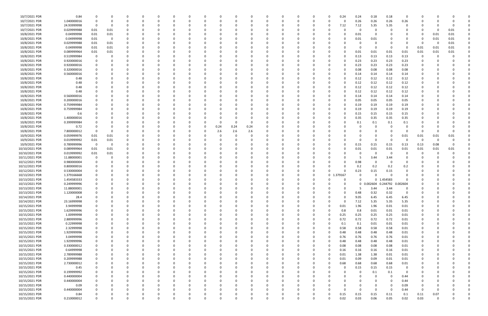| 10/7/2021 PDR                    | 0.84                |                         | O        |          |          | $\Omega$      |              |          |          |          |               |          |          |          | 0 | O             | 0.24         | 0.24         | 0.18              | 0.18         | $\Omega$                |              |                  |      |  |
|----------------------------------|---------------------|-------------------------|----------|----------|----------|---------------|--------------|----------|----------|----------|---------------|----------|----------|----------|---|---------------|--------------|--------------|-------------------|--------------|-------------------------|--------------|------------------|------|--|
| 10/7/2021 PDR                    | 1.040000016         | 0                       |          |          |          |               |              |          |          |          |               |          |          |          | 0 |               |              | 0.26         | 0.26              | 0.26         | 0.26                    |              |                  |      |  |
| 10/7/2021 PDR                    | 24.93999998         | 0                       | 0        |          |          |               |              |          |          |          |               |          |          |          |   |               | 7.12         | 7.12         | 5.35              | 5.35         | $\Omega$                |              |                  |      |  |
| 10/7/2021 PDR                    | 0.029999988         | 0.01                    | 0.01     |          |          |               |              |          |          |          |               |          |          |          |   |               |              | 0            |                   |              |                         |              |                  | 0.01 |  |
|                                  |                     |                         |          |          |          |               |              |          |          |          |               |          |          |          |   |               |              |              |                   |              |                         |              |                  |      |  |
| 10/8/2021 PDR                    | 0.04999998          | 0.01                    | 0.01     |          |          |               |              |          |          |          |               |          |          |          |   |               |              | 0.01         |                   |              |                         | -0           | 0.01             | 0.01 |  |
| 10/8/2021 PDR                    | 0.04999998          | 0.01                    | 0        | 0        |          |               |              |          |          |          |               |          |          |          |   |               |              | 0.01         | 0.01              |              |                         | 0            | 0.01             | 0.01 |  |
| 10/8/2021 PDR                    | 0.029999988         | 0.01                    | 0.01     | 0        |          |               |              |          |          |          |               |          |          |          |   |               |              | 0            |                   |              |                         | 0            | - 0              | 0.01 |  |
| 10/8/2021 PDR                    | 0.04999998          | 0.01                    | 0.01     |          |          |               |              |          |          |          |               |          |          |          |   |               |              | 0            |                   | - 0          | -0                      | 0.01         | 0.01             | 0.01 |  |
| 10/8/2021 PDR                    | 0.089999964         | 0.01                    | 0.01     |          |          |               |              |          |          |          |               |          |          |          |   |               |              | 0.01         | 0.01              | 0.01         | 0.01                    | 0.01         | 0.01             | 0.01 |  |
| 10/8/2021 PDR                    | 0.519999984         | 0                       | C        |          |          |               |              |          |          |          |               |          |          |          |   |               |              | 0.13         | 0.13              | 0.13         | 0.13                    |              |                  |      |  |
| 10/8/2021 PDR                    | 0.920000016         | 0                       |          |          |          |               |              |          |          |          |               |          |          |          |   |               |              | 0.23         | 0.23              | 0.23         | 0.23                    |              |                  |      |  |
| 10/8/2021 PDR                    | 0.920000016         |                         |          |          |          |               |              |          |          |          |               |          |          |          |   |               |              | 0.23         | 0.23              | 0.23         | 0.23                    |              |                  |      |  |
| 10/8/2021 PDR                    | 0.320000016         |                         |          |          |          |               |              |          |          |          |               |          |          |          |   |               |              |              |                   |              |                         |              |                  |      |  |
|                                  |                     |                         |          |          |          |               |              |          |          |          |               |          |          |          |   |               |              | 0.08         | 0.08              | 0.08         | 0.08                    |              |                  |      |  |
| 10/8/2021 PDR                    | 0.560000016         |                         |          |          |          |               |              |          |          |          |               |          |          |          |   |               |              | 0.14         | 0.14              | 0.14         | 0.14                    |              |                  |      |  |
| 10/8/2021 PDR                    | 0.48                |                         |          |          |          |               |              |          |          |          |               |          |          |          |   |               |              | 0.12         | 0.12              | 0.12         | 0.12                    |              |                  |      |  |
| 10/8/2021 PDR                    | 0.48                |                         |          |          |          |               |              |          |          |          |               |          |          |          |   |               |              | 0.12         | 0.12              | 0.12         | 0.12                    |              |                  |      |  |
| 10/8/2021 PDR                    | 0.48                |                         |          |          |          |               |              |          |          |          |               |          |          |          |   |               |              | 0.12         | 0.12              | 0.12         | 0.12                    |              |                  |      |  |
| 10/8/2021 PDR                    | 0.48                |                         |          |          |          |               |              |          |          |          |               |          |          |          |   |               |              | 0.12         | 0.12              | 0.12         | 0.12                    |              |                  |      |  |
| 10/8/2021 PDR                    | 0.560000016         |                         |          |          |          |               |              |          |          |          |               |          |          |          |   |               |              | 0.14         | 0.14              | 0.14         | 0.14                    |              |                  |      |  |
| 10/8/2021 PDR                    | 0.200000016         |                         |          |          |          |               |              |          |          |          |               |          |          |          |   |               |              | 0.05         | 0.05              | 0.05         | 0.05                    |              |                  |      |  |
| 10/8/2021 PDR                    | 0.759999984         |                         |          |          |          |               |              |          |          |          |               |          |          |          |   |               |              | 0.19         | 0.19              | 0.19         | 0.19                    |              |                  |      |  |
|                                  |                     |                         |          |          |          |               |              |          |          |          |               |          |          |          |   |               |              |              |                   |              |                         |              |                  |      |  |
| 10/8/2021 PDR                    | 0.759999984         |                         |          |          |          |               |              |          |          |          |               |          |          |          |   |               |              | 0.19         | 0.19              | 0.19         | 0.19                    |              |                  |      |  |
| 10/8/2021 PDR                    | 0.6                 |                         |          |          |          |               |              |          |          |          |               |          |          |          |   |               |              | 0.15         | 0.15              | 0.15         | 0.15                    |              |                  |      |  |
| 10/8/2021 PDR                    | 1.400000016         |                         |          |          |          |               |              |          |          |          |               |          |          |          |   |               |              | 0.35         | 0.35              | 0.35         | 0.35                    |              |                  |      |  |
| 10/8/2021 PDR                    | 0.399999984         |                         |          |          |          |               |              |          |          |          | C             | 0        |          |          |   |               |              | 0.1          | 0.1               | 0.1          | 0.1                     |              |                  |      |  |
| 10/8/2021 PDR                    | 0.72                |                         |          |          |          |               |              |          |          | 0.24     | 0.24          | 0.24     |          |          |   |               |              | $\Omega$     |                   |              |                         |              |                  |      |  |
| 10/8/2021 PDR                    | 7.800000012         | 0                       |          |          |          |               |              |          |          | 2.6      | 2.6           | 2.6      |          |          |   |               |              |              |                   |              | 0                       | -0           |                  |      |  |
| 10/9/2021 PDR                    | 0.059999976         | 0.01                    | 0.01     |          |          |               |              |          |          |          |               |          |          |          |   |               |              |              |                   | - 0          | 0.01                    | 0.01         | 0.01             | 0.01 |  |
| 10/9/2021 PDR                    | 0.019999992         | 0.01                    | 0.01     |          |          |               |              |          |          |          |               |          |          |          |   |               |              | $\Omega$     |                   | - 0          | $\Omega$                | - 0          |                  |      |  |
| 10/9/2021 PDR                    | 0.789999996         | $\overline{\mathbf{0}}$ | 0        |          |          |               |              |          |          |          |               |          |          |          |   |               |              | 0.15         | 0.15              | 0.15         | 0.13                    | 0.13         | 0.08             |      |  |
| 10/10/2021 PDR                   | 0.089999964         | 0.01                    |          |          |          |               |              |          |          |          |               |          |          |          |   |               |              | 0.01         | 0.01              | 0.01         |                         | 0.01         |                  | 0.01 |  |
|                                  |                     |                         | 0.01     |          |          |               |              |          |          |          |               |          |          |          |   |               |              |              |                   |              | 0.01                    |              | 0.01             |      |  |
| 10/10/2021 PDR                   | 0.019999992         | 0.01                    | 0.01     |          |          |               |              |          |          |          |               |          |          |          |   |               |              | 0            |                   | - 0          |                         |              |                  |      |  |
| 10/11/2021 PDR                   | 11.88000001         | 0                       |          |          |          |               |              |          |          |          |               |          |          |          |   |               |              | -5           | 3.44              | 3.44         |                         |              |                  |      |  |
| 10/12/2021 PDR                   | 0.980000004         |                         |          |          |          |               |              |          |          |          |               |          |          |          |   |               |              | 0.98         |                   |              |                         |              |                  |      |  |
|                                  |                     |                         |          |          |          |               |              |          |          |          |               |          |          |          |   |               |              |              |                   | - 0          |                         |              |                  |      |  |
| 10/12/2021 PDR                   | 0.800000016         |                         |          |          |          |               |              |          |          |          |               |          |          |          |   |               |              | 0.2          | 0.2               | 0.2          | 0.2                     |              |                  |      |  |
| 10/12/2021 PDR                   | 0.530000004         |                         |          |          |          |               |              |          |          |          |               |          |          |          |   | U             |              | 0.23         | 0.15              | 0.15         |                         |              |                  |      |  |
|                                  | 1.379166668         |                         |          |          |          |               |              |          |          |          |               |          |          |          | 0 |               | 0 1.379167   | 0            |                   | 0            | 0                       |              |                  |      |  |
| 10/13/2021 PDR                   |                     |                         |          |          |          |               |              |          |          |          |               |          |          |          |   |               |              | $\Omega$     |                   |              |                         |              |                  |      |  |
| 10/13/2021 PDR                   | 1.454583333         |                         |          |          |          |               |              |          |          |          |               |          |          |          |   |               |              |              |                   | 0 1.454583   |                         |              |                  |      |  |
| 10/13/2021 PDR                   | 0.249999996         |                         |          |          |          |               |              |          |          |          |               |          |          |          |   |               |              | $\mathbf{0}$ | 0.002604 0.244792 |              | 0.002604                |              |                  |      |  |
| 10/13/2021 PDR                   | 11.88000001         | 0                       |          |          |          |               |              |          |          |          |               |          |          |          |   |               |              | 5            | 3.44              | 3.44         | 0                       |              |                  |      |  |
| 10/13/2021 PDR                   | 1.120000008         |                         |          |          |          |               |              |          |          |          |               |          |          |          |   |               |              | 0.48         | 0.32              | 0.32         | $\overline{\mathbf{0}}$ |              |                  |      |  |
| 10/14/2021 PDR                   | 28.4                | 0                       | 0        | $\Omega$ | $\Omega$ | $\Omega$      | 0            | $\Omega$ | $\Omega$ | $\Omega$ | 0             | $\Omega$ | $\Omega$ | $\Omega$ | 0 | 0             | $\Omega$     | 9.05         | 6.45              | 6.45         | 6.45                    | 0            |                  | O    |  |
| 10/14/2021 PDR                   | 23.16999998         | 0                       | $\Omega$ | $\Omega$ | $\Omega$ | $\Omega$      | <sup>0</sup> |          | $\Omega$ |          | 0             |          | $\Omega$ |          | 0 | $\Omega$      | $\Omega$     | 7.12         | 5.35              | 5.35         | 5.35                    | $\Omega$     |                  |      |  |
| 10/15/2021 PDR                   | 3.94999998          | 0                       |          | $\Omega$ | $\Omega$ | $\Omega$      |              |          | 0        |          | $\Omega$      |          | $\Omega$ |          | 0 | $\Omega$      | 0.01         | 1.96         | 1.96              | 0.01         | 0.01                    |              |                  |      |  |
| 10/15/2021 PDR                   | 1.629999996         |                         |          |          |          |               |              |          |          |          |               |          |          |          |   |               | 0.8          | 0.8          | 0.01              | 0.01         | 0.01                    |              |                  |      |  |
|                                  | 1.00999998          |                         |          |          |          |               |              |          |          |          |               |          |          |          |   | 0             | 0.25         | 0.25         | 0.25              | 0.25         | 0.01                    |              |                  |      |  |
| 10/15/2021 PDR                   |                     | 0                       |          |          | 0        | 0             |              |          |          |          | 0             |          |          |          | 0 | 0             |              |              |                   |              |                         | 0            |                  |      |  |
| 10/15/2021 PDR                   | 2.889999996         |                         |          |          |          |               |              |          |          |          |               |          |          |          |   |               | 0.72         | 0.72         | 0.72              | 0.72         | 0.01                    |              |                  |      |  |
| 10/15/2021 PDR                   | 0.22999998          | 0                       |          | 0        |          | 0             |              |          |          |          | $\Omega$      |          |          |          | 0 |               | 0.1          | 0.1          | 0.01              | 0.01         | 0.01                    |              |                  |      |  |
| 10/15/2021 PDR                   | 2.32999998          | 0                       |          | $\Omega$ | $\Omega$ | $\Omega$      | <sup>0</sup> |          | $\Omega$ |          | 0             |          | $\Omega$ |          | 0 | $\Omega$      | 0.58         | 0.58         | 0.58              | 0.58         | 0.01                    | $\Omega$     |                  |      |  |
| 10/15/2021 PDR                   | 1.929999996         | 0                       |          | $\Omega$ | 0        | 0             |              |          | 0        |          | 0             |          | $\Omega$ |          | 0 | $\Omega$      | 0.48         | 0.48         | 0.48              | 0.48         | 0.01                    | 0            |                  |      |  |
| 10/15/2021 PDR                   | 3.04999998          |                         |          | $\Omega$ |          | 0             |              |          |          |          |               |          |          |          |   | $\Omega$      | 0.76         | 0.76         | 0.76              | 0.76         | 0.01                    |              |                  |      |  |
| 10/15/2021 PDR                   | 1.929999996         |                         |          |          |          | 0             |              |          | 0        |          | 0             |          |          |          |   | $\Omega$      | 0.48         | 0.48         | 0.48              | 0.48         | 0.01                    |              |                  |      |  |
| 10/15/2021 PDR                   | 0.330000012         | 0                       |          |          |          | 0             |              |          |          |          | 0             |          | 0        |          |   | 0             | 0.08         | 0.08         | 0.08              | 0.08         | 0.01                    |              |                  |      |  |
| 10/15/2021 PDR                   | 0.64999998          | 0                       |          | $\Omega$ |          | 0             |              |          |          |          | $\Omega$      |          | $\Omega$ |          | 0 | 0             | 0.16         | 0.16         | 0.16              | 0.16         | 0.01                    |              |                  |      |  |
| 10/15/2021 PDR                   | 2.789999988         | 0                       |          | 0        |          | $\Omega$      |              |          | 0        |          | 0             |          | $\Omega$ |          | 0 | $\Omega$      | 0.01         | 1.38         | 1.38              | 0.01         | 0.01                    | 0            |                  |      |  |
| 10/15/2021 PDR                   | 0.209999988         |                         |          |          | 0        | 0             |              |          |          |          | 0             |          | $\Omega$ |          | 0 | U             | 0.01         | 0.09         | 0.09              | 0.01         | 0.01                    |              |                  |      |  |
|                                  |                     |                         |          | 0        |          | $\Omega$      |              |          |          |          | 0             |          | $\Omega$ |          |   | $\Omega$      |              |              |                   |              |                         |              |                  |      |  |
| 10/15/2021 PDR                   | 2.730000012         |                         |          | 0        |          |               |              |          |          |          |               |          |          |          | 0 | 0             | 0.68         | 0.68         | 0.68              | 0.68         | 0.01                    |              |                  |      |  |
| 10/15/2021 PDR                   | 0.45                | 0                       |          |          |          | 0             |              |          |          |          |               |          |          |          |   |               |              | 0.15         | 0.15              | 0.15         | 0                       |              |                  |      |  |
| 10/15/2021 PDR                   | 0.199999992         |                         |          |          |          |               |              |          |          |          |               |          |          |          |   |               |              | 0            | 0.1               | 0.1          | 0                       |              |                  |      |  |
| 10/15/2021 PDR                   | 0.440000004         |                         |          | $\Omega$ |          | 0             |              |          |          |          | $\Omega$      |          |          |          |   |               |              | $\Omega$     | $\Omega$          | $\Omega$     | 0.44                    |              |                  |      |  |
| 10/15/2021 PDR                   | 0.440000004         | 0                       |          |          |          | 0             |              |          |          |          |               |          |          |          |   |               |              |              |                   | $\Omega$     | 0.44                    |              |                  |      |  |
| 10/15/2021 PDR                   | 0.09                | 0                       |          | 0        |          | 0             |              |          |          |          | 0             |          |          |          |   |               |              |              |                   | $\Omega$     | 0.09                    | 0            |                  |      |  |
| 10/15/2021 PDR                   | 0.440000004         |                         |          | $\Omega$ |          | 0             |              |          | 0        |          | 0             |          | $\Omega$ |          | 0 |               |              | $\Omega$     | $\Omega$          | $\Omega$     | 0.44                    | $\Omega$     |                  |      |  |
| 10/15/2021 PDR<br>10/15/2021 PDR | 0.84<br>0.210000012 | $\mathbf 0$             | $\Omega$ | $\Omega$ | $\Omega$ | 0<br>$\Omega$ | $\Omega$     |          | $\Omega$ | $\Omega$ | 0<br>$\Omega$ |          | $\Omega$ | $\Omega$ |   | 0<br>$\Omega$ | 0.15<br>0.02 | 0.15<br>0.03 | 0.15<br>0.06      | 0.11<br>0.05 | 0.1<br>0.02             | 0.11<br>0.03 | 0.07<br>$\Omega$ | 0    |  |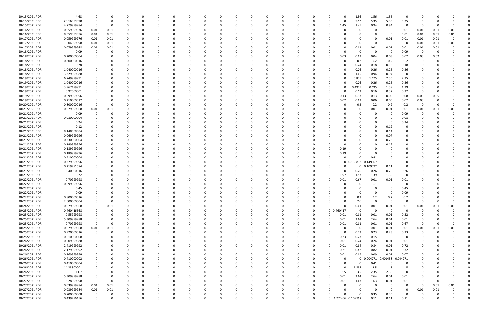| 10/15/2021 PDR | 4.68        |             |          |              |          |          |          |          |          |          |          |          |          |              |          |          |          |              | 1.56                | 1.56                         | 1.56                    | 0           |          |          |          |  |
|----------------|-------------|-------------|----------|--------------|----------|----------|----------|----------|----------|----------|----------|----------|----------|--------------|----------|----------|----------|--------------|---------------------|------------------------------|-------------------------|-------------|----------|----------|----------|--|
| 10/15/2021 PDR | 23.16999998 | $\Omega$    | $\Omega$ |              | O        | - 0      |          | O        |          |          |          |          | 0        | <sup>0</sup> | 0        | $\Omega$ | 0        | $\Omega$     | 7.12                | 5.35                         | 5.35                    | 5.35        | 0        |          |          |  |
| 10/15/2021 PDR | 4.779999984 | 0           | - 0      |              |          |          |          |          |          |          |          |          |          |              |          |          | 0        | 1.45         | 1.45                | 0.94                         | 0.94                    | 0           | 0        |          |          |  |
|                |             |             |          |              |          |          |          |          |          |          |          |          |          |              |          |          |          |              |                     |                              |                         |             |          |          |          |  |
| 10/16/2021 PDR | 0.059999976 | 0.01        | 0.01     |              |          |          |          |          |          |          |          |          |          |              |          |          |          | C.           | 0                   |                              | - 0                     | 0.01        | 0.01     | 0.01     | 0.01     |  |
| 10/16/2021 PDR | 0.059999976 | 0.01        | 0.01     | $\Omega$     |          |          |          |          |          |          |          |          |          |              |          |          |          |              | $\Omega$            |                              | - 0                     | 0.01        | 0.01     | 0.01     | 0.01     |  |
| 10/17/2021 PDR | 0.059999976 | 0.01        | 0.01     |              |          |          |          |          |          |          |          |          |          |              |          |          |          |              | 0                   |                              | 0.01                    | 0.01        | 0.01     | 0.01     |          |  |
| 10/17/2021 PDR | 0.04999998  | 0.01        | 0.01     |              |          |          |          |          |          |          |          |          |          |              |          |          |          |              | $\Omega$            | - 0                          | - 0                     | 0           | 0.01     | 0.01     | 0.01     |  |
| 10/17/2021 PDR | 0.079999968 | 0.01        | 0.01     |              |          |          |          |          |          |          |          |          |          |              |          |          |          |              | 0.01                | 0.01                         | 0.01                    | 0.01        | 0.01     | 0.01     |          |  |
| 10/18/2021 PDR | 0.09        |             |          |              |          |          |          |          |          |          |          |          |          |              |          |          |          | C.           | 0                   | - 0                          | - 0                     | 0.09        | - 0      |          |          |  |
|                |             |             |          |              |          |          |          |          |          |          |          |          |          |              |          |          |          |              |                     |                              |                         |             |          |          |          |  |
| 10/18/2021 PDR | 0.200000004 |             |          |              |          |          |          |          |          |          |          |          |          |              |          |          |          | 0.03         | 0.03                | 0.04                         | 0.03                    | 0.02        | 0.03     | 0.02     |          |  |
| 10/18/2021 PDR | 0.800000016 |             |          |              |          |          |          |          |          |          |          |          |          |              |          |          |          | O            | 0.2                 | 0.2                          | 0.2                     | 0.2         | 0        |          |          |  |
| 10/18/2021 PDR | 0.78        |             |          |              |          |          |          |          |          |          |          |          |          |              |          |          |          | <sup>0</sup> | 0.24                | 0.18                         | 0.18                    | 0.18        |          |          |          |  |
| 10/18/2021 PDR | 1.040000016 |             |          |              |          |          |          |          |          |          |          |          |          |              |          |          |          | C.           | 0.26                | 0.26                         | 0.26                    | 0.26        |          |          |          |  |
| 10/18/2021 PDR | 3.329999988 |             |          |              |          |          |          |          |          |          |          |          |          |              |          |          |          | O            | 1.45                | 0.94                         | 0.94                    | $\Omega$    |          |          |          |  |
| 10/19/2021 PDR | 6.749999991 |             |          |              |          |          |          |          |          |          |          |          |          |              |          |          |          | 0            | 0.875               | 1.175                        | 2.35                    | 2.35        |          |          |          |  |
|                |             |             |          |              |          |          |          |          |          |          |          |          |          |              |          |          |          |              |                     |                              |                         |             |          |          |          |  |
| 10/19/2021 PDR | 1.040000016 |             |          |              |          |          |          |          |          |          |          |          |          |              |          |          |          | 0            | 0.26                | 0.26                         | 0.26                    | 0.26        |          |          |          |  |
| 10/19/2021 PDR | 3.967499991 |             |          |              |          |          |          |          |          |          |          |          |          |              |          |          |          | 0            | 0.4925              | 0.695                        | 1.39                    | 1.39        |          |          |          |  |
| 10/19/2021 PDR | 0.92000001  |             |          |              |          |          |          |          |          |          |          |          |          |              |          |          | O        | 0            | 0.12                | 0.16                         | 0.32                    | 0.32        | - 0      |          |          |  |
| 10/19/2021 PDR | 0.699999996 |             |          |              |          |          |          |          |          |          |          |          |          |              |          |          |          | 0.13         | 0.13                | 0.13                         | 0.09                    | 0.08        | 0.09     | 0.05     |          |  |
| 10/19/2021 PDR | 0.210000012 |             |          |              |          |          |          |          |          |          |          |          |          |              |          |          |          | 0.02         | 0.03                | 0.06                         | 0.05                    | 0.02        | 0.03     |          |          |  |
| 10/20/2021 PDR |             |             |          |              |          |          |          |          |          |          |          |          |          |              |          |          |          |              |                     |                              |                         |             |          |          |          |  |
|                | 0.800000016 |             |          |              |          |          |          |          |          |          |          |          |          |              |          |          |          |              | 0.2                 | 0.2                          | 0.2                     | 0.2         | - 0      |          |          |  |
| 10/21/2021 PDR | 0.079999968 | 0.01        | 0.01     |              |          |          |          |          |          |          |          |          |          |              |          |          |          |              | 0                   | 0.01                         | 0.01                    | 0.01        | 0.01     | 0.01     | 0.01     |  |
| 10/21/2021 PDR | 0.09        | 0           | - 0      |              |          |          |          |          |          |          |          |          |          |              |          |          |          |              | 0                   |                              | - 0                     | 0.09        | 0        |          |          |  |
| 10/21/2021 PDR | 0.080000004 |             |          |              |          |          |          |          |          |          |          |          |          |              |          |          |          |              | $\Omega$            |                              | - 0                     | 0.08        | 0        |          |          |  |
| 10/21/2021 PDR | 0.24        |             |          |              |          |          |          |          |          |          |          |          |          |              |          |          |          |              |                     |                              | - 0                     | 0.24        |          |          |          |  |
| 10/21/2021 PDR | 0.12        |             |          |              |          |          |          |          |          |          |          |          |          |              |          |          |          |              |                     |                              | 0.12                    |             |          |          |          |  |
|                |             |             |          |              |          |          |          |          |          |          |          |          |          |              |          |          |          |              |                     |                              |                         |             |          |          |          |  |
| 10/21/2021 PDR | 0.140000004 |             |          |              |          |          |          |          |          |          |          |          |          |              |          |          |          |              | 0                   |                              | 0.14                    |             |          |          |          |  |
| 10/21/2021 PDR | 0.069999996 |             |          |              |          |          |          |          |          |          |          |          |          |              |          |          |          |              |                     |                              | 0.07                    |             |          |          |          |  |
| 10/21/2021 PDR | 0.230000004 |             |          |              |          |          |          |          |          |          |          |          |          |              |          |          |          |              |                     |                              | 0.23                    |             |          |          |          |  |
| 10/21/2021 PDR | 0.189999996 | 0           |          |              |          |          |          |          |          |          |          |          |          |              |          |          |          | O            | $\Omega$            |                              | 0.19                    |             |          |          |          |  |
| 10/21/2021 PDR | 0.189999996 |             |          |              |          |          |          |          |          |          |          |          |          |              |          |          |          | 0.19         |                     |                              |                         |             |          |          |          |  |
| 10/21/2021 PDR | 0.189999996 |             |          |              |          |          |          |          |          |          |          |          |          |              |          |          |          | 0.19         |                     |                              |                         |             |          |          |          |  |
|                |             |             |          |              |          |          |          |          |          |          |          |          |          |              |          |          |          | O            | $\Omega$            |                              |                         |             |          |          |          |  |
| 10/21/2021 PDR | 0.410000004 |             |          |              |          |          |          |          |          |          |          |          |          |              |          |          |          |              |                     | 0.41                         |                         |             |          |          |          |  |
| 10/21/2021 PDR | 0.279999996 |             |          |              |          |          |          |          |          |          |          |          |          |              |          |          |          |              | 0 0.130833 0.149167 |                              | - 0                     |             |          |          |          |  |
| 10/21/2021 PDR | 0.219791674 |             |          |              |          |          |          |          |          |          |          |          |          |              |          |          |          | <sup>n</sup> | $\mathbf 0$         | 0.109792                     | 0.11                    |             |          |          |          |  |
| 10/21/2021 PDR | 1.040000016 |             |          |              |          |          |          |          |          |          |          |          |          |              |          |          |          | $\Omega$     | 0.26                | 0.26                         | 0.26                    | 0.26        |          |          |          |  |
| 10/21/2021 PDR | 6.72        |             |          |              |          |          |          |          |          |          |          |          |          |              |          |          |          | 1.97         | 1.97                | 1.39                         | 1.39                    | 0           |          |          |          |  |
| 10/22/2021 PDR | 0.70999998  |             |          |              |          |          |          |          |          |          |          |          |          |              |          |          |          |              | 0.67                | 0.01                         | 0.01                    |             |          |          |          |  |
|                |             |             |          |              |          |          |          |          |          |          |          |          |          |              |          |          |          | 0.01         |                     |                              |                         | 0.01        |          |          |          |  |
| 10/22/2021 PDR | 0.099999996 |             |          |              |          |          |          |          |          |          |          |          |          |              |          |          |          |              | $\Omega$            | 0.1                          |                         |             |          |          |          |  |
| 10/22/2021 PDR | 0.45        |             | $\Omega$ |              |          |          |          |          |          |          |          |          |          |              |          |          |          | $\Omega$     | 0                   | - 0                          | - 0                     | 0.45        |          |          |          |  |
| 10/22/2021 PDR | 0.09        |             |          |              |          |          |          |          |          | <b>U</b> |          |          |          |              |          |          |          |              | 0                   | 0                            | 0                       | 0.09        |          |          |          |  |
| 10/22/2021 PDR | 0.800000016 | $\mathbf 0$ | $\Omega$ | $\Omega$     | $\Omega$ | $\Omega$ |          | 0        | $\Omega$ | $\Omega$ | $\Omega$ | $\Omega$ | $\Omega$ | $\Omega$     | $\Omega$ | $\Omega$ | $\Omega$ | $\Omega$     | 0.2                 | 0.2                          | 0.2                     | 0.2         | $\Omega$ |          |          |  |
| 10/22/2021 PDR | 2.600000004 | 0           | $\Omega$ | $\Omega$     | 0        | $\Omega$ |          | 0        | 0        | $\Omega$ |          | $\Omega$ | $\Omega$ | 0            | $\Omega$ | $\Omega$ | 0        | $\Omega$     | 2.6                 | $\Omega$                     | $\mathbf 0$             | $\Omega$    | 0        |          | $\Omega$ |  |
| 10/24/2021 PDR | 0.079999968 |             | $0.01\,$ | $\Omega$     | 0        | - 0      |          |          |          |          |          | 0        | $\Omega$ |              |          | 0        | ŋ        | $\Omega$     | 0.01                |                              |                         |             | 0.01     |          |          |  |
|                |             | 0           |          |              |          |          |          |          |          |          |          |          |          |              |          |          |          |              |                     | 0.01                         | 0.01                    | 0.01        |          | 0.01     | 0.01     |  |
| 10/25/2021 PDR | 0.460416668 | 0           | - 0      | $\Omega$     | 0        | 0        |          |          |          |          |          | 0        | $\Omega$ |              |          | $\Omega$ |          | 0 0.460417   | $\mathbf 0$         | $\Omega$                     | $\overline{\mathbf{0}}$ | 0           | $\Omega$ | $\Omega$ |          |  |
| 10/25/2021 PDR | 0.55999998  | 0           |          | 0            | O        | -0       |          |          |          |          |          |          |          |              |          | 0        | 0        | 0.01         | 0.01                | 0.01                         | 0.01                    | 0.52        |          |          |          |  |
| 10/25/2021 PDR | 5.309999988 | $\mathbf 0$ | $\Omega$ | 0            | 0        | 0        |          | 0        | O        |          |          | 0        | 0        | C            |          | 0        | 0        | 0.01         | 2.64                | 2.64                         | 0.01                    | 0.01        | 0        |          |          |  |
| 10/25/2021 PDR | 0.70999998  | $\mathbf 0$ | $\Omega$ | $\Omega$     | O        | 0        |          |          |          |          |          | 0        | 0        |              |          |          | 0        | 0.01         | 0.01                | 0.01                         | 0.01                    | 0.67        | 0        |          |          |  |
| 10/25/2021 PDR | 0.079999968 | 0.01        | $0.01\,$ | $\Omega$     | 0        | - 0      |          |          |          |          |          |          | $\Omega$ |              |          | 0        | ŋ        | $\Omega$     | $\mathbf 0$         | 0.01                         | 0.01                    | 0.01        | 0.01     | 0.01     | 0.01     |  |
| 10/25/2021 PDR | 0.920000016 |             | $\Omega$ | 0            | 0        | - 0      |          |          |          |          |          | 0        | 0        |              |          |          |          | $\Omega$     | 0.23                |                              | 0.23                    |             | $\Omega$ |          |          |  |
|                |             | 0           |          |              |          |          |          |          |          |          |          |          |          |              |          |          |          |              |                     | 0.23                         |                         | 0.23        |          |          |          |  |
| 10/25/2021 PDR | 0.610000008 | 0           |          |              | O        |          |          |          |          |          |          |          |          |              |          |          |          | 0.23         | 0.23                | 0.15                         | $\overline{\mathbf{0}}$ | $\mathbf 0$ |          |          |          |  |
| 10/26/2021 PDR | 0.509999988 | 0           |          | <sup>0</sup> | O        | 0        |          |          |          |          |          |          | 0        |              |          | 0        | 0        | 0.01         | 0.24                | 0.24                         | 0.01                    | 0.01        |          |          |          |  |
| 10/26/2021 PDR | 2.419999992 | 0           |          |              | O        |          |          |          |          |          |          |          | 0        |              |          |          | 0        | 0.01         | 0.84                | 0.84                         | 0.01                    | 0.72        |          |          |          |  |
| 10/26/2021 PDR | 2.179999992 | 0           | $\Omega$ |              | 0        |          |          |          |          |          |          |          |          |              |          |          | $\Omega$ | 0.21         | 0.82                | 0.82                         | 0.01                    | 0.32        |          |          |          |  |
| 10/26/2021 PDR | 0.269999988 | 0           |          | $\Omega$     | 0        | $\Omega$ |          |          |          |          |          |          | $\Omega$ | $\Omega$     |          |          | 0        | 0.01         | 0.09                | 0.09                         | 0.01                    | 0.07        | 0        |          |          |  |
|                |             |             |          |              |          |          |          |          |          |          |          |          |          |              |          |          |          |              |                     |                              |                         |             |          |          |          |  |
| 10/26/2021 PDR | 0.410000002 | 0           |          |              | 0        | - 0      |          |          |          |          |          | 0        | 0        |              |          |          |          | 0            | $\mathbf{0}$        | 0.004271  0.401458  0.004271 |                         |             |          |          |          |  |
| 10/26/2021 PDR | 0.410000004 | 0           |          |              | O        | - 0      |          |          |          |          |          | $\Omega$ |          |              |          |          |          | $\Omega$     | $\Omega$            | 0.41                         | $\Omega$                | $\mathbf 0$ |          |          |          |  |
| 10/26/2021 PDR | 14.33500001 | $\Omega$    |          |              | 0        |          |          |          |          |          |          |          | 0        |              |          |          | 0        | $\Omega$     | 1.835               | 2.5                          | - 5                     | -5          | $\Omega$ |          |          |  |
| 10/26/2021 PDR | 11.7        |             |          |              |          |          |          |          |          |          |          |          |          |              |          |          | 0        | 3.5          | 3.5                 | 2.35                         | 2.35                    | $\mathbf 0$ |          |          |          |  |
| 10/27/2021 PDR | 5.309999988 | $\mathbf 0$ | $\Omega$ |              | C        |          |          |          |          |          |          |          | 0        |              |          |          | $\Omega$ | 0.01         | 2.64                | 2.64                         | 0.01                    | 0.01        | 0        |          |          |  |
| 10/27/2021 PDR | 3.28999998  | $\mathbf 0$ | $\Omega$ |              |          |          |          |          |          |          |          |          |          |              |          |          |          | 0.01         | 1.63                | 1.63                         | 0.01                    | 0.01        | 0        |          |          |  |
|                |             |             |          |              |          |          |          |          |          |          |          |          |          |              |          |          |          |              |                     |                              |                         |             |          |          |          |  |
| 10/27/2021 PDR | 0.039999984 | 0.01        | $0.01\,$ |              | 0        |          |          |          |          |          |          |          |          |              |          |          |          | 0            | 0                   |                              | 0                       | $\mathbf 0$ | 0        | 0.01     | 0.01     |  |
| 10/27/2021 PDR | 0.039999984 | 0.01        | 0.01     | 0            | 0        | - 0      |          |          |          |          |          |          |          |              |          |          |          | 0            | $\Omega$            | $\Omega$                     | - 0                     | 0           | 0.01     | 0.01     |          |  |
| 10/27/2021 PDR | 0.700000008 | 0           |          | 0            |          |          |          |          |          |          |          |          |          |              |          |          |          | $\Omega$     | $\Omega$            | 0.35                         | 0.35                    | $\Omega$    |          |          |          |  |
| 10/27/2021 PDR | 0.439796456 | $\mathbf 0$ | $\Omega$ | $\Omega$     | $\Omega$ | $\Omega$ | $\Omega$ | $\Omega$ | $\Omega$ | $\Omega$ | $\Omega$ | $\Omega$ | $\Omega$ | $\Omega$     | $\Omega$ | $\Omega$ | $\Omega$ |              | 4.77E-06 0.109792   | 0.11                         | 0.11                    | 0.11        | $\Omega$ |          | $\Omega$ |  |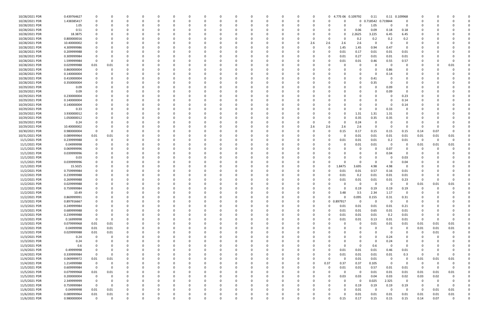| 10/28/2021 PDR | 0.439764627 |             |          |          |          |          |          |          |          |          |          |              |          |          |          | 0                    | 4.77E-06 0.109792 | 0.11              |                         | 0.11 0.109968 |             |          |             |  |
|----------------|-------------|-------------|----------|----------|----------|----------|----------|----------|----------|----------|----------|--------------|----------|----------|----------|----------------------|-------------------|-------------------|-------------------------|---------------|-------------|----------|-------------|--|
| 10/28/2021 PDR | 1.438385417 | 0           |          |          |          | -0       |          |          |          | $\Omega$ |          | 0            | C        | 0        | $\Omega$ | C.                   | $\mathbf 0$       | 0.718542 0.719844 |                         | 0             |             |          |             |  |
| 10/28/2021 PDR | 1.05        |             |          |          |          |          |          |          |          |          |          |              |          |          |          | <sup>0</sup>         | 0                 | 1.05              | - 0                     | -0            |             |          |             |  |
| 10/28/2021 PDR | 0.51        |             |          |          |          |          |          |          |          |          |          |              |          |          |          | 0                    | 0.06              | 0.09              | 0.18                    | 0.18          |             |          |             |  |
|                |             |             |          |          |          |          |          |          |          |          |          |              |          |          |          |                      |                   |                   |                         |               |             |          |             |  |
| 10/28/2021 PDR | 18.3875     | 0           |          |          |          |          |          |          |          |          |          |              |          |          |          | 0                    | 2.2625            | 3.225             | 6.45                    | 6.45          |             |          |             |  |
| 10/28/2021 PDR | 0.800000016 |             |          |          |          |          |          |          |          |          |          |              |          |          |          | O                    | 0.2               | 0.2               | 0.2                     | 0.2           |             |          |             |  |
| 10/28/2021 PDR | 10.40000002 |             |          |          |          |          |          |          |          |          |          |              |          |          | 2.6      | 2.6<br>2.6           | 2.6               | $\Omega$          | - 0                     | 0             |             |          |             |  |
| 10/28/2021 PDR | 4.309999986 |             |          |          |          |          |          |          |          |          |          |              |          |          |          | 1.45<br>$\Omega$     | 1.45              | 0.94              | 0.47                    | -0            |             |          |             |  |
| 10/28/2021 PDR | 0.209999988 |             |          |          |          |          |          |          |          |          |          |              |          |          |          | 0.01                 | 0.17              | 0.01              | 0.01                    | 0.01          |             |          |             |  |
| 10/28/2021 PDR | 0.309999984 |             |          |          |          |          |          |          |          |          |          |              |          |          |          | 0.01                 | 0.27              | 0.01              | 0.01                    | 0.01          |             |          |             |  |
| 10/28/2021 PDR | 1.599999984 | 0           |          |          |          |          |          |          |          |          |          |              |          |          |          | 0.01                 | 0.01              | 0.46              | 0.55                    | 0.57          |             |          |             |  |
| 10/28/2021 PDR | 0.029999988 | 0.01        | 0.01     |          |          |          |          |          |          |          |          |              |          |          |          |                      | 0                 |                   | - 0                     | 0             |             |          | 0.01        |  |
|                |             |             |          |          |          |          |          |          |          |          |          |              |          |          |          |                      |                   |                   |                         |               |             |          |             |  |
| 10/28/2021 PDR | 0.860000004 | 0           |          |          |          |          |          |          |          |          |          |              |          |          |          |                      |                   |                   | 0.86                    |               |             |          |             |  |
| 10/28/2021 PDR | 0.140000004 |             |          |          |          |          |          |          |          |          |          |              |          |          |          |                      |                   |                   | 0.14                    |               |             |          |             |  |
| 10/28/2021 PDR | 0.410000004 |             |          |          |          |          |          |          |          |          |          |              |          |          |          |                      | 0                 | 0.41              |                         |               |             |          |             |  |
| 10/28/2021 PDR | 0.350000004 |             |          |          |          |          |          |          |          |          |          |              |          |          |          |                      | 0                 | 0.35              | - 0                     |               |             |          |             |  |
| 10/29/2021 PDR | 0.09        |             |          |          |          |          |          |          |          |          |          |              |          |          |          |                      |                   |                   | 0.09                    | 0             |             |          |             |  |
| 10/29/2021 PDR | 0.09        |             |          |          |          |          |          |          |          |          |          |              |          |          |          |                      |                   |                   | 0.09                    | 0             |             |          |             |  |
| 10/29/2021 PDR | 0.230000004 |             |          |          |          |          |          |          |          |          |          |              |          |          |          |                      |                   |                   | - 0                     | 0.23          |             |          |             |  |
| 10/29/2021 PDR | 0.140000004 |             |          |          |          |          |          |          |          |          |          |              |          |          |          |                      |                   |                   | - 0                     | 0.14          |             |          |             |  |
|                |             |             |          |          |          |          |          |          |          |          |          |              |          |          |          |                      |                   |                   |                         |               |             |          |             |  |
| 10/29/2021 PDR | 0.140000004 |             |          |          |          |          |          |          |          |          |          |              |          |          |          |                      |                   |                   | - 0                     | 0.14          |             |          |             |  |
| 10/29/2021 PDR | 0.33        |             |          |          |          |          |          |          |          |          |          |              |          |          |          |                      | $\Omega$          |                   | 0.33                    | 0             |             |          |             |  |
| 10/29/2021 PDR | 3.930000012 |             |          |          |          |          |          |          |          |          |          |              |          |          |          | <sup>0</sup>         | 1.31              | 1.31              | 1.31                    |               |             |          |             |  |
| 10/29/2021 PDR | 1.050000012 |             |          |          |          |          |          |          |          |          |          |              |          |          |          | $\Omega$             | 0.35              | 0.35              | 0.35                    |               |             |          |             |  |
| 10/29/2021 PDR | 0.24        |             |          |          |          |          |          |          |          |          |          |              |          |          |          | 0                    | 0.24              |                   | $\Omega$                |               |             |          |             |  |
| 10/29/2021 PDR | 10.40000002 |             |          |          |          |          |          |          |          |          |          |              |          |          | 2.6      | 2.6<br>2.6           | 2.6               |                   | - 0                     | O             | -0          |          |             |  |
| 10/30/2021 PDR | 0.980000004 | 0           |          |          |          |          |          |          |          |          |          |              |          |          |          | 0<br>0.15            | 0.17              | 0.15              | 0.15                    | 0.15          | 0.14        | 0.07     |             |  |
| 10/31/2021 PDR | 0.089999964 | 0.01        | 0.01     |          |          |          |          |          |          |          |          |              |          |          |          | 0                    | 0.01              | 0.01              | 0.01                    | 0.01          | 0.01        | 0.01     | 0.01        |  |
| 11/1/2021 PDR  | 0.239999988 | 0           |          |          |          |          |          |          |          |          |          |              |          |          |          | 0.01                 | 0.01              | 0.01              | 0.2                     | 0.01          | 0           | $\Omega$ |             |  |
|                |             |             |          |          |          |          |          |          |          |          |          |              |          |          |          |                      |                   |                   |                         |               |             |          |             |  |
| 11/1/2021 PDR  | 0.04999998  | 0           |          |          |          |          |          |          |          |          |          |              |          |          |          | 0                    | 0.01              | 0.01              | $\overline{\mathbf{0}}$ | 0             | 0.01        | 0.01     | 0.01        |  |
| 11/1/2021 PDR  | 0.069999996 |             |          |          |          |          |          |          |          |          |          |              |          |          |          |                      | 0                 |                   | 0.07                    | O             |             |          |             |  |
| 11/1/2021 PDR  | 0.039999996 |             |          |          |          |          |          |          |          |          |          |              |          |          |          |                      |                   |                   | 0.04                    |               |             |          |             |  |
| 11/1/2021 PDR  | 0.03        |             |          |          |          |          |          |          |          |          |          |              |          |          |          |                      |                   |                   | - 0                     | 0.03          |             |          |             |  |
| 11/1/2021 PDR  | 0.039999996 |             |          |          |          |          |          |          |          |          |          |              |          |          |          |                      |                   |                   | - 0                     | 0.04          |             |          |             |  |
| 11/1/2021 PDR  | 15.5025     |             |          |          |          |          |          |          |          |          |          |              |          |          |          | .8475<br>0           | 3.695             | 4.98              | 4.98                    | 0             |             |          |             |  |
| 11/2/2021 PDR  | 0.759999984 |             |          |          |          |          |          |          |          |          |          |              |          |          |          | 0.01                 | 0.01              | 0.57              | 0.16                    | 0.01          |             |          |             |  |
| 11/2/2021 PDR  | 0.239999988 |             |          |          |          |          |          |          |          |          |          |              |          |          |          | 0.01                 | 0.2               | 0.01              | 0.01                    | 0.01          |             |          |             |  |
|                |             |             |          |          |          |          |          |          |          |          |          |              |          |          |          |                      |                   |                   |                         |               |             |          |             |  |
| 11/2/2021 PDR  | 0.269999988 |             |          |          |          |          |          |          |          |          |          |              |          |          |          | 0.01                 | 0.01              | 0.01              | 0.01                    | 0.23          |             |          |             |  |
| 11/2/2021 PDR  | 0.029999988 |             |          |          |          |          |          |          |          |          |          |              |          |          |          |                      | $\Omega$          |                   | - 0                     |               | 0.01        | 0.01     | 0.01        |  |
| 11/2/2021 PDR  | 0.759999984 | $\Omega$    |          |          |          |          |          |          |          |          |          |              |          |          |          | 0                    | 0.19              | 0.19              | 0.19                    | 0.19          | $\mathbf 0$ | $\Omega$ | 0           |  |
| 11/2/2021 PDR  | 10.49       | 0           |          |          |          |          |          |          |          |          |          |              |          |          |          | 3.48                 | 3.5               | 2.34              | 1.17                    | $\mathbf 0$   | $\sim$      |          |             |  |
| 11/2/2021 PDR  | 0.869999991 | $\mathbf 0$ | $\Omega$ | $\Omega$ | $\Omega$ | $\Omega$ | $\Omega$ | $\Omega$ | $\Omega$ | $\Omega$ | $\Omega$ | $\Omega$     | $\Omega$ | $\Omega$ | $\Omega$ | $\Omega$<br>$\Omega$ | 0.095             | 0.155             | 0.31                    | 0.31          | $\Omega$    |          |             |  |
| 11/3/2021 PDR  | 0.897916667 | 0           |          | $\Omega$ | 0        | 0        | 0        | 0        | 0        | $\Omega$ | $\Omega$ | $\Omega$     | 0        | $\Omega$ | $\Omega$ | 0 0.897917           | $\mathbf 0$       | $\Omega$          | $\overline{0}$          | 0             | 0           |          |             |  |
| 11/3/2021 PDR  | 0.249999984 | 0           |          | $\Omega$ |          | $\Omega$ |          |          |          |          | $\Omega$ | <sup>0</sup> |          |          | 0        | 0.01<br>$\Omega$     | 0.01              | $0.01\,$          | 0.01                    | 0.21          | 0           |          |             |  |
| 11/3/2021 PDR  | 0.689999988 | 0           |          | 0        |          | -0       |          |          |          | 0        |          | 0            |          |          | 0        | 0.01<br>$\Omega$     | 0.01              | 0.65              | 0.01                    | 0.01          |             |          |             |  |
| 11/3/2021 PDR  | 0.239999988 | 0           |          |          |          |          |          |          |          |          |          | 0            |          |          |          | 0.01<br>0            | 0.01              | 0.01              | 0.2                     | 0.01          | $\Omega$    |          |             |  |
|                |             |             |          |          |          |          |          |          |          |          |          |              |          |          |          |                      |                   |                   |                         |               |             |          |             |  |
| 11/3/2021 PDR  | 0.16999998  | $\mathbf 0$ | $\Omega$ | $\Omega$ |          | 0        | 0        |          |          |          | 0        | 0            | C        |          | 0        | 0.01<br>0            | 0.01              | 0.13              | 0.01                    | 0.01          | $\Omega$    | $\Omega$ | $\Omega$    |  |
| 11/3/2021 PDR  | 0.079999968 | 0.01        | 0.01     | 0        |          | 0        |          |          |          | 0        | 0        | 0            |          |          |          | $\Omega$             | $\mathbf 0$       | 0.01              | 0.01                    | 0.01          | 0.01        | 0.01     | 0.01        |  |
| 11/3/2021 PDR  | 0.04999998  | 0.01        | 0.01     | $\Omega$ |          |          |          |          |          |          |          | <sup>0</sup> |          |          |          | $\Omega$             | 0                 | $\Omega$          | $\overline{0}$          | 0             | 0.01        | 0.01     | 0.01        |  |
| 11/3/2021 PDR  | 0.029999988 | 0.01        | 0.01     | 0        |          | $\Omega$ |          |          |          |          |          | 0            |          |          |          | 0                    | 0                 |                   | - 0                     | 0             | 0           | 0.01     | 0           |  |
| 11/3/2021 PDR  | 0.24        | 0           | $\Omega$ | $\Omega$ |          |          |          |          |          |          |          |              |          |          |          |                      |                   | $\Omega$          | 0.24                    | 0             | -0          |          |             |  |
| 11/3/2021 PDR  | 0.24        | 0           |          | 0        |          | 0        |          |          |          |          |          | 0            |          |          |          | O                    | 0                 | $\Omega$          | 0.24                    | 0             | - 0         |          |             |  |
| 11/3/2021 PDR  | 0.6         | 0           |          | 0        |          |          |          |          |          |          |          | 0            |          |          |          | $\Omega$             | $\mathbf 0$       | 0.6               | $\overline{\mathbf{0}}$ | 0             |             |          |             |  |
| 11/4/2021 PDR  | 0.49999998  | $\mathbf 0$ |          |          |          |          |          |          |          |          |          |              |          |          |          | 0.01<br>$\Omega$     | 0.01              | $0.01\,$          | 0.46                    | 0.01          | 0           |          |             |  |
|                |             |             |          |          |          |          |          |          |          |          |          |              |          |          |          |                      |                   |                   |                         |               |             |          |             |  |
| 11/4/2021 PDR  | 0.339999984 | $\mathbf 0$ | $\Omega$ | $\Omega$ |          | $\Omega$ |          |          |          |          |          | $\Omega$     | 0        |          |          | 0.01<br>$\Omega$     | 0.01              | 0.01              | 0.01                    | 0.3           | 0           | $\Omega$ | $\Omega$    |  |
| 11/4/2021 PDR  | 0.069999972 | 0.01        | 0.01     | 0        |          |          |          |          |          |          |          |              |          |          | 0        | 0<br>$\Omega$        | 0.01              | 0.01              | $\overline{0}$          | 0             | 0.01        | 0.01     | 0.01        |  |
| 11/4/2021 PDR  | 1.214999988 | 0           | $\Omega$ |          |          |          |          |          |          |          |          |              |          |          | 0        | 0.37<br>0.37         | 0.37              | 0.105             | $\overline{0}$          | 0             | 0           | $\Omega$ |             |  |
| 11/5/2021 PDR  | 0.609999984 | $\mathbf 0$ | $\Omega$ | 0        |          |          |          |          |          |          |          | 0            |          |          | 0        | - 0<br>0.01          | 0.01              | 0.57              | 0.01                    | 0.01          | $\Omega$    | $\Omega$ | 0           |  |
| 11/5/2021 PDR  | 0.079999968 | 0.01        | 0.01     |          |          |          |          |          |          |          |          |              |          |          |          | $\Omega$<br>0        | $\mathbf 0$       | 0.01              | 0.01                    | 0.01          | 0.01        | 0.01     | 0.01        |  |
| 11/5/2021 PDR  | 0.200000004 | $\mathbf 0$ | $\Omega$ | $\Omega$ |          |          |          |          |          |          |          | 0            |          |          |          | 0.03<br>0            | 0.03              | 0.04              | 0.03                    | 0.02          | 0.03        | 0.02     | $\Omega$    |  |
| 11/5/2021 PDR  | 2.349999999 | 0           | 0        |          |          |          |          |          |          |          |          |              |          |          |          | $\Omega$             | $\mathbf 0$       | 0.025             | 2.325                   | 0             | 0           |          |             |  |
| 11/5/2021 PDR  | 0.759999984 | $\mathbf 0$ | $\Omega$ |          |          |          |          |          |          |          |          |              |          |          |          | $\Omega$             | 0.19              | 0.19              | 0.19                    | 0.19          | 0           |          | $\Omega$    |  |
| 11/6/2021 PDR  | 0.04999998  | 0.01        | 0.01     | $\Omega$ |          |          |          |          |          |          |          |              |          |          |          | 0                    | 0.01              | $\Omega$          | $\overline{\mathbf{0}}$ | $\mathbf 0$   | 0           | 0.01     | 0.01        |  |
| 11/6/2021 PDR  | 0.089999964 | 0.01        | $0.01\,$ | 0        |          |          |          |          |          |          |          |              |          |          |          | $\Omega$             | 0.01              | 0.01              | 0.01                    | 0.01          | 0.01        | 0.01     | 0.01        |  |
|                |             |             |          |          |          |          |          |          |          |          |          |              |          |          |          |                      |                   |                   |                         |               |             |          |             |  |
| 11/6/2021 PDR  | 0.980000004 | $\mathbf 0$ | $\Omega$ | $\Omega$ | $\Omega$ | $\Omega$ | $\Omega$ |          | $\Omega$ | $\Omega$ | $\Omega$ | $\Omega$     | $\Omega$ | $\Omega$ | $\Omega$ | $\Omega$<br>0.15     | 0.17              | 0.15              | 0.15                    | 0.15          | 0.14        | 0.07     | $\mathbf 0$ |  |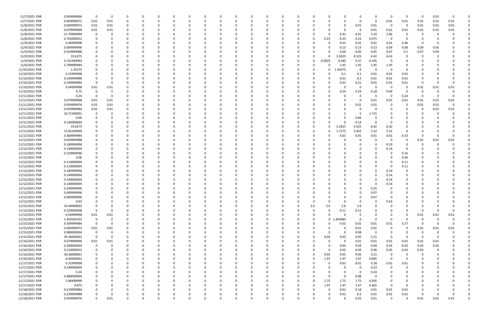| 11/7/2021 PDR  | 0.009999996 | $\Omega$    | $\mathbf 0$ |          |             | $\Omega$ |          |   |             |          |          |          | <sup>0</sup> |              |          |          |              |              | - 0         | $\Omega$ | - 0                     | 0        | 0           | 0.01     |      |  |
|----------------|-------------|-------------|-------------|----------|-------------|----------|----------|---|-------------|----------|----------|----------|--------------|--------------|----------|----------|--------------|--------------|-------------|----------|-------------------------|----------|-------------|----------|------|--|
| 11/7/2021 PDR  | 0.069999972 | 0.01        | 0.01        |          | $\Omega$    |          |          |   | 0           |          | $\Omega$ |          |              |              |          |          |              | n            | $\Omega$    | $\Omega$ | 0.01                    | 0.01     | 0.01        | 0.01     | 0.01 |  |
| 11/8/2021 PDR  | 0.069999972 | 0.01        | 0.01        |          |             |          |          |   |             |          |          |          |              |              |          |          |              | 0            | 0.01        | 0.01     | - 0                     | 0        | 0.01        | 0.01     | 0.01 |  |
| 11/8/2021 PDR  | 0.079999968 | 0.01        | 0.01        |          |             |          |          |   |             |          |          |          |              |              |          |          |              | $\Omega$     | - 0         | 0.01     | 0.01                    | 0.01     | 0.01        | 0.01     | 0.01 |  |
|                |             |             |             |          |             |          |          |   |             |          |          |          |              |              |          |          |              |              |             |          |                         |          |             |          |      |  |
| 11/8/2021 PDR  | 21.79999999 | 0           | 0           |          |             |          |          |   |             |          |          |          |              |              |          |          |              | 6.91         | 6.91        | 5.32     | 2.66                    | 0        |             |          |      |  |
| 11/8/2021 PDR  | 0.765000012 | 0           | $\Omega$    |          |             |          |          |   |             |          |          |          |              |              |          |          | 0.23         | 0.23         | 0.23        | 0.075    | $\overline{\mathbf{0}}$ | 0        |             |          |      |  |
| 11/9/2021 PDR  | 0.49999998  |             |             |          |             |          |          |   |             |          |          |          |              |              |          |          |              | 0.01         | 0.01        | 0.01     | 0.01                    | 0.46     | -0          |          |      |  |
| 11/9/2021 PDR  | 0.699999996 |             |             |          |             |          |          |   |             |          |          |          |              |              |          |          |              | 0.13         | 0.13        | 0.13     | 0.09                    | 0.08     | 0.09        | 0.05     |      |  |
| 11/9/2021 PDR  | 0.419999988 |             |             |          |             |          |          |   |             |          |          |          |              |              |          |          |              | 0.04         | 0.05        | 0.05     | 0.07                    | 0.1      | 0.07        | 0.04     |      |  |
| 11/9/2021 PDR  | 19.6275     |             |             |          |             |          |          |   |             |          |          |          |              |              |          |          |              | 2.2625       | 4.525       | 6.42     | 6.42                    | 0        |             |          |      |  |
| 11/9/2021 PDR  | 0.752499993 |             |             |          |             |          |          |   |             |          |          |          |              |              |          | 0        | 0.0925       | 0.185        | 0.37        | 0.105    | - 0                     | n        |             |          |      |  |
|                |             |             |             |          |             |          |          |   |             |          |          |          |              |              |          |          |              |              |             |          |                         |          |             |          |      |  |
| 11/9/2021 PDR  | 5.799999984 |             |             |          |             |          |          |   |             |          |          |          |              |              |          |          |              | 1.45         | 1.45        | 1.45     | 1.45                    | 0        |             |          |      |  |
| 11/10/2021 PDR | 1.43375     |             |             |          |             |          |          |   |             |          |          |          |              |              |          |          |              | .43375       | - 0         |          | - 0                     | 0        |             |          |      |  |
| 11/10/2021 PDR | 0.22999998  |             |             |          |             |          |          |   |             |          |          |          |              |              |          |          |              | 0.1          | 0.1         | 0.01     | 0.01                    | 0.01     |             |          |      |  |
| 11/10/2021 PDR | 0.239999988 |             |             |          |             |          |          |   |             |          |          |          |              |              |          |          |              | 0.01         | 0.2         | 0.01     | 0.01                    | 0.01     |             |          |      |  |
| 11/10/2021 PDR | 0.249999984 | 0           |             |          |             |          |          |   |             |          |          |          |              |              |          |          |              | 0.01         | 0.21        | 0.01     | 0.01                    | 0.01     |             |          |      |  |
| 11/10/2021 PDR | 0.04999998  | 0.01        | 0.01        |          |             |          |          |   |             |          |          |          |              |              |          |          |              | 0            | $\mathbf 0$ | - 0      | $\overline{\mathbf{0}}$ | 0        | 0.01        | 0.01     | 0.01 |  |
|                |             |             |             |          |             |          |          |   |             |          |          |          |              |              |          |          |              |              |             |          |                         |          |             |          |      |  |
| 11/10/2021 PDR | 0.75        | 0           | 0           |          |             |          |          |   |             |          |          |          |              |              |          |          |              | 0.24         | 0.24        | 0.18     | 0.09                    | -0       | -0          | $\Omega$ |      |  |
| 11/11/2021 PDR | 0.24        | 0           | $\Omega$    |          |             |          |          |   |             |          |          |          |              |              |          |          |              |              | - 0         | $\Omega$ | - 0                     | 0.24     |             |          |      |  |
| 11/11/2021 PDR | 0.079999968 | 0.01        | 0.01        |          |             |          |          |   |             |          |          |          |              |              |          |          |              | <sup>0</sup> | 0           | 0.01     | 0.01                    | 0.01     | 0.01        | 0.01     | 0.01 |  |
| 11/11/2021 PDR | 0.059999976 | 0.01        | 0.01        |          |             |          |          |   |             |          |          |          |              |              |          |          |              | 0            | 0.01        | 0.01     |                         | 0        | 0.01        | 0.01     |      |  |
| 11/11/2021 PDR | 0.039999984 | 0.01        | 0.01        |          |             |          |          |   |             |          |          |          |              |              |          |          |              |              | -0          | $\Omega$ |                         | 0        |             | 0.01     | 0.01 |  |
| 11/11/2021 PDR | 16.71500001 | 0           | $\Omega$    |          |             |          |          |   |             |          |          |          |              |              |          |          |              |              | -5          | 1.715    |                         |          |             |          |      |  |
|                |             |             |             |          |             |          |          |   |             |          |          |          |              |              |          |          |              |              |             |          |                         |          |             |          |      |  |
| 11/11/2021 PDR | 0.66        |             |             |          |             |          |          |   |             |          |          |          |              |              |          |          |              | n            | 0.66        |          |                         |          |             |          |      |  |
| 11/11/2021 PDR | 0.140000004 |             |             |          |             |          |          |   |             |          |          |          |              |              |          |          |              | ſ            | 0.14        |          |                         |          |             |          |      |  |
| 11/11/2021 PDR | 19.6275     |             |             |          |             |          |          |   |             |          |          |          |              |              |          |          | ŋ            | 2.2625       | 4.525       | 6.42     | 6.42                    |          |             |          |      |  |
| 11/11/2021 PDR | 15.82249999 |             |             |          |             |          |          |   |             |          |          |          |              |              |          |          |              | 1.7275       | 3.455       | 5.32     | 5.32                    |          |             |          |      |  |
| 11/12/2021 PDR | 0.369999984 |             |             |          |             |          |          |   |             |          |          |          |              |              |          |          |              | 0.01         | 0.01        | 0.01     | 0.01                    | 0.33     |             |          |      |  |
| 11/12/2021 PDR | 0.029999988 |             |             |          |             |          |          |   |             |          |          |          |              |              |          |          |              |              | $\Omega$    |          | - 0                     | 0        | 0.01        | 0.01     | 0.01 |  |
|                |             |             |             |          |             |          |          |   |             |          |          |          |              |              |          |          |              |              |             |          |                         |          |             |          |      |  |
| 11/12/2021 PDR | 0.189999996 |             |             |          |             |          |          |   |             |          |          |          |              |              |          |          |              |              |             |          | 0.19                    | n        |             |          |      |  |
| 11/12/2021 PDR | 0.140000004 |             |             |          |             |          |          |   |             |          |          |          |              |              |          |          |              |              |             |          | 0.14                    | 0        |             |          |      |  |
| 11/12/2021 PDR | 0.159999996 |             |             |          |             |          |          |   |             |          |          |          |              |              |          |          |              |              |             |          |                         | 0.16     |             |          |      |  |
| 11/12/2021 PDR | 0.06        |             |             |          |             |          |          |   |             |          |          |          |              |              |          |          |              |              |             |          |                         | 0.06     |             |          |      |  |
| 11/12/2021 PDR | 0.110000004 |             |             |          |             |          |          |   |             |          |          |          |              |              |          |          |              |              |             |          |                         | 0.11     |             |          |      |  |
| 11/12/2021 PDR | 0.110000004 |             |             |          |             |          |          |   |             |          |          |          |              |              |          |          |              |              |             |          |                         | 0.11     |             |          |      |  |
| 11/12/2021 PDR | 0.189999996 |             |             |          |             |          |          |   |             |          |          |          |              |              |          |          |              |              |             |          |                         | 0        |             |          |      |  |
|                |             |             |             |          |             |          |          |   |             |          |          |          |              |              |          |          |              |              |             |          | 0.19                    |          |             |          |      |  |
| 11/12/2021 PDR | 0.140000004 |             |             |          |             |          |          |   |             |          |          |          |              |              |          |          |              |              |             |          | 0.14                    | 0        |             |          |      |  |
| 11/12/2021 PDR | 0.140000004 |             |             |          |             |          |          |   |             |          |          |          |              |              |          |          |              |              |             |          | 0.14                    |          |             |          |      |  |
| 11/12/2021 PDR | 0.140000004 |             |             |          |             |          |          |   |             |          |          |          |              |              |          |          |              |              |             |          | 0.14                    |          |             |          |      |  |
| 11/12/2021 PDR | 0.249999996 | 0           | $\Omega$    |          |             |          |          |   |             |          |          |          |              |              |          |          |              |              |             | 0.25     |                         |          |             |          |      |  |
| 11/12/2021 PDR | 0.069999996 | $\mathbf 0$ |             |          |             |          |          |   |             |          |          |          |              |              |          |          |              |              |             | 0.07     |                         |          |             |          |      |  |
| 11/12/2021 PDR | 0.069999996 | $\mathbf 0$ | 0           | $\Omega$ | 0           | 0        | $\Omega$ | 0 | 0           | $\Omega$ | $\Omega$ | $\Omega$ | $\Omega$     | $\Omega$     | $\Omega$ | $\Omega$ | 0            | 0            | $\mathbf 0$ | 0.07     | $\overline{\mathbf{0}}$ | 0        |             |          |      |  |
|                |             |             |             |          |             |          |          |   |             |          |          |          |              |              |          |          |              |              |             |          |                         |          |             |          |      |  |
| 11/12/2021 PDR | 0.63        | 0           | 0           |          | 0           | 0        |          |   | 0           |          | 0        | $\Omega$ | $\Omega$     | <sup>0</sup> |          | $\Omega$ |              | $\Omega$     | 0           | $\Omega$ | 0.63                    | 0        |             |          |      |  |
| 11/12/2021 PDR | 10.40000002 | $\mathbf 0$ | $\Omega$    |          | 0           | 0        |          |   | $\Omega$    |          | $\Omega$ |          | $\Omega$     |              | $\Omega$ | 2.6      | 2.6          | 2.6          | 2.6         | $\Omega$ |                         |          |             |          |      |  |
| 11/12/2021 PDR | 0.220000008 | $\mathbf 0$ | 0           |          |             |          |          |   |             |          |          |          |              |              |          | $\Omega$ | $\Omega$     | 0.11         | 0.11        |          |                         | $\Omega$ | $\Omega$    |          |      |  |
| 11/13/2021 PDR | 0.04999998  | 0.01        | 0.01        |          | 0           |          |          |   |             |          |          |          |              |              |          | $\Omega$ |              | $\Omega$     | 0           |          |                         | 0        | 0.01        | 0.01     | 0.01 |  |
| 11/15/2021 PDR | 1.454583333 | 0           | $\mathbf 0$ |          | 0           | 0        |          |   | 0           |          |          |          | 0            |              |          | $\Omega$ | $\mathbf{0}$ | .454583      | $\mathbf 0$ | $\Omega$ | $\Omega$                | 0        | $\Omega$    | $\Omega$ |      |  |
| 11/15/2021 PDR | 0.309999984 | $\mathbf 0$ | $\mathbf 0$ |          | 0           | 0        |          |   | 0           |          | $\Omega$ |          | 0            |              |          |          | 0            | 0.01         | 0.01        | $0.01\,$ | 0.01                    | 0.27     | $\mathbf 0$ | $\Omega$ |      |  |
|                |             |             |             |          |             |          |          |   |             |          |          |          |              |              |          |          |              |              |             |          |                         |          |             |          |      |  |
| 11/15/2021 PDR | 0.069999972 | 0.01        | 0.01        |          | $\Omega$    | $\Omega$ |          |   | 0           |          | $\Omega$ |          | $\Omega$     |              |          | $\Omega$ |              | 0            | 0.01        | $0.01\,$ | $\overline{0}$          | 0        | 0.01        | 0.01     | 0.01 |  |
| 11/15/2021 PDR | 0.980000004 | 0           | $\mathbf 0$ |          | 0           | 0        |          |   | 0           |          | $\Omega$ | 0        | $\Omega$     |              |          |          | $\Omega$     | 0            | 0.98        | 0        | 0                       | 0        | $\Omega$    | $\Omega$ |      |  |
| 11/15/2021 PDR | 30.36000001 | $\mathbf 0$ | 0           |          | $\Omega$    |          |          |   | 0           |          |          |          | 0            |              |          | $\Omega$ | 9.05         | 9.05         | 9.05        | 3.21     | - 0                     | 0        | - 0         |          |      |  |
| 11/16/2021 PDR | 0.079999968 | 0.01        | 0.01        |          | 0           | 0        |          |   | 0           |          |          |          | 0            |              |          | $\Omega$ | $\Omega$     | $\Omega$     | 0.01        | 0.01     | 0.01                    | 0.01     | 0.01        | 0.01     |      |  |
| 11/16/2021 PDR | 0.200000004 | 0           | 0           |          | 0           | 0        |          |   | 0           |          |          |          | 0            |              |          |          | 0            | 0.03         | 0.03        | 0.04     | 0.03                    | 0.02     | 0.03        | 0.02     |      |  |
| 11/16/2021 PDR | 0.210000012 | 0           | $\Omega$    |          | 0           |          |          |   | 0           |          |          |          | $\Omega$     |              |          | O        | $\Omega$     | 0.02         | 0.03        | 0.06     | 0.05                    | 0.02     | 0.03        | 0        |      |  |
|                |             |             |             |          |             |          |          |   |             |          |          |          |              |              |          |          |              |              |             |          |                         |          |             |          |      |  |
| 11/16/2021 PDR | 30.36000001 | 0           | $\Omega$    |          | 0           | 0        |          |   | 0           |          | 0        |          | 0            |              |          | 0        | 9.05         | 9.05         | 9.05        | 3.21     | $\overline{\mathbf{0}}$ | 0        | 0           |          |      |  |
| 11/16/2021 PDR | 6.60500001  | 0           | $\Omega$    |          | 0           | 0        |          |   | 0           |          |          |          | 0            |              |          | 0        | 1.97         | 1.97         | 1.97        | 0.695    | $\overline{0}$          | 0        |             |          |      |  |
| 11/17/2021 PDR | 0.31999998  |             |             |          | 0           |          |          |   |             |          |          |          |              |              |          |          | $\Omega$     | 0.01         | 0.01        | 0.28     | 0.01                    | 0.01     |             |          |      |  |
| 11/17/2021 PDR | 0.230000004 |             |             |          | 0           |          |          |   | 0           |          |          |          |              |              |          |          |              | 0            | $\mathbf 0$ | 0.23     | - 0                     | 0        |             |          |      |  |
| 11/17/2021 PDR | 0.24        | 0           |             |          | 0           |          |          |   |             |          |          |          |              |              |          |          |              | $\Omega$     | $\mathbf 0$ | 0.24     |                         | 0        |             |          |      |  |
| 11/17/2021 PDR | 0.980000004 | $\Omega$    |             |          | $\Omega$    |          |          |   |             |          |          |          |              |              |          | U        |              | $\Omega$     | 0.98        | $\Omega$ |                         |          |             |          |      |  |
| 11/17/2021 PDR | 5.84499999  | $\mathbf 0$ |             |          |             |          |          |   |             |          |          |          | <sup>0</sup> |              |          | $\Omega$ | 1.75         | 1.75         | 1.75        | 0.595    |                         | 0        |             |          |      |  |
|                |             |             |             |          | 0           |          |          |   | 0           |          |          |          |              |              |          |          |              |              |             |          |                         |          |             |          |      |  |
| 11/17/2021 PDR | 4.875       | 0           |             |          | 0           |          |          |   | 0           |          |          |          |              |              |          |          | 1.47         | 1.47         | 1.47        | 0.465    | $\overline{0}$          | $\Omega$ |             |          |      |  |
| 11/18/2021 PDR | 0.219999984 |             |             |          | 0           |          |          |   |             |          | $\Omega$ |          | $\Omega$     |              |          | 0        | - 0          | 0.01         | 0.18        | 0.01     | 0.01                    | 0.01     |             |          |      |  |
| 11/18/2021 PDR | 0.239999988 | 0           | 0           |          | 0           |          |          |   |             |          |          |          |              |              |          |          | 0            | 0.01         | 0.2         | 0.01     | 0.01                    | 0.01     |             |          |      |  |
| 11/18/2021 PDR | 0.059999976 | $\mathbf 0$ | 0.01        | $\Omega$ | $\mathbf 0$ | $\Omega$ | $\Omega$ | 0 | $\mathbf 0$ | $\Omega$ | $\Omega$ | $\Omega$ | $\Omega$     | $\Omega$     |          | $\Omega$ | O            | $\Omega$     | 0.01        | 0.01     | $\Omega$                | 0        | 0.01        | 0.01     | 0.01 |  |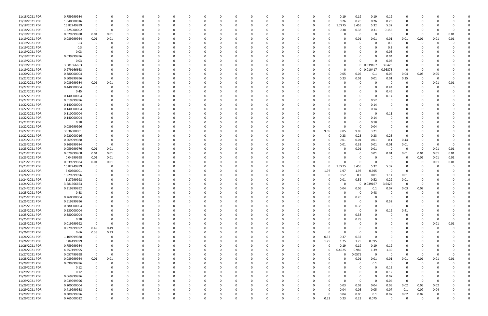| 11/18/2021 PDR | 0.759999984 |             |          |          |          |          | n        |          |          |              |          |          |   |          | 0.19         | 0.19        | 0.19       | 0.19                    | 0           |          |          |          |  |
|----------------|-------------|-------------|----------|----------|----------|----------|----------|----------|----------|--------------|----------|----------|---|----------|--------------|-------------|------------|-------------------------|-------------|----------|----------|----------|--|
| 11/18/2021 PDR | 1.040000016 |             |          | C        | - 0      |          | 0        |          |          | <sup>0</sup> |          | - C      | 0 |          | 0.26         | 0.26        | 0.26       | 0.26                    | 0           |          |          |          |  |
| 11/18/2021 PDR | 15.82249999 |             |          |          |          |          |          |          |          |              |          |          |   | 0        | 1.7275       | 3.455       | 5.32       | 5.32                    |             |          |          |          |  |
| 11/18/2021 PDR | 1.225000002 | - 0         | $\Omega$ |          |          |          |          |          |          |              |          |          |   |          | 0.38         |             |            |                         |             |          |          |          |  |
|                |             |             |          |          |          |          |          |          |          |              |          |          |   |          |              | 0.38        | 0.31       | 0.155                   |             |          |          |          |  |
| 11/19/2021 PDR | 0.029999988 | 0.01        | 0.01     |          |          |          | 0        |          |          |              |          |          |   |          | 0            | - 0         | $\Omega$   | - 0                     | 0           | 0        |          | 0.01     |  |
| 11/19/2021 PDR | 0.089999964 | 0.01        | 0.01     |          |          |          |          |          |          |              |          |          |   |          | <sup>0</sup> | 0.01        | 0.01       | 0.01                    | 0.01        | 0.01     | 0.01     | 0.01     |  |
| 11/19/2021 PDR | 0.3         |             |          |          |          |          |          |          |          |              |          |          |   |          |              | $\Omega$    |            | 0.3                     | 0           | -0       |          |          |  |
| 11/19/2021 PDR | 0.3         |             |          |          |          |          |          |          |          |              |          |          |   |          |              |             |            | 0.3                     |             |          |          |          |  |
| 11/19/2021 PDR | 0.03        |             |          |          |          |          |          |          |          |              |          |          |   |          |              |             |            | 0.03                    |             |          |          |          |  |
| 11/19/2021 PDR | 0.039999996 |             |          |          |          |          |          |          |          |              |          |          |   |          |              |             |            | 0.04                    |             |          |          |          |  |
| 11/19/2021 PDR | 0.03        |             |          |          |          |          | 0        |          |          |              |          |          |   |          | 0            |             |            | 0.03                    |             |          |          |          |  |
|                |             |             |          |          |          |          |          |          |          |              |          |          |   |          |              |             |            |                         |             |          |          |          |  |
| 11/19/2021 PDR | 3.681666663 |             |          |          |          |          |          |          |          |              |          |          |   |          | 0            |             | 0 0.039167 | 3.6425                  |             |          |          |          |  |
| 11/19/2021 PDR | 0.979166663 |             |          |          |          |          |          |          |          |              |          |          |   |          | $\Omega$     | $\mathbf 0$ | 0.010417   | .96875                  | 0           | -C       |          |          |  |
| 11/20/2021 PDR | 0.380000004 |             |          |          |          |          |          |          |          |              |          |          |   |          | 0.05         | 0.05        | 0.1        | 0.06                    | 0.04        | 0.03     | 0.05     |          |  |
| 11/22/2021 PDR | 0.609999996 |             |          |          |          |          |          |          |          |              |          |          |   |          | 0.23         | 0.01        | 0.01       | 0.01                    | 0.35        | -C       |          |          |  |
| 11/22/2021 PDR | 0.039999984 | 0.01        | 0.01     |          |          |          |          |          |          |              |          |          |   |          |              | 0           |            | - 0                     | 0           | 0        | 0.01     | 0.01     |  |
| 11/22/2021 PDR | 0.440000004 |             |          |          |          |          |          |          |          |              |          |          |   |          |              |             |            | 0.44                    |             |          |          |          |  |
| 11/22/2021 PDR | 0.45        |             |          |          |          |          |          |          |          |              |          |          |   |          |              |             |            | 0.45                    |             |          |          |          |  |
|                |             |             |          |          |          |          |          |          |          |              |          |          |   |          |              |             |            |                         |             |          |          |          |  |
| 11/22/2021 PDR | 0.140000004 |             |          |          |          |          |          |          |          |              |          |          |   |          |              |             |            | 0.14                    |             |          |          |          |  |
| 11/22/2021 PDR | 0.519999996 |             |          |          |          |          |          |          |          |              |          |          |   |          |              | $\Omega$    | 0.52       |                         |             |          |          |          |  |
| 11/22/2021 PDR | 0.140000004 |             |          |          |          |          |          |          |          |              |          |          |   |          |              | 0           | 0.14       |                         |             |          |          |          |  |
| 11/22/2021 PDR | 0.140000004 |             |          |          |          |          |          |          |          |              |          |          |   |          |              |             | 0.14       | - 0                     |             |          |          |          |  |
| 11/22/2021 PDR | 0.110000004 |             |          |          |          |          |          |          |          |              |          |          |   |          |              |             |            | 0.11                    |             |          |          |          |  |
| 11/22/2021 PDR | 0.140000004 |             |          |          |          |          |          |          |          |              |          |          |   |          |              |             | 0.14       |                         |             |          |          |          |  |
| 11/22/2021 PDR |             |             |          |          |          |          |          |          |          |              |          |          |   |          |              |             |            |                         |             |          |          |          |  |
|                | 0.18        |             |          |          |          |          |          |          |          |              |          |          |   |          |              |             | 0.18       |                         |             |          |          |          |  |
| 11/22/2021 PDR | 0.039999996 |             |          |          |          |          |          |          |          |              |          |          |   |          | $\Omega$     | -0          | 0.04       |                         |             |          |          |          |  |
| 11/22/2021 PDR | 30.36000001 |             |          |          |          |          |          |          |          |              |          |          | 0 | 9.05     | 9.05         | 9.05        | 3.21       | - 0                     |             |          |          |          |  |
| 11/22/2021 PDR | 0.920000016 |             |          |          |          |          |          |          |          |              |          |          |   |          | 0.23         | 0.23        | 0.23       | 0.23                    |             |          |          |          |  |
| 11/23/2021 PDR | 0.569999988 |             |          |          |          |          |          |          |          |              |          |          |   |          | 0.01         | 0.01        | 0.01       | 0.1                     | 0.44        |          |          |          |  |
| 11/23/2021 PDR | 0.369999984 |             | - 0      |          |          |          |          |          |          |              |          |          |   |          | 0.01         | 0.33        | 0.01       | 0.01                    | 0.01        |          |          |          |  |
| 11/23/2021 PDR | 0.059999976 | 0.01        | 0.01     |          |          |          |          |          |          |              |          |          |   |          | 0            | 0.01        | 0.01       | $\overline{\mathbf{0}}$ | 0           | 0        | 0.01     | 0.01     |  |
| 11/23/2021 PDR | 0.079999968 | 0.01        | 0.01     |          |          |          |          |          |          |              |          |          |   |          |              | 0           | 0.01       | 0.01                    | 0.01        | 0.01     | 0.01     | 0.01     |  |
| 11/23/2021 PDR | 0.04999998  |             |          |          |          |          |          |          |          |              |          |          |   |          | <sup>0</sup> | - 0         |            | - 0                     | 0           | 0.01     |          | 0.01     |  |
|                |             | 0.01        | 0.01     |          |          |          |          |          |          |              |          |          |   |          |              |             |            |                         |             |          | 0.01     |          |  |
| 11/23/2021 PDR | 0.039999984 | 0.01        | 0.01     |          |          |          |          |          |          |              |          |          |   |          |              |             |            | - 0                     |             | 0        | 0.01     | 0.01     |  |
| 11/23/2021 PDR | 15.82249999 | - 0         | $\Omega$ |          |          |          |          |          |          |              |          |          |   |          | 1.7275       | 3.455       | 5.32       | 5.32                    |             |          |          |          |  |
| 11/23/2021 PDR | 6.60500001  |             |          |          |          |          |          |          |          |              |          |          |   | 1.97     | 1.97         | 1.97        | 0.695      | 0                       | 0           |          |          |          |  |
| 11/24/2021 PDR | 1.929999996 |             |          |          |          |          |          |          |          |              |          |          |   |          | 0.57         | 0.2         | 0.01       | 1.14                    | 0.01        |          |          |          |  |
| 11/24/2021 PDR | 1.27999998  |             |          |          |          |          |          |          |          |              |          |          |   |          | 0.01         | 0.52        | 0.52       | 0.22                    | 0.01        |          |          |          |  |
| 11/24/2021 PDR | 3.681666663 |             |          |          |          |          |          |          |          |              |          |          |   |          |              | $\Omega$    | 0.039167   | 3.6425                  | n           |          |          |          |  |
| 11/24/2021 PDR | 0.319999992 | $\Omega$    |          |          |          |          | n        |          |          |              |          |          |   |          | 0.04         | 0.06        | 0.1        | 0.07                    | 0.03        | 0.02     |          |          |  |
|                |             |             |          |          |          |          |          |          |          |              |          |          |   |          |              |             |            |                         |             |          |          |          |  |
| 11/25/2021 PDR | 0.48        |             |          |          |          |          |          |          |          |              |          |          |   |          | 0            | $\mathbf 0$ | 0.48       | $\overline{\mathbf{0}}$ | $\Omega$    |          |          |          |  |
| 11/25/2021 PDR | 0.260000004 | $\Omega$    | $\Omega$ | $\Omega$ | $\Omega$ | $\Omega$ | $\Omega$ | $\Omega$ | $\Omega$ | $\Omega$     | $\Omega$ | $\Omega$ | 0 |          | $\Omega$     | 0.26        | $\Omega$   | $\overline{\mathbf{0}}$ | $\Omega$    | $\Omega$ |          |          |  |
| 11/25/2021 PDR | 0.519999996 | 0           | 0        | O        | 0        | $\Omega$ | 0        |          | $\Omega$ | 0            | 0        | - 0      | 0 |          | 0            | $\mathbf 0$ | $\Omega$   | 0.52                    | 0           | 0        |          |          |  |
| 11/25/2021 PDR | 0.380000004 | $\Omega$    |          | O        | 0        |          | $\Omega$ |          |          | 0            | $\Omega$ |          | 0 |          | $\Omega$     | 0.38        | $\Omega$   | $\overline{\mathbf{0}}$ | 0           |          |          |          |  |
| 11/25/2021 PDR | 0.530000004 | $\Omega$    |          |          | 0        |          | 0        |          |          | 0            |          |          |   |          | $\Omega$     | $\mathbf 0$ | $\Omega$   | 0.12                    | 0.41        |          |          |          |  |
| 11/25/2021 PDR | 0.380000004 |             |          |          | -0       |          | 0        |          |          |              |          |          |   |          | 0            | 0.38        |            | $\Omega$                | 0           |          |          |          |  |
| 11/25/2021 PDR | 0.78        | $\Omega$    | 0        | 0        | 0        |          | 0        |          |          | 0            | 0        |          | 0 |          | $\Omega$     | 0.78        | $\Omega$   | $\Omega$                | 0           | 0        |          | O        |  |
| 11/25/2021 PDR | 0.019999992 | $\Omega$    | 0        | C        |          |          | 0        |          |          |              |          |          |   |          | 0            | 0           |            |                         | 0           |          |          | 0.01     |  |
|                |             |             |          |          |          |          |          |          |          | 0            | 0        |          |   |          |              |             |            |                         |             | 0        | 0.01     |          |  |
| 11/26/2021 PDR | 0.979999992 | 0.49        | 0.49     | $\Omega$ | 0        | $\Omega$ | 0        |          | $\Omega$ | 0            | 0        | - 0      | 0 |          | $\Omega$     | 0           | $\Omega$   | <sup>0</sup>            | 0           | 0        | $\Omega$ |          |  |
| 11/26/2021 PDR | 0.66        | 0.33        | 0.33     | $\Omega$ | 0        | 0        | 0        |          | $\Omega$ | 0            | 0        |          | 0 |          | $\Omega$     | 0           | $\Omega$   |                         | 0           | 0        |          |          |  |
| 11/26/2021 PDR | 1.109999988 | $\Omega$    | $\Omega$ |          |          |          | 0        |          |          |              |          |          | 0 | 0.37     | 0.37         | 0.37        | $\Omega$   |                         |             |          |          |          |  |
| 11/26/2021 PDR | 5.84499999  | $\Omega$    |          | 0        | 0        |          | 0        |          |          | 0            | 0        |          | 0 | 1.75     | 1.75         | 1.75        | 0.595      | - 0                     |             |          |          |          |  |
| 11/26/2021 PDR | 0.759999984 |             |          |          |          |          | 0        |          |          | 0            | 0        |          | 0 | 0        | 0.19         | 0.19        | 0.19       | 0.19                    |             |          |          |          |  |
| 11/26/2021 PDR | 4.257499995 | 0           | 0        |          | -0       |          | $\Omega$ |          |          | 0            | 0        |          | 0 | 0        | 0.4925       | 0.985       | 1.39       | 1.39                    | 0           | 0        |          |          |  |
| 11/27/2021 PDR | 0.057499998 | 0           | 0        | C        | -0       | 0        | 0        |          |          | 0            | 0        |          | 0 | 0        | 0            | 0.0575      | $\Omega$   | $\overline{0}$          | 0           | 0        |          | $\Omega$ |  |
| 11/28/2021 PDR | 0.089999964 | $0.01\,$    | 0.01     | 0        | 0        | $\Omega$ | 0        |          |          | $\Omega$     | 0        |          | 0 |          | 0            | 0.01        | 0.01       | 0.01                    | 0.01        | 0.01     | 0.01     | 0.01     |  |
|                |             |             |          |          |          |          |          |          |          |              |          |          |   |          |              |             |            |                         |             |          |          |          |  |
| 11/29/2021 PDR | 0.099999996 | 0           | $\Omega$ | 0        | 0        |          | 0        |          |          | 0            | 0        |          | 0 |          | 0            | 0           | 0.1        | $\overline{0}$          | $\mathbf 0$ | $\Omega$ |          |          |  |
| 11/29/2021 PDR | 0.12        |             |          | O        | - 0      |          | 0        |          |          |              |          |          |   |          | $\Omega$     | $\Omega$    | $\Omega$   | 0.12                    | $\Omega$    |          |          |          |  |
| 11/29/2021 PDR | 0.12        |             |          |          | 0        |          | 0        |          |          | 0            |          |          |   |          |              |             | $\Omega$   | 0.12                    | $\Omega$    |          |          |          |  |
| 11/29/2021 PDR | 0.069999996 |             |          |          | 0        |          | 0        |          |          | 0            |          |          |   |          |              |             |            | 0.07                    | 0           | 0        |          |          |  |
| 11/29/2021 PDR | 0.039999996 | $\mathbf 0$ | 0        | 0        | 0        | 0        | 0        |          |          | 0            | 0        |          | 0 |          | $\Omega$     | $\Omega$    | $\Omega$   | 0.04                    | $\mathbf 0$ | 0        |          |          |  |
| 11/29/2021 PDR | 0.200000004 | - 0         |          | O        | 0        | 0        | 0        |          | $\Omega$ | 0            | 0        |          | 0 |          | 0.03         | 0.03        | 0.04       | 0.03                    | 0.02        | 0.03     | 0.02     |          |  |
| 11/29/2021 PDR | 0.419999988 | $\Omega$    |          | O        | $\Omega$ |          | 0        |          | $\Omega$ | $\Omega$     | 0        |          | O |          | 0.04         | 0.05        | 0.05       | 0.07                    | 0.1         | 0.07     | 0.04     |          |  |
| 11/29/2021 PDR | 0.309999996 | 0           |          | C        |          |          | 0        |          |          | 0            | 0        |          | 0 | $\Omega$ | 0.04         | 0.06        | 0.1        | 0.07                    | 0.02        | 0.02     |          |          |  |
|                |             |             |          |          |          |          |          |          | $\Omega$ |              |          |          |   |          |              |             |            |                         |             |          |          |          |  |
| 11/29/2021 PDR | 0.765000012 | $\Omega$    | $\Omega$ | $\Omega$ | $\Omega$ | $\Omega$ | $\Omega$ |          |          | $\Omega$     | $\Omega$ | $\Omega$ | 0 | 0.23     | 0.23         | 0.23        | 0.075      | $\overline{0}$          | $\Omega$    | $\Omega$ |          | 0        |  |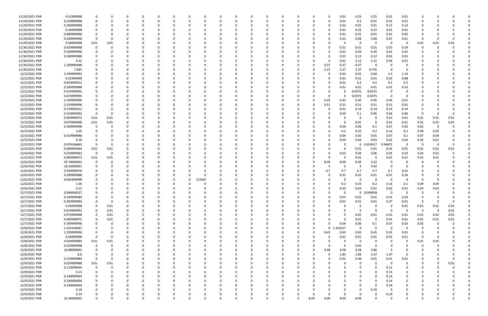| 11/29/2021 PDR | 0.52999998  | 0           |          |          |              | 0            |          |   |          |          |          |          | 0        |          |          |          | 0              | 0.01     | 0.25         | 0.25       | 0.01                    | 0.01           |             |          |          |  |
|----------------|-------------|-------------|----------|----------|--------------|--------------|----------|---|----------|----------|----------|----------|----------|----------|----------|----------|----------------|----------|--------------|------------|-------------------------|----------------|-------------|----------|----------|--|
| 11/29/2021 PDR | 0.239999988 | $\Omega$    |          |          |              | <sup>0</sup> |          |   | 0        |          | 0        |          | $\Omega$ |          | -0       |          | O              | 0.01     | 0.2          | 0.01       | 0.01                    | 0.01           |             |          |          |  |
| 11/29/2021 PDR | 0.269999988 |             |          |          |              |              |          |   |          |          |          |          |          |          |          |          |                | 0.01     | 0.01         | 0.01       | 0.12                    | 0.12           |             |          |          |  |
| 11/29/2021 PDR | 0.46999998  |             |          |          |              |              |          |   |          |          |          |          |          |          |          |          |                | 0.01     | 0.22         | 0.22       | 0.01                    | 0.01           |             |          |          |  |
| 11/29/2021 PDR | 0.689999988 |             |          |          |              |              |          |   |          |          |          |          |          |          |          |          |                | 0.01     | 0.01         | 0.01       | 0.01                    | 0.65           |             |          |          |  |
| 11/29/2021 PDR | 0.249999996 | $\Omega$    |          |          |              |              |          |   |          |          |          |          |          |          |          |          |                | 0.01     | 0.08         | 0.08       | 0.07                    | 0.01           | 0           |          |          |  |
| 11/29/2021 PDR | 0.04999998  | 0.01        | 0.01     |          |              |              |          |   |          |          |          |          |          |          |          |          |                |          | 0            | - 0        | - 0                     | 0              | 0.01        | 0.01     | 0.01     |  |
|                |             |             |          |          |              |              |          |   |          |          |          |          |          |          |          |          |                |          |              |            |                         |                | $\Omega$    |          |          |  |
| 11/30/2021 PDR | 0.629999988 | 0           |          |          |              |              |          |   |          |          |          |          |          |          |          |          | O              | 0.01     | 0.01         | 0.01       | 0.01                    | 0.59           |             |          |          |  |
| 11/30/2021 PDR | 0.549999996 |             |          |          |              |              |          |   |          |          |          |          |          |          |          |          | 0              | 0.01     | 0.26         | 0.26       | 0.01                    | 0.01           |             |          |          |  |
| 11/30/2021 PDR | 0.269999988 |             |          |          |              |              |          |   |          |          |          |          |          |          |          |          |                | 0.01     | 0.12         | 0.12       | 0.01                    | 0.01           |             |          |          |  |
| 11/30/2021 PDR | 4.32        |             |          |          |              |              |          |   |          |          | - 0      |          |          |          |          |          | 0              | 0.01     | 2.12         | 2.12       | 0.06                    | 0.01           |             |          |          |  |
| 11/30/2021 PDR | 1.109999988 |             |          |          |              |              |          |   |          |          |          |          |          |          |          |          | 0.37           | 0.37     | 0.37         | -0         | - 0                     | 0              |             |          |          |  |
| 11/30/2021 PDR | 7.845       |             |          |          |              |              |          |   |          |          |          |          |          |          |          |          | 2.37           | 2.37     | 2.37         | 0.735      | - 0                     | 0              |             |          |          |  |
| 12/2/2021 PDR  | 2.599999992 |             |          |          |              |              |          |   |          |          |          |          |          |          |          |          | -0             | 0.01     | 0.01         | 0.04       | 1.4                     | 1.14           |             |          |          |  |
| 12/2/2021 PDR  | 0.91999998  |             |          |          |              |              |          |   |          |          |          |          |          |          |          |          |                | 0.01     | 0.01         | 0.01       | 0.01                    | 0.88           |             |          |          |  |
| 12/2/2021 PDR  | 0.810000012 |             |          |          |              |              |          |   |          |          |          |          |          |          |          |          |                | 0.01     | 0.2          | 0.2        | 0.2                     | 0.2            |             |          |          |  |
| 12/2/2021 PDR  | 0.569999988 |             |          |          |              |              |          |   |          |          |          |          |          |          |          |          |                | 0.01     | 0.01         | 0.01       | 0.01                    | 0.53           |             |          |          |  |
| 12/2/2021 PDR  | 0.074999995 |             |          |          |              |              |          |   |          |          |          |          |          |          |          |          |                |          | 0.0375       | 0.0375     | - 0                     |                |             |          |          |  |
| 12/2/2021 PDR  | 0.074999995 |             |          |          |              |              |          |   |          |          |          |          |          |          |          |          | O              |          | 0.0375       | 0.0375     | - 0                     | 0              |             |          |          |  |
| 12/3/2021 PDR  | 2.259999996 |             |          |          |              |              |          |   |          |          |          |          |          |          |          |          | 0.45           | 0.45     | 0.45         | 0.45       | 0.45                    | 0.01           |             |          |          |  |
|                |             |             |          |          |              |              |          |   |          |          |          |          |          |          |          |          |                |          |              |            |                         |                |             |          |          |  |
| 12/3/2021 PDR  | 2.559999996 |             |          |          |              |              |          |   |          |          |          |          |          |          |          |          | 0.51           | 0.51     | 0.51         | 0.51       | 0.51                    | 0.01           |             |          |          |  |
| 12/3/2021 PDR  | 0.570000012 |             |          |          |              |              |          |   |          |          |          |          |          |          |          |          |                | 0.01     | 0.14         | 0.14       | 0.14                    | 0.14           |             |          |          |  |
| 12/3/2021 PDR  | 0.319999992 | $\Omega$    |          |          |              |              |          |   |          |          |          |          |          |          |          |          |                | 0.04     | 0.1          | 0.06       | 0.06                    | 0.06           | 0           |          |          |  |
| 12/3/2021 PDR  | 0.069999972 | 0.01        | 0.01     |          |              |              |          |   |          |          |          |          |          |          |          |          |                |          | 0            | - 0        | 0.01                    | 0.01           | 0.01        | 0.01     | 0.01     |  |
| 12/3/2021 PDR  | 0.079999968 | 0.01        | 0.01     |          |              |              |          |   |          |          |          |          |          |          |          |          |                |          | 0.01         |            | 0.01                    | 0.01           | 0.01        | 0.01     | 0.01     |  |
| 12/3/2021 PDR  | 0.309999996 | 0           |          |          |              |              |          |   |          |          |          |          |          |          |          |          |                | 0.04     | 0.06         | 0.1        | 0.07                    | 0.02           | 0.02        | 0        |          |  |
| 12/3/2021 PDR  | 1.05        |             |          |          |              |              |          |   |          |          |          |          |          |          |          |          |                | 0.2      | 0.25         | 0.2        | 0.16                    | 0.1            | 0.09        | 0.05     |          |  |
| 12/3/2021 PDR  | 0.419999988 |             |          |          |              |              |          |   |          |          |          |          |          |          |          |          |                | 0.04     | 0.05         | 0.05       | 0.07                    | 0.1            | 0.07        | 0.04     |          |  |
| 12/3/2021 PDR  | 0.18        |             |          |          |              |              |          |   |          |          |          |          |          |          |          |          |                | 0.04     | 0.04         | 0.03       | 0.02                    | 0.02           | 0.02        | 0.01     |          |  |
| 12/3/2021 PDR  | 0.979166663 | 0           | $\Omega$ |          |              |              |          |   |          |          |          |          |          |          |          |          |                |          | $\mathbf{0}$ | 0.010417   | .96875                  | $\Omega$       | - 0         | $\Omega$ |          |  |
| 12/4/2021 PDR  | 0.089999964 | 0.01        | 0.01     |          |              |              |          |   |          |          | -0       |          |          |          |          |          |                | O        | 0.01         | 0.01       | 0.01                    | 0.01           | 0.01        | 0.01     | 0.01     |  |
| 12/4/2021 PDR  | 0.259999992 | 0           | 0        |          |              |              |          |   |          |          |          |          |          |          |          |          | O              | 0.03     | 0.04         | 0.06       | 0.05                    | 0.03           | 0.04        | 0.01     |          |  |
|                |             |             |          |          |              |              |          |   |          |          |          |          |          |          |          |          | $\Omega$       |          |              |            |                         |                |             |          |          |  |
| 12/5/2021 PDR  | 0.069999972 | 0.01        | 0.01     |          |              |              |          |   |          |          |          |          |          |          |          |          |                |          | 0.01         |            | 0.01                    | 0.01           | 0.01        | 0.01     |          |  |
| 12/6/2021 PDR  | 29.79000001 | 0           |          |          |              |              |          |   |          |          |          |          |          |          |          |          | 8.09           | 8.09     | 8.09         | 5.52       | - 0                     |                |             |          |          |  |
| 12/6/2021 PDR  | 18.43000001 |             |          |          |              |              |          |   |          |          |          |          |          |          |          |          |                |          | -5           | 3.43       | 0                       |                |             |          |          |  |
| 12/6/2021 PDR  | 3.509999976 | 0           |          |          |              |              |          |   |          |          | -0       |          |          |          |          |          | 0.7            | 0.7      | 0.7          | 0.7        | 0.7                     | 0.01           |             |          |          |  |
| 12/6/2021 PDR  | 0.299999988 |             |          |          |              |              |          |   |          |          |          |          |          |          |          |          | 0              | 0.01     | 0.01         | 0.01       | 0.01                    | 0.26           |             |          |          |  |
| 12/6/2021 PDR  | 0.042499998 |             |          |          |              |              |          |   | 0.0425   |          |          |          |          |          |          |          |                |          | 0            |            | - 0                     | $\Omega$       |             |          |          |  |
| 12/6/2021 PDR  | 1.05        |             |          |          |              |              |          |   |          |          |          |          |          |          |          |          |                | 0.2      | 0.25         | 0.2        | 0.16                    | 0.1            | 0.09        | 0.05     |          |  |
| 12/6/2021 PDR  | 0.15        | $\Omega$    |          |          |              |              |          |   |          |          |          |          |          |          |          |          | 0              | 0.03     | 0.03         | 0.01       | 0.02                    | 0.01           | 0.03        | 0.02     |          |  |
| 12/7/2021 PDR  | 0.048958337 | $\mathbf 0$ |          |          |              |              |          |   |          |          |          |          |          |          |          |          |                |          |              | 0 0.048958 | $\overline{0}$          | $\overline{0}$ | $\Omega$    |          |          |  |
| 12/7/2021 PDR  | 0.339999984 | 0           | 0        | $\Omega$ | $\Omega$     | $\Omega$     | $\Omega$ | 0 | 0        | $\Omega$ | $\Omega$ | $\Omega$ | 0        | 0        | 0        |          | 0              | 0.07     | 0.01         | 0.01       | 0.01                    | 0.24           | 0           |          |          |  |
| 12/7/2021 PDR  | 0.309999984 | 0           | 0        |          |              | $\Omega$     |          |   | 0        |          | 0        | $\Omega$ | $\Omega$ |          | $\Omega$ |          | $\Omega$       | 0.01     | 0.01         | 0.01       | 0.27                    | 0.01           | 0           |          | $\Omega$ |  |
| 12/7/2021 PDR  | 0.04999998  | 0           | 0.01     |          | <sup>0</sup> | <sup>0</sup> |          |   | O        |          | $\Omega$ |          | $\Omega$ |          | $\Omega$ |          | O              | O        | $\mathsf{o}$ | - 0        | - 0                     | 0.01           | 0.01        | 0.01     | 0.01     |  |
| 12/7/2021 PDR  | 0.019999992 | 0           | 0.01     |          |              |              |          |   |          |          | $\Omega$ |          |          |          |          |          |                |          | 0            | $\Omega$   | $\overline{0}$          | $\Omega$       | $\mathbf 0$ | $\Omega$ | 0.01     |  |
|                |             |             |          |          |              |              |          |   |          |          |          |          |          |          |          |          |                |          |              |            |                         |                |             |          |          |  |
| 12/7/2021 PDR  | 0.079999968 | $\mathbf 0$ | 0.01     |          |              |              |          |   |          |          | 0        |          | O        |          |          |          |                |          | 0.01         | 0.01       | 0.01                    | 0.01           | 0.01        | 0.01     | 0.01     |  |
| 12/7/2021 PDR  | 0.069999972 | 0           | 0.01     | 0        | 0            |              |          |   | 0        |          | 0        |          | 0        |          |          |          |                | 0        | 0.01         | $\Omega$   | 0.01                    | 0.01           | 0.01        | 0.01     | 0.01     |  |
| 12/7/2021 PDR  | 0.309999996 | 0           | 0        |          |              |              |          |   |          |          | 0        |          | 0        |          |          |          | 0              | 0.04     | 0.06         | 0.1        | 0.07                    | 0.02           | 0.02        |          |          |  |
| 12/8/2021 PDR  | 1.425416667 | 0           | $\Omega$ | $\Omega$ | 0            | 0            |          |   | 0        |          | 0        |          | - 0      |          | 0        |          | 0 <sub>1</sub> | 425417   | $\mathbf 0$  | $\Omega$   | $\overline{\mathbf{0}}$ | 0              | $\Omega$    |          | 0        |  |
| 12/8/2021 PDR  | 2.259999996 | 0           | 0        |          | 0            | 0            |          |   | 0        |          | 0        |          | 0        |          | 0        |          | 0.45           | 0.45     | 0.45         | 0.45       | 0.45                    | 0.01           | 0           |          |          |  |
| 12/8/2021 PDR  | 0.64999998  | $\mathbf 0$ | $\Omega$ |          |              | $\Omega$     |          |   |          |          | 0        |          | $\Omega$ |          |          |          | $\Omega$       | 0.01     | 0.01         | 0.01       | 0.01                    | 0.61           | $\Omega$    |          |          |  |
| 12/8/2021 PDR  | 0.039999984 | 0.01        | 0.01     |          |              |              |          |   | 0        |          | 0        |          | 0        |          |          |          | 0              |          | $\mathbf{0}$ | - 0        | - 0                     | 0              | 0.01        | 0.01     |          |  |
| 12/8/2021 PDR  | 0.019999998 | 0           | $\Omega$ |          |              |              |          |   |          |          | 0        |          | 0        |          |          |          | 0              | $\Omega$ | 0.02         | $\Omega$   | 0                       | 0              | 0           |          |          |  |
| 12/8/2021 PDR  | 16.80000001 | 0           | 0        |          | 0            | 0            |          |   | 0        |          | $\Omega$ |          | $\Omega$ |          |          | $\Omega$ | 4.58           | 4.58     | 4.58         | 3.06       | - 0                     | 0              | 0           |          |          |  |
| 12/8/2021 PDR  | 6.6         | 0           | 0        |          | 0            | 0            |          |   | 0        |          | 0        |          | 0        |          | 0        |          | 0              | 1.83     | 1.83         | 1.47       | 1.47                    | 0              | 0           |          |          |  |
| 12/9/2021 PDR  | 0.519999984 | $\mathbf 0$ | $\Omega$ |          | 0            | 0            |          |   | 0        |          | $\Omega$ | $\Omega$ | $\Omega$ |          | 0        |          | $\Omega$       | 0.01     | 0.48         | 0.01       | 0.01                    | 0.01           | 0           |          | $\Omega$ |  |
| 12/9/2021 PDR  | 0.029999988 | 0.01        | 0.01     |          |              | 0            |          |   | 0        |          | $\Omega$ |          | $\Omega$ |          |          |          |                |          | $\Omega$     | $\Omega$   | $\overline{0}$          | $\mathbf 0$    |             |          | 0.01     |  |
|                |             |             |          |          |              |              |          |   |          |          |          |          |          |          |          |          |                |          |              |            |                         |                |             |          |          |  |
| 12/9/2021 PDR  | 0.110000004 | 0           | 0        |          |              | <sup>0</sup> |          |   | 0        |          | $\Omega$ |          | O        |          |          |          |                |          | $\Omega$     |            | 0.11                    | 0              | 0           |          |          |  |
| 12/9/2021 PDR  | 0.15        | 0           |          |          |              |              |          |   |          |          |          |          | 0        |          |          |          |                |          |              |            | 0.15                    | 0              |             |          |          |  |
| 12/9/2021 PDR  | 0.140000004 | 0           |          |          |              |              |          |   |          |          | 0        |          | 0        |          |          |          |                |          | $\Omega$     | $\Omega$   | 0.14                    | 0              |             |          |          |  |
| 12/9/2021 PDR  | 0.140000004 | 0           |          |          | <sup>0</sup> | 0            |          |   | 0        |          | $\Omega$ |          | $\Omega$ |          |          |          |                |          | $\Omega$     | - 0        | 0.14                    | 0              | 0           |          |          |  |
| 12/9/2021 PDR  | 0.140000004 | 0           |          |          |              | 0            |          |   | 0        |          | 0        |          | 0        |          |          |          |                |          | 0            | $\Omega$   | 0.14                    | $\Omega$       | 0           |          |          |  |
| 12/9/2021 PDR  | 0.18        |             |          |          |              |              |          |   |          |          | $\Omega$ |          |          |          |          |          |                |          | $\Omega$     | 0.18       | - 0                     | $\Omega$       |             |          |          |  |
| 12/9/2021 PDR  | 0.24        | 0           |          |          |              |              |          |   |          |          | 0        |          |          |          |          |          | 0              | $\Omega$ | 0            |            | 0.24                    |                |             |          |          |  |
| 12/9/2021 PDR  | 32.36000002 | $\Omega$    | $\Omega$ | $\Omega$ | $\Omega$     | $\Omega$     | $\Omega$ | U | $\Omega$ | $\Omega$ | $\Omega$ | $\Omega$ | $\Omega$ | $\Omega$ | $\Omega$ | 8.09     | 8.09           | 8.09     | 8.09         | $\Omega$   | - 0                     | $\Omega$       | $\Omega$    |          | 0        |  |
|                |             |             |          |          |              |              |          |   |          |          |          |          |          |          |          |          |                |          |              |            |                         |                |             |          |          |  |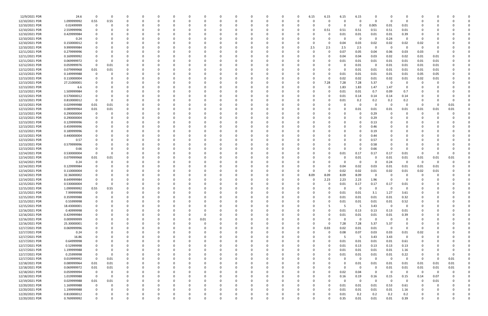| 12/9/2021 PDR  | 24.6        | 0           | 0        | $\Omega$ |          | 0        |          |      |          |          |          | $\Omega$ |              |          | 6.15     | 6.15     | 6.15     | 6.15         |          |                         | $\Omega$       |             |      |      |  |
|----------------|-------------|-------------|----------|----------|----------|----------|----------|------|----------|----------|----------|----------|--------------|----------|----------|----------|----------|--------------|----------|-------------------------|----------------|-------------|------|------|--|
| 12/10/2021 PDR | 1.099999992 | 0.55        | 0.55     |          | C.       |          |          |      |          |          |          |          |              |          | $\Omega$ | 0        | O        | 0            | $\Omega$ | - 0                     | 0              |             |      |      |  |
|                |             |             |          |          |          |          |          |      |          |          |          |          |              |          |          |          |          |              |          |                         |                |             |      |      |  |
| 12/10/2021 PDR | 0.02499999  | 0           |          |          |          |          |          |      |          |          |          |          |              |          |          |          | $\Omega$ | 0            | 0.005    | 0.01                    | 0.01           |             |      |      |  |
| 12/10/2021 PDR | 2.559999996 |             |          |          |          |          |          |      |          |          |          |          |              |          |          | 0.51     | 0.51     | 0.51         | 0.51     | 0.51                    | 0.01           |             |      |      |  |
| 12/10/2021 PDR | 0.429999984 |             |          |          |          |          |          |      |          |          |          |          |              |          |          | 0        | 0.01     | 0.01         | 0.01     | 0.01                    | 0.39           |             |      |      |  |
| 12/10/2021 PDR |             |             |          |          |          |          |          |      |          |          |          |          |              |          |          |          | 0        |              | - 0      | 0.24                    | $\Omega$       | 0           |      |      |  |
|                | 0.24        |             |          |          |          |          |          |      |          |          |          |          |              |          |          |          |          | $\mathbf 0$  |          |                         |                |             |      |      |  |
| 12/10/2021 PDR | 0.150000012 |             |          |          |          |          |          |      |          |          |          |          |              |          |          | 0        | 0.04     | 0.03         | 0.02     | 0.02                    | 0.02           | 0.02        |      |      |  |
| 12/10/2021 PDR | 9.999999984 |             |          |          |          |          |          |      |          |          |          |          |              |          | 2.5      | 2.5      | 2.5      | 2.5          |          | $\Omega$                | $\Omega$       | - 0         |      |      |  |
| 12/11/2021 PDR | 0.279999996 |             |          |          |          |          |          |      |          |          |          |          |              |          |          | 0        | 0.07     | 0.05         | 0.04     | 0.06                    | 0.03           | 0.03        |      |      |  |
|                |             |             |          |          |          |          |          |      |          |          |          |          |              |          |          |          |          |              |          |                         |                |             |      |      |  |
| 12/11/2021 PDR | 0.169999992 |             |          |          |          |          |          |      |          |          |          |          |              |          |          |          | 0.04     | 0.04         | 0.03     | 0.02                    | 0.02           | 0.01        | 0.01 |      |  |
| 12/11/2021 PDR | 0.069999972 |             | - 0      |          |          |          |          |      |          |          |          |          |              |          |          | 0        | 0.01     | 0.01         | 0.01     | 0.01                    | 0.01           | 0.01        | 0.01 |      |  |
| 12/12/2021 PDR | 0.059999976 | 0           | 0.01     |          |          |          |          |      |          |          |          |          |              |          |          |          | O        | 0.01         | - 0      | 0.01                    | 0.01           | 0.01        | 0.01 |      |  |
|                |             |             |          |          |          |          |          |      |          |          |          |          |              |          |          |          |          |              |          |                         |                |             |      |      |  |
| 12/12/2021 PDR | 0.079999968 | 0.01        | 0.01     |          |          |          |          |      |          |          |          |          |              |          |          |          | $\Omega$ | 0.01         | 0.01     | 0.01                    | 0.01           | 0.01        | 0.01 |      |  |
| 12/13/2021 PDR | 0.149999988 | 0           |          |          |          |          |          |      |          |          |          |          |              |          |          | 0        | 0.01     | 0.01         | 0.01     | 0.01                    | 0.01           | 0.05        | 0.05 |      |  |
| 12/13/2021 PDR | 0.110000004 |             |          |          |          |          |          |      |          |          |          |          |              |          |          |          | 0.02     | 0.02         | 0.01     | 0.02                    | 0.01           | 0.02        | 0.01 |      |  |
|                |             |             |          |          |          |          |          |      |          |          |          |          |              |          |          |          |          |              |          |                         |                |             |      |      |  |
| 12/13/2021 PDR | 27.21000001 |             |          |          |          |          |          |      |          |          |          |          |              |          |          | 7.28     | 7.28     | 7.28         | 5.37     | 0                       |                | 0           |      |      |  |
| 12/13/2021 PDR | 6.6         |             |          |          |          |          |          |      |          |          |          |          |              |          |          | 0        | 1.83     | 1.83         | 1.47     | 1.47                    | 0              |             |      |      |  |
| 12/13/2021 PDR | 1.509999984 |             |          |          |          |          |          |      |          |          |          |          |              |          |          |          | 0.01     | 0.01         | 0.7      | 0.09                    | 0.7            |             |      |      |  |
| 12/13/2021 PDR | 0.570000012 |             |          |          |          |          |          |      |          |          |          |          |              |          |          |          | 0.01     | 0.14         | 0.14     | 0.14                    | 0.14           |             |      |      |  |
|                |             |             |          |          |          |          |          |      |          |          |          |          |              |          |          |          |          |              |          |                         |                |             |      |      |  |
| 12/13/2021 PDR | 0.810000012 |             |          |          |          |          |          |      |          |          |          |          |              |          |          |          | 0.01     | 0.2          | 0.2      | 0.2                     | 0.2            |             |      |      |  |
| 12/13/2021 PDR | 0.029999988 | 0.01        | 0.01     |          |          |          |          |      |          |          |          |          |              |          |          |          |          | 0            |          | - 0                     | $\Omega$       | -0          |      | 0.01 |  |
| 12/13/2021 PDR | 0.089999964 | 0.01        | $0.01\,$ |          |          |          |          |      |          |          |          |          |              |          |          |          | 0        | 0.01         | 0.01     | 0.01                    | 0.01           | 0.01        | 0.01 | 0.01 |  |
|                |             |             |          |          |          |          |          |      |          |          |          |          |              |          |          |          |          | $\Omega$     |          | 0                       |                |             |      |      |  |
| 12/13/2021 PDR | 0.290000004 | 0           |          |          |          |          |          |      |          |          |          |          |              |          |          |          |          |              | 0.29     |                         |                |             |      |      |  |
| 12/13/2021 PDR | 0.290000004 | 0           |          |          |          |          |          |      |          |          |          |          |              |          |          |          |          | 0            | 0.29     |                         |                |             |      |      |  |
| 12/13/2021 PDR | 0.129999996 |             |          |          |          |          |          |      |          |          |          |          |              |          |          |          |          | 0            | 0.13     |                         |                |             |      |      |  |
| 12/13/2021 PDR | 0.459999996 |             |          |          |          |          |          |      |          |          |          |          |              |          |          |          |          | $\Omega$     | 0.46     |                         |                |             |      |      |  |
|                |             |             |          |          |          |          |          |      |          |          |          |          |              |          |          |          |          |              |          |                         |                |             |      |      |  |
| 12/13/2021 PDR | 0.189999996 |             |          |          |          |          |          |      |          |          |          |          |              |          |          |          |          | 0            | 0.19     |                         |                |             |      |      |  |
| 12/13/2021 PDR | 0.440000004 |             |          |          |          |          |          |      |          |          |          |          |              |          |          |          |          | 0            | 0.44     |                         |                |             |      |      |  |
| 12/13/2021 PDR | 0.57        |             |          |          |          |          |          |      |          |          |          |          |              |          |          |          |          | 0            | 0.57     |                         |                |             |      |      |  |
| 12/13/2021 PDR | 0.579999996 |             |          |          |          |          |          |      |          |          |          |          |              |          |          |          |          | 0            |          |                         |                |             |      |      |  |
|                |             |             |          |          |          |          |          |      |          |          |          |          |              |          |          |          |          |              | 0.58     |                         |                |             |      |      |  |
| 12/13/2021 PDR | 0.66        |             |          |          |          |          |          |      |          |          |          |          |              |          |          |          | $\Omega$ | $\Omega$     | 0.66     | 0                       | $\Omega$       |             |      |      |  |
| 12/14/2021 PDR | 0.530000004 | $\Omega$    | - 0      |          |          |          |          |      |          |          |          |          |              |          |          |          | 0.01     | 0.17         | 0.17     | 0.17                    | 0.01           | 0           |      |      |  |
| 12/14/2021 PDR | 0.079999968 | 0.01        | 0.01     |          |          |          |          |      |          |          |          |          |              |          |          |          |          | 0.01         |          | 0.01                    | 0.01           | 0.01        | 0.01 | 0.01 |  |
|                |             |             |          |          |          |          |          |      |          |          |          |          |              |          |          |          |          |              |          |                         |                |             |      |      |  |
| 12/14/2021 PDR | 0.24        |             |          |          |          |          |          |      |          |          |          |          |              |          |          |          | 0        | 0            | - 0      | 0.24                    | - 0            | - 0         |      |      |  |
| 12/14/2021 PDR | 0.129999984 |             |          |          |          |          |          |      |          |          |          |          |              |          |          |          | 0.04     | 0.02         | 0.03     | 0.01                    | 0.01           | 0.01        | 0.01 |      |  |
| 12/14/2021 PDR | 0.110000004 |             |          |          |          |          |          |      |          |          |          |          |              |          | $\Omega$ | 0        | 0.02     | 0.02         | 0.01     | 0.02                    | 0.01           | 0.02        | 0.01 |      |  |
|                |             |             |          |          |          |          |          |      |          |          |          |          |              |          |          |          |          |              |          |                         |                |             |      |      |  |
| 12/14/2021 PDR | 32.36000002 |             |          |          |          |          |          |      |          |          |          |          |              |          | 8.09     | 8.09     | 8.09     | 8.09         | - 0      | - 0                     | 0              |             |      |      |  |
| 12/14/2021 PDR | 8.649999984 |             |          |          |          |          |          |      |          |          |          |          |              |          |          | 2.23     | 2.23     | 2.23         | 1.96     | - 0                     | 0              |             |      |      |  |
| 12/15/2021 PDR | 0.530000004 |             |          |          |          |          |          |      |          |          |          |          |              |          |          |          | 0.01     | 0.17         | 0.17     | 0.17                    | 0.01           |             |      |      |  |
|                |             | 0.55        | 0.55     |          |          |          |          |      |          |          |          |          |              |          |          |          | $\Omega$ | $\mathbf 0$  | - 0      | - 0                     | $\Omega$       |             |      |      |  |
| 12/15/2021 PDR | 1.099999992 |             |          |          |          |          |          |      |          |          |          |          |              |          |          |          |          |              |          |                         |                |             |      |      |  |
| 12/15/2021 PDR | 7.99999998  | $\mathbf 0$ |          |          |          |          |          |      |          |          |          |          |              |          |          |          | 0.01     | 0.01         | 3.1      | 1.27                    | 3.61           |             |      |      |  |
| 12/15/2021 PDR | 0.359999988 | 0           | 0        | $\Omega$ | 0        | $\Omega$ | 0        | O    | 0        | $\Omega$ | $\Omega$ | $\Omega$ | $\Omega$     | $\Omega$ | $\Omega$ | 0        | 0.01     | 0.01         | 0.01     | 0.01                    | 0.32           | 0           |      |      |  |
| 12/15/2021 PDR | 0.55999998  | 0           | $\Omega$ |          | 0        |          |          |      | 0        |          | $\Omega$ |          | <sup>0</sup> |          | $\Omega$ | 0        | 0.01     | 0.01         | 0.01     | 0.01                    | 0.52           |             |      |      |  |
|                |             |             |          |          |          |          |          |      |          |          |          |          |              |          |          |          |          |              |          |                         |                |             |      |      |  |
| 12/15/2021 PDR | 18.43000001 | 0           |          |          | 0        | - 0      |          |      |          |          | $\Omega$ |          |              |          |          |          | -5       | -5           | 3.43     | $\overline{\mathbf{0}}$ | 0              |             |      |      |  |
| 12/16/2021 PDR | 0.40999998  |             |          |          |          |          |          |      |          |          |          |          |              |          |          | 0        | 0.01     | 0.13         | 0.13     | 0.13                    | 0.01           |             |      |      |  |
| 12/16/2021 PDR | 0.429999984 |             |          |          |          |          | 0        | 0    |          |          |          |          |              |          |          | 0        | 0.01     | 0.01         | 0.01     | 0.01                    | 0.39           |             |      |      |  |
|                |             |             |          |          |          |          |          |      |          |          |          |          |              |          |          |          |          |              |          |                         |                |             |      |      |  |
| 12/16/2021 PDR | 0.009999999 | 0           |          |          | C        |          | 0        | 0.01 |          |          |          |          |              |          |          | 0        | 0        | $\mathsf{O}$ | $\Omega$ | 0                       | 0              |             |      |      |  |
| 12/16/2021 PDR | 25.30000001 | 0           |          |          |          |          | $\Omega$ |      |          |          |          |          |              |          |          | - 0      | 7.28     | 7.28         | 5.37     | 5.37                    | 0              |             |      |      |  |
| 12/17/2021 PDR | 0.069999996 | 0           | $\Omega$ | $\Omega$ | 0        | $\Omega$ |          | 0    |          |          | $\Omega$ | $\Omega$ | <sup>0</sup> |          | $\Omega$ | 0.03     | 0.02     | 0.01         | 0.01     | $\overline{\mathbf{0}}$ | 0              | 0           |      |      |  |
|                |             |             |          |          |          |          |          |      |          |          |          |          |              |          |          |          |          |              |          |                         |                |             |      |      |  |
| 12/17/2021 PDR | 0.24        | 0           |          | 0        | 0        | 0        |          |      |          |          | 0        | 0        |              |          | 0        | - 0      | 0.08     | 0.07         | 0.03     | 0.03                    | 0.01           | 0.02        |      |      |  |
| 12/17/2021 PDR | 16.86       | $\Omega$    |          |          |          |          |          |      |          |          |          | $\Omega$ |              |          |          | $\Omega$ | 5        | -5           | 3.43     | 3.43                    | 0              |             |      |      |  |
| 12/17/2021 PDR | 0.64999998  |             |          |          | O        |          |          |      |          |          |          |          |              |          |          | 0        | 0.01     | 0.01         | 0.01     | 0.01                    | 0.61           |             |      |      |  |
| 12/17/2021 PDR | 0.52999998  |             |          |          |          |          |          |      |          |          |          |          |              |          |          | 0        | 0.01     | 0.13         | 0.13     | 0.13                    | 0.13           |             |      |      |  |
|                |             |             |          |          |          |          |          |      |          |          |          |          |              |          |          |          |          |              |          |                         |                |             |      |      |  |
| 12/17/2021 PDR | 1.199999988 | 0           | $\Omega$ | 0        | O        | 0        |          |      |          |          |          | 0        |              |          |          | 0        | 0.01     | 0.01         | 0.01     | 0.01                    | 1.16           |             |      |      |  |
| 12/17/2021 PDR | 0.25999998  | 0           | 0        | 0        | C        | 0        | 0        |      |          |          |          | 0        |              |          |          | 0        | 0.01     | 0.01         | 0.01     | 0.01                    | 0.22           | 0           |      | 0    |  |
| 12/17/2021 PDR | 0.019999992 | $\mathbf 0$ | 0.01     | 0        | 0        | $\Omega$ |          | O    |          |          | 0        | $\Omega$ |              |          | 0        |          | $\Omega$ | $\mathbf 0$  | $\Omega$ | $\overline{0}$          | $\overline{0}$ | 0           |      | 0.01 |  |
|                |             |             |          |          |          |          |          |      |          |          |          |          |              |          |          |          |          |              |          |                         |                |             |      |      |  |
| 12/18/2021 PDR | 0.089999964 | 0.01        | 0.01     | $\Omega$ |          | 0        |          |      |          |          |          | 0        |              |          |          |          | $\Omega$ | 0.01         | 0.01     | 0.01                    | 0.01           | 0.01        | 0.01 | 0.01 |  |
| 12/18/2021 PDR | 0.069999972 | 0.01        | $0.01\,$ |          |          |          |          |      |          |          |          |          |              |          |          |          | $\Omega$ | $\mathbf 0$  | $\Omega$ | 0.01                    | 0.01           | 0.01        | 0.01 | 0.01 |  |
| 12/18/2021 PDR | 0.059999994 | $\mathbf 0$ | - 0      |          |          |          |          |      |          |          |          |          |              |          |          | 0        | 0.02     | 0.04         | $\Omega$ | 0                       | 0              | $\mathbf 0$ | 0    |      |  |
| 12/18/2021 PDR | 1.019999988 | $\mathbf 0$ | $\Omega$ |          | 0        |          |          |      |          |          |          |          |              |          |          |          | 0.16     | 0.19         | 0.16     | 0.15                    | 0.15           | 0.14        | 0.07 |      |  |
|                |             |             |          |          |          |          |          |      |          |          |          |          |              |          |          |          |          |              |          |                         |                |             |      |      |  |
| 12/19/2021 PDR | 0.029999988 | 0.01        | 0.01     | $\Omega$ | 0        |          |          |      |          |          |          | $\Omega$ |              |          | 0        | $\Omega$ | $\Omega$ | $\mathbf 0$  | $\Omega$ | $\overline{0}$          | 0              | 0           | 0.01 |      |  |
| 12/20/2021 PDR | 1.169999988 | 0           | $\Omega$ | 0        | 0        | 0        |          |      |          |          |          | 0        |              |          |          | $\Omega$ | 0.01     | 0.01         | 0.01     | 0.53                    | 0.61           | 0           |      |      |  |
| 12/20/2021 PDR | 1.199999988 | $\mathbf 0$ |          |          |          |          |          |      |          |          |          |          |              |          |          |          | 0.01     | 0.01         | 0.01     | 0.01                    | 1.16           |             |      |      |  |
|                |             |             |          |          |          |          |          |      |          |          |          |          |              |          |          |          |          |              |          |                         |                |             |      |      |  |
| 12/20/2021 PDR | 0.810000012 | 0           |          |          |          |          |          |      |          |          |          |          |              |          |          | 0        | 0.01     | 0.2          | 0.2      | 0.2                     | 0.2            |             |      |      |  |
| 12/20/2021 PDR | 0.769999992 | $\mathbf 0$ | $\Omega$ | $\Omega$ | $\Omega$ | $\Omega$ | 0        |      | $\Omega$ |          | $\Omega$ | $\Omega$ | $\Omega$     |          | 0        | $\Omega$ | 0.35     | 0.01         | 0.01     | 0.01                    | 0.39           | $\Omega$    |      | O    |  |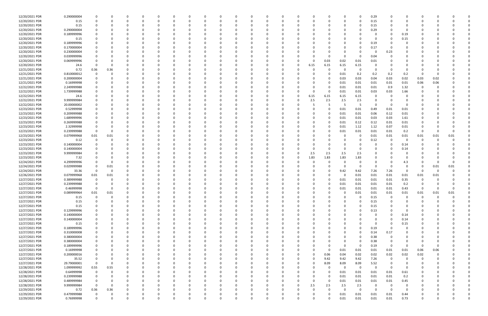| 12/20/2021 PDR | 0.290000004 |             |          |          | 0        | - 0      |   | <sup>0</sup> |          | $\Omega$ | - 0      | 0        |              | 0        |          |          |          | 0            | 0.29        |             |                | 0        |      |      |  |
|----------------|-------------|-------------|----------|----------|----------|----------|---|--------------|----------|----------|----------|----------|--------------|----------|----------|----------|----------|--------------|-------------|-------------|----------------|----------|------|------|--|
| 12/20/2021 PDR | 0.15        |             |          | $\Omega$ | -0       | $\Omega$ |   | $\Omega$     | $\Omega$ | $\Omega$ | $\Omega$ | $\Omega$ | $\Omega$     | $\Omega$ | $\Omega$ |          | $\Omega$ | $\mathbf 0$  | 0.15        |             | $\Omega$       | $\Omega$ |      |      |  |
|                |             |             |          |          |          |          |   |              |          |          |          |          |              |          |          |          |          |              |             |             |                |          |      |      |  |
| 12/20/2021 PDR | 0.15        |             |          |          |          |          |   |              |          |          |          |          |              |          |          |          |          | 0            | 0.15        |             |                |          |      |      |  |
| 12/20/2021 PDR | 0.290000004 |             |          |          |          |          |   |              |          |          |          |          |              |          |          |          |          | 0            | 0.29        |             |                |          |      |      |  |
| 12/20/2021 PDR | 0.189999996 |             |          |          |          |          |   |              |          |          |          |          |              |          |          |          |          |              |             |             | 0.19           |          |      |      |  |
|                |             |             |          |          |          |          |   |              |          |          |          |          |              |          |          |          |          |              |             |             |                |          |      |      |  |
| 12/20/2021 PDR | 0.15        |             |          |          |          |          |   |              |          |          |          |          |              |          |          |          |          |              | - റ         | - 0         | 0.15           |          |      |      |  |
| 12/20/2021 PDR | 0.189999996 |             |          |          |          |          |   |              |          |          |          |          |              |          |          |          |          | 0            | 0.19        |             |                |          |      |      |  |
| 12/20/2021 PDR | 0.170000004 |             |          |          |          |          |   |              |          |          |          |          |              |          |          |          |          | $\Omega$     | 0.17        |             |                |          |      |      |  |
|                |             |             |          |          |          |          |   |              |          |          |          |          |              |          |          |          |          |              |             |             |                |          |      |      |  |
| 12/20/2021 PDR | 0.230000004 |             |          |          |          |          |   |              |          |          |          |          |              |          |          |          |          | 0            | - 0         | 0.23        |                |          |      |      |  |
| 12/20/2021 PDR | 0.039999996 |             |          |          |          |          |   |              |          |          |          |          |              |          |          |          | O        | 0            | 0.04        |             |                |          |      |      |  |
| 12/20/2021 PDR | 0.069999996 |             |          |          |          |          |   |              |          |          |          |          |              |          |          | 0.03     | 0.02     | 0.01         | 0.01        |             |                |          |      |      |  |
| 12/20/2021 PDR | 24.6        |             |          |          |          |          |   |              |          |          |          |          |              | - 0      | 6.15     | 6.15     | 6.15     | 6.15         |             |             |                |          |      |      |  |
|                |             |             |          |          |          |          |   |              |          |          |          |          |              |          |          |          |          |              |             |             |                |          |      |      |  |
| 12/21/2021 PDR | 0.72        | 0.36        | 0.36     |          |          |          |   |              |          |          |          |          |              | - 0      | $\Omega$ | 0        | 0        | $\mathbf 0$  |             | - 0         | -0             | 0        |      |      |  |
| 12/21/2021 PDR | 0.810000012 | -0          |          |          |          |          |   |              |          |          |          |          |              |          |          |          | 0.01     | 0.2          | 0.2         | 0.2         | 0.2            | -0       |      |      |  |
| 12/21/2021 PDR | 0.200000004 |             |          |          |          |          |   |              |          |          |          |          |              |          |          | 0        | 0.03     | 0.03         | 0.04        | 0.03        | 0.02           | 0.03     | 0.02 |      |  |
|                |             |             |          |          |          |          |   |              |          |          |          |          |              |          |          |          |          |              |             |             |                |          |      |      |  |
| 12/21/2021 PDR | 0.16999998  |             |          |          |          |          |   |              |          |          |          |          |              |          |          | 0        | 0.01     | 0.01         | 0.01        | 0.01        | 0.01           | 0.06     | 0.06 |      |  |
| 12/22/2021 PDR | 2.249999988 |             |          |          |          |          |   |              |          |          |          |          |              |          |          | 0        | 0.01     | 0.01         | 0.01        | 0.9         | 1.32           | -0       |      |      |  |
| 12/22/2021 PDR | 1.739999988 |             |          |          |          |          |   |              |          |          |          |          |              |          | $\Omega$ | 0        | 0.01     | 0.01         | 0.03        | 0.03        | 1.66           |          |      |      |  |
|                |             |             |          |          |          |          |   |              |          |          |          |          |              |          |          |          |          |              |             |             |                |          |      |      |  |
| 12/22/2021 PDR | 24.6        |             |          |          |          |          |   |              |          |          |          |          |              | 0        | 6.15     | 6.15     | 6.15     | 6.15         |             | - 0         | 0              |          |      |      |  |
| 12/22/2021 PDR | 9.999999984 |             |          |          |          |          |   |              |          |          |          |          |              | - 0      | 2.5      | 2.5      | 2.5      | 2.5          |             |             |                |          |      |      |  |
| 12/22/2021 PDR | 20.00000002 |             |          |          |          |          |   |              |          |          |          |          |              |          |          | -5       | -5       | 5            | - 0         | - 0         | -0             |          |      |      |  |
| 12/23/2021 PDR |             |             |          |          |          |          |   |              |          |          |          |          |              |          |          |          |          |              |             |             |                |          |      |      |  |
|                | 0.52999998  |             |          |          |          |          |   |              |          |          |          |          |              |          |          |          | 0.01     | 0.01         | 0.49        | 0.01        | 0.01           |          |      |      |  |
| 12/23/2021 PDR | 0.209999988 |             |          |          |          |          |   |              |          |          |          |          |              |          |          | 0        | 0.01     | 0.01         | 0.06        | 0.12        | 0.01           |          |      |      |  |
| 12/23/2021 PDR | 1.689999996 |             |          |          |          |          |   |              |          |          |          |          |              |          |          | 0        | 0.01     | 0.01         | 0.03        | 0.03        | 1.61           |          |      |      |  |
| 12/23/2021 PDR | 0.269999988 |             |          |          |          |          |   |              |          |          |          |          |              |          |          |          | 0.01     | 0.12         | 0.12        | 0.01        | 0.01           |          |      |      |  |
|                |             |             |          |          |          |          |   |              |          |          |          |          |              |          |          |          |          |              |             |             |                |          |      |      |  |
| 12/23/2021 PDR | 2.32999998  |             |          |          |          |          |   |              |          |          |          |          |              |          |          |          | 0.01     | 1.12         | 1.12        | 0.07        | 0.01           | C        |      |      |  |
| 12/23/2021 PDR | 0.239999988 |             |          |          |          |          |   |              |          |          |          |          |              |          |          |          | 0.01     | 0.01         | 0.01        | 0.01        | 0.2            | -0       |      |      |  |
| 12/23/2021 PDR | 0.079999968 | 0.01        | 0.01     |          |          |          |   |              |          |          |          |          |              |          |          |          |          | 0            | 0.01        | 0.01        | 0.01           | 0.01     | 0.01 | 0.01 |  |
|                |             |             |          |          |          |          |   |              |          |          |          |          |              |          |          |          |          |              |             | - 0         | $\Omega$       |          |      |      |  |
| 12/23/2021 PDR | 0.12        |             |          |          |          |          |   |              |          |          |          |          |              |          |          |          |          | 0            | 0.12        |             |                | -0       |      |      |  |
| 12/23/2021 PDR | 0.140000004 |             |          |          |          |          |   |              |          |          |          |          |              |          |          |          |          | 0            |             |             | 0.14           |          |      |      |  |
| 12/23/2021 PDR | 0.140000004 |             |          |          |          |          |   |              |          |          |          |          |              |          |          |          | $\Omega$ | 0            |             |             | 0.14           |          |      |      |  |
| 12/23/2021 PDR | 9.999999984 |             |          |          |          |          |   |              |          |          |          |          |              | - 0      |          |          |          |              |             |             | 0              |          |      |      |  |
|                |             |             |          |          |          |          |   |              |          |          |          |          |              |          | 2.5      | 2.5      | 2.5      | 2.5          |             |             |                |          |      |      |  |
| 12/23/2021 PDR | 7.32        |             |          |          |          |          |   |              |          |          |          |          |              | 0        | 1.83     | 1.83     | 1.83     | 1.83         |             |             | $\Omega$       |          |      |      |  |
| 12/24/2021 PDR | 4.299999996 |             |          |          |          |          |   |              |          |          |          |          |              |          |          | 0        |          | 0            |             |             | 4.3            | C        | 0    |      |  |
| 12/24/2021 PDR | 0.029999988 |             | 0.01     |          |          |          |   |              |          |          |          |          |              |          |          |          | O        | 0            |             | $\Omega$    | 0              | 0        | 0.01 | 0.01 |  |
|                |             |             |          |          |          |          |   |              |          |          |          |          |              |          |          |          |          |              |             |             |                |          |      |      |  |
| 12/24/2021 PDR | 33.36       | $\Omega$    | 0        |          |          |          |   |              |          |          |          |          |              |          |          | 0        | 9.42     | 9.42         | 7.26        | 7.26        | - 0            | $\Omega$ | -0   |      |  |
| 12/26/2021 PDR | 0.079999968 | 0.01        | 0.01     |          |          |          |   |              |          |          |          |          |              |          |          | O        | 0        | 0.01         | 0.01        | 0.01        | 0.01           | 0.01     | 0.01 |      |  |
| 12/27/2021 PDR | 0.389999988 |             | $\Omega$ |          |          |          |   |              |          |          |          |          |              |          |          |          | 0.01     | 0.01         | 0.01        | 0.01        | 0.35           | -0       |      |      |  |
|                |             |             |          |          |          |          |   |              |          |          |          |          |              |          |          |          |          |              |             |             |                |          |      |      |  |
| 12/27/2021 PDR | 0.239999988 |             |          |          |          |          |   |              |          |          |          |          |              |          |          |          | 0.01     | 0.01         | 0.01        | 0.01        | 0.2            |          |      |      |  |
| 12/27/2021 PDR | 0.46999998  | $\Omega$    | $\Omega$ |          |          |          |   |              |          |          |          |          |              |          |          | 0        | 0.01     | 0.01         | 0.01        | 0.01        | 0.43           | $\Omega$ |      |      |  |
| 12/27/2021 PDR | 0.089999964 | 0.01        | 0.01     |          |          |          |   |              |          |          |          |          |              |          |          | O        | U        | 0.01         | 0.01        | 0.01        | 0.01           | 0.01     | 0.01 | 0.01 |  |
| 12/27/2021 PDR |             | $\Omega$    | $\Omega$ |          | 0        |          |   |              |          | $\Omega$ | $\Omega$ |          | $\Omega$     |          | 0        |          |          | 0            |             | 0           | $\mathbf 0$    | $\Omega$ | - 0  |      |  |
|                | 0.15        |             |          |          |          |          |   |              |          |          |          |          |              |          |          |          |          |              | 0.15        |             |                |          |      |      |  |
| 12/27/2021 PDR | 0.15        |             |          |          | 0        |          |   |              |          |          |          |          |              |          |          |          |          | 0            | 0.15        | $\Omega$    |                | 0        |      |      |  |
| 12/27/2021 PDR | 0.15        |             |          |          | 0        |          |   |              |          |          |          | 0        |              |          |          |          |          | 0            | 0.15        | 0           | 0              | 0        |      |      |  |
| 12/27/2021 PDR | 0.129999996 |             |          |          | n        |          |   |              |          |          |          |          |              |          |          |          |          | $\Omega$     | 0.13        |             | 0              |          |      |      |  |
|                |             |             |          |          |          |          |   |              |          |          |          |          |              |          |          |          |          |              |             |             |                |          |      |      |  |
| 12/27/2021 PDR | 0.140000004 |             |          |          | 0        |          |   |              |          |          |          | 0        |              |          |          |          |          | $\Omega$     | - 0         | $\Omega$    | 0.14           |          |      |      |  |
| 12/27/2021 PDR | 0.140000004 |             |          |          |          |          |   |              |          |          |          |          |              |          |          |          |          |              |             | $\Omega$    | 0.14           |          |      |      |  |
| 12/27/2021 PDR | 0.15        |             |          |          | O        |          |   |              |          |          |          |          |              |          |          |          |          | $\Omega$     | $\Omega$    | $\Omega$    | 0.15           |          |      |      |  |
|                |             |             |          |          |          |          |   |              |          |          |          |          |              |          |          |          |          |              |             |             |                |          |      |      |  |
| 12/27/2021 PDR | 0.189999996 |             |          |          | 0        |          |   |              |          |          |          | 0        |              |          |          |          |          | 0            | 0.19        | - 0         | 0              |          |      |      |  |
| 12/27/2021 PDR | 0.310000008 |             |          |          | 0        |          |   |              |          |          |          |          |              |          |          |          |          | 0            | 0.14        | 0.17        |                |          |      |      |  |
| 12/27/2021 PDR | 0.380000004 |             |          |          | 0        |          |   |              |          |          |          | 0        |              |          |          |          |          | $\Omega$     | 0.38        | $\Omega$    |                |          |      |      |  |
| 12/27/2021 PDR | 0.380000004 |             |          |          | O        |          |   |              |          |          |          |          |              |          |          |          |          | 0            | 0.38        |             |                |          |      |      |  |
|                |             |             |          |          |          |          |   |              |          |          |          |          |              |          |          |          |          |              |             |             |                |          |      |      |  |
| 12/27/2021 PDR | 0.189999996 |             |          |          | 0        |          |   |              |          |          |          |          |              |          |          |          | $\Omega$ | 0            | 0.19        | - 0         | 0              | -0       |      |      |  |
| 12/27/2021 PDR | 0.16999998  |             |          |          | C        |          |   |              |          |          |          |          |              |          |          | 0        | 0.01     | 0.01         | 0.01        | 0.01        | 0.01           | 0.06     | 0.06 |      |  |
| 12/27/2021 PDR | 0.200000016 |             |          |          | 0        |          |   |              |          |          |          |          |              |          | 0        | 0.06     | 0.04     | 0.02         | 0.02        | 0.02        | 0.02           | 0.02     |      |      |  |
|                |             |             |          |          |          |          |   |              |          |          |          |          |              |          |          |          |          |              |             |             |                |          |      |      |  |
| 12/27/2021 PDR | 35.52       | 0           | $\Omega$ |          | 0        |          |   | 0            | 0        |          | 0        | $\Omega$ | <sup>0</sup> | 0        | $\Omega$ | 9.42     | 9.42     | 9.42         | 7.26        | $\mathbf 0$ | - 0            | 0        |      |      |  |
| 12/27/2021 PDR | 29.79000001 | $\mathbf 0$ | 0        | 0        | 0        |          |   |              | 0        |          | 0        | 0        |              | 0        | 0        | 8.09     | 8.09     | 8.09         | 5.52        | - 0         | 0              | 0        |      |      |  |
| 12/28/2021 PDR | 1.099999992 | 0.55        | 0.55     | $\Omega$ | $\Omega$ |          |   |              |          |          |          | $\Omega$ |              |          |          | $\Omega$ | $\Omega$ | $\mathsf{o}$ | $\mathbf 0$ | $\Omega$    | $\overline{0}$ | $\Omega$ |      |      |  |
|                |             |             |          |          |          |          |   |              |          |          |          |          |              |          |          |          |          |              |             |             |                |          |      |      |  |
| 12/28/2021 PDR | 0.64999998  | 0           |          | 0        | 0        |          |   |              |          |          |          | 0        |              |          |          | 0        | 0.01     | 0.01         | 0.01        | 0.01        | 0.61           |          |      |      |  |
| 12/28/2021 PDR | 0.239999988 | 0           | $\Omega$ |          | 0        |          |   |              |          |          |          |          |              |          |          | 0        | 0.01     | 0.01         | 0.01        | 0.01        | 0.2            | 0        |      |      |  |
| 12/28/2021 PDR | 0.489999984 | $\mathbf 0$ | $\Omega$ | $\Omega$ | 0        |          |   |              |          |          |          | 0        |              |          | $\Omega$ | 0        | 0.01     | 0.01         | 0.01        | 0.01        | 0.45           | 0        |      |      |  |
|                |             | $\Omega$    | - 0      | $\Omega$ |          |          |   |              |          |          |          |          |              |          |          |          |          |              |             |             |                |          |      |      |  |
| 12/28/2021 PDR | 9.999999984 |             |          |          | 0        |          |   |              |          |          |          | 0        |              | -0       | 2.5      | 2.5      | 2.5      | 2.5          | -0          | - 0         | 0              |          |      |      |  |
| 12/29/2021 PDR | 0.72        | 0.36        | 0.36     | $\Omega$ | 0        |          |   |              | O        |          | 0        | $\Omega$ | <sup>0</sup> |          |          | $\Omega$ | $\Omega$ | $\mathsf{o}$ | $\Omega$    | $\Omega$    | $\overline{0}$ | 0        |      |      |  |
| 12/29/2021 PDR | 0.479999988 | 0           | 0        |          | 0        |          |   |              |          |          | 0        | 0        | 0            |          |          | 0        | 0.01     | 0.01         | 0.01        | 0.01        | 0.44           | 0        |      |      |  |
| 12/29/2021 PDR | 0.76999998  | $\Omega$    | $\Omega$ | $\Omega$ | $\Omega$ | $\Omega$ | O | 0            | $\Omega$ | $\Omega$ | $\Omega$ | $\Omega$ | $\Omega$     | $\Omega$ | $\Omega$ | $\Omega$ | 0.01     | 0.01         | $0.01\,$    | $0.01\,$    | 0.73           | $\Omega$ |      | 0    |  |
|                |             |             |          |          |          |          |   |              |          |          |          |          |              |          |          |          |          |              |             |             |                |          |      |      |  |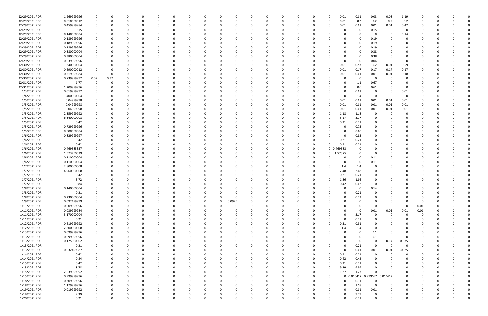| 12/29/2021 PDR | 1.269999996 | 0            | 0        |          | - 0      | 0        |  |          |          |          | $\Omega$ |  | 0        |          | $\Omega$    | 0.01         | 0.01                | 0.03        | 0.03     | 1.19     |          |          |  |
|----------------|-------------|--------------|----------|----------|----------|----------|--|----------|----------|----------|----------|--|----------|----------|-------------|--------------|---------------------|-------------|----------|----------|----------|----------|--|
| 12/29/2021 PDR | 0.810000012 | $\Omega$     | $\Omega$ |          | $\Omega$ | O        |  | 0        |          | $\Omega$ | $\Omega$ |  | $\Omega$ | $\Omega$ | $\Omega$    | 0.01         | 0.2                 | 0.2         | 0.2      | 0.2      |          |          |  |
| 12/29/2021 PDR | 0.459999984 |              |          |          |          |          |  |          |          |          |          |  | 0        |          | $\Omega$    | 0.01         | 0.01                | 0.01        | 0.01     | 0.42     |          |          |  |
| 12/29/2021 PDR | 0.15        |              |          |          |          |          |  |          |          |          |          |  |          |          |             |              | 0                   | 0.15        | $\Omega$ | $\Omega$ |          |          |  |
| 12/29/2021 PDR | 0.140000004 |              |          |          |          |          |  |          |          |          |          |  |          |          |             |              | $\Omega$            | 0           |          | 0.14     |          |          |  |
| 12/29/2021 PDR | 0.189999996 |              |          |          |          |          |  |          |          |          |          |  |          |          |             |              | 0                   | 0.19        |          | 0        |          |          |  |
| 12/29/2021 PDR | 0.189999996 |              |          |          |          |          |  |          |          |          |          |  |          |          |             |              | 0                   | 0.19        |          | 0        |          |          |  |
| 12/29/2021 PDR | 0.189999996 |              |          |          |          |          |  |          |          |          |          |  |          |          |             |              | 0                   | 0.19        |          |          |          |          |  |
| 12/29/2021 PDR | 0.380000004 |              |          |          |          |          |  |          |          |          |          |  |          |          |             |              | 0                   | 0.38        |          |          |          |          |  |
| 12/29/2021 PDR | 0.380000004 |              |          |          |          |          |  |          |          |          |          |  |          |          |             |              | 0                   | 0.38        |          |          |          |          |  |
| 12/29/2021 PDR | 0.039999996 |              |          |          |          |          |  |          |          |          |          |  |          |          |             |              | 0                   | 0.04        | $\Omega$ | $\Omega$ |          |          |  |
| 12/30/2021 PDR | 1.340000004 |              |          |          |          |          |  |          |          |          |          |  |          |          |             | 0.01         |                     |             | 0.01     |          |          |          |  |
|                |             |              |          |          |          |          |  |          |          |          |          |  |          |          |             |              | 0.53                | 0.2         |          | 0.59     |          |          |  |
| 12/30/2021 PDR | 0.690000012 | 0            | 0        |          |          |          |  |          |          | -0       |          |  | 0        |          | $\Omega$    | 0.01         | 0.17                | 0.17        | 0.17     | 0.17     |          |          |  |
| 12/30/2021 PDR | 0.219999984 | 0            | 0        |          |          |          |  |          |          |          |          |  |          |          | $\Omega$    | 0.01         | 0.01                | 0.01        | 0.01     | 0.18     |          |          |  |
| 12/30/2021 PDR | 0.739999992 | 0.37         | 0.37     |          |          |          |  |          |          |          |          |  |          |          |             |              | 0                   | 0           | - 0      | $\Omega$ |          |          |  |
| 12/31/2021 PDR | 1.77        | 0            |          |          |          |          |  |          |          |          |          |  |          |          |             |              | 1.1                 | 0.67        |          | 0        |          |          |  |
| 12/31/2021 PDR | 1.209999996 |              |          |          |          |          |  |          |          |          |          |  |          |          |             |              | 0.6                 | 0.61        |          |          |          |          |  |
| 1/3/2021 PDR   | 0.019999992 |              |          |          |          |          |  |          |          |          |          |  |          |          |             |              | 0.01                | 0           |          | 0.01     |          |          |  |
| 1/4/2021 PDR   | 1.400000004 | 0            |          |          |          |          |  |          |          |          |          |  | 0        |          |             | $\Omega$     | 1.4                 | 0           | $\Omega$ | 0        |          |          |  |
| 1/5/2021 PDR   | 0.04999998  |              |          |          |          |          |  |          |          |          |          |  |          |          | $\Omega$    | 0.01         | 0.01                | 0.01        | 0.01     | 0.01     |          |          |  |
| 1/5/2021 PDR   | 0.04999998  |              |          |          |          |          |  |          |          |          |          |  |          |          | $\Omega$    | 0.01         | 0.01                | 0.01        | 0.01     | 0.01     |          |          |  |
| 1/5/2021 PDR   | 0.04999998  |              |          |          |          |          |  |          |          |          |          |  |          |          | 0           | 0.01         | 0.01                | 0.01        | $0.01\,$ | 0.01     |          |          |  |
| 1/5/2021 PDR   | 2.359999992 |              |          |          |          |          |  |          |          |          |          |  |          |          | 0           | 1.18         | 1.18                | 0           | - 0      | $\Omega$ |          |          |  |
| 1/5/2021 PDR   | 6.340000008 |              |          |          |          |          |  |          |          |          |          |  |          |          | 0           | 3.17         | 3.17                | 0           |          |          |          |          |  |
| 1/5/2021 PDR   | 0.42        |              |          |          |          |          |  |          |          |          |          |  |          |          | $\Omega$    | 0.21         | 0.21                | 0           |          |          |          |          |  |
| 1/5/2021 PDR   | 0.729999996 |              |          |          |          |          |  |          |          |          |          |  |          |          |             | <sup>0</sup> | 0.73                | $\Omega$    |          |          |          |          |  |
| 1/5/2021 PDR   | 0.080000004 |              |          |          |          |          |  |          |          |          |          |  |          |          |             |              | 0.08                | $\Omega$    |          |          |          |          |  |
| 1/6/2021 PDR   | 0.829999997 |              |          |          |          |          |  |          |          |          |          |  |          |          |             |              | 0.83                |             |          |          |          |          |  |
| 1/6/2021 PDR   | 0.42        |              |          |          |          |          |  |          |          |          |          |  |          |          |             | 0.21         | 0.21                |             |          |          |          |          |  |
| 1/6/2021 PDR   | 0.42        |              |          |          |          |          |  |          |          |          |          |  |          |          | 0           | 0.21         | 0.21                |             |          |          |          |          |  |
| 1/6/2021 PDR   | 0.469583337 |              |          |          |          |          |  |          |          | -0       |          |  | n        | 0        | $\mathbf 0$ | 0.469583     | 0                   | 0           |          |          |          |          |  |
| 1/6/2021 PDR   | 1.573750039 |              |          |          |          |          |  |          |          |          |          |  | 0        |          | 0           | 1.57375      | 0                   | 0           |          |          |          |          |  |
| 1/6/2021 PDR   | 0.110000004 |              |          |          |          |          |  |          |          |          |          |  |          |          |             |              | $\Omega$            | 0.11        |          |          |          |          |  |
|                |             |              |          |          |          |          |  |          |          |          |          |  |          |          |             |              |                     |             |          |          |          |          |  |
| 1/6/2021 PDR   | 0.110000004 |              |          |          |          |          |  |          |          |          |          |  |          |          |             | 0            | - 0                 | 0.11        |          |          |          |          |  |
| 1/7/2021 PDR   | 2.800000008 |              |          |          |          |          |  |          |          |          |          |  |          |          |             | 1.4          | 1.4                 | 0           |          |          |          |          |  |
| 1/7/2021 PDR   | 4.960000008 |              |          |          |          |          |  |          |          |          |          |  |          |          | $\Omega$    | 2.48         | 2.48                | $\Omega$    |          |          |          |          |  |
| 1/7/2021 PDR   | 0.42        |              |          |          |          |          |  |          |          |          |          |  |          |          |             | 0.21         | 0.21                | 0           |          |          |          |          |  |
| 1/7/2021 PDR   | 3.72        |              |          |          |          |          |  |          |          |          |          |  | n        |          | $\Omega$    | 1.86         | 1.86                | 0           |          |          |          |          |  |
| 1/7/2021 PDR   | 0.84        |              |          |          |          |          |  |          |          |          |          |  |          |          |             | 0.42         | 0.42                | 0           |          |          |          |          |  |
| 1/8/2021 PDR   | 0.140000004 |              | -0       |          |          |          |  |          |          |          |          |  |          |          |             | 0            | 0                   | 0.14        |          | O        |          |          |  |
| 1/8/2021 PDR   | 0.21        | $\mathbf 0$  |          |          | O        |          |  |          |          |          |          |  |          |          |             |              | 0.21                | 0           |          |          |          |          |  |
| 1/8/2021 PDR   | 0.230000004 | $\Omega$     | $\Omega$ |          | $\Omega$ | $\Omega$ |  | 0        |          | $\Omega$ | $\Omega$ |  | $\Omega$ |          |             |              | 0.23                | $\Omega$    | $\Omega$ | $\Omega$ | 0        |          |  |
| 1/9/2021 PDR   | 0.092499999 | 0            | $\Omega$ |          | 0        |          |  | 0        | $\Omega$ | 0.0925   |          |  | $\Omega$ |          |             |              | $\mathbf 0$         | $\Omega$    |          |          | 0        |          |  |
| 1/11/2021 PDR  | 0.009999996 | 0            | 0        |          | 0        | 0        |  | 0        |          | 0        | $\Omega$ |  | 0        |          |             |              | 0                   | 0           | $\Omega$ | - 0      | 0.01     | $\Omega$ |  |
| 1/11/2021 PDR  | 0.039999984 | $\Omega$     |          |          | 0        | O        |  | 0        |          | $\Omega$ | $\Omega$ |  | n        |          |             |              | 0                   | 0.01        | 0.01     | 0.01     | 0.01     |          |  |
| 1/11/2021 PDR  | 3.170000004 | 0            |          |          | 0        | 0        |  | 0        |          | 0        |          |  | 0        |          |             | $\Omega$     | 3.17                | $\mathbf 0$ | $\Omega$ | 0        | $\Omega$ |          |  |
| 1/11/2021 PDR  | 0.21        | $\Omega$     |          |          | 0        |          |  |          |          |          |          |  |          |          | 0           | $\Omega$     | 0.21                | 0           |          | $\Omega$ |          |          |  |
| 1/12/2021 PDR  | 0.619999992 | 0            |          |          | 0        | 0        |  |          |          |          |          |  |          |          | 0           | 0.31         | 0.31                | $\Omega$    |          | 0        |          |          |  |
| 1/12/2021 PDR  | 2.800000008 | 0            |          |          | 0        |          |  | 0        |          | 0        |          |  | 0        |          | $\Omega$    | 1.4          | 1.4                 | 0           |          | 0        |          |          |  |
| 1/13/2021 PDR  | 0.099999996 | 0            |          |          | 0        |          |  | 0        |          | 0        |          |  | n        |          |             |              | $\mathbf 0$         | 0.1         |          |          |          |          |  |
| 1/13/2021 PDR  | 0.099999996 | 0            |          |          | 0        | 0        |  | 0        |          | -0       |          |  |          |          |             |              | 0                   | 0.1         | $\Omega$ | $\Omega$ | 0        |          |  |
| 1/13/2021 PDR  | 0.175000002 |              |          |          |          |          |  |          |          |          |          |  |          |          |             |              | 0                   | $\mathbf 0$ | 0.14     | 0.035    |          |          |  |
| 1/13/2021 PDR  | 0.21        |              |          |          | 0        | 0        |  | 0        |          |          |          |  |          |          |             |              | 0.21                | $\mathbf 0$ | $\Omega$ | $\Omega$ |          |          |  |
| 1/13/2021 PDR  | 0.032499987 | 0            |          |          | 0        | 0        |  |          |          |          |          |  |          |          | 0           | $\Omega$     | 0.01                | 0.01        | 0.01     | 0.0025   |          |          |  |
| 1/14/2021 PDR  | 0.42        |              |          |          | 0        |          |  | 0        |          | $\Omega$ |          |  |          |          | $\Omega$    | 0.21         | 0.21                | $\mathbf 0$ | $\Omega$ | 0        |          |          |  |
|                |             | $\Omega$     |          |          |          |          |  |          |          |          | $\Omega$ |  |          |          | $\Omega$    | 0.42         |                     |             |          | $\Omega$ |          | $\Omega$ |  |
| 1/14/2021 PDR  | 0.84        |              | 0        |          | 0        | 0        |  | 0        |          | 0        |          |  | 0        |          |             |              | 0.42                | 0           |          |          | 0        |          |  |
| 1/15/2021 PDR  | 0.42        | 0            |          |          | 0        | 0        |  | 0        |          | 0        | $\Omega$ |  | 0        |          | $\Omega$    | 0.21         | 0.21                | 0           |          | 0        |          | -0       |  |
| 1/15/2021 PDR  | 18.78       |              |          |          | $\Omega$ | 0        |  | 0        |          | $\Omega$ | $\Omega$ |  | $\Omega$ |          | $\Omega$    | 9.39         | 9.39                | $\Omega$    |          | 0        |          |          |  |
| 1/15/2021 PDR  | 2.539999992 | 0            |          |          | 0        | 0        |  | 0        |          | 0        |          |  | 0        |          | 0           | 1.27         | 1.27                | $\Omega$    |          | 0        |          |          |  |
| 1/15/2021 PDR  | 0.999999996 | $\mathbf 0$  |          |          | 0        | 0        |  |          |          | 0        |          |  | 0        |          | 0           |              | 0 0.010417 0.979167 |             | 0.010417 | 0        |          |          |  |
| 1/18/2021 PDR  | 0.309999996 | $\mathbf 0$  | $\Omega$ |          | 0        | 0        |  | 0        |          | $\Omega$ |          |  | 0        |          | 0           | $\Omega$     | 0.31                | 0           | $\Omega$ | 0        |          |          |  |
| 1/18/2021 PDR  | 1.179999996 | 0            | 0        |          | 0        | 0        |  | 0        |          | 0        |          |  | 0        |          | 0           | 0            | 1.18                | $\mathbf 0$ |          | $\Omega$ |          |          |  |
| 1/19/2021 PDR  | 0.019999992 | $\mathbf 0$  | $\Omega$ | $\Omega$ | 0        | 0        |  | 0        |          | 0        | $\Omega$ |  | 0        |          | 0           | $\Omega$     | 0.01                | 0.01        |          | 0        | O        |          |  |
| 1/19/2021 PDR  | 9.39        | 0            | 0        |          | 0        | O        |  | 0        |          | 0        | 0        |  | 0        |          | 0           | $\Omega$     | 9.39                | 0           |          | 0        |          |          |  |
| 1/20/2021 PDR  | 0.21        | $\mathbf{0}$ | $\Omega$ | $\Omega$ | $\Omega$ | $\Omega$ |  | $\Omega$ |          | $\Omega$ | $\Omega$ |  | $\Omega$ |          | $\Omega$    |              | 0.21                | $\mathbf 0$ | $\Omega$ | $\Omega$ |          |          |  |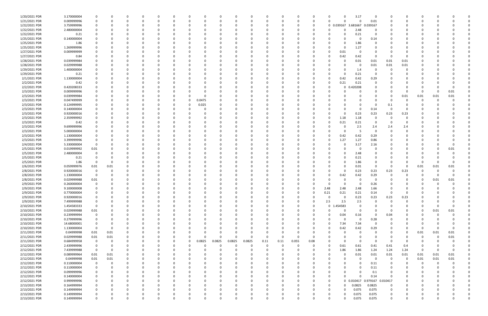| 1/20/2021 PDR | 3.170000004 |             |          |          |          |          |              |          |          |        |          |          |          |          |          |             |             | 3.17        | 0                 |          |             |          |          |          |  |
|---------------|-------------|-------------|----------|----------|----------|----------|--------------|----------|----------|--------|----------|----------|----------|----------|----------|-------------|-------------|-------------|-------------------|----------|-------------|----------|----------|----------|--|
| 1/21/2021 PDR | 0.009999996 |             |          | $\Omega$ |          |          | <sup>0</sup> | $\Omega$ |          |        | $\Omega$ | $\Omega$ |          | 0        | $\Omega$ | $\Omega$    | $\Omega$    | 0           | 0.01              | $\Omega$ | 0           | 0        |          |          |  |
| 1/22/2021 PDR | 3.759999996 |             |          |          |          |          |              |          |          |        |          |          |          |          | 0        |             | 0 0.039167  | 3.681667    | 0.039167          |          |             |          |          |          |  |
| 1/22/2021 PDR | 2.480000004 |             |          |          |          |          |              |          |          |        |          |          |          |          |          |             | $\Omega$    | 2.48        |                   |          |             |          |          |          |  |
| 1/22/2021 PDR | 0.21        |             |          |          |          |          |              |          |          |        |          |          |          |          |          |             | 0           | 0.21        | 0                 |          |             |          |          |          |  |
| 1/25/2021 PDR | 0.140000004 |             |          |          |          |          |              |          |          |        |          |          |          |          |          |             |             | 0           | 0.14              |          |             |          |          |          |  |
| 1/25/2021 PDR |             |             |          |          |          |          |              |          |          |        |          |          |          |          |          |             |             |             |                   |          |             |          |          |          |  |
|               | 1.86        |             |          |          |          |          |              |          |          |        |          |          |          |          |          |             |             | 1.86        |                   |          |             |          |          |          |  |
| 1/25/2021 PDR | 1.269999996 |             |          |          |          |          |              |          |          |        |          |          |          |          |          |             | $\Omega$    | 1.27        |                   |          |             |          |          |          |  |
| 1/27/2021 PDR | 0.009999999 |             |          |          |          |          |              |          |          |        |          |          |          |          |          | 0           | 0.01        | 0           |                   |          |             |          |          |          |  |
| 1/27/2021 PDR | 0.84        |             |          |          |          |          |              |          |          |        |          |          |          |          |          |             | 0.42        | 0.42        | $\Omega$          |          |             |          |          |          |  |
| 1/28/2021 PDR | 0.039999984 |             |          |          |          |          |              |          |          |        |          |          |          |          |          |             | 0           | 0.01        | 0.01              | 0.01     | 0.01        |          |          |          |  |
| 1/28/2021 PDR | 0.029999988 |             |          |          |          |          |              |          |          |        |          |          |          |          |          |             |             | 0           | 0.01              | 0.01     | 0.01        |          |          |          |  |
| 1/29/2021 PDR | 1.400000004 |             |          |          |          |          |              |          |          |        |          |          |          |          |          |             |             | 1.4         | 0                 | $\Omega$ | 0           |          |          |          |  |
| 1/29/2021 PDR | 0.21        |             |          |          |          |          |              |          |          |        |          |          |          |          |          |             | 0           | 0.21        | 0                 |          |             |          |          |          |  |
| 2/1/2021 PDR  | 1.130000004 |             |          |          |          |          |              |          |          |        |          |          |          |          |          |             | 0.42        | 0.42        | 0.29              |          |             |          |          |          |  |
| 2/2/2021 PDR  | 0.42        |             |          |          |          |          |              |          |          |        |          |          |          |          |          |             | 0.21        | 0.21        |                   |          |             |          |          |          |  |
| 2/2/2021 PDR  | 0.420208333 |             |          |          |          |          |              |          |          |        |          |          |          |          |          |             | 0           | 0.420208    |                   |          |             |          |          |          |  |
| 2/3/2021 PDR  | 0.009999996 |             |          |          |          |          |              |          |          |        |          |          |          |          |          |             |             | 0           |                   |          | -0          | 0        |          | 0.01     |  |
| 2/3/2021 PDR  | 0.039999984 |             |          |          |          |          | O            |          |          |        |          |          |          |          |          |             |             |             |                   | - 0      | 0.01        | 0.01     | 0.01     | 0.01     |  |
| 2/3/2021 PDR  |             |             |          |          |          |          | 0            |          |          |        |          |          |          |          |          |             |             |             | - 0               |          |             |          |          |          |  |
|               | 0.047499999 |             |          |          |          |          |              | 0.0475   |          |        |          |          |          |          |          |             |             |             |                   |          |             |          |          |          |  |
| 2/3/2021 PDR  | 0.124999995 |             |          |          |          |          | 0            | 0.025    |          |        |          |          |          |          |          |             |             | 0           | 0                 | 0.1      |             |          |          |          |  |
| 2/3/2021 PDR  | 0.140000004 |             |          |          |          |          |              |          |          |        |          |          |          |          |          |             |             | 0           | 0.14              | 0        |             |          |          |          |  |
| 2/3/2021 PDR  | 0.920000016 |             |          |          |          |          |              |          |          |        |          |          |          |          |          |             | 0           | 0.23        | 0.23              | 0.23     | 0.23        |          |          |          |  |
| 2/3/2021 PDR  | 2.359999992 |             |          |          |          |          |              |          |          |        |          |          |          |          |          |             | 1.18        | 1.18        | 0                 |          |             |          |          |          |  |
| 2/3/2021 PDR  | 0.42        |             |          |          |          |          |              |          |          |        |          |          |          |          |          |             | 0.21        | 0.21        | 0                 | - റ      |             |          |          |          |  |
| 2/3/2021 PDR  | 9.699999996 |             |          |          |          |          |              |          |          |        |          |          |          |          |          |             |             | 2.5         | 2.4               | 2.4      | 2.4         |          |          |          |  |
| 2/3/2021 PDR  | 5.000000004 |             |          |          |          |          |              |          |          |        |          |          |          |          |          |             | $\Omega$    | -5          | 0                 |          |             |          |          |          |  |
| 2/3/2021 PDR  | 1.130000004 |             |          |          |          |          |              |          |          |        |          |          |          |          |          |             | 0.42        | 0.42        | 0.29              |          |             |          |          |          |  |
| 2/3/2021 PDR  | 3.399999996 |             |          |          |          |          |              |          |          |        |          |          |          |          |          |             | 1.27        | 1.27        | 0.86              |          |             |          |          |          |  |
| 2/4/2021 PDR  | 5.330000004 | $\Omega$    |          |          |          |          |              |          |          |        |          |          |          |          |          |             | 0           | 3.17        | 2.16              |          |             |          |          |          |  |
| 2/5/2021 PDR  | 0.019999992 | 0.01        |          |          |          |          |              |          |          |        |          |          |          |          |          |             |             | 0           | 0                 |          |             |          |          | 0.01     |  |
| 2/5/2021 PDR  | 2.480000004 |             |          |          |          |          |              |          |          |        |          |          |          |          |          |             |             | 2.48        |                   |          |             |          |          |          |  |
|               |             |             |          |          |          |          |              |          |          |        |          |          |          |          |          |             |             |             |                   |          |             |          |          |          |  |
| 2/5/2021 PDR  | 0.21        |             |          |          |          |          |              |          |          |        |          |          |          |          |          |             |             | 0.21        |                   |          |             |          |          |          |  |
| 2/5/2021 PDR  | 1.86        |             |          |          |          |          |              |          |          |        |          |          |          |          |          |             |             | 1.86        |                   |          |             | -0       |          |          |  |
| 2/6/2021 PDR  | 0.059999976 | 0.01        | 0.01     |          |          |          |              |          |          |        |          |          |          |          |          |             |             | 0.01        | 0                 | - 0      | 0           | 0.01     | 0.01     | 0.01     |  |
| 2/8/2021 PDR  | 0.920000016 | 0           |          |          |          |          |              |          |          |        |          |          |          |          |          |             | 0           | 0.23        | 0.23              | 0.23     | 0.23        | $\Omega$ |          |          |  |
| 2/8/2021 PDR  | 1.130000004 | - 0         |          |          |          |          |              |          |          |        |          |          |          |          |          |             | 0.42        | 0.42        | 0.29              |          |             | 0        |          | $\Omega$ |  |
| 2/8/2021 PDR  | 0.029999988 | 0.01        |          |          |          |          |              |          |          |        |          |          |          |          |          |             | $\Omega$    | 0           | -C                |          |             | 0        | 0.01     | 0.01     |  |
| 2/9/2021 PDR  | 0.260000004 |             |          |          |          |          |              |          |          |        |          |          |          |          |          |             |             | O           | 0.26              |          |             |          |          |          |  |
| 2/9/2021 PDR  | 9.100000008 |             |          |          |          |          |              |          |          |        |          |          |          |          | 0        | 2.48        | 2.48        | 2.48        | 1.66              |          |             |          |          |          |  |
| 2/9/2021 PDR  | 0.770000004 |             |          |          |          |          |              |          |          |        |          |          |          |          |          | 0.21        | 0.21        | 0.21        | 0.14              | 0        |             |          |          |          |  |
| 2/9/2021 PDR  | 0.920000016 | 0           | 0        | $\Omega$ | $\Omega$ | $\Omega$ | $\Omega$     | 0        | 0        |        | $\Omega$ | $\Omega$ | $\Omega$ | $\Omega$ | $\Omega$ | $\Omega$    | $\mathbf 0$ | 0.23        | 0.23              | 0.23     | 0.23        | $\Omega$ |          |          |  |
| 2/9/2021 PDR  | 7.499999988 | 0           | O        | $\Omega$ |          | $\Omega$ | 0            | 0        |          |        | 0        |          | ŋ        | $\Omega$ | $\Omega$ | 2.5         | 2.5         | 2.5         | $\Omega$          | $\Omega$ | $\mathbf 0$ | $\Omega$ |          |          |  |
| 2/10/2021 PDR | 1.454583333 | $\mathbf 0$ |          |          |          |          | 0            | - 0      |          |        |          |          |          |          | 0        | $\mathbf 0$ | .454583     | $\mathbf 0$ | - 0               |          | 0           | 0        |          | 0        |  |
| 2/10/2021 PDR | 0.029999988 | 0.01        |          |          |          |          | 0            | - 0      |          |        |          | $\Omega$ |          | $\Omega$ | 0        | $\Omega$    | 0           | $\mathbf 0$ | $\Omega$          | $\Omega$ | $\Omega$    | $\Omega$ | 0.01     | 0.01     |  |
|               |             |             |          |          |          |          |              |          |          |        |          |          |          |          |          |             |             |             |                   |          |             |          |          |          |  |
| 2/10/2021 PDR | 0.239999994 | $\Omega$    |          |          |          |          | 0            |          |          |        |          |          |          |          | 0        | 0           | 0.04        | $0.16\,$    | $\mathbf 0$       | 0.04     |             | 0        |          |          |  |
| 2/10/2021 PDR | 0.279999996 |             |          |          |          |          | 0            |          |          |        |          |          |          |          | 0        |             | $\Omega$    | 0           | 0.28              | 0        |             |          |          |          |  |
| 2/10/2021 PDR | 14.68000001 | $\mathbf 0$ |          |          |          |          |              |          |          |        |          |          |          |          | 0        | 0           | 7.34        | 7.34        | 0                 |          |             | 0        |          |          |  |
| 2/10/2021 PDR | 1.130000004 | $\mathbf 0$ | 0        |          |          |          |              |          |          |        |          |          |          |          | 0        |             | 0.42        | 0.42        | 0.29              |          | 0           | -0       |          | $\Omega$ |  |
| 2/11/2021 PDR | 0.04999998  | 0.01        | 0.01     |          |          |          | 0            |          |          |        |          |          |          |          |          |             |             | 0           | 0                 | $\Omega$ | 0           | 0.01     | 0.01     | 0.01     |  |
| 2/11/2021 PDR | 0.029999988 | 0.01        | 0.01     |          |          | 0        | 0            | $\Omega$ | U        |        | $\Omega$ | $\Omega$ | $\Omega$ | $\Omega$ | 0        |             |             |             | $\Omega$          |          |             | 0        | $\Omega$ | 0.01     |  |
| 2/11/2021 PDR | 0.684999958 | $\Omega$    |          |          |          | 0        | 0            | 0.0825   | 0.0825   | 0.0825 | 0.0825   | 0.11     | 0.11     | 0.055    | 0.08     |             | $\Omega$    | 0           | $\Omega$          | - 0      |             |          |          |          |  |
| 2/12/2021 PDR | 2.439999996 | $\mathbf 0$ |          |          |          | 0        | 0            | -C       | $\Omega$ |        | 0        | - 0      | $\Omega$ | O        | 0        | 0           | 0.61        | 0.61        | 0.41              | 0.41     | 0.4         |          |          |          |  |
| 2/12/2021 PDR | 7.439999988 | $\mathbf 0$ | 0        |          |          | 0        | 0            | -C       |          |        | 0        | $\Omega$ | $\Omega$ |          | 0        | $\Omega$    | 1.86        | 1.86        | 1.24              | 1.24     | 1.24        | 0        |          | $\Omega$ |  |
| 2/12/2021 PDR | 0.089999964 | 0.01        | 0.01     |          |          | 0        | 0            | 0        |          |        |          |          |          |          | 0        |             | 0           | 0.01        | 0.01              | $0.01\,$ | 0.01        | 0.01     | 0.01     | 0.01     |  |
| 2/12/2021 PDR | 0.04999998  | 0.01        | 0.01     |          |          |          | 0            | 0        |          |        |          |          |          |          | 0        |             | $\Omega$    | $\mathbf 0$ | 0                 | $\Omega$ | $\mathbf 0$ | 0.01     | 0.01     | 0.01     |  |
| 2/12/2021 PDR | 0.110000004 | $\mathbf 0$ | $\Omega$ |          |          |          | 0            | - 0      |          |        |          |          |          |          | -0       |             | o           | 0           | 0.11              | $\Omega$ | 0           | -0       |          |          |  |
|               | 0.110000004 |             |          |          |          |          |              |          |          |        |          |          |          |          |          |             |             | $\Omega$    |                   |          |             |          |          |          |  |
| 2/12/2021 PDR |             |             |          |          |          |          | 0            |          |          |        |          |          |          |          |          |             |             |             | 0.11              |          |             | 0        |          |          |  |
| 2/12/2021 PDR | 0.099999996 |             |          |          |          |          |              |          |          |        |          |          |          |          |          |             | 0           | 0           | 0.1               |          |             |          |          |          |  |
| 2/12/2021 PDR | 0.140000004 |             |          |          |          |          | 0            |          |          |        |          |          |          |          | -0       |             | $\Omega$    | $\Omega$    | 0.14              | $\Omega$ |             |          |          |          |  |
| 2/12/2021 PDR | 0.999999996 |             |          |          |          |          |              |          |          |        |          |          |          |          |          |             |             | 0 0.010417  | 0.979167 0.010417 |          |             |          |          |          |  |
| 2/13/2021 PDR | 0.164999994 |             |          |          |          |          |              | 0        |          |        |          |          |          |          | -0       |             | 0           | 0.0825      | 0.0825            | $\Omega$ |             |          |          |          |  |
| 2/13/2021 PDR | 0.149999994 |             |          |          |          |          | 0            | - 0      |          |        |          |          |          |          | 0        |             | 0           | 0.075       | 0.075             | $\Omega$ | 0           |          |          |          |  |
| 2/13/2021 PDR | 0.149999994 |             |          |          |          |          |              |          |          |        |          |          |          |          |          |             | 0           | 0.075       | 0.075             |          |             |          |          |          |  |
| 2/13/2021 PDR | 0.149999994 | $\Omega$    | $\Omega$ | $\Omega$ | $\Omega$ | $\Omega$ | $\Omega$     |          | $\Omega$ |        | $\Omega$ |          | $\Omega$ | O        | $\Omega$ |             | 0           | 0.075       | 0.075             | $\Omega$ | $\Omega$    | $\Omega$ |          | $\Omega$ |  |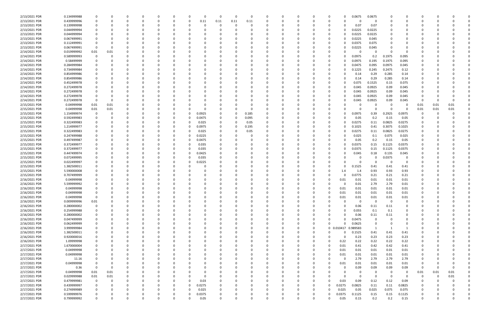| 2/13/2021 PDR | 0.134999988                |             |      |   |          |          |              | 0            | 0                | $\Omega$ |      | 0        |          |          |          |          |            |          | 0.0675   | 0.0675     |                |               |          |          |          |  |
|---------------|----------------------------|-------------|------|---|----------|----------|--------------|--------------|------------------|----------|------|----------|----------|----------|----------|----------|------------|----------|----------|------------|----------------|---------------|----------|----------|----------|--|
| 2/13/2021 PDR | 0.439999996                |             |      |   |          |          |              | 0            | 0.11             | 0.11     | 0.11 | 0.11     |          |          |          |          |            |          | 0        | 0          |                |               |          |          |          |  |
| 2/13/2021 PDR | 0.139999998                |             |      |   |          |          |              | 0            |                  |          |      | -0       |          |          |          |          |            |          | 0.07     | 0.07       |                |               |          |          |          |  |
| 2/13/2021 PDR | 0.044999994                |             |      |   |          |          |              |              |                  |          |      |          |          |          |          |          |            |          | 0.0225   | 0.0225     |                |               |          |          |          |  |
| 2/13/2021 PDR | 0.044999994                |             |      |   |          |          |              |              |                  |          |      |          |          |          |          |          |            |          | 0.0225   | 0.0225     |                |               |          |          |          |  |
| 2/13/2021 PDR | 0.067499991                |             |      |   |          |          |              |              |                  |          |      |          |          |          |          |          | 0          |          | 0.0225   | 0.045      |                |               |          |          |          |  |
| 2/13/2021 PDR | 0.112499991                |             |      |   |          |          |              |              |                  |          |      |          |          |          |          |          |            |          | 0.0375   | 0.075      |                |               |          |          |          |  |
| 2/13/2021 PDR | 0.067499991                |             |      |   |          |          |              |              |                  |          |      |          |          |          |          |          |            |          | 0.0225   | 0.045      |                |               |          |          |          |  |
|               |                            |             |      |   |          |          |              |              |                  |          |      |          |          |          |          |          |            |          |          |            |                |               |          |          |          |  |
| 2/14/2021 PDR | 0.019999992                | 0.01        | 0.01 |   |          |          |              |              |                  |          |      |          |          |          |          |          |            |          | -C       |            |                |               |          |          |          |  |
| 2/14/2021 PDR | 0.589999993                |             |      |   |          |          |              |              |                  |          |      |          |          |          |          |          |            |          | 0.0975   | 0.2        | 0.1975         | 0.095         |          |          |          |  |
| 2/14/2021 PDR | 0.58499999                 |             |      |   |          |          |              |              |                  |          |      |          |          |          |          |          |            |          | 0.0975   | 0.195      | 0.1975         | 0.095         |          |          |          |  |
| 2/14/2021 PDR | 0.284999984                |             |      |   |          |          |              |              |                  |          |      |          |          |          |          |          |            |          | 0.0475   | 0.095      | 0.0975         | 0.045         |          |          |          |  |
| 2/14/2021 PDR | 0.734999984                |             |      |   |          |          |              |              |                  |          |      |          |          |          |          |          |            |          | 0.1225   | 0.245      | 0.2475         | 0.12          |          |          |          |  |
| 2/14/2021 PDR | 0.854999986                |             |      |   |          |          |              |              |                  |          |      |          |          |          |          |          |            |          | 0.14     | 0.29       | 0.285          | 0.14          |          |          |          |  |
| 2/14/2021 PDR | 0.854999986                |             |      |   |          |          |              |              |                  |          |      |          |          |          |          |          |            |          | 0.14     | 0.29       | 0.285          | 0.14          |          |          |          |  |
| 2/14/2021 PDR | 0.452499978                |             |      |   |          |          |              |              |                  |          |      |          |          |          |          |          |            |          | 0.075    | 0.1525     | 0.15           | 0.075         |          |          |          |  |
| 2/14/2021 PDR | 0.272499978                |             |      |   |          |          |              |              |                  |          |      |          |          |          |          |          |            |          | 0.045    | 0.0925     | 0.09           | 0.045         |          |          |          |  |
| 2/14/2021 PDR | 0.272499978                |             |      |   |          |          |              |              |                  |          |      |          |          |          |          |          |            |          | 0.045    | 0.0925     | 0.09           | 0.045         |          |          |          |  |
| 2/14/2021 PDR | 0.272499978                |             |      |   |          |          |              |              |                  |          |      |          |          |          |          |          |            |          | 0.045    | 0.0925     | 0.09           | 0.045         |          |          |          |  |
| 2/14/2021 PDR | 0.272499978                | - 0         |      |   |          |          |              |              |                  |          |      |          |          |          |          |          |            |          | 0.045    | 0.0925     | 0.09           | 0.045         |          |          |          |  |
| 2/15/2021 PDR | 0.04999998                 | 0.01        | 0.01 |   |          |          |              |              |                  |          |      |          |          |          |          |          |            |          | -C       |            | - 0            | 0             | 0.01     | 0.01     | 0.01     |  |
| 2/15/2021 PDR | 0.04999998                 | 0.01        | 0.01 |   |          |          |              |              |                  |          |      |          |          |          |          |          |            |          | 0        |            | - 0            | 0             | 0.01     | 0.01     | 0.01     |  |
| 2/15/2021 PDR | 1.154999974                |             |      |   |          |          |              | 0            | 0.0925           |          |      | 0.185    |          |          |          |          |            |          | 0.0975   | 0.39       | 0.2925         | 0.0975        |          |          |          |  |
| 2/15/2021 PDR | 0.592499983                |             |      |   |          |          | <sup>0</sup> | 0            | 0.0475           | 0        |      | 0.095    |          |          |          |          |            |          | 0.05     | 0.2        | 0.15           | 0.05          |          |          |          |  |
| 2/15/2021 PDR | 0.322499983                |             |      |   |          |          | 0            | 0            | 0.025            | $\Omega$ |      | 0.05     |          |          |          |          | 0          |          | 0.0275   | 0.11       | 0.0825         | 0.0275        |          |          |          |  |
| 2/15/2021 PDR | 1.214999977                |             |      |   |          |          |              | 0            | 0.0975           | 0        |      | 0.195    |          |          |          |          |            |          | 0.1025   | 0.41       | 0.3075         | 0.1025        |          |          |          |  |
| 2/15/2021 PDR | 0.322499983                |             |      |   |          |          | -0           | 0            | 0.025            | 0        |      | 0.05     |          |          |          |          |            |          | 0.0275   | 0.11       | 0.0825         | 0.0275        |          |          |          |  |
| 2/15/2021 PDR |                            |             |      |   |          |          |              |              |                  |          |      |          |          |          |          |          |            |          |          |            |                |               |          |          |          |  |
| 2/15/2021 PDR | 0.247499988<br>0.497499987 |             |      |   |          |          | -0           | 0            | 0.0225<br>0.0475 |          |      |          |          |          |          |          |            |          | 0.025    | 0.1<br>0.2 | 0.075<br>0.15  | 0.025<br>0.05 |          |          |          |  |
|               |                            |             |      |   |          |          |              | 0            |                  |          |      |          |          |          |          |          |            |          | 0.05     |            |                |               |          |          |          |  |
| 2/15/2021 PDR | 0.372499977                |             |      |   |          |          | 0            | 0            | 0.035            |          |      |          |          |          |          |          |            |          | 0.0375   | 0.15       | 0.1125         | 0.0375        |          |          |          |  |
| 2/15/2021 PDR | 0.372499977                |             |      |   |          |          |              | 0            | 0.035            |          |      |          |          |          |          |          |            |          | 0.0375   | 0.15       | 0.1125         | 0.0375        |          |          |          |  |
| 2/15/2021 PDR | 0.447499974                |             |      |   |          |          |              | 0            | 0.0425           |          |      |          |          |          |          |          |            |          | 0.045    | 0.18       | 0.135          | 0.045         |          |          |          |  |
| 2/15/2021 PDR | 0.072499995                |             |      |   |          |          | -0           | 0            | 0.035            |          |      |          |          |          |          |          |            |          | 0        |            | 0.0375         | 0             |          |          |          |  |
| 2/15/2021 PDR | 0.022499997                |             |      |   |          |          |              | 0            | 0.0225           |          |      |          |          |          |          |          |            |          | 0        |            | - 0            | 0             |          |          |          |  |
| 2/15/2021 PDR | 1.382500011                |             |      |   |          |          |              |              |                  |          |      |          |          |          |          |          |            |          | 0.1525   | 0.41       | 0.41           | 0.41          |          |          |          |  |
| 2/15/2021 PDR | 5.590000008                |             |      |   |          |          |              |              |                  |          |      |          |          |          |          |          |            | 1.4      | 1.4      | 0.93       | 0.93           | 0.93          |          |          |          |  |
| 2/15/2021 PDR | 0.707499999                |             |      |   |          |          |              |              |                  |          |      |          |          |          |          |          |            |          | 0.0775   | 0.21       | 0.21           | 0.21          |          |          |          |  |
| 2/16/2021 PDR | 0.04999998                 |             |      |   |          |          |              |              |                  |          |      |          |          |          |          |          |            | 0.01     | 0.01     | 0.01       | 0.01           | 0.01          |          |          |          |  |
| 2/16/2021 PDR | 5.599999992                |             |      |   |          |          |              |              |                  |          |      |          |          |          |          |          |            |          | 0.01     | 2.79       | 2.79           | 0.01          |          |          |          |  |
| 2/16/2021 PDR | 0.04999998                 |             |      |   |          |          |              |              |                  |          |      |          |          |          |          |          |            | 0.01     | 0.01     | 0.01       | 0.01           | 0.01          |          |          |          |  |
| 2/16/2021 PDR | 0.04999998                 |             |      |   |          |          |              |              |                  |          |      |          |          |          |          |          |            | 0.01     | 0.01     | 0.01       | 0.01           | 0.01          |          |          |          |  |
| 2/16/2021 PDR | 0.04999998                 | $\mathbf 0$ | 0    | O | 0        | $\Omega$ | 0            | 0            | 0                | 0        |      | 0        | $\Omega$ | 0        | 0        | $\Omega$ | $\Omega$   | 0.01     | 0.01     | 0.01       | $0.01\,$       | 0.01          | $\Omega$ |          |          |  |
| 2/16/2021 PDR | 0.009999996                | 0.01        | 0    |   | 0        | $\Omega$ | 0            | 0            |                  |          |      | 0        |          | $\Omega$ | 0        | 0        | $\Omega$   |          | 0        | $\Omega$   | 0              | $\mathbf 0$   |          |          |          |  |
| 2/16/2021 PDR | 0.280000002                | $\mathbf 0$ |      |   | $\Omega$ |          |              | 0            |                  |          |      |          |          |          | 0        | $\Omega$ | 0          |          | 0.06     | 0.11       | 0.11           | 0             |          |          |          |  |
| 2/16/2021 PDR | 0.254999988                |             |      |   |          |          |              | 0            |                  |          |      |          |          |          | 0        |          |            |          | 0.055    | 0.1        | 0.1            | 0             |          |          |          |  |
| 2/16/2021 PDR | 0.280000002                |             |      |   |          |          |              | 0            |                  |          |      |          |          |          | 0        |          |            |          | 0.06     | 0.11       | 0.11           | 0             |          |          |          |  |
| 2/16/2021 PDR | 0.047499999                |             |      |   | 0        |          | 0            | 0            |                  |          |      |          |          | 0        | 0        | 0        | $\Omega$   | 0        | 0.0475   | $\Omega$   | $\Omega$       | 0             | 0        |          |          |  |
| 2/16/2021 PDR | 0.062499999                | 0           |      |   |          |          |              | 0            |                  |          |      |          |          |          | 0        | 0        | 0          | $\Omega$ | 0.0625   | 0          | 0              | 0             |          |          |          |  |
| 2/16/2021 PDR | 3.999999984                |             |      |   |          |          |              | <sup>0</sup> |                  |          |      |          |          |          | $\Omega$ | $\Omega$ | 0 0.010417 |          | 0.989583 | 1          | $\overline{1}$ |               | 0        |          |          |  |
| 2/16/2021 PDR | 1.382500011                |             |      |   |          |          |              | 0            |                  |          |      |          |          |          | 0        | 0        | $\Omega$   |          | 0.1525   | 0.41       | 0.41           | 0.41          | 0        |          |          |  |
| 2/16/2021 PDR | 0.920000016                |             |      |   |          |          |              |              |                  |          |      |          |          |          |          | 0        | 0          | $\Omega$ | 0.23     | 0.23       | 0.23           | 0.23          |          |          |          |  |
| 2/16/2021 PDR | 1.09999998                 |             |      |   |          |          |              |              |                  |          |      |          |          |          | 0        |          | $\Omega$   | 0.22     | 0.22     | 0.22       | 0.22           | 0.22          |          |          |          |  |
| 2/17/2021 PDR | 1.670000004                |             |      |   |          |          |              |              |                  |          |      |          |          |          |          |          | $\Omega$   | 0.01     | 0.41     | 0.42       | 0.42           |               |          |          |          |  |
|               |                            |             |      |   |          |          |              |              |                  |          |      |          |          |          |          |          |            |          |          |            |                | 0.41          |          |          |          |  |
| 2/17/2021 PDR | 0.04999998                 |             |      |   |          |          |              |              |                  |          |      |          |          |          |          |          | 0          | 0.01     | 0.01     | 0.01       | 0.01           | 0.01          |          |          |          |  |
| 2/17/2021 PDR | 0.04999998                 |             |      |   | 0        |          | <sup>0</sup> | 0            |                  |          |      |          |          |          |          | 0        | $\Omega$   | 0.01     | 0.01     | 0.01       | 0.01           | 0.01          | 0        |          |          |  |
| 2/17/2021 PDR | 11.16                      |             |      |   | $\Omega$ |          | 0            | 0            |                  |          |      | $\Omega$ |          |          | 0        | 0        | 0          | $\Omega$ | 2.79     | 2.79       | 2.79           | 2.79          | 0        |          |          |  |
| 2/17/2021 PDR | 0.04999998                 |             |      |   |          |          |              | 0            |                  |          |      |          |          |          | 0        |          | $\Omega$   | 0.01     | 0.01     | 0.01       | 0.01           | 0.01          | 0        |          |          |  |
| 2/17/2021 PDR | 0.36                       | $\mathbf 0$ | 0    |   |          |          |              | <sup>0</sup> |                  |          |      |          |          |          | 0        |          | 0          |          | 0.09     | 0.09       | 0.09           | 0.09          | $\Omega$ |          | $\Omega$ |  |
| 2/17/2021 PDR | 0.04999998                 | 0.01        | 0.01 |   |          |          |              |              |                  |          |      |          |          |          | 0        |          |            |          | 0        | - 0        | 0              | 0             | 0.01     | 0.01     | 0.01     |  |
| 2/17/2021 PDR | 0.029999988                | 0.01        | 0.01 |   |          |          |              |              |                  |          |      |          |          |          |          |          |            |          | 0        | $\Omega$   | $\overline{0}$ | $\mathbf 0$   | 0        | $\Omega$ | 0.01     |  |
| 2/17/2021 PDR | 0.479999981                | $\mathbf 0$ | 0    |   | 0        |          | 0            | 0            | 0.03             | 0        |      |          |          |          | 0        | 0        | $\Omega$   | 0.03     | 0.09     | 0.12       | 0.12           | 0.09          | 0        |          | $\Omega$ |  |
| 2/17/2021 PDR | 0.439999997                | 0           | 0    |   | 0        |          | 0            | $\Omega$     | 0.0275           | 0        |      |          |          |          | 0        | 0        | $\Omega$   | 0.0275   | 0.0825   | 0.11       | 0.11           | 0.0825        |          |          |          |  |
| 2/17/2021 PDR | 0.274999989                |             |      |   |          |          | $\Omega$     | $\Omega$     | 0.025            |          |      |          |          |          |          | - 0      | U          | 0.025    | 0.05     | 0.025      | 0.075          | 0.075         |          |          |          |  |
| 2/17/2021 PDR | 0.599999976                |             |      |   |          |          | 0            | 0            | 0.0375           |          |      |          |          |          |          |          | 0          | 0.0375   | 0.1125   | 0.15       | 0.15           | 0.1125        |          |          |          |  |
| 2/17/2021 PDR | 0.799999992                | $\Omega$    | 0    |   | $\Omega$ | $\Omega$ | $\mathbf 0$  | 0            | 0.05             | $\Omega$ |      | $\Omega$ |          | $\Omega$ | $\Omega$ | 0        | 0          | 0.05     | 0.15     | 0.2        | 0.2            | 0.15          | 0        |          | 0        |  |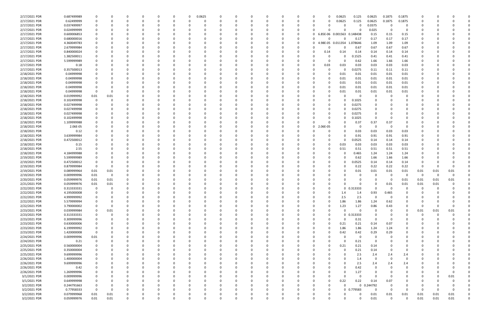| 2/17/2021 PDR | 0.687499989 | 0           |          |              |          | 0        | 0.0625   |          |          | $\Omega$ |              |          |                      |                   | 0.0625       | 0.125          | 0.0625     | 0.1875   | 0.1875         |            |          |          |  |
|---------------|-------------|-------------|----------|--------------|----------|----------|----------|----------|----------|----------|--------------|----------|----------------------|-------------------|--------------|----------------|------------|----------|----------------|------------|----------|----------|--|
| 2/17/2021 PDR | 0.62499999  | 0           | 0        | n            |          |          | $\Omega$ |          | $\Omega$ | $\Omega$ |              | 0        | n                    |                   | 0.0625       | 0.125          | 0.0625     | 0.1875   | 0.1875         | $\Omega$   |          |          |  |
| 2/17/2021 PDR | 0.037499997 |             |          |              |          |          |          |          |          |          |              |          |                      |                   | 0            | 0              | 0.0375     | $\Omega$ | $\Omega$       |            |          |          |  |
| 2/17/2021 PDR | 0.024999999 |             |          |              |          |          |          |          |          |          |              |          |                      |                   | n            | 0              | 0.025      | $\Omega$ | $\Omega$       |            |          |          |  |
| 2/17/2021 PDR | 0.600006853 |             |          |              |          |          |          |          |          |          |              | $\Omega$ | 0                    | 6.85E-06 0.001563 |              | 0.148438       | 0.15       | 0.15     | 0.15           |            |          |          |  |
| 2/17/2021 PDR | 0.680000016 |             |          |              |          |          |          |          |          |          |              | 0        |                      |                   |              | 0.17           | 0.17       | 0.17     | 0.17           |            |          |          |  |
| 2/17/2021 PDR | 4.360049783 |             |          |              |          |          |          |          |          |          |              | 0        | 0                    | 4.98E-05 0.011354 |              | 1.078646       | 1.09       | 1.09     | 1.09           |            |          |          |  |
| 2/17/2021 PDR | 2.679999984 |             |          |              |          |          |          |          |          |          |              |          |                      |                   |              | 0.67           | 0.67       | 0.67     | 0.67           |            |          |          |  |
| 2/17/2021 PDR | 0.840000024 |             |          |              |          |          |          |          |          |          |              |          | 0                    | 0.14              | 0.14         | 0.14           | 0.14       | 0.14     | 0.14           |            |          |          |  |
| 2/17/2021 PDR | 1.382500011 |             |          |              |          |          |          |          |          |          |              |          |                      |                   |              | .1525          | 0.41       | 0.41     | 0.41           |            |          |          |  |
| 2/17/2021 PDR | 5.599999989 |             |          |              |          |          |          |          |          | 0        |              |          |                      |                   | 0            | 0.62           | 1.66       | 1.66     | 1.66           |            |          |          |  |
| 2/17/2021 PDR | 0.18        |             |          |              |          |          |          |          |          | 0        |              |          | 0                    | 0.03              | 0.03         | 0.03           | 0.03       | 0.03     | 0.03           |            |          |          |  |
| 2/17/2021 PDR | 0.357500013 |             |          |              |          |          |          |          |          |          |              |          |                      |                   |              | 0.0275         | 0.11       | 0.11     | 0.11           |            |          |          |  |
| 2/18/2021 PDR | 0.04999998  |             |          |              |          |          |          |          |          |          |              |          |                      |                   | 0.01         | 0.01           | 0.01       | 0.01     | 0.01           |            |          |          |  |
| 2/18/2021 PDR | 0.04999998  |             |          |              |          |          |          |          |          |          |              |          |                      |                   | 0.01         | 0.01           | 0.01       | 0.01     | 0.01           |            |          |          |  |
| 2/18/2021 PDR | 0.04999998  |             |          |              |          |          |          |          |          |          |              |          |                      |                   | 0.01         | 0.01           | 0.01       | 0.01     | 0.01           |            |          |          |  |
| 2/18/2021 PDR | 0.04999998  | 0           |          |              |          |          |          |          |          | - 0      |              |          |                      |                   | 0.01         | 0.01           | 0.01       | 0.01     | 0.01           |            |          |          |  |
| 2/18/2021 PDR | 0.04999998  | 0           |          |              |          |          |          |          |          |          |              |          |                      |                   | 0.01         | 0.01           | 0.01       | 0.01     | 0.01           |            |          |          |  |
| 2/18/2021 PDR | 0.019999992 | 0.01        | 0.01     |              |          |          |          |          |          |          |              |          |                      |                   |              | 0              | -0         |          | O              |            |          |          |  |
| 2/18/2021 PDR | 0.102499998 | 0           |          |              |          |          |          |          |          | 0        |              |          |                      |                   |              | 0.1025         | 0          |          | O              |            |          |          |  |
| 2/18/2021 PDR | 0.027499998 |             |          |              |          |          |          |          |          |          |              |          |                      |                   |              | 0.0275         |            |          |                |            |          |          |  |
| 2/18/2021 PDR | 0.027499998 |             |          |              |          |          |          |          |          |          |              |          |                      |                   |              | 0.0275         |            |          |                |            |          |          |  |
| 2/18/2021 PDR | 0.027499998 |             |          |              |          |          |          |          |          |          |              |          |                      |                   |              | 0.0275         | 0          |          |                |            |          |          |  |
| 2/18/2021 PDR | 0.102499998 |             |          |              |          |          |          |          |          |          |              |          |                      |                   |              | 0.1025         | 0          |          |                |            |          |          |  |
| 2/18/2021 PDR | 1.109999988 |             |          |              |          |          |          |          |          |          |              |          |                      |                   |              | 0.37           | 0.37       | 0.37     |                |            |          |          |  |
| 2/18/2021 PDR | 2.06E-05    |             |          |              |          |          |          |          |          | - 0      |              | 0        | 2.06E-05<br>$\Omega$ |                   |              | - 0            | 0          | - 0      | - 0            |            |          |          |  |
| 2/18/2021 PDR | 0.12        |             |          |              |          |          |          |          |          |          |              |          |                      |                   |              | 0.03           | 0.03       | 0.03     | 0.03           |            |          |          |  |
| 2/18/2021 PDR | 3.639999984 |             |          |              |          |          |          |          |          |          |              |          |                      |                   |              |                | 0.91       | 0.91     | 0.91           |            |          |          |  |
| 2/18/2021 PDR | 0.472500012 |             |          |              |          |          |          |          |          | - 0      |              |          |                      |                   | <sup>0</sup> | 0.91<br>0.0525 | 0.14       | 0.14     | 0.14           |            |          |          |  |
| 2/18/2021 PDR | 0.15        |             |          |              |          |          |          |          |          |          |              |          |                      |                   | 0.03         | 0.03           | 0.03       | 0.03     | 0.03           |            |          |          |  |
| 2/18/2021 PDR | 2.55        |             |          |              |          |          |          |          |          | - 0      |              |          |                      |                   | 0.51         |                |            | 0.51     |                |            |          |          |  |
|               |             |             |          |              |          |          |          |          |          |          |              |          |                      |                   |              | 0.51           | 0.51       |          | 0.51           |            |          |          |  |
| 2/18/2021 PDR | 4.184999988 |             |          |              |          |          |          |          |          |          |              |          |                      |                   |              | 0.465          | 1.24       | 1.24     | 1.24           |            |          |          |  |
| 2/19/2021 PDR | 5.599999989 |             |          |              |          |          |          |          |          |          |              |          |                      |                   |              | 0.62           | 1.66       | 1.66     | 1.66           |            |          |          |  |
| 2/19/2021 PDR | 0.472500012 | 0           |          |              |          |          |          |          |          |          |              |          |                      |                   |              | 0.0525         | 0.14       | 0.14     | 0.14           |            |          |          |  |
| 2/19/2021 PDR | 0.879999984 | - 0         |          |              |          |          |          |          |          |          |              |          |                      |                   |              | 0.22           | 0.22       | 0.22     | 0.22           | $\Omega$   |          |          |  |
| 2/19/2021 PDR | 0.089999964 | 0.01        | 0.01     |              |          |          |          |          |          |          |              |          |                      |                   |              | 0.01           | 0.01       | 0.01     | 0.01           | 0.01       | 0.01     | 0.01     |  |
| 2/19/2021 PDR | 0.009999996 | 0.01        | 0        |              |          |          |          |          |          |          |              |          |                      |                   |              |                | -0         | $\Omega$ | - 0            | - 0        | $\Omega$ |          |  |
| 2/20/2021 PDR | 0.059999976 | 0.01        | 0.01     |              |          |          |          |          |          |          |              |          |                      |                   |              |                | - 0        | - 0      | 0.01           | 0.01       | 0.01     | 0.01     |  |
| 2/21/2021 PDR | 0.059999976 | 0.01        | 0.01     |              |          |          |          |          |          |          |              |          |                      |                   |              |                | 0          | 0.01     | 0.01           | 0.01       | 0.01     |          |  |
| 2/22/2021 PDR | 0.313333331 | $\mathbf 0$ | 0        | $\Omega$     |          |          |          |          |          |          |              |          |                      |                   |              | $0$ $0.313333$ | $\Omega$   | $\Omega$ | 0              | 0          | $\Omega$ |          |  |
| 2/22/2021 PDR | 4.195000008 | $\sqrt{ }$  |          | $\Omega$     |          |          |          |          |          |          |              |          | $\Omega$             |                   |              |                | 0.93       | 0.465    |                | $\sqrt{ }$ |          | $\Omega$ |  |
| 2/22/2021 PDR | 4.999999992 | 0           | 0        | 0            |          |          | $\Omega$ |          | 0        | $\Omega$ | <sup>0</sup> |          | 0                    |                   | 2.5          | 2.5            | 0          | $\Omega$ | O              | 0          |          |          |  |
| 2/22/2021 PDR | 5.579999994 | 0           |          | <sup>0</sup> |          |          | 0        |          |          | 0        |              |          | 0                    |                   | 1.86         | 1.86           | 1.24       | 0.62     | $\Omega$       | 0          |          |          |  |
| 2/22/2021 PDR | 3.790000002 | 0           | 0        |              |          |          |          |          |          | 0        |              |          | 0                    |                   | 1.23         | 1.27           | 0.86       | 0.43     | 0              | 0          |          |          |  |
| 2/23/2021 PDR | 0.039999984 | 0           | 0.01     |              |          |          |          |          |          | $\Omega$ |              |          |                      |                   | <sup>n</sup> | $\mathbf 0$    | 0          |          | $\Omega$       | 0.01       | 0.01     | 0.01     |  |
| 2/23/2021 PDR | 0.313333331 | 0           | 0        |              |          |          |          |          |          | 0        |              |          |                      |                   |              | $0$ $0.313333$ | 0          |          | 0              | 0          | 0        |          |  |
| 2/23/2021 PDR | 0.309999996 | $\mathbf 0$ |          |              |          |          |          |          |          | 0        |              |          |                      |                   | $\Omega$     | 0.31           | $\Omega$   |          |                | O          |          |          |  |
| 2/23/2021 PDR | 0.630000006 | 0           |          |              |          |          |          |          |          | $\Omega$ |              |          | 0                    |                   | 0.21         | 0.21           | 0.14       | 0.07     | 0              |            |          |          |  |
| 2/23/2021 PDR | 6.199999992 | 0           |          |              |          |          |          |          |          | 0        |              |          | 0                    |                   | 1.86         | 1.86           | 1.24       | 1.24     | 0              | 0          |          |          |  |
| 2/23/2021 PDR | 1.420000008 | $\mathbf 0$ |          |              |          |          | 0        |          |          | 0        |              |          |                      |                   | 0.42         | 0.42           | 0.29       | 0.29     | 0              | O          |          |          |  |
| 2/24/2021 PDR | 0.009999996 | 0.01        |          |              |          |          |          |          |          | $\Omega$ |              |          | 0                    |                   | $\Omega$     | 0              | 0          |          | 0              | 0          |          |          |  |
| 2/24/2021 PDR | 0.21        | $\mathbf 0$ |          |              |          |          |          |          |          | 0        |              |          |                      |                   | $\Omega$     | 0.21           | 0          |          | 0              | 0          |          |          |  |
| 2/25/2021 PDR | 0.560000004 | 0           |          |              |          |          |          |          |          | 0        |              |          |                      |                   | 0.21         | 0.21           | 0.14       |          | 0              | C          |          |          |  |
| 2/25/2021 PDR | 0.350000004 | 0           |          |              |          |          | 0        |          |          | $\Omega$ |              | $\Omega$ | 0                    |                   | $\Omega$     | 0.21           | 0.14       | $\Omega$ | $\Omega$       | 0          |          |          |  |
| 2/25/2021 PDR | 9.699999996 | 0           |          |              |          |          | 0        |          |          | 0        |              | 0        | 0                    |                   | $\Omega$     | 2.5            | 2.4        | 2.4      | 2.4            | 0          |          |          |  |
| 2/26/2021 PDR | 1.400000004 | 0           |          |              |          |          | 0        |          |          | $\Omega$ |              |          |                      |                   |              | 1.4            | 0          | $\Omega$ | $\mathbf 0$    | C          |          |          |  |
| 2/26/2021 PDR | 9.699999996 | $\Omega$    |          |              |          |          |          |          |          | $\Omega$ |              |          |                      |                   | $\Omega$     | 2.5            | 2.4        | 2.4      | 2.4            |            |          |          |  |
| 2/26/2021 PDR | 0.42        | $\Omega$    |          |              |          |          |          |          |          | 0        |              |          |                      |                   | <sup>0</sup> | 0.42           | 0          |          | 0              |            |          |          |  |
| 2/26/2021 PDR | 1.269999996 | 0           |          |              |          |          |          |          |          | 0        |              |          |                      |                   | 0            | 1.27           | 0          |          | 0              |            |          |          |  |
| 3/1/2021 PDR  | 0.009999996 | 0           |          |              |          |          |          |          |          | $\Omega$ |              |          |                      |                   | $\Omega$     | $\mathbf 0$    | $\Omega$   |          | $\Omega$       | 0          |          | 0.01     |  |
| 3/1/2021 PDR  | 0.649999998 | 0           |          |              |          |          |          |          |          | 0        |              |          | 0                    |                   | 0.22         | 0.22           | 0.14       | 0.07     | 0              | O          |          |          |  |
| 3/2/2021 PDR  | 0.244791663 | 0           |          |              |          |          |          |          |          | 0        |              |          | 0                    |                   | U            |                | 0 0.244792 | $\Omega$ | 0              | 0          |          |          |  |
| 3/2/2021 PDR  | 0.77958333  | $\mathbf 0$ | $\Omega$ |              |          |          |          |          |          | $\Omega$ |              |          | 0                    |                   |              | 0 0.779583     | $\Omega$   | $\Omega$ | $\overline{0}$ | $\Omega$   | $\Omega$ |          |  |
| 3/2/2021 PDR  | 0.079999968 | 0.01        | 0.01     |              |          |          |          |          |          | 0        |              |          |                      |                   |              | 0              | 0.01       | 0.01     | 0.01           | 0.01       | 0.01     | 0.01     |  |
| 3/2/2021 PDR  | 0.059999976 | 0.01        | $0.01\,$ | $\Omega$     | $\Omega$ | $\Omega$ |          | $\Omega$ | $\Omega$ | $\Omega$ | $\Omega$     |          |                      |                   | 0            | $\Omega$       | 0.01       | $\Omega$ | $\Omega$       | 0.01       | 0.01     | 0.01     |  |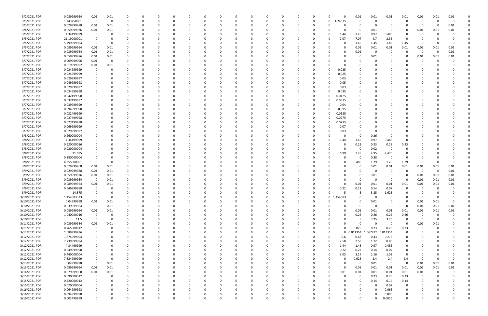| 3/2/2021 PDR  | 0.089999964 | $0.01\,$                | 0.01        |          |   |   |          |             | C        |   |          |          |          |                | 0        |            | 0.01           | 0.01     | 0.01        | 0.01         | 0.01           | 0.01     | 0.01     |  |
|---------------|-------------|-------------------------|-------------|----------|---|---|----------|-------------|----------|---|----------|----------|----------|----------------|----------|------------|----------------|----------|-------------|--------------|----------------|----------|----------|--|
| 3/3/2021 PDR  | 1.243750001 | 0                       | $\Omega$    |          |   |   |          | 0           | C        |   |          |          |          | 0              | 0        | L.24375    | $\Omega$       | $\Omega$ | 0           |              | - 0            | -0       | $\Omega$ |  |
| 3/3/2021 PDR  | 0.029999988 | 0.01                    | 0.01        |          |   |   |          |             |          |   |          |          |          |                |          |            |                | C        |             |              | - 0            | 0        | 0.01     |  |
| 3/4/2021 PDR  | 0.059999976 | $0.01\,$                | 0.01        |          |   |   |          |             |          |   |          |          |          |                |          |            | 0              | 0.01     | 0           |              | 0.01           | 0.01     | 0.01     |  |
| 3/5/2021 PDR  | 4.34499999  | - 0                     |             |          |   |   |          |             |          |   |          |          |          |                |          | 1.44       | 1.45           | 0.97     | 0.485       |              |                |          |          |  |
| 3/5/2021 PDR  | 21.19000001 | - 0                     |             |          |   |   |          |             |          |   |          |          |          |                | 0        | 7.07       | 7.07           | 4.7      | 2.35        | - 0          |                |          |          |  |
| 3/5/2021 PDR  | 5.799999984 | 0                       |             |          |   |   |          |             |          |   |          |          |          |                | 0        |            | 1.45           | 1.45     | 1.45        | 1.45         | - 0            | -0       |          |  |
| 3/5/2021 PDR  | 0.089999964 | 0.01                    | 0.01        |          |   |   |          |             |          |   |          |          |          |                |          |            | 0.01           | 0.01     | 0.01        | 0.01         | 0.01           | 0.01     | 0.01     |  |
| 3/7/2021 PDR  | 0.039999984 | 0.01                    | 0.01        |          |   |   |          |             |          |   |          |          |          |                |          |            | 0.01           | 0        | 0           | - 0          | - 0            | 0        | $0.01\,$ |  |
| 3/7/2021 PDR  | 0.059999976 | 0.01                    | 0.01        |          |   |   |          |             |          |   |          |          |          |                |          |            | 0              | 0.01     |             |              | 0.01           | 0.01     | 0.01     |  |
| 3/7/2021 PDR  | 0.009999996 | 0.01                    |             |          |   |   |          |             |          |   |          |          |          |                |          |            |                |          |             |              | 0              | $\Omega$ |          |  |
| 3/7/2021 PDR  | 0.019999992 | 0.01                    | 0.01        |          |   |   |          |             |          |   |          |          |          |                |          |            |                |          |             |              |                |          |          |  |
| 3/7/2021 PDR  | 0.024999999 | - 0                     |             |          |   |   |          |             |          |   |          |          |          |                | $\Omega$ | 0.025      |                |          |             |              |                |          |          |  |
| 3/7/2021 PDR  | 0.024999999 |                         |             |          |   |   |          |             |          |   |          |          |          |                | 0        | 0.025      |                |          |             |              |                |          |          |  |
| 3/7/2021 PDR  | 0.029999997 | 0                       |             |          |   |   |          |             |          |   |          |          |          |                | 0        | 0.03       |                |          |             |              |                |          |          |  |
| 3/7/2021 PDR  | 0.049999998 |                         |             |          |   |   |          |             |          |   |          |          |          |                |          | 0.05       |                |          |             |              |                |          |          |  |
| 3/7/2021 PDR  | 0.029999997 |                         |             |          |   |   |          |             |          |   |          |          |          |                |          | 0.03       | O              |          |             |              |                |          |          |  |
| 3/7/2021 PDR  | 0.034999998 |                         |             |          |   |   |          |             |          |   |          |          |          |                |          | 0.035      |                |          |             |              |                |          |          |  |
| 3/7/2021 PDR  | 0.042499998 |                         |             |          |   |   |          |             |          |   |          |          |          |                | 0        | 0.0425     |                |          |             |              |                |          |          |  |
| 3/7/2021 PDR  | 0.037499997 |                         |             |          |   |   |          |             |          |   |          |          |          |                |          |            |                |          |             |              |                |          |          |  |
|               |             |                         |             |          |   |   |          |             |          |   |          |          |          |                |          | 0.0375     |                |          |             |              |                |          |          |  |
| 3/7/2021 PDR  | 0.039999999 |                         |             |          |   |   |          |             |          |   |          |          |          |                |          | 0.04       |                |          |             |              |                |          |          |  |
| 3/7/2021 PDR  | 0.094999998 |                         |             |          |   |   |          |             |          |   |          |          |          |                |          | 0.095      |                |          |             |              |                |          |          |  |
| 3/7/2021 PDR  | 0.032499999 |                         |             |          |   |   |          |             |          |   |          |          |          |                | 0        | 0.0325     |                |          |             |              |                |          |          |  |
| 3/7/2021 PDR  | 0.027499998 |                         |             |          |   |   |          |             |          |   |          |          |          |                | 0        | 0.0275     | 0              |          |             |              |                |          |          |  |
| 3/7/2021 PDR  | 0.027499998 | 0                       |             |          |   |   |          |             |          |   |          |          |          |                | 0        | 0.0275     |                |          |             |              |                |          |          |  |
| 3/7/2021 PDR  | 0.069999999 |                         |             |          |   |   |          |             |          |   |          |          |          |                |          | 0.07       |                |          |             |              |                |          |          |  |
| 3/7/2021 PDR  | 0.029999997 |                         |             |          |   |   |          |             |          |   |          |          |          |                |          | 0.03       | 0              | 0        |             |              |                |          |          |  |
| 3/8/2021 PDR  | 0.260000004 |                         |             |          |   |   |          |             |          |   |          |          |          |                |          |            | 0              | 0.26     |             |              |                |          |          |  |
| 3/8/2021 PDR  | 4.34499999  |                         |             |          |   |   |          |             |          |   |          |          |          |                |          | 1.44       | 1.45           | 0.97     | 0.485       |              |                |          |          |  |
| 3/8/2021 PDR  | 0.920000016 |                         |             |          |   |   |          |             |          |   |          |          |          |                |          |            | 0.23           | 0.23     | 0.23        | 0.23         |                |          |          |  |
| 3/8/2021 PDR  | 0.020000004 |                         |             |          |   |   |          |             |          |   |          |          |          |                |          |            | 0              | 0.02     | - 0         | 0            |                |          |          |  |
| 3/8/2021 PDR  | 21.695      |                         |             |          |   |   |          |             |          |   |          |          |          |                | 0        | 6.99       | 7.28           | 4.95     | 2.475       |              |                |          |          |  |
| 3/8/2021 PDR  | 0.380000004 |                         |             |          |   |   |          |             |          |   |          |          |          |                |          |            | -0             | 0.38     | 0           | $\Omega$     |                |          |          |  |
| 3/8/2021 PDR  | 4.355000001 | - 0                     |             |          |   |   |          |             |          |   |          |          |          |                |          |            | 0.485          | 1.29     | 1.29        | 1.29         | - 0            | -0       |          |  |
| 3/9/2021 PDR  | 0.079999968 | 0.01                    | 0.01        |          |   |   |          |             |          |   |          |          |          |                |          |            |                | 0.01     | 0.01        | 0.01         | 0.01           | 0.01     | 0.01     |  |
| 3/9/2021 PDR  | 0.029999988 | 0.01                    | 0.01        |          |   |   |          |             |          |   |          |          |          |                |          |            |                | 0        | $\Omega$    |              | - 0            | $\Omega$ | 0.01     |  |
| 3/9/2021 PDR  | 0.059999976 | 0.01                    | 0.01        |          |   |   |          |             |          |   |          |          |          |                |          |            | 0              | 0.01     |             |              | 0.01           | 0.01     | 0.01     |  |
| 3/9/2021 PDR  | 0.039999984 | 0                       | 0.01        |          |   |   |          |             |          |   |          |          |          |                |          |            | 0              | 0        |             |              | 0.01           | 0.01     | 0.01     |  |
| 3/9/2021 PDR  | 0.089999964 | $0.01\,$                | 0.01        |          |   |   |          |             |          |   |          |          |          |                |          |            | 0.01           | 0.01     | 0.01        | 0.01         | 0.01           | 0.01     | 0.01     |  |
| 3/9/2021 PDR  | 0.649999998 | $\mathbf 0$             | $\Omega$    |          |   |   |          |             |          |   |          |          |          |                | 0        | 0.22       | 0.22           | 0.14     | 0.07        | 0            | - 0            | $\Omega$ | $\Omega$ |  |
| 3/9/2021 PDR  | 14.875      | $\mathbf 0$             |             |          |   |   |          |             |          |   |          |          |          |                | ∩        |            |                | 3.25     | 1.625       | $\Omega$     | - 0            |          | $\Omega$ |  |
| 3/10/2021 PDR | 1.454583333 | $\Omega$                | $\Omega$    | $\Omega$ |   |   | $\Omega$ | $\Omega$    | 0        |   |          | $\Omega$ | $\Omega$ | $\overline{0}$ |          | 0 1.454583 | 0              | 0        | 0           |              | 0              | 0        |          |  |
| 3/10/2021 PDR | 0.04999998  | $0.01\,$                | 0.01        | 0        |   |   |          | 0           | 0        |   |          | $\Omega$ | $\Omega$ | 0              | $\Omega$ |            | 0              | 0.01     | 0           | $\Omega$     | 0.01           | 0.01     | $\Omega$ |  |
| 3/10/2021 PDR | 0.039999984 | $\overline{\mathbf{0}}$ | 0.01        |          |   |   |          | 0           |          |   |          |          | $\Omega$ | $\Omega$       |          |            | 0              | 0        | $\Omega$    | - 0          |                | 0.01     |          |  |
|               |             |                         |             |          |   |   |          |             | C        |   |          |          |          |                |          |            |                |          |             |              | 0.01           |          | 0.01     |  |
| 3/10/2021 PDR | 0.089999964 | $0.01\,$                | 0.01        |          |   |   |          | O           |          |   |          |          |          |                |          |            | 0.01           | 0.01     | 0.01        | $0.01\,$     | 0.01           | 0.01     | $0.01\,$ |  |
| 3/10/2021 PDR | 1.040000016 | $\mathbf 0$             |             |          |   |   |          | $\Omega$    |          |   |          |          |          |                |          |            | 0.26           | 0.26     | 0.26        | 0.26         | - 0            | 0        |          |  |
| 3/10/2021 PDR | 11.5        | 0                       | $\mathbf 0$ |          |   |   |          | 0           | C        |   |          |          | $\Omega$ |                | 0        |            | -5             | 3.25     | 3.25        | 0            | 0              | -0       |          |  |
| 3/11/2021 PDR | 0.039999984 | 0.01                    | 0.01        |          |   |   |          | 0           | 0        |   |          |          |          |                | 0        |            | 0              | 0        | $\mathbf 0$ | $\Omega$     | 0.01           | 0.01     |          |  |
| 3/11/2021 PDR | 0.765000012 | $\mathbf 0$             | $\Omega$    |          |   |   |          | 0           | 0        |   |          |          | $\Omega$ | $\Omega$       | $\Omega$ |            | 0.075          | 0.23     | 0.23        | 0.23         | - 0            | $\Omega$ |          |  |
| 3/12/2021 PDR | 1.089999996 | 0                       | $\Omega$    |          |   |   |          | 0           | 0        |   |          |          | $\Omega$ | 0              | $\Omega$ | $\Omega$   | 0.011354       | 067292   | 0.011354    | $\Omega$     |                | -0       |          |  |
| 3/12/2021 PDR | 1.874999994 | 0                       |             |          |   |   |          | 0           | 0        |   |          |          |          |                | 0        | 0.6        | 0.63           | 0.43     | 0.215       | 0            |                |          |          |  |
| 3/12/2021 PDR | 7.739999994 | 0                       |             |          |   |   |          | 0           | 0        |   |          |          |          |                | 0        | 2.58       | 2.58           | 1.72     | 0.86        | 0            |                |          |          |  |
| 3/12/2021 PDR | 4.34499999  | 0                       |             |          |   |   |          | 0           | 0        |   |          |          |          | 0              | 0        | 1.44       | 1.45           | 0.97     | 0.485       | $\Omega$     |                |          |          |  |
| 3/12/2021 PDR | 0.649999998 | 0                       |             |          |   |   |          | 0           | 0        |   |          |          |          |                | 0        | 0.22       | 0.22           | 0.14     | 0.07        | $\Omega$     |                |          |          |  |
| 3/12/2021 PDR | 9.440000004 | 0                       |             |          |   |   |          | 0           | 0        |   |          |          | $\Omega$ |                | $\Omega$ | 3.03       | 3.17           | 2.16     | 1.08        | $\Omega$     | 0              |          |          |  |
| 3/12/2021 PDR | 7.824999999 | 0                       | 0           |          |   |   |          | 0           | 0        |   |          |          | $\Omega$ | 0              | 0        |            | 0.625          | 2.4      | 2.4         | 2.4          | 0              | $\Omega$ | $\Omega$ |  |
| 3/13/2021 PDR | 0.04999998  | $\overline{\mathbf{0}}$ | 0.01        |          |   |   |          | 0           | 0        |   |          |          | 0        |                | 0        |            | $\overline{0}$ | 0.01     | $\mathbf 0$ | - 0          | 0.01           | 0.01     | 0.01     |  |
| 3/13/2021 PDR | 0.089999964 | $0.01\,$                | 0.01        |          |   |   |          | $\Omega$    | 0        |   |          |          | $\Omega$ |                | 0        | - 0        | 0.01           | 0.01     | 0.01        | 0.01         | 0.01           | 0.01     | 0.01     |  |
| 3/14/2021 PDR | 0.079999968 | $0.01\,$                | 0.01        |          |   |   |          | 0           | 0        |   |          |          | 0        | 0              | 0        | 0.01       | 0.01           | 0.01     | 0.01        | $0.01\,$     | 0.01           | $\Omega$ |          |  |
| 3/15/2021 PDR | 0.690000012 | $\overline{0}$          | 0           |          |   |   |          | 0           | C        |   |          |          | $\Omega$ | 0              | 0        |            | $\mathbf 0$    | 0.23     | 0.23        | 0.23         | $\overline{0}$ |          |          |  |
| 3/15/2021 PDR | 0.420000012 | 0                       | $\Omega$    |          |   |   |          | $\Omega$    | O        |   |          |          | $\Omega$ |                | റ        |            | 0              | 0.14     | 0.14        | 0.14         | 0              |          |          |  |
| 3/15/2021 PDR | 0.020000004 | 0                       | $\Omega$    |          |   |   |          | 0           | 0        |   |          |          | $\Omega$ |                |          |            | 0              | $\Omega$ | 0.02        | 0            |                |          |          |  |
| 3/16/2021 PDR | 0.064999998 | $\mathbf 0$             |             |          |   |   |          | 0           |          |   |          |          |          |                |          |            | 0              | $\Omega$ | 0.065       | $\Omega$     |                |          |          |  |
| 3/16/2021 PDR | 0.094999998 | $\mathbf 0$             |             |          |   |   |          | 0           |          |   |          |          |          |                |          |            | 0              | 0        | 0.095       | 0            |                |          |          |  |
| 3/16/2021 PDR | 0.002499999 | $\Omega$                | $\Omega$    | $\Omega$ | 0 | 0 | $\Omega$ | $\mathbf 0$ | $\Omega$ | 0 | $\Omega$ | $\Omega$ | $\Omega$ | $\Omega$       | 0        |            | 0              | 0        | 0.0025      | $\mathbf{0}$ | 0              | $\Omega$ | 0        |  |
|               |             |                         |             |          |   |   |          |             |          |   |          |          |          |                |          |            |                |          |             |              |                |          |          |  |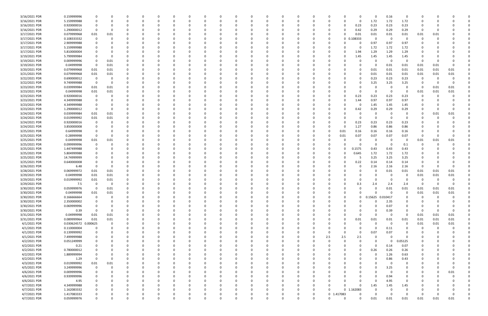| 3/16/2021 PDR                  | 0.159999996          | 0                   |              |          |               |          |          |          |          |          |          | 0        |          |          |          |     |              |             | $\Omega$         | 0.16        | $\Omega$                |           |              |           |  |
|--------------------------------|----------------------|---------------------|--------------|----------|---------------|----------|----------|----------|----------|----------|----------|----------|----------|----------|----------|-----|--------------|-------------|------------------|-------------|-------------------------|-----------|--------------|-----------|--|
| 3/16/2021 PDR                  | 5.159999988          | 0                   |              | O        | <sup>0</sup>  | $\Omega$ |          |          | 0        |          |          | 0        |          | O        | 0        | - 0 | U            | 0           | 1.72             | 1.72        | 1.72                    | 0         |              |           |  |
| 3/16/2021 PDR                  | 0.920000016          | 0                   |              |          |               |          |          |          |          |          |          | 0        |          |          |          |     |              | 0.23        | 0.23             | 0.23        | 0.23                    | 0         |              |           |  |
| 3/16/2021 PDR                  | 1.290000012          | 0                   |              |          |               |          |          |          |          |          |          |          |          |          |          |     |              | 0.42        | 0.29             | 0.29        | 0.29                    | 0         |              |           |  |
| 3/17/2021 PDR                  | 0.079999968          | 0.01                | 0.01         |          |               |          |          |          |          |          |          | 0        |          |          |          |     | ი            | 0.01        | 0.01             | 0.01        | 0.01                    | 0.01      | 0.01         |           |  |
| 3/17/2021 PDR                  | 0.108333332          | 0                   |              |          |               |          |          |          |          |          |          | -0       |          |          |          |     | 0            | 0.108333    | 0                | $\mathbf 0$ | $\Omega$                | -0        |              |           |  |
| 3/17/2021 PDR                  | 2.909999988          |                     |              |          |               |          |          |          |          |          |          | $\Omega$ |          |          |          |     |              |             | 0.97             | 0.97        | 0.97                    |           |              |           |  |
| 3/17/2021 PDR                  | 5.159999988          |                     |              |          |               |          |          |          |          |          |          | 0        |          |          | C        |     |              | 0           | 1.72             | 1.72        | 1.72                    |           |              |           |  |
| 3/17/2021 PDR                  | 5.810000004          |                     |              |          |               |          |          |          |          |          |          | 0        |          |          |          |     |              | 1.94        | 1.29             | 1.29        | 1.29                    |           |              |           |  |
| 3/19/2021 PDR                  | 5.799999984          |                     |              |          |               |          |          |          |          |          |          |          |          |          |          |     |              | 1.45        | 1.45             | 1.45        | 1.45                    |           |              |           |  |
| 3/19/2021 PDR                  | 0.009999996          | 0                   | 0.01         |          |               |          |          |          |          |          |          | 0        |          |          |          |     |              |             | $\Omega$         | $\Omega$    | $\Omega$                | 0         |              |           |  |
| 3/19/2021 PDR                  | 0.04999998           | $\mathbf 0$         | 0.01         |          |               |          |          |          |          |          |          | 0        |          |          |          |     |              |             | 0                | 0.01        | 0.01                    | 0.01      | 0.01         |           |  |
| 3/20/2021 PDR                  | 0.079999968          | 0.01                | 0.01         |          |               |          |          |          |          |          |          | - 0      |          |          |          |     |              |             | 0.01             | 0.01        | 0.01                    | 0.01      | 0.01         | 0.01      |  |
| 3/21/2021 PDR                  | 0.079999968          | 0.01                | 0.01         |          |               |          |          |          |          |          |          | - 0      |          |          |          |     |              |             | 0.01             | 0.01        | 0.01                    | 0.01      | 0.01         | 0.01      |  |
| 3/22/2021 PDR                  | 0.690000012          | 0                   |              |          |               |          |          |          |          |          |          | -0       |          |          |          |     |              |             | 0.23             | 0.23        | 0.23                    | 0         |              |           |  |
| 3/22/2021 PDR                  | 9.749999988          | 0                   |              |          |               |          |          |          |          |          |          |          |          |          |          |     |              |             | 3.25             | 3.25        | 3.25                    | 0         |              |           |  |
| 3/23/2021 PDR                  | 0.039999984          | 0.01                | 0.01         |          |               |          |          |          |          |          |          | $\Omega$ |          |          |          |     |              |             | 0                | - 0         | - 0                     | 0         | 0.01         | 0.01      |  |
| 3/23/2021 PDR                  | 0.04999998           | 0.01                | 0.01         |          |               |          |          |          |          |          |          | 0        |          |          |          |     |              |             | 0                | - 0         | - 0                     | 0.01      | 0.01         | 0.01      |  |
| 3/23/2021 PDR                  | 0.920000016          | 0                   |              |          |               |          |          |          |          |          |          | 0        |          |          |          |     |              | 0.23        | 0.23             | 0.23        | 0.23                    | 0         |              |           |  |
| 3/23/2021 PDR                  | 4.349999988          |                     |              |          |               |          |          |          |          |          |          | $\Omega$ |          |          |          |     |              | 1.44        | 0.97             | 0.97        | 0.97                    |           |              |           |  |
| 3/23/2021 PDR                  | 4.349999988          |                     |              |          |               |          |          |          |          |          |          | 0        |          |          |          |     |              | - 0         | 1.45             | 1.45        | 1.45                    |           |              |           |  |
| 3/23/2021 PDR                  | 1.290000012          | 0                   |              |          |               |          |          |          |          |          |          | 0        |          |          |          |     |              | 0.42        | 0.29             | 0.29        | 0.29                    |           |              |           |  |
| 3/24/2021 PDR                  | 0.039999984          | 0.01                | 0.01         |          |               |          |          |          |          |          |          | $\Omega$ |          |          |          |     |              |             | 0                | - 0         | 0                       | 0         | 0.01         | 0.01      |  |
| 3/24/2021 PDR                  | 0.019999992          | 0.01                | 0.01         |          |               |          |          |          |          |          |          | - 0      |          |          |          |     |              |             | 0                | - 0         | - 0                     | C         |              |           |  |
| 3/24/2021 PDR                  | 0.920000016          | 0                   |              |          |               |          |          |          |          |          |          | -0       |          |          |          |     |              | 0.23        | 0.23             | 0.23        | 0.23                    |           |              |           |  |
| 3/24/2021 PDR                  | 3.850000008          |                     |              |          |               |          |          |          |          |          |          | $\Omega$ |          |          |          |     |              | 1.27        | 0.86             | 0.86        | 0.86                    |           |              |           |  |
| 3/25/2021 PDR                  | 0.64999998           |                     |              |          |               |          |          |          |          |          |          | -0       |          |          |          |     | 0.01         | 0.16        | 0.16             | 0.16        | 0.16                    |           |              |           |  |
| 3/25/2021 PDR                  | 0.28999998           | 0                   |              |          |               |          |          |          |          |          |          |          |          |          |          |     | 0.01         | 0.07        | 0.07             | 0.07        | 0.07                    | $\Omega$  |              |           |  |
| 3/25/2021 PDR                  | 0.04999998           | 0.01                | 0.01         |          |               |          |          |          |          |          |          |          |          |          |          |     |              |             | 0                | - 0         | $\Omega$                | 0.01      | 0.01         | 0.01      |  |
| 3/25/2021 PDR                  | 0.099999996          | 0                   |              |          |               |          |          |          |          |          |          | $\Omega$ |          |          |          |     |              |             | $\Omega$         | $\Omega$    | 0.1                     | 0         |              |           |  |
| 3/25/2021 PDR                  | 1.447499988          | 0                   |              |          |               |          |          |          |          |          |          | 0        |          |          |          |     |              | 0.1575      | 0.43             | 0.43        | 0.43                    | 0         |              |           |  |
| 3/25/2021 PDR                  | 5.804999988          |                     |              |          |               |          |          |          |          |          |          | 0        |          |          |          |     |              | 0.645       | 1.72             | 1.72        | 1.72                    |           |              |           |  |
| 3/25/2021 PDR                  | 14.74999999          |                     |              |          |               |          |          |          |          |          |          | - 0      |          |          |          |     |              | -5          | 3.25             | 3.25        | 3.25                    |           |              |           |  |
| 3/25/2021 PDR                  | 0.640000008          |                     |              |          |               |          |          |          |          |          |          | -0       |          |          |          |     |              | 0.22        | 0.14             | 0.14        | 0.14                    | O         |              |           |  |
| 3/26/2021 PDR                  | 6.48                 | 0                   |              |          |               |          |          |          |          |          |          |          |          |          |          |     |              | O           | 2.16             | 2.16        | 2.16                    | -0        |              |           |  |
| 3/28/2021 PDR                  | 0.069999972          | 0.01                | 0.01         |          |               |          |          |          |          |          |          | 0        |          |          |          |     |              |             | 0                | 0.01        | 0.01                    | 0.01      | 0.01         | 0.01      |  |
| 3/29/2021 PDR                  | 0.04999998           | 0.01                | 0.01         |          |               |          |          |          |          |          |          | 0        |          |          |          |     |              |             | 0                | - 0         | - 0                     | 0.01      | 0.01         | 0.01      |  |
| 3/29/2021 PDR                  | 0.019999992          | 0.01                |              |          |               |          |          |          |          |          |          | $\Omega$ |          |          |          |     |              |             | 0                |             | - 0                     | 0         |              |           |  |
|                                |                      | 0                   | 0.01         |          |               |          |          |          |          |          |          |          |          |          |          |     |              |             |                  |             |                         | -C        |              |           |  |
| 3/29/2021 PDR                  | 7.5<br>0.059999976   |                     |              | O        |               |          |          |          |          |          |          | - 0      |          |          |          |     |              | 0.3<br>0    | 2.4<br>0         | 2.4<br>0.01 | 2.4<br>0.01             | 0.01      |              | 0.01      |  |
| 3/30/2021 PDR<br>3/30/2021 PDR | 0.04999998           | $\mathbf 0$<br>0.01 | 0.01<br>0.01 |          |               |          |          |          |          |          |          |          |          |          |          |     |              |             |                  |             | $\mathbf 0$             |           | 0.01<br>0.01 |           |  |
| 3/30/2021 PDR                  | 0.166666664          | 0                   | $\Omega$     | $\Omega$ | U<br>$\Omega$ | $\Omega$ | $\Omega$ | $\Omega$ | $\Omega$ | $\Omega$ | $\Omega$ | 0        | $\Omega$ | $\Omega$ | $\Omega$ |     | 0            | $\mathbf 0$ | 0.15625 0.010417 | 0           | $\Omega$                | 0.01<br>0 | $\Omega$     | 0.01<br>O |  |
| 3/30/2021 PDR                  | 2.350000002          | 0                   |              | 0        | 0             | $\Omega$ |          | $\Omega$ | 0        | O        |          | 0        |          | O        | 0        |     | 0            | O           | 0                | 2.35        | 0                       | O         |              |           |  |
| 3/30/2021 PDR                  | 0.069999996          | 0                   |              |          |               | $\Omega$ |          |          | 0        |          |          | 0        |          | 0        | 0        |     |              |             | 0                | 0.07        | 0                       | 0         |              |           |  |
| 3/30/2021 PDR                  | 0.39                 | $\mathbf 0$         | $\Omega$     |          |               | $\Omega$ |          | $\Omega$ | 0        |          |          | $\Omega$ |          | 0        | 0        |     |              |             | $\Omega$         | 0.39        | 0                       | 0         | $\Omega$     | $\Omega$  |  |
| 3/31/2021 PDR                  | 0.04999998           | 0.01                | 0.01         |          |               | 0        |          |          |          |          |          | 0        |          | 0        |          |     |              | 0           | 0                | 0           | $\overline{\mathbf{0}}$ | 0.01      | 0.01         | 0.01      |  |
| 3/31/2021 PDR                  | 0.089999964          | 0.01                | 0.01         |          |               |          |          |          |          |          |          | 0        |          | 0        | 0        |     | 0            | 0.01        | 0.01             | 0.01        | 0.01                    | 0.01      | 0.01         | $0.01\,$  |  |
| 4/1/2021 PDR                   | 0.030624572 0.000625 |                     | $\Omega$     |          |               | -0       |          |          |          |          |          | $\Omega$ |          |          | 0        |     |              | 0           | $\Omega$         | $\Omega$    | $\overline{\mathbf{0}}$ | 0.01      | 0.01         | $0.01\,$  |  |
| 4/1/2021 PDR                   | 0.110000004          | 0                   |              | 0        |               | $\Omega$ |          |          | 0        |          |          | 0        |          | O        | 0        |     |              |             | 0                | 0.11        | $\Omega$                | 0         | 0            |           |  |
| 4/1/2021 PDR                   | 0.139999992          | 0                   |              |          |               | $\Omega$ |          |          |          |          |          | 0        |          |          | 0        |     |              | 0           | 0.07             | 0.07        | 0                       |           |              |           |  |
| 4/1/2021 PDR                   | 7.499999988          | 0                   |              |          |               | -0       |          |          | 0        |          |          | 0        |          |          | 0        | 2.5 | 2.5          | 2.5         | 0                | $\Omega$    | $\Omega$                |           |              |           |  |
| 4/2/2021 PDR                   | 0.051249999          |                     |              |          |               | -0       |          |          |          |          |          | 0        |          |          | C        |     |              |             | 0                | $\Omega$    | 0.05125                 |           |              |           |  |
| 4/2/2021 PDR                   | 0.21                 | 0                   |              |          |               |          |          |          |          |          |          | 0        |          |          |          |     |              |             | 0                | 0.14        | 0.07                    | O         |              |           |  |
| 4/2/2021 PDR                   | 0.780000012          | 0                   |              |          |               | $\Omega$ |          |          | 0        |          |          | 0        |          | 0        | 0        |     |              | 0           | 0.26             | 0.26        | 0.26                    | 0         |              |           |  |
| 4/2/2021 PDR                   | 1.889999994          | 0                   |              |          |               | $\Omega$ |          |          | 0        |          |          | 0        |          | 0        | 0        |     |              |             | 0                | 1.26        | 0.63                    |           |              |           |  |
|                                |                      |                     |              |          |               |          |          |          |          |          |          |          |          |          |          |     |              |             |                  |             |                         | 0         |              |           |  |
| 4/2/2021 PDR                   | 1.29                 | $\mathbf 0$         |              |          |               | $\Omega$ |          |          | 0        |          |          | 0        |          |          | 0        |     |              |             | 0                | 0.86        | 0.43                    | 0         |              |           |  |
| 4/3/2021 PDR                   | 0.019999992          | 0.01                | 0.01         |          |               | $\Omega$ |          |          | 0        |          |          | $\Omega$ |          | 0        | 0        |     |              |             | $\Omega$         | $\Omega$    | 0                       |           |              |           |  |
| 4/5/2021 PDR                   | 3.249999996          | $\mathbf 0$         |              |          |               | $\Omega$ |          |          |          |          |          | 0        |          |          |          |     |              |             | 0                | 3.25        | 0                       |           |              |           |  |
| 4/6/2021 PDR                   | 0.009999996          | 0                   |              |          |               |          |          |          |          |          |          | 0        |          |          |          |     |              |             | 0                | $\Omega$    | 0                       |           |              | 0.01      |  |
| 4/6/2021 PDR                   | 0.939999996          | 0                   |              |          |               | -0       |          |          |          |          |          | $\Omega$ |          | 0        |          |     |              |             | 0                | 0.94        | 0                       | 0         |              |           |  |
| 4/6/2021 PDR                   | 4.95                 | 0                   |              |          |               |          |          |          |          |          |          | $\Omega$ |          |          | C        |     |              |             | 0                | 4.95        | $\overline{0}$          |           |              |           |  |
| 4/7/2021 PDR                   | 4.349999988          | 0                   |              |          |               | -0       |          |          |          |          |          | 0        |          |          | 0        |     |              | $\Omega$    | 1.45             | 1.45        | 1.45                    |           |              |           |  |
| 4/7/2021 PDR                   | 1.162083332          | 0                   |              |          |               | -0       |          |          | 0        |          |          | $\Omega$ |          | 0        | 0        |     |              | 0 1.162083  | 0                |             | - 0                     | O         |              |           |  |
| 4/7/2021 PDR                   | 1.417083333          | 0                   |              |          |               |          |          |          |          |          |          | 0        |          |          | 0        |     | 0 1.417083   |             | $\Omega$         | - 0         | $\Omega$                | -0        |              |           |  |
| 4/7/2021 PDR                   | 0.059999976          | $\Omega$            |              | $\Omega$ | $\Omega$      | $\Omega$ | $\Omega$ | $\Omega$ | $\Omega$ | $\Omega$ | $\Omega$ | $\Omega$ | $\Omega$ | $\Omega$ | $\Omega$ |     | <sup>0</sup> | $\Omega$    | 0.01             | 0.01        | 0.01                    | 0.01      | 0.01         | 0.01      |  |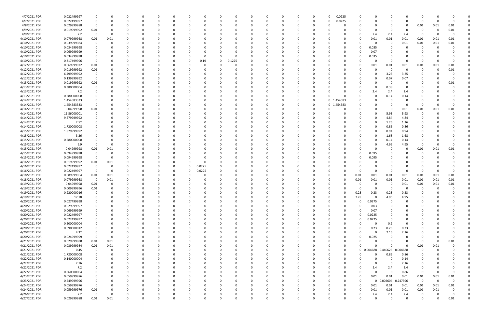| 4/7/2021 PDR  | 0.022499997 |             |             |              |          | 0           |              |          |          |          |          |          |          |          | 0.0225<br>$\Omega$   | -0          | 0           |                |             |          |              |          |  |
|---------------|-------------|-------------|-------------|--------------|----------|-------------|--------------|----------|----------|----------|----------|----------|----------|----------|----------------------|-------------|-------------|----------------|-------------|----------|--------------|----------|--|
| 4/7/2021 PDR  | 0.022499997 | $\mathbf 0$ |             | 0            |          | 0           | <sup>0</sup> | 0        |          | $\Omega$ | $\Omega$ | 0        | -0       | 0        | 0.0225<br>0          | $\Omega$    | 0           | $\Omega$       | O           | $\Omega$ | $\Omega$     | $\Omega$ |  |
|               |             |             |             |              |          |             |              |          |          |          |          |          |          |          |                      |             |             |                |             |          |              |          |  |
| 4/8/2021 PDR  | 0.029999988 | 0           |             |              |          | 0           |              |          |          |          |          |          |          |          |                      |             |             |                | 0           | 0.01     | 0.01         | 0.01     |  |
| 4/9/2021 PDR  | 0.019999992 | $0.01\,$    |             |              |          |             |              |          |          |          |          |          |          |          |                      |             |             |                |             |          | 0            | $0.01\,$ |  |
| 4/9/2021 PDR  | 7.2         | $\Omega$    |             |              |          |             |              |          |          | - 0      |          |          |          |          |                      | 0           | 2.4         | 2.4            | 2.4         | $\Omega$ | 0            | $\Omega$ |  |
|               |             |             |             |              |          |             |              |          |          |          |          |          |          |          |                      |             |             |                |             |          |              |          |  |
| 4/10/2021 PDR | 0.079999968 | 0.01        | 0.01        | n            |          |             |              |          |          | 0        |          |          |          |          |                      | 0           | 0.01        | 0.01           | 0.01        | 0.01     | 0.01         | 0.01     |  |
| 4/10/2021 PDR | 0.039999984 | 0           |             |              |          | 0           |              |          |          | -0       |          |          |          |          |                      | 0           | 0           | 0              | 0.01        | 0.01     | 0.01         | $0.01\,$ |  |
| 4/10/2021 PDR | 0.034999998 |             |             |              |          |             |              |          |          | - 0      |          |          |          |          |                      | -0          | 0.035       |                | 0           |          | $\Omega$     |          |  |
|               |             |             |             |              |          |             |              |          |          |          |          |          |          |          |                      |             |             |                |             |          |              |          |  |
| 4/10/2021 PDR | 0.069999999 |             |             |              |          |             |              |          |          |          |          |          |          |          |                      | -0          | 0.07        |                |             |          |              |          |  |
| 4/10/2021 PDR | 0.034999998 |             |             |              |          |             |              |          |          | $\Omega$ |          |          |          |          |                      | 0           | 0.035       |                |             |          |              |          |  |
| 4/10/2021 PDR | 0.317499996 | 0           |             |              |          | 0           |              | 0.19     | 0        | 0.1275   |          |          |          |          |                      | 0           | 0           | $\Omega$       | 0           |          | $\Omega$     | $\Omega$ |  |
|               |             |             |             |              |          |             |              |          |          |          |          |          |          |          |                      |             |             |                |             |          |              |          |  |
| 4/12/2021 PDR | 0.069999972 | 0.01        |             |              |          | 0           |              |          |          | 0        |          |          |          |          |                      | 0           | 0.01        | 0.01           | 0.01        | 0.01     | 0.01         | 0.01     |  |
| 4/12/2021 PDR | 0.019999992 | 0.01        |             |              |          | $\Omega$    |              |          |          | -0       |          |          |          |          |                      | - 0         | 0           | -C             | $\Omega$    |          | $\Omega$     | $0.01\,$ |  |
| 4/12/2021 PDR | 6.499999992 |             |             |              |          |             |              |          |          |          |          |          |          |          |                      |             | 0           | 3.25           | 3.25        |          |              |          |  |
|               |             |             |             |              |          |             |              |          |          |          |          |          |          |          |                      |             |             |                |             |          |              |          |  |
| 4/12/2021 PDR | 0.139999992 | $\mathbf 0$ |             |              |          |             |              |          |          |          |          |          |          |          |                      | -0          | 0           | 0.07           | 0.07        |          |              | $\Omega$ |  |
| 4/13/2021 PDR | 0.019999992 | $0.01\,$    |             |              |          |             |              |          |          |          |          |          |          |          |                      |             | 0           | - C            | 0           |          |              | 0.01     |  |
| 4/13/2021 PDR | 0.380000004 |             |             |              |          |             |              |          |          |          |          |          |          |          |                      |             | 0           | 0.38           | $\Omega$    |          |              |          |  |
|               |             |             |             |              |          |             |              |          |          |          |          |          |          |          |                      |             |             |                |             |          |              |          |  |
| 4/13/2021 PDR | 7.2         |             |             |              |          |             |              |          |          | - 0      |          |          |          |          |                      | O           | 2.4         | 2.4            | 2.4         |          |              |          |  |
| 4/13/2021 PDR | 0.280000008 |             |             |              |          |             |              |          |          | -0       |          |          |          |          |                      | 0           | 0           | 0.14           | 0.14        |          |              |          |  |
| 4/14/2021 PDR | 1.454583333 |             |             |              |          |             |              |          |          |          |          |          |          |          | 1.454583<br>0        |             |             |                | $\Omega$    |          |              |          |  |
|               |             |             |             |              |          |             |              |          |          |          |          |          |          |          |                      |             |             |                |             |          |              |          |  |
| 4/14/2021 PDR | 1.454583333 |             |             |              |          |             |              |          |          |          |          |          |          | O        | 1.454583<br>0        |             |             |                | 0           |          | - 0          |          |  |
| 4/14/2021 PDR | 0.04999998  | $0.01\,$    |             |              |          |             |              |          |          |          |          |          |          |          |                      | 0           | 0           |                | 0.01        | 0.01     | 0.01         | $0.01\,$ |  |
| 4/14/2021 PDR |             |             |             |              |          |             |              |          |          |          |          |          |          |          |                      |             |             |                |             |          | $\Omega$     |          |  |
|               | 11.86000001 |             |             |              |          |             |              |          |          |          |          |          |          |          |                      |             | 0           | 5.93           | 5.93        |          |              |          |  |
| 4/14/2021 PDR | 9.679999992 |             |             |              |          | O           |              |          |          | 0        |          |          |          |          |                      | 0           | 0           | 4.84           | 4.84        |          |              |          |  |
| 4/14/2021 PDR | 2.52        |             |             |              |          |             |              |          |          | 0        |          |          |          |          |                      | 0           | 0           | 1.26           | 1.26        |          |              |          |  |
| 4/14/2021 PDR | 1.720000008 |             |             |              |          |             |              |          |          |          |          |          |          |          |                      |             | 0           |                |             |          |              |          |  |
|               |             |             |             |              |          |             |              |          |          |          |          |          |          |          |                      |             |             | 0.86           | 0.86        |          |              |          |  |
| 4/15/2021 PDR | 1.879999992 |             |             |              |          |             |              |          |          | - 0      |          |          |          |          |                      | -0          | 0           | 0.94           | 0.94        |          |              |          |  |
| 4/15/2021 PDR | 3.36        |             |             |              |          |             |              |          |          |          |          |          |          |          |                      |             | 0           | 1.68           | 1.68        |          |              |          |  |
| 4/15/2021 PDR | 0.280000008 |             |             |              |          |             |              |          |          |          |          |          |          |          |                      |             | 0           | 0.14           |             |          |              |          |  |
|               |             |             |             |              |          |             |              |          |          |          |          |          |          |          |                      |             |             |                | 0.14        |          |              |          |  |
| 4/15/2021 PDR | 9.9         | $\Omega$    |             |              |          |             |              |          |          | - 0      |          |          |          |          |                      |             | 0           | 4.95           | 4.95        |          | $\Omega$     | $\Omega$ |  |
| 4/15/2021 PDR | 0.04999998  | 0.01        | 0.01        |              |          |             |              |          |          | 0        |          |          |          |          |                      | 0           | 0           |                | 0           | 0.01     | 0.01         | 0.01     |  |
| 4/15/2021 PDR | 0.094999998 | 0           |             |              |          | $\Omega$    |              |          |          | - 0      |          |          |          |          |                      | -0          |             |                |             |          |              |          |  |
|               |             |             |             |              |          |             |              |          |          |          |          |          |          |          |                      |             | 0.095       |                |             |          |              |          |  |
| 4/15/2021 PDR | 0.094999998 | $\mathbf 0$ |             |              |          |             |              |          |          | $\Omega$ |          |          |          |          |                      | -0          | 0.095       |                |             |          |              |          |  |
| 4/16/2021 PDR | 0.019999992 | $0.01\,$    | 0.01        |              |          |             |              |          |          |          |          |          |          |          |                      | 0           | 0           |                |             |          |              |          |  |
| 4/16/2021 PDR |             | $\mathbf 0$ |             |              |          |             |              | 0.0225   |          | -0       |          |          |          |          |                      |             | 0           |                |             |          |              |          |  |
|               | 0.022499997 |             |             |              |          | 0           |              |          |          |          |          |          |          |          |                      |             |             |                |             |          |              |          |  |
| 4/16/2021 PDR | 0.022499997 | $\mathbf 0$ | $\Omega$    | 0            |          | 0           |              | 0.0225   |          | 0        |          |          |          |          |                      | $\Omega$    | 0           | - 0            | 0           | O        | $\Omega$     | $\Omega$ |  |
| 4/18/2021 PDR | 0.089999964 | 0.01        | 0.01        |              |          | 0           |              |          |          | 0        |          |          |          |          |                      | 0.01        | 0.01        | 0.01           | 0.01        | 0.01     | 0.01         | 0.01     |  |
| 4/18/2021 PDR | 0.079999968 | $\mathbf 0$ |             |              |          |             |              |          |          | - 0      |          |          |          |          |                      |             |             |                |             |          |              | $0.01\,$ |  |
|               |             |             | 0.01        |              |          |             |              |          |          |          |          |          |          |          |                      | 0.01        | 0.01        | 0.01           | 0.01        | 0.01     | 0.01         |          |  |
| 4/19/2021 PDR | 0.04999998  | 0.01        |             |              |          |             |              |          |          |          |          |          |          |          |                      | -0          |             |                | 0.01        | 0.01     | 0.01         | 0.01     |  |
| 4/19/2021 PDR | 0.009999996 | $0.01\,$    |             | <sup>0</sup> |          |             |              |          |          |          |          |          |          |          |                      | -0          |             | - 0            | - 0         | 0        | $\mathbf 0$  | $\Omega$ |  |
| 4/19/2021 PDR | 0.920000016 |             |             |              |          |             |              |          |          |          |          |          |          |          |                      |             |             |                | 0.23        |          |              |          |  |
|               |             |             |             |              |          | υ           |              |          |          |          |          |          |          |          | U                    | 0.23        | 0.23        | 0.23           |             |          |              |          |  |
| 4/19/2021 PDR | 17.18       | 0           | 0           | $\Omega$     | $\Omega$ | $\mathbf 0$ | $\Omega$     | 0        | $\Omega$ | $\Omega$ | $\Omega$ | $\Omega$ | $\Omega$ | $\Omega$ | $\Omega$<br>$\Omega$ | 7.28        | $\mathbf 0$ | 4.95           | 4.95        |          | $\Omega$     |          |  |
| 4/20/2021 PDR | 0.027499998 | $\mathbf 0$ |             | 0            |          | $\Omega$    | 0            | 0        |          | $\Omega$ | $\Omega$ | $\Omega$ |          | $\Omega$ | 0                    | $\Omega$    | 0.0275      | $\Omega$       | 0           |          |              |          |  |
| 4/20/2021 PDR | 0.029999997 | 0           |             | 0            |          | 0           |              | 0        |          | 0        | 0        | 0        |          | 0        |                      | $\mathbf 0$ | 0.03        |                | 0           |          |              |          |  |
|               |             |             |             |              |          |             |              |          |          |          |          |          |          |          |                      |             |             |                |             |          |              |          |  |
| 4/20/2021 PDR | 0.069999999 | 0           |             | $\Omega$     |          | 0           |              | 0        |          | $\Omega$ | 0        | $\Omega$ |          | 0        |                      | $\Omega$    | 0.07        |                |             |          |              |          |  |
| 4/20/2021 PDR | 0.022499997 | $\Omega$    |             |              |          | 0           |              |          |          | 0        |          |          |          | 0        |                      | $\mathbf 0$ | 0.0225      |                |             |          |              |          |  |
| 4/20/2021 PDR | 0.022499997 | 0           |             |              |          | 0           |              |          |          | 0        |          |          |          |          |                      | $\mathbf 0$ | 0.0225      | $\Omega$       |             |          |              |          |  |
|               |             |             |             |              |          |             |              |          |          |          |          |          |          |          |                      |             |             |                |             |          |              |          |  |
| 4/20/2021 PDR | 0.200000004 | $\Omega$    |             |              |          | $\Omega$    |              |          |          | $\Omega$ |          |          |          |          |                      | $\mathbf 0$ | 0           | 0.2            | $\Omega$    |          |              |          |  |
| 4/20/2021 PDR | 0.690000012 | $\mathbf 0$ |             | 0            |          | $\Omega$    | 0            | 0        |          | 0        | 0        | $\Omega$ |          | 0        |                      | 0           | 0.23        | 0.23           | 0.23        |          |              | $\Omega$ |  |
| 4/20/2021 PDR | 4.32        | 0           |             | 0            |          | 0           |              | 0        |          | 0        | 0        | 0        |          | 0        |                      | 0           | 0           | 2.16           | 2.16        |          |              |          |  |
|               |             |             |             |              |          |             |              |          |          |          |          |          |          |          |                      |             |             |                |             |          |              |          |  |
| 4/20/2021 PDR | 0.024999999 | $\Omega$    |             |              |          | 0           |              |          |          | $\Omega$ |          |          |          |          |                      | $\Omega$    | 0.025       |                | $\Omega$    |          |              | $\Omega$ |  |
| 4/21/2021 PDR | 0.029999988 | 0.01        | 0.01        |              |          | 0           |              | 0        |          | 0        |          | 0        |          | 0        |                      | $\Omega$    | 0           |                | 0           | $\Omega$ | 0            | 0.01     |  |
| 4/21/2021 PDR | 0.039999984 | $0.01\,$    | $0.01\,$    |              |          | 0           |              |          |          | 0        |          |          |          |          |                      | 0           | $\Omega$    |                | $\Omega$    | 0.01     | 0.01         | $\Omega$ |  |
|               |             |             |             |              |          |             |              |          |          |          |          |          |          |          |                      |             |             |                |             |          |              |          |  |
| 4/21/2021 PDR | 0.45        | $\mathbf 0$ | $\mathbf 0$ | $\Omega$     |          | $\mathbf 0$ |              |          |          | $\Omega$ |          |          |          |          | $\Omega$             | 0           | 0.004688    | 0.440625       | 0.004688    | $\Omega$ | $\Omega$     | $\Omega$ |  |
| 4/21/2021 PDR | 1.720000008 | 0           |             | 0            |          | 0           | C            | 0        |          | $\Omega$ |          | $\Omega$ |          | 0        |                      | 0           | 0           | 0.86           | 0.86        |          | $\Omega$     | $\Omega$ |  |
| 4/22/2021 PDR | 0.140000004 | $\Omega$    |             | 0            |          | 0           | <sup>0</sup> | 0        |          | 0        | 0        | $\Omega$ |          | 0        |                      | 0           | $\Omega$    | $\Omega$       | 0.14        |          |              | $\Omega$ |  |
|               |             |             |             |              |          |             |              |          |          |          |          |          |          |          |                      |             |             |                |             |          |              |          |  |
| 4/22/2021 PDR | 2.16        |             |             |              |          | 0           |              |          |          | 0        | 0        |          |          | 0        |                      | $\Omega$    | 0           | 0              | 2.16        |          |              | $\Omega$ |  |
| 4/22/2021 PDR | 7.2         |             |             | 0            |          | 0           |              | 0        |          | $\Omega$ | 0        | 0        |          | 0        |                      | 0           | 2.4         | 2.4            | 2.4         | 0        |              |          |  |
| 4/22/2021 PDR | 0.860000004 |             |             |              |          | 0           |              |          |          | 0        |          |          |          | 0        |                      | 0           | $\mathbf 0$ | $\mathfrak{g}$ | 0.86        | 0        | 0            | $\Omega$ |  |
|               |             |             |             |              |          |             |              |          |          |          |          |          |          |          |                      |             |             |                |             |          |              |          |  |
| 4/23/2021 PDR | 0.059999976 | $\Omega$    |             |              |          | 0           |              |          |          | $\Omega$ | $\Omega$ |          |          | 0        |                      | $\mathbf 0$ | 0.01        | 0.01           | 0.01        | 0.01     | 0.01         | $0.01\,$ |  |
| 4/23/2021 PDR | 0.249999996 | $\mathbf 0$ |             | 0            |          | 0           | C            | 0        |          | 0        |          | $\Omega$ |          | 0        |                      | $\mathbf 0$ |             | 0 0.002604     | 0.247396    | 0        | $\mathsf{O}$ | $\Omega$ |  |
| 4/24/2021 PDR | 0.059999976 | $\mathbf 0$ |             | 0            |          | 0           |              | 0        |          | 0        | 0        | $\Omega$ |          | 0        |                      | $\mathbf 0$ | 0.01        | 0.01           | 0.01        | 0.01     | 0.01         | $0.01\,$ |  |
|               |             |             |             |              |          |             |              |          |          |          |          |          |          |          |                      |             |             |                |             |          |              |          |  |
| 4/24/2021 PDR | 0.059999976 | $0.01\,$    |             |              |          | $\Omega$    |              |          |          | $\Omega$ | $\Omega$ |          |          |          |                      | $\Omega$    | 0.01        | 0.01           | $0.01\,$    | 0.01     | 0.01         | $\Omega$ |  |
| 4/26/2021 PDR | 7.2         | $\Omega$    |             |              |          | 0           |              |          |          | 0        |          |          |          |          |                      | 0           | 2.4         | 2.4            | 2.4         |          | 0            | $\Omega$ |  |
| 4/27/2021 PDR | 0.029999988 | 0.01        | 0.01        | $\Omega$     |          | $\Omega$    | $\Omega$     | $\Omega$ |          | $\Omega$ | $\Omega$ |          |          |          |                      | $\Omega$    | $\Omega$    | $\Omega$       | $\mathbf 0$ |          | $\Omega$     | 0.01     |  |
|               |             |             |             |              |          |             |              |          |          |          |          |          |          |          |                      |             |             |                |             |          |              |          |  |

| 0  | 0           | 0         | 0         | 0           | 0           | 0    | 0 |
|----|-------------|-----------|-----------|-------------|-------------|------|---|
| 0  | 0           | 0         | 0         | 0           | 0           | 0    | 0 |
| 0  | 0           | 0         | 0         | 0.01        | 0.01        | 0.01 | 0 |
|    |             |           |           |             |             |      |   |
| 0  | 0           | 0         | 0         | 0           | 0           | 0.01 | 0 |
| 0  | 2.4         | 2.4       | 2.4       | 0           | $\mathsf 0$ | 0    | 0 |
| 0  | 0.01        | 0.01      | 0.01      | 0.01        | 0.01        | 0.01 | 0 |
|    |             |           |           |             |             |      |   |
| 0  | 0           | 0         | 0.01      | 0.01        | 0.01        | 0.01 | 0 |
| 0  | 0.035       | 0         | 0         | 0           | 0           | 0    | 0 |
| 0  | 0.07        | 0         | 0         | 0           | 0           | 0    | 0 |
|    |             |           |           |             |             |      |   |
| 0  | 0.035       | 0         | 0         | 0           | 0           | 0    | 0 |
| 0  | 0           | 0         | 0         | 0           | 0           | 0    | 0 |
| 0  | 0.01        | 0.01      | 0.01      | 0.01        | 0.01        | 0.01 | 0 |
|    |             |           |           |             |             |      |   |
| 0  | 0           | 0         | 0         | 0           | 0           | 0.01 | 0 |
| 0  | 0           | 3.25      | 3.25      | 0           | 0           | 0    | 0 |
| 0  | 0           | 0.07      | 0.07      | 0           | 0           | 0    | 0 |
| 0  | 0           | 0         | $\pmb{0}$ | 0           | 0           | 0.01 | 0 |
|    |             |           |           |             |             |      |   |
| 0  | 0           | 0.38      | $\pmb{0}$ | 0           | 0           | 0    | 0 |
| 0  | 2.4         | 2.4       | 2.4       | 0           | 0           | 0    | 0 |
| 0  | 0           | 0.14      | 0.14      | 0           | 0           | 0    | 0 |
|    |             |           |           |             |             |      |   |
| 0  | 0           | 0         | 0         | 0           | 0           | 0    | 0 |
| 0  | 0           | 0         | $\pmb{0}$ | 0           | 0           | 0    | 0 |
| 0  | 0           | 0         | 0.01      | 0.01        | 0.01        | 0.01 | 0 |
|    |             |           |           |             |             |      |   |
| 0  | 0           | 5.93      | 5.93      | 0           | 0           | 0    | 0 |
| 0  | 0           | 4.84      | 4.84      | 0           | 0           | 0    | 0 |
| 0  | 0           | 1.26      | 1.26      | 0           | 0           | 0    | 0 |
|    |             |           |           |             |             |      |   |
| 0  | 0           | 0.86      | 0.86      | 0           | 0           | 0    | 0 |
| 0  | 0           | 0.94      | 0.94      | 0           | 0           | 0    | 0 |
| 0  | 0           | 1.68      | 1.68      | 0           | 0           | 0    | 0 |
| 0  | 0           | 0.14      | 0.14      | 0           | 0           | 0    | 0 |
|    |             |           |           |             |             |      |   |
| 0  | 0           | 4.95      | 4.95      | 0           | 0           | 0    | 0 |
| 0  | 0           | 0         | 0         | 0.01        | 0.01        | 0.01 | 0 |
| 0  | 0.095       | 0         | 0         | 0           | 0           | 0    | 0 |
|    |             |           |           |             |             |      |   |
| 0  | 0.095       | 0         | 0         | 0           | 0           | 0    | 0 |
| 0  | 0           | 0         | 0         | 0           | 0           | 0    | 0 |
| 0  | 0           | 0         | 0         | 0           | 0           | 0    | 0 |
| 0  | $\mathbf 0$ | 0         | 0         | 0           | 0           | 0    | 0 |
|    |             |           |           |             |             |      |   |
| )1 | 0.01        | 0.01      | 0.01      | 0.01        | 0.01        | 0.01 | 0 |
| )1 | 0.01        | 0.01      | 0.01      | 0.01        | 0.01        | 0.01 | 0 |
| 0  | 0           | 0         | 0.01      | 0.01        | 0.01        | 0.01 | 0 |
|    |             |           |           |             |             |      |   |
| 0  | 0           | 0         | 0         | 0           | 0           | 0    | 0 |
| 23 | 0.23        | 0.23      | 0.23      | U           | 0           | 0    | 0 |
| 28 | 0           | 4.95      | 4.95      | 0           | 0           | 0    | 0 |
|    |             |           |           |             |             |      |   |
| 0  | 0.0275      | 0         | 0         | 0           | 0           | 0    | 0 |
| 0  | 0.03        | 0         | 0         | 0           | 0           | 0    | 0 |
| 0  | 0.07        | 0         | 0         | 0           | 0           | 0    | 0 |
|    |             |           |           |             |             |      |   |
| 0  | 0.0225      | 0         | 0         | 0           | 0           | 0    | 0 |
| 0  | 0.0225      | $\pmb{0}$ | 0         | 0           | 0           | 0    | 0 |
| 0  | 0           | 0.2       | $\pmb{0}$ | 0           | 0           | 0    | 0 |
|    | 0.23        | 0.23      |           | 0           |             |      |   |
| 0  |             |           | 0.23      |             | 0           | 0    | 0 |
| 0  | 0           | 2.16      | 2.16      | 0           | 0           | 0    | 0 |
| 0  | 0.025       | 0         | 0         | 0           | 0           | 0    | 0 |
| 0  | 0           | 0         | 0         | 0           | 0           | 0.01 | 0 |
|    |             |           |           |             |             |      |   |
| 0  | 0           | 0         | $\pmb{0}$ | 0.01        | 0.01        | 0    | 0 |
| 0  | 0.004688    | 0.440625  | 0.004688  | 0           | 0           | 0    | 0 |
| 0  | 0           | 0.86      | 0.86      | 0           | 0           | 0    | 0 |
|    |             |           |           |             |             |      |   |
| 0  | 0           | 0         | 0.14      | 0           | 0           | 0    | 0 |
| 0  | 0           | 0         | 2.16      | 0           | 0           | 0    | 0 |
| 0  | 2.4         | 2.4       | 2.4       | 0           | 0           | 0    | 0 |
|    |             |           |           |             |             |      |   |
| 0  | $\pmb{0}$   | 0         | 0.86      | 0           | 0           | 0    | 0 |
| 0  | 0.01        | 0.01      | 0.01      | 0.01        | 0.01        | 0.01 | 0 |
| 0  | 0           | 0.002604  | 0.247396  | $\mathsf 0$ | 0           | 0    | 0 |
|    | $0.01\,$    | 0.01      |           |             |             | 0.01 |   |
| 0  |             |           | 0.01      | 0.01        | 0.01        |      | 0 |
| 0  | 0.01        | 0.01      | 0.01      | 0.01        | 0.01        | 0    | 0 |
| 0  | 2.4         | 2.4       | 2.4       | 0           | 0           | 0    | 0 |
| 0  | 0           | 0         | 0         | 0           | 0           | 0.01 | 0 |
|    |             |           |           |             |             |      |   |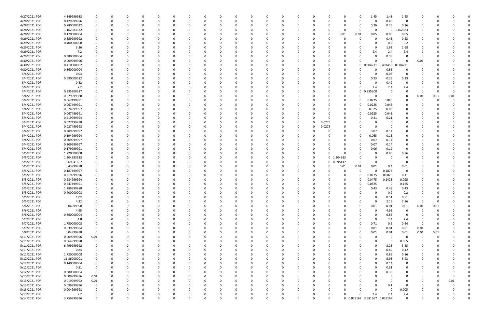| 4/27/2021 PDR | 4.349999988 |                         |          | 0        |          |              | 0            | 0        |   | 0        |          |          |   | 0        |        |              | 0        | 1.45                         | 1.45         | 1.45           |          |      |          |  |
|---------------|-------------|-------------------------|----------|----------|----------|--------------|--------------|----------|---|----------|----------|----------|---|----------|--------|--------------|----------|------------------------------|--------------|----------------|----------|------|----------|--|
| 4/28/2021 PDR | 0.429999996 |                         |          | $\Omega$ |          |              | <sup>0</sup> | $\Omega$ |   | $\Omega$ |          |          |   | $\Omega$ |        | $\Omega$     | $\Omega$ | $\Omega$                     | 0.43         | $\Omega$       | $\Omega$ |      |          |  |
| 4/28/2021 PDR | 0.780000012 |                         |          |          |          |              |              |          |   |          |          |          |   |          |        |              | 0        | 0.26                         | 0.26         | 0.26           |          |      |          |  |
| 4/28/2021 PDR | 1.162083332 |                         |          |          |          |              |              |          |   |          |          |          |   |          |        | <sup>0</sup> | 0        | 0                            | $\mathbf 0$  | L.162083       |          |      |          |  |
| 4/28/2021 PDR | 0.170000004 |                         |          |          |          |              |              |          |   |          |          |          |   |          |        | 0.01         | 0.01     | 0.05                         | 0.05         | 0.05           |          |      |          |  |
| 4/29/2021 PDR | 0.859999992 |                         |          |          |          |              |              |          |   |          |          |          |   |          |        |              | 0        | $\Omega$                     | 0.43         | 0.43           |          |      |          |  |
| 4/29/2021 PDR | 0.400000008 |                         |          |          |          |              |              |          |   |          |          |          |   |          |        |              | 0        | 0                            | 0.2          | 0.2            |          |      |          |  |
| 4/29/2021 PDR | 3.36        |                         |          |          |          |              |              |          |   |          |          |          |   |          |        |              |          | - 0                          | 1.68         | 1.68           |          |      |          |  |
| 4/29/2021 PDR | 7.2         |                         |          |          |          |              |              |          |   |          |          |          |   |          |        |              | 0        | 2.4                          | 2.4          | 2.4            |          |      |          |  |
| 4/29/2021 PDR | 0.380000004 |                         |          |          |          |              |              |          |   |          |          |          |   |          |        |              |          | $\Omega$                     | 0.38         | 0              | -C       |      |          |  |
| 4/30/2021 PDR | 0.009999996 |                         |          |          |          |              |              |          |   |          |          |          |   |          |        |              |          | $\Omega$                     | $\Omega$     | $\Omega$       | 0.01     |      |          |  |
| 4/30/2021 PDR | 0.410000002 |                         |          |          |          |              |              |          |   |          |          |          |   |          |        | 0            |          | 0 0.004271                   | 0.401458     | 0.004271       |          |      |          |  |
| 4/30/2021 PDR | 0.860000004 |                         |          |          |          |              |              |          |   |          |          |          |   |          |        |              |          |                              | 0.86         | 0              |          |      |          |  |
| 5/4/2021 PDR  | 0.03        |                         |          |          |          |              |              |          |   |          |          |          |   |          |        |              |          | - 0                          | 0.03         | $\mathbf 0$    |          |      |          |  |
| 5/4/2021 PDR  | 0.690000012 |                         |          |          |          |              |              |          |   |          |          |          |   |          |        | O            | 0        | 0.23                         | 0.23         | 0.23           |          |      |          |  |
| 5/4/2021 PDR  | 0.42        |                         |          |          |          |              |              |          |   |          |          |          |   |          |        |              | 0        | 0                            | 0.42         | 0              |          |      |          |  |
| 5/4/2021 PDR  | 7.2         |                         |          |          |          |              |              |          |   |          |          |          |   |          |        |              | $\Omega$ | 2.4                          | 2.4          | 2.4            |          |      |          |  |
| 5/4/2021 PDR  | 0.335208337 |                         |          |          |          |              |              |          |   |          |          |          |   |          |        | 0            |          | 0.335208<br>$\mathbf 0$      | 0            | $\Omega$       | -0       |      | O        |  |
| 5/4/2021 PDR  | 0.029999988 |                         |          |          |          |              |              |          |   |          |          |          |   |          |        | 0            | $\Omega$ | -C                           | $\Omega$     | 0              | 0.01     | 0.01 | 0.01     |  |
| 5/4/2021 PDR  | 0.067499991 |                         |          |          |          |              |              |          |   |          |          |          |   |          |        | $\Omega$     | 0        | 0.0225                       | 0.045        |                | C        |      |          |  |
| 5/4/2021 PDR  | 0.067499991 |                         |          |          |          |              |              |          |   |          |          |          |   |          |        | 0            | 0        | 0.0225                       | 0.045        |                |          |      |          |  |
| 5/4/2021 PDR  | 0.074999997 |                         |          |          |          |              |              |          |   |          |          |          |   |          |        | 0            | 0        | 0.025                        | 0.05         |                |          |      |          |  |
| 5/4/2021 PDR  | 0.067499991 |                         |          |          |          |              |              |          |   |          |          |          |   |          |        | 0            | 0        | 0.0225                       | 0.045        |                |          |      |          |  |
| 5/4/2021 PDR  | 0.419999994 |                         |          |          |          |              |              |          |   |          |          |          |   |          |        | 0            | 0        | 0.21                         | 0.21         | 0              |          |      |          |  |
| 5/4/2021 PDR  | 0.027499998 |                         |          |          |          |              |              |          |   |          |          |          |   | -0       | 0.0275 |              |          | -C                           |              | 0              |          |      |          |  |
| 5/4/2021 PDR  | 0.027499998 |                         |          |          |          |              |              |          |   |          |          |          | 0 | 0        | 0.0275 | 0            |          | -C                           | - 0          | 0              |          |      |          |  |
| 5/4/2021 PDR  |             |                         |          |          |          |              |              |          |   |          |          |          |   |          |        |              | 0        |                              |              |                |          |      |          |  |
|               | 0.209999997 |                         |          |          |          |              |              |          |   |          |          |          |   |          |        |              |          | 0.07                         | 0.14         |                |          |      |          |  |
| 5/4/2021 PDR  | 0.194999994 |                         |          |          |          |              |              |          |   |          |          |          |   |          |        |              | 0        | 0.065<br>0.07                | 0.13<br>0.14 |                |          |      |          |  |
| 5/4/2021 PDR  | 0.209999997 |                         |          |          |          |              |              |          |   |          |          |          |   |          |        |              | 0        |                              |              | 0              |          |      |          |  |
| 5/4/2021 PDR  | 0.209999997 |                         |          |          |          |              |              |          |   |          |          |          |   |          |        |              | 0        | 0.07                         | 0.14         | 0              |          |      |          |  |
| 5/4/2021 PDR  | 0.179999991 |                         |          |          |          |              |              |          |   |          |          |          |   |          |        |              | n        | 0.06                         | 0.12         | $\Omega$       |          |      |          |  |
| 5/5/2021 PDR  | 1.720000008 |                         |          |          |          |              |              |          |   |          |          |          |   | 0        |        |              | 0        |                              | 0.86         | 0.86           |          |      |          |  |
| 5/5/2021 PDR  | 1.204583333 |                         |          |          |          |              |              |          |   |          |          |          |   | 0        |        | 0 1.204583   |          | -C                           |              |                |          |      |          |  |
| 5/5/2021 PDR  | 0.69541667  |                         |          |          |          |              |              |          |   |          |          |          |   | 0        | 0      | 0.695417     | 0        |                              |              | 0              |          |      |          |  |
| 5/5/2021 PDR  | 0.43999998  |                         |          |          |          |              |              |          |   |          |          |          |   |          |        | 0.01         | 0.01     | 0.01                         | 0.4          | 0.01           |          |      |          |  |
| 5/5/2021 PDR  | 0.187499997 |                         |          |          |          |              |              |          |   |          |          |          |   |          |        |              | $\Omega$ | $\Omega$                     | 0.1875       | $\overline{0}$ |          |      |          |  |
| 5/5/2021 PDR  | 0.219999996 |                         |          |          |          |              |              |          |   |          |          |          |   |          |        | 0            | 0        | 0.0275                       | 0.0825       | 0.11           |          |      |          |  |
| 5/5/2021 PDR  | 0.284999994 |                         |          |          |          |              |              |          |   |          |          |          |   |          |        | 0            | 0        | 0.0475                       | 0.1425       | 0.095          |          |      |          |  |
| 5/5/2021 PDR  | 0.247499991 |                         |          |          |          |              |              |          |   |          |          |          |   |          |        |              | 0        | 0.0825                       | - വ          | 0.165          |          |      |          |  |
| 5/5/2021 PDR  | 1.289999988 |                         | O        | $\Omega$ |          |              |              |          |   |          |          |          |   |          |        | 0            | 0        | 0.43                         | 0.43         | 0.43           | റ        |      |          |  |
| 5/5/2021 PDR  | 0.400000008 |                         | O        |          |          | 0            |              |          |   | 0        |          |          |   |          |        |              | 0        |                              | 0.2          | 0.2            |          |      |          |  |
| 5/5/2021 PDR  | 1.02        |                         |          | $\Omega$ | $\Omega$ | $\Omega$     | O            | $\Omega$ |   | $\Omega$ | $\Omega$ | $\Omega$ |   | 0        |        |              | $\Omega$ | $\Omega$                     | 0.51         | 0.51           | 0        |      |          |  |
| 5/5/2021 PDR  | 4.32        |                         |          |          |          |              |              | $\Omega$ |   |          |          |          |   | 0        |        |              | 0        | $\Omega$                     | 2.16         | 2.16           | 0        |      |          |  |
| 5/6/2021 PDR  | 0.04999998  |                         |          | 0        |          |              | 0            | 0        |   |          |          |          |   | 0        |        | 0            | $\Omega$ | 0.01                         | 0.01         | 0.01           | 0.01     | 0.01 |          |  |
| 5/6/2021 PDR  | 4.95        |                         |          |          |          |              |              |          |   |          |          |          |   |          |        |              | $\Omega$ | $\Omega$                     | 4.95         | $\mathbf 0$    | $\Omega$ |      |          |  |
| 5/6/2021 PDR  | 0.860000004 |                         |          |          |          |              | 0            | - 0      |   |          |          |          |   | $\Omega$ |        |              |          | $\Omega$                     | 0.86         | 0              |          |      |          |  |
| 5/7/2021 PDR  | 4.8         |                         |          |          |          |              | 0            |          |   |          |          |          |   | 0        |        |              | 0        | 0                            | 2.4          | 2.4            |          |      |          |  |
| 5/7/2021 PDR  | 1.750000008 |                         |          |          |          |              | 0            | 0        |   |          |          |          |   | 0        |        | 0            | 0        | 0.71                         | 0.6          | 0.44           | -0       |      |          |  |
| 5/7/2021 PDR  | 0.039999984 |                         |          | 0        |          | 0            | 0            | 0        |   |          |          |          | O | 0        |        | 0            | 0        | 0.01                         | 0.01         | 0.01           | 0.01     |      |          |  |
| 5/8/2021 PDR  | 0.04999998  | $\mathbf 0$             |          |          |          | 0            | 0            | 0        |   |          |          |          |   | 0        |        | 0            | $\Omega$ | 0.01                         | 0.01         | 0.01           | 0.01     | 0.01 |          |  |
| 5/11/2021 PDR | 0.009999996 | 0.01                    |          |          |          | <sup>0</sup> | 0            | 0        |   |          |          |          |   | 0        |        | 0            | 0        | 0                            | $\Omega$     | 0              | 0        |      |          |  |
| 5/11/2021 PDR | 0.064999998 | $\Omega$                |          |          |          |              | 0            | 0        |   |          |          |          |   | 0        |        | 0            | 0        | $\Omega$                     | - 0          | 0.065          | 0        |      |          |  |
| 5/11/2021 PDR | 6.499999992 |                         |          |          |          |              | 0            |          |   |          |          |          |   | 0        |        | 0            |          | 0                            | 3.25         | 3.25           |          |      |          |  |
| 5/11/2021 PDR | 0.84        |                         |          |          |          | <sup>0</sup> |              |          |   |          |          |          |   | 0        |        |              |          | $\Omega$                     | 0.42         | 0.42           | 0        |      |          |  |
| 5/11/2021 PDR | 1.720000008 |                         |          |          |          |              |              | -C       |   |          |          |          |   |          |        |              |          | $\Omega$                     | 0.86         | 0.86           | 0        |      |          |  |
| 5/12/2021 PDR | 11.86000001 |                         |          | 0        |          |              | 0            | 0        |   |          |          |          |   | 0        |        |              | 0        | 0                            | 5.93         | 5.93           | 0        |      |          |  |
| 5/12/2021 PDR | 0.140000004 |                         |          | 0        |          |              | 0            | 0        |   |          |          |          |   | 0        |        |              | 0        | $\Omega$                     | 0.14         | $\mathbf 0$    | 0        |      |          |  |
| 5/12/2021 PDR | 0.51        | 0                       |          |          |          |              | 0            | - 0      |   |          | 0        |          | O | 0        |        |              | 0        | $\Omega$                     | 0.51         | $\mathbf 0$    |          |      |          |  |
| 5/12/2021 PDR | 0.380000004 | $\overline{\mathbf{0}}$ |          |          |          |              | 0            |          |   |          |          |          |   | 0        |        |              | 0        | 0                            | 0.38         | 0              |          |      |          |  |
| 5/13/2021 PDR | 0.009999996 | $0.01\,$                |          |          |          |              | 0            | 0        |   |          |          |          |   | 0        |        |              | 0        | $\Omega$                     | $\Omega$     | 0              |          |      |          |  |
| 5/13/2021 PDR | 0.019999992 | 0.01                    |          |          |          |              |              | 0        |   |          |          |          |   |          |        |              |          | $\Omega$                     | $\Omega$     | $\overline{0}$ | 0        |      | 0.01     |  |
| 5/13/2021 PDR | 0.099999996 | $\mathbf 0$             |          |          |          |              | 0            | 0        |   |          |          |          |   | 0        |        | 0            | 0        | 0                            | 0.1          | 0              | 0        |      |          |  |
| 5/13/2021 PDR | 0.004999998 |                         |          | 0        |          | 0            | 0            | 0        |   | $\Omega$ |          |          | O | 0        |        | 0            | $\Omega$ | $\Omega$                     | $\Omega$     | 0.005          | 0        |      |          |  |
| 5/13/2021 PDR | 7.2         |                         |          | 0        |          | 0            | 0            |          |   |          |          |          |   | -0       |        |              | $\Omega$ | 2.4                          | 2.4          | 2.4            |          |      |          |  |
| 5/14/2021 PDR | 3.759999996 | $\Omega$                | $\Omega$ | $\Omega$ | $\Omega$ | $\Omega$     | $\Omega$     |          | U | $\Omega$ |          | $\Omega$ |   |          |        |              |          | 0 0.039167 3.681667 0.039167 |              | $\Omega$       | 0        |      | $\Omega$ |  |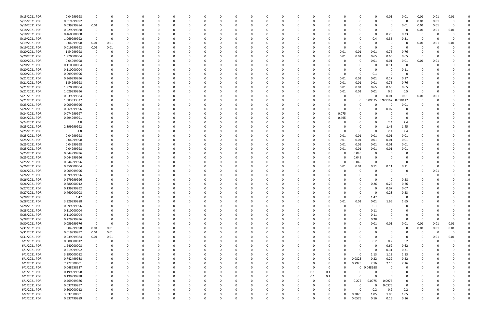| 5/15/2021 PDR | 0.04999998  | 0           |          |   |          |          |          |          |          |          |          |          |          |          |          |          |          | <sup>0</sup> | $\Omega$    | 0.01     | 0.01        | 0.01     | 0.01     | 0.01     |  |
|---------------|-------------|-------------|----------|---|----------|----------|----------|----------|----------|----------|----------|----------|----------|----------|----------|----------|----------|--------------|-------------|----------|-------------|----------|----------|----------|--|
| 5/15/2021 PDR | 0.019999992 | $\mathbf 0$ |          |   |          |          |          |          | -0       |          |          |          |          |          | -0       |          |          | <sup>0</sup> |             | $\Omega$ | $\Omega$    | 0.01     | 0.01     | $\Omega$ |  |
| 5/16/2021 PDR | 0.039999984 | 0.01        |          |   |          |          |          |          |          |          |          |          |          |          |          |          |          |              |             |          | 0.01        | 0.01     | 0.01     |          |  |
| 5/18/2021 PDR | 0.029999988 | 0           |          |   |          |          |          |          |          |          |          |          |          |          |          |          |          |              |             | - 0      | 0           | 0.01     | 0.01     | 0.01     |  |
| 5/18/2021 PDR | 0.460000008 | 0           |          |   |          |          |          |          |          |          |          |          |          |          |          |          |          |              | $\Omega$    | 0.23     | 0.23        | 0        |          |          |  |
| 5/19/2021 PDR | 1.069999992 | - 0         |          |   |          |          |          |          |          |          |          |          |          |          |          |          |          | 0            | 0.4         | 0.36     | 0.31        | 0        |          |          |  |
| 5/19/2021 PDR | 0.04999998  | 0.01        | 0.01     |   |          |          |          |          |          |          |          |          |          |          |          |          |          |              |             |          |             | 0.01     | 0.01     | 0.01     |  |
| 5/19/2021 PDR | 0.019999992 | 0.01        | 0.01     |   |          |          |          |          |          |          |          |          |          |          |          |          |          | 0            |             |          |             |          |          |          |  |
| 5/20/2021 PDR | 1.54999998  | 0           |          |   |          |          |          |          |          |          |          |          |          |          |          |          | 0.01     | 0.01         | 0.01        | 0.76     | 0.76        |          |          |          |  |
| 5/20/2021 PDR | 1.970000004 | 0           |          |   |          |          |          |          |          |          |          |          |          |          |          |          | 0.01     | 0.01         | 0.65        | 0.65     | 0.65        | 0        |          |          |  |
| 5/20/2021 PDR | 0.04999998  | 0           |          |   |          |          |          |          |          |          |          |          |          |          |          |          |          | 0            | 0.01        | 0.01     | 0.01        | 0.01     | 0.01     |          |  |
| 5/20/2021 PDR | 0.110000004 |             |          |   |          |          |          |          |          |          |          |          |          |          |          |          |          | 0            |             | 0.11     |             | 0        |          |          |  |
| 5/20/2021 PDR | 0.110000004 |             |          |   |          |          |          |          |          |          |          |          |          |          |          |          |          | 0            | -0          | - 0      | 0.11        |          |          |          |  |
| 5/20/2021 PDR | 0.099999996 |             |          |   |          |          |          |          |          |          |          |          |          |          |          |          |          | -0           | 0.1         | - ೧      |             |          |          |          |  |
| 5/21/2021 PDR | 0.369999996 |             |          |   |          |          |          |          |          |          |          |          |          |          |          |          | 0.01     | 0.01         | 0.01        | 0.17     | 0.17        |          |          |          |  |
| 5/21/2021 PDR | 1.54999998  |             |          |   |          |          |          |          |          |          |          |          |          |          |          |          | 0.01     | 0.01         | 0.01        | 0.76     | 0.76        |          |          |          |  |
| 5/21/2021 PDR | 1.970000004 |             |          |   |          |          |          |          |          |          |          |          |          |          |          |          | 0.01     | 0.01         | 0.65        | 0.65     | 0.65        |          |          |          |  |
| 5/21/2021 PDR | 1.029999996 |             |          |   |          |          |          |          |          |          |          |          |          |          |          |          | 0.01     | 0.01         | 0.01        | 0.5      | 0.5         | 0        |          |          |  |
| 5/21/2021 PDR | 0.039999984 |             |          |   |          |          |          |          |          |          |          |          |          |          |          |          |          | 0            | - 0         | 0.01     | 0.01        | 0.01     | 0.01     |          |  |
| 5/21/2021 PDR | 1.083333327 |             |          |   |          |          |          |          |          |          |          |          |          |          |          |          |          | 0            | .09375<br>n | 0.979167 | 0.010417    |          |          |          |  |
| 5/23/2021 PDR | 0.009999996 |             |          |   |          |          |          |          |          |          |          |          |          |          |          |          |          |              |             | - 0      | 0.01        |          |          |          |  |
| 5/24/2021 PDR |             |             |          |   |          |          |          |          |          |          |          |          |          |          |          |          |          |              |             | 0.07     |             |          |          |          |  |
|               | 0.069999996 |             |          |   |          |          |          |          |          |          |          |          |          |          |          |          |          |              |             |          |             |          |          |          |  |
| 5/24/2021 PDR | 0.074999997 |             |          |   |          |          |          |          |          |          |          |          |          |          |          |          | 0.075    |              |             |          | $\Omega$    |          |          |          |  |
| 5/24/2021 PDR | 0.494999991 |             |          |   |          |          |          |          |          |          |          |          |          |          | -0       |          | 0.495    | 0            |             | - 0      |             |          |          |          |  |
| 5/24/2021 PDR | 4.8         |             |          |   |          |          |          |          |          |          |          |          |          |          |          |          |          | 0            |             | 2.4      | 2.4         |          |          |          |  |
| 5/25/2021 PDR | 2.899999992 |             |          |   |          |          |          |          |          |          |          |          |          |          |          |          |          | $\Omega$     | $\Omega$    | 1.45     | 1.45        |          |          |          |  |
| 5/25/2021 PDR | 4.8         |             |          |   |          |          |          |          |          |          |          |          |          |          |          |          |          | 0            | -0          | 2.4      | 2.4         |          |          |          |  |
| 5/25/2021 PDR | 0.04999998  |             |          |   |          |          |          |          |          |          |          |          |          |          |          |          | 0.01     | 0.01         | 0.01        | 0.01     | 0.01        |          |          |          |  |
| 5/25/2021 PDR | 0.04999998  |             |          |   |          |          |          |          |          |          |          |          |          |          |          |          | 0.01     | 0.01         | 0.01        | 0.01     | 0.01        |          |          |          |  |
| 5/25/2021 PDR | 0.04999998  |             |          |   |          |          |          |          |          |          |          |          |          |          |          |          | 0.01     | 0.01         | 0.01        | 0.01     | 0.01        |          |          |          |  |
| 5/25/2021 PDR | 0.04999998  |             |          |   |          |          |          |          |          |          |          |          |          |          |          |          | 0.01     | 0.01         | 0.01        | 0.01     | 0.01        |          |          |          |  |
| 5/25/2021 PDR | 0.044999996 |             |          |   |          |          |          |          |          |          |          |          |          |          |          |          |          | 0.045        |             |          |             |          |          |          |  |
| 5/25/2021 PDR | 0.044999996 |             |          |   |          |          |          |          |          |          |          |          |          |          |          |          | 0        | 0.045        |             |          |             |          |          |          |  |
| 5/25/2021 PDR | 0.044999996 |             |          |   |          |          |          |          |          |          |          |          |          |          |          |          |          | 0.045        | -0          |          |             |          |          |          |  |
| 5/26/2021 PDR | 0.350000004 |             |          |   |          |          |          |          |          |          |          |          |          |          |          |          | 0.01     | 0.01         | 0.11        | 0.11     | 0.11        |          |          |          |  |
| 5/26/2021 PDR | 0.009999996 | 0           |          |   |          |          |          |          |          |          |          |          |          |          |          |          |          | 0            |             |          | 0           | -0       | 0.01     |          |  |
| 5/26/2021 PDR | 0.099999996 |             |          |   |          |          |          |          |          |          |          |          |          |          |          |          |          | 0            |             |          | 0.1         |          |          |          |  |
| 5/26/2021 PDR | 0.279999996 |             |          |   |          |          |          |          |          |          |          |          |          |          |          |          |          |              | $\Omega$    | - 0      | 0.28        |          |          |          |  |
| 5/26/2021 PDR | 0.780000012 |             |          |   |          |          |          |          |          |          |          |          |          |          |          |          |          | 0            | 0.26        | 0.26     | 0.26        |          |          |          |  |
| 5/27/2021 PDR | 0.139999992 | 0           |          |   |          |          |          |          |          |          |          |          |          |          |          |          |          | 0            | $\Omega$    | 0.07     | 0.07        |          |          |          |  |
| 5/27/2021 PDR | 0.460000008 | $\sim$      |          |   |          |          |          |          |          |          |          |          |          |          |          |          |          | 0            |             | 0.23     | 0.23        |          |          |          |  |
| 5/28/2021 PDR | 1.47        | 0           | 0        | ŋ | 0        | $\Omega$ | $\Omega$ | $\Omega$ | 0        | $\Omega$ | 0        | $\Omega$ | $\Omega$ | $\Omega$ | $\Omega$ |          | 0        | 0            | 1.47        | - 0      | 0           | 0        |          |          |  |
| 5/28/2021 PDR | 3.329999988 | 0           |          |   | 0        |          |          |          | 0        |          | 0        |          |          |          | 0        |          | 0.01     | 0.01         | 0.01        | 1.65     | 1.65        |          |          |          |  |
| 5/28/2021 PDR | 0.099999996 | 0           |          |   |          |          |          |          | $\Omega$ |          |          | - 0      |          |          | $\Omega$ |          | $\Omega$ | $\Omega$     | 0.1         | - 0      | $\mathbf 0$ |          |          |          |  |
| 5/28/2021 PDR | 0.110000004 | 0           |          |   |          |          |          |          | -0       |          |          |          |          |          | 0        |          |          | 0            | 0.11        |          |             |          |          |          |  |
| 5/28/2021 PDR | 0.110000004 | 0           |          |   |          |          |          |          | -0       |          |          |          |          |          | -0       |          |          | 0            | 0.11        |          |             |          |          |          |  |
| 5/28/2021 PDR | 0.279999996 | $\mathbf 0$ |          |   |          |          |          |          | 0        |          |          | $\Omega$ |          |          | 0        |          | 0        | 0            | 0.28        | $\Omega$ | 0           | 0        |          |          |  |
| 5/30/2021 PDR | 0.059999976 | $\mathbf 0$ | $\Omega$ |   |          |          |          |          |          |          |          | $\Omega$ |          |          |          |          |          | 0            | 0.01        | 0.01     | 0.01        | 0.01     | 0.01     | 0.01     |  |
| 5/31/2021 PDR | 0.04999998  | 0.01        | $0.01\,$ |   |          |          |          |          | 0        |          |          |          |          |          | 0        |          |          | 0            | -C          | $\Omega$ | $\mathbf 0$ | 0.01     | 0.01     | 0.01     |  |
| 5/31/2021 PDR | 0.019999992 | 0.01        | 0.01     |   |          |          |          |          | 0        |          |          |          |          |          | 0        |          |          |              |             |          | 0           | 0        | $\Omega$ | 0        |  |
| 5/31/2021 PDR | 0.039999984 | 0.01        | 0.01     |   |          |          |          |          |          |          |          | -0       |          |          |          |          |          |              | $\Omega$    | -0       | 0           | $\Omega$ | 0.01     | 0.01     |  |
| 6/1/2021 PDR  | 0.600000012 | 0           | $\Omega$ |   |          |          |          |          | 0        |          |          |          |          |          | 0        |          |          |              | 0.2         | 0.2      | 0.2         | 0        |          |          |  |
| 6/1/2021 PDR  | 1.240000008 | 0           |          |   |          |          |          |          | 0        |          |          |          |          |          | 0        |          |          | 0            | $\Omega$    | 0.62     | 0.62        | 0        |          |          |  |
| 6/1/2021 PDR  | 0.619999992 | 0           |          |   |          |          |          |          |          |          |          |          |          |          |          |          |          | 0            | $\Omega$    | 0.31     | 0.31        |          |          |          |  |
| 6/1/2021 PDR  | 3.390000012 | 0           |          |   |          |          |          |          | 0        |          |          |          |          |          | 0        |          | ŋ        | 0            | 1.13        | 1.13     | 1.13        | 0        |          | 0        |  |
| 6/1/2021 PDR  | 0.742499988 | 0           |          |   | 0        |          |          |          | 0        |          | 0        | $\Omega$ |          |          | 0        |          | ŋ        | 0.0825       | 0.22        | 0.22     | 0.22        | 0        |          |          |  |
| 6/1/2021 PDR  | 7.272500001 | 0           |          |   |          | 0        |          |          | 0        |          |          | $\Omega$ |          |          | 0        | 0        | 0        | 0.7925       | 2.16        | 2.16     | 2.16        |          |          |          |  |
| 6/1/2021 PDR  | 0.048958337 | 0           |          |   |          |          |          |          | $\Omega$ |          |          |          |          |          | 0        | $\Omega$ | 0        | $\mathbf 0$  | 0.048958    | - 0      | $\Omega$    |          |          |          |  |
| 6/1/2021 PDR  | 0.199999998 | 0           |          |   |          |          |          |          | 0        |          |          |          |          | 0        | 0.1      | 0.1      | 0        | 0            | 0           | -0       |             |          |          |          |  |
| 6/1/2021 PDR  | 0.199999998 | 0           |          |   |          |          |          |          | -0       |          |          |          |          |          | 0.1      | 0.1      |          | $\Omega$     | $\Omega$    | $\Omega$ |             |          |          |          |  |
| 6/1/2021 PDR  | 0.469999986 | 0           |          |   |          |          |          |          | 0        |          |          | $\Omega$ |          | $\Omega$ | $\Omega$ |          | $\Omega$ | 0.275        | 0.0975      | 0.0975   | 0           | 0        |          |          |  |
| 6/1/2021 PDR  | 0.037499997 | 0           |          |   |          |          |          |          | 0        |          |          |          |          |          | 0        |          | 0        | 0            | $\Omega$    | 0.0375   | 0           | 0        |          |          |  |
| 6/2/2021 PDR  | 0.600000012 | 0           |          |   |          |          |          |          |          |          |          |          |          |          |          |          |          | $\Omega$     | 0.2         | 0.2      | 0.2         |          |          |          |  |
| 6/2/2021 PDR  | 3.537500001 | 0           |          |   |          |          |          |          |          |          |          |          |          |          |          |          |          | 0.3875       | 1.05        | 1.05     | 1.05        |          |          |          |  |
| 6/2/2021 PDR  | 0.537499989 | $\mathbf 0$ |          |   | $\Omega$ |          | $\Omega$ | $\Omega$ | 0        | 0        | $\Omega$ | $\Omega$ | $\Omega$ |          | 0        |          | 0        | 0.0575       | 0.16        | 0.16     | 0.16        | 0        |          | 0        |  |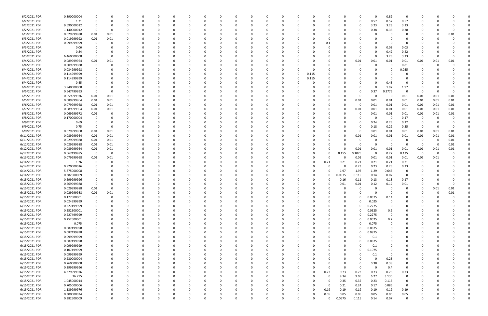| 6/2/2021 PDR  | 0.890000004 | 0                       | 0        |   |          | -0       |          |          | n        |   | 0        |          |          |          |      |          |          | 0        | 0.89        | 0           |                         |          |          |  |
|---------------|-------------|-------------------------|----------|---|----------|----------|----------|----------|----------|---|----------|----------|----------|----------|------|----------|----------|----------|-------------|-------------|-------------------------|----------|----------|--|
| 6/2/2021 PDR  | 1.71        | 0                       | 0        |   | 0        | $\Omega$ |          |          | n        |   | $\Omega$ |          |          |          |      |          |          | 0.57     | 0.57        | 0.57        | 0                       |          |          |  |
| 6/2/2021 PDR  | 9.690000012 | 0                       | -C       |   |          |          |          |          |          |   |          |          |          |          |      |          | 0        | 3.23     | 3.23        | 3.23        |                         |          |          |  |
| 6/2/2021 PDR  | 1.140000012 | - 0                     | 0        |   |          |          |          |          |          |   |          |          |          |          |      |          |          | 0.38     | 0.38        | 0.38        |                         |          |          |  |
|               |             |                         |          |   |          |          |          |          |          |   |          |          |          |          |      |          |          |          |             |             |                         |          |          |  |
| 6/3/2021 PDR  | 0.029999988 | 0.01                    | 0.01     |   |          |          |          |          |          |   |          |          |          |          |      |          |          | C        |             |             |                         | -0       | 0.01     |  |
| 6/3/2021 PDR  | 0.019999992 | 0.01                    | 0.01     |   |          |          |          |          |          |   |          |          |          |          |      |          |          |          |             |             |                         |          |          |  |
| 6/3/2021 PDR  | 0.099999999 | - 0                     | C.       |   |          |          |          |          |          |   |          |          |          |          | 0.1  |          |          | C        |             | - 0         |                         |          |          |  |
| 6/3/2021 PDR  | 0.06        |                         | C        |   |          |          |          |          |          |   | O        |          |          |          |      |          |          | 0        | 0.03        | 0.03        |                         |          |          |  |
| 6/3/2021 PDR  | 0.84        | -0                      | 0        |   |          |          |          |          |          |   |          |          |          |          |      |          |          | 0        | 0.42        | 0.42        |                         |          |          |  |
| 6/3/2021 PDR  | 6.460000008 | - 0                     | C.       |   |          |          |          |          |          |   |          |          |          |          |      |          | 0        | $\Omega$ | 3.23        | 3.23        | - 0                     |          |          |  |
| 6/4/2021 PDR  | 0.089999964 | 0.01                    | 0.01     |   |          |          |          |          |          |   |          |          |          |          |      |          | 0.01     | 0.01     | 0.01        | 0.01        | 0.01                    | 0.01     | 0.01     |  |
| 6/4/2021 PDR  | 0.809999988 | - 0                     | 0        |   |          |          |          |          |          |   |          |          |          |          |      |          | 0        | 0        | - റ         | 0.81        | 0                       | -0       |          |  |
|               |             |                         |          |   |          |          |          |          |          |   |          |          |          |          |      |          |          |          |             |             |                         |          |          |  |
| 6/4/2021 PDR  | 0.034999998 | 0                       |          |   |          |          |          |          |          |   |          |          |          |          |      |          |          | 0        |             | 0.035       |                         |          |          |  |
| 6/4/2021 PDR  | 0.114999999 | 0                       |          |   |          |          |          |          |          |   | 0        |          |          | 0.115    |      |          |          | C        |             |             |                         |          |          |  |
| 6/4/2021 PDR  | 0.114999999 |                         |          |   |          |          |          |          |          |   |          |          |          | 0.115    |      |          |          | 0        |             |             |                         |          |          |  |
| 6/4/2021 PDR  | 0.45        |                         |          |   |          |          |          |          |          |   |          |          |          |          |      |          |          | 0        | 0.45        |             |                         |          |          |  |
| 6/4/2021 PDR  | 3.940000008 | 0                       | C        |   |          |          |          |          |          |   |          |          |          |          |      |          |          | $\Omega$ | 1.97        | 1.97        | 0                       |          |          |  |
| 6/5/2021 PDR  | 0.647499993 | $\overline{0}$          | $\Omega$ |   |          |          |          |          |          |   |          |          |          |          |      |          | 0        | 0.37     | 0.2775      | $\Omega$    | - 0                     | -0       |          |  |
| 6/5/2021 PDR  | 0.059999976 | 0.01                    | 0.01     |   |          |          |          |          |          |   |          |          |          |          |      |          |          | C        | - 0         | 0.01        | 0.01                    | 0.01     | 0.01     |  |
| 6/5/2021 PDR  | 0.089999964 | 0.01                    | 0.01     |   |          |          |          |          |          |   | 0        |          |          |          | -0   |          | 0.01     | 0.01     | 0.01        | 0.01        | 0.01                    | 0.01     | 0.01     |  |
|               | 0.079999968 |                         |          |   |          |          |          |          |          |   |          |          |          |          |      |          |          |          |             |             |                         |          |          |  |
| 6/6/2021 PDR  |             | 0.01                    | 0.01     |   |          |          |          |          |          |   |          |          |          |          |      |          | - 0      | 0.01     | 0.01        | 0.01        | 0.01                    | 0.01     | 0.01     |  |
| 6/7/2021 PDR  | 0.089999964 | 0.01                    | 0.01     |   |          |          |          |          |          |   |          |          |          |          |      |          | 0.01     | 0.01     | 0.01        | 0.01        | 0.01                    | 0.01     | 0.01     |  |
| 6/8/2021 PDR  | 0.069999972 | 0.01                    | 0        |   |          |          |          |          |          |   |          |          |          |          |      |          |          | 0.01     | 0.01        | 0.01        | 0.01                    | 0.01     | 0.01     |  |
| 6/8/2021 PDR  | 0.170000004 | 0                       |          |   |          |          |          |          |          |   |          |          |          |          |      |          |          | 0        | - 0         | 0.17        | - 0                     | -0       |          |  |
| 6/9/2021 PDR  | 0.69        | - 0                     | 0        |   |          |          |          |          |          |   |          |          |          |          |      |          | 0        | 0.24     | 0.23        | 0.22        | 0                       | -0       |          |  |
| 6/9/2021 PDR  | 0.75        | $\overline{\mathbf{0}}$ | 0        |   |          |          |          |          |          |   | 0        |          |          |          |      |          | 0        | 0.18     | 0.22        | 0.35        | - 0                     | $\Omega$ | $\Omega$ |  |
| 6/9/2021 PDR  | 0.079999968 | 0.01                    | 0.01     |   |          |          |          |          |          |   |          |          |          |          |      |          | 0        | 0.01     | 0.01        | 0.01        | 0.01                    | 0.01     | 0.01     |  |
| 6/11/2021 PDR | 0.089999964 | 0.01                    | 0.01     |   |          |          |          |          |          |   |          |          |          |          |      |          | 0.01     | 0.01     | 0.01        | 0.01        | 0.01                    | 0.01     | 0.01     |  |
| 6/11/2021 PDR | 0.029999988 | 0.01                    | 0.01     |   |          |          |          |          |          |   |          |          |          |          |      |          | 0        | C        | -0          |             | - 0                     | 0        | 0.01     |  |
|               |             |                         |          |   |          |          |          |          |          |   |          |          |          |          |      |          |          |          |             |             |                         |          |          |  |
| 6/12/2021 PDR | 0.029999988 | 0.01                    | 0.01     |   |          |          |          |          |          |   |          |          |          |          |      |          | 0        | 0        | $\Omega$    | - 0         | - 0                     | O        | 0.01     |  |
| 6/12/2021 PDR | 0.089999964 | 0.01                    | 0.01     |   |          |          |          |          |          |   |          |          |          |          |      |          | 0.01     | 0.01     | 0.01        | 0.01        | 0.01                    | 0.01     | 0.01     |  |
| 6/12/2021 PDR | 0.667499985 | $\overline{\mathbf{0}}$ | 0        |   |          |          |          |          |          |   |          |          |          |          | -0   | 0.155    | 0.1075   | 0        | 0.27        | 0.135       | $\overline{\mathbf{0}}$ | -0       |          |  |
| 6/13/2021 PDR | 0.079999968 | 0.01                    | 0.01     |   |          |          |          |          |          |   |          |          |          |          | 0    |          | 0.01     | 0.01     | 0.01        | 0.01        | 0.01                    | 0.01     |          |  |
| 6/14/2021 PDR | 1.26        | - 0                     | 0        |   |          |          |          |          |          |   |          |          |          | 0        | 0.21 | 0.21     | 0.21     | 0.21     | 0.21        | 0.21        |                         |          |          |  |
| 6/14/2021 PDR | 0.920000016 | 0                       |          |   |          |          |          |          |          |   |          |          |          |          | 0    |          | 0.23     | 0.23     | 0.23        | 0.23        |                         |          |          |  |
| 6/14/2021 PDR | 5.875000008 | 0                       |          |   |          |          |          |          |          |   |          |          |          |          | -0   | 1.97     | 1.97     | 1.29     | 0.645       | $\Omega$    |                         |          |          |  |
| 6/14/2021 PDR | 0.382500009 | 0                       |          |   |          |          |          |          |          |   |          |          |          |          | 0    | 0.0575   | 0.115    | 0.14     | 0.07        | 0           |                         |          |          |  |
|               |             |                         |          |   |          |          |          |          |          |   |          |          |          |          |      |          |          |          |             |             |                         |          |          |  |
| 6/15/2021 PDR | 0.699999996 | 0                       |          |   |          |          |          |          |          |   |          |          |          |          |      | 0.16     | 0.11     | 0.13     | 0.13        | 0.17        |                         |          |          |  |
| 6/15/2021 PDR | 0.269999988 | - 0                     |          |   |          |          |          |          |          |   |          |          |          |          |      | 0.01     | 0.01     | 0.12     | 0.12        | 0.01        |                         |          |          |  |
| 6/15/2021 PDR | 0.029999988 | 0.01                    | C.       |   |          |          |          |          |          |   |          |          |          |          |      |          | 0        | 0        | $\Omega$    | 0           | 0                       | 0.01     | 0.01     |  |
| 6/15/2021 PDR | 0.029999988 | 0.01                    | 0.01     |   |          | 0        |          |          |          | 0 | 0        |          |          |          |      |          |          | $\Omega$ | $\Omega$    | O           | O                       |          | 0.01     |  |
| 6/15/2021 PDR | 0.177500001 | $\overline{\mathbf{0}}$ | 0        | 0 | 0        | $\Omega$ | $\Omega$ | 0        | 0        | 0 | 0        | $\Omega$ | $\Omega$ | $\Omega$ | 0    | $\Omega$ | 0        | 0.0375   | 0.14        | $\Omega$    | 0                       | 0        |          |  |
| 6/15/2021 PDR | 0.024999999 | $\overline{0}$          | 0        |   |          | $\Omega$ |          |          |          | 0 | 0        |          |          |          |      | 0        | 0        | 0.025    | 0           | 0           |                         |          |          |  |
| 6/15/2021 PDR | 0.227499999 | $\mathbf 0$             | 0        |   | 0        | 0        | $\Omega$ |          |          | 0 | 0        |          |          |          |      | 0        |          | 0.2275   | $\mathbf 0$ | $\Omega$    |                         |          |          |  |
| 6/15/2021 PDR | 0.252500001 | 0                       | 0        |   | 0        | $\Omega$ | $\Omega$ | 0        | 0        | 0 | 0        |          | $\Omega$ | 0        | 0    | $\Omega$ | 0        | 0.0525   | 0.2         | 0           | 0                       | - 0      |          |  |
| 6/15/2021 PDR | 0.227499999 | 0                       | 0        |   | 0        |          |          |          |          |   | 0        |          |          |          |      | 0        | $\Omega$ | 0.2275   | $\mathbf 0$ | 0           |                         |          |          |  |
|               |             |                         |          |   |          |          |          |          |          |   |          |          |          |          |      |          |          |          |             |             |                         |          |          |  |
| 6/15/2021 PDR | 0.252500001 | 0                       |          |   |          |          |          |          |          |   | 0        |          |          |          |      |          | 0        | 0.0525   | 0.2         |             |                         |          |          |  |
| 6/15/2021 PDR | 0.075       | 0                       |          |   | 0        |          |          |          |          |   | 0        |          |          |          |      |          | 0        | 0.075    | 0           |             |                         |          |          |  |
| 6/15/2021 PDR | 0.087499998 | $\mathbf 0$             |          |   |          |          |          |          |          |   | 0        |          |          |          |      |          | 0        | 0.0875   | 0           |             |                         |          |          |  |
| 6/15/2021 PDR | 0.087499998 | 0                       | 0        |   |          |          |          |          |          |   | 0        |          |          |          |      |          | 0        | 0.0875   |             |             |                         |          |          |  |
| 6/15/2021 PDR | 0.099999999 | 0                       | 0        |   | 0        |          |          | 0        |          |   | 0        |          |          |          |      | 0        |          | 0.1      |             | 0           | 0                       |          |          |  |
| 6/15/2021 PDR | 0.087499998 | 0                       |          |   |          |          |          |          |          |   | 0        |          |          |          |      | 0        | 0        | 0.0875   |             |             |                         |          |          |  |
| 6/15/2021 PDR | 0.099999999 | 0                       |          |   |          |          |          |          |          |   | 0        |          |          |          |      |          | 0        | 0.1      |             |             |                         |          |          |  |
| 6/15/2021 PDR | 0.107499999 | $\mathbf 0$             | 0        |   | 0        |          |          |          |          |   | 0        |          |          |          |      |          | 0        | 0.1075   |             |             | 0                       |          |          |  |
|               | 0.099999999 | $\mathbf 0$             |          |   |          |          |          |          |          |   |          |          |          |          |      |          | 0        |          | -0          |             |                         |          |          |  |
| 6/15/2021 PDR |             |                         | 0        |   | 0        |          |          |          |          |   | 0        |          |          |          |      |          |          | 0.1      |             |             | 0                       |          |          |  |
| 6/15/2021 PDR | 0.230000004 | $\mathbf 0$             |          |   |          | -0       |          |          |          |   | 0        |          |          |          |      |          |          | 0        | 0.23        |             |                         |          |          |  |
| 6/15/2021 PDR | 0.760000008 | $\mathbf 0$             | 0        |   | 0        |          |          |          |          |   | 0        |          |          |          |      |          | 0        | 0.38     | 0.38        | 0           |                         |          |          |  |
| 6/15/2021 PDR | 0.399999996 | 0                       | 0        |   | 0        |          |          |          |          |   | 0        |          | $\Omega$ | $\Omega$ | 0    | $\Omega$ | 0        | $\Omega$ | 0.4         | $\mathbf 0$ | 0                       |          |          |  |
| 6/15/2021 PDR | 4.379999976 | $\mathbf 0$             | 0        |   |          |          |          |          |          |   | 0        |          |          | 0        | 0.73 | 0.73     | 0.73     | 0.73     | 0.73        | 0.73        |                         |          |          |  |
| 6/15/2021 PDR | 26.795      | $\mathbf 0$             |          |   |          |          |          |          |          |   | 0        |          |          |          | 0    | 8.34     | 9.05     | 6.27     | 3.135       | 0           |                         |          |          |  |
| 6/15/2021 PDR | 1.045000014 | $\mathbf 0$             | 0        |   | 0        |          |          |          |          |   | 0        |          |          |          | 0    | 0.35     | 0.35     | 0.23     | 0.115       | 0           |                         |          |          |  |
| 6/15/2021 PDR | 0.705000006 | $\overline{0}$          | 0        |   |          |          |          |          |          |   | 0        |          |          | 0        | 0    | 0.21     | 0.24     | 0.17     | 0.085       | 0           |                         |          |          |  |
| 6/15/2021 PDR | 1.139999976 | $\mathbf 0$             | 0        |   |          |          | $\Omega$ |          |          |   | 0        |          | $\Omega$ | $\Omega$ | 0.19 | 0.19     | 0.19     | 0.19     | 0.19        | 0.19        |                         |          |          |  |
| 6/15/2021 PDR | 0.300000024 |                         |          |   |          |          |          |          |          |   |          |          |          |          | 0.05 | 0.05     |          |          | 0.05        |             |                         |          |          |  |
|               |             | 0                       | C        |   | O        | 0        | 0        |          |          |   | 0        |          | 0        |          |      |          | 0.05     | 0.05     |             | 0.05        |                         |          |          |  |
| 6/15/2021 PDR | 0.382500009 | $\mathbf 0$             | $\Omega$ | 0 | $\Omega$ | $\Omega$ | $\Omega$ | $\Omega$ | $\Omega$ | 0 | $\Omega$ | $\Omega$ | $\Omega$ |          | 0    | 0.0575   | 0.115    | 0.14     | 0.07        | $\mathbf 0$ | $\Omega$                | $\Omega$ | 0        |  |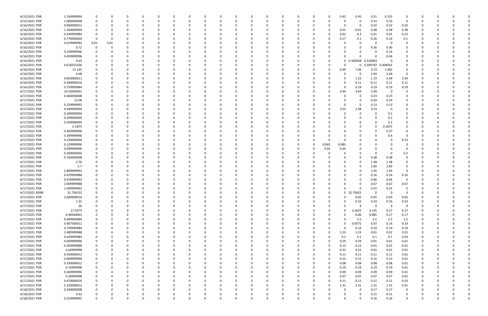| 6/15/2021 PDR  | 1.334999994 |          |          |          |          |          |          |          |          |          |          |          |          |          |          | 0.42     | 0.45                | 0.31       | 0.155       | 0                       |          |          |   |              |
|----------------|-------------|----------|----------|----------|----------|----------|----------|----------|----------|----------|----------|----------|----------|----------|----------|----------|---------------------|------------|-------------|-------------------------|----------|----------|---|--------------|
| 6/15/2021 PDR  | 1.060000008 | 0        |          | 0        |          | $\Omega$ |          |          |          | $\Omega$ |          |          |          | $\Omega$ |          | 0        | -0                  | 0.53       | 0.53        | 0                       | 0        |          |   |              |
| 6/16/2021 PDR  | 0.960000012 |          |          |          |          |          |          |          |          |          |          |          |          |          |          | 0        | 0                   | 0.32       | 0.32        | 0.32                    |          |          |   |              |
| 6/16/2021 PDR  | 1.160000004 |          |          |          |          |          |          |          |          |          |          |          |          |          |          | 0.01     | 0.01                | 0.38       | 0.38        | 0.38                    |          |          |   |              |
| 6/16/2021 PDR  | 0.549999984 | 0        |          | -0       |          |          |          |          |          |          |          |          |          |          |          | 0.01     | 0.3                 | 0.01       | 0.01        | 0.22                    |          |          |   |              |
| 6/16/2021 PDR  | 0.770000004 | $\Omega$ |          |          |          |          |          |          |          |          |          |          |          |          |          | 0.17     | 0.1                 | 0.26       | 0.14        | 0.1                     |          |          |   |              |
| 6/16/2021 PDR  | 0.019999992 | $0.01\,$ | 0.01     |          |          |          |          |          |          |          |          |          |          |          |          |          | O                   | 0          | $\Omega$    | $\Omega$                |          |          |   |              |
| 6/16/2021 PDR  | 0.72        | 0        |          |          |          |          |          |          |          |          |          |          |          |          |          |          | 0                   | 0.36       | 0.36        | 0                       |          |          |   |              |
|                |             |          |          |          |          |          |          |          |          |          |          |          |          |          |          |          |                     |            |             |                         |          |          |   |              |
| 6/16/2021 PDR  | 0.159999996 |          |          |          |          |          |          |          |          |          |          |          |          |          |          |          |                     | 0          | 0.16        |                         |          |          |   |              |
| 6/16/2021 PDR  | 0.459999996 |          |          |          |          |          |          |          |          |          |          |          |          |          |          |          |                     | $\Omega$   | 0.46        | O                       |          |          |   |              |
| 6/16/2021 PDR  | 0.63        |          |          |          |          |          |          |          |          |          |          |          |          |          |          |          | 0 0.300938 0.329063 |            |             |                         |          |          |   |              |
| 6/16/2021 PDR  | 0.618333336 |          |          |          |          |          |          |          |          |          |          |          |          |          |          |          |                     | 0 0.209792 | 0.408542    |                         |          |          |   |              |
| 6/16/2021 PDR  | 21.145      |          |          |          |          |          |          |          |          |          |          |          |          | -0       |          | 6.99     | 7.06                | 4.73       | 2.365       | 0                       |          |          |   |              |
| 6/16/2021 PDR  | 4.08        |          |          |          |          |          |          |          |          |          |          |          |          |          |          |          | 0                   | 2.04       | 2.04        | 0                       |          |          |   |              |
| 6/16/2021 PDR  | 9.850000011 |          |          |          |          |          |          |          |          |          |          |          |          |          |          | 0        | 1.25                | 1.72       | 3.44        | 3.44                    |          |          |   |              |
| 6/16/2021 PDR  | 0.440000016 |          |          |          |          |          |          |          |          |          |          |          |          |          |          |          | 0.11                | 0.11       | 0.11        | 0.11                    |          |          |   |              |
| 6/16/2021 PDR  | 0.759999984 |          |          |          |          |          |          |          |          |          |          |          |          |          |          | $\Omega$ | 0.19                | 0.19       | 0.19        | 0.19                    |          |          |   |              |
| 6/17/2021 PDR  | 10.32000001 |          |          |          |          |          |          |          |          |          |          |          |          |          |          | 3.44     | 3.44                | 3.44       | $\mathbf 0$ | 0                       |          |          |   |              |
| 6/17/2021 PDR  | 0.460000008 |          |          |          |          |          |          |          |          |          |          |          |          |          |          |          | 0                   | 0.23       | 0.23        | 0                       |          |          |   |              |
| 6/17/2021 PDR  | 13.08       |          |          |          |          |          |          |          |          |          |          |          |          |          |          |          | 0                   | 6.54       | 6.54        |                         |          |          |   |              |
| 6/17/2021 PDR  | 0.259999992 |          |          |          |          |          |          |          |          |          |          |          |          |          |          | O        | 0                   | 0.13       | 0.13        |                         |          |          |   |              |
| 6/17/2021 PDR  | 9.440000004 |          |          |          |          |          |          |          |          |          |          |          |          |          |          | 3.53     | 2.38                | 3.53       | - 0         |                         |          |          |   |              |
| 6/17/2021 PDR  | 0.200000004 |          |          |          |          |          |          |          |          |          |          |          |          |          |          |          |                     | $\Omega$   | 0.2         |                         |          |          |   |              |
| 6/17/2021 PDR  | 0.200000004 |          |          |          |          |          |          |          |          |          |          |          |          |          |          |          |                     | $\Omega$   | 0.2         | O                       |          |          |   |              |
| 6/17/2021 PDR  | 0.200000004 |          |          |          |          |          |          |          |          |          |          |          |          |          |          |          |                     | 0          | 0.2         |                         |          |          |   |              |
| 6/17/2021 PDR  | 0.1875      |          |          |          |          |          |          |          |          |          |          |          |          |          |          |          |                     | $\Omega$   | 0.1875      |                         |          |          |   |              |
| 6/17/2021 PDR  | 0.369999996 |          |          |          |          |          |          |          |          |          |          |          |          |          |          |          |                     | $\Omega$   | 0.37        | 0                       |          |          |   |              |
| 6/17/2021 PDR  | 0.399999996 |          |          |          |          |          |          |          |          |          |          |          |          |          |          |          |                     | 0          | 0.4         | $\Omega$                |          |          |   |              |
| 6/17/2021 PDR  | 0.230000004 |          |          |          |          |          |          |          |          |          |          |          |          |          |          |          |                     | 0          |             | 0.23                    |          |          |   |              |
| 6/17/2021 PDR  | 0.129999996 |          |          |          |          |          |          |          |          |          |          |          |          | 0        | 0.045    | 0.085    |                     | 0          |             | 0                       |          |          |   |              |
| 6/17/2021 PDR  | 0.099999996 |          |          |          |          |          |          |          |          |          |          |          |          | 0        | 0.05     | 0.05     |                     | 0          |             | 0                       |          |          |   |              |
| 6/17/2021 PDR  | 0.200000004 |          |          |          |          |          |          |          |          |          |          |          |          |          |          |          |                     | $\Omega$   |             | 0.2                     |          |          |   |              |
| 6/17/2021 PDR  | 0.760000008 |          |          |          |          |          |          |          |          |          |          |          |          |          |          |          |                     | 0.38       | 0.38        |                         |          |          |   |              |
| 6/17/2021 PDR  | 2.76        |          |          |          |          |          |          |          |          |          |          |          |          |          |          |          | 0                   | 1.38       | 1.38        |                         |          |          |   |              |
| 6/17/2021 PDR  | 5.7         |          |          |          |          |          |          |          |          |          |          |          |          |          |          |          | 0                   | 2.85       | 2.85        | 0                       |          |          |   |              |
| 6/17/2021 PDR  | 2.899999992 |          |          |          |          |          |          |          |          |          |          |          |          |          |          |          |                     | 1.45       | 1.45        | $\Omega$                |          |          |   |              |
| 6/17/2021 PDR  | 0.479999988 |          |          |          |          |          |          |          |          |          |          |          |          |          |          |          |                     | 0.16       | 0.16        | 0.16                    |          |          |   |              |
| 6/17/2021 PDR  | 0.919999992 |          |          |          |          |          |          |          |          |          |          |          |          |          |          |          |                     | 0.46       | 0.46        | $\Omega$                |          |          |   |              |
| 6/17/2021 PDR  | 2.009999988 |          |          |          |          |          |          |          |          |          |          |          |          |          |          |          |                     | 0.67       | 0.67        | 0.67                    |          |          |   |              |
| 6/17/2021 PDR  | 1.099999992 | 0        |          | $\Omega$ |          |          |          |          |          |          |          |          |          |          |          | 0        | 0                   | 0.55       | 0.55        | 0                       |          |          |   |              |
| 6/17/2021 RDRR | 32.756252   | 0        |          |          |          |          |          |          |          |          |          |          |          |          |          | 0        | 32.75625            | 0          | 0           | 0                       |          |          |   |              |
| 6/17/2021 PDR  | 2.600000016 | $\Omega$ | $\Omega$ | $\Omega$ | $\Omega$ | $\Omega$ | $\Omega$ | $\Omega$ | 0        | $\Omega$ | $\Omega$ | $\Omega$ | $\Omega$ | $\Omega$ | $\Omega$ | $\Omega$ | 0.65                | 0.65       | 0.65        | 0.65                    | $\Omega$ | $\Omega$ |   |              |
| 6/17/2021 PDR  | 1.32        | 0        |          | 0        |          | $\Omega$ |          | 0        | 0        | 0        |          | $\Omega$ | 0        | 0        |          | 0        | 0.33                | 0.33       | 0.33        | 0.33                    | O        | $\Omega$ |   | <sup>0</sup> |
| 6/17/2021 PDR  | 36          |          |          | 0        |          | $\Omega$ |          | 0        |          | $\Omega$ |          |          | 0        | 0        |          | $\Omega$ | 9                   | 9          | 9           | 9                       | 0        | - 0      |   |              |
| 6/17/2021 PDR  | 17.9375     | 0        |          | $\Omega$ |          | $\Omega$ |          | 0        |          | $\Omega$ |          |          | 0        | 0        | $\Omega$ | 0        | 2.2625              | 3.135      | 6.27        | 6.27                    | 0        | 0        |   |              |
| 6/17/2021 PDR  | 0.48500001  |          |          | 0        |          | 0        |          |          |          | 0        |          |          | 0        | 0        |          | 0        | 0.06                | 0.085      | 0.17        | 0.17                    |          |          |   |              |
| 6/17/2021 PDR  | 9.999999984 | 0        |          | 0        |          | $\Omega$ |          | 0        |          | $\Omega$ |          | 0        | 0        | 0        | $\Omega$ | $\Omega$ | 2.5                 | 2.5        | 2.5         | 2.5                     | 0        |          |   |              |
| 6/17/2021 PDR  | 0.407500011 | 0        |          | $\Omega$ |          | $\Omega$ |          |          |          |          |          | 0        | 0        | 0        | $\Omega$ | $\Omega$ | 0.0575              | 0.07       | 0.14        | 0.14                    | 0        |          |   |              |
| 6/17/2021 PDR  | 0.759999984 | 0        |          | 0        |          | $\Omega$ |          |          |          | 0        |          |          |          | 0        |          | $\Omega$ | 0.19                | 0.19       | 0.19        | 0.19                    | 0        | - 0      |   |              |
| 6/17/2021 PDR  | 2.489999988 | 0        |          | 0        |          | $\Omega$ |          |          |          | 0        |          |          |          | 0        |          | 1.23     | 1.23                | 0.01       | 0.01        | 0.01                    | 0        |          |   |              |
| 6/17/2021 PDR  | 0.429999984 | 0        |          | 0        |          | 0        |          |          |          |          |          |          |          | 0        |          | 0.1      | 0.1                 | 0.1        | 0.1         | 0.03                    | 0        |          |   |              |
| 6/17/2021 PDR  | 0.609999996 |          |          |          |          |          |          |          |          | 0        |          |          |          | 0        |          | 0.29     | 0.29                | 0.01       | 0.01        | 0.01                    |          |          |   |              |
| 6/17/2021 PDR  | 0.269999988 | 0        |          |          |          | 0        |          |          |          |          |          |          |          | 0        |          | 0.12     | 0.12                | 0.01       | 0.01        | 0.01                    | 0        |          |   |              |
| 6/17/2021 PDR  | 0.64999998  | 0        |          | 0        |          | $\Omega$ |          |          |          |          |          |          |          | 0        |          | 0.31     | 0.31                | 0.01       | 0.01        | 0.01                    | 0        |          |   |              |
| 6/17/2021 PDR  | 0.450000012 |          |          | 0        |          | $\Omega$ |          |          |          |          |          |          |          |          |          | 0.11     | 0.11                |            | 0.11        | 0.01                    |          |          |   |              |
| 6/17/2021 PDR  | 0.609999996 | 0<br>0   |          | 0        |          | $\Omega$ |          | 0        |          | 0<br>0   |          |          | 0        | 0<br>0   |          | 0.15     | 0.15                | 0.11       | 0.15        |                         | 0        | 0<br>0   |   |              |
|                |             |          |          |          |          |          |          |          |          |          |          |          |          |          |          |          |                     | 0.15       |             | 0.01                    | 0        |          |   |              |
| 6/17/2021 PDR  | 0.330000012 | 0        |          | 0        |          | -0       |          | 0        |          | 0        |          |          | 0        | 0        |          | 0.08     | 0.08                | 0.08       | 0.08        | 0.01                    | 0        | 0        |   |              |
| 6/17/2021 PDR  | 0.76999998  | 0        |          | 0        |          | $\Omega$ |          |          |          | 0        |          |          | 0        | $\Omega$ |          | 0.19     | 0.19                | 0.19       | 0.19        | 0.01                    |          | - 0      |   |              |
| 6/17/2021 PDR  | 0.369999996 | 0        |          | 0        |          | $\Omega$ |          | 0        |          | 0        |          |          | 0        | 0        | $\Omega$ | 0.09     | 0.09                | 0.09       | 0.09        | 0.01                    | 0        |          |   |              |
| 6/17/2021 PDR  | 0.28999998  | 0        |          | 0        |          | 0        |          |          |          | 0        |          |          | 0        | 0        |          | 0.07     | 0.07                | 0.07       | 0.07        | $0.01\,$                | 0        |          |   |              |
| 6/17/2021 PDR  | 0.470000016 | 0        |          | 0        |          | $\Omega$ |          | 0        |          | $\Omega$ |          | 0        | 0        | 0        |          | 0.11     | 0.11                | 0.11       | 0.11        | 0.03                    | 0        | $\Omega$ |   | $\Omega$     |
| 6/17/2021 PDR  | 5.250000012 | 0        |          | 0        |          | $\Omega$ |          | 0        |          | 0        |          |          | 0        | 0        |          | 1.31     | 1.31                | 1.31       | 1.31        | 0.01                    | 0        | 0        |   |              |
| 6/18/2021 PDR  | 0.340000008 |          |          | $\Omega$ |          | $\Omega$ |          |          |          | $\Omega$ |          |          |          | $\Omega$ |          | $\Omega$ | $\mathbf 0$         | 0.17       | 0.17        | $\overline{\mathbf{0}}$ |          | - 0      |   |              |
| 6/18/2021 PDR  | 0.42        | 0        |          | 0        |          | 0        |          |          |          | 0        |          |          |          |          |          |          | 0                   | 0.21       | 0.21        | $\mathbf 0$             |          |          |   |              |
| 6/18/2021 PDR  | 0.319999992 | $\Omega$ |          | $\Omega$ |          | $\Omega$ |          | $\Omega$ | $\Omega$ | $\Omega$ |          | $\Omega$ | $\Omega$ | $\Omega$ |          | $\Omega$ | $\Omega$            | 0.16       | 0.16        | $\mathbf 0$             | $\Omega$ | $\Omega$ | O |              |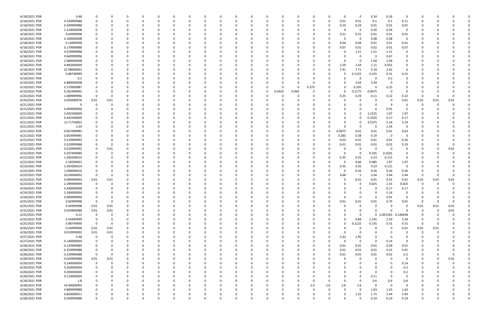| 6/18/2021 PDR | 0.48        |                |          |          |          |              | 0        |          |   | -0       |          |          |       |          |          | 0            | 0            | 0.24     | 0.24       | 0              |          |          |          |  |
|---------------|-------------|----------------|----------|----------|----------|--------------|----------|----------|---|----------|----------|----------|-------|----------|----------|--------------|--------------|----------|------------|----------------|----------|----------|----------|--|
| 6/18/2021 PDR | 0.329999988 |                |          |          |          |              | O        | $\Omega$ |   |          |          |          |       | $\Omega$ |          | 0.01         | 0.01         | 0.1      | 0.1        | 0.11           | $\Omega$ |          |          |  |
| 6/18/2021 PDR | 0.509999988 |                |          |          |          |              |          |          |   |          |          |          |       |          |          | 0.24         | 0.24         | 0.01     | 0.01       | 0.01           |          |          |          |  |
| 6/18/2021 PDR | 1.120000008 |                |          |          |          |              |          |          |   |          |          |          |       |          |          | 0            | 0            | 0.56     | 0.56       | 0              |          |          |          |  |
| 6/18/2021 PDR | 0.64999998  |                |          |          |          |              |          |          |   |          |          |          |       |          |          | 0.31         | 0.31         | 0.01     | 0.01       | 0.01           |          |          |          |  |
| 6/18/2021 PDR | 0.160000008 |                |          |          |          |              |          |          |   |          |          |          |       |          |          | 0            | - 0          | 0.08     | 0.08       | 0              |          |          |          |  |
| 6/18/2021 PDR | 0.10999998  |                |          |          |          |              |          |          |   |          |          |          |       |          |          | 0.04         | 0.04         | 0.01     | 0.01       | 0.01           |          |          |          |  |
| 6/18/2021 PDR | 0.179999988 |                |          |          |          |              |          |          |   |          |          |          |       |          |          | 0.07         | 0.01         | 0.02     | 0.01       | 0.07           |          |          |          |  |
| 6/18/2021 PDR | 4.529999988 |                |          |          |          |              |          |          |   |          |          |          |       |          |          | $\Omega$     | 1.51         | 1.51     | 1.51       | 0              |          |          |          |  |
| 6/18/2021 PDR | 0.669999996 |                |          |          |          |              |          |          |   |          |          |          |       |          |          |              | 0            | 0        | 0.67       |                |          |          |          |  |
| 6/18/2021 PDR | 2.080000008 |                |          |          |          |              |          |          |   |          |          |          |       |          |          |              | 0            | 1.04     | 1.04       |                |          |          |          |  |
| 6/18/2021 PDR | 4.895000004 |                |          |          |          |              |          |          |   |          |          |          |       |          |          | 1.59         | 1.64         | 1.11     | 0.555      | 0              |          |          |          |  |
| 6/18/2021 PDR | 22.98000001 |                |          |          |          |              |          |          |   |          |          |          |       |          |          | 7.41         | 7.71         | 5.24     | 2.62       | 0              |          |          |          |  |
| 6/18/2021 PDR | 0.88749999  |                |          |          |          |              |          |          |   |          |          |          |       |          |          |              | .1125        | 0.155    | 0.31       | 0.31           |          |          |          |  |
| 6/19/2021 PDR | 0.3         |                |          |          |          |              |          |          |   |          |          |          |       |          |          |              | 0            | 0        | 0.3        | 0              |          |          |          |  |
| 6/19/2021 PDR | 6.880000008 |                |          |          |          |              |          |          |   |          |          |          |       |          |          |              | 3.44         | 3.44     | - 0        |                |          |          |          |  |
| 6/19/2021 PDR | 0.729999987 |                |          |          |          |              |          |          |   |          |          |          |       | 0.375    |          |              | 0.105        | $\Omega$ | 0.25       |                |          |          |          |  |
| 6/19/2021 PDR | 0.282499992 |                |          |          |          |              |          |          |   |          |          | 0.0325   | 0.065 |          |          | 0            | .1175        | 0.0675   | - 0        | $\Omega$       |          |          |          |  |
| 6/20/2021 PDR | 1.089999996 |                |          |          |          |              |          |          |   |          |          |          |       |          |          | 0.25         | 0.29         | 0.11     | 0.22       | 0.22           | 0        |          |          |  |
| 6/20/2021 PDR | 0.059999976 | 0.01           | 0.01     |          |          |              |          |          |   |          |          |          |       |          |          |              | <sup>0</sup> | -C       | - 0        | 0.01           | 0.01     | 0.01     | 0.01     |  |
| 6/21/2021 PDR | 9           |                |          |          |          |              |          |          |   |          |          |          |       |          |          |              |              | $\Omega$ | - 9        | $\Omega$       |          |          |          |  |
| 6/21/2021 PDR | 0.909999996 |                |          |          |          |              |          |          |   |          |          |          |       |          |          |              |              |          | 0.91       |                |          |          |          |  |
| 6/21/2021 PDR | 5.092500009 |                |          |          |          |              |          |          |   |          |          |          |       |          |          |              | 0            | 1.1525   | 1.97       | 1.97           |          |          |          |  |
| 6/21/2021 PDR | 0.442500009 |                |          |          |          |              |          |          |   |          |          |          |       |          |          | 0            | 0            | 0.1025   | 0.17       | 0.17           |          |          |          |  |
| 6/21/2021 PDR | 13.71750001 |                |          |          |          |              |          |          |   |          |          |          |       |          |          | 0            | 0            | 3.2375   | 5.24       | 5.24           |          |          |          |  |
| 6/21/2021 PDR | 2.34        |                |          |          |          |              |          |          |   |          |          |          |       |          |          | n            | 0            | -C       | 2.34       | $\overline{0}$ |          |          |          |  |
|               |             |                |          |          |          |              |          |          |   |          |          |          |       |          |          |              |              |          |            |                |          |          |          |  |
| 6/21/2021 PDR | 0.667499985 |                |          |          |          |              |          |          |   |          |          |          |       |          |          | 0.0075       | 0.01         | 0.01     | 0.01       | 0.63           |          |          |          |  |
| 6/21/2021 PDR | 0.854999985 |                |          |          |          |              |          |          |   |          |          |          |       |          |          | 0.285        | 0.38         | 0.19     | - 0        |                |          |          |          |  |
| 6/22/2021 PDR | 0.319999992 |                |          |          |          |              |          |          |   |          |          |          |       |          |          | 0.03         | 0.01         | 0.01     | 0.01       | 0.26           |          |          |          |  |
| 6/22/2021 PDR | 0.329999988 |                |          |          |          |              |          |          |   |          |          |          |       |          |          | 0.01         | 0.01         | 0.01     | 0.01       | 0.29           |          |          |          |  |
| 6/22/2021 PDR | 0.019999992 |                | 0.01     |          |          |              |          |          |   |          |          |          |       |          |          |              | 0            | 0        | - 0        | 0              |          |          | 0.01     |  |
| 6/22/2021 PDR | 0.207499989 |                |          |          |          |              |          |          |   |          |          |          |       |          |          | $\Omega$     | 0            | 0.105    | 0.1025     | 0              |          |          |          |  |
| 6/22/2021 PDR | 1.045000014 |                |          |          |          |              |          |          |   |          |          |          |       |          |          | 0.35         | 0.35         | 0.23     | 0.115      | 0              |          |          |          |  |
| 6/22/2021 PDR | 5.58500001  |                |          |          |          |              |          |          |   |          |          |          |       |          |          | 0            | 0.66         | 0.985    | 1.97       | 1.97           |          |          |          |  |
| 6/23/2021 PDR | 1.045000014 |                |          |          |          |              |          |          |   |          |          |          |       |          |          | 0.35         | 0.35         | 0.23     | 0.115      | 0              |          |          |          |  |
| 6/23/2021 PDR | 1.040000016 |                |          |          |          |              |          |          |   |          |          |          |       |          |          |              | 0.26         | 0.26     | 0.26       | 0.26           |          |          |          |  |
| 6/23/2021 PDR | 20.00000002 |                |          |          |          |              |          |          |   |          |          |          |       |          |          | 4.68         | 5            | 3.44     | 3.44       | 3.44           | 0        |          |          |  |
| 6/23/2021 PDR | 0.089999964 | 0.01           | 0.01     |          |          |              |          |          |   |          |          |          |       |          |          |              | 0.01         | 0.01     | 0.01       | 0.01           | 0.01     | 0.01     | 0.01     |  |
| 6/23/2021 PDR | 2.399999999 |                |          |          |          |              |          |          |   |          |          |          |       |          |          |              | 0            | 0.025    | 2.35       | 0.025          | 0        |          |          |  |
| 6/24/2021 PDR | 0.340000008 |                |          |          |          |              |          |          |   |          |          |          |       |          |          | <sup>0</sup> | 0            | 0        | 0.17       | 0.17           | 0        |          |          |  |
| 6/24/2021 PDR | 5.240000004 |                | O        |          |          | 0            |          |          |   |          |          |          |       |          |          | 0            | $\Omega$     |          | 5.24       |                |          |          |          |  |
| 6/24/2021 PDR | 0.909999996 | 0              | 0        | $\Omega$ |          | $\Omega$     | 0        |          |   | 0        | - റ      | $\Omega$ |       | 0        |          | $\Omega$     | $\mathbf 0$  | $\Omega$ | 0.91       | $\overline{0}$ | 0        |          |          |  |
| 6/25/2021 PDR | 0.82999998  | $\mathbf 0$    | 0        |          |          |              |          |          |   |          |          |          |       | 0        |          | 0.01         | 0.01         | 0.01     | 0.79       | 0.01           | 0        |          | O        |  |
| 6/25/2021 PDR | 0.04999998  | 0.01           | 0.01     |          |          |              | 0        | 0        |   |          |          |          |       | 0        |          | 0            | 0            | 0        | $\Omega$   | $\overline{0}$ | 0.01     | 0.01     | 0.01     |  |
| 6/25/2021 PDR | 0.029999988 | 0.01           | 0.01     |          |          |              |          |          |   |          |          |          |       |          |          |              | $\Omega$     | $\Omega$ | $\Omega$   | $\Omega$       | $\Omega$ | $\Omega$ | 0.01     |  |
| 6/25/2021 PDR | 0.15        | $\mathbf 0$    |          |          |          |              | 0        | - 0      |   |          |          |          |       | $\Omega$ |          | ŋ            | 0            |          | 0 0.001563 | 0.148438       | 0        |          |          |  |
| 6/25/2021 PDR | 6.56499999  | 0              |          |          |          |              | 0        |          |   |          |          |          |       |          |          | 0            | 0.84         | 1.145    | 2.29       | 2.29           | 0        |          |          |  |
| 6/25/2021 PDR | 0.88749999  | $\overline{0}$ |          |          |          |              | 0        |          |   |          |          |          |       | 0        |          | 0            | 0.1125       | 0.155    | 0.31       | 0.31           | 0        |          |          |  |
| 6/26/2021 PDR | 0.04999998  | 0.01           | 0.01     |          |          | 0            | 0        | 0        |   |          |          |          | O     | 0        |          | $\Omega$     | 0            | $\Omega$ | - 0        | 0.01           | 0.01     | 0.01     |          |  |
| 6/26/2021 PDR | 0.019999992 | 0.01           | 0.01     |          |          | 0            | 0        | 0        |   |          |          |          |       | 0        |          | $\Omega$     | 0            | $\Omega$ | - 0        | 0              | $\Omega$ |          |          |  |
| 6/27/2021 PDR | 4.38        | $\overline{0}$ | 0        |          |          | <sup>0</sup> | 0        | 0        |   |          |          |          |       | 0        | $\Omega$ | 2.43         | 1.95         | $\Omega$ | - 0        | 0              |          |          |          |  |
| 6/27/2021 PDR | 0.140000004 |                |          |          |          |              | 0        | 0        |   |          |          |          |       | 0        |          | 0            | $\mathbf 0$  | $\Omega$ | 0.14       | 0              | 0        |          |          |  |
| 6/28/2021 PDR | 0.129999984 |                |          |          |          |              | 0        |          |   |          |          |          |       | 0        | $\Omega$ | 0.01         | 0.01         | 0.01     | 0.09       | 0.01           |          |          |          |  |
| 6/28/2021 PDR | 0.359999988 | 0              |          |          |          | <sup>0</sup> | 0        |          |   |          |          |          |       | 0        | $\Omega$ | 0.01         | 0.01         | 0.01     | 0.32       | 0.01           | 0        |          |          |  |
| 6/28/2021 PDR | 0.239999988 | $\mathbf 0$    | 0        |          |          |              |          |          |   |          |          |          |       |          |          | 0.01         | 0.01         | 0.01     | 0.01       | 0.2            | 0        |          | $\Omega$ |  |
| 6/28/2021 PDR | 0.029999988 | 0.01           | 0.01     |          |          |              | 0        | 0        |   |          |          |          |       | 0        |          | 0            | 0            | 0        | $\Omega$   | $\overline{0}$ | 0        |          | 0.01     |  |
| 6/28/2021 PDR | 0.140000004 | $\mathbf 0$    | 0        | 0        |          |              | 0        | 0        |   |          |          |          |       | 0        |          | 0            | 0            | 0        | $\Omega$   | 0.14           | 0        |          |          |  |
| 6/28/2021 PDR | 0.200000004 | 0              |          | $\Omega$ |          |              | 0        | - 0      |   |          | $\Omega$ |          |       | $\Omega$ |          |              | 0            | $\Omega$ | - 0        | 0.2            |          |          |          |  |
| 6/28/2021 PDR | 0.200000004 |                |          |          |          |              | 0        |          |   |          |          |          |       | -0       |          | 0            | 0            | 0        | $\Omega$   | 0.2            |          |          |          |  |
| 6/28/2021 PDR | 0.110000004 |                |          |          |          |              | 0        |          |   |          |          |          |       | 0        |          | 0            | 0            | $0.11\,$ | $\Omega$   | $\mathbf 0$    |          |          |          |  |
| 6/28/2021 PDR | 1.8         |                |          |          |          |              | 0        |          |   |          |          |          |       | 0        |          | $\Omega$     | 0            | 0.6      | 0.6        | 0.6            |          |          |          |  |
| 6/28/2021 PDR | 10.40000002 |                |          |          |          |              | 0        | 0        |   |          |          |          | 0     | 2.6      | 2.6      | 2.6          | 2.6          | 0        | $\Omega$   | 0              |          |          |          |  |
| 6/28/2021 PDR | 4.889999988 |                |          | 0        |          | 0            | 0        | $\Omega$ |   |          |          |          | O     | 0        |          | $\Omega$     | 0            | 1.63     | 1.63       | 1.63           | 0        |          |          |  |
| 6/28/2021 PDR | 9.850000011 |                |          |          |          | 0            | O        |          |   |          |          |          |       |          |          | 0            | 1.25         | 1.72     | 3.44       | 3.44           |          |          |          |  |
| 6/28/2021 PDR | 0.569999988 | $\Omega$       | $\Omega$ | $\Omega$ | $\Omega$ | $\Omega$     | $\Omega$ |          | U | $\Omega$ |          | $\Omega$ | O     |          |          | 0            | $\Omega$     | 0.19     | 0.19       | 0.19           | 0        |          | $\Omega$ |  |
|               |             |                |          |          |          |              |          |          |   |          |          |          |       |          |          |              |              |          |            |                |          |          |          |  |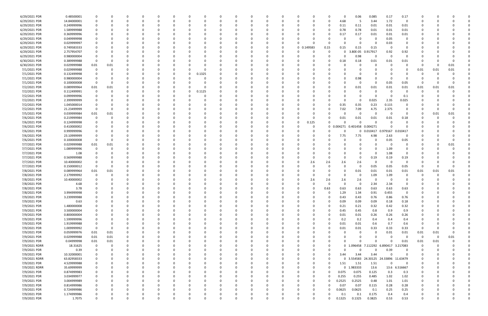| 6/29/2021 PDR | 0.48500001  |                         |          |   |   | 0        |          |              |          |          |              |   | 0        |          |          |          |          | O          | 0.06              | 0.085               | 0.17     | 0.17           |          |          |             |  |
|---------------|-------------|-------------------------|----------|---|---|----------|----------|--------------|----------|----------|--------------|---|----------|----------|----------|----------|----------|------------|-------------------|---------------------|----------|----------------|----------|----------|-------------|--|
| 6/29/2021 PDR | 14.84000001 |                         |          |   |   | 0        |          |              | C        |          |              |   | 0        |          |          |          |          | 4.68       | -5                | 3.44                | 1.72     | 0              |          |          |             |  |
| 6/29/2021 PDR | 0.249999996 |                         |          |   |   |          |          |              |          |          |              |   |          |          |          |          |          | 0.11       | 0.11              | 0.01                | 0.01     | 0.01           |          |          |             |  |
|               |             |                         |          |   |   |          |          |              |          |          |              |   |          |          |          |          |          |            |                   |                     |          |                |          |          |             |  |
| 6/29/2021 PDR | 1.589999988 |                         |          |   |   | $\Omega$ |          |              |          |          |              |   | $\Omega$ |          |          |          |          | 0.78       | 0.78              | 0.01                | 0.01     | 0.01           |          |          |             |  |
| 6/29/2021 PDR | 0.369999996 |                         |          |   |   | 0        |          |              |          |          |              |   | 0        |          |          |          |          | 0.17       | 0.17              | 0.01                | 0.01     | 0.01           |          |          |             |  |
| 6/29/2021 PDR | 0.049999998 |                         |          |   |   |          |          |              |          |          |              |   | $\Omega$ |          |          |          |          |            | 0                 | 0                   | 0.05     | 0              |          |          |             |  |
| 6/29/2021 PDR | 0.029999997 |                         |          |   |   |          |          |              |          |          |              |   |          |          |          |          |          |            | 0                 | - 0                 | 0.03     |                |          |          |             |  |
|               |             |                         |          |   |   |          |          |              |          |          |              |   |          |          |          |          |          |            |                   |                     |          |                |          |          |             |  |
| 6/29/2021 PDR | 0.749583333 |                         |          |   |   |          |          |              |          |          |              |   | 0        |          | 0        | 0.149583 | 0.15     | 0.15       | 0.15              | 0.15                | - 0      | 0              |          |          |             |  |
| 6/29/2021 PDR | 2.757954707 |                         |          |   |   |          |          |              |          |          |              |   | -0       |          |          |          |          |            | 3.80E-05          | .917917             | 0.92     | 0.92           |          |          |             |  |
| 6/29/2021 PDR | 0.980000004 | 0                       |          |   |   |          |          |              |          |          |              |   | $\Omega$ |          |          |          |          | $\Omega$   | 0.98              | 0                   | 0        | $\mathbf 0$    |          |          |             |  |
| 6/30/2021 PDR | 0.389999988 | - 0                     | -C       |   |   |          |          |              |          |          |              |   | 0        |          |          |          |          | 0.18       | 0.18              | 0.01                | 0.01     | 0.01           |          |          |             |  |
|               |             |                         |          |   |   |          |          |              |          |          |              |   |          |          |          |          |          |            |                   |                     |          |                |          |          |             |  |
| 6/30/2021 PDR | 0.029999988 | 0.01                    | 0.01     |   |   |          |          |              |          |          |              |   | -0       |          |          |          |          |            | 0                 | 0                   |          |                | 0        |          | 0.01        |  |
| 7/1/2021 PDR  | 0.029999988 | 0                       | $\Omega$ |   |   | -0       |          |              |          |          |              |   | $\Omega$ |          |          |          |          |            |                   | - 0                 |          |                | 0.01     | 0.01     | 0.01        |  |
| 7/1/2021 PDR  | 0.132499998 |                         |          |   |   | 0        |          | 0            | 0.1325   |          |              |   | -0       |          |          |          |          |            | 0                 | - 0                 |          |                | 0        |          |             |  |
| 7/1/2021 PDR  | 0.980000004 |                         |          |   |   |          |          |              |          |          |              |   |          |          |          |          |          |            | 0.98              |                     |          |                |          |          |             |  |
|               |             |                         |          |   |   |          |          |              |          |          |              |   |          |          |          |          |          |            |                   |                     |          |                |          |          |             |  |
| 7/1/2021 PDR  | 0.100000008 | 0                       |          |   |   |          |          |              |          |          |              |   |          |          |          |          |          |            | 0                 | $\Omega$            | 0.05     | 0.05           | 0        |          |             |  |
| 7/2/2021 PDR  | 0.089999964 | 0.01                    | 0.01     |   |   | 0        |          | <sup>0</sup> | C        |          |              |   | 0        |          |          |          |          |            | 0.01              | 0.01                | 0.01     | 0.01           | 0.01     | 0.01     | 0.01        |  |
| 7/2/2021 PDR  | 0.112499991 | - 0                     | -C       |   |   | 0        |          | 0            | 0.1125   |          |              |   | -0       |          |          |          |          |            | 0                 | -0                  | - 0      |                | 0        |          |             |  |
| 7/2/2021 PDR  | 0.099999996 |                         |          |   |   |          |          |              |          |          |              |   | $\Omega$ |          |          |          |          |            |                   | $\Omega$            |          | 0.1            |          |          |             |  |
|               |             |                         |          |   |   |          |          |              |          |          |              |   |          |          |          |          |          |            |                   |                     |          |                |          |          |             |  |
| 7/2/2021 PDR  | 2.399999999 |                         |          |   |   | 0        |          |              |          |          |              |   | -0       |          |          |          |          | ŋ          | 0                 | 0.025               | 2.35     | 0.025          |          |          |             |  |
| 7/2/2021 PDR  | 1.045000014 | -0                      |          |   |   |          |          |              |          |          |              |   | -0       |          |          |          |          | 0.35       | 0.35              | 0.23                | 0.115    |                |          |          |             |  |
| 7/2/2021 PDR  | 21.23499999 | - 0                     |          |   |   |          |          |              |          |          |              |   |          |          |          |          |          | 7.02       | 7.09              | 4.75                | 2.375    |                |          |          |             |  |
|               | 0.039999984 |                         |          |   |   |          |          |              |          |          |              |   |          |          |          |          |          |            | $\Omega$          | $\Omega$            | - 0      | $\Omega$       |          |          |             |  |
| 7/5/2021 PDR  |             | 0.01                    | 0.01     |   |   |          |          |              |          |          |              |   |          |          |          |          |          |            |                   |                     |          |                |          | 0.01     | 0.01        |  |
| 7/6/2021 PDR  | 0.219999984 | 0                       | -C       |   |   |          |          |              |          |          |              |   | -0       |          |          | - 0      |          | 0.01       | 0.01              | 0.01                | 0.01     | 0.18           |          |          |             |  |
| 7/6/2021 PDR  | 0.124999998 |                         |          |   |   |          |          |              |          |          |              |   | -0       |          |          | 0.125    |          |            | $\Omega$          | $\Omega$            | -0       |                |          |          |             |  |
| 7/6/2021 PDR  | 0.410000002 |                         |          |   |   |          |          |              |          |          |              |   | $\Omega$ |          |          | -0       |          | 0 0.004271 | 0.401458 0.004271 |                     |          |                |          |          |             |  |
| 7/6/2021 PDR  | 0.999999996 |                         |          |   |   |          |          |              |          |          |              |   |          |          |          |          |          |            |                   | 0 0.010417          | 0.979167 | 0.010417       |          |          |             |  |
|               |             |                         |          |   |   |          |          |              |          |          |              |   |          |          |          |          |          |            |                   |                     |          |                |          |          |             |  |
| 7/6/2021 PDR  | 23.10999999 | 0                       |          |   |   |          |          |              |          |          |              |   |          |          |          |          |          | 7.75       | 7.75              | 4.98                | 2.63     | 0              |          |          |             |  |
| 7/6/2021 PDR  | 0.100000008 | - 0                     | -C       |   |   |          |          |              |          |          |              |   | $\Omega$ |          |          |          |          |            | 0                 | $\Omega$            | 0.05     | 0.05           |          |          |             |  |
| 7/7/2021 PDR  | 0.029999988 | 0.01                    | 0.01     |   |   | 0        |          |              |          |          |              |   | 0        |          |          |          |          |            |                   | - 0                 | - 0      | 0              |          |          | 0.01        |  |
| 7/7/2021 PDR  | 1.089999996 | 0                       | $\Omega$ |   |   |          |          |              |          |          |              |   | $\Omega$ |          |          |          |          |            |                   | - 0                 | 1.09     |                |          |          |             |  |
|               |             |                         |          |   |   |          |          |              |          |          |              |   |          |          |          |          |          |            |                   |                     |          |                |          |          |             |  |
| 7/7/2021 PDR  | 1.08        |                         |          |   |   |          |          |              |          |          |              |   |          |          |          |          |          |            |                   | 0                   | 1.08     |                |          |          |             |  |
| 7/7/2021 PDR  | 0.569999988 |                         |          |   |   |          |          |              |          |          |              |   | -0       |          |          |          |          |            | 0                 | 0.19                | 0.19     | 0.19           |          |          |             |  |
| 7/7/2021 PDR  | 10.40000002 | 0                       |          |   |   |          |          |              |          |          |              |   |          |          |          | 2.6      | 2.6      | 2.6        | 2.6               | 0                   | - 0      |                |          |          |             |  |
|               |             |                         |          |   |   |          |          |              |          |          |              |   |          |          |          |          |          |            |                   |                     |          |                |          |          |             |  |
| 7/7/2021 PDR  | 0.150000012 | 0                       |          |   |   |          |          |              |          |          |              |   |          |          |          |          |          |            | 0                 | 0.05                | 0.05     | 0.05           | 0        |          |             |  |
| 7/8/2021 PDR  | 0.089999964 | 0.01                    | 0.01     |   |   |          |          |              |          |          |              |   | -0       |          |          |          |          | 0          | 0.01              | 0.01                | 0.01     | 0.01           | 0.01     | 0.01     | 0.01        |  |
| 7/8/2021 PDR  | 2.179999992 | 0                       | -C       |   |   |          |          |              |          |          |              |   | -0       |          |          |          |          | O          | 0                 | 1.09                | 1.09     |                |          |          |             |  |
| 7/8/2021 PDR  | 10.40000002 |                         |          |   |   | -C       |          |              |          |          |              |   | $\Omega$ |          |          | 2.6      | 2.6      | 2.6        | 2.6               | - 0                 | - 0      |                |          |          |             |  |
|               |             |                         |          |   |   |          |          |              |          |          |              |   |          |          |          |          |          |            |                   |                     |          |                |          |          |             |  |
| 7/8/2021 PDR  | 4.68        |                         |          |   |   |          |          |              |          |          |              |   |          |          |          |          |          | 0          | 0                 | 2.34                | 2.34     |                |          |          |             |  |
| 7/8/2021 PDR  | 3.78        | 0                       |          |   |   |          |          |              |          |          |              |   |          |          |          | 0        | 0.63     | 0.63       | 0.63              | 0.63                | 0.63     | 0.63           |          |          |             |  |
| 7/8/2021 PDR  | 3.994999998 | $\Omega$                |          |   |   |          |          |              |          |          |              |   |          |          |          |          |          | 1.29       | 1.34              | 0.91                | 0.455    |                |          |          |             |  |
| 7/9/2021 PDR  | 3.239999988 | $\mathbf 0$             | 0        | 0 | O | 0        | $\Omega$ | $\Omega$     | 0        | $\Omega$ | $\Omega$     | O | 0        | $\Omega$ | $\Omega$ | 0        | $\Omega$ | 0.43       | 0.43              | 0.76                | 0.86     | 0.76           | $\Omega$ |          |             |  |
|               |             |                         |          |   |   |          |          |              |          |          |              |   |          |          |          |          |          |            |                   |                     |          |                |          |          |             |  |
| 7/9/2021 PDR  | 0.63        | 0                       | 0        | 0 |   | 0        |          | $\Omega$     | 0        |          | O            |   | 0        | $\Omega$ | $\Omega$ | 0        |          | 0.09       | 0.09              | 0.09                | 0.18     | 0.18           | 0        |          |             |  |
| 7/9/2021 PDR  | 1.480000008 | 0                       | $\Omega$ |   |   | $\Omega$ |          | $\Omega$     | 0        |          |              |   | $\Omega$ |          | $\Omega$ | 0        |          | 0.21       | 0.21              | 0.32                | 0.42     | 0.32           |          |          |             |  |
| 7/9/2021 PDR  | 3.500000004 | 0                       | 0        |   |   | 0        |          | 0            | 0        |          |              |   | 0        |          | 0        | 0        |          | 0.45       | 0.45              | 0.8                 | 0.9      | 0.9            |          |          |             |  |
| 7/9/2021 PDR  | 0.800000004 | 0                       |          |   |   | 0        |          | 0            | C        |          |              |   | 0        |          |          |          |          | 0.01       | 0.01              | 0.26                | 0.26     | 0.26           |          |          |             |  |
|               |             |                         |          |   |   |          |          |              |          |          |              |   |          |          |          |          |          |            |                   |                     |          |                |          |          |             |  |
| 7/9/2021 PDR  | 1.599999996 | 0                       | 0        |   |   | 0        |          | $\Omega$     | 0        |          |              |   | $\Omega$ |          | 0        | 0        |          | 0.2        | 0.2               | 0.4                 | 0.4      | 0.4            |          |          |             |  |
| 7/9/2021 PDR  | 1.919999988 | 0                       | 0        |   |   | $\Omega$ |          | $\Omega$     | 0        |          |              |   | $\Omega$ |          | $\Omega$ | 0        | $\Omega$ | 0.01       | 0.01              | 0.6                 | 0.7      | 0.6            | 0        |          |             |  |
| 7/9/2021 PDR  | 1.009999992 | $\overline{\mathbf{0}}$ | 0        |   |   | 0        |          | <sup>0</sup> | 0        |          |              |   | 0        |          |          | 0        |          | 0.01       | 0.01              | 0.33                | 0.33     | 0.33           | 0        |          | 0           |  |
| 7/9/2021 PDR  | 0.059999976 | 0.01                    | 0.01     |   |   | 0        |          | 0            | 0        |          |              |   | 0        |          | 0        | 0        |          | O          | 0                 | $\Omega$            | 0.01     | 0.01           | 0.01     | 0.01     | 0           |  |
|               |             |                         |          |   |   |          |          |              |          |          |              |   |          |          |          |          |          |            |                   |                     |          |                |          |          |             |  |
| 7/9/2021 PDR  | 0.029999988 | 0.01                    | 0.01     |   |   | 0        |          | 0            | 0        |          |              |   | 0        |          |          | 0        |          | O          | 0                 | $\Omega$            | $\Omega$ | 0              | 0        | $\Omega$ | 0.01        |  |
| 7/9/2021 PDR  | 0.04999998  | 0.01                    | 0.01     |   |   | 0        |          |              | C        |          |              |   | 0        |          |          |          |          |            |                   | $\Omega$            | $\Omega$ | 0.01           | 0.01     | 0.01     |             |  |
| 7/9/2021 RDRR | 18.31625    | 0                       | 0        |   |   | 0        |          | 0            | C        |          |              |   | 0        |          |          | 0        |          |            |                   | 0 1.096458 7.112292 | 6.890417 | 3.217083       | 0        |          |             |  |
| 7/9/2021 PDR  | 0.39        | 0                       | 0        |   |   | $\Omega$ |          | $\Omega$     | C        |          |              |   | $\Omega$ |          | $\Omega$ | 0        |          | $\Omega$   | $\Omega$          | $\Omega$            | 0.39     | $\overline{0}$ | 0        |          |             |  |
|               |             |                         |          |   |   |          |          |              |          |          |              |   |          |          |          |          |          |            |                   |                     |          |                |          |          |             |  |
| 7/9/2021 PDR  | 10.32000001 | 0                       | 0        |   |   | 0        |          | 0            | 0        |          |              |   | 0        |          | 0        | 0        |          | 3.44       | 3.44              | 3.44                | $\Omega$ | $\Omega$       | 0        |          | 0           |  |
| 7/9/2021 RDRR | 63.82958333 | 0                       | $\Omega$ |   |   | 0        |          | 0            | 0        |          |              |   | 0        |          | 0        | 0        |          |            | 0 3.554583        | 24.30125 24.33896   |          | 11.63479       |          |          |             |  |
| 7/9/2021 PDR  | 4.529999988 | $\mathbf 0$             | 0        |   |   | 0        |          | $\Omega$     | C        |          |              |   | $\Omega$ |          | $\Omega$ | 0        |          | 1.51       | 1.51              | 1.51                | $\Omega$ | $\overline{0}$ |          |          |             |  |
| 7/9/2021 RDRR | 35.69999999 | 0                       | 0        |   |   | 0        |          | 0            | C        |          |              |   | 0        |          | 0        | 0        |          |            | 0 1.983333        | 13.6                |          | 13.6 6.516667  |          |          |             |  |
|               |             |                         |          |   |   |          |          |              |          |          |              |   |          |          |          |          |          |            |                   |                     |          |                |          |          |             |  |
| 7/9/2021 PDR  | 0.874999983 | 0                       |          |   |   | 0        |          | 0            | 0        |          |              |   | 0        |          |          | 0        |          | 0.075      | 0.075             | 0.125               | 0.3      | 0.3            |          |          |             |  |
| 7/9/2021 PDR  | 3.034999977 | 0                       | 0        |   |   | $\Omega$ |          | $\Omega$     | 0        |          |              |   | $\Omega$ |          | $\Omega$ | 0        | $\Omega$ | 0.255      | 0.255             | 0.485               | 1.02     | 1.02           |          |          |             |  |
| 7/9/2021 PDR  | 3.004999989 | 0                       | - 0      |   |   | 0        |          | <sup>0</sup> | 0        |          |              |   | 0        |          | O        |          |          | 0.2525     | 0.2525            | 0.48                | 1.01     | 1.01           |          |          |             |  |
| 7/9/2021 PDR  | 0.814999986 | 0                       | 0        |   |   | 0        |          | 0            | 0        |          |              |   | 0        |          |          |          |          | 0.07       | 0.07              | 0.115               | 0.28     | 0.28           |          |          |             |  |
|               |             |                         |          |   |   |          |          |              |          |          |              |   |          |          |          |          |          |            |                   |                     |          |                |          |          |             |  |
| 7/9/2021 PDR  | 0.724999986 | 0                       | 0        |   |   | $\Omega$ |          | $\Omega$     | 0        |          |              |   | $\Omega$ |          | 0        | 0        |          | 0.0625     | 0.0625            | 0.1                 | 0.25     | 0.25           |          |          |             |  |
| 7/9/2021 PDR  | 1.174999986 | 0                       |          |   |   | 0        |          | 0            | C        |          |              |   | 0        |          |          | 0        |          | 0.1        | 0.1               | 0.175               | 0.4      | 0.4            |          |          |             |  |
| 7/9/2021 PDR  | 1.7075      | $\mathbf 0$             | $\Omega$ | U |   | $\Omega$ |          | $\Omega$     | $\Omega$ |          | <sup>0</sup> | ∩ | $\Omega$ | $\Omega$ | $\Omega$ | $\Omega$ |          | 0.1325     | 0.1325            | 0.3825              | 0.53     | 0.53           | $\Omega$ |          | $\mathbf 0$ |  |
|               |             |                         |          |   |   |          |          |              |          |          |              |   |          |          |          |          |          |            |                   |                     |          |                |          |          |             |  |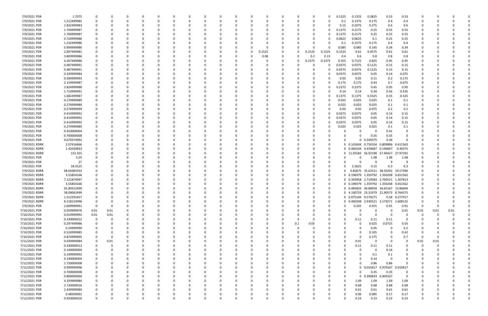| 7/9/2021 PDR  | 1.7075      |             |          |          |          |              |          |          |          |          |          |        |          |          |              | 0            | 0.1325 | 0.1325                                | 0.3825                    | 0.53                         | 0.53           |          |      |      |  |
|---------------|-------------|-------------|----------|----------|----------|--------------|----------|----------|----------|----------|----------|--------|----------|----------|--------------|--------------|--------|---------------------------------------|---------------------------|------------------------------|----------------|----------|------|------|--|
| 7/9/2021 PDR  | 1.212499985 | $\Omega$    | 0        |          | 0        | n            |          |          |          | -C       |          |        | - 0      |          | - 0          | 0            | 0.1    | 0.1375                                | 0.175                     | 0.4                          | 0.4            |          |      |      |  |
| 7/9/2021 PDR  | 1.832499983 |             |          |          |          |              |          |          |          |          |          |        |          |          |              | 0            | 0.15   | 0.2075                                | 0.275                     | 0.6                          | 0.6            |          |      |      |  |
| 7/9/2021 PDR  | 1.704999987 |             |          |          |          |              |          |          |          |          |          |        |          |          |              | 0            | 0.1375 | 0.2175                                | 0.25                      | 0.55                         | 0.55           |          |      |      |  |
|               |             |             |          |          |          |              |          |          |          |          |          |        |          |          |              |              |        |                                       |                           |                              |                |          |      |      |  |
| 7/9/2021 PDR  | 1.704999987 |             |          |          |          |              |          |          |          |          |          |        |          |          |              | 0            | 0.1375 | 0.2175                                | 0.25                      | 0.55                         | 0.55           |          |      |      |  |
| 7/9/2021 PDR  | 0.724999986 |             |          |          |          |              |          |          |          |          |          |        |          |          |              | 0            | 0.0625 | 0.0625                                | 0.1                       | 0.25                         | 0.25           |          |      |      |  |
| 7/9/2021 PDR  | 1.232499986 |             |          |          |          |              |          |          |          |          |          |        |          |          |              |              | 0.1    | 0.1575                                | 0.175                     | 0.4                          | 0.4            |          |      |      |  |
| 7/9/2021 PDR  | 0.994999986 |             |          |          |          |              |          |          |          |          |          |        |          |          |              | 0            | 0.085  | 0.085                                 | 0.145                     | 0.34                         | 0.34           |          |      |      |  |
| 7/9/2021 PDR  | 2.897499981 |             |          |          |          |              |          |          |          |          | 0        | 0.1525 | 0        |          | 0.1525       | 0.1525       | 0.1525 | 0.61                                  | 0.4575                    | 0.61                         | 0.61           |          |      |      |  |
| 7/9/2021 PDR  | 3.809999986 |             |          |          |          |              |          |          |          |          |          | 0.08   | 0        |          | 0.2          | 0.13         | 0.4    | 0.6                                   | 0.8                       | 0.8                          | 0.8            |          |      |      |  |
|               |             |             |          |          |          |              |          |          |          |          |          |        |          |          |              |              |        |                                       |                           |                              |                |          |      |      |  |
| 7/9/2021 PDR  | 4.267499986 |             |          |          |          |              |          |          |          |          |          |        | $\Omega$ |          | 0.2375       | 0.2375       | 0.355  | 0.7125                                | 0.825                     | 0.95                         | 0.95           |          |      |      |  |
| 7/9/2021 PDR  | 0.487499991 |             |          |          |          |              |          |          |          |          |          |        |          |          |              | 0            | 0.0375 | 0.0375                                | 0.1125                    | 0.15                         | 0.15           |          |      |      |  |
| 7/9/2021 PDR  | 0.487499991 |             |          |          |          |              |          |          |          |          |          |        |          |          |              | 0            | 0.0375 | 0.0375                                | 0.1125                    | 0.15                         | 0.15           |          |      |      |  |
| 7/9/2021 PDR  | 0.339999984 |             |          |          |          |              |          |          |          |          |          |        |          |          |              | 0            | 0.0375 | 0.0375                                | 0.05                      | 0.14                         | 0.075          |          |      |      |  |
| 7/9/2021 PDR  | 0.584999993 |             |          |          |          |              |          |          |          |          |          |        |          |          |              | 0            | 0.05   | 0.05                                  | 0.11                      | 0.2                          | 0.175          |          |      |      |  |
| 7/9/2021 PDR  | 2.154999987 |             |          |          |          |              |          |          |          |          |          |        |          |          |              | 0            | 0.175  | 0.175                                 | 0.43                      | 0.7                          | 0.675          |          |      |      |  |
|               |             |             |          |          |          |              |          |          |          |          |          |        |          |          |              |              |        |                                       |                           |                              |                |          |      |      |  |
| 7/9/2021 PDR  | 2.824999988 |             |          |          |          |              |          |          |          |          |          |        |          |          |              | 0            | 0.2375 | 0.2375                                | 0.45                      | 0.95                         | 0.95           |          |      |      |  |
| 7/9/2021 PDR  | 1.714999991 |             |          |          |          |              |          |          |          |          |          |        |          |          |              | n            | 0.14   | 0.14                                  | 0.34                      | 0.56                         | 0.535          |          |      |      |  |
| 7/9/2021 PDR  | 1.682499987 |             |          |          |          |              |          |          |          |          |          |        |          |          |              | 0            | 0.1375 | 0.1375                                | 0.3325                    | 0.55                         | 0.525          |          |      |      |  |
| 7/9/2021 PDR  | 0.274999989 |             |          |          |          |              |          |          |          |          |          |        |          |          |              | n            | 0.025  | 0.025                                 | 0.025                     | 0.1                          | 0.1            |          |      |      |  |
| 7/9/2021 PDR  | 0.274999989 |             |          |          |          |              |          |          |          |          |          |        |          |          |              | 0            | 0.025  | 0.025                                 | 0.025                     | 0.1                          | 0.1            |          |      |      |  |
| 7/9/2021 PDR  | 0.574999999 |             |          |          |          |              |          |          |          |          |          |        |          |          |              | 0            | 0.05   | 0.05                                  | 0.075                     | 0.2                          | 0.2            |          |      |      |  |
|               |             |             |          |          |          |              |          |          |          |          |          |        |          |          |              |              |        |                                       |                           |                              |                |          |      |      |  |
| 7/9/2021 PDR  | 0.414999992 |             |          |          |          |              |          |          |          |          |          |        |          |          |              | 0            | 0.0375 | 0.0375                                | 0.05                      | 0.14                         | 0.15           |          |      |      |  |
| 7/9/2021 PDR  | 0.414999992 |             |          |          |          |              |          |          |          |          |          |        |          |          |              | 0            | 0.0375 | 0.0375                                | 0.05                      | 0.14                         | 0.15           |          |      |      |  |
| 7/9/2021 PDR  | 0.414999992 |             |          |          |          |              |          |          |          |          |          |        |          |          |              | 0            | 0.0375 | 0.0375                                | 0.05                      | 0.14                         | 0.15           |          |      |      |  |
| 7/9/2021 PDR  | 0.274999989 |             |          |          |          |              |          |          |          |          |          |        |          |          |              |              | 0.025  | 0.025                                 | 0.025                     | 0.1                          | 0.1            |          |      |      |  |
| 7/9/2021 PDR  | 0.410000004 |             |          |          |          |              |          |          |          |          |          |        |          |          |              |              |        | $\Omega$                              | -0                        | 0.41                         |                |          |      |      |  |
| 7/9/2021 PDR  | 0.700000008 |             |          |          |          |              |          |          |          |          |          |        |          |          |              |              |        |                                       | 0.35                      | 0.35                         |                |          |      |      |  |
|               |             |             |          |          |          |              |          |          |          |          |          |        |          |          |              |              |        |                                       | 0 0.339375                | 0.34                         |                |          |      |      |  |
| 7/9/2021 PDR  | 0.679374992 |             |          |          |          |              |          |          |          |          |          |        |          |          |              |              |        |                                       |                           |                              |                |          |      |      |  |
| 7/9/2021 RDRR | 2.07416666  |             |          |          |          |              |          |          |          |          |          |        |          |          |              | 0            |        | 0 0.102604 0.750104 0.809896          |                           |                              | 0.411563       |          |      |      |  |
| 7/9/2021 RDRR | 1.42020833  |             |          |          |          |              |          |          |          |          |          |        |          |          |              | 0            |        | 0 0.460104 0.459687 0.196667          |                           |                              | 0.30375        |          |      |      |  |
| 7/9/2021 RDRR | 153.355     |             |          |          |          |              |          |          |          |          |          |        |          |          |              | 0            |        | 0 11.05583 56.92198 57.40427          |                           |                              | 27.97292       |          |      |      |  |
| 7/9/2021 PDR  | 3.24        |             |          |          |          |              |          |          |          |          |          |        |          |          |              | 0            |        |                                       | 1.08                      | 1.08                         | 1.08           |          |      |      |  |
| 7/9/2021 PDR  | 27          |             |          |          |          |              |          |          |          |          |          |        |          |          |              | 0            |        |                                       | 9                         | -9                           | ٠q             |          |      |      |  |
|               |             |             |          |          |          |              |          |          |          |          |          |        |          |          |              |              |        |                                       |                           |                              |                |          |      |      |  |
| 7/9/2021 PDR  | 18.0125     |             |          |          |          |              |          |          |          |          |          |        |          |          |              | 0            |        | 2.2625                                | 3.15                      | 6.3                          | 6.3            |          |      |      |  |
| 7/9/2021 RDRR | 98.65083333 |             |          |          |          |              |          |          |          |          |          |        |          |          |              | 0            |        |                                       | 4.85875 35.62521 38.59292 |                              | 19.57396       |          |      |      |  |
| 7/9/2021 RDRR | 3.55854166  |             |          |          |          |              |          |          |          |          |          |        |          |          |              | -0           |        | 0 0.196979 1.359792 1.350208          |                           |                              | 0.651562       |          |      |      |  |
| 7/9/2021 RDRR | 7.121874997 |             |          |          |          |              |          |          |          |          |          |        |          |          |              | 0            |        | 0 0.393958 2.719583 2.700521          |                           |                              | 1.307813       |          |      |      |  |
| 7/9/2021 RDRR | 3.55854166  |             |          |          |          |              |          |          |          |          |          |        |          |          |              | 0            |        | 0 0.196979 1.359792 1.350208          |                           |                              | 0.651562       |          |      |      |  |
| 7/9/2021 RDRR | 91.89312499 | 0           |          |          |          |              |          |          |          |          |          |        |          |          |              | 0            |        | 0 6.485833 36.88958 34.65167 13.86604 |                           |                              |                | 0        |      |      |  |
|               |             | $\mathbf 0$ |          |          |          |              |          |          |          |          |          |        |          |          |              |              |        | 0 4.100729 23.31979 21.90573          |                           |                              |                | $\Omega$ |      |      |  |
| 7/9/2021 RDRR | 58.09062499 |             |          |          |          | O            |          |          |          |          |          |        |          |          | U            | 0            |        |                                       |                           |                              | 8.764375       |          |      |      |  |
| 7/9/2021 RDRR | 1.512291657 | $\mathbf 0$ | $\Omega$ | $\Omega$ | $\Omega$ | $\Omega$     |          | $\Omega$ | 0        | $\Omega$ | $\Omega$ |        | $\Omega$ |          | $\Omega$     | 0            |        | 0 0.075104 0.579271                   |                           |                              | 0.58 0.277917  | 0        |      |      |  |
| 7/9/2021 RDRR | 8.118124996 | $\mathbf 0$ | $\Omega$ |          | 0        | <sup>0</sup> |          | $\Omega$ |          | -0       | O        |        | - 0      |          | 0            | 0            |        | 0 0.400208 2.930521 3.179271          |                           |                              | 1.608125       | - 0      |      |      |  |
| 7/9/2021 PDR  | 2.609999991 | $\mathbf 0$ | $\Omega$ |          | 0        |              |          | $\Omega$ |          |          |          |        |          |          | 0            | 0            |        | 0.335                                 | 0.455                     | 0.91                         | 0.91           | - 0      | 0    |      |  |
| 7/10/2021 PDR | 0.059999976 | 0.01        | 0.01     |          | ŋ        |              |          |          |          |          |          |        |          |          | $\Omega$     | 0            |        | $\Omega$                              | $\Omega$                  | 0                            | 0.01           | 0.01     | 0.01 | 0.01 |  |
| 7/10/2021 PDR | 0.019999992 | 0.01        | 0.01     |          | 0        |              |          |          |          |          |          |        |          |          | <sup>0</sup> | 0            |        | 0                                     | $\Omega$                  | $\Omega$                     |                | - 0      | 0    |      |  |
| 7/10/2021 PDR | 0.330000012 | 0           | 0        |          |          |              |          |          |          |          |          |        |          |          | $\Omega$     |              |        | 0.11                                  | 0.11                      | 0.11                         | 0              |          |      |      |  |
|               |             |             |          |          |          |              |          |          |          |          |          |        |          |          |              |              |        |                                       |                           |                              |                |          |      |      |  |
| 7/10/2021 PDR | 0.297499986 | $\mathbf 0$ |          |          |          |              |          |          |          |          |          |        |          | 0.1      | 0.05         |              |        | 0                                     | 0.025                     | 0.0725                       | 0.05           |          |      |      |  |
| 7/10/2021 PDR | 0.24999999  | 0           | 0        |          | 0        |              |          |          | O        |          |          |        | - 0      |          | 0            | <sup>0</sup> |        | $\Omega$                              | 0.05                      | 0                            | 0.2            |          |      |      |  |
| 7/10/2021 PDR | 0.524999985 | 0           | $\Omega$ |          |          |              |          |          | 0        |          |          |        |          |          |              | <sup>0</sup> |        | 0                                     | 0.105                     | 0                            | 0.42           |          |      |      |  |
| 7/10/2021 PDR | 0.874999995 | $\Omega$    | $\Omega$ |          |          |              |          |          |          |          |          |        |          |          |              | <sup>0</sup> |        | $\Omega$                              | 0.175                     | 0                            | 0.7            | $\Omega$ |      |      |  |
| 7/11/2021 PDR | 0.039999984 | 0           | 0.01     |          | 0        |              |          |          |          |          |          |        |          |          | <sup>0</sup> | 0            |        | 0.01                                  | 0                         | 0                            | - 0            | 0.01     | 0.01 |      |  |
| 7/11/2021 PDR | 0.330000012 | 0           | 0        |          |          |              |          |          |          |          |          |        |          |          |              | 0            |        | 0.11                                  | 0.11                      | 0.11                         | -0             | 0        | 0    |      |  |
|               |             |             |          |          |          |              |          |          |          |          |          |        |          |          |              |              |        |                                       |                           |                              |                |          |      |      |  |
| 7/11/2021 PDR | 0.140000004 | $\mathbf 0$ |          |          |          |              |          |          |          |          |          |        |          |          |              |              |        | $\Omega$                              | $\Omega$                  | 0.14                         |                |          |      |      |  |
| 7/12/2021 PDR | 0.199999992 | 0           | $\Omega$ |          | 0        |              |          |          |          |          |          |        |          |          |              | $\Omega$     |        | 0                                     | 0.1                       | 0.1                          |                |          |      |      |  |
| 7/12/2021 PDR | 0.140000004 | 0           |          |          | 0        |              |          |          | O        |          |          |        |          |          |              | <sup>0</sup> |        | $\Omega$                              | 0.14                      | $\mathbf 0$                  |                |          |      |      |  |
| 7/12/2021 PDR | 1.720000008 | 0           |          |          | o        |              |          |          |          |          |          |        |          |          |              |              |        | ŋ                                     | 0.86                      | 0.86                         | $\Omega$       |          |      |      |  |
| 7/12/2021 PDR | 0.999999996 | 0           | $\Omega$ |          | 0        |              |          |          |          |          |          |        |          |          | $\Omega$     | 0            |        |                                       |                           | 0 0.010417 0.979167 0.010417 |                |          |      |      |  |
|               |             |             |          |          |          |              |          |          |          |          |          |        |          |          |              |              |        | 0                                     |                           |                              |                |          |      |      |  |
| 7/12/2021 PDR | 0.700000008 | 0           |          |          | 0        |              |          |          |          |          |          |        |          |          |              | 0            |        |                                       | 0.35                      | 0.35                         | 0              |          |      |      |  |
| 7/12/2021 PDR | 0.800000004 | $\mathbf 0$ |          |          | ŋ        |              |          |          |          |          |          |        |          |          |              | 0            |        |                                       | 0 0.390833                | 0.409167                     | $\overline{0}$ |          |      |      |  |
| 7/12/2021 PDR | 4.359999984 | 0           | $\Omega$ |          | 0        |              |          |          |          |          |          |        |          |          | 0            | 0            |        | 1.09                                  | 1.09                      | 1.09                         | 1.09           |          |      |      |  |
| 7/12/2021 PDR | 2.720000016 | 0           | $\Omega$ |          | 0        |              |          |          |          |          |          |        |          |          |              | 0            |        | 0.68                                  | 0.68                      | 0.68                         | 0.68           |          |      |      |  |
| 7/12/2021 PDR | 2.439999984 | $\Omega$    |          |          | ŋ        |              |          |          |          |          |          |        |          |          |              | 0            |        | 0.61                                  | 0.61                      | 0.61                         | 0.61           |          |      |      |  |
| 7/12/2021 PDR | 0.48500001  |             |          |          |          |              |          |          |          |          |          |        |          |          |              |              |        | 0.06                                  | 0.085                     | 0.17                         | 0.17           |          |      |      |  |
| 7/12/2021 PDR | 0.920000016 | $\Omega$    | $\Omega$ | $\Omega$ | 0        | $\Omega$     | $\Omega$ | $\Omega$ | $\Omega$ | 0        | $\Omega$ |        | $\Omega$ | $\Omega$ | $\Omega$     | 0            |        | 0.23                                  | 0.23                      | 0.23                         | 0.23           | 0        | 0    | 0    |  |
|               |             |             |          |          |          |              |          |          |          |          |          |        |          |          |              |              |        |                                       |                           |                              |                |          |      |      |  |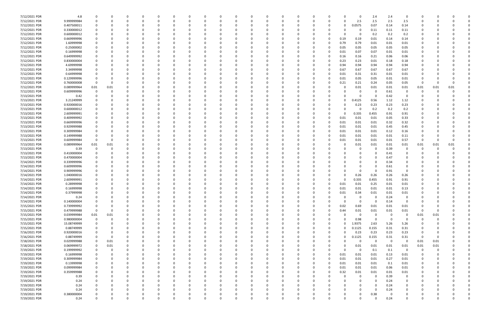| 7/12/2021 PDR | 4.8         |             |          |              |          |          |          | -0       |          | -0       |          |          |          |          |          |                | $\Omega$     | 2.4         | 2.4            | 0              |              |      |          |  |
|---------------|-------------|-------------|----------|--------------|----------|----------|----------|----------|----------|----------|----------|----------|----------|----------|----------|----------------|--------------|-------------|----------------|----------------|--------------|------|----------|--|
| 7/12/2021 PDR | 9.999999984 | $\Omega$    | O        | <sup>0</sup> | $\Omega$ |          |          | 0        |          | $\Omega$ |          |          | O        | 0        |          | 0              | 2.5          | 2.5         | 2.5            | 2.5            | 0            |      |          |  |
| 7/12/2021 PDR | 0.407500011 |             |          |              |          |          |          |          |          |          |          |          |          |          |          | 0              | 0.0575       | 0.07        | 0.14           | 0.14           |              |      |          |  |
|               |             |             |          |              |          |          |          |          |          |          |          |          |          |          |          |                |              |             |                |                |              |      |          |  |
| 7/12/2021 PDR | 0.330000012 |             |          |              |          |          |          |          |          |          |          |          |          |          |          |                | 0            | 0.11        | 0.11           | 0.11           |              |      |          |  |
| 7/12/2021 PDR | 0.600000012 |             |          |              |          |          |          |          |          |          |          |          |          |          |          | 0              | 0            | 0.2         | 0.2            | 0.2            |              |      |          |  |
| 7/12/2021 PDR | 0.669999996 |             |          |              |          |          |          |          |          |          |          |          |          |          |          | 0.19           | 0.19         | 0.01        | 0.14           | 0.14           |              |      |          |  |
|               |             |             |          |              |          |          |          |          |          |          |          |          |          |          |          |                |              |             |                |                |              |      |          |  |
| 7/12/2021 PDR | 1.60999998  |             |          |              |          |          |          |          |          |          |          |          |          |          |          | 0.79           | 0.79         | 0.01        | 0.01           | 0.01           |              |      |          |  |
| 7/12/2021 PDR | 0.25000002  |             |          |              |          |          |          |          |          |          |          |          |          |          |          | 0.05           | 0.05         | 0.05        | 0.05           | 0.05           |              |      |          |  |
| 7/12/2021 PDR | 0.16999998  |             |          |              |          |          |          |          |          |          |          |          |          |          |          | 0.01           | 0.07         | 0.07        | 0.01           | 0.01           |              |      |          |  |
|               |             |             |          |              |          |          |          |          |          |          |          |          |          |          |          |                |              |             |                |                |              |      |          |  |
| 7/12/2021 PDR | 0.649999992 |             |          |              |          |          |          |          |          |          |          |          |          |          |          | 0.16           | 0.16         | 0.21        | 0.06           | 0.06           |              |      |          |  |
| 7/12/2021 PDR | 0.830000004 |             |          |              |          |          |          |          |          |          |          |          |          |          |          | 0.23           | 0.23         | 0.01        | 0.18           | 0.18           |              |      |          |  |
| 7/12/2021 PDR | 4.69999998  |             |          |              |          |          |          |          |          |          |          |          |          |          |          | 0.94           | 0.94         | 0.94        | 0.94           | 0.94           |              |      |          |  |
|               |             |             |          |              |          |          |          |          |          |          |          |          |          |          |          |                |              |             |                |                |              |      |          |  |
| 7/12/2021 PDR | 3.34999998  |             |          |              |          |          |          |          |          |          |          |          |          | -0       |          | 0.67           | 0.67         | 0.67        | 0.67           | 0.67           |              |      |          |  |
| 7/12/2021 PDR | 0.64999998  |             |          |              |          |          |          |          |          |          |          |          |          |          |          | 0.01           | 0.31         | 0.31        | 0.01           | 0.01           |              |      |          |  |
| 7/12/2021 PDR | 0.129999996 |             |          |              |          |          |          |          |          |          |          |          |          | -0       |          | 0.01           | 0.05         | 0.05        | 0.01           | 0.01           |              |      |          |  |
|               |             |             |          |              |          |          |          |          |          |          |          |          |          |          |          |                |              |             |                |                |              |      |          |  |
| 7/12/2021 PDR | 0.760000008 | $\Omega$    |          |              |          |          |          |          |          |          |          |          |          |          |          | 0.21           | 0.21         | 0.24        | 0.05           | 0.05           | 0            |      |          |  |
| 7/12/2021 PDR | 0.089999964 | 0.01        | 0.01     |              |          |          |          |          |          |          |          |          |          |          |          |                | 0.01         | 0.01        | 0.01           | 0.01           | 0.01         | 0.01 | 0.01     |  |
| 7/12/2021 PDR | 0.609999996 |             |          |              |          |          |          |          |          |          |          |          |          |          |          |                |              |             | 0.61           |                | 0            |      |          |  |
|               |             |             |          |              |          |          |          |          |          |          |          |          |          |          |          |                | 0            | 0           |                | 0              |              |      |          |  |
| 7/13/2021 PDR | 0.42        |             |          |              |          |          |          |          |          |          |          |          |          |          |          |                | 0            | 0           | 0.42           | 0              | O            |      |          |  |
| 7/13/2021 PDR | 3.21249999  |             |          |              |          |          |          |          |          |          |          |          |          |          |          |                | .4125        | 0.56        | 1.12           | 1.12           |              |      |          |  |
|               |             |             |          |              |          |          |          |          |          |          |          |          |          |          |          |                |              |             |                |                |              |      |          |  |
| 7/13/2021 PDR | 0.920000016 |             |          |              |          |          |          |          |          |          |          |          |          |          |          | O              | 0.23         | 0.23        | 0.23           | 0.23           |              |      |          |  |
| 7/13/2021 PDR | 0.600000012 |             |          |              |          |          |          |          |          |          |          |          |          |          |          |                | 0            | 0.2         | 0.2            | 0.2            |              |      |          |  |
| 7/13/2021 PDR | 2.609999991 |             |          |              |          |          |          |          |          |          |          |          |          |          |          |                | 0.335        | 0.455       | 0.91           | 0.91           |              |      |          |  |
|               |             |             |          |              |          |          |          |          |          |          |          |          |          |          |          |                |              |             |                |                |              |      |          |  |
| 7/13/2021 PDR | 0.409999992 |             |          |              |          |          |          |          |          |          |          |          |          | -0       |          | 0.01           | 0.01         | 0.01        | 0.05           | 0.33           |              |      |          |  |
| 7/13/2021 PDR | 0.669999996 |             |          |              |          |          |          |          |          |          |          |          |          |          |          | 0.01           | 0.01         | 0.01        | 0.32           | 0.32           |              |      |          |  |
| 7/13/2021 PDR | 0.929999988 |             |          |              |          |          |          |          |          |          |          |          |          |          |          | 0.01           | 0.01         | 0.01        | 0.45           | 0.45           |              |      |          |  |
|               |             |             |          |              |          |          |          |          |          |          |          |          |          |          |          |                |              |             |                |                |              |      |          |  |
| 7/13/2021 PDR | 0.309999984 |             |          |              |          |          |          |          |          |          |          |          |          |          |          | 0.01           | 0.01         | 0.01        | 0.12           | 0.16           |              |      |          |  |
| 7/13/2021 PDR | 0.149999988 |             |          |              |          |          |          |          |          |          |          |          |          |          |          | 0.01           | 0.01         | 0.01        | 0.01           | 0.11           |              |      |          |  |
| 7/13/2021 PDR | 0.609999984 | $\Omega$    |          |              |          |          |          |          |          |          |          |          |          |          |          | 0.01           | 0.01         | 0.01        | 0.01           | 0.57           | 0            |      |          |  |
|               |             |             |          |              |          |          |          |          |          |          |          |          |          |          |          |                |              |             |                |                |              |      |          |  |
| 7/13/2021 PDR | 0.089999964 | 0.01        | 0.01     |              |          |          |          |          |          |          |          |          |          |          |          |                | 0.01         | 0.01        | 0.01           | 0.01           | 0.01         | 0.01 | 0.01     |  |
| 7/13/2021 PDR | 0.39        | $\Omega$    |          |              |          |          |          |          |          |          |          |          |          |          |          |                | 0            | 0           | 0.39           | 0              | 0            |      |          |  |
| 7/13/2021 PDR | 0.410000004 |             |          |              |          |          |          |          |          |          |          |          |          |          |          |                | <sup>0</sup> | $\Omega$    | 0.41           | 0              |              |      |          |  |
|               |             |             |          |              |          |          |          |          |          |          |          |          |          |          |          |                |              |             |                |                |              |      |          |  |
| 7/13/2021 PDR | 0.470000004 |             |          |              |          |          |          |          |          |          |          |          |          |          |          |                |              | $\Omega$    | 0.47           |                |              |      |          |  |
| 7/14/2021 PDR | 0.339999996 |             |          |              |          |          |          |          |          |          |          |          |          |          |          |                |              | $\Omega$    | 0.34           |                |              |      |          |  |
| 7/14/2021 PDR | 0.609999996 |             |          |              |          |          |          |          |          |          |          |          |          |          |          |                | 0            | 0           | 0.61           | 0              |              |      |          |  |
|               |             |             |          |              |          |          |          |          |          |          |          |          |          |          |          |                |              |             |                |                |              |      |          |  |
| 7/14/2021 PDR | 0.909999996 |             |          |              |          |          |          |          |          |          |          |          |          |          |          |                | 0            | $\Omega$    | 0.91           | $\Omega$       |              |      |          |  |
| 7/14/2021 PDR | 1.040000016 |             |          |              |          |          |          |          |          |          |          |          |          |          |          | 0              | 0.26         | 0.26        | 0.26           | 0.26           |              |      |          |  |
| 7/14/2021 PDR | 2.609999991 |             |          |              |          |          |          |          |          |          |          |          |          |          |          |                | 0.335        | 0.455       | 0.91           | 0.91           |              |      |          |  |
|               |             |             |          |              |          |          |          |          |          |          |          |          |          |          |          |                |              |             |                |                |              |      |          |  |
| 7/14/2021 PDR | 0.28999998  |             |          |              |          |          |          |          |          |          |          |          |          |          |          | 0.01           | 0.01         | 0.25        | 0.01           | 0.01           |              |      |          |  |
| 7/14/2021 PDR | 0.16999998  |             |          | <sup>0</sup> |          |          |          |          |          |          |          |          |          | 0        |          | 0.01           | 0.01         | 0.01        | 0.01           | 0.13           | <sup>0</sup> |      |          |  |
|               |             |             |          |              |          |          |          |          |          |          |          |          |          |          |          |                |              |             |                |                |              |      |          |  |
| 7/14/2021 PDR | 0.37999998  |             |          |              |          |          |          |          |          |          |          |          |          |          |          | 0.01           | 0.34         | 0.01        | $0.01\,$       | 0.01           |              |      |          |  |
| 7/14/2021 PDR | 0.24        | 0           | $\Omega$ | $\Omega$     | $\Omega$ | $\Omega$ | $\Omega$ | $\Omega$ | 0        | $\Omega$ | $\Omega$ | $\Omega$ | $\Omega$ | $\Omega$ |          | 0              | 0            | $\mathbf 0$ | 0.24           | 0              | $\Omega$     |      |          |  |
| 7/14/2021 PDR | 0.140000004 | $\Omega$    | 0        | 0            | $\Omega$ | $\Omega$ | $\Omega$ | 0        |          | 0        |          | O        |          | 0        |          | $\overline{0}$ | $\mathbf 0$  | $\mathbf 0$ | 0.14           | 0              | 0            |      |          |  |
|               |             |             |          |              |          |          |          |          |          |          |          |          |          |          |          |                |              |             |                |                |              |      |          |  |
| 7/15/2021 PDR | 0.739999992 |             |          | 0            |          |          |          | 0        |          | 0        |          |          |          | 0        |          | 0.02           | 0.69         | 0.01        | 0.01           | 0.01           | 0            |      |          |  |
| 7/15/2021 PDR | 0.479999988 | $\mathbf 0$ | 0        | 0            | $\Omega$ | 0        |          | 0        |          | $\Omega$ |          |          | 0        | 0        |          | 0.44           | 0.01         | 0.01        | 0.01           | 0.01           | $\Omega$     | 0    |          |  |
| 7/15/2021 PDR | 0.039999984 | $0.01\,$    | 0.01     |              |          |          |          |          |          |          |          |          |          | -0       |          | 0              | 0            | 0           | $\Omega$       | 0              | 0.01         | 0.01 |          |  |
|               | 0.980000004 | $\mathbf 0$ | 0        | 0            |          |          |          |          |          |          |          |          |          |          |          | $\Omega$       | 0.98         | $\mathbf 0$ | $\Omega$       | $\Omega$       | 0            |      |          |  |
| 7/15/2021 PDR |             |             |          |              |          |          |          | 0        |          |          |          |          |          | 0        |          |                |              |             |                |                |              |      |          |  |
| 7/15/2021 PDR | 15.08749999 | $\Omega$    |          | $\Omega$     |          |          |          |          |          |          |          |          |          |          | $\Omega$ | $\Omega$       | 1.9375       | 2.63        | 5.26           | 5.26           | 0            |      |          |  |
| 7/15/2021 PDR | 0.88749999  |             |          |              |          |          |          |          |          |          |          |          |          | -0       |          | 0              | 0.1125       | 0.155       | 0.31           | 0.31           | 0            |      |          |  |
|               |             |             |          |              |          |          |          |          |          |          |          |          |          |          |          |                |              |             |                |                |              |      |          |  |
| 7/16/2021 PDR | 0.920000016 |             |          |              |          |          |          |          |          |          |          |          |          | 0        |          | 0              | 0.23         | 0.23        | 0.23           | 0.23           | 0            |      |          |  |
| 7/16/2021 PDR | 0.88749999  |             | 0        |              |          |          |          |          |          |          |          |          |          |          | 0        | $\Omega$       | 0.1125       | 0.155       | 0.31           | 0.31           | - 0          | -0   |          |  |
| 7/18/2021 PDR | 0.029999988 | $\Omega$    | 0.01     |              |          |          |          |          |          |          |          |          |          |          |          | ŋ              | 0            | $\Omega$    | $\overline{0}$ | $\Omega$       | 0.01         | 0.01 |          |  |
|               |             |             |          |              |          |          |          |          |          |          |          |          |          |          |          |                |              |             |                |                |              |      |          |  |
| 7/18/2021 PDR | 0.069999972 | 0           | 0.01     |              |          |          |          |          |          |          |          |          |          |          |          | 0              | 0.01         | 0.01        | 0.01           | 0.01           | 0.01         | 0.01 |          |  |
| 7/19/2021 PDR | 0.199999992 | $\mathbf 0$ | 0        |              |          |          |          |          |          |          |          |          |          |          |          | $\Omega$       | 0            | 0.1         | 0.1            | 0              | 0            | -0   |          |  |
| 7/19/2021 PDR | 0.16999998  | 0           | 0        |              |          |          |          |          |          |          |          |          |          | 0        |          | 0.01           | 0.01         | 0.01        | 0.13           | 0.01           | 0            |      |          |  |
|               |             |             |          |              |          |          |          |          |          |          |          |          |          |          |          |                |              |             |                |                |              |      |          |  |
| 7/19/2021 PDR | 0.309999984 | 0           |          | 0            | 0        | $\Omega$ |          | 0        |          | 0        |          |          |          | 0        |          | 0.01           | 0.01         | 0.01        | 0.27           | 0.01           | 0            |      |          |  |
| 7/19/2021 PDR | 0.13999998  | 0           | 0        | C            |          |          |          | 0        |          |          |          |          | 0        | 0        |          | 0.01           | 0.01         | 0.01        | 0.1            | 0.01           | 0            |      |          |  |
| 7/19/2021 PDR | 0.099999984 | $\Omega$    |          |              |          |          |          | 0        |          |          |          |          | O        | $\Omega$ | $\Omega$ | 0.01           | 0.01         | 0.01        | 0.06           | 0.01           | 0            |      |          |  |
|               |             |             |          |              |          |          |          |          |          |          |          |          |          |          |          |                |              |             |                |                |              |      |          |  |
| 7/19/2021 PDR | 0.359999988 |             |          |              |          |          |          | 0        |          |          |          |          |          | 0        | 0        | 0.32           | 0.01         | 0.01        | 0.01           | 0.01           | 0            |      |          |  |
| 7/19/2021 PDR | 0.39        | $\Omega$    |          |              |          |          |          |          |          |          |          |          |          | 0        |          | $\Omega$       | 0            | $\mathbf 0$ | 0.39           | $\overline{0}$ | O            |      |          |  |
| 7/19/2021 PDR | 0.24        |             |          | 0            |          |          |          | 0        |          | 0        |          |          | O        | 0        |          | 0              | 0            | $\Omega$    | 0.24           | 0              | 0            |      |          |  |
|               |             |             |          |              |          |          |          |          |          |          |          |          |          |          |          |                |              |             |                |                |              |      |          |  |
| 7/19/2021 PDR | 0.24        |             |          | 0            |          | $\Omega$ |          | $\Omega$ |          |          |          |          |          | 0        |          | 0              | 0            | 0           | 0.24           | 0              | 0            |      |          |  |
| 7/19/2021 PDR | 0.24        |             |          |              |          | $\Omega$ |          |          |          |          |          |          |          | 0        |          |                | $\Omega$     | $\Omega$    | 0.24           | $\mathbf 0$    |              |      |          |  |
| 7/19/2021 PDR | 0.380000004 |             |          |              |          |          |          |          |          |          |          |          |          |          |          | 0              | 0            | 0.38        | 0              | 0              |              |      |          |  |
|               |             |             |          |              | $\Omega$ | $\Omega$ | $\Omega$ |          | $\Omega$ |          |          | $\Omega$ |          |          |          |                |              |             |                |                |              |      |          |  |
| 7/19/2021 PDR | 0.24        | $\Omega$    | 0        | $\Omega$     |          |          |          | $\Omega$ |          | $\Omega$ |          |          | $\Omega$ | 0        |          | 0              | $\Omega$     | $\Omega$    | 0.24           | $\mathbf 0$    | $\Omega$     |      | $\Omega$ |  |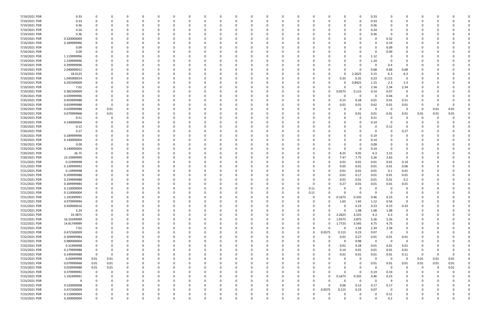| 7/19/2021 PDR | 0.33        | 0           |          | 0        |          | 0        |          | 0            |   |          | $\Omega$ |          |              | 0        | 0        | 0            |          | 0           | 0.33     | - 0      | $\Omega$       | 0        |      |          |  |
|---------------|-------------|-------------|----------|----------|----------|----------|----------|--------------|---|----------|----------|----------|--------------|----------|----------|--------------|----------|-------------|----------|----------|----------------|----------|------|----------|--|
| 7/19/2021 PDR | 0.33        | 0           |          | $\Omega$ | $\Omega$ | $\Omega$ |          | <sup>0</sup> |   |          | $\Omega$ | - 0      |              | 0        | $\Omega$ |              |          | $\Omega$    | 0.33     |          | $\Omega$       | $\Omega$ |      |          |  |
| 7/19/2021 PDR | 0.36        |             |          |          |          |          |          |              |   |          |          |          |              |          |          |              |          | 0           | 0.36     |          |                |          |      |          |  |
|               |             |             |          |          |          |          |          |              |   |          |          |          |              |          |          |              |          |             |          |          |                |          |      |          |  |
| 7/19/2021 PDR | 0.24        |             |          |          |          |          |          |              |   |          |          |          |              |          |          |              |          | 0           | 0.24     |          |                |          |      |          |  |
| 7/19/2021 PDR | 0.36        |             |          |          |          |          |          |              |   |          |          |          |              |          |          |              |          | 0           | 0.36     |          |                |          |      |          |  |
| 7/19/2021 PDR | 0.320000004 |             |          |          |          |          |          |              |   |          |          |          |              |          |          |              |          |             |          | 0.32     |                |          |      |          |  |
| 7/19/2021 PDR | 0.189999996 |             |          |          |          |          |          |              |   |          |          |          |              |          |          |              |          |             |          | 0.19     |                |          |      |          |  |
| 7/19/2021 PDR | 0.09        |             |          |          |          |          |          |              |   |          |          |          |              |          |          |              |          |             | -0       | 0.09     |                |          |      |          |  |
| 7/19/2021 PDR | 0.09        |             |          |          |          |          |          |              |   |          |          |          |              |          |          |              |          | 0           | - 0      | 0.09     |                |          |      |          |  |
| 7/19/2021 PDR | 1.119999996 |             |          |          |          |          |          |              |   |          |          |          |              |          |          |              |          | 0           | 1.12     |          |                |          |      |          |  |
| 7/19/2021 PDR | 1.239999996 |             |          |          |          |          |          |              |   |          |          |          |              |          |          |              |          |             | 1.24     | $\Omega$ |                |          |      |          |  |
| 7/19/2021 PDR | 0.399999996 |             |          |          |          |          |          |              |   |          |          |          |              |          |          |              |          |             | - 0      |          | $\Omega$       |          |      |          |  |
|               |             |             |          |          |          |          |          |              |   |          |          |          |              |          |          |              |          |             |          | 0.4      |                |          |      |          |  |
| 7/19/2021 PDR | 2.040000012 |             |          | n        |          |          |          |              |   |          |          |          |              |          |          |              |          | 0           | 0.68     | 0.68     | 0.68           |          |      |          |  |
| 7/19/2021 PDR | 18.0125     |             |          |          |          |          |          |              |   |          |          |          |              |          |          |              |          | 2.2625      | 3.15     | 6.3      | 6.3            |          |      |          |  |
| 7/19/2021 PDR | 1.045000014 |             |          |          |          |          |          |              |   |          |          |          |              |          |          |              | 0.35     | 0.35        | 0.23     | 0.115    | $\Omega$       |          |      |          |  |
| 7/19/2021 PDR | 6.592500009 |             |          |          |          |          |          |              |   |          |          |          |              |          |          | <sup>0</sup> |          | 0.8425      | 1.15     | 2.3      | 2.3            |          |      |          |  |
| 7/19/2021 PDR | 7.02        |             |          |          |          |          |          |              |   |          |          |          |              |          |          |              |          | -0          | 2.34     | 2.34     | 2.34           |          |      |          |  |
| 7/19/2021 PDR | 0.382500009 |             |          |          |          |          |          |              |   |          |          |          |              |          |          | 0            | 0.0575   | 0.115       | 0.14     | 0.07     | 0              |          |      |          |  |
| 7/20/2021 PDR | 0.039999996 |             |          |          |          |          |          |              |   |          |          |          |              |          |          |              |          | 0           | -0       | 0.04     | 0              |          |      |          |  |
| 7/20/2021 PDR | 0.959999988 |             |          |          |          |          |          |              |   |          |          |          |              |          |          |              | 0.15     | 0.28        | 0.01     | 0.01     | 0.51           |          |      |          |  |
| 7/20/2021 PDR |             |             |          |          |          |          |          |              |   |          |          |          |              |          |          |              |          |             |          |          |                |          |      |          |  |
|               | 0.659999988 |             |          |          |          |          |          |              |   |          |          |          |              |          |          |              | 0.01     | 0.01        | 0.62     | 0.01     | 0.01           |          |      |          |  |
| 7/20/2021 PDR | 0.029999988 |             | 0.01     |          |          |          |          |              |   |          |          |          |              |          |          |              |          | 0           | -0       | - 0      | 0              | 0        | 0.01 | 0.01     |  |
| 7/20/2021 PDR | 0.079999968 | 0           | 0.01     |          |          |          |          |              |   |          |          |          |              |          |          |              |          | 0.01        | 0.01     | 0.01     | 0.01           | 0.01     | 0.01 | 0.01     |  |
| 7/20/2021 PDR | 0.51        |             |          |          |          |          |          |              |   |          |          |          |              |          |          |              |          | $\Omega$    | 0.51     | 0        | O              | 0        |      |          |  |
| 7/20/2021 PDR | 0.140000004 |             |          |          |          |          |          |              |   |          |          |          |              |          |          |              |          | 0           | 0.14     | - 0      |                | 0        |      |          |  |
| 7/20/2021 PDR | 0.12        |             |          |          |          |          |          |              |   |          |          |          |              |          |          |              |          | 0           |          | 0.12     | 0              |          |      |          |  |
| 7/20/2021 PDR | 0.27        |             |          |          |          |          |          |              |   |          |          |          |              |          |          |              |          | $\Omega$    | -0       | $\Omega$ | 0.27           |          |      |          |  |
| 7/20/2021 PDR | 0.189999996 |             |          |          |          |          |          |              |   |          |          |          |              |          |          |              |          | 0           | 0.19     |          | 0              |          |      |          |  |
| 7/20/2021 PDR | 0.140000004 |             |          |          |          |          |          |              |   |          |          |          |              |          |          |              |          | 0           | 0.14     |          |                |          |      |          |  |
| 7/20/2021 PDR | 0.09        |             |          |          |          |          |          |              |   |          |          |          |              |          |          |              |          | 0           | 0.09     |          |                |          |      |          |  |
|               |             |             |          |          |          |          |          |              |   |          |          |          |              |          |          |              |          |             |          |          |                |          |      |          |  |
| 7/20/2021 PDR | 0.140000004 |             |          |          |          |          |          |              |   |          |          |          |              |          |          |              |          | -0          | 0.14     |          | 0              |          |      |          |  |
| 7/20/2021 PDR | 26.75       |             |          |          |          |          |          |              |   |          |          |          |              |          |          | $\Omega$     | 8.25     | 9.05        | 6.3      | 3.15     | 0              |          |      |          |  |
| 7/20/2021 PDR | 23.10999999 |             |          |          |          |          |          |              |   |          |          |          |              |          |          | $\Omega$     | 7.47     | 7.75        | 5.26     | 2.63     | $\overline{0}$ |          |      |          |  |
| 7/21/2021 PDR | 0.22999998  |             |          |          |          |          |          |              |   |          |          |          |              |          |          | $\Omega$     | 0.01     | 0.01        | 0.01     | 0.01     | 0.19           |          |      |          |  |
| 7/21/2021 PDR | 0.139999992 |             |          |          |          |          |          |              |   |          |          |          |              |          |          | 0            | 0.05     | 0.01        | 0.01     | 0.01     | 0.06           |          |      |          |  |
| 7/21/2021 PDR | 0.13999998  |             |          |          |          |          |          |              |   |          |          |          |              |          |          | 0            | 0.01     | 0.01        | 0.01     | 0.1      | 0.01           |          |      |          |  |
| 7/21/2021 PDR | 0.209999988 |             |          |          |          |          |          |              |   |          |          |          |              |          |          |              | 0.01     | 0.17        | 0.01     | 0.01     | 0.01           |          |      |          |  |
| 7/21/2021 PDR | 0.239999988 |             |          |          |          |          |          |              |   |          |          |          |              |          |          |              | 0.01     | 0.01        | 0.01     | 0.01     | 0.2            |          |      |          |  |
| 7/21/2021 PDR | 0.309999984 |             |          |          |          |          |          |              |   |          |          |          |              |          | -C       |              | 0.27     | 0.01        | 0.01     | 0.01     | 0.01           |          |      |          |  |
| 7/21/2021 PDR | 0.110000004 |             |          |          |          |          |          |              |   |          | $\Omega$ |          |              | 0        | 0.11     |              | 0        | 0           | $\Omega$ | 0        | $\Omega$       |          |      |          |  |
|               |             |             |          |          |          |          |          |              |   |          |          |          |              |          |          |              |          |             |          |          |                |          |      |          |  |
| 7/21/2021 PDR | 0.110000004 | 0           |          | C        |          |          |          |              |   |          | 0        |          | -0           | 0        | 0.11     |              |          | 0           |          | $\Omega$ |                |          |      |          |  |
| 7/21/2021 PDR | 1.192499991 | $\mathbf 0$ | 0        | 0        | $\Omega$ | $\Omega$ | $\Omega$ | 0            | 0 |          | 0        | $\Omega$ | $\mathbf 0$  | 0        | 0        | 0            | 0.1675   | 0.335       | 0.46     | 0.23     | 0              | 0        |      |          |  |
| 7/21/2021 PDR | 4.979999994 | $\Omega$    |          | $\Omega$ |          |          |          | $\Omega$     |   |          | $\Omega$ |          | $\Omega$     |          | 0        | $\Omega$     | 1.65     | 1.65        | 1.12     | 0.56     | $\overline{0}$ |          |      |          |  |
| 7/21/2021 PDR | 0.920000016 | $\Omega$    |          | 0        |          | $\Omega$ |          |              |   |          | $\Omega$ |          |              |          | 0        | 0            | 0        | 0.23        | 0.23     | 0.23     | 0.23           |          |      |          |  |
| 7/22/2021 PDR | 3.24        |             |          | 0        |          | $\Omega$ |          | 0            |   |          | $\Omega$ |          | <sup>0</sup> | 0        | 0        | 0            | $\Omega$ | 1.08        | 1.08     | 1.08     | 0              |          |      |          |  |
| 7/22/2021 PDR | 19.3875     |             |          |          |          |          |          |              |   |          |          |          |              | 0        | 0        | 0            | 2.2625   | 4.525       | 6.3      | 6.3      | 0              |          |      |          |  |
| 7/22/2021 PDR | 16.33249999 |             |          |          |          |          |          |              |   |          | 0        |          |              | 0        | 0        | 0            | 1.9375   | 3.875       | 5.26     | 5.26     | 0              |          |      |          |  |
| 7/22/2021 PDR | 14.81749999 |             |          | 0        |          |          |          |              |   |          |          |          |              | 0        | 0        | O            | 1.7725   | 3.545       | 4.75     | 4.75     | 0              |          |      |          |  |
| 7/22/2021 PDR | 7.02        |             |          |          |          |          |          |              |   |          |          |          |              | 0        | $\Omega$ | U            | $\Omega$ | 2.34        | 2.34     | 2.34     | $\mathbf 0$    |          |      |          |  |
|               | 0.472500009 |             |          |          |          |          |          |              |   |          |          |          |              | 0        | 0        | 0.0575       | 0.115    | 0.23        | 0.07     | $\Omega$ | $\Omega$       |          |      |          |  |
| 7/22/2021 PDR |             |             |          |          |          |          |          |              |   |          |          |          |              |          |          |              |          |             |          |          |                |          |      |          |  |
| 7/22/2021 PDR | 0.309999984 |             |          | 0        |          |          |          |              |   |          |          |          |              | 0        | 0        | $\Omega$     | 0.01     | 0.27        | 0.01     | 0.01     | 0.01           |          |      |          |  |
| 7/22/2021 PDR | 0.980000004 |             |          |          |          |          |          |              |   |          |          |          |              |          |          | $\Omega$     | $\Omega$ | 0.98        | $\Omega$ | $\Omega$ | $\overline{0}$ |          |      |          |  |
| 7/23/2021 PDR | 0.31999998  |             |          |          |          |          |          |              |   |          |          |          |              |          |          | 0            | 0.01     | 0.28        | 0.01     | 0.01     | 0.01           |          |      |          |  |
| 7/23/2021 PDR | 0.179999988 | 0           |          |          |          |          |          |              |   |          |          |          |              |          |          | 0            | 0.14     | 0.01        | 0.01     | 0.01     | 0.01           | 0        |      |          |  |
| 7/23/2021 PDR | 0.149999988 | $\mathbf 0$ |          |          |          |          |          |              |   |          |          |          |              |          |          |              | 0.01     | 0.01        | 0.01     | $0.01\,$ | 0.11           | 0        |      | $\Omega$ |  |
| 7/23/2021 PDR | 0.04999998  | 0.01        | 0.01     | 0        |          | $\Omega$ |          | <sup>0</sup> |   |          | $\Omega$ |          | <sup>0</sup> | 0        | 0        |              |          | 0           | $\Omega$ | $\Omega$ | 0              | 0.01     | 0.01 | 0.01     |  |
| 7/23/2021 PDR | 0.079999968 | 0.01        | 0.01     | 0        |          | $\Omega$ |          | <sup>0</sup> |   |          | $\Omega$ |          |              | 0        |          |              |          | 0           | 0.01     | 0.01     | 0.01           | 0.01     | 0.01 | 0.01     |  |
| 7/23/2021 PDR | 0.029999988 | $0.01\,$    | 0.01     |          |          |          |          |              |   |          |          |          |              |          |          |              |          | 0           | $\Omega$ | $\Omega$ | $\mathbf 0$    | 0        |      | 0.01     |  |
| 7/23/2021 PDR | 0.379999992 | $\mathbf 0$ | $\Omega$ |          |          |          |          |              |   |          |          |          |              |          | - 0      | O            |          | 0           | 0.19     |          | 0              | -0       |      |          |  |
|               |             |             |          |          |          |          |          |              |   |          |          |          |              |          |          |              |          |             |          | 0.19     |                |          |      |          |  |
| 7/23/2021 PDR | 1.192499991 | 0           |          | 0        |          |          |          |              |   |          |          |          |              | 0        | 0        | $\Omega$     | 0.1675   | 0.335       | 0.46     | 0.23     |                |          |      |          |  |
| 7/23/2021 PDR | 9           |             |          |          |          |          |          |              |   |          |          |          |              | 0        |          |              | $\Omega$ | 0           | $\Omega$ | 9        |                |          |      |          |  |
| 7/23/2021 PDR | 0.520000008 |             |          | 0        |          |          |          |              |   |          |          |          |              | 0        | 0        | $\Omega$     | 0.06     | 0.12        | 0.17     | 0.17     | $\Omega$       |          |      |          |  |
| 7/23/2021 PDR | 0.472500009 |             |          | $\Omega$ |          |          |          |              |   |          |          |          |              | 0        | 0        | 0.0575       | 0.115    | 0.23        | 0.07     | 0        | $\Omega$       |          |      |          |  |
| 7/23/2021 PDR | 0.110000004 |             |          |          |          |          |          |              |   |          |          |          |              | 0        |          | 0            |          | 0           |          | 0.11     | 0              |          |      |          |  |
| 7/23/2021 PDR | 0.200000004 | $\Omega$    | 0        | $\Omega$ | $\Omega$ | $\Omega$ | $\Omega$ | $\Omega$     | 0 | $\Omega$ | $\Omega$ | $\Omega$ | $\mathbf 0$  | $\Omega$ | $\Omega$ | $\Omega$     | $\Omega$ | $\mathbf 0$ | $\Omega$ | 0.2      | $\mathbf 0$    | 0        |      | 0        |  |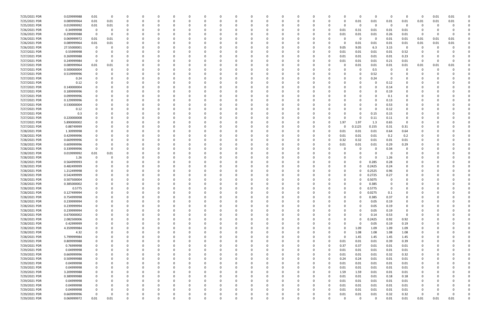| 7/25/2021 PDR | 0.029999988 | 0.01        | 0    | C.       |          |          |          | -0           |   | 0        |              | 0        |          |              |          | 0            | $\Omega$ | - 0      | $\Omega$ | 0      | 0.01 | 0.01     |  |
|---------------|-------------|-------------|------|----------|----------|----------|----------|--------------|---|----------|--------------|----------|----------|--------------|----------|--------------|----------|----------|----------|--------|------|----------|--|
| 7/25/2021 PDR | 0.089999964 | 0.01        | 0.01 | $\Omega$ | 0        | $\Omega$ |          | -0           |   | $\Omega$ | $\Omega$     | 0        | 0        | 0            |          | 0.01         | 0.01     | 0.01     | 0.01     | 0.01   | 0.01 | 0.01     |  |
| 7/25/2021 PDR | 0.019999992 | 0.01        | 0.01 | n        |          |          |          |              |   |          |              |          |          |              | O        | -0           | $\Omega$ | $\Omega$ | $\Omega$ | 0      |      |          |  |
| 7/26/2021 PDR | 0.34999998  | $\Omega$    |      |          |          |          |          |              |   |          |              |          |          |              | 0.01     | 0.31         | 0.01     | 0.01     | 0.01     | 0      |      |          |  |
| 7/26/2021 PDR | 0.299999988 | 0           | 0    |          |          |          |          |              |   |          |              |          |          |              | 0.01     | 0.01         | 0.01     | 0.26     | 0.01     | 0      |      |          |  |
| 7/26/2021 PDR | 0.069999972 | 0.01        | 0.01 |          |          |          |          |              |   |          |              |          |          |              |          | -0           | -0       | 0.01     | 0.01     | 0.01   | 0.01 | 0.01     |  |
| 7/26/2021 PDR | 0.089999964 | 0.01        | 0.01 |          |          |          |          |              |   |          |              |          |          |              |          | 0.01         | 0.01     | 0.01     | 0.01     | 0.01   | 0.01 | 0.01     |  |
| 7/26/2021 PDR | 27.55000001 |             |      |          |          |          |          |              |   |          |              |          |          | <sup>0</sup> | 9.05     | 9.05         | 6.3      | 3.15     | $\Omega$ | -0     |      |          |  |
| 7/27/2021 PDR | 0.55999998  |             |      |          |          |          |          |              |   |          |              |          |          | 0            | 0.01     | 0.01         | 0.01     | 0.01     | 0.52     |        |      |          |  |
| 7/27/2021 PDR | 0.269999988 |             |      |          |          |          |          |              |   |          |              |          |          |              | 0.01     | 0.01         | 0.01     | 0.01     | 0.23     |        |      |          |  |
| 7/27/2021 PDR | 0.249999984 | $\Omega$    |      | n        |          |          |          |              |   |          |              |          |          | $\Omega$     |          | 0.01         | 0.01     | 0.21     |          | 0      |      | $\Omega$ |  |
|               |             |             |      |          |          |          |          |              |   |          |              |          |          |              | 0.01     |              |          |          | 0.01     |        |      |          |  |
| 7/27/2021 PDR | 0.089999964 | 0.01        | 0.01 |          |          |          |          |              |   |          |              |          |          |              |          | 0.01         | 0.01     | 0.01     | 0.01     | 0.01   | 0.01 | 0.01     |  |
| 7/27/2021 PDR | 0.500000004 |             |      |          |          |          |          |              |   |          |              |          |          |              |          | $\Omega$     | 0.5      | - 0      |          | C      |      |          |  |
| 7/27/2021 PDR | 0.519999996 |             |      |          |          |          |          |              |   |          |              |          |          |              |          | 0            | 0.52     |          |          |        |      |          |  |
| 7/27/2021 PDR | 0.24        |             |      |          |          |          |          |              |   |          |              |          |          |              |          | 0            | 0.24     |          |          |        |      |          |  |
| 7/27/2021 PDR | 0.12        |             |      |          |          |          |          |              |   |          |              |          |          |              |          |              |          | 0.12     |          |        |      |          |  |
| 7/27/2021 PDR | 0.140000004 |             |      |          |          |          |          |              |   |          |              |          |          |              |          |              | $\Omega$ | 0.14     | 0        |        |      |          |  |
| 7/27/2021 PDR | 0.189999996 |             |      |          |          |          |          |              |   |          |              |          |          |              |          | <sup>0</sup> |          | 0.19     | 0        |        |      |          |  |
| 7/27/2021 PDR | 0.099999996 |             |      |          |          |          |          |              |   |          |              |          |          |              |          |              |          | 0.1      |          |        |      |          |  |
| 7/27/2021 PDR | 0.129999996 |             |      |          |          |          |          |              |   |          |              |          |          |              |          |              |          | 0.13     |          |        |      |          |  |
| 7/27/2021 PDR | 0.530000004 |             |      |          |          |          |          |              |   |          |              |          |          |              |          |              |          | 0.53     |          |        |      |          |  |
| 7/27/2021 PDR | 0.12        |             |      |          |          |          |          |              |   |          |              |          |          |              |          |              |          | 0.12     |          |        |      |          |  |
| 7/27/2021 PDR | 0.3         |             |      |          |          |          |          |              |   |          |              |          |          |              |          | 0            | 0.15     | 0.15     |          |        |      |          |  |
| 7/27/2021 PDR | 0.220000008 |             |      |          |          |          |          |              |   |          |              |          |          |              |          | -0           | 0.11     | 0.11     | 0        |        |      |          |  |
| 7/27/2021 PDR | 5.890000002 |             |      |          |          |          |          |              |   |          |              |          |          |              | 1.97     | 1.97         | 1.3      | 0.65     | 0        |        |      |          |  |
| 7/27/2021 PDR | 0.88749999  |             |      |          |          |          |          |              |   |          |              |          |          | <sup>0</sup> |          | 0.1125       | 0.155    | 0.31     | 0.31     |        |      |          |  |
| 7/28/2021 PDR | 1.30999998  |             |      |          |          |          |          |              |   |          |              |          |          |              | 0.01     | 0.01         | 0.01     | 0.64     | 0.64     |        |      |          |  |
| 7/28/2021 PDR | 0.429999996 |             |      |          |          |          |          |              |   |          |              |          |          |              | 0.01     | 0.01         | 0.01     | 0.2      | 0.2      |        |      |          |  |
| 7/28/2021 PDR | 0.669999996 |             |      |          |          |          |          |              |   |          |              |          |          |              | 0.32     | 0.32         | 0.01     | 0.01     | 0.01     |        |      |          |  |
| 7/28/2021 PDR | 0.609999996 |             |      |          |          |          |          |              |   |          |              |          |          |              | 0.01     | 0.01         | 0.01     | 0.29     | 0.29     |        |      |          |  |
| 7/28/2021 PDR | 0.339999996 |             |      |          |          |          |          |              |   |          |              |          |          |              |          | 0            |          | 0.34     | 0        |        |      |          |  |
| 7/28/2021 PDR |             |             |      |          |          |          |          |              |   |          |              |          |          |              |          |              |          |          | $\Omega$ |        |      |          |  |
|               | 0.019999992 | 0.01        | 0.01 |          |          |          |          |              |   |          |              |          |          |              |          |              |          |          |          |        |      |          |  |
| 7/28/2021 PDR | 1.26        |             |      |          |          |          |          |              |   |          |              |          |          |              |          |              |          | 1.26     |          |        |      |          |  |
| 7/28/2021 PDR | 0.564999993 |             |      |          |          |          |          |              |   |          |              |          |          |              |          | 0            | 0.285    | 0.28     |          |        |      |          |  |
| 7/28/2021 PDR | 0.482499999 |             |      |          |          |          |          |              |   |          |              |          |          |              |          | 0            | 0.2425   | 0.24     |          |        |      |          |  |
| 7/28/2021 PDR | 1.212499998 |             |      |          |          |          |          |              |   |          |              |          |          |              |          | <sup>0</sup> | 0.2525   | 0.96     |          |        |      |          |  |
| 7/28/2021 PDR | 0.542499999 |             |      |          |          |          |          |              |   |          |              |          |          |              |          | 0            | 0.2725   | 0.27     |          |        |      |          |  |
| 7/28/2021 PDR | 0.507500004 |             |      |          |          |          |          |              |   |          |              |          |          |              |          | $\Omega$     | 0.5075   |          |          |        |      |          |  |
| 7/28/2021 PDR | 0.385000002 |             |      |          |          |          |          |              |   |          |              |          |          |              |          |              | 0.385    |          |          |        |      |          |  |
| 7/28/2021 PDR | 0.5775      | 0           | 0    | 0        |          |          |          |              |   |          |              |          |          |              | 0        | 0            | 0.5775   | $\Omega$ |          |        |      |          |  |
| 7/28/2021 PDR | 0.127499994 | $\Omega$    |      | $\Omega$ |          |          |          |              |   |          |              |          |          |              |          | 0            | 0.0275   | 0.1      |          | $\cap$ |      |          |  |
| 7/28/2021 PDR | 0.754999998 | 0           | 0    | 0        | $\Omega$ |          | $\Omega$ | n            | ŋ | 0        | $\Omega$     | 0        | $\Omega$ |              |          | 0            | 0.385    | 0.37     | $\Omega$ | -0     |      |          |  |
| 7/28/2021 PDR | 0.239999994 | 0           |      | 0        |          | $\Omega$ |          | <sup>0</sup> |   | $\Omega$ | $\Omega$     | 0        | 0        |              |          | $\Omega$     | 0.05     | 0.19     | 0        |        |      |          |  |
| 7/28/2021 PDR | 0.239999994 |             |      | 0        |          |          |          |              |   |          |              | 0        |          |              |          | $\Omega$     | 0.05     | 0.19     | 0        |        |      |          |  |
| 7/28/2021 PDR | 0.239999994 |             |      |          |          |          |          |              |   |          |              |          |          |              |          | 0            | 0.05     | 0.19     | 0        |        |      |          |  |
| 7/28/2021 PDR | 0.670000002 |             |      |          |          |          |          |              |   |          |              |          |          |              |          | 0            | 0.14     | 0.53     | 0        |        |      |          |  |
| 7/28/2021 PDR | 2.082500006 | $\Omega$    |      |          |          |          |          |              |   |          |              | 0        |          |              |          | 0            | 0.2425   | 0.92     | 0.92     |        |      |          |  |
| 7/28/2021 PDR | 0.42999999  | $\Omega$    |      | C        |          |          |          |              |   |          |              | 0        |          |              |          | 0            | 0.05     | 0.19     | 0.19     |        |      |          |  |
| 7/28/2021 PDR | 4.359999984 | $\Omega$    |      | 0        |          | $\Omega$ |          | <sup>0</sup> |   | $\Omega$ |              | 0        | 0        | 0            |          | 1.09         | 1.09     | 1.09     | 1.09     | 0      |      |          |  |
| 7/28/2021 PDR | 4.32        |             |      | 0        |          | $\Omega$ |          |              |   | $\Omega$ | <sup>0</sup> | 0        |          | 0            |          | 1.08         | 1.08     | 1.08     | 1.08     |        |      |          |  |
| 7/28/2021 PDR | 5.799999984 |             |      |          |          |          |          |              |   | 0        |              | 0        | - 0      | $\Omega$     | $\Omega$ | 1.45         | 1.45     | 1.45     | 1.45     |        |      |          |  |
| 7/29/2021 PDR | 0.809999988 |             |      |          |          |          |          |              |   |          | 0            | 0        | 0        | $\Omega$     | 0.01     | 0.01         | 0.01     | 0.39     | 0.39     |        |      |          |  |
| 7/29/2021 PDR | 0.76999998  | 0           |      |          |          |          |          |              |   |          | 0            | 0        |          | 0            | 0.37     | 0.37         | 0.01     | 0.01     | 0.01     |        |      |          |  |
| 7/29/2021 PDR | 0.04999998  | $\mathbf 0$ |      | 0        |          | $\Omega$ |          | 0            |   | $\Omega$ | 0            | 0        | 0        | $\Omega$     | 0.01     | 0.01         | 0.01     | 0.01     | 0.01     | 0      |      |          |  |
| 7/29/2021 PDR | 0.669999996 | 0           |      | 0        |          | $\Omega$ |          | $\Omega$     |   |          |              | 0        |          | $\Omega$     | 0.01     | 0.01         | 0.01     | 0.32     |          |        |      |          |  |
|               |             |             |      |          |          |          |          |              |   | 0        |              |          |          |              |          |              |          |          | 0.32     | 0      |      |          |  |
| 7/29/2021 PDR | 0.509999988 |             |      |          |          |          |          |              |   | $\Omega$ |              | 0        |          |              | 0.24     | 0.24         | 0.01     | 0.01     | 0.01     |        |      |          |  |
| 7/29/2021 PDR | 0.04999998  |             |      |          |          |          |          |              |   |          |              |          |          | $\Omega$     | 0.01     | 0.01         | 0.01     | 0.01     | 0.01     |        |      |          |  |
| 7/29/2021 PDR | 0.04999998  |             |      |          |          |          |          |              |   | 0        | 0            | 0        |          | $\Omega$     | 0.01     | 0.01         | 0.01     | 0.01     | 0.01     |        |      |          |  |
| 7/29/2021 PDR | 3.209999988 | 0           |      | 0        |          |          |          |              |   |          |              |          |          | 0            | 1.59     | 1.59         | 0.01     | 0.01     | 0.01     |        |      |          |  |
| 7/29/2021 PDR | 0.389999988 | $\Omega$    |      | $\Omega$ |          |          |          |              |   |          |              |          |          | $\Omega$     | 0.01     | 0.01         | 0.01     | 0.18     | 0.18     |        |      |          |  |
| 7/29/2021 PDR | 0.04999998  | $\Omega$    |      | 0        |          | $\Omega$ |          |              |   |          |              | 0        |          | $\Omega$     | 0.01     | 0.01         | 0.01     | 0.01     | 0.01     | 0      |      |          |  |
| 7/29/2021 PDR | 0.04999998  |             |      | 0        |          |          |          |              |   | 0        |              | 0        |          | 0            | 0.01     | 0.01         | 0.01     | 0.01     | 0.01     |        |      |          |  |
| 7/29/2021 PDR | 0.04999998  | 0           |      | 0        |          | $\Omega$ |          |              |   | $\Omega$ |              |          | - 0      | $\Omega$     | 0.01     | 0.01         | 0.01     | 0.01     | 0.01     |        |      |          |  |
| 7/29/2021 PDR | 0.669999996 | $\Omega$    | 0    |          |          |          |          |              |   | 0        |              |          |          | 0            | 0.01     | 0.01         | 0.01     | 0.32     | 0.32     | -0     |      | 0        |  |
| 7/29/2021 PDR | 0.069999972 | $0.01\,$    | 0.01 | $\Omega$ |          | $\Omega$ | $\Omega$ | 0            | 0 | $\Omega$ | $\Omega$     | $\Omega$ |          | 0            |          | $\mathbf 0$  | $\Omega$ | $0.01\,$ | 0.01     | 0.01   | 0.01 | 0.01     |  |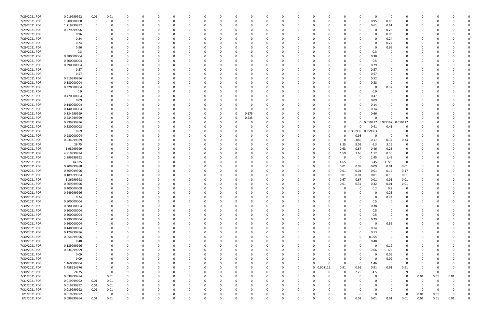| 7/29/2021 PDR                  | 0.019999992           | 0.01        | 0.01     | 0            |          | 0        |          | 0            | 0        | 0        |          | 0            | 0        | 0          |              | 0                          | 0<br>0              | - 0          | 0            | 0            |      |      |             |
|--------------------------------|-----------------------|-------------|----------|--------------|----------|----------|----------|--------------|----------|----------|----------|--------------|----------|------------|--------------|----------------------------|---------------------|--------------|--------------|--------------|------|------|-------------|
| 7/29/2021 PDR                  | 1.900000008           | 0           |          | $\Omega$     |          | $\Omega$ |          | n            |          | $\Omega$ |          | n            | 0        | $\Omega$   |              | $\overline{0}$<br>$\Omega$ | 0.95                | 0.95         | $\Omega$     | 0            |      |      |             |
| 7/29/2021 PDR                  | 1.219999992           |             |          | $\Omega$     |          |          |          |              |          |          |          |              |          |            |              | 0                          | 0.61                | 0.61         |              |              |      |      |             |
| 7/29/2021 PDR                  | 0.279999996           |             |          |              |          |          |          |              |          |          |          |              |          |            |              | 0                          | -0                  | 0.28         |              |              |      |      |             |
| 7/29/2021 PDR                  | 0.96                  |             |          |              |          |          |          |              |          |          |          |              |          |            |              |                            | 0                   | 0.96         |              |              |      |      |             |
| 7/29/2021 PDR                  | 0.24                  |             |          | $\Omega$     |          |          |          |              |          |          |          |              |          |            |              |                            | $\Omega$            | 0.24         | 0            |              |      |      |             |
| 7/29/2021 PDR                  | 0.24                  |             |          | 0            |          |          |          |              |          |          |          |              |          |            |              | 0                          | $\Omega$            | 0.24         | 0            |              |      |      |             |
| 7/29/2021 PDR                  | 0.96                  |             |          |              |          |          |          |              |          |          |          |              |          |            |              | <sup>0</sup>               | 0                   | 0.96         | n            |              |      |      |             |
| 7/29/2021 PDR                  | 0.3                   |             |          |              |          |          |          |              |          |          |          |              |          |            |              | <sup>0</sup>               | 0.3                 |              |              |              |      |      |             |
| 7/29/2021 PDR                  | 0.380000004           |             |          |              |          |          |          |              |          |          |          |              |          |            |              | 0                          | 0.38                |              |              |              |      |      |             |
| 7/29/2021 PDR                  | 0.500000004           |             |          |              |          |          |          |              |          |          |          |              |          |            |              | 0                          | 0.5                 |              |              |              |      |      |             |
| 7/29/2021 PDR                  | 0.290000004           |             |          |              |          |          |          |              |          |          |          |              |          |            |              | 0                          | 0.29                |              |              |              |      |      |             |
| 7/29/2021 PDR                  | 0.57                  |             |          |              |          |          |          |              |          |          |          |              |          |            |              | C.                         | 0.57                |              |              |              |      |      |             |
| 7/29/2021 PDR                  | 0.57                  |             |          |              |          |          |          |              |          |          |          |              |          |            |              | $\Omega$                   | 0.57                |              |              |              |      |      |             |
| 7/29/2021 PDR                  | 0.519999996           |             |          |              |          |          |          |              |          |          |          |              |          |            |              | 0                          | 0.52                |              |              |              |      |      |             |
| 7/29/2021 PDR                  | 0.380000004           |             |          |              |          |          |          |              |          |          |          |              |          |            |              | 0                          | 0.38                |              |              |              |      |      |             |
| 7/29/2021 PDR                  | 0.320000004           |             |          |              |          |          |          |              |          |          |          |              |          |            |              | 0                          | 0                   | 0.32         |              |              |      |      |             |
| 7/29/2021 PDR                  | 0.9                   |             |          |              |          |          |          |              |          |          |          |              |          |            |              | 0                          | 0.9                 |              |              |              |      |      |             |
| 7/29/2021 PDR                  | 0.470000004           |             |          |              |          |          |          |              |          |          |          |              |          |            |              | C.                         | 0.47                |              |              |              |      |      |             |
| 7/29/2021 PDR                  | 0.09                  |             |          | n            |          |          |          |              |          |          |          |              |          |            |              | 0                          | 0.09                |              |              |              |      |      |             |
| 7/29/2021 PDR                  | 0.140000004           |             |          |              |          |          |          |              |          | - 0      |          |              |          |            |              | 0                          | 0.14                |              |              |              |      |      |             |
| 7/29/2021 PDR                  | 0.140000004           |             |          |              |          |          |          |              |          | 0        |          |              |          |            |              | 0                          | 0.14                |              |              |              |      |      |             |
| 7/29/2021 PDR                  | 0.834999999           |             |          |              |          |          |          |              | 0        | 0.175    |          |              |          |            |              | 0<br>0                     | 0.66                |              |              |              |      |      |             |
| 7/29/2021 PDR                  | 0.234999999           |             |          |              |          |          |          |              |          | 0.235    |          |              |          |            |              | o                          | ſ                   |              |              |              |      |      |             |
| 7/29/2021 PDR                  | 0.999999996           |             |          |              |          |          |          |              |          | 0        |          |              |          |            |              | 0                          | 0 0.010417          | 0.979167     | 0.010417     |              |      |      |             |
| 7/29/2021 PDR                  | 0.820000008           |             |          |              |          |          |          |              |          | 0        |          |              |          | -0         |              | 0                          | 0.41<br>0           | 0.41         |              |              |      |      |             |
| 7/29/2021 PDR                  | 0.69                  |             |          |              |          |          |          |              |          | - 0      |          |              |          | - 0        |              |                            | 0 0.330938 0.359063 | $\Omega$     | 0            |              |      |      |             |
| 7/29/2021 PDR                  | 0.980000004           |             |          |              |          |          |          |              |          |          |          |              |          |            |              | 0.98                       | 0                   | - 0          | 0            |              |      |      |             |
| 7/29/2021 PDR                  | 0.934999989           |             |          |              |          |          |          |              |          |          |          |              |          |            |              | 0.085<br>0                 | 0.17                | 0.34         | 0.34         |              |      |      |             |
| 7/29/2021 PDR                  | 26.75                 |             |          |              |          |          |          |              |          |          |          |              |          |            | 8.25         | 9.05                       | 6.3                 | 3.15         | 0            |              |      |      |             |
| 7/29/2021 PDR                  | 1.98999999            |             |          |              |          |          |          |              |          |          |          |              |          |            | 0.63         | 0.67                       | 0.46                | 0.23         | 0            |              |      |      |             |
| 7/29/2021 PDR                  | 4.919999994           |             |          |              |          |          |          |              |          |          |          |              |          | -0         | 1.59         | 1.65                       | 1.12                | 0.56         | 0            |              |      |      |             |
| 7/29/2021 PDR                  | 2.899999992           |             |          | n            |          |          |          |              |          | - 0      |          |              |          | - 0        |              | 0<br><sup>0</sup>          | 1.45                | 1.45         | 0            | O            |      |      |             |
| 7/29/2021 PDR                  | 14.825<br>0.209999988 |             |          |              |          |          |          |              |          |          |          |              |          |            | 4.65         | -5<br>0.09                 | 3.45                | 1.725        | 0            |              |      |      |             |
| 7/30/2021 PDR<br>7/30/2021 PDR | 0.369999996           |             |          |              |          |          |          |              |          |          |          |              |          | - 0<br>-0  | 0.01<br>0.01 |                            | 0.09<br>0.01        | 0.01<br>0.17 | 0.01<br>0.17 | O            |      |      |             |
| 7/30/2021 PDR                  | 0.189999984           |             |          |              |          |          |          |              |          |          |          |              |          |            | 0.01         | 0.01<br>0.01               | 0.01                | 0.15         | 0.01         |              |      |      |             |
| 7/30/2021 PDR                  | 1.36999998            |             |          |              |          |          |          |              |          |          |          |              |          | - 0        | 0.67         | 0.67                       | 0.01                | 0.01         | 0.01         |              |      |      |             |
| 7/30/2021 PDR                  | 0.669999996           |             |          |              |          |          |          |              |          |          |          |              |          |            | 0.01         | 0.32                       | 0.32                | 0.01         | 0.01         |              |      |      |             |
| 7/30/2021 PDR                  | 0.400000008           |             |          |              |          |          |          |              |          |          |          |              |          |            |              | 0<br>0                     | 0.2                 | 0.2          | $\mathbf 0$  |              |      |      |             |
| 7/30/2021 PDR                  | 0.249999996           |             |          |              |          |          |          |              |          |          |          | $\Omega$     |          |            |              | 0                          |                     | 0.25         |              | $\mathbf{r}$ |      |      |             |
| 7/30/2021 PDR                  | 0.24                  | $\Omega$    |          | 0            |          | 0        |          | 0            |          | $\Omega$ |          | $\Omega$     | 0        | $\Omega$   |              |                            | 0<br>0              | 0.24         |              | $\Omega$     |      |      |             |
| 7/30/2021 PDR                  | 0.500000004           |             |          |              |          |          |          |              |          |          |          |              |          | - 0        |              | 0                          | 0.5                 | 0            |              |              |      |      |             |
| 7/30/2021 PDR                  | 0.380000004           |             |          | 0            |          | $\Omega$ |          |              |          | $\Omega$ |          |              |          | 0          |              | 0<br>ŋ                     | 0.38                | $\Omega$     | $\Omega$     | 0            |      |      |             |
| 7/30/2021 PDR                  | 0.500000004           |             |          | $\Omega$     |          | $\Omega$ |          |              |          | 0        |          |              |          | 0          |              | $\Omega$                   | 0.5                 |              |              | 0            |      |      |             |
| 7/30/2021 PDR                  | 0.500000004           |             |          |              |          |          |          |              |          | $\Omega$ |          |              |          | - 0        |              | 0                          | 0.5                 |              | 0            | 0            |      |      |             |
| 7/30/2021 PDR                  | 0.290000004           |             |          | 0            |          | 0        |          |              |          | 0        |          |              |          | 0          |              | 0<br>0                     | 0.29                | 0            | 0            | 0            |      |      |             |
| 7/30/2021 PDR                  | 0.560000004           |             |          |              |          |          |          |              |          | -0       |          |              |          | -0         |              |                            | 0<br>0              | 0.56         |              |              |      |      |             |
| 7/30/2021 PDR                  | 0.140000004           | 0           |          | 0            |          | $\Omega$ |          | 0            |          | 0        |          | <sup>0</sup> | 0        | 0          |              | 0<br>ŋ                     | 0.14                | 0            | 0            | 0            |      |      |             |
| 7/30/2021 PDR                  | 0.129999996           | 0           |          | 0            |          | $\Omega$ |          |              |          |          |          |              | 0        | -0         |              | 0<br>0                     | 0.13                | 0            | 0            | 0            |      |      |             |
| 7/30/2021 PDR                  | 0.054999996           |             |          | n            |          | $\Omega$ |          |              |          | 0        |          |              |          | 0          |              | $\Omega$                   | 0.055               |              |              | 0            |      |      |             |
| 7/30/2021 PDR                  | 0.48                  |             |          | 0            |          | 0        |          |              |          | $\Omega$ |          |              | 0        | 0          |              | 0                          | 0.48<br>0           | - 0          | 0            | 0            |      |      |             |
| 7/30/2021 PDR                  | 0.189999996           |             |          |              |          | 0        |          |              |          |          |          |              |          |            |              |                            | $\Omega$<br>0       | 0.19         | 0            |              |      |      |             |
| 7/30/2021 PDR                  | 0.834999999           |             |          |              |          |          |          |              |          | 0        |          |              |          | 0          |              |                            | 0.66<br>0           | 0.175        | 0            | C.           |      |      |             |
| 7/30/2021 PDR                  | 0.09                  |             |          | 0            |          | 0        |          |              |          |          |          |              |          |            |              | 0                          | 0                   | 0.09         | 0            | O            |      |      |             |
| 7/30/2021 PDR                  | 0.09                  |             |          |              |          |          |          |              |          |          |          |              |          |            |              | 0                          | $\mathbf 0$         | 0.09         | $\mathbf 0$  |              |      |      |             |
| 7/30/2021 PDR                  | 1.460000004           |             |          |              |          |          |          |              |          | 0        |          |              | 0        | $\Omega$   |              | $\mathbf 0$<br>$\Omega$    | 1.46                | 0            | $\Omega$     | 0            |      |      |             |
| 7/30/2021 PDR                  | 5.458124976           | 0           |          | 0            |          | 0        |          | 0            |          | $\Omega$ |          | 0            | 0        | 0 0.908125 | 0.91         | 0.91                       | 0.91                | 0.91         | 0.91         | 0            |      |      |             |
| 7/30/2021 PDR                  | 24.75                 | $\mathbf 0$ | 0        |              |          | 0        |          |              |          |          |          |              | 0        | - 0        | $\Omega$     | 2.25<br>$\Omega$           | 4.5                 | - 9          | 9            | $\Omega$     |      |      |             |
| 7/31/2021 PDR                  | 0.039999984           | $\mathbf 0$ | 0.01     |              |          |          |          |              |          |          |          |              | 0        | - 0        |              | 0                          | $\Omega$            |              | 0            | 0.01         | 0.01 | 0.01 |             |
| 7/31/2021 PDR                  | 0.019999992           | $0.01\,$    | $0.01\,$ |              |          |          |          |              |          |          |          |              |          |            |              | 0                          | 0                   |              |              | -0           |      |      |             |
| 7/31/2021 PDR                  | 0.019999992           | $0.01\,$    | 0.01     |              |          |          |          |              |          |          |          |              |          |            |              |                            |                     |              |              | 0            |      |      |             |
| 7/31/2021 PDR                  | 0.019999992           | $0.01\,$    | 0.01     | 0            |          | $\Omega$ |          | <sup>0</sup> |          | 0        |          | <sup>0</sup> | 0        | 0          |              | 0<br>0                     | $\Omega$            |              | n            | -0           |      |      |             |
| 8/1/2021 PDR                   | 0.019999992           | 0           | 0        | 0            |          | 0        |          | 0            |          | 0        |          | 0            | 0        |            |              | 0                          | $\Omega$            | $\Omega$     | $\Omega$     | 0.01         | 0.01 |      |             |
| 8/2/2021 PDR                   | 0.089999964           | 0.01        | 0.01     | $\mathbf{0}$ | $\Omega$ | $\Omega$ | $\Omega$ | $\Omega$     | $\Omega$ | $\Omega$ | $\Omega$ | $\Omega$     | $\Omega$ |            |              | 0.01<br>$\Omega$           | 0.01                | 0.01         | 0.01         | 0.01         | 0.01 | 0.01 | $\mathbf 0$ |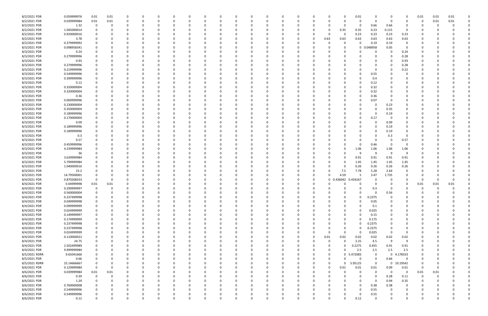| 8/2/2021 PDR  | 0.059999976 | 0.01           | 0.01        |          |          |          |          |          |          |          |          |              |                |              |              | 0.01       |             |             | 0              | 0.01        | 0.01 | 0.01 |  |
|---------------|-------------|----------------|-------------|----------|----------|----------|----------|----------|----------|----------|----------|--------------|----------------|--------------|--------------|------------|-------------|-------------|----------------|-------------|------|------|--|
| 8/2/2021 PDR  | 0.039999984 | 0.01           | 0.01        | -0       | 0        |          | $\Omega$ | 0        |          |          | $\Omega$ |              |                | -0           |              | 0          | 0           | $\Omega$    | 0              | 0           | 0.01 | 0.01 |  |
| 8/2/2021 PDR  | 1.32        | 0              | -0          |          |          |          |          |          |          |          |          |              |                |              |              | 0          | 0.66        | 0.66        | 0              | 0           |      |      |  |
| 8/2/2021 PDR  | 1.045000014 |                |             |          |          |          |          |          |          |          |          |              |                |              | 0.35         | 0.35       | 0.23        | 0.115       | $\Omega$       |             |      |      |  |
| 8/2/2021 PDR  | 0.920000016 |                |             |          |          |          |          |          |          |          |          |              |                | -0           |              | 0.23       | 0.23        | 0.23        | 0.23           |             |      |      |  |
| 8/2/2021 PDR  | 3.78        |                |             |          |          |          |          |          |          |          |          |              |                | 0.63         | 0.63         | 0.63       | 0.63        | 0.63        | 0.63           |             |      |      |  |
| 8/2/2021 PDR  | 0.379999992 |                |             |          |          |          |          |          |          |          |          |              |                |              |              | 0          |             |             | - 0            |             |      |      |  |
|               |             |                |             |          |          |          |          |          |          |          |          |              |                | -0           |              |            | 0.19        | 0.19        |                |             |      |      |  |
| 8/3/2021 PDR  | 0.098958341 |                |             |          |          |          |          |          |          |          |          |              |                |              |              | 0          | 0.048958    | 0.05        | $\Omega$       |             |      |      |  |
| 8/3/2021 PDR  | 0.24        |                |             |          |          |          |          |          |          |          |          |              |                |              |              |            |             |             | 0.24           |             |      |      |  |
| 8/3/2021 PDR  | 0.279999996 |                |             |          |          |          |          |          |          |          |          |              |                |              |              |            | C           |             | 0.28           |             |      |      |  |
| 8/3/2021 PDR  | 0.93        |                |             |          |          |          |          |          |          |          |          |              |                |              |              |            | 0           |             | 0.93           |             |      |      |  |
| 8/3/2021 PDR  | 0.279999996 |                |             |          |          |          |          |          |          |          |          |              |                |              |              |            | 0           |             | 0.28           |             |      |      |  |
| 8/3/2021 PDR  | 0.219999996 |                |             |          |          |          |          |          |          |          |          |              |                |              |              |            | 0           |             | 0.22           |             |      |      |  |
| 8/3/2021 PDR  | 0.549999996 |                |             |          |          |          |          |          |          |          |          |              |                |              |              |            | 0.55        |             |                |             |      |      |  |
| 8/3/2021 PDR  | 0.399999996 |                |             |          |          |          |          |          |          |          |          |              |                |              |              |            | 0.4         |             |                |             |      |      |  |
| 8/3/2021 PDR  | 0.12        |                |             |          |          |          |          |          |          |          |          |              |                |              |              |            | 0.12        |             |                |             |      |      |  |
| 8/3/2021 PDR  | 0.320000004 |                |             |          |          |          |          |          |          |          |          |              |                |              |              |            | 0.32        |             |                |             |      |      |  |
| 8/3/2021 PDR  | 0.320000004 |                |             |          |          |          |          |          |          |          |          |              |                |              |              |            | 0.32        |             |                |             |      |      |  |
| 8/3/2021 PDR  | 0.36        |                |             |          |          |          |          |          |          |          |          |              |                |              |              |            | 0.36        |             |                |             |      |      |  |
|               |             |                |             |          |          |          |          |          |          |          |          |              |                |              |              |            |             |             |                |             |      |      |  |
| 8/3/2021 PDR  | 0.069999996 |                |             |          |          |          |          |          |          |          |          |              |                |              |              |            | 0.07        |             |                |             |      |      |  |
| 8/3/2021 PDR  | 0.230000004 |                |             |          |          |          |          |          |          |          |          |              |                |              |              |            | 0           | 0.23        |                |             |      |      |  |
| 8/3/2021 PDR  | 0.350000004 |                |             |          |          |          |          |          |          |          |          |              |                |              |              |            | 0           | 0.35        |                |             |      |      |  |
| 8/3/2021 PDR  | 0.189999996 |                |             |          |          |          |          |          |          |          |          |              |                |              |              |            | $\Omega$    | 0.19        |                |             |      |      |  |
| 8/3/2021 PDR  | 0.170000004 |                |             |          |          |          |          |          |          |          |          |              |                |              |              |            | 0.17        | -0          | O              |             |      |      |  |
| 8/3/2021 PDR  | 0.09        |                |             |          |          |          |          |          |          |          |          |              |                |              |              |            | 0           | 0.09        |                |             |      |      |  |
| 8/3/2021 PDR  | 0.189999996 |                |             |          |          |          |          |          |          |          |          |              |                |              |              |            | 0           | 0.19        |                |             |      |      |  |
| 8/3/2021 PDR  | 0.189999996 |                |             |          |          |          |          |          |          |          |          |              |                |              |              |            | -C          | 0.19        |                |             |      |      |  |
| 8/3/2021 PDR  | 0.3         |                |             |          |          |          |          |          |          |          |          |              |                |              |              |            |             | 0.3         | 0              |             |      |      |  |
| 8/3/2021 PDR  | 0.57        |                |             |          |          |          |          |          |          |          |          |              |                |              |              |            | 0           | - 0         | 0.57           |             |      |      |  |
| 8/3/2021 PDR  | 0.459999996 |                |             |          |          |          |          |          |          |          |          |              |                |              |              | 0          | 0.46        | 0           | - 0            |             |      |      |  |
| 8/3/2021 PDR  | 4.239999984 |                |             |          |          |          |          |          |          |          |          |              |                |              |              | 1.06       | 1.06        | 1.06        | 1.06           |             |      |      |  |
|               |             |                |             |          |          |          |          |          |          |          |          |              |                |              |              |            |             |             | ٠q             |             |      |      |  |
| 8/3/2021 PDR  | 36          |                |             |          |          |          |          |          |          |          |          |              |                |              |              |            | -9          | - q         |                |             |      |      |  |
| 8/3/2021 PDR  | 3.639999984 |                |             |          |          |          |          |          |          |          |          |              |                | -0           |              | 0.91       | 0.91        | 0.91        | 0.91           |             |      |      |  |
| 8/3/2021 PDR  | 5.799999984 |                |             |          |          |          |          |          |          |          |          |              |                | -0           |              | 1.45       | 1.45        | 1.45        | 1.45           |             |      |      |  |
| 8/3/2021 PDR  | 1.040000016 |                |             |          |          |          |          |          |          |          |          |              |                |              |              | 0.26       | 0.26        | 0.26        | 0.26           |             |      |      |  |
| 8/3/2021 PDR  | 23.2        |                |             |          |          |          |          |          |          |          |          |              |                | -C           | 7.5          | 7.78       | 5.28        | 2.64        | 0              |             |      |      |  |
| 8/3/2021 PDR  | 14.79500001 | 0              |             |          |          |          |          |          |          |          |          |              |                | $\Omega$     | 4.59         | 5          | 3.47        | 1.735       |                |             |      |      |  |
| 8/4/2021 PDR  | 0.870208333 | $\mathbf 0$    |             |          |          |          |          |          |          |          |          |              |                | $\mathbf{0}$ | 436042<br>-0 | 0.434167   |             |             |                | O           |      |      |  |
| 8/4/2021 PDR  | 0.04999998  | 0.01           | 0.01        |          |          |          |          |          |          |          |          |              |                |              |              |            |             |             |                | 0.01        | 0.01 | 0.01 |  |
| 8/4/2021 PDR  | 0.299999997 | 0              | $\Omega$    |          |          |          |          |          |          |          |          |              |                |              |              |            | 0.3         |             | 0              | 0           | 0    | 0    |  |
| 8/4/2021 PDR  | 0.560000004 | $\overline{0}$ |             |          |          | U        | υ        |          |          |          | <b>U</b> |              |                |              |              |            | 0           | 0.56        | 0              | $\Omega$    |      |      |  |
| 8/4/2021 PDR  | 0.237499998 | $\mathbf 0$    | $\mathbf 0$ | $\Omega$ | $\Omega$ | $\Omega$ | $\Omega$ | $\Omega$ | 0        | $\Omega$ | $\Omega$ | $\Omega$     | $\mathbf 0$    | $\Omega$     | $\Omega$     | 0          | 0.2375      | $\Omega$    | $\Omega$       | $\Omega$    |      |      |  |
| 8/4/2021 PDR  | 0.049999998 | $\mathbf 0$    | $\Omega$    | -0       | 0        | 0        | $\Omega$ | 0        | O        |          | $\Omega$ | $\Omega$     | 0              | $\Omega$     |              | $\Omega$   | 0.05        | $\Omega$    | $\Omega$       | 0           |      |      |  |
|               |             |                |             |          |          |          |          |          |          |          |          |              |                |              |              |            |             |             |                |             |      |      |  |
| 8/4/2021 PDR  | 0.099999999 | 0              | 0           |          | 0        |          | 0        | 0        |          |          | 0        | 0            |                | 0            |              | 0          | 0.1         |             | 0              | 0           |      |      |  |
| 8/4/2021 PDR  | 0.024999999 | 0              | $\Omega$    |          | 0        |          | $\Omega$ | 0        |          |          |          | $\Omega$     |                |              |              | $\Omega$   | 0.025       |             | $\Omega$       | 0           |      |      |  |
| 8/4/2021 PDR  | 0.149999997 | 0              | 0           |          | 0        |          | 0        | 0        |          |          |          |              |                |              |              | 0          | 0.15        |             | 0              | 0           |      |      |  |
| 8/4/2021 PDR  | 0.174999999 | 0              | 0           |          | 0        |          | 0        | 0        |          |          |          | 0            |                |              |              | 0          | 0.175       |             | 0              | 0           |      |      |  |
| 8/4/2021 PDR  | 0.237499998 | $\mathbf 0$    |             |          |          |          | 0        | 0        |          |          |          |              |                |              |              | 0          | 0.2375      | 0           | 0              | 0           |      |      |  |
| 8/4/2021 PDR  | 0.237499998 | $\mathbf 0$    | $\Omega$    |          | 0        |          | $\Omega$ | 0        |          |          | 0        | $\Omega$     | 0              | -0           | $\Omega$     | 0          | 0.2375      | $\Omega$    | $\Omega$       | 0           |      |      |  |
| 8/4/2021 PDR  | 0.024999999 | 0              | 0           |          | 0        |          | 0        | 0        |          |          | 0        | $\Omega$     |                | $\Omega$     | $\Omega$     | 0          | 0.025       | $\Omega$    | 0              | 0           |      |      |  |
| 8/4/2021 PDR  | 0.110000022 | 0              | 0           |          |          |          | 0        | 0        |          |          |          | 0            | $\overline{0}$ | 0.01         | 0.02         | 0.02       | 0.02        | 0.02        | 0.02           | 0           |      |      |  |
| 8/4/2021 PDR  | 24.75       | $\mathbf 0$    | 0           |          | 0        |          | 0        | 0        |          |          | 0        |              | 0              | 0            |              | 2.25       | 4.5         | 9           | -9             | 0           |      |      |  |
| 8/4/2021 PDR  | 2.502499989 | $\mathbf 0$    |             |          | 0        |          | 0        | 0        |          |          |          |              |                | 0            |              | 0.2275     | 0.455       | 0.91        | 0.91           | O           |      |      |  |
| 8/4/2021 PDR  | 9.999999984 | $\mathbf 0$    |             |          |          |          | 0        | 0        |          |          |          |              |                | 0            |              | 2.5        | 2.5         | 2.5         | 2.5            | 0           |      |      |  |
| 8/5/2021 RDRR | 9.65041666  | $\mathbf 0$    | $\Omega$    |          | 0        |          | 0        | 0        |          |          | $\Omega$ |              |                | 0            |              | 0 5.472083 | $\mathbf 0$ | $\mathbf 0$ | 4.178333       | 0           |      |      |  |
|               |             |                |             |          |          |          |          |          |          |          |          |              |                |              |              |            |             |             |                |             |      |      |  |
| 8/5/2021 PDR  | 0.66        | $\mathbf 0$    | 0           |          | 0        |          | 0        | 0        | 0        |          | $\Omega$ | $\Omega$     | 0              | 0            |              | 0          | 0           | 0.66        | $\overline{0}$ | 0           |      |      |  |
| 8/5/2021 RDRR | 25.14666667 | $\mathbf 0$    | 0           |          | 0        |          | 0        | 0        |          |          | -0       | 0            |                | $\Omega$     | $\Omega$     | 5.95125    | $\Omega$    | $\mathbf 0$ | 19.19542       | 0           |      |      |  |
| 8/6/2021 PDR  | 0.129999984 | $\overline{0}$ | $\Omega$    |          |          |          | 0        | 0        |          |          |          | <sup>0</sup> |                | $\Omega$     | 0.01         | 0.01       | 0.01        | 0.09        | 0.01           | $\mathbf 0$ | -0   |      |  |
| 8/6/2021 PDR  | 0.039999984 | $0.01\,$       | 0.01        |          |          |          | 0        | 0        |          |          |          |              |                |              |              | 0          | 0           | $\Omega$    | $\overline{0}$ | 0.01        | 0.01 |      |  |
| 8/6/2021 PDR  | 0.39        | $\mathbf 0$    | 0           |          | 0        |          | 0        | 0        |          |          |          |              | 0              |              |              | 0          | 0           | 0.28        | 0.11           | $\mathbf 0$ | 0    |      |  |
| 8/6/2021 PDR  | 1.29        | $\mathbf 0$    | $\Omega$    |          |          |          |          |          |          |          |          |              |                |              |              |            | $\Omega$    | 0.94        | 0.35           | 0           |      |      |  |
| 8/6/2021 PDR  | 0.760000008 | $\mathbf 0$    | $\Omega$    |          | 0        |          | 0        | 0        |          |          | 0        | $\Omega$     |                |              |              | 0          | 0.38        | 0.38        | 0              | 0           |      |      |  |
| 8/6/2021 PDR  | 0.549999996 | 0              | 0           |          | 0        |          | 0        | 0        |          |          | $\Omega$ | 0            |                | -0           |              | 0          | 0.55        | $\Omega$    | - 0            | 0           |      |      |  |
| 8/6/2021 PDR  | 0.549999996 | 0              |             |          |          |          | 0        | C        |          |          | 0        | 0            |                |              |              | 0          | 0.55        |             | 0              | O           |      |      |  |
| 8/6/2021 PDR  | 0.12        | $\Omega$       | $\Omega$    | $\Omega$ |          | $\Omega$ | $\Omega$ | $\Omega$ | $\Omega$ |          | $\Omega$ | $\Omega$     |                | $\Omega$     |              | 0.12       | $\Omega$    | $\Omega$    | $\Omega$       | $\Omega$    |      | 0    |  |
|               |             |                |             |          |          |          |          |          |          |          |          |              |                |              |              |            |             |             |                |             |      |      |  |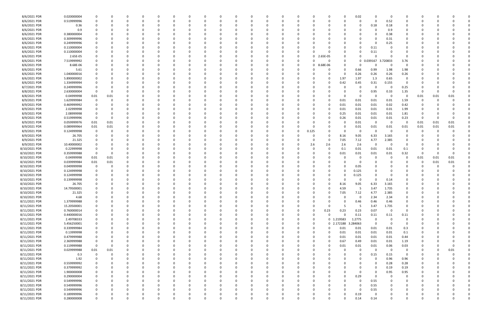| 8/6/2021 PDR  | 0.020000004 |                         | 0        | 0           | 0            |          | $\Omega$ |          | 0        |   |          | 0            |          | 0            | C        | - 0      |              | 0.02     | 0           | $\Omega$    | 0              | 0        |      |      |  |
|---------------|-------------|-------------------------|----------|-------------|--------------|----------|----------|----------|----------|---|----------|--------------|----------|--------------|----------|----------|--------------|----------|-------------|-------------|----------------|----------|------|------|--|
| 8/6/2021 PDR  | 0.519999996 | $\mathbf 0$             | 0        | ŋ           | $\Omega$     | $\Omega$ | $\Omega$ | $\Omega$ | -0       |   |          | $\Omega$     |          | $\Omega$     | C        | - 0      |              | $\Omega$ | $\Omega$    | 0.52        | $\Omega$       | 0        |      |      |  |
|               |             |                         |          |             |              |          |          |          |          |   |          |              |          |              |          |          |              |          |             |             |                |          |      |      |  |
| 8/6/2021 PDR  | 0.36        |                         | -0       |             | 0            |          |          |          |          |   |          | 0            |          |              |          |          |              | 0        | 0.18        | 0.18        | 0              |          |      |      |  |
| 8/6/2021 PDR  | 0.9         |                         |          |             |              |          |          |          |          |   |          |              |          |              |          |          |              |          | 0           | 0.9         |                |          |      |      |  |
| 8/6/2021 PDR  | 0.380000004 |                         |          |             |              |          |          |          |          |   |          |              |          |              |          |          |              |          | 0           | 0.38        | 0              |          |      |      |  |
|               |             |                         |          |             |              |          |          |          |          |   |          |              |          |              |          |          |              |          |             |             |                |          |      |      |  |
| 8/6/2021 PDR  | 0.309999996 |                         |          |             | 0            |          |          |          |          |   |          | 0            |          |              |          |          |              |          | $\Omega$    | 0.31        | 0              |          |      |      |  |
| 8/6/2021 PDR  | 0.249999996 |                         |          |             | 0            |          |          |          |          |   |          | 0            |          |              |          |          |              |          | 0           | 0.25        | 0              |          |      |      |  |
| 8/6/2021 PDR  | 0.110000004 |                         |          |             |              |          |          |          |          |   |          |              |          |              |          |          |              |          | 0.11        |             | O              |          |      |      |  |
|               |             |                         |          |             |              |          |          |          |          |   |          |              |          |              |          |          |              |          |             |             |                |          |      |      |  |
| 8/6/2021 PDR  | 0.110000004 |                         |          |             |              |          |          |          |          |   |          |              |          |              |          |          |              |          | 0.11        |             |                |          |      |      |  |
| 8/6/2021 PDR  | 2.65E-05    |                         |          |             |              |          |          |          |          |   |          |              |          | 0            | 0        | 2.65E-05 | 0            |          | $\Omega$    |             | 0              |          |      |      |  |
| 8/6/2021 PDR  | 7.519999992 |                         |          |             |              |          |          |          |          |   |          |              |          | <sup>0</sup> | C        | 0        | O            | 0        | 0.039167    | 3.720833    | 3.76           |          |      |      |  |
|               |             |                         |          |             |              |          |          |          |          |   |          |              |          |              |          |          |              |          |             |             |                |          |      |      |  |
| 8/6/2021 PDR  | 8.68E-06    |                         |          |             |              |          |          |          |          |   |          | C            |          | $\Omega$     | 0        | 8.68E-06 |              |          | 0           | - 0         | $\Omega$       |          |      |      |  |
| 8/6/2021 PDR  | 5.61        |                         |          |             | 0            |          |          |          |          |   |          | 0            |          |              |          | -0       | <sup>0</sup> | 0.66     | 0.99        | 1.98        | 1.98           |          |      |      |  |
| 8/6/2021 PDR  | 1.040000016 |                         |          |             |              |          |          |          |          |   |          |              |          |              |          |          |              |          |             |             |                |          |      |      |  |
|               |             |                         |          |             | O            |          |          |          |          |   |          | -C           |          |              |          |          |              | 0.26     | 0.26        | 0.26        | 0.26           |          |      |      |  |
| 8/6/2021 PDR  | 5.890000002 |                         |          |             | C.           |          |          |          |          |   |          | <sup>0</sup> |          |              |          | 0        | 1.97         | 1.97     | 1.3         | 0.65        | 0              |          |      |      |  |
| 8/6/2021 PDR  | 1.334999994 |                         |          |             |              |          |          |          |          |   |          |              |          |              |          | 0        | 0.42         | 0.45     | 0.31        | 0.155       | - 0            |          |      |      |  |
| 8/7/2021 PDR  |             | 0                       |          |             |              |          |          |          |          |   |          |              |          |              |          |          |              |          | 0           | - 0         |                |          |      |      |  |
|               | 0.249999996 |                         |          |             |              |          |          |          |          |   |          |              |          |              |          |          |              | 0        |             |             | 0.25           |          |      |      |  |
| 8/8/2021 PDR  | 2.630000004 | 0                       |          |             |              |          |          |          |          |   |          |              |          |              |          |          |              |          | 0.95        | 0.33        | 1.35           | 0        |      |      |  |
| 8/8/2021 PDR  | 0.04999998  | 0.01                    | 0.01     |             | O            |          |          |          |          |   |          | C            |          |              |          |          | $\Omega$     | 0        | -0          | $\Omega$    | 0              | 0.01     | 0.01 | 0.01 |  |
|               |             |                         |          |             |              |          |          |          |          |   |          |              |          |              |          |          |              |          |             |             |                |          |      |      |  |
| 8/9/2021 PDR  | 1.629999984 | 0                       |          |             | O            |          |          |          |          |   |          | <sup>r</sup> |          |              |          | -0       | 0.01         | 0.01     | 0.01        | 0.01        | 1.59           | 0        |      |      |  |
| 8/9/2021 PDR  | 0.469999992 |                         |          |             |              |          |          |          |          |   |          |              |          |              |          | 0        | 0.01         | 0.01     | 0.01        | 0.02        | 0.42           |          |      |      |  |
| 8/9/2021 PDR  | 2.02999998  |                         |          |             |              |          |          |          |          |   |          |              |          |              | C        | 0        | 0.01         | 0.01     | 0.01        | 0.01        | 1.99           |          |      |      |  |
|               |             |                         |          |             |              |          |          |          |          |   |          |              |          |              |          |          |              |          |             |             |                |          |      |      |  |
| 8/9/2021 PDR  | 2.08999998  | 0                       |          |             |              |          |          |          |          |   |          |              |          |              | C        | 0        | 0.25         | 0.01     | 0.01        | 0.01        | 1.81           | O        |      |      |  |
| 8/9/2021 PDR  | 0.519999996 | $\overline{\mathbf{0}}$ |          |             |              |          |          |          |          |   |          |              |          |              |          | 0        | 0.26         | 0.01     | 0.01        | 0.01        | 0.23           | $\Omega$ |      |      |  |
| 8/9/2021 PDR  | 0.059999976 | 0.01                    | 0.01     |             | O            |          |          |          |          |   |          | 0            |          |              |          | - 0      |              | 0.01     | 0           | $\mathbf 0$ | 0              | 0.01     | 0.01 | 0.01 |  |
|               |             |                         |          |             |              |          |          |          |          |   |          |              |          |              |          |          |              |          |             |             |                |          |      |      |  |
| 8/9/2021 PDR  | 0.089999964 | 0.01                    | 0.01     |             | 0            |          |          |          |          |   |          | 0            |          |              | 0        |          |              | 0.01     | 0.01        | 0.01        | 0.01           | 0.01     | 0.01 | 0.01 |  |
| 8/9/2021 PDR  | 0.124999998 | - 0                     | -0       |             | n            |          |          |          |          |   |          | <sup>0</sup> |          | <sup>0</sup> | 0.125    | -0       | $\Omega$     | - 0      | $\Omega$    | $\Omega$    | $\Omega$       | 0        | - 0  |      |  |
| 8/9/2021 PDR  | 26.705      |                         |          |             | O            |          |          |          |          |   |          | 0            |          |              | -C       | $\Omega$ | 8.16         | 9.05     | 6.33        | 3.165       | 0              |          |      |      |  |
|               |             |                         |          |             |              |          |          |          |          |   |          |              |          |              |          |          |              |          |             |             |                |          |      |      |  |
| 8/9/2021 PDR  | 21.325      |                         |          |             |              |          |          |          |          |   |          |              |          |              | 0        | 0        | 7.05         | 7.12     | 4.77        | 2.385       | 0              |          |      |      |  |
| 8/9/2021 PDR  | 10.40000002 |                         |          |             |              |          |          |          |          |   |          |              |          |              | 2.6      | 2.6      | 2.6          | 2.6      | 0           | - 0         | $\Omega$       |          |      |      |  |
| 8/10/2021 PDR | 0.22999998  | 0                       |          |             | 0            |          |          |          |          |   |          | 0            |          |              | C        | 0        | 0.1          | 0.01     | 0.01        | 0.01        | 0.1            | 0        |      |      |  |
|               |             |                         |          |             |              |          |          |          |          |   |          |              |          |              |          |          |              |          |             |             |                |          |      |      |  |
| 8/10/2021 PDR | 0.359999988 | $\overline{\mathbf{0}}$ | 0        |             | 0            |          |          |          |          |   |          | 0            |          |              | C        | 0        | 0.01         | 0.01     | 0.01        | 0.01        | 0.32           | 0        |      | - 0  |  |
| 8/10/2021 PDR | 0.04999998  | 0.01                    | 0.01     |             | C.           |          |          |          |          |   |          |              |          |              |          |          |              |          | 0           |             | 0              | 0.01     | 0.01 | 0.01 |  |
|               | 0.039999984 | 0.01                    |          |             |              |          |          |          |          |   |          | C            |          |              |          |          |              |          | 0           |             |                | 0        |      | 0.01 |  |
| 8/10/2021 PDR |             |                         | 0.01     |             |              |          |          |          |          |   |          |              |          |              |          |          |              |          |             |             |                |          | 0.01 |      |  |
| 8/10/2021 PDR | 0.049999998 | - 0                     |          |             |              |          |          |          |          |   |          |              |          |              |          | -0       |              | 0.05     | 0           |             |                | O        |      |      |  |
| 8/10/2021 PDR | 0.124999998 | $\overline{0}$          |          |             |              |          |          |          |          |   |          |              |          |              |          | - 0      |              | 0.125    |             |             |                |          |      |      |  |
|               |             |                         |          |             |              |          |          |          |          |   |          |              |          |              |          |          |              |          |             |             |                |          |      |      |  |
| 8/10/2021 PDR | 0.124999998 | 0                       |          |             |              |          |          |          |          |   |          |              |          |              |          | -0       |              | 0.125    | $\Omega$    |             |                |          |      |      |  |
| 8/10/2021 PDR | 0.139999998 |                         |          |             |              |          |          |          |          |   |          |              |          |              |          |          |              | 0        | 0           | 0.14        |                |          |      |      |  |
| 8/10/2021 PDR | 26.705      |                         |          |             |              |          |          |          |          |   |          |              |          |              |          |          | 8.16         | 9.05     | 6.33        | 3.165       | 0              |          |      |      |  |
|               |             |                         |          |             |              |          |          |          |          |   |          |              |          |              |          |          |              |          |             |             |                |          |      |      |  |
| 8/10/2021 PDR | 14.79500001 | $\Omega$                |          |             | n            |          |          |          |          |   |          | $\Omega$     |          |              |          | -C       | 4.59         | -5       | 3.47        | 1.735       | $\Omega$       |          |      |      |  |
| 8/10/2021 PDR | 21.325      | - 0                     |          |             | <sup>0</sup> |          |          |          |          |   |          |              |          | <sup>0</sup> | 0        | 0        | 7.05         | 7.12     | 4.77        | 2.385       | 0              | O        |      |      |  |
| 8/10/2021 PDR | 4.68        | $\mathbf 0$             | 0        | 0           | 0            |          |          | $\Omega$ | 0        | 0 |          | $\Omega$     |          | $\Omega$     | $\Omega$ | $\Omega$ | O            | 0        | 2.34        | 2.34        | 0              | 0        |      |      |  |
|               |             |                         |          |             |              |          |          |          |          |   |          |              |          |              |          |          |              |          |             |             |                |          |      |      |  |
| 8/11/2021 PDR | 1.379999988 | $\mathbf 0$             |          |             | $\Omega$     |          |          |          |          |   |          | $\Omega$     |          |              |          |          | $\Omega$     | 0.46     | 0.46        | 0.46        | $\Omega$       |          |      |      |  |
| 8/11/2021 PDR | 15.20500001 | $\overline{0}$          |          | 0           | 0            |          |          |          | 0        |   |          | 0            |          | $\Omega$     | 0        | - 0      | -5           | - 5      | 3.47        | 1.735       | $\mathbf 0$    |          |      |      |  |
| 8/11/2021 PDR | 0.760000014 | 0                       |          |             | 0            |          |          |          | 0        |   |          | 0            |          | 0            | 0        | 0.23     | 0.23         | 0.23     | 0.07        | $\Omega$    | $\mathbf 0$    | 0        |      |      |  |
|               |             |                         |          |             |              |          |          |          |          |   |          |              |          |              |          |          |              |          |             |             |                |          |      |      |  |
| 8/11/2021 PDR | 0.440000016 |                         |          |             | 0            |          |          |          |          |   |          | 0            |          | $\Omega$     | 0        | $\Omega$ | <sup>0</sup> | 0.11     | 0.11        | 0.11        | 0.11           |          |      |      |  |
| 8/11/2021 PDR | 2.49708333  |                         |          |             | 0            |          |          |          |          |   |          | 0            |          | 0            | 0        |          | 0 1.219583   | 1.2775   | 0           | $\Omega$    | 0              |          |      |      |  |
| 8/11/2021 PDR | 5.456250001 |                         |          |             | 0            |          |          |          |          |   |          | 0            |          | 0            | 0        |          | 0 2.172188   | 3.284063 | $\mathbf 0$ | $\Omega$    | $\overline{0}$ |          |      |      |  |
|               |             |                         |          |             |              |          |          |          |          |   |          |              |          |              |          |          |              |          |             |             |                |          |      |      |  |
| 8/11/2021 PDR | 0.339999984 | $\mathbf 0$             |          |             | $\Omega$     |          |          |          |          |   |          | 0            |          | $\Omega$     | 0        | $\Omega$ | 0.01         | 0.01     | 0.01        | 0.01        | 0.3            | 0        |      |      |  |
| 8/11/2021 PDR | 0.13999998  | 0                       | 0        |             | 0            |          |          |          | 0        |   |          | 0            |          | $\Omega$     | 0        | $\Omega$ | 0.01         | 0.01     | 0.01        | 0.01        | 0.1            | 0        |      |      |  |
| 8/11/2021 PDR | 0.479999988 | 0                       |          |             | 0            |          |          |          |          |   |          | 0            |          | 0            | 0        | $\Omega$ | 0.01         | 0.01     | 0.01        | 0.01        | 0.44           | 0        |      |      |  |
|               |             |                         |          |             |              |          |          |          |          |   |          |              |          |              |          |          |              |          |             |             |                |          |      |      |  |
| 8/11/2021 PDR | 2.369999988 | 0                       |          |             | 0            |          | $\Omega$ |          | 0        |   |          | 0            |          | $\Omega$     | 0        | $\Omega$ | 0.67         | 0.49     | 0.01        | 0.01        | 1.19           | 0        |      |      |  |
| 8/11/2021 PDR | 0.119999988 | $\overline{\mathbf{0}}$ | 0        |             | 0            |          |          |          |          |   |          | 0            |          |              | C        | 0        | 0.01         | 0.01     | 0.01        | 0.06        | 0.03           |          |      | 0    |  |
| 8/11/2021 PDR | 0.029999988 | 0.01                    | 0.01     |             | 0            |          |          |          |          |   |          | 0            |          |              | C        |          |              | 0        | $\mathbf 0$ | $\mathbf 0$ | $\overline{0}$ |          |      | 0.01 |  |
|               |             |                         |          |             |              |          |          |          |          |   |          |              |          |              |          |          |              |          |             |             |                |          |      |      |  |
| 8/11/2021 PDR | 0.3         | 0                       | 0        |             | 0            |          |          |          |          |   |          | 0            |          |              | C        |          |              |          | 0.15        | 0.15        | $\mathbf 0$    | 0        |      |      |  |
| 8/11/2021 PDR | 1.92        | $\mathbf 0$             | 0        | 0           | 0            |          |          |          | 0        |   |          | 0            |          | $\Omega$     | C        |          |              |          | 0           | 0.96        | 0.96           | 0        |      |      |  |
|               | 0.559999992 |                         | 0        |             |              |          |          |          |          |   |          |              |          | 0            |          |          |              |          | 0           | 0.28        | 0.28           |          |      |      |  |
| 8/11/2021 PDR |             | 0                       |          | 0           | 0            |          |          |          | 0        |   |          | 0            |          |              | C        |          |              |          |             |             |                | 0        |      |      |  |
| 8/11/2021 PDR | 0.379999992 | $\overline{0}$          |          | 0           | $\Omega$     |          |          |          | 0        |   |          | 0            |          | $\Omega$     | C        |          |              |          | $\mathbf 0$ | 0.19        | 0.19           | 0        |      |      |  |
| 8/11/2021 PDR | 1.900000008 |                         |          |             | 0            |          |          |          |          |   |          | 0            |          | $\Omega$     |          |          |              | 0        | $\Omega$    | 0.95        | 0.95           |          |      |      |  |
|               |             |                         |          |             |              |          |          |          |          |   |          |              |          |              |          |          |              |          |             |             |                |          |      |      |  |
| 8/11/2021 PDR | 0.290000004 |                         |          |             | 0            |          |          |          |          |   |          | 0            |          |              | C        |          | 0            | 0.29     | $\mathbf 0$ | $\Omega$    | 0              |          |      |      |  |
| 8/11/2021 PDR | 0.549999996 | $\mathbf 0$             |          | 0           | 0            |          |          |          |          |   |          | 0            |          |              | C        |          |              | 0        | 0.55        |             | 0              |          |      |      |  |
| 8/11/2021 PDR | 0.549999996 | $\mathbf 0$             |          |             | $\Omega$     |          |          |          |          |   |          | $\Omega$     |          | $\Omega$     | C        | 0        |              | 0        | 0.55        |             | 0              | 0        |      |      |  |
|               |             |                         |          |             |              |          |          |          |          |   |          |              |          | $\Omega$     |          |          |              |          |             |             |                |          |      |      |  |
| 8/11/2021 PDR | 0.549999996 | $\overline{0}$          |          |             | 0            |          |          |          |          |   |          | 0            |          |              | C        |          |              | 0        | 0.55        |             | 0              | 0        |      |      |  |
| 8/11/2021 PDR | 0.189999996 | $\mathbf 0$             |          |             | 0            |          |          |          |          |   |          | 0            |          | 0            | C        |          |              | 0.19     | 0           |             | 0              |          |      |      |  |
| 8/11/2021 PDR | 0.280000008 | $\mathbf 0$             | $\Omega$ | $\mathbf 0$ | $\Omega$     | $\Omega$ | $\Omega$ | $\Omega$ | $\Omega$ | 0 | $\Omega$ | $\Omega$     | $\Omega$ | $\mathbf 0$  | $\Omega$ | $\Omega$ |              | 0.14     | 0.14        | $\Omega$    | $\mathbf 0$    | $\Omega$ |      | 0    |  |
|               |             |                         |          |             |              |          |          |          |          |   |          |              |          |              |          |          |              |          |             |             |                |          |      |      |  |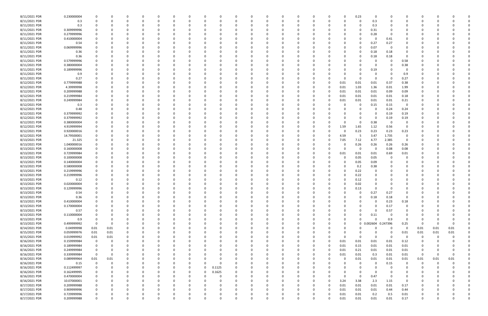| 8/11/2021 PDR | 0.230000004 |             |          |          | $\Omega$ | - 0      |          | 0            | 0        | $\Omega$ |          |          |          | 0        |          |          | 0.23         | 0           |          | 0                       | 0           |          |          |  |
|---------------|-------------|-------------|----------|----------|----------|----------|----------|--------------|----------|----------|----------|----------|----------|----------|----------|----------|--------------|-------------|----------|-------------------------|-------------|----------|----------|--|
| 8/11/2021 PDR | 0.3         |             |          | $\Omega$ | $\Omega$ | $\Omega$ |          | $\Omega$     |          | $\Omega$ | - 0      |          |          | $\Omega$ |          | O        | $\Omega$     | 0.3         |          | $\Omega$                | $\Omega$    |          |          |  |
| 8/11/2021 PDR | 0.3         |             |          |          |          |          |          |              |          |          |          |          |          |          |          |          | 0            | 0.3         |          |                         |             |          |          |  |
| 8/11/2021 PDR | 0.309999996 |             |          |          |          |          |          |              |          |          |          |          |          |          |          |          | 0            |             |          |                         |             |          |          |  |
|               |             |             |          |          |          |          |          |              |          |          |          |          |          |          |          |          |              | 0.31        |          |                         |             |          |          |  |
| 8/11/2021 PDR | 0.279999996 |             |          |          |          |          |          |              |          |          |          |          |          |          |          |          | 0            | 0.28        | $\Omega$ |                         |             |          |          |  |
| 8/11/2021 PDR | 0.410000004 |             |          |          |          |          |          |              |          |          |          |          |          |          |          |          |              | $\Omega$    | 0.41     | <sup>0</sup>            |             |          |          |  |
| 8/11/2021 PDR | 0.54        |             |          |          |          |          |          |              |          |          |          |          |          |          |          |          | 0            | 0.27        | 0.27     | 0                       |             |          |          |  |
| 8/11/2021 PDR | 0.069999996 |             |          |          |          |          |          |              |          |          |          |          |          |          |          |          | <sup>0</sup> | 0.07        | $\Omega$ |                         |             |          |          |  |
| 8/11/2021 PDR | 0.36        |             |          |          |          |          |          |              |          |          |          |          |          |          |          |          | 0            | 0.18        | 0.18     |                         |             |          |          |  |
| 8/11/2021 PDR |             |             |          |          |          |          |          |              |          |          |          |          |          |          |          |          |              |             |          |                         |             |          |          |  |
|               | 0.36        |             |          |          |          |          |          |              |          |          |          |          |          |          |          |          | 0            | 0.18        | 0.18     | 0                       |             |          |          |  |
| 8/11/2021 PDR | 0.579999996 |             |          |          |          |          |          |              |          |          |          |          |          |          |          |          |              |             |          | 0.58                    |             |          |          |  |
| 8/11/2021 PDR | 0.380000004 |             |          |          |          |          |          |              |          |          |          |          |          |          |          |          |              | $\Omega$    |          | 0.38                    |             |          |          |  |
| 8/11/2021 PDR | 0.189999996 |             |          |          |          |          |          |              |          |          |          |          |          |          |          |          | 0            | 0.19        |          | 0                       |             |          |          |  |
| 8/11/2021 PDR | 0.9         |             |          |          |          |          |          |              |          |          |          |          |          |          |          |          | C.           | 0           |          | 0.9                     |             |          |          |  |
| 8/11/2021 PDR | 0.27        |             |          |          |          |          |          |              |          |          |          |          |          |          |          | 0        | 0            | $\mathbf 0$ | - 0      | 0.27                    |             |          |          |  |
| 8/12/2021 PDR | 0.779999988 |             |          |          |          |          |          |              |          |          |          |          |          |          |          | 0.01     | 0.01         | 0.01        | 0.37     | 0.38                    |             |          |          |  |
|               |             |             |          |          |          |          |          |              |          |          |          |          |          |          |          |          |              |             |          |                         |             |          |          |  |
| 8/12/2021 PDR | 4.39999998  |             |          |          |          |          |          |              |          |          |          |          |          |          |          | 0.01     | 1.03         | 1.36        | 0.01     | 1.99                    |             |          |          |  |
| 8/12/2021 PDR | 0.209999988 |             |          |          |          |          |          |              |          |          |          |          |          |          |          | 0.01     | 0.01         | 0.01        | 0.09     | 0.09                    |             |          |          |  |
| 8/12/2021 PDR | 0.219999984 |             |          |          |          |          |          |              |          |          |          |          |          |          |          | 0.01     | 0.01         | 0.01        | 0.01     | 0.18                    |             |          |          |  |
| 8/12/2021 PDR | 0.249999984 |             |          |          |          |          |          |              |          |          |          |          |          | -0       |          | 0.01     | 0.01         | 0.01        | 0.01     | 0.21                    |             |          |          |  |
| 8/12/2021 PDR | 0.3         |             |          |          |          |          |          |              |          |          |          |          |          |          |          |          | 0            | 0.15        | 0.15     | 0                       |             |          |          |  |
| 8/12/2021 PDR | 0.48        |             |          |          |          |          |          |              |          |          |          |          |          |          |          |          | <sup>0</sup> | 0           | 0.24     | 0.24                    |             |          |          |  |
|               |             |             |          |          |          |          |          |              |          |          |          |          |          |          |          |          |              |             |          |                         |             |          |          |  |
| 8/12/2021 PDR | 0.379999992 |             |          |          |          |          |          |              |          |          |          |          |          |          |          |          |              | 0           | 0.19     | 0.19                    |             |          |          |  |
| 8/12/2021 PDR | 0.379999992 |             |          |          |          |          |          |              |          |          |          |          |          |          |          |          | 0            | $\Omega$    | 0.19     | 0.19                    |             |          |          |  |
| 8/12/2021 PDR | 0.380000004 |             |          |          |          |          |          |              |          |          |          |          |          |          |          | O        | 0            | 0.38        | 0        | 0                       |             |          |          |  |
| 8/12/2021 PDR | 4.919999994 |             |          |          |          |          |          |              |          |          |          |          |          |          |          | 1.59     | 1.65         | 1.12        | 0.56     | 0                       |             |          |          |  |
| 8/12/2021 PDR | 0.920000016 |             |          |          |          |          |          |              |          |          |          |          |          |          |          | 0        | 0.23         | 0.23        | 0.23     | 0.23                    |             |          |          |  |
| 8/12/2021 PDR | 14.79500001 |             |          |          |          |          |          |              |          |          |          |          |          |          |          | 4.59     | - 5          | 3.47        | 1.735    | 0                       |             |          |          |  |
| 8/13/2021 PDR | 21.325      |             |          |          |          |          |          |              |          |          |          |          |          |          |          |          |              |             |          | 0                       |             |          |          |  |
|               |             |             |          |          |          |          |          |              |          |          |          |          |          |          |          | 7.05     | 7.12         | 4.77        | 2.385    |                         |             |          |          |  |
| 8/13/2021 PDR | 1.040000016 |             |          |          |          |          |          |              |          |          |          |          |          |          |          |          | 0.26         | 0.26        | 0.26     | 0.26                    |             |          |          |  |
| 8/13/2021 PDR | 0.160000008 |             |          |          |          |          |          |              |          |          |          |          |          | -0       |          | $\Omega$ | - 0          | $\mathbf 0$ | 0.08     | 0.08                    |             |          |          |  |
| 8/13/2021 PDR | 0.729999984 |             |          |          |          |          |          | -0           |          |          |          |          |          |          |          | 0.01     | 0.01         | 0.01        | 0.69     | 0.01                    |             |          |          |  |
| 8/13/2021 PDR | 0.100000008 |             |          |          |          |          |          |              |          |          |          |          |          |          |          | O        | 0.05         | 0.05        |          |                         |             |          |          |  |
| 8/13/2021 PDR | 0.140000004 |             |          |          |          |          |          |              |          |          |          |          |          |          |          | 0        | 0.05         | 0.09        |          | <sup>0</sup>            |             |          |          |  |
|               |             |             |          |          |          |          |          |              |          |          |          |          |          |          |          |          |              |             |          |                         |             |          |          |  |
| 8/13/2021 PDR | 0.580000008 |             |          |          |          |          |          |              |          |          |          |          |          |          |          | 0        | 0.2          | 0.38        |          |                         |             |          |          |  |
| 8/13/2021 PDR | 0.219999996 |             |          |          |          |          |          |              |          |          |          |          |          |          |          | ŋ        | 0.22         | 0           |          |                         |             |          |          |  |
| 8/13/2021 PDR | 0.219999996 |             |          |          |          |          |          |              |          |          |          |          |          |          |          | 0        | 0.22         | $\Omega$    |          |                         |             |          |          |  |
| 8/13/2021 PDR | 0.12        |             |          |          |          |          |          |              |          |          |          |          |          |          |          |          | 0.12         |             |          |                         |             |          |          |  |
| 8/13/2021 PDR | 0.020000004 |             |          |          |          |          |          |              |          |          |          |          |          |          |          |          | 0.02         |             |          |                         |             |          |          |  |
| 8/13/2021 PDR | 0.129999996 |             |          |          |          |          |          |              |          |          |          |          |          |          |          | 0        | 0.13         | $\Omega$    |          |                         |             |          |          |  |
|               |             |             |          |          |          |          |          |              |          |          |          |          |          |          |          |          |              |             |          |                         |             |          |          |  |
| 8/13/2021 PDR | 0.54        |             |          | 0        |          |          |          |              |          | 0        |          | -0       |          |          |          | 0        | 0            | 0.27        | 0.27     | 0                       | O           |          |          |  |
| 8/13/2021 PDR | 0.36        | $\Omega$    | $\Omega$ | $\Omega$ | $\Omega$ | - 0      | $\Omega$ | 0            | O        | $\Omega$ | $\Omega$ | $\Omega$ | $\Omega$ | $\Omega$ |          | $\Omega$ | 0            | 0.18        | 0.18     | 0                       | 0           |          |          |  |
| 8/13/2021 PDR | 0.410000004 |             |          | $\Omega$ | $\Omega$ |          |          | 0            |          | 0        |          | $\Omega$ |          | 0        |          |          | $\Omega$     | $\Omega$    | 0.23     | 0.18                    | 0           |          |          |  |
| 8/13/2021 PDR | 0.170000004 |             |          | 0        |          | $\Omega$ |          | <sup>0</sup> |          |          |          |          |          | 0        |          | 0        |              | 0           | 0.17     | $\mathbf 0$             |             |          |          |  |
| 8/13/2021 PDR | 0.57        |             |          | 0        | 0        |          |          | 0            |          | 0        |          |          | 0        | 0        |          | 0        | 0            | $\Omega$    | 0.57     | 0                       | 0           |          |          |  |
| 8/13/2021 PDR | 0.110000004 |             |          |          |          |          |          | 0            |          |          |          |          |          |          |          | 0        | $\Omega$     | 0.11        | $\Omega$ | 0                       |             |          |          |  |
|               |             | $\Omega$    |          |          |          |          |          |              |          |          |          |          |          |          |          | 0        | $\Omega$     | $\Omega$    | 0.9      | 0                       |             |          |          |  |
| 8/13/2021 PDR | 0.9         |             |          |          |          |          |          | 0            |          |          |          |          |          | 0        |          |          |              |             |          |                         | 0           |          |          |  |
| 8/13/2021 PDR | 0.499999992 | $\mathbf 0$ | 0        | 0        |          |          |          | 0            |          |          |          |          |          | 0        |          | 0        |              | 0 0.002604  | 0.247396 | 0.25                    | - 0         |          |          |  |
| 8/14/2021 PDR | 0.04999998  | $0.01\,$    | 0.01     | $\Omega$ |          |          |          |              |          |          |          |          |          |          |          | $\Omega$ | $\Omega$     | $\Omega$    | $\Omega$ | $\overline{\mathbf{0}}$ | 0.01        | 0.01     | 0.01     |  |
| 8/15/2021 PDR | 0.059999976 | 0.01        | 0.01     | 0        |          | $\Omega$ |          | $\Omega$     |          |          |          |          |          | 0        |          | 0        | 0            | 0           | $\Omega$ | 0.01                    | 0.01        | 0.01     | $0.01\,$ |  |
| 8/15/2021 PDR | 0.019999992 | 0.01        | 0.01     | 0        |          |          |          | 0            |          | 0        |          |          |          | 0        |          | $\Omega$ | 0            | $\Omega$    | $\Omega$ | 0                       | 0           | -0       |          |  |
| 8/16/2021 PDR | 0.159999984 | 0           | $\Omega$ |          |          |          |          | 0            |          |          |          |          |          | 0        | $\Omega$ | 0.01     | 0.01         | 0.01        | 0.01     | 0.12                    |             |          |          |  |
| 8/16/2021 PDR | 0.189999984 | 0           |          |          |          |          |          |              |          |          |          |          |          | 0        | 0        | 0.01     | 0.15         | 0.01        | 0.01     | 0.01                    |             |          |          |  |
|               |             |             |          |          |          |          |          |              |          |          |          |          |          |          |          |          |              |             |          |                         |             |          |          |  |
| 8/16/2021 PDR | 0.249999984 | 0           |          |          |          |          |          |              |          |          |          |          |          | 0        | $\Omega$ | 0.01     | 0.21         | 0.01        | $0.01\,$ | $0.01\,$                | 0           |          |          |  |
| 8/16/2021 PDR | 0.339999984 | $\mathbf 0$ | $\Omega$ |          |          |          |          |              |          |          |          |          |          | 0        |          | 0.01     | 0.01         | 0.3         | 0.01     | $0.01\,$                | $\mathbf 0$ |          |          |  |
| 8/16/2021 PDR | 0.089999964 | $0.01\,$    | 0.01     | 0        |          |          |          | 0            |          | 0        |          |          |          | 0        |          | 0        | 0.01         | 0.01        | 0.01     | 0.01                    | 0.01        | 0.01     | 0.01     |  |
| 8/16/2021 PDR | 0.15        | 0           | 0        | 0        | 0        | $\Omega$ |          | 0            |          | 0        |          |          |          | 0        |          | 0        | 0            | 0           | 0.15     | 0                       | 0           | $\Omega$ |          |  |
| 8/16/2021 PDR | 0.112499997 |             |          | $\Omega$ | $\Omega$ | $\Omega$ |          | 0            | 0.1125   | $\Omega$ |          |          |          |          |          | $\Omega$ | $\Omega$     | $\Omega$    | $\Omega$ | 0                       | 0           |          |          |  |
| 8/16/2021 PDR | 0.162499995 |             |          |          |          |          |          | 0            |          |          |          |          |          |          |          | 0        | 0            | 0           |          | 0                       |             |          |          |  |
|               |             |             |          |          |          |          |          |              | 0.1625   |          |          |          |          | 0        |          |          |              |             |          |                         |             |          |          |  |
| 8/16/2021 PDR | 0.470000004 | $\Omega$    |          |          |          |          |          | 0            |          |          |          |          |          | 0        |          | $\Omega$ | $\mathbf 0$  | 0.47        | $\Omega$ | 0                       |             |          |          |  |
| 8/16/2021 PDR | 10.07000001 | 0           |          |          |          |          |          | 0            |          |          |          |          |          | 0        | 0        | 3.24     | 3.38         | 2.3         | 1.15     | 0                       | O           |          |          |  |
| 8/17/2021 PDR | 0.209999988 | 0           |          |          |          |          |          |              |          |          |          |          |          | 0        |          | 0.01     | 0.01         | 0.01        | 0.01     | 0.17                    | 0           |          |          |  |
| 8/17/2021 PDR | 0.909999996 | 0           |          | 0        | $\Omega$ | $\Omega$ |          | $\Omega$     |          | 0        |          | $\Omega$ | 0        | 0        |          | 0.01     | 0.01         | 0.01        | 0.44     | 0.44                    | 0           |          |          |  |
| 8/17/2021 PDR | 0.729999996 | 0           |          | 0        | 0        | 0        |          | 0            |          | 0        |          |          | 0        | 0        |          | 0.01     | 0.01         | 0.2         | 0.5      | 0.01                    | 0           |          |          |  |
| 8/17/2021 PDR | 0.209999988 | $\Omega$    | ŋ        | $\Omega$ | $\Omega$ | $\Omega$ | $\Omega$ | $\Omega$     | $\Omega$ | $\Omega$ |          | $\Omega$ | $\Omega$ |          |          | 0.01     | 0.01         | 0.01        | $0.01\,$ | 0.17                    | $\Omega$    |          | $\Omega$ |  |
|               |             |             |          |          |          |          |          |              |          |          |          |          |          |          |          |          |              |             |          |                         |             |          |          |  |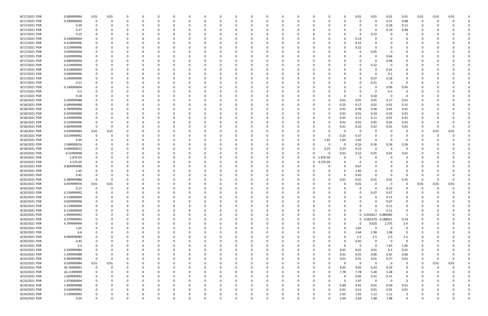| 8/17/2021 PDR | 0.089999964 | 0.01        | 0.01     |          |          |          |          |              |          |          |          |          |              |          |             |          |          | 0.01         | 0.01                | 0.01     | 0.01           | 0.01        | 0.01     | 0.01     |  |
|---------------|-------------|-------------|----------|----------|----------|----------|----------|--------------|----------|----------|----------|----------|--------------|----------|-------------|----------|----------|--------------|---------------------|----------|----------------|-------------|----------|----------|--|
| 8/17/2021 PDR | 0.290000004 | $\Omega$    | 0        | 0        | - 0      | $\Omega$ |          | <sup>0</sup> |          |          | $\Omega$ |          | റ            | 0        | $\Omega$    |          |          | 0            | $\Omega$            | 0.21     | 0.08           | 0           |          |          |  |
| 8/17/2021 PDR | 0.39        |             |          |          |          |          |          |              |          |          |          |          |              |          |             |          |          |              | -0                  | 0.28     | 0.11           |             |          |          |  |
| 8/17/2021 PDR | 0.27        |             |          |          |          |          |          |              |          |          |          |          |              |          |             |          |          | n            | -0                  | 0.19     | 0.08           |             |          |          |  |
|               |             |             |          |          |          |          |          |              |          |          |          |          |              |          |             |          |          |              |                     |          |                |             |          |          |  |
| 8/17/2021 PDR | 0.15        |             |          |          |          |          |          |              |          |          |          |          |              |          |             |          |          | 0            | 0.15                |          | O              |             |          |          |  |
| 8/17/2021 PDR | 0.140000004 |             |          |          |          |          |          |              |          |          |          |          |              |          |             |          |          | 0.14         |                     |          |                |             |          |          |  |
| 8/17/2021 PDR | 0.219999996 |             |          |          |          |          |          |              |          |          |          |          |              |          |             |          |          | 0.22         |                     |          |                |             |          |          |  |
| 8/17/2021 PDR | 0.219999996 |             |          |          |          |          |          |              |          |          | - 0      |          |              |          |             |          |          | 0.22         | $\Omega$            |          |                |             |          |          |  |
| 8/17/2021 PDR | 0.050000004 |             |          |          |          |          |          |              |          |          |          |          |              |          |             |          |          | 0            | 0.05                |          |                |             |          |          |  |
| 8/17/2021 PDR | 0.639999996 |             |          |          |          |          |          |              |          |          |          |          |              |          |             |          |          |              |                     | 0.64     |                |             |          |          |  |
| 8/17/2021 PDR | 0.080000004 |             |          |          |          |          |          |              |          |          |          |          |              |          |             |          |          | 0            | $\Omega$            | 0.08     |                |             |          |          |  |
| 8/17/2021 PDR | 0.219999996 |             |          |          |          |          |          |              |          |          |          |          |              |          |             |          |          | 0            | 0.22                |          |                |             |          |          |  |
|               |             |             |          |          |          |          |          |              |          |          |          |          |              |          |             |          |          |              |                     |          |                |             |          |          |  |
| 8/17/2021 PDR | 0.410000004 |             |          |          |          |          |          |              |          |          |          |          |              |          |             |          |          | <sup>0</sup> |                     | 0.41     | 0              |             |          |          |  |
| 8/17/2021 PDR | 0.099999996 |             |          |          |          |          |          |              |          |          |          |          |              |          |             |          |          | <sup>0</sup> | -0                  | 0.1      |                |             |          |          |  |
| 8/17/2021 PDR | 0.249999996 |             |          |          |          |          |          |              |          |          |          |          |              |          |             |          |          | 0            | 0.07                | 0.18     |                |             |          |          |  |
| 8/17/2021 PDR | 0.21        |             |          |          |          |          |          |              |          |          |          |          |              |          |             |          |          | 0            | 0.21                | 0        |                |             |          |          |  |
| 8/17/2021 PDR | 0.140000004 |             |          |          |          |          |          |              |          |          |          |          |              |          |             |          |          | 0            | -0                  | 0.09     | 0.05           |             |          |          |  |
| 8/17/2021 PDR | 0.3         |             |          |          |          |          |          |              |          |          |          |          |              |          |             |          |          | 0            | -0                  | 0.3      | 0              |             |          |          |  |
| 8/17/2021 PDR | 0.18        |             |          |          |          |          |          |              |          |          |          |          |              |          |             |          |          | 0            | 0.18                | 0        | $\Omega$       |             |          |          |  |
| 8/18/2021 PDR | 0.209999988 |             |          |          |          |          |          |              |          |          |          |          |              |          |             |          | 0.01     | 0.01         | 0.01                | 0.17     | 0.01           |             |          |          |  |
| 8/18/2021 PDR | 0.689999988 |             |          |          |          |          |          |              |          |          |          |          |              |          |             | 0        | 0.25     | 0.17         | 0.01                | 0.01     | 0.25           |             |          |          |  |
|               |             |             |          |          |          |          |          |              |          |          |          |          |              |          |             |          |          |              |                     |          |                |             |          |          |  |
| 8/18/2021 PDR | 0.789999996 |             |          |          |          |          |          |              |          |          |          |          |              |          |             | 0        | 0.01     | 0.38         | 0.38                | 0.01     | 0.01           |             |          |          |  |
| 8/18/2021 PDR | 0.509999988 |             |          |          |          |          |          |              |          |          |          |          |              |          |             | 0        | 0.01     | 0.01         | 0.24                | 0.24     | 0.01           |             |          |          |  |
| 8/18/2021 PDR | 0.249999996 |             |          |          |          |          |          |              |          |          |          |          |              |          |             |          | 0.01     | 0.11         | 0.11                | 0.01     | 0.01           |             |          |          |  |
| 8/18/2021 PDR | 0.129999996 |             |          |          |          |          |          |              |          |          |          |          |              |          |             |          | 0.01     | 0.01         | 0.05                | 0.05     | 0.01           |             |          |          |  |
| 8/18/2021 PDR | 0.669999996 | $\Omega$    |          |          |          |          |          |              |          |          |          |          |              |          |             |          | 0.01     | 0.32         | 0.32                | 0.01     | 0.01           |             |          |          |  |
| 8/18/2021 PDR | 0.039999984 | 0.01        | 0.01     |          |          |          |          |              |          |          |          |          |              |          |             |          |          | 0            |                     |          |                | -0          | 0.01     | 0.01     |  |
| 8/18/2021 PDR | 0.619999992 |             |          |          |          |          |          |              |          |          |          |          |              |          |             | 0        | 0.25     | 0.37         |                     |          |                |             |          |          |  |
| 8/18/2021 PDR | 4.95        |             |          |          |          |          |          |              |          |          |          |          |              |          |             | 1.65     | 1.65     | 1.65         |                     |          |                |             |          |          |  |
| 8/18/2021 PDR | 1.040000016 |             |          |          |          |          |          |              |          |          |          |          |              |          |             | $\Omega$ | $\Omega$ | 0.26         | 0.26                | 0.26     | 0.26           |             |          |          |  |
| 8/18/2021 PDR | 0.690000012 |             |          |          |          |          |          |              |          |          |          |          |              | 0        | - 0         |          |          |              | 0                   | - 0      | $\Omega$       |             |          |          |  |
|               |             |             |          |          |          |          |          |              |          |          |          |          |              |          |             | 0.23     | 0.23     | 0.23         |                     |          |                |             |          |          |  |
| 8/19/2021 PDR | 0.55999998  |             |          |          |          |          |          |              |          |          |          |          |              | 0        |             | $\Omega$ | 0.01     | 0.52         | 0.01                | 0.01     | 0.01           |             |          |          |  |
| 8/19/2021 PDR | 1.87E-05    |             |          |          |          |          |          |              |          |          |          |          |              | 0        | $\mathbf 0$ | 1.87E-05 |          | 0            |                     |          |                |             |          |          |  |
| 8/19/2021 PDR | 4.57E-05    |             |          |          |          |          |          |              |          |          |          |          |              | 0        | 0           | 4.57E-05 |          | 0            |                     |          |                |             |          |          |  |
| 8/19/2021 PDR | 0.669999996 |             |          |          |          |          |          |              |          |          |          |          |              | 0        |             |          |          | 0.67         |                     |          |                |             |          |          |  |
| 8/19/2021 PDR | 1.65        |             |          |          |          |          |          |              |          |          |          |          |              |          |             |          |          | 1.65         |                     |          |                |             |          |          |  |
| 8/19/2021 PDR | 0.45        |             |          |          |          |          |          |              |          |          |          |          |              |          |             |          | 0        | 0.45         | $\Omega$            | - 0      | $\Omega$       |             |          |          |  |
| 8/20/2021 PDR | 0.389999988 |             |          |          |          |          |          |              |          |          |          |          |              |          |             |          | 0.01     | 0.01         | 0.01                | 0.01     | 0.35           |             |          |          |  |
| 8/20/2021 PDR | 0.059999976 | 0.01        | 0.01     |          |          |          |          |              |          |          |          |          |              |          |             |          |          | 0.01         |                     | - 0      |                | 0.01        | 0.01     | 0.01     |  |
|               |             | 0           | 0        | 0        |          |          |          |              |          |          |          |          |              |          |             |          |          | 0            | $\Omega$            | 0.15     |                |             | $\Omega$ | 0        |  |
| 8/20/2021 PDR | 0.15        |             |          |          |          |          |          |              |          |          |          |          |              |          |             |          |          |              |                     |          | -0             | 0<br>$\sim$ |          |          |  |
| 8/20/2021 PDR | 0.139999992 |             |          |          |          |          |          |              |          |          |          |          |              |          |             |          |          | 0            | 0.07                | 0.07     | $\Omega$       |             |          |          |  |
| 8/20/2021 PDR | 0.110000004 | 0           | $\Omega$ | $\Omega$ | $\Omega$ | $\Omega$ | $\Omega$ | $\Omega$     | 0        |          | $\Omega$ |          | $\Omega$     | $\Omega$ | $\Omega$    | 0        |          | $\Omega$     | $\Omega$            | 0.11     | $\mathbf 0$    | $\Omega$    |          |          |  |
| 8/20/2021 PDR | 0.069999996 | 0           | 0        | 0        | 0        | $\Omega$ | $\Omega$ | $\Omega$     |          |          | 0        |          | <sup>0</sup> | 0        | 0           |          |          | 0            | $\Omega$            | 0.07     | 0              | 0           |          |          |  |
| 8/20/2021 PDR | 0.110000004 | 0           |          | 0        |          | $\Omega$ |          | 0            |          |          | $\Omega$ |          |              | 0        | - 0         |          |          | <sup>0</sup> |                     | 0.11     | 0              |             |          |          |  |
| 8/20/2021 PDR | 0.110000004 | 0           |          | 0        |          | 0        |          | 0            |          |          | $\Omega$ |          |              | 0        | - 0         |          | 0        | $\Omega$     | $\Omega$            | 0.11     | 0              |             |          |          |  |
| 8/20/2021 PDR | 1.999999992 |             |          |          |          |          |          |              |          |          | 0        |          |              | 0        |             |          | 0        |              | 0 0.010417 0.989583 |          | 1              |             |          |          |  |
| 8/20/2021 PDR | 0.379999992 | 0           |          | 0        |          |          |          |              |          |          |          |          |              | 0        |             |          | 0        |              | 0 0.001979 0.188021 |          | 0.19           |             |          |          |  |
| 8/20/2021 PDR | 4.799999999 |             |          |          |          |          |          |              |          |          |          |          |              | 0        |             |          |          | $\Omega$     | 0.025               | 2.375    | 2.4            |             |          |          |  |
| 8/20/2021 PDR | 1.65        |             |          | 0        |          |          |          |              |          |          | 0        |          | <sup>0</sup> | 0        | 0           |          | 0        | 1.65         | $\Omega$            | $\Omega$ | $\mathbf 0$    |             |          |          |  |
|               |             |             |          |          |          |          |          |              |          |          |          |          |              |          |             |          |          |              |                     |          |                |             |          |          |  |
| 8/20/2021 PDR | 6.6         |             |          | 0        |          |          |          |              |          |          | 0        |          |              | 0        |             | 0        |          | 2.64         | 1.98                | 1.98     | 0              | 0           |          |          |  |
| 8/20/2021 PDR | 9.999999984 |             |          |          |          | $\Omega$ |          |              |          |          |          |          |              | 0        |             |          |          | 2.5          | 2.5                 | 2.5      | 2.5            |             |          |          |  |
| 8/20/2021 PDR | 0.45        |             |          |          |          |          |          |              |          |          |          |          |              |          |             |          |          | 0.45         | $\Omega$            | $\Omega$ | $\overline{0}$ |             |          |          |  |
| 8/22/2021 PDR | 3.3         |             |          |          |          |          |          |              |          |          |          |          |              |          |             | 0        |          | 0            | $\Omega$            | 1.65     | 1.65           |             |          |          |  |
| 8/23/2021 PDR | 0.339999984 |             |          | $\Omega$ |          | $\Omega$ |          |              |          |          |          |          | 0            | 0        |             | $\Omega$ | 0.01     | 0.01         | 0.01                | 0.3      | 0.01           | 0           |          |          |  |
| 8/23/2021 PDR | 1.349999988 | 0           |          | 0        |          | $\Omega$ |          | 0            |          |          | 0        |          | 0            | 0        | 0           | $\Omega$ | 0.01     | 0.01         | 0.06                | 0.61     | 0.66           | 0           |          |          |  |
| 8/23/2021 PDR | 0.309999984 | $\mathbf 0$ | 0        | 0        |          | $\Omega$ |          |              |          |          | $\Omega$ |          |              | 0        | 0           | $\Omega$ | 0.01     | 0.01         | 0.01                | 0.27     | 0.01           | 0           |          | $\Omega$ |  |
| 8/23/2021 PDR | 0.039999984 | 0.01        | 0.01     | 0        |          |          |          |              |          |          | $\Omega$ |          |              | 0        | - 0         | 0        | $\Omega$ | $\mathbf 0$  | $\Omega$            | $\Omega$ | 0              | 0           | 0.01     | 0.01     |  |
|               |             |             |          |          |          |          |          |              |          |          |          |          |              |          |             |          |          |              |                     |          |                |             |          |          |  |
| 8/23/2021 PDR | 30.76000001 | $\mathbf 0$ | 0        |          |          |          |          |              |          |          |          |          |              | 0        | -0          | 0        | 9.05     | 9.05         | 6.33                | 6.33     | 0              | -0          |          |          |  |
| 8/23/2021 PDR | 26.11999999 | 0           |          |          |          |          |          |              |          |          |          |          |              | 0        |             | 0        | 7.78     | 7.78         | 5.28                | 5.28     | 0              |             |          |          |  |
| 8/23/2021 PDR | 1.069999992 | 0           |          |          |          |          |          |              |          |          |          |          | 0            | 0        | 0           |          | 0        | 0.45         | 0.31                | 0.31     | 0              |             |          |          |  |
| 8/23/2021 PDR | 1.970000004 | 0           |          |          |          |          |          |              |          |          |          |          |              |          |             |          | $\Omega$ | 1.97         | $\mathbf 0$         | $\Omega$ | $\Omega$       |             |          |          |  |
| 8/24/2021 PDR | 1.409999988 | 0           |          |          |          |          |          |              |          |          |          |          |              |          |             | $\Omega$ | 0.89     | 0.01         | 0.01                | 0.49     | 0.01           |             |          |          |  |
| 8/24/2021 PDR | 0.549999984 | 0           |          | C        |          |          |          |              |          |          | $\Omega$ |          | <sup>0</sup> | 0        | - 0         | $\Omega$ | 0.01     | 0.51         | 0.01                | 0.01     | 0.01           |             |          |          |  |
| 8/24/2021 PDR | 5.539999992 |             |          |          |          |          |          |              |          |          |          |          |              |          |             | 0        | 1.65     | 1.65         | 1.12                | 1.12     | 0              |             |          |          |  |
| 8/24/2021 PDR | 9.24        | $\Omega$    | 0        | $\Omega$ | $\Omega$ | $\Omega$ | $\Omega$ | 0            | $\Omega$ | $\Omega$ | $\Omega$ | $\Omega$ | $\Omega$     | $\Omega$ | 0           | $\Omega$ | 2.64     | 2.64         | 1.98                | 1.98     | $\mathbf 0$    | 0           |          | 0        |  |
|               |             |             |          |          |          |          |          |              |          |          |          |          |              |          |             |          |          |              |                     |          |                |             |          |          |  |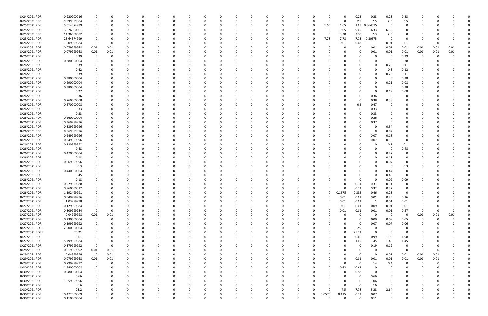| 8/24/2021 PDR  | 0.920000016 |                |          |              |          |          |          |              |          | -0            |          |               |          |          |          |             | 0.23        | 0.23        | 0.23           | 0.23        |              |          |      |  |
|----------------|-------------|----------------|----------|--------------|----------|----------|----------|--------------|----------|---------------|----------|---------------|----------|----------|----------|-------------|-------------|-------------|----------------|-------------|--------------|----------|------|--|
| 8/24/2021 PDR  | 9.999999984 |                | O        | <sup>0</sup> | $\Omega$ |          |          | <sup>0</sup> |          | 0             |          |               |          | 0        | $\Omega$ | 0           | 2.5         | 2.5         | 2.5            | 2.5         | 0            |          |      |  |
| 8/25/2021 PDR  | 5.014374999 |                |          |              |          |          |          |              |          |               |          |               |          | 0        | 1.65     | 1.65        | 1.65        | .064375     | 0              | 0           |              |          |      |  |
| 8/25/2021 PDR  | 30.76000001 |                |          |              |          |          |          |              |          |               |          |               |          |          |          | 9.05        | 9.05        | 6.33        | 6.33           | $\Omega$    |              |          |      |  |
| 8/25/2021 PDR  | 11.36000002 |                |          |              |          |          |          |              |          |               |          |               |          | 0        | 0        | 3.38        | 3.38        | 2.3         | 2.3            | 0           |              |          |      |  |
| 8/25/2021 PDR  | 23.64374999 |                |          |              |          |          |          |              |          |               |          |               |          | -0       | 7.78     | 7.78        | 7.78        | 0.30375     | $\Omega$       | $\Omega$    |              |          |      |  |
| 8/26/2021 PDR  | 1.509999984 |                | O        |              |          |          |          |              |          |               |          |               |          |          |          | 0.01        | 0.48        |             | 0.01           | 0.01        | 0            |          |      |  |
| 8/26/2021 PDR  | 0.079999968 | 0.01           | 0.01     |              |          |          |          |              |          |               |          |               |          |          |          |             | 0           | 0.01        | 0.01           | 0.01        | 0.01         | 0.01     | 0.01 |  |
|                |             |                |          |              |          |          |          |              |          |               |          |               |          |          |          |             |             |             |                |             |              |          |      |  |
| 8/26/2021 PDR  | 0.079999968 | $0.01\,$       | $0.01\,$ |              |          |          |          |              |          |               |          |               |          |          |          |             | 0           | 0.01        | 0.01           | 0.01        | 0.01         | 0.01     | 0.01 |  |
| 8/26/2021 PDR  | 0.39        | $\Omega$       | 0        |              |          |          |          |              |          |               |          |               |          |          |          |             |             | 0           | 0              | 0.39        | 0            |          |      |  |
| 8/26/2021 PDR  | 0.380000004 |                |          |              |          |          |          |              |          |               |          |               |          |          |          |             |             | 0           | - 0            | 0.38        | C            |          |      |  |
| 8/26/2021 PDR  | 0.39        |                |          |              |          |          |          |              |          |               |          |               |          |          |          |             |             | $\Omega$    | 0.28           | 0.11        |              |          |      |  |
| 8/26/2021 PDR  | 0.42        |                |          |              |          |          |          |              |          |               |          |               |          |          |          |             | $\Omega$    | $\Omega$    | 0.3            | 0.12        |              |          |      |  |
| 8/26/2021 PDR  | 0.39        |                |          |              |          |          |          |              |          |               |          |               |          |          |          |             |             | $\Omega$    | 0.28           | 0.11        |              |          |      |  |
| 8/26/2021 PDR  | 0.380000004 |                |          |              |          |          |          |              |          |               |          |               |          |          |          |             |             | 0           | - 0            | 0.38        |              |          |      |  |
| 8/26/2021 PDR  | 0.290000004 |                |          |              |          |          |          |              |          |               |          |               |          |          |          |             |             | 0           | 0.21           | 0.08        |              |          |      |  |
| 8/26/2021 PDR  | 0.380000004 |                |          |              |          |          |          |              |          |               |          |               |          |          |          |             |             | $\Omega$    | - 0            | 0.38        |              |          |      |  |
| 8/26/2021 PDR  | 0.27        |                |          |              |          |          |          |              |          |               |          |               |          |          |          |             |             | 0           | 0.19           | 0.08        |              |          |      |  |
| 8/26/2021 PDR  | 0.36        |                |          |              |          |          |          |              |          |               |          |               |          |          |          |             | 0           | 0.36        | - 0            | 0           |              |          |      |  |
| 8/26/2021 PDR  | 0.760000008 |                |          |              |          |          |          |              |          |               |          |               |          |          |          |             | 0           | 0.38        | 0.38           |             |              |          |      |  |
| 8/26/2021 PDR  | 0.670000008 |                |          |              |          |          |          |              |          |               |          |               |          |          |          | 0           | 0.2         | 0.47        |                |             |              |          |      |  |
| 8/26/2021 PDR  | 0.33        |                |          |              |          |          |          |              |          |               |          |               |          |          |          |             | 0           | 0.33        |                |             |              |          |      |  |
| 8/26/2021 PDR  | 0.33        |                |          |              |          |          |          |              |          |               |          |               |          |          |          |             |             | 0.33        |                |             |              |          |      |  |
| 8/26/2021 PDR  | 0.260000004 |                |          |              |          |          |          |              |          |               |          |               |          |          |          |             | 0           | 0.26        |                |             |              |          |      |  |
| 8/26/2021 PDR  | 0.369999996 |                |          |              |          |          |          |              |          |               |          |               |          |          |          |             | 0           | 0.37        |                |             |              |          |      |  |
| 8/26/2021 PDR  | 0.339999996 |                |          |              |          |          |          |              |          |               |          |               |          |          |          |             |             | $\Omega$    | 0.34           |             |              |          |      |  |
| 8/26/2021 PDR  | 0.069999996 |                |          |              |          |          |          |              |          |               |          |               |          |          |          |             | $\Omega$    | $\Omega$    | 0.07           |             |              |          |      |  |
| 8/26/2021 PDR  | 0.249999996 |                |          |              |          |          |          |              |          |               |          |               |          |          |          |             | 0           | 0.07        | 0.18           |             |              |          |      |  |
| 8/26/2021 PDR  | 0.249999996 |                |          |              |          |          |          |              |          |               |          |               |          |          |          |             | 0           | 0.07        | 0.18           | $\Omega$    |              |          |      |  |
| 8/26/2021 PDR  | 0.199999992 |                |          |              |          |          |          |              |          |               |          |               |          |          |          |             |             | 0           | 0.1            | 0.1         |              |          |      |  |
| 8/26/2021 PDR  | 0.48        |                |          |              |          |          |          |              |          |               |          |               |          |          |          |             |             | 0           | - 0            | 0.48        |              |          |      |  |
| 8/26/2021 PDR  | 0.470000004 |                |          |              |          |          |          |              |          |               |          |               |          |          |          |             |             | $\Omega$    | 0.47           | 0           |              |          |      |  |
| 8/26/2021 PDR  | 0.18        |                |          |              |          |          |          |              |          |               |          |               |          |          |          |             |             | $\Omega$    | 0.18           |             |              |          |      |  |
| 8/26/2021 PDR  | 0.069999996 |                |          |              |          |          |          |              |          |               |          |               |          |          |          |             |             | 0           | 0.07           | 0           |              |          |      |  |
| 8/26/2021 PDR  | 0.3         |                |          |              |          |          |          |              |          |               |          |               |          |          |          |             |             | $\Omega$    | - 0            | 0.3         |              |          |      |  |
| 8/26/2021 PDR  | 0.440000004 |                |          |              |          |          |          |              |          |               |          |               |          |          |          |             |             | $\Omega$    | 0.44           | $\Omega$    |              |          |      |  |
| 8/26/2021 PDR  | 0.45        |                |          |              |          |          |          |              |          |               |          |               |          |          |          |             |             | 0           | 0.45           | 0           |              |          |      |  |
| 8/26/2021 PDR  | 0.18        |                |          |              |          |          |          |              |          |               |          |               |          |          |          |             | 0           | $\Omega$    | 0.09           | 0.09        |              |          |      |  |
| 8/26/2021 PDR  | 0.929999988 |                |          |              |          |          |          |              |          |               |          |               |          |          |          |             | 0.31        | 0.31        | 0.31           |             |              |          |      |  |
| 8/26/2021 PDR  | 0.960000012 |                |          | <sup>0</sup> |          |          |          |              |          |               |          |               |          |          |          | 0           | 0.32        | 0.32        | 0.32           | 0           | <sup>0</sup> |          |      |  |
| 8/26/2021 PDR  | 1.192499991 |                |          |              |          |          |          |              |          |               |          |               |          |          |          | 0.1675      | 0.335       | 0.46        | 0.23           | 0           |              |          |      |  |
|                |             | $\mathbf 0$    | $\Omega$ | $\Omega$     | $\Omega$ | $\Omega$ | $\Omega$ | $\Omega$     | 0        | U<br>$\Omega$ | $\Omega$ | υ<br>$\Omega$ | $\Omega$ | $\Omega$ | $\Omega$ |             |             |             |                |             | $\Omega$     |          |      |  |
| 8/27/2021 PDR  | 0.549999996 |                |          |              |          |          |          |              |          |               |          |               |          |          |          | 0.01        | 0.01        | 0.01        | 0.26           | 0.26        |              |          |      |  |
| 8/27/2021 PDR  | 1.03999998  | $\mathbf 0$    | 0        | 0            | $\Omega$ | $\Omega$ | $\Omega$ | 0            | O        | 0             |          | $\Omega$      | 0        | 0        |          | 0.01        | 0.01        | 1           | 0.01           | 0.01        | 0            |          |      |  |
| 8/27/2021 PDR  | 0.129999984 | 0              | 0        | 0            | $\Omega$ |          |          | 0            |          | 0             |          |               | 0        | 0        |          | 0.01        | 0.01        | 0.09        | $0.01\,$       | 0.01        | 0            |          |      |  |
| 8/27/2021 PDR  | 0.309999984 | $\mathbf 0$    | 0        | 0            | $\Omega$ | 0        |          | 0            |          | $\Omega$      |          |               | 0        | 0        |          | 0.01        | 0.01        | 0.01        | 0.01           | 0.27        | 0            | 0        | 0    |  |
| 8/27/2021 PDR  | 0.04999998  | $0.01\,$       | 0.01     |              |          |          |          | 0            |          |               |          |               |          | 0        |          | 0           | 0           | $\mathbf 0$ | $\overline{0}$ | 0           | 0.01         | 0.01     | 0.01 |  |
| 8/27/2021 PDR  | 0.230000004 | $\mathbf 0$    | 0        | 0            |          |          |          | 0            |          |               |          |               |          | 0        |          | $\Omega$    | 0           | 0.09        | 0.09           | 0.05        | $\mathbf 0$  | $\Omega$ |      |  |
| 8/27/2021 PDR  | 0.199999992 | $\mathbf 0$    |          | $\Omega$     |          | $\Omega$ |          | 0            |          |               |          |               |          |          |          |             | $\mathbf 0$ | 0.07        | 0.07           | 0.06        | 0            |          |      |  |
| 8/27/2021 RDRR | 2.900000004 | $\Omega$       |          | 0            |          |          |          |              |          |               |          |               |          | 0        |          | $\Omega$    | 2.9         | 0           | $\Omega$       | $\mathbf 0$ |              |          |      |  |
| 8/27/2021 RDRR | 25.21       |                |          | 0            |          |          |          | <sup>0</sup> |          |               |          |               |          | 0        |          | 0           | 25.21       | $\mathbf 0$ | $\Omega$       | $\mathbf 0$ | 0            |          |      |  |
| 8/27/2021 PDR  | 5.61        |                |          |              |          |          |          |              |          |               |          |               |          | 0        |          | $\Omega$    | 0.66        | 0.99        | 1.98           | 1.98        |              |          |      |  |
| 8/27/2021 PDR  | 5.799999984 |                |          |              |          |          |          |              |          |               |          |               |          | -0       |          | 0           | 1.45        | 1.45        | 1.45           | 1.45        |              |          |      |  |
| 8/27/2021 PDR  | 0.379999992 | $\mathbf 0$    | 0        |              |          |          |          |              |          |               |          |               |          | 0        |          |             | 0           | 0.19        | 0.19           | 0           |              |          |      |  |
| 8/28/2021 PDR  | 0.019999992 | $0.01\,$       | 0.01     |              |          |          |          |              |          |               |          |               |          |          |          |             | 0           | $\Omega$    | $\Omega$       | 0           | 0            |          |      |  |
| 8/29/2021 PDR  | 0.04999998  | $\overline{0}$ | 0.01     | 0            |          |          |          |              |          |               |          |               |          | 0        |          | 0           | 0           | $\mathbf 0$ | 0.01           | 0.01        | 0.01         | 0.01     |      |  |
| 8/29/2021 PDR  | 0.079999968 | 0.01           | 0.01     | 0            | 0        | $\Omega$ |          | 0            |          | $\Omega$      |          |               |          | 0        |          | $\Omega$    | 0.01        | 0.01        | 0.01           | 0.01        | 0.01         | 0.01     |      |  |
| 8/29/2021 PDR  | 0.799999992 | $\mathbf 0$    | 0        | 0            | 0        | 0        |          | 0            |          | 0             |          |               | 0        | 0        |          | $\Omega$    | $\mathbf 0$ | 0.4         | 0.4            | 0           | 0            | $\Omega$ |      |  |
| 8/30/2021 PDR  | 1.240000008 | 0              | O        | 0            | $\Omega$ | $\Omega$ |          | 0            |          |               |          |               | O        | 0        | $\Omega$ | 0.62        | 0.62        | $\Omega$    | $\Omega$       | $\Omega$    | 0            |          |      |  |
| 8/30/2021 PDR  | 0.980000004 | $\Omega$       |          |              |          |          |          | 0            |          |               |          |               | 0        | 0        |          | 0           | 0.98        | 0           |                | 0           | 0            |          |      |  |
| 8/30/2021 PDR  | 0.66        |                |          |              |          |          |          |              |          |               |          |               |          | 0        |          | $\Omega$    | 0           | 0.66        |                | 0           | 0            |          |      |  |
| 8/30/2021 PDR  | 1.059999996 |                | 0        | 0            | $\Omega$ | $\Omega$ |          | 0            |          | 0             |          |               | 0        |          |          | $\Omega$    | 0           | 1.06        | $\Omega$       | 0           | 0            |          |      |  |
| 8/30/2021 PDR  | 0.6         |                |          | 0            |          | $\Omega$ |          | 0            |          |               |          |               | 0        | 0        |          | $\mathbf 0$ | $\mathbf 0$ | 0.6         | $\Omega$       | 0           | 0            |          |      |  |
| 8/30/2021 PDR  | 23.2        |                |          | $\Omega$     | $\Omega$ | $\Omega$ |          | <sup>0</sup> |          | $\Omega$      |          |               | $\Omega$ | $\Omega$ |          | 7.5         | 7.78        | 5.28        | 2.64           | $\Omega$    | n            |          |      |  |
| 8/30/2021 PDR  | 0.472500009 |                |          |              | 0        |          |          | 0            |          | 0             |          |               | 0        | 0        | 0.0575   | 0.115       | 0.23        | 0.07        |                |             |              |          |      |  |
| 8/30/2021 PDR  | 0.110000004 | $\Omega$       | 0        | $\Omega$     | $\Omega$ | $\Omega$ | $\Omega$ | $\Omega$     | $\Omega$ | $\Omega$      |          | $\Omega$      | $\Omega$ | $\Omega$ | $\Omega$ | $\Omega$    | $\Omega$    | 0.11        | $\Omega$       | $\mathbf 0$ | $\Omega$     |          | 0    |  |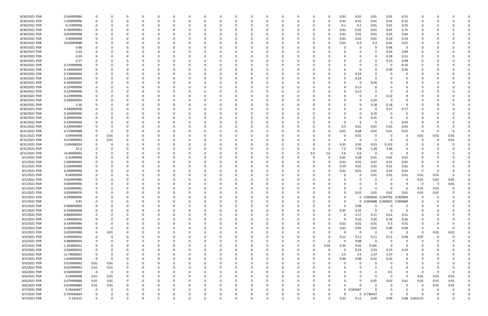| 8/30/2021 PDR | 0.549999984 | 0              |          |          |          |          |          |          |   |   |              |          |          |          |          |          | 0.01     | 0.01         | 0.01     | 0.01                         | 0.51        |               |      |          |  |
|---------------|-------------|----------------|----------|----------|----------|----------|----------|----------|---|---|--------------|----------|----------|----------|----------|----------|----------|--------------|----------|------------------------------|-------------|---------------|------|----------|--|
| 8/30/2021 PDR | 1.059999996 | 0              |          | n        | $\Omega$ |          |          | $\Omega$ |   |   | <sup>0</sup> | $\Omega$ |          | O        | 0        | 0        | 0.41     | 0.41         | 0.01     | 0.01                         | 0.22        | 0             |      |          |  |
| 8/30/2021 PDR | 0.22999998  |                |          |          |          |          |          |          |   |   |              |          |          |          |          |          | 0.1      | 0.1          | 0.01     | 0.01                         | 0.01        |               |      |          |  |
| 8/30/2021 PDR | 0.789999984 |                |          |          |          |          |          |          |   |   |              |          |          |          |          |          | 0.01     | 0.01         | 0.01     | 0.01                         | 0.75        |               |      |          |  |
|               |             |                |          |          |          |          |          |          |   |   |              |          |          |          |          |          |          |              |          |                              |             |               |      |          |  |
| 8/30/2021 PDR | 0.659999988 |                |          |          |          |          |          |          |   |   |              |          |          |          |          |          | 0.01     | 0.01         | 0.01     | 0.01                         | 0.62        |               |      |          |  |
| 8/30/2021 PDR | 0.40999998  |                |          |          |          |          |          |          |   |   |              |          |          |          |          |          | 0.01     | 0.01         | 0.01     | 0.19                         | 0.19        |               |      |          |  |
| 8/30/2021 PDR | 0.629999988 |                |          |          |          |          |          |          |   |   |              |          |          |          |          |          | 0.01     | 0.3          | 0.3      | 0.01                         | 0.01        |               |      |          |  |
| 8/30/2021 PDR | 0.96        |                |          |          |          |          |          |          |   |   |              |          |          |          |          |          |          | 0            | $\Omega$ | 0.96                         | 0           |               |      |          |  |
| 8/30/2021 PDR | 0.33        |                |          |          |          |          |          |          |   |   |              |          |          |          |          |          |          | 0            |          | 0.24                         | 0.09        |               |      |          |  |
| 8/30/2021 PDR | 0.39        |                |          |          |          |          |          |          |   |   |              |          |          |          |          |          |          |              |          | 0.28                         | 0.11        |               |      |          |  |
|               |             |                |          |          |          |          |          |          |   |   |              |          |          |          |          |          |          |              |          |                              |             |               |      |          |  |
| 8/30/2021 PDR | 0.27        |                |          |          |          |          |          |          |   |   |              |          |          |          |          |          |          | 0            | $\Omega$ | 0.19                         | 0.08        |               |      |          |  |
| 8/30/2021 PDR | 0.159999996 |                |          |          |          |          |          |          |   |   |              |          |          |          |          |          |          | 0            |          | - 0                          | 0.16        |               |      |          |  |
| 8/30/2021 PDR | 0.140000004 |                |          |          |          |          |          |          |   |   |              |          |          |          |          |          |          | 0            |          | 0.09                         | 0.05        |               |      |          |  |
| 8/30/2021 PDR | 0.230000004 |                |          |          |          |          |          |          |   |   |              |          |          |          |          |          |          | 0.23         |          |                              |             |               |      |          |  |
| 8/30/2021 PDR | 0.230000004 |                |          |          |          |          |          |          |   |   |              |          |          |          |          |          |          | 0.23         |          |                              |             |               |      |          |  |
| 8/30/2021 PDR | 0.260000004 |                |          |          |          |          |          |          |   |   |              |          |          |          |          |          |          | -0           | 0.26     |                              |             |               |      |          |  |
|               |             |                |          |          |          |          |          |          |   |   |              |          |          |          |          |          |          |              |          |                              |             |               |      |          |  |
| 8/30/2021 PDR | 0.129999996 |                |          |          |          |          |          |          |   |   |              |          |          |          |          |          |          | 0.13         |          |                              |             |               |      |          |  |
| 8/30/2021 PDR | 0.129999996 |                |          |          |          |          |          |          |   |   |              |          |          |          |          |          |          | 0.13         |          |                              |             |               |      |          |  |
| 8/30/2021 PDR | 0.219999996 |                |          |          |          |          |          |          |   |   |              |          |          |          |          |          |          | 0            |          | 0.22                         |             |               |      |          |  |
| 8/30/2021 PDR | 0.290000004 |                |          |          |          |          |          |          |   |   |              |          |          |          |          |          |          | 0            | 0.29     |                              |             |               |      |          |  |
| 8/30/2021 PDR | 0.36        |                |          |          |          |          |          |          |   |   |              |          |          |          |          |          |          | 0            | 0.18     | 0.18                         |             |               |      |          |  |
| 8/30/2021 PDR | 0.340000008 |                |          |          |          |          |          |          |   |   |              |          |          |          |          |          |          | 0            | -0       | 0.17                         | 0.17        |               |      |          |  |
|               |             |                |          |          |          |          |          |          |   |   |              |          |          |          |          |          |          |              |          |                              |             |               |      |          |  |
| 8/30/2021 PDR | 0.189999996 |                |          |          |          |          |          |          |   |   |              |          |          |          |          |          |          | 0            | 0.19     |                              |             |               |      |          |  |
| 8/30/2021 PDR | 0.309999996 |                |          |          |          |          |          |          |   |   |              |          |          |          |          |          |          | C            | 0.31     |                              |             |               |      |          |  |
| 8/30/2021 PDR | 0.429999996 |                |          |          |          |          |          |          |   |   |              |          |          |          |          |          |          | $\Omega$     | -C       | - 0                          | 0.43        |               |      |          |  |
| 8/31/2021 PDR | 0.339999984 |                |          |          |          |          |          |          |   |   |              |          |          |          |          |          | 0.3      | 0.01         | 0.01     | 0.01                         | 0.01        |               |      |          |  |
| 8/31/2021 PDR | 0.719999988 |                |          |          |          |          |          |          |   |   |              |          |          |          |          |          | 0.01     | 0.68         | 0.01     | 0.01                         | 0.01        | -C            |      |          |  |
| 8/31/2021 PDR | 0.04999998  | 0              | 0.01     |          |          |          |          |          |   |   |              |          |          |          |          |          |          | 0.01         | -C       | - 0                          |             | 0.01          | 0.01 | 0.01     |  |
| 8/31/2021 PDR |             | 0              |          |          |          |          |          |          |   |   |              |          |          |          |          |          |          |              | -C       |                              |             | 0             |      |          |  |
|               | 0.019999992 |                | 0.01     |          |          |          |          |          |   |   |              |          |          |          |          |          |          | 0            |          |                              |             |               |      | 0.01     |  |
| 8/31/2021 PDR | 1.045000014 | 0              |          |          |          |          |          |          |   |   |              |          |          |          |          |          | 0.35     | 0.35         | 0.23     | 0.115                        |             |               |      |          |  |
| 8/31/2021 PDR | 23.2        |                |          |          |          |          |          |          |   |   |              |          |          |          | 0        |          | 7.5      | 7.78         | 5.28     | 2.64                         | 0           |               |      |          |  |
| 8/31/2021 PDR | 10.40000002 |                |          |          |          |          |          |          |   |   |              |          |          |          | 2.6      | 2.6      | 2.6      | 2.6          | -C       | - 0                          | 0           |               |      |          |  |
| 9/1/2021 PDR  | 0.31999998  |                |          |          |          |          |          |          |   |   |              |          |          |          |          |          | 0.01     | 0.28         | 0.01     | 0.01                         | 0.01        |               |      |          |  |
| 9/1/2021 PDR  | 1.009999992 |                |          |          |          |          |          |          |   |   |              |          |          |          |          |          | 0.01     | 0.01         | 0.47     | 0.51                         | 0.01        |               |      |          |  |
| 9/1/2021 PDR  | 0.329999988 |                |          |          |          |          |          |          |   |   |              |          |          |          |          |          |          |              |          |                              |             |               |      |          |  |
|               |             |                |          |          |          |          |          |          |   |   |              |          |          |          |          |          | 0.29     | 0.01         | 0.01     | 0.01                         | 0.01        |               |      |          |  |
| 9/1/2021 PDR  | 0.299999988 |                |          |          |          |          |          |          |   |   |              |          |          |          |          |          | 0.01     | 0.01         | 0.01     | 0.26                         | 0.01        | 0             |      |          |  |
| 9/1/2021 PDR  | 0.04999998  |                |          |          |          |          |          |          |   |   |              |          |          |          |          |          |          | -0           | 0.01     | 0.01                         | 0.01        | 0.01          | 0.01 | 0        |  |
| 9/1/2021 PDR  | 0.029999988 |                |          |          |          |          |          |          |   |   |              |          |          |          |          |          |          |              |          |                              |             | 0.01          | 0.01 | 0.01     |  |
| 9/1/2021 PDR  | 0.009999996 |                |          |          |          |          |          |          |   |   |              |          |          |          |          |          |          |              |          |                              |             | $\Omega$      |      | 0.01     |  |
| 9/1/2021 PDR  | 0.019999992 | $\Omega$       |          |          |          |          |          |          |   |   |              |          |          |          |          |          |          | <sup>0</sup> |          | - 0                          | -0          | 0.01          | 0.01 | $\Omega$ |  |
|               |             |                |          |          |          |          |          |          |   |   |              |          |          |          |          |          |          |              |          |                              |             |               |      |          |  |
| 9/1/2021 PDR  | 0.059999976 |                |          | 0        |          |          |          |          |   |   | 0            |          |          |          |          |          | U        | 0.01         | 0.01     | 0.01                         | 0.01        | 0.01          | 0.01 |          |  |
| 9/1/2021 PDR  | 0.249999996 | $\Omega$       | $\Omega$ | $\Omega$ | $\Omega$ | $\Omega$ | $\Omega$ | 0        |   |   | $\Omega$     | $\Omega$ | $\Omega$ | $\Omega$ | 0        |          | 0        |              |          | 0 0.002604 0.244792 0.002604 |             | $\Omega$      |      |          |  |
| 9/1/2021 PDR  | 0.45        | 0              |          | 0        |          |          |          | 0        |   |   | 0            | $\Omega$ |          | O        | 0        |          | $\Omega$ |              |          | 0 0.004688 0.440625 0.004688 |             | 0             |      |          |  |
| 9/1/2021 PDR  | 0.980000004 | 0              |          | 0        |          |          |          | 0        |   |   | 0            |          |          |          | 0        |          | $\Omega$ | 0.98         |          | $\Omega$                     | 0           |               |      |          |  |
| 9/1/2021 PDR  | 0.700000008 | $\Omega$       |          |          | $\Omega$ |          |          | -0       |   |   | <sup>0</sup> | $\Omega$ |          | $\Omega$ | $\Omega$ | $\Omega$ | 0.35     | 0.35         | $\Omega$ | - 0                          | $\mathbf 0$ | $\Omega$      |      |          |  |
| 9/1/2021 PDR  | 0.800000004 | 0              |          |          |          |          |          |          |   |   |              |          |          |          | -0       |          | 0        | 0.17         | 0.21     | 0.21                         | 0.21        |               |      |          |  |
| 9/2/2021 PDR  | 1.040000016 | 0              |          |          |          |          |          |          |   |   |              |          |          |          | $\Omega$ |          | $\Omega$ | 0.26         | 0.26     | 0.26                         | 0.26        |               |      |          |  |
|               |             |                |          |          |          |          |          |          |   |   |              |          |          |          |          |          |          |              |          |                              |             |               |      |          |  |
| 9/3/2021 PDR  | 0.339999984 | 0              |          |          |          |          |          |          |   |   |              |          |          |          |          | $\Omega$ | 0.01     | 0.01         | 0.01     | 0.3                          | 0.01        |               |      |          |  |
| 9/3/2021 PDR  | 0.209999988 | 0              | $\Omega$ |          |          |          |          | 0        |   |   |              | - 0      |          |          | 0        |          | 0.01     | 0.01         | 0.01     | 0.09                         | 0.09        | 0             |      | 0        |  |
| 9/3/2021 PDR  | 0.029999988 | 0              | 0.01     |          |          |          |          | 0        |   |   |              |          |          |          | 0        |          | $\Omega$ | 0            | 0        | $\Omega$                     | $\Omega$    | 0             | 0.01 | 0.01     |  |
| 9/3/2021 PDR  | 0.590000016 | 0              | $\Omega$ |          |          |          |          |          |   |   |              | -0       |          |          |          |          | 0.11     | 0.11         | 0.11     | 0.11                         | 0.08        | 0.07          |      |          |  |
| 9/3/2021 PDR  | 0.980000004 | 0              |          |          |          |          |          |          |   |   |              |          |          |          | $\Omega$ | - 0      | - 0      | 0.98         | $\Omega$ | - 0                          |             |               |      |          |  |
| 9/3/2021 PDR  | 1.155000012 | 0              |          |          |          |          |          |          |   |   |              |          |          |          | 0        | 0.35     | 0.35     | 0.35         | 0.105    | - 0                          |             |               |      |          |  |
|               |             |                |          |          |          |          |          |          |   |   |              |          |          |          |          |          |          |              |          |                              |             |               |      |          |  |
| 9/3/2021 PDR  | 0.920000016 | 0              |          |          |          |          |          |          |   |   |              | $\Omega$ |          |          | 0        | $\Omega$ | $\Omega$ | 0.23         | 0.23     | 0.23                         | 0.23        |               |      |          |  |
| 9/3/2021 PDR  | 11.74000001 | 0              |          |          |          |          |          | 0        |   |   |              | $\Omega$ |          |          | 0        |          | 3.5      | 3.5          | 2.37     | 2.37                         | 0           |               |      |          |  |
| 9/3/2021 PDR  | 1.600000008 | $\mathbf 0$    | $\Omega$ |          |          |          |          | 0        |   |   |              |          |          |          | 0        |          | 0.48     | 0.48         | 0.32     | 0.32                         | $\Omega$    |               |      |          |  |
| 9/4/2021 PDR  | 0.019999992 | 0.01           | 0.01     |          |          |          |          | -0       |   |   |              | - 0      |          |          | -0       |          |          | 0            | -C       | - 0                          |             | $\Omega$      |      |          |  |
| 9/5/2021 PDR  | 0.019999992 | 0.01           | 0.01     |          |          |          |          |          |   |   |              |          |          |          |          |          |          |              |          | - 0                          |             | $\Omega$      |      |          |  |
| 9/6/2021 PDR  | 0.500000004 | $\overline{0}$ | $\Omega$ |          |          |          |          |          |   |   |              |          |          |          |          |          |          |              |          |                              |             | 0             |      |          |  |
|               |             |                |          |          |          |          |          |          |   |   |              |          |          |          |          |          |          |              |          | 0.5                          |             |               |      |          |  |
| 9/6/2021 PDR  | 0.04999998  | 0.01           | 0.01     |          |          |          |          |          |   |   |              |          |          |          | -0       |          |          | 0            | $\Omega$ | $\Omega$                     | $\mathbf 0$ | 0.01          | 0.01 | 0.01     |  |
| 9/6/2021 PDR  | 0.079999968 | 0.01           | 0.01     |          |          |          |          |          |   |   |              |          |          |          |          |          |          | 0            | 0.01     | 0.01                         | 0.01        | 0.01          | 0.01 | 0.01     |  |
| 9/6/2021 PDR  | 0.039999984 | 0.01           | 0.01     |          |          |          |          | -0       |   |   |              |          |          |          | 0        |          |          | $\Omega$     |          | $\Omega$                     | $\Omega$    | 0             | 0.01 | 0.01     |  |
| 9/7/2021 PDR  | 0.58166667  | 0              | 0        |          |          |          |          | $\Omega$ |   |   |              | - 0      |          |          | 0        | 0        |          | 0 0.581667   | $\Omega$ |                              | 0           | 0             |      |          |  |
| 9/7/2021 PDR  | 0.730416664 | 0              |          |          |          |          |          |          |   |   |              |          |          |          |          |          | $\Omega$ | $\Omega$     | 0.730417 | - 0                          | $\cap$      |               |      |          |  |
| 9/7/2021 PDR  | 2.193125    | $\mathbf 0$    | $\Omega$ | $\Omega$ |          | $\Omega$ | $\Omega$ |          | U | 0 | $\Omega$     | $\Omega$ | $\Omega$ |          | $\Omega$ |          | 0.01     | 0.12         | 0.99     | 0.99                         |             | 0.08 0.003125 |      | 0        |  |
|               |             |                |          |          |          |          |          |          |   |   |              |          |          |          |          |          |          |              |          |                              |             |               |      |          |  |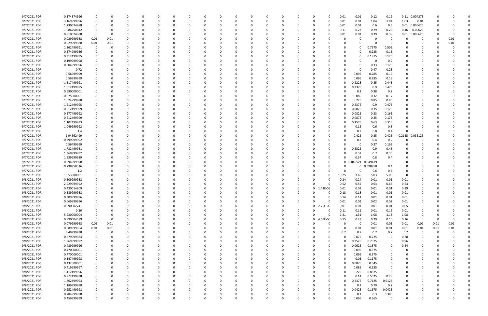| 9/7/2021 PDR                 | 0.374374996                |               |          |          |          |          |   |          |              |          |          |          |   |   |          | 0                       | 0.01  | 0.01         | 0.12         | 0.12        | 0.11          | 0.004375       |          |          |  |
|------------------------------|----------------------------|---------------|----------|----------|----------|----------|---|----------|--------------|----------|----------|----------|---|---|----------|-------------------------|-------|--------------|--------------|-------------|---------------|----------------|----------|----------|--|
| 9/7/2021 PDR                 | 3.169999996                | 0             | 0        |          |          |          |   | 0        |              |          |          |          |   |   |          | 0<br>0                  | 0.01  | 0.01         | 1.04         | 1.04        | 1.03          | 0.04           |          |          |  |
| 9/7/2021 PDR                 | 1.230624988                |               |          |          |          |          |   |          |              |          |          |          |   |   |          | 0                       | 0.01  | 0.01         | 0.6          | 0.6         | 0.01          | 0.000625       |          |          |  |
| 9/7/2021 PDR                 | 1.086250012                | 0             |          |          |          |          |   | -0       |              |          |          |          |   |   |          | 0                       | 0.11  | 0.23         | 0.29         | 0.29        | 0.16          | 0.00625        |          |          |  |
| 9/7/2021 PDR                 | 0.810624988                | 0             |          |          |          |          |   |          |              |          |          |          |   |   |          | 0                       | 0.01  | 0.01         | 0.39         | 0.39        | 0.01          | 0.000625       |          |          |  |
| 9/7/2021 PDR                 | 0.029999988                | 0.01          | 0.01     |          |          |          |   |          |              |          |          |          |   |   |          |                         |       | O            |              | 0           |               |                |          | 0.01     |  |
| 9/7/2021 PDR                 | 0.029999988                | 0.01          | 0.01     |          |          |          |   |          |              |          |          |          |   |   |          |                         |       |              |              | 0           |               |                |          | 0.01     |  |
| 9/7/2021 PDR                 | 1.262499991                | 0             |          |          |          |          |   |          |              |          |          |          |   |   |          |                         |       | 0            | 0.7575       | 0.505       |               |                |          |          |  |
| 9/7/2021 PDR                 | 0.374999986                |               |          |          |          |          |   |          |              |          |          |          |   |   |          |                         |       | 0            | 0.225        | 0.15        |               |                |          |          |  |
| 9/7/2021 PDR                 | 0.312499995                |               |          |          |          |          |   |          |              |          |          |          |   |   |          |                         |       | 0            | 0.1875       | 0.125       |               |                |          |          |  |
| 9/7/2021 PDR                 | 0.199999998                |               |          |          |          |          |   |          |              |          |          |          |   |   |          |                         |       |              | 0            | 0.2         |               |                |          |          |  |
| 9/7/2021 PDR                 | 0.504999996                |               |          |          |          |          |   |          |              |          |          |          |   |   |          |                         |       | O            | 0.33         | 0.175       | <sup>0</sup>  |                |          |          |  |
| 9/7/2021 PDR                 | 0.72                       |               |          |          |          |          |   |          |              |          |          |          |   |   |          |                         |       | $\Omega$     | 0.47         | 0.25        |               |                |          |          |  |
| 9/7/2021 PDR                 | 0.56999999                 |               |          |          |          |          |   |          |              |          |          |          |   |   |          |                         |       | 0.095        | 0.285        | 0.19        |               |                |          |          |  |
| 9/7/2021 PDR                 | 0.56999999                 |               |          |          |          |          |   |          |              |          |          |          |   |   |          | 0                       |       | 0.095        | 0.285        | 0.19        |               |                |          |          |  |
| 9/7/2021 PDR                 | 1.517499991                |               |          |          |          |          |   |          |              |          |          |          |   |   |          | 0                       |       | 0.2225       | 0.85         | 0.445       |               |                |          |          |  |
| 9/7/2021 PDR                 | 1.612499995                |               |          |          |          |          |   |          |              |          |          |          |   |   |          | n                       |       | 0.2375       | 0.9          | 0.475       |               |                |          |          |  |
| 9/7/2021 PDR                 | 0.680000001                |               |          |          |          |          |   |          |              |          |          |          |   |   |          | 0                       |       |              | 0.38         |             |               |                |          |          |  |
| 9/7/2021 PDR                 | 0.575000001                |               |          |          |          |          |   |          |              |          |          |          |   |   |          | 0                       |       | 0.1<br>0.085 | 0.32         | 0.2<br>0.17 |               |                |          |          |  |
| 9/7/2021 PDR                 | 1.524999988                |               |          |          |          |          |   |          |              |          |          |          |   |   |          | 0                       |       | 0.225        | 0.85         | 0.45        |               |                |          |          |  |
| 9/7/2021 PDR                 |                            |               |          |          |          |          |   |          |              |          |          |          |   |   |          |                         |       |              |              | 0.475       |               |                |          |          |  |
|                              | 1.612499995<br>0.612499999 |               |          |          |          |          |   |          |              |          |          |          |   |   |          | 0<br>0                  |       | 0.2375       | 0.9          |             |               |                |          |          |  |
| 9/7/2021 PDR                 |                            |               |          |          |          |          |   |          |              |          |          |          |   |   |          |                         |       | 0.0875       | 0.35         | 0.175       |               |                |          |          |  |
| 9/7/2021 PDR                 | 0.577499992<br>0.612499999 |               |          |          |          |          |   | -0       |              |          |          |          |   |   |          | 0                       |       | 0.0825       | 0.33         | 0.165       |               |                |          |          |  |
| 9/7/2021 PDR                 |                            |               |          |          |          |          |   |          |              |          |          |          |   |   |          | 0                       |       | 0.0875       | 0.35         | 0.175       |               |                |          |          |  |
| 9/7/2021 PDR                 | 1.102499993                |               |          |          |          |          |   |          |              |          |          |          |   |   |          | 0                       |       | 0.1575       | 0.63         | 0.315       |               |                |          |          |  |
| 9/7/2021 PDR                 | 1.049999992                |               |          |          |          |          |   |          |              |          |          |          |   |   |          | 0                       |       | 0.15         | 0.6          | 0.3         |               |                |          |          |  |
| 9/7/2021 PDR                 | 1.4                        |               |          |          |          |          |   |          |              |          |          |          |   |   |          | 0                       |       | 0.2          | 0.8          | 0.4         | $\Omega$      |                |          |          |  |
| 9/7/2021 PDR                 | 1.94562499                 |               |          |          |          |          |   |          |              |          |          |          |   |   |          |                         |       | 0.425        | 0.85         | 0.425       | 0.2125        | 0.033125       |          |          |  |
| 9/7/2021 PDR                 | 0.799999992                |               |          |          |          |          |   | -0       |              |          |          |          |   |   |          |                         |       | 0.2          | 0.4          | 0.2         |               |                |          |          |  |
| 9/7/2021 PDR                 | 0.56499999                 |               |          |          |          |          |   |          |              |          |          |          |   |   |          | 0                       |       |              | 0.37         | 0.195       |               |                |          |          |  |
| 9/7/2021 PDR                 | 1.732499981                |               |          |          |          |          |   |          |              |          |          |          |   |   |          | 0                       |       | 0.3825       | 0.9          | 0.45        |               |                |          |          |  |
| 9/7/2021 PDR                 | 1.369999992                |               |          |          |          |          |   |          |              |          |          |          |   |   |          | 0                       |       | 0.32         | 0.7          | 0.35        |               |                |          |          |  |
| 9/7/2021 PDR                 | 1.539999989                |               |          |          |          |          |   |          |              |          |          |          |   |   |          | 0                       |       | 0.34         | 0.8          | 0.4         |               |                |          |          |  |
| 9/7/2021 PDR                 | 0.094999998                |               |          |          |          |          |   |          |              |          |          |          |   |   |          | 0                       |       | 0.045521     | 0.049479     | 0           |               |                |          |          |  |
| 9/7/2021 PDR                 | 0.798958326                |               |          |          |          |          |   |          |              |          |          |          |   |   |          | C.                      |       | 0            | 0.398958     | 0.4         |               |                |          |          |  |
| 9/7/2021 PDR                 | 1.2                        |               |          |          |          |          |   |          |              |          |          |          |   |   |          | C.                      |       | 0            | 0.6          | 0.6         |               |                |          |          |  |
| 9/7/2021 PDR                 | 15.53500001                |               |          |          |          |          |   |          |              |          |          |          |   |   |          | 0                       | 1.825 | 3.65         | 5.03         | 5.03        | $\Omega$      |                |          |          |  |
| 9/8/2021 PDR                 | 0.509999988                |               |          |          |          |          |   |          |              |          |          |          |   |   |          | C.                      | 0.24  | 0.24         | 0.01         | 0.01        | 0.01          |                |          |          |  |
| 9/8/2021 PDR                 | 2.929999992                |               |          |          |          |          |   |          |              |          |          |          |   |   |          |                         | 0.52  | 0.52         | 0.63         | 0.63        | 0.63          |                |          |          |  |
| 9/8/2021 PDR                 | 0.430014209                |               |          |          |          |          |   |          |              |          |          |          |   |   |          | 1.42E-05<br>0           | 0.01  | 0.01         | 0.01         | 0.01        | 0.39          |                |          |          |  |
| 9/8/2021 PDR                 | 0.389999988                | $\mathbf 0$   |          |          |          |          |   |          |              |          |          |          |   |   |          | $\Omega$                | 0.18  | 0.18         | 0.01         | 0.01        | $0.01\,$      | ∩              |          |          |  |
| 9/8/2021 PDR                 | 0.309999996                | 0             | $\Omega$ | $\Omega$ | $\Omega$ | $\Omega$ | O | 0        | $\Omega$     | $\Omega$ | $\Omega$ | $\Omega$ | 0 | 0 |          | 0<br>$\Omega$           | 0.14  | 0.14         | 0.01         | 0.01        | 0.01          | 0              | $\Omega$ |          |  |
| 9/8/2021 PDR                 | 0.069999996                | 0             | 0        | 0        | 0        | 0        |   | 0        | $\Omega$     | 0        |          |          | 0 | 0 |          | $\Omega$<br>$\Omega$    | 0.01  | 0.01         | 0.02         | 0.02        | 0.01          | 0              | -0       |          |  |
| 9/8/2021 PDR                 | 0.090002741                | 0             | $\Omega$ |          |          |          |   | 0        |              |          |          |          | 0 |   | $\Omega$ | $\mathbf 0$<br>2.75E-06 | 0.01  | 0.01         | 0.01         | 0.01        | 0.05          |                |          |          |  |
| 9/8/2021 PDR                 | 0.36                       | 0             |          | O        |          |          |   | 0        | $\Omega$     | 0        |          |          | 0 |   | 0        | $\Omega$<br>0           | 0.11  | 0.11         | 0.01         | 0.12        | 0.01          | 0              |          |          |  |
| 9/8/2021 PDR                 | 5.930000004                | 0             | 0        |          |          |          |   | 0        | 0            |          |          |          | 0 |   |          | 0<br>0                  | 1.31  | 1.31         | 1.08         | 1.15        | 1.08          | 0              |          |          |  |
| 9/8/2021 PDR                 | 0.990004589                | $\mathbf 0$   | $\Omega$ |          |          |          |   | $\Omega$ |              |          |          |          |   |   | $\Omega$ | $\mathbf 0$<br>4.59E-06 | 0.15  | 0.23         | 0.29         | 0.16        | 0.16          | $\overline{0}$ | -0       |          |  |
| 9/8/2021 PDR                 | 0.079999968                | 0.01          | 0.01     | 0        |          |          |   | 0        |              |          |          |          | 0 |   |          | $\Omega$<br>0           |       | 0            | 0.01         | 0.01        | $0.01\,$      | 0.01           | 0.01     | $0.01\,$ |  |
| 9/8/2021 PDR                 | 0.089999964                | 0.01          | 0.01     | 0        | 0        |          |   | 0        | 0            | 0        |          |          | 0 |   |          | 0<br>0                  |       | 0.01         | 0.01         | 0.01        | 0.01          | 0.01           | 0.01     | 0.01     |  |
| 9/8/2021 PDR                 | 3.49999998                 | $\mathbf 0$   | $\Omega$ |          |          |          |   | 0        | 0            | 0        |          |          |   |   |          | 0<br>0                  | 0.7   | 0.7          | 0.7          | 0.7         | 0.7           | $\mathbf 0$    | 0        |          |  |
| 9/8/2021 PDR                 | 0.579999984                | $\mathbf 0$   | $\Omega$ |          |          |          |   | 0        |              |          |          |          | 0 |   |          | 0<br>0                  |       | 0.075        | 0.225        | $\mathbf 0$ | 0.28          |                |          |          |  |
| 9/8/2021 PDR                 | 1.969999992                | 0             | 0        | 0        |          |          |   | 0        | 0            | 0        |          |          | 0 |   |          | 0<br>0                  |       | 0.2525       | 0.7575       | 0           | 0.96          | 0              |          |          |  |
| 9/8/2021 PDR                 | 0.489999996                | 0             | $\Omega$ |          |          |          |   | 0        | 0            |          |          |          |   |   |          | 0<br>0                  |       | 0.0625       | 0.1875       | 0           | 0.24          |                |          |          |  |
| 9/8/2021 PDR                 | 0.470000001                | $\mathbf 0$   | $\Omega$ |          |          |          |   | $\Omega$ | <sup>0</sup> | $\Omega$ |          |          | 0 |   |          | 0<br>0                  |       | 0.095        | 0.375        | 0           |               |                |          |          |  |
| 9/8/2021 PDR                 |                            | 0             | 0        |          |          |          |   | 0        | 0            | 0        |          |          | 0 |   |          | 0<br>$\Omega$           |       | 0.095        | 0.375        | 0           |               |                |          |          |  |
|                              | 0.470000001                |               |          |          |          |          |   | 0        | 0            | 0        |          |          |   |   |          | 0<br>0                  |       | 0.03         | 0.1175       | 0           | $\Omega$      |                |          |          |  |
| 9/8/2021 PDR                 | 0.147499998                | 0             | $\Omega$ |          |          |          |   |          |              |          |          |          |   |   |          |                         |       | 0.0875       |              |             |               |                |          |          |  |
| 9/8/2021 PDR                 | 0.432500001                | 0             | 0        |          |          |          |   | 0        |              |          |          |          | 0 |   |          | 0<br>0                  |       |              | 0.345        | 0           |               |                |          |          |  |
| 9/8/2021 PDR                 | 0.419999997                | $\mathbf 0$   |          |          |          |          |   | 0        |              |          |          |          |   |   |          | $\Omega$<br>0           |       | 0.085        | 0.335        | 0           |               |                |          |          |  |
| 9/8/2021 PDR                 | 1.112499996                | $\mathbf 0$   |          |          |          |          |   | 0        |              |          |          |          | 0 |   |          | 0<br>0                  |       | 0.225        | 0.8875       | $\Omega$    |               |                |          |          |  |
| 9/8/2021 PDR                 | 0.972499998                | 0             | 0        |          |          |          |   | 0        |              | $\Omega$ |          |          | 0 |   |          | 0<br>0                  |       | 0.14         | 0.5525       | 0.28        | $\Omega$      |                |          |          |  |
| 9/8/2021 PDR                 | 1.862499993                | 0             | $\Omega$ |          |          |          |   | 0        | <sup>0</sup> |          |          |          | 0 |   |          | $\Omega$<br>0           |       | 0.2375       | 0.7125       | 0.9125      | $\Omega$      |                |          |          |  |
| 9/8/2021 PDR                 | 1.189999998                | 0             | $\Omega$ |          |          |          |   | $\Omega$ | 0            |          |          |          | 0 |   |          | 0<br>0                  |       | 0.2          | 0.79         | 0.2         | $\Omega$      |                |          |          |  |
| 9/8/2021 PDR                 | 0.252499998                | 0             |          |          |          |          |   | 0        |              |          |          |          | 0 |   |          | 0<br>0                  |       | 0.0425       | 0.1675       | 0.0425      |               |                |          |          |  |
| 9/8/2021 PDR<br>9/8/2021 PDR | 0.784999998<br>0.459999999 | 0<br>$\Omega$ |          |          |          |          |   | 0        |              |          |          |          |   |   |          | 0                       |       | 0.1          | 0.3<br>0.365 | 0.385       | 0<br>$\Omega$ |                |          |          |  |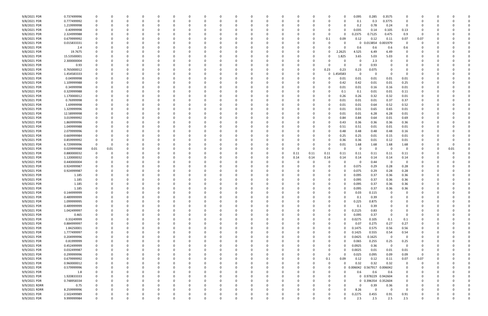| 9/8/2021 PDR  | 0.737499996 |             | 0        |          |   |          |          |          |          |   |   |          |      |          |             |          | 0.095    | 0.285                        | 0.3575      |             |          |          |      |  |
|---------------|-------------|-------------|----------|----------|---|----------|----------|----------|----------|---|---|----------|------|----------|-------------|----------|----------|------------------------------|-------------|-------------|----------|----------|------|--|
| 9/8/2021 PDR  | 0.777499992 |             | 0        |          |   |          | $\Omega$ |          |          |   |   |          |      | $\Omega$ | O           |          | 0.1      | 0.3                          | 0.3775      | $\Omega$    |          |          |      |  |
| 9/8/2021 PDR  | 1.219999998 |             |          |          |   |          |          |          |          |   |   |          |      |          |             |          | 0.2      | 0.78                         | 0.24        | 0           |          |          |      |  |
| 9/8/2021 PDR  | 0.40999998  |             |          |          |   |          | -0       |          |          |   |   |          |      |          |             |          | 0.035    | 0.14                         | 0.105       | 0.13        |          |          |      |  |
|               |             |             |          |          |   |          |          |          |          |   |   |          |      |          |             |          |          |                              |             |             |          |          |      |  |
| 9/8/2021 PDR  | 2.324999988 |             |          |          |   |          | -0       |          |          |   |   |          |      |          | 0           |          | 0.2375   | 0.7125                       | 0.475       | 0.9         | -0       |          |      |  |
| 9/8/2021 PDR  | 0.679999992 |             |          |          |   |          |          |          |          |   |   |          |      |          | 0.1         | 0.09     | 0.12     | 0.12                         | 0.11        | 0.07        | 0.07     |          |      |  |
| 9/8/2021 PDR  | 0.015833331 |             |          |          |   |          |          |          |          |   |   |          |      |          |             |          | 0        | 0.013854                     | 0.001979    | $\Omega$    |          |          |      |  |
| 9/8/2021 PDR  | 2.4         |             |          |          |   |          |          |          |          |   |   |          |      |          |             | - 0      | 0.6      | 0.6                          | 0.6         | 0.6         |          |          |      |  |
| 9/8/2021 PDR  | 19.7675     |             |          |          |   |          |          |          |          |   |   |          |      |          | 0           | 2.2625   | 4.525    | 6.49                         | 6.49        | 0           |          |          |      |  |
| 9/8/2021 PDR  | 15.53500001 |             |          |          |   |          |          |          |          |   |   |          |      |          | 0           | 1.825    | 3.65     | 5.03                         | 5.03        |             |          |          |      |  |
|               |             |             |          |          |   |          |          |          |          |   |   |          |      |          |             |          |          |                              |             |             |          |          |      |  |
| 9/8/2021 PDR  | 2.300000004 |             |          |          |   |          |          |          |          |   |   |          |      |          |             | - 0      | 0        | 2.3                          | 0           |             |          |          |      |  |
| 9/8/2021 PDR  | 0.93        |             |          |          |   |          |          |          |          |   |   |          |      | 0        |             |          |          | 0.93                         | 0           |             |          |          |      |  |
| 9/8/2021 PDR  | 0.765000012 |             |          |          |   |          | $\Omega$ |          |          |   |   |          |      | - 0      | 0.23        | 0.23     | 0.23     | 0.075                        | 0           |             |          |          |      |  |
| 9/8/2021 PDR  | 1.454583333 |             |          |          |   |          |          |          |          |   |   |          |      | - 0      | $\mathbf 0$ | 454583   | $\Omega$ |                              | 0           | $\Omega$    |          |          |      |  |
| 9/9/2021 PDR  | 0.04999998  |             |          |          |   |          |          |          |          |   |   |          |      |          | 0           | 0.01     | 0.01     | 0.01                         | 0.01        | 0.01        |          |          |      |  |
| 9/9/2021 PDR  | 1.109999988 |             |          |          |   |          |          |          |          |   |   |          |      |          | 0           | 0.42     | 0.42     | 0.01                         | 0.01        | 0.25        |          |          |      |  |
| 9/9/2021 PDR  | 0.34999998  |             |          |          |   |          | $\Omega$ |          |          |   |   |          |      |          | 0           | 0.01     | 0.01     | 0.16                         | 0.16        | 0.01        |          |          |      |  |
|               |             |             |          |          |   |          |          |          |          |   |   |          |      |          |             |          |          |                              |             |             |          |          |      |  |
| 9/9/2021 PDR  | 0.329999988 |             |          |          |   |          |          |          |          |   |   |          |      |          |             | 0.1      | 0.1      | 0.01                         | 0.01        | 0.11        |          |          |      |  |
| 9/9/2021 PDR  | 1.170000012 |             |          |          |   |          |          |          |          |   |   |          |      |          | 0           | 0.26     | 0.26     | 0.32                         | 0.32        | 0.01        |          |          |      |  |
| 9/9/2021 PDR  | 0.76999998  |             |          |          |   |          |          |          |          |   |   |          |      |          | 0           | 0.01     | 0.01     | 0.01                         | 0.37        | 0.37        |          |          |      |  |
| 9/9/2021 PDR  | 1.69999998  |             |          |          |   |          |          |          |          |   |   |          |      |          | 0           | 0.01     | 0.01     | 0.64                         | 0.52        | 0.52        |          |          |      |  |
| 9/9/2021 PDR  | 1.329999996 |             |          |          |   |          |          |          |          |   |   |          |      |          | 0           | 0.01     | 0.01     | 0.65                         | 0.65        | 0.01        |          |          |      |  |
| 9/9/2021 PDR  | 12.58999998 |             |          |          |   |          |          |          |          |   |   |          |      |          | 0           | 0.01     |          |                              |             |             |          |          |      |  |
|               |             |             |          |          |   |          |          |          |          |   |   |          |      |          |             |          | 0.01     | 6.28                         | 6.28        | 0.01        |          |          |      |  |
| 9/9/2021 PDR  | 3.019999992 |             |          |          |   |          |          |          |          |   |   |          |      |          | 0           | 0.84     | 0.84     | 0.64                         | 0.01        | 0.69        |          |          |      |  |
| 9/9/2021 PDR  | 1.869999996 |             |          |          |   |          |          |          |          |   |   |          |      |          |             | 0.43     | 0.36     | 0.36                         | 0.36        | 0.36        |          |          |      |  |
| 9/9/2021 PDR  | 1.049999988 |             |          |          |   |          |          |          |          |   |   |          |      |          | 0           | 0.51     | 0.51     | 0.01                         | 0.01        | 0.01        |          |          |      |  |
| 9/9/2021 PDR  | 2.079999996 |             |          |          |   |          |          |          |          |   |   |          |      |          | 0           | 0.48     | 0.48     | 0.48                         | 0.48        | 0.16        |          |          |      |  |
| 9/9/2021 PDR  | 0.669999984 |             |          |          |   |          |          |          |          |   |   |          |      |          | 0           | 0.25     | 0.25     | 0.01                         | 0.15        | 0.01        |          |          |      |  |
| 9/9/2021 PDR  | 0.859999992 | 0           |          |          |   |          | $\Omega$ |          |          |   |   |          |      |          | O           | 0.36     | 0.36     | 0.01                         | 0.12        | 0.01        |          |          |      |  |
|               |             |             |          |          |   |          |          |          |          |   |   |          |      |          |             |          |          |                              |             |             |          |          |      |  |
| 9/9/2021 PDR  | 6.729999996 | $\Omega$    | $\Omega$ |          |   |          | -0       |          |          |   |   |          |      | 0        | O           | 0.01     | 1.68     | 1.68                         | 1.68        | 1.68        |          |          |      |  |
| 9/9/2021 PDR  | 0.029999988 | 0.01        | 0.01     |          |   |          |          |          |          |   |   |          |      | 0        | O           | - 0      | 0        | 0                            | 0           | $\Omega$    |          |          | 0.01 |  |
| 9/9/2021 PDR  | 0.880000032 | $\Omega$    |          |          |   |          |          |          |          |   |   |          | 0.11 | 0.11     | 0.11        | 0.11     | 0.11     | 0.11                         | 0.11        | 0.11        |          |          |      |  |
| 9/9/2021 PDR  | 1.120000032 |             |          |          |   |          |          |          |          |   |   |          | 0.14 | 0.14     | 0.14        | 0.14     | 0.14     | 0.14                         | 0.14        | 0.14        |          |          |      |  |
| 9/9/2021 PDR  | 0.440000004 |             |          |          |   |          |          |          |          |   |   |          |      |          |             |          | -0       | 0.44                         | 0           | - 0         |          |          |      |  |
| 9/9/2021 PDR  | 0.924999987 |             |          |          |   |          |          |          |          |   |   |          |      |          | O           |          | 0.075    | 0.29                         | 0.28        | 0.28        |          |          |      |  |
|               |             |             |          |          |   |          |          |          |          |   |   |          |      |          |             |          |          |                              |             |             |          |          |      |  |
| 9/9/2021 PDR  | 0.924999987 |             |          |          |   |          |          |          |          |   |   |          |      |          | 0           |          | 0.075    | 0.29                         | 0.28        | 0.28        |          |          |      |  |
| 9/9/2021 PDR  | 1.185       |             |          |          |   |          |          |          |          |   |   |          |      |          | 0           |          | 0.095    | 0.37                         | 0.36        | 0.36        |          |          |      |  |
| 9/9/2021 PDR  | 1.185       |             |          |          |   |          | - C      |          |          |   |   |          |      |          | 0           |          | 0.095    | 0.37                         | 0.36        | 0.36        |          |          |      |  |
| 9/9/2021 PDR  | 1.185       |             |          |          |   |          |          |          |          |   |   |          |      |          |             |          | 0.095    | 0.37                         | 0.36        | 0.36        |          |          |      |  |
| 9/9/2021 PDR  | 1.185       |             | O        |          |   |          |          |          |          |   |   |          |      |          |             |          | 0.095    | 0.37                         | 0.36        | 0.36        |          |          |      |  |
| 9/9/2021 PDR  | 0.144999999 | $\mathbf 0$ |          |          |   |          |          |          |          |   |   |          |      |          |             |          | 0.03     | 0.115                        | $\mathbf 0$ |             |          |          |      |  |
|               |             |             |          |          |   |          |          |          |          |   |   |          |      |          |             |          |          |                              |             |             |          |          |      |  |
| 9/9/2021 PDR  | 0.489999999 | $\mathbf 0$ | 0        | 0        | 0 | 0        | $\Omega$ | 0        | $\Omega$ | 0 | 0 | 0        |      | 0        | 0           | - 0      | 0.1      | 0.39                         | $\mathbf 0$ | $\Omega$    | 0        | 0        |      |  |
| 9/9/2021 PDR  | 1.099999995 | 0           | 0        | 0        | 0 |          | 0        | 0        | $\Omega$ |   | 0 | 0        |      | 0        | 0           |          | 0.225    | 0.875                        | 0           |             |          |          |      |  |
| 9/9/2021 PDR  | 0.489999999 | $\Omega$    | $\Omega$ |          |   |          | $\Omega$ | 0        |          |   | 0 |          |      | 0        | 0           |          | 0.1      | 0.39                         | $\Omega$    | $\Omega$    |          |          |      |  |
| 9/9/2021 PDR  | 1.042499997 | 0           | 0        |          | 0 |          | $\Omega$ |          | 0        |   | 0 |          |      | 0        | 0           |          | 0.2125   | 0.83                         | 0           |             |          |          |      |  |
| 9/9/2021 PDR  | 0.465       | 0           | 0        |          |   |          | 0        |          |          |   | 0 |          |      |          | 0           |          | 0.095    | 0.37                         | 0           |             |          |          |      |  |
| 9/9/2021 PDR  | 0.33249999  | $\mathbf 0$ | 0        |          |   |          | $\Omega$ | 0        | 0        |   | 0 |          |      | 0        | 0           |          | 0.0275   | 0.105                        | 0.1         | 0.1         | 0        |          |      |  |
|               |             |             |          |          |   |          |          |          |          |   |   |          |      |          |             |          |          |                              |             |             |          |          |      |  |
| 9/9/2021 PDR  | 0.884999997 | 0           | 0        |          |   |          | $\Omega$ |          | 0        |   | 0 |          |      | 0        | 0           |          | 0.07     | 0.275                        | 0.27        | 0.27        | 0        |          |      |  |
| 9/9/2021 PDR  | 1.84250001  | 0           | $\Omega$ |          | 0 |          | 0        |          |          |   | 0 |          |      |          | 0           |          | 0.1475   | 0.575                        | 0.56        | 0.56        |          |          |      |  |
| 9/9/2021 PDR  | 1.777499997 |             | 0        |          |   |          | 0        | 0        |          |   | 0 |          |      | 0        | 0           |          | 0.1425   | 0.555                        | 0.54        | 0.54        |          |          |      |  |
| 9/9/2021 PDR  | 0.204999996 |             | 0        |          |   |          | $\Omega$ |          |          |   | 0 |          |      |          | 0           |          | 0.0425   | 0.1625                       | $\mathbf 0$ | $\Omega$    |          |          |      |  |
| 9/9/2021 PDR  | 0.81999999  |             | 0        |          |   |          | 0        |          |          |   |   |          |      |          | 0           |          | 0.065    | 0.255                        | 0.25        | 0.25        |          |          |      |  |
| 9/9/2021 PDR  | 0.452499999 |             | 0        |          |   |          | 0        |          |          |   | 0 |          |      |          | 0           |          | 0.0925   | 0.36                         | $\mathbf 0$ | $\Omega$    |          |          |      |  |
|               |             |             |          |          |   |          | $\Omega$ |          |          |   |   |          |      |          |             |          |          |                              |             |             |          |          |      |  |
| 9/9/2021 PDR  | 0.032499987 | 0           | 0        |          |   |          |          |          | 0        |   | 0 |          |      | 0        | 0           |          | 0.0025   | 0.01                         | 0.01        | 0.01        | 0        |          |      |  |
| 9/9/2021 PDR  | 0.299999996 |             | 0        | C        | 0 |          | 0        |          | 0        |   | 0 |          |      | 0        | 0           | - 0      | 0.025    | 0.095                        | 0.09        | 0.09        | 0        |          |      |  |
| 9/9/2021 PDR  | 0.679999992 | 0           | 0        | C        | 0 |          | 0        | 0        | 0        |   | 0 |          |      | 0        | 0.1         | 0.09     | 0.12     | 0.12                         | 0.11        | 0.07        | 0.07     |          |      |  |
| 9/9/2021 PDR  | 0.960000012 | $\Omega$    | 0        |          |   |          | $\Omega$ |          |          |   | 0 |          |      | $\Omega$ | 0           |          | 0.32     | 0.32                         | 0.32        | $\Omega$    |          |          |      |  |
| 9/9/2021 PDR  | 0.579999996 |             | 0        |          |   |          | $\Omega$ |          |          |   | 0 |          |      | 0        | 0           |          |          | 0.006042  0.567917  0.006042 |             |             |          |          |      |  |
| 9/9/2021 PDR  | 1.8         |             | 0        |          |   |          | 0        |          |          |   |   |          |      | 0        | 0           |          | 0.6      | 0.6                          | 0.6         | 0           |          |          |      |  |
|               |             | $\Omega$    |          |          |   |          |          |          |          |   |   |          |      |          |             |          |          |                              |             |             |          |          |      |  |
| 9/9/2021 PDR  | 1.920833333 |             | 0        |          |   |          | $\Omega$ |          |          |   | 0 |          |      | 0        | 0           | -0       |          | 0 0.978229 0.942604          |             | $\mathbf 0$ |          |          |      |  |
| 9/9/2021 PDR  | 0.748958334 |             | 0        |          |   |          | $\Omega$ |          |          |   | 0 |          |      |          | 0           | -0       |          | 0 0.396354 0.352604          |             | $\mathbf 0$ |          |          |      |  |
| 9/9/2021 RDRR | 0.75        |             | 0        |          | 0 |          | 0        |          |          |   | 0 |          |      | 0        | 0           |          | $\Omega$ | 0.39                         | 0.36        | 0           |          |          |      |  |
| 9/9/2021 RDRR | 8.259999996 | $\Omega$    | 0        |          | 0 |          | 0        | 0        |          |   | 0 |          |      | 0        | 0           | $\Omega$ | 8.26     | $\Omega$                     | $\mathbf 0$ | $\Omega$    |          |          |      |  |
| 9/9/2021 PDR  | 2.502499989 | 0           | 0        |          |   |          | 0        |          |          |   |   |          |      | 0        | 0           |          | 0.2275   | 0.455                        | 0.91        | 0.91        |          |          |      |  |
| 9/9/2021 PDR  | 9.999999984 | $\Omega$    | $\Omega$ | $\Omega$ | 0 | $\Omega$ | $\Omega$ | $\Omega$ | $\Omega$ |   | 0 | $\Omega$ |      | $\Omega$ | $\Omega$    |          | 2.5      | 2.5                          | 2.5         | 2.5         | $\Omega$ | $\Omega$ |      |  |
|               |             |             |          |          |   |          |          |          |          |   |   |          |      |          |             |          |          |                              |             |             |          |          |      |  |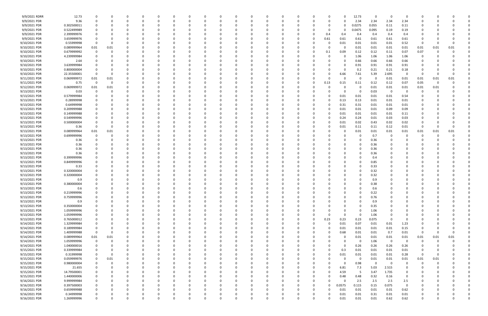| 9/9/2021 RDRR | 12.73       |             |          |          | $\Omega$ | $\Omega$ |          | 0            |          | $\Omega$ |     |          |          |          |          | 0        | 12.73          | $\Omega$ | $\Omega$                | 0              | $\Omega$     |          |          |  |
|---------------|-------------|-------------|----------|----------|----------|----------|----------|--------------|----------|----------|-----|----------|----------|----------|----------|----------|----------------|----------|-------------------------|----------------|--------------|----------|----------|--|
| 9/9/2021 PDR  | 9.36        |             |          |          |          |          |          |              |          |          |     |          |          | -0       |          | $\Omega$ | 2.34           | 2.34     | 2.34                    | 2.34           | <sup>0</sup> |          |          |  |
| 9/9/2021 PDR  | 0.302500011 |             |          |          |          |          |          |              |          |          |     |          |          |          |          | 0        | 0.0275         | 0.055    | 0.11                    | 0.11           |              |          |          |  |
| 9/9/2021 PDR  | 0.522499989 |             |          |          |          |          |          |              |          |          |     |          |          |          |          | 0        | 0.0475         | 0.095    | 0.19                    | 0.19           |              |          |          |  |
| 9/9/2021 PDR  | 2.399999976 |             |          |          |          |          |          |              |          |          |     |          |          | 0        | 0.4      | 0.4      | 0.4            | 0.4      | 0.4                     | 0.4            |              |          |          |  |
|               |             |             |          |          |          |          |          |              |          |          |     |          |          |          |          |          |                |          |                         |                |              |          |          |  |
| 9/9/2021 PDR  | 3.659999976 |             |          |          |          |          |          | -0           |          |          |     |          |          | 0        | 0.61     | 0.61     | 0.61           | 0.61     | 0.61                    | 0.61           | 0            |          |          |  |
| 9/10/2021 PDR | 0.55999998  | $\Omega$    |          |          |          |          |          |              |          |          |     |          |          |          | 0        | 0.01     | 0.01           | 0.01     | 0.01                    | 0.52           | - 0          | -0       |          |  |
| 9/10/2021 PDR | 0.089999964 | 0.01        | 0.01     |          |          |          |          |              |          |          |     |          |          | -0       |          | $\Omega$ | 0.01           | 0.01     | 0.01                    | 0.01           | 0.01         | 0.01     | 0.01     |  |
| 9/10/2021 PDR | 0.679999992 |             |          |          |          |          |          |              |          |          |     |          |          | -0       | 0.1      | 0.09     | 0.12           | 0.12     | 0.11                    | 0.07           | 0.07         |          |          |  |
| 9/10/2021 PDR | 4.239999984 |             |          |          |          |          |          |              |          |          |     |          |          |          |          |          | 1.06           | 1.06     | 1.06                    | 1.06           | 0            |          |          |  |
| 9/10/2021 PDR | 2.64        |             |          |          |          |          |          |              |          |          |     |          |          |          |          | 0        | 0.66           | 0.66     | 0.66                    | 0.66           | 0            |          |          |  |
| 9/10/2021 PDR | 3.639999984 |             |          |          |          |          |          |              |          |          |     |          |          |          |          | 0        | 0.91           | 0.91     | 0.91                    | 0.91           |              |          |          |  |
| 9/10/2021 PDR | 0.800000004 |             |          |          |          |          |          |              |          |          |     |          |          |          |          | O        | 0.2            | 0.21     | 0.21                    | 0.18           |              |          |          |  |
|               |             |             |          |          |          |          |          |              |          |          |     |          |          |          |          |          |                |          |                         |                |              |          |          |  |
| 9/10/2021 PDR | 22.35500001 | $\Omega$    |          |          |          |          |          |              |          |          |     |          |          |          |          | 6.66     | 7.61           | 5.39     | 2.695                   | $\Omega$       | - 0          |          |          |  |
| 9/11/2021 PDR | 0.069999972 | 0.01        | 0.01     |          |          |          |          |              |          |          |     |          |          |          |          | 0        | 0              | 0        | 0.01                    | 0.01           | 0.01         | 0.01     | 0.01     |  |
| 9/11/2021 PDR | 0.75        | $\mathbf 0$ | 0        |          |          |          |          |              |          |          |     |          |          | 0        | 0.13     | 0.15     | 0.11           | 0.12     | 0.12                    | 0.07           | 0.05         | $\Omega$ |          |  |
| 9/12/2021 PDR | 0.069999972 | 0.01        | 0.01     | 0        |          |          |          |              |          |          |     |          |          | 0        |          |          | 0              | 0.01     | 0.01                    | 0.01           | 0.01         | 0.01     |          |  |
| 9/13/2021 PDR | 0.03        |             | 0        |          |          |          |          | <sup>0</sup> |          |          |     |          |          |          |          | $\Omega$ | 0              | 0.03     | $\overline{\mathbf{0}}$ | 0              | 0            |          |          |  |
| 9/13/2021 PDR | 0.579999984 |             |          |          |          |          |          |              |          |          |     |          |          |          |          | 0.01     | 0.01           | 0.01     | 0.01                    | 0.54           |              |          |          |  |
| 9/13/2021 PDR | 0.28999998  |             |          |          |          |          |          |              |          |          |     |          |          | 0        |          | 0.13     | 0.13           | 0.01     | 0.01                    | 0.01           |              |          |          |  |
|               |             |             |          |          |          |          |          |              |          |          |     |          |          |          |          |          |                |          |                         |                |              |          |          |  |
| 9/13/2021 PDR | 0.64999998  |             |          |          |          |          |          |              |          |          |     |          |          |          |          | 0.31     | 0.31           | 0.01     | 0.01                    | 0.01           |              |          |          |  |
| 9/13/2021 PDR | 0.209999988 |             |          |          |          |          |          |              |          |          |     |          |          |          |          | 0.01     | 0.01           | 0.01     | 0.09                    | 0.09           |              |          |          |  |
| 9/13/2021 PDR | 0.149999988 |             |          |          |          |          |          |              |          |          |     |          |          |          |          | 0.01     | 0.01           | 0.01     | 0.01                    | 0.11           |              |          |          |  |
| 9/13/2021 PDR | 0.549999996 |             |          |          |          |          |          |              |          |          |     |          |          | -0       |          | 0.24     | 0.24           | 0.01     | 0.03                    | 0.03           |              |          |          |  |
| 9/13/2021 PDR | 0.500000004 |             |          |          |          |          |          |              |          |          |     |          |          |          |          | 0.01     | 0.02           | 0.43     | 0.02                    | 0.02           | 0            |          |          |  |
| 9/13/2021 PDR | 0.36        | $\Omega$    |          |          |          |          |          |              |          |          |     |          |          |          |          | 0.01     | 0.11           | 0.11     | 0.12                    | 0.01           | - 0          | - 0      |          |  |
| 9/13/2021 PDR | 0.089999964 | 0.01        | 0.01     |          |          |          |          |              |          |          |     |          |          |          |          | 0        | 0.01           | 0.01     | 0.01                    | 0.01           | 0.01         | 0.01     | 0.01     |  |
| 9/13/2021 PDR | 0.699999996 |             |          |          |          |          |          |              |          |          |     |          |          |          |          |          | 0              | 0.7      | 0                       | 0              | 0            |          |          |  |
|               |             |             |          |          |          |          |          |              |          |          |     |          |          |          |          |          |                |          |                         |                |              |          |          |  |
| 9/13/2021 PDR | 0.36        |             |          |          |          |          |          |              |          |          |     |          |          |          |          |          | 0              | 0.36     |                         |                |              |          |          |  |
| 9/13/2021 PDR | 0.36        |             |          |          |          |          |          |              |          |          |     |          |          |          |          |          | 0              | 0.36     |                         |                |              |          |          |  |
| 9/13/2021 PDR | 0.36        |             |          |          |          |          |          |              |          |          |     |          |          |          |          |          | 0              | 0.36     |                         |                |              |          |          |  |
| 9/13/2021 PDR | 0.36        |             |          |          |          |          |          |              |          |          |     |          |          |          |          |          | <sup>0</sup>   | 0.36     |                         |                |              |          |          |  |
| 9/13/2021 PDR | 0.399999996 |             |          |          |          |          |          |              |          |          |     |          |          |          |          |          | <sup>0</sup>   | 0.4      |                         |                |              |          |          |  |
| 9/13/2021 PDR | 0.849999996 |             |          |          |          |          |          |              |          |          |     |          |          |          |          |          | 0              | 0.85     |                         |                |              |          |          |  |
| 9/13/2021 PDR | 0.33        |             |          |          |          |          |          |              |          |          |     |          |          |          |          |          |                | 0.33     |                         |                |              |          |          |  |
| 9/13/2021 PDR | 0.320000004 |             |          |          |          |          |          |              |          |          |     |          |          |          |          | 0        | 0              | 0.32     |                         |                |              |          |          |  |
| 9/13/2021 PDR | 0.320000004 |             |          |          |          |          |          |              |          |          |     |          |          |          |          |          | 0              | 0.32     |                         |                |              |          |          |  |
|               |             |             |          |          |          |          |          |              |          |          |     |          |          |          |          |          |                |          |                         |                |              |          |          |  |
| 9/13/2021 PDR | 0.9         |             |          |          |          |          |          |              |          |          |     |          |          |          |          |          | <sup>0</sup>   | 0.9      |                         |                |              |          |          |  |
| 9/13/2021 PDR | 0.380000004 |             |          |          |          |          |          |              |          |          |     |          |          |          |          |          |                | 0.38     |                         |                |              |          |          |  |
| 9/13/2021 PDR | 0.6         |             |          |          |          |          |          |              |          |          |     |          |          |          |          |          | 0              | 0.6      |                         |                |              |          |          |  |
| 9/13/2021 PDR | 0.219999996 |             |          |          |          |          |          |              |          |          |     |          |          |          |          |          |                | 0.22     |                         |                |              |          |          |  |
| 9/13/2021 PDR | 0.759999996 | $\Omega$    | 0        | $\Omega$ | $\Omega$ | $\Omega$ | $\Omega$ | $\Omega$     | 0        | 0        | - 0 | 0        | $\Omega$ | $\Omega$ |          | $\Omega$ | 0              | 0.76     | $\mathbf 0$             | $\Omega$       | 0            |          |          |  |
| 9/13/2021 PDR | 0.9         | $\Omega$    | 0        | 0        |          | $\Omega$ |          | 0            |          | 0        |     |          |          | 0        |          | 0        | $\Omega$       | 0.9      | $\Omega$                |                | 0            |          |          |  |
| 9/13/2021 PDR | 0.350000004 | $\Omega$    |          | $\Omega$ |          |          |          | <sup>0</sup> |          | $\Omega$ |     |          |          | $\Omega$ |          | $\Omega$ | $\Omega$       | 0.35     | $\Omega$                | 0              | 0            |          |          |  |
| 9/13/2021 PDR | 1.059999996 |             |          |          |          |          |          |              |          |          |     |          |          |          |          | 0        | 0              | 1.06     |                         |                |              |          |          |  |
|               |             |             |          |          |          |          |          |              |          |          |     |          |          |          |          |          |                |          |                         |                |              |          |          |  |
| 9/13/2021 PDR | 1.059999996 |             |          |          |          |          |          |              |          |          |     |          |          | 0        |          | $\Omega$ | 0              | 1.06     |                         |                |              |          |          |  |
| 9/13/2021 PDR | 0.765000012 | 0           |          | C        |          |          |          | 0            |          |          |     |          | 0        | 0        | 0.23     | 0.23     | 0.23           | 0.075    | $\Omega$                | 0              | 0            |          |          |  |
| 9/14/2021 PDR | 1.329999984 | 0           |          |          |          |          |          | 0            |          |          |     |          |          | 0        | 0        | 0.01     | 0.07           | 0.01     | 0.01                    | 1.23           | 0            |          |          |  |
| 9/14/2021 PDR | 0.189999984 | $\mathbf 0$ |          | 0        |          | $\Omega$ |          | $\Omega$     |          | 0        |     |          | 0        | 0        |          | 0.01     | 0.01           | 0.01     | 0.01                    | 0.15           | 0            |          |          |  |
| 9/14/2021 PDR | 1.409999988 | $\mathbf 0$ | 0        | 0        |          | 0        |          | 0            |          | 0        |     |          | 0        | 0        |          | 0.68     | 0.01           | 0.01     | 0.7                     | 0.01           | - 0          | $\Omega$ | $\Omega$ |  |
| 9/14/2021 PDR | 0.089999964 | 0.01        | 0.01     |          |          |          |          |              |          |          |     |          |          | $\Omega$ |          | $\Omega$ | 0.01           | 0.01     | $0.01\,$                | 0.01           | 0.01         | 0.01     | 0.01     |  |
| 9/14/2021 PDR | 1.059999996 | $\mathbf 0$ | 0        |          |          |          |          | 0            |          |          |     |          |          | 0        |          | 0        | $\overline{0}$ | 1.06     | $\overline{\mathbf{0}}$ | 0              | - 0          | $\Omega$ |          |  |
| 9/14/2021 PDR | 1.040000016 | 0           |          | 0        |          |          |          | 0            |          |          |     |          |          | 0        |          | 0        | 0.26           | 0.26     | 0.26                    | 0.26           | 0            |          |          |  |
| 9/15/2021 PDR | 0.339999984 | $\mathbf 0$ |          | $\Omega$ |          |          |          | 0            |          |          |     |          |          |          |          | 0.3      |                | 0.01     | 0.01                    | 0.01           | 0            |          |          |  |
|               |             |             |          |          |          |          |          |              |          |          |     |          |          |          |          |          | 0.01           |          |                         |                |              |          |          |  |
| 9/15/2021 PDR | 0.31999998  | 0           | 0        | 0        |          | $\Omega$ |          | 0            |          | 0        |     |          |          | 0        |          | 0.01     | 0.01           | 0.01     | 0.01                    | 0.28           | 0            | $\Omega$ |          |  |
| 9/15/2021 PDR | 0.059999976 | 0           | 0.01     | 0        |          |          |          | 0            |          |          |     |          |          | 0        |          | $\Omega$ | $\mathbf 0$    | 0.01     | 0.01                    | 0.01           | 0.01         | 0.01     |          |  |
| 9/15/2021 PDR | 0.980000004 | 0           | $\Omega$ |          |          |          |          |              |          |          |     |          |          |          |          | $\Omega$ | 0.98           | $\Omega$ | $\Omega$                | 0              | $\Omega$     | $\Omega$ |          |  |
| 9/15/2021 PDR | 21.655      |             | O        |          |          |          |          |              |          |          |     |          |          | 0        | 0        | 6.81     | 7.3            | 5.03     | 2.515                   | 0              | O            |          |          |  |
| 9/15/2021 PDR | 14.79500001 |             |          |          |          |          |          |              |          |          |     |          |          |          | $\Omega$ | 4.59     | -5             | 3.47     | 1.735                   | 0              |              |          |          |  |
| 9/15/2021 PDR | 1.440000006 |             |          |          |          |          |          |              |          |          |     |          |          | 0        |          | 0.48     | 0.48           | 0.32     | 0.16                    | $\overline{0}$ |              |          |          |  |
| 9/16/2021 PDR | 9.999999984 |             |          |          |          |          |          |              |          |          |     |          |          | 0        |          | $\Omega$ | 2.5            | 2.5      | 2.5                     | $2.5\,$        | 0            |          |          |  |
|               |             |             |          |          |          |          |          |              |          |          |     |          |          |          |          |          |                |          |                         | $\overline{0}$ |              |          |          |  |
| 9/16/2021 PDR | 0.397500003 | 0           |          | 0        |          |          |          |              |          |          |     |          |          | 0        |          | 0.0575   | 0.115          | 0.15     | 0.075                   |                | 0            |          |          |  |
| 9/16/2021 PDR | 0.659999988 |             |          | 0        |          | 0        |          | 0            |          |          |     |          |          | 0        |          | 0.01     | 0.01           | 0.01     | 0.01                    | 0.62           | 0            |          |          |  |
| 9/16/2021 PDR | 0.34999998  | 0           |          |          |          |          |          |              |          | 0        |     |          |          |          |          | 0.01     | 0.01           | 0.31     | 0.01                    | 0.01           |              |          |          |  |
| 9/16/2021 PDR | 1.269999996 | $\Omega$    | 0        | $\Omega$ | $\Omega$ | $\Omega$ | $\Omega$ | $\Omega$     | $\Omega$ | $\Omega$ |     | $\Omega$ | 0        | $\Omega$ |          | 0.01     | 0.01           | 0.01     | 0.62                    | 0.62           | $\mathbf 0$  |          | O        |  |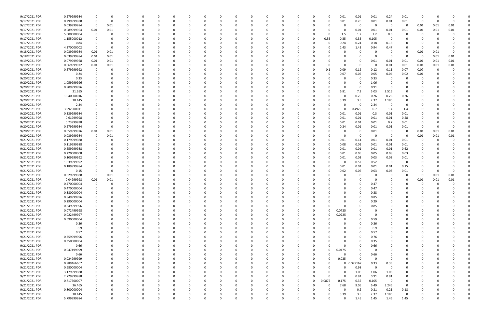| 9/17/2021 PDR | 0.279999984 |             |      |          | 0        |          |          |   |          | - 0      |          |          | 0        | 0            | 0.01   | 0.01        | 0.01     | 0.24                    | 0.01     |          |      |      |  |
|---------------|-------------|-------------|------|----------|----------|----------|----------|---|----------|----------|----------|----------|----------|--------------|--------|-------------|----------|-------------------------|----------|----------|------|------|--|
| 9/17/2021 PDR | 0.299999988 | $\Omega$    |      | -0       |          |          | -0       |   |          |          |          |          | C        | O            | 0.01   | 0.26        | 0.01     | 0.01                    | 0.01     | -0       |      |      |  |
|               |             |             |      |          |          |          |          |   |          |          |          |          |          |              |        |             | - 0      | 0                       |          |          |      |      |  |
| 9/17/2021 PDR | 0.039999984 | 0           | 0.01 |          |          |          |          |   |          |          |          |          |          |              |        | 0           |          |                         | 0        | 0.01     | 0.01 | 0.01 |  |
| 9/17/2021 PDR | 0.089999964 | 0.01        | 0.01 | $\Omega$ |          |          |          |   |          |          |          |          |          |              |        | 0.01        | 0.01     | 0.01                    | 0.01     | 0.01     | 0.01 | 0.01 |  |
| 9/17/2021 PDR | 5.000000004 | 0           |      | 0        |          |          |          |   |          |          |          |          |          |              | 1.5    | 1.7         | 1.2      | 0.6                     | 0        | -C       |      |      |  |
| 9/17/2021 PDR | 1.155000012 |             |      |          |          |          |          |   |          |          |          |          | 0        | 0.35         | 0.35   | 0.35        | 0.105    | 0                       |          |          |      |      |  |
| 9/17/2021 PDR |             |             |      |          |          |          |          |   |          |          |          |          |          | $\Omega$     |        | 0.24        |          | 0.18                    |          |          |      |      |  |
|               | 0.84        |             |      |          |          |          |          |   |          |          |          |          |          |              | 0.24   |             | 0.18     |                         |          |          |      |      |  |
| 9/17/2021 PDR | 4.270000002 |             |      |          |          |          |          |   |          |          |          |          |          |              | 1.43   | 1.43        | 0.94     | 0.47                    |          | -0       |      |      |  |
| 9/18/2021 PDR | 0.039999984 | 0.01        | 0.01 |          |          |          |          |   |          |          |          |          |          |              |        | 0           |          | - 0                     | 0        | 0.01     | 0.01 |      |  |
| 9/18/2021 PDR | 0.039999984 | 0.01        | 0.01 |          |          |          |          |   |          |          |          |          |          |              |        | 0           | - 0      | - 0                     | 0        | 0        | 0.01 | 0.01 |  |
|               |             |             |      |          |          |          |          |   |          |          |          |          |          |              |        |             |          |                         |          |          |      |      |  |
| 9/19/2021 PDR | 0.079999968 | 0.01        | 0.01 |          |          |          |          |   |          |          |          |          |          |              |        | 0           | 0.01     | 0.01                    | 0.01     | 0.01     | 0.01 | 0.01 |  |
| 9/19/2021 PDR | 0.069999972 | 0.01        | 0.01 |          |          |          |          |   |          |          |          |          |          |              |        | 0           |          | 0.01                    | 0.01     | 0.01     | 0.01 | 0.01 |  |
| 9/20/2021 PDR | 0.679999992 | 0           |      |          |          |          |          |   |          |          |          |          |          | 0.1          | 0.09   | 0.12        | 0.12     | 0.11                    | 0.07     | 0.07     |      |      |  |
| 9/20/2021 PDR | 0.24        |             |      |          |          |          |          |   |          |          |          |          |          |              | 0.07   | 0.05        | 0.05     | 0.04                    | 0.02     | 0.01     |      |      |  |
|               |             |             |      |          |          |          |          |   |          |          |          |          |          |              |        |             |          | 0                       |          |          |      |      |  |
| 9/20/2021 PDR | 0.33        |             |      |          |          |          |          |   |          |          |          |          |          |              |        | 0           | 0.33     |                         |          |          |      |      |  |
| 9/20/2021 PDR | 1.059999996 |             |      |          |          |          |          |   |          |          |          |          |          |              |        | 0           | 1.06     | - 0                     |          |          |      |      |  |
| 9/20/2021 PDR | 0.909999996 |             |      |          |          |          |          |   |          |          |          |          |          |              |        | 0           | 0.91     | - 0                     |          |          |      |      |  |
| 9/20/2021 PDR | 21.655      |             |      |          |          |          |          |   |          |          |          |          |          |              | 6.81   | 7.3         | 5.03     | 2.515                   | $\Omega$ |          |      |      |  |
|               |             |             |      |          |          |          |          |   |          |          |          |          |          |              |        |             |          |                         |          |          |      |      |  |
| 9/20/2021 PDR | 1.040000016 |             |      |          |          |          |          |   |          |          |          |          |          |              |        | 0.26        | 0.26     | 0.26                    | 0.26     |          |      |      |  |
| 9/20/2021 PDR | 10.445      |             |      |          |          |          |          |   |          |          |          |          |          |              | 3.39   | 3.5         | 2.37     | 1.185                   | 0        |          |      |      |  |
| 9/20/2021 PDR | 2.34        |             |      |          |          |          |          |   |          |          |          |          |          |              |        | -0          | 2.34     | - 0                     | 0        |          |      |      |  |
| 9/20/2021 PDR | 3.992500011 |             |      |          |          |          |          |   |          |          |          |          |          |              |        | 0.4925      | 0.7      | 1.4                     | 1.4      |          |      |      |  |
|               |             |             |      |          |          |          |          |   |          |          |          |          |          |              |        |             |          |                         |          |          |      |      |  |
| 9/20/2021 PDR | 0.339999984 |             |      |          |          |          |          |   |          |          |          |          |          |              | 0.01   | 0.01        | 0.3      | 0.01                    | 0.01     |          |      |      |  |
| 9/20/2021 PDR | 0.61999998  |             |      |          |          |          |          |   |          |          |          |          | 0        |              | 0.01   | 0.01        | 0.01     | 0.01                    | 0.58     |          |      |      |  |
| 9/20/2021 PDR | 0.73999998  |             |      | 0        |          |          |          |   |          |          |          |          | 0        |              | 0.01   | 0.01        | 0.01     | 0.7                     | 0.01     | -0       |      |      |  |
| 9/20/2021 PDR | 0.279999984 |             |      |          |          |          |          |   |          |          |          |          |          |              | 0.24   | 0.01        | 0.01     | 0.01                    | 0.01     | $\Omega$ |      |      |  |
|               |             |             |      |          |          |          |          |   |          |          |          |          |          |              |        |             |          |                         |          |          |      |      |  |
| 9/20/2021 PDR | 0.059999976 | 0.01        | 0.01 |          |          |          |          |   |          |          |          |          |          |              |        | 0           | 0.01     | - 0                     | 0        | 0.01     | 0.01 | 0.01 |  |
| 9/20/2021 PDR | 0.039999984 | 0           | 0.01 |          |          |          |          |   |          |          |          |          |          |              |        | 0           | -0       | - 0                     | 0        | 0.01     | 0.01 | 0.01 |  |
| 9/21/2021 PDR | 0.179999988 |             |      |          |          |          |          |   |          |          |          |          |          |              | 0.01   | 0.14        | 0.01     | 0.01                    | 0.01     | 0        |      |      |  |
| 9/21/2021 PDR | 0.119999988 | 0           |      |          |          |          |          |   |          |          |          |          |          |              | 0.08   | 0.01        | 0.01     | 0.01                    | 0.01     | -0       |      |      |  |
|               |             |             |      |          |          |          |          |   |          |          |          |          |          |              |        |             |          |                         |          |          |      |      |  |
| 9/21/2021 PDR | 0.659999988 |             |      |          |          |          |          |   |          |          |          |          |          |              | 0.01   | 0.01        | 0.01     | 0.01                    | 0.62     |          |      |      |  |
| 9/21/2021 PDR | 0.220000008 |             |      |          |          |          |          |   |          |          |          |          |          |              | 0.01   | 0.05        | 0.05     | 0.08                    | 0.03     |          |      |      |  |
| 9/21/2021 PDR | 0.109999992 |             |      |          |          |          |          |   |          |          |          |          |          |              | 0.01   | 0.03        | 0.03     | 0.03                    | 0.01     |          |      |      |  |
|               |             |             |      |          |          |          |          |   |          |          |          |          |          |              |        |             |          |                         |          |          |      |      |  |
| 9/21/2021 PDR | 1.039999992 |             |      |          |          |          |          |   |          |          |          |          |          |              |        | 0.52        | 0.52     | $\overline{\mathbf{0}}$ | 0        |          |      |      |  |
| 9/21/2021 PDR | 0.189999984 |             |      |          |          |          |          |   |          |          |          |          |          |              | 0.01   | 0.01        | 0.01     | 0.01                    | 0.15     |          |      |      |  |
| 9/21/2021 PDR | 0.15        |             |      | 0        |          |          |          |   |          |          |          |          |          |              | 0.02   | 0.06        | 0.03     | 0.03                    | 0.01     | 0        |      | 0    |  |
| 9/21/2021 PDR | 0.029999988 | 0           | 0.01 |          |          |          |          |   |          |          |          |          |          |              |        | 0           |          | - 0                     | 0        | 0        | 0.01 | 0.01 |  |
|               |             |             |      |          |          |          |          |   |          |          |          |          |          |              |        |             |          |                         |          |          |      |      |  |
| 9/21/2021 PDR | 0.04999998  | 0.01        | 0.01 |          |          |          |          |   |          |          |          |          |          |              |        | $\Omega$    |          |                         | 0        | 0.01     | 0.01 | 0.01 |  |
| 9/21/2021 PDR | 0.470000004 |             |      |          |          |          |          |   |          |          |          |          |          |              |        | $\Omega$    | 0.47     |                         |          |          |      |      |  |
| 9/21/2021 PDR | 0.470000004 | 0           |      | $\Omega$ |          |          |          |   |          |          |          |          |          |              |        | $\Omega$    | 0.47     | $\Omega$                |          |          |      |      |  |
| 9/21/2021 PDR | 0.380000004 |             |      | $\Omega$ |          |          |          |   |          |          |          |          |          |              |        |             | 0.38     |                         |          |          |      |      |  |
|               |             |             |      |          |          |          |          |   |          |          |          |          |          |              |        |             |          |                         |          |          |      |      |  |
| 9/21/2021 PDR | 0.849999996 | 0           | O    | $\Omega$ | 0        | 0        | 0        | 0 | 0        | $\Omega$ | $\Omega$ | $\Omega$ | 0        | 0            |        | $\mathbf 0$ | 0.85     | $\mathbf 0$             | 0        | $\Omega$ |      |      |  |
| 9/21/2021 PDR | 0.290000004 | 0           |      | 0        | 0        |          | $\Omega$ |   | 0        |          | $\Omega$ |          | 0        |              |        | 0           | 0.29     | 0                       |          | 0        |      |      |  |
| 9/21/2021 PDR | 0.849999996 | 0           |      | 0        | $\Omega$ |          | -0       |   | $\Omega$ |          |          |          | 0        |              |        | $\Omega$    | 0.85     |                         |          | - 0      |      |      |  |
| 9/21/2021 PDR | 0.072499998 |             |      |          | 0        |          |          |   |          |          |          |          |          | 0            | 0.0725 | 0           | - 0      |                         |          |          |      |      |  |
|               |             |             |      |          |          |          |          |   |          |          |          |          |          |              |        |             |          |                         |          |          |      |      |  |
| 9/21/2021 PDR | 0.022499997 |             |      |          |          |          |          |   |          |          |          |          |          | 0            | 0.0225 | 0           | - 0      |                         |          |          |      |      |  |
| 9/21/2021 PDR | 0.590000004 | 0           |      | 0        | 0        |          | 0        |   | 0        |          |          |          | 0        |              |        | 0           | 0.59     | 0                       | 0        | 0        |      |      |  |
| 9/21/2021 PDR | 0.36        | 0           |      | 0        | $\Omega$ |          | 0        |   | 0        |          |          |          | 0        |              |        | 0           | 0.36     | 0                       | 0        | 0        |      |      |  |
| 9/21/2021 PDR | 0.9         | 0           |      | 0        | $\Omega$ |          |          |   | $\Omega$ |          | $\Omega$ |          | n        |              |        | $\Omega$    | 0.9      | 0                       |          | 0        |      |      |  |
|               |             |             |      |          |          |          |          |   |          |          |          |          |          |              |        |             |          |                         |          |          |      |      |  |
| 9/21/2021 PDR | 0.57        |             |      | 0        | 0        |          | -0       |   | 0        |          |          |          | 0        |              |        | $\Omega$    | 0.57     | 0                       | 0        | 0        |      |      |  |
| 9/21/2021 PDR | 0.759999996 |             |      |          | 0        |          |          |   |          |          |          |          |          |              |        | 0           | 0.76     |                         |          |          |      |      |  |
| 9/21/2021 PDR | 0.350000004 |             |      |          | 0        |          |          |   |          |          |          |          |          |              |        | 0           | 0.35     | 0                       |          | 0        |      |      |  |
| 9/21/2021 PDR | 0.66        | 0           |      | 0        | 0        |          |          |   | 0        |          |          |          |          |              |        | 0           | 0.66     | 0                       |          | 0        |      |      |  |
|               |             |             |      |          |          |          |          |   |          |          |          |          |          |              |        |             |          |                         |          |          |      |      |  |
| 9/21/2021 PDR | 0.047499999 |             |      |          | 0        |          |          |   |          |          |          |          |          | ი            | 0.0475 | 0           | -0       | $\Omega$                |          |          |      |      |  |
| 9/21/2021 PDR | 0.66        | 0           |      | 0        | O        |          | -0       |   | 0        |          |          |          |          |              |        | 0           | 0.66     | 0                       |          | 0        |      |      |  |
| 9/21/2021 PDR | 0.024999999 | 0           |      | 0        | 0        |          | 0        |   | 0        | 0        | $\Omega$ |          | 0        | 0            | 0.025  | $\Omega$    | $\Omega$ | - 0                     | 0        | 0        |      |      |  |
| 9/21/2021 PDR | 0.989166667 |             |      | 0        | 0        |          | -0       |   |          |          | $\Omega$ |          | 0        | 0            |        | 0 0.329167  | 0.33     | 0.33                    | 0        |          |      |      |  |
|               |             |             |      |          |          |          |          |   |          |          |          |          |          |              |        |             |          |                         |          |          |      |      |  |
| 9/21/2021 PDR | 0.980000004 |             |      |          | O        |          | -0       |   |          |          |          |          | 0        | O            |        | 0.98        | $\Omega$ | 0                       | 0        | - 0      |      |      |  |
| 9/21/2021 PDR | 3.179999988 | 0           |      |          | 0        |          |          |   |          |          |          |          | 0        | 0            | 0      | 1.06        | 1.06     | 1.06                    | 0        |          |      |      |  |
| 9/21/2021 PDR | 2.729999988 | 0           |      |          |          |          |          |   |          |          |          |          |          | <sup>0</sup> |        | 0.91        | 0.91     | 0.91                    | 0        |          |      |      |  |
| 9/21/2021 PDR | 0.717500007 | 0           |      | 0        | $\Omega$ |          | -0       |   | 0        |          |          |          | 0        | 0.0875       | 0.175  | 0.35        | 0.105    | $\mathbf 0$             | 0        | 0        |      |      |  |
|               |             |             |      |          |          |          |          |   |          |          |          |          |          |              |        |             |          |                         |          |          |      |      |  |
| 9/21/2021 PDR | 26.465      | 0           |      | 0        | 0        |          |          |   | 0        |          |          |          | 0        | O            | 7.68   | 9.05        | 6.49     | 3.245                   | 0        | 0        |      |      |  |
| 9/21/2021 PDR | 0.800000004 |             |      |          |          |          |          |   |          |          |          |          |          |              |        | 0.2         | 0.21     | 0.21                    | 0.18     |          |      |      |  |
| 9/21/2021 PDR | 10.445      |             |      |          |          |          |          |   |          |          |          |          |          |              | 3.39   | 3.5         | 2.37     | 1.185                   | 0        |          |      |      |  |
|               |             | $\mathbf 0$ |      | $\Omega$ | $\Omega$ | $\Omega$ | $\Omega$ | 0 | $\Omega$ | $\Omega$ | $\Omega$ | $\Omega$ | $\Omega$ | <sup>0</sup> |        | 1.45        | 1.45     | 1.45                    | 1.45     | 0        | U    | 0    |  |
| 9/21/2021 PDR | 5.799999984 |             |      |          |          |          |          |   |          |          |          |          |          |              |        |             |          |                         |          |          |      |      |  |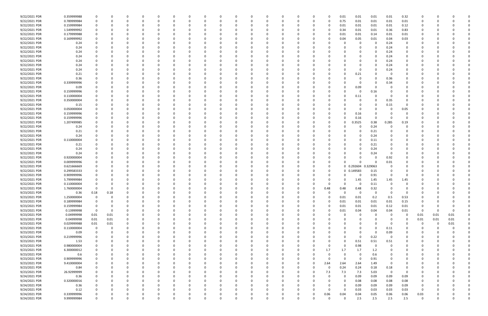| 9/22/2021 PDR                  | 0.359999988                |             |              |          |               |          |              |               |          |          |          |          |          |          |               |                  | 0.01             | 0.01        | 0.01        | 0.01        | 0.32        |                     |          |          |  |
|--------------------------------|----------------------------|-------------|--------------|----------|---------------|----------|--------------|---------------|----------|----------|----------|----------|----------|----------|---------------|------------------|------------------|-------------|-------------|-------------|-------------|---------------------|----------|----------|--|
| 9/22/2021 PDR                  | 0.789999984                |             | <sup>0</sup> |          | $\Omega$      |          |              | <sup>0</sup>  | - 0      |          | $\Omega$ | $\Omega$ |          | 0        | 0             | - 0              | 0.75             | 0.01        | 0.01        | 0.01        | 0.01        | 0                   |          |          |  |
| 9/22/2021 PDR                  | 0.159999984                |             |              |          |               |          |              |               |          |          |          |          |          |          |               |                  | 0.01             | 0.01        | 0.01        | 0.01        | 0.12        |                     |          |          |  |
|                                |                            |             |              |          |               |          |              |               |          |          |          |          |          |          |               |                  |                  |             |             |             |             |                     |          |          |  |
| 9/22/2021 PDR                  | 1.549999992                |             |              |          |               |          |              |               |          |          |          |          |          |          |               |                  | 0.34             | 0.01        | 0.01        | 0.36        | 0.83        |                     |          |          |  |
| 9/22/2021 PDR                  | 0.179999988                |             |              |          |               |          |              |               |          |          |          |          |          |          |               |                  | 0.01             | 0.01        | 0.14        | 0.01        | 0.01        |                     |          |          |  |
| 9/22/2021 PDR                  | 0.169999992                |             |              |          |               |          |              |               |          |          |          |          |          |          |               |                  | 0.04             | 0.05        | 0.01        | 0.04        | 0.03        |                     |          |          |  |
| 9/22/2021 PDR                  | 0.24                       |             |              |          |               |          |              |               |          |          |          |          |          |          |               |                  |                  | 0           | 0           | 0.24        | 0           |                     |          |          |  |
| 9/22/2021 PDR                  | 0.24                       |             |              |          |               |          |              |               |          |          |          |          |          |          |               |                  |                  |             | $\Omega$    | 0.24        | 0           |                     |          |          |  |
| 9/22/2021 PDR                  | 0.24                       |             |              |          |               |          |              |               |          |          |          |          |          |          |               |                  |                  | 0           | 0           | 0.24        | 0           |                     |          |          |  |
|                                |                            |             |              |          |               |          |              |               |          |          |          |          |          |          |               |                  |                  |             |             |             |             |                     |          |          |  |
| 9/22/2021 PDR                  | 0.24                       |             |              |          |               |          |              |               |          |          |          |          |          |          |               |                  |                  |             | $\Omega$    | 0.24        | 0           |                     |          |          |  |
| 9/22/2021 PDR                  | 0.24                       |             |              |          |               |          |              |               |          |          |          |          |          |          |               |                  |                  |             | $\Omega$    | 0.24        | 0           |                     |          |          |  |
| 9/22/2021 PDR                  | 0.24                       |             |              |          |               |          |              |               |          |          |          |          |          |          |               |                  |                  |             | 0           | 0.24        |             |                     |          |          |  |
| 9/22/2021 PDR                  | 0.24                       |             |              |          | - 0           |          |              |               |          |          |          |          |          |          |               |                  |                  | 0           | $\Omega$    | 0.24        | 0           |                     |          |          |  |
| 9/22/2021 PDR                  | 0.21                       |             |              |          |               |          |              |               |          |          |          |          |          |          |               |                  |                  | 0.21        | -0          | - 0         |             |                     |          |          |  |
| 9/22/2021 PDR                  |                            |             |              |          |               |          |              |               |          |          |          |          |          |          |               |                  |                  | 0           |             |             |             |                     |          |          |  |
|                                | 0.36                       |             |              |          |               |          |              |               |          |          |          |          |          |          |               |                  |                  |             | 0           | 0.36        |             |                     |          |          |  |
| 9/22/2021 PDR                  | 0.339999996                |             |              |          |               |          |              |               |          |          |          |          |          |          |               |                  |                  | 0           | 0           | 0.34        |             |                     |          |          |  |
| 9/22/2021 PDR                  | 0.09                       |             |              |          |               |          |              |               |          |          |          |          |          |          |               |                  |                  | 0.09        | 0           |             |             |                     |          |          |  |
| 9/22/2021 PDR                  | 0.159999996                |             |              |          |               |          |              |               |          |          |          |          |          |          |               |                  |                  | 0           | 0.16        |             | 0           |                     |          |          |  |
| 9/22/2021 PDR                  | 0.110000004                |             |              |          |               |          |              |               |          |          |          |          |          |          |               |                  |                  | 0.11        | 0           |             |             |                     |          |          |  |
| 9/22/2021 PDR                  | 0.350000004                |             |              |          |               |          |              |               |          |          |          |          |          |          |               |                  |                  | 0           | $\Omega$    | 0.35        |             |                     |          |          |  |
|                                |                            |             |              |          |               |          |              |               |          |          |          |          |          |          |               |                  |                  |             |             |             |             |                     |          |          |  |
| 9/22/2021 PDR                  | 0.15                       |             |              |          |               |          |              |               |          |          |          |          |          |          |               |                  |                  | 0           | 0           | 0.15        | 0           |                     |          |          |  |
| 9/22/2021 PDR                  | 0.050000004                |             |              |          |               |          |              |               |          |          |          |          |          |          |               |                  |                  | 0           | 0           | - 0         | 0.05        |                     |          |          |  |
| 9/22/2021 PDR                  | 0.159999996                |             |              |          |               |          |              |               |          |          |          |          |          |          |               |                  |                  | 0.16        | 0           |             | 0           |                     |          |          |  |
| 9/22/2021 PDR                  | 0.159999996                |             |              |          |               |          |              |               |          |          |          |          |          |          |               |                  | O                | 0.16        | 0           |             | O           |                     |          |          |  |
| 9/22/2021 PDR                  | 1.207499985                |             |              |          |               |          |              |               |          |          |          |          |          |          |               |                  | 0                | .3525       | 0.38        | 0.285       | 0.19        |                     |          |          |  |
|                                |                            |             |              |          |               |          |              |               |          |          |          |          |          |          |               |                  |                  |             |             |             |             |                     |          |          |  |
| 9/22/2021 PDR                  | 0.24                       |             |              |          |               |          |              |               |          |          |          |          |          |          |               |                  |                  | 0           | 0.24        |             |             |                     |          |          |  |
| 9/22/2021 PDR                  | 0.21                       |             |              |          |               |          |              |               |          |          |          |          |          |          |               |                  |                  | 0           | 0.21        |             |             |                     |          |          |  |
| 9/22/2021 PDR                  | 0.24                       |             |              |          |               |          |              |               |          |          |          |          |          |          |               |                  |                  | 0           | 0.24        |             |             |                     |          |          |  |
| 9/22/2021 PDR                  | 0.110000004                |             |              |          |               |          |              |               |          |          |          |          |          |          |               |                  |                  | O           | 0.11        |             |             |                     |          |          |  |
| 9/22/2021 PDR                  | 0.21                       |             |              |          |               |          |              |               |          |          |          |          |          |          |               |                  |                  |             | 0.21        |             |             |                     |          |          |  |
| 9/22/2021 PDR                  | 0.24                       |             |              |          |               |          |              |               |          |          |          |          |          |          |               |                  |                  |             | 0.24        |             |             |                     |          |          |  |
| 9/22/2021 PDR                  |                            |             |              |          |               |          |              |               |          |          |          |          |          |          |               |                  |                  |             |             |             |             |                     |          |          |  |
|                                | 0.24                       |             |              |          |               |          |              |               |          |          |          |          |          |          |               |                  |                  | 0           | 0.24        |             | 0           |                     |          |          |  |
| 9/22/2021 PDR                  | 0.920000004                |             |              |          |               |          |              |               |          |          |          |          |          |          |               |                  |                  |             | $\Omega$    | 0.92        |             |                     |          |          |  |
| 9/22/2021 PDR                  | 0.009999996                |             |              |          |               |          |              |               |          |          |          |          |          |          |               |                  |                  | O           | $\Omega$    | 0.01        |             |                     |          |          |  |
| 9/22/2021 PDR                  | 0.621666669                |             |              |          |               |          |              |               |          |          |          |          |          |          |               |                  |                  | 0 0.292604  | .329063     |             |             |                     |          |          |  |
| 9/22/2021 PDR                  | 0.299583333                |             |              |          |               |          |              |               |          |          |          |          |          |          |               |                  |                  | 0 0.149583  | 0.15        | $\Omega$    | 0           |                     |          |          |  |
| 9/22/2021 PDR                  | 0.909999996                |             |              |          |               |          |              |               |          |          |          |          |          |          |               |                  | 0                | 0           | 0.91        | $\Omega$    | 0           |                     |          |          |  |
|                                |                            |             |              |          |               |          |              |               |          |          |          |          |          |          |               |                  |                  |             |             |             |             |                     |          |          |  |
| 9/22/2021 PDR                  | 5.799999984                |             |              |          |               |          |              |               |          |          |          |          |          |          |               |                  | O                | 1.45        | 1.45        | 1.45        | 1.45        |                     |          |          |  |
| 9/22/2021 PDR                  | 0.110000004                |             |              |          |               |          |              |               |          |          |          |          |          |          |               |                  |                  | -0          | 0.11        |             |             |                     |          |          |  |
| 9/22/2021 PDR                  | 1.760000004                | $\Omega$    | 0            |          |               |          |              |               |          |          |          |          |          |          |               | 0.48             | 0.48             | 0.48        | 0.32        |             |             |                     |          |          |  |
| 9/23/2021 PDR                  | 0.36                       | 0.18        | 0.18         |          |               |          |              |               |          |          | U        |          |          |          |               |                  | υ                | 0           | 0           | $\Omega$    | - U         |                     |          |          |  |
| 9/23/2021 PDR                  | 1.250000004                | 0           | 0            | $\Omega$ | $\Omega$      | $\Omega$ | $\Omega$     | $\Omega$      | $\Omega$ | 0        | $\Omega$ | $\Omega$ | $\Omega$ | $\Omega$ | $\Omega$      | $\Omega$         | 0.01             | 0.01        | 0.2         | 0.5         | 0.53        | 0                   |          |          |  |
|                                |                            |             |              |          |               |          |              |               |          |          |          |          |          |          |               |                  |                  |             |             |             |             |                     |          |          |  |
| 9/23/2021 PDR                  | 0.189999984                |             | $\Omega$     | $\Omega$ | 0             | $\Omega$ | 0            | 0             | 0        | 0        | 0        | $\Omega$ | $\Omega$ | $\Omega$ | 0             |                  | 0.01             | 0.01        | 0.01        | 0.01        | 0.15        | 0                   |          |          |  |
| 9/23/2021 PDR                  | 0.159999984                |             | 0            |          | 0             |          | 0            | 0             | 0        |          | 0        |          |          | 0        | 0             |                  | 0.01             | 0.01        | 0.01        | 0.12        | 0.01        | 0                   |          |          |  |
| 9/23/2021 PDR                  | 0.13999998                 | $\mathbf 0$ | 0            |          | $\Omega$      | $\Omega$ | 0            | 0             | 0        |          | 0        | $\Omega$ |          | 0        | 0             |                  | 0.01             | 0.04        | 0.04        | 0.04        | 0.01        | $\mathbf 0$         | $\Omega$ | $\Omega$ |  |
| 9/23/2021 PDR                  | 0.04999998                 | 0.01        | 0.01         |          | 0             |          |              | 0             |          |          |          |          |          |          | 0             |                  | 0                | 0           | 0           | - 0         | $\mathbf 0$ | 0.01                | 0.01     | 0.01     |  |
| 9/23/2021 PDR                  | 0.04999998                 | 0.01        | $0.01\,$     |          | $\Omega$      |          | 0            | 0             |          |          |          |          |          |          | 0             |                  | $\Omega$         | 0           | $\mathbf 0$ | $\Omega$    | $\mathbf 0$ | 0.01                | 0.01     | $0.01\,$ |  |
|                                |                            |             |              | $\Omega$ |               |          |              |               |          |          |          |          |          |          |               |                  | 0                |             | $\Omega$    | $\Omega$    | $\Omega$    |                     |          |          |  |
| 9/23/2021 PDR                  | 0.029999988                | 0.01        | 0.01         |          | $\Omega$      |          | 0            | 0             |          |          |          |          |          |          | 0             |                  |                  | 0           |             |             |             | 0                   | 0        | $0.01\,$ |  |
| 9/23/2021 PDR                  | 0.110000004                | $\mathbf 0$ | 0            | 0        | 0             | $\Omega$ | 0            | 0             | 0        |          |          | $\Omega$ |          | 0        | 0             |                  | 0                | 0           | $\mathbf 0$ | 0.11        | 0           | 0                   |          |          |  |
| 9/23/2021 PDR                  | 0.09                       |             | 0            | 0        | 0             | $\Omega$ |              | 0             | 0        |          |          |          |          | 0        | 0             |                  | 0                | 0           | $\mathbf 0$ | 0.09        | 0           | 0                   |          |          |  |
| 9/23/2021 PDR                  | 0.219999996                |             |              |          | 0             | $\Omega$ |              | 0             |          |          |          | $\Omega$ |          |          | 0             |                  | $\Omega$         | $\mathbf 0$ | 0.22        | $\Omega$    | 0           | 0                   |          |          |  |
| 9/23/2021 PDR                  | 1.53                       |             |              |          | 0             |          |              | 0             |          |          |          |          |          |          | -0            |                  | 0                | 0.51        | 0.51        | 0.51        | 0           | O                   |          |          |  |
| 9/23/2021 PDR                  | 0.980000004                |             |              |          | 0             |          | 0            | 0             |          |          |          |          |          |          | 0             |                  | 0                | 0.98        | $\mathbf 0$ | $\Omega$    | 0           | 0                   |          |          |  |
|                                |                            |             |              |          |               |          |              |               |          |          |          |          |          |          |               |                  |                  |             |             |             |             |                     |          |          |  |
| 9/23/2021 PDR                  | 6.300000012                |             | 0            |          | 0             | $\Omega$ | $\Omega$     | 0             |          |          |          | 0        | 0        | 0        | 0             | 1.7              | 1.7              | 1.7         | 1.2         | 0           | $\mathbf 0$ | 0                   |          |          |  |
| 9/23/2021 PDR                  | 0.6                        |             | 0            |          | 0             | $\Omega$ | 0            | 0             | 0        |          | 0        | $\Omega$ |          | 0        | 0             | $\Omega$         | 0                | 0           | 0.6         | 0           | 0           | 0                   |          |          |  |
|                                | 0.909999996                |             | $\Omega$     |          | 0             | $\Omega$ | 0            | 0             | 0        |          | 0        |          |          | 0        | 0             |                  | $\Omega$         | $\mathbf 0$ | 0.91        | $\Omega$    | 0           | 0                   |          |          |  |
| 9/23/2021 PDR                  |                            |             |              |          | $\Omega$      |          | <sup>0</sup> | 0             | 0        |          |          | $\Omega$ |          | 0        | 0             | 2.64             | 2.64             | 2.64        | 1.49        | $\Omega$    | 0           | 0                   |          |          |  |
|                                |                            |             |              |          | 0             |          |              | 0             |          |          |          |          |          | 0        | 0             | $\Omega$         | 0.24             | 0.24        | 0.18        | 0.18        | 0           |                     |          |          |  |
| 9/23/2021 PDR                  | 9.410000004                |             |              |          |               |          |              |               |          |          |          |          |          |          |               |                  |                  |             |             |             |             |                     |          |          |  |
| 9/23/2021 PDR                  | 0.84                       |             |              |          |               |          |              |               |          |          |          |          |          |          | 0             |                  |                  |             |             |             |             |                     |          |          |  |
| 9/23/2021 PDR                  | 26.92999999                |             |              |          | 0             |          |              | 0             |          |          |          |          |          |          |               | 7.3              | 7.3              | 7.3         | 5.03        | $\mathbf 0$ | 0           |                     |          |          |  |
| 9/24/2021 PDR                  | 0.36                       |             |              |          | 0             |          | 0            | 0             |          |          |          |          |          | 0        | 0             |                  | $\Omega$         | 0.09        | 0.09        | 0.09        | 0.09        | 0                   |          |          |  |
| 9/24/2021 PDR                  | 0.320000016                |             |              |          | $\Omega$      |          |              |               |          |          |          |          |          |          |               |                  | 0                | 0.08        | 0.08        | 0.08        | 0.08        | 0                   |          |          |  |
|                                |                            |             |              |          | 0             |          | 0            | <sup>0</sup>  | 0        |          |          |          |          |          | -0            |                  | 0                |             |             |             |             | 0                   |          |          |  |
| 9/24/2021 PDR                  | 0.36                       |             |              | 0        | 0             | $\Omega$ | 0            | 0             | 0        |          |          | $\Omega$ |          |          | 0             |                  | $\Omega$         | 0.09        | 0.09        | 0.09        | 0.09        | 0                   |          |          |  |
| 9/24/2021 PDR                  | 0.12                       |             |              |          |               |          |              |               |          |          |          |          |          |          |               |                  |                  | 0.03        | 0.03        | 0.03        | 0.03        |                     |          |          |  |
| 9/24/2021 PDR<br>9/24/2021 PDR | 0.339999996<br>9.999999984 | $\mathbf 0$ | $\Omega$     | $\Omega$ | 0<br>$\Omega$ | $\Omega$ | $\Omega$     | C<br>$\Omega$ | $\Omega$ | $\Omega$ | $\Omega$ | $\Omega$ | $\Omega$ | $\Omega$ | 0<br>$\Omega$ | 0.06<br>$\Omega$ | 0.04<br>$\Omega$ | 0.04<br>2.5 | 0.05<br>2.5 | 0.06<br>2.5 | 0.06<br>2.5 | 0.03<br>$\mathbf 0$ | $\Omega$ | $\Omega$ |  |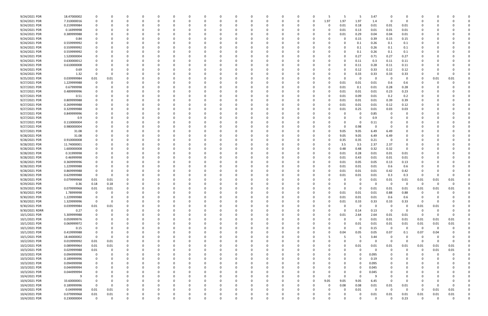| 9/24/2021 PDR  | 18.47000002 |             |              |          |          |          |              |              |     |          |          |          |          |          |          |          |          | 5           | 3.47        |                         |                         |                         |          |          |  |
|----------------|-------------|-------------|--------------|----------|----------|----------|--------------|--------------|-----|----------|----------|----------|----------|----------|----------|----------|----------|-------------|-------------|-------------------------|-------------------------|-------------------------|----------|----------|--|
| 9/24/2021 PDR  | 7.310000016 |             | <sup>0</sup> |          | $\Omega$ |          |              | <sup>0</sup> | - 0 |          | $\Omega$ | $\Omega$ |          | 0        | 0        | 1.97     | 1.97     | 1.97        | 1.4         | $\Omega$                | 0                       | 0                       |          |          |  |
| 9/24/2021 PDR  | 0.219999984 |             |              |          |          |          |              |              |     |          |          |          |          |          |          | - 0      | 0.01     | 0.18        | 0.01        | 0.01                    | 0.01                    |                         |          |          |  |
| 9/24/2021 PDR  | 0.16999998  |             |              |          |          |          |              |              |     |          |          |          |          |          |          |          | 0.01     | 0.13        | 0.01        | 0.01                    | 0.01                    |                         |          |          |  |
| 9/24/2021 PDR  | 0.389999988 |             |              |          |          |          |              |              |     |          |          |          |          |          |          |          | 0.01     | 0.29        | 0.04        | 0.04                    | 0.01                    |                         |          |          |  |
| 9/24/2021 PDR  | 0.84        |             |              |          |          |          |              |              |     |          |          |          |          |          |          |          | 0        | 0.15        | 0.39        | 0.15                    | 0.15                    |                         |          |          |  |
|                |             |             |              |          |          |          |              |              |     |          |          |          |          |          |          |          |          |             |             |                         |                         |                         |          |          |  |
| 9/24/2021 PDR  | 0.559999992 |             |              |          |          |          |              |              |     |          |          |          |          |          |          |          |          | 0.1         | 0.26        | 0.1                     | 0.1                     |                         |          |          |  |
| 9/24/2021 PDR  | 0.559999992 |             |              |          |          |          |              |              |     |          |          |          |          |          |          |          | 0        | 0.1         | 0.26        | 0.1                     | 0.1                     |                         |          |          |  |
| 9/24/2021 PDR  | 0.559999992 |             |              |          |          |          |              |              |     |          |          |          |          |          |          |          | O        | 0.1         | 0.26        | 0.1                     | 0.1                     |                         |          |          |  |
| 9/24/2021 PDR  | 1.520000004 |             |              |          |          |          |              |              |     |          |          |          |          |          |          |          |          | 0.27        | 0.71        | 0.27                    | 0.27                    |                         |          |          |  |
| 9/24/2021 PDR  | 0.630000012 |             |              |          |          |          |              |              |     |          |          |          |          |          |          |          | 0        | 0.11        | 0.3         | 0.11                    | 0.11                    |                         |          |          |  |
| 9/24/2021 PDR  | 0.610000008 |             |              |          |          |          |              |              |     |          |          |          |          |          |          |          | 0        | 0.11        | 0.28        | 0.11                    | 0.11                    |                         |          |          |  |
| 9/24/2021 PDR  | 0.69        |             |              |          |          |          |              |              |     |          |          |          |          |          |          |          | n        | 0.12        | 0.33        | 0.12                    | 0.12                    |                         |          |          |  |
| 9/24/2021 PDR  | 1.32        | 0           | 0            |          |          |          |              |              |     |          |          |          |          |          |          |          |          | 0.33        | 0.33        | 0.33                    | 0.33                    |                         | -0       |          |  |
| 9/25/2021 PDR  | 0.039999984 | 0.01        | 0.01         |          |          |          |              |              |     |          |          |          |          |          |          |          | - 0      | 0           | 0           | - 0                     | 0                       | 0                       | 0.01     | 0.01     |  |
| 9/27/2021 PDR  | 1.229999988 |             |              |          |          |          |              |              |     |          |          |          |          |          |          |          | 0.01     | 0.01        | 0.01        | 0.6                     | 0.6                     | O                       |          |          |  |
| 9/27/2021 PDR  | 0.67999998  |             |              |          |          |          |              |              |     |          |          |          |          |          |          |          | 0.01     | 0.1         | 0.01        | 0.28                    | 0.28                    |                         |          |          |  |
|                |             |             |              |          |          |          |              |              |     |          |          |          |          |          |          |          |          |             |             |                         |                         |                         |          |          |  |
| 9/27/2021 PDR  | 0.489999996 |             |              |          |          |          |              |              |     |          |          |          |          |          |          |          | 0.01     | 0.01        | 0.01        | 0.23                    | 0.23                    |                         |          |          |  |
| 9/27/2021 PDR  | 0.51        |             |              |          |          |          |              |              |     |          |          |          |          |          |          |          | 0.01     | 0.09        | 0.01        | 0.2                     | 0.2                     |                         |          |          |  |
| 9/27/2021 PDR  | 0.809999988 |             |              |          |          |          |              |              |     |          |          |          |          |          |          |          | 0.01     | 0.01        | 0.01        | 0.39                    | 0.39                    |                         |          |          |  |
| 9/27/2021 PDR  | 0.269999988 |             |              |          |          |          |              |              |     |          |          |          |          |          |          |          | 0.01     | 0.01        | 0.01        | 0.12                    | 0.12                    |                         |          |          |  |
| 9/27/2021 PDR  | 0.329999988 |             |              |          |          |          |              |              |     |          |          |          |          |          |          |          | 0.01     | 0.25        | 0.01        | 0.03                    | 0.03                    |                         |          |          |  |
| 9/27/2021 PDR  | 0.849999996 |             |              |          |          |          |              |              |     |          |          |          |          |          |          |          |          | 0           | 0.85        | $\Omega$                |                         |                         |          |          |  |
| 9/27/2021 PDR  | 0.9         |             |              |          |          |          |              |              |     |          |          |          |          |          |          |          |          | 0           | 0.9         |                         |                         |                         |          |          |  |
| 9/27/2021 PDR  | 0.110000004 |             |              |          |          |          |              |              |     |          |          |          |          |          |          |          |          | 0           | 0.11        |                         |                         |                         |          |          |  |
| 9/27/2021 PDR  | 0.980000004 |             |              |          |          |          |              |              |     |          |          |          |          |          |          |          |          | 0.98        | $\Omega$    |                         |                         |                         |          |          |  |
| 9/27/2021 PDR  | 31.08       |             |              |          |          |          |              |              |     |          |          |          |          |          |          |          | 9.05     | 9.05        | 6.49        | 6.49                    |                         |                         |          |          |  |
| 9/28/2021 PDR  | 31.08       |             |              |          |          |          |              |              |     |          |          |          |          |          |          |          | 9.05     | 9.05        | 6.49        | 6.49                    |                         |                         |          |          |  |
| 9/28/2021 PDR  | 0.910000008 |             |              |          |          |          |              |              |     |          |          |          |          |          |          |          | 0.35     | 0.35        | 0.21        | $\Omega$                |                         |                         |          |          |  |
|                |             |             |              |          |          |          |              |              |     |          |          |          |          |          |          |          |          |             |             |                         |                         |                         |          |          |  |
| 9/28/2021 PDR  | 11.74000001 |             |              |          |          |          |              |              |     |          |          |          |          |          |          |          | 3.5      | 3.5         | 2.37        | 2.37                    | 0                       |                         |          |          |  |
| 9/28/2021 PDR  | 1.600000008 |             |              |          |          |          |              |              |     |          |          |          |          |          |          |          | 0.48     | 0.48        | 0.32        | 0.32                    | 0                       |                         |          |          |  |
| 9/28/2021 PDR  | 0.31999998  |             |              |          |          |          |              |              |     |          |          |          |          |          |          |          | 0.01     | 0.28        | 0.01        | 0.01                    | 0.01                    |                         |          |          |  |
| 9/28/2021 PDR  | 0.46999998  |             |              |          |          |          |              |              |     |          |          |          |          |          |          |          | 0.01     | 0.43        | 0.01        | 0.01                    | 0.01                    |                         |          |          |  |
| 9/28/2021 PDR  | 0.369999996 |             |              |          |          |          |              |              |     |          |          |          |          |          |          |          | 0.01     | 0.05        | 0.05        | 0.13                    | 0.13                    |                         |          |          |  |
| 9/28/2021 PDR  | 1.229999988 |             |              |          |          |          |              |              |     |          |          |          |          |          |          |          | 0.01     | 0.01        | 0.01        | 0.6                     | 0.6                     |                         |          |          |  |
| 9/28/2021 PDR  | 0.869999988 |             |              |          |          |          |              |              |     |          |          |          |          |          |          |          | 0.01     | 0.01        | 0.01        | 0.42                    | 0.42                    | O                       |          |          |  |
| 9/28/2021 PDR  | 0.629999988 | - 0         | $\Omega$     |          |          |          |              |              |     |          |          |          |          |          |          |          | 0.01     | 0.01        | 0.01        | 0.3                     | 0.3                     | 0                       | - 0      |          |  |
| 9/28/2021 PDR  | 0.079999968 | 0.01        | 0.01         |          |          |          |              |              |     |          |          |          |          |          |          |          |          | 0           | 0.01        | 0.01                    | 0.01                    | 0.01                    | 0.01     | 0.01     |  |
| 9/29/2021 PDR  | 0.36        | 0.18        | 0.18         |          |          |          |              |              |     |          |          |          |          |          |          |          |          |             | $\Omega$    | $\Omega$                |                         | $\Omega$                |          |          |  |
| 9/29/2021 PDR  | 0.079999968 | 0.01        | 0.01         | 0        | 0        |          |              |              |     |          |          |          |          |          |          |          | 0        | 0           | 0.01        | 0.01                    | 0.01                    | 0.01                    | 0.01     | 0.01     |  |
| 9/30/2021 PDR  | 1.78999998  | $\Omega$    |              |          |          |          |              |              |     |          |          |          |          |          |          |          |          |             |             | 0.88                    | 0.88                    |                         |          |          |  |
|                |             |             | υ            |          |          |          |              |              |     |          | <b>U</b> |          |          |          |          |          | 0.01     | 0.01        | 0.01        |                         |                         |                         |          |          |  |
| 9/30/2021 PDR  | 1.229999988 | $\mathbf 0$ | 0            | $\Omega$ | $\Omega$ | $\Omega$ | $\Omega$     | $\Omega$     | 0   | 0        | $\Omega$ | $\Omega$ | $\Omega$ | $\Omega$ | $\Omega$ | $\Omega$ | 0.01     | 0.01        | 0.01        | 0.6                     | 0.6                     | $\mathbf 0$             |          |          |  |
| 9/30/2021 PDR  | 1.329999996 | $\mathbf 0$ | 0            |          | 0        | $\Omega$ | 0            | 0            | 0   | 0        | 0        | $\Omega$ | $\Omega$ | $\Omega$ | 0        |          | 0.01     | 0.33        | 0.33        | 0.33                    | 0.33                    | - 0                     | $\Omega$ |          |  |
| 9/30/2021 PDR  | 0.039999984 | 0.01        | 0.01         |          | 0        |          | 0            | 0            |     |          | 0        |          |          |          | 0        |          | 0        | $\mathbf 0$ | $\mathbf 0$ | $\mathbf 0$             | $\mathbf 0$             | 0.01                    | 0.01     |          |  |
| 9/30/2021 RDRR | 0.27        | 0           | $\Omega$     |          | $\Omega$ |          |              | 0            | - 0 |          | $\Omega$ | $\Omega$ |          | $\Omega$ | 0        |          | $\Omega$ | 0.14        | 0.13        | $\Omega$                | - 0                     | - 0                     | $\Omega$ |          |  |
| 10/1/2021 PDR  | 5.309999988 |             |              |          | 0        |          |              | 0            |     |          |          |          |          |          |          | 0        | 0.01     | 2.64        | 2.64        | 0.01                    | 0.01                    | - 0                     | $\Omega$ |          |  |
| 10/1/2021 PDR  | 0.059999976 |             |              |          | $\Omega$ |          |              | 0            |     |          |          |          |          |          |          |          | $\Omega$ | $\mathbf 0$ | 0.01        | 0.01                    | 0.01                    | 0.01                    | 0.01     | $0.01\,$ |  |
| 10/1/2021 PDR  | 0.069999972 |             |              |          |          |          |              |              |     |          |          |          |          |          |          |          | $\Omega$ | 0.01        | 0.01        | $0.01\,$                | $0.01\,$                | 0.01                    | 0.01     | $0.01\,$ |  |
| 10/1/2021 PDR  | 0.15        |             | 0            |          | 0        |          | <sup>0</sup> | 0            |     |          |          |          |          |          | 0        |          | $\Omega$ | $\mathbf 0$ | 0.15        | $\overline{\mathbf{0}}$ | $\mathbf 0$             | $\overline{\mathbf{0}}$ | 0        |          |  |
| 10/1/2021 PDR  | 0.419999988 |             |              |          | 0        |          |              | 0            |     |          |          |          |          |          | 0        |          | 0.04     | 0.05        | 0.05        | 0.07                    | 0.1                     | 0.07                    | 0.04     |          |  |
| 10/1/2021 PDR  | 18.44000002 | $\mathbf 0$ | $\Omega$     |          |          |          |              | 0            |     |          |          | $\Omega$ |          |          | $\Omega$ |          |          | 5           | 3.44        | $\Omega$                | $\Omega$                | 0                       | -0       |          |  |
| 10/2/2021 PDR  | 0.019999992 | 0.01        | 0.01         |          | 0        |          |              |              |     |          |          |          |          |          |          |          | $\Omega$ | $\mathbf 0$ | $\Omega$    | $\Omega$                | $\Omega$                | - 0                     | - 0      |          |  |
| 10/2/2021 PDR  | 0.089999964 | 0.01        | $0.01\,$     |          |          |          |              |              |     |          |          |          |          |          |          |          | 0        | 0.01        | 0.01        | 0.01                    | 0.01                    | 0.01                    | 0.01     | 0.01     |  |
|                |             |             | $\mathbf 0$  |          |          |          |              |              |     |          |          |          |          |          |          |          | $\Omega$ | $\mathbf 0$ | $\mathbf 0$ | $\Omega$                | $\overline{0}$          | $\overline{0}$          |          |          |  |
| 10/3/2021 PDR  | 0.029999988 | 0.01        |              |          | 0        |          | 0            | 0            |     |          |          |          |          |          |          |          |          |             |             |                         |                         |                         | 0.01     | 0.01     |  |
| 10/3/2021 PDR  | 0.094999998 | 0           | 0            |          | 0        |          | 0            | 0            |     |          | 0        |          |          |          |          |          | 0        | 0           | 0.095       | $\Omega$                | 0                       | 0                       | $\Omega$ |          |  |
| 10/3/2021 PDR  | 0.189999996 |             |              |          | 0        |          |              | 0            |     |          |          |          |          |          | 0        |          | 0        | $\Omega$    | 0.19        | $\Omega$                | 0                       | 0                       |          |          |  |
| 10/3/2021 PDR  | 0.094999998 |             |              |          | $\Omega$ |          |              | 0            |     |          |          |          |          |          | -0       |          | $\Omega$ | $\Omega$    | 0.095       |                         | 0                       | O                       |          |          |  |
| 10/3/2021 PDR  | 0.044999994 |             |              |          | 0        |          |              | 0            |     |          |          |          |          |          |          |          | 0        | 0           | 0.045       |                         |                         |                         |          |          |  |
| 10/3/2021 PDR  | 0.044999994 |             |              |          | 0        |          |              |              |     |          |          |          |          |          |          |          | 0        | 0           | 0.045       |                         |                         |                         |          |          |  |
| 10/4/2021 PDR  | 9           |             |              |          |          |          | 0            | 0            |     |          |          |          |          |          | 0        |          | $\Omega$ | $\Omega$    | 9           |                         | 0                       |                         |          |          |  |
| 10/4/2021 PDR  | 33.60000001 |             |              |          |          |          |              |              |     |          |          |          |          |          | 0        | 9.05     | 9.05     | 9.05        | 6.45        | $\Omega$                | $\Omega$                | 0                       |          |          |  |
| 10/4/2021 PDR  | 0.189999996 | $\Omega$    | 0            |          | 0        |          |              |              |     |          |          |          |          |          | 0        |          | 0.08     | 0.08        | 0.01        | 0.01                    | 0.01                    | 0                       |          | $\Omega$ |  |
| 10/4/2021 PDR  | 0.04999998  | 0.01        | 0.01         | 0        | 0        |          | <sup>0</sup> | 0            | - 0 |          |          |          |          |          | 0        |          | 0        | 0.01        | $\mathbf 0$ | $\Omega$                | $\overline{\mathbf{0}}$ | 0                       | 0.01     | 0.01     |  |
| 10/4/2021 PDR  | 0.079999968 | $0.01\,$    | $0.01\,$     |          |          |          |              |              |     |          |          |          |          |          |          |          |          | 0           | 0.01        | $0.01\,$                | 0.01                    | 0.01                    | 0.01     | 0.01     |  |
| 10/4/2021 PDR  | 0.230000004 | $\Omega$    | $\mathbf 0$  | $\Omega$ | $\Omega$ | $\Omega$ | $\Omega$     | $\Omega$     |     | $\Omega$ | $\Omega$ |          | $\Omega$ | $\Omega$ | $\Omega$ |          | $\Omega$ | $\Omega$    | $\Omega$    | $\Omega$                | 0.23                    | $\Omega$                | $\Omega$ | $\Omega$ |  |
|                |             |             |              |          |          |          |              |              |     |          |          |          |          |          |          |          |          |             |             |                         |                         |                         |          |          |  |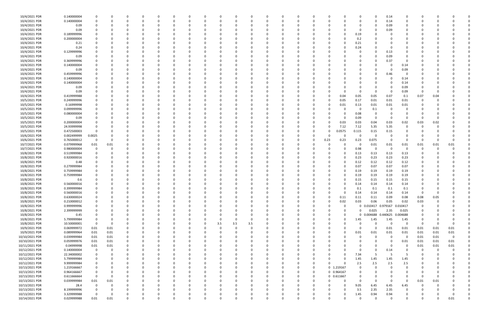| 10/4/2021 PDR  | 0.140000004 | 0           | $\Omega$ |          | - 0      | 0        |          |          |          |          |     | - 0          |          | 0        |          |          |            | 0           |                     | 0.14     | 0              | 0        |          |          |  |
|----------------|-------------|-------------|----------|----------|----------|----------|----------|----------|----------|----------|-----|--------------|----------|----------|----------|----------|------------|-------------|---------------------|----------|----------------|----------|----------|----------|--|
| 10/4/2021 PDR  | 0.140000004 | $\Omega$    | $\Omega$ |          | $\Omega$ | O        |          | $\Omega$ |          | $\Omega$ |     | $\Omega$     |          | $\Omega$ |          |          |            | $\Omega$    | $\Omega$            | 0.14     | $\Omega$       | $\Omega$ |          |          |  |
| 10/4/2021 PDR  | 0.09        |             |          |          |          |          |          |          |          | -0       |     |              |          |          |          |          |            | 0           |                     | 0.09     |                |          |          |          |  |
| 10/4/2021 PDR  | 0.09        |             |          |          |          |          |          |          |          |          |     |              |          |          |          |          |            | 0           |                     | 0.09     |                |          |          |          |  |
|                |             |             |          |          |          |          |          |          |          |          |     |              |          |          |          |          |            |             |                     |          |                |          |          |          |  |
| 10/4/2021 PDR  | 0.189999996 |             |          |          |          |          |          |          |          |          |     |              |          |          |          |          |            | 0.19        |                     |          |                |          |          |          |  |
| 10/4/2021 PDR  | 0.200000004 |             |          |          |          |          |          |          |          | $\Omega$ |     |              |          |          |          |          |            | 0.2         |                     |          |                |          |          |          |  |
| 10/4/2021 PDR  | 0.21        |             |          |          |          |          |          |          |          |          |     |              |          | -0       |          |          |            | 0.21        |                     |          |                |          |          |          |  |
| 10/4/2021 PDR  | 0.24        |             |          |          |          |          |          |          |          |          |     |              |          |          |          |          |            | 0.24        |                     |          |                |          |          |          |  |
| 10/4/2021 PDR  | 0.129999996 |             |          |          |          |          |          |          |          |          |     |              |          |          |          |          |            | 0           |                     | 0.13     |                |          |          |          |  |
| 10/4/2021 PDR  | 0.09        |             |          |          |          |          |          |          |          |          |     |              |          |          |          |          |            | 0           |                     | 0.09     |                |          |          |          |  |
| 10/4/2021 PDR  | 0.369999996 |             |          |          |          |          |          |          |          | $\Omega$ |     |              |          |          |          |          |            | 0           | $\Omega$            | 0.37     | $\Omega$       |          |          |          |  |
| 10/4/2021 PDR  |             |             |          |          |          |          |          |          |          |          |     |              |          |          |          |          |            |             |                     |          |                |          |          |          |  |
|                | 0.140000004 |             | 0        |          |          |          |          |          |          | 0        |     |              |          |          |          |          |            | 0           |                     |          | 0.14           |          |          |          |  |
| 10/4/2021 PDR  | 0.09        |             | $\Omega$ |          |          |          |          |          |          |          |     |              |          |          |          |          |            | $\Omega$    |                     | - 0      | 0.09           |          |          |          |  |
| 10/4/2021 PDR  | 0.459999996 |             |          |          |          |          |          |          |          |          |     |              |          |          |          |          |            |             | - 0                 | 0.46     | $\Omega$       |          |          |          |  |
| 10/4/2021 PDR  | 0.140000004 |             |          |          |          |          |          |          |          |          |     |              |          |          |          |          |            |             |                     |          | 0.14           |          |          |          |  |
| 10/4/2021 PDR  | 0.140000004 |             |          |          |          |          |          |          |          |          |     |              |          |          |          |          |            |             |                     |          | 0.14           |          |          |          |  |
| 10/4/2021 PDR  | 0.09        |             |          |          |          |          |          |          |          | $\Omega$ |     |              |          |          |          |          |            |             |                     | - 0      | 0.09           |          |          |          |  |
| 10/4/2021 PDR  | 0.09        |             |          |          |          |          |          |          |          | $\Omega$ |     |              |          |          |          |          |            | 0           | $\Omega$            | - 0      | 0.09           | -0       |          |          |  |
| 10/4/2021 PDR  | 0.419999988 |             |          |          |          |          |          |          |          |          |     |              |          |          |          |          | 0.04       | 0.05        | 0.05                | 0.07     | 0.1            | 0.07     | 0.04     |          |  |
|                |             |             |          |          |          |          |          |          |          |          |     |              |          |          |          |          |            |             |                     |          |                |          |          |          |  |
| 10/5/2021 PDR  | 0.249999996 |             |          |          |          |          |          |          |          |          |     |              |          |          |          |          | 0.05       | 0.17        | 0.01                | 0.01     | 0.01           |          |          |          |  |
| 10/5/2021 PDR  | 0.16999998  |             |          |          |          |          |          |          |          |          |     |              |          |          |          |          | 0.01       | 0.13        | 0.01                | 0.01     | 0.01           |          |          |          |  |
| 10/5/2021 PDR  | 0.099999996 |             |          |          |          |          |          |          |          |          |     |              |          |          |          | O        |            | 0           | 0.1                 | - 0      | $\Omega$       |          |          |          |  |
| 10/5/2021 PDR  | 0.080000004 |             |          |          |          |          |          |          |          |          |     |              |          |          |          |          |            | 0.08        |                     | -0       | 0              |          |          |          |  |
| 10/5/2021 PDR  | 0.09        |             | $\Omega$ |          |          |          |          |          |          |          |     |              |          |          |          |          |            | 0.09        | $\Omega$            | - 0      | $\Omega$       | 0        |          |          |  |
| 10/5/2021 PDR  | 0.200000004 |             |          |          |          |          |          |          |          |          |     |              |          |          |          | U        | 0.03       | 0.03        | 0.04                | 0.03     | 0.02           | 0.03     | 0.02     |          |  |
| 10/5/2021 PDR  | 24.93999998 |             |          |          |          |          |          |          |          |          |     |              |          |          |          | U        | 7.12       | 7.12        | 5.35                | 5.35     | 0              | 0        |          |          |  |
| 10/5/2021 PDR  | 0.472500003 | $\Omega$    | $\Omega$ |          |          |          |          |          |          | $\Omega$ |     |              |          | 0        |          | $\Omega$ | 0.0575     | 0.115       | 0.15                | 0.15     | $\Omega$       | 0        |          |          |  |
|                |             |             |          |          |          |          |          |          |          |          |     |              |          |          |          |          |            |             |                     |          |                |          |          |          |  |
| 10/6/2021 PDR  | 0.002499999 | 0.0025      | 0        |          |          |          |          |          |          |          |     |              |          | -0       |          | 0        |            | 0           | - 0                 | - 0      |                |          |          |          |  |
| 10/6/2021 PDR  | 0.765000012 | $\mathbf 0$ | $\Omega$ |          |          |          |          |          |          |          |     |              |          |          |          | 0.23     | 0.23       | 0.23        | 0.075               | $\Omega$ | $\Omega$       | 0        |          |          |  |
| 10/7/2021 PDR  | 0.079999968 | 0.01        | 0.01     |          |          |          |          |          |          | $\Omega$ |     |              |          |          |          | $\Omega$ |            | 0           | 0.01                | 0.01     | 0.01           | 0.01     | 0.01     | 0.01     |  |
| 10/7/2021 PDR  | 0.980000004 | 0           | 0        |          |          |          |          |          |          |          |     |              |          |          |          |          |            | 0.98        | 0                   | - 0      | $\Omega$       | -0       |          |          |  |
| 10/8/2021 PDR  | 0.519999984 |             | $\Omega$ |          |          |          |          |          |          |          |     |              |          |          |          |          |            | 0.13        | 0.13                | 0.13     | 0.13           |          |          |          |  |
| 10/8/2021 PDR  | 0.920000016 |             |          |          |          |          |          |          |          |          |     |              |          |          |          |          |            | 0.23        | 0.23                | 0.23     | 0.23           |          |          |          |  |
| 10/8/2021 PDR  | 0.48        |             | - 0      |          |          |          |          |          |          |          |     |              |          |          |          |          |            | 0.12        | 0.12                | 0.12     | 0.12           |          |          |          |  |
| 10/8/2021 PDR  | 0.279999984 |             |          |          |          |          |          |          |          |          |     |              |          |          |          |          |            | 0.07        | 0.07                | 0.07     | 0.07           |          |          |          |  |
| 10/8/2021 PDR  | 0.759999984 |             |          |          |          |          |          |          |          |          |     |              |          |          |          |          |            |             |                     | 0.19     |                |          |          |          |  |
|                |             |             |          |          |          |          |          |          |          |          |     |              |          |          |          |          |            | 0.19        | 0.19                |          | 0.19           |          |          |          |  |
| 10/8/2021 PDR  | 0.759999984 |             | - 0      |          |          |          |          |          |          |          |     |              |          |          |          |          |            | 0.19        | 0.19                | 0.19     | 0.19           |          |          |          |  |
| 10/8/2021 PDR  | 0.6         |             | - 0      |          |          |          |          |          |          | $\Omega$ |     |              |          |          |          |          |            | 0.15        | 0.15                | 0.15     | 0.15           |          |          |          |  |
| 10/8/2021 PDR  | 0.560000016 |             |          |          |          |          |          |          |          |          |     |              |          |          |          |          |            | 0.14        | 0.14                | 0.14     | 0.14           |          |          |          |  |
| 10/8/2021 PDR  | 0.399999984 | $\Omega$    | $\Omega$ |          | ŋ        |          |          |          |          | $\Omega$ |     |              |          |          |          |          |            | 0.1         | 0.1                 | 0.1      | 0.1            | $\Omega$ |          |          |  |
| 10/8/2021 PDR  | 0.560000016 | $\mathbf 0$ | <b>U</b> |          | O        |          |          | O        |          |          |     | $\mathbf{0}$ |          |          |          | O        |            | 0.14        | 0.14                | 0.14     | 0.14           | $\Omega$ | -0       |          |  |
| 10/8/2021 PDR  | 0.630000024 | 0           | 0        |          | $\Omega$ | 0        |          | $\Omega$ |          | $\Omega$ |     | $\Omega$     | $\Omega$ |          |          | 0        | 0.11       | 0.11        | 0.11                | 0.09     | 0.08           | 0.08     | 0.05     |          |  |
| 10/8/2021 PDR  | 0.210000012 | 0           | $\Omega$ |          | 0        |          |          | 0        |          | 0        |     |              |          |          |          | O        | 0.02       | 0.03        | 0.06                | 0.05     | 0.02           | 0.03     |          |          |  |
| 10/8/2021 PDR  | 0.999999996 | 0           | $\Omega$ |          | 0        | 0        |          | 0        |          | 0        |     | 0            |          | 0        |          | O        | 0          |             | 0 0.010417 0.979167 |          | 0.010417       | 0        |          |          |  |
|                |             |             |          |          | O        |          |          |          |          | $\Omega$ |     |              |          |          |          |          |            | $\Omega$    |                     |          |                |          |          |          |  |
| 10/8/2021 PDR  | 2.399999999 |             |          |          |          |          |          |          |          |          |     |              |          |          |          |          |            |             | 0.025               | 2.35     | 0.025          |          |          |          |  |
| 10/8/2021 PDR  | 0.45        | $\Omega$    |          |          |          |          |          | 0        |          | 0        |     |              |          |          |          |          | $\Omega$   | $\mathbf 0$ | 0.004688 0.440625   |          | 0.004688       | 0        |          |          |  |
| 10/8/2021 PDR  | 5.799999984 | $\mathbf 0$ |          |          |          |          |          | 0        |          | 0        |     |              |          |          |          |          | 0          | 1.45        | 1.45                | 1.45     | 1.45           | 0        |          |          |  |
| 10/8/2021 PDR  | 10.50000001 | $\mathbf 0$ | $\Omega$ |          | 0        |          |          | $\Omega$ | 3.5      | 3.5      | 3.5 |              |          |          |          |          |            | 0           | $\Omega$            | $\Omega$ | $\overline{0}$ | $\Omega$ |          |          |  |
| 10/9/2021 PDR  | 0.069999972 | 0.01        | 0.01     |          | 0        | 0        |          | $\Omega$ | 0        | $\Omega$ |     | $\Omega$     |          | 0        |          | 0        | $\Omega$   | $\mathbf 0$ | $\Omega$            | 0.01     | 0.01           | 0.01     | 0.01     | 0.01     |  |
| 10/9/2021 PDR  | 0.089999964 | 0.01        | 0.01     | $\Omega$ | 0        | 0        |          | 0        |          | 0        |     | $\Omega$     |          | $\Omega$ |          | 0        |            | 0.01        | 0.01                | 0.01     | 0.01           | 0.01     | 0.01     | 0.01     |  |
| 10/10/2021 PDR | 0.039999984 | 0.01        | 0.01     | $\Omega$ | 0        | 0        |          | $\Omega$ |          | $\Omega$ |     | $\Omega$     |          |          |          |          |            | $\Omega$    |                     | $\Omega$ | 0              | 0.01     | 0.01     | $\Omega$ |  |
| 10/10/2021 PDR | 0.059999976 | 0.01        | 0.01     |          | 0        |          |          | 0        |          | 0        |     | 0            |          |          |          |          |            | 0           |                     | - 0      | 0.01           | 0.01     | 0.01     | 0.01     |  |
|                |             |             |          |          |          |          |          |          |          |          |     |              |          |          |          |          |            |             |                     |          |                |          |          |          |  |
| 10/11/2021 PDR | 0.04999998  | 0.01        | 0.01     |          | 0        | O        |          | 0        |          | 0        |     |              |          |          |          |          |            |             |                     | - 0      | 0              | 0.01     | 0.01     | 0.01     |  |
| 10/12/2021 PDR | 0.140000004 | 0           | 0        |          | 0        | 0        |          | 0        |          | 0        |     | 0            |          |          |          |          |            | 0           | $\Omega$            | 0.14     | 0              | 0        | $\Omega$ |          |  |
| 10/12/2021 PDR | 22.34000002 | 0           | 0        |          | 0        | 0        |          | 0        |          | 0        |     | $\Omega$     |          |          |          |          |            | 7.34        | -5                  | -5       | 5              | 0        |          |          |  |
| 10/12/2021 PDR | 5.799999984 | 0           | $\Omega$ |          | $\Omega$ | O        |          | $\Omega$ |          | 0        |     | $\Omega$     |          |          |          | ი        |            | 1.45        | 1.45                | 1.45     | 1.45           | 0        |          |          |  |
| 10/12/2021 PDR | 9.999999984 | 0           | $\Omega$ |          | 0        | 0        |          | 0        |          | 0        |     | 0            |          | -0       |          | ი        |            | 2.5         | 2.5                 | 2.5      | 2.5            |          |          |          |  |
| 10/13/2021 PDR | 1.219166667 | $\Omega$    |          |          |          |          |          | 0        |          | $\Omega$ |     |              |          |          | $\Omega$ |          | 0 1.219167 | $\Omega$    |                     |          | $\Omega$       |          |          |          |  |
| 10/13/2021 PDR | 0.964166667 | $\Omega$    | 0        |          |          |          |          | o        |          |          |     |              |          |          |          |          | 0 0.964167 | 0           |                     |          |                |          |          |          |  |
| 10/13/2021 PDR | 0.611666664 | $\mathbf 0$ | 0        |          | 0        |          |          |          |          |          |     |              |          |          |          |          | 0 0.611667 | 0           |                     |          | 0              | -0       |          |          |  |
|                |             |             |          |          |          |          |          |          |          |          |     |              |          |          |          |          |            |             |                     |          |                |          |          |          |  |
| 10/13/2021 PDR | 0.039999984 | 0.01        | 0.01     |          |          |          |          |          |          |          |     |              |          |          |          |          |            | $\Omega$    | $\Omega$            | - 0      | $\Omega$       | 0.01     | 0.01     |          |  |
| 10/13/2021 PDR | 28.4        | 0           | 0        |          | 0        |          |          | 0        |          | 0        |     |              |          |          |          |          |            | 9.05        | 6.45                | 6.45     | 6.45           | 0        |          |          |  |
| 10/13/2021 PDR | 8.199999996 | 0           | $\Omega$ |          | 0        | 0        |          | 0        |          | 0        |     | $\Omega$     |          | 0        |          |          |            | 3.5         | 2.35                | 2.35     | 0              |          |          |          |  |
| 10/13/2021 PDR | 3.329999988 | $\Omega$    | 0        |          |          |          |          |          |          |          |     |              |          |          |          |          |            | 1.45        | 0.94                | 0.94     |                |          |          |          |  |
| 10/14/2021 PDR | 0.029999988 | 0.01        | 0.01     | $\Omega$ | $\Omega$ | $\Omega$ | $\Omega$ | $\Omega$ | $\Omega$ | $\Omega$ |     | $\Omega$     | $\Omega$ | 0        |          | $\Omega$ |            | $\mathbf 0$ | റ                   | $\Omega$ | $\Omega$       | 0        |          | 0.01     |  |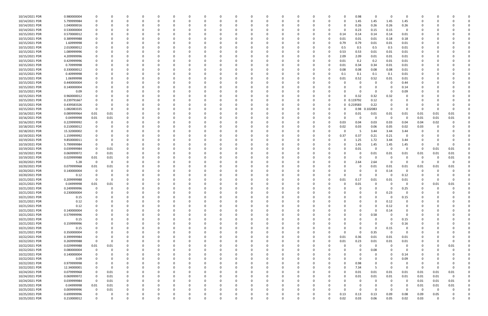| 10/14/2021 PDR | 0.980000004 |              |          |          |          |          |          |          |          |          |          |          |          |          |          | 0.98       | $\Omega$ |                         | 0           |          |          |                |  |
|----------------|-------------|--------------|----------|----------|----------|----------|----------|----------|----------|----------|----------|----------|----------|----------|----------|------------|----------|-------------------------|-------------|----------|----------|----------------|--|
| 10/14/2021 PDR | 5.799999984 | $\mathbf 0$  |          | $\Omega$ |          | -C       |          |          |          |          |          | 0        |          | O        | 0        | 1.45       | 1.45     | 1.45                    | 1.45        |          |          |                |  |
| 10/14/2021 PDR | 1.040000016 |              |          |          |          |          |          |          |          |          |          |          |          |          | 0        | 0.26       | 0.26     | 0.26                    | 0.26        |          |          |                |  |
|                |             |              |          |          |          |          |          |          |          |          |          |          |          |          |          |            |          |                         |             |          |          |                |  |
| 10/14/2021 PDR | 0.530000004 |              |          |          |          |          |          |          |          |          |          |          |          |          | 0        | 0.23       | 0.15     | 0.15                    | 0           |          |          |                |  |
| 10/15/2021 PDR | 0.570000012 | 0            |          |          |          |          |          |          |          |          |          |          |          |          | 0.14     | 0.14       | 0.14     | 0.14                    | 0.01        |          |          |                |  |
| 10/15/2021 PDR | 0.389999988 |              |          |          |          |          |          |          |          |          |          |          |          |          | 0.01     | 0.01       | 0.01     | 0.18                    | 0.18        |          |          |                |  |
| 10/15/2021 PDR | 1.60999998  |              |          |          |          |          |          |          |          |          |          |          |          |          | 0.79     | 0.79       | 0.01     | 0.01                    | 0.01        |          |          |                |  |
| 10/15/2021 PDR | 2.010000012 |              |          |          |          |          |          |          |          |          |          |          |          |          | 0.5      | 0.5        | 0.5      | 0.5                     | 0.01        |          |          |                |  |
| 10/15/2021 PDR | 1.089999996 |              |          |          |          |          |          |          |          |          |          |          |          |          | 0.53     | 0.53       | 0.01     | 0.01                    | 0.01        |          |          |                |  |
|                |             |              |          |          |          |          |          |          |          |          |          |          |          |          |          |            |          |                         |             |          |          |                |  |
| 10/15/2021 PDR | 4.209999996 |              |          |          |          |          |          |          |          |          |          |          |          |          | 2.09     | 2.09       | 0.01     | 0.01                    | 0.01        |          |          |                |  |
| 10/15/2021 PDR | 0.429999996 |              |          |          |          |          |          |          |          |          |          |          |          |          | 0.01     | 0.2        | 0.2      | 0.01                    | 0.01        |          |          |                |  |
| 10/15/2021 PDR | 0.70999998  |              |          |          |          |          |          |          |          |          |          |          |          |          | 0.01     | 0.34       | 0.34     | 0.01                    | 0.01        |          |          |                |  |
| 10/15/2021 PDR | 0.330000012 |              |          |          |          |          |          |          |          |          |          |          |          |          | 0.08     | 0.08       | 0.08     | 0.08                    | 0.01        |          |          |                |  |
| 10/15/2021 PDR | 0.40999998  |              |          |          |          |          |          |          |          |          |          |          |          |          | 0.1      | 0.1        | 0.1      | 0.1                     | 0.01        |          |          |                |  |
| 10/15/2021 PDR | 1.06999998  |              |          |          |          |          |          |          |          |          |          |          |          |          | 0.01     | 0.52       | 0.52     | 0.01                    | 0.01        |          |          |                |  |
|                |             |              |          |          |          |          |          |          |          |          |          |          |          |          |          |            |          |                         |             |          |          |                |  |
| 10/15/2021 PDR | 0.440000004 |              |          |          |          |          |          |          |          |          |          |          |          |          | -C       | 0          | - 0      | -0                      | 0.44        |          |          |                |  |
| 10/15/2021 PDR | 0.140000004 |              |          |          |          |          |          |          |          |          |          |          |          |          |          |            |          |                         | 0.14        |          |          |                |  |
| 10/15/2021 PDR | 0.09        |              |          |          |          |          |          |          |          |          |          |          |          |          |          |            |          | - 0                     | 0.09        |          |          |                |  |
| 10/15/2021 PDR | 0.960000012 |              |          |          |          |          |          |          |          |          |          |          |          |          | $\Omega$ | 0.32       | 0.32     | 0.32                    | 0           |          |          |                |  |
| 10/15/2021 PDR | 0.239791667 |              |          |          |          |          |          |          |          |          |          |          |          |          |          | 0 0.119792 | 0.12     |                         |             |          |          |                |  |
|                |             |              |          |          |          |          |          |          |          |          |          |          |          |          |          |            |          |                         |             |          |          |                |  |
| 10/15/2021 PDR | 0.439583326 |              |          |          |          |          |          |          |          |          |          |          |          |          |          | 0 0.219583 | 0.22     |                         |             |          |          |                |  |
| 10/15/2021 PDR | 1.082083335 | 0            |          |          |          |          |          |          |          |          |          |          |          |          | 0        | 0.98       | 0.102083 | - 0                     | 0           |          |          |                |  |
| 10/16/2021 PDR | 0.089999964 | 0.01         | 0.01     |          |          |          |          |          |          |          |          |          |          |          | C        | 0.01       | 0.01     | 0.01                    | 0.01        | 0.01     | 0.01     | 0.01           |  |
| 10/16/2021 PDR | 0.04999998  | 0.01         | 0.01     |          |          |          |          |          |          |          |          |          |          |          | 0        | - 0        | - 0      | $\overline{\mathbf{0}}$ | 0           | 0.01     | 0.01     | 0.01           |  |
| 10/16/2021 PDR | 0.229999992 | 0            |          |          |          |          |          |          |          |          |          |          |          |          | 0.03     | 0.04       | 0.03     | 0.03                    | 0.04        | 0.04     | 0.02     |                |  |
| 10/18/2021 PDR | 0.210000012 |              |          |          |          |          |          |          |          |          |          |          |          |          | 0.02     | 0.03       | 0.06     | 0.05                    | 0.02        | 0.03     |          |                |  |
|                |             |              |          |          |          |          |          |          |          |          |          |          |          |          |          |            |          |                         |             |          |          |                |  |
| 10/18/2021 PDR | 15.32000002 |              |          |          |          |          |          |          |          |          |          |          |          |          | -C       | - 5        | 3.44     | 3.44                    | 3.44        |          |          |                |  |
| 10/19/2021 PDR | 1.159999992 |              |          |          |          |          |          |          |          |          |          |          |          |          | 0.37     | 0.37       | 0.21     | 0.21                    | 0           |          |          |                |  |
| 10/19/2021 PDR | 9.850000011 |              |          |          |          |          |          |          |          |          |          |          |          |          | 0        | 1.25       | 1.72     | 3.44                    | 3.44        |          |          |                |  |
| 10/19/2021 PDR | 5.799999984 | 0            | - 0      |          |          |          |          |          |          |          |          |          |          |          | 0        | 1.45       | 1.45     | 1.45                    | 1.45        |          |          |                |  |
| 10/19/2021 PDR | 0.039999984 | 0            | 0.01     |          |          |          |          |          |          |          |          |          |          |          | $\Omega$ | 0.01       | $\Omega$ | - 0                     | 0           | -0       | 0.01     | 0.01           |  |
| 10/19/2021 PDR | 0.069999972 | 0            | 0.01     |          |          |          |          |          |          |          |          |          |          |          | 0        | 0          | 0.01     | 0.01                    | 0.01        | 0.01     | 0.01     | 0.01           |  |
|                |             |              |          |          |          |          |          |          |          |          |          |          |          |          |          |            |          |                         |             |          |          |                |  |
| 10/19/2021 PDR | 0.029999988 | 0.01         | 0.01     |          |          |          |          |          |          |          |          |          |          |          |          | 0          |          |                         | 0           |          |          | 0.01           |  |
| 10/20/2021 PDR | 5.28        | $\mathbf 0$  | 0        |          |          |          |          |          |          |          |          |          |          |          |          | 2.64       | 2.64     |                         | 0           | - 0      |          |                |  |
| 10/20/2021 PDR | 0.079999968 | 0.01         | 0.01     |          |          |          |          |          |          |          |          |          |          |          |          | 0          | 0.01     | 0.01                    | 0.01        | 0.01     | 0.01     | 0.01           |  |
| 10/20/2021 PDR | 0.140000004 | $\Omega$     |          |          |          |          |          |          |          |          |          |          |          |          |          |            |          | 0.14                    | 0           | - 0      |          |                |  |
| 10/20/2021 PDR | 0.12        | 0            |          |          |          |          |          |          |          |          |          |          |          |          | $\Omega$ | 0          |          | - 0                     | 0.12        |          |          |                |  |
| 10/21/2021 PDR | 0.209999988 | $\Omega$     |          |          |          |          |          |          |          |          |          |          |          |          | 0.01     | 0.17       | 0.01     |                         | 0.01        |          |          |                |  |
|                |             |              |          |          |          |          |          |          |          |          |          |          |          |          |          |            |          | 0.01                    |             |          |          |                |  |
| 10/21/2021 PDR | 0.04999998  | 0.01         | 0.01     |          |          |          |          |          |          |          |          |          |          |          |          | 0.01       |          |                         | $\Omega$    |          | 0.01     | 0.01           |  |
| 10/21/2021 PDR | 0.249999996 | $\mathbf 0$  | $\Omega$ |          |          |          |          |          |          |          |          |          |          |          | 0        | 0          | $\Omega$ | - 0                     | 0.25        | - 0      | $\Omega$ |                |  |
| 10/21/2021 PDR | 0.230000004 | $\mathbf 0$  |          |          |          |          |          |          |          |          |          |          |          |          |          |            |          | 0.23                    | 0           |          |          |                |  |
| 10/21/2021 PDR | 0.15        | $\Omega$     | $\Omega$ | $\Omega$ | $\Omega$ | $\Omega$ | $\Omega$ | $\Omega$ | $\Omega$ | $\Omega$ | $\Omega$ | $\Omega$ | $\Omega$ | $\Omega$ | $\Omega$ | $\Omega$   | $\Omega$ | $\overline{\mathbf{0}}$ | 0.15        | $\Omega$ |          |                |  |
| 10/21/2021 PDR | 0.12        | $\mathbf 0$  |          | $\Omega$ | 0        | $\Omega$ | 0        | 0        | $\Omega$ |          | $\Omega$ | $\Omega$ | $\Omega$ | 0        | $\Omega$ |            | $\Omega$ | 0.12                    | $\mathbf 0$ |          |          |                |  |
|                |             |              |          |          |          |          |          |          |          |          |          |          |          |          |          |            |          |                         |             |          |          |                |  |
| 10/21/2021 PDR | 0.12        | 0            |          | $\Omega$ |          | $\Omega$ |          |          |          |          | 0        | $\Omega$ |          |          | 0        |            |          | 0.12                    | 0           |          |          |                |  |
| 10/21/2021 PDR | 0.140000004 | $\Omega$     |          | $\Omega$ |          | 0        |          |          |          |          | 0        | $\Omega$ |          |          | 0        | $\Omega$   | $\Omega$ | 0.14                    | 0           |          |          |                |  |
| 10/21/2021 PDR | 0.579999996 | 0            |          |          |          |          |          |          |          |          |          |          |          |          |          | $\Omega$   | 0.58     | $\Omega$                | 0           |          |          |                |  |
| 10/21/2021 PDR | 0.15        | $\mathbf 0$  |          | 0        |          |          |          |          |          |          |          |          |          |          | 0        | $\Omega$   | $\Omega$ | - 0                     | 0.15        |          |          |                |  |
| 10/21/2021 PDR | 0.159999996 | $\mathbf 0$  |          |          |          |          |          |          |          |          |          |          |          |          | $\Omega$ |            | - 0      | $\overline{0}$          | 0.16        |          |          |                |  |
| 10/21/2021 PDR | 0.15        | 0            |          |          |          |          |          |          |          |          |          |          |          |          |          |            | $\Omega$ | 0.15                    | 0           |          |          |                |  |
|                |             |              |          |          |          |          |          |          |          |          |          |          |          |          |          |            |          |                         |             |          |          |                |  |
| 10/21/2021 PDR | 0.350000004 | 0            |          |          |          |          |          |          |          |          |          |          |          |          | $\Omega$ | $\Omega$   | 0.35     | - 0                     | 0           |          |          |                |  |
| 10/22/2021 PDR | 0.399999984 | 0            |          |          |          |          |          |          |          |          |          |          |          |          | 0.01     | 0.36       | 0.01     | 0.01                    | 0.01        |          |          |                |  |
| 10/22/2021 PDR | 0.269999988 | $\mathbf 0$  |          |          |          |          |          |          |          |          |          |          |          |          | 0.01     | 0.23       | $0.01\,$ | 0.01                    | 0.01        |          |          |                |  |
| 10/22/2021 PDR | 0.029999988 | 0.01         | 0.01     |          |          |          |          |          |          |          |          |          |          |          | 0        | 0          | $\Omega$ | - 0                     | 0           |          |          | 0.01           |  |
| 10/22/2021 PDR | 0.080000004 | 0            | $\Omega$ |          |          |          |          |          |          |          |          |          |          |          | $\Omega$ | 0          | 0.08     | $\Omega$                | 0           |          |          |                |  |
| 10/22/2021 PDR | 0.140000004 | 0            |          | $\Omega$ |          |          |          |          |          |          |          |          |          |          | 0        |            | $\Omega$ | $\Omega$                | 0.14        |          |          |                |  |
|                |             |              |          |          |          |          |          |          |          |          |          |          |          |          |          |            |          |                         |             |          |          |                |  |
| 10/22/2021 PDR | 0.09        | 0            |          | $\Omega$ |          | 0        |          |          |          |          | 0        | $\Omega$ |          | 0        | $\Omega$ | $\Omega$   | $\Omega$ | $\Omega$                | 0.09        |          |          |                |  |
| 10/22/2021 PDR | 0.979999998 | 0            |          | $\Omega$ |          | 0        |          |          |          |          | 0        | 0        |          |          | 0        | 0.98       | $\Omega$ | $\Omega$                | 0           |          |          |                |  |
| 10/22/2021 PDR | 12.34000001 | $\Omega$     | $\Omega$ | $\Omega$ |          | $\Omega$ |          |          |          |          |          | $\Omega$ |          |          | $\Omega$ | 7.34       | -5       | - 0                     | 0           | $\Omega$ | $\Omega$ |                |  |
| 10/24/2021 PDR | 0.079999968 | $\mathbf 0$  | 0.01     | 0        |          |          |          |          |          |          |          |          |          |          | 0        | 0.01       | 0.01     | 0.01                    | 0.01        | 0.01     | 0.01     | 0.01           |  |
| 10/24/2021 PDR | 0.069999972 | 0            | 0.01     | 0        |          |          |          |          |          |          |          |          |          |          | 0        | 0.01       | $0.01\,$ | 0.01                    | 0.01        | 0.01     | 0.01     | $\overline{0}$ |  |
| 10/24/2021 PDR | 0.039999984 | $\mathsf{O}$ | 0.01     | 0        | 0        | 0        |          |          |          |          |          | $\Omega$ |          |          | $\Omega$ | 0          | $\Omega$ | $\Omega$                | 0           | 0.01     | 0.01     | 0.01           |  |
|                |             |              |          |          |          |          |          |          |          |          |          |          |          |          |          |            |          |                         |             |          |          |                |  |
| 10/25/2021 PDR | 0.04999998  | 0.01         | 0.01     | 0        |          | 0        |          |          |          |          |          | 0        |          | 0        | 0        | 0          | $\Omega$ | -0                      | 0           | 0.01     | 0.01     | 0.01           |  |
| 10/25/2021 PDR | 0.009999996 | 0            | 0.01     | $\Omega$ |          | $\Omega$ |          |          |          |          | $\Omega$ | $\Omega$ |          |          | $\Omega$ | $\Omega$   | $\Omega$ | $\Omega$                | $\Omega$    | $\Omega$ | $\Omega$ |                |  |
| 10/25/2021 PDR | 0.699999996 | 0            | - 0      | 0        |          |          |          |          |          |          |          |          |          |          | 0.13     | 0.13       | 0.13     | 0.09                    | 0.08        | 0.09     | 0.05     |                |  |
| 10/25/2021 PDR | 0.210000012 | $\mathbf 0$  | $\Omega$ | $\Omega$ |          | $\Omega$ | $\Omega$ |          | $\Omega$ |          | $\Omega$ | $\Omega$ | $\Omega$ | 0        | 0.02     | 0.03       | 0.06     | 0.05                    | 0.02        | 0.03     | $\Omega$ | 0              |  |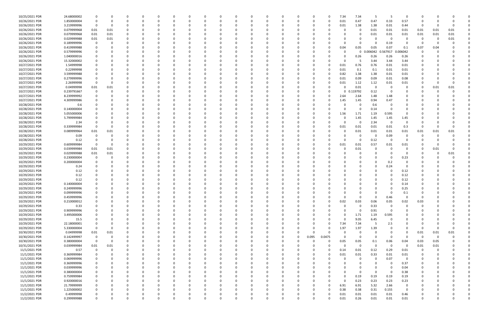| 10/25/2021 PDR | 24.68000002 | $\Omega$     |          |          |          |          |          |          |          |          |          |          |          |          |          |          | 7.34     | 7.34        | -5       | -5                      | 0           |             |              |      |  |
|----------------|-------------|--------------|----------|----------|----------|----------|----------|----------|----------|----------|----------|----------|----------|----------|----------|----------|----------|-------------|----------|-------------------------|-------------|-------------|--------------|------|--|
| 10/26/2021 PDR | 1.850000004 | $\mathbf 0$  |          |          |          |          |          |          |          |          |          |          |          |          | ŋ        |          | 0.01     | 0.47        | 0.47     | 0.33                    | 0.57        |             |              |      |  |
| 10/26/2021 PDR |             | 0            |          |          |          |          |          |          |          |          |          |          |          |          |          |          |          | 1.38        |          | 0.01                    | 0.44        | -0          |              |      |  |
|                | 3.219999996 |              |          |          |          |          |          |          |          |          |          |          |          |          |          |          | 0.01     |             | 1.38     |                         |             |             |              |      |  |
| 10/26/2021 PDR | 0.079999968 | 0.01         | 0.01     |          |          |          |          |          |          |          |          |          |          |          |          |          | -C       | 0           | 0.01     | 0.01                    | 0.01        | 0.01        | 0.01         | 0.01 |  |
| 10/26/2021 PDR | 0.079999968 | 0.01         | 0.01     |          |          |          |          |          |          |          |          |          |          |          |          |          |          |             | 0.01     | 0.01                    | 0.01        | 0.01        | 0.01         | 0.01 |  |
| 10/26/2021 PDR | 0.029999988 | 0.01         | 0.01     | 0        |          |          |          |          |          |          |          |          |          |          |          |          | $\Omega$ |             |          | - 0                     | 0           | -0          | $\Omega$     | 0.01 |  |
| 10/26/2021 PDR | 0.189999996 | 0            |          |          |          |          |          |          |          |          |          |          |          |          |          |          | $\Omega$ | - 0         | $\Omega$ | 0.19                    | 0           | -0          |              |      |  |
|                |             |              |          |          |          |          |          |          |          |          |          |          |          |          |          |          |          |             |          |                         |             |             |              |      |  |
| 10/26/2021 PDR | 0.419999988 | 0            |          |          |          |          |          |          |          |          |          |          |          |          |          |          | 0.04     | 0.05        | 0.05     | 0.07                    | 0.1         | 0.07        | 0.04         |      |  |
| 10/26/2021 PDR | 0.579999996 |              |          |          |          |          |          |          |          |          |          |          |          |          |          |          | 0        | $\Omega$    | 0.006042 | 0.567917                | 0.006042    |             |              |      |  |
| 10/26/2021 PDR | 1.040000016 |              |          |          |          |          |          |          |          |          |          |          |          |          |          |          | 0        | 0.26        | 0.26     | 0.26                    | 0.26        |             |              |      |  |
| 10/26/2021 PDR | 15.32000002 | $\Omega$     |          |          |          |          |          |          |          |          |          |          |          |          |          |          | 0        | -5          | 3.44     | 3.44                    | 3.44        |             |              |      |  |
|                |             |              |          |          |          |          |          |          |          |          |          |          |          |          |          |          |          |             |          |                         |             |             |              |      |  |
| 10/27/2021 PDR | 1.54999998  | 0            |          |          |          |          |          |          |          |          |          |          |          |          |          |          | 0.01     | 0.76        | 0.76     | 0.01                    | 0.01        |             |              |      |  |
| 10/27/2021 PDR | 0.22999998  |              |          |          |          |          |          |          |          |          |          |          |          |          |          |          | 0.01     | 0.1         | 0.1      | 0.01                    | 0.01        |             |              |      |  |
| 10/27/2021 PDR | 3.599999988 |              |          |          |          |          |          |          |          |          |          |          |          |          |          |          | 0.82     | 1.38        | 1.38     | 0.01                    | 0.01        |             |              |      |  |
| 10/27/2021 PDR | 0.279999996 |              |          |          |          |          |          |          |          |          |          |          |          |          |          |          | 0.01     | 0.09        | 0.09     | 0.01                    | 0.08        |             |              |      |  |
| 10/27/2021 PDR | 2.26999998  | 0            |          |          |          |          |          |          |          |          |          |          |          |          |          |          |          |             |          |                         |             |             |              |      |  |
|                |             |              |          |          |          |          |          |          |          |          |          |          |          |          |          |          | 0.01     | 1.12        | 1.12     | 0.01                    | 0.01        |             |              |      |  |
| 10/27/2021 PDR | 0.04999998  | 0.01         | 0.01     |          |          |          |          |          |          |          |          |          |          |          |          |          | 0        | 0.01        | - 0      | - 0                     | 0           |             | 0.01         | 0.01 |  |
| 10/27/2021 PDR | 0.239791667 | 0            |          |          |          |          |          |          |          |          |          |          |          |          |          |          |          | 0 0.119792  | 0.12     | - 0                     | 0           |             | $\Omega$     |      |  |
| 10/27/2021 PDR | 8.239999992 | 0            |          |          |          |          |          |          |          |          |          |          |          |          |          |          | 2.64     | 2.64        | 1.48     | 1.48                    | 0           |             |              |      |  |
| 10/27/2021 PDR | 4.309999986 | $\Omega$     |          |          |          |          |          |          |          |          |          |          |          |          |          |          | 1.45     | 1.45        | 0.94     | 0.47                    |             |             |              |      |  |
|                |             |              |          |          |          |          |          |          |          |          |          |          |          |          |          |          |          |             |          |                         |             |             |              |      |  |
| 10/28/2021 PDR | 0.6         |              |          |          |          |          |          |          |          |          |          |          |          |          |          |          |          | 0           | 0.6      |                         |             |             |              |      |  |
| 10/28/2021 PDR | 0.140000004 |              |          |          |          |          |          |          |          |          |          |          |          |          |          |          | $\Omega$ | 0           | 0.14     | - 0                     |             |             |              |      |  |
| 10/28/2021 PDR | 5.055000006 |              |          |          |          |          |          |          |          |          |          |          |          |          |          |          | 1.56     | 1.71        | 1.19     | 0.595                   | 0           |             |              |      |  |
| 10/28/2021 PDR | 5.799999984 | 0            |          |          |          |          |          |          |          |          |          |          |          |          |          |          | 0        | 1.45        | 1.45     | 1.45                    | 1.45        |             |              |      |  |
|                |             |              |          |          |          |          |          |          |          |          |          |          |          |          |          |          |          |             |          |                         |             |             |              |      |  |
| 10/28/2021 PDR | 2.34        |              |          |          |          |          |          |          |          |          |          |          |          |          |          |          | 0        | $\Omega$    | 2.34     | $\overline{\mathbf{0}}$ | 0           |             |              |      |  |
| 10/28/2021 PDR | 0.339999984 | 0            |          |          |          |          |          |          |          |          |          |          |          |          |          |          | 0.01     | 0.01        | 0.01     | 0.01                    | 0.3         | -0          |              |      |  |
| 10/28/2021 PDR | 0.089999964 | 0.01         | 0.01     |          |          |          |          |          |          |          |          |          |          |          |          |          | 0        | 0.01        | 0.01     | 0.01                    | 0.01        | 0.01        | 0.01         | 0.01 |  |
| 10/28/2021 PDR | 0.09        | 0            |          |          |          |          |          |          |          |          |          |          |          |          |          |          | 0        | 0           | - 0      | 0.09                    | 0           |             |              |      |  |
| 10/28/2021 PDR |             | 0            |          |          |          |          |          |          |          |          |          |          |          |          |          |          | $\Omega$ | 0           |          | - 0                     | 0           |             |              |      |  |
|                | 0.12        |              |          |          |          |          |          |          |          |          |          |          |          |          |          |          |          |             | 0.12     |                         |             |             |              |      |  |
| 10/29/2021 PDR | 0.609999984 | 0            |          |          |          |          |          |          |          |          |          |          |          |          |          |          | 0.01     | 0.01        | 0.57     | 0.01                    | 0.01        |             |              |      |  |
| 10/29/2021 PDR | 0.039999984 | 0.01         | 0.01     |          |          |          |          |          |          |          |          |          |          |          |          |          | 0        | 0.01        | $\Omega$ |                         | 0           |             | 0.01         |      |  |
| 10/29/2021 PDR | 0.029999988 | 0.01         | 0.01     |          |          |          |          |          |          |          |          |          |          |          |          |          |          |             |          |                         | 0           |             |              | 0.01 |  |
| 10/29/2021 PDR | 0.230000004 | 0            |          |          |          |          |          |          |          |          |          |          |          |          |          |          |          |             |          |                         | 0.23        |             |              |      |  |
|                |             |              |          |          |          |          |          |          |          |          |          |          |          |          |          |          |          |             |          |                         |             |             |              |      |  |
| 10/29/2021 PDR | 0.200000004 |              |          |          |          |          |          |          |          |          |          |          |          |          |          |          |          |             |          | 0.2                     | 0           |             |              |      |  |
| 10/29/2021 PDR | 0.24        |              |          |          |          |          |          |          |          |          |          |          |          |          |          |          |          |             |          | 0.24                    | 0           |             |              |      |  |
| 10/29/2021 PDR | 0.12        |              |          |          |          |          |          |          |          |          |          |          |          |          |          |          |          |             |          |                         | 0.12        |             |              |      |  |
| 10/29/2021 PDR | 0.12        |              |          |          |          |          |          |          |          |          |          |          |          |          |          |          |          |             |          |                         | 0.12        |             |              |      |  |
|                |             |              |          |          |          |          |          |          |          |          |          |          |          |          |          |          |          |             |          |                         |             |             |              |      |  |
| 10/29/2021 PDR | 0.12        |              |          |          |          |          |          |          |          |          |          |          |          |          |          |          |          |             |          |                         | 0.12        |             |              |      |  |
| 10/29/2021 PDR | 0.140000004 |              |          |          |          |          |          |          |          |          |          |          |          |          |          |          |          |             |          |                         | 0.14        |             |              |      |  |
| 10/29/2021 PDR | 0.249999996 | $\Omega$     |          |          |          |          |          |          |          |          |          |          |          |          |          |          |          |             |          |                         | 0.25        |             |              |      |  |
| 10/29/2021 PDR | 0.099999996 | $\mathbf 0$  |          |          |          |          |          |          |          |          |          |          |          |          |          |          |          |             |          |                         | 0.1         |             |              |      |  |
| 10/29/2021 PDR | 0.459999996 | 0            | $\Omega$ | 0        | $\Omega$ | $\Omega$ | 0        | $\Omega$ | $\Omega$ | $\Omega$ | $\Omega$ | $\Omega$ | $\Omega$ |          | 0        |          | 0        | $\mathbf 0$ | $\Omega$ | 0.46                    | $\mathbf 0$ | $\mathbf 0$ |              |      |  |
|                |             |              |          |          |          |          |          |          |          |          |          |          |          |          |          |          |          |             |          |                         |             |             |              |      |  |
| 10/29/2021 PDR | 0.210000012 | 0            |          | $\Omega$ |          | $\Omega$ | 0        |          |          |          | 0        | $\Omega$ |          |          | 0        |          | 0.02     | 0.03        | 0.06     | 0.05                    | 0.02        | 0.03        |              |      |  |
| 10/29/2021 PDR | 0.33        | $\Omega$     |          | $\Omega$ |          | $\Omega$ |          |          |          |          | $\Omega$ |          |          |          |          |          | 0        | $\Omega$    | 0.33     | 0                       | 0           | $\Omega$    |              |      |  |
| 10/29/2021 PDR | 0.909999996 | 0            |          |          |          |          |          |          |          |          |          |          |          |          |          |          | 0        | $\Omega$    | 0.91     | - 0                     | 0           |             |              |      |  |
| 10/29/2021 PDR | 3.495000006 | 0            |          |          |          |          |          |          |          |          |          |          |          |          |          |          | 0        | 1.71        | 1.19     | 0.595                   |             |             |              |      |  |
|                |             |              |          |          |          |          |          |          |          |          |          |          |          |          |          |          |          |             |          |                         |             |             |              |      |  |
| 10/29/2021 PDR | 15.5        | $\Omega$     |          | 0        |          |          |          |          |          |          | 0        | 0        |          |          |          |          | $\Omega$ | 9.05        | 6.45     | $\overline{\mathbf{0}}$ | 0           |             |              |      |  |
| 10/29/2021 PDR | 22.18000001 | 0            |          |          |          |          |          |          |          |          |          | 0        |          |          |          | 0        | 7.34     | 7.34        | - 5      | 2.5                     | 0           | 0           |              |      |  |
| 10/29/2021 PDR | 5.330000004 | $\mathsf{O}$ | $\Omega$ | $\Omega$ |          | $\Omega$ |          |          |          |          | $\Omega$ | $\Omega$ | $\Omega$ |          | 0        |          | 1.97     | 1.97        | 1.39     | $\Omega$                | 0           | $\Omega$    | <sup>n</sup> |      |  |
| 10/30/2021 PDR | 0.04999998  | 0.01         | 0.01     | 0        |          | 0        |          |          |          |          | 0        | 0        |          |          | $\Omega$ | ŋ        | -0       | 0           | $\Omega$ | -0                      | 0           | 0.01        | 0.01         | 0.01 |  |
| 10/30/2021 PDR | 0.142499997 | 0            | - 0      |          |          |          |          |          |          |          |          |          | $\Omega$ | $\Omega$ | 0.095    | 0.0475   | $\Omega$ | $\Omega$    | $\Omega$ | $\Omega$                | $\Omega$    | $\Omega$    | $\Omega$     |      |  |
|                |             |              |          |          |          |          |          |          |          |          |          |          |          |          |          |          |          |             |          |                         |             |             |              |      |  |
| 10/30/2021 PDR | 0.380000004 | $\mathbf 0$  | $\Omega$ | 0        |          | 0        |          |          |          |          | 0        | 0        | $\Omega$ |          | $\Omega$ | $\Omega$ | 0.05     | 0.05        | 0.1      | 0.06                    | 0.04        | 0.03        | 0.05         |      |  |
| 10/31/2021 PDR | 0.039999984 | 0.01         | 0.01     | 0        |          | 0        |          |          |          |          | 0        | 0        | 0        |          |          | 0        | $\Omega$ | $\mathbf 0$ | $\Omega$ | $\overline{\mathbf{0}}$ | 0           | 0.01        | 0.01         |      |  |
| 11/1/2021 PDR  | 0.57        | 0            | $\Omega$ | $\Omega$ |          |          |          |          |          |          |          | 0        |          |          |          | 0        | 0.14     | 0.01        | 0.12     | 0.29                    | 0.01        | $\Omega$    | $\Omega$     |      |  |
| 11/1/2021 PDR  | 0.369999984 | 0            |          | $\Omega$ |          | $\Omega$ |          |          |          |          |          | 0        |          |          | 0        |          | 0.01     | 0.01        | 0.33     | 0.01                    | 0.01        |             |              |      |  |
|                |             |              |          |          |          |          |          |          |          |          |          |          |          |          |          |          |          |             |          |                         |             |             |              |      |  |
| 11/1/2021 PDR  | 0.069999996 | 0            |          | 0        |          | $\Omega$ |          |          |          |          | 0        |          |          |          |          |          | 0        | $\Omega$    | $\Omega$ | 0.07                    | 0           |             |              |      |  |
| 11/1/2021 PDR  | 0.369999996 | 0            |          |          |          |          |          |          |          |          |          |          |          |          |          |          | 0        |             | $\Omega$ | $\Omega$                | 0.37        |             |              |      |  |
| 11/1/2021 PDR  | 0.039999996 | 0            |          |          |          |          |          |          |          |          |          |          |          |          |          |          |          |             |          | - 0                     | 0.04        |             |              |      |  |
| 11/1/2021 PDR  | 0.380000004 | 0            |          |          |          |          |          |          |          |          |          |          |          |          |          |          | 0        | 0           | - 0      | - 0                     | 0.38        |             |              |      |  |
| 11/1/2021 PDR  | 0.759999984 | $\mathbf 0$  |          |          |          |          |          |          |          |          |          |          |          |          |          |          | $\Omega$ | 0.19        | 0.19     | 0.19                    | 0.19        |             |              |      |  |
|                |             |              |          |          |          |          |          |          |          |          |          |          |          |          |          |          |          |             |          |                         |             |             |              |      |  |
| 11/1/2021 PDR  | 0.920000016 | 0            |          |          |          |          |          |          |          |          |          |          |          |          |          |          | $\Omega$ | 0.23        | 0.23     | 0.23                    | 0.23        |             |              |      |  |
| 11/1/2021 PDR  | 21.79999999 | 0            |          | 0        |          |          |          |          |          |          |          |          |          |          |          |          | 6.91     | 6.91        | 5.32     | 2.66                    | 0           |             |              |      |  |
| 11/1/2021 PDR  | 1.225000002 | 0            |          |          |          |          |          |          |          |          |          |          |          |          |          |          | 0.38     | 0.38        | 0.31     | 0.155                   | 0           |             |              |      |  |
| 11/2/2021 PDR  | 0.49999998  | 0            |          |          |          |          |          |          |          |          |          |          |          |          |          | 0        | 0.01     | 0.01        | 0.01     | 0.01                    | 0.46        |             |              |      |  |
|                |             |              |          |          |          |          |          |          |          |          |          |          |          |          |          |          |          |             |          |                         |             |             |              |      |  |
| 11/2/2021 PDR  | 0.299999988 | $\mathbf 0$  |          | $\Omega$ | $\Omega$ | $\Omega$ | $\Omega$ |          | $\Omega$ |          | $\Omega$ | $\Omega$ | $\Omega$ |          | $\Omega$ |          | 0.01     | 0.26        | 0.01     | 0.01                    | 0.01        | $\Omega$    | U            |      |  |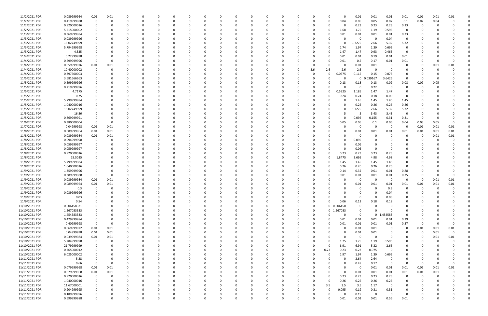| 11/2/2021 PDR  | 0.089999964 | 0.01        | 0.01     |          |          |          |          |          |          |          | $\Omega$ |          |              | C |          | 0             |                  | 0.01        | 0.01         | 0.01     | 0.01                | 0.01     | 0.01 | 0.01        |          |
|----------------|-------------|-------------|----------|----------|----------|----------|----------|----------|----------|----------|----------|----------|--------------|---|----------|---------------|------------------|-------------|--------------|----------|---------------------|----------|------|-------------|----------|
| 11/2/2021 PDR  | 0.419999988 | $\Omega$    | 0        | 0        |          | $\Omega$ |          |          |          |          | $\Omega$ |          |              | 0 |          | 0             | 0.04             | 0.05        | 0.05         | 0.07     | 0.1                 | 0.07     | 0.04 | $\Omega$    |          |
| 11/2/2021 PDR  | 0.920000016 |             |          |          |          |          |          |          |          |          |          |          |              |   |          |               |                  | 0.23        | 0.23         | 0.23     | 0.23                | 0        |      |             |          |
| 11/2/2021 PDR  | 5.215000002 |             |          |          |          |          |          |          |          |          |          |          |              |   |          |               | 1.68             | 1.75        | 1.19         | 0.595    | 0                   |          |      |             |          |
| 11/3/2021 PDR  | 0.369999984 |             |          |          |          |          |          |          |          |          |          |          |              |   |          |               | 0.01             | 0.01        | 0.01         | 0.01     | 0.33                |          |      |             |          |
| 11/3/2021 PDR  | 0.039999996 |             |          |          |          |          |          |          |          |          |          |          |              |   |          |               |                  | 0           |              | 0.04     | $\mathbf 0$         |          |      |             |          |
| 11/3/2021 PDR  | 15.02749999 |             |          |          |          |          |          |          |          |          |          |          |              |   |          |               |                  | 1.7275      | 2.66         | 5.32     | 5.32                |          |      |             |          |
| 11/3/2021 PDR  | 5.794999998 |             |          |          |          |          |          |          |          |          |          |          |              |   |          | <sup>0</sup>  | 1.74             | 1.97        | 1.39         | 0.695    | $\Omega$            |          |      |             |          |
| 11/3/2021 PDR  | 4.335       |             |          |          |          |          |          |          |          |          |          |          |              |   |          | 0             | 1.47             | 1.47        | 0.93         | 0.465    | 0                   |          |      |             |          |
| 11/4/2021 PDR  | 0.22999998  |             |          |          |          |          |          |          |          |          |          |          |              |   |          |               | 0.01             | 0.01        | 0.19         | 0.01     | 0.01                |          |      |             |          |
| 11/4/2021 PDR  | 0.699999996 | $\Omega$    |          |          |          |          |          |          |          |          |          |          |              |   |          |               | 0.01             | 0.5         | 0.17         | 0.01     | 0.01                |          |      | $\Omega$    |          |
| 11/4/2021 PDR  | 0.059999976 | 0.01        | 0.01     |          |          |          |          |          |          |          |          |          |              |   |          |               |                  | 0.01        | 0.01         | - 0      | 0                   |          | 0.01 | 0.01        |          |
| 11/4/2021 PDR  | 10.40000002 | 0           |          |          |          |          |          |          |          |          |          |          |              |   | 2.6      | 2.6           | 2.6              | 2.6         | $\Omega$     | - 0      | 0                   |          |      |             |          |
| 11/4/2021 PDR  | 0.397500003 |             |          |          |          |          |          |          |          |          |          |          |              |   |          | 0             | 0.0575           | 0.115       | 0.15         | 0.075    | 0                   |          |      |             |          |
| 11/5/2021 PDR  | 3.681666663 |             |          |          |          |          |          |          |          |          |          |          |              |   |          |               |                  | 0           | 0.039167     | 3.6425   | 0                   |          |      |             |          |
| 11/5/2021 PDR  | 0.699999996 |             |          |          |          |          |          |          |          |          |          |          |              |   |          |               | 0.13             | 0.13        | 0.13         | 0.09     | 0.08                | 0.09     | 0.05 |             |          |
| 11/5/2021 PDR  | 0.219999996 |             |          |          |          |          |          |          |          |          |          |          |              |   |          |               |                  | 0           | 0.22         | - 0      | 0                   |          |      |             |          |
| 11/5/2021 PDR  | 4.7175      |             |          |          |          |          |          |          |          |          |          |          |              |   |          |               | 0.5925           | 1.185       | 1.47         | 1.47     |                     |          |      |             |          |
| 11/5/2021 PDR  | 0.75        |             |          |          |          |          |          |          |          |          |          |          |              |   |          |               | 0.24             | 0.24        | 0.18         | 0.09     | 0                   |          |      |             |          |
| 11/5/2021 PDR  | 5.799999984 |             |          |          |          |          |          |          |          |          |          |          |              |   |          |               |                  | 1.45        | 1.45         | 1.45     | 1.45                |          |      |             |          |
| 11/5/2021 PDR  | 1.040000016 |             |          |          |          |          |          |          |          |          |          |          |              |   |          |               |                  | 0.26        | 0.26         | 0.26     | 0.26                |          |      |             |          |
| 11/5/2021 PDR  | 15.02749999 |             |          |          |          |          |          |          |          |          |          |          |              |   |          |               |                  | l.7275      | 2.66         | 5.32     | 5.32                |          |      |             |          |
| 11/5/2021 PDR  | 16.86       |             |          |          |          |          |          |          |          |          |          |          |              |   |          |               |                  | -5          | 3.43         | 3.43     | $\Omega$            |          |      |             |          |
| 11/5/2021 PDR  | 0.869999991 |             |          |          |          |          |          |          |          |          |          |          |              |   |          |               |                  | 0.095       | 0.155        | 0.31     | 0.31                | 0        |      |             |          |
| 11/6/2021 PDR  | 0.380000004 |             |          |          |          |          |          |          |          |          | -0       |          |              |   |          | <sup>0</sup>  | 0.05             | 0.05        | 0.1          | 0.06     | 0.04                | 0.03     | 0.05 |             |          |
| 11/7/2021 PDR  | 0.04999998  | 0.01        | 0.01     |          |          |          |          |          |          |          |          |          |              |   |          |               |                  | -0          |              | - 0      | $\Omega$            | 0.01     | 0.01 | 0.01        |          |
| 11/8/2021 PDR  | 0.089999964 | 0.01        | 0.01     |          |          |          |          |          |          |          |          |          |              |   |          |               |                  | 0.01        | 0.01         | 0.01     | 0.01                | 0.01     | 0.01 | 0.01        |          |
| 11/8/2021 PDR  | 0.039999984 | 0.01        | 0.01     |          |          |          |          |          |          |          |          |          |              |   |          |               |                  | 0           |              |          |                     | -0       | 0.01 | 0.01        |          |
| 11/8/2021 PDR  | 0.094999998 | 0           |          | $\Omega$ |          |          |          |          |          |          |          |          |              |   |          |               |                  | 0.095       |              |          |                     | 0        |      |             |          |
| 11/8/2021 PDR  | 0.059999997 |             |          |          |          |          |          |          |          |          |          |          |              |   |          |               |                  | 0.06        |              |          |                     |          |      |             |          |
| 11/8/2021 PDR  | 0.059999997 |             |          |          |          |          |          |          |          |          |          |          |              |   |          |               |                  | 0.06        | $\Omega$     |          |                     |          |      |             |          |
| 11/8/2021 PDR  | 0.920000016 |             |          |          |          |          |          |          |          |          |          |          |              |   |          |               | 0.23             | 0.23        | 0.23         | 0.23     |                     |          |      |             |          |
| 11/8/2021 PDR  | 15.5025     |             |          |          |          |          |          |          |          |          |          |          |              |   |          | 0             | 1.8475           | 3.695       | 4.98         | 4.98     |                     |          |      |             |          |
| 11/8/2021 PDR  | 5.799999984 |             |          |          |          |          |          |          |          |          |          |          |              |   |          |               | 1.45             | 1.45        | 1.45         | 1.45     |                     |          |      |             |          |
| 11/8/2021 PDR  | 1.040000016 |             |          |          |          |          |          |          |          |          |          |          |              |   |          |               | 0.26             | 0.26        | 0.26         | 0.26     | $\Omega$            |          |      |             |          |
| 11/9/2021 PDR  | 1.359999996 |             |          |          |          |          |          |          |          |          |          |          |              |   |          |               | 0.14             | 0.32        | 0.01         | 0.01     | 0.88                |          |      |             |          |
| 11/9/2021 PDR  | 0.389999988 |             |          |          |          |          |          |          |          |          |          |          |              |   |          |               | 0.01             | 0.01        | 0.01         | 0.01     | 0.35                |          |      |             |          |
| 11/9/2021 PDR  | 0.039999984 | 0.01        | 0.01     |          |          |          |          |          |          |          |          |          |              |   |          |               |                  | 0           |              | - 0      | $\Omega$            |          | 0.01 | 0.01        |          |
| 11/9/2021 PDR  | 0.089999964 | 0.01        | 0.01     |          |          |          |          |          |          |          |          |          |              |   |          |               |                  | 0.01        | 0.01         | 0.01     | 0.01                | 0.01     | 0.01 | 0.01        |          |
| 11/9/2021 PDR  | 0.3         | $\Omega$    | 0        | $\Omega$ |          |          |          |          |          |          |          |          |              |   |          |               |                  | $\Omega$    | $\Omega$     | 0.3      | 0                   | $\Omega$ |      | 0           |          |
| 11/9/2021 PDR  | 0.039999996 | $\Omega$    |          | $\Omega$ | $\Omega$ |          |          |          |          |          |          |          |              |   |          |               |                  | $\mathbf 0$ | $\Omega$     | 0.04     | $\sqrt{ }$          | $\Omega$ |      | $\Omega$    | $\Omega$ |
| 11/9/2021 PDR  | 0.03        | $\Omega$    |          | 0        |          | $\Omega$ |          |          | 0        |          | 0        | $\Omega$ | <sup>0</sup> | 0 |          | U             |                  | 0           | $\Omega$     | 0.03     | $\Omega$            | $\Omega$ |      |             |          |
| 11/9/2021 PDR  | 0.54        | 0           |          | 0        |          | $\Omega$ |          |          |          |          | 0        |          |              | 0 |          | $\Omega$      | 0.06             | 0.12        | $0.18\,$     |          | 0                   | $\Omega$ |      |             |          |
| 11/10/2021 PDR | 0.606458331 |             |          | 0        |          | $\Omega$ |          |          |          |          | 0        |          |              | 0 | 0        |               | 0 0.606458       | $\mathbf 0$ |              | 0.18     |                     |          |      |             |          |
| 11/10/2021 PDR | 1.267083333 |             |          |          |          |          |          |          |          |          | 0        |          |              | 0 | $\Omega$ |               | 0 1.267083       | 0           | $\Omega$     |          | $\Omega$            |          |      |             |          |
| 11/10/2021 PDR | 1.454583333 |             |          |          |          | 0        |          |          |          |          |          |          |              | 0 |          | 0             | $\Omega$         | 0           | $\mathbf{0}$ | 1.454583 | $\mathbf 0$         |          |      |             |          |
| 11/10/2021 PDR | 0.429999984 | $\Omega$    |          |          |          |          |          |          |          |          |          |          |              |   |          | 0             | 0.01             | 0.01        | 0.01         | 0.01     | 0.39                |          |      |             |          |
|                |             | $\Omega$    | $\Omega$ |          |          | $\Omega$ |          |          |          |          |          |          |              |   |          |               |                  |             |              |          |                     |          |      |             |          |
| 11/10/2021 PDR | 0.40999998  |             |          | 0        |          | $\Omega$ |          |          |          |          | $\Omega$ |          |              | 0 |          | $\Omega$<br>0 | 0.01<br>$\Omega$ | 0.01        | 0.01         | 0.01     | 0.37<br>$\mathbf 0$ | $\Omega$ |      |             |          |
| 11/10/2021 PDR | 0.069999972 | 0.01        | 0.01     | 0        |          |          |          |          |          |          | 0        |          |              | 0 |          |               |                  | 0.01        | 0.01         | - 0      |                     | 0.01     | 0.01 | 0.01        |          |
| 11/10/2021 PDR | 0.04999998  | $0.01\,$    | 0.01     |          |          | 0        |          |          |          |          | $\Omega$ |          |              | 0 |          |               | $\Omega$         | 0.01        | 0.01         |          | 0                   | 0        | 0.01 | $\Omega$    |          |
| 11/10/2021 PDR | 0.039999984 | 0.01        | 0.01     |          |          | 0        |          |          |          |          | 0        |          |              |   |          |               |                  | $\mathbf 0$ | $\Omega$     | - 0      |                     | 0        | 0.01 | 0.01        |          |
| 11/10/2021 PDR | 5.284999998 | $\mathbf 0$ |          |          |          |          |          |          |          |          |          |          |              |   |          | $\Omega$      | 1.75             | 1.75        | 1.19         | 0.595    |                     |          |      | $\Omega$    |          |
| 11/10/2021 PDR | 21.79999999 | $\mathbf 0$ |          |          |          |          |          |          |          |          |          |          |              |   |          | $\Omega$      | 6.91             | 6.91        | 5.32         | 2.66     |                     |          |      |             |          |
| 11/10/2021 PDR | 0.765000012 | 0           |          | 0        |          | $\Omega$ |          |          |          |          | 0        |          |              | 0 | 0        | 0.23          | 0.23             | 0.23        | 0.075        | 0        | $\Omega$            | 0        |      |             |          |
| 11/10/2021 PDR | 6.025000002 | 0           |          | 0        |          | $\Omega$ |          |          |          |          | 0        |          |              | 0 |          | $\Omega$      | 1.97             | 1.97        | 1.39         | 0.695    | 0                   |          |      |             |          |
| 11/11/2021 PDR | 5.28        | $\Omega$    |          | $\Omega$ |          | $\Omega$ |          |          |          |          | $\Omega$ | $\Omega$ |              | 0 |          | $\Omega$      |                  | 2.64        | 2.64         | $\Omega$ | $\Omega$            | 0        |      |             |          |
| 11/11/2021 PDR | 0.66        | $\Omega$    | $\Omega$ | 0        |          | $\Omega$ |          |          |          |          | 0        |          |              | 0 |          |               | O                | 0.49        | 0.17         | $\Omega$ | 0                   | 0        |      | 0           |          |
| 11/11/2021 PDR | 0.079999968 | $0.01\,$    | 0.01     |          |          |          |          |          |          |          |          |          |              |   |          |               |                  | - 0         | 0.01         | 0.01     | 0.01                | 0.01     | 0.01 | 0.01        |          |
| 11/11/2021 PDR | 0.079999968 | $0.01\,$    | 0.01     |          |          |          |          |          |          |          |          |          |              | 0 |          | 0             | $\Omega$         | 0.01        | 0.01         | 0.01     | 0.01                | 0.01     | 0.01 |             |          |
| 11/11/2021 PDR | 0.920000016 | $\mathbf 0$ | 0        | $\Omega$ |          | $\Omega$ |          |          |          |          |          |          |              |   |          | $\Omega$      | 0.23             | 0.23        | 0.23         | 0.23     | $\overline{0}$      | 0        |      |             |          |
| 11/11/2021 PDR | 1.040000016 | 0           |          | $\Omega$ |          | $\Omega$ |          |          |          |          | $\Omega$ |          |              | O |          | $\Omega$      | 0.26             | 0.26        | 0.26         | 0.26     | $\Omega$            |          |      |             |          |
| 11/11/2021 PDR | 11.67000001 | 0           |          | 0        |          | $\Omega$ |          |          |          |          | 0        |          |              | 0 |          | 3.5           | 3.5              | 3.5         | 1.17         | $\Omega$ | 0                   |          |      |             |          |
| 11/11/2021 PDR | 0.904999995 |             |          |          |          | $\Omega$ |          |          |          |          |          |          |              |   |          | $\Omega$      | 0.095            | 0.19        | 0.31         | 0.31     | 0                   |          |      |             |          |
| 11/11/2021 PDR | 0.189999996 |             |          |          |          |          |          |          |          |          | 0        |          |              |   |          |               |                  | 0.19        | $\Omega$     | - 0      |                     |          |      |             |          |
| 11/12/2021 PDR | 0.599999988 | $\mathbf 0$ |          | $\Omega$ |          | $\Omega$ | $\Omega$ | $\Omega$ | $\Omega$ | $\Omega$ | $\Omega$ | $\Omega$ | $\Omega$     | 0 |          | 0             | 0.01             | 0.01        | 0.01         | 0.56     | 0.01                | 0        |      | $\mathbf 0$ |          |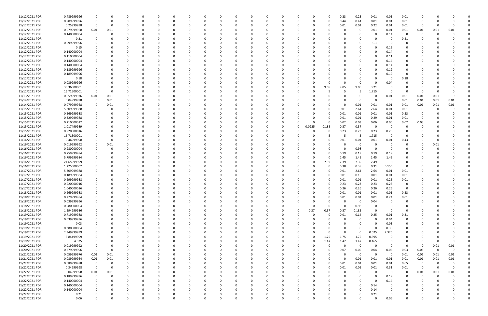| 11/12/2021 PDR | 0.489999996 | $\Omega$    |             |          |          |              | 0        |          |          |              | O            |          |          |          | 0.23     | 0.23        | 0.01     | 0.01                    | 0.01         |          |          |          |  |
|----------------|-------------|-------------|-------------|----------|----------|--------------|----------|----------|----------|--------------|--------------|----------|----------|----------|----------|-------------|----------|-------------------------|--------------|----------|----------|----------|--|
| 11/12/2021 PDR | 0.909999996 |             | $\Omega$    |          | -0       |              | $\Omega$ |          |          |              |              |          | $\Omega$ |          | 0.44     | 0.44        | 0.01     | 0.01                    | 0.01         | 0        |          |          |  |
| 11/12/2021 PDR | 0.25999998  | $\Omega$    | - 0         |          |          |              |          |          |          |              |              |          |          |          | 0.01     | 0.01        | 0.22     | 0.01                    | 0.01         | $\Omega$ |          |          |  |
|                |             |             |             |          |          |              |          |          |          |              |              |          |          |          |          |             |          |                         |              |          |          |          |  |
| 11/12/2021 PDR | 0.079999968 | 0.01        | 0.01        |          |          |              |          |          |          |              |              |          |          |          |          | 0           | 0.01     | 0.01                    | 0.01         | 0.01     | 0.01     | 0.01     |  |
| 11/12/2021 PDR | 0.140000004 | $\Omega$    |             |          |          |              |          |          |          |              |              |          |          |          |          |             |          | 0.14                    | 0            | -0       |          |          |  |
| 11/12/2021 PDR | 0.21        |             | 0           |          |          |              | n        |          |          |              |              |          |          |          | -C       |             |          | - 0                     | 0.21         |          |          |          |  |
|                |             |             |             |          |          |              |          |          |          |              |              |          |          |          |          |             |          |                         |              |          |          |          |  |
| 11/12/2021 PDR | 0.099999996 |             |             |          |          |              |          |          |          |              |              |          |          |          |          |             | 0.1      |                         | 0            |          |          |          |  |
| 11/12/2021 PDR | 0.15        |             |             |          |          |              |          |          |          |              |              |          |          |          |          |             | $\Omega$ | 0.15                    | <sup>0</sup> |          |          |          |  |
|                |             |             |             |          |          |              |          |          |          |              |              |          |          |          |          |             |          |                         |              |          |          |          |  |
| 11/12/2021 PDR | 0.140000004 |             |             |          |          |              |          |          |          |              |              |          |          |          |          |             |          | 0.14                    |              |          |          |          |  |
| 11/12/2021 PDR | 0.110000004 |             |             |          |          |              |          |          |          |              |              |          |          |          |          |             |          | 0.11                    |              |          |          |          |  |
| 11/12/2021 PDR | 0.140000004 |             |             |          |          |              | C        |          |          |              |              |          |          |          |          |             |          | 0.14                    | 0            |          |          |          |  |
|                |             |             |             |          |          |              |          |          |          |              |              |          |          |          |          |             |          |                         |              |          |          |          |  |
| 11/12/2021 PDR | 0.140000004 |             |             |          |          |              |          |          |          |              |              |          |          |          |          |             |          | 0.14                    | 0            |          |          |          |  |
| 11/12/2021 PDR | 0.189999996 |             |             |          |          |              | n        |          |          |              |              |          |          |          |          |             |          | 0.19                    | <sup>0</sup> |          |          |          |  |
| 11/12/2021 PDR | 0.189999996 |             |             |          |          |              |          |          |          |              |              |          |          |          |          |             |          |                         | 0            |          |          |          |  |
|                |             |             |             |          |          |              |          |          |          |              |              |          |          |          |          |             |          | 0.19                    |              |          |          |          |  |
| 11/12/2021 PDR | 0.18        |             |             |          |          |              |          |          |          |              |              |          |          |          |          |             |          |                         | 0.18         |          |          |          |  |
| 11/12/2021 PDR | 0.039999996 |             |             |          |          |              |          |          |          |              |              |          |          |          | $\Omega$ |             |          | 0.04                    | 0            |          |          |          |  |
|                |             |             |             |          |          |              |          |          |          |              |              |          |          |          |          |             |          |                         |              |          |          |          |  |
| 11/12/2021 PDR | 30.36000001 |             |             |          |          |              |          |          |          |              |              |          | 0        | 9.05     | 9.05     | 9.05        | 3.21     |                         |              |          |          |          |  |
| 11/12/2021 PDR | 16.71500001 |             | - 0         |          |          |              |          |          |          |              |              |          |          |          | 5        | -5          | 1.715    |                         | C.           | -0       |          |          |  |
| 11/13/2021 PDR | 0.059999976 | 0.01        | 0.01        |          |          |              |          |          |          |              |              |          |          |          | -C       |             |          | 0.01                    | 0.01         | 0.01     | 0.01     |          |  |
|                |             |             |             |          |          |              |          |          |          |              |              |          |          |          |          |             |          |                         |              |          |          |          |  |
| 11/14/2021 PDR | 0.04999998  | $\Omega$    | 0.01        |          |          |              |          |          |          |              |              |          |          |          |          | - 0         |          | - 0                     | 0.01         | 0.01     | 0.01     | 0.01     |  |
| 11/14/2021 PDR | 0.079999968 |             | 0.01        |          |          |              |          |          |          |              |              |          |          |          | -C       | 0.01        | 0.01     | 0.01                    | 0.01         | 0.01     | 0.01     | 0.01     |  |
| 11/15/2021 PDR | 5.309999988 |             | - 0         |          |          |              |          |          |          |              |              |          |          |          | 0.01     | 2.64        | 2.64     | 0.01                    | 0.01         | 0        |          |          |  |
|                |             |             |             |          |          |              |          |          |          |              |              |          |          |          |          |             |          |                         |              |          |          |          |  |
| 11/15/2021 PDR | 0.569999988 |             |             |          |          |              |          |          |          |              |              |          |          |          | 0.01     | 0.01        | 0.01     | 0.01                    | 0.53         |          |          |          |  |
| 11/15/2021 PDR | 0.329999988 |             |             |          |          |              | n        |          |          |              |              |          |          |          | 0.01     | 0.01        | 0.29     | 0.01                    | 0.01         | 0        |          |          |  |
|                |             |             |             |          |          |              |          |          |          |              |              |          |          |          |          |             |          |                         |              |          |          |          |  |
| 11/15/2021 PDR | 0.210000012 |             |             |          |          |              |          |          |          |              |              |          |          |          | 0.02     | 0.03        | 0.06     | 0.05                    | 0.02         | 0.03     |          |          |  |
| 11/15/2021 PDR | 1.017499989 |             |             |          |          |              |          |          |          |              |              |          | 0.0925   | 0.185    | 0.37     | 0.37        | - 0      | - 0                     | 0            |          |          |          |  |
| 11/15/2021 PDR | 0.920000016 |             |             |          |          |              |          |          |          |              |              |          |          |          | 0.23     | 0.23        | 0.23     | 0.23                    |              |          |          |          |  |
|                |             |             |             |          |          |              |          |          |          |              |              |          |          |          |          |             |          |                         |              |          |          |          |  |
| 11/15/2021 PDR | 16.71500001 |             |             |          |          |              |          |          |          |              |              |          |          |          | -5       | -5          | 1.715    | - 0                     | C.           |          |          |          |  |
| 11/16/2021 PDR | 0.46999998  |             | $\Omega$    |          |          |              |          |          |          |              |              |          |          |          | 0.01     | 0.01        | 0.01     | 0.01                    | 0.43         |          |          |          |  |
| 11/16/2021 PDR | 0.019999992 | 0           | 0.01        |          |          |              |          |          |          |              |              |          |          |          | 0        | 0           |          | - 0                     | 0            |          | 0.01     |          |  |
|                |             |             |             |          |          |              |          |          |          |              |              |          |          |          |          |             |          |                         |              |          |          |          |  |
| 11/16/2021 PDR | 0.980000004 | $\Omega$    | - 0         |          |          |              | 0        |          |          |              |              |          |          |          | 0        | 0.98        | $\Omega$ | - 0                     | 0            |          |          |          |  |
| 11/16/2021 PDR | 0.759999984 |             |             |          |          |              | n        |          |          |              |              |          |          |          | 0.19     | 0.19        | 0.19     | 0.19                    | 0            |          |          |          |  |
|                |             |             |             |          |          |              |          |          |          |              |              |          |          |          |          |             |          |                         |              |          |          |          |  |
| 11/16/2021 PDR | 5.799999984 |             |             |          |          |              |          |          |          |              |              |          |          |          | 1.45     | 1.45        | 1.45     | 1.45                    |              |          |          |          |  |
| 11/16/2021 PDR | 24.65999999 |             |             |          |          |              |          |          |          |              |              |          | 0        | 7.39     | 7.39     | 7.39        | 2.49     | - 0                     | C            |          |          |          |  |
| 11/16/2021 PDR | 1.225000002 |             |             |          |          |              |          |          |          |              |              |          |          |          | 0.38     | 0.38        | 0.31     | 0.155                   | C            |          |          |          |  |
|                |             |             |             |          |          |              |          |          |          |              |              |          |          |          |          |             |          |                         |              |          |          |          |  |
| 11/17/2021 PDR | 5.309999988 |             |             |          |          |              |          |          |          |              |              |          | 0        |          | 0.01     | 2.64        | 2.64     | 0.01                    | 0.01         |          |          |          |  |
| 11/17/2021 PDR | 0.189999984 |             |             |          |          |              |          |          |          |              |              |          |          |          | 0.01     | 0.15        | 0.01     | 0.01                    | 0.01         |          |          |          |  |
|                |             |             |             |          |          |              |          |          |          |              |              |          |          |          |          |             |          |                         |              |          |          |          |  |
| 11/17/2021 PDR | 0.299999988 |             |             |          |          |              |          |          |          |              |              |          |          |          | 0.01     | 0.01        | 0.01     | 0.26                    | 0.01         |          |          |          |  |
| 11/17/2021 PDR | 0.920000016 |             |             |          |          |              |          |          |          |              |              |          |          |          | 0.23     | 0.23        | 0.23     | 0.23                    | 0            |          |          |          |  |
| 11/17/2021 PDR | 1.040000016 | $\Omega$    | 0           |          |          |              |          |          |          |              |              |          |          |          | 0.26     | 0.26        | 0.26     | 0.26                    | 0            |          |          |          |  |
|                |             |             |             |          |          |              |          |          |          |              |              |          |          |          |          |             |          |                         |              |          |          |          |  |
| 11/18/2021 PDR | 0.269999988 | $\mathbf 0$ | $\Omega$    |          |          |              |          |          |          |              |              |          |          |          | 0.01     | 0.01        | $0.01\,$ | 0.01                    | 0.23         |          |          |          |  |
| 11/18/2021 PDR | 0.279999984 | $\mathbf 0$ | $\mathbf 0$ | $\Omega$ | $\Omega$ | 0            | 0        | $\Omega$ | $\Omega$ | $\Omega$     | $\Omega$     | $\Omega$ | 0        | $\Omega$ | 0.01     | 0.01        | $0.01\,$ | 0.24                    | 0.01         | $\Omega$ |          |          |  |
| 11/18/2021 PDR | 0.039999996 | $\Omega$    | $\Omega$    |          |          | <sup>0</sup> |          |          |          |              | <sup>0</sup> |          | $\Omega$ |          | 0        | 0           | 0.04     | $\overline{0}$          | 0            |          |          |          |  |
|                |             |             |             |          | 0        |              | 0        |          |          |              |              |          |          |          |          |             |          |                         |              |          |          |          |  |
| 11/18/2021 PDR | 0.980000004 | $\Omega$    | O           |          | $\Omega$ |              | 0        |          |          | $\Omega$     | 0            | $\Omega$ | $\Omega$ |          | $\Omega$ | 0.98        | $\Omega$ |                         | 0            | റ        |          |          |  |
| 11/18/2021 PDR | 1.294999986 | $\Omega$    |             |          |          |              | 0        |          |          |              |              |          | 0.37     | 0.37     | 0.37     | 0.185       | $\Omega$ | - 0                     | 0            |          |          |          |  |
|                |             |             |             |          |          |              |          |          |          |              |              |          |          |          |          |             |          |                         |              |          |          |          |  |
| 11/19/2021 PDR | 0.719999988 |             |             |          |          |              | 0        |          |          |              |              |          | 0        |          | 0.01     | 0.14        | 0.25     | 0.01                    | 0.31         |          |          |          |  |
| 11/19/2021 PDR | 0.039999996 | $\Omega$    |             |          |          |              | 0        |          |          | 0            | 0            | - 0      | 0        |          | 0        | 0           | $\Omega$ | 0.04                    | 0            |          |          |          |  |
| 11/19/2021 PDR | 0.03        | $\Omega$    |             |          |          |              | 0        |          |          |              |              |          |          |          | 0        |             | $\Omega$ | 0.03                    | 0            |          |          |          |  |
|                |             |             |             |          |          |              |          |          |          |              |              |          |          |          |          |             |          |                         |              |          |          |          |  |
| 11/19/2021 PDR | 0.380000004 | $\Omega$    | $\Omega$    | O        | 0        | <sup>0</sup> | 0        |          | $\Omega$ | 0            | 0            |          | 0        |          | 0        | $\Omega$    | $\Omega$ | 0.38                    | 0            | 0        |          |          |  |
| 11/19/2021 PDR | 2.349999999 | 0           | 0           | 0        | 0        |              | 0        |          |          | 0            | 0            |          | 0        |          | $\Omega$ | $\Omega$    | 0.025    | 2.325                   | 0            |          |          |          |  |
| 11/19/2021 PDR | 5.84499999  |             |             |          |          |              | $\Omega$ |          |          |              |              |          | $\Omega$ | 1.75     | 1.75     | 1.75        | 0.595    |                         | 0            |          |          |          |  |
|                |             |             |             |          |          |              |          |          |          |              |              |          |          |          |          |             |          |                         |              |          |          |          |  |
| 11/19/2021 PDR | 4.875       |             | 0           |          | -0       |              | 0        |          |          |              |              |          | 0        | 1.47     | 1.47     | 1.47        | 0.465    | 0                       | 0            | 0        |          | $\Omega$ |  |
| 11/20/2021 PDR | 0.019999992 |             | 0           |          |          |              | 0        |          |          |              |              |          | 0        | 0        | 0        | $\mathbf 0$ | $\Omega$ | $\overline{0}$          | 0            | 0        | 0.01     | 0.01     |  |
| 11/20/2021 PDR | 0.279999996 | $\Omega$    | 0           |          |          |              | $\Omega$ |          |          | 0            | 0            |          | $\Omega$ | 0        | 0.07     | 0.05        | 0.04     | 0.06                    | 0.03         | 0.03     | $\Omega$ | 0        |  |
|                |             |             |             |          |          |              |          |          |          |              |              |          |          |          |          |             |          |                         |              |          |          |          |  |
| 11/21/2021 PDR | 0.059999976 | $0.01\,$    | 0.01        | 0        | 0        |              | 0        |          |          | 0            | 0            | -0       | 0        |          | 0        | $\mathbf 0$ | - 0      | $\overline{\mathbf{0}}$ | 0.01         | 0.01     | 0.01     | 0.01     |  |
| 11/21/2021 PDR | 0.089999964 | 0.01        | 0.01        | $\Omega$ | 0        |              | $\Omega$ |          | $\Omega$ | 0            | 0            | $\Omega$ | 0        |          | 0        | 0.01        | 0.01     | 0.01                    | 0.01         | 0.01     | 0.01     | 0.01     |  |
|                |             |             |             |          |          |              |          |          |          |              |              |          |          |          |          |             |          |                         |              |          |          |          |  |
| 11/22/2021 PDR | 0.689999988 | $\Omega$    | - 0         | 0        |          |              | 0        |          |          |              | 0            |          | 0        | O        | 0.01     | 0.01        | 0.01     | 0.01                    | 0.65         | 0        | - 0      | 0        |  |
| 11/22/2021 PDR | 0.34999998  | $\Omega$    | - 0         | 0        |          |              | 0        |          |          |              |              |          | 0        |          | 0.01     | 0.01        | $0.01\,$ | 0.31                    | 0.01         | $\Omega$ | $\Omega$ | $\Omega$ |  |
| 11/22/2021 PDR | 0.04999998  | $0.01\,$    | 0.01        |          |          |              | 0        |          |          |              |              |          | $\Omega$ |          | 0        | 0           | $\Omega$ | $\overline{0}$          | 0            | 0.01     | 0.01     | 0.01     |  |
|                |             |             |             |          |          |              |          |          |          |              |              |          |          |          |          |             |          |                         |              |          |          |          |  |
| 11/22/2021 PDR | 0.189999996 | $\mathbf 0$ | 0           |          |          |              | 0        |          |          |              |              |          | $\Omega$ |          | 0        |             | $\Omega$ | 0.19                    | 0            | 0        | $\Omega$ |          |  |
| 11/22/2021 PDR | 0.140000004 | $\mathbf 0$ | $\Omega$    | 0        | 0        |              | 0        |          |          | <sup>0</sup> | 0            |          | 0        |          | 0        | $\Omega$    | $\Omega$ | 0.14                    | 0            | $\Omega$ |          |          |  |
| 11/22/2021 PDR | 0.140000004 | 0           | 0           | 0        | 0        |              | 0        |          |          |              | 0            |          | 0        |          | 0        | 0           | 0.14     | 0                       | 0            | 0        |          |          |  |
|                |             |             |             |          |          |              |          |          |          |              |              |          |          |          |          |             |          |                         |              |          |          |          |  |
| 11/22/2021 PDR | 0.140000004 | $\Omega$    |             |          |          |              | 0        |          |          |              |              |          |          |          | $\Omega$ | $\Omega$    | 0.14     |                         |              |          |          |          |  |
| 11/22/2021 PDR | 0.21        |             |             |          |          |              | 0        |          |          | 0            |              |          |          |          | 0        | 0           | 0.21     | - 0                     | C            |          |          |          |  |
| 11/22/2021 PDR | 0.06        | $\mathbf 0$ | $\mathbf 0$ | $\Omega$ | 0        | $\Omega$     | $\Omega$ | $\Omega$ | $\Omega$ | $\Omega$     | $\Omega$     | $\Omega$ | $\Omega$ |          | $\Omega$ |             | $\Omega$ | 0.06                    | $\Omega$     | 0        |          | $\Omega$ |  |
|                |             |             |             |          |          |              |          |          |          |              |              |          |          |          |          |             |          |                         |              |          |          |          |  |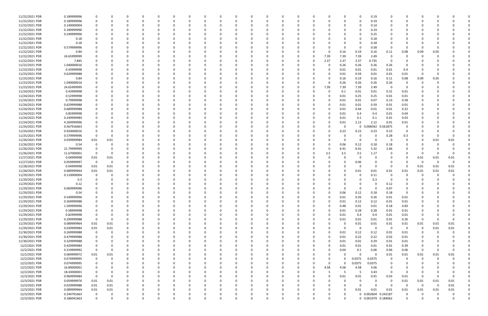| 11/22/2021 PDR | 0.189999996 |             |                  |              |          |          |          |          |          |          |          |          |          |     |          |          |               | $\Omega$    | 0.19                |                |             |          |          |          |  |
|----------------|-------------|-------------|------------------|--------------|----------|----------|----------|----------|----------|----------|----------|----------|----------|-----|----------|----------|---------------|-------------|---------------------|----------------|-------------|----------|----------|----------|--|
| 11/22/2021 PDR | 0.189999996 | $\Omega$    |                  | <sup>0</sup> | 0        | - 0      |          |          |          |          |          | 0        |          | - 0 | $\Omega$ |          | 0             | 0           | 0.19                | $\Omega$       | O           | -0       |          |          |  |
| 11/22/2021 PDR | 0.140000004 |             |                  |              |          |          |          |          |          |          |          |          |          |     |          |          |               | 0           | 0.14                |                |             |          |          |          |  |
| 11/22/2021 PDR | 0.189999996 |             |                  |              |          |          |          |          |          |          |          |          |          |     |          |          |               | 0           | 0.19                |                |             |          |          |          |  |
| 11/22/2021 PDR | 0.249999996 |             |                  |              |          |          |          |          |          |          |          |          |          |     |          |          |               | $\Omega$    | 0.25                |                |             |          |          |          |  |
| 11/22/2021 PDR | 0.18        |             |                  |              |          |          |          |          |          |          |          |          |          |     |          |          |               | 0           | 0.18                |                |             |          |          |          |  |
| 11/22/2021 PDR | 0.18        |             |                  |              |          |          |          |          |          |          |          |          |          |     |          |          |               | 0           | 0.18                |                |             |          |          |          |  |
|                |             |             |                  |              |          |          |          |          |          |          |          |          |          |     |          |          | O             |             |                     |                | n           |          |          |          |  |
| 11/22/2021 PDR | 0.579999996 |             |                  |              |          |          |          |          |          |          |          |          |          |     |          |          |               | 0           | 0.58                | - 0            |             | -0       |          |          |  |
| 11/22/2021 PDR | 0.84        |             |                  |              |          |          |          |          |          |          |          |          |          |     |          |          | 0.16          | 0.19        | 0.16                | 0.11           | 0.08        | 0.09     | 0.05     |          |  |
| 11/22/2021 PDR | 24.65999999 |             |                  |              |          |          |          |          |          |          |          |          |          |     |          | 7.39     | 7.39          | 7.39        | 2.49                | - 0            |             |          |          |          |  |
| 11/22/2021 PDR | 7.845       |             |                  |              |          |          |          |          |          |          |          |          |          |     |          | 2.37     | 2.37          | 2.37        | 0.735               | - 0            |             |          |          |          |  |
| 11/22/2021 PDR | 1.040000016 |             |                  |              |          |          |          |          |          |          |          |          |          |     |          | 0        | 0.26          | 0.26        | 0.26                | 0.26           | 0           |          |          |          |  |
| 11/23/2021 PDR | 0.43999998  |             |                  |              |          |          |          |          |          |          |          |          |          |     |          |          | 0.01          | 0.01        | 0.01                | 0.01           | 0.4         |          |          |          |  |
| 11/23/2021 PDR | 0.629999988 |             |                  |              |          |          |          |          |          |          |          |          |          |     |          |          | 0.01          | 0.59        | 0.01                | 0.01           | 0.01        | $\Omega$ |          |          |  |
| 11/23/2021 PDR | 0.84        |             |                  |              |          |          |          |          |          |          |          |          |          |     |          | 0        | 0.16          | 0.19        | 0.16                | 0.11           | 0.08        | 0.09     | 0.05     |          |  |
| 11/23/2021 PDR | 1.040000016 |             |                  |              |          |          |          |          |          |          |          |          |          |     |          |          | 0.26          | 0.26        | 0.26                | 0.26           | 0           |          |          |          |  |
| 11/23/2021 PDR | 24.65999999 |             |                  |              |          |          |          |          |          |          |          |          |          |     |          | 7.39     | 7.39          | 7.39        | 2.49                | - 0            | $\Omega$    |          |          |          |  |
| 11/24/2021 PDR | 0.43999998  |             |                  |              |          |          |          |          |          |          |          |          |          |     |          | 0        | 0.1           | 0.01        | 0.01                | 0.31           | 0.01        |          |          |          |  |
| 11/24/2021 PDR | 0.52999998  |             |                  |              |          |          |          |          |          |          |          |          |          |     |          |          | 0.01          | 0.25        | 0.25                | 0.01           | 0.01        |          |          |          |  |
| 11/24/2021 PDR | 0.79999998  |             |                  |              |          |          |          |          |          |          |          |          |          |     |          |          | 0.01          | 0.01        | 0.07                | 0.13           | 0.58        |          |          |          |  |
| 11/24/2021 PDR | 0.629999988 |             |                  |              |          |          |          |          |          |          |          |          |          |     |          | 0        | 0.01          | 0.01        | 0.59                | 0.01           | 0.01        |          |          |          |  |
| 11/24/2021 PDR | 0.689999988 |             |                  |              |          |          |          |          |          |          |          |          |          |     |          |          | 0.01          | 0.44        | 0.01                | 0.01           | 0.22        |          |          |          |  |
| 11/24/2021 PDR | 0.85999998  |             |                  |              |          |          |          |          |          |          |          |          |          |     |          |          | 0.01          | 0.4         | 0.4                 | 0.01           | 0.04        |          |          |          |  |
| 11/24/2021 PDR | 0.249999984 |             |                  |              |          |          |          |          |          |          |          |          |          |     |          |          | 0.01          | 0.1         | 0.1                 | 0.01           | 0.03        |          |          |          |  |
| 11/24/2021 PDR | 4.269999996 |             |                  |              |          |          |          |          |          |          |          |          |          |     |          |          | 0.01          | 2.12        | 2.12                | 0.01           | 0.01        |          |          |          |  |
| 11/24/2021 PDR | 0.567916663 |             |                  |              |          |          |          |          |          |          |          |          |          |     |          |          | O             | 0           | 0.006042            | 561875         | 0           |          |          |          |  |
| 11/24/2021 PDR | 0.920000016 |             |                  |              |          |          |          |          |          |          |          |          |          |     |          |          | 0.23          | 0.23        | 0.23                | 0.23           | 0           |          |          |          |  |
| 11/25/2021 PDR | 0.579999996 | 0           |                  |              |          |          |          |          |          |          |          |          |          |     |          |          | O             | 0           |                     | 0.28           | 0.3         |          |          |          |  |
| 11/26/2021 PDR | 0.039999984 | 0.01        | 0.01             |              |          |          |          |          |          |          |          |          |          |     |          |          | $\Omega$      | $\Omega$    | - 0                 | - 0            | $\mathbf 0$ |          | 0.01     | 0.01     |  |
|                |             |             |                  |              |          |          |          |          |          |          |          |          |          |     |          |          |               |             |                     |                |             |          |          |          |  |
| 11/26/2021 PDR | 0.54        | 0           |                  |              |          |          |          |          |          |          |          |          |          |     |          | 0        | 0.06          | 0.12        | 0.18                | 0.18           | 0           |          |          |          |  |
| 11/26/2021 PDR | 21.79999999 |             |                  |              |          |          |          |          |          |          |          |          |          |     |          |          | 6.91          | 6.91        | 5.32                | 2.66           |             |          |          |          |  |
| 11/26/2021 PDR | 11.67000001 |             |                  |              |          |          |          |          |          |          |          |          |          |     |          | 3.5      | 3.5           | 3.5         | 1.17                |                |             |          |          |          |  |
| 11/27/2021 PDR | 0.04999998  | 0.01        | 0.01             |              |          |          |          |          |          |          |          |          |          |     |          |          |               | - 0         |                     |                |             | 0.01     | 0.01     | 0.01     |  |
| 11/27/2021 PDR | 0.059999997 | 0           | - 0              |              |          |          |          |          |          |          |          |          |          |     |          |          | C.            | 0.06        |                     |                |             | - 0      |          | $\Omega$ |  |
| 11/28/2021 PDR | 0.04999998  | 0.01        | 0.01             |              |          |          |          |          |          |          |          |          |          |     |          |          | O             | 0           |                     | - 0            | 0           | 0.01     | 0.01     | 0.01     |  |
| 11/28/2021 PDR | 0.089999964 | 0.01        | 0.01             |              |          |          |          |          |          |          |          |          |          |     |          |          |               | 0.01        | 0.01                | 0.01           | 0.01        | 0.01     | 0.01     | 0.01     |  |
| 11/29/2021 PDR | 0.110000004 |             |                  |              |          |          |          |          |          |          |          |          |          |     |          |          |               | $\Omega$    | 0.11                | - 0            |             | -0       |          |          |  |
| 11/29/2021 PDR | 0.3         |             |                  |              |          |          |          |          |          |          |          |          |          |     |          |          |               | 0           | 0.3                 |                |             |          |          |          |  |
| 11/29/2021 PDR | 0.12        |             |                  |              |          |          |          |          |          |          |          |          |          |     |          |          |               |             |                     | 0.12           |             |          |          |          |  |
| 11/29/2021 PDR | 0.069999996 |             |                  |              |          |          |          |          |          |          |          |          |          |     |          |          | <sup>0</sup>  | 0           |                     | 0.07           |             |          |          |          |  |
| 11/29/2021 PDR | 0.54        |             |                  |              |          |          |          |          |          |          |          |          |          |     |          |          | 0.06          | 0.12        | 0.18                | 0.18           | -0          |          |          |          |  |
| 11/29/2021 PDR | 0.549999996 | 0           | $\Omega$         | $\Omega$     | $\Omega$ | $\Omega$ | $\Omega$ | O        | $\Omega$ | $\Omega$ | $\Omega$ | $\Omega$ | $\Omega$ |     | $\Omega$ | 0        | 0.01          | 0.26        | 0.26                | 0.01           | 0.01        | $\Omega$ |          |          |  |
| 11/29/2021 PDR | 0.269999988 | 0           | $\Omega$         | $\Omega$     | 0        | $\Omega$ | 0        |          | $\Omega$ |          | 0        | $\Omega$ | 0        | -0  | $\Omega$ | $\Omega$ | 0.01          | 0.12        | 0.12                | 0.01           | 0.01        | 0        |          |          |  |
| 11/29/2021 PDR | 1.509999996 | 0           | $\Omega$         |              | 0        | - 0      |          |          |          |          | 0        |          |          |     |          |          | 0.48          | 0.01        | 0.01                | 0.18           | 0.83        | 0        |          |          |  |
| 11/29/2021 PDR | 0.58999998  | 0           |                  |              |          | -0       |          |          |          |          | 0        | 0        |          |     |          | 0        | 0.01          | 0.28        | 0.28                | 0.01           | 0.01        |          |          |          |  |
| 11/29/2021 PDR | 0.82999998  | 0           |                  |              |          |          |          |          |          |          |          |          |          |     |          | 0        | 0.01          | 0.4         | 0.4                 | 0.01           | 0.01        | 0        |          |          |  |
| 11/29/2021 PDR | 0.299999988 | $\mathbf 0$ | 0                | 0            | 0        | 0        | 0        |          |          |          | 0        | 0        |          |     | 0        | 0        | 0.01          | 0.01        | 0.01                | 0.01           | 0.26        | $\Omega$ |          |          |  |
| 11/29/2021 PDR | 0.089999964 | 0.01        | 0.01             | 0            | C        | 0        |          |          |          |          | 0        | 0        |          |     |          |          | $\Omega$      | 0.01        | 0.01                | 0.01           | 0.01        | 0.01     | 0.01     | 0.01     |  |
| 11/29/2021 PDR | 0.039999984 | 0.01        | $0.01\,$         | $\Omega$     | O        |          |          |          |          |          |          | $\Omega$ |          |     |          |          | $\Omega$      | $\mathbf 0$ | $\Omega$            | $\overline{0}$ | $\mathbf 0$ | 0        | 0.01     | 0.01     |  |
| 11/30/2021 PDR | 0.269999988 | $\mathbf 0$ | $\Omega$         | 0            | 0        |          |          |          |          |          | 0        | 0        |          |     |          |          | 0.01          | 0.12        | 0.12                | 0.01           | 0.01        | 0        |          |          |  |
| 11/30/2021 PDR | 0.479999988 | 0           |                  |              |          |          |          |          |          |          |          |          |          |     |          |          | 0.01          | 0.22        | 0.22                | 0.02           | 0.01        |          |          |          |  |
| 11/30/2021 PDR | 0.329999988 | 0           |                  |              | O        | -0       |          |          |          |          |          | 0        |          |     |          | 0        | 0.01          | 0.01        | 0.29                | 0.01           | 0.01        |          |          |          |  |
| 12/2/2021 PDR  | 0.429999984 | 0           |                  |              | O        |          |          |          |          |          |          | 0        |          |     |          | 0        | 0.01          | 0.01        | 0.01                | 0.01           | 0.39        | 0        |          |          |  |
| 12/2/2021 PDR  | 0.319999992 | $\mathbf 0$ | $\Omega$         |              |          |          |          |          |          |          |          |          |          |     |          |          | 0.04          | 0.1         | 0.06                | 0.06           | 0.06        | 0        |          |          |  |
|                |             |             |                  |              |          |          |          |          |          |          |          | $\Omega$ |          |     |          |          |               |             | $\Omega$            |                |             |          |          |          |  |
| 12/2/2021 PDR  | 0.069999972 | 0.01        | 0.01<br>$\Omega$ |              |          | - 0      |          |          |          |          |          |          | C        |     |          | 0        | 0<br>$\Omega$ | $\mathbf 0$ |                     | 0.01           | 0.01        | 0.01     | 0.01     | 0.01     |  |
| 12/2/2021 PDR  | 0.074999995 | 0           |                  |              | O        |          |          |          |          |          |          |          |          |     |          |          |               | 0.0375      | 0.0375              | $\mathbf 0$    | 0           | 0        |          |          |  |
| 12/2/2021 PDR  | 0.074999995 | 0           |                  |              | O        | -0       |          |          |          |          | $\Omega$ |          |          |     |          | 0        | $\Omega$      | 0.0375      | 0.0375              | - 0            | 0           |          |          |          |  |
| 12/2/2021 PDR  | 16.80000001 | 0           |                  |              |          |          |          |          |          |          |          | 0        |          |     | $\Omega$ | 4.58     | 4.58          | 4.58        | 3.06                | - 0            | 0           |          |          |          |  |
| 12/2/2021 PDR  | 18.43000001 | 0           |                  |              |          |          |          |          |          |          |          |          |          |     |          | -5       | 5             | -5          | 3.43                | 0              | 0           |          |          |          |  |
| 12/3/2021 PDR  | 0.969999984 | $\mathbf 0$ | 0                | 0            | O        |          |          |          |          |          |          | 0        |          |     | 0        | $\Omega$ | 0.01          | 0.01        | 0.91                | 0.03           | 0.01        | 0        |          |          |  |
| 12/3/2021 PDR  | 0.059999976 | 0.01        | 0.01             |              |          |          |          |          |          |          |          |          |          |     |          |          | 0             | $\mathbf 0$ |                     | 0              | 0.01        | 0.01     | 0.01     | 0.01     |  |
| 12/3/2021 PDR  | 0.029999988 | 0.01        | 0.01             | 0            | O        |          |          |          |          |          |          |          |          |     |          |          | $\Omega$      | 0           |                     | $\Omega$       | $\Omega$    | 0        | $\Omega$ | 0.01     |  |
| 12/3/2021 PDR  | 0.089999964 | 0.01        | 0.01             | 0            | O        | -0       |          |          |          |          |          |          |          |     |          |          | 0             | 0.01        | 0.01                | 0.01           | 0.01        | 0.01     | 0.01     | 0.01     |  |
| 12/3/2021 PDR  | 0.244791663 | 0           |                  |              |          |          |          |          |          |          |          |          |          |     |          |          | 0             | $\mathbf 0$ | 0.002604 0.242187   |                | 0           |          |          | 0        |  |
| 12/3/2021 PDR  | 0.186041663 | $\mathbf 0$ | $\Omega$         | $\mathbf 0$  | $\Omega$ | $\Omega$ | 0        | $\Omega$ | $\Omega$ |          | $\Omega$ | $\Omega$ | $\Omega$ | 0   | $\Omega$ | $\Omega$ | $\mathbf 0$   |             | 0 0.001979 0.184062 |                | $\mathbf 0$ | $\Omega$ |          | $\Omega$ |  |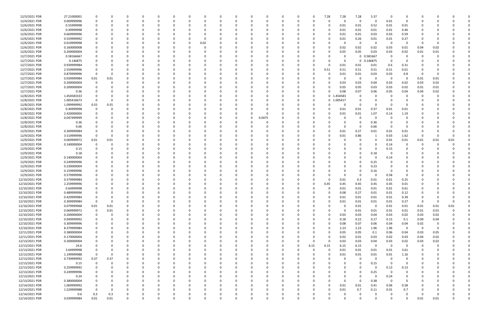| 12/3/2021 PDR  | 27.21000001 |             |             |          |          | $\Omega$ |          |          |      |          |          |          |          |             | 0        | $\Omega$    | 7.28           | 7.28     | 7.28         | 5.37        | - 0      | 0              |                         |      |          |  |
|----------------|-------------|-------------|-------------|----------|----------|----------|----------|----------|------|----------|----------|----------|----------|-------------|----------|-------------|----------------|----------|--------------|-------------|----------|----------------|-------------------------|------|----------|--|
| 12/4/2021 PDR  | 0.009999996 |             |             |          |          |          |          |          |      |          |          |          |          |             | O        | $\Omega$    |                | $\Omega$ | 0            | 0           | 0.01     | $\Omega$       |                         |      |          |  |
| 12/6/2021 PDR  | 0.55999998  |             |             |          |          |          |          |          |      |          |          |          |          |             |          |             |                | 0.01     | 0.01         | 0.52        | 0.01     | 0.01           |                         |      |          |  |
| 12/6/2021 PDR  | 0.49999998  |             |             |          |          |          |          |          |      |          |          |          |          |             |          |             |                | 0.01     | 0.01         | 0.01        | 0.01     | 0.46           |                         |      |          |  |
| 12/6/2021 PDR  | 0.669999996 |             |             |          |          |          |          |          |      |          |          |          |          |             |          |             |                | 0.01     | 0.01         | 0.03        | 0.03     | 0.59           |                         |      |          |  |
| 12/6/2021 PDR  | 0.559999992 |             |             |          |          |          |          |          |      |          |          |          |          |             |          |             |                | 0.01     | 0.26         | 0.01        | 0.01     | 0.27           |                         |      |          |  |
|                |             |             |             |          |          |          |          |          |      |          |          |          |          |             |          |             |                |          |              |             |          |                |                         |      |          |  |
| 12/6/2021 PDR  | 0.019999998 |             |             |          |          |          |          |          | 0.02 |          |          |          |          |             |          |             |                |          | 0            | 0           | 0        | $\Omega$       | - 0                     |      |          |  |
| 12/6/2021 PDR  | 0.160000008 |             |             |          |          |          |          |          |      |          |          |          |          |             |          |             |                | 0.02     | 0.02         | 0.02        | 0.03     | 0.01           | 0.04                    | 0.02 |          |  |
| 12/6/2021 PDR  | 0.200000004 |             |             |          |          |          |          |          |      |          |          |          |          |             |          |             |                | 0.05     | 0.05         | 0.03        | 0.03     | 0.02           | 0.01                    | 0.01 |          |  |
| 12/7/2021 PDR  | 0.58166667  |             |             |          |          |          |          |          |      |          |          |          |          |             |          |             |                |          | $\mathbf{0}$ | 0.581667    | 0        |                |                         |      |          |  |
| 12/7/2021 PDR  | 0.146875    |             |             |          |          |          |          |          |      |          |          |          |          |             |          |             |                | 0        |              | 0 0.146875  | 0        | n              |                         |      |          |  |
| 12/7/2021 PDR  | 0.939999984 |             |             |          |          |          |          |          |      |          |          |          |          |             |          |             |                | 0.01     | 0.01         | 0.01        | 0.6      | 0.31           |                         |      |          |  |
| 12/7/2021 PDR  | 2.559999996 |             |             |          |          |          |          |          |      |          |          |          |          |             |          | - 0         | 0.51           | 0.51     | 0.51         | 0.51        | 0.51     | 0.01           |                         |      |          |  |
| 12/7/2021 PDR  | 0.879999996 |             |             |          |          |          |          |          |      |          |          |          |          |             |          |             |                | 0.01     | 0.01         | 0.03        | 0.03     | 0.8            | -0                      |      |          |  |
| 12/7/2021 PDR  | 0.039999984 | 0.01        | 0.01        |          |          |          |          |          |      |          |          |          |          |             |          |             |                | 0        | 0            | 0           | - 0      | - 0            | 0.01                    | 0.01 |          |  |
| 12/7/2021 PDR  | 0.200000004 |             |             |          |          |          |          |          |      |          |          |          |          |             |          |             |                | 0.03     | 0.03         | 0.04        | 0.03     | 0.02           | 0.03                    | 0.02 |          |  |
|                |             |             |             |          |          |          |          |          |      |          |          |          |          |             |          |             |                |          |              |             |          |                |                         |      |          |  |
| 12/7/2021 PDR  | 0.200000004 |             |             | $\Omega$ |          |          |          |          |      |          |          |          |          |             |          |             |                | 0.05     | 0.05         | 0.03        | 0.03     | 0.02           | 0.01                    | 0.01 |          |  |
| 12/7/2021 PDR  | 0.36        |             |             |          |          |          |          |          |      |          |          |          |          |             |          | 0           |                | 0.08     | 0.07         | 0.06        | 0.05     | 0.04           | 0.04                    | 0.02 |          |  |
| 12/8/2021 PDR  | 1.454583333 |             |             |          |          |          |          |          |      |          |          |          |          |             |          | - 0         | 0 <sub>1</sub> | L.454583 | 0            |             |          |                |                         |      |          |  |
| 12/8/2021 PDR  | 1.005416673 |             |             |          |          |          |          |          |      |          |          |          |          |             |          | 0           | $\mathbf 0$    | 1.005417 |              | - 0         |          |                |                         |      |          |  |
| 12/8/2021 PDR  | 1.099999992 | 0.55        | 0.55        |          |          |          |          |          |      |          |          |          |          |             |          |             |                |          | 0            | 0           |          |                |                         |      |          |  |
| 12/8/2021 PDR  | 0.40999998  |             |             |          |          |          |          |          |      |          |          |          |          |             |          |             |                | 0.01     | 0.01         | 0.37        | 0.01     | 0.01           |                         |      |          |  |
| 12/8/2021 PDR  | 2.420000004 |             |             |          |          |          |          |          |      |          |          |          |          |             |          |             |                | 0.01     | 0.01         | 1.07        | 0.14     | 1.19           |                         |      |          |  |
| 12/8/2021 PDR  | 0.047499999 |             |             |          |          |          |          |          |      |          |          | 0        | 0.0475   |             |          |             |                |          | $\Omega$     | C           |          |                |                         |      |          |  |
| 12/8/2021 PDR  | 0.36        |             |             |          |          |          |          |          |      |          |          |          |          |             |          |             |                |          | 0            | 0.36        |          |                |                         |      |          |  |
| 12/8/2021 PDR  | 0.66        |             |             |          |          |          |          |          |      |          |          |          |          |             |          |             |                |          | 0            | 0.66        |          | 0              |                         |      |          |  |
| 12/9/2021 PDR  |             |             |             |          |          |          |          |          |      |          |          |          |          |             |          |             |                |          |              | 0.01        | 0.01     |                |                         |      |          |  |
|                | 0.309999984 |             |             |          |          |          |          |          |      |          |          |          |          |             |          |             |                | 0.01     | 0.27         |             |          | 0.01           |                         |      |          |  |
| 12/9/2021 PDR  | 3.519999996 | 0           |             |          |          |          |          |          |      |          |          |          |          |             |          |             |                | 0.01     | 0.86         |             | 0.03     | 1.62           | -0                      |      |          |  |
| 12/9/2021 PDR  | 0.069999972 | 0.01        | 0.01        |          |          |          |          |          |      |          |          |          |          |             |          |             |                |          | 0            | $\Omega$    | 0.01     | 0.01           | 0.01                    | 0.01 | 0.01     |  |
| 12/9/2021 PDR  | 0.140000004 |             |             |          |          |          |          |          |      |          |          |          |          |             |          |             |                |          |              | - 0         | 0.14     | 0              | O                       |      |          |  |
| 12/9/2021 PDR  | 0.15        |             |             |          |          |          |          |          |      |          |          |          |          |             |          |             |                |          | 0            | 0           | 0.15     | 0              |                         |      |          |  |
| 12/9/2021 PDR  | 0.18        |             |             |          |          |          |          |          |      |          |          |          |          |             |          |             |                |          | <sup>0</sup> | 0.18        |          |                |                         |      |          |  |
| 12/9/2021 PDR  | 0.140000004 |             |             |          |          |          |          |          |      |          |          |          |          |             |          |             |                |          | <sup>0</sup> | $\Omega$    | 0.14     |                |                         |      |          |  |
| 12/9/2021 PDR  | 0.249999996 |             |             |          |          |          |          |          |      |          |          |          |          |             |          |             |                |          | 0            | 0.25        |          |                |                         |      |          |  |
| 12/9/2021 PDR  | 0.230000004 |             |             |          |          |          |          |          |      |          |          |          |          |             |          |             |                |          |              | 0.23        |          |                |                         |      |          |  |
| 12/9/2021 PDR  | 0.159999996 |             |             |          |          |          |          |          |      |          |          |          |          |             |          |             |                |          | 0            | 0.16        | - 0      | 0              |                         |      |          |  |
| 12/9/2021 PDR  | 0.579999996 |             |             |          |          |          |          |          |      |          |          |          |          |             |          |             |                |          | 0            | 0           | 0.58     | 0              |                         |      |          |  |
|                |             |             |             |          |          |          |          |          |      |          |          |          |          |             |          |             |                |          |              |             |          |                |                         |      |          |  |
| 12/10/2021 PDR | 0.579999984 |             |             |          |          |          |          |          |      |          |          |          |          |             |          |             |                | 0.01     | 0.3          | 0.01        | 0.01     | 0.25           |                         |      |          |  |
| 12/10/2021 PDR | 2.259999996 |             |             |          |          |          |          |          |      |          |          |          |          |             |          |             | 0.45           | 0.45     | 0.45         | 0.45        | 0.45     | 0.01           |                         |      |          |  |
| 12/10/2021 PDR | 0.64999998  | 0           |             |          |          |          |          |          |      |          |          |          |          |             |          |             | 0              | 0.01     | $0.01\,$     | 0.01        | $0.01\,$ | 0.61           |                         |      |          |  |
| 12/10/2021 PDR | 0.489999996 |             |             |          |          |          |          |          |      |          |          |          |          |             |          |             |                | 0.08     | 0.27         | 0.01        | 0.01     | 0.12           |                         |      |          |  |
| 12/10/2021 PDR | 0.429999984 | $\mathbf 0$ | 0           | 0        | $\Omega$ | $\Omega$ | $\Omega$ | 0        |      | 0        |          | 0        | $\Omega$ | $\mathbf 0$ | 0        | 0           | $\Omega$       | 0.01     | 0.01         | 0.01        | 0.01     | 0.39           | 0                       |      | U        |  |
| 12/10/2021 PDR | 0.309999984 | $\Omega$    | $\mathbf 0$ | 0        |          | $\Omega$ |          | $\Omega$ |      |          |          | 0        |          | $\Omega$    | 0        | 0           | $\Omega$       | 0.01     | 0.01         | 0.01        | 0.01     | 0.27           | $\mathbf 0$             |      | $\Omega$ |  |
| 12/10/2021 PDR | 0.079999968 | $0.01\,$    | 0.01        | $\Omega$ |          | $\Omega$ |          | $\Omega$ |      |          |          | $\Omega$ |          |             | 0        | $\Omega$    |                | $\Omega$ | 0.01         | $\Omega$    | 0.01     | 0.01           | 0.01                    | 0.01 | 0.01     |  |
| 12/10/2021 PDR | 0.069999972 | 0           | 0.01        |          |          |          |          |          |      |          |          |          |          |             |          | $\Omega$    |                | $\Omega$ | 0.01         | 0.01        | 0.01     | 0.01           | 0.01                    | 0.01 |          |  |
| 12/10/2021 PDR | 0.200000004 | $\mathbf 0$ |             |          |          |          |          |          |      |          |          |          |          |             |          | 0           | 0              | 0.03     | 0.03         | 0.04        | 0.03     | 0.02           | 0.03                    | 0.02 |          |  |
| 12/10/2021 PDR | 0.949999992 | $\mathbf 0$ |             | $\Omega$ |          |          |          |          |      |          |          | $\Omega$ |          | 0           | 0        | 0           | $\Omega$       | 0.18     | 0.22         | 0.17        | 0.15     | 0.1            | 0.09                    | 0.04 |          |  |
|                |             | $\mathbf 0$ |             | $\Omega$ |          | $\Omega$ |          |          |      |          |          |          |          |             |          |             |                |          |              |             |          |                |                         |      |          |  |
| 12/10/2021 PDR | 0.309999996 |             |             |          |          |          |          |          |      |          |          | $\Omega$ |          |             | 0        | 0           |                | 0.08     | 0.07         | 0.06        | 0.04     | 0.04           | 0.02                    | 0    |          |  |
| 12/10/2021 PDR | 8.379999984 | $\mathbf 0$ |             | $\Omega$ |          | $\Omega$ |          | $\Omega$ |      |          |          | $\Omega$ |          |             | $\Omega$ | $\Omega$    | $\Omega$       | 2.23     | 2.23         | 1.96        | 1.96     | $\Omega$       | $\overline{\mathbf{0}}$ | 0    |          |  |
| 12/11/2021 PDR | 0.380000004 | 0           |             | $\Omega$ |          | $\Omega$ |          | 0        |      |          |          | $\Omega$ |          |             | 0        | $\Omega$    |                | 0.05     | 0.05         | 0.1         | 0.06     | 0.04           | 0.03                    | 0.05 |          |  |
| 12/11/2021 PDR | 0.170000004 |             |             |          |          | $\Omega$ |          |          |      |          |          |          |          |             | 0        | $\Omega$    |                | 0.02     | 0.01         | 0.03        | 0.02     | 0.03           | 0.04                    | 0.02 |          |  |
| 12/13/2021 PDR | 0.200000004 |             |             |          |          | $\Omega$ |          |          |      |          |          | 0        |          | $\Omega$    | 0        | $\Omega$    | $\Omega$       | 0.03     | 0.03         | 0.04        | 0.03     | 0.02           | 0.03                    | 0.02 |          |  |
| 12/13/2021 PDR | 24.6        | 0           |             | 0        |          | 0        |          |          |      |          |          | 0        |          | 0           | 0        | 6.15        | 6.15           | 6.15     | 6.15         | $\mathbf 0$ | $\Omega$ | $\overline{0}$ | 0                       | 0    |          |  |
| 12/13/2021 PDR | 3.64999998  | $\mathbf 0$ |             | $\Omega$ |          | $\Omega$ |          |          |      |          |          | $\Omega$ |          | $\Omega$    | $\Omega$ | $\mathbf 0$ | $\Omega$       | 0.01     | 0.01         | 0.01        | 0.01     | 3.61           | 0                       |      |          |  |
| 12/13/2021 PDR | 1.199999988 | $\mathbf 0$ | $\Omega$    | $\Omega$ |          | $\Omega$ |          |          |      |          |          | 0        |          | 0           | 0        | 0           | $\Omega$       | 0.01     | 0.01         | 0.01        | 0.01     | 1.16           | 0                       |      |          |  |
| 12/13/2021 PDR | 0.739999992 | 0.37        | 0.37        | $\Omega$ |          | $\Omega$ |          |          |      |          |          | 0        |          |             | 0        | $\Omega$    |                | 0        | $\mathbf 0$  | $\mathbf 0$ | $\Omega$ | $\mathbf 0$    |                         |      |          |  |
| 12/13/2021 PDR | 0.15        | $\mathbf 0$ |             |          |          | $\Omega$ |          |          |      |          |          |          |          |             |          | - 0         |                |          | $\Omega$     | 0.15        | $\Omega$ | $\overline{0}$ |                         |      |          |  |
|                | 0.259999992 | $\Omega$    |             |          |          |          |          |          |      |          |          |          |          |             |          | $\Omega$    |                | 0        | 0            | $\Omega$    | 0.13     | 0.13           |                         |      |          |  |
| 12/13/2021 PDR |             |             |             |          |          |          |          |          |      |          |          | 0        |          |             | 0        |             |                |          |              |             |          |                |                         |      |          |  |
| 12/13/2021 PDR | 0.249999996 |             |             |          |          |          |          |          |      |          |          |          |          |             |          |             |                |          | 0            | 0.25        | $\Omega$ | $\mathbf 0$    |                         |      |          |  |
| 12/13/2021 PDR | 0.24        | 0           |             | $\Omega$ |          | $\Omega$ |          |          |      |          |          |          |          |             | 0        | 0           |                | 0        | $\mathbf 0$  | $\mathbf 0$ | 0.24     | $\mathbf 0$    |                         |      |          |  |
| 12/13/2021 PDR | 0.380000004 |             |             |          |          | $\Omega$ |          |          |      |          |          | 0        |          |             |          | 0           |                | $\Omega$ | $\mathbf 0$  | 0.38        | $\Omega$ | $\Omega$       | 0                       |      |          |  |
| 12/14/2021 PDR | 1.069999992 |             |             | $\Omega$ |          | $\Omega$ |          |          |      |          |          | $\Omega$ |          |             | 0        | 0           |                | 0.01     | 0.01         | 0.41        | 0.06     | 0.58           | 0                       |      |          |  |
| 12/14/2021 PDR | 1.529999988 | $\Omega$    | $\Omega$    | $\Omega$ |          | $\Omega$ |          |          |      |          |          | $\Omega$ |          |             | 0        | $\Omega$    | $\Omega$       | 0.01     | 0.7          | 0.11        | 0.01     | 0.7            | 0                       |      |          |  |
| 12/14/2021 PDR | 0.6         | 0.3         | 0.3         | 0        |          |          |          |          |      |          |          | 0        |          |             |          |             |                |          | 0            | 0           | - 0      | 0              | -0                      |      |          |  |
| 12/14/2021 PDR | 0.039999984 | 0.01        | 0.01        | $\Omega$ |          | $\Omega$ | $\Omega$ | $\Omega$ |      | $\Omega$ | $\Omega$ | $\Omega$ | $\Omega$ | $\Omega$    | $\Omega$ | $\Omega$    | U              | $\Omega$ | $\Omega$     | $\Omega$    | $\Omega$ | $\Omega$       | 0.01                    | 0.01 | 0        |  |
|                |             |             |             |          |          |          |          |          |      |          |          |          |          |             |          |             |                |          |              |             |          |                |                         |      |          |  |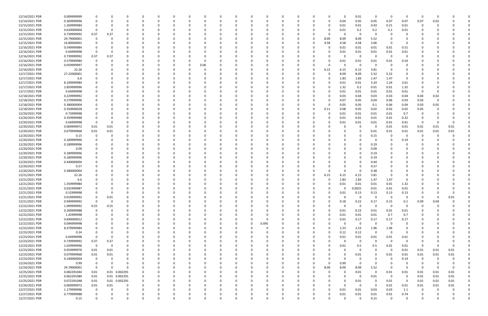| 12/14/2021 PDR | 0.009999999 |             |          |                |          | -0       |          |      |          |          |          |              |              |          |          | O        |          | 0.01         | - 0         | - 0      | $\Omega$                | -0           |          |          |   |
|----------------|-------------|-------------|----------|----------------|----------|----------|----------|------|----------|----------|----------|--------------|--------------|----------|----------|----------|----------|--------------|-------------|----------|-------------------------|--------------|----------|----------|---|
| 12/14/2021 PDR | 0.369999996 | 0           | $\Omega$ | 0              | O        | 0        | O        |      |          | $\Omega$ |          | 0            | C            | 0        |          | 0        | 0.04     | 0.05         | 0.05        | 0.07     | 0.07                    | 0.07         | 0.02     |          |   |
| 12/15/2021 PDR | 1.269999984 |             |          |                |          |          |          |      |          |          |          |              |              |          |          | 0        | 0.01     | 0.01         | 0.43        | 0.21     | 0.61                    | -0           |          |          |   |
| 12/15/2021 PDR | 0.620000004 | $\Omega$    |          |                |          |          |          |      |          |          |          |              |              |          |          |          | 0.01     | 0.2          | 0.2         | 0.2      | 0.01                    |              |          |          |   |
| 12/15/2021 PDR | 0.739999992 | 0.37        | 0.37     |                |          |          |          |      |          |          |          |              |              |          |          |          | 0        |              |             | $\Omega$ |                         |              |          |          |   |
|                |             |             |          |                |          |          |          |      |          |          |          |              |              |          |          |          |          | 0            |             |          |                         |              |          |          |   |
| 12/15/2021 PDR | 29.79000001 | $\Omega$    |          |                |          |          |          |      |          |          |          |              |              |          |          | 8.09     | 8.09     | 8.09         | 5.52        |          |                         |              |          |          |   |
| 12/15/2021 PDR | 16.80000001 |             |          |                |          |          |          |      |          |          |          |              |              |          |          | 4.58     | 4.58     | 4.58         | 3.06        |          |                         |              |          |          |   |
| 12/16/2021 PDR | 0.549999984 |             |          |                |          |          |          |      |          |          |          |              |              |          |          | -0       | 0.01     | 0.01         | 0.01        | 0.01     | 0.51                    |              |          |          |   |
| 12/16/2021 PDR | 0.64999998  |             |          |                |          |          |          |      |          |          |          |              |              |          |          |          | 0.01     | 0.01         | 0.01        | 0.01     | 0.61                    |              |          |          |   |
| 12/16/2021 PDR | 0.739999992 | 0.37        | 0.37     |                |          |          |          |      |          |          |          |              |              |          |          |          |          | 0            | - 0         | $\Omega$ | $\Omega$                |              |          |          |   |
| 12/16/2021 PDR | 0.579999984 | 0           |          |                |          |          |          |      |          |          |          |              |              |          |          |          | 0.01     | 0.01         | 0.01        | 0.01     | 0.54                    |              |          |          |   |
| 12/16/2021 PDR | 0.059999997 |             |          |                |          |          |          | 0.06 |          |          |          |              |              |          |          |          | $\Omega$ | 0            |             | - 0      |                         |              |          |          |   |
| 12/16/2021 PDR | 22.26       |             |          |                |          |          |          |      |          |          |          |              |              |          |          | 6.15     | 6.15     | 6.15         | 3.81        |          |                         |              |          |          |   |
|                |             |             |          |                |          |          |          |      |          |          |          |              |              |          |          |          |          |              |             |          |                         |              |          |          |   |
| 12/17/2021 PDR | 27.22000001 |             |          |                |          |          |          |      |          |          |          |              |              |          |          | 0        | 8.09     | 8.09         | 5.52        | 5.52     |                         |              |          |          |   |
| 12/17/2021 PDR | 6.6         |             |          |                |          |          |          |      |          |          |          |              |              |          |          | 0        | 1.83     | 1.83         | 1.47        | 1.47     | 0                       |              |          |          |   |
| 12/17/2021 PDR | 8.109999984 |             |          |                |          |          |          |      |          |          |          |              |              |          |          |          | 0.01     | 0.01         | 3.24        | 1.24     | 3.61                    |              |          |          |   |
| 12/17/2021 PDR | 2.859999996 |             |          |                |          |          |          |      |          |          |          |              |              |          |          | O        | 1.32     | 0.2          | 0.01        | 0.01     | 1.32                    |              |          |          |   |
| 12/17/2021 PDR | 0.64999998  |             |          |                |          |          |          |      |          |          |          |              |              |          |          |          | 0.01     | 0.01         | 0.01        | 0.01     | 0.61                    | - 0          |          |          |   |
| 12/18/2021 PDR | 0.229999992 |             |          |                |          |          |          |      |          |          |          |              |              |          |          |          | 0.03     | 0.04         | 0.03        | 0.03     | 0.04                    | 0.04         | 0.02     |          |   |
| 12/18/2021 PDR | 0.279999996 |             |          |                |          |          |          |      |          |          |          |              |              |          |          | 0        | 0.07     | 0.05         | 0.04        | 0.06     | 0.03                    | 0.03         | - 0      |          |   |
| 12/18/2021 PDR | 0.380000004 |             |          |                |          |          |          |      |          |          |          |              |              |          |          | 0        | 0.05     | 0.05         | $0.1\,$     | 0.06     | 0.04                    | 0.03         | 0.05     |          |   |
| 12/18/2021 PDR | 0.350000028 |             |          |                |          |          |          |      |          |          |          |              |              |          |          |          | 0.08     |              |             | 0.02     | 0.02                    |              |          |          |   |
|                |             |             |          |                |          |          |          |      |          |          |          |              |              |          |          | 0.11     |          | 0.05         | 0.02        |          |                         | 0.05         |          |          |   |
| 12/20/2021 PDR | 0.73999998  |             |          |                |          |          |          |      |          |          |          |              |              |          |          | 0        | 0.01     | 0.01         | 0.01        | 0.01     | 0.7                     | -0           |          |          |   |
| 12/20/2021 PDR | 0.359999988 |             |          |                |          |          |          |      |          |          |          |              |              |          |          |          | 0.01     | 0.01         | 0.01        | 0.01     | 0.32                    | 0            |          |          |   |
| 12/20/2021 PDR | 0.64999998  | $\Omega$    | - 0      |                |          |          |          |      |          |          |          |              |              |          |          |          | 0.01     | 0.01         | 0.01        | 0.01     | 0.61                    | -0           |          |          |   |
| 12/20/2021 PDR | 0.069999972 | 0.01        | 0.01     |                |          |          |          |      |          |          |          |              |              |          |          |          |          | 0            | - 0         | 0.01     | 0.01                    | 0.01         | 0.01     | 0.01     |   |
| 12/20/2021 PDR | 0.079999968 | 0.01        | 0.01     |                |          |          |          |      |          |          |          |              |              |          |          |          |          | 0            | 0.01        | 0.01     | 0.01                    | 0.01         | 0.01     | 0.01     |   |
| 12/20/2021 PDR | 0.15        | 0           |          |                |          |          |          |      |          |          |          |              |              |          |          |          |          | 0            | 0.15        | - 0      | 0                       | -0           |          |          |   |
| 12/20/2021 PDR | 0.189999996 |             |          |                |          |          |          |      |          |          |          |              |              |          |          |          |          |              |             |          | 0.19                    |              |          |          |   |
| 12/20/2021 PDR | 0.189999996 |             |          |                |          |          |          |      |          |          |          |              |              |          |          |          |          |              | 0.19        |          |                         |              |          |          |   |
| 12/20/2021 PDR | 0.09        |             |          |                |          |          |          |      |          |          |          |              |              |          |          |          |          |              | 0.09        |          |                         |              |          |          |   |
|                |             |             |          |                |          |          |          |      |          |          |          |              |              |          |          |          |          |              |             |          |                         |              |          |          |   |
| 12/20/2021 PDR | 0.189999996 |             |          |                |          |          |          |      |          |          |          |              |              |          |          |          |          | $\Omega$     | 0.19        |          |                         |              |          |          |   |
| 12/20/2021 PDR | 0.189999996 |             |          |                |          |          |          |      |          |          |          |              |              |          |          |          |          | 0            | 0.19        |          |                         |              |          |          |   |
| 12/20/2021 PDR | 0.440000004 |             |          |                |          |          |          |      |          |          |          |              |              |          |          |          |          | 0            | 0.44        |          |                         |              |          |          |   |
| 12/20/2021 PDR | 0.57        |             |          |                |          |          |          |      |          |          |          |              |              |          |          |          |          | 0            | 0.57        |          |                         |              |          |          |   |
| 12/20/2021 PDR | 0.380000004 |             |          |                |          |          |          |      |          |          |          |              |              |          |          |          |          | 0            | 0.38        |          |                         |              |          |          |   |
| 12/21/2021 PDR | 22.26       |             |          |                |          |          |          |      |          |          |          |              |              |          |          | 6.15     | 6.15     | 6.15         | 3.81        |          |                         |              |          |          |   |
| 12/21/2021 PDR | 6.6         |             |          |                |          |          |          |      |          |          |          |              |              |          |          | 0        | 1.83     | 1.83         | 1.47        | 1.47     | 0                       |              |          |          |   |
| 12/21/2021 PDR | 1.359999984 |             |          |                |          |          |          |      |          |          |          |              |              |          |          |          | 0.01     | 0.01         | 0.01        | 0.01     | 1.32                    |              |          |          |   |
| 12/21/2021 PDR | 0.032499987 |             | $\Omega$ |                |          |          |          |      |          |          |          |              |              |          |          | 0        | 0        | 0.0025       | 0.01        | 0.01     | 0.01                    | 0            |          |          |   |
|                |             | $\Omega$    |          |                |          |          |          |      |          |          |          |              |              |          |          |          |          |              |             |          |                         | $\Omega$     |          |          |   |
| 12/21/2021 PDR | 0.52999998  |             | $\Omega$ |                |          |          |          |      |          |          |          |              |              |          |          |          | 0.01     | 0.13         | 0.13        | 0.13     | 0.13                    |              |          |          |   |
| 12/21/2021 PDR | 0.019999992 | $\mathbf 0$ | $0.01\,$ | O              | 0        | - 0      | O        |      | $\Omega$ |          | $\Omega$ | <sup>0</sup> | <sup>0</sup> | - 0      |          | O        | 0        | $\mathbf{0}$ | - 0         | $\Omega$ | $\Omega$                | $\Omega$     | $\Omega$ | 0.01     |   |
| 12/21/2021 PDR | 0.949999992 | $\mathbf 0$ | 0        |                | 0        | $\Omega$ | 0        |      |          |          | 0        | <sup>0</sup> |              | 0        |          | $\Omega$ | 0.18     | 0.22         | 0.17        | 0.15     | 0.1                     | 0.09         | 0.04     |          |   |
| 12/22/2021 PDR | 1.099999992 | 0.55        | 0.55     |                |          |          |          |      |          |          |          |              |              |          |          |          | 0        | $\mathbf 0$  | $\Omega$    | - 0      | $\overline{0}$          | -0           | - 0      |          |   |
| 12/22/2021 PDR | 0.269999988 | 0           | $\Omega$ | O              |          | -0       |          |      |          |          |          | 0            |              | -0       |          | 0        | 0.01     | 0.23         | 0.01        | 0.01     | 0.01                    | <sup>0</sup> |          |          |   |
| 12/22/2021 PDR | 1.42999998  | 0           |          | 0              |          |          |          |      |          |          |          | 0            |              |          |          | 0        | 0.01     | 0.01         | 0.01        | 0.7      | 0.7                     |              |          |          |   |
| 12/22/2021 PDR | 0.690000012 | $\mathbf 0$ |          |                |          |          |          |      |          |          | $\Omega$ | $\Omega$     |              |          |          |          | 0.01     | 0.17         | 0.17        | 0.17     | 0.17                    | 0            |          |          |   |
| 12/22/2021 PDR | 0.094999998 | 0           |          | O              |          | $\Omega$ |          |      |          |          | 0        | 0.095        |              | - 0      |          | O        | $\Omega$ | $\mathbf 0$  | $\Omega$    | $\Omega$ | 0                       | 0            |          |          |   |
| 12/22/2021 PDR | 8.379999984 | 0           |          |                |          |          |          |      |          |          |          | $\Omega$     |              |          |          | $\Omega$ | 2.23     | 2.23         | 1.96        | 1.96     | 0                       |              |          |          |   |
| 12/23/2021 PDR |             | $\Omega$    |          |                |          | -0       |          |      |          |          |          | <sup>0</sup> |              |          |          |          | 0.12     | 0.12         | $\Omega$    | $\Omega$ | $\Omega$                |              |          |          |   |
|                | 0.24        |             |          |                |          |          |          |      |          |          |          |              |              |          |          |          |          |              |             |          |                         |              |          |          |   |
| 12/23/2021 PDR | 0.64999998  | $\mathbf 0$ | - 0      |                |          |          |          |      |          |          |          | 0            |              |          |          | 0        | 0.01     | 0.01         | 0.01        | 0.01     | 0.61                    |              |          |          |   |
| 12/23/2021 PDR | 0.739999992 | 0.37        | 0.37     |                |          |          |          |      |          |          |          |              |              |          |          | $\Omega$ | $\Omega$ | 0            | $\Omega$    | $\Omega$ | 0                       |              |          |          |   |
| 12/23/2021 PDR | 1.029999996 | $\mathbf 0$ | $\Omega$ | 0              |          |          |          |      |          |          |          | 0            |              |          |          | 0        | 0.01     | 0.5          | 0.5         | 0.01     | 0.01                    | 0            | -0       |          |   |
| 12/23/2021 PDR | 0.059999976 | 0.01        | 0.01     | 0              |          |          |          |      |          |          |          |              |              |          |          |          |          | $\mathsf{o}$ | $\Omega$    | - 0      | 0.01                    | 0.01         | 0.01     | 0.01     |   |
| 12/23/2021 PDR | 0.079999968 | 0.01        | 0.01     | 0              |          |          |          |      |          |          |          |              |              |          |          |          |          | 0.01         |             | 0.01     | 0.01                    | 0.01         | 0.01     | 0.01     |   |
| 12/23/2021 PDR | 0.140000004 | 0           | $\Omega$ | 0              |          | 0        |          |      |          |          |          | 0            |              | - 0      |          |          | O        | 0            |             | - 0      | 0.14                    | -0           | $\Omega$ |          |   |
| 12/24/2021 PDR | 0.99        | 0           | 0        | 0              |          |          |          |      |          |          |          |              |              |          |          | $\Omega$ | 0.99     | 0            | $\Omega$    |          |                         | 0            |          |          |   |
| 12/24/2021 PDR | 29.79000001 | $\mathbf 0$ | $\Omega$ | $\Omega$       |          | 0        |          |      |          |          |          | 0            |              | 0        | $\Omega$ | 8.09     | 8.09     | 8.09         | 5.52        | - 0      | - 0                     | $\Omega$     | $\Omega$ | $\Omega$ |   |
|                |             |             |          |                |          |          |          |      |          |          |          |              |              |          |          |          |          |              | $\mathbf 0$ |          |                         |              |          |          |   |
| 12/25/2021 PDR | 0.082291044 | 0.01        |          | 0.01  0.002291 |          | 0        |          |      |          |          |          | 0            |              | 0        |          | 0        | 0        | 0.01         |             | 0.01     | 0.01                    | 0.01         | 0.01     | 0.01     |   |
| 12/25/2021 PDR | 0.062291089 | 0.01        |          | 0.01 0.002291  |          |          |          |      |          |          |          |              |              |          |          | ი        | $\Omega$ | $\mathbf 0$  | 0.01        | $\Omega$ | 0                       | 0.01         | 0.01     | 0.01     |   |
| 12/25/2021 PDR | 0.072291048 | 0.01        |          | 0.01 0.002291  | 0        | 0        |          |      |          |          |          |              |              |          |          |          | 0        | 0.01         | -0          | 0.01     | $\overline{\mathbf{0}}$ | 0.01         | 0.01     | 0.01     |   |
| 12/26/2021 PDR | 0.069999972 | 0.01        | 0.01     | 0              |          | - 0      |          |      |          |          |          | <sup>0</sup> |              |          |          |          | $\Omega$ | $\mathbf{0}$ | $\Omega$    | 0.01     | 0.01                    | 0.01         | 0.01     | 0.01     |   |
| 12/27/2021 PDR | 1.179999996 | 0           |          |                |          |          |          |      |          |          |          | 0            |              |          |          | $\Omega$ | 0.01     | 0.01         | 0.03        | 0.03     | 1.1                     | $\Omega$     | - 0      |          |   |
| 12/27/2021 PDR | 0.779999988 | 0           |          | 0              |          |          |          |      |          |          |          |              |              |          |          | 0        | 0.01     | 0.01         | 0.01        | 0.01     | 0.74                    |              |          |          | 0 |
| 12/27/2021 PDR | 0.15        | $\mathbf 0$ | $\Omega$ | $\mathbf 0$    | $\Omega$ | $\Omega$ | $\Omega$ |      | $\Omega$ | $\Omega$ | $\Omega$ | $\Omega$     | $\Omega$     | $\Omega$ | 0        | $\Omega$ | $\Omega$ | $\mathbf 0$  | 0.15        | $\Omega$ | $\mathbf 0$             | 0            |          | 0        |   |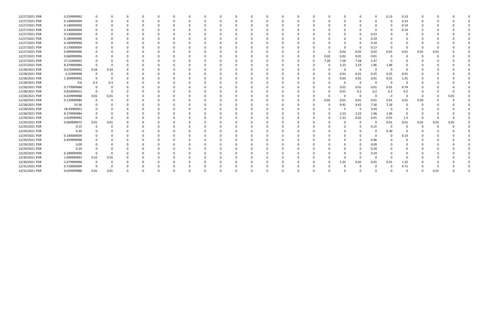| 12/27/2021 PDR | 0.259999992 |      |          |  |  |  |  |  |  |   |      |          |          |          | 0.13 | 0.13     |      |      |      |  |
|----------------|-------------|------|----------|--|--|--|--|--|--|---|------|----------|----------|----------|------|----------|------|------|------|--|
| 12/27/2021 PDR | 0.140000004 |      |          |  |  |  |  |  |  |   |      |          |          |          |      | 0.14     |      |      |      |  |
| 12/27/2021 PDR | 0.140000004 |      |          |  |  |  |  |  |  |   |      |          |          |          |      | 0.14     |      |      |      |  |
| 12/27/2021 PDR | 0.140000004 |      |          |  |  |  |  |  |  |   |      |          |          |          |      | 0.14     |      |      |      |  |
| 12/27/2021 PDR | 0.530000004 |      |          |  |  |  |  |  |  |   |      |          |          | 0.53     |      |          |      |      |      |  |
| 12/27/2021 PDR | 0.189999996 |      |          |  |  |  |  |  |  |   |      | $\Omega$ |          | 0.19     |      |          |      |      |      |  |
| 12/27/2021 PDR | 0.189999996 |      |          |  |  |  |  |  |  |   |      | - 0      |          | 0.19     |      |          |      |      |      |  |
| 12/27/2021 PDR | 0.170000004 |      |          |  |  |  |  |  |  |   |      | $\Omega$ |          | 0.17     |      | $\Omega$ |      |      |      |  |
| 12/27/2021 PDR | 0.099999996 |      |          |  |  |  |  |  |  |   |      | 0.02     | 0.02     | 0.02     | 0.01 | 0.01     | 0.01 | 0.01 |      |  |
| 12/27/2021 PDR | 0.069999996 |      |          |  |  |  |  |  |  | 0 | 0.03 | 0.02     | 0.01     | 0.01     |      |          |      |      |      |  |
| 12/27/2021 PDR | 27.21000001 |      |          |  |  |  |  |  |  | 0 | 7.28 | 7.28     | 7.28     | 5.37     |      |          |      |      |      |  |
| 12/27/2021 PDR | 8.379999984 |      |          |  |  |  |  |  |  |   |      | 2.23     | 2.23     | 1.96     | 1.96 |          |      |      |      |  |
| 12/28/2021 PDR | 0.679999992 | 0.34 | 0.34     |  |  |  |  |  |  |   |      | $\Omega$ | $\Omega$ | $\Omega$ | - 0  |          |      |      |      |  |
| 12/28/2021 PDR | 0.52999998  |      |          |  |  |  |  |  |  |   |      | 0.01     | 0.01     | 0.25     | 0.25 | 0.01     |      |      |      |  |
| 12/28/2021 PDR | 1.309999992 |      |          |  |  |  |  |  |  |   |      | 0.03     | 0.01     | 0.01     | 0.01 | 1.25     |      |      |      |  |
| 12/28/2021 PDR | 0.6         | 0.3  | 0.3      |  |  |  |  |  |  |   |      | -0       | $\Omega$ | - 0      | - 0  | $\Omega$ |      |      |      |  |
| 12/28/2021 PDR | 0.779999988 |      |          |  |  |  |  |  |  |   |      | 0.01     | 0.01     | 0.01     | 0.01 | 0.74     |      |      |      |  |
| 12/28/2021 PDR | 0.810000012 |      |          |  |  |  |  |  |  |   |      | 0.01     | 0.2      | 0.2      | 0.2  | 0.2      |      |      |      |  |
| 12/28/2021 PDR | 0.029999988 | 0.01 | 0.01     |  |  |  |  |  |  |   |      | $\Omega$ | $\Omega$ | - 0      | - 0  | 0        |      |      | 0.01 |  |
| 12/28/2021 PDR | 0.129999984 |      |          |  |  |  |  |  |  |   | 0.05 | 0.01     | 0.01     | 0.01     | 0.01 | 0.01     | 0.03 |      |      |  |
| 12/28/2021 PDR | 33.36       |      |          |  |  |  |  |  |  |   |      | 9.42     | 9.42     | 7.26     | 7.26 |          |      |      |      |  |
| 12/28/2021 PDR | 18.43000001 |      |          |  |  |  |  |  |  |   |      |          |          | 3.43     |      |          |      |      |      |  |
| 12/28/2021 PDR | 8.379999984 |      |          |  |  |  |  |  |  |   |      | 2.23     | 2.23     | 1.96     | 1.96 |          |      |      |      |  |
| 12/29/2021 PDR | 2.659999992 |      |          |  |  |  |  |  |  |   |      | 1.32     | 0.02     | 0.01     | 0.01 | 1.3      |      |      |      |  |
| 12/29/2021 PDR | 0.069999972 | 0.01 | $0.01\,$ |  |  |  |  |  |  |   |      |          |          |          | 0.01 | 0.01     | 0.01 | 0.01 | 0.01 |  |
| 12/29/2021 PDR | 0.15        |      |          |  |  |  |  |  |  |   |      |          |          | 0.15     | - 0  | $\Omega$ |      |      |      |  |
| 12/29/2021 PDR | 0.39        |      |          |  |  |  |  |  |  |   |      |          |          |          | 0.39 |          |      |      |      |  |
| 12/29/2021 PDR | 0.140000004 |      |          |  |  |  |  |  |  |   |      |          |          |          |      | 0.14     |      |      |      |  |
| 12/29/2021 PDR | 0.459999996 |      |          |  |  |  |  |  |  |   |      |          |          | 0.46     |      |          |      |      |      |  |
| 12/29/2021 PDR | 0.09        |      |          |  |  |  |  |  |  |   |      |          |          | 0.09     |      |          |      |      |      |  |
| 12/29/2021 PDR | 0.24        |      |          |  |  |  |  |  |  |   |      |          |          | 0.24     |      |          |      |      |      |  |
| 12/29/2021 PDR | 0.189999996 |      |          |  |  |  |  |  |  |   |      |          |          | 0.19     |      |          |      |      |      |  |
| 12/30/2021 PDR | 1.099999992 | 0.55 | 0.55     |  |  |  |  |  |  |   |      | - 0      |          |          |      |          |      |      |      |  |
| 12/30/2021 PDR | 2.679999996 |      |          |  |  |  |  |  |  |   |      | 1.32     | 0.02     | 0.01     | 0.01 | 1.32     |      |      |      |  |
| 12/31/2021 PDR | 0.710000004 |      |          |  |  |  |  |  |  |   |      | -0       |          |          |      | 0.71     |      |      |      |  |
| 12/31/2021 PDR | 0.029999988 | 0.01 | 0.01     |  |  |  |  |  |  |   |      | $\Omega$ |          |          |      | $\Omega$ |      | 0.01 |      |  |
|                |             |      |          |  |  |  |  |  |  |   |      |          |          |          |      |          |      |      |      |  |